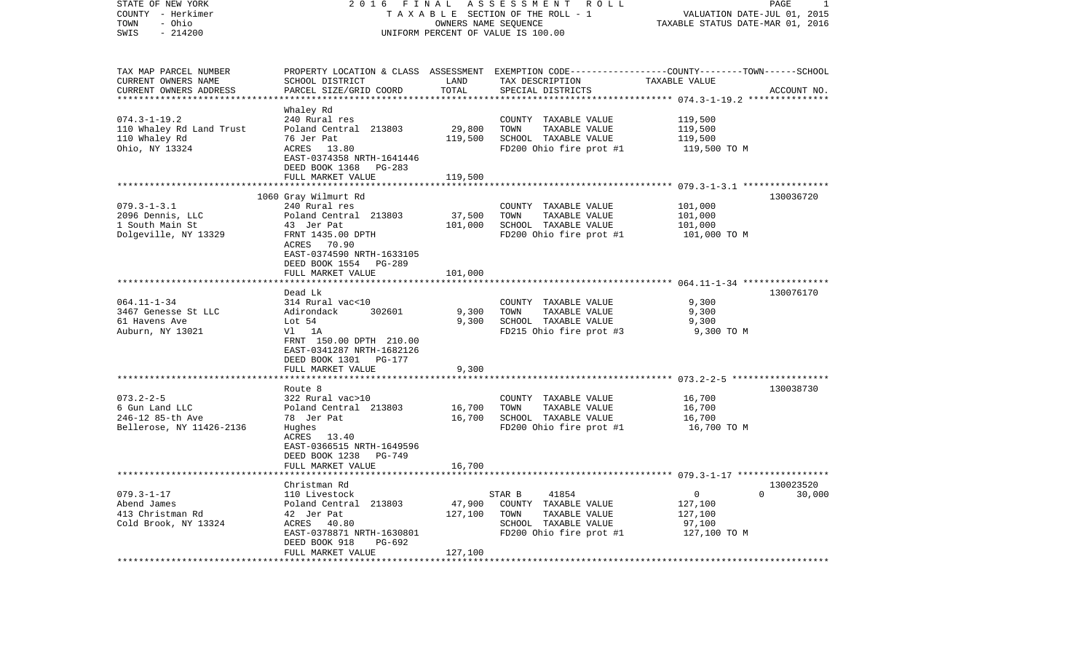| STATE OF NEW YORK<br>COUNTY - Herkimer<br>- Ohio<br>TOWN | 2 0 1 6<br>FINAL<br>TAXABLE SECTION OF THE ROLL - 1                       | PAGE<br>-1<br>VALUATION DATE-JUL 01, 2015<br>TAXABLE STATUS DATE-MAR 01, 2016 |                                                                                                                    |                                                  |                       |
|----------------------------------------------------------|---------------------------------------------------------------------------|-------------------------------------------------------------------------------|--------------------------------------------------------------------------------------------------------------------|--------------------------------------------------|-----------------------|
| SWIS<br>$-214200$                                        |                                                                           | OWNERS NAME SEQUENCE                                                          | UNIFORM PERCENT OF VALUE IS 100.00                                                                                 |                                                  |                       |
| TAX MAP PARCEL NUMBER<br>CURRENT OWNERS NAME             | SCHOOL DISTRICT                                                           | LAND                                                                          | PROPERTY LOCATION & CLASS ASSESSMENT EXEMPTION CODE---------------COUNTY-------TOWN------SCHOOL<br>TAX DESCRIPTION | TAXABLE VALUE                                    |                       |
| CURRENT OWNERS ADDRESS                                   | PARCEL SIZE/GRID COORD                                                    | TOTAL                                                                         | SPECIAL DISTRICTS                                                                                                  |                                                  | ACCOUNT NO.           |
|                                                          |                                                                           | ***********                                                                   |                                                                                                                    | ******************* 074.3-1-19.2 *************** |                       |
|                                                          | Whaley Rd                                                                 |                                                                               |                                                                                                                    |                                                  |                       |
| $074.3 - 1 - 19.2$                                       | 240 Rural res                                                             |                                                                               | COUNTY TAXABLE VALUE                                                                                               | 119,500                                          |                       |
| 110 Whaley Rd Land Trust<br>110 Whaley Rd                | Poland Central 213803<br>76 Jer Pat                                       | 29,800<br>119,500                                                             | TAXABLE VALUE<br>TOWN<br>SCHOOL TAXABLE VALUE                                                                      | 119,500<br>119,500                               |                       |
| Ohio, NY 13324                                           | ACRES<br>13.80                                                            |                                                                               | FD200 Ohio fire prot #1                                                                                            | 119,500 TO M                                     |                       |
|                                                          | EAST-0374358 NRTH-1641446<br>DEED BOOK 1368 PG-283                        |                                                                               |                                                                                                                    |                                                  |                       |
|                                                          | FULL MARKET VALUE                                                         | 119,500                                                                       |                                                                                                                    |                                                  |                       |
|                                                          | ****************************                                              |                                                                               |                                                                                                                    |                                                  |                       |
|                                                          | 1060 Gray Wilmurt Rd                                                      |                                                                               |                                                                                                                    |                                                  | 130036720             |
| $079.3 - 1 - 3.1$                                        | 240 Rural res<br>Poland Central 213803                                    |                                                                               | COUNTY TAXABLE VALUE<br>TOWN<br>TAXABLE VALUE                                                                      | 101,000<br>101,000                               |                       |
| 2096 Dennis, LLC<br>1 South Main St                      | 43 Jer Pat                                                                | 37,500<br>101,000                                                             | SCHOOL TAXABLE VALUE                                                                                               | 101,000                                          |                       |
| Dolgeville, NY 13329                                     | FRNT 1435.00 DPTH                                                         |                                                                               | FD200 Ohio fire prot #1                                                                                            | 101,000 TO M                                     |                       |
|                                                          | ACRES 70.90<br>EAST-0374590 NRTH-1633105<br>DEED BOOK 1554 PG-289         |                                                                               |                                                                                                                    |                                                  |                       |
|                                                          | FULL MARKET VALUE                                                         | 101,000                                                                       |                                                                                                                    |                                                  |                       |
|                                                          |                                                                           |                                                                               |                                                                                                                    |                                                  |                       |
|                                                          | Dead Lk                                                                   |                                                                               |                                                                                                                    |                                                  | 130076170             |
| $064.11 - 1 - 34$<br>3467 Genesse St LLC                 | 314 Rural vac<10<br>Adirondack<br>302601                                  | 9,300                                                                         | COUNTY TAXABLE VALUE<br>TOWN<br>TAXABLE VALUE                                                                      | 9,300<br>9,300                                   |                       |
| 61 Havens Ave                                            | Lot 54                                                                    | 9,300                                                                         | SCHOOL TAXABLE VALUE                                                                                               | 9,300                                            |                       |
| Auburn, NY 13021                                         | Vl 1A                                                                     |                                                                               | FD215 Ohio fire prot #3                                                                                            | 9,300 TO M                                       |                       |
|                                                          | FRNT 150.00 DPTH 210.00<br>EAST-0341287 NRTH-1682126                      |                                                                               |                                                                                                                    |                                                  |                       |
|                                                          | DEED BOOK 1301 PG-177                                                     |                                                                               |                                                                                                                    |                                                  |                       |
|                                                          | FULL MARKET VALUE<br>*************************                            | 9,300                                                                         |                                                                                                                    |                                                  |                       |
|                                                          | Route 8                                                                   |                                                                               |                                                                                                                    |                                                  | 130038730             |
| $073.2 - 2 - 5$                                          | 322 Rural vac>10                                                          |                                                                               | COUNTY TAXABLE VALUE                                                                                               | 16,700                                           |                       |
| 6 Gun Land LLC                                           | Poland Central 213803                                                     | 16,700                                                                        | TAXABLE VALUE<br>TOWN                                                                                              | 16,700                                           |                       |
| 246-12 85-th Ave                                         | 78 Jer Pat                                                                | 16,700                                                                        | SCHOOL TAXABLE VALUE                                                                                               | 16,700                                           |                       |
| Bellerose, NY 11426-2136                                 | Hughes                                                                    |                                                                               | FD200 Ohio fire prot #1                                                                                            | 16,700 TO M                                      |                       |
|                                                          | ACRES 13.40                                                               |                                                                               |                                                                                                                    |                                                  |                       |
|                                                          | EAST-0366515 NRTH-1649596<br>DEED BOOK 1238 PG-749                        |                                                                               |                                                                                                                    |                                                  |                       |
|                                                          | FULL MARKET VALUE                                                         | 16,700<br>* * * * * * * * * *                                                 |                                                                                                                    |                                                  |                       |
|                                                          | Christman Rd                                                              |                                                                               |                                                                                                                    |                                                  | 130023520             |
| $079.3 - 1 - 17$                                         | 110 Livestock                                                             |                                                                               | STAR B<br>41854                                                                                                    | $\overline{0}$                                   | $\mathbf 0$<br>30,000 |
| Abend James                                              | Poland Central 213803                                                     | 47,900                                                                        | COUNTY TAXABLE VALUE                                                                                               | 127,100                                          |                       |
| 413 Christman Rd                                         | 42 Jer Pat                                                                | 127,100                                                                       | TOWN<br>TAXABLE VALUE                                                                                              | 127,100                                          |                       |
| Cold Brook, NY 13324                                     | ACRES<br>40.80                                                            |                                                                               | SCHOOL TAXABLE VALUE                                                                                               | 97,100                                           |                       |
|                                                          | EAST-0378871 NRTH-1630801<br>DEED BOOK 918<br>PG-692<br>FULL MARKET VALUE | 127,100                                                                       | FD200 Ohio fire prot #1                                                                                            | 127,100 TO M                                     |                       |
|                                                          |                                                                           |                                                                               |                                                                                                                    |                                                  |                       |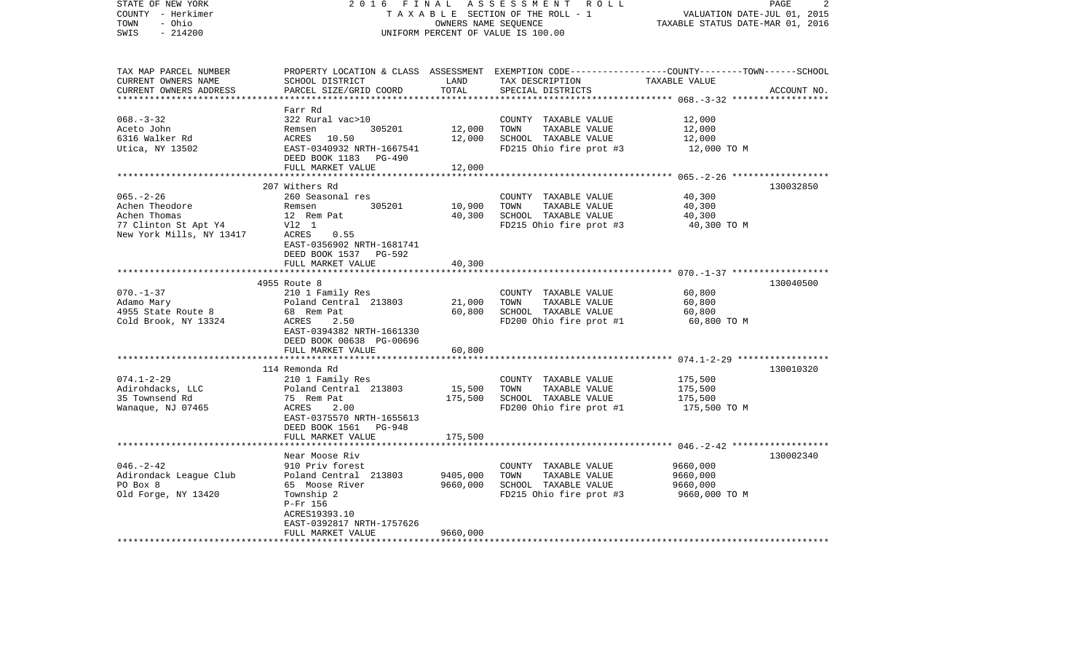| STATE OF NEW YORK<br>COUNTY - Herkimer<br>- Ohio<br>TOWN<br>$-214200$<br>SWIS                         | 2 0 1 6<br>FINAL<br>TAXABLE SECTION OF THE ROLL - 1<br>UNIFORM PERCENT OF VALUE IS 100.00                                                                                 | PAGE<br>2<br>VALUATION DATE-JUL 01, 2015<br>TAXABLE STATUS DATE-MAR 01, 2016 |                                                                                                                                          |                                                       |             |
|-------------------------------------------------------------------------------------------------------|---------------------------------------------------------------------------------------------------------------------------------------------------------------------------|------------------------------------------------------------------------------|------------------------------------------------------------------------------------------------------------------------------------------|-------------------------------------------------------|-------------|
| TAX MAP PARCEL NUMBER<br>CURRENT OWNERS NAME<br>CURRENT OWNERS ADDRESS<br>***********************     | SCHOOL DISTRICT<br>PARCEL SIZE/GRID COORD                                                                                                                                 | LAND<br>TOTAL                                                                | PROPERTY LOCATION & CLASS ASSESSMENT EXEMPTION CODE----------------COUNTY-------TOWN------SCHOOL<br>TAX DESCRIPTION<br>SPECIAL DISTRICTS | TAXABLE VALUE                                         | ACCOUNT NO. |
| $068. - 3 - 32$<br>Aceto John<br>6316 Walker Rd<br>Utica, NY 13502                                    | Farr Rd<br>322 Rural vac>10<br>305201<br>Remsen<br>ACRES<br>10.50<br>EAST-0340932 NRTH-1667541<br>DEED BOOK 1183 PG-490<br>FULL MARKET VALUE                              | 12,000<br>12,000<br>12,000                                                   | COUNTY TAXABLE VALUE<br>TOWN<br>TAXABLE VALUE<br>SCHOOL TAXABLE VALUE<br>FD215 Ohio fire prot #3                                         | 12,000<br>12,000<br>12,000<br>12,000 TO M             |             |
|                                                                                                       |                                                                                                                                                                           |                                                                              |                                                                                                                                          | *********************** 065.-2-26 ******************* |             |
| $065. - 2 - 26$<br>Achen Theodore<br>Achen Thomas<br>77 Clinton St Apt Y4<br>New York Mills, NY 13417 | 207 Withers Rd<br>260 Seasonal res<br>305201<br>Remsen<br>12 Rem Pat<br>V12 1<br>ACRES<br>0.55<br>EAST-0356902 NRTH-1681741<br>DEED BOOK 1537 PG-592                      | 10,900<br>40,300                                                             | COUNTY TAXABLE VALUE<br>TOWN<br>TAXABLE VALUE<br>SCHOOL TAXABLE VALUE<br>FD215 Ohio fire prot #3                                         | 40,300<br>40,300<br>40,300<br>40,300 TO M             | 130032850   |
|                                                                                                       | FULL MARKET VALUE                                                                                                                                                         | 40,300                                                                       |                                                                                                                                          |                                                       |             |
|                                                                                                       | ***********************                                                                                                                                                   | **********                                                                   |                                                                                                                                          |                                                       |             |
|                                                                                                       | 4955 Route 8                                                                                                                                                              |                                                                              |                                                                                                                                          |                                                       | 130040500   |
| $070. - 1 - 37$<br>Adamo Mary<br>4955 State Route 8<br>Cold Brook, NY 13324                           | 210 1 Family Res<br>Poland Central 213803<br>68 Rem Pat<br>ACRES<br>2.50<br>EAST-0394382 NRTH-1661330<br>DEED BOOK 00638 PG-00696                                         | 21,000<br>60,800                                                             | COUNTY TAXABLE VALUE<br>TOWN<br>TAXABLE VALUE<br>SCHOOL TAXABLE VALUE<br>FD200 Ohio fire prot #1                                         | 60,800<br>60,800<br>60,800<br>60,800 TO M             |             |
|                                                                                                       | FULL MARKET VALUE                                                                                                                                                         | 60,800                                                                       |                                                                                                                                          |                                                       |             |
|                                                                                                       |                                                                                                                                                                           |                                                                              |                                                                                                                                          |                                                       |             |
| $074.1 - 2 - 29$<br>Adirohdacks, LLC<br>35 Townsend Rd<br>Wanaque, NJ 07465                           | 114 Remonda Rd<br>210 1 Family Res<br>Poland Central 213803<br>75 Rem Pat<br>ACRES<br>2.00<br>EAST-0375570 NRTH-1655613<br>DEED BOOK 1561<br>PG-948<br>FULL MARKET VALUE  | 15,500<br>175,500<br>175,500                                                 | COUNTY TAXABLE VALUE<br>TOWN<br>TAXABLE VALUE<br>SCHOOL TAXABLE VALUE<br>FD200 Ohio fire prot #1                                         | 175,500<br>175,500<br>175,500<br>175,500 TO M         | 130010320   |
|                                                                                                       |                                                                                                                                                                           |                                                                              |                                                                                                                                          | ******* 046. - 2-42 *******************               |             |
| $046. - 2 - 42$<br>Adirondack League Club<br>PO Box 8<br>Old Forge, NY 13420                          | Near Moose Riv<br>910 Priv forest<br>Poland Central 213803<br>65 Moose River<br>Township 2<br>P-Fr 156<br>ACRES19393.10<br>EAST-0392817 NRTH-1757626<br>FULL MARKET VALUE | 9405,000<br>9660,000<br>9660,000                                             | COUNTY TAXABLE VALUE<br>TOWN<br>TAXABLE VALUE<br>SCHOOL TAXABLE VALUE<br>FD215 Ohio fire prot #3                                         | 9660,000<br>9660,000<br>9660,000<br>9660,000 ТО М     | 130002340   |
| * * * * * * * * * * * * * * * * * * *                                                                 |                                                                                                                                                                           |                                                                              |                                                                                                                                          |                                                       |             |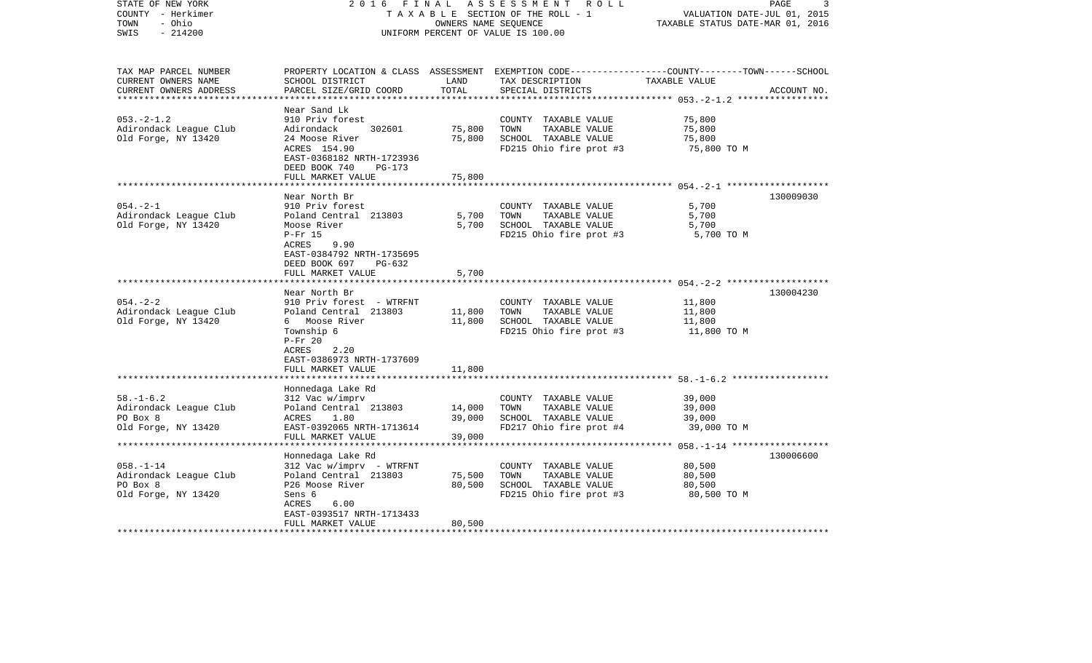| STATE OF NEW YORK<br>COUNTY - Herkimer<br>- Ohio<br>TOWN<br>$-214200$<br>SWIS | 2016<br>FINAL                                                                                | OWNERS NAME SEQUENCE | ASSESSMENT<br>R O L L<br>TAXABLE SECTION OF THE ROLL - 1<br>UNIFORM PERCENT OF VALUE IS 100.00                                          | VALUATION DATE-JUL 01, 2015<br>TAXABLE STATUS DATE-MAR 01, 2016 | PAGE<br>3   |
|-------------------------------------------------------------------------------|----------------------------------------------------------------------------------------------|----------------------|-----------------------------------------------------------------------------------------------------------------------------------------|-----------------------------------------------------------------|-------------|
| TAX MAP PARCEL NUMBER<br>CURRENT OWNERS NAME<br>CURRENT OWNERS ADDRESS        | SCHOOL DISTRICT<br>PARCEL SIZE/GRID COORD                                                    | LAND<br>TOTAL        | PROPERTY LOCATION & CLASS ASSESSMENT EXEMPTION CODE---------------COUNTY-------TOWN------SCHOOL<br>TAX DESCRIPTION<br>SPECIAL DISTRICTS | TAXABLE VALUE                                                   | ACCOUNT NO. |
| $053. -2 - 1.2$                                                               | Near Sand Lk<br>910 Priv forest                                                              |                      | COUNTY TAXABLE VALUE                                                                                                                    | 75,800                                                          |             |
| Adirondack League Club                                                        | Adirondack<br>302601                                                                         | 75,800               | TAXABLE VALUE<br>TOWN                                                                                                                   | 75,800                                                          |             |
| Old Forge, NY 13420                                                           | 24 Moose River                                                                               | 75,800               | SCHOOL TAXABLE VALUE                                                                                                                    | 75,800                                                          |             |
|                                                                               | ACRES 154.90<br>EAST-0368182 NRTH-1723936<br>DEED BOOK 740<br>PG-173                         |                      | FD215 Ohio fire prot #3                                                                                                                 | 75,800 TO M                                                     |             |
|                                                                               | FULL MARKET VALUE                                                                            | 75,800               |                                                                                                                                         |                                                                 |             |
|                                                                               |                                                                                              |                      |                                                                                                                                         |                                                                 |             |
| $054. -2 - 1$                                                                 | Near North Br<br>910 Priv forest                                                             |                      | COUNTY TAXABLE VALUE                                                                                                                    | 5,700                                                           | 130009030   |
| Adirondack League Club                                                        | Poland Central 213803                                                                        | 5,700                | TOWN<br>TAXABLE VALUE                                                                                                                   | 5,700                                                           |             |
| Old Forge, NY 13420                                                           | Moose River                                                                                  | 5,700                | SCHOOL TAXABLE VALUE                                                                                                                    | 5,700                                                           |             |
|                                                                               | $P-Fr$ 15                                                                                    |                      | FD215 Ohio fire prot #3                                                                                                                 | 5,700 TO M                                                      |             |
|                                                                               | ACRES<br>9.90<br>EAST-0384792 NRTH-1735695<br>DEED BOOK 697<br>$PG-632$<br>FULL MARKET VALUE | 5,700                |                                                                                                                                         |                                                                 |             |
|                                                                               | **************************                                                                   |                      |                                                                                                                                         |                                                                 |             |
|                                                                               | Near North Br                                                                                |                      |                                                                                                                                         |                                                                 | 130004230   |
| $054. - 2 - 2$                                                                | 910 Priv forest - WTRFNT                                                                     |                      | COUNTY TAXABLE VALUE                                                                                                                    | 11,800                                                          |             |
| Adirondack League Club<br>Old Forge, NY 13420                                 | Poland Central 213803<br>6 Moose River                                                       | 11,800<br>11,800     | TOWN<br>TAXABLE VALUE<br>SCHOOL TAXABLE VALUE                                                                                           | 11,800<br>11,800                                                |             |
|                                                                               | Township 6                                                                                   |                      | FD215 Ohio fire prot #3                                                                                                                 | 11,800 TO M                                                     |             |
|                                                                               | $P-Fr 20$                                                                                    |                      |                                                                                                                                         |                                                                 |             |
|                                                                               | ACRES<br>2.20                                                                                |                      |                                                                                                                                         |                                                                 |             |
|                                                                               | EAST-0386973 NRTH-1737609                                                                    |                      |                                                                                                                                         |                                                                 |             |
|                                                                               | FULL MARKET VALUE<br>************************                                                | 11,800               |                                                                                                                                         |                                                                 |             |
|                                                                               | Honnedaga Lake Rd                                                                            |                      |                                                                                                                                         |                                                                 |             |
| $58. - 1 - 6.2$                                                               | 312 Vac w/imprv                                                                              |                      | COUNTY TAXABLE VALUE                                                                                                                    | 39,000                                                          |             |
| Adirondack League Club                                                        | Poland Central 213803                                                                        | 14,000               | TOWN<br>TAXABLE VALUE                                                                                                                   | 39,000                                                          |             |
| PO Box 8                                                                      | 1.80<br>ACRES                                                                                | 39,000               | SCHOOL TAXABLE VALUE                                                                                                                    | 39,000                                                          |             |
| Old Forge, NY 13420                                                           | EAST-0392065 NRTH-1713614                                                                    |                      | FD217 Ohio fire prot #4                                                                                                                 | 39,000 TO M                                                     |             |
|                                                                               | FULL MARKET VALUE                                                                            | 39,000               |                                                                                                                                         |                                                                 |             |
|                                                                               |                                                                                              |                      |                                                                                                                                         |                                                                 |             |
| $058. - 1 - 14$                                                               | Honnedaga Lake Rd<br>312 Vac w/imprv - WTRFNT                                                |                      | COUNTY TAXABLE VALUE                                                                                                                    | 80,500                                                          | 130006600   |
| Adirondack League Club                                                        | Poland Central 213803                                                                        | 75,500               | TOWN<br>TAXABLE VALUE                                                                                                                   | 80,500                                                          |             |
| PO Box 8                                                                      | P26 Moose River                                                                              | 80,500               | SCHOOL TAXABLE VALUE                                                                                                                    | 80,500                                                          |             |
| Old Forge, NY 13420                                                           | Sens 6                                                                                       |                      | FD215 Ohio fire prot #3                                                                                                                 | 80,500 TO M                                                     |             |
|                                                                               | ACRES<br>6.00                                                                                |                      |                                                                                                                                         |                                                                 |             |
|                                                                               | EAST-0393517 NRTH-1713433                                                                    |                      |                                                                                                                                         |                                                                 |             |
| ************************                                                      | FULL MARKET VALUE                                                                            | 80,500               |                                                                                                                                         |                                                                 |             |
|                                                                               |                                                                                              |                      |                                                                                                                                         |                                                                 |             |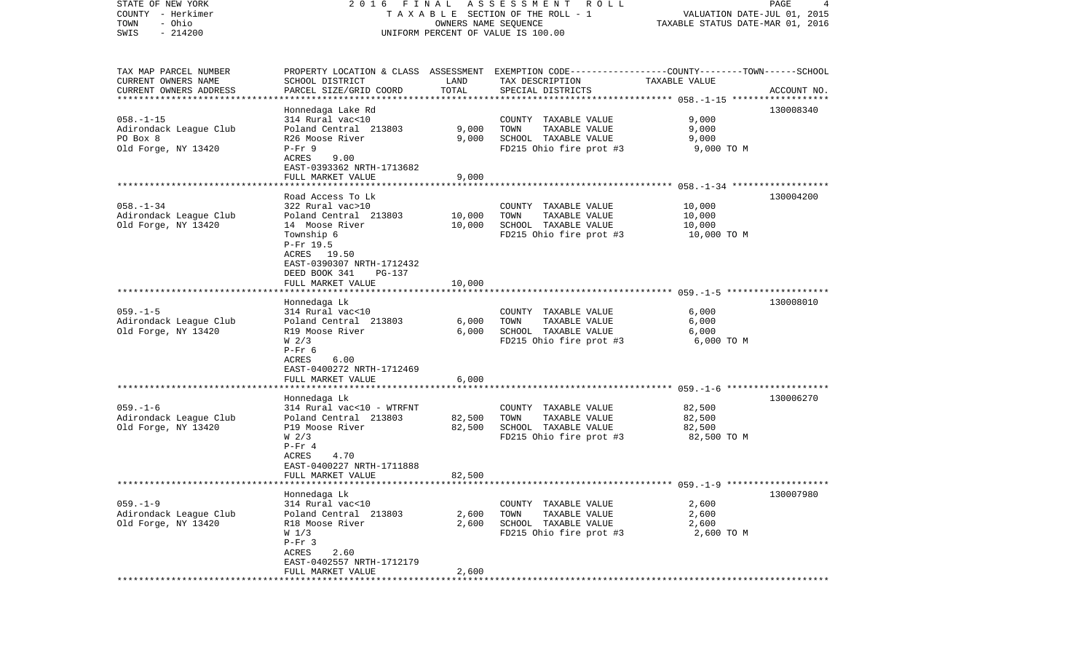| STATE OF NEW YORK<br>COUNTY - Herkimer<br>- Ohio<br>TOWN<br>$-214200$<br>SWIS |                                             |        | 2016 FINAL ASSESSMENT ROLL<br>TAXABLE SECTION OF THE ROLL - 1<br>OWNERS NAME SEQUENCE<br>UNIFORM PERCENT OF VALUE IS 100.00 | TAXABLE STATUS DATE-MAR 01, 2016 | PAGE<br>4<br>VALUATION DATE-JUL 01, 2015 |
|-------------------------------------------------------------------------------|---------------------------------------------|--------|-----------------------------------------------------------------------------------------------------------------------------|----------------------------------|------------------------------------------|
|                                                                               |                                             |        |                                                                                                                             |                                  |                                          |
| TAX MAP PARCEL NUMBER                                                         |                                             |        | PROPERTY LOCATION & CLASS ASSESSMENT EXEMPTION CODE----------------COUNTY-------TOWN------SCHOOL                            |                                  |                                          |
| CURRENT OWNERS NAME                                                           | SCHOOL DISTRICT                             | LAND   | TAX DESCRIPTION                                                                                                             | TAXABLE VALUE                    |                                          |
| CURRENT OWNERS ADDRESS<br>************************                            | PARCEL SIZE/GRID COORD                      | TOTAL  | SPECIAL DISTRICTS                                                                                                           |                                  | ACCOUNT NO.                              |
|                                                                               | Honnedaga Lake Rd                           |        |                                                                                                                             |                                  | 130008340                                |
| $058. - 1 - 15$                                                               | 314 Rural vac<10                            |        | COUNTY TAXABLE VALUE                                                                                                        | 9,000                            |                                          |
| Adirondack League Club                                                        | Poland Central 213803                       | 9,000  | TOWN<br>TAXABLE VALUE                                                                                                       | 9,000                            |                                          |
| PO Box 8                                                                      | R26 Moose River                             | 9,000  | SCHOOL TAXABLE VALUE                                                                                                        | 9,000                            |                                          |
| Old Forge, NY 13420                                                           | $P-Fr$ 9                                    |        | FD215 Ohio fire prot #3                                                                                                     | 9,000 TO M                       |                                          |
|                                                                               | ACRES<br>9.00                               |        |                                                                                                                             |                                  |                                          |
|                                                                               | EAST-0393362 NRTH-1713682                   |        |                                                                                                                             |                                  |                                          |
|                                                                               | FULL MARKET VALUE                           | 9,000  |                                                                                                                             |                                  |                                          |
|                                                                               |                                             |        |                                                                                                                             |                                  |                                          |
| $058. - 1 - 34$                                                               | Road Access To Lk<br>322 Rural vac>10       |        | COUNTY TAXABLE VALUE                                                                                                        | 10,000                           | 130004200                                |
| Adirondack League Club                                                        | Poland Central 213803                       | 10,000 | TAXABLE VALUE<br>TOWN                                                                                                       | 10,000                           |                                          |
| Old Forge, NY 13420                                                           | 14 Moose River                              | 10,000 | SCHOOL TAXABLE VALUE                                                                                                        | 10,000                           |                                          |
|                                                                               | Township 6                                  |        | FD215 Ohio fire prot #3                                                                                                     | 10,000 TO M                      |                                          |
|                                                                               | P-Fr 19.5                                   |        |                                                                                                                             |                                  |                                          |
|                                                                               | ACRES 19.50                                 |        |                                                                                                                             |                                  |                                          |
|                                                                               | EAST-0390307 NRTH-1712432                   |        |                                                                                                                             |                                  |                                          |
|                                                                               | DEED BOOK 341<br>PG-137                     |        |                                                                                                                             |                                  |                                          |
|                                                                               | FULL MARKET VALUE                           | 10,000 |                                                                                                                             |                                  |                                          |
|                                                                               | Honnedaga Lk                                |        |                                                                                                                             |                                  | 130008010                                |
| $059. -1 - 5$                                                                 | 314 Rural vac<10                            |        | COUNTY TAXABLE VALUE                                                                                                        | 6,000                            |                                          |
| Adirondack League Club                                                        | Poland Central 213803                       | 6,000  | TOWN<br>TAXABLE VALUE                                                                                                       | 6,000                            |                                          |
| Old Forge, NY 13420                                                           | R19 Moose River                             | 6,000  | SCHOOL TAXABLE VALUE                                                                                                        | 6,000                            |                                          |
|                                                                               | W <sub>2/3</sub>                            |        | FD215 Ohio fire prot #3                                                                                                     | 6,000 TO M                       |                                          |
|                                                                               | $P-Fr$ 6                                    |        |                                                                                                                             |                                  |                                          |
|                                                                               | ACRES<br>6.00                               |        |                                                                                                                             |                                  |                                          |
|                                                                               | EAST-0400272 NRTH-1712469                   | 6,000  |                                                                                                                             |                                  |                                          |
|                                                                               | FULL MARKET VALUE<br>********************** |        |                                                                                                                             |                                  |                                          |
|                                                                               | Honnedaga Lk                                |        |                                                                                                                             |                                  | 130006270                                |
| $059. - 1 - 6$                                                                | 314 Rural vac<10 - WTRFNT                   |        | COUNTY TAXABLE VALUE                                                                                                        | 82,500                           |                                          |
| Adirondack League Club                                                        | Poland Central 213803                       | 82,500 | TOWN<br>TAXABLE VALUE                                                                                                       | 82,500                           |                                          |
| Old Forge, NY 13420                                                           | P19 Moose River                             | 82,500 | SCHOOL TAXABLE VALUE                                                                                                        | 82,500                           |                                          |
|                                                                               | W <sub>2/3</sub>                            |        | FD215 Ohio fire prot #3                                                                                                     | 82,500 TO M                      |                                          |
|                                                                               | $P-Fr 4$                                    |        |                                                                                                                             |                                  |                                          |
|                                                                               | ACRES<br>4.70<br>EAST-0400227 NRTH-1711888  |        |                                                                                                                             |                                  |                                          |
|                                                                               | FULL MARKET VALUE                           | 82,500 |                                                                                                                             |                                  |                                          |
|                                                                               |                                             |        |                                                                                                                             |                                  |                                          |
|                                                                               | Honnedaga Lk                                |        |                                                                                                                             |                                  | 130007980                                |
| $059. -1 - 9$                                                                 | 314 Rural vac<10                            |        | COUNTY TAXABLE VALUE                                                                                                        | 2,600                            |                                          |
| Adirondack League Club                                                        | Poland Central 213803                       | 2,600  | TOWN<br>TAXABLE VALUE                                                                                                       | 2,600                            |                                          |
| Old Forge, NY 13420                                                           | R18 Moose River                             | 2,600  | SCHOOL TAXABLE VALUE                                                                                                        | 2,600                            |                                          |
|                                                                               | W <sub>1/3</sub>                            |        | FD215 Ohio fire prot #3                                                                                                     | 2,600 TO M                       |                                          |
|                                                                               | $P-Fr$ 3<br>ACRES<br>2.60                   |        |                                                                                                                             |                                  |                                          |
|                                                                               | EAST-0402557 NRTH-1712179                   |        |                                                                                                                             |                                  |                                          |
|                                                                               | FULL MARKET VALUE                           | 2,600  |                                                                                                                             |                                  |                                          |
|                                                                               |                                             |        |                                                                                                                             |                                  |                                          |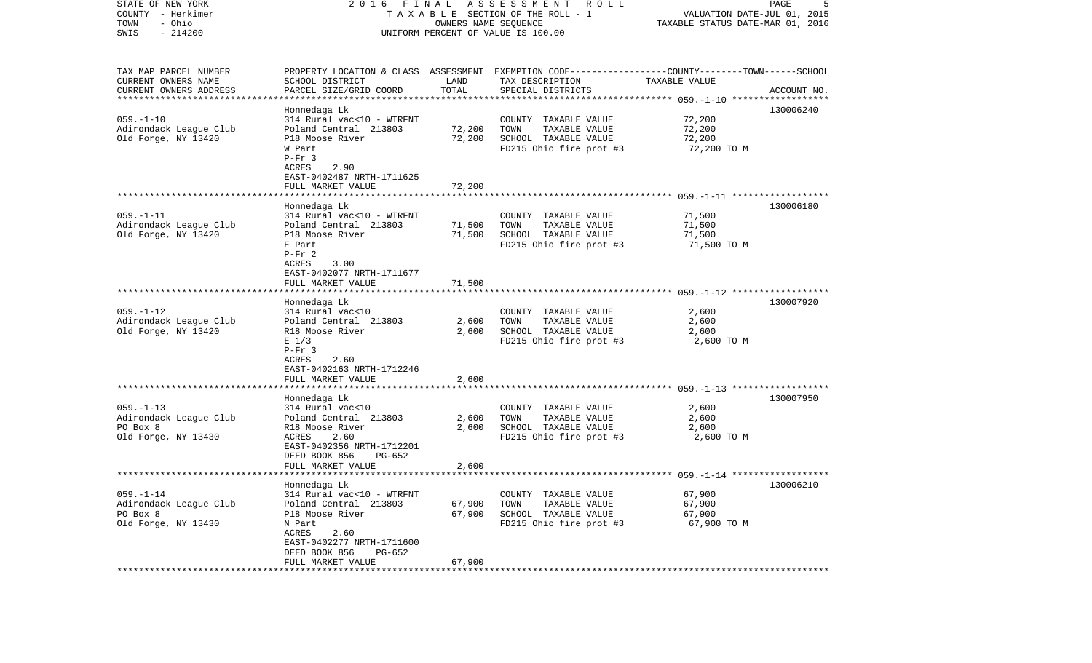| STATE OF NEW YORK<br>COUNTY - Herkimer<br>- Ohio<br>TOWN<br>$-214200$<br>SWIS                       | FINAL<br>A S S E S S M E N T<br>R O L L<br>2016<br>TAXABLE SECTION OF THE ROLL - 1<br>OWNERS NAME SEQUENCE<br>UNIFORM PERCENT OF VALUE IS 100.00                                              |                            |                                                                                                                                         | PAGE<br>5<br>VALUATION DATE-JUL 01, 2015<br>TAXABLE STATUS DATE-MAR 01, 2016 |             |
|-----------------------------------------------------------------------------------------------------|-----------------------------------------------------------------------------------------------------------------------------------------------------------------------------------------------|----------------------------|-----------------------------------------------------------------------------------------------------------------------------------------|------------------------------------------------------------------------------|-------------|
| TAX MAP PARCEL NUMBER<br>CURRENT OWNERS NAME<br>CURRENT OWNERS ADDRESS<br>************************* | SCHOOL DISTRICT<br>PARCEL SIZE/GRID COORD                                                                                                                                                     | LAND<br>TOTAL              | PROPERTY LOCATION & CLASS ASSESSMENT EXEMPTION CODE---------------COUNTY-------TOWN------SCHOOL<br>TAX DESCRIPTION<br>SPECIAL DISTRICTS | TAXABLE VALUE                                                                | ACCOUNT NO. |
| $059. - 1 - 10$<br>Adirondack League Club<br>Old Forge, NY 13420                                    | Honnedaga Lk<br>314 Rural vac<10 - WTRFNT<br>Poland Central 213803<br>P18 Moose River<br>W Part<br>$P-Fr$ 3<br>ACRES<br>2.90<br>EAST-0402487 NRTH-1711625                                     | 72,200<br>72,200           | COUNTY TAXABLE VALUE<br>TOWN<br>TAXABLE VALUE<br>SCHOOL TAXABLE VALUE<br>FD215 Ohio fire prot #3                                        | 72,200<br>72,200<br>72,200<br>72,200 TO M                                    | 130006240   |
| $059. -1 - 11$                                                                                      | FULL MARKET VALUE<br>Honnedaga Lk<br>314 Rural vac<10 - WTRFNT                                                                                                                                | 72,200                     | COUNTY TAXABLE VALUE                                                                                                                    | 71,500                                                                       | 130006180   |
| Adirondack League Club<br>Old Forge, NY 13420                                                       | Poland Central 213803<br>P18 Moose River<br>E Part<br>$P-Fr 2$<br>3.00<br>ACRES<br>EAST-0402077 NRTH-1711677                                                                                  | 71,500<br>71,500           | TOWN<br>TAXABLE VALUE<br>SCHOOL TAXABLE VALUE<br>FD215 Ohio fire prot #3                                                                | 71,500<br>71,500<br>71,500 TO M                                              |             |
|                                                                                                     | FULL MARKET VALUE                                                                                                                                                                             | 71,500                     |                                                                                                                                         |                                                                              |             |
| $059. - 1 - 12$<br>Adirondack League Club<br>Old Forge, NY 13420                                    | Honnedaga Lk<br>314 Rural vac<10<br>Poland Central 213803<br>R18 Moose River<br>$E$ 1/3<br>$P-Fr$ 3<br>ACRES<br>2.60<br>EAST-0402163 NRTH-1712246                                             | 2,600<br>2,600             | COUNTY TAXABLE VALUE<br>TOWN<br>TAXABLE VALUE<br>SCHOOL TAXABLE VALUE<br>FD215 Ohio fire prot #3                                        | 2,600<br>2,600<br>2,600<br>2,600 TO M                                        | 130007920   |
|                                                                                                     | FULL MARKET VALUE                                                                                                                                                                             | 2,600                      |                                                                                                                                         |                                                                              |             |
| $059. - 1 - 13$<br>Adirondack League Club<br>PO Box 8<br>Old Forge, NY 13430                        | Honnedaga Lk<br>314 Rural vac<10<br>Poland Central 213803<br>R18 Moose River<br>ACRES<br>2.60<br>EAST-0402356 NRTH-1712201<br>DEED BOOK 856<br>$PG-652$                                       | 2,600<br>2,600             | COUNTY TAXABLE VALUE<br>TOWN<br>TAXABLE VALUE<br>SCHOOL TAXABLE VALUE<br>FD215 Ohio fire prot #3                                        | 2,600<br>2,600<br>2,600<br>2,600 TO M                                        | 130007950   |
|                                                                                                     | FULL MARKET VALUE                                                                                                                                                                             | 2,600                      |                                                                                                                                         |                                                                              |             |
| $059. - 1 - 14$<br>Adirondack League Club<br>PO Box 8<br>Old Forge, NY 13430                        | Honnedaga Lk<br>314 Rural vac<10 - WTRFNT<br>Poland Central 213803<br>P18 Moose River<br>N Part<br>ACRES<br>2.60<br>EAST-0402277 NRTH-1711600<br>DEED BOOK 856<br>PG-652<br>FULL MARKET VALUE | 67,900<br>67,900<br>67,900 | COUNTY TAXABLE VALUE<br>TOWN<br>TAXABLE VALUE<br>SCHOOL TAXABLE VALUE<br>FD215 Ohio fire prot #3                                        | 67,900<br>67,900<br>67,900<br>67,900 TO M                                    | 130006210   |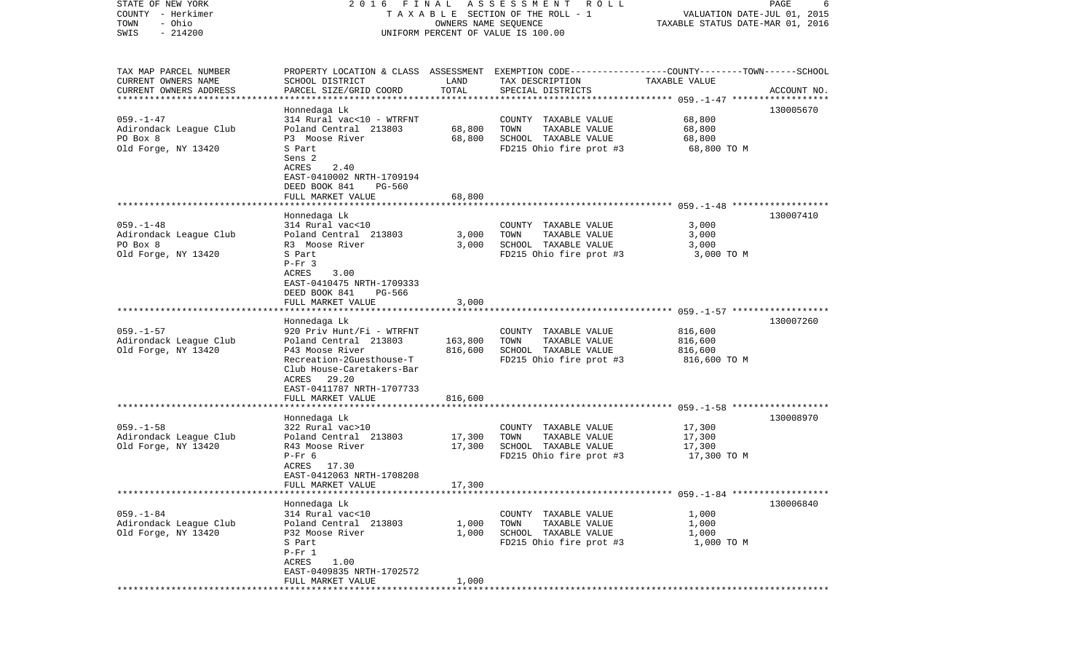| STATE OF NEW YORK<br>COUNTY - Herkimer        | 2016 FINAL                                                                                                         |                      | A S S E S S M E N T A O L L<br>TAXABLE SECTION OF THE ROLL - 1 | VALUATION DATE-JUL 01, 2015      | PAGE<br>6   |
|-----------------------------------------------|--------------------------------------------------------------------------------------------------------------------|----------------------|----------------------------------------------------------------|----------------------------------|-------------|
| - Ohio<br>TOWN                                |                                                                                                                    | OWNERS NAME SEQUENCE |                                                                | TAXABLE STATUS DATE-MAR 01, 2016 |             |
| $-214200$<br>SWIS                             |                                                                                                                    |                      | UNIFORM PERCENT OF VALUE IS 100.00                             |                                  |             |
|                                               |                                                                                                                    |                      |                                                                |                                  |             |
|                                               |                                                                                                                    |                      |                                                                |                                  |             |
| TAX MAP PARCEL NUMBER<br>CURRENT OWNERS NAME  | PROPERTY LOCATION & CLASS ASSESSMENT EXEMPTION CODE---------------COUNTY-------TOWN------SCHOOL<br>SCHOOL DISTRICT | LAND                 | TAX DESCRIPTION                                                | TAXABLE VALUE                    |             |
| CURRENT OWNERS ADDRESS                        | PARCEL SIZE/GRID COORD                                                                                             | TOTAL                | SPECIAL DISTRICTS                                              |                                  | ACCOUNT NO. |
| ************************                      |                                                                                                                    |                      |                                                                |                                  |             |
|                                               | Honnedaga Lk                                                                                                       |                      |                                                                |                                  | 130005670   |
| $059. - 1 - 47$                               | 314 Rural vac<10 - WTRFNT                                                                                          |                      | COUNTY TAXABLE VALUE                                           | 68,800                           |             |
| Adirondack League Club                        | Poland Central 213803                                                                                              | 68,800               | TOWN<br>TAXABLE VALUE                                          | 68,800                           |             |
| PO Box 8                                      | P3 Moose River                                                                                                     | 68,800               | SCHOOL TAXABLE VALUE                                           | 68,800                           |             |
| Old Forge, NY 13420                           | S Part                                                                                                             |                      | FD215 Ohio fire prot #3                                        | 68,800 TO M                      |             |
|                                               | Sens 2                                                                                                             |                      |                                                                |                                  |             |
|                                               | ACRES<br>2.40                                                                                                      |                      |                                                                |                                  |             |
|                                               | EAST-0410002 NRTH-1709194                                                                                          |                      |                                                                |                                  |             |
|                                               | DEED BOOK 841<br><b>PG-560</b>                                                                                     |                      |                                                                |                                  |             |
|                                               | FULL MARKET VALUE                                                                                                  | 68,800               |                                                                |                                  |             |
|                                               | Honnedaga Lk                                                                                                       |                      |                                                                |                                  | 130007410   |
| $059. - 1 - 48$                               | 314 Rural vac<10                                                                                                   |                      | COUNTY TAXABLE VALUE                                           | 3,000                            |             |
| Adirondack League Club                        | Poland Central 213803                                                                                              | 3,000                | TOWN<br>TAXABLE VALUE                                          | 3,000                            |             |
| PO Box 8                                      | R3 Moose River                                                                                                     | 3,000                | SCHOOL TAXABLE VALUE                                           | 3,000                            |             |
| Old Forge, NY 13420                           | S Part                                                                                                             |                      | FD215 Ohio fire prot #3                                        | 3,000 TO M                       |             |
|                                               | $P-Fr$ 3                                                                                                           |                      |                                                                |                                  |             |
|                                               | ACRES<br>3.00                                                                                                      |                      |                                                                |                                  |             |
|                                               | EAST-0410475 NRTH-1709333                                                                                          |                      |                                                                |                                  |             |
|                                               | DEED BOOK 841<br>PG-566                                                                                            |                      |                                                                |                                  |             |
|                                               | FULL MARKET VALUE                                                                                                  | 3,000                |                                                                |                                  |             |
|                                               |                                                                                                                    |                      |                                                                |                                  |             |
| $059. - 1 - 57$                               | Honnedaga Lk<br>920 Priv Hunt/Fi - WTRFNT                                                                          |                      | COUNTY TAXABLE VALUE                                           | 816,600                          | 130007260   |
| Adirondack League Club                        | Poland Central 213803                                                                                              | 163,800              | TOWN<br>TAXABLE VALUE                                          | 816,600                          |             |
| Old Forge, NY 13420                           | P43 Moose River                                                                                                    | 816,600              | SCHOOL TAXABLE VALUE                                           | 816,600                          |             |
|                                               | Recreation-2Guesthouse-T                                                                                           |                      | FD215 Ohio fire prot #3                                        | 816,600 TO M                     |             |
|                                               | Club House-Caretakers-Bar                                                                                          |                      |                                                                |                                  |             |
|                                               | ACRES 29.20                                                                                                        |                      |                                                                |                                  |             |
|                                               | EAST-0411787 NRTH-1707733                                                                                          |                      |                                                                |                                  |             |
|                                               | FULL MARKET VALUE                                                                                                  | 816,600              |                                                                |                                  |             |
|                                               |                                                                                                                    |                      |                                                                |                                  |             |
|                                               | Honnedaga Lk                                                                                                       |                      |                                                                |                                  | 130008970   |
| $059. -1 - 58$                                | 322 Rural vac>10                                                                                                   |                      | COUNTY TAXABLE VALUE                                           | 17,300                           |             |
| Adirondack League Club<br>Old Forge, NY 13420 | Poland Central 213803<br>R43 Moose River                                                                           | 17,300<br>17,300     | TAXABLE VALUE<br>TOWN<br>SCHOOL TAXABLE VALUE                  | 17,300<br>17,300                 |             |
|                                               | $P-Fr$ 6                                                                                                           |                      | FD215 Ohio fire prot #3                                        | 17,300 TO M                      |             |
|                                               | ACRES 17.30                                                                                                        |                      |                                                                |                                  |             |
|                                               | EAST-0412063 NRTH-1708208                                                                                          |                      |                                                                |                                  |             |
|                                               | FULL MARKET VALUE                                                                                                  | 17,300               |                                                                |                                  |             |
|                                               |                                                                                                                    |                      |                                                                |                                  |             |
|                                               | Honnedaga Lk                                                                                                       |                      |                                                                |                                  | 130006840   |
| $059. - 1 - 84$                               | 314 Rural vac<10                                                                                                   |                      | COUNTY TAXABLE VALUE                                           | 1,000                            |             |
| Adirondack League Club                        | Poland Central 213803                                                                                              | 1,000                | TOWN<br>TAXABLE VALUE                                          | 1,000                            |             |
| Old Forge, NY 13420                           | P32 Moose River                                                                                                    | 1,000                | SCHOOL TAXABLE VALUE                                           | 1,000                            |             |
|                                               | S Part                                                                                                             |                      | FD215 Ohio fire prot #3                                        | 1,000 TO M                       |             |
|                                               | $P-Fr 1$                                                                                                           |                      |                                                                |                                  |             |
|                                               | ACRES<br>1.00<br>EAST-0409835 NRTH-1702572                                                                         |                      |                                                                |                                  |             |
|                                               | FULL MARKET VALUE                                                                                                  | 1,000                |                                                                |                                  |             |
|                                               |                                                                                                                    |                      |                                                                |                                  |             |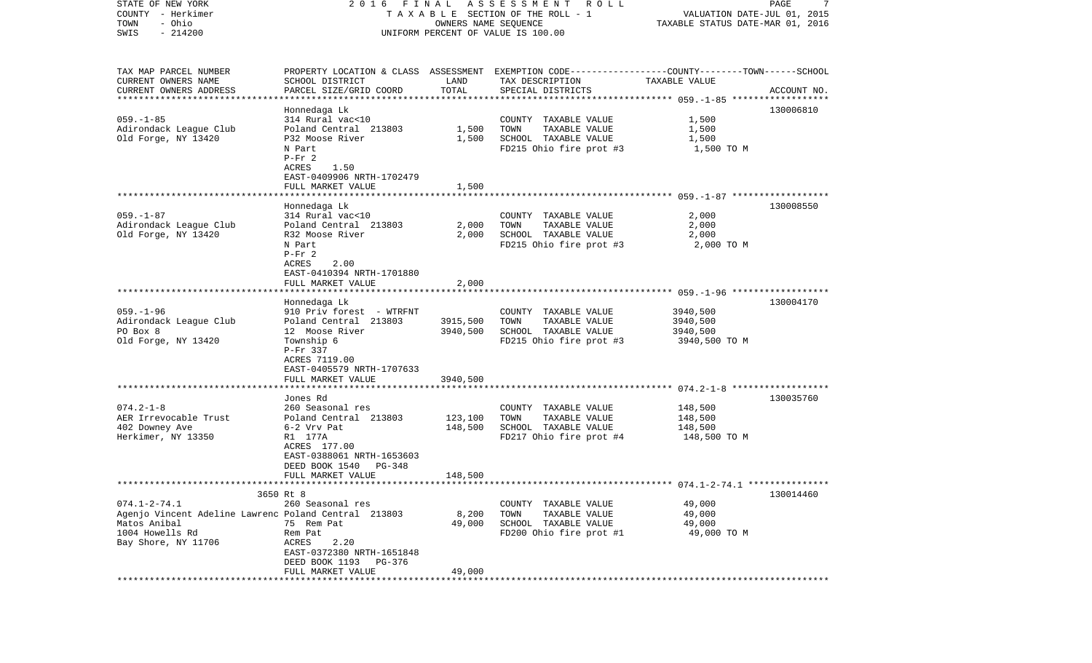| STATE OF NEW YORK<br>COUNTY - Herkimer               |                                               |                      | 2016 FINAL ASSESSMENT<br>R O L L<br>TAXABLE SECTION OF THE ROLL - 1                              | VALUATION DATE-JUL 01, 2015      | 7<br>PAGE   |
|------------------------------------------------------|-----------------------------------------------|----------------------|--------------------------------------------------------------------------------------------------|----------------------------------|-------------|
| - Ohio<br>TOWN                                       |                                               | OWNERS NAME SEQUENCE |                                                                                                  | TAXABLE STATUS DATE-MAR 01, 2016 |             |
| $-214200$<br>SWIS                                    |                                               |                      | UNIFORM PERCENT OF VALUE IS 100.00                                                               |                                  |             |
|                                                      |                                               |                      |                                                                                                  |                                  |             |
| TAX MAP PARCEL NUMBER                                |                                               |                      | PROPERTY LOCATION & CLASS ASSESSMENT EXEMPTION CODE----------------COUNTY-------TOWN------SCHOOL |                                  |             |
| CURRENT OWNERS NAME                                  | SCHOOL DISTRICT                               | LAND                 | TAX DESCRIPTION                                                                                  | TAXABLE VALUE                    |             |
| CURRENT OWNERS ADDRESS                               | PARCEL SIZE/GRID COORD                        | TOTAL                | SPECIAL DISTRICTS                                                                                |                                  | ACCOUNT NO. |
| **********************                               |                                               |                      |                                                                                                  |                                  |             |
|                                                      | Honnedaga Lk                                  |                      |                                                                                                  |                                  | 130006810   |
| $059. -1 - 85$                                       | 314 Rural vac<10<br>Poland Central 213803     | 1,500                | COUNTY TAXABLE VALUE<br>TOWN<br>TAXABLE VALUE                                                    | 1,500                            |             |
| Adirondack League Club<br>Old Forge, NY 13420        | P32 Moose River                               | 1,500                | SCHOOL TAXABLE VALUE                                                                             | 1,500<br>1,500                   |             |
|                                                      | N Part                                        |                      | FD215 Ohio fire prot #3                                                                          | 1,500 TO M                       |             |
|                                                      | $P-Fr$ 2                                      |                      |                                                                                                  |                                  |             |
|                                                      | ACRES<br>1.50                                 |                      |                                                                                                  |                                  |             |
|                                                      | EAST-0409906 NRTH-1702479                     |                      |                                                                                                  |                                  |             |
|                                                      | FULL MARKET VALUE                             | 1,500                |                                                                                                  |                                  |             |
|                                                      |                                               |                      |                                                                                                  |                                  |             |
|                                                      | Honnedaga Lk                                  |                      |                                                                                                  |                                  | 130008550   |
| $059. - 1 - 87$                                      | 314 Rural vac<10                              |                      | COUNTY TAXABLE VALUE                                                                             | 2,000                            |             |
| Adirondack League Club                               | Poland Central 213803                         | 2,000                | TOWN<br>TAXABLE VALUE                                                                            | 2,000                            |             |
| Old Forge, NY 13420                                  | R32 Moose River                               | 2,000                | SCHOOL TAXABLE VALUE                                                                             | 2,000                            |             |
|                                                      | N Part                                        |                      | FD215 Ohio fire prot #3                                                                          | 2,000 TO M                       |             |
|                                                      | $P-Fr$ 2                                      |                      |                                                                                                  |                                  |             |
|                                                      | ACRES<br>2.00                                 |                      |                                                                                                  |                                  |             |
|                                                      | EAST-0410394 NRTH-1701880                     |                      |                                                                                                  |                                  |             |
|                                                      | FULL MARKET VALUE                             | 2,000                |                                                                                                  |                                  |             |
|                                                      | Honnedaga Lk                                  |                      |                                                                                                  |                                  | 130004170   |
| $059. - 1 - 96$                                      | 910 Priv forest - WTRFNT                      |                      | COUNTY TAXABLE VALUE                                                                             | 3940,500                         |             |
| Adirondack League Club                               | Poland Central 213803                         | 3915,500             | TAXABLE VALUE<br>TOWN                                                                            | 3940,500                         |             |
| PO Box 8                                             | 12 Moose River                                | 3940,500             | SCHOOL TAXABLE VALUE                                                                             | 3940,500                         |             |
| Old Forge, NY 13420                                  | Township 6                                    |                      | FD215 Ohio fire prot #3                                                                          | 3940,500 TO M                    |             |
|                                                      | P-Fr 337                                      |                      |                                                                                                  |                                  |             |
|                                                      | ACRES 7119.00                                 |                      |                                                                                                  |                                  |             |
|                                                      | EAST-0405579 NRTH-1707633                     |                      |                                                                                                  |                                  |             |
|                                                      | FULL MARKET VALUE                             | 3940,500             |                                                                                                  |                                  |             |
|                                                      | *************************                     |                      |                                                                                                  |                                  |             |
|                                                      | Jones Rd                                      |                      |                                                                                                  |                                  | 130035760   |
| $074.2 - 1 - 8$                                      | 260 Seasonal res                              |                      | COUNTY TAXABLE VALUE                                                                             | 148,500                          |             |
| AER Irrevocable Trust<br>402 Downey Ave              | Poland Central 213803<br>$6-2$ Vrv Pat        | 123,100              | TOWN<br>TAXABLE VALUE                                                                            | 148,500<br>148,500               |             |
| Herkimer, NY 13350                                   | R1 177A                                       | 148,500              | SCHOOL TAXABLE VALUE<br>FD217 Ohio fire prot #4                                                  | 148,500 TO M                     |             |
|                                                      | ACRES 177.00                                  |                      |                                                                                                  |                                  |             |
|                                                      | EAST-0388061 NRTH-1653603                     |                      |                                                                                                  |                                  |             |
|                                                      | DEED BOOK 1540<br>PG-348                      |                      |                                                                                                  |                                  |             |
|                                                      | FULL MARKET VALUE                             | 148,500              |                                                                                                  |                                  |             |
|                                                      |                                               |                      |                                                                                                  |                                  |             |
|                                                      | 3650 Rt 8                                     |                      |                                                                                                  |                                  | 130014460   |
| $074.1 - 2 - 74.1$                                   | 260 Seasonal res                              |                      | COUNTY TAXABLE VALUE                                                                             | 49,000                           |             |
| Agenjo Vincent Adeline Lawrenc Poland Central 213803 |                                               | 8,200                | TOWN<br>TAXABLE VALUE                                                                            | 49,000                           |             |
| Matos Anibal                                         | 75 Rem Pat                                    | 49,000               | SCHOOL TAXABLE VALUE                                                                             | 49,000                           |             |
| 1004 Howells Rd                                      | Rem Pat                                       |                      | FD200 Ohio fire prot #1                                                                          | 49,000 TO M                      |             |
| Bay Shore, NY 11706                                  | ACRES<br>2.20                                 |                      |                                                                                                  |                                  |             |
|                                                      | EAST-0372380 NRTH-1651848                     |                      |                                                                                                  |                                  |             |
|                                                      | DEED BOOK 1193<br>PG-376<br>FULL MARKET VALUE | 49,000               |                                                                                                  |                                  |             |
|                                                      |                                               |                      |                                                                                                  |                                  |             |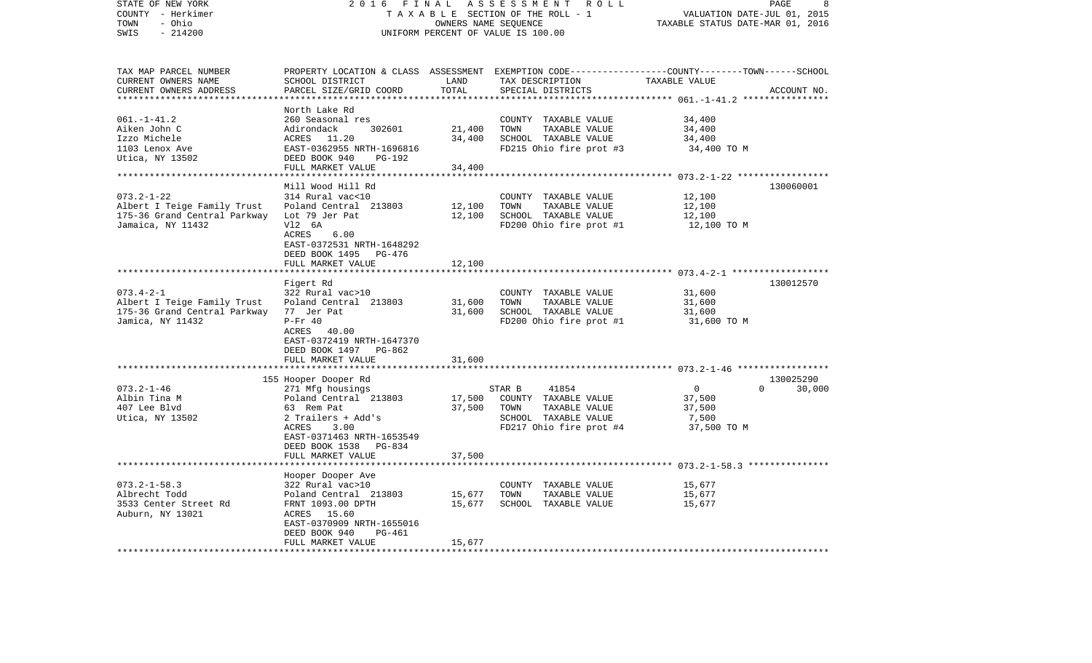| PROPERTY LOCATION & CLASS ASSESSMENT EXEMPTION CODE----------------COUNTY-------TOWN------SCHOOL<br>CURRENT OWNERS NAME<br>SCHOOL DISTRICT<br>LAND<br>TAX DESCRIPTION<br>TAXABLE VALUE<br>PARCEL SIZE/GRID COORD<br>TOTAL<br>SPECIAL DISTRICTS<br>ACCOUNT NO.<br>***********************<br>*************************<br>***************<br>North Lake Rd<br>$061. - 1 - 41.2$<br>260 Seasonal res<br>34,400<br>COUNTY TAXABLE VALUE<br>21,400<br>TOWN<br>TAXABLE VALUE<br>34,400<br>Aiken John C<br>Adirondack<br>302601<br>Izzo Michele<br>ACRES 11.20<br>34,400<br>SCHOOL TAXABLE VALUE<br>34,400<br>1103 Lenox Ave<br>EAST-0362955 NRTH-1696816<br>FD215 Ohio fire prot #3<br>34,400 TO M<br>Utica, NY 13502<br>DEED BOOK 940<br><b>PG-192</b><br>34,400<br>FULL MARKET VALUE<br>Mill Wood Hill Rd<br>130060001<br>$073.2 - 1 - 22$<br>314 Rural vac<10<br>COUNTY TAXABLE VALUE<br>12,100<br>12,100<br>TOWN<br>12,100<br>Poland Central 213803<br>TAXABLE VALUE<br>Lot 79 Jer Pat<br>12,100<br>SCHOOL TAXABLE VALUE<br>12,100<br>V12 6A<br>FD200 Ohio fire prot #1<br>12,100 TO M<br>ACRES<br>6.00<br>EAST-0372531 NRTH-1648292<br>DEED BOOK 1495<br>PG-476<br>FULL MARKET VALUE<br>12,100<br>Figert Rd<br>130012570<br>$073.4 - 2 - 1$<br>322 Rural vac>10<br>COUNTY TAXABLE VALUE<br>31,600<br>31,600<br>TOWN<br>TAXABLE VALUE<br>31,600<br>Albert I Teige Family Trust<br>Poland Central 213803<br>175-36 Grand Central Parkway<br>31,600<br>SCHOOL TAXABLE VALUE<br>77 Jer Pat<br>31,600<br>FD200 Ohio fire prot #1<br>$P-Fr 40$<br>31,600 TO M<br>40.00<br>ACRES<br>EAST-0372419 NRTH-1647370<br>DEED BOOK 1497<br>PG-862<br>31,600<br>FULL MARKET VALUE<br>********************<br>155 Hooper Dooper Rd<br>130025290<br>$073.2 - 1 - 46$<br>30,000<br>271 Mfg housings<br>STAR B<br>41854<br>$\mathbf 0$<br>$\Omega$<br>17,500<br>COUNTY TAXABLE VALUE<br>Albin Tina M<br>Poland Central 213803<br>37,500<br>37,500<br>407 Lee Blvd<br>63 Rem Pat<br>TOWN<br>TAXABLE VALUE<br>37,500<br>2 Trailers + Add's<br>SCHOOL TAXABLE VALUE<br>Utica, NY 13502<br>7,500<br>3.00<br>FD217 Ohio fire prot #4<br>37,500 TO M<br>ACRES<br>EAST-0371463 NRTH-1653549<br>DEED BOOK 1538<br>PG-834<br>37,500<br>FULL MARKET VALUE<br>*******************<br>***********<br>Hooper Dooper Ave<br>$073.2 - 1 - 58.3$<br>322 Rural vac>10<br>COUNTY TAXABLE VALUE<br>15,677<br>Poland Central 213803<br>15,677<br>TOWN<br>TAXABLE VALUE<br>15,677<br>FRNT 1093.00 DPTH<br>15,677<br>15,677<br>SCHOOL TAXABLE VALUE<br>ACRES 15.60<br>EAST-0370909 NRTH-1655016<br>DEED BOOK 940<br>PG-461<br>FULL MARKET VALUE<br>15,677 | STATE OF NEW YORK<br>COUNTY - Herkimer<br>- Ohio<br>TOWN<br>$-214200$<br>SWIS | 2 0 1 6<br>FINAL<br>TAXABLE SECTION OF THE ROLL - 1<br>UNIFORM PERCENT OF VALUE IS 100.00 | PAGE<br>8<br>VALUATION DATE-JUL 01, 2015<br>TAXABLE STATUS DATE-MAR 01, 2016 |  |  |
|-----------------------------------------------------------------------------------------------------------------------------------------------------------------------------------------------------------------------------------------------------------------------------------------------------------------------------------------------------------------------------------------------------------------------------------------------------------------------------------------------------------------------------------------------------------------------------------------------------------------------------------------------------------------------------------------------------------------------------------------------------------------------------------------------------------------------------------------------------------------------------------------------------------------------------------------------------------------------------------------------------------------------------------------------------------------------------------------------------------------------------------------------------------------------------------------------------------------------------------------------------------------------------------------------------------------------------------------------------------------------------------------------------------------------------------------------------------------------------------------------------------------------------------------------------------------------------------------------------------------------------------------------------------------------------------------------------------------------------------------------------------------------------------------------------------------------------------------------------------------------------------------------------------------------------------------------------------------------------------------------------------------------------------------------------------------------------------------------------------------------------------------------------------------------------------------------------------------------------------------------------------------------------------------------------------------------------------------------------------------------------------------------------------------------------------------------------------------------------------------------------------------------------------------------------------------------------------------------------------------|-------------------------------------------------------------------------------|-------------------------------------------------------------------------------------------|------------------------------------------------------------------------------|--|--|
|                                                                                                                                                                                                                                                                                                                                                                                                                                                                                                                                                                                                                                                                                                                                                                                                                                                                                                                                                                                                                                                                                                                                                                                                                                                                                                                                                                                                                                                                                                                                                                                                                                                                                                                                                                                                                                                                                                                                                                                                                                                                                                                                                                                                                                                                                                                                                                                                                                                                                                                                                                                                                 | TAX MAP PARCEL NUMBER                                                         |                                                                                           |                                                                              |  |  |
|                                                                                                                                                                                                                                                                                                                                                                                                                                                                                                                                                                                                                                                                                                                                                                                                                                                                                                                                                                                                                                                                                                                                                                                                                                                                                                                                                                                                                                                                                                                                                                                                                                                                                                                                                                                                                                                                                                                                                                                                                                                                                                                                                                                                                                                                                                                                                                                                                                                                                                                                                                                                                 |                                                                               |                                                                                           |                                                                              |  |  |
|                                                                                                                                                                                                                                                                                                                                                                                                                                                                                                                                                                                                                                                                                                                                                                                                                                                                                                                                                                                                                                                                                                                                                                                                                                                                                                                                                                                                                                                                                                                                                                                                                                                                                                                                                                                                                                                                                                                                                                                                                                                                                                                                                                                                                                                                                                                                                                                                                                                                                                                                                                                                                 | CURRENT OWNERS ADDRESS                                                        |                                                                                           |                                                                              |  |  |
|                                                                                                                                                                                                                                                                                                                                                                                                                                                                                                                                                                                                                                                                                                                                                                                                                                                                                                                                                                                                                                                                                                                                                                                                                                                                                                                                                                                                                                                                                                                                                                                                                                                                                                                                                                                                                                                                                                                                                                                                                                                                                                                                                                                                                                                                                                                                                                                                                                                                                                                                                                                                                 |                                                                               |                                                                                           |                                                                              |  |  |
|                                                                                                                                                                                                                                                                                                                                                                                                                                                                                                                                                                                                                                                                                                                                                                                                                                                                                                                                                                                                                                                                                                                                                                                                                                                                                                                                                                                                                                                                                                                                                                                                                                                                                                                                                                                                                                                                                                                                                                                                                                                                                                                                                                                                                                                                                                                                                                                                                                                                                                                                                                                                                 |                                                                               |                                                                                           |                                                                              |  |  |
|                                                                                                                                                                                                                                                                                                                                                                                                                                                                                                                                                                                                                                                                                                                                                                                                                                                                                                                                                                                                                                                                                                                                                                                                                                                                                                                                                                                                                                                                                                                                                                                                                                                                                                                                                                                                                                                                                                                                                                                                                                                                                                                                                                                                                                                                                                                                                                                                                                                                                                                                                                                                                 |                                                                               |                                                                                           |                                                                              |  |  |
|                                                                                                                                                                                                                                                                                                                                                                                                                                                                                                                                                                                                                                                                                                                                                                                                                                                                                                                                                                                                                                                                                                                                                                                                                                                                                                                                                                                                                                                                                                                                                                                                                                                                                                                                                                                                                                                                                                                                                                                                                                                                                                                                                                                                                                                                                                                                                                                                                                                                                                                                                                                                                 |                                                                               |                                                                                           |                                                                              |  |  |
|                                                                                                                                                                                                                                                                                                                                                                                                                                                                                                                                                                                                                                                                                                                                                                                                                                                                                                                                                                                                                                                                                                                                                                                                                                                                                                                                                                                                                                                                                                                                                                                                                                                                                                                                                                                                                                                                                                                                                                                                                                                                                                                                                                                                                                                                                                                                                                                                                                                                                                                                                                                                                 |                                                                               |                                                                                           |                                                                              |  |  |
|                                                                                                                                                                                                                                                                                                                                                                                                                                                                                                                                                                                                                                                                                                                                                                                                                                                                                                                                                                                                                                                                                                                                                                                                                                                                                                                                                                                                                                                                                                                                                                                                                                                                                                                                                                                                                                                                                                                                                                                                                                                                                                                                                                                                                                                                                                                                                                                                                                                                                                                                                                                                                 |                                                                               |                                                                                           |                                                                              |  |  |
|                                                                                                                                                                                                                                                                                                                                                                                                                                                                                                                                                                                                                                                                                                                                                                                                                                                                                                                                                                                                                                                                                                                                                                                                                                                                                                                                                                                                                                                                                                                                                                                                                                                                                                                                                                                                                                                                                                                                                                                                                                                                                                                                                                                                                                                                                                                                                                                                                                                                                                                                                                                                                 |                                                                               |                                                                                           |                                                                              |  |  |
|                                                                                                                                                                                                                                                                                                                                                                                                                                                                                                                                                                                                                                                                                                                                                                                                                                                                                                                                                                                                                                                                                                                                                                                                                                                                                                                                                                                                                                                                                                                                                                                                                                                                                                                                                                                                                                                                                                                                                                                                                                                                                                                                                                                                                                                                                                                                                                                                                                                                                                                                                                                                                 |                                                                               |                                                                                           |                                                                              |  |  |
|                                                                                                                                                                                                                                                                                                                                                                                                                                                                                                                                                                                                                                                                                                                                                                                                                                                                                                                                                                                                                                                                                                                                                                                                                                                                                                                                                                                                                                                                                                                                                                                                                                                                                                                                                                                                                                                                                                                                                                                                                                                                                                                                                                                                                                                                                                                                                                                                                                                                                                                                                                                                                 |                                                                               |                                                                                           |                                                                              |  |  |
|                                                                                                                                                                                                                                                                                                                                                                                                                                                                                                                                                                                                                                                                                                                                                                                                                                                                                                                                                                                                                                                                                                                                                                                                                                                                                                                                                                                                                                                                                                                                                                                                                                                                                                                                                                                                                                                                                                                                                                                                                                                                                                                                                                                                                                                                                                                                                                                                                                                                                                                                                                                                                 |                                                                               |                                                                                           |                                                                              |  |  |
|                                                                                                                                                                                                                                                                                                                                                                                                                                                                                                                                                                                                                                                                                                                                                                                                                                                                                                                                                                                                                                                                                                                                                                                                                                                                                                                                                                                                                                                                                                                                                                                                                                                                                                                                                                                                                                                                                                                                                                                                                                                                                                                                                                                                                                                                                                                                                                                                                                                                                                                                                                                                                 | Albert I Teige Family Trust                                                   |                                                                                           |                                                                              |  |  |
|                                                                                                                                                                                                                                                                                                                                                                                                                                                                                                                                                                                                                                                                                                                                                                                                                                                                                                                                                                                                                                                                                                                                                                                                                                                                                                                                                                                                                                                                                                                                                                                                                                                                                                                                                                                                                                                                                                                                                                                                                                                                                                                                                                                                                                                                                                                                                                                                                                                                                                                                                                                                                 | 175-36 Grand Central Parkway                                                  |                                                                                           |                                                                              |  |  |
|                                                                                                                                                                                                                                                                                                                                                                                                                                                                                                                                                                                                                                                                                                                                                                                                                                                                                                                                                                                                                                                                                                                                                                                                                                                                                                                                                                                                                                                                                                                                                                                                                                                                                                                                                                                                                                                                                                                                                                                                                                                                                                                                                                                                                                                                                                                                                                                                                                                                                                                                                                                                                 | Jamaica, NY 11432                                                             |                                                                                           |                                                                              |  |  |
|                                                                                                                                                                                                                                                                                                                                                                                                                                                                                                                                                                                                                                                                                                                                                                                                                                                                                                                                                                                                                                                                                                                                                                                                                                                                                                                                                                                                                                                                                                                                                                                                                                                                                                                                                                                                                                                                                                                                                                                                                                                                                                                                                                                                                                                                                                                                                                                                                                                                                                                                                                                                                 |                                                                               |                                                                                           |                                                                              |  |  |
|                                                                                                                                                                                                                                                                                                                                                                                                                                                                                                                                                                                                                                                                                                                                                                                                                                                                                                                                                                                                                                                                                                                                                                                                                                                                                                                                                                                                                                                                                                                                                                                                                                                                                                                                                                                                                                                                                                                                                                                                                                                                                                                                                                                                                                                                                                                                                                                                                                                                                                                                                                                                                 |                                                                               |                                                                                           |                                                                              |  |  |
|                                                                                                                                                                                                                                                                                                                                                                                                                                                                                                                                                                                                                                                                                                                                                                                                                                                                                                                                                                                                                                                                                                                                                                                                                                                                                                                                                                                                                                                                                                                                                                                                                                                                                                                                                                                                                                                                                                                                                                                                                                                                                                                                                                                                                                                                                                                                                                                                                                                                                                                                                                                                                 |                                                                               |                                                                                           |                                                                              |  |  |
|                                                                                                                                                                                                                                                                                                                                                                                                                                                                                                                                                                                                                                                                                                                                                                                                                                                                                                                                                                                                                                                                                                                                                                                                                                                                                                                                                                                                                                                                                                                                                                                                                                                                                                                                                                                                                                                                                                                                                                                                                                                                                                                                                                                                                                                                                                                                                                                                                                                                                                                                                                                                                 |                                                                               |                                                                                           |                                                                              |  |  |
|                                                                                                                                                                                                                                                                                                                                                                                                                                                                                                                                                                                                                                                                                                                                                                                                                                                                                                                                                                                                                                                                                                                                                                                                                                                                                                                                                                                                                                                                                                                                                                                                                                                                                                                                                                                                                                                                                                                                                                                                                                                                                                                                                                                                                                                                                                                                                                                                                                                                                                                                                                                                                 |                                                                               |                                                                                           |                                                                              |  |  |
|                                                                                                                                                                                                                                                                                                                                                                                                                                                                                                                                                                                                                                                                                                                                                                                                                                                                                                                                                                                                                                                                                                                                                                                                                                                                                                                                                                                                                                                                                                                                                                                                                                                                                                                                                                                                                                                                                                                                                                                                                                                                                                                                                                                                                                                                                                                                                                                                                                                                                                                                                                                                                 |                                                                               |                                                                                           |                                                                              |  |  |
|                                                                                                                                                                                                                                                                                                                                                                                                                                                                                                                                                                                                                                                                                                                                                                                                                                                                                                                                                                                                                                                                                                                                                                                                                                                                                                                                                                                                                                                                                                                                                                                                                                                                                                                                                                                                                                                                                                                                                                                                                                                                                                                                                                                                                                                                                                                                                                                                                                                                                                                                                                                                                 |                                                                               |                                                                                           |                                                                              |  |  |
|                                                                                                                                                                                                                                                                                                                                                                                                                                                                                                                                                                                                                                                                                                                                                                                                                                                                                                                                                                                                                                                                                                                                                                                                                                                                                                                                                                                                                                                                                                                                                                                                                                                                                                                                                                                                                                                                                                                                                                                                                                                                                                                                                                                                                                                                                                                                                                                                                                                                                                                                                                                                                 |                                                                               |                                                                                           |                                                                              |  |  |
|                                                                                                                                                                                                                                                                                                                                                                                                                                                                                                                                                                                                                                                                                                                                                                                                                                                                                                                                                                                                                                                                                                                                                                                                                                                                                                                                                                                                                                                                                                                                                                                                                                                                                                                                                                                                                                                                                                                                                                                                                                                                                                                                                                                                                                                                                                                                                                                                                                                                                                                                                                                                                 | Jamica, NY 11432                                                              |                                                                                           |                                                                              |  |  |
|                                                                                                                                                                                                                                                                                                                                                                                                                                                                                                                                                                                                                                                                                                                                                                                                                                                                                                                                                                                                                                                                                                                                                                                                                                                                                                                                                                                                                                                                                                                                                                                                                                                                                                                                                                                                                                                                                                                                                                                                                                                                                                                                                                                                                                                                                                                                                                                                                                                                                                                                                                                                                 |                                                                               |                                                                                           |                                                                              |  |  |
|                                                                                                                                                                                                                                                                                                                                                                                                                                                                                                                                                                                                                                                                                                                                                                                                                                                                                                                                                                                                                                                                                                                                                                                                                                                                                                                                                                                                                                                                                                                                                                                                                                                                                                                                                                                                                                                                                                                                                                                                                                                                                                                                                                                                                                                                                                                                                                                                                                                                                                                                                                                                                 |                                                                               |                                                                                           |                                                                              |  |  |
|                                                                                                                                                                                                                                                                                                                                                                                                                                                                                                                                                                                                                                                                                                                                                                                                                                                                                                                                                                                                                                                                                                                                                                                                                                                                                                                                                                                                                                                                                                                                                                                                                                                                                                                                                                                                                                                                                                                                                                                                                                                                                                                                                                                                                                                                                                                                                                                                                                                                                                                                                                                                                 |                                                                               |                                                                                           |                                                                              |  |  |
|                                                                                                                                                                                                                                                                                                                                                                                                                                                                                                                                                                                                                                                                                                                                                                                                                                                                                                                                                                                                                                                                                                                                                                                                                                                                                                                                                                                                                                                                                                                                                                                                                                                                                                                                                                                                                                                                                                                                                                                                                                                                                                                                                                                                                                                                                                                                                                                                                                                                                                                                                                                                                 |                                                                               |                                                                                           |                                                                              |  |  |
|                                                                                                                                                                                                                                                                                                                                                                                                                                                                                                                                                                                                                                                                                                                                                                                                                                                                                                                                                                                                                                                                                                                                                                                                                                                                                                                                                                                                                                                                                                                                                                                                                                                                                                                                                                                                                                                                                                                                                                                                                                                                                                                                                                                                                                                                                                                                                                                                                                                                                                                                                                                                                 |                                                                               |                                                                                           |                                                                              |  |  |
|                                                                                                                                                                                                                                                                                                                                                                                                                                                                                                                                                                                                                                                                                                                                                                                                                                                                                                                                                                                                                                                                                                                                                                                                                                                                                                                                                                                                                                                                                                                                                                                                                                                                                                                                                                                                                                                                                                                                                                                                                                                                                                                                                                                                                                                                                                                                                                                                                                                                                                                                                                                                                 |                                                                               |                                                                                           |                                                                              |  |  |
|                                                                                                                                                                                                                                                                                                                                                                                                                                                                                                                                                                                                                                                                                                                                                                                                                                                                                                                                                                                                                                                                                                                                                                                                                                                                                                                                                                                                                                                                                                                                                                                                                                                                                                                                                                                                                                                                                                                                                                                                                                                                                                                                                                                                                                                                                                                                                                                                                                                                                                                                                                                                                 |                                                                               |                                                                                           |                                                                              |  |  |
|                                                                                                                                                                                                                                                                                                                                                                                                                                                                                                                                                                                                                                                                                                                                                                                                                                                                                                                                                                                                                                                                                                                                                                                                                                                                                                                                                                                                                                                                                                                                                                                                                                                                                                                                                                                                                                                                                                                                                                                                                                                                                                                                                                                                                                                                                                                                                                                                                                                                                                                                                                                                                 |                                                                               |                                                                                           |                                                                              |  |  |
|                                                                                                                                                                                                                                                                                                                                                                                                                                                                                                                                                                                                                                                                                                                                                                                                                                                                                                                                                                                                                                                                                                                                                                                                                                                                                                                                                                                                                                                                                                                                                                                                                                                                                                                                                                                                                                                                                                                                                                                                                                                                                                                                                                                                                                                                                                                                                                                                                                                                                                                                                                                                                 |                                                                               |                                                                                           |                                                                              |  |  |
|                                                                                                                                                                                                                                                                                                                                                                                                                                                                                                                                                                                                                                                                                                                                                                                                                                                                                                                                                                                                                                                                                                                                                                                                                                                                                                                                                                                                                                                                                                                                                                                                                                                                                                                                                                                                                                                                                                                                                                                                                                                                                                                                                                                                                                                                                                                                                                                                                                                                                                                                                                                                                 |                                                                               |                                                                                           |                                                                              |  |  |
|                                                                                                                                                                                                                                                                                                                                                                                                                                                                                                                                                                                                                                                                                                                                                                                                                                                                                                                                                                                                                                                                                                                                                                                                                                                                                                                                                                                                                                                                                                                                                                                                                                                                                                                                                                                                                                                                                                                                                                                                                                                                                                                                                                                                                                                                                                                                                                                                                                                                                                                                                                                                                 |                                                                               |                                                                                           |                                                                              |  |  |
|                                                                                                                                                                                                                                                                                                                                                                                                                                                                                                                                                                                                                                                                                                                                                                                                                                                                                                                                                                                                                                                                                                                                                                                                                                                                                                                                                                                                                                                                                                                                                                                                                                                                                                                                                                                                                                                                                                                                                                                                                                                                                                                                                                                                                                                                                                                                                                                                                                                                                                                                                                                                                 |                                                                               |                                                                                           |                                                                              |  |  |
|                                                                                                                                                                                                                                                                                                                                                                                                                                                                                                                                                                                                                                                                                                                                                                                                                                                                                                                                                                                                                                                                                                                                                                                                                                                                                                                                                                                                                                                                                                                                                                                                                                                                                                                                                                                                                                                                                                                                                                                                                                                                                                                                                                                                                                                                                                                                                                                                                                                                                                                                                                                                                 |                                                                               |                                                                                           |                                                                              |  |  |
|                                                                                                                                                                                                                                                                                                                                                                                                                                                                                                                                                                                                                                                                                                                                                                                                                                                                                                                                                                                                                                                                                                                                                                                                                                                                                                                                                                                                                                                                                                                                                                                                                                                                                                                                                                                                                                                                                                                                                                                                                                                                                                                                                                                                                                                                                                                                                                                                                                                                                                                                                                                                                 |                                                                               |                                                                                           |                                                                              |  |  |
|                                                                                                                                                                                                                                                                                                                                                                                                                                                                                                                                                                                                                                                                                                                                                                                                                                                                                                                                                                                                                                                                                                                                                                                                                                                                                                                                                                                                                                                                                                                                                                                                                                                                                                                                                                                                                                                                                                                                                                                                                                                                                                                                                                                                                                                                                                                                                                                                                                                                                                                                                                                                                 |                                                                               |                                                                                           |                                                                              |  |  |
|                                                                                                                                                                                                                                                                                                                                                                                                                                                                                                                                                                                                                                                                                                                                                                                                                                                                                                                                                                                                                                                                                                                                                                                                                                                                                                                                                                                                                                                                                                                                                                                                                                                                                                                                                                                                                                                                                                                                                                                                                                                                                                                                                                                                                                                                                                                                                                                                                                                                                                                                                                                                                 |                                                                               |                                                                                           |                                                                              |  |  |
|                                                                                                                                                                                                                                                                                                                                                                                                                                                                                                                                                                                                                                                                                                                                                                                                                                                                                                                                                                                                                                                                                                                                                                                                                                                                                                                                                                                                                                                                                                                                                                                                                                                                                                                                                                                                                                                                                                                                                                                                                                                                                                                                                                                                                                                                                                                                                                                                                                                                                                                                                                                                                 | Albrecht Todd                                                                 |                                                                                           |                                                                              |  |  |
|                                                                                                                                                                                                                                                                                                                                                                                                                                                                                                                                                                                                                                                                                                                                                                                                                                                                                                                                                                                                                                                                                                                                                                                                                                                                                                                                                                                                                                                                                                                                                                                                                                                                                                                                                                                                                                                                                                                                                                                                                                                                                                                                                                                                                                                                                                                                                                                                                                                                                                                                                                                                                 | 3533 Center Street Rd                                                         |                                                                                           |                                                                              |  |  |
|                                                                                                                                                                                                                                                                                                                                                                                                                                                                                                                                                                                                                                                                                                                                                                                                                                                                                                                                                                                                                                                                                                                                                                                                                                                                                                                                                                                                                                                                                                                                                                                                                                                                                                                                                                                                                                                                                                                                                                                                                                                                                                                                                                                                                                                                                                                                                                                                                                                                                                                                                                                                                 | Auburn, NY 13021                                                              |                                                                                           |                                                                              |  |  |
|                                                                                                                                                                                                                                                                                                                                                                                                                                                                                                                                                                                                                                                                                                                                                                                                                                                                                                                                                                                                                                                                                                                                                                                                                                                                                                                                                                                                                                                                                                                                                                                                                                                                                                                                                                                                                                                                                                                                                                                                                                                                                                                                                                                                                                                                                                                                                                                                                                                                                                                                                                                                                 |                                                                               |                                                                                           |                                                                              |  |  |
|                                                                                                                                                                                                                                                                                                                                                                                                                                                                                                                                                                                                                                                                                                                                                                                                                                                                                                                                                                                                                                                                                                                                                                                                                                                                                                                                                                                                                                                                                                                                                                                                                                                                                                                                                                                                                                                                                                                                                                                                                                                                                                                                                                                                                                                                                                                                                                                                                                                                                                                                                                                                                 |                                                                               |                                                                                           |                                                                              |  |  |
|                                                                                                                                                                                                                                                                                                                                                                                                                                                                                                                                                                                                                                                                                                                                                                                                                                                                                                                                                                                                                                                                                                                                                                                                                                                                                                                                                                                                                                                                                                                                                                                                                                                                                                                                                                                                                                                                                                                                                                                                                                                                                                                                                                                                                                                                                                                                                                                                                                                                                                                                                                                                                 |                                                                               |                                                                                           |                                                                              |  |  |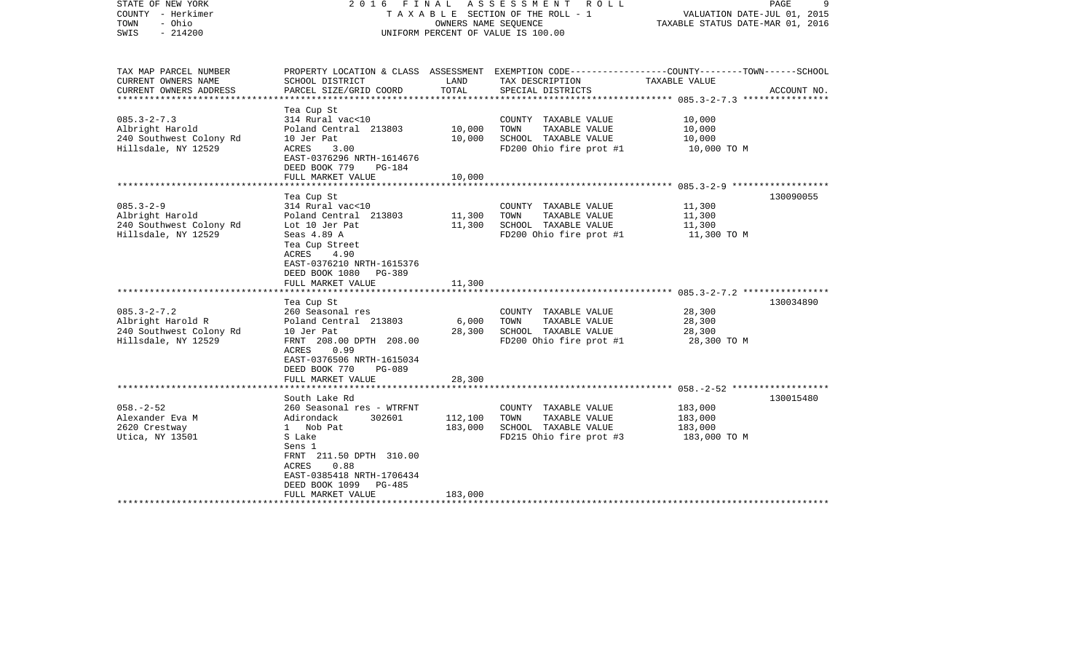| STATE OF NEW YORK<br>COUNTY - Herkimer<br>- Ohio<br>TOWN<br>$-214200$<br>SWIS                  | ASSESSMENT<br>2016 FINAL<br>R O L L<br>T A X A B L E SECTION OF THE ROLL - 1<br>OWNERS NAME SEQUENCE<br>UNIFORM PERCENT OF VALUE IS 100.00                                                                                                      |                                        |                                                                                                                                                                       | 9<br>PAGE<br>VALUATION DATE-JUL 01, 2015<br>TAXABLE STATUS DATE-MAR 01, 2016                     |             |
|------------------------------------------------------------------------------------------------|-------------------------------------------------------------------------------------------------------------------------------------------------------------------------------------------------------------------------------------------------|----------------------------------------|-----------------------------------------------------------------------------------------------------------------------------------------------------------------------|--------------------------------------------------------------------------------------------------|-------------|
| TAX MAP PARCEL NUMBER<br>CURRENT OWNERS NAME<br>CURRENT OWNERS ADDRESS<br>******************** | SCHOOL DISTRICT<br>PARCEL SIZE/GRID COORD                                                                                                                                                                                                       | LAND<br>TOTAL                          | PROPERTY LOCATION & CLASS ASSESSMENT EXEMPTION CODE---------------COUNTY-------TOWN-----SCHOOL<br>TAX DESCRIPTION<br>SPECIAL DISTRICTS<br>*************************** | TAXABLE VALUE<br>**************** 085.3-2-7.3 *****************                                  | ACCOUNT NO. |
| $085.3 - 2 - 7.3$<br>Albright Harold<br>240 Southwest Colony Rd<br>Hillsdale, NY 12529         | Tea Cup St<br>314 Rural vac<10<br>Poland Central 213803<br>10 Jer Pat<br>3.00<br>ACRES<br>EAST-0376296 NRTH-1614676<br>DEED BOOK 779<br><b>PG-184</b><br>FULL MARKET VALUE                                                                      | 10,000<br>10,000<br>10,000             | COUNTY TAXABLE VALUE<br>TOWN<br>TAXABLE VALUE<br>SCHOOL TAXABLE VALUE<br>FD200 Ohio fire prot #1                                                                      | 10,000<br>10,000<br>10,000<br>10,000 TO M                                                        |             |
| $085.3 - 2 - 9$<br>Albright Harold<br>240 Southwest Colony Rd<br>Hillsdale, NY 12529           | Tea Cup St<br>314 Rural vac<10<br>Poland Central 213803<br>Lot 10 Jer Pat<br>Seas 4.89 A<br>Tea Cup Street<br>4.90<br>ACRES<br>EAST-0376210 NRTH-1615376<br>DEED BOOK 1080<br>PG-389<br>FULL MARKET VALUE<br>***************                    | 11,300<br>11,300<br>11,300<br>******** | COUNTY TAXABLE VALUE<br>TOWN<br>TAXABLE VALUE<br>SCHOOL TAXABLE VALUE<br>FD200 Ohio fire prot #1                                                                      | 11,300<br>11,300<br>11,300<br>11,300 TO M                                                        | 130090055   |
| $085.3 - 2 - 7.2$<br>Albright Harold R<br>240 Southwest Colony Rd<br>Hillsdale, NY 12529       | Tea Cup St<br>260 Seasonal res<br>Poland Central 213803<br>10 Jer Pat<br>FRNT 208.00 DPTH 208.00<br>ACRES<br>0.99<br>EAST-0376506 NRTH-1615034<br>DEED BOOK 770<br>$PG-089$<br>FULL MARKET VALUE<br>********************                        | 6,000<br>28,300<br>28,300              | COUNTY TAXABLE VALUE<br>TAXABLE VALUE<br>TOWN<br>SCHOOL TAXABLE VALUE<br>FD200 Ohio fire prot #1                                                                      | ********************** 085.3-2-7.2 ****************<br>28,300<br>28,300<br>28,300<br>28,300 TO M | 130034890   |
| $058. - 2 - 52$<br>Alexander Eva M<br>2620 Crestway<br>Utica, NY 13501                         | South Lake Rd<br>260 Seasonal res - WTRFNT<br>Adirondack<br>302601<br>$1 \quad$<br>Nob Pat<br>S Lake<br>Sens 1<br>FRNT 211.50 DPTH 310.00<br><b>ACRES</b><br>0.88<br>EAST-0385418 NRTH-1706434<br>DEED BOOK 1099<br>PG-485<br>FULL MARKET VALUE | 112,100<br>183,000<br>183,000          | COUNTY TAXABLE VALUE<br>TOWN<br>TAXABLE VALUE<br>SCHOOL TAXABLE VALUE<br>FD215 Ohio fire prot #3                                                                      | 183,000<br>183,000<br>183,000<br>183,000 TO M                                                    | 130015480   |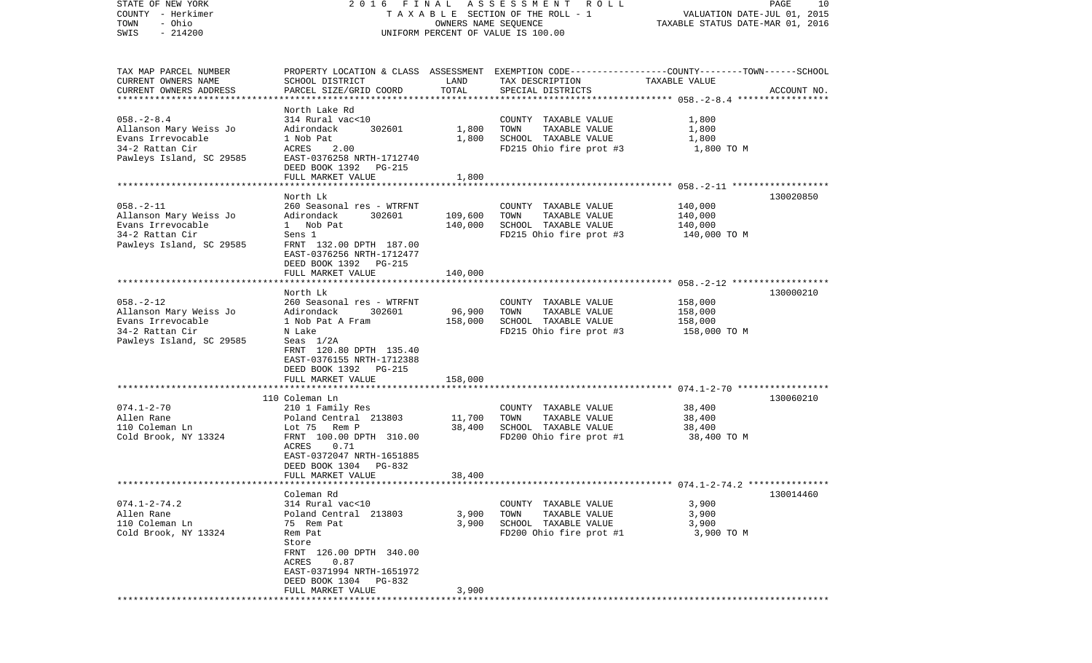| STATE OF NEW YORK<br>COUNTY - Herkimer<br>- Ohio<br>TOWN<br>$-214200$<br>SWIS                                  | FINAL<br>2016                                                                                                                                                                                                       | OWNERS NAME SEQUENCE    | ASSESSMENT ROLL<br>TAXABLE SECTION OF THE ROLL - 1<br>UNIFORM PERCENT OF VALUE IS 100.00                                                 | VALUATION DATE-JUL 01, 2015<br>TAXABLE STATUS DATE-MAR 01, 2016 | PAGE<br>10  |
|----------------------------------------------------------------------------------------------------------------|---------------------------------------------------------------------------------------------------------------------------------------------------------------------------------------------------------------------|-------------------------|------------------------------------------------------------------------------------------------------------------------------------------|-----------------------------------------------------------------|-------------|
| TAX MAP PARCEL NUMBER<br>CURRENT OWNERS NAME<br>CURRENT OWNERS ADDRESS<br>***********************              | SCHOOL DISTRICT<br>PARCEL SIZE/GRID COORD                                                                                                                                                                           | LAND<br>TOTAL           | PROPERTY LOCATION & CLASS ASSESSMENT EXEMPTION CODE----------------COUNTY-------TOWN------SCHOOL<br>TAX DESCRIPTION<br>SPECIAL DISTRICTS | TAXABLE VALUE                                                   | ACCOUNT NO. |
| $058. - 2 - 8.4$<br>Allanson Mary Weiss Jo<br>Evans Irrevocable<br>34-2 Rattan Cir<br>Pawleys Island, SC 29585 | North Lake Rd<br>314 Rural vac<10<br>Adirondack<br>302601<br>1 Nob Pat<br>ACRES<br>2.00<br>EAST-0376258 NRTH-1712740<br>DEED BOOK 1392 PG-215<br>FULL MARKET VALUE<br>********************                          | 1,800<br>1,800<br>1,800 | COUNTY TAXABLE VALUE<br>TOWN<br>TAXABLE VALUE<br>SCHOOL TAXABLE VALUE<br>FD215 Ohio fire prot #3                                         | 1,800<br>1,800<br>1,800<br>1,800 TO M                           |             |
|                                                                                                                | North Lk                                                                                                                                                                                                            |                         |                                                                                                                                          |                                                                 | 130020850   |
| $058. - 2 - 11$<br>Allanson Mary Weiss Jo<br>Evans Irrevocable<br>34-2 Rattan Cir<br>Pawleys Island, SC 29585  | 260 Seasonal res - WTRFNT<br>Adirondack<br>302601<br>1 Nob Pat<br>Sens 1<br>FRNT 132.00 DPTH 187.00<br>EAST-0376256 NRTH-1712477<br>DEED BOOK 1392 PG-215                                                           | 109,600<br>140,000      | COUNTY TAXABLE VALUE<br>TAXABLE VALUE<br>TOWN<br>SCHOOL TAXABLE VALUE<br>FD215 Ohio fire prot #3                                         | 140,000<br>140,000<br>140,000<br>140,000 TO M                   |             |
|                                                                                                                | FULL MARKET VALUE                                                                                                                                                                                                   | 140,000                 |                                                                                                                                          |                                                                 |             |
| $058. - 2 - 12$<br>Allanson Mary Weiss Jo<br>Evans Irrevocable<br>34-2 Rattan Cir<br>Pawleys Island, SC 29585  | North Lk<br>260 Seasonal res - WTRFNT<br>Adirondack<br>302601<br>1 Nob Pat A Fram<br>N Lake<br>Seas $1/2A$<br>FRNT 120.80 DPTH 135.40<br>EAST-0376155 NRTH-1712388<br>DEED BOOK 1392 PG-215                         | 96,900<br>158,000       | COUNTY TAXABLE VALUE<br>TOWN<br>TAXABLE VALUE<br>SCHOOL TAXABLE VALUE<br>FD215 Ohio fire prot #3                                         | 158,000<br>158,000<br>158,000<br>158,000 TO M                   | 130000210   |
|                                                                                                                | FULL MARKET VALUE<br>***********************                                                                                                                                                                        | 158,000                 |                                                                                                                                          |                                                                 |             |
| $074.1 - 2 - 70$<br>Allen Rane<br>110 Coleman Ln<br>Cold Brook, NY 13324                                       | 110 Coleman Ln<br>210 1 Family Res<br>Poland Central 213803<br>Rem P<br>Lot 75<br>FRNT 100.00 DPTH 310.00<br>0.71<br>ACRES<br>EAST-0372047 NRTH-1651885<br>DEED BOOK 1304<br>PG-832                                 | 11,700<br>38,400        | COUNTY TAXABLE VALUE<br>TOWN<br>TAXABLE VALUE<br>SCHOOL TAXABLE VALUE<br>FD200 Ohio fire prot #1                                         | 38,400<br>38,400<br>38,400<br>38,400 TO M                       | 130060210   |
| ************************                                                                                       | FULL MARKET VALUE                                                                                                                                                                                                   | 38,400                  |                                                                                                                                          |                                                                 |             |
| $074.1 - 2 - 74.2$<br>Allen Rane<br>110 Coleman Ln<br>Cold Brook, NY 13324                                     | Coleman Rd<br>314 Rural vac<10<br>Poland Central 213803<br>75 Rem Pat<br>Rem Pat<br>Store<br>FRNT 126.00 DPTH 340.00<br>0.87<br>ACRES<br>EAST-0371994 NRTH-1651972<br>DEED BOOK 1304<br>PG-832<br>FULL MARKET VALUE | 3,900<br>3,900<br>3,900 | COUNTY TAXABLE VALUE<br>TOWN<br>TAXABLE VALUE<br>SCHOOL TAXABLE VALUE<br>FD200 Ohio fire prot #1                                         | 3,900<br>3,900<br>3,900<br>3,900 TO M                           | 130014460   |
|                                                                                                                |                                                                                                                                                                                                                     |                         |                                                                                                                                          |                                                                 |             |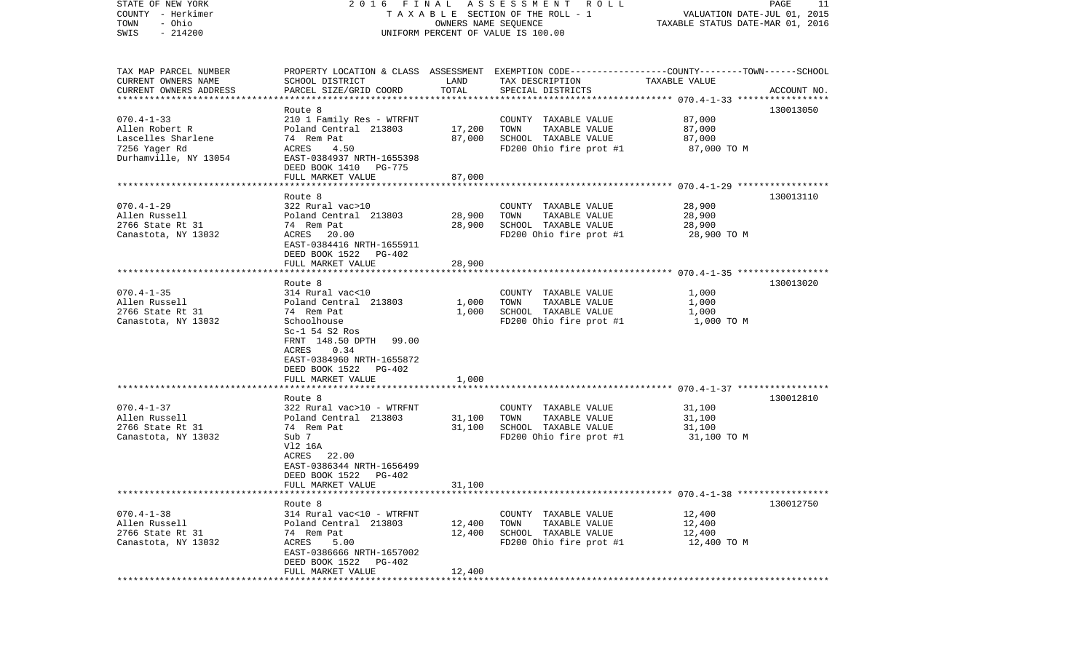| STATE OF NEW YORK      |                                       |                                  | 2016 FINAL ASSESSMENT ROLL                                                                      |               | PAGE<br>11  |  |  |
|------------------------|---------------------------------------|----------------------------------|-------------------------------------------------------------------------------------------------|---------------|-------------|--|--|
| COUNTY - Herkimer      | T A X A B L E SECTION OF THE ROLL - 1 | VALUATION DATE-JUL 01, 2015      |                                                                                                 |               |             |  |  |
| - Ohio<br>TOWN         |                                       | TAXABLE STATUS DATE-MAR 01, 2016 |                                                                                                 |               |             |  |  |
| $-214200$<br>SWIS      |                                       |                                  | UNIFORM PERCENT OF VALUE IS 100.00                                                              |               |             |  |  |
|                        |                                       |                                  |                                                                                                 |               |             |  |  |
|                        |                                       |                                  |                                                                                                 |               |             |  |  |
| TAX MAP PARCEL NUMBER  |                                       |                                  | PROPERTY LOCATION & CLASS ASSESSMENT EXEMPTION CODE---------------COUNTY-------TOWN------SCHOOL |               |             |  |  |
| CURRENT OWNERS NAME    | SCHOOL DISTRICT                       | LAND                             | TAX DESCRIPTION                                                                                 | TAXABLE VALUE |             |  |  |
| CURRENT OWNERS ADDRESS | PARCEL SIZE/GRID COORD                | TOTAL                            | SPECIAL DISTRICTS                                                                               |               | ACCOUNT NO. |  |  |
|                        |                                       |                                  |                                                                                                 |               |             |  |  |
|                        | Route 8                               |                                  |                                                                                                 |               | 130013050   |  |  |
| $070.4 - 1 - 33$       | 210 1 Family Res - WTRFNT             |                                  | COUNTY TAXABLE VALUE                                                                            | 87,000        |             |  |  |
| Allen Robert R         | Poland Central 213803                 | 17,200                           | TOWN<br>TAXABLE VALUE                                                                           | 87,000        |             |  |  |
| Lascelles Sharlene     | 74 Rem Pat                            | 87,000                           | SCHOOL TAXABLE VALUE                                                                            | 87,000        |             |  |  |
| 7256 Yager Rd          | ACRES<br>4.50                         |                                  | FD200 Ohio fire prot #1                                                                         | 87,000 TO M   |             |  |  |
| Durhamville, NY 13054  | EAST-0384937 NRTH-1655398             |                                  |                                                                                                 |               |             |  |  |
|                        | DEED BOOK 1410 PG-775                 |                                  |                                                                                                 |               |             |  |  |
|                        | FULL MARKET VALUE                     | 87,000                           |                                                                                                 |               |             |  |  |
|                        |                                       |                                  |                                                                                                 |               |             |  |  |
|                        | Route 8                               |                                  |                                                                                                 |               | 130013110   |  |  |
| $070.4 - 1 - 29$       | 322 Rural vac>10                      |                                  | COUNTY TAXABLE VALUE                                                                            | 28,900        |             |  |  |
| Allen Russell          |                                       |                                  | TAXABLE VALUE                                                                                   |               |             |  |  |
|                        | Poland Central 213803                 | 28,900                           | TOWN                                                                                            | 28,900        |             |  |  |
| 2766 State Rt 31       | 74 Rem Pat                            | 28,900                           | SCHOOL TAXABLE VALUE                                                                            | 28,900        |             |  |  |
| Canastota, NY 13032    | ACRES 20.00                           |                                  | FD200 Ohio fire prot #1                                                                         | 28,900 TO M   |             |  |  |
|                        | EAST-0384416 NRTH-1655911             |                                  |                                                                                                 |               |             |  |  |
|                        | DEED BOOK 1522 PG-402                 |                                  |                                                                                                 |               |             |  |  |
|                        | FULL MARKET VALUE                     | 28,900                           |                                                                                                 |               |             |  |  |
|                        |                                       |                                  |                                                                                                 |               |             |  |  |
|                        | Route 8                               |                                  |                                                                                                 |               | 130013020   |  |  |
| $070.4 - 1 - 35$       | 314 Rural vac<10                      |                                  | COUNTY TAXABLE VALUE                                                                            | 1,000         |             |  |  |
| Allen Russell          | Poland Central 213803                 | 1,000                            | TAXABLE VALUE<br>TOWN                                                                           | 1,000         |             |  |  |
| 2766 State Rt 31       | 74 Rem Pat                            | 1,000                            | SCHOOL TAXABLE VALUE                                                                            | 1,000         |             |  |  |
| Canastota, NY 13032    | Schoolhouse                           |                                  | FD200 Ohio fire prot #1                                                                         | 1,000 TO M    |             |  |  |
|                        | $Sc-1$ 54 $S2$ Ros                    |                                  |                                                                                                 |               |             |  |  |
|                        | FRNT 148.50 DPTH<br>99.00             |                                  |                                                                                                 |               |             |  |  |
|                        | ACRES<br>0.34                         |                                  |                                                                                                 |               |             |  |  |
|                        | EAST-0384960 NRTH-1655872             |                                  |                                                                                                 |               |             |  |  |
|                        | DEED BOOK 1522 PG-402                 |                                  |                                                                                                 |               |             |  |  |
|                        | FULL MARKET VALUE                     | 1,000                            |                                                                                                 |               |             |  |  |
|                        |                                       |                                  |                                                                                                 |               |             |  |  |
|                        | Route 8                               |                                  |                                                                                                 |               | 130012810   |  |  |
| $070.4 - 1 - 37$       | 322 Rural vac>10 - WTRFNT             |                                  | COUNTY TAXABLE VALUE                                                                            | 31,100        |             |  |  |
| Allen Russell          | Poland Central 213803                 | 31,100                           | TOWN<br>TAXABLE VALUE                                                                           | 31,100        |             |  |  |
| 2766 State Rt 31       | 74 Rem Pat                            | 31,100                           | SCHOOL TAXABLE VALUE                                                                            | 31,100        |             |  |  |
| Canastota, NY 13032    | Sub 7                                 |                                  | FD200 Ohio fire prot #1                                                                         | 31,100 TO M   |             |  |  |
|                        | V12 16A                               |                                  |                                                                                                 |               |             |  |  |
|                        | ACRES 22.00                           |                                  |                                                                                                 |               |             |  |  |
|                        | EAST-0386344 NRTH-1656499             |                                  |                                                                                                 |               |             |  |  |
|                        | DEED BOOK 1522 PG-402                 |                                  |                                                                                                 |               |             |  |  |
|                        | FULL MARKET VALUE                     | 31,100                           |                                                                                                 |               |             |  |  |
|                        |                                       |                                  |                                                                                                 |               |             |  |  |
|                        | Route 8                               |                                  |                                                                                                 |               | 130012750   |  |  |
| $070.4 - 1 - 38$       | 314 Rural vac<10 - WTRFNT             |                                  | COUNTY TAXABLE VALUE                                                                            | 12,400        |             |  |  |
| Allen Russell          | Poland Central 213803                 | 12,400                           | TAXABLE VALUE<br>TOWN                                                                           | 12,400        |             |  |  |
| 2766 State Rt 31       | 74 Rem Pat                            | 12,400                           | SCHOOL TAXABLE VALUE                                                                            | 12,400        |             |  |  |
| Canastota, NY 13032    | ACRES<br>5.00                         |                                  | FD200 Ohio fire prot #1                                                                         | 12,400 TO M   |             |  |  |
|                        | EAST-0386666 NRTH-1657002             |                                  |                                                                                                 |               |             |  |  |
|                        | DEED BOOK 1522 PG-402                 |                                  |                                                                                                 |               |             |  |  |
|                        | FULL MARKET VALUE                     | 12,400                           |                                                                                                 |               |             |  |  |
|                        |                                       |                                  |                                                                                                 |               |             |  |  |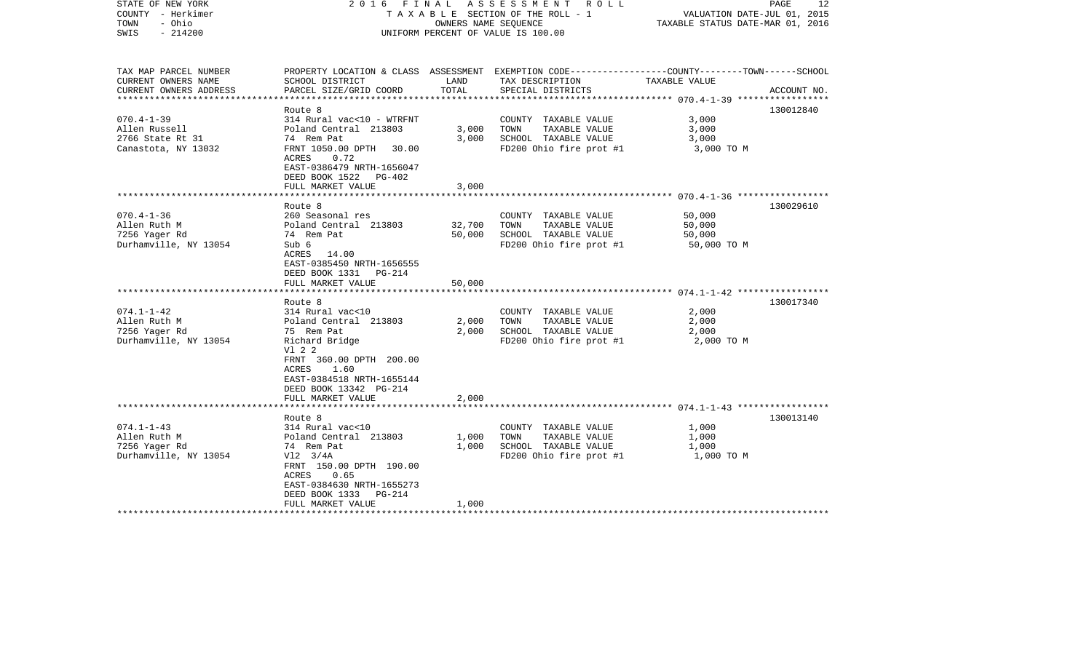| STATE OF NEW YORK<br>COUNTY - Herkimer<br>- Ohio<br>TOWN<br>$-214200$<br>SWIS                    | 2016 FINAL                                                                                                                                                                                                      | OWNERS NAME SEQUENCE       | ASSESSMENT ROLL<br>TAXABLE SECTION OF THE ROLL - 1<br>UNIFORM PERCENT OF VALUE IS 100.00                                                | VALUATION DATE-JUL 01, 2015<br>TAXABLE STATUS DATE-MAR 01, 2016 | 12<br>PAGE  |
|--------------------------------------------------------------------------------------------------|-----------------------------------------------------------------------------------------------------------------------------------------------------------------------------------------------------------------|----------------------------|-----------------------------------------------------------------------------------------------------------------------------------------|-----------------------------------------------------------------|-------------|
| TAX MAP PARCEL NUMBER<br>CURRENT OWNERS NAME<br>CURRENT OWNERS ADDRESS<br>********************** | SCHOOL DISTRICT<br>PARCEL SIZE/GRID COORD                                                                                                                                                                       | LAND<br>TOTAL              | PROPERTY LOCATION & CLASS ASSESSMENT EXEMPTION CODE---------------COUNTY-------TOWN------SCHOOL<br>TAX DESCRIPTION<br>SPECIAL DISTRICTS | TAXABLE VALUE                                                   | ACCOUNT NO. |
| $070.4 - 1 - 39$<br>Allen Russell<br>2766 State Rt 31<br>Canastota, NY 13032                     | Route 8<br>314 Rural vac<10 - WTRFNT<br>Poland Central 213803<br>74 Rem Pat<br>FRNT 1050.00 DPTH<br>30.00<br><b>ACRES</b><br>0.72<br>EAST-0386479 NRTH-1656047<br>DEED BOOK 1522<br>PG-402<br>FULL MARKET VALUE | 3,000<br>3,000<br>3,000    | COUNTY TAXABLE VALUE<br>TOWN<br>TAXABLE VALUE<br>SCHOOL TAXABLE VALUE<br>FD200 Ohio fire prot #1                                        | 3,000<br>3,000<br>3,000<br>3,000 TO M                           | 130012840   |
|                                                                                                  |                                                                                                                                                                                                                 |                            |                                                                                                                                         |                                                                 |             |
| $070.4 - 1 - 36$<br>Allen Ruth M<br>7256 Yager Rd<br>Durhamville, NY 13054                       | Route 8<br>260 Seasonal res<br>Poland Central 213803<br>74 Rem Pat<br>Sub 6<br>ACRES 14.00<br>EAST-0385450 NRTH-1656555<br>DEED BOOK 1331<br>PG-214<br>FULL MARKET VALUE                                        | 32,700<br>50,000<br>50,000 | COUNTY TAXABLE VALUE<br>TAXABLE VALUE<br>TOWN<br>SCHOOL TAXABLE VALUE<br>FD200 Ohio fire prot #1                                        | 50,000<br>50,000<br>50,000<br>50,000 TO M                       | 130029610   |
|                                                                                                  |                                                                                                                                                                                                                 |                            |                                                                                                                                         |                                                                 |             |
| $074.1 - 1 - 42$<br>Allen Ruth M<br>7256 Yager Rd<br>Durhamville, NY 13054                       | Route 8<br>314 Rural vac<10<br>Poland Central 213803<br>75 Rem Pat<br>Richard Bridge<br>V1 2 2<br>FRNT 360.00 DPTH 200.00<br>1.60<br>ACRES<br>EAST-0384518 NRTH-1655144<br>DEED BOOK 13342 PG-214               | 2,000<br>2,000             | COUNTY TAXABLE VALUE<br>TOWN<br>TAXABLE VALUE<br>SCHOOL TAXABLE VALUE<br>FD200 Ohio fire prot #1                                        | 2,000<br>2,000<br>2,000<br>2,000 TO M                           | 130017340   |
|                                                                                                  | FULL MARKET VALUE                                                                                                                                                                                               | 2,000                      |                                                                                                                                         |                                                                 |             |
| $074.1 - 1 - 43$<br>Allen Ruth M<br>7256 Yager Rd<br>Durhamville, NY 13054                       | Route 8<br>314 Rural vac<10<br>Poland Central 213803<br>74 Rem Pat<br>$V12 \quad 3/4A$<br>FRNT 150.00 DPTH 190.00<br>ACRES<br>0.65<br>EAST-0384630 NRTH-1655273<br>DEED BOOK 1333<br>PG-214                     | 1,000<br>1,000             | COUNTY TAXABLE VALUE<br>TOWN<br>TAXABLE VALUE<br>SCHOOL TAXABLE VALUE<br>FD200 Ohio fire prot #1                                        | 1,000<br>1,000<br>1,000<br>1,000 TO M                           | 130013140   |
|                                                                                                  | FULL MARKET VALUE                                                                                                                                                                                               | 1,000                      |                                                                                                                                         |                                                                 |             |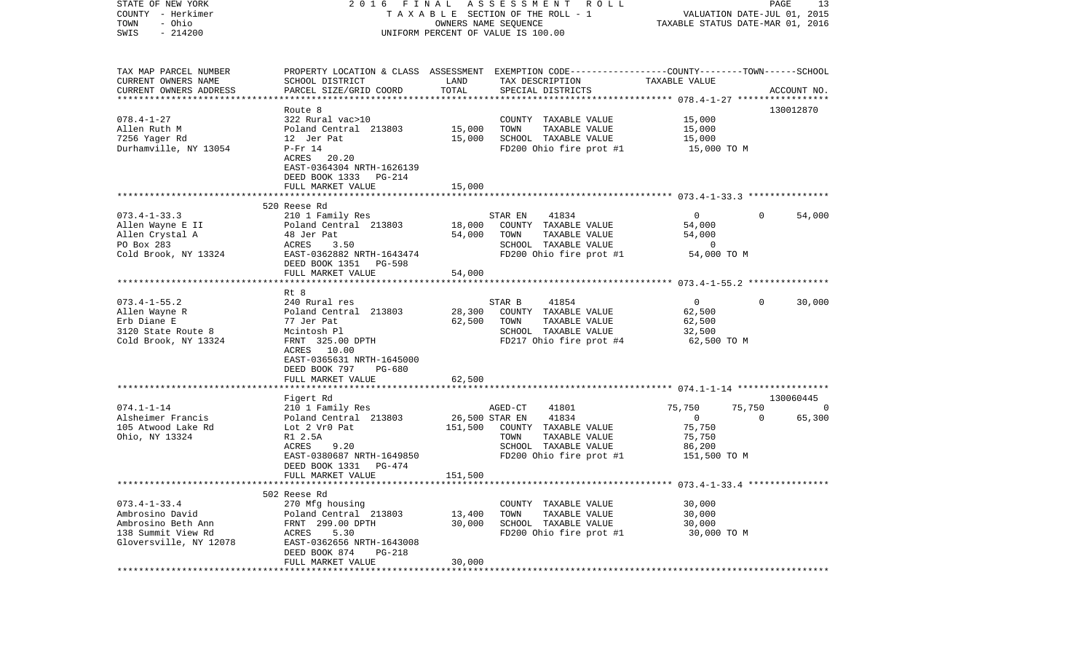| STATE OF NEW YORK<br>COUNTY - Herkimer<br>- Ohio<br>TOWN                  | 2016 FINAL                                 |                | A S S E S S M E N T R O L L<br>T A X A B L E SECTION OF THE ROLL - 1<br>OWNERS NAME SEQUENCE    | VALUATION DATE-JUL 01, 2015<br>TAXABLE STATUS DATE-MAR 01, 2016 | PAGE     | 13             |
|---------------------------------------------------------------------------|--------------------------------------------|----------------|-------------------------------------------------------------------------------------------------|-----------------------------------------------------------------|----------|----------------|
| $-214200$<br>SWIS                                                         |                                            |                | UNIFORM PERCENT OF VALUE IS 100.00                                                              |                                                                 |          |                |
| TAX MAP PARCEL NUMBER                                                     |                                            |                | PROPERTY LOCATION & CLASS ASSESSMENT EXEMPTION CODE---------------COUNTY-------TOWN------SCHOOL |                                                                 |          |                |
| CURRENT OWNERS NAME<br>CURRENT OWNERS ADDRESS<br>************************ | SCHOOL DISTRICT<br>PARCEL SIZE/GRID COORD  | LAND<br>TOTAL  | TAX DESCRIPTION<br>SPECIAL DISTRICTS                                                            | TAXABLE VALUE                                                   |          | ACCOUNT NO.    |
|                                                                           | Route 8                                    |                |                                                                                                 |                                                                 |          | 130012870      |
| $078.4 - 1 - 27$                                                          | 322 Rural vac>10                           |                | COUNTY TAXABLE VALUE                                                                            | 15,000                                                          |          |                |
| Allen Ruth M                                                              | Poland Central 213803                      | 15,000         | TAXABLE VALUE<br>TOWN                                                                           | 15,000                                                          |          |                |
| 7256 Yager Rd                                                             | 12 Jer Pat                                 | 15,000         | SCHOOL TAXABLE VALUE                                                                            | 15,000                                                          |          |                |
| Durhamville, NY 13054                                                     | $P-Fr$ 14                                  |                | FD200 Ohio fire prot #1                                                                         | 15,000 TO M                                                     |          |                |
|                                                                           | ACRES 20.20                                |                |                                                                                                 |                                                                 |          |                |
|                                                                           | EAST-0364304 NRTH-1626139                  |                |                                                                                                 |                                                                 |          |                |
|                                                                           | DEED BOOK 1333 PG-214                      |                |                                                                                                 |                                                                 |          |                |
|                                                                           | FULL MARKET VALUE                          | 15,000         |                                                                                                 |                                                                 |          |                |
|                                                                           | 520 Reese Rd                               |                |                                                                                                 |                                                                 |          |                |
| $073.4 - 1 - 33.3$                                                        | 210 1 Family Res                           |                | 41834<br>STAR EN                                                                                | $\overline{0}$                                                  | $\Omega$ | 54,000         |
| Allen Wayne E II                                                          | Poland Central 213803                      | 18,000         | COUNTY TAXABLE VALUE                                                                            | 54,000                                                          |          |                |
| Allen Crystal A                                                           | 48 Jer Pat                                 | 54,000         | TOWN<br>TAXABLE VALUE                                                                           | 54,000                                                          |          |                |
| PO Box 283                                                                | ACRES<br>3.50                              |                | SCHOOL TAXABLE VALUE                                                                            | $\overline{0}$                                                  |          |                |
| Cold Brook, NY 13324                                                      | EAST-0362882 NRTH-1643474                  |                | FD200 Ohio fire prot #1                                                                         | 54,000 TO M                                                     |          |                |
|                                                                           | DEED BOOK 1351 PG-598                      |                |                                                                                                 |                                                                 |          |                |
|                                                                           | FULL MARKET VALUE                          | 54,000         |                                                                                                 |                                                                 |          |                |
|                                                                           | Rt 8                                       |                |                                                                                                 |                                                                 |          |                |
| $073.4 - 1 - 55.2$                                                        | 240 Rural res                              |                | 41854<br>STAR B                                                                                 | $\overline{0}$                                                  | $\Omega$ | 30,000         |
| Allen Wayne R                                                             | Poland Central 213803                      | 28,300         | COUNTY TAXABLE VALUE                                                                            | 62,500                                                          |          |                |
| Erb Diane E                                                               | 77 Jer Pat                                 | 62,500         | TOWN<br>TAXABLE VALUE                                                                           | 62,500                                                          |          |                |
| 3120 State Route 8                                                        | Mcintosh Pl                                |                | SCHOOL TAXABLE VALUE                                                                            | 32,500                                                          |          |                |
| Cold Brook, NY 13324                                                      | FRNT 325.00 DPTH                           |                | FD217 Ohio fire prot #4                                                                         | 62,500 TO M                                                     |          |                |
|                                                                           | ACRES 10.00                                |                |                                                                                                 |                                                                 |          |                |
|                                                                           | EAST-0365631 NRTH-1645000                  |                |                                                                                                 |                                                                 |          |                |
|                                                                           | DEED BOOK 797<br>PG-680                    |                |                                                                                                 |                                                                 |          |                |
|                                                                           | FULL MARKET VALUE<br>********************* | 62,500         |                                                                                                 |                                                                 |          |                |
|                                                                           | Figert Rd                                  |                |                                                                                                 |                                                                 |          | 130060445      |
| $074.1 - 1 - 14$                                                          | 210 1 Family Res                           |                | AGED-CT<br>41801                                                                                | 75,750                                                          | 75,750   | $\overline{0}$ |
| Alsheimer Francis                                                         | Poland Central 213803                      | 26,500 STAR EN | 41834                                                                                           | $\overline{0}$                                                  | $\Omega$ | 65,300         |
| 105 Atwood Lake Rd                                                        | Lot 2 VrO Pat                              | 151,500        | COUNTY TAXABLE VALUE                                                                            | 75,750                                                          |          |                |
| Ohio, NY 13324                                                            | R1 2.5A                                    |                | TAXABLE VALUE<br>TOWN                                                                           | 75,750                                                          |          |                |
|                                                                           | 9.20<br>ACRES                              |                | SCHOOL TAXABLE VALUE                                                                            | 86,200                                                          |          |                |
|                                                                           | EAST-0380687 NRTH-1649850                  |                | FD200 Ohio fire prot #1                                                                         | 151,500 TO M                                                    |          |                |
|                                                                           | DEED BOOK 1331<br>PG-474                   |                |                                                                                                 |                                                                 |          |                |
|                                                                           | FULL MARKET VALUE                          | 151,500        |                                                                                                 |                                                                 |          |                |
|                                                                           | 502 Reese Rd                               |                |                                                                                                 |                                                                 |          |                |
| $073.4 - 1 - 33.4$                                                        | 270 Mfg housing                            |                | COUNTY TAXABLE VALUE                                                                            | 30,000                                                          |          |                |
| Ambrosino David                                                           | Poland Central 213803                      | 13,400         | TOWN<br>TAXABLE VALUE                                                                           | 30,000                                                          |          |                |
| Ambrosino Beth Ann                                                        | FRNT 299.00 DPTH                           | 30,000         | SCHOOL TAXABLE VALUE                                                                            | 30,000                                                          |          |                |
| 138 Summit View Rd                                                        | ACRES<br>5.30                              |                | FD200 Ohio fire prot #1                                                                         | 30,000 TO M                                                     |          |                |
| Gloversville, NY 12078                                                    | EAST-0362656 NRTH-1643008                  |                |                                                                                                 |                                                                 |          |                |
|                                                                           | DEED BOOK 874<br>PG-218                    |                |                                                                                                 |                                                                 |          |                |
|                                                                           | FULL MARKET VALUE                          | 30,000         |                                                                                                 |                                                                 |          |                |
| ***********                                                               |                                            |                |                                                                                                 |                                                                 |          |                |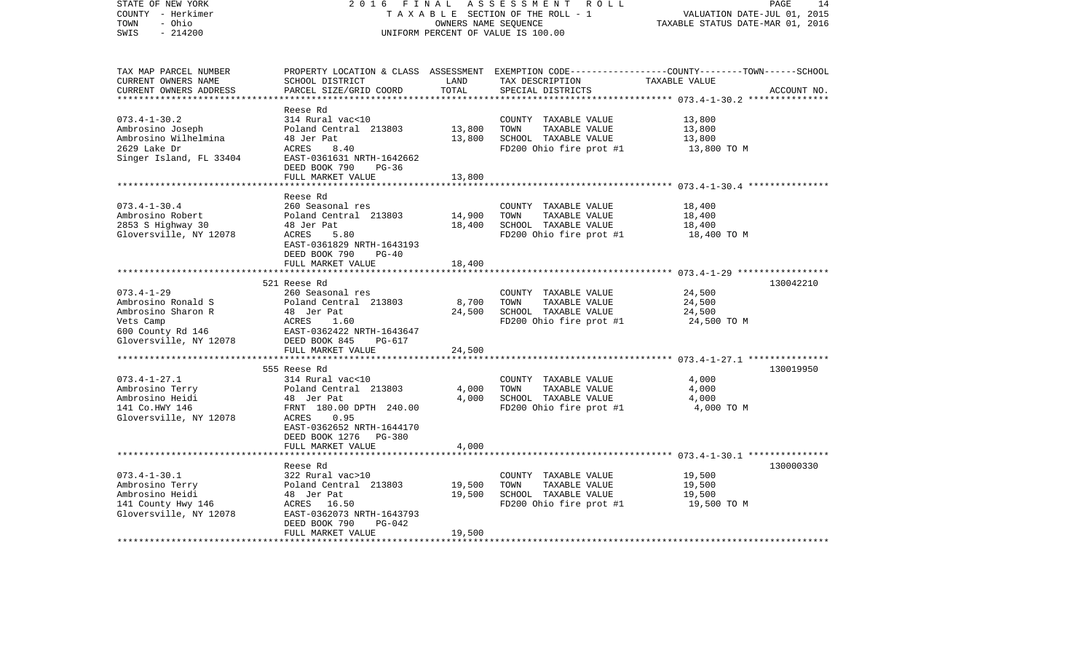| UNIFORM PERCENT OF VALUE IS 100.00<br>PROPERTY LOCATION & CLASS ASSESSMENT EXEMPTION CODE----------------COUNTY-------TOWN------SCHOOL<br>CURRENT OWNERS NAME<br>SCHOOL DISTRICT<br>LAND<br>TAX DESCRIPTION<br>TAXABLE VALUE<br>TOTAL<br>PARCEL SIZE/GRID COORD<br>SPECIAL DISTRICTS<br>ACCOUNT NO.<br>**********************<br>Reese Rd<br>$073.4 - 1 - 30.2$<br>13,800<br>314 Rural vac<10<br>COUNTY TAXABLE VALUE<br>Ambrosino Joseph<br>Poland Central 213803<br>13,800<br>TOWN<br>TAXABLE VALUE<br>13,800<br>Ambrosino Wilhelmina<br>48 Jer Pat<br>13,800<br>SCHOOL TAXABLE VALUE<br>13,800<br>2629 Lake Dr<br><b>ACRES</b><br>FD200 Ohio fire prot #1<br>13,800 TO M<br>8.40<br>Singer Island, FL 33404<br>EAST-0361631 NRTH-1642662<br>DEED BOOK 790<br>$PG-36$<br>FULL MARKET VALUE<br>13,800<br>*****************************<br>Reese Rd<br>$073.4 - 1 - 30.4$<br>260 Seasonal res<br>18,400<br>COUNTY TAXABLE VALUE<br>Ambrosino Robert<br>14,900<br>TOWN<br>18,400<br>Poland Central 213803<br>TAXABLE VALUE<br>SCHOOL TAXABLE VALUE<br>2853 S Highway 30<br>48 Jer Pat<br>18,400<br>18,400<br>Gloversville, NY 12078<br>ACRES<br>FD200 Ohio fire prot #1<br>18,400 TO M<br>5.80<br>EAST-0361829 NRTH-1643193<br>DEED BOOK 790<br>$PG-40$<br>18,400<br>FULL MARKET VALUE<br>******************************<br>521 Reese Rd<br>130042210<br>24,500<br>260 Seasonal res<br>COUNTY TAXABLE VALUE<br>8,700<br>24,500<br>Poland Central 213803<br>TOWN<br>TAXABLE VALUE<br>24,500<br>SCHOOL TAXABLE VALUE<br>24,500<br>Ambrosino Sharon R<br>48 Jer Pat<br>Vets Camp<br>ACRES<br>1.60<br>FD200 Ohio fire prot #1<br>24,500 TO M<br>600 County Rd 146<br>EAST-0362422 NRTH-1643647<br>Gloversville, NY 12078<br>DEED BOOK 845<br>PG-617<br>24,500<br>FULL MARKET VALUE<br>***********************<br>************************ 073.4-1-27.1 ****************<br>130019950<br>555 Reese Rd<br>314 Rural vac<10<br>4,000<br>COUNTY TAXABLE VALUE<br>Poland Central 213803<br>4,000<br>TOWN<br>TAXABLE VALUE<br>4,000<br>4,000<br>SCHOOL TAXABLE VALUE<br>4,000<br>48 Jer Pat<br>FRNT 180.00 DPTH 240.00<br>FD200 Ohio fire prot #1<br>4,000 TO M<br>ACRES<br>0.95<br>EAST-0362652 NRTH-1644170<br>DEED BOOK 1276<br>PG-380<br>FULL MARKET VALUE<br>4,000<br>Reese Rd<br>130000330<br>$073.4 - 1 - 30.1$<br>322 Rural vac>10<br>COUNTY TAXABLE VALUE<br>19,500<br>Poland Central 213803<br>19,500<br>TOWN<br>TAXABLE VALUE<br>19,500<br>SCHOOL TAXABLE VALUE<br>48 Jer Pat<br>19,500<br>19,500<br>ACRES 16.50<br>FD200 Ohio fire prot #1<br>19,500 TO M<br>EAST-0362073 NRTH-1643793 | STATE OF NEW YORK<br>COUNTY - Herkimer<br>- Ohio<br>TOWN | 2 0 1 6<br>FINAL | OWNERS NAME SEQUENCE | ASSESSMENT<br>R O L L<br>TAXABLE SECTION OF THE ROLL - 1 | PAGE<br>VALUATION DATE-JUL 01, 2015<br>TAXABLE STATUS DATE-MAR 01, 2016 | 14 |
|-----------------------------------------------------------------------------------------------------------------------------------------------------------------------------------------------------------------------------------------------------------------------------------------------------------------------------------------------------------------------------------------------------------------------------------------------------------------------------------------------------------------------------------------------------------------------------------------------------------------------------------------------------------------------------------------------------------------------------------------------------------------------------------------------------------------------------------------------------------------------------------------------------------------------------------------------------------------------------------------------------------------------------------------------------------------------------------------------------------------------------------------------------------------------------------------------------------------------------------------------------------------------------------------------------------------------------------------------------------------------------------------------------------------------------------------------------------------------------------------------------------------------------------------------------------------------------------------------------------------------------------------------------------------------------------------------------------------------------------------------------------------------------------------------------------------------------------------------------------------------------------------------------------------------------------------------------------------------------------------------------------------------------------------------------------------------------------------------------------------------------------------------------------------------------------------------------------------------------------------------------------------------------------------------------------------------------------------------------------------------------------------------------------------------------------------------------------------------------------------------------------------------------------------------------------------------------------------|----------------------------------------------------------|------------------|----------------------|----------------------------------------------------------|-------------------------------------------------------------------------|----|
|                                                                                                                                                                                                                                                                                                                                                                                                                                                                                                                                                                                                                                                                                                                                                                                                                                                                                                                                                                                                                                                                                                                                                                                                                                                                                                                                                                                                                                                                                                                                                                                                                                                                                                                                                                                                                                                                                                                                                                                                                                                                                                                                                                                                                                                                                                                                                                                                                                                                                                                                                                                         | $-214200$<br>SWIS                                        |                  |                      |                                                          |                                                                         |    |
|                                                                                                                                                                                                                                                                                                                                                                                                                                                                                                                                                                                                                                                                                                                                                                                                                                                                                                                                                                                                                                                                                                                                                                                                                                                                                                                                                                                                                                                                                                                                                                                                                                                                                                                                                                                                                                                                                                                                                                                                                                                                                                                                                                                                                                                                                                                                                                                                                                                                                                                                                                                         | TAX MAP PARCEL NUMBER                                    |                  |                      |                                                          |                                                                         |    |
|                                                                                                                                                                                                                                                                                                                                                                                                                                                                                                                                                                                                                                                                                                                                                                                                                                                                                                                                                                                                                                                                                                                                                                                                                                                                                                                                                                                                                                                                                                                                                                                                                                                                                                                                                                                                                                                                                                                                                                                                                                                                                                                                                                                                                                                                                                                                                                                                                                                                                                                                                                                         | CURRENT OWNERS ADDRESS                                   |                  |                      |                                                          |                                                                         |    |
|                                                                                                                                                                                                                                                                                                                                                                                                                                                                                                                                                                                                                                                                                                                                                                                                                                                                                                                                                                                                                                                                                                                                                                                                                                                                                                                                                                                                                                                                                                                                                                                                                                                                                                                                                                                                                                                                                                                                                                                                                                                                                                                                                                                                                                                                                                                                                                                                                                                                                                                                                                                         |                                                          |                  |                      |                                                          |                                                                         |    |
|                                                                                                                                                                                                                                                                                                                                                                                                                                                                                                                                                                                                                                                                                                                                                                                                                                                                                                                                                                                                                                                                                                                                                                                                                                                                                                                                                                                                                                                                                                                                                                                                                                                                                                                                                                                                                                                                                                                                                                                                                                                                                                                                                                                                                                                                                                                                                                                                                                                                                                                                                                                         |                                                          |                  |                      |                                                          |                                                                         |    |
|                                                                                                                                                                                                                                                                                                                                                                                                                                                                                                                                                                                                                                                                                                                                                                                                                                                                                                                                                                                                                                                                                                                                                                                                                                                                                                                                                                                                                                                                                                                                                                                                                                                                                                                                                                                                                                                                                                                                                                                                                                                                                                                                                                                                                                                                                                                                                                                                                                                                                                                                                                                         |                                                          |                  |                      |                                                          |                                                                         |    |
|                                                                                                                                                                                                                                                                                                                                                                                                                                                                                                                                                                                                                                                                                                                                                                                                                                                                                                                                                                                                                                                                                                                                                                                                                                                                                                                                                                                                                                                                                                                                                                                                                                                                                                                                                                                                                                                                                                                                                                                                                                                                                                                                                                                                                                                                                                                                                                                                                                                                                                                                                                                         |                                                          |                  |                      |                                                          |                                                                         |    |
|                                                                                                                                                                                                                                                                                                                                                                                                                                                                                                                                                                                                                                                                                                                                                                                                                                                                                                                                                                                                                                                                                                                                                                                                                                                                                                                                                                                                                                                                                                                                                                                                                                                                                                                                                                                                                                                                                                                                                                                                                                                                                                                                                                                                                                                                                                                                                                                                                                                                                                                                                                                         |                                                          |                  |                      |                                                          |                                                                         |    |
|                                                                                                                                                                                                                                                                                                                                                                                                                                                                                                                                                                                                                                                                                                                                                                                                                                                                                                                                                                                                                                                                                                                                                                                                                                                                                                                                                                                                                                                                                                                                                                                                                                                                                                                                                                                                                                                                                                                                                                                                                                                                                                                                                                                                                                                                                                                                                                                                                                                                                                                                                                                         |                                                          |                  |                      |                                                          |                                                                         |    |
|                                                                                                                                                                                                                                                                                                                                                                                                                                                                                                                                                                                                                                                                                                                                                                                                                                                                                                                                                                                                                                                                                                                                                                                                                                                                                                                                                                                                                                                                                                                                                                                                                                                                                                                                                                                                                                                                                                                                                                                                                                                                                                                                                                                                                                                                                                                                                                                                                                                                                                                                                                                         |                                                          |                  |                      |                                                          |                                                                         |    |
|                                                                                                                                                                                                                                                                                                                                                                                                                                                                                                                                                                                                                                                                                                                                                                                                                                                                                                                                                                                                                                                                                                                                                                                                                                                                                                                                                                                                                                                                                                                                                                                                                                                                                                                                                                                                                                                                                                                                                                                                                                                                                                                                                                                                                                                                                                                                                                                                                                                                                                                                                                                         |                                                          |                  |                      |                                                          |                                                                         |    |
|                                                                                                                                                                                                                                                                                                                                                                                                                                                                                                                                                                                                                                                                                                                                                                                                                                                                                                                                                                                                                                                                                                                                                                                                                                                                                                                                                                                                                                                                                                                                                                                                                                                                                                                                                                                                                                                                                                                                                                                                                                                                                                                                                                                                                                                                                                                                                                                                                                                                                                                                                                                         |                                                          |                  |                      |                                                          |                                                                         |    |
|                                                                                                                                                                                                                                                                                                                                                                                                                                                                                                                                                                                                                                                                                                                                                                                                                                                                                                                                                                                                                                                                                                                                                                                                                                                                                                                                                                                                                                                                                                                                                                                                                                                                                                                                                                                                                                                                                                                                                                                                                                                                                                                                                                                                                                                                                                                                                                                                                                                                                                                                                                                         |                                                          |                  |                      |                                                          |                                                                         |    |
|                                                                                                                                                                                                                                                                                                                                                                                                                                                                                                                                                                                                                                                                                                                                                                                                                                                                                                                                                                                                                                                                                                                                                                                                                                                                                                                                                                                                                                                                                                                                                                                                                                                                                                                                                                                                                                                                                                                                                                                                                                                                                                                                                                                                                                                                                                                                                                                                                                                                                                                                                                                         |                                                          |                  |                      |                                                          |                                                                         |    |
|                                                                                                                                                                                                                                                                                                                                                                                                                                                                                                                                                                                                                                                                                                                                                                                                                                                                                                                                                                                                                                                                                                                                                                                                                                                                                                                                                                                                                                                                                                                                                                                                                                                                                                                                                                                                                                                                                                                                                                                                                                                                                                                                                                                                                                                                                                                                                                                                                                                                                                                                                                                         |                                                          |                  |                      |                                                          |                                                                         |    |
|                                                                                                                                                                                                                                                                                                                                                                                                                                                                                                                                                                                                                                                                                                                                                                                                                                                                                                                                                                                                                                                                                                                                                                                                                                                                                                                                                                                                                                                                                                                                                                                                                                                                                                                                                                                                                                                                                                                                                                                                                                                                                                                                                                                                                                                                                                                                                                                                                                                                                                                                                                                         |                                                          |                  |                      |                                                          |                                                                         |    |
|                                                                                                                                                                                                                                                                                                                                                                                                                                                                                                                                                                                                                                                                                                                                                                                                                                                                                                                                                                                                                                                                                                                                                                                                                                                                                                                                                                                                                                                                                                                                                                                                                                                                                                                                                                                                                                                                                                                                                                                                                                                                                                                                                                                                                                                                                                                                                                                                                                                                                                                                                                                         |                                                          |                  |                      |                                                          |                                                                         |    |
|                                                                                                                                                                                                                                                                                                                                                                                                                                                                                                                                                                                                                                                                                                                                                                                                                                                                                                                                                                                                                                                                                                                                                                                                                                                                                                                                                                                                                                                                                                                                                                                                                                                                                                                                                                                                                                                                                                                                                                                                                                                                                                                                                                                                                                                                                                                                                                                                                                                                                                                                                                                         |                                                          |                  |                      |                                                          |                                                                         |    |
|                                                                                                                                                                                                                                                                                                                                                                                                                                                                                                                                                                                                                                                                                                                                                                                                                                                                                                                                                                                                                                                                                                                                                                                                                                                                                                                                                                                                                                                                                                                                                                                                                                                                                                                                                                                                                                                                                                                                                                                                                                                                                                                                                                                                                                                                                                                                                                                                                                                                                                                                                                                         |                                                          |                  |                      |                                                          |                                                                         |    |
|                                                                                                                                                                                                                                                                                                                                                                                                                                                                                                                                                                                                                                                                                                                                                                                                                                                                                                                                                                                                                                                                                                                                                                                                                                                                                                                                                                                                                                                                                                                                                                                                                                                                                                                                                                                                                                                                                                                                                                                                                                                                                                                                                                                                                                                                                                                                                                                                                                                                                                                                                                                         |                                                          |                  |                      |                                                          |                                                                         |    |
|                                                                                                                                                                                                                                                                                                                                                                                                                                                                                                                                                                                                                                                                                                                                                                                                                                                                                                                                                                                                                                                                                                                                                                                                                                                                                                                                                                                                                                                                                                                                                                                                                                                                                                                                                                                                                                                                                                                                                                                                                                                                                                                                                                                                                                                                                                                                                                                                                                                                                                                                                                                         |                                                          |                  |                      |                                                          |                                                                         |    |
|                                                                                                                                                                                                                                                                                                                                                                                                                                                                                                                                                                                                                                                                                                                                                                                                                                                                                                                                                                                                                                                                                                                                                                                                                                                                                                                                                                                                                                                                                                                                                                                                                                                                                                                                                                                                                                                                                                                                                                                                                                                                                                                                                                                                                                                                                                                                                                                                                                                                                                                                                                                         | $073.4 - 1 - 29$                                         |                  |                      |                                                          |                                                                         |    |
|                                                                                                                                                                                                                                                                                                                                                                                                                                                                                                                                                                                                                                                                                                                                                                                                                                                                                                                                                                                                                                                                                                                                                                                                                                                                                                                                                                                                                                                                                                                                                                                                                                                                                                                                                                                                                                                                                                                                                                                                                                                                                                                                                                                                                                                                                                                                                                                                                                                                                                                                                                                         | Ambrosino Ronald S                                       |                  |                      |                                                          |                                                                         |    |
|                                                                                                                                                                                                                                                                                                                                                                                                                                                                                                                                                                                                                                                                                                                                                                                                                                                                                                                                                                                                                                                                                                                                                                                                                                                                                                                                                                                                                                                                                                                                                                                                                                                                                                                                                                                                                                                                                                                                                                                                                                                                                                                                                                                                                                                                                                                                                                                                                                                                                                                                                                                         |                                                          |                  |                      |                                                          |                                                                         |    |
|                                                                                                                                                                                                                                                                                                                                                                                                                                                                                                                                                                                                                                                                                                                                                                                                                                                                                                                                                                                                                                                                                                                                                                                                                                                                                                                                                                                                                                                                                                                                                                                                                                                                                                                                                                                                                                                                                                                                                                                                                                                                                                                                                                                                                                                                                                                                                                                                                                                                                                                                                                                         |                                                          |                  |                      |                                                          |                                                                         |    |
|                                                                                                                                                                                                                                                                                                                                                                                                                                                                                                                                                                                                                                                                                                                                                                                                                                                                                                                                                                                                                                                                                                                                                                                                                                                                                                                                                                                                                                                                                                                                                                                                                                                                                                                                                                                                                                                                                                                                                                                                                                                                                                                                                                                                                                                                                                                                                                                                                                                                                                                                                                                         |                                                          |                  |                      |                                                          |                                                                         |    |
|                                                                                                                                                                                                                                                                                                                                                                                                                                                                                                                                                                                                                                                                                                                                                                                                                                                                                                                                                                                                                                                                                                                                                                                                                                                                                                                                                                                                                                                                                                                                                                                                                                                                                                                                                                                                                                                                                                                                                                                                                                                                                                                                                                                                                                                                                                                                                                                                                                                                                                                                                                                         |                                                          |                  |                      |                                                          |                                                                         |    |
|                                                                                                                                                                                                                                                                                                                                                                                                                                                                                                                                                                                                                                                                                                                                                                                                                                                                                                                                                                                                                                                                                                                                                                                                                                                                                                                                                                                                                                                                                                                                                                                                                                                                                                                                                                                                                                                                                                                                                                                                                                                                                                                                                                                                                                                                                                                                                                                                                                                                                                                                                                                         |                                                          |                  |                      |                                                          |                                                                         |    |
|                                                                                                                                                                                                                                                                                                                                                                                                                                                                                                                                                                                                                                                                                                                                                                                                                                                                                                                                                                                                                                                                                                                                                                                                                                                                                                                                                                                                                                                                                                                                                                                                                                                                                                                                                                                                                                                                                                                                                                                                                                                                                                                                                                                                                                                                                                                                                                                                                                                                                                                                                                                         |                                                          |                  |                      |                                                          |                                                                         |    |
|                                                                                                                                                                                                                                                                                                                                                                                                                                                                                                                                                                                                                                                                                                                                                                                                                                                                                                                                                                                                                                                                                                                                                                                                                                                                                                                                                                                                                                                                                                                                                                                                                                                                                                                                                                                                                                                                                                                                                                                                                                                                                                                                                                                                                                                                                                                                                                                                                                                                                                                                                                                         | $073.4 - 1 - 27.1$                                       |                  |                      |                                                          |                                                                         |    |
|                                                                                                                                                                                                                                                                                                                                                                                                                                                                                                                                                                                                                                                                                                                                                                                                                                                                                                                                                                                                                                                                                                                                                                                                                                                                                                                                                                                                                                                                                                                                                                                                                                                                                                                                                                                                                                                                                                                                                                                                                                                                                                                                                                                                                                                                                                                                                                                                                                                                                                                                                                                         | Ambrosino Terry                                          |                  |                      |                                                          |                                                                         |    |
|                                                                                                                                                                                                                                                                                                                                                                                                                                                                                                                                                                                                                                                                                                                                                                                                                                                                                                                                                                                                                                                                                                                                                                                                                                                                                                                                                                                                                                                                                                                                                                                                                                                                                                                                                                                                                                                                                                                                                                                                                                                                                                                                                                                                                                                                                                                                                                                                                                                                                                                                                                                         | Ambrosino Heidi                                          |                  |                      |                                                          |                                                                         |    |
|                                                                                                                                                                                                                                                                                                                                                                                                                                                                                                                                                                                                                                                                                                                                                                                                                                                                                                                                                                                                                                                                                                                                                                                                                                                                                                                                                                                                                                                                                                                                                                                                                                                                                                                                                                                                                                                                                                                                                                                                                                                                                                                                                                                                                                                                                                                                                                                                                                                                                                                                                                                         | 141 Co.HWY 146                                           |                  |                      |                                                          |                                                                         |    |
|                                                                                                                                                                                                                                                                                                                                                                                                                                                                                                                                                                                                                                                                                                                                                                                                                                                                                                                                                                                                                                                                                                                                                                                                                                                                                                                                                                                                                                                                                                                                                                                                                                                                                                                                                                                                                                                                                                                                                                                                                                                                                                                                                                                                                                                                                                                                                                                                                                                                                                                                                                                         | Gloversville, NY 12078                                   |                  |                      |                                                          |                                                                         |    |
|                                                                                                                                                                                                                                                                                                                                                                                                                                                                                                                                                                                                                                                                                                                                                                                                                                                                                                                                                                                                                                                                                                                                                                                                                                                                                                                                                                                                                                                                                                                                                                                                                                                                                                                                                                                                                                                                                                                                                                                                                                                                                                                                                                                                                                                                                                                                                                                                                                                                                                                                                                                         |                                                          |                  |                      |                                                          |                                                                         |    |
|                                                                                                                                                                                                                                                                                                                                                                                                                                                                                                                                                                                                                                                                                                                                                                                                                                                                                                                                                                                                                                                                                                                                                                                                                                                                                                                                                                                                                                                                                                                                                                                                                                                                                                                                                                                                                                                                                                                                                                                                                                                                                                                                                                                                                                                                                                                                                                                                                                                                                                                                                                                         |                                                          |                  |                      |                                                          |                                                                         |    |
|                                                                                                                                                                                                                                                                                                                                                                                                                                                                                                                                                                                                                                                                                                                                                                                                                                                                                                                                                                                                                                                                                                                                                                                                                                                                                                                                                                                                                                                                                                                                                                                                                                                                                                                                                                                                                                                                                                                                                                                                                                                                                                                                                                                                                                                                                                                                                                                                                                                                                                                                                                                         |                                                          |                  |                      |                                                          |                                                                         |    |
|                                                                                                                                                                                                                                                                                                                                                                                                                                                                                                                                                                                                                                                                                                                                                                                                                                                                                                                                                                                                                                                                                                                                                                                                                                                                                                                                                                                                                                                                                                                                                                                                                                                                                                                                                                                                                                                                                                                                                                                                                                                                                                                                                                                                                                                                                                                                                                                                                                                                                                                                                                                         |                                                          |                  |                      |                                                          |                                                                         |    |
|                                                                                                                                                                                                                                                                                                                                                                                                                                                                                                                                                                                                                                                                                                                                                                                                                                                                                                                                                                                                                                                                                                                                                                                                                                                                                                                                                                                                                                                                                                                                                                                                                                                                                                                                                                                                                                                                                                                                                                                                                                                                                                                                                                                                                                                                                                                                                                                                                                                                                                                                                                                         |                                                          |                  |                      |                                                          |                                                                         |    |
|                                                                                                                                                                                                                                                                                                                                                                                                                                                                                                                                                                                                                                                                                                                                                                                                                                                                                                                                                                                                                                                                                                                                                                                                                                                                                                                                                                                                                                                                                                                                                                                                                                                                                                                                                                                                                                                                                                                                                                                                                                                                                                                                                                                                                                                                                                                                                                                                                                                                                                                                                                                         | Ambrosino Terry                                          |                  |                      |                                                          |                                                                         |    |
|                                                                                                                                                                                                                                                                                                                                                                                                                                                                                                                                                                                                                                                                                                                                                                                                                                                                                                                                                                                                                                                                                                                                                                                                                                                                                                                                                                                                                                                                                                                                                                                                                                                                                                                                                                                                                                                                                                                                                                                                                                                                                                                                                                                                                                                                                                                                                                                                                                                                                                                                                                                         | Ambrosino Heidi                                          |                  |                      |                                                          |                                                                         |    |
|                                                                                                                                                                                                                                                                                                                                                                                                                                                                                                                                                                                                                                                                                                                                                                                                                                                                                                                                                                                                                                                                                                                                                                                                                                                                                                                                                                                                                                                                                                                                                                                                                                                                                                                                                                                                                                                                                                                                                                                                                                                                                                                                                                                                                                                                                                                                                                                                                                                                                                                                                                                         | 141 County Hwy 146                                       |                  |                      |                                                          |                                                                         |    |
|                                                                                                                                                                                                                                                                                                                                                                                                                                                                                                                                                                                                                                                                                                                                                                                                                                                                                                                                                                                                                                                                                                                                                                                                                                                                                                                                                                                                                                                                                                                                                                                                                                                                                                                                                                                                                                                                                                                                                                                                                                                                                                                                                                                                                                                                                                                                                                                                                                                                                                                                                                                         | Gloversville, NY 12078                                   |                  |                      |                                                          |                                                                         |    |
| DEED BOOK 790<br>$PG-042$                                                                                                                                                                                                                                                                                                                                                                                                                                                                                                                                                                                                                                                                                                                                                                                                                                                                                                                                                                                                                                                                                                                                                                                                                                                                                                                                                                                                                                                                                                                                                                                                                                                                                                                                                                                                                                                                                                                                                                                                                                                                                                                                                                                                                                                                                                                                                                                                                                                                                                                                                               |                                                          |                  |                      |                                                          |                                                                         |    |
| FULL MARKET VALUE<br>19,500<br>**********************                                                                                                                                                                                                                                                                                                                                                                                                                                                                                                                                                                                                                                                                                                                                                                                                                                                                                                                                                                                                                                                                                                                                                                                                                                                                                                                                                                                                                                                                                                                                                                                                                                                                                                                                                                                                                                                                                                                                                                                                                                                                                                                                                                                                                                                                                                                                                                                                                                                                                                                                   |                                                          |                  |                      |                                                          |                                                                         |    |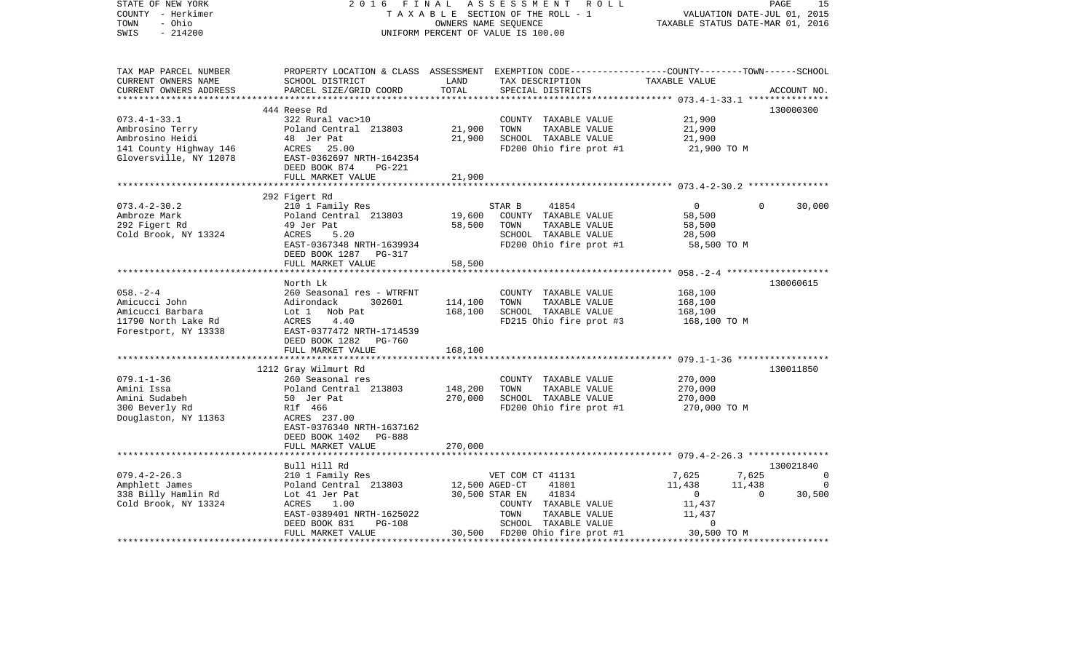| STATE OF NEW YORK<br>COUNTY - Herkimer<br>- Ohio<br>TOWN<br>$-214200$<br>SWIS                                | 2 0 1 6<br>FINAL                                                                                                                                                    |                    | ASSESSMENT<br>ROLL<br>TAXABLE SECTION OF THE ROLL - 1<br>OWNERS NAME SEQUENCE<br>UNIFORM PERCENT OF VALUE IS 100.00                     | VALUATION DATE-JUL 01, 2015<br>TAXABLE STATUS DATE-MAR 01, 2016 |              | PAGE<br>15  |
|--------------------------------------------------------------------------------------------------------------|---------------------------------------------------------------------------------------------------------------------------------------------------------------------|--------------------|-----------------------------------------------------------------------------------------------------------------------------------------|-----------------------------------------------------------------|--------------|-------------|
| TAX MAP PARCEL NUMBER<br>CURRENT OWNERS NAME<br>CURRENT OWNERS ADDRESS                                       | SCHOOL DISTRICT<br>PARCEL SIZE/GRID COORD                                                                                                                           | LAND<br>TOTAL      | PROPERTY LOCATION & CLASS ASSESSMENT EXEMPTION CODE---------------COUNTY-------TOWN------SCHOOL<br>TAX DESCRIPTION<br>SPECIAL DISTRICTS | TAXABLE VALUE                                                   |              | ACCOUNT NO. |
|                                                                                                              | 444 Reese Rd                                                                                                                                                        |                    |                                                                                                                                         |                                                                 |              | 130000300   |
| $073.4 - 1 - 33.1$<br>Ambrosino Terry<br>Ambrosino Heidi<br>141 County Highway 146<br>Gloversville, NY 12078 | 322 Rural vac>10<br>Poland Central 213803<br>48 Jer Pat<br>ACRES 25.00<br>EAST-0362697 NRTH-1642354<br>DEED BOOK 874<br><b>PG-221</b>                               | 21,900<br>21,900   | COUNTY TAXABLE VALUE<br>TOWN<br>TAXABLE VALUE<br>SCHOOL TAXABLE VALUE<br>FD200 Ohio fire prot #1                                        | 21,900<br>21,900<br>21,900<br>21,900 TO M                       |              |             |
|                                                                                                              | FULL MARKET VALUE                                                                                                                                                   | 21,900             |                                                                                                                                         |                                                                 |              |             |
| $073.4 - 2 - 30.2$<br>Ambroze Mark<br>292 Figert Rd<br>Cold Brook, NY 13324                                  | 292 Figert Rd<br>210 1 Family Res<br>Poland Central 213803<br>49 Jer Pat<br>ACRES<br>5.20<br>EAST-0367348 NRTH-1639934<br>DEED BOOK 1287 PG-317                     | 19,600<br>58,500   | STAR B<br>41854<br>COUNTY TAXABLE VALUE<br>TAXABLE VALUE<br>TOWN<br>SCHOOL TAXABLE VALUE<br>FD200 Ohio fire prot #1                     | $\overline{0}$<br>58,500<br>58,500<br>28,500<br>58,500 TO M     | $\mathbf{0}$ | 30,000      |
|                                                                                                              | FULL MARKET VALUE                                                                                                                                                   | 58,500             |                                                                                                                                         |                                                                 |              |             |
|                                                                                                              |                                                                                                                                                                     |                    |                                                                                                                                         |                                                                 |              |             |
| $058. - 2 - 4$<br>Amicucci John<br>Amicucci Barbara<br>11790 North Lake Rd<br>Forestport, NY 13338           | North Lk<br>260 Seasonal res - WTRFNT<br>Adirondack<br>302601<br>Lot 1<br>Nob Pat<br>ACRES<br>4.40<br>EAST-0377472 NRTH-1714539<br>DEED BOOK 1282 PG-760            | 114,100<br>168,100 | COUNTY TAXABLE VALUE<br>TAXABLE VALUE<br>TOWN<br>SCHOOL TAXABLE VALUE<br>FD215 Ohio fire prot #3                                        | 168,100<br>168,100<br>168,100<br>168,100 TO M                   |              | 130060615   |
|                                                                                                              | FULL MARKET VALUE                                                                                                                                                   | 168,100            |                                                                                                                                         |                                                                 |              |             |
|                                                                                                              |                                                                                                                                                                     |                    |                                                                                                                                         |                                                                 |              |             |
| $079.1 - 1 - 36$<br>Amini Issa<br>Amini Sudabeh<br>300 Beverly Rd<br>Douglaston, NY 11363                    | 1212 Gray Wilmurt Rd<br>260 Seasonal res<br>Poland Central 213803<br>50 Jer Pat<br>R1f 466<br>ACRES 237.00<br>EAST-0376340 NRTH-1637162<br>DEED BOOK 1402<br>PG-888 | 148,200<br>270,000 | COUNTY TAXABLE VALUE<br>TOWN<br>TAXABLE VALUE<br>SCHOOL TAXABLE VALUE<br>FD200 Ohio fire prot #1                                        | 270,000<br>270,000<br>270,000<br>270,000 TO M                   |              | 130011850   |
|                                                                                                              | FULL MARKET VALUE<br>*************************                                                                                                                      | 270,000            |                                                                                                                                         |                                                                 |              |             |
|                                                                                                              | Bull Hill Rd                                                                                                                                                        |                    |                                                                                                                                         |                                                                 |              | 130021840   |
| $079.4 - 2 - 26.3$                                                                                           | 210 1 Family Res                                                                                                                                                    |                    | VET COM CT 41131                                                                                                                        | 7,625                                                           | 7,625        | 0           |
| Amphlett James                                                                                               | Poland Central 213803                                                                                                                                               | 12,500 AGED-CT     | 41801                                                                                                                                   | 11,438                                                          | 11,438       | $\mathbf 0$ |
| 338 Billy Hamlin Rd                                                                                          | Lot 41 Jer Pat                                                                                                                                                      |                    | 30,500 STAR EN<br>41834                                                                                                                 | $\mathbf 0$                                                     | $\Omega$     | 30,500      |
| Cold Brook, NY 13324                                                                                         | 1.00<br>ACRES<br>EAST-0389401 NRTH-1625022<br><b>PG-108</b><br>DEED BOOK 831<br>FULL MARKET VALUE                                                                   |                    | COUNTY TAXABLE VALUE<br>TOWN<br>TAXABLE VALUE<br>SCHOOL TAXABLE VALUE<br>30,500 FD200 Ohio fire prot #1                                 | 11,437<br>11,437<br>$\mathbf 0$<br>30,500 TO M                  |              |             |
|                                                                                                              |                                                                                                                                                                     |                    |                                                                                                                                         |                                                                 |              |             |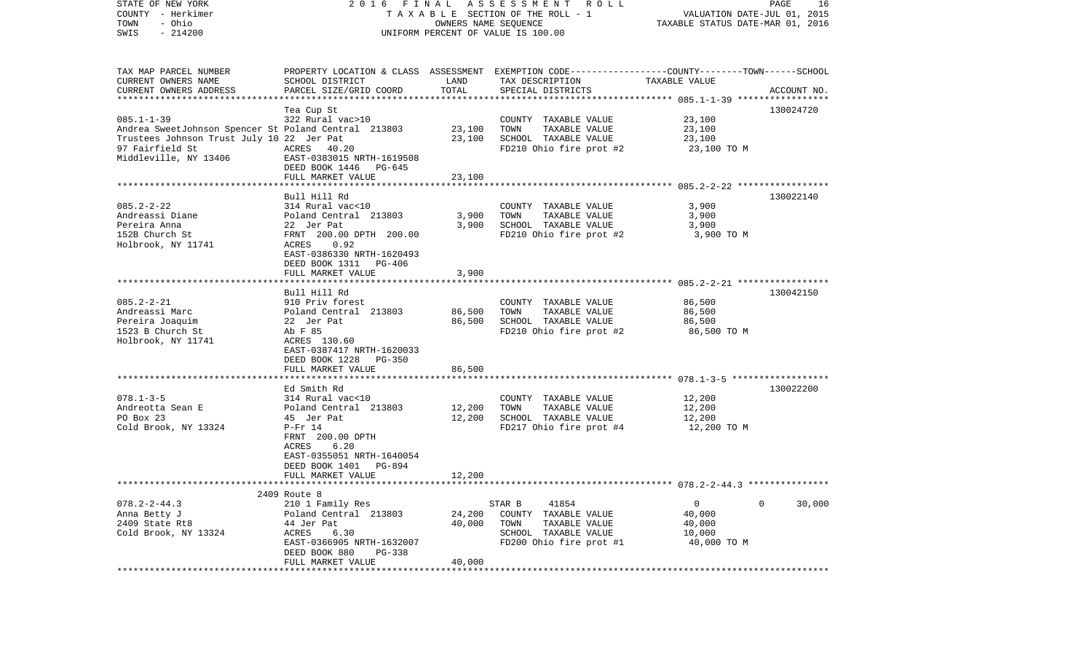| STATE OF NEW YORK<br>COUNTY - Herkimer<br>- Ohio<br>TOWN | 2016 FINAL                                    |                  | A S S E S S M E N T R O L L<br>T A X A B L E SECTION OF THE ROLL - 1<br>OWNERS NAME SEQUENCE                       | VALUATION DATE-JUL 01, 2015<br>TAXABLE STATUS DATE-MAR 01, 2016 | PAGE<br>16  |
|----------------------------------------------------------|-----------------------------------------------|------------------|--------------------------------------------------------------------------------------------------------------------|-----------------------------------------------------------------|-------------|
| $-214200$<br>SWIS                                        |                                               |                  | UNIFORM PERCENT OF VALUE IS 100.00                                                                                 |                                                                 |             |
| TAX MAP PARCEL NUMBER<br>CURRENT OWNERS NAME             | SCHOOL DISTRICT                               | LAND             | PROPERTY LOCATION & CLASS ASSESSMENT EXEMPTION CODE---------------COUNTY-------TOWN------SCHOOL<br>TAX DESCRIPTION | TAXABLE VALUE                                                   |             |
| CURRENT OWNERS ADDRESS                                   | PARCEL SIZE/GRID COORD                        | TOTAL            | SPECIAL DISTRICTS                                                                                                  |                                                                 | ACCOUNT NO. |
| *************************                                |                                               |                  |                                                                                                                    |                                                                 |             |
| $085.1 - 1 - 39$                                         | Tea Cup St<br>322 Rural vac>10                |                  | COUNTY TAXABLE VALUE                                                                                               | 23,100                                                          | 130024720   |
| Andrea SweetJohnson Spencer St Poland Central 213803     |                                               | 23,100           | TOWN<br>TAXABLE VALUE                                                                                              | 23,100                                                          |             |
| Trustees Johnson Trust July 10 22 Jer Pat                |                                               | 23,100           | SCHOOL TAXABLE VALUE                                                                                               | 23,100                                                          |             |
| 97 Fairfield St                                          | ACRES 40.20                                   |                  | FD210 Ohio fire prot #2                                                                                            | 23,100 TO M                                                     |             |
| Middleville, NY 13406                                    | EAST-0383015 NRTH-1619508                     |                  |                                                                                                                    |                                                                 |             |
|                                                          | DEED BOOK 1446 PG-645<br>FULL MARKET VALUE    | 23,100           |                                                                                                                    |                                                                 |             |
|                                                          |                                               |                  |                                                                                                                    |                                                                 |             |
|                                                          | Bull Hill Rd                                  |                  |                                                                                                                    |                                                                 | 130022140   |
| $085.2 - 2 - 22$                                         | 314 Rural vac<10                              |                  | COUNTY TAXABLE VALUE                                                                                               | 3,900                                                           |             |
| Andreassi Diane                                          | Poland Central 213803                         | 3,900            | TAXABLE VALUE<br>TOWN                                                                                              | 3,900                                                           |             |
| Pereira Anna<br>152B Church St                           | 22 Jer Pat<br>FRNT 200.00 DPTH 200.00         | 3,900            | SCHOOL TAXABLE VALUE<br>FD210 Ohio fire prot #2                                                                    | 3,900<br>3,900 TO M                                             |             |
| Holbrook, NY 11741                                       | 0.92<br>ACRES                                 |                  |                                                                                                                    |                                                                 |             |
|                                                          | EAST-0386330 NRTH-1620493                     |                  |                                                                                                                    |                                                                 |             |
|                                                          | DEED BOOK 1311 PG-406                         |                  |                                                                                                                    |                                                                 |             |
|                                                          | FULL MARKET VALUE                             | 3,900            |                                                                                                                    |                                                                 |             |
|                                                          | Bull Hill Rd                                  |                  |                                                                                                                    |                                                                 | 130042150   |
| $085.2 - 2 - 21$                                         | 910 Priv forest                               |                  | COUNTY TAXABLE VALUE                                                                                               | 86,500                                                          |             |
| Andreassi Marc                                           | Poland Central 213803                         | 86,500           | TAXABLE VALUE<br>TOWN                                                                                              | 86,500                                                          |             |
| Pereira Joaquim                                          | 22 Jer Pat                                    | 86,500           | SCHOOL TAXABLE VALUE                                                                                               | 86,500                                                          |             |
| 1523 B Church St                                         | Ab F 85                                       |                  | FD210 Ohio fire prot #2                                                                                            | 86,500 TO M                                                     |             |
| Holbrook, NY 11741                                       | ACRES 130.60<br>EAST-0387417 NRTH-1620033     |                  |                                                                                                                    |                                                                 |             |
|                                                          | DEED BOOK 1228<br>PG-350                      |                  |                                                                                                                    |                                                                 |             |
|                                                          | FULL MARKET VALUE                             | 86,500           |                                                                                                                    |                                                                 |             |
|                                                          |                                               |                  |                                                                                                                    |                                                                 |             |
|                                                          | Ed Smith Rd                                   |                  |                                                                                                                    |                                                                 | 130022200   |
| $078.1 - 3 - 5$                                          | 314 Rural vac<10                              |                  | COUNTY TAXABLE VALUE                                                                                               | 12,200                                                          |             |
| Andreotta Sean E<br>PO Box 23                            | Poland Central 213803<br>45 Jer Pat           | 12,200<br>12,200 | TOWN<br>TAXABLE VALUE<br>SCHOOL TAXABLE VALUE                                                                      | 12,200<br>12,200                                                |             |
| Cold Brook, NY 13324                                     | $P-Fr$ 14                                     |                  | FD217 Ohio fire prot #4                                                                                            | 12,200 TO M                                                     |             |
|                                                          | FRNT 200.00 DPTH                              |                  |                                                                                                                    |                                                                 |             |
|                                                          | 6.20<br>ACRES                                 |                  |                                                                                                                    |                                                                 |             |
|                                                          | EAST-0355051 NRTH-1640054                     |                  |                                                                                                                    |                                                                 |             |
|                                                          | DEED BOOK 1401<br>PG-894<br>FULL MARKET VALUE | 12,200           |                                                                                                                    |                                                                 |             |
|                                                          |                                               |                  |                                                                                                                    |                                                                 |             |
|                                                          | 2409 Route 8                                  |                  |                                                                                                                    |                                                                 |             |
| $078.2 - 2 - 44.3$                                       | 210 1 Family Res                              |                  | STAR B<br>41854                                                                                                    | 0                                                               | 30,000<br>0 |
| Anna Betty J                                             | Poland Central 213803                         | 24,200           | COUNTY TAXABLE VALUE                                                                                               | 40,000                                                          |             |
| 2409 State Rt8<br>Cold Brook, NY 13324                   | 44 Jer Pat<br>ACRES<br>6.30                   | 40,000           | TOWN<br>TAXABLE VALUE<br>SCHOOL TAXABLE VALUE                                                                      | 40,000<br>10,000                                                |             |
|                                                          | EAST-0366905 NRTH-1632007                     |                  | FD200 Ohio fire prot #1                                                                                            | 40,000 TO M                                                     |             |
|                                                          | DEED BOOK 880<br>PG-338                       |                  |                                                                                                                    |                                                                 |             |
|                                                          | FULL MARKET VALUE                             | 40,000           |                                                                                                                    |                                                                 |             |
|                                                          |                                               |                  |                                                                                                                    |                                                                 |             |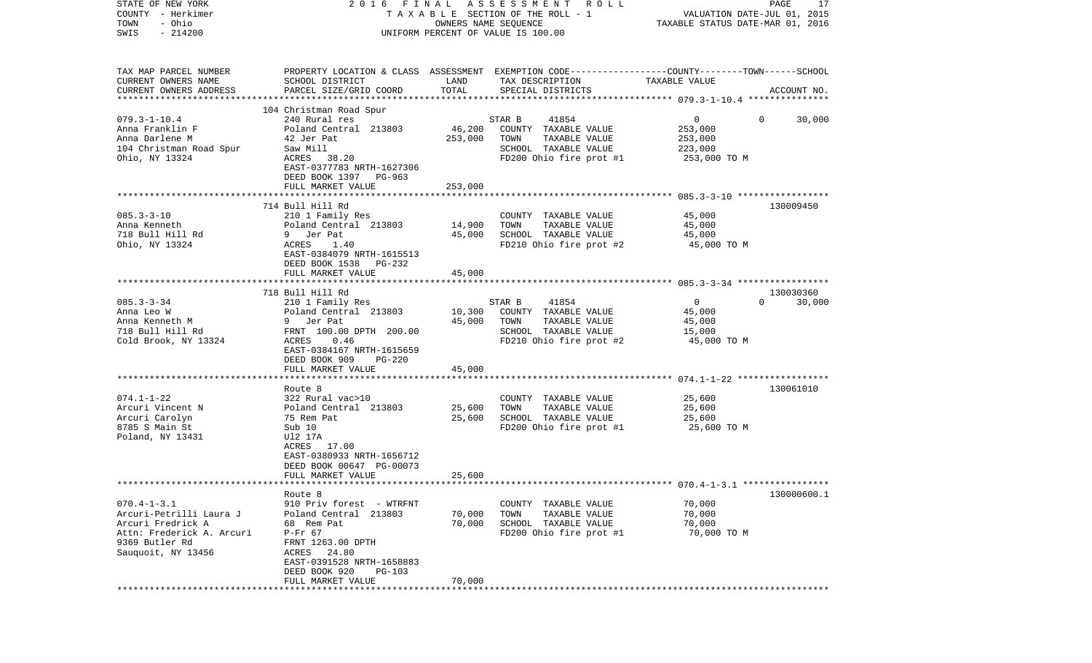| COUNTY<br>– Herkimer<br>- Ohio<br>TOWN<br>SWIS<br>$-214200$ |                                                                      | T A X A B L E SECTION OF THE ROLL - 1<br>OWNERS NAME SEQUENCE<br>UNIFORM PERCENT OF VALUE IS 100.00 | VALUATION DATE-JUL 01, 2015<br>TAXABLE STATUS DATE-MAR 01, 2016                                                    |                            |             |
|-------------------------------------------------------------|----------------------------------------------------------------------|-----------------------------------------------------------------------------------------------------|--------------------------------------------------------------------------------------------------------------------|----------------------------|-------------|
|                                                             |                                                                      |                                                                                                     |                                                                                                                    |                            |             |
| TAX MAP PARCEL NUMBER<br>CURRENT OWNERS NAME                | SCHOOL DISTRICT                                                      | LAND                                                                                                | PROPERTY LOCATION & CLASS ASSESSMENT EXEMPTION CODE---------------COUNTY-------TOWN------SCHOOL<br>TAX DESCRIPTION | TAXABLE VALUE              |             |
| CURRENT OWNERS ADDRESS                                      | PARCEL SIZE/GRID COORD                                               | TOTAL                                                                                               | SPECIAL DISTRICTS                                                                                                  |                            | ACCOUNT NO. |
|                                                             | 104 Christman Road Spur                                              |                                                                                                     |                                                                                                                    |                            |             |
| $079.3 - 1 - 10.4$                                          | 240 Rural res                                                        |                                                                                                     | 41854<br>STAR B                                                                                                    | $\overline{0}$<br>$\Omega$ | 30,000      |
| Anna Franklin F                                             | Poland Central 213803                                                | 46,200                                                                                              | COUNTY TAXABLE VALUE                                                                                               | 253,000                    |             |
| Anna Darlene M                                              | 42 Jer Pat                                                           | 253,000                                                                                             | TOWN<br>TAXABLE VALUE                                                                                              | 253,000                    |             |
| 104 Christman Road Spur                                     | Saw Mill                                                             |                                                                                                     | SCHOOL TAXABLE VALUE                                                                                               | 223,000                    |             |
| Ohio, NY 13324                                              | ACRES<br>38.20<br>EAST-0377783 NRTH-1627306<br>DEED BOOK 1397 PG-963 |                                                                                                     | FD200 Ohio fire prot #1                                                                                            | 253,000 TO M               |             |
|                                                             | FULL MARKET VALUE                                                    | 253,000                                                                                             |                                                                                                                    |                            |             |
|                                                             |                                                                      |                                                                                                     |                                                                                                                    |                            |             |
|                                                             | 714 Bull Hill Rd                                                     |                                                                                                     |                                                                                                                    |                            | 130009450   |
| $085.3 - 3 - 10$                                            | 210 1 Family Res                                                     |                                                                                                     | COUNTY TAXABLE VALUE                                                                                               | 45,000                     |             |
| Anna Kenneth                                                | Poland Central 213803                                                | 14,900                                                                                              | TAXABLE VALUE<br>TOWN                                                                                              | 45,000                     |             |
| 718 Bull Hill Rd                                            | 9 Jer Pat                                                            | 45,000                                                                                              | SCHOOL TAXABLE VALUE                                                                                               | 45,000                     |             |
| Ohio, NY 13324                                              | ACRES<br>1.40<br>EAST-0384079 NRTH-1615513                           |                                                                                                     | FD210 Ohio fire prot #2                                                                                            | 45,000 TO M                |             |
|                                                             | DEED BOOK 1538<br>PG-232                                             |                                                                                                     |                                                                                                                    |                            |             |
|                                                             | FULL MARKET VALUE                                                    | 45,000                                                                                              |                                                                                                                    |                            |             |
|                                                             | ****************************                                         |                                                                                                     |                                                                                                                    |                            |             |
|                                                             | 718 Bull Hill Rd                                                     |                                                                                                     |                                                                                                                    |                            | 130030360   |
| $085.3 - 3 - 34$                                            | 210 1 Family Res                                                     |                                                                                                     | 41854<br>STAR B                                                                                                    | $\overline{0}$<br>$\Omega$ | 30,000      |
| Anna Leo W                                                  | Poland Central 213803                                                | 10,300                                                                                              | COUNTY TAXABLE VALUE                                                                                               | 45,000                     |             |
| Anna Kenneth M                                              | 9 Jer Pat                                                            | 45,000                                                                                              | TOWN<br>TAXABLE VALUE                                                                                              | 45,000                     |             |
| 718 Bull Hill Rd<br>Cold Brook, NY 13324                    | FRNT 100.00 DPTH 200.00<br>0.46<br>ACRES                             |                                                                                                     | SCHOOL TAXABLE VALUE<br>FD210 Ohio fire prot #2                                                                    | 15,000<br>45,000 TO M      |             |
|                                                             | EAST-0384167 NRTH-1615659                                            |                                                                                                     |                                                                                                                    |                            |             |
|                                                             | DEED BOOK 909<br><b>PG-220</b>                                       |                                                                                                     |                                                                                                                    |                            |             |
|                                                             | FULL MARKET VALUE                                                    | 45,000                                                                                              |                                                                                                                    |                            |             |
|                                                             |                                                                      |                                                                                                     |                                                                                                                    |                            |             |
|                                                             | Route 8                                                              |                                                                                                     |                                                                                                                    |                            | 130061010   |
| $074.1 - 1 - 22$                                            | 322 Rural vac>10                                                     |                                                                                                     | COUNTY TAXABLE VALUE                                                                                               | 25,600                     |             |
| Arcuri Vincent N<br>Arcuri Carolyn                          | Poland Central 213803<br>75 Rem Pat                                  | 25,600<br>25,600                                                                                    | TOWN<br>TAXABLE VALUE<br>SCHOOL TAXABLE VALUE                                                                      | 25,600<br>25,600           |             |
| 8785 S Main St                                              | Sub 10                                                               |                                                                                                     | FD200 Ohio fire prot #1                                                                                            | 25,600 TO M                |             |
| Poland, NY 13431                                            | U12 17A                                                              |                                                                                                     |                                                                                                                    |                            |             |
|                                                             | ACRES 17.00                                                          |                                                                                                     |                                                                                                                    |                            |             |
|                                                             | EAST-0380933 NRTH-1656712                                            |                                                                                                     |                                                                                                                    |                            |             |
|                                                             | DEED BOOK 00647 PG-00073                                             |                                                                                                     |                                                                                                                    |                            |             |
|                                                             | FULL MARKET VALUE                                                    | 25,600                                                                                              |                                                                                                                    |                            |             |
|                                                             |                                                                      |                                                                                                     |                                                                                                                    |                            |             |
| $070.4 - 1 - 3.1$                                           | Route 8<br>910 Priv forest - WTRFNT                                  |                                                                                                     | COUNTY TAXABLE VALUE                                                                                               | 70,000                     | 130000600.1 |
| Arcuri-Petrilli Laura J                                     | Poland Central 213803                                                | 70,000                                                                                              | TOWN<br>TAXABLE VALUE                                                                                              | 70,000                     |             |
| Arcuri Fredrick A                                           | 68 Rem Pat                                                           | 70,000                                                                                              | SCHOOL TAXABLE VALUE                                                                                               | 70,000                     |             |
| Attn: Frederick A. Arcuri                                   | $P-Fr$ 67                                                            |                                                                                                     | FD200 Ohio fire prot #1                                                                                            | 70,000 TO M                |             |
| 9369 Butler Rd                                              | FRNT 1263.00 DPTH                                                    |                                                                                                     |                                                                                                                    |                            |             |
| Sauquoit, NY 13456                                          | ACRES<br>24.80                                                       |                                                                                                     |                                                                                                                    |                            |             |
|                                                             | EAST-0391528 NRTH-1658883                                            |                                                                                                     |                                                                                                                    |                            |             |
|                                                             | DEED BOOK 920<br>PG-103                                              |                                                                                                     |                                                                                                                    |                            |             |
|                                                             | FULL MARKET VALUE                                                    | 70,000                                                                                              |                                                                                                                    |                            |             |

STATE OF NEW YORK 2 0 1 6 F I N A L A S S E S S M E N T R O L L PAGE 17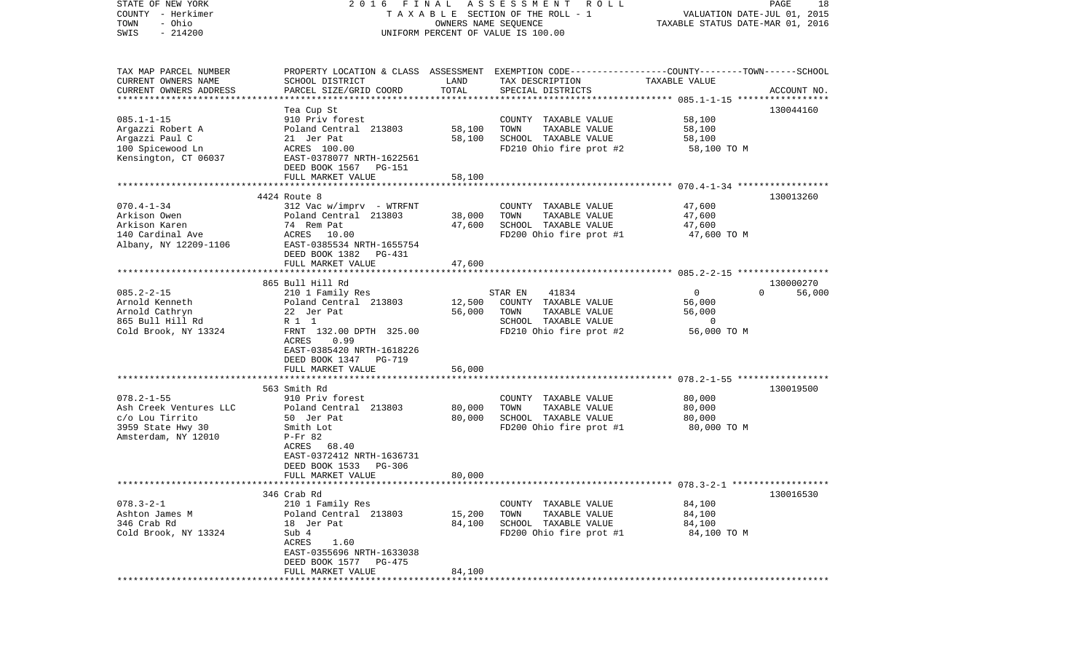| STATE OF NEW YORK<br>COUNTY - Herkimer<br>- Ohio<br>TOWN | 2016                                               | FINAL  | A S S E S S M E N T R O L L<br>TAXABLE SECTION OF THE ROLL - 1<br>OWNERS NAME SEQUENCE                              | VALUATION DATE-JUL 01, 2015<br>TAXABLE STATUS DATE-MAR 01, 2016 | PAGE<br>18         |
|----------------------------------------------------------|----------------------------------------------------|--------|---------------------------------------------------------------------------------------------------------------------|-----------------------------------------------------------------|--------------------|
| $-214200$<br>SWIS                                        |                                                    |        | UNIFORM PERCENT OF VALUE IS 100.00                                                                                  |                                                                 |                    |
| TAX MAP PARCEL NUMBER<br>CURRENT OWNERS NAME             | SCHOOL DISTRICT                                    | LAND   | PROPERTY LOCATION & CLASS ASSESSMENT EXEMPTION CODE----------------COUNTY-------TOWN------SCHOOL<br>TAX DESCRIPTION | TAXABLE VALUE                                                   |                    |
| CURRENT OWNERS ADDRESS<br>************************       | PARCEL SIZE/GRID COORD                             | TOTAL  | SPECIAL DISTRICTS                                                                                                   |                                                                 | ACCOUNT NO.        |
|                                                          | Tea Cup St                                         |        |                                                                                                                     |                                                                 | 130044160          |
| $085.1 - 1 - 15$                                         | 910 Priv forest                                    |        | COUNTY TAXABLE VALUE                                                                                                | 58,100                                                          |                    |
| Argazzi Robert A                                         | Poland Central 213803                              | 58,100 | TAXABLE VALUE<br>TOWN                                                                                               | 58,100                                                          |                    |
| Argazzi Paul C                                           | 21 Jer Pat                                         | 58,100 | SCHOOL TAXABLE VALUE                                                                                                | 58,100                                                          |                    |
| 100 Spicewood Ln                                         | ACRES 100.00                                       |        | FD210 Ohio fire prot #2                                                                                             | 58,100 TO M                                                     |                    |
| Kensington, CT 06037                                     | EAST-0378077 NRTH-1622561<br>DEED BOOK 1567 PG-151 |        |                                                                                                                     |                                                                 |                    |
|                                                          | FULL MARKET VALUE                                  | 58,100 |                                                                                                                     |                                                                 |                    |
|                                                          | 4424 Route 8                                       |        |                                                                                                                     |                                                                 | 130013260          |
| $070.4 - 1 - 34$                                         | $312$ Vac w/imprv - WTRFNT                         |        | COUNTY TAXABLE VALUE                                                                                                | 47,600                                                          |                    |
| Arkison Owen                                             | Poland Central 213803                              | 38,000 | TAXABLE VALUE<br>TOWN                                                                                               | 47,600                                                          |                    |
| Arkison Karen                                            | 74 Rem Pat                                         | 47,600 | SCHOOL TAXABLE VALUE                                                                                                | 47,600                                                          |                    |
| 140 Cardinal Ave                                         | ACRES 10.00                                        |        | FD200 Ohio fire prot #1                                                                                             | 47,600 TO M                                                     |                    |
| Albany, NY 12209-1106                                    | EAST-0385534 NRTH-1655754                          |        |                                                                                                                     |                                                                 |                    |
|                                                          | DEED BOOK 1382 PG-431                              |        |                                                                                                                     |                                                                 |                    |
|                                                          | FULL MARKET VALUE                                  | 47,600 |                                                                                                                     |                                                                 |                    |
|                                                          | 865 Bull Hill Rd                                   |        |                                                                                                                     |                                                                 | 130000270          |
| $085.2 - 2 - 15$                                         | 210 1 Family Res                                   |        | STAR EN<br>41834                                                                                                    | $\overline{0}$                                                  | $\Omega$<br>56,000 |
| Arnold Kenneth                                           | Poland Central 213803                              | 12,500 | COUNTY TAXABLE VALUE                                                                                                | 56,000                                                          |                    |
| Arnold Cathryn                                           | 22 Jer Pat                                         | 56,000 | TOWN<br>TAXABLE VALUE                                                                                               | 56,000                                                          |                    |
| 865 Bull Hill Rd                                         | R 1 1                                              |        | SCHOOL TAXABLE VALUE                                                                                                | 0                                                               |                    |
| Cold Brook, NY 13324                                     | FRNT 132.00 DPTH 325.00                            |        | FD210 Ohio fire prot #2                                                                                             | 56,000 TO M                                                     |                    |
|                                                          | 0.99<br>ACRES                                      |        |                                                                                                                     |                                                                 |                    |
|                                                          | EAST-0385420 NRTH-1618226                          |        |                                                                                                                     |                                                                 |                    |
|                                                          | DEED BOOK 1347 PG-719                              |        |                                                                                                                     |                                                                 |                    |
|                                                          | FULL MARKET VALUE<br>***********************       | 56,000 |                                                                                                                     |                                                                 |                    |
|                                                          | 563 Smith Rd                                       |        |                                                                                                                     |                                                                 | 130019500          |
| $078.2 - 1 - 55$                                         | 910 Priv forest                                    |        | COUNTY TAXABLE VALUE                                                                                                | 80,000                                                          |                    |
| Ash Creek Ventures LLC                                   | Poland Central 213803                              | 80,000 | TAXABLE VALUE<br>TOWN                                                                                               | 80,000                                                          |                    |
| c/o Lou Tirrito                                          | 50 Jer Pat                                         | 80,000 | SCHOOL TAXABLE VALUE                                                                                                | 80,000                                                          |                    |
| 3959 State Hwy 30                                        | Smith Lot                                          |        | FD200 Ohio fire prot #1                                                                                             | 80,000 TO M                                                     |                    |
| Amsterdam, NY 12010                                      | $P-Fr$ 82                                          |        |                                                                                                                     |                                                                 |                    |
|                                                          | ACRES 68.40                                        |        |                                                                                                                     |                                                                 |                    |
|                                                          | EAST-0372412 NRTH-1636731                          |        |                                                                                                                     |                                                                 |                    |
|                                                          | DEED BOOK 1533<br>PG-306                           |        |                                                                                                                     |                                                                 |                    |
|                                                          | FULL MARKET VALUE                                  | 80,000 |                                                                                                                     |                                                                 |                    |
|                                                          | 346 Crab Rd                                        |        |                                                                                                                     |                                                                 | 130016530          |
| $078.3 - 2 - 1$                                          | 210 1 Family Res                                   |        | COUNTY TAXABLE VALUE                                                                                                | 84,100                                                          |                    |
| Ashton James M                                           | Poland Central 213803                              | 15,200 | TAXABLE VALUE<br>TOWN                                                                                               | 84,100                                                          |                    |
| 346 Crab Rd                                              | 18 Jer Pat                                         | 84,100 | SCHOOL TAXABLE VALUE                                                                                                | 84,100                                                          |                    |
| Cold Brook, NY 13324                                     | Sub 4                                              |        | FD200 Ohio fire prot #1                                                                                             | 84,100 TO M                                                     |                    |
|                                                          | ACRES<br>1.60                                      |        |                                                                                                                     |                                                                 |                    |
|                                                          | EAST-0355696 NRTH-1633038                          |        |                                                                                                                     |                                                                 |                    |
|                                                          | DEED BOOK 1577 PG-475                              |        |                                                                                                                     |                                                                 |                    |
| *********                                                | FULL MARKET VALUE                                  | 84,100 |                                                                                                                     |                                                                 |                    |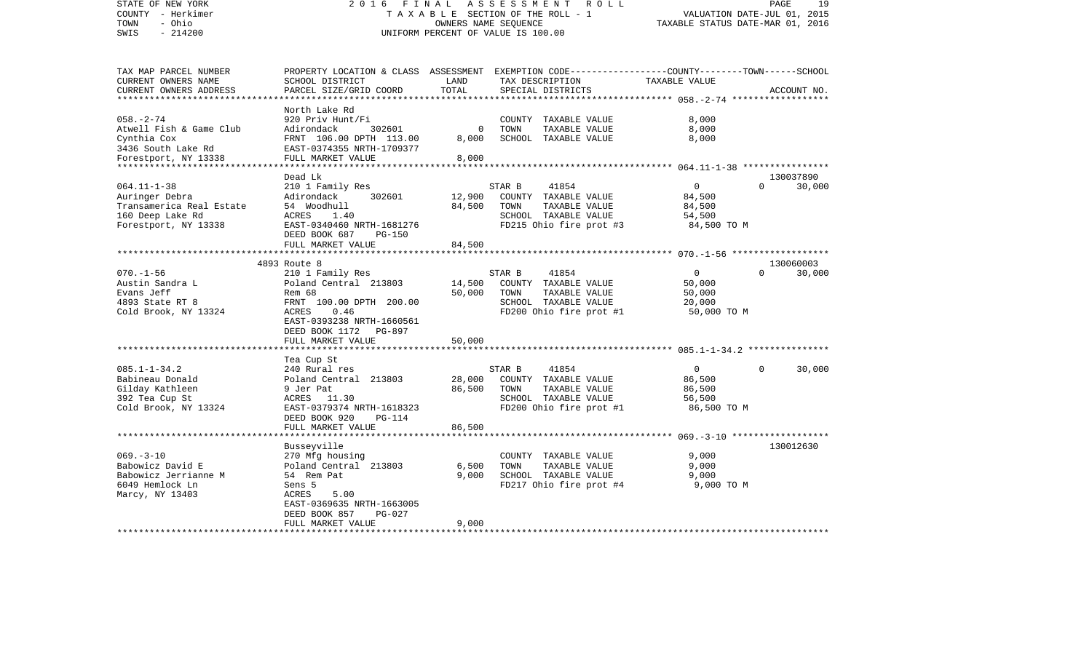| STATE OF NEW YORK<br>COUNTY - Herkimer<br>- Ohio<br>TOWN<br>$-214200$<br>SWIS                                                           | 2 0 1 6<br>FINAL                                                                                                                                                                | TAXABLE SECTION OF THE ROLL - 1<br>OWNERS NAME SEQUENCE<br>UNIFORM PERCENT OF VALUE IS 100.00 |                | ASSESSMENT ROLL                                                                                   | VALUATION DATE-JUL 01, 2015<br>TAXABLE STATUS DATE-MAR 01, 2016 | PAGE      | 19                  |
|-----------------------------------------------------------------------------------------------------------------------------------------|---------------------------------------------------------------------------------------------------------------------------------------------------------------------------------|-----------------------------------------------------------------------------------------------|----------------|---------------------------------------------------------------------------------------------------|-----------------------------------------------------------------|-----------|---------------------|
| TAX MAP PARCEL NUMBER<br>CURRENT OWNERS NAME<br>CURRENT OWNERS ADDRESS<br>*************************                                     | PROPERTY LOCATION & CLASS ASSESSMENT EXEMPTION CODE----------------COUNTY-------TOWN------SCHOOL<br>SCHOOL DISTRICT<br>PARCEL SIZE/GRID COORD                                   | LAND<br>TOTAL                                                                                 |                | TAX DESCRIPTION<br>SPECIAL DISTRICTS                                                              | TAXABLE VALUE                                                   |           | ACCOUNT NO.         |
| $058. - 2 - 74$<br>Atwell Fish & Game Club<br>Cynthia Cox<br>3436 South Lake Rd<br>Forestport, NY 13338<br>**************************** | North Lake Rd<br>920 Priv Hunt/Fi<br>Adirondack<br>302601<br>FRNT 106.00 DPTH 113.00<br>EAST-0374355 NRTH-1709377<br>FULL MARKET VALUE<br>*********************                 | $\Omega$<br>8,000<br>8,000                                                                    | TOWN           | COUNTY TAXABLE VALUE<br>TAXABLE VALUE<br>SCHOOL TAXABLE VALUE                                     | 8,000<br>8,000<br>8,000                                         |           |                     |
| $064.11 - 1 - 38$<br>Auringer Debra<br>Transamerica Real Estate<br>160 Deep Lake Rd<br>Forestport, NY 13338                             | Dead Lk<br>210 1 Family Res<br>Adirondack<br>302601<br>54 Woodhull<br>ACRES<br>1.40<br>EAST-0340460 NRTH-1681276<br>DEED BOOK 687<br>PG-150<br>FULL MARKET VALUE                | 12,900<br>84,500<br>84,500                                                                    | STAR B<br>TOWN | 41854<br>COUNTY TAXABLE VALUE<br>TAXABLE VALUE<br>SCHOOL TAXABLE VALUE<br>FD215 Ohio fire prot #3 | $\mathbf 0$<br>84,500<br>84,500<br>54,500<br>84,500 TO M        | $\Omega$  | 130037890<br>30,000 |
|                                                                                                                                         | 4893 Route 8                                                                                                                                                                    |                                                                                               |                |                                                                                                   | *********************** 070.-1-56 *******************           |           | 130060003           |
| $070. - 1 - 56$<br>Austin Sandra L<br>Evans Jeff<br>4893 State RT 8<br>Cold Brook, NY 13324                                             | 210 1 Family Res<br>Poland Central 213803<br>Rem 68<br>FRNT 100.00 DPTH 200.00<br>0.46<br>ACRES<br>EAST-0393238 NRTH-1660561<br>DEED BOOK 1172<br>PG-897<br>FULL MARKET VALUE   | 14,500<br>50,000<br>50,000                                                                    | STAR B<br>TOWN | 41854<br>COUNTY TAXABLE VALUE<br>TAXABLE VALUE<br>SCHOOL TAXABLE VALUE<br>FD200 Ohio fire prot #1 | $\Omega$<br>50,000<br>50,000<br>20,000<br>50,000 TO M           | $\Omega$  | 30,000              |
|                                                                                                                                         | ***********************                                                                                                                                                         |                                                                                               |                |                                                                                                   |                                                                 |           |                     |
| $085.1 - 1 - 34.2$<br>Babineau Donald<br>Gilday Kathleen<br>392 Tea Cup St<br>Cold Brook, NY 13324                                      | Tea Cup St<br>240 Rural res<br>Poland Central 213803<br>9 Jer Pat<br>ACRES<br>11.30<br>EAST-0379374 NRTH-1618323<br>DEED BOOK 920<br><b>PG-114</b>                              | 28,000<br>86,500                                                                              | STAR B<br>TOWN | 41854<br>COUNTY TAXABLE VALUE<br>TAXABLE VALUE<br>SCHOOL TAXABLE VALUE<br>FD200 Ohio fire prot #1 | $\mathbf 0$<br>86,500<br>86,500<br>56,500<br>86,500 TO M        | $\Omega$  | 30,000              |
|                                                                                                                                         | FULL MARKET VALUE<br>********************                                                                                                                                       | 86,500                                                                                        |                |                                                                                                   |                                                                 |           |                     |
| $069. -3 - 10$<br>Babowicz David E<br>Babowicz Jerrianne M<br>6049 Hemlock Ln<br>Marcy, NY 13403                                        | Busseyville<br>270 Mfg housing<br>Poland Central 213803<br>54 Rem Pat<br>Sens 5<br>5.00<br>ACRES<br>EAST-0369635 NRTH-1663005<br>DEED BOOK 857<br>$PG-027$<br>FULL MARKET VALUE | 6,500<br>9,000<br>9,000                                                                       | COUNTY<br>TOWN | TAXABLE VALUE<br>TAXABLE VALUE<br>SCHOOL TAXABLE VALUE<br>FD217 Ohio fire prot #4                 | 9,000<br>9,000<br>9,000<br>9,000 TO M                           | 130012630 |                     |
|                                                                                                                                         |                                                                                                                                                                                 |                                                                                               |                |                                                                                                   |                                                                 |           |                     |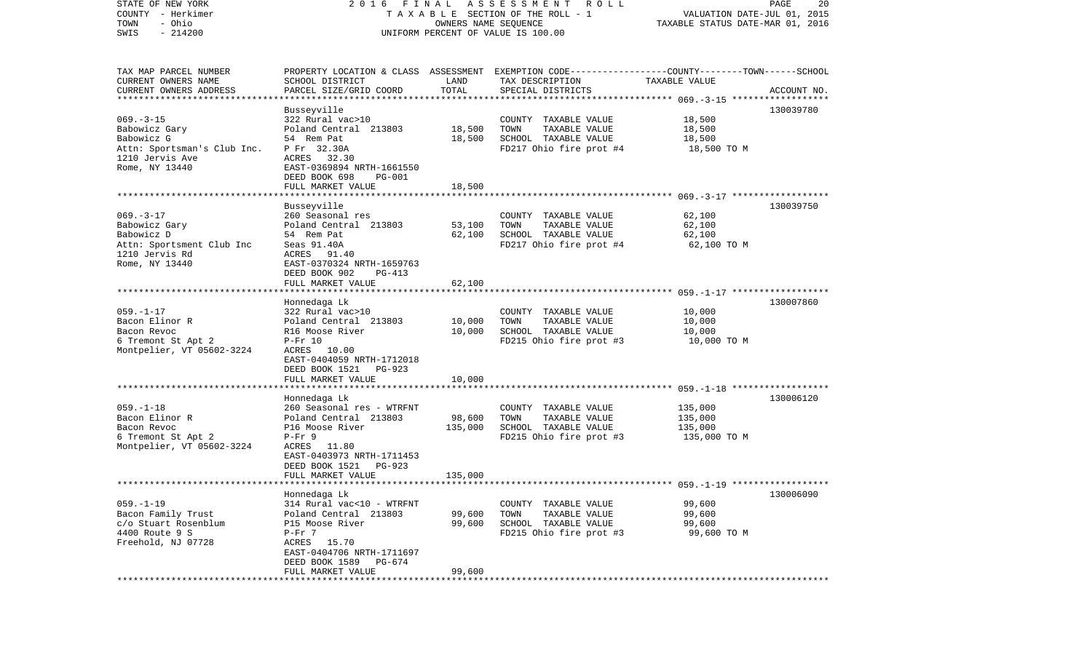| STATE OF NEW YORK                                   | 2016 FINAL                     |                      | A S S E S S M E N T R O L L                                                                     |                                  | PAGE<br>20  |
|-----------------------------------------------------|--------------------------------|----------------------|-------------------------------------------------------------------------------------------------|----------------------------------|-------------|
| COUNTY - Herkimer                                   |                                |                      | TAXABLE SECTION OF THE ROLL - 1                                                                 | VALUATION DATE-JUL 01, 2015      |             |
| - Ohio<br>TOWN                                      |                                | OWNERS NAME SEQUENCE |                                                                                                 | TAXABLE STATUS DATE-MAR 01, 2016 |             |
| $-214200$<br>SWIS                                   |                                |                      | UNIFORM PERCENT OF VALUE IS 100.00                                                              |                                  |             |
|                                                     |                                |                      |                                                                                                 |                                  |             |
|                                                     |                                |                      |                                                                                                 |                                  |             |
| TAX MAP PARCEL NUMBER                               |                                |                      | PROPERTY LOCATION & CLASS ASSESSMENT EXEMPTION CODE---------------COUNTY-------TOWN------SCHOOL |                                  |             |
| CURRENT OWNERS NAME                                 | SCHOOL DISTRICT                | LAND                 | TAX DESCRIPTION                                                                                 | TAXABLE VALUE                    |             |
| CURRENT OWNERS ADDRESS<br>************************* | PARCEL SIZE/GRID COORD         | TOTAL                | SPECIAL DISTRICTS                                                                               |                                  | ACCOUNT NO. |
|                                                     |                                |                      |                                                                                                 |                                  |             |
|                                                     | Busseyville                    |                      |                                                                                                 |                                  | 130039780   |
| $069. -3 - 15$                                      | 322 Rural vac>10               |                      | COUNTY TAXABLE VALUE                                                                            | 18,500                           |             |
| Babowicz Gary                                       | Poland Central 213803          | 18,500               | TOWN<br>TAXABLE VALUE                                                                           | 18,500                           |             |
| Babowicz G                                          | 54 Rem Pat                     | 18,500               | SCHOOL TAXABLE VALUE                                                                            | 18,500                           |             |
| Attn: Sportsman's Club Inc.                         | P Fr 32.30A                    |                      | FD217 Ohio fire prot #4                                                                         | 18,500 TO M                      |             |
| 1210 Jervis Ave                                     | ACRES 32.30                    |                      |                                                                                                 |                                  |             |
| Rome, NY 13440                                      | EAST-0369894 NRTH-1661550      |                      |                                                                                                 |                                  |             |
|                                                     | DEED BOOK 698<br><b>PG-001</b> |                      |                                                                                                 |                                  |             |
|                                                     | FULL MARKET VALUE              | 18,500               |                                                                                                 |                                  |             |
|                                                     |                                |                      |                                                                                                 |                                  |             |
|                                                     | Busseyville                    |                      |                                                                                                 |                                  | 130039750   |
| $069. -3 - 17$                                      | 260 Seasonal res               |                      | COUNTY TAXABLE VALUE                                                                            | 62,100                           |             |
| Babowicz Gary                                       | Poland Central 213803          | 53,100               | TOWN<br>TAXABLE VALUE                                                                           | 62,100                           |             |
| Babowicz D                                          | 54 Rem Pat                     | 62,100               | SCHOOL TAXABLE VALUE                                                                            | 62,100                           |             |
| Attn: Sportsment Club Inc                           | Seas 91.40A                    |                      | FD217 Ohio fire prot #4                                                                         | 62,100 TO M                      |             |
| 1210 Jervis Rd                                      | ACRES 91.40                    |                      |                                                                                                 |                                  |             |
| Rome, NY 13440                                      | EAST-0370324 NRTH-1659763      |                      |                                                                                                 |                                  |             |
|                                                     | DEED BOOK 902<br>PG-413        |                      |                                                                                                 |                                  |             |
|                                                     | FULL MARKET VALUE              | 62,100               |                                                                                                 |                                  |             |
|                                                     |                                |                      |                                                                                                 |                                  |             |
|                                                     | Honnedaga Lk                   |                      |                                                                                                 |                                  | 130007860   |
| $059. - 1 - 17$                                     | 322 Rural vac>10               |                      | COUNTY TAXABLE VALUE                                                                            | 10,000                           |             |
| Bacon Elinor R                                      | Poland Central 213803          | 10,000               | TOWN<br>TAXABLE VALUE                                                                           | 10,000                           |             |
| Bacon Revoc                                         | R16 Moose River                | 10,000               | SCHOOL TAXABLE VALUE                                                                            | 10,000                           |             |
| 6 Tremont St Apt 2                                  | $P-Fr$ 10                      |                      | FD215 Ohio fire prot #3                                                                         | 10,000 TO M                      |             |
| Montpelier, VT 05602-3224                           | ACRES 10.00                    |                      |                                                                                                 |                                  |             |
|                                                     | EAST-0404059 NRTH-1712018      |                      |                                                                                                 |                                  |             |
|                                                     | DEED BOOK 1521<br>PG-923       |                      |                                                                                                 |                                  |             |
|                                                     | FULL MARKET VALUE              | 10,000               |                                                                                                 |                                  |             |
|                                                     | **********************         |                      |                                                                                                 |                                  |             |
|                                                     | Honnedaga Lk                   |                      |                                                                                                 |                                  | 130006120   |
| $059. - 1 - 18$                                     | 260 Seasonal res - WTRFNT      |                      | COUNTY TAXABLE VALUE                                                                            | 135,000                          |             |
| Bacon Elinor R                                      | Poland Central 213803          | 98,600               | TOWN<br>TAXABLE VALUE                                                                           | 135,000                          |             |
| Bacon Revoc                                         | P16 Moose River                | 135,000              | SCHOOL TAXABLE VALUE                                                                            | 135,000                          |             |
| 6 Tremont St Apt 2                                  | $P-Fr$ 9                       |                      | FD215 Ohio fire prot #3                                                                         | 135,000 TO M                     |             |
| Montpelier, VT 05602-3224                           | ACRES 11.80                    |                      |                                                                                                 |                                  |             |
|                                                     | EAST-0403973 NRTH-1711453      |                      |                                                                                                 |                                  |             |
|                                                     | DEED BOOK 1521<br>PG-923       |                      |                                                                                                 |                                  |             |
|                                                     | FULL MARKET VALUE              | 135,000              |                                                                                                 |                                  |             |
|                                                     |                                |                      |                                                                                                 |                                  |             |
|                                                     | Honnedaga Lk                   |                      |                                                                                                 |                                  | 130006090   |
| $059. -1 - 19$                                      | 314 Rural vac<10 - WTRFNT      |                      | COUNTY TAXABLE VALUE                                                                            | 99,600                           |             |
| Bacon Family Trust                                  | Poland Central 213803          | 99,600               | TOWN<br>TAXABLE VALUE                                                                           | 99,600                           |             |
| c/o Stuart Rosenblum                                | P15 Moose River                | 99,600               | SCHOOL TAXABLE VALUE                                                                            | 99,600                           |             |
| 4400 Route 9 S                                      | $P-Fr$ 7                       |                      | FD215 Ohio fire prot #3                                                                         | 99,600 TO M                      |             |
| Freehold, NJ 07728                                  | ACRES<br>15.70                 |                      |                                                                                                 |                                  |             |
|                                                     | EAST-0404706 NRTH-1711697      |                      |                                                                                                 |                                  |             |
|                                                     | DEED BOOK 1589<br>PG-674       |                      |                                                                                                 |                                  |             |
|                                                     | FULL MARKET VALUE              | 99,600               |                                                                                                 |                                  |             |
|                                                     | ****************************** |                      | **************************                                                                      |                                  |             |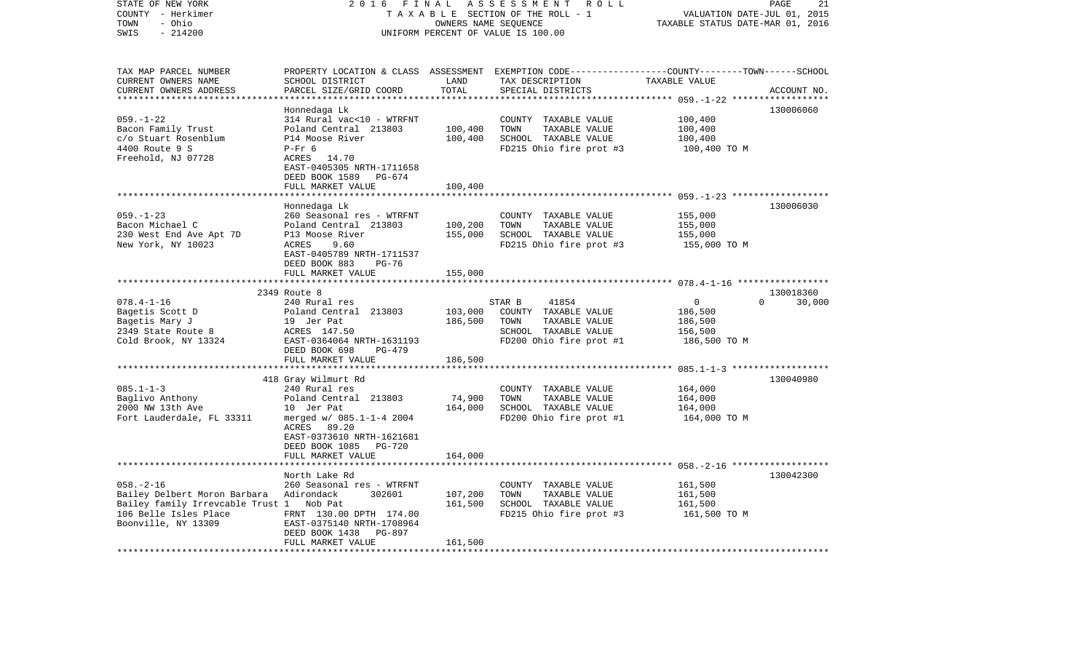| STATE OF NEW YORK<br>COUNTY - Herkimer<br>- Ohio<br>TOWN<br>SWIS<br>$-214200$                                                               | 2 0 1 6<br>FINAL<br>ASSESSMENT ROLL<br>TAXABLE SECTION OF THE ROLL - 1<br>OWNERS NAME SEQUENCE<br>UNIFORM PERCENT OF VALUE IS 100.00                                                           |                               |                                                                                                                     | PAGE<br>21<br>VALUATION DATE-JUL 01, 2015<br>TAXABLE STATUS DATE-MAR 01, 2016                                                   |        |  |
|---------------------------------------------------------------------------------------------------------------------------------------------|------------------------------------------------------------------------------------------------------------------------------------------------------------------------------------------------|-------------------------------|---------------------------------------------------------------------------------------------------------------------|---------------------------------------------------------------------------------------------------------------------------------|--------|--|
| TAX MAP PARCEL NUMBER<br>CURRENT OWNERS NAME<br>CURRENT OWNERS ADDRESS<br>***********************                                           | SCHOOL DISTRICT<br>PARCEL SIZE/GRID COORD                                                                                                                                                      | LAND<br>TOTAL                 | TAX DESCRIPTION<br>SPECIAL DISTRICTS                                                                                | PROPERTY LOCATION & CLASS ASSESSMENT EXEMPTION CODE---------------COUNTY-------TOWN------SCHOOL<br>TAXABLE VALUE<br>ACCOUNT NO. |        |  |
| $059. - 1 - 22$<br>Bacon Family Trust<br>c/o Stuart Rosenblum<br>4400 Route 9 S<br>Freehold, NJ 07728                                       | Honnedaga Lk<br>314 Rural vac<10 - WTRFNT<br>Poland Central 213803<br>P14 Moose River<br>$P-Fr$ 6<br>ACRES 14.70<br>EAST-0405305 NRTH-1711658<br>DEED BOOK 1589<br>PG-674<br>FULL MARKET VALUE | 100,400<br>100,400<br>100,400 | COUNTY TAXABLE VALUE<br>TOWN<br>TAXABLE VALUE<br>SCHOOL TAXABLE VALUE<br>FD215 Ohio fire prot #3                    | 130006060<br>100,400<br>100,400<br>100,400<br>100,400 TO M                                                                      |        |  |
|                                                                                                                                             | **********************                                                                                                                                                                         |                               |                                                                                                                     |                                                                                                                                 |        |  |
| $059. - 1 - 23$<br>Bacon Michael C<br>230 West End Ave Apt 7D<br>New York, NY 10023                                                         | Honnedaga Lk<br>260 Seasonal res - WTRFNT<br>Poland Central 213803<br>P13 Moose River<br>ACRES<br>9.60<br>EAST-0405789 NRTH-1711537<br>DEED BOOK 883<br>PG-76                                  | 100,200<br>155,000            | COUNTY TAXABLE VALUE<br>TOWN<br>TAXABLE VALUE<br>SCHOOL TAXABLE VALUE<br>FD215 Ohio fire prot #3                    | 130006030<br>155,000<br>155,000<br>155,000<br>155,000 TO M                                                                      |        |  |
|                                                                                                                                             | FULL MARKET VALUE                                                                                                                                                                              | 155,000                       |                                                                                                                     |                                                                                                                                 |        |  |
|                                                                                                                                             |                                                                                                                                                                                                |                               |                                                                                                                     |                                                                                                                                 |        |  |
| $078.4 - 1 - 16$<br>Bagetis Scott D<br>Bagetis Mary J<br>2349 State Route 8<br>Cold Brook, NY 13324                                         | 2349 Route 8<br>240 Rural res<br>Poland Central 213803<br>19 Jer Pat<br>ACRES 147.50<br>EAST-0364064 NRTH-1631193<br>DEED BOOK 698<br>PG-479                                                   | 103,000<br>186,500            | 41854<br>STAR B<br>COUNTY TAXABLE VALUE<br>TOWN<br>TAXABLE VALUE<br>SCHOOL TAXABLE VALUE<br>FD200 Ohio fire prot #1 | 130018360<br>$\overline{0}$<br>$\Omega$<br>186,500<br>186,500<br>156,500<br>186,500 TO M                                        | 30,000 |  |
|                                                                                                                                             | FULL MARKET VALUE                                                                                                                                                                              | 186,500                       |                                                                                                                     |                                                                                                                                 |        |  |
| $085.1 - 1 - 3$<br>Baglivo Anthony<br>2000 NW 13th Ave                                                                                      | 418 Gray Wilmurt Rd<br>240 Rural res<br>Poland Central 213803<br>10 Jer Pat                                                                                                                    | 74,900<br>164,000             | COUNTY TAXABLE VALUE<br>TOWN<br>TAXABLE VALUE<br>SCHOOL TAXABLE VALUE                                               | 130040980<br>164,000<br>164,000<br>164,000                                                                                      |        |  |
| Fort Lauderdale, FL 33311                                                                                                                   | merged w/ 085.1-1-4 2004<br>ACRES 89.20<br>EAST-0373610 NRTH-1621681<br>DEED BOOK 1085 PG-720<br>FULL MARKET VALUE                                                                             | 164,000                       | FD200 Ohio fire prot #1                                                                                             | 164,000 TO M                                                                                                                    |        |  |
|                                                                                                                                             | North Lake Rd                                                                                                                                                                                  |                               |                                                                                                                     | 130042300                                                                                                                       |        |  |
| $058. - 2 - 16$<br>Bailey Delbert Moron Barbara<br>Bailey family Irrevcable Trust 1 Nob Pat<br>106 Belle Isles Place<br>Boonville, NY 13309 | 260 Seasonal res - WTRFNT<br>Adirondack<br>302601<br>FRNT 130.00 DPTH 174.00<br>EAST-0375140 NRTH-1708964<br>DEED BOOK 1438<br><b>PG-897</b><br>FULL MARKET VALUE                              | 107,200<br>161,500<br>161,500 | COUNTY TAXABLE VALUE<br>TOWN<br>TAXABLE VALUE<br>SCHOOL TAXABLE VALUE<br>FD215 Ohio fire prot #3                    | 161,500<br>161,500<br>161,500<br>161,500 TO M                                                                                   |        |  |
|                                                                                                                                             |                                                                                                                                                                                                |                               |                                                                                                                     |                                                                                                                                 |        |  |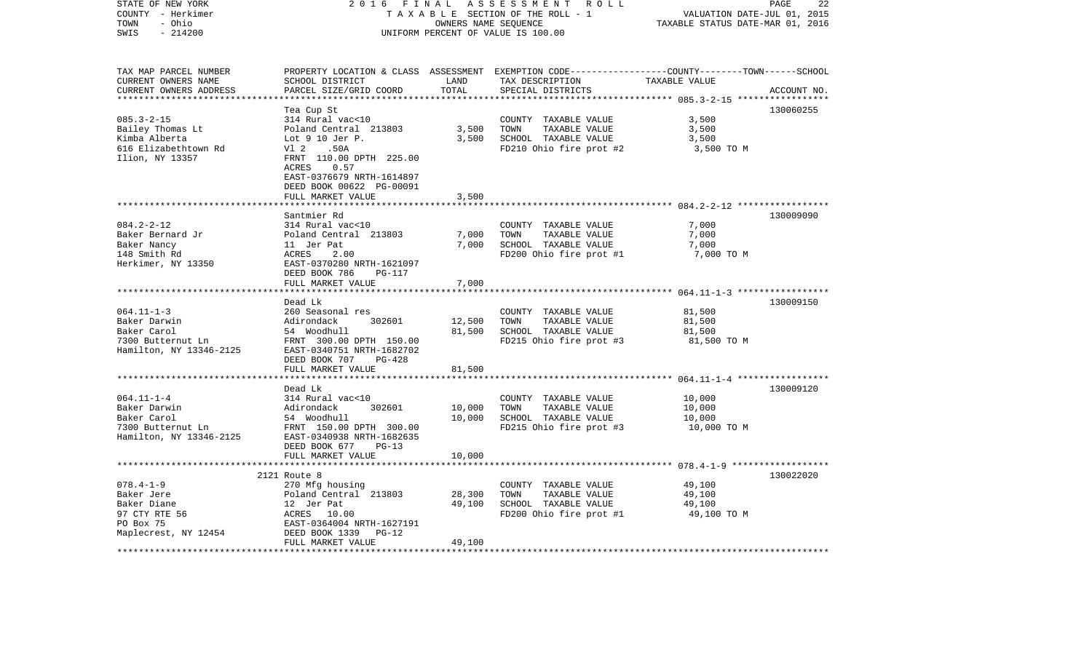| STATE OF NEW YORK<br>COUNTY - Herkimer<br>TOWN<br>- Ohio<br>$-214200$<br>SWIS                      | 2016<br>FINAL                                                                                                                                                                                                          | OWNERS NAME SEQUENCE       | ASSESSMENT ROLL<br>TAXABLE SECTION OF THE ROLL - 1<br>UNIFORM PERCENT OF VALUE IS 100.00                                                 | VALUATION DATE-JUL 01, 2015<br>TAXABLE STATUS DATE-MAR 01, 2016                                   | PAGE<br>22  |
|----------------------------------------------------------------------------------------------------|------------------------------------------------------------------------------------------------------------------------------------------------------------------------------------------------------------------------|----------------------------|------------------------------------------------------------------------------------------------------------------------------------------|---------------------------------------------------------------------------------------------------|-------------|
| TAX MAP PARCEL NUMBER<br>CURRENT OWNERS NAME<br>CURRENT OWNERS ADDRESS<br>**********************   | SCHOOL DISTRICT<br>PARCEL SIZE/GRID COORD                                                                                                                                                                              | LAND<br>TOTAL              | PROPERTY LOCATION & CLASS ASSESSMENT EXEMPTION CODE----------------COUNTY-------TOWN------SCHOOL<br>TAX DESCRIPTION<br>SPECIAL DISTRICTS | TAXABLE VALUE                                                                                     | ACCOUNT NO. |
| $085.3 - 2 - 15$<br>Bailey Thomas Lt<br>Kimba Alberta<br>616 Elizabethtown Rd<br>Ilion, NY 13357   | Tea Cup St<br>314 Rural vac<10<br>Poland Central 213803<br>Lot $9$ 10 Jer P.<br>Vl 2<br>.50A<br>FRNT 110.00 DPTH 225.00<br>0.57<br>ACRES<br>EAST-0376679 NRTH-1614897<br>DEED BOOK 00622 PG-00091<br>FULL MARKET VALUE | 3,500<br>3,500<br>3,500    | COUNTY TAXABLE VALUE<br>TAXABLE VALUE<br>TOWN<br>SCHOOL TAXABLE VALUE<br>FD210 Ohio fire prot #2                                         | 3,500<br>3,500<br>3,500<br>3,500 TO M                                                             | 130060255   |
|                                                                                                    | ***********************                                                                                                                                                                                                |                            |                                                                                                                                          |                                                                                                   |             |
| $084.2 - 2 - 12$<br>Baker Bernard Jr<br>Baker Nancy<br>148 Smith Rd<br>Herkimer, NY 13350          | Santmier Rd<br>314 Rural vac<10<br>Poland Central 213803<br>11 Jer Pat<br><b>ACRES</b><br>2.00<br>EAST-0370280 NRTH-1621097<br>DEED BOOK 786<br><b>PG-117</b><br>FULL MARKET VALUE                                     | 7,000<br>7,000<br>7,000    | COUNTY TAXABLE VALUE<br>TOWN<br>TAXABLE VALUE<br>SCHOOL TAXABLE VALUE<br>FD200 Ohio fire prot #1                                         | 7,000<br>7,000<br>7,000<br>7,000 TO M                                                             | 130009090   |
|                                                                                                    | *************************                                                                                                                                                                                              |                            |                                                                                                                                          |                                                                                                   |             |
| $064.11 - 1 - 3$<br>Baker Darwin<br>Baker Carol<br>7300 Butternut Ln<br>Hamilton, NY 13346-2125    | Dead Lk<br>260 Seasonal res<br>Adirondack<br>302601<br>54 Woodhull<br>FRNT 300.00 DPTH 150.00<br>EAST-0340751 NRTH-1682702<br>DEED BOOK 707<br>$PG-428$                                                                | 12,500<br>81,500           | COUNTY TAXABLE VALUE<br>TOWN<br>TAXABLE VALUE<br>SCHOOL TAXABLE VALUE<br>FD215 Ohio fire prot #3                                         | 81,500<br>81,500<br>81,500<br>81,500 TO M                                                         | 130009150   |
|                                                                                                    | FULL MARKET VALUE                                                                                                                                                                                                      | 81,500                     |                                                                                                                                          |                                                                                                   |             |
| $064.11 - 1 - 4$<br>Baker Darwin<br>Baker Carol<br>7300 Butternut Ln<br>Hamilton, NY 13346-2125    | Dead Lk<br>314 Rural vac<10<br>Adirondack<br>302601<br>54 Woodhull<br>FRNT 150.00 DPTH 300.00<br>EAST-0340938 NRTH-1682635<br>DEED BOOK 677<br>$PG-13$                                                                 | ******<br>10,000<br>10,000 | COUNTY TAXABLE VALUE<br>TOWN<br>TAXABLE VALUE<br>SCHOOL TAXABLE VALUE<br>FD215 Ohio fire prot #3                                         | ********************** 064.11-1-4 ******************<br>10,000<br>10,000<br>10,000<br>10,000 TO M | 130009120   |
|                                                                                                    | FULL MARKET VALUE                                                                                                                                                                                                      | 10,000                     |                                                                                                                                          |                                                                                                   |             |
| $078.4 - 1 - 9$<br>Baker Jere<br>Baker Diane<br>97 CTY RTE 56<br>PO Box 75<br>Maplecrest, NY 12454 | ***************************<br>2121 Route 8<br>270 Mfg housing<br>Poland Central 213803<br>12 Jer Pat<br>ACRES 10.00<br>EAST-0364004 NRTH-1627191<br>DEED BOOK 1339<br>$PG-12$                                         | 28,300<br>49,100           | COUNTY TAXABLE VALUE<br>TOWN<br>TAXABLE VALUE<br>SCHOOL TAXABLE VALUE<br>FD200 Ohio fire prot #1                                         | 49,100<br>49,100<br>49,100<br>49,100 TO M                                                         | 130022020   |
|                                                                                                    | FULL MARKET VALUE                                                                                                                                                                                                      | 49,100                     |                                                                                                                                          |                                                                                                   |             |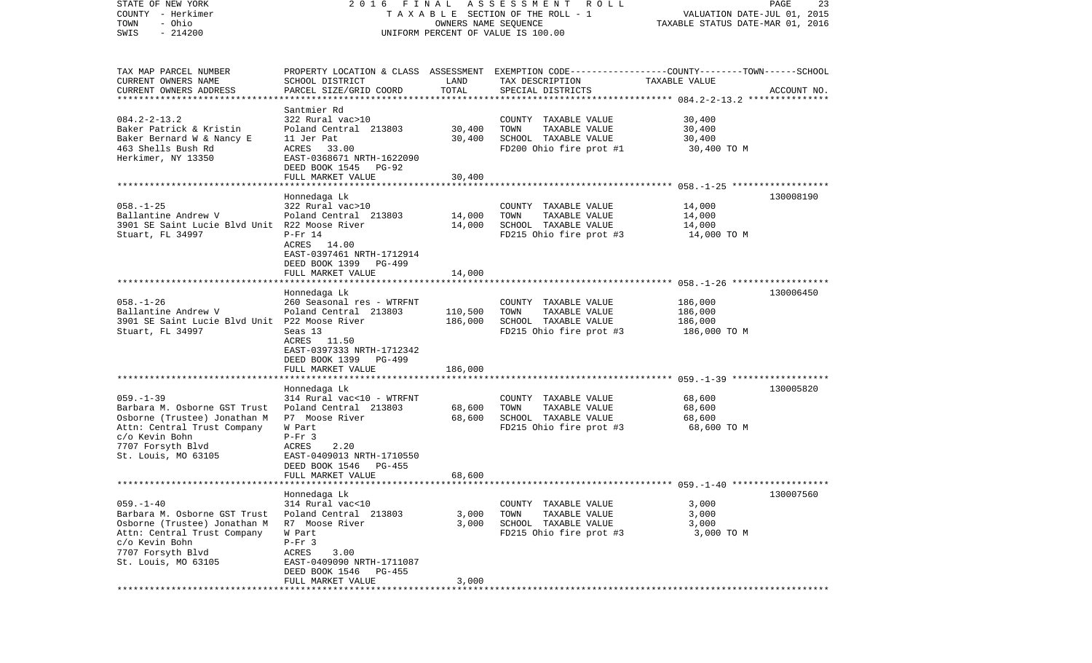| STATE OF NEW YORK                             | 2016 FINAL                                              |                      | A S S E S S M E N T R O L L                                                                     |                                  | PAGE<br>23  |
|-----------------------------------------------|---------------------------------------------------------|----------------------|-------------------------------------------------------------------------------------------------|----------------------------------|-------------|
| COUNTY - Herkimer                             |                                                         |                      | TAXABLE SECTION OF THE ROLL - 1                                                                 | VALUATION DATE-JUL 01, 2015      |             |
| - Ohio<br>TOWN                                |                                                         | OWNERS NAME SEQUENCE |                                                                                                 | TAXABLE STATUS DATE-MAR 01, 2016 |             |
| $-214200$<br>SWIS                             |                                                         |                      | UNIFORM PERCENT OF VALUE IS 100.00                                                              |                                  |             |
|                                               |                                                         |                      |                                                                                                 |                                  |             |
|                                               |                                                         |                      |                                                                                                 |                                  |             |
| TAX MAP PARCEL NUMBER                         |                                                         |                      | PROPERTY LOCATION & CLASS ASSESSMENT EXEMPTION CODE---------------COUNTY-------TOWN------SCHOOL |                                  |             |
| CURRENT OWNERS NAME                           | SCHOOL DISTRICT                                         | LAND                 | TAX DESCRIPTION                                                                                 | TAXABLE VALUE                    |             |
| CURRENT OWNERS ADDRESS                        | PARCEL SIZE/GRID COORD                                  | TOTAL                | SPECIAL DISTRICTS                                                                               |                                  | ACCOUNT NO. |
| ************************                      |                                                         |                      |                                                                                                 |                                  |             |
| $084.2 - 2 - 13.2$                            | Santmier Rd<br>322 Rural vac>10                         |                      | COUNTY TAXABLE VALUE                                                                            | 30,400                           |             |
| Baker Patrick & Kristin                       | Poland Central 213803                                   | 30,400               | TOWN<br>TAXABLE VALUE                                                                           | 30,400                           |             |
| Baker Bernard W & Nancy E                     | 11 Jer Pat                                              | 30,400               | SCHOOL TAXABLE VALUE                                                                            | 30,400                           |             |
| 463 Shells Bush Rd                            | ACRES 33.00                                             |                      | FD200 Ohio fire prot #1                                                                         | 30,400 TO M                      |             |
| Herkimer, NY 13350                            | EAST-0368671 NRTH-1622090                               |                      |                                                                                                 |                                  |             |
|                                               | DEED BOOK 1545 PG-92                                    |                      |                                                                                                 |                                  |             |
|                                               | FULL MARKET VALUE                                       | 30,400               |                                                                                                 |                                  |             |
|                                               |                                                         |                      |                                                                                                 |                                  |             |
|                                               | Honnedaga Lk                                            |                      |                                                                                                 |                                  | 130008190   |
| $058. - 1 - 25$                               | 322 Rural vac>10                                        |                      | COUNTY TAXABLE VALUE                                                                            | 14,000                           |             |
| Ballantine Andrew V                           | Poland Central 213803                                   | 14,000               | TOWN<br>TAXABLE VALUE                                                                           | 14,000                           |             |
| 3901 SE Saint Lucie Blvd Unit R22 Moose River |                                                         | 14,000               | SCHOOL TAXABLE VALUE                                                                            | 14,000                           |             |
| Stuart, FL 34997                              | $P-Fr 14$                                               |                      | FD215 Ohio fire prot #3                                                                         | 14,000 TO M                      |             |
|                                               | ACRES 14.00                                             |                      |                                                                                                 |                                  |             |
|                                               | EAST-0397461 NRTH-1712914                               |                      |                                                                                                 |                                  |             |
|                                               | DEED BOOK 1399<br>PG-499                                |                      |                                                                                                 |                                  |             |
|                                               | FULL MARKET VALUE                                       | 14,000               |                                                                                                 |                                  |             |
|                                               | Honnedaga Lk                                            |                      |                                                                                                 |                                  | 130006450   |
| $058. - 1 - 26$                               | 260 Seasonal res - WTRFNT                               |                      | COUNTY TAXABLE VALUE                                                                            | 186,000                          |             |
| Ballantine Andrew V                           | Poland Central 213803                                   | 110,500              | TAXABLE VALUE<br>TOWN                                                                           | 186,000                          |             |
| 3901 SE Saint Lucie Blvd Unit P22 Moose River |                                                         | 186,000              | SCHOOL TAXABLE VALUE                                                                            | 186,000                          |             |
| Stuart, FL 34997                              | Seas 13                                                 |                      | FD215 Ohio fire prot #3                                                                         | 186,000 TO M                     |             |
|                                               | ACRES 11.50                                             |                      |                                                                                                 |                                  |             |
|                                               | EAST-0397333 NRTH-1712342                               |                      |                                                                                                 |                                  |             |
|                                               | DEED BOOK 1399<br>PG-499                                |                      |                                                                                                 |                                  |             |
|                                               | FULL MARKET VALUE                                       | 186,000              |                                                                                                 |                                  |             |
|                                               | ********************                                    |                      |                                                                                                 |                                  |             |
|                                               | Honnedaga Lk                                            |                      |                                                                                                 |                                  | 130005820   |
| $059. - 1 - 39$                               | 314 Rural vac<10 - WTRFNT                               |                      | COUNTY TAXABLE VALUE                                                                            | 68,600                           |             |
| Barbara M. Osborne GST Trust                  | Poland Central 213803                                   | 68,600               | TOWN<br>TAXABLE VALUE                                                                           | 68,600                           |             |
| Osborne (Trustee) Jonathan M                  | P7 Moose River                                          | 68,600               | SCHOOL TAXABLE VALUE                                                                            | 68,600                           |             |
| Attn: Central Trust Company                   | W Part                                                  |                      | FD215 Ohio fire prot #3                                                                         | 68,600 TO M                      |             |
| c/o Kevin Bohn                                | $P-Fr$ 3<br>2.20<br>ACRES                               |                      |                                                                                                 |                                  |             |
| 7707 Forsyth Blvd<br>St. Louis, MO 63105      |                                                         |                      |                                                                                                 |                                  |             |
|                                               | EAST-0409013 NRTH-1710550<br>DEED BOOK 1546<br>$PG-455$ |                      |                                                                                                 |                                  |             |
|                                               | FULL MARKET VALUE                                       | 68,600               |                                                                                                 |                                  |             |
|                                               |                                                         |                      |                                                                                                 |                                  |             |
|                                               | Honnedaga Lk                                            |                      |                                                                                                 |                                  | 130007560   |
| $059. - 1 - 40$                               | 314 Rural vac<10                                        |                      | COUNTY TAXABLE VALUE                                                                            | 3,000                            |             |
| Barbara M. Osborne GST Trust                  | Poland Central 213803                                   | 3,000                | TOWN<br>TAXABLE VALUE                                                                           | 3,000                            |             |
| Osborne (Trustee) Jonathan M                  | R7 Moose River                                          | 3,000                | SCHOOL TAXABLE VALUE                                                                            | 3,000                            |             |
| Attn: Central Trust Company                   | W Part                                                  |                      | FD215 Ohio fire prot #3                                                                         | 3,000 TO M                       |             |
| c/o Kevin Bohn                                | $P-Fr$ 3                                                |                      |                                                                                                 |                                  |             |
| 7707 Forsyth Blvd                             | ACRES<br>3.00                                           |                      |                                                                                                 |                                  |             |
| St. Louis, MO 63105                           | EAST-0409090 NRTH-1711087                               |                      |                                                                                                 |                                  |             |
|                                               | DEED BOOK 1546<br>PG-455                                |                      |                                                                                                 |                                  |             |
|                                               | FULL MARKET VALUE                                       | 3,000                |                                                                                                 |                                  |             |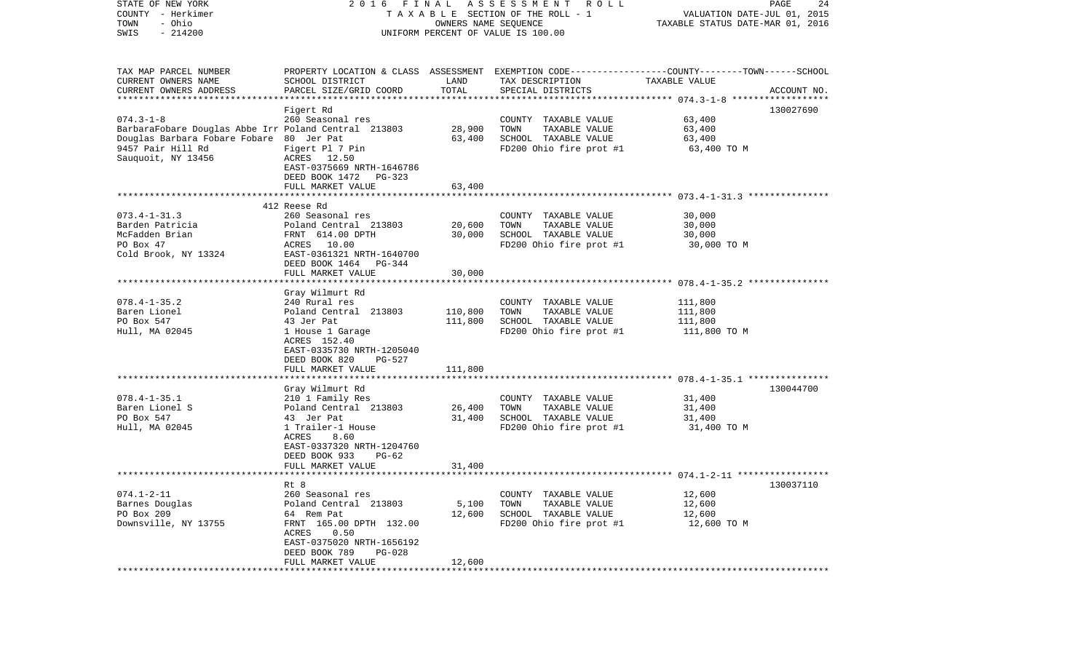| STATE OF NEW YORK<br>COUNTY - Herkimer<br>- Ohio<br>TOWN<br>$-214200$<br>SWIS |                                           | OWNERS NAME SEQUENCE | 2016 FINAL ASSESSMENT ROLL<br>TAXABLE SECTION OF THE ROLL - 1<br>UNIFORM PERCENT OF VALUE IS 100.00 | VALUATION DATE-JUL 01, 2015<br>TAXABLE STATUS DATE-MAR 01, 2016 | PAGE<br>24  |
|-------------------------------------------------------------------------------|-------------------------------------------|----------------------|-----------------------------------------------------------------------------------------------------|-----------------------------------------------------------------|-------------|
|                                                                               |                                           |                      |                                                                                                     |                                                                 |             |
| TAX MAP PARCEL NUMBER                                                         |                                           |                      | PROPERTY LOCATION & CLASS ASSESSMENT EXEMPTION CODE---------------COUNTY-------TOWN------SCHOOL     |                                                                 |             |
| CURRENT OWNERS NAME                                                           | SCHOOL DISTRICT                           | LAND                 | TAX DESCRIPTION                                                                                     | TAXABLE VALUE                                                   |             |
| CURRENT OWNERS ADDRESS                                                        | PARCEL SIZE/GRID COORD                    | TOTAL                | SPECIAL DISTRICTS                                                                                   |                                                                 | ACCOUNT NO. |
| ***********************                                                       |                                           |                      |                                                                                                     |                                                                 |             |
|                                                                               | Figert Rd                                 |                      |                                                                                                     |                                                                 | 130027690   |
| $074.3 - 1 - 8$                                                               | 260 Seasonal res                          |                      | COUNTY TAXABLE VALUE                                                                                | 63,400                                                          |             |
| BarbaraFobare Douglas Abbe Irr Poland Central 213803                          |                                           | 28,900               | TOWN<br>TAXABLE VALUE<br>SCHOOL TAXABLE VALUE                                                       | 63,400                                                          |             |
| Douglas Barbara Fobare Fobare 80 Jer Pat<br>9457 Pair Hill Rd                 |                                           | 63,400               |                                                                                                     | 63,400                                                          |             |
| Sauquoit, NY 13456                                                            | Figert Pl 7 Pin<br>ACRES 12.50            |                      | FD200 Ohio fire prot #1                                                                             | 63,400 TO M                                                     |             |
|                                                                               | EAST-0375669 NRTH-1646786                 |                      |                                                                                                     |                                                                 |             |
|                                                                               | DEED BOOK 1472<br>PG-323                  |                      |                                                                                                     |                                                                 |             |
|                                                                               | FULL MARKET VALUE                         | 63,400               |                                                                                                     |                                                                 |             |
|                                                                               |                                           |                      |                                                                                                     |                                                                 |             |
|                                                                               | 412 Reese Rd                              |                      |                                                                                                     |                                                                 |             |
| $073.4 - 1 - 31.3$                                                            | 260 Seasonal res                          |                      | COUNTY TAXABLE VALUE                                                                                | 30,000                                                          |             |
| Barden Patricia                                                               | Poland Central 213803                     | 20,600               | TOWN<br>TAXABLE VALUE                                                                               | 30,000                                                          |             |
| McFadden Brian                                                                | FRNT 614.00 DPTH                          | 30,000               | SCHOOL TAXABLE VALUE                                                                                | 30,000                                                          |             |
| PO Box 47                                                                     | ACRES 10.00                               |                      | FD200 Ohio fire prot #1                                                                             | 30,000 TO M                                                     |             |
| Cold Brook, NY 13324                                                          | EAST-0361321 NRTH-1640700                 |                      |                                                                                                     |                                                                 |             |
|                                                                               | DEED BOOK 1464<br>PG-344                  |                      |                                                                                                     |                                                                 |             |
|                                                                               | FULL MARKET VALUE                         | 30,000               |                                                                                                     |                                                                 |             |
|                                                                               |                                           |                      |                                                                                                     |                                                                 |             |
|                                                                               | Gray Wilmurt Rd                           |                      |                                                                                                     |                                                                 |             |
| $078.4 - 1 - 35.2$                                                            | 240 Rural res                             |                      | COUNTY TAXABLE VALUE                                                                                | 111,800                                                         |             |
| Baren Lionel                                                                  | Poland Central 213803                     | 110,800              | TOWN<br>TAXABLE VALUE                                                                               | 111,800                                                         |             |
| PO Box 547<br>Hull, MA 02045                                                  | 43 Jer Pat<br>1 House 1 Garage            | 111,800              | SCHOOL TAXABLE VALUE<br>FD200 Ohio fire prot #1                                                     | 111,800<br>111,800 TO M                                         |             |
|                                                                               | ACRES 152.40                              |                      |                                                                                                     |                                                                 |             |
|                                                                               | EAST-0335730 NRTH-1205040                 |                      |                                                                                                     |                                                                 |             |
|                                                                               | DEED BOOK 820<br>PG-527                   |                      |                                                                                                     |                                                                 |             |
|                                                                               | FULL MARKET VALUE                         | 111,800              |                                                                                                     |                                                                 |             |
|                                                                               | ******************                        |                      |                                                                                                     |                                                                 |             |
|                                                                               | Gray Wilmurt Rd                           |                      |                                                                                                     |                                                                 | 130044700   |
| $078.4 - 1 - 35.1$                                                            | 210 1 Family Res                          |                      | COUNTY TAXABLE VALUE                                                                                | 31,400                                                          |             |
| Baren Lionel S                                                                | Poland Central 213803                     | 26,400               | TOWN<br>TAXABLE VALUE                                                                               | 31,400                                                          |             |
| PO Box 547                                                                    | 43 Jer Pat                                | 31,400               | SCHOOL TAXABLE VALUE                                                                                | 31,400                                                          |             |
| Hull, MA 02045                                                                | 1 Trailer-1 House                         |                      | FD200 Ohio fire prot #1                                                                             | 31,400 TO M                                                     |             |
|                                                                               | ACRES<br>8.60                             |                      |                                                                                                     |                                                                 |             |
|                                                                               | EAST-0337320 NRTH-1204760                 |                      |                                                                                                     |                                                                 |             |
|                                                                               | DEED BOOK 933<br>PG-62                    |                      |                                                                                                     |                                                                 |             |
|                                                                               | FULL MARKET VALUE                         | 31,400               |                                                                                                     |                                                                 |             |
|                                                                               |                                           |                      |                                                                                                     |                                                                 |             |
| $074.1 - 2 - 11$                                                              | Rt 8                                      |                      | COUNTY TAXABLE VALUE                                                                                |                                                                 | 130037110   |
| Barnes Douglas                                                                | 260 Seasonal res<br>Poland Central 213803 |                      |                                                                                                     | 12,600                                                          |             |
| PO Box 209                                                                    | 64 Rem Pat                                | 5,100<br>12,600      | TAXABLE VALUE<br>TOWN<br>SCHOOL TAXABLE VALUE                                                       | 12,600<br>12,600                                                |             |
| Downsville, NY 13755                                                          | FRNT 165.00 DPTH 132.00                   |                      | FD200 Ohio fire prot #1                                                                             | 12,600 TO M                                                     |             |
|                                                                               | 0.50<br>ACRES                             |                      |                                                                                                     |                                                                 |             |
|                                                                               | EAST-0375020 NRTH-1656192                 |                      |                                                                                                     |                                                                 |             |
|                                                                               | DEED BOOK 789<br>$PG-028$                 |                      |                                                                                                     |                                                                 |             |
|                                                                               | FULL MARKET VALUE                         | 12,600               |                                                                                                     |                                                                 |             |
|                                                                               |                                           |                      |                                                                                                     |                                                                 |             |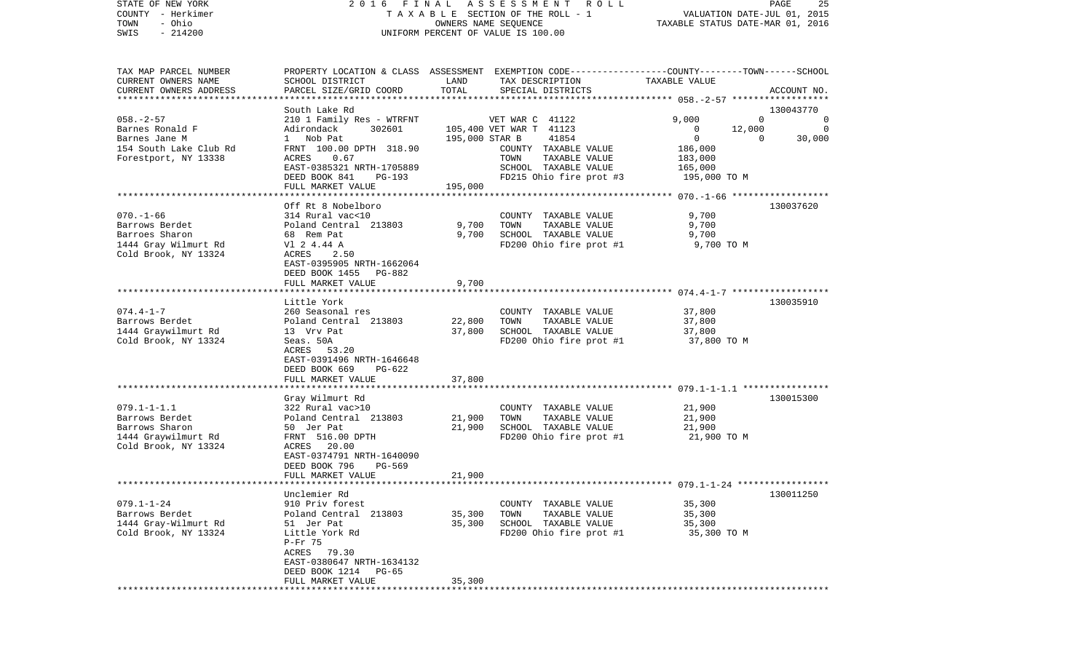| COUNTY<br>– Herkimer<br>- Ohio<br>TOWN |                                                 | TAXABLE<br>SECTION OF THE ROLL - 1<br>OWNERS NAME SEQUENCE |                                                                                                 |                  |                                 |
|----------------------------------------|-------------------------------------------------|------------------------------------------------------------|-------------------------------------------------------------------------------------------------|------------------|---------------------------------|
| SWIS<br>$-214200$                      | UNIFORM PERCENT OF VALUE IS 100.00              | TAXABLE STATUS DATE-MAR 01, 2016                           |                                                                                                 |                  |                                 |
|                                        |                                                 |                                                            |                                                                                                 |                  |                                 |
| TAX MAP PARCEL NUMBER                  |                                                 |                                                            | PROPERTY LOCATION & CLASS ASSESSMENT EXEMPTION CODE---------------COUNTY-------TOWN------SCHOOL |                  |                                 |
| CURRENT OWNERS NAME                    | SCHOOL DISTRICT                                 | LAND                                                       | TAX DESCRIPTION                                                                                 | TAXABLE VALUE    |                                 |
| CURRENT OWNERS ADDRESS                 | PARCEL SIZE/GRID COORD                          | TOTAL                                                      | SPECIAL DISTRICTS                                                                               |                  | ACCOUNT NO.                     |
|                                        |                                                 |                                                            |                                                                                                 |                  |                                 |
|                                        | South Lake Rd                                   |                                                            |                                                                                                 |                  | 130043770                       |
| $058. - 2 - 57$                        | 210 1 Family Res - WTRFNT                       |                                                            | VET WAR C 41122                                                                                 | 9,000            | $\Omega$<br>$\overline{0}$<br>0 |
| Barnes Ronald F<br>Barnes Jane M       | Adirondack<br>302601<br>Nob Pat<br>$\mathbf{1}$ | 195,000 STAR B                                             | 105,400 VET WAR T 41123<br>41854                                                                | 12,000<br>0<br>0 | 30,000<br>$\mathbf{0}$          |
| 154 South Lake Club Rd                 | FRNT 100.00 DPTH 318.90                         |                                                            | COUNTY TAXABLE VALUE                                                                            | 186,000          |                                 |
| Forestport, NY 13338                   | 0.67<br>ACRES                                   |                                                            | TOWN<br>TAXABLE VALUE                                                                           | 183,000          |                                 |
|                                        | EAST-0385321 NRTH-1705889                       |                                                            | SCHOOL TAXABLE VALUE                                                                            | 165,000          |                                 |
|                                        | DEED BOOK 841<br>PG-193                         |                                                            | FD215 Ohio fire prot #3                                                                         | 195,000 TO M     |                                 |
|                                        | FULL MARKET VALUE                               | 195,000                                                    |                                                                                                 |                  |                                 |
|                                        |                                                 |                                                            |                                                                                                 |                  |                                 |
|                                        | Off Rt 8 Nobelboro                              |                                                            |                                                                                                 |                  | 130037620                       |
| $070. - 1 - 66$                        | 314 Rural vac<10                                |                                                            | COUNTY TAXABLE VALUE                                                                            | 9,700            |                                 |
| Barrows Berdet                         | Poland Central 213803                           | 9,700                                                      | TOWN<br>TAXABLE VALUE                                                                           | 9,700            |                                 |
| Barroes Sharon                         | 68 Rem Pat                                      | 9,700                                                      | SCHOOL TAXABLE VALUE                                                                            | 9,700            |                                 |
| 1444 Gray Wilmurt Rd                   | V1 2 4.44 A                                     |                                                            | FD200 Ohio fire prot #1                                                                         | 9,700 TO M       |                                 |
| Cold Brook, NY 13324                   | ACRES<br>2.50<br>EAST-0395905 NRTH-1662064      |                                                            |                                                                                                 |                  |                                 |
|                                        | DEED BOOK 1455<br>PG-882                        |                                                            |                                                                                                 |                  |                                 |
|                                        | FULL MARKET VALUE                               | 9,700                                                      |                                                                                                 |                  |                                 |
|                                        | *****************                               |                                                            |                                                                                                 |                  |                                 |
|                                        | Little York                                     |                                                            |                                                                                                 |                  | 130035910                       |
| $074.4 - 1 - 7$                        | 260 Seasonal res                                |                                                            | COUNTY TAXABLE VALUE                                                                            | 37,800           |                                 |
| Barrows Berdet                         | Poland Central 213803                           | 22,800                                                     | TOWN<br>TAXABLE VALUE                                                                           | 37,800           |                                 |
| 1444 Graywilmurt Rd                    | 13 Vrv Pat                                      | 37,800                                                     | SCHOOL TAXABLE VALUE                                                                            | 37,800           |                                 |
| Cold Brook, NY 13324                   | Seas. 50A                                       |                                                            | FD200 Ohio fire prot #1                                                                         | 37,800 TO M      |                                 |
|                                        | 53.20<br>ACRES                                  |                                                            |                                                                                                 |                  |                                 |
|                                        | EAST-0391496 NRTH-1646648                       |                                                            |                                                                                                 |                  |                                 |
|                                        | DEED BOOK 669<br>PG-622<br>FULL MARKET VALUE    | 37,800                                                     |                                                                                                 |                  |                                 |
|                                        |                                                 |                                                            |                                                                                                 |                  |                                 |
|                                        | Gray Wilmurt Rd                                 |                                                            |                                                                                                 |                  | 130015300                       |
| $079.1 - 1 - 1.1$                      | 322 Rural vac>10                                |                                                            | COUNTY TAXABLE VALUE                                                                            | 21,900           |                                 |
| Barrows Berdet                         | Poland Central 213803                           | 21,900                                                     | TOWN<br>TAXABLE VALUE                                                                           | 21,900           |                                 |
| Barrows Sharon                         | 50 Jer Pat                                      | 21,900                                                     | SCHOOL TAXABLE VALUE                                                                            | 21,900           |                                 |
| 1444 Graywilmurt Rd                    | FRNT 516.00 DPTH                                |                                                            | FD200 Ohio fire prot #1                                                                         | 21,900 TO M      |                                 |
| Cold Brook, NY 13324                   | ACRES<br>20.00                                  |                                                            |                                                                                                 |                  |                                 |
|                                        | EAST-0374791 NRTH-1640090                       |                                                            |                                                                                                 |                  |                                 |
|                                        | DEED BOOK 796<br>PG-569                         |                                                            |                                                                                                 |                  |                                 |
|                                        | FULL MARKET VALUE                               | 21,900                                                     |                                                                                                 |                  |                                 |
|                                        | Unclemier Rd                                    |                                                            |                                                                                                 |                  | 130011250                       |
| $079.1 - 1 - 24$                       | 910 Priv forest                                 |                                                            | COUNTY TAXABLE VALUE                                                                            | 35,300           |                                 |
| Barrows Berdet                         | Poland Central 213803                           | 35,300                                                     | TOWN<br>TAXABLE VALUE                                                                           | 35,300           |                                 |
| 1444 Gray-Wilmurt Rd                   | 51 Jer Pat                                      | 35,300                                                     | SCHOOL TAXABLE VALUE                                                                            | 35,300           |                                 |
| Cold Brook, NY 13324                   | Little York Rd                                  |                                                            | FD200 Ohio fire prot #1                                                                         | 35,300 TO M      |                                 |
|                                        | $P-Fr$ 75                                       |                                                            |                                                                                                 |                  |                                 |
|                                        | ACRES 79.30                                     |                                                            |                                                                                                 |                  |                                 |
|                                        | EAST-0380647 NRTH-1634132                       |                                                            |                                                                                                 |                  |                                 |
|                                        | DEED BOOK 1214<br>PG-65                         |                                                            |                                                                                                 |                  |                                 |
|                                        | FULL MARKET VALUE<br>****************           | 35,300                                                     |                                                                                                 |                  |                                 |

STATE OF NEW YORK 2 0 1 6 F I N A L A S S E S S M E N T R O L L PAGE 25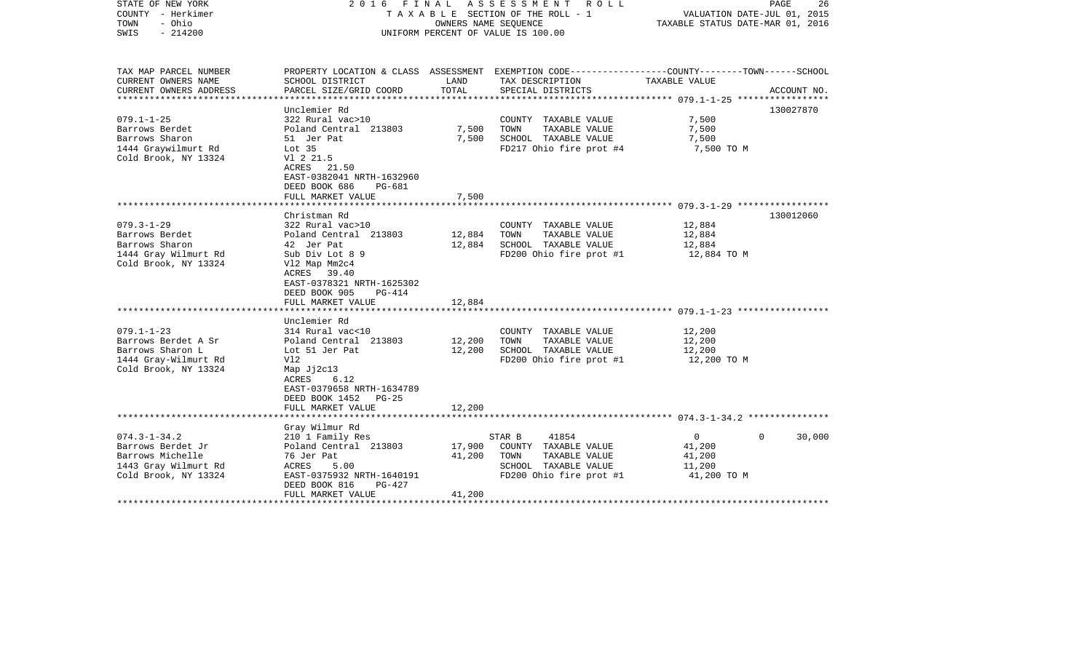| STATE OF NEW YORK<br>COUNTY - Herkimer<br>- Ohio<br>TOWN<br>$-214200$<br>SWIS                                                 | 2016 FINAL ASSESSMENT ROLL<br>TAXABLE SECTION OF THE ROLL - 1<br>OWNERS NAME SEQUENCE<br>UNIFORM PERCENT OF VALUE IS 100.00                                                                                            |                            |                                                                                                                                          | PAGE<br>26<br>VALUATION DATE-JUL 01, 2015<br>TAXABLE STATUS DATE-MAR 01, 2016 |             |
|-------------------------------------------------------------------------------------------------------------------------------|------------------------------------------------------------------------------------------------------------------------------------------------------------------------------------------------------------------------|----------------------------|------------------------------------------------------------------------------------------------------------------------------------------|-------------------------------------------------------------------------------|-------------|
| TAX MAP PARCEL NUMBER<br>CURRENT OWNERS NAME<br>CURRENT OWNERS ADDRESS                                                        | SCHOOL DISTRICT<br>PARCEL SIZE/GRID COORD                                                                                                                                                                              | LAND<br>TOTAL              | PROPERTY LOCATION & CLASS ASSESSMENT EXEMPTION CODE----------------COUNTY-------TOWN------SCHOOL<br>TAX DESCRIPTION<br>SPECIAL DISTRICTS | TAXABLE VALUE                                                                 | ACCOUNT NO. |
| **********************<br>$079.1 - 1 - 25$<br>Barrows Berdet<br>Barrows Sharon<br>1444 Graywilmurt Rd<br>Cold Brook, NY 13324 | Unclemier Rd<br>322 Rural vac>10<br>Poland Central 213803<br>51 Jer Pat<br>Lot <sub>35</sub><br>V1 2 21.5<br>ACRES 21.50<br>EAST-0382041 NRTH-1632960<br>DEED BOOK 686<br><b>PG-681</b>                                | 7,500<br>7,500             | COUNTY TAXABLE VALUE<br>TAXABLE VALUE<br>TOWN<br>SCHOOL TAXABLE VALUE<br>FD217 Ohio fire prot #4                                         | 7,500<br>7,500<br>7,500<br>7,500 TO M                                         | 130027870   |
|                                                                                                                               | FULL MARKET VALUE<br>*********************                                                                                                                                                                             | 7,500                      |                                                                                                                                          |                                                                               |             |
| $079.3 - 1 - 29$<br>Barrows Berdet<br>Barrows Sharon<br>1444 Gray Wilmurt Rd<br>Cold Brook, NY 13324                          | Christman Rd<br>322 Rural vac>10<br>Poland Central 213803<br>42 Jer Pat<br>Sub Div Lot 8 9<br>Vl2 Map Mm2c4<br>ACRES<br>39.40<br>EAST-0378321 NRTH-1625302<br>DEED BOOK 905<br>$PG-414$<br>FULL MARKET VALUE           | 12,884<br>12,884<br>12,884 | COUNTY TAXABLE VALUE<br>TAXABLE VALUE<br>TOWN<br>SCHOOL TAXABLE VALUE<br>FD200 Ohio fire prot #1                                         | 12,884<br>12,884<br>12,884<br>12,884 TO M                                     | 130012060   |
| $079.1 - 1 - 23$<br>Barrows Berdet A Sr<br>Barrows Sharon L<br>1444 Gray-Wilmurt Rd<br>Cold Brook, NY 13324                   | Unclemier Rd<br>314 Rural vac<10<br>Poland Central 213803<br>Lot 51 Jer Pat<br>V12<br>Map Jj2c13<br>ACRES<br>6.12<br>EAST-0379658 NRTH-1634789<br>DEED BOOK 1452 PG-25<br>FULL MARKET VALUE<br>*********************** | 12,200<br>12,200<br>12,200 | COUNTY TAXABLE VALUE<br>TAXABLE VALUE<br>TOWN<br>SCHOOL TAXABLE VALUE<br>FD200 Ohio fire prot #1                                         | 12,200<br>12,200<br>12,200<br>12,200 TO M                                     |             |
|                                                                                                                               | Gray Wilmur Rd                                                                                                                                                                                                         |                            |                                                                                                                                          |                                                                               |             |
| $074.3 - 1 - 34.2$<br>Barrows Berdet Jr<br>Barrows Michelle<br>1443 Gray Wilmurt Rd<br>Cold Brook, NY 13324                   | 210 1 Family Res<br>Poland Central 213803<br>76 Jer Pat<br>ACRES<br>5.00<br>EAST-0375932 NRTH-1640191<br>DEED BOOK 816<br>$PG-427$<br>FULL MARKET VALUE                                                                | 17,900<br>41,200<br>41,200 | 41854<br>STAR B<br>COUNTY TAXABLE VALUE<br>TOWN<br>TAXABLE VALUE<br>SCHOOL TAXABLE VALUE<br>FD200 Ohio fire prot #1                      | $\overline{0}$<br>$\Omega$<br>41,200<br>41,200<br>11,200<br>41,200 TO M       | 30,000      |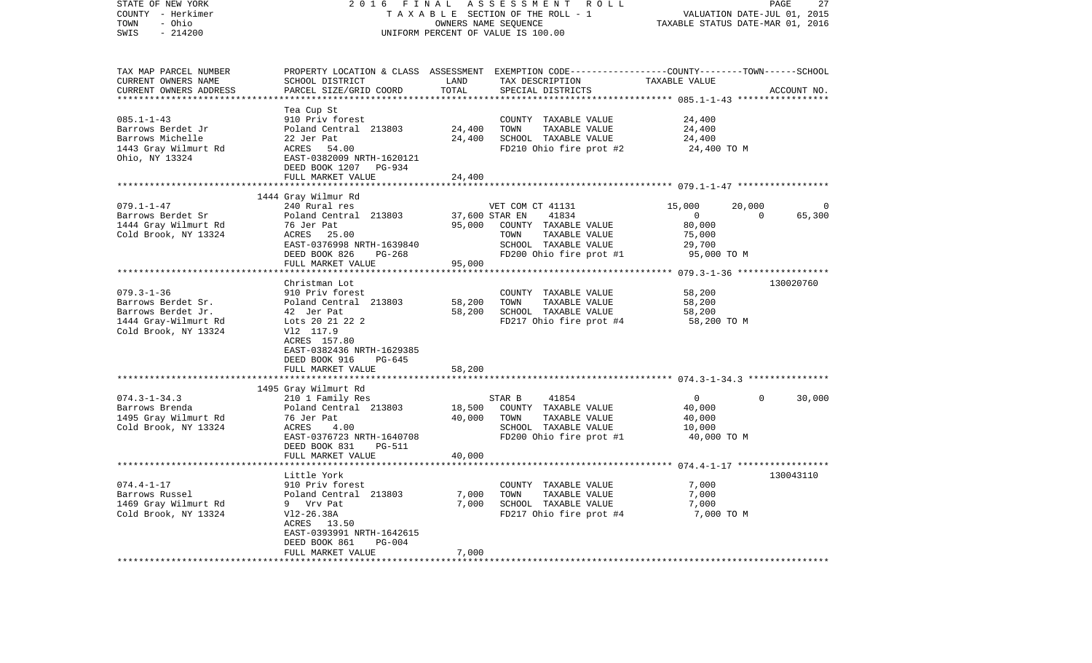| STATE OF NEW YORK<br>COUNTY - Herkimer<br>- Ohio<br>TOWN<br>SWIS<br>$-214200$                                | 2016<br>FINAL<br>TAXABLE SECTION OF THE ROLL - 1<br>UNIFORM PERCENT OF VALUE IS 100.00                                                                                          | PAGE<br>27<br>VALUATION DATE-JUL 01, 2015<br>TAXABLE STATUS DATE-MAR 01, 2016 |                                                                                                                                         |                                                                       |                          |             |
|--------------------------------------------------------------------------------------------------------------|---------------------------------------------------------------------------------------------------------------------------------------------------------------------------------|-------------------------------------------------------------------------------|-----------------------------------------------------------------------------------------------------------------------------------------|-----------------------------------------------------------------------|--------------------------|-------------|
| TAX MAP PARCEL NUMBER<br>CURRENT OWNERS NAME<br>CURRENT OWNERS ADDRESS                                       | SCHOOL DISTRICT<br>PARCEL SIZE/GRID COORD                                                                                                                                       | LAND<br>TOTAL<br>***********                                                  | PROPERTY LOCATION & CLASS ASSESSMENT EXEMPTION CODE---------------COUNTY-------TOWN------SCHOOL<br>TAX DESCRIPTION<br>SPECIAL DISTRICTS | TAXABLE VALUE                                                         |                          | ACCOUNT NO. |
| $085.1 - 1 - 43$<br>Barrows Berdet Jr<br>Barrows Michelle<br>1443 Gray Wilmurt Rd<br>Ohio, NY 13324          | Tea Cup St<br>910 Priv forest<br>Poland Central 213803<br>22 Jer Pat<br>ACRES 54.00<br>EAST-0382009 NRTH-1620121<br>DEED BOOK 1207 PG-934<br>FULL MARKET VALUE                  | 24,400<br>24,400<br>24,400                                                    | COUNTY TAXABLE VALUE<br>TAXABLE VALUE<br>TOWN<br>SCHOOL TAXABLE VALUE<br>FD210 Ohio fire prot #2                                        | 24,400<br>24,400<br>24,400<br>24,400 TO M                             |                          |             |
|                                                                                                              |                                                                                                                                                                                 |                                                                               |                                                                                                                                         |                                                                       |                          |             |
| $079.1 - 1 - 47$<br>Barrows Berdet Sr<br>1444 Gray Wilmurt Rd<br>Cold Brook, NY 13324                        | 1444 Gray Wilmur Rd<br>240 Rural res<br>Poland Central 213803<br>76 Jer Pat<br>ACRES 25.00<br>EAST-0376998 NRTH-1639840<br>DEED BOOK 826<br>PG-268<br>FULL MARKET VALUE         | 37,600 STAR EN<br>95,000<br>95,000                                            | VET COM CT 41131<br>41834<br>COUNTY TAXABLE VALUE<br>TOWN<br>TAXABLE VALUE<br>SCHOOL TAXABLE VALUE<br>FD200 Ohio fire prot #1           | 15,000<br>$\overline{0}$<br>80,000<br>75,000<br>29,700<br>95,000 TO M | 20,000<br>$\overline{0}$ | 65,300      |
|                                                                                                              | ************************                                                                                                                                                        | ****************                                                              |                                                                                                                                         |                                                                       |                          |             |
| $079.3 - 1 - 36$<br>Barrows Berdet Sr.<br>Barrows Berdet Jr.<br>1444 Gray-Wilmurt Rd<br>Cold Brook, NY 13324 | Christman Lot<br>910 Priv forest<br>Poland Central 213803<br>42 Jer Pat<br>Lots 20 21 22 2<br>V12 117.9<br>ACRES 157.80<br>EAST-0382436 NRTH-1629385<br>DEED BOOK 916<br>PG-645 | 58,200<br>58,200                                                              | COUNTY TAXABLE VALUE<br>TOWN<br>TAXABLE VALUE<br>SCHOOL TAXABLE VALUE<br>FD217 Ohio fire prot #4                                        | 58,200<br>58,200<br>58,200<br>58,200 TO M                             |                          | 130020760   |
|                                                                                                              | FULL MARKET VALUE                                                                                                                                                               | 58,200                                                                        |                                                                                                                                         |                                                                       |                          |             |
|                                                                                                              |                                                                                                                                                                                 |                                                                               |                                                                                                                                         |                                                                       |                          |             |
| $074.3 - 1 - 34.3$<br>Barrows Brenda<br>1495 Gray Wilmurt Rd<br>Cold Brook, NY 13324                         | 1495 Gray Wilmurt Rd<br>210 1 Family Res<br>Poland Central 213803<br>76 Jer Pat<br>ACRES<br>4.00<br>EAST-0376723 NRTH-1640708<br>DEED BOOK 831<br>PG-511                        | 18,500<br>40,000                                                              | 41854<br>STAR B<br>COUNTY TAXABLE VALUE<br>TAXABLE VALUE<br>TOWN<br>SCHOOL TAXABLE VALUE<br>FD200 Ohio fire prot #1                     | $\overline{0}$<br>40,000<br>40,000<br>10,000<br>40,000 TO M           | $\Omega$                 | 30,000      |
|                                                                                                              | FULL MARKET VALUE                                                                                                                                                               | 40,000                                                                        |                                                                                                                                         |                                                                       |                          |             |
|                                                                                                              |                                                                                                                                                                                 |                                                                               |                                                                                                                                         |                                                                       |                          |             |
| $074.4 - 1 - 17$<br>Barrows Russel<br>1469 Gray Wilmurt Rd<br>Cold Brook, NY 13324                           | Little York<br>910 Priv forest<br>Poland Central 213803<br>9 Vrv Pat<br>V12-26.38A<br>ACRES 13.50<br>EAST-0393991 NRTH-1642615<br>DEED BOOK 861<br><b>PG-004</b>                | 7,000<br>7,000                                                                | COUNTY TAXABLE VALUE<br>TOWN<br>TAXABLE VALUE<br>SCHOOL TAXABLE VALUE<br>FD217 Ohio fire prot #4                                        | 7,000<br>7,000<br>7,000<br>7,000 TO M                                 |                          | 130043110   |
|                                                                                                              | FULL MARKET VALUE                                                                                                                                                               | 7,000<br>***********                                                          |                                                                                                                                         |                                                                       |                          |             |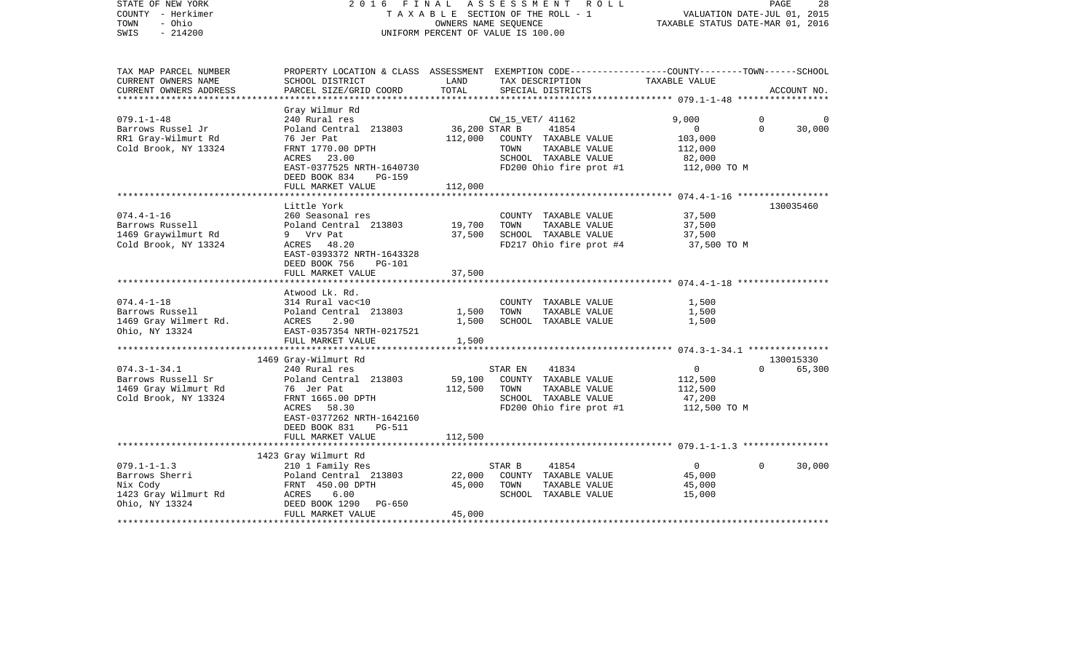| STATE OF NEW YORK<br>COUNTY - Herkimer<br>TOWN<br>- Ohio<br>$-214200$<br>SWIS             | FINAL<br>ASSESSMENT ROLL<br>2016<br>TAXABLE SECTION OF THE ROLL - 1<br>OWNERS NAME SEQUENCE<br>UNIFORM PERCENT OF VALUE IS 100.00                                  |                            |                          |                                                                                                   | PAGE<br>28<br>VALUATION DATE-JUL 01, 2015<br>TAXABLE STATUS DATE-MAR 01, 2016 |                            |                     |
|-------------------------------------------------------------------------------------------|--------------------------------------------------------------------------------------------------------------------------------------------------------------------|----------------------------|--------------------------|---------------------------------------------------------------------------------------------------|-------------------------------------------------------------------------------|----------------------------|---------------------|
| TAX MAP PARCEL NUMBER<br>CURRENT OWNERS NAME<br>CURRENT OWNERS ADDRESS                    | PROPERTY LOCATION & CLASS ASSESSMENT EXEMPTION CODE---------------COUNTY-------TOWN------SCHOOL<br>SCHOOL DISTRICT<br>PARCEL SIZE/GRID COORD                       | LAND<br>TOTAL              |                          | TAX DESCRIPTION<br>SPECIAL DISTRICTS                                                              | TAXABLE VALUE                                                                 |                            | ACCOUNT NO.         |
| *****************                                                                         |                                                                                                                                                                    |                            |                          |                                                                                                   |                                                                               |                            |                     |
| $079.1 - 1 - 48$<br>Barrows Russel Jr<br>RR1 Gray-Wilmurt Rd<br>Cold Brook, NY 13324      | Gray Wilmur Rd<br>240 Rural res<br>Poland Central 213803<br>76 Jer Pat<br>FRNT 1770.00 DPTH<br>ACRES 23.00<br>EAST-0377525 NRTH-1640730<br>DEED BOOK 834<br>PG-159 | 36,200 STAR B<br>112,000   | CW_15_VET/ 41162<br>TOWN | 41854<br>COUNTY TAXABLE VALUE<br>TAXABLE VALUE<br>SCHOOL TAXABLE VALUE<br>FD200 Ohio fire prot #1 | 9,000<br>$\mathbf{0}$<br>103,000<br>112,000<br>82,000<br>112,000 TO M         | $\overline{0}$<br>$\Omega$ | 30,000              |
|                                                                                           | FULL MARKET VALUE                                                                                                                                                  | 112,000                    |                          |                                                                                                   |                                                                               |                            |                     |
| $074.4 - 1 - 16$<br>Barrows Russell<br>1469 Graywilmurt Rd<br>Cold Brook, NY 13324        | Little York<br>260 Seasonal res<br>Poland Central 213803<br>9 Vrv Pat<br>ACRES 48.20<br>EAST-0393372 NRTH-1643328<br>DEED BOOK 756<br>PG-101<br>FULL MARKET VALUE  | 19,700<br>37,500<br>37,500 | TOWN                     | COUNTY TAXABLE VALUE<br>TAXABLE VALUE<br>SCHOOL TAXABLE VALUE<br>FD217 Ohio fire prot #4          | 37,500<br>37,500<br>37,500<br>37,500 TO M                                     |                            | 130035460           |
|                                                                                           | Atwood Lk. Rd.                                                                                                                                                     |                            |                          |                                                                                                   |                                                                               |                            |                     |
| $074.4 - 1 - 18$<br>Barrows Russell<br>1469 Gray Wilmert Rd.<br>Ohio, NY 13324            | 314 Rural vac<10<br>Poland Central 213803<br>ACRES<br>2.90<br>EAST-0357354 NRTH-0217521<br>FULL MARKET VALUE                                                       | 1,500<br>1,500<br>1,500    | TOWN                     | COUNTY TAXABLE VALUE<br>TAXABLE VALUE<br>SCHOOL TAXABLE VALUE                                     | 1,500<br>1,500<br>1,500                                                       |                            |                     |
|                                                                                           |                                                                                                                                                                    |                            |                          |                                                                                                   |                                                                               |                            |                     |
| $074.3 - 1 - 34.1$<br>Barrows Russell Sr<br>1469 Gray Wilmurt Rd<br>Cold Brook, NY 13324  | 1469 Gray-Wilmurt Rd<br>240 Rural res<br>Poland Central 213803<br>76 Jer Pat<br>FRNT 1665.00 DPTH<br>ACRES 58.30<br>EAST-0377262 NRTH-1642160                      | 59,100<br>112,500          | STAR EN<br>TOWN          | 41834<br>COUNTY TAXABLE VALUE<br>TAXABLE VALUE<br>SCHOOL TAXABLE VALUE<br>FD200 Ohio fire prot #1 | $\overline{0}$<br>112,500<br>112,500<br>47,200<br>112,500 TO M                | $\Omega$                   | 130015330<br>65,300 |
|                                                                                           | DEED BOOK 831<br><b>PG-511</b><br>FULL MARKET VALUE                                                                                                                | 112,500                    |                          |                                                                                                   |                                                                               |                            |                     |
|                                                                                           |                                                                                                                                                                    |                            |                          |                                                                                                   |                                                                               |                            |                     |
| $079.1 - 1 - 1.3$<br>Barrows Sherri<br>Nix Cody<br>1423 Gray Wilmurt Rd<br>Ohio, NY 13324 | 1423 Gray Wilmurt Rd<br>210 1 Family Res<br>Poland Central 213803<br>FRNT 450.00 DPTH<br>ACRES<br>6.00<br>DEED BOOK 1290<br>PG-650<br>FULL MARKET VALUE            | 22,000<br>45,000<br>45,000 | STAR B<br>TOWN           | 41854<br>COUNTY TAXABLE VALUE<br>TAXABLE VALUE<br>SCHOOL TAXABLE VALUE                            | $\overline{0}$<br>45,000<br>45,000<br>15,000                                  | $\Omega$                   | 30,000              |
|                                                                                           |                                                                                                                                                                    |                            |                          |                                                                                                   |                                                                               |                            |                     |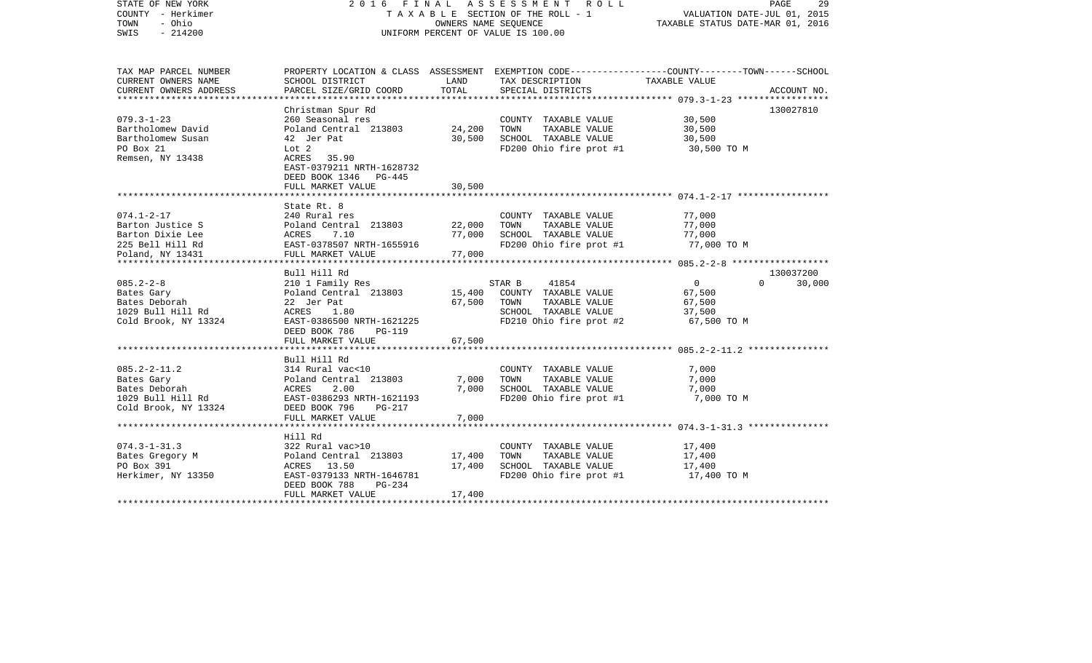| STATE OF NEW YORK<br>COUNTY - Herkimer<br>- Ohio<br>TOWN<br>$-214200$<br>SWIS                    | 2016 FINAL ASSESSMENT ROLL<br>TAXABLE SECTION OF THE ROLL - 1<br>UNIFORM PERCENT OF VALUE IS 100.00                                                                                | VALUATION DATE-JUL 01, 2015<br>TAXABLE STATUS DATE-MAR 01, 2016 | PAGE<br>29                                                                                                                             |                                                             |                    |
|--------------------------------------------------------------------------------------------------|------------------------------------------------------------------------------------------------------------------------------------------------------------------------------------|-----------------------------------------------------------------|----------------------------------------------------------------------------------------------------------------------------------------|-------------------------------------------------------------|--------------------|
| TAX MAP PARCEL NUMBER<br>CURRENT OWNERS NAME<br>CURRENT OWNERS ADDRESS                           | SCHOOL DISTRICT<br>PARCEL SIZE/GRID COORD                                                                                                                                          | LAND<br>TOTAL                                                   | PROPERTY LOCATION & CLASS ASSESSMENT EXEMPTION CODE---------------COUNTY-------TOWN-----SCHOOL<br>TAX DESCRIPTION<br>SPECIAL DISTRICTS | TAXABLE VALUE                                               | ACCOUNT NO.        |
|                                                                                                  |                                                                                                                                                                                    |                                                                 |                                                                                                                                        |                                                             |                    |
| $079.3 - 1 - 23$<br>Bartholomew David<br>Bartholomew Susan<br>PO Box 21<br>Remsen, NY 13438      | Christman Spur Rd<br>260 Seasonal res<br>Poland Central 213803<br>42 Jer Pat<br>Lot 2<br>ACRES 35.90<br>EAST-0379211 NRTH-1628732<br>DEED BOOK 1346<br>PG-445<br>FULL MARKET VALUE | 24,200<br>30,500<br>30,500                                      | COUNTY TAXABLE VALUE<br>TAXABLE VALUE<br>TOWN<br>SCHOOL TAXABLE VALUE<br>FD200 Ohio fire prot #1                                       | 30,500<br>30,500<br>30,500<br>30,500 TO M                   | 130027810          |
|                                                                                                  |                                                                                                                                                                                    |                                                                 |                                                                                                                                        |                                                             |                    |
| $074.1 - 2 - 17$<br>Barton Justice S<br>Barton Dixie Lee<br>225 Bell Hill Rd<br>Poland, NY 13431 | State Rt. 8<br>240 Rural res<br>Poland Central 213803<br>7.10<br>ACRES<br>EAST-0378507 NRTH-1655916<br>FULL MARKET VALUE                                                           | 22,000<br>77,000<br>77,000                                      | COUNTY TAXABLE VALUE<br>TAXABLE VALUE<br>TOWN<br>SCHOOL TAXABLE VALUE<br>FD200 Ohio fire prot #1                                       | 77,000<br>77,000<br>77,000<br>77,000 TO M                   |                    |
|                                                                                                  | Bull Hill Rd                                                                                                                                                                       |                                                                 |                                                                                                                                        |                                                             | 130037200          |
| $085.2 - 2 - 8$<br>Bates Gary<br>Bates Deborah<br>1029 Bull Hill Rd<br>Cold Brook, NY 13324      | 210 1 Family Res<br>Poland Central 213803<br>22 Jer Pat<br>ACRES<br>1.80<br>EAST-0386500 NRTH-1621225<br>DEED BOOK 786<br><b>PG-119</b><br>FULL MARKET VALUE                       | 15,400<br>67,500<br>67,500                                      | 41854<br>STAR B<br>COUNTY TAXABLE VALUE<br>TOWN<br>TAXABLE VALUE<br>SCHOOL TAXABLE VALUE<br>FD210 Ohio fire prot #2                    | $\overline{0}$<br>67,500<br>67,500<br>37,500<br>67,500 TO M | $\Omega$<br>30,000 |
|                                                                                                  |                                                                                                                                                                                    |                                                                 |                                                                                                                                        |                                                             |                    |
| $085.2 - 2 - 11.2$<br>Bates Gary<br>Bates Deborah<br>1029 Bull Hill Rd<br>Cold Brook, NY 13324   | Bull Hill Rd<br>314 Rural vac<10<br>Poland Central 213803<br>ACRES<br>2.00<br>EAST-0386293 NRTH-1621193<br>DEED BOOK 796<br>PG-217                                                 | 7,000<br>7,000                                                  | COUNTY TAXABLE VALUE<br>TAXABLE VALUE<br>TOWN<br>SCHOOL TAXABLE VALUE<br>FD200 Ohio fire prot #1                                       | 7,000<br>7,000<br>7,000<br>7,000 TO M                       |                    |
|                                                                                                  | FULL MARKET VALUE                                                                                                                                                                  | 7,000                                                           |                                                                                                                                        |                                                             |                    |
|                                                                                                  |                                                                                                                                                                                    |                                                                 |                                                                                                                                        |                                                             |                    |
| $074.3 - 1 - 31.3$<br>Bates Gregory M<br>PO Box 391<br>Herkimer, NY 13350                        | Hill Rd<br>322 Rural vac>10<br>Poland Central 213803<br>ACRES 13.50<br>EAST-0379133 NRTH-1646781<br>DEED BOOK 788<br>PG-234<br>FULL MARKET VALUE                                   | 17,400<br>17,400<br>17,400                                      | COUNTY TAXABLE VALUE<br>TOWN<br>TAXABLE VALUE<br>SCHOOL TAXABLE VALUE<br>FD200 Ohio fire prot #1                                       | 17,400<br>17,400<br>17,400<br>17,400 TO M                   |                    |
|                                                                                                  |                                                                                                                                                                                    |                                                                 |                                                                                                                                        |                                                             |                    |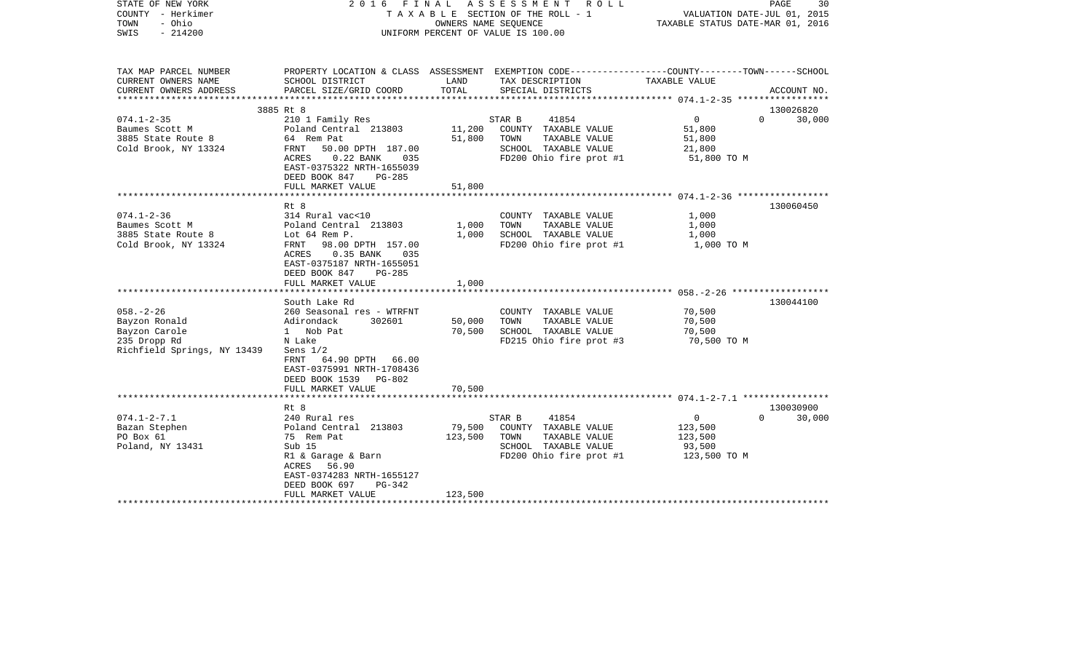| STATE OF NEW YORK<br>COUNTY - Herkimer<br>- Ohio<br>TOWN<br>$-214200$<br>SWIS                    | 2016 FINAL ASSESSMENT ROLL<br>T A X A B L E SECTION OF THE ROLL - 1<br>OWNERS NAME SEQUENCE<br>UNIFORM PERCENT OF VALUE IS 100.00                                                                                 |                              |                                                                                                                                         | PAGE<br>30<br>VALUATION DATE-JUL 01, 2015<br>TAXABLE STATUS DATE-MAR 01, 2016 |                                 |
|--------------------------------------------------------------------------------------------------|-------------------------------------------------------------------------------------------------------------------------------------------------------------------------------------------------------------------|------------------------------|-----------------------------------------------------------------------------------------------------------------------------------------|-------------------------------------------------------------------------------|---------------------------------|
| TAX MAP PARCEL NUMBER<br>CURRENT OWNERS NAME<br>CURRENT OWNERS ADDRESS                           | SCHOOL DISTRICT<br>PARCEL SIZE/GRID COORD                                                                                                                                                                         | LAND<br>TOTAL                | PROPERTY LOCATION & CLASS ASSESSMENT EXEMPTION CODE---------------COUNTY-------TOWN------SCHOOL<br>TAX DESCRIPTION<br>SPECIAL DISTRICTS | TAXABLE VALUE                                                                 | ACCOUNT NO.                     |
|                                                                                                  |                                                                                                                                                                                                                   |                              |                                                                                                                                         |                                                                               |                                 |
|                                                                                                  | 3885 Rt 8                                                                                                                                                                                                         |                              |                                                                                                                                         |                                                                               | 130026820                       |
| $074.1 - 2 - 35$<br>Baumes Scott M<br>3885 State Route 8<br>Cold Brook, NY 13324                 | 210 1 Family Res<br>Poland Central 213803<br>64 Rem Pat<br>FRNT 50.00 DPTH 187.00<br>ACRES<br>0.22 BANK 035<br>EAST-0375322 NRTH-1655039<br>DEED BOOK 847<br>$PG-285$                                             | 11,200<br>51,800             | 41854<br>STAR B<br>COUNTY TAXABLE VALUE<br>TOWN<br>TAXABLE VALUE<br>SCHOOL TAXABLE VALUE<br>FD200 Ohio fire prot #1                     | $\overline{0}$<br>51,800<br>51,800<br>21,800<br>51,800 TO M                   | $\Omega$<br>30,000              |
|                                                                                                  | FULL MARKET VALUE                                                                                                                                                                                                 | 51,800                       |                                                                                                                                         |                                                                               |                                 |
| $074.1 - 2 - 36$<br>Baumes Scott M<br>3885 State Route 8                                         | Rt 8<br>314 Rural vac<10<br>Poland Central 213803<br>Lot 64 Rem P.                                                                                                                                                | 1,000<br>1,000               | COUNTY TAXABLE VALUE<br>TOWN<br>TAXABLE VALUE<br>SCHOOL TAXABLE VALUE                                                                   | 1,000<br>1,000<br>1,000                                                       | 130060450                       |
| Cold Brook, NY 13324                                                                             | FRNT<br>98.00 DPTH 157.00<br>ACRES<br>$0.35$ BANK<br>035<br>EAST-0375187 NRTH-1655051<br>DEED BOOK 847<br>$PG-285$<br>FULL MARKET VALUE                                                                           | 1,000                        | FD200 Ohio fire prot #1                                                                                                                 | 1,000 TO M                                                                    |                                 |
|                                                                                                  |                                                                                                                                                                                                                   |                              |                                                                                                                                         |                                                                               |                                 |
| $058. - 2 - 26$<br>Bayzon Ronald<br>Bayzon Carole<br>235 Dropp Rd<br>Richfield Springs, NY 13439 | South Lake Rd<br>260 Seasonal res - WTRFNT<br>Adirondack<br>302601<br>1 Nob Pat<br>N Lake<br>Sens $1/2$<br>FRNT<br>64.90 DPTH 66.00<br>EAST-0375991 NRTH-1708436<br>DEED BOOK 1539<br>PG-802<br>FULL MARKET VALUE | 50,000<br>70,500<br>70,500   | COUNTY TAXABLE VALUE<br>TAXABLE VALUE<br>TOWN<br>SCHOOL TAXABLE VALUE<br>FD215 Ohio fire prot #3                                        | 70,500<br>70,500<br>70,500<br>70,500 TO M                                     | 130044100                       |
|                                                                                                  |                                                                                                                                                                                                                   |                              |                                                                                                                                         |                                                                               |                                 |
| $074.1 - 2 - 7.1$<br>Bazan Stephen<br>PO Box 61<br>Poland, NY 13431                              | Rt 8<br>240 Rural res<br>Poland Central 213803<br>75 Rem Pat<br>Sub 15<br>R1 & Garage & Barn<br>ACRES<br>56.90<br>EAST-0374283 NRTH-1655127<br>DEED BOOK 697<br>$PG-342$<br>FULL MARKET VALUE                     | 79,500<br>123,500<br>123,500 | STAR B<br>41854<br>COUNTY TAXABLE VALUE<br>TOWN<br>TAXABLE VALUE<br>SCHOOL TAXABLE VALUE<br>FD200 Ohio fire prot #1                     | $\overline{0}$<br>123,500<br>123,500<br>93,500<br>123,500 TO M                | 130030900<br>$\Omega$<br>30,000 |
|                                                                                                  |                                                                                                                                                                                                                   |                              |                                                                                                                                         |                                                                               |                                 |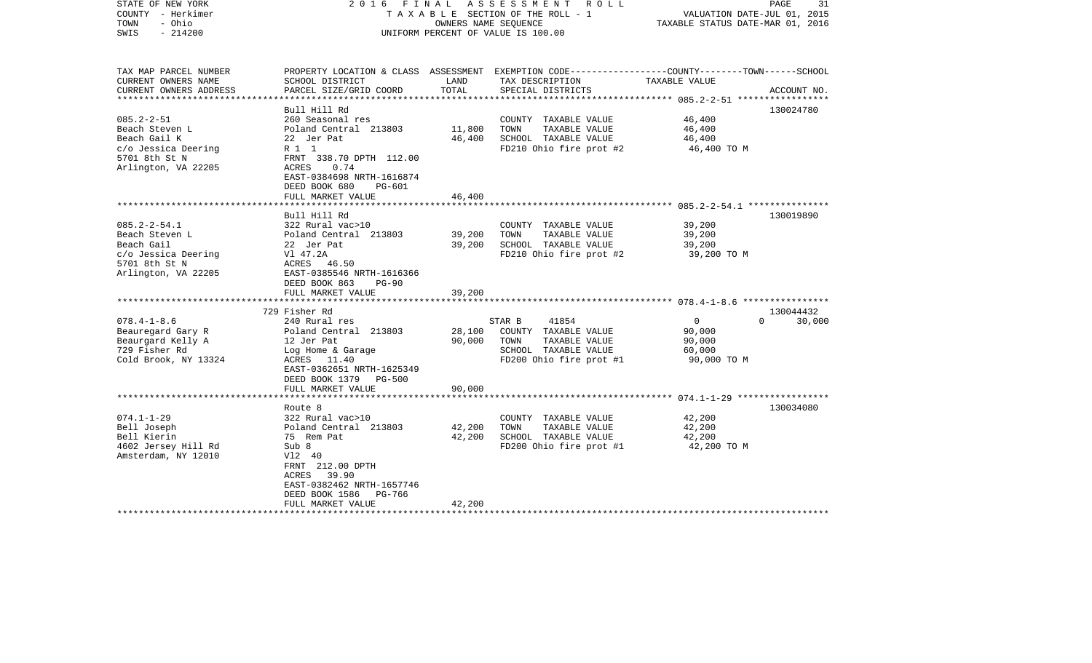| STATE OF NEW YORK<br>COUNTY - Herkimer<br>- Ohio<br>TOWN<br>$-214200$<br>SWIS                                     | 2016 FINAL                                                                                                                                                                                                       | OWNERS NAME SEQUENCE       | A S S E S S M E N T R O L L<br>TAXABLE SECTION OF THE ROLL - 1<br>UNIFORM PERCENT OF VALUE IS 100.00                                    | VALUATION DATE-JUL 01, 2015<br>TAXABLE STATUS DATE-MAR 01, 2016         | 31<br>PAGE  |
|-------------------------------------------------------------------------------------------------------------------|------------------------------------------------------------------------------------------------------------------------------------------------------------------------------------------------------------------|----------------------------|-----------------------------------------------------------------------------------------------------------------------------------------|-------------------------------------------------------------------------|-------------|
| TAX MAP PARCEL NUMBER<br>CURRENT OWNERS NAME<br>CURRENT OWNERS ADDRESS<br>************************                | SCHOOL DISTRICT<br>PARCEL SIZE/GRID COORD                                                                                                                                                                        | LAND<br>TOTAL              | PROPERTY LOCATION & CLASS ASSESSMENT EXEMPTION CODE---------------COUNTY-------TOWN------SCHOOL<br>TAX DESCRIPTION<br>SPECIAL DISTRICTS | TAXABLE VALUE                                                           | ACCOUNT NO. |
| $085.2 - 2 - 51$<br>Beach Steven L<br>Beach Gail K<br>c/o Jessica Deering<br>5701 8th St N<br>Arlington, VA 22205 | Bull Hill Rd<br>260 Seasonal res<br>Poland Central 213803<br>22 Jer Pat<br>R 1 1<br>FRNT 338.70 DPTH 112.00<br>ACRES<br>0.74<br>EAST-0384698 NRTH-1616874<br>DEED BOOK 680<br><b>PG-601</b><br>FULL MARKET VALUE | 11,800<br>46,400<br>46,400 | COUNTY TAXABLE VALUE<br>TAXABLE VALUE<br>TOWN<br>SCHOOL TAXABLE VALUE<br>FD210 Ohio fire prot #2                                        | 46,400<br>46,400<br>46,400<br>46,400 TO M                               | 130024780   |
|                                                                                                                   |                                                                                                                                                                                                                  |                            |                                                                                                                                         |                                                                         |             |
| $085.2 - 2 - 54.1$<br>Beach Steven L<br>Beach Gail<br>c/o Jessica Deering<br>5701 8th St N<br>Arlington, VA 22205 | Bull Hill Rd<br>322 Rural vac>10<br>Poland Central 213803<br>22 Jer Pat<br>Vl 47.2A<br>ACRES 46.50<br>EAST-0385546 NRTH-1616366<br>DEED BOOK 863<br>$PG-90$                                                      | 39,200<br>39,200           | COUNTY TAXABLE VALUE<br>TOWN<br>TAXABLE VALUE<br>SCHOOL TAXABLE VALUE<br>FD210 Ohio fire prot #2                                        | 39,200<br>39,200<br>39,200<br>39,200 TO M                               | 130019890   |
|                                                                                                                   | FULL MARKET VALUE                                                                                                                                                                                                | 39,200                     |                                                                                                                                         |                                                                         |             |
|                                                                                                                   | *********************************                                                                                                                                                                                |                            |                                                                                                                                         |                                                                         |             |
|                                                                                                                   | 729 Fisher Rd                                                                                                                                                                                                    |                            |                                                                                                                                         |                                                                         | 130044432   |
| $078.4 - 1 - 8.6$<br>Beauregard Gary R<br>Beaurgard Kelly A<br>729 Fisher Rd<br>Cold Brook, NY 13324              | 240 Rural res<br>Poland Central 213803<br>12 Jer Pat<br>Log Home & Garage<br>ACRES 11.40<br>EAST-0362651 NRTH-1625349<br>DEED BOOK 1379 PG-500                                                                   | 28,100<br>90,000<br>90,000 | 41854<br>STAR B<br>COUNTY TAXABLE VALUE<br>TOWN<br>TAXABLE VALUE<br>SCHOOL TAXABLE VALUE<br>FD200 Ohio fire prot #1                     | $\overline{0}$<br>$\Omega$<br>90,000<br>90,000<br>60,000<br>90,000 TO M | 30,000      |
|                                                                                                                   | FULL MARKET VALUE<br>***********************                                                                                                                                                                     |                            |                                                                                                                                         |                                                                         |             |
| $074.1 - 1 - 29$<br>Bell Joseph<br>Bell Kierin<br>4602 Jersey Hill Rd<br>Amsterdam, NY 12010                      | Route 8<br>322 Rural vac>10<br>Poland Central 213803<br>75 Rem Pat<br>Sub 8<br>V12 40<br>FRNT 212.00 DPTH<br>ACRES 39.90<br>EAST-0382462 NRTH-1657746<br>DEED BOOK 1586<br>PG-766<br>FULL MARKET VALUE           | 42,200<br>42,200<br>42,200 | COUNTY TAXABLE VALUE<br>TOWN<br>TAXABLE VALUE<br>SCHOOL TAXABLE VALUE<br>FD200 Ohio fire prot #1                                        | 42,200<br>42,200<br>42,200<br>42,200 TO M                               | 130034080   |
|                                                                                                                   |                                                                                                                                                                                                                  |                            |                                                                                                                                         |                                                                         |             |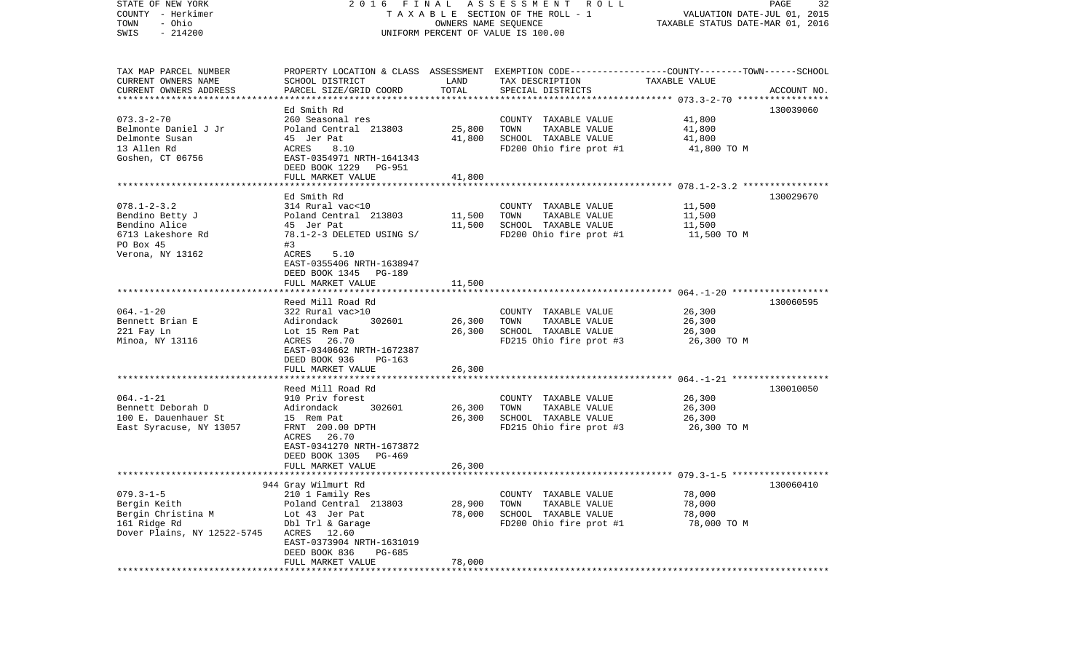| STATE OF NEW YORK<br>COUNTY - Herkimer<br>- Ohio<br>TOWN<br>$-214200$<br>SWIS | 2016 FINAL ASSESSMENT ROLL<br>TAXABLE SECTION OF THE ROLL - 1<br>UNIFORM PERCENT OF VALUE IS 100.00 | PAGE<br>32<br>VALUATION DATE-JUL 01, 2015<br>TAXABLE STATUS DATE-MAR 01, 2016 |                                                                                                                     |                       |             |
|-------------------------------------------------------------------------------|-----------------------------------------------------------------------------------------------------|-------------------------------------------------------------------------------|---------------------------------------------------------------------------------------------------------------------|-----------------------|-------------|
| TAX MAP PARCEL NUMBER<br>CURRENT OWNERS NAME                                  | SCHOOL DISTRICT                                                                                     | LAND<br>TOTAL                                                                 | PROPERTY LOCATION & CLASS ASSESSMENT EXEMPTION CODE----------------COUNTY-------TOWN------SCHOOL<br>TAX DESCRIPTION | TAXABLE VALUE         |             |
| CURRENT OWNERS ADDRESS                                                        | PARCEL SIZE/GRID COORD                                                                              |                                                                               | SPECIAL DISTRICTS                                                                                                   |                       | ACCOUNT NO. |
|                                                                               | Ed Smith Rd                                                                                         |                                                                               |                                                                                                                     |                       | 130039060   |
| $073.3 - 2 - 70$                                                              | 260 Seasonal res                                                                                    |                                                                               | COUNTY TAXABLE VALUE                                                                                                | 41,800                |             |
| Belmonte Daniel J Jr                                                          | Poland Central 213803                                                                               | 25,800                                                                        | TOWN<br>TAXABLE VALUE                                                                                               | 41,800                |             |
| Delmonte Susan                                                                | 45 Jer Pat                                                                                          | 41,800                                                                        | SCHOOL TAXABLE VALUE                                                                                                | 41,800                |             |
| 13 Allen Rd                                                                   | ACRES<br>8.10                                                                                       |                                                                               | FD200 Ohio fire prot #1                                                                                             | 41,800 TO M           |             |
| Goshen, CT 06756                                                              | EAST-0354971 NRTH-1641343                                                                           |                                                                               |                                                                                                                     |                       |             |
|                                                                               | DEED BOOK 1229 PG-951                                                                               |                                                                               |                                                                                                                     |                       |             |
|                                                                               | FULL MARKET VALUE                                                                                   | 41,800                                                                        |                                                                                                                     |                       |             |
|                                                                               |                                                                                                     |                                                                               |                                                                                                                     |                       |             |
|                                                                               | Ed Smith Rd                                                                                         |                                                                               |                                                                                                                     |                       | 130029670   |
| $078.1 - 2 - 3.2$                                                             | 314 Rural vac<10                                                                                    |                                                                               | COUNTY TAXABLE VALUE                                                                                                | 11,500                |             |
| Bendino Betty J                                                               | Poland Central 213803                                                                               | 11,500<br>11,500                                                              | TAXABLE VALUE<br>TOWN<br>SCHOOL TAXABLE VALUE                                                                       | 11,500                |             |
| Bendino Alice<br>6713 Lakeshore Rd                                            | 45 Jer Pat<br>78.1-2-3 DELETED USING S/                                                             |                                                                               | FD200 Ohio fire prot #1                                                                                             | 11,500<br>11,500 TO M |             |
| PO Box 45                                                                     | #3                                                                                                  |                                                                               |                                                                                                                     |                       |             |
| Verona, NY 13162                                                              | ACRES<br>5.10                                                                                       |                                                                               |                                                                                                                     |                       |             |
|                                                                               | EAST-0355406 NRTH-1638947                                                                           |                                                                               |                                                                                                                     |                       |             |
|                                                                               | DEED BOOK 1345<br>PG-189                                                                            |                                                                               |                                                                                                                     |                       |             |
|                                                                               | FULL MARKET VALUE                                                                                   | 11,500                                                                        |                                                                                                                     |                       |             |
|                                                                               |                                                                                                     |                                                                               |                                                                                                                     |                       |             |
|                                                                               | Reed Mill Road Rd                                                                                   |                                                                               |                                                                                                                     |                       | 130060595   |
| $064. - 1 - 20$                                                               | 322 Rural vac>10                                                                                    |                                                                               | COUNTY TAXABLE VALUE                                                                                                | 26,300                |             |
| Bennett Brian E                                                               | 302601<br>Adirondack                                                                                | 26,300                                                                        | TAXABLE VALUE<br>TOWN                                                                                               | 26,300                |             |
| 221 Fay Ln                                                                    | Lot 15 Rem Pat                                                                                      | 26,300                                                                        | SCHOOL TAXABLE VALUE                                                                                                | 26,300                |             |
| Minoa, NY 13116                                                               | ACRES 26.70                                                                                         |                                                                               | FD215 Ohio fire prot #3                                                                                             | 26,300 TO M           |             |
|                                                                               | EAST-0340662 NRTH-1672387<br>DEED BOOK 936<br>$PG-163$                                              |                                                                               |                                                                                                                     |                       |             |
|                                                                               | FULL MARKET VALUE                                                                                   | 26,300                                                                        |                                                                                                                     |                       |             |
|                                                                               |                                                                                                     | **************                                                                |                                                                                                                     |                       |             |
|                                                                               | Reed Mill Road Rd                                                                                   |                                                                               |                                                                                                                     |                       | 130010050   |
| $064. -1 - 21$                                                                | 910 Priv forest                                                                                     |                                                                               | COUNTY TAXABLE VALUE                                                                                                | 26,300                |             |
| Bennett Deborah D                                                             | Adirondack<br>302601                                                                                | 26,300                                                                        | TOWN<br>TAXABLE VALUE                                                                                               | 26,300                |             |
| 100 E. Dauenhauer St                                                          | 15 Rem Pat                                                                                          | 26,300                                                                        | SCHOOL TAXABLE VALUE                                                                                                | 26,300                |             |
| East Syracuse, NY 13057                                                       | FRNT 200.00 DPTH                                                                                    |                                                                               | FD215 Ohio fire prot #3                                                                                             | 26,300 TO M           |             |
|                                                                               | ACRES 26.70                                                                                         |                                                                               |                                                                                                                     |                       |             |
|                                                                               | EAST-0341270 NRTH-1673872                                                                           |                                                                               |                                                                                                                     |                       |             |
|                                                                               | DEED BOOK 1305 PG-469                                                                               |                                                                               |                                                                                                                     |                       |             |
|                                                                               | FULL MARKET VALUE                                                                                   | 26,300                                                                        |                                                                                                                     |                       |             |
|                                                                               |                                                                                                     |                                                                               |                                                                                                                     |                       |             |
| $079.3 - 1 - 5$                                                               | 944 Gray Wilmurt Rd                                                                                 |                                                                               | COUNTY TAXABLE VALUE                                                                                                | 78,000                | 130060410   |
| Bergin Keith                                                                  | 210 1 Family Res<br>Poland Central 213803                                                           | 28,900                                                                        | TOWN<br>TAXABLE VALUE                                                                                               | 78,000                |             |
| Bergin Christina M                                                            | Lot 43 Jer Pat                                                                                      | 78,000                                                                        | SCHOOL TAXABLE VALUE                                                                                                | 78,000                |             |
| 161 Ridge Rd                                                                  | Dbl Trl & Garage                                                                                    |                                                                               | FD200 Ohio fire prot #1                                                                                             | 78,000 TO M           |             |
| Dover Plains, NY 12522-5745                                                   | ACRES 12.60                                                                                         |                                                                               |                                                                                                                     |                       |             |
|                                                                               | EAST-0373904 NRTH-1631019                                                                           |                                                                               |                                                                                                                     |                       |             |
|                                                                               | DEED BOOK 836<br>$PG-685$                                                                           |                                                                               |                                                                                                                     |                       |             |
|                                                                               | FULL MARKET VALUE                                                                                   | 78,000                                                                        |                                                                                                                     |                       |             |
|                                                                               |                                                                                                     |                                                                               |                                                                                                                     |                       |             |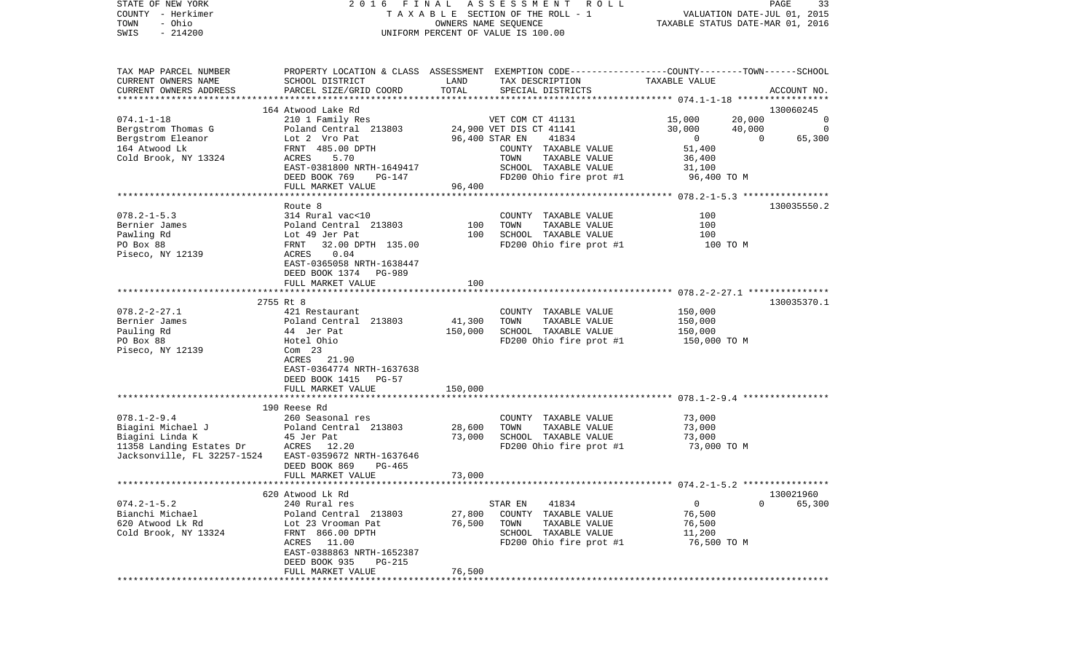| T A X A B L E SECTION OF THE ROLL - 1<br>VALUATION DATE-JUL 01, 2015<br>- Ohio<br>TOWN<br>OWNERS NAME SEQUENCE<br>TAXABLE STATUS DATE-MAR 01, 2016<br>SWIS<br>$-214200$<br>UNIFORM PERCENT OF VALUE IS 100.00<br>PROPERTY LOCATION & CLASS ASSESSMENT EXEMPTION CODE----------------COUNTY-------TOWN-----SCHOOL<br>SCHOOL DISTRICT<br>LAND<br>TAX DESCRIPTION<br>TAXABLE VALUE<br>PARCEL SIZE/GRID COORD<br>TOTAL<br>SPECIAL DISTRICTS<br>ACCOUNT NO.<br>164 Atwood Lake Rd<br>130060245<br>$074.1 - 1 - 18$<br>15,000<br>20,000<br>210 1 Family Res<br>VET COM CT 41131<br>0<br>24,900 VET DIS CT 41141<br>30,000<br>40,000<br>0<br>Poland Central 213803<br>Bergstrom Eleanor<br>96,400 STAR EN<br>41834<br>$\overline{0}$<br>$\overline{0}$<br>65,300<br>Lot 2 Vro Pat<br>FRNT 485.00 DPTH<br>COUNTY TAXABLE VALUE<br>51,400<br>Cold Brook, NY 13324<br>5.70<br>TAXABLE VALUE<br>36,400<br>ACRES<br>TOWN<br>EAST-0381800 NRTH-1649417<br>SCHOOL TAXABLE VALUE<br>31,100<br>DEED BOOK 769<br>FD200 Ohio fire prot #1<br>96,400 TO M<br>PG-147<br>FULL MARKET VALUE<br>96,400<br>130035550.2<br>Route 8<br>314 Rural vac<10<br>COUNTY TAXABLE VALUE<br>100<br>100<br>Poland Central 213803<br>100<br>TOWN<br>TAXABLE VALUE<br>SCHOOL TAXABLE VALUE<br>100<br>100<br>Lot 49 Jer Pat<br>32.00 DPTH 135.00<br>FD200 Ohio fire prot #1<br>FRNT<br>100 TO M<br>ACRES<br>0.04<br>EAST-0365058 NRTH-1638447<br>DEED BOOK 1374 PG-989<br>100<br>FULL MARKET VALUE<br>2755 Rt 8<br>130035370.1<br>$078.2 - 2 - 27.1$<br>421 Restaurant<br>COUNTY TAXABLE VALUE<br>150,000<br>Bernier James<br>Poland Central 213803<br>41,300<br>TAXABLE VALUE<br>TOWN<br>150,000<br>Pauling Rd<br>150,000<br>SCHOOL TAXABLE VALUE<br>44 Jer Pat<br>150,000<br>PO Box 88<br>FD200 Ohio fire prot #1<br>Hotel Ohio<br>150,000 то м<br>Piseco, NY 12139<br>$Com$ 23<br>ACRES 21.90<br>EAST-0364774 NRTH-1637638<br>DEED BOOK 1415<br>PG-57<br>FULL MARKET VALUE<br>150,000<br>190 Reese Rd<br>$078.1 - 2 - 9.4$<br>260 Seasonal res<br>73,000<br>COUNTY TAXABLE VALUE<br>Biagini Michael J<br>Poland Central 213803<br>28,600<br>TOWN<br>TAXABLE VALUE<br>73,000<br>Biagini Linda K<br>73,000<br>SCHOOL TAXABLE VALUE<br>73,000<br>45 Jer Pat<br>11358 Landing Estates Dr<br>ACRES 12.20<br>FD200 Ohio fire prot #1<br>73,000 TO M<br>Jacksonville, FL 32257-1524<br>EAST-0359672 NRTH-1637646<br>DEED BOOK 869<br>$PG-465$<br>FULL MARKET VALUE<br>73,000<br>130021960<br>620 Atwood Lk Rd<br>$074.2 - 1 - 5.2$<br>240 Rural res<br>41834<br>0<br>65,300<br>STAR EN<br>0<br>Bianchi Michael<br>27,800<br>TAXABLE VALUE<br>76,500<br>Poland Central 213803<br>COUNTY<br>76,500<br>76,500<br>620 Atwood Lk Rd<br>Lot 23 Vrooman Pat<br>TOWN<br>TAXABLE VALUE<br>Cold Brook, NY 13324<br>FRNT 866.00 DPTH<br>SCHOOL<br>TAXABLE VALUE<br>11,200<br>FD200 Ohio fire prot #1<br>ACRES<br>11.00<br>76,500 TO M<br>EAST-0388863 NRTH-1652387<br>DEED BOOK 935<br>PG-215<br>76,500<br>FULL MARKET VALUE<br>*********<br>**************** | STATE OF NEW YORK      | 2016<br>FINAL | A S S E S S M E N T<br>ROLL ROLL | PAGE | 33 |
|---------------------------------------------------------------------------------------------------------------------------------------------------------------------------------------------------------------------------------------------------------------------------------------------------------------------------------------------------------------------------------------------------------------------------------------------------------------------------------------------------------------------------------------------------------------------------------------------------------------------------------------------------------------------------------------------------------------------------------------------------------------------------------------------------------------------------------------------------------------------------------------------------------------------------------------------------------------------------------------------------------------------------------------------------------------------------------------------------------------------------------------------------------------------------------------------------------------------------------------------------------------------------------------------------------------------------------------------------------------------------------------------------------------------------------------------------------------------------------------------------------------------------------------------------------------------------------------------------------------------------------------------------------------------------------------------------------------------------------------------------------------------------------------------------------------------------------------------------------------------------------------------------------------------------------------------------------------------------------------------------------------------------------------------------------------------------------------------------------------------------------------------------------------------------------------------------------------------------------------------------------------------------------------------------------------------------------------------------------------------------------------------------------------------------------------------------------------------------------------------------------------------------------------------------------------------------------------------------------------------------------------------------------------------------------------------------------------------------------------------------------------------------------------------------------------------------------------------------------------------------------------------------------------------------------------------------------------------------------------------------------|------------------------|---------------|----------------------------------|------|----|
|                                                                                                                                                                                                                                                                                                                                                                                                                                                                                                                                                                                                                                                                                                                                                                                                                                                                                                                                                                                                                                                                                                                                                                                                                                                                                                                                                                                                                                                                                                                                                                                                                                                                                                                                                                                                                                                                                                                                                                                                                                                                                                                                                                                                                                                                                                                                                                                                                                                                                                                                                                                                                                                                                                                                                                                                                                                                                                                                                                                                         | COUNTY - Herkimer      |               |                                  |      |    |
|                                                                                                                                                                                                                                                                                                                                                                                                                                                                                                                                                                                                                                                                                                                                                                                                                                                                                                                                                                                                                                                                                                                                                                                                                                                                                                                                                                                                                                                                                                                                                                                                                                                                                                                                                                                                                                                                                                                                                                                                                                                                                                                                                                                                                                                                                                                                                                                                                                                                                                                                                                                                                                                                                                                                                                                                                                                                                                                                                                                                         |                        |               |                                  |      |    |
|                                                                                                                                                                                                                                                                                                                                                                                                                                                                                                                                                                                                                                                                                                                                                                                                                                                                                                                                                                                                                                                                                                                                                                                                                                                                                                                                                                                                                                                                                                                                                                                                                                                                                                                                                                                                                                                                                                                                                                                                                                                                                                                                                                                                                                                                                                                                                                                                                                                                                                                                                                                                                                                                                                                                                                                                                                                                                                                                                                                                         |                        |               |                                  |      |    |
|                                                                                                                                                                                                                                                                                                                                                                                                                                                                                                                                                                                                                                                                                                                                                                                                                                                                                                                                                                                                                                                                                                                                                                                                                                                                                                                                                                                                                                                                                                                                                                                                                                                                                                                                                                                                                                                                                                                                                                                                                                                                                                                                                                                                                                                                                                                                                                                                                                                                                                                                                                                                                                                                                                                                                                                                                                                                                                                                                                                                         |                        |               |                                  |      |    |
|                                                                                                                                                                                                                                                                                                                                                                                                                                                                                                                                                                                                                                                                                                                                                                                                                                                                                                                                                                                                                                                                                                                                                                                                                                                                                                                                                                                                                                                                                                                                                                                                                                                                                                                                                                                                                                                                                                                                                                                                                                                                                                                                                                                                                                                                                                                                                                                                                                                                                                                                                                                                                                                                                                                                                                                                                                                                                                                                                                                                         |                        |               |                                  |      |    |
|                                                                                                                                                                                                                                                                                                                                                                                                                                                                                                                                                                                                                                                                                                                                                                                                                                                                                                                                                                                                                                                                                                                                                                                                                                                                                                                                                                                                                                                                                                                                                                                                                                                                                                                                                                                                                                                                                                                                                                                                                                                                                                                                                                                                                                                                                                                                                                                                                                                                                                                                                                                                                                                                                                                                                                                                                                                                                                                                                                                                         | TAX MAP PARCEL NUMBER  |               |                                  |      |    |
|                                                                                                                                                                                                                                                                                                                                                                                                                                                                                                                                                                                                                                                                                                                                                                                                                                                                                                                                                                                                                                                                                                                                                                                                                                                                                                                                                                                                                                                                                                                                                                                                                                                                                                                                                                                                                                                                                                                                                                                                                                                                                                                                                                                                                                                                                                                                                                                                                                                                                                                                                                                                                                                                                                                                                                                                                                                                                                                                                                                                         | CURRENT OWNERS NAME    |               |                                  |      |    |
|                                                                                                                                                                                                                                                                                                                                                                                                                                                                                                                                                                                                                                                                                                                                                                                                                                                                                                                                                                                                                                                                                                                                                                                                                                                                                                                                                                                                                                                                                                                                                                                                                                                                                                                                                                                                                                                                                                                                                                                                                                                                                                                                                                                                                                                                                                                                                                                                                                                                                                                                                                                                                                                                                                                                                                                                                                                                                                                                                                                                         | CURRENT OWNERS ADDRESS |               |                                  |      |    |
|                                                                                                                                                                                                                                                                                                                                                                                                                                                                                                                                                                                                                                                                                                                                                                                                                                                                                                                                                                                                                                                                                                                                                                                                                                                                                                                                                                                                                                                                                                                                                                                                                                                                                                                                                                                                                                                                                                                                                                                                                                                                                                                                                                                                                                                                                                                                                                                                                                                                                                                                                                                                                                                                                                                                                                                                                                                                                                                                                                                                         |                        |               |                                  |      |    |
|                                                                                                                                                                                                                                                                                                                                                                                                                                                                                                                                                                                                                                                                                                                                                                                                                                                                                                                                                                                                                                                                                                                                                                                                                                                                                                                                                                                                                                                                                                                                                                                                                                                                                                                                                                                                                                                                                                                                                                                                                                                                                                                                                                                                                                                                                                                                                                                                                                                                                                                                                                                                                                                                                                                                                                                                                                                                                                                                                                                                         |                        |               |                                  |      |    |
|                                                                                                                                                                                                                                                                                                                                                                                                                                                                                                                                                                                                                                                                                                                                                                                                                                                                                                                                                                                                                                                                                                                                                                                                                                                                                                                                                                                                                                                                                                                                                                                                                                                                                                                                                                                                                                                                                                                                                                                                                                                                                                                                                                                                                                                                                                                                                                                                                                                                                                                                                                                                                                                                                                                                                                                                                                                                                                                                                                                                         |                        |               |                                  |      |    |
|                                                                                                                                                                                                                                                                                                                                                                                                                                                                                                                                                                                                                                                                                                                                                                                                                                                                                                                                                                                                                                                                                                                                                                                                                                                                                                                                                                                                                                                                                                                                                                                                                                                                                                                                                                                                                                                                                                                                                                                                                                                                                                                                                                                                                                                                                                                                                                                                                                                                                                                                                                                                                                                                                                                                                                                                                                                                                                                                                                                                         | Bergstrom Thomas G     |               |                                  |      |    |
|                                                                                                                                                                                                                                                                                                                                                                                                                                                                                                                                                                                                                                                                                                                                                                                                                                                                                                                                                                                                                                                                                                                                                                                                                                                                                                                                                                                                                                                                                                                                                                                                                                                                                                                                                                                                                                                                                                                                                                                                                                                                                                                                                                                                                                                                                                                                                                                                                                                                                                                                                                                                                                                                                                                                                                                                                                                                                                                                                                                                         |                        |               |                                  |      |    |
|                                                                                                                                                                                                                                                                                                                                                                                                                                                                                                                                                                                                                                                                                                                                                                                                                                                                                                                                                                                                                                                                                                                                                                                                                                                                                                                                                                                                                                                                                                                                                                                                                                                                                                                                                                                                                                                                                                                                                                                                                                                                                                                                                                                                                                                                                                                                                                                                                                                                                                                                                                                                                                                                                                                                                                                                                                                                                                                                                                                                         | 164 Atwood Lk          |               |                                  |      |    |
|                                                                                                                                                                                                                                                                                                                                                                                                                                                                                                                                                                                                                                                                                                                                                                                                                                                                                                                                                                                                                                                                                                                                                                                                                                                                                                                                                                                                                                                                                                                                                                                                                                                                                                                                                                                                                                                                                                                                                                                                                                                                                                                                                                                                                                                                                                                                                                                                                                                                                                                                                                                                                                                                                                                                                                                                                                                                                                                                                                                                         |                        |               |                                  |      |    |
|                                                                                                                                                                                                                                                                                                                                                                                                                                                                                                                                                                                                                                                                                                                                                                                                                                                                                                                                                                                                                                                                                                                                                                                                                                                                                                                                                                                                                                                                                                                                                                                                                                                                                                                                                                                                                                                                                                                                                                                                                                                                                                                                                                                                                                                                                                                                                                                                                                                                                                                                                                                                                                                                                                                                                                                                                                                                                                                                                                                                         |                        |               |                                  |      |    |
|                                                                                                                                                                                                                                                                                                                                                                                                                                                                                                                                                                                                                                                                                                                                                                                                                                                                                                                                                                                                                                                                                                                                                                                                                                                                                                                                                                                                                                                                                                                                                                                                                                                                                                                                                                                                                                                                                                                                                                                                                                                                                                                                                                                                                                                                                                                                                                                                                                                                                                                                                                                                                                                                                                                                                                                                                                                                                                                                                                                                         |                        |               |                                  |      |    |
|                                                                                                                                                                                                                                                                                                                                                                                                                                                                                                                                                                                                                                                                                                                                                                                                                                                                                                                                                                                                                                                                                                                                                                                                                                                                                                                                                                                                                                                                                                                                                                                                                                                                                                                                                                                                                                                                                                                                                                                                                                                                                                                                                                                                                                                                                                                                                                                                                                                                                                                                                                                                                                                                                                                                                                                                                                                                                                                                                                                                         |                        |               |                                  |      |    |
|                                                                                                                                                                                                                                                                                                                                                                                                                                                                                                                                                                                                                                                                                                                                                                                                                                                                                                                                                                                                                                                                                                                                                                                                                                                                                                                                                                                                                                                                                                                                                                                                                                                                                                                                                                                                                                                                                                                                                                                                                                                                                                                                                                                                                                                                                                                                                                                                                                                                                                                                                                                                                                                                                                                                                                                                                                                                                                                                                                                                         |                        |               |                                  |      |    |
|                                                                                                                                                                                                                                                                                                                                                                                                                                                                                                                                                                                                                                                                                                                                                                                                                                                                                                                                                                                                                                                                                                                                                                                                                                                                                                                                                                                                                                                                                                                                                                                                                                                                                                                                                                                                                                                                                                                                                                                                                                                                                                                                                                                                                                                                                                                                                                                                                                                                                                                                                                                                                                                                                                                                                                                                                                                                                                                                                                                                         |                        |               |                                  |      |    |
|                                                                                                                                                                                                                                                                                                                                                                                                                                                                                                                                                                                                                                                                                                                                                                                                                                                                                                                                                                                                                                                                                                                                                                                                                                                                                                                                                                                                                                                                                                                                                                                                                                                                                                                                                                                                                                                                                                                                                                                                                                                                                                                                                                                                                                                                                                                                                                                                                                                                                                                                                                                                                                                                                                                                                                                                                                                                                                                                                                                                         | $078.2 - 1 - 5.3$      |               |                                  |      |    |
|                                                                                                                                                                                                                                                                                                                                                                                                                                                                                                                                                                                                                                                                                                                                                                                                                                                                                                                                                                                                                                                                                                                                                                                                                                                                                                                                                                                                                                                                                                                                                                                                                                                                                                                                                                                                                                                                                                                                                                                                                                                                                                                                                                                                                                                                                                                                                                                                                                                                                                                                                                                                                                                                                                                                                                                                                                                                                                                                                                                                         | Bernier James          |               |                                  |      |    |
|                                                                                                                                                                                                                                                                                                                                                                                                                                                                                                                                                                                                                                                                                                                                                                                                                                                                                                                                                                                                                                                                                                                                                                                                                                                                                                                                                                                                                                                                                                                                                                                                                                                                                                                                                                                                                                                                                                                                                                                                                                                                                                                                                                                                                                                                                                                                                                                                                                                                                                                                                                                                                                                                                                                                                                                                                                                                                                                                                                                                         | Pawling Rd             |               |                                  |      |    |
|                                                                                                                                                                                                                                                                                                                                                                                                                                                                                                                                                                                                                                                                                                                                                                                                                                                                                                                                                                                                                                                                                                                                                                                                                                                                                                                                                                                                                                                                                                                                                                                                                                                                                                                                                                                                                                                                                                                                                                                                                                                                                                                                                                                                                                                                                                                                                                                                                                                                                                                                                                                                                                                                                                                                                                                                                                                                                                                                                                                                         | PO Box 88              |               |                                  |      |    |
|                                                                                                                                                                                                                                                                                                                                                                                                                                                                                                                                                                                                                                                                                                                                                                                                                                                                                                                                                                                                                                                                                                                                                                                                                                                                                                                                                                                                                                                                                                                                                                                                                                                                                                                                                                                                                                                                                                                                                                                                                                                                                                                                                                                                                                                                                                                                                                                                                                                                                                                                                                                                                                                                                                                                                                                                                                                                                                                                                                                                         | Piseco, NY 12139       |               |                                  |      |    |
|                                                                                                                                                                                                                                                                                                                                                                                                                                                                                                                                                                                                                                                                                                                                                                                                                                                                                                                                                                                                                                                                                                                                                                                                                                                                                                                                                                                                                                                                                                                                                                                                                                                                                                                                                                                                                                                                                                                                                                                                                                                                                                                                                                                                                                                                                                                                                                                                                                                                                                                                                                                                                                                                                                                                                                                                                                                                                                                                                                                                         |                        |               |                                  |      |    |
|                                                                                                                                                                                                                                                                                                                                                                                                                                                                                                                                                                                                                                                                                                                                                                                                                                                                                                                                                                                                                                                                                                                                                                                                                                                                                                                                                                                                                                                                                                                                                                                                                                                                                                                                                                                                                                                                                                                                                                                                                                                                                                                                                                                                                                                                                                                                                                                                                                                                                                                                                                                                                                                                                                                                                                                                                                                                                                                                                                                                         |                        |               |                                  |      |    |
|                                                                                                                                                                                                                                                                                                                                                                                                                                                                                                                                                                                                                                                                                                                                                                                                                                                                                                                                                                                                                                                                                                                                                                                                                                                                                                                                                                                                                                                                                                                                                                                                                                                                                                                                                                                                                                                                                                                                                                                                                                                                                                                                                                                                                                                                                                                                                                                                                                                                                                                                                                                                                                                                                                                                                                                                                                                                                                                                                                                                         |                        |               |                                  |      |    |
|                                                                                                                                                                                                                                                                                                                                                                                                                                                                                                                                                                                                                                                                                                                                                                                                                                                                                                                                                                                                                                                                                                                                                                                                                                                                                                                                                                                                                                                                                                                                                                                                                                                                                                                                                                                                                                                                                                                                                                                                                                                                                                                                                                                                                                                                                                                                                                                                                                                                                                                                                                                                                                                                                                                                                                                                                                                                                                                                                                                                         |                        |               |                                  |      |    |
|                                                                                                                                                                                                                                                                                                                                                                                                                                                                                                                                                                                                                                                                                                                                                                                                                                                                                                                                                                                                                                                                                                                                                                                                                                                                                                                                                                                                                                                                                                                                                                                                                                                                                                                                                                                                                                                                                                                                                                                                                                                                                                                                                                                                                                                                                                                                                                                                                                                                                                                                                                                                                                                                                                                                                                                                                                                                                                                                                                                                         |                        |               |                                  |      |    |
|                                                                                                                                                                                                                                                                                                                                                                                                                                                                                                                                                                                                                                                                                                                                                                                                                                                                                                                                                                                                                                                                                                                                                                                                                                                                                                                                                                                                                                                                                                                                                                                                                                                                                                                                                                                                                                                                                                                                                                                                                                                                                                                                                                                                                                                                                                                                                                                                                                                                                                                                                                                                                                                                                                                                                                                                                                                                                                                                                                                                         |                        |               |                                  |      |    |
|                                                                                                                                                                                                                                                                                                                                                                                                                                                                                                                                                                                                                                                                                                                                                                                                                                                                                                                                                                                                                                                                                                                                                                                                                                                                                                                                                                                                                                                                                                                                                                                                                                                                                                                                                                                                                                                                                                                                                                                                                                                                                                                                                                                                                                                                                                                                                                                                                                                                                                                                                                                                                                                                                                                                                                                                                                                                                                                                                                                                         |                        |               |                                  |      |    |
|                                                                                                                                                                                                                                                                                                                                                                                                                                                                                                                                                                                                                                                                                                                                                                                                                                                                                                                                                                                                                                                                                                                                                                                                                                                                                                                                                                                                                                                                                                                                                                                                                                                                                                                                                                                                                                                                                                                                                                                                                                                                                                                                                                                                                                                                                                                                                                                                                                                                                                                                                                                                                                                                                                                                                                                                                                                                                                                                                                                                         |                        |               |                                  |      |    |
|                                                                                                                                                                                                                                                                                                                                                                                                                                                                                                                                                                                                                                                                                                                                                                                                                                                                                                                                                                                                                                                                                                                                                                                                                                                                                                                                                                                                                                                                                                                                                                                                                                                                                                                                                                                                                                                                                                                                                                                                                                                                                                                                                                                                                                                                                                                                                                                                                                                                                                                                                                                                                                                                                                                                                                                                                                                                                                                                                                                                         |                        |               |                                  |      |    |
|                                                                                                                                                                                                                                                                                                                                                                                                                                                                                                                                                                                                                                                                                                                                                                                                                                                                                                                                                                                                                                                                                                                                                                                                                                                                                                                                                                                                                                                                                                                                                                                                                                                                                                                                                                                                                                                                                                                                                                                                                                                                                                                                                                                                                                                                                                                                                                                                                                                                                                                                                                                                                                                                                                                                                                                                                                                                                                                                                                                                         |                        |               |                                  |      |    |
|                                                                                                                                                                                                                                                                                                                                                                                                                                                                                                                                                                                                                                                                                                                                                                                                                                                                                                                                                                                                                                                                                                                                                                                                                                                                                                                                                                                                                                                                                                                                                                                                                                                                                                                                                                                                                                                                                                                                                                                                                                                                                                                                                                                                                                                                                                                                                                                                                                                                                                                                                                                                                                                                                                                                                                                                                                                                                                                                                                                                         |                        |               |                                  |      |    |
|                                                                                                                                                                                                                                                                                                                                                                                                                                                                                                                                                                                                                                                                                                                                                                                                                                                                                                                                                                                                                                                                                                                                                                                                                                                                                                                                                                                                                                                                                                                                                                                                                                                                                                                                                                                                                                                                                                                                                                                                                                                                                                                                                                                                                                                                                                                                                                                                                                                                                                                                                                                                                                                                                                                                                                                                                                                                                                                                                                                                         |                        |               |                                  |      |    |
|                                                                                                                                                                                                                                                                                                                                                                                                                                                                                                                                                                                                                                                                                                                                                                                                                                                                                                                                                                                                                                                                                                                                                                                                                                                                                                                                                                                                                                                                                                                                                                                                                                                                                                                                                                                                                                                                                                                                                                                                                                                                                                                                                                                                                                                                                                                                                                                                                                                                                                                                                                                                                                                                                                                                                                                                                                                                                                                                                                                                         |                        |               |                                  |      |    |
|                                                                                                                                                                                                                                                                                                                                                                                                                                                                                                                                                                                                                                                                                                                                                                                                                                                                                                                                                                                                                                                                                                                                                                                                                                                                                                                                                                                                                                                                                                                                                                                                                                                                                                                                                                                                                                                                                                                                                                                                                                                                                                                                                                                                                                                                                                                                                                                                                                                                                                                                                                                                                                                                                                                                                                                                                                                                                                                                                                                                         |                        |               |                                  |      |    |
|                                                                                                                                                                                                                                                                                                                                                                                                                                                                                                                                                                                                                                                                                                                                                                                                                                                                                                                                                                                                                                                                                                                                                                                                                                                                                                                                                                                                                                                                                                                                                                                                                                                                                                                                                                                                                                                                                                                                                                                                                                                                                                                                                                                                                                                                                                                                                                                                                                                                                                                                                                                                                                                                                                                                                                                                                                                                                                                                                                                                         |                        |               |                                  |      |    |
|                                                                                                                                                                                                                                                                                                                                                                                                                                                                                                                                                                                                                                                                                                                                                                                                                                                                                                                                                                                                                                                                                                                                                                                                                                                                                                                                                                                                                                                                                                                                                                                                                                                                                                                                                                                                                                                                                                                                                                                                                                                                                                                                                                                                                                                                                                                                                                                                                                                                                                                                                                                                                                                                                                                                                                                                                                                                                                                                                                                                         |                        |               |                                  |      |    |
|                                                                                                                                                                                                                                                                                                                                                                                                                                                                                                                                                                                                                                                                                                                                                                                                                                                                                                                                                                                                                                                                                                                                                                                                                                                                                                                                                                                                                                                                                                                                                                                                                                                                                                                                                                                                                                                                                                                                                                                                                                                                                                                                                                                                                                                                                                                                                                                                                                                                                                                                                                                                                                                                                                                                                                                                                                                                                                                                                                                                         |                        |               |                                  |      |    |
|                                                                                                                                                                                                                                                                                                                                                                                                                                                                                                                                                                                                                                                                                                                                                                                                                                                                                                                                                                                                                                                                                                                                                                                                                                                                                                                                                                                                                                                                                                                                                                                                                                                                                                                                                                                                                                                                                                                                                                                                                                                                                                                                                                                                                                                                                                                                                                                                                                                                                                                                                                                                                                                                                                                                                                                                                                                                                                                                                                                                         |                        |               |                                  |      |    |
|                                                                                                                                                                                                                                                                                                                                                                                                                                                                                                                                                                                                                                                                                                                                                                                                                                                                                                                                                                                                                                                                                                                                                                                                                                                                                                                                                                                                                                                                                                                                                                                                                                                                                                                                                                                                                                                                                                                                                                                                                                                                                                                                                                                                                                                                                                                                                                                                                                                                                                                                                                                                                                                                                                                                                                                                                                                                                                                                                                                                         |                        |               |                                  |      |    |
|                                                                                                                                                                                                                                                                                                                                                                                                                                                                                                                                                                                                                                                                                                                                                                                                                                                                                                                                                                                                                                                                                                                                                                                                                                                                                                                                                                                                                                                                                                                                                                                                                                                                                                                                                                                                                                                                                                                                                                                                                                                                                                                                                                                                                                                                                                                                                                                                                                                                                                                                                                                                                                                                                                                                                                                                                                                                                                                                                                                                         |                        |               |                                  |      |    |
|                                                                                                                                                                                                                                                                                                                                                                                                                                                                                                                                                                                                                                                                                                                                                                                                                                                                                                                                                                                                                                                                                                                                                                                                                                                                                                                                                                                                                                                                                                                                                                                                                                                                                                                                                                                                                                                                                                                                                                                                                                                                                                                                                                                                                                                                                                                                                                                                                                                                                                                                                                                                                                                                                                                                                                                                                                                                                                                                                                                                         |                        |               |                                  |      |    |
|                                                                                                                                                                                                                                                                                                                                                                                                                                                                                                                                                                                                                                                                                                                                                                                                                                                                                                                                                                                                                                                                                                                                                                                                                                                                                                                                                                                                                                                                                                                                                                                                                                                                                                                                                                                                                                                                                                                                                                                                                                                                                                                                                                                                                                                                                                                                                                                                                                                                                                                                                                                                                                                                                                                                                                                                                                                                                                                                                                                                         |                        |               |                                  |      |    |
|                                                                                                                                                                                                                                                                                                                                                                                                                                                                                                                                                                                                                                                                                                                                                                                                                                                                                                                                                                                                                                                                                                                                                                                                                                                                                                                                                                                                                                                                                                                                                                                                                                                                                                                                                                                                                                                                                                                                                                                                                                                                                                                                                                                                                                                                                                                                                                                                                                                                                                                                                                                                                                                                                                                                                                                                                                                                                                                                                                                                         |                        |               |                                  |      |    |
|                                                                                                                                                                                                                                                                                                                                                                                                                                                                                                                                                                                                                                                                                                                                                                                                                                                                                                                                                                                                                                                                                                                                                                                                                                                                                                                                                                                                                                                                                                                                                                                                                                                                                                                                                                                                                                                                                                                                                                                                                                                                                                                                                                                                                                                                                                                                                                                                                                                                                                                                                                                                                                                                                                                                                                                                                                                                                                                                                                                                         |                        |               |                                  |      |    |
|                                                                                                                                                                                                                                                                                                                                                                                                                                                                                                                                                                                                                                                                                                                                                                                                                                                                                                                                                                                                                                                                                                                                                                                                                                                                                                                                                                                                                                                                                                                                                                                                                                                                                                                                                                                                                                                                                                                                                                                                                                                                                                                                                                                                                                                                                                                                                                                                                                                                                                                                                                                                                                                                                                                                                                                                                                                                                                                                                                                                         |                        |               |                                  |      |    |
|                                                                                                                                                                                                                                                                                                                                                                                                                                                                                                                                                                                                                                                                                                                                                                                                                                                                                                                                                                                                                                                                                                                                                                                                                                                                                                                                                                                                                                                                                                                                                                                                                                                                                                                                                                                                                                                                                                                                                                                                                                                                                                                                                                                                                                                                                                                                                                                                                                                                                                                                                                                                                                                                                                                                                                                                                                                                                                                                                                                                         |                        |               |                                  |      |    |
|                                                                                                                                                                                                                                                                                                                                                                                                                                                                                                                                                                                                                                                                                                                                                                                                                                                                                                                                                                                                                                                                                                                                                                                                                                                                                                                                                                                                                                                                                                                                                                                                                                                                                                                                                                                                                                                                                                                                                                                                                                                                                                                                                                                                                                                                                                                                                                                                                                                                                                                                                                                                                                                                                                                                                                                                                                                                                                                                                                                                         |                        |               |                                  |      |    |
|                                                                                                                                                                                                                                                                                                                                                                                                                                                                                                                                                                                                                                                                                                                                                                                                                                                                                                                                                                                                                                                                                                                                                                                                                                                                                                                                                                                                                                                                                                                                                                                                                                                                                                                                                                                                                                                                                                                                                                                                                                                                                                                                                                                                                                                                                                                                                                                                                                                                                                                                                                                                                                                                                                                                                                                                                                                                                                                                                                                                         |                        |               |                                  |      |    |
|                                                                                                                                                                                                                                                                                                                                                                                                                                                                                                                                                                                                                                                                                                                                                                                                                                                                                                                                                                                                                                                                                                                                                                                                                                                                                                                                                                                                                                                                                                                                                                                                                                                                                                                                                                                                                                                                                                                                                                                                                                                                                                                                                                                                                                                                                                                                                                                                                                                                                                                                                                                                                                                                                                                                                                                                                                                                                                                                                                                                         |                        |               |                                  |      |    |
|                                                                                                                                                                                                                                                                                                                                                                                                                                                                                                                                                                                                                                                                                                                                                                                                                                                                                                                                                                                                                                                                                                                                                                                                                                                                                                                                                                                                                                                                                                                                                                                                                                                                                                                                                                                                                                                                                                                                                                                                                                                                                                                                                                                                                                                                                                                                                                                                                                                                                                                                                                                                                                                                                                                                                                                                                                                                                                                                                                                                         |                        |               |                                  |      |    |
|                                                                                                                                                                                                                                                                                                                                                                                                                                                                                                                                                                                                                                                                                                                                                                                                                                                                                                                                                                                                                                                                                                                                                                                                                                                                                                                                                                                                                                                                                                                                                                                                                                                                                                                                                                                                                                                                                                                                                                                                                                                                                                                                                                                                                                                                                                                                                                                                                                                                                                                                                                                                                                                                                                                                                                                                                                                                                                                                                                                                         |                        |               |                                  |      |    |
|                                                                                                                                                                                                                                                                                                                                                                                                                                                                                                                                                                                                                                                                                                                                                                                                                                                                                                                                                                                                                                                                                                                                                                                                                                                                                                                                                                                                                                                                                                                                                                                                                                                                                                                                                                                                                                                                                                                                                                                                                                                                                                                                                                                                                                                                                                                                                                                                                                                                                                                                                                                                                                                                                                                                                                                                                                                                                                                                                                                                         |                        |               |                                  |      |    |
|                                                                                                                                                                                                                                                                                                                                                                                                                                                                                                                                                                                                                                                                                                                                                                                                                                                                                                                                                                                                                                                                                                                                                                                                                                                                                                                                                                                                                                                                                                                                                                                                                                                                                                                                                                                                                                                                                                                                                                                                                                                                                                                                                                                                                                                                                                                                                                                                                                                                                                                                                                                                                                                                                                                                                                                                                                                                                                                                                                                                         |                        |               |                                  |      |    |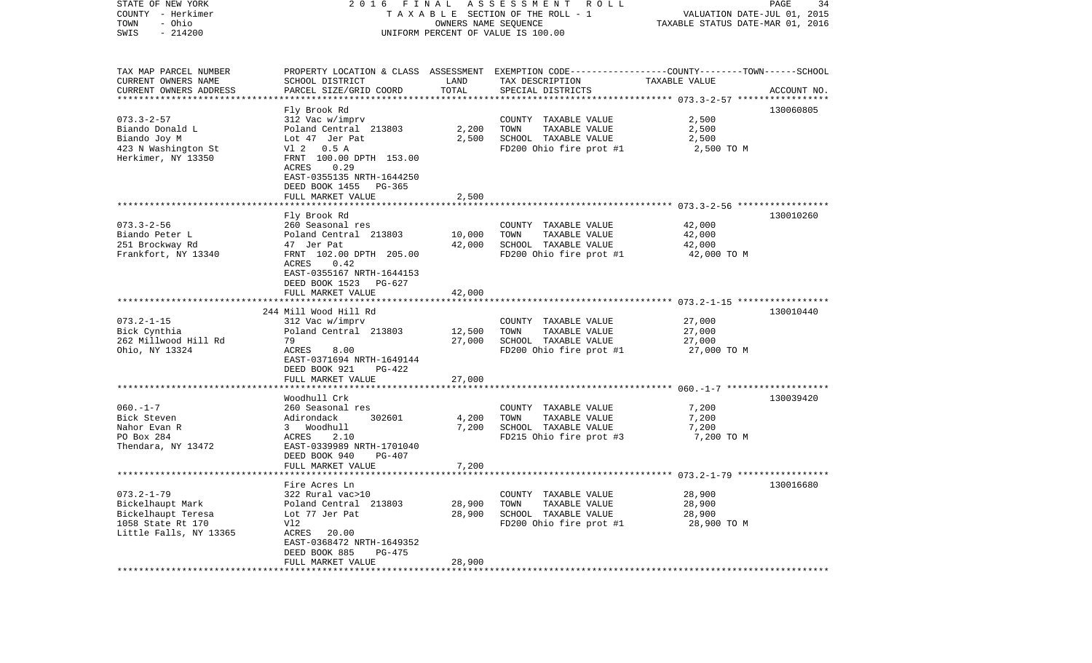| STATE OF NEW YORK<br>COUNTY - Herkimer<br>- Ohio<br>TOWN<br>$-214200$<br>SWIS | FINAL<br>2016<br>TAXABLE SECTION OF THE ROLL - 1<br>UNIFORM PERCENT OF VALUE IS 100.00                       | PAGE<br>34<br>VALUATION DATE-JUL 01, 2015<br>TAXABLE STATUS DATE-MAR 01, 2016 |                                                                                                                     |                         |             |
|-------------------------------------------------------------------------------|--------------------------------------------------------------------------------------------------------------|-------------------------------------------------------------------------------|---------------------------------------------------------------------------------------------------------------------|-------------------------|-------------|
| TAX MAP PARCEL NUMBER<br>CURRENT OWNERS NAME                                  | SCHOOL DISTRICT                                                                                              | LAND                                                                          | PROPERTY LOCATION & CLASS ASSESSMENT EXEMPTION CODE----------------COUNTY-------TOWN------SCHOOL<br>TAX DESCRIPTION | TAXABLE VALUE           |             |
| CURRENT OWNERS ADDRESS<br>***********************                             | PARCEL SIZE/GRID COORD                                                                                       | TOTAL                                                                         | SPECIAL DISTRICTS                                                                                                   |                         | ACCOUNT NO. |
|                                                                               | Fly Brook Rd                                                                                                 |                                                                               |                                                                                                                     |                         | 130060805   |
| $073.3 - 2 - 57$<br>Biando Donald L<br>Biando Joy M                           | 312 Vac w/imprv<br>Poland Central 213803<br>Lot 47 Jer Pat                                                   | 2,200<br>2,500                                                                | COUNTY TAXABLE VALUE<br>TAXABLE VALUE<br>TOWN<br>SCHOOL TAXABLE VALUE                                               | 2,500<br>2,500<br>2,500 |             |
| 423 N Washington St<br>Herkimer, NY 13350                                     | V1 2 0.5 A<br>FRNT 100.00 DPTH 153.00<br>ACRES<br>0.29<br>EAST-0355135 NRTH-1644250<br>DEED BOOK 1455 PG-365 |                                                                               | FD200 Ohio fire prot #1                                                                                             | 2,500 TO M              |             |
|                                                                               | FULL MARKET VALUE                                                                                            | 2,500                                                                         |                                                                                                                     |                         |             |
|                                                                               |                                                                                                              |                                                                               |                                                                                                                     |                         |             |
| $073.3 - 2 - 56$<br>Biando Peter L                                            | Fly Brook Rd<br>260 Seasonal res<br>Poland Central 213803                                                    | 10,000                                                                        | COUNTY TAXABLE VALUE<br>TOWN<br>TAXABLE VALUE                                                                       | 42,000<br>42,000        | 130010260   |
| 251 Brockway Rd<br>Frankfort, NY 13340                                        | 47 Jer Pat<br>FRNT 102.00 DPTH 205.00<br>0.42<br>ACRES<br>EAST-0355167 NRTH-1644153<br>DEED BOOK 1523 PG-627 | 42,000                                                                        | SCHOOL TAXABLE VALUE<br>FD200 Ohio fire prot #1                                                                     | 42,000<br>42,000 TO M   |             |
|                                                                               | FULL MARKET VALUE                                                                                            | 42,000                                                                        |                                                                                                                     |                         |             |
|                                                                               |                                                                                                              |                                                                               |                                                                                                                     |                         |             |
|                                                                               | 244 Mill Wood Hill Rd                                                                                        |                                                                               |                                                                                                                     |                         | 130010440   |
| $073.2 - 1 - 15$<br>Bick Cynthia                                              | 312 Vac w/imprv<br>Poland Central 213803                                                                     | 12,500                                                                        | COUNTY TAXABLE VALUE<br>TAXABLE VALUE<br>TOWN                                                                       | 27,000<br>27,000        |             |
| 262 Millwood Hill Rd                                                          | 79                                                                                                           | 27,000                                                                        | SCHOOL TAXABLE VALUE                                                                                                | 27,000                  |             |
| Ohio, NY 13324                                                                | ACRES<br>8.00<br>EAST-0371694 NRTH-1649144<br>DEED BOOK 921<br>PG-422                                        |                                                                               | FD200 Ohio fire prot #1                                                                                             | 27,000 TO M             |             |
|                                                                               | FULL MARKET VALUE                                                                                            | 27,000                                                                        |                                                                                                                     |                         |             |
| $060. -1 - 7$                                                                 | **********************<br>Woodhull Crk<br>260 Seasonal res                                                   |                                                                               | COUNTY TAXABLE VALUE                                                                                                | 7,200                   | 130039420   |
| Bick Steven                                                                   | Adirondack<br>302601                                                                                         | 4,200                                                                         | TOWN<br>TAXABLE VALUE                                                                                               | 7,200                   |             |
| Nahor Evan R                                                                  | 3 Woodhull                                                                                                   | 7,200                                                                         | SCHOOL TAXABLE VALUE                                                                                                | 7,200                   |             |
| PO Box 284<br>Thendara, NY 13472                                              | 2.10<br>ACRES<br>EAST-0339989 NRTH-1701040<br>DEED BOOK 940<br>PG-407<br>FULL MARKET VALUE                   | 7,200                                                                         | FD215 Ohio fire prot #3                                                                                             | 7,200 TO M              |             |
|                                                                               |                                                                                                              |                                                                               |                                                                                                                     |                         |             |
|                                                                               | Fire Acres Ln                                                                                                |                                                                               |                                                                                                                     |                         | 130016680   |
| $073.2 - 1 - 79$                                                              | 322 Rural vac>10                                                                                             |                                                                               | COUNTY TAXABLE VALUE                                                                                                | 28,900                  |             |
| Bickelhaupt Mark                                                              | Poland Central 213803                                                                                        | 28,900                                                                        | TAXABLE VALUE<br>TOWN                                                                                               | 28,900                  |             |
| Bickelhaupt Teresa<br>1058 State Rt 170                                       | Lot 77 Jer Pat                                                                                               | 28,900                                                                        | SCHOOL TAXABLE VALUE<br>FD200 Ohio fire prot #1                                                                     | 28,900                  |             |
| Little Falls, NY 13365                                                        | Vl2<br>ACRES<br>20.00<br>EAST-0368472 NRTH-1649352<br>DEED BOOK 885<br>PG-475<br>FULL MARKET VALUE           | 28,900                                                                        |                                                                                                                     | 28,900 TO M             |             |
|                                                                               |                                                                                                              |                                                                               |                                                                                                                     |                         |             |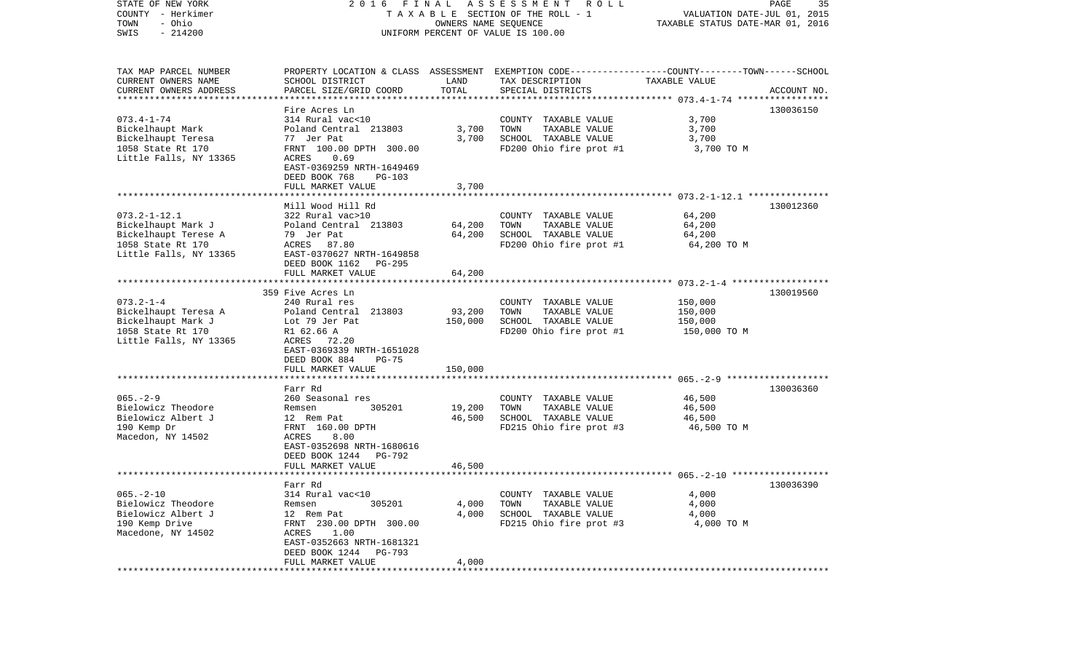| STATE OF NEW YORK<br>COUNTY - Herkimer<br>- Ohio<br>TOWN<br>$-214200$<br>SWIS                                   | 2016 FINAL<br>A S S E S S M E N T R O L L<br>TAXABLE SECTION OF THE ROLL - 1<br>OWNERS NAME SEQUENCE<br>UNIFORM PERCENT OF VALUE IS 100.00                                                    |                              |                                                                                                                                         | PAGE<br>35<br>VALUATION DATE-JUL 01, 2015<br>TAXABLE STATUS DATE-MAR 01, 2016 |             |  |
|-----------------------------------------------------------------------------------------------------------------|-----------------------------------------------------------------------------------------------------------------------------------------------------------------------------------------------|------------------------------|-----------------------------------------------------------------------------------------------------------------------------------------|-------------------------------------------------------------------------------|-------------|--|
| TAX MAP PARCEL NUMBER<br>CURRENT OWNERS NAME<br>CURRENT OWNERS ADDRESS<br>*************************             | SCHOOL DISTRICT<br>PARCEL SIZE/GRID COORD                                                                                                                                                     | LAND<br>TOTAL                | PROPERTY LOCATION & CLASS ASSESSMENT EXEMPTION CODE---------------COUNTY-------TOWN------SCHOOL<br>TAX DESCRIPTION<br>SPECIAL DISTRICTS | TAXABLE VALUE                                                                 | ACCOUNT NO. |  |
| $073.4 - 1 - 74$<br>Bickelhaupt Mark<br>Bickelhaupt Teresa<br>1058 State Rt 170<br>Little Falls, NY 13365       | Fire Acres Ln<br>314 Rural vac<10<br>Poland Central 213803<br>77 Jer Pat<br>FRNT 100.00 DPTH 300.00<br>ACRES<br>0.69<br>EAST-0369259 NRTH-1649469<br>DEED BOOK 768<br><b>PG-103</b>           | 3,700<br>3,700               | COUNTY TAXABLE VALUE<br>TOWN<br>TAXABLE VALUE<br>SCHOOL TAXABLE VALUE<br>FD200 Ohio fire prot #1                                        | 3,700<br>3,700<br>3,700<br>3,700 TO M                                         | 130036150   |  |
|                                                                                                                 | FULL MARKET VALUE                                                                                                                                                                             | 3,700                        |                                                                                                                                         |                                                                               |             |  |
| $073.2 - 1 - 12.1$<br>Bickelhaupt Mark J<br>Bickelhaupt Terese A<br>1058 State Rt 170<br>Little Falls, NY 13365 | Mill Wood Hill Rd<br>322 Rural vac>10<br>Poland Central 213803<br>79 Jer Pat<br>87.80<br>ACRES<br>EAST-0370627 NRTH-1649858<br>DEED BOOK 1162<br>PG-295                                       | 64,200<br>64,200             | COUNTY TAXABLE VALUE<br>TOWN<br>TAXABLE VALUE<br>SCHOOL TAXABLE VALUE<br>FD200 Ohio fire prot #1                                        | 64,200<br>64,200<br>64,200<br>64,200 TO M                                     | 130012360   |  |
|                                                                                                                 | FULL MARKET VALUE                                                                                                                                                                             | 64,200                       |                                                                                                                                         |                                                                               |             |  |
| $073.2 - 1 - 4$<br>Bickelhaupt Teresa A<br>Bickelhaupt Mark J<br>1058 State Rt 170<br>Little Falls, NY 13365    | 359 Five Acres Ln<br>240 Rural res<br>Poland Central 213803<br>Lot 79 Jer Pat<br>R1 62.66 A<br>ACRES 72.20<br>EAST-0369339 NRTH-1651028<br>DEED BOOK 884<br><b>PG-75</b><br>FULL MARKET VALUE | 93,200<br>150,000<br>150,000 | COUNTY TAXABLE VALUE<br>TOWN<br>TAXABLE VALUE<br>SCHOOL TAXABLE VALUE<br>FD200 Ohio fire prot #1                                        | 150,000<br>150,000<br>150,000<br>150,000 TO M                                 | 130019560   |  |
|                                                                                                                 |                                                                                                                                                                                               |                              |                                                                                                                                         |                                                                               |             |  |
| $065. - 2 - 9$<br>Bielowicz Theodore<br>Bielowicz Albert J<br>190 Kemp Dr<br>Macedon, NY 14502                  | Farr Rd<br>260 Seasonal res<br>Remsen<br>305201<br>12 Rem Pat<br>FRNT 160.00 DPTH<br>8.00<br>ACRES<br>EAST-0352698 NRTH-1680616<br>DEED BOOK 1244<br>PG-792<br>FULL MARKET VALUE              | 19,200<br>46,500<br>46,500   | COUNTY TAXABLE VALUE<br>TOWN<br>TAXABLE VALUE<br>SCHOOL TAXABLE VALUE<br>FD215 Ohio fire prot #3                                        | 46,500<br>46,500<br>46,500<br>46,500 TO M                                     | 130036360   |  |
|                                                                                                                 |                                                                                                                                                                                               |                              |                                                                                                                                         |                                                                               |             |  |
| $065. - 2 - 10$<br>Bielowicz Theodore<br>Bielowicz Albert J<br>190 Kemp Drive<br>Macedone, NY 14502             | Farr Rd<br>314 Rural vac<10<br>Remsen<br>305201<br>12 Rem Pat<br>FRNT 230.00 DPTH 300.00<br>ACRES<br>1.00<br>EAST-0352663 NRTH-1681321<br>DEED BOOK 1244<br>PG-793<br>FULL MARKET VALUE       | 4,000<br>4,000<br>4,000      | COUNTY TAXABLE VALUE<br>TOWN<br>TAXABLE VALUE<br>SCHOOL TAXABLE VALUE<br>FD215 Ohio fire prot #3                                        | 4,000<br>4,000<br>4,000<br>4,000 TO M                                         | 130036390   |  |
|                                                                                                                 |                                                                                                                                                                                               |                              |                                                                                                                                         |                                                                               |             |  |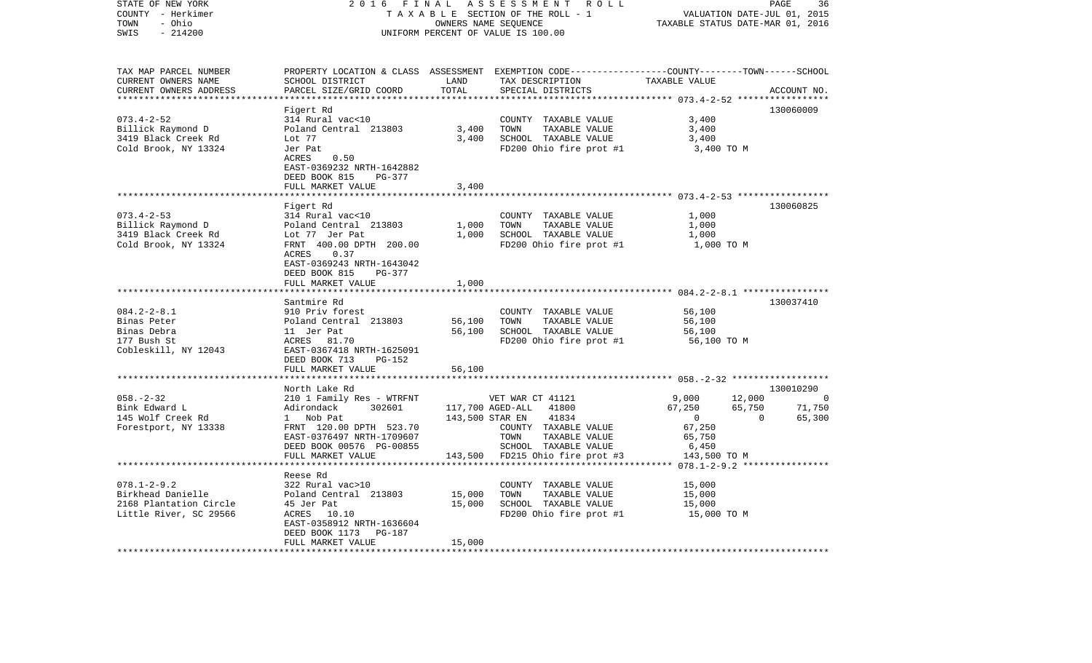| STATE OF NEW YORK<br>COUNTY - Herkimer<br>- Ohio<br>TOWN<br>SWIS<br>$-214200$                    | 2 0 1 6                                                                                                                                                                                  | FINAL<br>ASSESSMENT<br>R O L L<br>PAGE<br>36<br>TAXABLE SECTION OF THE ROLL - 1<br>VALUATION DATE-JUL 01, 2015<br>OWNERS NAME SEQUENCE<br>TAXABLE STATUS DATE-MAR 01, 2016<br>UNIFORM PERCENT OF VALUE IS 100.00 |                                                                                                                                                            |                                                                          |                              |                                    |
|--------------------------------------------------------------------------------------------------|------------------------------------------------------------------------------------------------------------------------------------------------------------------------------------------|------------------------------------------------------------------------------------------------------------------------------------------------------------------------------------------------------------------|------------------------------------------------------------------------------------------------------------------------------------------------------------|--------------------------------------------------------------------------|------------------------------|------------------------------------|
| TAX MAP PARCEL NUMBER<br>CURRENT OWNERS NAME<br>CURRENT OWNERS ADDRESS<br>********************** | SCHOOL DISTRICT<br>PARCEL SIZE/GRID COORD                                                                                                                                                | LAND<br>TOTAL<br>***************                                                                                                                                                                                 | PROPERTY LOCATION & CLASS ASSESSMENT EXEMPTION CODE----------------COUNTY-------TOWN------SCHOOL<br>TAX DESCRIPTION<br>SPECIAL DISTRICTS                   | TAXABLE VALUE                                                            |                              | ACCOUNT NO.                        |
| $073.4 - 2 - 52$<br>Billick Raymond D<br>3419 Black Creek Rd<br>Cold Brook, NY 13324             | Figert Rd<br>314 Rural vac<10<br>Poland Central 213803<br>Lot 77<br>Jer Pat<br>ACRES<br>0.50<br>EAST-0369232 NRTH-1642882<br>DEED BOOK 815<br>PG-377<br>FULL MARKET VALUE                | 3,400<br>3,400<br>3,400                                                                                                                                                                                          | COUNTY TAXABLE VALUE<br>TOWN<br>TAXABLE VALUE<br>SCHOOL TAXABLE VALUE<br>FD200 Ohio fire prot #1                                                           | 3,400<br>3,400<br>3,400<br>3,400 TO M                                    |                              | 130060009                          |
|                                                                                                  |                                                                                                                                                                                          |                                                                                                                                                                                                                  |                                                                                                                                                            | ************************ 073.4-2-53 ******************                   |                              |                                    |
| $073.4 - 2 - 53$<br>Billick Raymond D<br>3419 Black Creek Rd<br>Cold Brook, NY 13324             | Figert Rd<br>314 Rural vac<10<br>Poland Central 213803<br>Lot 77 Jer Pat<br>FRNT 400.00 DPTH 200.00<br>ACRES<br>0.37<br>EAST-0369243 NRTH-1643042<br>DEED BOOK 815<br>PG-377             | 1,000<br>1,000                                                                                                                                                                                                   | COUNTY TAXABLE VALUE<br>TOWN<br>TAXABLE VALUE<br>SCHOOL TAXABLE VALUE<br>FD200 Ohio fire prot #1                                                           | 1,000<br>1,000<br>1,000<br>1,000 TO M                                    |                              | 130060825                          |
|                                                                                                  | FULL MARKET VALUE<br>******************                                                                                                                                                  | 1,000                                                                                                                                                                                                            |                                                                                                                                                            |                                                                          |                              |                                    |
| $084.2 - 2 - 8.1$<br>Binas Peter<br>Binas Debra<br>177 Bush St<br>Cobleskill, NY 12043           | Santmire Rd<br>910 Priv forest<br>Poland Central 213803<br>11 Jer Pat<br>ACRES 81.70<br>EAST-0367418 NRTH-1625091<br>DEED BOOK 713<br>PG-152<br>FULL MARKET VALUE                        | 56,100<br>56,100<br>56,100                                                                                                                                                                                       | COUNTY TAXABLE VALUE<br>TOWN<br>TAXABLE VALUE<br>SCHOOL TAXABLE VALUE<br>FD200 Ohio fire prot #1                                                           | 56,100<br>56,100<br>56,100<br>56,100 TO M                                |                              | 130037410                          |
|                                                                                                  | *********************                                                                                                                                                                    | ***********                                                                                                                                                                                                      | **************************** 058.-2-32 ******************                                                                                                  |                                                                          |                              |                                    |
| $058. - 2 - 32$<br>Bink Edward L<br>145 Wolf Creek Rd<br>Forestport, NY 13338                    | North Lake Rd<br>210 1 Family Res - WTRFNT<br>Adirondack<br>302601<br>1 Nob Pat<br>FRNT 120.00 DPTH 523.70<br>EAST-0376497 NRTH-1709607<br>DEED BOOK 00576 PG-00855<br>FULL MARKET VALUE | 143,500 STAR EN<br>143,500                                                                                                                                                                                       | VET WAR CT 41121<br>117,700 AGED-ALL<br>41800<br>41834<br>COUNTY TAXABLE VALUE<br>TOWN<br>TAXABLE VALUE<br>SCHOOL TAXABLE VALUE<br>FD215 Ohio fire prot #3 | 9,000<br>67,250<br>$\Omega$<br>67,250<br>65,750<br>6,450<br>143,500 TO M | 12,000<br>65,750<br>$\Omega$ | 130010290<br>0<br>71,750<br>65,300 |
| ************************                                                                         | ******************                                                                                                                                                                       | ***********                                                                                                                                                                                                      |                                                                                                                                                            |                                                                          |                              |                                    |
| $078.1 - 2 - 9.2$<br>Birkhead Danielle<br>2168 Plantation Circle<br>Little River, SC 29566       | Reese Rd<br>322 Rural vac>10<br>Poland Central 213803<br>45 Jer Pat<br>ACRES<br>10.10<br>EAST-0358912 NRTH-1636604<br>DEED BOOK 1173<br><b>PG-187</b>                                    | 15,000<br>15,000                                                                                                                                                                                                 | COUNTY TAXABLE VALUE<br>TOWN<br>TAXABLE VALUE<br>SCHOOL TAXABLE VALUE<br>FD200 Ohio fire prot #1                                                           | 15,000<br>15,000<br>15,000<br>15,000 TO M                                |                              |                                    |
| ********************                                                                             | FULL MARKET VALUE                                                                                                                                                                        | 15,000                                                                                                                                                                                                           |                                                                                                                                                            |                                                                          |                              |                                    |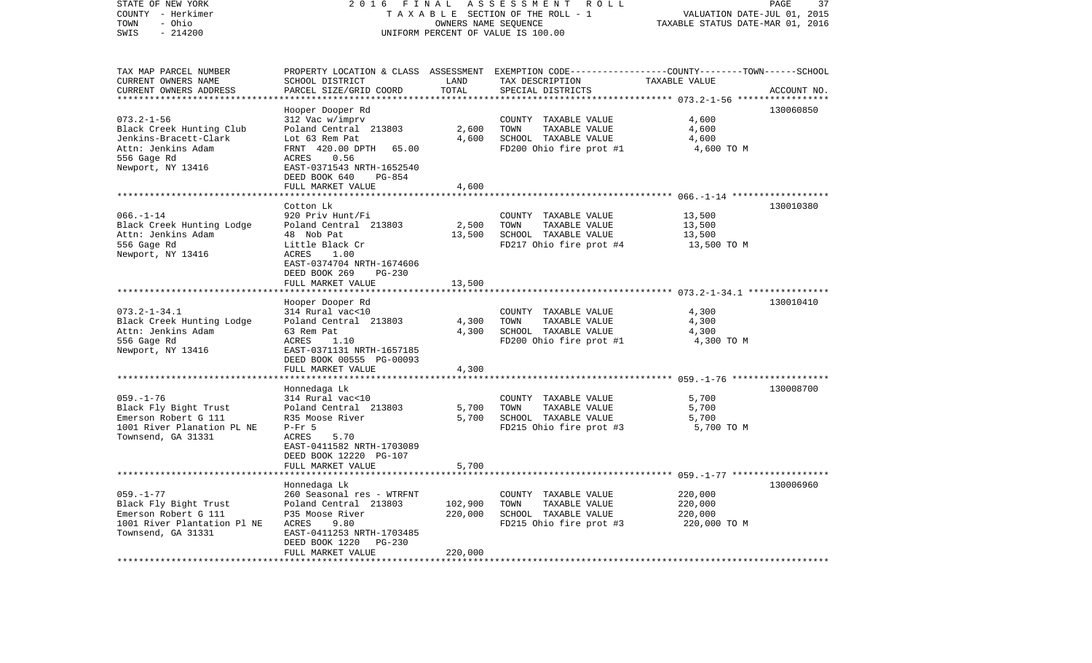| STATE OF NEW YORK<br>COUNTY - Herkimer<br>- Ohio<br>TOWN<br>$-214200$<br>SWIS                                                   | 2016                                                                                                                                                                                                      | FINAL<br>ASSESSMENT ROLL<br>TAXABLE SECTION OF THE ROLL - 1<br>OWNERS NAME SEQUENCE<br>UNIFORM PERCENT OF VALUE IS 100.00 | PAGE<br>37<br>VALUATION DATE-JUL 01, 2015<br>TAXABLE STATUS DATE-MAR 01, 2016                                                           |                                               |             |
|---------------------------------------------------------------------------------------------------------------------------------|-----------------------------------------------------------------------------------------------------------------------------------------------------------------------------------------------------------|---------------------------------------------------------------------------------------------------------------------------|-----------------------------------------------------------------------------------------------------------------------------------------|-----------------------------------------------|-------------|
| TAX MAP PARCEL NUMBER<br>CURRENT OWNERS NAME<br>CURRENT OWNERS ADDRESS                                                          | SCHOOL DISTRICT<br>PARCEL SIZE/GRID COORD                                                                                                                                                                 | LAND<br>TOTAL                                                                                                             | PROPERTY LOCATION & CLASS ASSESSMENT EXEMPTION CODE---------------COUNTY-------TOWN------SCHOOL<br>TAX DESCRIPTION<br>SPECIAL DISTRICTS | TAXABLE VALUE                                 | ACCOUNT NO. |
| $073.2 - 1 - 56$<br>Black Creek Hunting Club<br>Jenkins-Bracett-Clark<br>Attn: Jenkins Adam<br>556 Gage Rd<br>Newport, NY 13416 | Hooper Dooper Rd<br>312 Vac w/imprv<br>Poland Central 213803<br>Lot 63 Rem Pat<br>FRNT 420.00 DPTH<br>65.00<br>ACRES<br>0.56<br>EAST-0371543 NRTH-1652540<br>DEED BOOK 640<br>PG-854<br>FULL MARKET VALUE | 2,600<br>4,600<br>4,600                                                                                                   | COUNTY TAXABLE VALUE<br>TOWN<br>TAXABLE VALUE<br>SCHOOL TAXABLE VALUE<br>FD200 Ohio fire prot #1                                        | 4,600<br>4,600<br>4,600<br>4,600 TO M         | 130060850   |
|                                                                                                                                 |                                                                                                                                                                                                           |                                                                                                                           |                                                                                                                                         |                                               |             |
| $066. - 1 - 14$<br>Black Creek Hunting Lodge<br>Attn: Jenkins Adam<br>556 Gage Rd<br>Newport, NY 13416                          | Cotton Lk<br>920 Priv Hunt/Fi<br>Poland Central 213803<br>48 Nob Pat<br>Little Black Cr<br>1.00<br>ACRES<br>EAST-0374704 NRTH-1674606<br>DEED BOOK 269<br><b>PG-230</b><br>FULL MARKET VALUE              | 2,500<br>13,500<br>13,500                                                                                                 | COUNTY TAXABLE VALUE<br>TOWN<br>TAXABLE VALUE<br>SCHOOL TAXABLE VALUE<br>FD217 Ohio fire prot #4                                        | 13,500<br>13,500<br>13,500<br>13,500 TO M     | 130010380   |
|                                                                                                                                 |                                                                                                                                                                                                           |                                                                                                                           |                                                                                                                                         |                                               |             |
| $073.2 - 1 - 34.1$<br>Black Creek Hunting Lodge<br>Attn: Jenkins Adam<br>556 Gage Rd<br>Newport, NY 13416                       | Hooper Dooper Rd<br>314 Rural vac<10<br>Poland Central 213803<br>63 Rem Pat<br>ACRES<br>1.10<br>EAST-0371131 NRTH-1657185<br>DEED BOOK 00555 PG-00093<br>FULL MARKET VALUE                                | 4,300<br>4,300<br>4,300                                                                                                   | COUNTY TAXABLE VALUE<br>TOWN<br>TAXABLE VALUE<br>SCHOOL TAXABLE VALUE<br>FD200 Ohio fire prot #1                                        | 4,300<br>4,300<br>4,300<br>4,300 TO M         | 130010410   |
|                                                                                                                                 |                                                                                                                                                                                                           |                                                                                                                           |                                                                                                                                         |                                               |             |
| $059. - 1 - 76$<br>Black Fly Bight Trust<br>Emerson Robert G 111<br>1001 River Planation PL NE<br>Townsend, GA 31331            | Honnedaga Lk<br>314 Rural vac<10<br>Poland Central 213803<br>R35 Moose River<br>$P-Fr$ 5<br>ACRES<br>5.70<br>EAST-0411582 NRTH-1703089<br>DEED BOOK 12220 PG-107                                          | 5,700<br>5,700                                                                                                            | COUNTY TAXABLE VALUE<br>TOWN<br>TAXABLE VALUE<br>SCHOOL TAXABLE VALUE<br>FD215 Ohio fire prot #3                                        | 5,700<br>5,700<br>5,700<br>5,700 TO M         | 130008700   |
|                                                                                                                                 | FULL MARKET VALUE                                                                                                                                                                                         | 5,700                                                                                                                     |                                                                                                                                         |                                               |             |
| $059. -1 - 77$<br>Black Fly Bight Trust<br>Emerson Robert G 111<br>1001 River Plantation Pl NE<br>Townsend, GA 31331            | Honnedaga Lk<br>260 Seasonal res - WTRFNT<br>Poland Central 213803<br>P35 Moose River<br>ACRES<br>9.80<br>EAST-0411253 NRTH-1703485<br>DEED BOOK 1220<br><b>PG-230</b>                                    | 102,900<br>220,000                                                                                                        | COUNTY TAXABLE VALUE<br>TOWN<br>TAXABLE VALUE<br>SCHOOL TAXABLE VALUE<br>FD215 Ohio fire prot #3                                        | 220,000<br>220,000<br>220,000<br>220,000 TO M | 130006960   |
|                                                                                                                                 | FULL MARKET VALUE                                                                                                                                                                                         | 220,000                                                                                                                   |                                                                                                                                         |                                               |             |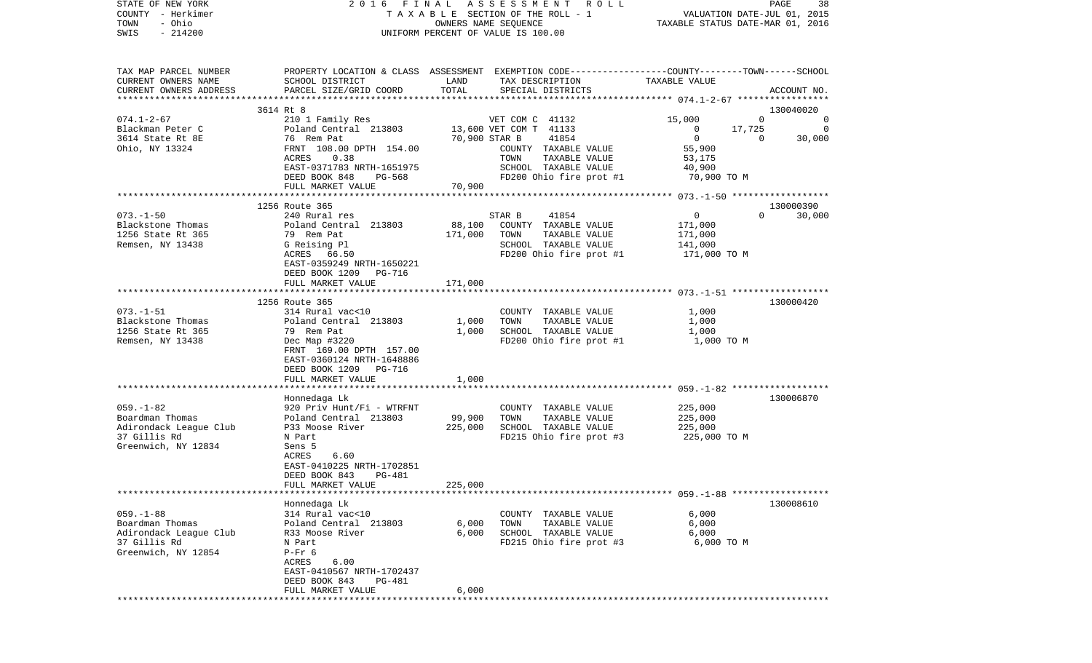| COUNTY<br>– Herkimer<br>- Ohio<br>TOWN       |                                                                                                                    | TAXABLE<br>SECTION OF THE ROLL - 1<br>OWNERS NAME SEQUENCE |                                         |                                                           | VALUATION DATE-JUL 01, 2015<br>TAXABLE STATUS DATE-MAR 01, 2016 |  |  |
|----------------------------------------------|--------------------------------------------------------------------------------------------------------------------|------------------------------------------------------------|-----------------------------------------|-----------------------------------------------------------|-----------------------------------------------------------------|--|--|
| SWIS<br>$-214200$                            | UNIFORM PERCENT OF VALUE IS 100.00                                                                                 |                                                            |                                         |                                                           |                                                                 |  |  |
|                                              |                                                                                                                    |                                                            |                                         |                                                           |                                                                 |  |  |
| TAX MAP PARCEL NUMBER<br>CURRENT OWNERS NAME | PROPERTY LOCATION & CLASS ASSESSMENT EXEMPTION CODE---------------COUNTY-------TOWN------SCHOOL<br>SCHOOL DISTRICT | LAND                                                       | TAX DESCRIPTION                         | TAXABLE VALUE                                             |                                                                 |  |  |
| CURRENT OWNERS ADDRESS                       | PARCEL SIZE/GRID COORD                                                                                             | TOTAL                                                      | SPECIAL DISTRICTS                       |                                                           | ACCOUNT NO.                                                     |  |  |
|                                              | 3614 Rt 8                                                                                                          |                                                            |                                         |                                                           | 130040020                                                       |  |  |
| $074.1 - 2 - 67$                             | 210 1 Family Res                                                                                                   |                                                            | VET COM C 41132                         | 15,000                                                    | $\overline{0}$<br>0                                             |  |  |
| Blackman Peter C                             | Poland Central 213803                                                                                              |                                                            | 13,600 VET COM T 41133<br>41854         | $\overline{0}$<br>$\overline{0}$                          | 17,725<br>$\mathbf 0$<br>$\Omega$                               |  |  |
| 3614 State Rt 8E<br>Ohio, NY 13324           | 76 Rem Pat<br>FRNT 108.00 DPTH 154.00                                                                              | 70,900 STAR B                                              | COUNTY TAXABLE VALUE                    | 55,900                                                    | 30,000                                                          |  |  |
|                                              | ACRES<br>0.38                                                                                                      |                                                            | TOWN<br>TAXABLE VALUE                   | 53,175                                                    |                                                                 |  |  |
|                                              | EAST-0371783 NRTH-1651975                                                                                          |                                                            | SCHOOL TAXABLE VALUE                    | 40,900                                                    |                                                                 |  |  |
|                                              | DEED BOOK 848<br>PG-568                                                                                            |                                                            | FD200 Ohio fire prot #1                 | 70,900 TO M                                               |                                                                 |  |  |
|                                              | FULL MARKET VALUE                                                                                                  | 70,900                                                     |                                         |                                                           |                                                                 |  |  |
|                                              | ************************                                                                                           |                                                            |                                         |                                                           |                                                                 |  |  |
|                                              | 1256 Route 365                                                                                                     |                                                            |                                         |                                                           | 130000390<br>$\Omega$                                           |  |  |
| $073. - 1 - 50$<br>Blackstone Thomas         | 240 Rural res<br>Poland Central 213803                                                                             | 88,100                                                     | 41854<br>STAR B<br>COUNTY TAXABLE VALUE | 0<br>171,000                                              | 30,000                                                          |  |  |
| 1256 State Rt 365                            | 79   Rem Pat                                                                                                       | 171,000                                                    | TOWN<br>TAXABLE VALUE                   | 171,000                                                   |                                                                 |  |  |
| Remsen, NY 13438                             | G Reising Pl                                                                                                       |                                                            | SCHOOL TAXABLE VALUE                    | 141,000                                                   |                                                                 |  |  |
|                                              | ACRES<br>66.50                                                                                                     |                                                            | FD200 Ohio fire prot #1                 | 171,000 TO M                                              |                                                                 |  |  |
|                                              | EAST-0359249 NRTH-1650221<br>DEED BOOK 1209<br>PG-716                                                              |                                                            |                                         |                                                           |                                                                 |  |  |
|                                              | FULL MARKET VALUE<br>*********************                                                                         | 171,000<br>********                                        |                                         |                                                           |                                                                 |  |  |
|                                              | 1256 Route 365                                                                                                     |                                                            |                                         | *************************** 073.-1-51 ******************* | 130000420                                                       |  |  |
| $073. - 1 - 51$                              | 314 Rural vac<10                                                                                                   |                                                            | COUNTY TAXABLE VALUE                    | 1,000                                                     |                                                                 |  |  |
| Blackstone Thomas                            | Poland Central 213803                                                                                              | 1,000                                                      | TOWN<br>TAXABLE VALUE                   | 1,000                                                     |                                                                 |  |  |
| 1256 State Rt 365                            | 79 Rem Pat                                                                                                         | 1,000                                                      | SCHOOL TAXABLE VALUE                    | 1,000                                                     |                                                                 |  |  |
| Remsen, NY 13438                             | Dec Map #3220                                                                                                      |                                                            | FD200 Ohio fire prot #1                 | 1,000 TO M                                                |                                                                 |  |  |
|                                              | FRNT 169.00 DPTH 157.00                                                                                            |                                                            |                                         |                                                           |                                                                 |  |  |
|                                              | EAST-0360124 NRTH-1648886                                                                                          |                                                            |                                         |                                                           |                                                                 |  |  |
|                                              | DEED BOOK 1209<br>PG-716                                                                                           |                                                            |                                         |                                                           |                                                                 |  |  |
|                                              | FULL MARKET VALUE                                                                                                  | 1,000                                                      |                                         |                                                           |                                                                 |  |  |
|                                              | Honnedaga Lk                                                                                                       |                                                            |                                         |                                                           | 130006870                                                       |  |  |
| $059. - 1 - 82$                              | 920 Priv Hunt/Fi - WTRFNT                                                                                          |                                                            | COUNTY TAXABLE VALUE                    | 225,000                                                   |                                                                 |  |  |
| Boardman Thomas                              | Poland Central 213803                                                                                              | 99,900                                                     | TOWN<br>TAXABLE VALUE                   | 225,000                                                   |                                                                 |  |  |
| Adirondack League Club                       | P33 Moose River                                                                                                    | 225,000                                                    | SCHOOL TAXABLE VALUE                    | 225,000                                                   |                                                                 |  |  |
| 37 Gillis Rd                                 | N Part                                                                                                             |                                                            | FD215 Ohio fire prot #3                 | 225,000 TO M                                              |                                                                 |  |  |
| Greenwich, NY 12834                          | Sens 5                                                                                                             |                                                            |                                         |                                                           |                                                                 |  |  |
|                                              | ACRES<br>6.60                                                                                                      |                                                            |                                         |                                                           |                                                                 |  |  |
|                                              | EAST-0410225 NRTH-1702851                                                                                          |                                                            |                                         |                                                           |                                                                 |  |  |
|                                              | DEED BOOK 843<br>PG-481                                                                                            |                                                            |                                         |                                                           |                                                                 |  |  |
|                                              | FULL MARKET VALUE                                                                                                  | 225,000                                                    |                                         |                                                           |                                                                 |  |  |
|                                              | Honnedaga Lk                                                                                                       |                                                            |                                         |                                                           | 130008610                                                       |  |  |
| $059. -1 - 88$                               | 314 Rural vac<10                                                                                                   |                                                            | TAXABLE VALUE<br>COUNTY                 | 6,000                                                     |                                                                 |  |  |
| Boardman Thomas                              | Poland Central 213803                                                                                              | 6,000                                                      | TOWN<br>TAXABLE VALUE                   | 6,000                                                     |                                                                 |  |  |
| Adirondack League Club                       | R33 Moose River                                                                                                    | 6,000                                                      | SCHOOL TAXABLE VALUE                    | 6,000                                                     |                                                                 |  |  |
| 37 Gillis Rd                                 | N Part                                                                                                             |                                                            | FD215 Ohio fire prot #3                 | 6,000 TO M                                                |                                                                 |  |  |
| Greenwich, NY 12854                          | $P-Fr$ 6                                                                                                           |                                                            |                                         |                                                           |                                                                 |  |  |
|                                              | ACRES<br>6.00                                                                                                      |                                                            |                                         |                                                           |                                                                 |  |  |
|                                              | EAST-0410567 NRTH-1702437                                                                                          |                                                            |                                         |                                                           |                                                                 |  |  |
|                                              | DEED BOOK 843<br>PG-481<br>FULL MARKET VALUE                                                                       | 6,000                                                      |                                         |                                                           |                                                                 |  |  |
|                                              |                                                                                                                    |                                                            |                                         |                                                           |                                                                 |  |  |

STATE OF NEW YORK 2 0 1 6 F I N A L A S S E S S M E N T R O L L PAGE 38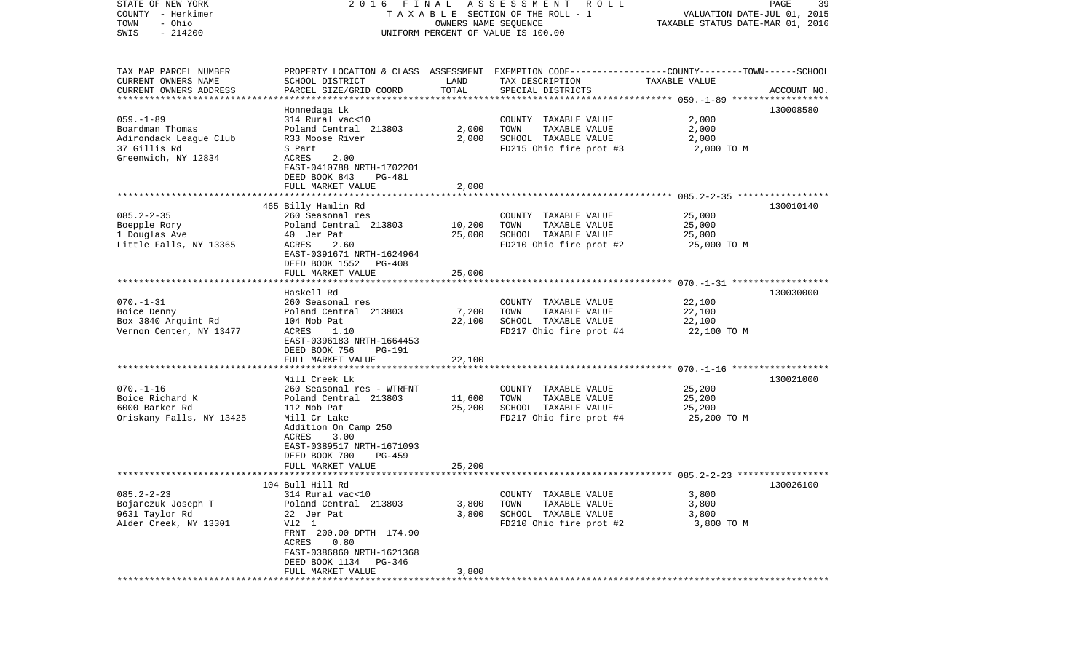| TAXABLE SECTION OF THE ROLL - 1<br>VALUATION DATE-JUL 01, 2015<br>- Ohio<br>OWNERS NAME SEQUENCE<br>TAXABLE STATUS DATE-MAR 01, 2016<br>$-214200$<br>UNIFORM PERCENT OF VALUE IS 100.00<br>PROPERTY LOCATION & CLASS ASSESSMENT EXEMPTION CODE----------------COUNTY-------TOWN------SCHOOL<br>SCHOOL DISTRICT<br>LAND<br>TAX DESCRIPTION<br>TAXABLE VALUE<br>TOTAL<br>PARCEL SIZE/GRID COORD<br>SPECIAL DISTRICTS<br>ACCOUNT NO.<br>130008580<br>Honnedaga Lk<br>$059. - 1 - 89$<br>2,000<br>314 Rural vac<10<br>COUNTY TAXABLE VALUE<br>Boardman Thomas<br>Poland Central 213803<br>2,000<br>TOWN<br>TAXABLE VALUE<br>2,000<br>SCHOOL TAXABLE VALUE<br>Adirondack League Club<br>R33 Moose River<br>2,000<br>2,000<br>37 Gillis Rd<br>FD215 Ohio fire prot #3<br>S Part<br>2,000 TO M<br>Greenwich, NY 12834<br>ACRES<br>2.00<br>EAST-0410788 NRTH-1702201<br>DEED BOOK 843<br>PG-481<br>FULL MARKET VALUE<br>2,000<br>465 Billy Hamlin Rd<br>130010140<br>$085.2 - 2 - 35$<br>260 Seasonal res<br>COUNTY TAXABLE VALUE<br>25,000<br>Boepple Rory<br>Poland Central 213803<br>10,200<br>TOWN<br>TAXABLE VALUE<br>25,000<br>SCHOOL TAXABLE VALUE<br>1 Douglas Ave<br>40 Jer Pat<br>25,000<br>25,000<br>2.60<br>FD210 Ohio fire prot #2<br>Little Falls, NY 13365<br>ACRES<br>25,000 TO M<br>EAST-0391671 NRTH-1624964<br>DEED BOOK 1552<br>PG-408<br>FULL MARKET VALUE<br>25,000<br>Haskell Rd<br>130030000<br>260 Seasonal res<br>COUNTY TAXABLE VALUE<br>22,100<br>Poland Central 213803<br>7,200<br>TOWN<br>TAXABLE VALUE<br>22,100<br>22,100<br>22,100<br>SCHOOL TAXABLE VALUE<br>104 Nob Pat<br>Vernon Center, NY 13477<br>FD217 Ohio fire prot #4<br>ACRES<br>1.10<br>22,100 TO M<br>EAST-0396183 NRTH-1664453<br>DEED BOOK 756<br>PG-191<br>FULL MARKET VALUE<br>22,100<br>130021000<br>Mill Creek Lk<br>$070. - 1 - 16$<br>25,200<br>260 Seasonal res - WTRFNT<br>COUNTY TAXABLE VALUE<br>Boice Richard K<br>TAXABLE VALUE<br>25,200<br>Poland Central 213803<br>11,600<br>TOWN<br>6000 Barker Rd<br>112 Nob Pat<br>25,200<br>SCHOOL TAXABLE VALUE<br>25,200<br>Oriskany Falls, NY 13425<br>Mill Cr Lake<br>FD217 Ohio fire prot #4<br>25,200 TO M<br>Addition On Camp 250<br>ACRES<br>3.00<br>EAST-0389517 NRTH-1671093<br>DEED BOOK 700<br>PG-459<br>25,200<br>FULL MARKET VALUE<br>104 Bull Hill Rd<br>130026100<br>COUNTY TAXABLE VALUE<br>314 Rural vac<10<br>3,800<br>Poland Central 213803<br>3,800<br>TOWN<br>TAXABLE VALUE<br>3,800<br>SCHOOL TAXABLE VALUE<br>22 Jer Pat<br>3,800<br>3,800<br>V12 1<br>FD210 Ohio fire prot #2<br>3,800 TO M<br>FRNT 200.00 DPTH 174.90<br>ACRES<br>0.80<br>EAST-0386860 NRTH-1621368<br>DEED BOOK 1134<br>PG-346<br>FULL MARKET VALUE<br>3,800 | STATE OF NEW YORK         | 2016 FINAL | A S S E S S M E N T R O L L |  | 39<br>PAGE |  |
|----------------------------------------------------------------------------------------------------------------------------------------------------------------------------------------------------------------------------------------------------------------------------------------------------------------------------------------------------------------------------------------------------------------------------------------------------------------------------------------------------------------------------------------------------------------------------------------------------------------------------------------------------------------------------------------------------------------------------------------------------------------------------------------------------------------------------------------------------------------------------------------------------------------------------------------------------------------------------------------------------------------------------------------------------------------------------------------------------------------------------------------------------------------------------------------------------------------------------------------------------------------------------------------------------------------------------------------------------------------------------------------------------------------------------------------------------------------------------------------------------------------------------------------------------------------------------------------------------------------------------------------------------------------------------------------------------------------------------------------------------------------------------------------------------------------------------------------------------------------------------------------------------------------------------------------------------------------------------------------------------------------------------------------------------------------------------------------------------------------------------------------------------------------------------------------------------------------------------------------------------------------------------------------------------------------------------------------------------------------------------------------------------------------------------------------------------------------------------------------------------------------------------------------------------------------------------------------------------------------------------------------------------------------------------------------------------|---------------------------|------------|-----------------------------|--|------------|--|
|                                                                                                                                                                                                                                                                                                                                                                                                                                                                                                                                                                                                                                                                                                                                                                                                                                                                                                                                                                                                                                                                                                                                                                                                                                                                                                                                                                                                                                                                                                                                                                                                                                                                                                                                                                                                                                                                                                                                                                                                                                                                                                                                                                                                                                                                                                                                                                                                                                                                                                                                                                                                                                                                                                    | COUNTY - Herkimer         |            |                             |  |            |  |
|                                                                                                                                                                                                                                                                                                                                                                                                                                                                                                                                                                                                                                                                                                                                                                                                                                                                                                                                                                                                                                                                                                                                                                                                                                                                                                                                                                                                                                                                                                                                                                                                                                                                                                                                                                                                                                                                                                                                                                                                                                                                                                                                                                                                                                                                                                                                                                                                                                                                                                                                                                                                                                                                                                    | TOWN                      |            |                             |  |            |  |
|                                                                                                                                                                                                                                                                                                                                                                                                                                                                                                                                                                                                                                                                                                                                                                                                                                                                                                                                                                                                                                                                                                                                                                                                                                                                                                                                                                                                                                                                                                                                                                                                                                                                                                                                                                                                                                                                                                                                                                                                                                                                                                                                                                                                                                                                                                                                                                                                                                                                                                                                                                                                                                                                                                    | SWIS                      |            |                             |  |            |  |
|                                                                                                                                                                                                                                                                                                                                                                                                                                                                                                                                                                                                                                                                                                                                                                                                                                                                                                                                                                                                                                                                                                                                                                                                                                                                                                                                                                                                                                                                                                                                                                                                                                                                                                                                                                                                                                                                                                                                                                                                                                                                                                                                                                                                                                                                                                                                                                                                                                                                                                                                                                                                                                                                                                    |                           |            |                             |  |            |  |
|                                                                                                                                                                                                                                                                                                                                                                                                                                                                                                                                                                                                                                                                                                                                                                                                                                                                                                                                                                                                                                                                                                                                                                                                                                                                                                                                                                                                                                                                                                                                                                                                                                                                                                                                                                                                                                                                                                                                                                                                                                                                                                                                                                                                                                                                                                                                                                                                                                                                                                                                                                                                                                                                                                    | TAX MAP PARCEL NUMBER     |            |                             |  |            |  |
|                                                                                                                                                                                                                                                                                                                                                                                                                                                                                                                                                                                                                                                                                                                                                                                                                                                                                                                                                                                                                                                                                                                                                                                                                                                                                                                                                                                                                                                                                                                                                                                                                                                                                                                                                                                                                                                                                                                                                                                                                                                                                                                                                                                                                                                                                                                                                                                                                                                                                                                                                                                                                                                                                                    | CURRENT OWNERS NAME       |            |                             |  |            |  |
|                                                                                                                                                                                                                                                                                                                                                                                                                                                                                                                                                                                                                                                                                                                                                                                                                                                                                                                                                                                                                                                                                                                                                                                                                                                                                                                                                                                                                                                                                                                                                                                                                                                                                                                                                                                                                                                                                                                                                                                                                                                                                                                                                                                                                                                                                                                                                                                                                                                                                                                                                                                                                                                                                                    | CURRENT OWNERS ADDRESS    |            |                             |  |            |  |
|                                                                                                                                                                                                                                                                                                                                                                                                                                                                                                                                                                                                                                                                                                                                                                                                                                                                                                                                                                                                                                                                                                                                                                                                                                                                                                                                                                                                                                                                                                                                                                                                                                                                                                                                                                                                                                                                                                                                                                                                                                                                                                                                                                                                                                                                                                                                                                                                                                                                                                                                                                                                                                                                                                    | ************************* |            |                             |  |            |  |
|                                                                                                                                                                                                                                                                                                                                                                                                                                                                                                                                                                                                                                                                                                                                                                                                                                                                                                                                                                                                                                                                                                                                                                                                                                                                                                                                                                                                                                                                                                                                                                                                                                                                                                                                                                                                                                                                                                                                                                                                                                                                                                                                                                                                                                                                                                                                                                                                                                                                                                                                                                                                                                                                                                    |                           |            |                             |  |            |  |
|                                                                                                                                                                                                                                                                                                                                                                                                                                                                                                                                                                                                                                                                                                                                                                                                                                                                                                                                                                                                                                                                                                                                                                                                                                                                                                                                                                                                                                                                                                                                                                                                                                                                                                                                                                                                                                                                                                                                                                                                                                                                                                                                                                                                                                                                                                                                                                                                                                                                                                                                                                                                                                                                                                    |                           |            |                             |  |            |  |
|                                                                                                                                                                                                                                                                                                                                                                                                                                                                                                                                                                                                                                                                                                                                                                                                                                                                                                                                                                                                                                                                                                                                                                                                                                                                                                                                                                                                                                                                                                                                                                                                                                                                                                                                                                                                                                                                                                                                                                                                                                                                                                                                                                                                                                                                                                                                                                                                                                                                                                                                                                                                                                                                                                    |                           |            |                             |  |            |  |
|                                                                                                                                                                                                                                                                                                                                                                                                                                                                                                                                                                                                                                                                                                                                                                                                                                                                                                                                                                                                                                                                                                                                                                                                                                                                                                                                                                                                                                                                                                                                                                                                                                                                                                                                                                                                                                                                                                                                                                                                                                                                                                                                                                                                                                                                                                                                                                                                                                                                                                                                                                                                                                                                                                    |                           |            |                             |  |            |  |
|                                                                                                                                                                                                                                                                                                                                                                                                                                                                                                                                                                                                                                                                                                                                                                                                                                                                                                                                                                                                                                                                                                                                                                                                                                                                                                                                                                                                                                                                                                                                                                                                                                                                                                                                                                                                                                                                                                                                                                                                                                                                                                                                                                                                                                                                                                                                                                                                                                                                                                                                                                                                                                                                                                    |                           |            |                             |  |            |  |
|                                                                                                                                                                                                                                                                                                                                                                                                                                                                                                                                                                                                                                                                                                                                                                                                                                                                                                                                                                                                                                                                                                                                                                                                                                                                                                                                                                                                                                                                                                                                                                                                                                                                                                                                                                                                                                                                                                                                                                                                                                                                                                                                                                                                                                                                                                                                                                                                                                                                                                                                                                                                                                                                                                    |                           |            |                             |  |            |  |
|                                                                                                                                                                                                                                                                                                                                                                                                                                                                                                                                                                                                                                                                                                                                                                                                                                                                                                                                                                                                                                                                                                                                                                                                                                                                                                                                                                                                                                                                                                                                                                                                                                                                                                                                                                                                                                                                                                                                                                                                                                                                                                                                                                                                                                                                                                                                                                                                                                                                                                                                                                                                                                                                                                    |                           |            |                             |  |            |  |
|                                                                                                                                                                                                                                                                                                                                                                                                                                                                                                                                                                                                                                                                                                                                                                                                                                                                                                                                                                                                                                                                                                                                                                                                                                                                                                                                                                                                                                                                                                                                                                                                                                                                                                                                                                                                                                                                                                                                                                                                                                                                                                                                                                                                                                                                                                                                                                                                                                                                                                                                                                                                                                                                                                    |                           |            |                             |  |            |  |
|                                                                                                                                                                                                                                                                                                                                                                                                                                                                                                                                                                                                                                                                                                                                                                                                                                                                                                                                                                                                                                                                                                                                                                                                                                                                                                                                                                                                                                                                                                                                                                                                                                                                                                                                                                                                                                                                                                                                                                                                                                                                                                                                                                                                                                                                                                                                                                                                                                                                                                                                                                                                                                                                                                    |                           |            |                             |  |            |  |
|                                                                                                                                                                                                                                                                                                                                                                                                                                                                                                                                                                                                                                                                                                                                                                                                                                                                                                                                                                                                                                                                                                                                                                                                                                                                                                                                                                                                                                                                                                                                                                                                                                                                                                                                                                                                                                                                                                                                                                                                                                                                                                                                                                                                                                                                                                                                                                                                                                                                                                                                                                                                                                                                                                    |                           |            |                             |  |            |  |
|                                                                                                                                                                                                                                                                                                                                                                                                                                                                                                                                                                                                                                                                                                                                                                                                                                                                                                                                                                                                                                                                                                                                                                                                                                                                                                                                                                                                                                                                                                                                                                                                                                                                                                                                                                                                                                                                                                                                                                                                                                                                                                                                                                                                                                                                                                                                                                                                                                                                                                                                                                                                                                                                                                    |                           |            |                             |  |            |  |
|                                                                                                                                                                                                                                                                                                                                                                                                                                                                                                                                                                                                                                                                                                                                                                                                                                                                                                                                                                                                                                                                                                                                                                                                                                                                                                                                                                                                                                                                                                                                                                                                                                                                                                                                                                                                                                                                                                                                                                                                                                                                                                                                                                                                                                                                                                                                                                                                                                                                                                                                                                                                                                                                                                    |                           |            |                             |  |            |  |
|                                                                                                                                                                                                                                                                                                                                                                                                                                                                                                                                                                                                                                                                                                                                                                                                                                                                                                                                                                                                                                                                                                                                                                                                                                                                                                                                                                                                                                                                                                                                                                                                                                                                                                                                                                                                                                                                                                                                                                                                                                                                                                                                                                                                                                                                                                                                                                                                                                                                                                                                                                                                                                                                                                    |                           |            |                             |  |            |  |
|                                                                                                                                                                                                                                                                                                                                                                                                                                                                                                                                                                                                                                                                                                                                                                                                                                                                                                                                                                                                                                                                                                                                                                                                                                                                                                                                                                                                                                                                                                                                                                                                                                                                                                                                                                                                                                                                                                                                                                                                                                                                                                                                                                                                                                                                                                                                                                                                                                                                                                                                                                                                                                                                                                    |                           |            |                             |  |            |  |
|                                                                                                                                                                                                                                                                                                                                                                                                                                                                                                                                                                                                                                                                                                                                                                                                                                                                                                                                                                                                                                                                                                                                                                                                                                                                                                                                                                                                                                                                                                                                                                                                                                                                                                                                                                                                                                                                                                                                                                                                                                                                                                                                                                                                                                                                                                                                                                                                                                                                                                                                                                                                                                                                                                    |                           |            |                             |  |            |  |
|                                                                                                                                                                                                                                                                                                                                                                                                                                                                                                                                                                                                                                                                                                                                                                                                                                                                                                                                                                                                                                                                                                                                                                                                                                                                                                                                                                                                                                                                                                                                                                                                                                                                                                                                                                                                                                                                                                                                                                                                                                                                                                                                                                                                                                                                                                                                                                                                                                                                                                                                                                                                                                                                                                    |                           |            |                             |  |            |  |
|                                                                                                                                                                                                                                                                                                                                                                                                                                                                                                                                                                                                                                                                                                                                                                                                                                                                                                                                                                                                                                                                                                                                                                                                                                                                                                                                                                                                                                                                                                                                                                                                                                                                                                                                                                                                                                                                                                                                                                                                                                                                                                                                                                                                                                                                                                                                                                                                                                                                                                                                                                                                                                                                                                    |                           |            |                             |  |            |  |
|                                                                                                                                                                                                                                                                                                                                                                                                                                                                                                                                                                                                                                                                                                                                                                                                                                                                                                                                                                                                                                                                                                                                                                                                                                                                                                                                                                                                                                                                                                                                                                                                                                                                                                                                                                                                                                                                                                                                                                                                                                                                                                                                                                                                                                                                                                                                                                                                                                                                                                                                                                                                                                                                                                    |                           |            |                             |  |            |  |
|                                                                                                                                                                                                                                                                                                                                                                                                                                                                                                                                                                                                                                                                                                                                                                                                                                                                                                                                                                                                                                                                                                                                                                                                                                                                                                                                                                                                                                                                                                                                                                                                                                                                                                                                                                                                                                                                                                                                                                                                                                                                                                                                                                                                                                                                                                                                                                                                                                                                                                                                                                                                                                                                                                    |                           |            |                             |  |            |  |
|                                                                                                                                                                                                                                                                                                                                                                                                                                                                                                                                                                                                                                                                                                                                                                                                                                                                                                                                                                                                                                                                                                                                                                                                                                                                                                                                                                                                                                                                                                                                                                                                                                                                                                                                                                                                                                                                                                                                                                                                                                                                                                                                                                                                                                                                                                                                                                                                                                                                                                                                                                                                                                                                                                    | $070. - 1 - 31$           |            |                             |  |            |  |
|                                                                                                                                                                                                                                                                                                                                                                                                                                                                                                                                                                                                                                                                                                                                                                                                                                                                                                                                                                                                                                                                                                                                                                                                                                                                                                                                                                                                                                                                                                                                                                                                                                                                                                                                                                                                                                                                                                                                                                                                                                                                                                                                                                                                                                                                                                                                                                                                                                                                                                                                                                                                                                                                                                    | Boice Denny               |            |                             |  |            |  |
|                                                                                                                                                                                                                                                                                                                                                                                                                                                                                                                                                                                                                                                                                                                                                                                                                                                                                                                                                                                                                                                                                                                                                                                                                                                                                                                                                                                                                                                                                                                                                                                                                                                                                                                                                                                                                                                                                                                                                                                                                                                                                                                                                                                                                                                                                                                                                                                                                                                                                                                                                                                                                                                                                                    | Box 3840 Arquint Rd       |            |                             |  |            |  |
|                                                                                                                                                                                                                                                                                                                                                                                                                                                                                                                                                                                                                                                                                                                                                                                                                                                                                                                                                                                                                                                                                                                                                                                                                                                                                                                                                                                                                                                                                                                                                                                                                                                                                                                                                                                                                                                                                                                                                                                                                                                                                                                                                                                                                                                                                                                                                                                                                                                                                                                                                                                                                                                                                                    |                           |            |                             |  |            |  |
|                                                                                                                                                                                                                                                                                                                                                                                                                                                                                                                                                                                                                                                                                                                                                                                                                                                                                                                                                                                                                                                                                                                                                                                                                                                                                                                                                                                                                                                                                                                                                                                                                                                                                                                                                                                                                                                                                                                                                                                                                                                                                                                                                                                                                                                                                                                                                                                                                                                                                                                                                                                                                                                                                                    |                           |            |                             |  |            |  |
|                                                                                                                                                                                                                                                                                                                                                                                                                                                                                                                                                                                                                                                                                                                                                                                                                                                                                                                                                                                                                                                                                                                                                                                                                                                                                                                                                                                                                                                                                                                                                                                                                                                                                                                                                                                                                                                                                                                                                                                                                                                                                                                                                                                                                                                                                                                                                                                                                                                                                                                                                                                                                                                                                                    |                           |            |                             |  |            |  |
|                                                                                                                                                                                                                                                                                                                                                                                                                                                                                                                                                                                                                                                                                                                                                                                                                                                                                                                                                                                                                                                                                                                                                                                                                                                                                                                                                                                                                                                                                                                                                                                                                                                                                                                                                                                                                                                                                                                                                                                                                                                                                                                                                                                                                                                                                                                                                                                                                                                                                                                                                                                                                                                                                                    |                           |            |                             |  |            |  |
|                                                                                                                                                                                                                                                                                                                                                                                                                                                                                                                                                                                                                                                                                                                                                                                                                                                                                                                                                                                                                                                                                                                                                                                                                                                                                                                                                                                                                                                                                                                                                                                                                                                                                                                                                                                                                                                                                                                                                                                                                                                                                                                                                                                                                                                                                                                                                                                                                                                                                                                                                                                                                                                                                                    |                           |            |                             |  |            |  |
|                                                                                                                                                                                                                                                                                                                                                                                                                                                                                                                                                                                                                                                                                                                                                                                                                                                                                                                                                                                                                                                                                                                                                                                                                                                                                                                                                                                                                                                                                                                                                                                                                                                                                                                                                                                                                                                                                                                                                                                                                                                                                                                                                                                                                                                                                                                                                                                                                                                                                                                                                                                                                                                                                                    |                           |            |                             |  |            |  |
|                                                                                                                                                                                                                                                                                                                                                                                                                                                                                                                                                                                                                                                                                                                                                                                                                                                                                                                                                                                                                                                                                                                                                                                                                                                                                                                                                                                                                                                                                                                                                                                                                                                                                                                                                                                                                                                                                                                                                                                                                                                                                                                                                                                                                                                                                                                                                                                                                                                                                                                                                                                                                                                                                                    |                           |            |                             |  |            |  |
|                                                                                                                                                                                                                                                                                                                                                                                                                                                                                                                                                                                                                                                                                                                                                                                                                                                                                                                                                                                                                                                                                                                                                                                                                                                                                                                                                                                                                                                                                                                                                                                                                                                                                                                                                                                                                                                                                                                                                                                                                                                                                                                                                                                                                                                                                                                                                                                                                                                                                                                                                                                                                                                                                                    |                           |            |                             |  |            |  |
|                                                                                                                                                                                                                                                                                                                                                                                                                                                                                                                                                                                                                                                                                                                                                                                                                                                                                                                                                                                                                                                                                                                                                                                                                                                                                                                                                                                                                                                                                                                                                                                                                                                                                                                                                                                                                                                                                                                                                                                                                                                                                                                                                                                                                                                                                                                                                                                                                                                                                                                                                                                                                                                                                                    |                           |            |                             |  |            |  |
|                                                                                                                                                                                                                                                                                                                                                                                                                                                                                                                                                                                                                                                                                                                                                                                                                                                                                                                                                                                                                                                                                                                                                                                                                                                                                                                                                                                                                                                                                                                                                                                                                                                                                                                                                                                                                                                                                                                                                                                                                                                                                                                                                                                                                                                                                                                                                                                                                                                                                                                                                                                                                                                                                                    |                           |            |                             |  |            |  |
|                                                                                                                                                                                                                                                                                                                                                                                                                                                                                                                                                                                                                                                                                                                                                                                                                                                                                                                                                                                                                                                                                                                                                                                                                                                                                                                                                                                                                                                                                                                                                                                                                                                                                                                                                                                                                                                                                                                                                                                                                                                                                                                                                                                                                                                                                                                                                                                                                                                                                                                                                                                                                                                                                                    |                           |            |                             |  |            |  |
|                                                                                                                                                                                                                                                                                                                                                                                                                                                                                                                                                                                                                                                                                                                                                                                                                                                                                                                                                                                                                                                                                                                                                                                                                                                                                                                                                                                                                                                                                                                                                                                                                                                                                                                                                                                                                                                                                                                                                                                                                                                                                                                                                                                                                                                                                                                                                                                                                                                                                                                                                                                                                                                                                                    |                           |            |                             |  |            |  |
|                                                                                                                                                                                                                                                                                                                                                                                                                                                                                                                                                                                                                                                                                                                                                                                                                                                                                                                                                                                                                                                                                                                                                                                                                                                                                                                                                                                                                                                                                                                                                                                                                                                                                                                                                                                                                                                                                                                                                                                                                                                                                                                                                                                                                                                                                                                                                                                                                                                                                                                                                                                                                                                                                                    |                           |            |                             |  |            |  |
|                                                                                                                                                                                                                                                                                                                                                                                                                                                                                                                                                                                                                                                                                                                                                                                                                                                                                                                                                                                                                                                                                                                                                                                                                                                                                                                                                                                                                                                                                                                                                                                                                                                                                                                                                                                                                                                                                                                                                                                                                                                                                                                                                                                                                                                                                                                                                                                                                                                                                                                                                                                                                                                                                                    |                           |            |                             |  |            |  |
|                                                                                                                                                                                                                                                                                                                                                                                                                                                                                                                                                                                                                                                                                                                                                                                                                                                                                                                                                                                                                                                                                                                                                                                                                                                                                                                                                                                                                                                                                                                                                                                                                                                                                                                                                                                                                                                                                                                                                                                                                                                                                                                                                                                                                                                                                                                                                                                                                                                                                                                                                                                                                                                                                                    |                           |            |                             |  |            |  |
|                                                                                                                                                                                                                                                                                                                                                                                                                                                                                                                                                                                                                                                                                                                                                                                                                                                                                                                                                                                                                                                                                                                                                                                                                                                                                                                                                                                                                                                                                                                                                                                                                                                                                                                                                                                                                                                                                                                                                                                                                                                                                                                                                                                                                                                                                                                                                                                                                                                                                                                                                                                                                                                                                                    |                           |            |                             |  |            |  |
|                                                                                                                                                                                                                                                                                                                                                                                                                                                                                                                                                                                                                                                                                                                                                                                                                                                                                                                                                                                                                                                                                                                                                                                                                                                                                                                                                                                                                                                                                                                                                                                                                                                                                                                                                                                                                                                                                                                                                                                                                                                                                                                                                                                                                                                                                                                                                                                                                                                                                                                                                                                                                                                                                                    | $085.2 - 2 - 23$          |            |                             |  |            |  |
|                                                                                                                                                                                                                                                                                                                                                                                                                                                                                                                                                                                                                                                                                                                                                                                                                                                                                                                                                                                                                                                                                                                                                                                                                                                                                                                                                                                                                                                                                                                                                                                                                                                                                                                                                                                                                                                                                                                                                                                                                                                                                                                                                                                                                                                                                                                                                                                                                                                                                                                                                                                                                                                                                                    | Bojarczuk Joseph T        |            |                             |  |            |  |
|                                                                                                                                                                                                                                                                                                                                                                                                                                                                                                                                                                                                                                                                                                                                                                                                                                                                                                                                                                                                                                                                                                                                                                                                                                                                                                                                                                                                                                                                                                                                                                                                                                                                                                                                                                                                                                                                                                                                                                                                                                                                                                                                                                                                                                                                                                                                                                                                                                                                                                                                                                                                                                                                                                    | 9631 Taylor Rd            |            |                             |  |            |  |
|                                                                                                                                                                                                                                                                                                                                                                                                                                                                                                                                                                                                                                                                                                                                                                                                                                                                                                                                                                                                                                                                                                                                                                                                                                                                                                                                                                                                                                                                                                                                                                                                                                                                                                                                                                                                                                                                                                                                                                                                                                                                                                                                                                                                                                                                                                                                                                                                                                                                                                                                                                                                                                                                                                    | Alder Creek, NY 13301     |            |                             |  |            |  |
|                                                                                                                                                                                                                                                                                                                                                                                                                                                                                                                                                                                                                                                                                                                                                                                                                                                                                                                                                                                                                                                                                                                                                                                                                                                                                                                                                                                                                                                                                                                                                                                                                                                                                                                                                                                                                                                                                                                                                                                                                                                                                                                                                                                                                                                                                                                                                                                                                                                                                                                                                                                                                                                                                                    |                           |            |                             |  |            |  |
|                                                                                                                                                                                                                                                                                                                                                                                                                                                                                                                                                                                                                                                                                                                                                                                                                                                                                                                                                                                                                                                                                                                                                                                                                                                                                                                                                                                                                                                                                                                                                                                                                                                                                                                                                                                                                                                                                                                                                                                                                                                                                                                                                                                                                                                                                                                                                                                                                                                                                                                                                                                                                                                                                                    |                           |            |                             |  |            |  |
|                                                                                                                                                                                                                                                                                                                                                                                                                                                                                                                                                                                                                                                                                                                                                                                                                                                                                                                                                                                                                                                                                                                                                                                                                                                                                                                                                                                                                                                                                                                                                                                                                                                                                                                                                                                                                                                                                                                                                                                                                                                                                                                                                                                                                                                                                                                                                                                                                                                                                                                                                                                                                                                                                                    |                           |            |                             |  |            |  |
|                                                                                                                                                                                                                                                                                                                                                                                                                                                                                                                                                                                                                                                                                                                                                                                                                                                                                                                                                                                                                                                                                                                                                                                                                                                                                                                                                                                                                                                                                                                                                                                                                                                                                                                                                                                                                                                                                                                                                                                                                                                                                                                                                                                                                                                                                                                                                                                                                                                                                                                                                                                                                                                                                                    |                           |            |                             |  |            |  |
|                                                                                                                                                                                                                                                                                                                                                                                                                                                                                                                                                                                                                                                                                                                                                                                                                                                                                                                                                                                                                                                                                                                                                                                                                                                                                                                                                                                                                                                                                                                                                                                                                                                                                                                                                                                                                                                                                                                                                                                                                                                                                                                                                                                                                                                                                                                                                                                                                                                                                                                                                                                                                                                                                                    |                           |            |                             |  |            |  |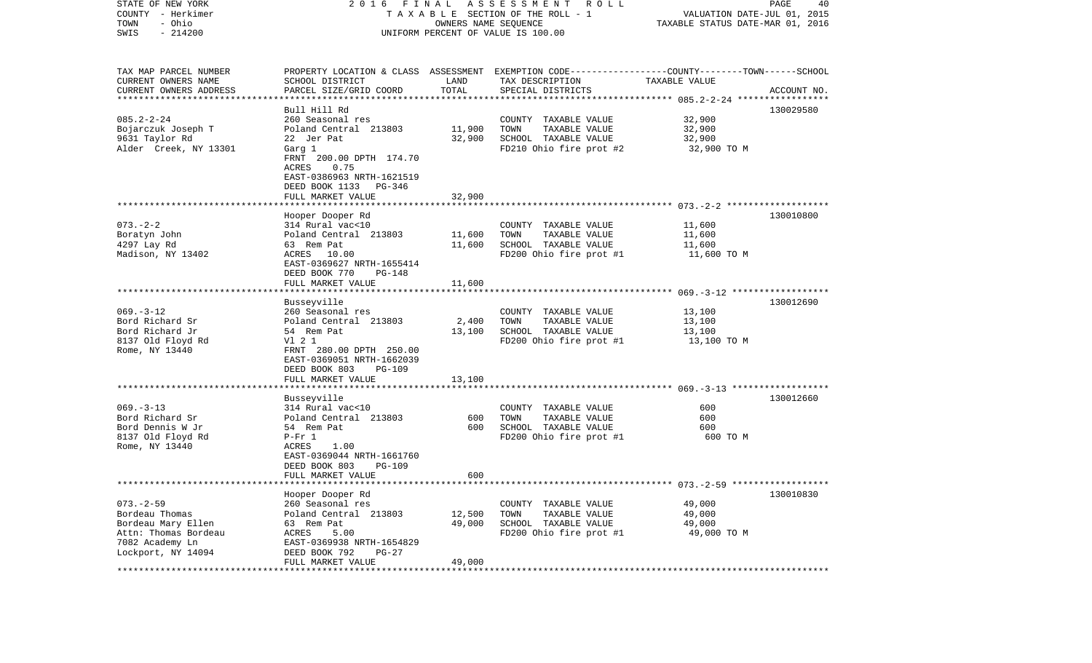| STATE OF NEW YORK<br>COUNTY - Herkimer<br>- Ohio<br>TOWN | 2016 FINAL ASSESSMENT ROLL<br>T A X A B L E SECTION OF THE ROLL - 1 | PAGE<br>40<br>VALUATION DATE-JUL 01, 2015<br>TAXABLE STATUS DATE-MAR 01, 2016 |                                                                                                                     |                  |             |
|----------------------------------------------------------|---------------------------------------------------------------------|-------------------------------------------------------------------------------|---------------------------------------------------------------------------------------------------------------------|------------------|-------------|
| $-214200$<br>SWIS                                        |                                                                     |                                                                               | UNIFORM PERCENT OF VALUE IS 100.00                                                                                  |                  |             |
| TAX MAP PARCEL NUMBER<br>CURRENT OWNERS NAME             | SCHOOL DISTRICT                                                     | LAND                                                                          | PROPERTY LOCATION & CLASS ASSESSMENT EXEMPTION CODE----------------COUNTY-------TOWN------SCHOOL<br>TAX DESCRIPTION | TAXABLE VALUE    |             |
| CURRENT OWNERS ADDRESS<br>*************************      | PARCEL SIZE/GRID COORD                                              | TOTAL                                                                         | SPECIAL DISTRICTS                                                                                                   |                  | ACCOUNT NO. |
|                                                          | Bull Hill Rd                                                        |                                                                               |                                                                                                                     |                  | 130029580   |
| $085.2 - 2 - 24$                                         | 260 Seasonal res                                                    |                                                                               | COUNTY TAXABLE VALUE                                                                                                | 32,900           |             |
| Bojarczuk Joseph T                                       | Poland Central 213803                                               | 11,900                                                                        | TAXABLE VALUE<br>TOWN                                                                                               | 32,900           |             |
| 9631 Taylor Rd                                           | 22 Jer Pat                                                          | 32,900                                                                        | SCHOOL TAXABLE VALUE                                                                                                | 32,900           |             |
| Alder Creek, NY 13301                                    | Garg 1<br>FRNT 200.00 DPTH 174.70                                   |                                                                               | FD210 Ohio fire prot #2                                                                                             | 32,900 TO M      |             |
|                                                          | ACRES<br>0.75                                                       |                                                                               |                                                                                                                     |                  |             |
|                                                          | EAST-0386963 NRTH-1621519                                           |                                                                               |                                                                                                                     |                  |             |
|                                                          | DEED BOOK 1133 PG-346                                               |                                                                               |                                                                                                                     |                  |             |
|                                                          | FULL MARKET VALUE                                                   | 32,900                                                                        |                                                                                                                     |                  |             |
|                                                          | Hooper Dooper Rd                                                    |                                                                               |                                                                                                                     |                  | 130010800   |
| $073. - 2 - 2$                                           | 314 Rural vac<10                                                    |                                                                               | COUNTY TAXABLE VALUE                                                                                                | 11,600           |             |
| Boratyn John                                             | Poland Central 213803                                               | 11,600                                                                        | TOWN<br>TAXABLE VALUE                                                                                               | 11,600           |             |
| 4297 Lay Rd                                              | 63 Rem Pat<br>ACRES 10.00                                           | 11,600                                                                        | SCHOOL TAXABLE VALUE                                                                                                | 11,600           |             |
| Madison, NY 13402                                        | EAST-0369627 NRTH-1655414                                           |                                                                               | FD200 Ohio fire prot #1                                                                                             | 11,600 TO M      |             |
|                                                          | DEED BOOK 770<br>PG-148                                             |                                                                               |                                                                                                                     |                  |             |
|                                                          | FULL MARKET VALUE                                                   | 11,600                                                                        |                                                                                                                     |                  |             |
|                                                          |                                                                     |                                                                               |                                                                                                                     |                  | 130012690   |
| $069. -3 - 12$                                           | Busseyville<br>260 Seasonal res                                     |                                                                               | COUNTY TAXABLE VALUE                                                                                                | 13,100           |             |
| Bord Richard Sr                                          | Poland Central 213803                                               | 2,400                                                                         | TOWN<br>TAXABLE VALUE                                                                                               | 13,100           |             |
| Bord Richard Jr                                          | 54 Rem Pat                                                          | 13,100                                                                        | SCHOOL TAXABLE VALUE                                                                                                | 13,100           |             |
| 8137 Old Floyd Rd                                        | V1 2 1                                                              |                                                                               | FD200 Ohio fire prot #1                                                                                             | 13,100 TO M      |             |
| Rome, NY 13440                                           | FRNT 280.00 DPTH 250.00<br>EAST-0369051 NRTH-1662039                |                                                                               |                                                                                                                     |                  |             |
|                                                          | DEED BOOK 803<br><b>PG-109</b>                                      |                                                                               |                                                                                                                     |                  |             |
|                                                          | FULL MARKET VALUE                                                   | 13,100                                                                        |                                                                                                                     |                  |             |
|                                                          | ***************************                                         |                                                                               |                                                                                                                     |                  |             |
| $069. -3 - 13$                                           | Busseyville<br>314 Rural vac<10                                     |                                                                               | COUNTY TAXABLE VALUE                                                                                                | 600              | 130012660   |
| Bord Richard Sr                                          | Poland Central 213803                                               | 600                                                                           | TOWN<br>TAXABLE VALUE                                                                                               | 600              |             |
| Bord Dennis W Jr                                         | 54 Rem Pat                                                          | 600                                                                           | SCHOOL TAXABLE VALUE                                                                                                | 600              |             |
| 8137 Old Floyd Rd                                        | $P-Fr 1$                                                            |                                                                               | FD200 Ohio fire prot #1                                                                                             | 600 TO M         |             |
| Rome, NY 13440                                           | 1.00<br>ACRES<br>EAST-0369044 NRTH-1661760                          |                                                                               |                                                                                                                     |                  |             |
|                                                          | DEED BOOK 803<br><b>PG-109</b>                                      |                                                                               |                                                                                                                     |                  |             |
|                                                          | FULL MARKET VALUE                                                   | 600                                                                           |                                                                                                                     |                  |             |
|                                                          |                                                                     |                                                                               | ******************************* 073.-2-59 ******************                                                        |                  |             |
| $073. - 2 - 59$                                          | Hooper Dooper Rd<br>260 Seasonal res                                |                                                                               |                                                                                                                     |                  | 130010830   |
| Bordeau Thomas                                           | Poland Central 213803                                               | 12,500                                                                        | COUNTY TAXABLE VALUE<br>TOWN<br>TAXABLE VALUE                                                                       | 49,000<br>49,000 |             |
| Bordeau Mary Ellen                                       | 63 Rem Pat                                                          | 49,000                                                                        | SCHOOL TAXABLE VALUE                                                                                                | 49,000           |             |
| Attn: Thomas Bordeau                                     | ACRES<br>5.00                                                       |                                                                               | FD200 Ohio fire prot #1                                                                                             | 49,000 TO M      |             |
| 7082 Academy Ln<br>Lockport, NY 14094                    | EAST-0369938 NRTH-1654829                                           |                                                                               |                                                                                                                     |                  |             |
|                                                          | DEED BOOK 792<br>PG-27<br>FULL MARKET VALUE                         | 49,000                                                                        |                                                                                                                     |                  |             |
|                                                          |                                                                     |                                                                               |                                                                                                                     |                  |             |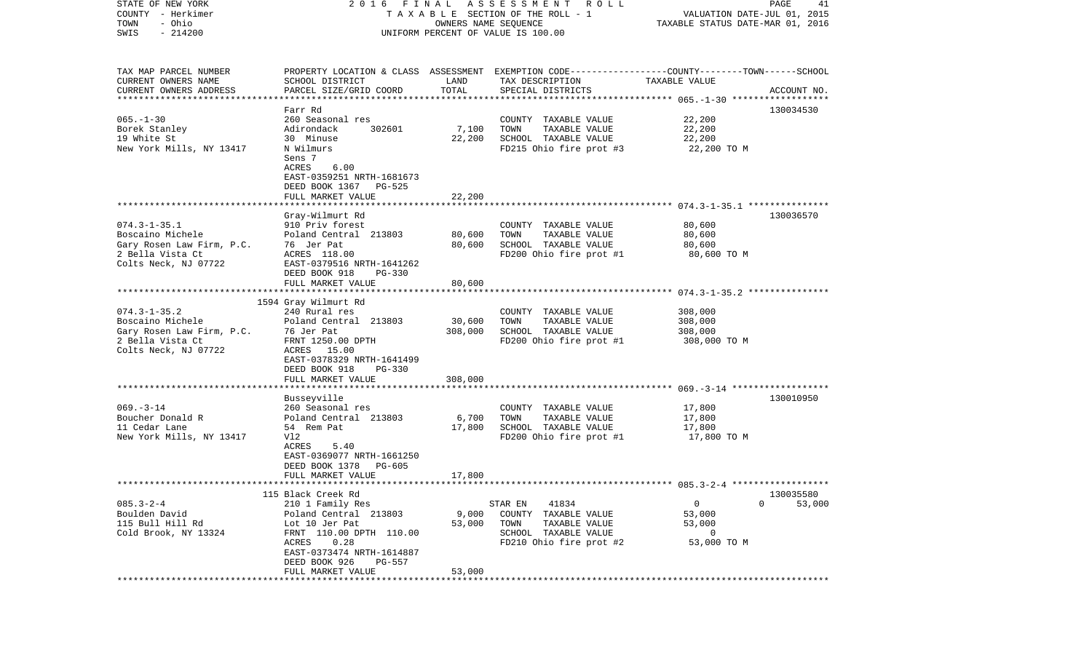| STATE OF NEW YORK<br>COUNTY - Herkimer<br>- Ohio<br>TOWN<br>$-214200$ | FINAL<br>2016<br>T A X A B L E SECTION OF THE ROLL - 1 | PAGE<br>41<br>VALUATION DATE-JUL 01, 2015<br>TAXABLE STATUS DATE-MAR 01, 2016 |                                                                                                  |                  |             |
|-----------------------------------------------------------------------|--------------------------------------------------------|-------------------------------------------------------------------------------|--------------------------------------------------------------------------------------------------|------------------|-------------|
| SWIS                                                                  |                                                        |                                                                               | UNIFORM PERCENT OF VALUE IS 100.00                                                               |                  |             |
| TAX MAP PARCEL NUMBER                                                 |                                                        |                                                                               | PROPERTY LOCATION & CLASS ASSESSMENT EXEMPTION CODE----------------COUNTY-------TOWN------SCHOOL |                  |             |
| CURRENT OWNERS NAME                                                   | SCHOOL DISTRICT                                        | LAND<br>TOTAL                                                                 | TAX DESCRIPTION                                                                                  | TAXABLE VALUE    |             |
| CURRENT OWNERS ADDRESS<br>************************                    | PARCEL SIZE/GRID COORD                                 |                                                                               | SPECIAL DISTRICTS                                                                                |                  | ACCOUNT NO. |
|                                                                       | Farr Rd                                                |                                                                               |                                                                                                  |                  | 130034530   |
| $065. -1 - 30$                                                        | 260 Seasonal res                                       |                                                                               | COUNTY TAXABLE VALUE                                                                             | 22,200           |             |
| Borek Stanley                                                         | Adirondack<br>302601                                   | 7,100                                                                         | TOWN<br>TAXABLE VALUE                                                                            | 22,200           |             |
| 19 White St                                                           | 30 Minuse                                              | 22,200                                                                        | SCHOOL TAXABLE VALUE                                                                             | 22,200           |             |
| New York Mills, NY 13417                                              | N Wilmurs                                              |                                                                               | FD215 Ohio fire prot #3                                                                          | 22,200 TO M      |             |
|                                                                       | Sens 7<br>ACRES<br>6.00                                |                                                                               |                                                                                                  |                  |             |
|                                                                       | EAST-0359251 NRTH-1681673                              |                                                                               |                                                                                                  |                  |             |
|                                                                       | DEED BOOK 1367 PG-525                                  |                                                                               |                                                                                                  |                  |             |
|                                                                       | FULL MARKET VALUE                                      | 22,200                                                                        |                                                                                                  |                  |             |
|                                                                       |                                                        |                                                                               |                                                                                                  |                  |             |
|                                                                       | Gray-Wilmurt Rd                                        |                                                                               |                                                                                                  |                  | 130036570   |
| $074.3 - 1 - 35.1$<br>Boscaino Michele                                | 910 Priv forest<br>Poland Central 213803               |                                                                               | COUNTY TAXABLE VALUE                                                                             | 80,600           |             |
| Gary Rosen Law Firm, P.C.                                             | 76 Jer Pat                                             | 80,600<br>80,600                                                              | TOWN<br>TAXABLE VALUE<br>SCHOOL TAXABLE VALUE                                                    | 80,600<br>80,600 |             |
| 2 Bella Vista Ct                                                      | ACRES 118.00                                           |                                                                               | FD200 Ohio fire prot #1                                                                          | 80,600 TO M      |             |
| Colts Neck, NJ 07722                                                  | EAST-0379516 NRTH-1641262                              |                                                                               |                                                                                                  |                  |             |
|                                                                       | DEED BOOK 918<br>PG-330                                |                                                                               |                                                                                                  |                  |             |
|                                                                       | FULL MARKET VALUE                                      | 80,600                                                                        |                                                                                                  |                  |             |
|                                                                       |                                                        |                                                                               |                                                                                                  |                  |             |
| $074.3 - 1 - 35.2$                                                    | 1594 Gray Wilmurt Rd<br>240 Rural res                  |                                                                               | COUNTY TAXABLE VALUE                                                                             | 308,000          |             |
| Boscaino Michele                                                      | Poland Central 213803                                  | 30,600                                                                        | TOWN<br>TAXABLE VALUE                                                                            | 308,000          |             |
| Gary Rosen Law Firm, P.C.                                             | 76 Jer Pat                                             | 308,000                                                                       | SCHOOL TAXABLE VALUE                                                                             | 308,000          |             |
| 2 Bella Vista Ct                                                      | FRNT 1250.00 DPTH                                      |                                                                               | FD200 Ohio fire prot #1                                                                          | 308,000 TO M     |             |
| Colts Neck, NJ 07722                                                  | ACRES 15.00                                            |                                                                               |                                                                                                  |                  |             |
|                                                                       | EAST-0378329 NRTH-1641499                              |                                                                               |                                                                                                  |                  |             |
|                                                                       | DEED BOOK 918<br>PG-330<br>FULL MARKET VALUE           | 308,000                                                                       |                                                                                                  |                  |             |
|                                                                       | *******************                                    |                                                                               |                                                                                                  |                  |             |
|                                                                       | Busseyville                                            |                                                                               |                                                                                                  |                  | 130010950   |
| $069. -3 - 14$                                                        | 260 Seasonal res                                       |                                                                               | COUNTY TAXABLE VALUE                                                                             | 17,800           |             |
| Boucher Donald R                                                      | Poland Central 213803                                  | 6,700                                                                         | TOWN<br>TAXABLE VALUE                                                                            | 17,800           |             |
| 11 Cedar Lane                                                         | 54 Rem Pat                                             | 17,800                                                                        | SCHOOL TAXABLE VALUE                                                                             | 17,800           |             |
| New York Mills, NY 13417                                              | Vl2<br>ACRES<br>5.40                                   |                                                                               | FD200 Ohio fire prot #1                                                                          | 17,800 TO M      |             |
|                                                                       | EAST-0369077 NRTH-1661250                              |                                                                               |                                                                                                  |                  |             |
|                                                                       | DEED BOOK 1378<br>PG-605                               |                                                                               |                                                                                                  |                  |             |
|                                                                       | FULL MARKET VALUE                                      | 17,800                                                                        |                                                                                                  |                  |             |
|                                                                       |                                                        |                                                                               |                                                                                                  |                  |             |
|                                                                       | 115 Black Creek Rd                                     |                                                                               |                                                                                                  |                  | 130035580   |
| $085.3 - 2 - 4$                                                       | 210 1 Family Res                                       |                                                                               | 41834<br>STAR EN                                                                                 | 0                | 53,000<br>0 |
| Boulden David<br>115 Bull Hill Rd                                     | Poland Central 213803<br>Lot 10 Jer Pat                | 9,000<br>53,000                                                               | COUNTY<br>TAXABLE VALUE<br>TOWN<br>TAXABLE VALUE                                                 | 53,000<br>53,000 |             |
| Cold Brook, NY 13324                                                  | FRNT 110.00 DPTH 110.00                                |                                                                               | SCHOOL TAXABLE VALUE                                                                             | 0                |             |
|                                                                       | ACRES<br>0.28                                          |                                                                               | FD210 Ohio fire prot #2                                                                          | 53,000 TO M      |             |
|                                                                       | EAST-0373474 NRTH-1614887                              |                                                                               |                                                                                                  |                  |             |
|                                                                       | DEED BOOK 926<br>PG-557                                |                                                                               |                                                                                                  |                  |             |
|                                                                       | FULL MARKET VALUE<br>**************************        | 53,000                                                                        | *******************************                                                                  |                  |             |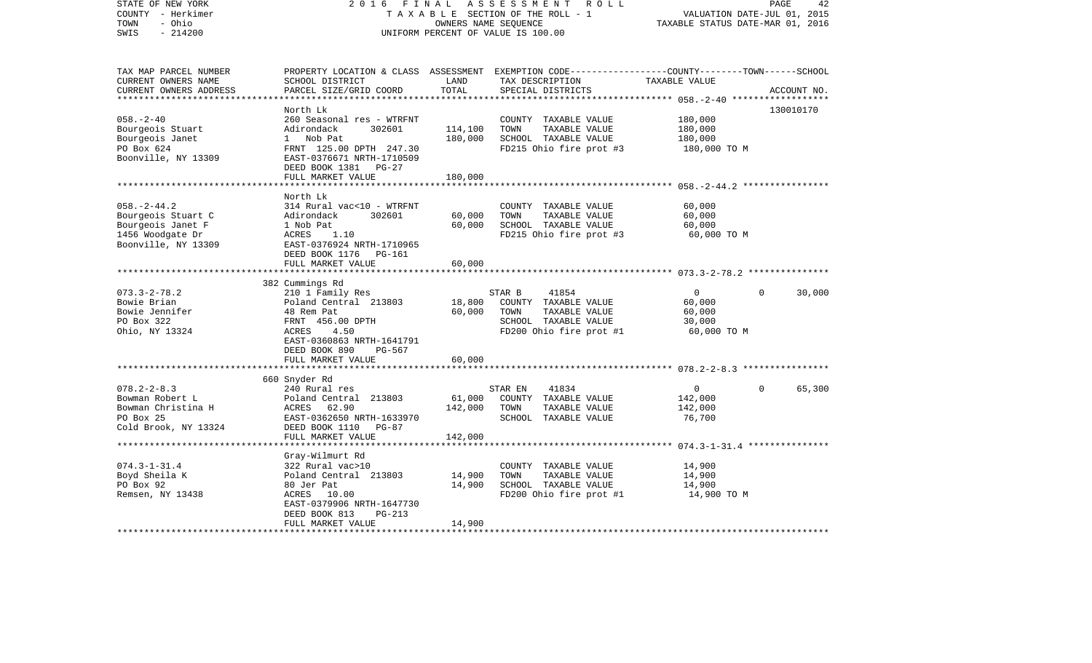| STATE OF NEW YORK<br>COUNTY - Herkimer<br>- Ohio<br>TOWN<br>$-214200$<br>SWIS                           | 2 0 1 6<br>FINAL<br>ASSESSMENT ROLL<br>TAXABLE SECTION OF THE ROLL - 1<br>OWNERS NAME SEQUENCE<br>UNIFORM PERCENT OF VALUE IS 100.00                                      |                    |                                                                                                                                         | VALUATION DATE-JUL 01, 2015<br>TAXABLE STATUS DATE-MAR 01, 2016 | PAGE<br>42         |
|---------------------------------------------------------------------------------------------------------|---------------------------------------------------------------------------------------------------------------------------------------------------------------------------|--------------------|-----------------------------------------------------------------------------------------------------------------------------------------|-----------------------------------------------------------------|--------------------|
| TAX MAP PARCEL NUMBER<br>CURRENT OWNERS NAME<br>CURRENT OWNERS ADDRESS                                  | SCHOOL DISTRICT<br>PARCEL SIZE/GRID COORD                                                                                                                                 | LAND<br>TOTAL      | PROPERTY LOCATION & CLASS ASSESSMENT EXEMPTION CODE---------------COUNTY-------TOWN------SCHOOL<br>TAX DESCRIPTION<br>SPECIAL DISTRICTS | TAXABLE VALUE                                                   | ACCOUNT NO.        |
|                                                                                                         | North Lk                                                                                                                                                                  |                    |                                                                                                                                         |                                                                 | 130010170          |
| $058. - 2 - 40$<br>Bourgeois Stuart<br>Bourgeois Janet<br>PO Box 624<br>Boonville, NY 13309             | 260 Seasonal res - WTRFNT<br>302601<br>Adirondack<br>1 Nob Pat<br>FRNT 125.00 DPTH 247.30<br>EAST-0376671 NRTH-1710509<br>DEED BOOK 1381 PG-27                            | 114,100<br>180,000 | COUNTY TAXABLE VALUE<br>TOWN<br>TAXABLE VALUE<br>SCHOOL TAXABLE VALUE<br>FD215 Ohio fire prot #3                                        | 180,000<br>180,000<br>180,000<br>180,000 TO M                   |                    |
|                                                                                                         | FULL MARKET VALUE                                                                                                                                                         | 180,000            |                                                                                                                                         |                                                                 |                    |
| $058. - 2 - 44.2$<br>Bourgeois Stuart C<br>Bourgeois Janet F<br>1456 Woodgate Dr<br>Boonville, NY 13309 | North Lk<br>314 Rural vac<10 - WTRFNT<br>Adirondack<br>302601<br>1 Nob Pat<br>ACRES<br>1.10<br>EAST-0376924 NRTH-1710965<br>DEED BOOK 1176 PG-161                         | 60,000<br>60,000   | COUNTY TAXABLE VALUE<br>TOWN<br>TAXABLE VALUE<br>SCHOOL TAXABLE VALUE<br>FD215 Ohio fire prot #3                                        | 60,000<br>60,000<br>60,000<br>60,000 TO M                       |                    |
|                                                                                                         | FULL MARKET VALUE                                                                                                                                                         | 60,000             |                                                                                                                                         |                                                                 |                    |
|                                                                                                         |                                                                                                                                                                           |                    |                                                                                                                                         |                                                                 |                    |
| $073.3 - 2 - 78.2$<br>Bowie Brian<br>Bowie Jennifer<br>PO Box 322<br>Ohio, NY 13324                     | 382 Cummings Rd<br>210 1 Family Res<br>Poland Central 213803<br>48 Rem Pat<br>FRNT 456.00 DPTH<br>ACRES<br>4.50<br>EAST-0360863 NRTH-1641791<br>DEED BOOK 890<br>$PG-567$ | 18,800<br>60,000   | 41854<br>STAR B<br>COUNTY TAXABLE VALUE<br>TOWN<br>TAXABLE VALUE<br>SCHOOL TAXABLE VALUE<br>FD200 Ohio fire prot #1                     | $\circ$<br>60,000<br>60,000<br>30,000<br>60,000 TO M            | $\Omega$<br>30,000 |
|                                                                                                         | FULL MARKET VALUE                                                                                                                                                         | 60,000             |                                                                                                                                         |                                                                 |                    |
|                                                                                                         | 660 Snyder Rd                                                                                                                                                             |                    |                                                                                                                                         |                                                                 |                    |
| $078.2 - 2 - 8.3$<br>Bowman Robert L<br>Bowman Christina H<br>PO Box 25<br>Cold Brook, NY 13324         | 240 Rural res<br>Poland Central 213803<br>ACRES 62.90<br>EAST-0362650 NRTH-1633970<br>DEED BOOK 1110<br>PG-87                                                             | 61,000<br>142,000  | STAR EN<br>41834<br>COUNTY TAXABLE VALUE<br>TAXABLE VALUE<br>TOWN<br>SCHOOL TAXABLE VALUE                                               | $\mathbf{0}$<br>142,000<br>142,000<br>76,700                    | 65,300<br>$\Omega$ |
|                                                                                                         | FULL MARKET VALUE                                                                                                                                                         | 142,000            |                                                                                                                                         |                                                                 |                    |
| $074.3 - 1 - 31.4$<br>Boyd Sheila K<br>PO Box 92<br>Remsen, NY 13438                                    | Gray-Wilmurt Rd<br>322 Rural vac>10<br>Poland Central 213803<br>80 Jer Pat<br>ACRES 10.00<br>EAST-0379906 NRTH-1647730                                                    | 14,900<br>14,900   | COUNTY TAXABLE VALUE<br>TOWN<br>TAXABLE VALUE<br>SCHOOL TAXABLE VALUE<br>FD200 Ohio fire prot #1                                        | 14,900<br>14,900<br>14,900<br>14,900 TO M                       |                    |
|                                                                                                         | DEED BOOK 813<br>$PG-213$<br>FULL MARKET VALUE                                                                                                                            | 14,900             |                                                                                                                                         |                                                                 |                    |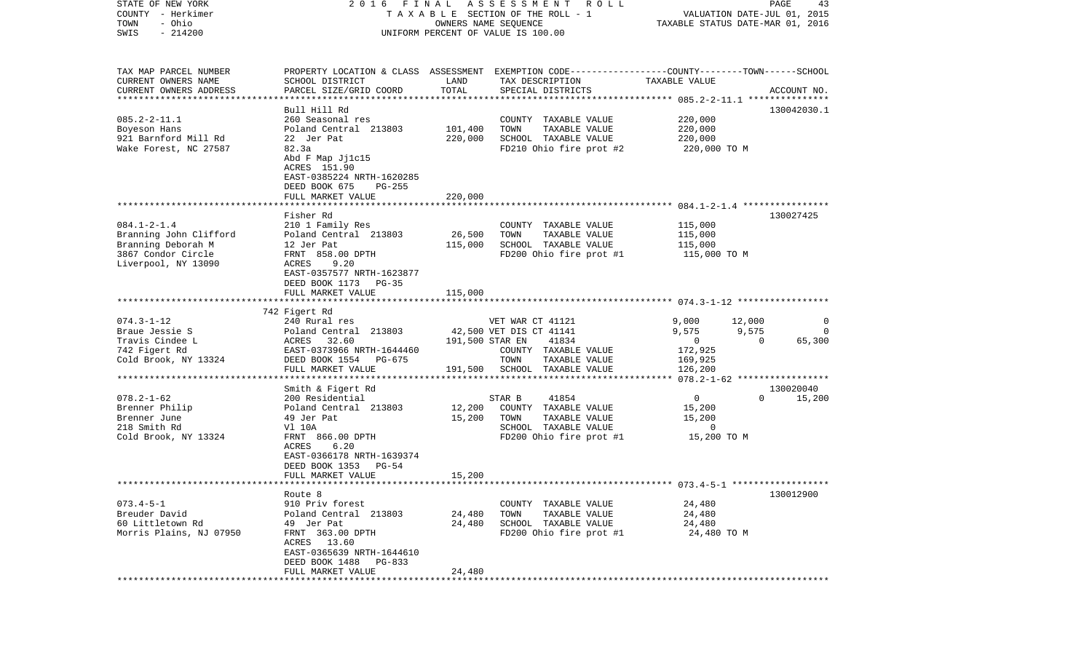| STATE OF NEW YORK<br>COUNTY - Herkimer<br>- Ohio<br>TOWN<br>$-214200$<br>SWIS | FINAL<br>2016<br>TAXABLE SECTION OF THE ROLL - 1<br>UNIFORM PERCENT OF VALUE IS 100.00            | PAGE<br>43<br>VALUATION DATE-JUL 01, 2015<br>TAXABLE STATUS DATE-MAR 01, 2016 |                                                                                                                     |                         |                                   |
|-------------------------------------------------------------------------------|---------------------------------------------------------------------------------------------------|-------------------------------------------------------------------------------|---------------------------------------------------------------------------------------------------------------------|-------------------------|-----------------------------------|
| TAX MAP PARCEL NUMBER<br>CURRENT OWNERS NAME                                  | SCHOOL DISTRICT                                                                                   | LAND                                                                          | PROPERTY LOCATION & CLASS ASSESSMENT EXEMPTION CODE----------------COUNTY-------TOWN------SCHOOL<br>TAX DESCRIPTION | TAXABLE VALUE           |                                   |
| CURRENT OWNERS ADDRESS<br>**********************                              | PARCEL SIZE/GRID COORD<br>*********************                                                   | TOTAL                                                                         | SPECIAL DISTRICTS                                                                                                   |                         | ACCOUNT NO.                       |
|                                                                               | Bull Hill Rd                                                                                      |                                                                               |                                                                                                                     |                         | 130042030.1                       |
| $085.2 - 2 - 11.1$                                                            | 260 Seasonal res                                                                                  |                                                                               | COUNTY TAXABLE VALUE                                                                                                | 220,000                 |                                   |
| Boyeson Hans                                                                  | Poland Central 213803                                                                             | 101,400                                                                       | TOWN<br>TAXABLE VALUE                                                                                               | 220,000                 |                                   |
| 921 Barnford Mill Rd                                                          | 22 Jer Pat                                                                                        | 220,000                                                                       | SCHOOL TAXABLE VALUE                                                                                                | 220,000                 |                                   |
| Wake Forest, NC 27587                                                         | 82.3a<br>Abd F Map Jj1c15<br>ACRES 151.90<br>EAST-0385224 NRTH-1620285<br>DEED BOOK 675<br>PG-255 |                                                                               | FD210 Ohio fire prot #2                                                                                             | 220,000 TO M            |                                   |
|                                                                               | FULL MARKET VALUE                                                                                 | 220,000                                                                       |                                                                                                                     |                         |                                   |
|                                                                               | Fisher Rd                                                                                         |                                                                               |                                                                                                                     |                         | 130027425                         |
| $084.1 - 2 - 1.4$                                                             | 210 1 Family Res                                                                                  |                                                                               | COUNTY TAXABLE VALUE                                                                                                | 115,000                 |                                   |
| Branning John Clifford                                                        | Poland Central 213803                                                                             | 26,500                                                                        | TOWN<br>TAXABLE VALUE                                                                                               | 115,000                 |                                   |
| Branning Deborah M                                                            | 12 Jer Pat                                                                                        | 115,000                                                                       | SCHOOL TAXABLE VALUE                                                                                                | 115,000                 |                                   |
| 3867 Condor Circle<br>Liverpool, NY 13090                                     | FRNT 858.00 DPTH<br>ACRES<br>9.20<br>EAST-0357577 NRTH-1623877<br>DEED BOOK 1173<br>PG-35         |                                                                               | FD200 Ohio fire prot #1                                                                                             | 115,000 TO M            |                                   |
|                                                                               | FULL MARKET VALUE                                                                                 | 115,000                                                                       |                                                                                                                     |                         |                                   |
|                                                                               | 742 Figert Rd                                                                                     |                                                                               |                                                                                                                     |                         |                                   |
| $074.3 - 1 - 12$                                                              | 240 Rural res                                                                                     |                                                                               | VET WAR CT 41121                                                                                                    | 9,000                   | 12,000<br>0                       |
| Braue Jessie S                                                                | Poland Central 213803                                                                             |                                                                               | 42,500 VET DIS CT 41141                                                                                             | 9,575                   | 9,575<br>0                        |
| Travis Cindee L                                                               | ACRES 32.60<br>EAST-0373966 NRTH-1644460                                                          | 191,500 STAR EN                                                               | 41834<br>COUNTY TAXABLE VALUE                                                                                       | $\mathbf{0}$<br>172,925 | $\Omega$<br>65,300                |
| 742 Figert Rd<br>Cold Brook, NY 13324                                         | DEED BOOK 1554<br>PG-675                                                                          |                                                                               | TOWN<br>TAXABLE VALUE                                                                                               | 169,925                 |                                   |
|                                                                               | FULL MARKET VALUE                                                                                 | 191,500                                                                       | SCHOOL TAXABLE VALUE                                                                                                | 126,200                 |                                   |
|                                                                               | *********************                                                                             |                                                                               |                                                                                                                     |                         | *** 078.2-1-62 ****************** |
|                                                                               | Smith & Figert Rd                                                                                 |                                                                               |                                                                                                                     |                         | 130020040                         |
| $078.2 - 1 - 62$                                                              | 200 Residential                                                                                   |                                                                               | STAR B<br>41854                                                                                                     | 0                       | $\Omega$<br>15,200                |
| Brenner Philip                                                                | Poland Central 213803                                                                             | 12,200                                                                        | COUNTY TAXABLE VALUE                                                                                                | 15,200                  |                                   |
| Brenner June<br>218 Smith Rd                                                  | 49 Jer Pat<br>V1 10A                                                                              | 15,200                                                                        | TOWN<br>TAXABLE VALUE<br>SCHOOL TAXABLE VALUE                                                                       | 15,200<br>0             |                                   |
| Cold Brook, NY 13324                                                          | FRNT 866.00 DPTH                                                                                  |                                                                               | FD200 Ohio fire prot #1                                                                                             | 15,200 TO M             |                                   |
|                                                                               | 6.20<br>ACRES<br>EAST-0366178 NRTH-1639374<br>DEED BOOK 1353<br>$PG-54$                           |                                                                               |                                                                                                                     |                         |                                   |
| *********************                                                         | FULL MARKET VALUE                                                                                 | 15,200                                                                        |                                                                                                                     |                         |                                   |
|                                                                               | Route 8                                                                                           |                                                                               |                                                                                                                     |                         | 130012900                         |
| $073.4 - 5 - 1$                                                               | 910 Priv forest                                                                                   |                                                                               | COUNTY TAXABLE VALUE                                                                                                | 24,480                  |                                   |
| Breuder David                                                                 | Poland Central 213803                                                                             | 24,480                                                                        | TAXABLE VALUE<br>TOWN                                                                                               | 24,480                  |                                   |
| 60 Littletown Rd                                                              | 49 Jer Pat                                                                                        | 24,480                                                                        | SCHOOL TAXABLE VALUE                                                                                                | 24,480                  |                                   |
| Morris Plains, NJ 07950                                                       | FRNT 363.00 DPTH<br>ACRES<br>13.60<br>EAST-0365639 NRTH-1644610<br>DEED BOOK 1488<br>PG-833       |                                                                               | FD200 Ohio fire prot #1                                                                                             | 24,480 TO M             |                                   |
|                                                                               | FULL MARKET VALUE                                                                                 | 24,480                                                                        |                                                                                                                     |                         |                                   |
|                                                                               |                                                                                                   |                                                                               |                                                                                                                     |                         |                                   |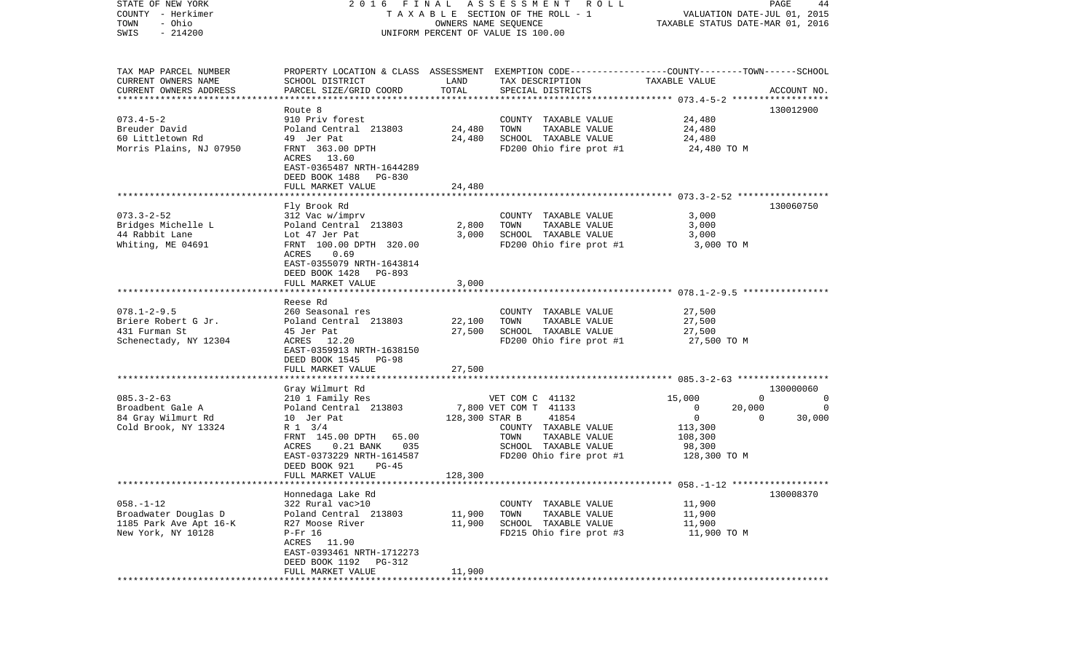| TAXABLE SECTION OF THE ROLL - 1<br>VALUATION DATE-JUL 01, 2015<br>- Ohio<br>TOWN<br>OWNERS NAME SEQUENCE<br>TAXABLE STATUS DATE-MAR 01, 2016<br>$-214200$<br>SWIS<br>UNIFORM PERCENT OF VALUE IS 100.00<br>TAX MAP PARCEL NUMBER<br>PROPERTY LOCATION & CLASS ASSESSMENT EXEMPTION CODE---------------COUNTY-------TOWN------SCHOOL<br>CURRENT OWNERS NAME<br>SCHOOL DISTRICT<br>LAND<br>TAX DESCRIPTION<br>TAXABLE VALUE<br>TOTAL<br>CURRENT OWNERS ADDRESS<br>PARCEL SIZE/GRID COORD<br>SPECIAL DISTRICTS<br>ACCOUNT NO.<br>*************************<br>130012900<br>Route <sub>8</sub><br>$073.4 - 5 - 2$<br>910 Priv forest<br>24,480<br>COUNTY TAXABLE VALUE<br>24,480<br>Breuder David<br>Poland Central 213803<br>TOWN<br>TAXABLE VALUE<br>24,480<br>60 Littletown Rd<br>49 Jer Pat<br>24,480<br>SCHOOL TAXABLE VALUE<br>24,480<br>Morris Plains, NJ 07950<br>FRNT 363.00 DPTH<br>FD200 Ohio fire prot #1<br>24,480 TO M<br>ACRES 13.60<br>EAST-0365487 NRTH-1644289<br>DEED BOOK 1488<br>PG-830<br>FULL MARKET VALUE<br>24,480<br>130060750<br>Fly Brook Rd<br>312 Vac w/imprv<br>3,000<br>COUNTY TAXABLE VALUE<br>Poland Central 213803<br>2,800<br>TOWN<br>TAXABLE VALUE<br>3,000<br>SCHOOL TAXABLE VALUE<br>3,000<br>3,000<br>Lot 47 Jer Pat<br>FRNT 100.00 DPTH 320.00<br>FD200 Ohio fire prot #1<br>3,000 TO M<br>ACRES<br>0.69<br>EAST-0355079 NRTH-1643814<br>DEED BOOK 1428<br>PG-893<br>FULL MARKET VALUE<br>3,000<br>Reese Rd<br>260 Seasonal res<br>27,500<br>COUNTY TAXABLE VALUE<br>Poland Central 213803<br>22,100<br>TOWN<br>TAXABLE VALUE<br>27,500<br>27,500<br>SCHOOL TAXABLE VALUE<br>45 Jer Pat<br>27,500<br>FD200 Ohio fire prot #1<br>ACRES 12.20<br>27,500 TO M<br>EAST-0359913 NRTH-1638150<br>DEED BOOK 1545<br><b>PG-98</b><br>FULL MARKET VALUE<br>27,500<br>*******************<br>Gray Wilmurt Rd<br>130000060<br>$085.3 - 2 - 63$<br>210 1 Family Res<br>VET COM C 41132<br>15,000<br>$\mathbf 0$<br>0<br>Broadbent Gale A<br>Poland Central 213803<br>7,800 VET COM T 41133<br>$\overline{0}$<br>20,000<br>0<br>84 Gray Wilmurt Rd<br>10 Jer Pat<br>128,300 STAR B<br>41854<br>$\overline{0}$<br>30,000<br>$\Omega$<br>Cold Brook, NY 13324<br>R 1 3/4<br>COUNTY TAXABLE VALUE<br>113,300<br>FRNT 145.00 DPTH 65.00<br>TAXABLE VALUE<br>TOWN<br>108,300<br>$0.21$ BANK<br>035<br>SCHOOL TAXABLE VALUE<br>ACRES<br>98,300<br>EAST-0373229 NRTH-1614587<br>FD200 Ohio fire prot #1<br>128,300 TO M<br>DEED BOOK 921<br>$PG-45$<br>128,300<br>FULL MARKET VALUE<br>Honnedaga Lake Rd<br>130008370<br>$058. - 1 - 12$<br>322 Rural vac>10<br>COUNTY TAXABLE VALUE<br>11,900<br>Broadwater Douglas D<br>Poland Central 213803<br>11,900<br>TOWN<br>TAXABLE VALUE<br>11,900<br>1185 Park Ave Apt 16-K<br>11,900<br>11,900<br>R27 Moose River<br>SCHOOL TAXABLE VALUE<br>New York, NY 10128<br>$P-Fr$ 16<br>FD215 Ohio fire prot #3<br>11,900 TO M<br>ACRES<br>11.90<br>EAST-0393461 NRTH-1712273<br>DEED BOOK 1192<br>PG-312<br>11,900<br>FULL MARKET VALUE<br>************ | STATE OF NEW YORK     |  | 2016 FINAL ASSESSMENT ROLL |  | PAGE<br>44 |
|---------------------------------------------------------------------------------------------------------------------------------------------------------------------------------------------------------------------------------------------------------------------------------------------------------------------------------------------------------------------------------------------------------------------------------------------------------------------------------------------------------------------------------------------------------------------------------------------------------------------------------------------------------------------------------------------------------------------------------------------------------------------------------------------------------------------------------------------------------------------------------------------------------------------------------------------------------------------------------------------------------------------------------------------------------------------------------------------------------------------------------------------------------------------------------------------------------------------------------------------------------------------------------------------------------------------------------------------------------------------------------------------------------------------------------------------------------------------------------------------------------------------------------------------------------------------------------------------------------------------------------------------------------------------------------------------------------------------------------------------------------------------------------------------------------------------------------------------------------------------------------------------------------------------------------------------------------------------------------------------------------------------------------------------------------------------------------------------------------------------------------------------------------------------------------------------------------------------------------------------------------------------------------------------------------------------------------------------------------------------------------------------------------------------------------------------------------------------------------------------------------------------------------------------------------------------------------------------------------------------------------------------------------------------------------------------------------------------------------------------------------------------------------------------------------------------------------------------------------------------------------------------------------------------------------------------------------------------------------------------------------------|-----------------------|--|----------------------------|--|------------|
|                                                                                                                                                                                                                                                                                                                                                                                                                                                                                                                                                                                                                                                                                                                                                                                                                                                                                                                                                                                                                                                                                                                                                                                                                                                                                                                                                                                                                                                                                                                                                                                                                                                                                                                                                                                                                                                                                                                                                                                                                                                                                                                                                                                                                                                                                                                                                                                                                                                                                                                                                                                                                                                                                                                                                                                                                                                                                                                                                                                                               | COUNTY - Herkimer     |  |                            |  |            |
|                                                                                                                                                                                                                                                                                                                                                                                                                                                                                                                                                                                                                                                                                                                                                                                                                                                                                                                                                                                                                                                                                                                                                                                                                                                                                                                                                                                                                                                                                                                                                                                                                                                                                                                                                                                                                                                                                                                                                                                                                                                                                                                                                                                                                                                                                                                                                                                                                                                                                                                                                                                                                                                                                                                                                                                                                                                                                                                                                                                                               |                       |  |                            |  |            |
|                                                                                                                                                                                                                                                                                                                                                                                                                                                                                                                                                                                                                                                                                                                                                                                                                                                                                                                                                                                                                                                                                                                                                                                                                                                                                                                                                                                                                                                                                                                                                                                                                                                                                                                                                                                                                                                                                                                                                                                                                                                                                                                                                                                                                                                                                                                                                                                                                                                                                                                                                                                                                                                                                                                                                                                                                                                                                                                                                                                                               |                       |  |                            |  |            |
|                                                                                                                                                                                                                                                                                                                                                                                                                                                                                                                                                                                                                                                                                                                                                                                                                                                                                                                                                                                                                                                                                                                                                                                                                                                                                                                                                                                                                                                                                                                                                                                                                                                                                                                                                                                                                                                                                                                                                                                                                                                                                                                                                                                                                                                                                                                                                                                                                                                                                                                                                                                                                                                                                                                                                                                                                                                                                                                                                                                                               |                       |  |                            |  |            |
|                                                                                                                                                                                                                                                                                                                                                                                                                                                                                                                                                                                                                                                                                                                                                                                                                                                                                                                                                                                                                                                                                                                                                                                                                                                                                                                                                                                                                                                                                                                                                                                                                                                                                                                                                                                                                                                                                                                                                                                                                                                                                                                                                                                                                                                                                                                                                                                                                                                                                                                                                                                                                                                                                                                                                                                                                                                                                                                                                                                                               |                       |  |                            |  |            |
|                                                                                                                                                                                                                                                                                                                                                                                                                                                                                                                                                                                                                                                                                                                                                                                                                                                                                                                                                                                                                                                                                                                                                                                                                                                                                                                                                                                                                                                                                                                                                                                                                                                                                                                                                                                                                                                                                                                                                                                                                                                                                                                                                                                                                                                                                                                                                                                                                                                                                                                                                                                                                                                                                                                                                                                                                                                                                                                                                                                                               |                       |  |                            |  |            |
|                                                                                                                                                                                                                                                                                                                                                                                                                                                                                                                                                                                                                                                                                                                                                                                                                                                                                                                                                                                                                                                                                                                                                                                                                                                                                                                                                                                                                                                                                                                                                                                                                                                                                                                                                                                                                                                                                                                                                                                                                                                                                                                                                                                                                                                                                                                                                                                                                                                                                                                                                                                                                                                                                                                                                                                                                                                                                                                                                                                                               |                       |  |                            |  |            |
|                                                                                                                                                                                                                                                                                                                                                                                                                                                                                                                                                                                                                                                                                                                                                                                                                                                                                                                                                                                                                                                                                                                                                                                                                                                                                                                                                                                                                                                                                                                                                                                                                                                                                                                                                                                                                                                                                                                                                                                                                                                                                                                                                                                                                                                                                                                                                                                                                                                                                                                                                                                                                                                                                                                                                                                                                                                                                                                                                                                                               |                       |  |                            |  |            |
|                                                                                                                                                                                                                                                                                                                                                                                                                                                                                                                                                                                                                                                                                                                                                                                                                                                                                                                                                                                                                                                                                                                                                                                                                                                                                                                                                                                                                                                                                                                                                                                                                                                                                                                                                                                                                                                                                                                                                                                                                                                                                                                                                                                                                                                                                                                                                                                                                                                                                                                                                                                                                                                                                                                                                                                                                                                                                                                                                                                                               |                       |  |                            |  |            |
|                                                                                                                                                                                                                                                                                                                                                                                                                                                                                                                                                                                                                                                                                                                                                                                                                                                                                                                                                                                                                                                                                                                                                                                                                                                                                                                                                                                                                                                                                                                                                                                                                                                                                                                                                                                                                                                                                                                                                                                                                                                                                                                                                                                                                                                                                                                                                                                                                                                                                                                                                                                                                                                                                                                                                                                                                                                                                                                                                                                                               |                       |  |                            |  |            |
|                                                                                                                                                                                                                                                                                                                                                                                                                                                                                                                                                                                                                                                                                                                                                                                                                                                                                                                                                                                                                                                                                                                                                                                                                                                                                                                                                                                                                                                                                                                                                                                                                                                                                                                                                                                                                                                                                                                                                                                                                                                                                                                                                                                                                                                                                                                                                                                                                                                                                                                                                                                                                                                                                                                                                                                                                                                                                                                                                                                                               |                       |  |                            |  |            |
|                                                                                                                                                                                                                                                                                                                                                                                                                                                                                                                                                                                                                                                                                                                                                                                                                                                                                                                                                                                                                                                                                                                                                                                                                                                                                                                                                                                                                                                                                                                                                                                                                                                                                                                                                                                                                                                                                                                                                                                                                                                                                                                                                                                                                                                                                                                                                                                                                                                                                                                                                                                                                                                                                                                                                                                                                                                                                                                                                                                                               |                       |  |                            |  |            |
|                                                                                                                                                                                                                                                                                                                                                                                                                                                                                                                                                                                                                                                                                                                                                                                                                                                                                                                                                                                                                                                                                                                                                                                                                                                                                                                                                                                                                                                                                                                                                                                                                                                                                                                                                                                                                                                                                                                                                                                                                                                                                                                                                                                                                                                                                                                                                                                                                                                                                                                                                                                                                                                                                                                                                                                                                                                                                                                                                                                                               |                       |  |                            |  |            |
|                                                                                                                                                                                                                                                                                                                                                                                                                                                                                                                                                                                                                                                                                                                                                                                                                                                                                                                                                                                                                                                                                                                                                                                                                                                                                                                                                                                                                                                                                                                                                                                                                                                                                                                                                                                                                                                                                                                                                                                                                                                                                                                                                                                                                                                                                                                                                                                                                                                                                                                                                                                                                                                                                                                                                                                                                                                                                                                                                                                                               |                       |  |                            |  |            |
|                                                                                                                                                                                                                                                                                                                                                                                                                                                                                                                                                                                                                                                                                                                                                                                                                                                                                                                                                                                                                                                                                                                                                                                                                                                                                                                                                                                                                                                                                                                                                                                                                                                                                                                                                                                                                                                                                                                                                                                                                                                                                                                                                                                                                                                                                                                                                                                                                                                                                                                                                                                                                                                                                                                                                                                                                                                                                                                                                                                                               |                       |  |                            |  |            |
|                                                                                                                                                                                                                                                                                                                                                                                                                                                                                                                                                                                                                                                                                                                                                                                                                                                                                                                                                                                                                                                                                                                                                                                                                                                                                                                                                                                                                                                                                                                                                                                                                                                                                                                                                                                                                                                                                                                                                                                                                                                                                                                                                                                                                                                                                                                                                                                                                                                                                                                                                                                                                                                                                                                                                                                                                                                                                                                                                                                                               |                       |  |                            |  |            |
|                                                                                                                                                                                                                                                                                                                                                                                                                                                                                                                                                                                                                                                                                                                                                                                                                                                                                                                                                                                                                                                                                                                                                                                                                                                                                                                                                                                                                                                                                                                                                                                                                                                                                                                                                                                                                                                                                                                                                                                                                                                                                                                                                                                                                                                                                                                                                                                                                                                                                                                                                                                                                                                                                                                                                                                                                                                                                                                                                                                                               |                       |  |                            |  |            |
|                                                                                                                                                                                                                                                                                                                                                                                                                                                                                                                                                                                                                                                                                                                                                                                                                                                                                                                                                                                                                                                                                                                                                                                                                                                                                                                                                                                                                                                                                                                                                                                                                                                                                                                                                                                                                                                                                                                                                                                                                                                                                                                                                                                                                                                                                                                                                                                                                                                                                                                                                                                                                                                                                                                                                                                                                                                                                                                                                                                                               |                       |  |                            |  |            |
|                                                                                                                                                                                                                                                                                                                                                                                                                                                                                                                                                                                                                                                                                                                                                                                                                                                                                                                                                                                                                                                                                                                                                                                                                                                                                                                                                                                                                                                                                                                                                                                                                                                                                                                                                                                                                                                                                                                                                                                                                                                                                                                                                                                                                                                                                                                                                                                                                                                                                                                                                                                                                                                                                                                                                                                                                                                                                                                                                                                                               |                       |  |                            |  |            |
|                                                                                                                                                                                                                                                                                                                                                                                                                                                                                                                                                                                                                                                                                                                                                                                                                                                                                                                                                                                                                                                                                                                                                                                                                                                                                                                                                                                                                                                                                                                                                                                                                                                                                                                                                                                                                                                                                                                                                                                                                                                                                                                                                                                                                                                                                                                                                                                                                                                                                                                                                                                                                                                                                                                                                                                                                                                                                                                                                                                                               | $073.3 - 2 - 52$      |  |                            |  |            |
|                                                                                                                                                                                                                                                                                                                                                                                                                                                                                                                                                                                                                                                                                                                                                                                                                                                                                                                                                                                                                                                                                                                                                                                                                                                                                                                                                                                                                                                                                                                                                                                                                                                                                                                                                                                                                                                                                                                                                                                                                                                                                                                                                                                                                                                                                                                                                                                                                                                                                                                                                                                                                                                                                                                                                                                                                                                                                                                                                                                                               | Bridges Michelle L    |  |                            |  |            |
|                                                                                                                                                                                                                                                                                                                                                                                                                                                                                                                                                                                                                                                                                                                                                                                                                                                                                                                                                                                                                                                                                                                                                                                                                                                                                                                                                                                                                                                                                                                                                                                                                                                                                                                                                                                                                                                                                                                                                                                                                                                                                                                                                                                                                                                                                                                                                                                                                                                                                                                                                                                                                                                                                                                                                                                                                                                                                                                                                                                                               | 44 Rabbit Lane        |  |                            |  |            |
|                                                                                                                                                                                                                                                                                                                                                                                                                                                                                                                                                                                                                                                                                                                                                                                                                                                                                                                                                                                                                                                                                                                                                                                                                                                                                                                                                                                                                                                                                                                                                                                                                                                                                                                                                                                                                                                                                                                                                                                                                                                                                                                                                                                                                                                                                                                                                                                                                                                                                                                                                                                                                                                                                                                                                                                                                                                                                                                                                                                                               | Whiting, ME 04691     |  |                            |  |            |
|                                                                                                                                                                                                                                                                                                                                                                                                                                                                                                                                                                                                                                                                                                                                                                                                                                                                                                                                                                                                                                                                                                                                                                                                                                                                                                                                                                                                                                                                                                                                                                                                                                                                                                                                                                                                                                                                                                                                                                                                                                                                                                                                                                                                                                                                                                                                                                                                                                                                                                                                                                                                                                                                                                                                                                                                                                                                                                                                                                                                               |                       |  |                            |  |            |
|                                                                                                                                                                                                                                                                                                                                                                                                                                                                                                                                                                                                                                                                                                                                                                                                                                                                                                                                                                                                                                                                                                                                                                                                                                                                                                                                                                                                                                                                                                                                                                                                                                                                                                                                                                                                                                                                                                                                                                                                                                                                                                                                                                                                                                                                                                                                                                                                                                                                                                                                                                                                                                                                                                                                                                                                                                                                                                                                                                                                               |                       |  |                            |  |            |
|                                                                                                                                                                                                                                                                                                                                                                                                                                                                                                                                                                                                                                                                                                                                                                                                                                                                                                                                                                                                                                                                                                                                                                                                                                                                                                                                                                                                                                                                                                                                                                                                                                                                                                                                                                                                                                                                                                                                                                                                                                                                                                                                                                                                                                                                                                                                                                                                                                                                                                                                                                                                                                                                                                                                                                                                                                                                                                                                                                                                               |                       |  |                            |  |            |
|                                                                                                                                                                                                                                                                                                                                                                                                                                                                                                                                                                                                                                                                                                                                                                                                                                                                                                                                                                                                                                                                                                                                                                                                                                                                                                                                                                                                                                                                                                                                                                                                                                                                                                                                                                                                                                                                                                                                                                                                                                                                                                                                                                                                                                                                                                                                                                                                                                                                                                                                                                                                                                                                                                                                                                                                                                                                                                                                                                                                               |                       |  |                            |  |            |
|                                                                                                                                                                                                                                                                                                                                                                                                                                                                                                                                                                                                                                                                                                                                                                                                                                                                                                                                                                                                                                                                                                                                                                                                                                                                                                                                                                                                                                                                                                                                                                                                                                                                                                                                                                                                                                                                                                                                                                                                                                                                                                                                                                                                                                                                                                                                                                                                                                                                                                                                                                                                                                                                                                                                                                                                                                                                                                                                                                                                               |                       |  |                            |  |            |
|                                                                                                                                                                                                                                                                                                                                                                                                                                                                                                                                                                                                                                                                                                                                                                                                                                                                                                                                                                                                                                                                                                                                                                                                                                                                                                                                                                                                                                                                                                                                                                                                                                                                                                                                                                                                                                                                                                                                                                                                                                                                                                                                                                                                                                                                                                                                                                                                                                                                                                                                                                                                                                                                                                                                                                                                                                                                                                                                                                                                               |                       |  |                            |  |            |
|                                                                                                                                                                                                                                                                                                                                                                                                                                                                                                                                                                                                                                                                                                                                                                                                                                                                                                                                                                                                                                                                                                                                                                                                                                                                                                                                                                                                                                                                                                                                                                                                                                                                                                                                                                                                                                                                                                                                                                                                                                                                                                                                                                                                                                                                                                                                                                                                                                                                                                                                                                                                                                                                                                                                                                                                                                                                                                                                                                                                               | $078.1 - 2 - 9.5$     |  |                            |  |            |
|                                                                                                                                                                                                                                                                                                                                                                                                                                                                                                                                                                                                                                                                                                                                                                                                                                                                                                                                                                                                                                                                                                                                                                                                                                                                                                                                                                                                                                                                                                                                                                                                                                                                                                                                                                                                                                                                                                                                                                                                                                                                                                                                                                                                                                                                                                                                                                                                                                                                                                                                                                                                                                                                                                                                                                                                                                                                                                                                                                                                               | Briere Robert G Jr.   |  |                            |  |            |
|                                                                                                                                                                                                                                                                                                                                                                                                                                                                                                                                                                                                                                                                                                                                                                                                                                                                                                                                                                                                                                                                                                                                                                                                                                                                                                                                                                                                                                                                                                                                                                                                                                                                                                                                                                                                                                                                                                                                                                                                                                                                                                                                                                                                                                                                                                                                                                                                                                                                                                                                                                                                                                                                                                                                                                                                                                                                                                                                                                                                               | 431 Furman St         |  |                            |  |            |
|                                                                                                                                                                                                                                                                                                                                                                                                                                                                                                                                                                                                                                                                                                                                                                                                                                                                                                                                                                                                                                                                                                                                                                                                                                                                                                                                                                                                                                                                                                                                                                                                                                                                                                                                                                                                                                                                                                                                                                                                                                                                                                                                                                                                                                                                                                                                                                                                                                                                                                                                                                                                                                                                                                                                                                                                                                                                                                                                                                                                               | Schenectady, NY 12304 |  |                            |  |            |
|                                                                                                                                                                                                                                                                                                                                                                                                                                                                                                                                                                                                                                                                                                                                                                                                                                                                                                                                                                                                                                                                                                                                                                                                                                                                                                                                                                                                                                                                                                                                                                                                                                                                                                                                                                                                                                                                                                                                                                                                                                                                                                                                                                                                                                                                                                                                                                                                                                                                                                                                                                                                                                                                                                                                                                                                                                                                                                                                                                                                               |                       |  |                            |  |            |
|                                                                                                                                                                                                                                                                                                                                                                                                                                                                                                                                                                                                                                                                                                                                                                                                                                                                                                                                                                                                                                                                                                                                                                                                                                                                                                                                                                                                                                                                                                                                                                                                                                                                                                                                                                                                                                                                                                                                                                                                                                                                                                                                                                                                                                                                                                                                                                                                                                                                                                                                                                                                                                                                                                                                                                                                                                                                                                                                                                                                               |                       |  |                            |  |            |
|                                                                                                                                                                                                                                                                                                                                                                                                                                                                                                                                                                                                                                                                                                                                                                                                                                                                                                                                                                                                                                                                                                                                                                                                                                                                                                                                                                                                                                                                                                                                                                                                                                                                                                                                                                                                                                                                                                                                                                                                                                                                                                                                                                                                                                                                                                                                                                                                                                                                                                                                                                                                                                                                                                                                                                                                                                                                                                                                                                                                               |                       |  |                            |  |            |
|                                                                                                                                                                                                                                                                                                                                                                                                                                                                                                                                                                                                                                                                                                                                                                                                                                                                                                                                                                                                                                                                                                                                                                                                                                                                                                                                                                                                                                                                                                                                                                                                                                                                                                                                                                                                                                                                                                                                                                                                                                                                                                                                                                                                                                                                                                                                                                                                                                                                                                                                                                                                                                                                                                                                                                                                                                                                                                                                                                                                               |                       |  |                            |  |            |
|                                                                                                                                                                                                                                                                                                                                                                                                                                                                                                                                                                                                                                                                                                                                                                                                                                                                                                                                                                                                                                                                                                                                                                                                                                                                                                                                                                                                                                                                                                                                                                                                                                                                                                                                                                                                                                                                                                                                                                                                                                                                                                                                                                                                                                                                                                                                                                                                                                                                                                                                                                                                                                                                                                                                                                                                                                                                                                                                                                                                               |                       |  |                            |  |            |
|                                                                                                                                                                                                                                                                                                                                                                                                                                                                                                                                                                                                                                                                                                                                                                                                                                                                                                                                                                                                                                                                                                                                                                                                                                                                                                                                                                                                                                                                                                                                                                                                                                                                                                                                                                                                                                                                                                                                                                                                                                                                                                                                                                                                                                                                                                                                                                                                                                                                                                                                                                                                                                                                                                                                                                                                                                                                                                                                                                                                               |                       |  |                            |  |            |
|                                                                                                                                                                                                                                                                                                                                                                                                                                                                                                                                                                                                                                                                                                                                                                                                                                                                                                                                                                                                                                                                                                                                                                                                                                                                                                                                                                                                                                                                                                                                                                                                                                                                                                                                                                                                                                                                                                                                                                                                                                                                                                                                                                                                                                                                                                                                                                                                                                                                                                                                                                                                                                                                                                                                                                                                                                                                                                                                                                                                               |                       |  |                            |  |            |
|                                                                                                                                                                                                                                                                                                                                                                                                                                                                                                                                                                                                                                                                                                                                                                                                                                                                                                                                                                                                                                                                                                                                                                                                                                                                                                                                                                                                                                                                                                                                                                                                                                                                                                                                                                                                                                                                                                                                                                                                                                                                                                                                                                                                                                                                                                                                                                                                                                                                                                                                                                                                                                                                                                                                                                                                                                                                                                                                                                                                               |                       |  |                            |  |            |
|                                                                                                                                                                                                                                                                                                                                                                                                                                                                                                                                                                                                                                                                                                                                                                                                                                                                                                                                                                                                                                                                                                                                                                                                                                                                                                                                                                                                                                                                                                                                                                                                                                                                                                                                                                                                                                                                                                                                                                                                                                                                                                                                                                                                                                                                                                                                                                                                                                                                                                                                                                                                                                                                                                                                                                                                                                                                                                                                                                                                               |                       |  |                            |  |            |
|                                                                                                                                                                                                                                                                                                                                                                                                                                                                                                                                                                                                                                                                                                                                                                                                                                                                                                                                                                                                                                                                                                                                                                                                                                                                                                                                                                                                                                                                                                                                                                                                                                                                                                                                                                                                                                                                                                                                                                                                                                                                                                                                                                                                                                                                                                                                                                                                                                                                                                                                                                                                                                                                                                                                                                                                                                                                                                                                                                                                               |                       |  |                            |  |            |
|                                                                                                                                                                                                                                                                                                                                                                                                                                                                                                                                                                                                                                                                                                                                                                                                                                                                                                                                                                                                                                                                                                                                                                                                                                                                                                                                                                                                                                                                                                                                                                                                                                                                                                                                                                                                                                                                                                                                                                                                                                                                                                                                                                                                                                                                                                                                                                                                                                                                                                                                                                                                                                                                                                                                                                                                                                                                                                                                                                                                               |                       |  |                            |  |            |
|                                                                                                                                                                                                                                                                                                                                                                                                                                                                                                                                                                                                                                                                                                                                                                                                                                                                                                                                                                                                                                                                                                                                                                                                                                                                                                                                                                                                                                                                                                                                                                                                                                                                                                                                                                                                                                                                                                                                                                                                                                                                                                                                                                                                                                                                                                                                                                                                                                                                                                                                                                                                                                                                                                                                                                                                                                                                                                                                                                                                               |                       |  |                            |  |            |
|                                                                                                                                                                                                                                                                                                                                                                                                                                                                                                                                                                                                                                                                                                                                                                                                                                                                                                                                                                                                                                                                                                                                                                                                                                                                                                                                                                                                                                                                                                                                                                                                                                                                                                                                                                                                                                                                                                                                                                                                                                                                                                                                                                                                                                                                                                                                                                                                                                                                                                                                                                                                                                                                                                                                                                                                                                                                                                                                                                                                               |                       |  |                            |  |            |
|                                                                                                                                                                                                                                                                                                                                                                                                                                                                                                                                                                                                                                                                                                                                                                                                                                                                                                                                                                                                                                                                                                                                                                                                                                                                                                                                                                                                                                                                                                                                                                                                                                                                                                                                                                                                                                                                                                                                                                                                                                                                                                                                                                                                                                                                                                                                                                                                                                                                                                                                                                                                                                                                                                                                                                                                                                                                                                                                                                                                               |                       |  |                            |  |            |
|                                                                                                                                                                                                                                                                                                                                                                                                                                                                                                                                                                                                                                                                                                                                                                                                                                                                                                                                                                                                                                                                                                                                                                                                                                                                                                                                                                                                                                                                                                                                                                                                                                                                                                                                                                                                                                                                                                                                                                                                                                                                                                                                                                                                                                                                                                                                                                                                                                                                                                                                                                                                                                                                                                                                                                                                                                                                                                                                                                                                               |                       |  |                            |  |            |
|                                                                                                                                                                                                                                                                                                                                                                                                                                                                                                                                                                                                                                                                                                                                                                                                                                                                                                                                                                                                                                                                                                                                                                                                                                                                                                                                                                                                                                                                                                                                                                                                                                                                                                                                                                                                                                                                                                                                                                                                                                                                                                                                                                                                                                                                                                                                                                                                                                                                                                                                                                                                                                                                                                                                                                                                                                                                                                                                                                                                               |                       |  |                            |  |            |
|                                                                                                                                                                                                                                                                                                                                                                                                                                                                                                                                                                                                                                                                                                                                                                                                                                                                                                                                                                                                                                                                                                                                                                                                                                                                                                                                                                                                                                                                                                                                                                                                                                                                                                                                                                                                                                                                                                                                                                                                                                                                                                                                                                                                                                                                                                                                                                                                                                                                                                                                                                                                                                                                                                                                                                                                                                                                                                                                                                                                               |                       |  |                            |  |            |
|                                                                                                                                                                                                                                                                                                                                                                                                                                                                                                                                                                                                                                                                                                                                                                                                                                                                                                                                                                                                                                                                                                                                                                                                                                                                                                                                                                                                                                                                                                                                                                                                                                                                                                                                                                                                                                                                                                                                                                                                                                                                                                                                                                                                                                                                                                                                                                                                                                                                                                                                                                                                                                                                                                                                                                                                                                                                                                                                                                                                               |                       |  |                            |  |            |
|                                                                                                                                                                                                                                                                                                                                                                                                                                                                                                                                                                                                                                                                                                                                                                                                                                                                                                                                                                                                                                                                                                                                                                                                                                                                                                                                                                                                                                                                                                                                                                                                                                                                                                                                                                                                                                                                                                                                                                                                                                                                                                                                                                                                                                                                                                                                                                                                                                                                                                                                                                                                                                                                                                                                                                                                                                                                                                                                                                                                               |                       |  |                            |  |            |
|                                                                                                                                                                                                                                                                                                                                                                                                                                                                                                                                                                                                                                                                                                                                                                                                                                                                                                                                                                                                                                                                                                                                                                                                                                                                                                                                                                                                                                                                                                                                                                                                                                                                                                                                                                                                                                                                                                                                                                                                                                                                                                                                                                                                                                                                                                                                                                                                                                                                                                                                                                                                                                                                                                                                                                                                                                                                                                                                                                                                               |                       |  |                            |  |            |
|                                                                                                                                                                                                                                                                                                                                                                                                                                                                                                                                                                                                                                                                                                                                                                                                                                                                                                                                                                                                                                                                                                                                                                                                                                                                                                                                                                                                                                                                                                                                                                                                                                                                                                                                                                                                                                                                                                                                                                                                                                                                                                                                                                                                                                                                                                                                                                                                                                                                                                                                                                                                                                                                                                                                                                                                                                                                                                                                                                                                               |                       |  |                            |  |            |
|                                                                                                                                                                                                                                                                                                                                                                                                                                                                                                                                                                                                                                                                                                                                                                                                                                                                                                                                                                                                                                                                                                                                                                                                                                                                                                                                                                                                                                                                                                                                                                                                                                                                                                                                                                                                                                                                                                                                                                                                                                                                                                                                                                                                                                                                                                                                                                                                                                                                                                                                                                                                                                                                                                                                                                                                                                                                                                                                                                                                               |                       |  |                            |  |            |
|                                                                                                                                                                                                                                                                                                                                                                                                                                                                                                                                                                                                                                                                                                                                                                                                                                                                                                                                                                                                                                                                                                                                                                                                                                                                                                                                                                                                                                                                                                                                                                                                                                                                                                                                                                                                                                                                                                                                                                                                                                                                                                                                                                                                                                                                                                                                                                                                                                                                                                                                                                                                                                                                                                                                                                                                                                                                                                                                                                                                               |                       |  |                            |  |            |
|                                                                                                                                                                                                                                                                                                                                                                                                                                                                                                                                                                                                                                                                                                                                                                                                                                                                                                                                                                                                                                                                                                                                                                                                                                                                                                                                                                                                                                                                                                                                                                                                                                                                                                                                                                                                                                                                                                                                                                                                                                                                                                                                                                                                                                                                                                                                                                                                                                                                                                                                                                                                                                                                                                                                                                                                                                                                                                                                                                                                               |                       |  |                            |  |            |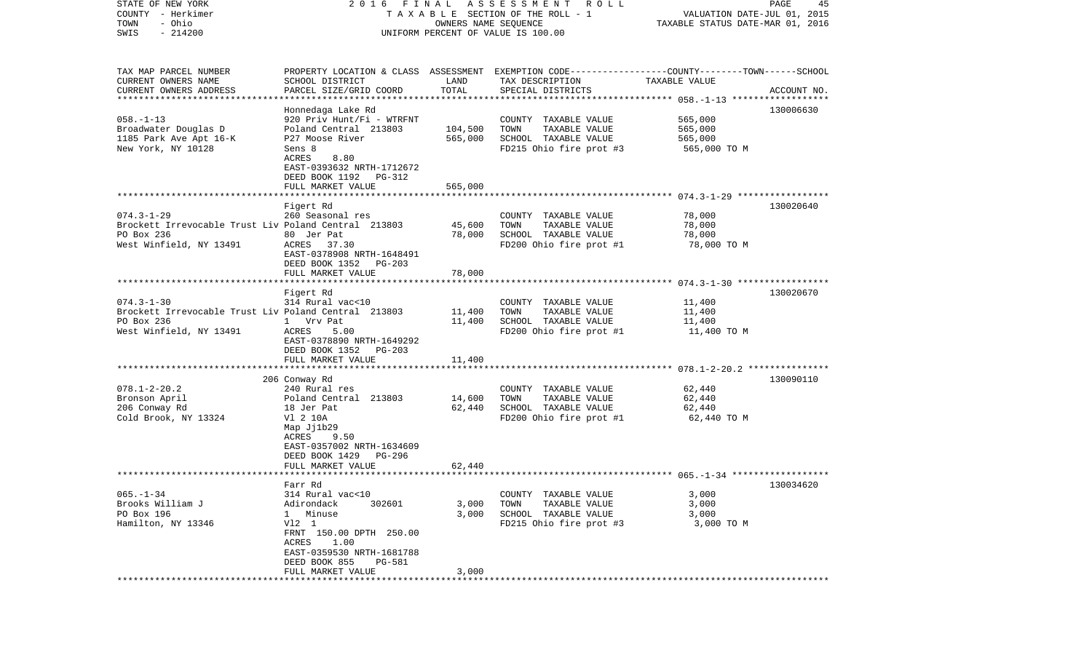| STATE OF NEW YORK                                    | FINAL<br>2016                              |         | A S S E S S M E N T A O L L                                                                     |                                  | PAGE<br>45  |
|------------------------------------------------------|--------------------------------------------|---------|-------------------------------------------------------------------------------------------------|----------------------------------|-------------|
| COUNTY - Herkimer                                    |                                            |         | TAXABLE SECTION OF THE ROLL - 1                                                                 | VALUATION DATE-JUL 01, 2015      |             |
| - Ohio<br>TOWN                                       | OWNERS NAME SEQUENCE                       |         |                                                                                                 | TAXABLE STATUS DATE-MAR 01, 2016 |             |
| $-214200$<br>SWIS                                    |                                            |         | UNIFORM PERCENT OF VALUE IS 100.00                                                              |                                  |             |
|                                                      |                                            |         |                                                                                                 |                                  |             |
| TAX MAP PARCEL NUMBER                                |                                            |         | PROPERTY LOCATION & CLASS ASSESSMENT EXEMPTION CODE---------------COUNTY-------TOWN------SCHOOL |                                  |             |
| CURRENT OWNERS NAME                                  | SCHOOL DISTRICT                            | LAND    | TAX DESCRIPTION                                                                                 | TAXABLE VALUE                    |             |
| CURRENT OWNERS ADDRESS                               | PARCEL SIZE/GRID COORD                     | TOTAL   | SPECIAL DISTRICTS                                                                               |                                  | ACCOUNT NO. |
| *************************                            |                                            |         |                                                                                                 |                                  |             |
|                                                      | Honnedaga Lake Rd                          |         |                                                                                                 |                                  | 130006630   |
| $058. - 1 - 13$                                      | 920 Priv Hunt/Fi - WTRFNT                  |         | COUNTY TAXABLE VALUE                                                                            | 565,000                          |             |
| Broadwater Douglas D                                 | Poland Central 213803                      | 104,500 | TOWN<br>TAXABLE VALUE                                                                           | 565,000                          |             |
| 1185 Park Ave Apt 16-K                               | P27 Moose River                            | 565,000 | SCHOOL TAXABLE VALUE                                                                            | 565,000                          |             |
| New York, NY 10128                                   | Sens 8                                     |         | FD215 Ohio fire prot #3                                                                         | 565,000 TO M                     |             |
|                                                      | ACRES<br>8.80                              |         |                                                                                                 |                                  |             |
|                                                      | EAST-0393632 NRTH-1712672                  |         |                                                                                                 |                                  |             |
|                                                      | DEED BOOK 1192 PG-312                      |         |                                                                                                 |                                  |             |
|                                                      | FULL MARKET VALUE                          | 565,000 |                                                                                                 |                                  |             |
|                                                      |                                            |         |                                                                                                 |                                  |             |
|                                                      | Figert Rd                                  |         |                                                                                                 |                                  | 130020640   |
| $074.3 - 1 - 29$                                     | 260 Seasonal res                           |         | COUNTY TAXABLE VALUE                                                                            | 78,000                           |             |
| Brockett Irrevocable Trust Liv Poland Central 213803 |                                            | 45,600  | TOWN<br>TAXABLE VALUE                                                                           | 78,000                           |             |
| PO Box 236                                           | 80 Jer Pat                                 | 78,000  | SCHOOL TAXABLE VALUE                                                                            | 78,000                           |             |
| West Winfield, NY 13491                              | ACRES 37.30                                |         | FD200 Ohio fire prot #1                                                                         | 78,000 TO M                      |             |
|                                                      | EAST-0378908 NRTH-1648491                  |         |                                                                                                 |                                  |             |
|                                                      | DEED BOOK 1352<br>PG-203                   |         |                                                                                                 |                                  |             |
|                                                      | FULL MARKET VALUE                          | 78,000  |                                                                                                 |                                  |             |
|                                                      |                                            |         |                                                                                                 |                                  |             |
|                                                      | Figert Rd                                  |         |                                                                                                 |                                  | 130020670   |
| $074.3 - 1 - 30$                                     | 314 Rural vac<10                           |         | COUNTY TAXABLE VALUE                                                                            | 11,400                           |             |
| Brockett Irrevocable Trust Liv Poland Central 213803 |                                            | 11,400  | TAXABLE VALUE<br>TOWN                                                                           | 11,400                           |             |
| PO Box 236                                           | 1 Vrv Pat                                  | 11,400  | SCHOOL TAXABLE VALUE                                                                            | 11,400                           |             |
| West Winfield, NY 13491                              | ACRES<br>5.00                              |         | FD200 Ohio fire prot #1                                                                         | 11,400 TO M                      |             |
|                                                      | EAST-0378890 NRTH-1649292                  |         |                                                                                                 |                                  |             |
|                                                      | DEED BOOK 1352<br>PG-203                   |         |                                                                                                 |                                  |             |
|                                                      | FULL MARKET VALUE                          | 11,400  |                                                                                                 |                                  |             |
|                                                      |                                            |         |                                                                                                 |                                  |             |
|                                                      | 206 Conway Rd                              |         |                                                                                                 |                                  | 130090110   |
| $078.1 - 2 - 20.2$                                   | 240 Rural res                              |         | COUNTY TAXABLE VALUE                                                                            | 62,440                           |             |
| Bronson April                                        | Poland Central 213803                      | 14,600  | TAXABLE VALUE<br>TOWN                                                                           | 62,440                           |             |
| 206 Conway Rd                                        | 18 Jer Pat                                 | 62,440  | SCHOOL TAXABLE VALUE                                                                            | 62,440                           |             |
| Cold Brook, NY 13324                                 | V1 2 10A                                   |         | FD200 Ohio fire prot #1                                                                         | 62,440 TO M                      |             |
|                                                      | Map Jj1b29                                 |         |                                                                                                 |                                  |             |
|                                                      | 9.50<br>ACRES                              |         |                                                                                                 |                                  |             |
|                                                      | EAST-0357002 NRTH-1634609                  |         |                                                                                                 |                                  |             |
|                                                      | DEED BOOK 1429<br>PG-296                   |         |                                                                                                 |                                  |             |
|                                                      | FULL MARKET VALUE                          | 62,440  |                                                                                                 |                                  |             |
|                                                      |                                            |         |                                                                                                 |                                  |             |
|                                                      | Farr Rd                                    |         |                                                                                                 |                                  | 130034620   |
| $065. -1 - 34$                                       | 314 Rural vac<10                           |         | COUNTY TAXABLE VALUE                                                                            | 3,000                            |             |
| Brooks William J                                     | Adirondack<br>302601                       | 3,000   | TAXABLE VALUE<br>TOWN                                                                           | 3,000                            |             |
| PO Box 196                                           | Minuse<br>$\mathbf{1}$                     | 3,000   | SCHOOL TAXABLE VALUE                                                                            | 3,000                            |             |
| Hamilton, NY 13346                                   | V12 1                                      |         | FD215 Ohio fire prot #3                                                                         | 3,000 TO M                       |             |
|                                                      | FRNT 150.00 DPTH 250.00                    |         |                                                                                                 |                                  |             |
|                                                      | ACRES<br>1.00                              |         |                                                                                                 |                                  |             |
|                                                      | EAST-0359530 NRTH-1681788<br>DEED BOOK 855 |         |                                                                                                 |                                  |             |
|                                                      | PG-581                                     | 3,000   |                                                                                                 |                                  |             |
|                                                      | FULL MARKET VALUE                          |         |                                                                                                 |                                  |             |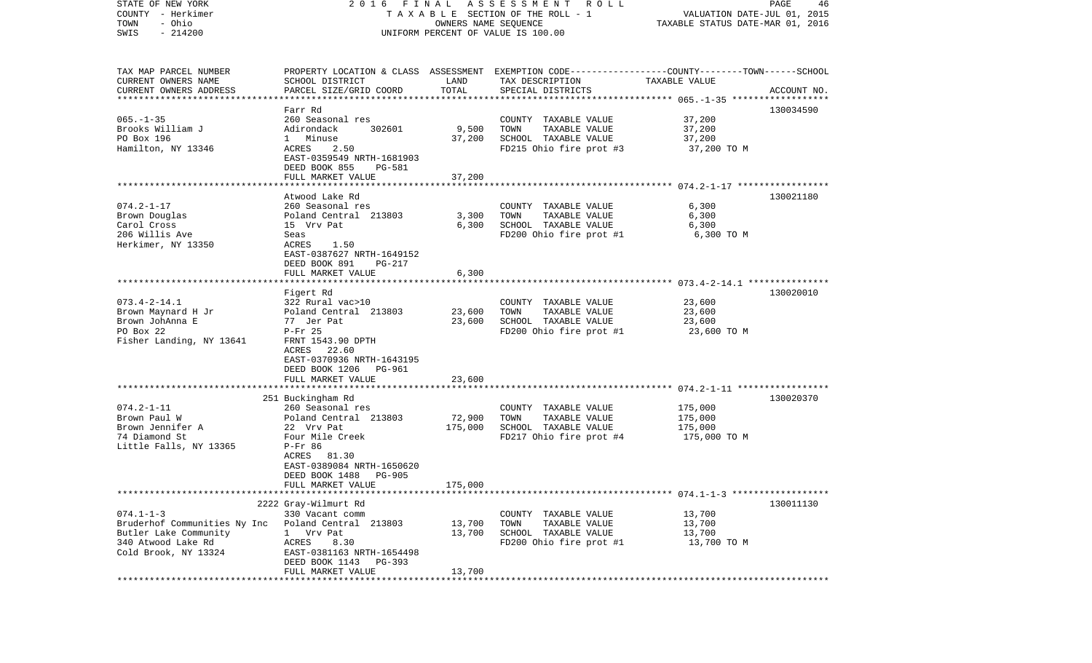| STATE OF NEW YORK                          |                                                     |                                  | 2016 FINAL ASSESSMENT ROLL                                                                      |               | PAGE<br>46  |
|--------------------------------------------|-----------------------------------------------------|----------------------------------|-------------------------------------------------------------------------------------------------|---------------|-------------|
| COUNTY - Herkimer                          | T A X A B L E SECTION OF THE ROLL - 1               | VALUATION DATE-JUL 01, 2015      |                                                                                                 |               |             |
| - Ohio<br>TOWN                             |                                                     | TAXABLE STATUS DATE-MAR 01, 2016 |                                                                                                 |               |             |
| $-214200$<br>SWIS                          | UNIFORM PERCENT OF VALUE IS 100.00                  |                                  |                                                                                                 |               |             |
|                                            |                                                     |                                  |                                                                                                 |               |             |
|                                            |                                                     |                                  |                                                                                                 |               |             |
| TAX MAP PARCEL NUMBER                      |                                                     |                                  | PROPERTY LOCATION & CLASS ASSESSMENT EXEMPTION CODE---------------COUNTY-------TOWN------SCHOOL |               |             |
| CURRENT OWNERS NAME                        | SCHOOL DISTRICT                                     | LAND                             | TAX DESCRIPTION                                                                                 | TAXABLE VALUE |             |
| CURRENT OWNERS ADDRESS                     | PARCEL SIZE/GRID COORD                              | TOTAL                            | SPECIAL DISTRICTS                                                                               |               | ACCOUNT NO. |
| *************************                  |                                                     |                                  |                                                                                                 |               |             |
|                                            | Farr Rd                                             |                                  |                                                                                                 |               | 130034590   |
| $065. -1 - 35$                             | 260 Seasonal res                                    |                                  | COUNTY TAXABLE VALUE                                                                            | 37,200        |             |
| Brooks William J                           | Adirondack<br>302601                                | 9,500                            | TOWN<br>TAXABLE VALUE                                                                           | 37,200        |             |
| PO Box 196                                 | 1 Minuse                                            | 37,200                           | SCHOOL TAXABLE VALUE                                                                            | 37,200        |             |
| Hamilton, NY 13346                         | ACRES<br>2.50                                       |                                  | FD215 Ohio fire prot #3                                                                         | 37,200 TO M   |             |
|                                            | EAST-0359549 NRTH-1681903                           |                                  |                                                                                                 |               |             |
|                                            | DEED BOOK 855<br>PG-581                             |                                  |                                                                                                 |               |             |
|                                            | FULL MARKET VALUE                                   | 37,200                           |                                                                                                 |               |             |
|                                            |                                                     |                                  |                                                                                                 |               |             |
|                                            | Atwood Lake Rd                                      |                                  |                                                                                                 |               | 130021180   |
| $074.2 - 1 - 17$                           | 260 Seasonal res                                    |                                  | COUNTY TAXABLE VALUE                                                                            | 6,300         |             |
| Brown Douglas                              | Poland Central 213803                               | 3,300                            | TAXABLE VALUE<br>TOWN                                                                           | 6,300         |             |
| Carol Cross                                | 15 Vrv Pat                                          | 6,300                            | SCHOOL TAXABLE VALUE                                                                            | 6,300         |             |
| 206 Willis Ave                             | Seas                                                |                                  | FD200 Ohio fire prot #1                                                                         | 6,300 TO M    |             |
| Herkimer, NY 13350                         | ACRES<br>1.50                                       |                                  |                                                                                                 |               |             |
|                                            | EAST-0387627 NRTH-1649152                           |                                  |                                                                                                 |               |             |
|                                            | DEED BOOK 891<br>PG-217                             |                                  |                                                                                                 |               |             |
|                                            | FULL MARKET VALUE                                   | 6,300                            |                                                                                                 |               |             |
|                                            |                                                     |                                  |                                                                                                 |               |             |
|                                            | Figert Rd                                           |                                  |                                                                                                 |               | 130020010   |
| $073.4 - 2 - 14.1$                         | 322 Rural vac>10                                    |                                  | COUNTY TAXABLE VALUE                                                                            | 23,600        |             |
| Brown Maynard H Jr                         | Poland Central 213803                               | 23,600                           | TAXABLE VALUE<br>TOWN                                                                           | 23,600        |             |
| Brown JohAnna E                            | 77 Jer Pat                                          | 23,600                           | SCHOOL TAXABLE VALUE                                                                            | 23,600        |             |
| PO Box 22                                  | $P-Fr$ 25                                           |                                  | FD200 Ohio fire prot #1                                                                         | 23,600 TO M   |             |
| Fisher Landing, NY 13641                   | FRNT 1543.90 DPTH                                   |                                  |                                                                                                 |               |             |
|                                            | ACRES 22.60                                         |                                  |                                                                                                 |               |             |
|                                            | EAST-0370936 NRTH-1643195                           |                                  |                                                                                                 |               |             |
|                                            | DEED BOOK 1206 PG-961                               |                                  |                                                                                                 |               |             |
|                                            | FULL MARKET VALUE<br>****************************** | 23,600                           |                                                                                                 |               |             |
|                                            |                                                     |                                  |                                                                                                 |               |             |
| $074.2 - 1 - 11$                           | 251 Buckingham Rd                                   |                                  |                                                                                                 |               | 130020370   |
|                                            | 260 Seasonal res                                    |                                  | COUNTY TAXABLE VALUE                                                                            | 175,000       |             |
| Brown Paul W                               | Poland Central 213803                               | 72,900                           | TOWN<br>TAXABLE VALUE                                                                           | 175,000       |             |
| Brown Jennifer A                           | 22 Vrv Pat                                          | 175,000                          | SCHOOL TAXABLE VALUE                                                                            | 175,000       |             |
| 74 Diamond St                              | Four Mile Creek                                     |                                  | FD217 Ohio fire prot #4                                                                         | 175,000 TO M  |             |
| Little Falls, NY 13365                     | P-Fr 86                                             |                                  |                                                                                                 |               |             |
|                                            | ACRES 81.30<br>EAST-0389084 NRTH-1650620            |                                  |                                                                                                 |               |             |
|                                            | DEED BOOK 1488<br><b>PG-905</b>                     |                                  |                                                                                                 |               |             |
|                                            |                                                     |                                  |                                                                                                 |               |             |
|                                            | FULL MARKET VALUE                                   | 175,000                          |                                                                                                 |               |             |
|                                            | 2222 Gray-Wilmurt Rd                                |                                  |                                                                                                 |               | 130011130   |
| $074.1 - 1 - 3$                            |                                                     |                                  |                                                                                                 | 13,700        |             |
| Bruderhof Communities Ny Inc               | 330 Vacant comm<br>Poland Central 213803            | 13,700                           | COUNTY TAXABLE VALUE<br>TOWN<br>TAXABLE VALUE                                                   | 13,700        |             |
| Butler Lake Community                      | 1 Vrv Pat                                           | 13,700                           |                                                                                                 |               |             |
|                                            |                                                     |                                  | SCHOOL TAXABLE VALUE                                                                            | 13,700        |             |
| 340 Atwood Lake Rd<br>Cold Brook, NY 13324 | ACRES<br>8.30                                       |                                  | FD200 Ohio fire prot #1                                                                         | 13,700 TO M   |             |
|                                            | EAST-0381163 NRTH-1654498                           |                                  |                                                                                                 |               |             |
|                                            | DEED BOOK 1143 PG-393                               |                                  |                                                                                                 |               |             |
| *****************                          | FULL MARKET VALUE                                   | 13,700                           |                                                                                                 |               |             |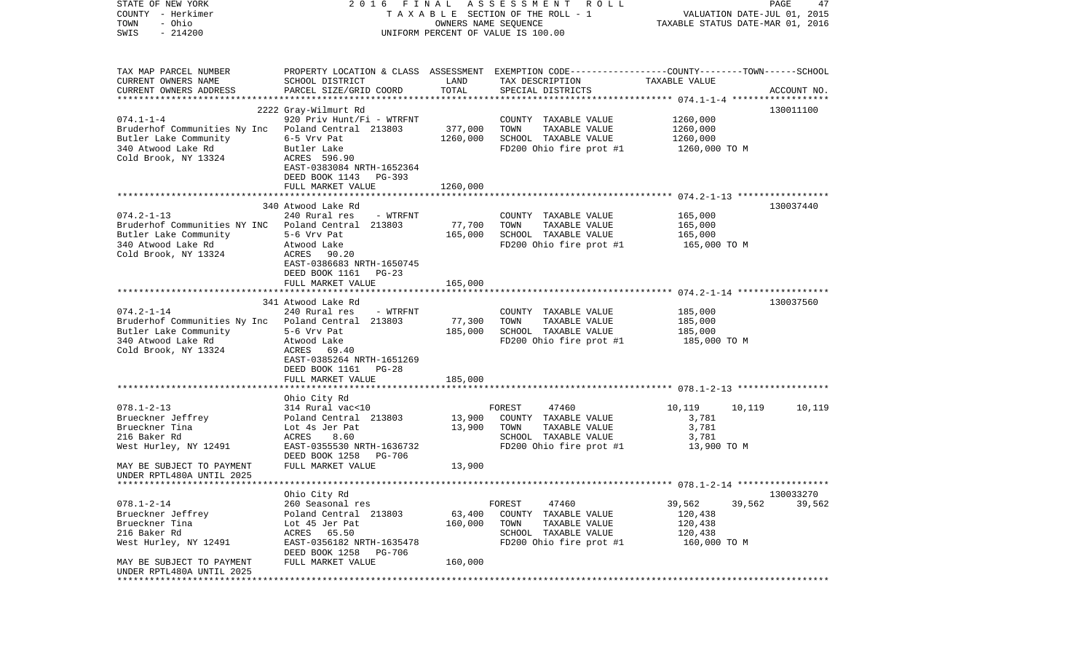| STATE OF NEW YORK                                      | F I N A L<br>2016                                 |                      | ASSESSMENT<br>R O L L                                                                            |                                                                 | PAGE<br>47  |
|--------------------------------------------------------|---------------------------------------------------|----------------------|--------------------------------------------------------------------------------------------------|-----------------------------------------------------------------|-------------|
| COUNTY - Herkimer<br>- Ohio<br>TOWN                    |                                                   | OWNERS NAME SEQUENCE | T A X A B L E SECTION OF THE ROLL - 1                                                            | VALUATION DATE-JUL 01, 2015<br>TAXABLE STATUS DATE-MAR 01, 2016 |             |
| $-214200$<br>SWIS                                      |                                                   |                      | UNIFORM PERCENT OF VALUE IS 100.00                                                               |                                                                 |             |
|                                                        |                                                   |                      |                                                                                                  |                                                                 |             |
| TAX MAP PARCEL NUMBER                                  |                                                   |                      | PROPERTY LOCATION & CLASS ASSESSMENT EXEMPTION CODE----------------COUNTY-------TOWN------SCHOOL |                                                                 |             |
| CURRENT OWNERS NAME                                    | SCHOOL DISTRICT                                   | LAND                 | TAX DESCRIPTION                                                                                  | TAXABLE VALUE                                                   |             |
| CURRENT OWNERS ADDRESS                                 | PARCEL SIZE/GRID COORD                            | TOTAL                | SPECIAL DISTRICTS                                                                                |                                                                 | ACCOUNT NO. |
|                                                        |                                                   |                      |                                                                                                  |                                                                 |             |
|                                                        | 2222 Gray-Wilmurt Rd                              |                      |                                                                                                  |                                                                 | 130011100   |
| $074.1 - 1 - 4$                                        | 920 Priv Hunt/Fi - WTRFNT                         |                      | COUNTY TAXABLE VALUE                                                                             | 1260,000                                                        |             |
| Bruderhof Communities Ny Inc Poland Central 213803     |                                                   | 377,000              | TOWN<br>TAXABLE VALUE                                                                            | 1260,000                                                        |             |
| Butler Lake Community                                  | 6-5 Vrv Pat                                       | 1260,000             | SCHOOL TAXABLE VALUE                                                                             | 1260,000                                                        |             |
| 340 Atwood Lake Rd<br>Cold Brook, NY 13324             | Butler Lake<br>ACRES 596.90                       |                      | FD200 Ohio fire prot #1                                                                          | 1260,000 TO M                                                   |             |
|                                                        | EAST-0383084 NRTH-1652364                         |                      |                                                                                                  |                                                                 |             |
|                                                        | DEED BOOK 1143<br>PG-393                          |                      |                                                                                                  |                                                                 |             |
|                                                        | FULL MARKET VALUE                                 | 1260,000             |                                                                                                  |                                                                 |             |
|                                                        |                                                   |                      |                                                                                                  |                                                                 |             |
|                                                        | 340 Atwood Lake Rd                                |                      |                                                                                                  |                                                                 | 130037440   |
| $074.2 - 1 - 13$                                       | 240 Rural res<br>- WTRFNT                         |                      | COUNTY TAXABLE VALUE                                                                             | 165,000                                                         |             |
| Bruderhof Communities NY INC Poland Central 213803     |                                                   | 77,700               | TOWN<br>TAXABLE VALUE                                                                            | 165,000                                                         |             |
| Butler Lake Community                                  | 5-6 Vrv Pat                                       | 165,000              | SCHOOL TAXABLE VALUE                                                                             | 165,000                                                         |             |
| 340 Atwood Lake Rd                                     | Atwood Lake                                       |                      | FD200 Ohio fire prot #1                                                                          | 165,000 TO M                                                    |             |
| Cold Brook, NY 13324                                   | ACRES<br>90.20<br>EAST-0386683 NRTH-1650745       |                      |                                                                                                  |                                                                 |             |
|                                                        | DEED BOOK 1161<br>$PG-23$                         |                      |                                                                                                  |                                                                 |             |
|                                                        | FULL MARKET VALUE                                 | 165,000              |                                                                                                  |                                                                 |             |
|                                                        |                                                   |                      |                                                                                                  |                                                                 |             |
|                                                        | 341 Atwood Lake Rd                                |                      |                                                                                                  |                                                                 | 130037560   |
| $074.2 - 1 - 14$                                       | 240 Rural res<br>- WTRFNT                         |                      | COUNTY TAXABLE VALUE                                                                             | 185,000                                                         |             |
| Bruderhof Communities Ny Inc Poland Central 213803     |                                                   | 77,300               | TOWN<br>TAXABLE VALUE                                                                            | 185,000                                                         |             |
| Butler Lake Community                                  | 5-6 Vrv Pat                                       | 185,000              | SCHOOL TAXABLE VALUE                                                                             | 185,000                                                         |             |
| 340 Atwood Lake Rd                                     | Atwood Lake                                       |                      | FD200 Ohio fire prot #1                                                                          | 185,000 TO M                                                    |             |
| Cold Brook, NY 13324                                   | ACRES 69.40                                       |                      |                                                                                                  |                                                                 |             |
|                                                        | EAST-0385264 NRTH-1651269<br>DEED BOOK 1161 PG-28 |                      |                                                                                                  |                                                                 |             |
|                                                        | FULL MARKET VALUE                                 | 185,000              |                                                                                                  |                                                                 |             |
|                                                        |                                                   |                      |                                                                                                  |                                                                 |             |
|                                                        | Ohio City Rd                                      |                      |                                                                                                  |                                                                 |             |
| $078.1 - 2 - 13$                                       | 314 Rural vac<10                                  |                      | FOREST<br>47460                                                                                  | 10,119<br>10,119                                                | 10,119      |
| Brueckner Jeffrey                                      | Poland Central 213803                             | 13,900               | COUNTY TAXABLE VALUE                                                                             | 3,781                                                           |             |
| Brueckner Tina                                         | Lot 4s Jer Pat                                    | 13,900               | TOWN<br>TAXABLE VALUE                                                                            | 3,781                                                           |             |
| 216 Baker Rd                                           | 8.60<br>ACRES                                     |                      | SCHOOL TAXABLE VALUE                                                                             | 3,781                                                           |             |
| West Hurley, NY 12491                                  | EAST-0355530 NRTH-1636732                         |                      | FD200 Ohio fire prot #1                                                                          | 13,900 TO M                                                     |             |
|                                                        | DEED BOOK 1258<br>PG-706                          |                      |                                                                                                  |                                                                 |             |
| MAY BE SUBJECT TO PAYMENT<br>UNDER RPTL480A UNTIL 2025 | FULL MARKET VALUE                                 | 13,900               |                                                                                                  |                                                                 |             |
| *********************                                  |                                                   |                      |                                                                                                  |                                                                 |             |
|                                                        | Ohio City Rd                                      |                      |                                                                                                  |                                                                 | 130033270   |
| $078.1 - 2 - 14$                                       | 260 Seasonal res                                  |                      | FOREST<br>47460                                                                                  | 39,562<br>39,562                                                | 39,562      |
| Brueckner Jeffrey                                      | Poland Central 213803                             | 63,400               | COUNTY TAXABLE VALUE                                                                             | 120,438                                                         |             |
| Brueckner Tina                                         | Lot 45 Jer Pat                                    | 160,000              | TOWN<br>TAXABLE VALUE                                                                            | 120,438                                                         |             |
| 216 Baker Rd                                           | 65.50<br>ACRES                                    |                      | SCHOOL TAXABLE VALUE                                                                             | 120,438                                                         |             |
| West Hurley, NY 12491                                  | EAST-0356182 NRTH-1635478                         |                      | FD200 Ohio fire prot #1                                                                          | 160,000 TO M                                                    |             |
|                                                        | DEED BOOK 1258<br>PG-706                          |                      |                                                                                                  |                                                                 |             |
| MAY BE SUBJECT TO PAYMENT                              | FULL MARKET VALUE                                 | 160,000              |                                                                                                  |                                                                 |             |
| UNDER RPTL480A UNTIL 2025                              |                                                   |                      |                                                                                                  |                                                                 |             |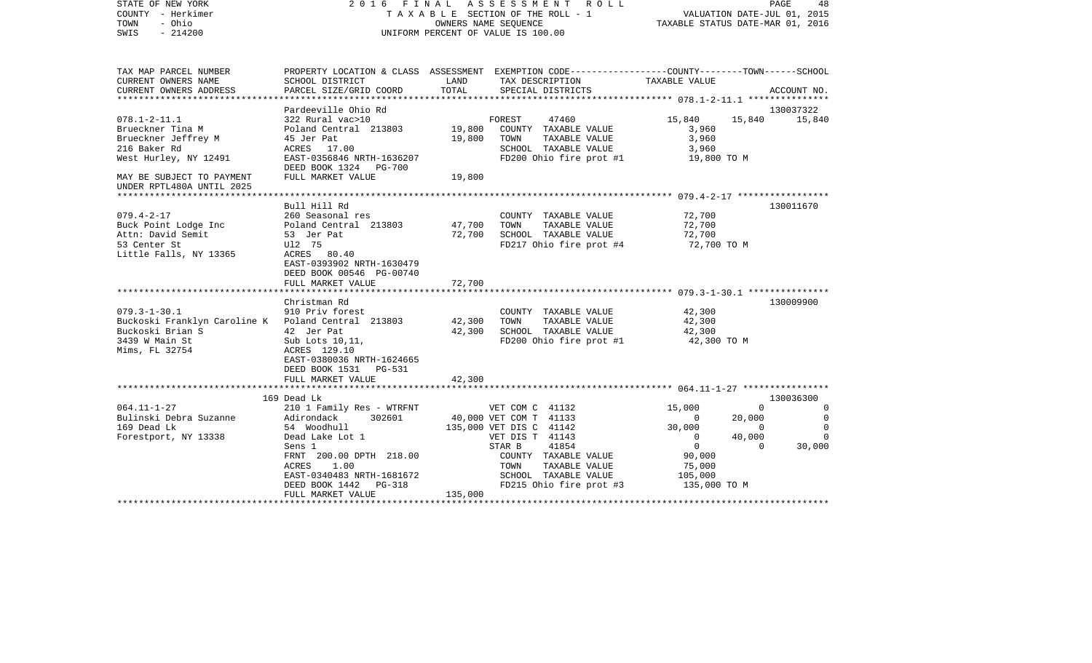| - Ohio<br>TOWN<br>OWNERS NAME SEQUENCE<br>$-214200$<br>UNIFORM PERCENT OF VALUE IS 100.00<br>SWIS                                                                                                                                                                                                                                                                                                                                  |                                                                                        | TAXABLE STATUS DATE-MAR 01, 2016                                |
|------------------------------------------------------------------------------------------------------------------------------------------------------------------------------------------------------------------------------------------------------------------------------------------------------------------------------------------------------------------------------------------------------------------------------------|----------------------------------------------------------------------------------------|-----------------------------------------------------------------|
| TAX MAP PARCEL NUMBER<br>PROPERTY LOCATION & CLASS ASSESSMENT EXEMPTION CODE---------------COUNTY-------TOWN------SCHOOL<br>CURRENT OWNERS NAME<br>SCHOOL DISTRICT<br>LAND<br>TAX DESCRIPTION<br>TOTAL<br>CURRENT OWNERS ADDRESS<br>PARCEL SIZE/GRID COORD<br>SPECIAL DISTRICTS                                                                                                                                                    | TAXABLE VALUE                                                                          | ACCOUNT NO.                                                     |
| ***********************<br>**********************                                                                                                                                                                                                                                                                                                                                                                                  |                                                                                        |                                                                 |
| Pardeeville Ohio Rd                                                                                                                                                                                                                                                                                                                                                                                                                |                                                                                        | 130037322                                                       |
| $078.1 - 2 - 11.1$<br>322 Rural vac>10<br>FOREST<br>47460<br>Poland Central 213803<br>19,800<br>Brueckner Tina M<br>COUNTY TAXABLE VALUE<br>Brueckner Jeffrey M<br>45 Jer Pat<br>19,800<br>TOWN<br>TAXABLE VALUE<br>216 Baker Rd<br>ACRES 17.00<br>SCHOOL TAXABLE VALUE<br>West Hurley, NY 12491<br>EAST-0356846 NRTH-1636207<br>FD200 Ohio fire prot #1<br>DEED BOOK 1324 PG-700                                                  | 15,840<br>3,960<br>3,960<br>3,960<br>19,800 TO M                                       | 15,840<br>15,840                                                |
| FULL MARKET VALUE<br>19,800<br>MAY BE SUBJECT TO PAYMENT<br>UNDER RPTL480A UNTIL 2025                                                                                                                                                                                                                                                                                                                                              |                                                                                        |                                                                 |
| Bull Hill Rd                                                                                                                                                                                                                                                                                                                                                                                                                       |                                                                                        | 130011670                                                       |
| $079.4 - 2 - 17$<br>260 Seasonal res<br>COUNTY TAXABLE VALUE<br>47,700<br>TAXABLE VALUE<br>Buck Point Lodge Inc<br>Poland Central 213803<br>TOWN<br>Attn: David Semit<br>53 Jer Pat<br>72,700<br>SCHOOL TAXABLE VALUE<br>53 Center St<br>U12 75<br>FD217 Ohio fire prot #4<br>Little Falls, NY 13365<br>ACRES 80.40<br>EAST-0393902 NRTH-1630479<br>DEED BOOK 00546 PG-00740<br>FULL MARKET VALUE<br>72,700                        | 72,700<br>72,700<br>72,700<br>72,700 TO M                                              |                                                                 |
| .<br>********<br>************************ 079.3-1-30.1 ****************                                                                                                                                                                                                                                                                                                                                                            |                                                                                        |                                                                 |
| Christman Rd<br>$079.3 - 1 - 30.1$<br>910 Priv forest<br>COUNTY TAXABLE VALUE<br>Buckoski Franklyn Caroline K Poland Central 213803<br>42,300<br>TAXABLE VALUE<br>TOWN<br>Buckoski Brian S<br>42 Jer Pat<br>42,300<br>SCHOOL TAXABLE VALUE<br>FD200 Ohio fire prot #1<br>3439 W Main St<br>Sub Lots 10, 11,<br>Mims, FL 32754<br>ACRES 129.10<br>EAST-0380036 NRTH-1624665<br>DEED BOOK 1531 PG-531<br>FULL MARKET VALUE<br>42,300 | 42,300<br>42,300<br>42,300<br>42,300 TO M                                              | 130009900                                                       |
|                                                                                                                                                                                                                                                                                                                                                                                                                                    |                                                                                        |                                                                 |
| 169 Dead Lk<br>$064.11 - 1 - 27$<br>210 1 Family Res - WTRFNT<br>VET COM C 41132<br>Bulinski Debra Suzanne<br>40,000 VET COM T 41133<br>Adirondack<br>302601                                                                                                                                                                                                                                                                       | 15,000<br>$\Omega$                                                                     | 130036300<br>$\Omega$<br>$\Omega$<br>20,000<br>$\mathbf 0$      |
| 169 Dead Lk<br>54 Woodhull<br>135,000 VET DIS C 41142<br>Forestport, NY 13338<br>Dead Lake Lot 1<br>VET DIS T 41143<br>41854<br>STAR B<br>Sens 1<br>FRNT 200.00 DPTH 218.00<br>COUNTY TAXABLE VALUE<br>TAXABLE VALUE<br>ACRES<br>1.00<br>TOWN<br>SCHOOL TAXABLE VALUE<br>EAST-0340483 NRTH-1681672<br>DEED BOOK 1442<br>FD215 Ohio fire prot #3<br>PG-318<br>135,000<br>FULL MARKET VALUE                                          | 30,000<br>$\mathbf 0$<br>$\overline{0}$<br>90,000<br>75,000<br>105,000<br>135,000 TO M | $\overline{0}$<br>0<br>40,000<br>$\Omega$<br>$\Omega$<br>30,000 |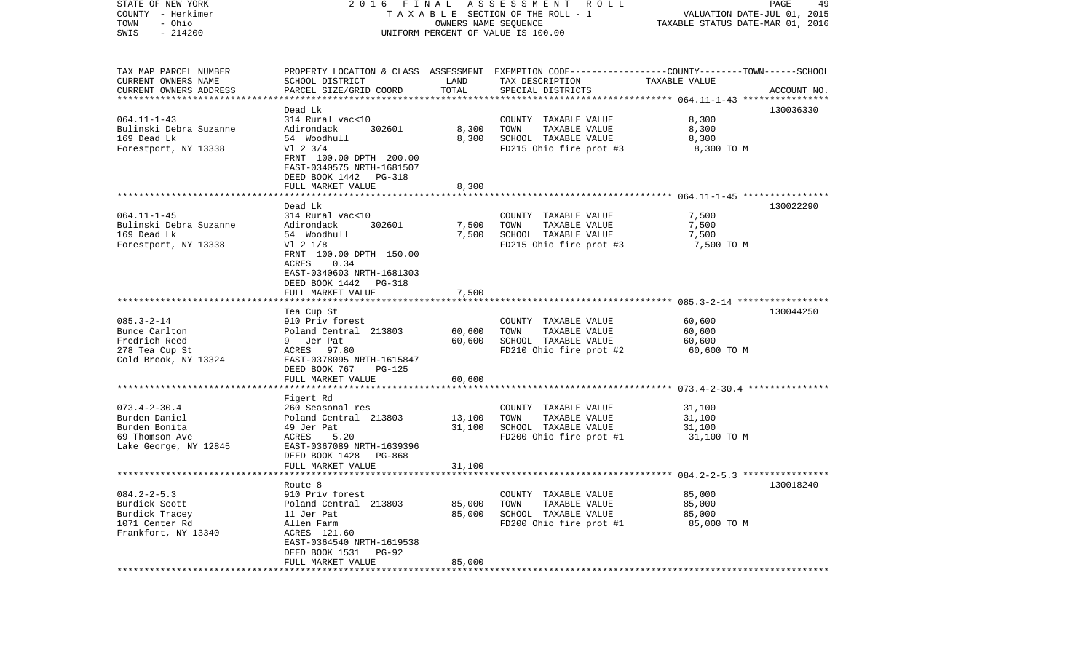| STATE OF NEW YORK<br>COUNTY - Herkimer<br>- Ohio<br>TOWN<br>$-214200$<br>SWIS | 2016 FINAL ASSESSMENT ROLL<br>TAXABLE SECTION OF THE ROLL - 1<br>UNIFORM PERCENT OF VALUE IS 100.00 | PAGE<br>49<br>VALUATION DATE-JUL 01, 2015<br>TAXABLE STATUS DATE-MAR 01, 2016 |                                                                                                                    |                       |             |
|-------------------------------------------------------------------------------|-----------------------------------------------------------------------------------------------------|-------------------------------------------------------------------------------|--------------------------------------------------------------------------------------------------------------------|-----------------------|-------------|
| TAX MAP PARCEL NUMBER<br>CURRENT OWNERS NAME                                  | SCHOOL DISTRICT                                                                                     | LAND                                                                          | PROPERTY LOCATION & CLASS ASSESSMENT EXEMPTION CODE---------------COUNTY-------TOWN------SCHOOL<br>TAX DESCRIPTION | TAXABLE VALUE         |             |
| CURRENT OWNERS ADDRESS<br>*************************                           | PARCEL SIZE/GRID COORD                                                                              | TOTAL                                                                         | SPECIAL DISTRICTS                                                                                                  |                       | ACCOUNT NO. |
|                                                                               | Dead Lk                                                                                             |                                                                               |                                                                                                                    |                       | 130036330   |
| $064.11 - 1 - 43$                                                             | 314 Rural vac<10                                                                                    |                                                                               | COUNTY TAXABLE VALUE                                                                                               | 8,300                 |             |
| Bulinski Debra Suzanne                                                        | Adirondack<br>302601                                                                                | 8,300                                                                         | TOWN<br>TAXABLE VALUE                                                                                              | 8,300                 |             |
| 169 Dead Lk                                                                   | 54 Woodhull                                                                                         | 8,300                                                                         | SCHOOL TAXABLE VALUE                                                                                               | 8,300                 |             |
| Forestport, NY 13338                                                          | $V1$ 2 3/4<br>FRNT 100.00 DPTH 200.00                                                               |                                                                               | FD215 Ohio fire prot #3                                                                                            | 8,300 TO M            |             |
|                                                                               | EAST-0340575 NRTH-1681507<br>DEED BOOK 1442 PG-318                                                  |                                                                               |                                                                                                                    |                       |             |
|                                                                               | FULL MARKET VALUE                                                                                   | 8,300                                                                         |                                                                                                                    |                       |             |
|                                                                               | Dead Lk                                                                                             |                                                                               |                                                                                                                    |                       | 130022290   |
| $064.11 - 1 - 45$                                                             | 314 Rural vac<10                                                                                    |                                                                               | COUNTY TAXABLE VALUE                                                                                               | 7,500                 |             |
| Bulinski Debra Suzanne                                                        | 302601<br>Adirondack                                                                                | 7,500                                                                         | TOWN<br>TAXABLE VALUE                                                                                              | 7,500                 |             |
| 169 Dead Lk                                                                   | 54 Woodhull                                                                                         | 7,500                                                                         | SCHOOL TAXABLE VALUE                                                                                               | 7,500                 |             |
| Forestport, NY 13338                                                          | V1 2 1/8                                                                                            |                                                                               | FD215 Ohio fire prot #3                                                                                            | 7,500 TO M            |             |
|                                                                               | FRNT 100.00 DPTH 150.00                                                                             |                                                                               |                                                                                                                    |                       |             |
|                                                                               | 0.34<br>ACRES<br>EAST-0340603 NRTH-1681303                                                          |                                                                               |                                                                                                                    |                       |             |
|                                                                               | DEED BOOK 1442<br>PG-318                                                                            |                                                                               |                                                                                                                    |                       |             |
|                                                                               | FULL MARKET VALUE                                                                                   | 7,500                                                                         |                                                                                                                    |                       |             |
|                                                                               |                                                                                                     |                                                                               |                                                                                                                    |                       |             |
|                                                                               | Tea Cup St                                                                                          |                                                                               |                                                                                                                    |                       | 130044250   |
| $085.3 - 2 - 14$                                                              | 910 Priv forest                                                                                     |                                                                               | COUNTY TAXABLE VALUE                                                                                               | 60,600                |             |
| Bunce Carlton<br>Fredrich Reed                                                | Poland Central 213803<br>9 Jer Pat                                                                  | 60,600<br>60,600                                                              | TAXABLE VALUE<br>TOWN<br>SCHOOL TAXABLE VALUE                                                                      | 60,600                |             |
| 278 Tea Cup St                                                                | ACRES 97.80                                                                                         |                                                                               | FD210 Ohio fire prot #2                                                                                            | 60,600<br>60,600 TO M |             |
| Cold Brook, NY 13324                                                          | EAST-0378095 NRTH-1615847<br>DEED BOOK 767<br>PG-125                                                |                                                                               |                                                                                                                    |                       |             |
|                                                                               | FULL MARKET VALUE                                                                                   | 60,600                                                                        |                                                                                                                    |                       |             |
|                                                                               | ********************                                                                                |                                                                               |                                                                                                                    |                       |             |
|                                                                               | Figert Rd                                                                                           |                                                                               |                                                                                                                    |                       |             |
| $073.4 - 2 - 30.4$                                                            | 260 Seasonal res                                                                                    |                                                                               | COUNTY TAXABLE VALUE                                                                                               | 31,100                |             |
| Burden Daniel                                                                 | Poland Central 213803                                                                               | 13,100                                                                        | TOWN<br>TAXABLE VALUE                                                                                              | 31,100                |             |
| Burden Bonita<br>69 Thomson Ave                                               | 49 Jer Pat<br>5.20<br>ACRES                                                                         | 31,100                                                                        | SCHOOL TAXABLE VALUE<br>FD200 Ohio fire prot #1                                                                    | 31,100<br>31,100 TO M |             |
| Lake George, NY 12845                                                         | EAST-0367089 NRTH-1639396                                                                           |                                                                               |                                                                                                                    |                       |             |
|                                                                               | DEED BOOK 1428<br>PG-868                                                                            |                                                                               |                                                                                                                    |                       |             |
|                                                                               | FULL MARKET VALUE                                                                                   | 31,100                                                                        |                                                                                                                    |                       |             |
|                                                                               |                                                                                                     |                                                                               |                                                                                                                    |                       |             |
|                                                                               | Route 8                                                                                             |                                                                               |                                                                                                                    |                       | 130018240   |
| $084.2 - 2 - 5.3$                                                             | 910 Priv forest                                                                                     |                                                                               | COUNTY TAXABLE VALUE                                                                                               | 85,000                |             |
| Burdick Scott<br>Burdick Tracey                                               | Poland Central 213803<br>11 Jer Pat                                                                 | 85,000<br>85,000                                                              | TAXABLE VALUE<br>TOWN<br>SCHOOL TAXABLE VALUE                                                                      | 85,000<br>85,000      |             |
| 1071 Center Rd                                                                | Allen Farm                                                                                          |                                                                               | FD200 Ohio fire prot #1                                                                                            | 85,000 TO M           |             |
| Frankfort, NY 13340                                                           | ACRES 121.60                                                                                        |                                                                               |                                                                                                                    |                       |             |
|                                                                               | EAST-0364540 NRTH-1619538                                                                           |                                                                               |                                                                                                                    |                       |             |
|                                                                               | DEED BOOK 1531<br>$PG-92$                                                                           |                                                                               |                                                                                                                    |                       |             |
|                                                                               | FULL MARKET VALUE                                                                                   | 85,000                                                                        |                                                                                                                    |                       |             |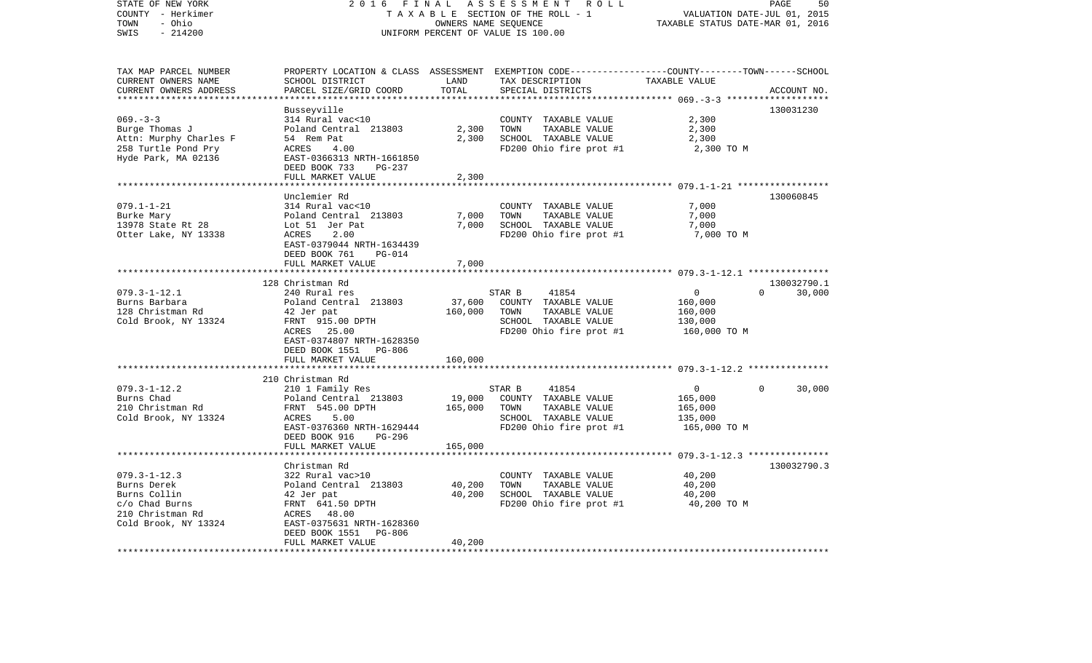| $-214200$<br>SWIS<br>UNIFORM PERCENT OF VALUE IS 100.00<br>PROPERTY LOCATION & CLASS ASSESSMENT EXEMPTION CODE----------------COUNTY-------TOWN------SCHOOL<br>TAX MAP PARCEL NUMBER<br>CURRENT OWNERS NAME<br>SCHOOL DISTRICT<br>LAND<br>TAX DESCRIPTION<br>TAXABLE VALUE<br>TOTAL<br>CURRENT OWNERS ADDRESS<br>PARCEL SIZE/GRID COORD<br>SPECIAL DISTRICTS<br>ACCOUNT NO.<br>***********************<br>130031230<br>Busseyville<br>$069. -3 -3$<br>314 Rural vac<10<br>COUNTY TAXABLE VALUE<br>2,300<br>2,300<br>Burge Thomas J<br>Poland Central 213803<br>TOWN<br>TAXABLE VALUE<br>2,300<br>2,300<br>Attn: Murphy Charles F<br>54 Rem Pat<br>SCHOOL TAXABLE VALUE<br>2,300<br>FD200 Ohio fire prot #1<br>2,300 TO M<br>ACRES<br>4.00<br>EAST-0366313 NRTH-1661850<br>DEED BOOK 733<br>PG-237<br>FULL MARKET VALUE<br>2,300<br>********<br>130060845<br>Unclemier Rd<br>$079.1 - 1 - 21$<br>7,000<br>314 Rural vac<10<br>COUNTY TAXABLE VALUE<br>7,000<br>TOWN<br>TAXABLE VALUE<br>7,000<br>Burke Mary<br>Poland Central 213803<br>7,000<br>Lot 51 Jer Pat<br>SCHOOL TAXABLE VALUE<br>7,000<br>Otter Lake, NY 13338<br>ACRES<br>2.00<br>FD200 Ohio fire prot #1<br>7,000 TO M<br>EAST-0379044 NRTH-1634439<br>DEED BOOK 761<br>PG-014<br>FULL MARKET VALUE<br>7,000<br>130032790.1<br>128 Christman Rd<br>$079.3 - 1 - 12.1$<br>$\overline{0}$<br>30,000<br>240 Rural res<br>41854<br>$\Omega$<br>STAR B<br>37,600<br>Burns Barbara<br>Poland Central 213803<br>COUNTY TAXABLE VALUE<br>160,000<br>160,000<br>TOWN<br>42 Jer pat<br>TAXABLE VALUE<br>160,000<br>FRNT 915.00 DPTH<br>SCHOOL TAXABLE VALUE<br>130,000<br>ACRES 25.00<br>FD200 Ohio fire prot #1<br>160,000 TO M<br>EAST-0374807 NRTH-1628350<br>DEED BOOK 1551 PG-806<br>FULL MARKET VALUE<br>160,000<br>210 Christman Rd<br>$079.3 - 1 - 12.2$<br>41854<br>210 1 Family Res<br>STAR B<br>$\overline{0}$<br>$\Omega$<br>30,000<br>Burns Chad<br>19,000<br>COUNTY TAXABLE VALUE<br>Poland Central 213803<br>165,000<br>210 Christman Rd<br>FRNT 545.00 DPTH<br>165,000<br>TOWN<br>TAXABLE VALUE<br>165,000<br>Cold Brook, NY 13324<br>5.00<br>ACRES<br>SCHOOL TAXABLE VALUE<br>135,000<br>EAST-0376360 NRTH-1629444<br>FD200 Ohio fire prot #1<br>165,000 TO M<br>DEED BOOK 916<br>PG-296<br>165,000<br>FULL MARKET VALUE<br>******************<br>130032790.3<br>Christman Rd<br>$079.3 - 1 - 12.3$<br>40,200<br>322 Rural vac>10<br>COUNTY TAXABLE VALUE<br>Poland Central 213803<br>40,200<br>TOWN<br>40,200<br>Burns Derek<br>TAXABLE VALUE<br>40,200<br>SCHOOL TAXABLE VALUE<br>Burns Collin<br>42 Jer pat<br>40,200<br>FD200 Ohio fire prot #1<br>c/o Chad Burns<br>FRNT 641.50 DPTH<br>40,200 TO M<br>210 Christman Rd<br>ACRES 48.00<br>Cold Brook, NY 13324<br>EAST-0375631 NRTH-1628360<br>DEED BOOK 1551<br>PG-806<br>FULL MARKET VALUE<br>40,200<br>*************************<br>*******************<br>************************* | STATE OF NEW YORK<br>COUNTY - Herkimer<br>TOWN<br>- Ohio | 2 0 1 6<br>FINAL | ASSESSMENT ROLL<br>TAXABLE SECTION OF THE ROLL - 1<br>OWNERS NAME SEQUENCE | VALUATION DATE-JUL 01, 2015<br>TAXABLE STATUS DATE-MAR 01, 2016 | PAGE<br>50 |
|----------------------------------------------------------------------------------------------------------------------------------------------------------------------------------------------------------------------------------------------------------------------------------------------------------------------------------------------------------------------------------------------------------------------------------------------------------------------------------------------------------------------------------------------------------------------------------------------------------------------------------------------------------------------------------------------------------------------------------------------------------------------------------------------------------------------------------------------------------------------------------------------------------------------------------------------------------------------------------------------------------------------------------------------------------------------------------------------------------------------------------------------------------------------------------------------------------------------------------------------------------------------------------------------------------------------------------------------------------------------------------------------------------------------------------------------------------------------------------------------------------------------------------------------------------------------------------------------------------------------------------------------------------------------------------------------------------------------------------------------------------------------------------------------------------------------------------------------------------------------------------------------------------------------------------------------------------------------------------------------------------------------------------------------------------------------------------------------------------------------------------------------------------------------------------------------------------------------------------------------------------------------------------------------------------------------------------------------------------------------------------------------------------------------------------------------------------------------------------------------------------------------------------------------------------------------------------------------------------------------------------------------------------------------------------------------------------------------------------------------------------------------------------------------------------------------------------------------------------------------------------------------------------------|----------------------------------------------------------|------------------|----------------------------------------------------------------------------|-----------------------------------------------------------------|------------|
|                                                                                                                                                                                                                                                                                                                                                                                                                                                                                                                                                                                                                                                                                                                                                                                                                                                                                                                                                                                                                                                                                                                                                                                                                                                                                                                                                                                                                                                                                                                                                                                                                                                                                                                                                                                                                                                                                                                                                                                                                                                                                                                                                                                                                                                                                                                                                                                                                                                                                                                                                                                                                                                                                                                                                                                                                                                                                                                |                                                          |                  |                                                                            |                                                                 |            |
|                                                                                                                                                                                                                                                                                                                                                                                                                                                                                                                                                                                                                                                                                                                                                                                                                                                                                                                                                                                                                                                                                                                                                                                                                                                                                                                                                                                                                                                                                                                                                                                                                                                                                                                                                                                                                                                                                                                                                                                                                                                                                                                                                                                                                                                                                                                                                                                                                                                                                                                                                                                                                                                                                                                                                                                                                                                                                                                |                                                          |                  |                                                                            |                                                                 |            |
|                                                                                                                                                                                                                                                                                                                                                                                                                                                                                                                                                                                                                                                                                                                                                                                                                                                                                                                                                                                                                                                                                                                                                                                                                                                                                                                                                                                                                                                                                                                                                                                                                                                                                                                                                                                                                                                                                                                                                                                                                                                                                                                                                                                                                                                                                                                                                                                                                                                                                                                                                                                                                                                                                                                                                                                                                                                                                                                |                                                          |                  |                                                                            |                                                                 |            |
|                                                                                                                                                                                                                                                                                                                                                                                                                                                                                                                                                                                                                                                                                                                                                                                                                                                                                                                                                                                                                                                                                                                                                                                                                                                                                                                                                                                                                                                                                                                                                                                                                                                                                                                                                                                                                                                                                                                                                                                                                                                                                                                                                                                                                                                                                                                                                                                                                                                                                                                                                                                                                                                                                                                                                                                                                                                                                                                |                                                          |                  |                                                                            |                                                                 |            |
|                                                                                                                                                                                                                                                                                                                                                                                                                                                                                                                                                                                                                                                                                                                                                                                                                                                                                                                                                                                                                                                                                                                                                                                                                                                                                                                                                                                                                                                                                                                                                                                                                                                                                                                                                                                                                                                                                                                                                                                                                                                                                                                                                                                                                                                                                                                                                                                                                                                                                                                                                                                                                                                                                                                                                                                                                                                                                                                |                                                          |                  |                                                                            |                                                                 |            |
|                                                                                                                                                                                                                                                                                                                                                                                                                                                                                                                                                                                                                                                                                                                                                                                                                                                                                                                                                                                                                                                                                                                                                                                                                                                                                                                                                                                                                                                                                                                                                                                                                                                                                                                                                                                                                                                                                                                                                                                                                                                                                                                                                                                                                                                                                                                                                                                                                                                                                                                                                                                                                                                                                                                                                                                                                                                                                                                |                                                          |                  |                                                                            |                                                                 |            |
|                                                                                                                                                                                                                                                                                                                                                                                                                                                                                                                                                                                                                                                                                                                                                                                                                                                                                                                                                                                                                                                                                                                                                                                                                                                                                                                                                                                                                                                                                                                                                                                                                                                                                                                                                                                                                                                                                                                                                                                                                                                                                                                                                                                                                                                                                                                                                                                                                                                                                                                                                                                                                                                                                                                                                                                                                                                                                                                | 258 Turtle Pond Pry                                      |                  |                                                                            |                                                                 |            |
|                                                                                                                                                                                                                                                                                                                                                                                                                                                                                                                                                                                                                                                                                                                                                                                                                                                                                                                                                                                                                                                                                                                                                                                                                                                                                                                                                                                                                                                                                                                                                                                                                                                                                                                                                                                                                                                                                                                                                                                                                                                                                                                                                                                                                                                                                                                                                                                                                                                                                                                                                                                                                                                                                                                                                                                                                                                                                                                | Hyde Park, MA 02136                                      |                  |                                                                            |                                                                 |            |
|                                                                                                                                                                                                                                                                                                                                                                                                                                                                                                                                                                                                                                                                                                                                                                                                                                                                                                                                                                                                                                                                                                                                                                                                                                                                                                                                                                                                                                                                                                                                                                                                                                                                                                                                                                                                                                                                                                                                                                                                                                                                                                                                                                                                                                                                                                                                                                                                                                                                                                                                                                                                                                                                                                                                                                                                                                                                                                                |                                                          |                  |                                                                            |                                                                 |            |
|                                                                                                                                                                                                                                                                                                                                                                                                                                                                                                                                                                                                                                                                                                                                                                                                                                                                                                                                                                                                                                                                                                                                                                                                                                                                                                                                                                                                                                                                                                                                                                                                                                                                                                                                                                                                                                                                                                                                                                                                                                                                                                                                                                                                                                                                                                                                                                                                                                                                                                                                                                                                                                                                                                                                                                                                                                                                                                                |                                                          |                  |                                                                            |                                                                 |            |
|                                                                                                                                                                                                                                                                                                                                                                                                                                                                                                                                                                                                                                                                                                                                                                                                                                                                                                                                                                                                                                                                                                                                                                                                                                                                                                                                                                                                                                                                                                                                                                                                                                                                                                                                                                                                                                                                                                                                                                                                                                                                                                                                                                                                                                                                                                                                                                                                                                                                                                                                                                                                                                                                                                                                                                                                                                                                                                                |                                                          |                  |                                                                            |                                                                 |            |
|                                                                                                                                                                                                                                                                                                                                                                                                                                                                                                                                                                                                                                                                                                                                                                                                                                                                                                                                                                                                                                                                                                                                                                                                                                                                                                                                                                                                                                                                                                                                                                                                                                                                                                                                                                                                                                                                                                                                                                                                                                                                                                                                                                                                                                                                                                                                                                                                                                                                                                                                                                                                                                                                                                                                                                                                                                                                                                                |                                                          |                  |                                                                            |                                                                 |            |
|                                                                                                                                                                                                                                                                                                                                                                                                                                                                                                                                                                                                                                                                                                                                                                                                                                                                                                                                                                                                                                                                                                                                                                                                                                                                                                                                                                                                                                                                                                                                                                                                                                                                                                                                                                                                                                                                                                                                                                                                                                                                                                                                                                                                                                                                                                                                                                                                                                                                                                                                                                                                                                                                                                                                                                                                                                                                                                                |                                                          |                  |                                                                            |                                                                 |            |
|                                                                                                                                                                                                                                                                                                                                                                                                                                                                                                                                                                                                                                                                                                                                                                                                                                                                                                                                                                                                                                                                                                                                                                                                                                                                                                                                                                                                                                                                                                                                                                                                                                                                                                                                                                                                                                                                                                                                                                                                                                                                                                                                                                                                                                                                                                                                                                                                                                                                                                                                                                                                                                                                                                                                                                                                                                                                                                                | 13978 State Rt 28                                        |                  |                                                                            |                                                                 |            |
|                                                                                                                                                                                                                                                                                                                                                                                                                                                                                                                                                                                                                                                                                                                                                                                                                                                                                                                                                                                                                                                                                                                                                                                                                                                                                                                                                                                                                                                                                                                                                                                                                                                                                                                                                                                                                                                                                                                                                                                                                                                                                                                                                                                                                                                                                                                                                                                                                                                                                                                                                                                                                                                                                                                                                                                                                                                                                                                |                                                          |                  |                                                                            |                                                                 |            |
|                                                                                                                                                                                                                                                                                                                                                                                                                                                                                                                                                                                                                                                                                                                                                                                                                                                                                                                                                                                                                                                                                                                                                                                                                                                                                                                                                                                                                                                                                                                                                                                                                                                                                                                                                                                                                                                                                                                                                                                                                                                                                                                                                                                                                                                                                                                                                                                                                                                                                                                                                                                                                                                                                                                                                                                                                                                                                                                |                                                          |                  |                                                                            |                                                                 |            |
|                                                                                                                                                                                                                                                                                                                                                                                                                                                                                                                                                                                                                                                                                                                                                                                                                                                                                                                                                                                                                                                                                                                                                                                                                                                                                                                                                                                                                                                                                                                                                                                                                                                                                                                                                                                                                                                                                                                                                                                                                                                                                                                                                                                                                                                                                                                                                                                                                                                                                                                                                                                                                                                                                                                                                                                                                                                                                                                |                                                          |                  |                                                                            |                                                                 |            |
|                                                                                                                                                                                                                                                                                                                                                                                                                                                                                                                                                                                                                                                                                                                                                                                                                                                                                                                                                                                                                                                                                                                                                                                                                                                                                                                                                                                                                                                                                                                                                                                                                                                                                                                                                                                                                                                                                                                                                                                                                                                                                                                                                                                                                                                                                                                                                                                                                                                                                                                                                                                                                                                                                                                                                                                                                                                                                                                |                                                          |                  |                                                                            |                                                                 |            |
|                                                                                                                                                                                                                                                                                                                                                                                                                                                                                                                                                                                                                                                                                                                                                                                                                                                                                                                                                                                                                                                                                                                                                                                                                                                                                                                                                                                                                                                                                                                                                                                                                                                                                                                                                                                                                                                                                                                                                                                                                                                                                                                                                                                                                                                                                                                                                                                                                                                                                                                                                                                                                                                                                                                                                                                                                                                                                                                |                                                          |                  |                                                                            |                                                                 |            |
|                                                                                                                                                                                                                                                                                                                                                                                                                                                                                                                                                                                                                                                                                                                                                                                                                                                                                                                                                                                                                                                                                                                                                                                                                                                                                                                                                                                                                                                                                                                                                                                                                                                                                                                                                                                                                                                                                                                                                                                                                                                                                                                                                                                                                                                                                                                                                                                                                                                                                                                                                                                                                                                                                                                                                                                                                                                                                                                |                                                          |                  |                                                                            |                                                                 |            |
|                                                                                                                                                                                                                                                                                                                                                                                                                                                                                                                                                                                                                                                                                                                                                                                                                                                                                                                                                                                                                                                                                                                                                                                                                                                                                                                                                                                                                                                                                                                                                                                                                                                                                                                                                                                                                                                                                                                                                                                                                                                                                                                                                                                                                                                                                                                                                                                                                                                                                                                                                                                                                                                                                                                                                                                                                                                                                                                |                                                          |                  |                                                                            |                                                                 |            |
|                                                                                                                                                                                                                                                                                                                                                                                                                                                                                                                                                                                                                                                                                                                                                                                                                                                                                                                                                                                                                                                                                                                                                                                                                                                                                                                                                                                                                                                                                                                                                                                                                                                                                                                                                                                                                                                                                                                                                                                                                                                                                                                                                                                                                                                                                                                                                                                                                                                                                                                                                                                                                                                                                                                                                                                                                                                                                                                | 128 Christman Rd                                         |                  |                                                                            |                                                                 |            |
|                                                                                                                                                                                                                                                                                                                                                                                                                                                                                                                                                                                                                                                                                                                                                                                                                                                                                                                                                                                                                                                                                                                                                                                                                                                                                                                                                                                                                                                                                                                                                                                                                                                                                                                                                                                                                                                                                                                                                                                                                                                                                                                                                                                                                                                                                                                                                                                                                                                                                                                                                                                                                                                                                                                                                                                                                                                                                                                | Cold Brook, NY 13324                                     |                  |                                                                            |                                                                 |            |
|                                                                                                                                                                                                                                                                                                                                                                                                                                                                                                                                                                                                                                                                                                                                                                                                                                                                                                                                                                                                                                                                                                                                                                                                                                                                                                                                                                                                                                                                                                                                                                                                                                                                                                                                                                                                                                                                                                                                                                                                                                                                                                                                                                                                                                                                                                                                                                                                                                                                                                                                                                                                                                                                                                                                                                                                                                                                                                                |                                                          |                  |                                                                            |                                                                 |            |
|                                                                                                                                                                                                                                                                                                                                                                                                                                                                                                                                                                                                                                                                                                                                                                                                                                                                                                                                                                                                                                                                                                                                                                                                                                                                                                                                                                                                                                                                                                                                                                                                                                                                                                                                                                                                                                                                                                                                                                                                                                                                                                                                                                                                                                                                                                                                                                                                                                                                                                                                                                                                                                                                                                                                                                                                                                                                                                                |                                                          |                  |                                                                            |                                                                 |            |
|                                                                                                                                                                                                                                                                                                                                                                                                                                                                                                                                                                                                                                                                                                                                                                                                                                                                                                                                                                                                                                                                                                                                                                                                                                                                                                                                                                                                                                                                                                                                                                                                                                                                                                                                                                                                                                                                                                                                                                                                                                                                                                                                                                                                                                                                                                                                                                                                                                                                                                                                                                                                                                                                                                                                                                                                                                                                                                                |                                                          |                  |                                                                            |                                                                 |            |
|                                                                                                                                                                                                                                                                                                                                                                                                                                                                                                                                                                                                                                                                                                                                                                                                                                                                                                                                                                                                                                                                                                                                                                                                                                                                                                                                                                                                                                                                                                                                                                                                                                                                                                                                                                                                                                                                                                                                                                                                                                                                                                                                                                                                                                                                                                                                                                                                                                                                                                                                                                                                                                                                                                                                                                                                                                                                                                                |                                                          |                  |                                                                            |                                                                 |            |
|                                                                                                                                                                                                                                                                                                                                                                                                                                                                                                                                                                                                                                                                                                                                                                                                                                                                                                                                                                                                                                                                                                                                                                                                                                                                                                                                                                                                                                                                                                                                                                                                                                                                                                                                                                                                                                                                                                                                                                                                                                                                                                                                                                                                                                                                                                                                                                                                                                                                                                                                                                                                                                                                                                                                                                                                                                                                                                                |                                                          |                  |                                                                            |                                                                 |            |
|                                                                                                                                                                                                                                                                                                                                                                                                                                                                                                                                                                                                                                                                                                                                                                                                                                                                                                                                                                                                                                                                                                                                                                                                                                                                                                                                                                                                                                                                                                                                                                                                                                                                                                                                                                                                                                                                                                                                                                                                                                                                                                                                                                                                                                                                                                                                                                                                                                                                                                                                                                                                                                                                                                                                                                                                                                                                                                                |                                                          |                  |                                                                            |                                                                 |            |
|                                                                                                                                                                                                                                                                                                                                                                                                                                                                                                                                                                                                                                                                                                                                                                                                                                                                                                                                                                                                                                                                                                                                                                                                                                                                                                                                                                                                                                                                                                                                                                                                                                                                                                                                                                                                                                                                                                                                                                                                                                                                                                                                                                                                                                                                                                                                                                                                                                                                                                                                                                                                                                                                                                                                                                                                                                                                                                                |                                                          |                  |                                                                            |                                                                 |            |
|                                                                                                                                                                                                                                                                                                                                                                                                                                                                                                                                                                                                                                                                                                                                                                                                                                                                                                                                                                                                                                                                                                                                                                                                                                                                                                                                                                                                                                                                                                                                                                                                                                                                                                                                                                                                                                                                                                                                                                                                                                                                                                                                                                                                                                                                                                                                                                                                                                                                                                                                                                                                                                                                                                                                                                                                                                                                                                                |                                                          |                  |                                                                            |                                                                 |            |
|                                                                                                                                                                                                                                                                                                                                                                                                                                                                                                                                                                                                                                                                                                                                                                                                                                                                                                                                                                                                                                                                                                                                                                                                                                                                                                                                                                                                                                                                                                                                                                                                                                                                                                                                                                                                                                                                                                                                                                                                                                                                                                                                                                                                                                                                                                                                                                                                                                                                                                                                                                                                                                                                                                                                                                                                                                                                                                                |                                                          |                  |                                                                            |                                                                 |            |
|                                                                                                                                                                                                                                                                                                                                                                                                                                                                                                                                                                                                                                                                                                                                                                                                                                                                                                                                                                                                                                                                                                                                                                                                                                                                                                                                                                                                                                                                                                                                                                                                                                                                                                                                                                                                                                                                                                                                                                                                                                                                                                                                                                                                                                                                                                                                                                                                                                                                                                                                                                                                                                                                                                                                                                                                                                                                                                                |                                                          |                  |                                                                            |                                                                 |            |
|                                                                                                                                                                                                                                                                                                                                                                                                                                                                                                                                                                                                                                                                                                                                                                                                                                                                                                                                                                                                                                                                                                                                                                                                                                                                                                                                                                                                                                                                                                                                                                                                                                                                                                                                                                                                                                                                                                                                                                                                                                                                                                                                                                                                                                                                                                                                                                                                                                                                                                                                                                                                                                                                                                                                                                                                                                                                                                                |                                                          |                  |                                                                            |                                                                 |            |
|                                                                                                                                                                                                                                                                                                                                                                                                                                                                                                                                                                                                                                                                                                                                                                                                                                                                                                                                                                                                                                                                                                                                                                                                                                                                                                                                                                                                                                                                                                                                                                                                                                                                                                                                                                                                                                                                                                                                                                                                                                                                                                                                                                                                                                                                                                                                                                                                                                                                                                                                                                                                                                                                                                                                                                                                                                                                                                                |                                                          |                  |                                                                            |                                                                 |            |
|                                                                                                                                                                                                                                                                                                                                                                                                                                                                                                                                                                                                                                                                                                                                                                                                                                                                                                                                                                                                                                                                                                                                                                                                                                                                                                                                                                                                                                                                                                                                                                                                                                                                                                                                                                                                                                                                                                                                                                                                                                                                                                                                                                                                                                                                                                                                                                                                                                                                                                                                                                                                                                                                                                                                                                                                                                                                                                                |                                                          |                  |                                                                            |                                                                 |            |
|                                                                                                                                                                                                                                                                                                                                                                                                                                                                                                                                                                                                                                                                                                                                                                                                                                                                                                                                                                                                                                                                                                                                                                                                                                                                                                                                                                                                                                                                                                                                                                                                                                                                                                                                                                                                                                                                                                                                                                                                                                                                                                                                                                                                                                                                                                                                                                                                                                                                                                                                                                                                                                                                                                                                                                                                                                                                                                                |                                                          |                  |                                                                            |                                                                 |            |
|                                                                                                                                                                                                                                                                                                                                                                                                                                                                                                                                                                                                                                                                                                                                                                                                                                                                                                                                                                                                                                                                                                                                                                                                                                                                                                                                                                                                                                                                                                                                                                                                                                                                                                                                                                                                                                                                                                                                                                                                                                                                                                                                                                                                                                                                                                                                                                                                                                                                                                                                                                                                                                                                                                                                                                                                                                                                                                                |                                                          |                  |                                                                            |                                                                 |            |
|                                                                                                                                                                                                                                                                                                                                                                                                                                                                                                                                                                                                                                                                                                                                                                                                                                                                                                                                                                                                                                                                                                                                                                                                                                                                                                                                                                                                                                                                                                                                                                                                                                                                                                                                                                                                                                                                                                                                                                                                                                                                                                                                                                                                                                                                                                                                                                                                                                                                                                                                                                                                                                                                                                                                                                                                                                                                                                                |                                                          |                  |                                                                            |                                                                 |            |
|                                                                                                                                                                                                                                                                                                                                                                                                                                                                                                                                                                                                                                                                                                                                                                                                                                                                                                                                                                                                                                                                                                                                                                                                                                                                                                                                                                                                                                                                                                                                                                                                                                                                                                                                                                                                                                                                                                                                                                                                                                                                                                                                                                                                                                                                                                                                                                                                                                                                                                                                                                                                                                                                                                                                                                                                                                                                                                                |                                                          |                  |                                                                            |                                                                 |            |
|                                                                                                                                                                                                                                                                                                                                                                                                                                                                                                                                                                                                                                                                                                                                                                                                                                                                                                                                                                                                                                                                                                                                                                                                                                                                                                                                                                                                                                                                                                                                                                                                                                                                                                                                                                                                                                                                                                                                                                                                                                                                                                                                                                                                                                                                                                                                                                                                                                                                                                                                                                                                                                                                                                                                                                                                                                                                                                                |                                                          |                  |                                                                            |                                                                 |            |
|                                                                                                                                                                                                                                                                                                                                                                                                                                                                                                                                                                                                                                                                                                                                                                                                                                                                                                                                                                                                                                                                                                                                                                                                                                                                                                                                                                                                                                                                                                                                                                                                                                                                                                                                                                                                                                                                                                                                                                                                                                                                                                                                                                                                                                                                                                                                                                                                                                                                                                                                                                                                                                                                                                                                                                                                                                                                                                                |                                                          |                  |                                                                            |                                                                 |            |
|                                                                                                                                                                                                                                                                                                                                                                                                                                                                                                                                                                                                                                                                                                                                                                                                                                                                                                                                                                                                                                                                                                                                                                                                                                                                                                                                                                                                                                                                                                                                                                                                                                                                                                                                                                                                                                                                                                                                                                                                                                                                                                                                                                                                                                                                                                                                                                                                                                                                                                                                                                                                                                                                                                                                                                                                                                                                                                                |                                                          |                  |                                                                            |                                                                 |            |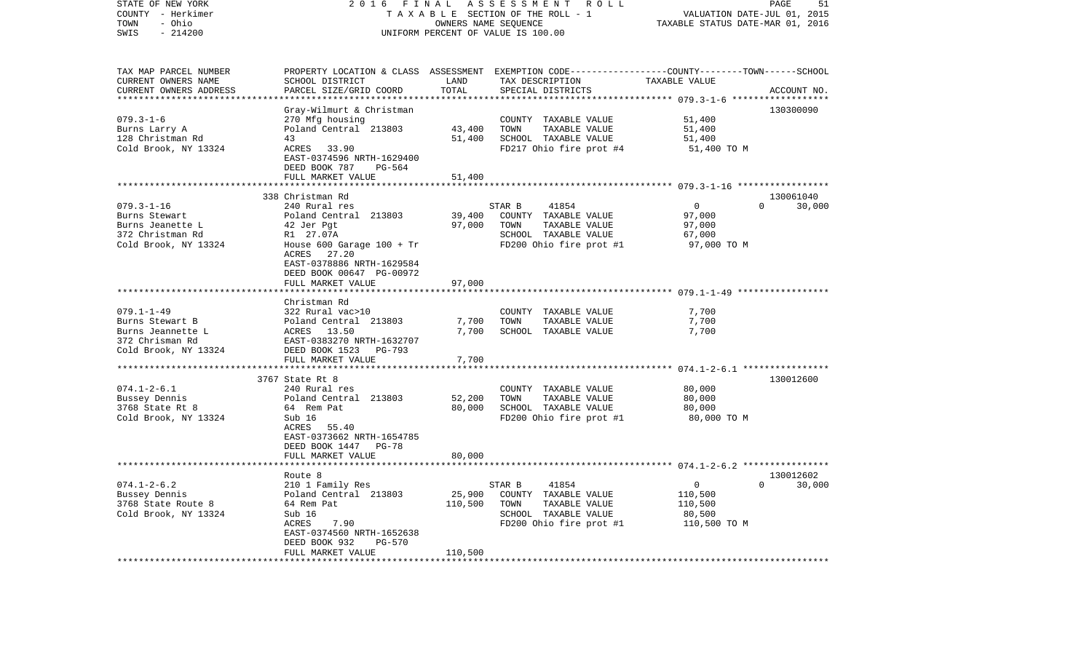| STATE OF NEW YORK<br>COUNTY - Herkimer<br>- Ohio<br>TOWN<br>SWIS<br>$-214200$                       | 2016<br>F I N A L<br>TAXABLE SECTION OF THE ROLL - 1<br>UNIFORM PERCENT OF VALUE IS 100.00                                                                                                                          | ASSESSMENT ROLL<br>PAGE<br>51<br>VALUATION DATE-JUL 01, 2015<br>TAXABLE STATUS DATE-MAR 01, 2016 |                                                                                                                                         |                                                             |                                 |
|-----------------------------------------------------------------------------------------------------|---------------------------------------------------------------------------------------------------------------------------------------------------------------------------------------------------------------------|--------------------------------------------------------------------------------------------------|-----------------------------------------------------------------------------------------------------------------------------------------|-------------------------------------------------------------|---------------------------------|
| TAX MAP PARCEL NUMBER<br>CURRENT OWNERS NAME<br>CURRENT OWNERS ADDRESS                              | SCHOOL DISTRICT<br>PARCEL SIZE/GRID COORD                                                                                                                                                                           | LAND<br>TOTAL<br>*************                                                                   | PROPERTY LOCATION & CLASS ASSESSMENT EXEMPTION CODE---------------COUNTY-------TOWN------SCHOOL<br>TAX DESCRIPTION<br>SPECIAL DISTRICTS | TAXABLE VALUE                                               | ACCOUNT NO.                     |
| $079.3 - 1 - 6$<br>Burns Larry A<br>128 Christman Rd<br>Cold Brook, NY 13324                        | Gray-Wilmurt & Christman<br>270 Mfg housing<br>Poland Central 213803<br>43<br>ACRES 33.90<br>EAST-0374596 NRTH-1629400<br>DEED BOOK 787<br>PG-564<br>FULL MARKET VALUE                                              | 43,400<br>51,400<br>51,400                                                                       | COUNTY TAXABLE VALUE<br>TOWN<br>TAXABLE VALUE<br>SCHOOL TAXABLE VALUE<br>FD217 Ohio fire prot #4                                        | 51,400<br>51,400<br>51,400<br>51,400 TO M                   | 130300090                       |
|                                                                                                     | **************************                                                                                                                                                                                          |                                                                                                  |                                                                                                                                         |                                                             |                                 |
| $079.3 - 1 - 16$<br>Burns Stewart<br>Burns Jeanette L<br>372 Christman Rd<br>Cold Brook, NY 13324   | 338 Christman Rd<br>240 Rural res<br>Poland Central 213803<br>42 Jer Pgt<br>R1 27.07A<br>House $600$ Garage $100 + Tr$<br>ACRES 27.20<br>EAST-0378886 NRTH-1629584<br>DEED BOOK 00647 PG-00972<br>FULL MARKET VALUE | 39,400<br>97,000<br>97,000                                                                       | STAR B<br>41854<br>COUNTY TAXABLE VALUE<br>TOWN<br>TAXABLE VALUE<br>SCHOOL TAXABLE VALUE<br>FD200 Ohio fire prot #1                     | $\overline{0}$<br>97,000<br>97,000<br>67,000<br>97,000 TO M | 130061040<br>$\Omega$<br>30,000 |
| $079.1 - 1 - 49$<br>Burns Stewart B<br>Burns Jeannette L<br>372 Chrisman Rd<br>Cold Brook, NY 13324 | Christman Rd<br>322 Rural vac>10<br>Poland Central 213803<br>ACRES 13.50<br>EAST-0383270 NRTH-1632707<br>DEED BOOK 1523<br>PG-793<br>FULL MARKET VALUE                                                              | 7,700<br>7,700<br>7,700                                                                          | COUNTY TAXABLE VALUE<br>TOWN<br>TAXABLE VALUE<br>SCHOOL TAXABLE VALUE                                                                   | 7,700<br>7,700<br>7,700                                     |                                 |
|                                                                                                     |                                                                                                                                                                                                                     |                                                                                                  |                                                                                                                                         |                                                             |                                 |
| $074.1 - 2 - 6.1$<br>Bussey Dennis<br>3768 State Rt 8<br>Cold Brook, NY 13324                       | 3767 State Rt 8<br>240 Rural res<br>Poland Central 213803<br>64 Rem Pat<br>Sub 16<br>ACRES 55.40<br>EAST-0373662 NRTH-1654785<br>DEED BOOK 1447 PG-78                                                               | 52,200<br>80,000                                                                                 | COUNTY TAXABLE VALUE<br>TAXABLE VALUE<br>TOWN<br>SCHOOL TAXABLE VALUE<br>FD200 Ohio fire prot #1                                        | 80,000<br>80,000<br>80,000<br>80,000 TO M                   | 130012600                       |
|                                                                                                     | FULL MARKET VALUE                                                                                                                                                                                                   | 80,000                                                                                           |                                                                                                                                         |                                                             |                                 |
| $074.1 - 2 - 6.2$<br>Bussey Dennis<br>3768 State Route 8<br>Cold Brook, NY 13324                    | Route 8<br>210 1 Family Res<br>Poland Central 213803<br>64 Rem Pat<br>Sub 16<br>7.90<br>ACRES<br>EAST-0374560 NRTH-1652638<br>DEED BOOK 932<br>PG-570                                                               | 25,900<br>110,500                                                                                | 41854<br>STAR B<br>COUNTY TAXABLE VALUE<br>TOWN<br>TAXABLE VALUE<br>SCHOOL TAXABLE VALUE<br>FD200 Ohio fire prot #1                     | 0<br>110,500<br>110,500<br>80,500<br>110,500 TO M           | 130012602<br>$\Omega$<br>30,000 |
|                                                                                                     | FULL MARKET VALUE                                                                                                                                                                                                   | 110,500                                                                                          |                                                                                                                                         |                                                             |                                 |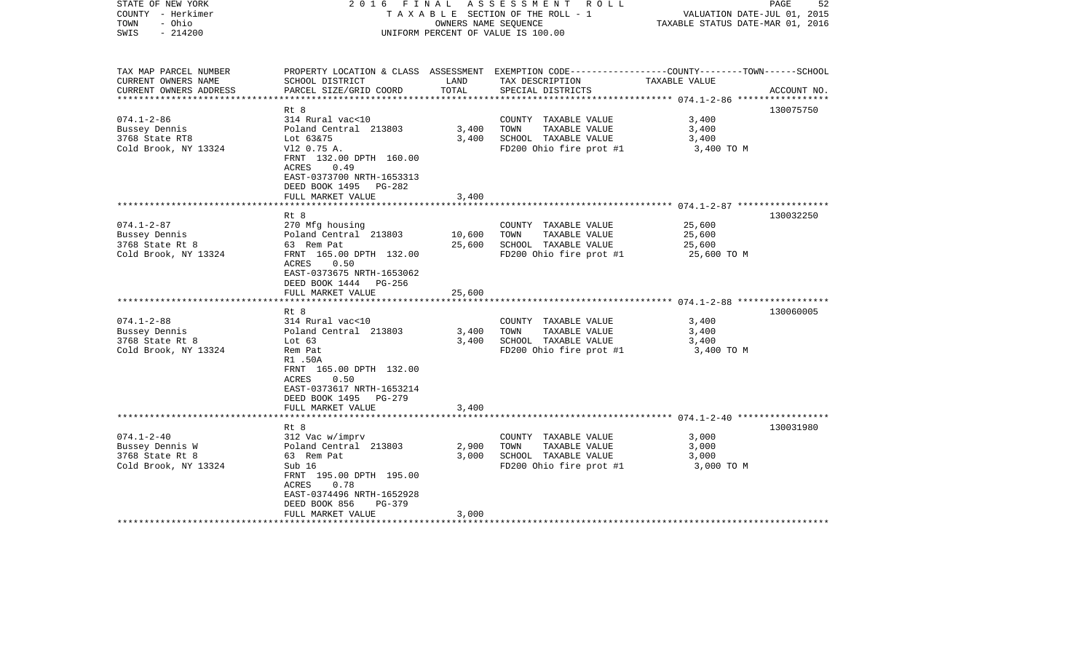| STATE OF NEW YORK<br>COUNTY - Herkimer<br>- Ohio<br>TOWN<br>$-214200$<br>SWIS  | 2016 FINAL                                                                                                                                                                                           | OWNERS NAME SEQUENCE         | ASSESSMENT ROLL<br>TAXABLE SECTION OF THE ROLL - 1<br>UNIFORM PERCENT OF VALUE IS 100.00                                                | VALUATION DATE-JUL 01, 2015<br>TAXABLE STATUS DATE-MAR 01, 2016                                      | 52<br>PAGE  |
|--------------------------------------------------------------------------------|------------------------------------------------------------------------------------------------------------------------------------------------------------------------------------------------------|------------------------------|-----------------------------------------------------------------------------------------------------------------------------------------|------------------------------------------------------------------------------------------------------|-------------|
| TAX MAP PARCEL NUMBER<br>CURRENT OWNERS NAME<br>CURRENT OWNERS ADDRESS         | SCHOOL DISTRICT<br>PARCEL SIZE/GRID COORD                                                                                                                                                            | LAND<br>TOTAL                | PROPERTY LOCATION & CLASS ASSESSMENT EXEMPTION CODE---------------COUNTY-------TOWN------SCHOOL<br>TAX DESCRIPTION<br>SPECIAL DISTRICTS | TAXABLE VALUE                                                                                        | ACCOUNT NO. |
| $074.1 - 2 - 86$<br>Bussey Dennis<br>3768 State RT8<br>Cold Brook, NY 13324    | Rt 8<br>314 Rural vac<10<br>Poland Central 213803<br>Lot 63&75<br>V12 0.75 A.<br>FRNT 132.00 DPTH 160.00<br>ACRES<br>0.49<br>EAST-0373700 NRTH-1653313<br>DEED BOOK 1495 PG-282<br>FULL MARKET VALUE | 3,400<br>3,400<br>3,400      | COUNTY TAXABLE VALUE<br>TOWN<br>TAXABLE VALUE<br>SCHOOL TAXABLE VALUE<br>FD200 Ohio fire prot #1                                        | 3,400<br>3,400<br>3,400<br>3,400 TO M                                                                | 130075750   |
| $074.1 - 2 - 87$<br>Bussey Dennis<br>3768 State Rt 8<br>Cold Brook, NY 13324   | Rt 8<br>270 Mfg housing<br>Poland Central 213803<br>63 Rem Pat<br>FRNT 165.00 DPTH 132.00<br>0.50<br>ACRES                                                                                           | ********<br>10,600<br>25,600 | COUNTY TAXABLE VALUE<br>TOWN<br>TAXABLE VALUE<br>SCHOOL TAXABLE VALUE<br>FD200 Ohio fire prot #1                                        | ************************* 074.1-2-87 ******************<br>25,600<br>25,600<br>25,600<br>25,600 TO M | 130032250   |
|                                                                                | EAST-0373675 NRTH-1653062<br>DEED BOOK 1444 PG-256<br>FULL MARKET VALUE<br>Rt 8                                                                                                                      | 25,600                       |                                                                                                                                         |                                                                                                      | 130060005   |
| $074.1 - 2 - 88$<br>Bussey Dennis<br>3768 State Rt 8<br>Cold Brook, NY 13324   | 314 Rural vac<10<br>Poland Central 213803<br>Lot $63$<br>Rem Pat<br>R1.50A<br>FRNT 165.00 DPTH 132.00<br>0.50<br>ACRES<br>EAST-0373617 NRTH-1653214<br>DEED BOOK 1495 PG-279                         | 3,400<br>3,400               | COUNTY TAXABLE VALUE<br>TOWN<br>TAXABLE VALUE<br>SCHOOL TAXABLE VALUE<br>FD200 Ohio fire prot #1                                        | 3,400<br>3,400<br>3,400<br>3,400 TO M                                                                |             |
|                                                                                | FULL MARKET VALUE                                                                                                                                                                                    | 3,400                        |                                                                                                                                         |                                                                                                      |             |
| $074.1 - 2 - 40$<br>Bussey Dennis W<br>3768 State Rt 8<br>Cold Brook, NY 13324 | Rt 8<br>312 Vac w/imprv<br>Poland Central 213803<br>63 Rem Pat<br>Sub 16<br>FRNT 195.00 DPTH 195.00<br>0.78<br>ACRES<br>EAST-0374496 NRTH-1652928<br>DEED BOOK 856<br>$PG-379$<br>FULL MARKET VALUE  | 2,900<br>3,000<br>3,000      | COUNTY TAXABLE VALUE<br>TAXABLE VALUE<br>TOWN<br>SCHOOL TAXABLE VALUE<br>FD200 Ohio fire prot #1                                        | 3,000<br>3,000<br>3,000<br>3,000 TO M                                                                | 130031980   |
|                                                                                |                                                                                                                                                                                                      |                              |                                                                                                                                         |                                                                                                      |             |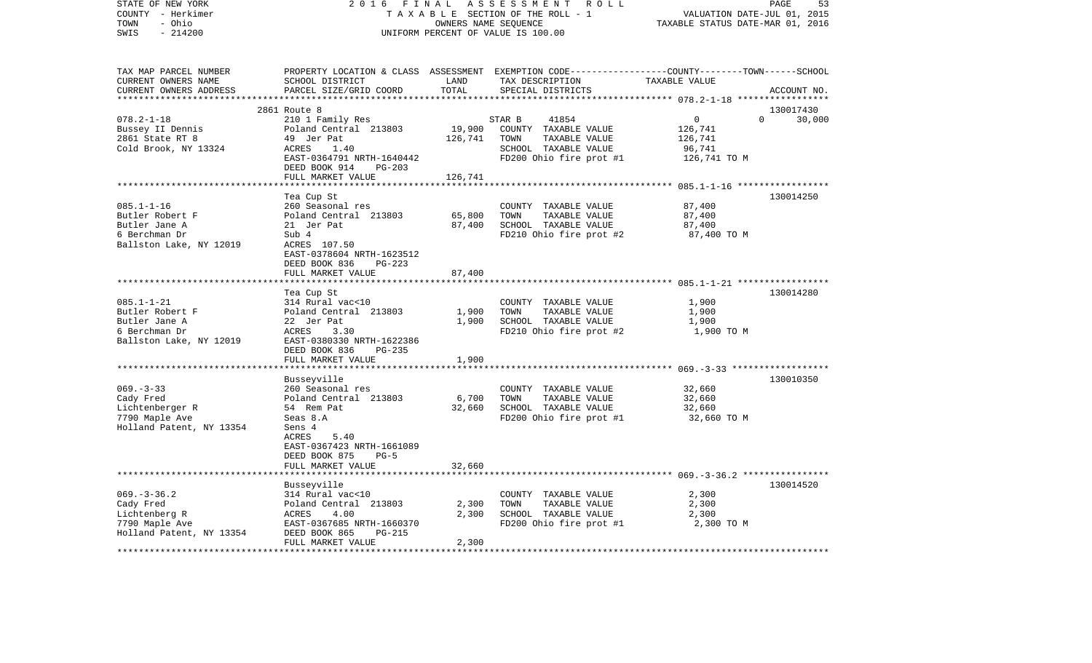| STATE OF NEW YORK<br>COUNTY - Herkimer            | 2016<br>FINAL                  |                      | ASSESSMENT<br>R O L L<br>TAXABLE SECTION OF THE ROLL - 1                                        | VALUATION DATE-JUL 01, 2015      | PAGE<br>53  |
|---------------------------------------------------|--------------------------------|----------------------|-------------------------------------------------------------------------------------------------|----------------------------------|-------------|
| - Ohio<br>TOWN<br>SWIS<br>$-214200$               |                                | OWNERS NAME SEQUENCE | UNIFORM PERCENT OF VALUE IS 100.00                                                              | TAXABLE STATUS DATE-MAR 01, 2016 |             |
| TAX MAP PARCEL NUMBER                             |                                |                      | PROPERTY LOCATION & CLASS ASSESSMENT EXEMPTION CODE----------------COUNTY-------TOWN-----SCHOOL |                                  |             |
| CURRENT OWNERS NAME                               | SCHOOL DISTRICT                | LAND                 | TAX DESCRIPTION                                                                                 | TAXABLE VALUE                    |             |
| CURRENT OWNERS ADDRESS<br>*********************** | PARCEL SIZE/GRID COORD         | TOTAL                | SPECIAL DISTRICTS                                                                               |                                  | ACCOUNT NO. |
|                                                   |                                |                      |                                                                                                 |                                  |             |
|                                                   | 2861 Route 8                   |                      |                                                                                                 | $\Omega$                         | 130017430   |
| $078.2 - 1 - 18$                                  | 210 1 Family Res               |                      | STAR B<br>41854                                                                                 | 0                                | 30,000      |
| Bussey II Dennis                                  | Poland Central 213803          | 19,900               | COUNTY TAXABLE VALUE                                                                            | 126,741                          |             |
| 2861 State RT 8                                   | 49 Jer Pat                     | 126,741              | TOWN<br>TAXABLE VALUE                                                                           | 126,741                          |             |
| Cold Brook, NY 13324                              | ACRES<br>1.40                  |                      | SCHOOL TAXABLE VALUE                                                                            | 96,741                           |             |
|                                                   | EAST-0364791 NRTH-1640442      |                      | FD200 Ohio fire prot #1                                                                         | 126,741 TO M                     |             |
|                                                   | DEED BOOK 914<br>$PG-203$      |                      |                                                                                                 |                                  |             |
|                                                   | FULL MARKET VALUE              | 126,741              |                                                                                                 |                                  |             |
|                                                   |                                |                      |                                                                                                 |                                  | 130014250   |
| $085.1 - 1 - 16$                                  | Tea Cup St<br>260 Seasonal res |                      | COUNTY TAXABLE VALUE                                                                            | 87,400                           |             |
| Butler Robert F                                   | Poland Central 213803          | 65,800               | TAXABLE VALUE<br>TOWN                                                                           | 87,400                           |             |
| Butler Jane A                                     | 21 Jer Pat                     | 87,400               | SCHOOL TAXABLE VALUE                                                                            | 87,400                           |             |
| 6 Berchman Dr                                     | Sub 4                          |                      | FD210 Ohio fire prot #2                                                                         | 87,400 TO M                      |             |
| Ballston Lake, NY 12019                           | ACRES 107.50                   |                      |                                                                                                 |                                  |             |
|                                                   | EAST-0378604 NRTH-1623512      |                      |                                                                                                 |                                  |             |
|                                                   | DEED BOOK 836<br>$PG-223$      |                      |                                                                                                 |                                  |             |
|                                                   | FULL MARKET VALUE              | 87,400               |                                                                                                 |                                  |             |
|                                                   | ********************           |                      |                                                                                                 |                                  |             |
|                                                   | Tea Cup St                     |                      |                                                                                                 |                                  | 130014280   |
| $085.1 - 1 - 21$                                  | 314 Rural vac<10               |                      | COUNTY TAXABLE VALUE                                                                            | 1,900                            |             |
| Butler Robert F                                   | Poland Central 213803          | 1,900                | TOWN<br>TAXABLE VALUE                                                                           | 1,900                            |             |
| Butler Jane A                                     | 22 Jer Pat                     | 1,900                | SCHOOL TAXABLE VALUE                                                                            | 1,900                            |             |
| 6 Berchman Dr                                     | ACRES<br>3.30                  |                      | FD210 Ohio fire prot #2                                                                         | 1,900 TO M                       |             |
| Ballston Lake, NY 12019                           | EAST-0380330 NRTH-1622386      |                      |                                                                                                 |                                  |             |
|                                                   | DEED BOOK 836<br>$PG-235$      |                      |                                                                                                 |                                  |             |
|                                                   | FULL MARKET VALUE              | 1,900                |                                                                                                 |                                  |             |
|                                                   |                                |                      |                                                                                                 |                                  |             |
|                                                   | Busseyville                    |                      |                                                                                                 |                                  | 130010350   |
| $069. -3 - 33$                                    | 260 Seasonal res               |                      | COUNTY TAXABLE VALUE                                                                            | 32,660                           |             |
| Cady Fred                                         | Poland Central 213803          | 6,700                | TOWN<br>TAXABLE VALUE                                                                           | 32,660                           |             |
| Lichtenberger R                                   | 54 Rem Pat                     | 32,660               | SCHOOL TAXABLE VALUE                                                                            | 32,660                           |             |
| 7790 Maple Ave                                    | Seas 8.A                       |                      | FD200 Ohio fire prot #1                                                                         | 32,660 TO M                      |             |
| Holland Patent, NY 13354                          | Sens 4                         |                      |                                                                                                 |                                  |             |
|                                                   | ACRES<br>5.40                  |                      |                                                                                                 |                                  |             |
|                                                   | EAST-0367423 NRTH-1661089      |                      |                                                                                                 |                                  |             |
|                                                   | DEED BOOK 875<br>$PG-5$        |                      |                                                                                                 |                                  |             |
|                                                   | FULL MARKET VALUE              | 32,660               |                                                                                                 |                                  |             |
|                                                   | *************************      |                      |                                                                                                 |                                  |             |
|                                                   | Busseyville                    |                      |                                                                                                 |                                  | 130014520   |
| $069. -3 -36.2$                                   | 314 Rural vac<10               |                      | COUNTY TAXABLE VALUE                                                                            | 2,300                            |             |
| Cady Fred                                         | Poland Central 213803          | 2,300                | TOWN<br>TAXABLE VALUE                                                                           | 2,300                            |             |
| Lichtenberg R                                     | ACRES<br>4.00                  | 2,300                | SCHOOL TAXABLE VALUE                                                                            | 2,300                            |             |
| 7790 Maple Ave                                    | EAST-0367685 NRTH-1660370      |                      | FD200 Ohio fire prot #1                                                                         | 2,300 TO M                       |             |
| Holland Patent, NY 13354                          | DEED BOOK 865<br>$PG-215$      |                      |                                                                                                 |                                  |             |
|                                                   | FULL MARKET VALUE              | 2,300                |                                                                                                 |                                  |             |
|                                                   |                                |                      |                                                                                                 |                                  |             |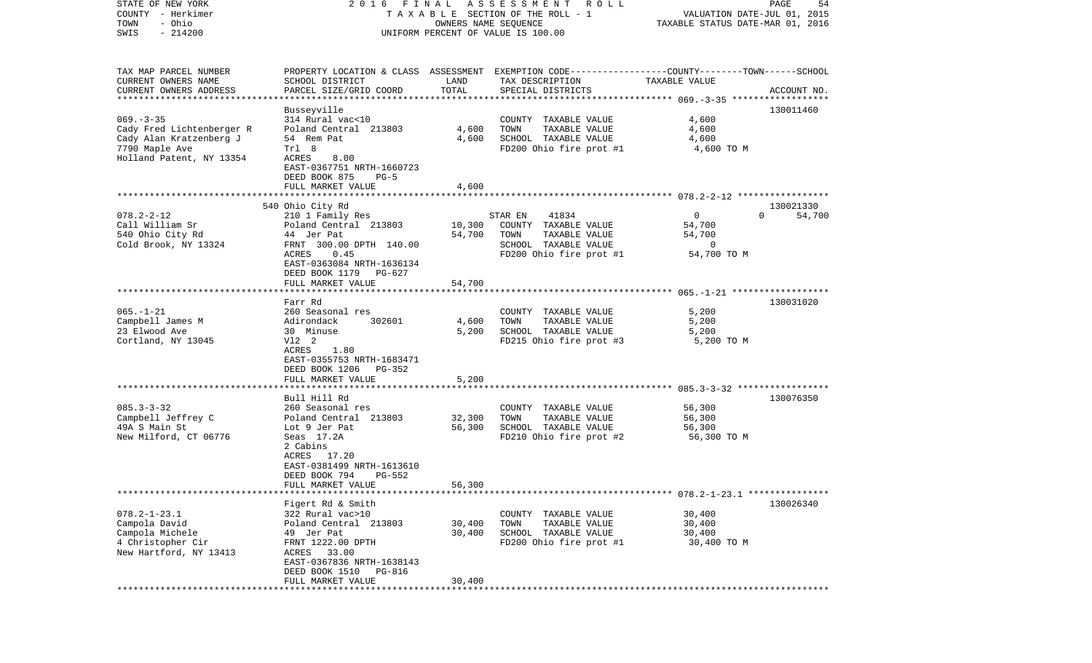| STATE OF NEW YORK<br>COUNTY - Herkimer     | 2016 FINAL                                |                      | A S S E S S M E N T A O L L                                                                      |                                                                 | PAGE<br>54         |
|--------------------------------------------|-------------------------------------------|----------------------|--------------------------------------------------------------------------------------------------|-----------------------------------------------------------------|--------------------|
| - Ohio<br>TOWN                             |                                           | OWNERS NAME SEQUENCE | TAXABLE SECTION OF THE ROLL - 1                                                                  | VALUATION DATE-JUL 01, 2015<br>TAXABLE STATUS DATE-MAR 01, 2016 |                    |
| $-214200$<br>SWIS                          |                                           |                      | UNIFORM PERCENT OF VALUE IS 100.00                                                               |                                                                 |                    |
|                                            |                                           |                      |                                                                                                  |                                                                 |                    |
| TAX MAP PARCEL NUMBER                      |                                           |                      | PROPERTY LOCATION & CLASS ASSESSMENT EXEMPTION CODE----------------COUNTY-------TOWN------SCHOOL |                                                                 |                    |
| CURRENT OWNERS NAME                        | SCHOOL DISTRICT                           | LAND                 | TAX DESCRIPTION                                                                                  | TAXABLE VALUE                                                   |                    |
| CURRENT OWNERS ADDRESS                     | PARCEL SIZE/GRID COORD                    | TOTAL                | SPECIAL DISTRICTS                                                                                |                                                                 | ACCOUNT NO.        |
| ************************                   |                                           |                      |                                                                                                  |                                                                 |                    |
|                                            | Busseyville                               |                      |                                                                                                  |                                                                 | 130011460          |
| $069. -3 -35$<br>Cady Fred Lichtenberger R | 314 Rural vac<10<br>Poland Central 213803 | 4,600                | COUNTY TAXABLE VALUE<br>TOWN<br>TAXABLE VALUE                                                    | 4,600<br>4,600                                                  |                    |
| Cady Alan Kratzenberg J                    | 54 Rem Pat                                | 4,600                | SCHOOL TAXABLE VALUE                                                                             | 4,600                                                           |                    |
| 7790 Maple Ave                             | Trl 8                                     |                      | FD200 Ohio fire prot #1                                                                          | 4,600 TO M                                                      |                    |
| Holland Patent, NY 13354                   | ACRES<br>8.00                             |                      |                                                                                                  |                                                                 |                    |
|                                            | EAST-0367751 NRTH-1660723                 |                      |                                                                                                  |                                                                 |                    |
|                                            | DEED BOOK 875<br>$PG-5$                   |                      |                                                                                                  |                                                                 |                    |
|                                            | FULL MARKET VALUE                         | 4,600                |                                                                                                  |                                                                 |                    |
|                                            |                                           |                      |                                                                                                  |                                                                 |                    |
|                                            | 540 Ohio City Rd                          |                      |                                                                                                  |                                                                 | 130021330          |
| $078.2 - 2 - 12$<br>Call William Sr        | 210 1 Family Res<br>Poland Central 213803 | 10,300               | 41834<br>STAR EN<br>COUNTY TAXABLE VALUE                                                         | $\circ$<br>54,700                                               | $\Omega$<br>54,700 |
| 540 Ohio City Rd                           | 44 Jer Pat                                | 54,700               | TOWN<br>TAXABLE VALUE                                                                            | 54,700                                                          |                    |
| Cold Brook, NY 13324                       | FRNT 300.00 DPTH 140.00                   |                      | SCHOOL TAXABLE VALUE                                                                             | 0                                                               |                    |
|                                            | ACRES<br>0.45                             |                      | FD200 Ohio fire prot #1                                                                          | 54,700 TO M                                                     |                    |
|                                            | EAST-0363084 NRTH-1636134                 |                      |                                                                                                  |                                                                 |                    |
|                                            | DEED BOOK 1179<br>PG-627                  |                      |                                                                                                  |                                                                 |                    |
|                                            | FULL MARKET VALUE                         | 54,700               |                                                                                                  |                                                                 |                    |
|                                            |                                           |                      |                                                                                                  |                                                                 |                    |
|                                            | Farr Rd                                   |                      |                                                                                                  |                                                                 | 130031020          |
| $065. - 1 - 21$<br>Campbell James M        | 260 Seasonal res<br>Adirondack<br>302601  | 4,600                | COUNTY TAXABLE VALUE<br>TOWN<br>TAXABLE VALUE                                                    | 5,200<br>5,200                                                  |                    |
| 23 Elwood Ave                              | 30 Minuse                                 | 5,200                | SCHOOL TAXABLE VALUE                                                                             | 5,200                                                           |                    |
| Cortland, NY 13045                         | V12 2                                     |                      | FD215 Ohio fire prot #3                                                                          | 5,200 TO M                                                      |                    |
|                                            | ACRES<br>1.80                             |                      |                                                                                                  |                                                                 |                    |
|                                            | EAST-0355753 NRTH-1683471                 |                      |                                                                                                  |                                                                 |                    |
|                                            | DEED BOOK 1206<br>PG-352                  |                      |                                                                                                  |                                                                 |                    |
|                                            | FULL MARKET VALUE                         | 5,200                |                                                                                                  |                                                                 |                    |
|                                            | **********************                    |                      |                                                                                                  |                                                                 |                    |
| $085.3 - 3 - 32$                           | Bull Hill Rd<br>260 Seasonal res          |                      |                                                                                                  | 56,300                                                          | 130076350          |
| Campbell Jeffrey C                         | Poland Central 213803                     | 32,300               | COUNTY TAXABLE VALUE<br>TOWN<br>TAXABLE VALUE                                                    | 56,300                                                          |                    |
| 49A S Main St                              | Lot 9 Jer Pat                             | 56,300               | SCHOOL TAXABLE VALUE                                                                             | 56,300                                                          |                    |
| New Milford, CT 06776                      | Seas 17.2A                                |                      | FD210 Ohio fire prot #2                                                                          | 56,300 TO M                                                     |                    |
|                                            | 2 Cabins                                  |                      |                                                                                                  |                                                                 |                    |
|                                            | ACRES 17.20                               |                      |                                                                                                  |                                                                 |                    |
|                                            | EAST-0381499 NRTH-1613610                 |                      |                                                                                                  |                                                                 |                    |
|                                            | DEED BOOK 794<br>PG-552                   |                      |                                                                                                  |                                                                 |                    |
|                                            | FULL MARKET VALUE                         | 56,300               |                                                                                                  |                                                                 |                    |
|                                            | Figert Rd & Smith                         |                      |                                                                                                  |                                                                 | 130026340          |
| $078.2 - 1 - 23.1$                         | 322 Rural vac>10                          |                      | COUNTY TAXABLE VALUE                                                                             | 30,400                                                          |                    |
| Campola David                              | Poland Central 213803                     | 30,400               | TOWN<br>TAXABLE VALUE                                                                            | 30,400                                                          |                    |
| Campola Michele                            | 49 Jer Pat                                | 30,400               | SCHOOL TAXABLE VALUE                                                                             | 30,400                                                          |                    |
| 4 Christopher Cir                          | FRNT 1222.00 DPTH                         |                      | FD200 Ohio fire prot #1                                                                          | 30,400 TO M                                                     |                    |
| New Hartford, NY 13413                     | ACRES 33.00                               |                      |                                                                                                  |                                                                 |                    |
|                                            | EAST-0367836 NRTH-1638143                 |                      |                                                                                                  |                                                                 |                    |
|                                            | DEED BOOK 1510 PG-816                     |                      |                                                                                                  |                                                                 |                    |
|                                            | FULL MARKET VALUE                         | 30,400               |                                                                                                  |                                                                 |                    |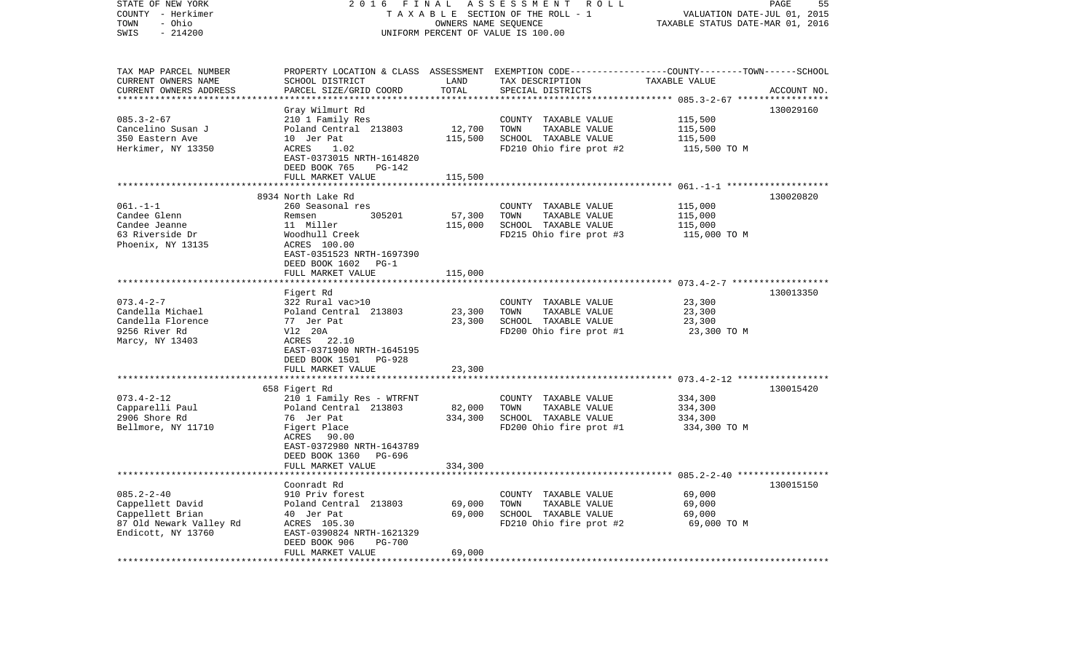| STATE OF NEW YORK<br>COUNTY - Herkimer<br>- Ohio<br>TOWN | 2 0 1 6                                                                 | FINAL<br>OWNERS NAME SEQUENCE | ASSESSMENT ROLL<br>TAXABLE SECTION OF THE ROLL - 1                                                                  | VALUATION DATE-JUL 01, 2015<br>TAXABLE STATUS DATE-MAR 01, 2016 | PAGE<br>55  |
|----------------------------------------------------------|-------------------------------------------------------------------------|-------------------------------|---------------------------------------------------------------------------------------------------------------------|-----------------------------------------------------------------|-------------|
| SWIS<br>$-214200$                                        |                                                                         |                               | UNIFORM PERCENT OF VALUE IS 100.00                                                                                  |                                                                 |             |
| TAX MAP PARCEL NUMBER<br>CURRENT OWNERS NAME             | SCHOOL DISTRICT                                                         | LAND                          | PROPERTY LOCATION & CLASS ASSESSMENT EXEMPTION CODE----------------COUNTY-------TOWN------SCHOOL<br>TAX DESCRIPTION | TAXABLE VALUE                                                   |             |
| CURRENT OWNERS ADDRESS                                   | PARCEL SIZE/GRID COORD                                                  | TOTAL                         | SPECIAL DISTRICTS                                                                                                   |                                                                 | ACCOUNT NO. |
|                                                          |                                                                         | * * * * * * * * * * *         |                                                                                                                     | *********** 085.3-2-67 ******************                       |             |
|                                                          | Gray Wilmurt Rd                                                         |                               |                                                                                                                     |                                                                 | 130029160   |
| $085.3 - 2 - 67$                                         | 210 1 Family Res                                                        |                               | COUNTY TAXABLE VALUE                                                                                                | 115,500                                                         |             |
| Cancelino Susan J                                        | Poland Central 213803                                                   | 12,700                        | TAXABLE VALUE<br>TOWN                                                                                               | 115,500                                                         |             |
| 350 Eastern Ave                                          | 10 Jer Pat                                                              | 115,500                       | SCHOOL TAXABLE VALUE                                                                                                | 115,500                                                         |             |
| Herkimer, NY 13350                                       | ACRES<br>1.02<br>EAST-0373015 NRTH-1614820<br>DEED BOOK 765<br>$PG-142$ |                               | FD210 Ohio fire prot #2                                                                                             | 115,500 TO M                                                    |             |
|                                                          | FULL MARKET VALUE                                                       | 115,500                       |                                                                                                                     |                                                                 |             |
|                                                          | ***************************                                             |                               |                                                                                                                     |                                                                 |             |
|                                                          | 8934 North Lake Rd                                                      |                               |                                                                                                                     |                                                                 | 130020820   |
| $061. -1 -1$                                             | 260 Seasonal res                                                        |                               | COUNTY TAXABLE VALUE                                                                                                | 115,000                                                         |             |
| Candee Glenn                                             | Remsen<br>305201                                                        | 57,300                        | TOWN<br>TAXABLE VALUE                                                                                               | 115,000                                                         |             |
| Candee Jeanne                                            | 11 Miller                                                               | 115,000                       | SCHOOL TAXABLE VALUE                                                                                                | 115,000                                                         |             |
| 63 Riverside Dr                                          | Woodhull Creek                                                          |                               | FD215 Ohio fire prot #3                                                                                             | 115,000 TO M                                                    |             |
| Phoenix, NY 13135                                        | ACRES 100.00<br>EAST-0351523 NRTH-1697390<br>DEED BOOK 1602 PG-1        |                               |                                                                                                                     |                                                                 |             |
|                                                          | FULL MARKET VALUE                                                       | 115,000                       |                                                                                                                     |                                                                 |             |
|                                                          |                                                                         |                               |                                                                                                                     |                                                                 |             |
|                                                          | Figert Rd                                                               |                               |                                                                                                                     |                                                                 | 130013350   |
| $073.4 - 2 - 7$<br>Candella Michael                      | 322 Rural vac>10<br>Poland Central 213803                               | 23,300                        | COUNTY TAXABLE VALUE<br>TOWN<br>TAXABLE VALUE                                                                       | 23,300<br>23,300                                                |             |
| Candella Florence                                        | 77 Jer Pat                                                              | 23,300                        | SCHOOL TAXABLE VALUE                                                                                                | 23,300                                                          |             |
| 9256 River Rd                                            | V12 20A                                                                 |                               | FD200 Ohio fire prot #1                                                                                             | 23,300 TO M                                                     |             |
| Marcy, NY 13403                                          | ACRES 22.10                                                             |                               |                                                                                                                     |                                                                 |             |
|                                                          | EAST-0371900 NRTH-1645195                                               |                               |                                                                                                                     |                                                                 |             |
|                                                          | DEED BOOK 1501 PG-928                                                   |                               |                                                                                                                     |                                                                 |             |
|                                                          | FULL MARKET VALUE                                                       | 23,300                        |                                                                                                                     |                                                                 |             |
|                                                          | **************************                                              |                               |                                                                                                                     |                                                                 |             |
| $073.4 - 2 - 12$                                         | 658 Figert Rd<br>210 1 Family Res - WTRFNT                              |                               | COUNTY TAXABLE VALUE                                                                                                | 334,300                                                         | 130015420   |
| Capparelli Paul                                          | Poland Central 213803                                                   | 82,000                        | TAXABLE VALUE<br>TOWN                                                                                               | 334,300                                                         |             |
| 2906 Shore Rd                                            | 76 Jer Pat                                                              | 334,300                       | SCHOOL TAXABLE VALUE                                                                                                | 334,300                                                         |             |
| Bellmore, NY 11710                                       | Figert Place                                                            |                               | FD200 Ohio fire prot #1                                                                                             | 334,300 TO M                                                    |             |
|                                                          | ACRES 90.00                                                             |                               |                                                                                                                     |                                                                 |             |
|                                                          | EAST-0372980 NRTH-1643789<br>DEED BOOK 1360<br>PG-696                   |                               |                                                                                                                     |                                                                 |             |
|                                                          | FULL MARKET VALUE                                                       | 334,300                       |                                                                                                                     |                                                                 |             |
|                                                          |                                                                         |                               |                                                                                                                     | *********************** 085.2-2-40 ******************           |             |
| $085.2 - 2 - 40$                                         | Coonradt Rd                                                             |                               |                                                                                                                     | 69,000                                                          | 130015150   |
| Cappellett David                                         | 910 Priv forest<br>Poland Central 213803                                | 69,000                        | COUNTY TAXABLE VALUE<br>TOWN<br>TAXABLE VALUE                                                                       | 69,000                                                          |             |
| Cappellett Brian                                         | 40 Jer Pat                                                              | 69,000                        | SCHOOL TAXABLE VALUE                                                                                                | 69,000                                                          |             |
| 87 Old Newark Valley Rd                                  | ACRES 105.30                                                            |                               | FD210 Ohio fire prot #2                                                                                             | 69,000 TO M                                                     |             |
| Endicott, NY 13760                                       | EAST-0390824 NRTH-1621329                                               |                               |                                                                                                                     |                                                                 |             |
|                                                          | DEED BOOK 906<br><b>PG-700</b>                                          |                               |                                                                                                                     |                                                                 |             |
|                                                          | FULL MARKET VALUE                                                       | 69,000<br>***********         |                                                                                                                     |                                                                 |             |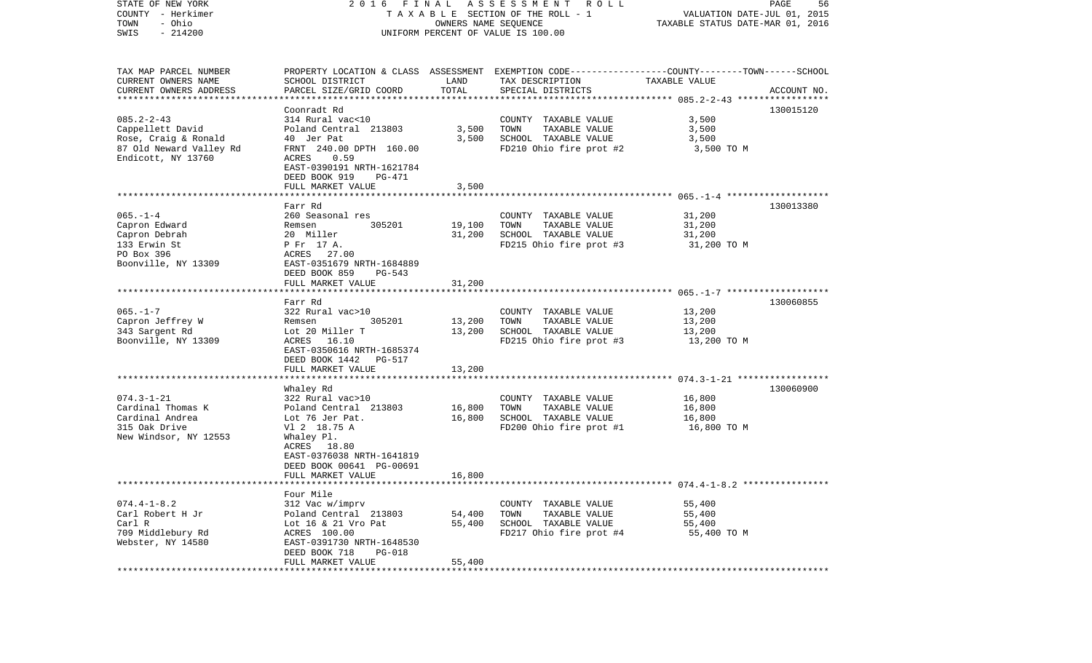| STATE OF NEW YORK<br>COUNTY - Herkimer<br>TOWN<br>- Ohio<br>SWIS<br>$-214200$ | 2016 FINAL ASSESSMENT ROLL<br>TAXABLE SECTION OF THE ROLL - 1<br>UNIFORM PERCENT OF VALUE IS 100.00 | PAGE<br>56<br>VALUATION DATE-JUL 01, 2015<br>TAXABLE STATUS DATE-MAR 01, 2016 |                                                                                                 |                       |             |
|-------------------------------------------------------------------------------|-----------------------------------------------------------------------------------------------------|-------------------------------------------------------------------------------|-------------------------------------------------------------------------------------------------|-----------------------|-------------|
| TAX MAP PARCEL NUMBER                                                         |                                                                                                     |                                                                               | PROPERTY LOCATION & CLASS ASSESSMENT EXEMPTION CODE---------------COUNTY-------TOWN------SCHOOL |                       |             |
| CURRENT OWNERS NAME<br>CURRENT OWNERS ADDRESS                                 | SCHOOL DISTRICT<br>PARCEL SIZE/GRID COORD                                                           | LAND<br>TOTAL                                                                 | TAX DESCRIPTION<br>SPECIAL DISTRICTS                                                            | TAXABLE VALUE         | ACCOUNT NO. |
| *************************                                                     |                                                                                                     |                                                                               |                                                                                                 |                       |             |
| $085.2 - 2 - 43$                                                              | Coonradt Rd<br>314 Rural vac<10                                                                     |                                                                               | COUNTY TAXABLE VALUE                                                                            | 3,500                 | 130015120   |
| Cappellett David                                                              | Poland Central 213803                                                                               | 3,500                                                                         | TOWN<br>TAXABLE VALUE                                                                           | 3,500                 |             |
| Rose, Craig & Ronald                                                          | 40 Jer Pat                                                                                          | 3,500                                                                         | SCHOOL TAXABLE VALUE                                                                            | 3,500                 |             |
| 87 Old Neward Valley Rd                                                       | FRNT 240.00 DPTH 160.00                                                                             |                                                                               | FD210 Ohio fire prot #2                                                                         | 3,500 TO M            |             |
| Endicott, NY 13760                                                            | ACRES<br>0.59<br>EAST-0390191 NRTH-1621784<br>DEED BOOK 919<br>PG-471                               |                                                                               |                                                                                                 |                       |             |
|                                                                               | FULL MARKET VALUE                                                                                   | 3,500                                                                         |                                                                                                 |                       |             |
|                                                                               |                                                                                                     |                                                                               |                                                                                                 |                       |             |
|                                                                               | Farr Rd                                                                                             |                                                                               |                                                                                                 |                       | 130013380   |
| $065. - 1 - 4$                                                                | 260 Seasonal res                                                                                    |                                                                               | COUNTY TAXABLE VALUE                                                                            | 31,200                |             |
| Capron Edward                                                                 | 305201<br>Remsen                                                                                    | 19,100                                                                        | TAXABLE VALUE<br>TOWN<br>SCHOOL TAXABLE VALUE                                                   | 31,200                |             |
| Capron Debrah<br>133 Erwin St                                                 | 20 Miller<br>P Fr 17 A.                                                                             | 31,200                                                                        | FD215 Ohio fire prot #3                                                                         | 31,200<br>31,200 TO M |             |
| PO Box 396                                                                    | ACRES 27.00                                                                                         |                                                                               |                                                                                                 |                       |             |
| Boonville, NY 13309                                                           | EAST-0351679 NRTH-1684889                                                                           |                                                                               |                                                                                                 |                       |             |
|                                                                               | DEED BOOK 859<br>PG-543                                                                             |                                                                               |                                                                                                 |                       |             |
|                                                                               | FULL MARKET VALUE                                                                                   | 31,200                                                                        |                                                                                                 |                       |             |
|                                                                               |                                                                                                     |                                                                               |                                                                                                 |                       |             |
| $065. - 1 - 7$                                                                | Farr Rd<br>322 Rural vac>10                                                                         |                                                                               | COUNTY TAXABLE VALUE                                                                            | 13,200                | 130060855   |
| Capron Jeffrey W                                                              | 305201<br>Remsen                                                                                    | 13,200                                                                        | TOWN<br>TAXABLE VALUE                                                                           | 13,200                |             |
| 343 Sargent Rd                                                                | Lot 20 Miller T                                                                                     | 13,200                                                                        | SCHOOL TAXABLE VALUE                                                                            | 13,200                |             |
| Boonville, NY 13309                                                           | 16.10<br>ACRES                                                                                      |                                                                               | FD215 Ohio fire prot #3                                                                         | 13,200 TO M           |             |
|                                                                               | EAST-0350616 NRTH-1685374                                                                           |                                                                               |                                                                                                 |                       |             |
|                                                                               | DEED BOOK 1442<br>PG-517                                                                            |                                                                               |                                                                                                 |                       |             |
|                                                                               | FULL MARKET VALUE                                                                                   | 13,200                                                                        |                                                                                                 |                       |             |
|                                                                               | Whaley Rd                                                                                           |                                                                               |                                                                                                 |                       | 130060900   |
| $074.3 - 1 - 21$                                                              | 322 Rural vac>10                                                                                    |                                                                               | COUNTY TAXABLE VALUE                                                                            | 16,800                |             |
| Cardinal Thomas K                                                             | Poland Central 213803                                                                               | 16,800                                                                        | TOWN<br>TAXABLE VALUE                                                                           | 16,800                |             |
| Cardinal Andrea                                                               | Lot 76 Jer Pat.                                                                                     | 16,800                                                                        | SCHOOL TAXABLE VALUE                                                                            | 16,800                |             |
| 315 Oak Drive                                                                 | V1 2 18.75 A                                                                                        |                                                                               | FD200 Ohio fire prot #1                                                                         | 16,800 TO M           |             |
| New Windsor, NY 12553                                                         | Whaley Pl.                                                                                          |                                                                               |                                                                                                 |                       |             |
|                                                                               | ACRES 18.80<br>EAST-0376038 NRTH-1641819                                                            |                                                                               |                                                                                                 |                       |             |
|                                                                               | DEED BOOK 00641 PG-00691                                                                            |                                                                               |                                                                                                 |                       |             |
|                                                                               | FULL MARKET VALUE                                                                                   | 16,800                                                                        |                                                                                                 |                       |             |
|                                                                               |                                                                                                     |                                                                               |                                                                                                 |                       |             |
|                                                                               | Four Mile                                                                                           |                                                                               |                                                                                                 |                       |             |
| $074.4 - 1 - 8.2$                                                             | 312 Vac w/imprv                                                                                     |                                                                               | COUNTY TAXABLE VALUE                                                                            | 55,400                |             |
| Carl Robert H Jr<br>Carl R                                                    | Poland Central 213803<br>Lot 16 & 21 Vro Pat                                                        | 54,400<br>55,400                                                              | TOWN<br>TAXABLE VALUE<br>SCHOOL TAXABLE VALUE                                                   | 55,400<br>55,400      |             |
| 709 Middlebury Rd                                                             | ACRES 100.00                                                                                        |                                                                               | FD217 Ohio fire prot #4                                                                         | 55,400 TO M           |             |
| Webster, NY 14580                                                             | EAST-0391730 NRTH-1648530                                                                           |                                                                               |                                                                                                 |                       |             |
|                                                                               | DEED BOOK 718<br>$PG-018$                                                                           |                                                                               |                                                                                                 |                       |             |
|                                                                               | FULL MARKET VALUE                                                                                   | 55,400                                                                        |                                                                                                 |                       |             |
|                                                                               |                                                                                                     |                                                                               |                                                                                                 |                       |             |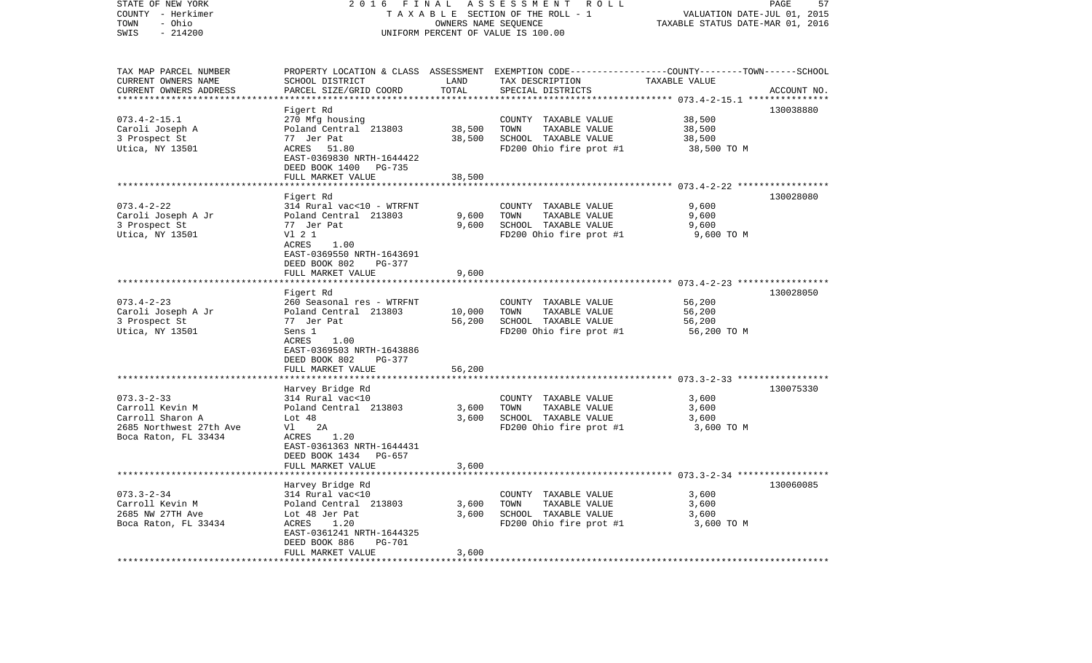| STATE OF NEW YORK<br>COUNTY - Herkimer<br>- Ohio<br>TOWN<br>SWIS<br>$-214200$                                | 2016<br>FINAL<br>TAXABLE SECTION OF THE ROLL - 1<br>UNIFORM PERCENT OF VALUE IS 100.00                                                                                                                            | PAGE<br>57<br>VALUATION DATE-JUL 01, 2015<br>TAXABLE STATUS DATE-MAR 01, 2016 |                                                                                                                                         |                                                                                             |             |
|--------------------------------------------------------------------------------------------------------------|-------------------------------------------------------------------------------------------------------------------------------------------------------------------------------------------------------------------|-------------------------------------------------------------------------------|-----------------------------------------------------------------------------------------------------------------------------------------|---------------------------------------------------------------------------------------------|-------------|
| TAX MAP PARCEL NUMBER<br>CURRENT OWNERS NAME<br>CURRENT OWNERS ADDRESS                                       | SCHOOL DISTRICT<br>PARCEL SIZE/GRID COORD                                                                                                                                                                         | LAND<br>TOTAL                                                                 | PROPERTY LOCATION & CLASS ASSESSMENT EXEMPTION CODE---------------COUNTY-------TOWN------SCHOOL<br>TAX DESCRIPTION<br>SPECIAL DISTRICTS | TAXABLE VALUE                                                                               | ACCOUNT NO. |
|                                                                                                              | Figert Rd                                                                                                                                                                                                         |                                                                               |                                                                                                                                         | ************* 073.4-2-15.1 ****************                                                 | 130038880   |
| $073.4 - 2 - 15.1$<br>Caroli Joseph A<br>3 Prospect St<br>Utica, NY 13501                                    | 270 Mfg housing<br>Poland Central 213803<br>77 Jer Pat<br>ACRES 51.80<br>EAST-0369830 NRTH-1644422<br>DEED BOOK 1400 PG-735<br>FULL MARKET VALUE                                                                  | 38,500<br>38,500<br>38,500                                                    | COUNTY TAXABLE VALUE<br>TOWN<br>TAXABLE VALUE<br>SCHOOL TAXABLE VALUE<br>FD200 Ohio fire prot #1                                        | 38,500<br>38,500<br>38,500<br>38,500 TO M                                                   |             |
|                                                                                                              |                                                                                                                                                                                                                   |                                                                               |                                                                                                                                         |                                                                                             |             |
| $073.4 - 2 - 22$<br>Caroli Joseph A Jr<br>3 Prospect St<br>Utica, NY 13501                                   | Figert Rd<br>314 Rural vac<10 - WTRFNT<br>Poland Central 213803<br>77 Jer Pat<br>V1 2 1<br>1.00<br>ACRES<br>EAST-0369550 NRTH-1643691                                                                             | 9,600<br>9,600                                                                | COUNTY TAXABLE VALUE<br>TOWN<br>TAXABLE VALUE<br>SCHOOL TAXABLE VALUE<br>FD200 Ohio fire prot #1                                        | 9,600<br>9,600<br>9,600<br>9,600 TO M                                                       | 130028080   |
|                                                                                                              | DEED BOOK 802<br>$PG-377$<br>FULL MARKET VALUE                                                                                                                                                                    | 9,600                                                                         |                                                                                                                                         |                                                                                             |             |
| $073.4 - 2 - 23$<br>Caroli Joseph A Jr<br>3 Prospect St<br>Utica, NY 13501                                   | Figert Rd<br>260 Seasonal res - WTRFNT<br>Poland Central 213803<br>77 Jer Pat<br>Sens 1<br>ACRES<br>1.00<br>EAST-0369503 NRTH-1643886<br>DEED BOOK 802<br>PG-377                                                  | 10,000<br>56,200                                                              | COUNTY TAXABLE VALUE<br>TOWN<br>TAXABLE VALUE<br>SCHOOL TAXABLE VALUE<br>FD200 Ohio fire prot #1                                        | 56,200<br>56,200<br>56,200<br>56,200 TO M                                                   | 130028050   |
|                                                                                                              | FULL MARKET VALUE                                                                                                                                                                                                 | 56,200                                                                        |                                                                                                                                         |                                                                                             |             |
| $073.3 - 2 - 33$<br>Carroll Kevin M<br>Carroll Sharon A<br>2685 Northwest 27th Ave<br>Boca Raton, FL 33434   | *********************<br>Harvey Bridge Rd<br>314 Rural vac<10<br>Poland Central 213803<br>Lot $48$<br>Vl I<br>2A<br>1.20<br>ACRES<br>EAST-0361363 NRTH-1644431<br>DEED BOOK 1434 PG-657                           | 3,600<br>3,600                                                                | COUNTY TAXABLE VALUE<br>TOWN<br>TAXABLE VALUE<br>SCHOOL TAXABLE VALUE<br>FD200 Ohio fire prot #1                                        | 3,600<br>3,600<br>3,600<br>3,600 TO M                                                       | 130075330   |
|                                                                                                              | FULL MARKET VALUE                                                                                                                                                                                                 | 3,600                                                                         |                                                                                                                                         |                                                                                             |             |
| $073.3 - 2 - 34$<br>Carroll Kevin M<br>2685 NW 27TH Ave<br>Boca Raton, FL 33434<br>************************* | Harvey Bridge Rd<br>314 Rural vac<10<br>Poland Central 213803<br>Lot 48 Jer Pat<br>ACRES<br>1.20<br>EAST-0361241 NRTH-1644325<br>DEED BOOK 886<br><b>PG-701</b><br>FULL MARKET VALUE<br>************************* | * * * * * *<br>3,600<br>3,600<br>3,600<br>**********                          | COUNTY TAXABLE VALUE<br>TOWN<br>TAXABLE VALUE<br>SCHOOL TAXABLE VALUE<br>FD200 Ohio fire prot #1                                        | ******************** 073.3-2-34 ******************<br>3,600<br>3,600<br>3,600<br>3,600 TO M | 130060085   |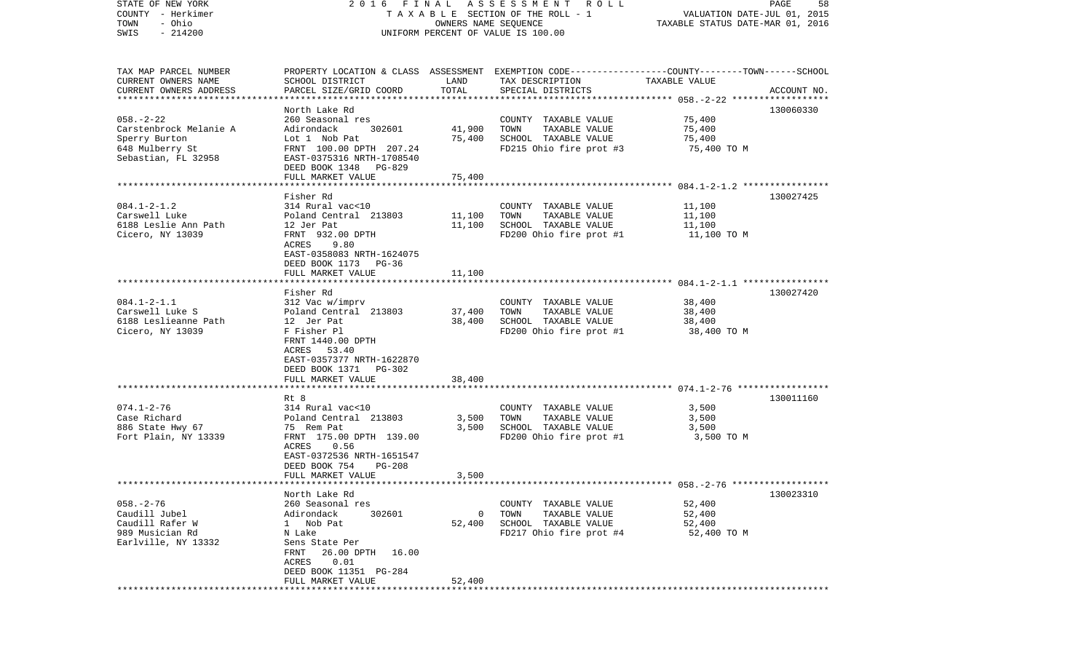| STATE OF NEW YORK                   | FINAL<br>2016                               |                      | A S S E S S M E N T R O L L                                                                      |                                                                 | PAGE<br>58  |
|-------------------------------------|---------------------------------------------|----------------------|--------------------------------------------------------------------------------------------------|-----------------------------------------------------------------|-------------|
| COUNTY - Herkimer<br>- Ohio<br>TOWN |                                             | OWNERS NAME SEQUENCE | TAXABLE SECTION OF THE ROLL - 1                                                                  | VALUATION DATE-JUL 01, 2015<br>TAXABLE STATUS DATE-MAR 01, 2016 |             |
| $-214200$<br>SWIS                   |                                             |                      | UNIFORM PERCENT OF VALUE IS 100.00                                                               |                                                                 |             |
|                                     |                                             |                      |                                                                                                  |                                                                 |             |
|                                     |                                             |                      |                                                                                                  |                                                                 |             |
| TAX MAP PARCEL NUMBER               |                                             |                      | PROPERTY LOCATION & CLASS ASSESSMENT EXEMPTION CODE----------------COUNTY-------TOWN------SCHOOL |                                                                 |             |
| CURRENT OWNERS NAME                 | SCHOOL DISTRICT                             | LAND                 | TAX DESCRIPTION                                                                                  | TAXABLE VALUE                                                   |             |
| CURRENT OWNERS ADDRESS              | PARCEL SIZE/GRID COORD                      | TOTAL                | SPECIAL DISTRICTS                                                                                |                                                                 | ACCOUNT NO. |
| ***********************             |                                             |                      |                                                                                                  |                                                                 |             |
|                                     | North Lake Rd                               |                      |                                                                                                  |                                                                 | 130060330   |
| $058. - 2 - 22$                     | 260 Seasonal res                            |                      | COUNTY TAXABLE VALUE                                                                             | 75,400                                                          |             |
| Carstenbrock Melanie A              | Adirondack<br>302601                        | 41,900               | TOWN<br>TAXABLE VALUE                                                                            | 75,400                                                          |             |
| Sperry Burton                       | Lot 1 Nob Pat                               | 75,400               | SCHOOL TAXABLE VALUE                                                                             | 75,400                                                          |             |
| 648 Mulberry St                     | FRNT 100.00 DPTH 207.24                     |                      | FD215 Ohio fire prot #3                                                                          | 75,400 TO M                                                     |             |
| Sebastian, FL 32958                 | EAST-0375316 NRTH-1708540                   |                      |                                                                                                  |                                                                 |             |
|                                     | DEED BOOK 1348 PG-829<br>FULL MARKET VALUE  | 75,400               |                                                                                                  |                                                                 |             |
|                                     | ***********************                     |                      |                                                                                                  |                                                                 |             |
|                                     | Fisher Rd                                   |                      |                                                                                                  |                                                                 | 130027425   |
| $084.1 - 2 - 1.2$                   | 314 Rural vac<10                            |                      | COUNTY TAXABLE VALUE                                                                             | 11,100                                                          |             |
| Carswell Luke                       | Poland Central 213803                       | 11,100               | TAXABLE VALUE<br>TOWN                                                                            | 11,100                                                          |             |
| 6188 Leslie Ann Path                | 12 Jer Pat                                  | 11,100               | SCHOOL TAXABLE VALUE                                                                             | 11,100                                                          |             |
| Cicero, NY 13039                    | FRNT 932.00 DPTH                            |                      | FD200 Ohio fire prot #1                                                                          | 11,100 TO M                                                     |             |
|                                     | 9.80<br>ACRES                               |                      |                                                                                                  |                                                                 |             |
|                                     | EAST-0358083 NRTH-1624075                   |                      |                                                                                                  |                                                                 |             |
|                                     | DEED BOOK 1173 PG-36                        |                      |                                                                                                  |                                                                 |             |
|                                     | FULL MARKET VALUE                           | 11,100               |                                                                                                  |                                                                 |             |
|                                     | ****************************                |                      |                                                                                                  |                                                                 |             |
|                                     | Fisher Rd                                   |                      |                                                                                                  |                                                                 | 130027420   |
| $084.1 - 2 - 1.1$                   | 312 Vac w/imprv                             |                      | COUNTY TAXABLE VALUE                                                                             | 38,400                                                          |             |
| Carswell Luke S                     | Poland Central 213803                       | 37,400               | TAXABLE VALUE<br>TOWN                                                                            | 38,400                                                          |             |
| 6188 Leslieanne Path                | 12 Jer Pat                                  | 38,400               | SCHOOL TAXABLE VALUE                                                                             | 38,400                                                          |             |
| Cicero, NY 13039                    | F Fisher Pl                                 |                      | FD200 Ohio fire prot #1                                                                          | 38,400 TO M                                                     |             |
|                                     | FRNT 1440.00 DPTH                           |                      |                                                                                                  |                                                                 |             |
|                                     | ACRES 53.40                                 |                      |                                                                                                  |                                                                 |             |
|                                     | EAST-0357377 NRTH-1622870                   |                      |                                                                                                  |                                                                 |             |
|                                     | DEED BOOK 1371 PG-302                       |                      |                                                                                                  |                                                                 |             |
|                                     | FULL MARKET VALUE<br>*********************  | 38,400               |                                                                                                  |                                                                 |             |
|                                     | Rt 8                                        |                      |                                                                                                  |                                                                 | 130011160   |
| $074.1 - 2 - 76$                    | 314 Rural vac<10                            |                      | COUNTY TAXABLE VALUE                                                                             | 3,500                                                           |             |
| Case Richard                        | Poland Central 213803                       | 3,500                | TOWN<br>TAXABLE VALUE                                                                            | 3,500                                                           |             |
| 886 State Hwy 67                    | 75 Rem Pat                                  | 3,500                | SCHOOL TAXABLE VALUE                                                                             | 3,500                                                           |             |
| Fort Plain, NY 13339                | FRNT 175.00 DPTH 139.00                     |                      | FD200 Ohio fire prot #1                                                                          | 3,500 TO M                                                      |             |
|                                     | ACRES<br>0.56                               |                      |                                                                                                  |                                                                 |             |
|                                     | EAST-0372536 NRTH-1651547                   |                      |                                                                                                  |                                                                 |             |
|                                     | DEED BOOK 754<br><b>PG-208</b>              |                      |                                                                                                  |                                                                 |             |
|                                     | FULL MARKET VALUE                           | 3,500                |                                                                                                  |                                                                 |             |
| ************************            |                                             |                      |                                                                                                  |                                                                 |             |
|                                     | North Lake Rd                               |                      |                                                                                                  |                                                                 | 130023310   |
| $058. - 2 - 76$                     | 260 Seasonal res                            |                      | COUNTY TAXABLE VALUE                                                                             | 52,400                                                          |             |
| Caudill Jubel                       | Adirondack<br>302601                        | 0                    | TOWN<br>TAXABLE VALUE                                                                            | 52,400                                                          |             |
| Caudill Rafer W                     | Nob Pat<br>$\mathbf{1}$                     | 52,400               | SCHOOL TAXABLE VALUE                                                                             | 52,400                                                          |             |
| 989 Musician Rd                     | N Lake                                      |                      | FD217 Ohio fire prot #4                                                                          | 52,400 TO M                                                     |             |
| Earlville, NY 13332                 | Sens State Per                              |                      |                                                                                                  |                                                                 |             |
|                                     | FRNT<br>26.00 DPTH<br>16.00                 |                      |                                                                                                  |                                                                 |             |
|                                     | 0.01<br>ACRES                               |                      |                                                                                                  |                                                                 |             |
|                                     | DEED BOOK 11351 PG-284<br>FULL MARKET VALUE | 52,400               |                                                                                                  |                                                                 |             |
|                                     |                                             |                      |                                                                                                  |                                                                 |             |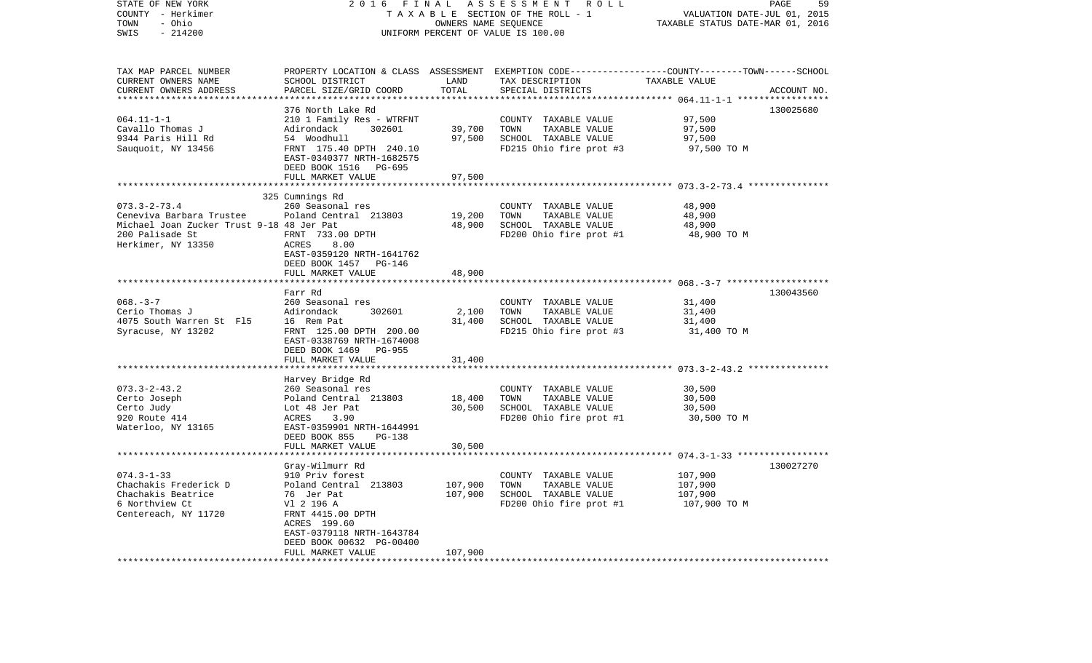| STATE OF NEW YORK<br>COUNTY - Herkimer<br>- Ohio<br>TOWN<br>SWIS<br>$-214200$                                                         | 2016<br>FINAL<br>ASSESSMENT ROLL<br>TAXABLE SECTION OF THE ROLL - 1<br>OWNERS NAME SEOUENCE<br>UNIFORM PERCENT OF VALUE IS 100.00                                                                                                                     |                                    |                                                                                                                                         | PAGE<br>59<br>VALUATION DATE-JUL 01, 2015<br>TAXABLE STATUS DATE-MAR 01, 2016 |             |
|---------------------------------------------------------------------------------------------------------------------------------------|-------------------------------------------------------------------------------------------------------------------------------------------------------------------------------------------------------------------------------------------------------|------------------------------------|-----------------------------------------------------------------------------------------------------------------------------------------|-------------------------------------------------------------------------------|-------------|
| TAX MAP PARCEL NUMBER<br>CURRENT OWNERS NAME<br>CURRENT OWNERS ADDRESS                                                                | SCHOOL DISTRICT<br>PARCEL SIZE/GRID COORD                                                                                                                                                                                                             | LAND<br>TOTAL<br>*********         | PROPERTY LOCATION & CLASS ASSESSMENT EXEMPTION CODE---------------COUNTY-------TOWN------SCHOOL<br>TAX DESCRIPTION<br>SPECIAL DISTRICTS | TAXABLE VALUE<br>*********** 064.11-1-1 ******************                    | ACCOUNT NO. |
| $064.11 - 1 - 1$<br>Cavallo Thomas J<br>9344 Paris Hill Rd<br>Sauquoit, NY 13456                                                      | 376 North Lake Rd<br>210 1 Family Res - WTRFNT<br>Adirondack<br>302601<br>54 Woodhull<br>FRNT 175.40 DPTH 240.10<br>EAST-0340377 NRTH-1682575<br>DEED BOOK 1516 PG-695<br>FULL MARKET VALUE                                                           | 39,700<br>97,500<br>97,500         | COUNTY TAXABLE VALUE<br>TOWN<br>TAXABLE VALUE<br>SCHOOL TAXABLE VALUE<br>FD215 Ohio fire prot #3                                        | 97,500<br>97,500<br>97,500<br>97,500 TO M                                     | 130025680   |
|                                                                                                                                       |                                                                                                                                                                                                                                                       |                                    |                                                                                                                                         |                                                                               |             |
| $073.3 - 2 - 73.4$<br>Ceneviva Barbara Trustee<br>Michael Joan Zucker Trust 9-18 48 Jer Pat<br>200 Palisade St<br>Herkimer, NY 13350  | 325 Cumnings Rd<br>260 Seasonal res<br>Poland Central 213803<br>FRNT 733.00 DPTH<br>8.00<br>ACRES<br>EAST-0359120 NRTH-1641762<br>DEED BOOK 1457 PG-146                                                                                               | 19,200<br>48,900                   | COUNTY TAXABLE VALUE<br>TOWN<br>TAXABLE VALUE<br>SCHOOL TAXABLE VALUE<br>FD200 Ohio fire prot #1                                        | 48,900<br>48,900<br>48,900<br>48,900 TO M                                     |             |
|                                                                                                                                       | FULL MARKET VALUE                                                                                                                                                                                                                                     | 48,900                             |                                                                                                                                         |                                                                               |             |
| $068. - 3 - 7$<br>Cerio Thomas J<br>4075 South Warren St F15<br>Syracuse, NY 13202                                                    | Farr Rd<br>260 Seasonal res<br>302601<br>Adirondack<br>16 Rem Pat<br>FRNT 125.00 DPTH 200.00<br>EAST-0338769 NRTH-1674008<br>DEED BOOK 1469 PG-955                                                                                                    | 2,100<br>31,400                    | COUNTY TAXABLE VALUE<br>TOWN<br>TAXABLE VALUE<br>SCHOOL TAXABLE VALUE<br>FD215 Ohio fire prot #3                                        | 31,400<br>31,400<br>31,400<br>31,400 TO M                                     | 130043560   |
|                                                                                                                                       | FULL MARKET VALUE                                                                                                                                                                                                                                     | 31,400                             |                                                                                                                                         |                                                                               |             |
| $073.3 - 2 - 43.2$<br>Certo Joseph<br>Certo Judy<br>920 Route 414<br>Waterloo, NY 13165                                               | Harvey Bridge Rd<br>260 Seasonal res<br>Poland Central 213803<br>Lot 48 Jer Pat<br>ACRES<br>3.90<br>EAST-0359901 NRTH-1644991<br>DEED BOOK 855<br>PG-138<br>FULL MARKET VALUE                                                                         | 18,400<br>30,500<br>30,500         | COUNTY TAXABLE VALUE<br>TOWN<br>TAXABLE VALUE<br>SCHOOL TAXABLE VALUE<br>FD200 Ohio fire prot #1                                        | 30,500<br>30,500<br>30,500<br>30,500 TO M                                     |             |
|                                                                                                                                       | ******************                                                                                                                                                                                                                                    |                                    |                                                                                                                                         |                                                                               |             |
| $074.3 - 1 - 33$<br>Chachakis Frederick D<br>Chachakis Beatrice<br>6 Northview Ct<br>Centereach, NY 11720<br>************************ | Gray-Wilmurr Rd<br>910 Priv forest<br>Poland Central 213803<br>76 Jer Pat<br>V1 2 196 A<br>FRNT 4415.00 DPTH<br>ACRES 199.60<br>EAST-0379118 NRTH-1643784<br>DEED BOOK 00632 PG-00400<br>FULL MARKET VALUE<br>* * * * * * * * * * * * * * * * * * * * | 107,900<br>107,900<br>107,900<br>. | COUNTY TAXABLE VALUE<br>TAXABLE VALUE<br>TOWN<br>SCHOOL TAXABLE VALUE<br>FD200 Ohio fire prot #1                                        | 107,900<br>107,900<br>107,900<br>107,900 TO M                                 | 130027270   |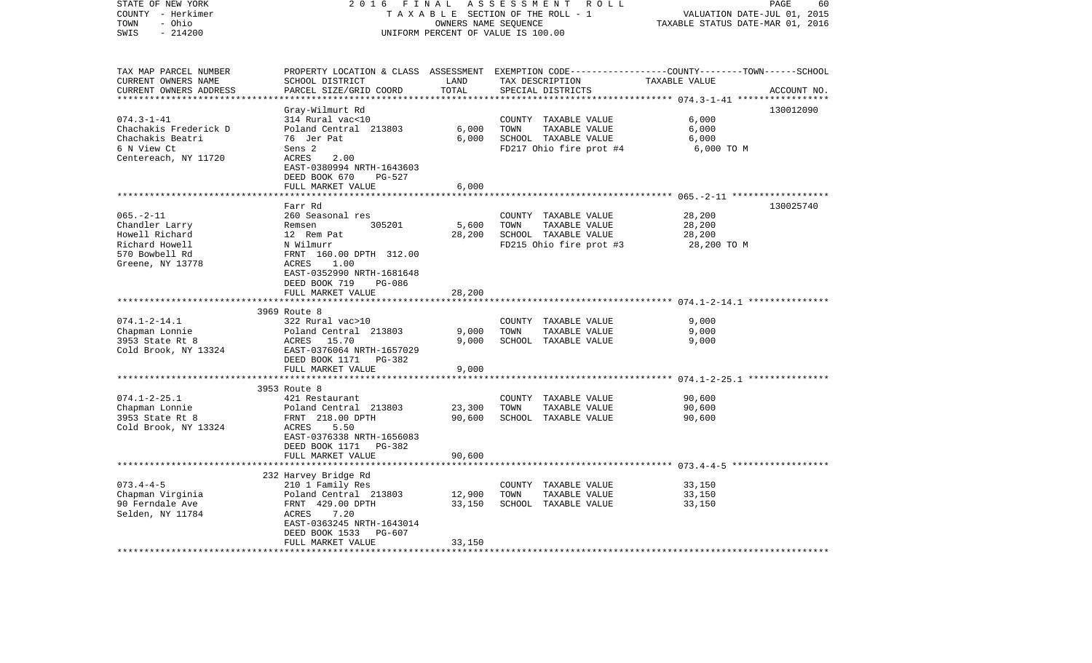| STATE OF NEW YORK<br>COUNTY - Herkimer<br>- Ohio<br>TOWN<br>SWIS<br>$-214200$                                                 | 2016<br>FINAL<br>TAXABLE SECTION OF THE ROLL - 1<br>UNIFORM PERCENT OF VALUE IS 100.00                                                                                                                          | PAGE<br>60<br>VALUATION DATE-JUL 01, 2015<br>TAXABLE STATUS DATE-MAR 01, 2016 |                                                                                                  |                                                                                                                  |             |
|-------------------------------------------------------------------------------------------------------------------------------|-----------------------------------------------------------------------------------------------------------------------------------------------------------------------------------------------------------------|-------------------------------------------------------------------------------|--------------------------------------------------------------------------------------------------|------------------------------------------------------------------------------------------------------------------|-------------|
| TAX MAP PARCEL NUMBER<br>CURRENT OWNERS NAME<br>CURRENT OWNERS ADDRESS                                                        | SCHOOL DISTRICT<br>PARCEL SIZE/GRID COORD                                                                                                                                                                       | LAND<br>TOTAL                                                                 | TAX DESCRIPTION<br>SPECIAL DISTRICTS                                                             | PROPERTY LOCATION & CLASS ASSESSMENT EXEMPTION CODE----------------COUNTY-------TOWN-----SCHOOL<br>TAXABLE VALUE | ACCOUNT NO. |
| *********************<br>$074.3 - 1 - 41$<br>Chachakis Frederick D<br>Chachakis Beatri<br>6 N View Ct<br>Centereach, NY 11720 | *************************<br>Gray-Wilmurt Rd<br>314 Rural vac<10<br>Poland Central 213803<br>76 Jer Pat<br>Sens 2<br>ACRES<br>2.00<br>EAST-0380994 NRTH-1643603<br>DEED BOOK 670<br>PG-527<br>FULL MARKET VALUE | **************<br>6,000<br>6,000<br>6,000                                     | COUNTY TAXABLE VALUE<br>TOWN<br>TAXABLE VALUE<br>SCHOOL TAXABLE VALUE<br>FD217 Ohio fire prot #4 | 130012090<br>6,000<br>6,000<br>6,000<br>6,000 TO M                                                               |             |
|                                                                                                                               |                                                                                                                                                                                                                 | ***********                                                                   |                                                                                                  |                                                                                                                  |             |
| $065. - 2 - 11$<br>Chandler Larry<br>Howell Richard<br>Richard Howell<br>570 Bowbell Rd<br>Greene, NY 13778                   | Farr Rd<br>260 Seasonal res<br>305201<br>Remsen<br>12 Rem Pat<br>N Wilmurr<br>FRNT 160.00 DPTH 312.00<br>ACRES<br>1.00<br>EAST-0352990 NRTH-1681648<br>DEED BOOK 719<br>PG-086                                  | 5,600<br>28,200                                                               | COUNTY TAXABLE VALUE<br>TAXABLE VALUE<br>TOWN<br>SCHOOL TAXABLE VALUE<br>FD215 Ohio fire prot #3 | 130025740<br>28,200<br>28,200<br>28,200<br>28,200 TO M                                                           |             |
|                                                                                                                               | FULL MARKET VALUE                                                                                                                                                                                               | 28,200                                                                        |                                                                                                  |                                                                                                                  |             |
| $074.1 - 2 - 14.1$<br>Chapman Lonnie<br>3953 State Rt 8<br>Cold Brook, NY 13324                                               | 3969 Route 8<br>322 Rural vac>10<br>Poland Central 213803<br>ACRES 15.70<br>EAST-0376064 NRTH-1657029<br>DEED BOOK 1171<br>PG-382<br>FULL MARKET VALUE                                                          | 9,000<br>9,000<br>9,000                                                       | COUNTY TAXABLE VALUE<br>TAXABLE VALUE<br>TOWN<br>SCHOOL TAXABLE VALUE                            | 9,000<br>9,000<br>9,000                                                                                          |             |
|                                                                                                                               |                                                                                                                                                                                                                 |                                                                               |                                                                                                  | ********* 074.1-2-25.1 ****************                                                                          |             |
| $074.1 - 2 - 25.1$<br>Chapman Lonnie<br>3953 State Rt 8<br>Cold Brook, NY 13324                                               | 3953 Route 8<br>421 Restaurant<br>Poland Central 213803<br>FRNT 218.00 DPTH<br>ACRES<br>5.50<br>EAST-0376338 NRTH-1656083                                                                                       | 23,300<br>90,600                                                              | COUNTY TAXABLE VALUE<br>TOWN<br>TAXABLE VALUE<br>SCHOOL TAXABLE VALUE                            | 90,600<br>90,600<br>90,600                                                                                       |             |
|                                                                                                                               | DEED BOOK 1171<br>PG-382<br>FULL MARKET VALUE                                                                                                                                                                   | 90,600                                                                        |                                                                                                  |                                                                                                                  |             |
| $073.4 - 4 - 5$<br>Chapman Virginia<br>90 Ferndale Ave<br>Selden, NY 11784                                                    | ***********************<br>232 Harvey Bridge Rd<br>210 1 Family Res<br>Poland Central 213803<br>FRNT 429.00 DPTH<br>ACRES<br>7.20<br>EAST-0363245 NRTH-1643014<br>DEED BOOK 1533<br>PG-607<br>FULL MARKET VALUE | 12,900<br>33,150<br>33,150                                                    | COUNTY TAXABLE VALUE<br>TOWN<br>TAXABLE VALUE<br>SCHOOL TAXABLE VALUE                            | 33,150<br>33,150<br>33,150                                                                                       |             |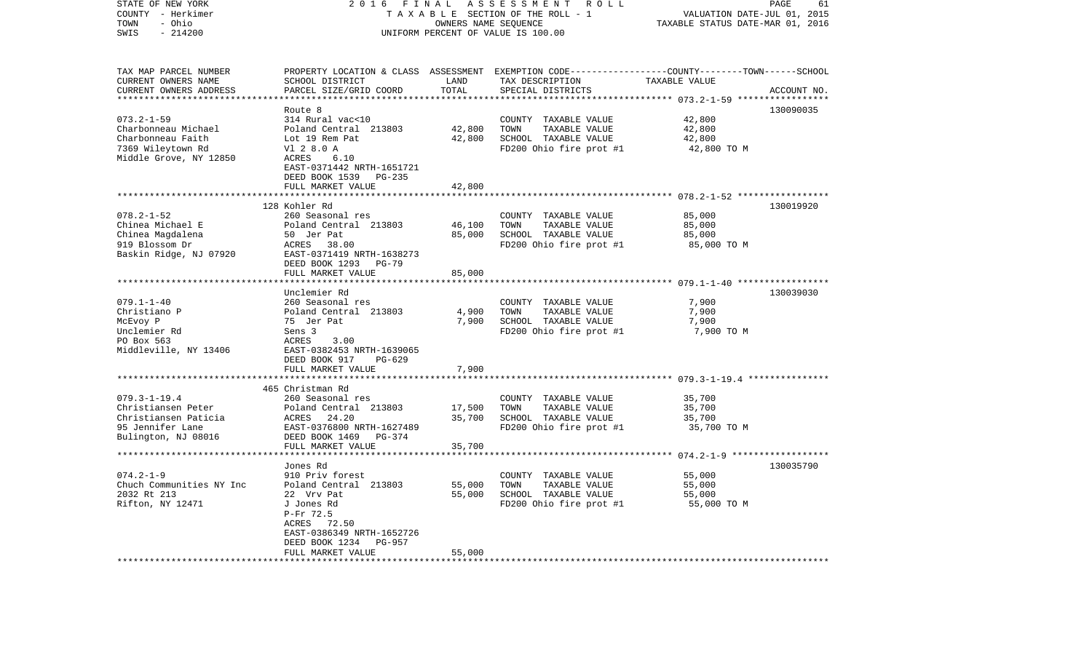| STATE OF NEW YORK<br>COUNTY - Herkimer<br>- Ohio<br>TOWN<br>$-214200$<br>SWIS                               | 2 0 1 6<br>FINAL                                                                                                                                                         |                  | ASSESSMENT ROLL<br>TAXABLE SECTION OF THE ROLL - 1<br>OWNERS NAME SEQUENCE<br>UNIFORM PERCENT OF VALUE IS 100.00                        | PAGE<br>61<br>VALUATION DATE-JUL 01, 2015<br>TAXABLE STATUS DATE-MAR 01, 2016 |             |
|-------------------------------------------------------------------------------------------------------------|--------------------------------------------------------------------------------------------------------------------------------------------------------------------------|------------------|-----------------------------------------------------------------------------------------------------------------------------------------|-------------------------------------------------------------------------------|-------------|
| TAX MAP PARCEL NUMBER<br>CURRENT OWNERS NAME<br>CURRENT OWNERS ADDRESS                                      | SCHOOL DISTRICT<br>PARCEL SIZE/GRID COORD                                                                                                                                | LAND<br>TOTAL    | PROPERTY LOCATION & CLASS ASSESSMENT EXEMPTION CODE---------------COUNTY-------TOWN------SCHOOL<br>TAX DESCRIPTION<br>SPECIAL DISTRICTS | TAXABLE VALUE<br>********* 073.2-1-59 ****                                    | ACCOUNT NO. |
|                                                                                                             | Route 8                                                                                                                                                                  |                  |                                                                                                                                         |                                                                               | 130090035   |
| $073.2 - 1 - 59$<br>Charbonneau Michael<br>Charbonneau Faith<br>7369 Wileytown Rd<br>Middle Grove, NY 12850 | 314 Rural vac<10<br>Poland Central 213803<br>Lot 19 Rem Pat<br>V1 2 8.0 A<br>6.10<br>ACRES<br>EAST-0371442 NRTH-1651721<br>DEED BOOK 1539<br>PG-235                      | 42,800<br>42,800 | COUNTY TAXABLE VALUE<br>TOWN<br>TAXABLE VALUE<br>SCHOOL TAXABLE VALUE<br>FD200 Ohio fire prot #1                                        | 42,800<br>42,800<br>42,800<br>42,800 TO M                                     |             |
|                                                                                                             | FULL MARKET VALUE                                                                                                                                                        | 42,800           |                                                                                                                                         |                                                                               |             |
| $078.2 - 1 - 52$<br>Chinea Michael E<br>Chinea Magdalena<br>919 Blossom Dr<br>Baskin Ridge, NJ 07920        | 128 Kohler Rd<br>260 Seasonal res<br>Poland Central 213803<br>50 Jer Pat<br>ACRES<br>38.00<br>EAST-0371419 NRTH-1638273<br>DEED BOOK 1293<br><b>PG-79</b>                | 46,100<br>85,000 | COUNTY TAXABLE VALUE<br>TOWN<br>TAXABLE VALUE<br>SCHOOL TAXABLE VALUE<br>FD200 Ohio fire prot #1                                        | 85,000<br>85,000<br>85,000<br>85,000 TO M                                     | 130019920   |
|                                                                                                             | FULL MARKET VALUE                                                                                                                                                        | 85,000           |                                                                                                                                         |                                                                               |             |
|                                                                                                             |                                                                                                                                                                          |                  |                                                                                                                                         |                                                                               |             |
|                                                                                                             | Unclemier Rd                                                                                                                                                             |                  |                                                                                                                                         |                                                                               | 130039030   |
| $079.1 - 1 - 40$                                                                                            | 260 Seasonal res                                                                                                                                                         |                  | COUNTY TAXABLE VALUE                                                                                                                    | 7,900                                                                         |             |
| Christiano P                                                                                                | Poland Central 213803                                                                                                                                                    | 4,900            | TOWN<br>TAXABLE VALUE                                                                                                                   | 7,900                                                                         |             |
| McEvoy P<br>Unclemier Rd                                                                                    | 75 Jer Pat<br>Sens 3                                                                                                                                                     | 7,900            | SCHOOL TAXABLE VALUE<br>FD200 Ohio fire prot #1                                                                                         | 7,900<br>7,900 TO M                                                           |             |
| PO Box 563<br>Middleville, NY 13406                                                                         | ACRES<br>3.00<br>EAST-0382453 NRTH-1639065<br>DEED BOOK 917<br>PG-629                                                                                                    |                  |                                                                                                                                         |                                                                               |             |
|                                                                                                             | FULL MARKET VALUE                                                                                                                                                        | 7,900            |                                                                                                                                         |                                                                               |             |
|                                                                                                             | ***********************<br>465 Christman Rd                                                                                                                              |                  |                                                                                                                                         |                                                                               |             |
| $079.3 - 1 - 19.4$<br>Christiansen Peter<br>Christiansen Paticia<br>95 Jennifer Lane<br>Bulington, NJ 08016 | 260 Seasonal res<br>Poland Central 213803<br>24.20<br>ACRES<br>EAST-0376800 NRTH-1627489<br>DEED BOOK 1469<br>PG-374                                                     | 17,500<br>35,700 | COUNTY TAXABLE VALUE<br>TOWN<br>TAXABLE VALUE<br>SCHOOL TAXABLE VALUE<br>FD200 Ohio fire prot #1                                        | 35,700<br>35,700<br>35,700<br>35,700 TO M                                     |             |
|                                                                                                             | FULL MARKET VALUE                                                                                                                                                        | 35,700           |                                                                                                                                         |                                                                               |             |
|                                                                                                             |                                                                                                                                                                          |                  |                                                                                                                                         |                                                                               |             |
| $074.2 - 1 - 9$<br>Chuch Communities NY Inc<br>2032 Rt 213<br>Rifton, NY 12471                              | Jones Rd<br>910 Priv forest<br>Poland Central 213803<br>22 Vrv Pat<br>J Jones Rd<br>P-Fr 72.5<br>72.50<br>ACRES<br>EAST-0386349 NRTH-1652726<br>DEED BOOK 1234<br>PG-957 | 55,000<br>55,000 | COUNTY TAXABLE VALUE<br>TOWN<br>TAXABLE VALUE<br>SCHOOL TAXABLE VALUE<br>FD200 Ohio fire prot #1                                        | 55,000<br>55,000<br>55,000<br>55,000 TO M                                     | 130035790   |
|                                                                                                             | FULL MARKET VALUE                                                                                                                                                        | 55,000           |                                                                                                                                         |                                                                               |             |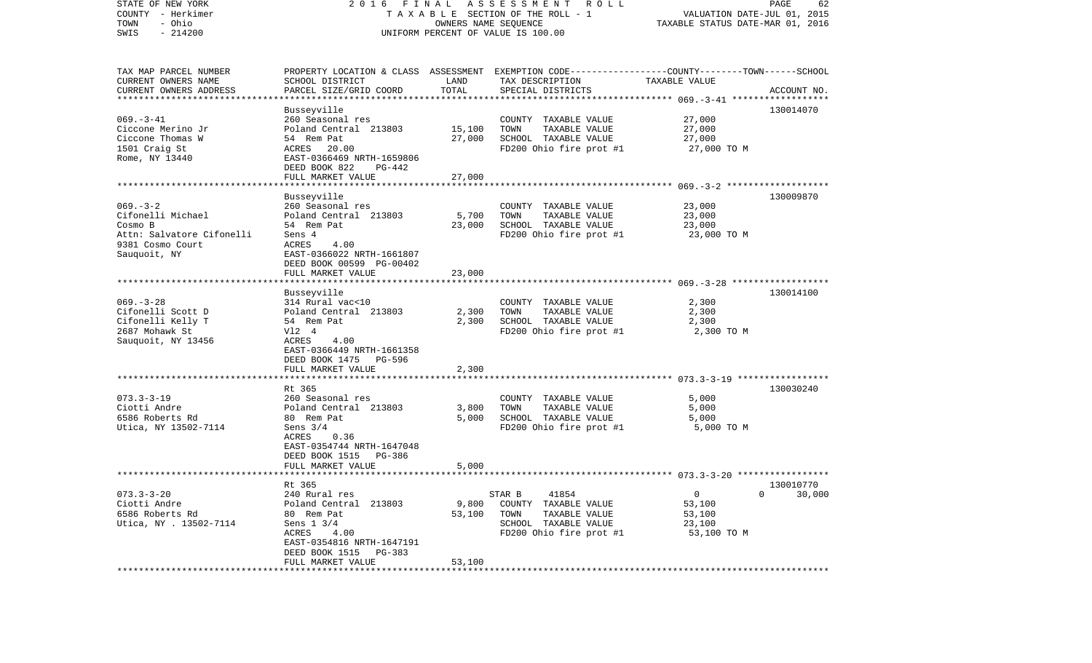| STATE OF NEW YORK<br>COUNTY - Herkimer<br>- Ohio<br>TOWN<br>$-214200$<br>SWIS                                  | 2016 FINAL<br>TAXABLE SECTION OF THE ROLL - 1<br>UNIFORM PERCENT OF VALUE IS 100.00                                                                                         | PAGE<br>62<br>VALUATION DATE-JUL 01, 2015<br>TAXABLE STATUS DATE-MAR 01, 2016 |                                                                                                                                          |                                                          |                                     |
|----------------------------------------------------------------------------------------------------------------|-----------------------------------------------------------------------------------------------------------------------------------------------------------------------------|-------------------------------------------------------------------------------|------------------------------------------------------------------------------------------------------------------------------------------|----------------------------------------------------------|-------------------------------------|
| TAX MAP PARCEL NUMBER<br>CURRENT OWNERS NAME<br>CURRENT OWNERS ADDRESS<br>************************             | SCHOOL DISTRICT<br>PARCEL SIZE/GRID COORD                                                                                                                                   | LAND<br>TOTAL                                                                 | PROPERTY LOCATION & CLASS ASSESSMENT EXEMPTION CODE----------------COUNTY-------TOWN------SCHOOL<br>TAX DESCRIPTION<br>SPECIAL DISTRICTS | TAXABLE VALUE                                            | ACCOUNT NO.                         |
| $069. -3 - 41$<br>Ciccone Merino Jr<br>Ciccone Thomas W<br>1501 Craig St<br>Rome, NY 13440                     | Busseyville<br>260 Seasonal res<br>Poland Central 213803<br>54 Rem Pat<br>ACRES 20.00<br>EAST-0366469 NRTH-1659806<br>DEED BOOK 822<br>PG-442<br>FULL MARKET VALUE          | 15,100<br>27,000<br>27,000                                                    | COUNTY TAXABLE VALUE<br>TAXABLE VALUE<br>TOWN<br>SCHOOL TAXABLE VALUE<br>FD200 Ohio fire prot #1                                         | 27,000<br>27,000<br>27,000<br>27,000 TO M                | 130014070                           |
|                                                                                                                |                                                                                                                                                                             |                                                                               |                                                                                                                                          |                                                          |                                     |
| $069. -3 - 2$<br>Cifonelli Michael<br>Cosmo B<br>Attn: Salvatore Cifonelli<br>9381 Cosmo Court<br>Sauquoit, NY | Busseyville<br>260 Seasonal res<br>Poland Central 213803<br>54 Rem Pat<br>Sens 4<br>ACRES<br>4.00<br>EAST-0366022 NRTH-1661807<br>DEED BOOK 00599 PG-00402                  | 5,700<br>23,000                                                               | COUNTY TAXABLE VALUE<br>TAXABLE VALUE<br>TOWN<br>SCHOOL TAXABLE VALUE<br>FD200 Ohio fire prot #1                                         | 23,000<br>23,000<br>23,000<br>23,000 TO M                | 130009870                           |
|                                                                                                                | FULL MARKET VALUE                                                                                                                                                           | 23,000                                                                        |                                                                                                                                          |                                                          |                                     |
| $069. -3 - 28$<br>Cifonelli Scott D<br>Cifonelli Kelly T<br>2687 Mohawk St<br>Sauquoit, NY 13456               | Busseyville<br>314 Rural vac<10<br>Poland Central 213803<br>54 Rem Pat<br>V12 4<br>ACRES<br>4.00<br>EAST-0366449 NRTH-1661358<br>DEED BOOK 1475 PG-596<br>FULL MARKET VALUE | 2,300<br>2,300<br>2,300                                                       | COUNTY TAXABLE VALUE<br>TAXABLE VALUE<br>TOWN<br>SCHOOL TAXABLE VALUE<br>FD200 Ohio fire prot #1                                         | 2,300<br>2,300<br>2,300<br>2,300 TO M                    | 130014100                           |
|                                                                                                                | ************************                                                                                                                                                    |                                                                               |                                                                                                                                          |                                                          |                                     |
| $073.3 - 3 - 19$<br>Ciotti Andre<br>6586 Roberts Rd<br>Utica, NY 13502-7114                                    | Rt 365<br>260 Seasonal res<br>Poland Central 213803<br>80 Rem Pat<br>Sens $3/4$<br>ACRES<br>0.36<br>EAST-0354744 NRTH-1647048<br>DEED BOOK 1515 PG-386<br>FULL MARKET VALUE | 3,800<br>5,000<br>5,000                                                       | COUNTY TAXABLE VALUE<br>TAXABLE VALUE<br>TOWN<br>SCHOOL TAXABLE VALUE<br>FD200 Ohio fire prot #1                                         | 5,000<br>5,000<br>5,000<br>5,000 TO M                    | 130030240                           |
|                                                                                                                |                                                                                                                                                                             |                                                                               |                                                                                                                                          |                                                          |                                     |
| $073.3 - 3 - 20$<br>Ciotti Andre<br>6586 Roberts Rd<br>Utica, NY . 13502-7114                                  | Rt 365<br>240 Rural res<br>Poland Central 213803<br>80 Rem Pat<br>Sens 1 3/4<br>ACRES<br>4.00<br>EAST-0354816 NRTH-1647191<br>DEED BOOK 1515<br>PG-383<br>FULL MARKET VALUE | 9,800<br>53,100<br>53,100                                                     | 41854<br>STAR B<br>COUNTY TAXABLE VALUE<br>TOWN<br>TAXABLE VALUE<br>SCHOOL TAXABLE VALUE<br>FD200 Ohio fire prot #1                      | $\mathbf 0$<br>53,100<br>53,100<br>23,100<br>53,100 TO M | 130010770<br>30,000<br>$\mathbf{0}$ |
|                                                                                                                | *********************                                                                                                                                                       | ************                                                                  |                                                                                                                                          |                                                          |                                     |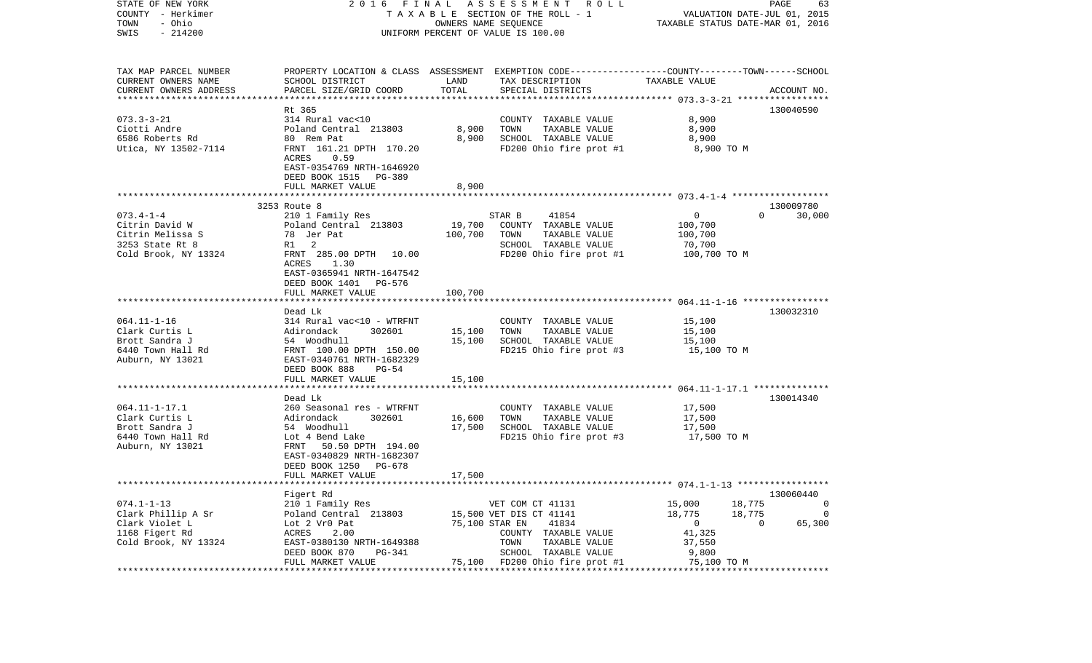| COUNTY - Herkimer<br>TAXABLE SECTION OF THE ROLL - 1 |                                                                                          |                                                            |                                                                                                | VALUATION DATE-JUL 01, 2015<br>TAXABLE STATUS DATE-MAR 01, 2016 |                        |             |
|------------------------------------------------------|------------------------------------------------------------------------------------------|------------------------------------------------------------|------------------------------------------------------------------------------------------------|-----------------------------------------------------------------|------------------------|-------------|
| TOWN<br>- Ohio<br>SWIS<br>$-214200$                  |                                                                                          | OWNERS NAME SEQUENCE<br>UNIFORM PERCENT OF VALUE IS 100.00 |                                                                                                |                                                                 |                        |             |
|                                                      |                                                                                          |                                                            |                                                                                                |                                                                 |                        |             |
| TAX MAP PARCEL NUMBER                                |                                                                                          |                                                            | PROPERTY LOCATION & CLASS ASSESSMENT EXEMPTION CODE---------------COUNTY-------TOWN-----SCHOOL |                                                                 |                        |             |
| CURRENT OWNERS NAME                                  | SCHOOL DISTRICT                                                                          | LAND                                                       | TAX DESCRIPTION TAXABLE VALUE                                                                  |                                                                 |                        |             |
| CURRENT OWNERS ADDRESS                               | PARCEL SIZE/GRID COORD                                                                   | TOTAL                                                      | SPECIAL DISTRICTS                                                                              |                                                                 |                        | ACCOUNT NO. |
|                                                      |                                                                                          |                                                            |                                                                                                |                                                                 |                        |             |
| $073.3 - 3 - 21$                                     | Rt 365<br>314 Rural vac<10                                                               |                                                            | COUNTY TAXABLE VALUE                                                                           | 8,900                                                           |                        | 130040590   |
| Ciotti Andre                                         | Poland Central 213803                                                                    | 8,900                                                      | TOWN<br>TAXABLE VALUE                                                                          | 8,900                                                           |                        |             |
| 6586 Roberts Rd                                      | 80 Rem Pat                                                                               | 8,900                                                      | SCHOOL TAXABLE VALUE                                                                           | 8,900                                                           |                        |             |
| Utica, NY 13502-7114                                 | FRNT 161.21 DPTH 170.20                                                                  |                                                            | FD200 Ohio fire prot #1                                                                        | 8,900 TO M                                                      |                        |             |
|                                                      | ACRES<br>0.59                                                                            |                                                            |                                                                                                |                                                                 |                        |             |
|                                                      | EAST-0354769 NRTH-1646920                                                                |                                                            |                                                                                                |                                                                 |                        |             |
|                                                      | DEED BOOK 1515 PG-389                                                                    |                                                            |                                                                                                |                                                                 |                        |             |
|                                                      | FULL MARKET VALUE                                                                        | 8,900                                                      |                                                                                                |                                                                 |                        |             |
|                                                      |                                                                                          |                                                            |                                                                                                |                                                                 |                        |             |
|                                                      | 3253 Route 8                                                                             |                                                            |                                                                                                |                                                                 |                        | 130009780   |
| $073.4 - 1 - 4$<br>Citrin David W                    | 210 1 Family Res<br>Poland Central 213803                                                | 19,700                                                     | STAR B<br>41854<br>COUNTY TAXABLE VALUE                                                        | $\overline{0}$<br>100,700                                       | $\Omega$               | 30,000      |
| Citrin Melissa S                                     | 78 Jer Pat                                                                               | 100,700                                                    | TOWN<br>TAXABLE VALUE                                                                          | 100,700                                                         |                        |             |
| 3253 State Rt 8                                      | R1 2                                                                                     |                                                            | SCHOOL TAXABLE VALUE                                                                           | 70,700                                                          |                        |             |
| Cold Brook, NY 13324                                 | FRNT 285.00 DPTH 10.00                                                                   |                                                            | FD200 Ohio fire prot #1                                                                        | 100,700 TO M                                                    |                        |             |
|                                                      | ACRES<br>1.30                                                                            |                                                            |                                                                                                |                                                                 |                        |             |
|                                                      | EAST-0365941 NRTH-1647542                                                                |                                                            |                                                                                                |                                                                 |                        |             |
|                                                      | DEED BOOK 1401 PG-576                                                                    |                                                            |                                                                                                |                                                                 |                        |             |
|                                                      | FULL MARKET VALUE                                                                        | 100,700                                                    |                                                                                                |                                                                 |                        |             |
|                                                      |                                                                                          |                                                            |                                                                                                |                                                                 |                        |             |
|                                                      | Dead Lk                                                                                  |                                                            |                                                                                                |                                                                 |                        | 130032310   |
| $064.11 - 1 - 16$<br>Clark Curtis L                  | 314 Rural vac<10 - WTRFNT                                                                | 15,100                                                     | COUNTY TAXABLE VALUE<br>TOWN<br>TAXABLE VALUE                                                  | 15,100<br>15,100                                                |                        |             |
| Brott Sandra J                                       |                                                                                          | 15,100                                                     | SCHOOL TAXABLE VALUE                                                                           | 15,100                                                          |                        |             |
| 6440 Town Hall Rd                                    | Adirondack 302601<br>54 Woodhull<br>FRNT 100.00 DPTH 150.00<br>EAST-0340761 NRTH-1682329 |                                                            | FD215 Ohio fire prot #3                                                                        | 15,100 TO M                                                     |                        |             |
| Auburn, NY 13021                                     |                                                                                          |                                                            |                                                                                                |                                                                 |                        |             |
|                                                      | DEED BOOK 888 PG-54                                                                      |                                                            |                                                                                                |                                                                 |                        |             |
|                                                      | FULL MARKET VALUE                                                                        | 15,100                                                     |                                                                                                |                                                                 |                        |             |
|                                                      |                                                                                          |                                                            |                                                                                                |                                                                 |                        |             |
|                                                      | Dead Lk                                                                                  |                                                            |                                                                                                |                                                                 |                        | 130014340   |
| $064.11 - 1 - 17.1$                                  | 260 Seasonal res - WTRFNT                                                                |                                                            | COUNTY TAXABLE VALUE                                                                           | 17,500                                                          |                        |             |
| Clark Curtis L<br>Brott Sandra J                     | 302601                                                                                   | 16,600<br>17,500                                           | TAXABLE VALUE<br>TOWN<br>SCHOOL TAXABLE VALUE                                                  | 17,500<br>17,500                                                |                        |             |
| 6440 Town Hall Rd                                    | Adirondack 3<br>54 Woodhull<br>Lot 4 Bend Lake                                           |                                                            | FD215 Ohio fire prot #3                                                                        | 17,500 TO M                                                     |                        |             |
| Auburn, NY 13021                                     | FRNT 50.50 DPTH 194.00                                                                   |                                                            |                                                                                                |                                                                 |                        |             |
|                                                      | EAST-0340829 NRTH-1682307                                                                |                                                            |                                                                                                |                                                                 |                        |             |
|                                                      | DEED BOOK 1250 PG-678                                                                    |                                                            |                                                                                                |                                                                 |                        |             |
|                                                      | FULL MARKET VALUE                                                                        | 17,500                                                     |                                                                                                |                                                                 |                        |             |
|                                                      | *************************                                                                |                                                            |                                                                                                |                                                                 |                        |             |
|                                                      | Figert Rd                                                                                |                                                            |                                                                                                |                                                                 |                        | 130060440   |
| $074.1 - 1 - 13$                                     | 210 1 Family Res                                                                         |                                                            | VET COM CT 41131                                                                               | 15,000                                                          | 18,775                 | $\sim$ 0    |
| Clark Phillip A Sr                                   | Poland Central 213803<br>Lot 2 Vr0 Pat                                                   |                                                            | 15,500 VET DIS CT 41141                                                                        | 18,775                                                          | 18,775<br>$\mathbf{0}$ | 0           |
| Clark Violet L<br>1168 Figert Rd                     | ACRES<br>2.00                                                                            |                                                            | 75,100 STAR EN<br>41834<br>COUNTY TAXABLE VALUE                                                | $\overline{0}$<br>41,325                                        |                        | 65,300      |
| Cold Brook, NY 13324                                 | EAST-0380130 NRTH-1649388                                                                |                                                            | TAXABLE VALUE<br>TOWN                                                                          | 37,550                                                          |                        |             |
|                                                      | PG-341<br>DEED BOOK 870                                                                  |                                                            | SCHOOL TAXABLE VALUE                                                                           | 9,800                                                           |                        |             |
|                                                      | FULL MARKET VALUE                                                                        |                                                            | 75,100 FD200 Ohio fire prot #1                                                                 | 75,100 TO M                                                     |                        |             |
|                                                      |                                                                                          |                                                            |                                                                                                |                                                                 |                        |             |

STATE OF NEW YORK 2 0 1 6 F I N A L A S S E S S M E N T R O L L PAGE 63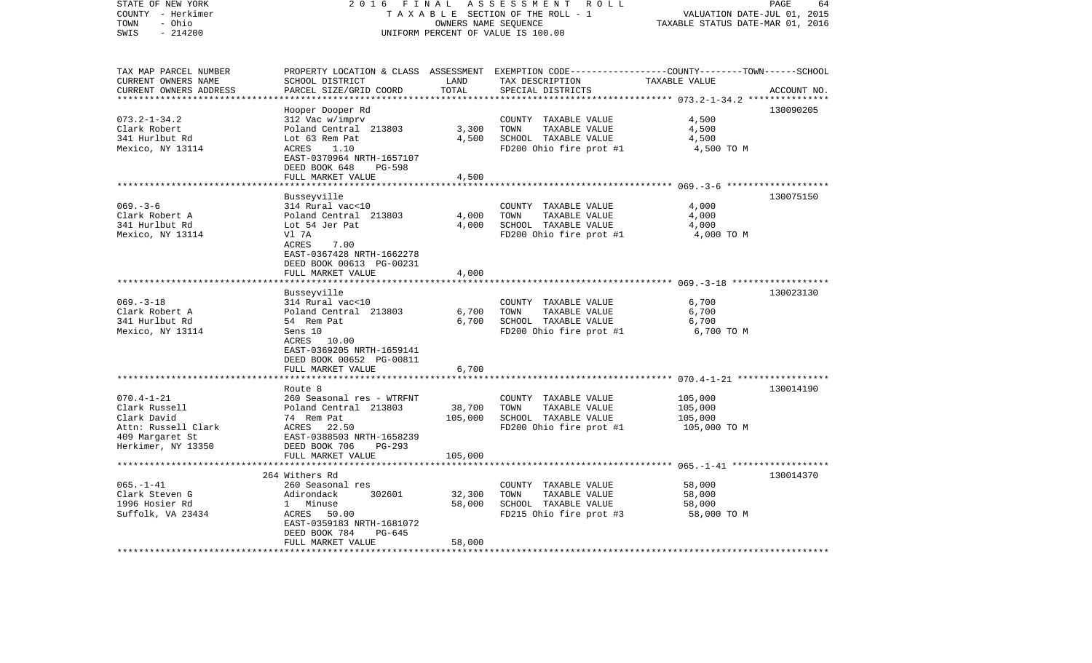| STATE OF NEW YORK<br>COUNTY - Herkimer | 2 0 1 6<br>FINAL<br>ASSESSMENT<br>R O L L<br>TAXABLE SECTION OF THE ROLL - 1<br>VALUATION DATE-JUL 01, 2015 |                                  |                                                                                                 |                                                         |             |
|----------------------------------------|-------------------------------------------------------------------------------------------------------------|----------------------------------|-------------------------------------------------------------------------------------------------|---------------------------------------------------------|-------------|
| - Ohio<br>TOWN                         |                                                                                                             | TAXABLE STATUS DATE-MAR 01, 2016 |                                                                                                 |                                                         |             |
| SWIS<br>$-214200$                      | UNIFORM PERCENT OF VALUE IS 100.00                                                                          |                                  |                                                                                                 |                                                         |             |
| TAX MAP PARCEL NUMBER                  |                                                                                                             |                                  | PROPERTY LOCATION & CLASS ASSESSMENT EXEMPTION CODE---------------COUNTY-------TOWN------SCHOOL |                                                         |             |
| CURRENT OWNERS NAME                    | SCHOOL DISTRICT                                                                                             | LAND                             | TAX DESCRIPTION                                                                                 | TAXABLE VALUE                                           |             |
| CURRENT OWNERS ADDRESS                 | PARCEL SIZE/GRID COORD                                                                                      | TOTAL                            | SPECIAL DISTRICTS                                                                               |                                                         | ACCOUNT NO. |
| **********************                 |                                                                                                             |                                  |                                                                                                 |                                                         |             |
|                                        | Hooper Dooper Rd                                                                                            |                                  |                                                                                                 |                                                         | 130090205   |
| $073.2 - 1 - 34.2$                     | 312 Vac w/imprv                                                                                             |                                  | COUNTY TAXABLE VALUE                                                                            | 4,500                                                   |             |
| Clark Robert<br>341 Hurlbut Rd         | Poland Central 213803<br>Lot 63 Rem Pat                                                                     | 3,300<br>4,500                   | TOWN<br>TAXABLE VALUE                                                                           | 4,500                                                   |             |
| Mexico, NY 13114                       | ACRES<br>1.10                                                                                               |                                  | SCHOOL TAXABLE VALUE<br>FD200 Ohio fire prot #1                                                 | 4,500<br>4,500 TO M                                     |             |
|                                        | EAST-0370964 NRTH-1657107                                                                                   |                                  |                                                                                                 |                                                         |             |
|                                        | DEED BOOK 648<br><b>PG-598</b>                                                                              |                                  |                                                                                                 |                                                         |             |
|                                        | FULL MARKET VALUE                                                                                           | 4,500                            |                                                                                                 |                                                         |             |
|                                        |                                                                                                             |                                  |                                                                                                 | *********** 069.-3-6 ********************               |             |
|                                        | Busseyville                                                                                                 |                                  |                                                                                                 |                                                         | 130075150   |
| $069. -3 - 6$                          | 314 Rural vac<10                                                                                            |                                  | COUNTY TAXABLE VALUE                                                                            | 4,000                                                   |             |
| Clark Robert A                         | Poland Central 213803                                                                                       | 4,000                            | TOWN<br>TAXABLE VALUE                                                                           | 4,000                                                   |             |
| 341 Hurlbut Rd                         | Lot 54 Jer Pat                                                                                              | 4,000                            | SCHOOL TAXABLE VALUE                                                                            | 4,000                                                   |             |
| Mexico, NY 13114                       | Vl 7A                                                                                                       |                                  | FD200 Ohio fire prot #1                                                                         | 4,000 TO M                                              |             |
|                                        | ACRES<br>7.00<br>EAST-0367428 NRTH-1662278                                                                  |                                  |                                                                                                 |                                                         |             |
|                                        | DEED BOOK 00613 PG-00231                                                                                    |                                  |                                                                                                 |                                                         |             |
|                                        | FULL MARKET VALUE                                                                                           | 4,000                            |                                                                                                 |                                                         |             |
|                                        |                                                                                                             |                                  |                                                                                                 | *************** 069. -3-18 *******************          |             |
|                                        | Busseyville                                                                                                 |                                  |                                                                                                 |                                                         | 130023130   |
| $069. -3 - 18$                         | 314 Rural vac<10                                                                                            |                                  | COUNTY TAXABLE VALUE                                                                            | 6,700                                                   |             |
| Clark Robert A                         | Poland Central 213803                                                                                       | 6,700                            | TOWN<br>TAXABLE VALUE                                                                           | 6,700                                                   |             |
| 341 Hurlbut Rd                         | 54 Rem Pat                                                                                                  | 6,700                            | SCHOOL TAXABLE VALUE                                                                            | 6,700                                                   |             |
| Mexico, NY 13114                       | Sens 10                                                                                                     |                                  | FD200 Ohio fire prot #1                                                                         | 6,700 TO M                                              |             |
|                                        | ACRES 10.00<br>EAST-0369205 NRTH-1659141                                                                    |                                  |                                                                                                 |                                                         |             |
|                                        | DEED BOOK 00652 PG-00811                                                                                    |                                  |                                                                                                 |                                                         |             |
|                                        | FULL MARKET VALUE                                                                                           | 6,700                            |                                                                                                 |                                                         |             |
|                                        |                                                                                                             |                                  |                                                                                                 | ************************* 070.4-1-21 ****************** |             |
|                                        | Route 8                                                                                                     |                                  |                                                                                                 |                                                         | 130014190   |
| $070.4 - 1 - 21$                       | 260 Seasonal res - WTRFNT                                                                                   |                                  | COUNTY TAXABLE VALUE                                                                            | 105,000                                                 |             |
| Clark Russell                          | Poland Central 213803                                                                                       | 38,700                           | TOWN<br>TAXABLE VALUE                                                                           | 105,000                                                 |             |
| Clark David                            | 74 Rem Pat                                                                                                  | 105,000                          | SCHOOL TAXABLE VALUE                                                                            | 105,000                                                 |             |
| Attn: Russell Clark                    | ACRES<br>22.50                                                                                              |                                  | FD200 Ohio fire prot #1                                                                         | 105,000 TO M                                            |             |
| 409 Margaret St                        | EAST-0388503 NRTH-1658239                                                                                   |                                  |                                                                                                 |                                                         |             |
| Herkimer, NY 13350                     | DEED BOOK 706<br>$PG-293$<br>FULL MARKET VALUE                                                              |                                  |                                                                                                 |                                                         |             |
|                                        | ***********************                                                                                     | 105,000<br>**********            |                                                                                                 |                                                         |             |
|                                        | 264 Withers Rd                                                                                              |                                  |                                                                                                 |                                                         | 130014370   |
| $065. - 1 - 41$                        | 260 Seasonal res                                                                                            |                                  | COUNTY TAXABLE VALUE                                                                            | 58,000                                                  |             |
| Clark Steven G                         | 302601<br>Adirondack                                                                                        | 32,300                           | TAXABLE VALUE<br>TOWN                                                                           | 58,000                                                  |             |
| 1996 Hosier Rd                         | $1 \quad$<br>Minuse                                                                                         | 58,000                           | SCHOOL TAXABLE VALUE                                                                            | 58,000                                                  |             |
| Suffolk, VA 23434                      | ACRES<br>50.00                                                                                              |                                  | FD215 Ohio fire prot #3                                                                         | 58,000 TO M                                             |             |
|                                        | EAST-0359183 NRTH-1681072                                                                                   |                                  |                                                                                                 |                                                         |             |
|                                        | DEED BOOK 784<br>PG-645                                                                                     |                                  |                                                                                                 |                                                         |             |
| ************************               | FULL MARKET VALUE<br>***********************                                                                | 58,000<br>**********             |                                                                                                 |                                                         |             |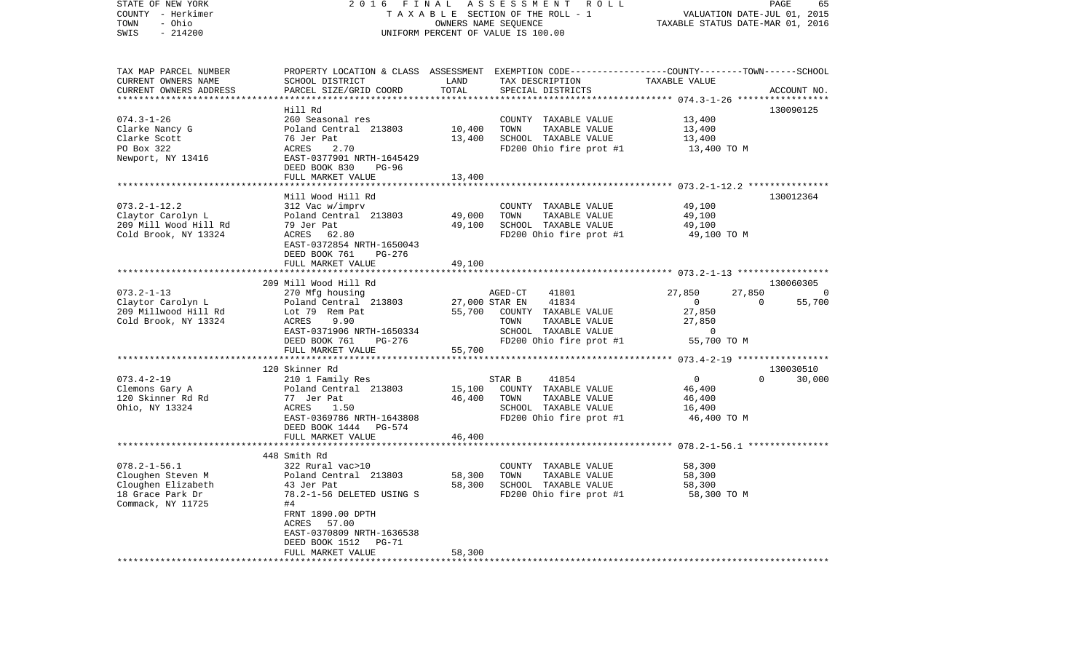| STATE OF NEW YORK<br>COUNTY - Herkimer       | 2016                                                       | FINAL                            | ASSESSMENT ROLL<br>TAXABLE SECTION OF THE ROLL - 1                                                                 |                                          | PAGE<br>65<br>VALUATION DATE-JUL 01, 2015 |
|----------------------------------------------|------------------------------------------------------------|----------------------------------|--------------------------------------------------------------------------------------------------------------------|------------------------------------------|-------------------------------------------|
| - Ohio<br>TOWN<br>$-214200$<br>SWIS          | UNIFORM PERCENT OF VALUE IS 100.00                         | TAXABLE STATUS DATE-MAR 01, 2016 |                                                                                                                    |                                          |                                           |
| TAX MAP PARCEL NUMBER<br>CURRENT OWNERS NAME | SCHOOL DISTRICT                                            | LAND                             | PROPERTY LOCATION & CLASS ASSESSMENT EXEMPTION CODE----------------COUNTY-------TOWN-----SCHOOL<br>TAX DESCRIPTION | TAXABLE VALUE                            |                                           |
| CURRENT OWNERS ADDRESS                       | PARCEL SIZE/GRID COORD                                     | TOTAL                            | SPECIAL DISTRICTS                                                                                                  |                                          | ACCOUNT NO.                               |
|                                              |                                                            |                                  |                                                                                                                    | ********** 074.3-1-26 *****              |                                           |
| $074.3 - 1 - 26$                             | Hill Rd<br>260 Seasonal res                                |                                  | COUNTY TAXABLE VALUE                                                                                               | 13,400                                   | 130090125                                 |
| Clarke Nancy G                               | Poland Central 213803                                      | 10,400                           | TOWN<br>TAXABLE VALUE                                                                                              | 13,400                                   |                                           |
| Clarke Scott                                 | 76 Jer Pat                                                 | 13,400                           | SCHOOL TAXABLE VALUE                                                                                               | 13,400                                   |                                           |
| PO Box 322                                   | ACRES<br>2.70                                              |                                  | FD200 Ohio fire prot #1                                                                                            | 13,400 TO M                              |                                           |
| Newport, NY 13416                            | EAST-0377901 NRTH-1645429<br>DEED BOOK 830<br>PG-96        |                                  |                                                                                                                    |                                          |                                           |
|                                              | FULL MARKET VALUE                                          | 13,400                           |                                                                                                                    |                                          |                                           |
|                                              |                                                            |                                  |                                                                                                                    |                                          |                                           |
|                                              | Mill Wood Hill Rd                                          |                                  |                                                                                                                    |                                          | 130012364                                 |
| $073.2 - 1 - 12.2$<br>Claytor Carolyn L      | 312 Vac w/imprv<br>Poland Central 213803                   | 49,000                           | COUNTY TAXABLE VALUE<br>TOWN<br>TAXABLE VALUE                                                                      | 49,100<br>49,100                         |                                           |
| 209 Mill Wood Hill Rd                        | 79 Jer Pat                                                 | 49,100                           | SCHOOL TAXABLE VALUE                                                                                               | 49,100                                   |                                           |
| Cold Brook, NY 13324                         | ACRES 62.80                                                |                                  | FD200 Ohio fire prot #1                                                                                            | 49,100 TO M                              |                                           |
|                                              | EAST-0372854 NRTH-1650043<br>DEED BOOK 761<br>PG-276       |                                  |                                                                                                                    |                                          |                                           |
|                                              | FULL MARKET VALUE                                          | 49,100                           |                                                                                                                    |                                          |                                           |
|                                              | **********************                                     |                                  |                                                                                                                    |                                          |                                           |
|                                              | 209 Mill Wood Hill Rd                                      |                                  |                                                                                                                    |                                          | 130060305                                 |
| $073.2 - 1 - 13$<br>Claytor Carolyn L        | 270 Mfg housing<br>Poland Central 213803                   |                                  | AGED-CT<br>41801<br>27,000 STAR EN<br>41834                                                                        | 27,850<br>27,850<br>$\overline{0}$       | 0<br>$\mathbf 0$<br>55,700                |
| 209 Millwood Hill Rd                         | Lot 79 Rem Pat                                             | 55,700                           | COUNTY TAXABLE VALUE                                                                                               | 27,850                                   |                                           |
| Cold Brook, NY 13324                         | ACRES<br>9.90                                              |                                  | TOWN<br>TAXABLE VALUE                                                                                              | 27,850                                   |                                           |
|                                              | EAST-0371906 NRTH-1650334                                  |                                  | SCHOOL TAXABLE VALUE                                                                                               | $\Omega$                                 |                                           |
|                                              | DEED BOOK 761<br>PG-276                                    |                                  | FD200 Ohio fire prot #1                                                                                            | 55,700 TO M                              |                                           |
|                                              | FULL MARKET VALUE                                          | 55,700                           |                                                                                                                    |                                          |                                           |
|                                              |                                                            |                                  |                                                                                                                    |                                          |                                           |
|                                              | 120 Skinner Rd                                             |                                  |                                                                                                                    |                                          | 130030510<br>$\Omega$                     |
| $073.4 - 2 - 19$<br>Clemons Gary A           | 210 1 Family Res<br>Poland Central 213803                  | 15,100                           | STAR B<br>41854<br>COUNTY TAXABLE VALUE                                                                            | $\mathbf{0}$<br>46,400                   | 30,000                                    |
| 120 Skinner Rd Rd                            | 77 Jer Pat                                                 | 46,400                           | TOWN<br>TAXABLE VALUE                                                                                              | 46,400                                   |                                           |
| Ohio, NY 13324                               | ACRES<br>1.50                                              |                                  | SCHOOL TAXABLE VALUE                                                                                               | 16,400                                   |                                           |
|                                              | EAST-0369786 NRTH-1643808                                  |                                  | FD200 Ohio fire prot #1                                                                                            | 46,400 TO M                              |                                           |
|                                              | DEED BOOK 1444 PG-574                                      |                                  |                                                                                                                    |                                          |                                           |
|                                              | FULL MARKET VALUE                                          | 46,400                           |                                                                                                                    |                                          |                                           |
|                                              | **********************                                     |                                  |                                                                                                                    | ********** 078.2-1-56.1 **************** |                                           |
|                                              | 448 Smith Rd                                               |                                  |                                                                                                                    |                                          |                                           |
| $078.2 - 1 - 56.1$<br>Cloughen Steven M      | 322 Rural vac>10<br>Poland Central 213803                  | 58,300                           | COUNTY TAXABLE VALUE<br>TAXABLE VALUE<br>TOWN                                                                      | 58,300<br>58,300                         |                                           |
| Cloughen Elizabeth                           | 43 Jer Pat                                                 | 58,300                           | SCHOOL TAXABLE VALUE                                                                                               | 58,300                                   |                                           |
| 18 Grace Park Dr                             | 78.2-1-56 DELETED USING S                                  |                                  | FD200 Ohio fire prot #1                                                                                            | 58,300 TO M                              |                                           |
| Commack, NY 11725                            | #4                                                         |                                  |                                                                                                                    |                                          |                                           |
|                                              | FRNT 1890.00 DPTH                                          |                                  |                                                                                                                    |                                          |                                           |
|                                              | ACRES<br>57.00                                             |                                  |                                                                                                                    |                                          |                                           |
|                                              | EAST-0370809 NRTH-1636538                                  |                                  |                                                                                                                    |                                          |                                           |
|                                              | DEED BOOK 1512<br>PG-71                                    |                                  |                                                                                                                    |                                          |                                           |
| **********************                       | FULL MARKET VALUE<br>* * * * * * * * * * * * * * * * * * * | 58,300<br>******                 |                                                                                                                    |                                          |                                           |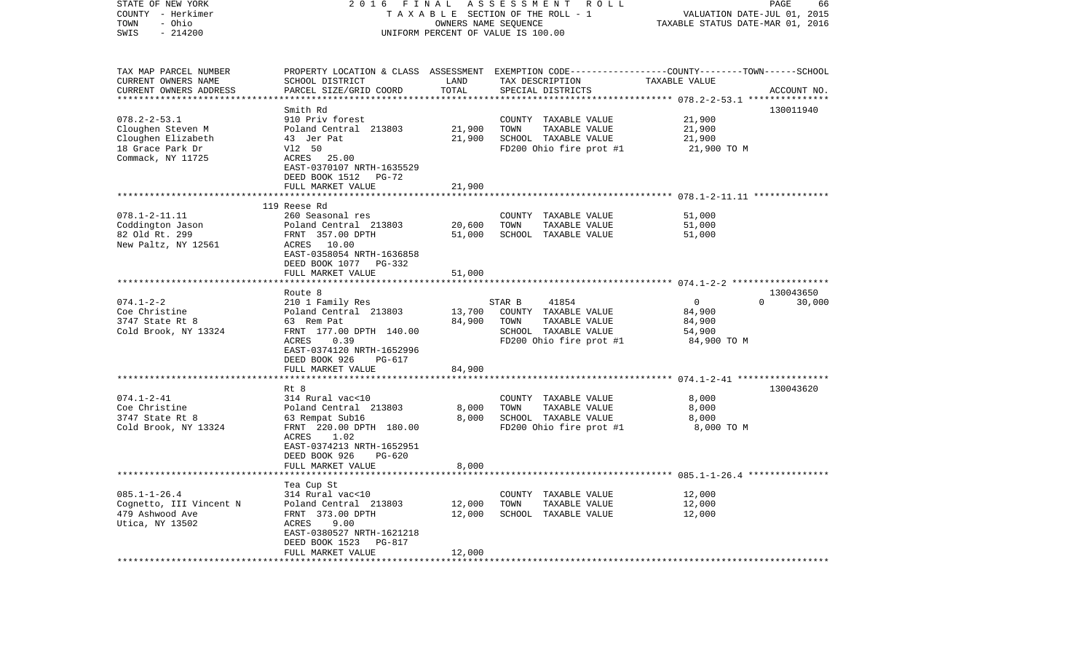| STATE OF NEW YORK<br>COUNTY - Herkimer | 2 0 1 6                                                             | FINAL                            | ASSESSMENT<br>R O L L<br>TAXABLE SECTION OF THE ROLL - 1                                         | VALUATION DATE-JUL 01, 2015                         | PAGE<br>66  |
|----------------------------------------|---------------------------------------------------------------------|----------------------------------|--------------------------------------------------------------------------------------------------|-----------------------------------------------------|-------------|
| - Ohio<br>TOWN                         |                                                                     | TAXABLE STATUS DATE-MAR 01, 2016 |                                                                                                  |                                                     |             |
| $-214200$<br>SWIS                      |                                                                     |                                  | OWNERS NAME SEQUENCE<br>UNIFORM PERCENT OF VALUE IS 100.00                                       |                                                     |             |
| TAX MAP PARCEL NUMBER                  |                                                                     |                                  | PROPERTY LOCATION & CLASS ASSESSMENT EXEMPTION CODE----------------COUNTY-------TOWN------SCHOOL |                                                     |             |
| CURRENT OWNERS NAME                    | SCHOOL DISTRICT                                                     | LAND                             | TAX DESCRIPTION                                                                                  | TAXABLE VALUE                                       |             |
| CURRENT OWNERS ADDRESS                 | PARCEL SIZE/GRID COORD                                              | TOTAL                            | SPECIAL DISTRICTS                                                                                |                                                     | ACCOUNT NO. |
|                                        |                                                                     |                                  |                                                                                                  | ********* 078.2-2-53.1 ***                          |             |
|                                        | Smith Rd                                                            |                                  |                                                                                                  |                                                     | 130011940   |
| $078.2 - 2 - 53.1$                     | 910 Priv forest                                                     |                                  | COUNTY<br>TAXABLE VALUE                                                                          | 21,900                                              |             |
| Cloughen Steven M                      | Poland Central 213803                                               | 21,900                           | TOWN<br>TAXABLE VALUE                                                                            | 21,900                                              |             |
| Cloughen Elizabeth                     | 43 Jer Pat                                                          | 21,900                           | SCHOOL TAXABLE VALUE                                                                             | 21,900                                              |             |
| 18 Grace Park Dr                       | V12 50                                                              |                                  | FD200 Ohio fire prot #1                                                                          | 21,900 TO M                                         |             |
| Commack, NY 11725                      | ACRES 25.00<br>EAST-0370107 NRTH-1635529<br>DEED BOOK 1512<br>PG-72 |                                  |                                                                                                  |                                                     |             |
|                                        | FULL MARKET VALUE                                                   | 21,900                           |                                                                                                  |                                                     |             |
|                                        |                                                                     |                                  |                                                                                                  |                                                     |             |
|                                        | 119 Reese Rd                                                        |                                  |                                                                                                  |                                                     |             |
| $078.1 - 2 - 11.11$                    | 260 Seasonal res                                                    |                                  | COUNTY<br>TAXABLE VALUE                                                                          | 51,000                                              |             |
| Coddington Jason                       | Poland Central 213803                                               | 20,600                           | TOWN<br>TAXABLE VALUE                                                                            | 51,000                                              |             |
| 82 Old Rt. 299                         | FRNT 357.00 DPTH                                                    | 51,000                           | SCHOOL TAXABLE VALUE                                                                             | 51,000                                              |             |
| New Paltz, NY 12561                    | 10.00<br>ACRES<br>EAST-0358054 NRTH-1636858                         |                                  |                                                                                                  |                                                     |             |
|                                        | DEED BOOK 1077<br>PG-332                                            |                                  |                                                                                                  |                                                     |             |
|                                        | FULL MARKET VALUE                                                   | 51,000                           |                                                                                                  |                                                     |             |
|                                        | ********************                                                |                                  |                                                                                                  |                                                     |             |
|                                        | Route 8                                                             |                                  |                                                                                                  |                                                     | 130043650   |
| $074.1 - 2 - 2$                        | 210 1 Family Res                                                    |                                  | STAR B<br>41854                                                                                  | $\mathbf 0$<br>0                                    | 30,000      |
| Coe Christine                          | Poland Central 213803                                               | 13,700                           | COUNTY TAXABLE VALUE                                                                             | 84,900                                              |             |
| 3747 State Rt 8                        | 63 Rem Pat                                                          | 84,900                           | TAXABLE VALUE<br>TOWN                                                                            | 84,900                                              |             |
| Cold Brook, NY 13324                   | FRNT 177.00 DPTH 140.00                                             |                                  | SCHOOL TAXABLE VALUE                                                                             | 54,900                                              |             |
|                                        | ACRES<br>0.39                                                       |                                  | FD200 Ohio fire prot #1                                                                          | 84,900 TO M                                         |             |
|                                        | EAST-0374120 NRTH-1652996                                           |                                  |                                                                                                  |                                                     |             |
|                                        | DEED BOOK 926<br>PG-617                                             |                                  |                                                                                                  |                                                     |             |
|                                        | FULL MARKET VALUE                                                   | 84,900                           |                                                                                                  |                                                     |             |
|                                        |                                                                     |                                  |                                                                                                  |                                                     |             |
|                                        | Rt 8                                                                |                                  |                                                                                                  |                                                     | 130043620   |
| $074.1 - 2 - 41$                       | 314 Rural vac<10                                                    |                                  | COUNTY TAXABLE VALUE                                                                             | 8,000                                               |             |
| Coe Christine<br>3747 State Rt 8       | Poland Central 213803                                               | 8,000<br>8,000                   | TOWN<br>TAXABLE VALUE<br>SCHOOL TAXABLE VALUE                                                    | 8,000<br>8,000                                      |             |
| Cold Brook, NY 13324                   | 63 Rempat Sub16<br>FRNT 220.00 DPTH 180.00                          |                                  | FD200 Ohio fire prot #1                                                                          | 8,000 TO M                                          |             |
|                                        | ACRES<br>1.02                                                       |                                  |                                                                                                  |                                                     |             |
|                                        | EAST-0374213 NRTH-1652951                                           |                                  |                                                                                                  |                                                     |             |
|                                        | DEED BOOK 926<br>$PG-620$                                           |                                  |                                                                                                  |                                                     |             |
|                                        | FULL MARKET VALUE                                                   | 8,000                            |                                                                                                  |                                                     |             |
|                                        |                                                                     |                                  |                                                                                                  | ********************* 085.1-1-26.4 **************** |             |
|                                        | Tea Cup St                                                          |                                  |                                                                                                  |                                                     |             |
| $085.1 - 1 - 26.4$                     | 314 Rural vac<10                                                    |                                  | COUNTY<br>TAXABLE VALUE                                                                          | 12,000                                              |             |
| Cognetto, III Vincent N                | Poland Central 213803                                               | 12,000                           | TOWN<br>TAXABLE VALUE                                                                            | 12,000                                              |             |
| 479 Ashwood Ave                        | FRNT 373.00 DPTH                                                    | 12,000                           | SCHOOL TAXABLE VALUE                                                                             | 12,000                                              |             |
| Utica, NY 13502                        | 9.00<br>ACRES                                                       |                                  |                                                                                                  |                                                     |             |
|                                        | EAST-0380527 NRTH-1621218                                           |                                  |                                                                                                  |                                                     |             |
|                                        | DEED BOOK 1523<br><b>PG-817</b>                                     |                                  |                                                                                                  |                                                     |             |
|                                        | FULL MARKET VALUE<br>*****************                              | 12,000                           |                                                                                                  |                                                     |             |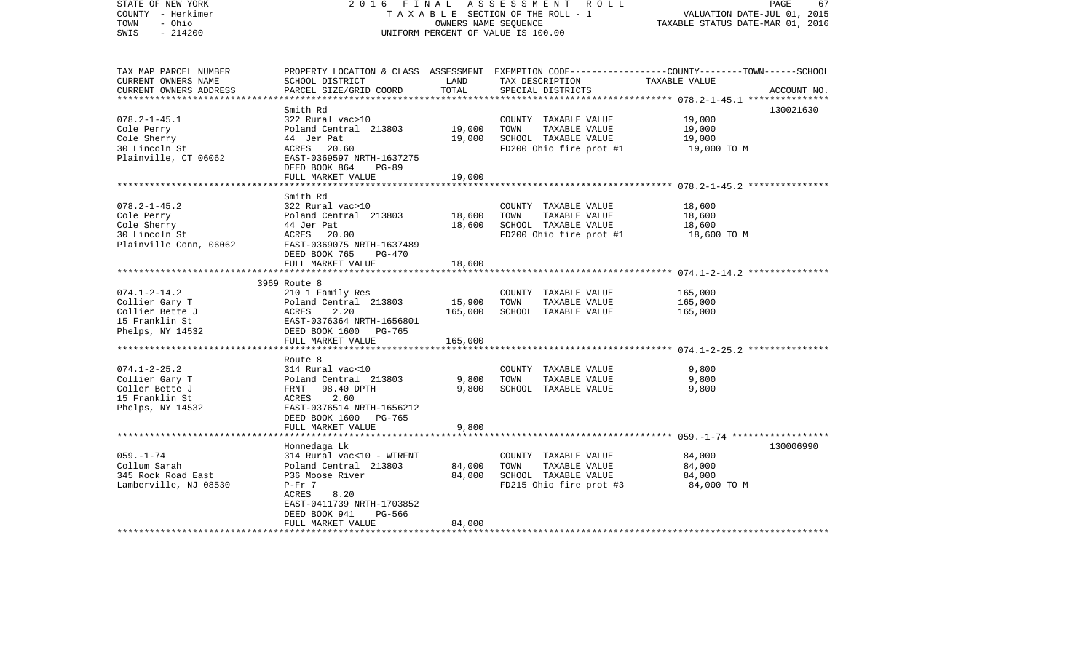| STATE OF NEW YORK<br>COUNTY - Herkimer<br>- Ohio<br>TOWN<br>$-214200$<br>SWIS | 2 0 1 6<br>FINAL                                      | OWNERS NAME SEQUENCE | ASSESSMENT ROLL<br>TAXABLE SECTION OF THE ROLL - 1<br>UNIFORM PERCENT OF VALUE IS 100.00 | PAGE<br>67<br>VALUATION DATE-JUL 01, 2015<br>TAXABLE STATUS DATE-MAR 01, 2016                                    |
|-------------------------------------------------------------------------------|-------------------------------------------------------|----------------------|------------------------------------------------------------------------------------------|------------------------------------------------------------------------------------------------------------------|
|                                                                               |                                                       |                      |                                                                                          |                                                                                                                  |
| TAX MAP PARCEL NUMBER<br>CURRENT OWNERS NAME                                  | SCHOOL DISTRICT                                       | LAND                 | TAX DESCRIPTION                                                                          | PROPERTY LOCATION & CLASS ASSESSMENT EXEMPTION CODE---------------COUNTY-------TOWN------SCHOOL<br>TAXABLE VALUE |
| CURRENT OWNERS ADDRESS                                                        | PARCEL SIZE/GRID COORD                                | TOTAL                | SPECIAL DISTRICTS                                                                        | ACCOUNT NO.                                                                                                      |
|                                                                               |                                                       |                      |                                                                                          |                                                                                                                  |
| $078.2 - 1 - 45.1$                                                            | Smith Rd<br>322 Rural vac>10                          |                      | COUNTY TAXABLE VALUE                                                                     | 130021630<br>19,000                                                                                              |
| Cole Perry                                                                    | Poland Central 213803                                 | 19,000               | TOWN<br>TAXABLE VALUE                                                                    | 19,000                                                                                                           |
| Cole Sherry                                                                   | 44 Jer Pat                                            | 19,000               | SCHOOL TAXABLE VALUE                                                                     | 19,000                                                                                                           |
| 30 Lincoln St                                                                 | ACRES 20.60                                           |                      | FD200 Ohio fire prot #1                                                                  | 19,000 TO M                                                                                                      |
| Plainville, CT 06062                                                          | EAST-0369597 NRTH-1637275                             |                      |                                                                                          |                                                                                                                  |
|                                                                               | DEED BOOK 864<br>PG-89                                |                      |                                                                                          |                                                                                                                  |
|                                                                               | FULL MARKET VALUE                                     | 19,000               |                                                                                          |                                                                                                                  |
|                                                                               |                                                       |                      |                                                                                          |                                                                                                                  |
|                                                                               | Smith Rd                                              |                      |                                                                                          |                                                                                                                  |
| $078.2 - 1 - 45.2$                                                            | 322 Rural vac>10                                      |                      | COUNTY TAXABLE VALUE                                                                     | 18,600                                                                                                           |
| Cole Perry                                                                    | Poland Central 213803                                 | 18,600               | TAXABLE VALUE<br>TOWN                                                                    | 18,600                                                                                                           |
| Cole Sherry                                                                   | 44 Jer Pat                                            | 18,600               | SCHOOL TAXABLE VALUE                                                                     | 18,600                                                                                                           |
| 30 Lincoln St                                                                 | ACRES 20.00                                           |                      | FD200 Ohio fire prot #1                                                                  | 18,600 TO M                                                                                                      |
| Plainville Conn, 06062                                                        | EAST-0369075 NRTH-1637489<br>DEED BOOK 765<br>PG-470  |                      |                                                                                          |                                                                                                                  |
|                                                                               | FULL MARKET VALUE                                     | 18,600               |                                                                                          |                                                                                                                  |
|                                                                               |                                                       |                      |                                                                                          |                                                                                                                  |
|                                                                               | 3969 Route 8                                          |                      |                                                                                          |                                                                                                                  |
| $074.1 - 2 - 14.2$                                                            | 210 1 Family Res                                      |                      | COUNTY TAXABLE VALUE                                                                     | 165,000                                                                                                          |
| Collier Gary T                                                                | Poland Central 213803                                 | 15,900               | TAXABLE VALUE<br>TOWN                                                                    | 165,000                                                                                                          |
| Collier Bette J                                                               | ACRES<br>2.20                                         | 165,000              | SCHOOL TAXABLE VALUE                                                                     | 165,000                                                                                                          |
| 15 Franklin St                                                                | EAST-0376364 NRTH-1656801                             |                      |                                                                                          |                                                                                                                  |
| Phelps, NY 14532                                                              | DEED BOOK 1600 PG-765                                 |                      |                                                                                          |                                                                                                                  |
|                                                                               | FULL MARKET VALUE                                     | 165,000              |                                                                                          |                                                                                                                  |
|                                                                               | Route 8                                               |                      |                                                                                          |                                                                                                                  |
| $074.1 - 2 - 25.2$                                                            | 314 Rural vac<10                                      |                      | COUNTY TAXABLE VALUE                                                                     | 9,800                                                                                                            |
| Collier Gary T                                                                | Poland Central 213803                                 | 9,800                | TAXABLE VALUE<br>TOWN                                                                    | 9,800                                                                                                            |
| Coller Bette J                                                                | FRNT 98.40 DPTH                                       | 9,800                | SCHOOL TAXABLE VALUE                                                                     | 9,800                                                                                                            |
| 15 Franklin St                                                                | 2.60<br>ACRES                                         |                      |                                                                                          |                                                                                                                  |
| Phelps, NY 14532                                                              | EAST-0376514 NRTH-1656212<br>DEED BOOK 1600<br>PG-765 |                      |                                                                                          |                                                                                                                  |
|                                                                               | FULL MARKET VALUE                                     | 9,800                |                                                                                          |                                                                                                                  |
|                                                                               |                                                       |                      |                                                                                          |                                                                                                                  |
|                                                                               | Honnedaga Lk                                          |                      |                                                                                          | 130006990                                                                                                        |
| $059. - 1 - 74$                                                               | 314 Rural vac<10 - WTRFNT                             |                      | COUNTY TAXABLE VALUE                                                                     | 84,000                                                                                                           |
| Collum Sarah                                                                  | Poland Central 213803                                 | 84,000               | TAXABLE VALUE<br>TOWN                                                                    | 84,000                                                                                                           |
| 345 Rock Road East                                                            | P36 Moose River                                       | 84,000               | SCHOOL TAXABLE VALUE                                                                     | 84,000                                                                                                           |
| Lamberville, NJ 08530                                                         | $P-Fr$ 7                                              |                      | FD215 Ohio fire prot #3                                                                  | 84,000 TO M                                                                                                      |
|                                                                               | 8.20<br>ACRES                                         |                      |                                                                                          |                                                                                                                  |
|                                                                               | EAST-0411739 NRTH-1703852<br>DEED BOOK 941<br>PG-566  |                      |                                                                                          |                                                                                                                  |
|                                                                               | FULL MARKET VALUE                                     | 84,000               |                                                                                          |                                                                                                                  |
|                                                                               |                                                       |                      |                                                                                          |                                                                                                                  |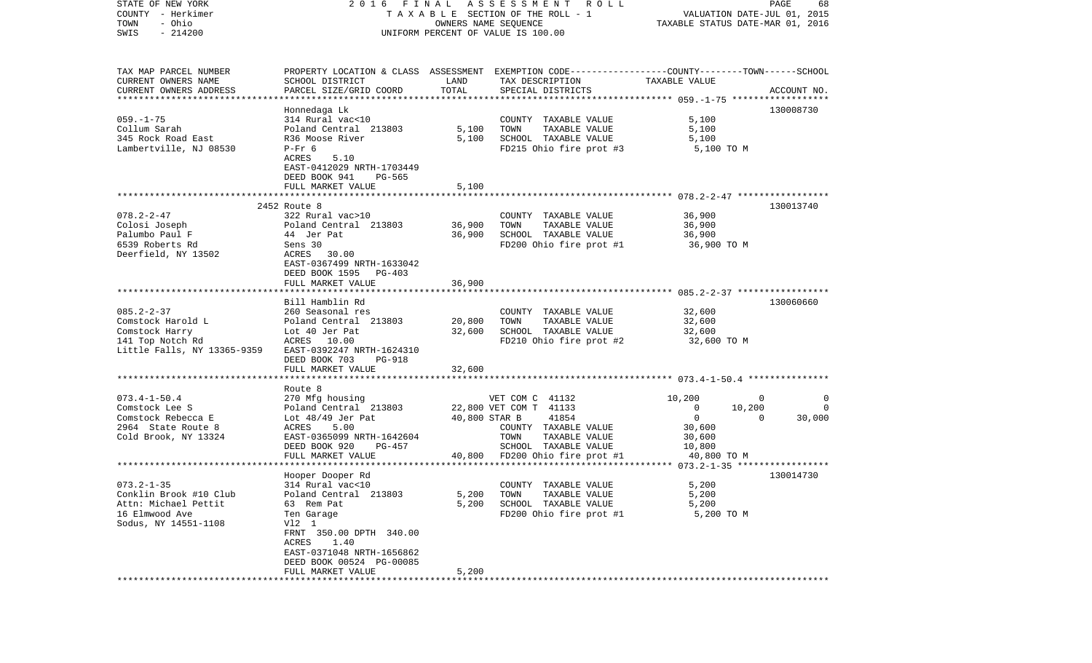| STATE OF NEW YORK           | 2016 FINAL                      |                                  | A S S E S S M E N T<br>R O L L                                                                  |                          | PAGE<br>68         |
|-----------------------------|---------------------------------|----------------------------------|-------------------------------------------------------------------------------------------------|--------------------------|--------------------|
| COUNTY - Herkimer           | TAXABLE SECTION OF THE ROLL - 1 | VALUATION DATE-JUL 01, 2015      |                                                                                                 |                          |                    |
| - Ohio<br>TOWN              |                                 | TAXABLE STATUS DATE-MAR 01, 2016 |                                                                                                 |                          |                    |
| $-214200$<br>SWIS           |                                 |                                  | UNIFORM PERCENT OF VALUE IS 100.00                                                              |                          |                    |
|                             |                                 |                                  |                                                                                                 |                          |                    |
|                             |                                 |                                  |                                                                                                 |                          |                    |
| TAX MAP PARCEL NUMBER       |                                 |                                  | PROPERTY LOCATION & CLASS ASSESSMENT EXEMPTION CODE---------------COUNTY-------TOWN------SCHOOL |                          |                    |
| CURRENT OWNERS NAME         | SCHOOL DISTRICT                 | LAND                             | TAX DESCRIPTION                                                                                 | TAXABLE VALUE            |                    |
| CURRENT OWNERS ADDRESS      | PARCEL SIZE/GRID COORD          | TOTAL                            | SPECIAL DISTRICTS                                                                               |                          | ACCOUNT NO.        |
| ************************    |                                 |                                  |                                                                                                 |                          |                    |
|                             | Honnedaga Lk                    |                                  |                                                                                                 |                          | 130008730          |
| $059. -1 - 75$              | 314 Rural vac<10                |                                  | COUNTY TAXABLE VALUE                                                                            | 5,100                    |                    |
| Collum Sarah                | Poland Central 213803           | 5,100                            | TOWN<br>TAXABLE VALUE                                                                           | 5,100                    |                    |
| 345 Rock Road East          | R36 Moose River                 | 5,100                            | SCHOOL TAXABLE VALUE                                                                            | 5,100                    |                    |
| Lambertville, NJ 08530      | $P-Fr$ 6                        |                                  | FD215 Ohio fire prot #3                                                                         | 5,100 TO M               |                    |
|                             | ACRES<br>5.10                   |                                  |                                                                                                 |                          |                    |
|                             | EAST-0412029 NRTH-1703449       |                                  |                                                                                                 |                          |                    |
|                             | DEED BOOK 941<br>PG-565         |                                  |                                                                                                 |                          |                    |
|                             | FULL MARKET VALUE               | 5,100                            |                                                                                                 |                          |                    |
|                             |                                 |                                  |                                                                                                 |                          |                    |
|                             | 2452 Route 8                    |                                  |                                                                                                 |                          | 130013740          |
| $078.2 - 2 - 47$            | 322 Rural vac>10                |                                  | COUNTY TAXABLE VALUE                                                                            | 36,900                   |                    |
| Colosi Joseph               | Poland Central 213803           | 36,900                           | TAXABLE VALUE<br>TOWN                                                                           | 36,900                   |                    |
| Palumbo Paul F              | 44 Jer Pat                      | 36,900                           | SCHOOL TAXABLE VALUE                                                                            | 36,900                   |                    |
| 6539 Roberts Rd             | Sens 30                         |                                  | FD200 Ohio fire prot #1                                                                         | 36,900 TO M              |                    |
| Deerfield, NY 13502         | ACRES 30.00                     |                                  |                                                                                                 |                          |                    |
|                             | EAST-0367499 NRTH-1633042       |                                  |                                                                                                 |                          |                    |
|                             | DEED BOOK 1595<br>PG-403        |                                  |                                                                                                 |                          |                    |
|                             | FULL MARKET VALUE               | 36,900                           |                                                                                                 |                          |                    |
|                             |                                 |                                  |                                                                                                 |                          |                    |
|                             | Bill Hamblin Rd                 |                                  |                                                                                                 |                          | 130060660          |
| $085.2 - 2 - 37$            | 260 Seasonal res                |                                  | COUNTY TAXABLE VALUE                                                                            | 32,600                   |                    |
| Comstock Harold L           | Poland Central 213803           | 20,800                           | TAXABLE VALUE<br>TOWN                                                                           | 32,600                   |                    |
| Comstock Harry              | Lot 40 Jer Pat                  | 32,600                           | SCHOOL TAXABLE VALUE                                                                            | 32,600                   |                    |
| 141 Top Notch Rd            | ACRES 10.00                     |                                  | FD210 Ohio fire prot #2                                                                         | 32,600 TO M              |                    |
| Little Falls, NY 13365-9359 | EAST-0392247 NRTH-1624310       |                                  |                                                                                                 |                          |                    |
|                             | DEED BOOK 703<br><b>PG-918</b>  |                                  |                                                                                                 |                          |                    |
|                             | FULL MARKET VALUE               | 32,600                           |                                                                                                 |                          |                    |
|                             | *******************             |                                  |                                                                                                 |                          |                    |
|                             | Route 8                         |                                  |                                                                                                 |                          |                    |
| $073.4 - 1 - 50.4$          | 270 Mfg housing                 |                                  | VET COM C 41132                                                                                 | 10,200                   | 0<br>0             |
| Comstock Lee S              | Poland Central 213803           |                                  | 22,800 VET COM T 41133                                                                          | $\overline{0}$<br>10,200 | 0                  |
| Comstock Rebecca E          | Lot $48/49$ Jer Pat             | 40,800 STAR B                    | 41854                                                                                           | $\mathbf 0$              | 30,000<br>$\Omega$ |
| 2964 State Route 8          | ACRES<br>5.00                   |                                  | COUNTY TAXABLE VALUE                                                                            | 30,600                   |                    |
| Cold Brook, NY 13324        | EAST-0365099 NRTH-1642604       |                                  | TOWN<br>TAXABLE VALUE                                                                           | 30,600                   |                    |
|                             | DEED BOOK 920<br>PG-457         |                                  | SCHOOL TAXABLE VALUE                                                                            | 10,800                   |                    |
|                             | FULL MARKET VALUE               | 40,800                           | FD200 Ohio fire prot #1                                                                         | 40,800 TO M              |                    |
|                             |                                 |                                  |                                                                                                 |                          |                    |
|                             | Hooper Dooper Rd                |                                  |                                                                                                 |                          | 130014730          |
| $073.2 - 1 - 35$            | 314 Rural vac<10                |                                  | COUNTY TAXABLE VALUE                                                                            | 5,200                    |                    |
| Conklin Brook #10 Club      | Poland Central 213803           | 5,200                            | TAXABLE VALUE<br>TOWN                                                                           | 5,200                    |                    |
| Attn: Michael Pettit        | 63 Rem Pat                      | 5,200                            | SCHOOL TAXABLE VALUE                                                                            | 5,200                    |                    |
| 16 Elmwood Ave              | Ten Garage                      |                                  | FD200 Ohio fire prot #1                                                                         | 5,200 TO M               |                    |
| Sodus, NY 14551-1108        | V12 1                           |                                  |                                                                                                 |                          |                    |
|                             | FRNT 350.00 DPTH 340.00         |                                  |                                                                                                 |                          |                    |
|                             | 1.40<br>ACRES                   |                                  |                                                                                                 |                          |                    |
|                             | EAST-0371048 NRTH-1656862       |                                  |                                                                                                 |                          |                    |
|                             | DEED BOOK 00524 PG-00085        |                                  |                                                                                                 |                          |                    |
|                             | FULL MARKET VALUE               | 5,200                            |                                                                                                 |                          |                    |
|                             |                                 |                                  |                                                                                                 |                          |                    |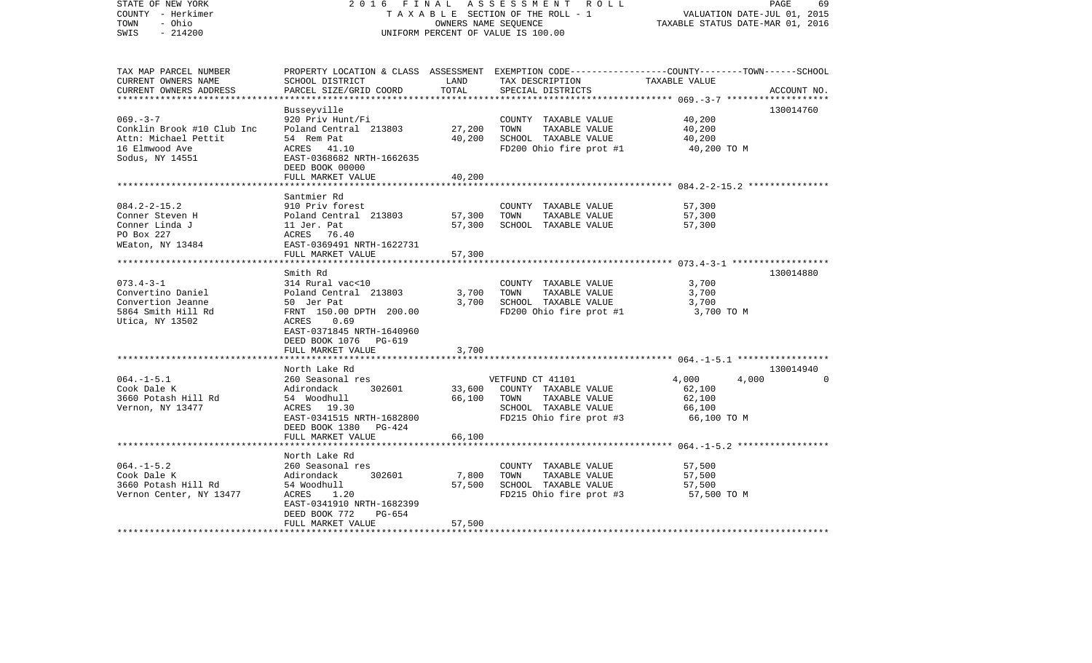| TAX MAP PARCEL NUMBER<br>PROPERTY LOCATION & CLASS ASSESSMENT EXEMPTION CODE---------------COUNTY-------TOWN------SCHOOL<br>TAX DESCRIPTION TAXABLE VALUE<br>CURRENT OWNERS NAME<br>SCHOOL DISTRICT<br>LAND<br>TOTAL<br>CURRENT OWNERS ADDRESS<br>PARCEL SIZE/GRID COORD<br>SPECIAL DISTRICTS<br>ACCOUNT NO.<br>Busseyville<br>130014760<br>$069. -3 -7$<br>40,200<br>920 Priv Hunt/Fi<br>COUNTY TAXABLE VALUE<br>27,200<br>Conklin Brook #10 Club Inc<br>Poland Central 213803<br>TOWN<br>TAXABLE VALUE<br>40,200<br>40,200<br>SCHOOL TAXABLE VALUE<br>40,200<br>Attn: Michael Pettit<br>54 Rem Pat<br>16 Elmwood Ave<br>ACRES 41.10<br>FD200 Ohio fire prot #1<br>40,200 TO M<br>Sodus, NY 14551<br>EAST-0368682 NRTH-1662635<br>DEED BOOK 00000<br>40,200<br>FULL MARKET VALUE<br>Santmier Rd<br>$084.2 - 2 - 15.2$<br>910 Priv forest<br>COUNTY TAXABLE VALUE<br>57,300<br>57,300<br>Conner Steven H<br>TOWN<br>TAXABLE VALUE<br>Conner Linda J<br>57,300<br>SCHOOL TAXABLE VALUE<br>57,300<br>PO Box 227<br>WEaton, NY 13484<br>EAST-0369491 NRTH-1622731<br>57,300<br>FULL MARKET VALUE<br>130014880<br>Smith Rd<br>$073.4 - 3 - 1$<br>314 Rural vac<10<br>3,700<br>COUNTY TAXABLE VALUE<br>Poland Central 213803<br>Convertino Daniel<br>3,700<br>TOWN<br>TAXABLE VALUE<br>3,700<br>3,700<br>SCHOOL TAXABLE VALUE<br>Convertion Jeanne<br>50 Jer Pat<br>3,700<br>FRNT 150.00 DPTH 200.00<br>5864 Smith Hill Rd<br>FD200 Ohio fire prot #1<br>3,700 TO M<br>Utica, NY 13502<br>ACRES<br>0.69<br>EAST-0371845 NRTH-1640960<br>DEED BOOK 1076 PG-619<br>FULL MARKET VALUE<br>3,700<br>130014940<br>North Lake Rd<br>$064. -1 - 5.1$<br>4,000<br>4,000<br>260 Seasonal res<br>VETFUND CT 41101<br>$\Omega$<br>302601<br>Cook Dale K<br>33,600<br>COUNTY TAXABLE VALUE<br>62,100<br>Adirondack<br>3660 Potash Hill Rd<br>54 Woodhull Sammar Start<br>66,100<br>TOWN<br>TAXABLE VALUE<br>62,100<br>Vernon, NY 13477<br>ACRES 19.30<br>SCHOOL TAXABLE VALUE<br>66,100<br>FD215 Ohio fire prot #3 66,100 TO M<br>EAST-0341515 NRTH-1682800<br>DEED BOOK 1380 PG-424<br>FULL MARKET VALUE<br>66,100<br>North Lake Rd<br>$064. -1 - 5.2$<br>260 Seasonal res<br>COUNTY TAXABLE VALUE<br>57,500<br>57,500<br>Cook Dale K<br>302601<br>7,800<br>TOWN<br>TAXABLE VALUE<br>Adirondack<br>54 Woodhull<br>57,500<br>SCHOOL TAXABLE VALUE<br>3660 Potash Hill Rd<br>57,500<br>FD215 Ohio fire prot $#3$ 57,500 TO M<br>Vernon Center, NY 13477<br>ACRES 1.20<br>EAST-0341910 NRTH-1682399<br>DEED BOOK 772<br>PG-654<br>FULL MARKET VALUE<br>57,500<br>********************* | STATE OF NEW YORK<br>COUNTY - Herkimer<br>- Ohio<br>TOWN<br>$-214200$<br>SWIS | 2016 FINAL<br>TAXABLE SECTION OF THE ROLL - 1<br>UNIFORM PERCENT OF VALUE IS 100.00 | PAGE<br>69<br>VALUATION DATE-JUL 01, 2015<br>TAXABLE STATUS DATE-MAR 01, 2016 |  |  |
|--------------------------------------------------------------------------------------------------------------------------------------------------------------------------------------------------------------------------------------------------------------------------------------------------------------------------------------------------------------------------------------------------------------------------------------------------------------------------------------------------------------------------------------------------------------------------------------------------------------------------------------------------------------------------------------------------------------------------------------------------------------------------------------------------------------------------------------------------------------------------------------------------------------------------------------------------------------------------------------------------------------------------------------------------------------------------------------------------------------------------------------------------------------------------------------------------------------------------------------------------------------------------------------------------------------------------------------------------------------------------------------------------------------------------------------------------------------------------------------------------------------------------------------------------------------------------------------------------------------------------------------------------------------------------------------------------------------------------------------------------------------------------------------------------------------------------------------------------------------------------------------------------------------------------------------------------------------------------------------------------------------------------------------------------------------------------------------------------------------------------------------------------------------------------------------------------------------------------------------------------------------------------------------------------------------------------------------------------------------------------------------------------------------------------------------------------------------------------------------------------------------------------------------------------------------------|-------------------------------------------------------------------------------|-------------------------------------------------------------------------------------|-------------------------------------------------------------------------------|--|--|
|                                                                                                                                                                                                                                                                                                                                                                                                                                                                                                                                                                                                                                                                                                                                                                                                                                                                                                                                                                                                                                                                                                                                                                                                                                                                                                                                                                                                                                                                                                                                                                                                                                                                                                                                                                                                                                                                                                                                                                                                                                                                                                                                                                                                                                                                                                                                                                                                                                                                                                                                                                    |                                                                               |                                                                                     |                                                                               |  |  |
|                                                                                                                                                                                                                                                                                                                                                                                                                                                                                                                                                                                                                                                                                                                                                                                                                                                                                                                                                                                                                                                                                                                                                                                                                                                                                                                                                                                                                                                                                                                                                                                                                                                                                                                                                                                                                                                                                                                                                                                                                                                                                                                                                                                                                                                                                                                                                                                                                                                                                                                                                                    |                                                                               |                                                                                     |                                                                               |  |  |
|                                                                                                                                                                                                                                                                                                                                                                                                                                                                                                                                                                                                                                                                                                                                                                                                                                                                                                                                                                                                                                                                                                                                                                                                                                                                                                                                                                                                                                                                                                                                                                                                                                                                                                                                                                                                                                                                                                                                                                                                                                                                                                                                                                                                                                                                                                                                                                                                                                                                                                                                                                    |                                                                               |                                                                                     |                                                                               |  |  |
|                                                                                                                                                                                                                                                                                                                                                                                                                                                                                                                                                                                                                                                                                                                                                                                                                                                                                                                                                                                                                                                                                                                                                                                                                                                                                                                                                                                                                                                                                                                                                                                                                                                                                                                                                                                                                                                                                                                                                                                                                                                                                                                                                                                                                                                                                                                                                                                                                                                                                                                                                                    |                                                                               |                                                                                     |                                                                               |  |  |
|                                                                                                                                                                                                                                                                                                                                                                                                                                                                                                                                                                                                                                                                                                                                                                                                                                                                                                                                                                                                                                                                                                                                                                                                                                                                                                                                                                                                                                                                                                                                                                                                                                                                                                                                                                                                                                                                                                                                                                                                                                                                                                                                                                                                                                                                                                                                                                                                                                                                                                                                                                    |                                                                               |                                                                                     |                                                                               |  |  |
|                                                                                                                                                                                                                                                                                                                                                                                                                                                                                                                                                                                                                                                                                                                                                                                                                                                                                                                                                                                                                                                                                                                                                                                                                                                                                                                                                                                                                                                                                                                                                                                                                                                                                                                                                                                                                                                                                                                                                                                                                                                                                                                                                                                                                                                                                                                                                                                                                                                                                                                                                                    |                                                                               |                                                                                     |                                                                               |  |  |
|                                                                                                                                                                                                                                                                                                                                                                                                                                                                                                                                                                                                                                                                                                                                                                                                                                                                                                                                                                                                                                                                                                                                                                                                                                                                                                                                                                                                                                                                                                                                                                                                                                                                                                                                                                                                                                                                                                                                                                                                                                                                                                                                                                                                                                                                                                                                                                                                                                                                                                                                                                    |                                                                               |                                                                                     |                                                                               |  |  |
|                                                                                                                                                                                                                                                                                                                                                                                                                                                                                                                                                                                                                                                                                                                                                                                                                                                                                                                                                                                                                                                                                                                                                                                                                                                                                                                                                                                                                                                                                                                                                                                                                                                                                                                                                                                                                                                                                                                                                                                                                                                                                                                                                                                                                                                                                                                                                                                                                                                                                                                                                                    |                                                                               |                                                                                     |                                                                               |  |  |
|                                                                                                                                                                                                                                                                                                                                                                                                                                                                                                                                                                                                                                                                                                                                                                                                                                                                                                                                                                                                                                                                                                                                                                                                                                                                                                                                                                                                                                                                                                                                                                                                                                                                                                                                                                                                                                                                                                                                                                                                                                                                                                                                                                                                                                                                                                                                                                                                                                                                                                                                                                    |                                                                               |                                                                                     |                                                                               |  |  |
|                                                                                                                                                                                                                                                                                                                                                                                                                                                                                                                                                                                                                                                                                                                                                                                                                                                                                                                                                                                                                                                                                                                                                                                                                                                                                                                                                                                                                                                                                                                                                                                                                                                                                                                                                                                                                                                                                                                                                                                                                                                                                                                                                                                                                                                                                                                                                                                                                                                                                                                                                                    |                                                                               |                                                                                     |                                                                               |  |  |
|                                                                                                                                                                                                                                                                                                                                                                                                                                                                                                                                                                                                                                                                                                                                                                                                                                                                                                                                                                                                                                                                                                                                                                                                                                                                                                                                                                                                                                                                                                                                                                                                                                                                                                                                                                                                                                                                                                                                                                                                                                                                                                                                                                                                                                                                                                                                                                                                                                                                                                                                                                    |                                                                               |                                                                                     |                                                                               |  |  |
|                                                                                                                                                                                                                                                                                                                                                                                                                                                                                                                                                                                                                                                                                                                                                                                                                                                                                                                                                                                                                                                                                                                                                                                                                                                                                                                                                                                                                                                                                                                                                                                                                                                                                                                                                                                                                                                                                                                                                                                                                                                                                                                                                                                                                                                                                                                                                                                                                                                                                                                                                                    |                                                                               |                                                                                     |                                                                               |  |  |
|                                                                                                                                                                                                                                                                                                                                                                                                                                                                                                                                                                                                                                                                                                                                                                                                                                                                                                                                                                                                                                                                                                                                                                                                                                                                                                                                                                                                                                                                                                                                                                                                                                                                                                                                                                                                                                                                                                                                                                                                                                                                                                                                                                                                                                                                                                                                                                                                                                                                                                                                                                    |                                                                               |                                                                                     |                                                                               |  |  |
|                                                                                                                                                                                                                                                                                                                                                                                                                                                                                                                                                                                                                                                                                                                                                                                                                                                                                                                                                                                                                                                                                                                                                                                                                                                                                                                                                                                                                                                                                                                                                                                                                                                                                                                                                                                                                                                                                                                                                                                                                                                                                                                                                                                                                                                                                                                                                                                                                                                                                                                                                                    |                                                                               |                                                                                     |                                                                               |  |  |
|                                                                                                                                                                                                                                                                                                                                                                                                                                                                                                                                                                                                                                                                                                                                                                                                                                                                                                                                                                                                                                                                                                                                                                                                                                                                                                                                                                                                                                                                                                                                                                                                                                                                                                                                                                                                                                                                                                                                                                                                                                                                                                                                                                                                                                                                                                                                                                                                                                                                                                                                                                    |                                                                               |                                                                                     |                                                                               |  |  |
|                                                                                                                                                                                                                                                                                                                                                                                                                                                                                                                                                                                                                                                                                                                                                                                                                                                                                                                                                                                                                                                                                                                                                                                                                                                                                                                                                                                                                                                                                                                                                                                                                                                                                                                                                                                                                                                                                                                                                                                                                                                                                                                                                                                                                                                                                                                                                                                                                                                                                                                                                                    |                                                                               |                                                                                     |                                                                               |  |  |
|                                                                                                                                                                                                                                                                                                                                                                                                                                                                                                                                                                                                                                                                                                                                                                                                                                                                                                                                                                                                                                                                                                                                                                                                                                                                                                                                                                                                                                                                                                                                                                                                                                                                                                                                                                                                                                                                                                                                                                                                                                                                                                                                                                                                                                                                                                                                                                                                                                                                                                                                                                    |                                                                               |                                                                                     |                                                                               |  |  |
|                                                                                                                                                                                                                                                                                                                                                                                                                                                                                                                                                                                                                                                                                                                                                                                                                                                                                                                                                                                                                                                                                                                                                                                                                                                                                                                                                                                                                                                                                                                                                                                                                                                                                                                                                                                                                                                                                                                                                                                                                                                                                                                                                                                                                                                                                                                                                                                                                                                                                                                                                                    |                                                                               |                                                                                     |                                                                               |  |  |
|                                                                                                                                                                                                                                                                                                                                                                                                                                                                                                                                                                                                                                                                                                                                                                                                                                                                                                                                                                                                                                                                                                                                                                                                                                                                                                                                                                                                                                                                                                                                                                                                                                                                                                                                                                                                                                                                                                                                                                                                                                                                                                                                                                                                                                                                                                                                                                                                                                                                                                                                                                    |                                                                               |                                                                                     |                                                                               |  |  |
|                                                                                                                                                                                                                                                                                                                                                                                                                                                                                                                                                                                                                                                                                                                                                                                                                                                                                                                                                                                                                                                                                                                                                                                                                                                                                                                                                                                                                                                                                                                                                                                                                                                                                                                                                                                                                                                                                                                                                                                                                                                                                                                                                                                                                                                                                                                                                                                                                                                                                                                                                                    |                                                                               |                                                                                     |                                                                               |  |  |
|                                                                                                                                                                                                                                                                                                                                                                                                                                                                                                                                                                                                                                                                                                                                                                                                                                                                                                                                                                                                                                                                                                                                                                                                                                                                                                                                                                                                                                                                                                                                                                                                                                                                                                                                                                                                                                                                                                                                                                                                                                                                                                                                                                                                                                                                                                                                                                                                                                                                                                                                                                    |                                                                               |                                                                                     |                                                                               |  |  |
|                                                                                                                                                                                                                                                                                                                                                                                                                                                                                                                                                                                                                                                                                                                                                                                                                                                                                                                                                                                                                                                                                                                                                                                                                                                                                                                                                                                                                                                                                                                                                                                                                                                                                                                                                                                                                                                                                                                                                                                                                                                                                                                                                                                                                                                                                                                                                                                                                                                                                                                                                                    |                                                                               |                                                                                     |                                                                               |  |  |
|                                                                                                                                                                                                                                                                                                                                                                                                                                                                                                                                                                                                                                                                                                                                                                                                                                                                                                                                                                                                                                                                                                                                                                                                                                                                                                                                                                                                                                                                                                                                                                                                                                                                                                                                                                                                                                                                                                                                                                                                                                                                                                                                                                                                                                                                                                                                                                                                                                                                                                                                                                    |                                                                               |                                                                                     |                                                                               |  |  |
|                                                                                                                                                                                                                                                                                                                                                                                                                                                                                                                                                                                                                                                                                                                                                                                                                                                                                                                                                                                                                                                                                                                                                                                                                                                                                                                                                                                                                                                                                                                                                                                                                                                                                                                                                                                                                                                                                                                                                                                                                                                                                                                                                                                                                                                                                                                                                                                                                                                                                                                                                                    |                                                                               |                                                                                     |                                                                               |  |  |
|                                                                                                                                                                                                                                                                                                                                                                                                                                                                                                                                                                                                                                                                                                                                                                                                                                                                                                                                                                                                                                                                                                                                                                                                                                                                                                                                                                                                                                                                                                                                                                                                                                                                                                                                                                                                                                                                                                                                                                                                                                                                                                                                                                                                                                                                                                                                                                                                                                                                                                                                                                    |                                                                               |                                                                                     |                                                                               |  |  |
|                                                                                                                                                                                                                                                                                                                                                                                                                                                                                                                                                                                                                                                                                                                                                                                                                                                                                                                                                                                                                                                                                                                                                                                                                                                                                                                                                                                                                                                                                                                                                                                                                                                                                                                                                                                                                                                                                                                                                                                                                                                                                                                                                                                                                                                                                                                                                                                                                                                                                                                                                                    |                                                                               |                                                                                     |                                                                               |  |  |
|                                                                                                                                                                                                                                                                                                                                                                                                                                                                                                                                                                                                                                                                                                                                                                                                                                                                                                                                                                                                                                                                                                                                                                                                                                                                                                                                                                                                                                                                                                                                                                                                                                                                                                                                                                                                                                                                                                                                                                                                                                                                                                                                                                                                                                                                                                                                                                                                                                                                                                                                                                    |                                                                               |                                                                                     |                                                                               |  |  |
|                                                                                                                                                                                                                                                                                                                                                                                                                                                                                                                                                                                                                                                                                                                                                                                                                                                                                                                                                                                                                                                                                                                                                                                                                                                                                                                                                                                                                                                                                                                                                                                                                                                                                                                                                                                                                                                                                                                                                                                                                                                                                                                                                                                                                                                                                                                                                                                                                                                                                                                                                                    |                                                                               |                                                                                     |                                                                               |  |  |
|                                                                                                                                                                                                                                                                                                                                                                                                                                                                                                                                                                                                                                                                                                                                                                                                                                                                                                                                                                                                                                                                                                                                                                                                                                                                                                                                                                                                                                                                                                                                                                                                                                                                                                                                                                                                                                                                                                                                                                                                                                                                                                                                                                                                                                                                                                                                                                                                                                                                                                                                                                    |                                                                               |                                                                                     |                                                                               |  |  |
|                                                                                                                                                                                                                                                                                                                                                                                                                                                                                                                                                                                                                                                                                                                                                                                                                                                                                                                                                                                                                                                                                                                                                                                                                                                                                                                                                                                                                                                                                                                                                                                                                                                                                                                                                                                                                                                                                                                                                                                                                                                                                                                                                                                                                                                                                                                                                                                                                                                                                                                                                                    |                                                                               |                                                                                     |                                                                               |  |  |
|                                                                                                                                                                                                                                                                                                                                                                                                                                                                                                                                                                                                                                                                                                                                                                                                                                                                                                                                                                                                                                                                                                                                                                                                                                                                                                                                                                                                                                                                                                                                                                                                                                                                                                                                                                                                                                                                                                                                                                                                                                                                                                                                                                                                                                                                                                                                                                                                                                                                                                                                                                    |                                                                               |                                                                                     |                                                                               |  |  |
|                                                                                                                                                                                                                                                                                                                                                                                                                                                                                                                                                                                                                                                                                                                                                                                                                                                                                                                                                                                                                                                                                                                                                                                                                                                                                                                                                                                                                                                                                                                                                                                                                                                                                                                                                                                                                                                                                                                                                                                                                                                                                                                                                                                                                                                                                                                                                                                                                                                                                                                                                                    |                                                                               |                                                                                     |                                                                               |  |  |
|                                                                                                                                                                                                                                                                                                                                                                                                                                                                                                                                                                                                                                                                                                                                                                                                                                                                                                                                                                                                                                                                                                                                                                                                                                                                                                                                                                                                                                                                                                                                                                                                                                                                                                                                                                                                                                                                                                                                                                                                                                                                                                                                                                                                                                                                                                                                                                                                                                                                                                                                                                    |                                                                               |                                                                                     |                                                                               |  |  |
|                                                                                                                                                                                                                                                                                                                                                                                                                                                                                                                                                                                                                                                                                                                                                                                                                                                                                                                                                                                                                                                                                                                                                                                                                                                                                                                                                                                                                                                                                                                                                                                                                                                                                                                                                                                                                                                                                                                                                                                                                                                                                                                                                                                                                                                                                                                                                                                                                                                                                                                                                                    |                                                                               |                                                                                     |                                                                               |  |  |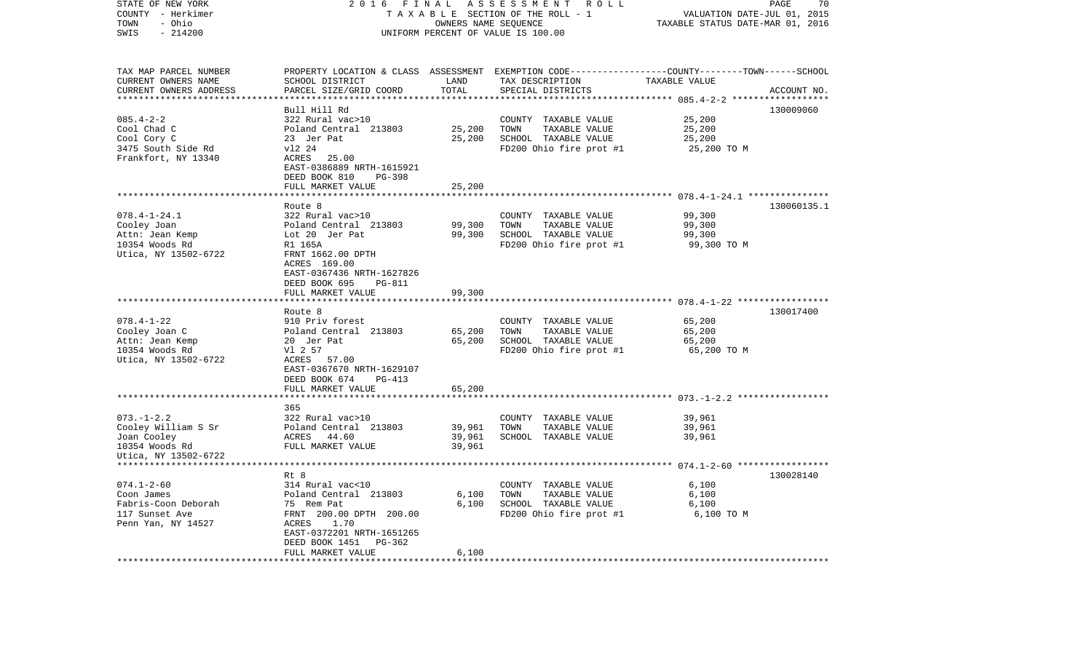| STATE OF NEW YORK<br>COUNTY - Herkimer<br>- Ohio<br>TOWN<br>SWIS<br>$-214200$                    | 2016<br>FINAL<br>TAXABLE SECTION OF THE ROLL - 1<br>UNIFORM PERCENT OF VALUE IS 100.00                                                                                                              | PAGE<br>70<br>VALUATION DATE-JUL 01, 2015<br>TAXABLE STATUS DATE-MAR 01, 2016 |                                                                                                                                         |                                           |             |
|--------------------------------------------------------------------------------------------------|-----------------------------------------------------------------------------------------------------------------------------------------------------------------------------------------------------|-------------------------------------------------------------------------------|-----------------------------------------------------------------------------------------------------------------------------------------|-------------------------------------------|-------------|
| TAX MAP PARCEL NUMBER<br>CURRENT OWNERS NAME<br>CURRENT OWNERS ADDRESS                           | SCHOOL DISTRICT<br>PARCEL SIZE/GRID COORD                                                                                                                                                           | LAND<br>TOTAL                                                                 | PROPERTY LOCATION & CLASS ASSESSMENT EXEMPTION CODE---------------COUNTY-------TOWN------SCHOOL<br>TAX DESCRIPTION<br>SPECIAL DISTRICTS | TAXABLE VALUE                             | ACCOUNT NO. |
| $085.4 - 2 - 2$<br>Cool Chad C<br>Cool Cory C<br>3475 South Side Rd<br>Frankfort, NY 13340       | Bull Hill Rd<br>322 Rural vac>10<br>Poland Central 213803<br>23 Jer Pat<br>v12 24<br>ACRES 25.00<br>EAST-0386889 NRTH-1615921<br>$PG-398$<br>DEED BOOK 810<br>FULL MARKET VALUE                     | 25,200<br>25,200<br>25,200                                                    | COUNTY TAXABLE VALUE<br>TOWN<br>TAXABLE VALUE<br>SCHOOL TAXABLE VALUE<br>FD200 Ohio fire prot #1                                        | 25,200<br>25,200<br>25,200<br>25,200 TO M | 130009060   |
|                                                                                                  |                                                                                                                                                                                                     |                                                                               |                                                                                                                                         |                                           |             |
| $078.4 - 1 - 24.1$<br>Cooley Joan<br>Attn: Jean Kemp<br>10354 Woods Rd<br>Utica, NY 13502-6722   | Route 8<br>322 Rural vac>10<br>Poland Central 213803<br>Lot 20 Jer Pat<br>R1 165A<br>FRNT 1662.00 DPTH<br>ACRES 169.00<br>EAST-0367436 NRTH-1627826<br>DEED BOOK 695<br>PG-811<br>FULL MARKET VALUE | 99,300<br>99,300<br>99,300                                                    | COUNTY TAXABLE VALUE<br>TOWN<br>TAXABLE VALUE<br>SCHOOL TAXABLE VALUE<br>FD200 Ohio fire prot #1                                        | 99,300<br>99,300<br>99,300<br>99,300 TO M | 130060135.1 |
|                                                                                                  |                                                                                                                                                                                                     |                                                                               |                                                                                                                                         |                                           |             |
| $078.4 - 1 - 22$<br>Cooley Joan C<br>Attn: Jean Kemp<br>10354 Woods Rd<br>Utica, NY 13502-6722   | Route 8<br>910 Priv forest<br>Poland Central 213803<br>20 Jer Pat<br>V1 2 57<br>ACRES 57.00<br>EAST-0367670 NRTH-1629107<br>DEED BOOK 674<br>PG-413<br>FULL MARKET VALUE                            | 65,200<br>65,200<br>65,200                                                    | COUNTY TAXABLE VALUE<br>TOWN<br>TAXABLE VALUE<br>SCHOOL TAXABLE VALUE<br>FD200 Ohio fire prot #1                                        | 65,200<br>65,200<br>65,200<br>65,200 TO M | 130017400   |
| **************************                                                                       |                                                                                                                                                                                                     |                                                                               |                                                                                                                                         |                                           |             |
| $073. - 1 - 2.2$<br>Cooley William S Sr<br>Joan Cooley<br>10354 Woods Rd<br>Utica, NY 13502-6722 | 365<br>322 Rural vac>10<br>Poland Central 213803<br>ACRES 44.60<br>FULL MARKET VALUE                                                                                                                | 39,961<br>39,961<br>39,961                                                    | COUNTY TAXABLE VALUE<br>TOWN<br>TAXABLE VALUE<br>SCHOOL TAXABLE VALUE                                                                   | 39,961<br>39,961<br>39,961                |             |
|                                                                                                  |                                                                                                                                                                                                     |                                                                               |                                                                                                                                         |                                           |             |
| $074.1 - 2 - 60$<br>Coon James<br>Fabris-Coon Deborah<br>117 Sunset Ave<br>Penn Yan, NY 14527    | Rt 8<br>314 Rural vac<10<br>Poland Central 213803<br>75 Rem Pat<br>FRNT 200.00 DPTH 200.00<br>ACRES<br>1.70<br>EAST-0372201 NRTH-1651265<br>DEED BOOK 1451<br>PG-362                                | 6,100<br>6,100                                                                | COUNTY TAXABLE VALUE<br>TOWN<br>TAXABLE VALUE<br>SCHOOL TAXABLE VALUE<br>FD200 Ohio fire prot #1                                        | 6,100<br>6,100<br>6,100<br>6,100 TO M     | 130028140   |
|                                                                                                  | FULL MARKET VALUE                                                                                                                                                                                   | 6,100<br>************                                                         |                                                                                                                                         |                                           |             |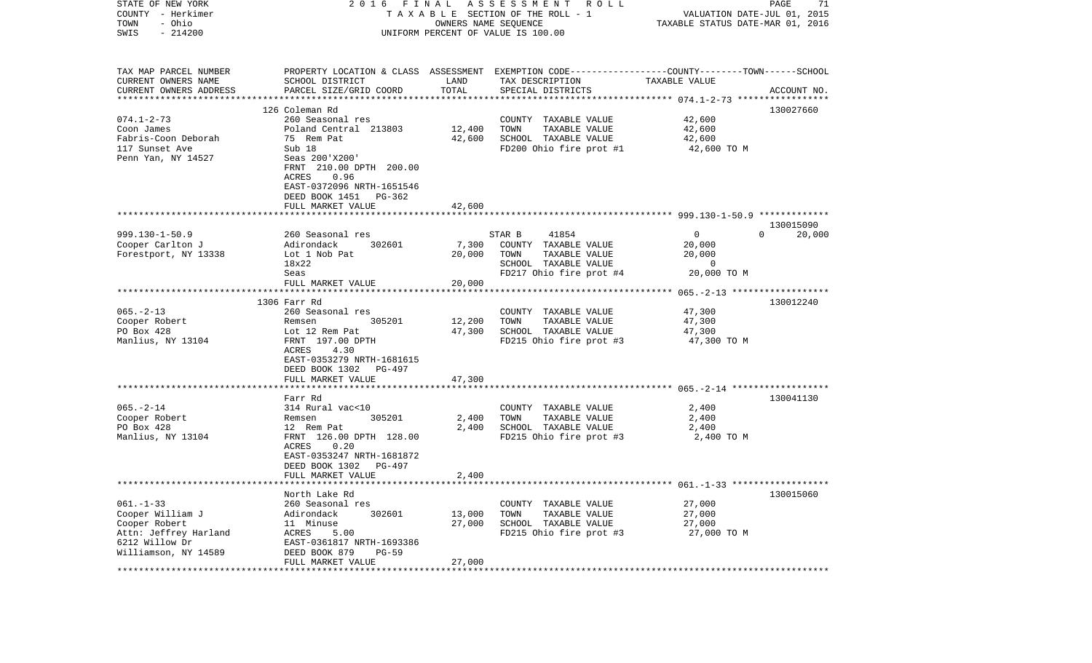| STATE OF NEW YORK<br>COUNTY - Herkimer<br>- Ohio<br>TOWN | 2016 FINAL                                            | OWNERS NAME SEQUENCE | A S S E S S M E N T R O L L<br>T A X A B L E SECTION OF THE ROLL - 1                            | VALUATION DATE-JUL 01, 2015<br>TAXABLE STATUS DATE-MAR 01, 2016 | PAGE<br>71         |
|----------------------------------------------------------|-------------------------------------------------------|----------------------|-------------------------------------------------------------------------------------------------|-----------------------------------------------------------------|--------------------|
| SWIS<br>$-214200$                                        |                                                       |                      | UNIFORM PERCENT OF VALUE IS 100.00                                                              |                                                                 |                    |
| TAX MAP PARCEL NUMBER                                    |                                                       |                      | PROPERTY LOCATION & CLASS ASSESSMENT EXEMPTION CODE---------------COUNTY-------TOWN------SCHOOL |                                                                 |                    |
| CURRENT OWNERS NAME<br>CURRENT OWNERS ADDRESS            | SCHOOL DISTRICT<br>PARCEL SIZE/GRID COORD             | LAND<br>TOTAL        | TAX DESCRIPTION<br>SPECIAL DISTRICTS                                                            | TAXABLE VALUE                                                   | ACCOUNT NO.        |
| *************************                                |                                                       |                      |                                                                                                 |                                                                 |                    |
|                                                          | 126 Coleman Rd                                        |                      |                                                                                                 |                                                                 | 130027660          |
| $074.1 - 2 - 73$                                         | 260 Seasonal res<br>Poland Central 213803             | 12,400               | COUNTY TAXABLE VALUE<br>TOWN<br>TAXABLE VALUE                                                   | 42,600<br>42,600                                                |                    |
| Coon James<br>Fabris-Coon Deborah                        | 75 Rem Pat                                            | 42,600               | SCHOOL TAXABLE VALUE                                                                            | 42,600                                                          |                    |
| 117 Sunset Ave                                           | Sub 18                                                |                      | FD200 Ohio fire prot #1                                                                         | 42,600 TO M                                                     |                    |
| Penn Yan, NY 14527                                       | Seas 200'X200'                                        |                      |                                                                                                 |                                                                 |                    |
|                                                          | FRNT 210.00 DPTH 200.00                               |                      |                                                                                                 |                                                                 |                    |
|                                                          | ACRES<br>0.96                                         |                      |                                                                                                 |                                                                 |                    |
|                                                          | EAST-0372096 NRTH-1651546<br>DEED BOOK 1451<br>PG-362 |                      |                                                                                                 |                                                                 |                    |
|                                                          | FULL MARKET VALUE                                     | 42,600               |                                                                                                 |                                                                 |                    |
|                                                          |                                                       |                      |                                                                                                 |                                                                 | 130015090          |
| $999.130 - 1 - 50.9$                                     | 260 Seasonal res                                      |                      | STAR B<br>41854                                                                                 | $\mathbf 0$                                                     | $\Omega$<br>20,000 |
| Cooper Carlton J                                         | Adirondack<br>302601                                  | 7,300                | COUNTY TAXABLE VALUE                                                                            | 20,000                                                          |                    |
| Forestport, NY 13338                                     | Lot 1 Nob Pat                                         | 20,000               | TAXABLE VALUE<br>TOWN                                                                           | 20,000                                                          |                    |
|                                                          | 18x22                                                 |                      | SCHOOL TAXABLE VALUE                                                                            | 0                                                               |                    |
|                                                          | Seas                                                  |                      | FD217 Ohio fire prot #4                                                                         | 20,000 TO M                                                     |                    |
|                                                          | FULL MARKET VALUE                                     | 20,000               |                                                                                                 |                                                                 |                    |
|                                                          | 1306 Farr Rd                                          |                      |                                                                                                 |                                                                 | 130012240          |
| $065. -2 - 13$                                           | 260 Seasonal res                                      |                      | COUNTY TAXABLE VALUE                                                                            | 47,300                                                          |                    |
| Cooper Robert                                            | 305201<br>Remsen                                      | 12,200               | TOWN<br>TAXABLE VALUE                                                                           | 47,300                                                          |                    |
| PO Box 428                                               | Lot 12 Rem Pat                                        | 47,300               | SCHOOL TAXABLE VALUE                                                                            | 47,300                                                          |                    |
| Manlius, NY 13104                                        | FRNT 197.00 DPTH                                      |                      | FD215 Ohio fire prot #3                                                                         | 47,300 TO M                                                     |                    |
|                                                          | ACRES<br>4.30                                         |                      |                                                                                                 |                                                                 |                    |
|                                                          | EAST-0353279 NRTH-1681615                             |                      |                                                                                                 |                                                                 |                    |
|                                                          | DEED BOOK 1302<br>PG-497                              |                      |                                                                                                 |                                                                 |                    |
|                                                          | FULL MARKET VALUE                                     | 47,300               |                                                                                                 |                                                                 |                    |
|                                                          | **************************                            |                      |                                                                                                 |                                                                 |                    |
|                                                          | Farr Rd                                               |                      |                                                                                                 |                                                                 | 130041130          |
| $065. - 2 - 14$                                          | 314 Rural vac<10                                      |                      | COUNTY TAXABLE VALUE                                                                            | 2,400                                                           |                    |
| Cooper Robert                                            | 305201<br>Remsen                                      | 2,400                | TOWN<br>TAXABLE VALUE                                                                           | 2,400                                                           |                    |
| PO Box 428                                               | 12 Rem Pat                                            | 2,400                | SCHOOL TAXABLE VALUE                                                                            | 2,400                                                           |                    |
| Manlius, NY 13104                                        | FRNT 126.00 DPTH 128.00<br>ACRES<br>0.20              |                      | FD215 Ohio fire prot #3                                                                         | 2,400 TO M                                                      |                    |
|                                                          | EAST-0353247 NRTH-1681872                             |                      |                                                                                                 |                                                                 |                    |
|                                                          | DEED BOOK 1302<br>PG-497                              |                      |                                                                                                 |                                                                 |                    |
|                                                          | FULL MARKET VALUE                                     | 2,400                |                                                                                                 |                                                                 |                    |
|                                                          |                                                       |                      |                                                                                                 |                                                                 |                    |
|                                                          | North Lake Rd                                         |                      |                                                                                                 |                                                                 | 130015060          |
| $061. - 1 - 33$                                          | 260 Seasonal res                                      |                      | COUNTY TAXABLE VALUE                                                                            | 27,000                                                          |                    |
| Cooper William J                                         | Adirondack<br>302601                                  | 13,000               | TOWN<br>TAXABLE VALUE                                                                           | 27,000                                                          |                    |
| Cooper Robert                                            | 11 Minuse                                             | 27,000               | SCHOOL TAXABLE VALUE                                                                            | 27,000                                                          |                    |
| Attn: Jeffrey Harland                                    | ACRES<br>5.00                                         |                      | FD215 Ohio fire prot #3                                                                         | 27,000 TO M                                                     |                    |
| 6212 Willow Dr                                           | EAST-0361817 NRTH-1693386                             |                      |                                                                                                 |                                                                 |                    |
| Williamson, NY 14589                                     | DEED BOOK 879<br>$PG-59$                              |                      |                                                                                                 |                                                                 |                    |
|                                                          | FULL MARKET VALUE                                     | 27,000               |                                                                                                 |                                                                 |                    |
| **********                                               |                                                       |                      |                                                                                                 |                                                                 |                    |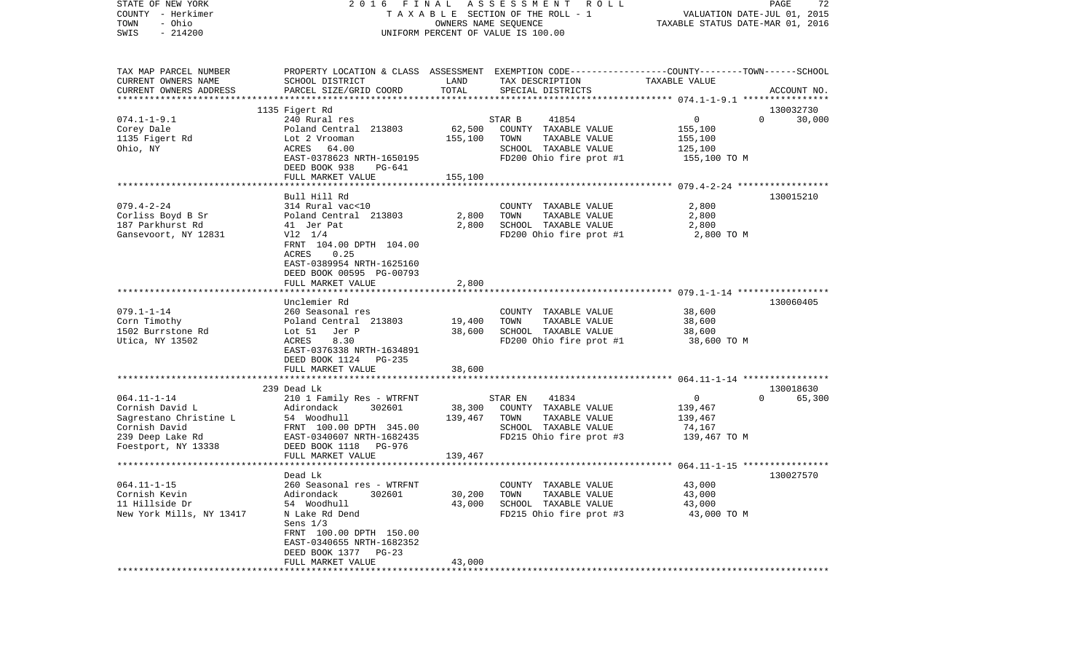| STATE OF NEW YORK<br>COUNTY - Herkimer<br>- Ohio<br>TOWN<br>$-214200$<br>SWIS                                              | 2016 FINAL ASSESSMENT ROLL<br>TAXABLE SECTION OF THE ROLL - 1<br>OWNERS NAME SEQUENCE<br>UNIFORM PERCENT OF VALUE IS 100.00                                                                                      |                              |                                                                                                                                         | PAGE<br>72<br>VALUATION DATE-JUL 01, 2015<br>TAXABLE STATUS DATE-MAR 01, 2016 |                                 |  |
|----------------------------------------------------------------------------------------------------------------------------|------------------------------------------------------------------------------------------------------------------------------------------------------------------------------------------------------------------|------------------------------|-----------------------------------------------------------------------------------------------------------------------------------------|-------------------------------------------------------------------------------|---------------------------------|--|
| TAX MAP PARCEL NUMBER<br>CURRENT OWNERS NAME<br>CURRENT OWNERS ADDRESS                                                     | SCHOOL DISTRICT<br>PARCEL SIZE/GRID COORD                                                                                                                                                                        | LAND<br>TOTAL                | PROPERTY LOCATION & CLASS ASSESSMENT EXEMPTION CODE---------------COUNTY-------TOWN------SCHOOL<br>TAX DESCRIPTION<br>SPECIAL DISTRICTS | TAXABLE VALUE                                                                 | ACCOUNT NO.                     |  |
| $074.1 - 1 - 9.1$<br>Corey Dale<br>1135 Figert Rd<br>Ohio, NY                                                              | 1135 Figert Rd<br>240 Rural res<br>Poland Central 213803<br>Lot 2 Vrooman<br>ACRES 64.00<br>EAST-0378623 NRTH-1650195<br>DEED BOOK 938<br>PG-641<br>FULL MARKET VALUE                                            | 62,500<br>155,100<br>155,100 | 41854<br>STAR B<br>COUNTY TAXABLE VALUE<br>TOWN<br>TAXABLE VALUE<br>SCHOOL TAXABLE VALUE<br>FD200 Ohio fire prot #1                     | 0<br>155,100<br>155,100<br>125,100<br>155,100 TO M                            | 130032730<br>30,000<br>$\Omega$ |  |
| $079.4 - 2 - 24$<br>Corliss Boyd B Sr<br>187 Parkhurst Rd<br>Gansevoort, NY 12831                                          | Bull Hill Rd<br>314 Rural vac<10<br>Poland Central 213803<br>41 Jer Pat<br>$V12 \t1/4$<br>FRNT 104.00 DPTH 104.00<br>0.25<br>ACRES<br>EAST-0389954 NRTH-1625160<br>DEED BOOK 00595 PG-00793<br>FULL MARKET VALUE | 2,800<br>2,800<br>2,800      | COUNTY TAXABLE VALUE<br>TAXABLE VALUE<br>TOWN<br>SCHOOL TAXABLE VALUE<br>FD200 Ohio fire prot #1                                        | 2,800<br>2,800<br>2,800<br>2,800 TO M                                         | 130015210                       |  |
| $079.1 - 1 - 14$<br>Corn Timothy<br>1502 Burrstone Rd<br>Utica, NY 13502                                                   | Unclemier Rd<br>260 Seasonal res<br>Poland Central 213803<br>Lot 51 Jer P<br>8.30<br>ACRES<br>EAST-0376338 NRTH-1634891<br>DEED BOOK 1124 PG-235                                                                 | 19,400<br>38,600             | COUNTY TAXABLE VALUE<br>TAXABLE VALUE<br>TOWN<br>SCHOOL TAXABLE VALUE<br>FD200 Ohio fire prot #1                                        | 38,600<br>38,600<br>38,600<br>38,600 TO M                                     | 130060405                       |  |
|                                                                                                                            | FULL MARKET VALUE<br>************************                                                                                                                                                                    | 38,600                       |                                                                                                                                         |                                                                               |                                 |  |
| $064.11 - 1 - 14$<br>Cornish David L<br>Sagrestano Christine L<br>Cornish David<br>239 Deep Lake Rd<br>Foestport, NY 13338 | 239 Dead Lk<br>210 1 Family Res - WTRFNT<br>Adirondack<br>302601<br>54 Woodhull<br>FRNT 100.00 DPTH 345.00<br>EAST-0340607 NRTH-1682435<br>DEED BOOK 1118 PG-976<br>FULL MARKET VALUE                            | 38,300<br>139,467<br>139,467 | STAR EN<br>41834<br>COUNTY TAXABLE VALUE<br>TOWN<br>TAXABLE VALUE<br>SCHOOL TAXABLE VALUE<br>FD215 Ohio fire prot #3                    | $\overline{0}$<br>139,467<br>139,467<br>74,167<br>139,467 TO M                | 130018630<br>65,300<br>$\Omega$ |  |
| $064.11 - 1 - 15$<br>Cornish Kevin<br>11 Hillside Dr<br>New York Mills, NY 13417                                           | Dead Lk<br>260 Seasonal res - WTRFNT<br>Adirondack<br>302601<br>54 Woodhull<br>N Lake Rd Dend<br>Sens $1/3$<br>FRNT 100.00 DPTH 150.00<br>EAST-0340655 NRTH-1682352<br>DEED BOOK 1377 PG-23<br>FULL MARKET VALUE | 30,200<br>43,000<br>43,000   | COUNTY TAXABLE VALUE<br>TAXABLE VALUE<br>TOWN<br>SCHOOL TAXABLE VALUE<br>FD215 Ohio fire prot #3                                        | 43,000<br>43,000<br>43,000<br>43,000 TO M                                     | 130027570                       |  |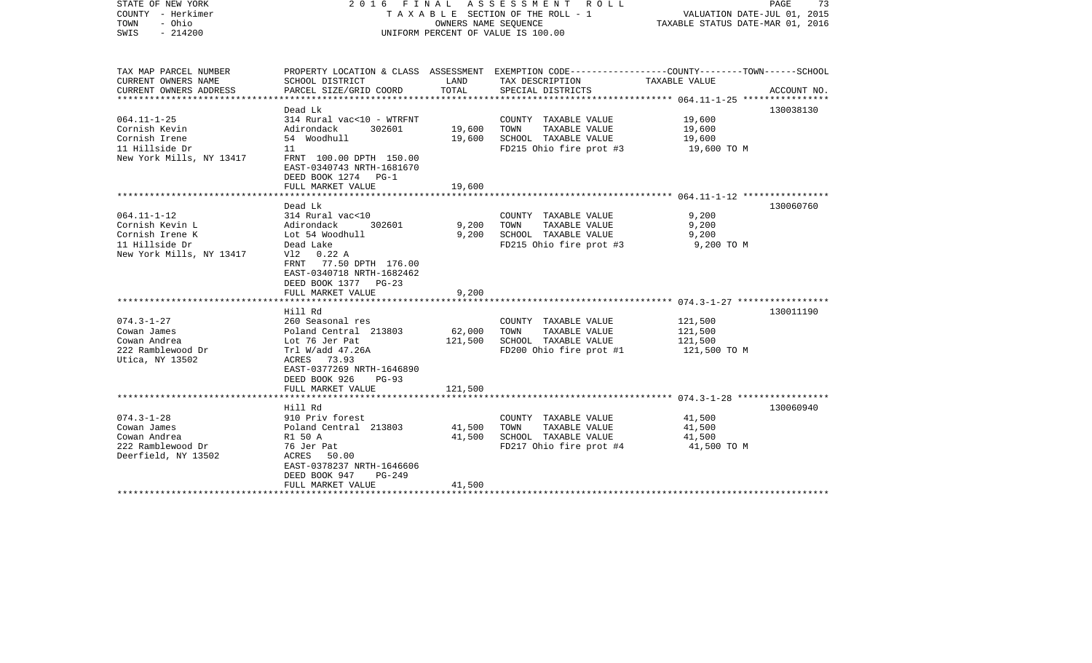| STATE OF NEW YORK<br>COUNTY - Herkimer<br>- Ohio<br>TOWN<br>$-214200$<br>SWIS                         | 2016 FINAL<br>T A X A B L E SECTION OF THE ROLL - 1<br>UNIFORM PERCENT OF VALUE IS 100.00                                                                                                  | PAGE<br>73<br>VALUATION DATE-JUL 01, 2015<br>TAXABLE STATUS DATE-MAR 01, 2016 |                                                                                                  |                                                                                                                                 |  |
|-------------------------------------------------------------------------------------------------------|--------------------------------------------------------------------------------------------------------------------------------------------------------------------------------------------|-------------------------------------------------------------------------------|--------------------------------------------------------------------------------------------------|---------------------------------------------------------------------------------------------------------------------------------|--|
| TAX MAP PARCEL NUMBER<br>CURRENT OWNERS NAME<br>CURRENT OWNERS ADDRESS<br>*******************         | SCHOOL DISTRICT<br>PARCEL SIZE/GRID COORD<br>*******************                                                                                                                           | LAND<br>TOTAL<br>* * * * * * * * * * *                                        | TAX DESCRIPTION<br>SPECIAL DISTRICTS                                                             | PROPERTY LOCATION & CLASS ASSESSMENT EXEMPTION CODE---------------COUNTY-------TOWN------SCHOOL<br>TAXABLE VALUE<br>ACCOUNT NO. |  |
| $064.11 - 1 - 25$<br>Cornish Kevin<br>Cornish Irene<br>11 Hillside Dr<br>New York Mills, NY 13417     | Dead Lk<br>314 Rural vac<10 - WTRFNT<br>Adirondack<br>302601<br>54 Woodhull<br>11<br>FRNT 100.00 DPTH 150.00<br>EAST-0340743 NRTH-1681670<br>DEED BOOK 1274<br>$PG-1$<br>FULL MARKET VALUE | 19,600<br>19,600<br>19,600                                                    | COUNTY TAXABLE VALUE<br>TAXABLE VALUE<br>TOWN<br>SCHOOL TAXABLE VALUE<br>FD215 Ohio fire prot #3 | 130038130<br>19,600<br>19,600<br>19,600<br>19,600 TO M                                                                          |  |
|                                                                                                       | ******************                                                                                                                                                                         |                                                                               |                                                                                                  |                                                                                                                                 |  |
| $064.11 - 1 - 12$<br>Cornish Kevin L<br>Cornish Irene K<br>11 Hillside Dr<br>New York Mills, NY 13417 | Dead Lk<br>314 Rural vac<10<br>Adirondack<br>302601<br>Lot 54 Woodhull<br>Dead Lake<br>V12 0.22 A<br>77.50 DPTH 176.00<br>FRNT<br>EAST-0340718 NRTH-1682462<br>DEED BOOK 1377<br>$PG-23$   | 9,200<br>9,200                                                                | COUNTY TAXABLE VALUE<br>TOWN<br>TAXABLE VALUE<br>SCHOOL TAXABLE VALUE<br>FD215 Ohio fire prot #3 | 130060760<br>9,200<br>9,200<br>9,200<br>9,200 TO M                                                                              |  |
|                                                                                                       | FULL MARKET VALUE<br>*************************                                                                                                                                             | 9,200                                                                         |                                                                                                  |                                                                                                                                 |  |
| $074.3 - 1 - 27$<br>Cowan James<br>Cowan Andrea<br>222 Ramblewood Dr<br>Utica, NY 13502               | Hill Rd<br>260 Seasonal res<br>Poland Central 213803<br>Lot 76 Jer Pat<br>Trl W/add 47.26A<br>ACRES<br>73.93<br>EAST-0377269 NRTH-1646890<br>DEED BOOK 926<br>$PG-93$                      | 62,000<br>121,500<br>121,500                                                  | COUNTY TAXABLE VALUE<br>TOWN<br>TAXABLE VALUE<br>SCHOOL TAXABLE VALUE<br>FD200 Ohio fire prot #1 | 130011190<br>121,500<br>121,500<br>121,500<br>121,500 TO M                                                                      |  |
|                                                                                                       | FULL MARKET VALUE<br>********************                                                                                                                                                  |                                                                               |                                                                                                  |                                                                                                                                 |  |
| $074.3 - 1 - 28$<br>Cowan James<br>Cowan Andrea<br>222 Ramblewood Dr<br>Deerfield, NY 13502           | Hill Rd<br>910 Priv forest<br>Poland Central 213803<br>R1 50 A<br>76 Jer Pat<br>ACRES<br>50.00<br>EAST-0378237 NRTH-1646606<br>DEED BOOK 947<br>$PG-249$<br>FULL MARKET VALUE              | 41,500<br>41,500<br>41,500                                                    | COUNTY TAXABLE VALUE<br>TAXABLE VALUE<br>TOWN<br>SCHOOL TAXABLE VALUE<br>FD217 Ohio fire prot #4 | 130060940<br>41,500<br>41,500<br>41,500<br>41,500 TO M                                                                          |  |
|                                                                                                       |                                                                                                                                                                                            |                                                                               |                                                                                                  |                                                                                                                                 |  |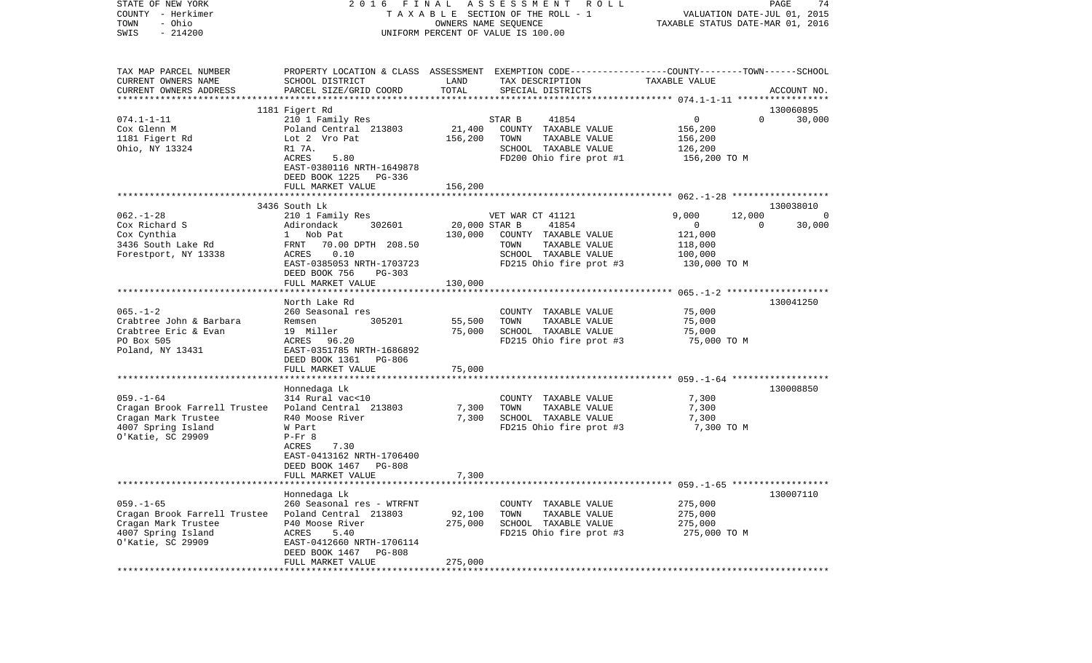| STATE OF NEW YORK<br>2016 FINAL ASSESSMENT<br>COUNTY - Herkimer<br>TAXABLE SECTION OF THE ROLL - 1<br>- Ohio<br>TOWN<br>OWNERS NAME SEQUENCE<br>$-214200$<br>SWIS<br>UNIFORM PERCENT OF VALUE IS 100.00 |                                                                                                                                                                             |                              | R O L L                                                                                                                                 | PAGE<br>74<br>VALUATION DATE-JUL 01, 2015<br>TAXABLE STATUS DATE-MAR 01, 2016      |                                      |  |
|---------------------------------------------------------------------------------------------------------------------------------------------------------------------------------------------------------|-----------------------------------------------------------------------------------------------------------------------------------------------------------------------------|------------------------------|-----------------------------------------------------------------------------------------------------------------------------------------|------------------------------------------------------------------------------------|--------------------------------------|--|
| TAX MAP PARCEL NUMBER<br>CURRENT OWNERS NAME<br>CURRENT OWNERS ADDRESS<br>***********************                                                                                                       | SCHOOL DISTRICT<br>PARCEL SIZE/GRID COORD                                                                                                                                   | LAND<br>TOTAL                | PROPERTY LOCATION & CLASS ASSESSMENT EXEMPTION CODE---------------COUNTY-------TOWN------SCHOOL<br>TAX DESCRIPTION<br>SPECIAL DISTRICTS | TAXABLE VALUE                                                                      | ACCOUNT NO.                          |  |
| $074.1 - 1 - 11$<br>Cox Glenn M<br>1181 Figert Rd<br>Ohio, NY 13324                                                                                                                                     | 1181 Figert Rd<br>210 1 Family Res<br>Poland Central 213803<br>Lot 2 Vro Pat<br>R1 7A.<br>ACRES<br>5.80<br>EAST-0380116 NRTH-1649878<br>DEED BOOK 1225<br>PG-336            | 21,400<br>156,200            | 41854<br>STAR B<br>COUNTY TAXABLE VALUE<br>TOWN<br>TAXABLE VALUE<br>SCHOOL TAXABLE VALUE<br>FD200 Ohio fire prot #1                     | 0<br>156,200<br>156,200<br>126,200<br>156,200 TO M                                 | 130060895<br>$\Omega$<br>30,000      |  |
|                                                                                                                                                                                                         | FULL MARKET VALUE                                                                                                                                                           | 156,200                      |                                                                                                                                         |                                                                                    |                                      |  |
| $062. - 1 - 28$<br>Cox Richard S<br>Cox Cynthia<br>3436 South Lake Rd<br>Forestport, NY 13338                                                                                                           | 3436 South Lk<br>210 1 Family Res<br>302601<br>Adirondack<br>1 Nob Pat<br>FRNT 70.00 DPTH 208.50<br>ACRES<br>0.10<br>EAST-0385053 NRTH-1703723<br>DEED BOOK 756<br>$PG-303$ | 20,000 STAR B<br>130,000     | VET WAR CT 41121<br>41854<br>COUNTY TAXABLE VALUE<br>TOWN<br>TAXABLE VALUE<br>SCHOOL TAXABLE VALUE<br>FD215 Ohio fire prot #3           | 9,000<br>12,000<br>$\overline{0}$<br>121,000<br>118,000<br>100,000<br>130,000 TO M | 130038010<br>0<br>$\Omega$<br>30,000 |  |
|                                                                                                                                                                                                         | FULL MARKET VALUE                                                                                                                                                           | 130,000                      |                                                                                                                                         |                                                                                    |                                      |  |
| $065. - 1 - 2$<br>Crabtree John & Barbara<br>Crabtree Eric & Evan<br>PO Box 505<br>Poland, NY 13431                                                                                                     | North Lake Rd<br>260 Seasonal res<br>305201<br>Remsen<br>19 Miller<br>ACRES<br>96.20<br>EAST-0351785 NRTH-1686892<br>DEED BOOK 1361<br>PG-806<br>FULL MARKET VALUE          | 55,500<br>75,000<br>75,000   | COUNTY TAXABLE VALUE<br>TOWN<br>TAXABLE VALUE<br>SCHOOL TAXABLE VALUE<br>FD215 Ohio fire prot #3                                        | 75,000<br>75,000<br>75,000<br>75,000 TO M                                          | 130041250                            |  |
| $059. - 1 - 64$<br>Cragan Brook Farrell Trustee Poland Central 213803<br>Cragan Mark Trustee<br>4007 Spring Island<br>0'Katie, SC 29909                                                                 | *******************<br>Honnedaga Lk<br>314 Rural vac<10<br>R40 Moose River<br>W Part<br>$P-Fr$ 8<br>7.30<br>ACRES<br>EAST-0413162 NRTH-1706400<br>DEED BOOK 1467<br>PG-808  | 7,300<br>7,300               | COUNTY TAXABLE VALUE<br>TOWN<br>TAXABLE VALUE<br>SCHOOL TAXABLE VALUE<br>FD215 Ohio fire prot #3                                        | 7,300<br>7,300<br>7,300<br>7,300 TO M                                              | 130008850                            |  |
|                                                                                                                                                                                                         | FULL MARKET VALUE<br>Honnedaga Lk                                                                                                                                           | 7,300                        |                                                                                                                                         |                                                                                    | 130007110                            |  |
| $059. - 1 - 65$<br>Cragan Brook Farrell Trustee<br>Cragan Mark Trustee<br>4007 Spring Island<br>0'Katie, SC 29909                                                                                       | 260 Seasonal res - WTRFNT<br>Poland Central 213803<br>P40 Moose River<br>ACRES<br>5.40<br>EAST-0412660 NRTH-1706114<br>DEED BOOK 1467<br><b>PG-808</b><br>FULL MARKET VALUE | 92,100<br>275,000<br>275,000 | COUNTY TAXABLE VALUE<br>TOWN<br>TAXABLE VALUE<br>SCHOOL TAXABLE VALUE<br>FD215 Ohio fire prot #3                                        | 275,000<br>275,000<br>275,000<br>275,000 TO M                                      |                                      |  |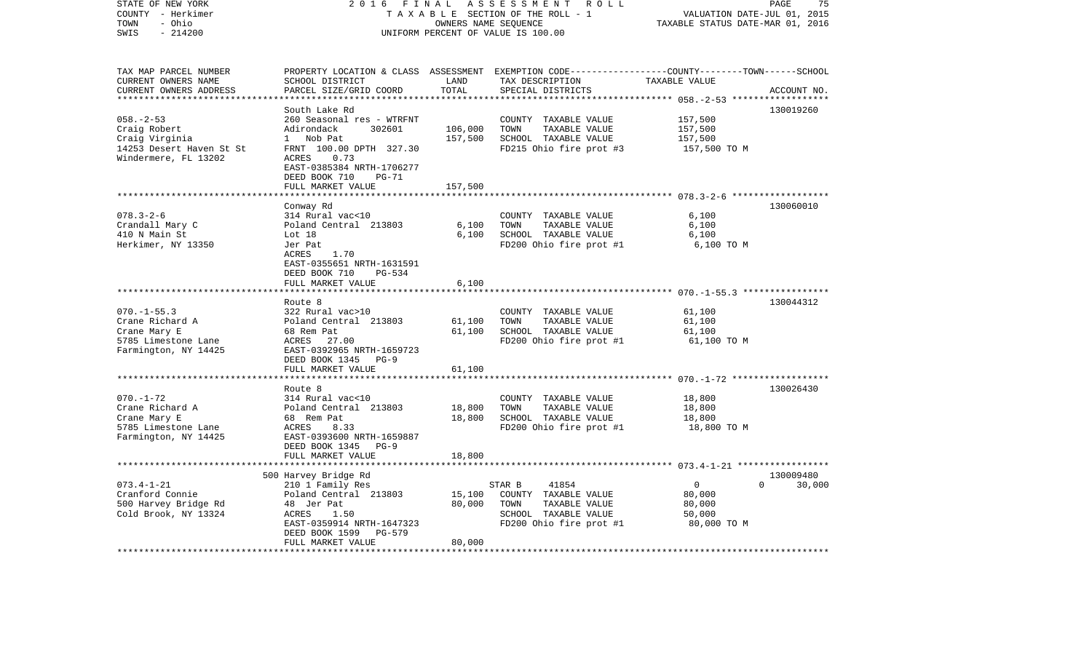| STATE OF NEW YORK<br>COUNTY - Herkimer<br>- Ohio<br>TOWN                 | 2 0 1 6<br>FINAL<br>TAXABLE SECTION OF THE ROLL - 1                                                                 | 75<br>PAGE<br>VALUATION DATE-JUL 01, 2015<br>TAXABLE STATUS DATE-MAR 01, 2016 |                                                                                                 |                         |                    |
|--------------------------------------------------------------------------|---------------------------------------------------------------------------------------------------------------------|-------------------------------------------------------------------------------|-------------------------------------------------------------------------------------------------|-------------------------|--------------------|
| $-214200$<br>SWIS                                                        |                                                                                                                     | OWNERS NAME SEQUENCE                                                          | UNIFORM PERCENT OF VALUE IS 100.00                                                              |                         |                    |
| TAX MAP PARCEL NUMBER                                                    |                                                                                                                     |                                                                               | PROPERTY LOCATION & CLASS ASSESSMENT EXEMPTION CODE---------------COUNTY-------TOWN------SCHOOL |                         |                    |
| CURRENT OWNERS NAME<br>CURRENT OWNERS ADDRESS<br>*********************** | SCHOOL DISTRICT<br>PARCEL SIZE/GRID COORD                                                                           | LAND<br>TOTAL                                                                 | TAX DESCRIPTION<br>SPECIAL DISTRICTS                                                            | TAXABLE VALUE           | ACCOUNT NO.        |
|                                                                          | South Lake Rd                                                                                                       |                                                                               |                                                                                                 |                         | 130019260          |
| $058. - 2 - 53$<br>Craig Robert                                          | 260 Seasonal res - WTRFNT<br>Adirondack<br>302601                                                                   | 106,000                                                                       | COUNTY TAXABLE VALUE<br>TAXABLE VALUE<br>TOWN                                                   | 157,500<br>157,500      |                    |
| Craig Virginia<br>14253 Desert Haven St St<br>Windermere, FL 13202       | 1 Nob Pat<br>FRNT 100.00 DPTH 327.30<br>ACRES<br>0.73<br>EAST-0385384 NRTH-1706277<br>DEED BOOK 710<br><b>PG-71</b> | 157,500                                                                       | SCHOOL TAXABLE VALUE<br>FD215 Ohio fire prot #3                                                 | 157,500<br>157,500 TO M |                    |
|                                                                          | FULL MARKET VALUE                                                                                                   | 157,500                                                                       |                                                                                                 |                         |                    |
|                                                                          | Conway Rd                                                                                                           |                                                                               |                                                                                                 |                         | 130060010          |
| $078.3 - 2 - 6$                                                          | 314 Rural vac<10<br>Poland Central 213803                                                                           | 6,100                                                                         | COUNTY TAXABLE VALUE<br>TOWN<br>TAXABLE VALUE                                                   | 6,100<br>6,100          |                    |
| Crandall Mary C<br>410 N Main St                                         | Lot 18                                                                                                              | 6,100                                                                         | SCHOOL TAXABLE VALUE                                                                            | 6,100                   |                    |
| Herkimer, NY 13350                                                       | Jer Pat<br>1.70<br>ACRES<br>EAST-0355651 NRTH-1631591<br>DEED BOOK 710<br><b>PG-534</b><br>FULL MARKET VALUE        | 6,100                                                                         | FD200 Ohio fire prot #1                                                                         | 6,100 TO M              |                    |
|                                                                          |                                                                                                                     | * * * * * * * * * * *                                                         |                                                                                                 |                         |                    |
|                                                                          | Route 8                                                                                                             |                                                                               |                                                                                                 |                         | 130044312          |
| $070. -1 - 55.3$                                                         | 322 Rural vac>10                                                                                                    |                                                                               | COUNTY TAXABLE VALUE                                                                            | 61,100                  |                    |
| Crane Richard A                                                          | Poland Central 213803                                                                                               | 61,100                                                                        | TOWN<br>TAXABLE VALUE                                                                           | 61,100                  |                    |
| Crane Mary E<br>5785 Limestone Lane                                      | 68 Rem Pat<br>ACRES<br>27.00                                                                                        | 61,100                                                                        | SCHOOL TAXABLE VALUE<br>FD200 Ohio fire prot #1                                                 | 61,100<br>61,100 TO M   |                    |
| Farmington, NY 14425                                                     | EAST-0392965 NRTH-1659723<br>DEED BOOK 1345<br>$PG-9$                                                               |                                                                               |                                                                                                 |                         |                    |
|                                                                          | FULL MARKET VALUE                                                                                                   | 61,100                                                                        |                                                                                                 |                         |                    |
|                                                                          | **************************<br>Route 8                                                                               |                                                                               |                                                                                                 |                         | 130026430          |
| $070. - 1 - 72$                                                          | 314 Rural vac<10                                                                                                    |                                                                               | COUNTY TAXABLE VALUE                                                                            | 18,800                  |                    |
| Crane Richard A                                                          | Poland Central 213803                                                                                               | 18,800                                                                        | TAXABLE VALUE<br>TOWN                                                                           | 18,800                  |                    |
| Crane Mary E                                                             | 68 Rem Pat                                                                                                          | 18,800                                                                        | SCHOOL TAXABLE VALUE                                                                            | 18,800                  |                    |
| 5785 Limestone Lane<br>Farmington, NY 14425                              | ACRES<br>8.33<br>EAST-0393600 NRTH-1659887                                                                          |                                                                               | FD200 Ohio fire prot #1                                                                         | 18,800 TO M             |                    |
|                                                                          | DEED BOOK 1345<br>$PG-9$<br>FULL MARKET VALUE                                                                       | 18,800                                                                        |                                                                                                 |                         |                    |
|                                                                          | *********************                                                                                               |                                                                               |                                                                                                 |                         |                    |
|                                                                          | 500 Harvey Bridge Rd                                                                                                |                                                                               |                                                                                                 |                         | 130009480          |
| $073.4 - 1 - 21$                                                         | 210 1 Family Res                                                                                                    |                                                                               | STAR B<br>41854                                                                                 | $\mathbf 0$             | $\Omega$<br>30,000 |
| Cranford Connie                                                          | Poland Central 213803                                                                                               | 15,100                                                                        | COUNTY TAXABLE VALUE                                                                            | 80,000                  |                    |
| 500 Harvey Bridge Rd                                                     | 48 Jer Pat                                                                                                          | 80,000                                                                        | TOWN<br>TAXABLE VALUE                                                                           | 80,000                  |                    |
| Cold Brook, NY 13324                                                     | ACRES<br>1.50<br>EAST-0359914 NRTH-1647323<br>DEED BOOK 1599<br>PG-579                                              |                                                                               | SCHOOL TAXABLE VALUE<br>FD200 Ohio fire prot #1                                                 | 50,000<br>80,000 TO M   |                    |
|                                                                          | FULL MARKET VALUE                                                                                                   | 80,000                                                                        |                                                                                                 |                         |                    |
|                                                                          |                                                                                                                     |                                                                               |                                                                                                 |                         |                    |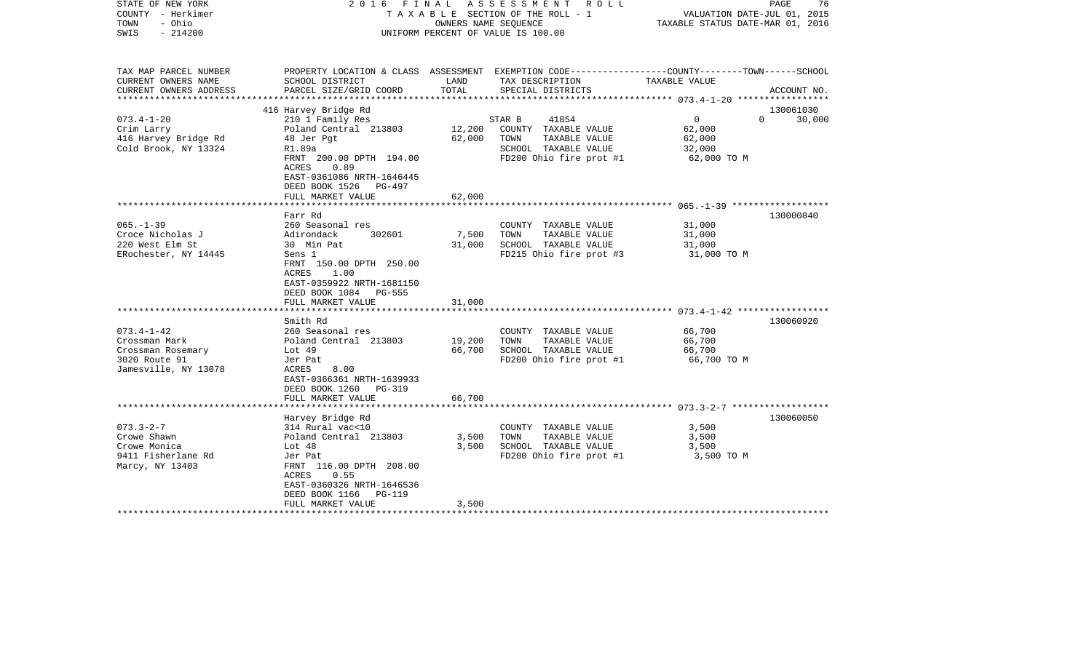| TAX MAP PARCEL NUMBER<br>PROPERTY LOCATION & CLASS ASSESSMENT EXEMPTION CODE----------------COUNTY-------TOWN------SCHOOL<br>CURRENT OWNERS NAME<br>SCHOOL DISTRICT<br>LAND<br>TAX DESCRIPTION<br>TAXABLE VALUE<br>TOTAL<br>PARCEL SIZE/GRID COORD<br>SPECIAL DISTRICTS<br>CURRENT OWNERS ADDRESS<br>ACCOUNT NO.<br>**********************<br>416 Harvey Bridge Rd<br>130061030<br>$073.4 - 1 - 20$<br>210 1 Family Res<br>$\overline{0}$<br>STAR B<br>41854<br>$\Omega$<br>30,000<br>Poland Central 213803<br>12,200<br>Crim Larry<br>COUNTY TAXABLE VALUE<br>62,000<br>62,000<br>TAXABLE VALUE<br>416 Harvey Bridge Rd<br>48 Jer Pgt<br>TOWN<br>62,000<br>Cold Brook, NY 13324<br>SCHOOL TAXABLE VALUE<br>R1.89a<br>32,000<br>FRNT 200.00 DPTH 194.00<br>FD200 Ohio fire prot #1<br>62,000 TO M<br>ACRES<br>0.89<br>EAST-0361086 NRTH-1646445<br>DEED BOOK 1526 PG-497<br>FULL MARKET VALUE<br>62,000<br>************************* 065. -1-39 *******************<br>130000840<br>Farr Rd<br>$065. - 1 - 39$<br>260 Seasonal res<br>31,000<br>COUNTY TAXABLE VALUE<br>7,500<br>TOWN<br>TAXABLE VALUE<br>Croce Nicholas J<br>Adirondack<br>302601<br>31,000<br>SCHOOL TAXABLE VALUE<br>220 West Elm St<br>30 Min Pat<br>31,000<br>31,000<br>ERochester, NY 14445<br>Sens 1<br>FD215 Ohio fire prot #3<br>31,000 TO M<br>FRNT 150.00 DPTH 250.00<br>ACRES<br>1.00<br>EAST-0359922 NRTH-1681150<br>DEED BOOK 1084 PG-555<br>FULL MARKET VALUE<br>31,000<br>******************<br>***********<br>Smith Rd<br>130060920<br>$073.4 - 1 - 42$<br>260 Seasonal res<br>66,700<br>COUNTY TAXABLE VALUE<br>19,200<br>Crossman Mark<br>Poland Central 213803<br>TOWN<br>TAXABLE VALUE<br>66,700<br>66,700<br>SCHOOL TAXABLE VALUE<br>66,700<br>Crossman Rosemary<br>Lot $49$<br>FD200 Ohio fire prot #1<br>3020 Route 91<br>Jer Pat<br>66,700 TO M<br>Jamesville, NY 13078<br>ACRES<br>8.00<br>EAST-0366361 NRTH-1639933<br>DEED BOOK 1260<br>PG-319<br>FULL MARKET VALUE<br>66,700<br>**************************<br>130060050<br>Harvey Bridge Rd<br>$073.3 - 2 - 7$<br>314 Rural vac<10<br>COUNTY TAXABLE VALUE<br>3,500<br>Crowe Shawn<br>Poland Central 213803<br>3,500<br>TOWN<br>TAXABLE VALUE<br>3,500<br>Crowe Monica<br>3,500<br>SCHOOL TAXABLE VALUE<br>3,500<br>Lot $48$<br>FD200 Ohio fire prot #1<br>9411 Fisherlane Rd<br>Jer Pat<br>3,500 TO M<br>FRNT 116.00 DPTH 208.00<br>Marcy, NY 13403<br>ACRES<br>0.55<br>EAST-0360326 NRTH-1646536<br>DEED BOOK 1166<br>PG-119<br>FULL MARKET VALUE<br>3,500 | STATE OF NEW YORK<br>COUNTY - Herkimer<br>TOWN<br>- Ohio<br>$-214200$<br>SWIS | 2016 | FINAL<br>OWNERS NAME SEQUENCE | A S S E S S M E N T R O L L<br>TAXABLE SECTION OF THE ROLL - 1<br>UNIFORM PERCENT OF VALUE IS 100.00 | VALUATION DATE-JUL 01, 2015<br>TAXABLE STATUS DATE-MAR 01, 2016 | PAGE<br>76 |
|-----------------------------------------------------------------------------------------------------------------------------------------------------------------------------------------------------------------------------------------------------------------------------------------------------------------------------------------------------------------------------------------------------------------------------------------------------------------------------------------------------------------------------------------------------------------------------------------------------------------------------------------------------------------------------------------------------------------------------------------------------------------------------------------------------------------------------------------------------------------------------------------------------------------------------------------------------------------------------------------------------------------------------------------------------------------------------------------------------------------------------------------------------------------------------------------------------------------------------------------------------------------------------------------------------------------------------------------------------------------------------------------------------------------------------------------------------------------------------------------------------------------------------------------------------------------------------------------------------------------------------------------------------------------------------------------------------------------------------------------------------------------------------------------------------------------------------------------------------------------------------------------------------------------------------------------------------------------------------------------------------------------------------------------------------------------------------------------------------------------------------------------------------------------------------------------------------------------------------------------------------------------------------------------------------------------------------------------------------------------------------------------------------------------------------------------------------------------------------------------------------------|-------------------------------------------------------------------------------|------|-------------------------------|------------------------------------------------------------------------------------------------------|-----------------------------------------------------------------|------------|
|                                                                                                                                                                                                                                                                                                                                                                                                                                                                                                                                                                                                                                                                                                                                                                                                                                                                                                                                                                                                                                                                                                                                                                                                                                                                                                                                                                                                                                                                                                                                                                                                                                                                                                                                                                                                                                                                                                                                                                                                                                                                                                                                                                                                                                                                                                                                                                                                                                                                                                           |                                                                               |      |                               |                                                                                                      |                                                                 |            |
|                                                                                                                                                                                                                                                                                                                                                                                                                                                                                                                                                                                                                                                                                                                                                                                                                                                                                                                                                                                                                                                                                                                                                                                                                                                                                                                                                                                                                                                                                                                                                                                                                                                                                                                                                                                                                                                                                                                                                                                                                                                                                                                                                                                                                                                                                                                                                                                                                                                                                                           |                                                                               |      |                               |                                                                                                      |                                                                 |            |
|                                                                                                                                                                                                                                                                                                                                                                                                                                                                                                                                                                                                                                                                                                                                                                                                                                                                                                                                                                                                                                                                                                                                                                                                                                                                                                                                                                                                                                                                                                                                                                                                                                                                                                                                                                                                                                                                                                                                                                                                                                                                                                                                                                                                                                                                                                                                                                                                                                                                                                           |                                                                               |      |                               |                                                                                                      |                                                                 |            |
|                                                                                                                                                                                                                                                                                                                                                                                                                                                                                                                                                                                                                                                                                                                                                                                                                                                                                                                                                                                                                                                                                                                                                                                                                                                                                                                                                                                                                                                                                                                                                                                                                                                                                                                                                                                                                                                                                                                                                                                                                                                                                                                                                                                                                                                                                                                                                                                                                                                                                                           |                                                                               |      |                               |                                                                                                      |                                                                 |            |
|                                                                                                                                                                                                                                                                                                                                                                                                                                                                                                                                                                                                                                                                                                                                                                                                                                                                                                                                                                                                                                                                                                                                                                                                                                                                                                                                                                                                                                                                                                                                                                                                                                                                                                                                                                                                                                                                                                                                                                                                                                                                                                                                                                                                                                                                                                                                                                                                                                                                                                           |                                                                               |      |                               |                                                                                                      |                                                                 |            |
|                                                                                                                                                                                                                                                                                                                                                                                                                                                                                                                                                                                                                                                                                                                                                                                                                                                                                                                                                                                                                                                                                                                                                                                                                                                                                                                                                                                                                                                                                                                                                                                                                                                                                                                                                                                                                                                                                                                                                                                                                                                                                                                                                                                                                                                                                                                                                                                                                                                                                                           |                                                                               |      |                               |                                                                                                      |                                                                 |            |
|                                                                                                                                                                                                                                                                                                                                                                                                                                                                                                                                                                                                                                                                                                                                                                                                                                                                                                                                                                                                                                                                                                                                                                                                                                                                                                                                                                                                                                                                                                                                                                                                                                                                                                                                                                                                                                                                                                                                                                                                                                                                                                                                                                                                                                                                                                                                                                                                                                                                                                           |                                                                               |      |                               |                                                                                                      |                                                                 |            |
|                                                                                                                                                                                                                                                                                                                                                                                                                                                                                                                                                                                                                                                                                                                                                                                                                                                                                                                                                                                                                                                                                                                                                                                                                                                                                                                                                                                                                                                                                                                                                                                                                                                                                                                                                                                                                                                                                                                                                                                                                                                                                                                                                                                                                                                                                                                                                                                                                                                                                                           |                                                                               |      |                               |                                                                                                      |                                                                 |            |
|                                                                                                                                                                                                                                                                                                                                                                                                                                                                                                                                                                                                                                                                                                                                                                                                                                                                                                                                                                                                                                                                                                                                                                                                                                                                                                                                                                                                                                                                                                                                                                                                                                                                                                                                                                                                                                                                                                                                                                                                                                                                                                                                                                                                                                                                                                                                                                                                                                                                                                           |                                                                               |      |                               |                                                                                                      |                                                                 |            |
|                                                                                                                                                                                                                                                                                                                                                                                                                                                                                                                                                                                                                                                                                                                                                                                                                                                                                                                                                                                                                                                                                                                                                                                                                                                                                                                                                                                                                                                                                                                                                                                                                                                                                                                                                                                                                                                                                                                                                                                                                                                                                                                                                                                                                                                                                                                                                                                                                                                                                                           |                                                                               |      |                               |                                                                                                      |                                                                 |            |
|                                                                                                                                                                                                                                                                                                                                                                                                                                                                                                                                                                                                                                                                                                                                                                                                                                                                                                                                                                                                                                                                                                                                                                                                                                                                                                                                                                                                                                                                                                                                                                                                                                                                                                                                                                                                                                                                                                                                                                                                                                                                                                                                                                                                                                                                                                                                                                                                                                                                                                           |                                                                               |      |                               |                                                                                                      |                                                                 |            |
|                                                                                                                                                                                                                                                                                                                                                                                                                                                                                                                                                                                                                                                                                                                                                                                                                                                                                                                                                                                                                                                                                                                                                                                                                                                                                                                                                                                                                                                                                                                                                                                                                                                                                                                                                                                                                                                                                                                                                                                                                                                                                                                                                                                                                                                                                                                                                                                                                                                                                                           |                                                                               |      |                               |                                                                                                      |                                                                 |            |
|                                                                                                                                                                                                                                                                                                                                                                                                                                                                                                                                                                                                                                                                                                                                                                                                                                                                                                                                                                                                                                                                                                                                                                                                                                                                                                                                                                                                                                                                                                                                                                                                                                                                                                                                                                                                                                                                                                                                                                                                                                                                                                                                                                                                                                                                                                                                                                                                                                                                                                           |                                                                               |      |                               |                                                                                                      |                                                                 |            |
|                                                                                                                                                                                                                                                                                                                                                                                                                                                                                                                                                                                                                                                                                                                                                                                                                                                                                                                                                                                                                                                                                                                                                                                                                                                                                                                                                                                                                                                                                                                                                                                                                                                                                                                                                                                                                                                                                                                                                                                                                                                                                                                                                                                                                                                                                                                                                                                                                                                                                                           |                                                                               |      |                               |                                                                                                      |                                                                 |            |
|                                                                                                                                                                                                                                                                                                                                                                                                                                                                                                                                                                                                                                                                                                                                                                                                                                                                                                                                                                                                                                                                                                                                                                                                                                                                                                                                                                                                                                                                                                                                                                                                                                                                                                                                                                                                                                                                                                                                                                                                                                                                                                                                                                                                                                                                                                                                                                                                                                                                                                           |                                                                               |      |                               |                                                                                                      |                                                                 |            |
|                                                                                                                                                                                                                                                                                                                                                                                                                                                                                                                                                                                                                                                                                                                                                                                                                                                                                                                                                                                                                                                                                                                                                                                                                                                                                                                                                                                                                                                                                                                                                                                                                                                                                                                                                                                                                                                                                                                                                                                                                                                                                                                                                                                                                                                                                                                                                                                                                                                                                                           |                                                                               |      |                               |                                                                                                      |                                                                 |            |
|                                                                                                                                                                                                                                                                                                                                                                                                                                                                                                                                                                                                                                                                                                                                                                                                                                                                                                                                                                                                                                                                                                                                                                                                                                                                                                                                                                                                                                                                                                                                                                                                                                                                                                                                                                                                                                                                                                                                                                                                                                                                                                                                                                                                                                                                                                                                                                                                                                                                                                           |                                                                               |      |                               |                                                                                                      |                                                                 |            |
|                                                                                                                                                                                                                                                                                                                                                                                                                                                                                                                                                                                                                                                                                                                                                                                                                                                                                                                                                                                                                                                                                                                                                                                                                                                                                                                                                                                                                                                                                                                                                                                                                                                                                                                                                                                                                                                                                                                                                                                                                                                                                                                                                                                                                                                                                                                                                                                                                                                                                                           |                                                                               |      |                               |                                                                                                      |                                                                 |            |
|                                                                                                                                                                                                                                                                                                                                                                                                                                                                                                                                                                                                                                                                                                                                                                                                                                                                                                                                                                                                                                                                                                                                                                                                                                                                                                                                                                                                                                                                                                                                                                                                                                                                                                                                                                                                                                                                                                                                                                                                                                                                                                                                                                                                                                                                                                                                                                                                                                                                                                           |                                                                               |      |                               |                                                                                                      |                                                                 |            |
|                                                                                                                                                                                                                                                                                                                                                                                                                                                                                                                                                                                                                                                                                                                                                                                                                                                                                                                                                                                                                                                                                                                                                                                                                                                                                                                                                                                                                                                                                                                                                                                                                                                                                                                                                                                                                                                                                                                                                                                                                                                                                                                                                                                                                                                                                                                                                                                                                                                                                                           |                                                                               |      |                               |                                                                                                      |                                                                 |            |
|                                                                                                                                                                                                                                                                                                                                                                                                                                                                                                                                                                                                                                                                                                                                                                                                                                                                                                                                                                                                                                                                                                                                                                                                                                                                                                                                                                                                                                                                                                                                                                                                                                                                                                                                                                                                                                                                                                                                                                                                                                                                                                                                                                                                                                                                                                                                                                                                                                                                                                           |                                                                               |      |                               |                                                                                                      |                                                                 |            |
|                                                                                                                                                                                                                                                                                                                                                                                                                                                                                                                                                                                                                                                                                                                                                                                                                                                                                                                                                                                                                                                                                                                                                                                                                                                                                                                                                                                                                                                                                                                                                                                                                                                                                                                                                                                                                                                                                                                                                                                                                                                                                                                                                                                                                                                                                                                                                                                                                                                                                                           |                                                                               |      |                               |                                                                                                      |                                                                 |            |
|                                                                                                                                                                                                                                                                                                                                                                                                                                                                                                                                                                                                                                                                                                                                                                                                                                                                                                                                                                                                                                                                                                                                                                                                                                                                                                                                                                                                                                                                                                                                                                                                                                                                                                                                                                                                                                                                                                                                                                                                                                                                                                                                                                                                                                                                                                                                                                                                                                                                                                           |                                                                               |      |                               |                                                                                                      |                                                                 |            |
|                                                                                                                                                                                                                                                                                                                                                                                                                                                                                                                                                                                                                                                                                                                                                                                                                                                                                                                                                                                                                                                                                                                                                                                                                                                                                                                                                                                                                                                                                                                                                                                                                                                                                                                                                                                                                                                                                                                                                                                                                                                                                                                                                                                                                                                                                                                                                                                                                                                                                                           |                                                                               |      |                               |                                                                                                      |                                                                 |            |
|                                                                                                                                                                                                                                                                                                                                                                                                                                                                                                                                                                                                                                                                                                                                                                                                                                                                                                                                                                                                                                                                                                                                                                                                                                                                                                                                                                                                                                                                                                                                                                                                                                                                                                                                                                                                                                                                                                                                                                                                                                                                                                                                                                                                                                                                                                                                                                                                                                                                                                           |                                                                               |      |                               |                                                                                                      |                                                                 |            |
|                                                                                                                                                                                                                                                                                                                                                                                                                                                                                                                                                                                                                                                                                                                                                                                                                                                                                                                                                                                                                                                                                                                                                                                                                                                                                                                                                                                                                                                                                                                                                                                                                                                                                                                                                                                                                                                                                                                                                                                                                                                                                                                                                                                                                                                                                                                                                                                                                                                                                                           |                                                                               |      |                               |                                                                                                      |                                                                 |            |
|                                                                                                                                                                                                                                                                                                                                                                                                                                                                                                                                                                                                                                                                                                                                                                                                                                                                                                                                                                                                                                                                                                                                                                                                                                                                                                                                                                                                                                                                                                                                                                                                                                                                                                                                                                                                                                                                                                                                                                                                                                                                                                                                                                                                                                                                                                                                                                                                                                                                                                           |                                                                               |      |                               |                                                                                                      |                                                                 |            |
|                                                                                                                                                                                                                                                                                                                                                                                                                                                                                                                                                                                                                                                                                                                                                                                                                                                                                                                                                                                                                                                                                                                                                                                                                                                                                                                                                                                                                                                                                                                                                                                                                                                                                                                                                                                                                                                                                                                                                                                                                                                                                                                                                                                                                                                                                                                                                                                                                                                                                                           |                                                                               |      |                               |                                                                                                      |                                                                 |            |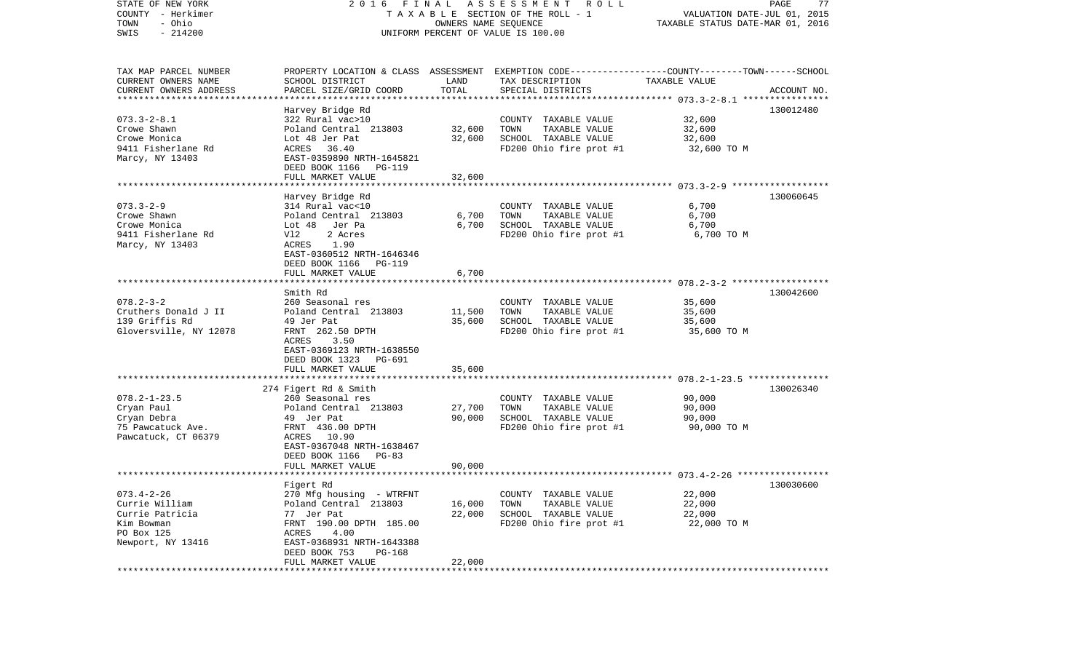| STATE OF NEW YORK<br>COUNTY - Herkimer<br>- Ohio<br>TOWN<br>$-214200$<br>SWIS                          | FINAL<br>2016<br>T A X A B L E SECTION OF THE ROLL - 1<br>UNIFORM PERCENT OF VALUE IS 100.00                                                                                                          | PAGE<br>77<br>VALUATION DATE-JUL 01, 2015<br>TAXABLE STATUS DATE-MAR 01, 2016 |                                                                                                                                          |                                           |             |
|--------------------------------------------------------------------------------------------------------|-------------------------------------------------------------------------------------------------------------------------------------------------------------------------------------------------------|-------------------------------------------------------------------------------|------------------------------------------------------------------------------------------------------------------------------------------|-------------------------------------------|-------------|
| TAX MAP PARCEL NUMBER<br>CURRENT OWNERS NAME<br>CURRENT OWNERS ADDRESS<br>***********************      | SCHOOL DISTRICT<br>PARCEL SIZE/GRID COORD                                                                                                                                                             | LAND<br>TOTAL                                                                 | PROPERTY LOCATION & CLASS ASSESSMENT EXEMPTION CODE----------------COUNTY-------TOWN------SCHOOL<br>TAX DESCRIPTION<br>SPECIAL DISTRICTS | TAXABLE VALUE                             | ACCOUNT NO. |
| $073.3 - 2 - 8.1$<br>Crowe Shawn<br>Crowe Monica<br>9411 Fisherlane Rd<br>Marcy, NY 13403              | Harvey Bridge Rd<br>322 Rural vac>10<br>Poland Central 213803<br>Lot 48 Jer Pat<br>ACRES 36.40<br>EAST-0359890 NRTH-1645821<br>DEED BOOK 1166 PG-119<br>FULL MARKET VALUE                             | 32,600<br>32,600<br>32,600                                                    | COUNTY TAXABLE VALUE<br>TAXABLE VALUE<br>TOWN<br>SCHOOL TAXABLE VALUE<br>FD200 Ohio fire prot #1                                         | 32,600<br>32,600<br>32,600<br>32,600 TO M | 130012480   |
|                                                                                                        | Harvey Bridge Rd                                                                                                                                                                                      |                                                                               |                                                                                                                                          |                                           | 130060645   |
| $073.3 - 2 - 9$<br>Crowe Shawn<br>Crowe Monica<br>9411 Fisherlane Rd<br>Marcy, NY 13403                | 314 Rural vac<10<br>Poland Central 213803<br>Lot 48 Jer Pa<br>Vl2<br>2 Acres<br>1.90<br>ACRES<br>EAST-0360512 NRTH-1646346<br>DEED BOOK 1166 PG-119<br>FULL MARKET VALUE                              | 6,700<br>6,700<br>6,700                                                       | COUNTY TAXABLE VALUE<br>TAXABLE VALUE<br>TOWN<br>SCHOOL TAXABLE VALUE<br>FD200 Ohio fire prot #1                                         | 6,700<br>6,700<br>6,700<br>6,700 TO M     |             |
|                                                                                                        |                                                                                                                                                                                                       |                                                                               |                                                                                                                                          |                                           |             |
| $078.2 - 3 - 2$<br>Cruthers Donald J II<br>139 Griffis Rd<br>Gloversville, NY 12078                    | Smith Rd<br>260 Seasonal res<br>Poland Central 213803<br>49 Jer Pat<br>FRNT 262.50 DPTH<br>ACRES<br>3.50<br>EAST-0369123 NRTH-1638550<br>DEED BOOK 1323<br>PG-691<br>FULL MARKET VALUE                | 11,500<br>35,600<br>35,600                                                    | COUNTY TAXABLE VALUE<br>TAXABLE VALUE<br>TOWN<br>SCHOOL TAXABLE VALUE<br>FD200 Ohio fire prot #1                                         | 35,600<br>35,600<br>35,600<br>35,600 TO M | 130042600   |
|                                                                                                        | ***************************                                                                                                                                                                           |                                                                               |                                                                                                                                          |                                           |             |
| $078.2 - 1 - 23.5$<br>Cryan Paul<br>Cryan Debra<br>75 Pawcatuck Ave.<br>Pawcatuck, CT 06379            | 274 Figert Rd & Smith<br>260 Seasonal res<br>Poland Central 213803<br>49 Jer Pat<br>FRNT 436.00 DPTH<br>ACRES 10.90<br>EAST-0367048 NRTH-1638467<br>DEED BOOK 1166<br>PG-83<br>FULL MARKET VALUE      | 27,700<br>90,000<br>90,000                                                    | COUNTY TAXABLE VALUE<br>TAXABLE VALUE<br>TOWN<br>SCHOOL TAXABLE VALUE<br>FD200 Ohio fire prot #1                                         | 90,000<br>90,000<br>90,000<br>90,000 TO M | 130026340   |
|                                                                                                        |                                                                                                                                                                                                       |                                                                               |                                                                                                                                          |                                           |             |
| $073.4 - 2 - 26$<br>Currie William<br>Currie Patricia<br>Kim Bowman<br>PO Box 125<br>Newport, NY 13416 | Figert Rd<br>270 Mfg housing - WTRFNT<br>Poland Central 213803<br>77 Jer Pat<br>FRNT 190.00 DPTH 185.00<br>ACRES<br>4.00<br>EAST-0368931 NRTH-1643388<br>DEED BOOK 753<br>PG-168<br>FULL MARKET VALUE | 16,000<br>22,000<br>22,000                                                    | COUNTY TAXABLE VALUE<br>TOWN<br>TAXABLE VALUE<br>SCHOOL TAXABLE VALUE<br>FD200 Ohio fire prot #1                                         | 22,000<br>22,000<br>22,000<br>22,000 TO M | 130030600   |
|                                                                                                        |                                                                                                                                                                                                       |                                                                               |                                                                                                                                          |                                           |             |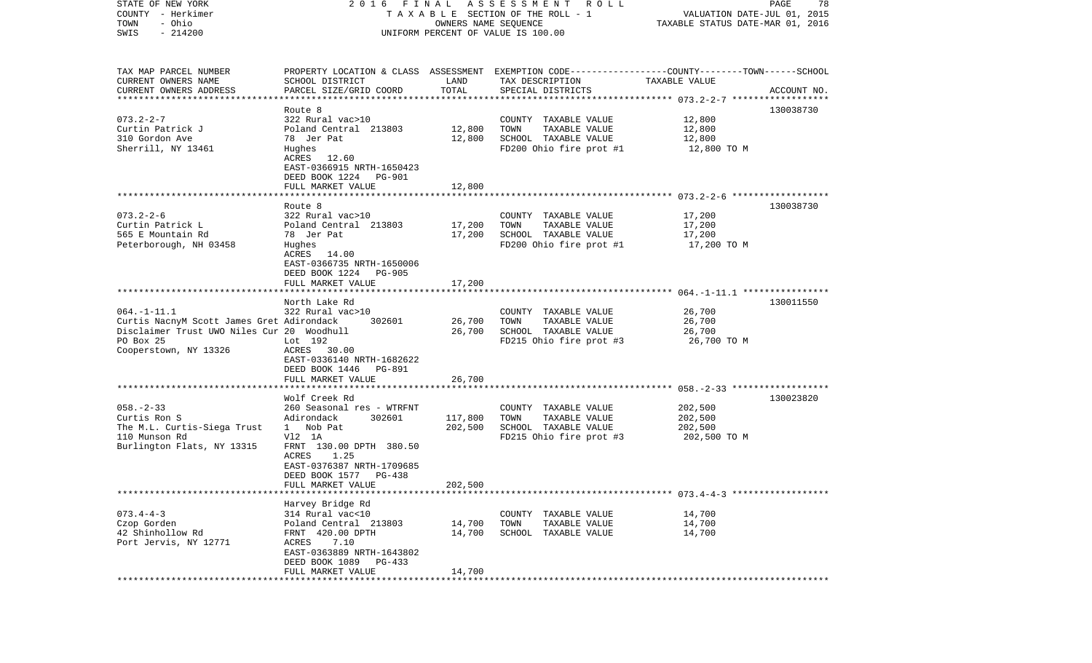| STATE OF NEW YORK                          |                                                                                                 |                      | 2016 FINAL ASSESSMENT ROLL         |                                  | PAGE<br>78  |
|--------------------------------------------|-------------------------------------------------------------------------------------------------|----------------------|------------------------------------|----------------------------------|-------------|
| COUNTY - Herkimer                          |                                                                                                 |                      | TAXABLE SECTION OF THE ROLL - 1    | VALUATION DATE-JUL 01, 2015      |             |
| TOWN<br>- Ohio                             |                                                                                                 | OWNERS NAME SEQUENCE |                                    | TAXABLE STATUS DATE-MAR 01, 2016 |             |
| SWIS<br>$-214200$                          |                                                                                                 |                      | UNIFORM PERCENT OF VALUE IS 100.00 |                                  |             |
|                                            |                                                                                                 |                      |                                    |                                  |             |
| TAX MAP PARCEL NUMBER                      | PROPERTY LOCATION & CLASS ASSESSMENT EXEMPTION CODE---------------COUNTY-------TOWN------SCHOOL |                      |                                    |                                  |             |
| CURRENT OWNERS NAME                        | SCHOOL DISTRICT                                                                                 | LAND                 | TAX DESCRIPTION                    | TAXABLE VALUE                    |             |
| CURRENT OWNERS ADDRESS                     | PARCEL SIZE/GRID COORD                                                                          | TOTAL                | SPECIAL DISTRICTS                  |                                  | ACCOUNT NO. |
| *************************                  |                                                                                                 |                      |                                    |                                  |             |
|                                            | Route 8                                                                                         |                      |                                    |                                  | 130038730   |
| $073.2 - 2 - 7$                            | 322 Rural vac>10                                                                                |                      | COUNTY TAXABLE VALUE               | 12,800                           |             |
| Curtin Patrick J                           | Poland Central 213803                                                                           | 12,800               | TOWN<br>TAXABLE VALUE              | 12,800                           |             |
| 310 Gordon Ave                             | 78 Jer Pat                                                                                      | 12,800               | SCHOOL TAXABLE VALUE               | 12,800                           |             |
| Sherrill, NY 13461                         | Hughes                                                                                          |                      | FD200 Ohio fire prot #1            | 12,800 TO M                      |             |
|                                            | ACRES 12.60                                                                                     |                      |                                    |                                  |             |
|                                            | EAST-0366915 NRTH-1650423                                                                       |                      |                                    |                                  |             |
|                                            | DEED BOOK 1224<br>PG-901                                                                        |                      |                                    |                                  |             |
|                                            | FULL MARKET VALUE                                                                               | 12,800               |                                    |                                  |             |
|                                            |                                                                                                 |                      |                                    |                                  |             |
| $073.2 - 2 - 6$                            | Route 8<br>322 Rural vac>10                                                                     |                      | COUNTY TAXABLE VALUE               | 17,200                           | 130038730   |
| Curtin Patrick L                           | Poland Central 213803                                                                           | 17,200               | TAXABLE VALUE<br>TOWN              | 17,200                           |             |
| 565 E Mountain Rd                          | 78 Jer Pat                                                                                      | 17,200               | SCHOOL TAXABLE VALUE               | 17,200                           |             |
| Peterborough, NH 03458                     | Hughes                                                                                          |                      | FD200 Ohio fire prot #1            | 17,200 TO M                      |             |
|                                            | ACRES 14.00                                                                                     |                      |                                    |                                  |             |
|                                            | EAST-0366735 NRTH-1650006                                                                       |                      |                                    |                                  |             |
|                                            | DEED BOOK 1224<br>PG-905                                                                        |                      |                                    |                                  |             |
|                                            | FULL MARKET VALUE                                                                               | 17,200               |                                    |                                  |             |
|                                            |                                                                                                 |                      |                                    |                                  |             |
|                                            | North Lake Rd                                                                                   |                      |                                    |                                  | 130011550   |
| $064. -1 - 11.1$                           | 322 Rural vac>10                                                                                |                      | COUNTY TAXABLE VALUE               | 26,700                           |             |
| Curtis NacnyM Scott James Gret Adirondack  | 302601                                                                                          | 26,700               | TOWN<br>TAXABLE VALUE              | 26,700                           |             |
| Disclaimer Trust UWO Niles Cur 20 Woodhull |                                                                                                 | 26,700               | SCHOOL TAXABLE VALUE               | 26,700                           |             |
| PO Box 25                                  | Lot 192                                                                                         |                      | FD215 Ohio fire prot #3            | 26,700 TO M                      |             |
| Cooperstown, NY 13326                      | ACRES 30.00                                                                                     |                      |                                    |                                  |             |
|                                            | EAST-0336140 NRTH-1682622                                                                       |                      |                                    |                                  |             |
|                                            | DEED BOOK 1446<br>PG-891                                                                        |                      |                                    |                                  |             |
|                                            | FULL MARKET VALUE<br>*******************                                                        | 26,700               |                                    |                                  |             |
|                                            |                                                                                                 |                      |                                    |                                  |             |
| $058. - 2 - 33$                            | Wolf Creek Rd<br>260 Seasonal res - WTRFNT                                                      |                      | COUNTY TAXABLE VALUE               | 202,500                          | 130023820   |
| Curtis Ron S                               | Adirondack<br>302601                                                                            | 117,800              | TOWN<br>TAXABLE VALUE              | 202,500                          |             |
| The M.L. Curtis-Siega Trust                | 1 Nob Pat                                                                                       | 202,500              | SCHOOL TAXABLE VALUE               | 202,500                          |             |
| 110 Munson Rd                              | V12 1A                                                                                          |                      | FD215 Ohio fire prot #3            | 202,500 TO M                     |             |
| Burlington Flats, NY 13315                 | FRNT 130.00 DPTH 380.50                                                                         |                      |                                    |                                  |             |
|                                            | ACRES<br>1.25                                                                                   |                      |                                    |                                  |             |
|                                            | EAST-0376387 NRTH-1709685                                                                       |                      |                                    |                                  |             |
|                                            | DEED BOOK 1577<br>PG-438                                                                        |                      |                                    |                                  |             |
|                                            | FULL MARKET VALUE                                                                               | 202,500              |                                    |                                  |             |
|                                            |                                                                                                 |                      |                                    |                                  |             |
|                                            | Harvey Bridge Rd                                                                                |                      |                                    |                                  |             |
| $073.4 - 4 - 3$                            | 314 Rural vac<10                                                                                |                      | COUNTY TAXABLE VALUE               | 14,700                           |             |
| Czop Gorden                                | Poland Central 213803                                                                           | 14,700               | TOWN<br>TAXABLE VALUE              | 14,700                           |             |
| 42 Shinhollow Rd                           | FRNT 420.00 DPTH                                                                                | 14,700               | SCHOOL TAXABLE VALUE               | 14,700                           |             |
| Port Jervis, NY 12771                      | ACRES<br>7.10                                                                                   |                      |                                    |                                  |             |
|                                            | EAST-0363889 NRTH-1643802                                                                       |                      |                                    |                                  |             |
|                                            | DEED BOOK 1089<br>PG-433                                                                        |                      |                                    |                                  |             |
| **********                                 | FULL MARKET VALUE                                                                               | 14,700               |                                    |                                  |             |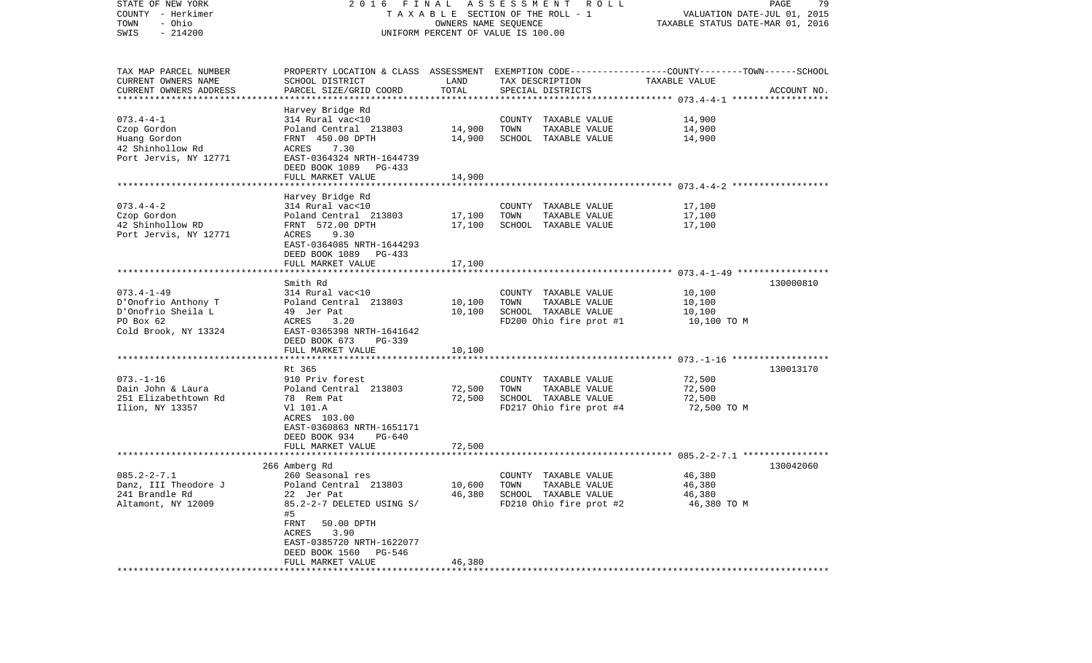| STATE OF NEW YORK<br>COUNTY - Herkimer<br>- Ohio<br>TOWN<br>$-214200$<br>SWIS | 2016 FINAL ASSESSMENT ROLL<br>TAXABLE SECTION OF THE ROLL - 1<br>UNIFORM PERCENT OF VALUE IS 100.00 | PAGE<br>79<br>VALUATION DATE-JUL 01, 2015<br>TAXABLE STATUS DATE-MAR 01, 2016 |                                               |                  |             |
|-------------------------------------------------------------------------------|-----------------------------------------------------------------------------------------------------|-------------------------------------------------------------------------------|-----------------------------------------------|------------------|-------------|
|                                                                               |                                                                                                     |                                                                               |                                               |                  |             |
| TAX MAP PARCEL NUMBER                                                         | PROPERTY LOCATION & CLASS ASSESSMENT EXEMPTION CODE---------------COUNTY-------TOWN------SCHOOL     |                                                                               |                                               |                  |             |
| CURRENT OWNERS NAME                                                           | SCHOOL DISTRICT                                                                                     | LAND                                                                          | TAX DESCRIPTION                               | TAXABLE VALUE    |             |
| CURRENT OWNERS ADDRESS                                                        | PARCEL SIZE/GRID COORD                                                                              | TOTAL                                                                         | SPECIAL DISTRICTS                             |                  | ACCOUNT NO. |
| *************************                                                     |                                                                                                     |                                                                               |                                               |                  |             |
| $073.4 - 4 - 1$                                                               | Harvey Bridge Rd                                                                                    |                                                                               |                                               |                  |             |
| Czop Gordon                                                                   | 314 Rural vac<10<br>Poland Central 213803                                                           | 14,900                                                                        | COUNTY TAXABLE VALUE<br>TOWN<br>TAXABLE VALUE | 14,900<br>14,900 |             |
| Huang Gordon                                                                  | FRNT 450.00 DPTH                                                                                    | 14,900                                                                        | SCHOOL TAXABLE VALUE                          | 14,900           |             |
| 42 Shinhollow Rd                                                              | 7.30<br>ACRES                                                                                       |                                                                               |                                               |                  |             |
| Port Jervis, NY 12771                                                         | EAST-0364324 NRTH-1644739                                                                           |                                                                               |                                               |                  |             |
|                                                                               | DEED BOOK 1089 PG-433                                                                               |                                                                               |                                               |                  |             |
|                                                                               | FULL MARKET VALUE                                                                                   | 14,900                                                                        |                                               |                  |             |
|                                                                               |                                                                                                     |                                                                               |                                               |                  |             |
|                                                                               | Harvey Bridge Rd                                                                                    |                                                                               |                                               |                  |             |
| $073.4 - 4 - 2$                                                               | 314 Rural vac<10                                                                                    |                                                                               | COUNTY TAXABLE VALUE                          | 17,100           |             |
| Czop Gordon                                                                   | Poland Central 213803                                                                               | 17,100                                                                        | TOWN<br>TAXABLE VALUE                         | 17,100           |             |
| 42 Shinhollow RD                                                              | FRNT 572.00 DPTH                                                                                    | 17,100                                                                        | SCHOOL TAXABLE VALUE                          | 17,100           |             |
| Port Jervis, NY 12771                                                         | ACRES<br>9.30                                                                                       |                                                                               |                                               |                  |             |
|                                                                               | EAST-0364085 NRTH-1644293<br>DEED BOOK 1089 PG-433                                                  |                                                                               |                                               |                  |             |
|                                                                               | FULL MARKET VALUE                                                                                   | 17,100                                                                        |                                               |                  |             |
|                                                                               |                                                                                                     |                                                                               |                                               |                  |             |
|                                                                               | Smith Rd                                                                                            |                                                                               |                                               |                  | 130000810   |
| $073.4 - 1 - 49$                                                              | 314 Rural vac<10                                                                                    |                                                                               | COUNTY TAXABLE VALUE                          | 10,100           |             |
| D'Onofrio Anthony T                                                           | Poland Central 213803                                                                               | 10,100                                                                        | TAXABLE VALUE<br>TOWN                         | 10,100           |             |
| D'Onofrio Sheila L                                                            | 49 Jer Pat                                                                                          | 10,100                                                                        | SCHOOL TAXABLE VALUE                          | 10,100           |             |
| PO Box 62                                                                     | 3.20<br>ACRES                                                                                       |                                                                               | FD200 Ohio fire prot #1                       | 10,100 TO M      |             |
| Cold Brook, NY 13324                                                          | EAST-0365398 NRTH-1641642                                                                           |                                                                               |                                               |                  |             |
|                                                                               | DEED BOOK 673<br>PG-339                                                                             |                                                                               |                                               |                  |             |
|                                                                               | FULL MARKET VALUE                                                                                   | 10,100                                                                        |                                               |                  |             |
|                                                                               | Rt 365                                                                                              |                                                                               |                                               |                  | 130013170   |
| $073. - 1 - 16$                                                               | 910 Priv forest                                                                                     |                                                                               | COUNTY TAXABLE VALUE                          | 72,500           |             |
| Dain John & Laura                                                             | Poland Central 213803                                                                               | 72,500                                                                        | TAXABLE VALUE<br>TOWN                         | 72,500           |             |
| 251 Elizabethtown Rd                                                          | 78 Rem Pat                                                                                          | 72,500                                                                        | SCHOOL TAXABLE VALUE                          | 72,500           |             |
| Ilion, NY 13357                                                               | V1 101.A                                                                                            |                                                                               | FD217 Ohio fire prot #4                       | 72,500 TO M      |             |
|                                                                               | ACRES 103.00                                                                                        |                                                                               |                                               |                  |             |
|                                                                               | EAST-0360863 NRTH-1651171                                                                           |                                                                               |                                               |                  |             |
|                                                                               | DEED BOOK 934<br>PG-640                                                                             |                                                                               |                                               |                  |             |
|                                                                               | FULL MARKET VALUE                                                                                   | 72,500                                                                        |                                               |                  |             |
|                                                                               |                                                                                                     |                                                                               |                                               |                  |             |
|                                                                               | 266 Amberg Rd                                                                                       |                                                                               |                                               |                  | 130042060   |
| $085.2 - 2 - 7.1$                                                             | 260 Seasonal res<br>Poland Central 213803                                                           | 10,600                                                                        | COUNTY TAXABLE VALUE                          | 46,380<br>46,380 |             |
| Danz, III Theodore J<br>241 Brandle Rd                                        | 22 Jer Pat                                                                                          | 46,380                                                                        | TOWN<br>TAXABLE VALUE<br>SCHOOL TAXABLE VALUE | 46,380           |             |
| Altamont, NY 12009                                                            | 85.2-2-7 DELETED USING S/                                                                           |                                                                               | FD210 Ohio fire prot #2                       | 46,380 TO M      |             |
|                                                                               | #5                                                                                                  |                                                                               |                                               |                  |             |
|                                                                               | FRNT<br>50.00 DPTH                                                                                  |                                                                               |                                               |                  |             |
|                                                                               | ACRES<br>3.90                                                                                       |                                                                               |                                               |                  |             |
|                                                                               | EAST-0385720 NRTH-1622077                                                                           |                                                                               |                                               |                  |             |
|                                                                               | DEED BOOK 1560<br>PG-546                                                                            |                                                                               |                                               |                  |             |
|                                                                               | FULL MARKET VALUE                                                                                   | 46,380                                                                        |                                               |                  |             |
|                                                                               |                                                                                                     |                                                                               |                                               |                  |             |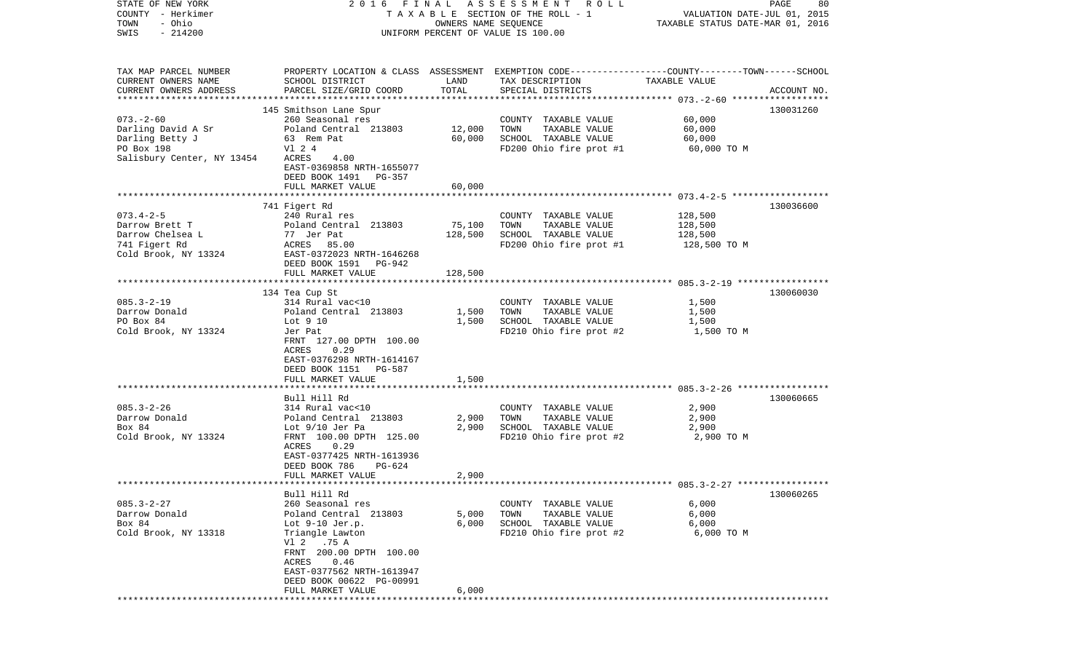| STATE OF NEW YORK<br>COUNTY - Herkimer<br>- Ohio<br>TOWN<br>$-214200$<br>SWIS                        |                                                                                                                                                                                                                                              |                         | 2016 FINAL ASSESSMENT ROLL<br>T A X A B L E SECTION OF THE ROLL - 1<br>OWNERS NAME SEQUENCE<br>UNIFORM PERCENT OF VALUE IS 100.00       | VALUATION DATE-JUL 01, 2015<br>TAXABLE STATUS DATE-MAR 01, 2016 | PAGE<br>80  |
|------------------------------------------------------------------------------------------------------|----------------------------------------------------------------------------------------------------------------------------------------------------------------------------------------------------------------------------------------------|-------------------------|-----------------------------------------------------------------------------------------------------------------------------------------|-----------------------------------------------------------------|-------------|
| TAX MAP PARCEL NUMBER<br>CURRENT OWNERS NAME<br>CURRENT OWNERS ADDRESS                               | SCHOOL DISTRICT<br>PARCEL SIZE/GRID COORD                                                                                                                                                                                                    | LAND<br>TOTAL           | PROPERTY LOCATION & CLASS ASSESSMENT EXEMPTION CODE---------------COUNTY-------TOWN------SCHOOL<br>TAX DESCRIPTION<br>SPECIAL DISTRICTS | TAXABLE VALUE                                                   | ACCOUNT NO. |
|                                                                                                      |                                                                                                                                                                                                                                              |                         |                                                                                                                                         |                                                                 | 130031260   |
| $073. - 2 - 60$<br>Darling David A Sr<br>Darling Betty J<br>PO Box 198<br>Salisbury Center, NY 13454 | 145 Smithson Lane Spur<br>260 Seasonal res<br>Poland Central 213803<br>63 Rem Pat<br>V1 2 4<br>ACRES<br>4.00<br>EAST-0369858 NRTH-1655077<br>DEED BOOK 1491<br>PG-357                                                                        | 12,000<br>60,000        | COUNTY TAXABLE VALUE<br>TOWN<br>TAXABLE VALUE<br>SCHOOL TAXABLE VALUE<br>FD200 Ohio fire prot #1                                        | 60,000<br>60,000<br>60,000<br>60,000 TO M                       |             |
|                                                                                                      | FULL MARKET VALUE                                                                                                                                                                                                                            | 60,000                  |                                                                                                                                         |                                                                 |             |
| $073.4 - 2 - 5$<br>Darrow Brett T<br>Darrow Chelsea L<br>741 Figert Rd<br>Cold Brook, NY 13324       | 741 Figert Rd<br>240 Rural res<br>Poland Central 213803<br>77 Jer Pat<br>ACRES 85.00<br>EAST-0372023 NRTH-1646268<br>DEED BOOK 1591<br>PG-942                                                                                                | 75,100<br>128,500       | COUNTY TAXABLE VALUE<br>TOWN<br>TAXABLE VALUE<br>SCHOOL TAXABLE VALUE<br>FD200 Ohio fire prot #1                                        | 128,500<br>128,500<br>128,500<br>128,500 TO M                   | 130036600   |
|                                                                                                      | FULL MARKET VALUE                                                                                                                                                                                                                            | 128,500                 |                                                                                                                                         |                                                                 |             |
|                                                                                                      | 134 Tea Cup St                                                                                                                                                                                                                               |                         |                                                                                                                                         |                                                                 | 130060030   |
| $085.3 - 2 - 19$<br>Darrow Donald<br>PO Box 84<br>Cold Brook, NY 13324                               | 314 Rural vac<10<br>Poland Central 213803<br>Lot 9 10<br>Jer Pat<br>FRNT 127.00 DPTH 100.00<br>ACRES<br>0.29<br>EAST-0376298 NRTH-1614167<br>DEED BOOK 1151 PG-587                                                                           | 1,500<br>1,500          | COUNTY TAXABLE VALUE<br>TOWN<br>TAXABLE VALUE<br>SCHOOL TAXABLE VALUE<br>FD210 Ohio fire prot #2                                        | 1,500<br>1,500<br>1,500<br>1,500 TO M                           |             |
|                                                                                                      | FULL MARKET VALUE                                                                                                                                                                                                                            | 1,500                   |                                                                                                                                         |                                                                 |             |
| $085.3 - 2 - 26$<br>Darrow Donald<br>Box 84<br>Cold Brook, NY 13324                                  | *************************<br>Bull Hill Rd<br>314 Rural vac<10<br>Poland Central 213803<br>Lot 9/10 Jer Pa<br>FRNT 100.00 DPTH 125.00<br>0.29<br>ACRES<br>EAST-0377425 NRTH-1613936<br>DEED BOOK 786<br>PG-624                                | 2,900<br>2,900          | COUNTY TAXABLE VALUE<br>TOWN<br>TAXABLE VALUE<br>SCHOOL TAXABLE VALUE<br>FD210 Ohio fire prot #2                                        | 2,900<br>2,900<br>2,900<br>2,900 TO M                           | 130060665   |
|                                                                                                      | FULL MARKET VALUE                                                                                                                                                                                                                            | 2,900                   |                                                                                                                                         |                                                                 |             |
|                                                                                                      |                                                                                                                                                                                                                                              |                         |                                                                                                                                         |                                                                 |             |
| $085.3 - 2 - 27$<br>Darrow Donald<br>Box 84<br>Cold Brook, NY 13318                                  | Bull Hill Rd<br>260 Seasonal res<br>Poland Central 213803<br>Lot $9-10$ Jer.p.<br>Triangle Lawton<br>V1 2<br>.75 A<br>FRNT 200.00 DPTH 100.00<br>ACRES<br>0.46<br>EAST-0377562 NRTH-1613947<br>DEED BOOK 00622 PG-00991<br>FULL MARKET VALUE | 5,000<br>6,000<br>6,000 | COUNTY TAXABLE VALUE<br>TOWN<br>TAXABLE VALUE<br>SCHOOL TAXABLE VALUE<br>FD210 Ohio fire prot #2                                        | 6,000<br>6,000<br>6,000<br>6,000 TO M                           | 130060265   |
|                                                                                                      | *****************************                                                                                                                                                                                                                |                         | **********************                                                                                                                  |                                                                 |             |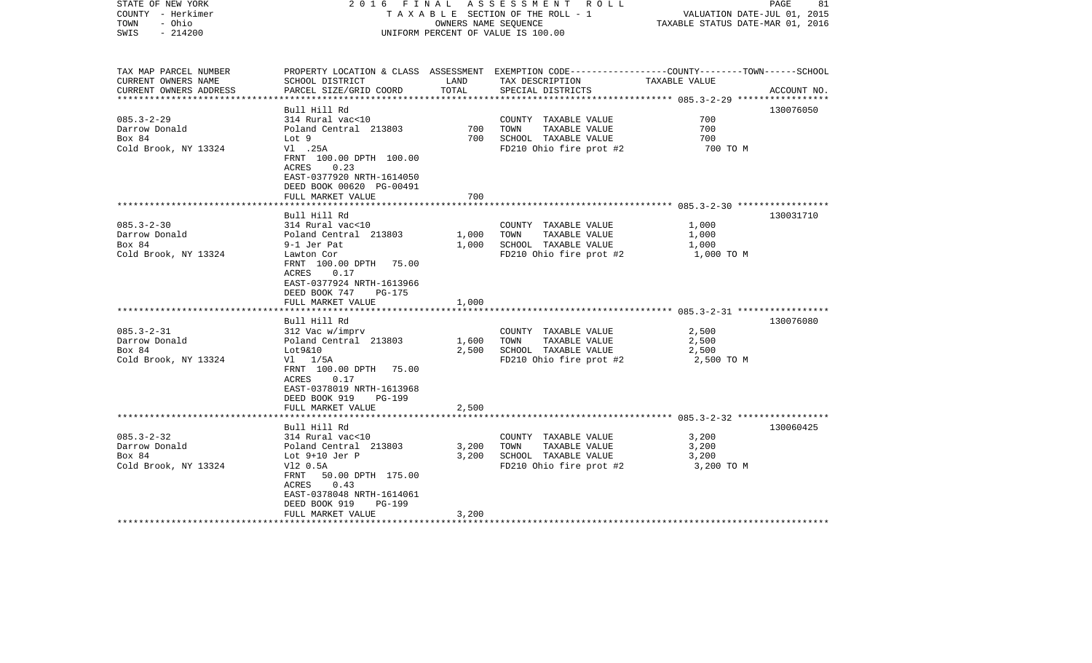| STATE OF NEW YORK<br>COUNTY - Herkimer<br>- Ohio<br>TOWN<br>$-214200$<br>SWIS                                                              | 2016 FINAL                                                                                                                                                                                                                                                                                                                                                                                                                       | OWNERS NAME SEQUENCE                               | A S S E S S M E N T R O L L<br>TAXABLE SECTION OF THE ROLL - 1<br>UNIFORM PERCENT OF VALUE IS 100.00                                                                                                 | VALUATION DATE-JUL 01, 2015<br>TAXABLE STATUS DATE-MAR 01, 2016                | PAGE<br>81             |
|--------------------------------------------------------------------------------------------------------------------------------------------|----------------------------------------------------------------------------------------------------------------------------------------------------------------------------------------------------------------------------------------------------------------------------------------------------------------------------------------------------------------------------------------------------------------------------------|----------------------------------------------------|------------------------------------------------------------------------------------------------------------------------------------------------------------------------------------------------------|--------------------------------------------------------------------------------|------------------------|
| TAX MAP PARCEL NUMBER<br>CURRENT OWNERS NAME<br>CURRENT OWNERS ADDRESS                                                                     | SCHOOL DISTRICT<br>PARCEL SIZE/GRID COORD                                                                                                                                                                                                                                                                                                                                                                                        | LAND<br>TOTAL                                      | PROPERTY LOCATION & CLASS ASSESSMENT EXEMPTION CODE---------------COUNTY-------TOWN------SCHOOL<br>TAX DESCRIPTION TAXABLE VALUE<br>SPECIAL DISTRICTS                                                |                                                                                | ACCOUNT NO.            |
| $085.3 - 2 - 29$<br>Darrow Donald<br>Box 84<br>Cold Brook, NY 13324                                                                        | Bull Hill Rd<br>314 Rural vac<10<br>Poland Central 213803<br>Lot 9<br>V1.25A<br>FRNT 100.00 DPTH 100.00<br>0.23<br>ACRES<br>EAST-0377920 NRTH-1614050<br>DEED BOOK 00620 PG-00491<br>FULL MARKET VALUE                                                                                                                                                                                                                           | 700<br>700<br>700                                  | COUNTY TAXABLE VALUE<br>TOWN<br>TAXABLE VALUE<br>SCHOOL TAXABLE VALUE<br>FD210 Ohio fire prot #2                                                                                                     | 700<br>700<br>700<br>700 TO M                                                  | 130076050              |
|                                                                                                                                            |                                                                                                                                                                                                                                                                                                                                                                                                                                  |                                                    |                                                                                                                                                                                                      |                                                                                |                        |
| $085.3 - 2 - 30$<br>Darrow Donald<br>Box 84<br>Cold Brook, NY 13324<br>$085.3 - 2 - 31$<br>Darrow Donald<br>Box 84<br>Cold Brook, NY 13324 | Bull Hill Rd<br>314 Rural vac<10<br>Poland Central 213803<br>9-1 Jer Pat<br>Lawton Cor<br>FRNT 100.00 DPTH 75.00<br>0.17<br>ACRES<br>EAST-0377924 NRTH-1613966<br>DEED BOOK 747<br>PG-175<br>FULL MARKET VALUE<br>Bull Hill Rd<br>312 Vac w/imprv<br>Poland Central 213803<br>Lot9&10<br>$VI$ $1/5A$<br>FRNT 100.00 DPTH 75.00<br>ACRES 0.17<br>EAST-0378019 NRTH-1613968<br>DEED BOOK 919<br><b>PG-199</b><br>FULL MARKET VALUE | 1,000<br>1,000<br>1,000<br>1,600<br>2,500<br>2,500 | COUNTY TAXABLE VALUE<br>TAXABLE VALUE<br>TOWN<br>SCHOOL TAXABLE VALUE<br>FD210 Ohio fire prot #2<br>COUNTY TAXABLE VALUE<br>TOWN<br>TAXABLE VALUE<br>SCHOOL TAXABLE VALUE<br>FD210 Ohio fire prot #2 | 1,000<br>1,000<br>1,000<br>1,000 TO M<br>2,500<br>2,500<br>2,500<br>2,500 TO M | 130031710<br>130076080 |
|                                                                                                                                            |                                                                                                                                                                                                                                                                                                                                                                                                                                  |                                                    |                                                                                                                                                                                                      |                                                                                |                        |
| $085.3 - 2 - 32$<br>Darrow Donald<br>Box 84<br>Cold Brook, NY 13324                                                                        | Bull Hill Rd<br>314 Rural vac<10<br>Poland Central 213803<br>Lot $9+10$ Jer P<br>V12 0.5A<br>FRNT 50.00 DPTH 175.00<br>ACRES<br>0.43<br>EAST-0378048 NRTH-1614061<br>DEED BOOK 919<br>PG-199<br>FULL MARKET VALUE                                                                                                                                                                                                                | 3,200<br>3,200<br>3,200                            | COUNTY TAXABLE VALUE<br>TOWN<br>TAXABLE VALUE<br>SCHOOL TAXABLE VALUE<br>FD210 Ohio fire prot #2                                                                                                     | 3,200<br>3,200<br>3,200<br>3,200 TO M                                          | 130060425              |
|                                                                                                                                            |                                                                                                                                                                                                                                                                                                                                                                                                                                  |                                                    |                                                                                                                                                                                                      |                                                                                |                        |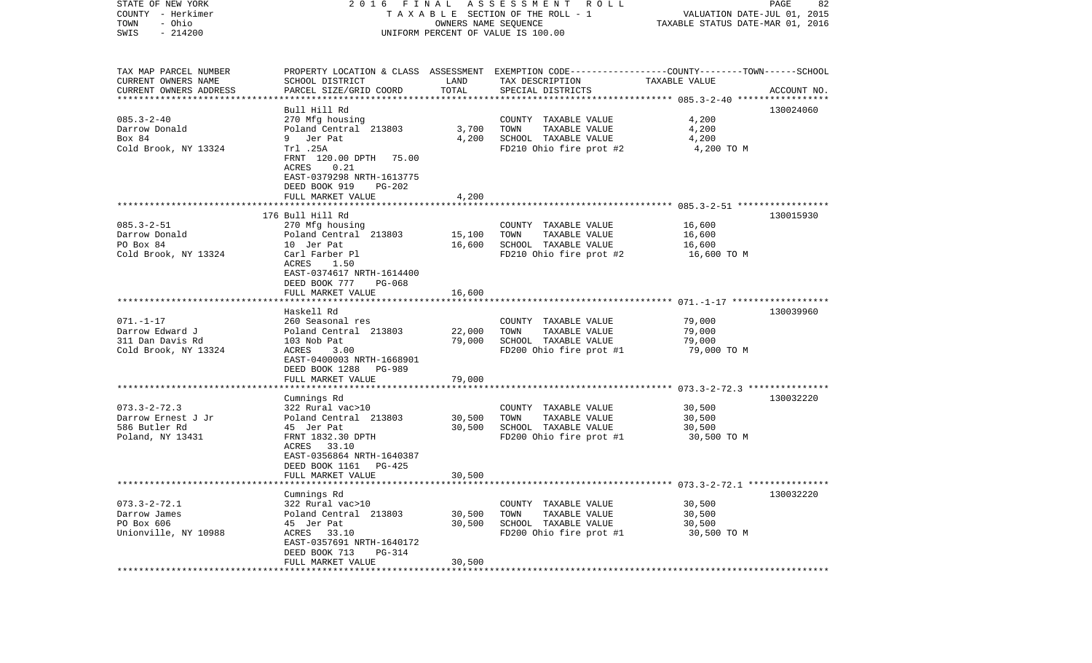| STATE OF NEW YORK<br>COUNTY - Herkimer<br>- Ohio<br>TOWN | 2016                                                   | FINAL<br>OWNERS NAME SEQUENCE | A S S E S S M E N T A O L L<br>TAXABLE SECTION OF THE ROLL - 1                                                     | VALUATION DATE-JUL 01, 2015<br>TAXABLE STATUS DATE-MAR 01, 2016 | PAGE<br>82  |
|----------------------------------------------------------|--------------------------------------------------------|-------------------------------|--------------------------------------------------------------------------------------------------------------------|-----------------------------------------------------------------|-------------|
| $-214200$<br>SWIS                                        |                                                        |                               | UNIFORM PERCENT OF VALUE IS 100.00                                                                                 |                                                                 |             |
| TAX MAP PARCEL NUMBER<br>CURRENT OWNERS NAME             | SCHOOL DISTRICT                                        | LAND                          | PROPERTY LOCATION & CLASS ASSESSMENT EXEMPTION CODE---------------COUNTY-------TOWN------SCHOOL<br>TAX DESCRIPTION | TAXABLE VALUE                                                   |             |
| CURRENT OWNERS ADDRESS<br>**********************         | PARCEL SIZE/GRID COORD                                 | TOTAL                         | SPECIAL DISTRICTS                                                                                                  |                                                                 | ACCOUNT NO. |
|                                                          | Bull Hill Rd                                           |                               |                                                                                                                    |                                                                 | 130024060   |
| $085.3 - 2 - 40$                                         | 270 Mfg housing                                        |                               | COUNTY TAXABLE VALUE                                                                                               | 4,200                                                           |             |
| Darrow Donald                                            | Poland Central 213803                                  | 3,700                         | TOWN<br>TAXABLE VALUE                                                                                              | 4,200                                                           |             |
| Box 84                                                   | Jer Pat<br>9                                           | 4,200                         | SCHOOL TAXABLE VALUE                                                                                               | 4,200                                                           |             |
| Cold Brook, NY 13324                                     | Trl .25A<br>FRNT 120.00 DPTH<br>75.00<br>ACRES<br>0.21 |                               | FD210 Ohio fire prot #2                                                                                            | 4,200 TO M                                                      |             |
|                                                          | EAST-0379298 NRTH-1613775<br>DEED BOOK 919<br>PG-202   |                               |                                                                                                                    |                                                                 |             |
|                                                          | FULL MARKET VALUE                                      | 4,200                         |                                                                                                                    |                                                                 |             |
|                                                          | 176 Bull Hill Rd                                       |                               |                                                                                                                    |                                                                 | 130015930   |
| $085.3 - 2 - 51$                                         | 270 Mfg housing                                        |                               | COUNTY TAXABLE VALUE                                                                                               | 16,600                                                          |             |
| Darrow Donald                                            | Poland Central 213803                                  | 15,100                        | TOWN<br>TAXABLE VALUE                                                                                              | 16,600                                                          |             |
| PO Box 84                                                | 10 Jer Pat                                             | 16,600                        | SCHOOL TAXABLE VALUE                                                                                               | 16,600                                                          |             |
| Cold Brook, NY 13324                                     | Carl Farber Pl<br>1.50<br>ACRES                        |                               | FD210 Ohio fire prot #2                                                                                            | 16,600 TO M                                                     |             |
|                                                          | EAST-0374617 NRTH-1614400<br>DEED BOOK 777<br>PG-068   |                               |                                                                                                                    |                                                                 |             |
|                                                          | FULL MARKET VALUE                                      | 16,600                        |                                                                                                                    |                                                                 |             |
|                                                          |                                                        |                               |                                                                                                                    |                                                                 |             |
|                                                          | Haskell Rd                                             |                               |                                                                                                                    |                                                                 | 130039960   |
| $071. - 1 - 17$<br>Darrow Edward J                       | 260 Seasonal res<br>Poland Central 213803              | 22,000                        | COUNTY TAXABLE VALUE<br>TAXABLE VALUE<br>TOWN                                                                      | 79,000<br>79,000                                                |             |
| 311 Dan Davis Rd                                         | 103 Nob Pat                                            | 79,000                        | SCHOOL TAXABLE VALUE                                                                                               | 79,000                                                          |             |
| Cold Brook, NY 13324                                     | ACRES<br>3.00                                          |                               | FD200 Ohio fire prot #1                                                                                            | 79,000 TO M                                                     |             |
|                                                          | EAST-0400003 NRTH-1668901                              |                               |                                                                                                                    |                                                                 |             |
|                                                          | DEED BOOK 1288<br>PG-989<br>FULL MARKET VALUE          | 79,000                        |                                                                                                                    |                                                                 |             |
|                                                          | ***********************                                |                               |                                                                                                                    |                                                                 |             |
|                                                          | Cumnings Rd                                            |                               |                                                                                                                    |                                                                 | 130032220   |
| $073.3 - 2 - 72.3$                                       | 322 Rural vac>10                                       |                               | COUNTY TAXABLE VALUE                                                                                               | 30,500                                                          |             |
| Darrow Ernest J Jr                                       | Poland Central 213803                                  | 30,500                        | TOWN<br>TAXABLE VALUE                                                                                              | 30,500                                                          |             |
| 586 Butler Rd<br>Poland, NY 13431                        | 45 Jer Pat<br>FRNT 1832.30 DPTH                        | 30,500                        | SCHOOL TAXABLE VALUE<br>FD200 Ohio fire prot #1                                                                    | 30,500<br>30,500 TO M                                           |             |
|                                                          | 33.10<br>ACRES                                         |                               |                                                                                                                    |                                                                 |             |
|                                                          | EAST-0356864 NRTH-1640387<br>DEED BOOK 1161<br>PG-425  |                               |                                                                                                                    |                                                                 |             |
|                                                          | FULL MARKET VALUE                                      | 30,500                        |                                                                                                                    |                                                                 |             |
|                                                          | Cumnings Rd                                            |                               | ******************************* 073.3-2-72.1 ***************                                                       |                                                                 | 130032220   |
| $073.3 - 2 - 72.1$                                       | 322 Rural vac>10                                       |                               | COUNTY TAXABLE VALUE                                                                                               | 30,500                                                          |             |
| Darrow James                                             | Poland Central 213803                                  | 30,500                        | TOWN<br>TAXABLE VALUE                                                                                              | 30,500                                                          |             |
| PO Box 606                                               | 45 Jer Pat                                             | 30,500                        | SCHOOL TAXABLE VALUE                                                                                               | 30,500                                                          |             |
| Unionville, NY 10988                                     | ACRES 33.10                                            |                               | FD200 Ohio fire prot #1                                                                                            | 30,500 TO M                                                     |             |
|                                                          | EAST-0357691 NRTH-1640172<br>DEED BOOK 713<br>PG-314   |                               |                                                                                                                    |                                                                 |             |
|                                                          | FULL MARKET VALUE                                      | 30,500                        |                                                                                                                    |                                                                 |             |
|                                                          |                                                        |                               |                                                                                                                    |                                                                 |             |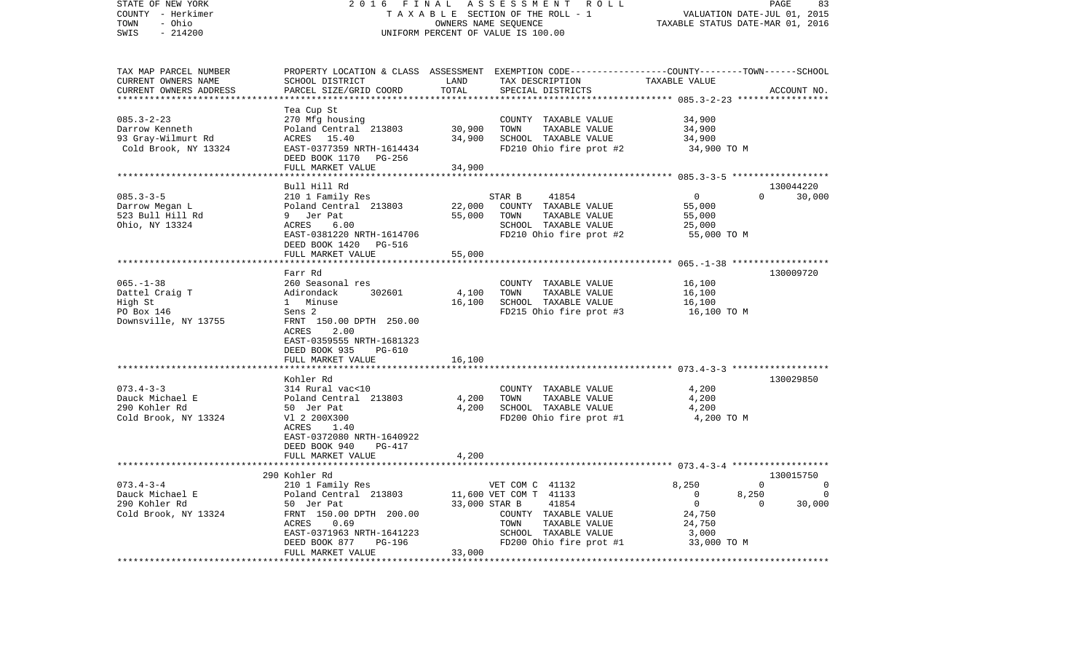| STATE OF NEW YORK<br>COUNTY - Herkimer<br>TOWN<br>- Ohio<br>SWIS<br>$-214200$      | 2 0 1 6<br>FINAL<br>TAXABLE SECTION OF THE ROLL - 1<br>UNIFORM PERCENT OF VALUE IS 100.00                                                                                                          | PAGE<br>83<br>VALUATION DATE-JUL 01, 2015<br>TAXABLE STATUS DATE-MAR 01, 2016 |                                                                                                                                                        |                                                                                                                        |                                                |
|------------------------------------------------------------------------------------|----------------------------------------------------------------------------------------------------------------------------------------------------------------------------------------------------|-------------------------------------------------------------------------------|--------------------------------------------------------------------------------------------------------------------------------------------------------|------------------------------------------------------------------------------------------------------------------------|------------------------------------------------|
| TAX MAP PARCEL NUMBER<br>CURRENT OWNERS NAME<br>CURRENT OWNERS ADDRESS             | SCHOOL DISTRICT<br>PARCEL SIZE/GRID COORD                                                                                                                                                          | LAND<br>TOTAL<br>*********                                                    | PROPERTY LOCATION & CLASS ASSESSMENT EXEMPTION CODE---------------COUNTY-------TOWN-----SCHOOL<br>TAX DESCRIPTION<br>SPECIAL DISTRICTS                 | TAXABLE VALUE<br>************ 085.3-2-23 ******************                                                            | ACCOUNT NO.                                    |
| $085.3 - 2 - 23$<br>Darrow Kenneth<br>93 Gray-Wilmurt Rd<br>Cold Brook, NY 13324   | Tea Cup St<br>270 Mfg housing<br>Poland Central 213803<br>ACRES 15.40<br>EAST-0377359 NRTH-1614434<br>DEED BOOK 1170 PG-256<br>FULL MARKET VALUE<br>************************                       | 30,900<br>34,900<br>34,900                                                    | COUNTY TAXABLE VALUE<br>TOWN<br>TAXABLE VALUE<br>SCHOOL TAXABLE VALUE<br>FD210 Ohio fire prot #2                                                       | 34,900<br>34,900<br>34,900<br>34,900 TO M                                                                              |                                                |
| $085.3 - 3 - 5$<br>Darrow Megan L<br>523 Bull Hill Rd<br>Ohio, NY 13324            | Bull Hill Rd<br>210 1 Family Res<br>Poland Central 213803<br>9 Jer Pat<br>ACRES<br>6.00<br>EAST-0381220 NRTH-1614706<br>DEED BOOK 1420 PG-516<br>FULL MARKET VALUE                                 | 22,000<br>55,000<br>55,000                                                    | STAR B<br>41854<br>COUNTY TAXABLE VALUE<br>TAXABLE VALUE<br>TOWN<br>SCHOOL TAXABLE VALUE<br>FD210 Ohio fire prot #2                                    | $\overline{0}$<br>$\Omega$<br>55,000<br>55,000<br>25,000<br>55,000 TO M                                                | 130044220<br>30,000                            |
| $065. - 1 - 38$<br>Dattel Craig T<br>High St<br>PO Box 146<br>Downsville, NY 13755 | Farr Rd<br>260 Seasonal res<br>Adirondack<br>302601<br>1 Minuse<br>Sens 2<br>FRNT 150.00 DPTH 250.00<br>ACRES<br>2.00<br>EAST-0359555 NRTH-1681323<br>DEED BOOK 935<br>PG-610<br>FULL MARKET VALUE | 4,100<br>16,100<br>16,100                                                     | COUNTY TAXABLE VALUE<br>TOWN<br>TAXABLE VALUE<br>SCHOOL TAXABLE VALUE<br>FD215 Ohio fire prot #3                                                       | 16,100<br>16,100<br>16,100<br>16,100 TO M                                                                              | 130009720                                      |
| $073.4 - 3 - 3$<br>Dauck Michael E<br>290 Kohler Rd<br>Cold Brook, NY 13324        | Kohler Rd<br>314 Rural vac<10<br>Poland Central 213803<br>50 Jer Pat<br>V1 2 200X300<br>ACRES<br>1.40<br>EAST-0372080 NRTH-1640922<br>DEED BOOK 940<br>PG-417<br>FULL MARKET VALUE                 | 4,200<br>4,200<br>4,200                                                       | COUNTY TAXABLE VALUE<br>TAXABLE VALUE<br>TOWN<br>SCHOOL TAXABLE VALUE<br>FD200 Ohio fire prot #1                                                       | 4,200<br>4,200<br>4,200<br>4,200 TO M                                                                                  | 130029850                                      |
| $073.4 - 3 - 4$<br>Dauck Michael E<br>290 Kohler Rd<br>Cold Brook, NY 13324        | 290 Kohler Rd<br>210 1 Family Res<br>Poland Central 213803<br>50 Jer Pat<br>FRNT 150.00 DPTH 200.00<br>ACRES<br>0.69<br>EAST-0371963 NRTH-1641223<br>DEED BOOK 877<br>PG-196<br>FULL MARKET VALUE  | 33,000 STAR B<br>33,000                                                       | VET COM C 41132<br>11,600 VET COM T 41133<br>41854<br>COUNTY TAXABLE VALUE<br>TOWN<br>TAXABLE VALUE<br>SCHOOL TAXABLE VALUE<br>FD200 Ohio fire prot #1 | 8,250<br>$\Omega$<br>$\overline{0}$<br>8,250<br>$\overline{0}$<br>$\Omega$<br>24,750<br>24,750<br>3,000<br>33,000 TO M | 130015750<br>$\Omega$<br>$\mathbf 0$<br>30,000 |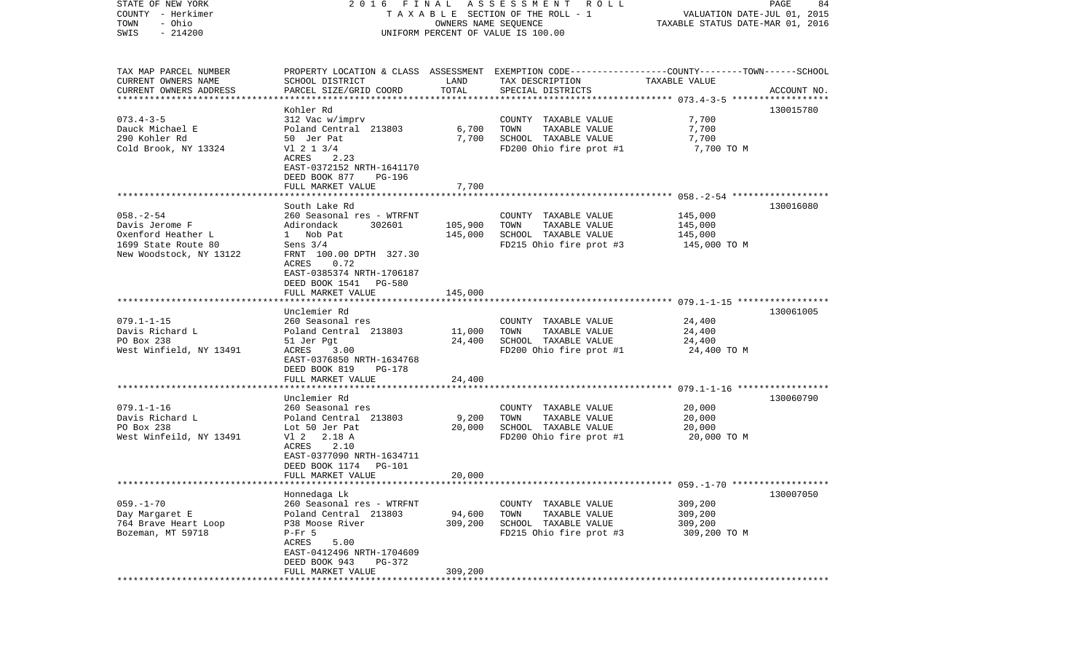| COUNTY - Herkimer<br>TOWN<br>- Ohio<br>$-214200$<br>SWIS | TAXABLE SECTION OF THE ROLL - 1<br>UNIFORM PERCENT OF VALUE IS 100.00 | VALUATION DATE-JUL 01, 2015<br>TAXABLE STATUS DATE-MAR 01, 2016 |                                                                                                 |                    |             |
|----------------------------------------------------------|-----------------------------------------------------------------------|-----------------------------------------------------------------|-------------------------------------------------------------------------------------------------|--------------------|-------------|
|                                                          |                                                                       |                                                                 |                                                                                                 |                    |             |
| TAX MAP PARCEL NUMBER                                    |                                                                       |                                                                 | PROPERTY LOCATION & CLASS ASSESSMENT EXEMPTION CODE---------------COUNTY-------TOWN------SCHOOL |                    |             |
| CURRENT OWNERS NAME                                      | SCHOOL DISTRICT                                                       | LAND                                                            | TAX DESCRIPTION                                                                                 | TAXABLE VALUE      |             |
| CURRENT OWNERS ADDRESS                                   | PARCEL SIZE/GRID COORD                                                | TOTAL                                                           | SPECIAL DISTRICTS                                                                               |                    | ACCOUNT NO. |
|                                                          |                                                                       |                                                                 |                                                                                                 |                    |             |
| $073.4 - 3 - 5$                                          | Kohler Rd                                                             |                                                                 |                                                                                                 |                    | 130015780   |
| Dauck Michael E                                          | 312 Vac w/imprv<br>Poland Central 213803                              | 6,700                                                           | COUNTY TAXABLE VALUE<br>TOWN<br>TAXABLE VALUE                                                   | 7,700<br>7,700     |             |
| 290 Kohler Rd                                            | 50 Jer Pat                                                            | 7,700                                                           | SCHOOL TAXABLE VALUE                                                                            | 7,700              |             |
| Cold Brook, NY 13324                                     | $VI$ 2 1 3/4                                                          |                                                                 | FD200 Ohio fire prot #1                                                                         | 7,700 TO M         |             |
|                                                          | 2.23<br>ACRES                                                         |                                                                 |                                                                                                 |                    |             |
|                                                          | EAST-0372152 NRTH-1641170                                             |                                                                 |                                                                                                 |                    |             |
|                                                          | DEED BOOK 877<br>PG-196                                               |                                                                 |                                                                                                 |                    |             |
|                                                          | FULL MARKET VALUE                                                     | 7,700                                                           |                                                                                                 |                    |             |
|                                                          |                                                                       |                                                                 |                                                                                                 |                    |             |
|                                                          | South Lake Rd                                                         |                                                                 |                                                                                                 |                    | 130016080   |
| $058. - 2 - 54$<br>Davis Jerome F                        | 260 Seasonal res - WTRFNT<br>Adirondack<br>302601                     | 105,900                                                         | COUNTY TAXABLE VALUE<br>TAXABLE VALUE<br>TOWN                                                   | 145,000<br>145,000 |             |
| Oxenford Heather L                                       | 1 Nob Pat                                                             | 145,000                                                         | SCHOOL TAXABLE VALUE                                                                            | 145,000            |             |
| 1699 State Route 80                                      | Sens $3/4$                                                            |                                                                 | FD215 Ohio fire prot #3                                                                         | 145,000 TO M       |             |
| New Woodstock, NY 13122                                  | FRNT 100.00 DPTH 327.30                                               |                                                                 |                                                                                                 |                    |             |
|                                                          | ACRES<br>0.72                                                         |                                                                 |                                                                                                 |                    |             |
|                                                          | EAST-0385374 NRTH-1706187                                             |                                                                 |                                                                                                 |                    |             |
|                                                          | DEED BOOK 1541<br>PG-580                                              |                                                                 |                                                                                                 |                    |             |
|                                                          | FULL MARKET VALUE                                                     | 145,000                                                         |                                                                                                 |                    |             |
|                                                          | Unclemier Rd                                                          |                                                                 |                                                                                                 |                    | 130061005   |
| $079.1 - 1 - 15$                                         | 260 Seasonal res                                                      |                                                                 | COUNTY TAXABLE VALUE                                                                            | 24,400             |             |
| Davis Richard L                                          | Poland Central 213803                                                 | 11,000                                                          | TOWN<br>TAXABLE VALUE                                                                           | 24,400             |             |
| PO Box 238                                               | 51 Jer Pgt                                                            | 24,400                                                          | SCHOOL TAXABLE VALUE                                                                            | 24,400             |             |
| West Winfield, NY 13491                                  | ACRES<br>3.00                                                         |                                                                 | FD200 Ohio fire prot #1                                                                         | 24,400 TO M        |             |
|                                                          | EAST-0376850 NRTH-1634768                                             |                                                                 |                                                                                                 |                    |             |
|                                                          | DEED BOOK 819<br>PG-178                                               |                                                                 |                                                                                                 |                    |             |
|                                                          | FULL MARKET VALUE                                                     | 24,400                                                          |                                                                                                 |                    |             |
|                                                          | Unclemier Rd                                                          |                                                                 |                                                                                                 |                    | 130060790   |
| $079.1 - 1 - 16$                                         | 260 Seasonal res                                                      |                                                                 | COUNTY TAXABLE VALUE                                                                            | 20,000             |             |
| Davis Richard L                                          | Poland Central 213803                                                 | 9,200                                                           | TOWN<br>TAXABLE VALUE                                                                           | 20,000             |             |
| PO Box 238                                               | Lot 50 Jer Pat                                                        | 20,000                                                          | SCHOOL TAXABLE VALUE                                                                            | 20,000             |             |
| West Winfeild, NY 13491                                  | V1 2<br>2.18 A                                                        |                                                                 | FD200 Ohio fire prot #1                                                                         | 20,000 TO M        |             |
|                                                          | 2.10<br>ACRES                                                         |                                                                 |                                                                                                 |                    |             |
|                                                          | EAST-0377090 NRTH-1634711                                             |                                                                 |                                                                                                 |                    |             |
|                                                          | DEED BOOK 1174<br>PG-101                                              |                                                                 |                                                                                                 |                    |             |
|                                                          | FULL MARKET VALUE<br>*************************                        | 20,000                                                          |                                                                                                 |                    |             |
|                                                          | Honnedaga Lk                                                          |                                                                 |                                                                                                 |                    | 130007050   |
| $059. - 1 - 70$                                          | 260 Seasonal res - WTRFNT                                             |                                                                 | COUNTY TAXABLE VALUE                                                                            | 309,200            |             |
| Day Margaret E                                           | Poland Central 213803                                                 | 94,600                                                          | TOWN<br>TAXABLE VALUE                                                                           | 309,200            |             |
| 764 Brave Heart Loop                                     | P38 Moose River                                                       | 309,200                                                         | SCHOOL TAXABLE VALUE                                                                            | 309,200            |             |
| Bozeman, MT 59718                                        | $P-Fr$ 5                                                              |                                                                 | FD215 Ohio fire prot #3                                                                         | 309,200 TO M       |             |
|                                                          | ACRES<br>5.00                                                         |                                                                 |                                                                                                 |                    |             |
|                                                          | EAST-0412496 NRTH-1704609                                             |                                                                 |                                                                                                 |                    |             |
|                                                          | DEED BOOK 943<br>PG-372                                               |                                                                 |                                                                                                 |                    |             |
|                                                          | FULL MARKET VALUE                                                     | 309,200                                                         |                                                                                                 |                    |             |

STATE OF NEW YORK 2 0 1 6 F I N A L A S S E S S M E N T R O L L PAGE 84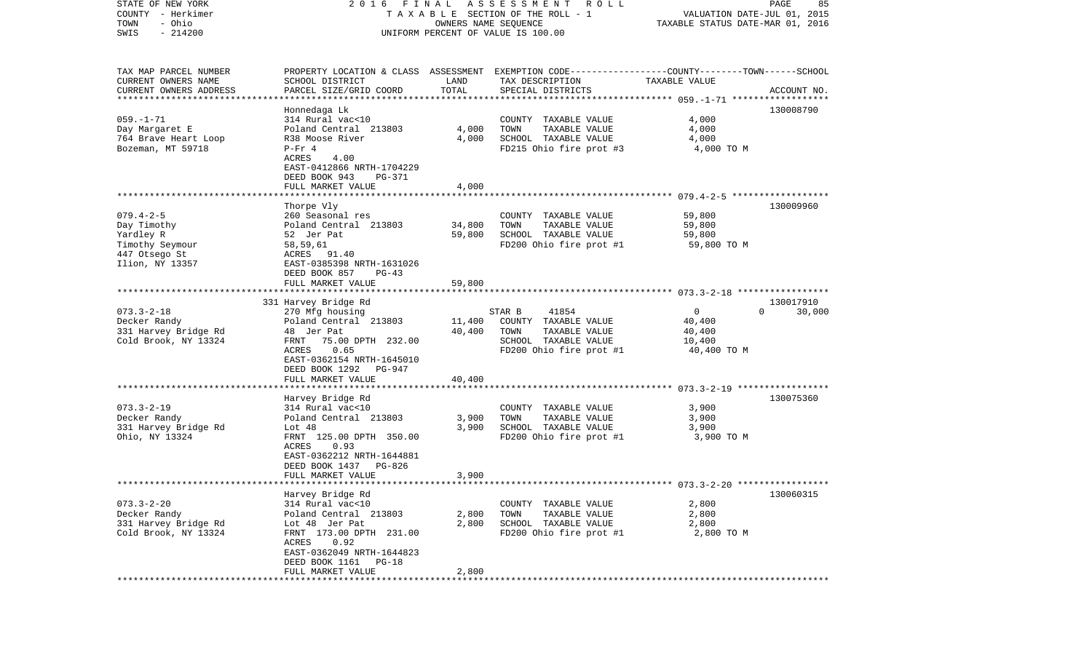| STATE OF NEW YORK         | 2016                      | FINAL  | A S S E S S M E N T<br>R O L L                                                                  |                                  | PAGE<br>85                  |
|---------------------------|---------------------------|--------|-------------------------------------------------------------------------------------------------|----------------------------------|-----------------------------|
| COUNTY - Herkimer         |                           |        | TAXABLE SECTION OF THE ROLL - 1                                                                 |                                  | VALUATION DATE-JUL 01, 2015 |
| - Ohio<br>TOWN            |                           |        | OWNERS NAME SEQUENCE                                                                            | TAXABLE STATUS DATE-MAR 01, 2016 |                             |
| $-214200$<br>SWIS         |                           |        | UNIFORM PERCENT OF VALUE IS 100.00                                                              |                                  |                             |
|                           |                           |        |                                                                                                 |                                  |                             |
| TAX MAP PARCEL NUMBER     |                           |        | PROPERTY LOCATION & CLASS ASSESSMENT EXEMPTION CODE---------------COUNTY-------TOWN------SCHOOL |                                  |                             |
| CURRENT OWNERS NAME       | SCHOOL DISTRICT           | LAND   | TAX DESCRIPTION                                                                                 | TAXABLE VALUE                    |                             |
| CURRENT OWNERS ADDRESS    | PARCEL SIZE/GRID COORD    | TOTAL  | SPECIAL DISTRICTS                                                                               |                                  | ACCOUNT NO.                 |
| ************************* |                           |        |                                                                                                 |                                  |                             |
|                           | Honnedaga Lk              |        |                                                                                                 |                                  | 130008790                   |
| $059. - 1 - 71$           | 314 Rural vac<10          |        |                                                                                                 | 4,000                            |                             |
| Day Margaret E            | Poland Central 213803     | 4,000  | COUNTY TAXABLE VALUE<br>TOWN<br>TAXABLE VALUE                                                   | 4,000                            |                             |
| 764 Brave Heart Loop      | R38 Moose River           | 4,000  | SCHOOL TAXABLE VALUE                                                                            | 4,000                            |                             |
| Bozeman, MT 59718         |                           |        |                                                                                                 | 4,000 TO M                       |                             |
|                           | $P-Fr 4$<br>ACRES<br>4.00 |        | FD215 Ohio fire prot #3                                                                         |                                  |                             |
|                           |                           |        |                                                                                                 |                                  |                             |
|                           | EAST-0412866 NRTH-1704229 |        |                                                                                                 |                                  |                             |
|                           | DEED BOOK 943<br>PG-371   |        |                                                                                                 |                                  |                             |
|                           | FULL MARKET VALUE         | 4,000  |                                                                                                 |                                  |                             |
|                           |                           |        |                                                                                                 |                                  |                             |
|                           | Thorpe Vly                |        |                                                                                                 |                                  | 130009960                   |
| $079.4 - 2 - 5$           | 260 Seasonal res          |        | COUNTY TAXABLE VALUE                                                                            | 59,800                           |                             |
| Day Timothy               | Poland Central 213803     | 34,800 | TOWN<br>TAXABLE VALUE                                                                           | 59,800                           |                             |
| Yardley R                 | 52 Jer Pat                | 59,800 | SCHOOL TAXABLE VALUE                                                                            | 59,800                           |                             |
| Timothy Seymour           | 58,59,61                  |        | FD200 Ohio fire prot #1                                                                         | 59,800 TO M                      |                             |
| 447 Otsego St             | ACRES 91.40               |        |                                                                                                 |                                  |                             |
| Ilion, NY 13357           | EAST-0385398 NRTH-1631026 |        |                                                                                                 |                                  |                             |
|                           | DEED BOOK 857<br>$PG-43$  |        |                                                                                                 |                                  |                             |
|                           | FULL MARKET VALUE         | 59,800 |                                                                                                 |                                  |                             |
|                           |                           |        |                                                                                                 |                                  |                             |
|                           | 331 Harvey Bridge Rd      |        |                                                                                                 |                                  | 130017910                   |
| $073.3 - 2 - 18$          | 270 Mfg housing           |        | 41854<br>STAR B                                                                                 | $\mathbf 0$                      | $\Omega$<br>30,000          |
| Decker Randy              | Poland Central 213803     | 11,400 | COUNTY TAXABLE VALUE                                                                            | 40,400                           |                             |
| 331 Harvey Bridge Rd      | 48 Jer Pat                | 40,400 | TOWN<br>TAXABLE VALUE                                                                           | 40,400                           |                             |
| Cold Brook, NY 13324      | 75.00 DPTH 232.00<br>FRNT |        | SCHOOL TAXABLE VALUE                                                                            | 10,400                           |                             |
|                           | 0.65<br>ACRES             |        | FD200 Ohio fire prot #1                                                                         | 40,400 TO M                      |                             |
|                           | EAST-0362154 NRTH-1645010 |        |                                                                                                 |                                  |                             |
|                           | DEED BOOK 1292<br>PG-947  |        |                                                                                                 |                                  |                             |
|                           | FULL MARKET VALUE         | 40,400 |                                                                                                 |                                  |                             |
|                           |                           |        |                                                                                                 |                                  |                             |
|                           | Harvey Bridge Rd          |        |                                                                                                 |                                  | 130075360                   |
| $073.3 - 2 - 19$          | 314 Rural vac<10          |        | COUNTY TAXABLE VALUE                                                                            | 3,900                            |                             |
| Decker Randy              | Poland Central 213803     | 3,900  | TOWN<br>TAXABLE VALUE                                                                           | 3,900                            |                             |
| 331 Harvey Bridge Rd      | Lot 48                    | 3,900  | SCHOOL TAXABLE VALUE                                                                            | 3,900                            |                             |
| Ohio, NY 13324            | FRNT 125.00 DPTH 350.00   |        | FD200 Ohio fire prot #1                                                                         | 3,900 TO M                       |                             |
|                           | 0.93<br>ACRES             |        |                                                                                                 |                                  |                             |
|                           | EAST-0362212 NRTH-1644881 |        |                                                                                                 |                                  |                             |
|                           | DEED BOOK 1437<br>PG-826  |        |                                                                                                 |                                  |                             |
|                           | FULL MARKET VALUE         | 3,900  |                                                                                                 |                                  |                             |
|                           |                           |        |                                                                                                 |                                  |                             |
|                           | Harvey Bridge Rd          |        |                                                                                                 |                                  | 130060315                   |
| $073.3 - 2 - 20$          | 314 Rural vac<10          |        | COUNTY TAXABLE VALUE                                                                            | 2,800                            |                             |
| Decker Randy              | Poland Central 213803     | 2,800  | TOWN<br>TAXABLE VALUE                                                                           | 2,800                            |                             |
| 331 Harvey Bridge Rd      | Lot 48 Jer Pat            | 2,800  | SCHOOL TAXABLE VALUE                                                                            | 2,800                            |                             |
| Cold Brook, NY 13324      | FRNT 173.00 DPTH 231.00   |        | FD200 Ohio fire prot #1                                                                         | 2,800 TO M                       |                             |
|                           | 0.92<br>ACRES             |        |                                                                                                 |                                  |                             |
|                           | EAST-0362049 NRTH-1644823 |        |                                                                                                 |                                  |                             |
|                           | DEED BOOK 1161<br>$PG-18$ |        |                                                                                                 |                                  |                             |
|                           | FULL MARKET VALUE         | 2,800  |                                                                                                 |                                  |                             |
| **********                |                           |        |                                                                                                 |                                  |                             |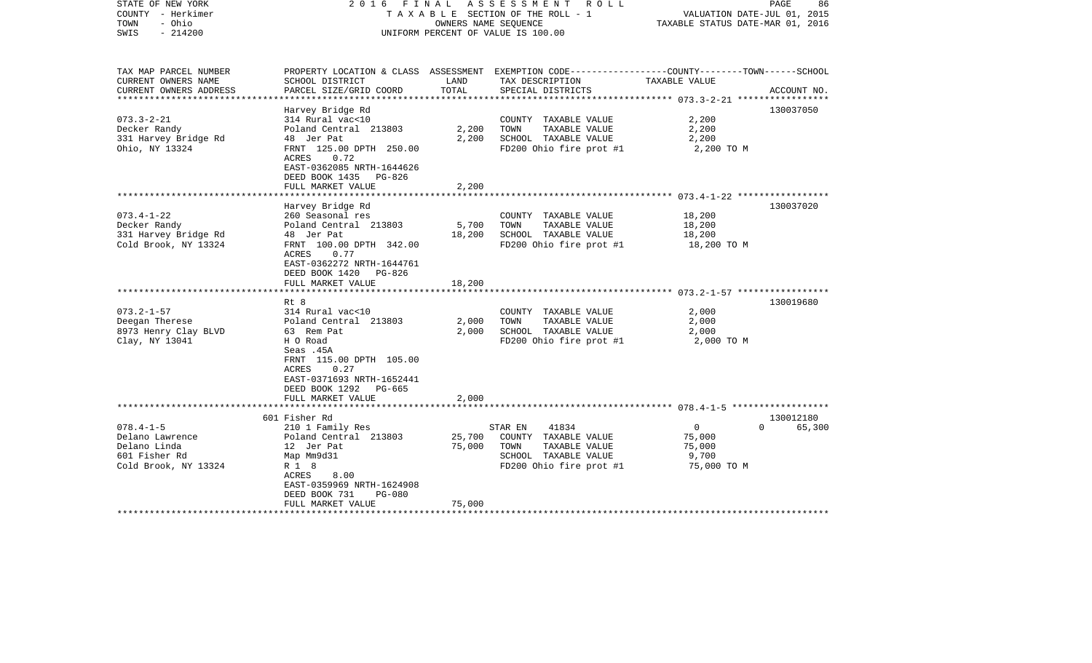| STATE OF NEW YORK<br>COUNTY - Herkimer<br>- Ohio<br>TOWN<br>$-214200$<br>SWIS                    | FINAL<br>2016                                                                                                                                                                                                        |                            | A S S E S S M E N T R O L L<br>TAXABLE SECTION OF THE ROLL - 1<br>OWNERS NAME SEOUENCE<br>UNIFORM PERCENT OF VALUE IS 100.00             | VALUATION DATE-JUL 01, 2015<br>TAXABLE STATUS DATE-MAR 01, 2016            | PAGE<br>86                      |
|--------------------------------------------------------------------------------------------------|----------------------------------------------------------------------------------------------------------------------------------------------------------------------------------------------------------------------|----------------------------|------------------------------------------------------------------------------------------------------------------------------------------|----------------------------------------------------------------------------|---------------------------------|
| TAX MAP PARCEL NUMBER<br>CURRENT OWNERS NAME<br>CURRENT OWNERS ADDRESS<br>********************** | SCHOOL DISTRICT<br>PARCEL SIZE/GRID COORD                                                                                                                                                                            | LAND<br>TOTAL              | PROPERTY LOCATION & CLASS ASSESSMENT EXEMPTION CODE----------------COUNTY-------TOWN------SCHOOL<br>TAX DESCRIPTION<br>SPECIAL DISTRICTS | TAXABLE VALUE<br>**************************** 073.3-2-21 ***************** | ACCOUNT NO.                     |
| $073.3 - 2 - 21$<br>Decker Randy<br>331 Harvey Bridge Rd<br>Ohio, NY 13324                       | Harvey Bridge Rd<br>314 Rural vac<10<br>Poland Central 213803<br>48 Jer Pat<br>FRNT 125.00 DPTH 250.00<br>ACRES<br>0.72<br>EAST-0362085 NRTH-1644626<br>DEED BOOK 1435 PG-826<br>FULL MARKET VALUE                   | 2,200<br>2,200<br>2,200    | COUNTY TAXABLE VALUE<br>TAXABLE VALUE<br>TOWN<br>SCHOOL TAXABLE VALUE<br>FD200 Ohio fire prot #1                                         | 2,200<br>2,200<br>2,200<br>2,200 TO M                                      | 130037050                       |
|                                                                                                  |                                                                                                                                                                                                                      |                            |                                                                                                                                          |                                                                            |                                 |
| $073.4 - 1 - 22$<br>Decker Randy<br>331 Harvey Bridge Rd<br>Cold Brook, NY 13324                 | Harvey Bridge Rd<br>260 Seasonal res<br>Poland Central 213803<br>48 Jer Pat<br>FRNT 100.00 DPTH 342.00<br><b>ACRES</b><br>0.77<br>EAST-0362272 NRTH-1644761<br>DEED BOOK 1420<br>PG-826<br>FULL MARKET VALUE<br>Rt 8 | 5,700<br>18,200<br>18,200  | COUNTY TAXABLE VALUE<br>TOWN<br>TAXABLE VALUE<br>SCHOOL TAXABLE VALUE<br>FD200 Ohio fire prot #1                                         | 18,200<br>18,200<br>18,200<br>18,200 TO M                                  | 130037020<br>130019680          |
| $073.2 - 1 - 57$<br>Deegan Therese<br>8973 Henry Clay BLVD<br>Clay, NY 13041                     | 314 Rural vac<10<br>Poland Central 213803<br>63 Rem Pat<br>H O Road<br>Seas .45A<br>FRNT 115.00 DPTH 105.00<br>0.27<br>ACRES<br>EAST-0371693 NRTH-1652441<br>DEED BOOK 1292<br>PG-665<br>FULL MARKET VALUE           | 2,000<br>2,000<br>2,000    | COUNTY TAXABLE VALUE<br>TOWN<br>TAXABLE VALUE<br>SCHOOL TAXABLE VALUE<br>FD200 Ohio fire prot #1                                         | 2,000<br>2,000<br>2,000<br>2,000 TO M                                      |                                 |
|                                                                                                  |                                                                                                                                                                                                                      |                            |                                                                                                                                          |                                                                            |                                 |
| $078.4 - 1 - 5$<br>Delano Lawrence<br>Delano Linda<br>601 Fisher Rd<br>Cold Brook, NY 13324      | 601 Fisher Rd<br>210 1 Family Res<br>Poland Central 213803<br>12 Jer Pat<br>Map Mm9d31<br>R 1 8<br>8.00<br>ACRES<br>EAST-0359969 NRTH-1624908<br>DEED BOOK 731<br><b>PG-080</b><br>FULL MARKET VALUE                 | 25,700<br>75,000<br>75,000 | 41834<br>STAR EN<br>COUNTY TAXABLE VALUE<br>TOWN<br>TAXABLE VALUE<br>SCHOOL TAXABLE VALUE<br>FD200 Ohio fire prot #1                     | $\mathbf 0$<br>75,000<br>75,000<br>9,700<br>75,000 TO M                    | 130012180<br>$\Omega$<br>65,300 |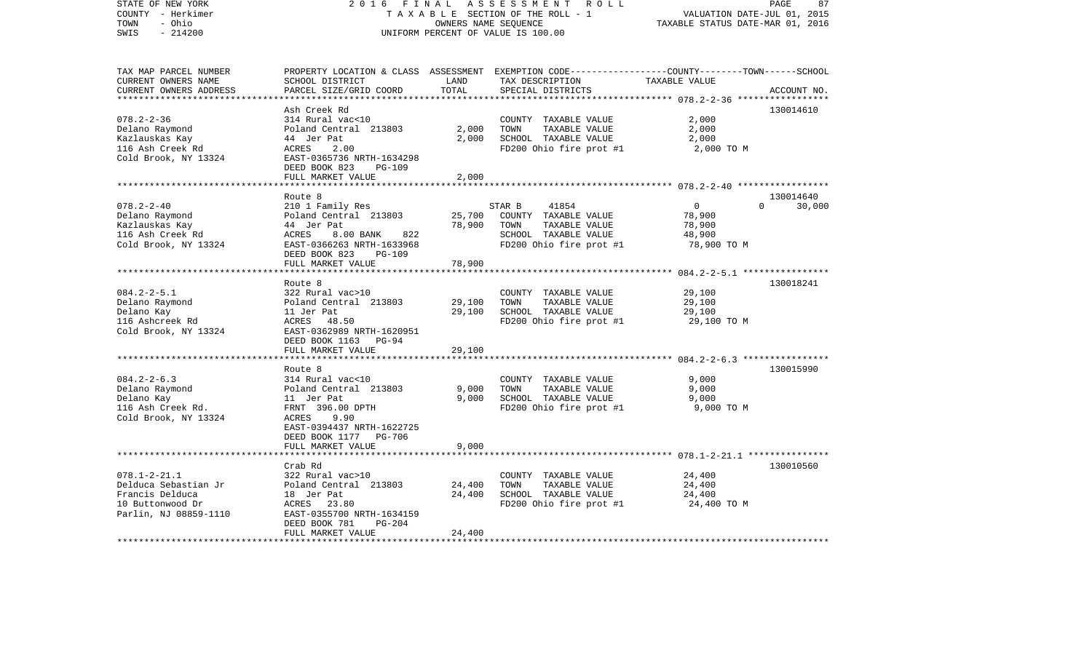| STATE OF NEW YORK<br>COUNTY - Herkimer<br>- Ohio<br>TOWN<br>$-214200$<br>SWIS | 2 0 1 6<br>FINAL                                       | OWNERS NAME SEQUENCE | ASSESSMENT<br>R O L L<br>TAXABLE SECTION OF THE ROLL - 1<br>UNIFORM PERCENT OF VALUE IS 100.00                      | VALUATION DATE-JUL 01, 2015<br>TAXABLE STATUS DATE-MAR 01, 2016 | PAGE<br>87         |
|-------------------------------------------------------------------------------|--------------------------------------------------------|----------------------|---------------------------------------------------------------------------------------------------------------------|-----------------------------------------------------------------|--------------------|
|                                                                               |                                                        |                      |                                                                                                                     |                                                                 |                    |
| TAX MAP PARCEL NUMBER<br>CURRENT OWNERS NAME                                  | SCHOOL DISTRICT                                        | LAND                 | PROPERTY LOCATION & CLASS ASSESSMENT EXEMPTION CODE----------------COUNTY-------TOWN------SCHOOL<br>TAX DESCRIPTION | TAXABLE VALUE                                                   |                    |
| CURRENT OWNERS ADDRESS                                                        | PARCEL SIZE/GRID COORD                                 | TOTAL                | SPECIAL DISTRICTS                                                                                                   |                                                                 | ACCOUNT NO.        |
| ********************                                                          |                                                        | ******************** |                                                                                                                     |                                                                 |                    |
|                                                                               | Ash Creek Rd                                           |                      |                                                                                                                     |                                                                 | 130014610          |
| $078.2 - 2 - 36$                                                              | 314 Rural vac<10                                       |                      | COUNTY TAXABLE VALUE                                                                                                | 2,000                                                           |                    |
| Delano Raymond                                                                | Poland Central 213803                                  | 2,000                | TOWN<br>TAXABLE VALUE                                                                                               | 2,000                                                           |                    |
| Kazlauskas Kay                                                                | 44 Jer Pat                                             | 2,000                | SCHOOL TAXABLE VALUE                                                                                                | 2,000                                                           |                    |
| 116 Ash Creek Rd                                                              | ACRES<br>2.00                                          |                      | FD200 Ohio fire prot #1                                                                                             | 2,000 TO M                                                      |                    |
| Cold Brook, NY 13324                                                          | EAST-0365736 NRTH-1634298<br>DEED BOOK 823<br>$PG-109$ |                      |                                                                                                                     |                                                                 |                    |
|                                                                               | FULL MARKET VALUE                                      | 2,000                |                                                                                                                     |                                                                 |                    |
|                                                                               | ****************************                           |                      |                                                                                                                     |                                                                 |                    |
|                                                                               | Route 8                                                |                      |                                                                                                                     |                                                                 | 130014640          |
| $078.2 - 2 - 40$                                                              | 210 1 Family Res                                       |                      | STAR B<br>41854                                                                                                     | $\mathbf 0$                                                     | 30,000<br>$\Omega$ |
| Delano Raymond                                                                | Poland Central 213803                                  | 25,700               | COUNTY TAXABLE VALUE                                                                                                | 78,900                                                          |                    |
| Kazlauskas Kay                                                                | 44 Jer Pat                                             | 78,900               | TAXABLE VALUE<br>TOWN                                                                                               | 78,900                                                          |                    |
| 116 Ash Creek Rd                                                              | <b>ACRES</b><br>8.00 BANK<br>822                       |                      | SCHOOL TAXABLE VALUE                                                                                                | 48,900                                                          |                    |
| Cold Brook, NY 13324                                                          | EAST-0366263 NRTH-1633968                              |                      | FD200 Ohio fire prot #1                                                                                             | 78,900 TO M                                                     |                    |
|                                                                               | DEED BOOK 823<br><b>PG-109</b>                         |                      |                                                                                                                     |                                                                 |                    |
|                                                                               | FULL MARKET VALUE                                      | 78,900               |                                                                                                                     |                                                                 |                    |
|                                                                               |                                                        |                      |                                                                                                                     |                                                                 |                    |
| $084.2 - 2 - 5.1$                                                             | Route 8                                                |                      |                                                                                                                     |                                                                 | 130018241          |
| Delano Raymond                                                                | 322 Rural vac>10<br>Poland Central 213803              | 29,100               | COUNTY TAXABLE VALUE<br>TOWN<br>TAXABLE VALUE                                                                       | 29,100<br>29,100                                                |                    |
| Delano Kay                                                                    | 11 Jer Pat                                             | 29,100               | SCHOOL TAXABLE VALUE                                                                                                | 29,100                                                          |                    |
| 116 Ashcreek Rd                                                               | ACRES 48.50                                            |                      | FD200 Ohio fire prot #1                                                                                             | 29,100 TO M                                                     |                    |
| Cold Brook, NY 13324                                                          | EAST-0362989 NRTH-1620951                              |                      |                                                                                                                     |                                                                 |                    |
|                                                                               | DEED BOOK 1163 PG-94                                   |                      |                                                                                                                     |                                                                 |                    |
|                                                                               | FULL MARKET VALUE                                      | 29,100               |                                                                                                                     |                                                                 |                    |
|                                                                               | ************************                               |                      |                                                                                                                     |                                                                 |                    |
|                                                                               | Route 8                                                |                      |                                                                                                                     |                                                                 | 130015990          |
| $084.2 - 2 - 6.3$                                                             | 314 Rural vac<10                                       |                      | COUNTY TAXABLE VALUE                                                                                                | 9,000                                                           |                    |
| Delano Raymond                                                                | Poland Central 213803                                  | 9,000                | TOWN<br>TAXABLE VALUE                                                                                               | 9,000                                                           |                    |
| Delano Kay                                                                    | 11 Jer Pat                                             | 9,000                | SCHOOL TAXABLE VALUE                                                                                                | 9,000                                                           |                    |
| 116 Ash Creek Rd.                                                             | FRNT 396.00 DPTH<br>ACRES<br>9.90                      |                      | FD200 Ohio fire prot #1                                                                                             | 9,000 TO M                                                      |                    |
| Cold Brook, NY 13324                                                          | EAST-0394437 NRTH-1622725                              |                      |                                                                                                                     |                                                                 |                    |
|                                                                               | DEED BOOK 1177 PG-706                                  |                      |                                                                                                                     |                                                                 |                    |
|                                                                               | FULL MARKET VALUE                                      | 9,000                |                                                                                                                     |                                                                 |                    |
|                                                                               |                                                        |                      | ****************************** 078.1-2-21.1 ***************                                                         |                                                                 |                    |
|                                                                               | Crab Rd                                                |                      |                                                                                                                     |                                                                 | 130010560          |
| $078.1 - 2 - 21.1$                                                            | 322 Rural vac>10                                       |                      | COUNTY TAXABLE VALUE                                                                                                | 24,400                                                          |                    |
| Delduca Sebastian Jr                                                          | Poland Central 213803                                  | 24,400               | TOWN<br>TAXABLE VALUE                                                                                               | 24,400                                                          |                    |
| Francis Delduca                                                               | 18 Jer Pat                                             | 24,400               | SCHOOL TAXABLE VALUE                                                                                                | 24,400                                                          |                    |
| 10 Buttonwood Dr                                                              | ACRES<br>23.80                                         |                      | FD200 Ohio fire prot #1                                                                                             | 24,400 TO M                                                     |                    |
| Parlin, NJ 08859-1110                                                         | EAST-0355700 NRTH-1634159                              |                      |                                                                                                                     |                                                                 |                    |
|                                                                               | DEED BOOK 781<br>$PG-204$                              |                      |                                                                                                                     |                                                                 |                    |
|                                                                               | FULL MARKET VALUE<br>*********************             | 24,400<br>********** |                                                                                                                     |                                                                 |                    |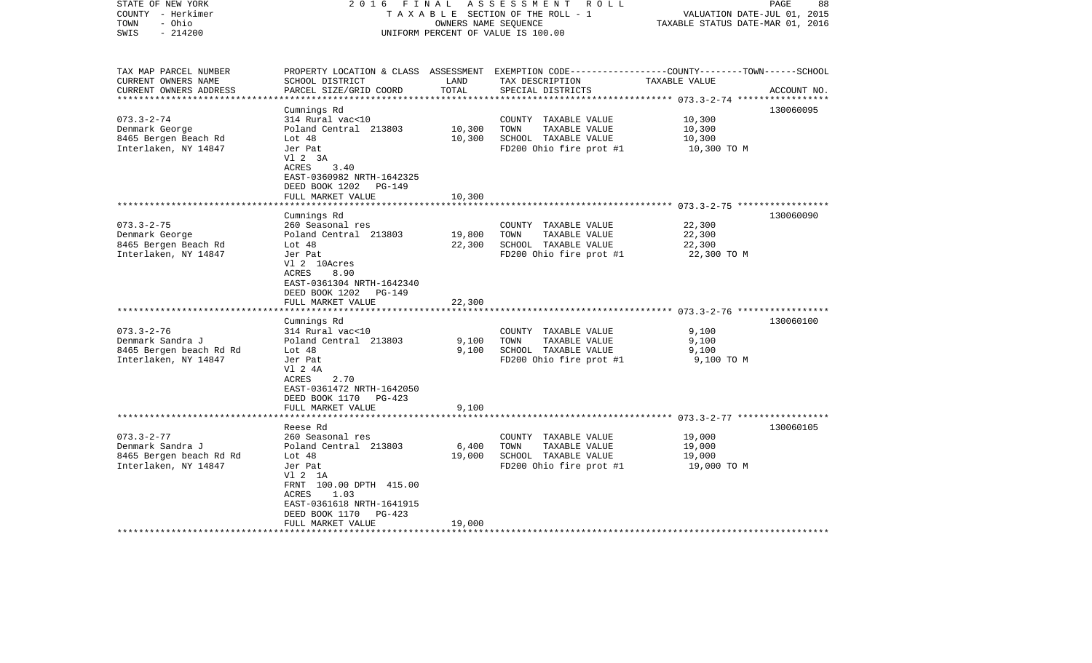| STATE OF NEW YORK<br>COUNTY - Herkimer<br>- Ohio<br>TOWN<br>$-214200$<br>SWIS | 2 0 1 6<br>FINAL                                   | OWNERS NAME SEQUENCE   | ASSESSMENT<br>R O L L<br>TAXABLE SECTION OF THE ROLL - 1<br>UNIFORM PERCENT OF VALUE IS 100.00                                          | VALUATION DATE-JUL 01, 2015<br>TAXABLE STATUS DATE-MAR 01, 2016 | PAGE<br>88  |
|-------------------------------------------------------------------------------|----------------------------------------------------|------------------------|-----------------------------------------------------------------------------------------------------------------------------------------|-----------------------------------------------------------------|-------------|
| TAX MAP PARCEL NUMBER<br>CURRENT OWNERS NAME<br>CURRENT OWNERS ADDRESS        | SCHOOL DISTRICT<br>PARCEL SIZE/GRID COORD          | LAND<br>TOTAL          | PROPERTY LOCATION & CLASS ASSESSMENT EXEMPTION CODE---------------COUNTY-------TOWN------SCHOOL<br>TAX DESCRIPTION<br>SPECIAL DISTRICTS | TAXABLE VALUE                                                   | ACCOUNT NO. |
|                                                                               | Cumnings Rd                                        |                        |                                                                                                                                         |                                                                 | 130060095   |
| $073.3 - 2 - 74$                                                              | 314 Rural vac<10                                   |                        | COUNTY TAXABLE VALUE                                                                                                                    | 10,300                                                          |             |
| Denmark George                                                                | Poland Central 213803                              | 10,300                 | TOWN<br>TAXABLE VALUE                                                                                                                   | 10,300                                                          |             |
| 8465 Bergen Beach Rd                                                          | Lot $48$                                           | 10,300                 | SCHOOL TAXABLE VALUE                                                                                                                    | 10,300                                                          |             |
| Interlaken, NY 14847                                                          | Jer Pat<br>V1 2 3A                                 |                        | FD200 Ohio fire prot #1                                                                                                                 | 10,300 TO M                                                     |             |
|                                                                               | 3.40<br>ACRES                                      |                        |                                                                                                                                         |                                                                 |             |
|                                                                               | EAST-0360982 NRTH-1642325                          |                        |                                                                                                                                         |                                                                 |             |
|                                                                               | DEED BOOK 1202<br>$PG-149$                         |                        |                                                                                                                                         |                                                                 |             |
|                                                                               | FULL MARKET VALUE<br>****************              | 10,300<br>************ |                                                                                                                                         |                                                                 |             |
|                                                                               | Cumnings Rd                                        |                        |                                                                                                                                         |                                                                 | 130060090   |
| $073.3 - 2 - 75$                                                              | 260 Seasonal res                                   |                        | COUNTY TAXABLE VALUE                                                                                                                    | 22,300                                                          |             |
| Denmark George                                                                | Poland Central 213803                              | 19,800                 | TOWN<br>TAXABLE VALUE                                                                                                                   | 22,300                                                          |             |
| 8465 Bergen Beach Rd                                                          | Lot $48$                                           | 22,300                 | SCHOOL TAXABLE VALUE                                                                                                                    | 22,300                                                          |             |
| Interlaken, NY 14847                                                          | Jer Pat                                            |                        | FD200 Ohio fire prot #1                                                                                                                 | 22,300 TO M                                                     |             |
|                                                                               | Vl 2 10Acres<br>ACRES<br>8.90                      |                        |                                                                                                                                         |                                                                 |             |
|                                                                               | EAST-0361304 NRTH-1642340                          |                        |                                                                                                                                         |                                                                 |             |
|                                                                               | DEED BOOK 1202<br>PG-149                           |                        |                                                                                                                                         |                                                                 |             |
|                                                                               | FULL MARKET VALUE                                  | 22,300                 |                                                                                                                                         |                                                                 |             |
|                                                                               | ******************                                 |                        |                                                                                                                                         |                                                                 |             |
| $073.3 - 2 - 76$                                                              | Cumnings Rd<br>314 Rural vac<10                    |                        | COUNTY TAXABLE VALUE                                                                                                                    | 9,100                                                           | 130060100   |
| Denmark Sandra J                                                              | Poland Central 213803                              | 9,100                  | TAXABLE VALUE<br>TOWN                                                                                                                   | 9,100                                                           |             |
| 8465 Bergen beach Rd Rd                                                       | Lot $48$                                           | 9,100                  | SCHOOL TAXABLE VALUE                                                                                                                    | 9,100                                                           |             |
| Interlaken, NY 14847                                                          | Jer Pat                                            |                        | FD200 Ohio fire prot #1                                                                                                                 | 9,100 TO M                                                      |             |
|                                                                               | V1 2 4A                                            |                        |                                                                                                                                         |                                                                 |             |
|                                                                               | ACRES<br>2.70                                      |                        |                                                                                                                                         |                                                                 |             |
|                                                                               | EAST-0361472 NRTH-1642050<br>DEED BOOK 1170 PG-423 |                        |                                                                                                                                         |                                                                 |             |
|                                                                               | FULL MARKET VALUE                                  | 9,100                  |                                                                                                                                         |                                                                 |             |
|                                                                               |                                                    |                        |                                                                                                                                         |                                                                 |             |
|                                                                               | Reese Rd                                           |                        |                                                                                                                                         |                                                                 | 130060105   |
| $073.3 - 2 - 77$                                                              | 260 Seasonal res                                   |                        | COUNTY TAXABLE VALUE                                                                                                                    | 19,000                                                          |             |
| Denmark Sandra J                                                              | Poland Central 213803<br>Lot 48                    | $6,400$<br>19,000      | TOWN<br>TAXABLE VALUE<br>SCHOOL TAXABLE VALUE                                                                                           | 19,000<br>19,000                                                |             |
| 8465 Bergen beach Rd Rd<br>Interlaken, NY 14847                               | Jer Pat                                            |                        | FD200 Ohio fire prot #1                                                                                                                 | 19,000 TO M                                                     |             |
|                                                                               | V1 2 1A                                            |                        |                                                                                                                                         |                                                                 |             |
|                                                                               | FRNT 100.00 DPTH 415.00                            |                        |                                                                                                                                         |                                                                 |             |
|                                                                               | 1.03<br>ACRES                                      |                        |                                                                                                                                         |                                                                 |             |
|                                                                               | EAST-0361618 NRTH-1641915                          |                        |                                                                                                                                         |                                                                 |             |
|                                                                               | DEED BOOK 1170<br>PG-423<br>FULL MARKET VALUE      | 19,000                 |                                                                                                                                         |                                                                 |             |
|                                                                               |                                                    |                        |                                                                                                                                         |                                                                 |             |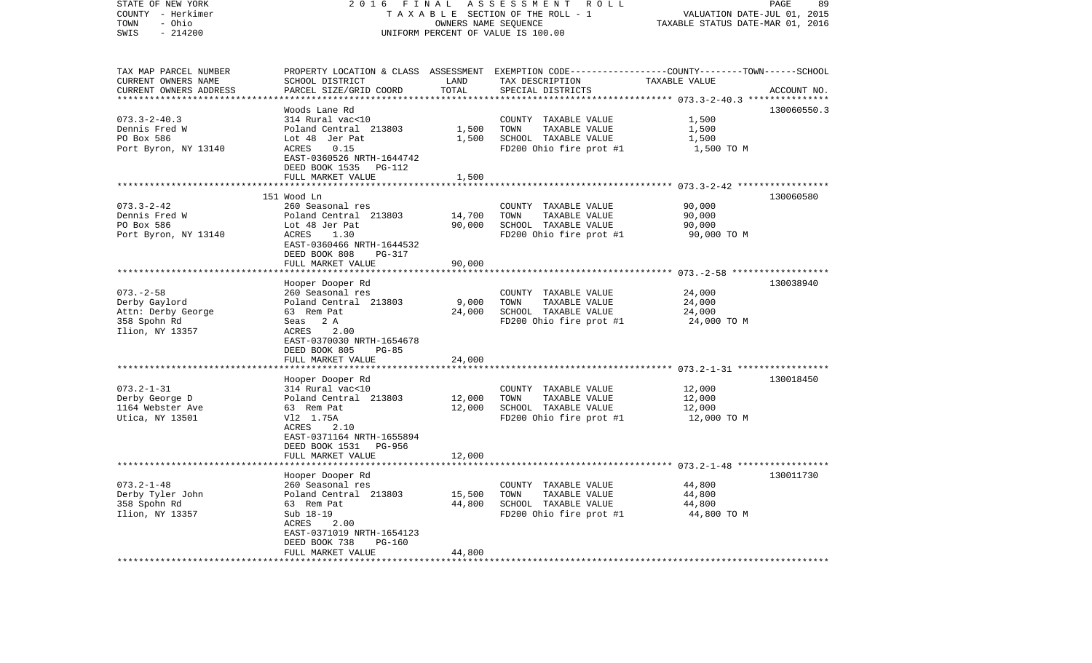| STATE OF NEW YORK      | 2 0 1 6                                     | FINAL               | ASSESSMENT<br>R O L L                                                                            |                                  | 89<br>PAGE  |
|------------------------|---------------------------------------------|---------------------|--------------------------------------------------------------------------------------------------|----------------------------------|-------------|
| COUNTY - Herkimer      |                                             |                     | TAXABLE SECTION OF THE ROLL - 1                                                                  | VALUATION DATE-JUL 01, 2015      |             |
| - Ohio<br>TOWN         |                                             |                     | OWNERS NAME SEOUENCE                                                                             | TAXABLE STATUS DATE-MAR 01, 2016 |             |
| SWIS<br>$-214200$      |                                             |                     | UNIFORM PERCENT OF VALUE IS 100.00                                                               |                                  |             |
|                        |                                             |                     |                                                                                                  |                                  |             |
| TAX MAP PARCEL NUMBER  |                                             |                     | PROPERTY LOCATION & CLASS ASSESSMENT EXEMPTION CODE----------------COUNTY-------TOWN------SCHOOL |                                  |             |
| CURRENT OWNERS NAME    | SCHOOL DISTRICT                             | LAND                | TAX DESCRIPTION                                                                                  | TAXABLE VALUE                    |             |
| CURRENT OWNERS ADDRESS | PARCEL SIZE/GRID COORD                      | TOTAL               | SPECIAL DISTRICTS                                                                                |                                  | ACCOUNT NO. |
|                        |                                             | * * * * * * * * * * |                                                                                                  |                                  |             |
|                        | Woods Lane Rd                               |                     |                                                                                                  |                                  | 130060550.3 |
| $073.3 - 2 - 40.3$     | 314 Rural vac<10                            |                     | COUNTY TAXABLE VALUE                                                                             | 1,500                            |             |
| Dennis Fred W          | Poland Central 213803                       | 1,500               | TOWN<br>TAXABLE VALUE                                                                            | 1,500                            |             |
| PO Box 586             | Lot 48 Jer Pat                              | 1,500               | SCHOOL TAXABLE VALUE                                                                             | 1,500                            |             |
| Port Byron, NY 13140   | ACRES<br>0.15                               |                     | FD200 Ohio fire prot #1                                                                          | 1,500 TO M                       |             |
|                        | EAST-0360526 NRTH-1644742                   |                     |                                                                                                  |                                  |             |
|                        | DEED BOOK 1535<br>PG-112                    |                     |                                                                                                  |                                  |             |
|                        | FULL MARKET VALUE                           | 1,500               |                                                                                                  |                                  |             |
|                        | *******************************             |                     |                                                                                                  |                                  |             |
|                        | 151 Wood Ln                                 |                     |                                                                                                  |                                  | 130060580   |
| $073.3 - 2 - 42$       | 260 Seasonal res                            |                     | COUNTY TAXABLE VALUE                                                                             | 90,000                           |             |
| Dennis Fred W          | Poland Central 213803                       | 14,700              | TOWN<br>TAXABLE VALUE                                                                            | 90,000                           |             |
| PO Box 586             | Lot 48 Jer Pat                              | 90,000              | SCHOOL TAXABLE VALUE                                                                             | 90,000                           |             |
| Port Byron, NY 13140   | ACRES<br>1.30                               |                     | FD200 Ohio fire prot #1                                                                          | 90,000 TO M                      |             |
|                        | EAST-0360466 NRTH-1644532                   |                     |                                                                                                  |                                  |             |
|                        | DEED BOOK 808<br>PG-317                     |                     |                                                                                                  |                                  |             |
|                        | FULL MARKET VALUE                           | 90,000              |                                                                                                  |                                  |             |
|                        |                                             |                     |                                                                                                  |                                  |             |
|                        | Hooper Dooper Rd                            |                     |                                                                                                  |                                  | 130038940   |
| $073. - 2 - 58$        | 260 Seasonal res                            |                     | COUNTY TAXABLE VALUE                                                                             | 24,000                           |             |
| Derby Gaylord          | Poland Central 213803                       | 9,000               | TOWN<br>TAXABLE VALUE                                                                            | 24,000                           |             |
| Attn: Derby George     | 63 Rem Pat                                  | 24,000              | SCHOOL TAXABLE VALUE                                                                             | 24,000                           |             |
| 358 Spohn Rd           | Seas 2 A                                    |                     | FD200 Ohio fire prot #1                                                                          | 24,000 TO M                      |             |
|                        | 2.00<br>ACRES                               |                     |                                                                                                  |                                  |             |
| Ilion, NY 13357        | EAST-0370030 NRTH-1654678                   |                     |                                                                                                  |                                  |             |
|                        | $PG-85$                                     |                     |                                                                                                  |                                  |             |
|                        | DEED BOOK 805                               |                     |                                                                                                  |                                  |             |
|                        | FULL MARKET VALUE<br>********************** | 24,000              |                                                                                                  |                                  |             |
|                        |                                             |                     |                                                                                                  |                                  |             |
|                        | Hooper Dooper Rd                            |                     |                                                                                                  |                                  | 130018450   |
| $073.2 - 1 - 31$       | 314 Rural vac<10                            |                     | COUNTY TAXABLE VALUE                                                                             | 12,000                           |             |
| Derby George D         | Poland Central 213803                       | 12,000              | TAXABLE VALUE<br>TOWN                                                                            | 12,000                           |             |
| 1164 Webster Ave       | 63 Rem Pat                                  | 12,000              | SCHOOL TAXABLE VALUE                                                                             | 12,000                           |             |
| Utica, NY 13501        | V12 1.75A                                   |                     | FD200 Ohio fire prot #1                                                                          | 12,000 TO M                      |             |
|                        | ACRES<br>2.10                               |                     |                                                                                                  |                                  |             |
|                        | EAST-0371164 NRTH-1655894                   |                     |                                                                                                  |                                  |             |
|                        | DEED BOOK 1531<br>PG-956                    |                     |                                                                                                  |                                  |             |
|                        | FULL MARKET VALUE                           | 12,000              |                                                                                                  |                                  |             |
|                        | ******************                          |                     |                                                                                                  |                                  |             |
|                        | Hooper Dooper Rd                            |                     |                                                                                                  |                                  | 130011730   |
| $073.2 - 1 - 48$       | 260 Seasonal res                            |                     | COUNTY TAXABLE VALUE                                                                             | 44,800                           |             |
| Derby Tyler John       | Poland Central 213803                       | 15,500              | TOWN<br>TAXABLE VALUE                                                                            | 44,800                           |             |
| 358 Spohn Rd           | 63 Rem Pat                                  | 44,800              | SCHOOL TAXABLE VALUE                                                                             | 44,800                           |             |
| Ilion, NY 13357        | Sub 18-19                                   |                     | FD200 Ohio fire prot #1                                                                          | 44,800 TO M                      |             |
|                        | ACRES<br>2.00                               |                     |                                                                                                  |                                  |             |
|                        | EAST-0371019 NRTH-1654123                   |                     |                                                                                                  |                                  |             |
|                        | DEED BOOK 738<br>PG-160                     |                     |                                                                                                  |                                  |             |
|                        | FULL MARKET VALUE                           | 44,800              |                                                                                                  |                                  |             |
| *********************  |                                             |                     |                                                                                                  |                                  |             |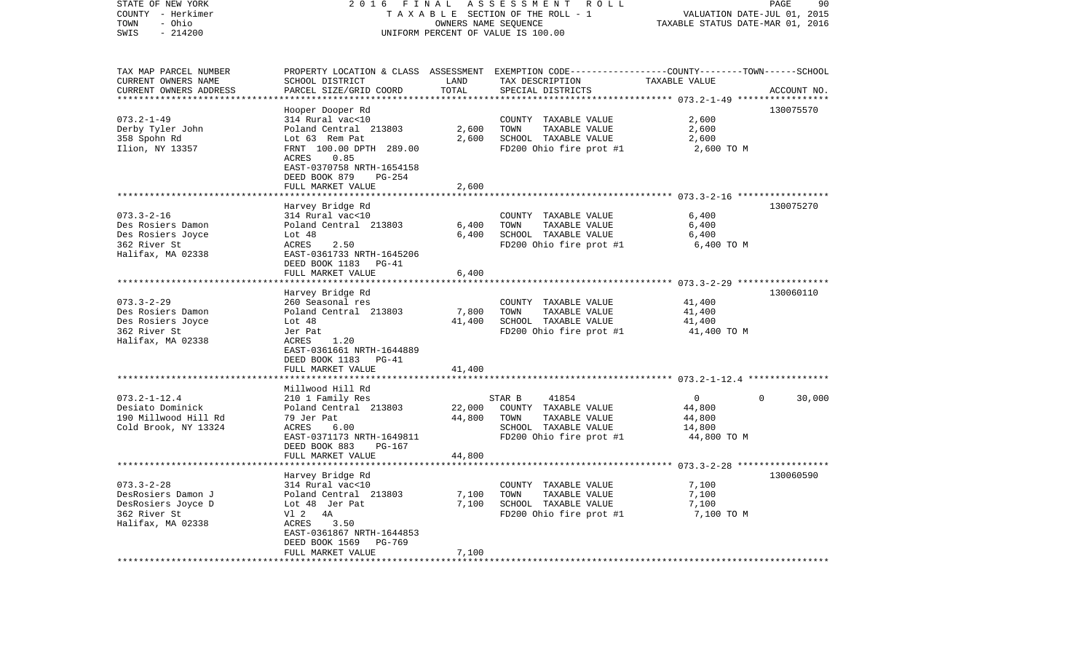| STATE OF NEW YORK<br>COUNTY - Herkimer<br>- Ohio<br>TOWN<br>$-214200$<br>SWIS | 2 0 1 6                                                                   | FINAL       | ASSESSMENT<br>ROLL<br>TAXABLE SECTION OF THE ROLL - 1<br>OWNERS NAME SEQUENCE<br>UNIFORM PERCENT OF VALUE IS 100.00 | VALUATION DATE-JUL 01, 2015<br>TAXABLE STATUS DATE-MAR 01, 2016 | PAGE<br>90         |
|-------------------------------------------------------------------------------|---------------------------------------------------------------------------|-------------|---------------------------------------------------------------------------------------------------------------------|-----------------------------------------------------------------|--------------------|
|                                                                               |                                                                           |             |                                                                                                                     |                                                                 |                    |
| TAX MAP PARCEL NUMBER                                                         |                                                                           | LAND        | PROPERTY LOCATION & CLASS ASSESSMENT EXEMPTION CODE---------------COUNTY-------TOWN------SCHOOL                     | TAXABLE VALUE                                                   |                    |
| CURRENT OWNERS NAME<br>CURRENT OWNERS ADDRESS                                 | SCHOOL DISTRICT<br>PARCEL SIZE/GRID COORD                                 | TOTAL       | TAX DESCRIPTION<br>SPECIAL DISTRICTS                                                                                |                                                                 | ACCOUNT NO.        |
|                                                                               |                                                                           | ********    |                                                                                                                     | ********** 073.2-1-49 ****                                      |                    |
|                                                                               | Hooper Dooper Rd                                                          |             |                                                                                                                     |                                                                 | 130075570          |
| $073.2 - 1 - 49$                                                              | 314 Rural vac<10                                                          |             | COUNTY TAXABLE VALUE                                                                                                | 2,600                                                           |                    |
| Derby Tyler John                                                              | Poland Central 213803                                                     | 2,600       | TOWN<br>TAXABLE VALUE                                                                                               | 2,600                                                           |                    |
| 358 Spohn Rd                                                                  | Lot 63 Rem Pat                                                            | 2,600       | SCHOOL TAXABLE VALUE                                                                                                | 2,600                                                           |                    |
| Ilion, NY 13357                                                               | FRNT 100.00 DPTH 289.00<br>0.85<br>ACRES                                  |             | FD200 Ohio fire prot #1                                                                                             | 2,600 TO M                                                      |                    |
|                                                                               | EAST-0370758 NRTH-1654158<br>DEED BOOK 879<br>PG-254<br>FULL MARKET VALUE | 2,600       |                                                                                                                     |                                                                 |                    |
|                                                                               |                                                                           |             |                                                                                                                     |                                                                 |                    |
|                                                                               | Harvey Bridge Rd                                                          |             |                                                                                                                     |                                                                 | 130075270          |
| $073.3 - 2 - 16$                                                              | 314 Rural vac<10                                                          |             | COUNTY TAXABLE VALUE                                                                                                | 6,400                                                           |                    |
| Des Rosiers Damon                                                             | Poland Central 213803                                                     | 6,400       | TOWN<br>TAXABLE VALUE                                                                                               | 6,400                                                           |                    |
| Des Rosiers Joyce                                                             | Lot $48$                                                                  | 6,400       | SCHOOL TAXABLE VALUE                                                                                                | 6,400                                                           |                    |
| 362 River St                                                                  | ACRES<br>2.50                                                             |             | FD200 Ohio fire prot #1                                                                                             | 6,400 TO M                                                      |                    |
| Halifax, MA 02338                                                             | EAST-0361733 NRTH-1645206<br>DEED BOOK 1183<br>PG-41                      |             |                                                                                                                     |                                                                 |                    |
|                                                                               | FULL MARKET VALUE                                                         | 6,400       |                                                                                                                     |                                                                 |                    |
|                                                                               | ****************************                                              |             |                                                                                                                     |                                                                 |                    |
| $073.3 - 2 - 29$                                                              | Harvey Bridge Rd                                                          |             |                                                                                                                     |                                                                 | 130060110          |
| Des Rosiers Damon                                                             | 260 Seasonal res<br>Poland Central 213803                                 | 7,800       | COUNTY TAXABLE VALUE<br>TOWN<br>TAXABLE VALUE                                                                       | 41,400<br>41,400                                                |                    |
| Des Rosiers Joyce                                                             | Lot $48$                                                                  | 41,400      | SCHOOL TAXABLE VALUE                                                                                                | 41,400                                                          |                    |
| 362 River St                                                                  | Jer Pat                                                                   |             | FD200 Ohio fire prot #1                                                                                             | 41,400 TO M                                                     |                    |
| Halifax, MA 02338                                                             | ACRES<br>1.20<br>EAST-0361661 NRTH-1644889                                |             |                                                                                                                     |                                                                 |                    |
|                                                                               | DEED BOOK 1183<br>PG-41                                                   |             |                                                                                                                     |                                                                 |                    |
|                                                                               | FULL MARKET VALUE                                                         | 41,400      |                                                                                                                     |                                                                 |                    |
|                                                                               |                                                                           |             |                                                                                                                     |                                                                 |                    |
|                                                                               | Millwood Hill Rd                                                          |             |                                                                                                                     |                                                                 |                    |
| $073.2 - 1 - 12.4$                                                            | 210 1 Family Res                                                          |             | STAR B<br>41854                                                                                                     | $\overline{0}$                                                  | $\Omega$<br>30,000 |
| Desiato Dominick                                                              | Poland Central 213803                                                     | 22,000      | COUNTY TAXABLE VALUE                                                                                                | 44,800                                                          |                    |
| 190 Millwood Hill Rd                                                          | 79 Jer Pat                                                                | 44,800      | TAXABLE VALUE<br>TOWN                                                                                               | 44,800                                                          |                    |
| Cold Brook, NY 13324                                                          | ACRES<br>6.00                                                             |             | SCHOOL TAXABLE VALUE                                                                                                | 14,800                                                          |                    |
|                                                                               | EAST-0371173 NRTH-1649811                                                 |             | FD200 Ohio fire prot #1                                                                                             | 44,800 TO M                                                     |                    |
|                                                                               | DEED BOOK 883<br>PG-167                                                   |             |                                                                                                                     |                                                                 |                    |
|                                                                               | FULL MARKET VALUE<br>*******************                                  | 44,800      |                                                                                                                     |                                                                 |                    |
|                                                                               | Harvey Bridge Rd                                                          |             |                                                                                                                     |                                                                 | 130060590          |
| $073.3 - 2 - 28$                                                              | 314 Rural vac<10                                                          |             | COUNTY TAXABLE VALUE                                                                                                | 7,100                                                           |                    |
| DesRosiers Damon J                                                            | Poland Central 213803                                                     | 7,100       | TOWN<br>TAXABLE VALUE                                                                                               | 7,100                                                           |                    |
| DesRosiers Joyce D                                                            | Lot 48 Jer Pat                                                            | 7,100       | SCHOOL TAXABLE VALUE                                                                                                | 7,100                                                           |                    |
| 362 River St                                                                  | V1 2<br>4A                                                                |             | FD200 Ohio fire prot #1                                                                                             | 7,100 TO M                                                      |                    |
| Halifax, MA 02338                                                             | ACRES<br>3.50                                                             |             |                                                                                                                     |                                                                 |                    |
|                                                                               | EAST-0361867 NRTH-1644853                                                 |             |                                                                                                                     |                                                                 |                    |
|                                                                               | DEED BOOK 1569<br><b>PG-769</b>                                           |             |                                                                                                                     |                                                                 |                    |
|                                                                               | FULL MARKET VALUE                                                         | 7,100       |                                                                                                                     |                                                                 |                    |
|                                                                               |                                                                           | *********** |                                                                                                                     |                                                                 |                    |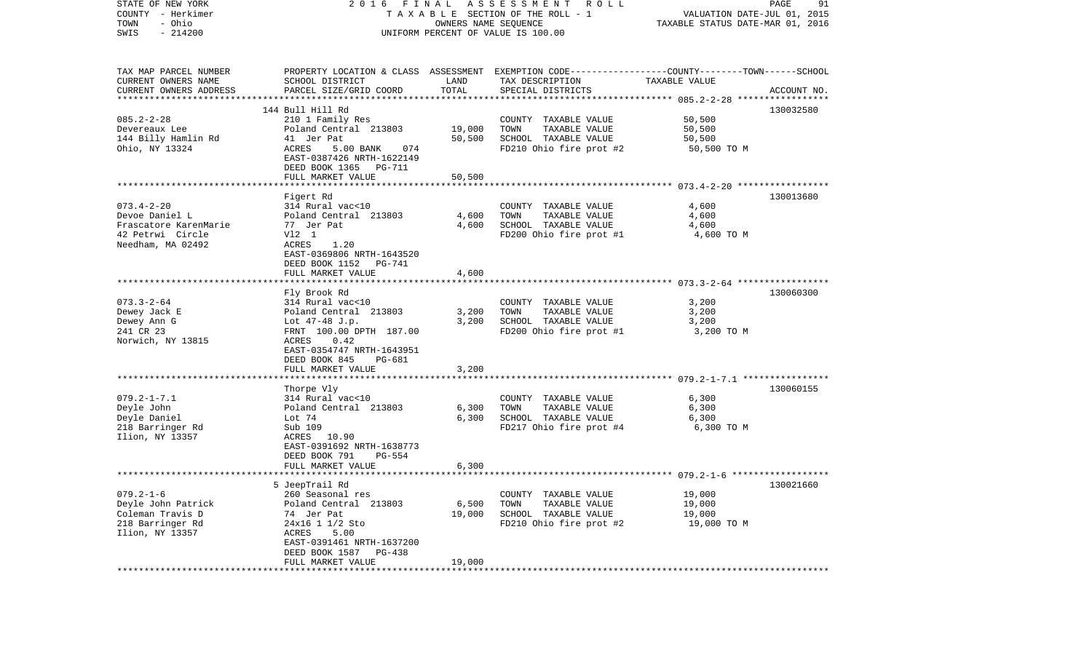| STATE OF NEW YORK<br>COUNTY - Herkimer<br>- Ohio<br>TOWN<br>$-214200$<br>SWIS | A S S E S S M E N T R O L L<br>FINAL<br>2016<br>TAXABLE SECTION OF THE ROLL - 1<br>OWNERS NAME SEQUENCE<br>UNIFORM PERCENT OF VALUE IS 100.00 |               |                                                                                                  | PAGE<br>91<br>VALUATION DATE-JUL 01, 2015<br>TAXABLE STATUS DATE-MAR 01, 2016 |             |  |
|-------------------------------------------------------------------------------|-----------------------------------------------------------------------------------------------------------------------------------------------|---------------|--------------------------------------------------------------------------------------------------|-------------------------------------------------------------------------------|-------------|--|
| TAX MAP PARCEL NUMBER                                                         |                                                                                                                                               |               | PROPERTY LOCATION & CLASS ASSESSMENT EXEMPTION CODE----------------COUNTY-------TOWN------SCHOOL |                                                                               |             |  |
| CURRENT OWNERS NAME<br>CURRENT OWNERS ADDRESS                                 | SCHOOL DISTRICT<br>PARCEL SIZE/GRID COORD                                                                                                     | LAND<br>TOTAL | TAX DESCRIPTION<br>SPECIAL DISTRICTS                                                             | TAXABLE VALUE                                                                 | ACCOUNT NO. |  |
| *************************                                                     |                                                                                                                                               |               |                                                                                                  |                                                                               |             |  |
| $085.2 - 2 - 28$                                                              | 144 Bull Hill Rd<br>210 1 Family Res                                                                                                          |               | COUNTY TAXABLE VALUE                                                                             | 50,500                                                                        | 130032580   |  |
| Devereaux Lee                                                                 | Poland Central 213803                                                                                                                         | 19,000        | TAXABLE VALUE<br>TOWN                                                                            | 50,500                                                                        |             |  |
| 144 Billy Hamlin Rd                                                           | 41 Jer Pat                                                                                                                                    | 50,500        | SCHOOL TAXABLE VALUE                                                                             | 50,500                                                                        |             |  |
| Ohio, NY 13324                                                                | <b>ACRES</b><br>5.00 BANK<br>074<br>EAST-0387426 NRTH-1622149                                                                                 |               | FD210 Ohio fire prot #2                                                                          | 50,500 TO M                                                                   |             |  |
|                                                                               | DEED BOOK 1365 PG-711                                                                                                                         |               |                                                                                                  |                                                                               |             |  |
|                                                                               | FULL MARKET VALUE                                                                                                                             | 50,500        |                                                                                                  |                                                                               |             |  |
|                                                                               | Figert Rd                                                                                                                                     |               |                                                                                                  |                                                                               | 130013680   |  |
| $073.4 - 2 - 20$                                                              | 314 Rural vac<10                                                                                                                              |               | COUNTY TAXABLE VALUE                                                                             | 4,600                                                                         |             |  |
| Devoe Daniel L                                                                | Poland Central 213803                                                                                                                         | 4,600         | TAXABLE VALUE<br>TOWN                                                                            | 4,600                                                                         |             |  |
| Frascatore KarenMarie                                                         | 77 Jer Pat                                                                                                                                    | 4,600         | SCHOOL TAXABLE VALUE                                                                             | 4,600                                                                         |             |  |
| 42 Petrwi Circle                                                              | V12 1                                                                                                                                         |               | FD200 Ohio fire prot #1                                                                          | 4,600 TO M                                                                    |             |  |
| Needham, MA 02492                                                             | ACRES<br>1.20<br>EAST-0369806 NRTH-1643520<br>DEED BOOK 1152 PG-741                                                                           |               |                                                                                                  |                                                                               |             |  |
|                                                                               | FULL MARKET VALUE                                                                                                                             | 4,600         |                                                                                                  |                                                                               |             |  |
|                                                                               | Fly Brook Rd                                                                                                                                  |               |                                                                                                  |                                                                               | 130060300   |  |
| $073.3 - 2 - 64$                                                              | 314 Rural vac<10                                                                                                                              |               | COUNTY TAXABLE VALUE                                                                             | 3,200                                                                         |             |  |
| Dewey Jack E                                                                  | Poland Central 213803                                                                                                                         | 3,200         | TAXABLE VALUE<br>TOWN                                                                            | 3,200                                                                         |             |  |
| Dewey Ann G                                                                   | Lot $47-48$ J.p.                                                                                                                              | 3,200         | SCHOOL TAXABLE VALUE                                                                             | 3,200                                                                         |             |  |
| 241 CR 23                                                                     | FRNT 100.00 DPTH 187.00                                                                                                                       |               | FD200 Ohio fire prot #1                                                                          | 3,200 TO M                                                                    |             |  |
| Norwich, NY 13815                                                             | ACRES<br>0.42                                                                                                                                 |               |                                                                                                  |                                                                               |             |  |
|                                                                               | EAST-0354747 NRTH-1643951                                                                                                                     |               |                                                                                                  |                                                                               |             |  |
|                                                                               | DEED BOOK 845<br>PG-681<br>FULL MARKET VALUE                                                                                                  | 3,200         |                                                                                                  |                                                                               |             |  |
|                                                                               | *********************                                                                                                                         |               |                                                                                                  |                                                                               |             |  |
|                                                                               | Thorpe Vly                                                                                                                                    |               |                                                                                                  |                                                                               | 130060155   |  |
| $079.2 - 1 - 7.1$                                                             | 314 Rural vac<10                                                                                                                              |               | COUNTY TAXABLE VALUE                                                                             | 6,300                                                                         |             |  |
| Deyle John                                                                    | Poland Central 213803                                                                                                                         | 6,300         | TOWN<br>TAXABLE VALUE                                                                            | 6,300                                                                         |             |  |
| Deyle Daniel                                                                  | Lot 74                                                                                                                                        | 6,300         | SCHOOL TAXABLE VALUE                                                                             | 6,300                                                                         |             |  |
| 218 Barringer Rd                                                              | Sub 109                                                                                                                                       |               | FD217 Ohio fire prot #4                                                                          | 6,300 TO M                                                                    |             |  |
| Ilion, NY 13357                                                               | ACRES 10.90                                                                                                                                   |               |                                                                                                  |                                                                               |             |  |
|                                                                               | EAST-0391692 NRTH-1638773<br>DEED BOOK 791<br><b>PG-554</b>                                                                                   |               |                                                                                                  |                                                                               |             |  |
|                                                                               | FULL MARKET VALUE                                                                                                                             | 6,300         |                                                                                                  |                                                                               |             |  |
|                                                                               |                                                                                                                                               |               |                                                                                                  |                                                                               |             |  |
|                                                                               | 5 JeepTrail Rd                                                                                                                                |               |                                                                                                  |                                                                               | 130021660   |  |
| $079.2 - 1 - 6$                                                               | 260 Seasonal res                                                                                                                              |               | COUNTY TAXABLE VALUE                                                                             | 19,000                                                                        |             |  |
| Deyle John Patrick                                                            | Poland Central 213803                                                                                                                         | 6,500         | TOWN<br>TAXABLE VALUE                                                                            | 19,000                                                                        |             |  |
| Coleman Travis D                                                              | 74 Jer Pat                                                                                                                                    | 19,000        | SCHOOL TAXABLE VALUE                                                                             | 19,000                                                                        |             |  |
| 218 Barringer Rd                                                              | 24x16 1 1/2 Sto                                                                                                                               |               | FD210 Ohio fire prot #2                                                                          | 19,000 TO M                                                                   |             |  |
| Ilion, NY 13357                                                               | ACRES<br>5.00<br>EAST-0391461 NRTH-1637200                                                                                                    |               |                                                                                                  |                                                                               |             |  |
|                                                                               | DEED BOOK 1587<br>PG-438<br>FULL MARKET VALUE                                                                                                 | 19,000        |                                                                                                  |                                                                               |             |  |
|                                                                               |                                                                                                                                               |               |                                                                                                  |                                                                               |             |  |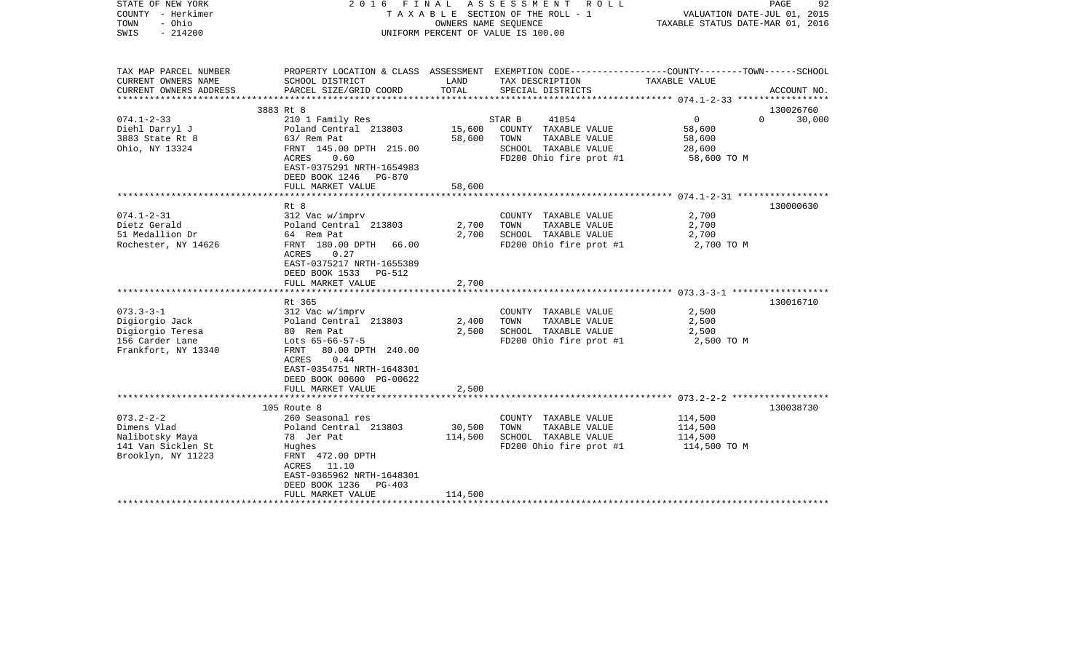| STATE OF NEW YORK<br>COUNTY - Herkimer<br>- Ohio<br>TOWN<br>$-214200$<br>SWIS                 | 2016                                                                                                                                                             | FINAL<br>OWNERS NAME SEOUENCE | A S S E S S M E N T R O L L<br>T A X A B L E SECTION OF THE ROLL - 1<br>UNIFORM PERCENT OF VALUE IS 100.00         | VALUATION DATE-JUL 01, 2015<br>TAXABLE STATUS DATE-MAR 01, 2016 | 92<br>PAGE  |
|-----------------------------------------------------------------------------------------------|------------------------------------------------------------------------------------------------------------------------------------------------------------------|-------------------------------|--------------------------------------------------------------------------------------------------------------------|-----------------------------------------------------------------|-------------|
| TAX MAP PARCEL NUMBER<br>CURRENT OWNERS NAME                                                  | SCHOOL DISTRICT                                                                                                                                                  | LAND                          | PROPERTY LOCATION & CLASS ASSESSMENT EXEMPTION CODE---------------COUNTY-------TOWN------SCHOOL<br>TAX DESCRIPTION | TAXABLE VALUE                                                   |             |
| CURRENT OWNERS ADDRESS                                                                        | PARCEL SIZE/GRID COORD                                                                                                                                           | TOTAL                         | SPECIAL DISTRICTS                                                                                                  |                                                                 | ACCOUNT NO. |
|                                                                                               |                                                                                                                                                                  |                               |                                                                                                                    |                                                                 |             |
|                                                                                               | 3883 Rt 8                                                                                                                                                        |                               |                                                                                                                    |                                                                 | 130026760   |
| $074.1 - 2 - 33$<br>Diehl Darryl J                                                            | 210 1 Family Res<br>Poland Central 213803                                                                                                                        | 15,600                        | STAR B<br>41854<br>COUNTY TAXABLE VALUE                                                                            | $\overline{0}$<br>$\Omega$<br>58,600                            | 30,000      |
| 3883 State Rt 8                                                                               | 63/ Rem Pat                                                                                                                                                      | 58,600                        | TAXABLE VALUE<br>TOWN                                                                                              | 58,600                                                          |             |
| Ohio, NY 13324                                                                                | FRNT 145.00 DPTH 215.00<br>ACRES<br>0.60<br>EAST-0375291 NRTH-1654983<br>DEED BOOK 1246<br><b>PG-870</b>                                                         |                               | SCHOOL TAXABLE VALUE<br>FD200 Ohio fire prot #1                                                                    | 28,600<br>58,600 TO M                                           |             |
|                                                                                               | FULL MARKET VALUE                                                                                                                                                | 58,600                        |                                                                                                                    |                                                                 |             |
|                                                                                               |                                                                                                                                                                  |                               |                                                                                                                    |                                                                 |             |
|                                                                                               | Rt 8                                                                                                                                                             |                               |                                                                                                                    |                                                                 | 130000630   |
| $074.1 - 2 - 31$<br>Dietz Gerald                                                              | 312 Vac w/imprv<br>Poland Central 213803                                                                                                                         | 2,700                         | COUNTY TAXABLE VALUE<br>TAXABLE VALUE<br>TOWN                                                                      | 2,700<br>2,700                                                  |             |
| 51 Medallion Dr                                                                               | 64 Rem Pat                                                                                                                                                       | 2,700                         | SCHOOL TAXABLE VALUE                                                                                               | 2,700                                                           |             |
| Rochester, NY 14626                                                                           | FRNT 180.00 DPTH<br>66.00                                                                                                                                        |                               | FD200 Ohio fire prot #1                                                                                            | 2,700 TO M                                                      |             |
|                                                                                               | 0.27<br>ACRES<br>EAST-0375217 NRTH-1655389<br>DEED BOOK 1533<br>PG-512<br>FULL MARKET VALUE                                                                      | 2,700                         |                                                                                                                    |                                                                 |             |
|                                                                                               |                                                                                                                                                                  |                               |                                                                                                                    |                                                                 |             |
|                                                                                               | Rt 365                                                                                                                                                           |                               |                                                                                                                    |                                                                 | 130016710   |
| $073.3 - 3 - 1$                                                                               | 312 Vac w/imprv                                                                                                                                                  |                               | COUNTY TAXABLE VALUE                                                                                               | 2,500                                                           |             |
| Digiorgio Jack                                                                                | Poland Central 213803                                                                                                                                            | 2,400                         | TAXABLE VALUE<br>TOWN                                                                                              | 2,500                                                           |             |
| Digiorgio Teresa<br>156 Carder Lane                                                           | 80 Rem Pat<br>Lots $65-66-57-5$                                                                                                                                  | 2,500                         | SCHOOL TAXABLE VALUE<br>FD200 Ohio fire prot #1                                                                    | 2,500                                                           |             |
| Frankfort, NY 13340                                                                           | FRNT<br>80.00 DPTH 240.00<br>ACRES<br>0.44<br>EAST-0354751 NRTH-1648301<br>DEED BOOK 00600 PG-00622<br>FULL MARKET VALUE                                         | 2,500                         |                                                                                                                    | 2,500 TO M                                                      |             |
|                                                                                               |                                                                                                                                                                  |                               |                                                                                                                    |                                                                 |             |
|                                                                                               | 105 Route 8                                                                                                                                                      |                               |                                                                                                                    |                                                                 | 130038730   |
| $073.2 - 2 - 2$<br>Dimens Vlad<br>Nalibotsky Maya<br>141 Van Sicklen St<br>Brooklyn, NY 11223 | 260 Seasonal res<br>Poland Central 213803<br>78 Jer Pat<br>Hughes<br>FRNT 472.00 DPTH<br>ACRES<br>11.10<br>EAST-0365962 NRTH-1648301<br>DEED BOOK 1236<br>PG-403 | 30,500<br>114,500             | COUNTY TAXABLE VALUE<br>TAXABLE VALUE<br>TOWN<br>SCHOOL TAXABLE VALUE<br>FD200 Ohio fire prot #1                   | 114,500<br>114,500<br>114,500<br>114,500 TO M                   |             |
|                                                                                               | FULL MARKET VALUE                                                                                                                                                | 114,500                       |                                                                                                                    |                                                                 |             |
|                                                                                               |                                                                                                                                                                  |                               |                                                                                                                    |                                                                 |             |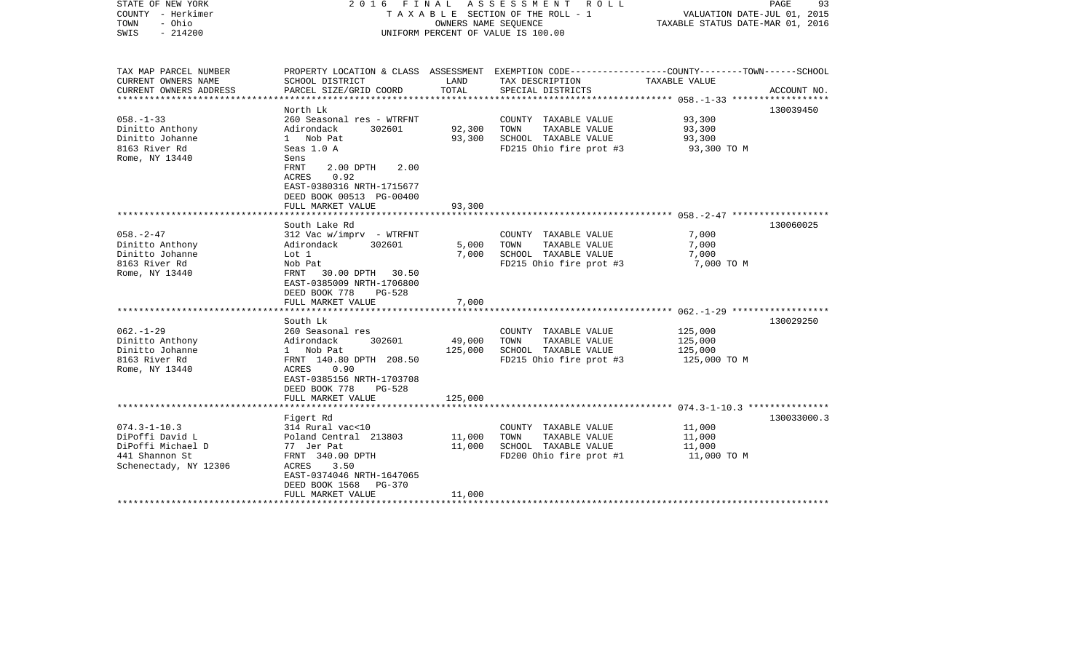| STATE OF NEW YORK<br>COUNTY - Herkimer<br>- Ohio<br>TOWN<br>$-214200$<br>SWIS |                                                         | OWNERS NAME SEQUENCE | 2016 FINAL ASSESSMENT<br>R O L L<br>T A X A B L E SECTION OF THE ROLL - 1<br>UNIFORM PERCENT OF VALUE IS 100.00 | PAGE<br>VALUATION DATE-JUL 01, 2015<br>TAXABLE STATUS DATE-MAR 01, 2016                                         | 93          |
|-------------------------------------------------------------------------------|---------------------------------------------------------|----------------------|-----------------------------------------------------------------------------------------------------------------|-----------------------------------------------------------------------------------------------------------------|-------------|
| TAX MAP PARCEL NUMBER<br>CURRENT OWNERS NAME                                  | SCHOOL DISTRICT                                         | LAND                 | TAX DESCRIPTION                                                                                                 | PROPERTY LOCATION & CLASS ASSESSMENT EXEMPTION CODE---------------COUNTY-------TOWN-----SCHOOL<br>TAXABLE VALUE |             |
| CURRENT OWNERS ADDRESS                                                        | PARCEL SIZE/GRID COORD                                  | TOTAL                | SPECIAL DISTRICTS                                                                                               |                                                                                                                 | ACCOUNT NO. |
| ************************                                                      |                                                         |                      |                                                                                                                 |                                                                                                                 |             |
| $058. - 1 - 33$                                                               | North Lk<br>260 Seasonal res - WTRFNT                   |                      | COUNTY TAXABLE VALUE                                                                                            | 93,300                                                                                                          | 130039450   |
| Dinitto Anthony                                                               | Adirondack<br>302601                                    | 92,300               | TAXABLE VALUE<br>TOWN                                                                                           | 93,300                                                                                                          |             |
| Dinitto Johanne                                                               | 1 Nob Pat                                               | 93,300               | SCHOOL TAXABLE VALUE                                                                                            | 93,300                                                                                                          |             |
| 8163 River Rd                                                                 | Seas 1.0 A                                              |                      | FD215 Ohio fire prot #3                                                                                         | 93,300 TO M                                                                                                     |             |
| Rome, NY 13440                                                                | Sens                                                    |                      |                                                                                                                 |                                                                                                                 |             |
|                                                                               | 2.00 DPTH 2.00<br>FRNT                                  |                      |                                                                                                                 |                                                                                                                 |             |
|                                                                               | 0.92<br>ACRES                                           |                      |                                                                                                                 |                                                                                                                 |             |
|                                                                               | EAST-0380316 NRTH-1715677                               |                      |                                                                                                                 |                                                                                                                 |             |
|                                                                               | DEED BOOK 00513 PG-00400<br>FULL MARKET VALUE           | 93,300               |                                                                                                                 |                                                                                                                 |             |
|                                                                               |                                                         |                      |                                                                                                                 |                                                                                                                 |             |
|                                                                               | South Lake Rd                                           |                      |                                                                                                                 |                                                                                                                 | 130060025   |
| $058. - 2 - 47$                                                               | $312$ Vac w/imprv - WTRFNT                              |                      | COUNTY TAXABLE VALUE                                                                                            | 7,000                                                                                                           |             |
| Dinitto Anthony                                                               | Adirondack<br>302601                                    | 5,000                | TOWN<br>TAXABLE VALUE                                                                                           | 7,000                                                                                                           |             |
| Dinitto Johanne                                                               | Lot 1                                                   | 7,000                | SCHOOL TAXABLE VALUE                                                                                            | 7,000                                                                                                           |             |
| 8163 River Rd                                                                 | Nob Pat                                                 |                      | FD215 Ohio fire prot #3                                                                                         | 7,000 TO M                                                                                                      |             |
| Rome, NY 13440                                                                | FRNT<br>30.00 DPTH 30.50                                |                      |                                                                                                                 |                                                                                                                 |             |
|                                                                               | EAST-0385009 NRTH-1706800                               |                      |                                                                                                                 |                                                                                                                 |             |
|                                                                               | DEED BOOK 778<br>$PG-528$<br>FULL MARKET VALUE          | 7,000                |                                                                                                                 |                                                                                                                 |             |
|                                                                               |                                                         |                      |                                                                                                                 |                                                                                                                 |             |
|                                                                               | South Lk                                                |                      |                                                                                                                 |                                                                                                                 | 130029250   |
| $062. -1 - 29$                                                                | 260 Seasonal res                                        |                      | COUNTY TAXABLE VALUE                                                                                            | 125,000                                                                                                         |             |
| Dinitto Anthony                                                               | Adirondack<br>302601                                    | 49,000               | TOWN<br>TAXABLE VALUE                                                                                           | 125,000                                                                                                         |             |
| Dinitto Johanne                                                               | 1 Nob Pat                                               | 125,000              | SCHOOL TAXABLE VALUE                                                                                            | 125,000                                                                                                         |             |
| 8163 River Rd                                                                 | FRNT 140.80 DPTH 208.50                                 |                      | FD215 Ohio fire prot #3                                                                                         | 125,000 TO M                                                                                                    |             |
| Rome, NY 13440                                                                | ACRES<br>0.90                                           |                      |                                                                                                                 |                                                                                                                 |             |
|                                                                               | EAST-0385156 NRTH-1703708<br>DEED BOOK 778<br>$PG-528$  |                      |                                                                                                                 |                                                                                                                 |             |
|                                                                               | FULL MARKET VALUE                                       | 125,000              |                                                                                                                 |                                                                                                                 |             |
|                                                                               |                                                         |                      |                                                                                                                 |                                                                                                                 |             |
|                                                                               | Figert Rd                                               |                      |                                                                                                                 |                                                                                                                 | 130033000.3 |
| $074.3 - 1 - 10.3$                                                            | 314 Rural vac<10                                        |                      | COUNTY TAXABLE VALUE                                                                                            | 11,000                                                                                                          |             |
| DiPoffi David L                                                               | Poland Central 213803                                   | 11,000               | TAXABLE VALUE<br>TOWN                                                                                           | 11,000                                                                                                          |             |
| DiPoffi Michael D                                                             | 77 Jer Pat                                              | 11,000               | SCHOOL TAXABLE VALUE                                                                                            | 11,000                                                                                                          |             |
| 441 Shannon St                                                                | FRNT 340.00 DPTH                                        |                      | FD200 Ohio fire prot #1                                                                                         | 11,000 TO M                                                                                                     |             |
| Schenectady, NY 12306                                                         | ACRES<br>3.50                                           |                      |                                                                                                                 |                                                                                                                 |             |
|                                                                               | EAST-0374046 NRTH-1647065<br>DEED BOOK 1568<br>$PG-370$ |                      |                                                                                                                 |                                                                                                                 |             |
|                                                                               | FULL MARKET VALUE                                       | 11,000               |                                                                                                                 |                                                                                                                 |             |
|                                                                               |                                                         |                      |                                                                                                                 |                                                                                                                 |             |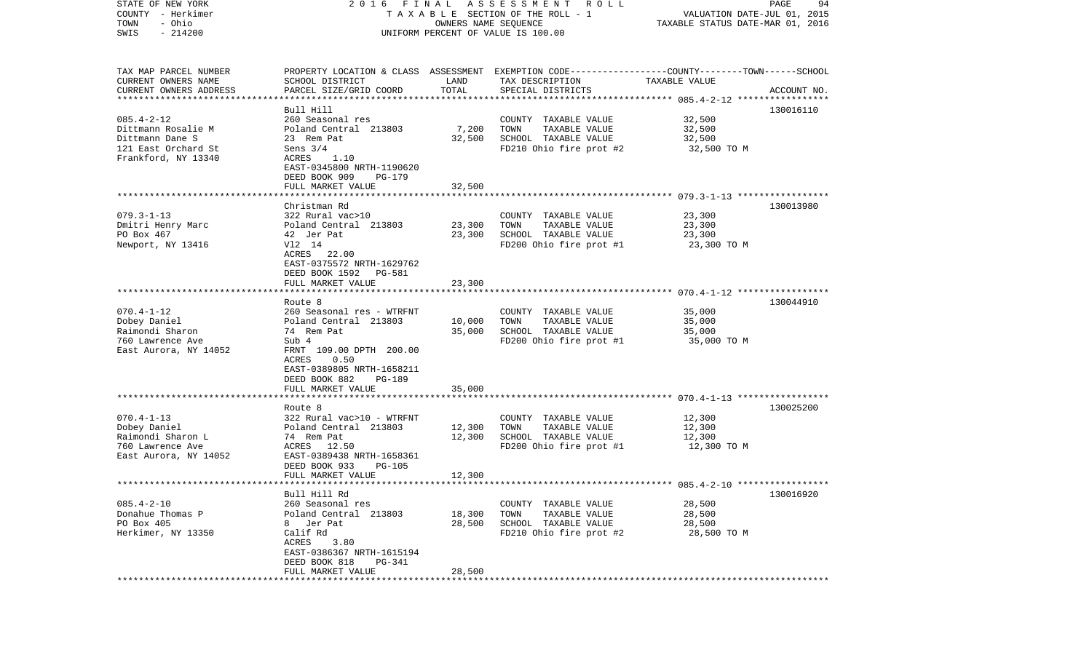| STATE OF NEW YORK                                |                                            |          | 2016 FINAL ASSESSMENT ROLL                                                                      |                                  | PAGE<br>94  |
|--------------------------------------------------|--------------------------------------------|----------|-------------------------------------------------------------------------------------------------|----------------------------------|-------------|
| COUNTY - Herkimer                                |                                            |          | TAXABLE SECTION OF THE ROLL - 1                                                                 | VALUATION DATE-JUL 01, 2015      |             |
| - Ohio<br>TOWN                                   |                                            |          | OWNERS NAME SEQUENCE                                                                            | TAXABLE STATUS DATE-MAR 01, 2016 |             |
| $-214200$<br>SWIS                                |                                            |          | UNIFORM PERCENT OF VALUE IS 100.00                                                              |                                  |             |
|                                                  |                                            |          |                                                                                                 |                                  |             |
| TAX MAP PARCEL NUMBER                            |                                            |          | PROPERTY LOCATION & CLASS ASSESSMENT EXEMPTION CODE---------------COUNTY-------TOWN------SCHOOL |                                  |             |
| CURRENT OWNERS NAME                              | SCHOOL DISTRICT                            | LAND     | TAX DESCRIPTION                                                                                 | TAXABLE VALUE                    |             |
| CURRENT OWNERS ADDRESS<br>********************** | PARCEL SIZE/GRID COORD                     | TOTAL    | SPECIAL DISTRICTS                                                                               |                                  | ACCOUNT NO. |
|                                                  | Bull Hill                                  |          |                                                                                                 |                                  | 130016110   |
| $085.4 - 2 - 12$                                 | 260 Seasonal res                           |          | COUNTY TAXABLE VALUE                                                                            | 32,500                           |             |
| Dittmann Rosalie M                               | Poland Central 213803                      | 7,200    | TOWN<br>TAXABLE VALUE                                                                           | 32,500                           |             |
| Dittmann Dane S                                  | 23 Rem Pat                                 | 32,500   | SCHOOL TAXABLE VALUE                                                                            | 32,500                           |             |
| 121 East Orchard St                              | Sens $3/4$                                 |          | FD210 Ohio fire prot #2                                                                         | 32,500 TO M                      |             |
| Frankford, NY 13340                              | ACRES<br>1.10                              |          |                                                                                                 |                                  |             |
|                                                  | EAST-0345800 NRTH-1190620                  |          |                                                                                                 |                                  |             |
|                                                  | DEED BOOK 909<br>PG-179                    |          |                                                                                                 |                                  |             |
|                                                  | FULL MARKET VALUE                          | 32,500   |                                                                                                 |                                  |             |
|                                                  |                                            |          |                                                                                                 |                                  |             |
|                                                  | Christman Rd                               |          |                                                                                                 |                                  | 130013980   |
| $079.3 - 1 - 13$                                 | 322 Rural vac>10                           |          | COUNTY TAXABLE VALUE                                                                            | 23,300                           |             |
| Dmitri Henry Marc                                | Poland Central 213803                      | 23,300   | TAXABLE VALUE<br>TOWN                                                                           | 23,300                           |             |
| PO Box 467                                       | 42 Jer Pat                                 | 23,300   | SCHOOL TAXABLE VALUE                                                                            | 23,300                           |             |
| Newport, NY 13416                                | V12 14                                     |          | FD200 Ohio fire prot #1                                                                         | 23,300 TO M                      |             |
|                                                  | ACRES 22.00                                |          |                                                                                                 |                                  |             |
|                                                  | EAST-0375572 NRTH-1629762                  |          |                                                                                                 |                                  |             |
|                                                  | DEED BOOK 1592<br>PG-581                   |          |                                                                                                 |                                  |             |
|                                                  | FULL MARKET VALUE                          | 23,300   |                                                                                                 |                                  |             |
|                                                  |                                            |          |                                                                                                 |                                  |             |
|                                                  | Route 8                                    |          |                                                                                                 |                                  | 130044910   |
| $070.4 - 1 - 12$                                 | 260 Seasonal res - WTRFNT                  |          | COUNTY TAXABLE VALUE                                                                            | 35,000                           |             |
| Dobey Daniel                                     | Poland Central 213803                      | 10,000   | TAXABLE VALUE<br>TOWN                                                                           | 35,000                           |             |
| Raimondi Sharon<br>760 Lawrence Ave              | 74 Rem Pat<br>Sub 4                        | 35,000   | SCHOOL TAXABLE VALUE<br>FD200 Ohio fire prot #1                                                 | 35,000                           |             |
|                                                  | FRNT 109.00 DPTH 200.00                    |          |                                                                                                 | 35,000 TO M                      |             |
| East Aurora, NY 14052                            | 0.50<br>ACRES                              |          |                                                                                                 |                                  |             |
|                                                  | EAST-0389805 NRTH-1658211                  |          |                                                                                                 |                                  |             |
|                                                  | DEED BOOK 882<br>PG-189                    |          |                                                                                                 |                                  |             |
|                                                  | FULL MARKET VALUE                          | 35,000   |                                                                                                 |                                  |             |
|                                                  | ***********************                    | ******** |                                                                                                 |                                  |             |
|                                                  | Route 8                                    |          |                                                                                                 |                                  | 130025200   |
| $070.4 - 1 - 13$                                 | 322 Rural vac>10 - WTRFNT                  |          | COUNTY TAXABLE VALUE                                                                            | 12,300                           |             |
| Dobey Daniel                                     | Poland Central 213803                      | 12,300   | TOWN<br>TAXABLE VALUE                                                                           | 12,300                           |             |
| Raimondi Sharon L                                | 74 Rem Pat                                 | 12,300   | SCHOOL TAXABLE VALUE                                                                            | 12,300                           |             |
| 760 Lawrence Ave                                 | ACRES<br>12.50                             |          | FD200 Ohio fire prot #1                                                                         | 12,300 TO M                      |             |
| East Aurora, NY 14052                            | EAST-0389438 NRTH-1658361                  |          |                                                                                                 |                                  |             |
|                                                  | DEED BOOK 933<br><b>PG-105</b>             |          |                                                                                                 |                                  |             |
|                                                  | FULL MARKET VALUE                          | 12,300   |                                                                                                 |                                  |             |
|                                                  |                                            |          |                                                                                                 |                                  |             |
|                                                  | Bull Hill Rd                               |          |                                                                                                 |                                  | 130016920   |
| $085.4 - 2 - 10$                                 | 260 Seasonal res                           |          | COUNTY TAXABLE VALUE                                                                            | 28,500                           |             |
| Donahue Thomas P                                 | Poland Central 213803                      | 18,300   | TOWN<br>TAXABLE VALUE                                                                           | 28,500                           |             |
| PO Box 405                                       | Jer Pat<br>8                               | 28,500   | SCHOOL TAXABLE VALUE                                                                            | 28,500                           |             |
| Herkimer, NY 13350                               | Calif Rd                                   |          | FD210 Ohio fire prot #2                                                                         | 28,500 TO M                      |             |
|                                                  | 3.80<br>ACRES                              |          |                                                                                                 |                                  |             |
|                                                  | EAST-0386367 NRTH-1615194<br><b>PG-341</b> |          |                                                                                                 |                                  |             |
|                                                  | DEED BOOK 818<br>FULL MARKET VALUE         | 28,500   |                                                                                                 |                                  |             |
|                                                  |                                            |          |                                                                                                 |                                  |             |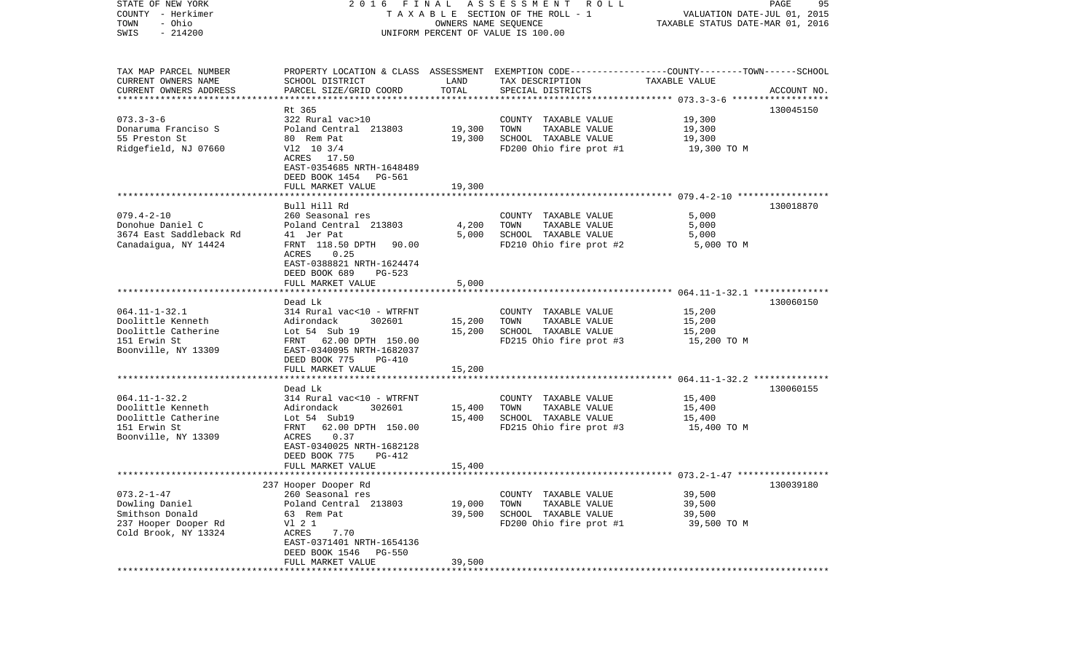| STATE OF NEW YORK<br>COUNTY - Herkimer<br>- Ohio<br>TOWN |                                              | OWNERS NAME SEQUENCE | 2016 FINAL ASSESSMENT ROLL<br>TAXABLE SECTION OF THE ROLL - 1                                                      | VALUATION DATE-JUL 01, 2015<br>TAXABLE STATUS DATE-MAR 01, 2016 | PAGE<br>95  |
|----------------------------------------------------------|----------------------------------------------|----------------------|--------------------------------------------------------------------------------------------------------------------|-----------------------------------------------------------------|-------------|
| $-214200$<br>SWIS                                        |                                              |                      | UNIFORM PERCENT OF VALUE IS 100.00                                                                                 |                                                                 |             |
| TAX MAP PARCEL NUMBER<br>CURRENT OWNERS NAME             | SCHOOL DISTRICT                              | LAND                 | PROPERTY LOCATION & CLASS ASSESSMENT EXEMPTION CODE---------------COUNTY-------TOWN------SCHOOL<br>TAX DESCRIPTION | TAXABLE VALUE                                                   |             |
| CURRENT OWNERS ADDRESS                                   | PARCEL SIZE/GRID COORD                       | TOTAL                | SPECIAL DISTRICTS                                                                                                  |                                                                 | ACCOUNT NO. |
|                                                          | Rt 365                                       |                      |                                                                                                                    |                                                                 | 130045150   |
| $073.3 - 3 - 6$                                          | 322 Rural vac>10                             |                      | COUNTY TAXABLE VALUE                                                                                               | 19,300                                                          |             |
| Donaruma Franciso S                                      | Poland Central 213803                        | 19,300               | TOWN<br>TAXABLE VALUE                                                                                              | 19,300                                                          |             |
| 55 Preston St                                            | 80 Rem Pat                                   | 19,300               | SCHOOL TAXABLE VALUE                                                                                               | 19,300                                                          |             |
| Ridgefield, NJ 07660                                     | $V12$ 10 3/4                                 |                      | FD200 Ohio fire prot #1                                                                                            | 19,300 TO M                                                     |             |
|                                                          | ACRES 17.50<br>EAST-0354685 NRTH-1648489     |                      |                                                                                                                    |                                                                 |             |
|                                                          | DEED BOOK 1454<br>PG-561                     |                      |                                                                                                                    |                                                                 |             |
|                                                          | FULL MARKET VALUE                            | 19,300               |                                                                                                                    |                                                                 |             |
|                                                          |                                              |                      |                                                                                                                    |                                                                 |             |
|                                                          | Bull Hill Rd<br>260 Seasonal res             |                      |                                                                                                                    |                                                                 | 130018870   |
| $079.4 - 2 - 10$<br>Donohue Daniel C                     | Poland Central 213803                        | 4,200                | COUNTY TAXABLE VALUE<br>TOWN<br>TAXABLE VALUE                                                                      | 5,000<br>5,000                                                  |             |
| 3674 East Saddleback Rd                                  | 41 Jer Pat                                   | 5,000                | SCHOOL TAXABLE VALUE                                                                                               | 5,000                                                           |             |
| Canadaigua, NY 14424                                     | FRNT 118.50 DPTH<br>90.00                    |                      | FD210 Ohio fire prot #2                                                                                            | 5,000 TO M                                                      |             |
|                                                          | ACRES<br>0.25                                |                      |                                                                                                                    |                                                                 |             |
|                                                          | EAST-0388821 NRTH-1624474                    |                      |                                                                                                                    |                                                                 |             |
|                                                          | DEED BOOK 689<br>PG-523<br>FULL MARKET VALUE | 5,000                |                                                                                                                    |                                                                 |             |
|                                                          |                                              |                      |                                                                                                                    |                                                                 |             |
|                                                          | Dead Lk                                      |                      |                                                                                                                    |                                                                 | 130060150   |
| $064.11 - 1 - 32.1$                                      | 314 Rural vac<10 - WTRFNT                    |                      | COUNTY TAXABLE VALUE                                                                                               | 15,200                                                          |             |
| Doolittle Kenneth<br>Doolittle Catherine                 | 302601<br>Adirondack<br>Lot 54 Sub 19        | 15,200<br>15,200     | TOWN<br>TAXABLE VALUE<br>SCHOOL TAXABLE VALUE                                                                      | 15,200<br>15,200                                                |             |
| 151 Erwin St                                             | FRNT 62.00 DPTH 150.00                       |                      | FD215 Ohio fire prot #3                                                                                            | 15,200 TO M                                                     |             |
| Boonville, NY 13309                                      | EAST-0340095 NRTH-1682037                    |                      |                                                                                                                    |                                                                 |             |
|                                                          | DEED BOOK 775<br><b>PG-410</b>               |                      |                                                                                                                    |                                                                 |             |
|                                                          | FULL MARKET VALUE                            | 15,200               |                                                                                                                    | ****************************** 064.11-1-32.2 **************     |             |
|                                                          | Dead Lk                                      |                      |                                                                                                                    |                                                                 | 130060155   |
| $064.11 - 1 - 32.2$                                      | 314 Rural vac<10 - WTRFNT                    |                      | COUNTY TAXABLE VALUE                                                                                               | 15,400                                                          |             |
| Doolittle Kenneth                                        | Adirondack<br>302601                         | 15,400               | TOWN<br>TAXABLE VALUE                                                                                              | 15,400                                                          |             |
| Doolittle Catherine                                      | Lot 54 Sub19                                 | 15,400               | SCHOOL TAXABLE VALUE                                                                                               | 15,400                                                          |             |
| 151 Erwin St                                             | FRNT<br>62.00 DPTH 150.00                    |                      | FD215 Ohio fire prot #3                                                                                            | 15,400 TO M                                                     |             |
| Boonville, NY 13309                                      | 0.37<br>ACRES<br>EAST-0340025 NRTH-1682128   |                      |                                                                                                                    |                                                                 |             |
|                                                          | DEED BOOK 775<br>PG-412                      |                      |                                                                                                                    |                                                                 |             |
|                                                          | FULL MARKET VALUE                            | 15,400               |                                                                                                                    |                                                                 |             |
|                                                          |                                              |                      |                                                                                                                    |                                                                 |             |
| $073.2 - 1 - 47$                                         | 237 Hooper Dooper Rd                         |                      |                                                                                                                    |                                                                 | 130039180   |
| Dowling Daniel                                           | 260 Seasonal res<br>Poland Central 213803    | 19,000               | COUNTY TAXABLE VALUE<br>TAXABLE VALUE<br>TOWN                                                                      | 39,500<br>39,500                                                |             |
| Smithson Donald                                          | 63 Rem Pat                                   | 39,500               | SCHOOL TAXABLE VALUE                                                                                               | 39,500                                                          |             |
| 237 Hooper Dooper Rd                                     | V1 2 1                                       |                      | FD200 Ohio fire prot #1                                                                                            | 39,500 TO M                                                     |             |
| Cold Brook, NY 13324                                     | ACRES<br>7.70                                |                      |                                                                                                                    |                                                                 |             |
|                                                          | EAST-0371401 NRTH-1654136<br>$PG-550$        |                      |                                                                                                                    |                                                                 |             |
|                                                          | DEED BOOK 1546<br>FULL MARKET VALUE          | 39,500               |                                                                                                                    |                                                                 |             |
|                                                          |                                              |                      |                                                                                                                    |                                                                 |             |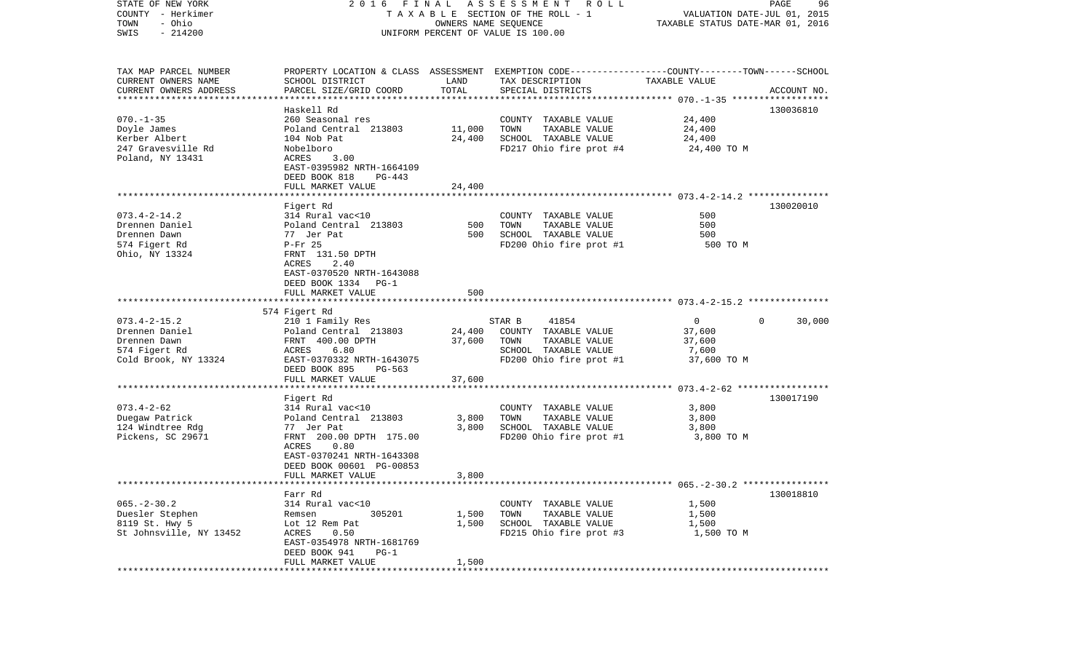| STATE OF NEW YORK<br>COUNTY - Herkimer<br>- Ohio<br>TOWN | 2016                                         | FINAL<br>OWNERS NAME SEQUENCE | A S S E S S M E N T R O L L<br>T A X A B L E SECTION OF THE ROLL - 1                                              | VALUATION DATE-JUL 01, 2015<br>TAXABLE STATUS DATE-MAR 01, 2016 | PAGE<br>96         |
|----------------------------------------------------------|----------------------------------------------|-------------------------------|-------------------------------------------------------------------------------------------------------------------|-----------------------------------------------------------------|--------------------|
| $-214200$<br>SWIS                                        |                                              |                               | UNIFORM PERCENT OF VALUE IS 100.00                                                                                |                                                                 |                    |
| TAX MAP PARCEL NUMBER<br>CURRENT OWNERS NAME             | SCHOOL DISTRICT                              | LAND                          | PROPERTY LOCATION & CLASS ASSESSMENT EXEMPTION CODE---------------COUNTY-------TOWN-----SCHOOL<br>TAX DESCRIPTION | TAXABLE VALUE                                                   |                    |
| CURRENT OWNERS ADDRESS<br>************************       | PARCEL SIZE/GRID COORD                       | TOTAL                         | SPECIAL DISTRICTS                                                                                                 |                                                                 | ACCOUNT NO.        |
|                                                          | Haskell Rd                                   |                               |                                                                                                                   |                                                                 | 130036810          |
| $070. - 1 - 35$                                          | 260 Seasonal res                             |                               | COUNTY TAXABLE VALUE                                                                                              | 24,400                                                          |                    |
| Doyle James                                              | Poland Central 213803                        | 11,000                        | TOWN<br>TAXABLE VALUE                                                                                             | 24,400                                                          |                    |
| Kerber Albert                                            | 104 Nob Pat                                  | 24,400                        | SCHOOL TAXABLE VALUE                                                                                              | 24,400                                                          |                    |
| 247 Gravesville Rd                                       | Nobelboro                                    |                               | FD217 Ohio fire prot #4                                                                                           | 24,400 TO M                                                     |                    |
| Poland, NY 13431                                         | ACRES<br>3.00<br>EAST-0395982 NRTH-1664109   |                               |                                                                                                                   |                                                                 |                    |
|                                                          | DEED BOOK 818<br>PG-443                      |                               |                                                                                                                   |                                                                 |                    |
|                                                          | FULL MARKET VALUE                            | 24,400                        |                                                                                                                   |                                                                 |                    |
|                                                          |                                              |                               |                                                                                                                   |                                                                 |                    |
|                                                          | Figert Rd                                    |                               |                                                                                                                   |                                                                 | 130020010          |
| $073.4 - 2 - 14.2$                                       | 314 Rural vac<10                             |                               | COUNTY TAXABLE VALUE                                                                                              | 500                                                             |                    |
| Drennen Daniel                                           | Poland Central 213803                        | 500<br>500                    | TOWN<br>TAXABLE VALUE<br>SCHOOL TAXABLE VALUE                                                                     | 500                                                             |                    |
| Drennen Dawn<br>574 Figert Rd                            | 77 Jer Pat<br>$P-Fr$ 25                      |                               | FD200 Ohio fire prot #1                                                                                           | 500<br>500 TO M                                                 |                    |
| Ohio, NY 13324                                           | FRNT 131.50 DPTH                             |                               |                                                                                                                   |                                                                 |                    |
|                                                          | 2.40<br>ACRES                                |                               |                                                                                                                   |                                                                 |                    |
|                                                          | EAST-0370520 NRTH-1643088                    |                               |                                                                                                                   |                                                                 |                    |
|                                                          | DEED BOOK 1334 PG-1<br>FULL MARKET VALUE     | 500                           |                                                                                                                   |                                                                 |                    |
|                                                          |                                              |                               |                                                                                                                   |                                                                 |                    |
|                                                          | 574 Figert Rd                                |                               |                                                                                                                   |                                                                 |                    |
| $073.4 - 2 - 15.2$                                       | 210 1 Family Res                             |                               | 41854<br>STAR B                                                                                                   | $\mathbf 0$                                                     | 30,000<br>$\Omega$ |
| Drennen Daniel                                           | Poland Central 213803                        | 24,400                        | COUNTY TAXABLE VALUE                                                                                              | 37,600                                                          |                    |
| Drennen Dawn                                             | FRNT 400.00 DPTH                             | 37,600                        | TOWN<br>TAXABLE VALUE                                                                                             | 37,600                                                          |                    |
| 574 Figert Rd<br>Cold Brook, NY 13324                    | ACRES<br>6.80<br>EAST-0370332 NRTH-1643075   |                               | SCHOOL TAXABLE VALUE<br>FD200 Ohio fire prot #1                                                                   | 7,600<br>37,600 TO M                                            |                    |
|                                                          | DEED BOOK 895<br>PG-563                      |                               |                                                                                                                   |                                                                 |                    |
|                                                          | FULL MARKET VALUE                            | 37,600                        |                                                                                                                   |                                                                 |                    |
|                                                          | *********************                        |                               |                                                                                                                   |                                                                 |                    |
|                                                          | Figert Rd                                    |                               |                                                                                                                   |                                                                 | 130017190          |
| $073.4 - 2 - 62$                                         | 314 Rural vac<10                             |                               | COUNTY TAXABLE VALUE                                                                                              | 3,800                                                           |                    |
| Duegaw Patrick<br>124 Windtree Rdg                       | Poland Central 213803<br>77 Jer Pat          | 3,800<br>3,800                | TOWN<br>TAXABLE VALUE<br>SCHOOL TAXABLE VALUE                                                                     | 3,800<br>3,800                                                  |                    |
| Pickens, SC 29671                                        | FRNT 200.00 DPTH 175.00                      |                               | FD200 Ohio fire prot #1                                                                                           | 3,800 TO M                                                      |                    |
|                                                          | ACRES<br>0.80                                |                               |                                                                                                                   |                                                                 |                    |
|                                                          | EAST-0370241 NRTH-1643308                    |                               |                                                                                                                   |                                                                 |                    |
|                                                          | DEED BOOK 00601 PG-00853                     |                               |                                                                                                                   |                                                                 |                    |
|                                                          | FULL MARKET VALUE                            | 3,800                         |                                                                                                                   |                                                                 |                    |
|                                                          | Farr Rd                                      |                               |                                                                                                                   |                                                                 | 130018810          |
| $065. - 2 - 30.2$                                        | 314 Rural vac<10                             |                               | COUNTY TAXABLE VALUE                                                                                              | 1,500                                                           |                    |
| Duesler Stephen                                          | 305201<br>Remsen                             | 1,500                         | TAXABLE VALUE<br>TOWN                                                                                             | 1,500                                                           |                    |
| 8119 St. Hwy 5                                           | Lot 12 Rem Pat                               | 1,500                         | SCHOOL TAXABLE VALUE                                                                                              | 1,500                                                           |                    |
| St Johnsville, NY 13452                                  | ACRES<br>0.50                                |                               | FD215 Ohio fire prot #3                                                                                           | 1,500 TO M                                                      |                    |
|                                                          | EAST-0354978 NRTH-1681769                    |                               |                                                                                                                   |                                                                 |                    |
|                                                          | DEED BOOK 941<br>$PG-1$<br>FULL MARKET VALUE | 1,500                         |                                                                                                                   |                                                                 |                    |
| ***********                                              |                                              |                               |                                                                                                                   |                                                                 |                    |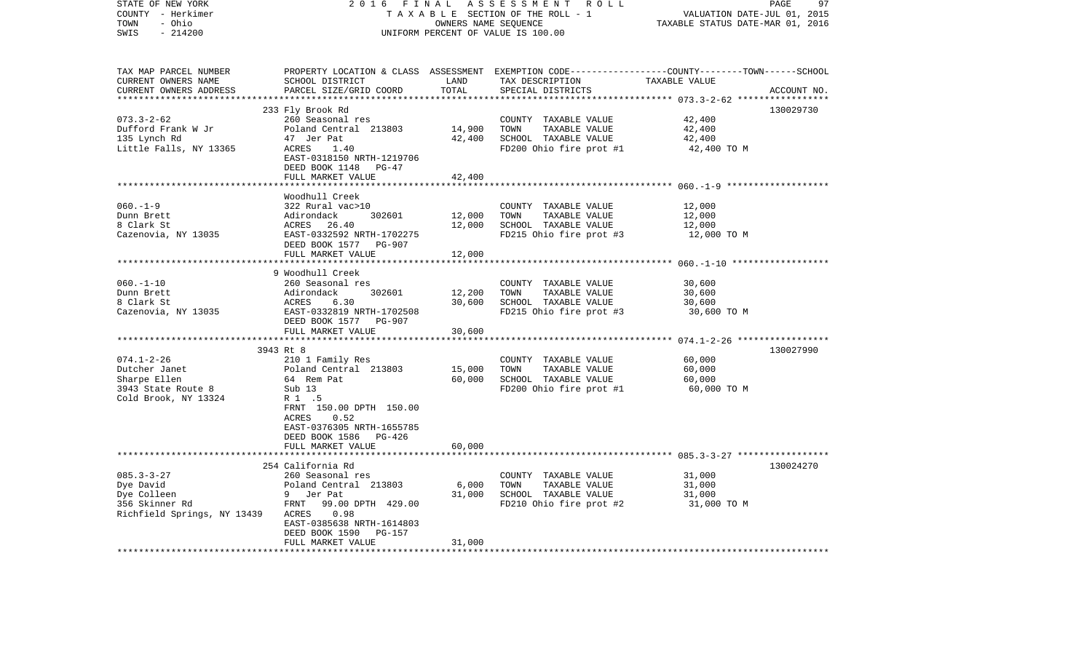| STATE OF NEW YORK           | 2016                               | FINAL                            | ASSESSMENT ROLL                                                                                 |                                   | 97<br>PAGE  |
|-----------------------------|------------------------------------|----------------------------------|-------------------------------------------------------------------------------------------------|-----------------------------------|-------------|
| COUNTY - Herkimer           | TAXABLE SECTION OF THE ROLL - 1    | VALUATION DATE-JUL 01, 2015      |                                                                                                 |                                   |             |
| - Ohio<br>TOWN              |                                    | TAXABLE STATUS DATE-MAR 01, 2016 |                                                                                                 |                                   |             |
| SWIS<br>$-214200$           | UNIFORM PERCENT OF VALUE IS 100.00 |                                  |                                                                                                 |                                   |             |
|                             |                                    |                                  |                                                                                                 |                                   |             |
|                             |                                    |                                  |                                                                                                 |                                   |             |
| TAX MAP PARCEL NUMBER       |                                    |                                  | PROPERTY LOCATION & CLASS ASSESSMENT EXEMPTION CODE---------------COUNTY-------TOWN------SCHOOL |                                   |             |
| CURRENT OWNERS NAME         | SCHOOL DISTRICT                    | LAND                             | TAX DESCRIPTION                                                                                 | TAXABLE VALUE                     |             |
| CURRENT OWNERS ADDRESS      | PARCEL SIZE/GRID COORD             | TOTAL                            | SPECIAL DISTRICTS                                                                               |                                   | ACCOUNT NO. |
| ***********************     |                                    |                                  |                                                                                                 |                                   |             |
|                             | 233 Fly Brook Rd                   |                                  |                                                                                                 |                                   | 130029730   |
| $073.3 - 2 - 62$            | 260 Seasonal res                   |                                  | COUNTY TAXABLE VALUE                                                                            | 42,400                            |             |
| Dufford Frank W Jr          | Poland Central 213803              | 14,900                           | TOWN<br>TAXABLE VALUE                                                                           | 42,400                            |             |
| 135 Lynch Rd                | 47 Jer Pat                         | 42,400                           | SCHOOL TAXABLE VALUE                                                                            | 42,400                            |             |
| Little Falls, NY 13365      | ACRES<br>1.40                      |                                  | FD200 Ohio fire prot #1                                                                         | 42,400 TO M                       |             |
|                             | EAST-0318150 NRTH-1219706          |                                  |                                                                                                 |                                   |             |
|                             | DEED BOOK 1148<br>$PG-47$          |                                  |                                                                                                 |                                   |             |
|                             | FULL MARKET VALUE                  | 42,400                           |                                                                                                 |                                   |             |
|                             |                                    |                                  |                                                                                                 | *********** 060.-1-9 ************ |             |
|                             | Woodhull Creek                     |                                  |                                                                                                 |                                   |             |
| $060. -1 - 9$               | 322 Rural vac>10                   |                                  | COUNTY TAXABLE VALUE                                                                            | 12,000                            |             |
| Dunn Brett                  | Adirondack<br>302601               | 12,000                           | TOWN<br>TAXABLE VALUE                                                                           | 12,000                            |             |
| 8 Clark St                  | ACRES<br>26.40                     | 12,000                           | SCHOOL TAXABLE VALUE                                                                            | 12,000                            |             |
| Cazenovia, NY 13035         | EAST-0332592 NRTH-1702275          |                                  | FD215 Ohio fire prot #3                                                                         | 12,000 TO M                       |             |
|                             | DEED BOOK 1577<br>PG-907           |                                  |                                                                                                 |                                   |             |
|                             | FULL MARKET VALUE                  | 12,000                           |                                                                                                 |                                   |             |
|                             |                                    |                                  |                                                                                                 |                                   |             |
|                             | 9 Woodhull Creek                   |                                  |                                                                                                 |                                   |             |
| $060. -1 - 10$              | 260 Seasonal res                   |                                  | COUNTY TAXABLE VALUE                                                                            | 30,600                            |             |
| Dunn Brett                  | 302601<br>Adirondack               | 12,200                           | TOWN<br>TAXABLE VALUE                                                                           | 30,600                            |             |
| 8 Clark St                  | ACRES<br>6.30                      | 30,600                           | SCHOOL TAXABLE VALUE                                                                            | 30,600                            |             |
| Cazenovia, NY 13035         | EAST-0332819 NRTH-1702508          |                                  | FD215 Ohio fire prot #3                                                                         | 30,600 TO M                       |             |
|                             | DEED BOOK 1577 PG-907              |                                  |                                                                                                 |                                   |             |
|                             | FULL MARKET VALUE                  | 30,600                           |                                                                                                 |                                   |             |
|                             | *************************          | * * * * * * * * * * * * * *      |                                                                                                 |                                   |             |
|                             | 3943 Rt 8                          |                                  |                                                                                                 |                                   | 130027990   |
| $074.1 - 2 - 26$            | 210 1 Family Res                   |                                  | COUNTY TAXABLE VALUE                                                                            | 60,000                            |             |
| Dutcher Janet               | Poland Central 213803              | 15,000                           | TOWN<br>TAXABLE VALUE                                                                           | 60,000                            |             |
| Sharpe Ellen                | 64 Rem Pat                         | 60,000                           | SCHOOL TAXABLE VALUE                                                                            | 60,000                            |             |
| 3943 State Route 8          | Sub 13                             |                                  | FD200 Ohio fire prot #1                                                                         | 60,000 TO M                       |             |
| Cold Brook, NY 13324        | R 1 .5                             |                                  |                                                                                                 |                                   |             |
|                             | FRNT 150.00 DPTH 150.00            |                                  |                                                                                                 |                                   |             |
|                             | ACRES<br>0.52                      |                                  |                                                                                                 |                                   |             |
|                             | EAST-0376305 NRTH-1655785          |                                  |                                                                                                 |                                   |             |
|                             | DEED BOOK 1586<br>PG-426           |                                  |                                                                                                 |                                   |             |
|                             | FULL MARKET VALUE                  | 60,000                           |                                                                                                 |                                   |             |
|                             | ********************************   |                                  |                                                                                                 |                                   |             |
|                             | 254 California Rd                  |                                  |                                                                                                 |                                   | 130024270   |
| $085.3 - 3 - 27$            | 260 Seasonal res                   |                                  | COUNTY TAXABLE VALUE                                                                            | 31,000                            |             |
| Dye David                   | Poland Central 213803              | 6,000                            | TOWN<br>TAXABLE VALUE                                                                           | 31,000                            |             |
| Dye Colleen                 | 9 Jer Pat                          | 31,000                           | SCHOOL TAXABLE VALUE                                                                            | 31,000                            |             |
| 356 Skinner Rd              | FRNT<br>99.00 DPTH 429.00          |                                  | FD210 Ohio fire prot #2                                                                         | 31,000 TO M                       |             |
| Richfield Springs, NY 13439 | 0.98<br>ACRES                      |                                  |                                                                                                 |                                   |             |
|                             | EAST-0385638 NRTH-1614803          |                                  |                                                                                                 |                                   |             |
|                             | DEED BOOK 1590<br>PG-157           |                                  |                                                                                                 |                                   |             |
|                             | FULL MARKET VALUE                  | 31,000                           |                                                                                                 |                                   |             |
|                             |                                    |                                  |                                                                                                 |                                   |             |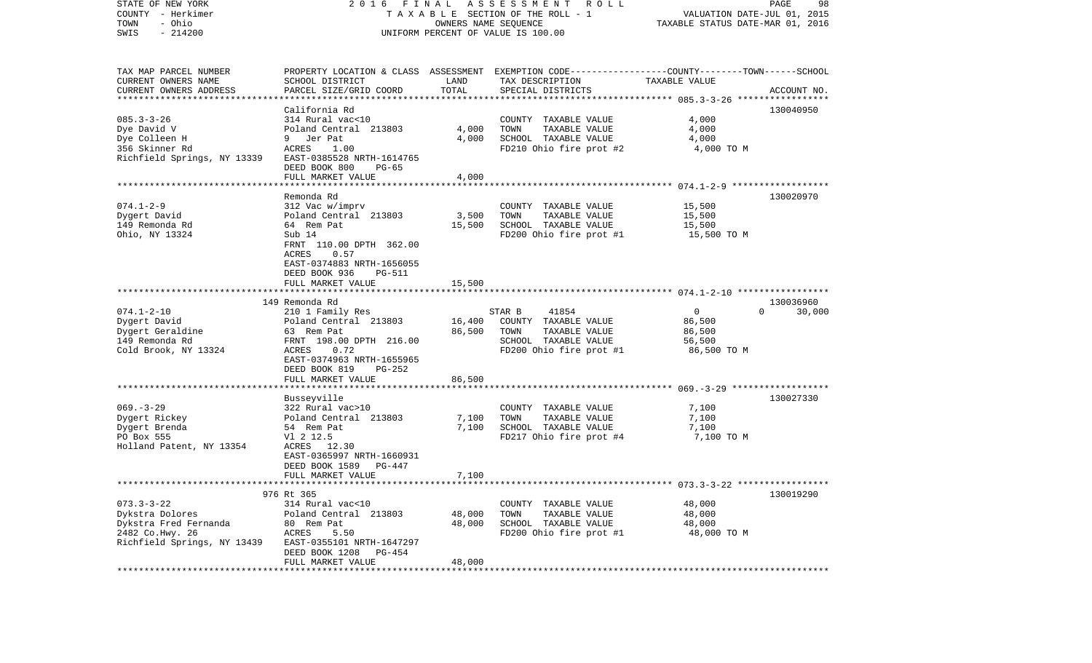| STATE OF NEW YORK<br>COUNTY - Herkimer<br>- Ohio<br>TOWN<br>$-214200$<br>SWIS                                   | FINAL<br>2016                                                                                                                                                                 | OWNERS NAME SEQUENCE       | ASSESSMENT ROLL<br>TAXABLE SECTION OF THE ROLL - 1<br>UNIFORM PERCENT OF VALUE IS 100.00                                                | VALUATION DATE-JUL 01, 2015<br>TAXABLE STATUS DATE-MAR 01, 2016 | PAGE<br>98                      |
|-----------------------------------------------------------------------------------------------------------------|-------------------------------------------------------------------------------------------------------------------------------------------------------------------------------|----------------------------|-----------------------------------------------------------------------------------------------------------------------------------------|-----------------------------------------------------------------|---------------------------------|
| TAX MAP PARCEL NUMBER<br>CURRENT OWNERS NAME<br>CURRENT OWNERS ADDRESS<br>*************************             | SCHOOL DISTRICT<br>PARCEL SIZE/GRID COORD                                                                                                                                     | LAND<br>TOTAL              | PROPERTY LOCATION & CLASS ASSESSMENT EXEMPTION CODE---------------COUNTY-------TOWN------SCHOOL<br>TAX DESCRIPTION<br>SPECIAL DISTRICTS | TAXABLE VALUE                                                   | ACCOUNT NO.                     |
| $085.3 - 3 - 26$<br>Dye David V<br>Dye Colleen H<br>356 Skinner Rd<br>Richfield Springs, NY 13339               | California Rd<br>314 Rural vac<10<br>Poland Central 213803<br>9 Jer Pat<br>ACRES<br>1.00<br>EAST-0385528 NRTH-1614765<br>DEED BOOK 800<br>PG-65<br>FULL MARKET VALUE          | 4,000<br>4,000<br>4,000    | COUNTY TAXABLE VALUE<br>TAXABLE VALUE<br>TOWN<br>SCHOOL TAXABLE VALUE<br>FD210 Ohio fire prot #2                                        | 4,000<br>4,000<br>4,000<br>4,000 TO M                           | 130040950                       |
|                                                                                                                 | Remonda Rd                                                                                                                                                                    |                            |                                                                                                                                         |                                                                 | 130020970                       |
| $074.1 - 2 - 9$<br>Dygert David<br>149 Remonda Rd<br>Ohio, NY 13324                                             | 312 Vac w/imprv<br>Poland Central 213803<br>64 Rem Pat<br>Sub 14<br>FRNT 110.00 DPTH 362.00<br>ACRES<br>0.57<br>EAST-0374883 NRTH-1656055<br>DEED BOOK 936<br>PG-511          | 3,500<br>15,500            | COUNTY TAXABLE VALUE<br>TAXABLE VALUE<br>TOWN<br>SCHOOL TAXABLE VALUE<br>FD200 Ohio fire prot #1                                        | 15,500<br>15,500<br>15,500<br>15,500 TO M                       |                                 |
|                                                                                                                 | FULL MARKET VALUE                                                                                                                                                             | 15,500                     |                                                                                                                                         |                                                                 |                                 |
| $074.1 - 2 - 10$<br>Dygert David<br>Dygert Geraldine<br>149 Remonda Rd<br>Cold Brook, NY 13324                  | 149 Remonda Rd<br>210 1 Family Res<br>Poland Central 213803<br>63 Rem Pat<br>FRNT 198.00 DPTH 216.00<br>ACRES<br>0.72<br>EAST-0374963 NRTH-1655965<br>DEED BOOK 819<br>PG-252 | 16,400<br>86,500           | 41854<br>STAR B<br>COUNTY TAXABLE VALUE<br>TAXABLE VALUE<br>TOWN<br>SCHOOL TAXABLE VALUE<br>FD200 Ohio fire prot #1                     | $\mathbf 0$<br>86,500<br>86,500<br>56,500<br>86,500 TO M        | 130036960<br>$\Omega$<br>30,000 |
|                                                                                                                 | FULL MARKET VALUE                                                                                                                                                             | 86,500                     |                                                                                                                                         |                                                                 |                                 |
| $069. -3 - 29$<br>Dygert Rickey<br>Dygert Brenda<br>PO Box 555<br>Holland Patent, NY 13354                      | Busseyville<br>322 Rural vac>10<br>Poland Central 213803<br>54 Rem Pat<br>V1 2 12.5<br>ACRES 12.30<br>EAST-0365997 NRTH-1660931<br>DEED BOOK 1589<br>PG-447                   | 7,100<br>7,100             | COUNTY TAXABLE VALUE<br>TOWN<br>TAXABLE VALUE<br>SCHOOL TAXABLE VALUE<br>FD217 Ohio fire prot #4                                        | 7,100<br>7,100<br>7,100<br>7,100 TO M                           | 130027330                       |
|                                                                                                                 | FULL MARKET VALUE                                                                                                                                                             | 7,100                      |                                                                                                                                         |                                                                 |                                 |
| $073.3 - 3 - 22$<br>Dykstra Dolores<br>Dykstra Fred Fernanda<br>2482 Co. Hwy. 26<br>Richfield Springs, NY 13439 | 976 Rt 365<br>314 Rural vac<10<br>Poland Central 213803<br>80 Rem Pat<br>ACRES<br>5.50<br>EAST-0355101 NRTH-1647297<br>DEED BOOK 1208<br>PG-454<br>FULL MARKET VALUE          | 48,000<br>48,000<br>48,000 | COUNTY TAXABLE VALUE<br>TAXABLE VALUE<br>TOWN<br>SCHOOL TAXABLE VALUE<br>FD200 Ohio fire prot #1                                        | 48,000<br>48,000<br>48,000<br>48,000 TO M                       | 130019290                       |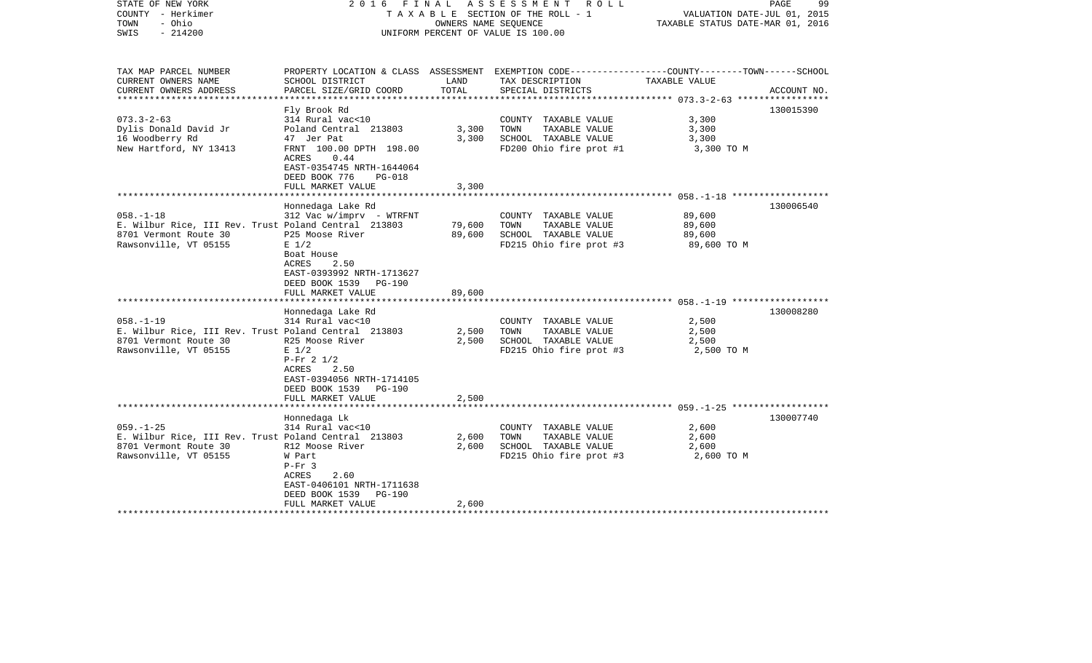| STATE OF NEW YORK<br>COUNTY - Herkimer<br>- Ohio<br>TOWN<br>$-214200$<br>SWIS | 2016                                                                                          | OWNERS NAME SEQUENCE | FINAL ASSESSMENT ROLL<br>T A X A B L E SECTION OF THE ROLL - 1<br>UNIFORM PERCENT OF VALUE IS 100.00               | VALUATION DATE-JUL 01, 2015<br>TAXABLE STATUS DATE-MAR 01, 2016 | PAGE<br>99  |
|-------------------------------------------------------------------------------|-----------------------------------------------------------------------------------------------|----------------------|--------------------------------------------------------------------------------------------------------------------|-----------------------------------------------------------------|-------------|
| TAX MAP PARCEL NUMBER<br>CURRENT OWNERS NAME                                  | SCHOOL DISTRICT                                                                               | LAND                 | PROPERTY LOCATION & CLASS ASSESSMENT EXEMPTION CODE---------------COUNTY-------TOWN------SCHOOL<br>TAX DESCRIPTION | TAXABLE VALUE                                                   |             |
| CURRENT OWNERS ADDRESS<br>* * * * * * * * * * * * * *                         | PARCEL SIZE/GRID COORD                                                                        | TOTAL                | SPECIAL DISTRICTS                                                                                                  | ******************** 073.3-2-63 ******************              | ACCOUNT NO. |
|                                                                               | Fly Brook Rd                                                                                  |                      |                                                                                                                    |                                                                 | 130015390   |
| $073.3 - 2 - 63$                                                              | 314 Rural vac<10                                                                              |                      | COUNTY TAXABLE VALUE                                                                                               | 3,300                                                           |             |
| Dylis Donald David Jr                                                         | Poland Central 213803                                                                         | 3,300                | TOWN<br>TAXABLE VALUE                                                                                              | 3,300                                                           |             |
| 16 Woodberry Rd                                                               | 47 Jer Pat                                                                                    | 3,300                | SCHOOL TAXABLE VALUE                                                                                               | 3,300                                                           |             |
| New Hartford, NY 13413                                                        | FRNT 100.00 DPTH 198.00                                                                       |                      | FD200 Ohio fire prot #1                                                                                            | 3,300 TO M                                                      |             |
|                                                                               | ACRES<br>0.44                                                                                 |                      |                                                                                                                    |                                                                 |             |
|                                                                               | EAST-0354745 NRTH-1644064                                                                     |                      |                                                                                                                    |                                                                 |             |
|                                                                               | DEED BOOK 776<br><b>PG-018</b>                                                                |                      |                                                                                                                    |                                                                 |             |
|                                                                               | FULL MARKET VALUE                                                                             | 3,300                |                                                                                                                    |                                                                 |             |
|                                                                               |                                                                                               |                      |                                                                                                                    |                                                                 |             |
|                                                                               | Honnedaga Lake Rd                                                                             |                      |                                                                                                                    |                                                                 | 130006540   |
| $058. - 1 - 18$                                                               | $312$ Vac w/imprv - WTRFNT                                                                    |                      | COUNTY TAXABLE VALUE                                                                                               | 89,600                                                          |             |
| E. Wilbur Rice, III Rev. Trust Poland Central 213803                          |                                                                                               | 79,600               | TOWN<br>TAXABLE VALUE                                                                                              | 89,600                                                          |             |
| 8701 Vermont Route 30                                                         | P25 Moose River                                                                               | 89,600               | SCHOOL TAXABLE VALUE                                                                                               | 89,600                                                          |             |
| Rawsonville, VT 05155                                                         | $E$ 1/2                                                                                       |                      | FD215 Ohio fire prot #3                                                                                            | 89,600 TO M                                                     |             |
|                                                                               | Boat House<br>ACRES<br>2.50<br>EAST-0393992 NRTH-1713627<br>DEED BOOK 1539<br>PG-190          |                      |                                                                                                                    |                                                                 |             |
|                                                                               | FULL MARKET VALUE                                                                             | 89,600               |                                                                                                                    |                                                                 |             |
|                                                                               | *************************                                                                     |                      |                                                                                                                    |                                                                 |             |
|                                                                               | Honnedaga Lake Rd                                                                             |                      |                                                                                                                    |                                                                 | 130008280   |
| $058. - 1 - 19$                                                               | 314 Rural vac<10                                                                              |                      | COUNTY TAXABLE VALUE                                                                                               | 2,500                                                           |             |
| E. Wilbur Rice, III Rev. Trust Poland Central 213803                          |                                                                                               | 2,500<br>2,500       | TOWN<br>TAXABLE VALUE                                                                                              | 2,500<br>2,500                                                  |             |
| 8701 Vermont Route 30<br>Rawsonville, VT 05155                                | R25 Moose River<br>$E$ 1/2                                                                    |                      | SCHOOL TAXABLE VALUE                                                                                               |                                                                 |             |
|                                                                               | $P-Fr$ 2 1/2<br>2.50<br>ACRES<br>EAST-0394056 NRTH-1714105<br>DEED BOOK 1539<br><b>PG-190</b> |                      | FD215 Ohio fire prot #3                                                                                            | 2,500 TO M                                                      |             |
|                                                                               | FULL MARKET VALUE                                                                             | 2,500                |                                                                                                                    |                                                                 |             |
|                                                                               |                                                                                               |                      |                                                                                                                    |                                                                 |             |
| $059. - 1 - 25$                                                               | Honnedaga Lk                                                                                  |                      |                                                                                                                    |                                                                 | 130007740   |
|                                                                               | 314 Rural vac<10                                                                              | 2,600                | COUNTY TAXABLE VALUE<br>TOWN<br>TAXABLE VALUE                                                                      | 2,600<br>2,600                                                  |             |
| E. Wilbur Rice, III Rev. Trust Poland Central 213803<br>8701 Vermont Route 30 | R12 Moose River                                                                               | 2,600                | SCHOOL TAXABLE VALUE                                                                                               | 2,600                                                           |             |
| Rawsonville, VT 05155                                                         | W Part                                                                                        |                      | FD215 Ohio fire prot #3                                                                                            | 2,600 TO M                                                      |             |
|                                                                               | $P-Fr$ 3                                                                                      |                      |                                                                                                                    |                                                                 |             |
|                                                                               | ACRES<br>2.60                                                                                 |                      |                                                                                                                    |                                                                 |             |
|                                                                               | EAST-0406101 NRTH-1711638                                                                     |                      |                                                                                                                    |                                                                 |             |
|                                                                               | DEED BOOK 1539<br>PG-190                                                                      |                      |                                                                                                                    |                                                                 |             |
|                                                                               | FULL MARKET VALUE                                                                             | 2,600                |                                                                                                                    |                                                                 |             |
|                                                                               |                                                                                               |                      | *****************************                                                                                      |                                                                 |             |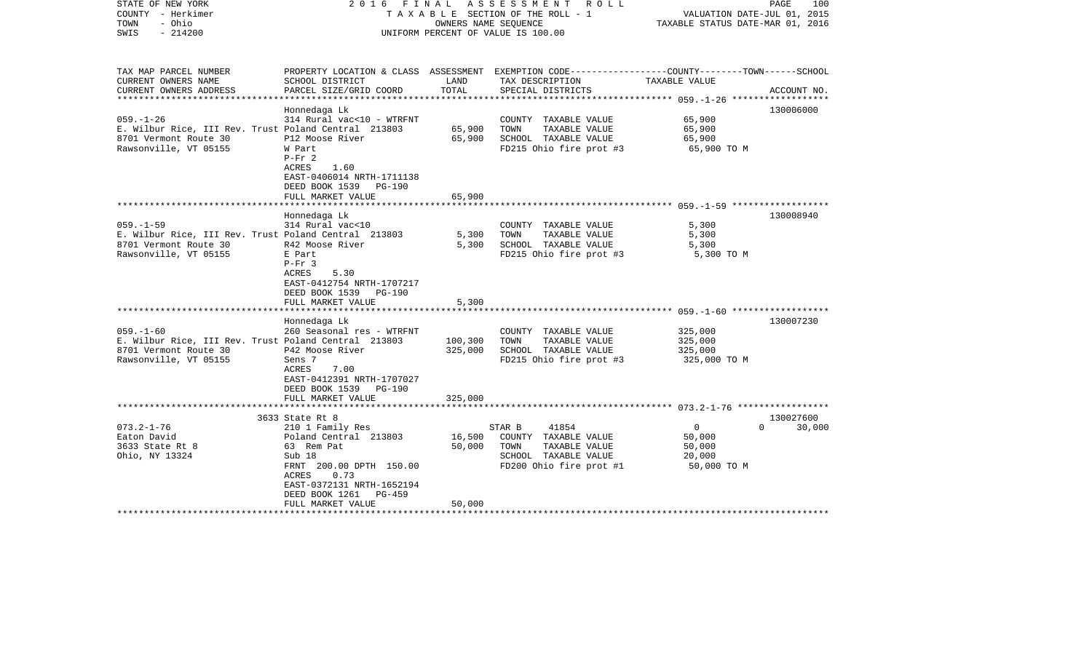| STATE OF NEW YORK<br>COUNTY - Herkimer<br>- Ohio<br>TOWN<br>$-214200$<br>SWIS                                             | 2016<br>FINAL                                                                                                                                                          | OWNERS NAME SEOUENCE | ASSESSMENT ROLL<br>T A X A B L E SECTION OF THE ROLL - 1<br>UNIFORM PERCENT OF VALUE IS 100.00                                           | VALUATION DATE-JUL 01, 2015<br>TAXABLE STATUS DATE-MAR 01, 2016 | PAGE<br>100        |
|---------------------------------------------------------------------------------------------------------------------------|------------------------------------------------------------------------------------------------------------------------------------------------------------------------|----------------------|------------------------------------------------------------------------------------------------------------------------------------------|-----------------------------------------------------------------|--------------------|
| TAX MAP PARCEL NUMBER<br>CURRENT OWNERS NAME<br>CURRENT OWNERS ADDRESS                                                    | SCHOOL DISTRICT<br>PARCEL SIZE/GRID COORD                                                                                                                              | LAND<br>TOTAL        | PROPERTY LOCATION & CLASS ASSESSMENT EXEMPTION CODE----------------COUNTY-------TOWN------SCHOOL<br>TAX DESCRIPTION<br>SPECIAL DISTRICTS | TAXABLE VALUE                                                   | ACCOUNT NO.        |
| **********************                                                                                                    |                                                                                                                                                                        |                      |                                                                                                                                          |                                                                 |                    |
| $059. - 1 - 26$<br>E. Wilbur Rice, III Rev. Trust Poland Central 213803<br>8701 Vermont Route 30<br>Rawsonville, VT 05155 | Honnedaga Lk<br>314 Rural vac<10 - WTRFNT<br>P12 Moose River<br>W Part<br>$P-Fr$ 2<br>ACRES<br>1.60<br>EAST-0406014 NRTH-1711138<br>DEED BOOK 1539<br><b>PG-190</b>    | 65,900<br>65,900     | COUNTY TAXABLE VALUE<br>TOWN<br>TAXABLE VALUE<br>SCHOOL TAXABLE VALUE<br>FD215 Ohio fire prot #3                                         | 65,900<br>65,900<br>65,900<br>65,900 TO M                       | 130006000          |
|                                                                                                                           | FULL MARKET VALUE                                                                                                                                                      | 65,900               |                                                                                                                                          |                                                                 |                    |
| $059. -1 - 59$<br>E. Wilbur Rice, III Rev. Trust Poland Central 213803                                                    | Honnedaga Lk<br>314 Rural vac<10                                                                                                                                       | 5,300                | COUNTY TAXABLE VALUE<br>TOWN<br>TAXABLE VALUE                                                                                            | 5,300<br>5,300                                                  | 130008940          |
| 8701 Vermont Route 30<br>Rawsonville, VT 05155                                                                            | R42 Moose River<br>E Part<br>$P-Fr$ 3<br>5.30<br>ACRES<br>EAST-0412754 NRTH-1707217<br>DEED BOOK 1539<br><b>PG-190</b>                                                 | 5,300                | SCHOOL TAXABLE VALUE<br>FD215 Ohio fire prot #3                                                                                          | 5,300<br>5,300 TO M                                             |                    |
|                                                                                                                           | FULL MARKET VALUE                                                                                                                                                      | 5,300                |                                                                                                                                          |                                                                 |                    |
|                                                                                                                           | Honnedaga Lk                                                                                                                                                           |                      |                                                                                                                                          |                                                                 | 130007230          |
| $059. - 1 - 60$<br>E. Wilbur Rice, III Rev. Trust Poland Central 213803<br>8701 Vermont Route 30<br>Rawsonville, VT 05155 | 260 Seasonal res - WTRFNT<br>P42 Moose River<br>Sens 7<br>7.00<br>ACRES<br>EAST-0412391 NRTH-1707027<br>DEED BOOK 1539<br><b>PG-190</b>                                | 100,300<br>325,000   | COUNTY TAXABLE VALUE<br>TOWN<br>TAXABLE VALUE<br>SCHOOL TAXABLE VALUE<br>FD215 Ohio fire prot #3                                         | 325,000<br>325,000<br>325,000<br>325,000 TO M                   |                    |
|                                                                                                                           | FULL MARKET VALUE                                                                                                                                                      | 325,000              |                                                                                                                                          |                                                                 |                    |
|                                                                                                                           | 3633 State Rt 8                                                                                                                                                        |                      |                                                                                                                                          |                                                                 | 130027600          |
| $073.2 - 1 - 76$<br>Eaton David<br>3633 State Rt 8<br>Ohio, NY 13324                                                      | 210 1 Family Res<br>Poland Central 213803<br>63 Rem Pat<br>Sub 18<br>FRNT 200.00 DPTH 150.00<br>0.73<br>ACRES<br>EAST-0372131 NRTH-1652194<br>DEED BOOK 1261<br>PG-459 | 16,500<br>50,000     | 41854<br>STAR B<br>COUNTY TAXABLE VALUE<br>TAXABLE VALUE<br>TOWN<br>SCHOOL TAXABLE VALUE<br>FD200 Ohio fire prot #1                      | $\mathbf 0$<br>50,000<br>50,000<br>20,000<br>50,000 TO M        | $\Omega$<br>30,000 |
|                                                                                                                           | FULL MARKET VALUE                                                                                                                                                      | 50,000               |                                                                                                                                          |                                                                 |                    |
|                                                                                                                           |                                                                                                                                                                        |                      |                                                                                                                                          |                                                                 |                    |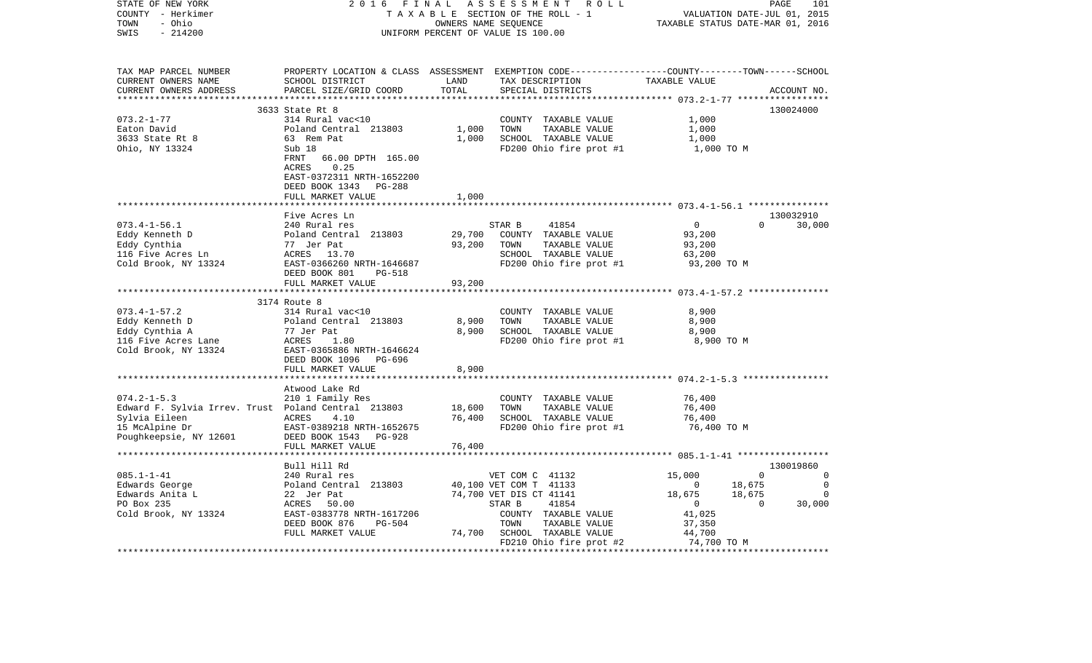| STATE OF NEW YORK<br>COUNTY - Herkimer<br>TOWN<br>- Ohio<br>$-214200$<br>SWIS                                                         | 2016<br>FINAL<br>TAXABLE SECTION OF THE ROLL - 1<br>UNIFORM PERCENT OF VALUE IS 100.00                                                            | PAGE<br>101<br>VALUATION DATE-JUL 01, 2015<br>TAXABLE STATUS DATE-MAR 01, 2016 |                                                                                                                     |                                                      |                                             |
|---------------------------------------------------------------------------------------------------------------------------------------|---------------------------------------------------------------------------------------------------------------------------------------------------|--------------------------------------------------------------------------------|---------------------------------------------------------------------------------------------------------------------|------------------------------------------------------|---------------------------------------------|
| TAX MAP PARCEL NUMBER<br>CURRENT OWNERS NAME<br>CURRENT OWNERS ADDRESS<br>***********************                                     | PROPERTY LOCATION & CLASS ASSESSMENT<br>SCHOOL DISTRICT<br>PARCEL SIZE/GRID COORD<br>***************************                                  | LAND<br>TOTAL<br>************                                                  | EXEMPTION CODE-----------------COUNTY-------TOWN------SCHOOL<br>TAX DESCRIPTION<br>SPECIAL DISTRICTS                | TAXABLE VALUE                                        | ACCOUNT NO.                                 |
|                                                                                                                                       | 3633 State Rt 8                                                                                                                                   |                                                                                |                                                                                                                     |                                                      | 130024000                                   |
| $073.2 - 1 - 77$<br>Eaton David<br>3633 State Rt 8<br>Ohio, NY 13324                                                                  | 314 Rural vac<10<br>Poland Central 213803<br>63 Rem Pat<br>Sub 18<br>FRNT<br>66.00 DPTH 165.00<br>0.25<br>ACRES                                   | 1,000<br>1,000                                                                 | COUNTY TAXABLE VALUE<br>TOWN<br>TAXABLE VALUE<br>SCHOOL TAXABLE VALUE<br>FD200 Ohio fire prot #1                    | 1,000<br>1,000<br>1,000<br>1,000 TO M                |                                             |
|                                                                                                                                       | EAST-0372311 NRTH-1652200<br>DEED BOOK 1343<br>PG-288<br>FULL MARKET VALUE                                                                        | 1,000                                                                          |                                                                                                                     |                                                      |                                             |
|                                                                                                                                       |                                                                                                                                                   |                                                                                |                                                                                                                     | *********************** 073.4-1-56.1 *************** |                                             |
| $073.4 - 1 - 56.1$                                                                                                                    | Five Acres Ln<br>240 Rural res                                                                                                                    |                                                                                | STAR B<br>41854                                                                                                     | $\mathbf{0}$                                         | 130032910<br>$\Omega$<br>30,000             |
| Eddy Kenneth D<br>Eddy Cynthia<br>116 Five Acres Ln                                                                                   | Poland Central 213803<br>77 Jer Pat<br>ACRES 13.70                                                                                                | 29,700<br>93,200                                                               | COUNTY TAXABLE VALUE<br>TOWN<br>TAXABLE VALUE<br>SCHOOL TAXABLE VALUE                                               | 93,200<br>93,200<br>63,200                           |                                             |
| Cold Brook, NY 13324                                                                                                                  | EAST-0366260 NRTH-1646687<br>DEED BOOK 801<br><b>PG-518</b><br>FULL MARKET VALUE                                                                  | 93,200                                                                         | FD200 Ohio fire prot #1                                                                                             | 93,200 TO M                                          |                                             |
|                                                                                                                                       | *************************                                                                                                                         |                                                                                |                                                                                                                     |                                                      |                                             |
| $073.4 - 1 - 57.2$<br>Eddy Kenneth D<br>Eddy Cynthia A<br>116 Five Acres Lane<br>Cold Brook, NY 13324                                 | 3174 Route 8<br>314 Rural vac<10<br>Poland Central 213803<br>77 Jer Pat<br>ACRES<br>1.80<br>EAST-0365886 NRTH-1646624<br>DEED BOOK 1096<br>PG-696 | 8,900<br>8,900                                                                 | COUNTY TAXABLE VALUE<br>TOWN<br>TAXABLE VALUE<br>SCHOOL TAXABLE VALUE<br>FD200 Ohio fire prot #1                    | 8,900<br>8,900<br>8,900<br>8,900 TO M                |                                             |
|                                                                                                                                       | FULL MARKET VALUE                                                                                                                                 | 8,900                                                                          |                                                                                                                     |                                                      |                                             |
|                                                                                                                                       | ***************************<br>Atwood Lake Rd                                                                                                     |                                                                                |                                                                                                                     |                                                      |                                             |
| $074.2 - 1 - 5.3$<br>Edward F. Sylvia Irrev. Trust Poland Central 213803<br>Sylvia Eileen<br>15 McAlpine Dr<br>Poughkeepsie, NY 12601 | 210 1 Family Res<br>ACRES<br>4.10<br>EAST-0389218 NRTH-1652675<br>DEED BOOK 1543<br>PG-928<br>FULL MARKET VALUE                                   | 18,600<br>76,400<br>76,400                                                     | COUNTY TAXABLE VALUE<br>TOWN<br>TAXABLE VALUE<br>SCHOOL TAXABLE VALUE<br>FD200 Ohio fire prot #1                    | 76,400<br>76,400<br>76,400<br>76,400 TO M            |                                             |
|                                                                                                                                       |                                                                                                                                                   |                                                                                |                                                                                                                     | ******** 085.1-1-41 ******************               |                                             |
|                                                                                                                                       | Bull Hill Rd                                                                                                                                      |                                                                                |                                                                                                                     |                                                      | 130019860                                   |
| $085.1 - 1 - 41$<br>Edwards George                                                                                                    | 240 Rural res<br>Poland Central 213803                                                                                                            |                                                                                | VET COM C 41132<br>40,100 VET COM T 41133                                                                           | 15,000<br>0                                          | 0<br>$\mathbf 0$<br>18,675<br>0             |
| Edwards Anita L<br>PO Box 235<br>Cold Brook, NY 13324                                                                                 | 22 Jer Pat<br>ACRES<br>50.00<br>EAST-0383778 NRTH-1617206<br>DEED BOOK 876<br>PG-504<br>FULL MARKET VALUE                                         | 74,700                                                                         | 74,700 VET DIS CT 41141<br>STAR B<br>41854<br>COUNTY TAXABLE VALUE<br>TOWN<br>TAXABLE VALUE<br>SCHOOL TAXABLE VALUE | 18,675<br>$\mathbf 0$<br>41,025<br>37,350<br>44,700  | 18,675<br>$\mathbf 0$<br>30,000<br>$\Omega$ |
| **********************************                                                                                                    |                                                                                                                                                   |                                                                                | FD210 Ohio fire prot #2                                                                                             | 74,700 TO M                                          |                                             |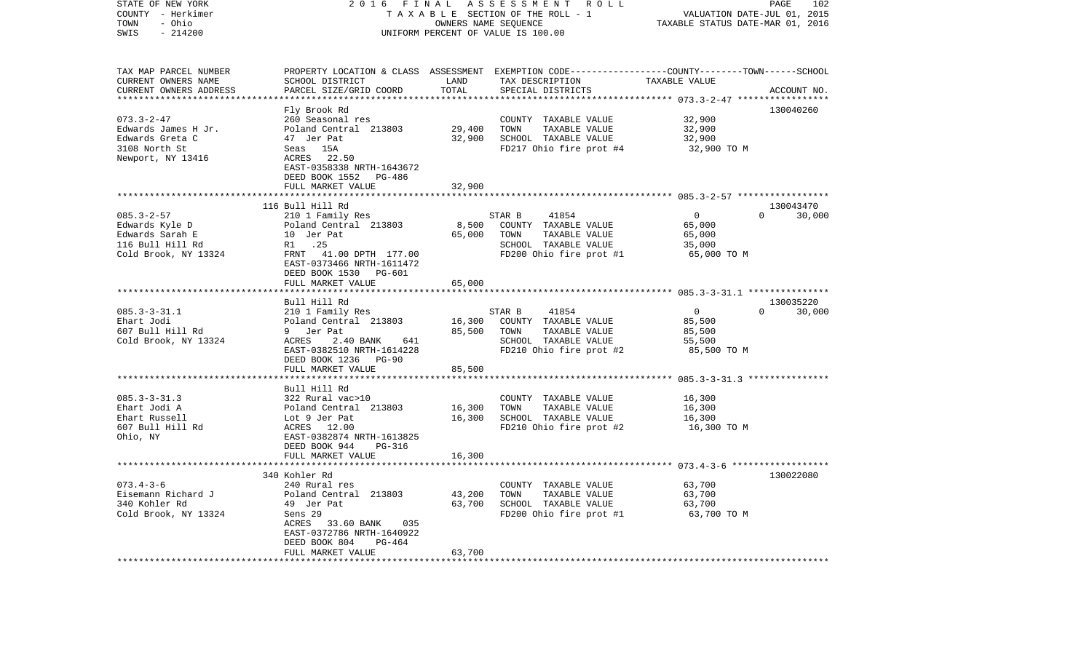| STATE OF NEW YORK<br>COUNTY - Herkimer<br>- Ohio<br>TOWN<br>SWIS<br>$-214200$                             | 2016<br>FINAL                                                                                                                                                                                                   | OWNERS NAME SEQUENCE                                  | ASSESSMENT ROLL<br>TAXABLE SECTION OF THE ROLL - 1<br>UNIFORM PERCENT OF VALUE IS 100.00                                                | VALUATION DATE-JUL 01, 2015<br>TAXABLE STATUS DATE-MAR 01, 2016 | PAGE<br>102                     |
|-----------------------------------------------------------------------------------------------------------|-----------------------------------------------------------------------------------------------------------------------------------------------------------------------------------------------------------------|-------------------------------------------------------|-----------------------------------------------------------------------------------------------------------------------------------------|-----------------------------------------------------------------|---------------------------------|
| TAX MAP PARCEL NUMBER<br>CURRENT OWNERS NAME<br>CURRENT OWNERS ADDRESS                                    | SCHOOL DISTRICT<br>PARCEL SIZE/GRID COORD                                                                                                                                                                       | LAND<br>TOTAL<br>*************                        | PROPERTY LOCATION & CLASS ASSESSMENT EXEMPTION CODE---------------COUNTY-------TOWN------SCHOOL<br>TAX DESCRIPTION<br>SPECIAL DISTRICTS | TAXABLE VALUE                                                   | ACCOUNT NO.                     |
|                                                                                                           | Fly Brook Rd                                                                                                                                                                                                    |                                                       |                                                                                                                                         |                                                                 | 130040260                       |
| $073.3 - 2 - 47$<br>Edwards James H Jr.<br>Edwards Greta C<br>3108 North St<br>Newport, NY 13416          | 260 Seasonal res<br>Poland Central 213803<br>47 Jer Pat<br>Seas 15A<br>ACRES 22.50<br>EAST-0358338 NRTH-1643672<br>DEED BOOK 1552 PG-486<br>FULL MARKET VALUE                                                   | 29,400<br>32,900<br>32,900                            | COUNTY TAXABLE VALUE<br>TOWN<br>TAXABLE VALUE<br>SCHOOL TAXABLE VALUE<br>FD217 Ohio fire prot #4                                        | 32,900<br>32,900<br>32,900<br>32,900 TO M                       |                                 |
|                                                                                                           |                                                                                                                                                                                                                 |                                                       |                                                                                                                                         |                                                                 |                                 |
| $085.3 - 2 - 57$<br>Edwards Kyle D<br>Edwards Sarah E<br>116 Bull Hill Rd<br>Cold Brook, NY 13324         | 116 Bull Hill Rd<br>210 1 Family Res<br>Poland Central 213803<br>10 Jer Pat<br>R1 .25<br>FRNT 41.00 DPTH 177.00<br>EAST-0373466 NRTH-1611472<br>DEED BOOK 1530 PG-601<br>FULL MARKET VALUE                      | 8,500<br>65,000<br>65,000                             | STAR B<br>41854<br>COUNTY TAXABLE VALUE<br>TOWN<br>TAXABLE VALUE<br>SCHOOL TAXABLE VALUE<br>FD200 Ohio fire prot #1                     | $\overline{0}$<br>65,000<br>65,000<br>35,000<br>65,000 TO M     | 130043470<br>$\Omega$<br>30,000 |
|                                                                                                           |                                                                                                                                                                                                                 |                                                       |                                                                                                                                         |                                                                 |                                 |
| $085.3 - 3 - 31.1$<br>Ehart Jodi<br>607 Bull Hill Rd<br>Cold Brook, NY 13324                              | Bull Hill Rd<br>210 1 Family Res<br>Poland Central 213803<br>9 Jer Pat<br>ACRES<br>2.40 BANK<br>641<br>EAST-0382510 NRTH-1614228<br>DEED BOOK 1236 PG-90                                                        | 16,300<br>85,500                                      | 41854<br>STAR B<br>COUNTY TAXABLE VALUE<br>TOWN<br>TAXABLE VALUE<br>SCHOOL TAXABLE VALUE<br>FD210 Ohio fire prot #2                     | $\overline{0}$<br>85,500<br>85,500<br>55,500<br>85,500 TO M     | 130035220<br>$\Omega$<br>30,000 |
|                                                                                                           | FULL MARKET VALUE                                                                                                                                                                                               | 85,500                                                |                                                                                                                                         |                                                                 |                                 |
| $085.3 - 3 - 31.3$<br>Ehart Jodi A<br>Ehart Russell<br>607 Bull Hill Rd<br>Ohio, NY                       | Bull Hill Rd<br>322 Rural vac>10<br>Poland Central 213803<br>Lot 9 Jer Pat<br>ACRES 12.00<br>EAST-0382874 NRTH-1613825<br>DEED BOOK 944<br>PG-316<br>FULL MARKET VALUE                                          | 16,300<br>16,300<br>16,300                            | COUNTY TAXABLE VALUE<br>TOWN<br>TAXABLE VALUE<br>SCHOOL TAXABLE VALUE<br>FD210 Ohio fire prot #2                                        | 16,300<br>16,300<br>16,300<br>16,300 TO M                       |                                 |
|                                                                                                           |                                                                                                                                                                                                                 |                                                       |                                                                                                                                         |                                                                 |                                 |
| $073.4 - 3 - 6$<br>Eisemann Richard J<br>340 Kohler Rd<br>Cold Brook, NY 13324<br>*********************** | 340 Kohler Rd<br>240 Rural res<br>Poland Central 213803<br>49 Jer Pat<br>Sens 29<br>ACRES 33.60 BANK<br>035<br>EAST-0372786 NRTH-1640922<br>DEED BOOK 804<br>PG-464<br>FULL MARKET VALUE<br>******************* | 43,200<br>63,700<br>63,700<br>* * * * * * * * * * * * | COUNTY TAXABLE VALUE<br>TOWN<br>TAXABLE VALUE<br>SCHOOL TAXABLE VALUE<br>FD200 Ohio fire prot #1                                        | 63,700<br>63,700<br>63,700<br>63,700 TO M                       | 130022080                       |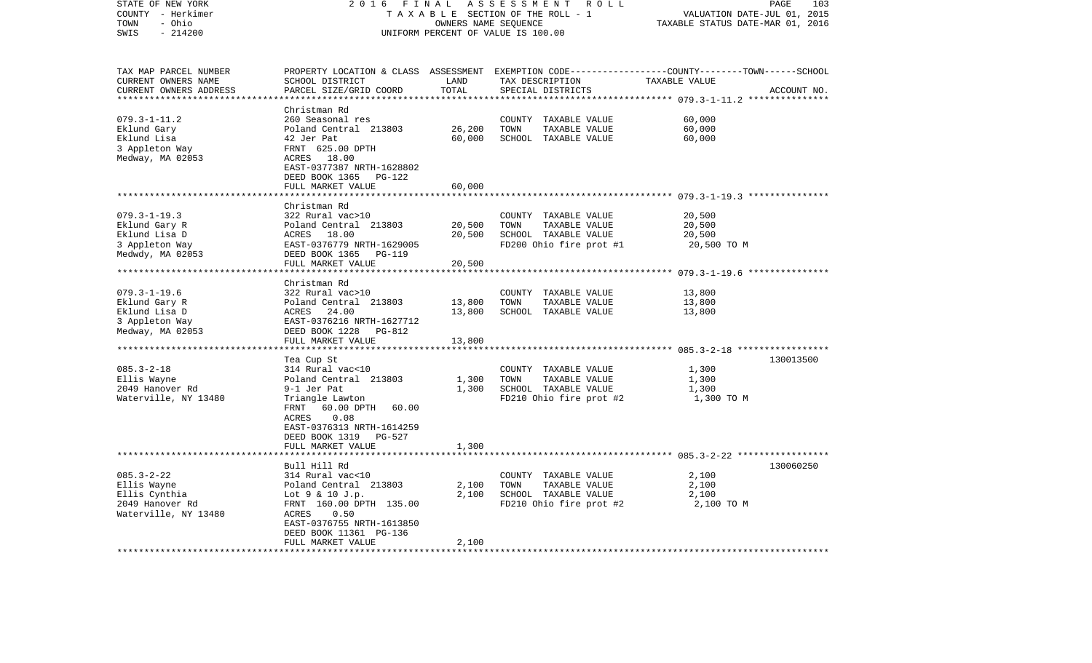| STATE OF NEW YORK<br>COUNTY - Herkimer<br>- Ohio<br>TOWN                | 2016<br>FINAL<br>ASSESSMENT ROLL<br>TAXABLE SECTION OF THE ROLL - 1<br>OWNERS NAME SEQUENCE<br>UNIFORM PERCENT OF VALUE IS 100.00 |                                 |        |                                      |                                                        | PAGE<br>103<br>VALUATION DATE-JUL 01, 2015<br>TAXABLE STATUS DATE-MAR 01, 2016 |  |
|-------------------------------------------------------------------------|-----------------------------------------------------------------------------------------------------------------------------------|---------------------------------|--------|--------------------------------------|--------------------------------------------------------|--------------------------------------------------------------------------------|--|
| SWIS<br>$-214200$                                                       |                                                                                                                                   |                                 |        |                                      |                                                        |                                                                                |  |
| TAX MAP PARCEL NUMBER                                                   | PROPERTY LOCATION & CLASS ASSESSMENT EXEMPTION CODE----------------COUNTY-------TOWN-----SCHOOL                                   |                                 |        |                                      |                                                        |                                                                                |  |
| CURRENT OWNERS NAME<br>CURRENT OWNERS ADDRESS<br>********************** | SCHOOL DISTRICT<br>PARCEL SIZE/GRID COORD                                                                                         | LAND<br>TOTAL<br>************** |        | TAX DESCRIPTION<br>SPECIAL DISTRICTS | TAXABLE VALUE                                          | ACCOUNT NO.                                                                    |  |
|                                                                         | Christman Rd                                                                                                                      |                                 |        |                                      |                                                        |                                                                                |  |
| $079.3 - 1 - 11.2$                                                      | 260 Seasonal res                                                                                                                  |                                 | COUNTY | TAXABLE VALUE                        | 60,000                                                 |                                                                                |  |
| Eklund Gary                                                             | Poland Central 213803                                                                                                             | 26,200                          | TOWN   | TAXABLE VALUE                        | 60,000                                                 |                                                                                |  |
| Eklund Lisa                                                             | 42 Jer Pat                                                                                                                        | 60,000                          |        | SCHOOL TAXABLE VALUE                 | 60,000                                                 |                                                                                |  |
| 3 Appleton Way                                                          | FRNT 625.00 DPTH                                                                                                                  |                                 |        |                                      |                                                        |                                                                                |  |
| Medway, MA 02053                                                        | ACRES 18.00<br>EAST-0377387 NRTH-1628802                                                                                          |                                 |        |                                      |                                                        |                                                                                |  |
|                                                                         | DEED BOOK 1365<br>PG-122                                                                                                          |                                 |        |                                      |                                                        |                                                                                |  |
|                                                                         | FULL MARKET VALUE                                                                                                                 | 60,000                          |        |                                      |                                                        |                                                                                |  |
|                                                                         |                                                                                                                                   |                                 |        |                                      |                                                        |                                                                                |  |
|                                                                         | Christman Rd                                                                                                                      |                                 |        |                                      |                                                        |                                                                                |  |
| $079.3 - 1 - 19.3$                                                      | 322 Rural vac>10                                                                                                                  |                                 |        | COUNTY TAXABLE VALUE                 | 20,500                                                 |                                                                                |  |
| Eklund Gary R                                                           | Poland Central 213803                                                                                                             | 20,500                          | TOWN   | TAXABLE VALUE                        | 20,500                                                 |                                                                                |  |
| Eklund Lisa D                                                           | ACRES 18.00                                                                                                                       | 20,500                          |        | SCHOOL TAXABLE VALUE                 | 20,500                                                 |                                                                                |  |
| 3 Appleton Way<br>Medwdy, MA 02053                                      | EAST-0376779 NRTH-1629005<br>DEED BOOK 1365                                                                                       |                                 |        | FD200 Ohio fire prot #1              | 20,500 TO M                                            |                                                                                |  |
|                                                                         | PG-119<br>FULL MARKET VALUE                                                                                                       | 20,500                          |        |                                      |                                                        |                                                                                |  |
|                                                                         | ***********************                                                                                                           | **********                      |        |                                      | ************************* 079.3-1-19.6 *************** |                                                                                |  |
|                                                                         | Christman Rd                                                                                                                      |                                 |        |                                      |                                                        |                                                                                |  |
| $079.3 - 1 - 19.6$                                                      | 322 Rural vac>10                                                                                                                  |                                 | COUNTY | TAXABLE VALUE                        | 13,800                                                 |                                                                                |  |
| Eklund Gary R                                                           | Poland Central 213803                                                                                                             | 13,800                          | TOWN   | TAXABLE VALUE                        | 13,800                                                 |                                                                                |  |
| Eklund Lisa D                                                           | ACRES<br>24.00                                                                                                                    | 13,800                          |        | SCHOOL TAXABLE VALUE                 | 13,800                                                 |                                                                                |  |
| 3 Appleton Way                                                          | EAST-0376216 NRTH-1627712                                                                                                         |                                 |        |                                      |                                                        |                                                                                |  |
| Medway, MA 02053                                                        | DEED BOOK 1228<br>PG-812<br>FULL MARKET VALUE                                                                                     | 13,800                          |        |                                      |                                                        |                                                                                |  |
|                                                                         |                                                                                                                                   | * * * * * * *                   |        |                                      | ******************** 085.3-2-18 ******************     |                                                                                |  |
|                                                                         | Tea Cup St                                                                                                                        |                                 |        |                                      |                                                        | 130013500                                                                      |  |
| $085.3 - 2 - 18$                                                        | 314 Rural vac<10                                                                                                                  |                                 |        | COUNTY TAXABLE VALUE                 | 1,300                                                  |                                                                                |  |
| Ellis Wayne                                                             | Poland Central 213803                                                                                                             | 1,300                           | TOWN   | TAXABLE VALUE                        | 1,300                                                  |                                                                                |  |
| 2049 Hanover Rd                                                         | 9-1 Jer Pat                                                                                                                       | 1,300                           |        | SCHOOL TAXABLE VALUE                 | 1,300                                                  |                                                                                |  |
| Waterville, NY 13480                                                    | Triangle Lawton                                                                                                                   |                                 |        | FD210 Ohio fire prot #2              | 1,300 TO M                                             |                                                                                |  |
|                                                                         | FRNT<br>60.00 DPTH<br>60.00                                                                                                       |                                 |        |                                      |                                                        |                                                                                |  |
|                                                                         | 0.08<br>ACRES                                                                                                                     |                                 |        |                                      |                                                        |                                                                                |  |
|                                                                         | EAST-0376313 NRTH-1614259<br>DEED BOOK 1319<br>PG-527                                                                             |                                 |        |                                      |                                                        |                                                                                |  |
|                                                                         | FULL MARKET VALUE                                                                                                                 | 1,300                           |        |                                      |                                                        |                                                                                |  |
|                                                                         |                                                                                                                                   |                                 |        |                                      |                                                        |                                                                                |  |
|                                                                         | Bull Hill Rd                                                                                                                      |                                 |        |                                      |                                                        | 130060250                                                                      |  |
| $085.3 - 2 - 22$                                                        | 314 Rural vac<10                                                                                                                  |                                 |        | COUNTY TAXABLE VALUE                 | 2,100                                                  |                                                                                |  |
| Ellis Wayne                                                             | Poland Central 213803                                                                                                             | 2,100                           | TOWN   | TAXABLE VALUE                        | 2,100                                                  |                                                                                |  |
| Ellis Cynthia                                                           | Lot 9 & 10 J.p.                                                                                                                   | 2,100                           |        | SCHOOL TAXABLE VALUE                 | 2,100                                                  |                                                                                |  |
| 2049 Hanover Rd                                                         | FRNT 160.00 DPTH 135.00                                                                                                           |                                 |        | FD210 Ohio fire prot #2              | 2,100 TO M                                             |                                                                                |  |
| Waterville, NY 13480                                                    | ACRES<br>0.50<br>EAST-0376755 NRTH-1613850                                                                                        |                                 |        |                                      |                                                        |                                                                                |  |
|                                                                         | DEED BOOK 11361 PG-136                                                                                                            |                                 |        |                                      |                                                        |                                                                                |  |
|                                                                         | FULL MARKET VALUE                                                                                                                 | 2,100                           |        |                                      |                                                        |                                                                                |  |
|                                                                         |                                                                                                                                   |                                 |        |                                      |                                                        |                                                                                |  |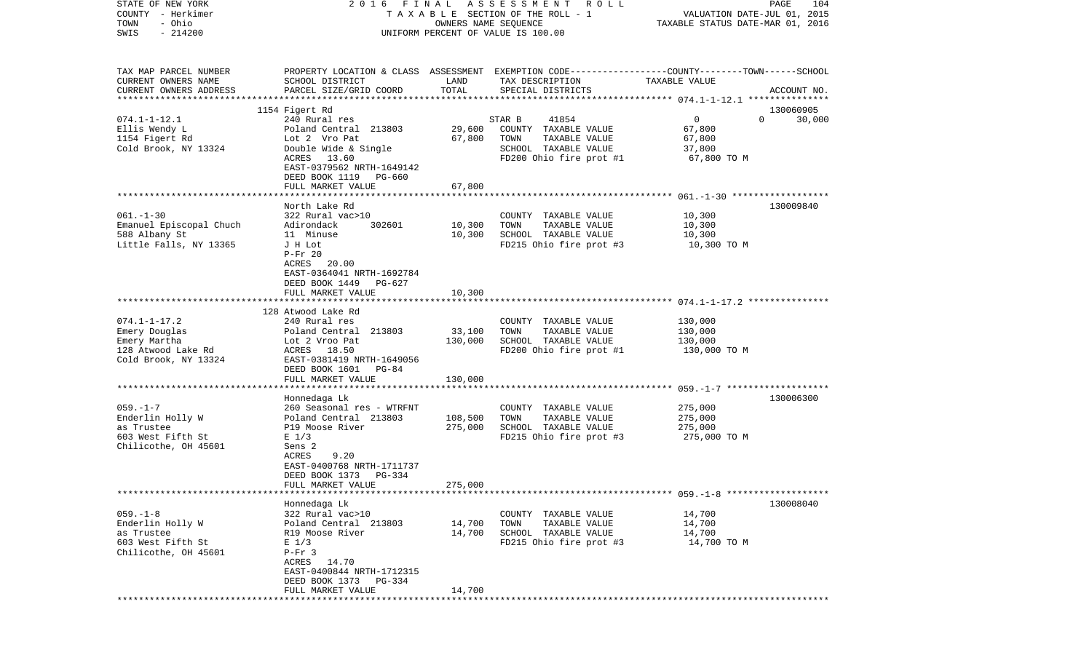| STATE OF NEW YORK<br>COUNTY - Herkimer<br>- Ohio<br>TOWN<br>$-214200$<br>SWIS                     |                                                                                                                                                                                                           | OWNERS NAME SEQUENCE          | 2016 FINAL ASSESSMENT ROLL<br>TAXABLE SECTION OF THE ROLL - 1<br>UNIFORM PERCENT OF VALUE IS 100.00                 | VALUATION DATE-JUL 01, 2015<br>TAXABLE STATUS DATE-MAR 01, 2016 | PAGE<br>104        |
|---------------------------------------------------------------------------------------------------|-----------------------------------------------------------------------------------------------------------------------------------------------------------------------------------------------------------|-------------------------------|---------------------------------------------------------------------------------------------------------------------|-----------------------------------------------------------------|--------------------|
| TAX MAP PARCEL NUMBER<br>CURRENT OWNERS NAME<br>CURRENT OWNERS ADDRESS                            | PROPERTY LOCATION & CLASS ASSESSMENT EXEMPTION CODE---------------COUNTY-------TOWN------SCHOOL<br>SCHOOL DISTRICT<br>PARCEL SIZE/GRID COORD                                                              | LAND<br>TOTAL                 | TAX DESCRIPTION<br>SPECIAL DISTRICTS                                                                                | TAXABLE VALUE                                                   | ACCOUNT NO.        |
|                                                                                                   | 1154 Figert Rd                                                                                                                                                                                            |                               |                                                                                                                     |                                                                 | 130060905          |
| $074.1 - 1 - 12.1$<br>Ellis Wendy L<br>1154 Figert Rd<br>Cold Brook, NY 13324                     | 240 Rural res<br>Poland Central 213803<br>Lot 2 Vro Pat<br>Double Wide & Single<br>ACRES 13.60<br>EAST-0379562 NRTH-1649142<br>DEED BOOK 1119 PG-660<br>FULL MARKET VALUE                                 | 29,600<br>67,800<br>67,800    | STAR B<br>41854<br>COUNTY TAXABLE VALUE<br>TOWN<br>TAXABLE VALUE<br>SCHOOL TAXABLE VALUE<br>FD200 Ohio fire prot #1 | $\mathbf 0$<br>67,800<br>67,800<br>37,800<br>67,800 TO M        | $\Omega$<br>30,000 |
|                                                                                                   |                                                                                                                                                                                                           |                               |                                                                                                                     |                                                                 |                    |
| $061. - 1 - 30$<br>Emanuel Episcopal Chuch<br>588 Albany St<br>Little Falls, NY 13365             | North Lake Rd<br>322 Rural vac>10<br>302601<br>Adirondack<br>11 Minuse<br>J H Lot<br>$P-Fr 20$<br>ACRES<br>20.00<br>EAST-0364041 NRTH-1692784<br>DEED BOOK 1449 PG-627                                    | 10,300<br>10,300              | COUNTY TAXABLE VALUE<br>TOWN<br>TAXABLE VALUE<br>SCHOOL TAXABLE VALUE<br>FD215 Ohio fire prot #3                    | 10,300<br>10,300<br>10,300<br>10,300 TO M                       | 130009840          |
|                                                                                                   | FULL MARKET VALUE                                                                                                                                                                                         | 10,300                        |                                                                                                                     |                                                                 |                    |
| $074.1 - 1 - 17.2$<br>Emery Douglas<br>Emery Martha<br>128 Atwood Lake Rd<br>Cold Brook, NY 13324 | 128 Atwood Lake Rd<br>240 Rural res<br>Poland Central 213803<br>Lot 2 Vroo Pat<br>ACRES 18.50<br>EAST-0381419 NRTH-1649056<br>DEED BOOK 1601 PG-84<br>FULL MARKET VALUE                                   | 33,100<br>130,000<br>130,000  | COUNTY TAXABLE VALUE<br>TOWN<br>TAXABLE VALUE<br>SCHOOL TAXABLE VALUE<br>FD200 Ohio fire prot #1                    | 130,000<br>130,000<br>130,000<br>130,000 TO M                   |                    |
|                                                                                                   |                                                                                                                                                                                                           |                               |                                                                                                                     |                                                                 |                    |
| $059. - 1 - 7$<br>Enderlin Holly W<br>as Trustee<br>603 West Fifth St<br>Chilicothe, OH 45601     | Honnedaga Lk<br>260 Seasonal res - WTRFNT<br>Poland Central 213803<br>P19 Moose River<br>$E$ 1/3<br>Sens 2<br>ACRES<br>9.20<br>EAST-0400768 NRTH-1711737<br>DEED BOOK 1373<br>PG-334<br>FULL MARKET VALUE | 108,500<br>275,000<br>275,000 | COUNTY TAXABLE VALUE<br>TOWN<br>TAXABLE VALUE<br>SCHOOL TAXABLE VALUE<br>FD215 Ohio fire prot #3                    | 275,000<br>275,000<br>275,000<br>275,000 TO M                   | 130006300          |
|                                                                                                   |                                                                                                                                                                                                           |                               |                                                                                                                     |                                                                 |                    |
| $059. -1 - 8$<br>Enderlin Holly W<br>as Trustee<br>603 West Fifth St<br>Chilicothe, OH 45601      | Honnedaga Lk<br>322 Rural vac>10<br>Poland Central 213803<br>R19 Moose River<br>$E$ 1/3<br>$P-Fr$ 3<br>ACRES 14.70<br>EAST-0400844 NRTH-1712315<br>DEED BOOK 1373 PG-334<br>FULL MARKET VALUE             | 14,700<br>14,700<br>14,700    | COUNTY TAXABLE VALUE<br>TOWN<br>TAXABLE VALUE<br>SCHOOL TAXABLE VALUE<br>FD215 Ohio fire prot #3                    | 14,700<br>14,700<br>14,700<br>14,700 TO M                       | 130008040          |
|                                                                                                   |                                                                                                                                                                                                           |                               |                                                                                                                     |                                                                 |                    |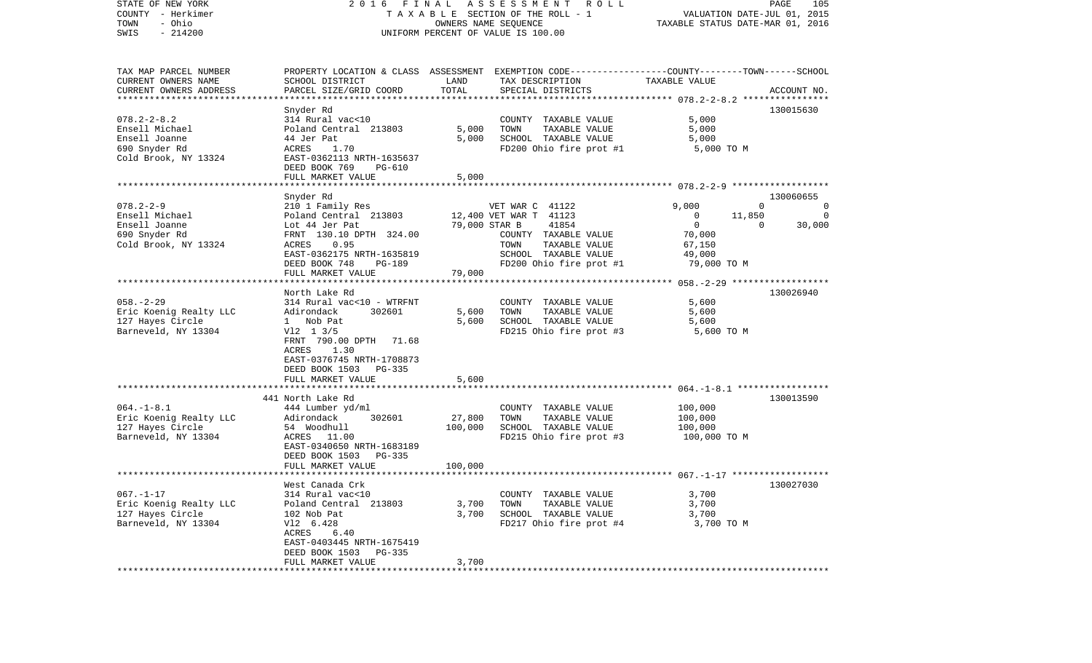| STATE OF NEW YORK<br>COUNTY - Herkimer<br>- Ohio<br>TOWN<br>$-214200$<br>SWIS | F I N A L<br>2016                                 |               | ASSESSMENT<br>R O L L<br>TAXABLE SECTION OF THE ROLL - 1<br>OWNERS NAME SEQUENCE<br>UNIFORM PERCENT OF VALUE IS 100.00 | TAXABLE STATUS DATE-MAR 01, 2016   | PAGE<br>105<br>VALUATION DATE-JUL 01, 2015 |
|-------------------------------------------------------------------------------|---------------------------------------------------|---------------|------------------------------------------------------------------------------------------------------------------------|------------------------------------|--------------------------------------------|
| TAX MAP PARCEL NUMBER                                                         |                                                   |               | PROPERTY LOCATION & CLASS ASSESSMENT EXEMPTION CODE----------------COUNTY-------TOWN------SCHOOL                       |                                    |                                            |
| CURRENT OWNERS NAME<br>CURRENT OWNERS ADDRESS                                 | SCHOOL DISTRICT                                   | LAND<br>TOTAL | TAX DESCRIPTION                                                                                                        | TAXABLE VALUE                      |                                            |
| *********************                                                         | PARCEL SIZE/GRID COORD<br>*********************** |               | SPECIAL DISTRICTS                                                                                                      |                                    | ACCOUNT NO.                                |
|                                                                               | Snyder Rd                                         |               |                                                                                                                        |                                    | 130015630                                  |
| $078.2 - 2 - 8.2$                                                             | 314 Rural vac<10                                  |               | COUNTY TAXABLE VALUE                                                                                                   | 5,000                              |                                            |
| Ensell Michael                                                                | Poland Central 213803                             | 5,000         | TOWN<br>TAXABLE VALUE                                                                                                  | 5,000                              |                                            |
| Ensell Joanne                                                                 | 44 Jer Pat                                        | 5,000         | SCHOOL TAXABLE VALUE<br>FD200 Ohio fire prot #1                                                                        | 5,000                              |                                            |
| 690 Snyder Rd<br>Cold Brook, NY 13324                                         | ACRES<br>1.70<br>EAST-0362113 NRTH-1635637        |               |                                                                                                                        | 5,000 TO M                         |                                            |
|                                                                               | DEED BOOK 769<br>PG-610                           |               |                                                                                                                        |                                    |                                            |
|                                                                               | FULL MARKET VALUE                                 | 5,000         |                                                                                                                        |                                    |                                            |
|                                                                               |                                                   |               |                                                                                                                        |                                    |                                            |
| $078.2 - 2 - 9$                                                               | Snyder Rd<br>210 1 Family Res                     |               | VET WAR C 41122                                                                                                        | 9,000                              | 130060655<br>$\mathbf 0$<br>0              |
| Ensell Michael                                                                | Poland Central 213803                             |               | 12,400 VET WAR T 41123                                                                                                 | 11,850<br>$\circ$                  | $\Omega$                                   |
| Ensell Joanne                                                                 | Lot 44 Jer Pat                                    | 79,000 STAR B | 41854                                                                                                                  | $\mathbf 0$                        | 30,000<br>$\Omega$                         |
| 690 Snyder Rd                                                                 | FRNT 130.10 DPTH 324.00                           |               | COUNTY TAXABLE VALUE                                                                                                   | 70,000                             |                                            |
| Cold Brook, NY 13324                                                          | 0.95<br>ACRES                                     |               | TAXABLE VALUE<br>TOWN                                                                                                  | 67,150                             |                                            |
|                                                                               | EAST-0362175 NRTH-1635819<br>DEED BOOK 748        |               | SCHOOL TAXABLE VALUE<br>FD200 Ohio fire prot #1                                                                        | 49,000                             |                                            |
|                                                                               | <b>PG-189</b><br>FULL MARKET VALUE                | 79,000        |                                                                                                                        | 79,000 TO M                        |                                            |
|                                                                               | ***********************************               |               |                                                                                                                        |                                    |                                            |
|                                                                               | North Lake Rd                                     |               |                                                                                                                        |                                    | 130026940                                  |
| $058. - 2 - 29$                                                               | 314 Rural vac<10 - WTRFNT                         |               | COUNTY TAXABLE VALUE                                                                                                   | 5,600                              |                                            |
| Eric Koenig Realty LLC                                                        | Adirondack<br>302601                              | 5,600         | TOWN<br>TAXABLE VALUE                                                                                                  | 5,600                              |                                            |
| 127 Hayes Circle<br>Barneveld, NY 13304                                       | 1 Nob Pat<br>$V12 \t13/5$                         | 5,600         | SCHOOL TAXABLE VALUE<br>FD215 Ohio fire prot #3                                                                        | 5,600<br>5,600 TO M                |                                            |
|                                                                               | FRNT 790.00 DPTH<br>71.68                         |               |                                                                                                                        |                                    |                                            |
|                                                                               | ACRES<br>1.30                                     |               |                                                                                                                        |                                    |                                            |
|                                                                               | EAST-0376745 NRTH-1708873                         |               |                                                                                                                        |                                    |                                            |
|                                                                               | DEED BOOK 1503<br>PG-335                          |               |                                                                                                                        |                                    |                                            |
|                                                                               | FULL MARKET VALUE<br>********************         | 5,600         |                                                                                                                        | $064. -1 - 8.1$ ****************** |                                            |
|                                                                               | 441 North Lake Rd                                 |               |                                                                                                                        |                                    | 130013590                                  |
| $064. -1 - 8.1$                                                               | 444 Lumber yd/ml                                  |               | COUNTY TAXABLE VALUE                                                                                                   | 100,000                            |                                            |
| Eric Koenig Realty LLC                                                        | Adirondack<br>302601                              | 27,800        | TOWN<br>TAXABLE VALUE                                                                                                  | 100,000                            |                                            |
| 127 Hayes Circle                                                              | 54 Woodhull                                       | 100,000       | SCHOOL TAXABLE VALUE                                                                                                   | 100,000                            |                                            |
| Barneveld, NY 13304                                                           | ACRES 11.00<br>EAST-0340650 NRTH-1683189          |               | FD215 Ohio fire prot #3                                                                                                | 100,000 TO M                       |                                            |
|                                                                               | DEED BOOK 1503<br>$PG-335$                        |               |                                                                                                                        |                                    |                                            |
|                                                                               | FULL MARKET VALUE                                 | 100,000       |                                                                                                                        |                                    |                                            |
|                                                                               |                                                   |               |                                                                                                                        |                                    |                                            |
|                                                                               | West Canada Crk                                   |               |                                                                                                                        |                                    | 130027030                                  |
| $067. - 1 - 17$<br>Eric Koenig Realty LLC                                     | 314 Rural vac<10<br>Poland Central 213803         | 3,700         | COUNTY TAXABLE VALUE<br>TOWN<br>TAXABLE VALUE                                                                          | 3,700<br>3,700                     |                                            |
| 127 Hayes Circle                                                              | 102 Nob Pat                                       | 3,700         | SCHOOL TAXABLE VALUE                                                                                                   | 3,700                              |                                            |
| Barneveld, NY 13304                                                           | V12 6.428                                         |               | FD217 Ohio fire prot #4                                                                                                | 3,700 TO M                         |                                            |
|                                                                               | ACRES<br>6.40                                     |               |                                                                                                                        |                                    |                                            |
|                                                                               | EAST-0403445 NRTH-1675419                         |               |                                                                                                                        |                                    |                                            |
|                                                                               | DEED BOOK 1503<br>PG-335<br>FULL MARKET VALUE     | 3,700         |                                                                                                                        |                                    |                                            |
|                                                                               |                                                   |               |                                                                                                                        |                                    |                                            |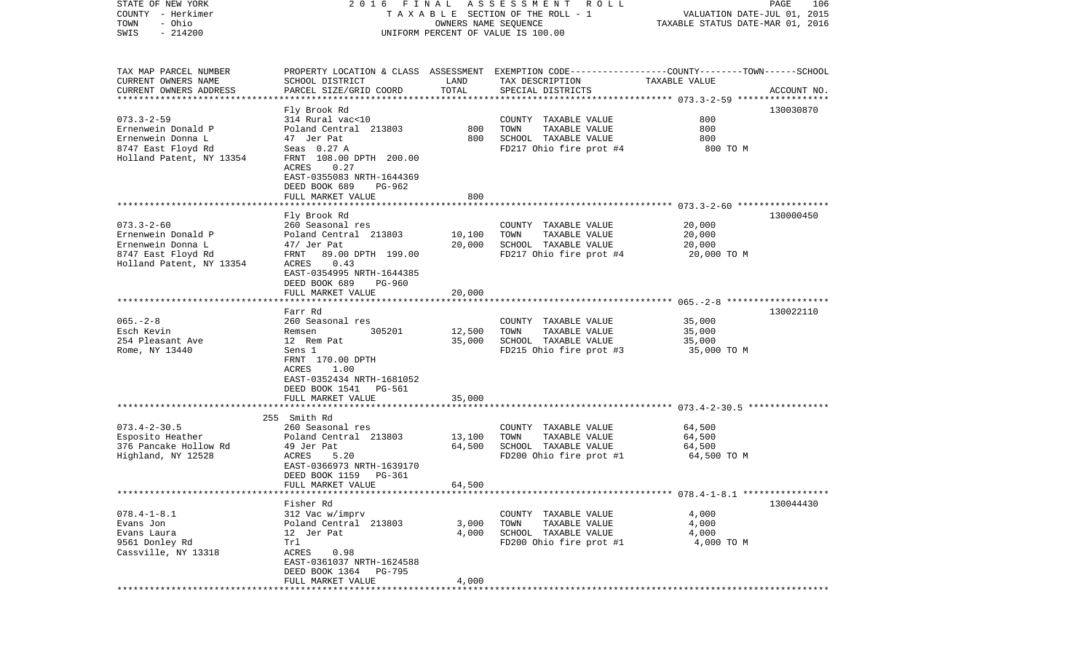| STATE OF NEW YORK         |                                                                                               |                      | 2016 FINAL ASSESSMENT ROLL         |                                  | PAGE<br>106 |
|---------------------------|-----------------------------------------------------------------------------------------------|----------------------|------------------------------------|----------------------------------|-------------|
| COUNTY - Herkimer         |                                                                                               |                      | TAXABLE SECTION OF THE ROLL - 1    | VALUATION DATE-JUL 01, 2015      |             |
| TOWN<br>- Ohio            |                                                                                               | OWNERS NAME SEQUENCE |                                    | TAXABLE STATUS DATE-MAR 01, 2016 |             |
| SWIS<br>$-214200$         |                                                                                               |                      | UNIFORM PERCENT OF VALUE IS 100.00 |                                  |             |
|                           |                                                                                               |                      |                                    |                                  |             |
|                           |                                                                                               |                      |                                    |                                  |             |
| TAX MAP PARCEL NUMBER     | PROPERTY LOCATION & CLASS ASSESSMENT EXEMPTION CODE--------------COUNTY-------TOWN-----SCHOOL |                      |                                    |                                  |             |
| CURRENT OWNERS NAME       | SCHOOL DISTRICT                                                                               | LAND                 | TAX DESCRIPTION                    | TAXABLE VALUE                    |             |
| CURRENT OWNERS ADDRESS    | PARCEL SIZE/GRID COORD                                                                        | TOTAL                | SPECIAL DISTRICTS                  |                                  | ACCOUNT NO. |
| ************************* |                                                                                               |                      |                                    |                                  |             |
|                           | Fly Brook Rd                                                                                  |                      |                                    |                                  | 130030870   |
| $073.3 - 2 - 59$          | 314 Rural vac<10                                                                              |                      | COUNTY TAXABLE VALUE               | 800                              |             |
| Ernenwein Donald P        | Poland Central 213803                                                                         | 800                  | TOWN<br>TAXABLE VALUE              | 800                              |             |
| Ernenwein Donna L         | 47 Jer Pat                                                                                    | 800                  | SCHOOL TAXABLE VALUE               | 800                              |             |
| 8747 East Floyd Rd        | Seas $0.27$ A                                                                                 |                      | FD217 Ohio fire prot #4            | 800 TO M                         |             |
| Holland Patent, NY 13354  | FRNT 108.00 DPTH 200.00                                                                       |                      |                                    |                                  |             |
|                           | ACRES<br>0.27                                                                                 |                      |                                    |                                  |             |
|                           | EAST-0355083 NRTH-1644369                                                                     |                      |                                    |                                  |             |
|                           | DEED BOOK 689<br>PG-962                                                                       |                      |                                    |                                  |             |
|                           | FULL MARKET VALUE                                                                             | 800                  |                                    |                                  |             |
|                           |                                                                                               |                      |                                    |                                  |             |
|                           | Fly Brook Rd                                                                                  |                      |                                    |                                  | 130000450   |
| $073.3 - 2 - 60$          | 260 Seasonal res                                                                              |                      | COUNTY TAXABLE VALUE               | 20,000                           |             |
| Ernenwein Donald P        | Poland Central 213803                                                                         | 10,100               | TOWN<br>TAXABLE VALUE              | 20,000                           |             |
| Ernenwein Donna L         | 47/ Jer Pat                                                                                   | 20,000               | SCHOOL TAXABLE VALUE               | 20,000                           |             |
| 8747 East Floyd Rd        | 89.00 DPTH 199.00<br>FRNT                                                                     |                      | FD217 Ohio fire prot #4            | 20,000 TO M                      |             |
| Holland Patent, NY 13354  | ACRES<br>0.43                                                                                 |                      |                                    |                                  |             |
|                           | EAST-0354995 NRTH-1644385                                                                     |                      |                                    |                                  |             |
|                           | DEED BOOK 689<br>PG-960                                                                       |                      |                                    |                                  |             |
|                           | FULL MARKET VALUE                                                                             | 20,000               |                                    |                                  |             |
|                           |                                                                                               |                      |                                    |                                  |             |
|                           | Farr Rd                                                                                       |                      |                                    |                                  | 130022110   |
| $065. - 2 - 8$            | 260 Seasonal res                                                                              |                      | COUNTY TAXABLE VALUE               | 35,000                           |             |
| Esch Kevin                | 305201<br>Remsen                                                                              | 12,500               | TAXABLE VALUE<br>TOWN              | 35,000                           |             |
| 254 Pleasant Ave          | 12 Rem Pat                                                                                    | 35,000               | SCHOOL TAXABLE VALUE               | 35,000                           |             |
| Rome, NY 13440            | Sens 1                                                                                        |                      | FD215 Ohio fire prot #3            | 35,000 TO M                      |             |
|                           | FRNT 170.00 DPTH<br>ACRES<br>1.00                                                             |                      |                                    |                                  |             |
|                           | EAST-0352434 NRTH-1681052                                                                     |                      |                                    |                                  |             |
|                           | DEED BOOK 1541<br>PG-561                                                                      |                      |                                    |                                  |             |
|                           |                                                                                               |                      |                                    |                                  |             |
|                           | FULL MARKET VALUE                                                                             | 35,000               |                                    |                                  |             |
|                           | 255 Smith Rd                                                                                  |                      |                                    |                                  |             |
| $073.4 - 2 - 30.5$        | 260 Seasonal res                                                                              |                      | COUNTY TAXABLE VALUE               | 64,500                           |             |
| Esposito Heather          | Poland Central 213803                                                                         | 13,100               | TAXABLE VALUE<br>TOWN              | 64,500                           |             |
| 376 Pancake Hollow Rd     | 49 Jer Pat                                                                                    | 64,500               | SCHOOL TAXABLE VALUE               | 64,500                           |             |
| Highland, NY 12528        | ACRES<br>5.20                                                                                 |                      | FD200 Ohio fire prot #1            | 64,500 TO M                      |             |
|                           | EAST-0366973 NRTH-1639170                                                                     |                      |                                    |                                  |             |
|                           | DEED BOOK 1159<br>PG-361                                                                      |                      |                                    |                                  |             |
|                           | FULL MARKET VALUE                                                                             | 64,500               |                                    |                                  |             |
|                           |                                                                                               |                      |                                    |                                  |             |
|                           | Fisher Rd                                                                                     |                      |                                    |                                  | 130044430   |
| $078.4 - 1 - 8.1$         | 312 Vac w/imprv                                                                               |                      | COUNTY TAXABLE VALUE               | 4,000                            |             |
| Evans Jon                 | Poland Central 213803                                                                         | 3,000                | TOWN<br>TAXABLE VALUE              | 4,000                            |             |
| Evans Laura               | 12 Jer Pat                                                                                    | 4,000                | SCHOOL TAXABLE VALUE               | 4,000                            |             |
| 9561 Donley Rd            | Trl                                                                                           |                      | FD200 Ohio fire prot #1            | 4,000 TO M                       |             |
| Cassville, NY 13318       | ACRES<br>0.98                                                                                 |                      |                                    |                                  |             |
|                           | EAST-0361037 NRTH-1624588                                                                     |                      |                                    |                                  |             |
|                           | DEED BOOK 1364 PG-795                                                                         |                      |                                    |                                  |             |
|                           | FULL MARKET VALUE                                                                             | 4,000                |                                    |                                  |             |
|                           |                                                                                               |                      |                                    |                                  |             |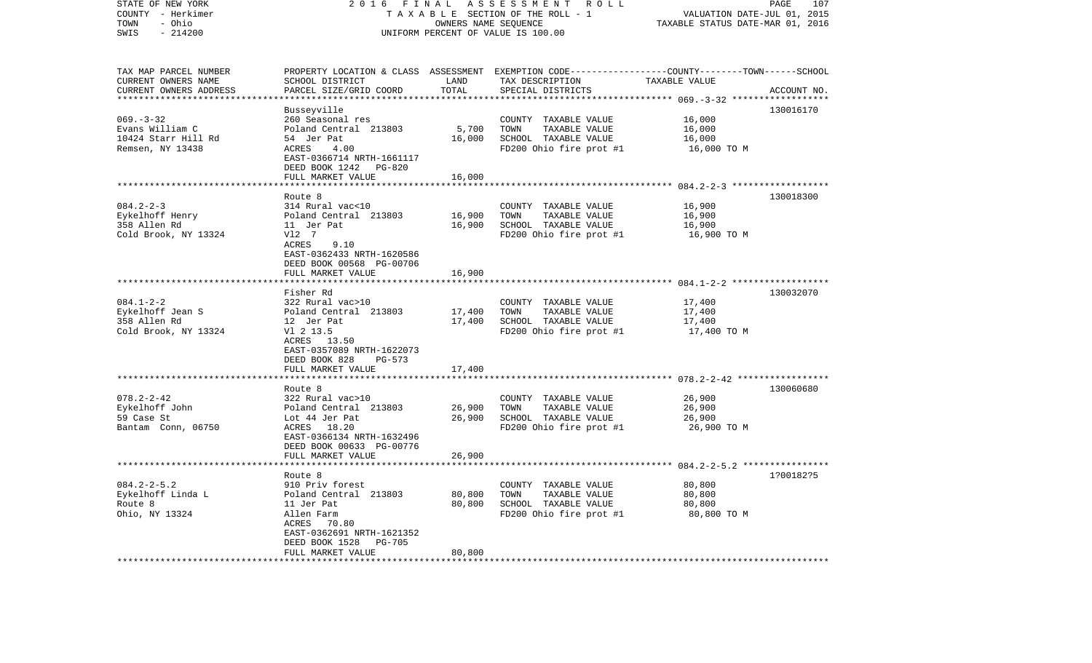| STATE OF NEW YORK<br>COUNTY - Herkimer<br>- Ohio<br>TOWN<br>$-214200$<br>SWIS | 2016<br>FINAL<br>ASSESSMENT ROLL<br>TAXABLE SECTION OF THE ROLL - 1<br>OWNERS NAME SEQUENCE<br>UNIFORM PERCENT OF VALUE IS 100.00                        |                  |                                                                                                                                         | PAGE<br>107<br>VALUATION DATE-JUL 01, 2015<br>TAXABLE STATUS DATE-MAR 01, 2016 |             |
|-------------------------------------------------------------------------------|----------------------------------------------------------------------------------------------------------------------------------------------------------|------------------|-----------------------------------------------------------------------------------------------------------------------------------------|--------------------------------------------------------------------------------|-------------|
| TAX MAP PARCEL NUMBER<br>CURRENT OWNERS NAME<br>CURRENT OWNERS ADDRESS        | SCHOOL DISTRICT<br>PARCEL SIZE/GRID COORD                                                                                                                | LAND<br>TOTAL    | PROPERTY LOCATION & CLASS ASSESSMENT EXEMPTION CODE---------------COUNTY-------TOWN------SCHOOL<br>TAX DESCRIPTION<br>SPECIAL DISTRICTS | TAXABLE VALUE                                                                  | ACCOUNT NO. |
| $069. -3 - 32$<br>Evans William C<br>10424 Starr Hill Rd<br>Remsen, NY 13438  | Busseyville<br>260 Seasonal res<br>Poland Central 213803<br>54 Jer Pat<br>ACRES<br>4.00<br>EAST-0366714 NRTH-1661117<br>DEED BOOK 1242 PG-820            | 5,700<br>16,000  | COUNTY TAXABLE VALUE<br>TOWN<br>TAXABLE VALUE<br>SCHOOL TAXABLE VALUE<br>FD200 Ohio fire prot #1                                        | 16,000<br>16,000<br>16,000<br>16,000 TO M                                      | 130016170   |
|                                                                               | FULL MARKET VALUE                                                                                                                                        | 16,000           |                                                                                                                                         |                                                                                |             |
| $084.2 - 2 - 3$                                                               | Route 8<br>314 Rural vac<10                                                                                                                              |                  | COUNTY TAXABLE VALUE                                                                                                                    | 16,900                                                                         | 130018300   |
| Eykelhoff Henry<br>358 Allen Rd<br>Cold Brook, NY 13324                       | Poland Central 213803<br>11 Jer Pat<br>V12 7<br>9.10<br>ACRES<br>EAST-0362433 NRTH-1620586<br>DEED BOOK 00568 PG-00706                                   | 16,900<br>16,900 | TAXABLE VALUE<br>TOWN<br>SCHOOL TAXABLE VALUE<br>FD200 Ohio fire prot #1                                                                | 16,900<br>16,900<br>16,900 TO M                                                |             |
|                                                                               | FULL MARKET VALUE                                                                                                                                        | 16,900           |                                                                                                                                         |                                                                                |             |
|                                                                               | ************************                                                                                                                                 |                  |                                                                                                                                         |                                                                                |             |
| $084.1 - 2 - 2$<br>Eykelhoff Jean S<br>358 Allen Rd<br>Cold Brook, NY 13324   | Fisher Rd<br>322 Rural vac>10<br>Poland Central 213803<br>12 Jer Pat<br>V1 2 13.5<br>ACRES 13.50<br>EAST-0357089 NRTH-1622073<br>DEED BOOK 828<br>PG-573 | 17,400<br>17,400 | COUNTY TAXABLE VALUE<br>TOWN<br>TAXABLE VALUE<br>SCHOOL TAXABLE VALUE<br>FD200 Ohio fire prot #1                                        | 17,400<br>17,400<br>17,400<br>17,400 TO M                                      | 130032070   |
|                                                                               | FULL MARKET VALUE                                                                                                                                        | 17,400           |                                                                                                                                         |                                                                                |             |
| $078.2 - 2 - 42$<br>Eykelhoff John<br>59 Case St<br>Bantam Conn, 06750        | Route 8<br>322 Rural vac>10<br>Poland Central 213803<br>Lot 44 Jer Pat<br>ACRES 18.20<br>EAST-0366134 NRTH-1632496<br>DEED BOOK 00633 PG-00776           | 26,900<br>26,900 | COUNTY TAXABLE VALUE<br>TOWN<br>TAXABLE VALUE<br>SCHOOL TAXABLE VALUE<br>FD200 Ohio fire prot #1                                        | 26,900<br>26,900<br>26,900<br>26,900 TO M                                      | 130060680   |
|                                                                               | FULL MARKET VALUE                                                                                                                                        | 26,900           |                                                                                                                                         |                                                                                |             |
| $084.2 - 2 - 5.2$<br>Eykelhoff Linda L<br>Route 8<br>Ohio, NY 13324           | *****************<br>Route 8<br>910 Priv forest<br>Poland Central 213803<br>11 Jer Pat<br>Allen Farm<br>ACRES 70.80<br>EAST-0362691 NRTH-1621352         | 80,800<br>80,800 | COUNTY TAXABLE VALUE<br>TOWN<br>TAXABLE VALUE<br>SCHOOL TAXABLE VALUE<br>FD200 Ohio fire prot #1                                        | 80,800<br>80,800<br>80,800<br>80,800 TO M                                      | 1?00182?5   |
| *************************                                                     | DEED BOOK 1528<br><b>PG-705</b><br>FULL MARKET VALUE<br>*******************************                                                                  | 80,800           |                                                                                                                                         |                                                                                |             |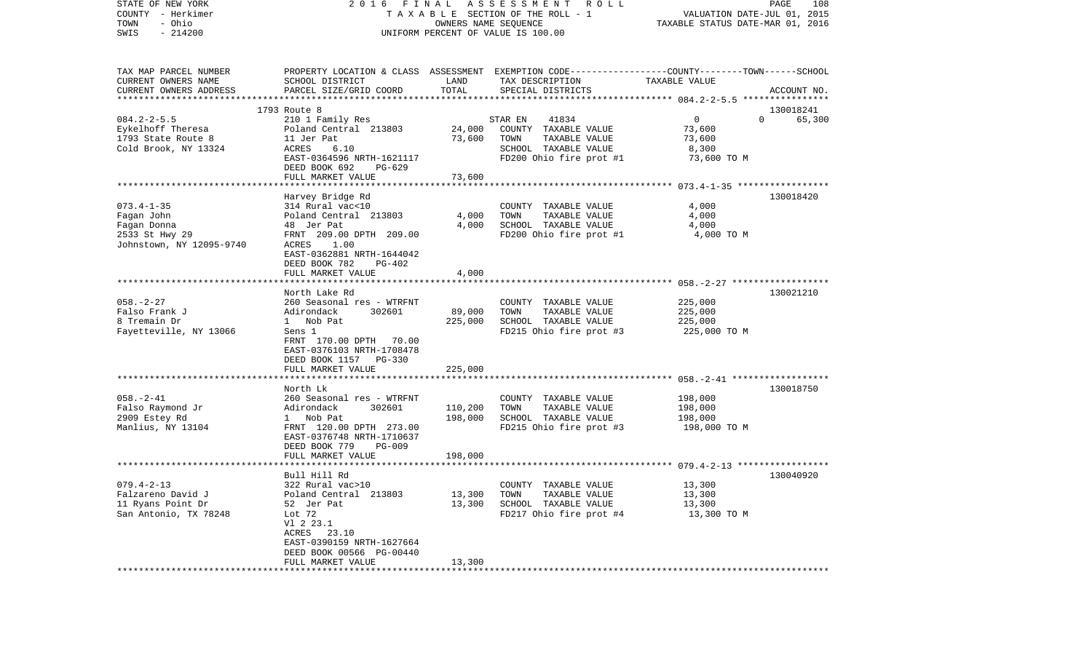| STATE OF NEW YORK<br>COUNTY - Herkimer<br>- Ohio<br>TOWN<br>SWIS<br>$-214200$ | 2016                                |                  | FINAL ASSESSMENT<br>R O L L<br>TAXABLE SECTION OF THE ROLL - 1<br>OWNERS NAME SEQUENCE<br>UNIFORM PERCENT OF VALUE IS 100.00 | VALUATION DATE-JUL 01, 2015<br>TAXABLE STATUS DATE-MAR 01, 2016 | PAGE<br>108        |
|-------------------------------------------------------------------------------|-------------------------------------|------------------|------------------------------------------------------------------------------------------------------------------------------|-----------------------------------------------------------------|--------------------|
| TAX MAP PARCEL NUMBER<br>CURRENT OWNERS NAME<br>CURRENT OWNERS ADDRESS        | SCHOOL DISTRICT                     | LAND<br>TOTAL    | PROPERTY LOCATION & CLASS ASSESSMENT EXEMPTION CODE---------------COUNTY-------TOWN-----SCHOOL<br>TAX DESCRIPTION            | TAXABLE VALUE                                                   |                    |
| ***********************                                                       | PARCEL SIZE/GRID COORD              |                  | SPECIAL DISTRICTS                                                                                                            |                                                                 | ACCOUNT NO.        |
|                                                                               | 1793 Route 8                        |                  |                                                                                                                              |                                                                 | 130018241          |
| $084.2 - 2 - 5.5$                                                             | 210 1 Family Res                    |                  | STAR EN<br>41834                                                                                                             | 0                                                               | $\Omega$<br>65,300 |
| Eykelhoff Theresa                                                             | Poland Central 213803               | 24,000           | COUNTY TAXABLE VALUE                                                                                                         | 73,600                                                          |                    |
| 1793 State Route 8                                                            | 11 Jer Pat                          | 73,600           | TOWN<br>TAXABLE VALUE                                                                                                        | 73,600                                                          |                    |
| Cold Brook, NY 13324                                                          | ACRES<br>6.10                       |                  | SCHOOL TAXABLE VALUE                                                                                                         | 8,300                                                           |                    |
|                                                                               | EAST-0364596 NRTH-1621117           |                  | FD200 Ohio fire prot #1                                                                                                      | 73,600 TO M                                                     |                    |
|                                                                               | DEED BOOK 692<br>PG-629             |                  |                                                                                                                              |                                                                 |                    |
|                                                                               | FULL MARKET VALUE                   | 73,600           |                                                                                                                              |                                                                 |                    |
|                                                                               |                                     |                  |                                                                                                                              |                                                                 |                    |
|                                                                               | Harvey Bridge Rd                    |                  |                                                                                                                              |                                                                 | 130018420          |
| $073.4 - 1 - 35$                                                              | 314 Rural vac<10                    |                  | COUNTY TAXABLE VALUE                                                                                                         | 4,000                                                           |                    |
| Fagan John                                                                    | Poland Central 213803               | 4,000            | TOWN<br>TAXABLE VALUE                                                                                                        | 4,000                                                           |                    |
| Fagan Donna                                                                   | 48 Jer Pat                          | 4,000            | SCHOOL TAXABLE VALUE                                                                                                         | 4,000                                                           |                    |
| 2533 St Hwy 29                                                                | FRNT 209.00 DPTH 209.00             |                  | FD200 Ohio fire prot #1                                                                                                      | 4,000 TO M                                                      |                    |
| Johnstown, NY 12095-9740                                                      | <b>ACRES</b><br>1.00                |                  |                                                                                                                              |                                                                 |                    |
|                                                                               | EAST-0362881 NRTH-1644042           |                  |                                                                                                                              |                                                                 |                    |
|                                                                               | DEED BOOK 782<br>PG-402             |                  |                                                                                                                              |                                                                 |                    |
|                                                                               | FULL MARKET VALUE                   | 4,000            |                                                                                                                              |                                                                 |                    |
|                                                                               |                                     |                  |                                                                                                                              |                                                                 |                    |
|                                                                               | North Lake Rd                       |                  |                                                                                                                              |                                                                 | 130021210          |
| $058. - 2 - 27$                                                               | 260 Seasonal res - WTRFNT           |                  | COUNTY TAXABLE VALUE                                                                                                         | 225,000                                                         |                    |
| Falso Frank J                                                                 | Adirondack<br>302601                | 89,000           | TOWN<br>TAXABLE VALUE                                                                                                        | 225,000                                                         |                    |
| 8 Tremain Dr                                                                  | 1 Nob Pat                           | 225,000          | SCHOOL TAXABLE VALUE                                                                                                         | 225,000                                                         |                    |
| Fayetteville, NY 13066                                                        | Sens 1                              |                  | FD215 Ohio fire prot #3                                                                                                      | 225,000 TO M                                                    |                    |
|                                                                               | FRNT 170.00 DPTH 70.00              |                  |                                                                                                                              |                                                                 |                    |
|                                                                               | EAST-0376103 NRTH-1708478           |                  |                                                                                                                              |                                                                 |                    |
|                                                                               | DEED BOOK 1157 PG-330               |                  |                                                                                                                              |                                                                 |                    |
|                                                                               | FULL MARKET VALUE                   | 225,000          |                                                                                                                              |                                                                 |                    |
|                                                                               | ***********************             | **********       |                                                                                                                              |                                                                 |                    |
|                                                                               | North Lk                            |                  |                                                                                                                              |                                                                 | 130018750          |
| $058. - 2 - 41$                                                               | 260 Seasonal res - WTRFNT           |                  | COUNTY TAXABLE VALUE                                                                                                         | 198,000                                                         |                    |
| Falso Raymond Jr                                                              | Adirondack<br>302601                | 110,200          | TOWN<br>TAXABLE VALUE                                                                                                        | 198,000                                                         |                    |
| 2909 Estey Rd                                                                 | 1 Nob Pat                           | 198,000          | SCHOOL TAXABLE VALUE                                                                                                         | 198,000                                                         |                    |
| Manlius, NY 13104                                                             | FRNT 120.00 DPTH 273.00             |                  | FD215 Ohio fire prot #3                                                                                                      | 198,000 TO M                                                    |                    |
|                                                                               | EAST-0376748 NRTH-1710637           |                  |                                                                                                                              |                                                                 |                    |
|                                                                               | DEED BOOK 779<br><b>PG-009</b>      |                  |                                                                                                                              |                                                                 |                    |
|                                                                               | FULL MARKET VALUE                   | 198,000          |                                                                                                                              |                                                                 |                    |
|                                                                               |                                     |                  |                                                                                                                              |                                                                 |                    |
|                                                                               | Bull Hill Rd                        |                  |                                                                                                                              |                                                                 | 130040920          |
| $079.4 - 2 - 13$<br>Falzareno David J                                         | 322 Rural vac>10                    |                  | COUNTY TAXABLE VALUE                                                                                                         | 13,300                                                          |                    |
| 11 Ryans Point Dr                                                             | Poland Central 213803<br>52 Jer Pat | 13,300<br>13,300 | TAXABLE VALUE<br>TOWN<br>SCHOOL TAXABLE VALUE                                                                                | 13,300                                                          |                    |
|                                                                               |                                     |                  |                                                                                                                              | 13,300                                                          |                    |
| San Antonio, TX 78248                                                         | Lot 72<br>V1 2 23.1                 |                  | FD217 Ohio fire prot #4                                                                                                      | 13,300 TO M                                                     |                    |
|                                                                               | ACRES 23.10                         |                  |                                                                                                                              |                                                                 |                    |
|                                                                               | EAST-0390159 NRTH-1627664           |                  |                                                                                                                              |                                                                 |                    |
|                                                                               | DEED BOOK 00566 PG-00440            |                  |                                                                                                                              |                                                                 |                    |
|                                                                               | FULL MARKET VALUE                   | 13,300           |                                                                                                                              |                                                                 |                    |
|                                                                               | *******************                 |                  |                                                                                                                              |                                                                 |                    |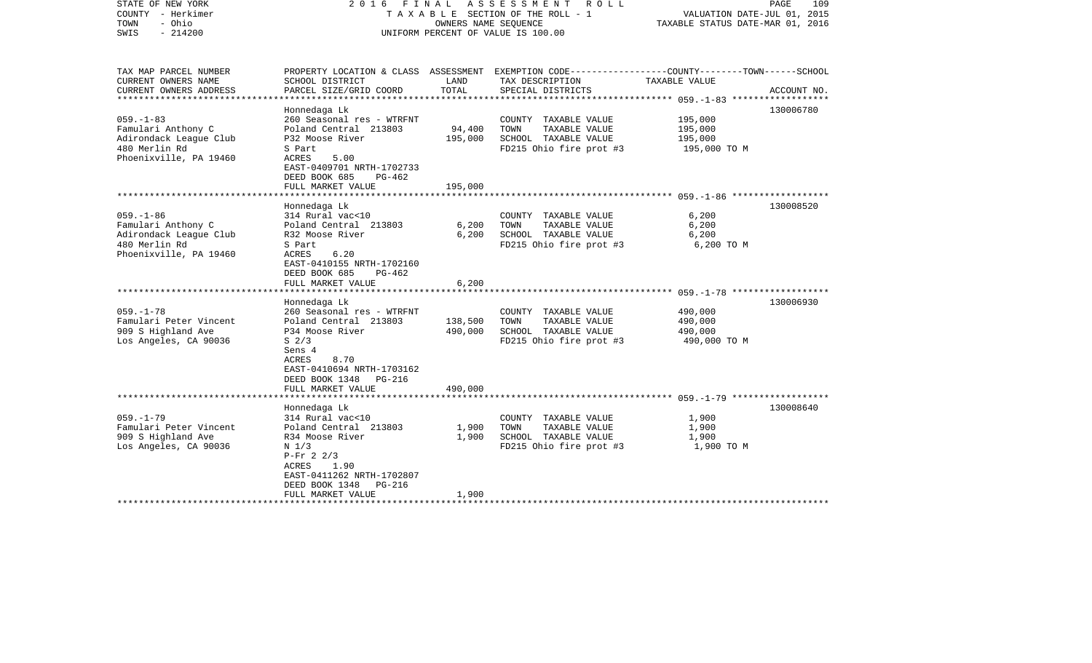| STATE OF NEW YORK<br>COUNTY - Herkimer<br>- Ohio<br>TOWN<br>$-214200$<br>SWIS                              |                                                                                                                                                                                                                 | OWNERS NAME SEQUENCE          | 2016 FINAL ASSESSMENT ROLL<br>TAXABLE SECTION OF THE ROLL - 1<br>UNIFORM PERCENT OF VALUE IS 100.00                                    | VALUATION DATE-JUL 01, 2015<br>TAXABLE STATUS DATE-MAR 01, 2016 | PAGE<br>109 |
|------------------------------------------------------------------------------------------------------------|-----------------------------------------------------------------------------------------------------------------------------------------------------------------------------------------------------------------|-------------------------------|----------------------------------------------------------------------------------------------------------------------------------------|-----------------------------------------------------------------|-------------|
| TAX MAP PARCEL NUMBER<br>CURRENT OWNERS NAME<br>CURRENT OWNERS ADDRESS                                     | SCHOOL DISTRICT<br>PARCEL SIZE/GRID COORD                                                                                                                                                                       | LAND<br>TOTAL                 | PROPERTY LOCATION & CLASS ASSESSMENT EXEMPTION CODE---------------COUNTY-------TOWN-----SCHOOL<br>TAX DESCRIPTION<br>SPECIAL DISTRICTS | TAXABLE VALUE                                                   | ACCOUNT NO. |
| $059. -1 - 83$<br>Famulari Anthony C<br>Adirondack League Club<br>480 Merlin Rd<br>Phoenixville, PA 19460  | Honnedaga Lk<br>260 Seasonal res - WTRFNT<br>Poland Central 213803<br>P32 Moose River<br>S Part<br>ACRES<br>5.00<br>EAST-0409701 NRTH-1702733<br>DEED BOOK 685<br>PG-462<br>FULL MARKET VALUE                   | 94,400<br>195,000<br>195,000  | COUNTY TAXABLE VALUE<br>TOWN<br>TAXABLE VALUE<br>SCHOOL TAXABLE VALUE<br>FD215 Ohio fire prot #3                                       | 195,000<br>195,000<br>195,000<br>195,000 TO M                   | 130006780   |
|                                                                                                            |                                                                                                                                                                                                                 |                               |                                                                                                                                        |                                                                 |             |
| $059. - 1 - 86$<br>Famulari Anthony C<br>Adirondack League Club<br>480 Merlin Rd<br>Phoenixville, PA 19460 | Honnedaga Lk<br>314 Rural vac<10<br>Poland Central 213803<br>R32 Moose River<br>S Part<br>6.20<br>ACRES<br>EAST-0410155 NRTH-1702160<br>DEED BOOK 685<br>PG-462<br>FULL MARKET VALUE                            | 6,200<br>6.200<br>6,200       | COUNTY TAXABLE VALUE<br>TAXABLE VALUE<br>TOWN<br>SCHOOL TAXABLE VALUE<br>FD215 Ohio fire prot #3                                       | 6,200<br>6,200<br>6,200<br>6,200 TO M                           | 130008520   |
|                                                                                                            |                                                                                                                                                                                                                 |                               |                                                                                                                                        |                                                                 | 130006930   |
| $059. - 1 - 78$<br>Famulari Peter Vincent<br>909 S Highland Ave<br>Los Angeles, CA 90036                   | Honnedaga Lk<br>260 Seasonal res - WTRFNT<br>Poland Central 213803<br>P34 Moose River<br>S <sub>2/3</sub><br>Sens 4<br>ACRES<br>8.70<br>EAST-0410694 NRTH-1703162<br>DEED BOOK 1348 PG-216<br>FULL MARKET VALUE | 138,500<br>490,000<br>490,000 | COUNTY TAXABLE VALUE<br>TOWN<br>TAXABLE VALUE<br>SCHOOL TAXABLE VALUE<br>FD215 Ohio fire prot #3                                       | 490,000<br>490,000<br>490,000<br>490,000 TO M                   |             |
|                                                                                                            |                                                                                                                                                                                                                 |                               |                                                                                                                                        |                                                                 |             |
| $059. - 1 - 79$<br>Famulari Peter Vincent<br>909 S Highland Ave<br>Los Angeles, CA 90036                   | Honnedaga Lk<br>314 Rural vac<10<br>Poland Central 213803<br>R34 Moose River<br>N <sub>1/3</sub><br>$P-Fr 2 2/3$<br>1.90<br>ACRES<br>EAST-0411262 NRTH-1702807<br>DEED BOOK 1348<br>PG-216<br>FULL MARKET VALUE | 1,900<br>1,900<br>1,900       | COUNTY TAXABLE VALUE<br>TAXABLE VALUE<br>TOWN<br>SCHOOL TAXABLE VALUE<br>FD215 Ohio fire prot #3                                       | 1,900<br>1,900<br>1,900<br>1,900 TO M                           | 130008640   |
| **********************                                                                                     |                                                                                                                                                                                                                 |                               |                                                                                                                                        |                                                                 |             |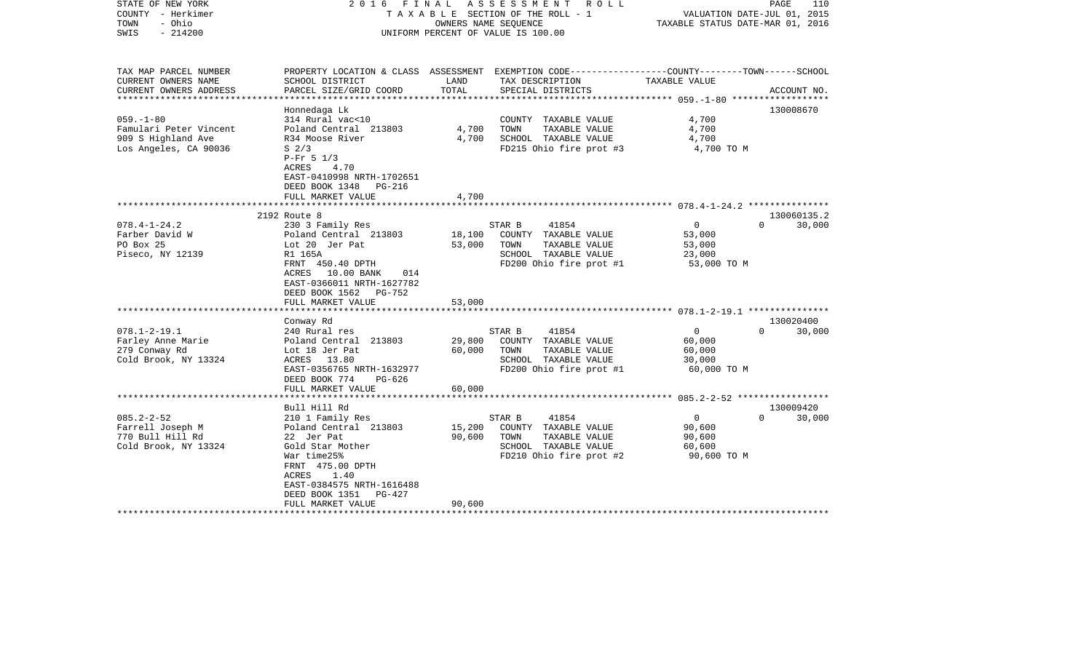| STATE OF NEW YORK<br>COUNTY - Herkimer<br>- Ohio<br>TOWN<br>$-214200$<br>SWIS | FINAL<br>2016                                                                                                                |        | A S S E S S M E N T<br>R O L L<br>TAXABLE SECTION OF THE ROLL - 1<br>OWNERS NAME SEOUENCE<br>UNIFORM PERCENT OF VALUE IS 100.00 | VALUATION DATE-JUL 01, 2015<br>TAXABLE STATUS DATE-MAR 01, 2016 | PAGE<br>110        |
|-------------------------------------------------------------------------------|------------------------------------------------------------------------------------------------------------------------------|--------|---------------------------------------------------------------------------------------------------------------------------------|-----------------------------------------------------------------|--------------------|
| TAX MAP PARCEL NUMBER<br>CURRENT OWNERS NAME                                  | SCHOOL DISTRICT                                                                                                              | LAND   | PROPERTY LOCATION & CLASS ASSESSMENT EXEMPTION CODE---------------COUNTY-------TOWN------SCHOOL<br>TAX DESCRIPTION              | TAXABLE VALUE                                                   |                    |
| CURRENT OWNERS ADDRESS                                                        | PARCEL SIZE/GRID COORD                                                                                                       | TOTAL  | SPECIAL DISTRICTS                                                                                                               |                                                                 | ACCOUNT NO.        |
| ***********************                                                       | Honnedaga Lk                                                                                                                 |        |                                                                                                                                 |                                                                 | 130008670          |
| $059. -1 - 80$                                                                | 314 Rural vac<10                                                                                                             |        | COUNTY TAXABLE VALUE                                                                                                            | 4,700                                                           |                    |
| Famulari Peter Vincent                                                        | Poland Central 213803                                                                                                        | 4,700  | TOWN<br>TAXABLE VALUE                                                                                                           | 4,700                                                           |                    |
| 909 S Highland Ave                                                            | R34 Moose River                                                                                                              | 4,700  | SCHOOL TAXABLE VALUE                                                                                                            | 4,700                                                           |                    |
| Los Angeles, CA 90036                                                         | S <sub>2/3</sub><br>$P-Fr$ 5 1/3<br>ACRES<br>4.70<br>EAST-0410998 NRTH-1702651<br>DEED BOOK 1348 PG-216<br>FULL MARKET VALUE | 4,700  | FD215 Ohio fire prot #3                                                                                                         | 4,700 TO M                                                      |                    |
|                                                                               |                                                                                                                              |        |                                                                                                                                 |                                                                 |                    |
|                                                                               | 2192 Route 8                                                                                                                 |        |                                                                                                                                 |                                                                 | 130060135.2        |
| $078.4 - 1 - 24.2$                                                            | 230 3 Family Res                                                                                                             |        | 41854<br>STAR B                                                                                                                 | $\mathbf 0$                                                     | $\Omega$<br>30,000 |
| Farber David W                                                                | Poland Central 213803                                                                                                        | 18,100 | COUNTY TAXABLE VALUE                                                                                                            | 53,000                                                          |                    |
| PO Box 25<br>Piseco, NY 12139                                                 | Lot 20 Jer Pat<br>R1 165A                                                                                                    | 53,000 | TAXABLE VALUE<br>TOWN<br>SCHOOL TAXABLE VALUE                                                                                   | 53,000<br>23,000                                                |                    |
|                                                                               | FRNT 450.40 DPTH                                                                                                             |        | FD200 Ohio fire prot #1                                                                                                         | 53,000 TO M                                                     |                    |
|                                                                               | ACRES<br>10.00 BANK<br>014<br>EAST-0366011 NRTH-1627782<br>DEED BOOK 1562<br>PG-752<br>FULL MARKET VALUE                     | 53,000 |                                                                                                                                 |                                                                 |                    |
|                                                                               |                                                                                                                              |        |                                                                                                                                 |                                                                 |                    |
|                                                                               | Conway Rd                                                                                                                    |        |                                                                                                                                 |                                                                 | 130020400          |
| $078.1 - 2 - 19.1$                                                            | 240 Rural res                                                                                                                |        | STAR B<br>41854                                                                                                                 | $\mathbf{0}$                                                    | $\Omega$<br>30,000 |
| Farley Anne Marie                                                             | Poland Central 213803                                                                                                        | 29,800 | COUNTY TAXABLE VALUE                                                                                                            | 60,000                                                          |                    |
| 279 Conway Rd                                                                 | Lot 18 Jer Pat                                                                                                               | 60,000 | TOWN<br>TAXABLE VALUE                                                                                                           | 60,000                                                          |                    |
| Cold Brook, NY 13324                                                          | ACRES 13.80<br>EAST-0356765 NRTH-1632977                                                                                     |        | SCHOOL TAXABLE VALUE<br>FD200 Ohio fire prot #1                                                                                 | 30,000<br>60,000 TO M                                           |                    |
|                                                                               | DEED BOOK 774<br>$PG-626$                                                                                                    |        |                                                                                                                                 |                                                                 |                    |
|                                                                               | FULL MARKET VALUE                                                                                                            | 60,000 |                                                                                                                                 |                                                                 |                    |
|                                                                               |                                                                                                                              |        |                                                                                                                                 |                                                                 |                    |
|                                                                               | Bull Hill Rd                                                                                                                 |        |                                                                                                                                 |                                                                 | 130009420          |
| $085.2 - 2 - 52$<br>Farrell Joseph M                                          | 210 1 Family Res<br>Poland Central 213803                                                                                    | 15,200 | STAR B<br>41854<br>COUNTY TAXABLE VALUE                                                                                         | $\mathbf 0$<br>90,600                                           | 30,000<br>$\Omega$ |
| 770 Bull Hill Rd                                                              | 22 Jer Pat                                                                                                                   | 90,600 | TOWN<br>TAXABLE VALUE                                                                                                           | 90,600                                                          |                    |
| Cold Brook, NY 13324                                                          | Gold Star Mother                                                                                                             |        | SCHOOL TAXABLE VALUE                                                                                                            | 60,600                                                          |                    |
|                                                                               | War time25%                                                                                                                  |        | FD210 Ohio fire prot #2                                                                                                         | 90,600 TO M                                                     |                    |
|                                                                               | FRNT 475.00 DPTH                                                                                                             |        |                                                                                                                                 |                                                                 |                    |
|                                                                               | 1.40<br>ACRES                                                                                                                |        |                                                                                                                                 |                                                                 |                    |
|                                                                               | EAST-0384575 NRTH-1616488                                                                                                    |        |                                                                                                                                 |                                                                 |                    |
|                                                                               | DEED BOOK 1351<br>PG-427                                                                                                     |        |                                                                                                                                 |                                                                 |                    |
|                                                                               | FULL MARKET VALUE                                                                                                            | 90,600 |                                                                                                                                 |                                                                 |                    |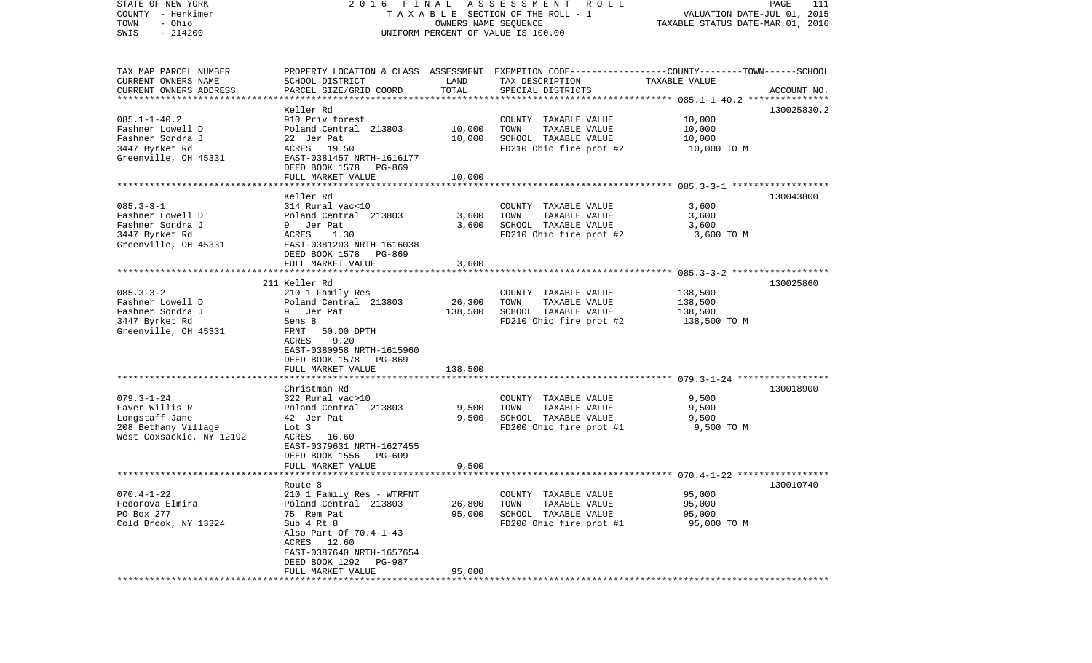| STATE OF NEW YORK         |                                    |                      | 2016 FINAL ASSESSMENT ROLL                                                                      |                                  | PAGE<br>111 |
|---------------------------|------------------------------------|----------------------|-------------------------------------------------------------------------------------------------|----------------------------------|-------------|
| COUNTY - Herkimer         |                                    |                      | TAXABLE SECTION OF THE ROLL - 1                                                                 | VALUATION DATE-JUL 01, 2015      |             |
| - Ohio<br>TOWN            |                                    | OWNERS NAME SEQUENCE |                                                                                                 | TAXABLE STATUS DATE-MAR 01, 2016 |             |
| $-214200$<br>SWIS         |                                    |                      | UNIFORM PERCENT OF VALUE IS 100.00                                                              |                                  |             |
|                           |                                    |                      |                                                                                                 |                                  |             |
|                           |                                    |                      |                                                                                                 |                                  |             |
| TAX MAP PARCEL NUMBER     |                                    |                      | PROPERTY LOCATION & CLASS ASSESSMENT EXEMPTION CODE---------------COUNTY-------TOWN------SCHOOL |                                  |             |
| CURRENT OWNERS NAME       | SCHOOL DISTRICT                    | LAND                 | TAX DESCRIPTION                                                                                 | TAXABLE VALUE                    |             |
| CURRENT OWNERS ADDRESS    | PARCEL SIZE/GRID COORD             | TOTAL                | SPECIAL DISTRICTS                                                                               |                                  | ACCOUNT NO. |
| ************************* |                                    |                      |                                                                                                 |                                  |             |
|                           | Keller Rd                          |                      |                                                                                                 |                                  | 130025830.2 |
| $085.1 - 1 - 40.2$        | 910 Priv forest                    |                      | COUNTY TAXABLE VALUE                                                                            | 10,000                           |             |
| Fashner Lowell D          | Poland Central 213803              | 10,000               | TOWN<br>TAXABLE VALUE                                                                           | 10,000                           |             |
| Fashner Sondra J          | 22 Jer Pat                         | 10,000               | SCHOOL TAXABLE VALUE                                                                            | 10,000                           |             |
| 3447 Byrket Rd            | ACRES 19.50                        |                      | FD210 Ohio fire prot #2                                                                         | 10,000 TO M                      |             |
| Greenville, OH 45331      | EAST-0381457 NRTH-1616177          |                      |                                                                                                 |                                  |             |
|                           | DEED BOOK 1578 PG-869              |                      |                                                                                                 |                                  |             |
|                           | FULL MARKET VALUE                  | 10,000               |                                                                                                 |                                  |             |
|                           |                                    |                      |                                                                                                 |                                  |             |
|                           | Keller Rd                          |                      |                                                                                                 |                                  | 130043800   |
| $085.3 - 3 - 1$           | 314 Rural vac<10                   |                      | COUNTY TAXABLE VALUE                                                                            | 3,600                            |             |
| Fashner Lowell D          | Poland Central 213803              | 3,600                | TAXABLE VALUE<br>TOWN                                                                           | 3,600                            |             |
| Fashner Sondra J          | 9 Jer Pat                          | 3,600                | SCHOOL TAXABLE VALUE                                                                            | 3,600                            |             |
| 3447 Byrket Rd            | ACRES<br>1.30                      |                      | FD210 Ohio fire prot #2                                                                         | 3,600 TO M                       |             |
| Greenville, OH 45331      | EAST-0381203 NRTH-1616038          |                      |                                                                                                 |                                  |             |
|                           | DEED BOOK 1578 PG-869              |                      |                                                                                                 |                                  |             |
|                           | FULL MARKET VALUE                  | 3,600                |                                                                                                 |                                  |             |
|                           |                                    |                      |                                                                                                 |                                  |             |
|                           | 211 Keller Rd                      |                      |                                                                                                 |                                  | 130025860   |
| $085.3 - 3 - 2$           | 210 1 Family Res                   |                      | COUNTY TAXABLE VALUE                                                                            | 138,500                          |             |
| Fashner Lowell D          | Poland Central 213803              | 26,300               | TAXABLE VALUE<br>TOWN                                                                           | 138,500                          |             |
| Fashner Sondra J          | 9 Jer Pat                          | 138,500              | SCHOOL TAXABLE VALUE                                                                            | 138,500                          |             |
|                           |                                    |                      |                                                                                                 |                                  |             |
| 3447 Byrket Rd            | Sens 8                             |                      | FD210 Ohio fire prot #2                                                                         | 138,500 TO M                     |             |
| Greenville, OH 45331      | FRNT<br>50.00 DPTH<br>9.20         |                      |                                                                                                 |                                  |             |
|                           | ACRES<br>EAST-0380958 NRTH-1615960 |                      |                                                                                                 |                                  |             |
|                           |                                    |                      |                                                                                                 |                                  |             |
|                           | DEED BOOK 1578<br>PG-869           |                      |                                                                                                 |                                  |             |
|                           | FULL MARKET VALUE                  | 138,500              |                                                                                                 |                                  |             |
|                           |                                    |                      |                                                                                                 |                                  |             |
|                           | Christman Rd                       |                      |                                                                                                 |                                  | 130018900   |
| $079.3 - 1 - 24$          | 322 Rural vac>10                   |                      | COUNTY TAXABLE VALUE                                                                            | 9,500                            |             |
| Faver Willis R            | Poland Central 213803              | 9,500                | TOWN<br>TAXABLE VALUE                                                                           | 9,500                            |             |
| Longstaff Jane            | 42 Jer Pat                         | 9,500                | SCHOOL TAXABLE VALUE                                                                            | 9,500                            |             |
| 208 Bethany Village       | Lot 3                              |                      | FD200 Ohio fire prot #1                                                                         | 9,500 TO M                       |             |
| West Coxsackie, NY 12192  | ACRES 16.60                        |                      |                                                                                                 |                                  |             |
|                           | EAST-0379631 NRTH-1627455          |                      |                                                                                                 |                                  |             |
|                           | DEED BOOK 1556<br>PG-609           |                      |                                                                                                 |                                  |             |
|                           | FULL MARKET VALUE                  | 9,500                |                                                                                                 |                                  |             |
|                           |                                    |                      |                                                                                                 |                                  |             |
|                           | Route 8                            |                      |                                                                                                 |                                  | 130010740   |
| $070.4 - 1 - 22$          | 210 1 Family Res - WTRFNT          |                      | COUNTY TAXABLE VALUE                                                                            | 95,000                           |             |
| Fedorova Elmira           | Poland Central 213803              | 26,800               | TOWN<br>TAXABLE VALUE                                                                           | 95,000                           |             |
| PO Box 277                | 75 Rem Pat                         | 95,000               | SCHOOL TAXABLE VALUE                                                                            | 95,000                           |             |
| Cold Brook, NY 13324      | Sub 4 Rt 8                         |                      | FD200 Ohio fire prot #1                                                                         | 95,000 TO M                      |             |
|                           | Also Part Of 70.4-1-43             |                      |                                                                                                 |                                  |             |
|                           | ACRES 12.60                        |                      |                                                                                                 |                                  |             |
|                           | EAST-0387640 NRTH-1657654          |                      |                                                                                                 |                                  |             |
|                           | DEED BOOK 1292<br>PG-987           |                      |                                                                                                 |                                  |             |
|                           | FULL MARKET VALUE                  | 95,000               |                                                                                                 |                                  |             |
|                           |                                    |                      |                                                                                                 |                                  |             |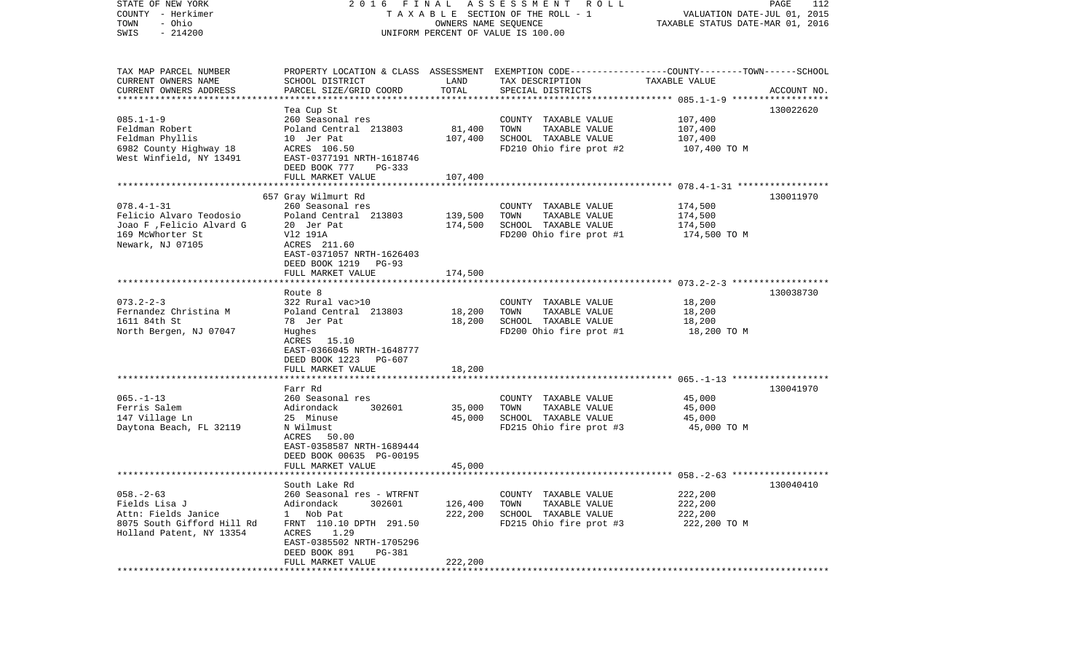| STATE OF NEW YORK<br>FINAL<br>2016<br>COUNTY - Herkimer<br>T A X A B L E SECTION OF THE ROLL - 1<br>- Ohio<br>TOWN<br>OWNERS NAME SEQUENCE<br>$-214200$<br>UNIFORM PERCENT OF VALUE IS 100.00<br>SWIS |                                                      |               | ASSESSMENT ROLL                                                                                  | PAGE<br>112<br>VALUATION DATE-JUL 01, 2015<br>TAXABLE STATUS DATE-MAR 01, 2016 |             |  |
|-------------------------------------------------------------------------------------------------------------------------------------------------------------------------------------------------------|------------------------------------------------------|---------------|--------------------------------------------------------------------------------------------------|--------------------------------------------------------------------------------|-------------|--|
| TAX MAP PARCEL NUMBER                                                                                                                                                                                 |                                                      |               | PROPERTY LOCATION & CLASS ASSESSMENT EXEMPTION CODE----------------COUNTY-------TOWN------SCHOOL |                                                                                |             |  |
| CURRENT OWNERS NAME<br>CURRENT OWNERS ADDRESS<br>************************                                                                                                                             | SCHOOL DISTRICT<br>PARCEL SIZE/GRID COORD            | LAND<br>TOTAL | TAX DESCRIPTION<br>SPECIAL DISTRICTS                                                             | TAXABLE VALUE                                                                  | ACCOUNT NO. |  |
|                                                                                                                                                                                                       | Tea Cup St                                           |               |                                                                                                  |                                                                                | 130022620   |  |
| $085.1 - 1 - 9$                                                                                                                                                                                       | 260 Seasonal res                                     |               | COUNTY TAXABLE VALUE                                                                             | 107,400                                                                        |             |  |
| Feldman Robert                                                                                                                                                                                        | Poland Central 213803                                | 81,400        | TAXABLE VALUE<br>TOWN                                                                            | 107,400                                                                        |             |  |
| Feldman Phyllis                                                                                                                                                                                       | 10 Jer Pat                                           | 107,400       | SCHOOL TAXABLE VALUE                                                                             | 107,400                                                                        |             |  |
| 6982 County Highway 18                                                                                                                                                                                | ACRES 106.50                                         |               | FD210 Ohio fire prot #2                                                                          | 107,400 TO M                                                                   |             |  |
| West Winfield, NY 13491                                                                                                                                                                               | EAST-0377191 NRTH-1618746                            |               |                                                                                                  |                                                                                |             |  |
|                                                                                                                                                                                                       | DEED BOOK 777<br>PG-333                              |               |                                                                                                  |                                                                                |             |  |
|                                                                                                                                                                                                       | FULL MARKET VALUE                                    | 107,400       |                                                                                                  |                                                                                |             |  |
|                                                                                                                                                                                                       | 657 Gray Wilmurt Rd                                  |               |                                                                                                  |                                                                                | 130011970   |  |
| $078.4 - 1 - 31$                                                                                                                                                                                      | 260 Seasonal res                                     |               | COUNTY TAXABLE VALUE                                                                             | 174,500                                                                        |             |  |
| Felicio Alvaro Teodosio                                                                                                                                                                               | Poland Central 213803                                | 139,500       | TAXABLE VALUE<br>TOWN                                                                            | 174,500                                                                        |             |  |
| Joao F , Felicio Alvard G                                                                                                                                                                             | 20 Jer Pat                                           | 174,500       | SCHOOL TAXABLE VALUE                                                                             | 174,500                                                                        |             |  |
| 169 McWhorter St                                                                                                                                                                                      | V12 191A                                             |               | FD200 Ohio fire prot #1                                                                          | 174,500 TO M                                                                   |             |  |
| Newark, NJ 07105                                                                                                                                                                                      | ACRES 211.60                                         |               |                                                                                                  |                                                                                |             |  |
|                                                                                                                                                                                                       | EAST-0371057 NRTH-1626403                            |               |                                                                                                  |                                                                                |             |  |
|                                                                                                                                                                                                       | DEED BOOK 1219 PG-93                                 |               |                                                                                                  |                                                                                |             |  |
|                                                                                                                                                                                                       | FULL MARKET VALUE                                    | 174,500       |                                                                                                  |                                                                                |             |  |
|                                                                                                                                                                                                       |                                                      |               |                                                                                                  |                                                                                |             |  |
| $073.2 - 2 - 3$                                                                                                                                                                                       | Route 8<br>322 Rural vac>10                          |               | COUNTY TAXABLE VALUE                                                                             | 18,200                                                                         | 130038730   |  |
| Fernandez Christina M                                                                                                                                                                                 | Poland Central 213803                                | 18,200        | TAXABLE VALUE<br>TOWN                                                                            | 18,200                                                                         |             |  |
| 1611 84th St                                                                                                                                                                                          | 78 Jer Pat                                           | 18,200        | SCHOOL TAXABLE VALUE                                                                             | 18,200                                                                         |             |  |
| North Bergen, NJ 07047                                                                                                                                                                                | Hughes                                               |               | FD200 Ohio fire prot #1                                                                          | 18,200 TO M                                                                    |             |  |
|                                                                                                                                                                                                       | ACRES 15.10                                          |               |                                                                                                  |                                                                                |             |  |
|                                                                                                                                                                                                       | EAST-0366045 NRTH-1648777                            |               |                                                                                                  |                                                                                |             |  |
|                                                                                                                                                                                                       | DEED BOOK 1223<br>PG-607                             |               |                                                                                                  |                                                                                |             |  |
|                                                                                                                                                                                                       | FULL MARKET VALUE                                    | 18,200        |                                                                                                  |                                                                                |             |  |
|                                                                                                                                                                                                       | ***********************                              |               |                                                                                                  |                                                                                |             |  |
|                                                                                                                                                                                                       | Farr Rd                                              |               |                                                                                                  |                                                                                | 130041970   |  |
| $065. -1 - 13$                                                                                                                                                                                        | 260 Seasonal res                                     |               | COUNTY TAXABLE VALUE                                                                             | 45,000                                                                         |             |  |
| Ferris Salem                                                                                                                                                                                          | Adirondack<br>302601                                 | 35,000        | TOWN<br>TAXABLE VALUE                                                                            | 45,000                                                                         |             |  |
| 147 Village Ln                                                                                                                                                                                        | 25 Minuse                                            | 45,000        | SCHOOL TAXABLE VALUE                                                                             | 45,000                                                                         |             |  |
| Daytona Beach, FL 32119                                                                                                                                                                               | N Wilmust<br>ACRES 50.00                             |               | FD215 Ohio fire prot #3                                                                          | 45,000 TO M                                                                    |             |  |
|                                                                                                                                                                                                       | EAST-0358587 NRTH-1689444                            |               |                                                                                                  |                                                                                |             |  |
|                                                                                                                                                                                                       | DEED BOOK 00635 PG-00195                             |               |                                                                                                  |                                                                                |             |  |
|                                                                                                                                                                                                       | FULL MARKET VALUE                                    | 45,000        |                                                                                                  |                                                                                |             |  |
|                                                                                                                                                                                                       |                                                      |               |                                                                                                  |                                                                                |             |  |
|                                                                                                                                                                                                       | South Lake Rd                                        |               |                                                                                                  |                                                                                | 130040410   |  |
| $058. - 2 - 63$                                                                                                                                                                                       | 260 Seasonal res - WTRFNT                            |               | COUNTY TAXABLE VALUE                                                                             | 222,200                                                                        |             |  |
| Fields Lisa J                                                                                                                                                                                         | Adirondack<br>302601                                 | 126,400       | TOWN<br>TAXABLE VALUE                                                                            | 222,200                                                                        |             |  |
| Attn: Fields Janice                                                                                                                                                                                   | Nob Pat<br>$\mathbf{1}$                              | 222,200       | SCHOOL TAXABLE VALUE                                                                             | 222,200                                                                        |             |  |
| 8075 South Gifford Hill Rd                                                                                                                                                                            | FRNT 110.10 DPTH 291.50                              |               | FD215 Ohio fire prot #3                                                                          | 222,200 TO M                                                                   |             |  |
| Holland Patent, NY 13354                                                                                                                                                                              | ACRES<br>1.29                                        |               |                                                                                                  |                                                                                |             |  |
|                                                                                                                                                                                                       | EAST-0385502 NRTH-1705296<br>DEED BOOK 891<br>PG-381 |               |                                                                                                  |                                                                                |             |  |
|                                                                                                                                                                                                       | FULL MARKET VALUE                                    | 222,200       |                                                                                                  |                                                                                |             |  |
|                                                                                                                                                                                                       |                                                      |               |                                                                                                  |                                                                                |             |  |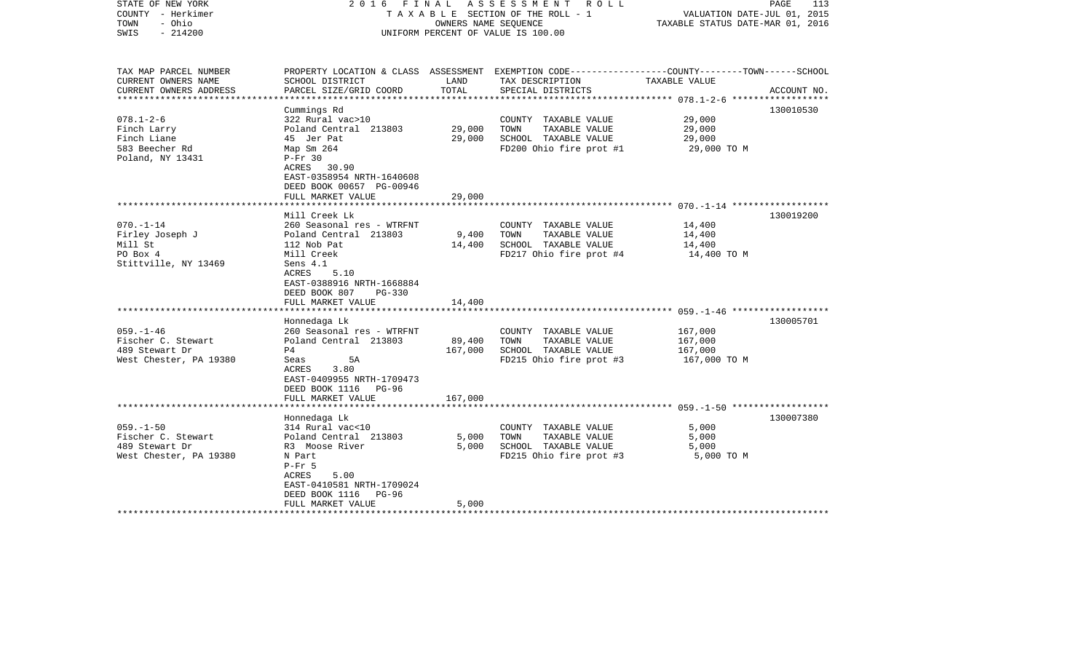| STATE OF NEW YORK<br>COUNTY - Herkimer<br>TOWN<br>- Ohio<br>$-214200$<br>SWIS | 2016 FINAL                                |         | ASSESSMENT ROLL<br>TAXABLE SECTION OF THE ROLL - 1<br>OWNERS NAME SEOUENCE<br>UNIFORM PERCENT OF VALUE IS 100.00    | VALUATION DATE-JUL 01, 2015<br>TAXABLE STATUS DATE-MAR 01, 2016 | PAGE<br>113 |
|-------------------------------------------------------------------------------|-------------------------------------------|---------|---------------------------------------------------------------------------------------------------------------------|-----------------------------------------------------------------|-------------|
| TAX MAP PARCEL NUMBER<br>CURRENT OWNERS NAME                                  | SCHOOL DISTRICT                           | LAND    | PROPERTY LOCATION & CLASS ASSESSMENT EXEMPTION CODE----------------COUNTY-------TOWN------SCHOOL<br>TAX DESCRIPTION | TAXABLE VALUE                                                   |             |
| CURRENT OWNERS ADDRESS<br>**********************                              | PARCEL SIZE/GRID COORD                    | TOTAL   | SPECIAL DISTRICTS                                                                                                   |                                                                 | ACCOUNT NO. |
|                                                                               | Cummings Rd                               |         |                                                                                                                     |                                                                 | 130010530   |
| $078.1 - 2 - 6$                                                               | 322 Rural vac>10                          |         | COUNTY TAXABLE VALUE                                                                                                | 29,000                                                          |             |
| Finch Larry                                                                   | Poland Central 213803                     | 29,000  | TOWN<br>TAXABLE VALUE                                                                                               | 29,000                                                          |             |
| Finch Liane                                                                   | 45 Jer Pat                                | 29,000  | SCHOOL TAXABLE VALUE                                                                                                | 29,000                                                          |             |
| 583 Beecher Rd                                                                | Map Sm 264                                |         | FD200 Ohio fire prot #1                                                                                             | 29,000 TO M                                                     |             |
| Poland, NY 13431                                                              | $P-Fr$ 30                                 |         |                                                                                                                     |                                                                 |             |
|                                                                               | ACRES 30.90                               |         |                                                                                                                     |                                                                 |             |
|                                                                               | EAST-0358954 NRTH-1640608                 |         |                                                                                                                     |                                                                 |             |
|                                                                               | DEED BOOK 00657 PG-00946                  |         |                                                                                                                     |                                                                 |             |
|                                                                               | FULL MARKET VALUE                         | 29,000  |                                                                                                                     |                                                                 |             |
|                                                                               | Mill Creek Lk                             |         |                                                                                                                     |                                                                 | 130019200   |
| $070. - 1 - 14$                                                               | 260 Seasonal res - WTRFNT                 |         | COUNTY TAXABLE VALUE                                                                                                | 14,400                                                          |             |
| Firley Joseph J                                                               | Poland Central 213803                     | 9,400   | TOWN<br>TAXABLE VALUE                                                                                               | 14,400                                                          |             |
| Mill St                                                                       | 112 Nob Pat                               | 14,400  | SCHOOL TAXABLE VALUE                                                                                                | 14,400                                                          |             |
| PO Box 4                                                                      | Mill Creek                                |         | FD217 Ohio fire prot #4                                                                                             | 14,400 TO M                                                     |             |
| Stittville, NY 13469                                                          | Sens 4.1                                  |         |                                                                                                                     |                                                                 |             |
|                                                                               | ACRES<br>5.10                             |         |                                                                                                                     |                                                                 |             |
|                                                                               | EAST-0388916 NRTH-1668884                 |         |                                                                                                                     |                                                                 |             |
|                                                                               | DEED BOOK 807<br>$PG-330$                 |         |                                                                                                                     |                                                                 |             |
|                                                                               | FULL MARKET VALUE                         | 14,400  |                                                                                                                     |                                                                 |             |
|                                                                               | Honnedaga Lk                              |         |                                                                                                                     |                                                                 | 130005701   |
| $059. - 1 - 46$                                                               | 260 Seasonal res - WTRFNT                 |         | COUNTY TAXABLE VALUE                                                                                                | 167,000                                                         |             |
| Fischer C. Stewart                                                            | Poland Central 213803                     | 89,400  | TAXABLE VALUE<br>TOWN                                                                                               | 167,000                                                         |             |
| 489 Stewart Dr                                                                | P <sub>4</sub>                            | 167,000 | SCHOOL TAXABLE VALUE                                                                                                | 167,000                                                         |             |
| West Chester, PA 19380                                                        | Seas<br>5A                                |         | FD215 Ohio fire prot #3                                                                                             | 167,000 TO M                                                    |             |
|                                                                               | 3.80<br>ACRES                             |         |                                                                                                                     |                                                                 |             |
|                                                                               | EAST-0409955 NRTH-1709473                 |         |                                                                                                                     |                                                                 |             |
|                                                                               | DEED BOOK 1116<br>$PG-96$                 |         |                                                                                                                     |                                                                 |             |
|                                                                               | FULL MARKET VALUE                         | 167,000 |                                                                                                                     |                                                                 |             |
|                                                                               |                                           |         |                                                                                                                     |                                                                 |             |
|                                                                               | Honnedaga Lk                              |         |                                                                                                                     |                                                                 | 130007380   |
| $059. - 1 - 50$<br>Fischer C. Stewart                                         | 314 Rural vac<10<br>Poland Central 213803 | 5,000   | COUNTY TAXABLE VALUE<br>TOWN<br>TAXABLE VALUE                                                                       | 5,000<br>5,000                                                  |             |
| 489 Stewart Dr                                                                | R3 Moose River                            | 5,000   | SCHOOL TAXABLE VALUE                                                                                                | 5,000                                                           |             |
| West Chester, PA 19380                                                        | N Part                                    |         | FD215 Ohio fire prot #3                                                                                             | 5,000 TO M                                                      |             |
|                                                                               | $P-Fr$ 5                                  |         |                                                                                                                     |                                                                 |             |
|                                                                               | 5.00<br>ACRES                             |         |                                                                                                                     |                                                                 |             |
|                                                                               | EAST-0410581 NRTH-1709024                 |         |                                                                                                                     |                                                                 |             |
|                                                                               | DEED BOOK 1116<br>PG-96                   |         |                                                                                                                     |                                                                 |             |
|                                                                               | FULL MARKET VALUE                         | 5,000   |                                                                                                                     |                                                                 |             |
|                                                                               |                                           |         |                                                                                                                     |                                                                 |             |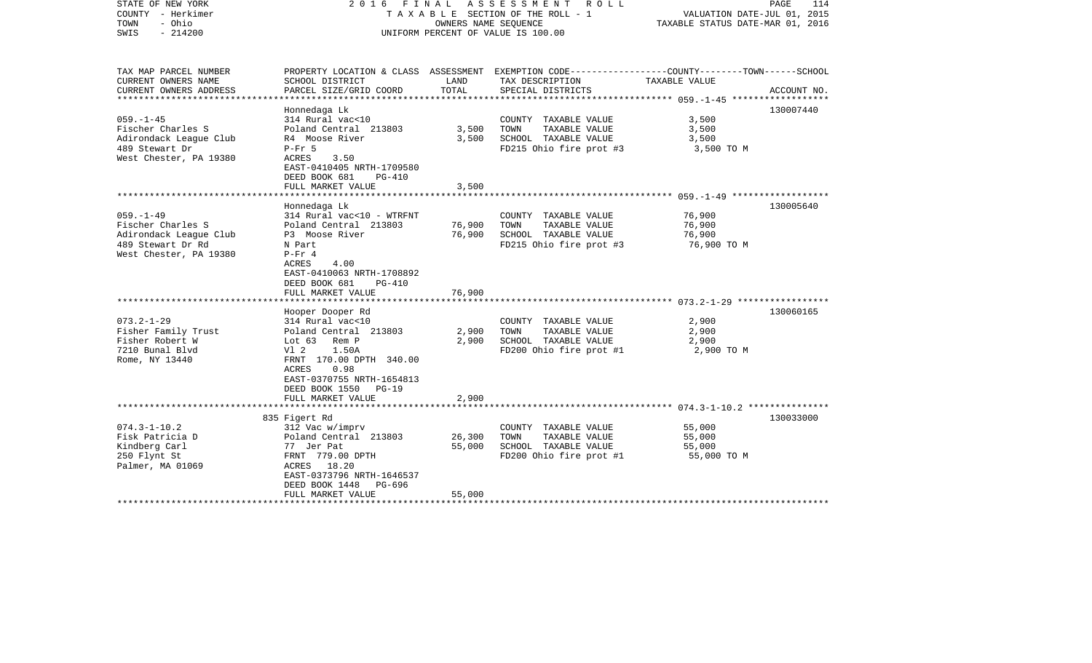| STATE OF NEW YORK<br>COUNTY - Herkimer<br>- Ohio<br>TOWN<br>SWIS<br>$-214200$                                                                                                                                    | 2016 FINAL ASSESSMENT<br>R O L L<br>TAXABLE SECTION OF THE ROLL - 1<br>OWNERS NAME SEOUENCE<br>UNIFORM PERCENT OF VALUE IS 100.00                                                                                                                                                                                                                                                                           |                                              |                                                                                                                                                                                                      | PAGE<br>114<br>VALUATION DATE-JUL 01, 2015<br>TAXABLE STATUS DATE-MAR 01, 2016     |                        |
|------------------------------------------------------------------------------------------------------------------------------------------------------------------------------------------------------------------|-------------------------------------------------------------------------------------------------------------------------------------------------------------------------------------------------------------------------------------------------------------------------------------------------------------------------------------------------------------------------------------------------------------|----------------------------------------------|------------------------------------------------------------------------------------------------------------------------------------------------------------------------------------------------------|------------------------------------------------------------------------------------|------------------------|
| TAX MAP PARCEL NUMBER<br>CURRENT OWNERS NAME                                                                                                                                                                     | SCHOOL DISTRICT                                                                                                                                                                                                                                                                                                                                                                                             | LAND                                         | PROPERTY LOCATION & CLASS ASSESSMENT EXEMPTION CODE---------------COUNTY-------TOWN------SCHOOL<br>TAX DESCRIPTION                                                                                   | TAXABLE VALUE                                                                      |                        |
| CURRENT OWNERS ADDRESS                                                                                                                                                                                           | PARCEL SIZE/GRID COORD                                                                                                                                                                                                                                                                                                                                                                                      | TOTAL                                        | SPECIAL DISTRICTS                                                                                                                                                                                    |                                                                                    | ACCOUNT NO.            |
| $059. -1 - 45$<br>Fischer Charles S<br>Adirondack League Club<br>489 Stewart Dr<br>West Chester, PA 19380                                                                                                        | Honnedaga Lk<br>314 Rural vac<10<br>Poland Central 213803<br>R4 Moose River<br>$P-Fr$ 5<br>ACRES<br>3.50<br>EAST-0410405 NRTH-1709580<br>DEED BOOK 681<br>$PG-410$                                                                                                                                                                                                                                          | 3,500<br>3,500                               | COUNTY TAXABLE VALUE<br>TOWN<br>TAXABLE VALUE<br>SCHOOL TAXABLE VALUE<br>FD215 Ohio fire prot #3                                                                                                     | 3.500<br>3,500<br>3,500<br>3,500 TO M                                              | 130007440              |
|                                                                                                                                                                                                                  | FULL MARKET VALUE                                                                                                                                                                                                                                                                                                                                                                                           | 3,500                                        |                                                                                                                                                                                                      |                                                                                    |                        |
| $059. - 1 - 49$<br>Fischer Charles S<br>Adirondack League Club<br>489 Stewart Dr Rd<br>West Chester, PA 19380<br>$073.2 - 1 - 29$<br>Fisher Family Trust<br>Fisher Robert W<br>7210 Bunal Blvd<br>Rome, NY 13440 | Honnedaga Lk<br>314 Rural vac<10 - WTRFNT<br>Poland Central 213803<br>P3 Moose River<br>N Part<br>$P-Fr 4$<br>4.00<br>ACRES<br>EAST-0410063 NRTH-1708892<br>DEED BOOK 681<br>PG-410<br>FULL MARKET VALUE<br>Hooper Dooper Rd<br>314 Rural vac<10<br>Poland Central 213803<br>Lot 63 Rem P<br>V1 2<br>1.50A<br>FRNT 170.00 DPTH 340.00<br>ACRES<br>0.98<br>EAST-0370755 NRTH-1654813<br>DEED BOOK 1550 PG-19 | 76,900<br>76,900<br>76,900<br>2,900<br>2,900 | COUNTY TAXABLE VALUE<br>TAXABLE VALUE<br>TOWN<br>SCHOOL TAXABLE VALUE<br>FD215 Ohio fire prot #3<br>COUNTY TAXABLE VALUE<br>TOWN<br>TAXABLE VALUE<br>SCHOOL TAXABLE VALUE<br>FD200 Ohio fire prot #1 | 76,900<br>76,900<br>76,900<br>76,900 ТО М<br>2,900<br>2,900<br>2,900<br>2,900 TO M | 130005640<br>130060165 |
|                                                                                                                                                                                                                  | FULL MARKET VALUE                                                                                                                                                                                                                                                                                                                                                                                           | 2,900                                        |                                                                                                                                                                                                      |                                                                                    |                        |
| $074.3 - 1 - 10.2$<br>Fisk Patricia D<br>Kindberg Carl<br>250 Flynt St<br>Palmer, MA 01069                                                                                                                       | 835 Figert Rd<br>312 Vac w/imprv<br>Poland Central 213803<br>77 Jer Pat<br>FRNT 779.00 DPTH<br>ACRES 18.20<br>EAST-0373796 NRTH-1646537<br>DEED BOOK 1448<br>PG-696<br>FULL MARKET VALUE                                                                                                                                                                                                                    | 26,300<br>55,000<br>55,000                   | COUNTY TAXABLE VALUE<br>TOWN<br>TAXABLE VALUE<br>SCHOOL TAXABLE VALUE<br>FD200 Ohio fire prot #1                                                                                                     | 55,000<br>55,000<br>55,000<br>55,000 TO M                                          | 130033000              |
|                                                                                                                                                                                                                  |                                                                                                                                                                                                                                                                                                                                                                                                             |                                              |                                                                                                                                                                                                      |                                                                                    |                        |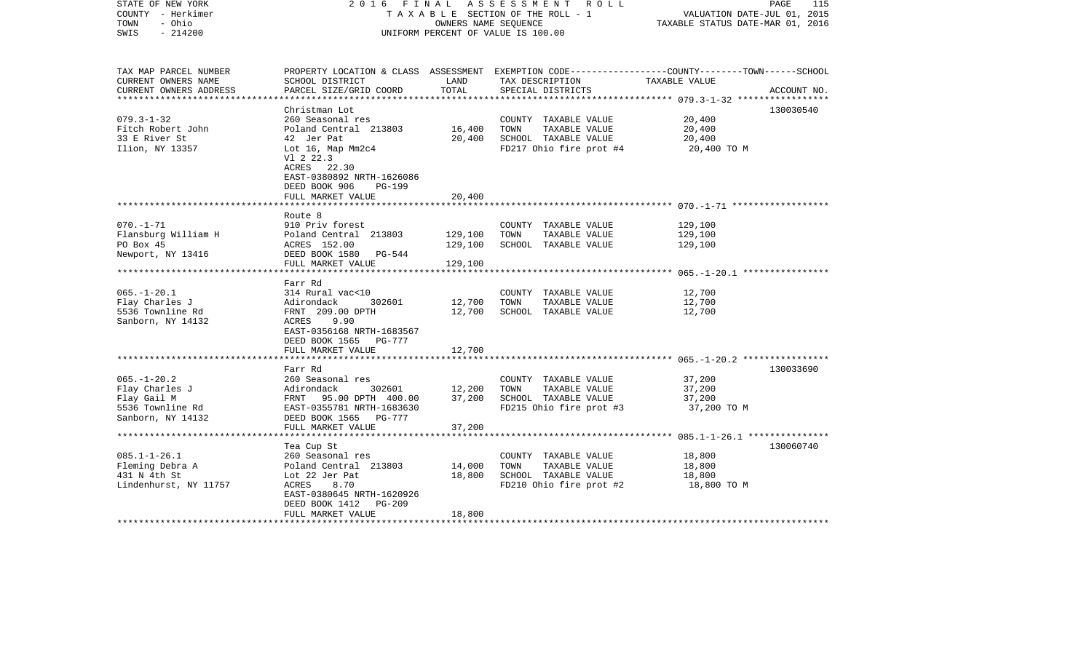| STATE OF NEW YORK<br>COUNTY - Herkimer<br>- Ohio<br>TOWN<br>$-214200$<br>SWIS               | 2 0 1 6<br>FINAL                                                                                                                                                                       | OWNERS NAME SEOUENCE          | ASSESSMENT ROLL<br>TAXABLE SECTION OF THE ROLL - 1<br>UNIFORM PERCENT OF VALUE IS 100.00                                                 | VALUATION DATE-JUL 01, 2015<br>TAXABLE STATUS DATE-MAR 01, 2016                                    | PAGE<br>115 |
|---------------------------------------------------------------------------------------------|----------------------------------------------------------------------------------------------------------------------------------------------------------------------------------------|-------------------------------|------------------------------------------------------------------------------------------------------------------------------------------|----------------------------------------------------------------------------------------------------|-------------|
| TAX MAP PARCEL NUMBER<br>CURRENT OWNERS NAME<br>CURRENT OWNERS ADDRESS                      | SCHOOL DISTRICT<br>PARCEL SIZE/GRID COORD                                                                                                                                              | LAND<br>TOTAL                 | PROPERTY LOCATION & CLASS ASSESSMENT EXEMPTION CODE----------------COUNTY-------TOWN------SCHOOL<br>TAX DESCRIPTION<br>SPECIAL DISTRICTS | TAXABLE VALUE                                                                                      | ACCOUNT NO. |
| $079.3 - 1 - 32$<br>Fitch Robert John<br>33 E River St<br>Ilion, NY 13357                   | Christman Lot<br>260 Seasonal res<br>Poland Central 213803<br>42 Jer Pat<br>Lot 16, Map Mm2c4<br>V1 2 22.3<br>ACRES<br>22.30<br>EAST-0380892 NRTH-1626086<br>DEED BOOK 906<br>$PG-199$ | 16,400<br>20,400              | COUNTY TAXABLE VALUE<br>TOWN<br>TAXABLE VALUE<br>SCHOOL TAXABLE VALUE<br>FD217 Ohio fire prot #4                                         | 20,400<br>20,400<br>20,400<br>20,400 TO M                                                          | 130030540   |
|                                                                                             | FULL MARKET VALUE                                                                                                                                                                      | 20,400                        |                                                                                                                                          | ************************** 070.-1-71 *******************                                           |             |
| $070. - 1 - 71$<br>Flansburg William H<br>PO Box 45<br>Newport, NY 13416                    | Route 8<br>910 Priv forest<br>Poland Central 213803<br>ACRES 152.00<br>DEED BOOK 1580 PG-544<br>FULL MARKET VALUE                                                                      | 129,100<br>129,100<br>129,100 | COUNTY TAXABLE VALUE<br>TOWN<br>TAXABLE VALUE<br>SCHOOL TAXABLE VALUE                                                                    | 129,100<br>129,100<br>129,100                                                                      |             |
|                                                                                             |                                                                                                                                                                                        |                               |                                                                                                                                          |                                                                                                    |             |
| $065. - 1 - 20.1$<br>Flay Charles J<br>5536 Townline Rd<br>Sanborn, NY 14132                | Farr Rd<br>314 Rural vac<10<br>Adirondack<br>302601<br>FRNT 209.00 DPTH<br>ACRES<br>9.90<br>EAST-0356168 NRTH-1683567<br>DEED BOOK 1565<br>PG-777                                      | 12,700<br>12,700              | COUNTY TAXABLE VALUE<br>TAXABLE VALUE<br>TOWN<br>SCHOOL TAXABLE VALUE                                                                    | 12,700<br>12,700<br>12,700                                                                         |             |
|                                                                                             | FULL MARKET VALUE                                                                                                                                                                      | 12,700<br>******              |                                                                                                                                          |                                                                                                    |             |
| $065. - 1 - 20.2$<br>Flay Charles J<br>Flay Gail M<br>5536 Townline Rd<br>Sanborn, NY 14132 | Farr Rd<br>260 Seasonal res<br>Adirondack<br>302601<br>FRNT 95.00 DPTH 400.00<br>EAST-0355781 NRTH-1683630<br>DEED BOOK 1565 PG-777<br>FULL MARKET VALUE                               | 12,200<br>37,200<br>37,200    | COUNTY TAXABLE VALUE<br>TAXABLE VALUE<br>TOWN<br>SCHOOL TAXABLE VALUE<br>FD215 Ohio fire prot #3                                         | *********************** 065.-1-20.2 *****************<br>37,200<br>37,200<br>37,200<br>37,200 TO M | 130033690   |
|                                                                                             |                                                                                                                                                                                        |                               |                                                                                                                                          |                                                                                                    |             |
| $085.1 - 1 - 26.1$<br>Fleming Debra A<br>431 N 4th St<br>Lindenhurst, NY 11757              | Tea Cup St<br>260 Seasonal res<br>Poland Central 213803<br>Lot 22 Jer Pat<br>ACRES<br>8.70<br>EAST-0380645 NRTH-1620926<br>DEED BOOK 1412<br><b>PG-209</b>                             | 14,000<br>18,800              | COUNTY TAXABLE VALUE<br>TAXABLE VALUE<br>TOWN<br>SCHOOL TAXABLE VALUE<br>FD210 Ohio fire prot #2                                         | 18,800<br>18,800<br>18,800<br>18,800 TO M                                                          | 130060740   |
|                                                                                             | FULL MARKET VALUE                                                                                                                                                                      | 18,800                        |                                                                                                                                          |                                                                                                    |             |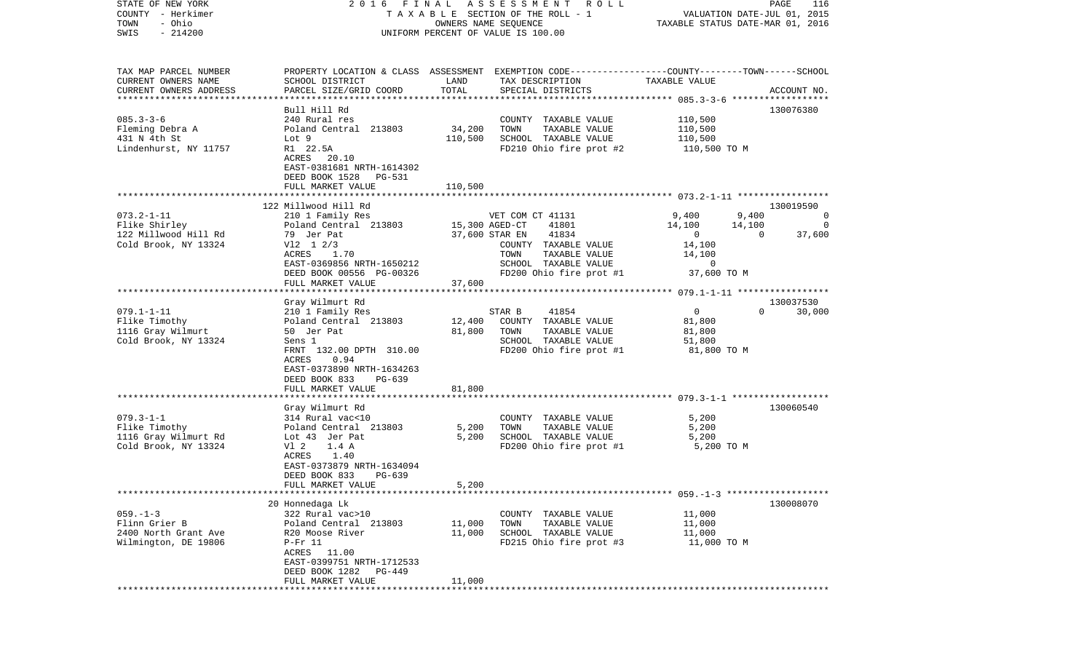| COUNTY<br>- Herkimer                         | T A X A B L E SECTION OF THE ROLL - 1      | VALUATION DATE-JUL 01, 2015 |                                                                                                 |                    |                    |
|----------------------------------------------|--------------------------------------------|-----------------------------|-------------------------------------------------------------------------------------------------|--------------------|--------------------|
| TOWN<br>- Ohio                               |                                            |                             | TAXABLE STATUS DATE-MAR 01, 2016                                                                |                    |                    |
| $-214200$<br>SWIS                            | UNIFORM PERCENT OF VALUE IS 100.00         |                             |                                                                                                 |                    |                    |
|                                              |                                            |                             |                                                                                                 |                    |                    |
| TAX MAP PARCEL NUMBER                        |                                            |                             | PROPERTY LOCATION & CLASS ASSESSMENT EXEMPTION CODE---------------COUNTY-------TOWN------SCHOOL |                    |                    |
| CURRENT OWNERS NAME                          | SCHOOL DISTRICT                            | LAND                        | TAX DESCRIPTION                                                                                 | TAXABLE VALUE      |                    |
| CURRENT OWNERS ADDRESS                       | PARCEL SIZE/GRID COORD                     | TOTAL                       | SPECIAL DISTRICTS                                                                               |                    | ACCOUNT NO.        |
| ************************                     |                                            |                             |                                                                                                 |                    |                    |
|                                              | Bull Hill Rd                               |                             |                                                                                                 |                    | 130076380          |
| $085.3 - 3 - 6$<br>Fleming Debra A           | 240 Rural res<br>Poland Central 213803     |                             | COUNTY TAXABLE VALUE                                                                            | 110,500            |                    |
| 431 N 4th St                                 | Lot 9                                      | 34,200<br>110,500           | TOWN<br>TAXABLE VALUE<br>SCHOOL TAXABLE VALUE                                                   | 110,500<br>110,500 |                    |
| Lindenhurst, NY 11757                        | R1 22.5A                                   |                             | FD210 Ohio fire prot #2                                                                         | 110,500 TO M       |                    |
|                                              | ACRES<br>20.10                             |                             |                                                                                                 |                    |                    |
|                                              | EAST-0381681 NRTH-1614302                  |                             |                                                                                                 |                    |                    |
|                                              | DEED BOOK 1528<br>PG-531                   |                             |                                                                                                 |                    |                    |
|                                              | FULL MARKET VALUE                          | 110,500                     |                                                                                                 |                    |                    |
|                                              |                                            |                             |                                                                                                 |                    |                    |
|                                              | 122 Millwood Hill Rd                       |                             |                                                                                                 |                    | 130019590          |
| $073.2 - 1 - 11$                             | 210 1 Family Res                           |                             | VET COM CT 41131                                                                                | 9,400              | 9,400<br>0         |
| Flike Shirley                                | Poland Central 213803                      |                             | 15,300 AGED-CT<br>41801                                                                         | 14,100             | 14,100<br>0        |
| 122 Millwood Hill Rd                         | 79 Jer Pat                                 |                             | 37,600 STAR EN<br>41834                                                                         | $\mathbf{0}$       | $\Omega$<br>37,600 |
| Cold Brook, NY 13324                         | $V12 \t1 \t2/3$                            |                             | COUNTY TAXABLE VALUE                                                                            | 14,100             |                    |
|                                              | 1.70<br>ACRES                              |                             | TOWN<br>TAXABLE VALUE                                                                           | 14,100             |                    |
|                                              | EAST-0369856 NRTH-1650212                  |                             | SCHOOL TAXABLE VALUE                                                                            | $\mathbf 0$        |                    |
|                                              | DEED BOOK 00556 PG-00326                   |                             | FD200 Ohio fire prot #1                                                                         | 37,600 TO M        |                    |
|                                              | FULL MARKET VALUE<br>********************* | 37,600                      |                                                                                                 |                    |                    |
|                                              | Gray Wilmurt Rd                            |                             |                                                                                                 |                    | 130037530          |
| $079.1 - 1 - 11$                             | 210 1 Family Res                           |                             | STAR B<br>41854                                                                                 | 0                  | $\Omega$<br>30,000 |
| Flike Timothy                                | Poland Central 213803                      | 12,400                      | COUNTY TAXABLE VALUE                                                                            | 81,800             |                    |
| 1116 Gray Wilmurt                            | 50 Jer Pat                                 | 81,800                      | TOWN<br>TAXABLE VALUE                                                                           | 81,800             |                    |
| Cold Brook, NY 13324                         | Sens 1                                     |                             | SCHOOL TAXABLE VALUE                                                                            | 51,800             |                    |
|                                              | FRNT 132.00 DPTH 310.00                    |                             | FD200 Ohio fire prot #1                                                                         | 81,800 TO M        |                    |
|                                              | ACRES<br>0.94                              |                             |                                                                                                 |                    |                    |
|                                              | EAST-0373890 NRTH-1634263                  |                             |                                                                                                 |                    |                    |
|                                              | DEED BOOK 833<br>PG-639                    |                             |                                                                                                 |                    |                    |
|                                              | FULL MARKET VALUE                          | 81,800                      |                                                                                                 |                    |                    |
|                                              |                                            |                             |                                                                                                 |                    |                    |
|                                              | Gray Wilmurt Rd                            |                             |                                                                                                 |                    | 130060540          |
| $079.3 - 1 - 1$                              | 314 Rural vac<10                           |                             | COUNTY TAXABLE VALUE                                                                            | 5,200              |                    |
| Flike Timothy                                | Poland Central 213803                      | 5,200                       | TOWN<br>TAXABLE VALUE                                                                           | 5,200              |                    |
| 1116 Gray Wilmurt Rd<br>Cold Brook, NY 13324 | Lot 43 Jer Pat<br>Vl 2<br>1.4 A            | 5,200                       | SCHOOL TAXABLE VALUE<br>FD200 Ohio fire prot #1                                                 | 5,200              |                    |
|                                              | 1.40<br>ACRES                              |                             |                                                                                                 | 5,200 TO M         |                    |
|                                              | EAST-0373879 NRTH-1634094                  |                             |                                                                                                 |                    |                    |
|                                              | DEED BOOK 833<br>PG-639                    |                             |                                                                                                 |                    |                    |
|                                              | FULL MARKET VALUE                          | 5,200                       |                                                                                                 |                    |                    |
|                                              | **********************                     |                             |                                                                                                 |                    |                    |
|                                              | 20 Honnedaga Lk                            |                             |                                                                                                 |                    | 130008070          |
| $059. -1 -3$                                 | 322 Rural vac>10                           |                             | COUNTY<br>TAXABLE VALUE                                                                         | 11,000             |                    |
| Flinn Grier B                                | Poland Central 213803                      | 11,000                      | TOWN<br>TAXABLE VALUE                                                                           | 11,000             |                    |
| 2400 North Grant Ave                         | R20 Moose River                            | 11,000                      | SCHOOL TAXABLE VALUE                                                                            | 11,000             |                    |
| Wilmington, DE 19806                         | $P-Fr$ 11                                  |                             | FD215 Ohio fire prot #3                                                                         | 11,000 TO M        |                    |
|                                              | ACRES<br>11.00                             |                             |                                                                                                 |                    |                    |
|                                              | EAST-0399751 NRTH-1712533                  |                             |                                                                                                 |                    |                    |
|                                              | DEED BOOK 1282<br>PG-449                   |                             |                                                                                                 |                    |                    |
|                                              | FULL MARKET VALUE                          | 11,000                      |                                                                                                 |                    |                    |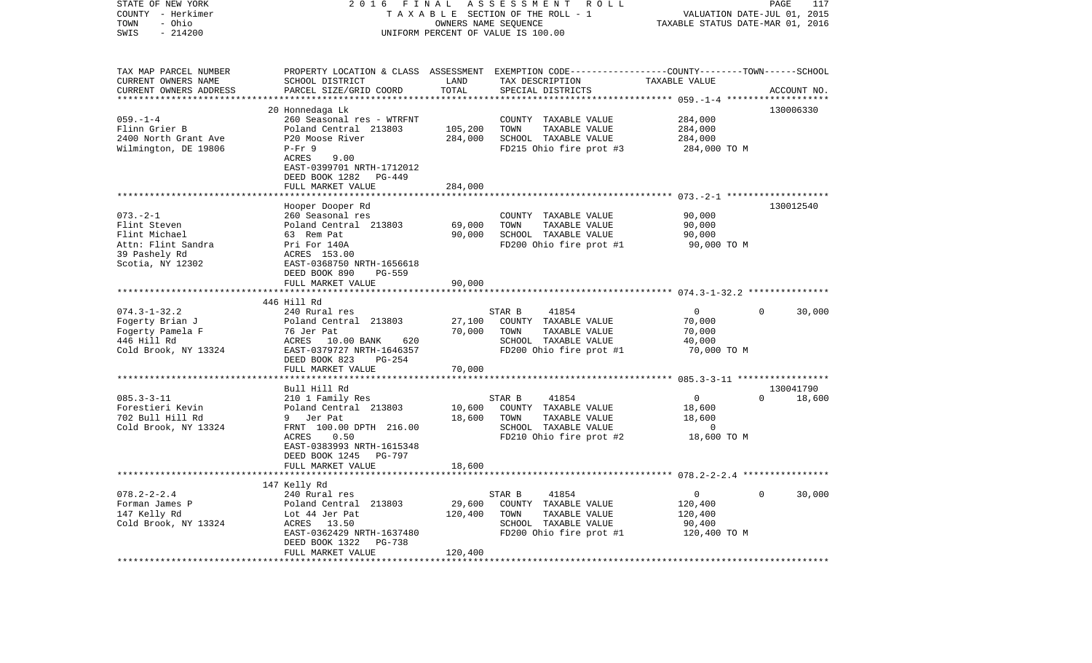| STATE OF NEW YORK<br>COUNTY - Herkimer<br>- Ohio<br>TOWN<br>$-214200$<br>SWIS | 2 0 1 6<br>FINAL<br>ASSESSMENT ROLL<br>TAXABLE SECTION OF THE ROLL - 1<br>OWNERS NAME SEQUENCE<br>UNIFORM PERCENT OF VALUE IS 100.00 |                  |                                                                                                                    | PAGE<br>117<br>VALUATION DATE-JUL 01, 2015<br>TAXABLE STATUS DATE-MAR 01, 2016 |                        |  |
|-------------------------------------------------------------------------------|--------------------------------------------------------------------------------------------------------------------------------------|------------------|--------------------------------------------------------------------------------------------------------------------|--------------------------------------------------------------------------------|------------------------|--|
| TAX MAP PARCEL NUMBER<br>CURRENT OWNERS NAME                                  | SCHOOL DISTRICT                                                                                                                      | LAND             | PROPERTY LOCATION & CLASS ASSESSMENT EXEMPTION CODE---------------COUNTY-------TOWN------SCHOOL<br>TAX DESCRIPTION | TAXABLE VALUE                                                                  |                        |  |
| CURRENT OWNERS ADDRESS                                                        | PARCEL SIZE/GRID COORD                                                                                                               | TOTAL            | SPECIAL DISTRICTS                                                                                                  |                                                                                | ACCOUNT NO.            |  |
|                                                                               |                                                                                                                                      |                  |                                                                                                                    |                                                                                |                        |  |
| $059. -1 -4$                                                                  | 20 Honnedaga Lk<br>260 Seasonal res - WTRFNT                                                                                         |                  | COUNTY TAXABLE VALUE                                                                                               | 284,000                                                                        | 130006330              |  |
| Flinn Grier B                                                                 | Poland Central 213803                                                                                                                | 105,200          | TOWN<br>TAXABLE VALUE                                                                                              | 284,000                                                                        |                        |  |
| 2400 North Grant Ave                                                          | P20 Moose River                                                                                                                      | 284,000          | SCHOOL TAXABLE VALUE                                                                                               | 284,000                                                                        |                        |  |
| Wilmington, DE 19806                                                          | $P-Fr$ 9                                                                                                                             |                  | FD215 Ohio fire prot #3                                                                                            | 284,000 TO M                                                                   |                        |  |
|                                                                               | ACRES<br>9.00                                                                                                                        |                  |                                                                                                                    |                                                                                |                        |  |
|                                                                               | EAST-0399701 NRTH-1712012                                                                                                            |                  |                                                                                                                    |                                                                                |                        |  |
|                                                                               | DEED BOOK 1282<br>PG-449                                                                                                             |                  |                                                                                                                    |                                                                                |                        |  |
|                                                                               | FULL MARKET VALUE                                                                                                                    | 284,000          |                                                                                                                    |                                                                                |                        |  |
|                                                                               | Hooper Dooper Rd                                                                                                                     |                  |                                                                                                                    |                                                                                | 130012540              |  |
| $073. - 2 - 1$                                                                | 260 Seasonal res                                                                                                                     |                  | COUNTY TAXABLE VALUE                                                                                               | 90,000                                                                         |                        |  |
| Flint Steven                                                                  | Poland Central 213803                                                                                                                | 69,000           | TOWN<br>TAXABLE VALUE                                                                                              | 90,000                                                                         |                        |  |
| Flint Michael                                                                 | 63 Rem Pat                                                                                                                           | 90,000           | SCHOOL TAXABLE VALUE                                                                                               | 90,000                                                                         |                        |  |
| Attn: Flint Sandra                                                            | Pri For 140A                                                                                                                         |                  | FD200 Ohio fire prot #1                                                                                            | 90,000 TO M                                                                    |                        |  |
| 39 Pashely Rd<br>Scotia, NY 12302                                             | ACRES 153.00<br>EAST-0368750 NRTH-1656618                                                                                            |                  |                                                                                                                    |                                                                                |                        |  |
|                                                                               | DEED BOOK 890<br>PG-559                                                                                                              |                  |                                                                                                                    |                                                                                |                        |  |
|                                                                               | FULL MARKET VALUE                                                                                                                    | 90,000           |                                                                                                                    |                                                                                |                        |  |
|                                                                               | *********************                                                                                                                |                  |                                                                                                                    |                                                                                |                        |  |
|                                                                               | 446 Hill Rd                                                                                                                          |                  |                                                                                                                    |                                                                                |                        |  |
| $074.3 - 1 - 32.2$                                                            | 240 Rural res                                                                                                                        |                  | STAR B<br>41854                                                                                                    | $\overline{0}$                                                                 | $\mathbf{0}$<br>30,000 |  |
| Fogerty Brian J<br>Fogerty Pamela F                                           | Poland Central 213803<br>76 Jer Pat                                                                                                  | 27,100<br>70,000 | COUNTY TAXABLE VALUE<br>TOWN<br>TAXABLE VALUE                                                                      | 70,000<br>70,000                                                               |                        |  |
| 446 Hill Rd                                                                   | ACRES 10.00 BANK<br>620                                                                                                              |                  | SCHOOL TAXABLE VALUE                                                                                               | 40,000                                                                         |                        |  |
| Cold Brook, NY 13324                                                          | EAST-0379727 NRTH-1646357                                                                                                            |                  | FD200 Ohio fire prot #1                                                                                            | 70,000 TO M                                                                    |                        |  |
|                                                                               | DEED BOOK 823<br>PG-254                                                                                                              |                  |                                                                                                                    |                                                                                |                        |  |
|                                                                               | FULL MARKET VALUE                                                                                                                    | 70,000           |                                                                                                                    |                                                                                |                        |  |
|                                                                               |                                                                                                                                      |                  |                                                                                                                    |                                                                                |                        |  |
| $085.3 - 3 - 11$                                                              | Bull Hill Rd                                                                                                                         |                  | STAR B<br>41854                                                                                                    | $\overline{0}$                                                                 | 130041790<br>$\Omega$  |  |
| Forestieri Kevin                                                              | 210 1 Family Res<br>Poland Central 213803                                                                                            | 10,600           | COUNTY TAXABLE VALUE                                                                                               | 18,600                                                                         | 18,600                 |  |
| 702 Bull Hill Rd                                                              | 9 Jer Pat                                                                                                                            | 18,600           | TOWN<br>TAXABLE VALUE                                                                                              | 18,600                                                                         |                        |  |
| Cold Brook, NY 13324                                                          | FRNT 100.00 DPTH 216.00                                                                                                              |                  | SCHOOL TAXABLE VALUE                                                                                               | $\overline{0}$                                                                 |                        |  |
|                                                                               | ACRES<br>0.50                                                                                                                        |                  | FD210 Ohio fire prot #2                                                                                            | 18,600 TO M                                                                    |                        |  |
|                                                                               | EAST-0383993 NRTH-1615348                                                                                                            |                  |                                                                                                                    |                                                                                |                        |  |
|                                                                               | DEED BOOK 1245<br>PG-797                                                                                                             |                  |                                                                                                                    |                                                                                |                        |  |
|                                                                               | FULL MARKET VALUE                                                                                                                    | 18,600           |                                                                                                                    |                                                                                |                        |  |
|                                                                               | 147 Kelly Rd                                                                                                                         |                  |                                                                                                                    |                                                                                |                        |  |
| $078.2 - 2 - 2.4$                                                             | 240 Rural res                                                                                                                        |                  | STAR B<br>41854                                                                                                    | $\overline{0}$                                                                 | $\mathbf{0}$<br>30,000 |  |
| Forman James P                                                                | Poland Central 213803                                                                                                                | 29,600           | COUNTY TAXABLE VALUE                                                                                               | 120,400                                                                        |                        |  |
| 147 Kelly Rd                                                                  | Lot 44 Jer Pat                                                                                                                       | 120,400          | TOWN<br>TAXABLE VALUE                                                                                              | 120,400                                                                        |                        |  |
| Cold Brook, NY 13324                                                          | ACRES 13.50                                                                                                                          |                  | SCHOOL TAXABLE VALUE                                                                                               | 90,400                                                                         |                        |  |
|                                                                               | EAST-0362429 NRTH-1637480                                                                                                            |                  | FD200 Ohio fire prot #1                                                                                            | 120,400 TO M                                                                   |                        |  |
|                                                                               | <b>PG-738</b><br>DEED BOOK 1322                                                                                                      |                  |                                                                                                                    |                                                                                |                        |  |
| **********************                                                        | FULL MARKET VALUE                                                                                                                    | 120,400          |                                                                                                                    |                                                                                |                        |  |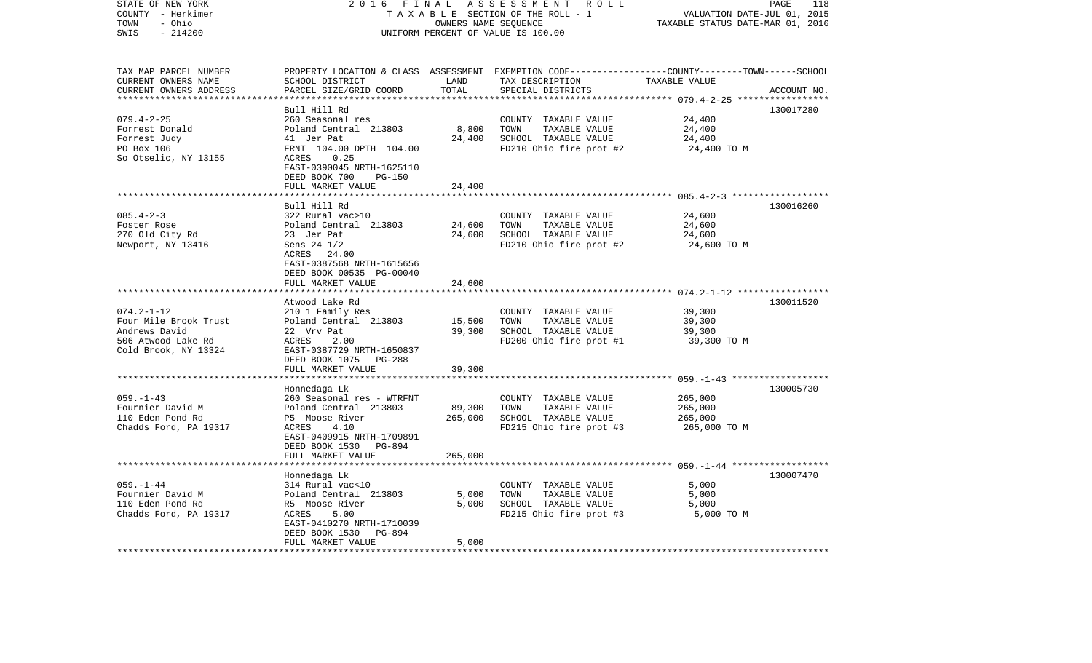| SWIS<br>$-214200$<br>UNIFORM PERCENT OF VALUE IS 100.00<br>TAX MAP PARCEL NUMBER<br>PROPERTY LOCATION & CLASS ASSESSMENT EXEMPTION CODE--------------COUNTY-------TOWN------SCHOOL<br>CURRENT OWNERS NAME<br>SCHOOL DISTRICT<br>LAND<br>TAX DESCRIPTION<br>TAXABLE VALUE<br>CURRENT OWNERS ADDRESS<br>PARCEL SIZE/GRID COORD<br>TOTAL<br>SPECIAL DISTRICTS<br>ACCOUNT NO.<br>************************<br>Bull Hill Rd<br>130017280<br>$079.4 - 2 - 25$<br>260 Seasonal res<br>24,400<br>COUNTY TAXABLE VALUE<br>8,800<br>Forrest Donald<br>Poland Central 213803<br>TOWN<br>TAXABLE VALUE<br>24,400<br>24,400<br>Forrest Judy<br>41 Jer Pat<br>SCHOOL TAXABLE VALUE<br>24,400<br>PO Box 106<br>FRNT 104.00 DPTH 104.00<br>FD210 Ohio fire prot #2<br>24,400 TO M<br>So Otselic, NY 13155<br>ACRES<br>0.25<br>EAST-0390045 NRTH-1625110<br>DEED BOOK 700<br><b>PG-150</b><br>FULL MARKET VALUE<br>24,400<br>Bull Hill Rd<br>130016260<br>$085.4 - 2 - 3$<br>322 Rural vac>10<br>COUNTY TAXABLE VALUE<br>24,600<br>24,600<br>24,600<br>Foster Rose<br>Poland Central 213803<br>TOWN<br>TAXABLE VALUE<br>24,600<br>SCHOOL TAXABLE VALUE<br>24,600<br>270 Old City Rd<br>23 Jer Pat<br>Newport, NY 13416<br>Sens $24 \frac{1}{2}$<br>FD210 Ohio fire prot #2<br>24,600 TO M<br>ACRES 24.00<br>EAST-0387568 NRTH-1615656<br>DEED BOOK 00535 PG-00040<br>FULL MARKET VALUE<br>24,600<br>130011520<br>Atwood Lake Rd<br>$074.2 - 1 - 12$<br>39,300<br>210 1 Family Res<br>COUNTY TAXABLE VALUE<br>Four Mile Brook Trust<br>Poland Central 213803<br>15,500<br>TOWN<br>TAXABLE VALUE<br>39,300<br>SCHOOL TAXABLE VALUE<br>Andrews David<br>22 Vrv Pat<br>39,300<br>39,300<br>506 Atwood Lake Rd<br>ACRES<br>FD200 Ohio fire prot #1<br>39,300 TO M<br>2.00<br>Cold Brook, NY 13324<br>EAST-0387729 NRTH-1650837<br>DEED BOOK 1075<br>PG-288<br>FULL MARKET VALUE<br>39,300<br>******************** 059. -1-43 *******************<br>*******<br>130005730<br>Honnedaga Lk<br>$059. - 1 - 43$<br>265,000<br>260 Seasonal res - WTRFNT<br>COUNTY TAXABLE VALUE<br>89,300<br>Fournier David M<br>Poland Central 213803<br>TOWN<br>TAXABLE VALUE<br>265,000<br>110 Eden Pond Rd<br>P5 Moose River<br>265,000<br>SCHOOL TAXABLE VALUE<br>265,000<br>Chadds Ford, PA 19317<br>FD215 Ohio fire prot #3<br>ACRES<br>4.10<br>265,000 TO M<br>EAST-0409915 NRTH-1709891<br>DEED BOOK 1530<br>PG-894<br>FULL MARKET VALUE<br>265,000<br>*******************<br>130007470<br>Honnedaga Lk<br>$059. - 1 - 44$<br>314 Rural vac<10<br>5,000<br>COUNTY TAXABLE VALUE<br>Fournier David M<br>Poland Central 213803<br>5,000<br>TAXABLE VALUE<br>5,000<br>TOWN<br>110 Eden Pond Rd<br>5,000<br>SCHOOL TAXABLE VALUE<br>R5 Moose River<br>5,000<br>Chadds Ford, PA 19317<br>ACRES<br>5.00<br>FD215 Ohio fire prot #3<br>5,000 TO M<br>EAST-0410270 NRTH-1710039<br>DEED BOOK 1530<br>PG-894<br>FULL MARKET VALUE<br>5,000<br>**************************<br>*********************** | STATE OF NEW YORK<br>COUNTY - Herkimer<br>- Ohio<br>TOWN | 2 0 1 6<br>FINAL<br>TAXABLE SECTION OF THE ROLL - 1 | PAGE<br>118<br>VALUATION DATE-JUL 01, 2015<br>TAXABLE STATUS DATE-MAR 01, 2016 |  |  |  |  |  |
|----------------------------------------------------------------------------------------------------------------------------------------------------------------------------------------------------------------------------------------------------------------------------------------------------------------------------------------------------------------------------------------------------------------------------------------------------------------------------------------------------------------------------------------------------------------------------------------------------------------------------------------------------------------------------------------------------------------------------------------------------------------------------------------------------------------------------------------------------------------------------------------------------------------------------------------------------------------------------------------------------------------------------------------------------------------------------------------------------------------------------------------------------------------------------------------------------------------------------------------------------------------------------------------------------------------------------------------------------------------------------------------------------------------------------------------------------------------------------------------------------------------------------------------------------------------------------------------------------------------------------------------------------------------------------------------------------------------------------------------------------------------------------------------------------------------------------------------------------------------------------------------------------------------------------------------------------------------------------------------------------------------------------------------------------------------------------------------------------------------------------------------------------------------------------------------------------------------------------------------------------------------------------------------------------------------------------------------------------------------------------------------------------------------------------------------------------------------------------------------------------------------------------------------------------------------------------------------------------------------------------------------------------------------------------------------------------------------------------------------------------------------------------------------------------------------------------------------------------------------------------------------------------------------------------------------------------------|----------------------------------------------------------|-----------------------------------------------------|--------------------------------------------------------------------------------|--|--|--|--|--|
|                                                                                                                                                                                                                                                                                                                                                                                                                                                                                                                                                                                                                                                                                                                                                                                                                                                                                                                                                                                                                                                                                                                                                                                                                                                                                                                                                                                                                                                                                                                                                                                                                                                                                                                                                                                                                                                                                                                                                                                                                                                                                                                                                                                                                                                                                                                                                                                                                                                                                                                                                                                                                                                                                                                                                                                                                                                                                                                                                          |                                                          |                                                     | OWNERS NAME SEQUENCE                                                           |  |  |  |  |  |
|                                                                                                                                                                                                                                                                                                                                                                                                                                                                                                                                                                                                                                                                                                                                                                                                                                                                                                                                                                                                                                                                                                                                                                                                                                                                                                                                                                                                                                                                                                                                                                                                                                                                                                                                                                                                                                                                                                                                                                                                                                                                                                                                                                                                                                                                                                                                                                                                                                                                                                                                                                                                                                                                                                                                                                                                                                                                                                                                                          |                                                          |                                                     |                                                                                |  |  |  |  |  |
|                                                                                                                                                                                                                                                                                                                                                                                                                                                                                                                                                                                                                                                                                                                                                                                                                                                                                                                                                                                                                                                                                                                                                                                                                                                                                                                                                                                                                                                                                                                                                                                                                                                                                                                                                                                                                                                                                                                                                                                                                                                                                                                                                                                                                                                                                                                                                                                                                                                                                                                                                                                                                                                                                                                                                                                                                                                                                                                                                          |                                                          |                                                     |                                                                                |  |  |  |  |  |
|                                                                                                                                                                                                                                                                                                                                                                                                                                                                                                                                                                                                                                                                                                                                                                                                                                                                                                                                                                                                                                                                                                                                                                                                                                                                                                                                                                                                                                                                                                                                                                                                                                                                                                                                                                                                                                                                                                                                                                                                                                                                                                                                                                                                                                                                                                                                                                                                                                                                                                                                                                                                                                                                                                                                                                                                                                                                                                                                                          |                                                          |                                                     |                                                                                |  |  |  |  |  |
|                                                                                                                                                                                                                                                                                                                                                                                                                                                                                                                                                                                                                                                                                                                                                                                                                                                                                                                                                                                                                                                                                                                                                                                                                                                                                                                                                                                                                                                                                                                                                                                                                                                                                                                                                                                                                                                                                                                                                                                                                                                                                                                                                                                                                                                                                                                                                                                                                                                                                                                                                                                                                                                                                                                                                                                                                                                                                                                                                          |                                                          |                                                     |                                                                                |  |  |  |  |  |
|                                                                                                                                                                                                                                                                                                                                                                                                                                                                                                                                                                                                                                                                                                                                                                                                                                                                                                                                                                                                                                                                                                                                                                                                                                                                                                                                                                                                                                                                                                                                                                                                                                                                                                                                                                                                                                                                                                                                                                                                                                                                                                                                                                                                                                                                                                                                                                                                                                                                                                                                                                                                                                                                                                                                                                                                                                                                                                                                                          |                                                          |                                                     |                                                                                |  |  |  |  |  |
|                                                                                                                                                                                                                                                                                                                                                                                                                                                                                                                                                                                                                                                                                                                                                                                                                                                                                                                                                                                                                                                                                                                                                                                                                                                                                                                                                                                                                                                                                                                                                                                                                                                                                                                                                                                                                                                                                                                                                                                                                                                                                                                                                                                                                                                                                                                                                                                                                                                                                                                                                                                                                                                                                                                                                                                                                                                                                                                                                          |                                                          |                                                     |                                                                                |  |  |  |  |  |
|                                                                                                                                                                                                                                                                                                                                                                                                                                                                                                                                                                                                                                                                                                                                                                                                                                                                                                                                                                                                                                                                                                                                                                                                                                                                                                                                                                                                                                                                                                                                                                                                                                                                                                                                                                                                                                                                                                                                                                                                                                                                                                                                                                                                                                                                                                                                                                                                                                                                                                                                                                                                                                                                                                                                                                                                                                                                                                                                                          |                                                          |                                                     |                                                                                |  |  |  |  |  |
|                                                                                                                                                                                                                                                                                                                                                                                                                                                                                                                                                                                                                                                                                                                                                                                                                                                                                                                                                                                                                                                                                                                                                                                                                                                                                                                                                                                                                                                                                                                                                                                                                                                                                                                                                                                                                                                                                                                                                                                                                                                                                                                                                                                                                                                                                                                                                                                                                                                                                                                                                                                                                                                                                                                                                                                                                                                                                                                                                          |                                                          |                                                     |                                                                                |  |  |  |  |  |
|                                                                                                                                                                                                                                                                                                                                                                                                                                                                                                                                                                                                                                                                                                                                                                                                                                                                                                                                                                                                                                                                                                                                                                                                                                                                                                                                                                                                                                                                                                                                                                                                                                                                                                                                                                                                                                                                                                                                                                                                                                                                                                                                                                                                                                                                                                                                                                                                                                                                                                                                                                                                                                                                                                                                                                                                                                                                                                                                                          |                                                          |                                                     |                                                                                |  |  |  |  |  |
|                                                                                                                                                                                                                                                                                                                                                                                                                                                                                                                                                                                                                                                                                                                                                                                                                                                                                                                                                                                                                                                                                                                                                                                                                                                                                                                                                                                                                                                                                                                                                                                                                                                                                                                                                                                                                                                                                                                                                                                                                                                                                                                                                                                                                                                                                                                                                                                                                                                                                                                                                                                                                                                                                                                                                                                                                                                                                                                                                          |                                                          |                                                     |                                                                                |  |  |  |  |  |
|                                                                                                                                                                                                                                                                                                                                                                                                                                                                                                                                                                                                                                                                                                                                                                                                                                                                                                                                                                                                                                                                                                                                                                                                                                                                                                                                                                                                                                                                                                                                                                                                                                                                                                                                                                                                                                                                                                                                                                                                                                                                                                                                                                                                                                                                                                                                                                                                                                                                                                                                                                                                                                                                                                                                                                                                                                                                                                                                                          |                                                          |                                                     |                                                                                |  |  |  |  |  |
|                                                                                                                                                                                                                                                                                                                                                                                                                                                                                                                                                                                                                                                                                                                                                                                                                                                                                                                                                                                                                                                                                                                                                                                                                                                                                                                                                                                                                                                                                                                                                                                                                                                                                                                                                                                                                                                                                                                                                                                                                                                                                                                                                                                                                                                                                                                                                                                                                                                                                                                                                                                                                                                                                                                                                                                                                                                                                                                                                          |                                                          |                                                     |                                                                                |  |  |  |  |  |
|                                                                                                                                                                                                                                                                                                                                                                                                                                                                                                                                                                                                                                                                                                                                                                                                                                                                                                                                                                                                                                                                                                                                                                                                                                                                                                                                                                                                                                                                                                                                                                                                                                                                                                                                                                                                                                                                                                                                                                                                                                                                                                                                                                                                                                                                                                                                                                                                                                                                                                                                                                                                                                                                                                                                                                                                                                                                                                                                                          |                                                          |                                                     |                                                                                |  |  |  |  |  |
|                                                                                                                                                                                                                                                                                                                                                                                                                                                                                                                                                                                                                                                                                                                                                                                                                                                                                                                                                                                                                                                                                                                                                                                                                                                                                                                                                                                                                                                                                                                                                                                                                                                                                                                                                                                                                                                                                                                                                                                                                                                                                                                                                                                                                                                                                                                                                                                                                                                                                                                                                                                                                                                                                                                                                                                                                                                                                                                                                          |                                                          |                                                     |                                                                                |  |  |  |  |  |
|                                                                                                                                                                                                                                                                                                                                                                                                                                                                                                                                                                                                                                                                                                                                                                                                                                                                                                                                                                                                                                                                                                                                                                                                                                                                                                                                                                                                                                                                                                                                                                                                                                                                                                                                                                                                                                                                                                                                                                                                                                                                                                                                                                                                                                                                                                                                                                                                                                                                                                                                                                                                                                                                                                                                                                                                                                                                                                                                                          |                                                          |                                                     |                                                                                |  |  |  |  |  |
|                                                                                                                                                                                                                                                                                                                                                                                                                                                                                                                                                                                                                                                                                                                                                                                                                                                                                                                                                                                                                                                                                                                                                                                                                                                                                                                                                                                                                                                                                                                                                                                                                                                                                                                                                                                                                                                                                                                                                                                                                                                                                                                                                                                                                                                                                                                                                                                                                                                                                                                                                                                                                                                                                                                                                                                                                                                                                                                                                          |                                                          |                                                     |                                                                                |  |  |  |  |  |
|                                                                                                                                                                                                                                                                                                                                                                                                                                                                                                                                                                                                                                                                                                                                                                                                                                                                                                                                                                                                                                                                                                                                                                                                                                                                                                                                                                                                                                                                                                                                                                                                                                                                                                                                                                                                                                                                                                                                                                                                                                                                                                                                                                                                                                                                                                                                                                                                                                                                                                                                                                                                                                                                                                                                                                                                                                                                                                                                                          |                                                          |                                                     |                                                                                |  |  |  |  |  |
|                                                                                                                                                                                                                                                                                                                                                                                                                                                                                                                                                                                                                                                                                                                                                                                                                                                                                                                                                                                                                                                                                                                                                                                                                                                                                                                                                                                                                                                                                                                                                                                                                                                                                                                                                                                                                                                                                                                                                                                                                                                                                                                                                                                                                                                                                                                                                                                                                                                                                                                                                                                                                                                                                                                                                                                                                                                                                                                                                          |                                                          |                                                     |                                                                                |  |  |  |  |  |
|                                                                                                                                                                                                                                                                                                                                                                                                                                                                                                                                                                                                                                                                                                                                                                                                                                                                                                                                                                                                                                                                                                                                                                                                                                                                                                                                                                                                                                                                                                                                                                                                                                                                                                                                                                                                                                                                                                                                                                                                                                                                                                                                                                                                                                                                                                                                                                                                                                                                                                                                                                                                                                                                                                                                                                                                                                                                                                                                                          |                                                          |                                                     |                                                                                |  |  |  |  |  |
|                                                                                                                                                                                                                                                                                                                                                                                                                                                                                                                                                                                                                                                                                                                                                                                                                                                                                                                                                                                                                                                                                                                                                                                                                                                                                                                                                                                                                                                                                                                                                                                                                                                                                                                                                                                                                                                                                                                                                                                                                                                                                                                                                                                                                                                                                                                                                                                                                                                                                                                                                                                                                                                                                                                                                                                                                                                                                                                                                          |                                                          |                                                     |                                                                                |  |  |  |  |  |
|                                                                                                                                                                                                                                                                                                                                                                                                                                                                                                                                                                                                                                                                                                                                                                                                                                                                                                                                                                                                                                                                                                                                                                                                                                                                                                                                                                                                                                                                                                                                                                                                                                                                                                                                                                                                                                                                                                                                                                                                                                                                                                                                                                                                                                                                                                                                                                                                                                                                                                                                                                                                                                                                                                                                                                                                                                                                                                                                                          |                                                          |                                                     |                                                                                |  |  |  |  |  |
|                                                                                                                                                                                                                                                                                                                                                                                                                                                                                                                                                                                                                                                                                                                                                                                                                                                                                                                                                                                                                                                                                                                                                                                                                                                                                                                                                                                                                                                                                                                                                                                                                                                                                                                                                                                                                                                                                                                                                                                                                                                                                                                                                                                                                                                                                                                                                                                                                                                                                                                                                                                                                                                                                                                                                                                                                                                                                                                                                          |                                                          |                                                     |                                                                                |  |  |  |  |  |
|                                                                                                                                                                                                                                                                                                                                                                                                                                                                                                                                                                                                                                                                                                                                                                                                                                                                                                                                                                                                                                                                                                                                                                                                                                                                                                                                                                                                                                                                                                                                                                                                                                                                                                                                                                                                                                                                                                                                                                                                                                                                                                                                                                                                                                                                                                                                                                                                                                                                                                                                                                                                                                                                                                                                                                                                                                                                                                                                                          |                                                          |                                                     |                                                                                |  |  |  |  |  |
|                                                                                                                                                                                                                                                                                                                                                                                                                                                                                                                                                                                                                                                                                                                                                                                                                                                                                                                                                                                                                                                                                                                                                                                                                                                                                                                                                                                                                                                                                                                                                                                                                                                                                                                                                                                                                                                                                                                                                                                                                                                                                                                                                                                                                                                                                                                                                                                                                                                                                                                                                                                                                                                                                                                                                                                                                                                                                                                                                          |                                                          |                                                     |                                                                                |  |  |  |  |  |
|                                                                                                                                                                                                                                                                                                                                                                                                                                                                                                                                                                                                                                                                                                                                                                                                                                                                                                                                                                                                                                                                                                                                                                                                                                                                                                                                                                                                                                                                                                                                                                                                                                                                                                                                                                                                                                                                                                                                                                                                                                                                                                                                                                                                                                                                                                                                                                                                                                                                                                                                                                                                                                                                                                                                                                                                                                                                                                                                                          |                                                          |                                                     |                                                                                |  |  |  |  |  |
|                                                                                                                                                                                                                                                                                                                                                                                                                                                                                                                                                                                                                                                                                                                                                                                                                                                                                                                                                                                                                                                                                                                                                                                                                                                                                                                                                                                                                                                                                                                                                                                                                                                                                                                                                                                                                                                                                                                                                                                                                                                                                                                                                                                                                                                                                                                                                                                                                                                                                                                                                                                                                                                                                                                                                                                                                                                                                                                                                          |                                                          |                                                     |                                                                                |  |  |  |  |  |
|                                                                                                                                                                                                                                                                                                                                                                                                                                                                                                                                                                                                                                                                                                                                                                                                                                                                                                                                                                                                                                                                                                                                                                                                                                                                                                                                                                                                                                                                                                                                                                                                                                                                                                                                                                                                                                                                                                                                                                                                                                                                                                                                                                                                                                                                                                                                                                                                                                                                                                                                                                                                                                                                                                                                                                                                                                                                                                                                                          |                                                          |                                                     |                                                                                |  |  |  |  |  |
|                                                                                                                                                                                                                                                                                                                                                                                                                                                                                                                                                                                                                                                                                                                                                                                                                                                                                                                                                                                                                                                                                                                                                                                                                                                                                                                                                                                                                                                                                                                                                                                                                                                                                                                                                                                                                                                                                                                                                                                                                                                                                                                                                                                                                                                                                                                                                                                                                                                                                                                                                                                                                                                                                                                                                                                                                                                                                                                                                          |                                                          |                                                     |                                                                                |  |  |  |  |  |
|                                                                                                                                                                                                                                                                                                                                                                                                                                                                                                                                                                                                                                                                                                                                                                                                                                                                                                                                                                                                                                                                                                                                                                                                                                                                                                                                                                                                                                                                                                                                                                                                                                                                                                                                                                                                                                                                                                                                                                                                                                                                                                                                                                                                                                                                                                                                                                                                                                                                                                                                                                                                                                                                                                                                                                                                                                                                                                                                                          |                                                          |                                                     |                                                                                |  |  |  |  |  |
|                                                                                                                                                                                                                                                                                                                                                                                                                                                                                                                                                                                                                                                                                                                                                                                                                                                                                                                                                                                                                                                                                                                                                                                                                                                                                                                                                                                                                                                                                                                                                                                                                                                                                                                                                                                                                                                                                                                                                                                                                                                                                                                                                                                                                                                                                                                                                                                                                                                                                                                                                                                                                                                                                                                                                                                                                                                                                                                                                          |                                                          |                                                     |                                                                                |  |  |  |  |  |
|                                                                                                                                                                                                                                                                                                                                                                                                                                                                                                                                                                                                                                                                                                                                                                                                                                                                                                                                                                                                                                                                                                                                                                                                                                                                                                                                                                                                                                                                                                                                                                                                                                                                                                                                                                                                                                                                                                                                                                                                                                                                                                                                                                                                                                                                                                                                                                                                                                                                                                                                                                                                                                                                                                                                                                                                                                                                                                                                                          |                                                          |                                                     |                                                                                |  |  |  |  |  |
|                                                                                                                                                                                                                                                                                                                                                                                                                                                                                                                                                                                                                                                                                                                                                                                                                                                                                                                                                                                                                                                                                                                                                                                                                                                                                                                                                                                                                                                                                                                                                                                                                                                                                                                                                                                                                                                                                                                                                                                                                                                                                                                                                                                                                                                                                                                                                                                                                                                                                                                                                                                                                                                                                                                                                                                                                                                                                                                                                          |                                                          |                                                     |                                                                                |  |  |  |  |  |
|                                                                                                                                                                                                                                                                                                                                                                                                                                                                                                                                                                                                                                                                                                                                                                                                                                                                                                                                                                                                                                                                                                                                                                                                                                                                                                                                                                                                                                                                                                                                                                                                                                                                                                                                                                                                                                                                                                                                                                                                                                                                                                                                                                                                                                                                                                                                                                                                                                                                                                                                                                                                                                                                                                                                                                                                                                                                                                                                                          |                                                          |                                                     |                                                                                |  |  |  |  |  |
|                                                                                                                                                                                                                                                                                                                                                                                                                                                                                                                                                                                                                                                                                                                                                                                                                                                                                                                                                                                                                                                                                                                                                                                                                                                                                                                                                                                                                                                                                                                                                                                                                                                                                                                                                                                                                                                                                                                                                                                                                                                                                                                                                                                                                                                                                                                                                                                                                                                                                                                                                                                                                                                                                                                                                                                                                                                                                                                                                          |                                                          |                                                     |                                                                                |  |  |  |  |  |
|                                                                                                                                                                                                                                                                                                                                                                                                                                                                                                                                                                                                                                                                                                                                                                                                                                                                                                                                                                                                                                                                                                                                                                                                                                                                                                                                                                                                                                                                                                                                                                                                                                                                                                                                                                                                                                                                                                                                                                                                                                                                                                                                                                                                                                                                                                                                                                                                                                                                                                                                                                                                                                                                                                                                                                                                                                                                                                                                                          |                                                          |                                                     |                                                                                |  |  |  |  |  |
|                                                                                                                                                                                                                                                                                                                                                                                                                                                                                                                                                                                                                                                                                                                                                                                                                                                                                                                                                                                                                                                                                                                                                                                                                                                                                                                                                                                                                                                                                                                                                                                                                                                                                                                                                                                                                                                                                                                                                                                                                                                                                                                                                                                                                                                                                                                                                                                                                                                                                                                                                                                                                                                                                                                                                                                                                                                                                                                                                          |                                                          |                                                     |                                                                                |  |  |  |  |  |
|                                                                                                                                                                                                                                                                                                                                                                                                                                                                                                                                                                                                                                                                                                                                                                                                                                                                                                                                                                                                                                                                                                                                                                                                                                                                                                                                                                                                                                                                                                                                                                                                                                                                                                                                                                                                                                                                                                                                                                                                                                                                                                                                                                                                                                                                                                                                                                                                                                                                                                                                                                                                                                                                                                                                                                                                                                                                                                                                                          |                                                          |                                                     |                                                                                |  |  |  |  |  |
|                                                                                                                                                                                                                                                                                                                                                                                                                                                                                                                                                                                                                                                                                                                                                                                                                                                                                                                                                                                                                                                                                                                                                                                                                                                                                                                                                                                                                                                                                                                                                                                                                                                                                                                                                                                                                                                                                                                                                                                                                                                                                                                                                                                                                                                                                                                                                                                                                                                                                                                                                                                                                                                                                                                                                                                                                                                                                                                                                          |                                                          |                                                     |                                                                                |  |  |  |  |  |
|                                                                                                                                                                                                                                                                                                                                                                                                                                                                                                                                                                                                                                                                                                                                                                                                                                                                                                                                                                                                                                                                                                                                                                                                                                                                                                                                                                                                                                                                                                                                                                                                                                                                                                                                                                                                                                                                                                                                                                                                                                                                                                                                                                                                                                                                                                                                                                                                                                                                                                                                                                                                                                                                                                                                                                                                                                                                                                                                                          |                                                          |                                                     |                                                                                |  |  |  |  |  |
|                                                                                                                                                                                                                                                                                                                                                                                                                                                                                                                                                                                                                                                                                                                                                                                                                                                                                                                                                                                                                                                                                                                                                                                                                                                                                                                                                                                                                                                                                                                                                                                                                                                                                                                                                                                                                                                                                                                                                                                                                                                                                                                                                                                                                                                                                                                                                                                                                                                                                                                                                                                                                                                                                                                                                                                                                                                                                                                                                          |                                                          |                                                     |                                                                                |  |  |  |  |  |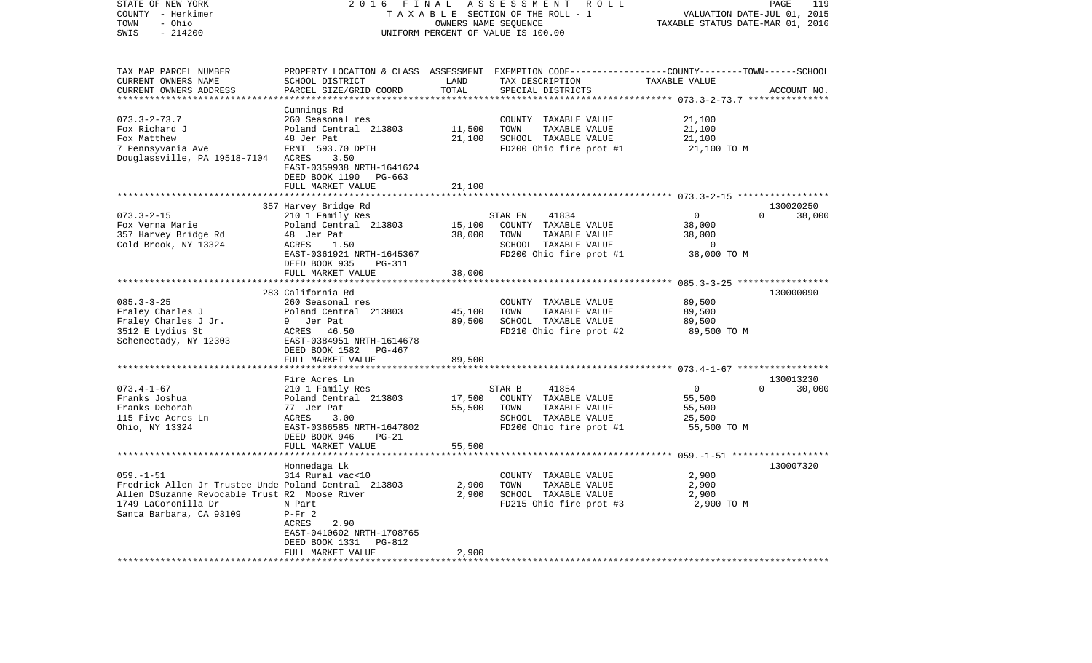| STATE OF NEW YORK<br>2 0 1 6<br>FINAL<br>ASSESSMENT<br>ROLL<br>COUNTY - Herkimer<br>TAXABLE SECTION OF THE ROLL - 1<br>- Ohio<br>TOWN<br>OWNERS NAME SEQUENCE<br>SWIS<br>$-214200$<br>UNIFORM PERCENT OF VALUE IS 100.00 |                                                                                                                                                                                                                                             |                                                                                                           | PAGE<br>119<br>VALUATION DATE-JUL 01, 2015<br>TAXABLE STATUS DATE-MAR 01, 2016 |                                                                                                                                                               |  |
|--------------------------------------------------------------------------------------------------------------------------------------------------------------------------------------------------------------------------|---------------------------------------------------------------------------------------------------------------------------------------------------------------------------------------------------------------------------------------------|-----------------------------------------------------------------------------------------------------------|--------------------------------------------------------------------------------|---------------------------------------------------------------------------------------------------------------------------------------------------------------|--|
| SCHOOL DISTRICT<br>PARCEL SIZE/GRID COORD                                                                                                                                                                                | LAND<br>TOTAL                                                                                                                                                                                                                               | TAX DESCRIPTION<br>SPECIAL DISTRICTS                                                                      | TAXABLE VALUE                                                                  | ACCOUNT NO.                                                                                                                                                   |  |
| Cumnings Rd<br>260 Seasonal res<br>Poland Central 213803<br>48 Jer Pat<br>FRNT 593.70 DPTH<br>ACRES<br>3.50<br>EAST-0359938 NRTH-1641624<br>DEED BOOK 1190<br>PG-663<br>FULL MARKET VALUE                                | 11,500<br>21,100<br>21,100                                                                                                                                                                                                                  | COUNTY TAXABLE VALUE<br>TOWN<br>TAXABLE VALUE<br>SCHOOL TAXABLE VALUE<br>FD200 Ohio fire prot #1          | 21,100<br>21,100<br>21,100<br>21,100 TO M                                      |                                                                                                                                                               |  |
|                                                                                                                                                                                                                          |                                                                                                                                                                                                                                             |                                                                                                           |                                                                                | 130020250                                                                                                                                                     |  |
| Poland Central 213803<br>48 Jer Pat<br>ACRES<br>1.50<br>EAST-0361921 NRTH-1645367<br>DEED BOOK 935<br>PG-311                                                                                                             | 15,100<br>38,000                                                                                                                                                                                                                            | COUNTY TAXABLE VALUE<br>TAXABLE VALUE<br>TOWN<br>SCHOOL TAXABLE VALUE<br>FD200 Ohio fire prot #1          | 38,000<br>38,000<br>$\overline{0}$<br>38,000 TO M                              | 38,000<br>$\Omega$                                                                                                                                            |  |
| FULL MARKET VALUE                                                                                                                                                                                                        | 38,000                                                                                                                                                                                                                                      |                                                                                                           |                                                                                |                                                                                                                                                               |  |
| 260 Seasonal res<br>Poland Central 213803<br>9 Jer Pat<br>ACRES 46.50<br>EAST-0384951 NRTH-1614678<br>DEED BOOK 1582<br>PG-467                                                                                           | 45,100<br>89,500                                                                                                                                                                                                                            | COUNTY TAXABLE VALUE<br>TOWN<br>TAXABLE VALUE<br>SCHOOL TAXABLE VALUE<br>FD210 Ohio fire prot #2          | 89,500<br>89,500<br>89,500<br>89,500 TO M                                      | 130000090                                                                                                                                                     |  |
|                                                                                                                                                                                                                          |                                                                                                                                                                                                                                             |                                                                                                           |                                                                                |                                                                                                                                                               |  |
| Fire Acres Ln<br>210 1 Family Res<br>Poland Central 213803<br>77 Jer Pat<br>ACRES<br>3.00<br>EAST-0366585 NRTH-1647802<br>DEED BOOK 946<br>$PG-21$<br>FULL MARKET VALUE                                                  | 17,500<br>55,500<br>55,500                                                                                                                                                                                                                  | 41854<br>COUNTY TAXABLE VALUE<br>TOWN<br>TAXABLE VALUE<br>SCHOOL TAXABLE VALUE<br>FD200 Ohio fire prot #1 | $\mathbf 0$<br>55,500<br>55,500<br>25,500<br>55,500 TO M                       | 130013230<br>$\Omega$<br>30,000                                                                                                                               |  |
| ***************                                                                                                                                                                                                          |                                                                                                                                                                                                                                             |                                                                                                           |                                                                                |                                                                                                                                                               |  |
| 314 Rural vac<10<br>N Part<br>$P-Fr$ 2<br>2.90<br>ACRES<br>EAST-0410602 NRTH-1708765<br>DEED BOOK 1331<br>PG-812<br>FULL MARKET VALUE                                                                                    | 2,900<br>2,900<br>2,900                                                                                                                                                                                                                     | COUNTY TAXABLE VALUE<br>TOWN<br>TAXABLE VALUE<br>SCHOOL TAXABLE VALUE<br>FD215 Ohio fire prot #3          | 2,900<br>2,900<br>2,900<br>2,900 TO M                                          | 130007320                                                                                                                                                     |  |
|                                                                                                                                                                                                                          | Douglassville, PA 19518-7104<br>357 Harvey Bridge Rd<br>210 1 Family Res<br>283 California Rd<br>FULL MARKET VALUE<br>Honnedaga Lk<br>Fredrick Allen Jr Trustee Unde Poland Central 213803<br>Allen DSuzanne Revocable Trust R2 Moose River | 89,500                                                                                                    | 41834<br>STAR EN<br>***********<br>STAR B                                      | PROPERTY LOCATION & CLASS ASSESSMENT EXEMPTION CODE----------------COUNTY-------TOWN-----SCHOOL<br>*********** 073.3-2-73.7 ***************<br>$\overline{0}$ |  |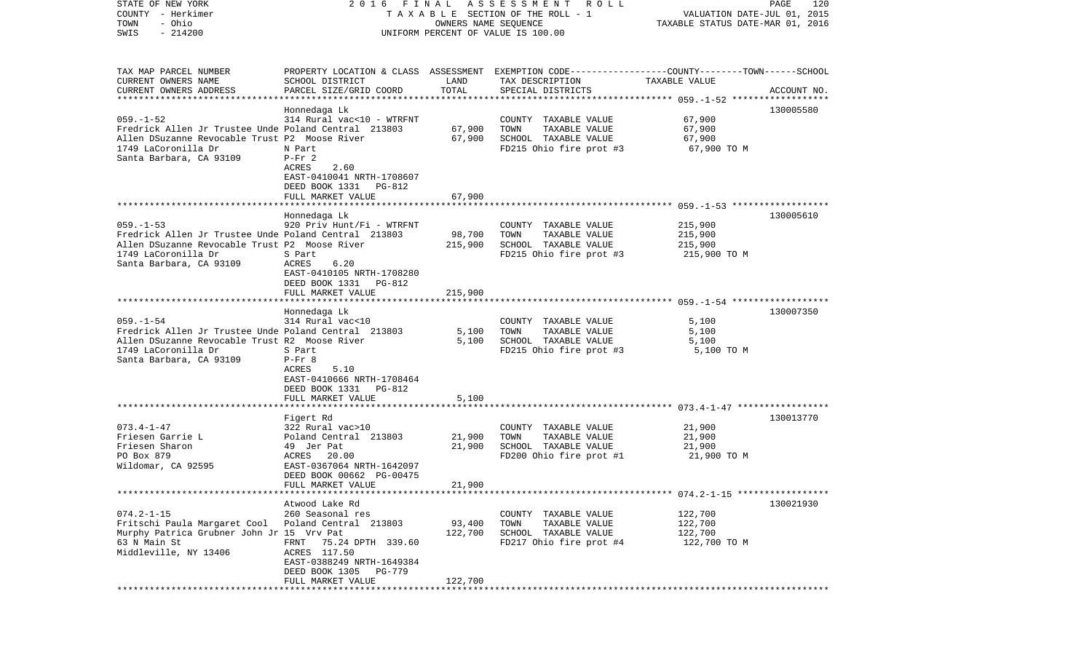| STATE OF NEW YORK<br>COUNTY - Herkimer                                 | 2016 FINAL                                                                                      |                      | A S S E S S M E N T<br>ROLL<br>TAXABLE SECTION OF THE ROLL - 1 | VALUATION DATE-JUL 01, 2015      | PAGE<br>120 |
|------------------------------------------------------------------------|-------------------------------------------------------------------------------------------------|----------------------|----------------------------------------------------------------|----------------------------------|-------------|
| - Ohio<br>TOWN                                                         |                                                                                                 | OWNERS NAME SEQUENCE |                                                                | TAXABLE STATUS DATE-MAR 01, 2016 |             |
| $-214200$<br>SWIS                                                      |                                                                                                 |                      | UNIFORM PERCENT OF VALUE IS 100.00                             |                                  |             |
|                                                                        |                                                                                                 |                      |                                                                |                                  |             |
|                                                                        |                                                                                                 |                      |                                                                |                                  |             |
| TAX MAP PARCEL NUMBER                                                  | PROPERTY LOCATION & CLASS ASSESSMENT EXEMPTION CODE---------------COUNTY-------TOWN------SCHOOL |                      |                                                                |                                  |             |
| CURRENT OWNERS NAME                                                    | SCHOOL DISTRICT                                                                                 | LAND                 | TAX DESCRIPTION                                                | TAXABLE VALUE                    |             |
| CURRENT OWNERS ADDRESS                                                 | PARCEL SIZE/GRID COORD                                                                          | TOTAL                | SPECIAL DISTRICTS                                              |                                  | ACCOUNT NO. |
| ************************                                               |                                                                                                 |                      |                                                                |                                  |             |
|                                                                        | Honnedaga Lk                                                                                    |                      |                                                                |                                  | 130005580   |
| $059. -1 - 52$<br>Fredrick Allen Jr Trustee Unde Poland Central 213803 | 314 Rural vac<10 - WTRFNT                                                                       | 67,900               | COUNTY TAXABLE VALUE<br>TOWN<br>TAXABLE VALUE                  | 67,900<br>67,900                 |             |
| Allen DSuzanne Revocable Trust P2 Moose River                          |                                                                                                 | 67,900               | SCHOOL TAXABLE VALUE                                           | 67,900                           |             |
| 1749 LaCoronilla Dr                                                    | N Part                                                                                          |                      | FD215 Ohio fire prot #3                                        | 67,900 TO M                      |             |
| Santa Barbara, CA 93109                                                | $P-Fr$ 2                                                                                        |                      |                                                                |                                  |             |
|                                                                        | ACRES<br>2.60                                                                                   |                      |                                                                |                                  |             |
|                                                                        | EAST-0410041 NRTH-1708607                                                                       |                      |                                                                |                                  |             |
|                                                                        | DEED BOOK 1331 PG-812                                                                           |                      |                                                                |                                  |             |
|                                                                        | FULL MARKET VALUE                                                                               | 67,900               |                                                                |                                  |             |
|                                                                        |                                                                                                 |                      |                                                                |                                  |             |
|                                                                        | Honnedaga Lk                                                                                    |                      |                                                                |                                  | 130005610   |
| $059. -1 - 53$                                                         | 920 Priv Hunt/Fi - WTRFNT                                                                       |                      | COUNTY TAXABLE VALUE                                           | 215,900                          |             |
| Fredrick Allen Jr Trustee Unde Poland Central 213803                   |                                                                                                 | 98,700               | TOWN<br>TAXABLE VALUE                                          | 215,900                          |             |
| Allen DSuzanne Revocable Trust P2 Moose River                          |                                                                                                 | 215,900              | SCHOOL TAXABLE VALUE                                           | 215,900                          |             |
| 1749 LaCoronilla Dr                                                    | S Part                                                                                          |                      | FD215 Ohio fire prot #3                                        | 215,900 TO M                     |             |
| Santa Barbara, CA 93109                                                | ACRES<br>6.20                                                                                   |                      |                                                                |                                  |             |
|                                                                        | EAST-0410105 NRTH-1708280                                                                       |                      |                                                                |                                  |             |
|                                                                        | DEED BOOK 1331 PG-812                                                                           |                      |                                                                |                                  |             |
|                                                                        | FULL MARKET VALUE                                                                               | 215,900              |                                                                |                                  |             |
|                                                                        |                                                                                                 |                      |                                                                |                                  |             |
| $059. - 1 - 54$                                                        | Honnedaga Lk<br>314 Rural vac<10                                                                |                      |                                                                |                                  | 130007350   |
| Fredrick Allen Jr Trustee Unde Poland Central 213803                   |                                                                                                 |                      | COUNTY TAXABLE VALUE<br>TOWN<br>TAXABLE VALUE                  | 5,100<br>5,100                   |             |
| Allen DSuzanne Revocable Trust R2 Moose River                          |                                                                                                 | 5,100<br>5,100       | SCHOOL TAXABLE VALUE                                           | 5,100                            |             |
| 1749 LaCoronilla Dr                                                    | S Part                                                                                          |                      | FD215 Ohio fire prot #3                                        | 5,100 TO M                       |             |
| Santa Barbara, CA 93109                                                | $P-Fr$ 8                                                                                        |                      |                                                                |                                  |             |
|                                                                        | ACRES<br>5.10                                                                                   |                      |                                                                |                                  |             |
|                                                                        | EAST-0410666 NRTH-1708464                                                                       |                      |                                                                |                                  |             |
|                                                                        | DEED BOOK 1331 PG-812                                                                           |                      |                                                                |                                  |             |
|                                                                        | FULL MARKET VALUE                                                                               | 5,100                |                                                                |                                  |             |
|                                                                        |                                                                                                 |                      |                                                                |                                  |             |
|                                                                        | Figert Rd                                                                                       |                      |                                                                |                                  | 130013770   |
| $073.4 - 1 - 47$                                                       | 322 Rural vac>10                                                                                |                      | COUNTY TAXABLE VALUE                                           | 21,900                           |             |
| Friesen Garrie L                                                       | Poland Central 213803                                                                           | 21,900               | TOWN<br>TAXABLE VALUE                                          | 21,900                           |             |
| Friesen Sharon                                                         | 49 Jer Pat                                                                                      | 21,900               | SCHOOL TAXABLE VALUE                                           | 21,900                           |             |
| PO Box 879                                                             | ACRES 20.00                                                                                     |                      | FD200 Ohio fire prot #1                                        | 21,900 TO M                      |             |
| Wildomar, CA 92595                                                     | EAST-0367064 NRTH-1642097                                                                       |                      |                                                                |                                  |             |
|                                                                        | DEED BOOK 00662 PG-00475                                                                        |                      |                                                                |                                  |             |
|                                                                        | FULL MARKET VALUE                                                                               | 21,900               |                                                                |                                  |             |
|                                                                        |                                                                                                 |                      |                                                                |                                  | 130021930   |
| $074.2 - 1 - 15$                                                       | Atwood Lake Rd                                                                                  |                      |                                                                |                                  |             |
| Fritschi Paula Margaret Cool Poland Central 213803                     | 260 Seasonal res                                                                                | 93,400               | COUNTY TAXABLE VALUE<br>TOWN<br>TAXABLE VALUE                  | 122,700<br>122,700               |             |
| Murphy Patrica Grubner John Jr 15 Vrv Pat                              |                                                                                                 | 122,700              | SCHOOL TAXABLE VALUE                                           | 122,700                          |             |
| 63 N Main St                                                           | FRNT 75.24 DPTH 339.60                                                                          |                      | FD217 Ohio fire prot #4                                        | 122,700 TO M                     |             |
| Middleville, NY 13406                                                  | ACRES 117.50                                                                                    |                      |                                                                |                                  |             |
|                                                                        | EAST-0388249 NRTH-1649384                                                                       |                      |                                                                |                                  |             |
|                                                                        | DEED BOOK 1305 PG-779                                                                           |                      |                                                                |                                  |             |
|                                                                        | FULL MARKET VALUE                                                                               | 122,700              |                                                                |                                  |             |
|                                                                        |                                                                                                 |                      |                                                                |                                  |             |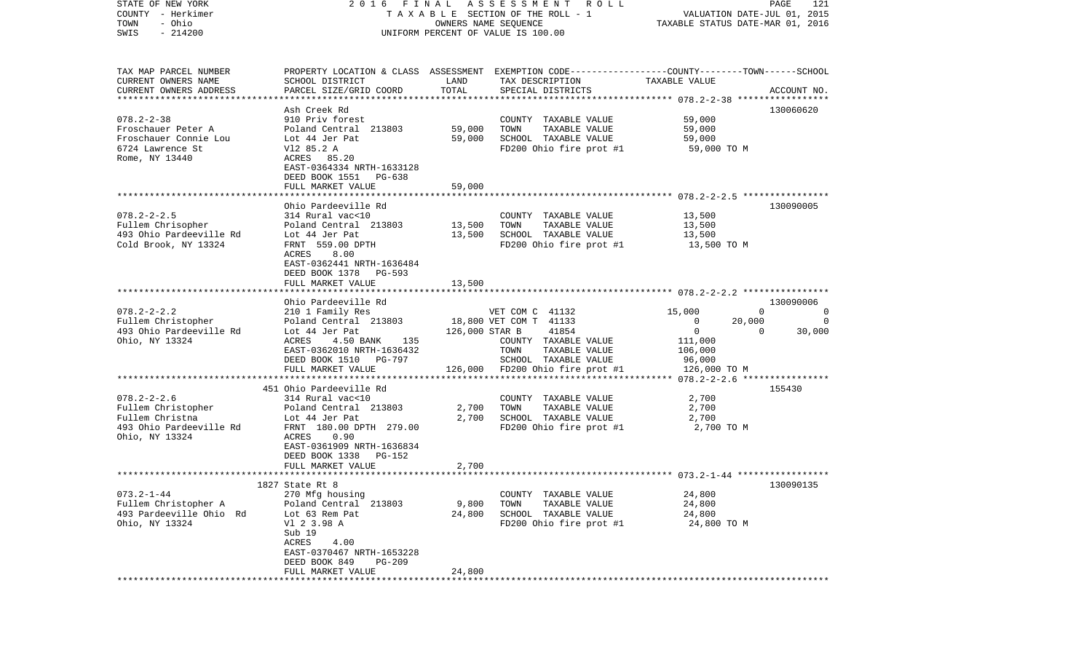| STATE OF NEW YORK       |                                |                | 2016 FINAL ASSESSMENT ROLL                                                                       |                                  | PAGE<br>121                |
|-------------------------|--------------------------------|----------------|--------------------------------------------------------------------------------------------------|----------------------------------|----------------------------|
| COUNTY - Herkimer       |                                |                | TAXABLE SECTION OF THE ROLL - 1                                                                  | VALUATION DATE-JUL 01, 2015      |                            |
| - Ohio<br>TOWN          |                                |                | OWNERS NAME SEQUENCE                                                                             | TAXABLE STATUS DATE-MAR 01, 2016 |                            |
| $-214200$<br>SWIS       |                                |                | UNIFORM PERCENT OF VALUE IS 100.00                                                               |                                  |                            |
|                         |                                |                |                                                                                                  |                                  |                            |
| TAX MAP PARCEL NUMBER   |                                |                | PROPERTY LOCATION & CLASS ASSESSMENT EXEMPTION CODE----------------COUNTY-------TOWN------SCHOOL |                                  |                            |
| CURRENT OWNERS NAME     | SCHOOL DISTRICT                | LAND           | TAX DESCRIPTION                                                                                  | TAXABLE VALUE                    |                            |
| CURRENT OWNERS ADDRESS  | PARCEL SIZE/GRID COORD         | TOTAL          | SPECIAL DISTRICTS                                                                                |                                  | ACCOUNT NO.                |
|                         |                                |                |                                                                                                  |                                  |                            |
|                         | Ash Creek Rd                   |                |                                                                                                  |                                  | 130060620                  |
| $078.2 - 2 - 38$        | 910 Priv forest                |                | COUNTY TAXABLE VALUE                                                                             | 59,000                           |                            |
| Froschauer Peter A      | Poland Central 213803          | 59,000         | TOWN<br>TAXABLE VALUE                                                                            | 59,000                           |                            |
| Froschauer Connie Lou   | Lot 44 Jer Pat                 | 59,000         | SCHOOL TAXABLE VALUE                                                                             | 59,000                           |                            |
| 6724 Lawrence St        | V12 85.2 A                     |                | FD200 Ohio fire prot #1                                                                          | 59,000 TO M                      |                            |
| Rome, NY 13440          | ACRES 85.20                    |                |                                                                                                  |                                  |                            |
|                         | EAST-0364334 NRTH-1633128      |                |                                                                                                  |                                  |                            |
|                         | DEED BOOK 1551 PG-638          |                |                                                                                                  |                                  |                            |
|                         | FULL MARKET VALUE              | 59,000         |                                                                                                  |                                  |                            |
|                         |                                |                |                                                                                                  |                                  |                            |
|                         | Ohio Pardeeville Rd            |                |                                                                                                  |                                  | 130090005                  |
| $078.2 - 2 - 2.5$       | 314 Rural vac<10               |                | COUNTY TAXABLE VALUE                                                                             | 13,500                           |                            |
| Fullem Chrisopher       | Poland Central 213803          | 13,500         | TOWN<br>TAXABLE VALUE                                                                            | 13,500                           |                            |
| 493 Ohio Pardeeville Rd | Lot 44 Jer Pat                 | 13,500         | SCHOOL TAXABLE VALUE                                                                             | 13,500                           |                            |
| Cold Brook, NY 13324    | FRNT 559.00 DPTH               |                | FD200 Ohio fire prot #1                                                                          | 13,500 TO M                      |                            |
|                         | ACRES<br>8.00                  |                |                                                                                                  |                                  |                            |
|                         | EAST-0362441 NRTH-1636484      |                |                                                                                                  |                                  |                            |
|                         | DEED BOOK 1378<br>PG-593       |                |                                                                                                  |                                  |                            |
|                         | FULL MARKET VALUE              | 13,500         |                                                                                                  |                                  |                            |
|                         |                                |                |                                                                                                  |                                  |                            |
|                         | Ohio Pardeeville Rd            |                |                                                                                                  |                                  | 130090006                  |
| $078.2 - 2 - 2.2$       | 210 1 Family Res               |                | VET COM C 41132                                                                                  | 15,000                           | $\Omega$<br>$\overline{0}$ |
| Fullem Christopher      | Poland Central 213803          |                | 18,800 VET COM T 41133                                                                           | $\mathbf{0}$                     | 20,000<br>0                |
| 493 Ohio Pardeeville Rd | Lot 44 Jer Pat                 | 126,000 STAR B | 41854                                                                                            | $\mathbf 0$                      | $\Omega$<br>30,000         |
| Ohio, NY 13324          | ACRES<br>4.50 BANK<br>135      |                | COUNTY TAXABLE VALUE                                                                             | 111,000                          |                            |
|                         | EAST-0362010 NRTH-1636432      |                | TAXABLE VALUE<br>TOWN                                                                            | 106,000                          |                            |
|                         | DEED BOOK 1510 PG-797          |                | SCHOOL TAXABLE VALUE                                                                             | 96,000                           |                            |
|                         | FULL MARKET VALUE              |                | 126,000 FD200 Ohio fire prot #1                                                                  | 126,000 TO M                     |                            |
|                         |                                |                |                                                                                                  |                                  |                            |
|                         | 451 Ohio Pardeeville Rd        |                |                                                                                                  |                                  | 155430                     |
| $078.2 - 2 - 2.6$       | 314 Rural vac<10               |                | COUNTY TAXABLE VALUE                                                                             | 2,700                            |                            |
| Fullem Christopher      | Poland Central 213803          | 2,700          | TOWN<br>TAXABLE VALUE                                                                            | 2,700                            |                            |
| Fullem Christna         |                                | 2,700          | SCHOOL TAXABLE VALUE                                                                             |                                  |                            |
|                         | Lot 44 Jer Pat                 |                |                                                                                                  | 2,700                            |                            |
| 493 Ohio Pardeeville Rd | FRNT 180.00 DPTH 279.00        |                | FD200 Ohio fire prot #1                                                                          | 2,700 TO M                       |                            |
| Ohio, NY 13324          | 0.90<br>ACRES                  |                |                                                                                                  |                                  |                            |
|                         | EAST-0361909 NRTH-1636834      |                |                                                                                                  |                                  |                            |
|                         | DEED BOOK 1338<br>PG-152       |                |                                                                                                  |                                  |                            |
|                         | FULL MARKET VALUE              | 2,700          |                                                                                                  |                                  |                            |
|                         |                                |                |                                                                                                  |                                  |                            |
|                         | 1827 State Rt 8                |                |                                                                                                  |                                  | 130090135                  |
| $073.2 - 1 - 44$        | 270 Mfg housing                |                | COUNTY TAXABLE VALUE                                                                             | 24,800                           |                            |
| Fullem Christopher A    | Poland Central 213803          | 9,800          | TOWN<br>TAXABLE VALUE                                                                            | 24,800                           |                            |
| 493 Pardeeville Ohio Rd | Lot 63 Rem Pat                 | 24,800         | SCHOOL TAXABLE VALUE                                                                             | 24,800                           |                            |
| Ohio, NY 13324          | V1 2 3.98 A                    |                | FD200 Ohio fire prot #1                                                                          | 24,800 TO M                      |                            |
|                         | Sub 19                         |                |                                                                                                  |                                  |                            |
|                         | ACRES<br>4.00                  |                |                                                                                                  |                                  |                            |
|                         | EAST-0370467 NRTH-1653228      |                |                                                                                                  |                                  |                            |
|                         | DEED BOOK 849<br><b>PG-209</b> |                |                                                                                                  |                                  |                            |
|                         | FULL MARKET VALUE              | 24,800         |                                                                                                  |                                  |                            |
|                         |                                |                |                                                                                                  |                                  |                            |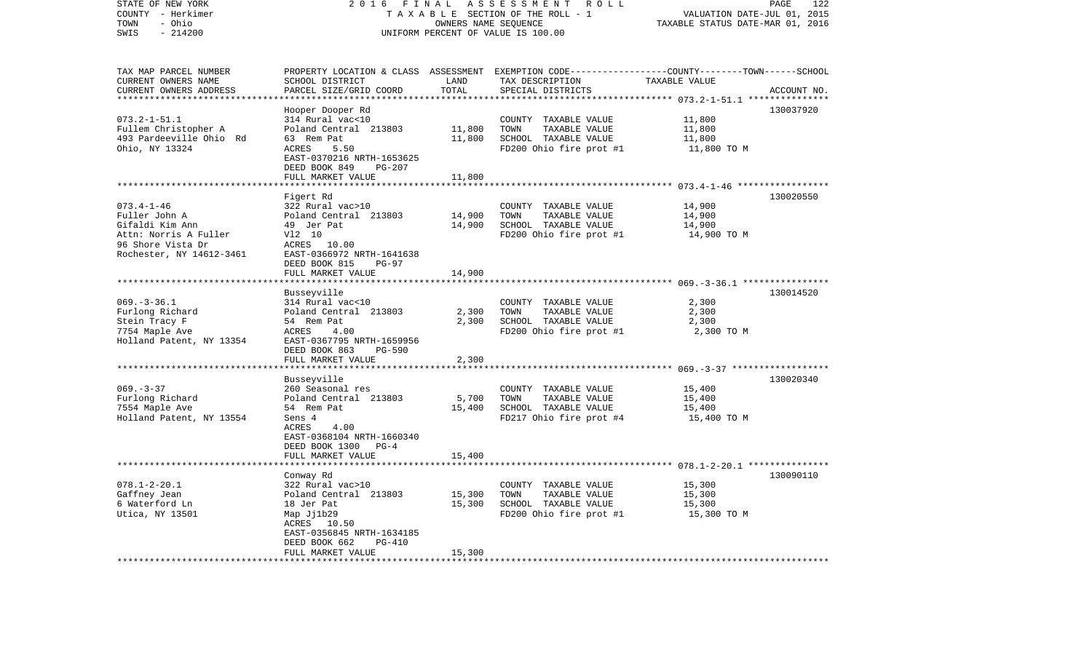| STATE OF NEW YORK<br>COUNTY - Herkimer<br>- Ohio<br>TOWN | 2 0 1 6                                             | FINAL<br>OWNERS NAME SEOUENCE | ASSESSMENT<br>ROLL<br>TAXABLE SECTION OF THE ROLL - 1                                            | VALUATION DATE-JUL 01, 2015<br>TAXABLE STATUS DATE-MAR 01, 2016 | PAGE<br>122 |
|----------------------------------------------------------|-----------------------------------------------------|-------------------------------|--------------------------------------------------------------------------------------------------|-----------------------------------------------------------------|-------------|
| SWIS<br>$-214200$                                        |                                                     |                               | UNIFORM PERCENT OF VALUE IS 100.00                                                               |                                                                 |             |
| TAX MAP PARCEL NUMBER                                    |                                                     |                               | PROPERTY LOCATION & CLASS ASSESSMENT EXEMPTION CODE----------------COUNTY-------TOWN------SCHOOL |                                                                 |             |
| CURRENT OWNERS NAME                                      | SCHOOL DISTRICT<br>PARCEL SIZE/GRID COORD           | LAND<br>TOTAL                 | TAX DESCRIPTION                                                                                  | TAXABLE VALUE                                                   | ACCOUNT NO. |
| CURRENT OWNERS ADDRESS                                   |                                                     |                               | SPECIAL DISTRICTS                                                                                | ********** 073.2-1-51.1 ***                                     |             |
|                                                          | Hooper Dooper Rd                                    |                               |                                                                                                  |                                                                 | 130037920   |
| $073.2 - 1 - 51.1$                                       | 314 Rural vac<10                                    |                               | COUNTY TAXABLE VALUE                                                                             | 11,800                                                          |             |
| Fullem Christopher A                                     | Poland Central 213803                               | 11,800                        | TOWN<br>TAXABLE VALUE                                                                            | 11,800                                                          |             |
| 493 Pardeeville Ohio Rd                                  | 63 Rem Pat                                          | 11,800                        | SCHOOL TAXABLE VALUE                                                                             | 11,800                                                          |             |
| Ohio, NY 13324                                           | ACRES<br>5.50                                       |                               | FD200 Ohio fire prot #1                                                                          | 11,800 TO M                                                     |             |
|                                                          | EAST-0370216 NRTH-1653625                           |                               |                                                                                                  |                                                                 |             |
|                                                          | DEED BOOK 849<br>PG-207<br>FULL MARKET VALUE        | 11,800                        |                                                                                                  |                                                                 |             |
|                                                          | ***********************                             |                               |                                                                                                  |                                                                 |             |
|                                                          | Figert Rd                                           |                               |                                                                                                  |                                                                 | 130020550   |
| $073.4 - 1 - 46$                                         | 322 Rural vac>10                                    |                               | COUNTY TAXABLE VALUE                                                                             | 14,900                                                          |             |
| Fuller John A                                            | Poland Central 213803                               | 14,900                        | TOWN<br>TAXABLE VALUE                                                                            | 14,900                                                          |             |
| Gifaldi Kim Ann                                          | 49 Jer Pat                                          | 14,900                        | SCHOOL TAXABLE VALUE                                                                             | 14,900                                                          |             |
| Attn: Norris A Fuller                                    | V12 10                                              |                               | FD200 Ohio fire prot #1                                                                          | 14,900 TO M                                                     |             |
| 96 Shore Vista Dr                                        | ACRES 10.00                                         |                               |                                                                                                  |                                                                 |             |
| Rochester, NY 14612-3461                                 | EAST-0366972 NRTH-1641638                           |                               |                                                                                                  |                                                                 |             |
|                                                          | DEED BOOK 815<br>$PG-97$<br>FULL MARKET VALUE       | 14,900                        |                                                                                                  |                                                                 |             |
|                                                          | ******************************                      |                               |                                                                                                  |                                                                 |             |
|                                                          | Busseyville                                         |                               |                                                                                                  |                                                                 | 130014520   |
| $069. -3 - 36.1$                                         | 314 Rural vac<10                                    |                               | COUNTY TAXABLE VALUE                                                                             | 2,300                                                           |             |
| Furlong Richard                                          | Poland Central 213803                               | 2,300                         | TOWN<br>TAXABLE VALUE                                                                            | 2,300                                                           |             |
| Stein Tracy F                                            | 54 Rem Pat                                          | 2,300                         | SCHOOL TAXABLE VALUE                                                                             | 2,300                                                           |             |
| 7754 Maple Ave                                           | ACRES<br>4.00                                       |                               | FD200 Ohio fire prot #1                                                                          | 2,300 TO M                                                      |             |
| Holland Patent, NY 13354                                 | EAST-0367795 NRTH-1659956                           |                               |                                                                                                  |                                                                 |             |
|                                                          | DEED BOOK 863<br>$PG-590$<br>FULL MARKET VALUE      | 2,300                         |                                                                                                  |                                                                 |             |
|                                                          | *******************                                 | ***********                   |                                                                                                  |                                                                 |             |
|                                                          | Busseyville                                         |                               |                                                                                                  |                                                                 | 130020340   |
| $069. -3 - 37$                                           | 260 Seasonal res                                    |                               | COUNTY TAXABLE VALUE                                                                             | 15,400                                                          |             |
| Furlong Richard                                          | Poland Central 213803                               | 5,700                         | TOWN<br>TAXABLE VALUE                                                                            | 15,400                                                          |             |
| 7554 Maple Ave                                           | 54 Rem Pat                                          | 15,400                        | SCHOOL TAXABLE VALUE                                                                             | 15,400                                                          |             |
| Holland Patent, NY 13554                                 | Sens 4                                              |                               | FD217 Ohio fire prot #4                                                                          | 15,400 TO M                                                     |             |
|                                                          | ACRES<br>4.00                                       |                               |                                                                                                  |                                                                 |             |
|                                                          | EAST-0368104 NRTH-1660340                           |                               |                                                                                                  |                                                                 |             |
|                                                          | DEED BOOK 1300<br>$PG-4$<br>FULL MARKET VALUE       | 15,400                        |                                                                                                  |                                                                 |             |
|                                                          | ******************                                  |                               |                                                                                                  |                                                                 |             |
|                                                          | Conway Rd                                           |                               |                                                                                                  |                                                                 | 130090110   |
| $078.1 - 2 - 20.1$                                       | 322 Rural vac>10                                    |                               | COUNTY TAXABLE VALUE                                                                             | 15,300                                                          |             |
| Gaffney Jean                                             | Poland Central 213803                               | 15,300                        | TOWN<br>TAXABLE VALUE                                                                            | 15,300                                                          |             |
| 6 Waterford Ln                                           | 18 Jer Pat                                          | 15,300                        | SCHOOL TAXABLE VALUE                                                                             | 15,300                                                          |             |
| Utica, NY 13501                                          | Map Jj1b29                                          |                               | FD200 Ohio fire prot #1                                                                          | 15,300 TO M                                                     |             |
|                                                          | ACRES<br>10.50                                      |                               |                                                                                                  |                                                                 |             |
|                                                          | EAST-0356845 NRTH-1634185                           |                               |                                                                                                  |                                                                 |             |
|                                                          | DEED BOOK 662<br><b>PG-410</b><br>FULL MARKET VALUE | 15,300                        |                                                                                                  |                                                                 |             |
| ************************                                 | .                                                   |                               |                                                                                                  |                                                                 |             |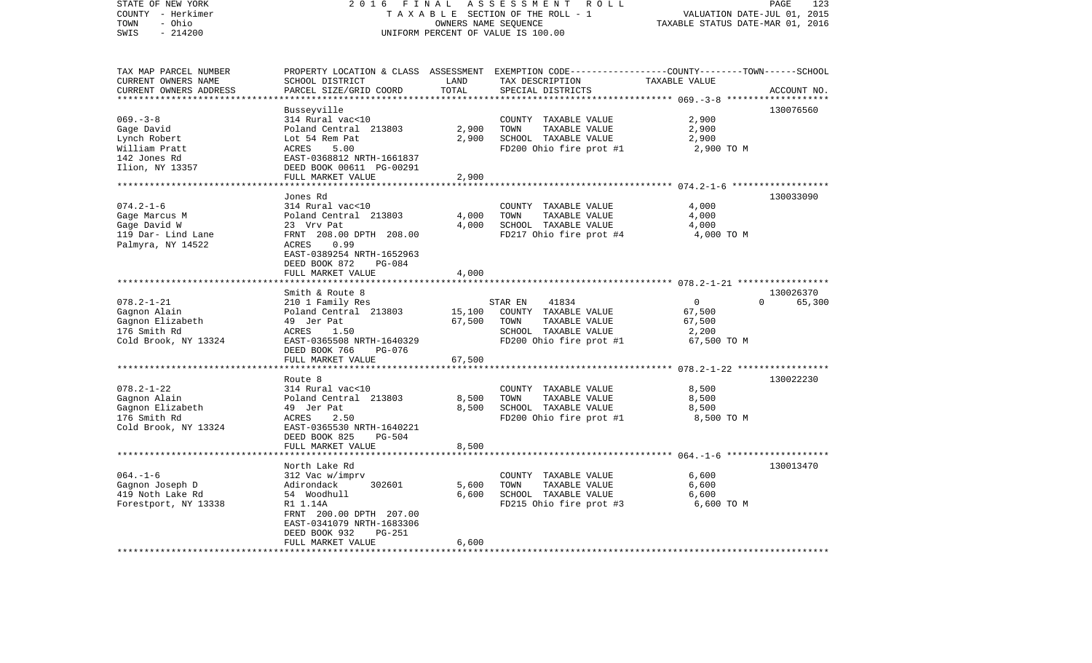| STATE OF NEW YORK<br>COUNTY - Herkimer<br>- Ohio<br>TOWN<br>$-214200$<br>SWIS | 2 0 1 6<br>FINAL                           | OWNERS NAME SEQUENCE                 | ASSESSMENT<br>ROLL<br>TAXABLE SECTION OF THE ROLL - 1<br>UNIFORM PERCENT OF VALUE IS 100.00 | VALUATION DATE-JUL 01, 2015<br>TAXABLE STATUS DATE-MAR 01, 2016 | PAGE<br>123 |
|-------------------------------------------------------------------------------|--------------------------------------------|--------------------------------------|---------------------------------------------------------------------------------------------|-----------------------------------------------------------------|-------------|
|                                                                               |                                            |                                      |                                                                                             |                                                                 |             |
| TAX MAP PARCEL NUMBER                                                         | PROPERTY LOCATION & CLASS                  |                                      | ASSESSMENT EXEMPTION CODE-----------------COUNTY-------TOWN------SCHOOL                     |                                                                 |             |
| CURRENT OWNERS NAME<br>CURRENT OWNERS ADDRESS<br>*******************          | SCHOOL DISTRICT<br>PARCEL SIZE/GRID COORD  | LAND<br>TOTAL<br>* * * * * * * * * * | TAX DESCRIPTION<br>SPECIAL DISTRICTS                                                        | TAXABLE VALUE                                                   | ACCOUNT NO. |
|                                                                               | Busseyville                                |                                      |                                                                                             |                                                                 | 130076560   |
| $069. -3 - 8$                                                                 | 314 Rural vac<10                           |                                      | COUNTY TAXABLE VALUE                                                                        | 2,900                                                           |             |
| Gage David                                                                    | Poland Central 213803                      | 2,900                                | TOWN<br>TAXABLE VALUE                                                                       | 2,900                                                           |             |
| Lynch Robert                                                                  | Lot 54 Rem Pat                             | 2,900                                | SCHOOL TAXABLE VALUE                                                                        | 2,900                                                           |             |
| William Pratt                                                                 | ACRES<br>5.00                              |                                      | FD200 Ohio fire prot #1                                                                     | 2,900 TO M                                                      |             |
| 142 Jones Rd                                                                  | EAST-0368812 NRTH-1661837                  |                                      |                                                                                             |                                                                 |             |
| Ilion, NY 13357                                                               | DEED BOOK 00611 PG-00291                   |                                      |                                                                                             |                                                                 |             |
|                                                                               | FULL MARKET VALUE                          | 2,900                                |                                                                                             |                                                                 |             |
|                                                                               | ******************                         | *******                              |                                                                                             | ********************* 074.2-1-6 *******************             |             |
|                                                                               | Jones Rd                                   |                                      |                                                                                             |                                                                 | 130033090   |
| $074.2 - 1 - 6$                                                               | 314 Rural vac<10                           |                                      | COUNTY TAXABLE VALUE                                                                        | 4,000                                                           |             |
| Gage Marcus M                                                                 | Poland Central 213803                      | 4,000                                | TOWN<br>TAXABLE VALUE                                                                       | 4,000                                                           |             |
| Gage David W                                                                  | 23 Vrv Pat                                 | 4,000                                | SCHOOL TAXABLE VALUE                                                                        | 4,000                                                           |             |
| 119 Dar- Lind Lane                                                            | FRNT 208.00 DPTH 208.00                    |                                      | FD217 Ohio fire prot #4                                                                     | 4,000 TO M                                                      |             |
| Palmyra, NY 14522                                                             | ACRES<br>0.99<br>EAST-0389254 NRTH-1652963 |                                      |                                                                                             |                                                                 |             |
|                                                                               | $PG-084$<br>DEED BOOK 872                  |                                      |                                                                                             |                                                                 |             |
|                                                                               | FULL MARKET VALUE                          | 4,000                                |                                                                                             |                                                                 |             |
|                                                                               |                                            |                                      |                                                                                             |                                                                 |             |
|                                                                               | Smith & Route 8                            |                                      |                                                                                             |                                                                 | 130026370   |
| $078.2 - 1 - 21$                                                              | 210 1 Family Res                           |                                      | 41834<br>STAR EN                                                                            | $\overline{0}$<br>$\Omega$                                      | 65,300      |
| Gagnon Alain                                                                  | Poland Central 213803                      | 15,100                               | COUNTY TAXABLE VALUE                                                                        | 67,500                                                          |             |
| Gagnon Elizabeth                                                              | 49 Jer Pat                                 | 67,500                               | TOWN<br>TAXABLE VALUE                                                                       | 67,500                                                          |             |
| 176 Smith Rd                                                                  | ACRES<br>1.50                              |                                      | SCHOOL TAXABLE VALUE                                                                        | 2,200                                                           |             |
| Cold Brook, NY 13324                                                          | EAST-0365508 NRTH-1640329                  |                                      | FD200 Ohio fire prot #1                                                                     | 67,500 TO M                                                     |             |
|                                                                               | DEED BOOK 766<br>PG-076                    |                                      |                                                                                             |                                                                 |             |
|                                                                               | FULL MARKET VALUE                          | 67,500                               |                                                                                             |                                                                 |             |
|                                                                               |                                            |                                      |                                                                                             | **************** 078.2-1-22 *****************                   |             |
|                                                                               | Route 8                                    |                                      |                                                                                             |                                                                 | 130022230   |
| $078.2 - 1 - 22$                                                              | 314 Rural vac<10                           |                                      | COUNTY TAXABLE VALUE                                                                        | 8,500                                                           |             |
| Gagnon Alain                                                                  | Poland Central 213803                      | 8,500                                | TOWN<br>TAXABLE VALUE                                                                       | 8,500                                                           |             |
| Gagnon Elizabeth                                                              | 49 Jer Pat                                 | 8,500                                | SCHOOL TAXABLE VALUE                                                                        | 8,500                                                           |             |
| 176 Smith Rd                                                                  | ACRES<br>2.50                              |                                      | FD200 Ohio fire prot #1                                                                     | 8,500 TO M                                                      |             |
| Cold Brook, NY 13324                                                          | EAST-0365530 NRTH-1640221                  |                                      |                                                                                             |                                                                 |             |
|                                                                               | DEED BOOK 825<br><b>PG-504</b>             |                                      |                                                                                             |                                                                 |             |
|                                                                               | FULL MARKET VALUE<br>*****************     | 8,500                                |                                                                                             |                                                                 |             |
|                                                                               |                                            |                                      |                                                                                             | ********************* 064.-1-6 ********************             |             |
| $064. -1 - 6$                                                                 | North Lake Rd                              |                                      |                                                                                             | 6,600                                                           | 130013470   |
| Gagnon Joseph D                                                               | 312 Vac w/imprv<br>302601<br>Adirondack    | 5,600                                | COUNTY TAXABLE VALUE<br>TOWN<br>TAXABLE VALUE                                               | 6,600                                                           |             |
| 419 Noth Lake Rd                                                              | 54 Woodhull                                | 6,600                                | SCHOOL TAXABLE VALUE                                                                        | 6,600                                                           |             |
| Forestport, NY 13338                                                          | R1 1.14A                                   |                                      | FD215 Ohio fire prot #3                                                                     | 6,600 TO M                                                      |             |
|                                                                               | FRNT 200.00 DPTH 207.00                    |                                      |                                                                                             |                                                                 |             |
|                                                                               | EAST-0341079 NRTH-1683306                  |                                      |                                                                                             |                                                                 |             |
|                                                                               | DEED BOOK 932<br>PG-251                    |                                      |                                                                                             |                                                                 |             |
|                                                                               | FULL MARKET VALUE                          | 6,600                                |                                                                                             |                                                                 |             |
|                                                                               |                                            |                                      |                                                                                             |                                                                 |             |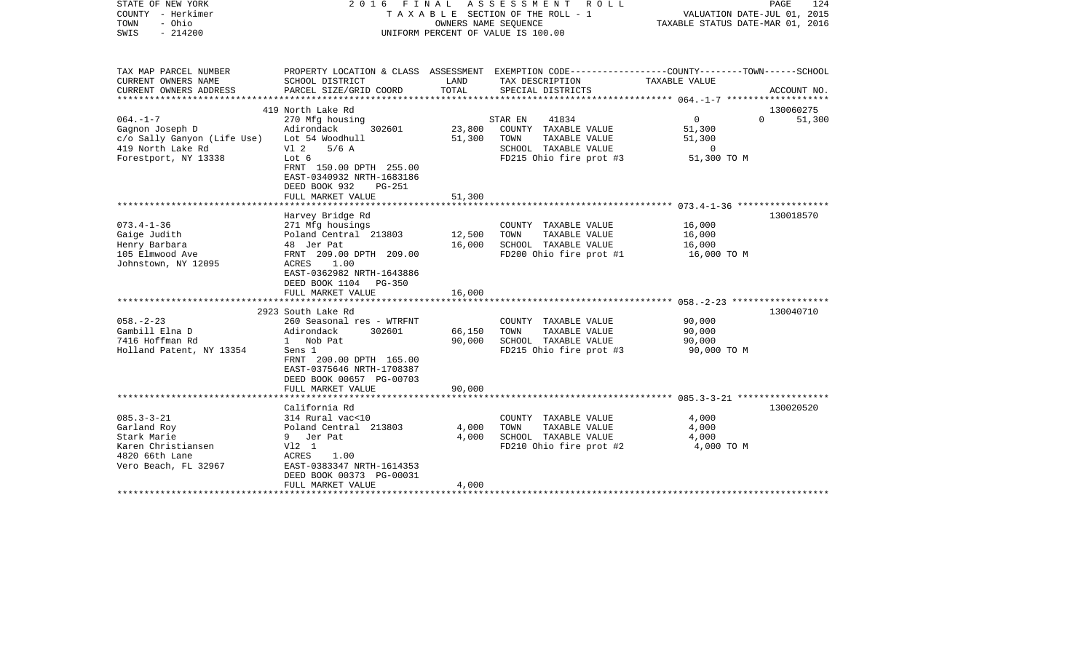| STATE OF NEW YORK<br>COUNTY - Herkimer                                                                         |                                                                                                                                                              |                  | 2016 FINAL ASSESSMENT ROLL<br>T A X A B L E SECTION OF THE ROLL - 1                              | VALUATION DATE-JUL 01, 2015               | PAGE<br>124                     |
|----------------------------------------------------------------------------------------------------------------|--------------------------------------------------------------------------------------------------------------------------------------------------------------|------------------|--------------------------------------------------------------------------------------------------|-------------------------------------------|---------------------------------|
| TOWN<br>- Ohio<br>$-214200$<br>SWIS                                                                            |                                                                                                                                                              |                  | OWNERS NAME SEQUENCE<br>UNIFORM PERCENT OF VALUE IS 100.00                                       | TAXABLE STATUS DATE-MAR 01, 2016          |                                 |
|                                                                                                                |                                                                                                                                                              |                  |                                                                                                  |                                           |                                 |
| TAX MAP PARCEL NUMBER                                                                                          | PROPERTY LOCATION & CLASS ASSESSMENT EXEMPTION CODE----------------COUNTY-------TOWN------SCHOOL                                                             |                  |                                                                                                  |                                           |                                 |
| CURRENT OWNERS NAME<br>CURRENT OWNERS ADDRESS                                                                  | SCHOOL DISTRICT<br>PARCEL SIZE/GRID COORD                                                                                                                    | LAND<br>TOTAL    | TAX DESCRIPTION<br>SPECIAL DISTRICTS                                                             | TAXABLE VALUE                             | ACCOUNT NO.                     |
|                                                                                                                |                                                                                                                                                              |                  |                                                                                                  |                                           |                                 |
| $064. -1 -7$                                                                                                   | 419 North Lake Rd<br>270 Mfg housing                                                                                                                         |                  | STAR EN<br>41834                                                                                 | 0                                         | 130060275<br>$\Omega$<br>51,300 |
| Gagnon Joseph D<br>c/o Sally Ganyon (Life Use)<br>419 North Lake Rd                                            | Adirondack<br>302601<br>Lot 54 Woodhull<br>Vl 2<br>$5/6$ A                                                                                                   | 23,800<br>51,300 | COUNTY TAXABLE VALUE<br>TAXABLE VALUE<br>TOWN<br>SCHOOL TAXABLE VALUE                            | 51,300<br>51,300<br>0                     |                                 |
| Forestport, NY 13338                                                                                           | Lot 6<br>FRNT 150.00 DPTH 255.00<br>EAST-0340932 NRTH-1683186<br>DEED BOOK 932<br><b>PG-251</b>                                                              |                  | FD215 Ohio fire prot #3                                                                          | 51,300 TO M                               |                                 |
|                                                                                                                | FULL MARKET VALUE                                                                                                                                            | 51,300           |                                                                                                  |                                           |                                 |
|                                                                                                                | Harvey Bridge Rd                                                                                                                                             |                  |                                                                                                  |                                           | 130018570                       |
| $073.4 - 1 - 36$<br>Gaige Judith                                                                               | 271 Mfg housings<br>Poland Central 213803                                                                                                                    | 12,500           | COUNTY TAXABLE VALUE<br>TOWN<br>TAXABLE VALUE                                                    | 16,000<br>16,000                          |                                 |
| Henry Barbara<br>105 Elmwood Ave<br>Johnstown, NY 12095                                                        | 48 Jer Pat<br>FRNT 209.00 DPTH 209.00<br>ACRES<br>1.00<br>EAST-0362982 NRTH-1643886<br>DEED BOOK 1104<br>PG-350                                              | 16,000           | SCHOOL TAXABLE VALUE<br>FD200 Ohio fire prot #1                                                  | 16,000<br>16,000 TO M                     |                                 |
|                                                                                                                | FULL MARKET VALUE                                                                                                                                            | 16,000           |                                                                                                  |                                           |                                 |
|                                                                                                                | 2923 South Lake Rd                                                                                                                                           |                  |                                                                                                  |                                           | 130040710                       |
| $058. - 2 - 23$<br>Gambill Elna D<br>7416 Hoffman Rd<br>Holland Patent, NY 13354                               | 260 Seasonal res - WTRFNT<br>Adirondack<br>302601<br>1 Nob Pat<br>Sens 1<br>FRNT 200.00 DPTH 165.00<br>EAST-0375646 NRTH-1708387<br>DEED BOOK 00657 PG-00703 | 66,150<br>90,000 | COUNTY TAXABLE VALUE<br>TOWN<br>TAXABLE VALUE<br>SCHOOL TAXABLE VALUE<br>FD215 Ohio fire prot #3 | 90,000<br>90,000<br>90,000<br>90,000 TO M |                                 |
|                                                                                                                | FULL MARKET VALUE                                                                                                                                            | 90,000           |                                                                                                  |                                           |                                 |
|                                                                                                                | California Rd                                                                                                                                                |                  |                                                                                                  |                                           | 130020520                       |
| $085.3 - 3 - 21$<br>Garland Roy<br>Stark Marie<br>Karen Christiansen<br>4820 66th Lane<br>Vero Beach, FL 32967 | 314 Rural vac<10<br>Poland Central 213803<br>9 Jer Pat<br>V12 1<br>ACRES<br>1.00<br>EAST-0383347 NRTH-1614353                                                | 4,000<br>4,000   | COUNTY TAXABLE VALUE<br>TOWN<br>TAXABLE VALUE<br>SCHOOL TAXABLE VALUE<br>FD210 Ohio fire prot #2 | 4,000<br>4,000<br>4,000<br>4,000 TO M     |                                 |

\*\*\*\*\*\*\*\*\*\*\*\*\*\*\*\*\*\*\*\*\*\*\*\*\*\*\*\*\*\*\*\*\*\*\*\*\*\*\*\*\*\*\*\*\*\*\*\*\*\*\*\*\*\*\*\*\*\*\*\*\*\*\*\*\*\*\*\*\*\*\*\*\*\*\*\*\*\*\*\*\*\*\*\*\*\*\*\*\*\*\*\*\*\*\*\*\*\*\*\*\*\*\*\*\*\*\*\*\*\*\*\*\*\*\*\*\*\*\*\*\*\*\*\*\*\*\*\*\*\*\*\*

DEED BOOK 00373 PG-00031

FULL MARKET VALUE 4,000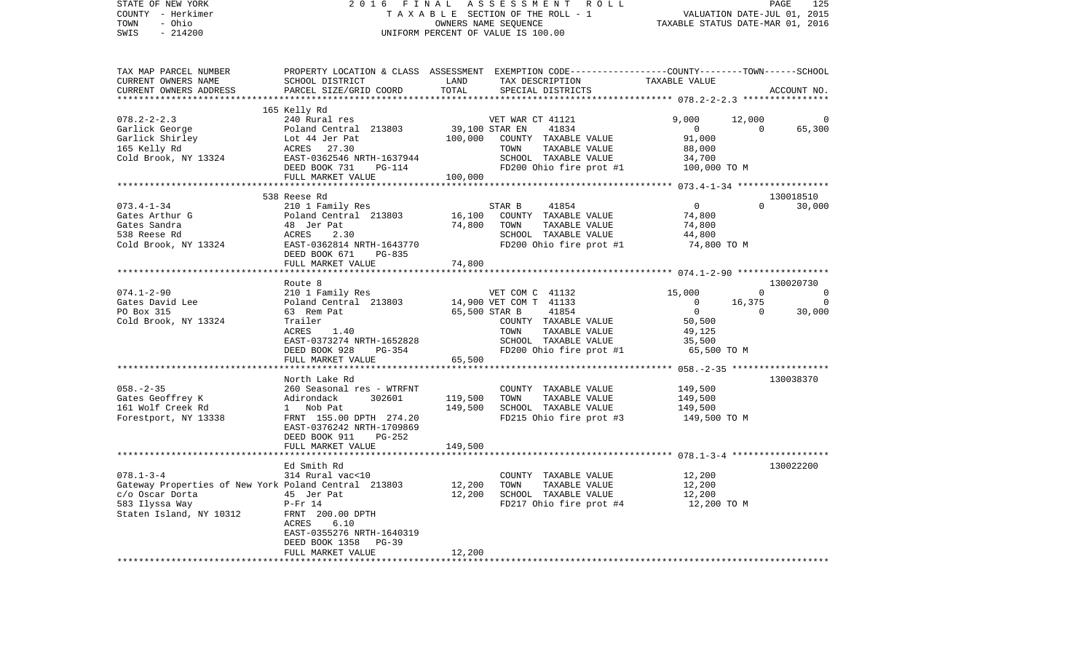| COUNTY - Herkimer                                                                                          |                                                        |                                                                                                                            |                                                      |
|------------------------------------------------------------------------------------------------------------|--------------------------------------------------------|----------------------------------------------------------------------------------------------------------------------------|------------------------------------------------------|
| TOWN<br>- Ohio                                                                                             |                                                        | T A X A B L E SECTION OF THE ROLL - 1 VALUATION DATE-JUL 01, 2015<br>OWNERS NAME SEQUENCE TAXABLE STATUS DATE-MAR 01, 2016 |                                                      |
| $-214200$<br>SWIS                                                                                          |                                                        | UNIFORM PERCENT OF VALUE IS 100.00                                                                                         |                                                      |
|                                                                                                            |                                                        |                                                                                                                            |                                                      |
|                                                                                                            |                                                        |                                                                                                                            |                                                      |
| TAX MAP PARCEL NUMBER                                                                                      |                                                        | PROPERTY LOCATION & CLASS ASSESSMENT EXEMPTION CODE---------------COUNTY-------TOWN-----SCHOOL                             |                                                      |
| CURRENT OWNERS NAME                                                                                        | SCHOOL DISTRICT                                        | TAX DESCRIPTION TAXABLE VALUE<br>LAND                                                                                      |                                                      |
| CURRENT OWNERS ADDRESS                                                                                     | PARCEL SIZE/GRID COORD                                 | TOTAL<br>SPECIAL DISTRICTS                                                                                                 | ACCOUNT NO.                                          |
| **********************                                                                                     |                                                        |                                                                                                                            |                                                      |
|                                                                                                            | 165 Kelly Rd                                           |                                                                                                                            |                                                      |
| $078.2 - 2 - 2.3$                                                                                          | 240 Rural res                                          | VET WAR CT 41121                                                                                                           | 9,000<br>12,000<br>$\Omega$                          |
|                                                                                                            |                                                        | 39,100 STAR EN<br>41834<br>100,000<br>COUNTY TAXABLE VALUE                                                                 | 65,300<br>$\overline{0}$<br>91,000                   |
|                                                                                                            | Poland Central 213803<br>Lot 44 Jer Pat<br>ACRES 27.30 | TAXABLE VALUE<br>TOWN                                                                                                      | 88,000                                               |
| Cold Brook, NY 13324                                                                                       | EAST-0362546 NRTH-1637944                              | SCHOOL TAXABLE VALUE                                                                                                       | 34,700                                               |
|                                                                                                            | DEED BOOK 731<br>PG-114                                | FD200 Ohio fire prot #1 $100,000$ TO M                                                                                     |                                                      |
|                                                                                                            | FULL MARKET VALUE                                      | 100,000                                                                                                                    |                                                      |
|                                                                                                            |                                                        |                                                                                                                            |                                                      |
|                                                                                                            | 538 Reese Rd                                           |                                                                                                                            | 130018510                                            |
| $073.4 - 1 - 34$                                                                                           | 210 1 Family Res                                       | 41854<br>STAR B                                                                                                            | $\overline{0}$<br>$\overline{0}$<br>30,000           |
| Gates Arthur G<br>All 1 Famil<br>210 1 Famil<br>210 1 Famil<br>48 Jer Pat<br>48 Jer Pat<br>2.3<br>EAST-000 | Poland Central 213803                                  | 16,100<br>COUNTY TAXABLE VALUE                                                                                             | 74,800                                               |
| Gates Sandra                                                                                               |                                                        | 74,800<br>TOWN<br>TAXABLE VALUE                                                                                            | 74,800                                               |
| 538 Reese Rd                                                                                               | 2.30                                                   | SCHOOL TAXABLE VALUE                                                                                                       | 44,800                                               |
| Cold Brook, NY 13324                                                                                       | EAST-0362814 NRTH-1643770                              | FD200 Ohio fire prot #1                                                                                                    | 74,800 TO M                                          |
|                                                                                                            | DEED BOOK 671<br>PG-835<br>FULL MARKET VALUE           | 74,800                                                                                                                     |                                                      |
|                                                                                                            | *********************************                      |                                                                                                                            | ********************** 074.1-2-90 ****************** |
|                                                                                                            | Route 8                                                |                                                                                                                            | 130020730                                            |
| 074.1-2-90                                                                                                 | 210 1 Family Res                                       | VET COM C 41132 15,000                                                                                                     | $\overline{0}$<br>$\mathbf 0$                        |
| Gates David Lee                                                                                            | Poland Central 213803                                  | 14,900 VET COM T 41133                                                                                                     | $\overline{0}$<br>16,375<br>$\overline{0}$           |
| PO Box 315                                                                                                 | 63 Rem Pat                                             | 65,500 STAR B<br>41854                                                                                                     | 30,000<br>$\overline{0}$<br>$\overline{0}$           |
| Cold Brook, NY 13324                                                                                       | Trailer                                                | COUNTY TAXABLE VALUE                                                                                                       | 50,500                                               |
|                                                                                                            | 1.40<br>ACRES                                          | TAXABLE VALUE<br>TOWN                                                                                                      | 49,125                                               |
|                                                                                                            | EAST-0373274 NRTH-1652828                              | SCHOOL TAXABLE VALUE                                                                                                       | 35,500                                               |
|                                                                                                            | DEED BOOK 928<br>PG-354                                | FD200 Ohio fire prot #1 65,500 TO M                                                                                        |                                                      |
|                                                                                                            | FULL MARKET VALUE                                      | 65,500                                                                                                                     | ********** 058. - 2 - 35 *******************         |
|                                                                                                            | North Lake Rd                                          |                                                                                                                            | 130038370                                            |
| $058. - 2 - 35$                                                                                            | 260 Seasonal res - WTRFNT                              | COUNTY TAXABLE VALUE                                                                                                       | 149,500                                              |
| Gates Geoffrey K                                                                                           | Adirondack<br>302601                                   | 119,500<br>TOWN<br>TAXABLE VALUE                                                                                           | 149,500                                              |
| 161 Wolf Creek Rd                                                                                          | 1 Nob Pat                                              | 149,500<br>SCHOOL TAXABLE VALUE                                                                                            | 149,500                                              |
| Forestport, NY 13338                                                                                       | FRNT 155.00 DPTH 274.20                                | FD215 Ohio fire prot #3                                                                                                    | 149,500 TO M                                         |
|                                                                                                            | EAST-0376242 NRTH-1709869                              |                                                                                                                            |                                                      |
|                                                                                                            | DEED BOOK 911<br>PG-252                                |                                                                                                                            |                                                      |
|                                                                                                            | FULL MARKET VALUE<br>******************                | 149,500                                                                                                                    |                                                      |
|                                                                                                            | Ed Smith Rd                                            |                                                                                                                            | 130022200                                            |
| $078.1 - 3 - 4$                                                                                            | 314 Rural vac<10                                       | COUNTY TAXABLE VALUE                                                                                                       | 12,200                                               |
| Gateway Properties of New York Poland Central 213803                                                       |                                                        | 12,200<br>TOWN<br>TAXABLE VALUE                                                                                            | 12,200                                               |
| c/o Oscar Dorta<br>45 Jer Pat                                                                              |                                                        | 12,200<br>SCHOOL TAXABLE VALUE                                                                                             | 12,200                                               |
| 583 Ilyssa Way                                                                                             | $P-Fr$ 14                                              | FD217 Ohio fire prot $#4$ 12,200 TO M                                                                                      |                                                      |
| Staten Island, NY 10312                                                                                    | FRNT 200.00 DPTH                                       |                                                                                                                            |                                                      |
|                                                                                                            | ACRES<br>6.10                                          |                                                                                                                            |                                                      |
|                                                                                                            | EAST-0355276 NRTH-1640319                              |                                                                                                                            |                                                      |
|                                                                                                            | DEED BOOK 1358<br>$PG-39$                              |                                                                                                                            |                                                      |
|                                                                                                            | FULL MARKET VALUE                                      | 12,200                                                                                                                     |                                                      |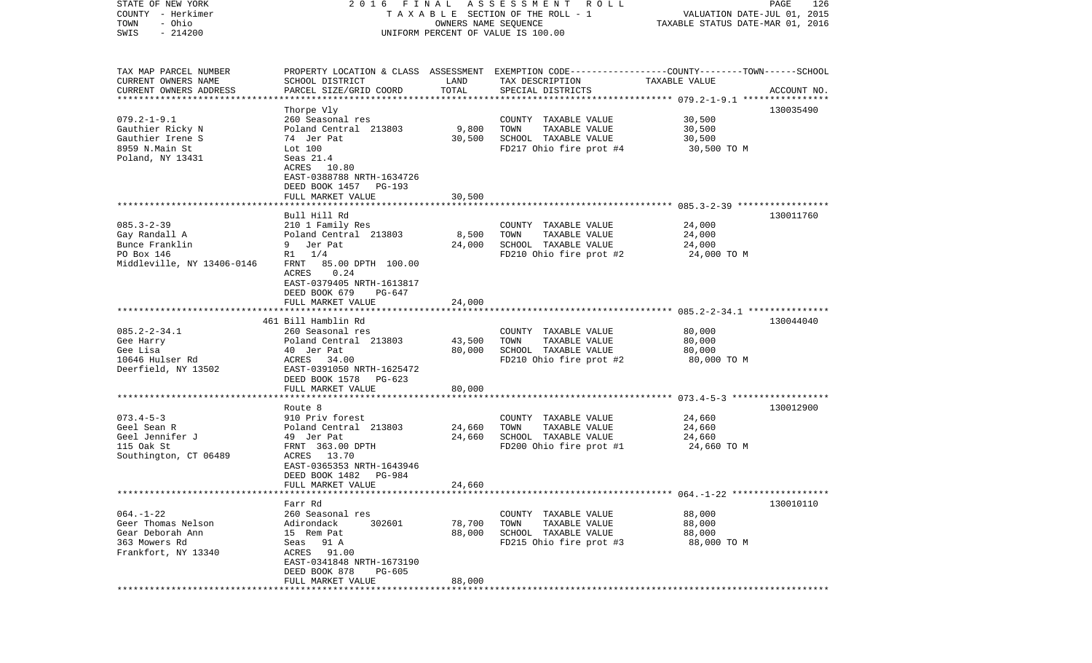| STATE OF NEW YORK<br>COUNTY - Herkimer |                           |                      | 2016 FINAL ASSESSMENT ROLL<br>TAXABLE SECTION OF THE ROLL - 1                                    | VALUATION DATE-JUL 01, 2015                            | PAGE<br>126 |
|----------------------------------------|---------------------------|----------------------|--------------------------------------------------------------------------------------------------|--------------------------------------------------------|-------------|
| - Ohio<br>TOWN                         |                           | OWNERS NAME SEQUENCE |                                                                                                  | TAXABLE STATUS DATE-MAR 01, 2016                       |             |
| $-214200$<br>SWIS                      |                           |                      | UNIFORM PERCENT OF VALUE IS 100.00                                                               |                                                        |             |
|                                        |                           |                      |                                                                                                  |                                                        |             |
|                                        |                           |                      |                                                                                                  |                                                        |             |
| TAX MAP PARCEL NUMBER                  |                           |                      | PROPERTY LOCATION & CLASS ASSESSMENT EXEMPTION CODE----------------COUNTY-------TOWN------SCHOOL |                                                        |             |
| CURRENT OWNERS NAME                    | SCHOOL DISTRICT           | LAND                 | TAX DESCRIPTION                                                                                  | TAXABLE VALUE                                          |             |
| CURRENT OWNERS ADDRESS                 | PARCEL SIZE/GRID COORD    | TOTAL                | SPECIAL DISTRICTS                                                                                |                                                        | ACCOUNT NO. |
| ************************               |                           |                      |                                                                                                  |                                                        |             |
|                                        | Thorpe Vly                |                      |                                                                                                  |                                                        | 130035490   |
| $079.2 - 1 - 9.1$                      | 260 Seasonal res          |                      | COUNTY TAXABLE VALUE                                                                             | 30,500                                                 |             |
| Gauthier Ricky N                       | Poland Central 213803     | 9,800                | TOWN<br>TAXABLE VALUE                                                                            | 30,500                                                 |             |
| Gauthier Irene S                       | 74 Jer Pat                | 30,500               | SCHOOL TAXABLE VALUE                                                                             | 30,500                                                 |             |
| 8959 N.Main St                         | Lot 100                   |                      | FD217 Ohio fire prot #4                                                                          | 30,500 TO M                                            |             |
| Poland, NY 13431                       | Seas $21.4$               |                      |                                                                                                  |                                                        |             |
|                                        | ACRES 10.80               |                      |                                                                                                  |                                                        |             |
|                                        | EAST-0388788 NRTH-1634726 |                      |                                                                                                  |                                                        |             |
|                                        | DEED BOOK 1457 PG-193     |                      |                                                                                                  |                                                        |             |
|                                        | FULL MARKET VALUE         | 30,500               |                                                                                                  |                                                        |             |
|                                        |                           |                      |                                                                                                  |                                                        |             |
|                                        | Bull Hill Rd              |                      |                                                                                                  |                                                        | 130011760   |
| $085.3 - 2 - 39$                       | 210 1 Family Res          |                      | COUNTY TAXABLE VALUE                                                                             | 24,000                                                 |             |
| Gay Randall A                          | Poland Central 213803     | 8,500                | TOWN<br>TAXABLE VALUE                                                                            | 24,000                                                 |             |
| Bunce Franklin                         | 9 Jer Pat                 | 24,000               | SCHOOL TAXABLE VALUE                                                                             | 24,000                                                 |             |
| PO Box 146                             | $R1 \t1/4$                |                      | FD210 Ohio fire prot #2                                                                          | 24,000 TO M                                            |             |
| Middleville, NY 13406-0146             | FRNT 85.00 DPTH 100.00    |                      |                                                                                                  |                                                        |             |
|                                        | 0.24<br>ACRES             |                      |                                                                                                  |                                                        |             |
|                                        | EAST-0379405 NRTH-1613817 |                      |                                                                                                  |                                                        |             |
|                                        | DEED BOOK 679<br>PG-647   |                      |                                                                                                  |                                                        |             |
|                                        | FULL MARKET VALUE         | 24,000               |                                                                                                  |                                                        |             |
|                                        |                           |                      |                                                                                                  |                                                        |             |
|                                        | 461 Bill Hamblin Rd       |                      |                                                                                                  |                                                        | 130044040   |
| $085.2 - 2 - 34.1$                     | 260 Seasonal res          |                      | COUNTY TAXABLE VALUE                                                                             | 80,000                                                 |             |
| Gee Harry                              | Poland Central 213803     | 43,500               | TOWN<br>TAXABLE VALUE                                                                            | 80,000                                                 |             |
| Gee Lisa                               | 40 Jer Pat                | 80,000               | SCHOOL TAXABLE VALUE                                                                             | 80,000                                                 |             |
| 10646 Hulser Rd                        | ACRES 34.00               |                      | FD210 Ohio fire prot #2                                                                          | 80,000 TO M                                            |             |
| Deerfield, NY 13502                    | EAST-0391050 NRTH-1625472 |                      |                                                                                                  |                                                        |             |
|                                        | DEED BOOK 1578 PG-623     |                      |                                                                                                  |                                                        |             |
|                                        | FULL MARKET VALUE         | 80,000               |                                                                                                  |                                                        |             |
|                                        |                           | *******              |                                                                                                  | ************************ 073.4-5-3 ******************* |             |
|                                        | Route 8                   |                      |                                                                                                  |                                                        | 130012900   |
| $073.4 - 5 - 3$                        | 910 Priv forest           |                      | COUNTY TAXABLE VALUE                                                                             | 24,660                                                 |             |
| Geel Sean R                            | Poland Central 213803     | 24,660               | TOWN<br>TAXABLE VALUE                                                                            | 24,660                                                 |             |
| Geel Jennifer J                        | 49 Jer Pat                | 24,660               | SCHOOL TAXABLE VALUE                                                                             | 24,660                                                 |             |
| 115 Oak St                             | FRNT 363.00 DPTH          |                      | FD200 Ohio fire prot #1                                                                          | 24,660 TO M                                            |             |
| Southington, CT 06489                  | ACRES 13.70               |                      |                                                                                                  |                                                        |             |
|                                        | EAST-0365353 NRTH-1643946 |                      |                                                                                                  |                                                        |             |
|                                        | DEED BOOK 1482    PG-984  |                      |                                                                                                  |                                                        |             |
|                                        | FULL MARKET VALUE         | 24,660               |                                                                                                  |                                                        |             |
|                                        |                           |                      |                                                                                                  |                                                        |             |
|                                        | Farr Rd                   |                      |                                                                                                  |                                                        | 130010110   |
| $064. - 1 - 22$                        | 260 Seasonal res          |                      | COUNTY TAXABLE VALUE                                                                             | 88,000                                                 |             |
| Geer Thomas Nelson                     | 302601<br>Adirondack      | 78,700               | TAXABLE VALUE<br>TOWN                                                                            | 88,000                                                 |             |
| Gear Deborah Ann                       | 15 Rem Pat                | 88,000               | SCHOOL TAXABLE VALUE                                                                             | 88,000                                                 |             |
| 363 Mowers Rd                          | Seas 91 A                 |                      | FD215 Ohio fire prot #3                                                                          | 88,000 TO M                                            |             |
| Frankfort, NY 13340                    | ACRES 91.00               |                      |                                                                                                  |                                                        |             |
|                                        | EAST-0341848 NRTH-1673190 |                      |                                                                                                  |                                                        |             |
|                                        | DEED BOOK 878<br>PG-605   |                      |                                                                                                  |                                                        |             |
|                                        | FULL MARKET VALUE         | 88,000               |                                                                                                  |                                                        |             |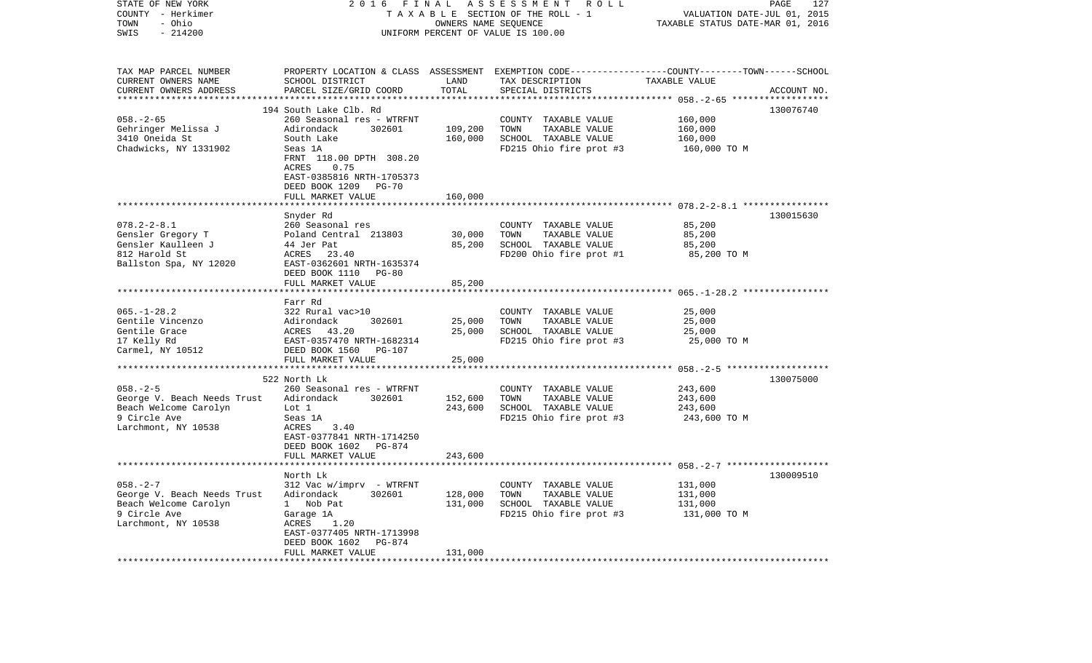| STATE OF NEW YORK<br>COUNTY - Herkimer<br>- Ohio<br>TOWN<br>SWIS<br>$-214200$                                 | 2 0 1 6                                                                                                                                                                                                                       | FINAL<br>OWNERS NAME SEQUENCE               | ASSESSMENT<br>ROLL<br>TAXABLE SECTION OF THE ROLL - 1<br>UNIFORM PERCENT OF VALUE IS 100.00                                             | VALUATION DATE-JUL 01, 2015<br>TAXABLE STATUS DATE-MAR 01, 2016 | PAGE<br>127 |
|---------------------------------------------------------------------------------------------------------------|-------------------------------------------------------------------------------------------------------------------------------------------------------------------------------------------------------------------------------|---------------------------------------------|-----------------------------------------------------------------------------------------------------------------------------------------|-----------------------------------------------------------------|-------------|
| TAX MAP PARCEL NUMBER<br>CURRENT OWNERS NAME<br>CURRENT OWNERS ADDRESS                                        | SCHOOL DISTRICT<br>PARCEL SIZE/GRID COORD                                                                                                                                                                                     | LAND<br>TOTAL<br>*******                    | PROPERTY LOCATION & CLASS ASSESSMENT EXEMPTION CODE---------------COUNTY-------TOWN------SCHOOL<br>TAX DESCRIPTION<br>SPECIAL DISTRICTS | TAXABLE VALUE<br>********* 058.-2-65 ****                       | ACCOUNT NO. |
| $058. - 2 - 65$<br>Gehringer Melissa J<br>3410 Oneida St<br>Chadwicks, NY 1331902                             | 194 South Lake Clb. Rd<br>260 Seasonal res - WTRFNT<br>Adirondack<br>302601<br>South Lake<br>Seas 1A<br>FRNT 118.00 DPTH 308.20<br>ACRES<br>0.75<br>EAST-0385816 NRTH-1705373<br>DEED BOOK 1209<br>PG-70<br>FULL MARKET VALUE | 109,200<br>160,000<br>160,000               | COUNTY TAXABLE VALUE<br>TOWN<br>TAXABLE VALUE<br>SCHOOL TAXABLE VALUE<br>FD215 Ohio fire prot #3                                        | 160,000<br>160,000<br>160,000<br>160,000 TO M                   | 130076740   |
|                                                                                                               | ***********************                                                                                                                                                                                                       |                                             |                                                                                                                                         |                                                                 |             |
| $078.2 - 2 - 8.1$<br>Gensler Gregory T<br>Gensler Kaulleen J<br>812 Harold St<br>Ballston Spa, NY 12020       | Snyder Rd<br>260 Seasonal res<br>Poland Central 213803<br>44 Jer Pat<br>ACRES 23.40<br>EAST-0362601 NRTH-1635374<br>DEED BOOK 1110<br>PG-80<br>FULL MARKET VALUE                                                              | 30,000<br>85,200<br>85,200                  | COUNTY TAXABLE VALUE<br>TOWN<br>TAXABLE VALUE<br>SCHOOL TAXABLE VALUE<br>FD200 Ohio fire prot #1                                        | 85,200<br>85,200<br>85,200<br>85,200 TO M                       | 130015630   |
|                                                                                                               |                                                                                                                                                                                                                               |                                             |                                                                                                                                         |                                                                 |             |
| $065. - 1 - 28.2$<br>Gentile Vincenzo<br>Gentile Grace<br>17 Kelly Rd<br>Carmel, NY 10512                     | Farr Rd<br>322 Rural vac>10<br>Adirondack<br>302601<br>ACRES<br>43.20<br>EAST-0357470 NRTH-1682314<br>DEED BOOK 1560<br><b>PG-107</b>                                                                                         | 25,000<br>25,000                            | COUNTY TAXABLE VALUE<br>TOWN<br>TAXABLE VALUE<br>SCHOOL TAXABLE VALUE<br>FD215 Ohio fire prot #3                                        | 25,000<br>25,000<br>25,000<br>25,000 TO M                       |             |
|                                                                                                               | FULL MARKET VALUE                                                                                                                                                                                                             | 25,000                                      |                                                                                                                                         |                                                                 |             |
| $058. - 2 - 5$<br>George V. Beach Needs Trust<br>Beach Welcome Carolyn<br>9 Circle Ave<br>Larchmont, NY 10538 | 522 North Lk<br>260 Seasonal res - WTRFNT<br>Adirondack<br>302601<br>Lot 1<br>Seas 1A<br>3.40<br>ACRES<br>EAST-0377841 NRTH-1714250<br>DEED BOOK 1602 PG-874                                                                  | 152,600<br>243,600                          | COUNTY TAXABLE VALUE<br>TAXABLE VALUE<br>TOWN<br>SCHOOL TAXABLE VALUE<br>FD215 Ohio fire prot #3                                        | 243,600<br>243,600<br>243,600<br>243,600 TO M                   | 130075000   |
|                                                                                                               | FULL MARKET VALUE<br>****************************                                                                                                                                                                             | 243,600                                     |                                                                                                                                         |                                                                 |             |
| $058. - 2 - 7$<br>George V. Beach Needs Trust<br>Beach Welcome Carolyn<br>9 Circle Ave<br>Larchmont, NY 10538 | North Lk<br>312 Vac w/imprv - WTRFNT<br>302601<br>Adirondack<br>1 Nob Pat<br>Garage 1A<br>ACRES<br>1.20<br>EAST-0377405 NRTH-1713998<br>DEED BOOK 1602<br>PG-874<br>FULL MARKET VALUE                                         | 128,000<br>131,000<br>131,000<br>********** | COUNTY TAXABLE VALUE<br>TOWN<br>TAXABLE VALUE<br>SCHOOL TAXABLE VALUE<br>FD215 Ohio fire prot #3                                        | 131,000<br>131,000<br>131,000<br>131,000 TO M                   | 130009510   |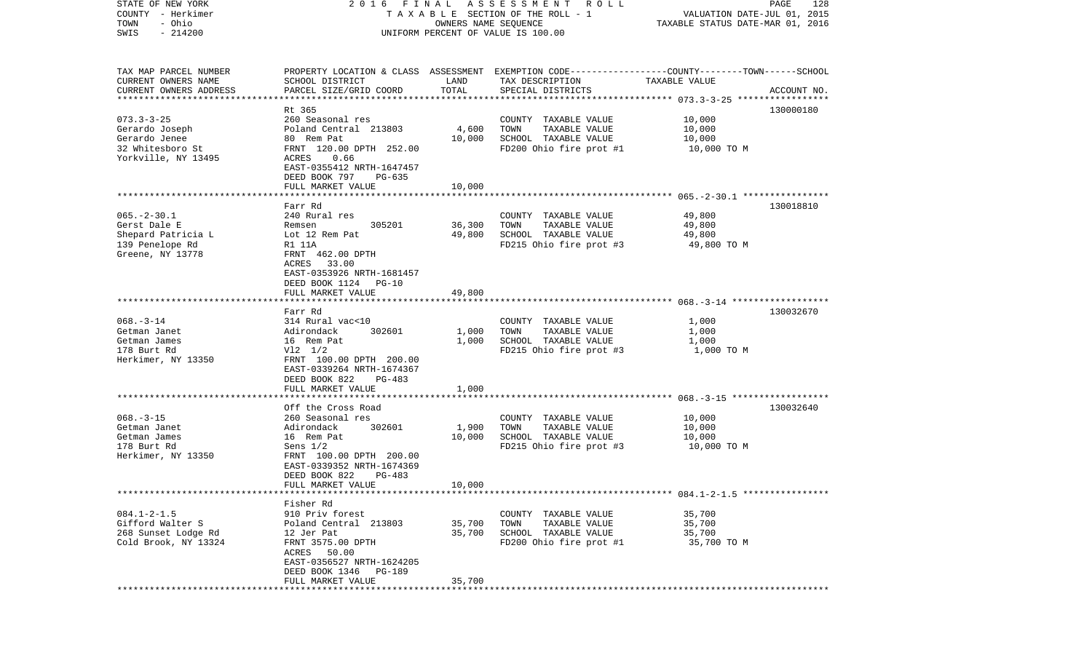| STATE OF NEW YORK<br>COUNTY - Herkimer<br>- Ohio<br>TOWN | FINAL<br>2016                                |                      | A S S E S S M E N T R O L L<br>TAXABLE SECTION OF THE ROLL - 1                                  | VALUATION DATE-JUL 01, 2015      | PAGE<br>128 |
|----------------------------------------------------------|----------------------------------------------|----------------------|-------------------------------------------------------------------------------------------------|----------------------------------|-------------|
| $-214200$<br>SWIS                                        |                                              | OWNERS NAME SEQUENCE | UNIFORM PERCENT OF VALUE IS 100.00                                                              | TAXABLE STATUS DATE-MAR 01, 2016 |             |
|                                                          |                                              |                      |                                                                                                 |                                  |             |
| TAX MAP PARCEL NUMBER                                    |                                              |                      | PROPERTY LOCATION & CLASS ASSESSMENT EXEMPTION CODE---------------COUNTY-------TOWN------SCHOOL |                                  |             |
| CURRENT OWNERS NAME                                      | SCHOOL DISTRICT                              | LAND<br>TOTAL        | TAX DESCRIPTION                                                                                 | TAXABLE VALUE                    |             |
| CURRENT OWNERS ADDRESS<br>*************************      | PARCEL SIZE/GRID COORD                       |                      | SPECIAL DISTRICTS                                                                               |                                  | ACCOUNT NO. |
|                                                          | Rt 365                                       |                      |                                                                                                 |                                  | 130000180   |
| $073.3 - 3 - 25$                                         | 260 Seasonal res                             |                      | COUNTY TAXABLE VALUE                                                                            | 10,000                           |             |
| Gerardo Joseph                                           | Poland Central 213803                        | 4,600                | TAXABLE VALUE<br>TOWN                                                                           | 10,000                           |             |
| Gerardo Jenee                                            | 80 Rem Pat                                   | 10,000               | SCHOOL TAXABLE VALUE                                                                            | 10,000                           |             |
| 32 Whitesboro St                                         | FRNT 120.00 DPTH 252.00                      |                      | FD200 Ohio fire prot #1                                                                         | 10,000 TO M                      |             |
| Yorkville, NY 13495                                      | ACRES<br>0.66                                |                      |                                                                                                 |                                  |             |
|                                                          | EAST-0355412 NRTH-1647457                    |                      |                                                                                                 |                                  |             |
|                                                          | DEED BOOK 797<br>PG-635<br>FULL MARKET VALUE | 10,000               |                                                                                                 |                                  |             |
|                                                          |                                              |                      |                                                                                                 |                                  |             |
|                                                          | Farr Rd                                      |                      |                                                                                                 |                                  | 130018810   |
| $065. -2 - 30.1$                                         | 240 Rural res                                |                      | COUNTY TAXABLE VALUE                                                                            | 49,800                           |             |
| Gerst Dale E                                             | 305201<br>Remsen                             | 36,300               | TAXABLE VALUE<br>TOWN                                                                           | 49,800                           |             |
| Shepard Patricia L                                       | Lot 12 Rem Pat                               | 49,800               | SCHOOL TAXABLE VALUE                                                                            | 49,800                           |             |
| 139 Penelope Rd                                          | R1 11A                                       |                      | FD215 Ohio fire prot #3                                                                         | 49,800 TO M                      |             |
| Greene, NY 13778                                         | FRNT 462.00 DPTH<br>33.00<br>ACRES           |                      |                                                                                                 |                                  |             |
|                                                          | EAST-0353926 NRTH-1681457                    |                      |                                                                                                 |                                  |             |
|                                                          | DEED BOOK 1124 PG-10                         |                      |                                                                                                 |                                  |             |
|                                                          | FULL MARKET VALUE                            | 49,800               |                                                                                                 |                                  |             |
|                                                          |                                              |                      |                                                                                                 |                                  |             |
|                                                          | Farr Rd                                      |                      |                                                                                                 |                                  | 130032670   |
| $068. -3 - 14$                                           | 314 Rural vac<10                             |                      | COUNTY TAXABLE VALUE                                                                            | 1,000                            |             |
| Getman Janet<br>Getman James                             | Adirondack<br>302601<br>16 Rem Pat           | 1,000<br>1,000       | TAXABLE VALUE<br>TOWN<br>SCHOOL TAXABLE VALUE                                                   | 1,000<br>1,000                   |             |
| 178 Burt Rd                                              | $V12 \t1/2$                                  |                      | FD215 Ohio fire prot #3                                                                         | 1,000 TO M                       |             |
| Herkimer, NY 13350                                       | FRNT 100.00 DPTH 200.00                      |                      |                                                                                                 |                                  |             |
|                                                          | EAST-0339264 NRTH-1674367                    |                      |                                                                                                 |                                  |             |
|                                                          | DEED BOOK 822<br>PG-483                      |                      |                                                                                                 |                                  |             |
|                                                          | FULL MARKET VALUE                            | 1,000                |                                                                                                 |                                  |             |
|                                                          | ******************                           | *******              |                                                                                                 |                                  |             |
| $068. -3 - 15$                                           | Off the Cross Road<br>260 Seasonal res       |                      | COUNTY TAXABLE VALUE                                                                            | 10,000                           | 130032640   |
| Getman Janet                                             | Adirondack<br>302601                         | 1,900                | TOWN<br>TAXABLE VALUE                                                                           | 10,000                           |             |
| Getman James                                             | 16 Rem Pat                                   | 10,000               | SCHOOL TAXABLE VALUE                                                                            | 10,000                           |             |
| 178 Burt Rd                                              | Sens $1/2$                                   |                      | FD215 Ohio fire prot #3                                                                         | 10,000 TO M                      |             |
| Herkimer, NY 13350                                       | FRNT 100.00 DPTH 200.00                      |                      |                                                                                                 |                                  |             |
|                                                          | EAST-0339352 NRTH-1674369                    |                      |                                                                                                 |                                  |             |
|                                                          | DEED BOOK 822<br>PG-483                      |                      |                                                                                                 |                                  |             |
|                                                          | FULL MARKET VALUE                            | 10,000               |                                                                                                 |                                  |             |
|                                                          |                                              |                      |                                                                                                 |                                  |             |
| $084.1 - 2 - 1.5$                                        | Fisher Rd<br>910 Priv forest                 |                      | COUNTY TAXABLE VALUE                                                                            | 35,700                           |             |
| Gifford Walter S                                         | Poland Central 213803                        | 35,700               | TAXABLE VALUE<br>TOWN                                                                           | 35,700                           |             |
| 268 Sunset Lodge Rd                                      | 12 Jer Pat                                   | 35,700               | SCHOOL TAXABLE VALUE                                                                            | 35,700                           |             |
| Cold Brook, NY 13324                                     | FRNT 3575.00 DPTH                            |                      | FD200 Ohio fire prot #1                                                                         | 35,700 TO M                      |             |
|                                                          | ACRES 50.00                                  |                      |                                                                                                 |                                  |             |
|                                                          | EAST-0356527 NRTH-1624205                    |                      |                                                                                                 |                                  |             |
|                                                          | DEED BOOK 1346 PG-189                        |                      |                                                                                                 |                                  |             |
|                                                          | FULL MARKET VALUE                            | 35,700               |                                                                                                 |                                  |             |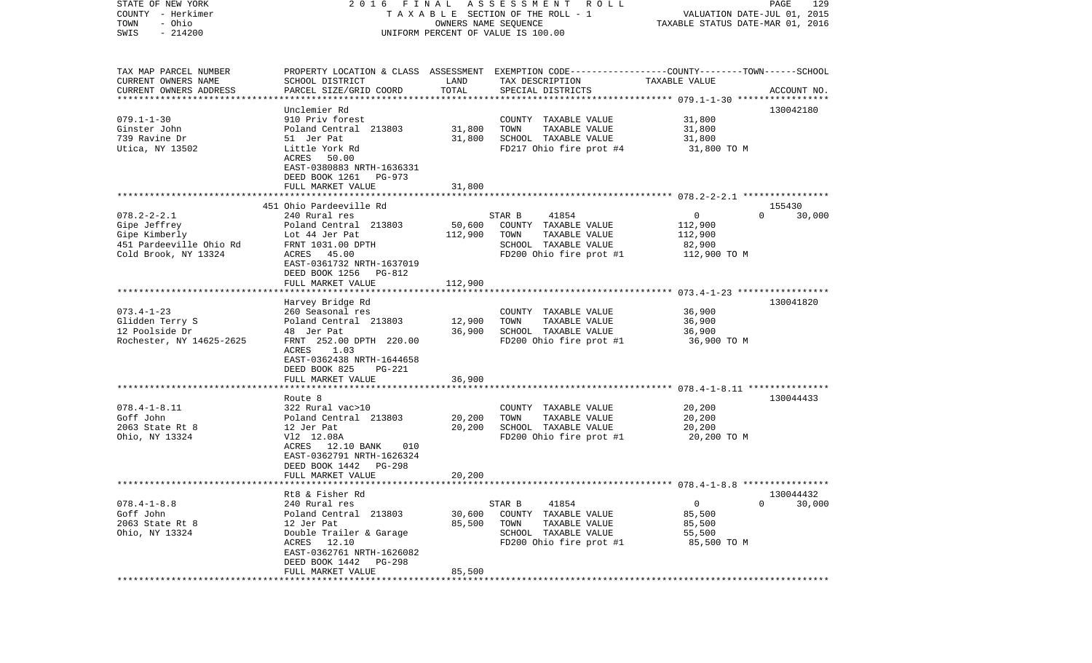| COUNTY - Herkimer<br>TOWN<br>- Ohio | T A X A B L E SECTION OF THE ROLL - 1        | VALUATION DATE-JUL 01, 2015<br>TAXABLE STATUS DATE-MAR 01, 2016 |                                                                                                 |               |                              |
|-------------------------------------|----------------------------------------------|-----------------------------------------------------------------|-------------------------------------------------------------------------------------------------|---------------|------------------------------|
| $-214200$<br>SWIS                   | UNIFORM PERCENT OF VALUE IS 100.00           |                                                                 |                                                                                                 |               |                              |
|                                     |                                              |                                                                 |                                                                                                 |               |                              |
| TAX MAP PARCEL NUMBER               |                                              |                                                                 | PROPERTY LOCATION & CLASS ASSESSMENT EXEMPTION CODE---------------COUNTY-------TOWN------SCHOOL |               |                              |
| CURRENT OWNERS NAME                 | SCHOOL DISTRICT                              | LAND                                                            | TAX DESCRIPTION                                                                                 | TAXABLE VALUE |                              |
| CURRENT OWNERS ADDRESS              | PARCEL SIZE/GRID COORD                       | TOTAL                                                           | SPECIAL DISTRICTS                                                                               |               | ACCOUNT NO.                  |
|                                     | Unclemier Rd                                 |                                                                 |                                                                                                 |               | 130042180                    |
| $079.1 - 1 - 30$                    | 910 Priv forest                              |                                                                 | COUNTY TAXABLE VALUE                                                                            | 31,800        |                              |
| Ginster John                        | Poland Central 213803                        | 31,800                                                          | TOWN<br>TAXABLE VALUE                                                                           | 31,800        |                              |
| 739 Ravine Dr                       | 51 Jer Pat                                   | 31,800                                                          | SCHOOL TAXABLE VALUE                                                                            | 31,800        |                              |
| Utica, NY 13502                     | Little York Rd                               |                                                                 | FD217 Ohio fire prot #4                                                                         | 31,800 TO M   |                              |
|                                     | 50.00<br>ACRES                               |                                                                 |                                                                                                 |               |                              |
|                                     | EAST-0380883 NRTH-1636331                    |                                                                 |                                                                                                 |               |                              |
|                                     | DEED BOOK 1261<br>PG-973                     |                                                                 |                                                                                                 |               |                              |
|                                     | FULL MARKET VALUE                            | 31,800                                                          |                                                                                                 |               |                              |
|                                     | 451 Ohio Pardeeville Rd                      |                                                                 |                                                                                                 |               |                              |
| $078.2 - 2 - 2.1$                   | 240 Rural res                                |                                                                 | STAR B<br>41854                                                                                 | $\mathbf{0}$  | 155430<br>$\Omega$<br>30,000 |
| Gipe Jeffrey                        | Poland Central 213803                        | 50,600                                                          | COUNTY TAXABLE VALUE                                                                            | 112,900       |                              |
| Gipe Kimberly                       | Lot 44 Jer Pat                               | 112,900                                                         | TOWN<br>TAXABLE VALUE                                                                           | 112,900       |                              |
| 451 Pardeeville Ohio Rd             | FRNT 1031.00 DPTH                            |                                                                 | SCHOOL TAXABLE VALUE                                                                            | 82,900        |                              |
| Cold Brook, NY 13324                | ACRES 45.00                                  |                                                                 | FD200 Ohio fire prot #1                                                                         | 112,900 TO M  |                              |
|                                     | EAST-0361732 NRTH-1637019                    |                                                                 |                                                                                                 |               |                              |
|                                     | DEED BOOK 1256<br>PG-812                     |                                                                 |                                                                                                 |               |                              |
|                                     | FULL MARKET VALUE                            | 112,900                                                         |                                                                                                 |               |                              |
|                                     | Harvey Bridge Rd                             |                                                                 |                                                                                                 |               | 130041820                    |
| $073.4 - 1 - 23$                    | 260 Seasonal res                             |                                                                 | COUNTY TAXABLE VALUE                                                                            | 36,900        |                              |
| Glidden Terry S                     | Poland Central 213803                        | 12,900                                                          | TAXABLE VALUE<br>TOWN                                                                           | 36,900        |                              |
| 12 Poolside Dr                      | 48 Jer Pat                                   | 36,900                                                          | SCHOOL TAXABLE VALUE                                                                            | 36,900        |                              |
| Rochester, NY 14625-2625            | FRNT 252.00 DPTH 220.00                      |                                                                 | FD200 Ohio fire prot #1                                                                         | 36,900 TO M   |                              |
|                                     | ACRES<br>1.03                                |                                                                 |                                                                                                 |               |                              |
|                                     | EAST-0362438 NRTH-1644658                    |                                                                 |                                                                                                 |               |                              |
|                                     | DEED BOOK 825<br>PG-221                      |                                                                 |                                                                                                 |               |                              |
|                                     | FULL MARKET VALUE<br>**********************  | 36,900                                                          |                                                                                                 |               |                              |
|                                     | Route 8                                      |                                                                 |                                                                                                 |               | 130044433                    |
| $078.4 - 1 - 8.11$                  | 322 Rural vac>10                             |                                                                 | COUNTY TAXABLE VALUE                                                                            | 20,200        |                              |
| Goff John                           | Poland Central 213803                        | 20,200                                                          | TAXABLE VALUE<br>TOWN                                                                           | 20,200        |                              |
| 2063 State Rt 8                     | 12 Jer Pat                                   | 20,200                                                          | SCHOOL TAXABLE VALUE                                                                            | 20,200        |                              |
| Ohio, NY 13324                      | V12 12.08A                                   |                                                                 | FD200 Ohio fire prot #1                                                                         | 20,200 TO M   |                              |
|                                     | ACRES 12.10 BANK<br>010                      |                                                                 |                                                                                                 |               |                              |
|                                     | EAST-0362791 NRTH-1626324                    |                                                                 |                                                                                                 |               |                              |
|                                     | DEED BOOK 1442<br>PG-298                     |                                                                 |                                                                                                 |               |                              |
|                                     | FULL MARKET VALUE<br>*********************** | 20,200                                                          |                                                                                                 |               |                              |
|                                     | Rt8 & Fisher Rd                              |                                                                 |                                                                                                 |               | 130044432                    |
| $078.4 - 1 - 8.8$                   | 240 Rural res                                |                                                                 | STAR B<br>41854                                                                                 | $\mathbf 0$   | $\overline{0}$<br>30,000     |
| Goff John                           | Poland Central 213803                        | 30,600                                                          | COUNTY TAXABLE VALUE                                                                            | 85,500        |                              |
| 2063 State Rt 8                     | 12 Jer Pat                                   | 85,500                                                          | TOWN<br>TAXABLE VALUE                                                                           | 85,500        |                              |
| Ohio, NY 13324                      | Double Trailer & Garage                      |                                                                 | SCHOOL TAXABLE VALUE                                                                            | 55,500        |                              |
|                                     | ACRES 12.10                                  |                                                                 | FD200 Ohio fire prot #1                                                                         | 85,500 TO M   |                              |
|                                     | EAST-0362761 NRTH-1626082                    |                                                                 |                                                                                                 |               |                              |
|                                     | DEED BOOK 1442<br>PG-298                     |                                                                 |                                                                                                 |               |                              |
|                                     | FULL MARKET VALUE                            | 85,500                                                          |                                                                                                 |               |                              |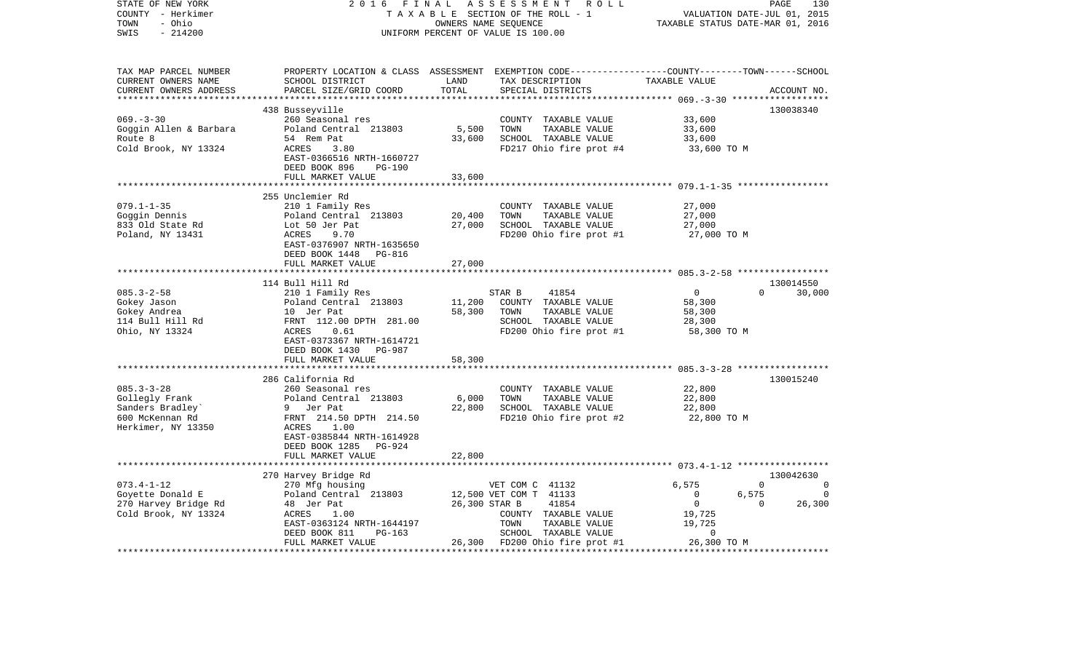| STATE OF NEW YORK<br>COUNTY - Herkimer<br>TOWN<br>- Ohio<br>$-214200$<br>SWIS | 2 0 1 6<br>FINAL                                     |                       | ASSESSMENT ROLL<br>TAXABLE SECTION OF THE ROLL - 1<br>OWNERS NAME SEQUENCE<br>UNIFORM PERCENT OF VALUE IS 100.00                        | VALUATION DATE-JUL 01, 2015<br>TAXABLE STATUS DATE-MAR 01, 2016 | PAGE<br>130        |
|-------------------------------------------------------------------------------|------------------------------------------------------|-----------------------|-----------------------------------------------------------------------------------------------------------------------------------------|-----------------------------------------------------------------|--------------------|
| TAX MAP PARCEL NUMBER<br>CURRENT OWNERS NAME<br>CURRENT OWNERS ADDRESS        | SCHOOL DISTRICT<br>PARCEL SIZE/GRID COORD            | LAND<br>TOTAL         | PROPERTY LOCATION & CLASS ASSESSMENT EXEMPTION CODE---------------COUNTY-------TOWN------SCHOOL<br>TAX DESCRIPTION<br>SPECIAL DISTRICTS | TAXABLE VALUE                                                   | ACCOUNT NO.        |
|                                                                               |                                                      |                       |                                                                                                                                         |                                                                 |                    |
|                                                                               | 438 Busseyville                                      |                       |                                                                                                                                         |                                                                 | 130038340          |
| $069. -3 - 30$<br>Goggin Allen & Barbara                                      | 260 Seasonal res<br>Poland Central 213803            | 5,500                 | COUNTY TAXABLE VALUE<br>TOWN<br>TAXABLE VALUE                                                                                           | 33,600<br>33,600                                                |                    |
| Route 8                                                                       | 54 Rem Pat                                           | 33,600                | SCHOOL TAXABLE VALUE                                                                                                                    | 33,600                                                          |                    |
| Cold Brook, NY 13324                                                          | ACRES<br>3.80                                        |                       | FD217 Ohio fire prot #4                                                                                                                 | 33,600 TO M                                                     |                    |
|                                                                               | EAST-0366516 NRTH-1660727<br>DEED BOOK 896<br>PG-190 |                       |                                                                                                                                         |                                                                 |                    |
|                                                                               | FULL MARKET VALUE                                    | 33,600                |                                                                                                                                         |                                                                 |                    |
|                                                                               |                                                      | * * * * * * * * * * * |                                                                                                                                         | .***************************** 079.1-1-35 ******************    |                    |
|                                                                               | 255 Unclemier Rd                                     |                       |                                                                                                                                         |                                                                 |                    |
| $079.1 - 1 - 35$                                                              | 210 1 Family Res                                     |                       | COUNTY TAXABLE VALUE                                                                                                                    | 27,000                                                          |                    |
| Goggin Dennis                                                                 | Poland Central 213803                                | 20,400                | TAXABLE VALUE<br>TOWN                                                                                                                   | 27,000                                                          |                    |
| 833 Old State Rd                                                              | Lot 50 Jer Pat                                       | 27,000                | SCHOOL TAXABLE VALUE                                                                                                                    | 27,000                                                          |                    |
| Poland, NY 13431                                                              | 9.70<br>ACRES<br>EAST-0376907 NRTH-1635650           |                       | FD200 Ohio fire prot #1                                                                                                                 | 27,000 TO M                                                     |                    |
|                                                                               | DEED BOOK 1448 PG-816                                |                       |                                                                                                                                         |                                                                 |                    |
|                                                                               | FULL MARKET VALUE                                    | 27,000                |                                                                                                                                         |                                                                 |                    |
|                                                                               |                                                      |                       |                                                                                                                                         |                                                                 |                    |
|                                                                               | 114 Bull Hill Rd                                     |                       |                                                                                                                                         |                                                                 | 130014550          |
| $085.3 - 2 - 58$                                                              | 210 1 Family Res                                     |                       | 41854<br>STAR B                                                                                                                         | $\overline{0}$                                                  | $\Omega$<br>30,000 |
| Gokey Jason                                                                   | Poland Central 213803                                | 11,200                | COUNTY TAXABLE VALUE                                                                                                                    | 58,300                                                          |                    |
| Gokey Andrea                                                                  | Poland Centr<br>10 Jer Pat<br>FRNT 112.00            | 58,300                | TOWN<br>TAXABLE VALUE                                                                                                                   | 58,300                                                          |                    |
| 114 Bull Hill Rd                                                              | FRNT 112.00 DPTH 281.00                              |                       | SCHOOL TAXABLE VALUE                                                                                                                    | 28,300                                                          |                    |
| Ohio, NY 13324                                                                | ACRES<br>0.61                                        |                       | FD200 Ohio fire prot #1                                                                                                                 | 58,300 TO M                                                     |                    |
|                                                                               | EAST-0373367 NRTH-1614721                            |                       |                                                                                                                                         |                                                                 |                    |
|                                                                               | DEED BOOK 1430 PG-987                                | 58,300                |                                                                                                                                         |                                                                 |                    |
|                                                                               | FULL MARKET VALUE                                    |                       |                                                                                                                                         |                                                                 |                    |
|                                                                               | 286 California Rd                                    |                       |                                                                                                                                         |                                                                 | 130015240          |
| $085.3 - 3 - 28$                                                              | 260 Seasonal res                                     |                       | COUNTY TAXABLE VALUE                                                                                                                    | 22,800                                                          |                    |
| Gollegly Frank                                                                | Poland Central 213803                                | 6,000                 | TOWN<br>TAXABLE VALUE                                                                                                                   | 22,800                                                          |                    |
| Sanders Bradley`                                                              | 9 Jer Pat                                            | 22,800                | SCHOOL TAXABLE VALUE                                                                                                                    | 22,800                                                          |                    |
| 600 McKennan Rd                                                               | FRNT 214.50 DPTH 214.50                              |                       | FD210 Ohio fire prot #2                                                                                                                 | 22,800 TO M                                                     |                    |
| Herkimer, NY 13350                                                            | ACRES 1.00                                           |                       |                                                                                                                                         |                                                                 |                    |
|                                                                               | EAST-0385844 NRTH-1614928                            |                       |                                                                                                                                         |                                                                 |                    |
|                                                                               | DEED BOOK 1285 PG-924                                |                       |                                                                                                                                         |                                                                 |                    |
|                                                                               | FULL MARKET VALUE                                    | 22,800                |                                                                                                                                         |                                                                 |                    |
|                                                                               |                                                      |                       |                                                                                                                                         |                                                                 | 130042630          |
| $073.4 - 1 - 12$                                                              | 270 Harvey Bridge Rd<br>270 Mfg housing              |                       | VET COM C 41132                                                                                                                         | 6,575                                                           | $\Omega$<br>0      |
| Goyette Donald E                                                              | Poland Central 213803                                |                       | 12,500 VET COM T 41133                                                                                                                  | 6,575<br>$\overline{0}$                                         | $\overline{0}$     |
| 270 Harvey Bridge Rd                                                          | 48 Jer Pat                                           | 26,300 STAR B         | 41854                                                                                                                                   | $\overline{0}$                                                  | $\Omega$<br>26,300 |
| Cold Brook, NY 13324                                                          | ACRES<br>1.00                                        |                       | COUNTY TAXABLE VALUE                                                                                                                    | 19,725                                                          |                    |
|                                                                               | EAST-0363124 NRTH-1644197                            |                       | TOWN<br>TAXABLE VALUE                                                                                                                   | 19,725                                                          |                    |
|                                                                               | PG-163<br>DEED BOOK 811                              |                       | SCHOOL TAXABLE VALUE                                                                                                                    | $\overline{0}$                                                  |                    |
|                                                                               | FULL MARKET VALUE                                    |                       | 26,300 FD200 Ohio fire prot #1                                                                                                          | 26,300 TO M                                                     |                    |
|                                                                               |                                                      |                       |                                                                                                                                         |                                                                 |                    |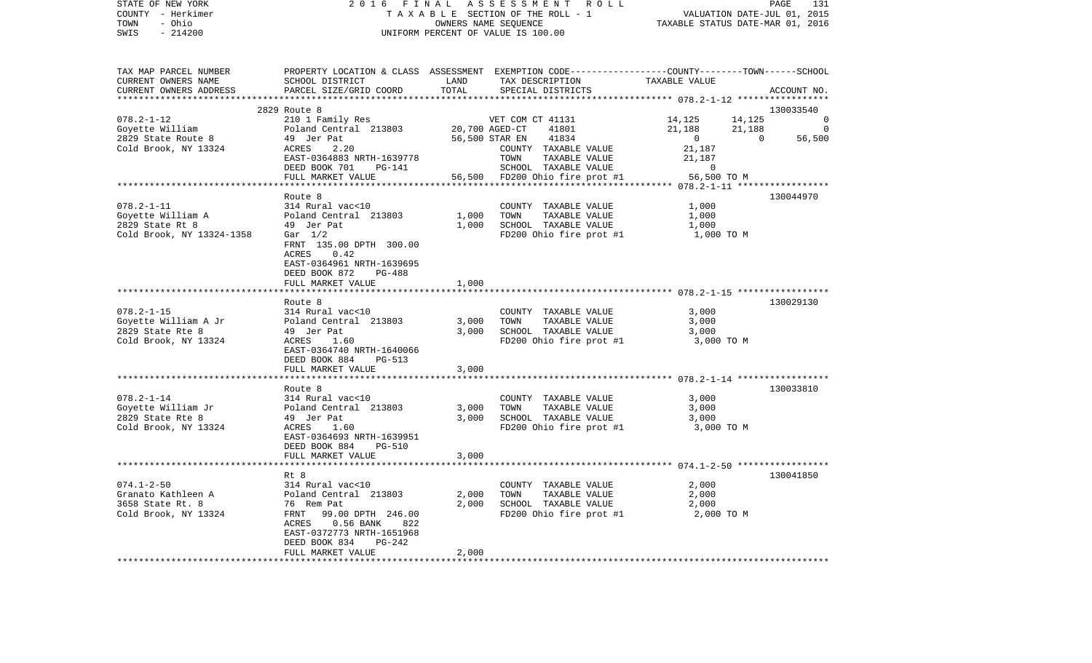| COUNTY - Herkimer                    |                                                                                                 |                      | T A X A B L E SECTION OF THE ROLL - 1                              | VALUATION DATE-JUL 01, 2015<br>TAXABLE STATUS DATE-MAR 01, 2016 |                          |
|--------------------------------------|-------------------------------------------------------------------------------------------------|----------------------|--------------------------------------------------------------------|-----------------------------------------------------------------|--------------------------|
| - Ohio<br>TOWN                       |                                                                                                 | OWNERS NAME SEQUENCE |                                                                    |                                                                 |                          |
| SWIS<br>$-214200$                    |                                                                                                 |                      | UNIFORM PERCENT OF VALUE IS 100.00                                 |                                                                 |                          |
|                                      |                                                                                                 |                      |                                                                    |                                                                 |                          |
| TAX MAP PARCEL NUMBER                | PROPERTY LOCATION & CLASS ASSESSMENT EXEMPTION CODE---------------COUNTY-------TOWN------SCHOOL |                      |                                                                    |                                                                 |                          |
| CURRENT OWNERS NAME                  | SCHOOL DISTRICT                                                                                 | LAND                 | TAX DESCRIPTION                                                    | TAXABLE VALUE                                                   |                          |
| CURRENT OWNERS ADDRESS               | PARCEL SIZE/GRID COORD                                                                          | TOTAL                | SPECIAL DISTRICTS                                                  |                                                                 | ACCOUNT NO.              |
|                                      |                                                                                                 |                      |                                                                    |                                                                 |                          |
|                                      | 2829 Route 8                                                                                    |                      |                                                                    |                                                                 | 130033540                |
| $078.2 - 1 - 12$                     | 210 1 Family Res                                                                                |                      | VET COM CT 41131                                                   | 14,125                                                          | 14,125<br>$\overline{0}$ |
| Goyette William                      | Poland Central 213803                                                                           | 20,700 AGED-CT       | 41801                                                              | $21,188$<br>0<br>21,188                                         | $\Omega$                 |
| 2829 State Route 8                   | 49 Jer Pat                                                                                      | 56,500 STAR EN       | 41834                                                              | $\overline{0}$                                                  | 56,500                   |
| Cold Brook, NY 13324                 | 2.20<br>ACRES                                                                                   |                      | COUNTY TAXABLE VALUE                                               | 21,187                                                          |                          |
|                                      | EAST-0364883 NRTH-1639778                                                                       |                      | TOWN<br>TAXABLE VALUE                                              | 21,187                                                          |                          |
|                                      | DEED BOOK 701<br>PG-141                                                                         |                      | SCHOOL TAXABLE VALUE<br>56,500 FD200 Ohio fire prot #1 56,500 TO M | $\overline{0}$                                                  |                          |
|                                      | FULL MARKET VALUE                                                                               |                      |                                                                    |                                                                 |                          |
|                                      |                                                                                                 |                      |                                                                    |                                                                 |                          |
|                                      | Route 8                                                                                         |                      |                                                                    |                                                                 | 130044970                |
| $078.2 - 1 - 11$                     | 314 Rural vac<10                                                                                |                      | COUNTY TAXABLE VALUE                                               | 1,000                                                           |                          |
| Goyette William A<br>2829 State Rt 8 | Poland Central 213803<br>49 Jer Pat                                                             | 1,000<br>1,000       | TOWN<br>TAXABLE VALUE<br>SCHOOL TAXABLE VALUE                      | 1,000                                                           |                          |
| Cold Brook, NY 13324-1358 Gar 1/2    | 49 Jer Pat                                                                                      |                      |                                                                    | 1,000                                                           |                          |
|                                      |                                                                                                 |                      | FD200 Ohio fire prot #1                                            | 1,000 TO M                                                      |                          |
|                                      | FRNT 135.00 DPTH 300.00<br>ACRES<br>0.42                                                        |                      |                                                                    |                                                                 |                          |
|                                      | EAST-0364961 NRTH-1639695                                                                       |                      |                                                                    |                                                                 |                          |
|                                      | DEED BOOK 872<br>PG-488                                                                         |                      |                                                                    |                                                                 |                          |
|                                      | FULL MARKET VALUE                                                                               | 1,000                |                                                                    |                                                                 |                          |
|                                      | ****************************                                                                    |                      |                                                                    |                                                                 |                          |
|                                      | Route 8                                                                                         |                      |                                                                    |                                                                 | 130029130                |
| $078.2 - 1 - 15$                     | 314 Rural vac<10                                                                                |                      | COUNTY TAXABLE VALUE                                               | 3,000                                                           |                          |
| Goyette William A Jr                 | Poland Central 213803                                                                           | 3,000                | TOWN<br>TAXABLE VALUE                                              | 3,000                                                           |                          |
| 2829 State Rte 8                     | 49 Jer Pat                                                                                      | 3,000                | SCHOOL TAXABLE VALUE                                               | 3,000                                                           |                          |
| Cold Brook, NY 13324                 | ACRES 1.60                                                                                      |                      | FD200 Ohio fire prot #1                                            | 3,000 TO M                                                      |                          |
|                                      | EAST-0364740 NRTH-1640066                                                                       |                      |                                                                    |                                                                 |                          |
|                                      | DEED BOOK 884<br>PG-513                                                                         |                      |                                                                    |                                                                 |                          |
|                                      | FULL MARKET VALUE                                                                               | 3,000                |                                                                    |                                                                 |                          |
|                                      |                                                                                                 |                      |                                                                    |                                                                 |                          |
|                                      | Route 8                                                                                         |                      |                                                                    |                                                                 | 130033810                |
| $078.2 - 1 - 14$                     | 314 Rural vac<10                                                                                |                      | COUNTY TAXABLE VALUE                                               | 3,000                                                           |                          |
| Goyette William Jr                   | Poland Central 213803                                                                           | 3,000                | TOWN<br>TAXABLE VALUE                                              | 3,000                                                           |                          |
| 2829 State Rte 8                     | 49 Jer Pat                                                                                      | 3,000                | SCHOOL TAXABLE VALUE                                               | 3,000                                                           |                          |
| Cold Brook, NY 13324                 | ACRES<br>1.60                                                                                   |                      | FD200 Ohio fire prot #1                                            | 3,000 TO M                                                      |                          |
|                                      | EAST-0364693 NRTH-1639951                                                                       |                      |                                                                    |                                                                 |                          |
|                                      | DEED BOOK 884<br><b>PG-510</b>                                                                  |                      |                                                                    |                                                                 |                          |
|                                      | FULL MARKET VALUE                                                                               | 3,000                |                                                                    |                                                                 |                          |
|                                      | ********************                                                                            |                      |                                                                    | ************************* 074.1-2-50 ******************         |                          |
|                                      | Rt 8                                                                                            |                      |                                                                    |                                                                 | 130041850                |
| $074.1 - 2 - 50$                     | 314 Rural vac<10                                                                                |                      | COUNTY TAXABLE VALUE                                               | 2,000                                                           |                          |
| Granato Kathleen A                   | Poland Central 213803                                                                           | 2,000                | TOWN<br>TAXABLE VALUE                                              | 2,000                                                           |                          |
| 3658 State Rt. 8                     | 76 Rem Pat                                                                                      | 2,000                | SCHOOL TAXABLE VALUE                                               | 2,000                                                           |                          |
| Cold Brook, NY 13324                 | 99.00 DPTH 246.00<br>FRNT                                                                       |                      | FD200 Ohio fire prot #1                                            | 2,000 TO M                                                      |                          |
|                                      | $0.56$ BANK<br>ACRES<br>822                                                                     |                      |                                                                    |                                                                 |                          |
|                                      | EAST-0372773 NRTH-1651968                                                                       |                      |                                                                    |                                                                 |                          |
|                                      | DEED BOOK 834<br>PG-242                                                                         |                      |                                                                    |                                                                 |                          |
|                                      | FULL MARKET VALUE                                                                               | 2,000                |                                                                    |                                                                 |                          |
|                                      |                                                                                                 |                      |                                                                    |                                                                 |                          |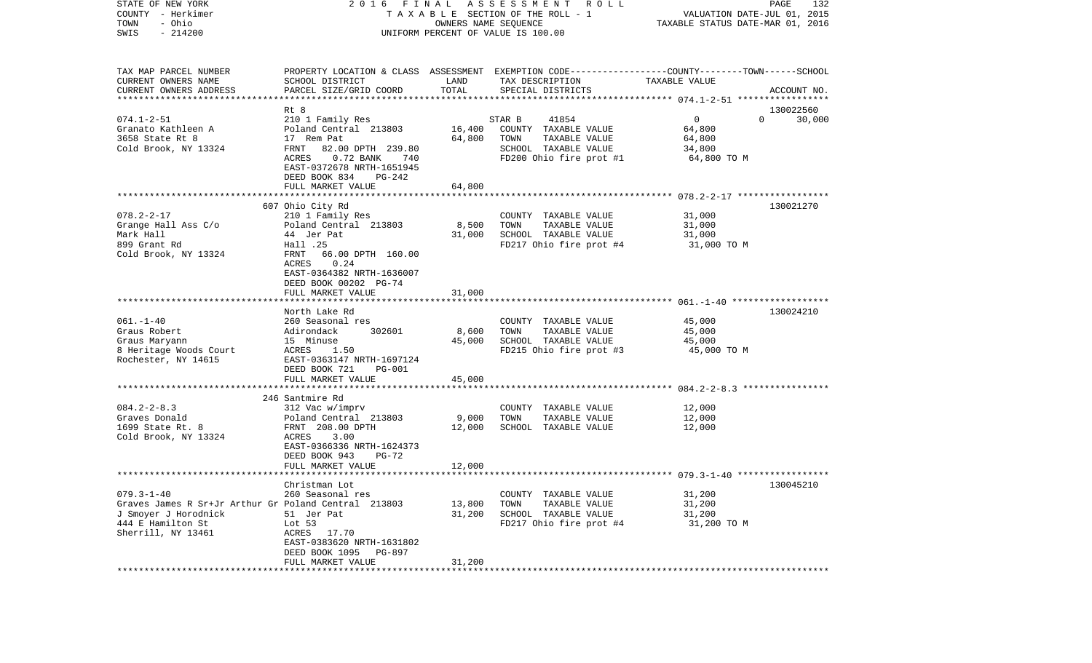| COUNTY - Herkimer<br>TOWN<br>- Ohio                                                                                                         | T A X A B L E SECTION OF THE ROLL - 1                                                                                                                                                                            | VALUATION DATE-JUL 01, 2015<br>TAXABLE STATUS DATE-MAR 01, 2016 |                                                                                                                     |                                                          |                       |
|---------------------------------------------------------------------------------------------------------------------------------------------|------------------------------------------------------------------------------------------------------------------------------------------------------------------------------------------------------------------|-----------------------------------------------------------------|---------------------------------------------------------------------------------------------------------------------|----------------------------------------------------------|-----------------------|
| SWIS<br>$-214200$                                                                                                                           |                                                                                                                                                                                                                  | UNIFORM PERCENT OF VALUE IS 100.00                              |                                                                                                                     |                                                          |                       |
| TAX MAP PARCEL NUMBER<br>CURRENT OWNERS NAME<br>CURRENT OWNERS ADDRESS                                                                      | PROPERTY LOCATION & CLASS ASSESSMENT EXEMPTION CODE---------------COUNTY-------TOWN------SCHOOL<br>SCHOOL DISTRICT<br>PARCEL SIZE/GRID COORD                                                                     | LAND<br>TOTAL                                                   | TAX DESCRIPTION<br>SPECIAL DISTRICTS                                                                                | TAXABLE VALUE                                            | ACCOUNT NO.           |
|                                                                                                                                             |                                                                                                                                                                                                                  |                                                                 |                                                                                                                     |                                                          |                       |
|                                                                                                                                             | Rt 8                                                                                                                                                                                                             |                                                                 |                                                                                                                     |                                                          | 130022560<br>$\Omega$ |
| $074.1 - 2 - 51$<br>Granato Kathleen A<br>3658 State Rt 8<br>Cold Brook, NY 13324                                                           | 210 1 Family Res<br>Poland Central 213803<br>17 Rem Pat<br>FRNT<br>82.00 DPTH 239.80<br>0.72 BANK 740<br>ACRES<br>EAST-0372678 NRTH-1651945<br>DEED BOOK 834<br>PG-242<br>FULL MARKET VALUE                      | 16,400<br>64,800<br>64,800                                      | 41854<br>STAR B<br>COUNTY TAXABLE VALUE<br>TOWN<br>TAXABLE VALUE<br>SCHOOL TAXABLE VALUE<br>FD200 Ohio fire prot #1 | $\mathbf 0$<br>64,800<br>64,800<br>34,800<br>64,800 TO M | 30,000                |
|                                                                                                                                             | **********************                                                                                                                                                                                           |                                                                 |                                                                                                                     |                                                          |                       |
| $078.2 - 2 - 17$<br>Grange Hall Ass C/o<br>Mark Hall<br>899 Grant Rd<br>Cold Brook, NY 13324                                                | 607 Ohio City Rd<br>210 1 Family Res<br>Poland Central 213803<br>44 Jer Pat<br>Hall .25<br>FRNT<br>66.00 DPTH 160.00<br>ACRES<br>0.24<br>EAST-0364382 NRTH-1636007<br>DEED BOOK 00202 PG-74<br>FULL MARKET VALUE | 8,500<br>31,000<br>31,000                                       | COUNTY TAXABLE VALUE<br>TOWN<br>TAXABLE VALUE<br>SCHOOL TAXABLE VALUE<br>FD217 Ohio fire prot #4                    | 31,000<br>31,000<br>31,000<br>31,000 TO M                | 130021270             |
|                                                                                                                                             |                                                                                                                                                                                                                  |                                                                 |                                                                                                                     |                                                          |                       |
|                                                                                                                                             | North Lake Rd                                                                                                                                                                                                    |                                                                 |                                                                                                                     |                                                          | 130024210             |
| $061. - 1 - 40$<br>Graus Robert<br>Graus Maryann<br>8 Heritage Woods Court<br>Rochester, NY 14615                                           | 260 Seasonal res<br>Adirondack<br>302601<br>15 Minuse<br>ACRES<br>1.50<br>EAST-0363147 NRTH-1697124<br>DEED BOOK 721<br><b>PG-001</b>                                                                            | 8,600<br>45,000                                                 | COUNTY TAXABLE VALUE<br>TOWN<br>TAXABLE VALUE<br>SCHOOL TAXABLE VALUE<br>FD215 Ohio fire prot #3                    | 45,000<br>45,000<br>45,000<br>45,000 TO M                |                       |
|                                                                                                                                             | FULL MARKET VALUE                                                                                                                                                                                                | 45,000                                                          |                                                                                                                     |                                                          |                       |
| $084.2 - 2 - 8.3$<br>Graves Donald<br>1699 State Rt. 8<br>Cold Brook, NY 13324                                                              | **************************<br>246 Santmire Rd<br>312 Vac w/imprv<br>Poland Central 213803<br>FRNT 208.00 DPTH<br>ACRES<br>3.00<br>EAST-0366336 NRTH-1624373<br>DEED BOOK 943<br>PG-72<br>FULL MARKET VALUE       | 9,000<br>12,000<br>12,000                                       | COUNTY TAXABLE VALUE<br>TOWN<br>TAXABLE VALUE<br>SCHOOL TAXABLE VALUE                                               | 12,000<br>12,000<br>12,000                               |                       |
|                                                                                                                                             |                                                                                                                                                                                                                  |                                                                 |                                                                                                                     |                                                          |                       |
| $079.3 - 1 - 40$<br>Graves James R Sr+Jr Arthur Gr Poland Central 213803<br>J Smoyer J Horodnick<br>444 E Hamilton St<br>Sherrill, NY 13461 | Christman Lot<br>260 Seasonal res<br>51 Jer Pat<br>Lot 53<br>17.70<br>ACRES<br>EAST-0383620 NRTH-1631802<br>DEED BOOK 1095<br>PG-897<br>FULL MARKET VALUE                                                        | 13,800<br>31,200<br>31,200                                      | COUNTY TAXABLE VALUE<br>TOWN<br>TAXABLE VALUE<br>SCHOOL TAXABLE VALUE<br>FD217 Ohio fire prot #4                    | 31,200<br>31,200<br>31,200<br>31,200 TO M                | 130045210             |
|                                                                                                                                             |                                                                                                                                                                                                                  |                                                                 |                                                                                                                     |                                                          |                       |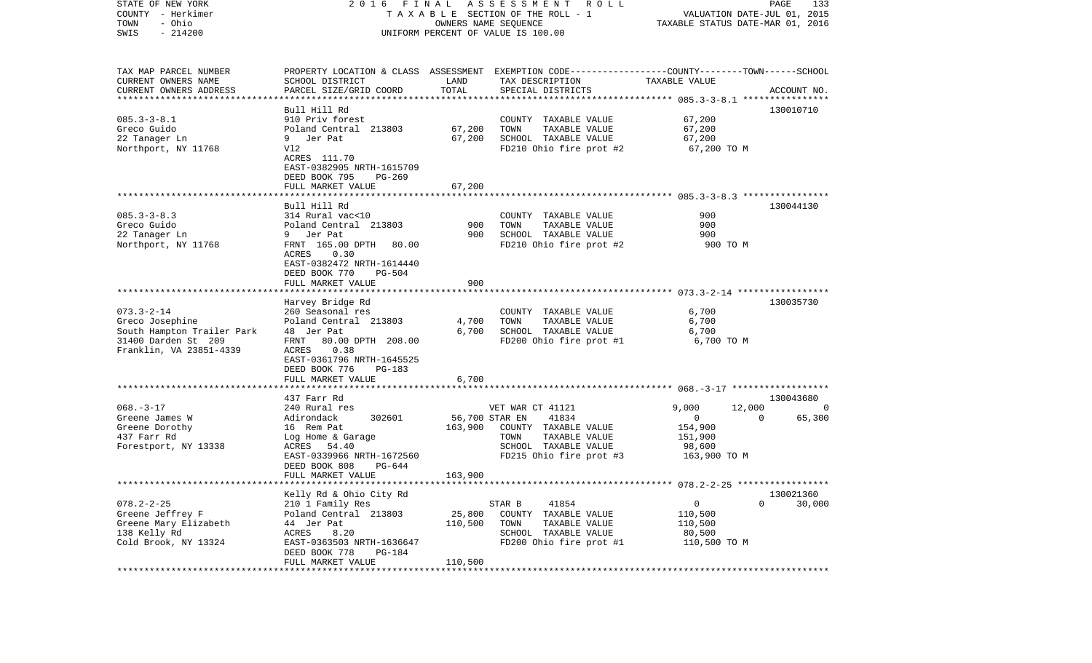| STATE OF NEW YORK                         | 2016 FINAL                                |                   | ASSESSMENT<br><b>ROLL</b>                                                                      |                                               | PAGE<br>133 |
|-------------------------------------------|-------------------------------------------|-------------------|------------------------------------------------------------------------------------------------|-----------------------------------------------|-------------|
| COUNTY - Herkimer                         |                                           |                   | TAXABLE SECTION OF THE ROLL - 1                                                                | VALUATION DATE-JUL 01, 2015                   |             |
| - Ohio<br>TOWN<br>$-214200$               |                                           |                   | OWNERS NAME SEQUENCE                                                                           | TAXABLE STATUS DATE-MAR 01, 2016              |             |
| SWIS                                      |                                           |                   | UNIFORM PERCENT OF VALUE IS 100.00                                                             |                                               |             |
| TAX MAP PARCEL NUMBER                     |                                           |                   | PROPERTY LOCATION & CLASS ASSESSMENT EXEMPTION CODE---------------COUNTY-------TOWN-----SCHOOL |                                               |             |
| CURRENT OWNERS NAME                       | SCHOOL DISTRICT                           | LAND              | TAX DESCRIPTION                                                                                | TAXABLE VALUE                                 |             |
| CURRENT OWNERS ADDRESS                    | PARCEL SIZE/GRID COORD                    | TOTAL             | SPECIAL DISTRICTS                                                                              |                                               | ACCOUNT NO. |
| *************************                 |                                           |                   |                                                                                                |                                               |             |
| $085.3 - 3 - 8.1$                         | Bull Hill Rd<br>910 Priv forest           |                   |                                                                                                |                                               | 130010710   |
| Greco Guido                               | Poland Central 213803                     | 67,200            | COUNTY TAXABLE VALUE<br>TOWN<br>TAXABLE VALUE                                                  | 67,200<br>67,200                              |             |
| 22 Tanager Ln                             | Jer Pat                                   | 67,200            | SCHOOL TAXABLE VALUE                                                                           | 67,200                                        |             |
| Northport, NY 11768                       | V12                                       |                   | FD210 Ohio fire prot #2                                                                        | 67,200 TO M                                   |             |
|                                           | ACRES 111.70                              |                   |                                                                                                |                                               |             |
|                                           | EAST-0382905 NRTH-1615709                 |                   |                                                                                                |                                               |             |
|                                           | DEED BOOK 795<br>PG-269                   |                   |                                                                                                |                                               |             |
|                                           | FULL MARKET VALUE                         | 67,200            |                                                                                                |                                               |             |
|                                           |                                           |                   |                                                                                                |                                               |             |
|                                           | Bull Hill Rd                              |                   |                                                                                                |                                               | 130044130   |
| $085.3 - 3 - 8.3$<br>Greco Guido          | 314 Rural vac<10<br>Poland Central 213803 | 900               | COUNTY TAXABLE VALUE<br>TOWN<br>TAXABLE VALUE                                                  | 900<br>900                                    |             |
| 22 Tanager Ln                             | 9 Jer Pat                                 | 900               | SCHOOL TAXABLE VALUE                                                                           | 900                                           |             |
| Northport, NY 11768                       | FRNT 165.00 DPTH<br>80.00                 |                   | FD210 Ohio fire prot #2                                                                        | 900 TO M                                      |             |
|                                           | ACRES<br>0.30                             |                   |                                                                                                |                                               |             |
|                                           | EAST-0382472 NRTH-1614440                 |                   |                                                                                                |                                               |             |
|                                           | DEED BOOK 770<br>PG-504                   |                   |                                                                                                |                                               |             |
|                                           | FULL MARKET VALUE                         | 900               |                                                                                                |                                               |             |
|                                           |                                           |                   |                                                                                                |                                               |             |
|                                           | Harvey Bridge Rd                          |                   |                                                                                                |                                               | 130035730   |
| $073.3 - 2 - 14$<br>Greco Josephine       | 260 Seasonal res<br>Poland Central 213803 | 4,700             | COUNTY TAXABLE VALUE<br>TOWN<br>TAXABLE VALUE                                                  | 6,700<br>6,700                                |             |
| South Hampton Trailer Park                | 48 Jer Pat                                | 6,700             | SCHOOL TAXABLE VALUE                                                                           | 6,700                                         |             |
| 31400 Darden St 209                       | 80.00 DPTH 208.00<br>FRNT                 |                   | FD200 Ohio fire prot #1                                                                        | 6,700 TO M                                    |             |
| Franklin, VA 23851-4339                   | 0.38<br>ACRES                             |                   |                                                                                                |                                               |             |
|                                           | EAST-0361796 NRTH-1645525                 |                   |                                                                                                |                                               |             |
|                                           | DEED BOOK 776<br>PG-183                   |                   |                                                                                                |                                               |             |
|                                           | FULL MARKET VALUE                         | 6,700             |                                                                                                |                                               |             |
|                                           | *******************                       |                   |                                                                                                |                                               |             |
|                                           | 437 Farr Rd                               |                   |                                                                                                |                                               | 130043680   |
| $068. - 3 - 17$<br>Greene James W         | 240 Rural res<br>Adirondack<br>302601     | 56,700 STAR EN    | VET WAR CT 41121<br>41834                                                                      | 9,000<br>12,000<br>$\overline{0}$<br>$\Omega$ | 0<br>65,300 |
| Greene Dorothy                            | 16 Rem Pat                                | 163,900           | COUNTY TAXABLE VALUE                                                                           | 154,900                                       |             |
| 437 Farr Rd                               | Log Home & Garage                         |                   | TAXABLE VALUE<br>TOWN                                                                          | 151,900                                       |             |
| Forestport, NY 13338                      | ACRES<br>54.40                            |                   | SCHOOL TAXABLE VALUE                                                                           | 98,600                                        |             |
|                                           | EAST-0339966 NRTH-1672560                 |                   | FD215 Ohio fire prot #3                                                                        | 163,900 TO M                                  |             |
|                                           | DEED BOOK 808<br>PG-644                   |                   |                                                                                                |                                               |             |
|                                           | FULL MARKET VALUE                         | 163,900           |                                                                                                |                                               |             |
|                                           |                                           |                   |                                                                                                |                                               |             |
|                                           | Kelly Rd & Ohio City Rd                   |                   |                                                                                                |                                               | 130021360   |
| $078.2 - 2 - 25$                          | 210 1 Family Res                          |                   | STAR B<br>41854                                                                                | 0<br>0                                        | 30,000      |
| Greene Jeffrey F<br>Greene Mary Elizabeth | Poland Central 213803<br>44 Jer Pat       | 25,800<br>110,500 | COUNTY<br>TAXABLE VALUE<br>TOWN<br>TAXABLE VALUE                                               | 110,500<br>110,500                            |             |
| 138 Kelly Rd                              | ACRES<br>8.20                             |                   | SCHOOL<br>TAXABLE VALUE                                                                        | 80,500                                        |             |
| Cold Brook, NY 13324                      | EAST-0363503 NRTH-1636647                 |                   | FD200 Ohio fire prot #1                                                                        | 110,500 TO M                                  |             |
|                                           | DEED BOOK 778<br>PG-184                   |                   |                                                                                                |                                               |             |
|                                           | FULL MARKET VALUE                         | 110,500           |                                                                                                |                                               |             |
|                                           |                                           |                   |                                                                                                |                                               |             |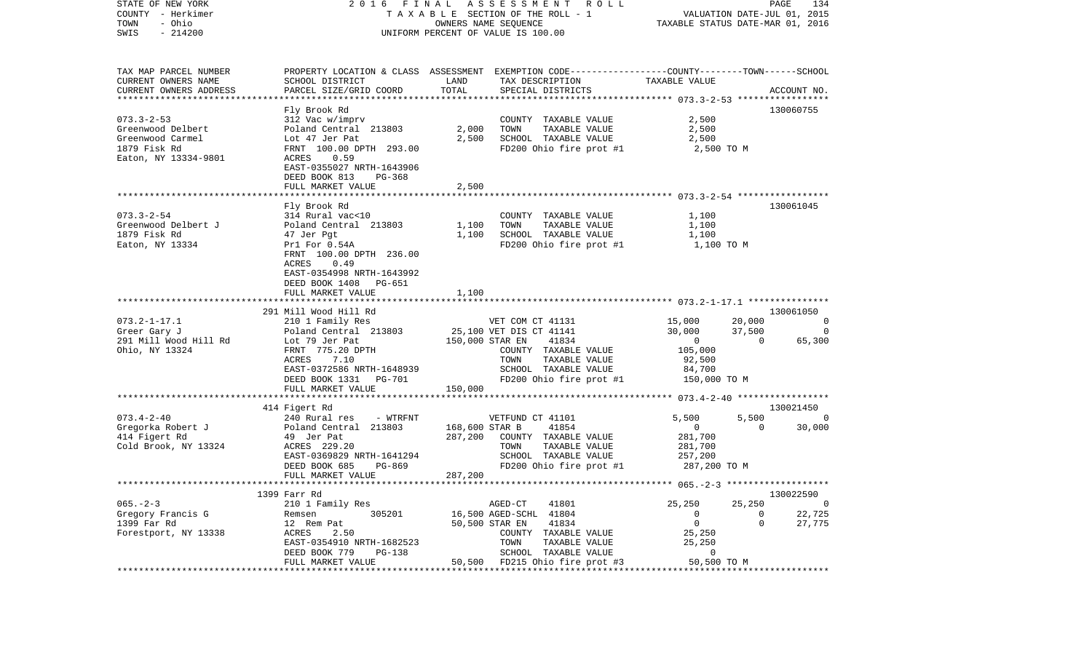| STATE OF NEW YORK<br>COUNTY - Herkimer<br>- Ohio<br>TOWN<br>$-214200$<br>SWIS | 2016                              |                      | FINAL ASSESSMENT<br>R O L L<br>TAXABLE SECTION OF THE ROLL - 1<br>OWNERS NAME SEQUENCE<br>UNIFORM PERCENT OF VALUE IS 100.00 |                                           | PAGE<br>134<br>VALUATION DATE-JUL 01, 2015<br>TAXABLE STATUS DATE-MAR 01, 2016 |
|-------------------------------------------------------------------------------|-----------------------------------|----------------------|------------------------------------------------------------------------------------------------------------------------------|-------------------------------------------|--------------------------------------------------------------------------------|
|                                                                               |                                   |                      |                                                                                                                              |                                           |                                                                                |
| TAX MAP PARCEL NUMBER<br>CURRENT OWNERS NAME                                  | SCHOOL DISTRICT                   | LAND                 | PROPERTY LOCATION & CLASS ASSESSMENT EXEMPTION CODE----------------COUNTY-------TOWN------SCHOOL                             | TAXABLE VALUE                             |                                                                                |
| CURRENT OWNERS ADDRESS<br>************************                            | PARCEL SIZE/GRID COORD            | TOTAL                | TAX DESCRIPTION<br>SPECIAL DISTRICTS                                                                                         |                                           | ACCOUNT NO.                                                                    |
|                                                                               | Fly Brook Rd                      |                      |                                                                                                                              |                                           | 130060755                                                                      |
| $073.3 - 2 - 53$                                                              | 312 Vac w/imprv                   |                      | COUNTY TAXABLE VALUE                                                                                                         | 2,500                                     |                                                                                |
| Greenwood Delbert                                                             | Poland Central 213803             | 2,000                | TOWN<br>TAXABLE VALUE                                                                                                        | 2,500                                     |                                                                                |
| Greenwood Carmel                                                              | Lot 47 Jer Pat                    | 2,500                | SCHOOL TAXABLE VALUE                                                                                                         | 2,500                                     |                                                                                |
| 1879 Fisk Rd                                                                  | FRNT 100.00 DPTH 293.00           |                      | FD200 Ohio fire prot #1                                                                                                      | 2,500 TO M                                |                                                                                |
| Eaton, NY 13334-9801                                                          | 0.59<br>ACRES                     |                      |                                                                                                                              |                                           |                                                                                |
|                                                                               | EAST-0355027 NRTH-1643906         |                      |                                                                                                                              |                                           |                                                                                |
|                                                                               | DEED BOOK 813<br>PG-368           |                      |                                                                                                                              |                                           |                                                                                |
|                                                                               | FULL MARKET VALUE                 | 2,500                |                                                                                                                              |                                           |                                                                                |
|                                                                               | Fly Brook Rd                      |                      |                                                                                                                              |                                           | 130061045                                                                      |
| $073.3 - 2 - 54$                                                              | 314 Rural vac<10                  |                      | COUNTY TAXABLE VALUE                                                                                                         | 1,100                                     |                                                                                |
| Greenwood Delbert J                                                           | Poland Central 213803             | 1,100                | TOWN<br>TAXABLE VALUE                                                                                                        | 1,100                                     |                                                                                |
| 1879 Fisk Rd                                                                  | 47 Jer Pgt                        | 1,100                | SCHOOL TAXABLE VALUE                                                                                                         | 1,100                                     |                                                                                |
| Eaton, NY 13334                                                               | Pr1 For 0.54A                     |                      | FD200 Ohio fire prot #1                                                                                                      | 1,100 TO M                                |                                                                                |
|                                                                               | FRNT 100.00 DPTH 236.00           |                      |                                                                                                                              |                                           |                                                                                |
|                                                                               | 0.49<br>ACRES                     |                      |                                                                                                                              |                                           |                                                                                |
|                                                                               | EAST-0354998 NRTH-1643992         |                      |                                                                                                                              |                                           |                                                                                |
|                                                                               | DEED BOOK 1408<br>PG-651          |                      |                                                                                                                              |                                           |                                                                                |
|                                                                               | FULL MARKET VALUE                 | 1,100                |                                                                                                                              |                                           |                                                                                |
|                                                                               |                                   |                      |                                                                                                                              |                                           |                                                                                |
|                                                                               | 291 Mill Wood Hill Rd             |                      |                                                                                                                              |                                           | 130061050                                                                      |
| $073.2 - 1 - 17.1$                                                            | 210 1 Family Res                  |                      | VET COM CT 41131                                                                                                             | 15,000                                    | 20,000<br>0                                                                    |
| Greer Gary J                                                                  | Poland Central 213803             |                      | 25,100 VET DIS CT 41141                                                                                                      | 30,000                                    | 37,500<br>$\Omega$                                                             |
| 291 Mill Wood Hill Rd                                                         | Lot 79 Jer Pat                    | 150,000 STAR EN      | 41834                                                                                                                        | $\mathbf{0}$                              | 65,300<br>$\Omega$                                                             |
| Ohio, NY 13324                                                                | FRNT 775.20 DPTH<br>7.10<br>ACRES |                      | COUNTY TAXABLE VALUE<br>TOWN<br>TAXABLE VALUE                                                                                | 105,000                                   |                                                                                |
|                                                                               | EAST-0372586 NRTH-1648939         |                      | SCHOOL TAXABLE VALUE                                                                                                         | 92,500<br>84,700                          |                                                                                |
|                                                                               | DEED BOOK 1331<br>PG-701          |                      | FD200 Ohio fire prot #1                                                                                                      | 150,000 TO M                              |                                                                                |
|                                                                               | FULL MARKET VALUE                 | 150,000              |                                                                                                                              |                                           |                                                                                |
|                                                                               | ***********************           | ******************** |                                                                                                                              | *********** 073.4-2-40 ****************** |                                                                                |
|                                                                               | 414 Figert Rd                     |                      |                                                                                                                              |                                           | 130021450                                                                      |
| $073.4 - 2 - 40$                                                              | 240 Rural res<br>- WTRFNT         |                      | VETFUND CT 41101                                                                                                             | 5,500                                     | 5,500<br>0                                                                     |
| Gregorka Robert J                                                             | Poland Central 213803             | 168,600 STAR B       | 41854                                                                                                                        | $\overline{0}$                            | $\Omega$<br>30,000                                                             |
| 414 Figert Rd                                                                 | 49 Jer Pat                        | 287,200              | COUNTY TAXABLE VALUE                                                                                                         | 281,700                                   |                                                                                |
| Cold Brook, NY 13324                                                          | ACRES 229.20                      |                      | TAXABLE VALUE<br>TOWN                                                                                                        | 281,700                                   |                                                                                |
|                                                                               | EAST-0369829 NRTH-1641294         |                      | SCHOOL TAXABLE VALUE                                                                                                         | 257,200                                   |                                                                                |
|                                                                               | DEED BOOK 685<br>PG-869           |                      | FD200 Ohio fire prot #1                                                                                                      | 287,200 TO M                              |                                                                                |
|                                                                               | FULL MARKET VALUE                 | 287,200              |                                                                                                                              |                                           |                                                                                |
|                                                                               |                                   |                      |                                                                                                                              |                                           |                                                                                |
| $065. - 2 - 3$                                                                | 1399 Farr Rd                      |                      |                                                                                                                              |                                           | 130022590                                                                      |
|                                                                               | 210 1 Family Res                  |                      | 41801<br>AGED-CT                                                                                                             | 25,250                                    | 25,250<br>0<br>0                                                               |
| Gregory Francis G<br>1399 Far Rd                                              | 305201<br>Remsen<br>12 Rem Pat    |                      | 16,500 AGED-SCHL<br>41804<br>41834<br>50,500 STAR EN                                                                         | 0<br>$\mathbf 0$                          | 22,725<br>$\Omega$<br>27,775                                                   |
| Forestport, NY 13338                                                          | ACRES<br>2.50                     |                      | COUNTY<br>TAXABLE VALUE                                                                                                      | 25,250                                    |                                                                                |
|                                                                               | EAST-0354910 NRTH-1682523         |                      | TOWN<br>TAXABLE VALUE                                                                                                        | 25,250                                    |                                                                                |
|                                                                               | DEED BOOK 779<br>PG-138           |                      | SCHOOL TAXABLE VALUE                                                                                                         | 0                                         |                                                                                |
|                                                                               | FULL MARKET VALUE                 | 50,500               | FD215 Ohio fire prot #3                                                                                                      | 50,500 TO M                               |                                                                                |
|                                                                               | ***************                   |                      | **************                                                                                                               |                                           |                                                                                |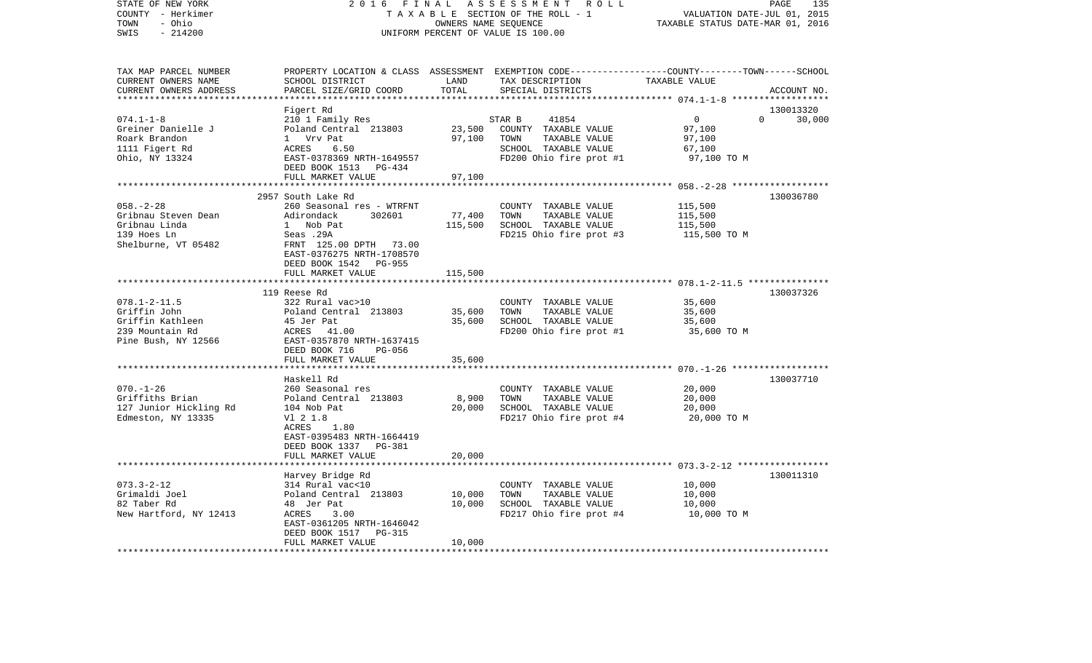| STATE OF NEW YORK       | 2 0 1 6<br>FINAL                     |                             | ASSESSMENT<br>R O L L              | PAGE<br>135                                                                                      |
|-------------------------|--------------------------------------|-----------------------------|------------------------------------|--------------------------------------------------------------------------------------------------|
| COUNTY - Herkimer       | TAXABLE SECTION OF THE ROLL - 1      | VALUATION DATE-JUL 01, 2015 |                                    |                                                                                                  |
| - Ohio<br>TOWN          |                                      | OWNERS NAME SEQUENCE        |                                    | TAXABLE STATUS DATE-MAR 01, 2016                                                                 |
| SWIS<br>$-214200$       |                                      |                             | UNIFORM PERCENT OF VALUE IS 100.00 |                                                                                                  |
|                         |                                      |                             |                                    |                                                                                                  |
| TAX MAP PARCEL NUMBER   |                                      |                             |                                    | PROPERTY LOCATION & CLASS ASSESSMENT EXEMPTION CODE----------------COUNTY-------TOWN------SCHOOL |
| CURRENT OWNERS NAME     | SCHOOL DISTRICT                      | LAND                        | TAX DESCRIPTION                    | TAXABLE VALUE                                                                                    |
| CURRENT OWNERS ADDRESS  | PARCEL SIZE/GRID COORD               | TOTAL                       | SPECIAL DISTRICTS                  | ACCOUNT NO.                                                                                      |
|                         |                                      |                             |                                    |                                                                                                  |
|                         | Figert Rd                            |                             |                                    | 130013320                                                                                        |
| $074.1 - 1 - 8$         | 210 1 Family Res                     |                             | 41854<br>STAR B                    | 0<br>0<br>30,000                                                                                 |
| Greiner Danielle J      | Poland Central 213803                | 23,500                      | COUNTY TAXABLE VALUE               | 97,100                                                                                           |
| Roark Brandon           | 1 Vrv Pat                            | 97,100                      | TOWN<br>TAXABLE VALUE              | 97,100                                                                                           |
| 1111 Figert Rd          | ACRES<br>6.50                        |                             | SCHOOL TAXABLE VALUE               | 67,100                                                                                           |
| Ohio, NY 13324          | EAST-0378369 NRTH-1649557            |                             | FD200 Ohio fire prot #1            | 97,100 TO M                                                                                      |
|                         | DEED BOOK 1513 PG-434                |                             |                                    |                                                                                                  |
|                         | FULL MARKET VALUE                    | 97,100                      |                                    |                                                                                                  |
|                         |                                      |                             |                                    | ******** 058.-2-28 ******************                                                            |
|                         | 2957 South Lake Rd                   |                             |                                    | 130036780                                                                                        |
| $058. - 2 - 28$         | 260 Seasonal res - WTRFNT            |                             | COUNTY TAXABLE VALUE               | 115,500                                                                                          |
| Gribnau Steven Dean     | Adirondack<br>302601                 | 77,400                      | TOWN<br>TAXABLE VALUE              | 115,500                                                                                          |
| Gribnau Linda           | 1 Nob Pat                            | 115,500                     | SCHOOL TAXABLE VALUE               | 115,500                                                                                          |
| 139 Hoes Ln             | Seas .29A                            |                             | FD215 Ohio fire prot #3            | 115,500 TO M                                                                                     |
|                         |                                      |                             |                                    |                                                                                                  |
| Shelburne, VT 05482     | FRNT 125.00 DPTH<br>73.00            |                             |                                    |                                                                                                  |
|                         | EAST-0376275 NRTH-1708570            |                             |                                    |                                                                                                  |
|                         | DEED BOOK 1542<br>PG-955             |                             |                                    |                                                                                                  |
|                         | FULL MARKET VALUE                    | 115,500                     |                                    |                                                                                                  |
|                         |                                      |                             |                                    | ************** 078.1-2-11.5 ***********                                                          |
|                         | 119 Reese Rd                         |                             |                                    | 130037326                                                                                        |
| $078.1 - 2 - 11.5$      | 322 Rural vac>10                     |                             | COUNTY TAXABLE VALUE               | 35,600                                                                                           |
| Griffin John            | Poland Central 213803                | 35,600                      | TOWN<br>TAXABLE VALUE              | 35,600                                                                                           |
| Griffin Kathleen        | 45 Jer Pat                           | 35,600                      | SCHOOL TAXABLE VALUE               | 35,600                                                                                           |
| 239 Mountain Rd         | ACRES 41.00                          |                             | FD200 Ohio fire prot #1            | 35,600 TO M                                                                                      |
| Pine Bush, NY 12566     | EAST-0357870 NRTH-1637415            |                             |                                    |                                                                                                  |
|                         | DEED BOOK 716<br><b>PG-056</b>       |                             |                                    |                                                                                                  |
|                         | FULL MARKET VALUE                    | 35,600                      |                                    |                                                                                                  |
|                         | *******************                  |                             |                                    |                                                                                                  |
|                         | Haskell Rd                           |                             |                                    | 130037710                                                                                        |
| $070. - 1 - 26$         | 260 Seasonal res                     |                             | COUNTY TAXABLE VALUE               | 20,000                                                                                           |
| Griffiths Brian         | Poland Central 213803                | 8,900                       | TOWN<br>TAXABLE VALUE              | 20,000                                                                                           |
| 127 Junior Hickling Rd  | 104 Nob Pat                          | 20,000                      | SCHOOL TAXABLE VALUE               | 20,000                                                                                           |
| Edmeston, NY 13335      | V1 2 1.8                             |                             | FD217 Ohio fire prot #4            | 20,000 TO M                                                                                      |
|                         | ACRES<br>1.80                        |                             |                                    |                                                                                                  |
|                         | EAST-0395483 NRTH-1664419            |                             |                                    |                                                                                                  |
|                         | DEED BOOK 1337<br>PG-381             |                             |                                    |                                                                                                  |
|                         | FULL MARKET VALUE                    | 20,000                      |                                    |                                                                                                  |
|                         | *****************                    |                             |                                    |                                                                                                  |
|                         |                                      |                             |                                    | 130011310                                                                                        |
| $073.3 - 2 - 12$        | Harvey Bridge Rd<br>314 Rural vac<10 |                             |                                    |                                                                                                  |
|                         |                                      |                             | COUNTY TAXABLE VALUE               | 10,000                                                                                           |
| Grimaldi Joel           | Poland Central 213803                | 10,000                      | TOWN<br>TAXABLE VALUE              | 10,000                                                                                           |
| 82 Taber Rd             | 48 Jer Pat                           | 10,000                      | SCHOOL TAXABLE VALUE               | 10,000                                                                                           |
| New Hartford, NY 12413  | ACRES<br>3.00                        |                             | FD217 Ohio fire prot #4            | 10,000 TO M                                                                                      |
|                         | EAST-0361205 NRTH-1646042            |                             |                                    |                                                                                                  |
|                         | DEED BOOK 1517<br>PG-315             |                             |                                    |                                                                                                  |
|                         | FULL MARKET VALUE                    | 10,000                      |                                    |                                                                                                  |
| *********************** | ********************                 | *********                   |                                    |                                                                                                  |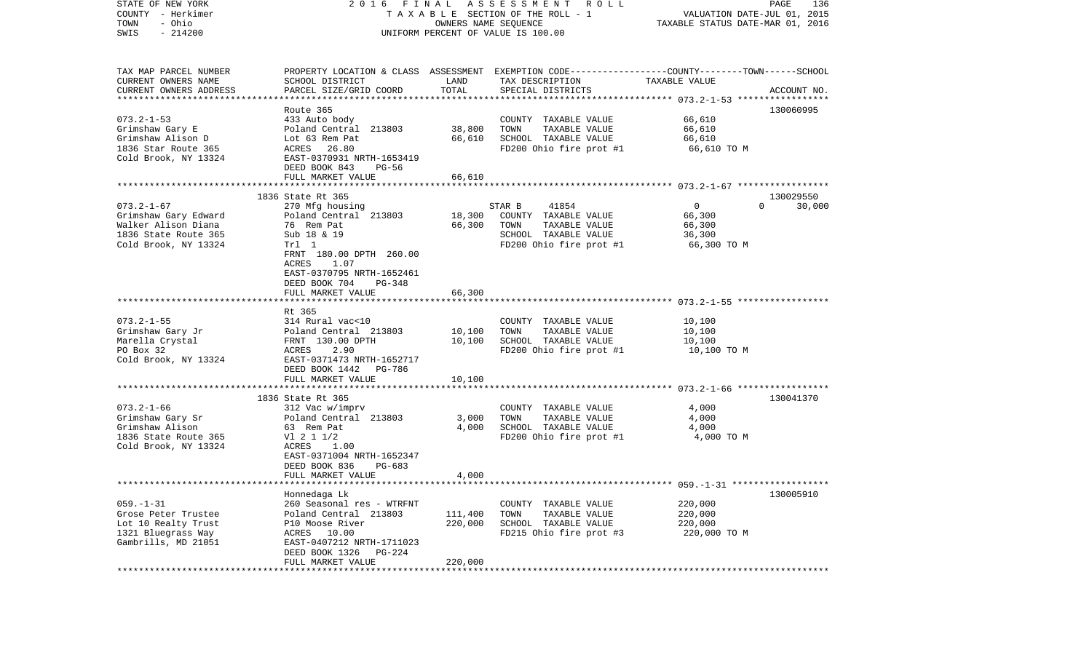| 2016                                                                                                                                                                               | PAGE<br>136<br>VALUATION DATE-JUL 01, 2015<br>TAXABLE STATUS DATE-MAR 01, 2016 |                                                                                                     |                                                                                                                                                    |                                                                                                                                                                 |
|------------------------------------------------------------------------------------------------------------------------------------------------------------------------------------|--------------------------------------------------------------------------------|-----------------------------------------------------------------------------------------------------|----------------------------------------------------------------------------------------------------------------------------------------------------|-----------------------------------------------------------------------------------------------------------------------------------------------------------------|
| SCHOOL DISTRICT<br>PARCEL SIZE/GRID COORD                                                                                                                                          | LAND<br>TOTAL                                                                  | TAX DESCRIPTION<br>SPECIAL DISTRICTS                                                                | TAXABLE VALUE                                                                                                                                      | ACCOUNT NO.                                                                                                                                                     |
| Route 365<br>433 Auto body<br>Poland Central 213803<br>Lot 63 Rem Pat<br>ACRES 26.80<br>EAST-0370931 NRTH-1653419<br>DEED BOOK 843<br>PG-56                                        | 38,800<br>66,610                                                               | COUNTY TAXABLE VALUE<br>TAXABLE VALUE<br>TOWN<br>SCHOOL TAXABLE VALUE<br>FD200 Ohio fire prot #1    | 66,610<br>66,610<br>66,610<br>66,610 TO M                                                                                                          | 130060995                                                                                                                                                       |
|                                                                                                                                                                                    |                                                                                |                                                                                                     |                                                                                                                                                    |                                                                                                                                                                 |
| 1836 State Rt 365<br>270 Mfg housing<br>Poland Central 213803<br>76 Rem Pat                                                                                                        | 18,300<br>66,300                                                               | 41854<br>COUNTY TAXABLE VALUE<br>TOWN<br>TAXABLE VALUE                                              | $\mathbf 0$<br>66,300<br>66,300                                                                                                                    | 130029550<br>30,000<br>$\Omega$                                                                                                                                 |
| Trl 1<br>FRNT 180.00 DPTH 260.00<br>1.07<br>ACRES<br>EAST-0370795 NRTH-1652461<br>DEED BOOK 704<br>PG-348<br>FULL MARKET VALUE                                                     | 66,300                                                                         | FD200 Ohio fire prot #1                                                                             | 66,300 TO M                                                                                                                                        |                                                                                                                                                                 |
|                                                                                                                                                                                    |                                                                                |                                                                                                     |                                                                                                                                                    |                                                                                                                                                                 |
| Rt 365<br>314 Rural vac<10<br>Poland Central 213803<br>FRNT 130.00 DPTH<br>ACRES<br>2.90<br>EAST-0371473 NRTH-1652717<br>DEED BOOK 1442 PG-786                                     | 10,100<br>10,100                                                               | COUNTY TAXABLE VALUE<br>TAXABLE VALUE<br>TOWN<br>SCHOOL TAXABLE VALUE                               | 10,100<br>10,100<br>10,100<br>10,100 TO M                                                                                                          |                                                                                                                                                                 |
| FULL MARKET VALUE                                                                                                                                                                  | 10,100                                                                         |                                                                                                     |                                                                                                                                                    |                                                                                                                                                                 |
| 1836 State Rt 365<br>312 Vac w/imprv<br>Poland Central 213803<br>63 Rem Pat<br>V1 2 1 1/2<br>ACRES<br>1.00<br>EAST-0371004 NRTH-1652347<br>DEED BOOK 836<br>PG-683                 | 3,000<br>4,000                                                                 | COUNTY TAXABLE VALUE<br>TOWN<br>TAXABLE VALUE<br>SCHOOL TAXABLE VALUE                               | 4,000<br>4,000<br>4,000<br>4,000 TO M                                                                                                              | 130041370                                                                                                                                                       |
| FULL MARKET VALUE                                                                                                                                                                  | 4,000                                                                          |                                                                                                     |                                                                                                                                                    |                                                                                                                                                                 |
| Honnedaga Lk<br>260 Seasonal res - WTRFNT<br>Poland Central 213803<br>P10 Moose River<br>ACRES 10.00<br>EAST-0407212 NRTH-1711023<br>DEED BOOK 1326<br>PG-224<br>FULL MARKET VALUE | 111,400<br>220,000<br>220,000                                                  | COUNTY<br>TAXABLE VALUE<br>TOWN<br>TAXABLE VALUE<br>SCHOOL TAXABLE VALUE<br>FD215 Ohio fire prot #3 | 220,000<br>220,000<br>220,000<br>220,000 TO M                                                                                                      | 130005910                                                                                                                                                       |
|                                                                                                                                                                                    | FULL MARKET VALUE<br>Sub 18 & 19<br>****************                           | FINAL<br>66,610<br>* * * * * * * * *                                                                | ASSESSMENT ROLL<br>TAXABLE SECTION OF THE ROLL - 1<br>OWNERS NAME SEQUENCE<br>UNIFORM PERCENT OF VALUE IS 100.00<br>STAR B<br>SCHOOL TAXABLE VALUE | PROPERTY LOCATION & CLASS ASSESSMENT EXEMPTION CODE---------------COUNTY-------TOWN------SCHOOL<br>36,300<br>FD200 Ohio fire prot #1<br>FD200 Ohio fire prot #1 |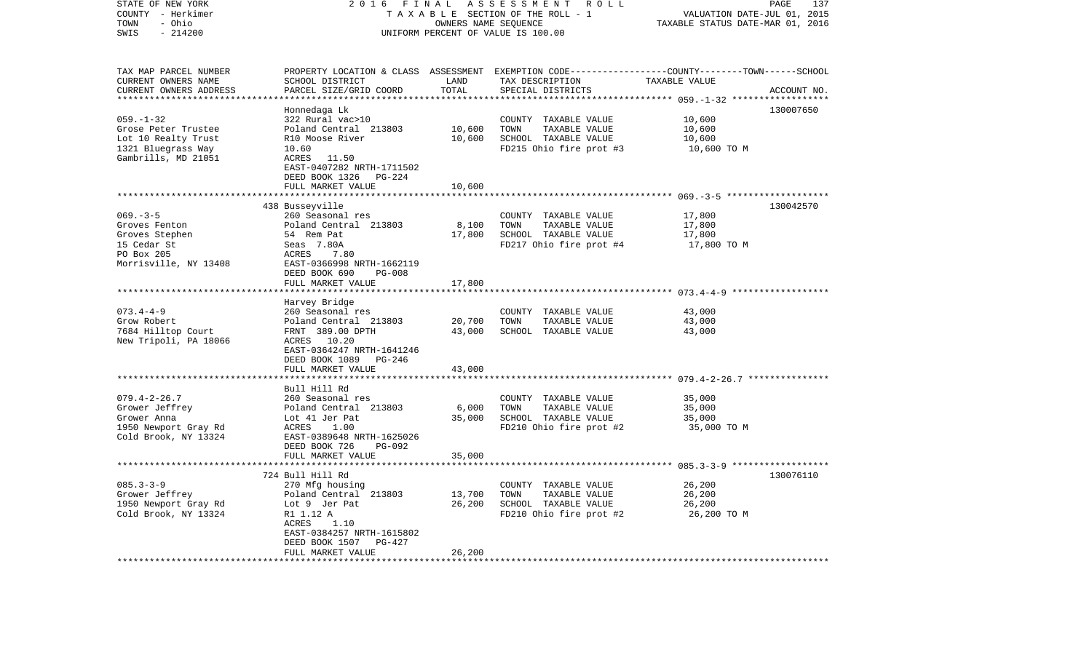| STATE OF NEW YORK<br>COUNTY - Herkimer<br>- Ohio<br>TOWN<br>SWIS<br>$-214200$                              | 2016<br>FINAL<br>ASSESSMENT ROLL<br>TAXABLE SECTION OF THE ROLL - 1<br>OWNERS NAME SEQUENCE<br>UNIFORM PERCENT OF VALUE IS 100.00                                                                                    |                            |                                                                                                  | 137<br>PAGE<br>VALUATION DATE-JUL 01, 2015<br>TAXABLE STATUS DATE-MAR 01, 2016                                                  |  |
|------------------------------------------------------------------------------------------------------------|----------------------------------------------------------------------------------------------------------------------------------------------------------------------------------------------------------------------|----------------------------|--------------------------------------------------------------------------------------------------|---------------------------------------------------------------------------------------------------------------------------------|--|
| TAX MAP PARCEL NUMBER<br>CURRENT OWNERS NAME<br>CURRENT OWNERS ADDRESS                                     | SCHOOL DISTRICT<br>PARCEL SIZE/GRID COORD                                                                                                                                                                            | LAND<br>TOTAL              | TAX DESCRIPTION<br>SPECIAL DISTRICTS                                                             | PROPERTY LOCATION & CLASS ASSESSMENT EXEMPTION CODE---------------COUNTY-------TOWN------SCHOOL<br>TAXABLE VALUE<br>ACCOUNT NO. |  |
|                                                                                                            |                                                                                                                                                                                                                      |                            |                                                                                                  |                                                                                                                                 |  |
| $059. - 1 - 32$<br>Grose Peter Trustee<br>Lot 10 Realty Trust<br>1321 Bluegrass Way<br>Gambrills, MD 21051 | Honnedaga Lk<br>322 Rural vac>10<br>Poland Central 213803<br>R10 Moose River<br>10.60<br>ACRES 11.50<br>EAST-0407282 NRTH-1711502<br>DEED BOOK 1326<br>PG-224                                                        | 10,600<br>10,600           | COUNTY TAXABLE VALUE<br>TOWN<br>TAXABLE VALUE<br>SCHOOL TAXABLE VALUE<br>FD215 Ohio fire prot #3 | 130007650<br>10,600<br>10,600<br>10,600<br>10,600 TO M                                                                          |  |
|                                                                                                            | FULL MARKET VALUE                                                                                                                                                                                                    | 10,600                     |                                                                                                  |                                                                                                                                 |  |
| $069. -3 - 5$<br>Groves Fenton<br>Groves Stephen<br>15 Cedar St<br>PO Box 205<br>Morrisville, NY 13408     | 438 Busseyville<br>260 Seasonal res<br>Poland Central 213803<br>54 Rem Pat<br>Seas 7.80A<br>ACRES<br>7.80<br>EAST-0366998 NRTH-1662119<br>DEED BOOK 690<br><b>PG-008</b><br>FULL MARKET VALUE                        | 8,100<br>17,800<br>17,800  | COUNTY TAXABLE VALUE<br>TOWN<br>TAXABLE VALUE<br>SCHOOL TAXABLE VALUE<br>FD217 Ohio fire prot #4 | 130042570<br>17,800<br>17,800<br>17,800<br>17,800 TO M                                                                          |  |
|                                                                                                            |                                                                                                                                                                                                                      |                            |                                                                                                  |                                                                                                                                 |  |
| $073.4 - 4 - 9$<br>Grow Robert<br>7684 Hilltop Court<br>New Tripoli, PA 18066                              | Harvey Bridge<br>260 Seasonal res<br>260 Seasonal res<br>Poland Central   213803<br>FRNT   389.00 DPTH<br>FRNT 389.00 DPTH<br>ACRES 10.20<br>EAST-0364247 NRTH-1641246<br>DEED BOOK 1089 PG-246<br>FULL MARKET VALUE | 20,700<br>43,000<br>43,000 | COUNTY TAXABLE VALUE<br>TOWN<br>TAXABLE VALUE<br>SCHOOL TAXABLE VALUE                            | 43,000<br>43,000<br>43,000                                                                                                      |  |
|                                                                                                            |                                                                                                                                                                                                                      | **********                 |                                                                                                  |                                                                                                                                 |  |
| $079.4 - 2 - 26.7$<br>Grower Jeffrey<br>Grower Anna<br>1950 Newport Gray Rd<br>Cold Brook, NY 13324        | Bull Hill Rd<br>260 Seasonal res<br>Poland Central 213803<br>Lot 41 Jer Pat<br>ACRES<br>1.00<br>EAST-0389648 NRTH-1625026<br>DEED BOOK 726<br>PG-092                                                                 | 6,000<br>35,000            | COUNTY TAXABLE VALUE<br>TOWN<br>TAXABLE VALUE<br>SCHOOL TAXABLE VALUE<br>FD210 Ohio fire prot #2 | 35,000<br>35,000<br>35,000<br>35,000 TO M                                                                                       |  |
|                                                                                                            | FULL MARKET VALUE                                                                                                                                                                                                    | 35,000                     |                                                                                                  |                                                                                                                                 |  |
|                                                                                                            |                                                                                                                                                                                                                      |                            |                                                                                                  |                                                                                                                                 |  |
| $085.3 - 3 - 9$<br>Grower Jeffrey<br>1950 Newport Gray Rd<br>Cold Brook, NY 13324                          | 724 Bull Hill Rd<br>270 Mfg housing<br>Poland Central 213803<br>Lot 9 Jer Pat<br>R1 1.12 A<br>ACRES<br>1.10<br>EAST-0384257 NRTH-1615802<br>DEED BOOK 1507<br>PG-427<br>FULL MARKET VALUE                            | 13,700<br>26,200<br>26,200 | COUNTY TAXABLE VALUE<br>TOWN<br>TAXABLE VALUE<br>SCHOOL TAXABLE VALUE<br>FD210 Ohio fire prot #2 | 130076110<br>26,200<br>26,200<br>26,200<br>26,200 TO M                                                                          |  |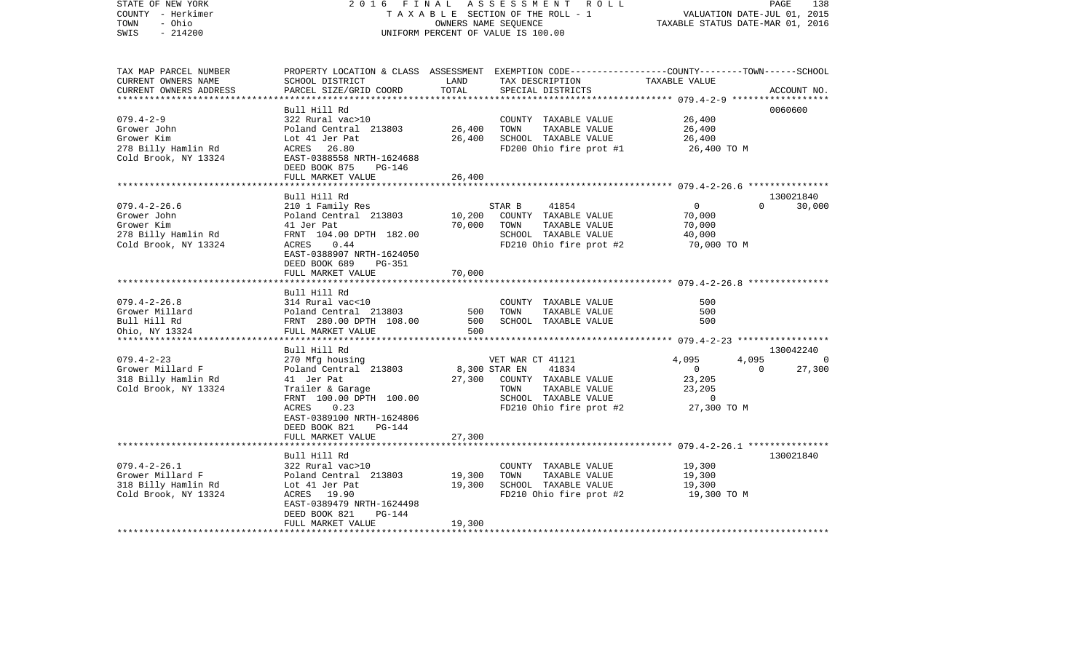| STATE OF NEW YORK<br>COUNTY - Herkimer<br>TOWN<br>- Ohio<br>$-214200$<br>SWIS                  | 2016 FINAL                                                                                                                                          | OWNERS NAME SEQUENCE    | ASSESSMENT ROLL<br>TAXABLE SECTION OF THE ROLL - 1<br>UNIFORM PERCENT OF VALUE IS 100.00                                                 | VALUATION DATE-JUL 01, 2015<br>TAXABLE STATUS DATE-MAR 01, 2016                                  | PAGE<br>138         |
|------------------------------------------------------------------------------------------------|-----------------------------------------------------------------------------------------------------------------------------------------------------|-------------------------|------------------------------------------------------------------------------------------------------------------------------------------|--------------------------------------------------------------------------------------------------|---------------------|
| TAX MAP PARCEL NUMBER<br>CURRENT OWNERS NAME<br>CURRENT OWNERS ADDRESS                         | SCHOOL DISTRICT<br>PARCEL SIZE/GRID COORD                                                                                                           | LAND<br>TOTAL           | PROPERTY LOCATION & CLASS ASSESSMENT EXEMPTION CODE----------------COUNTY-------TOWN------SCHOOL<br>TAX DESCRIPTION<br>SPECIAL DISTRICTS | TAXABLE VALUE                                                                                    | ACCOUNT NO.         |
|                                                                                                | Bull Hill Rd                                                                                                                                        |                         |                                                                                                                                          |                                                                                                  | 0060600             |
| $079.4 - 2 - 9$<br>Grower John<br>Grower Kim                                                   | 322 Rural vac>10<br>Poland Central 213803<br>Lot 41 Jer Pat                                                                                         | 26,400<br>26,400        | COUNTY TAXABLE VALUE<br>TOWN<br>TAXABLE VALUE<br>SCHOOL TAXABLE VALUE                                                                    | 26,400<br>26,400<br>26,400                                                                       |                     |
| 278 Billy Hamlin Rd<br>Cold Brook, NY 13324                                                    | ACRES 26.80<br>EAST-0388558 NRTH-1624688<br>DEED BOOK 875<br>PG-146<br>FULL MARKET VALUE                                                            | 26,400                  | FD200 Ohio fire prot #1                                                                                                                  | 26,400 TO M                                                                                      |                     |
|                                                                                                |                                                                                                                                                     |                         |                                                                                                                                          |                                                                                                  |                     |
| $079.4 - 2 - 26.6$<br>Grower John<br>Grower Kim<br>278 Billy Hamlin Rd<br>Cold Brook, NY 13324 | Bull Hill Rd<br>210 1 Family Res<br>Poland Central 213803<br>41 Jer Pat<br>FRNT 104.00 DPTH 182.00<br>ACRES<br>0.44<br>EAST-0388907 NRTH-1624050    | 10,200<br>70,000        | STAR B<br>41854<br>COUNTY TAXABLE VALUE<br>TOWN<br>TAXABLE VALUE<br>SCHOOL TAXABLE VALUE<br>FD210 Ohio fire prot #2                      | $\overline{0}$<br>$\Omega$<br>70,000<br>70,000<br>40,000<br>70,000 TO M                          | 130021840<br>30,000 |
|                                                                                                | DEED BOOK 689<br>PG-351<br>FULL MARKET VALUE                                                                                                        | 70,000                  |                                                                                                                                          |                                                                                                  |                     |
| $079.4 - 2 - 26.8$<br>Grower Millard<br>Bull Hill Rd<br>Ohio, NY 13324                         | Bull Hill Rd<br>314 Rural vac<10<br>Poland Central 213803<br>FRNT 280.00 DPTH 108.00<br>FULL MARKET VALUE                                           | 500<br>500<br>500       | COUNTY TAXABLE VALUE<br>TOWN<br>TAXABLE VALUE<br>SCHOOL TAXABLE VALUE                                                                    | 500<br>500<br>500                                                                                |                     |
|                                                                                                | Bull Hill Rd                                                                                                                                        |                         |                                                                                                                                          |                                                                                                  | 130042240           |
| $079.4 - 2 - 23$<br>Grower Millard F<br>318 Billy Hamlin Rd<br>Cold Brook, NY 13324            | 270 Mfg housing<br>Poland Central 213803<br>41 Jer Pat<br>Trailer & Garage<br>FRNT 100.00 DPTH 100.00<br>ACRES<br>0.23<br>EAST-0389100 NRTH-1624806 | 8,300 STAR EN<br>27,300 | VET WAR CT 41121<br>41834<br>COUNTY TAXABLE VALUE<br>TAXABLE VALUE<br>TOWN<br>SCHOOL TAXABLE VALUE<br>FD210 Ohio fire prot #2            | 4,095<br>4,095<br>$\overline{0}$<br>$\overline{0}$<br>23,205<br>23,205<br>$\circ$<br>27,300 TO M | 0<br>27,300         |
|                                                                                                | DEED BOOK 821<br>PG-144<br>FULL MARKET VALUE                                                                                                        | 27,300                  |                                                                                                                                          |                                                                                                  |                     |
|                                                                                                | Bull Hill Rd                                                                                                                                        |                         |                                                                                                                                          |                                                                                                  | 130021840           |
| $079.4 - 2 - 26.1$<br>Grower Millard F<br>318 Billy Hamlin Rd<br>Cold Brook, NY 13324          | 322 Rural vac>10<br>Poland Central 213803<br>Lot 41 Jer Pat<br>ACRES 19.90<br>EAST-0389479 NRTH-1624498                                             | 19,300<br>19,300        | COUNTY TAXABLE VALUE<br>TOWN<br>TAXABLE VALUE<br>SCHOOL TAXABLE VALUE<br>FD210 Ohio fire prot #2                                         | 19,300<br>19,300<br>19,300<br>19,300 TO M                                                        |                     |
|                                                                                                | DEED BOOK 821<br>PG-144<br>FULL MARKET VALUE                                                                                                        | 19,300                  |                                                                                                                                          |                                                                                                  |                     |
|                                                                                                |                                                                                                                                                     |                         |                                                                                                                                          |                                                                                                  |                     |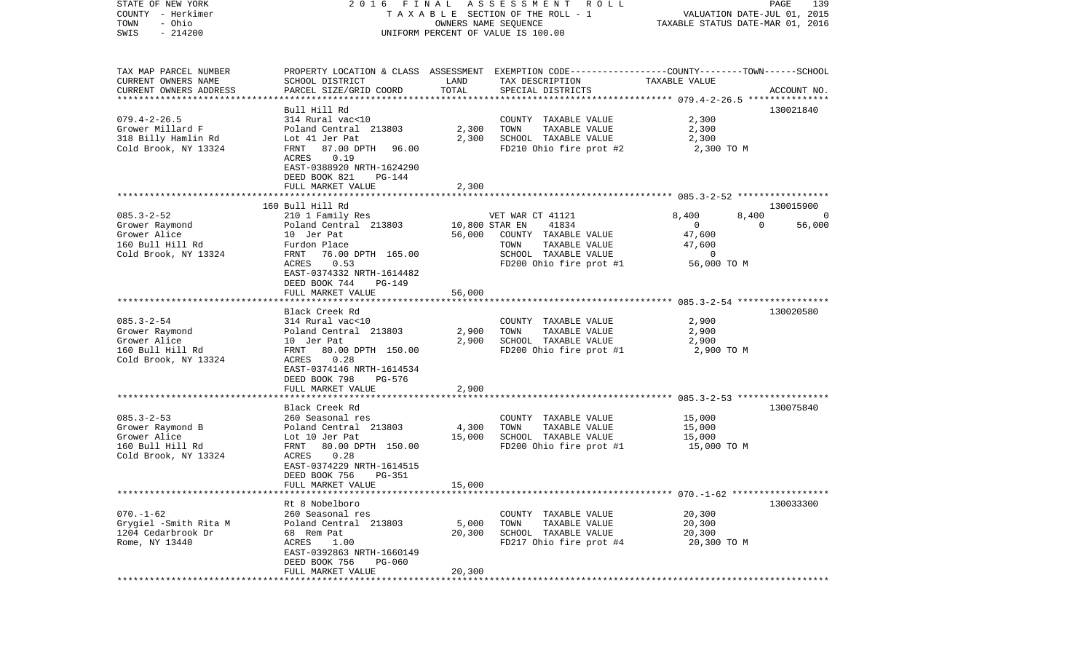| COUNTY<br>– Herkimer<br>TOWN<br>- Ohio      |                                                      |                                    | TAXABLE SECTION OF THE ROLL - 1<br>OWNERS NAME SEQUENCE                                         | VALUATION DATE-JUL 01, 2015<br>TAXABLE STATUS DATE-MAR 01, 2016 |                    |  |
|---------------------------------------------|------------------------------------------------------|------------------------------------|-------------------------------------------------------------------------------------------------|-----------------------------------------------------------------|--------------------|--|
| SWIS<br>$-214200$                           |                                                      | UNIFORM PERCENT OF VALUE IS 100.00 |                                                                                                 |                                                                 |                    |  |
|                                             |                                                      |                                    |                                                                                                 |                                                                 |                    |  |
| TAX MAP PARCEL NUMBER                       |                                                      |                                    | PROPERTY LOCATION & CLASS ASSESSMENT EXEMPTION CODE---------------COUNTY-------TOWN------SCHOOL |                                                                 |                    |  |
| CURRENT OWNERS NAME                         | SCHOOL DISTRICT                                      | LAND                               | TAX DESCRIPTION                                                                                 | TAXABLE VALUE                                                   |                    |  |
| CURRENT OWNERS ADDRESS                      | PARCEL SIZE/GRID COORD                               | TOTAL                              | SPECIAL DISTRICTS                                                                               |                                                                 | ACCOUNT NO.        |  |
|                                             |                                                      |                                    |                                                                                                 |                                                                 |                    |  |
| $079.4 - 2 - 26.5$                          | Bull Hill Rd<br>314 Rural vac<10                     |                                    | COUNTY TAXABLE VALUE                                                                            | 2,300                                                           | 130021840          |  |
| Grower Millard F                            | Poland Central 213803                                | 2,300                              | TOWN<br>TAXABLE VALUE                                                                           | 2,300                                                           |                    |  |
| 318 Billy Hamlin Rd                         | Lot 41 Jer Pat                                       | 2,300                              | SCHOOL TAXABLE VALUE                                                                            | 2,300                                                           |                    |  |
| Cold Brook, NY 13324                        | 87.00 DPTH<br>FRNT<br>96.00                          |                                    | FD210 Ohio fire prot #2                                                                         | 2,300 TO M                                                      |                    |  |
|                                             | 0.19<br>ACRES                                        |                                    |                                                                                                 |                                                                 |                    |  |
|                                             | EAST-0388920 NRTH-1624290                            |                                    |                                                                                                 |                                                                 |                    |  |
|                                             | DEED BOOK 821<br><b>PG-144</b>                       |                                    |                                                                                                 |                                                                 |                    |  |
|                                             | FULL MARKET VALUE                                    | 2,300                              |                                                                                                 |                                                                 |                    |  |
|                                             | 160 Bull Hill Rd                                     |                                    |                                                                                                 |                                                                 | 130015900          |  |
| $085.3 - 2 - 52$                            | 210 1 Family Res                                     |                                    | VET WAR CT 41121                                                                                | 8,400<br>8,400                                                  | - 0                |  |
| Grower Raymond                              | Poland Central 213803                                |                                    | 41834<br>10,800 STAR EN                                                                         | 0                                                               | 56,000<br>$\Omega$ |  |
| Grower Alice                                | 10 Jer Pat                                           | 56,000                             | COUNTY TAXABLE VALUE                                                                            | 47,600                                                          |                    |  |
| 160 Bull Hill Rd                            | Furdon Place                                         |                                    | TAXABLE VALUE<br>TOWN                                                                           | 47,600                                                          |                    |  |
| Cold Brook, NY 13324                        | FRNT<br>76.00 DPTH 165.00                            |                                    | SCHOOL TAXABLE VALUE                                                                            | 0                                                               |                    |  |
|                                             | 0.53<br>ACRES                                        |                                    | FD200 Ohio fire prot #1                                                                         | 56,000 TO M                                                     |                    |  |
|                                             | EAST-0374332 NRTH-1614482<br>DEED BOOK 744<br>PG-149 |                                    |                                                                                                 |                                                                 |                    |  |
|                                             | FULL MARKET VALUE                                    | 56,000                             |                                                                                                 |                                                                 |                    |  |
|                                             |                                                      |                                    |                                                                                                 |                                                                 |                    |  |
|                                             | Black Creek Rd                                       |                                    |                                                                                                 |                                                                 | 130020580          |  |
| $085.3 - 2 - 54$                            | 314 Rural vac<10                                     |                                    | COUNTY TAXABLE VALUE                                                                            | 2,900                                                           |                    |  |
| Grower Raymond                              | Poland Central 213803                                | 2,900                              | TOWN<br>TAXABLE VALUE                                                                           | 2,900                                                           |                    |  |
| Grower Alice                                | 10 Jer Pat                                           | 2,900                              | SCHOOL TAXABLE VALUE                                                                            | 2,900                                                           |                    |  |
| 160 Bull Hill Rd<br>Cold Brook, NY 13324    | 80.00 DPTH 150.00<br>FRNT<br>0.28<br>ACRES           |                                    | FD200 Ohio fire prot #1                                                                         | 2,900 TO M                                                      |                    |  |
|                                             | EAST-0374146 NRTH-1614534                            |                                    |                                                                                                 |                                                                 |                    |  |
|                                             | DEED BOOK 798<br>PG-576                              |                                    |                                                                                                 |                                                                 |                    |  |
|                                             | FULL MARKET VALUE                                    | 2,900                              |                                                                                                 |                                                                 |                    |  |
|                                             |                                                      |                                    |                                                                                                 |                                                                 |                    |  |
|                                             | Black Creek Rd                                       |                                    |                                                                                                 |                                                                 | 130075840          |  |
| $085.3 - 2 - 53$                            | 260 Seasonal res                                     |                                    | COUNTY TAXABLE VALUE                                                                            | 15,000                                                          |                    |  |
| Grower Raymond B<br>Grower Alice            | Poland Central 213803<br>Lot 10 Jer Pat              | 4,300<br>15,000                    | TAXABLE VALUE<br>TOWN<br>SCHOOL TAXABLE VALUE                                                   | 15,000<br>15,000                                                |                    |  |
| 160 Bull Hill Rd                            | 80.00 DPTH 150.00<br>FRNT                            |                                    | FD200 Ohio fire prot #1                                                                         | 15,000 TO M                                                     |                    |  |
| Cold Brook, NY 13324                        | 0.28<br>ACRES                                        |                                    |                                                                                                 |                                                                 |                    |  |
|                                             | EAST-0374229 NRTH-1614515                            |                                    |                                                                                                 |                                                                 |                    |  |
|                                             | DEED BOOK 756<br>PG-351                              |                                    |                                                                                                 |                                                                 |                    |  |
|                                             | FULL MARKET VALUE                                    | 15,000                             |                                                                                                 |                                                                 |                    |  |
|                                             |                                                      |                                    |                                                                                                 |                                                                 |                    |  |
|                                             | Rt 8 Nobelboro                                       |                                    |                                                                                                 |                                                                 | 130033300          |  |
| $070. - 1 - 62$                             | 260 Seasonal res<br>Poland Central 213803            | 5,000                              | COUNTY TAXABLE VALUE<br>TOWN<br>TAXABLE VALUE                                                   | 20,300                                                          |                    |  |
| Grygiel -Smith Rita M<br>1204 Cedarbrook Dr | 68 Rem Pat                                           | 20,300                             | SCHOOL TAXABLE VALUE                                                                            | 20,300<br>20,300                                                |                    |  |
| Rome, NY 13440                              | ACRES<br>1.00                                        |                                    | FD217 Ohio fire prot #4                                                                         | 20,300 TO M                                                     |                    |  |
|                                             | EAST-0392863 NRTH-1660149                            |                                    |                                                                                                 |                                                                 |                    |  |
|                                             | DEED BOOK 756<br><b>PG-060</b>                       |                                    |                                                                                                 |                                                                 |                    |  |
|                                             | FULL MARKET VALUE                                    | 20,300                             |                                                                                                 |                                                                 |                    |  |
|                                             |                                                      |                                    |                                                                                                 |                                                                 |                    |  |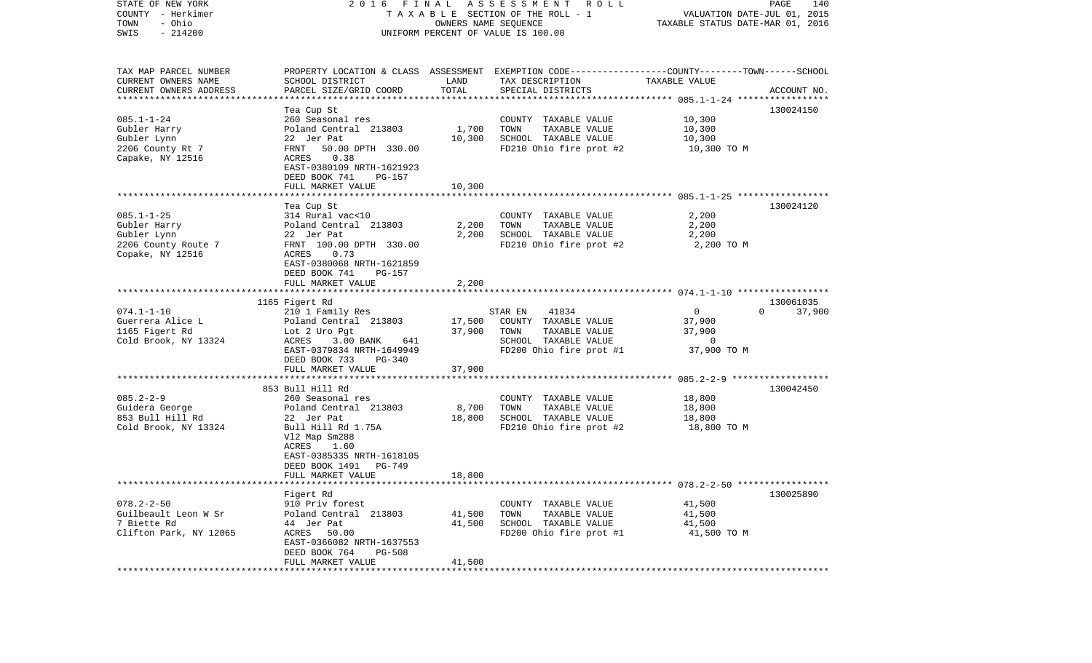| STATE OF NEW YORK<br>COUNTY - Herkimer<br>- Ohio<br>TOWN<br>$-214200$<br>SWIS              | 2016 FINAL                                                                                                                                                                                   |                  | A S S E S S M E N T R O L L<br>TAXABLE SECTION OF THE ROLL - 1<br>OWNERS NAME SEQUENCE<br>UNIFORM PERCENT OF VALUE IS 100.00            | VALUATION DATE-JUL 01, 2015<br>TAXABLE STATUS DATE-MAR 01, 2016 | PAGE<br>140                     |
|--------------------------------------------------------------------------------------------|----------------------------------------------------------------------------------------------------------------------------------------------------------------------------------------------|------------------|-----------------------------------------------------------------------------------------------------------------------------------------|-----------------------------------------------------------------|---------------------------------|
| TAX MAP PARCEL NUMBER<br>CURRENT OWNERS NAME<br>CURRENT OWNERS ADDRESS                     | SCHOOL DISTRICT<br>PARCEL SIZE/GRID COORD                                                                                                                                                    | LAND<br>TOTAL    | PROPERTY LOCATION & CLASS ASSESSMENT EXEMPTION CODE---------------COUNTY-------TOWN------SCHOOL<br>TAX DESCRIPTION<br>SPECIAL DISTRICTS | TAXABLE VALUE                                                   | ACCOUNT NO.                     |
| *************************                                                                  |                                                                                                                                                                                              |                  |                                                                                                                                         |                                                                 |                                 |
|                                                                                            | Tea Cup St                                                                                                                                                                                   |                  |                                                                                                                                         |                                                                 | 130024150                       |
| $085.1 - 1 - 24$<br>Gubler Harry<br>Gubler Lynn<br>2206 County Rt 7                        | 260 Seasonal res<br>Poland Central 213803<br>22 Jer Pat<br>FRNT<br>50.00 DPTH 330.00                                                                                                         | 1,700<br>10,300  | COUNTY TAXABLE VALUE<br>TOWN<br>TAXABLE VALUE<br>SCHOOL TAXABLE VALUE<br>FD210 Ohio fire prot #2                                        | 10,300<br>10,300<br>10,300<br>10,300 TO M                       |                                 |
| Capake, NY 12516                                                                           | 0.38<br>ACRES<br>EAST-0380109 NRTH-1621923<br>DEED BOOK 741<br>PG-157                                                                                                                        |                  |                                                                                                                                         |                                                                 |                                 |
|                                                                                            | FULL MARKET VALUE                                                                                                                                                                            | 10,300           |                                                                                                                                         |                                                                 |                                 |
|                                                                                            | Tea Cup St                                                                                                                                                                                   |                  |                                                                                                                                         |                                                                 | 130024120                       |
| $085.1 - 1 - 25$<br>Gubler Harry<br>Gubler Lynn<br>2206 County Route 7<br>Copake, NY 12516 | 314 Rural vac<10<br>Poland Central 213803<br>22 Jer Pat<br>FRNT 100.00 DPTH 330.00<br>ACRES<br>0.73<br>EAST-0380068 NRTH-1621859                                                             | 2,200<br>2,200   | COUNTY TAXABLE VALUE<br>TOWN<br>TAXABLE VALUE<br>SCHOOL TAXABLE VALUE<br>FD210 Ohio fire prot #2                                        | 2,200<br>2,200<br>2,200<br>2,200 TO M                           |                                 |
|                                                                                            | DEED BOOK 741<br>PG-157                                                                                                                                                                      |                  |                                                                                                                                         |                                                                 |                                 |
|                                                                                            | FULL MARKET VALUE                                                                                                                                                                            | 2,200            |                                                                                                                                         |                                                                 |                                 |
|                                                                                            | 1165 Figert Rd                                                                                                                                                                               |                  |                                                                                                                                         |                                                                 |                                 |
| $074.1 - 1 - 10$<br>Guerrera Alice L<br>1165 Figert Rd<br>Cold Brook, NY 13324             | 210 1 Family Res<br>Poland Central 213803<br>Lot 2 Uro Pgt<br>ACRES<br>3.00 BANK<br>641<br>EAST-0379834 NRTH-1649949<br>DEED BOOK 733<br>PG-340                                              | 17,500<br>37,900 | 41834<br>STAR EN<br>COUNTY TAXABLE VALUE<br>TAXABLE VALUE<br>TOWN<br>SCHOOL TAXABLE VALUE<br>FD200 Ohio fire prot #1                    | 0<br>37,900<br>37,900<br>$\overline{0}$<br>37,900 TO M          | 130061035<br>$\Omega$<br>37,900 |
|                                                                                            | FULL MARKET VALUE                                                                                                                                                                            | 37,900           |                                                                                                                                         |                                                                 |                                 |
|                                                                                            |                                                                                                                                                                                              |                  |                                                                                                                                         |                                                                 |                                 |
| $085.2 - 2 - 9$<br>Guidera George<br>853 Bull Hill Rd<br>Cold Brook, NY 13324              | 853 Bull Hill Rd<br>260 Seasonal res<br>Poland Central 213803<br>22 Jer Pat<br>Bull Hill Rd 1.75A<br>Vl2 Map Sm288<br>ACRES<br>1.60<br>EAST-0385335 NRTH-1618105<br>DEED BOOK 1491<br>PG-749 | 8,700<br>18,800  | COUNTY TAXABLE VALUE<br>TOWN<br>TAXABLE VALUE<br>SCHOOL TAXABLE VALUE<br>FD210 Ohio fire prot #2                                        | 18,800<br>18,800<br>18,800<br>18,800 TO M                       | 130042450                       |
|                                                                                            | FULL MARKET VALUE                                                                                                                                                                            | 18,800           |                                                                                                                                         |                                                                 |                                 |
|                                                                                            |                                                                                                                                                                                              |                  |                                                                                                                                         |                                                                 |                                 |
| $078.2 - 2 - 50$<br>Guilbeault Leon W Sr<br>7 Biette Rd<br>Clifton Park, NY 12065          | Figert Rd<br>910 Priv forest<br>Poland Central 213803<br>44 Jer Pat<br>ACRES<br>50.00<br>EAST-0366082 NRTH-1637553<br>DEED BOOK 764<br><b>PG-508</b>                                         | 41,500<br>41,500 | COUNTY TAXABLE VALUE<br>TAXABLE VALUE<br>TOWN<br>SCHOOL TAXABLE VALUE<br>FD200 Ohio fire prot #1                                        | 41,500<br>41,500<br>41,500<br>41,500 TO M                       | 130025890                       |
|                                                                                            | FULL MARKET VALUE                                                                                                                                                                            | 41,500           |                                                                                                                                         |                                                                 |                                 |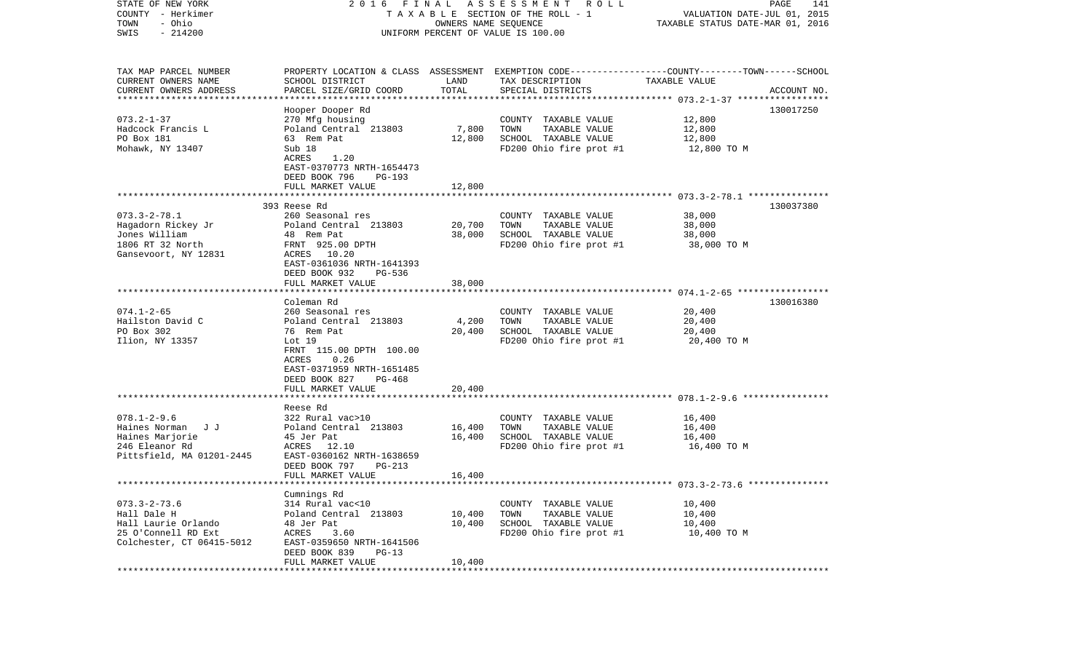| TAXABLE SECTION OF THE ROLL - 1<br>VALUATION DATE-JUL 01, 2015<br>- Ohio<br>TOWN<br>OWNERS NAME SEQUENCE<br>TAXABLE STATUS DATE-MAR 01, 2016<br>SWIS<br>$-214200$<br>UNIFORM PERCENT OF VALUE IS 100.00<br>TAX MAP PARCEL NUMBER<br>PROPERTY LOCATION & CLASS ASSESSMENT EXEMPTION CODE---------------COUNTY-------TOWN------SCHOOL<br>CURRENT OWNERS NAME<br>SCHOOL DISTRICT<br>LAND<br>TAX DESCRIPTION<br>TAXABLE VALUE<br>TOTAL<br>CURRENT OWNERS ADDRESS<br>PARCEL SIZE/GRID COORD<br>SPECIAL DISTRICTS<br>ACCOUNT NO.<br>***********************<br>130017250<br>Hooper Dooper Rd<br>$073.2 - 1 - 37$<br>12,800<br>270 Mfg housing<br>COUNTY TAXABLE VALUE<br>Hadcock Francis L<br>Poland Central 213803<br>7,800<br>TOWN<br>TAXABLE VALUE<br>12,800<br>SCHOOL TAXABLE VALUE<br>PO Box 181<br>63 Rem Pat<br>12,800<br>12,800<br>Mohawk, NY 13407<br>Sub 18<br>FD200 Ohio fire prot #1<br>12,800 TO M<br>ACRES<br>1.20<br>EAST-0370773 NRTH-1654473<br>DEED BOOK 796<br>PG-193<br>FULL MARKET VALUE<br>12,800<br>393 Reese Rd<br>130037380<br>$073.3 - 2 - 78.1$<br>260 Seasonal res<br>38,000<br>COUNTY TAXABLE VALUE<br>Hagadorn Rickey Jr<br>Poland Central 213803<br>20,700<br>TAXABLE VALUE<br>38,000<br>TOWN<br>Jones William<br>48 Rem Pat<br>38,000<br>SCHOOL TAXABLE VALUE<br>38,000<br>1806 RT 32 North<br>FRNT 925.00 DPTH<br>FD200 Ohio fire prot #1<br>38,000 TO M<br>Gansevoort, NY 12831<br>ACRES 10.20<br>EAST-0361036 NRTH-1641393<br>DEED BOOK 932<br>PG-536<br>FULL MARKET VALUE<br>38,000<br>Coleman Rd<br>130016380<br>$074.1 - 2 - 65$<br>260 Seasonal res<br>20,400<br>COUNTY TAXABLE VALUE<br>Hailston David C<br>Poland Central 213803<br>4,200<br>TOWN<br>TAXABLE VALUE<br>20,400<br>PO Box 302<br>SCHOOL TAXABLE VALUE<br>76 Rem Pat<br>20,400<br>20,400<br>FD200 Ohio fire prot #1<br>Ilion, NY 13357<br>Lot $19$<br>20,400 TO M<br>FRNT 115.00 DPTH 100.00<br>0.26<br>ACRES<br>EAST-0371959 NRTH-1651485<br>DEED BOOK 827<br>PG-468<br>FULL MARKET VALUE<br>20,400<br>*****************<br>Reese Rd<br>$078.1 - 2 - 9.6$<br>322 Rural vac>10<br>COUNTY TAXABLE VALUE<br>16,400<br>Haines Norman J J<br>Poland Central 213803<br>16,400<br>TOWN<br>TAXABLE VALUE<br>16,400<br>Haines Marjorie<br>16,400<br>SCHOOL TAXABLE VALUE<br>45 Jer Pat<br>16,400<br>246 Eleanor Rd<br>ACRES 12.10<br>FD200 Ohio fire prot #1<br>16,400 то м<br>Pittsfield, MA 01201-2445<br>EAST-0360162 NRTH-1638659<br>DEED BOOK 797<br>PG-213<br>16,400<br>FULL MARKET VALUE<br>Cumnings Rd<br>314 Rural vac<10<br>$073.3 - 2 - 73.6$<br>COUNTY TAXABLE VALUE<br>10,400<br>Hall Dale H<br>Poland Central 213803<br>10,400<br>10,400<br>TOWN<br>TAXABLE VALUE<br>Hall Laurie Orlando<br>48 Jer Pat<br>10,400<br>SCHOOL TAXABLE VALUE<br>10,400<br>25 O'Connell RD Ext<br>FD200 Ohio fire prot #1<br>ACRES<br>3.60<br>10,400 TO M<br>Colchester, CT 06415-5012<br>EAST-0359650 NRTH-1641506<br>DEED BOOK 839<br>$PG-13$<br>10,400<br>FULL MARKET VALUE | STATE OF NEW YORK |  | 2016 FINAL ASSESSMENT ROLL | PAGE<br>141 |
|----------------------------------------------------------------------------------------------------------------------------------------------------------------------------------------------------------------------------------------------------------------------------------------------------------------------------------------------------------------------------------------------------------------------------------------------------------------------------------------------------------------------------------------------------------------------------------------------------------------------------------------------------------------------------------------------------------------------------------------------------------------------------------------------------------------------------------------------------------------------------------------------------------------------------------------------------------------------------------------------------------------------------------------------------------------------------------------------------------------------------------------------------------------------------------------------------------------------------------------------------------------------------------------------------------------------------------------------------------------------------------------------------------------------------------------------------------------------------------------------------------------------------------------------------------------------------------------------------------------------------------------------------------------------------------------------------------------------------------------------------------------------------------------------------------------------------------------------------------------------------------------------------------------------------------------------------------------------------------------------------------------------------------------------------------------------------------------------------------------------------------------------------------------------------------------------------------------------------------------------------------------------------------------------------------------------------------------------------------------------------------------------------------------------------------------------------------------------------------------------------------------------------------------------------------------------------------------------------------------------------------------------------------------------------------------------------------------------------------------------------------------------------------------------------------------------------------------------------------------------------------------------------------------------------------------------------------------|-------------------|--|----------------------------|-------------|
|                                                                                                                                                                                                                                                                                                                                                                                                                                                                                                                                                                                                                                                                                                                                                                                                                                                                                                                                                                                                                                                                                                                                                                                                                                                                                                                                                                                                                                                                                                                                                                                                                                                                                                                                                                                                                                                                                                                                                                                                                                                                                                                                                                                                                                                                                                                                                                                                                                                                                                                                                                                                                                                                                                                                                                                                                                                                                                                                                                | COUNTY - Herkimer |  |                            |             |
|                                                                                                                                                                                                                                                                                                                                                                                                                                                                                                                                                                                                                                                                                                                                                                                                                                                                                                                                                                                                                                                                                                                                                                                                                                                                                                                                                                                                                                                                                                                                                                                                                                                                                                                                                                                                                                                                                                                                                                                                                                                                                                                                                                                                                                                                                                                                                                                                                                                                                                                                                                                                                                                                                                                                                                                                                                                                                                                                                                |                   |  |                            |             |
|                                                                                                                                                                                                                                                                                                                                                                                                                                                                                                                                                                                                                                                                                                                                                                                                                                                                                                                                                                                                                                                                                                                                                                                                                                                                                                                                                                                                                                                                                                                                                                                                                                                                                                                                                                                                                                                                                                                                                                                                                                                                                                                                                                                                                                                                                                                                                                                                                                                                                                                                                                                                                                                                                                                                                                                                                                                                                                                                                                |                   |  |                            |             |
|                                                                                                                                                                                                                                                                                                                                                                                                                                                                                                                                                                                                                                                                                                                                                                                                                                                                                                                                                                                                                                                                                                                                                                                                                                                                                                                                                                                                                                                                                                                                                                                                                                                                                                                                                                                                                                                                                                                                                                                                                                                                                                                                                                                                                                                                                                                                                                                                                                                                                                                                                                                                                                                                                                                                                                                                                                                                                                                                                                |                   |  |                            |             |
|                                                                                                                                                                                                                                                                                                                                                                                                                                                                                                                                                                                                                                                                                                                                                                                                                                                                                                                                                                                                                                                                                                                                                                                                                                                                                                                                                                                                                                                                                                                                                                                                                                                                                                                                                                                                                                                                                                                                                                                                                                                                                                                                                                                                                                                                                                                                                                                                                                                                                                                                                                                                                                                                                                                                                                                                                                                                                                                                                                |                   |  |                            |             |
|                                                                                                                                                                                                                                                                                                                                                                                                                                                                                                                                                                                                                                                                                                                                                                                                                                                                                                                                                                                                                                                                                                                                                                                                                                                                                                                                                                                                                                                                                                                                                                                                                                                                                                                                                                                                                                                                                                                                                                                                                                                                                                                                                                                                                                                                                                                                                                                                                                                                                                                                                                                                                                                                                                                                                                                                                                                                                                                                                                |                   |  |                            |             |
|                                                                                                                                                                                                                                                                                                                                                                                                                                                                                                                                                                                                                                                                                                                                                                                                                                                                                                                                                                                                                                                                                                                                                                                                                                                                                                                                                                                                                                                                                                                                                                                                                                                                                                                                                                                                                                                                                                                                                                                                                                                                                                                                                                                                                                                                                                                                                                                                                                                                                                                                                                                                                                                                                                                                                                                                                                                                                                                                                                |                   |  |                            |             |
|                                                                                                                                                                                                                                                                                                                                                                                                                                                                                                                                                                                                                                                                                                                                                                                                                                                                                                                                                                                                                                                                                                                                                                                                                                                                                                                                                                                                                                                                                                                                                                                                                                                                                                                                                                                                                                                                                                                                                                                                                                                                                                                                                                                                                                                                                                                                                                                                                                                                                                                                                                                                                                                                                                                                                                                                                                                                                                                                                                |                   |  |                            |             |
|                                                                                                                                                                                                                                                                                                                                                                                                                                                                                                                                                                                                                                                                                                                                                                                                                                                                                                                                                                                                                                                                                                                                                                                                                                                                                                                                                                                                                                                                                                                                                                                                                                                                                                                                                                                                                                                                                                                                                                                                                                                                                                                                                                                                                                                                                                                                                                                                                                                                                                                                                                                                                                                                                                                                                                                                                                                                                                                                                                |                   |  |                            |             |
|                                                                                                                                                                                                                                                                                                                                                                                                                                                                                                                                                                                                                                                                                                                                                                                                                                                                                                                                                                                                                                                                                                                                                                                                                                                                                                                                                                                                                                                                                                                                                                                                                                                                                                                                                                                                                                                                                                                                                                                                                                                                                                                                                                                                                                                                                                                                                                                                                                                                                                                                                                                                                                                                                                                                                                                                                                                                                                                                                                |                   |  |                            |             |
|                                                                                                                                                                                                                                                                                                                                                                                                                                                                                                                                                                                                                                                                                                                                                                                                                                                                                                                                                                                                                                                                                                                                                                                                                                                                                                                                                                                                                                                                                                                                                                                                                                                                                                                                                                                                                                                                                                                                                                                                                                                                                                                                                                                                                                                                                                                                                                                                                                                                                                                                                                                                                                                                                                                                                                                                                                                                                                                                                                |                   |  |                            |             |
|                                                                                                                                                                                                                                                                                                                                                                                                                                                                                                                                                                                                                                                                                                                                                                                                                                                                                                                                                                                                                                                                                                                                                                                                                                                                                                                                                                                                                                                                                                                                                                                                                                                                                                                                                                                                                                                                                                                                                                                                                                                                                                                                                                                                                                                                                                                                                                                                                                                                                                                                                                                                                                                                                                                                                                                                                                                                                                                                                                |                   |  |                            |             |
|                                                                                                                                                                                                                                                                                                                                                                                                                                                                                                                                                                                                                                                                                                                                                                                                                                                                                                                                                                                                                                                                                                                                                                                                                                                                                                                                                                                                                                                                                                                                                                                                                                                                                                                                                                                                                                                                                                                                                                                                                                                                                                                                                                                                                                                                                                                                                                                                                                                                                                                                                                                                                                                                                                                                                                                                                                                                                                                                                                |                   |  |                            |             |
|                                                                                                                                                                                                                                                                                                                                                                                                                                                                                                                                                                                                                                                                                                                                                                                                                                                                                                                                                                                                                                                                                                                                                                                                                                                                                                                                                                                                                                                                                                                                                                                                                                                                                                                                                                                                                                                                                                                                                                                                                                                                                                                                                                                                                                                                                                                                                                                                                                                                                                                                                                                                                                                                                                                                                                                                                                                                                                                                                                |                   |  |                            |             |
|                                                                                                                                                                                                                                                                                                                                                                                                                                                                                                                                                                                                                                                                                                                                                                                                                                                                                                                                                                                                                                                                                                                                                                                                                                                                                                                                                                                                                                                                                                                                                                                                                                                                                                                                                                                                                                                                                                                                                                                                                                                                                                                                                                                                                                                                                                                                                                                                                                                                                                                                                                                                                                                                                                                                                                                                                                                                                                                                                                |                   |  |                            |             |
|                                                                                                                                                                                                                                                                                                                                                                                                                                                                                                                                                                                                                                                                                                                                                                                                                                                                                                                                                                                                                                                                                                                                                                                                                                                                                                                                                                                                                                                                                                                                                                                                                                                                                                                                                                                                                                                                                                                                                                                                                                                                                                                                                                                                                                                                                                                                                                                                                                                                                                                                                                                                                                                                                                                                                                                                                                                                                                                                                                |                   |  |                            |             |
|                                                                                                                                                                                                                                                                                                                                                                                                                                                                                                                                                                                                                                                                                                                                                                                                                                                                                                                                                                                                                                                                                                                                                                                                                                                                                                                                                                                                                                                                                                                                                                                                                                                                                                                                                                                                                                                                                                                                                                                                                                                                                                                                                                                                                                                                                                                                                                                                                                                                                                                                                                                                                                                                                                                                                                                                                                                                                                                                                                |                   |  |                            |             |
|                                                                                                                                                                                                                                                                                                                                                                                                                                                                                                                                                                                                                                                                                                                                                                                                                                                                                                                                                                                                                                                                                                                                                                                                                                                                                                                                                                                                                                                                                                                                                                                                                                                                                                                                                                                                                                                                                                                                                                                                                                                                                                                                                                                                                                                                                                                                                                                                                                                                                                                                                                                                                                                                                                                                                                                                                                                                                                                                                                |                   |  |                            |             |
|                                                                                                                                                                                                                                                                                                                                                                                                                                                                                                                                                                                                                                                                                                                                                                                                                                                                                                                                                                                                                                                                                                                                                                                                                                                                                                                                                                                                                                                                                                                                                                                                                                                                                                                                                                                                                                                                                                                                                                                                                                                                                                                                                                                                                                                                                                                                                                                                                                                                                                                                                                                                                                                                                                                                                                                                                                                                                                                                                                |                   |  |                            |             |
|                                                                                                                                                                                                                                                                                                                                                                                                                                                                                                                                                                                                                                                                                                                                                                                                                                                                                                                                                                                                                                                                                                                                                                                                                                                                                                                                                                                                                                                                                                                                                                                                                                                                                                                                                                                                                                                                                                                                                                                                                                                                                                                                                                                                                                                                                                                                                                                                                                                                                                                                                                                                                                                                                                                                                                                                                                                                                                                                                                |                   |  |                            |             |
|                                                                                                                                                                                                                                                                                                                                                                                                                                                                                                                                                                                                                                                                                                                                                                                                                                                                                                                                                                                                                                                                                                                                                                                                                                                                                                                                                                                                                                                                                                                                                                                                                                                                                                                                                                                                                                                                                                                                                                                                                                                                                                                                                                                                                                                                                                                                                                                                                                                                                                                                                                                                                                                                                                                                                                                                                                                                                                                                                                |                   |  |                            |             |
|                                                                                                                                                                                                                                                                                                                                                                                                                                                                                                                                                                                                                                                                                                                                                                                                                                                                                                                                                                                                                                                                                                                                                                                                                                                                                                                                                                                                                                                                                                                                                                                                                                                                                                                                                                                                                                                                                                                                                                                                                                                                                                                                                                                                                                                                                                                                                                                                                                                                                                                                                                                                                                                                                                                                                                                                                                                                                                                                                                |                   |  |                            |             |
|                                                                                                                                                                                                                                                                                                                                                                                                                                                                                                                                                                                                                                                                                                                                                                                                                                                                                                                                                                                                                                                                                                                                                                                                                                                                                                                                                                                                                                                                                                                                                                                                                                                                                                                                                                                                                                                                                                                                                                                                                                                                                                                                                                                                                                                                                                                                                                                                                                                                                                                                                                                                                                                                                                                                                                                                                                                                                                                                                                |                   |  |                            |             |
|                                                                                                                                                                                                                                                                                                                                                                                                                                                                                                                                                                                                                                                                                                                                                                                                                                                                                                                                                                                                                                                                                                                                                                                                                                                                                                                                                                                                                                                                                                                                                                                                                                                                                                                                                                                                                                                                                                                                                                                                                                                                                                                                                                                                                                                                                                                                                                                                                                                                                                                                                                                                                                                                                                                                                                                                                                                                                                                                                                |                   |  |                            |             |
|                                                                                                                                                                                                                                                                                                                                                                                                                                                                                                                                                                                                                                                                                                                                                                                                                                                                                                                                                                                                                                                                                                                                                                                                                                                                                                                                                                                                                                                                                                                                                                                                                                                                                                                                                                                                                                                                                                                                                                                                                                                                                                                                                                                                                                                                                                                                                                                                                                                                                                                                                                                                                                                                                                                                                                                                                                                                                                                                                                |                   |  |                            |             |
|                                                                                                                                                                                                                                                                                                                                                                                                                                                                                                                                                                                                                                                                                                                                                                                                                                                                                                                                                                                                                                                                                                                                                                                                                                                                                                                                                                                                                                                                                                                                                                                                                                                                                                                                                                                                                                                                                                                                                                                                                                                                                                                                                                                                                                                                                                                                                                                                                                                                                                                                                                                                                                                                                                                                                                                                                                                                                                                                                                |                   |  |                            |             |
|                                                                                                                                                                                                                                                                                                                                                                                                                                                                                                                                                                                                                                                                                                                                                                                                                                                                                                                                                                                                                                                                                                                                                                                                                                                                                                                                                                                                                                                                                                                                                                                                                                                                                                                                                                                                                                                                                                                                                                                                                                                                                                                                                                                                                                                                                                                                                                                                                                                                                                                                                                                                                                                                                                                                                                                                                                                                                                                                                                |                   |  |                            |             |
|                                                                                                                                                                                                                                                                                                                                                                                                                                                                                                                                                                                                                                                                                                                                                                                                                                                                                                                                                                                                                                                                                                                                                                                                                                                                                                                                                                                                                                                                                                                                                                                                                                                                                                                                                                                                                                                                                                                                                                                                                                                                                                                                                                                                                                                                                                                                                                                                                                                                                                                                                                                                                                                                                                                                                                                                                                                                                                                                                                |                   |  |                            |             |
|                                                                                                                                                                                                                                                                                                                                                                                                                                                                                                                                                                                                                                                                                                                                                                                                                                                                                                                                                                                                                                                                                                                                                                                                                                                                                                                                                                                                                                                                                                                                                                                                                                                                                                                                                                                                                                                                                                                                                                                                                                                                                                                                                                                                                                                                                                                                                                                                                                                                                                                                                                                                                                                                                                                                                                                                                                                                                                                                                                |                   |  |                            |             |
|                                                                                                                                                                                                                                                                                                                                                                                                                                                                                                                                                                                                                                                                                                                                                                                                                                                                                                                                                                                                                                                                                                                                                                                                                                                                                                                                                                                                                                                                                                                                                                                                                                                                                                                                                                                                                                                                                                                                                                                                                                                                                                                                                                                                                                                                                                                                                                                                                                                                                                                                                                                                                                                                                                                                                                                                                                                                                                                                                                |                   |  |                            |             |
|                                                                                                                                                                                                                                                                                                                                                                                                                                                                                                                                                                                                                                                                                                                                                                                                                                                                                                                                                                                                                                                                                                                                                                                                                                                                                                                                                                                                                                                                                                                                                                                                                                                                                                                                                                                                                                                                                                                                                                                                                                                                                                                                                                                                                                                                                                                                                                                                                                                                                                                                                                                                                                                                                                                                                                                                                                                                                                                                                                |                   |  |                            |             |
|                                                                                                                                                                                                                                                                                                                                                                                                                                                                                                                                                                                                                                                                                                                                                                                                                                                                                                                                                                                                                                                                                                                                                                                                                                                                                                                                                                                                                                                                                                                                                                                                                                                                                                                                                                                                                                                                                                                                                                                                                                                                                                                                                                                                                                                                                                                                                                                                                                                                                                                                                                                                                                                                                                                                                                                                                                                                                                                                                                |                   |  |                            |             |
|                                                                                                                                                                                                                                                                                                                                                                                                                                                                                                                                                                                                                                                                                                                                                                                                                                                                                                                                                                                                                                                                                                                                                                                                                                                                                                                                                                                                                                                                                                                                                                                                                                                                                                                                                                                                                                                                                                                                                                                                                                                                                                                                                                                                                                                                                                                                                                                                                                                                                                                                                                                                                                                                                                                                                                                                                                                                                                                                                                |                   |  |                            |             |
|                                                                                                                                                                                                                                                                                                                                                                                                                                                                                                                                                                                                                                                                                                                                                                                                                                                                                                                                                                                                                                                                                                                                                                                                                                                                                                                                                                                                                                                                                                                                                                                                                                                                                                                                                                                                                                                                                                                                                                                                                                                                                                                                                                                                                                                                                                                                                                                                                                                                                                                                                                                                                                                                                                                                                                                                                                                                                                                                                                |                   |  |                            |             |
|                                                                                                                                                                                                                                                                                                                                                                                                                                                                                                                                                                                                                                                                                                                                                                                                                                                                                                                                                                                                                                                                                                                                                                                                                                                                                                                                                                                                                                                                                                                                                                                                                                                                                                                                                                                                                                                                                                                                                                                                                                                                                                                                                                                                                                                                                                                                                                                                                                                                                                                                                                                                                                                                                                                                                                                                                                                                                                                                                                |                   |  |                            |             |
|                                                                                                                                                                                                                                                                                                                                                                                                                                                                                                                                                                                                                                                                                                                                                                                                                                                                                                                                                                                                                                                                                                                                                                                                                                                                                                                                                                                                                                                                                                                                                                                                                                                                                                                                                                                                                                                                                                                                                                                                                                                                                                                                                                                                                                                                                                                                                                                                                                                                                                                                                                                                                                                                                                                                                                                                                                                                                                                                                                |                   |  |                            |             |
|                                                                                                                                                                                                                                                                                                                                                                                                                                                                                                                                                                                                                                                                                                                                                                                                                                                                                                                                                                                                                                                                                                                                                                                                                                                                                                                                                                                                                                                                                                                                                                                                                                                                                                                                                                                                                                                                                                                                                                                                                                                                                                                                                                                                                                                                                                                                                                                                                                                                                                                                                                                                                                                                                                                                                                                                                                                                                                                                                                |                   |  |                            |             |
|                                                                                                                                                                                                                                                                                                                                                                                                                                                                                                                                                                                                                                                                                                                                                                                                                                                                                                                                                                                                                                                                                                                                                                                                                                                                                                                                                                                                                                                                                                                                                                                                                                                                                                                                                                                                                                                                                                                                                                                                                                                                                                                                                                                                                                                                                                                                                                                                                                                                                                                                                                                                                                                                                                                                                                                                                                                                                                                                                                |                   |  |                            |             |
|                                                                                                                                                                                                                                                                                                                                                                                                                                                                                                                                                                                                                                                                                                                                                                                                                                                                                                                                                                                                                                                                                                                                                                                                                                                                                                                                                                                                                                                                                                                                                                                                                                                                                                                                                                                                                                                                                                                                                                                                                                                                                                                                                                                                                                                                                                                                                                                                                                                                                                                                                                                                                                                                                                                                                                                                                                                                                                                                                                |                   |  |                            |             |
|                                                                                                                                                                                                                                                                                                                                                                                                                                                                                                                                                                                                                                                                                                                                                                                                                                                                                                                                                                                                                                                                                                                                                                                                                                                                                                                                                                                                                                                                                                                                                                                                                                                                                                                                                                                                                                                                                                                                                                                                                                                                                                                                                                                                                                                                                                                                                                                                                                                                                                                                                                                                                                                                                                                                                                                                                                                                                                                                                                |                   |  |                            |             |
|                                                                                                                                                                                                                                                                                                                                                                                                                                                                                                                                                                                                                                                                                                                                                                                                                                                                                                                                                                                                                                                                                                                                                                                                                                                                                                                                                                                                                                                                                                                                                                                                                                                                                                                                                                                                                                                                                                                                                                                                                                                                                                                                                                                                                                                                                                                                                                                                                                                                                                                                                                                                                                                                                                                                                                                                                                                                                                                                                                |                   |  |                            |             |
|                                                                                                                                                                                                                                                                                                                                                                                                                                                                                                                                                                                                                                                                                                                                                                                                                                                                                                                                                                                                                                                                                                                                                                                                                                                                                                                                                                                                                                                                                                                                                                                                                                                                                                                                                                                                                                                                                                                                                                                                                                                                                                                                                                                                                                                                                                                                                                                                                                                                                                                                                                                                                                                                                                                                                                                                                                                                                                                                                                |                   |  |                            |             |
|                                                                                                                                                                                                                                                                                                                                                                                                                                                                                                                                                                                                                                                                                                                                                                                                                                                                                                                                                                                                                                                                                                                                                                                                                                                                                                                                                                                                                                                                                                                                                                                                                                                                                                                                                                                                                                                                                                                                                                                                                                                                                                                                                                                                                                                                                                                                                                                                                                                                                                                                                                                                                                                                                                                                                                                                                                                                                                                                                                |                   |  |                            |             |
|                                                                                                                                                                                                                                                                                                                                                                                                                                                                                                                                                                                                                                                                                                                                                                                                                                                                                                                                                                                                                                                                                                                                                                                                                                                                                                                                                                                                                                                                                                                                                                                                                                                                                                                                                                                                                                                                                                                                                                                                                                                                                                                                                                                                                                                                                                                                                                                                                                                                                                                                                                                                                                                                                                                                                                                                                                                                                                                                                                |                   |  |                            |             |
|                                                                                                                                                                                                                                                                                                                                                                                                                                                                                                                                                                                                                                                                                                                                                                                                                                                                                                                                                                                                                                                                                                                                                                                                                                                                                                                                                                                                                                                                                                                                                                                                                                                                                                                                                                                                                                                                                                                                                                                                                                                                                                                                                                                                                                                                                                                                                                                                                                                                                                                                                                                                                                                                                                                                                                                                                                                                                                                                                                |                   |  |                            |             |
|                                                                                                                                                                                                                                                                                                                                                                                                                                                                                                                                                                                                                                                                                                                                                                                                                                                                                                                                                                                                                                                                                                                                                                                                                                                                                                                                                                                                                                                                                                                                                                                                                                                                                                                                                                                                                                                                                                                                                                                                                                                                                                                                                                                                                                                                                                                                                                                                                                                                                                                                                                                                                                                                                                                                                                                                                                                                                                                                                                |                   |  |                            |             |
|                                                                                                                                                                                                                                                                                                                                                                                                                                                                                                                                                                                                                                                                                                                                                                                                                                                                                                                                                                                                                                                                                                                                                                                                                                                                                                                                                                                                                                                                                                                                                                                                                                                                                                                                                                                                                                                                                                                                                                                                                                                                                                                                                                                                                                                                                                                                                                                                                                                                                                                                                                                                                                                                                                                                                                                                                                                                                                                                                                |                   |  |                            |             |
|                                                                                                                                                                                                                                                                                                                                                                                                                                                                                                                                                                                                                                                                                                                                                                                                                                                                                                                                                                                                                                                                                                                                                                                                                                                                                                                                                                                                                                                                                                                                                                                                                                                                                                                                                                                                                                                                                                                                                                                                                                                                                                                                                                                                                                                                                                                                                                                                                                                                                                                                                                                                                                                                                                                                                                                                                                                                                                                                                                |                   |  |                            |             |
|                                                                                                                                                                                                                                                                                                                                                                                                                                                                                                                                                                                                                                                                                                                                                                                                                                                                                                                                                                                                                                                                                                                                                                                                                                                                                                                                                                                                                                                                                                                                                                                                                                                                                                                                                                                                                                                                                                                                                                                                                                                                                                                                                                                                                                                                                                                                                                                                                                                                                                                                                                                                                                                                                                                                                                                                                                                                                                                                                                |                   |  |                            |             |
|                                                                                                                                                                                                                                                                                                                                                                                                                                                                                                                                                                                                                                                                                                                                                                                                                                                                                                                                                                                                                                                                                                                                                                                                                                                                                                                                                                                                                                                                                                                                                                                                                                                                                                                                                                                                                                                                                                                                                                                                                                                                                                                                                                                                                                                                                                                                                                                                                                                                                                                                                                                                                                                                                                                                                                                                                                                                                                                                                                |                   |  |                            |             |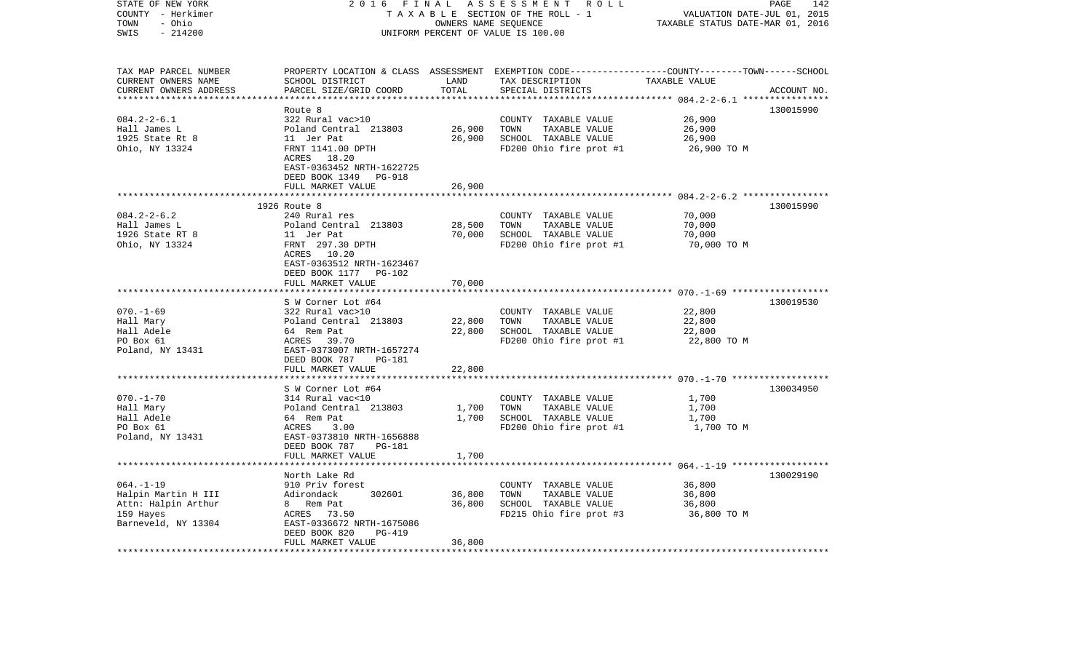| STATE OF NEW YORK         | 2016                            | FINAL                            | ASSESSMENT ROLL                                                                                 |                                                      | 142<br>PAGE |
|---------------------------|---------------------------------|----------------------------------|-------------------------------------------------------------------------------------------------|------------------------------------------------------|-------------|
| COUNTY - Herkimer         | TAXABLE SECTION OF THE ROLL - 1 | VALUATION DATE-JUL 01, 2015      |                                                                                                 |                                                      |             |
| - Ohio<br>TOWN            |                                 | TAXABLE STATUS DATE-MAR 01, 2016 |                                                                                                 |                                                      |             |
| SWIS<br>$-214200$         |                                 |                                  | UNIFORM PERCENT OF VALUE IS 100.00                                                              |                                                      |             |
|                           |                                 |                                  |                                                                                                 |                                                      |             |
| TAX MAP PARCEL NUMBER     |                                 |                                  | PROPERTY LOCATION & CLASS ASSESSMENT EXEMPTION CODE---------------COUNTY-------TOWN------SCHOOL |                                                      |             |
| CURRENT OWNERS NAME       | SCHOOL DISTRICT                 | LAND                             | TAX DESCRIPTION                                                                                 | TAXABLE VALUE                                        |             |
| CURRENT OWNERS ADDRESS    | PARCEL SIZE/GRID COORD          | TOTAL                            | SPECIAL DISTRICTS                                                                               |                                                      | ACCOUNT NO. |
| ***********************   | **************************      | ***********                      |                                                                                                 |                                                      |             |
|                           | Route 8                         |                                  |                                                                                                 |                                                      | 130015990   |
| $084.2 - 2 - 6.1$         | 322 Rural vac>10                |                                  | COUNTY TAXABLE VALUE                                                                            | 26,900                                               |             |
| Hall James L              | Poland Central 213803           | 26,900                           | TOWN<br>TAXABLE VALUE                                                                           | 26,900                                               |             |
| 1925 State Rt 8           | 11 Jer Pat                      | 26,900                           | SCHOOL TAXABLE VALUE                                                                            | 26,900                                               |             |
| Ohio, NY 13324            | FRNT 1141.00 DPTH               |                                  | FD200 Ohio fire prot #1                                                                         | 26,900 ТО М                                          |             |
|                           | ACRES 18.20                     |                                  |                                                                                                 |                                                      |             |
|                           | EAST-0363452 NRTH-1622725       |                                  |                                                                                                 |                                                      |             |
|                           | DEED BOOK 1349<br>PG-918        |                                  |                                                                                                 |                                                      |             |
|                           | FULL MARKET VALUE               | 26,900                           |                                                                                                 |                                                      |             |
|                           | ************************        |                                  |                                                                                                 |                                                      |             |
|                           | 1926 Route 8                    |                                  |                                                                                                 |                                                      | 130015990   |
| $084.2 - 2 - 6.2$         | 240 Rural res                   |                                  | COUNTY TAXABLE VALUE                                                                            | 70,000                                               |             |
| Hall James L              | Poland Central 213803           | 28,500                           | TAXABLE VALUE<br>TOWN                                                                           | 70,000                                               |             |
| 1926 State RT 8           | 11 Jer Pat                      | 70,000                           | SCHOOL TAXABLE VALUE                                                                            | 70,000                                               |             |
| Ohio, NY 13324            | FRNT 297.30 DPTH                |                                  | FD200 Ohio fire prot #1                                                                         | 70,000 TO M                                          |             |
|                           | ACRES 10.20                     |                                  |                                                                                                 |                                                      |             |
|                           | EAST-0363512 NRTH-1623467       |                                  |                                                                                                 |                                                      |             |
|                           | DEED BOOK 1177<br><b>PG-102</b> |                                  |                                                                                                 |                                                      |             |
|                           | FULL MARKET VALUE               | 70,000                           |                                                                                                 |                                                      |             |
|                           |                                 |                                  |                                                                                                 |                                                      |             |
|                           | S W Corner Lot #64              |                                  |                                                                                                 |                                                      | 130019530   |
| $070. - 1 - 69$           | 322 Rural vac>10                |                                  | COUNTY TAXABLE VALUE                                                                            | 22,800                                               |             |
| Hall Mary                 | Poland Central 213803           | 22,800                           | TOWN<br>TAXABLE VALUE                                                                           | 22,800                                               |             |
| Hall Adele                | 64 Rem Pat                      | 22,800                           | SCHOOL TAXABLE VALUE                                                                            | 22,800                                               |             |
| PO Box 61                 | ACRES<br>39.70                  |                                  | FD200 Ohio fire prot #1                                                                         | 22,800 TO M                                          |             |
| Poland, NY 13431          | EAST-0373007 NRTH-1657274       |                                  |                                                                                                 |                                                      |             |
|                           | DEED BOOK 787<br>PG-181         |                                  |                                                                                                 |                                                      |             |
|                           | FULL MARKET VALUE               | 22,800                           |                                                                                                 |                                                      |             |
|                           |                                 |                                  |                                                                                                 | ********************** 070.-1-70 ******************* |             |
|                           | S W Corner Lot #64              |                                  |                                                                                                 |                                                      | 130034950   |
| $070. - 1 - 70$           | 314 Rural vac<10                |                                  | COUNTY TAXABLE VALUE                                                                            | 1,700                                                |             |
| Hall Mary                 | Poland Central 213803           | 1,700                            | TOWN<br>TAXABLE VALUE                                                                           | 1,700                                                |             |
| Hall Adele                | 64 Rem Pat                      | 1,700                            | SCHOOL TAXABLE VALUE                                                                            | 1,700                                                |             |
| PO Box 61                 | ACRES<br>3.00                   |                                  | FD200 Ohio fire prot #1                                                                         | 1,700 TO M                                           |             |
| Poland, NY 13431          | EAST-0373810 NRTH-1656888       |                                  |                                                                                                 |                                                      |             |
|                           | DEED BOOK 787<br><b>PG-181</b>  |                                  |                                                                                                 |                                                      |             |
|                           | FULL MARKET VALUE               | 1,700                            |                                                                                                 |                                                      |             |
|                           | *******************             |                                  |                                                                                                 |                                                      |             |
|                           | North Lake Rd                   |                                  |                                                                                                 |                                                      | 130029190   |
| $064. -1 -19$             | 910 Priv forest                 |                                  | COUNTY TAXABLE VALUE                                                                            | 36,800                                               |             |
| Halpin Martin H III       | 302601<br>Adirondack            | 36,800                           | TAXABLE VALUE<br>TOWN                                                                           | 36,800                                               |             |
| Attn: Halpin Arthur       | 8<br>Rem Pat                    | 36,800                           | SCHOOL TAXABLE VALUE                                                                            | 36,800                                               |             |
| 159 Hayes                 | ACRES<br>73.50                  |                                  | FD215 Ohio fire prot #3                                                                         | 36,800 TO M                                          |             |
| Barneveld, NY 13304       | EAST-0336672 NRTH-1675086       |                                  |                                                                                                 |                                                      |             |
|                           | DEED BOOK 820<br>PG-419         |                                  |                                                                                                 |                                                      |             |
|                           | FULL MARKET VALUE               | 36,800                           |                                                                                                 |                                                      |             |
| ************************* | ***********************         | **********                       |                                                                                                 |                                                      |             |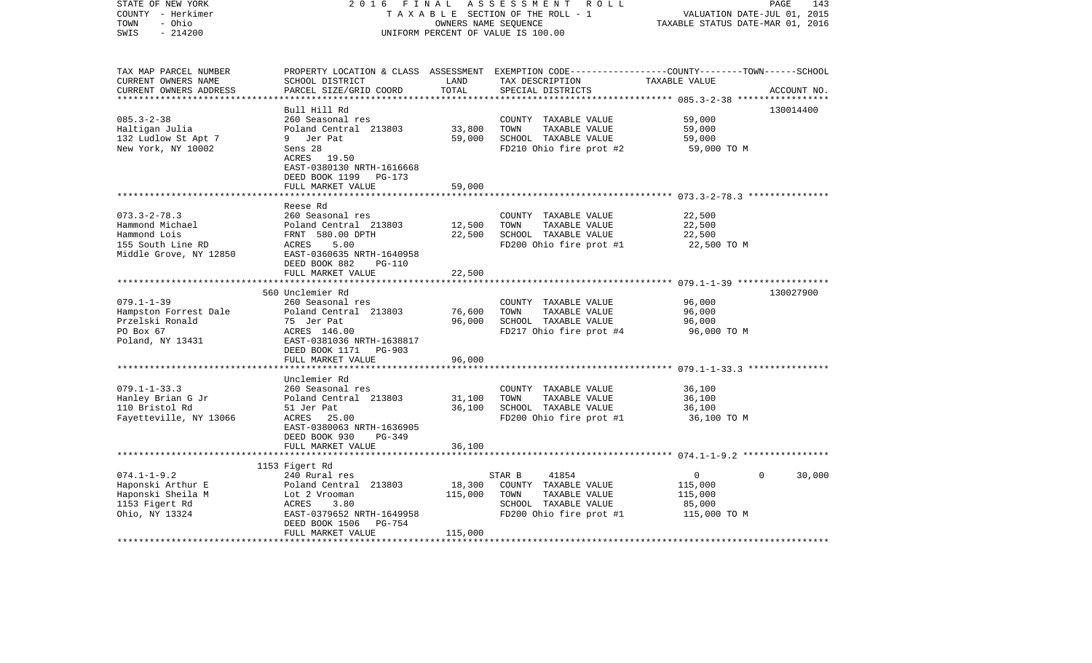| STATE OF NEW YORK<br>COUNTY - Herkimer<br>- Ohio<br>TOWN<br>$-214200$<br>SWIS                        | 2 0 1 6<br>FINAL<br>TAXABLE SECTION OF THE ROLL - 1<br>UNIFORM PERCENT OF VALUE IS 100.00                                                                 | PAGE<br>143<br>VALUATION DATE-JUL 01, 2015<br>TAXABLE STATUS DATE-MAR 01, 2016 |                                                                                                                                         |                                                               |             |
|------------------------------------------------------------------------------------------------------|-----------------------------------------------------------------------------------------------------------------------------------------------------------|--------------------------------------------------------------------------------|-----------------------------------------------------------------------------------------------------------------------------------------|---------------------------------------------------------------|-------------|
| TAX MAP PARCEL NUMBER<br>CURRENT OWNERS NAME<br>CURRENT OWNERS ADDRESS<br>************************** | SCHOOL DISTRICT<br>PARCEL SIZE/GRID COORD                                                                                                                 | LAND<br>TOTAL                                                                  | PROPERTY LOCATION & CLASS ASSESSMENT EXEMPTION CODE---------------COUNTY-------TOWN------SCHOOL<br>TAX DESCRIPTION<br>SPECIAL DISTRICTS | TAXABLE VALUE                                                 | ACCOUNT NO. |
|                                                                                                      | Bull Hill Rd                                                                                                                                              |                                                                                |                                                                                                                                         |                                                               | 130014400   |
| $085.3 - 2 - 38$<br>Haltigan Julia<br>132 Ludlow St Apt 7<br>New York, NY 10002                      | 260 Seasonal res<br>Poland Central 213803<br>9 Jer Pat<br>Sens 28<br>ACRES 19.50<br>EAST-0380130 NRTH-1616668                                             | 33,800<br>59,000                                                               | COUNTY TAXABLE VALUE<br>TOWN<br>TAXABLE VALUE<br>SCHOOL TAXABLE VALUE<br>FD210 Ohio fire prot #2                                        | 59,000<br>59,000<br>59,000<br>59,000 TO M                     |             |
|                                                                                                      | DEED BOOK 1199 PG-173                                                                                                                                     |                                                                                |                                                                                                                                         |                                                               |             |
|                                                                                                      | FULL MARKET VALUE                                                                                                                                         | 59,000                                                                         |                                                                                                                                         |                                                               |             |
| $073.3 - 2 - 78.3$<br>Hammond Michael<br>Hammond Lois<br>155 South Line RD<br>Middle Grove, NY 12850 | Reese Rd<br>260 Seasonal res<br>Poland Central 213803<br>FRNT 580.00 DPTH<br>ACRES<br>5.00<br>EAST-0360635 NRTH-1640958<br>DEED BOOK 882<br><b>PG-110</b> | 12,500<br>22,500                                                               | COUNTY TAXABLE VALUE<br>TOWN<br>TAXABLE VALUE<br>SCHOOL TAXABLE VALUE<br>FD200 Ohio fire prot #1                                        | 22,500<br>22,500<br>22,500<br>22,500 TO M                     |             |
|                                                                                                      | FULL MARKET VALUE                                                                                                                                         | 22,500                                                                         |                                                                                                                                         |                                                               |             |
|                                                                                                      | *************************                                                                                                                                 |                                                                                |                                                                                                                                         |                                                               |             |
| $079.1 - 1 - 39$<br>Hampston Forrest Dale<br>Przelski Ronald<br>PO Box 67<br>Poland, NY 13431        | 560 Unclemier Rd<br>260 Seasonal res<br>Poland Central 213803<br>75 Jer Pat<br>ACRES 146.00<br>EAST-0381036 NRTH-1638817<br>DEED BOOK 1171<br>PG-903      | 76,600<br>96,000                                                               | COUNTY TAXABLE VALUE<br>TOWN<br>TAXABLE VALUE<br>SCHOOL TAXABLE VALUE<br>FD217 Ohio fire prot #4                                        | 96,000<br>96,000<br>96,000<br>96,000 TO M                     | 130027900   |
|                                                                                                      | FULL MARKET VALUE                                                                                                                                         | 96,000                                                                         |                                                                                                                                         |                                                               |             |
|                                                                                                      | ***********************                                                                                                                                   |                                                                                |                                                                                                                                         |                                                               |             |
| $079.1 - 1 - 33.3$<br>Hanley Brian G Jr<br>110 Bristol Rd<br>Fayetteville, NY 13066                  | Unclemier Rd<br>260 Seasonal res<br>Poland Central 213803<br>51 Jer Pat<br>ACRES 25.00<br>EAST-0380063 NRTH-1636905<br>DEED BOOK 930<br>PG-349            | 31,100<br>36,100                                                               | COUNTY TAXABLE VALUE<br>TOWN<br>TAXABLE VALUE<br>SCHOOL TAXABLE VALUE<br>FD200 Ohio fire prot #1                                        | 36,100<br>36,100<br>36,100<br>36,100 TO M                     |             |
|                                                                                                      | FULL MARKET VALUE                                                                                                                                         | 36,100                                                                         |                                                                                                                                         |                                                               |             |
|                                                                                                      |                                                                                                                                                           |                                                                                |                                                                                                                                         |                                                               |             |
|                                                                                                      | 1153 Figert Rd                                                                                                                                            |                                                                                |                                                                                                                                         |                                                               |             |
| $074.1 - 1 - 9.2$<br>Haponski Arthur E<br>Haponski Sheila M<br>1153 Figert Rd<br>Ohio, NY 13324      | 240 Rural res<br>Poland Central 213803<br>Lot 2 Vrooman<br>ACRES<br>3.80<br>EAST-0379652 NRTH-1649958                                                     | 18,300<br>115,000                                                              | STAR B<br>41854<br>COUNTY TAXABLE VALUE<br>TOWN<br>TAXABLE VALUE<br>SCHOOL TAXABLE VALUE<br>FD200 Ohio fire prot #1                     | 0<br>$\Omega$<br>115,000<br>115,000<br>85,000<br>115,000 TO M | 30,000      |
|                                                                                                      | DEED BOOK 1506<br>PG-754<br>FULL MARKET VALUE                                                                                                             | 115,000                                                                        |                                                                                                                                         |                                                               |             |
|                                                                                                      |                                                                                                                                                           |                                                                                |                                                                                                                                         |                                                               |             |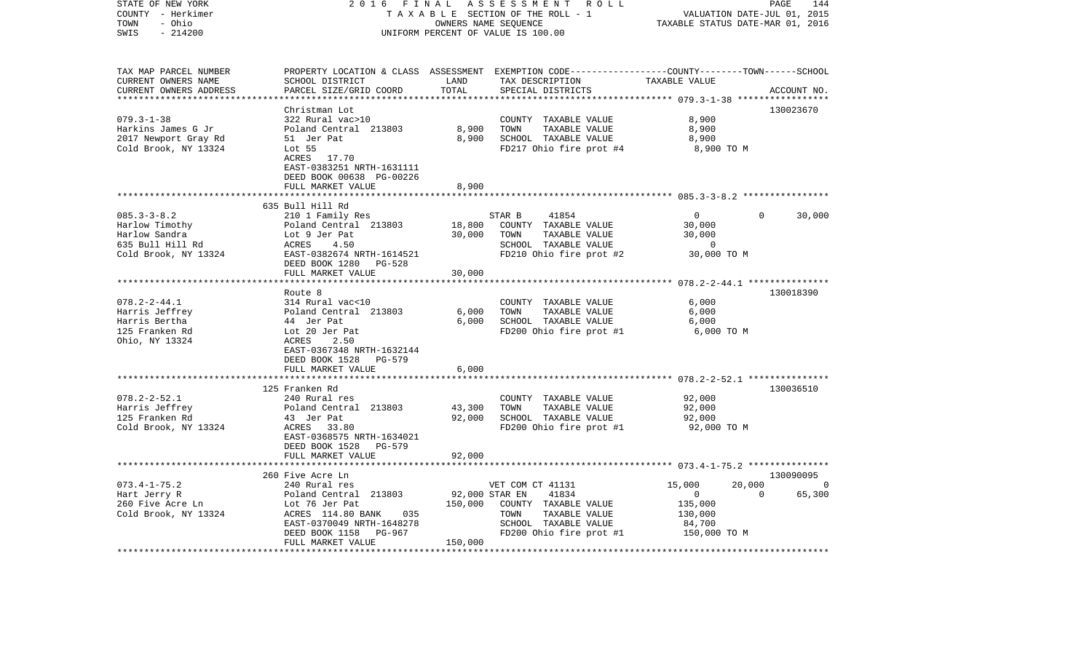| STATE OF NEW YORK<br>COUNTY - Herkimer<br>- Ohio<br>TOWN<br>$-214200$<br>SWIS                     | 2 0 1 6<br>FINAL<br>TAXABLE SECTION OF THE ROLL - 1<br>UNIFORM PERCENT OF VALUE IS 100.00                                                                                                  | R O L L<br>PAGE<br>144<br>VALUATION DATE-JUL 01, 2015<br>TAXABLE STATUS DATE-MAR 01, 2016 |                                                                                                                                                                   |                                                                                                      |                                             |
|---------------------------------------------------------------------------------------------------|--------------------------------------------------------------------------------------------------------------------------------------------------------------------------------------------|-------------------------------------------------------------------------------------------|-------------------------------------------------------------------------------------------------------------------------------------------------------------------|------------------------------------------------------------------------------------------------------|---------------------------------------------|
| TAX MAP PARCEL NUMBER<br>CURRENT OWNERS NAME<br>CURRENT OWNERS ADDRESS<br>*********************** | SCHOOL DISTRICT<br>PARCEL SIZE/GRID COORD                                                                                                                                                  | LAND<br>TOTAL                                                                             | PROPERTY LOCATION & CLASS ASSESSMENT EXEMPTION CODE----------------COUNTY-------TOWN------SCHOOL<br>TAX DESCRIPTION<br>SPECIAL DISTRICTS                          | TAXABLE VALUE                                                                                        | ACCOUNT NO.                                 |
| $079.3 - 1 - 38$<br>Harkins James G Jr<br>2017 Newport Gray Rd<br>Cold Brook, NY 13324            | Christman Lot<br>322 Rural vac>10<br>Poland Central 213803<br>51 Jer Pat<br>Lot <sub>55</sub><br>ACRES 17.70<br>EAST-0383251 NRTH-1631111<br>DEED BOOK 00638 PG-00226<br>FULL MARKET VALUE | 8,900<br>8,900<br>8,900                                                                   | COUNTY TAXABLE VALUE<br>TAXABLE VALUE<br>TOWN<br>SCHOOL TAXABLE VALUE<br>FD217 Ohio fire prot #4                                                                  | 8,900<br>8,900<br>8,900<br>8,900 TO M                                                                | 130023670                                   |
|                                                                                                   | ************************                                                                                                                                                                   |                                                                                           |                                                                                                                                                                   |                                                                                                      |                                             |
| $085.3 - 3 - 8.2$<br>Harlow Timothy<br>Harlow Sandra<br>635 Bull Hill Rd<br>Cold Brook, NY 13324  | 635 Bull Hill Rd<br>210 1 Family Res<br>Poland Central 213803<br>Lot 9 Jer Pat<br>ACRES<br>4.50<br>EAST-0382674 NRTH-1614521<br>DEED BOOK 1280 PG-528                                      | 18,800<br>30,000                                                                          | STAR B<br>41854<br>COUNTY TAXABLE VALUE<br>TOWN<br>TAXABLE VALUE<br>SCHOOL TAXABLE VALUE<br>FD210 Ohio fire prot #2                                               | $\Omega$<br>30,000<br>30,000<br>$\Omega$<br>30,000 TO M                                              | 30,000<br>$\Omega$                          |
|                                                                                                   | FULL MARKET VALUE                                                                                                                                                                          | 30,000                                                                                    |                                                                                                                                                                   |                                                                                                      |                                             |
|                                                                                                   |                                                                                                                                                                                            |                                                                                           |                                                                                                                                                                   | *********************** 078.2-2-44.1 ***************                                                 |                                             |
| $078.2 - 2 - 44.1$<br>Harris Jeffrey<br>Harris Bertha<br>125 Franken Rd<br>Ohio, NY 13324         | Route 8<br>314 Rural vac<10<br>Poland Central 213803<br>44 Jer Pat<br>Lot 20 Jer Pat<br>ACRES<br>2.50<br>EAST-0367348 NRTH-1632144<br>DEED BOOK 1528 PG-579                                | 6,000<br>6,000                                                                            | COUNTY TAXABLE VALUE<br>TOWN<br>TAXABLE VALUE<br>SCHOOL TAXABLE VALUE<br>FD200 Ohio fire prot #1                                                                  | 6,000<br>6,000<br>6,000<br>6,000 TO M                                                                | 130018390                                   |
|                                                                                                   | FULL MARKET VALUE                                                                                                                                                                          | 6,000<br>* * * * * *                                                                      |                                                                                                                                                                   |                                                                                                      |                                             |
| $078.2 - 2 - 52.1$<br>Harris Jeffrey<br>125 Franken Rd<br>Cold Brook, NY 13324                    | 125 Franken Rd<br>240 Rural res<br>Poland Central 213803<br>43 Jer Pat<br>ACRES 33.80<br>EAST-0368575 NRTH-1634021<br><b>PG-579</b>                                                        | 43,300<br>92,000                                                                          | COUNTY TAXABLE VALUE<br>TAXABLE VALUE<br>TOWN<br>SCHOOL TAXABLE VALUE<br>FD200 Ohio fire prot #1                                                                  | ************************* 078.2-2-52.1 ****************<br>92,000<br>92,000<br>92,000<br>92,000 TO M | 130036510                                   |
|                                                                                                   | DEED BOOK 1528<br>FULL MARKET VALUE<br>***********************                                                                                                                             | 92,000                                                                                    |                                                                                                                                                                   |                                                                                                      |                                             |
| $073.4 - 1 - 75.2$<br>Hart Jerry R<br>260 Five Acre Ln<br>Cold Brook, NY 13324                    | 260 Five Acre Ln<br>240 Rural res<br>Poland Central 213803<br>Lot 76 Jer Pat<br>ACRES 114.80 BANK<br>035<br>EAST-0370049 NRTH-1648278                                                      | *************<br>92,000 STAR EN<br>150,000                                                | ****************************** 073.4-1-75.2 ***************<br>VET COM CT 41131<br>41834<br>COUNTY TAXABLE VALUE<br>TOWN<br>TAXABLE VALUE<br>SCHOOL TAXABLE VALUE | 20,000<br>15,000<br>$\mathbf{0}$<br>135,000<br>130,000<br>84,700                                     | 130090095<br>$\Omega$<br>65,300<br>$\Omega$ |
|                                                                                                   | DEED BOOK 1158<br>PG-967<br>FULL MARKET VALUE                                                                                                                                              | 150,000<br>*************                                                                  | FD200 Ohio fire prot #1                                                                                                                                           | 150,000 TO M<br>****************************                                                         |                                             |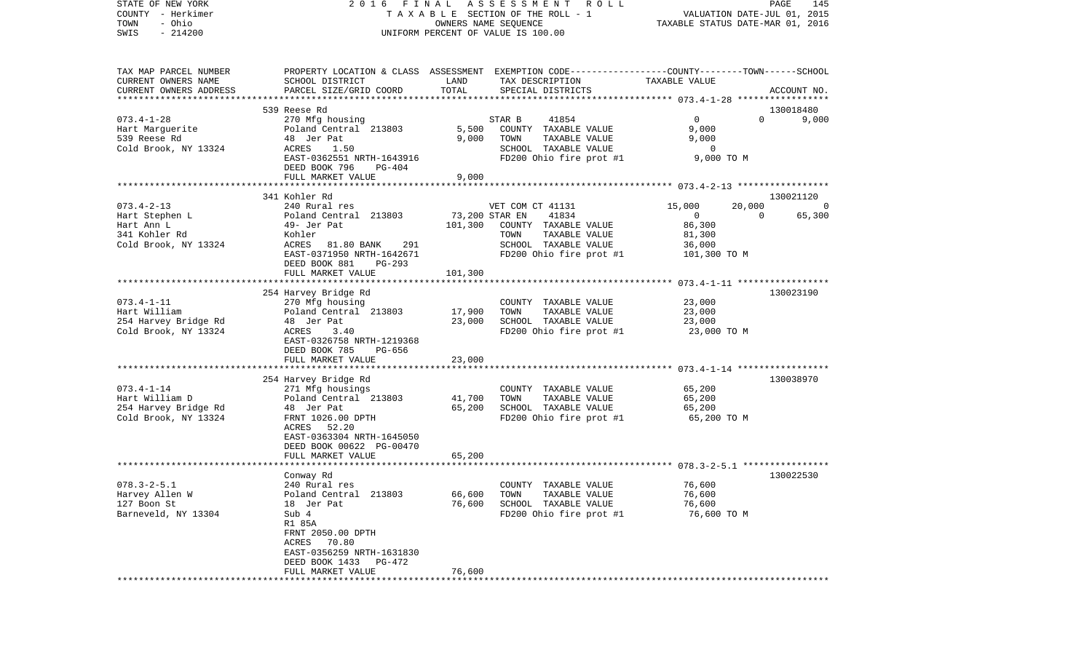| STATE OF NEW YORK<br>COUNTY - Herkimer |                                     |                | 2016 FINAL ASSESSMENT<br>R O L L<br>TAXABLE SECTION OF THE ROLL - 1                            | VALUATION DATE-JUL 01, 2015      | PAGE<br>145    |
|----------------------------------------|-------------------------------------|----------------|------------------------------------------------------------------------------------------------|----------------------------------|----------------|
| - Ohio<br>TOWN                         |                                     |                | OWNERS NAME SEQUENCE                                                                           | TAXABLE STATUS DATE-MAR 01, 2016 |                |
| $-214200$<br>SWIS                      |                                     |                | UNIFORM PERCENT OF VALUE IS 100.00                                                             |                                  |                |
|                                        |                                     |                |                                                                                                |                                  |                |
| TAX MAP PARCEL NUMBER                  |                                     |                | PROPERTY LOCATION & CLASS ASSESSMENT EXEMPTION CODE---------------COUNTY-------TOWN-----SCHOOL |                                  |                |
| CURRENT OWNERS NAME                    | SCHOOL DISTRICT                     | LAND           | TAX DESCRIPTION                                                                                | TAXABLE VALUE                    |                |
| CURRENT OWNERS ADDRESS                 | PARCEL SIZE/GRID COORD              | TOTAL          | SPECIAL DISTRICTS                                                                              |                                  | ACCOUNT NO.    |
|                                        |                                     |                |                                                                                                |                                  |                |
|                                        | 539 Reese Rd                        |                |                                                                                                |                                  | 130018480      |
| $073.4 - 1 - 28$                       | 270 Mfg housing                     |                | 41854<br>STAR B                                                                                | $\overline{0}$<br>$\Omega$       | 9,000          |
| Hart Marquerite                        | Poland Central 213803               | 5,500          | COUNTY TAXABLE VALUE                                                                           | 9,000                            |                |
| 539 Reese Rd                           | 48 Jer Pat                          | 9,000          | TOWN<br>TAXABLE VALUE                                                                          | 9,000                            |                |
| Cold Brook, NY 13324                   | ACRES<br>1.50                       |                | SCHOOL TAXABLE VALUE<br>FD200 Ohio fire prot #1                                                | $\overline{0}$<br>9,000 TO M     |                |
|                                        | EAST-0362551 NRTH-1643916<br>PG-404 |                |                                                                                                |                                  |                |
|                                        | DEED BOOK 796<br>FULL MARKET VALUE  | 9,000          |                                                                                                |                                  |                |
|                                        |                                     |                |                                                                                                |                                  |                |
|                                        | 341 Kohler Rd                       |                |                                                                                                |                                  | 130021120      |
| $073.4 - 2 - 13$                       | 240 Rural res                       |                | VET COM CT 41131                                                                               | 15,000<br>20,000                 | $\overline{0}$ |
| Hart Stephen L                         | Poland Central 213803               | 73,200 STAR EN | 41834                                                                                          | $\mathbf{0}$<br>$\Omega$         | 65,300         |
| Hart Ann L                             | 49- Jer Pat                         | 101,300        | COUNTY TAXABLE VALUE                                                                           | 86,300                           |                |
| 341 Kohler Rd                          | Kohler                              |                | TAXABLE VALUE<br>TOWN                                                                          | 81,300                           |                |
| Cold Brook, NY 13324                   | ACRES<br>81.80 BANK<br>291          |                | SCHOOL TAXABLE VALUE                                                                           | 36,000                           |                |
|                                        | EAST-0371950 NRTH-1642671           |                | FD200 Ohio fire prot #1                                                                        | 101,300 TO M                     |                |
|                                        | DEED BOOK 881<br>$PG-293$           |                |                                                                                                |                                  |                |
|                                        | FULL MARKET VALUE                   | 101,300        |                                                                                                |                                  |                |
|                                        |                                     |                |                                                                                                |                                  |                |
|                                        | 254 Harvey Bridge Rd                |                |                                                                                                |                                  | 130023190      |
| $073.4 - 1 - 11$                       | 270 Mfg housing                     |                | COUNTY TAXABLE VALUE                                                                           | 23,000                           |                |
| Hart William                           | Poland Central 213803               | 17,900         | TAXABLE VALUE<br>TOWN                                                                          | 23,000                           |                |
| 254 Harvey Bridge Rd                   | 48 Jer Pat                          | 23,000         | SCHOOL TAXABLE VALUE                                                                           | 23,000                           |                |
| Cold Brook, NY 13324                   | ACRES<br>3.40                       |                | FD200 Ohio fire prot #1                                                                        | 23,000 TO M                      |                |
|                                        | EAST-0326758 NRTH-1219368           |                |                                                                                                |                                  |                |
|                                        | DEED BOOK 785<br>PG-656             |                |                                                                                                |                                  |                |
|                                        | FULL MARKET VALUE                   | 23,000         |                                                                                                |                                  |                |
|                                        |                                     |                |                                                                                                |                                  |                |
|                                        | 254 Harvey Bridge Rd                |                |                                                                                                |                                  | 130038970      |
| $073.4 - 1 - 14$                       | 271 Mfg housings                    |                | COUNTY TAXABLE VALUE                                                                           | 65,200                           |                |
| Hart William D                         | Poland Central 213803               | 41,700         | TOWN<br>TAXABLE VALUE                                                                          | 65,200                           |                |
| 254 Harvey Bridge Rd                   | 48 Jer Pat                          | 65,200         | SCHOOL TAXABLE VALUE                                                                           | 65,200                           |                |
| Cold Brook, NY 13324                   | FRNT 1026.00 DPTH                   |                | FD200 Ohio fire prot #1                                                                        | 65,200 TO M                      |                |
|                                        | ACRES<br>52.20                      |                |                                                                                                |                                  |                |
|                                        | EAST-0363304 NRTH-1645050           |                |                                                                                                |                                  |                |
|                                        | DEED BOOK 00622 PG-00470            |                |                                                                                                |                                  |                |
|                                        | FULL MARKET VALUE                   | 65,200         |                                                                                                |                                  |                |
|                                        |                                     |                |                                                                                                |                                  |                |
|                                        | Conway Rd                           |                |                                                                                                |                                  | 130022530      |
| $078.3 - 2 - 5.1$                      | 240 Rural res                       |                | COUNTY TAXABLE VALUE                                                                           | 76,600                           |                |
| Harvey Allen W<br>127 Boon St          | Poland Central 213803               | 66,600         | TOWN<br>TAXABLE VALUE                                                                          | 76,600                           |                |
| Barneveld, NY 13304                    | 18 Jer Pat<br>Sub 4                 | 76,600         | SCHOOL TAXABLE VALUE<br>FD200 Ohio fire prot #1                                                | 76,600<br>76,600 TO M            |                |
|                                        | R1 85A                              |                |                                                                                                |                                  |                |
|                                        | FRNT 2050.00 DPTH                   |                |                                                                                                |                                  |                |
|                                        | ACRES 70.80                         |                |                                                                                                |                                  |                |
|                                        | EAST-0356259 NRTH-1631830           |                |                                                                                                |                                  |                |
|                                        | DEED BOOK 1433 PG-472               |                |                                                                                                |                                  |                |
|                                        | FULL MARKET VALUE                   | 76,600         |                                                                                                |                                  |                |
|                                        |                                     |                |                                                                                                |                                  |                |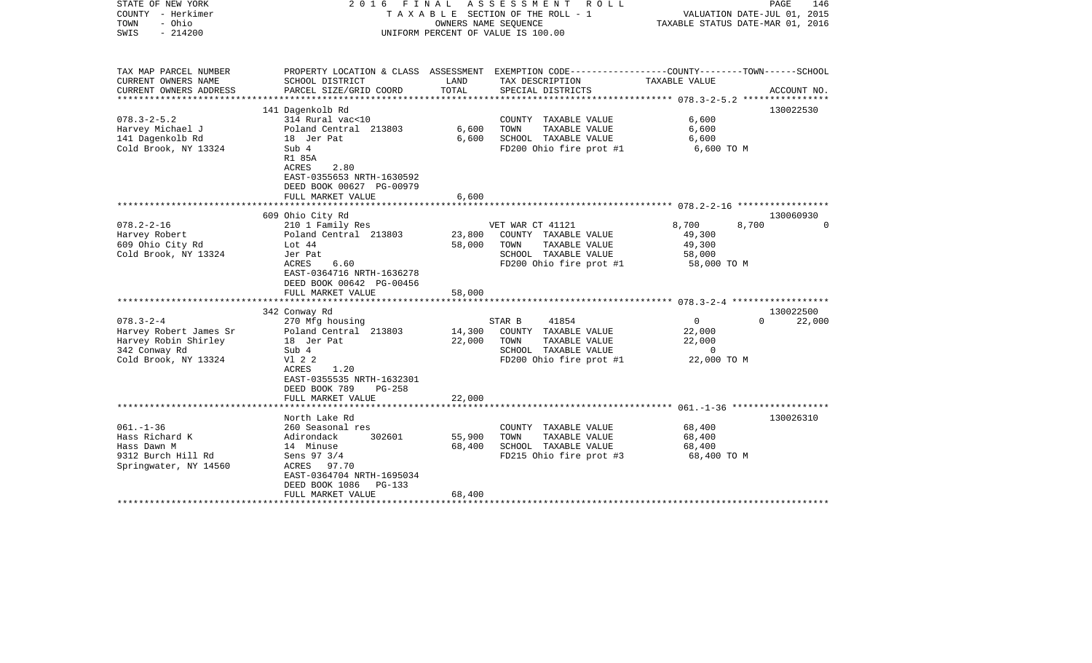| STATE OF NEW YORK<br>COUNTY - Herkimer<br>- Ohio<br>TOWN<br>SWIS<br>$-214200$                              |                                                                                                                                                                                    | 2016 FINAL ASSESSMENT ROLL<br>TAXABLE SECTION OF THE ROLL - 1<br>OWNERS NAME SEQUENCE<br>UNIFORM PERCENT OF VALUE IS 100.00 |                                                                                                                      |                                                               | PAGE<br>146<br>VALUATION DATE-JUL 01, 2015<br>TAXABLE STATUS DATE-MAR 01, 2016 |                     |
|------------------------------------------------------------------------------------------------------------|------------------------------------------------------------------------------------------------------------------------------------------------------------------------------------|-----------------------------------------------------------------------------------------------------------------------------|----------------------------------------------------------------------------------------------------------------------|---------------------------------------------------------------|--------------------------------------------------------------------------------|---------------------|
| TAX MAP PARCEL NUMBER<br>CURRENT OWNERS NAME                                                               | SCHOOL DISTRICT                                                                                                                                                                    | LAND                                                                                                                        | PROPERTY LOCATION & CLASS ASSESSMENT EXEMPTION CODE----------------COUNTY-------TOWN------SCHOOL<br>TAX DESCRIPTION  | TAXABLE VALUE                                                 |                                                                                |                     |
| CURRENT OWNERS ADDRESS                                                                                     | PARCEL SIZE/GRID COORD                                                                                                                                                             | TOTAL                                                                                                                       | SPECIAL DISTRICTS                                                                                                    |                                                               |                                                                                | ACCOUNT NO.         |
|                                                                                                            | 141 Dagenkolb Rd                                                                                                                                                                   |                                                                                                                             |                                                                                                                      |                                                               |                                                                                | 130022530           |
| $078.3 - 2 - 5.2$<br>Harvey Michael J<br>141 Dagenkolb Rd<br>Cold Brook, NY 13324                          | 314 Rural vac<10<br>Poland Central 213803<br>18 Jer Pat<br>Sub 4                                                                                                                   | 6,600<br>6,600                                                                                                              | COUNTY TAXABLE VALUE<br>TOWN<br>TAXABLE VALUE<br>SCHOOL TAXABLE VALUE<br>FD200 Ohio fire prot #1                     | 6,600<br>6,600<br>6,600<br>6,600 TO M                         |                                                                                |                     |
|                                                                                                            | R1 85A<br>2.80<br>ACRES<br>EAST-0355653 NRTH-1630592<br>DEED BOOK 00627 PG-00979<br>FULL MARKET VALUE<br>**********************                                                    | 6,600                                                                                                                       |                                                                                                                      |                                                               |                                                                                |                     |
|                                                                                                            | 609 Ohio City Rd                                                                                                                                                                   |                                                                                                                             |                                                                                                                      |                                                               |                                                                                | 130060930           |
| $078.2 - 2 - 16$<br>Harvey Robert<br>609 Ohio City Rd<br>Cold Brook, NY 13324                              | 210 1 Family Res<br>Poland Central 213803<br>Lot 44<br>Jer Pat<br>ACRES<br>6.60<br>EAST-0364716 NRTH-1636278<br>DEED BOOK 00642 PG-00456<br>FULL MARKET VALUE                      | 23,800<br>58,000<br>58,000                                                                                                  | VET WAR CT 41121<br>COUNTY TAXABLE VALUE<br>TOWN<br>TAXABLE VALUE<br>SCHOOL TAXABLE VALUE<br>FD200 Ohio fire prot #1 | 8,700<br>49,300<br>49,300<br>58,000<br>58,000 TO M            | 8,700                                                                          | $\Omega$            |
|                                                                                                            | ***********************                                                                                                                                                            |                                                                                                                             |                                                                                                                      |                                                               |                                                                                |                     |
| $078.3 - 2 - 4$<br>Harvey Robert James Sr<br>Harvey Robin Shirley<br>342 Conway Rd<br>Cold Brook, NY 13324 | 342 Conway Rd<br>270 Mfg housing<br>Poland Central 213803<br>18 Jer Pat<br>Sub 4<br>V1 2 2<br>1.20<br>ACRES<br>EAST-0355535 NRTH-1632301<br>DEED BOOK 789<br>PG-258                | 14,300<br>22,000                                                                                                            | 41854<br>STAR B<br>COUNTY TAXABLE VALUE<br>TOWN<br>TAXABLE VALUE<br>SCHOOL TAXABLE VALUE<br>FD200 Ohio fire prot #1  | $\overline{0}$<br>22,000<br>22,000<br>$\sim$ 0<br>22,000 TO M | $\Omega$                                                                       | 130022500<br>22,000 |
|                                                                                                            | FULL MARKET VALUE                                                                                                                                                                  | 22,000                                                                                                                      |                                                                                                                      |                                                               |                                                                                |                     |
| $061. - 1 - 36$<br>Hass Richard K<br>Hass Dawn M<br>9312 Burch Hill Rd<br>Springwater, NY 14560            | North Lake Rd<br>260 Seasonal res<br>302601<br>Adirondack<br>14 Minuse<br>Sens 97 3/4<br>ACRES 97.70<br>EAST-0364704 NRTH-1695034<br>DEED BOOK 1086<br>PG-133<br>FULL MARKET VALUE | 55,900<br>68,400<br>68,400                                                                                                  | COUNTY TAXABLE VALUE<br>TOWN<br>TAXABLE VALUE<br>SCHOOL TAXABLE VALUE<br>FD215 Ohio fire prot #3                     | 68,400<br>68,400<br>68,400<br>68,400 TO M                     |                                                                                | 130026310           |
|                                                                                                            |                                                                                                                                                                                    |                                                                                                                             |                                                                                                                      |                                                               |                                                                                |                     |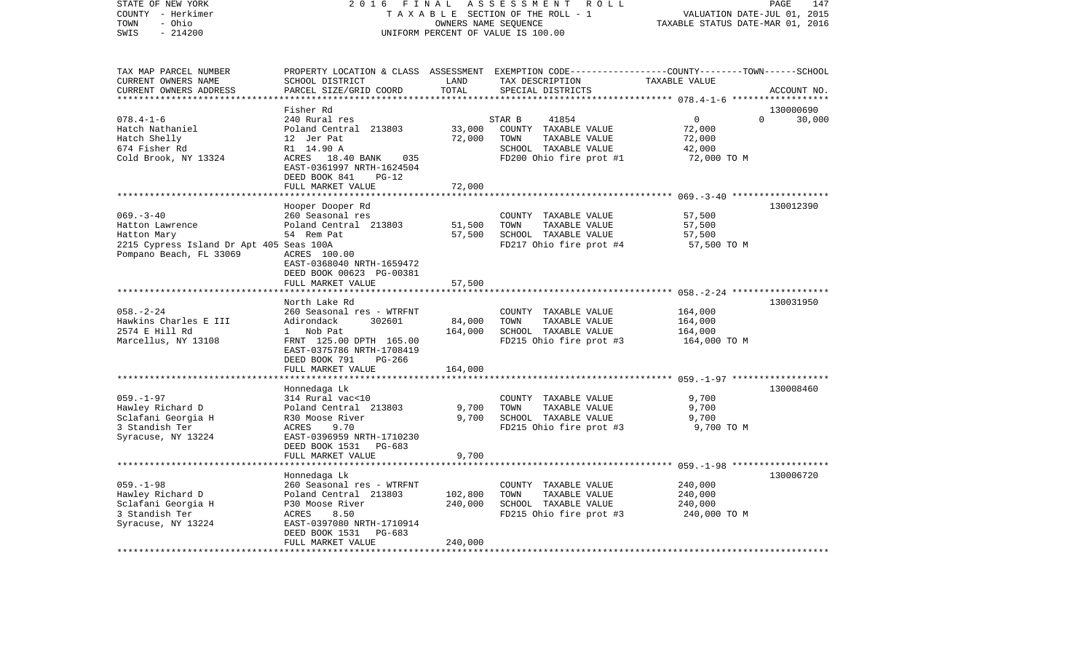| COUNTY<br>- Herkimer<br>TOWN<br>- Ohio<br>SWIS<br>$-214200$                                                             | T A X A B L E SECTION OF THE ROLL - 1<br>UNIFORM PERCENT OF VALUE IS 100.00                                                                                                                                                                 | VALUATION DATE-JUL 01, 2015<br>TAXABLE STATUS DATE-MAR 01, 2016 |                                                                                                                                          |                                                             |                                 |
|-------------------------------------------------------------------------------------------------------------------------|---------------------------------------------------------------------------------------------------------------------------------------------------------------------------------------------------------------------------------------------|-----------------------------------------------------------------|------------------------------------------------------------------------------------------------------------------------------------------|-------------------------------------------------------------|---------------------------------|
| TAX MAP PARCEL NUMBER<br>CURRENT OWNERS NAME<br>CURRENT OWNERS ADDRESS<br>**********************                        | SCHOOL DISTRICT<br>PARCEL SIZE/GRID COORD                                                                                                                                                                                                   | LAND<br>TOTAL                                                   | PROPERTY LOCATION & CLASS ASSESSMENT EXEMPTION CODE----------------COUNTY-------TOWN------SCHOOL<br>TAX DESCRIPTION<br>SPECIAL DISTRICTS | TAXABLE VALUE                                               | ACCOUNT NO.                     |
| $078.4 - 1 - 6$<br>Hatch Nathaniel<br>Hatch Shelly<br>674 Fisher Rd<br>Cold Brook, NY 13324                             | Fisher Rd<br>240 Rural res<br>Poland Central 213803<br>12 Jer Pat<br>R1 14.90 A<br>ACRES 18.40 BANK<br>035<br>EAST-0361997 NRTH-1624504<br>DEED BOOK 841<br>$PG-12$<br>FULL MARKET VALUE                                                    | 33,000<br>72,000<br>72,000                                      | 41854<br>STAR B<br>COUNTY TAXABLE VALUE<br>TOWN<br>TAXABLE VALUE<br>SCHOOL TAXABLE VALUE<br>FD200 Ohio fire prot #1                      | $\overline{0}$<br>72,000<br>72,000<br>42,000<br>72,000 TO M | 130000690<br>$\Omega$<br>30,000 |
| $069. -3 - 40$<br>Hatton Lawrence<br>Hatton Mary<br>2215 Cypress Island Dr Apt 405 Seas 100A<br>Pompano Beach, FL 33069 | Hooper Dooper Rd<br>260 Seasonal res<br>Poland Central 213803<br>54 Rem Pat<br>ACRES 100.00<br>EAST-0368040 NRTH-1659472<br>DEED BOOK 00623 PG-00381<br>FULL MARKET VALUE                                                                   | 51,500<br>57,500<br>57,500                                      | COUNTY TAXABLE VALUE<br>TOWN<br>TAXABLE VALUE<br>SCHOOL TAXABLE VALUE<br>FD217 Ohio fire prot #4                                         | 57,500<br>57,500<br>57,500<br>57,500 TO M                   | 130012390                       |
| $058. - 2 - 24$<br>Hawkins Charles E III<br>2574 E Hill Rd<br>Marcellus, NY 13108                                       | ***********************<br>North Lake Rd<br>260 Seasonal res - WTRFNT<br>Adirondack<br>302601<br>1 Nob Pat<br>FRNT 125.00 DPTH 165.00<br>EAST-0375786 NRTH-1708419<br>DEED BOOK 791<br>PG-266<br>FULL MARKET VALUE                          | 84,000<br>164,000<br>164,000                                    | COUNTY TAXABLE VALUE<br>TOWN<br>TAXABLE VALUE<br>SCHOOL TAXABLE VALUE<br>FD215 Ohio fire prot #3                                         | 164,000<br>164,000<br>164,000<br>164,000 TO M               | 130031950                       |
| $059. - 1 - 97$<br>Hawley Richard D<br>Sclafani Georgia H<br>3 Standish Ter<br>Syracuse, NY 13224                       | Honnedaga Lk<br>314 Rural vac<10<br>Poland Central 213803<br>R30 Moose River<br>9.70<br>ACRES<br>EAST-0396959 NRTH-1710230<br>DEED BOOK 1531<br>PG-683                                                                                      | 9,700<br>9,700                                                  | COUNTY TAXABLE VALUE<br>TOWN<br>TAXABLE VALUE<br>SCHOOL TAXABLE VALUE<br>FD215 Ohio fire prot #3                                         | 9,700<br>9,700<br>9,700<br>9,700 TO M                       | 130008460                       |
| $059. - 1 - 98$<br>Hawley Richard D<br>Sclafani Georgia H<br>3 Standish Ter<br>Syracuse, NY 13224                       | FULL MARKET VALUE<br>******************************<br>Honnedaga Lk<br>260 Seasonal res - WTRFNT<br>Poland Central 213803<br>P30 Moose River<br>8.50<br>ACRES<br>EAST-0397080 NRTH-1710914<br>DEED BOOK 1531<br>PG-683<br>FULL MARKET VALUE | 9,700<br>102,800<br>240,000<br>240,000                          | COUNTY TAXABLE VALUE<br>TOWN<br>TAXABLE VALUE<br>SCHOOL TAXABLE VALUE<br>FD215 Ohio fire prot #3                                         | 240,000<br>240,000<br>240,000<br>240,000 TO M               | 130006720                       |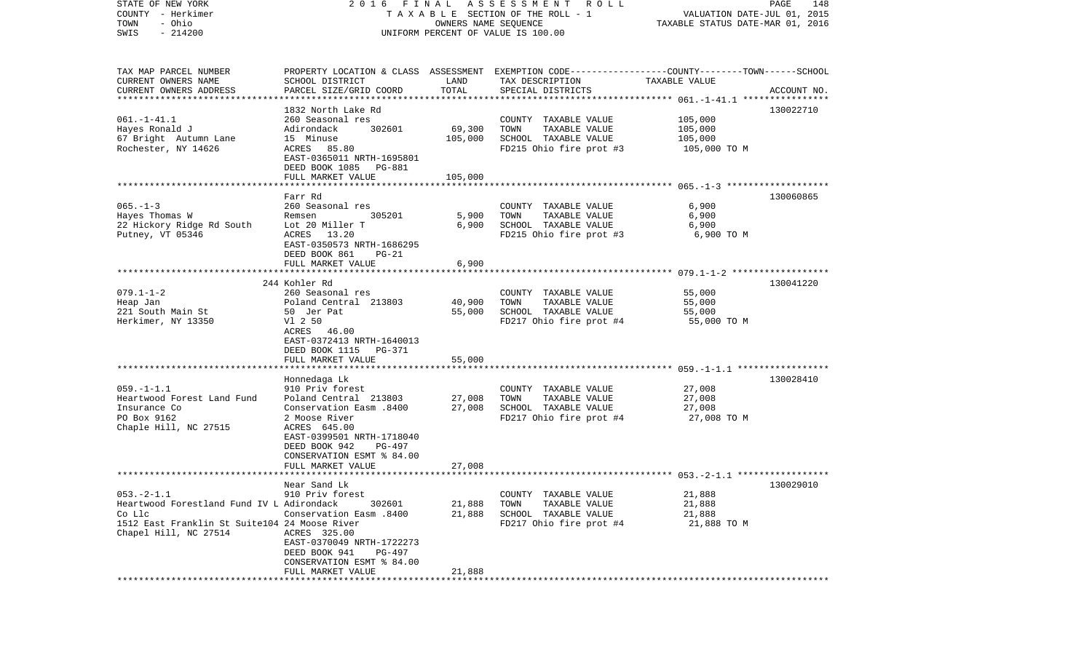| STATE OF NEW YORK                             |                               |                      | 2016 FINAL ASSESSMENT ROLL                                                                      |                                  | PAGE<br>148 |
|-----------------------------------------------|-------------------------------|----------------------|-------------------------------------------------------------------------------------------------|----------------------------------|-------------|
| COUNTY - Herkimer                             |                               |                      | T A X A B L E SECTION OF THE ROLL - 1                                                           | VALUATION DATE-JUL 01, 2015      |             |
| - Ohio<br>TOWN                                |                               | OWNERS NAME SEQUENCE |                                                                                                 | TAXABLE STATUS DATE-MAR 01, 2016 |             |
| $-214200$<br>SWIS                             |                               |                      | UNIFORM PERCENT OF VALUE IS 100.00                                                              |                                  |             |
|                                               |                               |                      |                                                                                                 |                                  |             |
| TAX MAP PARCEL NUMBER                         |                               |                      | PROPERTY LOCATION & CLASS ASSESSMENT EXEMPTION CODE---------------COUNTY-------TOWN------SCHOOL |                                  |             |
| CURRENT OWNERS NAME                           | SCHOOL DISTRICT               | LAND                 | TAX DESCRIPTION                                                                                 | TAXABLE VALUE                    |             |
| CURRENT OWNERS ADDRESS                        | PARCEL SIZE/GRID COORD        | TOTAL                | SPECIAL DISTRICTS                                                                               |                                  | ACCOUNT NO. |
| *************************                     |                               |                      |                                                                                                 |                                  |             |
|                                               | 1832 North Lake Rd            |                      |                                                                                                 |                                  | 130022710   |
| $061. -1 - 41.1$                              | 260 Seasonal res              |                      | COUNTY TAXABLE VALUE                                                                            | 105,000                          |             |
| Hayes Ronald J                                | Adirondack<br>302601          | 69,300               | TOWN<br>TAXABLE VALUE                                                                           | 105,000                          |             |
| 67 Bright Autumn Lane                         | 15 Minuse                     | 105,000              | SCHOOL TAXABLE VALUE                                                                            | 105,000                          |             |
| Rochester, NY 14626                           | ACRES 85.80                   |                      | FD215 Ohio fire prot #3                                                                         | 105,000 TO M                     |             |
|                                               | EAST-0365011 NRTH-1695801     |                      |                                                                                                 |                                  |             |
|                                               | DEED BOOK 1085 PG-881         |                      |                                                                                                 |                                  |             |
|                                               | FULL MARKET VALUE             | 105,000              |                                                                                                 |                                  |             |
|                                               |                               |                      |                                                                                                 |                                  |             |
|                                               | Farr Rd                       |                      |                                                                                                 |                                  | 130060865   |
| $065. -1 - 3$                                 | 260 Seasonal res              |                      | COUNTY TAXABLE VALUE                                                                            | 6,900                            |             |
| Hayes Thomas W                                | 305201<br>Remsen              | 5,900                | TOWN<br>TAXABLE VALUE                                                                           | 6,900                            |             |
| 22 Hickory Ridge Rd South                     | Lot 20 Miller T               | 6,900                | SCHOOL TAXABLE VALUE                                                                            | 6,900                            |             |
| Putney, VT 05346                              | ACRES 13.20                   |                      | FD215 Ohio fire prot #3                                                                         | 6,900 TO M                       |             |
|                                               | EAST-0350573 NRTH-1686295     |                      |                                                                                                 |                                  |             |
|                                               | DEED BOOK 861<br>$PG-21$      |                      |                                                                                                 |                                  |             |
|                                               | FULL MARKET VALUE             | 6,900                |                                                                                                 |                                  |             |
|                                               |                               |                      |                                                                                                 |                                  |             |
|                                               | 244 Kohler Rd                 |                      |                                                                                                 |                                  | 130041220   |
| $079.1 - 1 - 2$                               | 260 Seasonal res              |                      | COUNTY TAXABLE VALUE                                                                            | 55,000                           |             |
| Heap Jan                                      | Poland Central 213803         | 40,900               | TAXABLE VALUE<br>TOWN                                                                           | 55,000                           |             |
| 221 South Main St                             | 50 Jer Pat                    | 55,000               | SCHOOL TAXABLE VALUE                                                                            | 55,000                           |             |
| Herkimer, NY 13350                            | V1 2 50                       |                      | FD217 Ohio fire prot #4                                                                         | 55,000 TO M                      |             |
|                                               | ACRES 46.00                   |                      |                                                                                                 |                                  |             |
|                                               | EAST-0372413 NRTH-1640013     |                      |                                                                                                 |                                  |             |
|                                               | DEED BOOK 1115<br>PG-371      |                      |                                                                                                 |                                  |             |
|                                               | FULL MARKET VALUE             | 55,000               |                                                                                                 |                                  |             |
|                                               |                               |                      |                                                                                                 |                                  |             |
|                                               | Honnedaga Lk                  |                      |                                                                                                 |                                  | 130028410   |
| $059. -1 - 1.1$                               | 910 Priv forest               |                      | COUNTY TAXABLE VALUE                                                                            | 27,008                           |             |
| Heartwood Forest Land Fund                    | Poland Central 213803         | 27,008               | TAXABLE VALUE<br>TOWN                                                                           | 27,008                           |             |
| Insurance Co                                  | Conservation Easm .8400       | 27,008               | SCHOOL TAXABLE VALUE                                                                            | 27,008                           |             |
| PO Box 9162                                   | 2 Moose River                 |                      | FD217 Ohio fire prot #4                                                                         | 27,008 TO M                      |             |
| Chaple Hill, NC 27515                         | ACRES 645.00                  |                      |                                                                                                 |                                  |             |
|                                               | EAST-0399501 NRTH-1718040     |                      |                                                                                                 |                                  |             |
|                                               | DEED BOOK 942<br>PG-497       |                      |                                                                                                 |                                  |             |
|                                               | CONSERVATION ESMT % 84.00     |                      |                                                                                                 |                                  |             |
|                                               | FULL MARKET VALUE             | 27,008               |                                                                                                 |                                  |             |
|                                               |                               |                      |                                                                                                 |                                  |             |
|                                               | Near Sand Lk                  |                      |                                                                                                 |                                  | 130029010   |
| $053. -2 - 1.1$                               | 910 Priv forest               |                      | COUNTY TAXABLE VALUE                                                                            | 21,888                           |             |
| Heartwood Forestland Fund IV L Adirondack     | 302601                        | 21,888               | TOWN<br>TAXABLE VALUE                                                                           | 21,888                           |             |
| Co Llc                                        | <b>Conservation Easm.8400</b> | 21,888               | SCHOOL TAXABLE VALUE                                                                            | 21,888                           |             |
| 1512 East Franklin St Suite104 24 Moose River |                               |                      | FD217 Ohio fire prot #4                                                                         | 21,888 TO M                      |             |
| Chapel Hill, NC 27514                         | ACRES 325.00                  |                      |                                                                                                 |                                  |             |
|                                               | EAST-0370049 NRTH-1722273     |                      |                                                                                                 |                                  |             |
|                                               | DEED BOOK 941<br>PG-497       |                      |                                                                                                 |                                  |             |
|                                               | CONSERVATION ESMT % 84.00     |                      |                                                                                                 |                                  |             |
|                                               | FULL MARKET VALUE             | 21,888               |                                                                                                 |                                  |             |
| **************                                |                               |                      |                                                                                                 |                                  |             |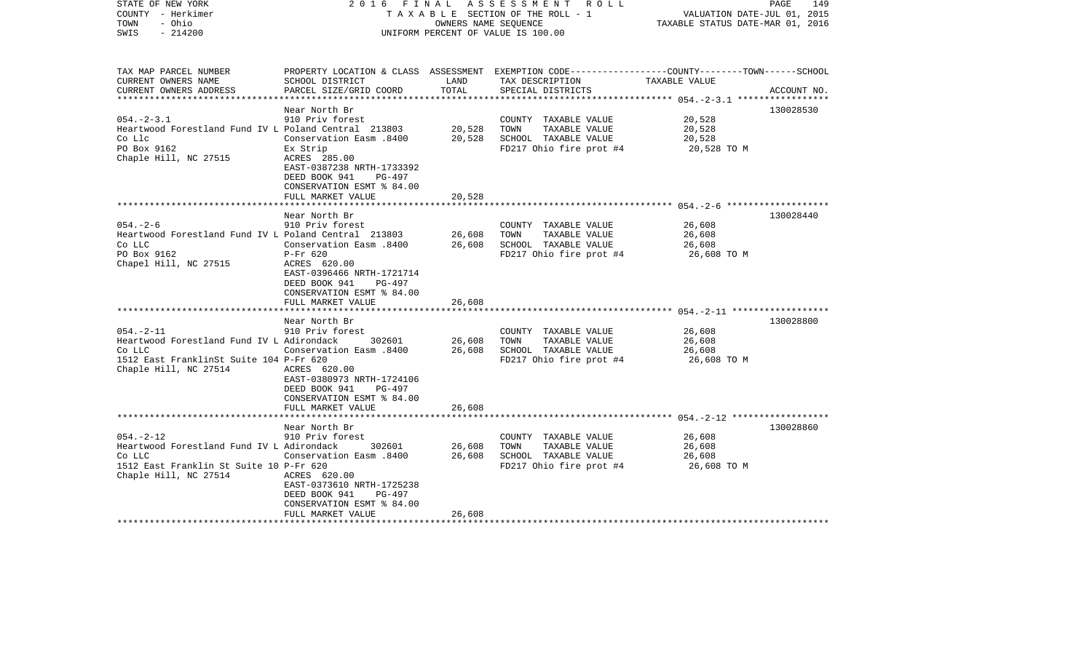| STATE OF NEW YORK<br>COUNTY - Herkimer<br>- Ohio<br>TOWN<br>SWIS<br>$-214200$                                                              | 2016<br>FINAL                                                                                                                                                                     | OWNERS NAME SEQUENCE       | ASSESSMENT<br>R O L L<br>TAXABLE SECTION OF THE ROLL - 1<br>UNIFORM PERCENT OF VALUE IS 100.00                                          | VALUATION DATE-JUL 01, 2015<br>TAXABLE STATUS DATE-MAR 01, 2016 | PAGE<br>149 |
|--------------------------------------------------------------------------------------------------------------------------------------------|-----------------------------------------------------------------------------------------------------------------------------------------------------------------------------------|----------------------------|-----------------------------------------------------------------------------------------------------------------------------------------|-----------------------------------------------------------------|-------------|
| TAX MAP PARCEL NUMBER<br>CURRENT OWNERS NAME<br>CURRENT OWNERS ADDRESS                                                                     | SCHOOL DISTRICT<br>PARCEL SIZE/GRID COORD                                                                                                                                         | LAND<br>TOTAL              | PROPERTY LOCATION & CLASS ASSESSMENT EXEMPTION CODE---------------COUNTY-------TOWN------SCHOOL<br>TAX DESCRIPTION<br>SPECIAL DISTRICTS | TAXABLE VALUE                                                   | ACCOUNT NO. |
|                                                                                                                                            |                                                                                                                                                                                   | *************              |                                                                                                                                         |                                                                 |             |
| $054. - 2 - 3.1$<br>Heartwood Forestland Fund IV L Poland Central 213803<br>Co Llc<br>PO Box 9162<br>Chaple Hill, NC 27515                 | Near North Br<br>910 Priv forest<br>Conservation Easm .8400<br>Ex Strip<br>ACRES 285.00<br>EAST-0387238 NRTH-1733392<br>DEED BOOK 941<br>PG-497                                   | 20,528<br>20,528           | COUNTY TAXABLE VALUE<br>TOWN<br>TAXABLE VALUE<br>SCHOOL TAXABLE VALUE<br>FD217 Ohio fire prot #4                                        | 20,528<br>20,528<br>20,528<br>20,528 TO M                       | 130028530   |
|                                                                                                                                            | CONSERVATION ESMT % 84.00<br>FULL MARKET VALUE                                                                                                                                    | 20,528                     |                                                                                                                                         |                                                                 |             |
|                                                                                                                                            | Near North Br                                                                                                                                                                     | *********                  |                                                                                                                                         |                                                                 | 130028440   |
| $054. - 2 - 6$<br>Heartwood Forestland Fund IV L Poland Central 213803<br>Co LLC<br>PO Box 9162<br>Chapel Hill, NC 27515                   | 910 Priv forest<br>0400 Conservation Easm<br>$P-Fr$ 620<br>ACRES 620.00<br>EAST-0396466 NRTH-1721714<br>DEED BOOK 941<br>PG-497<br>CONSERVATION ESMT % 84.00<br>FULL MARKET VALUE | 26,608<br>26,608<br>26,608 | COUNTY TAXABLE VALUE<br>TOWN<br>TAXABLE VALUE<br>SCHOOL TAXABLE VALUE<br>FD217 Ohio fire prot #4                                        | 26,608<br>26,608<br>26,608<br>26,608 TO M                       |             |
|                                                                                                                                            | Near North Br                                                                                                                                                                     |                            |                                                                                                                                         |                                                                 | 130028800   |
| $054. - 2 - 11$<br>Heartwood Forestland Fund IV L Adirondack<br>Co LLC<br>1512 East FranklinSt Suite 104 P-Fr 620<br>Chaple Hill, NC 27514 | 910 Priv forest<br>302601<br>Conservation Easm .8400<br>ACRES 620.00<br>EAST-0380973 NRTH-1724106<br>DEED BOOK 941<br>PG-497<br>CONSERVATION ESMT % 84.00                         | 26,608<br>26,608           | COUNTY TAXABLE VALUE<br>TAXABLE VALUE<br>TOWN<br>SCHOOL TAXABLE VALUE<br>FD217 Ohio fire prot #4                                        | 26,608<br>26,608<br>26,608<br>26,608 TO M                       |             |
|                                                                                                                                            | FULL MARKET VALUE<br>********************                                                                                                                                         | 26,608                     |                                                                                                                                         |                                                                 |             |
| $054. - 2 - 12$<br>Heartwood Forestland Fund IV L Adirondack<br>Co LLC<br>1512 East Franklin St Suite 10 P-Fr 620<br>Chaple Hill, NC 27514 | Near North Br<br>910 Priv forest<br>302601<br>Conservation Easm .8400<br>ACRES 620.00<br>EAST-0373610 NRTH-1725238<br>DEED BOOK 941<br>PG-497<br>CONSERVATION ESMT % 84.00        | 26,608<br>26,608           | COUNTY TAXABLE VALUE<br>TOWN<br>TAXABLE VALUE<br>SCHOOL TAXABLE VALUE<br>FD217 Ohio fire prot #4                                        | 26,608<br>26,608<br>26,608<br>26,608 TO M                       | 130028860   |
|                                                                                                                                            | FULL MARKET VALUE                                                                                                                                                                 | 26,608                     |                                                                                                                                         |                                                                 |             |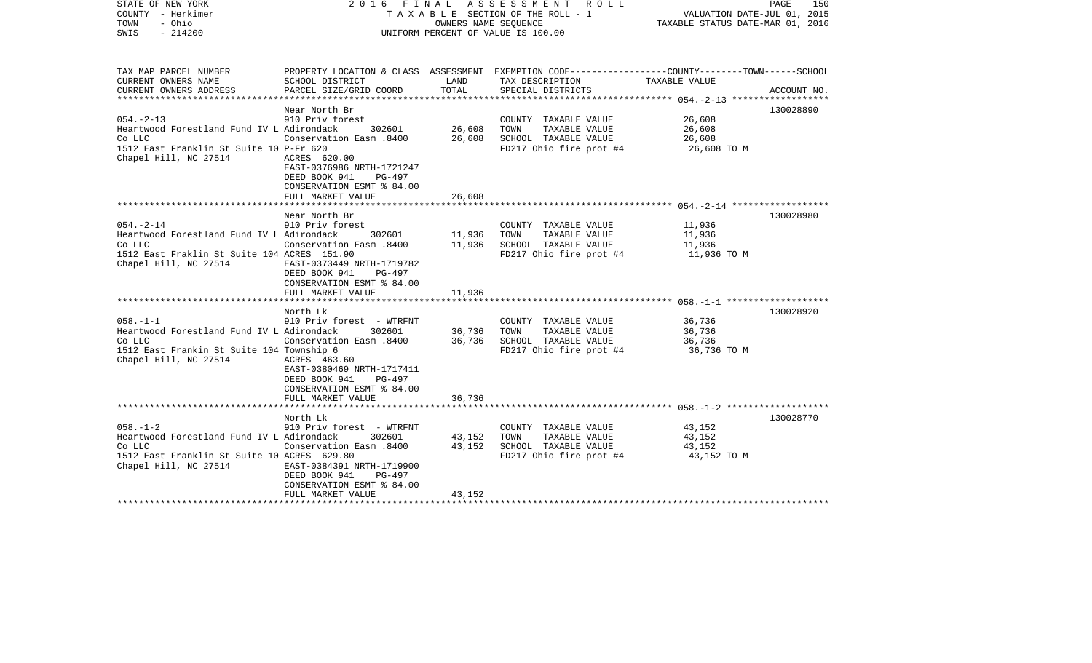| COUNTY - Herkimer<br>TOWN<br>- Ohio<br>$-214200$<br>SWIS                                                                                                | TAXABLE SECTION OF THE ROLL - 1<br>OWNERS NAME SEQUENCE<br>UNIFORM PERCENT OF VALUE IS 100.00                                                                                                       |                            |                                                                                                                                          | VALUATION DATE-JUL 01, 2015<br>TAXABLE STATUS DATE-MAR 01, 2016 |             |
|---------------------------------------------------------------------------------------------------------------------------------------------------------|-----------------------------------------------------------------------------------------------------------------------------------------------------------------------------------------------------|----------------------------|------------------------------------------------------------------------------------------------------------------------------------------|-----------------------------------------------------------------|-------------|
| TAX MAP PARCEL NUMBER<br>CURRENT OWNERS NAME<br>CURRENT OWNERS ADDRESS                                                                                  | SCHOOL DISTRICT<br>PARCEL SIZE/GRID COORD                                                                                                                                                           | LAND<br>TOTAL              | PROPERTY LOCATION & CLASS ASSESSMENT EXEMPTION CODE----------------COUNTY-------TOWN------SCHOOL<br>TAX DESCRIPTION<br>SPECIAL DISTRICTS | TAXABLE VALUE                                                   | ACCOUNT NO. |
| $054. - 2 - 13$<br>Heartwood Forestland Fund IV L Adirondack<br>Co LLC<br>1512 East Franklin St Suite 10 P-Fr 620<br>Chapel Hill, NC 27514              | Near North Br<br>910 Priv forest<br>302601<br>Conservation Easm .8400<br>ACRES 620.00<br>EAST-0376986 NRTH-1721247<br>DEED BOOK 941<br>PG-497<br>CONSERVATION ESMT % 84.00<br>FULL MARKET VALUE     | 26,608<br>26,608<br>26,608 | COUNTY TAXABLE VALUE<br>TOWN<br>TAXABLE VALUE<br>SCHOOL TAXABLE VALUE<br>FD217 Ohio fire prot #4                                         | 26,608<br>26,608<br>26,608<br>26,608 TO M                       | 130028890   |
| 054.-2-14<br>Heartwood Forestland Fund IV L Adirondack<br>Co LLC<br>1512 East Fraklin St Suite 104 ACRES 151.90<br>Chapel Hill, NC 27514                | Near North Br<br>910 Priv forest<br>302601<br>Conservation Easm .8400<br>EAST-0373449 NRTH-1719782<br>DEED BOOK 941<br>PG-497<br>CONSERVATION ESMT % 84.00<br>FULL MARKET VALUE                     | 11,936<br>11,936<br>11,936 | COUNTY TAXABLE VALUE<br>TOWN<br>TAXABLE VALUE<br>SCHOOL TAXABLE VALUE<br>FD217 Ohio fire prot #4                                         | 11,936<br>11,936<br>11,936<br>11,936 TO M                       | 130028980   |
| 058.-1-1<br>Heartwood Forestland Fund IV L Adirondack<br>Co LLC<br>1512 East Frankin St Suite 104 Township 6<br>Chapel Hill, NC 27514                   | North Lk<br>910 Priv forest - WTRFNT<br>302601<br>Conservation Easm .8400<br>ACRES 463.60<br>EAST-0380469 NRTH-1717411<br>DEED BOOK 941<br>PG-497<br>CONSERVATION ESMT % 84.00<br>FULL MARKET VALUE | 36,736<br>36,736<br>36,736 | COUNTY TAXABLE VALUE<br>TOWN<br>TAXABLE VALUE<br>SCHOOL TAXABLE VALUE<br>FD217 Ohio fire prot #4                                         | 36,736<br>36,736<br>36,736<br>36,736 TO M                       | 130028920   |
| $058. - 1 - 2$<br>Heartwood Forestland Fund IV L Adirondack    302601<br>Co LLC<br>1512 East Franklin St Suite 10 ACRES 629.80<br>Chapel Hill, NC 27514 | North Lk<br>910 Priv forest - WTRFNT<br>Conservation Easm .8400<br>EAST-0384391 NRTH-1719900<br>DEED BOOK 941<br>PG-497<br>CONSERVATION ESMT % 84.00<br>FULL MARKET VALUE                           | 43,152<br>43,152<br>43,152 | COUNTY TAXABLE VALUE<br>TOWN<br>TAXABLE VALUE<br>SCHOOL TAXABLE VALUE<br>FD217 Ohio fire prot #4                                         | 43,152<br>43,152<br>43,152<br>43,152 TO M                       | 130028770   |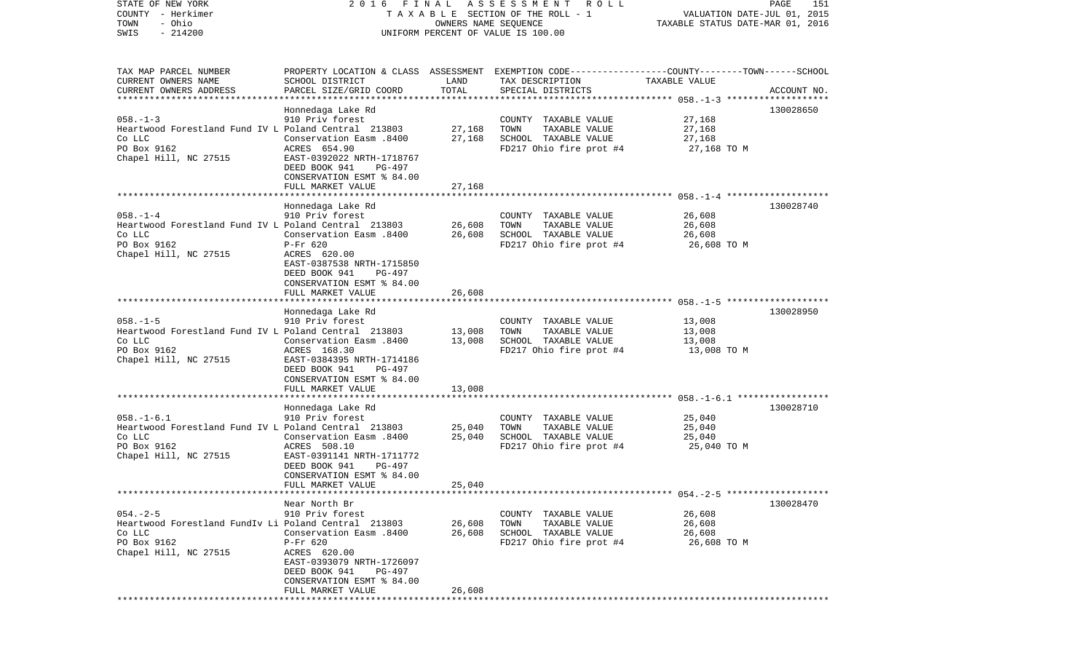STATE OF NEW YORK 2 0 1 6 F I N A L A S S E S S M E N T R O L L PAGE 151COUNTY - Herkimer **T A X A B L E** SECTION OF THE ROLL - 1 VALUATION DATE-JUL 01, 2015 TOWN - Ohio OWNERS NAME SEQUENCE TAXABLE STATUS DATE-MAR 01, 2016 SWIS - 214200 UNIFORM PERCENT OF VALUE IS 100.00TAX MAP PARCEL NUMBER PROPERTY LOCATION & CLASS ASSESSMENT EXEMPTION CODE------------------COUNTY--------TOWN------SCHOOL CURRENT OWNERS NAME SCHOOL DISTRICT LAND TAX DESCRIPTION TAXABLE VALUECURRENT OWNERS ADDRESS PARCEL SIZE/GRID COORD TOTAL SPECIAL DISTRICTS ACCOUNT NO. \*\*\*\*\*\*\*\*\*\*\*\*\*\*\*\*\*\*\*\*\*\*\*\*\*\*\*\*\*\*\*\*\*\*\*\*\*\*\*\*\*\*\*\*\*\*\*\*\*\*\*\*\*\*\*\*\*\*\*\*\*\*\*\*\*\*\*\*\*\*\*\*\*\*\*\*\*\*\*\*\*\*\*\*\*\*\*\*\*\*\*\*\*\*\*\*\*\*\*\*\*\*\* 058.-1-3 \*\*\*\*\*\*\*\*\*\*\*\*\*\*\*\*\*\*\* Honnedaga Lake Rd 130028650 058.-1-3 910 Priv forest COUNTY TAXABLE VALUE 27,168 Heartwood Forestland Fund IV L Poland Central 213803 27,168 TOWN TAXABLE VALUE 27,168 Co LLC Conservation Easm .8400 27,168 SCHOOL TAXABLE VALUE 27,168 PO Box 9162 **ACRES** 654.90 **ACRES 654.90** FD217 Ohio fire prot #4 27,168 TO M Chapel Hill, NC 27515 EAST-0392022 NRTH-1718767 DEED BOOK 941 PG-497 CONSERVATION ESMT % 84.00 FULL MARKET VALUE 27,168 \*\*\*\*\*\*\*\*\*\*\*\*\*\*\*\*\*\*\*\*\*\*\*\*\*\*\*\*\*\*\*\*\*\*\*\*\*\*\*\*\*\*\*\*\*\*\*\*\*\*\*\*\*\*\*\*\*\*\*\*\*\*\*\*\*\*\*\*\*\*\*\*\*\*\*\*\*\*\*\*\*\*\*\*\*\*\*\*\*\*\*\*\*\*\*\*\*\*\*\*\*\*\* 058.-1-4 \*\*\*\*\*\*\*\*\*\*\*\*\*\*\*\*\*\*\* Honnedaga Lake Rd 130028740 058.-1-4 910 Priv forest COUNTY TAXABLE VALUE 26,608 Heartwood Forestland Fund IV L Poland Central 213803 26,608 TOWN TAXABLE VALUE 26,608 Co LLC Conservation Easm .8400 26,608 SCHOOL TAXABLE VALUE 26,608 PO Box 9162 **P-Fr 620** P-Fr 620 **FD217** Ohio fire prot #4 26,608 TO M Chapel Hill, NC 27515 ACRES 620.00 EAST-0387538 NRTH-1715850 DEED BOOK 941 PG-497 CONSERVATION ESMT % 84.00FULL MARKET VALUE 26,608 \*\*\*\*\*\*\*\*\*\*\*\*\*\*\*\*\*\*\*\*\*\*\*\*\*\*\*\*\*\*\*\*\*\*\*\*\*\*\*\*\*\*\*\*\*\*\*\*\*\*\*\*\*\*\*\*\*\*\*\*\*\*\*\*\*\*\*\*\*\*\*\*\*\*\*\*\*\*\*\*\*\*\*\*\*\*\*\*\*\*\*\*\*\*\*\*\*\*\*\*\*\*\* 058.-1-5 \*\*\*\*\*\*\*\*\*\*\*\*\*\*\*\*\*\*\* Honnedaga Lake Rd 130028950 058.-1-5 910 Priv forest COUNTY TAXABLE VALUE 13,008 Heartwood Forestland Fund IV L Poland Central 213803 13,008 TOWN TAXABLE VALUE 13,008 Co LLC Conservation Easm .8400 13,008 SCHOOL TAXABLE VALUE 13,008 PO Box 9162 **ACRES 168.30** FD217 Ohio fire prot #4 13,008 TO M Chapel Hill, NC 27515 EAST-0384395 NRTH-1714186 DEED BOOK 941 PG-497 CONSERVATION ESMT % 84.00FULL MARKET VALUE 13,008 \*\*\*\*\*\*\*\*\*\*\*\*\*\*\*\*\*\*\*\*\*\*\*\*\*\*\*\*\*\*\*\*\*\*\*\*\*\*\*\*\*\*\*\*\*\*\*\*\*\*\*\*\*\*\*\*\*\*\*\*\*\*\*\*\*\*\*\*\*\*\*\*\*\*\*\*\*\*\*\*\*\*\*\*\*\*\*\*\*\*\*\*\*\*\*\*\*\*\*\*\*\*\* 058.-1-6.1 \*\*\*\*\*\*\*\*\*\*\*\*\*\*\*\*\* Honnedaga Lake Rd 130028710 058.-1-6.1 910 Priv forest COUNTY TAXABLE VALUE 25,040 Heartwood Forestland Fund IV L Poland Central 213803 25,040 TOWN TAXABLE VALUE 25,040 Co LLC Conservation Easm .8400 25,040 SCHOOL TAXABLE VALUE 25,040 PO Box 9162 ACRES 508.10 FD217 Ohio fire prot #4 25,040 TO M EAST-0391141 NRTH-1711772 DEED BOOK 941 PG-497 CONSERVATION ESMT % 84.00 FULL MARKET VALUE 25,040 \*\*\*\*\*\*\*\*\*\*\*\*\*\*\*\*\*\*\*\*\*\*\*\*\*\*\*\*\*\*\*\*\*\*\*\*\*\*\*\*\*\*\*\*\*\*\*\*\*\*\*\*\*\*\*\*\*\*\*\*\*\*\*\*\*\*\*\*\*\*\*\*\*\*\*\*\*\*\*\*\*\*\*\*\*\*\*\*\*\*\*\*\*\*\*\*\*\*\*\*\*\*\* 054.-2-5 \*\*\*\*\*\*\*\*\*\*\*\*\*\*\*\*\*\*\* Near North Br 130028470054.-2-5 910 Priv forest COUNTY TAXABLE VALUE 26,608 Heartwood Forestland FundIv Li Poland Central 213803 26,608 TOWN TAXABLE VALUE 26,608 Co LLC Conservation Easm .8400 26,608 SCHOOL TAXABLE VALUE 26,608 PO Box 9162 **P-Fr 620** P-Fr 620 **FD217** Ohio fire prot #4 26,608 TO M Chapel Hill, NC 27515 ACRES 620.00 EAST-0393079 NRTH-1726097 DEED BOOK 941 PG-497 CONSERVATION ESMT % 84.00FULL MARKET VALUE 26,608

\*\*\*\*\*\*\*\*\*\*\*\*\*\*\*\*\*\*\*\*\*\*\*\*\*\*\*\*\*\*\*\*\*\*\*\*\*\*\*\*\*\*\*\*\*\*\*\*\*\*\*\*\*\*\*\*\*\*\*\*\*\*\*\*\*\*\*\*\*\*\*\*\*\*\*\*\*\*\*\*\*\*\*\*\*\*\*\*\*\*\*\*\*\*\*\*\*\*\*\*\*\*\*\*\*\*\*\*\*\*\*\*\*\*\*\*\*\*\*\*\*\*\*\*\*\*\*\*\*\*\*\*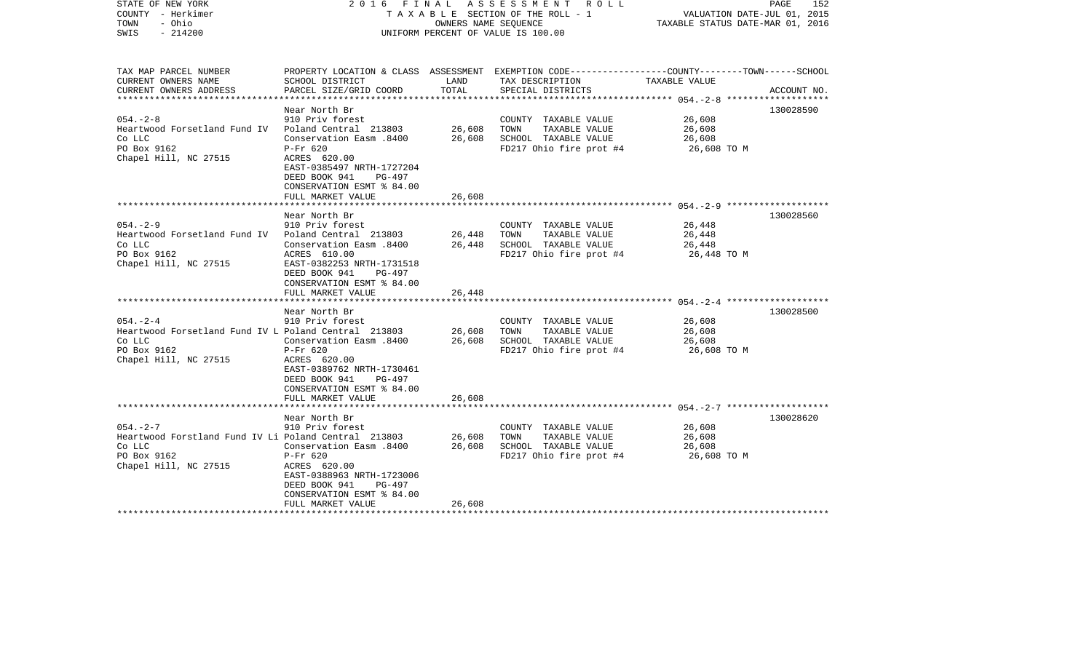| COUNTY - Herkimer<br>TOWN<br>- Ohio<br>SWIS<br>$-214200$                                                                   |                                                                                                                                                                                      | OWNERS NAME SEQUENCE       | TAXABLE SECTION OF THE ROLL - 1<br>UNIFORM PERCENT OF VALUE IS 100.00                                                                    | VALUATION DATE-JUL 01, 2015<br>TAXABLE STATUS DATE-MAR 01, 2016 |             |
|----------------------------------------------------------------------------------------------------------------------------|--------------------------------------------------------------------------------------------------------------------------------------------------------------------------------------|----------------------------|------------------------------------------------------------------------------------------------------------------------------------------|-----------------------------------------------------------------|-------------|
| TAX MAP PARCEL NUMBER<br>CURRENT OWNERS NAME<br>CURRENT OWNERS ADDRESS                                                     | SCHOOL DISTRICT<br>PARCEL SIZE/GRID COORD                                                                                                                                            | LAND<br>TOTAL              | PROPERTY LOCATION & CLASS ASSESSMENT EXEMPTION CODE----------------COUNTY-------TOWN------SCHOOL<br>TAX DESCRIPTION<br>SPECIAL DISTRICTS | TAXABLE VALUE                                                   | ACCOUNT NO. |
|                                                                                                                            |                                                                                                                                                                                      |                            |                                                                                                                                          |                                                                 |             |
| $054. - 2 - 8$<br>Heartwood Forsetland Fund IV - Poland Central - 213803<br>Co LLC<br>PO Box 9162<br>Chapel Hill, NC 27515 | Near North Br<br>910 Priv forest<br>8400 Conservation Easm<br>P-Fr 620<br>ACRES 620.00<br>EAST-0385497 NRTH-1727204<br>DEED BOOK 941<br>PG-497                                       | 26,608<br>26,608           | COUNTY TAXABLE VALUE<br>TAXABLE VALUE<br>TOWN<br>SCHOOL TAXABLE VALUE<br>FD217 Ohio fire prot #4                                         | 26,608<br>26,608<br>26,608<br>26,608 TO M                       | 130028590   |
|                                                                                                                            | CONSERVATION ESMT % 84.00                                                                                                                                                            | 26,608                     |                                                                                                                                          |                                                                 |             |
|                                                                                                                            | FULL MARKET VALUE                                                                                                                                                                    |                            |                                                                                                                                          |                                                                 |             |
| $054. - 2 - 9$<br>Heartwood Forsetland Fund IV - Poland Central - 213803<br>Co LLC<br>PO Box 9162<br>Chapel Hill, NC 27515 | Near North Br<br>910 Priv forest<br>8400 Conservation Easm<br>ACRES 610.00<br>EAST-0382253 NRTH-1731518<br>DEED BOOK 941<br>PG-497<br>CONSERVATION ESMT % 84.00<br>FULL MARKET VALUE | 26,448<br>26,448<br>26,448 | COUNTY TAXABLE VALUE<br>TOWN<br>TAXABLE VALUE<br>SCHOOL TAXABLE VALUE<br>FD217 Ohio fire prot #4                                         | 26,448<br>26,448<br>26,448<br>26,448 TO M                       | 130028560   |
|                                                                                                                            | Near North Br                                                                                                                                                                        |                            |                                                                                                                                          |                                                                 | 130028500   |
| $054. - 2 - 4$<br>Heartwood Forsetland Fund IV L Poland Central 213803<br>Co LLC<br>PO Box 9162<br>Chapel Hill, NC 27515   | 910 Priv forest<br>Conservation Easm .8400<br>$P-Fr$ 620<br>ACRES 620.00<br>EAST-0389762 NRTH-1730461<br>DEED BOOK 941<br>PG-497<br>CONSERVATION ESMT % 84.00<br>FULL MARKET VALUE   | 26,608<br>26,608<br>26,608 | COUNTY TAXABLE VALUE<br>TAXABLE VALUE<br>TOWN<br>SCHOOL TAXABLE VALUE<br>FD217 Ohio fire prot #4                                         | 26,608<br>26,608<br>26,608<br>26,608 TO M                       |             |
|                                                                                                                            | Near North Br                                                                                                                                                                        |                            |                                                                                                                                          |                                                                 | 130028620   |
| 054.-2-7<br>Heartwood Forstland Fund IV Li Poland Central  213803<br>Co LLC<br>PO Box 9162<br>Chapel Hill, NC 27515        | 910 Priv forest<br>8400. Conservation Easm<br>P-Fr 620<br>ACRES 620.00<br>EAST-0388963 NRTH-1723006<br>DEED BOOK 941<br>PG-497<br>CONSERVATION ESMT % 84.00<br>FULL MARKET VALUE     | 26,608<br>26,608<br>26,608 | COUNTY TAXABLE VALUE<br>TOWN<br>TAXABLE VALUE<br>SCHOOL TAXABLE VALUE<br>FD217 Ohio fire prot #4                                         | 26,608<br>26,608<br>26,608<br>26,608 TO M                       |             |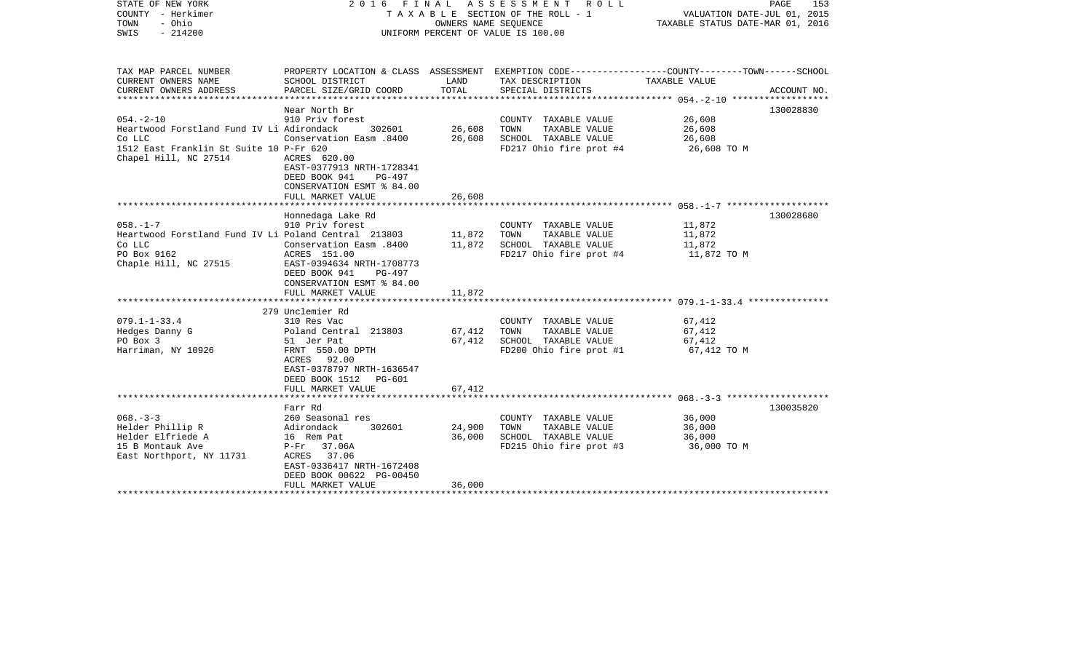| STATE OF NEW YORK<br>COUNTY - Herkimer<br>- Ohio<br>TOWN<br>$-214200$<br>SWIS |                                                                                                                        | OWNERS NAME SEQUENCE | 2016 FINAL ASSESSMENT<br>ROLL<br>T A X A B L E SECTION OF THE ROLL - 1<br>UNIFORM PERCENT OF VALUE IS 100.00 | PAGE<br>VALUATION DATE-JUL 01, 2015<br>TAXABLE STATUS DATE-MAR 01, 2016                                         | 153 |
|-------------------------------------------------------------------------------|------------------------------------------------------------------------------------------------------------------------|----------------------|--------------------------------------------------------------------------------------------------------------|-----------------------------------------------------------------------------------------------------------------|-----|
| TAX MAP PARCEL NUMBER<br>CURRENT OWNERS NAME                                  | SCHOOL DISTRICT                                                                                                        | LAND                 | TAX DESCRIPTION                                                                                              | PROPERTY LOCATION & CLASS ASSESSMENT EXEMPTION CODE---------------COUNTY-------TOWN-----SCHOOL<br>TAXABLE VALUE |     |
| CURRENT OWNERS ADDRESS                                                        | PARCEL SIZE/GRID COORD                                                                                                 | TOTAL                | SPECIAL DISTRICTS                                                                                            | ACCOUNT NO.                                                                                                     |     |
|                                                                               | Near North Br                                                                                                          |                      |                                                                                                              | 130028830                                                                                                       |     |
| $054. - 2 - 10$                                                               | 910 Priv forest                                                                                                        |                      | COUNTY TAXABLE VALUE                                                                                         | 26,608                                                                                                          |     |
| Heartwood Forstland Fund IV Li Adirondack                                     | 302601                                                                                                                 | 26,608               | TAXABLE VALUE<br>TOWN                                                                                        | 26,608                                                                                                          |     |
| Co LLC                                                                        | Conservation Easm .8400                                                                                                | 26,608               | SCHOOL TAXABLE VALUE                                                                                         | 26,608                                                                                                          |     |
| 1512 East Franklin St Suite 10 P-Fr 620<br>Chapel Hill, NC 27514              | ACRES 620.00<br>EAST-0377913 NRTH-1728341<br>DEED BOOK 941<br>PG-497<br>CONSERVATION ESMT % 84.00<br>FULL MARKET VALUE | 26,608               | FD217 Ohio fire prot #4                                                                                      | 26,608 TO M                                                                                                     |     |
|                                                                               |                                                                                                                        |                      |                                                                                                              |                                                                                                                 |     |
|                                                                               | Honnedaga Lake Rd                                                                                                      |                      |                                                                                                              | 130028680                                                                                                       |     |
| $058. - 1 - 7$                                                                | 910 Priv forest                                                                                                        |                      | COUNTY TAXABLE VALUE                                                                                         | 11,872                                                                                                          |     |
| Heartwood Forstland Fund IV Li Poland Central 213803                          |                                                                                                                        | 11,872               | TOWN<br>TAXABLE VALUE                                                                                        | 11,872                                                                                                          |     |
| Co LLC                                                                        | 008. Conservation Easm                                                                                                 | 11,872               | SCHOOL TAXABLE VALUE                                                                                         | 11,872                                                                                                          |     |
| PO Box 9162<br>Chaple Hill, NC 27515                                          | ACRES 151.00<br>EAST-0394634 NRTH-1708773<br>DEED BOOK 941<br>PG-497<br>CONSERVATION ESMT % 84.00<br>FULL MARKET VALUE | 11,872               | FD217 Ohio fire prot #4                                                                                      | 11,872 TO M                                                                                                     |     |
|                                                                               | 279 Unclemier Rd                                                                                                       |                      |                                                                                                              |                                                                                                                 |     |
| $079.1 - 1 - 33.4$                                                            | 310 Res Vac                                                                                                            |                      | COUNTY TAXABLE VALUE                                                                                         | 67,412                                                                                                          |     |
| Hedges Danny G                                                                | Poland Central 213803                                                                                                  | 67,412               | TAXABLE VALUE<br>TOWN                                                                                        | 67,412                                                                                                          |     |
| PO Box 3                                                                      | 51 Jer Pat                                                                                                             | 67,412               | SCHOOL TAXABLE VALUE                                                                                         | 67,412                                                                                                          |     |
| Harriman, NY 10926                                                            | FRNT 550.00 DPTH<br>ACRES 92.00<br>EAST-0378797 NRTH-1636547<br>DEED BOOK 1512 PG-601                                  |                      | FD200 Ohio fire prot #1                                                                                      | 67,412 TO M                                                                                                     |     |
|                                                                               | FULL MARKET VALUE                                                                                                      | 67,412               |                                                                                                              |                                                                                                                 |     |
|                                                                               | Farr Rd                                                                                                                |                      |                                                                                                              | 130035820                                                                                                       |     |
| $068. - 3 - 3$                                                                | 260 Seasonal res                                                                                                       |                      | COUNTY TAXABLE VALUE                                                                                         | 36,000                                                                                                          |     |
| Helder Phillip R                                                              | 302601<br>Adirondack                                                                                                   | 24,900               | TAXABLE VALUE<br>TOWN                                                                                        | 36,000                                                                                                          |     |
| Helder Elfriede A                                                             | 16 Rem Pat                                                                                                             | 36,000               | SCHOOL TAXABLE VALUE                                                                                         | 36,000                                                                                                          |     |
| 15 B Montauk Ave                                                              | P-Fr 37.06A                                                                                                            |                      | FD215 Ohio fire prot #3                                                                                      | 36,000 TO M                                                                                                     |     |
| East Northport, NY 11731                                                      | ACRES 37.06<br>EAST-0336417 NRTH-1672408<br>DEED BOOK 00622 PG-00450                                                   |                      |                                                                                                              |                                                                                                                 |     |
|                                                                               | FULL MARKET VALUE                                                                                                      | 36,000               |                                                                                                              |                                                                                                                 |     |
|                                                                               |                                                                                                                        |                      |                                                                                                              |                                                                                                                 |     |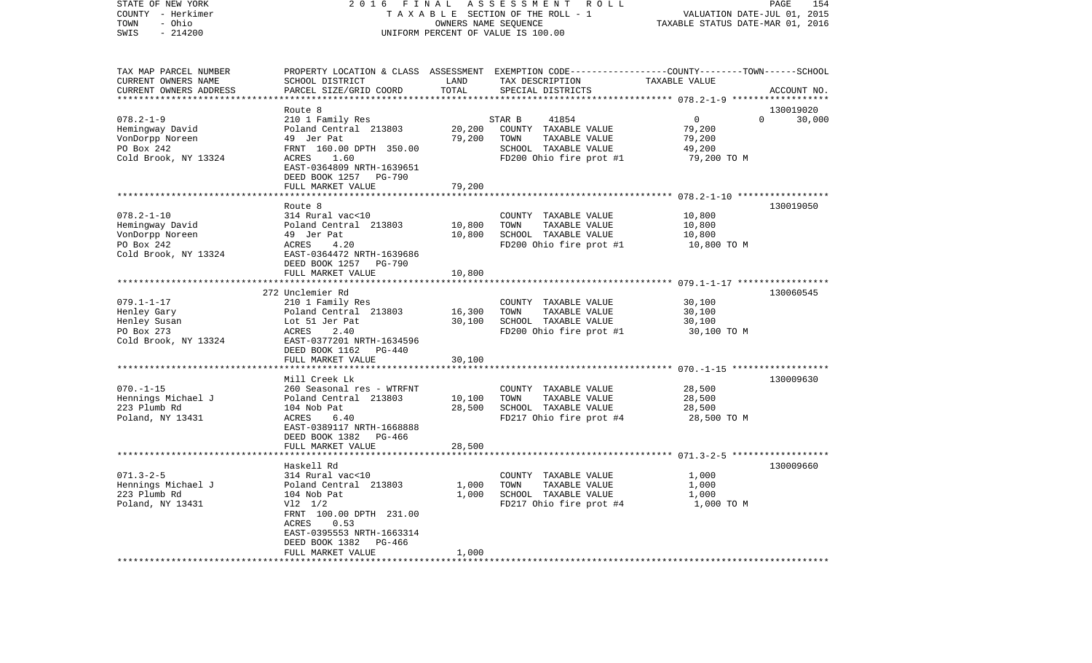| - Herkimer<br>COUNTY<br>TOWN<br>- Ohio<br>$-214200$<br>SWIS |                                                                        | OWNERS NAME SEQUENCE | TAXABLE SECTION OF THE ROLL - 1<br>UNIFORM PERCENT OF VALUE IS 100.00                                              | VALUATION DATE-JUL 01, 2015<br>TAXABLE STATUS DATE-MAR 01, 2016 |             |
|-------------------------------------------------------------|------------------------------------------------------------------------|----------------------|--------------------------------------------------------------------------------------------------------------------|-----------------------------------------------------------------|-------------|
|                                                             |                                                                        |                      |                                                                                                                    |                                                                 |             |
| TAX MAP PARCEL NUMBER<br>CURRENT OWNERS NAME                | SCHOOL DISTRICT                                                        | LAND                 | PROPERTY LOCATION & CLASS ASSESSMENT EXEMPTION CODE---------------COUNTY-------TOWN------SCHOOL<br>TAX DESCRIPTION | TAXABLE VALUE                                                   |             |
| CURRENT OWNERS ADDRESS                                      | PARCEL SIZE/GRID COORD                                                 | TOTAL                | SPECIAL DISTRICTS                                                                                                  |                                                                 | ACCOUNT NO. |
|                                                             | Route 8                                                                |                      |                                                                                                                    |                                                                 | 130019020   |
| $078.2 - 1 - 9$                                             | 210 1 Family Res                                                       |                      | STAR B<br>41854                                                                                                    | $\overline{0}$<br>$\Omega$                                      | 30,000      |
| Hemingway David                                             | Poland Central 213803                                                  | 20,200               | COUNTY TAXABLE VALUE                                                                                               | 79,200                                                          |             |
| VonDorpp Noreen                                             | 49 Jer Pat                                                             | 79,200               | TOWN<br>TAXABLE VALUE                                                                                              | 79,200                                                          |             |
| PO Box 242                                                  | FRNT 160.00 DPTH 350.00                                                |                      | SCHOOL TAXABLE VALUE                                                                                               | 49,200                                                          |             |
| Cold Brook, NY 13324                                        | ACRES<br>1.60<br>EAST-0364809 NRTH-1639651<br>DEED BOOK 1257<br>PG-790 |                      | FD200 Ohio fire prot #1                                                                                            | 79,200 TO M                                                     |             |
|                                                             | FULL MARKET VALUE                                                      | 79,200               |                                                                                                                    |                                                                 |             |
|                                                             |                                                                        | ***********          |                                                                                                                    |                                                                 |             |
|                                                             | Route 8                                                                |                      |                                                                                                                    |                                                                 | 130019050   |
| $078.2 - 1 - 10$<br>Hemingway David                         | 314 Rural vac<10<br>Poland Central 213803                              | 10,800               | COUNTY TAXABLE VALUE<br>TAXABLE VALUE<br>TOWN                                                                      | 10,800<br>10,800                                                |             |
| VonDorpp Noreen                                             | 49 Jer Pat                                                             | 10,800               | SCHOOL TAXABLE VALUE                                                                                               | 10,800                                                          |             |
| PO Box 242                                                  | ACRES<br>4.20                                                          |                      | FD200 Ohio fire prot #1                                                                                            | 10,800 TO M                                                     |             |
| Cold Brook, NY 13324                                        | EAST-0364472 NRTH-1639686                                              |                      |                                                                                                                    |                                                                 |             |
|                                                             | DEED BOOK 1257 PG-790                                                  |                      |                                                                                                                    |                                                                 |             |
|                                                             | FULL MARKET VALUE<br>**************************                        | 10,800               |                                                                                                                    |                                                                 |             |
|                                                             |                                                                        |                      |                                                                                                                    |                                                                 |             |
| $079.1 - 1 - 17$                                            | 272 Unclemier Rd<br>210 1 Family Res                                   |                      | COUNTY TAXABLE VALUE                                                                                               | 30,100                                                          | 130060545   |
| Henley Gary                                                 | Poland Central 213803                                                  | 16,300               | TOWN<br>TAXABLE VALUE                                                                                              | 30,100                                                          |             |
| Henley Susan                                                | Lot 51 Jer Pat                                                         | 30,100               | SCHOOL TAXABLE VALUE                                                                                               | 30,100                                                          |             |
| PO Box 273                                                  | 2.40<br>ACRES                                                          |                      | FD200 Ohio fire prot #1                                                                                            | 30,100 TO M                                                     |             |
| Cold Brook, NY 13324                                        | EAST-0377201 NRTH-1634596                                              |                      |                                                                                                                    |                                                                 |             |
|                                                             | DEED BOOK 1162<br>PG-440                                               |                      |                                                                                                                    |                                                                 |             |
|                                                             | FULL MARKET VALUE<br>***********************                           | 30,100               |                                                                                                                    |                                                                 |             |
|                                                             | Mill Creek Lk                                                          |                      |                                                                                                                    |                                                                 | 130009630   |
| $070. - 1 - 15$                                             | 260 Seasonal res - WTRFNT                                              |                      | COUNTY TAXABLE VALUE                                                                                               | 28,500                                                          |             |
| Hennings Michael J                                          | Poland Central 213803                                                  | 10,100               | TAXABLE VALUE<br>TOWN                                                                                              | 28,500                                                          |             |
| 223 Plumb Rd                                                | 104 Nob Pat                                                            | 28,500               | SCHOOL TAXABLE VALUE                                                                                               | 28,500                                                          |             |
| Poland, NY 13431                                            | 6.40<br>ACRES                                                          |                      | FD217 Ohio fire prot #4                                                                                            | 28,500 TO M                                                     |             |
|                                                             | EAST-0389117 NRTH-1668888                                              |                      |                                                                                                                    |                                                                 |             |
|                                                             | DEED BOOK 1382 PG-466                                                  |                      |                                                                                                                    |                                                                 |             |
|                                                             | FULL MARKET VALUE                                                      | 28,500               |                                                                                                                    |                                                                 |             |
|                                                             | Haskell Rd                                                             |                      |                                                                                                                    |                                                                 | 130009660   |
| $071.3 - 2 - 5$                                             | 314 Rural vac<10                                                       |                      | COUNTY TAXABLE VALUE                                                                                               | 1,000                                                           |             |
| Hennings Michael J                                          | Poland Central 213803                                                  | 1,000                | TOWN<br>TAXABLE VALUE                                                                                              | 1,000                                                           |             |
| 223 Plumb Rd                                                | 104 Nob Pat                                                            | 1,000                | SCHOOL TAXABLE VALUE                                                                                               | 1,000                                                           |             |
| Poland, NY 13431                                            | $V12 \t1/2$                                                            |                      | FD217 Ohio fire prot #4                                                                                            | 1,000 TO M                                                      |             |
|                                                             | FRNT 100.00 DPTH 231.00                                                |                      |                                                                                                                    |                                                                 |             |
|                                                             | ACRES<br>0.53                                                          |                      |                                                                                                                    |                                                                 |             |
|                                                             | EAST-0395553 NRTH-1663314<br>DEED BOOK 1382<br>PG-466                  |                      |                                                                                                                    |                                                                 |             |
|                                                             | FULL MARKET VALUE                                                      | 1,000                |                                                                                                                    |                                                                 |             |
| *************************                                   |                                                                        |                      |                                                                                                                    |                                                                 |             |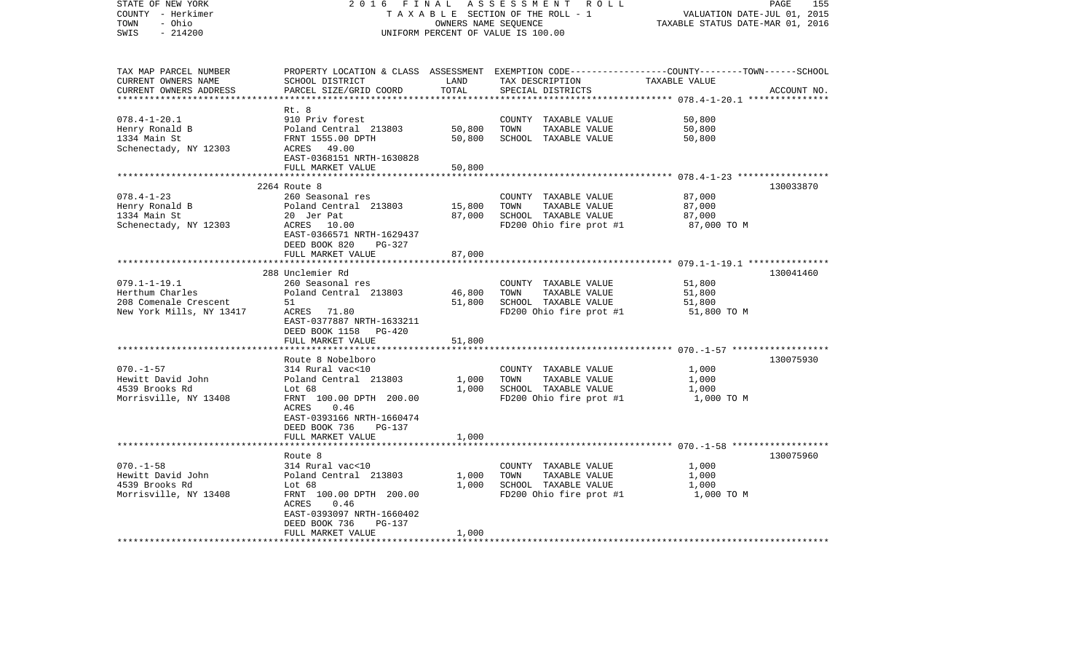| STATE OF NEW YORK<br>COUNTY - Herkimer<br>- Ohio<br>TOWN<br>$-214200$<br>SWIS              | FINAL<br>2016                                                                                                                                                                             | OWNERS NAME SEQUENCE            | ASSESSMENT<br>R O L L<br>TAXABLE SECTION OF THE ROLL - 1<br>UNIFORM PERCENT OF VALUE IS 100.00   | PAGE<br>VALUATION DATE-JUL 01, 2015<br>TAXABLE STATUS DATE-MAR 01, 2016                                           | 155         |
|--------------------------------------------------------------------------------------------|-------------------------------------------------------------------------------------------------------------------------------------------------------------------------------------------|---------------------------------|--------------------------------------------------------------------------------------------------|-------------------------------------------------------------------------------------------------------------------|-------------|
| TAX MAP PARCEL NUMBER<br>CURRENT OWNERS NAME<br>CURRENT OWNERS ADDRESS                     | SCHOOL DISTRICT<br>PARCEL SIZE/GRID COORD                                                                                                                                                 | LAND<br>TOTAL<br>************** | TAX DESCRIPTION<br>SPECIAL DISTRICTS                                                             | PROPERTY LOCATION & CLASS ASSESSMENT EXEMPTION CODE----------------COUNTY-------TOWN------SCHOOL<br>TAXABLE VALUE | ACCOUNT NO. |
| $078.4 - 1 - 20.1$<br>Henry Ronald B<br>1334 Main St<br>Schenectady, NY 12303              | Rt. 8<br>910 Priv forest<br>Poland Central 213803<br>FRNT 1555.00 DPTH<br>ACRES<br>49.00<br>EAST-0368151 NRTH-1630828<br>FULL MARKET VALUE                                                | 50,800<br>50,800<br>50,800      | COUNTY TAXABLE VALUE<br>TOWN<br>TAXABLE VALUE<br>SCHOOL TAXABLE VALUE                            | 50,800<br>50,800<br>50,800                                                                                        |             |
|                                                                                            |                                                                                                                                                                                           | ******                          |                                                                                                  | **************** 078.4-1-23 ******************                                                                    |             |
| $078.4 - 1 - 23$<br>Henry Ronald B<br>1334 Main St<br>Schenectady, NY 12303                | 2264 Route 8<br>260 Seasonal res<br>Poland Central 213803<br>20 Jer Pat<br>ACRES 10.00<br>EAST-0366571 NRTH-1629437<br>DEED BOOK 820<br><b>PG-327</b><br>FULL MARKET VALUE                | 15,800<br>87,000<br>87,000      | COUNTY TAXABLE VALUE<br>TOWN<br>TAXABLE VALUE<br>SCHOOL TAXABLE VALUE<br>FD200 Ohio fire prot #1 | 87,000<br>87,000<br>87,000<br>87,000 TO M                                                                         | 130033870   |
|                                                                                            |                                                                                                                                                                                           |                                 |                                                                                                  |                                                                                                                   |             |
| $079.1 - 1 - 19.1$<br>Herthum Charles<br>208 Comenale Crescent<br>New York Mills, NY 13417 | 288 Unclemier Rd<br>260 Seasonal res<br>Poland Central 213803<br>51<br>ACRES 71.80<br>EAST-0377887 NRTH-1633211<br>DEED BOOK 1158<br>PG-420<br>FULL MARKET VALUE                          | 46,800<br>51,800<br>51,800      | COUNTY TAXABLE VALUE<br>TOWN<br>TAXABLE VALUE<br>SCHOOL TAXABLE VALUE<br>FD200 Ohio fire prot #1 | 51,800<br>51,800<br>51,800<br>51,800 TO M                                                                         | 130041460   |
|                                                                                            |                                                                                                                                                                                           |                                 |                                                                                                  |                                                                                                                   |             |
| $070. - 1 - 57$<br>Hewitt David John<br>4539 Brooks Rd<br>Morrisville, NY 13408            | Route 8 Nobelboro<br>314 Rural vac<10<br>Poland Central 213803<br>Lot 68<br>FRNT 100.00 DPTH 200.00<br>ACRES<br>0.46                                                                      | 1,000<br>1,000                  | COUNTY TAXABLE VALUE<br>TOWN<br>TAXABLE VALUE<br>SCHOOL TAXABLE VALUE<br>FD200 Ohio fire prot #1 | 1,000<br>1,000<br>1,000<br>1,000 TO M                                                                             | 130075930   |
|                                                                                            | EAST-0393166 NRTH-1660474<br>DEED BOOK 736<br><b>PG-137</b><br>FULL MARKET VALUE                                                                                                          | 1,000                           |                                                                                                  | ************************ 070.-1-58 *******************                                                            |             |
| $070. -1 - 58$<br>Hewitt David John<br>4539 Brooks Rd<br>Morrisville, NY 13408             | Route 8<br>314 Rural vac<10<br>Poland Central 213803<br>Lot $68$<br>FRNT 100.00 DPTH 200.00<br>ACRES<br>0.46<br>EAST-0393097 NRTH-1660402<br>DEED BOOK 736<br>PG-137<br>FULL MARKET VALUE | 1,000<br>1,000<br>1,000         | COUNTY TAXABLE VALUE<br>TOWN<br>TAXABLE VALUE<br>SCHOOL TAXABLE VALUE<br>FD200 Ohio fire prot #1 | 1,000<br>1,000<br>1,000<br>1,000 TO M                                                                             | 130075960   |
|                                                                                            |                                                                                                                                                                                           |                                 |                                                                                                  |                                                                                                                   |             |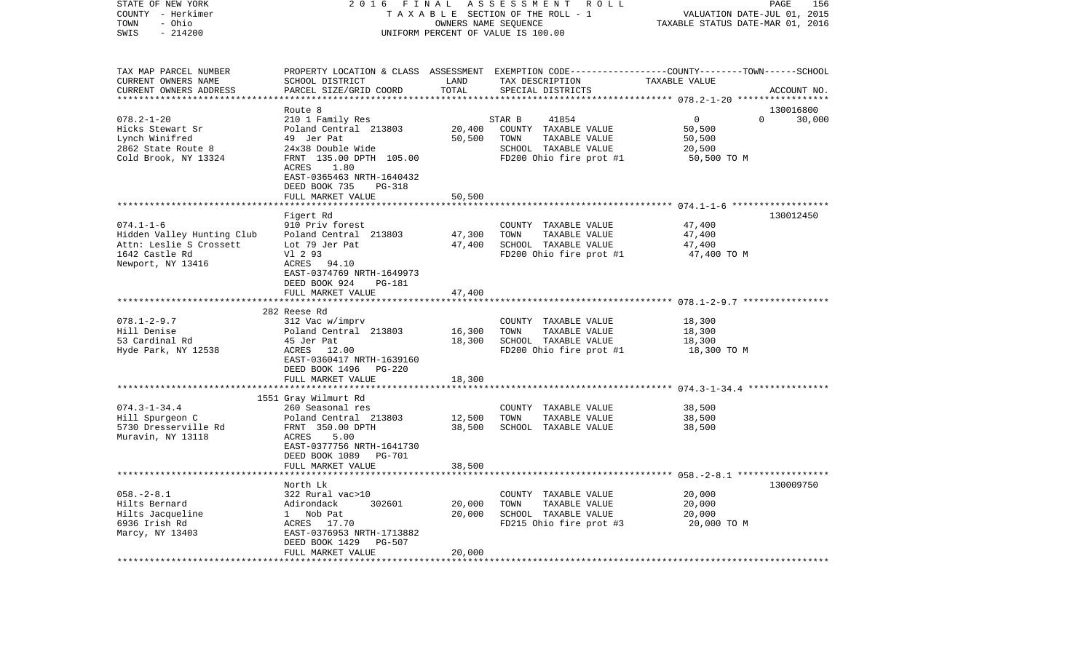| STATE OF NEW YORK<br>COUNTY - Herkimer<br>- Ohio<br>TOWN<br>$-214200$<br>SWIS                                   | 2016<br>FINAL<br>ASSESSMENT<br>R O L L<br>TAXABLE SECTION OF THE ROLL - 1<br>OWNERS NAME SEQUENCE<br>UNIFORM PERCENT OF VALUE IS 100.00                                                                       |                                |                                                                                                                                          | PAGE<br>156<br>VALUATION DATE-JUL 01, 2015<br>TAXABLE STATUS DATE-MAR 01, 2016 |                     |  |
|-----------------------------------------------------------------------------------------------------------------|---------------------------------------------------------------------------------------------------------------------------------------------------------------------------------------------------------------|--------------------------------|------------------------------------------------------------------------------------------------------------------------------------------|--------------------------------------------------------------------------------|---------------------|--|
| TAX MAP PARCEL NUMBER<br>CURRENT OWNERS NAME<br>CURRENT OWNERS ADDRESS                                          | SCHOOL DISTRICT<br>PARCEL SIZE/GRID COORD                                                                                                                                                                     | LAND<br>TOTAL<br>*********     | PROPERTY LOCATION & CLASS ASSESSMENT EXEMPTION CODE----------------COUNTY-------TOWN------SCHOOL<br>TAX DESCRIPTION<br>SPECIAL DISTRICTS | TAXABLE VALUE<br>********** 078.2-1-20 ******************                      | ACCOUNT NO.         |  |
| $078.2 - 1 - 20$<br>Hicks Stewart Sr<br>Lynch Winifred<br>2862 State Route 8<br>Cold Brook, NY 13324            | Route 8<br>210 1 Family Res<br>Poland Central 213803<br>49 Jer Pat<br>24x38 Double Wide<br>FRNT 135.00 DPTH 105.00<br>ACRES<br>1.80<br>EAST-0365463 NRTH-1640432<br>DEED BOOK 735<br><b>PG-318</b>            | 20,400<br>50,500               | STAR B<br>41854<br>COUNTY TAXABLE VALUE<br>TOWN<br>TAXABLE VALUE<br>SCHOOL TAXABLE VALUE<br>FD200 Ohio fire prot #1                      | $\mathbf 0$<br>$\Omega$<br>50,500<br>50,500<br>20,500<br>50,500 TO M           | 130016800<br>30,000 |  |
|                                                                                                                 | FULL MARKET VALUE                                                                                                                                                                                             | 50,500                         |                                                                                                                                          |                                                                                |                     |  |
| $074.1 - 1 - 6$<br>Hidden Valley Hunting Club<br>Attn: Leslie S Crossett<br>1642 Castle Rd<br>Newport, NY 13416 | *******************<br>Figert Rd<br>910 Priv forest<br>Poland Central 213803<br>Lot 79 Jer Pat<br>V1 2 93<br>ACRES 94.10<br>EAST-0374769 NRTH-1649973<br>DEED BOOK 924<br><b>PG-181</b>                       | **********<br>47,300<br>47,400 | COUNTY TAXABLE VALUE<br>TOWN<br>TAXABLE VALUE<br>SCHOOL TAXABLE VALUE<br>FD200 Ohio fire prot #1                                         | 47,400<br>47,400<br>47,400<br>47,400 TO M                                      | 130012450           |  |
|                                                                                                                 | FULL MARKET VALUE                                                                                                                                                                                             | 47,400                         |                                                                                                                                          |                                                                                |                     |  |
|                                                                                                                 |                                                                                                                                                                                                               |                                |                                                                                                                                          |                                                                                |                     |  |
| $078.1 - 2 - 9.7$<br>Hill Denise<br>53 Cardinal Rd<br>Hyde Park, NY 12538                                       | 282 Reese Rd<br>312 Vac w/imprv<br>Poland Central 213803<br>45 Jer Pat<br>ACRES 12.00<br>EAST-0360417 NRTH-1639160<br>DEED BOOK 1496<br><b>PG-220</b><br>FULL MARKET VALUE<br>******************************* | 16,300<br>18,300<br>18,300     | COUNTY TAXABLE VALUE<br>TOWN<br>TAXABLE VALUE<br>SCHOOL TAXABLE VALUE<br>FD200 Ohio fire prot #1                                         | 18,300<br>18,300<br>18,300<br>18,300 TO M                                      |                     |  |
|                                                                                                                 |                                                                                                                                                                                                               |                                |                                                                                                                                          |                                                                                |                     |  |
| $074.3 - 1 - 34.4$<br>Hill Spurgeon C<br>5730 Dresserville Rd<br>Muravin, NY 13118                              | 1551 Gray Wilmurt Rd<br>260 Seasonal res<br>Poland Central 213803<br>FRNT 350.00 DPTH<br>ACRES<br>5.00<br>EAST-0377756 NRTH-1641730                                                                           | 12,500<br>38,500               | COUNTY TAXABLE VALUE<br>TOWN<br>TAXABLE VALUE<br>SCHOOL TAXABLE VALUE                                                                    | 38,500<br>38,500<br>38,500                                                     |                     |  |
|                                                                                                                 | DEED BOOK 1089 PG-701                                                                                                                                                                                         |                                |                                                                                                                                          |                                                                                |                     |  |
|                                                                                                                 | FULL MARKET VALUE<br>***********************                                                                                                                                                                  | 38,500<br>*********            |                                                                                                                                          |                                                                                |                     |  |
| $058. - 2 - 8.1$<br>Hilts Bernard<br>Hilts Jacqueline<br>6936 Irish Rd<br>Marcy, NY 13403                       | North Lk<br>322 Rural vac>10<br>302601<br>Adirondack<br>1 Nob Pat<br>ACRES<br>17.70<br>EAST-0376953 NRTH-1713882<br>DEED BOOK 1429<br><b>PG-507</b><br>FULL MARKET VALUE                                      | 20,000<br>20,000<br>20,000     | COUNTY TAXABLE VALUE<br>TOWN<br>TAXABLE VALUE<br>SCHOOL TAXABLE VALUE<br>FD215 Ohio fire prot #3                                         | 20,000<br>20,000<br>20,000<br>20,000 TO M                                      | 130009750           |  |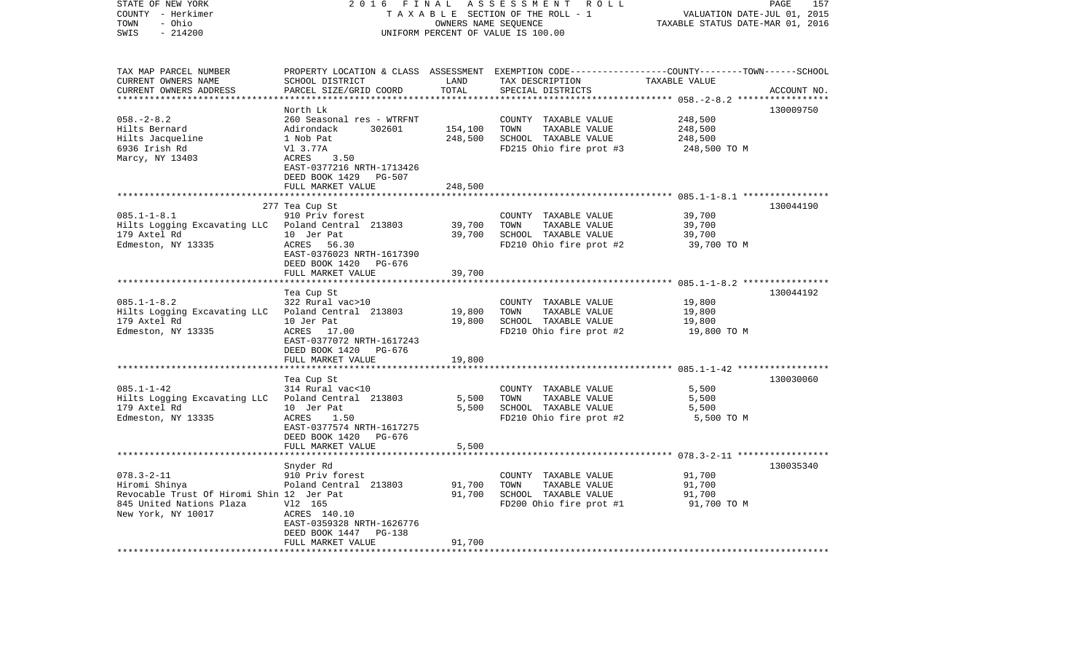| 2 0 1 6<br>FINAL<br>ASSESSMENT ROLL<br>TAXABLE SECTION OF THE ROLL - 1<br>OWNERS NAME SEQUENCE<br>UNIFORM PERCENT OF VALUE IS 100.00                                                                        |                                                                                                           |                                                                                                  | PAGE<br>157<br>VALUATION DATE-JUL 01, 2015<br>TAXABLE STATUS DATE-MAR 01, 2016 |                                                                                                                                                                                                         |
|-------------------------------------------------------------------------------------------------------------------------------------------------------------------------------------------------------------|-----------------------------------------------------------------------------------------------------------|--------------------------------------------------------------------------------------------------|--------------------------------------------------------------------------------|---------------------------------------------------------------------------------------------------------------------------------------------------------------------------------------------------------|
| SCHOOL DISTRICT<br>PARCEL SIZE/GRID COORD                                                                                                                                                                   | LAND<br>TOTAL                                                                                             | TAX DESCRIPTION<br>SPECIAL DISTRICTS                                                             | TAXABLE VALUE                                                                  | ACCOUNT NO.                                                                                                                                                                                             |
| North Lk<br>260 Seasonal res - WTRFNT<br>Adirondack<br>302601<br>1 Nob Pat<br>V1 3.77A<br>3.50<br>ACRES<br>EAST-0377216 NRTH-1713426<br>DEED BOOK 1429 PG-507                                               | 154,100<br>248,500                                                                                        | COUNTY TAXABLE VALUE<br>TAXABLE VALUE<br>TOWN<br>SCHOOL TAXABLE VALUE<br>FD215 Ohio fire prot #3 | 248,500<br>248,500<br>248,500<br>248,500 TO M                                  | 130009750                                                                                                                                                                                               |
|                                                                                                                                                                                                             |                                                                                                           |                                                                                                  |                                                                                |                                                                                                                                                                                                         |
| 277 Tea Cup St<br>910 Priv forest<br>Hilts Logging Excavating LLC<br>Poland Central 213803<br>10 Jer Pat<br>ACRES<br>56.30<br>EAST-0376023 NRTH-1617390                                                     | 39,700<br>39,700                                                                                          | COUNTY TAXABLE VALUE<br>TOWN<br>TAXABLE VALUE<br>SCHOOL TAXABLE VALUE<br>FD210 Ohio fire prot #2 | 39,700<br>39,700<br>39,700<br>39,700 TO M                                      | 130044190                                                                                                                                                                                               |
|                                                                                                                                                                                                             |                                                                                                           |                                                                                                  |                                                                                |                                                                                                                                                                                                         |
| Tea Cup St<br>322 Rural vac>10<br>Poland Central 213803<br>10 Jer Pat<br>ACRES 17.00<br>EAST-0377072 NRTH-1617243<br>DEED BOOK 1420 PG-676                                                                  | 19,800<br>19,800                                                                                          | COUNTY TAXABLE VALUE<br>TOWN<br>TAXABLE VALUE<br>SCHOOL TAXABLE VALUE<br>FD210 Ohio fire prot #2 | 19,800<br>19,800<br>19,800<br>19,800 TO M                                      | 130044192                                                                                                                                                                                               |
|                                                                                                                                                                                                             |                                                                                                           |                                                                                                  |                                                                                |                                                                                                                                                                                                         |
| Tea Cup St<br>314 Rural vac<10<br>Poland Central 213803<br>10 Jer Pat<br>ACRES<br>1.50<br>EAST-0377574 NRTH-1617275<br>DEED BOOK 1420<br>PG-676                                                             | 5,500<br>5,500                                                                                            | COUNTY TAXABLE VALUE<br>TOWN<br>TAXABLE VALUE<br>SCHOOL TAXABLE VALUE<br>FD210 Ohio fire prot #2 | 5,500<br>5,500<br>5,500<br>5,500 TO M                                          | 130030060                                                                                                                                                                                               |
| *******************                                                                                                                                                                                         |                                                                                                           |                                                                                                  |                                                                                |                                                                                                                                                                                                         |
| Snyder Rd<br>910 Priv forest<br>Poland Central 213803<br>Revocable Trust Of Hiromi Shin 12 Jer Pat<br>V12 165<br>ACRES 140.10<br>EAST-0359328 NRTH-1626776<br>DEED BOOK 1447<br>PG-138<br>FULL MARKET VALUE | 91,700<br>91,700<br>91,700                                                                                | COUNTY TAXABLE VALUE<br>TOWN<br>TAXABLE VALUE<br>SCHOOL TAXABLE VALUE<br>FD200 Ohio fire prot #1 | 91,700<br>91,700<br>91,700<br>91,700 TO M                                      | 130035340                                                                                                                                                                                               |
|                                                                                                                                                                                                             | FULL MARKET VALUE<br>DEED BOOK 1420 PG-676<br>FULL MARKET VALUE<br>FULL MARKET VALUE<br>FULL MARKET VALUE | 248,500<br>39,700<br>19,800<br>5,500                                                             |                                                                                | PROPERTY LOCATION & CLASS ASSESSMENT EXEMPTION CODE----------------COUNTY-------TOWN------SCHOOL<br>·******************* 085.1-1-8.2 ****************<br>**************** 078.3-2-11 ****************** |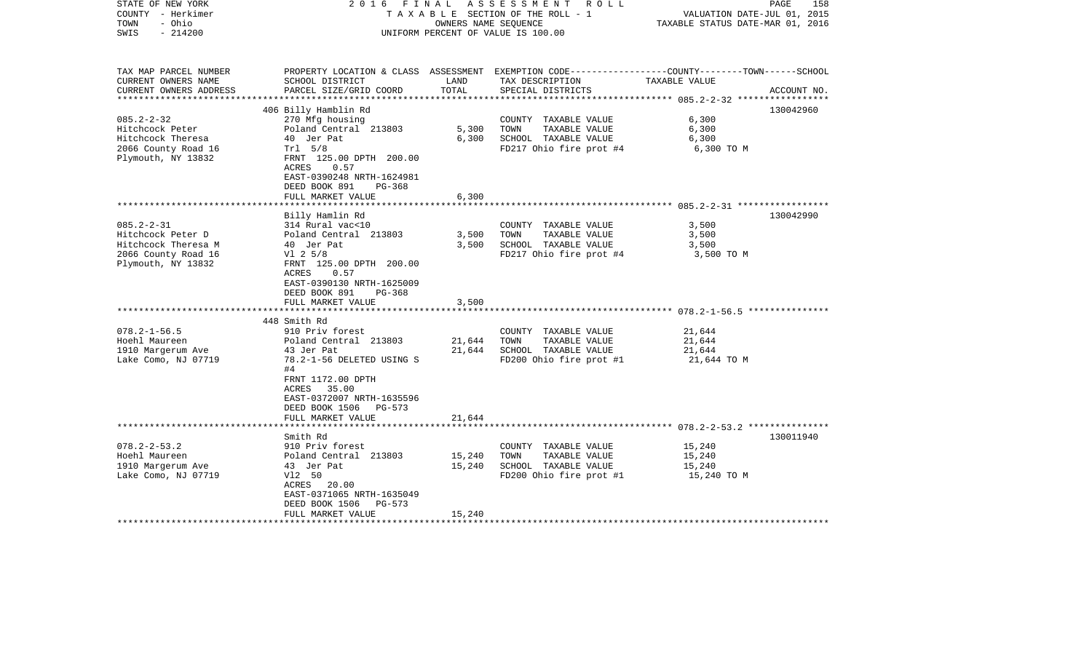| STATE OF NEW YORK<br>COUNTY - Herkimer<br>TOWN<br>- Ohio<br>$-214200$<br>SWIS                                                                    |                                                                                                                                                                                                                                                                               | OWNERS NAME SEQUENCE              | 2016 FINAL ASSESSMENT ROLL<br>TAXABLE SECTION OF THE ROLL - 1<br>UNIFORM PERCENT OF VALUE IS 100.00                                               | PAGE<br>VALUATION DATE-JUL 01, 2015<br>TAXABLE STATUS DATE-MAR 01, 2016                                          | 158         |
|--------------------------------------------------------------------------------------------------------------------------------------------------|-------------------------------------------------------------------------------------------------------------------------------------------------------------------------------------------------------------------------------------------------------------------------------|-----------------------------------|---------------------------------------------------------------------------------------------------------------------------------------------------|------------------------------------------------------------------------------------------------------------------|-------------|
| TAX MAP PARCEL NUMBER<br>CURRENT OWNERS NAME<br>CURRENT OWNERS ADDRESS                                                                           | SCHOOL DISTRICT<br>PARCEL SIZE/GRID COORD                                                                                                                                                                                                                                     | LAND<br>TOTAL                     | TAX DESCRIPTION<br>SPECIAL DISTRICTS                                                                                                              | PROPERTY LOCATION & CLASS ASSESSMENT EXEMPTION CODE---------------COUNTY-------TOWN------SCHOOL<br>TAXABLE VALUE | ACCOUNT NO. |
| $085.2 - 2 - 32$<br>Hitchcock Peter<br>Hitchcock Theresa<br>2066 County Road 16<br>Plymouth, NY 13832                                            | 406 Billy Hamblin Rd<br>270 Mfg housing<br>Poland Central 213803<br>40 Jer Pat<br>Tr1 5/8<br>FRNT 125.00 DPTH 200.00<br>ACRES<br>0.57<br>EAST-0390248 NRTH-1624981<br>DEED BOOK 891<br>$PG-368$<br>FULL MARKET VALUE                                                          | 5,300<br>6,300<br>6,300           | COUNTY TAXABLE VALUE<br>TOWN<br>TAXABLE VALUE<br>SCHOOL TAXABLE VALUE<br>FD217 Ohio fire prot #4                                                  | 6,300<br>6,300<br>6,300<br>6,300 то м                                                                            | 130042960   |
|                                                                                                                                                  |                                                                                                                                                                                                                                                                               | * * * * * * * * *                 |                                                                                                                                                   | ************************** 085.2-2-31 *****************                                                          |             |
| $085.2 - 2 - 31$<br>Hitchcock Peter D<br>Hitchcock Theresa M<br>2066 County Road 16<br>Plymouth, NY 13832<br>$078.2 - 1 - 56.5$<br>Hoehl Maureen | Billy Hamlin Rd<br>314 Rural vac<10<br>Poland Central 213803<br>40 Jer Pat<br>$V1$ 2 5/8<br>FRNT 125.00 DPTH 200.00<br>ACRES<br>0.57<br>EAST-0390130 NRTH-1625009<br>DEED BOOK 891<br>PG-368<br>FULL MARKET VALUE<br>448 Smith Rd<br>910 Priv forest<br>Poland Central 213803 | 3,500<br>3,500<br>3,500<br>21,644 | COUNTY TAXABLE VALUE<br>TOWN<br>TAXABLE VALUE<br>SCHOOL TAXABLE VALUE<br>FD217 Ohio fire prot #4<br>COUNTY TAXABLE VALUE<br>TOWN<br>TAXABLE VALUE | 3,500<br>3,500<br>3,500<br>3,500 TO M<br>21,644<br>21,644                                                        | 130042990   |
| 1910 Margerum Ave<br>Lake Como, NJ 07719                                                                                                         | 43 Jer Pat<br>78.2-1-56 DELETED USING S<br>#4<br>FRNT 1172.00 DPTH<br>ACRES 35.00<br>EAST-0372007 NRTH-1635596<br>DEED BOOK 1506 PG-573<br>FULL MARKET VALUE                                                                                                                  | 21,644<br>21,644                  | SCHOOL TAXABLE VALUE<br>FD200 Ohio fire prot #1                                                                                                   | 21,644<br>21,644 TO M                                                                                            |             |
|                                                                                                                                                  | Smith Rd                                                                                                                                                                                                                                                                      |                                   |                                                                                                                                                   |                                                                                                                  | 130011940   |
| $078.2 - 2 - 53.2$<br>Hoehl Maureen<br>1910 Margerum Ave<br>Lake Como, NJ 07719                                                                  | 910 Priv forest<br>Poland Central 213803<br>43 Jer Pat<br>V12 50<br>ACRES<br>20.00<br>EAST-0371065 NRTH-1635049<br>DEED BOOK 1506<br>PG-573<br>FULL MARKET VALUE                                                                                                              | 15,240<br>15,240<br>15,240        | COUNTY TAXABLE VALUE<br>TOWN<br>TAXABLE VALUE<br>SCHOOL TAXABLE VALUE<br>FD200 Ohio fire prot #1                                                  | 15,240<br>15,240<br>15,240<br>15,240 TO M                                                                        |             |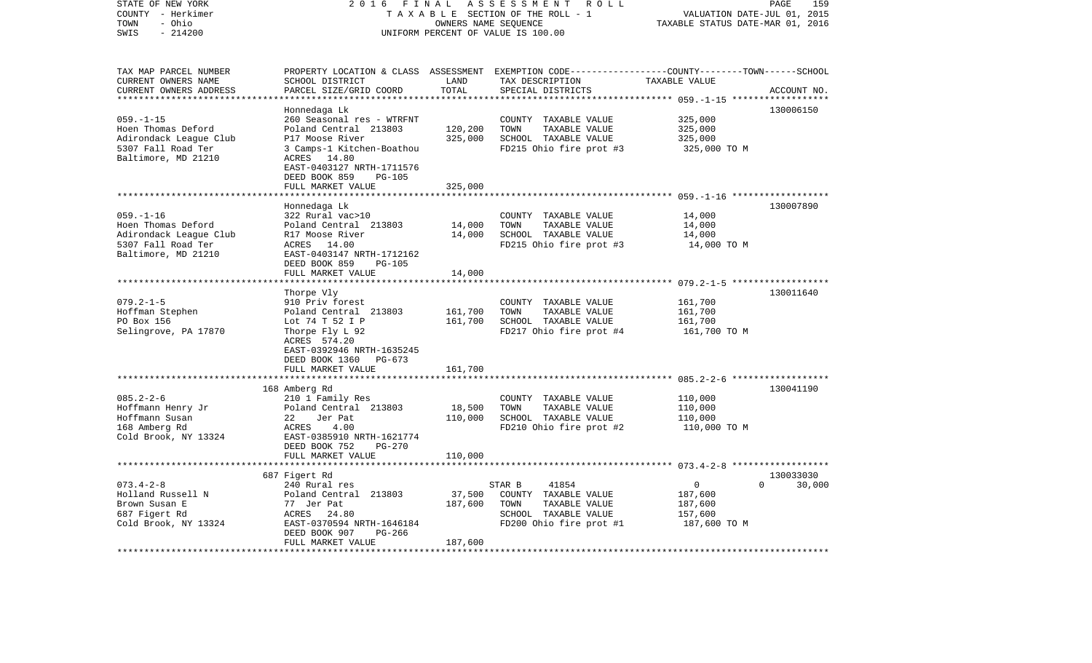| STATE OF NEW YORK<br>COUNTY - Herkimer<br>- Ohio<br>TOWN<br>SWIS<br>$-214200$ | 2016<br>FINAL<br>TAXABLE SECTION OF THE ROLL - 1<br>UNIFORM PERCENT OF VALUE IS 100.00 | PAGE<br>159<br>VALUATION DATE-JUL 01, 2015<br>TAXABLE STATUS DATE-MAR 01, 2016 |                                                                                            |                       |                      |
|-------------------------------------------------------------------------------|----------------------------------------------------------------------------------------|--------------------------------------------------------------------------------|--------------------------------------------------------------------------------------------|-----------------------|----------------------|
| TAX MAP PARCEL NUMBER<br>CURRENT OWNERS NAME                                  | PROPERTY LOCATION & CLASS<br>SCHOOL DISTRICT                                           | LAND                                                                           | ASSESSMENT EXEMPTION CODE-----------------COUNTY-------TOWN------SCHOOL<br>TAX DESCRIPTION | TAXABLE VALUE         |                      |
| CURRENT OWNERS ADDRESS                                                        | PARCEL SIZE/GRID COORD                                                                 | TOTAL                                                                          | SPECIAL DISTRICTS                                                                          |                       | ACCOUNT NO.          |
| ***********************                                                       |                                                                                        |                                                                                |                                                                                            |                       |                      |
| $059. -1 -15$                                                                 | Honnedaga Lk<br>260 Seasonal res - WTRFNT                                              |                                                                                | COUNTY TAXABLE VALUE                                                                       | 325,000               | 130006150            |
| Hoen Thomas Deford                                                            | Poland Central 213803                                                                  | 120,200                                                                        | TOWN<br>TAXABLE VALUE                                                                      | 325,000               |                      |
| Adirondack League Club                                                        | P17 Moose River                                                                        | 325,000                                                                        | SCHOOL TAXABLE VALUE                                                                       | 325,000               |                      |
| 5307 Fall Road Ter                                                            | 3 Camps-1 Kitchen-Boathou                                                              |                                                                                | FD215 Ohio fire prot #3                                                                    | 325,000 TO M          |                      |
| Baltimore, MD 21210                                                           | ACRES 14.80                                                                            |                                                                                |                                                                                            |                       |                      |
|                                                                               | EAST-0403127 NRTH-1711576<br>DEED BOOK 859<br><b>PG-105</b>                            |                                                                                |                                                                                            |                       |                      |
|                                                                               | FULL MARKET VALUE                                                                      | 325,000                                                                        |                                                                                            |                       |                      |
|                                                                               | *******************                                                                    |                                                                                |                                                                                            |                       |                      |
|                                                                               | Honnedaga Lk                                                                           |                                                                                |                                                                                            |                       | 130007890            |
| $059. - 1 - 16$                                                               | 322 Rural vac>10                                                                       |                                                                                | COUNTY TAXABLE VALUE                                                                       | 14,000                |                      |
| Hoen Thomas Deford                                                            | Poland Central 213803                                                                  | 14,000                                                                         | TOWN<br>TAXABLE VALUE                                                                      | 14,000                |                      |
| Adirondack League Club<br>5307 Fall Road Ter                                  | R17 Moose River<br>ACRES 14.00                                                         | 14,000                                                                         | SCHOOL TAXABLE VALUE<br>FD215 Ohio fire prot #3                                            | 14,000<br>14,000 TO M |                      |
| Baltimore, MD 21210                                                           | EAST-0403147 NRTH-1712162                                                              |                                                                                |                                                                                            |                       |                      |
|                                                                               | DEED BOOK 859<br>$PG-105$                                                              |                                                                                |                                                                                            |                       |                      |
|                                                                               | FULL MARKET VALUE                                                                      | 14,000                                                                         |                                                                                            |                       |                      |
|                                                                               |                                                                                        |                                                                                |                                                                                            |                       |                      |
|                                                                               | Thorpe Vly                                                                             |                                                                                |                                                                                            |                       | 130011640            |
| $079.2 - 1 - 5$<br>Hoffman Stephen                                            | 910 Priv forest<br>Poland Central 213803                                               | 161,700                                                                        | COUNTY TAXABLE VALUE<br>TOWN<br>TAXABLE VALUE                                              | 161,700<br>161,700    |                      |
| PO Box 156                                                                    | Lot 74 T 52 I P                                                                        | 161,700                                                                        | SCHOOL TAXABLE VALUE                                                                       | 161,700               |                      |
| Selingrove, PA 17870                                                          | Thorpe Fly L 92                                                                        |                                                                                | FD217 Ohio fire prot #4                                                                    | 161,700 TO M          |                      |
|                                                                               | ACRES 574.20                                                                           |                                                                                |                                                                                            |                       |                      |
|                                                                               | EAST-0392946 NRTH-1635245                                                              |                                                                                |                                                                                            |                       |                      |
|                                                                               | DEED BOOK 1360<br>$PG-673$                                                             |                                                                                |                                                                                            |                       |                      |
|                                                                               | FULL MARKET VALUE                                                                      | 161,700                                                                        |                                                                                            |                       |                      |
|                                                                               | 168 Amberg Rd                                                                          |                                                                                |                                                                                            |                       | 130041190            |
| $085.2 - 2 - 6$                                                               | 210 1 Family Res                                                                       |                                                                                | COUNTY TAXABLE VALUE                                                                       | 110,000               |                      |
| Hoffmann Henry Jr                                                             | Poland Central 213803                                                                  | 18,500                                                                         | TAXABLE VALUE<br>TOWN                                                                      | 110,000               |                      |
| Hoffmann Susan                                                                | 22<br>Jer Pat                                                                          | 110,000                                                                        | SCHOOL TAXABLE VALUE                                                                       | 110,000               |                      |
| 168 Amberg Rd                                                                 | ACRES<br>4.00                                                                          |                                                                                | FD210 Ohio fire prot #2                                                                    | 110,000 TO M          |                      |
| Cold Brook, NY 13324                                                          | EAST-0385910 NRTH-1621774                                                              |                                                                                |                                                                                            |                       |                      |
|                                                                               | DEED BOOK 752<br>$PG-270$<br>FULL MARKET VALUE                                         | 110,000                                                                        |                                                                                            |                       |                      |
|                                                                               | ***********************                                                                |                                                                                |                                                                                            |                       |                      |
|                                                                               | 687 Figert Rd                                                                          |                                                                                |                                                                                            |                       | 130033030            |
| $073.4 - 2 - 8$                                                               | 240 Rural res                                                                          |                                                                                | STAR B<br>41854                                                                            | $\mathbf{0}$          | 30,000<br>$\Omega$   |
| Holland Russell N                                                             | Poland Central 213803                                                                  | 37,500                                                                         | COUNTY TAXABLE VALUE                                                                       | 187,600               |                      |
| Brown Susan E                                                                 | 77 Jer Pat                                                                             | 187,600                                                                        | TOWN<br>TAXABLE VALUE                                                                      | 187,600               |                      |
| 687 Figert Rd                                                                 | ACRES<br>24.80                                                                         |                                                                                | SCHOOL TAXABLE VALUE                                                                       | 157,600               |                      |
| Cold Brook, NY 13324                                                          | EAST-0370594 NRTH-1646184<br>DEED BOOK 907<br>PG-266                                   |                                                                                | FD200 Ohio fire prot #1                                                                    | 187,600 TO M          |                      |
|                                                                               | FULL MARKET VALUE                                                                      | 187,600                                                                        |                                                                                            |                       |                      |
|                                                                               |                                                                                        |                                                                                |                                                                                            |                       | ******************** |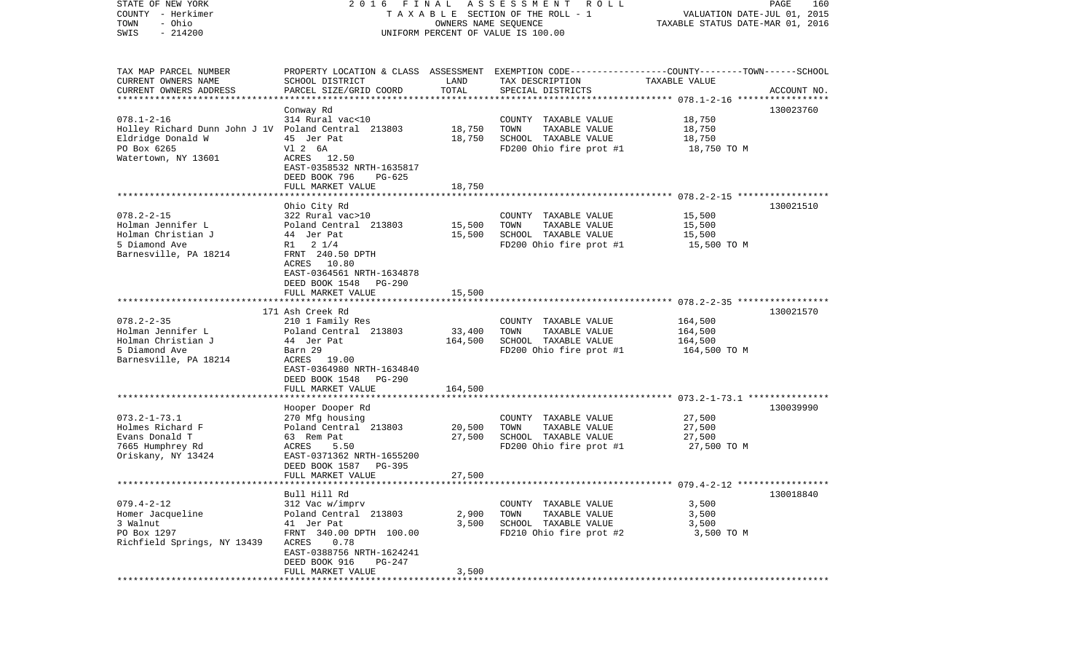| – Herkimer<br>COUNTY<br>TOWN<br>- Ohio<br>SWIS<br>$-214200$                                                                        | T A X A B L E SECTION OF THE ROLL - 1<br>UNIFORM PERCENT OF VALUE IS 100.00                                                                                                                       | VALUATION DATE-JUL 01, 2015<br>TAXABLE STATUS DATE-MAR 01, 2016 |                                                                                                                                         |                                               |             |
|------------------------------------------------------------------------------------------------------------------------------------|---------------------------------------------------------------------------------------------------------------------------------------------------------------------------------------------------|-----------------------------------------------------------------|-----------------------------------------------------------------------------------------------------------------------------------------|-----------------------------------------------|-------------|
| TAX MAP PARCEL NUMBER<br>CURRENT OWNERS NAME<br>CURRENT OWNERS ADDRESS<br>*************************                                | SCHOOL DISTRICT<br>PARCEL SIZE/GRID COORD                                                                                                                                                         | LAND<br>TOTAL                                                   | PROPERTY LOCATION & CLASS ASSESSMENT EXEMPTION CODE---------------COUNTY-------TOWN------SCHOOL<br>TAX DESCRIPTION<br>SPECIAL DISTRICTS | TAXABLE VALUE                                 | ACCOUNT NO. |
| $078.1 - 2 - 16$<br>Holley Richard Dunn John J 1V Poland Central 213803<br>Eldridge Donald W<br>PO Box 6265<br>Watertown, NY 13601 | Conway Rd<br>314 Rural vac<10<br>45 Jer Pat<br>V1 2 6A<br>ACRES<br>12.50<br>EAST-0358532 NRTH-1635817<br>DEED BOOK 796<br>PG-625                                                                  | 18,750<br>18,750                                                | COUNTY TAXABLE VALUE<br>TOWN<br>TAXABLE VALUE<br>SCHOOL TAXABLE VALUE<br>FD200 Ohio fire prot #1                                        | 18,750<br>18,750<br>18,750<br>18,750 TO M     | 130023760   |
|                                                                                                                                    | FULL MARKET VALUE                                                                                                                                                                                 | 18,750                                                          |                                                                                                                                         |                                               |             |
| $078.2 - 2 - 15$<br>Holman Jennifer L<br>Holman Christian J<br>5 Diamond Ave<br>Barnesville, PA 18214                              | Ohio City Rd<br>322 Rural vac>10<br>Poland Central 213803<br>44 Jer Pat<br>$2 \frac{1}{4}$<br>R1 I<br>FRNT 240.50 DPTH<br>ACRES<br>10.80<br>EAST-0364561 NRTH-1634878<br>DEED BOOK 1548<br>PG-290 | 15,500<br>15,500                                                | COUNTY TAXABLE VALUE<br>TOWN<br>TAXABLE VALUE<br>SCHOOL TAXABLE VALUE<br>FD200 Ohio fire prot #1                                        | 15,500<br>15,500<br>15,500<br>15,500 TO M     | 130021510   |
|                                                                                                                                    | FULL MARKET VALUE                                                                                                                                                                                 | 15,500                                                          |                                                                                                                                         |                                               |             |
| $078.2 - 2 - 35$<br>Holman Jennifer L<br>Holman Christian J<br>5 Diamond Ave<br>Barnesville, PA 18214                              | 171 Ash Creek Rd<br>210 1 Family Res<br>Poland Central 213803<br>44 Jer Pat<br>Barn 29<br>ACRES 19.00<br>EAST-0364980 NRTH-1634840<br>DEED BOOK 1548<br>PG-290                                    | 33,400<br>164,500                                               | COUNTY TAXABLE VALUE<br>TOWN<br>TAXABLE VALUE<br>SCHOOL TAXABLE VALUE<br>FD200 Ohio fire prot #1                                        | 164,500<br>164,500<br>164,500<br>164,500 TO M | 130021570   |
|                                                                                                                                    | FULL MARKET VALUE                                                                                                                                                                                 | 164,500                                                         |                                                                                                                                         |                                               |             |
| $073.2 - 1 - 73.1$<br>Holmes Richard F<br>Evans Donald T<br>7665 Humphrey Rd<br>Oriskany, NY 13424                                 | Hooper Dooper Rd<br>270 Mfg housing<br>Poland Central 213803<br>63 Rem Pat<br>ACRES<br>5.50<br>EAST-0371362 NRTH-1655200<br>DEED BOOK 1587<br>PG-395<br>FULL MARKET VALUE                         | 20,500<br>27,500<br>27,500                                      | COUNTY TAXABLE VALUE<br>TOWN<br>TAXABLE VALUE<br>SCHOOL TAXABLE VALUE<br>FD200 Ohio fire prot #1                                        | 27,500<br>27,500<br>27,500<br>27,500 TO M     | 130039990   |
|                                                                                                                                    |                                                                                                                                                                                                   |                                                                 |                                                                                                                                         |                                               |             |
| $079.4 - 2 - 12$<br>Homer Jacqueline<br>3 Walnut<br>PO Box 1297<br>Richfield Springs, NY 13439                                     | Bull Hill Rd<br>312 Vac w/imprv<br>Poland Central 213803<br>41 Jer Pat<br>FRNT 340.00 DPTH 100.00<br>0.78<br>ACRES<br>EAST-0388756 NRTH-1624241<br>DEED BOOK 916<br>$PG-247$<br>FULL MARKET VALUE | 2,900<br>3,500<br>3,500                                         | COUNTY TAXABLE VALUE<br>TOWN<br>TAXABLE VALUE<br>SCHOOL TAXABLE VALUE<br>FD210 Ohio fire prot #2                                        | 3,500<br>3,500<br>3,500<br>3,500 TO M         | 130018840   |
|                                                                                                                                    |                                                                                                                                                                                                   |                                                                 |                                                                                                                                         |                                               |             |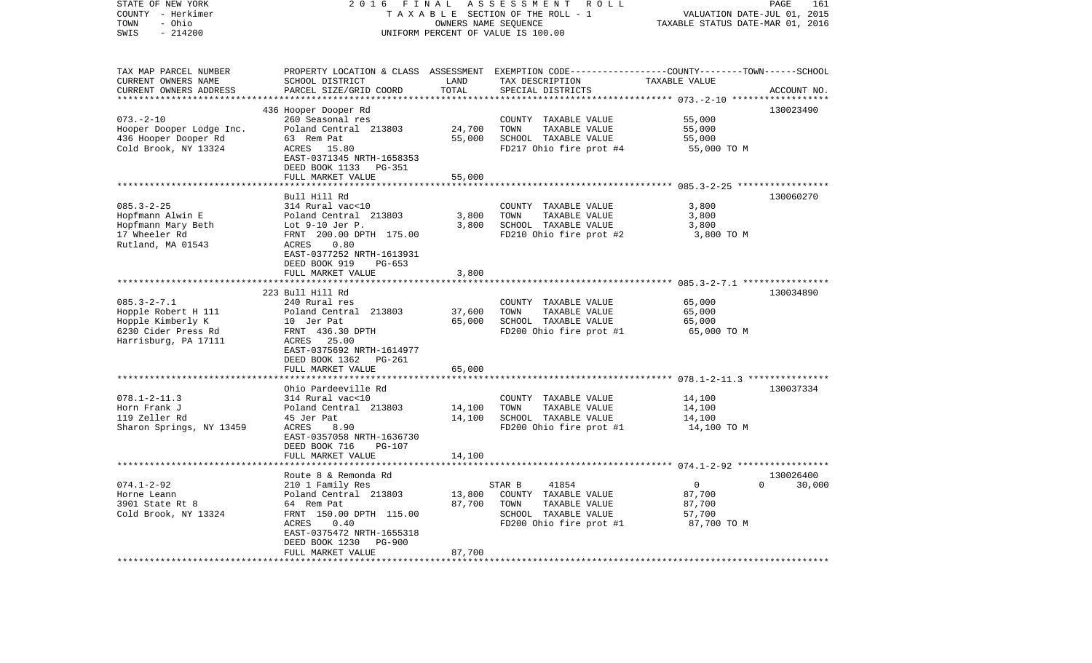| STATE OF NEW YORK<br>COUNTY - Herkimer | 2 0 1 6<br>FINAL                |                      | ASSESSMENT ROLL<br>TAXABLE SECTION OF THE ROLL - 1                                              | VALUATION DATE-JUL 01, 2015      | PAGE<br>161        |
|----------------------------------------|---------------------------------|----------------------|-------------------------------------------------------------------------------------------------|----------------------------------|--------------------|
| - Ohio<br>TOWN                         |                                 | OWNERS NAME SEQUENCE |                                                                                                 | TAXABLE STATUS DATE-MAR 01, 2016 |                    |
| SWIS<br>$-214200$                      |                                 |                      | UNIFORM PERCENT OF VALUE IS 100.00                                                              |                                  |                    |
|                                        |                                 |                      |                                                                                                 |                                  |                    |
| TAX MAP PARCEL NUMBER                  |                                 |                      | PROPERTY LOCATION & CLASS ASSESSMENT EXEMPTION CODE---------------COUNTY-------TOWN------SCHOOL |                                  |                    |
| CURRENT OWNERS NAME                    | SCHOOL DISTRICT                 | LAND                 | TAX DESCRIPTION                                                                                 | TAXABLE VALUE                    |                    |
| CURRENT OWNERS ADDRESS                 | PARCEL SIZE/GRID COORD          | TOTAL                | SPECIAL DISTRICTS                                                                               |                                  | ACCOUNT NO.        |
|                                        |                                 | * * * * * * * * * *  |                                                                                                 | *********** 073.-2-10 ******     |                    |
|                                        | 436 Hooper Dooper Rd            |                      |                                                                                                 |                                  | 130023490          |
| $073. - 2 - 10$                        | 260 Seasonal res                |                      | COUNTY TAXABLE VALUE                                                                            | 55,000                           |                    |
| Hooper Dooper Lodge Inc.               | Poland Central 213803           | 24,700               | TOWN<br>TAXABLE VALUE                                                                           | 55,000                           |                    |
| 436 Hooper Dooper Rd                   | 63 Rem Pat                      | 55,000               | SCHOOL TAXABLE VALUE                                                                            | 55,000                           |                    |
| Cold Brook, NY 13324                   | ACRES<br>15.80                  |                      | FD217 Ohio fire prot #4                                                                         | 55,000 TO M                      |                    |
|                                        | EAST-0371345 NRTH-1658353       |                      |                                                                                                 |                                  |                    |
|                                        | DEED BOOK 1133 PG-351           |                      |                                                                                                 |                                  |                    |
|                                        | FULL MARKET VALUE               | 55,000               |                                                                                                 |                                  |                    |
|                                        | Bull Hill Rd                    |                      |                                                                                                 |                                  | 130060270          |
| $085.3 - 2 - 25$                       | 314 Rural vac<10                |                      | COUNTY TAXABLE VALUE                                                                            | 3,800                            |                    |
| Hopfmann Alwin E                       | Poland Central 213803           | 3,800                | TAXABLE VALUE<br>TOWN                                                                           | 3,800                            |                    |
| Hopfmann Mary Beth                     | Lot 9-10 Jer P.                 | 3,800                | SCHOOL TAXABLE VALUE                                                                            | 3,800                            |                    |
| 17 Wheeler Rd                          | FRNT 200.00 DPTH 175.00         |                      | FD210 Ohio fire prot #2                                                                         | 3,800 TO M                       |                    |
| Rutland, MA 01543                      | 0.80<br>ACRES                   |                      |                                                                                                 |                                  |                    |
|                                        | EAST-0377252 NRTH-1613931       |                      |                                                                                                 |                                  |                    |
|                                        | DEED BOOK 919<br>$PG-653$       |                      |                                                                                                 |                                  |                    |
|                                        | FULL MARKET VALUE               | 3,800                |                                                                                                 |                                  |                    |
|                                        |                                 |                      |                                                                                                 |                                  |                    |
|                                        | 223 Bull Hill Rd                |                      |                                                                                                 |                                  | 130034890          |
| $085.3 - 2 - 7.1$                      | 240 Rural res                   |                      | COUNTY TAXABLE VALUE                                                                            | 65,000                           |                    |
| Hopple Robert H 111                    | Poland Central 213803           | 37,600               | TAXABLE VALUE<br>TOWN                                                                           | 65,000                           |                    |
| Hopple Kimberly K                      | 10 Jer Pat                      | 65,000               | SCHOOL TAXABLE VALUE                                                                            | 65,000                           |                    |
| 6230 Cider Press Rd                    | FRNT 436.30 DPTH                |                      | FD200 Ohio fire prot #1                                                                         | 65,000 TO M                      |                    |
| Harrisburg, PA 17111                   | ACRES 25.00                     |                      |                                                                                                 |                                  |                    |
|                                        | EAST-0375692 NRTH-1614977       |                      |                                                                                                 |                                  |                    |
|                                        | DEED BOOK 1362<br>PG-261        |                      |                                                                                                 |                                  |                    |
|                                        | FULL MARKET VALUE               | 65,000               |                                                                                                 |                                  |                    |
|                                        | ********************            |                      |                                                                                                 |                                  |                    |
|                                        | Ohio Pardeeville Rd             |                      |                                                                                                 |                                  | 130037334          |
| $078.1 - 2 - 11.3$                     | 314 Rural vac<10                |                      | COUNTY TAXABLE VALUE                                                                            | 14,100                           |                    |
| Horn Frank J                           | Poland Central 213803           | 14,100               | TOWN<br>TAXABLE VALUE                                                                           | 14,100                           |                    |
| 119 Zeller Rd                          | 45 Jer Pat                      | 14,100               | SCHOOL TAXABLE VALUE                                                                            | 14,100                           |                    |
| Sharon Springs, NY 13459               | ACRES<br>8.90                   |                      | FD200 Ohio fire prot #1                                                                         | 14,100 TO M                      |                    |
|                                        | EAST-0357058 NRTH-1636730       |                      |                                                                                                 |                                  |                    |
|                                        | DEED BOOK 716<br><b>PG-107</b>  |                      |                                                                                                 |                                  |                    |
|                                        | FULL MARKET VALUE               | 14,100               |                                                                                                 |                                  |                    |
|                                        | *******************             |                      |                                                                                                 |                                  |                    |
|                                        | Route 8 & Remonda Rd            |                      |                                                                                                 |                                  | 130026400          |
| $074.1 - 2 - 92$                       | 210 1 Family Res                |                      | 41854<br>STAR B                                                                                 | $\overline{0}$                   | $\Omega$<br>30,000 |
| Horne Leann                            | Poland Central 213803           | 13,800               | COUNTY TAXABLE VALUE                                                                            | 87,700                           |                    |
| 3901 State Rt 8                        | 64 Rem Pat                      | 87,700               | TOWN<br>TAXABLE VALUE                                                                           | 87,700                           |                    |
| Cold Brook, NY 13324                   | FRNT 150.00 DPTH 115.00         |                      | SCHOOL TAXABLE VALUE                                                                            | 57,700                           |                    |
|                                        | ACRES<br>0.40                   |                      | FD200 Ohio fire prot #1                                                                         | 87,700 TO M                      |                    |
|                                        | EAST-0375472 NRTH-1655318       |                      |                                                                                                 |                                  |                    |
|                                        | DEED BOOK 1230<br><b>PG-900</b> | 87,700               |                                                                                                 |                                  |                    |
| ************************               | FULL MARKET VALUE               |                      |                                                                                                 |                                  |                    |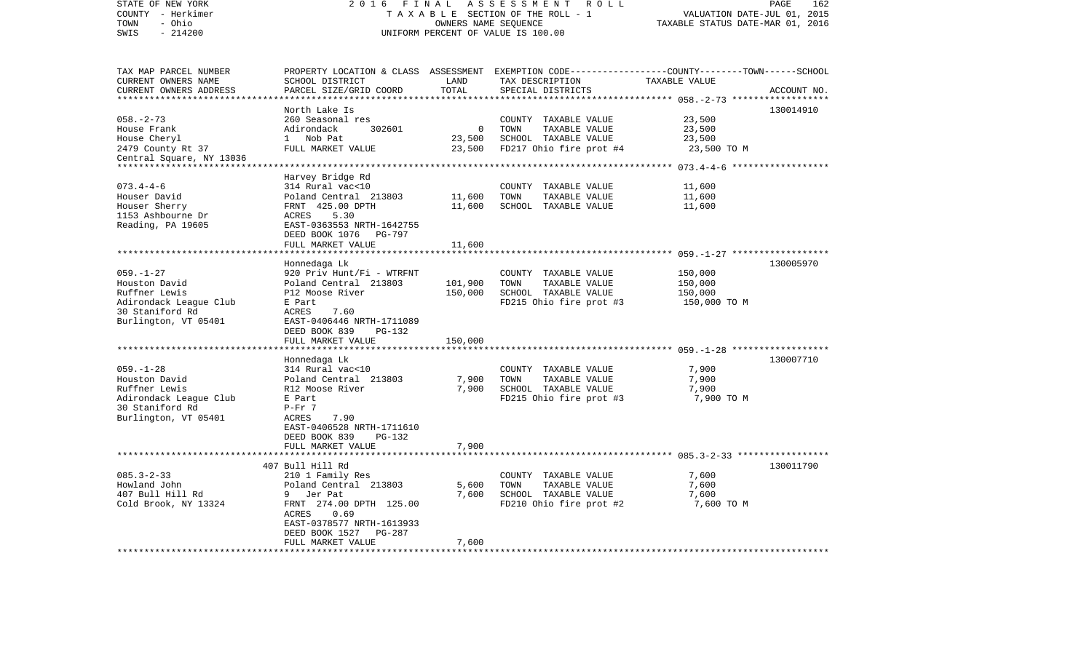| STATE OF NEW YORK<br>COUNTY - Herkimer<br>- Ohio<br>TOWN | 2 0 1 6                                              | FINAL               | ASSESSMENT<br>R O L L<br>TAXABLE SECTION OF THE ROLL - 1<br>OWNERS NAME SEQUENCE                | VALUATION DATE-JUL 01, 2015<br>TAXABLE STATUS DATE-MAR 01, 2016 | 162<br>PAGE |
|----------------------------------------------------------|------------------------------------------------------|---------------------|-------------------------------------------------------------------------------------------------|-----------------------------------------------------------------|-------------|
| SWIS<br>$-214200$                                        | UNIFORM PERCENT OF VALUE IS 100.00                   |                     |                                                                                                 |                                                                 |             |
| TAX MAP PARCEL NUMBER                                    |                                                      |                     | PROPERTY LOCATION & CLASS ASSESSMENT EXEMPTION CODE---------------COUNTY-------TOWN------SCHOOL |                                                                 |             |
| CURRENT OWNERS NAME<br>CURRENT OWNERS ADDRESS            | SCHOOL DISTRICT<br>PARCEL SIZE/GRID COORD            | LAND<br>TOTAL       | TAX DESCRIPTION<br>SPECIAL DISTRICTS                                                            | TAXABLE VALUE                                                   | ACCOUNT NO. |
| *********************                                    | North Lake Is                                        | * * * * * * * * * * |                                                                                                 |                                                                 | 130014910   |
| $058. - 2 - 73$<br>House Frank                           | 260 Seasonal res<br>302601<br>Adirondack             | $\mathbf 0$         | COUNTY TAXABLE VALUE<br>TOWN<br>TAXABLE VALUE                                                   | 23,500<br>23,500                                                |             |
| House Cheryl                                             | $\mathbf{1}$<br>Nob Pat                              | 23,500              | SCHOOL TAXABLE VALUE                                                                            | 23,500                                                          |             |
| 2479 County Rt 37<br>Central Square, NY 13036            | FULL MARKET VALUE                                    | 23,500              | FD217 Ohio fire prot #4                                                                         | 23,500 TO M                                                     |             |
|                                                          | *********************************                    |                     |                                                                                                 | **************** 073.4-4-6 *******************                  |             |
|                                                          | Harvey Bridge Rd                                     |                     |                                                                                                 |                                                                 |             |
| $073.4 - 4 - 6$<br>Houser David                          | 314 Rural vac<10<br>Poland Central 213803            | 11,600              | COUNTY TAXABLE VALUE<br>TOWN<br>TAXABLE VALUE                                                   | 11,600<br>11,600                                                |             |
| Houser Sherry                                            | FRNT 425.00 DPTH                                     | 11,600              | SCHOOL TAXABLE VALUE                                                                            | 11,600                                                          |             |
| 1153 Ashbourne Dr<br>Reading, PA 19605                   | ACRES<br>5.30<br>EAST-0363553 NRTH-1642755           |                     |                                                                                                 |                                                                 |             |
|                                                          | DEED BOOK 1076<br>PG-797                             |                     |                                                                                                 |                                                                 |             |
|                                                          | FULL MARKET VALUE                                    | 11,600              |                                                                                                 | *********** 059.-1-27 *******                                   |             |
|                                                          | Honnedaga Lk                                         |                     |                                                                                                 |                                                                 | 130005970   |
| $059. - 1 - 27$                                          | 920 Priv Hunt/Fi - WTRFNT                            |                     | COUNTY TAXABLE VALUE                                                                            | 150,000                                                         |             |
| Houston David                                            | Poland Central 213803                                | 101,900             | TOWN<br>TAXABLE VALUE                                                                           | 150,000                                                         |             |
| Ruffner Lewis                                            | P12 Moose River                                      | 150,000             | SCHOOL TAXABLE VALUE                                                                            | 150,000                                                         |             |
| Adirondack League Club<br>30 Staniford Rd                | E Part<br>ACRES<br>7.60                              |                     | FD215 Ohio fire prot #3                                                                         | 150,000 TO M                                                    |             |
| Burlington, VT 05401                                     | EAST-0406446 NRTH-1711089                            |                     |                                                                                                 |                                                                 |             |
|                                                          | DEED BOOK 839<br>PG-132                              |                     |                                                                                                 |                                                                 |             |
|                                                          | FULL MARKET VALUE                                    | 150,000             |                                                                                                 |                                                                 |             |
|                                                          |                                                      |                     |                                                                                                 | ******************** 059.-1-28 *******************              |             |
|                                                          | Honnedaga Lk                                         |                     |                                                                                                 |                                                                 | 130007710   |
| $059. - 1 - 28$<br>Houston David                         | 314 Rural vac<10<br>Poland Central 213803            | 7,900               | COUNTY TAXABLE VALUE<br>TOWN<br>TAXABLE VALUE                                                   | 7,900<br>7,900                                                  |             |
| Ruffner Lewis                                            | R12 Moose River                                      | 7,900               | SCHOOL TAXABLE VALUE                                                                            | 7,900                                                           |             |
| Adirondack League Club                                   | E Part                                               |                     | FD215 Ohio fire prot #3                                                                         | 7,900 TO M                                                      |             |
| 30 Staniford Rd                                          | $P-Fr$ 7                                             |                     |                                                                                                 |                                                                 |             |
| Burlington, VT 05401                                     | ACRES<br>7.90                                        |                     |                                                                                                 |                                                                 |             |
|                                                          | EAST-0406528 NRTH-1711610<br>DEED BOOK 839<br>PG-132 |                     |                                                                                                 |                                                                 |             |
|                                                          | FULL MARKET VALUE                                    | 7,900               |                                                                                                 |                                                                 |             |
|                                                          | 407 Bull Hill Rd                                     |                     |                                                                                                 |                                                                 | 130011790   |
| $085.3 - 2 - 33$                                         | 210 1 Family Res                                     |                     | COUNTY TAXABLE VALUE                                                                            | 7,600                                                           |             |
| Howland John                                             | Poland Central 213803                                | 5,600               | TOWN<br>TAXABLE VALUE                                                                           | 7,600                                                           |             |
| 407 Bull Hill Rd                                         | 9<br>Jer Pat                                         | 7,600               | SCHOOL TAXABLE VALUE                                                                            | 7,600                                                           |             |
| Cold Brook, NY 13324                                     | FRNT 274.00 DPTH 125.00                              |                     | FD210 Ohio fire prot #2                                                                         | 7,600 TO M                                                      |             |
|                                                          | 0.69<br>ACRES                                        |                     |                                                                                                 |                                                                 |             |
|                                                          | EAST-0378577 NRTH-1613933<br><b>PG-287</b>           |                     |                                                                                                 |                                                                 |             |
|                                                          | DEED BOOK 1527<br>FULL MARKET VALUE                  | 7,600               |                                                                                                 |                                                                 |             |
| ***********************                                  | *********************************                    | ******              |                                                                                                 |                                                                 |             |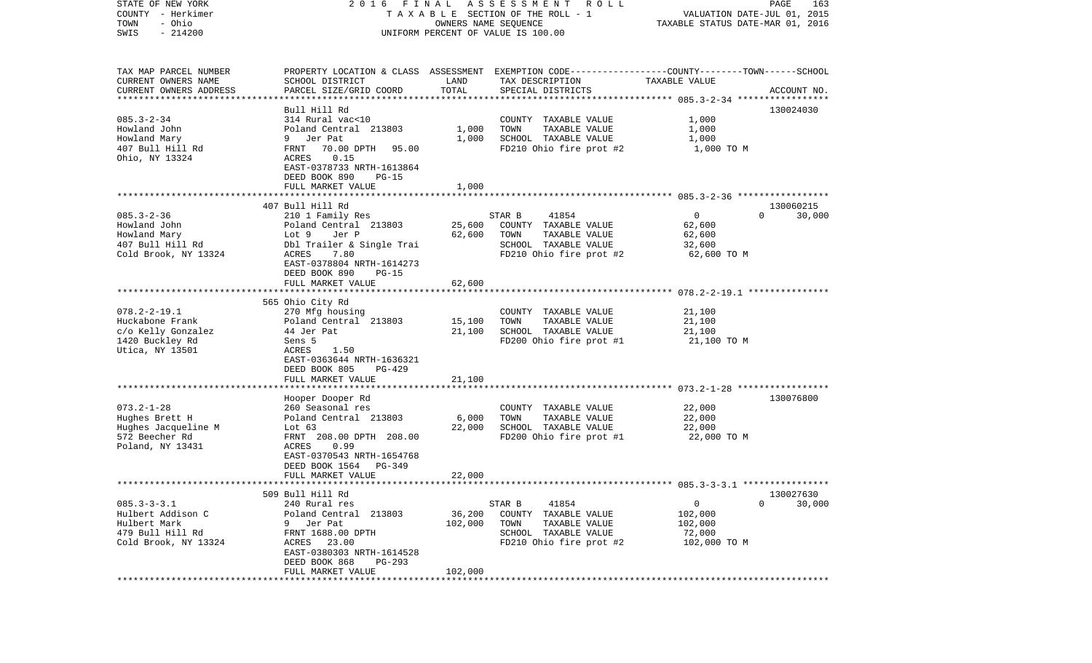| STATE OF NEW YORK         | 2016 FINAL                                                             |         | A S S E S S M E N T R O L L                                                                      |                                  | PAGE<br>163                 |
|---------------------------|------------------------------------------------------------------------|---------|--------------------------------------------------------------------------------------------------|----------------------------------|-----------------------------|
| COUNTY - Herkimer         |                                                                        |         | TAXABLE SECTION OF THE ROLL - 1                                                                  |                                  | VALUATION DATE-JUL 01, 2015 |
| - Ohio<br>TOWN            |                                                                        |         | OWNERS NAME SEQUENCE                                                                             | TAXABLE STATUS DATE-MAR 01, 2016 |                             |
| $-214200$<br>SWIS         |                                                                        |         | UNIFORM PERCENT OF VALUE IS 100.00                                                               |                                  |                             |
|                           |                                                                        |         |                                                                                                  |                                  |                             |
| TAX MAP PARCEL NUMBER     |                                                                        |         | PROPERTY LOCATION & CLASS ASSESSMENT EXEMPTION CODE----------------COUNTY-------TOWN------SCHOOL |                                  |                             |
| CURRENT OWNERS NAME       | SCHOOL DISTRICT                                                        | LAND    | TAX DESCRIPTION                                                                                  | TAXABLE VALUE                    |                             |
| CURRENT OWNERS ADDRESS    | PARCEL SIZE/GRID COORD                                                 | TOTAL   | SPECIAL DISTRICTS                                                                                |                                  | ACCOUNT NO.                 |
| ************************* |                                                                        |         |                                                                                                  |                                  |                             |
|                           | Bull Hill Rd                                                           |         |                                                                                                  |                                  | 130024030                   |
| $085.3 - 2 - 34$          | 314 Rural vac<10                                                       |         | COUNTY TAXABLE VALUE                                                                             | 1,000                            |                             |
| Howland John              | Poland Central 213803                                                  | 1,000   | TOWN<br>TAXABLE VALUE                                                                            | 1,000                            |                             |
| Howland Mary              | 9 Jer Pat                                                              | 1,000   | SCHOOL TAXABLE VALUE                                                                             | 1,000                            |                             |
| 407 Bull Hill Rd          | FRNT<br>70.00 DPTH 95.00                                               |         | FD210 Ohio fire prot #2                                                                          | 1,000 TO M                       |                             |
| Ohio, NY 13324            | ACRES<br>0.15<br>EAST-0378733 NRTH-1613864<br>DEED BOOK 890<br>$PG-15$ |         |                                                                                                  |                                  |                             |
|                           | FULL MARKET VALUE                                                      | 1,000   |                                                                                                  |                                  |                             |
|                           |                                                                        |         |                                                                                                  |                                  |                             |
|                           | 407 Bull Hill Rd                                                       |         |                                                                                                  |                                  | 130060215                   |
| $085.3 - 2 - 36$          | 210 1 Family Res                                                       |         | STAR B<br>41854                                                                                  | $\overline{0}$                   | 30,000<br>$\Omega$          |
| Howland John              | Poland Central 213803                                                  | 25,600  | COUNTY TAXABLE VALUE                                                                             | 62,600                           |                             |
| Howland Mary              | Jer P<br>Lot 9                                                         | 62,600  | TAXABLE VALUE<br>TOWN                                                                            | 62,600                           |                             |
| 407 Bull Hill Rd          | Dbl Trailer & Single Trai                                              |         | SCHOOL TAXABLE VALUE                                                                             | 32,600                           |                             |
| Cold Brook, NY 13324      | ACRES<br>7.80                                                          |         | FD210 Ohio fire prot #2                                                                          | 62,600 TO M                      |                             |
|                           | EAST-0378804 NRTH-1614273<br>DEED BOOK 890<br>$PG-15$                  |         |                                                                                                  |                                  |                             |
|                           | FULL MARKET VALUE                                                      | 62,600  |                                                                                                  |                                  |                             |
|                           |                                                                        |         |                                                                                                  |                                  |                             |
|                           | 565 Ohio City Rd                                                       |         |                                                                                                  |                                  |                             |
| $078.2 - 2 - 19.1$        | 270 Mfg housing                                                        |         | COUNTY TAXABLE VALUE                                                                             | 21,100                           |                             |
| Huckabone Frank           | Poland Central 213803                                                  | 15,100  | TOWN<br>TAXABLE VALUE                                                                            | 21,100                           |                             |
| c/o Kelly Gonzalez        | 44 Jer Pat                                                             | 21,100  | SCHOOL TAXABLE VALUE                                                                             | 21,100                           |                             |
| 1420 Buckley Rd           | Sens 5                                                                 |         | FD200 Ohio fire prot #1                                                                          | 21,100 TO M                      |                             |
| Utica, NY 13501           | ACRES<br>1.50                                                          |         |                                                                                                  |                                  |                             |
|                           | EAST-0363644 NRTH-1636321                                              |         |                                                                                                  |                                  |                             |
|                           | DEED BOOK 805<br><b>PG-429</b>                                         |         |                                                                                                  |                                  |                             |
|                           | FULL MARKET VALUE                                                      | 21,100  |                                                                                                  |                                  |                             |
|                           |                                                                        |         |                                                                                                  |                                  |                             |
|                           | Hooper Dooper Rd                                                       |         |                                                                                                  |                                  | 130076800                   |
| $073.2 - 1 - 28$          | 260 Seasonal res                                                       |         | COUNTY TAXABLE VALUE                                                                             | 22,000                           |                             |
| Hughes Brett H            | Poland Central 213803                                                  | 6,000   | TOWN<br>TAXABLE VALUE                                                                            | 22,000                           |                             |
| Hughes Jacqueline M       | Lot $63$                                                               | 22,000  | SCHOOL TAXABLE VALUE                                                                             | 22,000                           |                             |
| 572 Beecher Rd            | FRNT 208.00 DPTH 208.00                                                |         | FD200 Ohio fire prot #1                                                                          | 22,000 TO M                      |                             |
| Poland, NY 13431          | 0.99<br>ACRES                                                          |         |                                                                                                  |                                  |                             |
|                           | EAST-0370543 NRTH-1654768                                              |         |                                                                                                  |                                  |                             |
|                           | DEED BOOK 1564<br>PG-349                                               |         |                                                                                                  |                                  |                             |
|                           | FULL MARKET VALUE                                                      | 22,000  |                                                                                                  |                                  |                             |
|                           |                                                                        |         |                                                                                                  |                                  |                             |
|                           | 509 Bull Hill Rd                                                       |         |                                                                                                  |                                  | 130027630                   |
| $085.3 - 3 - 3.1$         | 240 Rural res                                                          |         | STAR B<br>41854                                                                                  | 0                                | $\mathbf 0$<br>30,000       |
| Hulbert Addison C         | Poland Central 213803                                                  | 36,200  | COUNTY TAXABLE VALUE                                                                             | 102,000                          |                             |
| Hulbert Mark              | 9<br>Jer Pat                                                           | 102,000 | TOWN<br>TAXABLE VALUE                                                                            | 102,000                          |                             |
| 479 Bull Hill Rd          | FRNT 1688.00 DPTH                                                      |         | SCHOOL TAXABLE VALUE                                                                             | 72,000                           |                             |
| Cold Brook, NY 13324      | 23.00<br>ACRES                                                         |         | FD210 Ohio fire prot #2                                                                          | 102,000 TO M                     |                             |
|                           | EAST-0380303 NRTH-1614528                                              |         |                                                                                                  |                                  |                             |
|                           | DEED BOOK 868<br>PG-293                                                |         |                                                                                                  |                                  |                             |
| ***********               | FULL MARKET VALUE                                                      | 102,000 |                                                                                                  |                                  |                             |
|                           |                                                                        |         |                                                                                                  |                                  |                             |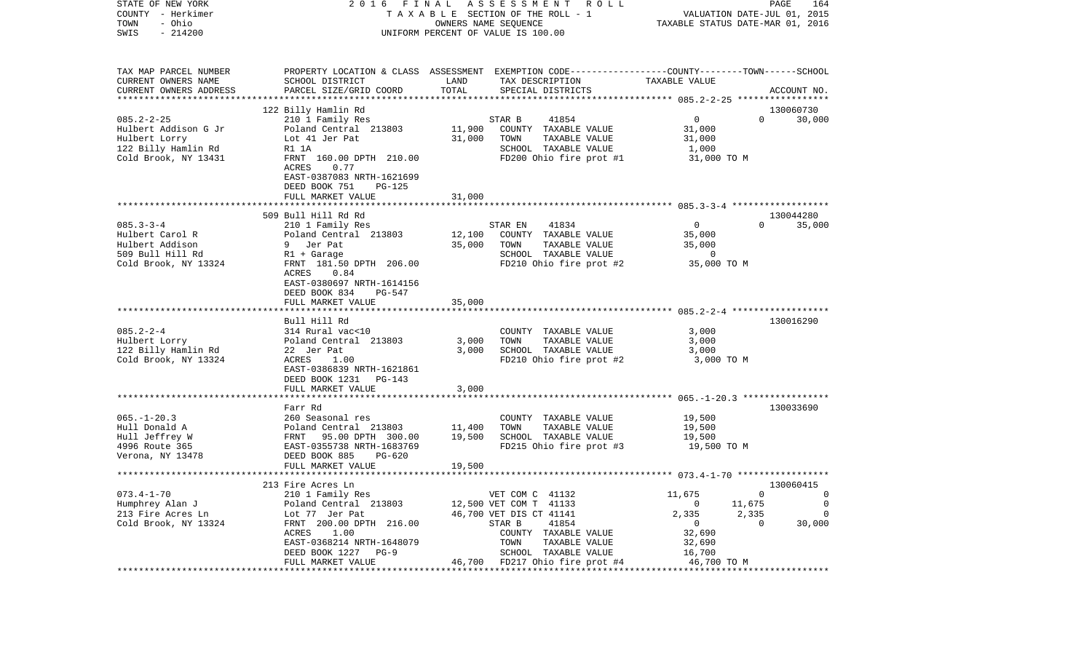| COUNTY - Herkimer        |                                                                                                                      | T A X A B L E SECTION OF THE ROLL - 1<br>OWNERS NAME SEQUENCE                                   | VALUATION DATE-JUL 01, 2015                   |  |  |
|--------------------------|----------------------------------------------------------------------------------------------------------------------|-------------------------------------------------------------------------------------------------|-----------------------------------------------|--|--|
| TOWN<br>- Ohio           |                                                                                                                      | TAXABLE STATUS DATE-MAR 01, 2016                                                                |                                               |  |  |
| SWIS<br>$-214200$        | UNIFORM PERCENT OF VALUE IS 100.00                                                                                   |                                                                                                 |                                               |  |  |
|                          |                                                                                                                      |                                                                                                 |                                               |  |  |
| TAX MAP PARCEL NUMBER    |                                                                                                                      | PROPERTY LOCATION & CLASS ASSESSMENT EXEMPTION CODE---------------COUNTY-------TOWN------SCHOOL |                                               |  |  |
| CURRENT OWNERS NAME      | SCHOOL DISTRICT                                                                                                      | LAND<br>TAX DESCRIPTION                                                                         | TAXABLE VALUE                                 |  |  |
| CURRENT OWNERS ADDRESS   | PARCEL SIZE/GRID COORD                                                                                               | TOTAL<br>SPECIAL DISTRICTS                                                                      | ACCOUNT NO.                                   |  |  |
|                          |                                                                                                                      |                                                                                                 |                                               |  |  |
|                          | 122 Billy Hamlin Rd                                                                                                  |                                                                                                 | 130060730                                     |  |  |
| $085.2 - 2 - 25$         | 210 1 Family Res                                                                                                     | 41854<br>STAR B                                                                                 | $\overline{0}$<br>$\Omega$<br>30,000          |  |  |
| Hulbert Addison G Jr     | Poland Central 213803                                                                                                | 11,900<br>COUNTY TAXABLE VALUE                                                                  | 31,000                                        |  |  |
| Hulbert Lorry            | Lot 41 Jer Pat                                                                                                       | 31,000<br>TOWN<br>TAXABLE VALUE                                                                 | 31,000                                        |  |  |
| 122 Billy Hamlin Rd      | R1 1A                                                                                                                | SCHOOL TAXABLE VALUE                                                                            | 1,000                                         |  |  |
| Cold Brook, NY 13431     | FRNT 160.00 DPTH 210.00                                                                                              | FD200 Ohio fire prot #1                                                                         | 31,000 TO M                                   |  |  |
|                          | ACRES<br>0.77                                                                                                        |                                                                                                 |                                               |  |  |
|                          | EAST-0387083 NRTH-1621699                                                                                            |                                                                                                 |                                               |  |  |
|                          | DEED BOOK 751<br>PG-125                                                                                              |                                                                                                 |                                               |  |  |
|                          | FULL MARKET VALUE                                                                                                    | 31,000                                                                                          |                                               |  |  |
|                          |                                                                                                                      |                                                                                                 |                                               |  |  |
|                          | 509 Bull Hill Rd Rd                                                                                                  |                                                                                                 | 130044280                                     |  |  |
| $085.3 - 3 - 4$          | 210 1 Family Res                                                                                                     | 41834<br>STAR EN                                                                                | $\overline{0}$<br>$\Omega$<br>35,000          |  |  |
| Hulbert Carol R          | Poland Central 213803                                                                                                | 12,100<br>COUNTY TAXABLE VALUE                                                                  | 35,000                                        |  |  |
| Hulbert Addison          | 9 Jer Pat                                                                                                            | 35,000<br>TOWN<br>TAXABLE VALUE                                                                 | 35,000                                        |  |  |
| 509 Bull Hill Rd         | R1 + Garage                                                                                                          | SCHOOL TAXABLE VALUE                                                                            | $\overline{0}$                                |  |  |
| Cold Brook, NY 13324     | FRNT 181.50 DPTH 206.00                                                                                              | FD210 Ohio fire prot #2                                                                         | 35,000 TO M                                   |  |  |
|                          | ACRES<br>0.84<br>EAST-0380697 NRTH-1614156                                                                           |                                                                                                 |                                               |  |  |
|                          | DEED BOOK 834<br>PG-547                                                                                              |                                                                                                 |                                               |  |  |
|                          | FULL MARKET VALUE                                                                                                    | 35,000                                                                                          |                                               |  |  |
|                          |                                                                                                                      |                                                                                                 |                                               |  |  |
|                          | Bull Hill Rd                                                                                                         |                                                                                                 | 130016290                                     |  |  |
| $085.2 - 2 - 4$          | 314 Rural vac<10                                                                                                     | COUNTY TAXABLE VALUE                                                                            | 3,000                                         |  |  |
| Hulbert Lorry            | Poland Central 213803                                                                                                | 3,000<br>TAXABLE VALUE<br>TOWN                                                                  | 3,000                                         |  |  |
| 122 Billy Hamlin Rd      | 22 Jer Pat                                                                                                           | 3,000<br>SCHOOL TAXABLE VALUE                                                                   | 3,000                                         |  |  |
| Cold Brook, NY 13324     | ACRES<br>1.00                                                                                                        | FD210 Ohio fire prot #2                                                                         | 3,000 TO M                                    |  |  |
|                          | EAST-0386839 NRTH-1621861                                                                                            |                                                                                                 |                                               |  |  |
|                          | DEED BOOK 1231<br>PG-143                                                                                             |                                                                                                 |                                               |  |  |
|                          | FULL MARKET VALUE                                                                                                    | 3,000                                                                                           |                                               |  |  |
|                          |                                                                                                                      |                                                                                                 | **************** 065.-1-20.3 **************** |  |  |
|                          | Farr Rd                                                                                                              |                                                                                                 | 130033690                                     |  |  |
| $065. - 1 - 20.3$        | 260 Seasonal res                                                                                                     | COUNTY TAXABLE VALUE                                                                            | 19,500                                        |  |  |
| Hull Donald A            |                                                                                                                      | 11,400<br>TOWN<br>TAXABLE VALUE                                                                 | 19,500                                        |  |  |
| Hull Jeffrey W           |                                                                                                                      | 19,500<br>SCHOOL TAXABLE VALUE                                                                  | 19,500                                        |  |  |
| 4996 Route 365           | Poland Central 213803<br>FRNT 95.00 DPTH 300.00<br>EAST-0355738 NRTH-1683769<br>DEED BOOK 885 PG-620<br>THE BOOK 885 | FD215 Ohio fire prot #3                                                                         | 19,500 TO M                                   |  |  |
| Verona, NY 13478         |                                                                                                                      |                                                                                                 |                                               |  |  |
|                          | FULL MARKET VALUE                                                                                                    | 19,500                                                                                          |                                               |  |  |
|                          | **********************                                                                                               |                                                                                                 |                                               |  |  |
|                          | 213 Fire Acres Ln                                                                                                    |                                                                                                 | 130060415                                     |  |  |
| $073.4 - 1 - 70$         | 210 1 Family Res                                                                                                     | VET COM C 41132                                                                                 | 11,675<br>$\Omega$<br>- 0                     |  |  |
| Humphrey Alan J          | Poland Central 213803                                                                                                | 12,500 VET COM T 41133                                                                          | 11,675<br>$\overline{0}$<br>$\sim$ 0          |  |  |
| 213 Fire Acres Ln        | Lot 77 Jer Pat                                                                                                       | 46,700 VET DIS CT 41141                                                                         | 2,335<br>2,335<br>0                           |  |  |
| Cold Brook, NY 13324     | FRNT 200.00 DPTH 216.00                                                                                              | STAR B<br>41854                                                                                 | $\overline{0}$<br>$\mathbf{0}$<br>30,000      |  |  |
|                          | ACRES<br>1.00<br>EAST-0368214 NRTH-1648079                                                                           | COUNTY TAXABLE VALUE<br>TOWN<br>TAXABLE VALUE                                                   | 32,690                                        |  |  |
|                          | DEED BOOK 1227<br>$PG-9$                                                                                             | SCHOOL TAXABLE VALUE                                                                            | 32,690<br>16,700                              |  |  |
|                          | FULL MARKET VALUE                                                                                                    | 46,700 FD217 Ohio fire prot #4                                                                  | 46,700 TO M                                   |  |  |
| ************************ | *************************                                                                                            |                                                                                                 |                                               |  |  |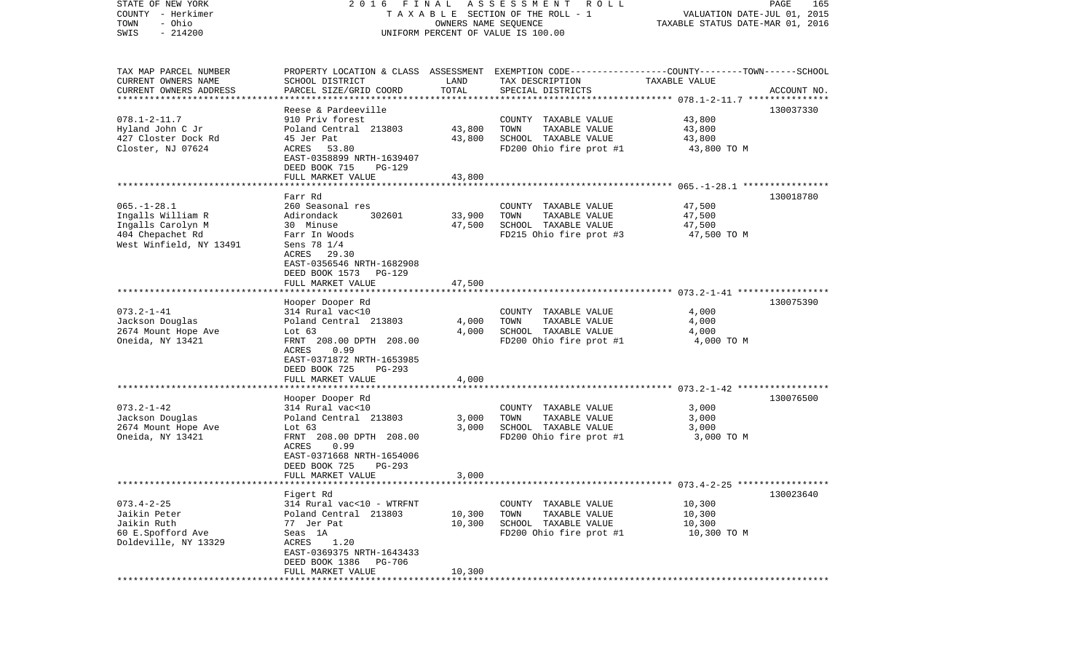| STATE OF NEW YORK<br>COUNTY - Herkimer<br>- Ohio<br>TOWN<br>$-214200$<br>SWIS | FINAL<br>A S S E S S M E N T<br>ROLL<br>2016<br>PAGE<br>TAXABLE SECTION OF THE ROLL - 1<br>VALUATION DATE-JUL 01, 2015<br>OWNERS NAME SEQUENCE<br>TAXABLE STATUS DATE-MAR 01, 2016<br>UNIFORM PERCENT OF VALUE IS 100.00 |               |                                                                                                                                          |               |             |
|-------------------------------------------------------------------------------|--------------------------------------------------------------------------------------------------------------------------------------------------------------------------------------------------------------------------|---------------|------------------------------------------------------------------------------------------------------------------------------------------|---------------|-------------|
| TAX MAP PARCEL NUMBER<br>CURRENT OWNERS NAME<br>CURRENT OWNERS ADDRESS        | SCHOOL DISTRICT<br>PARCEL SIZE/GRID COORD                                                                                                                                                                                | LAND<br>TOTAL | PROPERTY LOCATION & CLASS ASSESSMENT EXEMPTION CODE----------------COUNTY-------TOWN------SCHOOL<br>TAX DESCRIPTION<br>SPECIAL DISTRICTS | TAXABLE VALUE | ACCOUNT NO. |
| ***********************                                                       |                                                                                                                                                                                                                          |               |                                                                                                                                          |               |             |
|                                                                               | Reese & Pardeeville                                                                                                                                                                                                      |               |                                                                                                                                          |               | 130037330   |
| $078.1 - 2 - 11.7$                                                            | 910 Priv forest                                                                                                                                                                                                          |               | COUNTY TAXABLE VALUE                                                                                                                     | 43,800        |             |
| Hyland John C Jr                                                              | Poland Central 213803                                                                                                                                                                                                    | 43,800        | TOWN<br>TAXABLE VALUE                                                                                                                    | 43,800        |             |
| 427 Closter Dock Rd                                                           | 45 Jer Pat                                                                                                                                                                                                               | 43,800        | SCHOOL TAXABLE VALUE                                                                                                                     | 43,800        |             |
| Closter, NJ 07624                                                             | ACRES 53.80<br>EAST-0358899 NRTH-1639407                                                                                                                                                                                 |               | FD200 Ohio fire prot #1                                                                                                                  | 43,800 TO M   |             |
|                                                                               | DEED BOOK 715<br>PG-129                                                                                                                                                                                                  |               |                                                                                                                                          |               |             |
|                                                                               | FULL MARKET VALUE                                                                                                                                                                                                        | 43,800        |                                                                                                                                          |               |             |
|                                                                               |                                                                                                                                                                                                                          |               |                                                                                                                                          |               |             |
|                                                                               | Farr Rd                                                                                                                                                                                                                  |               |                                                                                                                                          |               | 130018780   |
| $065. - 1 - 28.1$                                                             | 260 Seasonal res                                                                                                                                                                                                         |               | COUNTY TAXABLE VALUE                                                                                                                     | 47,500        |             |
| Ingalls William R                                                             | Adirondack<br>302601                                                                                                                                                                                                     | 33,900        | TAXABLE VALUE<br>TOWN                                                                                                                    | 47,500        |             |
| Ingalls Carolyn M                                                             | 30 Minuse                                                                                                                                                                                                                | 47,500        | SCHOOL TAXABLE VALUE<br>FD215 Ohio fire prot #3                                                                                          | 47,500        |             |
| 404 Chepachet Rd<br>West Winfield, NY 13491                                   | Farr In Woods<br>Sens 78 1/4                                                                                                                                                                                             |               |                                                                                                                                          | 47,500 TO M   |             |
|                                                                               | ACRES 29.30                                                                                                                                                                                                              |               |                                                                                                                                          |               |             |
|                                                                               | EAST-0356546 NRTH-1682908                                                                                                                                                                                                |               |                                                                                                                                          |               |             |
|                                                                               | DEED BOOK 1573<br>PG-129                                                                                                                                                                                                 |               |                                                                                                                                          |               |             |
|                                                                               | FULL MARKET VALUE                                                                                                                                                                                                        | 47,500        |                                                                                                                                          |               |             |
|                                                                               |                                                                                                                                                                                                                          |               |                                                                                                                                          |               |             |
|                                                                               | Hooper Dooper Rd                                                                                                                                                                                                         |               |                                                                                                                                          |               | 130075390   |
| $073.2 - 1 - 41$                                                              | 314 Rural vac<10                                                                                                                                                                                                         |               | COUNTY TAXABLE VALUE                                                                                                                     | 4,000         |             |
| Jackson Douglas                                                               | Poland Central 213803                                                                                                                                                                                                    | 4,000         | TAXABLE VALUE<br>TOWN                                                                                                                    | 4,000         |             |
| 2674 Mount Hope Ave                                                           | Lot $63$                                                                                                                                                                                                                 | 4,000         | SCHOOL TAXABLE VALUE                                                                                                                     | 4,000         |             |
| Oneida, NY 13421                                                              | FRNT 208.00 DPTH 208.00<br>ACRES<br>0.99                                                                                                                                                                                 |               | FD200 Ohio fire prot #1                                                                                                                  | 4,000 TO M    |             |
|                                                                               | EAST-0371872 NRTH-1653985                                                                                                                                                                                                |               |                                                                                                                                          |               |             |
|                                                                               | DEED BOOK 725<br>PG-293                                                                                                                                                                                                  |               |                                                                                                                                          |               |             |
|                                                                               | FULL MARKET VALUE                                                                                                                                                                                                        | 4,000         |                                                                                                                                          |               |             |
|                                                                               |                                                                                                                                                                                                                          |               |                                                                                                                                          |               |             |
|                                                                               | Hooper Dooper Rd                                                                                                                                                                                                         |               |                                                                                                                                          |               | 130076500   |
| $073.2 - 1 - 42$                                                              | 314 Rural vac<10                                                                                                                                                                                                         |               | COUNTY TAXABLE VALUE                                                                                                                     | 3,000         |             |
| Jackson Douglas                                                               | Poland Central 213803                                                                                                                                                                                                    | 3,000         | TOWN<br>TAXABLE VALUE                                                                                                                    | 3,000         |             |
| 2674 Mount Hope Ave                                                           | Lot 63                                                                                                                                                                                                                   | 3,000         | SCHOOL TAXABLE VALUE                                                                                                                     | 3,000         |             |
| Oneida, NY 13421                                                              | FRNT 208.00 DPTH 208.00                                                                                                                                                                                                  |               | FD200 Ohio fire prot #1                                                                                                                  | 3,000 TO M    |             |
|                                                                               | ACRES<br>0.99                                                                                                                                                                                                            |               |                                                                                                                                          |               |             |
|                                                                               | EAST-0371668 NRTH-1654006<br>PG-293                                                                                                                                                                                      |               |                                                                                                                                          |               |             |
|                                                                               | DEED BOOK 725<br>FULL MARKET VALUE                                                                                                                                                                                       | 3,000         |                                                                                                                                          |               |             |
| ***********************                                                       |                                                                                                                                                                                                                          |               |                                                                                                                                          |               |             |
|                                                                               | Figert Rd                                                                                                                                                                                                                |               |                                                                                                                                          |               | 130023640   |
| $073.4 - 2 - 25$                                                              | 314 Rural vac<10 - WTRFNT                                                                                                                                                                                                |               | COUNTY TAXABLE VALUE                                                                                                                     | 10,300        |             |
| Jaikin Peter                                                                  | Poland Central 213803                                                                                                                                                                                                    | 10,300        | TOWN<br>TAXABLE VALUE                                                                                                                    | 10,300        |             |
| Jaikin Ruth                                                                   | 77 Jer Pat                                                                                                                                                                                                               | 10,300        | SCHOOL TAXABLE VALUE                                                                                                                     | 10,300        |             |
| 60 E.Spofford Ave                                                             | Seas 1A                                                                                                                                                                                                                  |               | FD200 Ohio fire prot #1                                                                                                                  | 10,300 TO M   |             |
| Doldeville, NY 13329                                                          | 1.20<br>ACRES                                                                                                                                                                                                            |               |                                                                                                                                          |               |             |
|                                                                               | EAST-0369375 NRTH-1643433                                                                                                                                                                                                |               |                                                                                                                                          |               |             |
|                                                                               | DEED BOOK 1386<br>PG-706                                                                                                                                                                                                 |               |                                                                                                                                          |               |             |
|                                                                               | FULL MARKET VALUE                                                                                                                                                                                                        | 10,300        |                                                                                                                                          |               |             |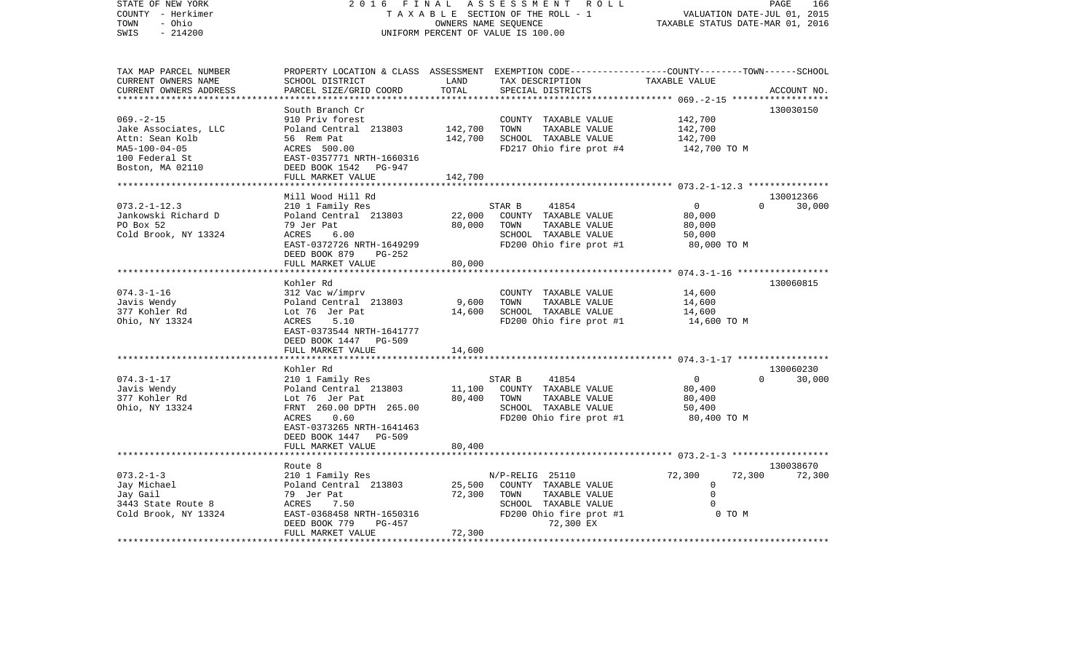| STATE OF NEW YORK<br>COUNTY - Herkimer<br>TOWN<br>- Ohio<br>$-214200$<br>SWIS                                           | FINAL<br>2 0 1 6                                                                                                                                                           |                               | ASSESSMENT<br>R O L L<br>TAXABLE SECTION OF THE ROLL - 1<br>OWNERS NAME SEQUENCE<br>UNIFORM PERCENT OF VALUE IS 100.00                 |                                                           | PAGE<br>166<br>VALUATION DATE-JUL 01, 2015<br>TAXABLE STATUS DATE-MAR 01, 2016 |
|-------------------------------------------------------------------------------------------------------------------------|----------------------------------------------------------------------------------------------------------------------------------------------------------------------------|-------------------------------|----------------------------------------------------------------------------------------------------------------------------------------|-----------------------------------------------------------|--------------------------------------------------------------------------------|
| TAX MAP PARCEL NUMBER<br>CURRENT OWNERS NAME<br>CURRENT OWNERS ADDRESS<br>**********************                        | SCHOOL DISTRICT<br>PARCEL SIZE/GRID COORD                                                                                                                                  | LAND<br>TOTAL                 | PROPERTY LOCATION & CLASS ASSESSMENT EXEMPTION CODE---------------COUNTY-------TOWN-----SCHOOL<br>TAX DESCRIPTION<br>SPECIAL DISTRICTS | TAXABLE VALUE                                             | ACCOUNT NO.                                                                    |
| $069. -2 -15$<br>Jake Associates, LLC<br>Attn: Sean Kolb<br>$MA5 - 100 - 04 - 05$<br>100 Federal St<br>Boston, MA 02110 | South Branch Cr<br>910 Priv forest<br>Poland Central 213803<br>56 Rem Pat<br>ACRES 500.00<br>EAST-0357771 NRTH-1660316<br>DEED BOOK 1542 PG-947<br>FULL MARKET VALUE       | 142,700<br>142,700<br>142,700 | COUNTY TAXABLE VALUE<br>TOWN<br>TAXABLE VALUE<br>SCHOOL TAXABLE VALUE<br>FD217 Ohio fire prot #4                                       | 142,700<br>142,700<br>142,700<br>142,700 TO M             | 130030150                                                                      |
|                                                                                                                         | *********************                                                                                                                                                      |                               |                                                                                                                                        |                                                           |                                                                                |
| $073.2 - 1 - 12.3$<br>Jankowski Richard D<br>PO Box 52<br>Cold Brook, NY 13324                                          | Mill Wood Hill Rd<br>210 1 Family Res<br>Poland Central 213803<br>79 Jer Pat<br>ACRES<br>6.00<br>EAST-0372726 NRTH-1649299<br>DEED BOOK 879<br>PG-252                      | 22,000<br>80,000              | STAR B<br>41854<br>COUNTY TAXABLE VALUE<br>TOWN<br>TAXABLE VALUE<br>SCHOOL TAXABLE VALUE<br>FD200 Ohio fire prot #1                    | $\mathbf 0$<br>80,000<br>80,000<br>50,000<br>80,000 TO M  | 130012366<br>$\Omega$<br>30,000                                                |
|                                                                                                                         | FULL MARKET VALUE                                                                                                                                                          | 80,000                        |                                                                                                                                        |                                                           |                                                                                |
|                                                                                                                         |                                                                                                                                                                            |                               |                                                                                                                                        |                                                           |                                                                                |
| $074.3 - 1 - 16$<br>Javis Wendy<br>377 Kohler Rd<br>Ohio, NY 13324                                                      | Kohler Rd<br>312 Vac w/imprv<br>Poland Central 213803<br>Lot 76 Jer Pat<br>ACRES<br>5.10<br>EAST-0373544 NRTH-1641777<br>DEED BOOK 1447 PG-509                             | 9,600<br>14,600               | COUNTY TAXABLE VALUE<br>TOWN<br>TAXABLE VALUE<br>SCHOOL TAXABLE VALUE<br>FD200 Ohio fire prot #1                                       | 14,600<br>14,600<br>14,600<br>14,600 TO M                 | 130060815                                                                      |
|                                                                                                                         | FULL MARKET VALUE                                                                                                                                                          | 14,600                        |                                                                                                                                        |                                                           |                                                                                |
|                                                                                                                         |                                                                                                                                                                            |                               |                                                                                                                                        |                                                           |                                                                                |
| $074.3 - 1 - 17$<br>Javis Wendy<br>377 Kohler Rd<br>Ohio, NY 13324                                                      | Kohler Rd<br>210 1 Family Res<br>Poland Central 213803<br>Lot 76 Jer Pat<br>FRNT 260.00 DPTH 265.00<br>0.60<br>ACRES<br>EAST-0373265 NRTH-1641463<br>DEED BOOK 1447 PG-509 | 11,100<br>80,400              | STAR B<br>41854<br>COUNTY TAXABLE VALUE<br>TOWN<br>TAXABLE VALUE<br>SCHOOL TAXABLE VALUE<br>FD200 Ohio fire prot #1                    | $\mathbf{0}$<br>80,400<br>80,400<br>50,400<br>80,400 TO M | 130060230<br>$\Omega$<br>30,000                                                |
|                                                                                                                         | FULL MARKET VALUE                                                                                                                                                          | 80,400                        |                                                                                                                                        |                                                           |                                                                                |
|                                                                                                                         |                                                                                                                                                                            |                               |                                                                                                                                        |                                                           |                                                                                |
| $073.2 - 1 - 3$<br>Jay Michael<br>Jay Gail<br>3443 State Route 8<br>Cold Brook, NY 13324                                | Route 8<br>210 1 Family Res<br>Poland Central 213803<br>79 Jer Pat<br>7.50<br>ACRES<br>EAST-0368458 NRTH-1650316<br>DEED BOOK 779<br>$PG-457$                              | 25,500<br>72,300              | N/P-RELIG 25110<br>COUNTY TAXABLE VALUE<br>TOWN<br>TAXABLE VALUE<br>SCHOOL TAXABLE VALUE<br>FD200 Ohio fire prot #1<br>72,300 EX       | 72,300<br>0<br>$\Omega$<br>$\Omega$<br>0 TO M             | 130038670<br>72,300<br>72,300                                                  |
| *********************                                                                                                   | FULL MARKET VALUE<br>***********************                                                                                                                               | 72,300<br>***************     |                                                                                                                                        |                                                           |                                                                                |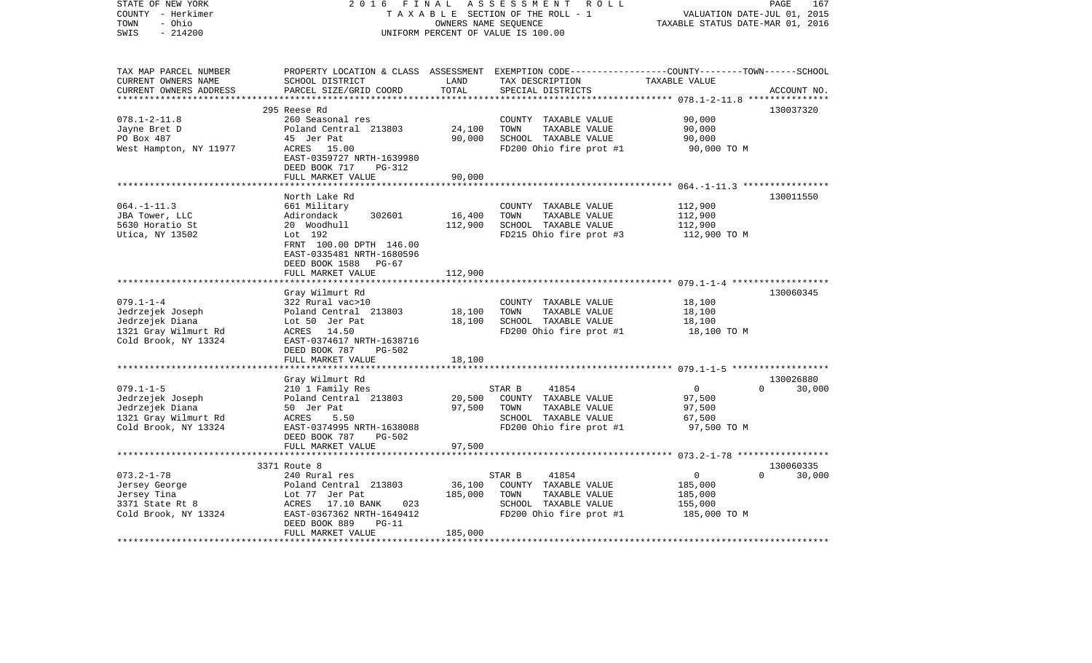| STATE OF NEW YORK<br>COUNTY - Herkimer<br>- Ohio<br>TOWN<br>$-214200$<br>SWIS                          | 2 0 1 6<br>FINAL                                                                                                                                                                     |                              | ASSESSMENT ROLL<br>TAXABLE SECTION OF THE ROLL - 1<br>OWNERS NAME SEQUENCE<br>UNIFORM PERCENT OF VALUE IS 100.00    | PAGE<br>VALUATION DATE-JUL 01, 2015<br>TAXABLE STATUS DATE-MAR 01, 2016                                          | 167                 |
|--------------------------------------------------------------------------------------------------------|--------------------------------------------------------------------------------------------------------------------------------------------------------------------------------------|------------------------------|---------------------------------------------------------------------------------------------------------------------|------------------------------------------------------------------------------------------------------------------|---------------------|
| TAX MAP PARCEL NUMBER<br>CURRENT OWNERS NAME<br>CURRENT OWNERS ADDRESS                                 | SCHOOL DISTRICT<br>PARCEL SIZE/GRID COORD                                                                                                                                            | LAND<br>TOTAL                | TAX DESCRIPTION<br>SPECIAL DISTRICTS                                                                                | PROPERTY LOCATION & CLASS ASSESSMENT EXEMPTION CODE---------------COUNTY-------TOWN------SCHOOL<br>TAXABLE VALUE | ACCOUNT NO.         |
|                                                                                                        | 295 Reese Rd                                                                                                                                                                         |                              |                                                                                                                     |                                                                                                                  | 130037320           |
| $078.1 - 2 - 11.8$<br>Jayne Bret D<br>PO Box 487<br>West Hampton, NY 11977                             | 260 Seasonal res<br>Poland Central 213803<br>45 Jer Pat<br>ACRES 15.00<br>EAST-0359727 NRTH-1639980<br>DEED BOOK 717<br>PG-312                                                       | 24,100<br>90,000             | COUNTY TAXABLE VALUE<br>TOWN<br>TAXABLE VALUE<br>SCHOOL TAXABLE VALUE<br>FD200 Ohio fire prot #1                    | 90,000<br>90,000<br>90,000<br>90,000 TO M                                                                        |                     |
|                                                                                                        | FULL MARKET VALUE                                                                                                                                                                    | 90,000                       |                                                                                                                     |                                                                                                                  |                     |
| $064. -1 - 11.3$<br>JBA Tower, LLC<br>5630 Horatio St<br>Utica, NY 13502                               | North Lake Rd<br>661 Military<br>Adirondack<br>302601<br>20 Woodhull<br>Lot 192<br>FRNT 100.00 DPTH 146.00<br>EAST-0335481 NRTH-1680596<br>DEED BOOK 1588 PG-67<br>FULL MARKET VALUE | 16,400<br>112,900<br>112,900 | COUNTY TAXABLE VALUE<br>TOWN<br>TAXABLE VALUE<br>SCHOOL TAXABLE VALUE<br>FD215 Ohio fire prot #3                    | 112,900<br>112,900<br>112,900<br>112,900 TO M                                                                    | 130011550           |
|                                                                                                        |                                                                                                                                                                                      |                              |                                                                                                                     |                                                                                                                  |                     |
| $079.1 - 1 - 4$<br>Jedrzejek Joseph<br>Jedrzejek Diana<br>1321 Gray Wilmurt Rd<br>Cold Brook, NY 13324 | Gray Wilmurt Rd<br>322 Rural vac>10<br>Poland Central 213803<br>Lot 50 Jer Pat<br>ACRES 14.50<br>EAST-0374617 NRTH-1638716<br>DEED BOOK 787<br>PG-502                                | 18,100<br>18,100             | COUNTY TAXABLE VALUE<br>TOWN<br>TAXABLE VALUE<br>SCHOOL TAXABLE VALUE<br>FD200 Ohio fire prot #1                    | 18,100<br>18,100<br>18,100<br>18,100 TO M                                                                        | 130060345           |
|                                                                                                        | FULL MARKET VALUE                                                                                                                                                                    | 18,100                       |                                                                                                                     |                                                                                                                  |                     |
| $079.1 - 1 - 5$<br>Jedrzejek Joseph<br>Jedrzejek Diana<br>1321 Gray Wilmurt Rd<br>Cold Brook, NY 13324 | Gray Wilmurt Rd<br>210 1 Family Res<br>Poland Central 213803<br>50 Jer Pat<br>ACRES<br>5.50<br>EAST-0374995 NRTH-1638088<br>DEED BOOK 787<br>PG-502<br>FULL MARKET VALUE             | 20,500<br>97,500<br>97,500   | STAR B<br>41854<br>COUNTY TAXABLE VALUE<br>TOWN<br>TAXABLE VALUE<br>SCHOOL TAXABLE VALUE<br>FD200 Ohio fire prot #1 | $\overline{0}$<br>$\Omega$<br>97,500<br>97,500<br>67,500<br>97,500 TO M                                          | 130026880<br>30,000 |
|                                                                                                        |                                                                                                                                                                                      |                              |                                                                                                                     |                                                                                                                  |                     |
| $073.2 - 1 - 78$<br>Jersey George<br>Jersey Tina<br>3371 State Rt 8<br>Cold Brook, NY 13324            | 3371 Route 8<br>240 Rural res<br>Poland Central 213803<br>Lot 77 Jer Pat<br>ACRES 17.10 BANK<br>023<br>EAST-0367362 NRTH-1649412<br>DEED BOOK 889<br>$PG-11$<br>FULL MARKET VALUE    | 36,100<br>185,000<br>185,000 | STAR B<br>41854<br>COUNTY TAXABLE VALUE<br>TOWN<br>TAXABLE VALUE<br>SCHOOL TAXABLE VALUE<br>FD200 Ohio fire prot #1 | $\Omega$<br>$\overline{0}$<br>185,000<br>185,000<br>155,000<br>185,000 TO M                                      | 130060335<br>30,000 |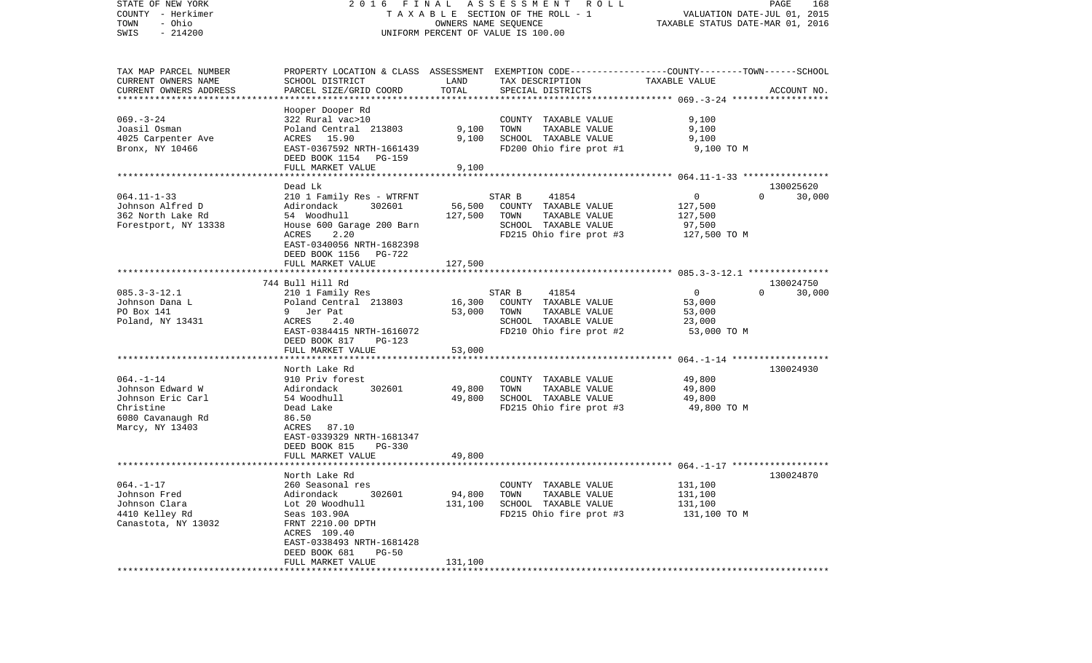| STATE OF NEW YORK<br>COUNTY - Herkimer<br>- Ohio<br>TOWN<br>$-214200$<br>SWIS | 2016 FINAL                                         | OWNERS NAME SEQUENCE | A S S E S S M E N T<br>R O L L<br>T A X A B L E SECTION OF THE ROLL - 1<br>UNIFORM PERCENT OF VALUE IS 100.00 | TAXABLE STATUS DATE-MAR 01, 2016 | PAGE<br>168<br>VALUATION DATE-JUL 01, 2015 |
|-------------------------------------------------------------------------------|----------------------------------------------------|----------------------|---------------------------------------------------------------------------------------------------------------|----------------------------------|--------------------------------------------|
| TAX MAP PARCEL NUMBER                                                         |                                                    |                      | PROPERTY LOCATION & CLASS ASSESSMENT EXEMPTION CODE---------------COUNTY-------TOWN------SCHOOL               |                                  |                                            |
| CURRENT OWNERS NAME<br>CURRENT OWNERS ADDRESS<br>**********************       | SCHOOL DISTRICT<br>PARCEL SIZE/GRID COORD          | LAND<br>TOTAL        | TAX DESCRIPTION<br>SPECIAL DISTRICTS                                                                          | TAXABLE VALUE                    | ACCOUNT NO.                                |
|                                                                               | Hooper Dooper Rd                                   |                      |                                                                                                               |                                  |                                            |
| $069. -3 - 24$                                                                | 322 Rural vac>10                                   |                      | COUNTY TAXABLE VALUE                                                                                          | 9,100                            |                                            |
| Joasil Osman                                                                  | Poland Central 213803                              | 9,100                | TOWN<br>TAXABLE VALUE                                                                                         | 9,100                            |                                            |
| 4025 Carpenter Ave                                                            | ACRES 15.90                                        | 9,100                | SCHOOL TAXABLE VALUE                                                                                          | 9,100                            |                                            |
| Bronx, NY 10466                                                               | EAST-0367592 NRTH-1661439<br>DEED BOOK 1154 PG-159 |                      | FD200 Ohio fire prot #1                                                                                       | 9,100 TO M                       |                                            |
|                                                                               | FULL MARKET VALUE                                  | 9,100                |                                                                                                               |                                  |                                            |
|                                                                               | Dead Lk                                            |                      |                                                                                                               |                                  | 130025620                                  |
| $064.11 - 1 - 33$                                                             | 210 1 Family Res - WTRFNT                          |                      | 41854<br>STAR B                                                                                               | 0                                | 30,000<br>$\Omega$                         |
| Johnson Alfred D                                                              | Adirondack<br>302601                               | 56,500               | COUNTY TAXABLE VALUE                                                                                          | 127,500                          |                                            |
| 362 North Lake Rd                                                             | 54 Woodhull                                        | 127,500              | TOWN<br>TAXABLE VALUE                                                                                         | 127,500                          |                                            |
| Forestport, NY 13338                                                          | House 600 Garage 200 Barn                          |                      | SCHOOL TAXABLE VALUE                                                                                          | 97,500                           |                                            |
|                                                                               | 2.20<br>ACRES                                      |                      | FD215 Ohio fire prot #3                                                                                       | 127,500 TO M                     |                                            |
|                                                                               | EAST-0340056 NRTH-1682398                          |                      |                                                                                                               |                                  |                                            |
|                                                                               | DEED BOOK 1156 PG-722<br>FULL MARKET VALUE         | 127,500              |                                                                                                               |                                  |                                            |
|                                                                               |                                                    |                      |                                                                                                               |                                  |                                            |
|                                                                               | 744 Bull Hill Rd                                   |                      |                                                                                                               |                                  | 130024750                                  |
| $085.3 - 3 - 12.1$                                                            | 210 1 Family Res                                   |                      | 41854<br>STAR B                                                                                               | $\overline{0}$                   | 30,000<br>$\Omega$                         |
| Johnson Dana L                                                                | Poland Central 213803                              | 16,300               | COUNTY TAXABLE VALUE                                                                                          | 53,000                           |                                            |
| PO Box 141                                                                    | 9 Jer Pat                                          | 53,000               | TOWN<br>TAXABLE VALUE                                                                                         | 53,000                           |                                            |
| Poland, NY 13431                                                              | 2.40<br>ACRES                                      |                      | SCHOOL TAXABLE VALUE                                                                                          | 23,000                           |                                            |
|                                                                               | EAST-0384415 NRTH-1616072                          |                      | FD210 Ohio fire prot #2                                                                                       | 53,000 TO M                      |                                            |
|                                                                               | DEED BOOK 817<br>$PG-123$                          | 53,000               |                                                                                                               |                                  |                                            |
|                                                                               | FULL MARKET VALUE<br>************************      |                      |                                                                                                               |                                  |                                            |
|                                                                               | North Lake Rd                                      |                      |                                                                                                               |                                  | 130024930                                  |
| $064. -1 - 14$                                                                | 910 Priv forest                                    |                      | COUNTY TAXABLE VALUE                                                                                          | 49,800                           |                                            |
| Johnson Edward W                                                              | Adirondack<br>302601                               | 49,800               | TOWN<br>TAXABLE VALUE                                                                                         | 49,800                           |                                            |
| Johnson Eric Carl                                                             | 54 Woodhull                                        | 49,800               | SCHOOL TAXABLE VALUE                                                                                          | 49,800                           |                                            |
| Christine                                                                     | Dead Lake                                          |                      | FD215 Ohio fire prot #3                                                                                       | 49,800 TO M                      |                                            |
| 6080 Cavanaugh Rd                                                             | 86.50                                              |                      |                                                                                                               |                                  |                                            |
| Marcy, NY 13403                                                               | ACRES<br>87.10                                     |                      |                                                                                                               |                                  |                                            |
|                                                                               | EAST-0339329 NRTH-1681347                          |                      |                                                                                                               |                                  |                                            |
|                                                                               | DEED BOOK 815<br>$PG-330$                          | 49,800               |                                                                                                               |                                  |                                            |
|                                                                               | FULL MARKET VALUE                                  |                      |                                                                                                               |                                  |                                            |
|                                                                               | North Lake Rd                                      |                      |                                                                                                               |                                  | 130024870                                  |
| $064. - 1 - 17$                                                               | 260 Seasonal res                                   |                      | COUNTY TAXABLE VALUE                                                                                          | 131,100                          |                                            |
| Johnson Fred                                                                  | Adirondack<br>302601                               | 94,800               | TAXABLE VALUE<br>TOWN                                                                                         | 131,100                          |                                            |
| Johnson Clara                                                                 | Lot 20 Woodhull                                    | 131,100              | SCHOOL TAXABLE VALUE                                                                                          | 131,100                          |                                            |
| 4410 Kelley Rd                                                                | Seas 103.90A                                       |                      | FD215 Ohio fire prot #3                                                                                       | 131,100 TO M                     |                                            |
| Canastota, NY 13032                                                           | FRNT 2210.00 DPTH                                  |                      |                                                                                                               |                                  |                                            |
|                                                                               | ACRES 109.40                                       |                      |                                                                                                               |                                  |                                            |
|                                                                               | EAST-0338493 NRTH-1681428                          |                      |                                                                                                               |                                  |                                            |
|                                                                               | DEED BOOK 681<br>$PG-50$<br>FULL MARKET VALUE      | 131,100              |                                                                                                               |                                  |                                            |
|                                                                               |                                                    |                      |                                                                                                               |                                  |                                            |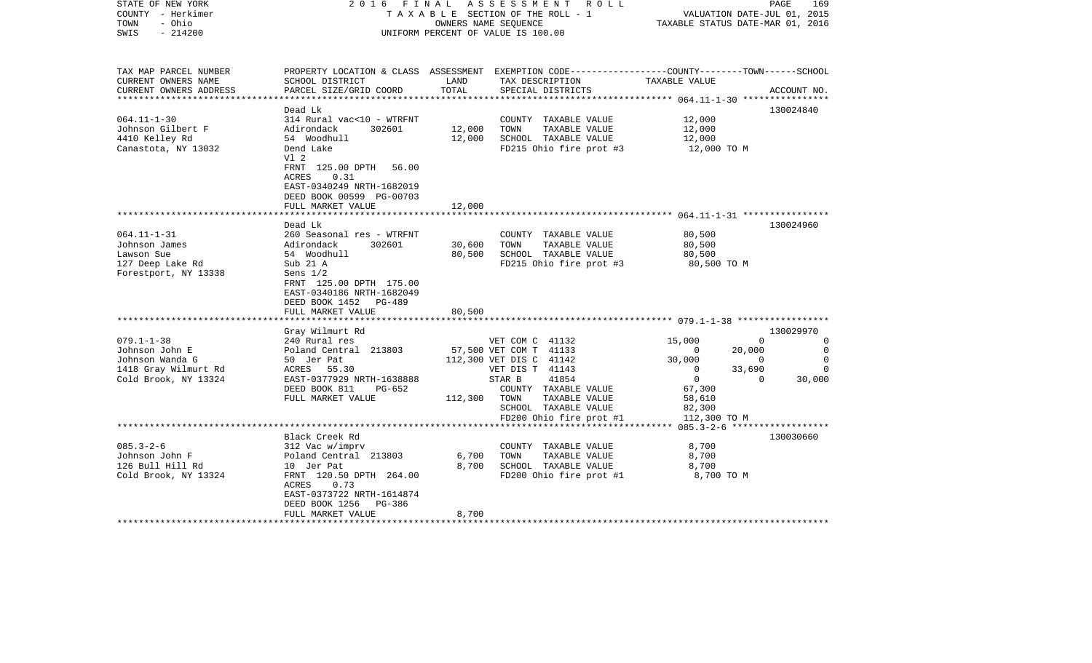| STATE OF NEW YORK<br>COUNTY - Herkimer<br>- Ohio<br>TOWN | FINAL<br>2016                                                                                  | OWNERS NAME SEQUENCE | ASSESSMENT<br>R O L L<br>TAXABLE SECTION OF THE ROLL - 1                                                            | TAXABLE STATUS DATE-MAR 01, 2016 |              | PAGE<br>169<br>VALUATION DATE-JUL 01, 2015 |
|----------------------------------------------------------|------------------------------------------------------------------------------------------------|----------------------|---------------------------------------------------------------------------------------------------------------------|----------------------------------|--------------|--------------------------------------------|
| $-214200$<br>SWIS                                        |                                                                                                |                      | UNIFORM PERCENT OF VALUE IS 100.00                                                                                  |                                  |              |                                            |
| TAX MAP PARCEL NUMBER<br>CURRENT OWNERS NAME             | SCHOOL DISTRICT                                                                                | LAND                 | PROPERTY LOCATION & CLASS ASSESSMENT EXEMPTION CODE----------------COUNTY-------TOWN------SCHOOL<br>TAX DESCRIPTION | TAXABLE VALUE                    |              |                                            |
| CURRENT OWNERS ADDRESS                                   | PARCEL SIZE/GRID COORD                                                                         | TOTAL                | SPECIAL DISTRICTS                                                                                                   |                                  |              | ACCOUNT NO.                                |
|                                                          | Dead Lk                                                                                        |                      |                                                                                                                     |                                  |              | 130024840                                  |
| $064.11 - 1 - 30$                                        | 314 Rural vac<10 - WTRFNT                                                                      |                      | COUNTY TAXABLE VALUE                                                                                                | 12,000                           |              |                                            |
| Johnson Gilbert F                                        | Adirondack<br>302601                                                                           | 12,000               | TOWN<br>TAXABLE VALUE                                                                                               | 12,000                           |              |                                            |
| 4410 Kelley Rd                                           | 54 Woodhull                                                                                    | 12,000               | SCHOOL TAXABLE VALUE                                                                                                | 12,000                           |              |                                            |
| Canastota, NY 13032                                      | Dend Lake<br>Vl 2                                                                              |                      | FD215 Ohio fire prot #3                                                                                             | 12,000 TO M                      |              |                                            |
|                                                          | FRNT 125.00 DPTH<br>56.00<br><b>ACRES</b><br>0.31<br>EAST-0340249 NRTH-1682019                 |                      |                                                                                                                     |                                  |              |                                            |
|                                                          | DEED BOOK 00599 PG-00703                                                                       |                      |                                                                                                                     |                                  |              |                                            |
|                                                          | FULL MARKET VALUE                                                                              | 12,000               |                                                                                                                     |                                  |              |                                            |
|                                                          | Dead Lk                                                                                        |                      |                                                                                                                     |                                  |              | 130024960                                  |
| $064.11 - 1 - 31$                                        | 260 Seasonal res - WTRFNT                                                                      |                      | COUNTY TAXABLE VALUE                                                                                                | 80,500                           |              |                                            |
| Johnson James                                            | Adirondack<br>302601                                                                           | 30,600               | TOWN<br>TAXABLE VALUE                                                                                               | 80,500                           |              |                                            |
| Lawson Sue                                               | 54 Woodhull                                                                                    | 80,500               | SCHOOL TAXABLE VALUE                                                                                                | 80,500                           |              |                                            |
| 127 Deep Lake Rd                                         | Sub 21 A                                                                                       |                      | FD215 Ohio fire prot #3                                                                                             | 80,500 TO M                      |              |                                            |
| Forestport, NY 13338                                     | Sens $1/2$<br>FRNT 125.00 DPTH 175.00<br>EAST-0340186 NRTH-1682049<br>DEED BOOK 1452<br>PG-489 |                      |                                                                                                                     |                                  |              |                                            |
|                                                          | FULL MARKET VALUE<br>*******************************                                           | 80,500               |                                                                                                                     |                                  |              |                                            |
|                                                          |                                                                                                |                      |                                                                                                                     |                                  |              | 130029970                                  |
| $079.1 - 1 - 38$                                         | Gray Wilmurt Rd<br>240 Rural res                                                               |                      | VET COM C 41132                                                                                                     | 15,000                           | $\mathbf 0$  | 0                                          |
| Johnson John E                                           | Poland Central 213803                                                                          |                      | 57,500 VET COM T 41133                                                                                              | 0                                | 20,000       | $\mathbf 0$                                |
| Johnson Wanda G                                          | 50 Jer Pat                                                                                     |                      | 112,300 VET DIS C 41142                                                                                             | 30,000                           | $\Omega$     | $\Omega$                                   |
| 1418 Gray Wilmurt Rd                                     | 55.30<br>ACRES                                                                                 |                      | VET DIS T 41143                                                                                                     | $\mathbf{0}$                     | 33,690       | $\Omega$                                   |
| Cold Brook, NY 13324                                     | EAST-0377929 NRTH-1638888                                                                      |                      | 41854<br>STAR B                                                                                                     | $\overline{0}$                   | $\mathbf{0}$ | 30,000                                     |
|                                                          | DEED BOOK 811<br>PG-652                                                                        |                      | COUNTY TAXABLE VALUE                                                                                                | 67,300                           |              |                                            |
|                                                          | FULL MARKET VALUE                                                                              | 112,300              | TOWN<br>TAXABLE VALUE                                                                                               | 58,610                           |              |                                            |
|                                                          |                                                                                                |                      | SCHOOL TAXABLE VALUE                                                                                                | 82,300                           |              |                                            |
|                                                          |                                                                                                |                      | FD200 Ohio fire prot #1                                                                                             | 112,300 TO M                     |              |                                            |
|                                                          | Black Creek Rd                                                                                 |                      |                                                                                                                     |                                  |              | 130030660                                  |
| $085.3 - 2 - 6$                                          | 312 Vac w/imprv                                                                                |                      | COUNTY TAXABLE VALUE                                                                                                | 8,700                            |              |                                            |
| Johnson John F                                           | Poland Central 213803                                                                          | 6,700                | TOWN<br>TAXABLE VALUE                                                                                               | 8,700                            |              |                                            |
| 126 Bull Hill Rd                                         | 10 Jer Pat                                                                                     | 8,700                | SCHOOL TAXABLE VALUE                                                                                                | 8,700                            |              |                                            |
| Cold Brook, NY 13324                                     | FRNT 120.50 DPTH 264.00                                                                        |                      | FD200 Ohio fire prot #1                                                                                             | 8,700 TO M                       |              |                                            |
|                                                          | ACRES<br>0.73<br>EAST-0373722 NRTH-1614874<br>DEED BOOK 1256<br>PG-386                         |                      |                                                                                                                     |                                  |              |                                            |
|                                                          | FULL MARKET VALUE                                                                              | 8,700                |                                                                                                                     |                                  |              |                                            |
|                                                          |                                                                                                |                      |                                                                                                                     |                                  |              |                                            |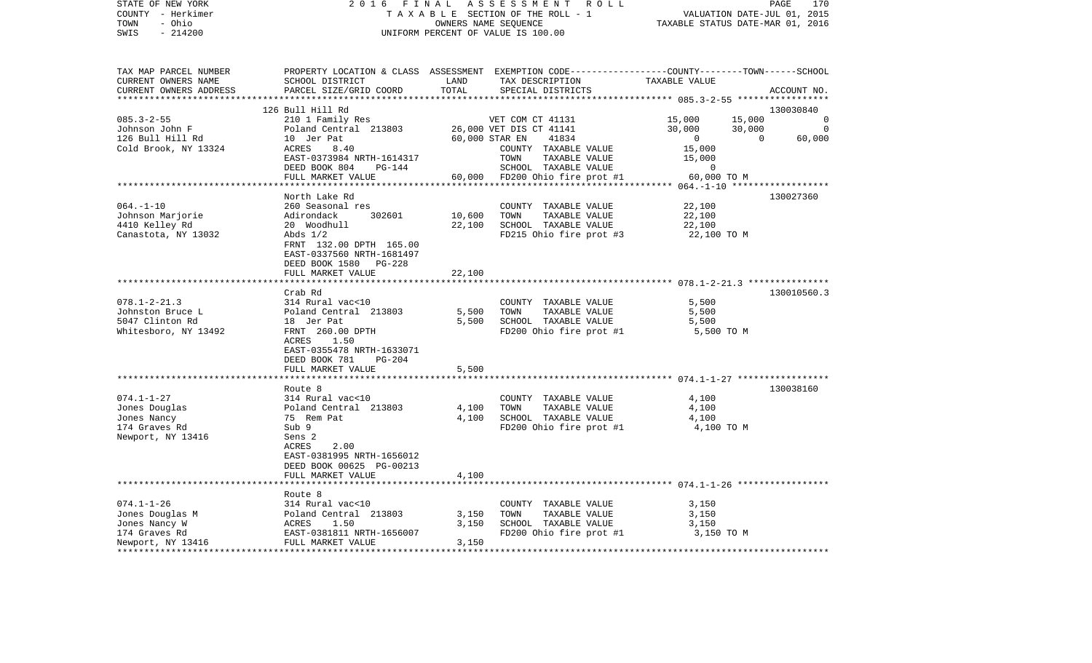| STATE OF NEW YORK<br>COUNTY - Herkimer        | 2 0 1 6<br>FINAL<br>TAXABLE SECTION OF THE ROLL - 1   | PAGE<br>170<br>VALUATION DATE-JUL 01, 2015 |                                                                                                 |                                                     |          |             |
|-----------------------------------------------|-------------------------------------------------------|--------------------------------------------|-------------------------------------------------------------------------------------------------|-----------------------------------------------------|----------|-------------|
| TOWN<br>- Ohio                                |                                                       | TAXABLE STATUS DATE-MAR 01, 2016           |                                                                                                 |                                                     |          |             |
| $-214200$<br>SWIS                             | UNIFORM PERCENT OF VALUE IS 100.00                    |                                            |                                                                                                 |                                                     |          |             |
|                                               |                                                       |                                            |                                                                                                 |                                                     |          |             |
| TAX MAP PARCEL NUMBER                         |                                                       |                                            | PROPERTY LOCATION & CLASS ASSESSMENT EXEMPTION CODE---------------COUNTY-------TOWN------SCHOOL |                                                     |          |             |
| CURRENT OWNERS NAME<br>CURRENT OWNERS ADDRESS | SCHOOL DISTRICT<br>PARCEL SIZE/GRID COORD             | LAND<br>TOTAL                              | TAX DESCRIPTION<br>SPECIAL DISTRICTS                                                            | TAXABLE VALUE                                       |          |             |
| ***********************                       |                                                       |                                            |                                                                                                 |                                                     |          | ACCOUNT NO. |
|                                               | 126 Bull Hill Rd                                      |                                            |                                                                                                 |                                                     |          | 130030840   |
| $085.3 - 2 - 55$                              | 210 1 Family Res                                      |                                            | VET COM CT 41131                                                                                | 15,000                                              | 15,000   |             |
| Johnson John F                                | Poland Central 213803                                 |                                            | 26,000 VET DIS CT 41141                                                                         | 30,000                                              | 30,000   | $\Omega$    |
| 126 Bull Hill Rd                              | 10 Jer Pat                                            |                                            | 60,000 STAR EN<br>41834                                                                         | $\overline{0}$                                      | $\Omega$ | 60,000      |
| Cold Brook, NY 13324                          | 8.40<br>ACRES                                         |                                            | COUNTY TAXABLE VALUE                                                                            | 15,000                                              |          |             |
|                                               | EAST-0373984 NRTH-1614317                             |                                            | TOWN<br>TAXABLE VALUE                                                                           | 15,000                                              |          |             |
|                                               | DEED BOOK 804<br><b>PG-144</b>                        |                                            | SCHOOL TAXABLE VALUE                                                                            | 0                                                   |          |             |
|                                               | FULL MARKET VALUE                                     | 60,000                                     | FD200 Ohio fire prot #1                                                                         | 60,000 TO M                                         |          |             |
|                                               |                                                       |                                            |                                                                                                 | $064. -1 - 10$ *****                                |          |             |
|                                               | North Lake Rd                                         |                                            |                                                                                                 |                                                     |          | 130027360   |
| $064. -1 - 10$                                | 260 Seasonal res                                      |                                            | COUNTY TAXABLE VALUE                                                                            | 22,100                                              |          |             |
| Johnson Marjorie                              | Adirondack<br>302601                                  | 10,600                                     | TOWN<br>TAXABLE VALUE                                                                           | 22,100                                              |          |             |
| 4410 Kelley Rd                                | 20 Woodhull                                           | 22,100                                     | SCHOOL TAXABLE VALUE                                                                            | 22,100                                              |          |             |
| Canastota, NY 13032                           | Abds $1/2$                                            |                                            | FD215 Ohio fire prot #3                                                                         | 22,100 TO M                                         |          |             |
|                                               | FRNT 132.00 DPTH 165.00                               |                                            |                                                                                                 |                                                     |          |             |
|                                               | EAST-0337560 NRTH-1681497<br>DEED BOOK 1580<br>PG-228 |                                            |                                                                                                 |                                                     |          |             |
|                                               | FULL MARKET VALUE                                     | 22,100                                     |                                                                                                 |                                                     |          |             |
|                                               |                                                       |                                            | ****************************** 078.1-2-21.3 ***************                                     |                                                     |          |             |
|                                               | Crab Rd                                               |                                            |                                                                                                 |                                                     |          | 130010560.3 |
| $078.1 - 2 - 21.3$                            | 314 Rural vac<10                                      |                                            | COUNTY TAXABLE VALUE                                                                            | 5,500                                               |          |             |
| Johnston Bruce L                              | Poland Central 213803                                 | 5,500                                      | TOWN<br>TAXABLE VALUE                                                                           | 5,500                                               |          |             |
| 5047 Clinton Rd                               | 18 Jer Pat                                            | 5,500                                      | SCHOOL TAXABLE VALUE                                                                            | 5,500                                               |          |             |
| Whitesboro, NY 13492                          | FRNT 260.00 DPTH                                      |                                            | FD200 Ohio fire prot #1                                                                         | 5,500 TO M                                          |          |             |
|                                               | ACRES<br>1.50                                         |                                            |                                                                                                 |                                                     |          |             |
|                                               | EAST-0355478 NRTH-1633071                             |                                            |                                                                                                 |                                                     |          |             |
|                                               | DEED BOOK 781<br><b>PG-204</b>                        |                                            |                                                                                                 |                                                     |          |             |
|                                               | FULL MARKET VALUE                                     | 5,500<br>*****                             |                                                                                                 | ********************* 074.1-1-27 ****************** |          |             |
|                                               | Route 8                                               |                                            |                                                                                                 |                                                     |          | 130038160   |
| $074.1 - 1 - 27$                              | 314 Rural vac<10                                      |                                            | COUNTY TAXABLE VALUE                                                                            | 4,100                                               |          |             |
| Jones Douglas                                 | Poland Central 213803                                 | 4,100                                      | TAXABLE VALUE<br>TOWN                                                                           | 4,100                                               |          |             |
| Jones Nancy                                   | 75 Rem Pat                                            | 4,100                                      | SCHOOL TAXABLE VALUE                                                                            | 4,100                                               |          |             |
| 174 Graves Rd                                 | Sub 9                                                 |                                            | FD200 Ohio fire prot #1                                                                         | 4,100 TO M                                          |          |             |
| Newport, NY 13416                             | Sens <sub>2</sub>                                     |                                            |                                                                                                 |                                                     |          |             |
|                                               | ACRES<br>2.00                                         |                                            |                                                                                                 |                                                     |          |             |
|                                               | EAST-0381995 NRTH-1656012                             |                                            |                                                                                                 |                                                     |          |             |
|                                               | DEED BOOK 00625 PG-00213                              |                                            |                                                                                                 |                                                     |          |             |
|                                               | FULL MARKET VALUE                                     | 4,100                                      |                                                                                                 |                                                     |          |             |
|                                               | ******************************                        |                                            |                                                                                                 |                                                     |          |             |
|                                               | Route 8                                               |                                            |                                                                                                 |                                                     |          |             |
| $074.1 - 1 - 26$                              | 314 Rural vac<10                                      |                                            | COUNTY TAXABLE VALUE                                                                            | 3,150                                               |          |             |
| Jones Douglas M                               | Poland Central 213803                                 | 3,150                                      | TAXABLE VALUE<br>TOWN                                                                           | 3,150                                               |          |             |
| Jones Nancy W                                 | ACRES<br>1.50                                         | 3,150                                      | SCHOOL TAXABLE VALUE                                                                            | 3,150                                               |          |             |
| 174 Graves Rd<br>Newport, NY 13416            | EAST-0381811 NRTH-1656007<br>FULL MARKET VALUE        | 3,150                                      | FD200 Ohio fire prot #1                                                                         | 3,150 TO M                                          |          |             |
|                                               |                                                       | ****************                           |                                                                                                 |                                                     |          |             |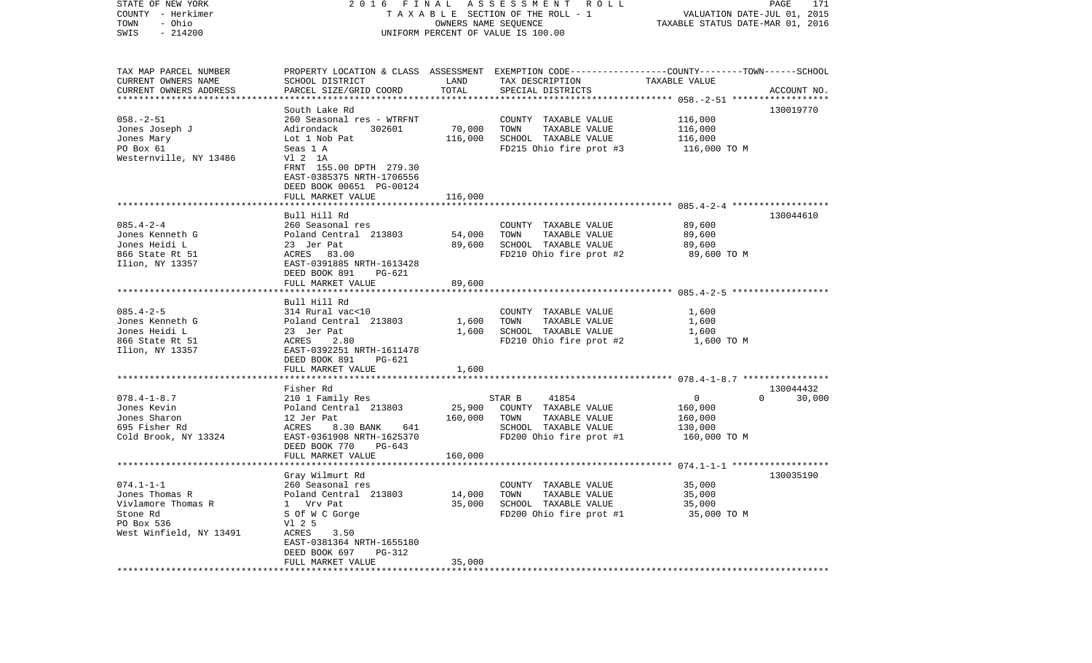| STATE OF NEW YORK<br>COUNTY - Herkimer<br>- Ohio<br>TOWN<br>$-214200$<br>SWIS                                      | 2016 FINAL<br>TAXABLE SECTION OF THE ROLL - 1<br>UNIFORM PERCENT OF VALUE IS 100.00                                                                                              | PAGE<br>171<br>VALUATION DATE-JUL 01, 2015<br>TAXABLE STATUS DATE-MAR 01, 2016 |                                                                                                                                          |                                                    |                                 |
|--------------------------------------------------------------------------------------------------------------------|----------------------------------------------------------------------------------------------------------------------------------------------------------------------------------|--------------------------------------------------------------------------------|------------------------------------------------------------------------------------------------------------------------------------------|----------------------------------------------------|---------------------------------|
| TAX MAP PARCEL NUMBER<br>CURRENT OWNERS NAME<br>CURRENT OWNERS ADDRESS                                             | SCHOOL DISTRICT<br>PARCEL SIZE/GRID COORD                                                                                                                                        | LAND<br>TOTAL                                                                  | PROPERTY LOCATION & CLASS ASSESSMENT EXEMPTION CODE----------------COUNTY-------TOWN------SCHOOL<br>TAX DESCRIPTION<br>SPECIAL DISTRICTS | TAXABLE VALUE                                      | ACCOUNT NO.                     |
| ************************<br>$058. - 2 - 51$<br>Jones Joseph J<br>Jones Mary<br>PO Box 61<br>Westernville, NY 13486 | South Lake Rd<br>260 Seasonal res - WTRFNT<br>Adirondack<br>302601<br>Lot 1 Nob Pat<br>Seas 1 A<br>V1 2 1A<br>FRNT 155.00 DPTH 279.30<br>EAST-0385375 NRTH-1706556               | 70,000<br>116,000                                                              | COUNTY TAXABLE VALUE<br>TOWN<br>TAXABLE VALUE<br>SCHOOL TAXABLE VALUE<br>FD215 Ohio fire prot #3                                         | 116,000<br>116,000<br>116,000<br>116,000 TO M      | 130019770                       |
|                                                                                                                    | DEED BOOK 00651 PG-00124<br>FULL MARKET VALUE                                                                                                                                    | 116,000                                                                        |                                                                                                                                          |                                                    |                                 |
| $085.4 - 2 - 4$<br>Jones Kenneth G<br>Jones Heidi L<br>866 State Rt 51<br>Ilion, NY 13357                          | Bull Hill Rd<br>260 Seasonal res<br>Poland Central 213803<br>23 Jer Pat<br>ACRES 83.00<br>EAST-0391885 NRTH-1613428<br>DEED BOOK 891<br>$PG-621$                                 | 54,000<br>89,600                                                               | COUNTY TAXABLE VALUE<br>TOWN<br>TAXABLE VALUE<br>SCHOOL TAXABLE VALUE<br>FD210 Ohio fire prot #2                                         | 89,600<br>89,600<br>89,600<br>89,600 TO M          | 130044610                       |
|                                                                                                                    | FULL MARKET VALUE                                                                                                                                                                | 89,600                                                                         |                                                                                                                                          |                                                    |                                 |
| $085.4 - 2 - 5$<br>Jones Kenneth G<br>Jones Heidi L<br>866 State Rt 51<br>Ilion, NY 13357                          | Bull Hill Rd<br>314 Rural vac<10<br>Poland Central 213803<br>23 Jer Pat<br>ACRES<br>2.80<br>EAST-0392251 NRTH-1611478<br>DEED BOOK 891<br><b>PG-621</b><br>FULL MARKET VALUE     | 1,600<br>1,600<br>1,600                                                        | COUNTY TAXABLE VALUE<br>TOWN<br>TAXABLE VALUE<br>SCHOOL TAXABLE VALUE<br>FD210 Ohio fire prot #2                                         | 1,600<br>1,600<br>1,600<br>1,600 TO M              |                                 |
|                                                                                                                    |                                                                                                                                                                                  |                                                                                |                                                                                                                                          |                                                    |                                 |
| $078.4 - 1 - 8.7$<br>Jones Kevin<br>Jones Sharon<br>695 Fisher Rd<br>Cold Brook, NY 13324                          | Fisher Rd<br>210 1 Family Res<br>Poland Central 213803<br>12 Jer Pat<br>ACRES<br>8.30 BANK<br>641<br>EAST-0361908 NRTH-1625370<br>DEED BOOK 770<br>$PG-643$<br>FULL MARKET VALUE | 25,900<br>160,000<br>160,000                                                   | STAR B<br>41854<br>COUNTY TAXABLE VALUE<br>TOWN<br>TAXABLE VALUE<br>SCHOOL TAXABLE VALUE<br>FD200 Ohio fire prot #1                      | 0<br>160,000<br>160,000<br>130,000<br>160,000 TO M | 130044432<br>$\Omega$<br>30,000 |
|                                                                                                                    | Gray Wilmurt Rd                                                                                                                                                                  |                                                                                |                                                                                                                                          |                                                    | 130035190                       |
| 074.1-1-1<br>Jones Thomas R<br>Vivlamore Thomas R<br>Stone Rd<br>PO Box 536<br>West Winfield, NY 13491             | 260 Seasonal res<br>Poland Central 213803<br>1 Vrv Pat<br>S Of W C Gorge<br>V1 2 5<br>ACRES<br>3.50<br>EAST-0381364 NRTH-1655180<br>DEED BOOK 697<br>PG-312                      | 14,000<br>35,000                                                               | COUNTY TAXABLE VALUE<br>TAXABLE VALUE<br>TOWN<br>SCHOOL TAXABLE VALUE<br>FD200 Ohio fire prot #1                                         | 35,000<br>35,000<br>35,000<br>35,000 TO M          |                                 |
|                                                                                                                    | FULL MARKET VALUE                                                                                                                                                                | 35,000                                                                         |                                                                                                                                          |                                                    |                                 |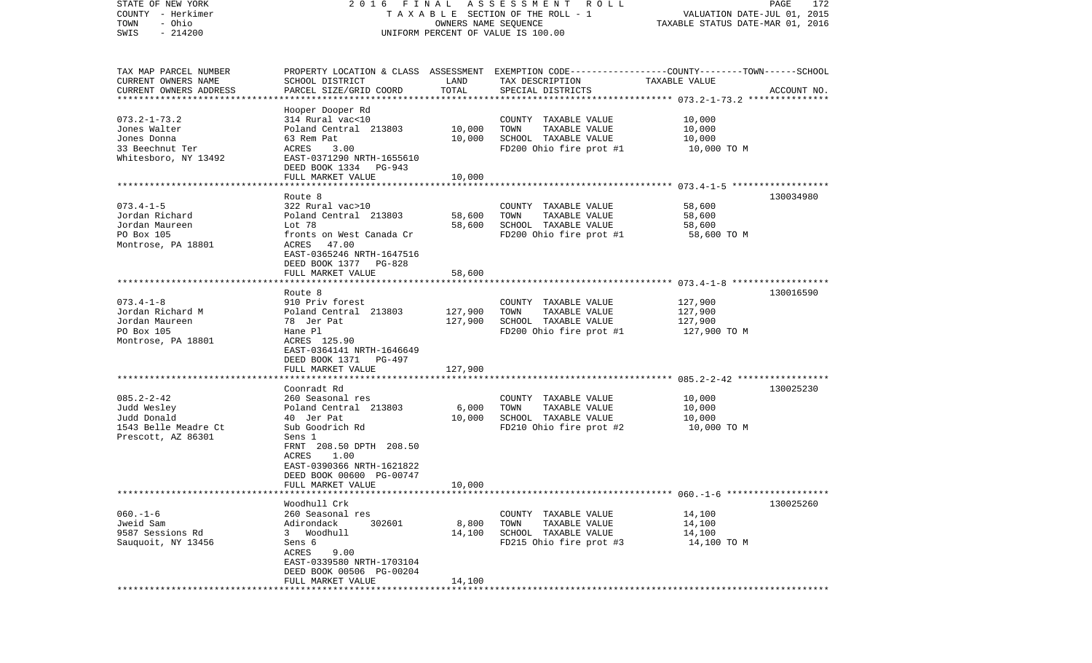| STATE OF NEW YORK                                 | 2016 FINAL                                    |                      | A S S E S S M E N T A O L L                                                                      |                                  | PAGE<br>172 |
|---------------------------------------------------|-----------------------------------------------|----------------------|--------------------------------------------------------------------------------------------------|----------------------------------|-------------|
| COUNTY - Herkimer                                 |                                               |                      | TAXABLE SECTION OF THE ROLL - 1                                                                  | VALUATION DATE-JUL 01, 2015      |             |
| TOWN<br>- Ohio<br>SWIS<br>$-214200$               |                                               | OWNERS NAME SEQUENCE | UNIFORM PERCENT OF VALUE IS 100.00                                                               | TAXABLE STATUS DATE-MAR 01, 2016 |             |
|                                                   |                                               |                      |                                                                                                  |                                  |             |
|                                                   |                                               |                      |                                                                                                  |                                  |             |
| TAX MAP PARCEL NUMBER                             |                                               |                      | PROPERTY LOCATION & CLASS ASSESSMENT EXEMPTION CODE----------------COUNTY-------TOWN------SCHOOL |                                  |             |
| CURRENT OWNERS NAME                               | SCHOOL DISTRICT                               | LAND                 | TAX DESCRIPTION                                                                                  | TAXABLE VALUE                    |             |
| CURRENT OWNERS ADDRESS<br>*********************** | PARCEL SIZE/GRID COORD                        | TOTAL                | SPECIAL DISTRICTS                                                                                |                                  | ACCOUNT NO. |
|                                                   | Hooper Dooper Rd                              |                      |                                                                                                  |                                  |             |
| $073.2 - 1 - 73.2$                                | 314 Rural vac<10                              |                      | COUNTY TAXABLE VALUE                                                                             | 10,000                           |             |
| Jones Walter                                      | Poland Central 213803                         | 10,000               | TOWN<br>TAXABLE VALUE                                                                            | 10,000                           |             |
| Jones Donna                                       | 63 Rem Pat                                    | 10,000               | SCHOOL TAXABLE VALUE                                                                             | 10,000                           |             |
| 33 Beechnut Ter                                   | ACRES<br>3.00                                 |                      | FD200 Ohio fire prot #1                                                                          | 10,000 TO M                      |             |
| Whitesboro, NY 13492                              | EAST-0371290 NRTH-1655610                     |                      |                                                                                                  |                                  |             |
|                                                   | DEED BOOK 1334 PG-943                         |                      |                                                                                                  |                                  |             |
|                                                   | FULL MARKET VALUE                             | 10,000               |                                                                                                  |                                  |             |
|                                                   |                                               |                      |                                                                                                  |                                  |             |
| $073.4 - 1 - 5$                                   | Route 8<br>322 Rural vac>10                   |                      | COUNTY TAXABLE VALUE                                                                             | 58,600                           | 130034980   |
| Jordan Richard                                    | Poland Central 213803                         | 58,600               | TOWN<br>TAXABLE VALUE                                                                            | 58,600                           |             |
| Jordan Maureen                                    | Lot 78                                        | 58,600               | SCHOOL TAXABLE VALUE                                                                             | 58,600                           |             |
| PO Box 105                                        | fronts on West Canada Cr                      |                      | FD200 Ohio fire prot #1                                                                          | 58,600 TO M                      |             |
| Montrose, PA 18801                                | ACRES<br>47.00                                |                      |                                                                                                  |                                  |             |
|                                                   | EAST-0365246 NRTH-1647516                     |                      |                                                                                                  |                                  |             |
|                                                   | DEED BOOK 1377 PG-828                         |                      |                                                                                                  |                                  |             |
|                                                   | FULL MARKET VALUE                             | 58,600               |                                                                                                  |                                  |             |
|                                                   | Route 8                                       |                      |                                                                                                  |                                  | 130016590   |
| $073.4 - 1 - 8$                                   | 910 Priv forest                               |                      | COUNTY TAXABLE VALUE                                                                             | 127,900                          |             |
| Jordan Richard M                                  | Poland Central 213803                         | 127,900              | TOWN<br>TAXABLE VALUE                                                                            | 127,900                          |             |
| Jordan Maureen                                    | 78 Jer Pat                                    | 127,900              | SCHOOL TAXABLE VALUE                                                                             | 127,900                          |             |
| PO Box 105                                        | Hane Pl                                       |                      | FD200 Ohio fire prot #1                                                                          | 127,900 TO M                     |             |
| Montrose, PA 18801                                | ACRES 125.90                                  |                      |                                                                                                  |                                  |             |
|                                                   | EAST-0364141 NRTH-1646649                     |                      |                                                                                                  |                                  |             |
|                                                   | DEED BOOK 1371 PG-497                         |                      |                                                                                                  |                                  |             |
|                                                   | FULL MARKET VALUE<br>********************     | 127,900              |                                                                                                  |                                  |             |
|                                                   | Coonradt Rd                                   |                      |                                                                                                  |                                  | 130025230   |
| $085.2 - 2 - 42$                                  | 260 Seasonal res                              |                      | COUNTY TAXABLE VALUE                                                                             | 10,000                           |             |
| Judd Wesley                                       | Poland Central 213803                         | 6,000                | TOWN<br>TAXABLE VALUE                                                                            | 10,000                           |             |
| Judd Donald                                       | 40 Jer Pat                                    | 10,000               | SCHOOL TAXABLE VALUE                                                                             | 10,000                           |             |
| 1543 Belle Meadre Ct                              | Sub Goodrich Rd                               |                      | FD210 Ohio fire prot #2                                                                          | 10,000 TO M                      |             |
| Prescott, AZ 86301                                | Sens 1                                        |                      |                                                                                                  |                                  |             |
|                                                   | FRNT 208.50 DPTH 208.50                       |                      |                                                                                                  |                                  |             |
|                                                   | 1.00<br>ACRES                                 |                      |                                                                                                  |                                  |             |
|                                                   | EAST-0390366 NRTH-1621822                     |                      |                                                                                                  |                                  |             |
|                                                   | DEED BOOK 00600 PG-00747<br>FULL MARKET VALUE | 10,000               |                                                                                                  |                                  |             |
|                                                   |                                               |                      |                                                                                                  |                                  |             |
|                                                   | Woodhull Crk                                  |                      |                                                                                                  |                                  | 130025260   |
| $060. -1 - 6$                                     | 260 Seasonal res                              |                      | COUNTY TAXABLE VALUE                                                                             | 14,100                           |             |
| Jweid Sam                                         | Adirondack<br>302601                          | 8,800                | TOWN<br>TAXABLE VALUE                                                                            | 14,100                           |             |
| 9587 Sessions Rd                                  | 3 Woodhull                                    | 14,100               | SCHOOL TAXABLE VALUE                                                                             | 14,100                           |             |
| Sauquoit, NY 13456                                | Sens 6                                        |                      | FD215 Ohio fire prot #3                                                                          | 14,100 TO M                      |             |
|                                                   | ACRES<br>9.00                                 |                      |                                                                                                  |                                  |             |
|                                                   | EAST-0339580 NRTH-1703104                     |                      |                                                                                                  |                                  |             |
|                                                   | DEED BOOK 00506 PG-00204<br>FULL MARKET VALUE | 14,100               |                                                                                                  |                                  |             |
|                                                   |                                               |                      |                                                                                                  |                                  |             |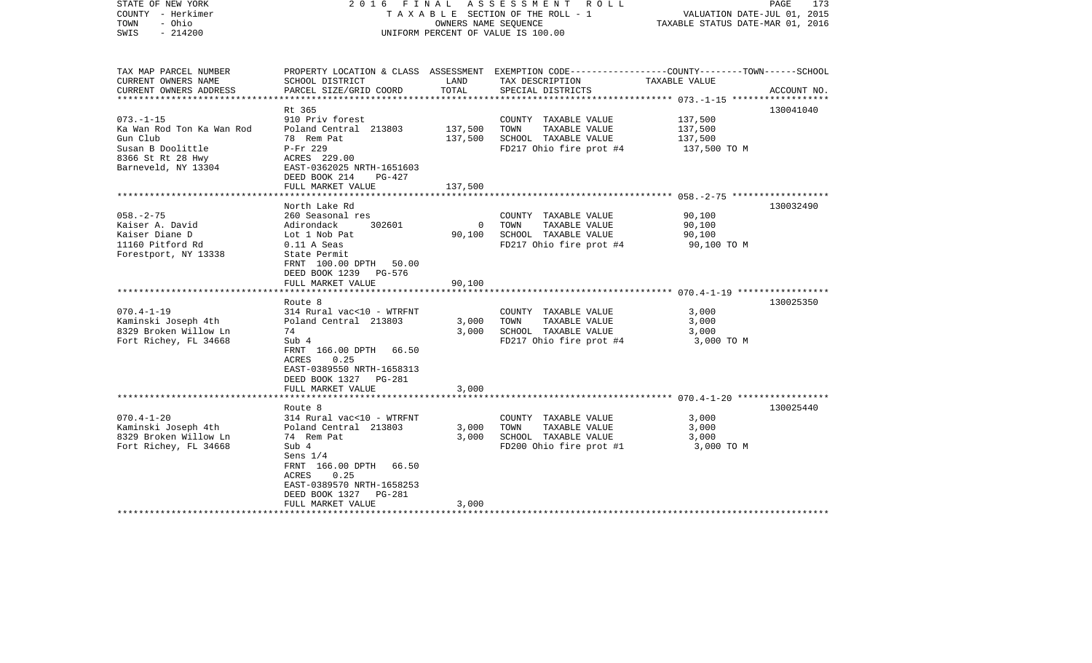| STATE OF NEW YORK<br>COUNTY - Herkimer<br>- Ohio<br>TOWN<br>$-214200$<br>SWIS                                             | 2016 FINAL<br>A S S E S S M E N T R O L L<br>TAXABLE SECTION OF THE ROLL - 1<br>OWNERS NAME SEOUENCE<br>UNIFORM PERCENT OF VALUE IS 100.00                                                                       |                               |                                                                                                                                         | PAGE<br>173<br>VALUATION DATE-JUL 01, 2015<br>TAXABLE STATUS DATE-MAR 01, 2016 |             |  |
|---------------------------------------------------------------------------------------------------------------------------|------------------------------------------------------------------------------------------------------------------------------------------------------------------------------------------------------------------|-------------------------------|-----------------------------------------------------------------------------------------------------------------------------------------|--------------------------------------------------------------------------------|-------------|--|
| TAX MAP PARCEL NUMBER<br>CURRENT OWNERS NAME<br>CURRENT OWNERS ADDRESS<br>**********************                          | SCHOOL DISTRICT<br>PARCEL SIZE/GRID COORD                                                                                                                                                                        | LAND<br>TOTAL                 | PROPERTY LOCATION & CLASS ASSESSMENT EXEMPTION CODE---------------COUNTY-------TOWN------SCHOOL<br>TAX DESCRIPTION<br>SPECIAL DISTRICTS | TAXABLE VALUE                                                                  | ACCOUNT NO. |  |
| $073. - 1 - 15$<br>Ka Wan Rod Ton Ka Wan Rod<br>Gun Club<br>Susan B Doolittle<br>8366 St Rt 28 Hwy<br>Barneveld, NY 13304 | Rt 365<br>910 Priv forest<br>Poland Central 213803<br>78 Rem Pat<br>P-Fr 229<br>ACRES 229.00<br>EAST-0362025 NRTH-1651603<br>DEED BOOK 214<br>PG-427<br>FULL MARKET VALUE                                        | 137,500<br>137,500<br>137,500 | COUNTY TAXABLE VALUE<br>TAXABLE VALUE<br>TOWN<br>SCHOOL TAXABLE VALUE<br>FD217 Ohio fire prot #4                                        | 137,500<br>137,500<br>137,500<br>137,500 TO M                                  | 130041040   |  |
|                                                                                                                           |                                                                                                                                                                                                                  |                               |                                                                                                                                         |                                                                                |             |  |
| $058. - 2 - 75$<br>Kaiser A. David<br>Kaiser Diane D<br>11160 Pitford Rd<br>Forestport, NY 13338                          | North Lake Rd<br>260 Seasonal res<br>302601<br>Adirondack<br>Lot 1 Nob Pat<br>$0.11$ A Seas<br>State Permit<br>FRNT 100.00 DPTH 50.00<br>DEED BOOK 1239 PG-576                                                   | $\mathbf 0$<br>90,100         | COUNTY TAXABLE VALUE<br>TOWN<br>TAXABLE VALUE<br>SCHOOL TAXABLE VALUE<br>FD217 Ohio fire prot #4                                        | 90,100<br>90,100<br>90,100<br>90,100 TO M                                      | 130032490   |  |
|                                                                                                                           | FULL MARKET VALUE                                                                                                                                                                                                | 90,100                        |                                                                                                                                         |                                                                                |             |  |
|                                                                                                                           |                                                                                                                                                                                                                  |                               |                                                                                                                                         |                                                                                |             |  |
| $070.4 - 1 - 19$<br>Kaminski Joseph 4th<br>8329 Broken Willow Ln<br>Fort Richey, FL 34668                                 | Route 8<br>314 Rural vac<10 - WTRFNT<br>Poland Central 213803<br>74<br>Sub 4<br>FRNT 166.00 DPTH 66.50<br>ACRES<br>0.25<br>EAST-0389550 NRTH-1658313<br>DEED BOOK 1327 PG-281                                    | 3,000<br>3,000                | COUNTY TAXABLE VALUE<br>TAXABLE VALUE<br>TOWN<br>SCHOOL TAXABLE VALUE<br>FD217 Ohio fire prot #4                                        | 3,000<br>3,000<br>3,000<br>3,000 TO M                                          | 130025350   |  |
|                                                                                                                           | FULL MARKET VALUE                                                                                                                                                                                                | 3,000                         |                                                                                                                                         |                                                                                |             |  |
|                                                                                                                           | Route 8                                                                                                                                                                                                          |                               |                                                                                                                                         |                                                                                | 130025440   |  |
| $070.4 - 1 - 20$<br>Kaminski Joseph 4th<br>8329 Broken Willow Ln<br>Fort Richey, FL 34668                                 | 314 Rural vac<10 - WTRFNT<br>Poland Central 213803<br>74 Rem Pat<br>Sub 4<br>Sens $1/4$<br>FRNT 166.00 DPTH 66.50<br>0.25<br>ACRES<br>EAST-0389570 NRTH-1658253<br>DEED BOOK 1327<br>PG-281<br>FULL MARKET VALUE | 3,000<br>3,000<br>3,000       | COUNTY TAXABLE VALUE<br>TOWN<br>TAXABLE VALUE<br>SCHOOL TAXABLE VALUE<br>FD200 Ohio fire prot #1                                        | 3,000<br>3,000<br>3,000<br>3,000 TO M                                          |             |  |
|                                                                                                                           |                                                                                                                                                                                                                  |                               |                                                                                                                                         |                                                                                |             |  |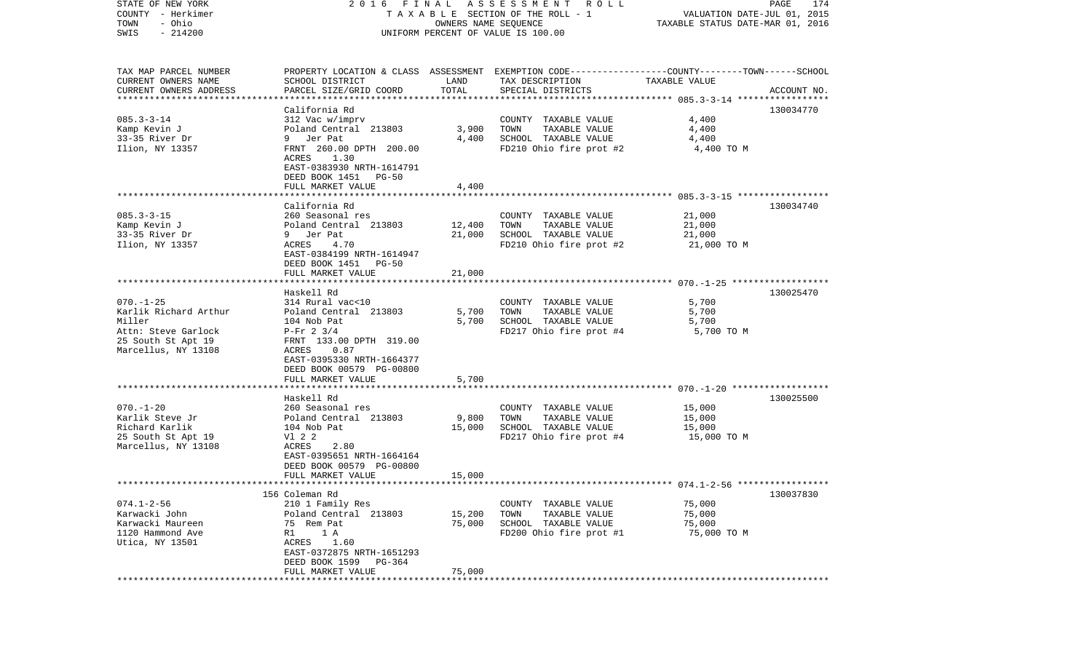| STATE OF NEW YORK               | 2016 FINAL                                     |                                 | ASSESSMENT ROLL                                                                                  |                                  | PAGE<br>174 |
|---------------------------------|------------------------------------------------|---------------------------------|--------------------------------------------------------------------------------------------------|----------------------------------|-------------|
| COUNTY - Herkimer               |                                                |                                 | TAXABLE SECTION OF THE ROLL - 1                                                                  | VALUATION DATE-JUL 01, 2015      |             |
| - Ohio<br>TOWN                  |                                                | OWNERS NAME SEQUENCE            |                                                                                                  | TAXABLE STATUS DATE-MAR 01, 2016 |             |
| $-214200$<br>SWIS               |                                                |                                 | UNIFORM PERCENT OF VALUE IS 100.00                                                               |                                  |             |
|                                 |                                                |                                 |                                                                                                  |                                  |             |
| TAX MAP PARCEL NUMBER           |                                                |                                 | PROPERTY LOCATION & CLASS ASSESSMENT EXEMPTION CODE----------------COUNTY-------TOWN------SCHOOL |                                  |             |
| CURRENT OWNERS NAME             | SCHOOL DISTRICT                                | LAND                            | TAX DESCRIPTION                                                                                  | TAXABLE VALUE                    |             |
| CURRENT OWNERS ADDRESS          | PARCEL SIZE/GRID COORD                         | TOTAL                           | SPECIAL DISTRICTS                                                                                |                                  | ACCOUNT NO. |
| *******************             |                                                |                                 |                                                                                                  |                                  |             |
|                                 | California Rd                                  |                                 |                                                                                                  |                                  | 130034770   |
| $085.3 - 3 - 14$                | 312 Vac w/imprv                                |                                 | COUNTY TAXABLE VALUE                                                                             | 4,400                            |             |
| Kamp Kevin J                    | Poland Central 213803                          | 3,900                           | TOWN<br>TAXABLE VALUE                                                                            | 4,400                            |             |
| 33-35 River Dr                  | Jer Pat<br>9                                   | 4,400                           | SCHOOL TAXABLE VALUE                                                                             | 4,400                            |             |
| Ilion, NY 13357                 | FRNT 260.00 DPTH 200.00                        |                                 | FD210 Ohio fire prot #2                                                                          | 4,400 TO M                       |             |
|                                 | ACRES<br>1.30                                  |                                 |                                                                                                  |                                  |             |
|                                 | EAST-0383930 NRTH-1614791                      |                                 |                                                                                                  |                                  |             |
|                                 | DEED BOOK 1451<br>PG-50                        |                                 |                                                                                                  |                                  |             |
|                                 | FULL MARKET VALUE                              | 4,400                           |                                                                                                  |                                  |             |
|                                 |                                                |                                 |                                                                                                  |                                  |             |
|                                 | California Rd                                  |                                 |                                                                                                  |                                  | 130034740   |
| $085.3 - 3 - 15$                | 260 Seasonal res                               |                                 | COUNTY TAXABLE VALUE                                                                             | 21,000                           |             |
| Kamp Kevin J                    | Poland Central 213803                          | 12,400                          | TAXABLE VALUE<br>TOWN                                                                            | 21,000                           |             |
| 33-35 River Dr                  | 9 Jer Pat                                      | 21,000                          | SCHOOL TAXABLE VALUE                                                                             | 21,000                           |             |
|                                 | 4.70<br>ACRES                                  |                                 |                                                                                                  |                                  |             |
| Ilion, NY 13357                 | EAST-0384199 NRTH-1614947                      |                                 | FD210 Ohio fire prot #2                                                                          | 21,000 TO M                      |             |
|                                 |                                                |                                 |                                                                                                  |                                  |             |
|                                 | DEED BOOK 1451<br>PG-50                        |                                 |                                                                                                  |                                  |             |
|                                 | FULL MARKET VALUE<br>************************* | 21,000<br>* * * * * * * * *     |                                                                                                  |                                  |             |
|                                 |                                                |                                 |                                                                                                  |                                  |             |
|                                 | Haskell Rd                                     |                                 |                                                                                                  |                                  | 130025470   |
| $070. - 1 - 25$                 | 314 Rural vac<10                               |                                 | COUNTY TAXABLE VALUE                                                                             | 5,700                            |             |
| Karlik Richard Arthur<br>Miller | Poland Central 213803                          | 5,700                           | TAXABLE VALUE<br>TOWN                                                                            | 5,700                            |             |
|                                 | 104 Nob Pat                                    | 5,700                           | SCHOOL TAXABLE VALUE                                                                             | 5,700                            |             |
| Attn: Steve Garlock             | $P-Fr$ 2 3/4                                   |                                 | FD217 Ohio fire prot #4                                                                          | 5,700 TO M                       |             |
| 25 South St Apt 19              | FRNT 133.00 DPTH 319.00                        |                                 |                                                                                                  |                                  |             |
| Marcellus, NY 13108             | ACRES<br>0.87                                  |                                 |                                                                                                  |                                  |             |
|                                 | EAST-0395330 NRTH-1664377                      |                                 |                                                                                                  |                                  |             |
|                                 | DEED BOOK 00579 PG-00800                       |                                 |                                                                                                  |                                  |             |
|                                 | FULL MARKET VALUE                              | 5,700                           |                                                                                                  |                                  |             |
|                                 |                                                |                                 |                                                                                                  |                                  |             |
|                                 | Haskell Rd                                     |                                 |                                                                                                  |                                  | 130025500   |
| $070. - 1 - 20$                 | 260 Seasonal res                               |                                 | COUNTY TAXABLE VALUE                                                                             | 15,000                           |             |
| Karlik Steve Jr                 | Poland Central 213803                          | 9,800                           | TOWN<br>TAXABLE VALUE                                                                            | 15,000                           |             |
| Richard Karlik                  | 104 Nob Pat                                    | 15,000                          | SCHOOL TAXABLE VALUE                                                                             | 15,000                           |             |
| 25 South St Apt 19              | V1 2 2                                         |                                 | FD217 Ohio fire prot #4                                                                          | 15,000 TO M                      |             |
| Marcellus, NY 13108             | 2.80<br>ACRES                                  |                                 |                                                                                                  |                                  |             |
|                                 | EAST-0395651 NRTH-1664164                      |                                 |                                                                                                  |                                  |             |
|                                 | DEED BOOK 00579 PG-00800                       |                                 |                                                                                                  |                                  |             |
| **********************          | FULL MARKET VALUE                              | 15,000<br>* * * * * * * * * * * |                                                                                                  |                                  |             |
|                                 |                                                |                                 |                                                                                                  |                                  |             |
|                                 | 156 Coleman Rd                                 |                                 |                                                                                                  |                                  | 130037830   |
| $074.1 - 2 - 56$                | 210 1 Family Res                               |                                 | TAXABLE VALUE<br>COUNTY                                                                          | 75,000                           |             |
| Karwacki John                   | Poland Central 213803                          | 15,200                          | TOWN<br>TAXABLE VALUE                                                                            | 75,000                           |             |
| Karwacki Maureen                | 75<br>Rem Pat                                  | 75,000                          | SCHOOL TAXABLE VALUE                                                                             | 75,000                           |             |
| 1120 Hammond Ave                | R1<br>1 A                                      |                                 | FD200 Ohio fire prot #1                                                                          | 75,000 TO M                      |             |
| Utica, NY 13501                 | ACRES<br>1.60                                  |                                 |                                                                                                  |                                  |             |
|                                 | EAST-0372875 NRTH-1651293                      |                                 |                                                                                                  |                                  |             |
|                                 | DEED BOOK 1599<br>PG-364                       |                                 |                                                                                                  |                                  |             |
|                                 | FULL MARKET VALUE                              | 75,000                          |                                                                                                  |                                  |             |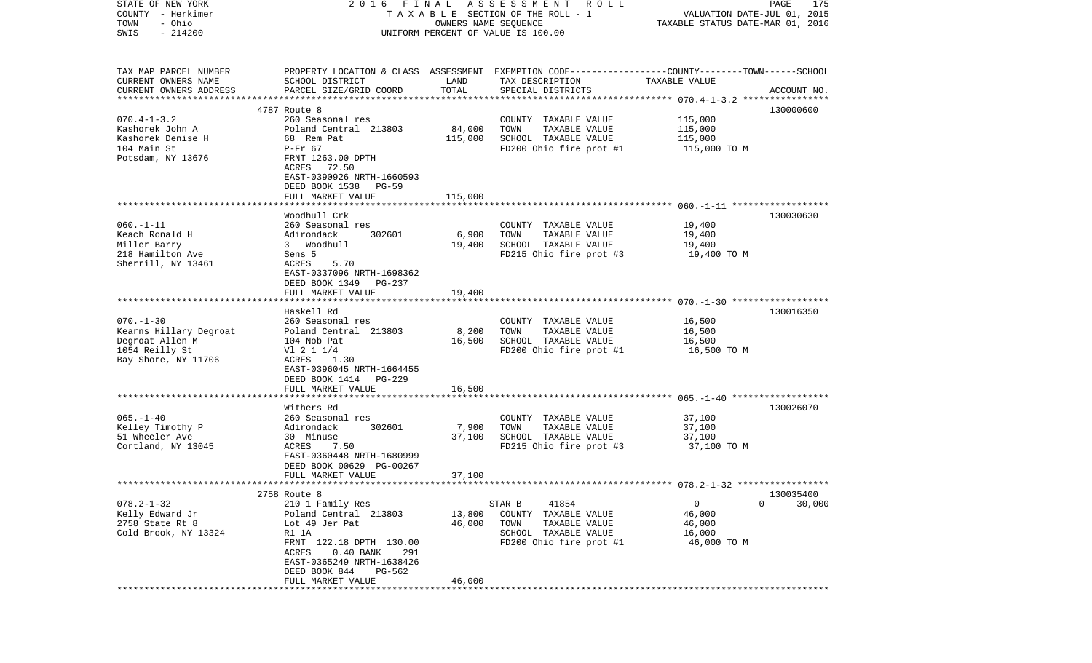| STATE OF NEW YORK                                   | 2016 FINAL                                                                                      |                         | A S S E S S M E N T<br><b>ROLL</b>    |                                  | PAGE<br>175 |
|-----------------------------------------------------|-------------------------------------------------------------------------------------------------|-------------------------|---------------------------------------|----------------------------------|-------------|
| COUNTY - Herkimer                                   |                                                                                                 |                         | TAXABLE SECTION OF THE ROLL - 1       | VALUATION DATE-JUL 01, 2015      |             |
| - Ohio<br>TOWN                                      |                                                                                                 | OWNERS NAME SEQUENCE    |                                       | TAXABLE STATUS DATE-MAR 01, 2016 |             |
| $-214200$<br>SWIS                                   |                                                                                                 |                         | UNIFORM PERCENT OF VALUE IS 100.00    |                                  |             |
|                                                     |                                                                                                 |                         |                                       |                                  |             |
|                                                     |                                                                                                 |                         |                                       |                                  |             |
| TAX MAP PARCEL NUMBER                               | PROPERTY LOCATION & CLASS ASSESSMENT EXEMPTION CODE---------------COUNTY-------TOWN------SCHOOL |                         |                                       |                                  |             |
| CURRENT OWNERS NAME                                 | SCHOOL DISTRICT                                                                                 | LAND                    | TAX DESCRIPTION                       | TAXABLE VALUE                    |             |
| CURRENT OWNERS ADDRESS<br>************************* | PARCEL SIZE/GRID COORD                                                                          | TOTAL                   | SPECIAL DISTRICTS                     |                                  | ACCOUNT NO. |
|                                                     | 4787 Route 8                                                                                    |                         |                                       |                                  | 130000600   |
| $070.4 - 1 - 3.2$                                   | 260 Seasonal res                                                                                |                         | COUNTY TAXABLE VALUE                  | 115,000                          |             |
| Kashorek John A                                     | Poland Central 213803                                                                           | 84,000                  | TOWN<br>TAXABLE VALUE                 | 115,000                          |             |
| Kashorek Denise H                                   | 68 Rem Pat                                                                                      | 115,000                 | SCHOOL TAXABLE VALUE                  | 115,000                          |             |
| 104 Main St                                         | $P-Fr$ 67                                                                                       |                         | FD200 Ohio fire prot #1               | 115,000 TO M                     |             |
| Potsdam, NY 13676                                   | FRNT 1263.00 DPTH                                                                               |                         |                                       |                                  |             |
|                                                     | ACRES<br>72.50                                                                                  |                         |                                       |                                  |             |
|                                                     | EAST-0390926 NRTH-1660593                                                                       |                         |                                       |                                  |             |
|                                                     | DEED BOOK 1538<br>PG-59                                                                         |                         |                                       |                                  |             |
|                                                     | FULL MARKET VALUE                                                                               | 115,000                 |                                       |                                  |             |
|                                                     |                                                                                                 |                         |                                       |                                  |             |
|                                                     | Woodhull Crk                                                                                    |                         |                                       |                                  | 130030630   |
| $060. -1 - 11$                                      | 260 Seasonal res                                                                                |                         | COUNTY TAXABLE VALUE                  | 19,400                           |             |
| Keach Ronald H                                      | 302601<br>Adirondack                                                                            | 6,900                   | TOWN<br>TAXABLE VALUE                 | 19,400                           |             |
| Miller Barry                                        | 3 Woodhull                                                                                      | 19,400                  | SCHOOL TAXABLE VALUE                  | 19,400                           |             |
| 218 Hamilton Ave                                    | Sens 5                                                                                          |                         | FD215 Ohio fire prot #3               | 19,400 TO M                      |             |
| Sherrill, NY 13461                                  | ACRES<br>5.70                                                                                   |                         |                                       |                                  |             |
|                                                     | EAST-0337096 NRTH-1698362                                                                       |                         |                                       |                                  |             |
|                                                     | DEED BOOK 1349<br>PG-237                                                                        |                         |                                       |                                  |             |
|                                                     | FULL MARKET VALUE                                                                               | 19,400                  |                                       |                                  |             |
|                                                     |                                                                                                 |                         |                                       |                                  |             |
|                                                     | Haskell Rd                                                                                      |                         |                                       |                                  | 130016350   |
| $070. - 1 - 30$                                     | 260 Seasonal res                                                                                |                         | COUNTY TAXABLE VALUE                  | 16,500                           |             |
| Kearns Hillary Degroat                              | Poland Central 213803                                                                           | 8,200                   | TAXABLE VALUE<br>TOWN                 | 16,500                           |             |
| Degroat Allen M                                     | 104 Nob Pat                                                                                     | 16,500                  | SCHOOL TAXABLE VALUE                  | 16,500                           |             |
| 1054 Reilly St                                      | $VI$ 2 1 1/4                                                                                    |                         | FD200 Ohio fire prot #1               | 16,500 TO M                      |             |
| Bay Shore, NY 11706                                 | ACRES<br>1.30                                                                                   |                         |                                       |                                  |             |
|                                                     | EAST-0396045 NRTH-1664455                                                                       |                         |                                       |                                  |             |
|                                                     | DEED BOOK 1414<br><b>PG-229</b>                                                                 |                         |                                       |                                  |             |
|                                                     | FULL MARKET VALUE<br>*****************                                                          | 16,500                  |                                       |                                  |             |
|                                                     |                                                                                                 |                         |                                       |                                  |             |
| $065. - 1 - 40$                                     | Withers Rd<br>260 Seasonal res                                                                  |                         | COUNTY TAXABLE VALUE                  | 37,100                           | 130026070   |
| Kelley Timothy P                                    | Adirondack<br>302601                                                                            | 7,900                   | TOWN<br>TAXABLE VALUE                 | 37,100                           |             |
| 51 Wheeler Ave                                      |                                                                                                 | 37,100                  | SCHOOL TAXABLE VALUE                  |                                  |             |
|                                                     | 30 Minuse<br>ACRES<br>7.50                                                                      |                         |                                       | 37,100                           |             |
| Cortland, NY 13045                                  |                                                                                                 |                         | FD215 Ohio fire prot #3               | 37,100 TO M                      |             |
|                                                     | EAST-0360448 NRTH-1680999<br>DEED BOOK 00629 PG-00267                                           |                         |                                       |                                  |             |
|                                                     | FULL MARKET VALUE                                                                               | 37,100                  |                                       |                                  |             |
|                                                     |                                                                                                 | * * * * * * * * * * * * |                                       |                                  |             |
|                                                     | 2758 Route 8                                                                                    |                         |                                       |                                  | 130035400   |
| $078.2 - 1 - 32$                                    | 210 1 Family Res                                                                                |                         | STAR B<br>41854                       | 0<br>0                           | 30,000      |
| Kelly Edward Jr                                     | Poland Central 213803                                                                           | 13,800                  | COUNTY TAXABLE VALUE                  | 46,000                           |             |
| 2758 State Rt 8                                     | Lot 49 Jer Pat                                                                                  | 46,000                  | TOWN<br>TAXABLE VALUE                 | 46,000                           |             |
| Cold Brook, NY 13324                                | R1 1A                                                                                           |                         | SCHOOL TAXABLE VALUE                  | 16,000                           |             |
|                                                     | FRNT 122.18 DPTH 130.00                                                                         |                         | FD200 Ohio fire prot #1               | 46,000 TO M                      |             |
|                                                     | ACRES<br>$0.40$ BANK<br>291                                                                     |                         |                                       |                                  |             |
|                                                     | EAST-0365249 NRTH-1638426                                                                       |                         |                                       |                                  |             |
|                                                     | DEED BOOK 844<br>PG-562                                                                         |                         |                                       |                                  |             |
|                                                     | FULL MARKET VALUE                                                                               | 46,000                  |                                       |                                  |             |
|                                                     | ******************************                                                                  |                         | ************************************* |                                  |             |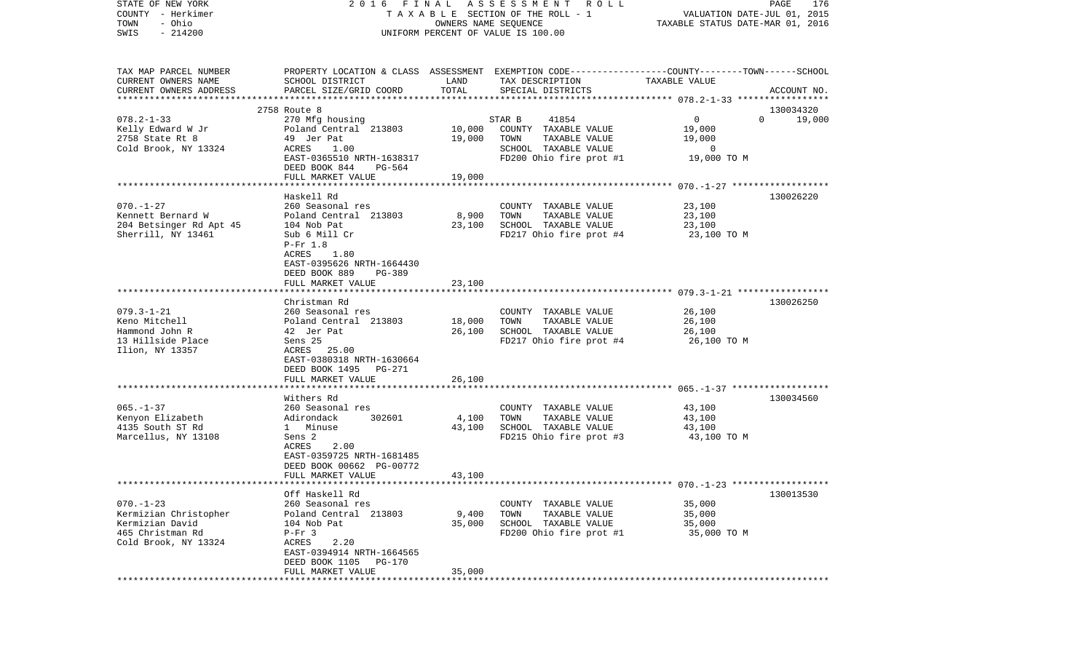| STATE OF NEW YORK         |                                |                      | 2016 FINAL ASSESSMENT<br>R O L L                                                                |                                  | PAGE<br>176        |
|---------------------------|--------------------------------|----------------------|-------------------------------------------------------------------------------------------------|----------------------------------|--------------------|
| COUNTY - Herkimer         |                                |                      | TAXABLE SECTION OF THE ROLL - 1                                                                 | VALUATION DATE-JUL 01, 2015      |                    |
| - Ohio<br>TOWN            |                                | OWNERS NAME SEQUENCE |                                                                                                 | TAXABLE STATUS DATE-MAR 01, 2016 |                    |
| $-214200$<br>SWIS         |                                |                      | UNIFORM PERCENT OF VALUE IS 100.00                                                              |                                  |                    |
|                           |                                |                      |                                                                                                 |                                  |                    |
| TAX MAP PARCEL NUMBER     |                                |                      | PROPERTY LOCATION & CLASS ASSESSMENT EXEMPTION CODE---------------COUNTY-------TOWN------SCHOOL |                                  |                    |
| CURRENT OWNERS NAME       | SCHOOL DISTRICT                | LAND                 | TAX DESCRIPTION                                                                                 | TAXABLE VALUE                    |                    |
| CURRENT OWNERS ADDRESS    | PARCEL SIZE/GRID COORD         | TOTAL                | SPECIAL DISTRICTS                                                                               |                                  | ACCOUNT NO.        |
| ************************* |                                |                      |                                                                                                 |                                  |                    |
|                           | 2758 Route 8                   |                      |                                                                                                 |                                  | 130034320          |
| $078.2 - 1 - 33$          | 270 Mfg housing                |                      | 41854<br>STAR B                                                                                 | 0                                | $\Omega$<br>19,000 |
| Kelly Edward W Jr         | Poland Central 213803          | 10,000               | COUNTY TAXABLE VALUE                                                                            | 19,000                           |                    |
| 2758 State Rt 8           | 49 Jer Pat                     | 19,000               | TAXABLE VALUE<br>TOWN                                                                           | 19,000                           |                    |
| Cold Brook, NY 13324      | ACRES<br>1.00                  |                      | SCHOOL TAXABLE VALUE                                                                            | $\overline{0}$                   |                    |
|                           | EAST-0365510 NRTH-1638317      |                      | FD200 Ohio fire prot #1                                                                         | 19,000 TO M                      |                    |
|                           | DEED BOOK 844<br>PG-564        |                      |                                                                                                 |                                  |                    |
|                           | FULL MARKET VALUE              | 19,000               |                                                                                                 |                                  |                    |
|                           |                                |                      |                                                                                                 |                                  |                    |
|                           | Haskell Rd                     |                      |                                                                                                 |                                  | 130026220          |
| $070. - 1 - 27$           | 260 Seasonal res               |                      | COUNTY TAXABLE VALUE                                                                            | 23,100                           |                    |
| Kennett Bernard W         | Poland Central 213803          | 8,900                | TAXABLE VALUE<br>TOWN                                                                           | 23,100                           |                    |
| 204 Betsinger Rd Apt 45   | 104 Nob Pat                    | 23,100               | SCHOOL TAXABLE VALUE                                                                            | 23,100                           |                    |
| Sherrill, NY 13461        |                                |                      | FD217 Ohio fire prot #4                                                                         |                                  |                    |
|                           | Sub 6 Mill Cr                  |                      |                                                                                                 | 23,100 TO M                      |                    |
|                           | $P-Fr$ 1.8                     |                      |                                                                                                 |                                  |                    |
|                           | ACRES<br>1.80                  |                      |                                                                                                 |                                  |                    |
|                           | EAST-0395626 NRTH-1664430      |                      |                                                                                                 |                                  |                    |
|                           | DEED BOOK 889<br><b>PG-389</b> |                      |                                                                                                 |                                  |                    |
|                           | FULL MARKET VALUE              | 23,100               |                                                                                                 |                                  |                    |
|                           |                                |                      |                                                                                                 |                                  |                    |
|                           | Christman Rd                   |                      |                                                                                                 |                                  | 130026250          |
| $079.3 - 1 - 21$          | 260 Seasonal res               |                      | COUNTY TAXABLE VALUE                                                                            | 26,100                           |                    |
| Keno Mitchell             | Poland Central 213803          | 18,000               | TOWN<br>TAXABLE VALUE                                                                           | 26,100                           |                    |
| Hammond John R            | 42 Jer Pat                     | 26,100               | SCHOOL TAXABLE VALUE                                                                            | 26,100                           |                    |
| 13 Hillside Place         | Sens 25                        |                      | FD217 Ohio fire prot #4                                                                         | 26,100 TO M                      |                    |
| Ilion, NY 13357           | ACRES 25.00                    |                      |                                                                                                 |                                  |                    |
|                           | EAST-0380318 NRTH-1630664      |                      |                                                                                                 |                                  |                    |
|                           | DEED BOOK 1495 PG-271          |                      |                                                                                                 |                                  |                    |
|                           | FULL MARKET VALUE              | 26,100               |                                                                                                 |                                  |                    |
|                           | *********************          |                      |                                                                                                 |                                  |                    |
|                           | Withers Rd                     |                      |                                                                                                 |                                  | 130034560          |
| $065. - 1 - 37$           | 260 Seasonal res               |                      | COUNTY TAXABLE VALUE                                                                            | 43,100                           |                    |
| Kenyon Elizabeth          | Adirondack<br>302601           | 4,100                | TOWN<br>TAXABLE VALUE                                                                           | 43,100                           |                    |
| 4135 South ST Rd          | 1 Minuse                       | 43,100               | SCHOOL TAXABLE VALUE                                                                            | 43,100                           |                    |
| Marcellus, NY 13108       | Sens 2                         |                      | FD215 Ohio fire prot #3                                                                         | 43,100 TO M                      |                    |
|                           | ACRES<br>2.00                  |                      |                                                                                                 |                                  |                    |
|                           | EAST-0359725 NRTH-1681485      |                      |                                                                                                 |                                  |                    |
|                           | DEED BOOK 00662 PG-00772       |                      |                                                                                                 |                                  |                    |
|                           | FULL MARKET VALUE              | 43,100               |                                                                                                 |                                  |                    |
|                           |                                |                      |                                                                                                 |                                  |                    |
|                           | Off Haskell Rd                 |                      |                                                                                                 |                                  | 130013530          |
| $070. - 1 - 23$           | 260 Seasonal res               |                      | COUNTY TAXABLE VALUE                                                                            | 35,000                           |                    |
| Kermizian Christopher     | Poland Central 213803          | 9,400                | TOWN<br>TAXABLE VALUE                                                                           | 35,000                           |                    |
| Kermizian David           | 104 Nob Pat                    | 35,000               | SCHOOL TAXABLE VALUE                                                                            | 35,000                           |                    |
| 465 Christman Rd          | $P-Fr$ 3                       |                      | FD200 Ohio fire prot #1                                                                         | 35,000 TO M                      |                    |
| Cold Brook, NY 13324      | 2.20<br>ACRES                  |                      |                                                                                                 |                                  |                    |
|                           | EAST-0394914 NRTH-1664565      |                      |                                                                                                 |                                  |                    |
|                           | DEED BOOK 1105<br>PG-170       |                      |                                                                                                 |                                  |                    |
|                           | FULL MARKET VALUE              | 35,000               |                                                                                                 |                                  |                    |
|                           | *************************      |                      |                                                                                                 |                                  |                    |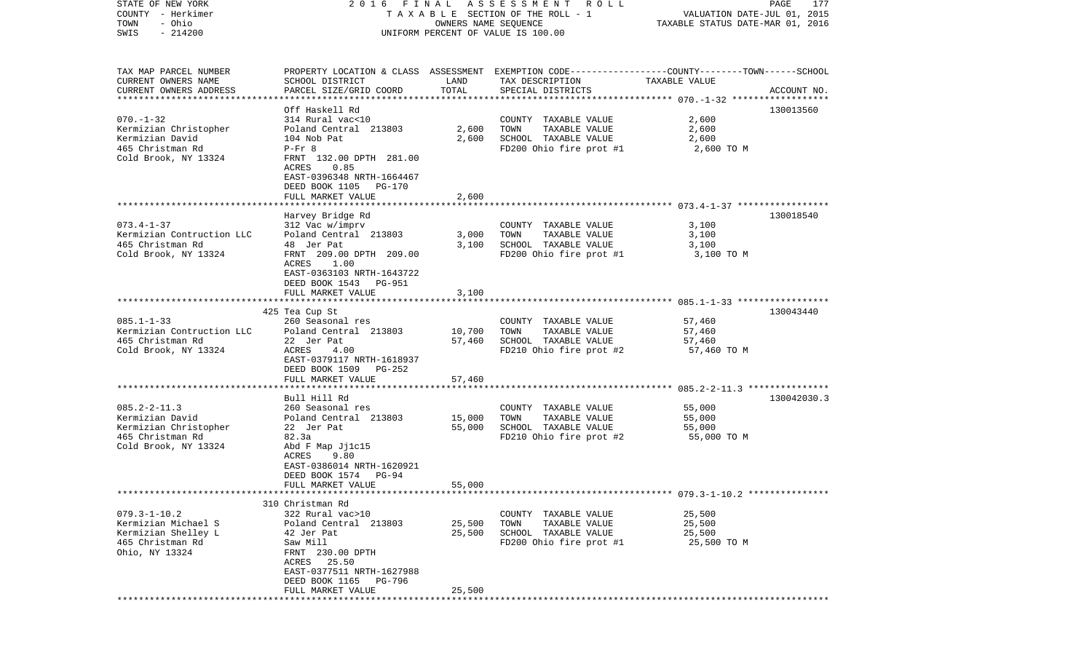| COUNTY<br>– Herkimer<br>- Ohio<br>TOWN<br>$-214200$<br>SWIS | T A X A B L E SECTION OF THE ROLL - 1<br>UNIFORM PERCENT OF VALUE IS 100.00                                            | VALUATION DATE-JUL 01, 2015<br>TAXABLE STATUS DATE-MAR 01, 2016 |                                                                                                                    |                                                        |             |
|-------------------------------------------------------------|------------------------------------------------------------------------------------------------------------------------|-----------------------------------------------------------------|--------------------------------------------------------------------------------------------------------------------|--------------------------------------------------------|-------------|
| TAX MAP PARCEL NUMBER<br>CURRENT OWNERS NAME                | SCHOOL DISTRICT                                                                                                        | LAND                                                            | PROPERTY LOCATION & CLASS ASSESSMENT EXEMPTION CODE---------------COUNTY-------TOWN------SCHOOL<br>TAX DESCRIPTION | TAXABLE VALUE                                          |             |
| CURRENT OWNERS ADDRESS                                      | PARCEL SIZE/GRID COORD                                                                                                 | TOTAL                                                           | SPECIAL DISTRICTS                                                                                                  |                                                        | ACCOUNT NO. |
|                                                             | Off Haskell Rd                                                                                                         |                                                                 |                                                                                                                    |                                                        | 130013560   |
| $070. - 1 - 32$                                             | 314 Rural vac<10                                                                                                       |                                                                 | TAXABLE VALUE<br>COUNTY                                                                                            | 2,600                                                  |             |
| Kermizian Christopher                                       | Poland Central 213803                                                                                                  | 2,600                                                           | TOWN<br>TAXABLE VALUE                                                                                              | 2,600                                                  |             |
| Kermizian David                                             | 104 Nob Pat                                                                                                            | 2,600                                                           | SCHOOL TAXABLE VALUE                                                                                               | 2,600                                                  |             |
| 465 Christman Rd<br>Cold Brook, NY 13324                    | $P-Fr$ 8<br>FRNT 132.00 DPTH 281.00<br>ACRES<br>0.85<br>EAST-0396348 NRTH-1664467<br>DEED BOOK 1105<br>PG-170          |                                                                 | FD200 Ohio fire prot #1                                                                                            | 2,600 TO M                                             |             |
|                                                             | FULL MARKET VALUE                                                                                                      | 2,600                                                           |                                                                                                                    |                                                        |             |
|                                                             | Harvey Bridge Rd                                                                                                       |                                                                 |                                                                                                                    |                                                        | 130018540   |
| $073.4 - 1 - 37$                                            | 312 Vac w/imprv                                                                                                        |                                                                 | COUNTY TAXABLE VALUE                                                                                               | 3,100                                                  |             |
| Kermizian Contruction LLC                                   | Poland Central 213803                                                                                                  | 3,000                                                           | TOWN<br>TAXABLE VALUE                                                                                              | 3,100                                                  |             |
| 465 Christman Rd                                            | 48 Jer Pat                                                                                                             | 3,100                                                           | SCHOOL TAXABLE VALUE                                                                                               | 3,100                                                  |             |
| Cold Brook, NY 13324                                        | FRNT 209.00 DPTH 209.00<br>ACRES<br>1.00<br>EAST-0363103 NRTH-1643722<br>DEED BOOK 1543<br>PG-951<br>FULL MARKET VALUE | 3,100                                                           | FD200 Ohio fire prot #1                                                                                            | 3,100 TO M                                             |             |
|                                                             |                                                                                                                        |                                                                 |                                                                                                                    |                                                        |             |
|                                                             | 425 Tea Cup St                                                                                                         |                                                                 |                                                                                                                    |                                                        | 130043440   |
| $085.1 - 1 - 33$                                            | 260 Seasonal res                                                                                                       |                                                                 | COUNTY TAXABLE VALUE                                                                                               | 57,460                                                 |             |
| Kermizian Contruction LLC<br>465 Christman Rd               | Poland Central 213803<br>22 Jer Pat                                                                                    | 10,700<br>57,460                                                | TOWN<br>TAXABLE VALUE<br>SCHOOL TAXABLE VALUE                                                                      | 57,460<br>57,460                                       |             |
| Cold Brook, NY 13324                                        | ACRES<br>4.00                                                                                                          |                                                                 | FD210 Ohio fire prot #2                                                                                            | 57,460 TO M                                            |             |
|                                                             | EAST-0379117 NRTH-1618937                                                                                              |                                                                 |                                                                                                                    |                                                        |             |
|                                                             | DEED BOOK 1509<br>PG-252                                                                                               |                                                                 |                                                                                                                    |                                                        |             |
|                                                             | FULL MARKET VALUE<br>******************                                                                                | 57,460                                                          |                                                                                                                    |                                                        |             |
|                                                             | Bull Hill Rd                                                                                                           |                                                                 |                                                                                                                    | ************************* 085.2-2-11.3 *************** | 130042030.3 |
| $085.2 - 2 - 11.3$                                          | 260 Seasonal res                                                                                                       |                                                                 | COUNTY<br>TAXABLE VALUE                                                                                            | 55,000                                                 |             |
| Kermizian David                                             | Poland Central 213803                                                                                                  | 15,000                                                          | TOWN<br>TAXABLE VALUE                                                                                              | 55,000                                                 |             |
| Kermizian Christopher                                       | 22 Jer Pat                                                                                                             | 55,000                                                          | SCHOOL TAXABLE VALUE                                                                                               | 55,000                                                 |             |
| 465 Christman Rd                                            | 82.3a                                                                                                                  |                                                                 | FD210 Ohio fire prot #2                                                                                            | 55,000 TO M                                            |             |
| Cold Brook, NY 13324                                        | Abd F Map Jj1c15<br>9.80<br>ACRES                                                                                      |                                                                 |                                                                                                                    |                                                        |             |
|                                                             | EAST-0386014 NRTH-1620921                                                                                              |                                                                 |                                                                                                                    |                                                        |             |
|                                                             | DEED BOOK 1574<br>PG-94                                                                                                |                                                                 |                                                                                                                    |                                                        |             |
|                                                             | FULL MARKET VALUE                                                                                                      | 55,000                                                          |                                                                                                                    |                                                        |             |
|                                                             |                                                                                                                        |                                                                 |                                                                                                                    |                                                        |             |
| $079.3 - 1 - 10.2$                                          | 310 Christman Rd<br>322 Rural vac>10                                                                                   |                                                                 | TAXABLE VALUE<br>COUNTY                                                                                            | 25,500                                                 |             |
| Kermizian Michael S                                         | Poland Central 213803                                                                                                  | 25,500                                                          | TOWN<br>TAXABLE VALUE                                                                                              | 25,500                                                 |             |
| Kermizian Shelley L                                         | 42 Jer Pat                                                                                                             | 25,500                                                          | SCHOOL TAXABLE VALUE                                                                                               | 25,500                                                 |             |
| 465 Christman Rd                                            | Saw Mill                                                                                                               |                                                                 | FD200 Ohio fire prot #1                                                                                            | 25,500 TO M                                            |             |
| Ohio, NY 13324                                              | FRNT 230.00 DPTH                                                                                                       |                                                                 |                                                                                                                    |                                                        |             |
|                                                             | 25.50<br>ACRES<br>EAST-0377511 NRTH-1627988                                                                            |                                                                 |                                                                                                                    |                                                        |             |
|                                                             | DEED BOOK 1165<br>PG-796                                                                                               |                                                                 |                                                                                                                    |                                                        |             |
|                                                             | FULL MARKET VALUE                                                                                                      | 25,500                                                          |                                                                                                                    |                                                        |             |
|                                                             |                                                                                                                        |                                                                 |                                                                                                                    |                                                        |             |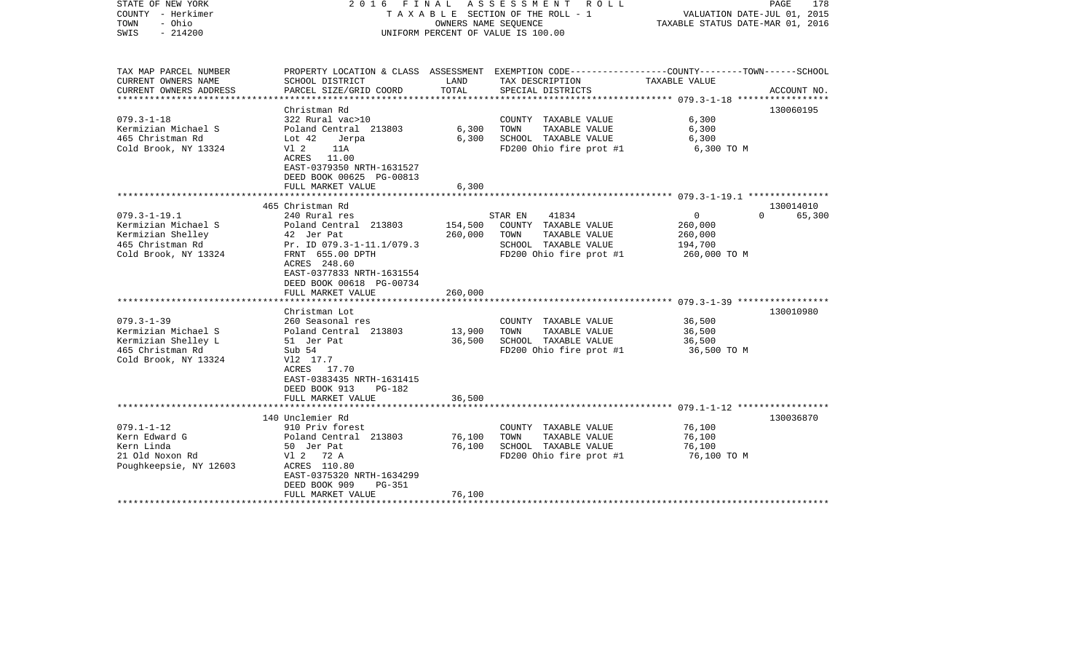| STATE OF NEW YORK<br>COUNTY - Herkimer<br>- Ohio<br>TOWN<br>$-214200$<br>SWIS | ASSESSMENT ROLL<br>FINAL<br>2016<br>TAXABLE SECTION OF THE ROLL - 1<br>OWNERS NAME SEQUENCE<br>UNIFORM PERCENT OF VALUE IS 100.00 |         |                                                                                                                     | PAGE<br>178<br>VALUATION DATE-JUL 01, 2015<br>TAXABLE STATUS DATE-MAR 01, 2016 |             |
|-------------------------------------------------------------------------------|-----------------------------------------------------------------------------------------------------------------------------------|---------|---------------------------------------------------------------------------------------------------------------------|--------------------------------------------------------------------------------|-------------|
| TAX MAP PARCEL NUMBER<br>CURRENT OWNERS NAME                                  | SCHOOL DISTRICT                                                                                                                   | LAND    | PROPERTY LOCATION & CLASS ASSESSMENT EXEMPTION CODE----------------COUNTY-------TOWN------SCHOOL<br>TAX DESCRIPTION | TAXABLE VALUE                                                                  |             |
| CURRENT OWNERS ADDRESS                                                        | PARCEL SIZE/GRID COORD                                                                                                            | TOTAL   | SPECIAL DISTRICTS                                                                                                   |                                                                                | ACCOUNT NO. |
|                                                                               |                                                                                                                                   |         |                                                                                                                     |                                                                                |             |
|                                                                               | Christman Rd                                                                                                                      |         |                                                                                                                     |                                                                                | 130060195   |
| $079.3 - 1 - 18$<br>Kermizian Michael S                                       | 322 Rural vac>10<br>Poland Central 213803                                                                                         | 6,300   | COUNTY TAXABLE VALUE<br>TAXABLE VALUE<br>TOWN                                                                       | 6,300<br>6,300                                                                 |             |
| 465 Christman Rd                                                              | Lot $42$<br>Jerpa                                                                                                                 | 6,300   | SCHOOL TAXABLE VALUE                                                                                                | 6,300                                                                          |             |
| Cold Brook, NY 13324                                                          | V1 2<br>11A                                                                                                                       |         | FD200 Ohio fire prot #1                                                                                             | 6,300 TO M                                                                     |             |
|                                                                               | ACRES 11.00                                                                                                                       |         |                                                                                                                     |                                                                                |             |
|                                                                               | EAST-0379350 NRTH-1631527                                                                                                         |         |                                                                                                                     |                                                                                |             |
|                                                                               | DEED BOOK 00625 PG-00813                                                                                                          |         |                                                                                                                     |                                                                                |             |
|                                                                               | FULL MARKET VALUE                                                                                                                 | 6,300   |                                                                                                                     |                                                                                |             |
|                                                                               | 465 Christman Rd                                                                                                                  |         |                                                                                                                     |                                                                                | 130014010   |
| $079.3 - 1 - 19.1$                                                            | 240 Rural res                                                                                                                     |         | 41834<br>STAR EN                                                                                                    | $\overline{0}$<br>$\Omega$                                                     | 65,300      |
| Kermizian Michael S                                                           | Poland Central 213803                                                                                                             | 154,500 | COUNTY TAXABLE VALUE                                                                                                | 260,000                                                                        |             |
| Kermizian Shelley                                                             | 42 Jer Pat                                                                                                                        | 260,000 | TOWN<br>TAXABLE VALUE                                                                                               | 260,000                                                                        |             |
| 465 Christman Rd                                                              | Pr. ID 079.3-1-11.1/079.3                                                                                                         |         | SCHOOL TAXABLE VALUE                                                                                                | 194,700                                                                        |             |
| Cold Brook, NY 13324                                                          | FRNT 655.00 DPTH<br>ACRES 248.60                                                                                                  |         | FD200 Ohio fire prot #1                                                                                             | 260,000 TO M                                                                   |             |
|                                                                               | EAST-0377833 NRTH-1631554                                                                                                         |         |                                                                                                                     |                                                                                |             |
|                                                                               | DEED BOOK 00618 PG-00734                                                                                                          |         |                                                                                                                     |                                                                                |             |
|                                                                               | FULL MARKET VALUE                                                                                                                 | 260,000 |                                                                                                                     |                                                                                |             |
|                                                                               |                                                                                                                                   |         |                                                                                                                     |                                                                                |             |
|                                                                               | Christman Lot                                                                                                                     |         |                                                                                                                     |                                                                                | 130010980   |
| $079.3 - 1 - 39$<br>Kermizian Michael S                                       | 260 Seasonal res                                                                                                                  | 13,900  | COUNTY TAXABLE VALUE<br>TOWN<br>TAXABLE VALUE                                                                       | 36,500<br>36,500                                                               |             |
| Kermizian Shelley L                                                           | Poland Central 213803<br>51 Jer Pat                                                                                               | 36,500  | SCHOOL TAXABLE VALUE                                                                                                | 36,500                                                                         |             |
| 465 Christman Rd                                                              | Sub 54                                                                                                                            |         | FD200 Ohio fire prot #1                                                                                             | 36,500 TO M                                                                    |             |
| Cold Brook, NY 13324                                                          | V12 17.7                                                                                                                          |         |                                                                                                                     |                                                                                |             |
|                                                                               | ACRES 17.70                                                                                                                       |         |                                                                                                                     |                                                                                |             |
|                                                                               | EAST-0383435 NRTH-1631415                                                                                                         |         |                                                                                                                     |                                                                                |             |
|                                                                               | DEED BOOK 913<br>$PG-182$<br>FULL MARKET VALUE                                                                                    | 36,500  |                                                                                                                     |                                                                                |             |
|                                                                               | *************************                                                                                                         |         |                                                                                                                     |                                                                                |             |
|                                                                               | 140 Unclemier Rd                                                                                                                  |         |                                                                                                                     |                                                                                | 130036870   |
| $079.1 - 1 - 12$                                                              | 910 Priv forest                                                                                                                   |         | COUNTY TAXABLE VALUE                                                                                                | 76,100                                                                         |             |
| Kern Edward G                                                                 | Poland Central 213803                                                                                                             | 76,100  | TAXABLE VALUE<br>TOWN                                                                                               | 76,100                                                                         |             |
| Kern Linda                                                                    | 50 Jer Pat                                                                                                                        | 76,100  | SCHOOL TAXABLE VALUE                                                                                                | 76,100                                                                         |             |
| 21 Old Noxon Rd<br>Poughkeepsie, NY 12603                                     | V1 2 72 A<br>ACRES 110.80                                                                                                         |         | FD200 Ohio fire prot #1                                                                                             | 76,100 то м                                                                    |             |
|                                                                               | EAST-0375320 NRTH-1634299                                                                                                         |         |                                                                                                                     |                                                                                |             |
|                                                                               | DEED BOOK 909<br>$PG-351$                                                                                                         |         |                                                                                                                     |                                                                                |             |
|                                                                               | FULL MARKET VALUE                                                                                                                 | 76,100  |                                                                                                                     |                                                                                |             |
|                                                                               |                                                                                                                                   |         |                                                                                                                     |                                                                                |             |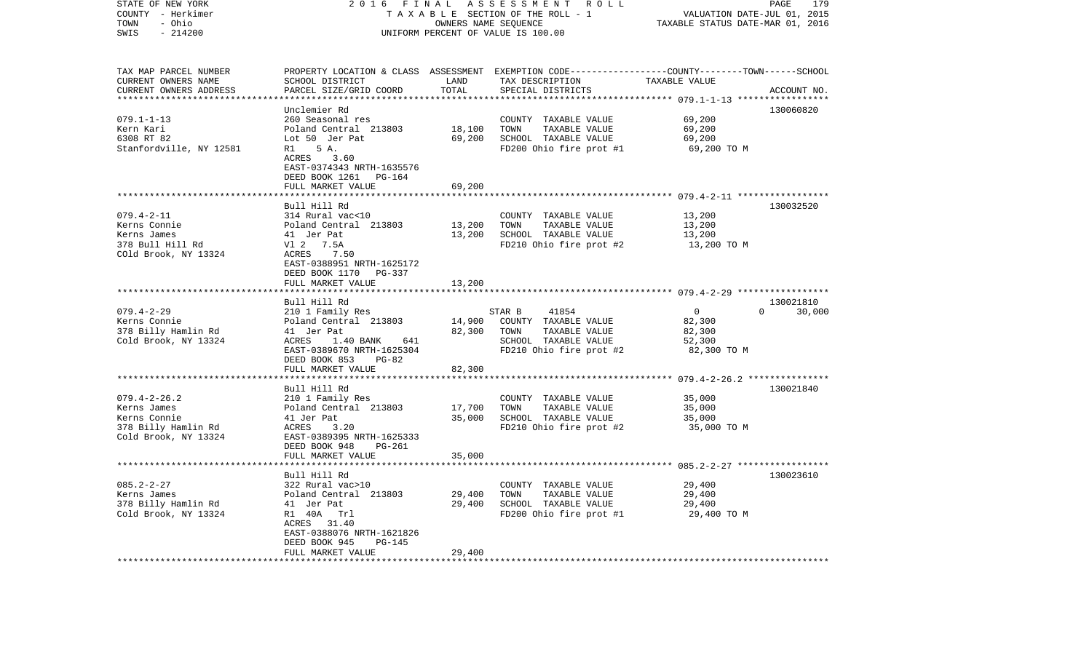| STATE OF NEW YORK<br>COUNTY - Herkimer<br>- Ohio<br>TOWN<br>SWIS<br>$-214200$                    | 2016<br>FINAL<br>A S S E S S M E N T R O L L<br>TAXABLE SECTION OF THE ROLL - 1<br>OWNERS NAME SEQUENCE<br>UNIFORM PERCENT OF VALUE IS 100.00                                      |                                |                                                                                                                                        | PAGE<br>179<br>VALUATION DATE-JUL 01, 2015<br>TAXABLE STATUS DATE-MAR 01, 2016 |                            |  |
|--------------------------------------------------------------------------------------------------|------------------------------------------------------------------------------------------------------------------------------------------------------------------------------------|--------------------------------|----------------------------------------------------------------------------------------------------------------------------------------|--------------------------------------------------------------------------------|----------------------------|--|
| TAX MAP PARCEL NUMBER<br>CURRENT OWNERS NAME<br>CURRENT OWNERS ADDRESS                           | SCHOOL DISTRICT<br>PARCEL SIZE/GRID COORD                                                                                                                                          | LAND<br>TOTAL<br>************* | PROPERTY LOCATION & CLASS ASSESSMENT EXEMPTION CODE---------------COUNTY-------TOWN-----SCHOOL<br>TAX DESCRIPTION<br>SPECIAL DISTRICTS | TAXABLE VALUE                                                                  | ACCOUNT NO.                |  |
| $079.1 - 1 - 13$<br>Kern Kari<br>6308 RT 82<br>Stanfordville, NY 12581                           | Unclemier Rd<br>260 Seasonal res<br>Poland Central 213803<br>Lot 50 Jer Pat<br>5 A.<br>R1<br>ACRES 3.60<br>EAST-0374343 NRTH-1635576<br>DEED BOOK 1261 PG-164<br>FULL MARKET VALUE | 18,100<br>69,200<br>69,200     | COUNTY TAXABLE VALUE<br>TOWN<br>TAXABLE VALUE<br>SCHOOL TAXABLE VALUE<br>FD200 Ohio fire prot #1                                       | 69,200<br>69,200<br>69,200<br>69,200 TO M                                      | 130060820                  |  |
| $079.4 - 2 - 11$<br>Kerns Connie<br>Kerns James<br>378 Bull Hill Rd<br>COld Brook, NY 13324      | Bull Hill Rd<br>314 Rural vac<10<br>Poland Central 213803<br>41 Jer Pat<br>V1 2 7.5A<br>ACRES 7.50<br>EAST-0388951 NRTH-1625172<br>DEED BOOK 1170<br>PG-337<br>FULL MARKET VALUE   | 13,200<br>13,200<br>13,200     | COUNTY TAXABLE VALUE<br>TOWN<br>TAXABLE VALUE<br>SCHOOL TAXABLE VALUE<br>FD210 Ohio fire prot #2                                       | 13,200<br>13,200<br>13,200<br>13,200 TO M                                      | 130032520                  |  |
| $079.4 - 2 - 29$<br>Kerns Connie<br>378 Billy Hamlin Rd<br>Cold Brook, NY 13324                  | Bull Hill Rd<br>210 1 Family Res<br>Poland Central 213803<br>41 Jer Pat<br>641<br>ACRES<br>1.40 BANK<br>EAST-0389670 NRTH-1625304<br>DEED BOOK 853<br>PG-82<br>FULL MARKET VALUE   | 14,900<br>82,300<br>82,300     | STAR B<br>41854<br>COUNTY TAXABLE VALUE<br>TOWN<br>TAXABLE VALUE<br>SCHOOL TAXABLE VALUE<br>FD210 Ohio fire prot #2                    | $\overline{0}$<br>82,300<br>82,300<br>52,300<br>82,300 TO M                    | 130021810<br>$0 \t 30,000$ |  |
| $079.4 - 2 - 26.2$<br>Kerns James<br>Kerns Connie<br>378 Billy Hamlin Rd<br>Cold Brook, NY 13324 | Bull Hill Rd<br>210 1 Family Res<br>Poland Central 213803<br>41 Jer Pat<br>3.20<br>ACRES<br>EAST-0389395 NRTH-1625333<br>DEED BOOK 948<br>PG-261<br>FULL MARKET VALUE              | 17,700<br>35,000<br>35,000     | COUNTY TAXABLE VALUE<br>TOWN<br>TAXABLE VALUE<br>SCHOOL TAXABLE VALUE<br>FD210 Ohio fire prot #2                                       | 35,000<br>35,000<br>35,000<br>35,000 TO M                                      | 130021840                  |  |
| $085.2 - 2 - 27$<br>Kerns James<br>378 Billy Hamlin Rd<br>Cold Brook, NY 13324                   | Bull Hill Rd<br>322 Rural vac>10<br>Poland Central 213803<br>41 Jer Pat<br>R1 40A Trl<br>ACRES 31.40<br>EAST-0388076 NRTH-1621826<br>DEED BOOK 945<br>PG-145<br>FULL MARKET VALUE  | 29,400<br>29,400<br>29,400     | COUNTY TAXABLE VALUE<br>TOWN<br>TAXABLE VALUE<br>SCHOOL TAXABLE VALUE<br>FD200 Ohio fire prot #1                                       | 29,400<br>29,400<br>29,400<br>29,400 TO M                                      | 130023610                  |  |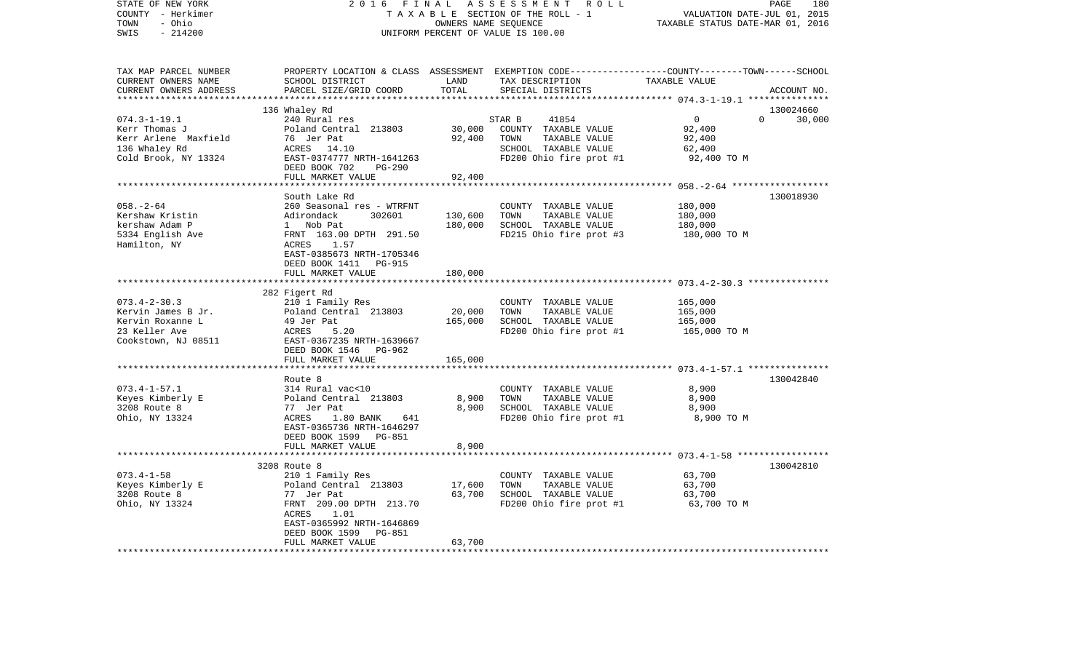| STATE OF NEW YORK<br>COUNTY - Herkimer | 2 0 1 6<br>FINAL                             |                           | A S S E S S M E N T<br>R O L L<br>TAXABLE SECTION OF THE ROLL - 1 | PAGE<br>180<br>VALUATION DATE-JUL 01, 2015                                                       |
|----------------------------------------|----------------------------------------------|---------------------------|-------------------------------------------------------------------|--------------------------------------------------------------------------------------------------|
| - Ohio<br>TOWN                         |                                              |                           | OWNERS NAME SEQUENCE                                              | TAXABLE STATUS DATE-MAR 01, 2016                                                                 |
| SWIS<br>$-214200$                      |                                              |                           | UNIFORM PERCENT OF VALUE IS 100.00                                |                                                                                                  |
|                                        |                                              |                           |                                                                   |                                                                                                  |
| TAX MAP PARCEL NUMBER                  |                                              |                           |                                                                   | PROPERTY LOCATION & CLASS ASSESSMENT EXEMPTION CODE----------------COUNTY-------TOWN------SCHOOL |
| CURRENT OWNERS NAME                    | SCHOOL DISTRICT                              | LAND                      | TAX DESCRIPTION                                                   | TAXABLE VALUE                                                                                    |
| CURRENT OWNERS ADDRESS                 | PARCEL SIZE/GRID COORD                       | TOTAL                     | SPECIAL DISTRICTS                                                 | ACCOUNT NO.                                                                                      |
| ***********************                |                                              |                           |                                                                   |                                                                                                  |
|                                        | 136 Whaley Rd                                |                           |                                                                   | 130024660                                                                                        |
| $074.3 - 1 - 19.1$                     | 240 Rural res                                |                           | STAR B<br>41854                                                   | $\overline{0}$<br>$\Omega$<br>30,000                                                             |
| Kerr Thomas J                          | Poland Central 213803                        | 30,000                    | COUNTY TAXABLE VALUE                                              | 92,400                                                                                           |
| Kerr Arlene Maxfield                   | 76 Jer Pat                                   | 92,400                    | TOWN<br>TAXABLE VALUE                                             | 92,400                                                                                           |
| 136 Whaley Rd                          | ACRES 14.10                                  |                           | SCHOOL TAXABLE VALUE                                              | 62,400                                                                                           |
| Cold Brook, NY 13324                   | EAST-0374777 NRTH-1641263                    |                           | FD200 Ohio fire prot #1                                           | 92,400 TO M                                                                                      |
|                                        | DEED BOOK 702<br>PG-290                      |                           |                                                                   |                                                                                                  |
|                                        | FULL MARKET VALUE                            | 92,400<br>* * * * * * * * |                                                                   | ********* 058. - 2-64 *******************                                                        |
|                                        | South Lake Rd                                |                           |                                                                   | 130018930                                                                                        |
| $058. - 2 - 64$                        | 260 Seasonal res - WTRFNT                    |                           | COUNTY TAXABLE VALUE                                              | 180,000                                                                                          |
| Kershaw Kristin                        | Adirondack<br>302601                         | 130,600                   | TOWN<br>TAXABLE VALUE                                             | 180,000                                                                                          |
| kershaw Adam P                         | 1 Nob Pat                                    | 180,000                   | SCHOOL TAXABLE VALUE                                              | 180,000                                                                                          |
| 5334 English Ave                       | FRNT 163.00 DPTH 291.50                      |                           | FD215 Ohio fire prot #3                                           | 180,000 TO M                                                                                     |
| Hamilton, NY                           | ACRES<br>1.57                                |                           |                                                                   |                                                                                                  |
|                                        | EAST-0385673 NRTH-1705346                    |                           |                                                                   |                                                                                                  |
|                                        | DEED BOOK 1411 PG-915                        |                           |                                                                   |                                                                                                  |
|                                        | FULL MARKET VALUE                            | 180,000                   |                                                                   |                                                                                                  |
|                                        |                                              |                           |                                                                   |                                                                                                  |
|                                        | 282 Figert Rd                                |                           |                                                                   |                                                                                                  |
| $073.4 - 2 - 30.3$                     | 210 1 Family Res                             |                           | COUNTY TAXABLE VALUE                                              | 165,000                                                                                          |
| Kervin James B Jr.                     | Poland Central 213803                        | 20,000                    | TOWN<br>TAXABLE VALUE                                             | 165,000                                                                                          |
| Kervin Roxanne L                       | 49 Jer Pat                                   | 165,000                   | SCHOOL TAXABLE VALUE                                              | 165,000                                                                                          |
| 23 Keller Ave                          | ACRES<br>5.20                                |                           | FD200 Ohio fire prot #1                                           | 165,000 TO M                                                                                     |
| Cookstown, NJ 08511                    | EAST-0367235 NRTH-1639667                    |                           |                                                                   |                                                                                                  |
|                                        | DEED BOOK 1546 PG-962                        |                           |                                                                   |                                                                                                  |
|                                        | FULL MARKET VALUE                            | 165,000                   |                                                                   |                                                                                                  |
|                                        |                                              |                           |                                                                   |                                                                                                  |
|                                        | Route 8                                      |                           |                                                                   | 130042840                                                                                        |
| $073.4 - 1 - 57.1$                     | 314 Rural vac<10                             |                           | COUNTY TAXABLE VALUE                                              | 8,900                                                                                            |
| Keyes Kimberly E                       | Poland Central 213803                        | 8,900                     | TOWN<br>TAXABLE VALUE                                             | 8,900                                                                                            |
| 3208 Route 8                           | 77 Jer Pat                                   | 8,900                     | SCHOOL TAXABLE VALUE                                              | 8,900                                                                                            |
| Ohio, NY 13324                         | ACRES<br>1.80 BANK<br>641                    |                           | FD200 Ohio fire prot #1                                           | 8,900 TO M                                                                                       |
|                                        | EAST-0365736 NRTH-1646297                    |                           |                                                                   |                                                                                                  |
|                                        | DEED BOOK 1599 PG-851                        |                           |                                                                   |                                                                                                  |
|                                        | FULL MARKET VALUE<br>*********************** | 8,900                     |                                                                   |                                                                                                  |
|                                        |                                              |                           |                                                                   | **************** 073.4-1-58 ******************                                                   |
| $073.4 - 1 - 58$                       | 3208 Route 8                                 |                           | COUNTY TAXABLE VALUE                                              | 130042810<br>63,700                                                                              |
|                                        | 210 1 Family Res                             |                           | TOWN<br>TAXABLE VALUE                                             |                                                                                                  |
| Keyes Kimberly E<br>3208 Route 8       | Poland Central 213803<br>77 Jer Pat          | 17,600<br>63,700          | SCHOOL TAXABLE VALUE                                              | 63,700<br>63,700                                                                                 |
| Ohio, NY 13324                         | FRNT 209.00 DPTH 213.70                      |                           | FD200 Ohio fire prot #1                                           | 63,700 TO M                                                                                      |
|                                        | 1.01<br>ACRES                                |                           |                                                                   |                                                                                                  |
|                                        | EAST-0365992 NRTH-1646869                    |                           |                                                                   |                                                                                                  |
|                                        | PG-851<br>DEED BOOK 1599                     |                           |                                                                   |                                                                                                  |
|                                        | FULL MARKET VALUE                            | 63,700                    |                                                                   |                                                                                                  |
| **************************             | *************************                    | ******************        |                                                                   |                                                                                                  |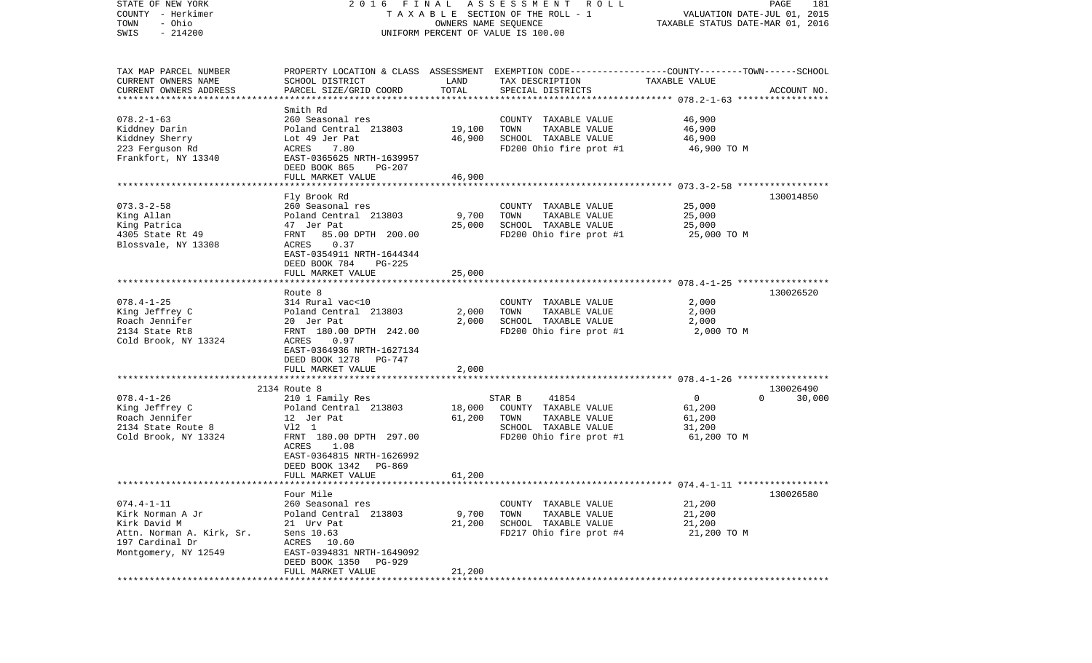| STATE OF NEW YORK         | 2016                           | FINAL                | ASSESSMENT ROLL                                                                                  |                                  | PAGE<br>181        |
|---------------------------|--------------------------------|----------------------|--------------------------------------------------------------------------------------------------|----------------------------------|--------------------|
| COUNTY - Herkimer         |                                |                      | TAXABLE SECTION OF THE ROLL - 1                                                                  | VALUATION DATE-JUL 01, 2015      |                    |
| - Ohio<br>TOWN            |                                | OWNERS NAME SEQUENCE |                                                                                                  | TAXABLE STATUS DATE-MAR 01, 2016 |                    |
| $-214200$<br>SWIS         |                                |                      | UNIFORM PERCENT OF VALUE IS 100.00                                                               |                                  |                    |
|                           |                                |                      |                                                                                                  |                                  |                    |
|                           |                                |                      |                                                                                                  |                                  |                    |
| TAX MAP PARCEL NUMBER     |                                |                      | PROPERTY LOCATION & CLASS ASSESSMENT EXEMPTION CODE----------------COUNTY-------TOWN------SCHOOL |                                  |                    |
| CURRENT OWNERS NAME       | SCHOOL DISTRICT                | LAND                 | TAX DESCRIPTION                                                                                  | TAXABLE VALUE                    |                    |
| CURRENT OWNERS ADDRESS    | PARCEL SIZE/GRID COORD         | TOTAL                | SPECIAL DISTRICTS                                                                                |                                  | ACCOUNT NO.        |
| ************************  |                                |                      |                                                                                                  |                                  |                    |
|                           | Smith Rd                       |                      |                                                                                                  |                                  |                    |
| $078.2 - 1 - 63$          | 260 Seasonal res               |                      | COUNTY TAXABLE VALUE                                                                             | 46,900                           |                    |
| Kiddney Darin             | Poland Central 213803          | 19,100               | TOWN<br>TAXABLE VALUE                                                                            | 46,900                           |                    |
| Kiddney Sherry            | Lot 49 Jer Pat                 | 46,900               | SCHOOL TAXABLE VALUE                                                                             | 46,900                           |                    |
| 223 Ferguson Rd           | ACRES<br>7.80                  |                      | FD200 Ohio fire prot #1                                                                          | 46,900 TO M                      |                    |
| Frankfort, NY 13340       | EAST-0365625 NRTH-1639957      |                      |                                                                                                  |                                  |                    |
|                           |                                |                      |                                                                                                  |                                  |                    |
|                           | DEED BOOK 865<br>PG-207        |                      |                                                                                                  |                                  |                    |
|                           | FULL MARKET VALUE              | 46,900               |                                                                                                  |                                  |                    |
|                           | ************************       |                      |                                                                                                  |                                  |                    |
|                           | Fly Brook Rd                   |                      |                                                                                                  |                                  | 130014850          |
| $073.3 - 2 - 58$          | 260 Seasonal res               |                      | COUNTY TAXABLE VALUE                                                                             | 25,000                           |                    |
| King Allan                | Poland Central 213803          | 9,700                | TAXABLE VALUE<br>TOWN                                                                            | 25,000                           |                    |
| King Patrica              | 47 Jer Pat                     | 25,000               | SCHOOL TAXABLE VALUE                                                                             | 25,000                           |                    |
| 4305 State Rt 49          | 85.00 DPTH 200.00<br>FRNT      |                      | FD200 Ohio fire prot #1                                                                          | 25,000 TO M                      |                    |
| Blossvale, NY 13308       | 0.37<br>ACRES                  |                      |                                                                                                  |                                  |                    |
|                           | EAST-0354911 NRTH-1644344      |                      |                                                                                                  |                                  |                    |
|                           | DEED BOOK 784<br><b>PG-225</b> |                      |                                                                                                  |                                  |                    |
|                           | FULL MARKET VALUE              | 25,000               |                                                                                                  |                                  |                    |
|                           |                                |                      |                                                                                                  |                                  |                    |
|                           | Route 8                        |                      |                                                                                                  |                                  | 130026520          |
| $078.4 - 1 - 25$          | 314 Rural vac<10               |                      | COUNTY TAXABLE VALUE                                                                             | 2,000                            |                    |
| King Jeffrey C            | Poland Central 213803          | 2,000                | TOWN<br>TAXABLE VALUE                                                                            | 2,000                            |                    |
| Roach Jennifer            |                                | 2,000                | SCHOOL TAXABLE VALUE                                                                             | 2,000                            |                    |
|                           | 20 Jer Pat                     |                      |                                                                                                  |                                  |                    |
| 2134 State Rt8            | FRNT 180.00 DPTH 242.00        |                      | FD200 Ohio fire prot #1                                                                          | 2,000 TO M                       |                    |
| Cold Brook, NY 13324      | ACRES<br>0.97                  |                      |                                                                                                  |                                  |                    |
|                           | EAST-0364936 NRTH-1627134      |                      |                                                                                                  |                                  |                    |
|                           | DEED BOOK 1278<br>PG-747       |                      |                                                                                                  |                                  |                    |
|                           | FULL MARKET VALUE              | 2,000                |                                                                                                  |                                  |                    |
|                           | **********************         |                      |                                                                                                  |                                  |                    |
|                           | 2134 Route 8                   |                      |                                                                                                  |                                  | 130026490          |
| $078.4 - 1 - 26$          | 210 1 Family Res               |                      | STAR B<br>41854                                                                                  | $\mathbf{0}$                     | $\Omega$<br>30,000 |
| King Jeffrey C            | Poland Central 213803          | 18,000               | COUNTY TAXABLE VALUE                                                                             | 61,200                           |                    |
| Roach Jennifer            | 12 Jer Pat                     | 61,200               | TOWN<br>TAXABLE VALUE                                                                            | 61,200                           |                    |
| 2134 State Route 8        | V12 1                          |                      | SCHOOL TAXABLE VALUE                                                                             | 31,200                           |                    |
| Cold Brook, NY 13324      | FRNT 180.00 DPTH 297.00        |                      | FD200 Ohio fire prot #1                                                                          | 61,200 TO M                      |                    |
|                           | ACRES<br>1.08                  |                      |                                                                                                  |                                  |                    |
|                           | EAST-0364815 NRTH-1626992      |                      |                                                                                                  |                                  |                    |
|                           | DEED BOOK 1342<br>PG-869       |                      |                                                                                                  |                                  |                    |
|                           | FULL MARKET VALUE              | 61,200               |                                                                                                  |                                  |                    |
| ************************  |                                |                      |                                                                                                  |                                  |                    |
|                           | Four Mile                      |                      |                                                                                                  |                                  | 130026580          |
| $074.4 - 1 - 11$          | 260 Seasonal res               |                      | COUNTY TAXABLE VALUE                                                                             | 21,200                           |                    |
| Kirk Norman A Jr          |                                |                      |                                                                                                  |                                  |                    |
|                           | Poland Central 213803          | 9,700                | TOWN<br>TAXABLE VALUE                                                                            | 21,200                           |                    |
| Kirk David M              | 21 Urv Pat                     | 21,200               | SCHOOL TAXABLE VALUE                                                                             | 21,200                           |                    |
| Attn. Norman A. Kirk, Sr. | Sens 10.63                     |                      | FD217 Ohio fire prot #4                                                                          | 21,200 TO M                      |                    |
| 197 Cardinal Dr           | ACRES 10.60                    |                      |                                                                                                  |                                  |                    |
| Montgomery, NY 12549      | EAST-0394831 NRTH-1649092      |                      |                                                                                                  |                                  |                    |
|                           | DEED BOOK 1350<br>PG-929       |                      |                                                                                                  |                                  |                    |
|                           | FULL MARKET VALUE              | 21,200               |                                                                                                  |                                  |                    |
|                           |                                |                      |                                                                                                  |                                  |                    |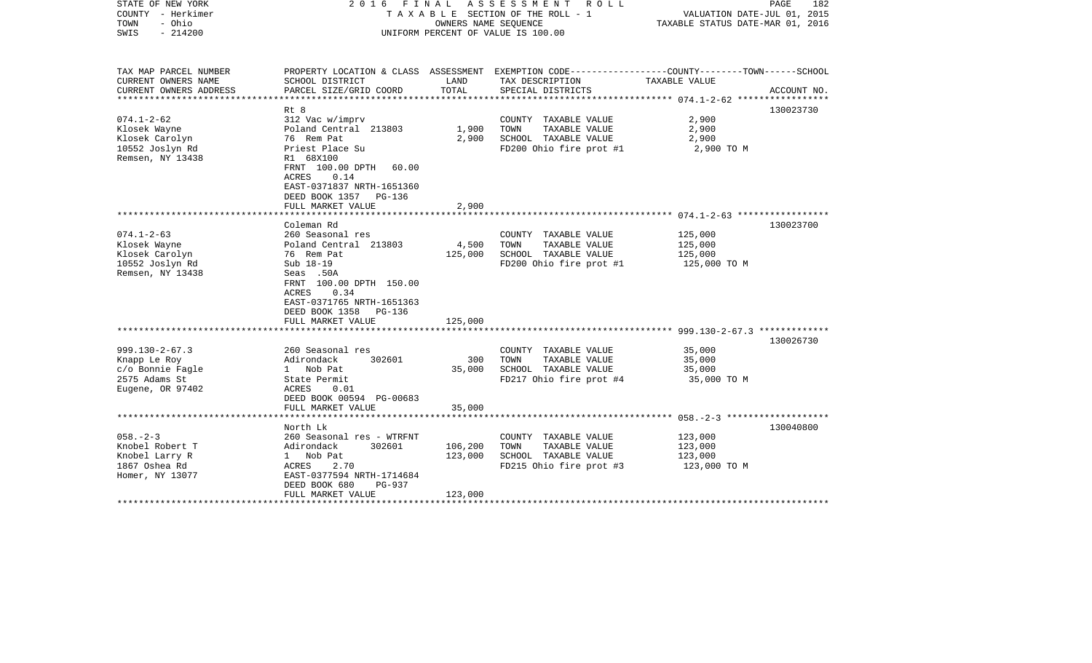| PROPERTY LOCATION & CLASS ASSESSMENT EXEMPTION CODE---------------COUNTY-------TOWN------SCHOOL<br>TAX MAP PARCEL NUMBER<br>CURRENT OWNERS NAME<br>SCHOOL DISTRICT<br>LAND<br>TAX DESCRIPTION<br>TAXABLE VALUE<br>TOTAL<br>CURRENT OWNERS ADDRESS<br>PARCEL SIZE/GRID COORD<br>SPECIAL DISTRICTS<br>ACCOUNT NO.<br>130023730<br>Rt 8<br>$074.1 - 2 - 62$<br>312 Vac w/imprv<br>2,900<br>COUNTY TAXABLE VALUE<br>Poland Central 213803<br>TAXABLE VALUE<br>Klosek Wayne<br>1,900<br>TOWN<br>2,900<br>76 Rem Pat<br>2,900<br>SCHOOL TAXABLE VALUE<br>Klosek Carolyn<br>2,900<br>10552 Joslyn Rd<br>Priest Place Su<br>FD200 Ohio fire prot #1<br>2,900 TO M<br>Remsen, NY 13438<br>R1 68X100<br>FRNT 100.00 DPTH<br>60.00<br>0.14<br>ACRES<br>EAST-0371837 NRTH-1651360<br>DEED BOOK 1357 PG-136<br>FULL MARKET VALUE<br>2,900<br>Coleman Rd<br>130023700<br>$074.1 - 2 - 63$<br>260 Seasonal res<br>125,000<br>COUNTY TAXABLE VALUE<br>Klosek Wayne<br>Poland Central 213803<br>4,500<br>TOWN<br>TAXABLE VALUE<br>125,000<br>Klosek Carolyn<br>76 Rem Pat<br>125,000<br>SCHOOL TAXABLE VALUE<br>125,000<br>10552 Joslyn Rd<br>Sub 18-19<br>FD200 Ohio fire prot #1<br>125,000 TO M<br>Remsen, NY 13438<br>Seas .50A<br>FRNT 100.00 DPTH 150.00<br>0.34<br>ACRES<br>EAST-0371765 NRTH-1651363<br>DEED BOOK 1358<br>PG-136<br>FULL MARKET VALUE<br>125,000<br>130026730<br>$999.130 - 2 - 67.3$<br>260 Seasonal res<br>COUNTY TAXABLE VALUE<br>35,000<br>TAXABLE VALUE<br>Adirondack<br>300<br>TOWN<br>35,000<br>Knapp Le Roy<br>302601<br>c/o Bonnie Fagle<br>SCHOOL TAXABLE VALUE<br>35,000<br>1 Nob Pat<br>35,000<br>2575 Adams St<br>FD217 Ohio fire prot #4<br>State Permit<br>35,000 TO M<br>Eugene, OR 97402<br>ACRES<br>0.01<br>DEED BOOK 00594 PG-00683<br>FULL MARKET VALUE<br>35,000<br>*************************<br>130040800<br>North Lk<br>$058. - 2 - 3$<br>260 Seasonal res - WTRFNT<br>COUNTY TAXABLE VALUE<br>123,000<br>Knobel Robert T<br>302601<br>106,200<br>TOWN<br>TAXABLE VALUE<br>123,000<br>Adirondack<br>SCHOOL TAXABLE VALUE<br>Knobel Larry R<br>123,000<br>123,000<br>$1 \quad$<br>Nob Pat<br>1867 Oshea Rd<br>2.70<br>FD215 Ohio fire prot #3<br>123,000 TO M<br>ACRES<br>EAST-0377594 NRTH-1714684<br>Homer, NY 13077<br>DEED BOOK 680<br>PG-937<br>123,000<br>FULL MARKET VALUE | STATE OF NEW YORK<br>COUNTY - Herkimer<br>- Ohio<br>TOWN<br>$-214200$<br>SWIS | FINAL<br>2016 | OWNERS NAME SEOUENCE | A S S E S S M E N T<br>ROLL<br>T A X A B L E SECTION OF THE ROLL - 1<br>UNIFORM PERCENT OF VALUE IS 100.00 | PAGE<br>182<br>VALUATION DATE-JUL 01, 2015<br>TAXABLE STATUS DATE-MAR 01, 2016 |
|----------------------------------------------------------------------------------------------------------------------------------------------------------------------------------------------------------------------------------------------------------------------------------------------------------------------------------------------------------------------------------------------------------------------------------------------------------------------------------------------------------------------------------------------------------------------------------------------------------------------------------------------------------------------------------------------------------------------------------------------------------------------------------------------------------------------------------------------------------------------------------------------------------------------------------------------------------------------------------------------------------------------------------------------------------------------------------------------------------------------------------------------------------------------------------------------------------------------------------------------------------------------------------------------------------------------------------------------------------------------------------------------------------------------------------------------------------------------------------------------------------------------------------------------------------------------------------------------------------------------------------------------------------------------------------------------------------------------------------------------------------------------------------------------------------------------------------------------------------------------------------------------------------------------------------------------------------------------------------------------------------------------------------------------------------------------------------------------------------------------------------------------------------------------------------------------------------------------------------------------------------------------------------------------------------------|-------------------------------------------------------------------------------|---------------|----------------------|------------------------------------------------------------------------------------------------------------|--------------------------------------------------------------------------------|
|                                                                                                                                                                                                                                                                                                                                                                                                                                                                                                                                                                                                                                                                                                                                                                                                                                                                                                                                                                                                                                                                                                                                                                                                                                                                                                                                                                                                                                                                                                                                                                                                                                                                                                                                                                                                                                                                                                                                                                                                                                                                                                                                                                                                                                                                                                                |                                                                               |               |                      |                                                                                                            |                                                                                |
|                                                                                                                                                                                                                                                                                                                                                                                                                                                                                                                                                                                                                                                                                                                                                                                                                                                                                                                                                                                                                                                                                                                                                                                                                                                                                                                                                                                                                                                                                                                                                                                                                                                                                                                                                                                                                                                                                                                                                                                                                                                                                                                                                                                                                                                                                                                |                                                                               |               |                      |                                                                                                            |                                                                                |
|                                                                                                                                                                                                                                                                                                                                                                                                                                                                                                                                                                                                                                                                                                                                                                                                                                                                                                                                                                                                                                                                                                                                                                                                                                                                                                                                                                                                                                                                                                                                                                                                                                                                                                                                                                                                                                                                                                                                                                                                                                                                                                                                                                                                                                                                                                                |                                                                               |               |                      |                                                                                                            |                                                                                |
|                                                                                                                                                                                                                                                                                                                                                                                                                                                                                                                                                                                                                                                                                                                                                                                                                                                                                                                                                                                                                                                                                                                                                                                                                                                                                                                                                                                                                                                                                                                                                                                                                                                                                                                                                                                                                                                                                                                                                                                                                                                                                                                                                                                                                                                                                                                |                                                                               |               |                      |                                                                                                            |                                                                                |
|                                                                                                                                                                                                                                                                                                                                                                                                                                                                                                                                                                                                                                                                                                                                                                                                                                                                                                                                                                                                                                                                                                                                                                                                                                                                                                                                                                                                                                                                                                                                                                                                                                                                                                                                                                                                                                                                                                                                                                                                                                                                                                                                                                                                                                                                                                                |                                                                               |               |                      |                                                                                                            |                                                                                |
|                                                                                                                                                                                                                                                                                                                                                                                                                                                                                                                                                                                                                                                                                                                                                                                                                                                                                                                                                                                                                                                                                                                                                                                                                                                                                                                                                                                                                                                                                                                                                                                                                                                                                                                                                                                                                                                                                                                                                                                                                                                                                                                                                                                                                                                                                                                |                                                                               |               |                      |                                                                                                            |                                                                                |
|                                                                                                                                                                                                                                                                                                                                                                                                                                                                                                                                                                                                                                                                                                                                                                                                                                                                                                                                                                                                                                                                                                                                                                                                                                                                                                                                                                                                                                                                                                                                                                                                                                                                                                                                                                                                                                                                                                                                                                                                                                                                                                                                                                                                                                                                                                                |                                                                               |               |                      |                                                                                                            |                                                                                |
|                                                                                                                                                                                                                                                                                                                                                                                                                                                                                                                                                                                                                                                                                                                                                                                                                                                                                                                                                                                                                                                                                                                                                                                                                                                                                                                                                                                                                                                                                                                                                                                                                                                                                                                                                                                                                                                                                                                                                                                                                                                                                                                                                                                                                                                                                                                |                                                                               |               |                      |                                                                                                            |                                                                                |
|                                                                                                                                                                                                                                                                                                                                                                                                                                                                                                                                                                                                                                                                                                                                                                                                                                                                                                                                                                                                                                                                                                                                                                                                                                                                                                                                                                                                                                                                                                                                                                                                                                                                                                                                                                                                                                                                                                                                                                                                                                                                                                                                                                                                                                                                                                                |                                                                               |               |                      |                                                                                                            |                                                                                |
|                                                                                                                                                                                                                                                                                                                                                                                                                                                                                                                                                                                                                                                                                                                                                                                                                                                                                                                                                                                                                                                                                                                                                                                                                                                                                                                                                                                                                                                                                                                                                                                                                                                                                                                                                                                                                                                                                                                                                                                                                                                                                                                                                                                                                                                                                                                |                                                                               |               |                      |                                                                                                            |                                                                                |
|                                                                                                                                                                                                                                                                                                                                                                                                                                                                                                                                                                                                                                                                                                                                                                                                                                                                                                                                                                                                                                                                                                                                                                                                                                                                                                                                                                                                                                                                                                                                                                                                                                                                                                                                                                                                                                                                                                                                                                                                                                                                                                                                                                                                                                                                                                                |                                                                               |               |                      |                                                                                                            |                                                                                |
|                                                                                                                                                                                                                                                                                                                                                                                                                                                                                                                                                                                                                                                                                                                                                                                                                                                                                                                                                                                                                                                                                                                                                                                                                                                                                                                                                                                                                                                                                                                                                                                                                                                                                                                                                                                                                                                                                                                                                                                                                                                                                                                                                                                                                                                                                                                |                                                                               |               |                      |                                                                                                            |                                                                                |
|                                                                                                                                                                                                                                                                                                                                                                                                                                                                                                                                                                                                                                                                                                                                                                                                                                                                                                                                                                                                                                                                                                                                                                                                                                                                                                                                                                                                                                                                                                                                                                                                                                                                                                                                                                                                                                                                                                                                                                                                                                                                                                                                                                                                                                                                                                                |                                                                               |               |                      |                                                                                                            |                                                                                |
|                                                                                                                                                                                                                                                                                                                                                                                                                                                                                                                                                                                                                                                                                                                                                                                                                                                                                                                                                                                                                                                                                                                                                                                                                                                                                                                                                                                                                                                                                                                                                                                                                                                                                                                                                                                                                                                                                                                                                                                                                                                                                                                                                                                                                                                                                                                |                                                                               |               |                      |                                                                                                            |                                                                                |
|                                                                                                                                                                                                                                                                                                                                                                                                                                                                                                                                                                                                                                                                                                                                                                                                                                                                                                                                                                                                                                                                                                                                                                                                                                                                                                                                                                                                                                                                                                                                                                                                                                                                                                                                                                                                                                                                                                                                                                                                                                                                                                                                                                                                                                                                                                                |                                                                               |               |                      |                                                                                                            |                                                                                |
|                                                                                                                                                                                                                                                                                                                                                                                                                                                                                                                                                                                                                                                                                                                                                                                                                                                                                                                                                                                                                                                                                                                                                                                                                                                                                                                                                                                                                                                                                                                                                                                                                                                                                                                                                                                                                                                                                                                                                                                                                                                                                                                                                                                                                                                                                                                |                                                                               |               |                      |                                                                                                            |                                                                                |
|                                                                                                                                                                                                                                                                                                                                                                                                                                                                                                                                                                                                                                                                                                                                                                                                                                                                                                                                                                                                                                                                                                                                                                                                                                                                                                                                                                                                                                                                                                                                                                                                                                                                                                                                                                                                                                                                                                                                                                                                                                                                                                                                                                                                                                                                                                                |                                                                               |               |                      |                                                                                                            |                                                                                |
|                                                                                                                                                                                                                                                                                                                                                                                                                                                                                                                                                                                                                                                                                                                                                                                                                                                                                                                                                                                                                                                                                                                                                                                                                                                                                                                                                                                                                                                                                                                                                                                                                                                                                                                                                                                                                                                                                                                                                                                                                                                                                                                                                                                                                                                                                                                |                                                                               |               |                      |                                                                                                            |                                                                                |
|                                                                                                                                                                                                                                                                                                                                                                                                                                                                                                                                                                                                                                                                                                                                                                                                                                                                                                                                                                                                                                                                                                                                                                                                                                                                                                                                                                                                                                                                                                                                                                                                                                                                                                                                                                                                                                                                                                                                                                                                                                                                                                                                                                                                                                                                                                                |                                                                               |               |                      |                                                                                                            |                                                                                |
|                                                                                                                                                                                                                                                                                                                                                                                                                                                                                                                                                                                                                                                                                                                                                                                                                                                                                                                                                                                                                                                                                                                                                                                                                                                                                                                                                                                                                                                                                                                                                                                                                                                                                                                                                                                                                                                                                                                                                                                                                                                                                                                                                                                                                                                                                                                |                                                                               |               |                      |                                                                                                            |                                                                                |
|                                                                                                                                                                                                                                                                                                                                                                                                                                                                                                                                                                                                                                                                                                                                                                                                                                                                                                                                                                                                                                                                                                                                                                                                                                                                                                                                                                                                                                                                                                                                                                                                                                                                                                                                                                                                                                                                                                                                                                                                                                                                                                                                                                                                                                                                                                                |                                                                               |               |                      |                                                                                                            |                                                                                |
|                                                                                                                                                                                                                                                                                                                                                                                                                                                                                                                                                                                                                                                                                                                                                                                                                                                                                                                                                                                                                                                                                                                                                                                                                                                                                                                                                                                                                                                                                                                                                                                                                                                                                                                                                                                                                                                                                                                                                                                                                                                                                                                                                                                                                                                                                                                |                                                                               |               |                      |                                                                                                            |                                                                                |
|                                                                                                                                                                                                                                                                                                                                                                                                                                                                                                                                                                                                                                                                                                                                                                                                                                                                                                                                                                                                                                                                                                                                                                                                                                                                                                                                                                                                                                                                                                                                                                                                                                                                                                                                                                                                                                                                                                                                                                                                                                                                                                                                                                                                                                                                                                                |                                                                               |               |                      |                                                                                                            |                                                                                |
|                                                                                                                                                                                                                                                                                                                                                                                                                                                                                                                                                                                                                                                                                                                                                                                                                                                                                                                                                                                                                                                                                                                                                                                                                                                                                                                                                                                                                                                                                                                                                                                                                                                                                                                                                                                                                                                                                                                                                                                                                                                                                                                                                                                                                                                                                                                |                                                                               |               |                      |                                                                                                            |                                                                                |
|                                                                                                                                                                                                                                                                                                                                                                                                                                                                                                                                                                                                                                                                                                                                                                                                                                                                                                                                                                                                                                                                                                                                                                                                                                                                                                                                                                                                                                                                                                                                                                                                                                                                                                                                                                                                                                                                                                                                                                                                                                                                                                                                                                                                                                                                                                                |                                                                               |               |                      |                                                                                                            |                                                                                |
|                                                                                                                                                                                                                                                                                                                                                                                                                                                                                                                                                                                                                                                                                                                                                                                                                                                                                                                                                                                                                                                                                                                                                                                                                                                                                                                                                                                                                                                                                                                                                                                                                                                                                                                                                                                                                                                                                                                                                                                                                                                                                                                                                                                                                                                                                                                |                                                                               |               |                      |                                                                                                            |                                                                                |
|                                                                                                                                                                                                                                                                                                                                                                                                                                                                                                                                                                                                                                                                                                                                                                                                                                                                                                                                                                                                                                                                                                                                                                                                                                                                                                                                                                                                                                                                                                                                                                                                                                                                                                                                                                                                                                                                                                                                                                                                                                                                                                                                                                                                                                                                                                                |                                                                               |               |                      |                                                                                                            |                                                                                |
|                                                                                                                                                                                                                                                                                                                                                                                                                                                                                                                                                                                                                                                                                                                                                                                                                                                                                                                                                                                                                                                                                                                                                                                                                                                                                                                                                                                                                                                                                                                                                                                                                                                                                                                                                                                                                                                                                                                                                                                                                                                                                                                                                                                                                                                                                                                |                                                                               |               |                      |                                                                                                            |                                                                                |
|                                                                                                                                                                                                                                                                                                                                                                                                                                                                                                                                                                                                                                                                                                                                                                                                                                                                                                                                                                                                                                                                                                                                                                                                                                                                                                                                                                                                                                                                                                                                                                                                                                                                                                                                                                                                                                                                                                                                                                                                                                                                                                                                                                                                                                                                                                                |                                                                               |               |                      |                                                                                                            |                                                                                |
|                                                                                                                                                                                                                                                                                                                                                                                                                                                                                                                                                                                                                                                                                                                                                                                                                                                                                                                                                                                                                                                                                                                                                                                                                                                                                                                                                                                                                                                                                                                                                                                                                                                                                                                                                                                                                                                                                                                                                                                                                                                                                                                                                                                                                                                                                                                |                                                                               |               |                      |                                                                                                            |                                                                                |
|                                                                                                                                                                                                                                                                                                                                                                                                                                                                                                                                                                                                                                                                                                                                                                                                                                                                                                                                                                                                                                                                                                                                                                                                                                                                                                                                                                                                                                                                                                                                                                                                                                                                                                                                                                                                                                                                                                                                                                                                                                                                                                                                                                                                                                                                                                                |                                                                               |               |                      |                                                                                                            |                                                                                |
|                                                                                                                                                                                                                                                                                                                                                                                                                                                                                                                                                                                                                                                                                                                                                                                                                                                                                                                                                                                                                                                                                                                                                                                                                                                                                                                                                                                                                                                                                                                                                                                                                                                                                                                                                                                                                                                                                                                                                                                                                                                                                                                                                                                                                                                                                                                |                                                                               |               |                      |                                                                                                            |                                                                                |
|                                                                                                                                                                                                                                                                                                                                                                                                                                                                                                                                                                                                                                                                                                                                                                                                                                                                                                                                                                                                                                                                                                                                                                                                                                                                                                                                                                                                                                                                                                                                                                                                                                                                                                                                                                                                                                                                                                                                                                                                                                                                                                                                                                                                                                                                                                                |                                                                               |               |                      |                                                                                                            |                                                                                |
|                                                                                                                                                                                                                                                                                                                                                                                                                                                                                                                                                                                                                                                                                                                                                                                                                                                                                                                                                                                                                                                                                                                                                                                                                                                                                                                                                                                                                                                                                                                                                                                                                                                                                                                                                                                                                                                                                                                                                                                                                                                                                                                                                                                                                                                                                                                |                                                                               |               |                      |                                                                                                            |                                                                                |
|                                                                                                                                                                                                                                                                                                                                                                                                                                                                                                                                                                                                                                                                                                                                                                                                                                                                                                                                                                                                                                                                                                                                                                                                                                                                                                                                                                                                                                                                                                                                                                                                                                                                                                                                                                                                                                                                                                                                                                                                                                                                                                                                                                                                                                                                                                                |                                                                               |               |                      |                                                                                                            |                                                                                |
|                                                                                                                                                                                                                                                                                                                                                                                                                                                                                                                                                                                                                                                                                                                                                                                                                                                                                                                                                                                                                                                                                                                                                                                                                                                                                                                                                                                                                                                                                                                                                                                                                                                                                                                                                                                                                                                                                                                                                                                                                                                                                                                                                                                                                                                                                                                |                                                                               |               |                      |                                                                                                            |                                                                                |
|                                                                                                                                                                                                                                                                                                                                                                                                                                                                                                                                                                                                                                                                                                                                                                                                                                                                                                                                                                                                                                                                                                                                                                                                                                                                                                                                                                                                                                                                                                                                                                                                                                                                                                                                                                                                                                                                                                                                                                                                                                                                                                                                                                                                                                                                                                                |                                                                               |               |                      |                                                                                                            |                                                                                |
|                                                                                                                                                                                                                                                                                                                                                                                                                                                                                                                                                                                                                                                                                                                                                                                                                                                                                                                                                                                                                                                                                                                                                                                                                                                                                                                                                                                                                                                                                                                                                                                                                                                                                                                                                                                                                                                                                                                                                                                                                                                                                                                                                                                                                                                                                                                |                                                                               |               |                      |                                                                                                            |                                                                                |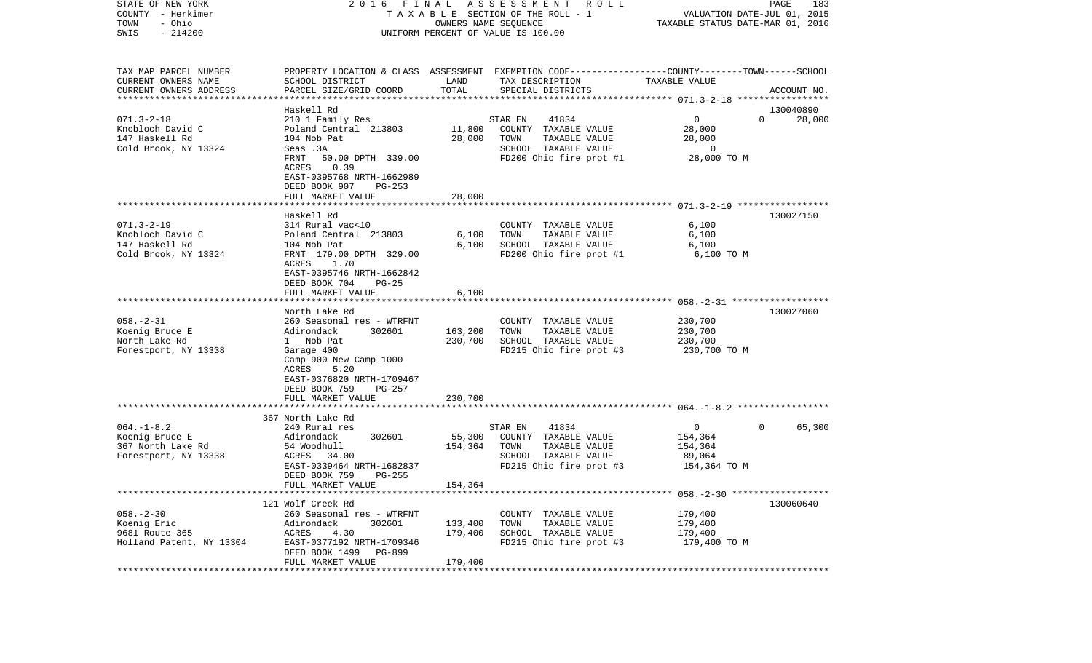| STATE OF NEW YORK<br>COUNTY - Herkimer<br>- Ohio<br>TOWN<br>$-214200$<br>SWIS |                                            | OWNERS NAME SEQUENCE | 2016 FINAL ASSESSMENT ROLL<br>T A X A B L E SECTION OF THE ROLL - 1<br>UNIFORM PERCENT OF VALUE IS 100.00 | VALUATION DATE-JUL 01, 2015<br>TAXABLE STATUS DATE-MAR 01, 2016 | PAGE<br>183              |
|-------------------------------------------------------------------------------|--------------------------------------------|----------------------|-----------------------------------------------------------------------------------------------------------|-----------------------------------------------------------------|--------------------------|
|                                                                               |                                            |                      |                                                                                                           |                                                                 |                          |
| TAX MAP PARCEL NUMBER                                                         |                                            |                      | PROPERTY LOCATION & CLASS ASSESSMENT EXEMPTION CODE---------------COUNTY-------TOWN------SCHOOL           |                                                                 |                          |
| CURRENT OWNERS NAME                                                           | SCHOOL DISTRICT                            | LAND                 | TAX DESCRIPTION                                                                                           | TAXABLE VALUE                                                   |                          |
| CURRENT OWNERS ADDRESS                                                        | PARCEL SIZE/GRID COORD                     | TOTAL                | SPECIAL DISTRICTS                                                                                         |                                                                 | ACCOUNT NO.              |
| ************************                                                      |                                            |                      |                                                                                                           |                                                                 |                          |
|                                                                               | Haskell Rd                                 |                      |                                                                                                           |                                                                 | 130040890                |
| $071.3 - 2 - 18$                                                              | 210 1 Family Res                           |                      | 41834<br>STAR EN                                                                                          | $\mathbf 0$                                                     | $\Omega$<br>28,000       |
| Knobloch David C<br>147 Haskell Rd                                            | Poland Central 213803                      | 11,800<br>28,000     | COUNTY TAXABLE VALUE                                                                                      | 28,000                                                          |                          |
|                                                                               | 104 Nob Pat                                |                      | TOWN<br>TAXABLE VALUE                                                                                     | 28,000                                                          |                          |
| Cold Brook, NY 13324                                                          | Seas .3A<br>FRNT<br>50.00 DPTH 339.00      |                      | SCHOOL TAXABLE VALUE<br>FD200 Ohio fire prot #1                                                           | 0<br>28,000 TO M                                                |                          |
|                                                                               | 0.39<br>ACRES                              |                      |                                                                                                           |                                                                 |                          |
|                                                                               | EAST-0395768 NRTH-1662989                  |                      |                                                                                                           |                                                                 |                          |
|                                                                               | DEED BOOK 907<br>PG-253                    |                      |                                                                                                           |                                                                 |                          |
|                                                                               | FULL MARKET VALUE                          | 28,000               |                                                                                                           |                                                                 |                          |
|                                                                               |                                            |                      |                                                                                                           |                                                                 |                          |
|                                                                               | Haskell Rd                                 |                      |                                                                                                           |                                                                 | 130027150                |
| $071.3 - 2 - 19$                                                              | 314 Rural vac<10                           |                      | COUNTY TAXABLE VALUE                                                                                      | 6,100                                                           |                          |
| Knobloch David C                                                              | Poland Central 213803                      | 6,100                | TOWN<br>TAXABLE VALUE                                                                                     | 6,100                                                           |                          |
| 147 Haskell Rd                                                                | 104 Nob Pat                                | 6,100                | SCHOOL TAXABLE VALUE                                                                                      | 6,100                                                           |                          |
| Cold Brook, NY 13324                                                          | FRNT 179.00 DPTH 329.00                    |                      | FD200 Ohio fire prot #1                                                                                   | 6,100 TO M                                                      |                          |
|                                                                               | ACRES<br>1.70                              |                      |                                                                                                           |                                                                 |                          |
|                                                                               | EAST-0395746 NRTH-1662842                  |                      |                                                                                                           |                                                                 |                          |
|                                                                               | DEED BOOK 704<br>$PG-25$                   |                      |                                                                                                           |                                                                 |                          |
|                                                                               | FULL MARKET VALUE                          | 6,100                |                                                                                                           |                                                                 |                          |
|                                                                               |                                            |                      |                                                                                                           |                                                                 |                          |
| $058. - 2 - 31$                                                               | North Lake Rd<br>260 Seasonal res - WTRFNT |                      |                                                                                                           |                                                                 | 130027060                |
| Koenig Bruce E                                                                | Adirondack<br>302601                       | 163,200              | COUNTY TAXABLE VALUE<br>TAXABLE VALUE<br>TOWN                                                             | 230,700<br>230,700                                              |                          |
| North Lake Rd                                                                 | 1 Nob Pat                                  | 230,700              | SCHOOL TAXABLE VALUE                                                                                      | 230,700                                                         |                          |
| Forestport, NY 13338                                                          | Garage 400                                 |                      | FD215 Ohio fire prot #3                                                                                   | 230,700 TO M                                                    |                          |
|                                                                               | Camp 900 New Camp 1000                     |                      |                                                                                                           |                                                                 |                          |
|                                                                               | ACRES<br>5.20                              |                      |                                                                                                           |                                                                 |                          |
|                                                                               | EAST-0376820 NRTH-1709467                  |                      |                                                                                                           |                                                                 |                          |
|                                                                               | DEED BOOK 759<br>PG-257                    |                      |                                                                                                           |                                                                 |                          |
|                                                                               | FULL MARKET VALUE                          | 230,700              |                                                                                                           |                                                                 |                          |
|                                                                               |                                            |                      |                                                                                                           |                                                                 |                          |
|                                                                               | 367 North Lake Rd                          |                      |                                                                                                           |                                                                 |                          |
| $064. -1 - 8.2$                                                               | 240 Rural res                              |                      | 41834<br>STAR EN                                                                                          | 0                                                               | 65,300<br>$\overline{0}$ |
| Koenig Bruce E                                                                | 302601<br>Adirondack                       | 55,300               | COUNTY TAXABLE VALUE                                                                                      | 154,364                                                         |                          |
| 367 North Lake Rd                                                             | 54 Woodhull                                | 154,364              | TOWN<br>TAXABLE VALUE                                                                                     | 154,364                                                         |                          |
| Forestport, NY 13338                                                          | ACRES 34.00                                |                      | SCHOOL TAXABLE VALUE                                                                                      | 89,064                                                          |                          |
|                                                                               | EAST-0339464 NRTH-1682837                  |                      | FD215 Ohio fire prot #3                                                                                   | 154,364 TO M                                                    |                          |
|                                                                               | DEED BOOK 759<br>PG-255                    |                      |                                                                                                           |                                                                 |                          |
|                                                                               | FULL MARKET VALUE                          | 154,364              |                                                                                                           |                                                                 |                          |
|                                                                               | 121 Wolf Creek Rd                          |                      |                                                                                                           |                                                                 | 130060640                |
| $058. - 2 - 30$                                                               | 260 Seasonal res - WTRFNT                  |                      | COUNTY TAXABLE VALUE                                                                                      | 179,400                                                         |                          |
| Koenig Eric                                                                   | Adirondack<br>302601                       | 133,400              | TOWN<br>TAXABLE VALUE                                                                                     | 179,400                                                         |                          |
| 9681 Route 365                                                                | ACRES 4.30                                 | 179,400              | SCHOOL TAXABLE VALUE                                                                                      | 179,400                                                         |                          |
| Holland Patent, NY 13304                                                      | EAST-0377192 NRTH-1709346                  |                      | FD215 Ohio fire prot #3                                                                                   | 179,400 TO M                                                    |                          |
|                                                                               | DEED BOOK 1499 PG-899                      |                      |                                                                                                           |                                                                 |                          |
|                                                                               | FULL MARKET VALUE                          | 179,400              |                                                                                                           |                                                                 |                          |
|                                                                               |                                            |                      |                                                                                                           |                                                                 |                          |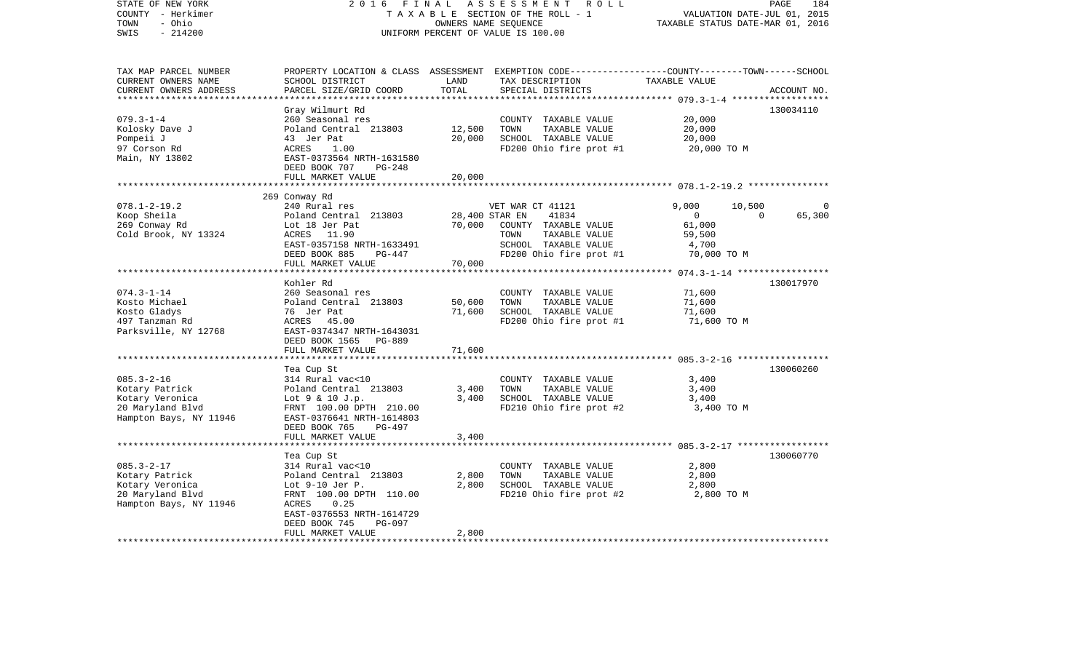| STATE OF NEW YORK<br>COUNTY - Herkimer<br>- Ohio<br>TOWN<br>$-214200$<br>SWIS                       | 2 0 1 6<br>FINAL                                                                                                                                                                                      |                                            | ASSESSMENT<br>R O L L<br>TAXABLE SECTION OF THE ROLL - 1<br>OWNERS NAME SEQUENCE<br>UNIFORM PERCENT OF VALUE IS 100.00                                                    | VALUATION DATE-JUL 01, 2015<br>TAXABLE STATUS DATE-MAR 01, 2016  | PAGE<br>184 |
|-----------------------------------------------------------------------------------------------------|-------------------------------------------------------------------------------------------------------------------------------------------------------------------------------------------------------|--------------------------------------------|---------------------------------------------------------------------------------------------------------------------------------------------------------------------------|------------------------------------------------------------------|-------------|
| TAX MAP PARCEL NUMBER<br>CURRENT OWNERS NAME<br>CURRENT OWNERS ADDRESS                              | SCHOOL DISTRICT<br>PARCEL SIZE/GRID COORD                                                                                                                                                             | LAND<br>TOTAL<br>* * * * * * * * * * * * * | PROPERTY LOCATION & CLASS ASSESSMENT EXEMPTION CODE----------------COUNTY-------TOWN------SCHOOL<br>TAX DESCRIPTION<br>SPECIAL DISTRICTS                                  | TAXABLE VALUE                                                    | ACCOUNT NO. |
| $079.3 - 1 - 4$<br>Kolosky Dave J<br>Pompeii J<br>97 Corson Rd<br>Main, NY 13802                    | Gray Wilmurt Rd<br>260 Seasonal res<br>Poland Central 213803<br>43 Jer Pat<br>ACRES<br>1.00<br>EAST-0373564 NRTH-1631580<br>DEED BOOK 707<br>$PG-248$                                                 | 12,500<br>20,000                           | COUNTY TAXABLE VALUE<br>TOWN<br>TAXABLE VALUE<br>SCHOOL TAXABLE VALUE<br>FD200 Ohio fire prot #1                                                                          | ********* 079.3-1-4<br>20,000<br>20,000<br>20,000<br>20,000 TO M | 130034110   |
|                                                                                                     | FULL MARKET VALUE                                                                                                                                                                                     | 20,000                                     |                                                                                                                                                                           |                                                                  |             |
| $078.1 - 2 - 19.2$<br>Koop Sheila<br>269 Conway Rd                                                  | 269 Conway Rd<br>240 Rural res<br>Poland Central 213803<br>Lot 18 Jer Pat                                                                                                                             | * * * * * * * * * * * * * *<br>70,000      | VET WAR CT 41121<br>28,400 STAR EN<br>41834<br>COUNTY TAXABLE VALUE                                                                                                       | 9,000<br>10,500<br>0<br>61,000                                   | 65,300<br>0 |
| Cold Brook, NY 13324                                                                                | 11.90<br>ACRES<br>EAST-0357158 NRTH-1633491<br>DEED BOOK 885<br>PG-447<br>FULL MARKET VALUE                                                                                                           | 70,000                                     | TOWN<br>TAXABLE VALUE<br>SCHOOL TAXABLE VALUE<br>FD200 Ohio fire prot #1                                                                                                  | 59,500<br>4,700<br>70,000 TO M                                   |             |
|                                                                                                     |                                                                                                                                                                                                       |                                            |                                                                                                                                                                           |                                                                  |             |
| $074.3 - 1 - 14$<br>Kosto Michael<br>Kosto Gladys<br>497 Tanzman Rd<br>Parksville, NY 12768         | Kohler Rd<br>260 Seasonal res<br>Poland Central 213803<br>76 Jer Pat<br>ACRES<br>45.00<br>EAST-0374347 NRTH-1643031<br>DEED BOOK 1565<br>PG-889                                                       | 50,600<br>71,600                           | COUNTY TAXABLE VALUE<br>TOWN<br>TAXABLE VALUE<br>SCHOOL TAXABLE VALUE<br>FD200 Ohio fire prot #1                                                                          | 71,600<br>71,600<br>71,600<br>71,600 TO M                        | 130017970   |
|                                                                                                     | FULL MARKET VALUE<br>**********************                                                                                                                                                           | 71,600                                     |                                                                                                                                                                           |                                                                  |             |
| $085.3 - 2 - 16$<br>Kotary Patrick<br>Kotary Veronica<br>20 Maryland Blvd<br>Hampton Bays, NY 11946 | Tea Cup St<br>314 Rural vac<10<br>Poland Central 213803<br>Lot 9 & 10 J.p.<br>FRNT 100.00 DPTH 210.00<br>EAST-0376641 NRTH-1614803<br>DEED BOOK 765<br>$PG-497$                                       | 3,400<br>3,400                             | **************************************6 085.3-2-16 ******************<br>COUNTY TAXABLE VALUE<br>TOWN<br>TAXABLE VALUE<br>SCHOOL TAXABLE VALUE<br>FD210 Ohio fire prot #2 | 3,400<br>3,400<br>3,400<br>3,400 TO M                            | 130060260   |
|                                                                                                     | FULL MARKET VALUE                                                                                                                                                                                     | 3,400                                      |                                                                                                                                                                           | ********************* 085.3-2-17 ******************              |             |
| $085.3 - 2 - 17$<br>Kotary Patrick<br>Kotary Veronica<br>20 Maryland Blvd<br>Hampton Bays, NY 11946 | Tea Cup St<br>314 Rural vac<10<br>Poland Central 213803<br>Lot $9-10$ Jer P.<br>FRNT 100.00 DPTH 110.00<br>ACRES<br>0.25<br>EAST-0376553 NRTH-1614729<br>DEED BOOK 745<br>PG-097<br>FULL MARKET VALUE | 2,800<br>2,800<br>2,800                    | COUNTY TAXABLE VALUE<br>TOWN<br>TAXABLE VALUE<br>SCHOOL TAXABLE VALUE<br>FD210 Ohio fire prot #2                                                                          | 2,800<br>2,800<br>2,800<br>2,800 TO M                            | 130060770   |
|                                                                                                     | ********************                                                                                                                                                                                  |                                            |                                                                                                                                                                           |                                                                  |             |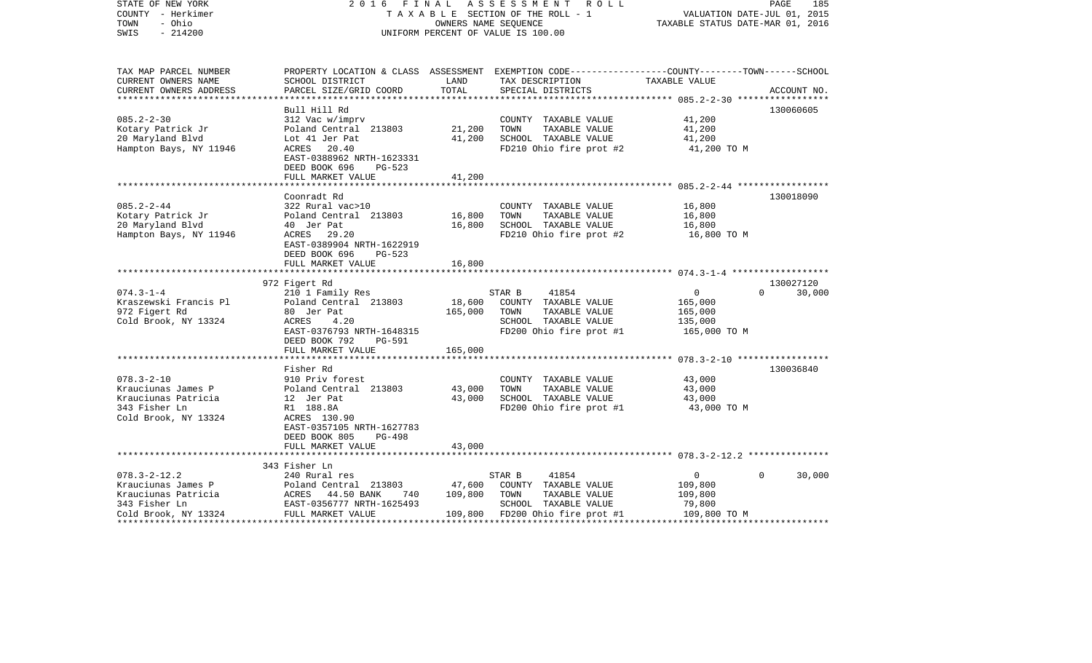| STATE OF NEW YORK<br>COUNTY - Herkimer<br>- Ohio<br>TOWN<br>$-214200$<br>SWIS | 2016 FINAL                                                                                           | OWNERS NAME SEQUENCE | A S S E S S M E N T R O L L<br>TAXABLE SECTION OF THE ROLL - 1<br>UNIFORM PERCENT OF VALUE IS 100.00               | VALUATION DATE-JUL 01, 2015<br>TAXABLE STATUS DATE-MAR 01, 2016 | PAGE<br>185        |
|-------------------------------------------------------------------------------|------------------------------------------------------------------------------------------------------|----------------------|--------------------------------------------------------------------------------------------------------------------|-----------------------------------------------------------------|--------------------|
| TAX MAP PARCEL NUMBER<br>CURRENT OWNERS NAME                                  | SCHOOL DISTRICT                                                                                      | LAND                 | PROPERTY LOCATION & CLASS ASSESSMENT EXEMPTION CODE---------------COUNTY-------TOWN------SCHOOL<br>TAX DESCRIPTION | TAXABLE VALUE                                                   |                    |
| CURRENT OWNERS ADDRESS<br>***********************                             | PARCEL SIZE/GRID COORD                                                                               | TOTAL                | SPECIAL DISTRICTS                                                                                                  |                                                                 | ACCOUNT NO.        |
|                                                                               | Bull Hill Rd                                                                                         |                      |                                                                                                                    |                                                                 | 130060605          |
| $085.2 - 2 - 30$                                                              | 312 Vac w/imprv                                                                                      |                      | COUNTY TAXABLE VALUE                                                                                               | 41,200                                                          |                    |
| Kotary Patrick Jr                                                             | Poland Central 213803                                                                                | 21,200               | TOWN<br>TAXABLE VALUE                                                                                              | 41,200                                                          |                    |
| 20 Maryland Blvd                                                              | Lot 41 Jer Pat                                                                                       | 41,200               | SCHOOL TAXABLE VALUE                                                                                               | 41,200                                                          |                    |
| Hampton Bays, NY 11946                                                        | ACRES 20.40<br>EAST-0388962 NRTH-1623331<br>DEED BOOK 696<br>PG-523<br>FULL MARKET VALUE             | 41,200               | FD210 Ohio fire prot #2                                                                                            | 41,200 TO M                                                     |                    |
|                                                                               |                                                                                                      |                      |                                                                                                                    |                                                                 |                    |
|                                                                               | Coonradt Rd                                                                                          |                      |                                                                                                                    |                                                                 | 130018090          |
| $085.2 - 2 - 44$                                                              | 322 Rural vac>10                                                                                     |                      | COUNTY TAXABLE VALUE                                                                                               | 16,800                                                          |                    |
| Kotary Patrick Jr                                                             | Poland Central 213803                                                                                | 16,800               | TOWN<br>TAXABLE VALUE                                                                                              | 16,800                                                          |                    |
| 20 Maryland Blvd                                                              | 40 Jer Pat                                                                                           | 16,800               | SCHOOL TAXABLE VALUE                                                                                               | 16,800                                                          |                    |
| Hampton Bays, NY 11946                                                        | ACRES 29.20<br>EAST-0389904 NRTH-1622919<br>DEED BOOK 696<br>PG-523                                  |                      | FD210 Ohio fire prot #2                                                                                            | 16,800 TO M                                                     |                    |
|                                                                               | FULL MARKET VALUE                                                                                    | 16,800               |                                                                                                                    |                                                                 |                    |
|                                                                               | 972 Figert Rd                                                                                        |                      |                                                                                                                    |                                                                 | 130027120          |
| $074.3 - 1 - 4$                                                               | 210 1 Family Res                                                                                     |                      | STAR B<br>41854                                                                                                    | $\overline{0}$                                                  | $\Omega$<br>30,000 |
| Kraszewski Francis Pl                                                         | Poland Central 213803                                                                                | 18,600               | COUNTY TAXABLE VALUE                                                                                               | 165,000                                                         |                    |
| 972 Figert Rd                                                                 | 80 Jer Pat                                                                                           | 165,000              | TAXABLE VALUE<br>TOWN                                                                                              | 165,000                                                         |                    |
| Cold Brook, NY 13324                                                          | ACRES<br>4.20                                                                                        |                      | SCHOOL TAXABLE VALUE                                                                                               | 135,000                                                         |                    |
|                                                                               | EAST-0376793 NRTH-1648315<br>DEED BOOK 792<br>PG-591                                                 |                      | FD200 Ohio fire prot #1                                                                                            | 165,000 TO M                                                    |                    |
|                                                                               | FULL MARKET VALUE                                                                                    | 165,000              |                                                                                                                    |                                                                 |                    |
|                                                                               |                                                                                                      |                      |                                                                                                                    |                                                                 |                    |
|                                                                               | Fisher Rd                                                                                            |                      |                                                                                                                    |                                                                 | 130036840          |
| $078.3 - 2 - 10$                                                              | 910 Priv forest                                                                                      |                      | COUNTY TAXABLE VALUE                                                                                               | 43,000                                                          |                    |
| Krauciunas James P                                                            | Poland Central 213803                                                                                | 43,000               | TAXABLE VALUE<br>TOWN                                                                                              | 43,000                                                          |                    |
| Krauciunas Patricia                                                           | 12 Jer Pat                                                                                           | 43,000               | SCHOOL TAXABLE VALUE                                                                                               | 43,000                                                          |                    |
| 343 Fisher Ln                                                                 | R1 188.8A                                                                                            |                      | FD200 Ohio fire prot #1                                                                                            | 43,000 TO M                                                     |                    |
| Cold Brook, NY 13324                                                          | ACRES 130.90<br>EAST-0357105 NRTH-1627783                                                            |                      |                                                                                                                    |                                                                 |                    |
|                                                                               | DEED BOOK 805<br><b>PG-498</b>                                                                       |                      |                                                                                                                    |                                                                 |                    |
|                                                                               | FULL MARKET VALUE                                                                                    | 43,000               |                                                                                                                    |                                                                 |                    |
|                                                                               |                                                                                                      |                      |                                                                                                                    |                                                                 |                    |
|                                                                               | 343 Fisher Ln                                                                                        |                      |                                                                                                                    |                                                                 |                    |
| $078.3 - 2 - 12.2$                                                            |                                                                                                      |                      | 41854<br>STAR B                                                                                                    | $\overline{0}$                                                  | $\Omega$<br>30,000 |
| Krauciunas James P                                                            | Poland Central 213803                                                                                | 47,600               | COUNTY TAXABLE VALUE                                                                                               | 109,800                                                         |                    |
| Krauciunas Patricia                                                           | 740                                                                                                  | 109,800              | TOWN<br>TAXABLE VALUE                                                                                              | 109,800                                                         |                    |
| 343 Fisher Ln                                                                 | --- Aural res<br>Poland Central 213<br>ACRES 44.50 BANK<br>EAST-0356777<br>EAST-0356777 NRTH-1625493 |                      | SCHOOL TAXABLE VALUE                                                                                               | 79,800                                                          |                    |
| Cold Brook, NY 13324                                                          | FULL MARKET VALUE                                                                                    |                      | 109,800 FD200 Ohio fire prot #1                                                                                    | 109,800 TO M                                                    |                    |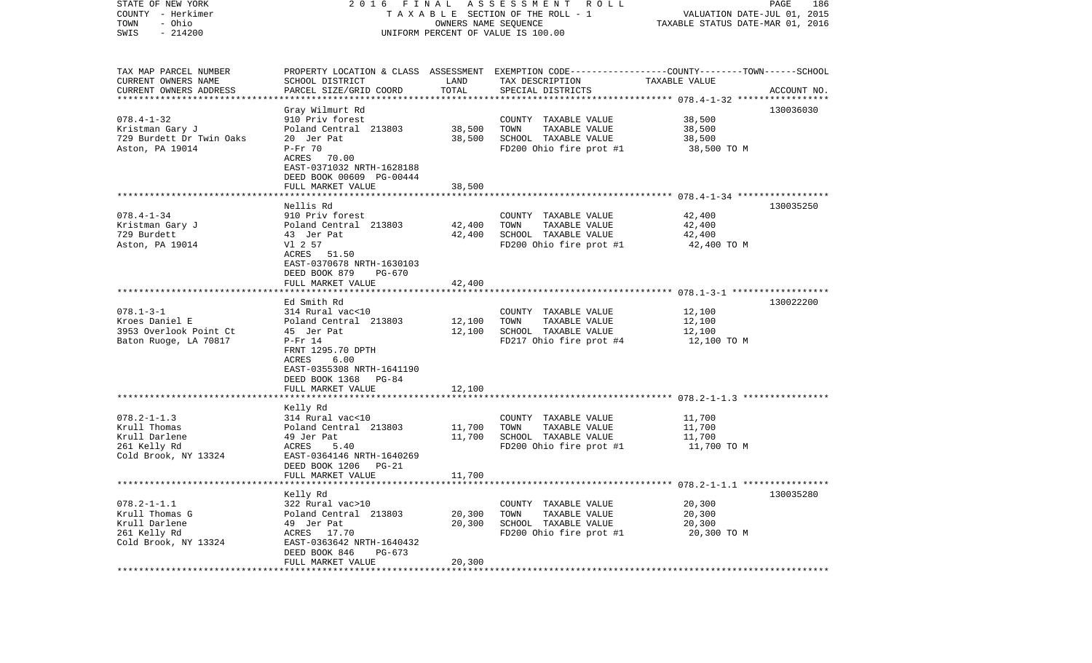| STATE OF NEW YORK                   |                                                        |                         | 2016 FINAL ASSESSMENT ROLL                                                                      |                                  | PAGE<br>186 |
|-------------------------------------|--------------------------------------------------------|-------------------------|-------------------------------------------------------------------------------------------------|----------------------------------|-------------|
| COUNTY - Herkimer                   |                                                        |                         | TAXABLE SECTION OF THE ROLL - 1                                                                 | VALUATION DATE-JUL 01, 2015      |             |
| - Ohio<br>TOWN                      |                                                        | OWNERS NAME SEQUENCE    |                                                                                                 | TAXABLE STATUS DATE-MAR 01, 2016 |             |
| $-214200$<br>SWIS                   |                                                        |                         | UNIFORM PERCENT OF VALUE IS 100.00                                                              |                                  |             |
| TAX MAP PARCEL NUMBER               |                                                        |                         | PROPERTY LOCATION & CLASS ASSESSMENT EXEMPTION CODE---------------COUNTY-------TOWN------SCHOOL |                                  |             |
| CURRENT OWNERS NAME                 | SCHOOL DISTRICT                                        | LAND                    | TAX DESCRIPTION                                                                                 | TAXABLE VALUE                    |             |
| CURRENT OWNERS ADDRESS              | PARCEL SIZE/GRID COORD                                 | TOTAL                   | SPECIAL DISTRICTS                                                                               |                                  | ACCOUNT NO. |
| *************************           |                                                        |                         |                                                                                                 |                                  |             |
|                                     | Gray Wilmurt Rd                                        |                         |                                                                                                 |                                  | 130036030   |
| $078.4 - 1 - 32$<br>Kristman Gary J | 910 Priv forest<br>Poland Central 213803               | 38,500                  | COUNTY TAXABLE VALUE<br>TOWN<br>TAXABLE VALUE                                                   | 38,500<br>38,500                 |             |
| 729 Burdett Dr Twin Oaks            | 20 Jer Pat                                             | 38,500                  | SCHOOL TAXABLE VALUE                                                                            | 38,500                           |             |
| Aston, PA 19014                     | $P-Fr 70$                                              |                         | FD200 Ohio fire prot #1                                                                         | 38,500 TO M                      |             |
|                                     | ACRES 70.00                                            |                         |                                                                                                 |                                  |             |
|                                     | EAST-0371032 NRTH-1628188                              |                         |                                                                                                 |                                  |             |
|                                     | DEED BOOK 00609 PG-00444                               |                         |                                                                                                 |                                  |             |
|                                     | FULL MARKET VALUE                                      | 38,500                  |                                                                                                 |                                  |             |
|                                     |                                                        |                         |                                                                                                 |                                  |             |
|                                     | Nellis Rd                                              |                         |                                                                                                 |                                  | 130035250   |
| $078.4 - 1 - 34$                    | 910 Priv forest                                        |                         | COUNTY TAXABLE VALUE                                                                            | 42,400                           |             |
| Kristman Gary J                     | Poland Central 213803                                  | 42,400                  | TOWN<br>TAXABLE VALUE                                                                           | 42,400                           |             |
| 729 Burdett                         | 43 Jer Pat<br>Vl 2 57                                  | 42,400                  | SCHOOL TAXABLE VALUE                                                                            | 42,400                           |             |
| Aston, PA 19014                     | ACRES 51.50                                            |                         | FD200 Ohio fire prot #1                                                                         | 42,400 TO M                      |             |
|                                     | EAST-0370678 NRTH-1630103                              |                         |                                                                                                 |                                  |             |
|                                     | DEED BOOK 879<br>PG-670                                |                         |                                                                                                 |                                  |             |
|                                     | FULL MARKET VALUE                                      | 42,400                  |                                                                                                 |                                  |             |
|                                     |                                                        |                         |                                                                                                 |                                  |             |
|                                     | Ed Smith Rd                                            |                         |                                                                                                 |                                  | 130022200   |
| $078.1 - 3 - 1$                     | 314 Rural vac<10                                       |                         | COUNTY TAXABLE VALUE                                                                            | 12,100                           |             |
| Kroes Daniel E                      | Poland Central 213803                                  | 12,100                  | TOWN<br>TAXABLE VALUE                                                                           | 12,100                           |             |
| 3953 Overlook Point Ct              | 45 Jer Pat                                             | 12,100                  | SCHOOL TAXABLE VALUE                                                                            | 12,100                           |             |
| Baton Ruoge, LA 70817               | $P-Fr 14$                                              |                         | FD217 Ohio fire prot #4                                                                         | 12,100 TO M                      |             |
|                                     | FRNT 1295.70 DPTH<br>6.00<br>ACRES                     |                         |                                                                                                 |                                  |             |
|                                     | EAST-0355308 NRTH-1641190                              |                         |                                                                                                 |                                  |             |
|                                     | DEED BOOK 1368 PG-84                                   |                         |                                                                                                 |                                  |             |
|                                     | FULL MARKET VALUE                                      | 12,100                  |                                                                                                 |                                  |             |
|                                     | ******************                                     | **********              |                                                                                                 |                                  |             |
|                                     | Kelly Rd                                               |                         |                                                                                                 |                                  |             |
| $078.2 - 1 - 1.3$                   | 314 Rural vac<10                                       |                         | COUNTY TAXABLE VALUE                                                                            | 11,700                           |             |
| Krull Thomas                        | Poland Central 213803                                  | 11,700                  | TOWN<br>TAXABLE VALUE                                                                           | 11,700                           |             |
| Krull Darlene                       | 49 Jer Pat                                             | 11,700                  | SCHOOL TAXABLE VALUE                                                                            | 11,700                           |             |
| 261 Kelly Rd                        | 5.40<br>ACRES                                          |                         | FD200 Ohio fire prot #1                                                                         | 11,700 TO M                      |             |
| Cold Brook, NY 13324                | EAST-0364146 NRTH-1640269<br>DEED BOOK 1206<br>$PG-21$ |                         |                                                                                                 |                                  |             |
|                                     | FULL MARKET VALUE                                      | 11,700                  |                                                                                                 |                                  |             |
|                                     |                                                        |                         |                                                                                                 |                                  |             |
|                                     | Kelly Rd                                               |                         |                                                                                                 |                                  | 130035280   |
| $078.2 - 1 - 1.1$                   | 322 Rural vac>10                                       |                         | COUNTY TAXABLE VALUE                                                                            | 20,300                           |             |
| Krull Thomas G                      | Poland Central 213803                                  | 20,300                  | TOWN<br>TAXABLE VALUE                                                                           | 20,300                           |             |
| Krull Darlene                       | 49 Jer Pat                                             | 20,300                  | SCHOOL TAXABLE VALUE                                                                            | 20,300                           |             |
| 261 Kelly Rd                        | ACRES 17.70                                            |                         | FD200 Ohio fire prot #1                                                                         | 20,300 TO M                      |             |
| Cold Brook, NY 13324                | EAST-0363642 NRTH-1640432                              |                         |                                                                                                 |                                  |             |
|                                     | DEED BOOK 846<br>PG-673                                |                         |                                                                                                 |                                  |             |
|                                     | FULL MARKET VALUE<br>*******************               | 20,300<br>************* |                                                                                                 |                                  |             |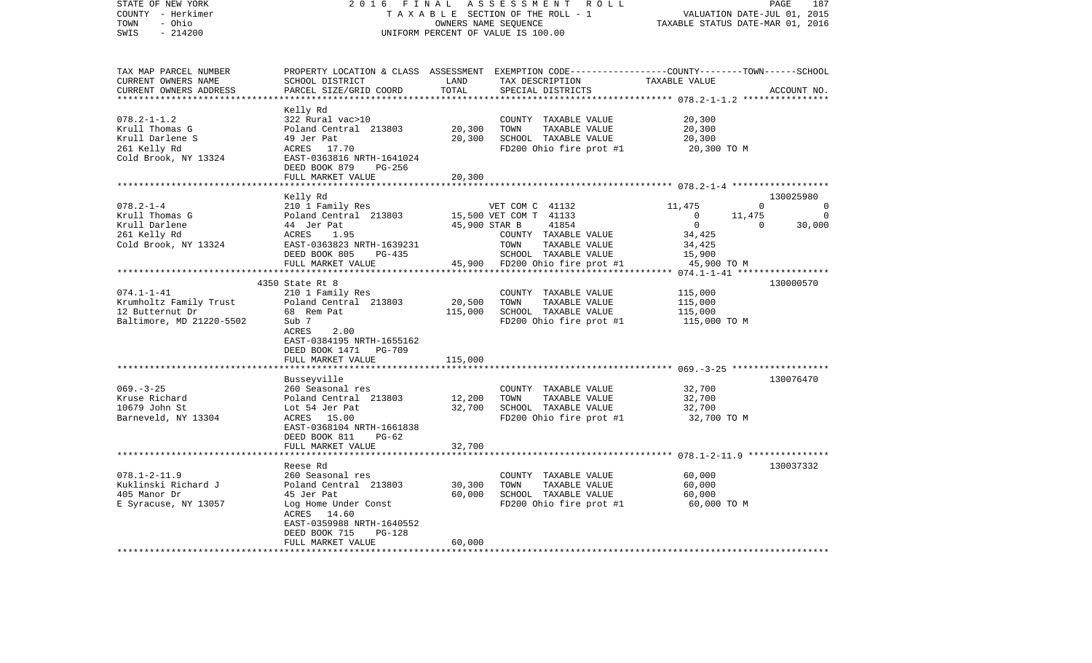| STATE OF NEW YORK<br>COUNTY - Herkimer<br>- Ohio<br>TOWN<br>$-214200$<br>SWIS                     | 2 0 1 6<br>FINAL                                                                                                                                                                           |                                       | ASSESSMENT<br>R O L L<br>TAXABLE SECTION OF THE ROLL - 1<br>OWNERS NAME SEQUENCE<br>UNIFORM PERCENT OF VALUE IS 100.00                   |                                                                                                  | PAGE<br>VALUATION DATE-JUL 01, 2015<br>TAXABLE STATUS DATE-MAR 01, 2016 | 187                            |
|---------------------------------------------------------------------------------------------------|--------------------------------------------------------------------------------------------------------------------------------------------------------------------------------------------|---------------------------------------|------------------------------------------------------------------------------------------------------------------------------------------|--------------------------------------------------------------------------------------------------|-------------------------------------------------------------------------|--------------------------------|
| TAX MAP PARCEL NUMBER<br>CURRENT OWNERS NAME<br>CURRENT OWNERS ADDRESS<br>*********************** | SCHOOL DISTRICT<br>PARCEL SIZE/GRID COORD                                                                                                                                                  | LAND<br>TOTAL                         | PROPERTY LOCATION & CLASS ASSESSMENT EXEMPTION CODE----------------COUNTY-------TOWN------SCHOOL<br>TAX DESCRIPTION<br>SPECIAL DISTRICTS | TAXABLE VALUE                                                                                    | ACCOUNT NO.                                                             |                                |
| $078.2 - 1 - 1.2$<br>Krull Thomas G<br>Krull Darlene S<br>261 Kelly Rd<br>Cold Brook, NY 13324    | Kelly Rd<br>322 Rural vac>10<br>Poland Central 213803<br>49 Jer Pat<br>ACRES<br>17.70<br>EAST-0363816 NRTH-1641024<br>DEED BOOK 879<br>PG-256<br>FULL MARKET VALUE                         | 20,300<br>20,300<br>20,300<br>******* | COUNTY TAXABLE VALUE<br>TOWN<br>TAXABLE VALUE<br>SCHOOL TAXABLE VALUE<br>FD200 Ohio fire prot #1                                         | 20,300<br>20,300<br>20,300<br>20,300 TO M<br>********************* 078.2-1-4 ******************* |                                                                         |                                |
|                                                                                                   | Kelly Rd                                                                                                                                                                                   |                                       |                                                                                                                                          |                                                                                                  | 130025980                                                               |                                |
| $078.2 - 1 - 4$<br>Krull Thomas G<br>Krull Darlene<br>261 Kelly Rd<br>Cold Brook, NY 13324        | 210 1 Family Res<br>Poland Central 213803<br>44 Jer Pat<br>ACRES<br>1.95<br>EAST-0363823 NRTH-1639231<br>DEED BOOK 805<br>PG-435                                                           | 45,900 STAR B                         | VET COM C 41132<br>15,500 VET COM T 41133<br>41854<br>COUNTY TAXABLE VALUE<br>TOWN<br>TAXABLE VALUE<br>SCHOOL TAXABLE VALUE              | 11,475<br>$\bigcirc$<br>$\overline{0}$<br>34,425<br>34,425<br>15,900                             | $\Omega$<br>11,475<br>$\Omega$                                          | $\Omega$<br>$\Omega$<br>30,000 |
|                                                                                                   | FULL MARKET VALUE                                                                                                                                                                          |                                       | 45,900 FD200 Ohio fire prot #1                                                                                                           | 45,900 TO M                                                                                      |                                                                         |                                |
| *********************                                                                             | ******************************                                                                                                                                                             |                                       |                                                                                                                                          |                                                                                                  |                                                                         |                                |
| $074.1 - 1 - 41$<br>Krumholtz Family Trust<br>12 Butternut Dr<br>Baltimore, MD 21220-5502         | 4350 State Rt 8<br>210 1 Family Res<br>Poland Central 213803<br>68 Rem Pat<br>Sub 7<br>ACRES<br>2.00<br>EAST-0384195 NRTH-1655162<br>DEED BOOK 1471 PG-709                                 | 20,500<br>115,000                     | COUNTY TAXABLE VALUE<br>TOWN<br>TAXABLE VALUE<br>SCHOOL TAXABLE VALUE<br>FD200 Ohio fire prot #1                                         | 115,000<br>115,000<br>115,000<br>115,000 TO M                                                    | 130000570                                                               |                                |
|                                                                                                   | FULL MARKET VALUE                                                                                                                                                                          | 115,000                               |                                                                                                                                          |                                                                                                  |                                                                         |                                |
| $069. -3 - 25$<br>Kruse Richard<br>10679 John St<br>Barneveld, NY 13304                           | Busseyville<br>260 Seasonal res<br>Poland Central 213803<br>Lot 54 Jer Pat<br>ACRES 15.00<br>EAST-0368104 NRTH-1661838<br>DEED BOOK 811<br>$PG-62$                                         | 12,200<br>32,700                      | COUNTY TAXABLE VALUE<br>TOWN<br>TAXABLE VALUE<br>SCHOOL TAXABLE VALUE<br>FD200 Ohio fire prot #1                                         | 32,700<br>32,700<br>32,700<br>32,700 TO M                                                        | 130076470                                                               |                                |
|                                                                                                   | FULL MARKET VALUE<br>**********************                                                                                                                                                | 32,700                                |                                                                                                                                          | *********************** 078.1-2-11.9 ****************                                            |                                                                         |                                |
| $078.1 - 2 - 11.9$<br>Kuklinski Richard J<br>405 Manor Dr<br>E Syracuse, NY 13057                 | Reese Rd<br>260 Seasonal res<br>Poland Central 213803<br>45 Jer Pat<br>Log Home Under Const<br>14.60<br>ACRES<br>EAST-0359988 NRTH-1640552<br>DEED BOOK 715<br>PG-128<br>FULL MARKET VALUE | 30,300<br>60,000<br>60,000            | COUNTY TAXABLE VALUE<br>TOWN<br>TAXABLE VALUE<br>SCHOOL TAXABLE VALUE<br>FD200 Ohio fire prot #1                                         | 60,000<br>60,000<br>60,000<br>60,000 TO M                                                        | 130037332                                                               |                                |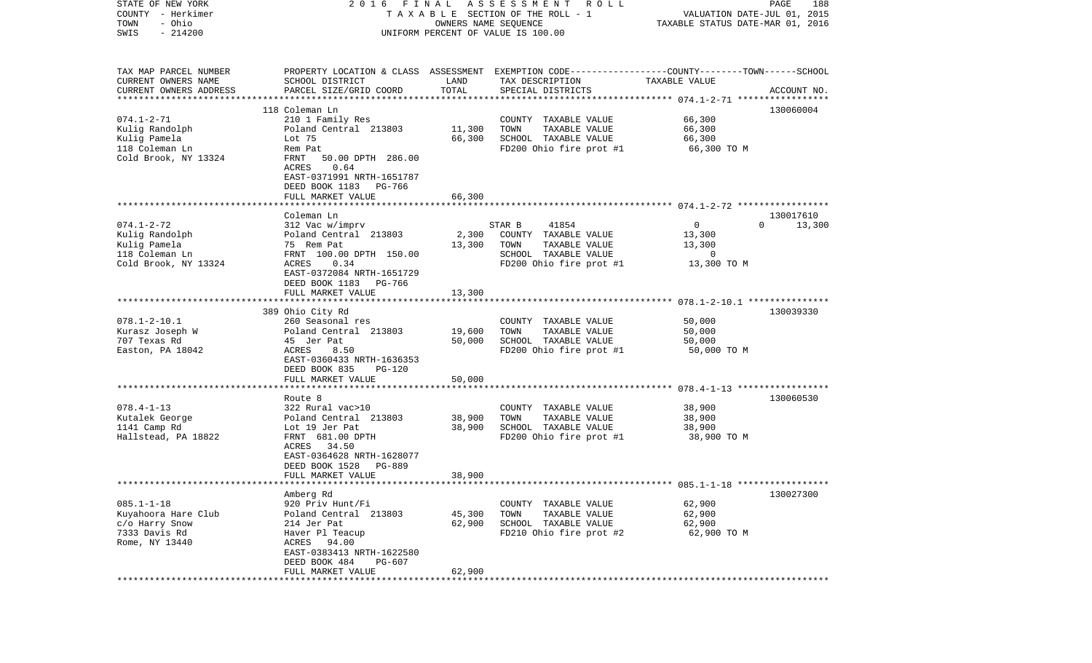| STATE OF NEW YORK<br>COUNTY - Herkimer           | 2 0 1 6                                                    | FINAL                                                      | ASSESSMENT<br>R O L L<br>TAXABLE SECTION OF THE ROLL - 1                                        | TAXABLE STATUS DATE-MAR 01, 2016 | PAGE<br>188<br>VALUATION DATE-JUL 01, 2015 |  |
|--------------------------------------------------|------------------------------------------------------------|------------------------------------------------------------|-------------------------------------------------------------------------------------------------|----------------------------------|--------------------------------------------|--|
| - Ohio<br>TOWN<br>$-214200$<br>SWIS              |                                                            | OWNERS NAME SEQUENCE<br>UNIFORM PERCENT OF VALUE IS 100.00 |                                                                                                 |                                  |                                            |  |
|                                                  |                                                            |                                                            |                                                                                                 |                                  |                                            |  |
| TAX MAP PARCEL NUMBER                            |                                                            |                                                            | PROPERTY LOCATION & CLASS ASSESSMENT EXEMPTION CODE---------------COUNTY-------TOWN------SCHOOL |                                  |                                            |  |
| CURRENT OWNERS NAME                              | SCHOOL DISTRICT                                            | LAND                                                       | TAX DESCRIPTION                                                                                 | TAXABLE VALUE                    |                                            |  |
| CURRENT OWNERS ADDRESS<br>********************** | PARCEL SIZE/GRID COORD                                     | TOTAL                                                      | SPECIAL DISTRICTS                                                                               |                                  | ACCOUNT NO.                                |  |
|                                                  |                                                            |                                                            |                                                                                                 |                                  |                                            |  |
| $074.1 - 2 - 71$                                 | 118 Coleman Ln<br>210 1 Family Res                         |                                                            | COUNTY TAXABLE VALUE                                                                            | 66,300                           | 130060004                                  |  |
| Kulig Randolph                                   | Poland Central 213803                                      | 11,300                                                     | TOWN<br>TAXABLE VALUE                                                                           | 66,300                           |                                            |  |
| Kulig Pamela                                     | Lot 75                                                     | 66,300                                                     | SCHOOL TAXABLE VALUE                                                                            | 66,300                           |                                            |  |
| 118 Coleman Ln                                   | Rem Pat                                                    |                                                            | FD200 Ohio fire prot #1                                                                         | 66,300 TO M                      |                                            |  |
| Cold Brook, NY 13324                             | 50.00 DPTH 286.00<br>FRNT                                  |                                                            |                                                                                                 |                                  |                                            |  |
|                                                  | 0.64<br>ACRES                                              |                                                            |                                                                                                 |                                  |                                            |  |
|                                                  | EAST-0371991 NRTH-1651787                                  |                                                            |                                                                                                 |                                  |                                            |  |
|                                                  | DEED BOOK 1183<br>PG-766                                   |                                                            |                                                                                                 |                                  |                                            |  |
|                                                  | FULL MARKET VALUE                                          | 66,300                                                     |                                                                                                 |                                  |                                            |  |
|                                                  |                                                            |                                                            |                                                                                                 |                                  |                                            |  |
|                                                  | Coleman Ln                                                 |                                                            |                                                                                                 |                                  | 130017610                                  |  |
| $074.1 - 2 - 72$                                 | 312 Vac w/imprv<br>Poland Central 213803                   |                                                            | 41854<br>STAR B                                                                                 | $\mathbf 0$                      | $\Omega$<br>13,300                         |  |
| Kulig Randolph<br>Kulig Pamela                   | 75 Rem Pat                                                 | 2,300<br>13,300                                            | COUNTY TAXABLE VALUE<br>TOWN<br>TAXABLE VALUE                                                   | 13,300<br>13,300                 |                                            |  |
| 118 Coleman Ln                                   | FRNT 100.00 DPTH 150.00                                    |                                                            | SCHOOL TAXABLE VALUE                                                                            | 0                                |                                            |  |
| Cold Brook, NY 13324                             | 0.34<br>ACRES                                              |                                                            | FD200 Ohio fire prot #1                                                                         | 13,300 TO M                      |                                            |  |
|                                                  | EAST-0372084 NRTH-1651729                                  |                                                            |                                                                                                 |                                  |                                            |  |
|                                                  | DEED BOOK 1183<br>PG-766                                   |                                                            |                                                                                                 |                                  |                                            |  |
|                                                  | FULL MARKET VALUE                                          | 13,300                                                     |                                                                                                 |                                  |                                            |  |
|                                                  |                                                            |                                                            |                                                                                                 |                                  |                                            |  |
|                                                  | 389 Ohio City Rd                                           |                                                            |                                                                                                 |                                  | 130039330                                  |  |
| $078.1 - 2 - 10.1$                               | 260 Seasonal res                                           |                                                            | COUNTY TAXABLE VALUE                                                                            | 50,000                           |                                            |  |
| Kurasz Joseph W                                  | Poland Central 213803                                      | 19,600                                                     | TAXABLE VALUE<br>TOWN                                                                           | 50,000                           |                                            |  |
| 707 Texas Rd                                     | 45 Jer Pat                                                 | 50,000                                                     | SCHOOL TAXABLE VALUE                                                                            | 50,000                           |                                            |  |
| Easton, PA 18042                                 | ACRES<br>8.50<br>EAST-0360433 NRTH-1636353                 |                                                            | FD200 Ohio fire prot #1                                                                         | 50,000 TO M                      |                                            |  |
|                                                  | DEED BOOK 835<br>PG-120                                    |                                                            |                                                                                                 |                                  |                                            |  |
|                                                  | FULL MARKET VALUE                                          | 50,000                                                     |                                                                                                 |                                  |                                            |  |
|                                                  |                                                            |                                                            |                                                                                                 |                                  |                                            |  |
|                                                  | Route 8                                                    |                                                            |                                                                                                 |                                  | 130060530                                  |  |
| $078.4 - 1 - 13$                                 | 322 Rural vac>10                                           |                                                            | COUNTY TAXABLE VALUE                                                                            | 38,900                           |                                            |  |
| Kutalek George                                   | Poland Central 213803                                      | 38,900                                                     | TOWN<br>TAXABLE VALUE                                                                           | 38,900                           |                                            |  |
| 1141 Camp Rd                                     | Lot 19 Jer Pat                                             | 38,900                                                     | SCHOOL TAXABLE VALUE                                                                            | 38,900                           |                                            |  |
| Hallstead, PA 18822                              | FRNT 681.00 DPTH                                           |                                                            | FD200 Ohio fire prot #1                                                                         | 38,900 TO M                      |                                            |  |
|                                                  | 34.50<br>ACRES                                             |                                                            |                                                                                                 |                                  |                                            |  |
|                                                  | EAST-0364628 NRTH-1628077                                  |                                                            |                                                                                                 |                                  |                                            |  |
|                                                  | DEED BOOK 1528<br>PG-889                                   |                                                            |                                                                                                 |                                  |                                            |  |
| **********************                           | FULL MARKET VALUE<br>************************************* | 38,900                                                     |                                                                                                 |                                  |                                            |  |
|                                                  | Amberg Rd                                                  |                                                            |                                                                                                 |                                  | 130027300                                  |  |
| $085.1 - 1 - 18$                                 | 920 Priv Hunt/Fi                                           |                                                            | COUNTY TAXABLE VALUE                                                                            | 62,900                           |                                            |  |
| Kuyahoora Hare Club                              | Poland Central 213803                                      | 45,300                                                     | TOWN<br>TAXABLE VALUE                                                                           | 62,900                           |                                            |  |
| c/o Harry Snow                                   | 214 Jer Pat                                                | 62,900                                                     | SCHOOL TAXABLE VALUE                                                                            | 62,900                           |                                            |  |
| 7333 Davis Rd                                    | Haver Pl Teacup                                            |                                                            | FD210 Ohio fire prot #2                                                                         | 62,900 TO M                      |                                            |  |
| Rome, NY 13440                                   | ACRES<br>94.00                                             |                                                            |                                                                                                 |                                  |                                            |  |
|                                                  | EAST-0383413 NRTH-1622580                                  |                                                            |                                                                                                 |                                  |                                            |  |
|                                                  | DEED BOOK 484<br>PG-607                                    |                                                            |                                                                                                 |                                  |                                            |  |
|                                                  | FULL MARKET VALUE                                          | 62,900                                                     |                                                                                                 |                                  |                                            |  |
| ************                                     |                                                            |                                                            |                                                                                                 |                                  |                                            |  |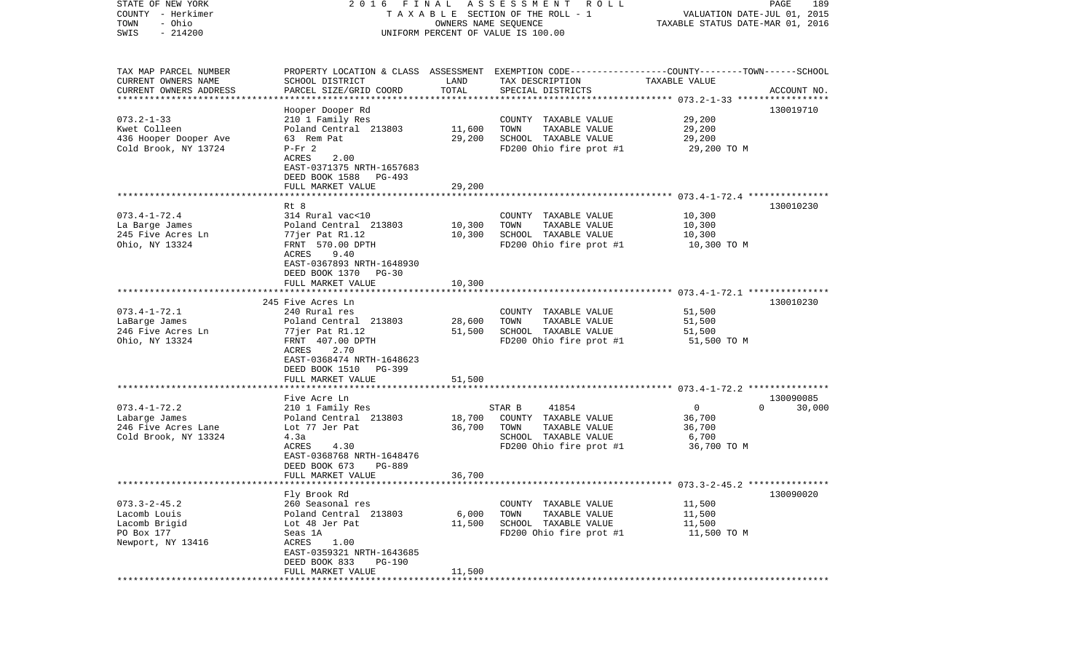| STATE OF NEW YORK<br>COUNTY - Herkimer           |                                            |                       | 2016 FINAL ASSESSMENT ROLL<br>TAXABLE SECTION OF THE ROLL - 1                                    | VALUATION DATE-JUL 01, 2015      | PAGE<br>189        |
|--------------------------------------------------|--------------------------------------------|-----------------------|--------------------------------------------------------------------------------------------------|----------------------------------|--------------------|
| - Ohio<br>TOWN                                   |                                            | OWNERS NAME SEQUENCE  |                                                                                                  | TAXABLE STATUS DATE-MAR 01, 2016 |                    |
| $-214200$<br>SWIS                                |                                            |                       | UNIFORM PERCENT OF VALUE IS 100.00                                                               |                                  |                    |
|                                                  |                                            |                       |                                                                                                  |                                  |                    |
| TAX MAP PARCEL NUMBER                            |                                            |                       | PROPERTY LOCATION & CLASS ASSESSMENT EXEMPTION CODE----------------COUNTY-------TOWN------SCHOOL |                                  |                    |
| CURRENT OWNERS NAME                              | SCHOOL DISTRICT                            | LAND                  | TAX DESCRIPTION                                                                                  | TAXABLE VALUE                    |                    |
| CURRENT OWNERS ADDRESS<br>********************** | PARCEL SIZE/GRID COORD                     | TOTAL                 | SPECIAL DISTRICTS                                                                                |                                  | ACCOUNT NO.        |
|                                                  | Hooper Dooper Rd                           |                       |                                                                                                  |                                  | 130019710          |
| $073.2 - 1 - 33$                                 | 210 1 Family Res                           |                       | COUNTY TAXABLE VALUE                                                                             | 29,200                           |                    |
| Kwet Colleen                                     | Poland Central 213803                      | 11,600                | TOWN<br>TAXABLE VALUE                                                                            | 29,200                           |                    |
| 436 Hooper Dooper Ave                            | 63 Rem Pat                                 | 29,200                | SCHOOL TAXABLE VALUE                                                                             | 29,200                           |                    |
| Cold Brook, NY 13724                             | $P-Fr 2$                                   |                       | FD200 Ohio fire prot #1                                                                          | 29,200 TO M                      |                    |
|                                                  | ACRES<br>2.00                              |                       |                                                                                                  |                                  |                    |
|                                                  | EAST-0371375 NRTH-1657683                  |                       |                                                                                                  |                                  |                    |
|                                                  | DEED BOOK 1588<br>PG-493                   |                       |                                                                                                  |                                  |                    |
|                                                  | FULL MARKET VALUE                          | 29,200                |                                                                                                  |                                  |                    |
|                                                  |                                            |                       |                                                                                                  |                                  |                    |
| $073.4 - 1 - 72.4$                               | Rt 8<br>314 Rural vac<10                   |                       | COUNTY TAXABLE VALUE                                                                             | 10,300                           | 130010230          |
| La Barge James                                   | Poland Central 213803                      | 10,300                | TAXABLE VALUE<br>TOWN                                                                            | 10,300                           |                    |
| 245 Five Acres Ln                                | 77jer Pat R1.12                            | 10,300                | SCHOOL TAXABLE VALUE                                                                             | 10,300                           |                    |
| Ohio, NY 13324                                   | FRNT 570.00 DPTH                           |                       | FD200 Ohio fire prot #1                                                                          | 10,300 TO M                      |                    |
|                                                  | ACRES<br>9.40                              |                       |                                                                                                  |                                  |                    |
|                                                  | EAST-0367893 NRTH-1648930                  |                       |                                                                                                  |                                  |                    |
|                                                  | DEED BOOK 1370<br>PG-30                    |                       |                                                                                                  |                                  |                    |
|                                                  | FULL MARKET VALUE                          | 10,300                |                                                                                                  |                                  |                    |
|                                                  |                                            |                       |                                                                                                  |                                  |                    |
|                                                  | 245 Five Acres Ln                          |                       |                                                                                                  |                                  | 130010230          |
| $073.4 - 1 - 72.1$                               | 240 Rural res                              |                       | COUNTY TAXABLE VALUE                                                                             | 51,500                           |                    |
| LaBarge James<br>246 Five Acres Ln               | Poland Central 213803<br>77jer Pat R1.12   | 28,600<br>51,500      | TOWN<br>TAXABLE VALUE<br>SCHOOL TAXABLE VALUE                                                    | 51,500<br>51,500                 |                    |
| Ohio, NY 13324                                   | FRNT 407.00 DPTH                           |                       | FD200 Ohio fire prot #1                                                                          | 51,500 TO M                      |                    |
|                                                  | 2.70<br>ACRES                              |                       |                                                                                                  |                                  |                    |
|                                                  | EAST-0368474 NRTH-1648623                  |                       |                                                                                                  |                                  |                    |
|                                                  | DEED BOOK 1510<br>PG-399                   |                       |                                                                                                  |                                  |                    |
|                                                  | FULL MARKET VALUE                          | 51,500                |                                                                                                  |                                  |                    |
|                                                  | ****************************               |                       |                                                                                                  |                                  |                    |
|                                                  | Five Acre Ln                               |                       |                                                                                                  |                                  | 130090085          |
| $073.4 - 1 - 72.2$                               | 210 1 Family Res                           |                       | STAR B<br>41854                                                                                  | $\overline{\mathbf{0}}$          | $\Omega$<br>30,000 |
| Labarge James                                    | Poland Central 213803                      | 18,700                | COUNTY TAXABLE VALUE                                                                             | 36,700                           |                    |
| 246 Five Acres Lane                              | Lot 77 Jer Pat<br>4.3a                     | 36,700                | TOWN<br>TAXABLE VALUE<br>SCHOOL TAXABLE VALUE                                                    | 36,700<br>6,700                  |                    |
| Cold Brook, NY 13324                             | 4.30<br>ACRES                              |                       | FD200 Ohio fire prot #1                                                                          | 36,700 TO M                      |                    |
|                                                  | EAST-0368768 NRTH-1648476                  |                       |                                                                                                  |                                  |                    |
|                                                  | DEED BOOK 673<br>PG-889                    |                       |                                                                                                  |                                  |                    |
|                                                  | FULL MARKET VALUE                          | 36,700                |                                                                                                  |                                  |                    |
|                                                  |                                            |                       |                                                                                                  |                                  |                    |
|                                                  | Fly Brook Rd                               |                       |                                                                                                  |                                  | 130090020          |
| $073.3 - 2 - 45.2$                               | 260 Seasonal res                           |                       | COUNTY TAXABLE VALUE                                                                             | 11,500                           |                    |
| Lacomb Louis                                     | Poland Central 213803                      | 6,000                 | TOWN<br>TAXABLE VALUE                                                                            | 11,500                           |                    |
| Lacomb Brigid                                    | Lot 48 Jer Pat                             | 11,500                | SCHOOL TAXABLE VALUE                                                                             | 11,500                           |                    |
| PO Box 177                                       | Seas 1A                                    |                       | FD200 Ohio fire prot #1                                                                          | 11,500 TO M                      |                    |
| Newport, NY 13416                                | ACRES<br>1.00<br>EAST-0359321 NRTH-1643685 |                       |                                                                                                  |                                  |                    |
|                                                  | DEED BOOK 833<br><b>PG-190</b>             |                       |                                                                                                  |                                  |                    |
|                                                  | FULL MARKET VALUE                          | 11,500                |                                                                                                  |                                  |                    |
|                                                  | ****************************               | ********************* |                                                                                                  |                                  |                    |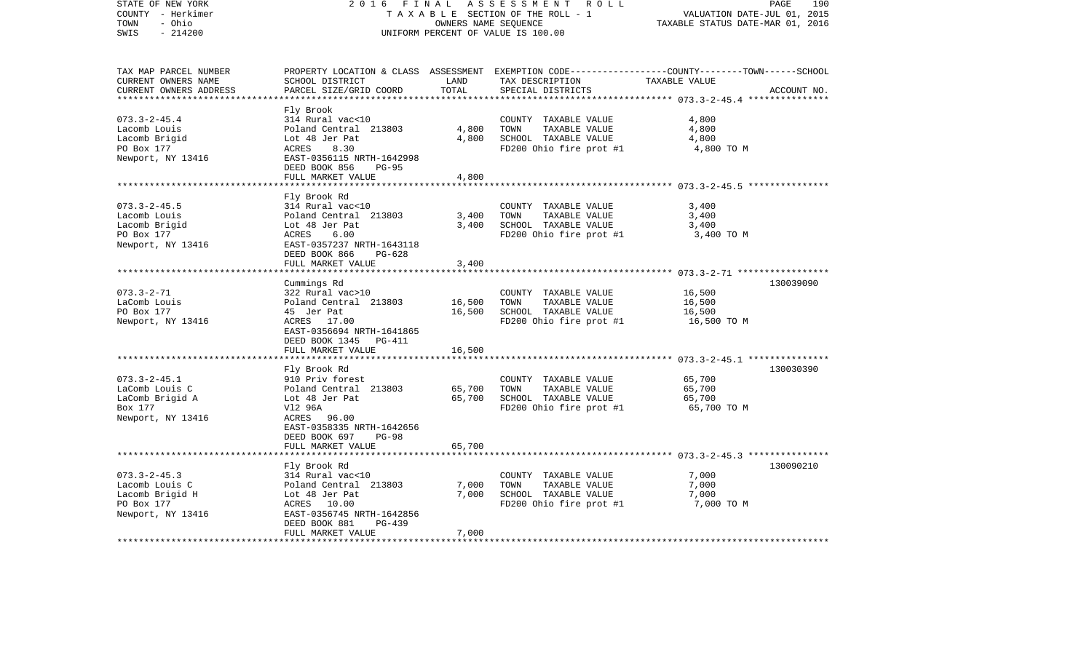| STATE OF NEW YORK<br>COUNTY - Herkimer<br>- Ohio<br>TOWN<br>$-214200$<br>SWIS                  | 2 0 1 6<br>FINAL                                                                                                                                                                        | OWNERS NAME SEQUENCE | ASSESSMENT<br>R O L L<br>TAXABLE SECTION OF THE ROLL - 1<br>UNIFORM PERCENT OF VALUE IS 100.00                                           | VALUATION DATE-JUL 01, 2015<br>TAXABLE STATUS DATE-MAR 01, 2016                                     | PAGE<br>190 |
|------------------------------------------------------------------------------------------------|-----------------------------------------------------------------------------------------------------------------------------------------------------------------------------------------|----------------------|------------------------------------------------------------------------------------------------------------------------------------------|-----------------------------------------------------------------------------------------------------|-------------|
| TAX MAP PARCEL NUMBER<br>CURRENT OWNERS NAME<br>CURRENT OWNERS ADDRESS<br>******************** | SCHOOL DISTRICT<br>PARCEL SIZE/GRID COORD                                                                                                                                               | LAND<br>TOTAL        | PROPERTY LOCATION & CLASS ASSESSMENT EXEMPTION CODE----------------COUNTY-------TOWN------SCHOOL<br>TAX DESCRIPTION<br>SPECIAL DISTRICTS | TAXABLE VALUE                                                                                       | ACCOUNT NO. |
| $073.3 - 2 - 45.4$<br>Lacomb Louis<br>Lacomb Brigid<br>PO Box 177<br>Newport, NY 13416         | Fly Brook<br>314 Rural vac<10<br>Poland Central 213803<br>Lot 48 Jer Pat<br>8.30<br>ACRES<br>EAST-0356115 NRTH-1642998<br>DEED BOOK 856<br>$PG-95$                                      | 4,800<br>4,800       | COUNTY TAXABLE VALUE<br>TOWN<br>TAXABLE VALUE<br>SCHOOL TAXABLE VALUE<br>FD200 Ohio fire prot #1                                         | 4,800<br>4,800<br>4,800<br>4,800 TO M                                                               |             |
|                                                                                                | FULL MARKET VALUE                                                                                                                                                                       | 4,800                |                                                                                                                                          |                                                                                                     |             |
| $073.3 - 2 - 45.5$<br>Lacomb Louis<br>Lacomb Brigid<br>PO Box 177<br>Newport, NY 13416         | *****************************<br>Fly Brook Rd<br>314 Rural vac<10<br>Poland Central 213803<br>Lot 48 Jer Pat<br>ACRES<br>6.00<br>EAST-0357237 NRTH-1643118<br>DEED BOOK 866<br>$PG-628$ | 3,400<br>3,400       | COUNTY TAXABLE VALUE<br>TOWN<br>TAXABLE VALUE<br>SCHOOL TAXABLE VALUE<br>FD200 Ohio fire prot #1                                         | 3,400<br>3,400<br>3,400<br>3,400 TO M                                                               |             |
|                                                                                                | FULL MARKET VALUE                                                                                                                                                                       | 3,400                |                                                                                                                                          |                                                                                                     |             |
|                                                                                                | *******************************                                                                                                                                                         |                      |                                                                                                                                          |                                                                                                     |             |
| $073.3 - 2 - 71$<br>LaComb Louis<br>PO Box 177<br>Newport, NY 13416                            | Cummings Rd<br>322 Rural vac>10<br>Poland Central 213803<br>45 Jer Pat<br>ACRES 17.00<br>EAST-0356694 NRTH-1641865<br>DEED BOOK 1345<br>PG-411                                          | 16,500<br>16,500     | COUNTY TAXABLE VALUE<br>TAXABLE VALUE<br>TOWN<br>SCHOOL TAXABLE VALUE<br>FD200 Ohio fire prot #1                                         | 16,500<br>16,500<br>16,500<br>16,500 TO M                                                           | 130039090   |
|                                                                                                | FULL MARKET VALUE                                                                                                                                                                       | 16,500               |                                                                                                                                          |                                                                                                     |             |
| $073.3 - 2 - 45.1$<br>LaComb Louis C<br>LaComb Brigid A<br>Box 177<br>Newport, NY 13416        | *******************<br>Fly Brook Rd<br>910 Priv forest<br>Poland Central 213803<br>Lot 48 Jer Pat<br>V12 96A<br>ACRES<br>96.00<br>EAST-0358335 NRTH-1642656<br>DEED BOOK 697<br>$PG-98$ | 65,700<br>65,700     | COUNTY TAXABLE VALUE<br>TOWN<br>TAXABLE VALUE<br>SCHOOL TAXABLE VALUE<br>FD200 Ohio fire prot #1                                         | ************************ 073.3-2-45.1 ****************<br>65,700<br>65,700<br>65,700<br>65,700 TO M | 130030390   |
|                                                                                                | FULL MARKET VALUE<br>*************                                                                                                                                                      | 65,700               |                                                                                                                                          |                                                                                                     |             |
| $073.3 - 2 - 45.3$<br>Lacomb Louis C<br>Lacomb Brigid H<br>PO Box 177<br>Newport, NY 13416     | Fly Brook Rd<br>314 Rural vac<10<br>Poland Central 213803<br>Lot 48 Jer Pat<br>ACRES<br>10.00<br>EAST-0356745 NRTH-1642856<br>DEED BOOK 881<br>PG-439                                   | 7,000<br>7,000       | COUNTY TAXABLE VALUE<br>TOWN<br>TAXABLE VALUE<br>SCHOOL TAXABLE VALUE<br>FD200 Ohio fire prot #1                                         | 7,000<br>7,000<br>7,000<br>7,000 TO M                                                               | 130090210   |
|                                                                                                | FULL MARKET VALUE                                                                                                                                                                       | 7,000                |                                                                                                                                          |                                                                                                     |             |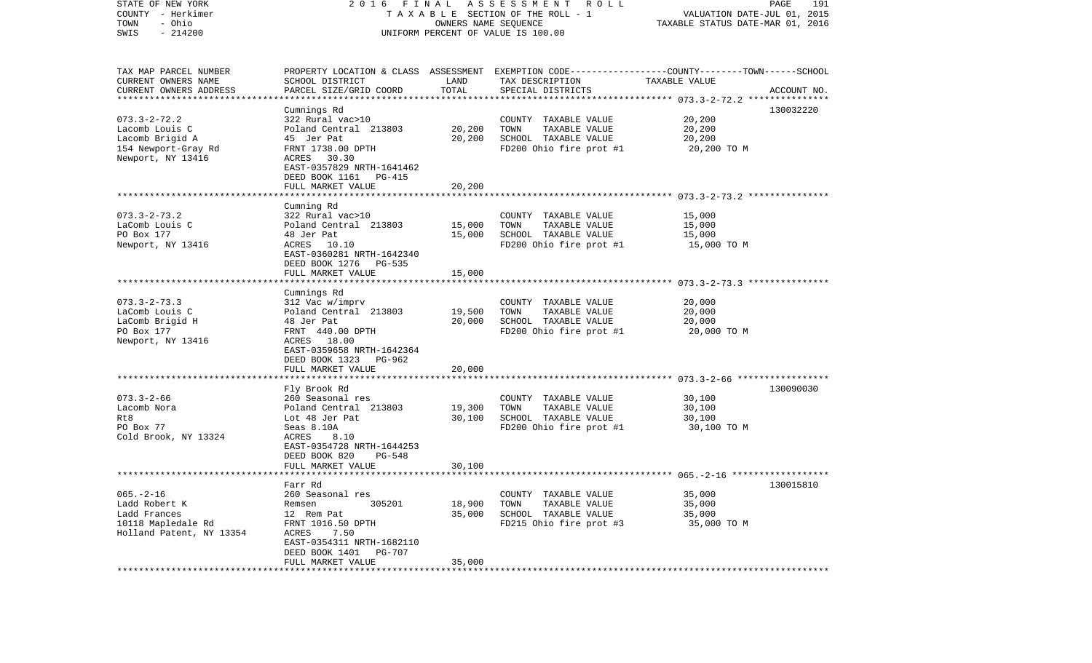| STATE OF NEW YORK<br>COUNTY - Herkimer<br>- Ohio<br>TOWN<br>$-214200$<br>SWIS                                                  | A S S E S S M E N T R O L L<br>FINAL<br>2016<br>TAXABLE SECTION OF THE ROLL - 1<br>OWNERS NAME SEQUENCE<br>UNIFORM PERCENT OF VALUE IS 100.00                                           |                            |                                                                                                                                         | 191<br>PAGE<br>VALUATION DATE-JUL 01, 2015<br>TAXABLE STATUS DATE-MAR 01, 2016 |             |  |
|--------------------------------------------------------------------------------------------------------------------------------|-----------------------------------------------------------------------------------------------------------------------------------------------------------------------------------------|----------------------------|-----------------------------------------------------------------------------------------------------------------------------------------|--------------------------------------------------------------------------------|-------------|--|
| TAX MAP PARCEL NUMBER<br>CURRENT OWNERS NAME<br>CURRENT OWNERS ADDRESS                                                         | SCHOOL DISTRICT<br>PARCEL SIZE/GRID COORD                                                                                                                                               | LAND<br>TOTAL              | PROPERTY LOCATION & CLASS ASSESSMENT EXEMPTION CODE---------------COUNTY-------TOWN------SCHOOL<br>TAX DESCRIPTION<br>SPECIAL DISTRICTS | TAXABLE VALUE                                                                  | ACCOUNT NO. |  |
| ***********************<br>$073.3 - 2 - 72.2$<br>Lacomb Louis C<br>Lacomb Brigid A<br>154 Newport-Gray Rd<br>Newport, NY 13416 | Cumnings Rd<br>322 Rural vac>10<br>Poland Central 213803<br>45 Jer Pat<br>FRNT 1738.00 DPTH<br>ACRES 30.30<br>EAST-0357829 NRTH-1641462<br>DEED BOOK 1161 PG-415                        | 20,200<br>20,200           | COUNTY TAXABLE VALUE<br>TAXABLE VALUE<br>TOWN<br>SCHOOL TAXABLE VALUE<br>FD200 Ohio fire prot #1                                        | 20,200<br>20,200<br>20,200<br>20,200 TO M                                      | 130032220   |  |
|                                                                                                                                | FULL MARKET VALUE                                                                                                                                                                       | 20,200                     |                                                                                                                                         |                                                                                |             |  |
| $073.3 - 2 - 73.2$<br>LaComb Louis C<br>PO Box 177<br>Newport, NY 13416                                                        | Cumning Rd<br>322 Rural vac>10<br>Poland Central 213803<br>48 Jer Pat<br>ACRES 10.10<br>EAST-0360281 NRTH-1642340<br>DEED BOOK 1276 PG-535<br>FULL MARKET VALUE                         | 15,000<br>15,000<br>15,000 | COUNTY TAXABLE VALUE<br>TAXABLE VALUE<br>TOWN<br>SCHOOL TAXABLE VALUE<br>FD200 Ohio fire prot #1                                        | 15,000<br>15,000<br>15,000<br>15,000 TO M                                      |             |  |
|                                                                                                                                |                                                                                                                                                                                         |                            |                                                                                                                                         |                                                                                |             |  |
| $073.3 - 2 - 73.3$<br>LaComb Louis C<br>LaComb Brigid H<br>PO Box 177<br>Newport, NY 13416                                     | Cumnings Rd<br>312 Vac w/imprv<br>Poland Central 213803<br>48 Jer Pat<br>FRNT 440.00 DPTH<br>ACRES 18.00<br>EAST-0359658 NRTH-1642364<br>DEED BOOK 1323 PG-962<br>FULL MARKET VALUE     | 19,500<br>20,000<br>20,000 | COUNTY TAXABLE VALUE<br>TAXABLE VALUE<br>TOWN<br>SCHOOL TAXABLE VALUE<br>FD200 Ohio fire prot #1                                        | 20,000<br>20,000<br>20,000<br>20,000 TO M                                      |             |  |
|                                                                                                                                | ************************                                                                                                                                                                | ********************       |                                                                                                                                         |                                                                                |             |  |
| $073.3 - 2 - 66$<br>Lacomb Nora<br>Rt8<br>PO Box 77<br>Cold Brook, NY 13324                                                    | Fly Brook Rd<br>260 Seasonal res<br>Poland Central 213803<br>Lot 48 Jer Pat<br>Seas 8.10A<br>ACRES<br>8.10<br>EAST-0354728 NRTH-1644253<br>DEED BOOK 820<br>PG-548<br>FULL MARKET VALUE | 19,300<br>30,100<br>30,100 | COUNTY TAXABLE VALUE<br>TOWN<br>TAXABLE VALUE<br>SCHOOL TAXABLE VALUE<br>FD200 Ohio fire prot #1                                        | 30,100<br>30,100<br>30,100<br>30,100 TO M                                      | 130090030   |  |
|                                                                                                                                |                                                                                                                                                                                         |                            |                                                                                                                                         |                                                                                |             |  |
| $065. -2 - 16$<br>Ladd Robert K<br>Ladd Frances<br>10118 Mapledale Rd<br>Holland Patent, NY 13354                              | Farr Rd<br>260 Seasonal res<br>305201<br>Remsen<br>12 Rem Pat<br>FRNT 1016.50 DPTH<br>ACRES<br>7.50<br>EAST-0354311 NRTH-1682110<br>DEED BOOK 1401<br>PG-707<br>FULL MARKET VALUE       | 18,900<br>35,000<br>35,000 | COUNTY TAXABLE VALUE<br>TOWN<br>TAXABLE VALUE<br>SCHOOL TAXABLE VALUE<br>FD215 Ohio fire prot #3                                        | 35,000<br>35,000<br>35,000<br>35,000 TO M                                      | 130015810   |  |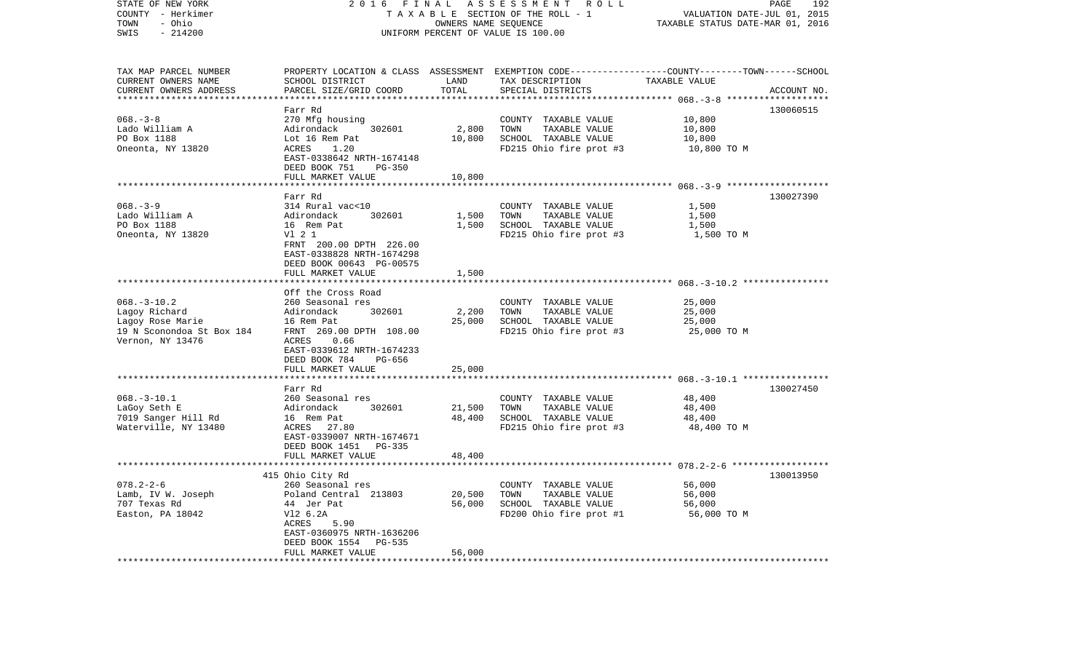| STATE OF NEW YORK<br>COUNTY - Herkimer<br>- Ohio<br>TOWN<br>SWIS<br>$-214200$                           | 2016<br>FINAL<br>ASSESSMENT ROLL<br>TAXABLE SECTION OF THE ROLL - 1<br>OWNERS NAME SEQUENCE<br>UNIFORM PERCENT OF VALUE IS 100.00                                                |                            |                                                                                                                                         | PAGE<br>192<br>VALUATION DATE-JUL 01, 2015<br>TAXABLE STATUS DATE-MAR 01, 2016                       |             |
|---------------------------------------------------------------------------------------------------------|----------------------------------------------------------------------------------------------------------------------------------------------------------------------------------|----------------------------|-----------------------------------------------------------------------------------------------------------------------------------------|------------------------------------------------------------------------------------------------------|-------------|
| TAX MAP PARCEL NUMBER<br>CURRENT OWNERS NAME<br>CURRENT OWNERS ADDRESS                                  | SCHOOL DISTRICT<br>PARCEL SIZE/GRID COORD                                                                                                                                        | LAND<br>TOTAL              | PROPERTY LOCATION & CLASS ASSESSMENT EXEMPTION CODE---------------COUNTY-------TOWN------SCHOOL<br>TAX DESCRIPTION<br>SPECIAL DISTRICTS | TAXABLE VALUE<br>************ 068. -3-8 *****                                                        | ACCOUNT NO. |
| $068. - 3 - 8$<br>Lado William A<br>PO Box 1188<br>Oneonta, NY 13820                                    | Farr Rd<br>270 Mfg housing<br>302601<br>Adirondack<br>Lot 16 Rem Pat<br>1.20<br>ACRES<br>EAST-0338642 NRTH-1674148<br>DEED BOOK 751<br><b>PG-350</b><br>FULL MARKET VALUE        | 2,800<br>10,800<br>10,800  | COUNTY TAXABLE VALUE<br>TOWN<br>TAXABLE VALUE<br>SCHOOL TAXABLE VALUE<br>FD215 Ohio fire prot #3                                        | 10,800<br>10,800<br>10,800<br>10,800 TO M                                                            | 130060515   |
|                                                                                                         |                                                                                                                                                                                  |                            |                                                                                                                                         |                                                                                                      |             |
| $068. - 3 - 9$<br>Lado William A<br>PO Box 1188<br>Oneonta, NY 13820                                    | Farr Rd<br>314 Rural vac<10<br>302601<br>Adirondack<br>16 Rem Pat<br>V1 2 1<br>FRNT 200.00 DPTH 226.00<br>EAST-0338828 NRTH-1674298<br>DEED BOOK 00643 PG-00575                  | 1,500<br>1,500             | COUNTY TAXABLE VALUE<br>TAXABLE VALUE<br>TOWN<br>SCHOOL TAXABLE VALUE<br>FD215 Ohio fire prot #3                                        | 1,500<br>1,500<br>1,500<br>1,500 TO M                                                                | 130027390   |
|                                                                                                         | FULL MARKET VALUE                                                                                                                                                                | 1,500                      |                                                                                                                                         |                                                                                                      |             |
|                                                                                                         | *********************                                                                                                                                                            |                            |                                                                                                                                         |                                                                                                      |             |
| $068. - 3 - 10.2$<br>Lagoy Richard<br>Lagoy Rose Marie<br>19 N Sconondoa St Box 184<br>Vernon, NY 13476 | Off the Cross Road<br>260 Seasonal res<br>302601<br>Adirondack<br>16 Rem Pat<br>FRNT 269.00 DPTH 108.00<br>ACRES<br>0.66<br>EAST-0339612 NRTH-1674233<br>DEED BOOK 784<br>PG-656 | 2,200<br>25,000            | COUNTY TAXABLE VALUE<br>TAXABLE VALUE<br>TOWN<br>SCHOOL TAXABLE VALUE<br>FD215 Ohio fire prot #3                                        | 25,000<br>25,000<br>25,000<br>25,000 TO M                                                            |             |
|                                                                                                         | FULL MARKET VALUE                                                                                                                                                                | 25,000                     |                                                                                                                                         |                                                                                                      |             |
| $068. - 3 - 10.1$<br>LaGoy Seth E<br>7019 Sanger Hill Rd<br>Waterville, NY 13480                        | Farr Rd<br>260 Seasonal res<br>Adirondack<br>302601<br>16 Rem Pat<br>ACRES<br>27.80<br>EAST-0339007 NRTH-1674671<br>DEED BOOK 1451 PG-335                                        | 21,500<br>48,400           | COUNTY TAXABLE VALUE<br>TOWN<br>TAXABLE VALUE<br>SCHOOL TAXABLE VALUE<br>FD215 Ohio fire prot #3                                        | ************************* 068.-3-10.1 *****************<br>48,400<br>48,400<br>48,400<br>48,400 TO M | 130027450   |
|                                                                                                         | FULL MARKET VALUE<br>* * * * * * * * * * * * * * * * * * *                                                                                                                       | 48,400                     |                                                                                                                                         |                                                                                                      |             |
|                                                                                                         | 415 Ohio City Rd                                                                                                                                                                 |                            |                                                                                                                                         | ****************************** 078.2-2-6 ******************                                          | 130013950   |
| $078.2 - 2 - 6$<br>Lamb, IV W. Joseph<br>707 Texas Rd<br>Easton, PA 18042                               | 260 Seasonal res<br>Poland Central 213803<br>44 Jer Pat<br>V12 6.2A<br>ACRES<br>5.90<br>EAST-0360975 NRTH-1636206<br>DEED BOOK 1554<br>PG-535<br>FULL MARKET VALUE               | 20,500<br>56,000<br>56,000 | COUNTY TAXABLE VALUE<br>TOWN<br>TAXABLE VALUE<br>SCHOOL TAXABLE VALUE<br>FD200 Ohio fire prot #1                                        | 56,000<br>56,000<br>56,000<br>56,000 TO M                                                            |             |
| *************************                                                                               | ****************************                                                                                                                                                     |                            |                                                                                                                                         |                                                                                                      |             |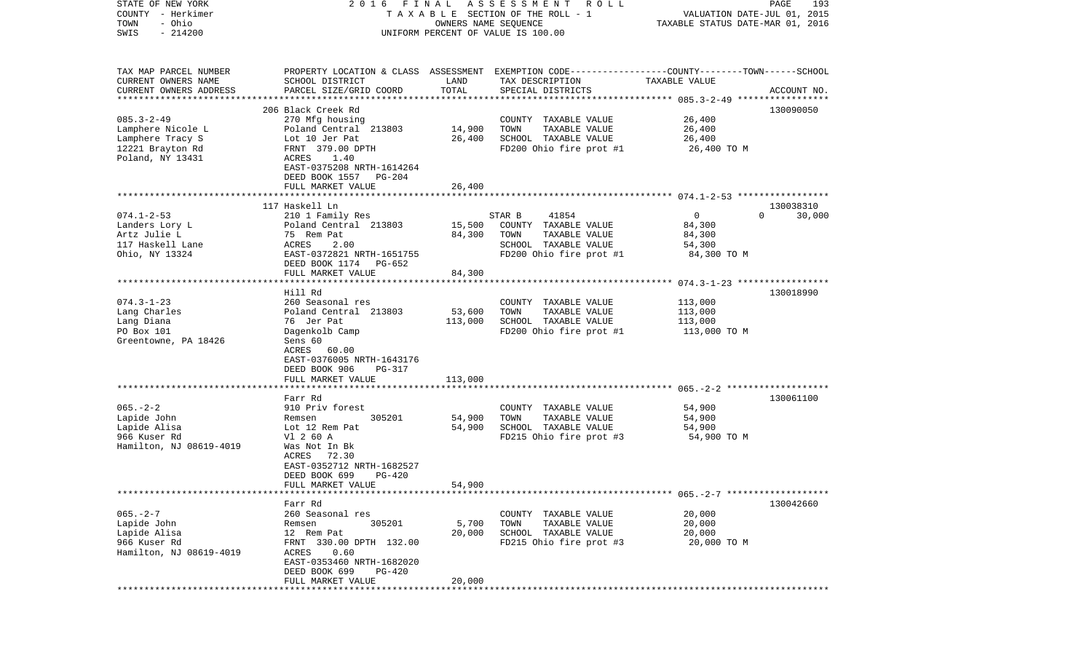| STATE OF NEW YORK<br>COUNTY - Herkimer | FINAL<br>2016                                                                                   |                      | A S S E S S M E N T R O L L<br>TAXABLE SECTION OF THE ROLL - 1 |                                                                 | PAGE<br>193        |
|----------------------------------------|-------------------------------------------------------------------------------------------------|----------------------|----------------------------------------------------------------|-----------------------------------------------------------------|--------------------|
| - Ohio<br>TOWN                         |                                                                                                 | OWNERS NAME SEQUENCE |                                                                | VALUATION DATE-JUL 01, 2015<br>TAXABLE STATUS DATE-MAR 01, 2016 |                    |
| $-214200$<br>SWIS                      |                                                                                                 |                      | UNIFORM PERCENT OF VALUE IS 100.00                             |                                                                 |                    |
|                                        |                                                                                                 |                      |                                                                |                                                                 |                    |
| TAX MAP PARCEL NUMBER                  | PROPERTY LOCATION & CLASS ASSESSMENT EXEMPTION CODE---------------COUNTY-------TOWN------SCHOOL |                      |                                                                |                                                                 |                    |
| CURRENT OWNERS NAME                    | SCHOOL DISTRICT                                                                                 | LAND                 | TAX DESCRIPTION                                                | TAXABLE VALUE                                                   |                    |
| CURRENT OWNERS ADDRESS                 | PARCEL SIZE/GRID COORD                                                                          | TOTAL                | SPECIAL DISTRICTS                                              |                                                                 | ACCOUNT NO.        |
| **********************                 |                                                                                                 |                      |                                                                |                                                                 |                    |
|                                        | 206 Black Creek Rd                                                                              |                      |                                                                |                                                                 | 130090050          |
| $085.3 - 2 - 49$                       | 270 Mfg housing                                                                                 |                      | COUNTY TAXABLE VALUE                                           | 26,400                                                          |                    |
| Lamphere Nicole L                      | Poland Central 213803                                                                           | 14,900               | TOWN<br>TAXABLE VALUE                                          | 26,400                                                          |                    |
| Lamphere Tracy S                       | Lot 10 Jer Pat                                                                                  | 26,400               | SCHOOL TAXABLE VALUE                                           | 26,400<br>26,400 TO M                                           |                    |
| 12221 Brayton Rd<br>Poland, NY 13431   | FRNT 379.00 DPTH<br>ACRES<br>1.40                                                               |                      | FD200 Ohio fire prot #1                                        |                                                                 |                    |
|                                        | EAST-0375208 NRTH-1614264                                                                       |                      |                                                                |                                                                 |                    |
|                                        | DEED BOOK 1557 PG-204                                                                           |                      |                                                                |                                                                 |                    |
|                                        | FULL MARKET VALUE                                                                               | 26,400               |                                                                |                                                                 |                    |
|                                        |                                                                                                 |                      |                                                                |                                                                 |                    |
|                                        | 117 Haskell Ln                                                                                  |                      |                                                                |                                                                 | 130038310          |
| $074.1 - 2 - 53$                       | 210 1 Family Res                                                                                |                      | 41854<br>STAR B                                                | $\circ$                                                         | $\Omega$<br>30,000 |
| Landers Lory L                         | Poland Central 213803                                                                           | 15,500               | COUNTY TAXABLE VALUE                                           | 84,300                                                          |                    |
| Artz Julie L                           | 75 Rem Pat                                                                                      | 84,300               | TOWN<br>TAXABLE VALUE                                          | 84,300                                                          |                    |
| 117 Haskell Lane                       | 2.00<br>ACRES<br>EAST-0372821 NRTH-1651755                                                      |                      | SCHOOL TAXABLE VALUE                                           | 54,300                                                          |                    |
| Ohio, NY 13324                         | DEED BOOK 1174 PG-652                                                                           |                      | FD200 Ohio fire prot #1                                        | 84,300 TO M                                                     |                    |
|                                        | FULL MARKET VALUE                                                                               | 84,300               |                                                                |                                                                 |                    |
|                                        |                                                                                                 |                      |                                                                |                                                                 |                    |
|                                        | Hill Rd                                                                                         |                      |                                                                |                                                                 | 130018990          |
| $074.3 - 1 - 23$                       | 260 Seasonal res                                                                                |                      | COUNTY TAXABLE VALUE                                           | 113,000                                                         |                    |
| Lang Charles                           | Poland Central 213803                                                                           | 53,600               | TOWN<br>TAXABLE VALUE                                          | 113,000                                                         |                    |
| Lang Diana                             | 76 Jer Pat                                                                                      | 113,000              | SCHOOL TAXABLE VALUE                                           | 113,000                                                         |                    |
| PO Box 101                             | Dagenkolb Camp                                                                                  |                      | FD200 Ohio fire prot #1                                        | 113,000 TO M                                                    |                    |
| Greentowne, PA 18426                   | Sens 60                                                                                         |                      |                                                                |                                                                 |                    |
|                                        | ACRES 60.00<br>EAST-0376005 NRTH-1643176                                                        |                      |                                                                |                                                                 |                    |
|                                        | DEED BOOK 906<br>PG-317                                                                         |                      |                                                                |                                                                 |                    |
|                                        | FULL MARKET VALUE                                                                               | 113,000              |                                                                |                                                                 |                    |
|                                        |                                                                                                 |                      |                                                                |                                                                 |                    |
|                                        | Farr Rd                                                                                         |                      |                                                                |                                                                 | 130061100          |
| $065. - 2 - 2$                         | 910 Priv forest                                                                                 |                      | COUNTY TAXABLE VALUE                                           | 54,900                                                          |                    |
| Lapide John                            | 305201<br>Remsen                                                                                | 54,900               | TOWN<br>TAXABLE VALUE                                          | 54,900                                                          |                    |
| Lapide Alisa                           | Lot 12 Rem Pat                                                                                  | 54,900               | SCHOOL TAXABLE VALUE                                           | 54,900                                                          |                    |
| 966 Kuser Rd                           | V1 2 60 A                                                                                       |                      | FD215 Ohio fire prot #3                                        | 54,900 TO M                                                     |                    |
| Hamilton, NJ 08619-4019                | Was Not In Bk                                                                                   |                      |                                                                |                                                                 |                    |
|                                        | 72.30<br>ACRES<br>EAST-0352712 NRTH-1682527                                                     |                      |                                                                |                                                                 |                    |
|                                        | DEED BOOK 699<br>PG-420                                                                         |                      |                                                                |                                                                 |                    |
|                                        | FULL MARKET VALUE                                                                               | 54,900               |                                                                |                                                                 |                    |
|                                        |                                                                                                 |                      |                                                                |                                                                 |                    |
|                                        | Farr Rd                                                                                         |                      |                                                                |                                                                 | 130042660          |
| $065. - 2 - 7$                         | 260 Seasonal res                                                                                |                      | COUNTY TAXABLE VALUE                                           | 20,000                                                          |                    |
| Lapide John                            | 305201<br>Remsen                                                                                | 5,700                | TOWN<br>TAXABLE VALUE                                          | 20,000                                                          |                    |
| Lapide Alisa                           | 12 Rem Pat                                                                                      | 20,000               | SCHOOL TAXABLE VALUE                                           | 20,000                                                          |                    |
| 966 Kuser Rd                           | FRNT 330.00 DPTH 132.00                                                                         |                      | FD215 Ohio fire prot #3                                        | 20,000 TO M                                                     |                    |
| Hamilton, NJ 08619-4019                | ACRES<br>0.60<br>EAST-0353460 NRTH-1682020                                                      |                      |                                                                |                                                                 |                    |
|                                        | DEED BOOK 699<br>PG-420                                                                         |                      |                                                                |                                                                 |                    |
|                                        | FULL MARKET VALUE                                                                               | 20,000               |                                                                |                                                                 |                    |
|                                        |                                                                                                 |                      |                                                                |                                                                 |                    |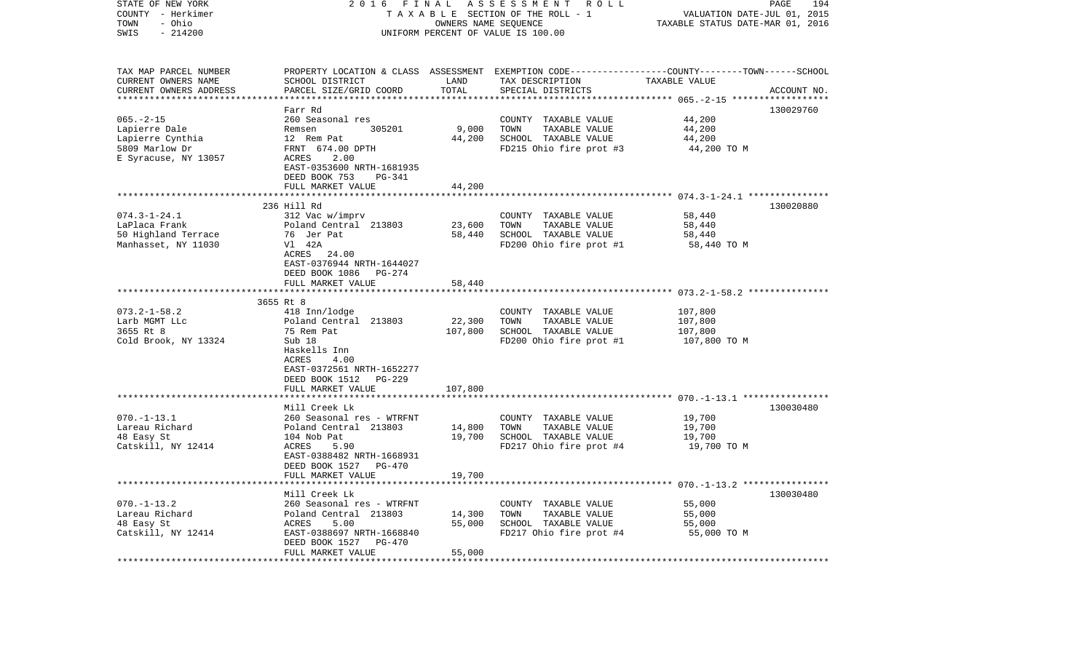| STATE OF NEW YORK<br>COUNTY - Herkimer<br>- Ohio<br>TOWN<br>SWIS<br>$-214200$ | 2016<br>FINAL<br>ASSESSMENT ROLL<br>TAXABLE SECTION OF THE ROLL - 1<br>OWNERS NAME SEQUENCE<br>UNIFORM PERCENT OF VALUE IS 100.00 |               |                                                                                                 | 194<br>PAGE<br>VALUATION DATE-JUL 01, 2015<br>TAXABLE STATUS DATE-MAR 01, 2016 |             |
|-------------------------------------------------------------------------------|-----------------------------------------------------------------------------------------------------------------------------------|---------------|-------------------------------------------------------------------------------------------------|--------------------------------------------------------------------------------|-------------|
| TAX MAP PARCEL NUMBER<br>CURRENT OWNERS NAME                                  |                                                                                                                                   |               | PROPERTY LOCATION & CLASS ASSESSMENT EXEMPTION CODE---------------COUNTY-------TOWN------SCHOOL | TAXABLE VALUE                                                                  |             |
| CURRENT OWNERS ADDRESS                                                        | SCHOOL DISTRICT<br>PARCEL SIZE/GRID COORD                                                                                         | LAND<br>TOTAL | TAX DESCRIPTION<br>SPECIAL DISTRICTS                                                            |                                                                                | ACCOUNT NO. |
|                                                                               |                                                                                                                                   |               |                                                                                                 |                                                                                |             |
|                                                                               | Farr Rd                                                                                                                           |               |                                                                                                 |                                                                                | 130029760   |
| $065. - 2 - 15$                                                               | 260 Seasonal res                                                                                                                  |               | COUNTY TAXABLE VALUE                                                                            | 44,200                                                                         |             |
| Lapierre Dale                                                                 | 305201<br>Remsen                                                                                                                  | 9,000         | TOWN<br>TAXABLE VALUE                                                                           | 44,200                                                                         |             |
| Lapierre Cynthia<br>5809 Marlow Dr                                            | 12 Rem Pat<br>FRNT 674.00 DPTH                                                                                                    | 44,200        | SCHOOL TAXABLE VALUE<br>FD215 Ohio fire prot #3                                                 | 44,200<br>44,200 TO M                                                          |             |
| E Syracuse, NY 13057                                                          | ACRES<br>2.00                                                                                                                     |               |                                                                                                 |                                                                                |             |
|                                                                               | EAST-0353600 NRTH-1681935                                                                                                         |               |                                                                                                 |                                                                                |             |
|                                                                               | DEED BOOK 753<br>PG-341                                                                                                           |               |                                                                                                 |                                                                                |             |
|                                                                               | FULL MARKET VALUE                                                                                                                 | 44,200        |                                                                                                 |                                                                                |             |
|                                                                               |                                                                                                                                   |               |                                                                                                 |                                                                                |             |
|                                                                               | 236 Hill Rd                                                                                                                       |               |                                                                                                 |                                                                                | 130020880   |
| $074.3 - 1 - 24.1$<br>LaPlaca Frank                                           | 312 Vac w/imprv<br>Poland Central 213803                                                                                          | 23,600        | COUNTY TAXABLE VALUE<br>TOWN<br>TAXABLE VALUE                                                   | 58,440<br>58,440                                                               |             |
| 50 Highland Terrace                                                           | 76 Jer Pat                                                                                                                        | 58,440        | SCHOOL TAXABLE VALUE                                                                            | 58,440                                                                         |             |
| Manhasset, NY 11030                                                           | V1 42A                                                                                                                            |               | FD200 Ohio fire prot #1                                                                         | 58,440 TO M                                                                    |             |
|                                                                               | ACRES<br>24.00                                                                                                                    |               |                                                                                                 |                                                                                |             |
|                                                                               | EAST-0376944 NRTH-1644027                                                                                                         |               |                                                                                                 |                                                                                |             |
|                                                                               | DEED BOOK 1086 PG-274<br>FULL MARKET VALUE                                                                                        | 58,440        |                                                                                                 |                                                                                |             |
|                                                                               |                                                                                                                                   |               |                                                                                                 |                                                                                |             |
|                                                                               | 3655 Rt 8                                                                                                                         |               |                                                                                                 |                                                                                |             |
| $073.2 - 1 - 58.2$                                                            | 418 Inn/lodge                                                                                                                     |               | COUNTY TAXABLE VALUE                                                                            | 107,800                                                                        |             |
| Larb MGMT LLc                                                                 | Poland Central 213803                                                                                                             | 22,300        | TAXABLE VALUE<br>TOWN                                                                           | 107,800                                                                        |             |
| 3655 Rt 8                                                                     | 75 Rem Pat                                                                                                                        | 107,800       | SCHOOL TAXABLE VALUE                                                                            | 107,800                                                                        |             |
| Cold Brook, NY 13324                                                          | Sub 18<br>Haskells Inn                                                                                                            |               | FD200 Ohio fire prot #1                                                                         | 107,800 TO M                                                                   |             |
|                                                                               | ACRES<br>4.00                                                                                                                     |               |                                                                                                 |                                                                                |             |
|                                                                               | EAST-0372561 NRTH-1652277                                                                                                         |               |                                                                                                 |                                                                                |             |
|                                                                               | DEED BOOK 1512<br>PG-229                                                                                                          |               |                                                                                                 |                                                                                |             |
|                                                                               | FULL MARKET VALUE                                                                                                                 | 107,800       |                                                                                                 |                                                                                |             |
|                                                                               |                                                                                                                                   |               |                                                                                                 |                                                                                |             |
| $070. -1 - 13.1$                                                              | Mill Creek Lk<br>260 Seasonal res - WTRFNT                                                                                        |               | COUNTY TAXABLE VALUE                                                                            | 19,700                                                                         | 130030480   |
| Lareau Richard                                                                | Poland Central 213803                                                                                                             | 14,800        | TOWN<br>TAXABLE VALUE                                                                           | 19,700                                                                         |             |
| 48 Easy St                                                                    | 104 Nob Pat                                                                                                                       | 19,700        | SCHOOL TAXABLE VALUE                                                                            | 19,700                                                                         |             |
| Catskill, NY 12414                                                            | ACRES<br>5.90                                                                                                                     |               | FD217 Ohio fire prot #4                                                                         | 19,700 TO M                                                                    |             |
|                                                                               | EAST-0388482 NRTH-1668931                                                                                                         |               |                                                                                                 |                                                                                |             |
|                                                                               | DEED BOOK 1527 PG-470                                                                                                             |               |                                                                                                 |                                                                                |             |
|                                                                               | FULL MARKET VALUE<br>******************                                                                                           | 19,700        |                                                                                                 |                                                                                |             |
|                                                                               | Mill Creek Lk                                                                                                                     |               |                                                                                                 |                                                                                | 130030480   |
| $070. -1 - 13.2$                                                              | 260 Seasonal res - WTRFNT                                                                                                         |               | COUNTY TAXABLE VALUE                                                                            | 55,000                                                                         |             |
| Lareau Richard                                                                | Poland Central 213803                                                                                                             | 14,300        | TOWN<br>TAXABLE VALUE                                                                           | 55,000                                                                         |             |
| 48 Easy St                                                                    | ACRES<br>5.00                                                                                                                     | 55,000        | SCHOOL TAXABLE VALUE                                                                            | 55,000                                                                         |             |
| Catskill, NY 12414                                                            | EAST-0388697 NRTH-1668840                                                                                                         |               | FD217 Ohio fire prot #4                                                                         | 55,000 TO M                                                                    |             |
|                                                                               | DEED BOOK 1527<br>PG-470                                                                                                          |               |                                                                                                 |                                                                                |             |
|                                                                               | FULL MARKET VALUE                                                                                                                 | 55,000        |                                                                                                 |                                                                                |             |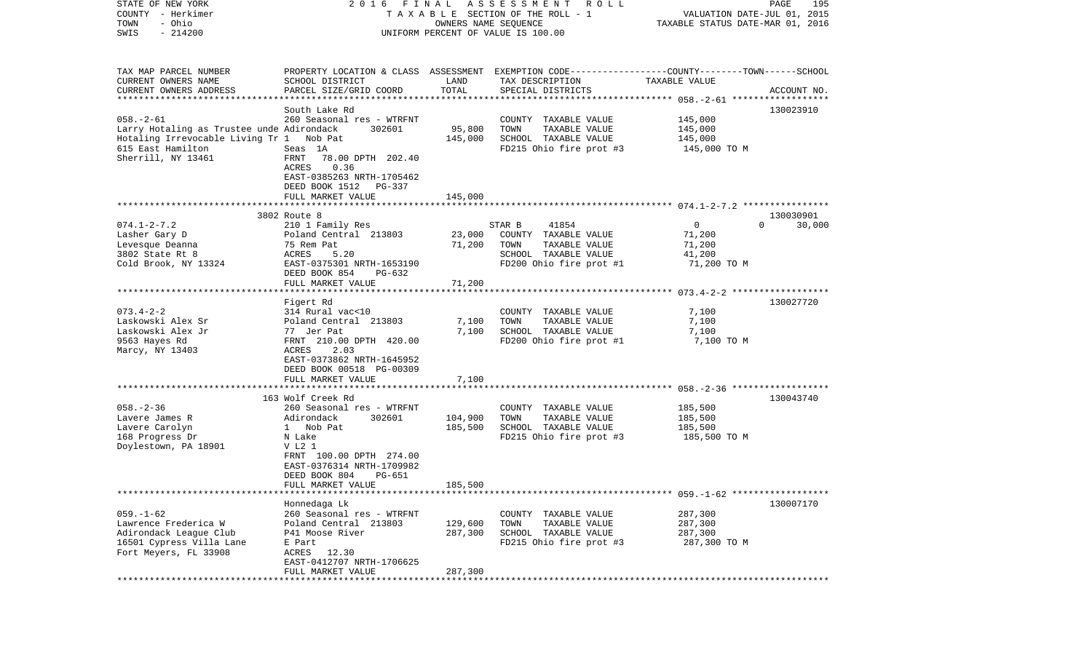| STATE OF NEW YORK                         | FINAL<br>2016                                                                                   |                                  | A S S E S S M E N T<br><b>ROLL</b> |                | PAGE<br>195                 |
|-------------------------------------------|-------------------------------------------------------------------------------------------------|----------------------------------|------------------------------------|----------------|-----------------------------|
| COUNTY - Herkimer                         |                                                                                                 | OWNERS NAME SEQUENCE             | TAXABLE SECTION OF THE ROLL - 1    |                | VALUATION DATE-JUL 01, 2015 |
| - Ohio<br>TOWN                            |                                                                                                 | TAXABLE STATUS DATE-MAR 01, 2016 |                                    |                |                             |
| $-214200$<br>SWIS                         | UNIFORM PERCENT OF VALUE IS 100.00                                                              |                                  |                                    |                |                             |
|                                           |                                                                                                 |                                  |                                    |                |                             |
| TAX MAP PARCEL NUMBER                     | PROPERTY LOCATION & CLASS ASSESSMENT EXEMPTION CODE---------------COUNTY-------TOWN------SCHOOL |                                  |                                    |                |                             |
| CURRENT OWNERS NAME                       | SCHOOL DISTRICT                                                                                 | LAND                             | TAX DESCRIPTION                    | TAXABLE VALUE  |                             |
| CURRENT OWNERS ADDRESS                    | PARCEL SIZE/GRID COORD                                                                          | TOTAL                            | SPECIAL DISTRICTS                  |                | ACCOUNT NO.                 |
| *************************                 |                                                                                                 |                                  |                                    |                |                             |
|                                           | South Lake Rd                                                                                   |                                  |                                    |                | 130023910                   |
| $058. - 2 - 61$                           | 260 Seasonal res - WTRFNT                                                                       |                                  | COUNTY TAXABLE VALUE               | 145,000        |                             |
| Larry Hotaling as Trustee unde Adirondack | 302601                                                                                          | 95,800                           | TOWN<br>TAXABLE VALUE              | 145,000        |                             |
| Hotaling Irrevocable Living Tr 1 Nob Pat  |                                                                                                 | 145,000                          | SCHOOL TAXABLE VALUE               | 145,000        |                             |
| 615 East Hamilton                         | Seas 1A                                                                                         |                                  | FD215 Ohio fire prot #3            | 145,000 TO M   |                             |
| Sherrill, NY 13461                        | FRNT<br>78.00 DPTH 202.40                                                                       |                                  |                                    |                |                             |
|                                           | 0.36<br>ACRES                                                                                   |                                  |                                    |                |                             |
|                                           | EAST-0385263 NRTH-1705462                                                                       |                                  |                                    |                |                             |
|                                           | DEED BOOK 1512<br>PG-337                                                                        |                                  |                                    |                |                             |
|                                           | FULL MARKET VALUE                                                                               | 145,000                          |                                    |                |                             |
|                                           |                                                                                                 |                                  |                                    |                |                             |
|                                           | 3802 Route 8                                                                                    |                                  |                                    |                | 130030901                   |
| $074.1 - 2 - 7.2$                         | 210 1 Family Res                                                                                |                                  | 41854<br>STAR B                    | $\overline{0}$ | $\Omega$<br>30,000          |
| Lasher Gary D                             | Poland Central 213803                                                                           | 23,000                           | COUNTY TAXABLE VALUE               | 71,200         |                             |
| Levesque Deanna                           | 75 Rem Pat                                                                                      | 71,200                           | TOWN<br>TAXABLE VALUE              | 71,200         |                             |
| 3802 State Rt 8                           | ACRES<br>5.20                                                                                   |                                  | SCHOOL TAXABLE VALUE               | 41,200         |                             |
| Cold Brook, NY 13324                      | EAST-0375301 NRTH-1653190                                                                       |                                  | FD200 Ohio fire prot #1            | 71,200 TO M    |                             |
|                                           | DEED BOOK 854<br>$PG-632$                                                                       |                                  |                                    |                |                             |
|                                           | FULL MARKET VALUE                                                                               | 71,200                           |                                    |                |                             |
|                                           |                                                                                                 |                                  |                                    |                |                             |
|                                           | Figert Rd                                                                                       |                                  |                                    |                | 130027720                   |
| $073.4 - 2 - 2$                           | 314 Rural vac<10                                                                                |                                  | COUNTY TAXABLE VALUE               | 7,100          |                             |
| Laskowski Alex Sr                         | Poland Central 213803                                                                           | 7,100                            | TOWN<br>TAXABLE VALUE              | 7,100          |                             |
| Laskowski Alex Jr                         | 77 Jer Pat                                                                                      | 7,100                            | SCHOOL TAXABLE VALUE               | 7,100          |                             |
| 9563 Hayes Rd                             | FRNT 210.00 DPTH 420.00                                                                         |                                  | FD200 Ohio fire prot #1            | 7,100 TO M     |                             |
| Marcy, NY 13403                           | 2.03<br>ACRES                                                                                   |                                  |                                    |                |                             |
|                                           | EAST-0373862 NRTH-1645952                                                                       |                                  |                                    |                |                             |
|                                           | DEED BOOK 00518 PG-00309                                                                        |                                  |                                    |                |                             |
|                                           | FULL MARKET VALUE                                                                               | 7,100                            |                                    |                |                             |
|                                           | ********************************                                                                |                                  |                                    |                |                             |
|                                           | 163 Wolf Creek Rd                                                                               |                                  |                                    |                | 130043740                   |
| $058. - 2 - 36$                           | 260 Seasonal res - WTRFNT                                                                       |                                  | COUNTY TAXABLE VALUE               | 185,500        |                             |
| Lavere James R                            | Adirondack<br>302601                                                                            | 104,900                          | TOWN<br>TAXABLE VALUE              | 185,500        |                             |
| Lavere Carolyn                            | 1 Nob Pat                                                                                       | 185,500                          | SCHOOL TAXABLE VALUE               | 185,500        |                             |
| 168 Progress Dr                           | N Lake                                                                                          |                                  | FD215 Ohio fire prot #3            | 185,500 TO M   |                             |
| Doylestown, PA 18901                      | V L2 1                                                                                          |                                  |                                    |                |                             |
|                                           | FRNT 100.00 DPTH 274.00                                                                         |                                  |                                    |                |                             |
|                                           | EAST-0376314 NRTH-1709982                                                                       |                                  |                                    |                |                             |
|                                           | PG-651<br>DEED BOOK 804                                                                         |                                  |                                    |                |                             |
|                                           | FULL MARKET VALUE                                                                               | 185,500                          |                                    |                |                             |
|                                           |                                                                                                 |                                  |                                    |                |                             |
|                                           | Honnedaga Lk                                                                                    |                                  |                                    |                | 130007170                   |
| $059. - 1 - 62$                           | 260 Seasonal res - WTRFNT                                                                       |                                  | COUNTY TAXABLE VALUE               | 287,300        |                             |
| Lawrence Frederica W                      | Poland Central 213803                                                                           | 129,600                          | TAXABLE VALUE<br>TOWN              | 287,300        |                             |
| Adirondack League Club                    | P41 Moose River                                                                                 | 287,300                          | SCHOOL TAXABLE VALUE               | 287,300        |                             |
| 16501 Cypress Villa Lane                  | E Part                                                                                          |                                  | FD215 Ohio fire prot #3            | 287,300 TO M   |                             |
| Fort Meyers, FL 33908                     | ACRES 12.30                                                                                     |                                  |                                    |                |                             |
|                                           | EAST-0412707 NRTH-1706625                                                                       |                                  |                                    |                |                             |
|                                           | FULL MARKET VALUE                                                                               | 287,300                          |                                    |                |                             |
|                                           |                                                                                                 |                                  |                                    |                |                             |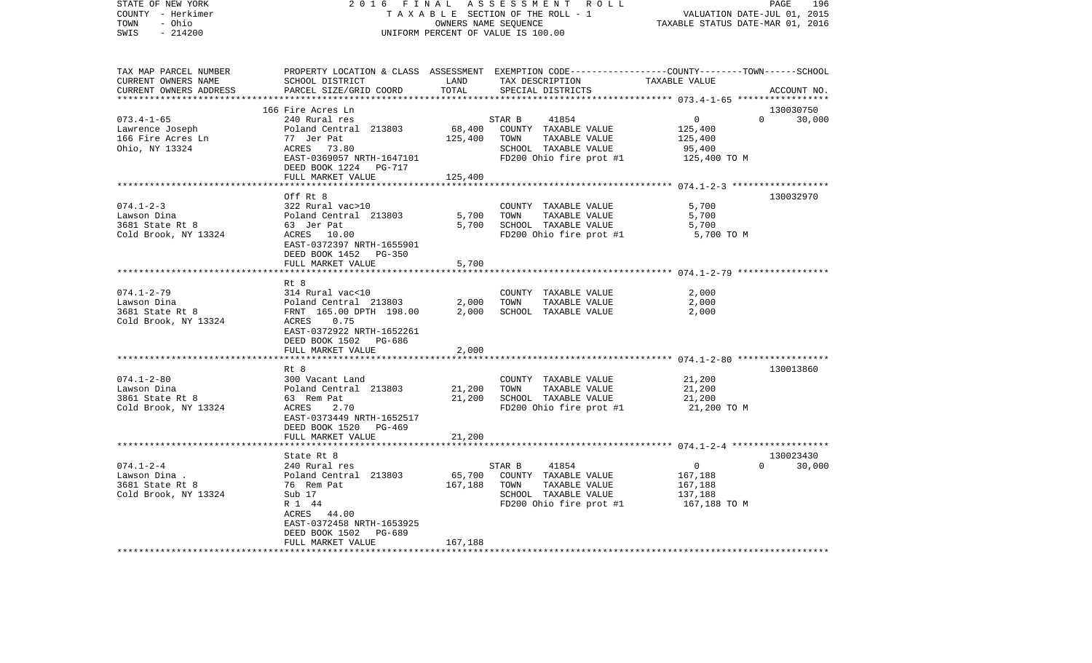| COUNTY - Herkimer<br>- Ohio<br>TOWN<br>$-214200$<br>SWIS                                               | TAXABLE SECTION OF THE ROLL - 1<br>OWNERS NAME SEQUENCE<br>UNIFORM PERCENT OF VALUE IS 100.00                                                                                                                          |                              |                                                                                                                     | VALUATION DATE-JUL 01, 2015<br>TAXABLE STATUS DATE-MAR 01, 2016            |                            |
|--------------------------------------------------------------------------------------------------------|------------------------------------------------------------------------------------------------------------------------------------------------------------------------------------------------------------------------|------------------------------|---------------------------------------------------------------------------------------------------------------------|----------------------------------------------------------------------------|----------------------------|
| TAX MAP PARCEL NUMBER<br>CURRENT OWNERS NAME<br>CURRENT OWNERS ADDRESS                                 | PROPERTY LOCATION & CLASS ASSESSMENT EXEMPTION CODE----------------COUNTY-------TOWN-----SCHOOL<br>SCHOOL DISTRICT<br>PARCEL SIZE/GRID COORD                                                                           | LAND<br>TOTAL                | TAX DESCRIPTION<br>SPECIAL DISTRICTS                                                                                | TAXABLE VALUE<br>****************** 073.4-1-65 ******************          | ACCOUNT NO.                |
| $073.4 - 1 - 65$<br>Lawrence Joseph<br>166 Fire Acres Ln<br>Ohio, NY 13324                             | 166 Fire Acres Ln<br>240 Rural res<br>Poland Central 213803<br>77 Jer Pat<br>ACRES 73.80<br>EAST-0369057 NRTH-1647101<br>DEED BOOK 1224 PG-717<br>FULL MARKET VALUE                                                    | 68,400<br>125,400<br>125,400 | STAR B<br>41854<br>COUNTY TAXABLE VALUE<br>TOWN<br>TAXABLE VALUE<br>SCHOOL TAXABLE VALUE<br>FD200 Ohio fire prot #1 | $\overline{0}$<br>$\Omega$<br>125,400<br>125,400<br>95,400<br>125,400 TO M | 130030750<br>30,000        |
|                                                                                                        |                                                                                                                                                                                                                        |                              |                                                                                                                     |                                                                            |                            |
| $074.1 - 2 - 3$<br>Lawson Dina<br>3681 State Rt 8<br>Cold Brook, NY 13324                              | Off Rt 8<br>322 Rural vac>10<br>Poland Central 213803<br>63 Jer Pat<br>ACRES 10.00<br>EAST-0372397 NRTH-1655901<br>DEED BOOK 1452 PG-350                                                                               | 5,700<br>5,700               | COUNTY TAXABLE VALUE<br>TOWN<br>TAXABLE VALUE<br>SCHOOL TAXABLE VALUE<br>FD200 Ohio fire prot #1                    | 5,700<br>5,700<br>5,700<br>5,700 TO M                                      | 130032970                  |
|                                                                                                        | FULL MARKET VALUE                                                                                                                                                                                                      | 5,700                        |                                                                                                                     |                                                                            |                            |
| $074.1 - 2 - 79$<br>Lawson Dina<br>3681 State Rt 8<br>Cold Brook, NY 13324                             | Rt 8<br>314 Rural vac<10<br>0.75<br>ACRES<br>EAST-0372922 NRTH-1652261<br>DEED BOOK 1502<br>PG-686                                                                                                                     |                              | COUNTY TAXABLE VALUE<br>TOWN<br>TAXABLE VALUE<br>SCHOOL TAXABLE VALUE                                               | 2,000<br>2,000<br>2,000                                                    |                            |
|                                                                                                        | FULL MARKET VALUE                                                                                                                                                                                                      | 2,000                        |                                                                                                                     |                                                                            |                            |
| $074.1 - 2 - 80$<br>Lawson Dina<br>3861 State Rt 8<br>Cold Brook, NY 13324                             | Rt 8<br>300 Vacant Land<br>Poland Central 213803<br>63 Rem Pat<br>ACRES<br>2.70<br>EAST-0373449 NRTH-1652517<br>DEED BOOK 1520 PG-469<br>FULL MARKET VALUE                                                             | 21,200<br>21,200<br>21,200   | COUNTY TAXABLE VALUE<br>TOWN<br>TAXABLE VALUE<br>SCHOOL TAXABLE VALUE<br>FD200 Ohio fire prot #1                    | 21,200<br>21,200<br>21,200<br>21,200 TO M                                  | 130013860                  |
|                                                                                                        |                                                                                                                                                                                                                        |                              |                                                                                                                     |                                                                            |                            |
| $074.1 - 2 - 4$<br>Lawson Dina .<br>3681 State Rt 8<br>Cold Brook, NY 13324<br>*********************** | State Rt 8<br>240 Rural res<br>Poland Central 213803<br>76 Rem Pat<br>Sub 17<br>R 1 44<br>ACRES 44.00<br>EAST-0372458 NRTH-1653925<br>DEED BOOK 1502<br>PG-689<br>FULL MARKET VALUE<br>******************************* | 65,700<br>167,188<br>167,188 | 41854<br>STAR B<br>COUNTY TAXABLE VALUE<br>TOWN<br>TAXABLE VALUE<br>SCHOOL TAXABLE VALUE<br>FD200 Ohio fire prot #1 | $\overline{0}$<br>167,188<br>167,188<br>137,188<br>167,188 TO M            | 130023430<br>$0 \t 30,000$ |

PAGE 196

STATE OF NEW YORK 2 0 1 6 F I N A L A S S E S S M E N T R O L L PAGE 196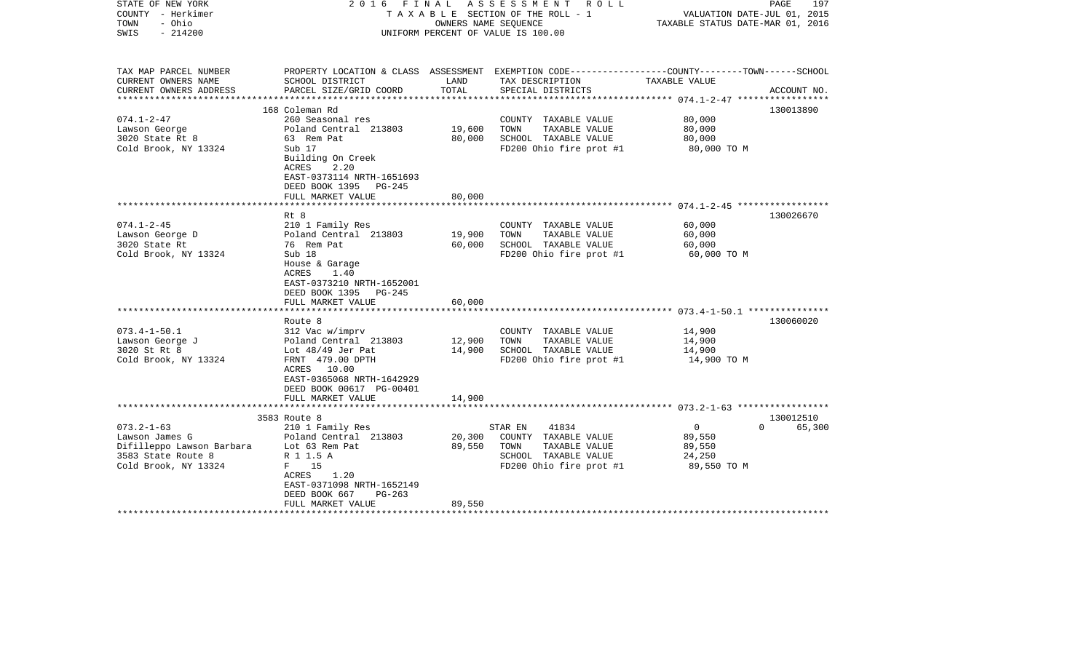| STATE OF NEW YORK<br>COUNTY - Herkimer<br>- Ohio<br>TOWN<br>$-214200$<br>SWIS | 2016 FINAL ASSESSMENT ROLL<br>TAXABLE SECTION OF THE ROLL - 1<br>OWNERS NAME SEOUENCE<br>UNIFORM PERCENT OF VALUE IS 100.00 |               |                                                                                                 | 197<br>PAGE<br>VALUATION DATE-JUL 01, 2015<br>TAXABLE STATUS DATE-MAR 01, 2016 |                    |
|-------------------------------------------------------------------------------|-----------------------------------------------------------------------------------------------------------------------------|---------------|-------------------------------------------------------------------------------------------------|--------------------------------------------------------------------------------|--------------------|
| TAX MAP PARCEL NUMBER                                                         |                                                                                                                             |               | PROPERTY LOCATION & CLASS ASSESSMENT EXEMPTION CODE---------------COUNTY-------TOWN------SCHOOL |                                                                                |                    |
| CURRENT OWNERS NAME<br>CURRENT OWNERS ADDRESS                                 | SCHOOL DISTRICT<br>PARCEL SIZE/GRID COORD                                                                                   | LAND<br>TOTAL | TAX DESCRIPTION<br>SPECIAL DISTRICTS                                                            | TAXABLE VALUE                                                                  | ACCOUNT NO.        |
|                                                                               | 168 Coleman Rd                                                                                                              |               |                                                                                                 |                                                                                | 130013890          |
| $074.1 - 2 - 47$                                                              | 260 Seasonal res                                                                                                            |               | COUNTY TAXABLE VALUE                                                                            | 80,000                                                                         |                    |
| Lawson George                                                                 | Poland Central 213803                                                                                                       | 19,600        | TOWN<br>TAXABLE VALUE                                                                           | 80,000                                                                         |                    |
| 3020 State Rt 8                                                               | 63 Rem Pat                                                                                                                  | 80,000        | SCHOOL TAXABLE VALUE                                                                            | 80,000                                                                         |                    |
| Cold Brook, NY 13324                                                          | Sub 17                                                                                                                      |               | FD200 Ohio fire prot #1                                                                         | 80,000 TO M                                                                    |                    |
|                                                                               | Building On Creek<br>ACRES<br>2.20<br>EAST-0373114 NRTH-1651693<br>DEED BOOK 1395 PG-245                                    |               |                                                                                                 |                                                                                |                    |
|                                                                               | FULL MARKET VALUE                                                                                                           | 80,000        |                                                                                                 |                                                                                |                    |
|                                                                               |                                                                                                                             |               |                                                                                                 |                                                                                |                    |
|                                                                               | Rt 8                                                                                                                        |               |                                                                                                 |                                                                                | 130026670          |
| $074.1 - 2 - 45$                                                              | 210 1 Family Res                                                                                                            |               | COUNTY TAXABLE VALUE                                                                            | 60,000                                                                         |                    |
| Lawson George D                                                               | Poland Central 213803                                                                                                       | 19,900        | TOWN<br>TAXABLE VALUE                                                                           | 60,000                                                                         |                    |
| 3020 State Rt                                                                 | 76 Rem Pat                                                                                                                  | 60,000        | SCHOOL TAXABLE VALUE                                                                            | 60,000                                                                         |                    |
| Cold Brook, NY 13324                                                          | Sub 18<br>House & Garage<br>1.40<br>ACRES<br>EAST-0373210 NRTH-1652001<br>DEED BOOK 1395 PG-245                             |               | FD200 Ohio fire prot #1                                                                         | 60,000 TO M                                                                    |                    |
|                                                                               | FULL MARKET VALUE                                                                                                           | 60,000        |                                                                                                 |                                                                                |                    |
|                                                                               | Route 8                                                                                                                     |               |                                                                                                 |                                                                                | 130060020          |
| $073.4 - 1 - 50.1$                                                            | 312 Vac w/imprv                                                                                                             |               | COUNTY TAXABLE VALUE                                                                            | 14,900                                                                         |                    |
| Lawson George J                                                               | Poland Central 213803                                                                                                       | 12,900        | TAXABLE VALUE<br>TOWN                                                                           | 14,900                                                                         |                    |
| 3020 St Rt 8                                                                  | Lot 48/49 Jer Pat                                                                                                           | 14,900        | SCHOOL TAXABLE VALUE                                                                            | 14,900                                                                         |                    |
| Cold Brook, NY 13324                                                          | FRNT 479.00 DPTH<br>ACRES 10.00<br>EAST-0365068 NRTH-1642929<br>DEED BOOK 00617 PG-00401<br>FULL MARKET VALUE               | 14,900        | FD200 Ohio fire prot #1                                                                         | 14,900 TO M                                                                    |                    |
|                                                                               |                                                                                                                             |               |                                                                                                 |                                                                                |                    |
|                                                                               | 3583 Route 8                                                                                                                |               |                                                                                                 |                                                                                | 130012510          |
| $073.2 - 1 - 63$                                                              | 210 1 Family Res                                                                                                            |               | 41834<br>STAR EN                                                                                | $\overline{0}$                                                                 | $\Omega$<br>65,300 |
| Lawson James G                                                                | Poland Central 213803                                                                                                       | 20,300        | COUNTY TAXABLE VALUE                                                                            | 89,550                                                                         |                    |
| Difilleppo Lawson Barbara Lot 63 Rem Pat                                      |                                                                                                                             | 89,550        | TOWN<br>TAXABLE VALUE                                                                           | 89,550                                                                         |                    |
| 3583 State Route 8                                                            | R 1 1.5 A                                                                                                                   |               | SCHOOL TAXABLE VALUE                                                                            | 24,250                                                                         |                    |
| Cold Brook, NY 13324                                                          | F 15<br>1.20<br>ACRES<br>EAST-0371098 NRTH-1652149<br>DEED BOOK 667<br>PG-263<br>FULL MARKET VALUE                          | 89,550        | FD200 Ohio fire prot #1                                                                         | 89,550 TO M                                                                    |                    |
|                                                                               |                                                                                                                             |               |                                                                                                 |                                                                                |                    |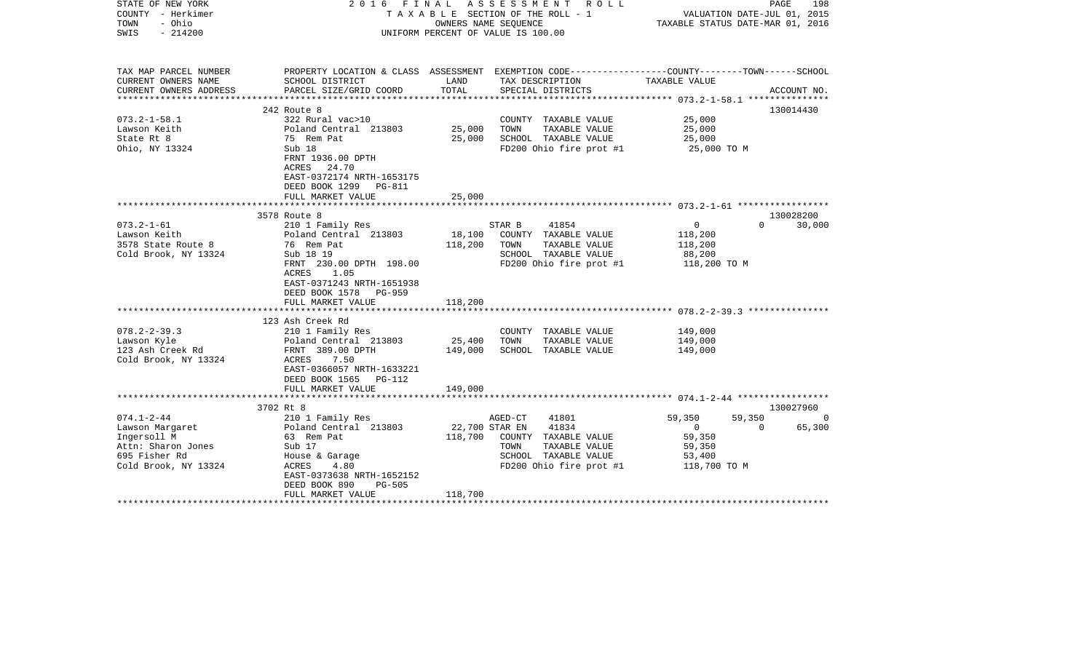| STATE OF NEW YORK<br>COUNTY - Herkimer<br>- Ohio<br>TOWN<br>$-214200$<br>SWIS                                                    | 2016 FINAL ASSESSMENT ROLL<br>TAXABLE SECTION OF THE ROLL - 1<br>OWNERS NAME SEQUENCE<br>UNIFORM PERCENT OF VALUE IS 100.00                                                                                    |                              |                                                                                                                                         | 198<br>PAGE<br>VALUATION DATE-JUL 01, 2015<br>TAXABLE STATUS DATE-MAR 01, 2016 |                                                                   |
|----------------------------------------------------------------------------------------------------------------------------------|----------------------------------------------------------------------------------------------------------------------------------------------------------------------------------------------------------------|------------------------------|-----------------------------------------------------------------------------------------------------------------------------------------|--------------------------------------------------------------------------------|-------------------------------------------------------------------|
| TAX MAP PARCEL NUMBER<br>CURRENT OWNERS NAME<br>CURRENT OWNERS ADDRESS                                                           | SCHOOL DISTRICT<br>PARCEL SIZE/GRID COORD                                                                                                                                                                      | LAND<br>TOTAL                | PROPERTY LOCATION & CLASS ASSESSMENT EXEMPTION CODE---------------COUNTY-------TOWN------SCHOOL<br>TAX DESCRIPTION<br>SPECIAL DISTRICTS | TAXABLE VALUE                                                                  | ACCOUNT NO.                                                       |
|                                                                                                                                  |                                                                                                                                                                                                                |                              |                                                                                                                                         |                                                                                |                                                                   |
| $073.2 - 1 - 58.1$<br>Lawson Keith<br>State Rt 8<br>Ohio, NY 13324                                                               | 242 Route 8<br>322 Rural vac>10<br>Poland Central 213803<br>75 Rem Pat<br>Sub 18<br>FRNT 1936.00 DPTH<br>ACRES 24.70                                                                                           | 25,000<br>25,000             | COUNTY TAXABLE VALUE<br>TAXABLE VALUE<br>TOWN<br>SCHOOL TAXABLE VALUE<br>FD200 Ohio fire prot #1                                        | 25,000<br>25,000<br>25,000<br>25,000 TO M                                      | 130014430                                                         |
|                                                                                                                                  | EAST-0372174 NRTH-1653175<br>DEED BOOK 1299 PG-811<br>FULL MARKET VALUE                                                                                                                                        | 25,000                       |                                                                                                                                         |                                                                                |                                                                   |
|                                                                                                                                  | 3578 Route 8                                                                                                                                                                                                   |                              |                                                                                                                                         |                                                                                | 130028200                                                         |
| $073.2 - 1 - 61$<br>Lawson Keith<br>3578 State Route 8<br>Cold Brook, NY 13324                                                   | 210 1 Family Res<br>Poland Central 213803<br>76 Rem Pat<br>Sub 18 19<br>FRNT 230.00 DPTH 198.00<br>ACRES<br>1.05<br>EAST-0371243 NRTH-1651938<br>DEED BOOK 1578 PG-959<br>FULL MARKET VALUE                    | 18,100<br>118,200<br>118,200 | STAR B<br>41854<br>COUNTY TAXABLE VALUE<br>TOWN<br>TAXABLE VALUE<br>SCHOOL TAXABLE VALUE<br>FD200 Ohio fire prot #1                     | 0<br>118,200<br>118,200<br>88,200<br>118,200 TO M                              | $\Omega$<br>30,000                                                |
|                                                                                                                                  |                                                                                                                                                                                                                |                              |                                                                                                                                         |                                                                                |                                                                   |
| $078.2 - 2 - 39.3$<br>Lawson Kyle<br>123 Ash Creek Rd<br>Cold Brook, NY 13324                                                    | 123 Ash Creek Rd<br>210 1 Family Res<br>Poland Central 213803<br>FRNT 389.00 DPTH<br>ACRES 7.50<br>EAST-0366057 NRTH-1633221<br>DEED BOOK 1565 PG-112<br>FULL MARKET VALUE                                     | 25,400<br>149,000<br>149,000 | COUNTY TAXABLE VALUE<br>TOWN<br>TAXABLE VALUE<br>SCHOOL TAXABLE VALUE                                                                   | 149,000<br>149,000<br>149,000                                                  |                                                                   |
|                                                                                                                                  |                                                                                                                                                                                                                |                              |                                                                                                                                         |                                                                                |                                                                   |
| $074.1 - 2 - 44$<br>Lawson Margaret<br>Ingersoll M<br>Ingersoll M<br>Attn: Sharon Jones<br>695 Fisher Rd<br>Cold Brook, NY 13324 | 3702 Rt 8<br>210 1 Family Res<br>Poland Central 213803<br>63 Rem Pat<br>Sub 17<br>House & Garage<br>ACRES 4 80<br>ACRES<br>4.80<br>EAST-0373638 NRTH-1652152<br>DEED BOOK 890<br>$PG-505$<br>FULL MARKET VALUE | 22,700 STAR EN<br>118,700    | 41801<br>AGED-CT<br>41834<br>118,700 COUNTY TAXABLE VALUE<br>TAXABLE VALUE<br>TOWN<br>SCHOOL TAXABLE VALUE<br>FD200 Ohio fire prot #1   | 59,350<br>$\overline{0}$<br>59,350<br>59,350<br>53,400<br>118,700 TO M         | 130027960<br>59,350<br>$\overline{0}$<br>$\overline{0}$<br>65,300 |
|                                                                                                                                  |                                                                                                                                                                                                                |                              |                                                                                                                                         |                                                                                |                                                                   |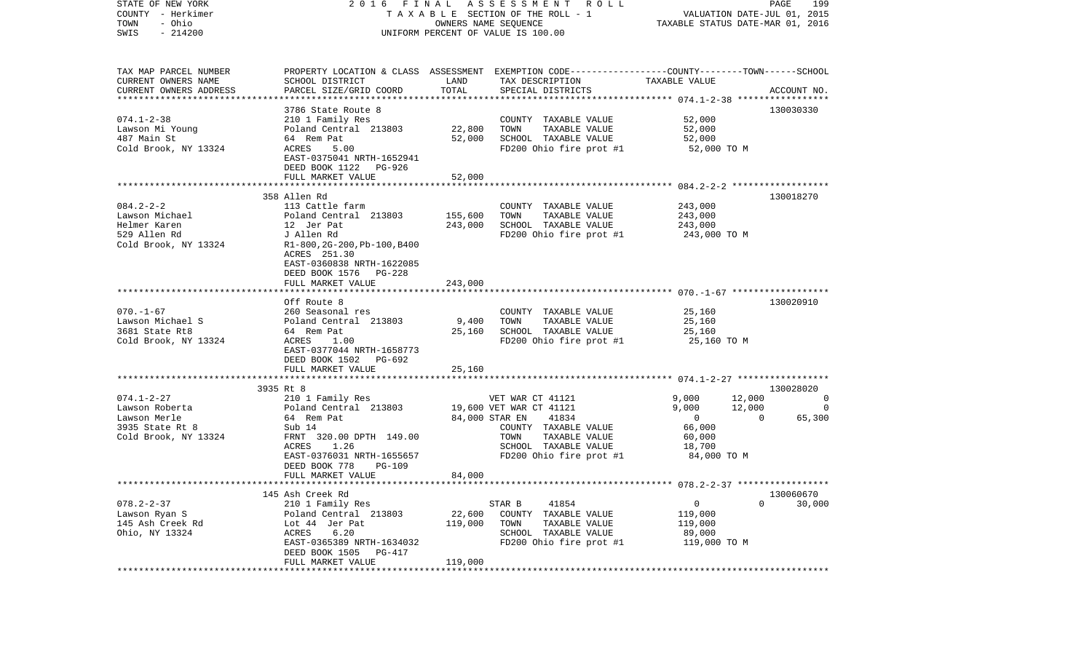| STATE OF NEW YORK<br>COUNTY - Herkimer<br>- Ohio<br>TOWN<br>$-214200$<br>SWIS                        | 2016 FINAL ASSESSMENT ROLL<br>TAXABLE SECTION OF THE ROLL - 1<br>UNIFORM PERCENT OF VALUE IS 100.00                                                                                        | PAGE<br>199<br>VALUATION DATE-JUL 01, 2015<br>TAXABLE STATUS DATE-MAR 01, 2016 |                                                                                                                                                                            |                                                                               |                                                           |                     |
|------------------------------------------------------------------------------------------------------|--------------------------------------------------------------------------------------------------------------------------------------------------------------------------------------------|--------------------------------------------------------------------------------|----------------------------------------------------------------------------------------------------------------------------------------------------------------------------|-------------------------------------------------------------------------------|-----------------------------------------------------------|---------------------|
| TAX MAP PARCEL NUMBER<br>CURRENT OWNERS NAME<br>CURRENT OWNERS ADDRESS<br>************************** | SCHOOL DISTRICT<br>PARCEL SIZE/GRID COORD                                                                                                                                                  | LAND<br>TOTAL                                                                  | PROPERTY LOCATION & CLASS ASSESSMENT EXEMPTION CODE---------------COUNTY-------TOWN------SCHOOL<br>TAX DESCRIPTION<br>SPECIAL DISTRICTS                                    | TAXABLE VALUE                                                                 | ACCOUNT NO.                                               |                     |
| $074.1 - 2 - 38$<br>Lawson Mi Young<br>487 Main St<br>Cold Brook, NY 13324                           | 3786 State Route 8<br>210 1 Family Res<br>Poland Central 213803<br>64 Rem Pat<br>ACRES<br>5.00<br>EAST-0375041 NRTH-1652941<br>DEED BOOK 1122 PG-926<br>FULL MARKET VALUE                  | 22,800<br>52,000<br>52,000                                                     | COUNTY TAXABLE VALUE<br>TOWN<br>TAXABLE VALUE<br>SCHOOL TAXABLE VALUE<br>FD200 Ohio fire prot #1                                                                           | 52,000<br>52,000<br>52,000<br>52,000 TO M                                     | 130030330                                                 |                     |
|                                                                                                      |                                                                                                                                                                                            |                                                                                |                                                                                                                                                                            |                                                                               |                                                           |                     |
| $084.2 - 2 - 2$<br>Lawson Michael<br>Helmer Karen<br>529 Allen Rd<br>Cold Brook, NY 13324            | 358 Allen Rd<br>113 Cattle farm<br>Poland Central 213803<br>12 Jer Pat<br>J Allen Rd<br>R1-800, 2G-200, Pb-100, B400<br>ACRES 251.30<br>EAST-0360838 NRTH-1622085<br>DEED BOOK 1576 PG-228 | 155,600<br>243,000                                                             | COUNTY TAXABLE VALUE<br>TAXABLE VALUE<br>TOWN<br>SCHOOL TAXABLE VALUE<br>FD200 Ohio fire prot #1                                                                           | 243,000<br>243,000<br>243,000<br>243,000 TO M                                 | 130018270                                                 |                     |
|                                                                                                      | FULL MARKET VALUE                                                                                                                                                                          | 243,000                                                                        |                                                                                                                                                                            |                                                                               |                                                           |                     |
| $070. - 1 - 67$<br>Lawson Michael S<br>3681 State Rt8<br>Cold Brook, NY 13324                        | Off Route 8<br>260 Seasonal res<br>Poland Central 213803<br>64 Rem Pat<br>ACRES<br>1.00<br>EAST-0377044 NRTH-1658773<br>DEED BOOK 1502 PG-692<br>FULL MARKET VALUE                         | 9,400<br>25,160<br>25,160                                                      | COUNTY TAXABLE VALUE<br>TAXABLE VALUE<br>TOWN<br>SCHOOL TAXABLE VALUE<br>FD200 Ohio fire prot #1                                                                           | 25,160<br>25,160<br>25,160<br>25,160 TO M                                     | 130020910                                                 |                     |
|                                                                                                      | *************************                                                                                                                                                                  |                                                                                |                                                                                                                                                                            |                                                                               |                                                           |                     |
| $074.1 - 2 - 27$<br>Lawson Roberta<br>Lawson Merle<br>3935 State Rt 8<br>Cold Brook, NY 13324        | 3935 Rt 8<br>210 1 Family Res<br>Poland Central 213803<br>64 Rem Pat<br>Sub 14<br>FRNT 320.00 DPTH 149.00<br>1.26<br>ACRES<br>EAST-0376031 NRTH-1655657<br>DEED BOOK 778<br>PG-109         |                                                                                | VET WAR CT 41121<br>19,600 VET WAR CT 41121<br>84,000 STAR EN<br>41834<br>COUNTY TAXABLE VALUE<br>TOWN<br>TAXABLE VALUE<br>SCHOOL TAXABLE VALUE<br>FD200 Ohio fire prot #1 | 9,000<br>9,000<br>$\overline{0}$<br>66,000<br>60,000<br>18,700<br>84,000 TO M | 130028020<br>12,000<br>12,000<br>$\overline{0}$<br>65,300 | 0<br>$\overline{0}$ |
|                                                                                                      | FULL MARKET VALUE                                                                                                                                                                          | 84,000                                                                         |                                                                                                                                                                            |                                                                               |                                                           |                     |
| $078.2 - 2 - 37$<br>Lawson Ryan S<br>145 Ash Creek Rd<br>Ohio, NY 13324                              | 145 Ash Creek Rd<br>210 1 Family Res<br>Poland Central 213803<br>Lot 44 Jer Pat<br>ACRES<br>6.20<br>EAST-0365389 NRTH-1634032<br>DEED BOOK 1505<br>PG-417<br>FULL MARKET VALUE             | 22,600<br>119,000<br>119,000                                                   | 41854<br>STAR B<br>COUNTY TAXABLE VALUE<br>TOWN<br>TAXABLE VALUE<br>SCHOOL TAXABLE VALUE<br>FD200 Ohio fire prot #1                                                        | 0<br>119,000<br>119,000<br>89,000<br>119,000 TO M                             | 130060670<br>$\Omega$<br>30,000                           |                     |
|                                                                                                      |                                                                                                                                                                                            |                                                                                |                                                                                                                                                                            |                                                                               |                                                           |                     |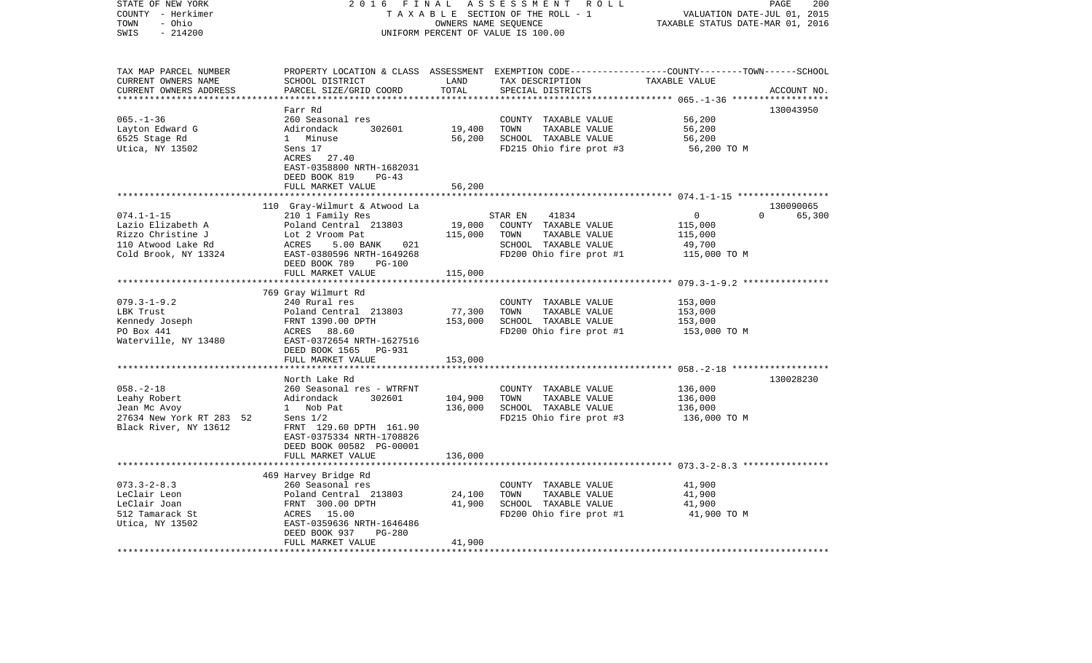| STATE OF NEW YORK<br>COUNTY - Herkimer<br>- Ohio<br>TOWN                  | 2 0 1 6<br>FINAL<br>A S S E S S M E N T R O L L<br>TAXABLE SECTION OF THE ROLL - 1<br>OWNERS NAME SEQUENCE<br>UNIFORM PERCENT OF VALUE IS 100.00 |                    |                                                                                                  | 200<br>PAGE<br>VALUATION DATE-JUL 01, 2015<br>TAXABLE STATUS DATE-MAR 01, 2016 |             |
|---------------------------------------------------------------------------|--------------------------------------------------------------------------------------------------------------------------------------------------|--------------------|--------------------------------------------------------------------------------------------------|--------------------------------------------------------------------------------|-------------|
| SWIS<br>$-214200$                                                         |                                                                                                                                                  |                    |                                                                                                  |                                                                                |             |
| TAX MAP PARCEL NUMBER                                                     |                                                                                                                                                  |                    | PROPERTY LOCATION & CLASS ASSESSMENT EXEMPTION CODE----------------COUNTY-------TOWN------SCHOOL |                                                                                |             |
| CURRENT OWNERS NAME<br>CURRENT OWNERS ADDRESS<br>************************ | SCHOOL DISTRICT<br>PARCEL SIZE/GRID COORD                                                                                                        | LAND<br>TOTAL      | TAX DESCRIPTION<br>SPECIAL DISTRICTS                                                             | TAXABLE VALUE                                                                  | ACCOUNT NO. |
|                                                                           | Farr Rd                                                                                                                                          |                    |                                                                                                  |                                                                                | 130043950   |
| $065. - 1 - 36$                                                           | 260 Seasonal res                                                                                                                                 |                    | COUNTY TAXABLE VALUE                                                                             | 56,200                                                                         |             |
| Layton Edward G                                                           | Adirondack<br>302601                                                                                                                             | 19,400             | TOWN<br>TAXABLE VALUE                                                                            | 56,200                                                                         |             |
| 6525 Stage Rd                                                             | 1 Minuse                                                                                                                                         | 56,200             | SCHOOL TAXABLE VALUE                                                                             | 56,200                                                                         |             |
| Utica, NY 13502                                                           | Sens 17                                                                                                                                          |                    | FD215 Ohio fire prot #3                                                                          | 56,200 TO M                                                                    |             |
|                                                                           | ACRES 27.40                                                                                                                                      |                    |                                                                                                  |                                                                                |             |
|                                                                           | EAST-0358800 NRTH-1682031                                                                                                                        |                    |                                                                                                  |                                                                                |             |
|                                                                           | DEED BOOK 819<br>$PG-43$<br>FULL MARKET VALUE                                                                                                    | 56,200             |                                                                                                  |                                                                                |             |
|                                                                           |                                                                                                                                                  |                    |                                                                                                  |                                                                                |             |
|                                                                           | 110 Gray-Wilmurt & Atwood La                                                                                                                     |                    |                                                                                                  |                                                                                | 130090065   |
| $074.1 - 1 - 15$                                                          | 210 1 Family Res                                                                                                                                 |                    | STAR EN<br>41834                                                                                 | $\Omega$<br>$\mathbf{0}$                                                       | 65,300      |
| Lazio Elizabeth A                                                         | Poland Central 213803                                                                                                                            | 19,000             | COUNTY TAXABLE VALUE                                                                             | 115,000                                                                        |             |
| Rizzo Christine J                                                         | Lot 2 Vroom Pat                                                                                                                                  | 115,000            | TOWN<br>TAXABLE VALUE                                                                            | 115,000                                                                        |             |
| 110 Atwood Lake Rd                                                        | ACRES<br>5.00 BANK<br>021                                                                                                                        |                    | SCHOOL TAXABLE VALUE                                                                             | 49,700                                                                         |             |
| Cold Brook, NY 13324                                                      | EAST-0380596 NRTH-1649268                                                                                                                        |                    | FD200 Ohio fire prot #1                                                                          | 115,000 TO M                                                                   |             |
|                                                                           | DEED BOOK 789<br><b>PG-100</b>                                                                                                                   |                    |                                                                                                  |                                                                                |             |
|                                                                           | FULL MARKET VALUE                                                                                                                                | 115,000            |                                                                                                  |                                                                                |             |
|                                                                           | 769 Gray Wilmurt Rd                                                                                                                              |                    |                                                                                                  |                                                                                |             |
| $079.3 - 1 - 9.2$                                                         | 240 Rural res                                                                                                                                    |                    | COUNTY TAXABLE VALUE                                                                             | 153,000                                                                        |             |
| LBK Trust                                                                 | Poland Central 213803                                                                                                                            | 77,300             | TOWN<br>TAXABLE VALUE                                                                            | 153,000                                                                        |             |
| Kennedy Joseph                                                            | FRNT 1390.00 DPTH                                                                                                                                | 153,000            | SCHOOL TAXABLE VALUE                                                                             | 153,000                                                                        |             |
| PO Box 441                                                                | ACRES 88.60                                                                                                                                      |                    | FD200 Ohio fire prot #1                                                                          | 153,000 TO M                                                                   |             |
| Waterville, NY 13480                                                      | EAST-0372654 NRTH-1627516                                                                                                                        |                    |                                                                                                  |                                                                                |             |
|                                                                           | DEED BOOK 1565 PG-931                                                                                                                            |                    |                                                                                                  |                                                                                |             |
|                                                                           | FULL MARKET VALUE                                                                                                                                | 153,000            |                                                                                                  |                                                                                |             |
|                                                                           |                                                                                                                                                  |                    |                                                                                                  |                                                                                |             |
|                                                                           | North Lake Rd                                                                                                                                    |                    |                                                                                                  |                                                                                | 130028230   |
| $058. - 2 - 18$                                                           | 260 Seasonal res - WTRFNT                                                                                                                        |                    | COUNTY TAXABLE VALUE                                                                             | 136,000                                                                        |             |
| Leahy Robert<br>Jean Mc Avoy                                              | Adirondack<br>302601<br>1 Nob Pat                                                                                                                | 104,900<br>136,000 | TOWN<br>TAXABLE VALUE<br>SCHOOL TAXABLE VALUE                                                    | 136,000<br>136,000                                                             |             |
| 27634 New York RT 283 52                                                  | Sens $1/2$                                                                                                                                       |                    | FD215 Ohio fire prot #3                                                                          | 136,000 TO M                                                                   |             |
| Black River, NY 13612                                                     | FRNT 129.60 DPTH 161.90                                                                                                                          |                    |                                                                                                  |                                                                                |             |
|                                                                           | EAST-0375334 NRTH-1708826                                                                                                                        |                    |                                                                                                  |                                                                                |             |
|                                                                           | DEED BOOK 00582 PG-00001                                                                                                                         |                    |                                                                                                  |                                                                                |             |
|                                                                           | FULL MARKET VALUE                                                                                                                                | 136,000            |                                                                                                  |                                                                                |             |
|                                                                           |                                                                                                                                                  |                    |                                                                                                  |                                                                                |             |
|                                                                           | 469 Harvey Bridge Rd                                                                                                                             |                    |                                                                                                  |                                                                                |             |
| $073.3 - 2 - 8.3$                                                         | 260 Seasonal res                                                                                                                                 |                    | COUNTY TAXABLE VALUE                                                                             | 41,900                                                                         |             |
| LeClair Leon                                                              | Poland Central 213803                                                                                                                            | 24,100             | TOWN<br>TAXABLE VALUE                                                                            | 41,900                                                                         |             |
| LeClair Joan                                                              | FRNT 300.00 DPTH                                                                                                                                 | 41,900             | SCHOOL TAXABLE VALUE                                                                             | 41,900                                                                         |             |
| 512 Tamarack St                                                           | ACRES 15.00                                                                                                                                      |                    | FD200 Ohio fire prot #1                                                                          | 41,900 TO M                                                                    |             |
| Utica, NY 13502                                                           | EAST-0359636 NRTH-1646486<br>DEED BOOK 937<br>PG-280                                                                                             |                    |                                                                                                  |                                                                                |             |
|                                                                           | FULL MARKET VALUE                                                                                                                                | 41,900             |                                                                                                  |                                                                                |             |
|                                                                           |                                                                                                                                                  |                    |                                                                                                  |                                                                                |             |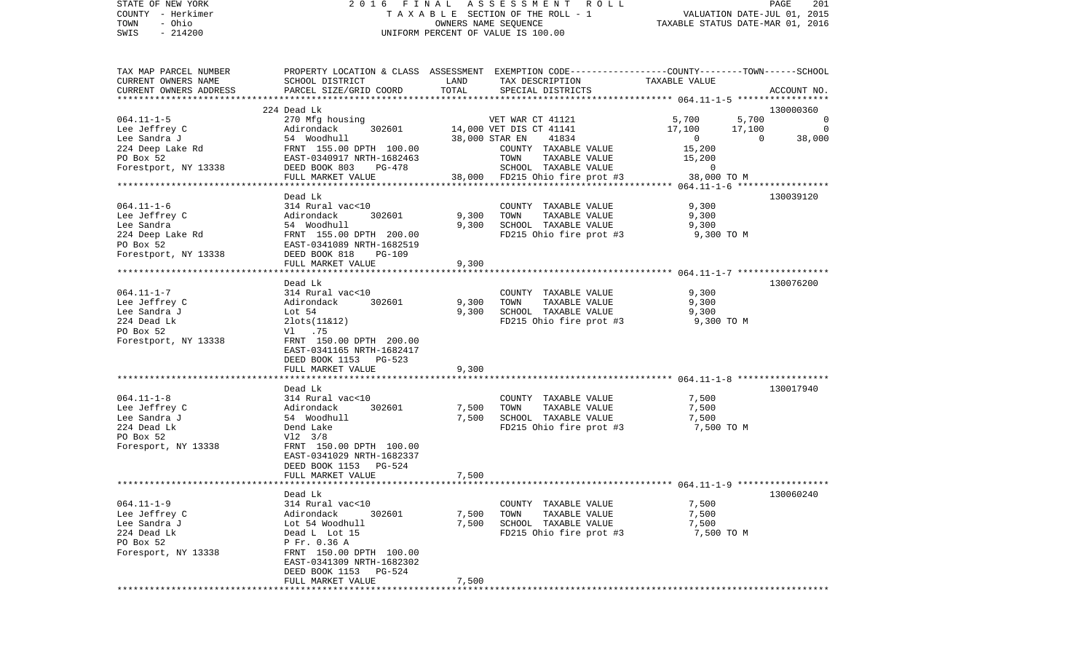| STATE OF NEW YORK<br>COUNTY - Herkimer |                                                                                                  |                           | 2016 FINAL ASSESSMENT ROLL<br>TAXABLE SECTION OF THE ROLL - 1 |                                  | PAGE<br>VALUATION DATE-JUL 01, 2015 | 201         |
|----------------------------------------|--------------------------------------------------------------------------------------------------|---------------------------|---------------------------------------------------------------|----------------------------------|-------------------------------------|-------------|
| - Ohio<br>TOWN                         |                                                                                                  |                           | OWNERS NAME SEQUENCE                                          | TAXABLE STATUS DATE-MAR 01, 2016 |                                     |             |
| SWIS<br>$-214200$                      |                                                                                                  |                           | UNIFORM PERCENT OF VALUE IS 100.00                            |                                  |                                     |             |
| TAX MAP PARCEL NUMBER                  | PROPERTY LOCATION & CLASS ASSESSMENT EXEMPTION CODE----------------COUNTY-------TOWN------SCHOOL |                           |                                                               |                                  |                                     |             |
| CURRENT OWNERS NAME                    | SCHOOL DISTRICT                                                                                  | LAND                      | TAX DESCRIPTION                                               | TAXABLE VALUE                    |                                     |             |
| CURRENT OWNERS ADDRESS                 | PARCEL SIZE/GRID COORD                                                                           | TOTAL                     | SPECIAL DISTRICTS                                             |                                  | ACCOUNT NO.                         |             |
| **********************                 | *****************************<br>224 Dead Lk                                                     |                           |                                                               |                                  | 130000360                           |             |
| $064.11 - 1 - 5$                       | 270 Mfg housing                                                                                  |                           | VET WAR CT 41121                                              | 5,700                            | 5,700                               | $\mathbf 0$ |
| Lee Jeffrey C                          | 302601<br>Adirondack                                                                             |                           | 14,000 VET DIS CT 41141                                       | 17,100                           | 17,100                              | $\mathbf 0$ |
| Lee Sandra J                           | 54 Woodhull                                                                                      |                           | 38,000 STAR EN<br>41834                                       | $\overline{0}$                   | $\mathbf 0$                         | 38,000      |
| 224 Deep Lake Rd                       | FRNT 155.00 DPTH 100.00                                                                          |                           | COUNTY TAXABLE VALUE                                          | 15,200                           |                                     |             |
| PO Box 52                              | EAST-0340917 NRTH-1682463                                                                        |                           | TOWN<br>TAXABLE VALUE                                         | 15,200                           |                                     |             |
| Forestport, NY 13338                   | DEED BOOK 803<br>PG-478                                                                          |                           | SCHOOL TAXABLE VALUE                                          | $\mathsf{O}$                     |                                     |             |
|                                        | FULL MARKET VALUE                                                                                | 38,000                    | FD215 Ohio fire prot #3                                       | 38,000 TO M                      |                                     |             |
|                                        | Dead Lk                                                                                          |                           |                                                               |                                  | 130039120                           |             |
| $064.11 - 1 - 6$                       | 314 Rural vac<10                                                                                 |                           | COUNTY TAXABLE VALUE                                          | 9,300                            |                                     |             |
| Lee Jeffrey C                          | Adirondack<br>302601                                                                             | 9,300                     | TOWN<br>TAXABLE VALUE                                         | 9,300                            |                                     |             |
| Lee Sandra                             | 54 Woodhull                                                                                      | 9,300                     | SCHOOL TAXABLE VALUE                                          | 9,300                            |                                     |             |
| 224 Deep Lake Rd                       | FRNT 155.00 DPTH 200.00                                                                          |                           | FD215 Ohio fire prot #3                                       | 9,300 TO M                       |                                     |             |
| PO Box 52                              | EAST-0341089 NRTH-1682519                                                                        |                           |                                                               |                                  |                                     |             |
| Forestport, NY 13338                   | DEED BOOK 818<br>PG-109<br>FULL MARKET VALUE                                                     | 9,300                     |                                                               |                                  |                                     |             |
|                                        |                                                                                                  |                           |                                                               |                                  |                                     |             |
|                                        | Dead Lk                                                                                          |                           |                                                               |                                  | 130076200                           |             |
| $064.11 - 1 - 7$                       | 314 Rural vac<10                                                                                 |                           | COUNTY TAXABLE VALUE                                          | 9,300                            |                                     |             |
| Lee Jeffrey C                          | 302601<br>Adirondack                                                                             | 9,300                     | TOWN<br>TAXABLE VALUE                                         | 9,300                            |                                     |             |
| Lee Sandra J                           | Lot 54                                                                                           | 9,300                     | SCHOOL TAXABLE VALUE                                          | 9,300                            |                                     |             |
| 224 Dead Lk                            | $2$ lots $(11 \& 12)$                                                                            |                           | FD215 Ohio fire prot #3                                       | 9,300 TO M                       |                                     |             |
| PO Box 52                              | V1.75                                                                                            |                           |                                                               |                                  |                                     |             |
| Forestport, NY 13338                   | FRNT 150.00 DPTH 200.00<br>EAST-0341165 NRTH-1682417                                             |                           |                                                               |                                  |                                     |             |
|                                        | DEED BOOK 1153 PG-523                                                                            |                           |                                                               |                                  |                                     |             |
|                                        | FULL MARKET VALUE                                                                                | 9,300                     |                                                               |                                  |                                     |             |
|                                        | *******************                                                                              |                           |                                                               |                                  |                                     |             |
|                                        | Dead Lk                                                                                          |                           |                                                               |                                  | 130017940                           |             |
| $064.11 - 1 - 8$                       | 314 Rural vac<10                                                                                 |                           | COUNTY TAXABLE VALUE                                          | 7,500                            |                                     |             |
| Lee Jeffrey C                          | 302601<br>Adirondack                                                                             | 7,500                     | TAXABLE VALUE<br>TOWN                                         | 7,500                            |                                     |             |
| Lee Sandra J                           | 54 Woodhull                                                                                      | 7,500                     | SCHOOL TAXABLE VALUE                                          | 7,500                            |                                     |             |
| 224 Dead Lk                            | Dend Lake                                                                                        |                           | FD215 Ohio fire prot #3                                       | 7,500 TO M                       |                                     |             |
| PO Box 52                              | $V12 \t3/8$                                                                                      |                           |                                                               |                                  |                                     |             |
| Foresport, NY 13338                    | FRNT 150.00 DPTH 100.00<br>EAST-0341029 NRTH-1682337                                             |                           |                                                               |                                  |                                     |             |
|                                        | PG-524<br>DEED BOOK 1153                                                                         |                           |                                                               |                                  |                                     |             |
|                                        | FULL MARKET VALUE                                                                                | 7,500                     |                                                               |                                  |                                     |             |
|                                        |                                                                                                  | * * * * * * * * * * * * * |                                                               |                                  |                                     |             |
|                                        | Dead Lk                                                                                          |                           |                                                               |                                  | 130060240                           |             |
| $064.11 - 1 - 9$                       | 314 Rural vac<10                                                                                 |                           | COUNTY TAXABLE VALUE                                          | 7,500                            |                                     |             |
| ToO. Toffrow C                         | $\lambda$ dirondack 202601                                                                       |                           | $7.500$ $TOMM$<br>TAVADIE VAIHE                               | 7.500                            |                                     |             |

|                     | FULL MARKET VALUE          | 7,500 |                         |            |
|---------------------|----------------------------|-------|-------------------------|------------|
|                     |                            |       |                         |            |
|                     | Dead Lk                    |       |                         |            |
| $064.11 - 1 - 9$    | 314 Rural vac<10           |       | TAXABLE VALUE<br>COUNTY | 7,500      |
| Lee Jeffrey C       | Adirondack<br>302601       | 7,500 | TAXABLE VALUE<br>TOWN   | 7,500      |
| Lee Sandra J        | Lot 54 Woodhull            | 7,500 | SCHOOL TAXABLE VALUE    | 7,500      |
| 224 Dead Lk         | Dead L Lot 15              |       | FD215 Ohio fire prot #3 | 7,500 TO M |
| PO Box 52           | P Fr. 0.36 A               |       |                         |            |
| Foresport, NY 13338 | FRNT 150.00 DPTH<br>100.00 |       |                         |            |
|                     | EAST-0341309 NRTH-1682302  |       |                         |            |
|                     | DEED BOOK 1153<br>PG-524   |       |                         |            |
|                     | FULL MARKET VALUE          | 7,500 |                         |            |
|                     |                            |       |                         |            |

\*\*\*\*\*\*\*\*\*\*\*\*\*\*\*\*\*\*\*\*\*\*\*\*\*\*\*\*\*\*\*\*\*\*\*\*\*\*\*\*\*\*\*\*\*\*\*\*\*\*\*\*\*\*\*\*\*\*\*\*\*\*\*\*\*\*\*\*\*\*\*\*\*\*\*\*\*\*\*\*\*\*\*\*\*\*\*\*\*\*\*\*\*\*\*\*\*\*\*\*\*\*\*\*\*\*\*\*\*\*\*\*\*\*\*\*\*\*\*\*\*\*\*\*\*\*\*\*\*\*\*\*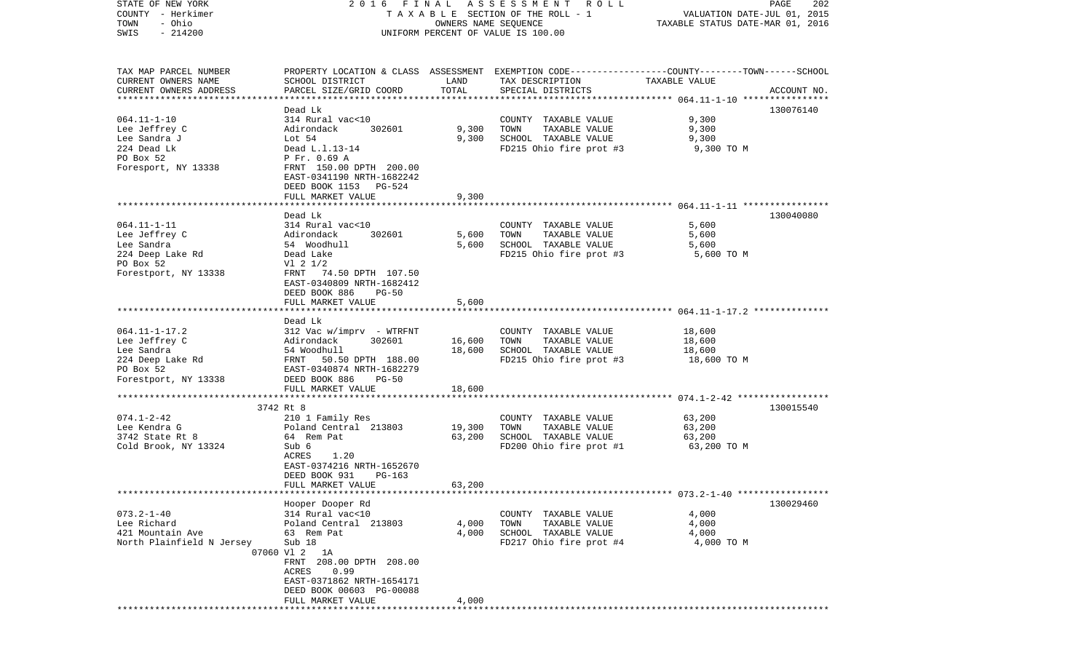| STATE OF NEW YORK<br>COUNTY - Herkimer<br>- Ohio<br>TOWN<br>$-214200$<br>SWIS | 2016 FINAL ASSESSMENT ROLL<br>TAXABLE SECTION OF THE ROLL - 1<br>UNIFORM PERCENT OF VALUE IS 100.00 | PAGE<br>202<br>VALUATION DATE-JUL 01, 2015<br>TAXABLE STATUS DATE-MAR 01, 2016 |                                                                                                 |               |             |
|-------------------------------------------------------------------------------|-----------------------------------------------------------------------------------------------------|--------------------------------------------------------------------------------|-------------------------------------------------------------------------------------------------|---------------|-------------|
|                                                                               |                                                                                                     |                                                                                |                                                                                                 |               |             |
| TAX MAP PARCEL NUMBER                                                         |                                                                                                     |                                                                                | PROPERTY LOCATION & CLASS ASSESSMENT EXEMPTION CODE---------------COUNTY-------TOWN------SCHOOL |               |             |
| CURRENT OWNERS NAME                                                           | SCHOOL DISTRICT                                                                                     | LAND                                                                           | TAX DESCRIPTION                                                                                 | TAXABLE VALUE |             |
| CURRENT OWNERS ADDRESS                                                        | PARCEL SIZE/GRID COORD                                                                              | TOTAL                                                                          | SPECIAL DISTRICTS                                                                               |               | ACCOUNT NO. |
|                                                                               | Dead Lk                                                                                             |                                                                                |                                                                                                 |               | 130076140   |
| $064.11 - 1 - 10$                                                             | 314 Rural vac<10                                                                                    |                                                                                | COUNTY TAXABLE VALUE                                                                            | 9,300         |             |
| Lee Jeffrey C                                                                 | Adirondack<br>302601                                                                                | 9,300                                                                          | TOWN<br>TAXABLE VALUE                                                                           | 9,300         |             |
| Lee Sandra J                                                                  | Lot $54$                                                                                            | 9,300                                                                          | SCHOOL TAXABLE VALUE                                                                            | 9,300         |             |
| 224 Dead Lk                                                                   | Dead L.1.13-14                                                                                      |                                                                                | FD215 Ohio fire prot #3                                                                         | 9,300 TO M    |             |
| PO Box 52                                                                     | P Fr. 0.69 A                                                                                        |                                                                                |                                                                                                 |               |             |
| Foresport, NY 13338                                                           | FRNT 150.00 DPTH 200.00                                                                             |                                                                                |                                                                                                 |               |             |
|                                                                               | EAST-0341190 NRTH-1682242                                                                           |                                                                                |                                                                                                 |               |             |
|                                                                               | DEED BOOK 1153 PG-524<br>FULL MARKET VALUE                                                          | 9,300                                                                          |                                                                                                 |               |             |
|                                                                               |                                                                                                     |                                                                                |                                                                                                 |               |             |
|                                                                               | Dead Lk                                                                                             |                                                                                |                                                                                                 |               | 130040080   |
| $064.11 - 1 - 11$                                                             | 314 Rural vac<10                                                                                    |                                                                                | COUNTY TAXABLE VALUE                                                                            | 5,600         |             |
| Lee Jeffrey C                                                                 | 302601<br>Adirondack                                                                                | 5,600                                                                          | TOWN<br>TAXABLE VALUE                                                                           | 5,600         |             |
| Lee Sandra                                                                    | 54 Woodhull                                                                                         | 5,600                                                                          | SCHOOL TAXABLE VALUE                                                                            | 5,600         |             |
| 224 Deep Lake Rd                                                              | Dead Lake                                                                                           |                                                                                | FD215 Ohio fire prot #3                                                                         | 5,600 TO M    |             |
| PO Box 52                                                                     | $VI$ 2 $1/2$                                                                                        |                                                                                |                                                                                                 |               |             |
| Forestport, NY 13338                                                          | FRNT 74.50 DPTH 107.50                                                                              |                                                                                |                                                                                                 |               |             |
|                                                                               | EAST-0340809 NRTH-1682412<br>DEED BOOK 886<br>PG-50                                                 |                                                                                |                                                                                                 |               |             |
|                                                                               | FULL MARKET VALUE                                                                                   | 5,600                                                                          |                                                                                                 |               |             |
|                                                                               |                                                                                                     |                                                                                |                                                                                                 |               |             |
|                                                                               | Dead Lk                                                                                             |                                                                                |                                                                                                 |               |             |
| $064.11 - 1 - 17.2$                                                           | $312$ Vac w/imprv - WTRFNT                                                                          |                                                                                | COUNTY TAXABLE VALUE                                                                            | 18,600        |             |
| Lee Jeffrey C                                                                 | 302601<br>Adirondack                                                                                | 16,600                                                                         | TOWN<br>TAXABLE VALUE                                                                           | 18,600        |             |
| Lee Sandra                                                                    | 54 Woodhull                                                                                         | 18,600                                                                         | SCHOOL TAXABLE VALUE                                                                            | 18,600        |             |
| 224 Deep Lake Rd                                                              | FRNT 50.50 DPTH 188.00                                                                              |                                                                                | FD215 Ohio fire prot #3                                                                         | 18,600 TO M   |             |
| PO Box 52<br>Forestport, NY 13338                                             | EAST-0340874 NRTH-1682279<br>DEED BOOK 886<br>PG-50                                                 |                                                                                |                                                                                                 |               |             |
|                                                                               | FULL MARKET VALUE                                                                                   | 18,600                                                                         |                                                                                                 |               |             |
|                                                                               |                                                                                                     | ***********                                                                    |                                                                                                 |               |             |
|                                                                               | 3742 Rt 8                                                                                           |                                                                                |                                                                                                 |               | 130015540   |
| $074.1 - 2 - 42$                                                              | 210 1 Family Res                                                                                    |                                                                                | COUNTY TAXABLE VALUE                                                                            | 63,200        |             |
| Lee Kendra G                                                                  | Poland Central 213803                                                                               | 19,300                                                                         | TOWN<br>TAXABLE VALUE                                                                           | 63,200        |             |
| 3742 State Rt 8                                                               | 64 Rem Pat                                                                                          | 63,200                                                                         | SCHOOL TAXABLE VALUE                                                                            | 63,200        |             |
| Cold Brook, NY 13324                                                          | Sub 6                                                                                               |                                                                                | FD200 Ohio fire prot #1                                                                         | 63,200 TO M   |             |
|                                                                               | ACRES<br>1.20<br>EAST-0374216 NRTH-1652670                                                          |                                                                                |                                                                                                 |               |             |
|                                                                               | DEED BOOK 931<br>PG-163                                                                             |                                                                                |                                                                                                 |               |             |
|                                                                               | FULL MARKET VALUE                                                                                   | 63,200                                                                         |                                                                                                 |               |             |
|                                                                               |                                                                                                     |                                                                                |                                                                                                 |               |             |
|                                                                               | Hooper Dooper Rd                                                                                    |                                                                                |                                                                                                 |               | 130029460   |
| $073.2 - 1 - 40$                                                              | 314 Rural vac<10                                                                                    |                                                                                | COUNTY TAXABLE VALUE                                                                            | 4,000         |             |
| Lee Richard                                                                   | Poland Central 213803                                                                               | 4,000                                                                          | TOWN<br>TAXABLE VALUE                                                                           | 4,000         |             |
| 421 Mountain Ave                                                              | 63 Rem Pat                                                                                          | 4,000                                                                          | SCHOOL TAXABLE VALUE                                                                            | 4,000         |             |
| North Plainfield N Jersey                                                     | Sub 18                                                                                              |                                                                                | FD217 Ohio fire prot #4                                                                         | 4,000 TO M    |             |
|                                                                               | 07060 Vl 2 1A<br>FRNT 208.00 DPTH 208.00                                                            |                                                                                |                                                                                                 |               |             |
|                                                                               | ACRES 0.99                                                                                          |                                                                                |                                                                                                 |               |             |
|                                                                               | EAST-0371862 NRTH-1654171                                                                           |                                                                                |                                                                                                 |               |             |
|                                                                               | DEED BOOK 00603 PG-00088                                                                            |                                                                                |                                                                                                 |               |             |
|                                                                               | FULL MARKET VALUE                                                                                   | 4,000                                                                          |                                                                                                 |               |             |
|                                                                               |                                                                                                     |                                                                                |                                                                                                 |               |             |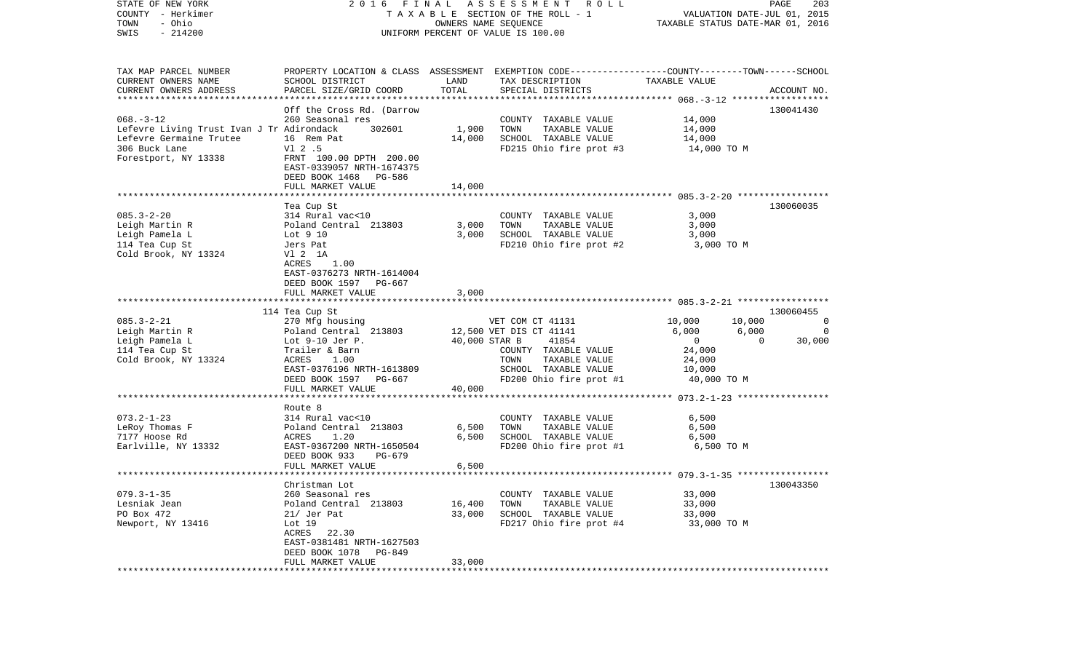| STATE OF NEW YORK<br>COUNTY - Herkimer<br>- Ohio<br>TOWN<br>$-214200$<br>SWIS | ASSESSMENT<br>FINAL<br>R O L L<br>2016<br>TAXABLE SECTION OF THE ROLL - 1<br>OWNERS NAME SEQUENCE<br>UNIFORM PERCENT OF VALUE IS 100.00 |                     |                                                                                                                     | VALUATION DATE-JUL 01, 2015<br>TAXABLE STATUS DATE-MAR 01, 2016 |                    |  |
|-------------------------------------------------------------------------------|-----------------------------------------------------------------------------------------------------------------------------------------|---------------------|---------------------------------------------------------------------------------------------------------------------|-----------------------------------------------------------------|--------------------|--|
| TAX MAP PARCEL NUMBER<br>CURRENT OWNERS NAME                                  | SCHOOL DISTRICT                                                                                                                         | LAND                | PROPERTY LOCATION & CLASS ASSESSMENT EXEMPTION CODE----------------COUNTY-------TOWN------SCHOOL<br>TAX DESCRIPTION | TAXABLE VALUE                                                   |                    |  |
| CURRENT OWNERS ADDRESS                                                        | PARCEL SIZE/GRID COORD                                                                                                                  | TOTAL               | SPECIAL DISTRICTS                                                                                                   |                                                                 | ACCOUNT NO.        |  |
| ***********************                                                       | **********************                                                                                                                  |                     |                                                                                                                     |                                                                 |                    |  |
| $068. -3 - 12$                                                                | Off the Cross Rd. (Darrow<br>260 Seasonal res                                                                                           |                     | COUNTY TAXABLE VALUE                                                                                                | 14,000                                                          | 130041430          |  |
| Lefevre Living Trust Ivan J Tr Adirondack                                     | 302601                                                                                                                                  | 1,900               | TOWN<br>TAXABLE VALUE                                                                                               | 14,000                                                          |                    |  |
| Lefevre Germaine Trutee                                                       | 16 Rem Pat                                                                                                                              | 14,000              | SCHOOL TAXABLE VALUE                                                                                                | 14,000                                                          |                    |  |
| 306 Buck Lane                                                                 | $V1$ 2.5                                                                                                                                |                     | FD215 Ohio fire prot #3                                                                                             | 14,000 TO M                                                     |                    |  |
| Forestport, NY 13338                                                          | FRNT 100.00 DPTH 200.00<br>EAST-0339057 NRTH-1674375<br>DEED BOOK 1468 PG-586                                                           |                     |                                                                                                                     |                                                                 |                    |  |
|                                                                               | FULL MARKET VALUE                                                                                                                       | 14,000              |                                                                                                                     |                                                                 |                    |  |
|                                                                               |                                                                                                                                         |                     |                                                                                                                     |                                                                 |                    |  |
|                                                                               | Tea Cup St                                                                                                                              |                     |                                                                                                                     |                                                                 | 130060035          |  |
| $085.3 - 2 - 20$                                                              | 314 Rural vac<10                                                                                                                        |                     | COUNTY TAXABLE VALUE                                                                                                | 3,000                                                           |                    |  |
| Leigh Martin R                                                                | Poland Central 213803                                                                                                                   | 3,000               | TOWN<br>TAXABLE VALUE<br>SCHOOL TAXABLE VALUE                                                                       | 3,000                                                           |                    |  |
| Leigh Pamela L<br>114 Tea Cup St                                              | Lot 9 10<br>Jers Pat                                                                                                                    | 3,000               | FD210 Ohio fire prot #2                                                                                             | 3,000<br>3,000 TO M                                             |                    |  |
| Cold Brook, NY 13324                                                          | V1 2 1A                                                                                                                                 |                     |                                                                                                                     |                                                                 |                    |  |
|                                                                               | 1.00<br>ACRES                                                                                                                           |                     |                                                                                                                     |                                                                 |                    |  |
|                                                                               | EAST-0376273 NRTH-1614004                                                                                                               |                     |                                                                                                                     |                                                                 |                    |  |
|                                                                               | DEED BOOK 1597 PG-667                                                                                                                   |                     |                                                                                                                     |                                                                 |                    |  |
|                                                                               | FULL MARKET VALUE                                                                                                                       | 3,000               |                                                                                                                     |                                                                 |                    |  |
|                                                                               |                                                                                                                                         |                     |                                                                                                                     |                                                                 |                    |  |
| $085.3 - 2 - 21$                                                              | 114 Tea Cup St<br>270 Mfg housing                                                                                                       |                     | VET COM CT 41131                                                                                                    | 10,000<br>10,000                                                | 130060455<br>0     |  |
| Leigh Martin R                                                                | Poland Central 213803                                                                                                                   |                     | 12,500 VET DIS CT 41141                                                                                             | 6,000<br>6,000                                                  | $\Omega$           |  |
| Leigh Pamela L                                                                | Lot $9-10$ Jer P.                                                                                                                       | 40,000 STAR B       | 41854                                                                                                               | $\overline{0}$                                                  | 30,000<br>$\Omega$ |  |
| 114 Tea Cup St                                                                | Trailer & Barn                                                                                                                          |                     | COUNTY TAXABLE VALUE                                                                                                | 24,000                                                          |                    |  |
| Cold Brook, NY 13324                                                          | <b>ACRES</b><br>1.00                                                                                                                    |                     | TAXABLE VALUE<br>TOWN                                                                                               | 24,000                                                          |                    |  |
|                                                                               | EAST-0376196 NRTH-1613809                                                                                                               |                     | SCHOOL TAXABLE VALUE                                                                                                | 10,000                                                          |                    |  |
|                                                                               | DEED BOOK 1597 PG-667                                                                                                                   |                     | FD200 Ohio fire prot #1                                                                                             | 40,000 TO M                                                     |                    |  |
|                                                                               | FULL MARKET VALUE<br>*******************                                                                                                | 40,000<br>********* |                                                                                                                     | ********** 073.2-1-23 ******************                        |                    |  |
|                                                                               | Route 8                                                                                                                                 |                     |                                                                                                                     |                                                                 |                    |  |
| $073.2 - 1 - 23$                                                              | 314 Rural vac<10                                                                                                                        |                     | COUNTY TAXABLE VALUE                                                                                                | 6,500                                                           |                    |  |
| LeRoy Thomas F                                                                | Poland Central 213803                                                                                                                   | 6,500               | TOWN<br>TAXABLE VALUE                                                                                               | 6,500                                                           |                    |  |
| 7177 Hoose Rd                                                                 | ACRES<br>1.20                                                                                                                           | 6,500               | SCHOOL TAXABLE VALUE                                                                                                | 6,500                                                           |                    |  |
| Earlville, NY 13332                                                           | EAST-0367200 NRTH-1650504                                                                                                               |                     | FD200 Ohio fire prot #1                                                                                             | 6,500 TO M                                                      |                    |  |
|                                                                               | DEED BOOK 933<br>PG-679<br>FULL MARKET VALUE                                                                                            | 6,500               |                                                                                                                     |                                                                 |                    |  |
|                                                                               |                                                                                                                                         |                     |                                                                                                                     |                                                                 |                    |  |
|                                                                               | Christman Lot                                                                                                                           |                     |                                                                                                                     |                                                                 | 130043350          |  |
| $079.3 - 1 - 35$                                                              | 260 Seasonal res                                                                                                                        |                     | COUNTY TAXABLE VALUE                                                                                                | 33,000                                                          |                    |  |
| Lesniak Jean                                                                  | Poland Central 213803                                                                                                                   | 16,400              | TOWN<br>TAXABLE VALUE                                                                                               | 33,000                                                          |                    |  |
| PO Box 472                                                                    | 21/ Jer Pat                                                                                                                             | 33,000              | SCHOOL TAXABLE VALUE                                                                                                | 33,000                                                          |                    |  |
| Newport, NY 13416                                                             | Lot 19                                                                                                                                  |                     | FD217 Ohio fire prot #4                                                                                             | 33,000 TO M                                                     |                    |  |
|                                                                               | ACRES 22.30<br>EAST-0381481 NRTH-1627503                                                                                                |                     |                                                                                                                     |                                                                 |                    |  |
|                                                                               | DEED BOOK 1078<br>PG-849                                                                                                                |                     |                                                                                                                     |                                                                 |                    |  |
|                                                                               | FULL MARKET VALUE                                                                                                                       | 33,000              |                                                                                                                     |                                                                 |                    |  |
|                                                                               |                                                                                                                                         |                     |                                                                                                                     |                                                                 |                    |  |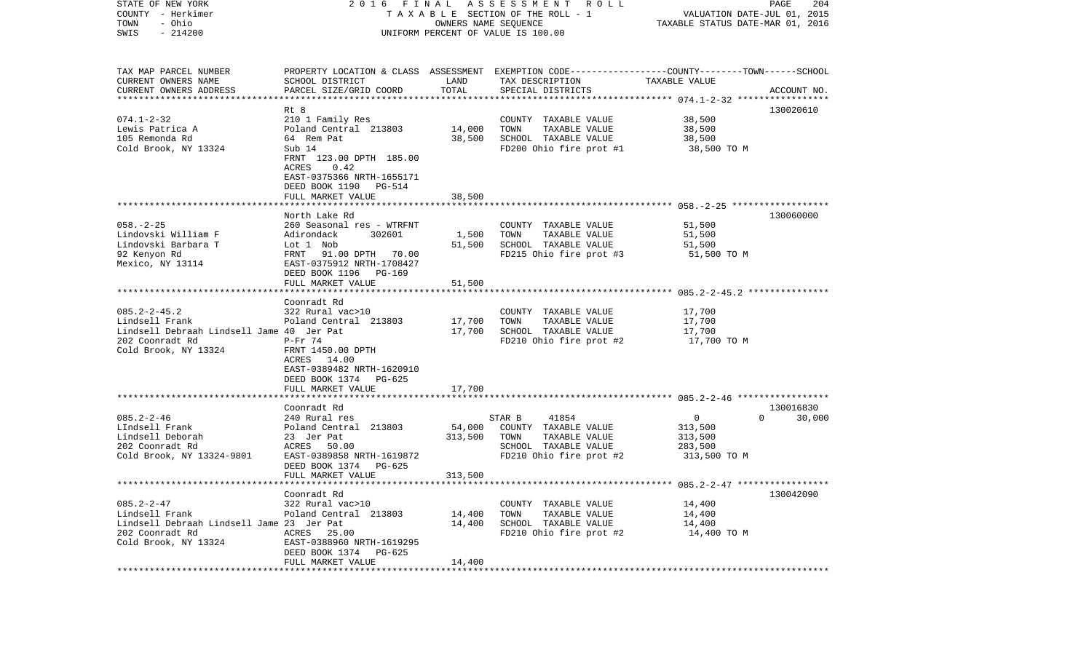| OWNERS NAME SEQUENCE<br>TAXABLE STATUS DATE-MAR 01, 2016<br>$-214200$<br>UNIFORM PERCENT OF VALUE IS 100.00<br>TAX MAP PARCEL NUMBER<br>PROPERTY LOCATION & CLASS ASSESSMENT EXEMPTION CODE---------------COUNTY-------TOWN------SCHOOL<br>CURRENT OWNERS NAME<br>LAND<br>SCHOOL DISTRICT<br>TAX DESCRIPTION<br>TAXABLE VALUE<br>TOTAL<br>CURRENT OWNERS ADDRESS<br>PARCEL SIZE/GRID COORD<br>SPECIAL DISTRICTS<br>ACCOUNT NO.<br>************************<br>Rt 8<br>130020610<br>$074.1 - 2 - 32$<br>38,500<br>210 1 Family Res<br>COUNTY TAXABLE VALUE<br>14,000<br>38,500<br>Lewis Patrica A<br>Poland Central 213803<br>TOWN<br>TAXABLE VALUE<br>105 Remonda Rd<br>38,500<br>SCHOOL TAXABLE VALUE<br>64 Rem Pat<br>38,500<br>FD200 Ohio fire prot #1<br>Sub 14<br>38,500 TO M<br>FRNT 123.00 DPTH 185.00<br>ACRES<br>0.42<br>EAST-0375366 NRTH-1655171<br>DEED BOOK 1190<br>PG-514<br>38,500<br>FULL MARKET VALUE<br>130060000<br>North Lake Rd<br>260 Seasonal res - WTRFNT<br>COUNTY TAXABLE VALUE<br>51,500<br>Adirondack<br>302601<br>1,500<br>TOWN<br>TAXABLE VALUE<br>51,500<br>Lot 1 Nob<br>51,500<br>SCHOOL TAXABLE VALUE<br>51,500<br>FRNT 91.00 DPTH 70.00<br>FD215 Ohio fire prot #3<br>51,500 TO M<br>EAST-0375912 NRTH-1708427<br>DEED BOOK 1196<br>PG-169<br>FULL MARKET VALUE<br>51,500<br>Coonradt Rd<br>$085.2 - 2 - 45.2$<br>322 Rural vac>10<br>17,700<br>COUNTY TAXABLE VALUE<br>17,700<br>17,700<br>Poland Central 213803<br>TOWN<br>TAXABLE VALUE<br>Lindsell Debraah Lindsell Jame 40 Jer Pat<br>17,700<br>SCHOOL TAXABLE VALUE<br>17,700<br>FD210 Ohio fire prot #2<br>17,700 TO M<br>$P-Fr$ 74<br>Cold Brook, NY 13324<br>FRNT 1450.00 DPTH<br>ACRES 14.00<br>EAST-0389482 NRTH-1620910<br>DEED BOOK 1374<br>PG-625<br>17,700<br>FULL MARKET VALUE<br>******************<br>********<br>**********************************6 085.2-2-46 ******************<br>130016830<br>Coonradt Rd<br>STAR B<br>41854<br>0<br>30,000<br>240 Rural res<br>$\Omega$<br>Poland Central 213803<br>54,000<br>COUNTY TAXABLE VALUE<br>313,500<br>313,500<br>TOWN<br>TAXABLE VALUE<br>23 Jer Pat<br>313,500<br>202 Coonradt Rd<br>ACRES 50.00<br>SCHOOL TAXABLE VALUE<br>283,500<br>Cold Brook, NY 13324-9801<br>EAST-0389858 NRTH-1619872<br>FD210 Ohio fire prot #2<br>313,500 TO M<br>DEED BOOK 1374<br>PG-625<br>313,500<br>FULL MARKET VALUE<br>Coonradt Rd<br>130042090<br>$085.2 - 2 - 47$<br>322 Rural vac>10<br>14,400<br>COUNTY TAXABLE VALUE<br>Poland Central 213803<br>14,400<br>TOWN<br>TAXABLE VALUE<br>14,400<br>Lindsell Debraah Lindsell Jame 23 Jer Pat<br>14,400<br>SCHOOL TAXABLE VALUE<br>14,400<br>202 Coonradt Rd<br>FD210 Ohio fire prot #2<br>ACRES 25.00<br>14,400 TO M<br>EAST-0388960 NRTH-1619295<br>DEED BOOK 1374<br>PG-625<br>FULL MARKET VALUE<br>14,400 | STATE OF NEW YORK<br>COUNTY - Herkimer<br>- Ohio<br>TOWN | 2016 FINAL | A S S E S S M E N T R O L L<br>TAXABLE SECTION OF THE ROLL - 1 | VALUATION DATE-JUL 01, 2015 | 204<br>PAGE |
|------------------------------------------------------------------------------------------------------------------------------------------------------------------------------------------------------------------------------------------------------------------------------------------------------------------------------------------------------------------------------------------------------------------------------------------------------------------------------------------------------------------------------------------------------------------------------------------------------------------------------------------------------------------------------------------------------------------------------------------------------------------------------------------------------------------------------------------------------------------------------------------------------------------------------------------------------------------------------------------------------------------------------------------------------------------------------------------------------------------------------------------------------------------------------------------------------------------------------------------------------------------------------------------------------------------------------------------------------------------------------------------------------------------------------------------------------------------------------------------------------------------------------------------------------------------------------------------------------------------------------------------------------------------------------------------------------------------------------------------------------------------------------------------------------------------------------------------------------------------------------------------------------------------------------------------------------------------------------------------------------------------------------------------------------------------------------------------------------------------------------------------------------------------------------------------------------------------------------------------------------------------------------------------------------------------------------------------------------------------------------------------------------------------------------------------------------------------------------------------------------------------------------------------------------------------------------------------------------------------------------------------------------------------------------------------------------------------------------------------------------------------------------------------------------|----------------------------------------------------------|------------|----------------------------------------------------------------|-----------------------------|-------------|
|                                                                                                                                                                                                                                                                                                                                                                                                                                                                                                                                                                                                                                                                                                                                                                                                                                                                                                                                                                                                                                                                                                                                                                                                                                                                                                                                                                                                                                                                                                                                                                                                                                                                                                                                                                                                                                                                                                                                                                                                                                                                                                                                                                                                                                                                                                                                                                                                                                                                                                                                                                                                                                                                                                                                                                                                      | SWIS                                                     |            |                                                                |                             |             |
|                                                                                                                                                                                                                                                                                                                                                                                                                                                                                                                                                                                                                                                                                                                                                                                                                                                                                                                                                                                                                                                                                                                                                                                                                                                                                                                                                                                                                                                                                                                                                                                                                                                                                                                                                                                                                                                                                                                                                                                                                                                                                                                                                                                                                                                                                                                                                                                                                                                                                                                                                                                                                                                                                                                                                                                                      |                                                          |            |                                                                |                             |             |
|                                                                                                                                                                                                                                                                                                                                                                                                                                                                                                                                                                                                                                                                                                                                                                                                                                                                                                                                                                                                                                                                                                                                                                                                                                                                                                                                                                                                                                                                                                                                                                                                                                                                                                                                                                                                                                                                                                                                                                                                                                                                                                                                                                                                                                                                                                                                                                                                                                                                                                                                                                                                                                                                                                                                                                                                      |                                                          |            |                                                                |                             |             |
|                                                                                                                                                                                                                                                                                                                                                                                                                                                                                                                                                                                                                                                                                                                                                                                                                                                                                                                                                                                                                                                                                                                                                                                                                                                                                                                                                                                                                                                                                                                                                                                                                                                                                                                                                                                                                                                                                                                                                                                                                                                                                                                                                                                                                                                                                                                                                                                                                                                                                                                                                                                                                                                                                                                                                                                                      |                                                          |            |                                                                |                             |             |
|                                                                                                                                                                                                                                                                                                                                                                                                                                                                                                                                                                                                                                                                                                                                                                                                                                                                                                                                                                                                                                                                                                                                                                                                                                                                                                                                                                                                                                                                                                                                                                                                                                                                                                                                                                                                                                                                                                                                                                                                                                                                                                                                                                                                                                                                                                                                                                                                                                                                                                                                                                                                                                                                                                                                                                                                      |                                                          |            |                                                                |                             |             |
|                                                                                                                                                                                                                                                                                                                                                                                                                                                                                                                                                                                                                                                                                                                                                                                                                                                                                                                                                                                                                                                                                                                                                                                                                                                                                                                                                                                                                                                                                                                                                                                                                                                                                                                                                                                                                                                                                                                                                                                                                                                                                                                                                                                                                                                                                                                                                                                                                                                                                                                                                                                                                                                                                                                                                                                                      |                                                          |            |                                                                |                             |             |
|                                                                                                                                                                                                                                                                                                                                                                                                                                                                                                                                                                                                                                                                                                                                                                                                                                                                                                                                                                                                                                                                                                                                                                                                                                                                                                                                                                                                                                                                                                                                                                                                                                                                                                                                                                                                                                                                                                                                                                                                                                                                                                                                                                                                                                                                                                                                                                                                                                                                                                                                                                                                                                                                                                                                                                                                      |                                                          |            |                                                                |                             |             |
|                                                                                                                                                                                                                                                                                                                                                                                                                                                                                                                                                                                                                                                                                                                                                                                                                                                                                                                                                                                                                                                                                                                                                                                                                                                                                                                                                                                                                                                                                                                                                                                                                                                                                                                                                                                                                                                                                                                                                                                                                                                                                                                                                                                                                                                                                                                                                                                                                                                                                                                                                                                                                                                                                                                                                                                                      | Cold Brook, NY 13324                                     |            |                                                                |                             |             |
|                                                                                                                                                                                                                                                                                                                                                                                                                                                                                                                                                                                                                                                                                                                                                                                                                                                                                                                                                                                                                                                                                                                                                                                                                                                                                                                                                                                                                                                                                                                                                                                                                                                                                                                                                                                                                                                                                                                                                                                                                                                                                                                                                                                                                                                                                                                                                                                                                                                                                                                                                                                                                                                                                                                                                                                                      |                                                          |            |                                                                |                             |             |
|                                                                                                                                                                                                                                                                                                                                                                                                                                                                                                                                                                                                                                                                                                                                                                                                                                                                                                                                                                                                                                                                                                                                                                                                                                                                                                                                                                                                                                                                                                                                                                                                                                                                                                                                                                                                                                                                                                                                                                                                                                                                                                                                                                                                                                                                                                                                                                                                                                                                                                                                                                                                                                                                                                                                                                                                      |                                                          |            |                                                                |                             |             |
|                                                                                                                                                                                                                                                                                                                                                                                                                                                                                                                                                                                                                                                                                                                                                                                                                                                                                                                                                                                                                                                                                                                                                                                                                                                                                                                                                                                                                                                                                                                                                                                                                                                                                                                                                                                                                                                                                                                                                                                                                                                                                                                                                                                                                                                                                                                                                                                                                                                                                                                                                                                                                                                                                                                                                                                                      |                                                          |            |                                                                |                             |             |
|                                                                                                                                                                                                                                                                                                                                                                                                                                                                                                                                                                                                                                                                                                                                                                                                                                                                                                                                                                                                                                                                                                                                                                                                                                                                                                                                                                                                                                                                                                                                                                                                                                                                                                                                                                                                                                                                                                                                                                                                                                                                                                                                                                                                                                                                                                                                                                                                                                                                                                                                                                                                                                                                                                                                                                                                      |                                                          |            |                                                                |                             |             |
|                                                                                                                                                                                                                                                                                                                                                                                                                                                                                                                                                                                                                                                                                                                                                                                                                                                                                                                                                                                                                                                                                                                                                                                                                                                                                                                                                                                                                                                                                                                                                                                                                                                                                                                                                                                                                                                                                                                                                                                                                                                                                                                                                                                                                                                                                                                                                                                                                                                                                                                                                                                                                                                                                                                                                                                                      |                                                          |            |                                                                |                             |             |
|                                                                                                                                                                                                                                                                                                                                                                                                                                                                                                                                                                                                                                                                                                                                                                                                                                                                                                                                                                                                                                                                                                                                                                                                                                                                                                                                                                                                                                                                                                                                                                                                                                                                                                                                                                                                                                                                                                                                                                                                                                                                                                                                                                                                                                                                                                                                                                                                                                                                                                                                                                                                                                                                                                                                                                                                      |                                                          |            |                                                                |                             |             |
|                                                                                                                                                                                                                                                                                                                                                                                                                                                                                                                                                                                                                                                                                                                                                                                                                                                                                                                                                                                                                                                                                                                                                                                                                                                                                                                                                                                                                                                                                                                                                                                                                                                                                                                                                                                                                                                                                                                                                                                                                                                                                                                                                                                                                                                                                                                                                                                                                                                                                                                                                                                                                                                                                                                                                                                                      | $058. - 2 - 25$                                          |            |                                                                |                             |             |
|                                                                                                                                                                                                                                                                                                                                                                                                                                                                                                                                                                                                                                                                                                                                                                                                                                                                                                                                                                                                                                                                                                                                                                                                                                                                                                                                                                                                                                                                                                                                                                                                                                                                                                                                                                                                                                                                                                                                                                                                                                                                                                                                                                                                                                                                                                                                                                                                                                                                                                                                                                                                                                                                                                                                                                                                      | Lindovski William F                                      |            |                                                                |                             |             |
|                                                                                                                                                                                                                                                                                                                                                                                                                                                                                                                                                                                                                                                                                                                                                                                                                                                                                                                                                                                                                                                                                                                                                                                                                                                                                                                                                                                                                                                                                                                                                                                                                                                                                                                                                                                                                                                                                                                                                                                                                                                                                                                                                                                                                                                                                                                                                                                                                                                                                                                                                                                                                                                                                                                                                                                                      | Lindovski Barbara T                                      |            |                                                                |                             |             |
|                                                                                                                                                                                                                                                                                                                                                                                                                                                                                                                                                                                                                                                                                                                                                                                                                                                                                                                                                                                                                                                                                                                                                                                                                                                                                                                                                                                                                                                                                                                                                                                                                                                                                                                                                                                                                                                                                                                                                                                                                                                                                                                                                                                                                                                                                                                                                                                                                                                                                                                                                                                                                                                                                                                                                                                                      | 92 Kenyon Rd                                             |            |                                                                |                             |             |
|                                                                                                                                                                                                                                                                                                                                                                                                                                                                                                                                                                                                                                                                                                                                                                                                                                                                                                                                                                                                                                                                                                                                                                                                                                                                                                                                                                                                                                                                                                                                                                                                                                                                                                                                                                                                                                                                                                                                                                                                                                                                                                                                                                                                                                                                                                                                                                                                                                                                                                                                                                                                                                                                                                                                                                                                      | Mexico, NY 13114                                         |            |                                                                |                             |             |
|                                                                                                                                                                                                                                                                                                                                                                                                                                                                                                                                                                                                                                                                                                                                                                                                                                                                                                                                                                                                                                                                                                                                                                                                                                                                                                                                                                                                                                                                                                                                                                                                                                                                                                                                                                                                                                                                                                                                                                                                                                                                                                                                                                                                                                                                                                                                                                                                                                                                                                                                                                                                                                                                                                                                                                                                      |                                                          |            |                                                                |                             |             |
|                                                                                                                                                                                                                                                                                                                                                                                                                                                                                                                                                                                                                                                                                                                                                                                                                                                                                                                                                                                                                                                                                                                                                                                                                                                                                                                                                                                                                                                                                                                                                                                                                                                                                                                                                                                                                                                                                                                                                                                                                                                                                                                                                                                                                                                                                                                                                                                                                                                                                                                                                                                                                                                                                                                                                                                                      |                                                          |            |                                                                |                             |             |
|                                                                                                                                                                                                                                                                                                                                                                                                                                                                                                                                                                                                                                                                                                                                                                                                                                                                                                                                                                                                                                                                                                                                                                                                                                                                                                                                                                                                                                                                                                                                                                                                                                                                                                                                                                                                                                                                                                                                                                                                                                                                                                                                                                                                                                                                                                                                                                                                                                                                                                                                                                                                                                                                                                                                                                                                      |                                                          |            |                                                                |                             |             |
|                                                                                                                                                                                                                                                                                                                                                                                                                                                                                                                                                                                                                                                                                                                                                                                                                                                                                                                                                                                                                                                                                                                                                                                                                                                                                                                                                                                                                                                                                                                                                                                                                                                                                                                                                                                                                                                                                                                                                                                                                                                                                                                                                                                                                                                                                                                                                                                                                                                                                                                                                                                                                                                                                                                                                                                                      |                                                          |            |                                                                |                             |             |
|                                                                                                                                                                                                                                                                                                                                                                                                                                                                                                                                                                                                                                                                                                                                                                                                                                                                                                                                                                                                                                                                                                                                                                                                                                                                                                                                                                                                                                                                                                                                                                                                                                                                                                                                                                                                                                                                                                                                                                                                                                                                                                                                                                                                                                                                                                                                                                                                                                                                                                                                                                                                                                                                                                                                                                                                      | Lindsell Frank                                           |            |                                                                |                             |             |
|                                                                                                                                                                                                                                                                                                                                                                                                                                                                                                                                                                                                                                                                                                                                                                                                                                                                                                                                                                                                                                                                                                                                                                                                                                                                                                                                                                                                                                                                                                                                                                                                                                                                                                                                                                                                                                                                                                                                                                                                                                                                                                                                                                                                                                                                                                                                                                                                                                                                                                                                                                                                                                                                                                                                                                                                      |                                                          |            |                                                                |                             |             |
|                                                                                                                                                                                                                                                                                                                                                                                                                                                                                                                                                                                                                                                                                                                                                                                                                                                                                                                                                                                                                                                                                                                                                                                                                                                                                                                                                                                                                                                                                                                                                                                                                                                                                                                                                                                                                                                                                                                                                                                                                                                                                                                                                                                                                                                                                                                                                                                                                                                                                                                                                                                                                                                                                                                                                                                                      | 202 Coonradt Rd                                          |            |                                                                |                             |             |
|                                                                                                                                                                                                                                                                                                                                                                                                                                                                                                                                                                                                                                                                                                                                                                                                                                                                                                                                                                                                                                                                                                                                                                                                                                                                                                                                                                                                                                                                                                                                                                                                                                                                                                                                                                                                                                                                                                                                                                                                                                                                                                                                                                                                                                                                                                                                                                                                                                                                                                                                                                                                                                                                                                                                                                                                      |                                                          |            |                                                                |                             |             |
|                                                                                                                                                                                                                                                                                                                                                                                                                                                                                                                                                                                                                                                                                                                                                                                                                                                                                                                                                                                                                                                                                                                                                                                                                                                                                                                                                                                                                                                                                                                                                                                                                                                                                                                                                                                                                                                                                                                                                                                                                                                                                                                                                                                                                                                                                                                                                                                                                                                                                                                                                                                                                                                                                                                                                                                                      |                                                          |            |                                                                |                             |             |
|                                                                                                                                                                                                                                                                                                                                                                                                                                                                                                                                                                                                                                                                                                                                                                                                                                                                                                                                                                                                                                                                                                                                                                                                                                                                                                                                                                                                                                                                                                                                                                                                                                                                                                                                                                                                                                                                                                                                                                                                                                                                                                                                                                                                                                                                                                                                                                                                                                                                                                                                                                                                                                                                                                                                                                                                      |                                                          |            |                                                                |                             |             |
|                                                                                                                                                                                                                                                                                                                                                                                                                                                                                                                                                                                                                                                                                                                                                                                                                                                                                                                                                                                                                                                                                                                                                                                                                                                                                                                                                                                                                                                                                                                                                                                                                                                                                                                                                                                                                                                                                                                                                                                                                                                                                                                                                                                                                                                                                                                                                                                                                                                                                                                                                                                                                                                                                                                                                                                                      |                                                          |            |                                                                |                             |             |
|                                                                                                                                                                                                                                                                                                                                                                                                                                                                                                                                                                                                                                                                                                                                                                                                                                                                                                                                                                                                                                                                                                                                                                                                                                                                                                                                                                                                                                                                                                                                                                                                                                                                                                                                                                                                                                                                                                                                                                                                                                                                                                                                                                                                                                                                                                                                                                                                                                                                                                                                                                                                                                                                                                                                                                                                      |                                                          |            |                                                                |                             |             |
|                                                                                                                                                                                                                                                                                                                                                                                                                                                                                                                                                                                                                                                                                                                                                                                                                                                                                                                                                                                                                                                                                                                                                                                                                                                                                                                                                                                                                                                                                                                                                                                                                                                                                                                                                                                                                                                                                                                                                                                                                                                                                                                                                                                                                                                                                                                                                                                                                                                                                                                                                                                                                                                                                                                                                                                                      |                                                          |            |                                                                |                             |             |
|                                                                                                                                                                                                                                                                                                                                                                                                                                                                                                                                                                                                                                                                                                                                                                                                                                                                                                                                                                                                                                                                                                                                                                                                                                                                                                                                                                                                                                                                                                                                                                                                                                                                                                                                                                                                                                                                                                                                                                                                                                                                                                                                                                                                                                                                                                                                                                                                                                                                                                                                                                                                                                                                                                                                                                                                      | $085.2 - 2 - 46$                                         |            |                                                                |                             |             |
|                                                                                                                                                                                                                                                                                                                                                                                                                                                                                                                                                                                                                                                                                                                                                                                                                                                                                                                                                                                                                                                                                                                                                                                                                                                                                                                                                                                                                                                                                                                                                                                                                                                                                                                                                                                                                                                                                                                                                                                                                                                                                                                                                                                                                                                                                                                                                                                                                                                                                                                                                                                                                                                                                                                                                                                                      | LIndsell Frank                                           |            |                                                                |                             |             |
|                                                                                                                                                                                                                                                                                                                                                                                                                                                                                                                                                                                                                                                                                                                                                                                                                                                                                                                                                                                                                                                                                                                                                                                                                                                                                                                                                                                                                                                                                                                                                                                                                                                                                                                                                                                                                                                                                                                                                                                                                                                                                                                                                                                                                                                                                                                                                                                                                                                                                                                                                                                                                                                                                                                                                                                                      | Lindsell Deborah                                         |            |                                                                |                             |             |
|                                                                                                                                                                                                                                                                                                                                                                                                                                                                                                                                                                                                                                                                                                                                                                                                                                                                                                                                                                                                                                                                                                                                                                                                                                                                                                                                                                                                                                                                                                                                                                                                                                                                                                                                                                                                                                                                                                                                                                                                                                                                                                                                                                                                                                                                                                                                                                                                                                                                                                                                                                                                                                                                                                                                                                                                      |                                                          |            |                                                                |                             |             |
|                                                                                                                                                                                                                                                                                                                                                                                                                                                                                                                                                                                                                                                                                                                                                                                                                                                                                                                                                                                                                                                                                                                                                                                                                                                                                                                                                                                                                                                                                                                                                                                                                                                                                                                                                                                                                                                                                                                                                                                                                                                                                                                                                                                                                                                                                                                                                                                                                                                                                                                                                                                                                                                                                                                                                                                                      |                                                          |            |                                                                |                             |             |
|                                                                                                                                                                                                                                                                                                                                                                                                                                                                                                                                                                                                                                                                                                                                                                                                                                                                                                                                                                                                                                                                                                                                                                                                                                                                                                                                                                                                                                                                                                                                                                                                                                                                                                                                                                                                                                                                                                                                                                                                                                                                                                                                                                                                                                                                                                                                                                                                                                                                                                                                                                                                                                                                                                                                                                                                      |                                                          |            |                                                                |                             |             |
|                                                                                                                                                                                                                                                                                                                                                                                                                                                                                                                                                                                                                                                                                                                                                                                                                                                                                                                                                                                                                                                                                                                                                                                                                                                                                                                                                                                                                                                                                                                                                                                                                                                                                                                                                                                                                                                                                                                                                                                                                                                                                                                                                                                                                                                                                                                                                                                                                                                                                                                                                                                                                                                                                                                                                                                                      |                                                          |            |                                                                |                             |             |
|                                                                                                                                                                                                                                                                                                                                                                                                                                                                                                                                                                                                                                                                                                                                                                                                                                                                                                                                                                                                                                                                                                                                                                                                                                                                                                                                                                                                                                                                                                                                                                                                                                                                                                                                                                                                                                                                                                                                                                                                                                                                                                                                                                                                                                                                                                                                                                                                                                                                                                                                                                                                                                                                                                                                                                                                      |                                                          |            |                                                                |                             |             |
|                                                                                                                                                                                                                                                                                                                                                                                                                                                                                                                                                                                                                                                                                                                                                                                                                                                                                                                                                                                                                                                                                                                                                                                                                                                                                                                                                                                                                                                                                                                                                                                                                                                                                                                                                                                                                                                                                                                                                                                                                                                                                                                                                                                                                                                                                                                                                                                                                                                                                                                                                                                                                                                                                                                                                                                                      |                                                          |            |                                                                |                             |             |
|                                                                                                                                                                                                                                                                                                                                                                                                                                                                                                                                                                                                                                                                                                                                                                                                                                                                                                                                                                                                                                                                                                                                                                                                                                                                                                                                                                                                                                                                                                                                                                                                                                                                                                                                                                                                                                                                                                                                                                                                                                                                                                                                                                                                                                                                                                                                                                                                                                                                                                                                                                                                                                                                                                                                                                                                      | Lindsell Frank                                           |            |                                                                |                             |             |
|                                                                                                                                                                                                                                                                                                                                                                                                                                                                                                                                                                                                                                                                                                                                                                                                                                                                                                                                                                                                                                                                                                                                                                                                                                                                                                                                                                                                                                                                                                                                                                                                                                                                                                                                                                                                                                                                                                                                                                                                                                                                                                                                                                                                                                                                                                                                                                                                                                                                                                                                                                                                                                                                                                                                                                                                      |                                                          |            |                                                                |                             |             |
|                                                                                                                                                                                                                                                                                                                                                                                                                                                                                                                                                                                                                                                                                                                                                                                                                                                                                                                                                                                                                                                                                                                                                                                                                                                                                                                                                                                                                                                                                                                                                                                                                                                                                                                                                                                                                                                                                                                                                                                                                                                                                                                                                                                                                                                                                                                                                                                                                                                                                                                                                                                                                                                                                                                                                                                                      |                                                          |            |                                                                |                             |             |
|                                                                                                                                                                                                                                                                                                                                                                                                                                                                                                                                                                                                                                                                                                                                                                                                                                                                                                                                                                                                                                                                                                                                                                                                                                                                                                                                                                                                                                                                                                                                                                                                                                                                                                                                                                                                                                                                                                                                                                                                                                                                                                                                                                                                                                                                                                                                                                                                                                                                                                                                                                                                                                                                                                                                                                                                      | Cold Brook, NY 13324                                     |            |                                                                |                             |             |
|                                                                                                                                                                                                                                                                                                                                                                                                                                                                                                                                                                                                                                                                                                                                                                                                                                                                                                                                                                                                                                                                                                                                                                                                                                                                                                                                                                                                                                                                                                                                                                                                                                                                                                                                                                                                                                                                                                                                                                                                                                                                                                                                                                                                                                                                                                                                                                                                                                                                                                                                                                                                                                                                                                                                                                                                      |                                                          |            |                                                                |                             |             |
|                                                                                                                                                                                                                                                                                                                                                                                                                                                                                                                                                                                                                                                                                                                                                                                                                                                                                                                                                                                                                                                                                                                                                                                                                                                                                                                                                                                                                                                                                                                                                                                                                                                                                                                                                                                                                                                                                                                                                                                                                                                                                                                                                                                                                                                                                                                                                                                                                                                                                                                                                                                                                                                                                                                                                                                                      | ****************                                         |            |                                                                |                             |             |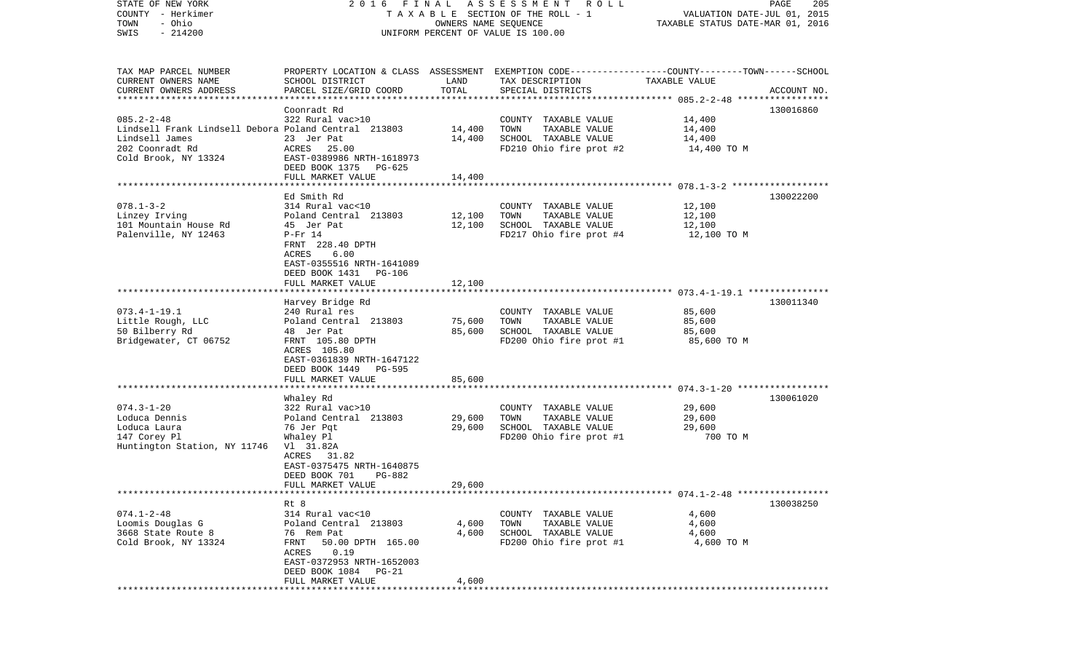| TAXABLE SECTION OF THE ROLL - 1<br>VALUATION DATE-JUL 01, 2015<br>- Ohio<br>TOWN<br>OWNERS NAME SEQUENCE<br>TAXABLE STATUS DATE-MAR 01, 2016<br>$-214200$<br>SWIS<br>UNIFORM PERCENT OF VALUE IS 100.00<br>TAX MAP PARCEL NUMBER<br>PROPERTY LOCATION & CLASS ASSESSMENT EXEMPTION CODE---------------COUNTY-------TOWN------SCHOOL<br>CURRENT OWNERS NAME<br>SCHOOL DISTRICT<br>LAND<br>TAX DESCRIPTION<br>TAXABLE VALUE<br>CURRENT OWNERS ADDRESS<br>TOTAL<br>PARCEL SIZE/GRID COORD<br>SPECIAL DISTRICTS<br>ACCOUNT NO.<br>Coonradt Rd<br>130016860<br>$085.2 - 2 - 48$<br>322 Rural vac>10<br>COUNTY TAXABLE VALUE<br>14,400<br>Lindsell Frank Lindsell Debora Poland Central 213803<br>14,400<br>TOWN<br>TAXABLE VALUE<br>14,400<br>23 Jer Pat<br>Lindsell James<br>14,400<br>SCHOOL TAXABLE VALUE<br>14,400<br>202 Coonradt Rd<br>25.00<br>FD210 Ohio fire prot #2<br>ACRES<br>14,400 TO M<br>Cold Brook, NY 13324<br>EAST-0389986 NRTH-1618973<br>DEED BOOK 1375<br>PG-625<br>FULL MARKET VALUE<br>14,400<br>Ed Smith Rd<br>130022200<br>$078.1 - 3 - 2$<br>314 Rural vac<10<br>COUNTY TAXABLE VALUE<br>12,100<br>Linzey Irving<br>Poland Central 213803<br>12,100<br>TOWN<br>TAXABLE VALUE<br>12,100<br>12,100<br>101 Mountain House Rd<br>45 Jer Pat<br>SCHOOL TAXABLE VALUE<br>12,100<br>Palenville, NY 12463<br>FD217 Ohio fire prot #4<br>$P-Fr$ 14<br>12,100 TO M<br>FRNT 228.40 DPTH<br><b>ACRES</b><br>6.00<br>EAST-0355516 NRTH-1641089<br>DEED BOOK 1431<br>PG-106<br>FULL MARKET VALUE<br>12,100<br>Harvey Bridge Rd<br>130011340<br>85,600<br>$073.4 - 1 - 19.1$<br>240 Rural res<br>COUNTY TAXABLE VALUE<br>TAXABLE VALUE<br>Little Rough, LLC<br>Poland Central 213803<br>75,600<br>TOWN<br>85,600<br>50 Bilberry Rd<br>85,600<br>SCHOOL TAXABLE VALUE<br>48 Jer Pat<br>85,600<br>Bridgewater, CT 06752<br>FD200 Ohio fire prot #1<br>FRNT 105.80 DPTH<br>85,600 TO M<br>ACRES 105.80<br>EAST-0361839 NRTH-1647122<br>DEED BOOK 1449 PG-595<br>FULL MARKET VALUE<br>85,600<br>130061020<br>Whaley Rd<br>$074.3 - 1 - 20$<br>322 Rural vac>10<br>COUNTY TAXABLE VALUE<br>29,600<br>Loduca Dennis<br>Poland Central 213803<br>29,600<br>TOWN<br>TAXABLE VALUE<br>29,600<br>Loduca Laura<br>76 Jer Pqt<br>29,600<br>SCHOOL TAXABLE VALUE<br>29,600<br>147 Corey Pl<br>FD200 Ohio fire prot #1<br>700 TO M<br>Whaley Pl<br>Huntington Station, NY 11746<br>V1 31.82A<br>ACRES 31.82<br>EAST-0375475 NRTH-1640875<br>DEED BOOK 701<br>PG-882<br>FULL MARKET VALUE<br>29,600<br>130038250<br>Rt 8<br>$074.1 - 2 - 48$<br>314 Rural vac<10<br>COUNTY TAXABLE VALUE<br>4,600<br>Loomis Douglas G<br>Poland Central 213803<br>4,600<br>TOWN<br>TAXABLE VALUE<br>4,600<br>3668 State Route 8<br>76 Rem Pat<br>4,600<br>SCHOOL TAXABLE VALUE<br>4,600<br>Cold Brook, NY 13324<br>FD200 Ohio fire prot #1<br>FRNT 50.00 DPTH 165.00<br>4,600 TO M<br>ACRES 0.19<br>EAST-0372953 NRTH-1652003<br>DEED BOOK 1084 PG-21<br>FULL MARKET VALUE<br>4,600 | STATE OF NEW YORK |  | 2016 FINAL ASSESSMENT ROLL | PAGE<br>205 |
|-------------------------------------------------------------------------------------------------------------------------------------------------------------------------------------------------------------------------------------------------------------------------------------------------------------------------------------------------------------------------------------------------------------------------------------------------------------------------------------------------------------------------------------------------------------------------------------------------------------------------------------------------------------------------------------------------------------------------------------------------------------------------------------------------------------------------------------------------------------------------------------------------------------------------------------------------------------------------------------------------------------------------------------------------------------------------------------------------------------------------------------------------------------------------------------------------------------------------------------------------------------------------------------------------------------------------------------------------------------------------------------------------------------------------------------------------------------------------------------------------------------------------------------------------------------------------------------------------------------------------------------------------------------------------------------------------------------------------------------------------------------------------------------------------------------------------------------------------------------------------------------------------------------------------------------------------------------------------------------------------------------------------------------------------------------------------------------------------------------------------------------------------------------------------------------------------------------------------------------------------------------------------------------------------------------------------------------------------------------------------------------------------------------------------------------------------------------------------------------------------------------------------------------------------------------------------------------------------------------------------------------------------------------------------------------------------------------------------------------------------------------------------------------------------------------------------------------------------------------------------------------------------------------------------------------------------------------|-------------------|--|----------------------------|-------------|
|                                                                                                                                                                                                                                                                                                                                                                                                                                                                                                                                                                                                                                                                                                                                                                                                                                                                                                                                                                                                                                                                                                                                                                                                                                                                                                                                                                                                                                                                                                                                                                                                                                                                                                                                                                                                                                                                                                                                                                                                                                                                                                                                                                                                                                                                                                                                                                                                                                                                                                                                                                                                                                                                                                                                                                                                                                                                                                                                                             | COUNTY - Herkimer |  |                            |             |
|                                                                                                                                                                                                                                                                                                                                                                                                                                                                                                                                                                                                                                                                                                                                                                                                                                                                                                                                                                                                                                                                                                                                                                                                                                                                                                                                                                                                                                                                                                                                                                                                                                                                                                                                                                                                                                                                                                                                                                                                                                                                                                                                                                                                                                                                                                                                                                                                                                                                                                                                                                                                                                                                                                                                                                                                                                                                                                                                                             |                   |  |                            |             |
|                                                                                                                                                                                                                                                                                                                                                                                                                                                                                                                                                                                                                                                                                                                                                                                                                                                                                                                                                                                                                                                                                                                                                                                                                                                                                                                                                                                                                                                                                                                                                                                                                                                                                                                                                                                                                                                                                                                                                                                                                                                                                                                                                                                                                                                                                                                                                                                                                                                                                                                                                                                                                                                                                                                                                                                                                                                                                                                                                             |                   |  |                            |             |
|                                                                                                                                                                                                                                                                                                                                                                                                                                                                                                                                                                                                                                                                                                                                                                                                                                                                                                                                                                                                                                                                                                                                                                                                                                                                                                                                                                                                                                                                                                                                                                                                                                                                                                                                                                                                                                                                                                                                                                                                                                                                                                                                                                                                                                                                                                                                                                                                                                                                                                                                                                                                                                                                                                                                                                                                                                                                                                                                                             |                   |  |                            |             |
|                                                                                                                                                                                                                                                                                                                                                                                                                                                                                                                                                                                                                                                                                                                                                                                                                                                                                                                                                                                                                                                                                                                                                                                                                                                                                                                                                                                                                                                                                                                                                                                                                                                                                                                                                                                                                                                                                                                                                                                                                                                                                                                                                                                                                                                                                                                                                                                                                                                                                                                                                                                                                                                                                                                                                                                                                                                                                                                                                             |                   |  |                            |             |
|                                                                                                                                                                                                                                                                                                                                                                                                                                                                                                                                                                                                                                                                                                                                                                                                                                                                                                                                                                                                                                                                                                                                                                                                                                                                                                                                                                                                                                                                                                                                                                                                                                                                                                                                                                                                                                                                                                                                                                                                                                                                                                                                                                                                                                                                                                                                                                                                                                                                                                                                                                                                                                                                                                                                                                                                                                                                                                                                                             |                   |  |                            |             |
|                                                                                                                                                                                                                                                                                                                                                                                                                                                                                                                                                                                                                                                                                                                                                                                                                                                                                                                                                                                                                                                                                                                                                                                                                                                                                                                                                                                                                                                                                                                                                                                                                                                                                                                                                                                                                                                                                                                                                                                                                                                                                                                                                                                                                                                                                                                                                                                                                                                                                                                                                                                                                                                                                                                                                                                                                                                                                                                                                             |                   |  |                            |             |
|                                                                                                                                                                                                                                                                                                                                                                                                                                                                                                                                                                                                                                                                                                                                                                                                                                                                                                                                                                                                                                                                                                                                                                                                                                                                                                                                                                                                                                                                                                                                                                                                                                                                                                                                                                                                                                                                                                                                                                                                                                                                                                                                                                                                                                                                                                                                                                                                                                                                                                                                                                                                                                                                                                                                                                                                                                                                                                                                                             |                   |  |                            |             |
|                                                                                                                                                                                                                                                                                                                                                                                                                                                                                                                                                                                                                                                                                                                                                                                                                                                                                                                                                                                                                                                                                                                                                                                                                                                                                                                                                                                                                                                                                                                                                                                                                                                                                                                                                                                                                                                                                                                                                                                                                                                                                                                                                                                                                                                                                                                                                                                                                                                                                                                                                                                                                                                                                                                                                                                                                                                                                                                                                             |                   |  |                            |             |
|                                                                                                                                                                                                                                                                                                                                                                                                                                                                                                                                                                                                                                                                                                                                                                                                                                                                                                                                                                                                                                                                                                                                                                                                                                                                                                                                                                                                                                                                                                                                                                                                                                                                                                                                                                                                                                                                                                                                                                                                                                                                                                                                                                                                                                                                                                                                                                                                                                                                                                                                                                                                                                                                                                                                                                                                                                                                                                                                                             |                   |  |                            |             |
|                                                                                                                                                                                                                                                                                                                                                                                                                                                                                                                                                                                                                                                                                                                                                                                                                                                                                                                                                                                                                                                                                                                                                                                                                                                                                                                                                                                                                                                                                                                                                                                                                                                                                                                                                                                                                                                                                                                                                                                                                                                                                                                                                                                                                                                                                                                                                                                                                                                                                                                                                                                                                                                                                                                                                                                                                                                                                                                                                             |                   |  |                            |             |
|                                                                                                                                                                                                                                                                                                                                                                                                                                                                                                                                                                                                                                                                                                                                                                                                                                                                                                                                                                                                                                                                                                                                                                                                                                                                                                                                                                                                                                                                                                                                                                                                                                                                                                                                                                                                                                                                                                                                                                                                                                                                                                                                                                                                                                                                                                                                                                                                                                                                                                                                                                                                                                                                                                                                                                                                                                                                                                                                                             |                   |  |                            |             |
|                                                                                                                                                                                                                                                                                                                                                                                                                                                                                                                                                                                                                                                                                                                                                                                                                                                                                                                                                                                                                                                                                                                                                                                                                                                                                                                                                                                                                                                                                                                                                                                                                                                                                                                                                                                                                                                                                                                                                                                                                                                                                                                                                                                                                                                                                                                                                                                                                                                                                                                                                                                                                                                                                                                                                                                                                                                                                                                                                             |                   |  |                            |             |
|                                                                                                                                                                                                                                                                                                                                                                                                                                                                                                                                                                                                                                                                                                                                                                                                                                                                                                                                                                                                                                                                                                                                                                                                                                                                                                                                                                                                                                                                                                                                                                                                                                                                                                                                                                                                                                                                                                                                                                                                                                                                                                                                                                                                                                                                                                                                                                                                                                                                                                                                                                                                                                                                                                                                                                                                                                                                                                                                                             |                   |  |                            |             |
|                                                                                                                                                                                                                                                                                                                                                                                                                                                                                                                                                                                                                                                                                                                                                                                                                                                                                                                                                                                                                                                                                                                                                                                                                                                                                                                                                                                                                                                                                                                                                                                                                                                                                                                                                                                                                                                                                                                                                                                                                                                                                                                                                                                                                                                                                                                                                                                                                                                                                                                                                                                                                                                                                                                                                                                                                                                                                                                                                             |                   |  |                            |             |
|                                                                                                                                                                                                                                                                                                                                                                                                                                                                                                                                                                                                                                                                                                                                                                                                                                                                                                                                                                                                                                                                                                                                                                                                                                                                                                                                                                                                                                                                                                                                                                                                                                                                                                                                                                                                                                                                                                                                                                                                                                                                                                                                                                                                                                                                                                                                                                                                                                                                                                                                                                                                                                                                                                                                                                                                                                                                                                                                                             |                   |  |                            |             |
|                                                                                                                                                                                                                                                                                                                                                                                                                                                                                                                                                                                                                                                                                                                                                                                                                                                                                                                                                                                                                                                                                                                                                                                                                                                                                                                                                                                                                                                                                                                                                                                                                                                                                                                                                                                                                                                                                                                                                                                                                                                                                                                                                                                                                                                                                                                                                                                                                                                                                                                                                                                                                                                                                                                                                                                                                                                                                                                                                             |                   |  |                            |             |
|                                                                                                                                                                                                                                                                                                                                                                                                                                                                                                                                                                                                                                                                                                                                                                                                                                                                                                                                                                                                                                                                                                                                                                                                                                                                                                                                                                                                                                                                                                                                                                                                                                                                                                                                                                                                                                                                                                                                                                                                                                                                                                                                                                                                                                                                                                                                                                                                                                                                                                                                                                                                                                                                                                                                                                                                                                                                                                                                                             |                   |  |                            |             |
|                                                                                                                                                                                                                                                                                                                                                                                                                                                                                                                                                                                                                                                                                                                                                                                                                                                                                                                                                                                                                                                                                                                                                                                                                                                                                                                                                                                                                                                                                                                                                                                                                                                                                                                                                                                                                                                                                                                                                                                                                                                                                                                                                                                                                                                                                                                                                                                                                                                                                                                                                                                                                                                                                                                                                                                                                                                                                                                                                             |                   |  |                            |             |
|                                                                                                                                                                                                                                                                                                                                                                                                                                                                                                                                                                                                                                                                                                                                                                                                                                                                                                                                                                                                                                                                                                                                                                                                                                                                                                                                                                                                                                                                                                                                                                                                                                                                                                                                                                                                                                                                                                                                                                                                                                                                                                                                                                                                                                                                                                                                                                                                                                                                                                                                                                                                                                                                                                                                                                                                                                                                                                                                                             |                   |  |                            |             |
|                                                                                                                                                                                                                                                                                                                                                                                                                                                                                                                                                                                                                                                                                                                                                                                                                                                                                                                                                                                                                                                                                                                                                                                                                                                                                                                                                                                                                                                                                                                                                                                                                                                                                                                                                                                                                                                                                                                                                                                                                                                                                                                                                                                                                                                                                                                                                                                                                                                                                                                                                                                                                                                                                                                                                                                                                                                                                                                                                             |                   |  |                            |             |
|                                                                                                                                                                                                                                                                                                                                                                                                                                                                                                                                                                                                                                                                                                                                                                                                                                                                                                                                                                                                                                                                                                                                                                                                                                                                                                                                                                                                                                                                                                                                                                                                                                                                                                                                                                                                                                                                                                                                                                                                                                                                                                                                                                                                                                                                                                                                                                                                                                                                                                                                                                                                                                                                                                                                                                                                                                                                                                                                                             |                   |  |                            |             |
|                                                                                                                                                                                                                                                                                                                                                                                                                                                                                                                                                                                                                                                                                                                                                                                                                                                                                                                                                                                                                                                                                                                                                                                                                                                                                                                                                                                                                                                                                                                                                                                                                                                                                                                                                                                                                                                                                                                                                                                                                                                                                                                                                                                                                                                                                                                                                                                                                                                                                                                                                                                                                                                                                                                                                                                                                                                                                                                                                             |                   |  |                            |             |
|                                                                                                                                                                                                                                                                                                                                                                                                                                                                                                                                                                                                                                                                                                                                                                                                                                                                                                                                                                                                                                                                                                                                                                                                                                                                                                                                                                                                                                                                                                                                                                                                                                                                                                                                                                                                                                                                                                                                                                                                                                                                                                                                                                                                                                                                                                                                                                                                                                                                                                                                                                                                                                                                                                                                                                                                                                                                                                                                                             |                   |  |                            |             |
|                                                                                                                                                                                                                                                                                                                                                                                                                                                                                                                                                                                                                                                                                                                                                                                                                                                                                                                                                                                                                                                                                                                                                                                                                                                                                                                                                                                                                                                                                                                                                                                                                                                                                                                                                                                                                                                                                                                                                                                                                                                                                                                                                                                                                                                                                                                                                                                                                                                                                                                                                                                                                                                                                                                                                                                                                                                                                                                                                             |                   |  |                            |             |
|                                                                                                                                                                                                                                                                                                                                                                                                                                                                                                                                                                                                                                                                                                                                                                                                                                                                                                                                                                                                                                                                                                                                                                                                                                                                                                                                                                                                                                                                                                                                                                                                                                                                                                                                                                                                                                                                                                                                                                                                                                                                                                                                                                                                                                                                                                                                                                                                                                                                                                                                                                                                                                                                                                                                                                                                                                                                                                                                                             |                   |  |                            |             |
|                                                                                                                                                                                                                                                                                                                                                                                                                                                                                                                                                                                                                                                                                                                                                                                                                                                                                                                                                                                                                                                                                                                                                                                                                                                                                                                                                                                                                                                                                                                                                                                                                                                                                                                                                                                                                                                                                                                                                                                                                                                                                                                                                                                                                                                                                                                                                                                                                                                                                                                                                                                                                                                                                                                                                                                                                                                                                                                                                             |                   |  |                            |             |
|                                                                                                                                                                                                                                                                                                                                                                                                                                                                                                                                                                                                                                                                                                                                                                                                                                                                                                                                                                                                                                                                                                                                                                                                                                                                                                                                                                                                                                                                                                                                                                                                                                                                                                                                                                                                                                                                                                                                                                                                                                                                                                                                                                                                                                                                                                                                                                                                                                                                                                                                                                                                                                                                                                                                                                                                                                                                                                                                                             |                   |  |                            |             |
|                                                                                                                                                                                                                                                                                                                                                                                                                                                                                                                                                                                                                                                                                                                                                                                                                                                                                                                                                                                                                                                                                                                                                                                                                                                                                                                                                                                                                                                                                                                                                                                                                                                                                                                                                                                                                                                                                                                                                                                                                                                                                                                                                                                                                                                                                                                                                                                                                                                                                                                                                                                                                                                                                                                                                                                                                                                                                                                                                             |                   |  |                            |             |
|                                                                                                                                                                                                                                                                                                                                                                                                                                                                                                                                                                                                                                                                                                                                                                                                                                                                                                                                                                                                                                                                                                                                                                                                                                                                                                                                                                                                                                                                                                                                                                                                                                                                                                                                                                                                                                                                                                                                                                                                                                                                                                                                                                                                                                                                                                                                                                                                                                                                                                                                                                                                                                                                                                                                                                                                                                                                                                                                                             |                   |  |                            |             |
|                                                                                                                                                                                                                                                                                                                                                                                                                                                                                                                                                                                                                                                                                                                                                                                                                                                                                                                                                                                                                                                                                                                                                                                                                                                                                                                                                                                                                                                                                                                                                                                                                                                                                                                                                                                                                                                                                                                                                                                                                                                                                                                                                                                                                                                                                                                                                                                                                                                                                                                                                                                                                                                                                                                                                                                                                                                                                                                                                             |                   |  |                            |             |
|                                                                                                                                                                                                                                                                                                                                                                                                                                                                                                                                                                                                                                                                                                                                                                                                                                                                                                                                                                                                                                                                                                                                                                                                                                                                                                                                                                                                                                                                                                                                                                                                                                                                                                                                                                                                                                                                                                                                                                                                                                                                                                                                                                                                                                                                                                                                                                                                                                                                                                                                                                                                                                                                                                                                                                                                                                                                                                                                                             |                   |  |                            |             |
|                                                                                                                                                                                                                                                                                                                                                                                                                                                                                                                                                                                                                                                                                                                                                                                                                                                                                                                                                                                                                                                                                                                                                                                                                                                                                                                                                                                                                                                                                                                                                                                                                                                                                                                                                                                                                                                                                                                                                                                                                                                                                                                                                                                                                                                                                                                                                                                                                                                                                                                                                                                                                                                                                                                                                                                                                                                                                                                                                             |                   |  |                            |             |
|                                                                                                                                                                                                                                                                                                                                                                                                                                                                                                                                                                                                                                                                                                                                                                                                                                                                                                                                                                                                                                                                                                                                                                                                                                                                                                                                                                                                                                                                                                                                                                                                                                                                                                                                                                                                                                                                                                                                                                                                                                                                                                                                                                                                                                                                                                                                                                                                                                                                                                                                                                                                                                                                                                                                                                                                                                                                                                                                                             |                   |  |                            |             |
|                                                                                                                                                                                                                                                                                                                                                                                                                                                                                                                                                                                                                                                                                                                                                                                                                                                                                                                                                                                                                                                                                                                                                                                                                                                                                                                                                                                                                                                                                                                                                                                                                                                                                                                                                                                                                                                                                                                                                                                                                                                                                                                                                                                                                                                                                                                                                                                                                                                                                                                                                                                                                                                                                                                                                                                                                                                                                                                                                             |                   |  |                            |             |
|                                                                                                                                                                                                                                                                                                                                                                                                                                                                                                                                                                                                                                                                                                                                                                                                                                                                                                                                                                                                                                                                                                                                                                                                                                                                                                                                                                                                                                                                                                                                                                                                                                                                                                                                                                                                                                                                                                                                                                                                                                                                                                                                                                                                                                                                                                                                                                                                                                                                                                                                                                                                                                                                                                                                                                                                                                                                                                                                                             |                   |  |                            |             |
|                                                                                                                                                                                                                                                                                                                                                                                                                                                                                                                                                                                                                                                                                                                                                                                                                                                                                                                                                                                                                                                                                                                                                                                                                                                                                                                                                                                                                                                                                                                                                                                                                                                                                                                                                                                                                                                                                                                                                                                                                                                                                                                                                                                                                                                                                                                                                                                                                                                                                                                                                                                                                                                                                                                                                                                                                                                                                                                                                             |                   |  |                            |             |
|                                                                                                                                                                                                                                                                                                                                                                                                                                                                                                                                                                                                                                                                                                                                                                                                                                                                                                                                                                                                                                                                                                                                                                                                                                                                                                                                                                                                                                                                                                                                                                                                                                                                                                                                                                                                                                                                                                                                                                                                                                                                                                                                                                                                                                                                                                                                                                                                                                                                                                                                                                                                                                                                                                                                                                                                                                                                                                                                                             |                   |  |                            |             |
|                                                                                                                                                                                                                                                                                                                                                                                                                                                                                                                                                                                                                                                                                                                                                                                                                                                                                                                                                                                                                                                                                                                                                                                                                                                                                                                                                                                                                                                                                                                                                                                                                                                                                                                                                                                                                                                                                                                                                                                                                                                                                                                                                                                                                                                                                                                                                                                                                                                                                                                                                                                                                                                                                                                                                                                                                                                                                                                                                             |                   |  |                            |             |
|                                                                                                                                                                                                                                                                                                                                                                                                                                                                                                                                                                                                                                                                                                                                                                                                                                                                                                                                                                                                                                                                                                                                                                                                                                                                                                                                                                                                                                                                                                                                                                                                                                                                                                                                                                                                                                                                                                                                                                                                                                                                                                                                                                                                                                                                                                                                                                                                                                                                                                                                                                                                                                                                                                                                                                                                                                                                                                                                                             |                   |  |                            |             |
|                                                                                                                                                                                                                                                                                                                                                                                                                                                                                                                                                                                                                                                                                                                                                                                                                                                                                                                                                                                                                                                                                                                                                                                                                                                                                                                                                                                                                                                                                                                                                                                                                                                                                                                                                                                                                                                                                                                                                                                                                                                                                                                                                                                                                                                                                                                                                                                                                                                                                                                                                                                                                                                                                                                                                                                                                                                                                                                                                             |                   |  |                            |             |
|                                                                                                                                                                                                                                                                                                                                                                                                                                                                                                                                                                                                                                                                                                                                                                                                                                                                                                                                                                                                                                                                                                                                                                                                                                                                                                                                                                                                                                                                                                                                                                                                                                                                                                                                                                                                                                                                                                                                                                                                                                                                                                                                                                                                                                                                                                                                                                                                                                                                                                                                                                                                                                                                                                                                                                                                                                                                                                                                                             |                   |  |                            |             |
|                                                                                                                                                                                                                                                                                                                                                                                                                                                                                                                                                                                                                                                                                                                                                                                                                                                                                                                                                                                                                                                                                                                                                                                                                                                                                                                                                                                                                                                                                                                                                                                                                                                                                                                                                                                                                                                                                                                                                                                                                                                                                                                                                                                                                                                                                                                                                                                                                                                                                                                                                                                                                                                                                                                                                                                                                                                                                                                                                             |                   |  |                            |             |
|                                                                                                                                                                                                                                                                                                                                                                                                                                                                                                                                                                                                                                                                                                                                                                                                                                                                                                                                                                                                                                                                                                                                                                                                                                                                                                                                                                                                                                                                                                                                                                                                                                                                                                                                                                                                                                                                                                                                                                                                                                                                                                                                                                                                                                                                                                                                                                                                                                                                                                                                                                                                                                                                                                                                                                                                                                                                                                                                                             |                   |  |                            |             |
|                                                                                                                                                                                                                                                                                                                                                                                                                                                                                                                                                                                                                                                                                                                                                                                                                                                                                                                                                                                                                                                                                                                                                                                                                                                                                                                                                                                                                                                                                                                                                                                                                                                                                                                                                                                                                                                                                                                                                                                                                                                                                                                                                                                                                                                                                                                                                                                                                                                                                                                                                                                                                                                                                                                                                                                                                                                                                                                                                             |                   |  |                            |             |
|                                                                                                                                                                                                                                                                                                                                                                                                                                                                                                                                                                                                                                                                                                                                                                                                                                                                                                                                                                                                                                                                                                                                                                                                                                                                                                                                                                                                                                                                                                                                                                                                                                                                                                                                                                                                                                                                                                                                                                                                                                                                                                                                                                                                                                                                                                                                                                                                                                                                                                                                                                                                                                                                                                                                                                                                                                                                                                                                                             |                   |  |                            |             |
|                                                                                                                                                                                                                                                                                                                                                                                                                                                                                                                                                                                                                                                                                                                                                                                                                                                                                                                                                                                                                                                                                                                                                                                                                                                                                                                                                                                                                                                                                                                                                                                                                                                                                                                                                                                                                                                                                                                                                                                                                                                                                                                                                                                                                                                                                                                                                                                                                                                                                                                                                                                                                                                                                                                                                                                                                                                                                                                                                             |                   |  |                            |             |
|                                                                                                                                                                                                                                                                                                                                                                                                                                                                                                                                                                                                                                                                                                                                                                                                                                                                                                                                                                                                                                                                                                                                                                                                                                                                                                                                                                                                                                                                                                                                                                                                                                                                                                                                                                                                                                                                                                                                                                                                                                                                                                                                                                                                                                                                                                                                                                                                                                                                                                                                                                                                                                                                                                                                                                                                                                                                                                                                                             |                   |  |                            |             |
|                                                                                                                                                                                                                                                                                                                                                                                                                                                                                                                                                                                                                                                                                                                                                                                                                                                                                                                                                                                                                                                                                                                                                                                                                                                                                                                                                                                                                                                                                                                                                                                                                                                                                                                                                                                                                                                                                                                                                                                                                                                                                                                                                                                                                                                                                                                                                                                                                                                                                                                                                                                                                                                                                                                                                                                                                                                                                                                                                             |                   |  |                            |             |
|                                                                                                                                                                                                                                                                                                                                                                                                                                                                                                                                                                                                                                                                                                                                                                                                                                                                                                                                                                                                                                                                                                                                                                                                                                                                                                                                                                                                                                                                                                                                                                                                                                                                                                                                                                                                                                                                                                                                                                                                                                                                                                                                                                                                                                                                                                                                                                                                                                                                                                                                                                                                                                                                                                                                                                                                                                                                                                                                                             |                   |  |                            |             |
|                                                                                                                                                                                                                                                                                                                                                                                                                                                                                                                                                                                                                                                                                                                                                                                                                                                                                                                                                                                                                                                                                                                                                                                                                                                                                                                                                                                                                                                                                                                                                                                                                                                                                                                                                                                                                                                                                                                                                                                                                                                                                                                                                                                                                                                                                                                                                                                                                                                                                                                                                                                                                                                                                                                                                                                                                                                                                                                                                             |                   |  |                            |             |
|                                                                                                                                                                                                                                                                                                                                                                                                                                                                                                                                                                                                                                                                                                                                                                                                                                                                                                                                                                                                                                                                                                                                                                                                                                                                                                                                                                                                                                                                                                                                                                                                                                                                                                                                                                                                                                                                                                                                                                                                                                                                                                                                                                                                                                                                                                                                                                                                                                                                                                                                                                                                                                                                                                                                                                                                                                                                                                                                                             |                   |  |                            |             |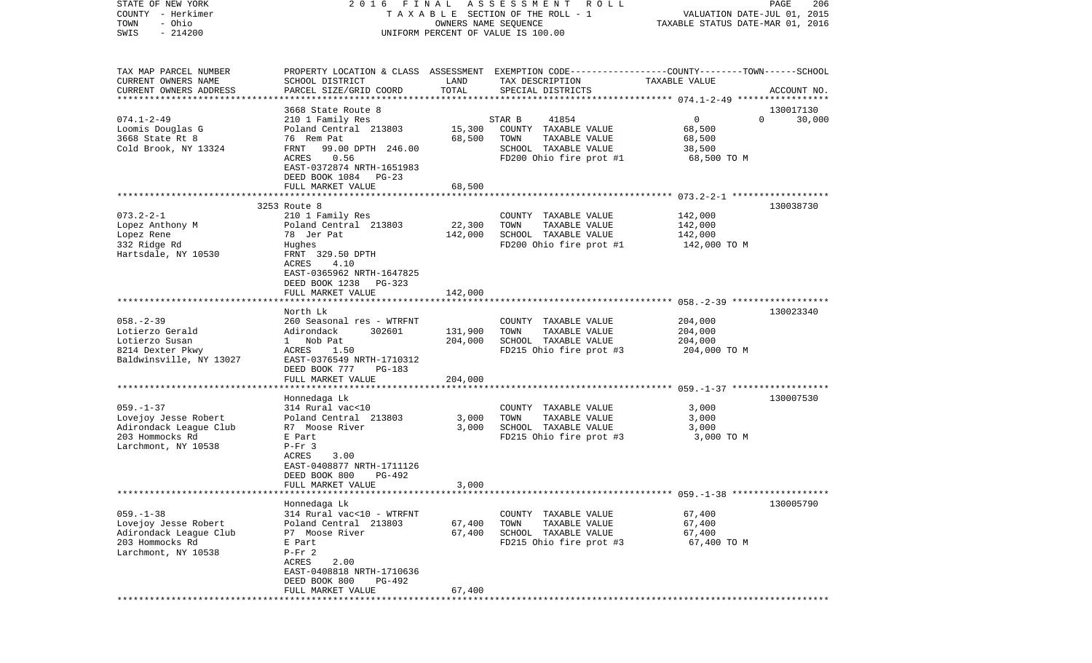| STATE OF NEW YORK<br>COUNTY - Herkimer            | 2016<br>FINAL                                                                                   |                      | A S S E S S M E N T A O L L<br>TAXABLE SECTION OF THE ROLL - 1 | VALUATION DATE-JUL 01, 2015      | PAGE<br>206        |
|---------------------------------------------------|-------------------------------------------------------------------------------------------------|----------------------|----------------------------------------------------------------|----------------------------------|--------------------|
| - Ohio<br>TOWN                                    |                                                                                                 | OWNERS NAME SEQUENCE |                                                                | TAXABLE STATUS DATE-MAR 01, 2016 |                    |
| $-214200$<br>SWIS                                 |                                                                                                 |                      | UNIFORM PERCENT OF VALUE IS 100.00                             |                                  |                    |
| TAX MAP PARCEL NUMBER                             | PROPERTY LOCATION & CLASS ASSESSMENT EXEMPTION CODE---------------COUNTY-------TOWN------SCHOOL |                      |                                                                |                                  |                    |
| CURRENT OWNERS NAME                               | SCHOOL DISTRICT                                                                                 | LAND                 | TAX DESCRIPTION                                                | TAXABLE VALUE                    |                    |
| CURRENT OWNERS ADDRESS<br>*********************** | PARCEL SIZE/GRID COORD                                                                          | TOTAL                | SPECIAL DISTRICTS                                              |                                  | ACCOUNT NO.        |
|                                                   | 3668 State Route 8                                                                              |                      |                                                                |                                  | 130017130          |
| $074.1 - 2 - 49$                                  | 210 1 Family Res                                                                                |                      | 41854<br>STAR B                                                | $\mathbf 0$                      | $\Omega$<br>30,000 |
| Loomis Douglas G                                  | Poland Central 213803                                                                           | 15,300               | COUNTY TAXABLE VALUE                                           | 68,500                           |                    |
| 3668 State Rt 8<br>Cold Brook, NY 13324           | 76 Rem Pat<br>FRNT<br>99.00 DPTH 246.00                                                         | 68,500               | TOWN<br>TAXABLE VALUE<br>SCHOOL TAXABLE VALUE                  | 68,500<br>38,500                 |                    |
|                                                   | ACRES<br>0.56                                                                                   |                      | FD200 Ohio fire prot #1                                        | 68,500 TO M                      |                    |
|                                                   | EAST-0372874 NRTH-1651983                                                                       |                      |                                                                |                                  |                    |
|                                                   | DEED BOOK 1084<br>PG-23                                                                         |                      |                                                                |                                  |                    |
|                                                   | FULL MARKET VALUE                                                                               | 68,500               |                                                                |                                  |                    |
|                                                   | 3253 Route 8                                                                                    |                      |                                                                |                                  | 130038730          |
| $073.2 - 2 - 1$                                   | 210 1 Family Res                                                                                |                      | COUNTY TAXABLE VALUE                                           | 142,000                          |                    |
| Lopez Anthony M                                   | Poland Central 213803                                                                           | 22,300               | TAXABLE VALUE<br>TOWN                                          | 142,000                          |                    |
| Lopez Rene                                        | 78 Jer Pat                                                                                      | 142,000              | SCHOOL TAXABLE VALUE                                           | 142,000                          |                    |
| 332 Ridge Rd                                      | Hughes<br>FRNT 329.50 DPTH                                                                      |                      | FD200 Ohio fire prot #1                                        | 142,000 TO M                     |                    |
| Hartsdale, NY 10530                               | ACRES<br>4.10                                                                                   |                      |                                                                |                                  |                    |
|                                                   | EAST-0365962 NRTH-1647825                                                                       |                      |                                                                |                                  |                    |
|                                                   | DEED BOOK 1238<br>PG-323                                                                        |                      |                                                                |                                  |                    |
|                                                   | FULL MARKET VALUE                                                                               | 142,000              |                                                                |                                  |                    |
|                                                   | North Lk                                                                                        |                      |                                                                |                                  | 130023340          |
| $058. - 2 - 39$                                   | 260 Seasonal res - WTRFNT                                                                       |                      | COUNTY TAXABLE VALUE                                           | 204,000                          |                    |
| Lotierzo Gerald                                   | Adirondack<br>302601                                                                            | 131,900              | TAXABLE VALUE<br>TOWN                                          | 204,000                          |                    |
| Lotierzo Susan                                    | 1 Nob Pat                                                                                       | 204,000              | SCHOOL TAXABLE VALUE                                           | 204,000                          |                    |
| 8214 Dexter Pkwy                                  | ACRES<br>1.50                                                                                   |                      | FD215 Ohio fire prot #3                                        | 204,000 TO M                     |                    |
| Baldwinsville, NY 13027                           | EAST-0376549 NRTH-1710312<br>DEED BOOK 777<br>PG-183                                            |                      |                                                                |                                  |                    |
|                                                   | FULL MARKET VALUE                                                                               | 204,000              |                                                                |                                  |                    |
|                                                   | ******************                                                                              |                      |                                                                |                                  |                    |
|                                                   | Honnedaga Lk                                                                                    |                      |                                                                |                                  | 130007530          |
| $059. - 1 - 37$                                   | 314 Rural vac<10                                                                                |                      | COUNTY TAXABLE VALUE                                           | 3,000                            |                    |
| Lovejoy Jesse Robert<br>Adirondack League Club    | Poland Central 213803<br>R7 Moose River                                                         | 3,000<br>3,000       | TOWN<br>TAXABLE VALUE<br>SCHOOL TAXABLE VALUE                  | 3,000<br>3,000                   |                    |
| 203 Hommocks Rd                                   | E Part                                                                                          |                      | FD215 Ohio fire prot #3                                        | 3,000 TO M                       |                    |
| Larchmont, NY 10538                               | $P-Fr$ 3                                                                                        |                      |                                                                |                                  |                    |
|                                                   | ACRES<br>3.00                                                                                   |                      |                                                                |                                  |                    |
|                                                   | EAST-0408877 NRTH-1711126<br>DEED BOOK 800<br>PG-492                                            |                      |                                                                |                                  |                    |
|                                                   | FULL MARKET VALUE                                                                               | 3,000                |                                                                |                                  |                    |
|                                                   |                                                                                                 |                      |                                                                |                                  |                    |
|                                                   | Honnedaga Lk                                                                                    |                      |                                                                |                                  | 130005790          |
| $059. - 1 - 38$                                   | 314 Rural vac<10 - WTRFNT                                                                       |                      | COUNTY TAXABLE VALUE                                           | 67,400                           |                    |
| Lovejoy Jesse Robert<br>Adirondack League Club    | Poland Central 213803<br>P7 Moose River                                                         | 67,400<br>67,400     | TOWN<br>TAXABLE VALUE<br>SCHOOL TAXABLE VALUE                  | 67,400<br>67,400                 |                    |
| 203 Hommocks Rd                                   | E Part                                                                                          |                      | FD215 Ohio fire prot #3                                        | 67,400 TO M                      |                    |
| Larchmont, NY 10538                               | $P-Fr 2$                                                                                        |                      |                                                                |                                  |                    |
|                                                   | ACRES<br>2.00                                                                                   |                      |                                                                |                                  |                    |
|                                                   | EAST-0408818 NRTH-1710636                                                                       |                      |                                                                |                                  |                    |
|                                                   | DEED BOOK 800<br>PG-492<br>FULL MARKET VALUE                                                    | 67,400               |                                                                |                                  |                    |
|                                                   |                                                                                                 |                      |                                                                |                                  |                    |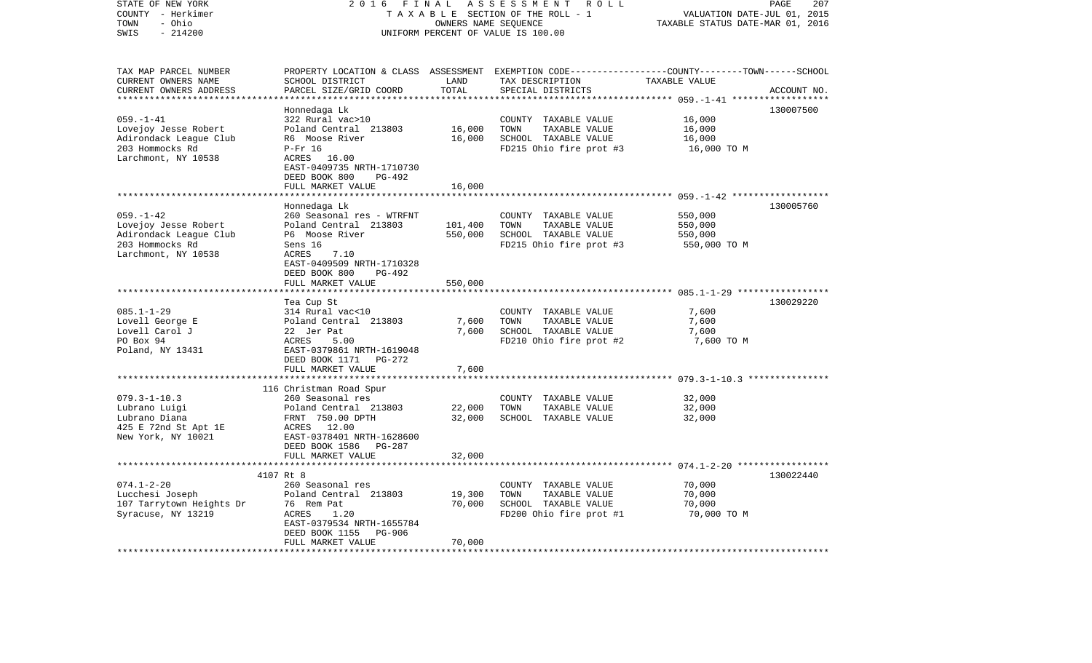| STATE OF NEW YORK<br>COUNTY - Herkimer<br>- Ohio<br>TOWN<br>$-214200$<br>SWIS                               | 2 0 1 6<br>FINAL<br>ASSESSMENT<br>R O L L<br>TAXABLE SECTION OF THE ROLL - 1<br>OWNERS NAME SEQUENCE<br>UNIFORM PERCENT OF VALUE IS 100.00      |                                  |                                                                                                  | PAGE<br>207<br>VALUATION DATE-JUL 01, 2015<br>TAXABLE STATUS DATE-MAR 01, 2016                         |  |  |
|-------------------------------------------------------------------------------------------------------------|-------------------------------------------------------------------------------------------------------------------------------------------------|----------------------------------|--------------------------------------------------------------------------------------------------|--------------------------------------------------------------------------------------------------------|--|--|
| TAX MAP PARCEL NUMBER<br>CURRENT OWNERS NAME<br>CURRENT OWNERS ADDRESS                                      | PROPERTY LOCATION & CLASS<br>SCHOOL DISTRICT<br>PARCEL SIZE/GRID COORD                                                                          | LAND<br>TOTAL                    | TAX DESCRIPTION<br>SPECIAL DISTRICTS                                                             | ASSESSMENT EXEMPTION CODE----------------COUNTY-------TOWN------SCHOOL<br>TAXABLE VALUE<br>ACCOUNT NO. |  |  |
| **********************                                                                                      | Honnedaga Lk                                                                                                                                    | **************                   |                                                                                                  | 130007500                                                                                              |  |  |
| $059. - 1 - 41$<br>Lovejoy Jesse Robert<br>Adirondack League Club<br>203 Hommocks Rd<br>Larchmont, NY 10538 | 322 Rural vac>10<br>Poland Central 213803<br>R6 Moose River<br>$P-Fr$ 16<br>ACRES 16.00<br>EAST-0409735 NRTH-1710730<br>DEED BOOK 800<br>PG-492 | 16,000<br>16,000                 | COUNTY TAXABLE VALUE<br>TOWN<br>TAXABLE VALUE<br>SCHOOL TAXABLE VALUE<br>FD215 Ohio fire prot #3 | 16,000<br>16,000<br>16,000<br>16,000 TO M                                                              |  |  |
|                                                                                                             | FULL MARKET VALUE<br>*******************                                                                                                        | 16,000<br>************           |                                                                                                  |                                                                                                        |  |  |
| $059. - 1 - 42$                                                                                             | Honnedaga Lk<br>260 Seasonal res - WTRFNT                                                                                                       |                                  | COUNTY TAXABLE VALUE                                                                             | 130005760<br>550,000                                                                                   |  |  |
| Lovejoy Jesse Robert<br>Adirondack League Club<br>203 Hommocks Rd<br>Larchmont, NY 10538                    | Poland Central 213803<br>P6 Moose River<br>Sens 16<br>ACRES<br>7.10<br>EAST-0409509 NRTH-1710328                                                | 101,400<br>550,000               | TOWN<br>TAXABLE VALUE<br>SCHOOL TAXABLE VALUE<br>FD215 Ohio fire prot #3                         | 550,000<br>550,000<br>550,000 TO M                                                                     |  |  |
|                                                                                                             | DEED BOOK 800<br>PG-492<br>FULL MARKET VALUE                                                                                                    | 550,000<br>* * * * * * * * * * * |                                                                                                  |                                                                                                        |  |  |
| $085.1 - 1 - 29$<br>Lovell George E<br>Lovell Carol J<br>PO Box 94<br>Poland, NY 13431                      | Tea Cup St<br>314 Rural vac<10<br>Poland Central 213803<br>22 Jer Pat<br>ACRES<br>5.00<br>EAST-0379861 NRTH-1619048<br>DEED BOOK 1171 PG-272    | 7,600<br>7,600                   | COUNTY TAXABLE VALUE<br>TOWN<br>TAXABLE VALUE<br>SCHOOL TAXABLE VALUE<br>FD210 Ohio fire prot #2 | 130029220<br>7,600<br>7,600<br>7,600<br>7,600 TO M                                                     |  |  |
|                                                                                                             | FULL MARKET VALUE                                                                                                                               | 7,600                            |                                                                                                  |                                                                                                        |  |  |
|                                                                                                             | 116 Christman Road Spur                                                                                                                         |                                  |                                                                                                  |                                                                                                        |  |  |
| $079.3 - 1 - 10.3$<br>Lubrano Luigi<br>Lubrano Diana<br>425 E 72nd St Apt 1E<br>New York, NY 10021          | 260 Seasonal res<br>Poland Central 213803<br>FRNT 750.00 DPTH<br>ACRES 12.00<br>EAST-0378401 NRTH-1628600<br>DEED BOOK 1586<br><b>PG-287</b>    | 22,000<br>32,000                 | COUNTY TAXABLE VALUE<br>TAXABLE VALUE<br>TOWN<br>SCHOOL TAXABLE VALUE                            | 32,000<br>32,000<br>32,000                                                                             |  |  |
|                                                                                                             | FULL MARKET VALUE                                                                                                                               | 32,000                           |                                                                                                  |                                                                                                        |  |  |
| *******************                                                                                         | ************************                                                                                                                        | **********                       |                                                                                                  |                                                                                                        |  |  |
| $074.1 - 2 - 20$<br>Lucchesi Joseph<br>107 Tarrytown Heights Dr<br>Syracuse, NY 13219                       | 4107 Rt 8<br>260 Seasonal res<br>Poland Central 213803<br>76 Rem Pat<br>ACRES<br>1.20<br>EAST-0379534 NRTH-1655784                              | 19,300<br>70,000                 | COUNTY TAXABLE VALUE<br>TOWN<br>TAXABLE VALUE<br>SCHOOL TAXABLE VALUE<br>FD200 Ohio fire prot #1 | 130022440<br>70,000<br>70,000<br>70,000<br>70,000 TO M                                                 |  |  |
| *********************                                                                                       | DEED BOOK 1155<br><b>PG-906</b><br>FULL MARKET VALUE                                                                                            | 70,000                           |                                                                                                  |                                                                                                        |  |  |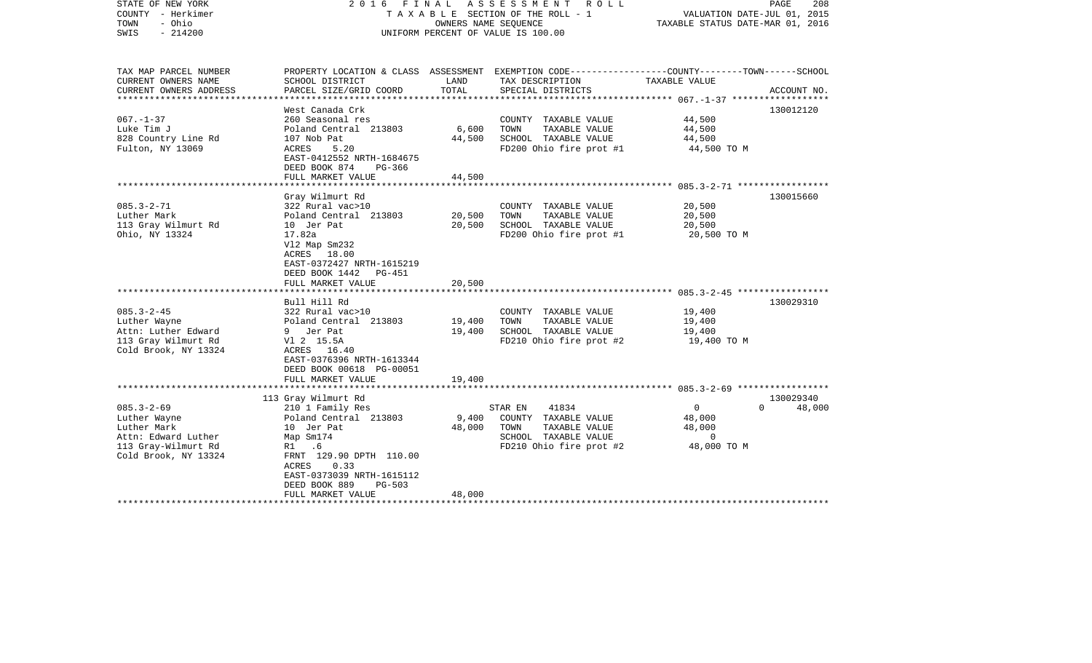| STATE OF NEW YORK<br>COUNTY - Herkimer<br>- Ohio<br>TOWN<br>$-214200$<br>SWIS                                         | 2016 FINAL<br>ASSESSMENT<br>T A X A B L E SECTION OF THE ROLL - 1<br>OWNERS NAME SEQUENCE<br>UNIFORM PERCENT OF VALUE IS 100.00                                                                                                         |                                               |                                                                                                                                                                         | R O L L<br>VALUATION DATE-JUL 01, 2015<br>TAXABLE STATUS DATE-MAR 01, 2016                        |                                 |  | PAGE<br>208 |
|-----------------------------------------------------------------------------------------------------------------------|-----------------------------------------------------------------------------------------------------------------------------------------------------------------------------------------------------------------------------------------|-----------------------------------------------|-------------------------------------------------------------------------------------------------------------------------------------------------------------------------|---------------------------------------------------------------------------------------------------|---------------------------------|--|-------------|
| TAX MAP PARCEL NUMBER<br>CURRENT OWNERS NAME<br>CURRENT OWNERS ADDRESS<br>********************                        | SCHOOL DISTRICT<br>PARCEL SIZE/GRID COORD<br>*********************                                                                                                                                                                      | LAND<br>TOTAL                                 | PROPERTY LOCATION & CLASS ASSESSMENT EXEMPTION CODE---------------COUNTY-------TOWN-----SCHOOL<br>TAX DESCRIPTION<br>SPECIAL DISTRICTS<br>***************************** | TAXABLE VALUE                                                                                     | ACCOUNT NO.                     |  |             |
| $067. - 1 - 37$<br>Luke Tim J<br>828 Country Line Rd<br>Fulton, NY 13069                                              | West Canada Crk<br>260 Seasonal res<br>Poland Central 213803<br>107 Nob Pat<br>5.20<br>ACRES<br>EAST-0412552 NRTH-1684675<br>DEED BOOK 874<br>PG-366<br>FULL MARKET VALUE                                                               | 6,600<br>44,500<br>44,500                     | COUNTY TAXABLE VALUE<br>TAXABLE VALUE<br>TOWN<br>SCHOOL TAXABLE VALUE<br>FD200 Ohio fire prot #1                                                                        | ************** 067.-1-37 *******************<br>44,500<br>44,500<br>44,500<br>44,500 TO M         | 130012120                       |  |             |
| $085.3 - 2 - 71$<br>Luther Mark<br>113 Gray Wilmurt Rd<br>Ohio, NY 13324                                              | Gray Wilmurt Rd<br>322 Rural vac>10<br>Poland Central 213803<br>10 Jer Pat<br>17.82a<br>V12 Map Sm232<br>ACRES 18.00<br>EAST-0372427 NRTH-1615219<br>DEED BOOK 1442<br>PG-451<br>FULL MARKET VALUE<br>****************                  | 20,500<br>20,500<br>20,500<br>* * * * * * * * | COUNTY TAXABLE VALUE<br>TOWN<br>TAXABLE VALUE<br>SCHOOL TAXABLE VALUE<br>FD200 Ohio fire prot #1                                                                        | 20,500<br>20,500<br>20,500<br>20,500 TO M<br>********************** 085.3-2-45 ****************** | 130015660                       |  |             |
| $085.3 - 2 - 45$<br>Luther Wayne<br>Attn: Luther Edward<br>113 Gray Wilmurt Rd<br>Cold Brook, NY 13324                | Bull Hill Rd<br>322 Rural vac>10<br>Poland Central 213803<br>9 Jer Pat<br>V1 2 15.5A<br>ACRES 16.40<br>EAST-0376396 NRTH-1613344<br>DEED BOOK 00618 PG-00051<br>FULL MARKET VALUE                                                       | 19,400<br>19,400<br>19,400                    | COUNTY TAXABLE VALUE<br>TAXABLE VALUE<br>TOWN<br>SCHOOL TAXABLE VALUE<br>FD210 Ohio fire prot #2                                                                        | 19,400<br>19,400<br>19,400<br>19,400 TO M                                                         | 130029310                       |  |             |
| $085.3 - 2 - 69$<br>Luther Wayne<br>Luther Mark<br>Attn: Edward Luther<br>113 Gray-Wilmurt Rd<br>Cold Brook, NY 13324 | 113 Gray Wilmurt Rd<br>210 1 Family Res<br>Poland Central 213803<br>10 Jer Pat<br>Map Sm174<br>R1<br>.6<br>FRNT 129.90 DPTH 110.00<br>0.33<br>ACRES<br>EAST-0373039 NRTH-1615112<br>DEED BOOK 889<br><b>PG-503</b><br>FULL MARKET VALUE | 9,400<br>48,000<br>48,000                     | 41834<br>STAR EN<br>COUNTY TAXABLE VALUE<br>TAXABLE VALUE<br>TOWN<br>SCHOOL TAXABLE VALUE<br>FD210 Ohio fire prot #2<br>*****************************                   | $\mathbf{0}$<br>48,000<br>48,000<br>0<br>48,000 TO M                                              | 130029340<br>48,000<br>$\Omega$ |  |             |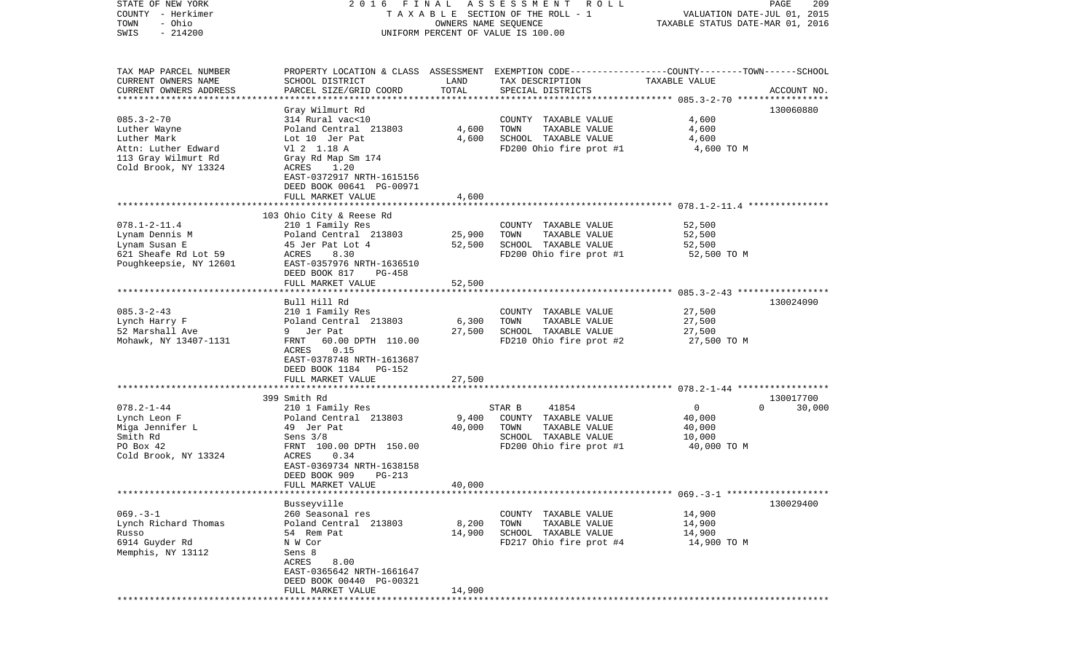| STATE OF NEW YORK<br>COUNTY - Herkimer | 2016 FINAL                     |        | A S S E S S M E N T R O L L<br>T A X A B L E SECTION OF THE ROLL - 1 | PAGE<br>VALUATION DATE-JUL 01, 2015                                                              | 209    |
|----------------------------------------|--------------------------------|--------|----------------------------------------------------------------------|--------------------------------------------------------------------------------------------------|--------|
| - Ohio<br>TOWN                         |                                |        | OWNERS NAME SEQUENCE                                                 | TAXABLE STATUS DATE-MAR 01, 2016                                                                 |        |
| $-214200$<br>SWIS                      |                                |        | UNIFORM PERCENT OF VALUE IS 100.00                                   |                                                                                                  |        |
|                                        |                                |        |                                                                      |                                                                                                  |        |
|                                        |                                |        |                                                                      |                                                                                                  |        |
| TAX MAP PARCEL NUMBER                  |                                |        |                                                                      | PROPERTY LOCATION & CLASS ASSESSMENT EXEMPTION CODE----------------COUNTY-------TOWN------SCHOOL |        |
| CURRENT OWNERS NAME                    | SCHOOL DISTRICT                | LAND   | TAX DESCRIPTION                                                      | TAXABLE VALUE                                                                                    |        |
| CURRENT OWNERS ADDRESS                 | PARCEL SIZE/GRID COORD         | TOTAL  | SPECIAL DISTRICTS                                                    | ACCOUNT NO.                                                                                      |        |
| ************************               |                                |        |                                                                      |                                                                                                  |        |
|                                        | Gray Wilmurt Rd                |        |                                                                      | 130060880                                                                                        |        |
| $085.3 - 2 - 70$                       | 314 Rural vac<10               |        | COUNTY TAXABLE VALUE                                                 | 4,600                                                                                            |        |
| Luther Wayne                           | Poland Central 213803          | 4,600  | TOWN<br>TAXABLE VALUE                                                | 4,600                                                                                            |        |
| Luther Mark                            | Lot 10 Jer Pat                 | 4,600  | SCHOOL TAXABLE VALUE                                                 | 4,600                                                                                            |        |
| Attn: Luther Edward                    | V1 2 1.18 A                    |        | FD200 Ohio fire prot #1                                              | 4,600 TO M                                                                                       |        |
| 113 Gray Wilmurt Rd                    | Gray Rd Map Sm 174             |        |                                                                      |                                                                                                  |        |
| Cold Brook, NY 13324                   | ACRES<br>1.20                  |        |                                                                      |                                                                                                  |        |
|                                        | EAST-0372917 NRTH-1615156      |        |                                                                      |                                                                                                  |        |
|                                        | DEED BOOK 00641 PG-00971       |        |                                                                      |                                                                                                  |        |
|                                        | FULL MARKET VALUE              | 4,600  |                                                                      |                                                                                                  |        |
|                                        |                                |        |                                                                      |                                                                                                  |        |
|                                        | 103 Ohio City & Reese Rd       |        |                                                                      |                                                                                                  |        |
| $078.1 - 2 - 11.4$                     | 210 1 Family Res               |        | COUNTY TAXABLE VALUE                                                 | 52,500                                                                                           |        |
| Lynam Dennis M                         | Poland Central 213803          | 25,900 | TOWN<br>TAXABLE VALUE                                                | 52,500                                                                                           |        |
| Lynam Susan E                          | 45 Jer Pat Lot 4               | 52,500 | SCHOOL TAXABLE VALUE                                                 | 52,500                                                                                           |        |
| 621 Sheafe Rd Lot 59                   | ACRES<br>8.30                  |        | FD200 Ohio fire prot #1                                              | 52,500 TO M                                                                                      |        |
| Poughkeepsie, NY 12601                 | EAST-0357976 NRTH-1636510      |        |                                                                      |                                                                                                  |        |
|                                        | DEED BOOK 817<br>$PG-458$      |        |                                                                      |                                                                                                  |        |
|                                        | FULL MARKET VALUE              | 52,500 |                                                                      |                                                                                                  |        |
|                                        |                                |        |                                                                      |                                                                                                  |        |
|                                        | Bull Hill Rd                   |        |                                                                      | 130024090                                                                                        |        |
| $085.3 - 2 - 43$                       | 210 1 Family Res               |        | COUNTY TAXABLE VALUE                                                 | 27,500                                                                                           |        |
| Lynch Harry F                          | Poland Central 213803          | 6,300  | TOWN<br>TAXABLE VALUE                                                | 27,500                                                                                           |        |
| 52 Marshall Ave                        | 9 Jer Pat                      | 27,500 | SCHOOL TAXABLE VALUE                                                 | 27,500                                                                                           |        |
| Mohawk, NY 13407-1131                  | FRNT<br>60.00 DPTH 110.00      |        | FD210 Ohio fire prot #2                                              | 27,500 TO M                                                                                      |        |
|                                        | 0.15<br>ACRES                  |        |                                                                      |                                                                                                  |        |
|                                        | EAST-0378748 NRTH-1613687      |        |                                                                      |                                                                                                  |        |
|                                        | DEED BOOK 1184 PG-152          |        |                                                                      |                                                                                                  |        |
|                                        | FULL MARKET VALUE              | 27,500 |                                                                      |                                                                                                  |        |
|                                        | ****************************** |        |                                                                      |                                                                                                  |        |
|                                        | 399 Smith Rd                   |        |                                                                      | 130017700                                                                                        |        |
| $078.2 - 1 - 44$                       | 210 1 Family Res               |        | STAR B<br>41854                                                      | $\overline{0}$<br>$\Omega$                                                                       | 30,000 |
| Lynch Leon F                           | Poland Central 213803          | 9,400  | COUNTY TAXABLE VALUE                                                 | 40,000                                                                                           |        |
| Miga Jennifer L                        | 49 Jer Pat                     | 40,000 | TOWN<br>TAXABLE VALUE                                                | 40,000                                                                                           |        |
| Smith Rd                               | Sens $3/8$                     |        | SCHOOL TAXABLE VALUE                                                 | 10,000                                                                                           |        |
| PO Box 42                              | FRNT 100.00 DPTH 150.00        |        | FD200 Ohio fire prot #1                                              | 40,000 TO M                                                                                      |        |
| Cold Brook, NY 13324                   | ACRES<br>0.34                  |        |                                                                      |                                                                                                  |        |
|                                        | EAST-0369734 NRTH-1638158      |        |                                                                      |                                                                                                  |        |
|                                        | DEED BOOK 909<br>PG-213        |        |                                                                      |                                                                                                  |        |
|                                        | FULL MARKET VALUE              | 40,000 |                                                                      |                                                                                                  |        |
|                                        |                                |        |                                                                      |                                                                                                  |        |
|                                        | Busseyville                    |        |                                                                      | 130029400                                                                                        |        |
| $069. -3 - 1$                          | 260 Seasonal res               |        | COUNTY TAXABLE VALUE                                                 | 14,900                                                                                           |        |
| Lynch Richard Thomas                   | Poland Central 213803          | 8,200  | TOWN<br>TAXABLE VALUE                                                | 14,900                                                                                           |        |
| Russo                                  | 54 Rem Pat                     | 14,900 | SCHOOL TAXABLE VALUE                                                 | 14,900                                                                                           |        |
| 6914 Guyder Rd                         | N W Cor                        |        | FD217 Ohio fire prot #4                                              | 14,900 TO M                                                                                      |        |
| Memphis, NY 13112                      | Sens 8                         |        |                                                                      |                                                                                                  |        |
|                                        | ACRES<br>8.00                  |        |                                                                      |                                                                                                  |        |
|                                        | EAST-0365642 NRTH-1661647      |        |                                                                      |                                                                                                  |        |
|                                        | DEED BOOK 00440 PG-00321       |        |                                                                      |                                                                                                  |        |
|                                        | FULL MARKET VALUE              | 14,900 |                                                                      |                                                                                                  |        |
|                                        |                                |        |                                                                      |                                                                                                  |        |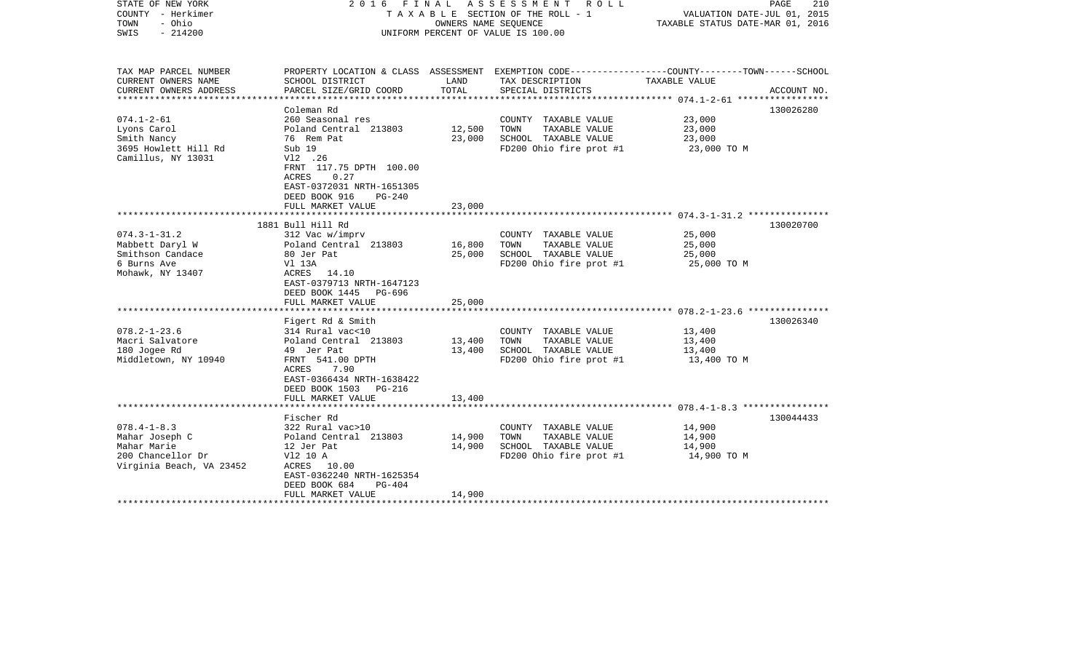| STATE OF NEW YORK<br>COUNTY - Herkimer<br>- Ohio<br>TOWN<br>$-214200$<br>SWIS                       |                                                                                                                                                                         | OWNERS NAME SEQUENCE       | 2016 FINAL ASSESSMENT ROLL<br>T A X A B L E SECTION OF THE ROLL - 1<br>UNIFORM PERCENT OF VALUE IS 100.00         | VALUATION DATE-JUL 01, 2015<br>TAXABLE STATUS DATE-MAR 01, 2016 | 210<br>PAGE |
|-----------------------------------------------------------------------------------------------------|-------------------------------------------------------------------------------------------------------------------------------------------------------------------------|----------------------------|-------------------------------------------------------------------------------------------------------------------|-----------------------------------------------------------------|-------------|
| TAX MAP PARCEL NUMBER<br>CURRENT OWNERS NAME                                                        | SCHOOL DISTRICT                                                                                                                                                         | LAND                       | PROPERTY LOCATION & CLASS ASSESSMENT EXEMPTION CODE---------------COUNTY-------TOWN-----SCHOOL<br>TAX DESCRIPTION | TAXABLE VALUE                                                   |             |
| CURRENT OWNERS ADDRESS                                                                              | PARCEL SIZE/GRID COORD                                                                                                                                                  | TOTAL                      | SPECIAL DISTRICTS                                                                                                 |                                                                 | ACCOUNT NO. |
|                                                                                                     | Coleman Rd                                                                                                                                                              |                            |                                                                                                                   |                                                                 | 130026280   |
| $074.1 - 2 - 61$<br>Lyons Carol<br>Smith Nancy                                                      | 260 Seasonal res<br>Poland Central 213803<br>76 Rem Pat                                                                                                                 | 12,500<br>23,000           | COUNTY TAXABLE VALUE<br>TAXABLE VALUE<br>TOWN<br>SCHOOL TAXABLE VALUE                                             | 23,000<br>23,000<br>23,000                                      |             |
| 3695 Howlett Hill Rd<br>Camillus, NY 13031                                                          | Sub 19<br>V12 .26<br>FRNT 117.75 DPTH 100.00<br>0.27<br>ACRES<br>EAST-0372031 NRTH-1651305<br>DEED BOOK 916<br><b>PG-240</b>                                            |                            | FD200 Ohio fire prot #1                                                                                           | 23,000 TO M                                                     |             |
|                                                                                                     | FULL MARKET VALUE                                                                                                                                                       | 23,000                     |                                                                                                                   |                                                                 |             |
|                                                                                                     | 1881 Bull Hill Rd                                                                                                                                                       |                            |                                                                                                                   |                                                                 | 130020700   |
| $074.3 - 1 - 31.2$<br>Mabbett Daryl W<br>Smithson Candace<br>6 Burns Ave<br>Mohawk, NY 13407        | 312 Vac w/imprv<br>Poland Central 213803<br>80 Jer Pat<br>Vl 13A<br>ACRES 14.10<br>EAST-0379713 NRTH-1647123                                                            | 16,800<br>25,000           | COUNTY TAXABLE VALUE<br>TOWN<br>TAXABLE VALUE<br>SCHOOL TAXABLE VALUE<br>FD200 Ohio fire prot #1                  | 25,000<br>25,000<br>25,000<br>25,000 TO M                       |             |
|                                                                                                     | DEED BOOK 1445 PG-696<br>FULL MARKET VALUE                                                                                                                              | 25,000                     |                                                                                                                   |                                                                 |             |
|                                                                                                     |                                                                                                                                                                         |                            |                                                                                                                   |                                                                 |             |
| $078.2 - 1 - 23.6$<br>Macri Salvatore<br>180 Jogee Rd<br>Middletown, NY 10940                       | Figert Rd & Smith<br>314 Rural vac<10<br>Poland Central 213803<br>49 Jer Pat<br>FRNT 541.00 DPTH<br>ACRES<br>7.90<br>EAST-0366434 NRTH-1638422<br>DEED BOOK 1503 PG-216 | 13,400<br>13,400           | COUNTY TAXABLE VALUE<br>TOWN<br>TAXABLE VALUE<br>SCHOOL TAXABLE VALUE<br>FD200 Ohio fire prot #1                  | 13,400<br>13,400<br>13,400<br>13,400 TO M                       | 130026340   |
|                                                                                                     | FULL MARKET VALUE                                                                                                                                                       | 13,400                     |                                                                                                                   |                                                                 |             |
|                                                                                                     | Fischer Rd                                                                                                                                                              |                            |                                                                                                                   |                                                                 | 130044433   |
| $078.4 - 1 - 8.3$<br>Mahar Joseph C<br>Mahar Marie<br>200 Chancellor Dr<br>Virginia Beach, VA 23452 | 322 Rural vac>10<br>Poland Central 213803<br>12 Jer Pat<br>V12 10 A<br>ACRES 10.00<br>EAST-0362240 NRTH-1625354<br>DEED BOOK 684<br>$PG-404$<br>FULL MARKET VALUE       | 14,900<br>14,900<br>14,900 | COUNTY TAXABLE VALUE<br>TAXABLE VALUE<br>TOWN<br>SCHOOL TAXABLE VALUE<br>FD200 Ohio fire prot #1                  | 14,900<br>14,900<br>14,900<br>14,900 TO M                       |             |
| ************************                                                                            |                                                                                                                                                                         |                            |                                                                                                                   |                                                                 |             |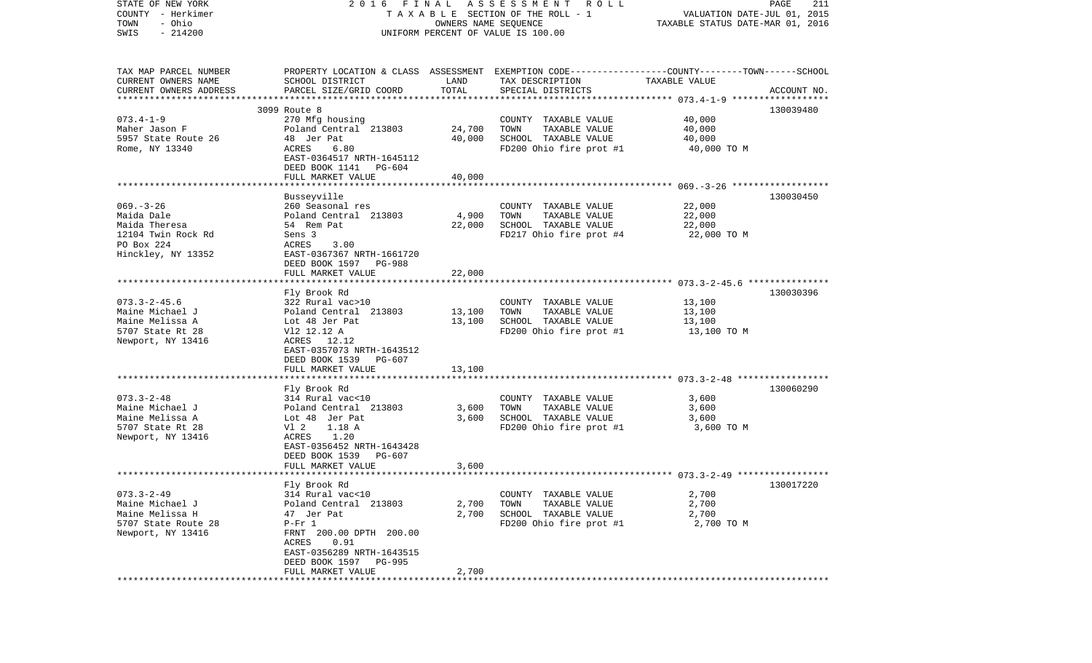| STATE OF NEW YORK         | 2 0 1 6                                                                                         | FINAL                | A S S E S S M E N T R O L L        |                                  | PAGE<br>211 |
|---------------------------|-------------------------------------------------------------------------------------------------|----------------------|------------------------------------|----------------------------------|-------------|
| COUNTY - Herkimer         |                                                                                                 |                      | TAXABLE SECTION OF THE ROLL - 1    | VALUATION DATE-JUL 01, 2015      |             |
| - Ohio<br>TOWN            |                                                                                                 | OWNERS NAME SEQUENCE |                                    | TAXABLE STATUS DATE-MAR 01, 2016 |             |
| $-214200$<br>SWIS         |                                                                                                 |                      | UNIFORM PERCENT OF VALUE IS 100.00 |                                  |             |
|                           |                                                                                                 |                      |                                    |                                  |             |
| TAX MAP PARCEL NUMBER     | PROPERTY LOCATION & CLASS ASSESSMENT EXEMPTION CODE---------------COUNTY-------TOWN------SCHOOL |                      |                                    |                                  |             |
| CURRENT OWNERS NAME       | SCHOOL DISTRICT                                                                                 | LAND                 | TAX DESCRIPTION                    | TAXABLE VALUE                    |             |
| CURRENT OWNERS ADDRESS    | PARCEL SIZE/GRID COORD                                                                          | TOTAL                | SPECIAL DISTRICTS                  |                                  | ACCOUNT NO. |
| ************************* |                                                                                                 |                      |                                    |                                  |             |
|                           | 3099 Route 8                                                                                    |                      |                                    |                                  | 130039480   |
| $073.4 - 1 - 9$           | 270 Mfg housing                                                                                 |                      | COUNTY TAXABLE VALUE               | 40,000                           |             |
| Maher Jason F             | Poland Central 213803                                                                           | 24,700               | TOWN<br>TAXABLE VALUE              | 40,000                           |             |
| 5957 State Route 26       | 48 Jer Pat                                                                                      | 40,000               | SCHOOL TAXABLE VALUE               | 40,000                           |             |
| Rome, NY 13340            | ACRES<br>6.80                                                                                   |                      | FD200 Ohio fire prot #1            | 40,000 TO M                      |             |
|                           | EAST-0364517 NRTH-1645112                                                                       |                      |                                    |                                  |             |
|                           | DEED BOOK 1141<br>PG-604                                                                        |                      |                                    |                                  |             |
|                           | FULL MARKET VALUE                                                                               | 40,000               |                                    |                                  |             |
|                           |                                                                                                 |                      |                                    |                                  |             |
|                           | Busseyville                                                                                     |                      |                                    |                                  | 130030450   |
| $069. -3 - 26$            | 260 Seasonal res                                                                                |                      | COUNTY TAXABLE VALUE               | 22,000                           |             |
| Maida Dale                | Poland Central 213803                                                                           | 4,900                | TAXABLE VALUE<br>TOWN              | 22,000                           |             |
| Maida Theresa             | 54 Rem Pat                                                                                      | 22,000               | SCHOOL TAXABLE VALUE               | 22,000                           |             |
| 12104 Twin Rock Rd        | Sens 3                                                                                          |                      | FD217 Ohio fire prot #4            | 22,000 TO M                      |             |
| PO Box 224                | 3.00<br>ACRES                                                                                   |                      |                                    |                                  |             |
| Hinckley, NY 13352        | EAST-0367367 NRTH-1661720                                                                       |                      |                                    |                                  |             |
|                           | DEED BOOK 1597<br>PG-988                                                                        |                      |                                    |                                  |             |
|                           | FULL MARKET VALUE                                                                               | 22,000               |                                    |                                  |             |
|                           |                                                                                                 |                      |                                    |                                  |             |
|                           | Fly Brook Rd                                                                                    |                      |                                    |                                  | 130030396   |
| $073.3 - 2 - 45.6$        | 322 Rural vac>10                                                                                |                      | COUNTY TAXABLE VALUE               | 13,100                           |             |
| Maine Michael J           | Poland Central 213803                                                                           | 13,100               | TOWN<br>TAXABLE VALUE              | 13,100                           |             |
| Maine Melissa A           | Lot 48 Jer Pat                                                                                  | 13,100               | SCHOOL TAXABLE VALUE               | 13,100                           |             |
| 5707 State Rt 28          | V12 12.12 A                                                                                     |                      | FD200 Ohio fire prot #1            | 13,100 TO M                      |             |
| Newport, NY 13416         | ACRES 12.12                                                                                     |                      |                                    |                                  |             |
|                           | EAST-0357073 NRTH-1643512                                                                       |                      |                                    |                                  |             |
|                           | DEED BOOK 1539<br>PG-607                                                                        |                      |                                    |                                  |             |
|                           | FULL MARKET VALUE                                                                               | 13,100               |                                    |                                  |             |
|                           | ********************                                                                            |                      |                                    |                                  |             |
|                           | Fly Brook Rd                                                                                    |                      |                                    |                                  | 130060290   |
| $073.3 - 2 - 48$          | 314 Rural vac<10                                                                                |                      | COUNTY TAXABLE VALUE               | 3,600                            |             |
| Maine Michael J           | Poland Central 213803                                                                           | 3,600                | TOWN<br>TAXABLE VALUE              | 3,600                            |             |
| Maine Melissa A           | Lot 48 Jer Pat                                                                                  | 3,600                | SCHOOL TAXABLE VALUE               | 3,600                            |             |
| 5707 State Rt 28          | V1 2<br>1.18 A                                                                                  |                      | FD200 Ohio fire prot #1            | 3,600 TO M                       |             |
| Newport, NY 13416         | 1.20<br>ACRES                                                                                   |                      |                                    |                                  |             |
|                           | EAST-0356452 NRTH-1643428                                                                       |                      |                                    |                                  |             |
|                           | DEED BOOK 1539<br>PG-607                                                                        |                      |                                    |                                  |             |
|                           | FULL MARKET VALUE                                                                               | 3,600                |                                    |                                  |             |
|                           |                                                                                                 |                      |                                    |                                  |             |
|                           | Fly Brook Rd                                                                                    |                      |                                    |                                  | 130017220   |
| $073.3 - 2 - 49$          | 314 Rural vac<10                                                                                |                      | COUNTY TAXABLE VALUE               | 2,700                            |             |
| Maine Michael J           | Poland Central 213803                                                                           | 2,700                | TOWN<br>TAXABLE VALUE              | 2,700                            |             |
| Maine Melissa H           | 47 Jer Pat                                                                                      | 2,700                | SCHOOL TAXABLE VALUE               | 2,700                            |             |
| 5707 State Route 28       | $P-Fr 1$                                                                                        |                      | FD200 Ohio fire prot #1            | 2,700 TO M                       |             |
| Newport, NY 13416         | FRNT 200.00 DPTH 200.00                                                                         |                      |                                    |                                  |             |
|                           | 0.91<br>ACRES                                                                                   |                      |                                    |                                  |             |
|                           | EAST-0356289 NRTH-1643515                                                                       |                      |                                    |                                  |             |
|                           | DEED BOOK 1597 PG-995                                                                           |                      |                                    |                                  |             |
|                           | FULL MARKET VALUE                                                                               | 2,700                |                                    |                                  |             |
|                           |                                                                                                 |                      |                                    |                                  |             |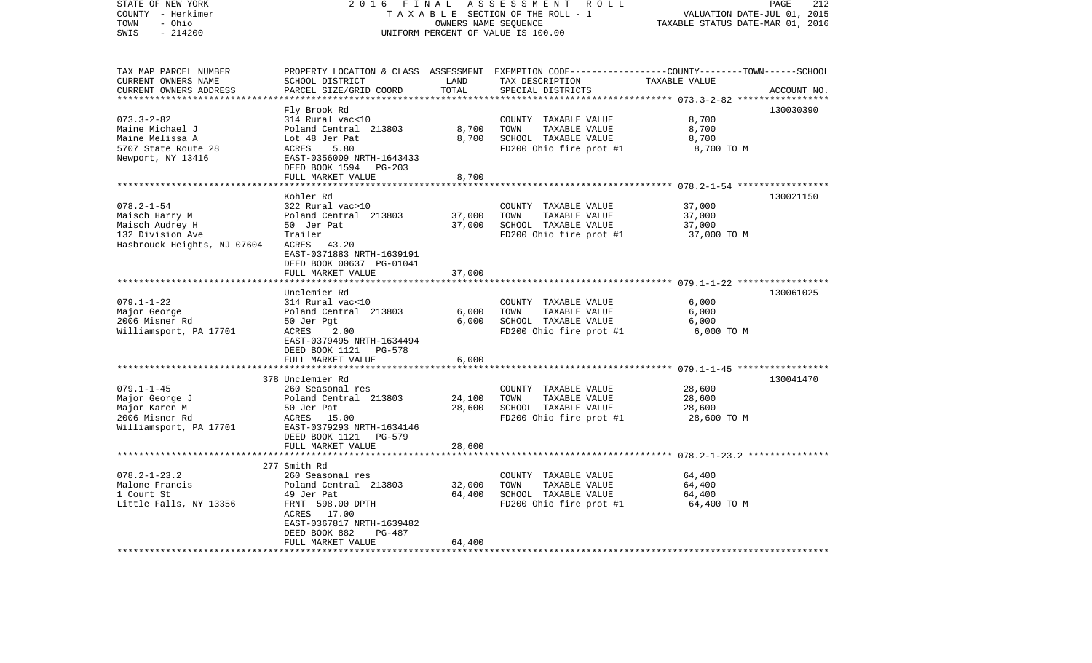| STATE OF NEW YORK<br>COUNTY - Herkimer<br>- Ohio<br>TOWN<br>SWIS<br>$-214200$                            | 2016<br>FINAL<br>ASSESSMENT<br>R O L L<br>TAXABLE SECTION OF THE ROLL - 1<br>OWNERS NAME SEQUENCE<br>UNIFORM PERCENT OF VALUE IS 100.00                                    |                              |                                                                                                                                          | PAGE<br>212<br>VALUATION DATE-JUL 01, 2015<br>TAXABLE STATUS DATE-MAR 01, 2016 |             |
|----------------------------------------------------------------------------------------------------------|----------------------------------------------------------------------------------------------------------------------------------------------------------------------------|------------------------------|------------------------------------------------------------------------------------------------------------------------------------------|--------------------------------------------------------------------------------|-------------|
| TAX MAP PARCEL NUMBER<br>CURRENT OWNERS NAME<br>CURRENT OWNERS ADDRESS<br>********************           | SCHOOL DISTRICT<br>PARCEL SIZE/GRID COORD                                                                                                                                  | LAND<br>TOTAL<br>*********** | PROPERTY LOCATION & CLASS ASSESSMENT EXEMPTION CODE----------------COUNTY-------TOWN------SCHOOL<br>TAX DESCRIPTION<br>SPECIAL DISTRICTS | TAXABLE VALUE                                                                  | ACCOUNT NO. |
| $073.3 - 2 - 82$<br>Maine Michael J<br>Maine Melissa A<br>5707 State Route 28<br>Newport, NY 13416       | Fly Brook Rd<br>314 Rural vac<10<br>Poland Central 213803<br>Lot 48 Jer Pat<br>ACRES<br>5.80<br>EAST-0356009 NRTH-1643433<br>DEED BOOK 1594<br>PG-203<br>FULL MARKET VALUE | 8,700<br>8,700<br>8,700      | COUNTY TAXABLE VALUE<br>TOWN<br>TAXABLE VALUE<br>SCHOOL TAXABLE VALUE<br>FD200 Ohio fire prot #1                                         | 8,700<br>8,700<br>8,700<br>8,700 TO M                                          | 130030390   |
|                                                                                                          |                                                                                                                                                                            |                              |                                                                                                                                          | ******** 078.2-1-54 ******************                                         |             |
| $078.2 - 1 - 54$<br>Maisch Harry M<br>Maisch Audrey H<br>132 Division Ave<br>Hasbrouck Heights, NJ 07604 | Kohler Rd<br>322 Rural vac>10<br>Poland Central 213803<br>50 Jer Pat<br>Trailer<br>ACRES<br>43.20<br>EAST-0371883 NRTH-1639191                                             | 37,000<br>37,000             | COUNTY TAXABLE VALUE<br>TOWN<br>TAXABLE VALUE<br>SCHOOL TAXABLE VALUE<br>FD200 Ohio fire prot #1                                         | 37,000<br>37,000<br>37,000<br>37,000 TO M                                      | 130021150   |
|                                                                                                          | DEED BOOK 00637 PG-01041                                                                                                                                                   |                              |                                                                                                                                          |                                                                                |             |
|                                                                                                          | FULL MARKET VALUE                                                                                                                                                          | 37,000                       |                                                                                                                                          | *********************** 079.1-1-22 ******************                          |             |
| $079.1 - 1 - 22$<br>Major George<br>2006 Misner Rd<br>Williamsport, PA 17701                             | Unclemier Rd<br>314 Rural vac<10<br>Poland Central 213803<br>50 Jer Pgt<br>ACRES<br>2.00<br>EAST-0379495 NRTH-1634494<br>DEED BOOK 1121<br>PG-578                          | 6,000<br>6,000               | COUNTY TAXABLE VALUE<br>TOWN<br>TAXABLE VALUE<br>SCHOOL TAXABLE VALUE<br>FD200 Ohio fire prot #1                                         | 6,000<br>6,000<br>6,000<br>6,000 TO M                                          | 130061025   |
|                                                                                                          | FULL MARKET VALUE                                                                                                                                                          | 6,000                        |                                                                                                                                          |                                                                                |             |
|                                                                                                          | *********************                                                                                                                                                      | *************                |                                                                                                                                          |                                                                                |             |
| $079.1 - 1 - 45$<br>Major George J<br>Major Karen M<br>2006 Misner Rd<br>Williamsport, PA 17701          | 378 Unclemier Rd<br>260 Seasonal res<br>Poland Central 213803<br>50 Jer Pat<br>ACRES<br>15.00<br>EAST-0379293 NRTH-1634146<br>DEED BOOK 1121<br>PG-579                     | 24,100<br>28,600             | COUNTY TAXABLE VALUE<br>TOWN<br>TAXABLE VALUE<br>SCHOOL TAXABLE VALUE<br>FD200 Ohio fire prot #1                                         | 28,600<br>28,600<br>28,600<br>28,600 TO M                                      | 130041470   |
|                                                                                                          | FULL MARKET VALUE<br>***********************                                                                                                                               | 28,600                       |                                                                                                                                          | ***** 078.2-1-23.2 ****************                                            |             |
|                                                                                                          | 277 Smith Rd                                                                                                                                                               |                              |                                                                                                                                          |                                                                                |             |
| $078.2 - 1 - 23.2$<br>Malone Francis<br>1 Court St<br>Little Falls, NY 13356                             | 260 Seasonal res<br>Poland Central 213803<br>49 Jer Pat<br>FRNT 598.00 DPTH<br>17.00<br>ACRES<br>EAST-0367817 NRTH-1639482<br>DEED BOOK 882<br>PG-487                      | 32,000<br>64,400             | COUNTY TAXABLE VALUE<br>TOWN<br>TAXABLE VALUE<br>SCHOOL TAXABLE VALUE<br>FD200 Ohio fire prot #1                                         | 64,400<br>64,400<br>64,400<br>64,400 TO M                                      |             |
| **************************                                                                               | FULL MARKET VALUE<br>*************************                                                                                                                             | 64,400                       |                                                                                                                                          |                                                                                |             |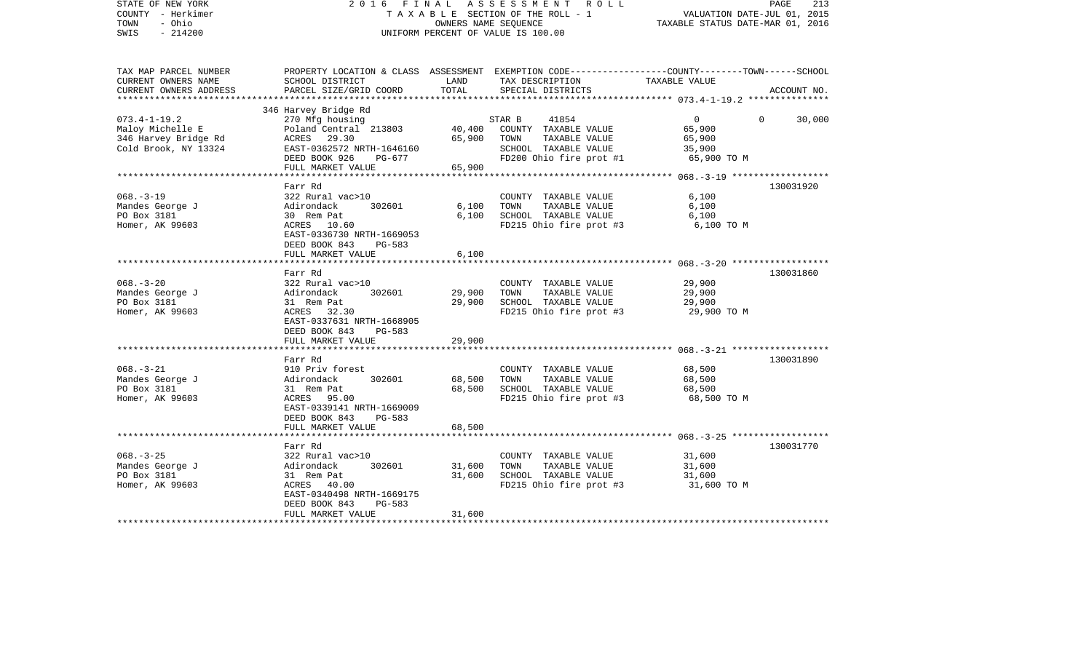| STATE OF NEW YORK<br>COUNTY - Herkimer<br>- Ohio<br>TOWN<br>$-214200$<br>SWIS |                                              |                               | 2016 FINAL ASSESSMENT ROLL<br>TAXABLE SECTION OF THE ROLL - 1<br>OWNERS NAME SEQUENCE<br>UNIFORM PERCENT OF VALUE IS 100.00 | VALUATION DATE-JUL 01, 2015<br>TAXABLE STATUS DATE-MAR 01, 2016 | PAGE<br>213 |
|-------------------------------------------------------------------------------|----------------------------------------------|-------------------------------|-----------------------------------------------------------------------------------------------------------------------------|-----------------------------------------------------------------|-------------|
| TAX MAP PARCEL NUMBER                                                         |                                              |                               | PROPERTY LOCATION & CLASS ASSESSMENT EXEMPTION CODE----------------COUNTY-------TOWN-----SCHOOL                             |                                                                 |             |
| CURRENT OWNERS NAME                                                           | SCHOOL DISTRICT                              | LAND                          | TAX DESCRIPTION                                                                                                             | TAXABLE VALUE                                                   |             |
| CURRENT OWNERS ADDRESS<br>*********************                               | PARCEL SIZE/GRID COORD                       | TOTAL                         | SPECIAL DISTRICTS                                                                                                           |                                                                 | ACCOUNT NO. |
|                                                                               | 346 Harvey Bridge Rd                         |                               |                                                                                                                             |                                                                 |             |
| $073.4 - 1 - 19.2$                                                            | 270 Mfg housing                              |                               | STAR B<br>41854                                                                                                             | $\overline{0}$<br>$\Omega$                                      | 30,000      |
| Maloy Michelle E                                                              | Poland Central 213803                        | 40,400                        | COUNTY TAXABLE VALUE                                                                                                        | 65,900                                                          |             |
| 346 Harvey Bridge Rd                                                          | ACRES 29.30                                  | 65,900                        | TOWN<br>TAXABLE VALUE                                                                                                       | 65,900                                                          |             |
| Cold Brook, NY 13324                                                          | EAST-0362572 NRTH-1646160                    |                               | SCHOOL TAXABLE VALUE                                                                                                        | 35,900                                                          |             |
|                                                                               | DEED BOOK 926<br>PG-677                      |                               | FD200 Ohio fire prot #1                                                                                                     | 65,900 TO M                                                     |             |
|                                                                               | FULL MARKET VALUE<br>*****************       | 65,900<br>* * * * * * * * * * |                                                                                                                             | ********** 068.-3-19 *******************                        |             |
|                                                                               | Farr Rd                                      |                               |                                                                                                                             |                                                                 | 130031920   |
| $068. - 3 - 19$                                                               | 322 Rural vac>10                             |                               | COUNTY TAXABLE VALUE                                                                                                        | 6,100                                                           |             |
| Mandes George J                                                               | 302601<br>Adirondack                         | 6,100                         | TAXABLE VALUE<br>TOWN                                                                                                       | 6,100                                                           |             |
| PO Box 3181                                                                   | 30 Rem Pat                                   | 6,100                         | SCHOOL TAXABLE VALUE                                                                                                        | 6,100                                                           |             |
| Homer, AK 99603                                                               | ACRES 10.60                                  |                               | FD215 Ohio fire prot #3                                                                                                     | 6,100 TO M                                                      |             |
|                                                                               | EAST-0336730 NRTH-1669053                    |                               |                                                                                                                             |                                                                 |             |
|                                                                               | DEED BOOK 843<br>PG-583                      |                               |                                                                                                                             |                                                                 |             |
|                                                                               | FULL MARKET VALUE                            | 6,100                         |                                                                                                                             |                                                                 |             |
|                                                                               | Farr Rd                                      |                               |                                                                                                                             |                                                                 | 130031860   |
| $068. - 3 - 20$                                                               | 322 Rural vac>10                             |                               | COUNTY TAXABLE VALUE                                                                                                        | 29,900                                                          |             |
| Mandes George J                                                               | Adirondack<br>302601                         | 29,900                        | TOWN<br>TAXABLE VALUE                                                                                                       | 29,900                                                          |             |
| PO Box 3181                                                                   | 31 Rem Pat                                   | 29,900                        | SCHOOL TAXABLE VALUE                                                                                                        | 29,900                                                          |             |
| Homer, AK 99603                                                               | ACRES 32.30                                  |                               | FD215 Ohio fire prot #3                                                                                                     | 29,900 TO M                                                     |             |
|                                                                               | EAST-0337631 NRTH-1668905                    |                               |                                                                                                                             |                                                                 |             |
|                                                                               | DEED BOOK 843<br>PG-583<br>FULL MARKET VALUE | 29,900                        |                                                                                                                             |                                                                 |             |
|                                                                               |                                              |                               |                                                                                                                             |                                                                 |             |
|                                                                               | Farr Rd                                      |                               |                                                                                                                             |                                                                 | 130031890   |
| $068. - 3 - 21$                                                               | 910 Priv forest                              |                               | COUNTY TAXABLE VALUE                                                                                                        | 68,500                                                          |             |
| Mandes George J                                                               | 302601<br>Adirondack                         | 68,500                        | TOWN<br>TAXABLE VALUE                                                                                                       | 68,500                                                          |             |
| PO Box 3181                                                                   | 31 Rem Pat                                   | 68,500                        | SCHOOL TAXABLE VALUE                                                                                                        | 68,500                                                          |             |
| Homer, AK 99603                                                               | ACRES 95.00                                  |                               | FD215 Ohio fire prot #3                                                                                                     | 68,500 TO M                                                     |             |
|                                                                               | EAST-0339141 NRTH-1669009                    |                               |                                                                                                                             |                                                                 |             |
|                                                                               | DEED BOOK 843<br>PG-583                      |                               |                                                                                                                             |                                                                 |             |
|                                                                               | FULL MARKET VALUE                            | 68,500                        |                                                                                                                             | **************** 068. -3-25 **************                      |             |
|                                                                               | Farr Rd                                      |                               |                                                                                                                             |                                                                 | 130031770   |
| $068. - 3 - 25$                                                               | 322 Rural vac>10                             |                               | COUNTY TAXABLE VALUE                                                                                                        | 31,600                                                          |             |
| Mandes George J                                                               | 302601<br>Adirondack                         | 31,600                        | TOWN<br>TAXABLE VALUE                                                                                                       | 31,600                                                          |             |
| PO Box 3181                                                                   | 31 Rem Pat                                   | 31,600                        | SCHOOL TAXABLE VALUE                                                                                                        | 31,600                                                          |             |
| Homer, AK 99603                                                               | ACRES 40.00                                  |                               | FD215 Ohio fire prot #3                                                                                                     | 31,600 TO M                                                     |             |
|                                                                               | EAST-0340498 NRTH-1669175                    |                               |                                                                                                                             |                                                                 |             |
|                                                                               | DEED BOOK 843<br>PG-583<br>FULL MARKET VALUE | 31,600                        |                                                                                                                             |                                                                 |             |
|                                                                               |                                              |                               |                                                                                                                             |                                                                 |             |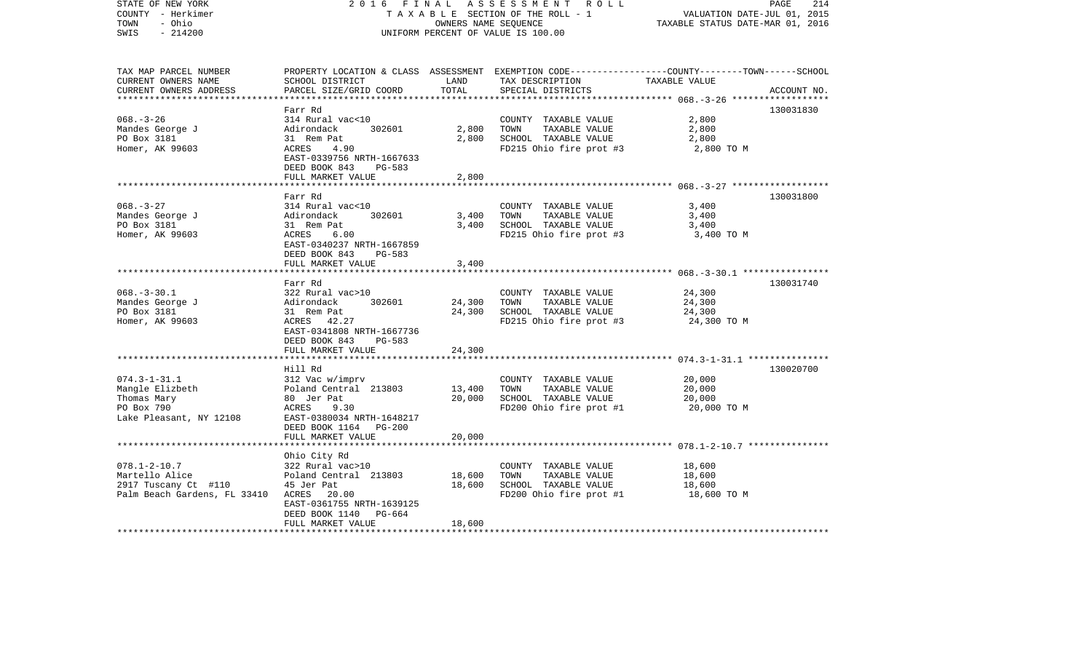| STATE OF NEW YORK<br>COUNTY - Herkimer<br>TOWN<br>- Ohio<br>$-214200$<br>SWIS |                                                                       | OWNERS NAME SEQUENCE | 2016 FINAL ASSESSMENT ROLL<br>TAXABLE SECTION OF THE ROLL - 1<br>UNIFORM PERCENT OF VALUE IS 100.00                                      | PAGE<br>VALUATION DATE-JUL 01, 2015<br>TAXABLE STATUS DATE-MAR 01, 2016 | 214         |
|-------------------------------------------------------------------------------|-----------------------------------------------------------------------|----------------------|------------------------------------------------------------------------------------------------------------------------------------------|-------------------------------------------------------------------------|-------------|
| TAX MAP PARCEL NUMBER<br>CURRENT OWNERS NAME<br>CURRENT OWNERS ADDRESS        | SCHOOL DISTRICT<br>PARCEL SIZE/GRID COORD                             | LAND<br>TOTAL        | PROPERTY LOCATION & CLASS ASSESSMENT EXEMPTION CODE----------------COUNTY-------TOWN------SCHOOL<br>TAX DESCRIPTION<br>SPECIAL DISTRICTS | TAXABLE VALUE                                                           | ACCOUNT NO. |
|                                                                               |                                                                       |                      |                                                                                                                                          |                                                                         |             |
| $068. - 3 - 26$                                                               | Farr Rd<br>314 Rural vac<10                                           |                      | COUNTY TAXABLE VALUE                                                                                                                     | 2,800                                                                   | 130031830   |
| Mandes George J                                                               | Adirondack<br>302601                                                  | 2,800                | TOWN<br>TAXABLE VALUE                                                                                                                    | 2,800                                                                   |             |
| PO Box 3181                                                                   | 31 Rem Pat                                                            | 2,800                | SCHOOL TAXABLE VALUE                                                                                                                     | 2,800                                                                   |             |
| Homer, AK 99603                                                               | ACRES<br>4.90<br>EAST-0339756 NRTH-1667633<br>DEED BOOK 843<br>PG-583 |                      | FD215 Ohio fire prot #3                                                                                                                  | 2,800 TO M                                                              |             |
|                                                                               | FULL MARKET VALUE                                                     | 2,800                |                                                                                                                                          |                                                                         |             |
|                                                                               | Farr Rd                                                               |                      |                                                                                                                                          |                                                                         | 130031800   |
| $068. - 3 - 27$                                                               | 314 Rural vac<10                                                      |                      | COUNTY TAXABLE VALUE                                                                                                                     | 3,400                                                                   |             |
| Mandes George J                                                               | Adirondack<br>302601                                                  | 3,400                | TOWN<br>TAXABLE VALUE                                                                                                                    | 3,400                                                                   |             |
| PO Box 3181                                                                   | 31 Rem Pat                                                            | 3,400                | SCHOOL TAXABLE VALUE                                                                                                                     | 3,400                                                                   |             |
| Homer, AK 99603                                                               | 6.00<br>ACRES<br>EAST-0340237 NRTH-1667859<br>DEED BOOK 843<br>PG-583 |                      | FD215 Ohio fire prot #3                                                                                                                  | 3,400 TO M                                                              |             |
|                                                                               | FULL MARKET VALUE                                                     | 3,400                |                                                                                                                                          |                                                                         |             |
|                                                                               | Farr Rd                                                               |                      |                                                                                                                                          |                                                                         | 130031740   |
| $068. - 3 - 30.1$                                                             | 322 Rural vac>10                                                      |                      | COUNTY TAXABLE VALUE                                                                                                                     | 24,300                                                                  |             |
| Mandes George J                                                               | 302601<br>Adirondack                                                  | 24,300               | TOWN<br>TAXABLE VALUE                                                                                                                    | 24,300                                                                  |             |
| PO Box 3181                                                                   | 31 Rem Pat                                                            | 24,300               | SCHOOL TAXABLE VALUE                                                                                                                     | 24,300                                                                  |             |
| Homer, AK 99603                                                               | ACRES 42.27                                                           |                      | FD215 Ohio fire prot #3                                                                                                                  | 24,300 TO M                                                             |             |
|                                                                               | EAST-0341808 NRTH-1667736                                             |                      |                                                                                                                                          |                                                                         |             |
|                                                                               | DEED BOOK 843<br>PG-583                                               |                      |                                                                                                                                          |                                                                         |             |
|                                                                               | FULL MARKET VALUE                                                     | 24,300               |                                                                                                                                          |                                                                         |             |
|                                                                               | Hill Rd                                                               |                      |                                                                                                                                          |                                                                         | 130020700   |
| $074.3 - 1 - 31.1$                                                            | 312 Vac w/imprv                                                       |                      | COUNTY TAXABLE VALUE                                                                                                                     | 20,000                                                                  |             |
| Mangle Elizbeth                                                               | Poland Central 213803                                                 | 13,400               | TAXABLE VALUE<br>TOWN                                                                                                                    | 20,000                                                                  |             |
| Thomas Mary                                                                   | 80 Jer Pat                                                            | 20,000               | SCHOOL TAXABLE VALUE                                                                                                                     | 20,000                                                                  |             |
| PO Box 790                                                                    | 9.30<br>ACRES                                                         |                      | FD200 Ohio fire prot #1                                                                                                                  | 20,000 TO M                                                             |             |
| Lake Pleasant, NY 12108                                                       | EAST-0380034 NRTH-1648217                                             |                      |                                                                                                                                          |                                                                         |             |
|                                                                               | DEED BOOK 1164 PG-200                                                 |                      |                                                                                                                                          |                                                                         |             |
|                                                                               | FULL MARKET VALUE                                                     | 20,000               |                                                                                                                                          |                                                                         |             |
|                                                                               |                                                                       |                      |                                                                                                                                          |                                                                         |             |
| $078.1 - 2 - 10.7$                                                            | Ohio City Rd<br>322 Rural vac>10                                      |                      | COUNTY TAXABLE VALUE                                                                                                                     | 18,600                                                                  |             |
| Martello Alice                                                                | Poland Central 213803                                                 | 18,600               | TOWN<br>TAXABLE VALUE                                                                                                                    | 18,600                                                                  |             |
| 2917 Tuscany Ct #110                                                          | 45 Jer Pat                                                            | 18,600               | SCHOOL TAXABLE VALUE                                                                                                                     | 18,600                                                                  |             |
| Palm Beach Gardens, FL 33410                                                  | ACRES 20.00                                                           |                      | FD200 Ohio fire prot #1                                                                                                                  | 18,600 TO M                                                             |             |
|                                                                               | EAST-0361755 NRTH-1639125                                             |                      |                                                                                                                                          |                                                                         |             |
|                                                                               | DEED BOOK 1140 PG-664                                                 |                      |                                                                                                                                          |                                                                         |             |
|                                                                               | FULL MARKET VALUE                                                     | 18,600               |                                                                                                                                          |                                                                         |             |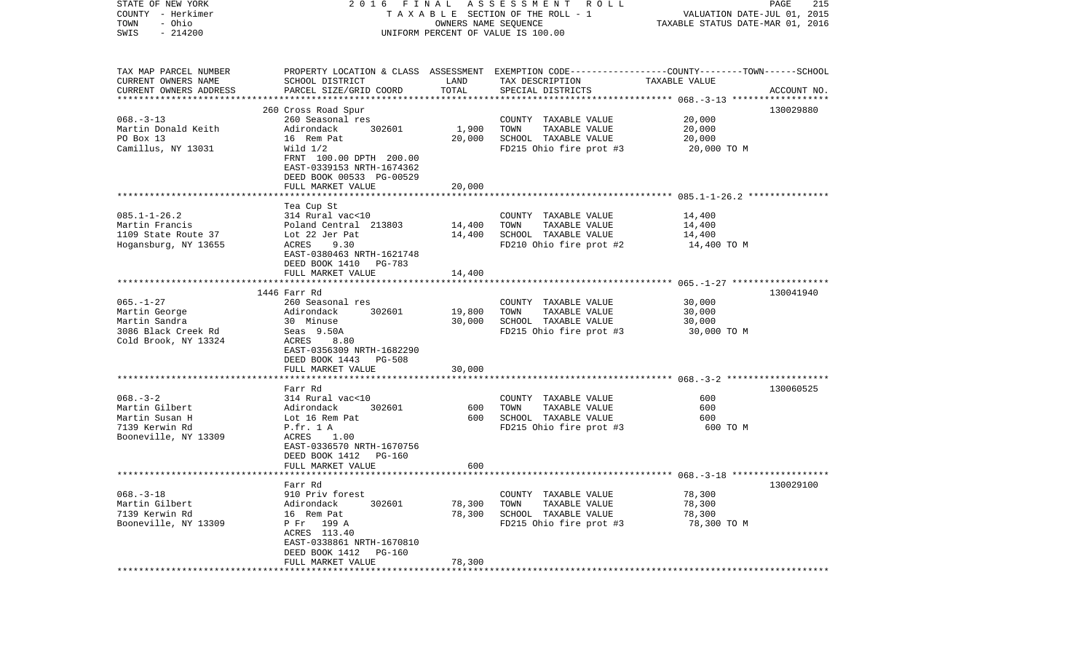| STATE OF NEW YORK<br>COUNTY - Herkimer<br>- Ohio<br>TOWN<br>$-214200$<br>SWIS                    | 2016 FINAL ASSESSMENT ROLL<br>T A X A B L E SECTION OF THE ROLL - 1<br>OWNERS NAME SEQUENCE<br>UNIFORM PERCENT OF VALUE IS 100.00                                               |                            |                                                                                                                                         | PAGE<br>215<br>VALUATION DATE-JUL 01, 2015<br>TAXABLE STATUS DATE-MAR 01, 2016 |             |
|--------------------------------------------------------------------------------------------------|---------------------------------------------------------------------------------------------------------------------------------------------------------------------------------|----------------------------|-----------------------------------------------------------------------------------------------------------------------------------------|--------------------------------------------------------------------------------|-------------|
| TAX MAP PARCEL NUMBER<br>CURRENT OWNERS NAME<br>CURRENT OWNERS ADDRESS                           | SCHOOL DISTRICT<br>PARCEL SIZE/GRID COORD                                                                                                                                       | LAND<br>TOTAL              | PROPERTY LOCATION & CLASS ASSESSMENT EXEMPTION CODE---------------COUNTY-------TOWN------SCHOOL<br>TAX DESCRIPTION<br>SPECIAL DISTRICTS | TAXABLE VALUE                                                                  | ACCOUNT NO. |
| $068. -3 - 13$<br>Martin Donald Keith<br>PO Box 13<br>Camillus, NY 13031                         | 260 Cross Road Spur<br>260 Seasonal res<br>Adirondack<br>302601<br>16 Rem Pat<br>Wild $1/2$<br>FRNT 100.00 DPTH 200.00<br>EAST-0339153 NRTH-1674362<br>DEED BOOK 00533 PG-00529 | 1,900<br>20,000            | COUNTY TAXABLE VALUE<br>TAXABLE VALUE<br>TOWN<br>SCHOOL TAXABLE VALUE<br>FD215 Ohio fire prot #3                                        | 20,000<br>20,000<br>20,000<br>20,000 TO M                                      | 130029880   |
|                                                                                                  | FULL MARKET VALUE                                                                                                                                                               | 20,000                     |                                                                                                                                         |                                                                                |             |
| $085.1 - 1 - 26.2$<br>Martin Francis<br>1109 State Route 37<br>Hogansburg, NY 13655              | Tea Cup St<br>314 Rural vac<10<br>Poland Central 213803<br>Lot 22 Jer Pat<br>ACRES<br>9.30<br>EAST-0380463 NRTH-1621748<br>DEED BOOK 1410 PG-783                                | 14,400<br>14,400           | COUNTY TAXABLE VALUE<br>TOWN<br>TAXABLE VALUE<br>SCHOOL TAXABLE VALUE<br>FD210 Ohio fire prot #2                                        | 14,400<br>14,400<br>14,400<br>14,400 TO M                                      |             |
|                                                                                                  | FULL MARKET VALUE                                                                                                                                                               | 14,400                     |                                                                                                                                         |                                                                                |             |
|                                                                                                  |                                                                                                                                                                                 |                            |                                                                                                                                         |                                                                                |             |
| $065. - 1 - 27$<br>Martin George<br>Martin Sandra<br>3086 Black Creek Rd<br>Cold Brook, NY 13324 | 1446 Farr Rd<br>260 Seasonal res<br>Adirondack<br>302601<br>30 Minuse<br>Seas 9.50A<br>ACRES<br>8.80<br>EAST-0356309 NRTH-1682290<br>DEED BOOK 1443 PG-508                      | 19,800<br>30,000           | COUNTY TAXABLE VALUE<br>TAXABLE VALUE<br>TOWN<br>SCHOOL TAXABLE VALUE<br>FD215 Ohio fire prot #3                                        | 30,000<br>30,000<br>30,000<br>30,000 TO M                                      | 130041940   |
|                                                                                                  | FULL MARKET VALUE                                                                                                                                                               | 30,000                     |                                                                                                                                         |                                                                                |             |
| $068. - 3 - 2$<br>Martin Gilbert<br>Martin Susan H<br>7139 Kerwin Rd<br>Booneville, NY 13309     | Farr Rd<br>314 Rural vac<10<br>Adirondack<br>302601<br>Lot 16 Rem Pat<br>P.fr. 1 A<br>1.00<br>ACRES<br>EAST-0336570 NRTH-1670756<br>DEED BOOK 1412 PG-160<br>FULL MARKET VALUE  | 600<br>600<br>600          | COUNTY TAXABLE VALUE<br>TAXABLE VALUE<br>TOWN<br>SCHOOL TAXABLE VALUE<br>FD215 Ohio fire prot #3                                        | 600<br>600<br>600<br>600 TO M                                                  | 130060525   |
|                                                                                                  |                                                                                                                                                                                 |                            |                                                                                                                                         |                                                                                |             |
| $068. - 3 - 18$<br>Martin Gilbert<br>7139 Kerwin Rd<br>Booneville, NY 13309                      | Farr Rd<br>910 Priv forest<br>Adirondack<br>302601<br>16 Rem Pat<br>P Fr 199 A<br>ACRES 113.40<br>EAST-0338861 NRTH-1670810<br>DEED BOOK 1412<br>PG-160<br>FULL MARKET VALUE    | 78,300<br>78,300<br>78,300 | COUNTY TAXABLE VALUE<br>TAXABLE VALUE<br>TOWN<br>SCHOOL TAXABLE VALUE<br>FD215 Ohio fire prot #3                                        | 78,300<br>78,300<br>78,300<br>78,300 TO M                                      | 130029100   |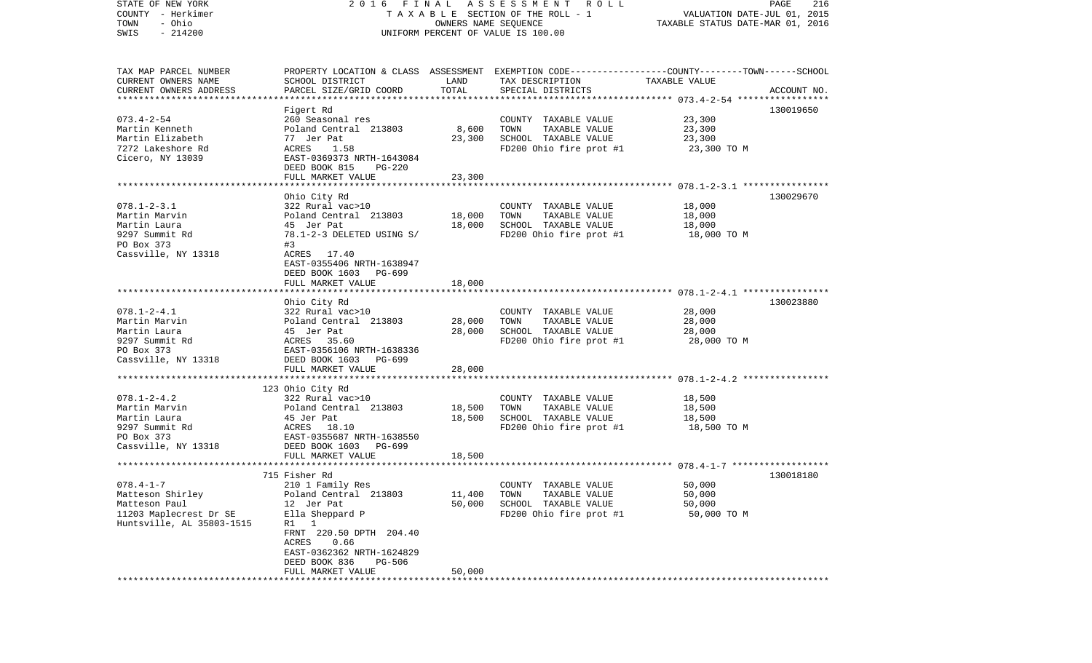| STATE OF NEW YORK         | 2016 FINAL                         |                      | A S S E S S M E N T R O L L                                                                      |                                  | 216<br>PAGE |
|---------------------------|------------------------------------|----------------------|--------------------------------------------------------------------------------------------------|----------------------------------|-------------|
| COUNTY - Herkimer         |                                    |                      | TAXABLE SECTION OF THE ROLL - 1                                                                  | VALUATION DATE-JUL 01, 2015      |             |
| - Ohio<br>TOWN            |                                    | OWNERS NAME SEQUENCE |                                                                                                  | TAXABLE STATUS DATE-MAR 01, 2016 |             |
| $-214200$<br>SWIS         | UNIFORM PERCENT OF VALUE IS 100.00 |                      |                                                                                                  |                                  |             |
|                           |                                    |                      |                                                                                                  |                                  |             |
| TAX MAP PARCEL NUMBER     |                                    |                      | PROPERTY LOCATION & CLASS ASSESSMENT EXEMPTION CODE----------------COUNTY-------TOWN------SCHOOL |                                  |             |
| CURRENT OWNERS NAME       | SCHOOL DISTRICT                    | LAND                 | TAX DESCRIPTION                                                                                  | TAXABLE VALUE                    |             |
| CURRENT OWNERS ADDRESS    | PARCEL SIZE/GRID COORD             | TOTAL                | SPECIAL DISTRICTS                                                                                |                                  | ACCOUNT NO. |
| ***********************   |                                    |                      |                                                                                                  |                                  |             |
|                           | Figert Rd                          |                      |                                                                                                  |                                  | 130019650   |
| $073.4 - 2 - 54$          | 260 Seasonal res                   |                      | COUNTY TAXABLE VALUE                                                                             | 23,300                           |             |
| Martin Kenneth            | Poland Central 213803              | 8,600                | TOWN<br>TAXABLE VALUE                                                                            | 23,300                           |             |
| Martin Elizabeth          | 77 Jer Pat                         |                      | SCHOOL TAXABLE VALUE                                                                             |                                  |             |
|                           |                                    | 23,300               |                                                                                                  | 23,300                           |             |
| 7272 Lakeshore Rd         | ACRES<br>1.58                      |                      | FD200 Ohio fire prot #1                                                                          | 23,300 TO M                      |             |
| Cicero, NY 13039          | EAST-0369373 NRTH-1643084          |                      |                                                                                                  |                                  |             |
|                           | DEED BOOK 815<br>PG-220            |                      |                                                                                                  |                                  |             |
|                           | FULL MARKET VALUE                  | 23,300               |                                                                                                  |                                  |             |
|                           |                                    |                      |                                                                                                  |                                  |             |
|                           | Ohio City Rd                       |                      |                                                                                                  |                                  | 130029670   |
| $078.1 - 2 - 3.1$         | 322 Rural vac>10                   |                      | COUNTY TAXABLE VALUE                                                                             | 18,000                           |             |
| Martin Marvin             | Poland Central 213803              | 18,000               | TAXABLE VALUE<br>TOWN                                                                            | 18,000                           |             |
| Martin Laura              | 45 Jer Pat                         | 18,000               | SCHOOL TAXABLE VALUE                                                                             | 18,000                           |             |
| 9297 Summit Rd            | 78.1-2-3 DELETED USING S/          |                      | FD200 Ohio fire prot #1                                                                          | 18,000 TO M                      |             |
| PO Box 373                | #3                                 |                      |                                                                                                  |                                  |             |
| Cassville, NY 13318       | ACRES 17.40                        |                      |                                                                                                  |                                  |             |
|                           | EAST-0355406 NRTH-1638947          |                      |                                                                                                  |                                  |             |
|                           | DEED BOOK 1603<br>PG-699           |                      |                                                                                                  |                                  |             |
|                           | FULL MARKET VALUE                  | 18,000               |                                                                                                  |                                  |             |
|                           |                                    |                      |                                                                                                  |                                  |             |
|                           | Ohio City Rd                       |                      |                                                                                                  |                                  | 130023880   |
| $078.1 - 2 - 4.1$         | 322 Rural vac>10                   |                      | COUNTY TAXABLE VALUE                                                                             | 28,000                           |             |
| Martin Marvin             | Poland Central 213803              | 28,000               | TAXABLE VALUE<br>TOWN                                                                            | 28,000                           |             |
| Martin Laura              | 45 Jer Pat                         | 28,000               | SCHOOL TAXABLE VALUE                                                                             | 28,000                           |             |
| 9297 Summit Rd            | ACRES 35.60                        |                      | FD200 Ohio fire prot #1                                                                          | 28,000 TO M                      |             |
| PO Box 373                | EAST-0356106 NRTH-1638336          |                      |                                                                                                  |                                  |             |
| Cassville, NY 13318       | DEED BOOK 1603<br>PG-699           |                      |                                                                                                  |                                  |             |
|                           | FULL MARKET VALUE                  | 28,000               |                                                                                                  |                                  |             |
|                           | **************************         | ************         |                                                                                                  |                                  |             |
|                           | 123 Ohio City Rd                   |                      |                                                                                                  |                                  |             |
| $078.1 - 2 - 4.2$         | 322 Rural vac>10                   |                      | COUNTY TAXABLE VALUE                                                                             | 18,500                           |             |
| Martin Marvin             | Poland Central 213803              | 18,500               | TOWN<br>TAXABLE VALUE                                                                            | 18,500                           |             |
| Martin Laura              | 45 Jer Pat                         | 18,500               | SCHOOL TAXABLE VALUE                                                                             | 18,500                           |             |
| 9297 Summit Rd            | ACRES 18.10                        |                      | FD200 Ohio fire prot #1                                                                          | 18,500 TO M                      |             |
| PO Box 373                | EAST-0355687 NRTH-1638550          |                      |                                                                                                  |                                  |             |
| Cassville, NY 13318       | DEED BOOK 1603<br>PG-699           |                      |                                                                                                  |                                  |             |
|                           |                                    | 18,500               |                                                                                                  |                                  |             |
|                           | FULL MARKET VALUE                  |                      |                                                                                                  |                                  |             |
|                           |                                    |                      |                                                                                                  |                                  |             |
|                           | 715 Fisher Rd                      |                      |                                                                                                  |                                  | 130018180   |
| $078.4 - 1 - 7$           | 210 1 Family Res                   |                      | COUNTY TAXABLE VALUE                                                                             | 50,000                           |             |
| Matteson Shirley          | Poland Central 213803              | 11,400               | TAXABLE VALUE<br>TOWN                                                                            | 50,000                           |             |
| Matteson Paul             | 12 Jer Pat                         | 50,000               | SCHOOL TAXABLE VALUE                                                                             | 50,000                           |             |
| 11203 Maplecrest Dr SE    | Ella Sheppard P                    |                      | FD200 Ohio fire prot #1                                                                          | 50,000 TO M                      |             |
| Huntsville, AL 35803-1515 | R1 1                               |                      |                                                                                                  |                                  |             |
|                           | FRNT 220.50 DPTH 204.40            |                      |                                                                                                  |                                  |             |
|                           | 0.66<br>ACRES                      |                      |                                                                                                  |                                  |             |
|                           | EAST-0362362 NRTH-1624829          |                      |                                                                                                  |                                  |             |
|                           | DEED BOOK 836<br>PG-506            |                      |                                                                                                  |                                  |             |
|                           | FULL MARKET VALUE                  | 50,000               |                                                                                                  |                                  |             |
|                           |                                    |                      |                                                                                                  |                                  |             |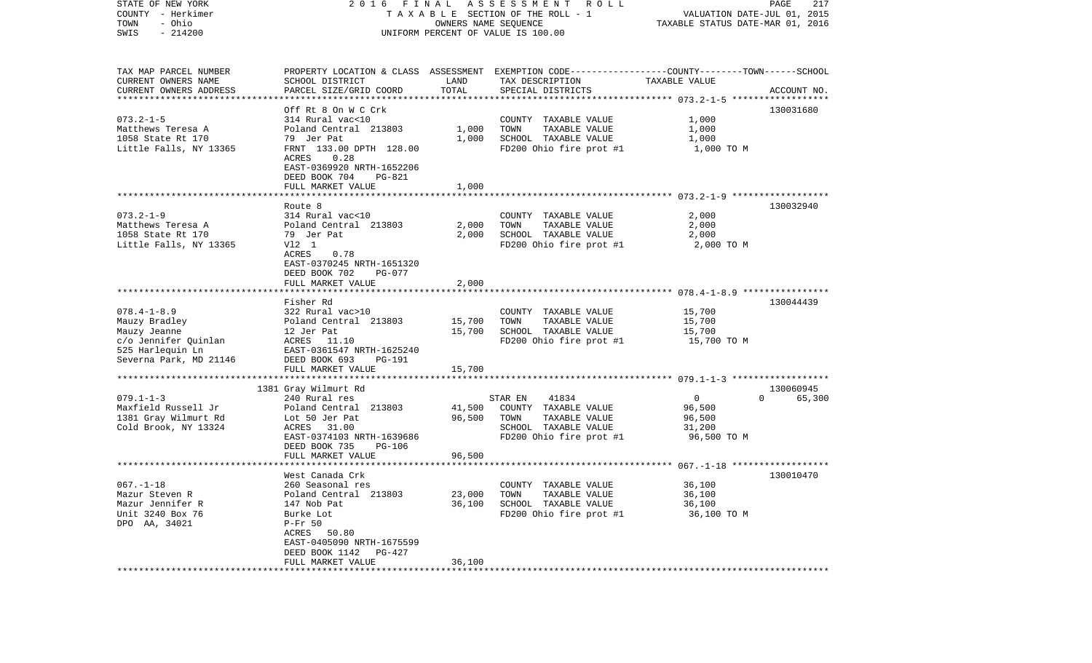| STATE OF NEW YORK<br>COUNTY - Herkimer<br>- Ohio<br>TOWN<br>$-214200$<br>SWIS                                            | 2016 FINAL<br>TAXABLE SECTION OF THE ROLL - 1<br>UNIFORM PERCENT OF VALUE IS 100.00                                                                                                 | PAGE<br>217<br>VALUATION DATE-JUL 01, 2015<br>TAXABLE STATUS DATE-MAR 01, 2016 |                                                                                                                      |                                                             |                                 |
|--------------------------------------------------------------------------------------------------------------------------|-------------------------------------------------------------------------------------------------------------------------------------------------------------------------------------|--------------------------------------------------------------------------------|----------------------------------------------------------------------------------------------------------------------|-------------------------------------------------------------|---------------------------------|
| TAX MAP PARCEL NUMBER<br>CURRENT OWNERS NAME                                                                             | SCHOOL DISTRICT                                                                                                                                                                     | LAND                                                                           | PROPERTY LOCATION & CLASS ASSESSMENT EXEMPTION CODE----------------COUNTY-------TOWN------SCHOOL<br>TAX DESCRIPTION  | TAXABLE VALUE                                               |                                 |
| CURRENT OWNERS ADDRESS                                                                                                   | PARCEL SIZE/GRID COORD                                                                                                                                                              | TOTAL                                                                          | SPECIAL DISTRICTS                                                                                                    |                                                             | ACCOUNT NO.                     |
| **********************                                                                                                   | ********************<br>Off Rt 8 On W C Crk                                                                                                                                         |                                                                                |                                                                                                                      |                                                             | 130031680                       |
| $073.2 - 1 - 5$<br>Matthews Teresa A<br>1058 State Rt 170<br>Little Falls, NY 13365                                      | 314 Rural vac<10<br>Poland Central 213803<br>79 Jer Pat<br>FRNT 133.00 DPTH 128.00<br>ACRES<br>0.28                                                                                 | 1,000<br>1,000                                                                 | COUNTY TAXABLE VALUE<br>TOWN<br>TAXABLE VALUE<br>SCHOOL TAXABLE VALUE<br>FD200 Ohio fire prot #1                     | 1,000<br>1,000<br>1,000<br>1,000 TO M                       |                                 |
|                                                                                                                          | EAST-0369920 NRTH-1652206<br>DEED BOOK 704<br>PG-821                                                                                                                                |                                                                                |                                                                                                                      |                                                             |                                 |
|                                                                                                                          | FULL MARKET VALUE                                                                                                                                                                   | 1,000                                                                          |                                                                                                                      |                                                             |                                 |
|                                                                                                                          | Route 8                                                                                                                                                                             |                                                                                |                                                                                                                      |                                                             | 130032940                       |
| $073.2 - 1 - 9$<br>Matthews Teresa A<br>1058 State Rt 170<br>Little Falls, NY 13365                                      | 314 Rural vac<10<br>Poland Central 213803<br>79 Jer Pat<br>V12 1<br>ACRES<br>0.78<br>EAST-0370245 NRTH-1651320<br>DEED BOOK 702<br>PG-077                                           | 2,000<br>2,000                                                                 | COUNTY TAXABLE VALUE<br>TAXABLE VALUE<br>TOWN<br>SCHOOL TAXABLE VALUE<br>FD200 Ohio fire prot #1                     | 2,000<br>2,000<br>2,000<br>2,000 TO M                       |                                 |
|                                                                                                                          | FULL MARKET VALUE                                                                                                                                                                   | 2,000                                                                          |                                                                                                                      |                                                             |                                 |
|                                                                                                                          |                                                                                                                                                                                     |                                                                                |                                                                                                                      |                                                             |                                 |
| $078.4 - 1 - 8.9$<br>Mauzy Bradley<br>Mauzy Jeanne<br>c/o Jennifer Quinlan<br>525 Harlequin Ln<br>Severna Park, MD 21146 | Fisher Rd<br>322 Rural vac>10<br>Poland Central 213803<br>12 Jer Pat<br>ACRES 11.10<br>EAST-0361547 NRTH-1625240<br>DEED BOOK 693<br>PG-191<br>FULL MARKET VALUE                    | 15,700<br>15,700<br>15,700                                                     | COUNTY TAXABLE VALUE<br>TAXABLE VALUE<br>TOWN<br>SCHOOL TAXABLE VALUE<br>FD200 Ohio fire prot #1                     | 15,700<br>15,700<br>15,700<br>15,700 TO M                   | 130044439                       |
|                                                                                                                          | ************************                                                                                                                                                            |                                                                                |                                                                                                                      |                                                             |                                 |
| $079.1 - 1 - 3$<br>Maxfield Russell Jr<br>1381 Gray Wilmurt Rd<br>Cold Brook, NY 13324                                   | 1381 Gray Wilmurt Rd<br>240 Rural res<br>Poland Central 213803<br>Lot 50 Jer Pat<br>ACRES 31.00<br>EAST-0374103 NRTH-1639686<br>DEED BOOK 735<br><b>PG-106</b><br>FULL MARKET VALUE | 41,500<br>96,500<br>96,500                                                     | STAR EN<br>41834<br>COUNTY TAXABLE VALUE<br>TOWN<br>TAXABLE VALUE<br>SCHOOL TAXABLE VALUE<br>FD200 Ohio fire prot #1 | $\overline{0}$<br>96,500<br>96,500<br>31,200<br>96,500 TO M | 130060945<br>$\Omega$<br>65,300 |
|                                                                                                                          |                                                                                                                                                                                     |                                                                                |                                                                                                                      |                                                             |                                 |
| $067. - 1 - 18$<br>Mazur Steven R<br>Mazur Jennifer R<br>Unit 3240 Box 76<br>DPO AA, 34021                               | West Canada Crk<br>260 Seasonal res<br>Poland Central 213803<br>147 Nob Pat<br>Burke Lot<br>$P-Fr$ 50<br>ACRES 50.80<br>EAST-0405090 NRTH-1675599                                   | 23,000<br>36,100                                                               | COUNTY TAXABLE VALUE<br>TAXABLE VALUE<br>TOWN<br>SCHOOL TAXABLE VALUE<br>FD200 Ohio fire prot #1                     | 36,100<br>36,100<br>36,100<br>36,100 TO M                   | 130010470                       |
|                                                                                                                          | DEED BOOK 1142<br>PG-427<br>FULL MARKET VALUE                                                                                                                                       | 36,100                                                                         |                                                                                                                      |                                                             |                                 |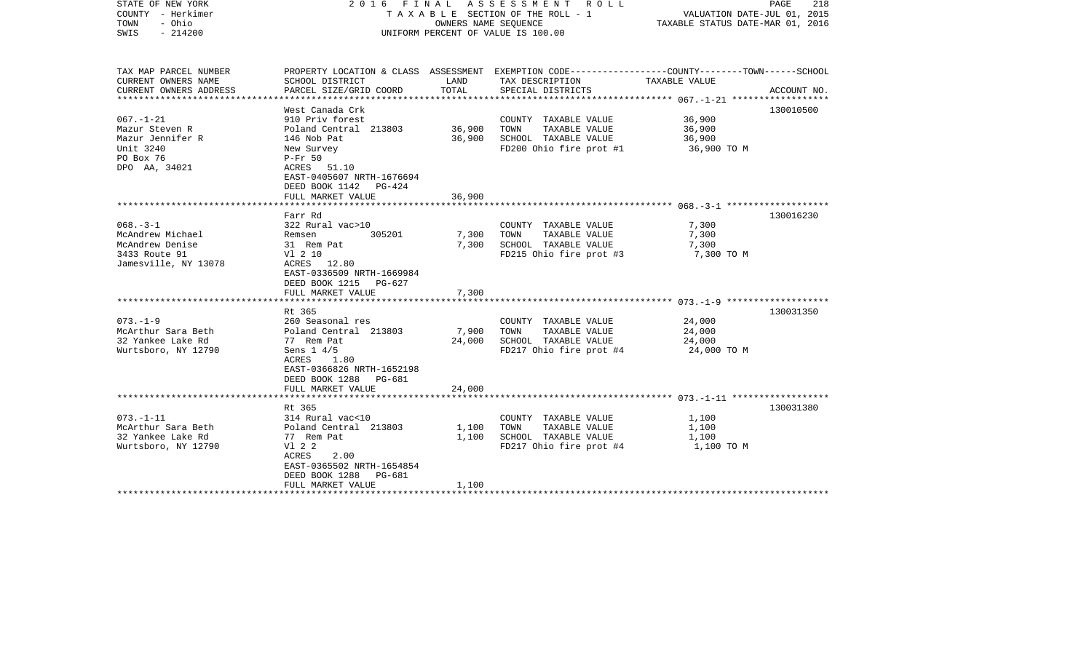| STATE OF NEW YORK<br>COUNTY - Herkimer<br>- Ohio<br>TOWN<br>$-214200$<br>SWIS                    |                                                                                                                                                                                 | OWNERS NAME SEQUENCE    | 2016 FINAL ASSESSMENT<br>ROLL ROLL<br>T A X A B L E SECTION OF THE ROLL - 1<br>UNIFORM PERCENT OF VALUE IS 100.00                        | VALUATION DATE-JUL 01, 2015<br>TAXABLE STATUS DATE-MAR 01, 2016 | PAGE<br>218 |
|--------------------------------------------------------------------------------------------------|---------------------------------------------------------------------------------------------------------------------------------------------------------------------------------|-------------------------|------------------------------------------------------------------------------------------------------------------------------------------|-----------------------------------------------------------------|-------------|
| TAX MAP PARCEL NUMBER<br>CURRENT OWNERS NAME<br>CURRENT OWNERS ADDRESS<br>********************** | SCHOOL DISTRICT<br>PARCEL SIZE/GRID COORD<br>************************                                                                                                           | LAND<br>TOTAL           | PROPERTY LOCATION & CLASS ASSESSMENT EXEMPTION CODE----------------COUNTY-------TOWN------SCHOOL<br>TAX DESCRIPTION<br>SPECIAL DISTRICTS | TAXABLE VALUE                                                   | ACCOUNT NO. |
| $067. - 1 - 21$<br>Mazur Steven R<br>Mazur Jennifer R<br>Unit 3240<br>PO Box 76<br>DPO AA, 34021 | West Canada Crk<br>910 Priv forest<br>Poland Central 213803<br>146 Nob Pat<br>New Survey<br>$P-Fr 50$<br>ACRES 51.10<br>EAST-0405607 NRTH-1676694<br>DEED BOOK 1142<br>$PG-424$ | 36,900<br>36,900        | COUNTY TAXABLE VALUE<br>TAXABLE VALUE<br>TOWN<br>SCHOOL TAXABLE VALUE<br>FD200 Ohio fire prot #1                                         | 36,900<br>36,900<br>36,900<br>36,900 TO M                       | 130010500   |
|                                                                                                  | FULL MARKET VALUE                                                                                                                                                               | 36,900                  |                                                                                                                                          |                                                                 |             |
| $068. -3 - 1$<br>McAndrew Michael<br>McAndrew Denise                                             | Farr Rd<br>322 Rural vac>10<br>305201<br>Remsen<br>31 Rem Pat                                                                                                                   | 7,300<br>7,300          | COUNTY TAXABLE VALUE<br>TAXABLE VALUE<br>TOWN<br>SCHOOL TAXABLE VALUE                                                                    | 7,300<br>7,300<br>7,300                                         | 130016230   |
| 3433 Route 91<br>Jamesville, NY 13078                                                            | V1 2 10<br>ACRES 12.80<br>EAST-0336509 NRTH-1669984<br>DEED BOOK 1215<br>PG-627<br>FULL MARKET VALUE                                                                            | 7,300                   | FD215 Ohio fire prot #3                                                                                                                  | 7,300 TO M                                                      |             |
|                                                                                                  |                                                                                                                                                                                 |                         |                                                                                                                                          |                                                                 |             |
| $073. - 1 - 9$<br>McArthur Sara Beth<br>32 Yankee Lake Rd<br>Wurtsboro, NY 12790                 | Rt 365<br>260 Seasonal res<br>Poland Central 213803<br>77 Rem Pat<br>Sens $1\,4/5$<br>ACRES<br>1.80<br>EAST-0366826 NRTH-1652198<br>DEED BOOK 1288 PG-681                       | 7,900<br>24,000         | COUNTY TAXABLE VALUE<br>TOWN<br>TAXABLE VALUE<br>SCHOOL TAXABLE VALUE<br>FD217 Ohio fire prot #4                                         | 24,000<br>24,000<br>24,000<br>24,000 TO M                       | 130031350   |
|                                                                                                  | FULL MARKET VALUE                                                                                                                                                               | 24,000                  |                                                                                                                                          |                                                                 |             |
|                                                                                                  |                                                                                                                                                                                 |                         |                                                                                                                                          |                                                                 | 130031380   |
| $073. - 1 - 11$<br>McArthur Sara Beth<br>32 Yankee Lake Rd<br>Wurtsboro, NY 12790                | Rt 365<br>314 Rural vac<10<br>Poland Central 213803<br>77 Rem Pat<br>V1 2 2<br>ACRES<br>2.00<br>EAST-0365502 NRTH-1654854<br>DEED BOOK 1288<br>PG-681<br>FULL MARKET VALUE      | 1,100<br>1,100<br>1,100 | COUNTY TAXABLE VALUE<br>TOWN<br>TAXABLE VALUE<br>SCHOOL TAXABLE VALUE<br>FD217 Ohio fire prot #4                                         | 1,100<br>1,100<br>1,100<br>1,100 TO M                           |             |
|                                                                                                  |                                                                                                                                                                                 |                         |                                                                                                                                          |                                                                 |             |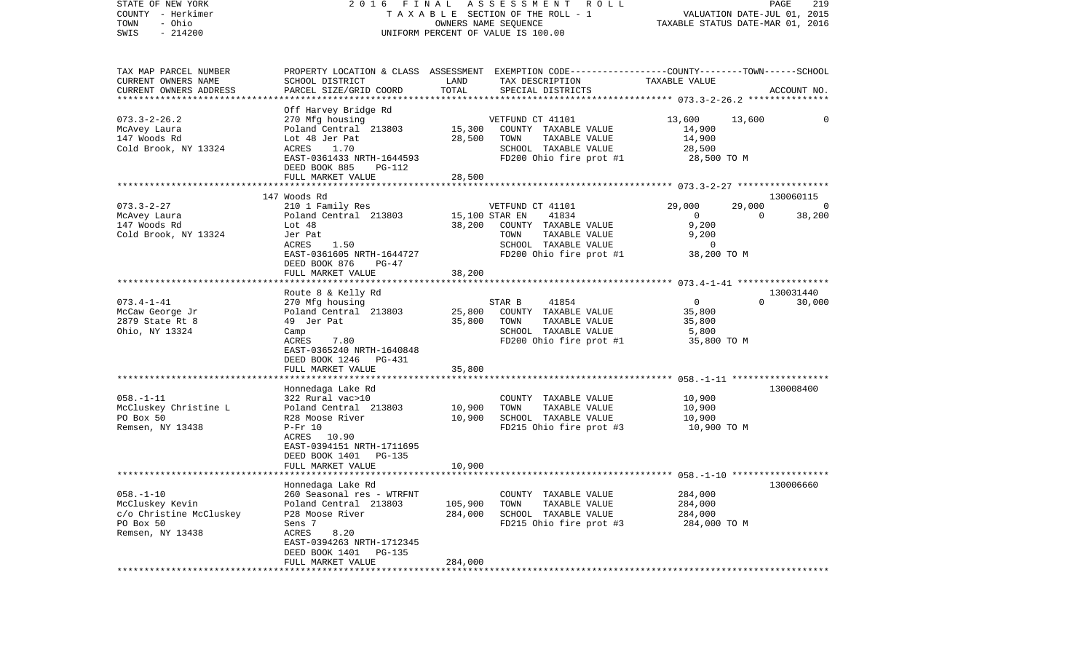| STATE OF NEW YORK<br>COUNTY - Herkimer<br>- Ohio<br>TOWN<br>$-214200$<br>SWIS                  | FINAL ASSESSMENT<br>R O L L<br>2016<br>T A X A B L E SECTION OF THE ROLL - 1<br>OWNERS NAME SEQUENCE<br>UNIFORM PERCENT OF VALUE IS 100.00                                                         |                            |                                                                                                                     | 219<br>PAGE<br>VALUATION DATE-JUL 01, 2015<br>TAXABLE STATUS DATE-MAR 01, 2016 |                |                |
|------------------------------------------------------------------------------------------------|----------------------------------------------------------------------------------------------------------------------------------------------------------------------------------------------------|----------------------------|---------------------------------------------------------------------------------------------------------------------|--------------------------------------------------------------------------------|----------------|----------------|
| TAX MAP PARCEL NUMBER<br>CURRENT OWNERS NAME                                                   | SCHOOL DISTRICT                                                                                                                                                                                    | LAND                       | PROPERTY LOCATION & CLASS ASSESSMENT EXEMPTION CODE---------------COUNTY-------TOWN------SCHOOL<br>TAX DESCRIPTION  | TAXABLE VALUE                                                                  |                |                |
| CURRENT OWNERS ADDRESS<br>************************                                             | PARCEL SIZE/GRID COORD                                                                                                                                                                             | TOTAL                      | SPECIAL DISTRICTS                                                                                                   |                                                                                |                | ACCOUNT NO.    |
|                                                                                                | Off Harvey Bridge Rd                                                                                                                                                                               |                            |                                                                                                                     |                                                                                |                |                |
| $073.3 - 2 - 26.2$<br>McAvey Laura<br>147 Woods Rd                                             | 270 Mfg housing<br>Poland Central 213803<br>Lot 48 Jer Pat                                                                                                                                         | 15,300<br>28,500           | VETFUND CT 41101<br>COUNTY TAXABLE VALUE<br>TOWN<br>TAXABLE VALUE                                                   | 13,600<br>14,900<br>14,900                                                     | 13,600         | $\mathbf 0$    |
| Cold Brook, NY 13324                                                                           | ACRES<br>1.70<br>EAST-0361433 NRTH-1644593<br>DEED BOOK 885<br>PG-112                                                                                                                              |                            | SCHOOL TAXABLE VALUE<br>FD200 Ohio fire prot #1                                                                     | 28,500<br>28,500 TO M                                                          |                |                |
|                                                                                                | FULL MARKET VALUE                                                                                                                                                                                  | 28,500                     |                                                                                                                     |                                                                                |                |                |
|                                                                                                |                                                                                                                                                                                                    |                            |                                                                                                                     |                                                                                |                |                |
| $073.3 - 2 - 27$                                                                               | 147 Woods Rd<br>210 1 Family Res                                                                                                                                                                   |                            | VETFUND CT 41101                                                                                                    | 29,000                                                                         | 29,000         | 130060115<br>0 |
| McAvey Laura<br>147 Woods Rd<br>Cold Brook, NY 13324                                           | Poland Central 213803<br>Lot 48<br>Jer Pat<br>ACRES<br>1.50<br>EAST-0361605 NRTH-1644727<br>DEED BOOK 876<br>$PG-47$                                                                               | 15,100 STAR EN<br>38,200   | 41834<br>COUNTY TAXABLE VALUE<br>TOWN<br>TAXABLE VALUE<br>SCHOOL TAXABLE VALUE<br>FD200 Ohio fire prot #1           | $\mathbf{0}$<br>9,200<br>9,200<br>0<br>38,200 TO M                             | $\overline{0}$ | 38,200         |
|                                                                                                | FULL MARKET VALUE                                                                                                                                                                                  | 38,200                     |                                                                                                                     |                                                                                |                |                |
|                                                                                                | Route 8 & Kelly Rd                                                                                                                                                                                 |                            |                                                                                                                     |                                                                                |                | 130031440      |
| $073.4 - 1 - 41$<br>McCaw George Jr<br>2879 State Rt 8<br>Ohio, NY 13324                       | 270 Mfg housing<br>Poland Central 213803<br>49 Jer Pat<br>Camp<br>ACRES<br>7.80<br>EAST-0365240 NRTH-1640848<br>DEED BOOK 1246<br>PG-431                                                           | 25,800<br>35,800           | STAR B<br>41854<br>COUNTY TAXABLE VALUE<br>TOWN<br>TAXABLE VALUE<br>SCHOOL TAXABLE VALUE<br>FD200 Ohio fire prot #1 | $\overline{0}$<br>35,800<br>35,800<br>5,800<br>35,800 TO M                     | $\Omega$       | 30,000         |
|                                                                                                | FULL MARKET VALUE                                                                                                                                                                                  | 35,800                     |                                                                                                                     |                                                                                |                |                |
| $058. - 1 - 11$<br>McCluskey Christine L<br>PO Box 50<br>Remsen, NY 13438                      | Honnedaga Lake Rd<br>322 Rural vac>10<br>Poland Central 213803<br>R28 Moose River<br>$P-Fr$ 10<br>ACRES 10.90<br>EAST-0394151 NRTH-1711695<br><b>PG-135</b><br>DEED BOOK 1401<br>FULL MARKET VALUE | 10,900<br>10,900<br>10,900 | COUNTY TAXABLE VALUE<br>TOWN<br>TAXABLE VALUE<br>SCHOOL TAXABLE VALUE<br>FD215 Ohio fire prot #3                    | 10,900<br>10,900<br>10,900<br>10,900 TO M                                      |                | 130008400      |
|                                                                                                |                                                                                                                                                                                                    |                            |                                                                                                                     |                                                                                |                |                |
| $058. - 1 - 10$<br>McCluskey Kevin<br>c/o Christine McCluskey<br>PO Box 50<br>Remsen, NY 13438 | Honnedaga Lake Rd<br>260 Seasonal res - WTRFNT<br>Poland Central 213803<br>P28 Moose River<br>Sens 7<br>ACRES<br>8.20<br>EAST-0394263 NRTH-1712345<br>DEED BOOK 1401<br><b>PG-135</b>              | 105,900<br>284,000         | COUNTY TAXABLE VALUE<br>TOWN<br>TAXABLE VALUE<br>SCHOOL TAXABLE VALUE<br>FD215 Ohio fire prot #3                    | 284,000<br>284,000<br>284,000<br>284,000 TO M                                  |                | 130006660      |
|                                                                                                | FULL MARKET VALUE                                                                                                                                                                                  | 284,000                    |                                                                                                                     |                                                                                |                |                |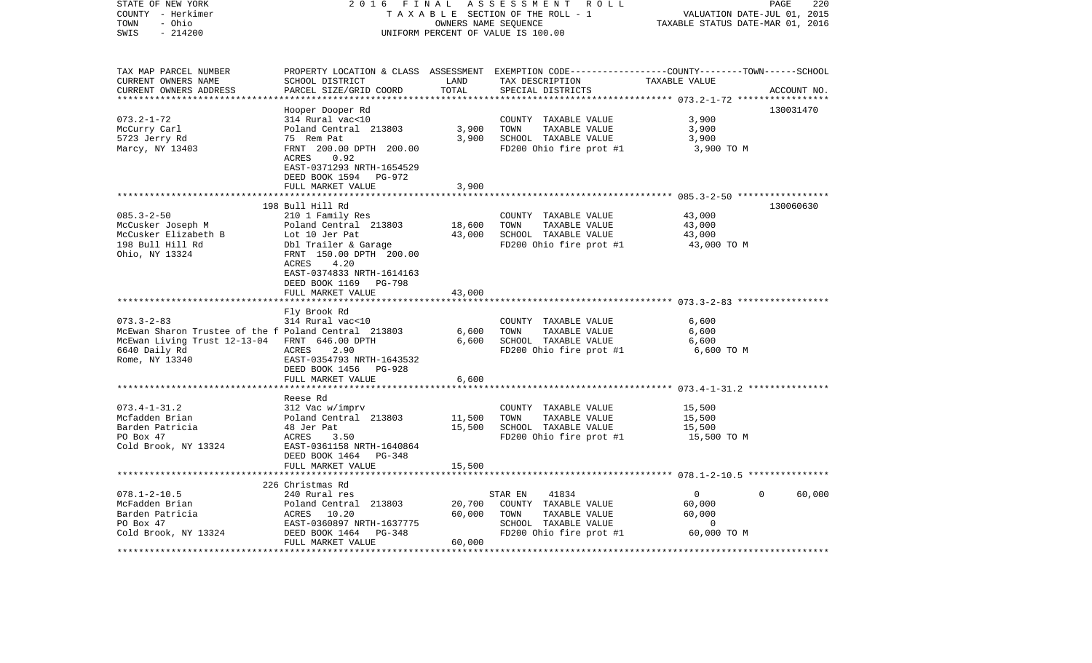| STATE OF NEW YORK<br>COUNTY - Herkimer<br>TOWN<br>- Ohio<br>$-214200$<br>SWIS                                                                                | 2016<br>FINAL                                                                                                                                                                                             | OWNERS NAME SEQUENCE    | ASSESSMENT ROLL<br>TAXABLE SECTION OF THE ROLL - 1<br>UNIFORM PERCENT OF VALUE IS 100.00                                                | VALUATION DATE-JUL 01, 2015<br>TAXABLE STATUS DATE-MAR 01, 2016     | PAGE<br>220        |
|--------------------------------------------------------------------------------------------------------------------------------------------------------------|-----------------------------------------------------------------------------------------------------------------------------------------------------------------------------------------------------------|-------------------------|-----------------------------------------------------------------------------------------------------------------------------------------|---------------------------------------------------------------------|--------------------|
| TAX MAP PARCEL NUMBER<br>CURRENT OWNERS NAME<br>CURRENT OWNERS ADDRESS<br>************************                                                           | SCHOOL DISTRICT<br>PARCEL SIZE/GRID COORD                                                                                                                                                                 | LAND<br>TOTAL           | PROPERTY LOCATION & CLASS ASSESSMENT EXEMPTION CODE---------------COUNTY-------TOWN------SCHOOL<br>TAX DESCRIPTION<br>SPECIAL DISTRICTS | TAXABLE VALUE                                                       | ACCOUNT NO.        |
| $073.2 - 1 - 72$<br>McCurry Carl<br>5723 Jerry Rd<br>Marcy, NY 13403                                                                                         | Hooper Dooper Rd<br>314 Rural vac<10<br>Poland Central 213803<br>75 Rem Pat<br>FRNT 200.00 DPTH 200.00<br>0.92<br>ACRES<br>EAST-0371293 NRTH-1654529<br>DEED BOOK 1594 PG-972<br>FULL MARKET VALUE        | 3,900<br>3,900<br>3,900 | COUNTY TAXABLE VALUE<br>TOWN<br>TAXABLE VALUE<br>SCHOOL TAXABLE VALUE<br>FD200 Ohio fire prot #1                                        | 3,900<br>3,900<br>3,900<br>3,900 TO M                               | 130031470          |
|                                                                                                                                                              |                                                                                                                                                                                                           |                         |                                                                                                                                         |                                                                     |                    |
| $085.3 - 2 - 50$<br>McCusker Joseph M<br>McCusker Elizabeth B<br>198 Bull Hill Rd<br>Ohio, NY 13324                                                          | 198 Bull Hill Rd<br>210 1 Family Res<br>Poland Central 213803<br>Lot 10 Jer Pat<br>Dbl Trailer & Garage<br>FRNT 150.00 DPTH 200.00<br>4.20<br>ACRES<br>EAST-0374833 NRTH-1614163<br>DEED BOOK 1169 PG-798 | 18,600<br>43,000        | COUNTY TAXABLE VALUE<br>TAXABLE VALUE<br>TOWN<br>SCHOOL TAXABLE VALUE<br>FD200 Ohio fire prot #1                                        | 43,000<br>43,000<br>43,000<br>43,000 TO M                           | 130060630          |
|                                                                                                                                                              | FULL MARKET VALUE                                                                                                                                                                                         | 43,000                  |                                                                                                                                         |                                                                     |                    |
| $073.3 - 2 - 83$<br>McEwan Sharon Trustee of the f Poland Central 213803<br>McEwan Living Trust 12-13-04 FRNT 646.00 DPTH<br>6640 Daily Rd<br>Rome, NY 13340 | Fly Brook Rd<br>314 Rural vac<10<br>ACRES<br>2.90<br>EAST-0354793 NRTH-1643532<br>DEED BOOK 1456 PG-928<br>FULL MARKET VALUE                                                                              | 6,600<br>6,600<br>6,600 | COUNTY TAXABLE VALUE<br>TOWN<br>TAXABLE VALUE<br>SCHOOL TAXABLE VALUE<br>FD200 Ohio fire prot #1                                        | 6,600<br>6,600<br>6,600<br>6,600 TO M                               |                    |
|                                                                                                                                                              |                                                                                                                                                                                                           |                         |                                                                                                                                         |                                                                     |                    |
| $073.4 - 1 - 31.2$<br>Mcfadden Brian<br>Barden Patricia<br>PO Box 47<br>Cold Brook, NY 13324                                                                 | Reese Rd<br>312 Vac w/imprv<br>Poland Central 213803<br>48 Jer Pat<br>ACRES<br>3.50<br>EAST-0361158 NRTH-1640864<br>DEED BOOK 1464 PG-348                                                                 | 11,500<br>15,500        | COUNTY TAXABLE VALUE<br>TOWN<br>TAXABLE VALUE<br>SCHOOL TAXABLE VALUE<br>FD200 Ohio fire prot #1                                        | 15,500<br>15,500<br>15,500<br>15,500 TO M                           |                    |
|                                                                                                                                                              | FULL MARKET VALUE<br>**************************                                                                                                                                                           | 15,500                  |                                                                                                                                         |                                                                     |                    |
|                                                                                                                                                              | 226 Christmas Rd                                                                                                                                                                                          |                         |                                                                                                                                         |                                                                     |                    |
| $078.1 - 2 - 10.5$<br>McFadden Brian<br>Barden Patricia<br>PO Box 47<br>Cold Brook, NY 13324                                                                 | 240 Rural res<br>Poland Central 213803<br>ACRES 10.20<br>EAST-0360897 NRTH-1637775<br>PG-348<br>DEED BOOK 1464                                                                                            | 20,700<br>60,000        | STAR EN<br>41834<br>COUNTY TAXABLE VALUE<br>TOWN<br>TAXABLE VALUE<br>SCHOOL TAXABLE VALUE<br>FD200 Ohio fire prot #1                    | $\overline{0}$<br>60,000<br>60,000<br>$\overline{0}$<br>60,000 TO M | $\Omega$<br>60,000 |
|                                                                                                                                                              | FULL MARKET VALUE                                                                                                                                                                                         | 60,000                  |                                                                                                                                         |                                                                     |                    |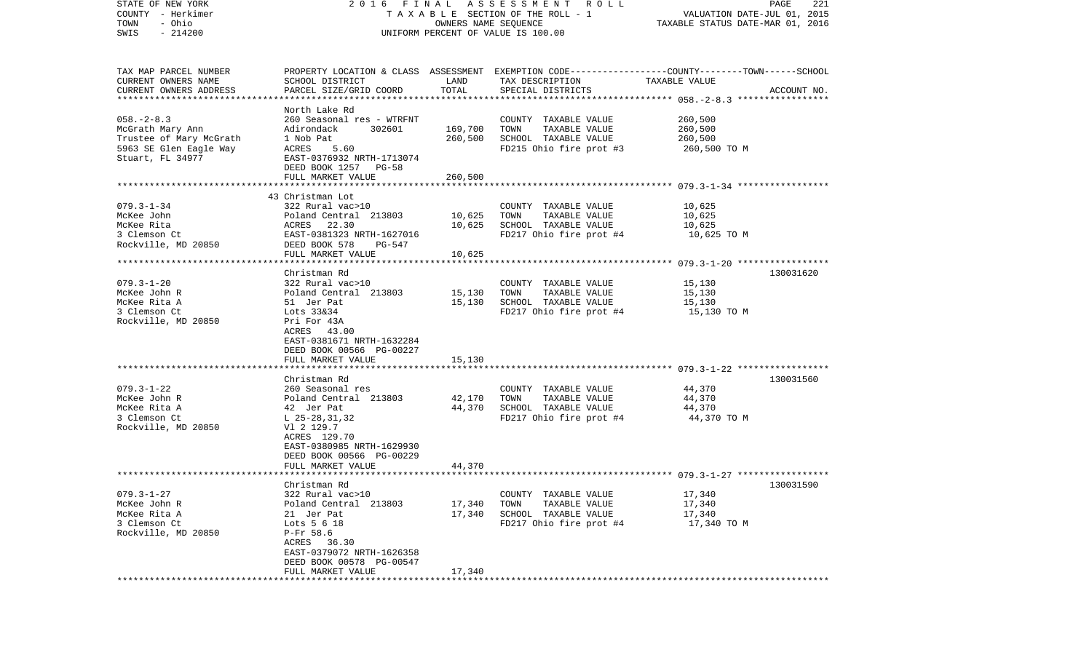| STATE OF NEW YORK         |                                                               |         | 2016 FINAL ASSESSMENT ROLL                                                                      |                                  | PAGE<br>221 |
|---------------------------|---------------------------------------------------------------|---------|-------------------------------------------------------------------------------------------------|----------------------------------|-------------|
| COUNTY - Herkimer         | T A X A B L E SECTION OF THE ROLL - 1<br>OWNERS NAME SEQUENCE |         |                                                                                                 | VALUATION DATE-JUL 01, 2015      |             |
| - Ohio<br>TOWN            |                                                               |         |                                                                                                 | TAXABLE STATUS DATE-MAR 01, 2016 |             |
| $-214200$<br>SWIS         |                                                               |         | UNIFORM PERCENT OF VALUE IS 100.00                                                              |                                  |             |
|                           |                                                               |         |                                                                                                 |                                  |             |
|                           |                                                               |         |                                                                                                 |                                  |             |
| TAX MAP PARCEL NUMBER     |                                                               |         | PROPERTY LOCATION & CLASS ASSESSMENT EXEMPTION CODE---------------COUNTY-------TOWN------SCHOOL |                                  |             |
| CURRENT OWNERS NAME       | SCHOOL DISTRICT                                               | LAND    | TAX DESCRIPTION                                                                                 | TAXABLE VALUE                    |             |
| CURRENT OWNERS ADDRESS    | PARCEL SIZE/GRID COORD                                        | TOTAL   | SPECIAL DISTRICTS                                                                               |                                  | ACCOUNT NO. |
| ************************* |                                                               |         |                                                                                                 |                                  |             |
|                           | North Lake Rd                                                 |         |                                                                                                 |                                  |             |
| $058. - 2 - 8.3$          | 260 Seasonal res - WTRFNT                                     |         | COUNTY TAXABLE VALUE                                                                            | 260,500                          |             |
| McGrath Mary Ann          | Adirondack<br>302601                                          | 169,700 | TOWN<br>TAXABLE VALUE                                                                           | 260,500                          |             |
| Trustee of Mary McGrath   | 1 Nob Pat                                                     | 260,500 | SCHOOL TAXABLE VALUE                                                                            | 260,500                          |             |
| 5963 SE Glen Eagle Way    | ACRES<br>5.60                                                 |         | FD215 Ohio fire prot #3                                                                         | 260,500 ТО М                     |             |
| Stuart, FL 34977          | EAST-0376932 NRTH-1713074                                     |         |                                                                                                 |                                  |             |
|                           | DEED BOOK 1257 PG-58                                          |         |                                                                                                 |                                  |             |
|                           | FULL MARKET VALUE                                             | 260,500 |                                                                                                 |                                  |             |
|                           |                                                               |         |                                                                                                 |                                  |             |
|                           | 43 Christman Lot                                              |         |                                                                                                 |                                  |             |
| $079.3 - 1 - 34$          | 322 Rural vac>10                                              |         | COUNTY TAXABLE VALUE                                                                            | 10,625                           |             |
| McKee John                | Poland Central 213803                                         | 10,625  | TOWN<br>TAXABLE VALUE                                                                           | 10,625                           |             |
| McKee Rita                | ACRES 22.30                                                   | 10,625  | SCHOOL TAXABLE VALUE                                                                            | 10,625                           |             |
| 3 Clemson Ct              | EAST-0381323 NRTH-1627016                                     |         | FD217 Ohio fire prot #4                                                                         | 10,625 TO M                      |             |
| Rockville, MD 20850       | DEED BOOK 578<br>PG-547                                       |         |                                                                                                 |                                  |             |
|                           | FULL MARKET VALUE                                             | 10,625  |                                                                                                 |                                  |             |
|                           |                                                               |         |                                                                                                 |                                  |             |
|                           | Christman Rd                                                  |         |                                                                                                 |                                  | 130031620   |
| $079.3 - 1 - 20$          | 322 Rural vac>10                                              |         | COUNTY TAXABLE VALUE                                                                            | 15,130                           |             |
| McKee John R              | Poland Central 213803                                         | 15,130  | TAXABLE VALUE<br>TOWN                                                                           | 15,130                           |             |
| McKee Rita A              | 51 Jer Pat                                                    | 15,130  | SCHOOL TAXABLE VALUE                                                                            | 15,130                           |             |
| 3 Clemson Ct              | Lots 33&34                                                    |         | FD217 Ohio fire prot #4                                                                         | 15,130 TO M                      |             |
| Rockville, MD 20850       | Pri For 43A                                                   |         |                                                                                                 |                                  |             |
|                           | ACRES 43.00                                                   |         |                                                                                                 |                                  |             |
|                           | EAST-0381671 NRTH-1632284                                     |         |                                                                                                 |                                  |             |
|                           | DEED BOOK 00566 PG-00227                                      |         |                                                                                                 |                                  |             |
|                           | FULL MARKET VALUE                                             | 15,130  |                                                                                                 |                                  |             |
|                           |                                                               |         |                                                                                                 |                                  |             |
|                           | Christman Rd                                                  |         |                                                                                                 |                                  | 130031560   |
| $079.3 - 1 - 22$          | 260 Seasonal res                                              |         | COUNTY TAXABLE VALUE                                                                            | 44,370                           |             |
| McKee John R              | Poland Central 213803                                         | 42,170  | TOWN<br>TAXABLE VALUE                                                                           | 44,370                           |             |
| McKee Rita A              | 42 Jer Pat                                                    | 44,370  | SCHOOL TAXABLE VALUE                                                                            | 44,370                           |             |
| 3 Clemson Ct              | L 25-28,31,32                                                 |         | FD217 Ohio fire prot #4                                                                         | 44,370 TO M                      |             |
| Rockville, MD 20850       | V1 2 129.7                                                    |         |                                                                                                 |                                  |             |
|                           | ACRES 129.70                                                  |         |                                                                                                 |                                  |             |
|                           | EAST-0380985 NRTH-1629930                                     |         |                                                                                                 |                                  |             |
|                           | DEED BOOK 00566 PG-00229                                      |         |                                                                                                 |                                  |             |
|                           | FULL MARKET VALUE                                             | 44,370  |                                                                                                 |                                  |             |
|                           |                                                               |         |                                                                                                 |                                  |             |
|                           | Christman Rd                                                  |         |                                                                                                 | 130031590                        |             |
| $079.3 - 1 - 27$          | 322 Rural vac>10                                              |         | COUNTY TAXABLE VALUE                                                                            | 17,340                           |             |
| McKee John R              | Poland Central 213803                                         | 17,340  | TOWN<br>TAXABLE VALUE                                                                           | 17,340                           |             |
| McKee Rita A              | 21 Jer Pat                                                    | 17,340  | SCHOOL TAXABLE VALUE                                                                            | 17,340                           |             |
| 3 Clemson Ct              | Lots 5 6 18                                                   |         | FD217 Ohio fire prot #4                                                                         | 17,340 TO M                      |             |
| Rockville, MD 20850       | P-Fr 58.6                                                     |         |                                                                                                 |                                  |             |
|                           | ACRES<br>36.30                                                |         |                                                                                                 |                                  |             |
|                           | EAST-0379072 NRTH-1626358                                     |         |                                                                                                 |                                  |             |
|                           | DEED BOOK 00578 PG-00547                                      |         |                                                                                                 |                                  |             |
|                           | FULL MARKET VALUE                                             | 17,340  |                                                                                                 |                                  |             |
|                           |                                                               |         |                                                                                                 |                                  |             |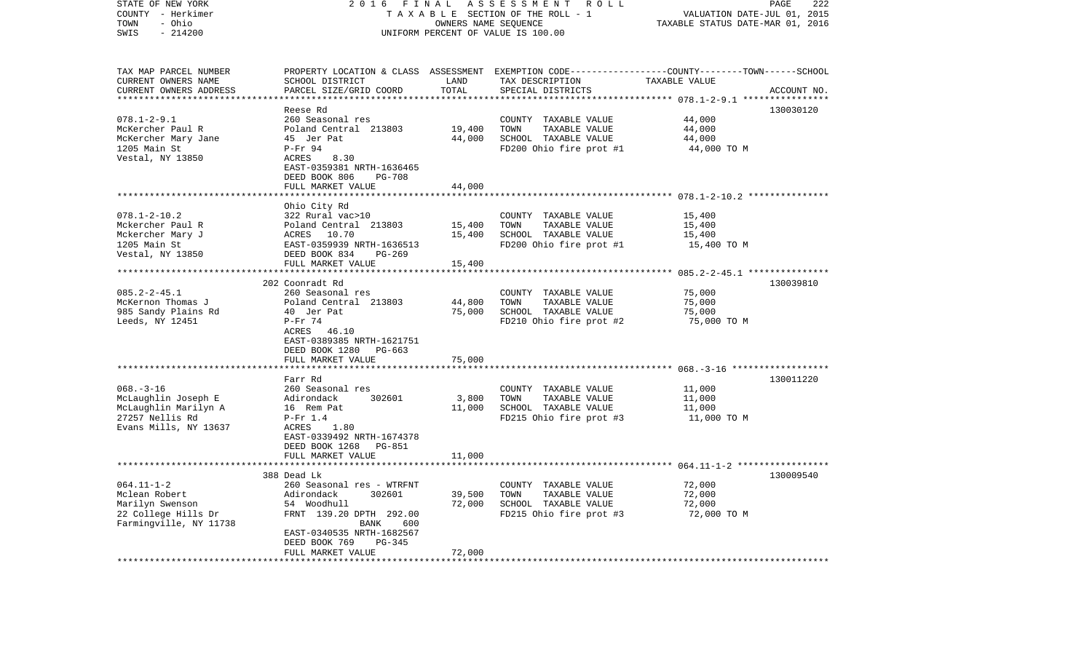| STATE OF NEW YORK                       | 2016<br>FINAL                             | PAGE<br>222                      |                                                                                                 |                            |             |
|-----------------------------------------|-------------------------------------------|----------------------------------|-------------------------------------------------------------------------------------------------|----------------------------|-------------|
| COUNTY - Herkimer                       | TAXABLE SECTION OF THE ROLL - 1           | VALUATION DATE-JUL 01, 2015      |                                                                                                 |                            |             |
| - Ohio<br>TOWN                          |                                           | TAXABLE STATUS DATE-MAR 01, 2016 |                                                                                                 |                            |             |
| SWIS<br>$-214200$                       |                                           |                                  | UNIFORM PERCENT OF VALUE IS 100.00                                                              |                            |             |
| TAX MAP PARCEL NUMBER                   |                                           |                                  | PROPERTY LOCATION & CLASS ASSESSMENT EXEMPTION CODE---------------COUNTY-------TOWN------SCHOOL |                            |             |
| CURRENT OWNERS NAME                     | SCHOOL DISTRICT                           | LAND                             | TAX DESCRIPTION                                                                                 | TAXABLE VALUE              |             |
| CURRENT OWNERS ADDRESS                  | PARCEL SIZE/GRID COORD                    | TOTAL                            | SPECIAL DISTRICTS                                                                               |                            | ACCOUNT NO. |
|                                         |                                           |                                  |                                                                                                 | ********* 078.1-2-9.1 **** |             |
|                                         | Reese Rd                                  |                                  |                                                                                                 |                            | 130030120   |
| $078.1 - 2 - 9.1$                       | 260 Seasonal res<br>Poland Central 213803 | 19,400                           | COUNTY TAXABLE VALUE<br>TOWN                                                                    | 44,000<br>44,000           |             |
| McKercher Paul R<br>McKercher Mary Jane | 45 Jer Pat                                | 44,000                           | TAXABLE VALUE<br>SCHOOL TAXABLE VALUE                                                           | 44,000                     |             |
| 1205 Main St                            | P-Fr 94                                   |                                  | FD200 Ohio fire prot #1                                                                         | 44,000 TO M                |             |
| Vestal, NY 13850                        | 8.30<br>ACRES                             |                                  |                                                                                                 |                            |             |
|                                         | EAST-0359381 NRTH-1636465                 |                                  |                                                                                                 |                            |             |
|                                         | DEED BOOK 806<br><b>PG-708</b>            |                                  |                                                                                                 |                            |             |
|                                         | FULL MARKET VALUE                         | 44,000                           |                                                                                                 |                            |             |
|                                         |                                           |                                  |                                                                                                 |                            |             |
|                                         | Ohio City Rd                              |                                  |                                                                                                 |                            |             |
| $078.1 - 2 - 10.2$                      | 322 Rural vac>10                          |                                  | COUNTY TAXABLE VALUE                                                                            | 15,400                     |             |
| Mckercher Paul R                        | Poland Central 213803                     | 15,400                           | TOWN<br>TAXABLE VALUE<br>SCHOOL TAXABLE VALUE                                                   | 15,400                     |             |
| Mckercher Mary J<br>1205 Main St        | ACRES 10.70<br>EAST-0359939 NRTH-1636513  | 15,400                           | FD200 Ohio fire prot #1                                                                         | 15,400<br>15,400 TO M      |             |
| Vestal, NY 13850                        | DEED BOOK 834<br>PG-269                   |                                  |                                                                                                 |                            |             |
|                                         | FULL MARKET VALUE                         | 15,400                           |                                                                                                 |                            |             |
|                                         | **************************                |                                  |                                                                                                 |                            |             |
|                                         | 202 Coonradt Rd                           |                                  |                                                                                                 |                            | 130039810   |
| $085.2 - 2 - 45.1$                      | 260 Seasonal res                          |                                  | COUNTY TAXABLE VALUE                                                                            | 75,000                     |             |
| McKernon Thomas J                       | Poland Central 213803                     | 44,800                           | TOWN<br>TAXABLE VALUE                                                                           | 75,000                     |             |
| 985 Sandy Plains Rd                     | 40 Jer Pat                                | 75,000                           | SCHOOL TAXABLE VALUE                                                                            | 75,000                     |             |
| Leeds, NY 12451                         | $P-Fr$ 74<br>46.10<br>ACRES               |                                  | FD210 Ohio fire prot #2                                                                         | 75,000 TO M                |             |
|                                         | EAST-0389385 NRTH-1621751                 |                                  |                                                                                                 |                            |             |
|                                         | DEED BOOK 1280<br>PG-663                  |                                  |                                                                                                 |                            |             |
|                                         | FULL MARKET VALUE                         | 75,000                           |                                                                                                 |                            |             |
|                                         |                                           |                                  |                                                                                                 |                            |             |
|                                         | Farr Rd                                   |                                  |                                                                                                 |                            | 130011220   |
| $068. -3 - 16$                          | 260 Seasonal res                          |                                  | COUNTY TAXABLE VALUE                                                                            | 11,000                     |             |
| McLaughlin Joseph E                     | 302601<br>Adirondack                      | 3,800                            | TAXABLE VALUE<br>TOWN                                                                           | 11,000                     |             |
| McLaughlin Marilyn A<br>27257 Nellis Rd | 16 Rem Pat<br>$P-Fr$ 1.4                  | 11,000                           | SCHOOL TAXABLE VALUE                                                                            | 11,000                     |             |
| Evans Mills, NY 13637                   | ACRES<br>1.80                             |                                  | FD215 Ohio fire prot #3                                                                         | 11,000 TO M                |             |
|                                         | EAST-0339492 NRTH-1674378                 |                                  |                                                                                                 |                            |             |
|                                         | DEED BOOK 1268<br>PG-851                  |                                  |                                                                                                 |                            |             |
|                                         | FULL MARKET VALUE                         | 11,000                           |                                                                                                 |                            |             |
|                                         |                                           |                                  |                                                                                                 |                            |             |
|                                         | 388 Dead Lk                               |                                  |                                                                                                 |                            | 130009540   |
| $064.11 - 1 - 2$                        | 260 Seasonal res - WTRFNT                 |                                  | COUNTY TAXABLE VALUE                                                                            | 72,000                     |             |
| Mclean Robert                           | Adirondack<br>302601                      | 39,500                           | TOWN<br>TAXABLE VALUE                                                                           | 72,000                     |             |
| Marilyn Swenson<br>22 College Hills Dr  | 54 Woodhull<br>FRNT 139.20 DPTH 292.00    | 72,000                           | SCHOOL TAXABLE VALUE<br>FD215 Ohio fire prot #3                                                 | 72,000<br>72,000 TO M      |             |
| Farmingville, NY 11738                  | BANK<br>600                               |                                  |                                                                                                 |                            |             |
|                                         | EAST-0340535 NRTH-1682567                 |                                  |                                                                                                 |                            |             |
|                                         | DEED BOOK 769<br>PG-345                   |                                  |                                                                                                 |                            |             |
|                                         | FULL MARKET VALUE                         | 72,000                           |                                                                                                 |                            |             |
|                                         | ***********************                   | ***********                      |                                                                                                 |                            |             |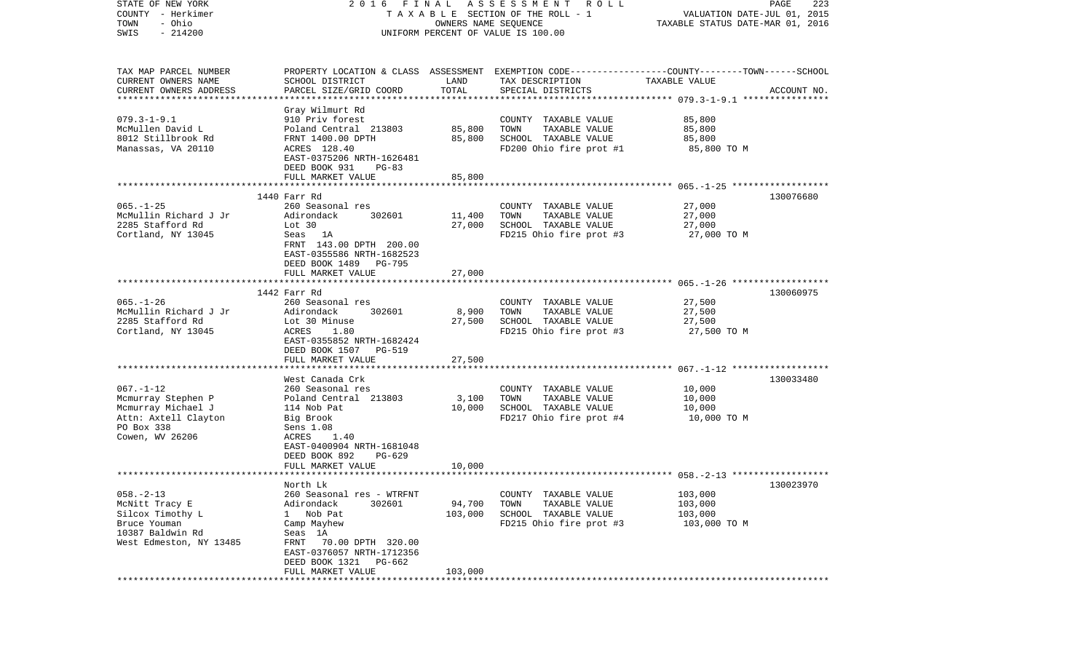| STATE OF NEW YORK       | FINAL<br>2016                         |                             | A S S E S S M E N T R O L L                                                                     |                                  | PAGE<br>223 |
|-------------------------|---------------------------------------|-----------------------------|-------------------------------------------------------------------------------------------------|----------------------------------|-------------|
| COUNTY - Herkimer       | T A X A B L E SECTION OF THE ROLL - 1 | VALUATION DATE-JUL 01, 2015 |                                                                                                 |                                  |             |
| - Ohio<br>TOWN          | OWNERS NAME SEQUENCE                  |                             |                                                                                                 | TAXABLE STATUS DATE-MAR 01, 2016 |             |
| $-214200$<br>SWIS       | UNIFORM PERCENT OF VALUE IS 100.00    |                             |                                                                                                 |                                  |             |
|                         |                                       |                             |                                                                                                 |                                  |             |
|                         |                                       |                             |                                                                                                 |                                  |             |
| TAX MAP PARCEL NUMBER   |                                       |                             | PROPERTY LOCATION & CLASS ASSESSMENT EXEMPTION CODE---------------COUNTY-------TOWN------SCHOOL |                                  |             |
|                         |                                       |                             |                                                                                                 |                                  |             |
| CURRENT OWNERS NAME     | SCHOOL DISTRICT                       | LAND                        | TAX DESCRIPTION                                                                                 | TAXABLE VALUE                    |             |
| CURRENT OWNERS ADDRESS  | PARCEL SIZE/GRID COORD                | TOTAL                       | SPECIAL DISTRICTS                                                                               |                                  | ACCOUNT NO. |
|                         | Gray Wilmurt Rd                       |                             |                                                                                                 |                                  |             |
| $079.3 - 1 - 9.1$       | 910 Priv forest                       |                             | COUNTY TAXABLE VALUE                                                                            | 85,800                           |             |
| McMullen David L        | Poland Central 213803                 | 85,800                      | TAXABLE VALUE<br>TOWN                                                                           | 85,800                           |             |
| 8012 Stillbrook Rd      | FRNT 1400.00 DPTH                     | 85,800                      | SCHOOL TAXABLE VALUE                                                                            | 85,800                           |             |
| Manassas, VA 20110      | ACRES 128.40                          |                             | FD200 Ohio fire prot #1                                                                         | 85,800 TO M                      |             |
|                         | EAST-0375206 NRTH-1626481             |                             |                                                                                                 |                                  |             |
|                         |                                       |                             |                                                                                                 |                                  |             |
|                         | DEED BOOK 931<br>PG-83                |                             |                                                                                                 |                                  |             |
|                         | FULL MARKET VALUE                     | 85,800                      |                                                                                                 |                                  |             |
|                         | 1440 Farr Rd                          |                             |                                                                                                 |                                  | 130076680   |
| $065. - 1 - 25$         | 260 Seasonal res                      |                             | COUNTY TAXABLE VALUE                                                                            | 27,000                           |             |
| McMullin Richard J Jr   | Adirondack<br>302601                  | 11,400                      | TAXABLE VALUE<br>TOWN                                                                           | 27,000                           |             |
| 2285 Stafford Rd        | Lot 30                                | 27,000                      | SCHOOL TAXABLE VALUE                                                                            | 27,000                           |             |
|                         |                                       |                             |                                                                                                 |                                  |             |
| Cortland, NY 13045      | Seas 1A                               |                             | FD215 Ohio fire prot #3                                                                         | 27,000 TO M                      |             |
|                         | FRNT 143.00 DPTH 200.00               |                             |                                                                                                 |                                  |             |
|                         | EAST-0355586 NRTH-1682523             |                             |                                                                                                 |                                  |             |
|                         | DEED BOOK 1489 PG-795                 |                             |                                                                                                 |                                  |             |
|                         | FULL MARKET VALUE                     | 27,000                      |                                                                                                 |                                  |             |
|                         |                                       |                             |                                                                                                 |                                  |             |
|                         | 1442 Farr Rd                          |                             |                                                                                                 |                                  | 130060975   |
| $065. - 1 - 26$         | 260 Seasonal res                      |                             | COUNTY TAXABLE VALUE                                                                            | 27,500                           |             |
| McMullin Richard J Jr   | Adirondack<br>302601                  | 8,900                       | TAXABLE VALUE<br>TOWN                                                                           | 27,500                           |             |
| 2285 Stafford Rd        | Lot 30 Minuse                         | 27,500                      | SCHOOL TAXABLE VALUE                                                                            | 27,500                           |             |
| Cortland, NY 13045      | 1.80<br>ACRES                         |                             | FD215 Ohio fire prot #3                                                                         | 27,500 TO M                      |             |
|                         | EAST-0355852 NRTH-1682424             |                             |                                                                                                 |                                  |             |
|                         | DEED BOOK 1507 PG-519                 |                             |                                                                                                 |                                  |             |
|                         | FULL MARKET VALUE                     | 27,500                      |                                                                                                 |                                  |             |
|                         |                                       |                             |                                                                                                 |                                  |             |
|                         | West Canada Crk                       |                             |                                                                                                 |                                  | 130033480   |
| $067. - 1 - 12$         | 260 Seasonal res                      |                             | COUNTY TAXABLE VALUE                                                                            | 10,000                           |             |
| Mcmurray Stephen P      | Poland Central 213803                 | 3,100                       | TAXABLE VALUE<br>TOWN                                                                           | 10,000                           |             |
| Mcmurray Michael J      | 114 Nob Pat                           | 10,000                      | SCHOOL TAXABLE VALUE                                                                            | 10,000                           |             |
| Attn: Axtell Clayton    | Big Brook                             |                             | FD217 Ohio fire prot #4                                                                         | 10,000 TO M                      |             |
| PO Box 338              | Sens 1.08                             |                             |                                                                                                 |                                  |             |
| Cowen, WV 26206         | ACRES<br>1.40                         |                             |                                                                                                 |                                  |             |
|                         | EAST-0400904 NRTH-1681048             |                             |                                                                                                 |                                  |             |
|                         | DEED BOOK 892<br>PG-629               |                             |                                                                                                 |                                  |             |
|                         | FULL MARKET VALUE                     | 10,000                      |                                                                                                 |                                  |             |
|                         |                                       |                             |                                                                                                 |                                  |             |
|                         | North Lk                              |                             |                                                                                                 |                                  | 130023970   |
| $058. - 2 - 13$         | 260 Seasonal res - WTRFNT             |                             | COUNTY TAXABLE VALUE                                                                            | 103,000                          |             |
| McNitt Tracy E          | 302601<br>Adirondack                  | 94,700                      | TAXABLE VALUE<br>TOWN                                                                           | 103,000                          |             |
| Silcox Timothy L        | Nob Pat<br>$\mathbf{1}$               | 103,000                     | SCHOOL TAXABLE VALUE                                                                            | 103,000                          |             |
| Bruce Youman            | Camp Mayhew                           |                             | FD215 Ohio fire prot #3                                                                         | 103,000 TO M                     |             |
| 10387 Baldwin Rd        | Seas 1A                               |                             |                                                                                                 |                                  |             |
| West Edmeston, NY 13485 | 70.00 DPTH 320.00<br>FRNT             |                             |                                                                                                 |                                  |             |
|                         | EAST-0376057 NRTH-1712356             |                             |                                                                                                 |                                  |             |
|                         | DEED BOOK 1321<br>PG-662              |                             |                                                                                                 |                                  |             |
|                         |                                       |                             |                                                                                                 |                                  |             |
|                         | FULL MARKET VALUE                     | 103,000                     |                                                                                                 |                                  |             |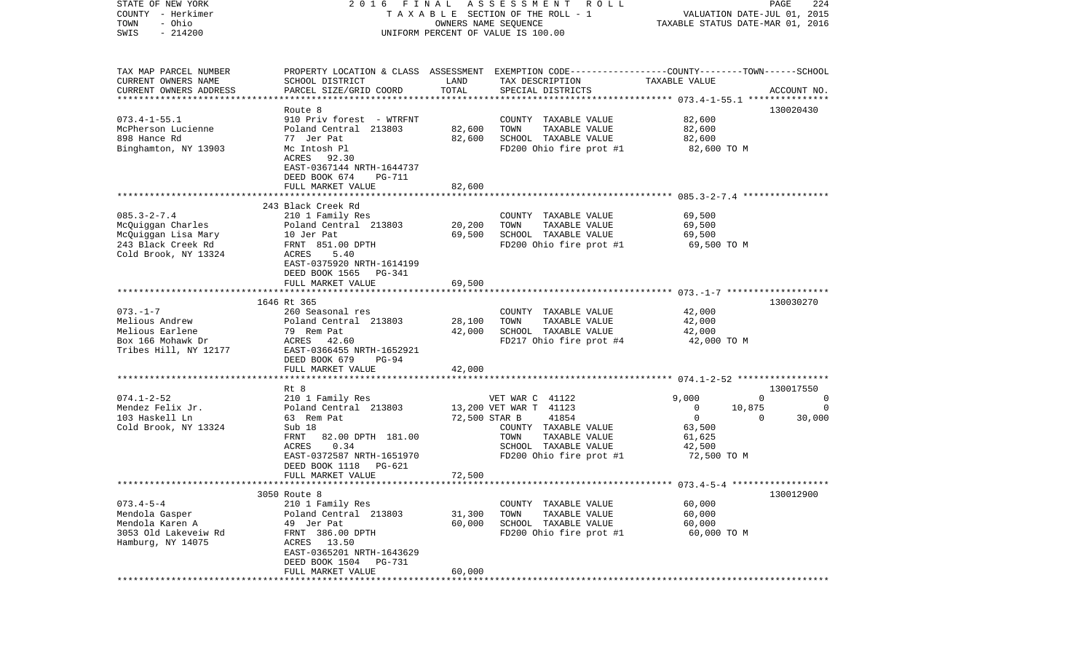| STATE OF NEW YORK                                   | 2016 FINAL                                            |                                  | A S S E S S M E N T R O L L                                                                     |                                    | PAGE<br>224        |
|-----------------------------------------------------|-------------------------------------------------------|----------------------------------|-------------------------------------------------------------------------------------------------|------------------------------------|--------------------|
| COUNTY - Herkimer                                   |                                                       | OWNERS NAME SEQUENCE             | T A X A B L E SECTION OF THE ROLL - 1                                                           | VALUATION DATE-JUL 01, 2015        |                    |
| - Ohio<br>TOWN<br>$-214200$<br>SWIS                 |                                                       | TAXABLE STATUS DATE-MAR 01, 2016 |                                                                                                 |                                    |                    |
|                                                     |                                                       |                                  | UNIFORM PERCENT OF VALUE IS 100.00                                                              |                                    |                    |
| TAX MAP PARCEL NUMBER                               |                                                       |                                  | PROPERTY LOCATION & CLASS ASSESSMENT EXEMPTION CODE---------------COUNTY-------TOWN------SCHOOL |                                    |                    |
| CURRENT OWNERS NAME                                 | SCHOOL DISTRICT                                       | LAND                             | TAX DESCRIPTION                                                                                 | TAXABLE VALUE                      |                    |
| CURRENT OWNERS ADDRESS<br>************************* | PARCEL SIZE/GRID COORD                                | TOTAL                            | SPECIAL DISTRICTS                                                                               |                                    | ACCOUNT NO.        |
|                                                     | Route 8                                               |                                  |                                                                                                 |                                    | 130020430          |
| $073.4 - 1 - 55.1$                                  | 910 Priv forest - WTRFNT                              |                                  | COUNTY TAXABLE VALUE                                                                            | 82,600                             |                    |
| McPherson Lucienne                                  | Poland Central 213803                                 | 82,600                           | TOWN<br>TAXABLE VALUE                                                                           | 82,600                             |                    |
| 898 Hance Rd                                        | 77 Jer Pat                                            | 82,600                           | SCHOOL TAXABLE VALUE                                                                            | 82,600                             |                    |
| Binghamton, NY 13903                                | Mc Intosh Pl                                          |                                  | FD200 Ohio fire prot #1                                                                         | 82,600 TO M                        |                    |
|                                                     | ACRES 92.30                                           |                                  |                                                                                                 |                                    |                    |
|                                                     | EAST-0367144 NRTH-1644737                             |                                  |                                                                                                 |                                    |                    |
|                                                     | DEED BOOK 674<br><b>PG-711</b>                        |                                  |                                                                                                 |                                    |                    |
|                                                     | FULL MARKET VALUE                                     | 82,600                           |                                                                                                 |                                    |                    |
|                                                     | 243 Black Creek Rd                                    |                                  |                                                                                                 |                                    |                    |
| $085.3 - 2 - 7.4$                                   | 210 1 Family Res                                      |                                  | COUNTY TAXABLE VALUE                                                                            | 69,500                             |                    |
| McQuiggan Charles                                   | Poland Central 213803                                 | 20,200                           | TAXABLE VALUE<br>TOWN                                                                           | 69,500                             |                    |
| McQuiggan Lisa Mary                                 | 10 Jer Pat                                            | 69,500                           | SCHOOL TAXABLE VALUE                                                                            | 69,500                             |                    |
| 243 Black Creek Rd                                  | FRNT 851.00 DPTH                                      |                                  | FD200 Ohio fire prot #1                                                                         | 69,500 TO M                        |                    |
| Cold Brook, NY 13324                                | ACRES<br>5.40                                         |                                  |                                                                                                 |                                    |                    |
|                                                     | EAST-0375920 NRTH-1614199                             |                                  |                                                                                                 |                                    |                    |
|                                                     | DEED BOOK 1565<br>PG-341<br>FULL MARKET VALUE         | 69,500                           |                                                                                                 |                                    |                    |
|                                                     |                                                       |                                  |                                                                                                 |                                    |                    |
|                                                     | 1646 Rt 365                                           |                                  |                                                                                                 |                                    | 130030270          |
| $073. - 1 - 7$                                      | 260 Seasonal res                                      |                                  | COUNTY TAXABLE VALUE                                                                            | 42,000                             |                    |
| Melious Andrew                                      | Poland Central 213803                                 | 28,100                           | TOWN<br>TAXABLE VALUE                                                                           | 42,000                             |                    |
| Melious Earlene                                     | 79 Rem Pat                                            | 42,000                           | SCHOOL TAXABLE VALUE                                                                            | 42,000                             |                    |
| Box 166 Mohawk Dr                                   | ACRES 42.60                                           |                                  | FD217 Ohio fire prot #4                                                                         | 42,000 TO M                        |                    |
| Tribes Hill, NY 12177                               | EAST-0366455 NRTH-1652921                             |                                  |                                                                                                 |                                    |                    |
|                                                     | DEED BOOK 679<br>PG-94                                |                                  |                                                                                                 |                                    |                    |
|                                                     | FULL MARKET VALUE<br>***************************      | 42,000                           |                                                                                                 |                                    |                    |
|                                                     | Rt 8                                                  |                                  |                                                                                                 |                                    | 130017550          |
| $074.1 - 2 - 52$                                    | 210 1 Family Res                                      |                                  | VET WAR C 41122                                                                                 | 9,000                              | $\Omega$<br>0      |
| Mendez Felix Jr.                                    | Poland Central 213803                                 |                                  | 13,200 VET WAR T 41123                                                                          | $\overline{\phantom{0}}$<br>10,875 | 0                  |
| 103 Haskell Ln                                      | 63 Rem Pat                                            | 72,500 STAR B                    | 41854                                                                                           | $\overline{0}$                     | 30,000<br>$\Omega$ |
| Cold Brook, NY 13324                                | Sub 18                                                |                                  | COUNTY TAXABLE VALUE                                                                            | 63,500                             |                    |
|                                                     | 82.00 DPTH 181.00<br>FRNT                             |                                  | TAXABLE VALUE<br>TOWN                                                                           | 61,625                             |                    |
|                                                     | 0.34<br>ACRES                                         |                                  | SCHOOL TAXABLE VALUE                                                                            | 42,500                             |                    |
|                                                     | EAST-0372587 NRTH-1651970<br>DEED BOOK 1118<br>PG-621 |                                  | FD200 Ohio fire prot #1                                                                         | 72,500 TO M                        |                    |
|                                                     | FULL MARKET VALUE                                     | 72,500                           |                                                                                                 |                                    |                    |
|                                                     |                                                       |                                  |                                                                                                 |                                    |                    |
|                                                     | 3050 Route 8                                          |                                  |                                                                                                 |                                    | 130012900          |
| $073.4 - 5 - 4$                                     | 210 1 Family Res                                      |                                  | COUNTY<br>TAXABLE VALUE                                                                         | 60,000                             |                    |
| Mendola Gasper                                      | Poland Central 213803                                 | 31,300                           | TOWN<br>TAXABLE VALUE                                                                           | 60,000                             |                    |
| Mendola Karen A                                     | 49 Jer Pat                                            | 60,000                           | SCHOOL TAXABLE VALUE                                                                            | 60,000                             |                    |
| 3053 Old Lakeveiw Rd                                | FRNT 386.00 DPTH                                      |                                  | FD200 Ohio fire prot #1                                                                         | 60,000 TO M                        |                    |
| Hamburg, NY 14075                                   | 13.50<br>ACRES                                        |                                  |                                                                                                 |                                    |                    |
|                                                     | EAST-0365201 NRTH-1643629<br><b>PG-731</b>            |                                  |                                                                                                 |                                    |                    |
|                                                     | DEED BOOK 1504<br>FULL MARKET VALUE                   | 60,000                           |                                                                                                 |                                    |                    |
|                                                     |                                                       |                                  |                                                                                                 |                                    |                    |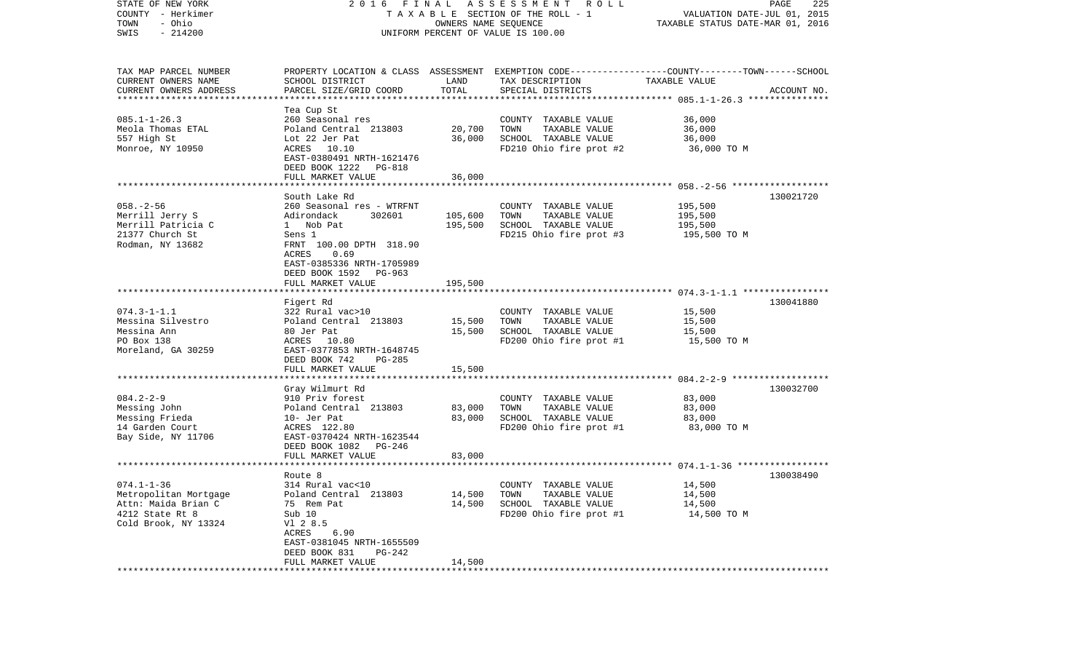| STATE OF NEW YORK<br>COUNTY - Herkimer<br>- Ohio<br>TOWN<br>$-214200$<br>SWIS | 2016 FINAL ASSESSMENT<br>R O L L<br>TAXABLE SECTION OF THE ROLL - 1<br>OWNERS NAME SEQUENCE<br>UNIFORM PERCENT OF VALUE IS 100.00 |                  |                                                                                                 | PAGE<br>225<br>VALUATION DATE-JUL 01, 2015<br>TAXABLE STATUS DATE-MAR 01, 2016 |             |  |
|-------------------------------------------------------------------------------|-----------------------------------------------------------------------------------------------------------------------------------|------------------|-------------------------------------------------------------------------------------------------|--------------------------------------------------------------------------------|-------------|--|
| TAX MAP PARCEL NUMBER                                                         |                                                                                                                                   |                  | PROPERTY LOCATION & CLASS ASSESSMENT EXEMPTION CODE---------------COUNTY-------TOWN------SCHOOL |                                                                                |             |  |
| CURRENT OWNERS NAME<br>CURRENT OWNERS ADDRESS                                 | SCHOOL DISTRICT<br>PARCEL SIZE/GRID COORD                                                                                         | LAND<br>TOTAL    | TAX DESCRIPTION<br>SPECIAL DISTRICTS                                                            | TAXABLE VALUE                                                                  | ACCOUNT NO. |  |
| ***********************                                                       |                                                                                                                                   |                  |                                                                                                 |                                                                                |             |  |
|                                                                               | Tea Cup St                                                                                                                        |                  |                                                                                                 |                                                                                |             |  |
| $085.1 - 1 - 26.3$                                                            | 260 Seasonal res                                                                                                                  |                  | COUNTY TAXABLE VALUE                                                                            | 36,000                                                                         |             |  |
| Meola Thomas ETAL<br>557 High St                                              | Poland Central 213803<br>Lot 22 Jer Pat                                                                                           | 20,700<br>36,000 | TOWN<br>TAXABLE VALUE<br>SCHOOL TAXABLE VALUE                                                   | 36,000<br>36,000                                                               |             |  |
| Monroe, NY 10950                                                              | ACRES 10.10                                                                                                                       |                  | FD210 Ohio fire prot #2                                                                         | 36,000 TO M                                                                    |             |  |
|                                                                               | EAST-0380491 NRTH-1621476                                                                                                         |                  |                                                                                                 |                                                                                |             |  |
|                                                                               | DEED BOOK 1222 PG-818                                                                                                             |                  |                                                                                                 |                                                                                |             |  |
|                                                                               | FULL MARKET VALUE                                                                                                                 | 36,000           |                                                                                                 |                                                                                |             |  |
|                                                                               |                                                                                                                                   |                  |                                                                                                 |                                                                                |             |  |
|                                                                               | South Lake Rd                                                                                                                     |                  |                                                                                                 |                                                                                | 130021720   |  |
| $058. - 2 - 56$<br>Merrill Jerry S                                            | 260 Seasonal res - WTRFNT<br>Adirondack<br>302601                                                                                 | 105,600          | COUNTY TAXABLE VALUE<br>TAXABLE VALUE<br>TOWN                                                   | 195,500<br>195,500                                                             |             |  |
| Merrill Patricia C                                                            | 1 Nob Pat                                                                                                                         | 195,500          | SCHOOL TAXABLE VALUE                                                                            | 195,500                                                                        |             |  |
| 21377 Church St                                                               | Sens 1                                                                                                                            |                  | FD215 Ohio fire prot #3                                                                         | 195,500 TO M                                                                   |             |  |
| Rodman, NY 13682                                                              | FRNT 100.00 DPTH 318.90                                                                                                           |                  |                                                                                                 |                                                                                |             |  |
|                                                                               | ACRES<br>0.69                                                                                                                     |                  |                                                                                                 |                                                                                |             |  |
|                                                                               | EAST-0385336 NRTH-1705989                                                                                                         |                  |                                                                                                 |                                                                                |             |  |
|                                                                               | DEED BOOK 1592 PG-963                                                                                                             |                  |                                                                                                 |                                                                                |             |  |
|                                                                               | FULL MARKET VALUE                                                                                                                 | 195,500          |                                                                                                 |                                                                                |             |  |
|                                                                               | Figert Rd                                                                                                                         |                  |                                                                                                 |                                                                                | 130041880   |  |
| $074.3 - 1 - 1.1$                                                             | 322 Rural vac>10                                                                                                                  |                  | COUNTY TAXABLE VALUE                                                                            | 15,500                                                                         |             |  |
| Messina Silvestro                                                             | Poland Central 213803                                                                                                             | 15,500           | TAXABLE VALUE<br>TOWN                                                                           | 15,500                                                                         |             |  |
| Messina Ann                                                                   | 80 Jer Pat                                                                                                                        | 15,500           | SCHOOL TAXABLE VALUE                                                                            | 15,500                                                                         |             |  |
| PO Box 138                                                                    | ACRES 10.80                                                                                                                       |                  | FD200 Ohio fire prot #1                                                                         | 15,500 TO M                                                                    |             |  |
| Moreland, GA 30259                                                            | EAST-0377853 NRTH-1648745                                                                                                         |                  |                                                                                                 |                                                                                |             |  |
|                                                                               | DEED BOOK 742<br>PG-285<br>FULL MARKET VALUE                                                                                      | 15,500           |                                                                                                 |                                                                                |             |  |
|                                                                               | ********************                                                                                                              |                  |                                                                                                 |                                                                                |             |  |
|                                                                               | Gray Wilmurt Rd                                                                                                                   |                  |                                                                                                 |                                                                                | 130032700   |  |
| $084.2 - 2 - 9$                                                               | 910 Priv forest                                                                                                                   |                  | COUNTY TAXABLE VALUE                                                                            | 83,000                                                                         |             |  |
| Messing John                                                                  | Poland Central 213803                                                                                                             | 83,000           | TOWN<br>TAXABLE VALUE                                                                           | 83,000                                                                         |             |  |
| Messing Frieda                                                                | 10- Jer Pat                                                                                                                       | 83,000           | SCHOOL TAXABLE VALUE                                                                            | 83,000                                                                         |             |  |
| 14 Garden Court                                                               | ACRES 122.80                                                                                                                      |                  | FD200 Ohio fire prot #1                                                                         | 83,000 TO M                                                                    |             |  |
| Bay Side, NY 11706                                                            | EAST-0370424 NRTH-1623544<br>DEED BOOK 1082 PG-246                                                                                |                  |                                                                                                 |                                                                                |             |  |
|                                                                               | FULL MARKET VALUE                                                                                                                 | 83,000           |                                                                                                 |                                                                                |             |  |
|                                                                               |                                                                                                                                   |                  |                                                                                                 |                                                                                |             |  |
|                                                                               | Route 8                                                                                                                           |                  |                                                                                                 |                                                                                | 130038490   |  |
| $074.1 - 1 - 36$                                                              | 314 Rural vac<10                                                                                                                  |                  | COUNTY TAXABLE VALUE                                                                            | 14,500                                                                         |             |  |
| Metropolitan Mortgage                                                         | Poland Central 213803                                                                                                             | 14,500           | TAXABLE VALUE<br>TOWN                                                                           | 14,500                                                                         |             |  |
| Attn: Maida Brian C                                                           | 75 Rem Pat                                                                                                                        | 14,500           | SCHOOL TAXABLE VALUE                                                                            | 14,500                                                                         |             |  |
| 4212 State Rt 8<br>Cold Brook, NY 13324                                       | Sub 10<br>V1 2 8.5                                                                                                                |                  | FD200 Ohio fire prot #1                                                                         | 14,500 TO M                                                                    |             |  |
|                                                                               | ACRES<br>6.90                                                                                                                     |                  |                                                                                                 |                                                                                |             |  |
|                                                                               | EAST-0381045 NRTH-1655509                                                                                                         |                  |                                                                                                 |                                                                                |             |  |
|                                                                               | DEED BOOK 831<br>PG-242                                                                                                           |                  |                                                                                                 |                                                                                |             |  |
|                                                                               | FULL MARKET VALUE                                                                                                                 | 14,500           |                                                                                                 |                                                                                |             |  |
|                                                                               |                                                                                                                                   |                  |                                                                                                 |                                                                                |             |  |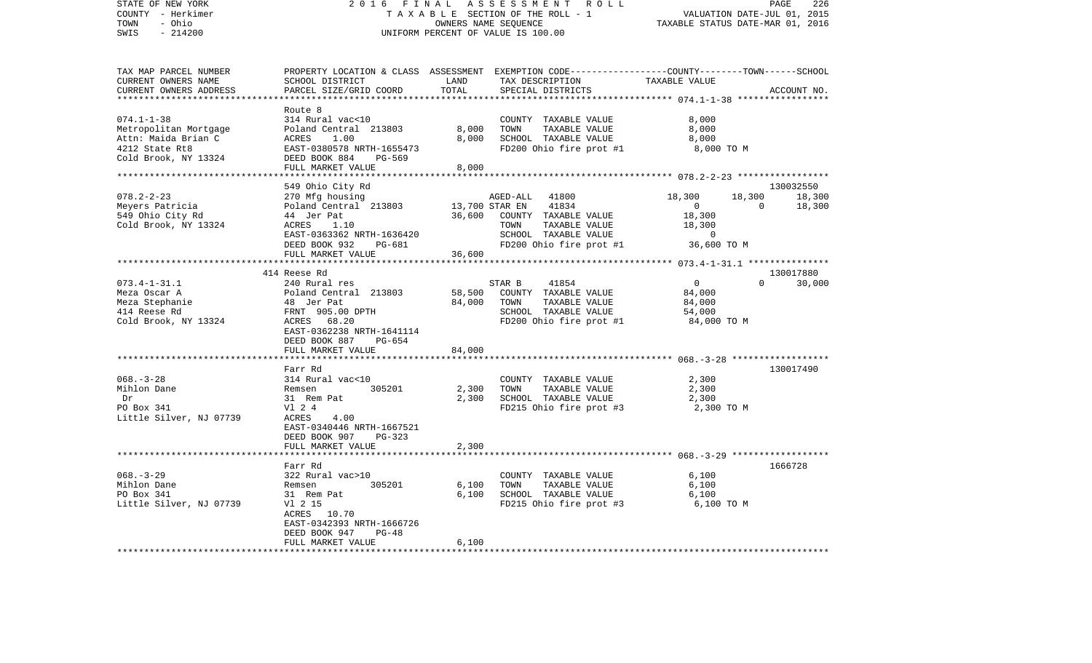| STATE OF NEW YORK<br>COUNTY - Herkimer<br>- Ohio<br>TOWN | 2016<br>FINAL<br>T A X A B L E SECTION OF THE ROLL - 1          | 226<br>PAGE<br>VALUATION DATE-JUL 01, 2015<br>TAXABLE STATUS DATE-MAR 01, 2016 |                                                                                                  |                |                       |  |
|----------------------------------------------------------|-----------------------------------------------------------------|--------------------------------------------------------------------------------|--------------------------------------------------------------------------------------------------|----------------|-----------------------|--|
| SWIS<br>$-214200$                                        | UNIFORM PERCENT OF VALUE IS 100.00                              |                                                                                |                                                                                                  |                |                       |  |
| TAX MAP PARCEL NUMBER                                    |                                                                 |                                                                                | PROPERTY LOCATION & CLASS ASSESSMENT EXEMPTION CODE----------------COUNTY-------TOWN------SCHOOL |                |                       |  |
| CURRENT OWNERS NAME<br>CURRENT OWNERS ADDRESS            | SCHOOL DISTRICT<br>PARCEL SIZE/GRID COORD<br>****************** | LAND<br>TOTAL<br>* * * * * * * * * * * *                                       | TAX DESCRIPTION<br>SPECIAL DISTRICTS                                                             | TAXABLE VALUE  | ACCOUNT NO.           |  |
|                                                          | Route 8                                                         |                                                                                |                                                                                                  |                |                       |  |
| $074.1 - 1 - 38$                                         | 314 Rural vac<10                                                |                                                                                | COUNTY TAXABLE VALUE                                                                             | 8,000          |                       |  |
| Metropolitan Mortgage                                    | Poland Central 213803                                           | 8,000                                                                          | TOWN<br>TAXABLE VALUE                                                                            | 8,000          |                       |  |
| Attn: Maida Brian C                                      | ACRES<br>1.00                                                   | 8,000                                                                          | SCHOOL TAXABLE VALUE                                                                             | 8,000          |                       |  |
| 4212 State Rt8<br>Cold Brook, NY 13324                   | EAST-0380578 NRTH-1655473<br>DEED BOOK 884<br>PG-569            |                                                                                | FD200 Ohio fire prot #1                                                                          | 8,000 TO M     |                       |  |
| *********************                                    | FULL MARKET VALUE<br>***************************                | 8,000                                                                          |                                                                                                  |                |                       |  |
|                                                          | 549 Ohio City Rd                                                |                                                                                |                                                                                                  |                | 130032550             |  |
| $078.2 - 2 - 23$                                         | 270 Mfg housing                                                 |                                                                                | AGED-ALL<br>41800                                                                                | 18,300         | 18,300<br>18,300      |  |
| Meyers Patricia                                          | Poland Central 213803                                           |                                                                                | 13,700 STAR EN<br>41834                                                                          | 0              | 18,300<br>$\mathbf 0$ |  |
| 549 Ohio City Rd                                         | 44 Jer Pat                                                      | 36,600                                                                         | COUNTY TAXABLE VALUE                                                                             | 18,300         |                       |  |
| Cold Brook, NY 13324                                     | ACRES<br>1.10                                                   |                                                                                | TOWN<br>TAXABLE VALUE                                                                            | 18,300         |                       |  |
|                                                          | EAST-0363362 NRTH-1636420                                       |                                                                                | SCHOOL TAXABLE VALUE                                                                             | $\Omega$       |                       |  |
|                                                          | DEED BOOK 932<br>PG-681                                         |                                                                                | FD200 Ohio fire prot #1                                                                          | 36,600 TO M    |                       |  |
|                                                          | FULL MARKET VALUE<br>**********************                     | 36,600                                                                         |                                                                                                  |                |                       |  |
|                                                          | 414 Reese Rd                                                    |                                                                                |                                                                                                  |                | 130017880             |  |
| $073.4 - 1 - 31.1$                                       | 240 Rural res                                                   |                                                                                | STAR B<br>41854                                                                                  | $\mathbf 0$    | $\Omega$<br>30,000    |  |
| Meza Oscar A                                             | Poland Central 213803                                           | 58,500                                                                         | COUNTY TAXABLE VALUE                                                                             | 84,000         |                       |  |
| Meza Stephanie                                           | 48 Jer Pat                                                      | 84,000                                                                         | TOWN<br>TAXABLE VALUE                                                                            | 84,000         |                       |  |
| 414 Reese Rd                                             | FRNT 905.00 DPTH                                                |                                                                                | SCHOOL TAXABLE VALUE                                                                             | 54,000         |                       |  |
| Cold Brook, NY 13324                                     | 68.20<br>ACRES                                                  |                                                                                | FD200 Ohio fire prot #1                                                                          | 84,000 TO M    |                       |  |
|                                                          | EAST-0362238 NRTH-1641114<br>DEED BOOK 887<br>PG-654            |                                                                                |                                                                                                  |                |                       |  |
|                                                          | FULL MARKET VALUE                                               | 84,000                                                                         |                                                                                                  |                |                       |  |
|                                                          | *****************                                               |                                                                                |                                                                                                  |                |                       |  |
| $068. - 3 - 28$                                          | Farr Rd<br>314 Rural vac<10                                     |                                                                                | COUNTY TAXABLE VALUE                                                                             | 2,300          | 130017490             |  |
| Mihlon Dane                                              | 305201<br>Remsen                                                | 2,300                                                                          | TOWN<br>TAXABLE VALUE                                                                            | 2,300          |                       |  |
| Dr                                                       | 31 Rem Pat                                                      | 2,300                                                                          | SCHOOL TAXABLE VALUE                                                                             | 2,300          |                       |  |
| PO Box 341                                               | V1 2 4                                                          |                                                                                | FD215 Ohio fire prot #3                                                                          | 2,300 TO M     |                       |  |
| Little Silver, NJ 07739                                  | ACRES<br>4.00                                                   |                                                                                |                                                                                                  |                |                       |  |
|                                                          | EAST-0340446 NRTH-1667521                                       |                                                                                |                                                                                                  |                |                       |  |
|                                                          | DEED BOOK 907<br>$PG-323$                                       |                                                                                |                                                                                                  |                |                       |  |
|                                                          | FULL MARKET VALUE                                               | 2,300                                                                          |                                                                                                  |                |                       |  |
|                                                          | ******************                                              |                                                                                |                                                                                                  |                |                       |  |
|                                                          | Farr Rd                                                         |                                                                                |                                                                                                  |                | 1666728               |  |
| $068. - 3 - 29$<br>Mihlon Dane                           | 322 Rural vac>10<br>305201<br>Remsen                            | 6,100                                                                          | COUNTY TAXABLE VALUE<br>TOWN<br>TAXABLE VALUE                                                    | 6,100<br>6,100 |                       |  |
| PO Box 341                                               | 31 Rem Pat                                                      | 6,100                                                                          | SCHOOL TAXABLE VALUE                                                                             | 6,100          |                       |  |
| Little Silver, NJ 07739                                  | V1 2 15                                                         |                                                                                | FD215 Ohio fire prot #3                                                                          | 6,100 TO M     |                       |  |
|                                                          | ACRES 10.70                                                     |                                                                                |                                                                                                  |                |                       |  |
|                                                          | EAST-0342393 NRTH-1666726                                       |                                                                                |                                                                                                  |                |                       |  |
|                                                          | DEED BOOK 947<br>$PG-48$                                        |                                                                                |                                                                                                  |                |                       |  |
|                                                          | FULL MARKET VALUE                                               | 6,100                                                                          |                                                                                                  |                |                       |  |
|                                                          |                                                                 |                                                                                |                                                                                                  |                |                       |  |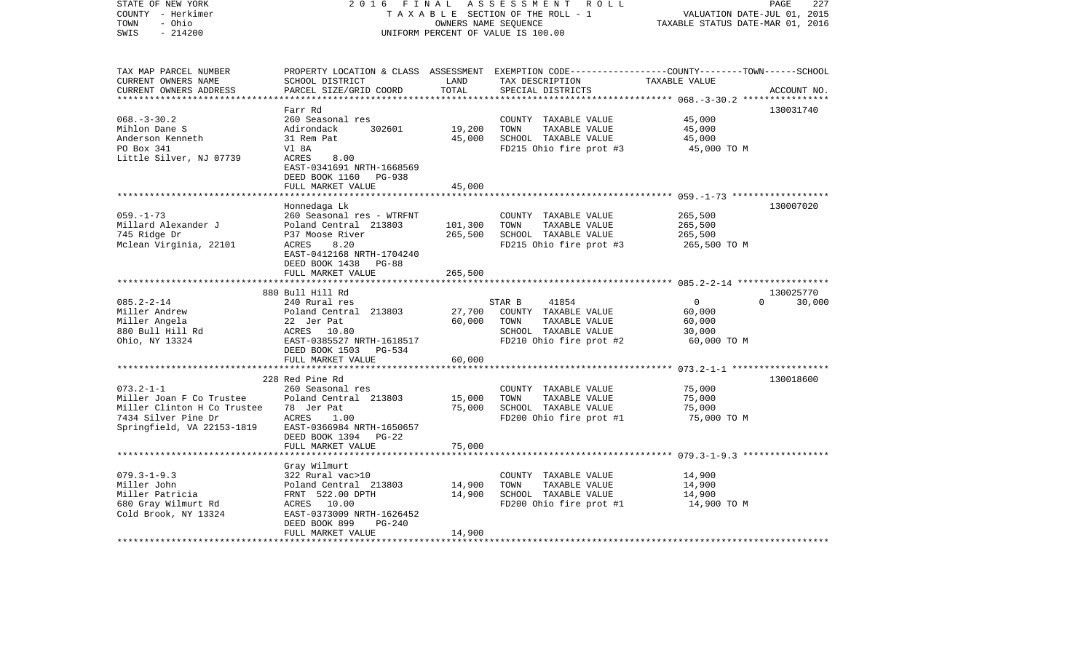| STATE OF NEW YORK<br>COUNTY - Herkimer<br>- Ohio<br>TOWN<br>$-214200$<br>SWIS                                                   | 2 0 1 6<br>FINAL                                                                                                                                                                                      |                                         | A S S E S S M E N T R O L L<br>TAXABLE SECTION OF THE ROLL - 1<br>OWNERS NAME SEQUENCE<br>UNIFORM PERCENT OF VALUE IS 100.00                         | VALUATION DATE-JUL 01, 2015<br>TAXABLE STATUS DATE-MAR 01, 2016         | PAGE<br>227         |
|---------------------------------------------------------------------------------------------------------------------------------|-------------------------------------------------------------------------------------------------------------------------------------------------------------------------------------------------------|-----------------------------------------|------------------------------------------------------------------------------------------------------------------------------------------------------|-------------------------------------------------------------------------|---------------------|
| TAX MAP PARCEL NUMBER<br>CURRENT OWNERS NAME<br>CURRENT OWNERS ADDRESS<br>**************************                            | SCHOOL DISTRICT<br>PARCEL SIZE/GRID COORD                                                                                                                                                             | LAND<br>TOTAL                           | PROPERTY LOCATION & CLASS ASSESSMENT EXEMPTION CODE---------------COUNTY-------TOWN-----SCHOOL<br>TAX DESCRIPTION TAXABLE VALUE<br>SPECIAL DISTRICTS |                                                                         | ACCOUNT NO.         |
| $068. - 3 - 30.2$<br>Mihlon Dane S<br>Anderson Kenneth<br>PO Box 341<br>Little Silver, NJ 07739                                 | Farr Rd<br>260 Seasonal res<br>302601<br>Adirondack<br>31 Rem Pat<br>Vl 8A<br>ACRES<br>8.00<br>EAST-0341691 NRTH-1668569<br>DEED BOOK 1160 PG-938                                                     | 19,200<br>45,000                        | COUNTY TAXABLE VALUE<br>TOWN<br>TAXABLE VALUE<br>SCHOOL TAXABLE VALUE<br>FD215 Ohio fire prot #3 45,000 TO M                                         | 45,000<br>45,000<br>45,000                                              | 130031740           |
| $059. - 1 - 73$<br>Millard Alexander J<br>745 Ridge Dr<br>Mclean Virginia, 22101                                                | FULL MARKET VALUE<br>Honnedaga Lk<br>260 Seasonal res - WTRFNT<br>Poland Central 213803<br>P37 Moose River<br>ACRES<br>8.20<br>EAST-0412168 NRTH-1704240<br>DEED BOOK 1438 PG-88<br>FULL MARKET VALUE | 45,000<br>101,300<br>265,500<br>265,500 | COUNTY TAXABLE VALUE<br>TAXABLE VALUE<br>TOWN<br>SCHOOL TAXABLE VALUE<br>FD215 Ohio fire prot #3                                                     | 265,500<br>265,500<br>265,500<br>265,500 TO M                           | 130007020           |
| $085.2 - 2 - 14$<br>Miller Andrew<br>Miller Angela<br>880 Bull Hill Rd<br>Ohio, NY 13324<br>Ohio, NY 13324                      | 880 Bull Hill Rd<br>240 Rural res<br>Poland Central 213803<br>22 Jer Pat<br>ACRES 10.80<br>EAST-0385527 N<br>EAST-0385527 NRTH-1618517<br>DEED BOOK 1503 PG-534                                       | 27,700<br>60,000                        | STAR B<br>41854<br>COUNTY TAXABLE VALUE<br>TOWN<br>TAXABLE VALUE<br>SCHOOL TAXABLE VALUE<br>FD210 Ohio fire prot #2                                  | $\overline{0}$<br>$\Omega$<br>60,000<br>60,000<br>30,000<br>60,000 TO M | 130025770<br>30,000 |
| $073.2 - 1 - 1$<br>Miller Joan F Co Trustee<br>Miller Clinton H Co Trustee<br>7434 Silver Pine Dr<br>Springfield, VA 22153-1819 | FULL MARKET VALUE<br>228 Red Pine Rd<br>260 Seasonal res<br>Poland Central 213803<br>78 Jer Pat<br>ACRES<br>1.00<br>EAST-0366984 NRTH-1650657<br>DEED BOOK 1394 PG-22<br>FULL MARKET VALUE            | 60,000<br>15,000<br>75,000<br>75,000    | COUNTY TAXABLE VALUE<br>TOWN<br>TAXABLE VALUE<br>SCHOOL TAXABLE VALUE<br>FD200 Ohio fire prot #1                                                     | 75,000<br>75,000<br>75,000<br>75,000 TO M                               | 130018600           |
| $079.3 - 1 - 9.3$<br>Miller John<br>Miller Patricia<br>680 Gray Wilmurt Rd<br>Cold Brook, NY 13324                              | Gray Wilmurt<br>322 Rural vac>10<br>Poland Central 213803<br>FRNT 522.00 DPTH<br>ACRES 10.00<br>EAST-0373009 NRTH-1626452<br>DEED BOOK 899<br>PG-240<br>FULL MARKET VALUE                             | 14,900<br>14,900<br>14,900              | COUNTY TAXABLE VALUE<br>TOWN<br>TAXABLE VALUE<br>SCHOOL TAXABLE VALUE<br>FD200 Ohio fire prot #1                                                     | 14,900<br>14,900<br>14,900<br>14,900 TO M                               |                     |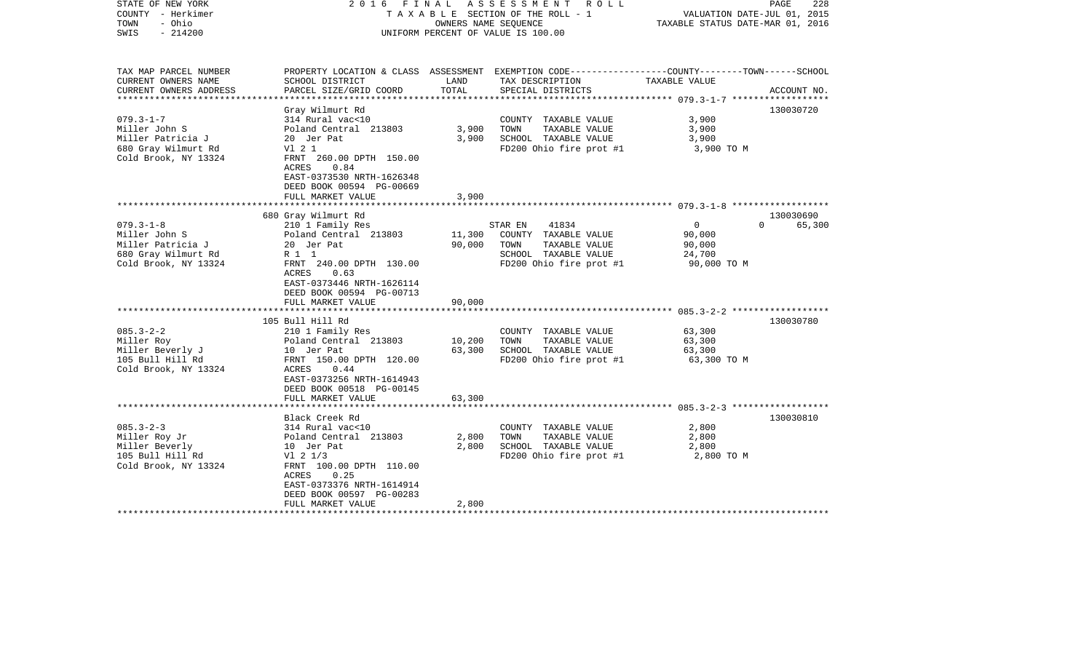| STATE OF NEW YORK<br>COUNTY - Herkimer<br>- Ohio<br>TOWN<br>$-214200$<br>SWIS                                                                                                                         | 2016 FINAL                                                                                                                                                                                                                                                                                                                                   |                                                                | ASSESSMENT<br>R O L L<br>TAXABLE SECTION OF THE ROLL - 1<br>OWNERS NAME SEQUENCE<br>UNIFORM PERCENT OF VALUE IS 100.00                                                                                                   | VALUATION DATE-JUL 01, 2015<br>TAXABLE STATUS DATE-MAR 01, 2016                                          | PAGE<br>228                                  |
|-------------------------------------------------------------------------------------------------------------------------------------------------------------------------------------------------------|----------------------------------------------------------------------------------------------------------------------------------------------------------------------------------------------------------------------------------------------------------------------------------------------------------------------------------------------|----------------------------------------------------------------|--------------------------------------------------------------------------------------------------------------------------------------------------------------------------------------------------------------------------|----------------------------------------------------------------------------------------------------------|----------------------------------------------|
| TAX MAP PARCEL NUMBER<br>CURRENT OWNERS NAME                                                                                                                                                          | SCHOOL DISTRICT                                                                                                                                                                                                                                                                                                                              | LAND                                                           | PROPERTY LOCATION & CLASS ASSESSMENT EXEMPTION CODE----------------COUNTY-------TOWN------SCHOOL<br>TAX DESCRIPTION                                                                                                      | TAXABLE VALUE                                                                                            |                                              |
| CURRENT OWNERS ADDRESS<br>**********************                                                                                                                                                      | PARCEL SIZE/GRID COORD                                                                                                                                                                                                                                                                                                                       | TOTAL                                                          | SPECIAL DISTRICTS                                                                                                                                                                                                        |                                                                                                          | ACCOUNT NO.                                  |
|                                                                                                                                                                                                       | Gray Wilmurt Rd                                                                                                                                                                                                                                                                                                                              |                                                                |                                                                                                                                                                                                                          |                                                                                                          | 130030720                                    |
| $079.3 - 1 - 7$<br>Miller John S<br>Miller Patricia J<br>680 Gray Wilmurt Rd                                                                                                                          | 314 Rural vac<10<br>Poland Central 213803<br>20 Jer Pat<br>V1 2 1                                                                                                                                                                                                                                                                            | 3,900<br>3,900                                                 | COUNTY TAXABLE VALUE<br>TOWN<br>TAXABLE VALUE<br>SCHOOL TAXABLE VALUE<br>FD200 Ohio fire prot #1                                                                                                                         | 3,900<br>3,900<br>3,900<br>3,900 TO M                                                                    |                                              |
| Cold Brook, NY 13324                                                                                                                                                                                  | FRNT 260.00 DPTH 150.00<br>ACRES<br>0.84<br>EAST-0373530 NRTH-1626348<br>DEED BOOK 00594 PG-00669<br>FULL MARKET VALUE                                                                                                                                                                                                                       | 3,900                                                          |                                                                                                                                                                                                                          |                                                                                                          |                                              |
|                                                                                                                                                                                                       | ************************                                                                                                                                                                                                                                                                                                                     |                                                                |                                                                                                                                                                                                                          |                                                                                                          |                                              |
| $079.3 - 1 - 8$<br>Miller John S<br>Miller Patricia J<br>680 Gray Wilmurt Rd<br>Cold Brook, NY 13324<br>$085.3 - 2 - 2$<br>Miller Roy<br>Miller Beverly J<br>105 Bull Hill Rd<br>Cold Brook, NY 13324 | 680 Gray Wilmurt Rd<br>210 1 Family Res<br>Poland Central 213803<br>20 Jer Pat<br>R 1 1<br>FRNT 240.00 DPTH 130.00<br>0.63<br>ACRES<br>EAST-0373446 NRTH-1626114<br>DEED BOOK 00594 PG-00713<br>FULL MARKET VALUE<br>105 Bull Hill Rd<br>210 1 Family Res<br>Poland Central 213803<br>10 Jer Pat<br>FRNT 150.00 DPTH 120.00<br>ACRES<br>0.44 | 11,300<br>90,000<br>90,000<br>************<br>10,200<br>63,300 | 41834<br>STAR EN<br>COUNTY TAXABLE VALUE<br>TAXABLE VALUE<br>TOWN<br>SCHOOL TAXABLE VALUE<br>FD200 Ohio fire prot #1<br>COUNTY TAXABLE VALUE<br>TOWN<br>TAXABLE VALUE<br>SCHOOL TAXABLE VALUE<br>FD200 Ohio fire prot #1 | $\overline{0}$<br>90,000<br>90,000<br>24,700<br>90,000 TO M<br>63,300<br>63,300<br>63,300<br>63,300 TO M | 130030690<br>65,300<br>$\Omega$<br>130030780 |
|                                                                                                                                                                                                       | EAST-0373256 NRTH-1614943<br>DEED BOOK 00518 PG-00145<br>FULL MARKET VALUE                                                                                                                                                                                                                                                                   | 63,300                                                         |                                                                                                                                                                                                                          |                                                                                                          |                                              |
|                                                                                                                                                                                                       | Black Creek Rd                                                                                                                                                                                                                                                                                                                               |                                                                |                                                                                                                                                                                                                          |                                                                                                          | 130030810                                    |
| $085.3 - 2 - 3$<br>Miller Roy Jr<br>Miller Beverly<br>105 Bull Hill Rd<br>Cold Brook, NY 13324                                                                                                        | 314 Rural vac<10<br>Poland Central 213803<br>10 Jer Pat<br>$VI$ 2 $1/3$<br>FRNT 100.00 DPTH 110.00<br>ACRES<br>0.25<br>EAST-0373376 NRTH-1614914<br>DEED BOOK 00597 PG-00283                                                                                                                                                                 | 2,800<br>2,800                                                 | COUNTY TAXABLE VALUE<br>TOWN<br>TAXABLE VALUE<br>SCHOOL TAXABLE VALUE<br>FD200 Ohio fire prot #1                                                                                                                         | 2,800<br>2,800<br>2,800<br>2,800 TO M                                                                    |                                              |
|                                                                                                                                                                                                       | FULL MARKET VALUE                                                                                                                                                                                                                                                                                                                            | 2,800                                                          |                                                                                                                                                                                                                          |                                                                                                          |                                              |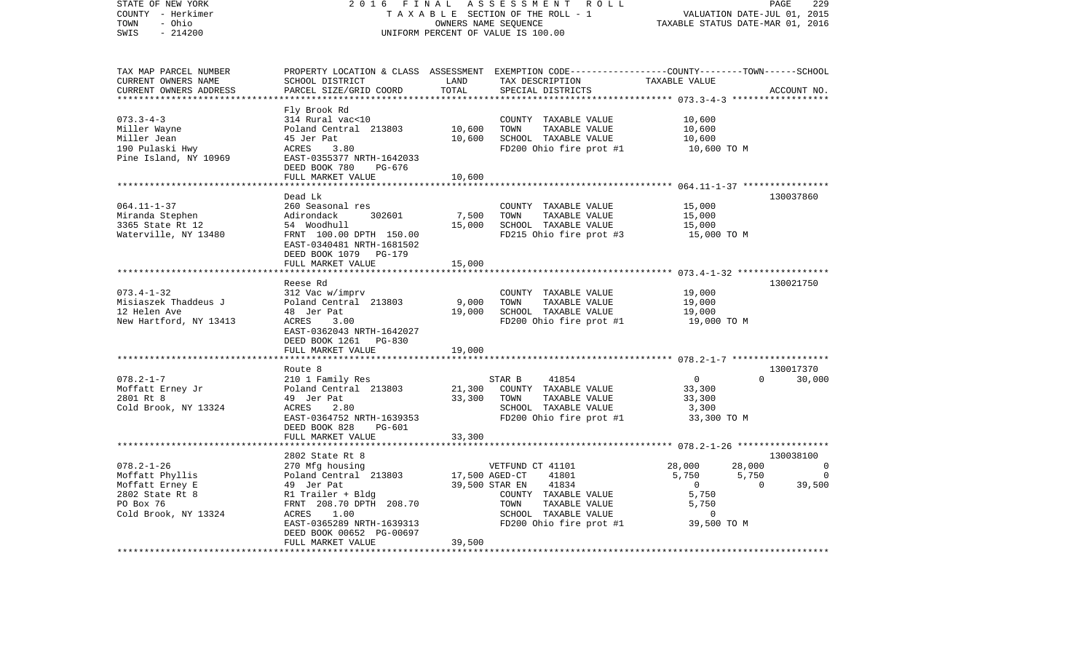| STATE OF NEW YORK<br>COUNTY - Herkimer<br>- Ohio<br>TOWN | 2 0 1 6<br><b>FINAL</b><br>ASSESSMENT ROLL<br>PAGE<br>TAXABLE SECTION OF THE ROLL - 1<br>VALUATION DATE-JUL 01, 2015<br>TAXABLE STATUS DATE-MAR 01, 2016<br>OWNERS NAME SEQUENCE |                |                                                                                                                     |                                  |                                            |
|----------------------------------------------------------|----------------------------------------------------------------------------------------------------------------------------------------------------------------------------------|----------------|---------------------------------------------------------------------------------------------------------------------|----------------------------------|--------------------------------------------|
| SWIS<br>$-214200$                                        | UNIFORM PERCENT OF VALUE IS 100.00                                                                                                                                               |                |                                                                                                                     |                                  |                                            |
| TAX MAP PARCEL NUMBER<br>CURRENT OWNERS NAME             | SCHOOL DISTRICT                                                                                                                                                                  | LAND           | PROPERTY LOCATION & CLASS ASSESSMENT EXEMPTION CODE----------------COUNTY-------TOWN------SCHOOL<br>TAX DESCRIPTION | TAXABLE VALUE                    |                                            |
| CURRENT OWNERS ADDRESS                                   | PARCEL SIZE/GRID COORD                                                                                                                                                           | TOTAL          | SPECIAL DISTRICTS                                                                                                   |                                  | ACCOUNT NO.                                |
| ************************                                 | Fly Brook Rd                                                                                                                                                                     |                |                                                                                                                     |                                  |                                            |
| $073.3 - 4 - 3$                                          | 314 Rural vac<10                                                                                                                                                                 |                | COUNTY TAXABLE VALUE                                                                                                | 10,600                           |                                            |
| Miller Wayne                                             | Poland Central 213803                                                                                                                                                            | 10,600         | TAXABLE VALUE<br>TOWN                                                                                               | 10,600                           |                                            |
| Miller Jean                                              | 45 Jer Pat                                                                                                                                                                       | 10,600         | SCHOOL TAXABLE VALUE                                                                                                | 10,600                           |                                            |
| 190 Pulaski Hwy<br>Pine Island, NY 10969                 | ACRES<br>3.80<br>EAST-0355377 NRTH-1642033<br>DEED BOOK 780<br>PG-676                                                                                                            |                | FD200 Ohio fire prot #1                                                                                             | 10,600 TO M                      |                                            |
|                                                          | FULL MARKET VALUE                                                                                                                                                                | 10,600         |                                                                                                                     |                                  |                                            |
|                                                          | Dead Lk                                                                                                                                                                          |                |                                                                                                                     |                                  | 130037860                                  |
| $064.11 - 1 - 37$                                        | 260 Seasonal res                                                                                                                                                                 |                | COUNTY TAXABLE VALUE                                                                                                | 15,000                           |                                            |
| Miranda Stephen                                          | Adirondack<br>302601                                                                                                                                                             | 7,500          | TOWN<br>TAXABLE VALUE                                                                                               | 15,000                           |                                            |
| 3365 State Rt 12                                         | 54 Woodhull                                                                                                                                                                      | 15,000         | SCHOOL TAXABLE VALUE                                                                                                | 15,000                           |                                            |
| Waterville, NY 13480                                     | FRNT 100.00 DPTH 150.00<br>EAST-0340481 NRTH-1681502<br>DEED BOOK 1079 PG-179                                                                                                    |                | FD215 Ohio fire prot #3                                                                                             | 15,000 TO M                      |                                            |
|                                                          | FULL MARKET VALUE                                                                                                                                                                | 15,000         |                                                                                                                     |                                  |                                            |
|                                                          | Reese Rd                                                                                                                                                                         |                |                                                                                                                     |                                  | 130021750                                  |
| $073.4 - 1 - 32$                                         | 312 Vac w/imprv                                                                                                                                                                  |                | COUNTY TAXABLE VALUE                                                                                                | 19,000                           |                                            |
| Misiaszek Thaddeus J                                     | Poland Central 213803                                                                                                                                                            | 9,000          | TOWN<br>TAXABLE VALUE                                                                                               | 19,000                           |                                            |
| 12 Helen Ave                                             | 48 Jer Pat                                                                                                                                                                       | 19,000         | SCHOOL TAXABLE VALUE                                                                                                | 19,000                           |                                            |
| New Hartford, NY 13413                                   | ACRES<br>3.00<br>EAST-0362043 NRTH-1642027<br>DEED BOOK 1261 PG-830                                                                                                              |                | FD200 Ohio fire prot #1                                                                                             | 19,000 TO M                      |                                            |
|                                                          | FULL MARKET VALUE<br>************************                                                                                                                                    | 19,000         |                                                                                                                     |                                  |                                            |
|                                                          | Route 8                                                                                                                                                                          |                |                                                                                                                     |                                  | 130017370                                  |
| $078.2 - 1 - 7$                                          | 210 1 Family Res                                                                                                                                                                 |                | STAR B<br>41854                                                                                                     | $\Omega$                         | $\Omega$<br>30,000                         |
| Moffatt Erney Jr                                         | Poland Central 213803                                                                                                                                                            | 21,300         | COUNTY TAXABLE VALUE                                                                                                | 33,300                           |                                            |
| 2801 Rt 8                                                | 49 Jer Pat                                                                                                                                                                       | 33,300         | TOWN<br>TAXABLE VALUE                                                                                               | 33,300                           |                                            |
| Cold Brook, NY 13324                                     | ACRES<br>2.80                                                                                                                                                                    |                | SCHOOL TAXABLE VALUE                                                                                                | 3,300                            |                                            |
|                                                          | EAST-0364752 NRTH-1639353<br>DEED BOOK 828<br>PG-601                                                                                                                             |                | FD200 Ohio fire prot #1                                                                                             | 33,300 TO M                      |                                            |
|                                                          | FULL MARKET VALUE                                                                                                                                                                | 33,300         |                                                                                                                     |                                  |                                            |
|                                                          |                                                                                                                                                                                  |                |                                                                                                                     |                                  |                                            |
|                                                          | 2802 State Rt 8                                                                                                                                                                  |                |                                                                                                                     |                                  | 130038100                                  |
| $078.2 - 1 - 26$                                         | 270 Mfg housing                                                                                                                                                                  |                | VETFUND CT 41101                                                                                                    | 28,000                           | 28,000<br>- 0                              |
| Moffatt Phyllis<br>Moffatt Erney E                       | Poland Central 213803<br>49 Jer Pat                                                                                                                                              | 17,500 AGED-CT | 41801<br>39,500 STAR EN<br>41834                                                                                    | 5,750<br>5,750<br>$\overline{0}$ | $\overline{0}$<br>$\overline{0}$<br>39,500 |
| 2802 State Rt 8                                          | R1 Trailer + Bldg                                                                                                                                                                |                | COUNTY TAXABLE VALUE                                                                                                | 5,750                            |                                            |
| PO Box 76                                                | FRNT 208.70 DPTH 208.70                                                                                                                                                          |                | TOWN<br>TAXABLE VALUE                                                                                               | 5,750                            |                                            |
| Cold Brook, NY 13324                                     | ACRES<br>1.00                                                                                                                                                                    |                | SCHOOL TAXABLE VALUE                                                                                                | $\overline{0}$                   |                                            |
|                                                          | EAST-0365289 NRTH-1639313<br>DEED BOOK 00652 PG-00697                                                                                                                            |                | FD200 Ohio fire prot #1                                                                                             | 39,500 TO M                      |                                            |
|                                                          | FULL MARKET VALUE                                                                                                                                                                | 39,500         |                                                                                                                     |                                  |                                            |
|                                                          |                                                                                                                                                                                  |                |                                                                                                                     |                                  |                                            |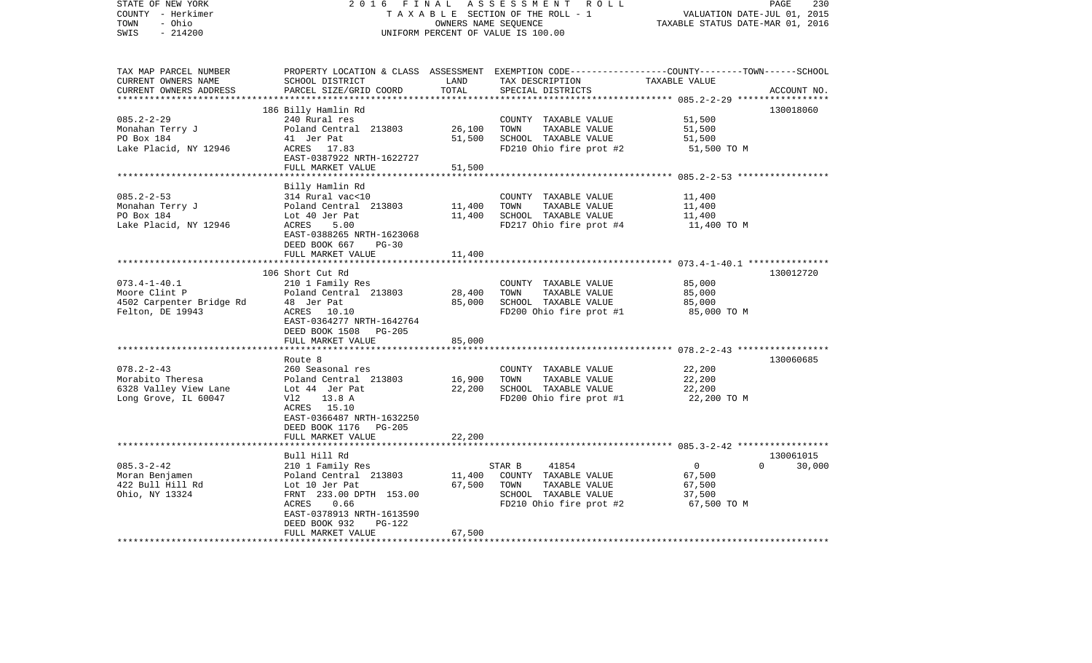| STATE OF NEW YORK<br>COUNTY - Herkimer<br>- Ohio<br>TOWN<br>$-214200$<br>SWIS                      | 2 0 1 6<br>FINAL<br>TAXABLE SECTION OF THE ROLL - 1<br>UNIFORM PERCENT OF VALUE IS 100.00                                                                                                            | PAGE<br>230<br>VALUATION DATE-JUL 01, 2015<br>TAXABLE STATUS DATE-MAR 01, 2016 |                                                                                                                                         |                                                             |                                 |
|----------------------------------------------------------------------------------------------------|------------------------------------------------------------------------------------------------------------------------------------------------------------------------------------------------------|--------------------------------------------------------------------------------|-----------------------------------------------------------------------------------------------------------------------------------------|-------------------------------------------------------------|---------------------------------|
| TAX MAP PARCEL NUMBER<br>CURRENT OWNERS NAME<br>CURRENT OWNERS ADDRESS<br>************************ | SCHOOL DISTRICT<br>PARCEL SIZE/GRID COORD                                                                                                                                                            | LAND<br>TOTAL                                                                  | PROPERTY LOCATION & CLASS ASSESSMENT EXEMPTION CODE---------------COUNTY-------TOWN------SCHOOL<br>TAX DESCRIPTION<br>SPECIAL DISTRICTS | TAXABLE VALUE                                               | ACCOUNT NO.                     |
| $085.2 - 2 - 29$<br>Monahan Terry J<br>PO Box 184<br>Lake Placid, NY 12946                         | 186 Billy Hamlin Rd<br>240 Rural res<br>Poland Central 213803<br>41 Jer Pat<br>ACRES 17.83<br>EAST-0387922 NRTH-1622727<br>FULL MARKET VALUE                                                         | 26,100<br>51,500<br>51,500                                                     | COUNTY TAXABLE VALUE<br>TOWN<br>TAXABLE VALUE<br>SCHOOL TAXABLE VALUE<br>FD210 Ohio fire prot #2                                        | 51,500<br>51,500<br>51,500<br>51,500 TO M                   | 130018060                       |
|                                                                                                    |                                                                                                                                                                                                      |                                                                                |                                                                                                                                         | ************************** 085.2-2-53 *****************     |                                 |
| $085.2 - 2 - 53$<br>Monahan Terry J<br>PO Box 184<br>Lake Placid, NY 12946                         | Billy Hamlin Rd<br>314 Rural vac<10<br>Poland Central 213803<br>Lot 40 Jer Pat<br>5.00<br>ACRES<br>EAST-0388265 NRTH-1623068<br>DEED BOOK 667<br>$PG-30$                                             | 11,400<br>11,400                                                               | COUNTY TAXABLE VALUE<br>TOWN<br>TAXABLE VALUE<br>SCHOOL TAXABLE VALUE<br>FD217 Ohio fire prot #4                                        | 11,400<br>11,400<br>11,400<br>11,400 TO M                   |                                 |
|                                                                                                    | FULL MARKET VALUE                                                                                                                                                                                    | 11,400                                                                         |                                                                                                                                         |                                                             |                                 |
| $073.4 - 1 - 40.1$<br>Moore Clint P<br>4502 Carpenter Bridge Rd<br>Felton, DE 19943                | 106 Short Cut Rd<br>210 1 Family Res<br>Poland Central 213803<br>48 Jer Pat<br>ACRES 10.10<br>EAST-0364277 NRTH-1642764<br>DEED BOOK 1508 PG-205<br>FULL MARKET VALUE                                | 28,400<br>85,000<br>85,000                                                     | COUNTY TAXABLE VALUE<br>TOWN<br>TAXABLE VALUE<br>SCHOOL TAXABLE VALUE<br>FD200 Ohio fire prot #1                                        | 85,000<br>85,000<br>85,000<br>85,000 TO M                   | 130012720                       |
|                                                                                                    |                                                                                                                                                                                                      |                                                                                |                                                                                                                                         |                                                             |                                 |
| $078.2 - 2 - 43$<br>Morabito Theresa<br>6328 Valley View Lane<br>Long Grove, IL 60047              | Route 8<br>260 Seasonal res<br>Poland Central 213803<br>Lot 44 Jer Pat<br>Vl2<br>13.8 A<br>ACRES 15.10<br>EAST-0366487 NRTH-1632250<br>DEED BOOK 1176 PG-205<br>FULL MARKET VALUE                    | 16,900<br>22,200<br>22,200                                                     | COUNTY TAXABLE VALUE<br>TOWN<br>TAXABLE VALUE<br>SCHOOL TAXABLE VALUE<br>FD200 Ohio fire prot #1                                        | 22,200<br>22,200<br>22,200<br>22,200 TO M                   | 130060685                       |
|                                                                                                    |                                                                                                                                                                                                      |                                                                                |                                                                                                                                         |                                                             |                                 |
| $085.3 - 2 - 42$<br>Moran Benjamen<br>422 Bull Hill Rd<br>Ohio, NY 13324                           | Bull Hill Rd<br>210 1 Family Res<br>Poland Central 213803<br>Lot 10 Jer Pat<br>FRNT 233.00 DPTH 153.00<br>0.66<br>ACRES<br>EAST-0378913 NRTH-1613590<br>DEED BOOK 932<br>PG-122<br>FULL MARKET VALUE | 11,400<br>67,500<br>67,500                                                     | STAR B<br>41854<br>COUNTY TAXABLE VALUE<br>TOWN<br>TAXABLE VALUE<br>SCHOOL TAXABLE VALUE<br>FD210 Ohio fire prot #2                     | $\overline{0}$<br>67,500<br>67,500<br>37,500<br>67,500 TO M | 130061015<br>$\Omega$<br>30,000 |
| ******************                                                                                 |                                                                                                                                                                                                      |                                                                                |                                                                                                                                         |                                                             |                                 |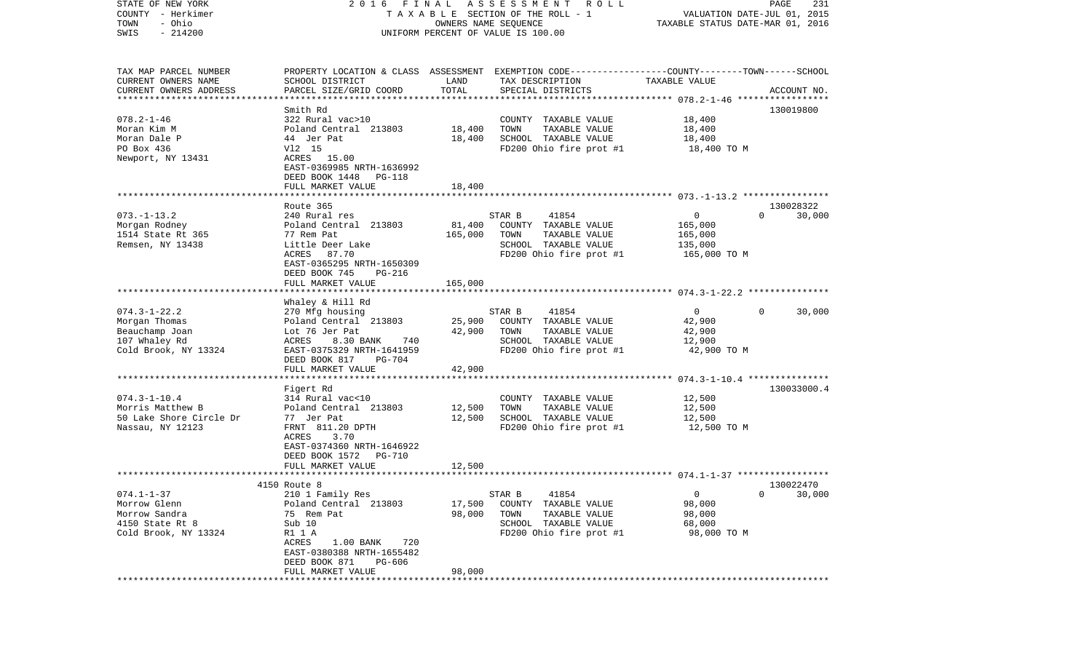| COUNTY<br>- Herkimer<br>- Ohio     | TAXABLE SECTION OF THE ROLL - 1           | VALUATION DATE-JUL 01, 2015<br>TAXABLE STATUS DATE-MAR 01, 2016 |                                                                                                  |                         |                                     |
|------------------------------------|-------------------------------------------|-----------------------------------------------------------------|--------------------------------------------------------------------------------------------------|-------------------------|-------------------------------------|
| TOWN<br>$-214200$<br>SWIS          | UNIFORM PERCENT OF VALUE IS 100.00        |                                                                 |                                                                                                  |                         |                                     |
|                                    |                                           |                                                                 |                                                                                                  |                         |                                     |
| TAX MAP PARCEL NUMBER              |                                           |                                                                 | PROPERTY LOCATION & CLASS ASSESSMENT EXEMPTION CODE----------------COUNTY-------TOWN------SCHOOL |                         |                                     |
| CURRENT OWNERS NAME                | SCHOOL DISTRICT                           | LAND                                                            | TAX DESCRIPTION                                                                                  | TAXABLE VALUE           |                                     |
| CURRENT OWNERS ADDRESS             | PARCEL SIZE/GRID COORD                    | TOTAL                                                           | SPECIAL DISTRICTS                                                                                |                         | ACCOUNT NO.                         |
|                                    |                                           |                                                                 |                                                                                                  |                         |                                     |
|                                    | Smith Rd                                  |                                                                 |                                                                                                  |                         | 130019800                           |
| $078.2 - 1 - 46$<br>Moran Kim M    | 322 Rural vac>10<br>Poland Central 213803 | 18,400                                                          | COUNTY TAXABLE VALUE<br>TOWN<br>TAXABLE VALUE                                                    | 18,400<br>18,400        |                                     |
| Moran Dale P                       | 44 Jer Pat                                | 18,400                                                          | SCHOOL TAXABLE VALUE                                                                             | 18,400                  |                                     |
| PO Box 436                         | V12 15                                    |                                                                 | FD200 Ohio fire prot #1                                                                          | 18,400 TO M             |                                     |
| Newport, NY 13431                  | ACRES 15.00                               |                                                                 |                                                                                                  |                         |                                     |
|                                    | EAST-0369985 NRTH-1636992                 |                                                                 |                                                                                                  |                         |                                     |
|                                    | DEED BOOK 1448<br>PG-118                  |                                                                 |                                                                                                  |                         |                                     |
|                                    | FULL MARKET VALUE                         | 18,400                                                          |                                                                                                  |                         |                                     |
|                                    |                                           |                                                                 |                                                                                                  |                         |                                     |
|                                    | Route 365                                 |                                                                 |                                                                                                  |                         | 130028322<br>$\Omega$               |
| $073. - 1 - 13.2$<br>Morgan Rodney | 240 Rural res<br>Poland Central 213803    | 81,400                                                          | 41854<br>STAR B<br>COUNTY TAXABLE VALUE                                                          | $\mathbf{0}$<br>165,000 | 30,000                              |
| 1514 State Rt 365                  | 77 Rem Pat                                | 165,000                                                         | TOWN<br>TAXABLE VALUE                                                                            | 165,000                 |                                     |
| Remsen, NY 13438                   | Little Deer Lake                          |                                                                 | SCHOOL TAXABLE VALUE                                                                             | 135,000                 |                                     |
|                                    | ACRES<br>87.70                            |                                                                 | FD200 Ohio fire prot #1                                                                          | 165,000 TO M            |                                     |
|                                    | EAST-0365295 NRTH-1650309                 |                                                                 |                                                                                                  |                         |                                     |
|                                    | DEED BOOK 745<br><b>PG-216</b>            |                                                                 |                                                                                                  |                         |                                     |
|                                    | FULL MARKET VALUE                         | 165,000                                                         |                                                                                                  |                         |                                     |
|                                    |                                           |                                                                 |                                                                                                  |                         |                                     |
| $074.3 - 1 - 22.2$                 | Whaley & Hill Rd<br>270 Mfg housing       |                                                                 | STAR B<br>41854                                                                                  | $\mathbf 0$             | 30,000<br>$\Omega$                  |
| Morgan Thomas                      | Poland Central 213803                     | 25,900                                                          | COUNTY TAXABLE VALUE                                                                             | 42,900                  |                                     |
| Beauchamp Joan                     | Lot 76 Jer Pat                            | 42,900                                                          | TOWN<br>TAXABLE VALUE                                                                            | 42,900                  |                                     |
| 107 Whaley Rd                      | ACRES<br>8.30 BANK<br>740                 |                                                                 | SCHOOL TAXABLE VALUE                                                                             | 12,900                  |                                     |
| Cold Brook, NY 13324               | EAST-0375329 NRTH-1641959                 |                                                                 | FD200 Ohio fire prot #1                                                                          | 42,900 TO M             |                                     |
|                                    | DEED BOOK 817<br>PG-704                   |                                                                 |                                                                                                  |                         |                                     |
|                                    | FULL MARKET VALUE                         | 42,900                                                          |                                                                                                  |                         |                                     |
|                                    |                                           |                                                                 |                                                                                                  |                         |                                     |
| $074.3 - 1 - 10.4$                 | Figert Rd<br>314 Rural vac<10             |                                                                 |                                                                                                  |                         | 130033000.4                         |
| Morris Matthew B                   | Poland Central 213803                     | 12,500                                                          | COUNTY TAXABLE VALUE<br>TOWN<br>TAXABLE VALUE                                                    | 12,500<br>12,500        |                                     |
| 50 Lake Shore Circle Dr            | 77 Jer Pat                                | 12,500                                                          | SCHOOL TAXABLE VALUE                                                                             | 12,500                  |                                     |
| Nassau, NY 12123                   | FRNT 811.20 DPTH                          |                                                                 | FD200 Ohio fire prot #1                                                                          | 12,500 TO M             |                                     |
|                                    | 3.70<br>ACRES                             |                                                                 |                                                                                                  |                         |                                     |
|                                    | EAST-0374360 NRTH-1646922                 |                                                                 |                                                                                                  |                         |                                     |
|                                    | DEED BOOK 1572<br>PG-710                  |                                                                 |                                                                                                  |                         |                                     |
|                                    | FULL MARKET VALUE                         | 12,500                                                          |                                                                                                  |                         |                                     |
|                                    | ***************************               |                                                                 |                                                                                                  |                         |                                     |
| $074.1 - 1 - 37$                   | 4150 Route 8<br>210 1 Family Res          |                                                                 | STAR B<br>41854                                                                                  | 0                       | 130022470<br>30,000<br>$\mathbf{0}$ |
| Morrow Glenn                       | Poland Central 213803                     | 17,500                                                          | COUNTY TAXABLE VALUE                                                                             | 98,000                  |                                     |
| Morrow Sandra                      | 75 Rem Pat                                | 98,000                                                          | TOWN<br>TAXABLE VALUE                                                                            | 98,000                  |                                     |
| 4150 State Rt 8                    | Sub 10                                    |                                                                 | SCHOOL TAXABLE VALUE                                                                             | 68,000                  |                                     |
| Cold Brook, NY 13324               | R1 1 A                                    |                                                                 | FD200 Ohio fire prot #1                                                                          | 98,000 TO M             |                                     |
|                                    | 720<br>ACRES<br>$1.00$ BANK               |                                                                 |                                                                                                  |                         |                                     |
|                                    | EAST-0380388 NRTH-1655482                 |                                                                 |                                                                                                  |                         |                                     |
|                                    | DEED BOOK 871<br>PG-606                   |                                                                 |                                                                                                  |                         |                                     |
|                                    | FULL MARKET VALUE                         | 98,000                                                          |                                                                                                  |                         |                                     |

STATE OF NEW YORK 2 0 1 6 F I N A L A S S E S S M E N T R O L L PAGE 231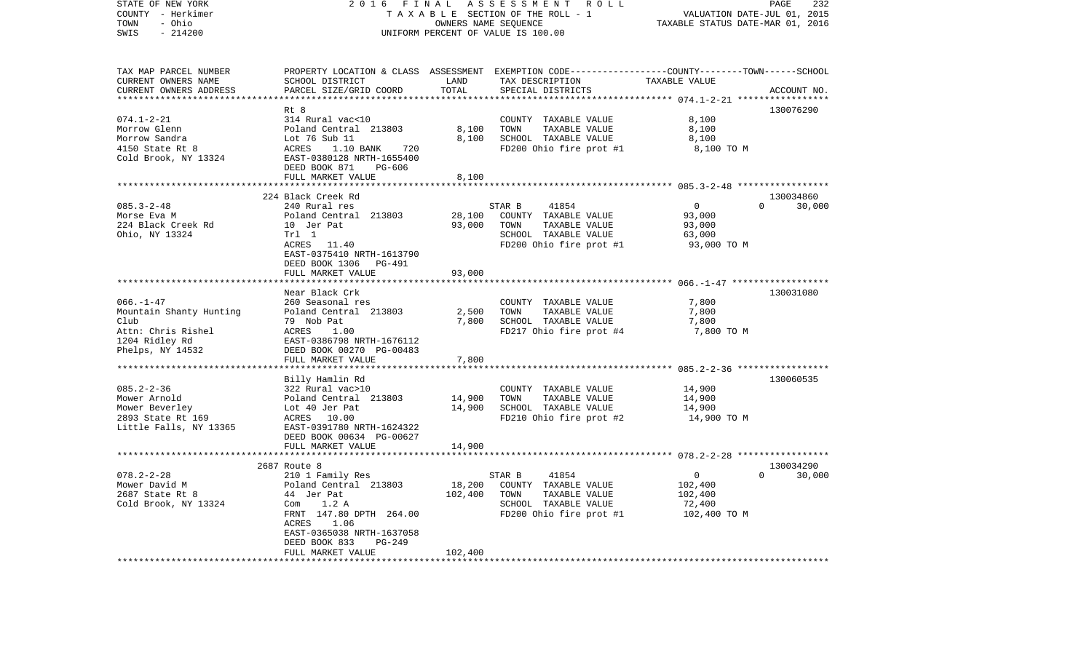| STATE OF NEW YORK<br>COUNTY - Herkimer<br>TOWN<br>- Ohio<br>$-214200$<br>SWIS                                  | 2016<br>F I N A L<br>TAXABLE SECTION OF THE ROLL - 1<br>UNIFORM PERCENT OF VALUE IS 100.00                                                                                                        | PAGE<br>232<br>VALUATION DATE-JUL 01, 2015<br>TAXABLE STATUS DATE-MAR 01, 2016 |                                                                                                                                          |                                                                |                                 |
|----------------------------------------------------------------------------------------------------------------|---------------------------------------------------------------------------------------------------------------------------------------------------------------------------------------------------|--------------------------------------------------------------------------------|------------------------------------------------------------------------------------------------------------------------------------------|----------------------------------------------------------------|---------------------------------|
| TAX MAP PARCEL NUMBER<br>CURRENT OWNERS NAME<br>CURRENT OWNERS ADDRESS                                         | SCHOOL DISTRICT<br>PARCEL SIZE/GRID COORD                                                                                                                                                         | LAND<br>TOTAL<br>***********                                                   | PROPERTY LOCATION & CLASS ASSESSMENT EXEMPTION CODE----------------COUNTY-------TOWN------SCHOOL<br>TAX DESCRIPTION<br>SPECIAL DISTRICTS | TAXABLE VALUE                                                  | ACCOUNT NO.                     |
|                                                                                                                | Rt 8                                                                                                                                                                                              |                                                                                |                                                                                                                                          |                                                                | 130076290                       |
| $074.1 - 2 - 21$<br>Morrow Glenn<br>Morrow Sandra<br>4150 State Rt 8<br>Cold Brook, NY 13324                   | 314 Rural vac<10<br>Poland Central 213803<br>Lot 76 Sub 11<br>ACRES<br>1.10 BANK<br>720<br>EAST-0380128 NRTH-1655400<br>DEED BOOK 871<br>PG-606<br>FULL MARKET VALUE                              | 8,100<br>8,100<br>8,100                                                        | COUNTY TAXABLE VALUE<br>TOWN<br>TAXABLE VALUE<br>SCHOOL TAXABLE VALUE<br>FD200 Ohio fire prot #1                                         | 8,100<br>8,100<br>8,100<br>8,100 TO M                          |                                 |
|                                                                                                                |                                                                                                                                                                                                   |                                                                                |                                                                                                                                          |                                                                |                                 |
| $085.3 - 2 - 48$<br>Morse Eva M<br>224 Black Creek Rd<br>Ohio, NY 13324                                        | 224 Black Creek Rd<br>240 Rural res<br>Poland Central 213803<br>10 Jer Pat<br>Trl 1<br>ACRES 11.40<br>EAST-0375410 NRTH-1613790<br>DEED BOOK 1306 PG-491<br>FULL MARKET VALUE                     | 28,100<br>93,000<br>93,000                                                     | STAR B<br>41854<br>COUNTY TAXABLE VALUE<br>TOWN<br>TAXABLE VALUE<br>SCHOOL TAXABLE VALUE<br>FD200 Ohio fire prot #1                      | $\overline{0}$<br>93,000<br>93,000<br>63,000<br>93,000 TO M    | 130034860<br>$\Omega$<br>30,000 |
|                                                                                                                |                                                                                                                                                                                                   |                                                                                |                                                                                                                                          |                                                                |                                 |
| $066. - 1 - 47$<br>Mountain Shanty Hunting<br>Club<br>Attn: Chris Rishel<br>1204 Ridley Rd<br>Phelps, NY 14532 | Near Black Crk<br>260 Seasonal res<br>Poland Central 213803<br>79 Nob Pat<br>ACRES<br>1.00<br>EAST-0386798 NRTH-1676112<br>DEED BOOK 00270 PG-00483<br>FULL MARKET VALUE                          | 2,500<br>7,800<br>7,800                                                        | COUNTY TAXABLE VALUE<br>TOWN<br>TAXABLE VALUE<br>SCHOOL TAXABLE VALUE<br>FD217 Ohio fire prot #4                                         | 7,800<br>7,800<br>7,800<br>7,800 TO M                          | 130031080                       |
|                                                                                                                |                                                                                                                                                                                                   | * * * * * * * * * * * * * * *                                                  |                                                                                                                                          |                                                                |                                 |
| $085.2 - 2 - 36$<br>Mower Arnold<br>Mower Beverley<br>2893 State Rt 169<br>Little Falls, NY 13365              | Billy Hamlin Rd<br>322 Rural vac>10<br>Poland Central 213803<br>Lot 40 Jer Pat<br>ACRES<br>10.00<br>EAST-0391780 NRTH-1624322<br>DEED BOOK 00634 PG-00627                                         | 14,900<br>14,900                                                               | COUNTY TAXABLE VALUE<br>TOWN<br>TAXABLE VALUE<br>SCHOOL TAXABLE VALUE<br>FD210 Ohio fire prot #2                                         | 14,900<br>14,900<br>14,900<br>14,900 TO M                      | 130060535                       |
|                                                                                                                | FULL MARKET VALUE<br>***********************                                                                                                                                                      | 14,900                                                                         |                                                                                                                                          |                                                                |                                 |
|                                                                                                                | 2687 Route 8                                                                                                                                                                                      |                                                                                |                                                                                                                                          |                                                                | 130034290                       |
| $078.2 - 2 - 28$<br>Mower David M<br>2687 State Rt 8<br>Cold Brook, NY 13324                                   | 210 1 Family Res<br>Poland Central 213803<br>44 Jer Pat<br>Com $1.2 A$<br>FRNT 147.80 DPTH 264.00<br>ACRES<br>1.06<br>EAST-0365038 NRTH-1637058<br>$PG-249$<br>DEED BOOK 833<br>FULL MARKET VALUE | 18,200<br>102,400<br>102,400                                                   | STAR B<br>41854<br>COUNTY TAXABLE VALUE<br>TOWN<br>TAXABLE VALUE<br>SCHOOL TAXABLE VALUE<br>FD200 Ohio fire prot #1                      | $\overline{0}$<br>102,400<br>102,400<br>72,400<br>102,400 TO M | $\Omega$<br>30,000              |
| ************************                                                                                       | ********************                                                                                                                                                                              | .                                                                              |                                                                                                                                          |                                                                |                                 |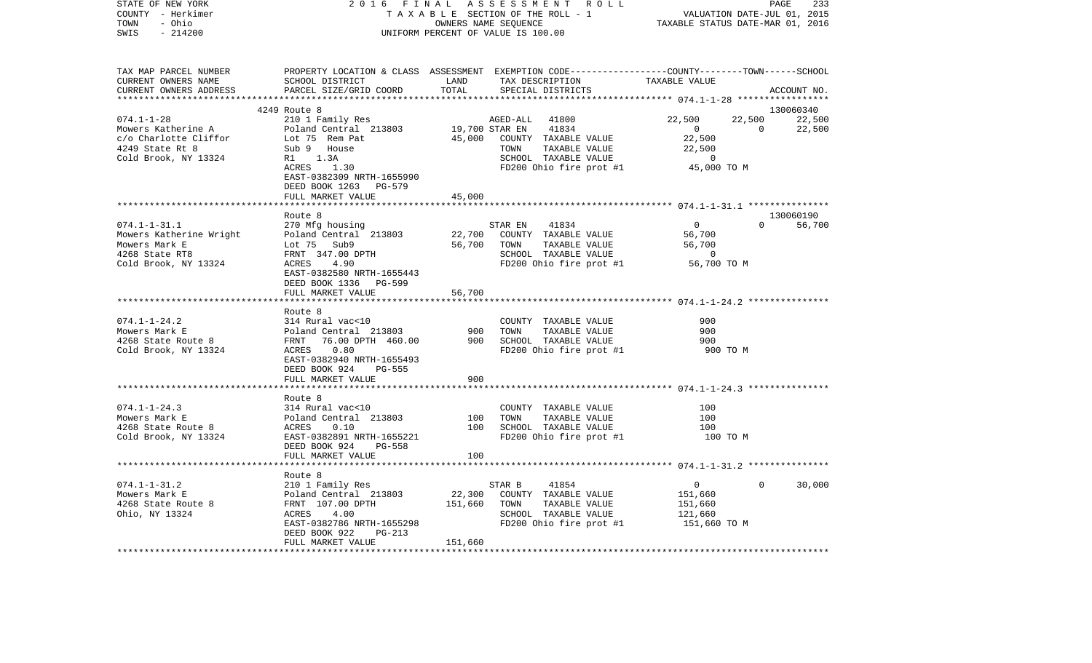| STATE OF NEW YORK<br>COUNTY - Herkimer<br>TOWN<br>- Ohio<br>$-214200$<br>SWIS                              | 2016<br>FINAL<br>TAXABLE SECTION OF THE ROLL - 1<br>UNIFORM PERCENT OF VALUE IS 100.00                                                                                          | ASSESSMENT ROLL          | PAGE<br>233<br>VALUATION DATE-JUL 01, 2015<br>TAXABLE STATUS DATE-MAR 01, 2016                                                 |                                                                                        |                          |                  |
|------------------------------------------------------------------------------------------------------------|---------------------------------------------------------------------------------------------------------------------------------------------------------------------------------|--------------------------|--------------------------------------------------------------------------------------------------------------------------------|----------------------------------------------------------------------------------------|--------------------------|------------------|
| TAX MAP PARCEL NUMBER<br>CURRENT OWNERS NAME<br>CURRENT OWNERS ADDRESS<br>************************         | PROPERTY LOCATION & CLASS ASSESSMENT EXEMPTION CODE---------------COUNTY-------TOWN------SCHOOL<br>SCHOOL DISTRICT<br>PARCEL SIZE/GRID COORD                                    | LAND<br>TOTAL            | TAX DESCRIPTION<br>SPECIAL DISTRICTS                                                                                           | TAXABLE VALUE                                                                          |                          | ACCOUNT NO.      |
|                                                                                                            | 4249 Route 8                                                                                                                                                                    |                          |                                                                                                                                |                                                                                        |                          | 130060340        |
| $074.1 - 1 - 28$<br>Mowers Katherine A<br>c/o Charlotte Cliffor<br>4249 State Rt 8<br>Cold Brook, NY 13324 | 210 1 Family Res<br>Poland Central 213803<br>Lot 75 Rem Pat<br>Sub 9 House<br>R1<br>1.3A<br>1.30<br>ACRES<br>EAST-0382309 NRTH-1655990<br>DEED BOOK 1263 PG-579                 | 19,700 STAR EN<br>45,000 | 41800<br>AGED-ALL<br>41834<br>COUNTY TAXABLE VALUE<br>TAXABLE VALUE<br>TOWN<br>SCHOOL TAXABLE VALUE<br>FD200 Ohio fire prot #1 | 22,500<br>$\overline{\mathbf{0}}$<br>22,500<br>22,500<br>$\overline{0}$<br>45,000 TO M | 22,500<br>$\overline{0}$ | 22,500<br>22,500 |
|                                                                                                            | FULL MARKET VALUE                                                                                                                                                               | 45,000                   |                                                                                                                                |                                                                                        |                          |                  |
|                                                                                                            |                                                                                                                                                                                 |                          |                                                                                                                                |                                                                                        |                          |                  |
|                                                                                                            | Route 8                                                                                                                                                                         |                          |                                                                                                                                |                                                                                        |                          | 130060190        |
| $074.1 - 1 - 31.1$<br>Mowers Katherine Wright<br>Mowers Mark E<br>4268 State RT8                           | 270 Mfg housing<br>Poland Central 213803<br>Lot 75 Sub9<br>FRNT 347.00 DPTH                                                                                                     | 22,700<br>56,700         | STAR EN<br>41834<br>COUNTY TAXABLE VALUE<br>TOWN<br>TAXABLE VALUE<br>SCHOOL TAXABLE VALUE                                      | $\mathbf 0$<br>56,700<br>56,700<br>$\overline{0}$                                      | $\Omega$                 | 56,700           |
| Cold Brook, NY 13324                                                                                       | ACRES<br>4.90<br>EAST-0382580 NRTH-1655443<br>DEED BOOK 1336 PG-599<br>FULL MARKET VALUE                                                                                        | 56,700                   | FD200 Ohio fire prot #1                                                                                                        | 56,700 TO M                                                                            |                          |                  |
|                                                                                                            |                                                                                                                                                                                 |                          |                                                                                                                                |                                                                                        |                          |                  |
| $074.1 - 1 - 24.2$<br>Mowers Mark E<br>4268 State Route 8<br>Cold Brook, NY 13324                          | Route 8<br>314 Rural vac<10<br>Poland Central 213803<br>FRNT<br>76.00 DPTH 460.00<br>ACRES<br>0.80<br>EAST-0382940 NRTH-1655493<br>DEED BOOK 924<br>PG-555<br>FULL MARKET VALUE | 900<br>900<br>900        | COUNTY TAXABLE VALUE<br>TOWN<br>TAXABLE VALUE<br>SCHOOL TAXABLE VALUE<br>FD200 Ohio fire prot #1                               | 900<br>900<br>900<br>900 TO M                                                          |                          |                  |
|                                                                                                            |                                                                                                                                                                                 |                          |                                                                                                                                |                                                                                        |                          |                  |
| $074.1 - 1 - 24.3$<br>Mowers Mark E<br>4268 State Route 8<br>Cold Brook, NY 13324                          | Route 8<br>314 Rural vac<10<br>Poland Central 213803<br>ACRES<br>0.10<br>EAST-0382891 NRTH-1655221<br>DEED BOOK 924<br>PG-558<br>FULL MARKET VALUE                              | 100<br>100<br>100        | COUNTY TAXABLE VALUE<br>TOWN<br>TAXABLE VALUE<br>SCHOOL TAXABLE VALUE<br>FD200 Ohio fire prot #1                               | 100<br>100<br>100<br>100 TO M                                                          |                          |                  |
|                                                                                                            |                                                                                                                                                                                 |                          |                                                                                                                                |                                                                                        |                          |                  |
| $074.1 - 1 - 31.2$<br>Mowers Mark E<br>4268 State Route 8<br>Ohio, NY 13324                                | Route 8<br>210 1 Family Res<br>Poland Central 213803<br>FRNT 107.00 DPTH<br>ACRES<br>4.00<br>EAST-0382786 NRTH-1655298                                                          | 22,300<br>151,660        | STAR B<br>41854<br>COUNTY TAXABLE VALUE<br>TOWN<br>TAXABLE VALUE<br>SCHOOL TAXABLE VALUE<br>FD200 Ohio fire prot #1            | $\mathbf 0$<br>151,660<br>151,660<br>121,660<br>151,660 TO M                           | $\Omega$                 | 30,000           |
|                                                                                                            | DEED BOOK 922<br>PG-213                                                                                                                                                         |                          |                                                                                                                                |                                                                                        |                          |                  |
|                                                                                                            | FULL MARKET VALUE                                                                                                                                                               | 151,660                  |                                                                                                                                |                                                                                        |                          |                  |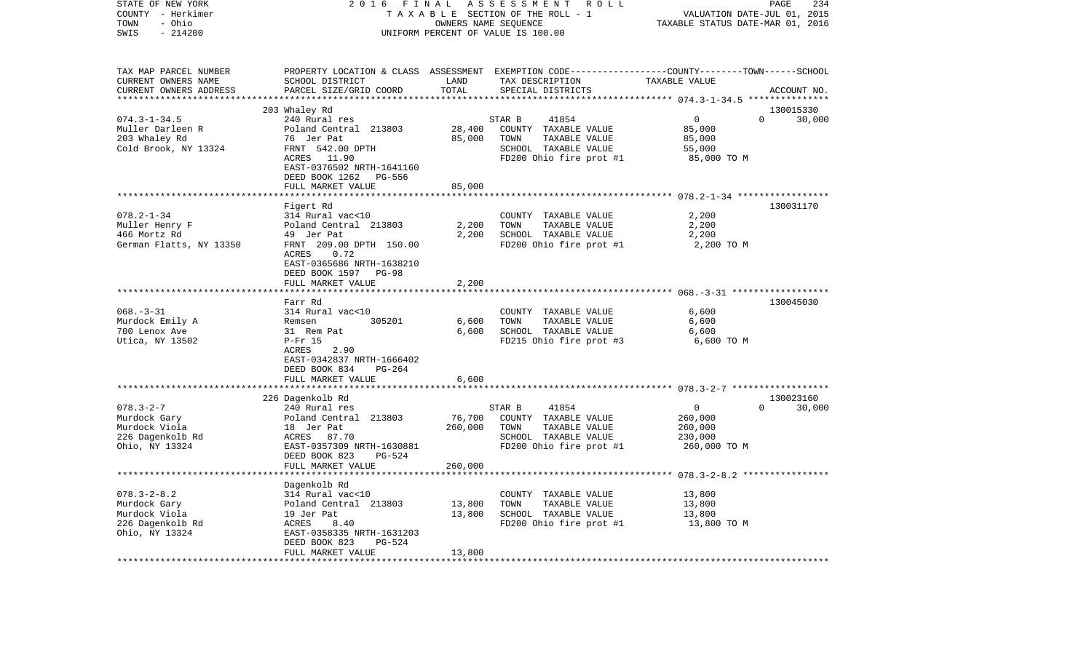| STATE OF NEW YORK       | 2016                                                      | FINAL   | ASSESSMENT ROLL                                                                                 |                                                     | PAGE<br>234 |
|-------------------------|-----------------------------------------------------------|---------|-------------------------------------------------------------------------------------------------|-----------------------------------------------------|-------------|
| COUNTY - Herkimer       |                                                           |         | TAXABLE SECTION OF THE ROLL - 1                                                                 | VALUATION DATE-JUL 01, 2015                         |             |
| - Ohio<br>TOWN          |                                                           |         | OWNERS NAME SEQUENCE                                                                            | TAXABLE STATUS DATE-MAR 01, 2016                    |             |
| $-214200$<br>SWIS       | UNIFORM PERCENT OF VALUE IS 100.00                        |         |                                                                                                 |                                                     |             |
|                         |                                                           |         |                                                                                                 |                                                     |             |
| TAX MAP PARCEL NUMBER   |                                                           |         | PROPERTY LOCATION & CLASS ASSESSMENT EXEMPTION CODE---------------COUNTY-------TOWN------SCHOOL |                                                     |             |
| CURRENT OWNERS NAME     | SCHOOL DISTRICT                                           | LAND    | TAX DESCRIPTION                                                                                 | TAXABLE VALUE                                       |             |
| CURRENT OWNERS ADDRESS  | PARCEL SIZE/GRID COORD                                    | TOTAL   | SPECIAL DISTRICTS                                                                               |                                                     | ACCOUNT NO. |
|                         |                                                           |         |                                                                                                 |                                                     |             |
|                         | 203 Whaley Rd                                             |         |                                                                                                 |                                                     | 130015330   |
| $074.3 - 1 - 34.5$      | 240 Rural res                                             |         | STAR B<br>41854                                                                                 | $\overline{0}$<br>$\Omega$                          | 30,000      |
| Muller Darleen R        | Poland Central 213803                                     | 28,400  | COUNTY TAXABLE VALUE                                                                            | 85,000                                              |             |
| 203 Whaley Rd           | 76 Jer Pat                                                | 85,000  | TOWN<br>TAXABLE VALUE                                                                           | 85,000                                              |             |
| Cold Brook, NY 13324    | FRNT 542.00 DPTH                                          |         | SCHOOL TAXABLE VALUE                                                                            | 55,000                                              |             |
|                         | ACRES 11.90                                               |         | FD200 Ohio fire prot #1                                                                         | 85,000 TO M                                         |             |
|                         | EAST-0376502 NRTH-1641160                                 |         |                                                                                                 |                                                     |             |
|                         | DEED BOOK 1262 PG-556                                     |         |                                                                                                 |                                                     |             |
|                         | FULL MARKET VALUE                                         | 85,000  |                                                                                                 |                                                     |             |
|                         |                                                           |         |                                                                                                 |                                                     |             |
|                         | Figert Rd                                                 |         |                                                                                                 |                                                     | 130031170   |
| $078.2 - 1 - 34$        | 314 Rural vac<10                                          |         | COUNTY TAXABLE VALUE                                                                            | 2,200                                               |             |
| Muller Henry F          |                                                           | 2,200   | TOWN<br>TAXABLE VALUE                                                                           | 2,200                                               |             |
| 466 Mortz Rd            | Poland Central 213803                                     | 2,200   | SCHOOL TAXABLE VALUE                                                                            |                                                     |             |
|                         | 49 Jer Pat                                                |         |                                                                                                 | 2,200                                               |             |
| German Flatts, NY 13350 | FRNT 209.00 DPTH 150.00<br>ACRES<br>0.72                  |         | FD200 Ohio fire prot #1                                                                         | 2,200 TO M                                          |             |
|                         |                                                           |         |                                                                                                 |                                                     |             |
|                         | EAST-0365686 NRTH-1638210                                 |         |                                                                                                 |                                                     |             |
|                         | DEED BOOK 1597 PG-98                                      |         |                                                                                                 |                                                     |             |
|                         | FULL MARKET VALUE                                         | 2,200   |                                                                                                 |                                                     |             |
|                         | Farr Rd                                                   |         |                                                                                                 |                                                     | 130045030   |
| $068. -3 - 31$          | 314 Rural vac<10                                          |         |                                                                                                 | 6,600                                               |             |
|                         | 305201                                                    |         | COUNTY TAXABLE VALUE                                                                            |                                                     |             |
| Murdock Emily A         | Remsen                                                    | 6,600   | TOWN<br>TAXABLE VALUE                                                                           | 6,600                                               |             |
| 700 Lenox Ave           | 31 Rem Pat                                                | 6,600   | SCHOOL TAXABLE VALUE                                                                            | 6,600                                               |             |
| Utica, NY 13502         | P-Fr 15                                                   |         | FD215 Ohio fire prot #3                                                                         | 6,600 TO M                                          |             |
|                         | 2.90<br>ACRES                                             |         |                                                                                                 |                                                     |             |
|                         | EAST-0342837 NRTH-1666402<br>PG-264                       |         |                                                                                                 |                                                     |             |
|                         | DEED BOOK 834                                             |         |                                                                                                 |                                                     |             |
|                         | FULL MARKET VALUE<br>************************************ | 6,600   |                                                                                                 |                                                     |             |
|                         |                                                           |         |                                                                                                 |                                                     |             |
|                         | 226 Dagenkolb Rd                                          |         |                                                                                                 | $\circ$<br>$\Omega$                                 | 130023160   |
| $078.3 - 2 - 7$         | 240 Rural res                                             |         | STAR B<br>41854                                                                                 |                                                     | 30,000      |
| Murdock Gary            | Poland Central 213803                                     | 76,700  | COUNTY TAXABLE VALUE                                                                            | 260,000                                             |             |
| Murdock Viola           | 18 Jer Pat                                                | 260,000 | TOWN<br>TAXABLE VALUE                                                                           | 260,000                                             |             |
| 226 Dagenkolb Rd        | ACRES 87.70                                               |         | SCHOOL TAXABLE VALUE                                                                            | 230,000                                             |             |
| Ohio, NY 13324          | EAST-0357309 NRTH-1630881                                 |         | FD200 Ohio fire prot #1                                                                         | 260,000 TO M                                        |             |
|                         | DEED BOOK 823<br>PG-524                                   |         |                                                                                                 |                                                     |             |
|                         | FULL MARKET VALUE                                         | 260,000 |                                                                                                 |                                                     |             |
|                         |                                                           |         |                                                                                                 | ********************** 078.3-2-8.2 **************** |             |
|                         | Dagenkolb Rd                                              |         |                                                                                                 |                                                     |             |
| $078.3 - 2 - 8.2$       | 314 Rural vac<10                                          |         | COUNTY TAXABLE VALUE                                                                            | 13,800                                              |             |
| Murdock Gary            | Poland Central 213803                                     | 13,800  | TOWN<br>TAXABLE VALUE                                                                           | 13,800                                              |             |
| Murdock Viola           | 19 Jer Pat<br>19 Jei<br>ACRES                             | 13,800  | SCHOOL TAXABLE VALUE                                                                            | 13,800                                              |             |
| 226 Dagenkolb Rd        | 8.40                                                      |         | FD200 Ohio fire prot #1                                                                         | 13,800 TO M                                         |             |
| Ohio, NY 13324          | EAST-0358335 NRTH-1631203                                 |         |                                                                                                 |                                                     |             |
|                         | DEED BOOK 823<br>PG-524                                   |         |                                                                                                 |                                                     |             |
|                         | FULL MARKET VALUE                                         | 13,800  |                                                                                                 |                                                     |             |
|                         |                                                           |         |                                                                                                 |                                                     |             |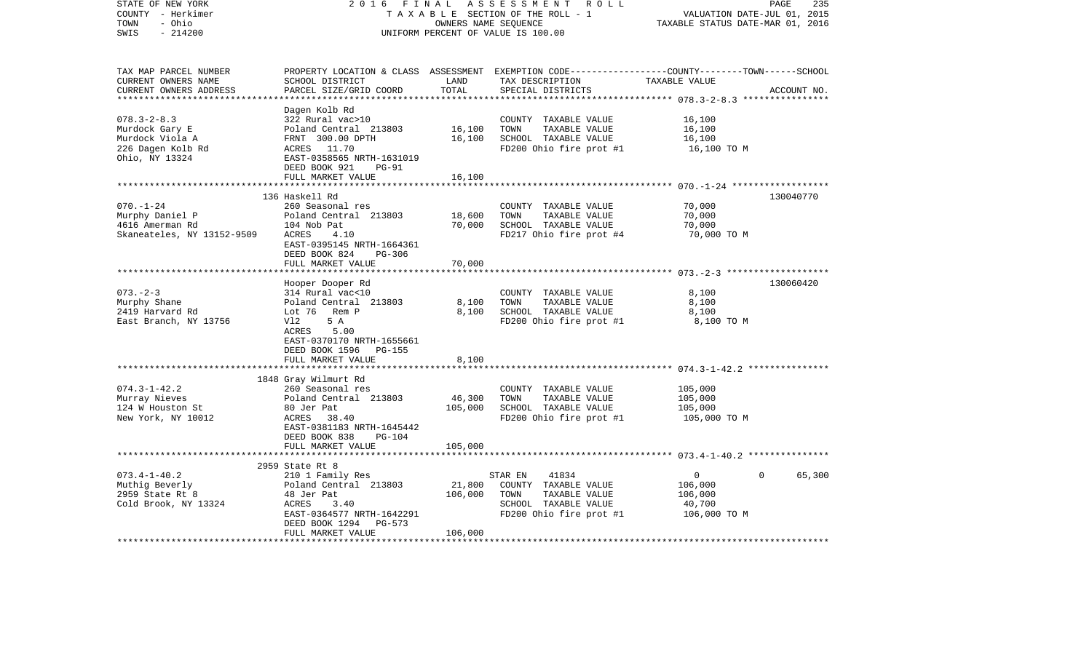| STATE OF NEW YORK<br>COUNTY - Herkimer<br>- Ohio<br>TOWN<br>$-214200$<br>SWIS                  | 2 0 1 6<br>FINAL                                                                                                                                                                                                   | OWNERS NAME SEQUENCE         | ASSESSMENT<br>ROLL<br>TAXABLE SECTION OF THE ROLL - 1<br>UNIFORM PERCENT OF VALUE IS 100.00                          | PAGE<br>VALUATION DATE-JUL 01, 2015<br>TAXABLE STATUS DATE-MAR 01, 2016                                          | 235         |
|------------------------------------------------------------------------------------------------|--------------------------------------------------------------------------------------------------------------------------------------------------------------------------------------------------------------------|------------------------------|----------------------------------------------------------------------------------------------------------------------|------------------------------------------------------------------------------------------------------------------|-------------|
| TAX MAP PARCEL NUMBER<br>CURRENT OWNERS NAME<br>CURRENT OWNERS ADDRESS<br>******************** | SCHOOL DISTRICT<br>PARCEL SIZE/GRID COORD                                                                                                                                                                          | LAND<br>TOTAL                | TAX DESCRIPTION<br>SPECIAL DISTRICTS                                                                                 | PROPERTY LOCATION & CLASS ASSESSMENT EXEMPTION CODE---------------COUNTY-------TOWN------SCHOOL<br>TAXABLE VALUE | ACCOUNT NO. |
| $078.3 - 2 - 8.3$<br>Murdock Gary E<br>Murdock Viola A<br>226 Dagen Kolb Rd<br>Ohio, NY 13324  | Dagen Kolb Rd<br>322 Rural vac>10<br>Poland Central 213803<br>FRNT 300.00 DPTH<br>ACRES<br>11.70<br>EAST-0358565 NRTH-1631019<br>DEED BOOK 921<br>$PG-91$                                                          | 16,100<br>16,100             | COUNTY TAXABLE VALUE<br>TOWN<br>TAXABLE VALUE<br>SCHOOL TAXABLE VALUE<br>FD200 Ohio fire prot #1                     | 16,100<br>16,100<br>16,100<br>16,100 TO M                                                                        |             |
|                                                                                                | FULL MARKET VALUE                                                                                                                                                                                                  | 16,100                       |                                                                                                                      |                                                                                                                  |             |
| $070. - 1 - 24$<br>Murphy Daniel P<br>4616 Amerman Rd<br>Skaneateles, NY 13152-9509            | 136 Haskell Rd<br>260 Seasonal res<br>Poland Central 213803<br>104 Nob Pat<br>ACRES<br>4.10<br>EAST-0395145 NRTH-1664361<br>DEED BOOK 824<br>$PG-306$                                                              | 18,600<br>70,000             | COUNTY TAXABLE VALUE<br>TOWN<br>TAXABLE VALUE<br>SCHOOL TAXABLE VALUE<br>FD217 Ohio fire prot #4                     | 130040770<br>70,000<br>70,000<br>70,000<br>70,000 TO M                                                           |             |
|                                                                                                | FULL MARKET VALUE                                                                                                                                                                                                  | 70,000                       |                                                                                                                      |                                                                                                                  |             |
|                                                                                                | ******************                                                                                                                                                                                                 |                              |                                                                                                                      | *************************** 073.-2-3 ********************                                                        |             |
| $073. - 2 - 3$<br>Murphy Shane<br>2419 Harvard Rd<br>East Branch, NY 13756                     | Hooper Dooper Rd<br>314 Rural vac<10<br>Poland Central 213803<br>Lot 76<br>Rem P<br>Vl2<br>5 A<br>5.00<br>ACRES<br>EAST-0370170 NRTH-1655661<br>DEED BOOK 1596<br><b>PG-155</b>                                    | 8,100<br>8,100               | COUNTY TAXABLE VALUE<br>TOWN<br>TAXABLE VALUE<br>SCHOOL TAXABLE VALUE<br>FD200 Ohio fire prot #1                     | 8,100<br>8,100<br>8,100<br>8,100 TO M                                                                            | 130060420   |
|                                                                                                | FULL MARKET VALUE                                                                                                                                                                                                  | 8,100                        |                                                                                                                      |                                                                                                                  |             |
| $074.3 - 1 - 42.2$<br>Murray Nieves<br>124 W Houston St<br>New York, NY 10012                  | *************************<br>1848 Gray Wilmurt Rd<br>260 Seasonal res<br>Poland Central 213803<br>80 Jer Pat<br>ACRES<br>38.40<br>EAST-0381183 NRTH-1645442<br>DEED BOOK 838<br><b>PG-104</b><br>FULL MARKET VALUE | 46,300<br>105,000<br>105,000 | COUNTY TAXABLE VALUE<br>TOWN<br>TAXABLE VALUE<br>SCHOOL TAXABLE VALUE<br>FD200 Ohio fire prot #1                     | 105,000<br>105,000<br>105,000<br>105,000 TO M                                                                    |             |
|                                                                                                |                                                                                                                                                                                                                    |                              |                                                                                                                      |                                                                                                                  |             |
| $073.4 - 1 - 40.2$<br>Muthig Beverly<br>2959 State Rt 8<br>Cold Brook, NY 13324                | 2959 State Rt 8<br>210 1 Family Res<br>Poland Central 213803<br>48 Jer Pat<br>ACRES<br>3.40<br>EAST-0364577 NRTH-1642291<br>DEED BOOK 1294<br>PG-573<br>FULL MARKET VALUE                                          | 21,800<br>106,000<br>106,000 | 41834<br>STAR EN<br>COUNTY TAXABLE VALUE<br>TAXABLE VALUE<br>TOWN<br>SCHOOL TAXABLE VALUE<br>FD200 Ohio fire prot #1 | 0<br>0<br>106,000<br>106,000<br>40,700<br>106,000 TO M                                                           | 65,300      |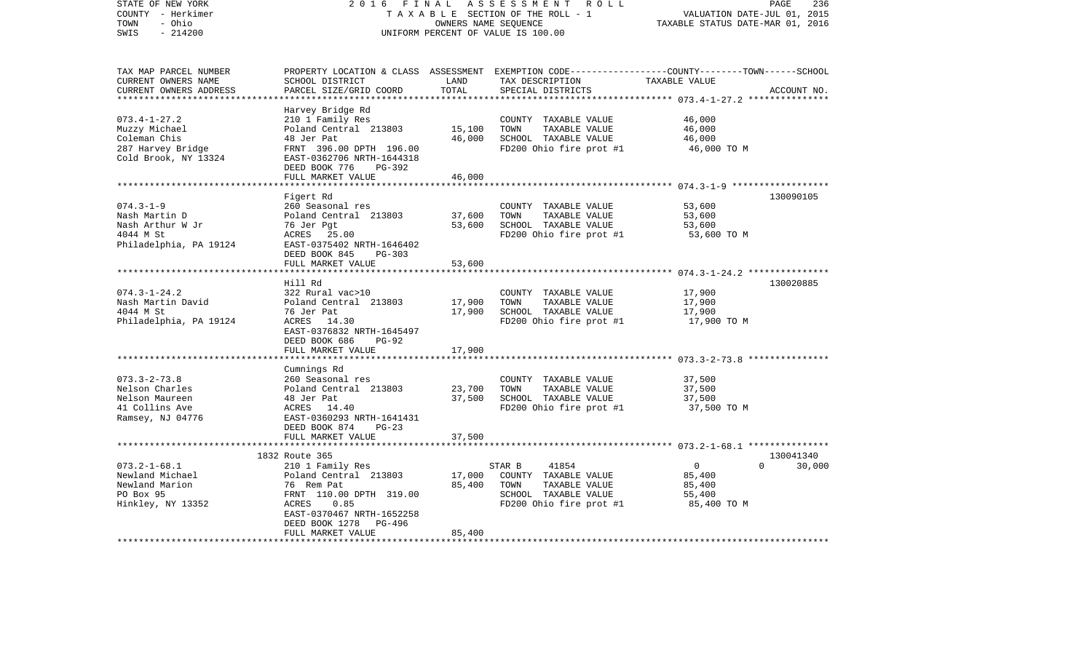| STATE OF NEW YORK<br>COUNTY - Herkimer<br>- Ohio<br>TOWN<br>$-214200$<br>SWIS                    | 2 0 1 6<br>FINAL<br>TAXABLE SECTION OF THE ROLL - 1<br>UNIFORM PERCENT OF VALUE IS 100.00                                                                              | PAGE<br>236<br>2015<br>VALUATION DATE-JUL 01,<br>TAXABLE STATUS DATE-MAR 01, 2016 |                                                                                                                                          |                                                                      |                     |
|--------------------------------------------------------------------------------------------------|------------------------------------------------------------------------------------------------------------------------------------------------------------------------|-----------------------------------------------------------------------------------|------------------------------------------------------------------------------------------------------------------------------------------|----------------------------------------------------------------------|---------------------|
| TAX MAP PARCEL NUMBER<br>CURRENT OWNERS NAME<br>CURRENT OWNERS ADDRESS<br>********************** | SCHOOL DISTRICT<br>PARCEL SIZE/GRID COORD                                                                                                                              | LAND<br>TOTAL                                                                     | PROPERTY LOCATION & CLASS ASSESSMENT EXEMPTION CODE----------------COUNTY-------TOWN------SCHOOL<br>TAX DESCRIPTION<br>SPECIAL DISTRICTS | TAXABLE VALUE                                                        | ACCOUNT NO.         |
| $073.4 - 1 - 27.2$<br>Muzzy Michael<br>Coleman Chis<br>287 Harvey Bridge<br>Cold Brook, NY 13324 | Harvey Bridge Rd<br>210 1 Family Res<br>Poland Central 213803<br>48 Jer Pat<br>FRNT 396.00 DPTH 196.00<br>EAST-0362706 NRTH-1644318<br>DEED BOOK 776<br>PG-392         | 15,100<br>46,000                                                                  | COUNTY TAXABLE VALUE<br>TOWN<br>TAXABLE VALUE<br>SCHOOL TAXABLE VALUE<br>FD200 Ohio fire prot #1                                         | 46,000<br>46,000<br>46,000<br>46,000 TO M                            |                     |
|                                                                                                  | FULL MARKET VALUE                                                                                                                                                      | 46,000                                                                            |                                                                                                                                          |                                                                      |                     |
| $074.3 - 1 - 9$<br>Nash Martin D<br>Nash Arthur W Jr<br>4044 M St<br>Philadelphia, PA 19124      | Figert Rd<br>260 Seasonal res<br>Poland Central 213803<br>76 Jer Pgt<br>ACRES<br>25.00<br>EAST-0375402 NRTH-1646402<br>DEED BOOK 845<br>$PG-303$                       | 37,600<br>53,600                                                                  | COUNTY TAXABLE VALUE<br>TOWN<br>TAXABLE VALUE<br>SCHOOL TAXABLE VALUE<br>FD200 Ohio fire prot #1                                         | 53,600<br>53,600<br>53,600<br>53,600 TO M                            | 130090105           |
|                                                                                                  | FULL MARKET VALUE                                                                                                                                                      | 53,600                                                                            |                                                                                                                                          |                                                                      |                     |
|                                                                                                  | *******************                                                                                                                                                    |                                                                                   |                                                                                                                                          | ***************** 074.3-1-24.2 ***************                       |                     |
| $074.3 - 1 - 24.2$<br>Nash Martin David<br>4044 M St<br>Philadelphia, PA 19124                   | Hill Rd<br>322 Rural vac>10<br>Poland Central 213803<br>76 Jer Pat<br>ACRES<br>14.30<br>EAST-0376832 NRTH-1645497<br>DEED BOOK 686<br><b>PG-92</b>                     | 17,900<br>17,900                                                                  | COUNTY TAXABLE VALUE<br>TOWN<br>TAXABLE VALUE<br>SCHOOL TAXABLE VALUE<br>FD200 Ohio fire prot #1                                         | 17,900<br>17,900<br>17,900<br>17,900 TO M                            | 130020885           |
|                                                                                                  | FULL MARKET VALUE                                                                                                                                                      | 17,900                                                                            |                                                                                                                                          |                                                                      |                     |
|                                                                                                  |                                                                                                                                                                        | * * * * * * * *                                                                   |                                                                                                                                          | ***************************** 073.3-2-73.8 ****************          |                     |
| $073.3 - 2 - 73.8$<br>Nelson Charles<br>Nelson Maureen<br>41 Collins Ave<br>Ramsey, NJ 04776     | Cumnings Rd<br>260 Seasonal res<br>Poland Central 213803<br>48 Jer Pat<br>ACRES<br>14.40<br>EAST-0360293 NRTH-1641431<br>DEED BOOK 874<br>$PG-23$<br>FULL MARKET VALUE | 23,700<br>37,500<br>37,500                                                        | COUNTY TAXABLE VALUE<br>TOWN<br>TAXABLE VALUE<br>SCHOOL TAXABLE VALUE<br>FD200 Ohio fire prot #1                                         | 37,500<br>37,500<br>37,500<br>37,500 TO M                            |                     |
|                                                                                                  |                                                                                                                                                                        |                                                                                   |                                                                                                                                          | ************ 073.2-1-68.1 ****************                           |                     |
| $073.2 - 1 - 68.1$<br>Newland Michael<br>Newland Marion<br>PO Box 95<br>Hinkley, NY 13352        | 1832 Route 365<br>210 1 Family Res<br>Poland Central 213803<br>76 Rem Pat<br>FRNT 110.00 DPTH 319.00<br>ACRES<br>0.85<br>EAST-0370467 NRTH-1652258                     | 17,000<br>85,400                                                                  | STAR B<br>41854<br>COUNTY TAXABLE VALUE<br>TOWN<br>TAXABLE VALUE<br>SCHOOL TAXABLE VALUE<br>FD200 Ohio fire prot #1                      | $\mathbf 0$<br>$\Omega$<br>85,400<br>85,400<br>55,400<br>85,400 TO M | 130041340<br>30,000 |
|                                                                                                  | DEED BOOK 1278<br>PG-496<br>FULL MARKET VALUE                                                                                                                          | 85,400                                                                            |                                                                                                                                          |                                                                      |                     |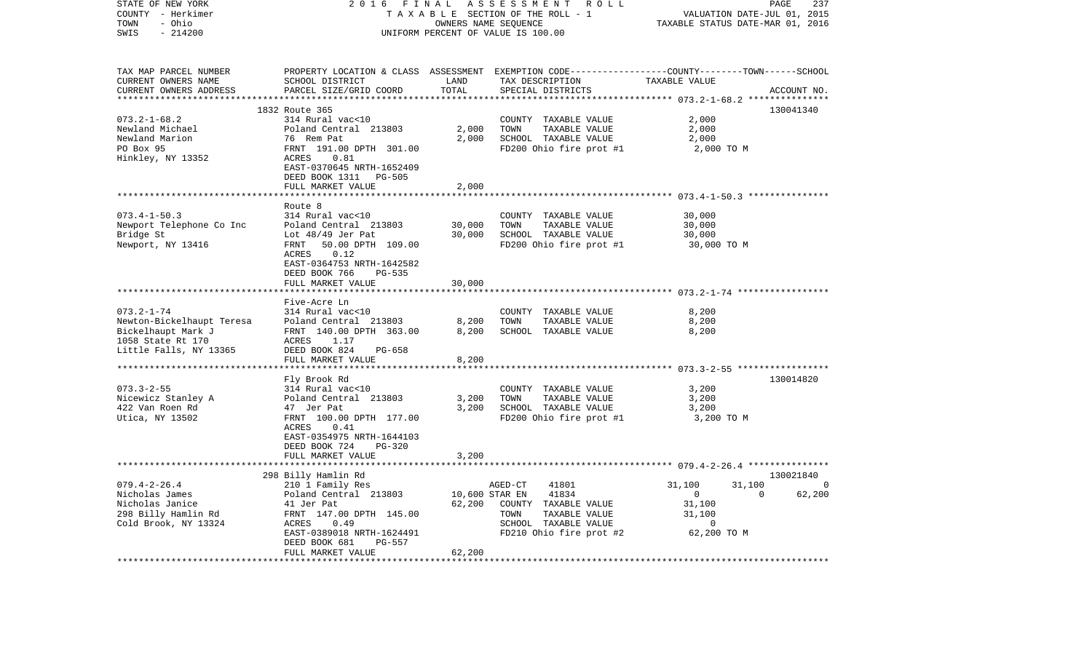| STATE OF NEW YORK<br>COUNTY - Herkimer<br>- Ohio<br>TOWN<br>SWIS<br>$-214200$                                      | 2 0 1 6<br>FINAL<br>ASSESSMENT ROLL<br>TAXABLE SECTION OF THE ROLL - 1<br>OWNERS NAME SEQUENCE<br>UNIFORM PERCENT OF VALUE IS 100.00                                                                   |                                    |                                                                                                                                        | PAGE<br>237<br>VALUATION DATE-JUL 01, 2015<br>TAXABLE STATUS DATE-MAR 01, 2016                         |             |  |
|--------------------------------------------------------------------------------------------------------------------|--------------------------------------------------------------------------------------------------------------------------------------------------------------------------------------------------------|------------------------------------|----------------------------------------------------------------------------------------------------------------------------------------|--------------------------------------------------------------------------------------------------------|-------------|--|
| TAX MAP PARCEL NUMBER<br>CURRENT OWNERS NAME<br>CURRENT OWNERS ADDRESS                                             | SCHOOL DISTRICT<br>PARCEL SIZE/GRID COORD                                                                                                                                                              | LAND<br>TOTAL<br>*************     | PROPERTY LOCATION & CLASS ASSESSMENT EXEMPTION CODE---------------COUNTY-------TOWN-----SCHOOL<br>TAX DESCRIPTION<br>SPECIAL DISTRICTS | TAXABLE VALUE                                                                                          | ACCOUNT NO. |  |
|                                                                                                                    | 1832 Route 365                                                                                                                                                                                         |                                    |                                                                                                                                        |                                                                                                        | 130041340   |  |
| $073.2 - 1 - 68.2$<br>Newland Michael<br>Newland Marion<br>PO Box 95<br>Hinkley, NY 13352                          | 314 Rural vac<10<br>Poland Central 213803<br>76 Rem Pat<br>FRNT 191.00 DPTH 301.00<br>ACRES<br>0.81<br>EAST-0370645 NRTH-1652409<br>DEED BOOK 1311 PG-505                                              | 2,000<br>2,000                     | COUNTY TAXABLE VALUE<br>TOWN<br>TAXABLE VALUE<br>SCHOOL TAXABLE VALUE<br>FD200 Ohio fire prot #1                                       | 2,000<br>2,000<br>2,000<br>2,000 TO M                                                                  |             |  |
|                                                                                                                    | FULL MARKET VALUE                                                                                                                                                                                      | 2,000                              |                                                                                                                                        |                                                                                                        |             |  |
| $073.4 - 1 - 50.3$<br>Newport Telephone Co Inc<br>Bridge St<br>Newport, NY 13416                                   | Route 8<br>314 Rural vac<10<br>Poland Central 213803<br>Lot $48/49$ Jer Pat<br>50.00 DPTH 109.00<br>FRNT<br>0.12<br>ACRES<br>EAST-0364753 NRTH-1642582<br>DEED BOOK 766<br>PG-535<br>FULL MARKET VALUE | 30,000<br>30,000<br>30,000         | COUNTY TAXABLE VALUE<br>TOWN<br>TAXABLE VALUE<br>SCHOOL TAXABLE VALUE<br>FD200 Ohio fire prot #1                                       | 30,000<br>30,000<br>30,000<br>30,000 TO M                                                              |             |  |
|                                                                                                                    | Five-Acre Ln                                                                                                                                                                                           |                                    |                                                                                                                                        |                                                                                                        |             |  |
| $073.2 - 1 - 74$<br>Newton-Bickelhaupt Teresa<br>Bickelhaupt Mark J<br>1058 State Rt 170<br>Little Falls, NY 13365 | 314 Rural vac<10<br>Poland Central 213803<br>FRNT 140.00 DPTH 363.00<br>ACRES<br>1.17<br>DEED BOOK 824<br>PG-658<br>FULL MARKET VALUE                                                                  | 8,200<br>8,200<br>8,200            | COUNTY TAXABLE VALUE<br>TOWN<br>TAXABLE VALUE<br>SCHOOL TAXABLE VALUE                                                                  | 8,200<br>8,200<br>8,200                                                                                |             |  |
|                                                                                                                    |                                                                                                                                                                                                        |                                    |                                                                                                                                        |                                                                                                        |             |  |
| $073.3 - 2 - 55$<br>Nicewicz Stanley A<br>422 Van Roen Rd<br>Utica, NY 13502                                       | Fly Brook Rd<br>314 Rural vac<10<br>Poland Central 213803<br>47 Jer Pat<br>FRNT 100.00 DPTH 177.00<br>ACRES<br>0.41<br>EAST-0354975 NRTH-1644103<br>DEED BOOK 724<br>PG-320                            | 3,200<br>3,200                     | COUNTY TAXABLE VALUE<br>TOWN<br>TAXABLE VALUE<br>SCHOOL TAXABLE VALUE<br>FD200 Ohio fire prot #1                                       | 3,200<br>3,200<br>3,200<br>3,200 TO M                                                                  | 130014820   |  |
|                                                                                                                    | FULL MARKET VALUE                                                                                                                                                                                      | 3,200                              |                                                                                                                                        |                                                                                                        |             |  |
|                                                                                                                    | 298 Billy Hamlin Rd                                                                                                                                                                                    |                                    |                                                                                                                                        |                                                                                                        | 130021840   |  |
| $079.4 - 2 - 26.4$<br>Nicholas James<br>Nicholas Janice<br>298 Billy Hamlin Rd<br>Cold Brook, NY 13324             | 210 1 Family Res<br>Poland Central 213803<br>41 Jer Pat<br>FRNT 147.00 DPTH 145.00<br>0.49<br>ACRES<br>EAST-0389018 NRTH-1624491<br>DEED BOOK 681<br>PG-557<br>FULL MARKET VALUE                       | 10,600 STAR EN<br>62,200<br>62,200 | AGED-CT<br>41801<br>41834<br>COUNTY TAXABLE VALUE<br>TOWN<br>TAXABLE VALUE<br>SCHOOL TAXABLE VALUE<br>FD210 Ohio fire prot #2          | 31,100<br>31,100<br>$\overline{\phantom{0}}$<br>$\overline{0}$<br>31,100<br>31,100<br>0<br>62,200 TO M | 62,200      |  |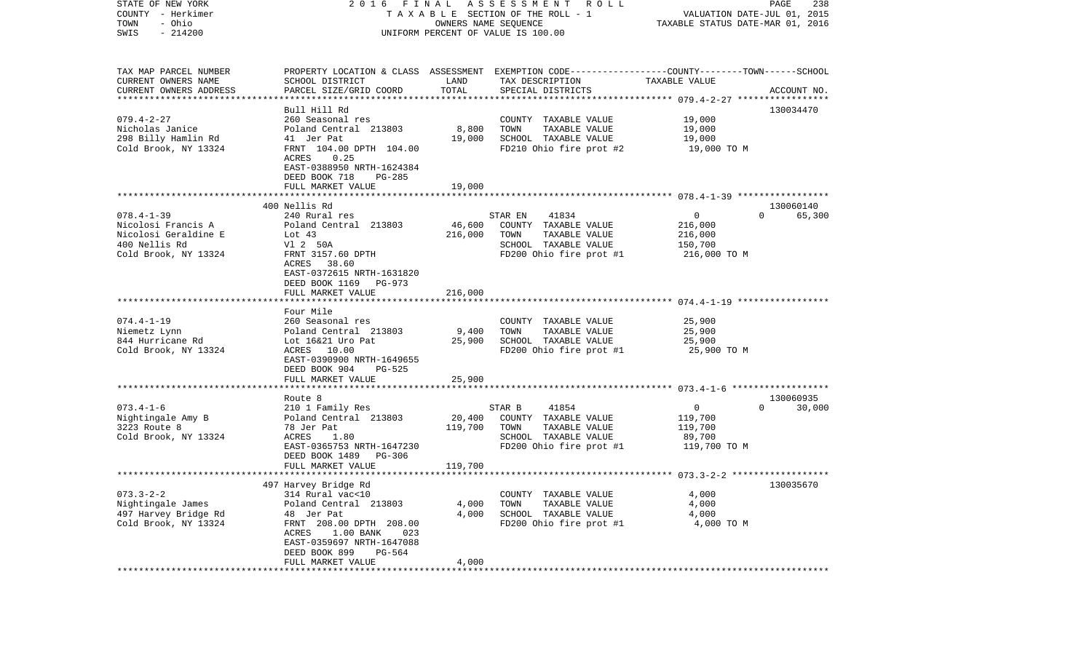| STATE OF NEW YORK<br>COUNTY - Herkimer<br>- Ohio<br>TOWN<br>$-214200$<br>SWIS                           |                                                                                                                                                                                                                        |                              | 2016 FINAL ASSESSMENT ROLL<br>TAXABLE SECTION OF THE ROLL - 1<br>OWNERS NAME SEQUENCE<br>UNIFORM PERCENT OF VALUE IS 100.00             | VALUATION DATE-JUL 01, 2015<br>TAXABLE STATUS DATE-MAR 01, 2016 | PAGE<br>238                     |
|---------------------------------------------------------------------------------------------------------|------------------------------------------------------------------------------------------------------------------------------------------------------------------------------------------------------------------------|------------------------------|-----------------------------------------------------------------------------------------------------------------------------------------|-----------------------------------------------------------------|---------------------------------|
| TAX MAP PARCEL NUMBER<br>CURRENT OWNERS NAME<br>CURRENT OWNERS ADDRESS                                  | SCHOOL DISTRICT<br>PARCEL SIZE/GRID COORD                                                                                                                                                                              | LAND<br>TOTAL                | PROPERTY LOCATION & CLASS ASSESSMENT EXEMPTION CODE---------------COUNTY-------TOWN------SCHOOL<br>TAX DESCRIPTION<br>SPECIAL DISTRICTS | TAXABLE VALUE                                                   | ACCOUNT NO.                     |
| $079.4 - 2 - 27$<br>Nicholas Janice<br>298 Billy Hamlin Rd<br>Cold Brook, NY 13324                      | Bull Hill Rd<br>260 Seasonal res<br>Poland Central 213803<br>41 Jer Pat<br>FRNT 104.00 DPTH 104.00<br>ACRES<br>0.25<br>EAST-0388950 NRTH-1624384<br>DEED BOOK 718<br>PG-285                                            | 8,800<br>19,000              | COUNTY TAXABLE VALUE<br>TOWN<br>TAXABLE VALUE<br>SCHOOL TAXABLE VALUE<br>FD210 Ohio fire prot #2                                        | 19,000<br>19,000<br>19,000<br>19,000 TO M                       | 130034470                       |
|                                                                                                         | FULL MARKET VALUE                                                                                                                                                                                                      | 19,000                       |                                                                                                                                         |                                                                 |                                 |
| $078.4 - 1 - 39$<br>Nicolosi Francis A<br>Nicolosi Geraldine E<br>400 Nellis Rd<br>Cold Brook, NY 13324 | 400 Nellis Rd<br>240 Rural res<br>Poland Central 213803<br>Lot 43<br>V1 2 50A<br>FRNT 3157.60 DPTH<br>ACRES 38.60<br>EAST-0372615 NRTH-1631820<br>DEED BOOK 1169 PG-973<br>FULL MARKET VALUE                           | 46,600<br>216,000<br>216,000 | STAR EN<br>41834<br>COUNTY TAXABLE VALUE<br>TAXABLE VALUE<br>TOWN<br>SCHOOL TAXABLE VALUE<br>FD200 Ohio fire prot #1                    | $\overline{0}$<br>216,000<br>216,000<br>150,700<br>216,000 TO M | 130060140<br>65,300<br>$\Omega$ |
|                                                                                                         |                                                                                                                                                                                                                        |                              |                                                                                                                                         |                                                                 |                                 |
| $074.4 - 1 - 19$<br>Niemetz Lynn<br>844 Hurricane Rd<br>Cold Brook, NY 13324                            | Four Mile<br>260 Seasonal res<br>Poland Central 213803<br>Lot 16&21 Uro Pat<br>ACRES 10.00<br>EAST-0390900 NRTH-1649655<br>DEED BOOK 904<br>PG-525                                                                     | 9,400<br>25,900              | COUNTY TAXABLE VALUE<br>TOWN<br>TAXABLE VALUE<br>SCHOOL TAXABLE VALUE<br>FD200 Ohio fire prot #1                                        | 25,900<br>25,900<br>25,900<br>25,900 TO M                       |                                 |
|                                                                                                         | FULL MARKET VALUE                                                                                                                                                                                                      | 25,900                       |                                                                                                                                         |                                                                 |                                 |
| $073.4 - 1 - 6$<br>Nightingale Amy B<br>3223 Route 8<br>Cold Brook, NY 13324                            | Route 8<br>210 1 Family Res<br>Poland Central 213803<br>78 Jer Pat<br>1.80<br>ACRES<br>EAST-0365753 NRTH-1647230<br>DEED BOOK 1489<br>PG-306<br>FULL MARKET VALUE                                                      | 20,400<br>119,700<br>119,700 | STAR B<br>41854<br>COUNTY TAXABLE VALUE<br>TOWN<br>TAXABLE VALUE<br>SCHOOL TAXABLE VALUE<br>FD200 Ohio fire prot #1                     | $\overline{0}$<br>119,700<br>119,700<br>89,700<br>119,700 TO M  | 130060935<br>30,000<br>$\Omega$ |
|                                                                                                         |                                                                                                                                                                                                                        |                              |                                                                                                                                         |                                                                 |                                 |
| $073.3 - 2 - 2$<br>Nightingale James<br>497 Harvey Bridge Rd<br>Cold Brook, NY 13324                    | 497 Harvey Bridge Rd<br>314 Rural vac<10<br>Poland Central 213803<br>48 Jer Pat<br>FRNT 208.00 DPTH 208.00<br>ACRES<br>$1.00$ BANK<br>023<br>EAST-0359697 NRTH-1647088<br>DEED BOOK 899<br>PG-564<br>FULL MARKET VALUE | 4,000<br>4,000<br>4,000      | COUNTY TAXABLE VALUE<br>TOWN<br>TAXABLE VALUE<br>SCHOOL TAXABLE VALUE<br>FD200 Ohio fire prot #1                                        | 4,000<br>4,000<br>4,000<br>4,000 TO M                           | 130035670                       |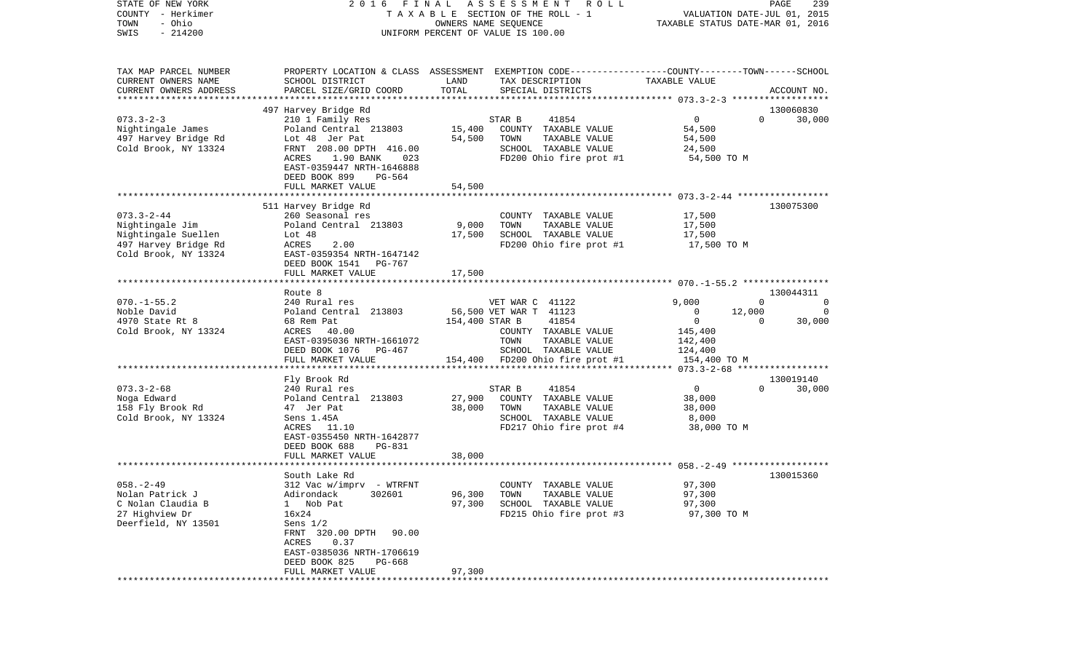| STATE OF NEW YORK      |                                |                | 2016 FINAL ASSESSMENT<br>R O L L                                                                |                                           | PAGE<br>239                 |
|------------------------|--------------------------------|----------------|-------------------------------------------------------------------------------------------------|-------------------------------------------|-----------------------------|
| COUNTY - Herkimer      |                                |                | TAXABLE SECTION OF THE ROLL - 1                                                                 |                                           | VALUATION DATE-JUL 01, 2015 |
| - Ohio<br>TOWN         |                                |                | OWNERS NAME SEQUENCE                                                                            | TAXABLE STATUS DATE-MAR 01, 2016          |                             |
| $-214200$<br>SWIS      |                                |                | UNIFORM PERCENT OF VALUE IS 100.00                                                              |                                           |                             |
|                        |                                |                |                                                                                                 |                                           |                             |
| TAX MAP PARCEL NUMBER  |                                |                | PROPERTY LOCATION & CLASS ASSESSMENT EXEMPTION CODE---------------COUNTY-------TOWN------SCHOOL |                                           |                             |
| CURRENT OWNERS NAME    | SCHOOL DISTRICT                | LAND           | TAX DESCRIPTION                                                                                 | TAXABLE VALUE                             |                             |
| CURRENT OWNERS ADDRESS | PARCEL SIZE/GRID COORD         | TOTAL          | SPECIAL DISTRICTS                                                                               |                                           | ACCOUNT NO.                 |
| ********************** |                                |                |                                                                                                 |                                           |                             |
|                        | 497 Harvey Bridge Rd           |                |                                                                                                 |                                           | 130060830                   |
| $073.3 - 2 - 3$        | 210 1 Family Res               |                | STAR B<br>41854                                                                                 | $\mathbf 0$                               | $\Omega$<br>30,000          |
| Nightingale James      | Poland Central 213803          | 15,400         | COUNTY TAXABLE VALUE                                                                            | 54,500                                    |                             |
| 497 Harvey Bridge Rd   | Lot 48 Jer Pat                 | 54,500         | TOWN<br>TAXABLE VALUE                                                                           | 54,500                                    |                             |
| Cold Brook, NY 13324   | FRNT 208.00 DPTH 416.00        |                | SCHOOL TAXABLE VALUE                                                                            | 24,500                                    |                             |
|                        | ACRES<br>1.90 BANK<br>023      |                | FD200 Ohio fire prot #1                                                                         | 54,500 TO M                               |                             |
|                        | EAST-0359447 NRTH-1646888      |                |                                                                                                 |                                           |                             |
|                        | DEED BOOK 899<br>PG-564        |                |                                                                                                 |                                           |                             |
|                        | FULL MARKET VALUE              | 54,500         |                                                                                                 |                                           |                             |
|                        |                                |                |                                                                                                 |                                           |                             |
|                        | 511 Harvey Bridge Rd           |                |                                                                                                 |                                           | 130075300                   |
| $073.3 - 2 - 44$       | 260 Seasonal res               |                | COUNTY TAXABLE VALUE                                                                            | 17,500                                    |                             |
| Nightingale Jim        | Poland Central 213803          | 9,000          | TOWN<br>TAXABLE VALUE                                                                           | 17,500                                    |                             |
| Nightingale Suellen    | Lot $48$                       | 17,500         | SCHOOL TAXABLE VALUE                                                                            | 17,500                                    |                             |
| 497 Harvey Bridge Rd   | 2.00<br>ACRES                  |                | FD200 Ohio fire prot #1                                                                         | 17,500 TO M                               |                             |
| Cold Brook, NY 13324   | EAST-0359354 NRTH-1647142      |                |                                                                                                 |                                           |                             |
|                        | DEED BOOK 1541<br>PG-767       |                |                                                                                                 |                                           |                             |
|                        | FULL MARKET VALUE              | 17,500         |                                                                                                 |                                           |                             |
|                        |                                |                |                                                                                                 |                                           |                             |
|                        | Route 8                        |                |                                                                                                 |                                           | 130044311                   |
| $070. -1 - 55.2$       | 240 Rural res                  |                | VET WAR C 41122                                                                                 | 9,000                                     | $\Omega$<br>$\overline{0}$  |
| Noble David            | Poland Central 213803          |                | 56,500 VET WAR T 41123                                                                          | 12,000<br>$\mathbf{0}$                    | $\Omega$                    |
| 4970 State Rt 8        | 68 Rem Pat                     | 154,400 STAR B | 41854                                                                                           | $\overline{0}$                            | $\Omega$<br>30,000          |
| Cold Brook, NY 13324   | ACRES 40.00                    |                | COUNTY TAXABLE VALUE                                                                            | 145,400                                   |                             |
|                        | EAST-0395036 NRTH-1661072      |                | TOWN<br>TAXABLE VALUE                                                                           | 142,400                                   |                             |
|                        | DEED BOOK 1076 PG-467          |                | SCHOOL TAXABLE VALUE                                                                            | 124,400                                   |                             |
|                        | FULL MARKET VALUE              |                | 154,400 FD200 Ohio fire prot #1                                                                 | 154,400 TO M                              |                             |
|                        | ***********************        |                | ************************************                                                            | *********** 073.3-2-68 ****************** |                             |
|                        | Fly Brook Rd                   |                |                                                                                                 |                                           | 130019140                   |
| $073.3 - 2 - 68$       | 240 Rural res                  |                | 41854<br>STAR B                                                                                 | $\overline{0}$                            | $\Omega$<br>30,000          |
| Noga Edward            | Poland Central 213803          | 27,900         | COUNTY TAXABLE VALUE                                                                            | 38,000                                    |                             |
| 158 Fly Brook Rd       | 47 Jer Pat                     | 38,000         | TOWN<br>TAXABLE VALUE                                                                           | 38,000                                    |                             |
| Cold Brook, NY 13324   | Sens 1.45A                     |                | SCHOOL TAXABLE VALUE                                                                            | 8,000                                     |                             |
|                        | ACRES 11.10                    |                | FD217 Ohio fire prot #4                                                                         | 38,000 TO M                               |                             |
|                        | EAST-0355450 NRTH-1642877      |                |                                                                                                 |                                           |                             |
|                        | DEED BOOK 688<br><b>PG-831</b> |                |                                                                                                 |                                           |                             |
|                        | FULL MARKET VALUE              | 38,000         |                                                                                                 |                                           |                             |
|                        |                                |                |                                                                                                 |                                           |                             |
|                        | South Lake Rd                  |                |                                                                                                 |                                           | 130015360                   |
| $058. - 2 - 49$        | 312 Vac w/imprv - WTRFNT       |                | COUNTY TAXABLE VALUE                                                                            | 97,300                                    |                             |
| Nolan Patrick J        | Adirondack<br>302601           | 96,300         | TOWN<br>TAXABLE VALUE                                                                           | 97,300                                    |                             |
| C Nolan Claudia B      | Nob Pat<br>$\mathbf{1}$        | 97,300         | SCHOOL TAXABLE VALUE                                                                            | 97,300                                    |                             |
| 27 Highview Dr         | 16x24                          |                | FD215 Ohio fire prot #3                                                                         | 97,300 TO M                               |                             |
| Deerfield, NY 13501    | Sens $1/2$                     |                |                                                                                                 |                                           |                             |
|                        | FRNT 320.00 DPTH<br>90.00      |                |                                                                                                 |                                           |                             |
|                        | ACRES<br>0.37                  |                |                                                                                                 |                                           |                             |
|                        | EAST-0385036 NRTH-1706619      |                |                                                                                                 |                                           |                             |
|                        | DEED BOOK 825<br>PG-668        |                |                                                                                                 |                                           |                             |
|                        | FULL MARKET VALUE              | 97,300         |                                                                                                 |                                           |                             |
|                        |                                |                |                                                                                                 |                                           |                             |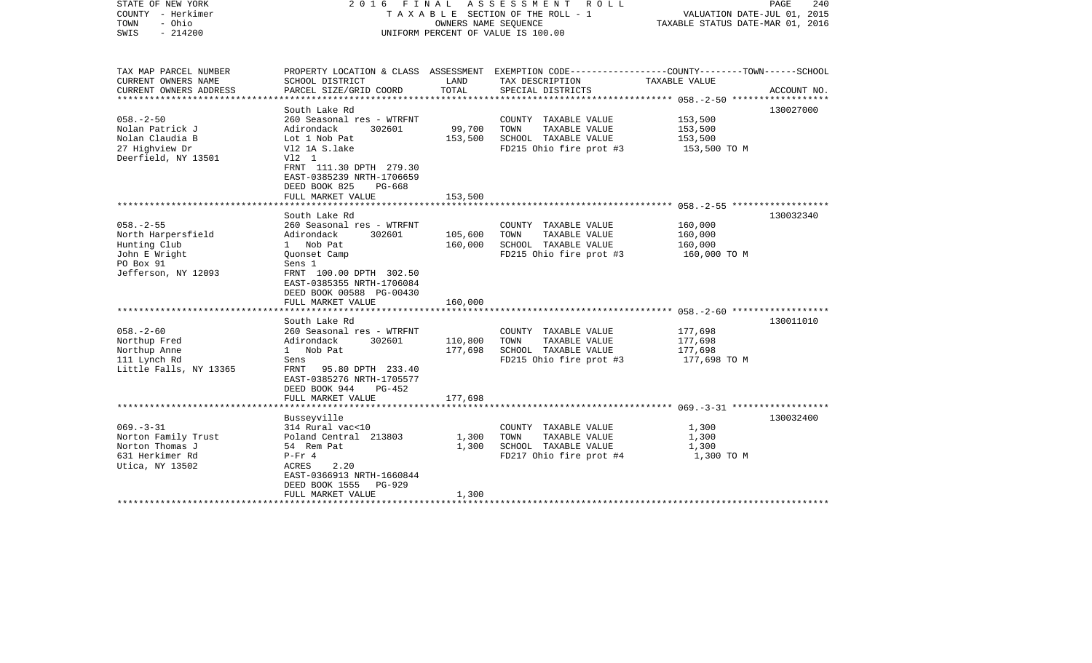| STATE OF NEW YORK<br>COUNTY - Herkimer<br>- Ohio<br>TOWN<br>$-214200$<br>SWIS | 2016 FINAL ASSESSMENT<br>TAXABLE SECTION OF THE ROLL - 1<br>OWNERS NAME SEOUENCE<br>UNIFORM PERCENT OF VALUE IS 100.00 |                        |                                                                                                                     | ROLL          |             | VALUATION DATE-JUL 01, 2015<br>TAXABLE STATUS DATE-MAR 01, 2016 | PAGE<br>240 |
|-------------------------------------------------------------------------------|------------------------------------------------------------------------------------------------------------------------|------------------------|---------------------------------------------------------------------------------------------------------------------|---------------|-------------|-----------------------------------------------------------------|-------------|
| TAX MAP PARCEL NUMBER<br>CURRENT OWNERS NAME                                  | SCHOOL DISTRICT                                                                                                        | LAND                   | PROPERTY LOCATION & CLASS ASSESSMENT EXEMPTION CODE----------------COUNTY-------TOWN------SCHOOL<br>TAX DESCRIPTION | TAXABLE VALUE |             |                                                                 |             |
| CURRENT OWNERS ADDRESS                                                        | PARCEL SIZE/GRID COORD                                                                                                 | TOTAL                  | SPECIAL DISTRICTS                                                                                                   |               | ACCOUNT NO. |                                                                 |             |
|                                                                               |                                                                                                                        |                        |                                                                                                                     |               |             |                                                                 |             |
| $058. - 2 - 50$                                                               | South Lake Rd<br>260 Seasonal res - WTRFNT                                                                             |                        |                                                                                                                     | 153,500       | 130027000   |                                                                 |             |
| Nolan Patrick J                                                               | Adirondack<br>302601                                                                                                   | 99,700                 | COUNTY TAXABLE VALUE<br>TOWN<br>TAXABLE VALUE                                                                       | 153,500       |             |                                                                 |             |
| Nolan Claudia B                                                               | Lot 1 Nob Pat                                                                                                          | 153,500                | SCHOOL TAXABLE VALUE                                                                                                | 153,500       |             |                                                                 |             |
| 27 Highview Dr                                                                | V12 1A S.lake                                                                                                          |                        | FD215 Ohio fire prot #3                                                                                             | 153,500 TO M  |             |                                                                 |             |
| Deerfield, NY 13501                                                           | V12 1                                                                                                                  |                        |                                                                                                                     |               |             |                                                                 |             |
|                                                                               | FRNT 111.30 DPTH 279.30                                                                                                |                        |                                                                                                                     |               |             |                                                                 |             |
|                                                                               | EAST-0385239 NRTH-1706659                                                                                              |                        |                                                                                                                     |               |             |                                                                 |             |
|                                                                               | DEED BOOK 825<br>PG-668                                                                                                |                        |                                                                                                                     |               |             |                                                                 |             |
|                                                                               | FULL MARKET VALUE<br>*******************                                                                               | 153,500<br>*********** |                                                                                                                     |               |             |                                                                 |             |
|                                                                               | South Lake Rd                                                                                                          |                        |                                                                                                                     |               | 130032340   |                                                                 |             |
| $058. - 2 - 55$                                                               | 260 Seasonal res - WTRFNT                                                                                              |                        | COUNTY TAXABLE VALUE                                                                                                | 160,000       |             |                                                                 |             |
| North Harpersfield                                                            | Adirondack<br>302601                                                                                                   | 105,600                | TOWN<br>TAXABLE VALUE                                                                                               | 160,000       |             |                                                                 |             |
| Hunting Club                                                                  | 1 Nob Pat                                                                                                              | 160,000                | SCHOOL TAXABLE VALUE                                                                                                | 160,000       |             |                                                                 |             |
| John E Wright                                                                 | Quonset Camp                                                                                                           |                        | FD215 Ohio fire prot #3                                                                                             | 160,000 TO M  |             |                                                                 |             |
| PO Box 91                                                                     | Sens 1                                                                                                                 |                        |                                                                                                                     |               |             |                                                                 |             |
| Jefferson, NY 12093                                                           | FRNT 100.00 DPTH 302.50                                                                                                |                        |                                                                                                                     |               |             |                                                                 |             |
|                                                                               | EAST-0385355 NRTH-1706084                                                                                              |                        |                                                                                                                     |               |             |                                                                 |             |
|                                                                               | DEED BOOK 00588 PG-00430                                                                                               |                        |                                                                                                                     |               |             |                                                                 |             |
|                                                                               | FULL MARKET VALUE                                                                                                      | 160,000                |                                                                                                                     |               |             |                                                                 |             |
|                                                                               | South Lake Rd                                                                                                          |                        |                                                                                                                     |               | 130011010   |                                                                 |             |
| $058. - 2 - 60$                                                               | 260 Seasonal res - WTRFNT                                                                                              |                        | COUNTY TAXABLE VALUE                                                                                                | 177,698       |             |                                                                 |             |
| Northup Fred                                                                  | Adirondack<br>302601                                                                                                   | 110,800                | TOWN<br>TAXABLE VALUE                                                                                               | 177,698       |             |                                                                 |             |
| Northup Anne                                                                  | 1 Nob Pat                                                                                                              | 177,698                | SCHOOL TAXABLE VALUE                                                                                                | 177,698       |             |                                                                 |             |
| 111 Lynch Rd                                                                  | Sens                                                                                                                   |                        | FD215 Ohio fire prot #3                                                                                             | 177,698 TO M  |             |                                                                 |             |
| Little Falls, NY 13365                                                        | FRNT 95.80 DPTH 233.40                                                                                                 |                        |                                                                                                                     |               |             |                                                                 |             |
|                                                                               | EAST-0385276 NRTH-1705577                                                                                              |                        |                                                                                                                     |               |             |                                                                 |             |
|                                                                               | DEED BOOK 944<br>PG-452                                                                                                |                        |                                                                                                                     |               |             |                                                                 |             |
|                                                                               | FULL MARKET VALUE                                                                                                      | 177,698                |                                                                                                                     |               |             |                                                                 |             |
|                                                                               | Busseyville                                                                                                            |                        |                                                                                                                     |               | 130032400   |                                                                 |             |
| $069. -3 - 31$                                                                | 314 Rural vac<10                                                                                                       |                        | COUNTY TAXABLE VALUE                                                                                                | 1,300         |             |                                                                 |             |
| Norton Family Trust                                                           | Poland Central 213803                                                                                                  | 1,300                  | TOWN<br>TAXABLE VALUE                                                                                               | 1,300         |             |                                                                 |             |
| Norton Thomas J                                                               | 54 Rem Pat                                                                                                             | 1,300                  | SCHOOL TAXABLE VALUE                                                                                                | 1,300         |             |                                                                 |             |
| 631 Herkimer Rd                                                               | $P-Fr 4$                                                                                                               |                        | FD217 Ohio fire prot #4                                                                                             | 1,300 TO M    |             |                                                                 |             |
| Utica, NY 13502                                                               | ACRES<br>2.20                                                                                                          |                        |                                                                                                                     |               |             |                                                                 |             |
|                                                                               | EAST-0366913 NRTH-1660844                                                                                              |                        |                                                                                                                     |               |             |                                                                 |             |
|                                                                               | DEED BOOK 1555 PG-929                                                                                                  |                        |                                                                                                                     |               |             |                                                                 |             |
| ************************                                                      | FULL MARKET VALUE<br>***********************                                                                           | 1,300                  |                                                                                                                     |               |             |                                                                 |             |
|                                                                               |                                                                                                                        |                        |                                                                                                                     |               |             |                                                                 |             |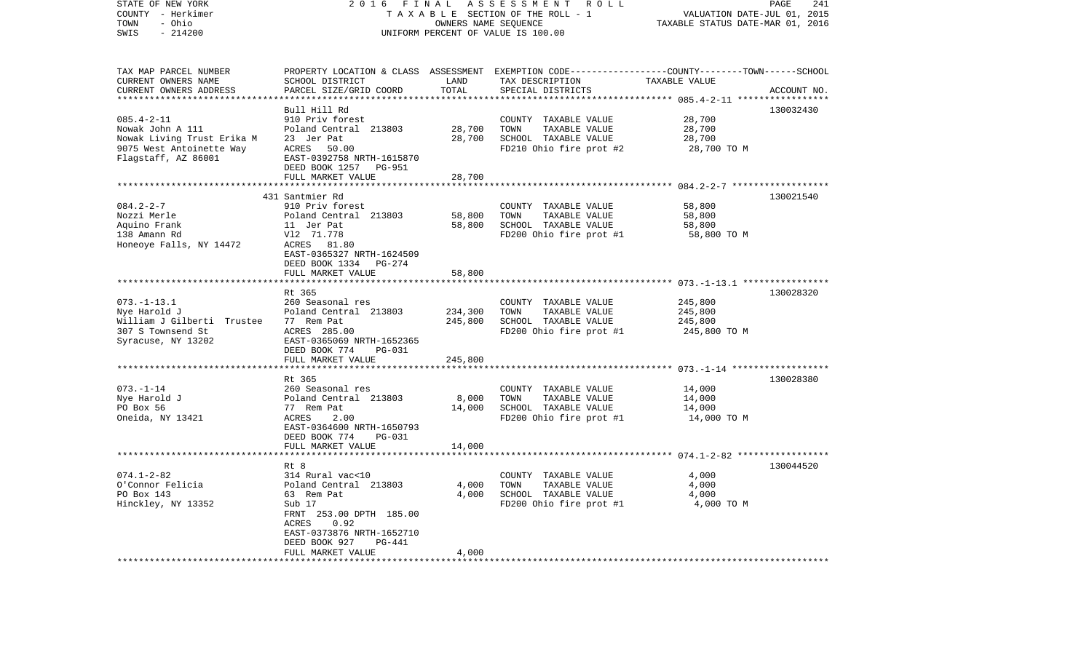| STATE OF NEW YORK<br>COUNTY - Herkimer<br>- Ohio<br>TOWN<br>SWIS<br>$-214200$ | 2016<br>FINAL                                         | OWNERS NAME SEQUENCE | ASSESSMENT<br>R O L L<br>TAXABLE SECTION OF THE ROLL - 1<br>UNIFORM PERCENT OF VALUE IS 100.00                     | VALUATION DATE-JUL 01, 2015<br>TAXABLE STATUS DATE-MAR 01, 2016 | PAGE<br>241 |
|-------------------------------------------------------------------------------|-------------------------------------------------------|----------------------|--------------------------------------------------------------------------------------------------------------------|-----------------------------------------------------------------|-------------|
|                                                                               |                                                       |                      |                                                                                                                    |                                                                 |             |
| TAX MAP PARCEL NUMBER<br>CURRENT OWNERS NAME                                  | SCHOOL DISTRICT                                       | LAND                 | PROPERTY LOCATION & CLASS ASSESSMENT EXEMPTION CODE----------------COUNTY-------TOWN-----SCHOOL<br>TAX DESCRIPTION | TAXABLE VALUE                                                   |             |
| CURRENT OWNERS ADDRESS                                                        | PARCEL SIZE/GRID COORD                                | TOTAL                | SPECIAL DISTRICTS                                                                                                  |                                                                 | ACCOUNT NO. |
|                                                                               |                                                       | * * * * * * * * *    |                                                                                                                    |                                                                 |             |
|                                                                               | Bull Hill Rd                                          |                      |                                                                                                                    |                                                                 | 130032430   |
| $085.4 - 2 - 11$                                                              | 910 Priv forest                                       |                      | COUNTY TAXABLE VALUE                                                                                               | 28,700                                                          |             |
| Nowak John A 111                                                              | Poland Central 213803                                 | 28,700               | TOWN<br>TAXABLE VALUE                                                                                              | 28,700                                                          |             |
| Nowak Living Trust Erika M                                                    | 23 Jer Pat                                            | 28,700               | SCHOOL TAXABLE VALUE                                                                                               | 28,700                                                          |             |
| 9075 West Antoinette Way                                                      | ACRES 50.00                                           |                      | FD210 Ohio fire prot #2                                                                                            | 28,700 TO M                                                     |             |
| Flagstaff, AZ 86001                                                           | EAST-0392758 NRTH-1615870<br>DEED BOOK 1257<br>PG-951 |                      |                                                                                                                    |                                                                 |             |
|                                                                               | FULL MARKET VALUE                                     | 28,700               |                                                                                                                    |                                                                 |             |
|                                                                               |                                                       |                      |                                                                                                                    |                                                                 |             |
|                                                                               | 431 Santmier Rd                                       |                      |                                                                                                                    |                                                                 | 130021540   |
| $084.2 - 2 - 7$                                                               | 910 Priv forest                                       |                      | COUNTY TAXABLE VALUE                                                                                               | 58,800                                                          |             |
| Nozzi Merle                                                                   | Poland Central 213803                                 | 58,800               | TOWN<br>TAXABLE VALUE                                                                                              | 58,800                                                          |             |
| Aquino Frank                                                                  | 11 Jer Pat                                            | 58,800               | SCHOOL TAXABLE VALUE                                                                                               | 58,800                                                          |             |
| 138 Amann Rd                                                                  | V12 71.778                                            |                      | FD200 Ohio fire prot #1                                                                                            | 58,800 TO M                                                     |             |
| Honeoye Falls, NY 14472                                                       | ACRES 81.80<br>EAST-0365327 NRTH-1624509              |                      |                                                                                                                    |                                                                 |             |
|                                                                               | DEED BOOK 1334<br>PG-274                              |                      |                                                                                                                    |                                                                 |             |
|                                                                               | FULL MARKET VALUE                                     | 58,800               |                                                                                                                    |                                                                 |             |
|                                                                               |                                                       |                      |                                                                                                                    |                                                                 |             |
|                                                                               | Rt 365                                                |                      |                                                                                                                    |                                                                 | 130028320   |
| $073. - 1 - 13.1$                                                             | 260 Seasonal res                                      |                      | COUNTY TAXABLE VALUE                                                                                               | 245,800                                                         |             |
| Nye Harold J                                                                  | Poland Central 213803                                 | 234,300              | TOWN<br>TAXABLE VALUE                                                                                              | 245,800                                                         |             |
| William J Gilberti Trustee                                                    | 77 Rem Pat                                            | 245,800              | SCHOOL TAXABLE VALUE                                                                                               | 245,800                                                         |             |
| 307 S Townsend St                                                             | ACRES 285.00<br>EAST-0365069 NRTH-1652365             |                      | FD200 Ohio fire prot #1                                                                                            | 245,800 TO M                                                    |             |
| Syracuse, NY 13202                                                            | DEED BOOK 774<br><b>PG-031</b>                        |                      |                                                                                                                    |                                                                 |             |
|                                                                               | FULL MARKET VALUE                                     | 245,800              |                                                                                                                    |                                                                 |             |
|                                                                               |                                                       |                      |                                                                                                                    |                                                                 |             |
|                                                                               | Rt 365                                                |                      |                                                                                                                    |                                                                 | 130028380   |
| $073. - 1 - 14$                                                               | 260 Seasonal res                                      |                      | COUNTY TAXABLE VALUE                                                                                               | 14,000                                                          |             |
| Nye Harold J                                                                  | Poland Central 213803                                 | 8,000                | TOWN<br>TAXABLE VALUE                                                                                              | 14,000                                                          |             |
| PO Box 56                                                                     | 77 Rem Pat                                            | 14,000               | SCHOOL TAXABLE VALUE                                                                                               | 14,000                                                          |             |
| Oneida, NY 13421                                                              | ACRES<br>2.00                                         |                      | FD200 Ohio fire prot #1                                                                                            | 14,000 TO M                                                     |             |
|                                                                               | EAST-0364600 NRTH-1650793<br>DEED BOOK 774<br>PG-031  |                      |                                                                                                                    |                                                                 |             |
|                                                                               | FULL MARKET VALUE                                     | 14,000               |                                                                                                                    |                                                                 |             |
|                                                                               |                                                       |                      |                                                                                                                    |                                                                 |             |
|                                                                               | Rt 8                                                  |                      |                                                                                                                    |                                                                 | 130044520   |
| $074.1 - 2 - 82$                                                              | 314 Rural vac<10                                      |                      | COUNTY TAXABLE VALUE                                                                                               | 4,000                                                           |             |
| O'Connor Felicia                                                              | Poland Central 213803                                 | 4,000                | TAXABLE VALUE<br>TOWN                                                                                              | 4,000                                                           |             |
| PO Box 143                                                                    | 63 Rem Pat                                            | 4,000                | SCHOOL TAXABLE VALUE                                                                                               | 4,000                                                           |             |
| Hinckley, NY 13352                                                            | Sub 17                                                |                      | FD200 Ohio fire prot #1                                                                                            | 4,000 TO M                                                      |             |
|                                                                               | FRNT 253.00 DPTH 185.00                               |                      |                                                                                                                    |                                                                 |             |
|                                                                               | ACRES<br>0.92<br>EAST-0373876 NRTH-1652710            |                      |                                                                                                                    |                                                                 |             |
|                                                                               | DEED BOOK 927<br>PG-441                               |                      |                                                                                                                    |                                                                 |             |
|                                                                               | FULL MARKET VALUE                                     | 4,000                |                                                                                                                    |                                                                 |             |
| ***********************                                                       | *******************                                   |                      |                                                                                                                    |                                                                 |             |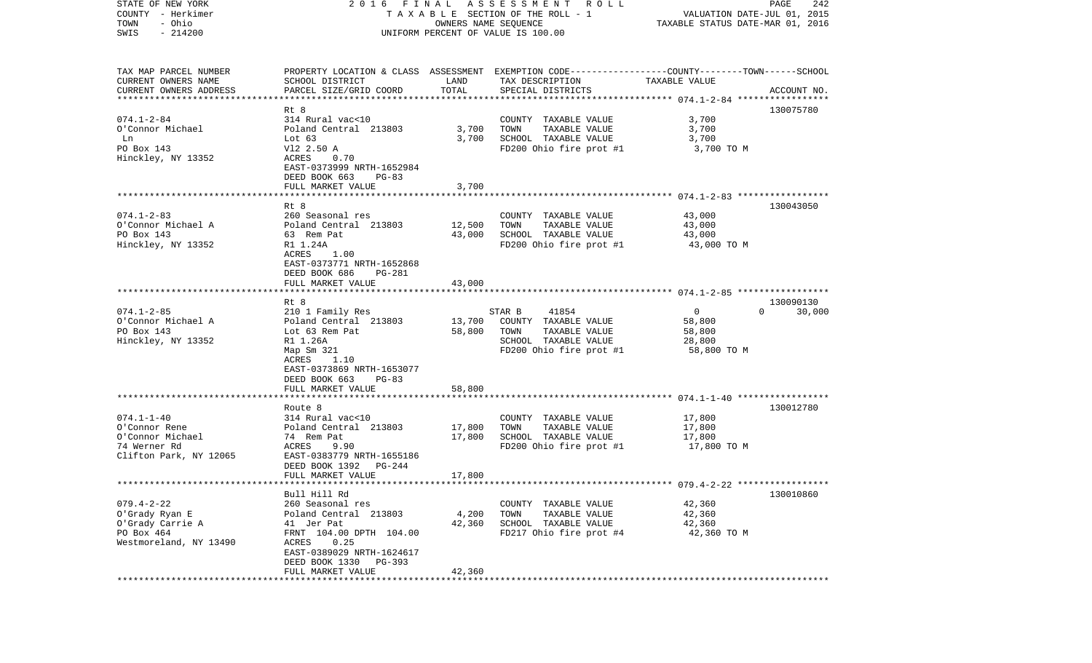| STATE OF NEW YORK                            |                                            |                                  | 2016 FINAL ASSESSMENT ROLL                                                                                         |                             | PAGE<br>242        |
|----------------------------------------------|--------------------------------------------|----------------------------------|--------------------------------------------------------------------------------------------------------------------|-----------------------------|--------------------|
| COUNTY - Herkimer                            |                                            |                                  | T A X A B L E SECTION OF THE ROLL - 1<br>OWNERS NAME SEQUENCE                                                      | VALUATION DATE-JUL 01, 2015 |                    |
| - Ohio<br>TOWN                               |                                            | TAXABLE STATUS DATE-MAR 01, 2016 |                                                                                                                    |                             |                    |
| $-214200$<br>SWIS                            |                                            |                                  | UNIFORM PERCENT OF VALUE IS 100.00                                                                                 |                             |                    |
|                                              |                                            |                                  |                                                                                                                    |                             |                    |
|                                              |                                            |                                  |                                                                                                                    |                             |                    |
| TAX MAP PARCEL NUMBER<br>CURRENT OWNERS NAME | SCHOOL DISTRICT                            | LAND                             | PROPERTY LOCATION & CLASS ASSESSMENT EXEMPTION CODE---------------COUNTY-------TOWN------SCHOOL<br>TAX DESCRIPTION | TAXABLE VALUE               |                    |
| CURRENT OWNERS ADDRESS                       | PARCEL SIZE/GRID COORD                     | TOTAL                            | SPECIAL DISTRICTS                                                                                                  |                             | ACCOUNT NO.        |
| **************************                   |                                            |                                  |                                                                                                                    |                             |                    |
|                                              | Rt 8                                       |                                  |                                                                                                                    |                             | 130075780          |
| $074.1 - 2 - 84$                             | 314 Rural vac<10                           |                                  | COUNTY TAXABLE VALUE                                                                                               | 3,700                       |                    |
| O'Connor Michael                             | Poland Central 213803                      | 3,700                            | TOWN<br>TAXABLE VALUE                                                                                              | 3,700                       |                    |
| Ln                                           | Lot $63$                                   | 3,700                            | SCHOOL TAXABLE VALUE                                                                                               | 3,700                       |                    |
| PO Box 143                                   | V12 2.50 A                                 |                                  | FD200 Ohio fire prot #1                                                                                            | 3,700 TO M                  |                    |
| Hinckley, NY 13352                           | ACRES<br>0.70                              |                                  |                                                                                                                    |                             |                    |
|                                              | EAST-0373999 NRTH-1652984                  |                                  |                                                                                                                    |                             |                    |
|                                              | PG-83                                      |                                  |                                                                                                                    |                             |                    |
|                                              | DEED BOOK 663                              |                                  |                                                                                                                    |                             |                    |
|                                              | FULL MARKET VALUE                          | 3,700                            |                                                                                                                    |                             |                    |
|                                              |                                            |                                  |                                                                                                                    |                             |                    |
| $074.1 - 2 - 83$                             | Rt 8<br>260 Seasonal res                   |                                  | COUNTY TAXABLE VALUE                                                                                               | 43,000                      | 130043050          |
| O'Connor Michael A                           | Poland Central 213803                      | 12,500                           | TOWN<br>TAXABLE VALUE                                                                                              | 43,000                      |                    |
| PO Box 143                                   | 63 Rem Pat                                 | 43,000                           | SCHOOL TAXABLE VALUE                                                                                               |                             |                    |
|                                              |                                            |                                  |                                                                                                                    | 43,000                      |                    |
| Hinckley, NY 13352                           | R1 1.24A                                   |                                  | FD200 Ohio fire prot #1                                                                                            | 43,000 TO M                 |                    |
|                                              | ACRES<br>1.00<br>EAST-0373771 NRTH-1652868 |                                  |                                                                                                                    |                             |                    |
|                                              | DEED BOOK 686                              |                                  |                                                                                                                    |                             |                    |
|                                              | PG-281                                     |                                  |                                                                                                                    |                             |                    |
|                                              | FULL MARKET VALUE                          | 43,000                           |                                                                                                                    |                             |                    |
|                                              | Rt 8                                       |                                  |                                                                                                                    |                             | 130090130          |
| $074.1 - 2 - 85$                             | 210 1 Family Res                           |                                  | 41854<br>STAR B                                                                                                    | $\overline{0}$              | $\Omega$<br>30,000 |
| O'Connor Michael A                           | Poland Central 213803                      | 13,700                           | COUNTY TAXABLE VALUE                                                                                               | 58,800                      |                    |
| PO Box 143                                   | Lot 63 Rem Pat                             | 58,800                           | TAXABLE VALUE<br>TOWN                                                                                              | 58,800                      |                    |
| Hinckley, NY 13352                           | R1 1.26A                                   |                                  | SCHOOL TAXABLE VALUE                                                                                               | 28,800                      |                    |
|                                              | Map Sm 321                                 |                                  | FD200 Ohio fire prot #1                                                                                            | 58,800 TO M                 |                    |
|                                              | ACRES<br>1.10                              |                                  |                                                                                                                    |                             |                    |
|                                              | EAST-0373869 NRTH-1653077                  |                                  |                                                                                                                    |                             |                    |
|                                              | DEED BOOK 663<br>PG-83                     |                                  |                                                                                                                    |                             |                    |
|                                              | FULL MARKET VALUE                          | 58,800                           |                                                                                                                    |                             |                    |
|                                              | *******************                        | ********                         |                                                                                                                    |                             |                    |
|                                              | Route 8                                    |                                  |                                                                                                                    |                             | 130012780          |
| $074.1 - 1 - 40$                             | 314 Rural vac<10                           |                                  | COUNTY TAXABLE VALUE                                                                                               | 17,800                      |                    |
| O'Connor Rene                                | Poland Central 213803                      | 17,800                           | TOWN<br>TAXABLE VALUE                                                                                              | 17,800                      |                    |
| O'Connor Michael                             | 74 Rem Pat                                 | 17,800                           | SCHOOL TAXABLE VALUE                                                                                               | 17,800                      |                    |
| 74 Werner Rd                                 | ACRES<br>9.90                              |                                  | FD200 Ohio fire prot #1                                                                                            | 17,800 TO M                 |                    |
| Clifton Park, NY 12065                       | EAST-0383779 NRTH-1655186                  |                                  |                                                                                                                    |                             |                    |
|                                              | DEED BOOK 1392<br>PG-244                   |                                  |                                                                                                                    |                             |                    |
|                                              | FULL MARKET VALUE                          | 17,800                           |                                                                                                                    |                             |                    |
|                                              |                                            |                                  |                                                                                                                    |                             |                    |
|                                              | Bull Hill Rd                               |                                  |                                                                                                                    |                             | 130010860          |
| $079.4 - 2 - 22$                             | 260 Seasonal res                           |                                  | COUNTY TAXABLE VALUE                                                                                               | 42,360                      |                    |
| O'Grady Ryan E                               | Poland Central 213803                      | 4,200                            | TOWN<br>TAXABLE VALUE                                                                                              | 42,360                      |                    |
| O'Grady Carrie A                             | 41 Jer Pat                                 | 42,360                           | SCHOOL TAXABLE VALUE                                                                                               | 42,360                      |                    |
| PO Box 464                                   | FRNT 104.00 DPTH 104.00                    |                                  | FD217 Ohio fire prot #4                                                                                            | 42,360 TO M                 |                    |
| Westmoreland, NY 13490                       | ACRES<br>0.25                              |                                  |                                                                                                                    |                             |                    |
|                                              | EAST-0389029 NRTH-1624617                  |                                  |                                                                                                                    |                             |                    |
|                                              | DEED BOOK 1330<br>PG-393                   |                                  |                                                                                                                    |                             |                    |
|                                              | FULL MARKET VALUE                          | 42,360                           |                                                                                                                    |                             |                    |
| *************                                |                                            |                                  |                                                                                                                    |                             |                    |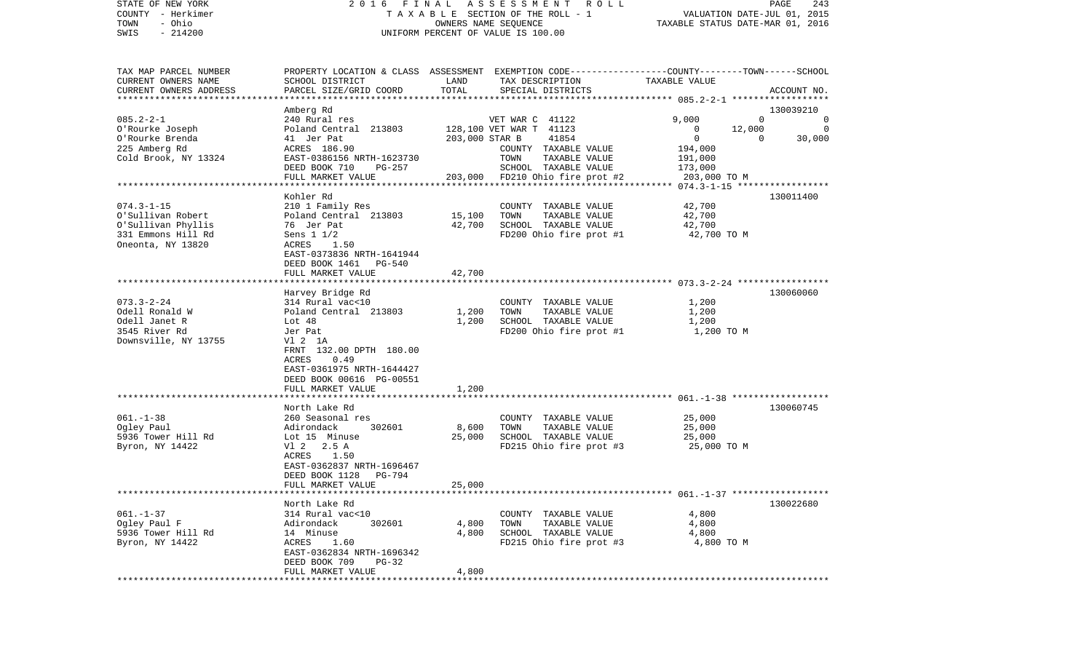| STATE OF NEW YORK<br>COUNTY - Herkimer           |                                               |                                  | 2016 FINAL ASSESSMENT ROLL<br>T A X A B L E SECTION OF THE ROLL - 1                             | VALUATION DATE-JUL 01, 2015 | PAGE<br>243                          |
|--------------------------------------------------|-----------------------------------------------|----------------------------------|-------------------------------------------------------------------------------------------------|-----------------------------|--------------------------------------|
| - Ohio<br>TOWN                                   |                                               | TAXABLE STATUS DATE-MAR 01, 2016 |                                                                                                 |                             |                                      |
| $-214200$<br>SWIS                                | UNIFORM PERCENT OF VALUE IS 100.00            |                                  |                                                                                                 |                             |                                      |
| TAX MAP PARCEL NUMBER                            |                                               |                                  | PROPERTY LOCATION & CLASS ASSESSMENT EXEMPTION CODE---------------COUNTY-------TOWN------SCHOOL |                             |                                      |
| CURRENT OWNERS NAME                              | SCHOOL DISTRICT                               | LAND                             | TAX DESCRIPTION                                                                                 | TAXABLE VALUE               |                                      |
| CURRENT OWNERS ADDRESS<br>********************** | PARCEL SIZE/GRID COORD                        | TOTAL                            | SPECIAL DISTRICTS                                                                               |                             | ACCOUNT NO.                          |
|                                                  |                                               |                                  |                                                                                                 |                             |                                      |
| $085.2 - 2 - 1$                                  | Amberg Rd<br>240 Rural res                    |                                  | VET WAR C 41122                                                                                 | 9,000                       | 130039210<br>$\mathbf 0$<br>$\Omega$ |
| O'Rourke Joseph                                  | Poland Central 213803                         |                                  | 128,100 VET WAR T 41123                                                                         | $\mathbf{0}$<br>12,000      | $\overline{0}$                       |
| O'Rourke Brenda                                  | 41 Jer Pat                                    | 203,000 STAR B                   | 41854                                                                                           | 0                           | $\Omega$<br>30,000                   |
| 225 Amberg Rd                                    | ACRES 186.90                                  |                                  | COUNTY TAXABLE VALUE                                                                            | 194,000                     |                                      |
| Cold Brook, NY 13324                             | EAST-0386156 NRTH-1623730                     |                                  | TAXABLE VALUE<br>TOWN                                                                           | 191,000                     |                                      |
|                                                  | DEED BOOK 710<br>PG-257                       |                                  | SCHOOL TAXABLE VALUE                                                                            | 173,000                     |                                      |
|                                                  | FULL MARKET VALUE                             |                                  | 203,000 FD210 Ohio fire prot #2                                                                 | 203,000 TO M                |                                      |
|                                                  |                                               |                                  |                                                                                                 |                             |                                      |
|                                                  | Kohler Rd                                     |                                  |                                                                                                 |                             | 130011400                            |
| $074.3 - 1 - 15$                                 | 210 1 Family Res                              |                                  | COUNTY TAXABLE VALUE                                                                            | 42,700                      |                                      |
| O'Sullivan Robert                                | Poland Central 213803                         | 15,100                           | TOWN<br>TAXABLE VALUE                                                                           | 42,700                      |                                      |
| O'Sullivan Phyllis<br>331 Emmons Hill Rd         | 76 Jer Pat<br>Sens 1 1/2                      | 42,700                           | SCHOOL TAXABLE VALUE<br>FD200 Ohio fire prot #1                                                 | 42,700<br>42,700 TO M       |                                      |
| Oneonta, NY 13820                                | ACRES<br>1.50                                 |                                  |                                                                                                 |                             |                                      |
|                                                  | EAST-0373836 NRTH-1641944                     |                                  |                                                                                                 |                             |                                      |
|                                                  | DEED BOOK 1461<br>$PG-540$                    |                                  |                                                                                                 |                             |                                      |
|                                                  | FULL MARKET VALUE                             | 42,700                           |                                                                                                 |                             |                                      |
|                                                  |                                               |                                  |                                                                                                 |                             |                                      |
|                                                  | Harvey Bridge Rd                              |                                  |                                                                                                 |                             | 130060060                            |
| $073.3 - 2 - 24$                                 | 314 Rural vac<10                              |                                  | COUNTY TAXABLE VALUE                                                                            | 1,200                       |                                      |
| Odell Ronald W                                   | Poland Central 213803                         | 1,200                            | TOWN<br>TAXABLE VALUE                                                                           | 1,200                       |                                      |
| Odell Janet R                                    | Lot 48                                        | 1,200                            | SCHOOL TAXABLE VALUE                                                                            | 1,200                       |                                      |
| 3545 River Rd<br>Downsville, NY 13755            | Jer Pat                                       |                                  | FD200 Ohio fire prot #1                                                                         | 1,200 TO M                  |                                      |
|                                                  | V1 2 1A<br>FRNT 132.00 DPTH 180.00            |                                  |                                                                                                 |                             |                                      |
|                                                  | ACRES<br>0.49                                 |                                  |                                                                                                 |                             |                                      |
|                                                  | EAST-0361975 NRTH-1644427                     |                                  |                                                                                                 |                             |                                      |
|                                                  | DEED BOOK 00616 PG-00551                      |                                  |                                                                                                 |                             |                                      |
|                                                  | FULL MARKET VALUE                             | 1,200                            |                                                                                                 |                             |                                      |
|                                                  | ******************                            | ********                         |                                                                                                 |                             |                                      |
|                                                  | North Lake Rd                                 |                                  |                                                                                                 |                             | 130060745                            |
| $061. - 1 - 38$                                  | 260 Seasonal res                              |                                  | COUNTY TAXABLE VALUE                                                                            | 25,000                      |                                      |
| Ogley Paul                                       | Adirondack<br>302601                          | 8,600                            | TOWN<br>TAXABLE VALUE                                                                           | 25,000                      |                                      |
| 5936 Tower Hill Rd                               | Lot 15 Minuse                                 | 25,000                           | SCHOOL TAXABLE VALUE                                                                            | 25,000                      |                                      |
| Byron, NY 14422                                  | V1 2 2.5 A<br>ACRES 1.50                      |                                  | FD215 Ohio fire prot #3                                                                         | 25,000 TO M                 |                                      |
|                                                  | EAST-0362837 NRTH-1696467                     |                                  |                                                                                                 |                             |                                      |
|                                                  | DEED BOOK 1128 PG-794                         |                                  |                                                                                                 |                             |                                      |
|                                                  | FULL MARKET VALUE                             | 25,000                           |                                                                                                 |                             |                                      |
|                                                  |                                               |                                  |                                                                                                 |                             |                                      |
|                                                  | North Lake Rd                                 |                                  |                                                                                                 |                             | 130022680                            |
| $061. - 1 - 37$                                  | 314 Rural vac<10                              |                                  | COUNTY TAXABLE VALUE                                                                            | 4,800                       |                                      |
| Ogley Paul F                                     | 302601<br>Adirondack                          | 4,800                            | TOWN<br>TAXABLE VALUE                                                                           | 4,800                       |                                      |
| 5936 Tower Hill Rd                               | 14 Minuse                                     | 4,800                            | SCHOOL TAXABLE VALUE                                                                            | 4,800                       |                                      |
| Byron, NY 14422                                  | ACRES<br>1.60                                 |                                  | FD215 Ohio fire prot #3                                                                         | 4,800 TO M                  |                                      |
|                                                  | EAST-0362834 NRTH-1696342                     |                                  |                                                                                                 |                             |                                      |
|                                                  | DEED BOOK 709<br>$PG-32$<br>FULL MARKET VALUE | 4,800                            |                                                                                                 |                             |                                      |
|                                                  |                                               |                                  |                                                                                                 |                             |                                      |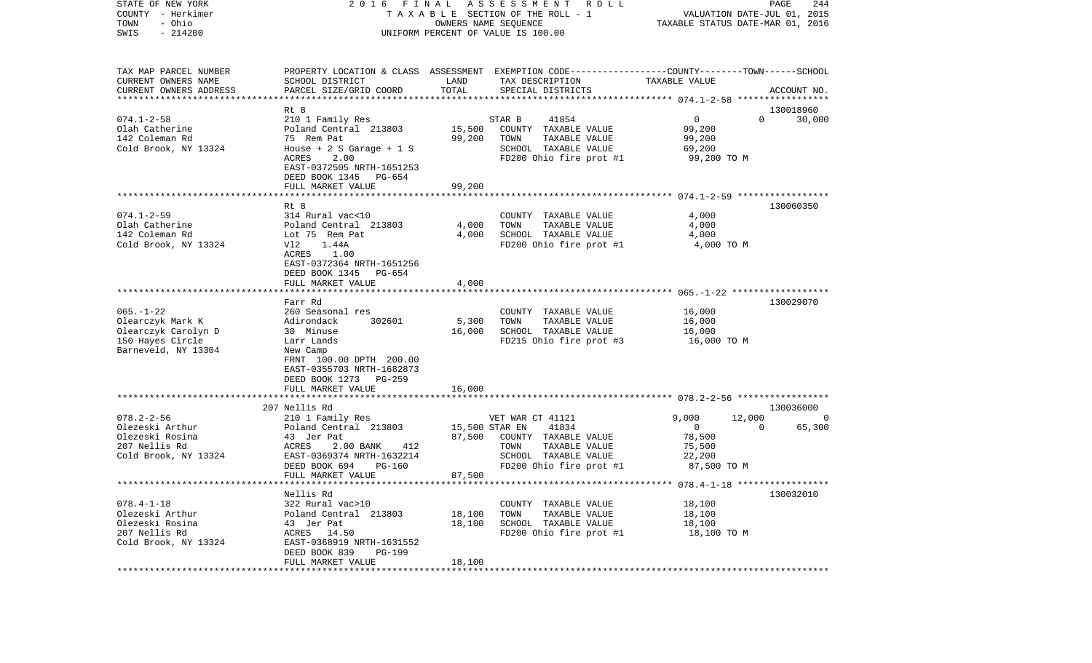| COUNTY<br>- Herkimer   | T A X A B L E SECTION OF THE ROLL - 1                                                            | VALUATION DATE-JUL 01, 2015      |                         |               |          |             |
|------------------------|--------------------------------------------------------------------------------------------------|----------------------------------|-------------------------|---------------|----------|-------------|
| TOWN<br>- Ohio         |                                                                                                  | TAXABLE STATUS DATE-MAR 01, 2016 |                         |               |          |             |
| SWIS<br>$-214200$      | UNIFORM PERCENT OF VALUE IS 100.00                                                               |                                  |                         |               |          |             |
|                        |                                                                                                  |                                  |                         |               |          |             |
| TAX MAP PARCEL NUMBER  | PROPERTY LOCATION & CLASS ASSESSMENT EXEMPTION CODE----------------COUNTY-------TOWN------SCHOOL |                                  |                         |               |          |             |
| CURRENT OWNERS NAME    | SCHOOL DISTRICT                                                                                  | LAND                             | TAX DESCRIPTION         | TAXABLE VALUE |          |             |
| CURRENT OWNERS ADDRESS | PARCEL SIZE/GRID COORD                                                                           | TOTAL                            | SPECIAL DISTRICTS       |               |          | ACCOUNT NO. |
|                        |                                                                                                  |                                  |                         |               |          |             |
|                        | Rt 8                                                                                             |                                  |                         |               |          | 130018960   |
| $074.1 - 2 - 58$       | 210 1 Family Res                                                                                 |                                  | STAR B<br>41854         | 0             | $\Omega$ | 30,000      |
| Olah Catherine         | Poland Central 213803                                                                            | 15,500                           | COUNTY TAXABLE VALUE    | 99,200        |          |             |
| 142 Coleman Rd         | 75 Rem Pat                                                                                       | 99,200                           | TAXABLE VALUE<br>TOWN   | 99,200        |          |             |
| Cold Brook, NY 13324   | House + 2 S Garage + 1 S                                                                         |                                  | SCHOOL TAXABLE VALUE    | 69,200        |          |             |
|                        | 2.00<br>ACRES                                                                                    |                                  | FD200 Ohio fire prot #1 | 99,200 TO M   |          |             |
|                        | EAST-0372505 NRTH-1651253                                                                        |                                  |                         |               |          |             |
|                        | DEED BOOK 1345<br>PG-654                                                                         |                                  |                         |               |          |             |
|                        | FULL MARKET VALUE                                                                                | 99,200                           |                         |               |          |             |
|                        |                                                                                                  |                                  |                         |               |          |             |
|                        | Rt 8                                                                                             |                                  |                         |               |          | 130060350   |
| $074.1 - 2 - 59$       | 314 Rural vac<10                                                                                 |                                  | COUNTY TAXABLE VALUE    | 4,000         |          |             |
| Olah Catherine         | Poland Central 213803                                                                            | 4,000                            | TOWN<br>TAXABLE VALUE   | 4,000         |          |             |
| 142 Coleman Rd         | Lot 75 Rem Pat                                                                                   | 4,000                            | SCHOOL TAXABLE VALUE    | 4,000         |          |             |
| Cold Brook, NY 13324   | Vl2<br>1.44A                                                                                     |                                  | FD200 Ohio fire prot #1 | 4,000 TO M    |          |             |
|                        | ACRES<br>1.00                                                                                    |                                  |                         |               |          |             |
|                        | EAST-0372364 NRTH-1651256                                                                        |                                  |                         |               |          |             |
|                        | DEED BOOK 1345<br>PG-654                                                                         |                                  |                         |               |          |             |
|                        | FULL MARKET VALUE                                                                                | 4,000                            |                         |               |          |             |
|                        | *******************                                                                              | * * * * * * * * * *              |                         |               |          |             |
|                        | Farr Rd                                                                                          |                                  |                         |               |          | 130029070   |
| $065. - 1 - 22$        | 260 Seasonal res                                                                                 |                                  | COUNTY TAXABLE VALUE    | 16,000        |          |             |
| Olearczyk Mark K       | Adirondack<br>302601                                                                             | 5,300                            | TOWN<br>TAXABLE VALUE   | 16,000        |          |             |
| Olearczyk Carolyn D    | 30 Minuse                                                                                        | 16,000                           | SCHOOL TAXABLE VALUE    | 16,000        |          |             |
| 150 Hayes Circle       | Larr Lands                                                                                       |                                  | FD215 Ohio fire prot #3 | 16,000 TO M   |          |             |
| Barneveld, NY 13304    | New Camp                                                                                         |                                  |                         |               |          |             |
|                        | FRNT 100.00 DPTH 200.00                                                                          |                                  |                         |               |          |             |
|                        | EAST-0355703 NRTH-1682873                                                                        |                                  |                         |               |          |             |
|                        | DEED BOOK 1273<br>PG-259                                                                         |                                  |                         |               |          |             |
|                        | FULL MARKET VALUE                                                                                | 16,000                           |                         |               |          |             |
|                        |                                                                                                  |                                  |                         |               |          |             |
|                        | 207 Nellis Rd                                                                                    |                                  |                         |               |          | 130036000   |
| $078.2 - 2 - 56$       | 210 1 Family Res                                                                                 |                                  | VET WAR CT 41121        | 9,000         | 12,000   | 0           |
| Olezeski Arthur        | Poland Central 213803                                                                            | 15,500 STAR EN                   | 41834                   | $\bigcirc$    | $\Omega$ | 65,300      |
| Olezeski Rosina        | 43 Jer Pat                                                                                       | 87,500                           | COUNTY TAXABLE VALUE    | 78,500        |          |             |
| 207 Nellis Rd          | ACRES<br>2.00 BANK<br>412                                                                        |                                  | TOWN<br>TAXABLE VALUE   | 75,500        |          |             |
| Cold Brook, NY 13324   | EAST-0369374 NRTH-1632214                                                                        |                                  | SCHOOL TAXABLE VALUE    | 22,200        |          |             |
|                        | DEED BOOK 694<br><b>PG-160</b>                                                                   |                                  | FD200 Ohio fire prot #1 | 87,500 TO M   |          |             |
|                        | FULL MARKET VALUE                                                                                | 87,500                           |                         |               |          |             |
|                        |                                                                                                  |                                  |                         |               |          |             |
|                        | Nellis Rd                                                                                        |                                  |                         |               |          | 130032010   |
| $078.4 - 1 - 18$       | 322 Rural vac>10                                                                                 |                                  | COUNTY TAXABLE VALUE    | 18,100        |          |             |
| Olezeski Arthur        | Poland Central 213803                                                                            | 18,100                           | TAXABLE VALUE<br>TOWN   | 18,100        |          |             |
| Olezeski Rosina        | 43 Jer Pat                                                                                       | 18,100                           | SCHOOL TAXABLE VALUE    | 18,100        |          |             |
| 207 Nellis Rd          | ACRES<br>14.50                                                                                   |                                  | FD200 Ohio fire prot #1 | 18,100 TO M   |          |             |
| Cold Brook, NY 13324   | EAST-0368919 NRTH-1631552                                                                        |                                  |                         |               |          |             |
|                        | DEED BOOK 839<br>PG-199                                                                          |                                  |                         |               |          |             |
|                        | FULL MARKET VALUE                                                                                | 18,100                           |                         |               |          |             |
|                        |                                                                                                  |                                  |                         |               |          |             |

STATE OF NEW YORK 2 0 1 6 F I N A L A S S E S S M E N T R O L L PAGE 244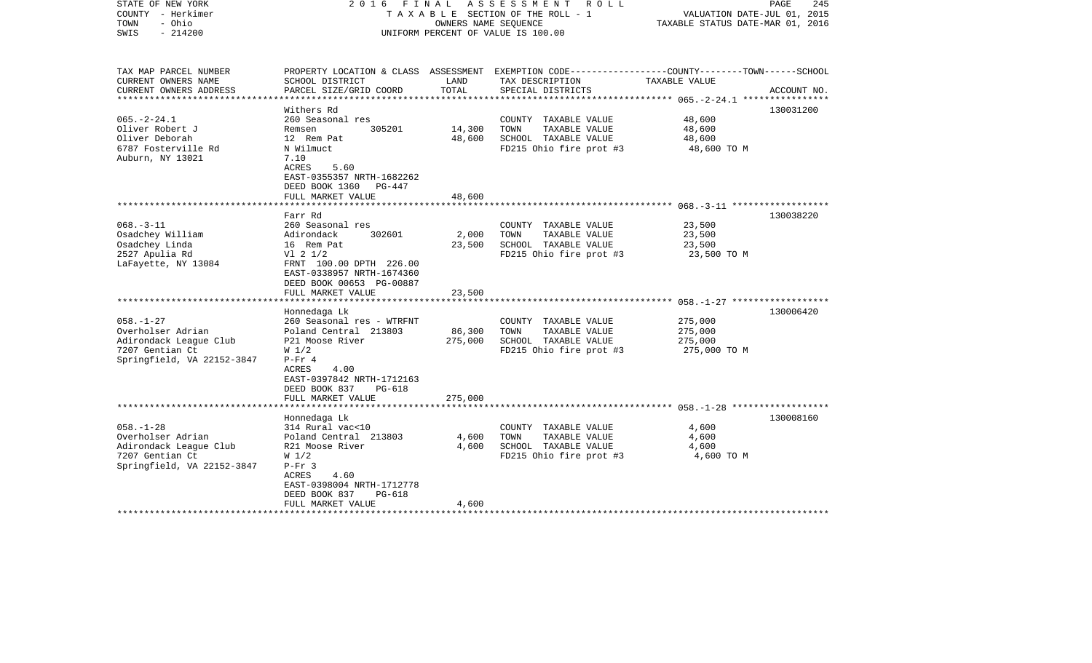| STATE OF NEW YORK<br>COUNTY - Herkimer<br>- Ohio<br>TOWN<br>$-214200$<br>SWIS                                   | 2016 FINAL                                                                                                                                                 | OWNERS NAME SEQUENCE | ASSESSMENT<br>R O L L<br>TAXABLE SECTION OF THE ROLL - 1<br>UNIFORM PERCENT OF VALUE IS 100.00                      | VALUATION DATE-JUL 01, 2015<br>TAXABLE STATUS DATE-MAR 01, 2016 | PAGE<br>245 |
|-----------------------------------------------------------------------------------------------------------------|------------------------------------------------------------------------------------------------------------------------------------------------------------|----------------------|---------------------------------------------------------------------------------------------------------------------|-----------------------------------------------------------------|-------------|
| TAX MAP PARCEL NUMBER<br>CURRENT OWNERS NAME                                                                    | SCHOOL DISTRICT                                                                                                                                            | LAND                 | PROPERTY LOCATION & CLASS ASSESSMENT EXEMPTION CODE----------------COUNTY-------TOWN------SCHOOL<br>TAX DESCRIPTION | TAXABLE VALUE                                                   |             |
| CURRENT OWNERS ADDRESS<br>********************                                                                  | PARCEL SIZE/GRID COORD<br>***********************                                                                                                          | TOTAL                | SPECIAL DISTRICTS                                                                                                   |                                                                 | ACCOUNT NO. |
|                                                                                                                 | Withers Rd                                                                                                                                                 |                      |                                                                                                                     |                                                                 | 130031200   |
| $065. -2 - 24.1$<br>Oliver Robert J                                                                             | 260 Seasonal res<br>Remsen<br>305201                                                                                                                       | 14,300               | COUNTY TAXABLE VALUE<br>TOWN<br>TAXABLE VALUE                                                                       | 48,600<br>48,600                                                |             |
| Oliver Deborah                                                                                                  | 12 Rem Pat                                                                                                                                                 | 48,600               | SCHOOL TAXABLE VALUE                                                                                                | 48,600                                                          |             |
| 6787 Fosterville Rd<br>Auburn, NY 13021                                                                         | N Wilmuct<br>7.10<br>ACRES<br>5.60<br>EAST-0355357 NRTH-1682262<br>DEED BOOK 1360<br>PG-447                                                                |                      | FD215 Ohio fire prot #3                                                                                             | 48,600 TO M                                                     |             |
|                                                                                                                 | FULL MARKET VALUE                                                                                                                                          | 48,600               |                                                                                                                     |                                                                 |             |
|                                                                                                                 | Farr Rd                                                                                                                                                    |                      |                                                                                                                     | $068 - 3 - 11$ *******************                              | 130038220   |
| $068. -3 - 11$<br>Osadchey William                                                                              | 260 Seasonal res<br>Adirondack<br>302601                                                                                                                   | 2,000                | COUNTY TAXABLE VALUE<br>TOWN<br>TAXABLE VALUE                                                                       | 23,500<br>23,500                                                |             |
| Osadchey Linda<br>2527 Apulia Rd<br>LaFayette, NY 13084                                                         | 16 Rem Pat<br>$VI$ 2 $1/2$<br>FRNT 100.00 DPTH 226.00<br>EAST-0338957 NRTH-1674360<br>DEED BOOK 00653 PG-00887                                             | 23,500               | SCHOOL TAXABLE VALUE<br>FD215 Ohio fire prot #3                                                                     | 23,500<br>23,500 TO M                                           |             |
|                                                                                                                 | FULL MARKET VALUE                                                                                                                                          | 23,500               |                                                                                                                     |                                                                 |             |
|                                                                                                                 |                                                                                                                                                            |                      |                                                                                                                     |                                                                 |             |
| $058. - 1 - 27$<br>Overholser Adrian<br>Adirondack League Club<br>7207 Gentian Ct                               | Honnedaga Lk<br>260 Seasonal res - WTRFNT<br>Poland Central 213803<br>P21 Moose River<br>W <sub>1/2</sub>                                                  | 86,300<br>275,000    | COUNTY TAXABLE VALUE<br>TOWN<br>TAXABLE VALUE<br>SCHOOL TAXABLE VALUE<br>FD215 Ohio fire prot #3                    | 275,000<br>275,000<br>275,000<br>275,000 TO M                   | 130006420   |
| Springfield, VA 22152-3847                                                                                      | $P-Fr 4$<br>ACRES<br>4.00<br>EAST-0397842 NRTH-1712163<br>DEED BOOK 837<br>PG-618<br>FULL MARKET VALUE                                                     | 275,000              |                                                                                                                     |                                                                 |             |
|                                                                                                                 | ***********************                                                                                                                                    |                      |                                                                                                                     |                                                                 |             |
| $058. - 1 - 28$<br>Overholser Adrian<br>Adirondack League Club<br>7207 Gentian Ct<br>Springfield, VA 22152-3847 | Honnedaga Lk<br>314 Rural vac<10<br>Poland Central 213803<br>R21 Moose River<br>W <sub>1/2</sub><br>$P-Fr$ 3<br>4.60<br>ACRES<br>EAST-0398004 NRTH-1712778 | 4,600<br>4,600       | COUNTY TAXABLE VALUE<br>TOWN<br>TAXABLE VALUE<br>SCHOOL TAXABLE VALUE<br>FD215 Ohio fire prot #3                    | 4,600<br>4,600<br>4,600<br>4,600 TO M                           | 130008160   |
|                                                                                                                 | DEED BOOK 837<br><b>PG-618</b><br>FULL MARKET VALUE                                                                                                        | 4,600                |                                                                                                                     |                                                                 |             |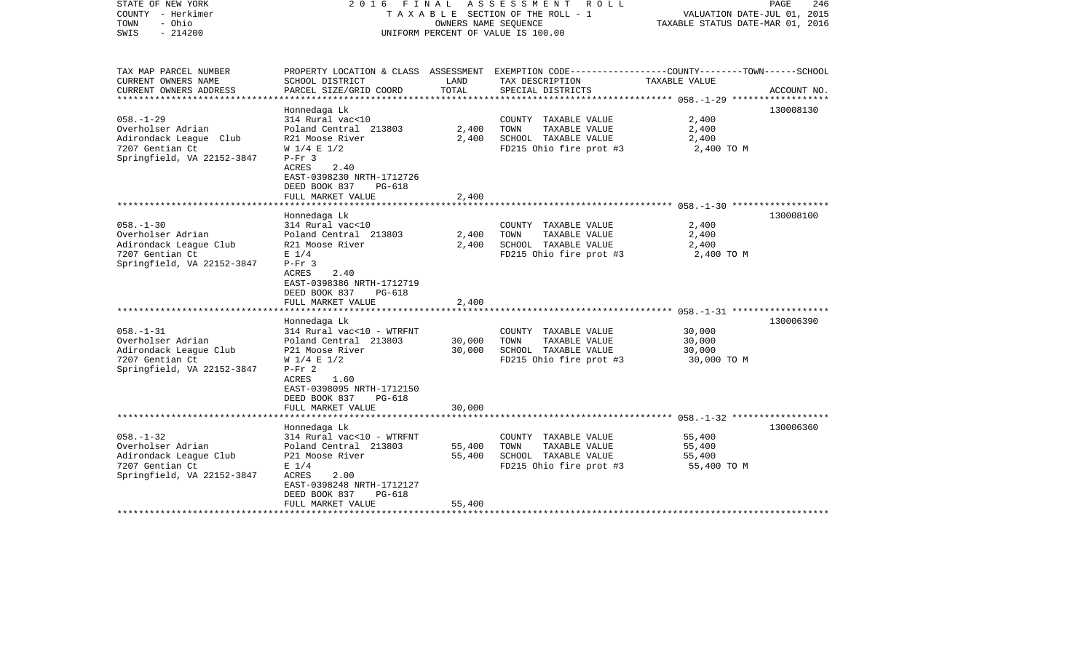| STATE OF NEW YORK<br>COUNTY - Herkimer<br>- Ohio<br>TOWN<br>$-214200$<br>SWIS                                   | 2016 FINAL                                                                                                                                                                                                                                          |                            | ASSESSMENT<br>R O L L<br>TAXABLE SECTION OF THE ROLL - 1<br>OWNERS NAME SEQUENCE<br>UNIFORM PERCENT OF VALUE IS 100.00                   | PAGE<br>246<br>VALUATION DATE-JUL 01, 2015<br>TAXABLE STATUS DATE-MAR 01, 2016 |                        |
|-----------------------------------------------------------------------------------------------------------------|-----------------------------------------------------------------------------------------------------------------------------------------------------------------------------------------------------------------------------------------------------|----------------------------|------------------------------------------------------------------------------------------------------------------------------------------|--------------------------------------------------------------------------------|------------------------|
| TAX MAP PARCEL NUMBER<br>CURRENT OWNERS NAME<br>CURRENT OWNERS ADDRESS                                          | SCHOOL DISTRICT<br>PARCEL SIZE/GRID COORD                                                                                                                                                                                                           | LAND<br>TOTAL              | PROPERTY LOCATION & CLASS ASSESSMENT EXEMPTION CODE----------------COUNTY-------TOWN------SCHOOL<br>TAX DESCRIPTION<br>SPECIAL DISTRICTS | TAXABLE VALUE                                                                  | ACCOUNT NO.            |
| **********************                                                                                          |                                                                                                                                                                                                                                                     |                            |                                                                                                                                          |                                                                                |                        |
| $058. - 1 - 29$<br>Overholser Adrian<br>Adirondack League Club<br>7207 Gentian Ct<br>Springfield, VA 22152-3847 | Honnedaga Lk<br>314 Rural vac<10<br>Poland Central 213803<br>R21 Moose River<br>$W$ 1/4 E 1/2<br>$P-Fr$ 3<br>2.40<br>ACRES<br>EAST-0398230 NRTH-1712726<br>DEED BOOK 837<br>PG-618                                                                  | 2,400<br>2,400             | COUNTY TAXABLE VALUE<br>TOWN<br>TAXABLE VALUE<br>SCHOOL TAXABLE VALUE<br>FD215 Ohio fire prot #3                                         | 2,400<br>2,400<br>2,400<br>2,400 TO M                                          | 130008130              |
|                                                                                                                 | FULL MARKET VALUE                                                                                                                                                                                                                                   | 2,400                      |                                                                                                                                          |                                                                                |                        |
| $058. - 1 - 30$<br>Overholser Adrian<br>Adirondack League Club<br>7207 Gentian Ct<br>Springfield, VA 22152-3847 | Honnedaga Lk<br>314 Rural vac<10<br>Poland Central 213803<br>R21 Moose River<br>$E$ 1/4<br>$P-Fr$ 3<br>ACRES<br>2.40<br>EAST-0398386 NRTH-1712719<br>DEED BOOK 837<br>PG-618<br>FULL MARKET VALUE<br>******************************<br>Honnedaga Lk | 2,400<br>2,400<br>2,400    | COUNTY TAXABLE VALUE<br>TOWN<br>TAXABLE VALUE<br>SCHOOL TAXABLE VALUE<br>FD215 Ohio fire prot #3                                         | 2,400<br>2,400<br>2,400<br>2,400 TO M                                          | 130008100<br>130006390 |
| $058. - 1 - 31$<br>Overholser Adrian<br>Adirondack League Club<br>7207 Gentian Ct<br>Springfield, VA 22152-3847 | 314 Rural vac<10 - WTRFNT<br>Poland Central 213803<br>P21 Moose River<br>$W$ 1/4 E 1/2<br>$P-Fr 2$<br>1.60<br>ACRES<br>EAST-0398095 NRTH-1712150<br>DEED BOOK 837<br>PG-618<br>FULL MARKET VALUE                                                    | 30,000<br>30,000<br>30,000 | COUNTY TAXABLE VALUE<br>TAXABLE VALUE<br>TOWN<br>SCHOOL TAXABLE VALUE<br>FD215 Ohio fire prot #3                                         | 30,000<br>30,000<br>30,000<br>30,000 TO M                                      |                        |
|                                                                                                                 |                                                                                                                                                                                                                                                     |                            |                                                                                                                                          | ************************** 058.-1-32 **************                            |                        |
| $058. - 1 - 32$<br>Overholser Adrian<br>Adirondack League Club<br>7207 Gentian Ct<br>Springfield, VA 22152-3847 | Honnedaga Lk<br>314 Rural vac<10 - WTRFNT<br>Poland Central 213803<br>P21 Moose River<br>$E$ 1/4<br>ACRES<br>2.00<br>EAST-0398248 NRTH-1712127<br>DEED BOOK 837<br><b>PG-618</b><br>FULL MARKET VALUE                                               | 55,400<br>55,400<br>55,400 | COUNTY TAXABLE VALUE<br>TOWN<br>TAXABLE VALUE<br>SCHOOL TAXABLE VALUE<br>FD215 Ohio fire prot #3                                         | 55,400<br>55,400<br>55,400<br>55,400 TO M                                      | 130006360              |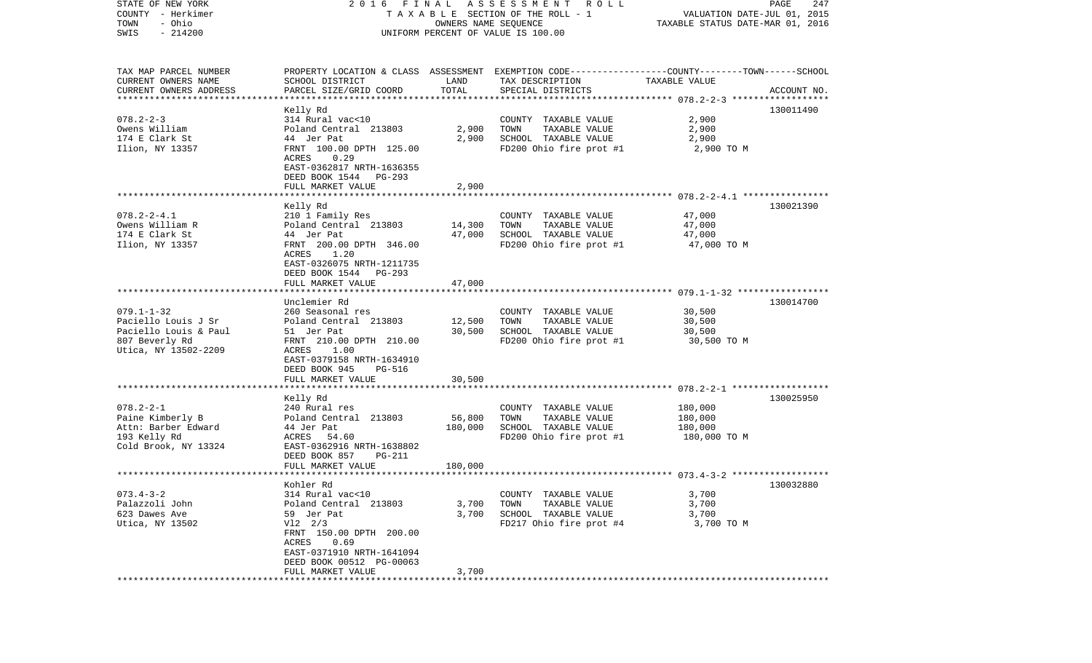| STATE OF NEW YORK         |                                                                                                 |                      | 2016 FINAL ASSESSMENT ROLL         |                                  | PAGE<br>247 |
|---------------------------|-------------------------------------------------------------------------------------------------|----------------------|------------------------------------|----------------------------------|-------------|
| COUNTY - Herkimer         |                                                                                                 |                      | TAXABLE SECTION OF THE ROLL - 1    | VALUATION DATE-JUL 01, 2015      |             |
| - Ohio<br>TOWN            |                                                                                                 | OWNERS NAME SEQUENCE |                                    | TAXABLE STATUS DATE-MAR 01, 2016 |             |
| $-214200$<br>SWIS         |                                                                                                 |                      | UNIFORM PERCENT OF VALUE IS 100.00 |                                  |             |
|                           |                                                                                                 |                      |                                    |                                  |             |
| TAX MAP PARCEL NUMBER     | PROPERTY LOCATION & CLASS ASSESSMENT EXEMPTION CODE---------------COUNTY-------TOWN------SCHOOL |                      |                                    |                                  |             |
| CURRENT OWNERS NAME       | SCHOOL DISTRICT                                                                                 | LAND                 | TAX DESCRIPTION                    | TAXABLE VALUE                    |             |
| CURRENT OWNERS ADDRESS    | PARCEL SIZE/GRID COORD                                                                          | TOTAL                | SPECIAL DISTRICTS                  |                                  | ACCOUNT NO. |
| ************************* |                                                                                                 |                      |                                    |                                  |             |
|                           | Kelly Rd                                                                                        |                      |                                    |                                  | 130011490   |
| $078.2 - 2 - 3$           | 314 Rural vac<10                                                                                |                      | COUNTY TAXABLE VALUE               | 2,900                            |             |
| Owens William             | Poland Central 213803                                                                           | 2,900                | TOWN<br>TAXABLE VALUE              | 2,900                            |             |
| 174 E Clark St            | 44 Jer Pat                                                                                      | 2,900                | SCHOOL TAXABLE VALUE               | 2,900                            |             |
| Ilion, NY 13357           | FRNT 100.00 DPTH 125.00                                                                         |                      | FD200 Ohio fire prot #1            | 2,900 TO M                       |             |
|                           | ACRES<br>0.29                                                                                   |                      |                                    |                                  |             |
|                           | EAST-0362817 NRTH-1636355                                                                       |                      |                                    |                                  |             |
|                           | DEED BOOK 1544 PG-293                                                                           |                      |                                    |                                  |             |
|                           | FULL MARKET VALUE                                                                               | 2,900                |                                    |                                  |             |
|                           |                                                                                                 |                      |                                    |                                  |             |
|                           | Kelly Rd                                                                                        |                      |                                    |                                  | 130021390   |
| $078.2 - 2 - 4.1$         | 210 1 Family Res                                                                                |                      | COUNTY TAXABLE VALUE               | 47,000                           |             |
| Owens William R           | Poland Central 213803<br>44 Jer Pat                                                             | 14,300               | TOWN<br>TAXABLE VALUE              | 47,000                           |             |
| 174 E Clark St            |                                                                                                 | 47,000               | SCHOOL TAXABLE VALUE               | 47,000                           |             |
| Ilion, NY 13357           | FRNT 200.00 DPTH 346.00<br>1.20<br>ACRES                                                        |                      | FD200 Ohio fire prot #1            | 47,000 TO M                      |             |
|                           | EAST-0326075 NRTH-1211735                                                                       |                      |                                    |                                  |             |
|                           | DEED BOOK 1544<br>PG-293                                                                        |                      |                                    |                                  |             |
|                           | FULL MARKET VALUE                                                                               | 47,000               |                                    |                                  |             |
|                           |                                                                                                 |                      |                                    |                                  |             |
|                           | Unclemier Rd                                                                                    |                      |                                    |                                  | 130014700   |
| $079.1 - 1 - 32$          | 260 Seasonal res                                                                                |                      | COUNTY TAXABLE VALUE               | 30,500                           |             |
| Paciello Louis J Sr       | Poland Central 213803                                                                           | 12,500               | TOWN<br>TAXABLE VALUE              | 30,500                           |             |
| Paciello Louis & Paul     | 51 Jer Pat                                                                                      | 30,500               | SCHOOL TAXABLE VALUE               | 30,500                           |             |
| 807 Beverly Rd            | FRNT 210.00 DPTH 210.00                                                                         |                      | FD200 Ohio fire prot #1            | 30,500 TO M                      |             |
| Utica, NY 13502-2209      | 1.00<br>ACRES                                                                                   |                      |                                    |                                  |             |
|                           | EAST-0379158 NRTH-1634910                                                                       |                      |                                    |                                  |             |
|                           | DEED BOOK 945<br>PG-516                                                                         |                      |                                    |                                  |             |
|                           | FULL MARKET VALUE                                                                               | 30,500               |                                    |                                  |             |
|                           | ******************************                                                                  |                      |                                    |                                  |             |
|                           | Kelly Rd                                                                                        |                      |                                    |                                  | 130025950   |
| $078.2 - 2 - 1$           | 240 Rural res                                                                                   |                      | COUNTY TAXABLE VALUE               | 180,000                          |             |
| Paine Kimberly B          | Poland Central 213803                                                                           | 56,800               | TOWN<br>TAXABLE VALUE              | 180,000                          |             |
| Attn: Barber Edward       | 44 Jer Pat                                                                                      | 180,000              | SCHOOL TAXABLE VALUE               | 180,000                          |             |
| 193 Kelly Rd              | ACRES 54.60                                                                                     |                      | FD200 Ohio fire prot #1            | 180,000 TO M                     |             |
| Cold Brook, NY 13324      | EAST-0362916 NRTH-1638802                                                                       |                      |                                    |                                  |             |
|                           | DEED BOOK 857<br>PG-211                                                                         |                      |                                    |                                  |             |
|                           | FULL MARKET VALUE                                                                               | 180,000              |                                    |                                  |             |
|                           |                                                                                                 |                      |                                    |                                  |             |
|                           | Kohler Rd                                                                                       |                      |                                    |                                  | 130032880   |
| $073.4 - 3 - 2$           | 314 Rural vac<10                                                                                |                      | COUNTY TAXABLE VALUE               | 3,700                            |             |
| Palazzoli John            | Poland Central 213803                                                                           | 3,700                | TOWN<br>TAXABLE VALUE              | 3,700                            |             |
| 623 Dawes Ave             | 59 Jer Pat                                                                                      | 3,700                | SCHOOL TAXABLE VALUE               | 3,700                            |             |
| Utica, NY 13502           | $V12 \t2/3$                                                                                     |                      | FD217 Ohio fire prot #4            | 3,700 TO M                       |             |
|                           | FRNT 150.00 DPTH 200.00                                                                         |                      |                                    |                                  |             |
|                           | 0.69<br>ACRES                                                                                   |                      |                                    |                                  |             |
|                           | EAST-0371910 NRTH-1641094                                                                       |                      |                                    |                                  |             |
|                           | DEED BOOK 00512 PG-00063                                                                        |                      |                                    |                                  |             |
|                           | FULL MARKET VALUE                                                                               | 3,700                |                                    |                                  |             |
|                           |                                                                                                 |                      |                                    |                                  |             |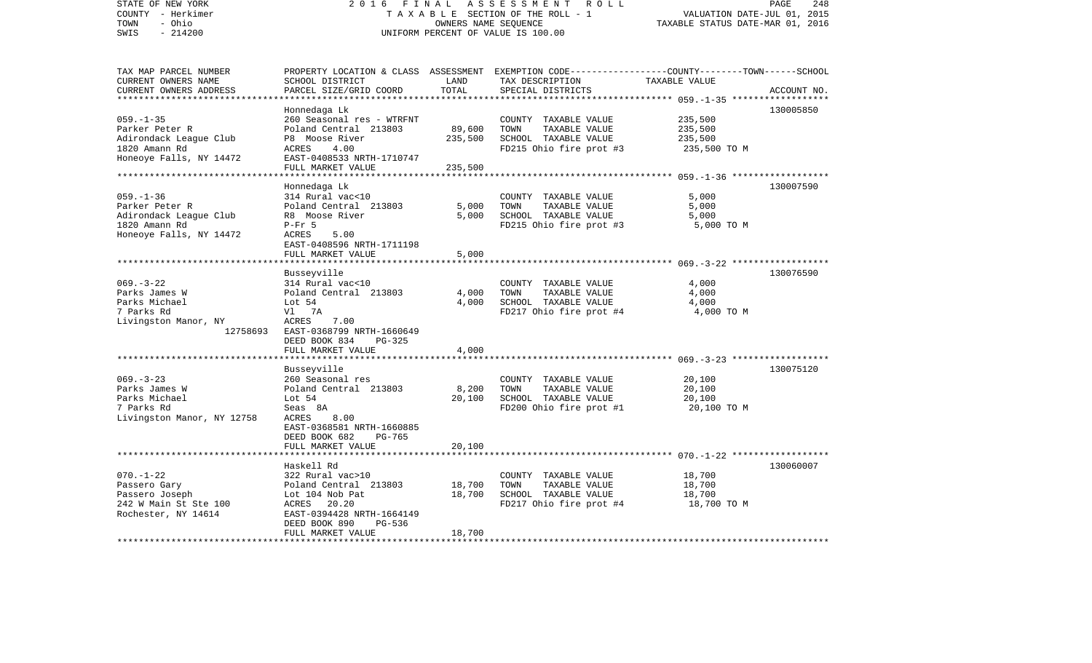| STATE OF NEW YORK<br>COUNTY - Herkimer<br>- Ohio<br>TOWN<br>$-214200$<br>SWIS                                                     | 2016 FINAL                                                                                                                                                                                                | OWNERS NAME SEQUENCE         | ASSESSMENT<br>R O L L<br>TAXABLE SECTION OF THE ROLL - 1<br>UNIFORM PERCENT OF VALUE IS 100.00   | PAGE<br>VALUATION DATE-JUL 01, 2015<br>TAXABLE STATUS DATE-MAR 01, 2016                                                        | 248 |
|-----------------------------------------------------------------------------------------------------------------------------------|-----------------------------------------------------------------------------------------------------------------------------------------------------------------------------------------------------------|------------------------------|--------------------------------------------------------------------------------------------------|--------------------------------------------------------------------------------------------------------------------------------|-----|
| TAX MAP PARCEL NUMBER<br>CURRENT OWNERS NAME<br>CURRENT OWNERS ADDRESS<br>***********************                                 | SCHOOL DISTRICT<br>PARCEL SIZE/GRID COORD                                                                                                                                                                 | LAND<br>TOTAL                | TAX DESCRIPTION<br>SPECIAL DISTRICTS                                                             | PROPERTY LOCATION & CLASS ASSESSMENT EXEMPTION CODE---------------COUNTY-------TOWN-----SCHOOL<br>TAXABLE VALUE<br>ACCOUNT NO. |     |
| $059. -1 - 35$<br>Parker Peter R<br>Adirondack League Club<br>1820 Amann Rd<br>Honeoye Falls, NY 14472<br>*********************** | Honnedaga Lk<br>260 Seasonal res - WTRFNT<br>Poland Central 213803<br>P8 Moose River<br>4.00<br>ACRES<br>EAST-0408533 NRTH-1710747<br>FULL MARKET VALUE                                                   | 89,600<br>235,500<br>235,500 | COUNTY TAXABLE VALUE<br>TOWN<br>TAXABLE VALUE<br>SCHOOL TAXABLE VALUE<br>FD215 Ohio fire prot #3 | 130005850<br>235,500<br>235,500<br>235,500<br>235,500 TO M                                                                     |     |
| $059. - 1 - 36$<br>Parker Peter R<br>Adirondack League Club<br>1820 Amann Rd<br>Honeoye Falls, NY 14472                           | Honnedaga Lk<br>314 Rural vac<10<br>Poland Central 213803<br>R8 Moose River<br>$P-Fr$ 5<br>ACRES<br>5.00<br>EAST-0408596 NRTH-1711198<br>FULL MARKET VALUE                                                | 5,000<br>5,000<br>5,000      | COUNTY TAXABLE VALUE<br>TOWN<br>TAXABLE VALUE<br>SCHOOL TAXABLE VALUE<br>FD215 Ohio fire prot #3 | 130007590<br>5,000<br>5,000<br>5,000<br>5,000 TO M                                                                             |     |
| $069. -3 - 22$<br>Parks James W<br>Parks Michael<br>7 Parks Rd<br>Livingston Manor, NY<br>12758693                                | Busseyville<br>314 Rural vac<10<br>Poland Central 213803<br>Lot 54<br>Vl 7A<br>7.00<br>ACRES<br>EAST-0368799 NRTH-1660649<br>DEED BOOK 834<br>PG-325                                                      | 4,000<br>4,000               | COUNTY TAXABLE VALUE<br>TOWN<br>TAXABLE VALUE<br>SCHOOL TAXABLE VALUE<br>FD217 Ohio fire prot #4 | 130076590<br>4,000<br>4,000<br>4,000<br>4,000 TO M                                                                             |     |
| ************************                                                                                                          | FULL MARKET VALUE                                                                                                                                                                                         | 4,000                        |                                                                                                  |                                                                                                                                |     |
| $069. -3 - 23$<br>Parks James W<br>Parks Michael<br>7 Parks Rd<br>Livingston Manor, NY 12758                                      | Busseyville<br>260 Seasonal res<br>Poland Central 213803<br>Lot 54<br>Seas 8A<br>ACRES<br>8.00<br>EAST-0368581 NRTH-1660885<br>DEED BOOK 682<br>PG-765                                                    | 8,200<br>20,100              | COUNTY TAXABLE VALUE<br>TAXABLE VALUE<br>TOWN<br>SCHOOL TAXABLE VALUE<br>FD200 Ohio fire prot #1 | 130075120<br>20,100<br>20,100<br>20,100<br>20,100 TO M                                                                         |     |
|                                                                                                                                   | FULL MARKET VALUE                                                                                                                                                                                         | 20,100                       |                                                                                                  |                                                                                                                                |     |
| $070. -1 - 22$<br>Passero Gary<br>Passero Joseph<br>242 W Main St Ste 100<br>Rochester, NY 14614<br>***********************       | Haskell Rd<br>322 Rural vac>10<br>Poland Central 213803<br>Lot 104 Nob Pat<br>ACRES 20.20<br>EAST-0394428 NRTH-1664149<br>DEED BOOK 890<br>PG-536<br>FULL MARKET VALUE<br>******************************* | 18,700<br>18,700<br>18,700   | COUNTY TAXABLE VALUE<br>TAXABLE VALUE<br>TOWN<br>SCHOOL TAXABLE VALUE<br>FD217 Ohio fire prot #4 | 130060007<br>18,700<br>18,700<br>18,700<br>18,700 TO M                                                                         |     |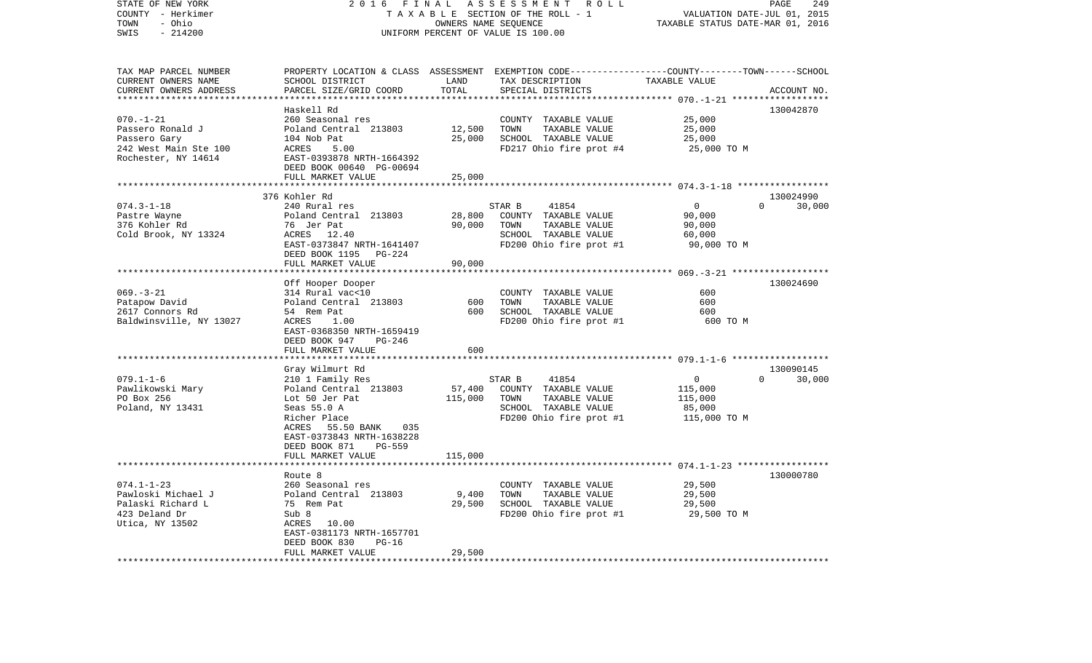| STATE OF NEW YORK<br>2016<br>COUNTY - Herkimer<br>- Ohio<br>TOWN<br>SWIS<br>$-214200$               |                                                                                                                                                                                                                    | FINAL                        | A S S E S S M E N T R O L L<br>TAXABLE SECTION OF THE ROLL - 1<br>OWNERS NAME SEOUENCE<br>UNIFORM PERCENT OF VALUE IS 100.00            | PAGE<br>249<br>VALUATION DATE-JUL 01, 2015<br>TAXABLE STATUS DATE-MAR 01, 2016 |                                 |
|-----------------------------------------------------------------------------------------------------|--------------------------------------------------------------------------------------------------------------------------------------------------------------------------------------------------------------------|------------------------------|-----------------------------------------------------------------------------------------------------------------------------------------|--------------------------------------------------------------------------------|---------------------------------|
| TAX MAP PARCEL NUMBER<br>CURRENT OWNERS NAME<br>CURRENT OWNERS ADDRESS                              | SCHOOL DISTRICT<br>PARCEL SIZE/GRID COORD                                                                                                                                                                          | LAND<br>TOTAL                | PROPERTY LOCATION & CLASS ASSESSMENT EXEMPTION CODE----------------COUNTY-------TOWN-----SCHOOL<br>TAX DESCRIPTION<br>SPECIAL DISTRICTS | TAXABLE VALUE                                                                  | ACCOUNT NO.                     |
|                                                                                                     |                                                                                                                                                                                                                    | * * * * * * * * * *          |                                                                                                                                         | ************ 070.-1-21 ******************                                      |                                 |
| $070. - 1 - 21$<br>Passero Ronald J<br>Passero Gary<br>242 West Main Ste 100<br>Rochester, NY 14614 | Haskell Rd<br>260 Seasonal res<br>Poland Central 213803<br>104 Nob Pat<br>ACRES<br>5.00<br>EAST-0393878 NRTH-1664392<br>DEED BOOK 00640 PG-00694<br>FULL MARKET VALUE                                              | 12,500<br>25,000<br>25,000   | COUNTY TAXABLE VALUE<br>TOWN<br>TAXABLE VALUE<br>SCHOOL TAXABLE VALUE<br>FD217 Ohio fire prot #4                                        | 25,000<br>25,000<br>25,000<br>25,000 TO M                                      | 130042870                       |
|                                                                                                     |                                                                                                                                                                                                                    |                              |                                                                                                                                         |                                                                                |                                 |
| $074.3 - 1 - 18$<br>Pastre Wayne<br>376 Kohler Rd<br>Cold Brook, NY 13324                           | 376 Kohler Rd<br>240 Rural res<br>Poland Central 213803<br>76 Jer Pat<br>ACRES 12.40<br>EAST-0373847 NRTH-1641407<br>DEED BOOK 1195 PG-224<br>FULL MARKET VALUE                                                    | 28,800<br>90,000<br>90,000   | STAR B<br>41854<br>COUNTY TAXABLE VALUE<br>TOWN<br>TAXABLE VALUE<br>SCHOOL TAXABLE VALUE<br>FD200 Ohio fire prot #1                     | $\overline{0}$<br>90,000<br>90,000<br>60,000<br>90,000 TO M                    | 130024990<br>$\Omega$<br>30,000 |
|                                                                                                     |                                                                                                                                                                                                                    |                              |                                                                                                                                         |                                                                                |                                 |
| $069. -3 - 21$<br>Patapow David<br>2617 Connors Rd<br>Baldwinsville, NY 13027                       | Off Hooper Dooper<br>314 Rural vac<10<br>Poland Central 213803<br>54 Rem Pat<br>ACRES<br>1.00<br>EAST-0368350 NRTH-1659419<br>DEED BOOK 947<br>PG-246<br>FULL MARKET VALUE                                         | 600<br>600<br>600            | COUNTY TAXABLE VALUE<br>TOWN<br>TAXABLE VALUE<br>SCHOOL TAXABLE VALUE<br>FD200 Ohio fire prot #1                                        | 600<br>600<br>600<br>600 TO M                                                  | 130024690                       |
|                                                                                                     |                                                                                                                                                                                                                    |                              |                                                                                                                                         |                                                                                |                                 |
| $079.1 - 1 - 6$<br>Pawlikowski Mary<br>PO Box 256<br>Poland, NY 13431                               | Gray Wilmurt Rd<br>210 1 Family Res<br>Poland Central 213803<br>Lot 50 Jer Pat<br>Seas 55.0 A<br>Richer Place<br>ACRES 55.50 BANK 035<br>EAST-0373843 NRTH-1638228<br>DEED BOOK 871<br>PG-559<br>FULL MARKET VALUE | 57,400<br>115,000<br>115,000 | STAR B<br>41854<br>COUNTY TAXABLE VALUE<br>TOWN<br>TAXABLE VALUE<br>SCHOOL TAXABLE VALUE<br>FD200 Ohio fire prot #1                     | $\mathbf{0}$<br>115,000<br>115,000<br>85,000<br>115,000 TO M                   | 130090145<br>30,000<br>$\Omega$ |
|                                                                                                     | ********************                                                                                                                                                                                               |                              |                                                                                                                                         |                                                                                |                                 |
| $074.1 - 1 - 23$<br>Pawloski Michael J<br>Palaski Richard L<br>423 Deland Dr<br>Utica, NY 13502     | Route 8<br>260 Seasonal res<br>Poland Central 213803<br>75 Rem Pat<br>Sub 8<br>ACRES 10.00<br>EAST-0381173 NRTH-1657701<br>$PG-16$<br>DEED BOOK 830<br>FULL MARKET VALUE                                           | 9,400<br>29,500<br>29,500    | COUNTY TAXABLE VALUE<br>TOWN<br>TAXABLE VALUE<br>SCHOOL TAXABLE VALUE<br>FD200 Ohio fire prot #1                                        | 29,500<br>29,500<br>29,500<br>29,500 TO M                                      | 130000780                       |
| *************************                                                                           | * * * * * * * * * * * * * * * * * * * *                                                                                                                                                                            |                              |                                                                                                                                         |                                                                                |                                 |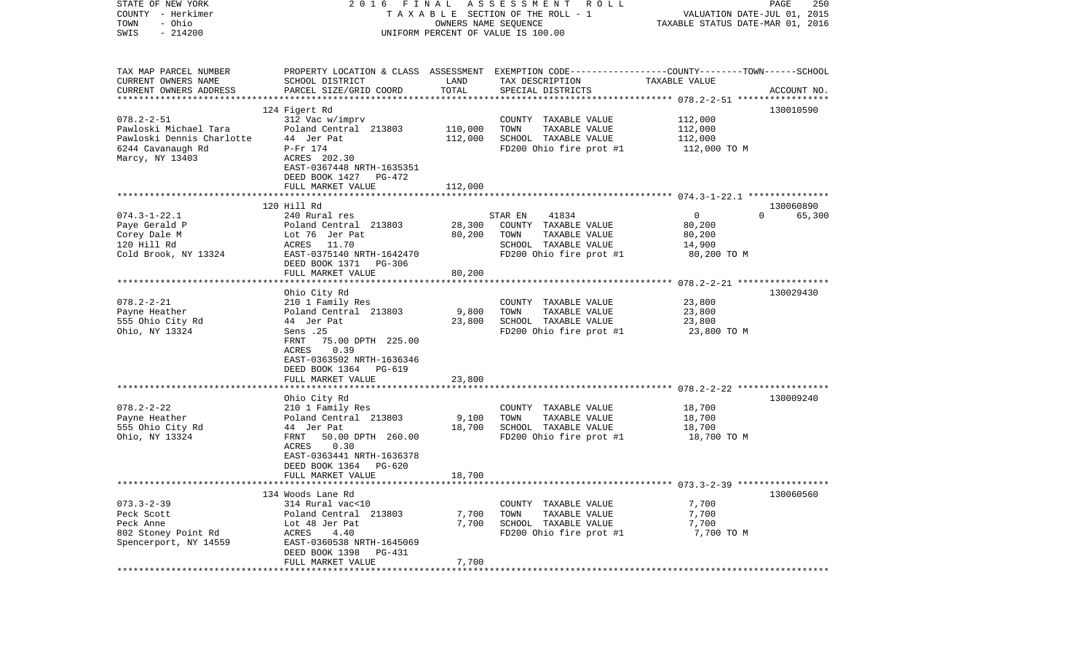| STATE OF NEW YORK<br>COUNTY - Herkimer<br>- Ohio<br>TOWN | 2016                                          | FINAL           | ASSESSMENT<br>R O L L<br>TAXABLE SECTION OF THE ROLL - 1<br>OWNERS NAME SEQUENCE                                   | VALUATION DATE-JUL 01, 2015<br>TAXABLE STATUS DATE-MAR 01, 2016 | 250<br>PAGE        |
|----------------------------------------------------------|-----------------------------------------------|-----------------|--------------------------------------------------------------------------------------------------------------------|-----------------------------------------------------------------|--------------------|
| $-214200$<br>SWIS                                        |                                               |                 | UNIFORM PERCENT OF VALUE IS 100.00                                                                                 |                                                                 |                    |
| TAX MAP PARCEL NUMBER<br>CURRENT OWNERS NAME             | SCHOOL DISTRICT                               | LAND            | PROPERTY LOCATION & CLASS ASSESSMENT EXEMPTION CODE---------------COUNTY-------TOWN------SCHOOL<br>TAX DESCRIPTION | TAXABLE VALUE                                                   |                    |
| CURRENT OWNERS ADDRESS                                   | PARCEL SIZE/GRID COORD                        | TOTAL           | SPECIAL DISTRICTS                                                                                                  |                                                                 | ACCOUNT NO.        |
| *************************                                | 124 Figert Rd                                 |                 |                                                                                                                    |                                                                 | 130010590          |
| $078.2 - 2 - 51$                                         | 312 Vac w/imprv                               |                 | COUNTY TAXABLE VALUE                                                                                               | 112,000                                                         |                    |
| Pawloski Michael Tara                                    | Poland Central 213803                         | 110,000         | TOWN<br>TAXABLE VALUE                                                                                              | 112,000                                                         |                    |
| Pawloski Dennis Charlotte                                | 44 Jer Pat                                    | 112,000         | SCHOOL TAXABLE VALUE                                                                                               | 112,000                                                         |                    |
| 6244 Cavanaugh Rd                                        | P-Fr 174                                      |                 | FD200 Ohio fire prot #1                                                                                            | 112,000 TO M                                                    |                    |
| Marcy, NY 13403                                          | ACRES 202.30                                  |                 |                                                                                                                    |                                                                 |                    |
|                                                          | EAST-0367448 NRTH-1635351                     |                 |                                                                                                                    |                                                                 |                    |
|                                                          | DEED BOOK 1427<br>PG-472<br>FULL MARKET VALUE | 112,000         |                                                                                                                    |                                                                 |                    |
|                                                          |                                               |                 |                                                                                                                    |                                                                 |                    |
|                                                          | 120 Hill Rd                                   |                 |                                                                                                                    |                                                                 | 130060890          |
| $074.3 - 1 - 22.1$                                       | 240 Rural res                                 |                 | STAR EN<br>41834                                                                                                   | $\overline{0}$                                                  | 65,300<br>$\Omega$ |
| Paye Gerald P                                            | Poland Central 213803                         | 28,300          | COUNTY TAXABLE VALUE                                                                                               | 80,200                                                          |                    |
| Corey Dale M                                             | Lot 76 Jer Pat                                | 80,200          | TOWN<br>TAXABLE VALUE                                                                                              | 80,200                                                          |                    |
| 120 Hill Rd<br>Cold Brook, NY 13324                      | ACRES<br>11.70<br>EAST-0375140 NRTH-1642470   |                 | SCHOOL TAXABLE VALUE<br>FD200 Ohio fire prot #1                                                                    | 14,900<br>80,200 TO M                                           |                    |
|                                                          | DEED BOOK 1371<br>PG-306                      |                 |                                                                                                                    |                                                                 |                    |
|                                                          | FULL MARKET VALUE                             | 80,200          |                                                                                                                    |                                                                 |                    |
|                                                          |                                               |                 |                                                                                                                    |                                                                 |                    |
|                                                          | Ohio City Rd                                  |                 |                                                                                                                    |                                                                 | 130029430          |
| $078.2 - 2 - 21$                                         | 210 1 Family Res                              |                 | COUNTY TAXABLE VALUE                                                                                               | 23,800                                                          |                    |
| Payne Heather<br>555 Ohio City Rd                        | Poland Central 213803<br>44 Jer Pat           | 9,800<br>23,800 | TOWN<br>TAXABLE VALUE<br>SCHOOL TAXABLE VALUE                                                                      | 23,800<br>23,800                                                |                    |
| Ohio, NY 13324                                           | Sens .25                                      |                 | FD200 Ohio fire prot #1                                                                                            | 23,800 TO M                                                     |                    |
|                                                          | FRNT<br>75.00 DPTH 225.00                     |                 |                                                                                                                    |                                                                 |                    |
|                                                          | 0.39<br>ACRES                                 |                 |                                                                                                                    |                                                                 |                    |
|                                                          | EAST-0363502 NRTH-1636346                     |                 |                                                                                                                    |                                                                 |                    |
|                                                          | DEED BOOK 1364 PG-619                         |                 |                                                                                                                    |                                                                 |                    |
|                                                          | FULL MARKET VALUE<br>*******************      | 23,800          |                                                                                                                    |                                                                 |                    |
|                                                          | Ohio City Rd                                  |                 |                                                                                                                    |                                                                 | 130009240          |
| $078.2 - 2 - 22$                                         | 210 1 Family Res                              |                 | COUNTY TAXABLE VALUE                                                                                               | 18,700                                                          |                    |
| Payne Heather                                            | Poland Central 213803                         | 9,100           | TOWN<br>TAXABLE VALUE                                                                                              | 18,700                                                          |                    |
| 555 Ohio City Rd                                         | 44 Jer Pat                                    | 18,700          | SCHOOL TAXABLE VALUE                                                                                               | 18,700                                                          |                    |
| Ohio, NY 13324                                           | 50.00 DPTH 260.00<br>FRNT                     |                 | FD200 Ohio fire prot #1                                                                                            | 18,700 TO M                                                     |                    |
|                                                          | ACRES<br>0.30<br>EAST-0363441 NRTH-1636378    |                 |                                                                                                                    |                                                                 |                    |
|                                                          | DEED BOOK 1364<br>PG-620                      |                 |                                                                                                                    |                                                                 |                    |
|                                                          | FULL MARKET VALUE                             | 18,700          |                                                                                                                    |                                                                 |                    |
|                                                          |                                               |                 |                                                                                                                    |                                                                 |                    |
|                                                          | 134 Woods Lane Rd                             |                 |                                                                                                                    |                                                                 | 130060560          |
| $073.3 - 2 - 39$                                         | 314 Rural vac<10                              |                 | COUNTY TAXABLE VALUE                                                                                               | 7,700                                                           |                    |
| Peck Scott<br>Peck Anne                                  | Poland Central 213803<br>Lot 48 Jer Pat       | 7,700<br>7,700  | TOWN<br>TAXABLE VALUE<br>SCHOOL TAXABLE VALUE                                                                      | 7,700<br>7,700                                                  |                    |
| 802 Stoney Point Rd                                      | ACRES<br>4.40                                 |                 | FD200 Ohio fire prot #1                                                                                            | 7,700 TO M                                                      |                    |
| Spencerport, NY 14559                                    | EAST-0360538 NRTH-1645069                     |                 |                                                                                                                    |                                                                 |                    |
|                                                          | DEED BOOK 1398<br>PG-431                      |                 |                                                                                                                    |                                                                 |                    |
|                                                          | FULL MARKET VALUE                             | 7,700           |                                                                                                                    |                                                                 |                    |
| ***************                                          |                                               |                 |                                                                                                                    |                                                                 |                    |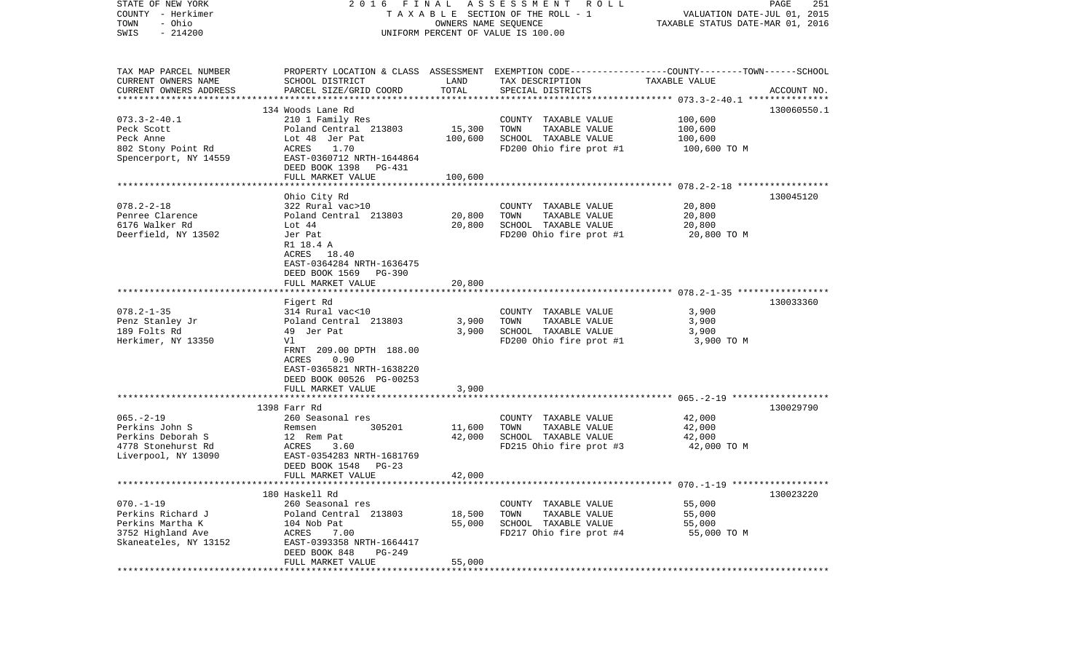| STATE OF NEW YORK<br>COUNTY - Herkimer<br>- Ohio<br>TOWN<br>$-214200$<br>SWIS | 2016                                               | OWNERS NAME SEQUENCE  | FINAL ASSESSMENT<br>ROLL<br>TAXABLE SECTION OF THE ROLL - 1<br>UNIFORM PERCENT OF VALUE IS 100.00                                       | VALUATION DATE-JUL 01, 2015<br>TAXABLE STATUS DATE-MAR 01, 2016 | PAGE<br>251 |
|-------------------------------------------------------------------------------|----------------------------------------------------|-----------------------|-----------------------------------------------------------------------------------------------------------------------------------------|-----------------------------------------------------------------|-------------|
| TAX MAP PARCEL NUMBER<br>CURRENT OWNERS NAME<br>CURRENT OWNERS ADDRESS        | SCHOOL DISTRICT<br>PARCEL SIZE/GRID COORD          | LAND<br>TOTAL         | PROPERTY LOCATION & CLASS ASSESSMENT EXEMPTION CODE---------------COUNTY-------TOWN------SCHOOL<br>TAX DESCRIPTION<br>SPECIAL DISTRICTS | TAXABLE VALUE                                                   | ACCOUNT NO. |
|                                                                               |                                                    |                       |                                                                                                                                         |                                                                 |             |
|                                                                               | 134 Woods Lane Rd                                  |                       |                                                                                                                                         |                                                                 | 130060550.1 |
| $073.3 - 2 - 40.1$                                                            | 210 1 Family Res                                   |                       | COUNTY TAXABLE VALUE                                                                                                                    | 100,600                                                         |             |
| Peck Scott                                                                    | Poland Central 213803                              | 15,300                | TOWN<br>TAXABLE VALUE                                                                                                                   | 100,600                                                         |             |
| Peck Anne                                                                     | Lot 48 Jer Pat                                     | 100,600               | SCHOOL TAXABLE VALUE                                                                                                                    | 100,600                                                         |             |
| 802 Stony Point Rd                                                            | ACRES<br>1.70                                      |                       | FD200 Ohio fire prot #1                                                                                                                 | 100,600 TO M                                                    |             |
| Spencerport, NY 14559                                                         | EAST-0360712 NRTH-1644864                          |                       |                                                                                                                                         |                                                                 |             |
|                                                                               | DEED BOOK 1398 PG-431<br>FULL MARKET VALUE         | 100,600               |                                                                                                                                         |                                                                 |             |
|                                                                               |                                                    |                       |                                                                                                                                         |                                                                 |             |
|                                                                               | Ohio City Rd                                       |                       |                                                                                                                                         |                                                                 | 130045120   |
| $078.2 - 2 - 18$                                                              | 322 Rural vac>10                                   |                       | COUNTY TAXABLE VALUE                                                                                                                    | 20,800                                                          |             |
| Penree Clarence                                                               | Poland Central 213803                              | 20,800                | TAXABLE VALUE<br>TOWN                                                                                                                   | 20,800                                                          |             |
| 6176 Walker Rd                                                                | Lot 44                                             | 20,800                | SCHOOL TAXABLE VALUE                                                                                                                    | 20,800                                                          |             |
| Deerfield, NY 13502                                                           | Jer Pat                                            |                       | FD200 Ohio fire prot #1                                                                                                                 | 20,800 TO M                                                     |             |
|                                                                               | R1 18.4 A                                          |                       |                                                                                                                                         |                                                                 |             |
|                                                                               | ACRES 18.40                                        |                       |                                                                                                                                         |                                                                 |             |
|                                                                               | EAST-0364284 NRTH-1636475<br>DEED BOOK 1569 PG-390 |                       |                                                                                                                                         |                                                                 |             |
|                                                                               | FULL MARKET VALUE                                  | 20,800                |                                                                                                                                         |                                                                 |             |
|                                                                               |                                                    |                       |                                                                                                                                         |                                                                 |             |
|                                                                               | Figert Rd                                          |                       |                                                                                                                                         |                                                                 | 130033360   |
| $078.2 - 1 - 35$                                                              | 314 Rural vac<10                                   |                       | COUNTY TAXABLE VALUE                                                                                                                    | 3,900                                                           |             |
| Penz Stanley Jr                                                               | Poland Central 213803                              | 3,900                 | TOWN<br>TAXABLE VALUE                                                                                                                   | 3,900                                                           |             |
| 189 Folts Rd                                                                  | 49 Jer Pat                                         | 3,900                 | SCHOOL TAXABLE VALUE                                                                                                                    | 3,900                                                           |             |
| Herkimer, NY 13350                                                            | Vl                                                 |                       | FD200 Ohio fire prot #1                                                                                                                 | 3,900 TO M                                                      |             |
|                                                                               | FRNT 209.00 DPTH 188.00                            |                       |                                                                                                                                         |                                                                 |             |
|                                                                               | ACRES<br>0.90                                      |                       |                                                                                                                                         |                                                                 |             |
|                                                                               | EAST-0365821 NRTH-1638220                          |                       |                                                                                                                                         |                                                                 |             |
|                                                                               | DEED BOOK 00526 PG-00253<br>FULL MARKET VALUE      | 3,900                 |                                                                                                                                         |                                                                 |             |
|                                                                               | *************************                          | *********             |                                                                                                                                         |                                                                 |             |
|                                                                               | 1398 Farr Rd                                       |                       |                                                                                                                                         |                                                                 | 130029790   |
| $065. -2 - 19$                                                                | 260 Seasonal res                                   |                       | COUNTY TAXABLE VALUE                                                                                                                    | 42,000                                                          |             |
| Perkins John S                                                                | Remsen<br>305201                                   | 11,600                | TOWN<br>TAXABLE VALUE                                                                                                                   | 42,000                                                          |             |
| Perkins Deborah S                                                             | 12 Rem Pat                                         | 42,000                | SCHOOL TAXABLE VALUE                                                                                                                    | 42,000                                                          |             |
| 4778 Stonehurst Rd                                                            | ACRES<br>3.60                                      |                       | FD215 Ohio fire prot #3                                                                                                                 | 42,000 TO M                                                     |             |
| Liverpool, NY 13090                                                           | EAST-0354283 NRTH-1681769                          |                       |                                                                                                                                         |                                                                 |             |
|                                                                               | DEED BOOK 1548 PG-23                               |                       |                                                                                                                                         |                                                                 |             |
|                                                                               | FULL MARKET VALUE                                  | 42,000                |                                                                                                                                         |                                                                 |             |
|                                                                               |                                                    |                       |                                                                                                                                         |                                                                 |             |
| $070. -1 - 19$                                                                | 180 Haskell Rd<br>260 Seasonal res                 |                       |                                                                                                                                         |                                                                 | 130023220   |
| Perkins Richard J                                                             | Poland Central 213803                              | 18,500                | COUNTY TAXABLE VALUE<br>TOWN<br>TAXABLE VALUE                                                                                           | 55,000<br>55,000                                                |             |
| Perkins Martha K                                                              | 104 Nob Pat                                        | 55,000                | SCHOOL TAXABLE VALUE                                                                                                                    | 55,000                                                          |             |
| 3752 Highland Ave                                                             | ACRES<br>7.00                                      |                       | FD217 Ohio fire prot #4                                                                                                                 | 55,000 TO M                                                     |             |
| Skaneateles, NY 13152                                                         | EAST-0393358 NRTH-1664417                          |                       |                                                                                                                                         |                                                                 |             |
|                                                                               | DEED BOOK 848<br>PG-249                            |                       |                                                                                                                                         |                                                                 |             |
|                                                                               | FULL MARKET VALUE                                  | 55,000                |                                                                                                                                         |                                                                 |             |
|                                                                               | *******************                                | ********************* |                                                                                                                                         |                                                                 |             |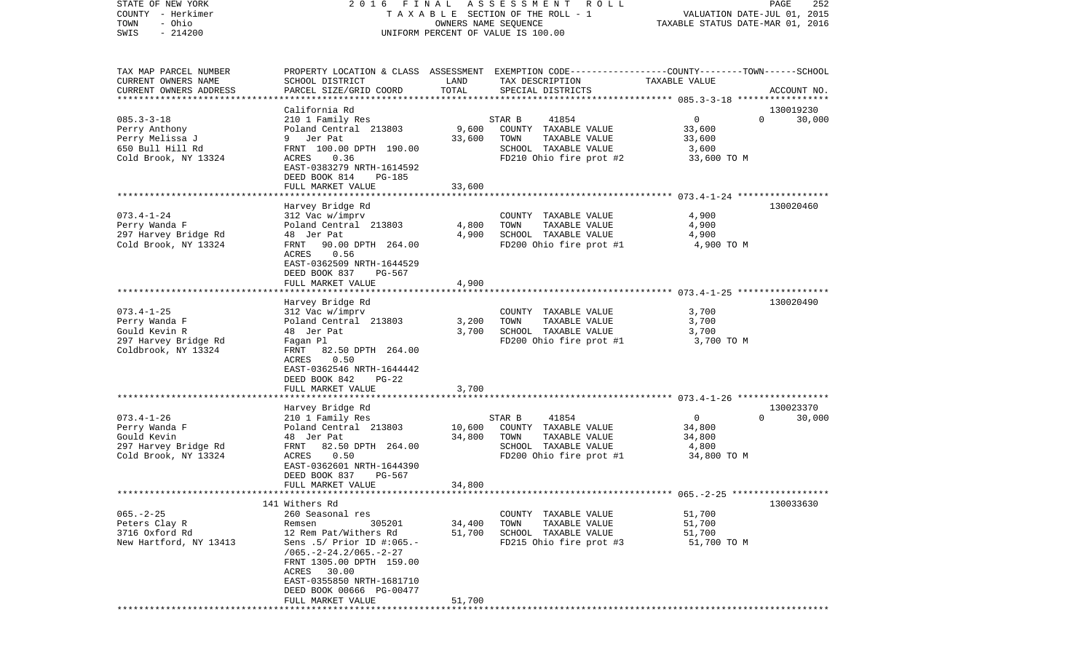| COUNTY<br>– Herkimer<br>- Ohio<br>TOWN              | TAXABLE                                              |        | SECTION OF THE ROLL - 1<br>OWNERS NAME SEQUENCE                                                  | TAXABLE STATUS DATE-MAR 01, 2016              | VALUATION DATE-JUL 01, 2015 |
|-----------------------------------------------------|------------------------------------------------------|--------|--------------------------------------------------------------------------------------------------|-----------------------------------------------|-----------------------------|
| SWIS<br>$-214200$                                   | UNIFORM PERCENT OF VALUE IS 100.00                   |        |                                                                                                  |                                               |                             |
|                                                     |                                                      |        |                                                                                                  |                                               |                             |
| TAX MAP PARCEL NUMBER                               |                                                      |        | PROPERTY LOCATION & CLASS ASSESSMENT EXEMPTION CODE----------------COUNTY-------TOWN------SCHOOL |                                               |                             |
| CURRENT OWNERS NAME                                 | SCHOOL DISTRICT                                      | LAND   | TAX DESCRIPTION                                                                                  | TAXABLE VALUE                                 |                             |
| CURRENT OWNERS ADDRESS<br>************************* | PARCEL SIZE/GRID COORD                               | TOTAL  | SPECIAL DISTRICTS                                                                                |                                               | ACCOUNT NO.                 |
|                                                     | California Rd                                        |        |                                                                                                  |                                               | 130019230                   |
| $085.3 - 3 - 18$                                    | 210 1 Family Res                                     |        | 41854<br>STAR B                                                                                  | $\overline{0}$                                | 30,000<br>$\Omega$          |
| Perry Anthony                                       | Poland Central 213803                                | 9,600  | COUNTY TAXABLE VALUE                                                                             | 33,600                                        |                             |
| Perry Melissa J                                     | Jer Pat<br>9                                         | 33,600 | TOWN<br>TAXABLE VALUE                                                                            | 33,600                                        |                             |
| 650 Bull Hill Rd                                    | FRNT 100.00 DPTH 190.00                              |        | SCHOOL TAXABLE VALUE                                                                             | 3,600                                         |                             |
| Cold Brook, NY 13324                                | 0.36<br>ACRES                                        |        | FD210 Ohio fire prot #2                                                                          | 33,600 TO M                                   |                             |
|                                                     | EAST-0383279 NRTH-1614592<br>DEED BOOK 814<br>PG-185 |        |                                                                                                  |                                               |                             |
|                                                     | FULL MARKET VALUE                                    | 33,600 |                                                                                                  |                                               |                             |
|                                                     | Harvey Bridge Rd                                     |        |                                                                                                  |                                               | 130020460                   |
| $073.4 - 1 - 24$                                    | 312 Vac w/imprv                                      |        | COUNTY TAXABLE VALUE                                                                             | 4,900                                         |                             |
| Perry Wanda F                                       | Poland Central 213803                                | 4,800  | TOWN<br>TAXABLE VALUE                                                                            | 4,900                                         |                             |
| 297 Harvey Bridge Rd                                | 48 Jer Pat                                           | 4,900  | SCHOOL TAXABLE VALUE                                                                             | 4,900                                         |                             |
| Cold Brook, NY 13324                                | 90.00 DPTH 264.00<br>FRNT                            |        | FD200 Ohio fire prot #1                                                                          | 4,900 TO M                                    |                             |
|                                                     | ACRES<br>0.56                                        |        |                                                                                                  |                                               |                             |
|                                                     | EAST-0362509 NRTH-1644529                            |        |                                                                                                  |                                               |                             |
|                                                     | DEED BOOK 837<br>PG-567                              |        |                                                                                                  |                                               |                             |
|                                                     | FULL MARKET VALUE                                    | 4,900  |                                                                                                  | ******************** 073.4-1-25 ************* |                             |
|                                                     | Harvey Bridge Rd                                     |        |                                                                                                  |                                               | 130020490                   |
| $073.4 - 1 - 25$                                    | 312 Vac w/imprv                                      |        | COUNTY TAXABLE VALUE                                                                             | 3,700                                         |                             |
| Perry Wanda F                                       | Poland Central 213803                                | 3,200  | TOWN<br>TAXABLE VALUE                                                                            | 3,700                                         |                             |
| Gould Kevin R                                       | 48 Jer Pat                                           | 3,700  | SCHOOL TAXABLE VALUE                                                                             | 3,700                                         |                             |
| 297 Harvey Bridge Rd                                | Fagan Pl                                             |        | FD200 Ohio fire prot #1                                                                          | 3,700 TO M                                    |                             |
| Coldbrook, NY 13324                                 | 82.50 DPTH 264.00<br>FRNT                            |        |                                                                                                  |                                               |                             |
|                                                     | 0.50<br>ACRES                                        |        |                                                                                                  |                                               |                             |
|                                                     | EAST-0362546 NRTH-1644442                            |        |                                                                                                  |                                               |                             |
|                                                     | DEED BOOK 842<br>$PG-22$                             |        |                                                                                                  |                                               |                             |
|                                                     | FULL MARKET VALUE                                    | 3,700  |                                                                                                  |                                               |                             |
|                                                     | Harvey Bridge Rd                                     |        |                                                                                                  |                                               | 130023370                   |
| $073.4 - 1 - 26$                                    | 210 1 Family Res                                     |        | STAR B<br>41854                                                                                  | 0                                             | $\Omega$<br>30,000          |
| Perry Wanda F                                       | Poland Central 213803                                | 10,600 | COUNTY TAXABLE VALUE                                                                             | 34,800                                        |                             |
| Gould Kevin                                         | 48 Jer Pat                                           | 34,800 | TOWN<br>TAXABLE VALUE                                                                            | 34,800                                        |                             |
| 297 Harvey Bridge Rd                                | 82.50 DPTH 264.00<br>FRNT                            |        | SCHOOL TAXABLE VALUE                                                                             | 4,800                                         |                             |
| Cold Brook, NY 13324                                | 0.50<br>ACRES                                        |        | FD200 Ohio fire prot #1                                                                          | 34,800 TO M                                   |                             |
|                                                     | EAST-0362601 NRTH-1644390                            |        |                                                                                                  |                                               |                             |
|                                                     | DEED BOOK 837<br>PG-567                              |        |                                                                                                  |                                               |                             |
|                                                     | FULL MARKET VALUE                                    | 34,800 |                                                                                                  |                                               |                             |
|                                                     | 141 Withers Rd                                       |        |                                                                                                  |                                               | 130033630                   |
| $065. - 2 - 25$                                     | 260 Seasonal res                                     |        | COUNTY TAXABLE VALUE                                                                             | 51,700                                        |                             |
| Peters Clay R                                       | 305201<br>Remsen                                     | 34,400 | TOWN<br>TAXABLE VALUE                                                                            | 51,700                                        |                             |
| 3716 Oxford Rd                                      | 12 Rem Pat/Withers Rd                                | 51,700 | SCHOOL TAXABLE VALUE                                                                             | 51,700                                        |                             |
| New Hartford, NY 13413                              | Sens .5/ Prior ID #:065.-                            |        | FD215 Ohio fire prot #3                                                                          | 51,700 TO M                                   |                             |
|                                                     | $/065. -2 - 24.2/065. -2 - 27$                       |        |                                                                                                  |                                               |                             |
|                                                     | FRNT 1305.00 DPTH 159.00                             |        |                                                                                                  |                                               |                             |
|                                                     | ACRES<br>30.00                                       |        |                                                                                                  |                                               |                             |
|                                                     | EAST-0355850 NRTH-1681710                            |        |                                                                                                  |                                               |                             |
|                                                     | DEED BOOK 00666 PG-00477<br>FULL MARKET VALUE        | 51,700 |                                                                                                  |                                               |                             |
|                                                     |                                                      |        |                                                                                                  |                                               |                             |

STATE OF NEW YORK 2 0 1 6 F I N A L A S S E S S M E N T R O L L PAGE 252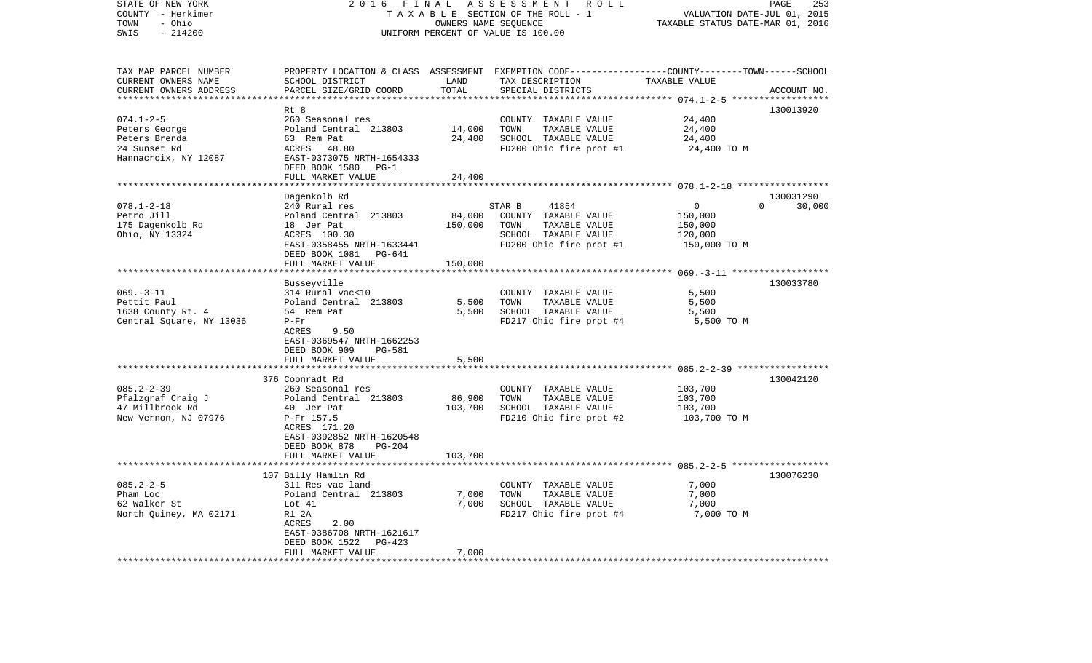| STATE OF NEW YORK<br>COUNTY - Herkimer | 2016                                | FINAL          | ASSESSMENT ROLL<br>TAXABLE SECTION OF THE ROLL - 1                                               | VALUATION DATE-JUL 01, 2015      | PAGE<br>253        |
|----------------------------------------|-------------------------------------|----------------|--------------------------------------------------------------------------------------------------|----------------------------------|--------------------|
| - Ohio<br>TOWN                         |                                     |                | OWNERS NAME SEQUENCE                                                                             | TAXABLE STATUS DATE-MAR 01, 2016 |                    |
| SWIS<br>$-214200$                      |                                     |                | UNIFORM PERCENT OF VALUE IS 100.00                                                               |                                  |                    |
|                                        |                                     |                |                                                                                                  |                                  |                    |
| TAX MAP PARCEL NUMBER                  |                                     |                | PROPERTY LOCATION & CLASS ASSESSMENT EXEMPTION CODE----------------COUNTY-------TOWN------SCHOOL |                                  |                    |
| CURRENT OWNERS NAME                    | SCHOOL DISTRICT                     | LAND           | TAX DESCRIPTION                                                                                  | TAXABLE VALUE                    |                    |
| CURRENT OWNERS ADDRESS                 | PARCEL SIZE/GRID COORD              | TOTAL          | SPECIAL DISTRICTS                                                                                |                                  | ACCOUNT NO.        |
|                                        |                                     |                |                                                                                                  | ************ 074.1-2-5 ******    |                    |
| $074.1 - 2 - 5$                        | Rt 8<br>260 Seasonal res            |                | COUNTY TAXABLE VALUE                                                                             | 24,400                           | 130013920          |
| Peters George                          | Poland Central 213803               | 14,000         | TOWN<br>TAXABLE VALUE                                                                            | 24,400                           |                    |
| Peters Brenda                          | 63 Rem Pat                          | 24,400         | SCHOOL TAXABLE VALUE                                                                             | 24,400                           |                    |
| 24 Sunset Rd                           | ACRES<br>48.80                      |                | FD200 Ohio fire prot #1                                                                          | 24,400 TO M                      |                    |
| Hannacroix, NY 12087                   | EAST-0373075 NRTH-1654333           |                |                                                                                                  |                                  |                    |
|                                        | DEED BOOK 1580<br>$PG-1$            |                |                                                                                                  |                                  |                    |
|                                        | FULL MARKET VALUE                   | 24,400         |                                                                                                  |                                  |                    |
|                                        |                                     |                |                                                                                                  |                                  |                    |
|                                        | Dagenkolb Rd                        |                |                                                                                                  |                                  | 130031290          |
| $078.1 - 2 - 18$                       | 240 Rural res                       |                | STAR B<br>41854                                                                                  | $\mathbf{0}$                     | $\Omega$<br>30,000 |
| Petro Jill                             | Poland Central 213803               | 84,000         | COUNTY TAXABLE VALUE                                                                             | 150,000                          |                    |
| 175 Dagenkolb Rd                       | 18 Jer Pat                          | 150,000        | TOWN<br>TAXABLE VALUE                                                                            | 150,000                          |                    |
| Ohio, NY 13324                         | ACRES 100.30                        |                | SCHOOL TAXABLE VALUE                                                                             | 120,000                          |                    |
|                                        | EAST-0358455 NRTH-1633441           |                | FD200 Ohio fire prot #1                                                                          | 150,000 TO M                     |                    |
|                                        | DEED BOOK 1081 PG-641               |                |                                                                                                  |                                  |                    |
|                                        | FULL MARKET VALUE                   | 150,000        |                                                                                                  |                                  |                    |
|                                        |                                     |                |                                                                                                  |                                  |                    |
|                                        | Busseyville                         |                |                                                                                                  |                                  | 130033780          |
| $069. -3 - 11$                         | 314 Rural vac<10                    |                | COUNTY TAXABLE VALUE                                                                             | 5,500                            |                    |
| Pettit Paul<br>1638 County Rt. 4       | Poland Central 213803<br>54 Rem Pat | 5,500<br>5,500 | TOWN<br>TAXABLE VALUE<br>SCHOOL TAXABLE VALUE                                                    | 5,500<br>5,500                   |                    |
| Central Square, NY 13036               | $P-Fr$                              |                | FD217 Ohio fire prot #4                                                                          | 5,500 TO M                       |                    |
|                                        | ACRES<br>9.50                       |                |                                                                                                  |                                  |                    |
|                                        | EAST-0369547 NRTH-1662253           |                |                                                                                                  |                                  |                    |
|                                        | DEED BOOK 909<br>PG-581             |                |                                                                                                  |                                  |                    |
|                                        | FULL MARKET VALUE                   | 5,500          |                                                                                                  |                                  |                    |
|                                        |                                     |                |                                                                                                  |                                  |                    |
|                                        | 376 Coonradt Rd                     |                |                                                                                                  |                                  | 130042120          |
| $085.2 - 2 - 39$                       | 260 Seasonal res                    |                | COUNTY TAXABLE VALUE                                                                             | 103,700                          |                    |
| Pfalzgraf Craig J                      | Poland Central 213803               | 86,900         | TAXABLE VALUE<br>TOWN                                                                            | 103,700                          |                    |
| 47 Millbrook Rd                        | 40 Jer Pat                          | 103,700        | SCHOOL TAXABLE VALUE                                                                             | 103,700                          |                    |
| New Vernon, NJ 07976                   | P-Fr 157.5                          |                | FD210 Ohio fire prot #2                                                                          | 103,700 TO M                     |                    |
|                                        | ACRES 171.20                        |                |                                                                                                  |                                  |                    |
|                                        | EAST-0392852 NRTH-1620548           |                |                                                                                                  |                                  |                    |
|                                        | DEED BOOK 878<br>PG-204             |                |                                                                                                  |                                  |                    |
|                                        | FULL MARKET VALUE                   | 103,700        |                                                                                                  |                                  |                    |
|                                        | ****************************        |                |                                                                                                  |                                  |                    |
|                                        | 107 Billy Hamlin Rd                 |                |                                                                                                  |                                  | 130076230          |
| $085.2 - 2 - 5$                        | 311 Res vac land                    |                | COUNTY TAXABLE VALUE                                                                             | 7,000                            |                    |
| Pham Loc                               | Poland Central 213803               | 7,000          | TOWN<br>TAXABLE VALUE                                                                            | 7,000                            |                    |
| 62 Walker St                           | Lot 41                              | 7,000          | SCHOOL TAXABLE VALUE                                                                             | 7,000                            |                    |
| North Quiney, MA 02171                 | R1 2A<br>2.00<br>ACRES              |                | FD217 Ohio fire prot #4                                                                          | 7,000 TO M                       |                    |
|                                        | EAST-0386708 NRTH-1621617           |                |                                                                                                  |                                  |                    |
|                                        | DEED BOOK 1522<br>PG-423            |                |                                                                                                  |                                  |                    |
|                                        | FULL MARKET VALUE                   | 7,000          |                                                                                                  |                                  |                    |
|                                        |                                     |                |                                                                                                  |                                  |                    |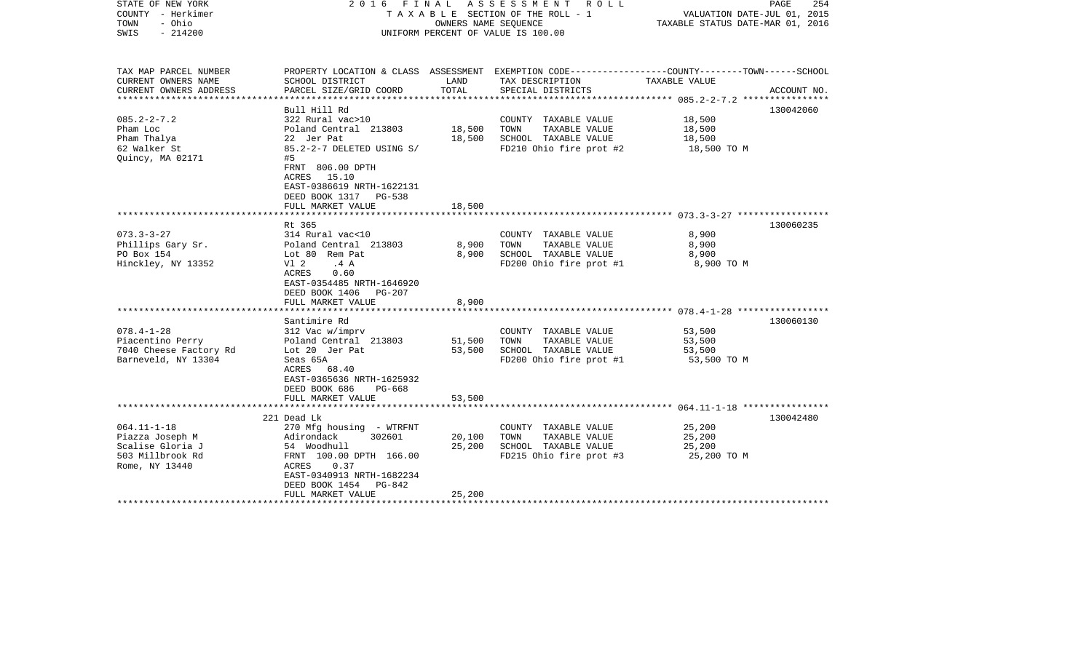| STATE OF NEW YORK<br>COUNTY - Herkimer<br>- Ohio<br>TOWN<br>SWIS<br>$-214200$ |                                                    |        | 2016 FINAL ASSESSMENT ROLL<br>T A X A B L E SECTION OF THE ROLL - 1<br>OWNERS NAME SEOUENCE<br>UNIFORM PERCENT OF VALUE IS 100.00 | VALUATION DATE-JUL 01, 2015<br>TAXABLE STATUS DATE-MAR 01, 2016 | PAGE<br>254 |
|-------------------------------------------------------------------------------|----------------------------------------------------|--------|-----------------------------------------------------------------------------------------------------------------------------------|-----------------------------------------------------------------|-------------|
| TAX MAP PARCEL NUMBER<br>CURRENT OWNERS NAME                                  | SCHOOL DISTRICT                                    | LAND   | PROPERTY LOCATION & CLASS ASSESSMENT EXEMPTION CODE---------------COUNTY-------TOWN------SCHOOL<br>TAX DESCRIPTION                | TAXABLE VALUE                                                   |             |
| CURRENT OWNERS ADDRESS                                                        | PARCEL SIZE/GRID COORD                             | TOTAL  | SPECIAL DISTRICTS                                                                                                                 |                                                                 | ACCOUNT NO. |
|                                                                               |                                                    |        |                                                                                                                                   |                                                                 |             |
|                                                                               | Bull Hill Rd                                       |        |                                                                                                                                   |                                                                 | 130042060   |
| $085.2 - 2 - 7.2$<br>Pham Loc                                                 | 322 Rural vac>10<br>Poland Central 213803          | 18,500 | COUNTY TAXABLE VALUE<br>TAXABLE VALUE<br>TOWN                                                                                     | 18,500<br>18,500                                                |             |
| Pham Thalya                                                                   | 22 Jer Pat                                         | 18,500 | SCHOOL TAXABLE VALUE                                                                                                              | 18,500                                                          |             |
| 62 Walker St                                                                  | 85.2-2-7 DELETED USING S/                          |        | FD210 Ohio fire prot #2                                                                                                           | 18,500 TO M                                                     |             |
| Quincy, MA 02171                                                              | #5                                                 |        |                                                                                                                                   |                                                                 |             |
|                                                                               | FRNT 806.00 DPTH                                   |        |                                                                                                                                   |                                                                 |             |
|                                                                               | ACRES 15.10                                        |        |                                                                                                                                   |                                                                 |             |
|                                                                               | EAST-0386619 NRTH-1622131<br>DEED BOOK 1317 PG-538 |        |                                                                                                                                   |                                                                 |             |
|                                                                               | FULL MARKET VALUE                                  | 18,500 |                                                                                                                                   |                                                                 |             |
|                                                                               |                                                    |        |                                                                                                                                   |                                                                 |             |
|                                                                               | Rt 365                                             |        |                                                                                                                                   |                                                                 | 130060235   |
| $073.3 - 3 - 27$                                                              | 314 Rural vac<10                                   |        | COUNTY TAXABLE VALUE                                                                                                              | 8,900                                                           |             |
| Phillips Gary Sr.                                                             | Poland Central 213803                              | 8,900  | TOWN<br>TAXABLE VALUE                                                                                                             | 8,900                                                           |             |
| PO Box 154<br>Hinckley, NY 13352                                              | Lot 80 Rem Pat<br>V1 2<br>.4A                      | 8,900  | SCHOOL TAXABLE VALUE<br>FD200 Ohio fire prot #1                                                                                   | 8,900<br>8,900 TO M                                             |             |
|                                                                               | ACRES<br>0.60                                      |        |                                                                                                                                   |                                                                 |             |
|                                                                               | EAST-0354485 NRTH-1646920                          |        |                                                                                                                                   |                                                                 |             |
|                                                                               | DEED BOOK 1406 PG-207                              |        |                                                                                                                                   |                                                                 |             |
|                                                                               | FULL MARKET VALUE                                  | 8,900  |                                                                                                                                   |                                                                 |             |
|                                                                               |                                                    |        |                                                                                                                                   |                                                                 | 130060130   |
| $078.4 - 1 - 28$                                                              | Santimire Rd<br>312 Vac w/imprv                    |        | COUNTY TAXABLE VALUE                                                                                                              | 53,500                                                          |             |
| Piacentino Perry                                                              | Poland Central 213803                              | 51,500 | TOWN<br>TAXABLE VALUE                                                                                                             | 53,500                                                          |             |
| 7040 Cheese Factory Rd                                                        | Lot 20 Jer Pat                                     | 53,500 | SCHOOL TAXABLE VALUE                                                                                                              | 53,500                                                          |             |
| Barneveld, NY 13304                                                           | Seas 65A                                           |        | FD200 Ohio fire prot #1                                                                                                           | 53,500 TO M                                                     |             |
|                                                                               | ACRES 68.40                                        |        |                                                                                                                                   |                                                                 |             |
|                                                                               | EAST-0365636 NRTH-1625932                          |        |                                                                                                                                   |                                                                 |             |
|                                                                               | DEED BOOK 686<br>PG-668<br>FULL MARKET VALUE       | 53,500 |                                                                                                                                   |                                                                 |             |
|                                                                               |                                                    |        |                                                                                                                                   |                                                                 |             |
|                                                                               | 221 Dead Lk                                        |        |                                                                                                                                   |                                                                 | 130042480   |
| $064.11 - 1 - 18$                                                             | 270 Mfg housing - WTRFNT                           |        | COUNTY TAXABLE VALUE                                                                                                              | 25,200                                                          |             |
| Piazza Joseph M                                                               | 302601<br>Adirondack                               | 20,100 | TAXABLE VALUE<br>TOWN                                                                                                             | 25,200                                                          |             |
| Scalise Gloria J<br>503 Millbrook Rd                                          | 54 Woodhull<br>FRNT 100.00 DPTH 166.00             | 25,200 | SCHOOL TAXABLE VALUE<br>FD215 Ohio fire prot #3                                                                                   | 25,200<br>25,200 TO M                                           |             |
| Rome, NY 13440                                                                | 0.37<br>ACRES                                      |        |                                                                                                                                   |                                                                 |             |
|                                                                               | EAST-0340913 NRTH-1682234                          |        |                                                                                                                                   |                                                                 |             |
|                                                                               | DEED BOOK 1454<br>PG-842                           |        |                                                                                                                                   |                                                                 |             |
|                                                                               | FULL MARKET VALUE                                  | 25,200 |                                                                                                                                   |                                                                 |             |
|                                                                               |                                                    |        |                                                                                                                                   |                                                                 |             |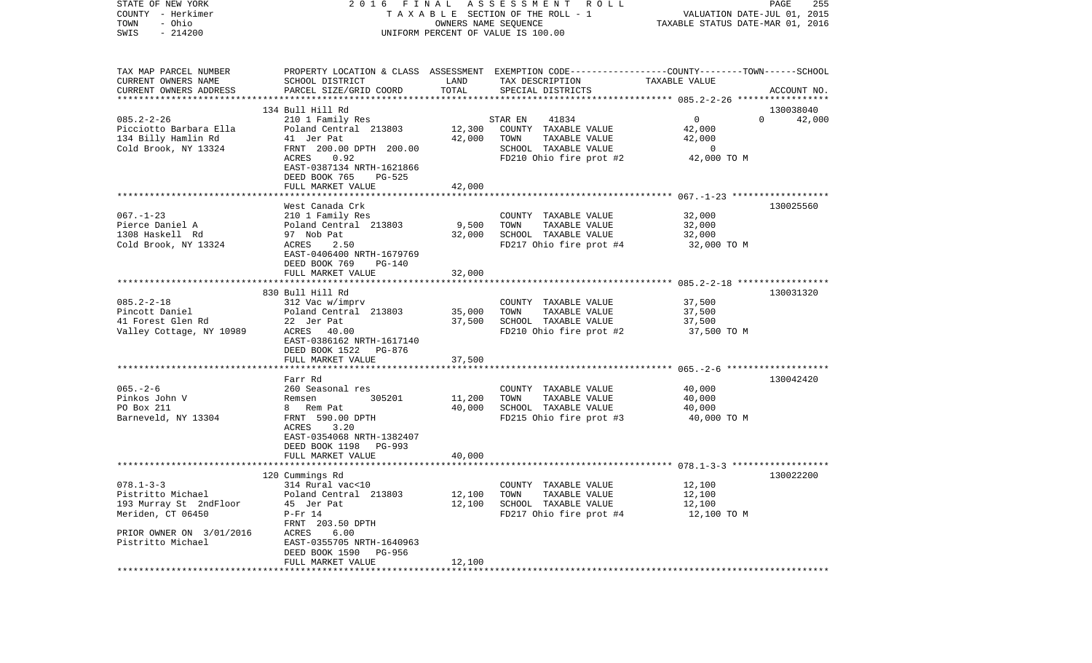| STATE OF NEW YORK<br>COUNTY - Herkimer<br>- Ohio<br>TOWN<br>$-214200$<br>SWIS                                                        |                                                                                                                                                                                                            |                            | 2016 FINAL ASSESSMENT<br>R O L L<br>TAXABLE SECTION OF THE ROLL - 1<br>OWNERS NAME SEQUENCE<br>UNIFORM PERCENT OF VALUE IS 100.00       | VALUATION DATE-JUL 01, 2015<br>TAXABLE STATUS DATE-MAR 01, 2016  | PAGE<br>255                     |
|--------------------------------------------------------------------------------------------------------------------------------------|------------------------------------------------------------------------------------------------------------------------------------------------------------------------------------------------------------|----------------------------|-----------------------------------------------------------------------------------------------------------------------------------------|------------------------------------------------------------------|---------------------------------|
| TAX MAP PARCEL NUMBER<br>CURRENT OWNERS NAME<br>CURRENT OWNERS ADDRESS<br>************************                                   | SCHOOL DISTRICT<br>PARCEL SIZE/GRID COORD                                                                                                                                                                  | LAND<br>TOTAL              | PROPERTY LOCATION & CLASS ASSESSMENT EXEMPTION CODE---------------COUNTY-------TOWN------SCHOOL<br>TAX DESCRIPTION<br>SPECIAL DISTRICTS | TAXABLE VALUE                                                    | ACCOUNT NO.                     |
| $085.2 - 2 - 26$<br>Picciotto Barbara Ella<br>134 Billy Hamlin Rd<br>Cold Brook, NY 13324                                            | 134 Bull Hill Rd<br>210 1 Family Res<br>Poland Central 213803<br>41 Jer Pat<br>FRNT 200.00 DPTH 200.00<br>ACRES<br>0.92<br>EAST-0387134 NRTH-1621866<br>DEED BOOK 765<br><b>PG-525</b>                     | 12,300<br>42,000           | 41834<br>STAR EN<br>COUNTY TAXABLE VALUE<br>TOWN<br>TAXABLE VALUE<br>SCHOOL TAXABLE VALUE<br>FD210 Ohio fire prot #2                    | $\mathbf 0$<br>42,000<br>42,000<br>$\overline{0}$<br>42,000 TO M | 130038040<br>42,000<br>$\Omega$ |
|                                                                                                                                      | FULL MARKET VALUE                                                                                                                                                                                          | 42,000                     |                                                                                                                                         |                                                                  |                                 |
| $067. - 1 - 23$<br>Pierce Daniel A<br>1308 Haskell Rd<br>Cold Brook, NY 13324                                                        | West Canada Crk<br>210 1 Family Res<br>Poland Central 213803<br>97 Nob Pat<br>2.50<br>ACRES<br>EAST-0406400 NRTH-1679769<br>DEED BOOK 769<br>$PG-140$                                                      | 9,500<br>32,000            | COUNTY TAXABLE VALUE<br>TOWN<br>TAXABLE VALUE<br>SCHOOL TAXABLE VALUE<br>FD217 Ohio fire prot #4                                        | 32,000<br>32,000<br>32,000<br>32,000 TO M                        | 130025560                       |
|                                                                                                                                      | FULL MARKET VALUE                                                                                                                                                                                          | 32,000                     |                                                                                                                                         |                                                                  |                                 |
| $085.2 - 2 - 18$<br>Pincott Daniel<br>41 Forest Glen Rd<br>Valley Cottage, NY 10989                                                  | 830 Bull Hill Rd<br>312 Vac w/imprv<br>Poland Central 213803<br>22 Jer Pat<br>ACRES 40.00<br>EAST-0386162 NRTH-1617140<br>DEED BOOK 1522<br>PG-876                                                         | 35,000<br>37,500           | COUNTY TAXABLE VALUE<br>TAXABLE VALUE<br>TOWN<br>SCHOOL TAXABLE VALUE<br>FD210 Ohio fire prot #2                                        | 37,500<br>37,500<br>37,500<br>37,500 TO M                        | 130031320                       |
|                                                                                                                                      | FULL MARKET VALUE                                                                                                                                                                                          | 37,500                     |                                                                                                                                         |                                                                  |                                 |
| $065. - 2 - 6$<br>Pinkos John V<br>PO Box 211<br>Barneveld, NY 13304                                                                 | Farr Rd<br>260 Seasonal res<br>305201<br>Remsen<br>8 Rem Pat<br>FRNT 590.00 DPTH<br>ACRES<br>3.20<br>EAST-0354068 NRTH-1382407<br>DEED BOOK 1198<br>PG-993<br>FULL MARKET VALUE                            | 11,200<br>40,000<br>40,000 | COUNTY TAXABLE VALUE<br>TAXABLE VALUE<br>TOWN<br>SCHOOL TAXABLE VALUE<br>FD215 Ohio fire prot #3                                        | 40,000<br>40,000<br>40,000<br>40,000 TO M                        | 130042420                       |
|                                                                                                                                      |                                                                                                                                                                                                            |                            |                                                                                                                                         |                                                                  |                                 |
| $078.1 - 3 - 3$<br>Pistritto Michael<br>193 Murray St 2ndFloor<br>Meriden, CT 06450<br>PRIOR OWNER ON 3/01/2016<br>Pistritto Michael | 120 Cummings Rd<br>314 Rural vac<10<br>Poland Central 213803<br>45 Jer Pat<br>$P-Fr 14$<br>FRNT 203.50 DPTH<br>ACRES<br>6.00<br>EAST-0355705 NRTH-1640963<br>DEED BOOK 1590<br>PG-956<br>FULL MARKET VALUE | 12,100<br>12,100<br>12,100 | COUNTY TAXABLE VALUE<br>TAXABLE VALUE<br>TOWN<br>SCHOOL TAXABLE VALUE<br>FD217 Ohio fire prot #4                                        | 12,100<br>12,100<br>12,100<br>12,100 TO M                        | 130022200                       |
|                                                                                                                                      |                                                                                                                                                                                                            |                            |                                                                                                                                         |                                                                  |                                 |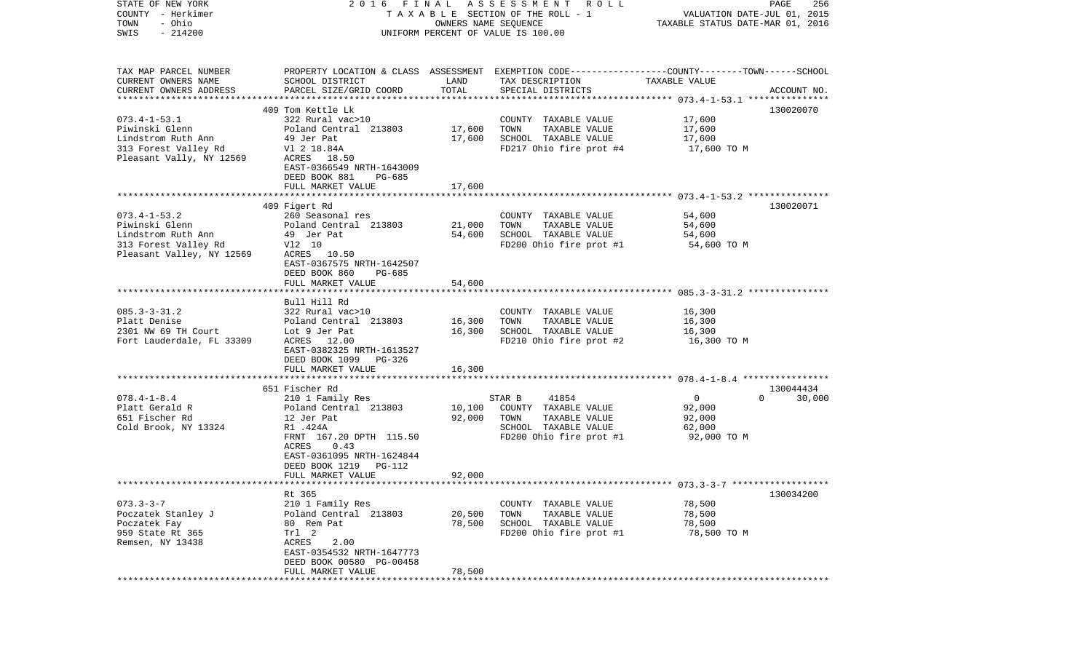| STATE OF NEW YORK         |                                                                                                   |                      | 2016 FINAL ASSESSMENT ROLL            |                                  | PAGE<br>256        |
|---------------------------|---------------------------------------------------------------------------------------------------|----------------------|---------------------------------------|----------------------------------|--------------------|
| COUNTY - Herkimer         |                                                                                                   |                      | T A X A B L E SECTION OF THE ROLL - 1 | VALUATION DATE-JUL 01, 2015      |                    |
| TOWN<br>- Ohio            |                                                                                                   | OWNERS NAME SEQUENCE |                                       | TAXABLE STATUS DATE-MAR 01, 2016 |                    |
| $-214200$<br>SWIS         |                                                                                                   |                      | UNIFORM PERCENT OF VALUE IS 100.00    |                                  |                    |
|                           |                                                                                                   |                      |                                       |                                  |                    |
| TAX MAP PARCEL NUMBER     | PROPERTY LOCATION & CLASS ASSESSMENT EXEMPTION CODE-----------------COUNTY-------TOWN------SCHOOL |                      |                                       |                                  |                    |
| CURRENT OWNERS NAME       | SCHOOL DISTRICT                                                                                   | LAND                 | TAX DESCRIPTION                       | TAXABLE VALUE                    |                    |
| CURRENT OWNERS ADDRESS    | PARCEL SIZE/GRID COORD                                                                            | TOTAL                | SPECIAL DISTRICTS                     |                                  | ACCOUNT NO.        |
|                           |                                                                                                   |                      |                                       |                                  |                    |
| $073.4 - 1 - 53.1$        | 409 Tom Kettle Lk<br>322 Rural vac>10                                                             |                      | COUNTY TAXABLE VALUE                  | 17,600                           | 130020070          |
| Piwinski Glenn            | Poland Central 213803                                                                             | 17,600               | TOWN<br>TAXABLE VALUE                 | 17,600                           |                    |
| Lindstrom Ruth Ann        | 49 Jer Pat                                                                                        | 17,600               | SCHOOL TAXABLE VALUE                  | 17,600                           |                    |
| 313 Forest Valley Rd      | V1 2 18.84A                                                                                       |                      | FD217 Ohio fire prot #4               | 17,600 TO M                      |                    |
| Pleasant Vally, NY 12569  | ACRES 18.50                                                                                       |                      |                                       |                                  |                    |
|                           |                                                                                                   |                      |                                       |                                  |                    |
|                           | EAST-0366549 NRTH-1643009                                                                         |                      |                                       |                                  |                    |
|                           | DEED BOOK 881<br>PG-685                                                                           |                      |                                       |                                  |                    |
|                           | FULL MARKET VALUE                                                                                 | 17,600               |                                       |                                  |                    |
|                           | 409 Figert Rd                                                                                     |                      |                                       |                                  | 130020071          |
| $073.4 - 1 - 53.2$        | 260 Seasonal res                                                                                  |                      | COUNTY TAXABLE VALUE                  | 54,600                           |                    |
| Piwinski Glenn            | Poland Central 213803                                                                             | 21,000               | TAXABLE VALUE<br>TOWN                 | 54,600                           |                    |
| Lindstrom Ruth Ann        | 49 Jer Pat                                                                                        | 54,600               | SCHOOL TAXABLE VALUE                  | 54,600                           |                    |
| 313 Forest Valley Rd      | V12 10                                                                                            |                      | FD200 Ohio fire prot #1               | 54,600 TO M                      |                    |
| Pleasant Valley, NY 12569 | ACRES 10.50                                                                                       |                      |                                       |                                  |                    |
|                           | EAST-0367575 NRTH-1642507                                                                         |                      |                                       |                                  |                    |
|                           | DEED BOOK 860<br>PG-685                                                                           |                      |                                       |                                  |                    |
|                           | FULL MARKET VALUE                                                                                 | 54,600               |                                       |                                  |                    |
|                           |                                                                                                   |                      |                                       |                                  |                    |
|                           | Bull Hill Rd                                                                                      |                      |                                       |                                  |                    |
| $085.3 - 3 - 31.2$        | 322 Rural vac>10                                                                                  |                      | COUNTY TAXABLE VALUE                  | 16,300                           |                    |
| Platt Denise              | Poland Central 213803                                                                             | 16,300               | TOWN<br>TAXABLE VALUE                 | 16,300                           |                    |
| 2301 NW 69 TH Court       | Lot 9 Jer Pat                                                                                     | 16,300               | SCHOOL TAXABLE VALUE                  | 16,300                           |                    |
| Fort Lauderdale, FL 33309 | ACRES 12.00                                                                                       |                      | FD210 Ohio fire prot #2               | 16,300 TO M                      |                    |
|                           | EAST-0382325 NRTH-1613527                                                                         |                      |                                       |                                  |                    |
|                           | DEED BOOK 1099<br>PG-326                                                                          |                      |                                       |                                  |                    |
|                           | FULL MARKET VALUE                                                                                 | 16,300               |                                       |                                  |                    |
|                           |                                                                                                   |                      |                                       |                                  |                    |
|                           | 651 Fischer Rd                                                                                    |                      |                                       |                                  | 130044434          |
| $078.4 - 1 - 8.4$         | 210 1 Family Res                                                                                  |                      | STAR B<br>41854                       | $\overline{0}$                   | $\Omega$<br>30,000 |
| Platt Gerald R            | Poland Central 213803                                                                             | 10,100               | COUNTY TAXABLE VALUE                  | 92,000                           |                    |
| 651 Fischer Rd            | 12 Jer Pat                                                                                        | 92,000               | TOWN<br>TAXABLE VALUE                 | 92,000                           |                    |
| Cold Brook, NY 13324      | R1 .424A                                                                                          |                      | SCHOOL TAXABLE VALUE                  | 62,000                           |                    |
|                           | FRNT 167.20 DPTH 115.50                                                                           |                      | FD200 Ohio fire prot #1               | 92,000 TO M                      |                    |
|                           | ACRES<br>0.43                                                                                     |                      |                                       |                                  |                    |
|                           | EAST-0361095 NRTH-1624844                                                                         |                      |                                       |                                  |                    |
|                           | DEED BOOK 1219<br>PG-112                                                                          |                      |                                       |                                  |                    |
|                           | FULL MARKET VALUE                                                                                 | 92,000               |                                       |                                  |                    |
|                           |                                                                                                   |                      |                                       |                                  |                    |
|                           | Rt 365                                                                                            |                      |                                       |                                  | 130034200          |
| $073.3 - 3 - 7$           | 210 1 Family Res                                                                                  |                      | COUNTY TAXABLE VALUE                  | 78,500                           |                    |
| Poczatek Stanley J        | Poland Central 213803                                                                             | 20,500               | TOWN<br>TAXABLE VALUE                 | 78,500                           |                    |
| Poczatek Fay              | 80 Rem Pat                                                                                        | 78,500               | SCHOOL TAXABLE VALUE                  | 78,500                           |                    |
| 959 State Rt 365          | Trl 2                                                                                             |                      | FD200 Ohio fire prot #1               | 78,500 TO M                      |                    |
| Remsen, NY 13438          | 2.00<br>ACRES                                                                                     |                      |                                       |                                  |                    |
|                           | EAST-0354532 NRTH-1647773                                                                         |                      |                                       |                                  |                    |
|                           | DEED BOOK 00580 PG-00458                                                                          |                      |                                       |                                  |                    |
|                           | FULL MARKET VALUE                                                                                 | 78,500               |                                       |                                  |                    |
| ************              |                                                                                                   |                      |                                       |                                  |                    |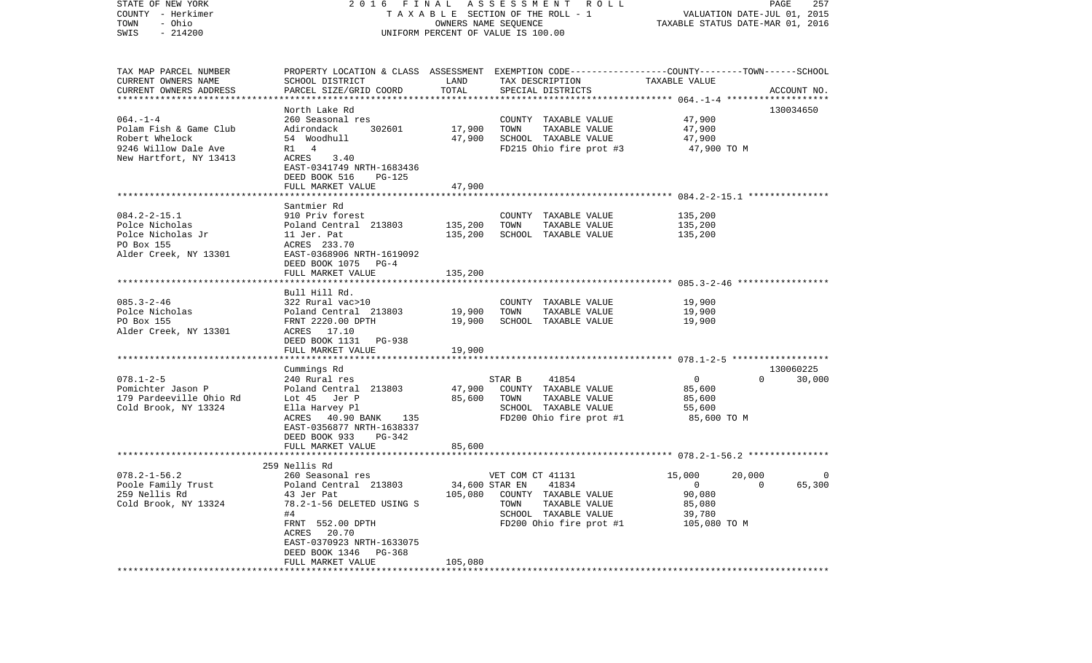| STATE OF NEW YORK                   | 2016 FINAL                                        |                      | A S S E S S M E N T A O L L                                                                     |                  | PAGE<br>257                      |
|-------------------------------------|---------------------------------------------------|----------------------|-------------------------------------------------------------------------------------------------|------------------|----------------------------------|
| COUNTY - Herkimer                   |                                                   |                      | TAXABLE SECTION OF THE ROLL - 1                                                                 |                  | VALUATION DATE-JUL 01, 2015      |
| - Ohio<br>TOWN<br>$-214200$<br>SWIS |                                                   | OWNERS NAME SEQUENCE | UNIFORM PERCENT OF VALUE IS 100.00                                                              |                  | TAXABLE STATUS DATE-MAR 01, 2016 |
|                                     |                                                   |                      |                                                                                                 |                  |                                  |
| TAX MAP PARCEL NUMBER               |                                                   |                      | PROPERTY LOCATION & CLASS ASSESSMENT EXEMPTION CODE---------------COUNTY-------TOWN------SCHOOL |                  |                                  |
| CURRENT OWNERS NAME                 | SCHOOL DISTRICT                                   | LAND                 | TAX DESCRIPTION                                                                                 | TAXABLE VALUE    |                                  |
| CURRENT OWNERS ADDRESS              | PARCEL SIZE/GRID COORD                            | TOTAL                | SPECIAL DISTRICTS                                                                               |                  | ACCOUNT NO.                      |
| *************************           |                                                   |                      |                                                                                                 |                  |                                  |
| $064. -1 -4$                        | North Lake Rd                                     |                      |                                                                                                 |                  | 130034650                        |
| Polam Fish & Game Club              | 260 Seasonal res<br>Adirondack<br>302601          | 17,900               | COUNTY TAXABLE VALUE<br>TOWN<br>TAXABLE VALUE                                                   | 47,900<br>47,900 |                                  |
| Robert Whelock                      | 54 Woodhull                                       | 47,900               | SCHOOL TAXABLE VALUE                                                                            | 47,900           |                                  |
| 9246 Willow Dale Ave                | R1 4                                              |                      | FD215 Ohio fire prot #3                                                                         | 47,900 TO M      |                                  |
| New Hartfort, NY 13413              | ACRES<br>3.40                                     |                      |                                                                                                 |                  |                                  |
|                                     | EAST-0341749 NRTH-1683436                         |                      |                                                                                                 |                  |                                  |
|                                     | DEED BOOK 516<br>PG-125                           |                      |                                                                                                 |                  |                                  |
|                                     | FULL MARKET VALUE                                 | 47,900               |                                                                                                 |                  |                                  |
|                                     |                                                   |                      |                                                                                                 |                  |                                  |
|                                     | Santmier Rd                                       |                      |                                                                                                 |                  |                                  |
| $084.2 - 2 - 15.1$                  | 910 Priv forest                                   |                      | COUNTY TAXABLE VALUE                                                                            | 135,200          |                                  |
| Polce Nicholas                      | Poland Central 213803                             | 135,200              | TOWN<br>TAXABLE VALUE                                                                           | 135,200          |                                  |
| Polce Nicholas Jr                   | 11 Jer. Pat                                       | 135,200              | SCHOOL TAXABLE VALUE                                                                            | 135,200          |                                  |
| PO Box 155                          | ACRES 233.70                                      |                      |                                                                                                 |                  |                                  |
| Alder Creek, NY 13301               | EAST-0368906 NRTH-1619092                         |                      |                                                                                                 |                  |                                  |
|                                     | DEED BOOK 1075<br>$PG-4$                          |                      |                                                                                                 |                  |                                  |
|                                     | FULL MARKET VALUE                                 | 135,200              |                                                                                                 |                  |                                  |
|                                     | Bull Hill Rd.                                     |                      |                                                                                                 |                  |                                  |
| $085.3 - 2 - 46$                    | 322 Rural vac>10                                  |                      | COUNTY TAXABLE VALUE                                                                            | 19,900           |                                  |
| Polce Nicholas                      | Poland Central 213803                             | 19,900               | TOWN<br>TAXABLE VALUE                                                                           | 19,900           |                                  |
| PO Box 155                          | FRNT 2220.00 DPTH                                 | 19,900               | SCHOOL TAXABLE VALUE                                                                            | 19,900           |                                  |
| Alder Creek, NY 13301               | ACRES 17.10                                       |                      |                                                                                                 |                  |                                  |
|                                     | DEED BOOK 1131<br>PG-938                          |                      |                                                                                                 |                  |                                  |
|                                     | FULL MARKET VALUE                                 | 19,900               |                                                                                                 |                  |                                  |
|                                     |                                                   |                      |                                                                                                 |                  |                                  |
|                                     | Cummings Rd                                       |                      |                                                                                                 |                  | 130060225                        |
| $078.1 - 2 - 5$                     | 240 Rural res                                     |                      | STAR B<br>41854                                                                                 | $\overline{0}$   | $\Omega$<br>30,000               |
| Pomichter Jason P                   | Poland Central 213803                             | 47,900               | COUNTY TAXABLE VALUE                                                                            | 85,600           |                                  |
| 179 Pardeeville Ohio Rd             | Lot 45 Jer P                                      | 85,600               | TAXABLE VALUE<br>TOWN                                                                           | 85,600           |                                  |
| Cold Brook, NY 13324                | Ella Harvey Pl                                    |                      | SCHOOL TAXABLE VALUE                                                                            | 55,600           |                                  |
|                                     | ACRES 40.90 BANK 135<br>EAST-0356877 NRTH-1638337 |                      | FD200 Ohio fire prot #1                                                                         | 85,600 TO M      |                                  |
|                                     | DEED BOOK 933<br>PG-342                           |                      |                                                                                                 |                  |                                  |
|                                     | FULL MARKET VALUE                                 | 85,600               |                                                                                                 |                  |                                  |
|                                     |                                                   |                      |                                                                                                 |                  |                                  |
|                                     | 259 Nellis Rd                                     |                      |                                                                                                 |                  |                                  |
| $078.2 - 1 - 56.2$                  | 260 Seasonal res                                  |                      | VET COM CT 41131                                                                                | 15,000           | 20,000<br>0                      |
| Poole Family Trust                  | Poland Central 213803                             |                      | 34,600 STAR EN 41834                                                                            | $\overline{0}$   | 65,300<br>$\sim$ 0               |
| 259 Nellis Rd                       | 43 Jer Pat                                        | 105,080              | COUNTY TAXABLE VALUE                                                                            | 90,080           |                                  |
| Cold Brook, NY 13324                | 78.2-1-56 DELETED USING S                         |                      | TAXABLE VALUE<br>TOWN                                                                           | 85,080           |                                  |
|                                     | #4                                                |                      | SCHOOL TAXABLE VALUE                                                                            | 39,780           |                                  |
|                                     | FRNT 552.00 DPTH                                  |                      | FD200 Ohio fire prot #1                                                                         | 105,080 TO M     |                                  |
|                                     | ACRES 20.70                                       |                      |                                                                                                 |                  |                                  |
|                                     | EAST-0370923 NRTH-1633075                         |                      |                                                                                                 |                  |                                  |
|                                     | DEED BOOK 1346<br>PG-368                          |                      |                                                                                                 |                  |                                  |
|                                     | FULL MARKET VALUE                                 | 105,080              |                                                                                                 |                  |                                  |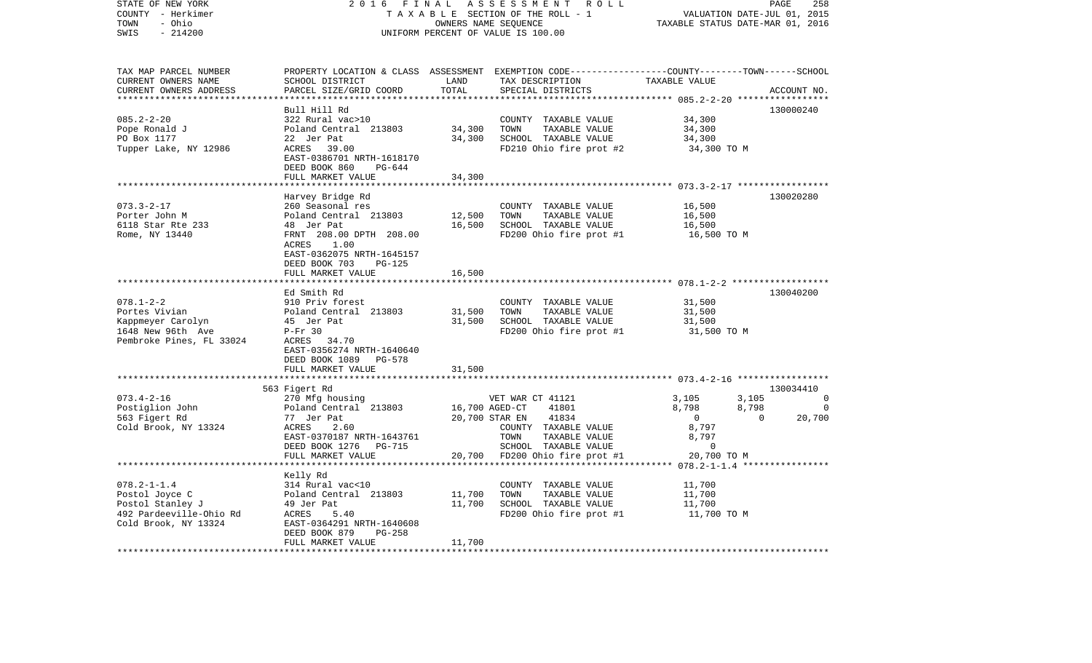| STATE OF NEW YORK<br>COUNTY - Herkimer                                                            | 2 0 1 6<br>FINAL<br>ASSESSMENT<br>R O L L<br>TAXABLE SECTION OF THE ROLL - 1                           |                         |                                                                                                                                          |                                                    | PAGE<br>258<br>VALUATION DATE-JUL 01, 2015 |
|---------------------------------------------------------------------------------------------------|--------------------------------------------------------------------------------------------------------|-------------------------|------------------------------------------------------------------------------------------------------------------------------------------|----------------------------------------------------|--------------------------------------------|
| - Ohio<br>TOWN<br>SWIS<br>$-214200$                                                               |                                                                                                        |                         | OWNERS NAME SEQUENCE<br>UNIFORM PERCENT OF VALUE IS 100.00                                                                               |                                                    | TAXABLE STATUS DATE-MAR 01, 2016           |
| TAX MAP PARCEL NUMBER<br>CURRENT OWNERS NAME<br>CURRENT OWNERS ADDRESS<br>*********************** | SCHOOL DISTRICT<br>PARCEL SIZE/GRID COORD                                                              | LAND<br>TOTAL           | PROPERTY LOCATION & CLASS ASSESSMENT EXEMPTION CODE----------------COUNTY-------TOWN------SCHOOL<br>TAX DESCRIPTION<br>SPECIAL DISTRICTS | TAXABLE VALUE                                      | ACCOUNT NO.                                |
|                                                                                                   | Bull Hill Rd                                                                                           |                         |                                                                                                                                          |                                                    | 130000240                                  |
| $085.2 - 2 - 20$                                                                                  | 322 Rural vac>10                                                                                       |                         | COUNTY TAXABLE VALUE                                                                                                                     | 34,300                                             |                                            |
| Pope Ronald J                                                                                     | Poland Central 213803                                                                                  | 34,300                  | TOWN<br>TAXABLE VALUE                                                                                                                    | 34,300                                             |                                            |
| PO Box 1177                                                                                       | 22 Jer Pat                                                                                             | 34,300                  | SCHOOL TAXABLE VALUE                                                                                                                     | 34,300                                             |                                            |
| Tupper Lake, NY 12986                                                                             | ACRES<br>39.00<br>EAST-0386701 NRTH-1618170<br>DEED BOOK 860<br>PG-644                                 |                         | FD210 Ohio fire prot #2                                                                                                                  | 34,300 TO M                                        |                                            |
|                                                                                                   | FULL MARKET VALUE                                                                                      | 34,300                  |                                                                                                                                          |                                                    |                                            |
|                                                                                                   |                                                                                                        | *******                 |                                                                                                                                          | ********************* 073.3-2-17 ***************** |                                            |
|                                                                                                   | Harvey Bridge Rd                                                                                       |                         |                                                                                                                                          |                                                    | 130020280                                  |
| $073.3 - 2 - 17$<br>Porter John M                                                                 | 260 Seasonal res<br>Poland Central 213803                                                              | 12,500                  | COUNTY TAXABLE VALUE<br>TOWN<br>TAXABLE VALUE                                                                                            | 16,500<br>16,500                                   |                                            |
| 6118 Star Rte 233                                                                                 | 48 Jer Pat                                                                                             | 16,500                  | SCHOOL TAXABLE VALUE                                                                                                                     | 16,500                                             |                                            |
| Rome, NY 13440                                                                                    | FRNT 208.00 DPTH 208.00                                                                                |                         | FD200 Ohio fire prot #1                                                                                                                  | 16,500 TO M                                        |                                            |
|                                                                                                   | 1.00<br>ACRES<br>EAST-0362075 NRTH-1645157<br>DEED BOOK 703<br>PG-125                                  |                         |                                                                                                                                          |                                                    |                                            |
|                                                                                                   | FULL MARKET VALUE                                                                                      | 16,500                  |                                                                                                                                          |                                                    |                                            |
|                                                                                                   | Ed Smith Rd                                                                                            |                         |                                                                                                                                          |                                                    | 130040200                                  |
| $078.1 - 2 - 2$                                                                                   | 910 Priv forest                                                                                        |                         | COUNTY TAXABLE VALUE                                                                                                                     | 31,500                                             |                                            |
| Portes Vivian                                                                                     | Poland Central 213803                                                                                  | 31,500                  | TOWN<br>TAXABLE VALUE                                                                                                                    | 31,500                                             |                                            |
| Kappmeyer Carolyn                                                                                 | 45 Jer Pat                                                                                             | 31,500                  | SCHOOL TAXABLE VALUE                                                                                                                     | 31,500                                             |                                            |
| 1648 New 96th Ave<br>Pembroke Pines, FL 33024                                                     | $P-Fr$ 30<br>34.70<br>ACRES<br>EAST-0356274 NRTH-1640640<br>DEED BOOK 1089 PG-578<br>FULL MARKET VALUE | 31,500                  | FD200 Ohio fire prot #1                                                                                                                  | 31,500 TO M                                        |                                            |
|                                                                                                   | *********************                                                                                  | ***********             |                                                                                                                                          |                                                    |                                            |
|                                                                                                   | 563 Figert Rd                                                                                          |                         |                                                                                                                                          |                                                    | 130034410                                  |
| $073.4 - 2 - 16$                                                                                  | 270 Mfg housing                                                                                        |                         | VET WAR CT 41121                                                                                                                         | 3,105                                              | 3,105<br>0                                 |
| Postiglion John                                                                                   | Poland Central 213803                                                                                  |                         | 16,700 AGED-CT<br>41801                                                                                                                  | 8,798                                              | 8,798<br>$\mathbf 0$                       |
| 563 Figert Rd                                                                                     | 77 Jer Pat                                                                                             |                         | 20,700 STAR EN<br>41834                                                                                                                  | $\overline{0}$                                     | 20,700<br>$\mathbf{0}$                     |
| Cold Brook, NY 13324                                                                              | ACRES<br>2.60<br>EAST-0370187 NRTH-1643761                                                             |                         | COUNTY TAXABLE VALUE<br>TOWN<br>TAXABLE VALUE                                                                                            | 8,797<br>8,797                                     |                                            |
|                                                                                                   | DEED BOOK 1276 PG-715                                                                                  |                         | SCHOOL TAXABLE VALUE                                                                                                                     | $\mathbf 0$                                        |                                            |
|                                                                                                   | FULL MARKET VALUE                                                                                      |                         | 20,700 FD200 Ohio fire prot #1                                                                                                           | 20,700 TO M                                        |                                            |
|                                                                                                   |                                                                                                        |                         |                                                                                                                                          |                                                    |                                            |
|                                                                                                   | Kelly Rd                                                                                               |                         |                                                                                                                                          |                                                    |                                            |
| $078.2 - 1 - 1.4$                                                                                 | 314 Rural vac<10                                                                                       |                         | COUNTY TAXABLE VALUE                                                                                                                     | 11,700                                             |                                            |
| Postol Joyce C                                                                                    | Poland Central 213803                                                                                  | 11,700                  | TOWN<br>TAXABLE VALUE                                                                                                                    | 11,700                                             |                                            |
| Postol Stanley J<br>492 Pardeeville-Ohio Rd                                                       | 49 Jer Pat<br>ACRES<br>5.40                                                                            | 11,700                  | SCHOOL TAXABLE VALUE<br>FD200 Ohio fire prot #1                                                                                          | 11,700<br>11,700 TO M                              |                                            |
| Cold Brook, NY 13324                                                                              | EAST-0364291 NRTH-1640608<br>DEED BOOK 879<br>PG-258                                                   |                         |                                                                                                                                          |                                                    |                                            |
| ************************                                                                          | FULL MARKET VALUE<br>*************************                                                         | 11,700<br>************* |                                                                                                                                          |                                                    |                                            |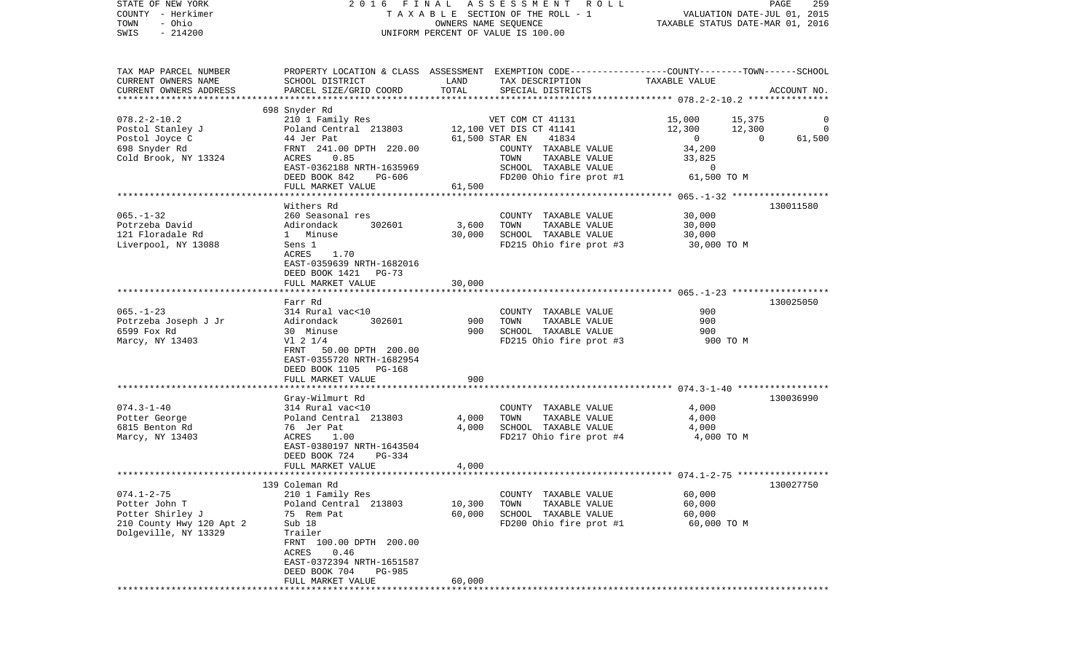| STATE OF NEW YORK<br>COUNTY - Herkimer |                                                             |        | 2016 FINAL ASSESSMENT<br>R O L L<br>TAXABLE SECTION OF THE ROLL - 1                             |                                      | PAGE<br>259<br>VALUATION DATE-JUL 01, 2015 |
|----------------------------------------|-------------------------------------------------------------|--------|-------------------------------------------------------------------------------------------------|--------------------------------------|--------------------------------------------|
| - Ohio<br>TOWN                         |                                                             |        | OWNERS NAME SEQUENCE                                                                            | TAXABLE STATUS DATE-MAR 01, 2016     |                                            |
| $-214200$<br>SWIS                      |                                                             |        | UNIFORM PERCENT OF VALUE IS 100.00                                                              |                                      |                                            |
|                                        |                                                             |        |                                                                                                 |                                      |                                            |
| TAX MAP PARCEL NUMBER                  |                                                             |        | PROPERTY LOCATION & CLASS ASSESSMENT EXEMPTION CODE---------------COUNTY-------TOWN------SCHOOL |                                      |                                            |
| CURRENT OWNERS NAME                    | SCHOOL DISTRICT                                             | LAND   | TAX DESCRIPTION                                                                                 | TAXABLE VALUE                        |                                            |
| CURRENT OWNERS ADDRESS                 | PARCEL SIZE/GRID COORD                                      | TOTAL  | SPECIAL DISTRICTS                                                                               |                                      | ACCOUNT NO.                                |
|                                        |                                                             |        |                                                                                                 |                                      |                                            |
|                                        | 698 Snyder Rd                                               |        |                                                                                                 |                                      |                                            |
| $078.2 - 2 - 10.2$<br>Postol Stanley J | 210 1 Family Res<br>Poland Central 213803                   |        | VET COM CT 41131<br>12,100 VET DIS CT 41141                                                     | 15,000<br>15,375<br>12,300<br>12,300 | 0<br>0                                     |
| Postol Joyce C                         | 44 Jer Pat                                                  |        | 61,500 STAR EN<br>41834                                                                         | 00                                   | $\overline{0}$<br>61,500                   |
| 698 Snyder Rd                          | FRNT 241.00 DPTH 220.00                                     |        | COUNTY TAXABLE VALUE                                                                            | 34,200                               |                                            |
| Cold Brook, NY 13324                   | ACRES<br>0.85                                               |        | TOWN<br>TAXABLE VALUE                                                                           | 33,825                               |                                            |
|                                        | EAST-0362188 NRTH-1635969                                   |        | SCHOOL TAXABLE VALUE                                                                            | $\mathbf 0$                          |                                            |
|                                        | DEED BOOK 842<br>PG-606                                     |        | FD200 Ohio fire prot #1                                                                         | 61,500 TO M                          |                                            |
|                                        | FULL MARKET VALUE                                           | 61,500 |                                                                                                 |                                      |                                            |
|                                        |                                                             |        |                                                                                                 |                                      |                                            |
|                                        | Withers Rd<br>260 Seasonal res                              |        | COUNTY TAXABLE VALUE                                                                            |                                      | 130011580                                  |
| $065. - 1 - 32$<br>Potrzeba David      | 302601<br>Adirondack                                        | 3,600  | TOWN<br>TAXABLE VALUE                                                                           | 30,000<br>30,000                     |                                            |
| 121 Floradale Rd                       | 1 Minuse                                                    | 30,000 | SCHOOL TAXABLE VALUE                                                                            | 30,000                               |                                            |
| Liverpool, NY 13088                    | Sens 1                                                      |        | FD215 Ohio fire prot #3                                                                         | 30,000 TO M                          |                                            |
|                                        | ACRES<br>1.70                                               |        |                                                                                                 |                                      |                                            |
|                                        | EAST-0359639 NRTH-1682016                                   |        |                                                                                                 |                                      |                                            |
|                                        | DEED BOOK 1421<br>PG-73                                     |        |                                                                                                 |                                      |                                            |
|                                        | FULL MARKET VALUE                                           | 30,000 |                                                                                                 |                                      |                                            |
|                                        | Farr Rd                                                     |        |                                                                                                 |                                      | 130025050                                  |
| $065. -1 - 23$                         | 314 Rural vac<10                                            |        | COUNTY TAXABLE VALUE                                                                            | 900                                  |                                            |
| Potrzeba Joseph J Jr                   | Adirondack<br>302601                                        | 900    | TOWN<br>TAXABLE VALUE                                                                           | 900                                  |                                            |
| 6599 Fox Rd                            | 30 Minuse                                                   | 900    | SCHOOL TAXABLE VALUE                                                                            | 900                                  |                                            |
| Marcy, NY 13403                        | $VI$ 2 $1/4$                                                |        | FD215 Ohio fire prot #3                                                                         | 900 TO M                             |                                            |
|                                        | FRNT 50.00 DPTH 200.00                                      |        |                                                                                                 |                                      |                                            |
|                                        | EAST-0355720 NRTH-1682954                                   |        |                                                                                                 |                                      |                                            |
|                                        | DEED BOOK 1105 PG-168                                       |        |                                                                                                 |                                      |                                            |
|                                        | FULL MARKET VALUE                                           | 900    |                                                                                                 |                                      |                                            |
|                                        | Gray-Wilmurt Rd                                             |        |                                                                                                 |                                      | 130036990                                  |
| $074.3 - 1 - 40$                       | 314 Rural vac<10                                            |        | COUNTY TAXABLE VALUE                                                                            | 4,000                                |                                            |
| Potter George                          | Poland Central 213803                                       | 4,000  | TOWN<br>TAXABLE VALUE                                                                           | 4,000                                |                                            |
| 6815 Benton Rd                         | 76 Jer Pat                                                  | 4,000  | SCHOOL TAXABLE VALUE                                                                            | 4,000                                |                                            |
| Marcy, NY 13403                        | ACRES<br>1.00                                               |        | FD217 Ohio fire prot #4                                                                         | 4,000 TO M                           |                                            |
|                                        | EAST-0380197 NRTH-1643504                                   |        |                                                                                                 |                                      |                                            |
|                                        | DEED BOOK 724<br>PG-334                                     |        |                                                                                                 |                                      |                                            |
|                                        | FULL MARKET VALUE                                           | 4,000  |                                                                                                 |                                      |                                            |
|                                        | 139 Coleman Rd                                              |        |                                                                                                 |                                      | 130027750                                  |
| $074.1 - 2 - 75$                       | 210 1 Family Res                                            |        | COUNTY TAXABLE VALUE                                                                            | 60,000                               |                                            |
| Potter John T                          | Poland Central 213803                                       | 10,300 | TAXABLE VALUE<br>TOWN                                                                           | 60,000                               |                                            |
| Potter Shirley J                       | 75 Rem Pat                                                  | 60,000 | SCHOOL TAXABLE VALUE                                                                            | 60,000                               |                                            |
| 210 County Hwy 120 Apt 2               | Sub 18                                                      |        | FD200 Ohio fire prot #1                                                                         | 60,000 TO M                          |                                            |
| Dolgeville, NY 13329                   | Trailer                                                     |        |                                                                                                 |                                      |                                            |
|                                        | FRNT 100.00 DPTH 200.00                                     |        |                                                                                                 |                                      |                                            |
|                                        | 0.46<br>ACRES                                               |        |                                                                                                 |                                      |                                            |
|                                        | EAST-0372394 NRTH-1651587<br>DEED BOOK 704<br><b>PG-985</b> |        |                                                                                                 |                                      |                                            |
|                                        | FULL MARKET VALUE                                           | 60,000 |                                                                                                 |                                      |                                            |
|                                        |                                                             |        |                                                                                                 |                                      |                                            |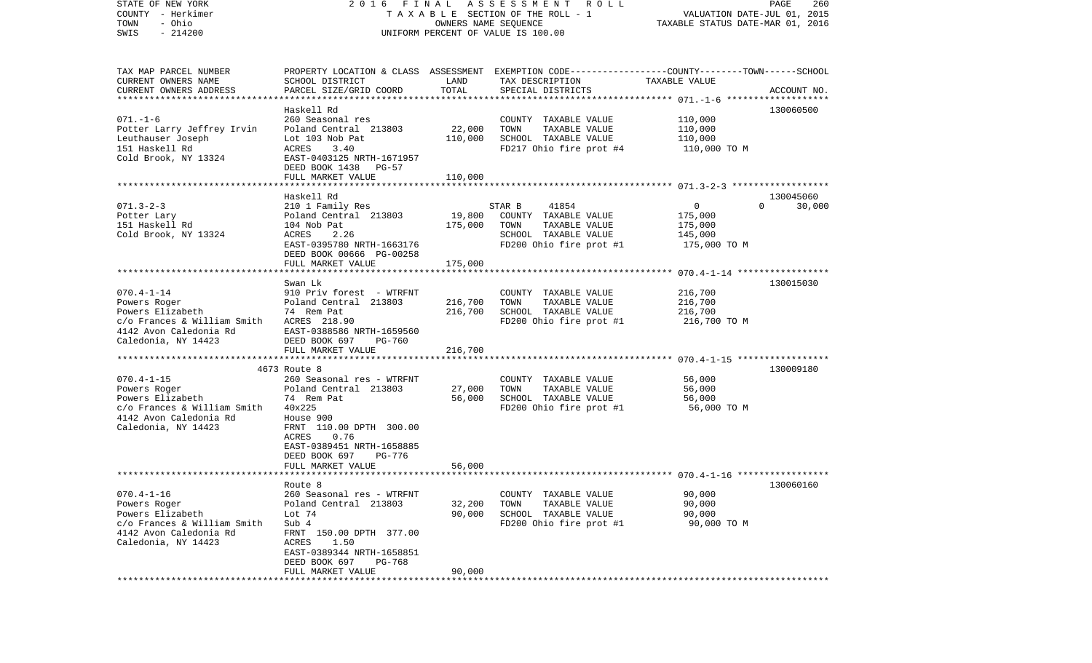| STATE OF NEW YORK                        | 2016 FINAL                         |                      | A S S E S S M E N T R O L L                                                                     |                                  | PAGE<br>260        |
|------------------------------------------|------------------------------------|----------------------|-------------------------------------------------------------------------------------------------|----------------------------------|--------------------|
| COUNTY - Herkimer                        |                                    |                      | TAXABLE SECTION OF THE ROLL - 1                                                                 | VALUATION DATE-JUL 01, 2015      |                    |
| - Ohio<br>TOWN                           |                                    | OWNERS NAME SEQUENCE |                                                                                                 | TAXABLE STATUS DATE-MAR 01, 2016 |                    |
| $-214200$<br>SWIS                        |                                    |                      | UNIFORM PERCENT OF VALUE IS 100.00                                                              |                                  |                    |
|                                          |                                    |                      |                                                                                                 |                                  |                    |
|                                          |                                    |                      |                                                                                                 |                                  |                    |
| TAX MAP PARCEL NUMBER                    |                                    |                      | PROPERTY LOCATION & CLASS ASSESSMENT EXEMPTION CODE---------------COUNTY-------TOWN------SCHOOL |                                  |                    |
| CURRENT OWNERS NAME                      | SCHOOL DISTRICT                    | LAND                 | TAX DESCRIPTION                                                                                 | TAXABLE VALUE                    |                    |
| CURRENT OWNERS ADDRESS                   | PARCEL SIZE/GRID COORD             | TOTAL                | SPECIAL DISTRICTS                                                                               |                                  | ACCOUNT NO.        |
|                                          | Haskell Rd                         |                      |                                                                                                 |                                  | 130060500          |
| $071. - 1 - 6$                           | 260 Seasonal res                   |                      | COUNTY TAXABLE VALUE                                                                            | 110,000                          |                    |
| Potter Larry Jeffrey Irvin               | Poland Central 213803              | 22,000               | TAXABLE VALUE<br>TOWN                                                                           | 110,000                          |                    |
| Leuthauser Joseph                        | Lot 103 Nob Pat                    | 110,000              | SCHOOL TAXABLE VALUE                                                                            | 110,000                          |                    |
| 151 Haskell Rd                           | ACRES<br>3.40                      |                      | FD217 Ohio fire prot #4                                                                         | 110,000 TO M                     |                    |
| Cold Brook, NY 13324                     | EAST-0403125 NRTH-1671957          |                      |                                                                                                 |                                  |                    |
|                                          | DEED BOOK 1438 PG-57               |                      |                                                                                                 |                                  |                    |
|                                          | FULL MARKET VALUE                  | 110,000              |                                                                                                 |                                  |                    |
|                                          |                                    |                      |                                                                                                 |                                  |                    |
|                                          | Haskell Rd                         |                      |                                                                                                 |                                  | 130045060          |
| $071.3 - 2 - 3$                          | 210 1 Family Res                   |                      | STAR B<br>41854                                                                                 | $\overline{0}$                   | 30,000<br>$\Omega$ |
| Potter Lary                              | Poland Central 213803              | 19,800               | COUNTY TAXABLE VALUE                                                                            | 175,000                          |                    |
| 151 Haskell Rd                           | 104 Nob Pat                        | 175,000              | TOWN<br>TAXABLE VALUE                                                                           | 175,000                          |                    |
| Cold Brook, NY 13324                     | 2.26<br>ACRES                      |                      | SCHOOL TAXABLE VALUE                                                                            | 145,000                          |                    |
|                                          | EAST-0395780 NRTH-1663176          |                      | FD200 Ohio fire prot #1                                                                         | 175,000 TO M                     |                    |
|                                          | DEED BOOK 00666 PG-00258           |                      |                                                                                                 |                                  |                    |
|                                          | FULL MARKET VALUE                  | 175,000              |                                                                                                 |                                  |                    |
|                                          |                                    |                      |                                                                                                 |                                  |                    |
|                                          | Swan Lk                            |                      |                                                                                                 |                                  | 130015030          |
| $070.4 - 1 - 14$                         | 910 Priv forest - WTRFNT           |                      | COUNTY TAXABLE VALUE                                                                            | 216,700                          |                    |
| Powers Roger                             | Poland Central 213803              | 216,700              | TAXABLE VALUE<br>TOWN                                                                           | 216,700                          |                    |
| Powers Elizabeth                         | 74 Rem Pat                         | 216,700              | SCHOOL TAXABLE VALUE                                                                            | 216,700                          |                    |
| c/o Frances & William Smith ACRES 218.90 |                                    |                      | FD200 Ohio fire prot #1                                                                         | 216,700 TO M                     |                    |
| 4142 Avon Caledonia Rd                   | EAST-0388586 NRTH-1659560          |                      |                                                                                                 |                                  |                    |
| Caledonia, NY 14423                      | DEED BOOK 697<br>PG-760            |                      |                                                                                                 |                                  |                    |
|                                          | FULL MARKET VALUE                  | 216,700              |                                                                                                 |                                  |                    |
|                                          |                                    |                      |                                                                                                 |                                  |                    |
|                                          | 4673 Route 8                       |                      |                                                                                                 |                                  | 130009180          |
| $070.4 - 1 - 15$                         | 260 Seasonal res - WTRFNT          |                      | COUNTY TAXABLE VALUE                                                                            | 56,000                           |                    |
| Powers Roger                             | Poland Central 213803              | 27,000               | TAXABLE VALUE<br>TOWN                                                                           | 56,000                           |                    |
| Powers Elizabeth                         | 74 Rem Pat                         | 56,000               | SCHOOL TAXABLE VALUE                                                                            | 56,000                           |                    |
| c/o Frances & William Smith              | 40x225                             |                      | FD200 Ohio fire prot #1                                                                         | 56,000 TO M                      |                    |
| 4142 Avon Caledonia Rd                   | House 900                          |                      |                                                                                                 |                                  |                    |
| Caledonia, NY 14423                      | FRNT 110.00 DPTH 300.00<br>0.76    |                      |                                                                                                 |                                  |                    |
|                                          | ACRES<br>EAST-0389451 NRTH-1658885 |                      |                                                                                                 |                                  |                    |
|                                          | DEED BOOK 697<br>PG-776            |                      |                                                                                                 |                                  |                    |
|                                          | FULL MARKET VALUE                  | 56,000               |                                                                                                 |                                  |                    |
|                                          |                                    |                      |                                                                                                 |                                  |                    |
|                                          | Route 8                            |                      |                                                                                                 |                                  | 130060160          |
| $070.4 - 1 - 16$                         | 260 Seasonal res - WTRFNT          |                      | COUNTY TAXABLE VALUE                                                                            | 90,000                           |                    |
| Powers Roger                             | Poland Central 213803              | 32,200               | TAXABLE VALUE<br>TOWN                                                                           | 90,000                           |                    |
| Powers Elizabeth                         | Lot $74$                           | 90,000               | SCHOOL TAXABLE VALUE                                                                            | 90,000                           |                    |
| c/o Frances & William Smith              | Sub 4                              |                      | FD200 Ohio fire prot #1                                                                         | 90,000 TO M                      |                    |
| 4142 Avon Caledonia Rd                   | FRNT 150.00 DPTH 377.00            |                      |                                                                                                 |                                  |                    |
| Caledonia, NY 14423                      | ACRES<br>1.50                      |                      |                                                                                                 |                                  |                    |
|                                          | EAST-0389344 NRTH-1658851          |                      |                                                                                                 |                                  |                    |
|                                          | DEED BOOK 697<br>PG-768            |                      |                                                                                                 |                                  |                    |
|                                          | FULL MARKET VALUE                  | 90,000               |                                                                                                 |                                  |                    |
| **********                               |                                    |                      |                                                                                                 |                                  |                    |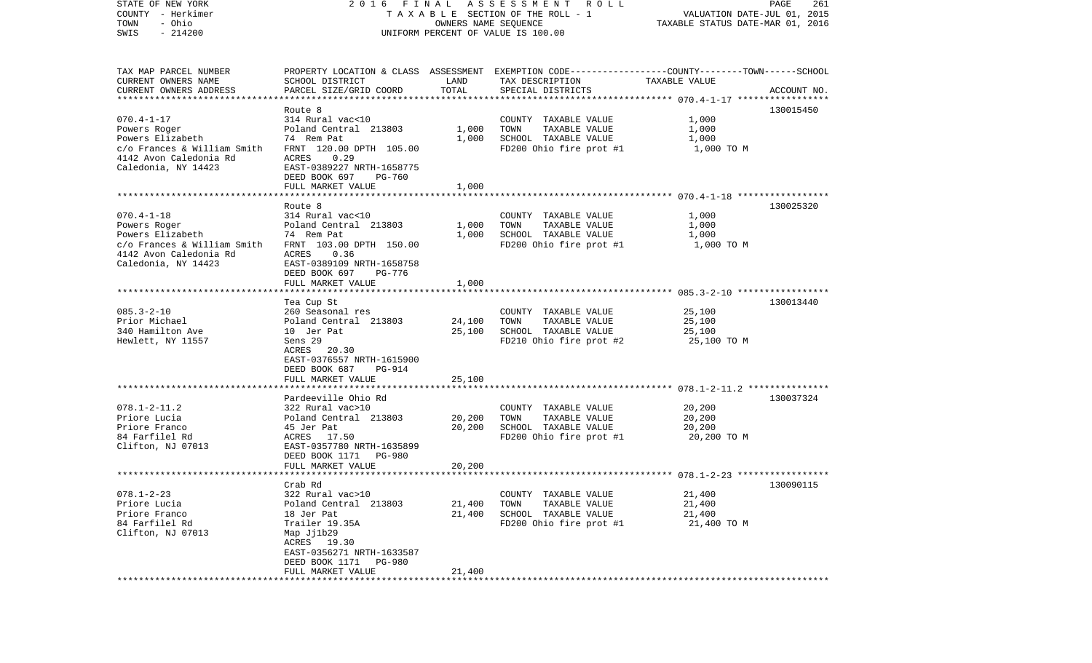| STATE OF NEW YORK           |                                                                                                  |                      | 2016 FINAL ASSESSMENT ROLL         |                                  | PAGE<br>261 |
|-----------------------------|--------------------------------------------------------------------------------------------------|----------------------|------------------------------------|----------------------------------|-------------|
| COUNTY - Herkimer           |                                                                                                  |                      | TAXABLE SECTION OF THE ROLL - 1    | VALUATION DATE-JUL 01, 2015      |             |
| - Ohio<br>TOWN              |                                                                                                  | OWNERS NAME SEQUENCE |                                    | TAXABLE STATUS DATE-MAR 01, 2016 |             |
| $-214200$<br>SWIS           |                                                                                                  |                      | UNIFORM PERCENT OF VALUE IS 100.00 |                                  |             |
|                             |                                                                                                  |                      |                                    |                                  |             |
| TAX MAP PARCEL NUMBER       | PROPERTY LOCATION & CLASS ASSESSMENT EXEMPTION CODE----------------COUNTY-------TOWN------SCHOOL |                      |                                    |                                  |             |
| CURRENT OWNERS NAME         | SCHOOL DISTRICT                                                                                  | LAND                 | TAX DESCRIPTION                    | TAXABLE VALUE                    |             |
| CURRENT OWNERS ADDRESS      | PARCEL SIZE/GRID COORD                                                                           | TOTAL                | SPECIAL DISTRICTS                  |                                  | ACCOUNT NO. |
|                             |                                                                                                  |                      |                                    |                                  |             |
|                             | Route 8                                                                                          |                      |                                    |                                  | 130015450   |
| $070.4 - 1 - 17$            | 314 Rural vac<10                                                                                 |                      | COUNTY TAXABLE VALUE               | 1,000                            |             |
| Powers Roger                | Poland Central 213803                                                                            | 1,000                | TOWN<br>TAXABLE VALUE              | 1,000                            |             |
| Powers Elizabeth            | 74 Rem Pat                                                                                       | 1,000                | SCHOOL TAXABLE VALUE               | 1,000                            |             |
| c/o Frances & William Smith | FRNT 120.00 DPTH 105.00                                                                          |                      | FD200 Ohio fire prot #1            | 1,000 TO M                       |             |
| 4142 Avon Caledonia Rd      | ACRES<br>0.29                                                                                    |                      |                                    |                                  |             |
| Caledonia, NY 14423         | EAST-0389227 NRTH-1658775                                                                        |                      |                                    |                                  |             |
|                             | DEED BOOK 697<br>PG-760                                                                          |                      |                                    |                                  |             |
|                             | FULL MARKET VALUE                                                                                | 1,000                |                                    |                                  |             |
|                             |                                                                                                  |                      |                                    |                                  |             |
|                             | Route 8                                                                                          |                      |                                    |                                  | 130025320   |
| $070.4 - 1 - 18$            | 314 Rural vac<10                                                                                 |                      | COUNTY TAXABLE VALUE               | 1,000                            |             |
| Powers Roger                | Poland Central 213803                                                                            | 1,000                | TAXABLE VALUE<br>TOWN              | 1,000                            |             |
| Powers Elizabeth            | 74 Rem Pat                                                                                       | 1,000                | SCHOOL TAXABLE VALUE               | 1,000                            |             |
| c/o Frances & William Smith | FRNT 103.00 DPTH 150.00                                                                          |                      | FD200 Ohio fire prot #1            | 1,000 TO M                       |             |
| 4142 Avon Caledonia Rd      | 0.36<br>ACRES                                                                                    |                      |                                    |                                  |             |
| Caledonia, NY 14423         | EAST-0389109 NRTH-1658758                                                                        |                      |                                    |                                  |             |
|                             | DEED BOOK 697<br>PG-776                                                                          |                      |                                    |                                  |             |
|                             | FULL MARKET VALUE                                                                                | 1,000                |                                    |                                  |             |
|                             |                                                                                                  |                      |                                    |                                  |             |
|                             | Tea Cup St                                                                                       |                      |                                    |                                  | 130013440   |
| $085.3 - 2 - 10$            | 260 Seasonal res                                                                                 |                      | COUNTY TAXABLE VALUE               | 25,100                           |             |
| Prior Michael               | Poland Central 213803                                                                            | 24,100               | TOWN<br>TAXABLE VALUE              | 25,100                           |             |
| 340 Hamilton Ave            | 10 Jer Pat                                                                                       | 25,100               | SCHOOL TAXABLE VALUE               | 25,100                           |             |
| Hewlett, NY 11557           | Sens 29                                                                                          |                      | FD210 Ohio fire prot #2            | 25,100 TO M                      |             |
|                             | ACRES 20.30                                                                                      |                      |                                    |                                  |             |
|                             | EAST-0376557 NRTH-1615900                                                                        |                      |                                    |                                  |             |
|                             | DEED BOOK 687<br>PG-914                                                                          |                      |                                    |                                  |             |
|                             | FULL MARKET VALUE                                                                                | 25,100               |                                    |                                  |             |
|                             |                                                                                                  |                      |                                    |                                  |             |
|                             | Pardeeville Ohio Rd                                                                              |                      |                                    |                                  | 130037324   |
| $078.1 - 2 - 11.2$          | 322 Rural vac>10                                                                                 |                      | COUNTY TAXABLE VALUE               | 20,200                           |             |
| Priore Lucia                | Poland Central 213803                                                                            | 20,200               | TOWN<br>TAXABLE VALUE              | 20,200                           |             |
| Priore Franco               | 45 Jer Pat                                                                                       | 20,200               | SCHOOL TAXABLE VALUE               | 20,200                           |             |
| 84 Farfilel Rd              | ACRES 17.50                                                                                      |                      | FD200 Ohio fire prot #1            | 20,200 TO M                      |             |
| Clifton, NJ 07013           | EAST-0357780 NRTH-1635899                                                                        |                      |                                    |                                  |             |
|                             | DEED BOOK 1171<br>PG-980                                                                         |                      |                                    |                                  |             |
|                             | FULL MARKET VALUE                                                                                | 20,200               |                                    |                                  |             |
|                             |                                                                                                  |                      |                                    |                                  |             |
|                             | Crab Rd                                                                                          |                      |                                    |                                  | 130090115   |
| $078.1 - 2 - 23$            | 322 Rural vac>10                                                                                 |                      | COUNTY TAXABLE VALUE               | 21,400                           |             |
| Priore Lucia                | Poland Central 213803                                                                            | 21,400               | TOWN<br>TAXABLE VALUE              | 21,400                           |             |
| Priore Franco               | 18 Jer Pat                                                                                       | 21,400               | SCHOOL TAXABLE VALUE               | 21,400                           |             |
| 84 Farfilel Rd              | Trailer 19.35A                                                                                   |                      | FD200 Ohio fire prot #1            | 21,400 TO M                      |             |
| Clifton, NJ 07013           | Map Jj1b29                                                                                       |                      |                                    |                                  |             |
|                             | ACRES 19.30                                                                                      |                      |                                    |                                  |             |
|                             | EAST-0356271 NRTH-1633587                                                                        |                      |                                    |                                  |             |
|                             | DEED BOOK 1171<br>PG-980                                                                         |                      |                                    |                                  |             |
|                             | FULL MARKET VALUE                                                                                | 21,400               |                                    |                                  |             |
|                             |                                                                                                  |                      |                                    |                                  |             |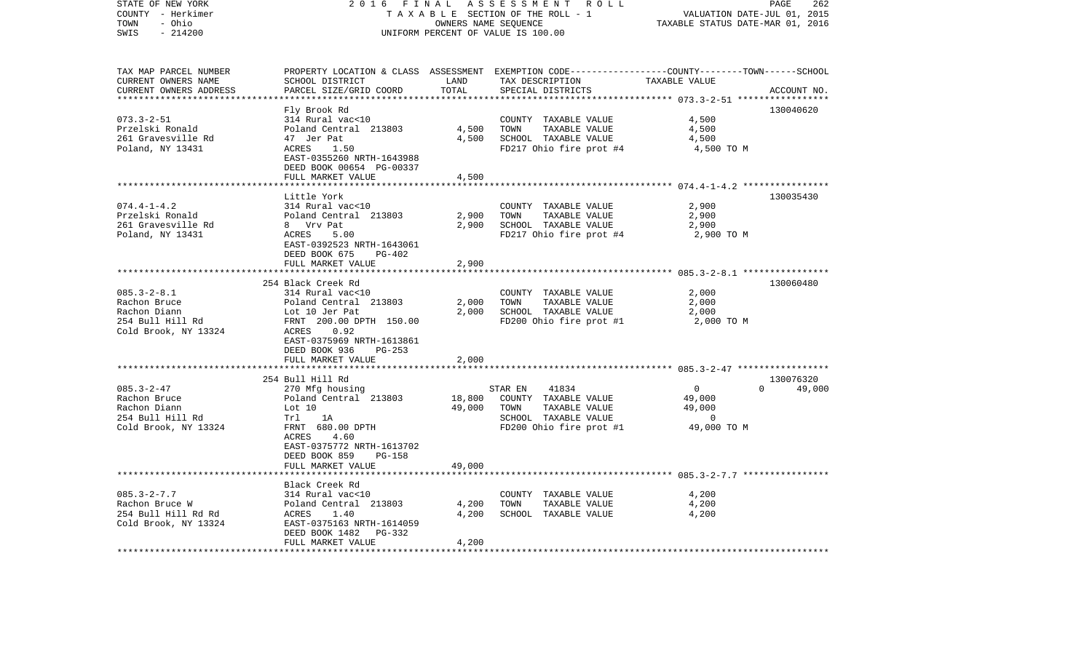| STATE OF NEW YORK<br>COUNTY - Herkimer<br>TOWN<br>- Ohio | 2016<br>FINAL                                                           |                  | ASSESSMENT<br>ROLL<br>TAXABLE SECTION OF THE ROLL - 1<br>OWNERS NAME SEQUENCE                                       | VALUATION DATE-JUL 01, 2015<br>TAXABLE STATUS DATE-MAR 01, 2016 | PAGE<br>262 |
|----------------------------------------------------------|-------------------------------------------------------------------------|------------------|---------------------------------------------------------------------------------------------------------------------|-----------------------------------------------------------------|-------------|
| $-214200$<br>SWIS                                        |                                                                         |                  | UNIFORM PERCENT OF VALUE IS 100.00                                                                                  |                                                                 |             |
| TAX MAP PARCEL NUMBER<br>CURRENT OWNERS NAME             | SCHOOL DISTRICT                                                         | LAND             | PROPERTY LOCATION & CLASS ASSESSMENT EXEMPTION CODE----------------COUNTY-------TOWN------SCHOOL<br>TAX DESCRIPTION | TAXABLE VALUE                                                   |             |
| CURRENT OWNERS ADDRESS                                   | PARCEL SIZE/GRID COORD                                                  | TOTAL            | SPECIAL DISTRICTS                                                                                                   |                                                                 | ACCOUNT NO. |
| **********************                                   |                                                                         |                  |                                                                                                                     |                                                                 |             |
| $073.3 - 2 - 51$                                         | Fly Brook Rd<br>314 Rural vac<10                                        |                  | COUNTY TAXABLE VALUE                                                                                                | 4,500                                                           | 130040620   |
| Przelski Ronald                                          | Poland Central 213803                                                   | 4,500            | TOWN<br>TAXABLE VALUE                                                                                               | 4,500                                                           |             |
| 261 Gravesville Rd                                       | 47 Jer Pat                                                              | 4,500            | SCHOOL TAXABLE VALUE                                                                                                | 4,500                                                           |             |
| Poland, NY 13431                                         | ACRES<br>1.50<br>EAST-0355260 NRTH-1643988<br>DEED BOOK 00654 PG-00337  |                  | FD217 Ohio fire prot #4                                                                                             | 4,500 TO M                                                      |             |
|                                                          | FULL MARKET VALUE                                                       | 4,500            |                                                                                                                     |                                                                 |             |
|                                                          |                                                                         |                  |                                                                                                                     |                                                                 |             |
| $074.4 - 1 - 4.2$                                        | Little York<br>314 Rural vac<10                                         |                  | COUNTY TAXABLE VALUE                                                                                                | 2,900                                                           | 130035430   |
| Przelski Ronald                                          | Poland Central 213803                                                   | 2,900            | TOWN<br>TAXABLE VALUE                                                                                               | 2,900                                                           |             |
| 261 Gravesville Rd                                       | 8 Vrv Pat                                                               | 2,900            | SCHOOL TAXABLE VALUE                                                                                                | 2,900                                                           |             |
| Poland, NY 13431                                         | ACRES<br>5.00                                                           |                  | FD217 Ohio fire prot #4                                                                                             | 2,900 TO M                                                      |             |
|                                                          | EAST-0392523 NRTH-1643061<br>DEED BOOK 675<br>PG-402                    |                  |                                                                                                                     |                                                                 |             |
|                                                          | FULL MARKET VALUE                                                       | 2,900            |                                                                                                                     | ***************** 085.3-2-8.1 *****************                 |             |
|                                                          | 254 Black Creek Rd                                                      |                  |                                                                                                                     |                                                                 | 130060480   |
| $085.3 - 2 - 8.1$                                        | 314 Rural vac<10                                                        |                  | COUNTY TAXABLE VALUE                                                                                                | 2,000                                                           |             |
| Rachon Bruce                                             | Poland Central 213803                                                   | 2,000            | TOWN<br>TAXABLE VALUE                                                                                               | 2,000                                                           |             |
| Rachon Diann                                             | Lot 10 Jer Pat                                                          | 2,000            | SCHOOL TAXABLE VALUE                                                                                                | 2,000                                                           |             |
| 254 Bull Hill Rd                                         | FRNT 200.00 DPTH 150.00                                                 |                  | FD200 Ohio fire prot #1                                                                                             | 2,000 TO M                                                      |             |
| Cold Brook, NY 13324                                     | 0.92<br>ACRES<br>EAST-0375969 NRTH-1613861<br>DEED BOOK 936<br>$PG-253$ |                  |                                                                                                                     |                                                                 |             |
|                                                          | FULL MARKET VALUE                                                       | 2,000            |                                                                                                                     |                                                                 |             |
|                                                          |                                                                         |                  |                                                                                                                     |                                                                 |             |
|                                                          | 254 Bull Hill Rd                                                        |                  |                                                                                                                     |                                                                 | 130076320   |
| $085.3 - 2 - 47$                                         | 270 Mfg housing                                                         |                  | STAR EN<br>41834                                                                                                    | 0<br>$\Omega$                                                   | 49,000      |
| Rachon Bruce<br>Rachon Diann                             | Poland Central 213803<br>Lot 10                                         | 18,800<br>49,000 | COUNTY TAXABLE VALUE                                                                                                | 49,000                                                          |             |
| 254 Bull Hill Rd                                         | Trl<br>1A                                                               |                  | TOWN<br>TAXABLE VALUE<br>SCHOOL TAXABLE VALUE                                                                       | 49,000<br>$\Omega$                                              |             |
| Cold Brook, NY 13324                                     | FRNT 680.00 DPTH                                                        |                  | FD200 Ohio fire prot #1                                                                                             | 49,000 TO M                                                     |             |
|                                                          | ACRES<br>4.60<br>EAST-0375772 NRTH-1613702<br>DEED BOOK 859<br>$PG-158$ |                  |                                                                                                                     |                                                                 |             |
|                                                          | FULL MARKET VALUE<br>************************                           | 49,000           |                                                                                                                     |                                                                 |             |
|                                                          | Black Creek Rd                                                          |                  |                                                                                                                     |                                                                 |             |
| $085.3 - 2 - 7.7$                                        | 314 Rural vac<10                                                        |                  | COUNTY<br>TAXABLE VALUE                                                                                             | 4,200                                                           |             |
| Rachon Bruce W                                           | Poland Central 213803                                                   | 4,200            | TOWN<br>TAXABLE VALUE                                                                                               | 4,200                                                           |             |
| 254 Bull Hill Rd Rd                                      | ACRES<br>1.40                                                           | 4,200            | SCHOOL TAXABLE VALUE                                                                                                | 4,200                                                           |             |
| Cold Brook, NY 13324                                     | EAST-0375163 NRTH-1614059                                               |                  |                                                                                                                     |                                                                 |             |
|                                                          | DEED BOOK 1482<br>PG-332                                                |                  |                                                                                                                     |                                                                 |             |
|                                                          | FULL MARKET VALUE                                                       | 4,200            |                                                                                                                     |                                                                 |             |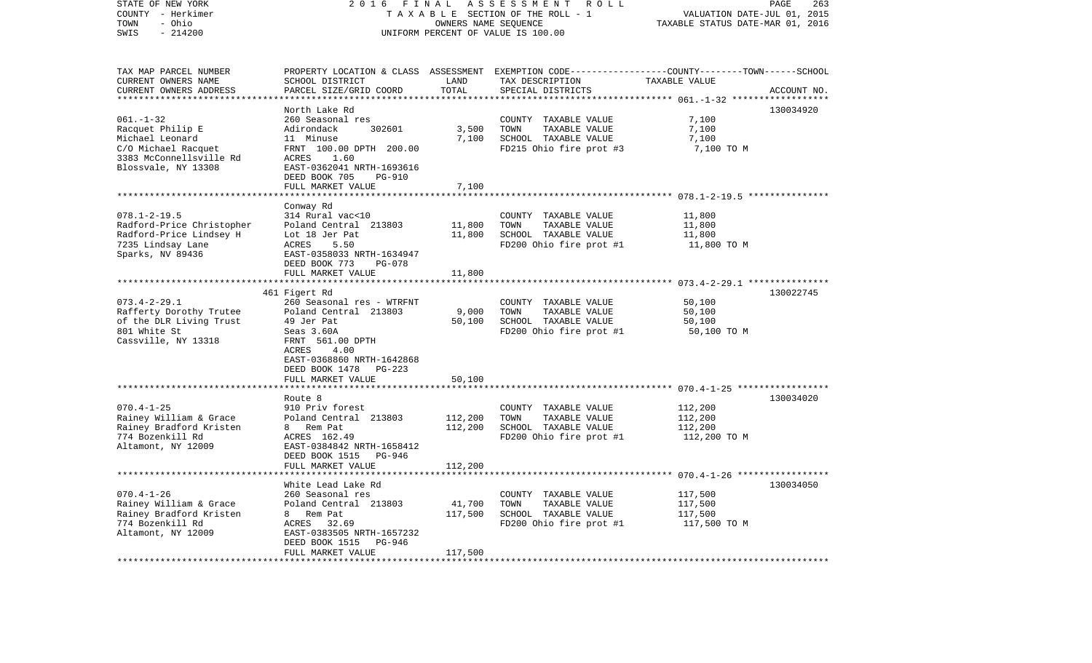| STATE OF NEW YORK<br>COUNTY - Herkimer<br>- Ohio<br>TOWN<br>SWIS<br>$-214200$                                                   | 2 0 1 6<br>FINAL<br>TAXABLE SECTION OF THE ROLL - 1<br>UNIFORM PERCENT OF VALUE IS 100.00                                                                         | PAGE<br>263<br>VALUATION DATE-JUL 01, 2015<br>TAXABLE STATUS DATE-MAR 01, 2016 |                                                                                                                                          |                                                                       |             |
|---------------------------------------------------------------------------------------------------------------------------------|-------------------------------------------------------------------------------------------------------------------------------------------------------------------|--------------------------------------------------------------------------------|------------------------------------------------------------------------------------------------------------------------------------------|-----------------------------------------------------------------------|-------------|
| TAX MAP PARCEL NUMBER<br>CURRENT OWNERS NAME<br>CURRENT OWNERS ADDRESS                                                          | SCHOOL DISTRICT<br>PARCEL SIZE/GRID COORD                                                                                                                         | LAND<br>TOTAL                                                                  | PROPERTY LOCATION & CLASS ASSESSMENT EXEMPTION CODE----------------COUNTY-------TOWN------SCHOOL<br>TAX DESCRIPTION<br>SPECIAL DISTRICTS | TAXABLE VALUE<br>********* 061.-1-32 ****                             | ACCOUNT NO. |
|                                                                                                                                 | North Lake Rd                                                                                                                                                     |                                                                                |                                                                                                                                          |                                                                       | 130034920   |
| $061. - 1 - 32$<br>Racquet Philip E<br>Michael Leonard<br>C/O Michael Racquet<br>3383 McConnellsville Rd<br>Blossvale, NY 13308 | 260 Seasonal res<br>Adirondack<br>302601<br>11 Minuse<br>FRNT 100.00 DPTH 200.00<br>ACRES<br>1.60<br>EAST-0362041 NRTH-1693616<br>DEED BOOK 705<br><b>PG-910</b>  | 3,500<br>7,100                                                                 | COUNTY TAXABLE VALUE<br>TOWN<br>TAXABLE VALUE<br>SCHOOL TAXABLE VALUE<br>FD215 Ohio fire prot #3                                         | 7,100<br>7,100<br>7,100<br>7,100 TO M                                 |             |
|                                                                                                                                 | FULL MARKET VALUE                                                                                                                                                 | 7,100                                                                          |                                                                                                                                          |                                                                       |             |
| $078.1 - 2 - 19.5$<br>Radford-Price Christopher<br>Radford-Price Lindsey H<br>7235 Lindsay Lane<br>Sparks, NV 89436             | Conway Rd<br>314 Rural vac<10<br>Poland Central 213803<br>Lot 18 Jer Pat<br>5.50<br>ACRES<br>EAST-0358033 NRTH-1634947                                            | 11,800<br>11,800                                                               | COUNTY TAXABLE VALUE<br>TOWN<br>TAXABLE VALUE<br>SCHOOL TAXABLE VALUE<br>FD200 Ohio fire prot #1                                         | 11,800<br>11,800<br>11,800<br>11,800 TO M                             |             |
|                                                                                                                                 | DEED BOOK 773<br><b>PG-078</b><br>FULL MARKET VALUE                                                                                                               | 11,800                                                                         |                                                                                                                                          |                                                                       |             |
| $073.4 - 2 - 29.1$<br>Rafferty Dorothy Trutee<br>of the DLR Living Trust<br>801 White St<br>Cassville, NY 13318                 | 461 Figert Rd<br>260 Seasonal res - WTRFNT<br>Poland Central 213803<br>49 Jer Pat<br>Seas 3.60A<br>FRNT 561.00 DPTH<br>4.00<br>ACRES<br>EAST-0368860 NRTH-1642868 | 9,000<br>50,100                                                                | COUNTY TAXABLE VALUE<br>TOWN<br>TAXABLE VALUE<br>SCHOOL TAXABLE VALUE<br>FD200 Ohio fire prot #1                                         | 50,100<br>50,100<br>50,100<br>50,100 TO M                             | 130022745   |
|                                                                                                                                 | DEED BOOK 1478<br>$PG-223$<br>FULL MARKET VALUE                                                                                                                   | 50,100                                                                         |                                                                                                                                          |                                                                       |             |
|                                                                                                                                 |                                                                                                                                                                   |                                                                                | ******************************** 070 4-1-25 *****************                                                                            |                                                                       |             |
| $070.4 - 1 - 25$<br>Rainey William & Grace<br>Rainey Bradford Kristen<br>774 Bozenkill Rd<br>Altamont, NY 12009                 | Route 8<br>910 Priv forest<br>Poland Central 213803<br>Rem Pat<br>8<br>ACRES 162.49<br>EAST-0384842 NRTH-1658412<br>DEED BOOK 1515<br>PG-946                      | 112,200<br>112,200                                                             | COUNTY TAXABLE VALUE<br>TOWN<br>TAXABLE VALUE<br>SCHOOL TAXABLE VALUE<br>FD200 Ohio fire prot #1                                         | 112,200<br>112,200<br>112,200<br>112,200 TO M                         | 130034020   |
|                                                                                                                                 | FULL MARKET VALUE                                                                                                                                                 | 112,200                                                                        |                                                                                                                                          |                                                                       |             |
| $070.4 - 1 - 26$<br>Rainey William & Grace<br>Rainey Bradford Kristen                                                           | White Lead Lake Rd<br>260 Seasonal res<br>Poland Central 213803<br>Rem Pat<br>8                                                                                   | 41,700<br>117,500                                                              | COUNTY<br>TAXABLE VALUE<br>TOWN<br>TAXABLE VALUE<br>SCHOOL TAXABLE VALUE                                                                 | ******* 070.4-1-26 *****************<br>117,500<br>117,500<br>117,500 | 130034050   |
| 774 Bozenkill Rd<br>Altamont, NY 12009<br>**************************                                                            | ACRES<br>32.69<br>EAST-0383505 NRTH-1657232<br>DEED BOOK 1515<br>PG-946<br>FULL MARKET VALUE<br>***********************                                           | 117,500<br>**********                                                          | FD200 Ohio fire prot #1                                                                                                                  | 117,500 TO M                                                          |             |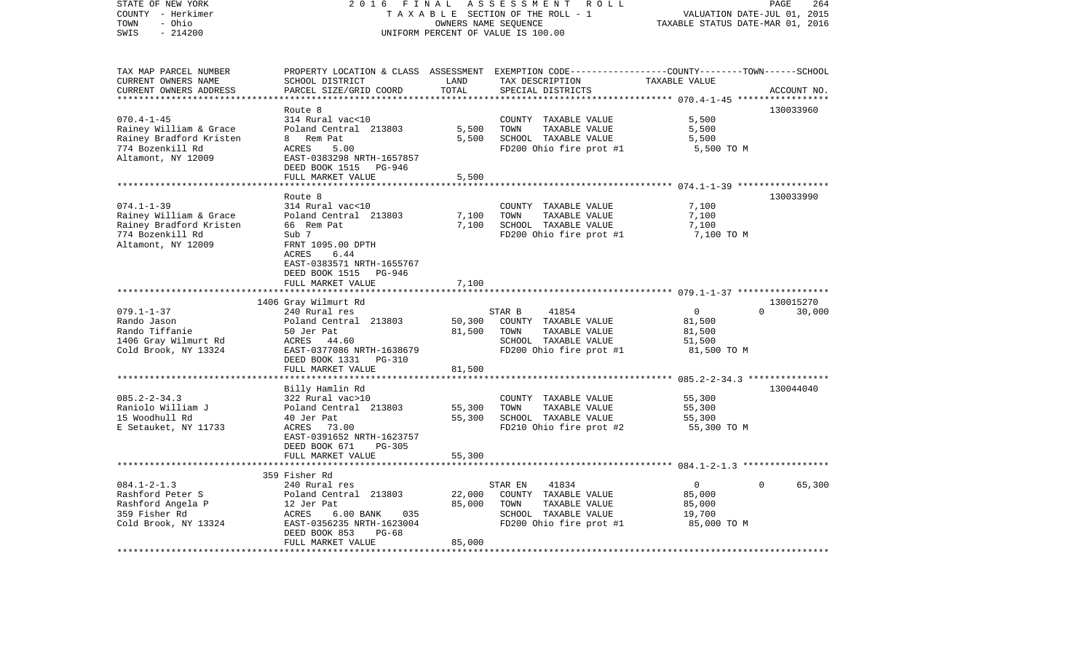| STATE OF NEW YORK<br>COUNTY - Herkimer<br>TOWN<br>- Ohio<br>$-214200$<br>SWIS                                   | 2016<br>FINAL<br>TAXABLE SECTION OF THE ROLL - 1<br>UNIFORM PERCENT OF VALUE IS 100.00                                                                                           | PAGE<br>264<br>VALUATION DATE-JUL 01, 2015<br>TAXABLE STATUS DATE-MAR 01, 2016 |                                                                                                                                          |                                                                      |             |
|-----------------------------------------------------------------------------------------------------------------|----------------------------------------------------------------------------------------------------------------------------------------------------------------------------------|--------------------------------------------------------------------------------|------------------------------------------------------------------------------------------------------------------------------------------|----------------------------------------------------------------------|-------------|
| TAX MAP PARCEL NUMBER<br>CURRENT OWNERS NAME<br>CURRENT OWNERS ADDRESS<br>************************              | SCHOOL DISTRICT<br>PARCEL SIZE/GRID COORD                                                                                                                                        | LAND<br>TOTAL                                                                  | PROPERTY LOCATION & CLASS ASSESSMENT EXEMPTION CODE----------------COUNTY-------TOWN------SCHOOL<br>TAX DESCRIPTION<br>SPECIAL DISTRICTS | TAXABLE VALUE                                                        | ACCOUNT NO. |
| $070.4 - 1 - 45$<br>Rainey William & Grace<br>Rainey Bradford Kristen<br>774 Bozenkill Rd<br>Altamont, NY 12009 | Route 8<br>314 Rural vac<10<br>Poland Central 213803<br>8 Rem Pat<br>ACRES<br>5.00<br>EAST-0383298 NRTH-1657857<br>DEED BOOK 1515 PG-946<br>FULL MARKET VALUE                    | 5,500<br>5,500<br>5,500                                                        | COUNTY TAXABLE VALUE<br>TOWN<br>TAXABLE VALUE<br>SCHOOL TAXABLE VALUE<br>FD200 Ohio fire prot #1                                         | 5,500<br>5,500<br>5,500<br>5,500 TO M                                | 130033960   |
|                                                                                                                 |                                                                                                                                                                                  |                                                                                |                                                                                                                                          |                                                                      | 130033990   |
| $074.1 - 1 - 39$<br>Rainey William & Grace<br>Rainey Bradford Kristen<br>774 Bozenkill Rd<br>Altamont, NY 12009 | Route 8<br>314 Rural vac<10<br>Poland Central 213803<br>66 Rem Pat<br>Sub 7<br>FRNT 1095.00 DPTH<br>ACRES<br>6.44                                                                | 7,100<br>7,100                                                                 | COUNTY TAXABLE VALUE<br>TAXABLE VALUE<br>TOWN<br>SCHOOL TAXABLE VALUE<br>FD200 Ohio fire prot #1                                         | 7,100<br>7,100<br>7,100<br>7,100 TO M                                |             |
|                                                                                                                 | EAST-0383571 NRTH-1655767<br>DEED BOOK 1515 PG-946<br>FULL MARKET VALUE                                                                                                          | 7,100                                                                          |                                                                                                                                          |                                                                      |             |
|                                                                                                                 | 1406 Gray Wilmurt Rd                                                                                                                                                             |                                                                                |                                                                                                                                          |                                                                      | 130015270   |
| $079.1 - 1 - 37$<br>Rando Jason<br>Rando Tiffanie<br>1406 Gray Wilmurt Rd<br>Cold Brook, NY 13324               | 240 Rural res<br>Poland Central 213803<br>50 Jer Pat<br>ACRES 44.60<br>EAST-0377086 NRTH-1638679<br>DEED BOOK 1331<br>PG-310                                                     | 50,300<br>81,500                                                               | 41854<br>STAR B<br>COUNTY TAXABLE VALUE<br>TOWN<br>TAXABLE VALUE<br>SCHOOL TAXABLE VALUE<br>FD200 Ohio fire prot #1                      | $\mathbf 0$<br>$\Omega$<br>81,500<br>81,500<br>51,500<br>81,500 TO M | 30,000      |
|                                                                                                                 | FULL MARKET VALUE                                                                                                                                                                | 81,500                                                                         |                                                                                                                                          |                                                                      |             |
| $085.2 - 2 - 34.3$<br>Raniolo William J<br>15 Woodhull Rd<br>E Setauket, NY 11733                               | Billy Hamlin Rd<br>322 Rural vac>10<br>Poland Central 213803<br>40 Jer Pat<br>ACRES<br>73.00<br>EAST-0391652 NRTH-1623757<br>DEED BOOK 671<br>$PG-305$                           | 55,300<br>55,300                                                               | COUNTY TAXABLE VALUE<br>TOWN<br>TAXABLE VALUE<br>SCHOOL TAXABLE VALUE<br>FD210 Ohio fire prot #2                                         | 55,300<br>55,300<br>55,300<br>55,300 TO M                            | 130044040   |
|                                                                                                                 | FULL MARKET VALUE                                                                                                                                                                | 55,300                                                                         |                                                                                                                                          |                                                                      |             |
| $084.1 - 2 - 1.3$<br>Rashford Peter S<br>Rashford Angela P<br>359 Fisher Rd<br>Cold Brook, NY 13324             | 359 Fisher Rd<br>240 Rural res<br>Poland Central 213803<br>12 Jer Pat<br>ACRES<br>6.00 BANK<br>035<br>EAST-0356235 NRTH-1623004<br>DEED BOOK 853<br>$PG-68$<br>FULL MARKET VALUE | 22,000<br>85,000<br>85,000                                                     | STAR EN<br>41834<br>COUNTY TAXABLE VALUE<br>TOWN<br>TAXABLE VALUE<br>SCHOOL TAXABLE VALUE<br>FD200 Ohio fire prot #1                     | $\mathbf 0$<br>$\Omega$<br>85,000<br>85,000<br>19,700<br>85,000 TO M | 65,300      |
|                                                                                                                 |                                                                                                                                                                                  |                                                                                |                                                                                                                                          |                                                                      |             |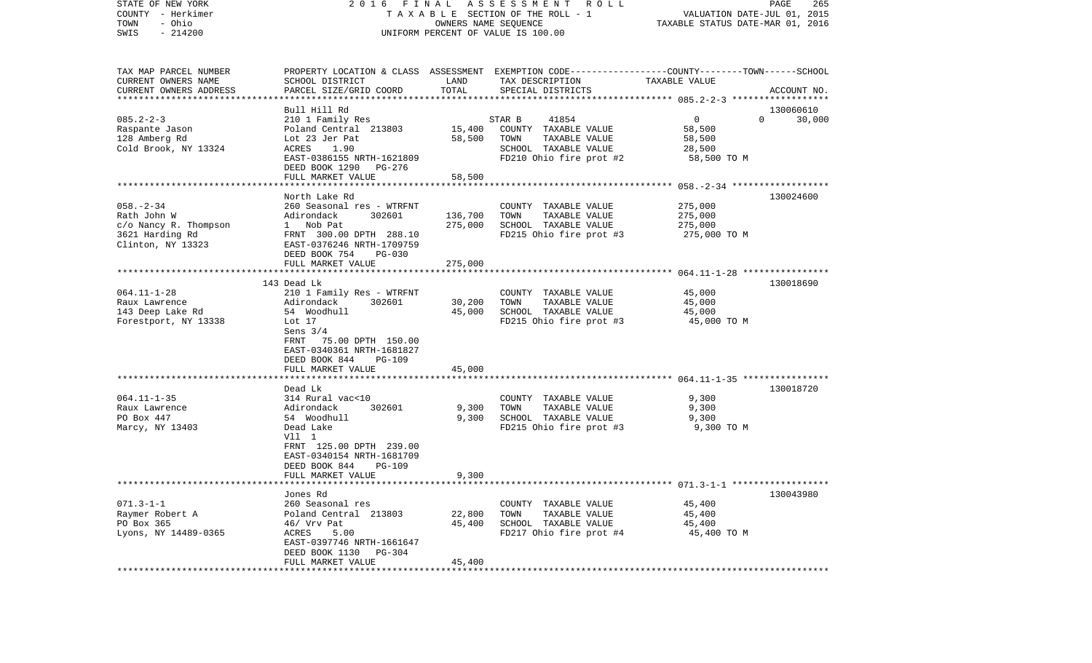| COUNTY<br>- Herkimer   |                                                      |                                    | T A X A B L E SECTION OF THE ROLL - 1                                                           | VALUATION DATE-JUL 01, 2015                              |             |
|------------------------|------------------------------------------------------|------------------------------------|-------------------------------------------------------------------------------------------------|----------------------------------------------------------|-------------|
| - Ohio<br>TOWN         |                                                      |                                    | OWNERS NAME SEQUENCE                                                                            | TAXABLE STATUS DATE-MAR 01, 2016                         |             |
| SWIS<br>$-214200$      |                                                      | UNIFORM PERCENT OF VALUE IS 100.00 |                                                                                                 |                                                          |             |
|                        |                                                      |                                    |                                                                                                 |                                                          |             |
| TAX MAP PARCEL NUMBER  |                                                      |                                    | PROPERTY LOCATION & CLASS ASSESSMENT EXEMPTION CODE---------------COUNTY-------TOWN------SCHOOL |                                                          |             |
| CURRENT OWNERS NAME    | SCHOOL DISTRICT                                      | LAND                               | TAX DESCRIPTION                                                                                 | TAXABLE VALUE                                            |             |
| CURRENT OWNERS ADDRESS | PARCEL SIZE/GRID COORD                               | TOTAL                              | SPECIAL DISTRICTS                                                                               |                                                          | ACCOUNT NO. |
|                        | **************************                           |                                    |                                                                                                 |                                                          |             |
|                        | Bull Hill Rd                                         |                                    |                                                                                                 |                                                          | 130060610   |
| $085.2 - 2 - 3$        | 210 1 Family Res                                     |                                    | STAR B<br>41854                                                                                 | 0<br>$\Omega$                                            | 30,000      |
| Raspante Jason         | Poland Central 213803                                | 15,400                             | COUNTY TAXABLE VALUE                                                                            | 58,500                                                   |             |
| 128 Amberg Rd          | Lot 23 Jer Pat                                       | 58,500                             | TOWN<br>TAXABLE VALUE                                                                           | 58,500                                                   |             |
| Cold Brook, NY 13324   | 1.90<br>ACRES                                        |                                    | SCHOOL TAXABLE VALUE                                                                            | 28,500                                                   |             |
|                        | EAST-0386155 NRTH-1621809                            |                                    | FD210 Ohio fire prot #2                                                                         | 58,500 TO M                                              |             |
|                        | DEED BOOK 1290<br>PG-276                             |                                    |                                                                                                 |                                                          |             |
|                        | FULL MARKET VALUE                                    | 58,500                             |                                                                                                 |                                                          |             |
|                        | *******************                                  |                                    |                                                                                                 | ************************** 058.-2-34 ******************* |             |
|                        | North Lake Rd                                        |                                    |                                                                                                 |                                                          | 130024600   |
| $058. - 2 - 34$        | 260 Seasonal res - WTRFNT                            |                                    | COUNTY<br>TAXABLE VALUE                                                                         | 275,000                                                  |             |
| Rath John W            | Adirondack<br>302601                                 | 136,700                            | TOWN<br>TAXABLE VALUE                                                                           | 275,000                                                  |             |
| c/o Nancy R. Thompson  | Nob Pat<br>$\mathbf{1}$                              | 275,000                            | SCHOOL TAXABLE VALUE                                                                            | 275,000                                                  |             |
| 3621 Harding Rd        | FRNT 300.00 DPTH 288.10<br>EAST-0376246 NRTH-1709759 |                                    | FD215 Ohio fire prot #3                                                                         | 275,000 TO M                                             |             |
| Clinton, NY 13323      | DEED BOOK 754<br>PG-030                              |                                    |                                                                                                 |                                                          |             |
|                        | FULL MARKET VALUE                                    | 275,000                            |                                                                                                 |                                                          |             |
|                        | **********************                               | *********                          |                                                                                                 | ************************* 064.11-1-28 *****************  |             |
|                        | 143 Dead Lk                                          |                                    |                                                                                                 |                                                          | 130018690   |
| $064.11 - 1 - 28$      | 210 1 Family Res - WTRFNT                            |                                    | COUNTY TAXABLE VALUE                                                                            | 45,000                                                   |             |
| Raux Lawrence          | Adirondack<br>302601                                 | 30,200                             | TAXABLE VALUE<br>TOWN                                                                           | 45,000                                                   |             |
| 143 Deep Lake Rd       | 54 Woodhull                                          | 45,000                             | SCHOOL TAXABLE VALUE                                                                            | 45,000                                                   |             |
| Forestport, NY 13338   | Lot 17                                               |                                    | FD215 Ohio fire prot #3                                                                         | 45,000 TO M                                              |             |
|                        | Sens $3/4$                                           |                                    |                                                                                                 |                                                          |             |
|                        | 75.00 DPTH 150.00<br>FRNT                            |                                    |                                                                                                 |                                                          |             |
|                        | EAST-0340361 NRTH-1681827                            |                                    |                                                                                                 |                                                          |             |
|                        | DEED BOOK 844<br>PG-109                              |                                    |                                                                                                 |                                                          |             |
|                        | FULL MARKET VALUE                                    | 45,000                             |                                                                                                 |                                                          |             |
|                        |                                                      |                                    |                                                                                                 |                                                          |             |
|                        | Dead Lk                                              |                                    |                                                                                                 |                                                          | 130018720   |
| $064.11 - 1 - 35$      | 314 Rural vac<10                                     |                                    | COUNTY TAXABLE VALUE                                                                            | 9,300                                                    |             |
| Raux Lawrence          | 302601<br>Adirondack                                 | 9,300                              | TAXABLE VALUE<br>TOWN                                                                           | 9,300                                                    |             |
| PO Box 447             | 54 Woodhull                                          | 9,300                              | SCHOOL TAXABLE VALUE                                                                            | 9,300                                                    |             |
| Marcy, NY 13403        | Dead Lake<br>Vll 1                                   |                                    | FD215 Ohio fire prot #3                                                                         | 9,300 TO M                                               |             |
|                        | FRNT 125.00 DPTH 239.00                              |                                    |                                                                                                 |                                                          |             |
|                        | EAST-0340154 NRTH-1681709                            |                                    |                                                                                                 |                                                          |             |
|                        | DEED BOOK 844<br><b>PG-109</b>                       |                                    |                                                                                                 |                                                          |             |
|                        | FULL MARKET VALUE                                    | 9,300                              |                                                                                                 |                                                          |             |
|                        |                                                      |                                    |                                                                                                 |                                                          |             |
|                        | Jones Rd                                             |                                    |                                                                                                 |                                                          | 130043980   |
| $071.3 - 1 - 1$        | 260 Seasonal res                                     |                                    | COUNTY TAXABLE VALUE                                                                            | 45,400                                                   |             |
| Raymer Robert A        | Poland Central 213803                                | 22,800                             | TOWN<br>TAXABLE VALUE                                                                           | 45,400                                                   |             |
| PO Box 365             | 46/ Vrv Pat                                          | 45,400                             | SCHOOL TAXABLE VALUE                                                                            | 45,400                                                   |             |
| Lyons, NY 14489-0365   | ACRES<br>5.00                                        |                                    | FD217 Ohio fire prot #4                                                                         | 45,400 TO M                                              |             |
|                        | EAST-0397746 NRTH-1661647                            |                                    |                                                                                                 |                                                          |             |
|                        | DEED BOOK 1130<br>PG-304                             |                                    |                                                                                                 |                                                          |             |
|                        | FULL MARKET VALUE                                    | 45,400                             |                                                                                                 |                                                          |             |
| *********************  | .                                                    |                                    |                                                                                                 |                                                          |             |

STATE OF NEW YORK 2 0 1 6 F I N A L A S S E S S M E N T R O L L PAGE 265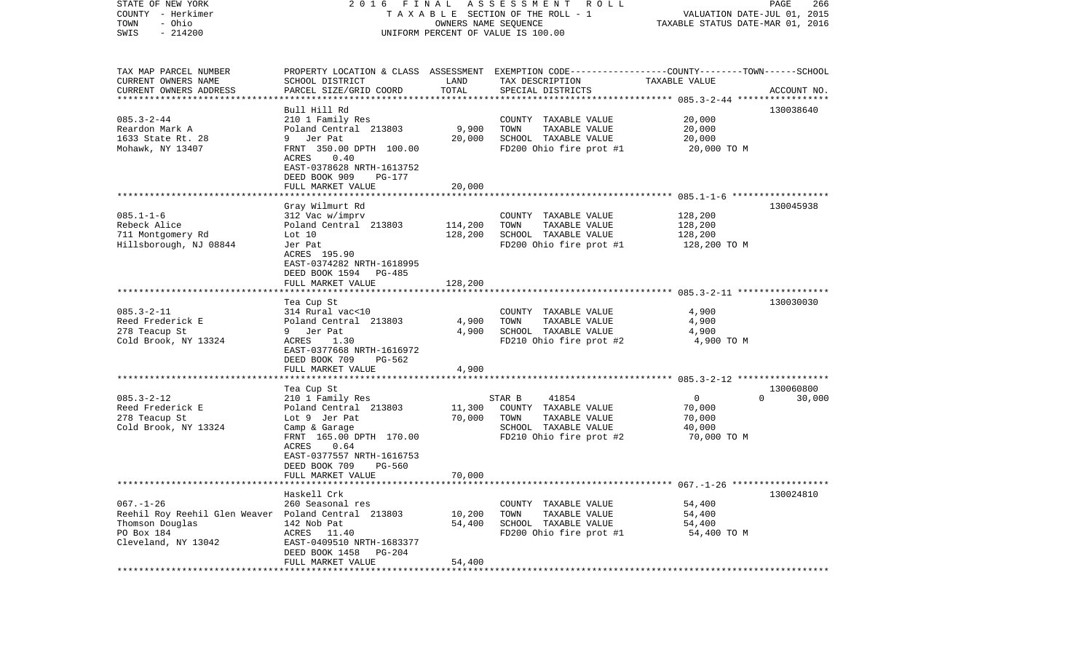| STATE OF NEW YORK<br>COUNTY - Herkimer<br>- Ohio<br>TOWN<br>$-214200$<br>SWIS                            | 2016<br>FINAL                                                                                                                                                                                 | OWNERS NAME SEQUENCE       | A S S E S S M E N T<br>R O L L<br>TAXABLE SECTION OF THE ROLL - 1<br>UNIFORM PERCENT OF VALUE IS 100.00                                 | VALUATION DATE-JUL 01, 2015<br>TAXABLE STATUS DATE-MAR 01, 2016 | PAGE<br>266                     |
|----------------------------------------------------------------------------------------------------------|-----------------------------------------------------------------------------------------------------------------------------------------------------------------------------------------------|----------------------------|-----------------------------------------------------------------------------------------------------------------------------------------|-----------------------------------------------------------------|---------------------------------|
|                                                                                                          |                                                                                                                                                                                               |                            |                                                                                                                                         |                                                                 |                                 |
| TAX MAP PARCEL NUMBER<br>CURRENT OWNERS NAME<br>CURRENT OWNERS ADDRESS                                   | SCHOOL DISTRICT<br>PARCEL SIZE/GRID COORD                                                                                                                                                     | LAND<br>TOTAL              | PROPERTY LOCATION & CLASS ASSESSMENT EXEMPTION CODE---------------COUNTY-------TOWN------SCHOOL<br>TAX DESCRIPTION<br>SPECIAL DISTRICTS | TAXABLE VALUE                                                   | ACCOUNT NO.                     |
| ***********************<br>$085.3 - 2 - 44$<br>Reardon Mark A<br>1633 State Rt. 28<br>Mohawk, NY 13407   | Bull Hill Rd<br>210 1 Family Res<br>Poland Central 213803<br>9 Jer Pat<br>FRNT 350.00 DPTH 100.00                                                                                             | 9,900<br>20,000            | COUNTY TAXABLE VALUE<br>TOWN<br>TAXABLE VALUE<br>SCHOOL TAXABLE VALUE<br>FD200 Ohio fire prot #1                                        | 20,000<br>20,000<br>20,000<br>20,000 TO M                       | 130038640                       |
|                                                                                                          | 0.40<br>ACRES<br>EAST-0378628 NRTH-1613752<br>DEED BOOK 909<br>PG-177<br>FULL MARKET VALUE                                                                                                    | 20,000                     |                                                                                                                                         |                                                                 |                                 |
| $085.1 - 1 - 6$<br>Rebeck Alice<br>711 Montgomery Rd<br>Hillsborough, NJ 08844                           | Gray Wilmurt Rd<br>312 Vac w/imprv<br>Poland Central 213803<br>Lot $10$<br>Jer Pat<br>ACRES 195.90<br>EAST-0374282 NRTH-1618995<br>DEED BOOK 1594<br>PG-485                                   | 114,200<br>128,200         | COUNTY TAXABLE VALUE<br>TOWN<br>TAXABLE VALUE<br>SCHOOL TAXABLE VALUE<br>FD200 Ohio fire prot #1                                        | 128,200<br>128,200<br>128,200<br>128,200 TO M                   | 130045938                       |
|                                                                                                          | FULL MARKET VALUE                                                                                                                                                                             | 128,200                    |                                                                                                                                         |                                                                 |                                 |
| $085.3 - 2 - 11$<br>Reed Frederick E<br>278 Teacup St<br>Cold Brook, NY 13324                            | Tea Cup St<br>314 Rural vac<10<br>Poland Central 213803<br>9 Jer Pat<br>ACRES<br>1.30<br>EAST-0377668 NRTH-1616972<br>DEED BOOK 709<br>PG-562<br>FULL MARKET VALUE                            | 4,900<br>4,900<br>4,900    | COUNTY TAXABLE VALUE<br>TOWN<br>TAXABLE VALUE<br>SCHOOL TAXABLE VALUE<br>FD210 Ohio fire prot #2                                        | 4,900<br>4,900<br>4,900<br>4,900 TO M                           | 130030030                       |
|                                                                                                          |                                                                                                                                                                                               |                            |                                                                                                                                         |                                                                 |                                 |
| $085.3 - 2 - 12$<br>Reed Frederick E<br>278 Teacup St<br>Cold Brook, NY 13324                            | Tea Cup St<br>210 1 Family Res<br>Poland Central 213803<br>Lot 9 Jer Pat<br>Camp & Garage<br>FRNT 165.00 DPTH 170.00<br>0.64<br>ACRES<br>EAST-0377557 NRTH-1616753<br>DEED BOOK 709<br>PG-560 | 11,300<br>70,000           | STAR B<br>41854<br>COUNTY TAXABLE VALUE<br>TOWN<br>TAXABLE VALUE<br>SCHOOL TAXABLE VALUE<br>FD210 Ohio fire prot #2                     | $\overline{0}$<br>70,000<br>70,000<br>40,000<br>70,000 TO M     | 130060800<br>$\Omega$<br>30,000 |
|                                                                                                          | FULL MARKET VALUE                                                                                                                                                                             | 70,000                     |                                                                                                                                         |                                                                 |                                 |
| $067. - 1 - 26$<br>Reehil Roy Reehil Glen Weaver<br>Thomson Douglas<br>PO Box 184<br>Cleveland, NY 13042 | Haskell Crk<br>260 Seasonal res<br>Poland Central 213803<br>142 Nob Pat<br>ACRES 11.40<br>EAST-0409510 NRTH-1683377<br>DEED BOOK 1458<br><b>PG-204</b><br>FULL MARKET VALUE                   | 10,200<br>54,400<br>54,400 | COUNTY TAXABLE VALUE<br>TOWN<br>TAXABLE VALUE<br>SCHOOL TAXABLE VALUE<br>FD200 Ohio fire prot #1                                        | 54,400<br>54,400<br>54,400<br>54,400 TO M                       | 130024810                       |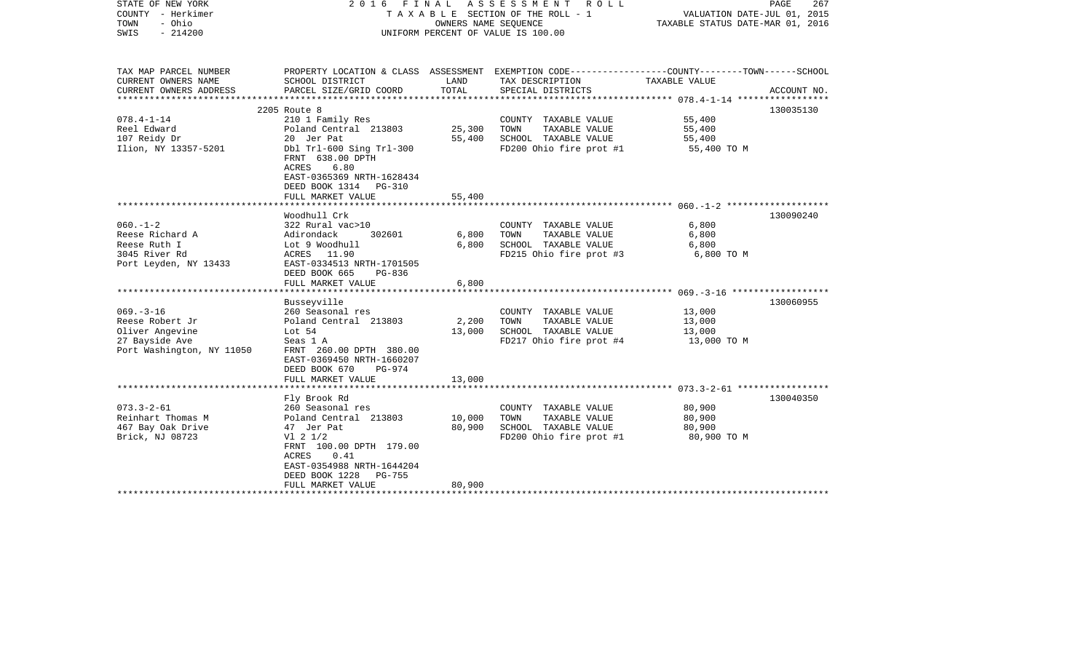| TAX MAP PARCEL NUMBER<br>PROPERTY LOCATION & CLASS ASSESSMENT EXEMPTION CODE---------------COUNTY-------TOWN------SCHOOL<br>CURRENT OWNERS NAME<br>LAND<br>SCHOOL DISTRICT<br>TAX DESCRIPTION<br>TAXABLE VALUE<br>TOTAL<br>CURRENT OWNERS ADDRESS<br>PARCEL SIZE/GRID COORD<br>SPECIAL DISTRICTS<br>ACCOUNT NO.<br>************************<br>2205 Route 8<br>130035130<br>$078.4 - 1 - 14$<br>210 1 Family Res<br>55,400<br>COUNTY TAXABLE VALUE<br>Reel Edward<br>Poland Central 213803<br>25,300<br>TOWN<br>TAXABLE VALUE<br>55,400<br>107 Reidy Dr<br>20 Jer Pat<br>55,400<br>SCHOOL TAXABLE VALUE<br>55,400<br>Ilion, NY 13357-5201<br>Dbl Trl-600 Sing Trl-300<br>FD200 Ohio fire prot #1<br>55,400 TO M<br>FRNT 638.00 DPTH<br>6.80<br>ACRES<br>EAST-0365369 NRTH-1628434<br>DEED BOOK 1314<br><b>PG-310</b><br>FULL MARKET VALUE<br>55,400<br>Woodhull Crk<br>130090240<br>$060. -1 - 2$<br>322 Rural vac>10<br>6,800<br>COUNTY TAXABLE VALUE<br>Reese Richard A<br>6,800<br>TOWN<br>TAXABLE VALUE<br>6,800<br>Adirondack<br>302601<br>Reese Ruth I<br>Lot 9 Woodhull<br>6,800<br>SCHOOL TAXABLE VALUE<br>6,800<br>3045 River Rd<br>ACRES 11.90<br>FD215 Ohio fire prot #3<br>6,800 TO M<br>Port Leyden, NY 13433<br>EAST-0334513 NRTH-1701505<br>DEED BOOK 665<br>PG-836<br>FULL MARKET VALUE<br>6,800<br>Busseyville<br>130060955<br>$069. -3 - 16$<br>260 Seasonal res<br>COUNTY TAXABLE VALUE<br>13,000<br>Reese Robert Jr<br>Poland Central 213803<br>2,200<br>TOWN<br>TAXABLE VALUE<br>13,000<br>Oliver Angevine<br>Lot 54<br>13,000<br>SCHOOL TAXABLE VALUE<br>13,000<br>27 Bayside Ave<br>FD217 Ohio fire prot #4<br>Seas 1 A<br>13,000 TO M<br>Port Washington, NY 11050<br>FRNT 260.00 DPTH 380.00<br>EAST-0369450 NRTH-1660207<br>DEED BOOK 670<br>PG-974<br>FULL MARKET VALUE<br>13,000<br>Fly Brook Rd<br>130040350<br>$073.3 - 2 - 61$<br>80,900<br>260 Seasonal res<br>COUNTY TAXABLE VALUE<br>Reinhart Thomas M<br>TAXABLE VALUE<br>Poland Central 213803<br>10,000<br>TOWN<br>80,900<br>467 Bay Oak Drive<br>47 Jer Pat<br>80,900<br>SCHOOL TAXABLE VALUE<br>80,900<br>Brick, NJ 08723<br>FD200 Ohio fire prot #1<br>$VI$ 2 $1/2$<br>80,900 TO M<br>FRNT 100.00 DPTH 179.00<br>0.41<br>ACRES<br>EAST-0354988 NRTH-1644204<br>DEED BOOK 1228<br><b>PG-755</b><br>FULL MARKET VALUE<br>80,900 | STATE OF NEW YORK<br>COUNTY - Herkimer<br>- Ohio<br>TOWN<br>$-214200$<br>SWIS | FINAL ASSESSMENT ROLL<br>2016<br>T A X A B L E SECTION OF THE ROLL - 1<br>OWNERS NAME SEQUENCE<br>UNIFORM PERCENT OF VALUE IS 100.00 |  |  | PAGE<br>267<br>VALUATION DATE-JUL 01, 2015<br>TAXABLE STATUS DATE-MAR 01, 2016 |  |
|-----------------------------------------------------------------------------------------------------------------------------------------------------------------------------------------------------------------------------------------------------------------------------------------------------------------------------------------------------------------------------------------------------------------------------------------------------------------------------------------------------------------------------------------------------------------------------------------------------------------------------------------------------------------------------------------------------------------------------------------------------------------------------------------------------------------------------------------------------------------------------------------------------------------------------------------------------------------------------------------------------------------------------------------------------------------------------------------------------------------------------------------------------------------------------------------------------------------------------------------------------------------------------------------------------------------------------------------------------------------------------------------------------------------------------------------------------------------------------------------------------------------------------------------------------------------------------------------------------------------------------------------------------------------------------------------------------------------------------------------------------------------------------------------------------------------------------------------------------------------------------------------------------------------------------------------------------------------------------------------------------------------------------------------------------------------------------------------------------------------------------------------------------------------------------------------------------------------------------------------------------------------------------------------------------------------------|-------------------------------------------------------------------------------|--------------------------------------------------------------------------------------------------------------------------------------|--|--|--------------------------------------------------------------------------------|--|
|                                                                                                                                                                                                                                                                                                                                                                                                                                                                                                                                                                                                                                                                                                                                                                                                                                                                                                                                                                                                                                                                                                                                                                                                                                                                                                                                                                                                                                                                                                                                                                                                                                                                                                                                                                                                                                                                                                                                                                                                                                                                                                                                                                                                                                                                                                                       |                                                                               |                                                                                                                                      |  |  |                                                                                |  |
|                                                                                                                                                                                                                                                                                                                                                                                                                                                                                                                                                                                                                                                                                                                                                                                                                                                                                                                                                                                                                                                                                                                                                                                                                                                                                                                                                                                                                                                                                                                                                                                                                                                                                                                                                                                                                                                                                                                                                                                                                                                                                                                                                                                                                                                                                                                       |                                                                               |                                                                                                                                      |  |  |                                                                                |  |
|                                                                                                                                                                                                                                                                                                                                                                                                                                                                                                                                                                                                                                                                                                                                                                                                                                                                                                                                                                                                                                                                                                                                                                                                                                                                                                                                                                                                                                                                                                                                                                                                                                                                                                                                                                                                                                                                                                                                                                                                                                                                                                                                                                                                                                                                                                                       |                                                                               |                                                                                                                                      |  |  |                                                                                |  |
|                                                                                                                                                                                                                                                                                                                                                                                                                                                                                                                                                                                                                                                                                                                                                                                                                                                                                                                                                                                                                                                                                                                                                                                                                                                                                                                                                                                                                                                                                                                                                                                                                                                                                                                                                                                                                                                                                                                                                                                                                                                                                                                                                                                                                                                                                                                       |                                                                               |                                                                                                                                      |  |  |                                                                                |  |
|                                                                                                                                                                                                                                                                                                                                                                                                                                                                                                                                                                                                                                                                                                                                                                                                                                                                                                                                                                                                                                                                                                                                                                                                                                                                                                                                                                                                                                                                                                                                                                                                                                                                                                                                                                                                                                                                                                                                                                                                                                                                                                                                                                                                                                                                                                                       |                                                                               |                                                                                                                                      |  |  |                                                                                |  |
|                                                                                                                                                                                                                                                                                                                                                                                                                                                                                                                                                                                                                                                                                                                                                                                                                                                                                                                                                                                                                                                                                                                                                                                                                                                                                                                                                                                                                                                                                                                                                                                                                                                                                                                                                                                                                                                                                                                                                                                                                                                                                                                                                                                                                                                                                                                       |                                                                               |                                                                                                                                      |  |  |                                                                                |  |
|                                                                                                                                                                                                                                                                                                                                                                                                                                                                                                                                                                                                                                                                                                                                                                                                                                                                                                                                                                                                                                                                                                                                                                                                                                                                                                                                                                                                                                                                                                                                                                                                                                                                                                                                                                                                                                                                                                                                                                                                                                                                                                                                                                                                                                                                                                                       |                                                                               |                                                                                                                                      |  |  |                                                                                |  |
|                                                                                                                                                                                                                                                                                                                                                                                                                                                                                                                                                                                                                                                                                                                                                                                                                                                                                                                                                                                                                                                                                                                                                                                                                                                                                                                                                                                                                                                                                                                                                                                                                                                                                                                                                                                                                                                                                                                                                                                                                                                                                                                                                                                                                                                                                                                       |                                                                               |                                                                                                                                      |  |  |                                                                                |  |
|                                                                                                                                                                                                                                                                                                                                                                                                                                                                                                                                                                                                                                                                                                                                                                                                                                                                                                                                                                                                                                                                                                                                                                                                                                                                                                                                                                                                                                                                                                                                                                                                                                                                                                                                                                                                                                                                                                                                                                                                                                                                                                                                                                                                                                                                                                                       |                                                                               |                                                                                                                                      |  |  |                                                                                |  |
|                                                                                                                                                                                                                                                                                                                                                                                                                                                                                                                                                                                                                                                                                                                                                                                                                                                                                                                                                                                                                                                                                                                                                                                                                                                                                                                                                                                                                                                                                                                                                                                                                                                                                                                                                                                                                                                                                                                                                                                                                                                                                                                                                                                                                                                                                                                       |                                                                               |                                                                                                                                      |  |  |                                                                                |  |
|                                                                                                                                                                                                                                                                                                                                                                                                                                                                                                                                                                                                                                                                                                                                                                                                                                                                                                                                                                                                                                                                                                                                                                                                                                                                                                                                                                                                                                                                                                                                                                                                                                                                                                                                                                                                                                                                                                                                                                                                                                                                                                                                                                                                                                                                                                                       |                                                                               |                                                                                                                                      |  |  |                                                                                |  |
|                                                                                                                                                                                                                                                                                                                                                                                                                                                                                                                                                                                                                                                                                                                                                                                                                                                                                                                                                                                                                                                                                                                                                                                                                                                                                                                                                                                                                                                                                                                                                                                                                                                                                                                                                                                                                                                                                                                                                                                                                                                                                                                                                                                                                                                                                                                       |                                                                               |                                                                                                                                      |  |  |                                                                                |  |
|                                                                                                                                                                                                                                                                                                                                                                                                                                                                                                                                                                                                                                                                                                                                                                                                                                                                                                                                                                                                                                                                                                                                                                                                                                                                                                                                                                                                                                                                                                                                                                                                                                                                                                                                                                                                                                                                                                                                                                                                                                                                                                                                                                                                                                                                                                                       |                                                                               |                                                                                                                                      |  |  |                                                                                |  |
|                                                                                                                                                                                                                                                                                                                                                                                                                                                                                                                                                                                                                                                                                                                                                                                                                                                                                                                                                                                                                                                                                                                                                                                                                                                                                                                                                                                                                                                                                                                                                                                                                                                                                                                                                                                                                                                                                                                                                                                                                                                                                                                                                                                                                                                                                                                       |                                                                               |                                                                                                                                      |  |  |                                                                                |  |
|                                                                                                                                                                                                                                                                                                                                                                                                                                                                                                                                                                                                                                                                                                                                                                                                                                                                                                                                                                                                                                                                                                                                                                                                                                                                                                                                                                                                                                                                                                                                                                                                                                                                                                                                                                                                                                                                                                                                                                                                                                                                                                                                                                                                                                                                                                                       |                                                                               |                                                                                                                                      |  |  |                                                                                |  |
|                                                                                                                                                                                                                                                                                                                                                                                                                                                                                                                                                                                                                                                                                                                                                                                                                                                                                                                                                                                                                                                                                                                                                                                                                                                                                                                                                                                                                                                                                                                                                                                                                                                                                                                                                                                                                                                                                                                                                                                                                                                                                                                                                                                                                                                                                                                       |                                                                               |                                                                                                                                      |  |  |                                                                                |  |
|                                                                                                                                                                                                                                                                                                                                                                                                                                                                                                                                                                                                                                                                                                                                                                                                                                                                                                                                                                                                                                                                                                                                                                                                                                                                                                                                                                                                                                                                                                                                                                                                                                                                                                                                                                                                                                                                                                                                                                                                                                                                                                                                                                                                                                                                                                                       |                                                                               |                                                                                                                                      |  |  |                                                                                |  |
|                                                                                                                                                                                                                                                                                                                                                                                                                                                                                                                                                                                                                                                                                                                                                                                                                                                                                                                                                                                                                                                                                                                                                                                                                                                                                                                                                                                                                                                                                                                                                                                                                                                                                                                                                                                                                                                                                                                                                                                                                                                                                                                                                                                                                                                                                                                       |                                                                               |                                                                                                                                      |  |  |                                                                                |  |
|                                                                                                                                                                                                                                                                                                                                                                                                                                                                                                                                                                                                                                                                                                                                                                                                                                                                                                                                                                                                                                                                                                                                                                                                                                                                                                                                                                                                                                                                                                                                                                                                                                                                                                                                                                                                                                                                                                                                                                                                                                                                                                                                                                                                                                                                                                                       |                                                                               |                                                                                                                                      |  |  |                                                                                |  |
|                                                                                                                                                                                                                                                                                                                                                                                                                                                                                                                                                                                                                                                                                                                                                                                                                                                                                                                                                                                                                                                                                                                                                                                                                                                                                                                                                                                                                                                                                                                                                                                                                                                                                                                                                                                                                                                                                                                                                                                                                                                                                                                                                                                                                                                                                                                       |                                                                               |                                                                                                                                      |  |  |                                                                                |  |
|                                                                                                                                                                                                                                                                                                                                                                                                                                                                                                                                                                                                                                                                                                                                                                                                                                                                                                                                                                                                                                                                                                                                                                                                                                                                                                                                                                                                                                                                                                                                                                                                                                                                                                                                                                                                                                                                                                                                                                                                                                                                                                                                                                                                                                                                                                                       |                                                                               |                                                                                                                                      |  |  |                                                                                |  |
|                                                                                                                                                                                                                                                                                                                                                                                                                                                                                                                                                                                                                                                                                                                                                                                                                                                                                                                                                                                                                                                                                                                                                                                                                                                                                                                                                                                                                                                                                                                                                                                                                                                                                                                                                                                                                                                                                                                                                                                                                                                                                                                                                                                                                                                                                                                       |                                                                               |                                                                                                                                      |  |  |                                                                                |  |
|                                                                                                                                                                                                                                                                                                                                                                                                                                                                                                                                                                                                                                                                                                                                                                                                                                                                                                                                                                                                                                                                                                                                                                                                                                                                                                                                                                                                                                                                                                                                                                                                                                                                                                                                                                                                                                                                                                                                                                                                                                                                                                                                                                                                                                                                                                                       |                                                                               |                                                                                                                                      |  |  |                                                                                |  |
|                                                                                                                                                                                                                                                                                                                                                                                                                                                                                                                                                                                                                                                                                                                                                                                                                                                                                                                                                                                                                                                                                                                                                                                                                                                                                                                                                                                                                                                                                                                                                                                                                                                                                                                                                                                                                                                                                                                                                                                                                                                                                                                                                                                                                                                                                                                       |                                                                               |                                                                                                                                      |  |  |                                                                                |  |
|                                                                                                                                                                                                                                                                                                                                                                                                                                                                                                                                                                                                                                                                                                                                                                                                                                                                                                                                                                                                                                                                                                                                                                                                                                                                                                                                                                                                                                                                                                                                                                                                                                                                                                                                                                                                                                                                                                                                                                                                                                                                                                                                                                                                                                                                                                                       |                                                                               |                                                                                                                                      |  |  |                                                                                |  |
|                                                                                                                                                                                                                                                                                                                                                                                                                                                                                                                                                                                                                                                                                                                                                                                                                                                                                                                                                                                                                                                                                                                                                                                                                                                                                                                                                                                                                                                                                                                                                                                                                                                                                                                                                                                                                                                                                                                                                                                                                                                                                                                                                                                                                                                                                                                       |                                                                               |                                                                                                                                      |  |  |                                                                                |  |
|                                                                                                                                                                                                                                                                                                                                                                                                                                                                                                                                                                                                                                                                                                                                                                                                                                                                                                                                                                                                                                                                                                                                                                                                                                                                                                                                                                                                                                                                                                                                                                                                                                                                                                                                                                                                                                                                                                                                                                                                                                                                                                                                                                                                                                                                                                                       |                                                                               |                                                                                                                                      |  |  |                                                                                |  |
|                                                                                                                                                                                                                                                                                                                                                                                                                                                                                                                                                                                                                                                                                                                                                                                                                                                                                                                                                                                                                                                                                                                                                                                                                                                                                                                                                                                                                                                                                                                                                                                                                                                                                                                                                                                                                                                                                                                                                                                                                                                                                                                                                                                                                                                                                                                       |                                                                               |                                                                                                                                      |  |  |                                                                                |  |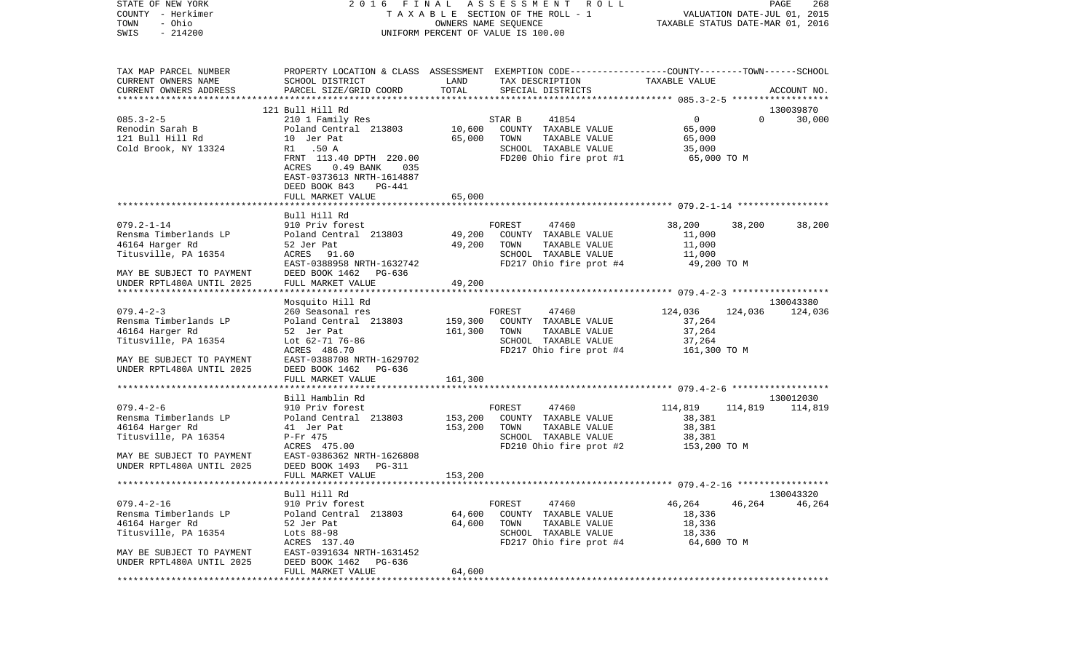| COUNTY<br>– Herkimer       |                                    | T A X A B L E SECTION OF THE ROLL - 1 | VALUATION DATE-JUL 01, 2015<br>TAXABLE STATUS DATE-MAR 01, 2016                                  |  |  |
|----------------------------|------------------------------------|---------------------------------------|--------------------------------------------------------------------------------------------------|--|--|
| TOWN<br>- Ohio             |                                    | OWNERS NAME SEQUENCE                  |                                                                                                  |  |  |
| SWIS<br>$-214200$          | UNIFORM PERCENT OF VALUE IS 100.00 |                                       |                                                                                                  |  |  |
|                            |                                    |                                       |                                                                                                  |  |  |
| TAX MAP PARCEL NUMBER      |                                    |                                       | PROPERTY LOCATION & CLASS ASSESSMENT EXEMPTION CODE----------------COUNTY-------TOWN------SCHOOL |  |  |
| CURRENT OWNERS NAME        | SCHOOL DISTRICT                    | LAND<br>TAX DESCRIPTION               | TAXABLE VALUE                                                                                    |  |  |
| CURRENT OWNERS ADDRESS     | PARCEL SIZE/GRID COORD             | TOTAL<br>SPECIAL DISTRICTS            | ACCOUNT NO.                                                                                      |  |  |
|                            |                                    |                                       |                                                                                                  |  |  |
|                            | 121 Bull Hill Rd                   |                                       | 130039870                                                                                        |  |  |
| $085.3 - 2 - 5$            | 210 1 Family Res                   | STAR B<br>41854                       | $\overline{0}$<br>$\Omega$<br>30,000                                                             |  |  |
| Renodin Sarah B            | Poland Central 213803              | 10,600<br>COUNTY TAXABLE VALUE        | 65,000                                                                                           |  |  |
| 121 Bull Hill Rd           | 10 Jer Pat                         | 65,000<br>TOWN<br>TAXABLE VALUE       | 65,000                                                                                           |  |  |
| Cold Brook, NY 13324       | R1 .50 A                           | SCHOOL TAXABLE VALUE                  | 35,000                                                                                           |  |  |
|                            | FRNT 113.40 DPTH 220.00            | FD200 Ohio fire prot #1               | 65,000 TO M                                                                                      |  |  |
|                            | ACRES<br>$0.49$ BANK<br>035        |                                       |                                                                                                  |  |  |
|                            | EAST-0373613 NRTH-1614887          |                                       |                                                                                                  |  |  |
|                            | DEED BOOK 843<br>PG-441            |                                       |                                                                                                  |  |  |
|                            | FULL MARKET VALUE                  | 65,000                                |                                                                                                  |  |  |
|                            |                                    |                                       |                                                                                                  |  |  |
|                            | Bull Hill Rd                       |                                       |                                                                                                  |  |  |
| $079.2 - 1 - 14$           | 910 Priv forest                    | 47460<br>FOREST                       | 38,200<br>38,200<br>38,200                                                                       |  |  |
| Rensma Timberlands LP      | Poland Central 213803              | 49,200<br>COUNTY TAXABLE VALUE        | 11,000                                                                                           |  |  |
| 46164 Harger Rd            | 52 Jer Pat                         | 49,200<br>TOWN<br>TAXABLE VALUE       | 11,000                                                                                           |  |  |
| Titusville, PA 16354       | ACRES 91.60                        | SCHOOL TAXABLE VALUE                  | 11,000                                                                                           |  |  |
|                            | EAST-0388958 NRTH-1632742          | FD217 Ohio fire prot #4               | 49,200 TO M                                                                                      |  |  |
| MAY BE SUBJECT TO PAYMENT  | DEED BOOK 1462<br>PG-636           |                                       |                                                                                                  |  |  |
| UNDER RPTL480A UNTIL 2025  | FULL MARKET VALUE                  | 49,200                                |                                                                                                  |  |  |
| ************************** | **********************             | ************                          |                                                                                                  |  |  |
|                            | Mosquito Hill Rd                   |                                       | 130043380                                                                                        |  |  |
| $079.4 - 2 - 3$            | 260 Seasonal res                   | FOREST<br>47460                       | 124,036<br>124,036<br>124,036                                                                    |  |  |
| Rensma Timberlands LP      | Poland Central 213803              | 159,300<br>COUNTY TAXABLE VALUE       | 37,264                                                                                           |  |  |
| 46164 Harger Rd            | 52 Jer Pat                         | 161,300<br>TOWN<br>TAXABLE VALUE      | 37,264                                                                                           |  |  |
| Titusville, PA 16354       | Lot 62-71 76-86                    | SCHOOL TAXABLE VALUE                  | 37,264                                                                                           |  |  |
|                            | ACRES 486.70                       | FD217 Ohio fire prot #4               | 161,300 TO M                                                                                     |  |  |
| MAY BE SUBJECT TO PAYMENT  | EAST-0388708 NRTH-1629702          |                                       |                                                                                                  |  |  |
| UNDER RPTL480A UNTIL 2025  | DEED BOOK 1462<br>PG-636           |                                       |                                                                                                  |  |  |
|                            | FULL MARKET VALUE                  | 161,300                               |                                                                                                  |  |  |
|                            |                                    |                                       |                                                                                                  |  |  |
|                            | Bill Hamblin Rd                    |                                       | 130012030                                                                                        |  |  |
| $079.4 - 2 - 6$            | 910 Priv forest                    | 47460<br>FOREST                       | 114,819<br>114,819<br>114,819                                                                    |  |  |
| Rensma Timberlands LP      | Poland Central 213803              | 153,200<br>COUNTY TAXABLE VALUE       | 38,381                                                                                           |  |  |
| 46164 Harger Rd            | 41 Jer Pat                         | 153,200<br>TOWN<br>TAXABLE VALUE      | 38,381                                                                                           |  |  |
| Titusville, PA 16354       | P-Fr 475                           | SCHOOL TAXABLE VALUE                  | 38,381                                                                                           |  |  |
|                            | ACRES 475.00                       | FD210 Ohio fire prot #2               | 153,200 TO M                                                                                     |  |  |
| MAY BE SUBJECT TO PAYMENT  | EAST-0386362 NRTH-1626808          |                                       |                                                                                                  |  |  |
| UNDER RPTL480A UNTIL 2025  | DEED BOOK 1493 PG-311              |                                       |                                                                                                  |  |  |
|                            | FULL MARKET VALUE                  | 153,200                               |                                                                                                  |  |  |
|                            |                                    |                                       |                                                                                                  |  |  |
|                            | Bull Hill Rd                       |                                       | 130043320                                                                                        |  |  |
| $079.4 - 2 - 16$           | 910 Priv forest                    | FOREST<br>47460                       | 46,264<br>46,264<br>46,264                                                                       |  |  |
| Rensma Timberlands LP      | Poland Central 213803              | 64,600<br>COUNTY<br>TAXABLE VALUE     | 18,336                                                                                           |  |  |
| 46164 Harger Rd            | 52 Jer Pat                         | 64,600<br>TOWN<br>TAXABLE VALUE       | 18,336                                                                                           |  |  |
| Titusville, PA 16354       | Lots 88-98                         | SCHOOL TAXABLE VALUE                  | 18,336                                                                                           |  |  |
|                            | ACRES 137.40                       | FD217 Ohio fire prot #4               | 64,600 TO M                                                                                      |  |  |
| MAY BE SUBJECT TO PAYMENT  | EAST-0391634 NRTH-1631452          |                                       |                                                                                                  |  |  |
| UNDER RPTL480A UNTIL 2025  | DEED BOOK 1462<br>PG-636           |                                       |                                                                                                  |  |  |
|                            | FULL MARKET VALUE                  | 64,600                                |                                                                                                  |  |  |
|                            |                                    |                                       |                                                                                                  |  |  |

STATE OF NEW YORK 2 0 1 6 F I N A L A S S E S S M E N T R O L L PAGE 268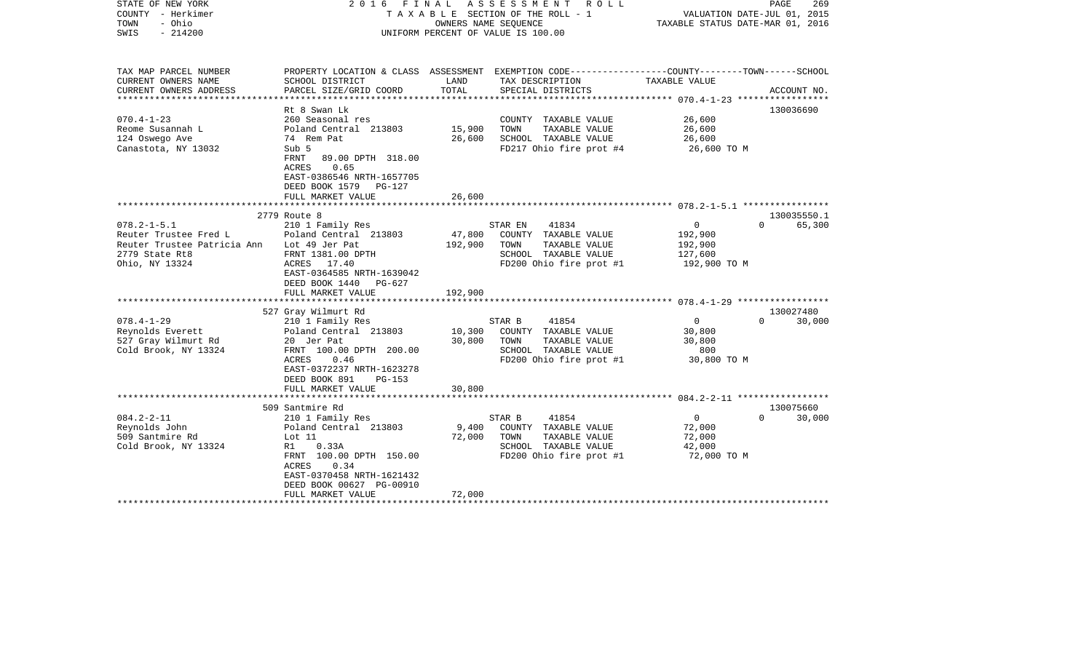| STATE OF NEW YORK<br>COUNTY - Herkimer<br>- Ohio<br>TOWN<br>$-214200$<br>SWIS                                 | 2016 FINAL                                                                                                                                                                                                      | OWNERS NAME SEQUENCE         | ASSESSMENT<br>R O L L<br>TAXABLE SECTION OF THE ROLL - 1<br>UNIFORM PERCENT OF VALUE IS 100.00                                          | VALUATION DATE-JUL 01, 2015<br>TAXABLE STATUS DATE-MAR 01, 2016 | PAGE<br>269                     |
|---------------------------------------------------------------------------------------------------------------|-----------------------------------------------------------------------------------------------------------------------------------------------------------------------------------------------------------------|------------------------------|-----------------------------------------------------------------------------------------------------------------------------------------|-----------------------------------------------------------------|---------------------------------|
| TAX MAP PARCEL NUMBER<br>CURRENT OWNERS NAME<br>CURRENT OWNERS ADDRESS                                        | SCHOOL DISTRICT<br>PARCEL SIZE/GRID COORD                                                                                                                                                                       | LAND<br>TOTAL                | PROPERTY LOCATION & CLASS ASSESSMENT EXEMPTION CODE---------------COUNTY-------TOWN------SCHOOL<br>TAX DESCRIPTION<br>SPECIAL DISTRICTS | TAXABLE VALUE                                                   | ACCOUNT NO.                     |
| $070.4 - 1 - 23$<br>Reome Susannah L<br>124 Oswego Ave<br>Canastota, NY 13032                                 | Rt 8 Swan Lk<br>260 Seasonal res<br>Poland Central 213803<br>74 Rem Pat<br>Sub 5<br>FRNT<br>89.00 DPTH 318.00<br>0.65<br>ACRES<br>EAST-0386546 NRTH-1657705<br>DEED BOOK 1579 PG-127<br>FULL MARKET VALUE       | 15,900<br>26,600<br>26,600   | COUNTY TAXABLE VALUE<br>TAXABLE VALUE<br>TOWN<br>SCHOOL TAXABLE VALUE<br>FD217 Ohio fire prot #4                                        | 26,600<br>26,600<br>26,600<br>26,600 TO M                       | 130036690                       |
|                                                                                                               | **********************                                                                                                                                                                                          |                              |                                                                                                                                         |                                                                 |                                 |
|                                                                                                               | 2779 Route 8                                                                                                                                                                                                    |                              |                                                                                                                                         |                                                                 | 130035550.1                     |
| $078.2 - 1 - 5.1$<br>Reuter Trustee Fred L<br>Reuter Trustee Patricia Ann<br>2779 State Rt8<br>Ohio, NY 13324 | 210 1 Family Res<br>Poland Central 213803<br>Lot 49 Jer Pat<br>FRNT 1381.00 DPTH<br>ACRES 17.40<br>EAST-0364585 NRTH-1639042<br>DEED BOOK 1440 PG-627<br>FULL MARKET VALUE                                      | 47,800<br>192,900<br>192,900 | STAR EN<br>41834<br>COUNTY TAXABLE VALUE<br>TAXABLE VALUE<br>TOWN<br>SCHOOL TAXABLE VALUE<br>FD200 Ohio fire prot #1                    | $\overline{0}$<br>192,900<br>192,900<br>127,600<br>192,900 TO M | $\Omega$<br>65,300              |
|                                                                                                               |                                                                                                                                                                                                                 |                              |                                                                                                                                         |                                                                 |                                 |
| $078.4 - 1 - 29$<br>Reynolds Everett<br>527 Gray Wilmurt Rd<br>Cold Brook, NY 13324                           | 527 Gray Wilmurt Rd<br>210 1 Family Res<br>Poland Central 213803<br>20 Jer Pat<br>FRNT 100.00 DPTH 200.00<br>0.46<br>ACRES<br>EAST-0372237 NRTH-1623278<br>DEED BOOK 891<br>PG-153<br>FULL MARKET VALUE         | 10,300<br>30,800<br>30,800   | 41854<br>STAR B<br>COUNTY TAXABLE VALUE<br>TOWN<br>TAXABLE VALUE<br>SCHOOL TAXABLE VALUE<br>FD200 Ohio fire prot #1                     | $\circ$<br>30,800<br>30,800<br>800<br>30,800 TO M               | 130027480<br>$\Omega$<br>30,000 |
|                                                                                                               |                                                                                                                                                                                                                 |                              |                                                                                                                                         |                                                                 |                                 |
| $084.2 - 2 - 11$<br>Reynolds John<br>509 Santmire Rd<br>Cold Brook, NY 13324                                  | 509 Santmire Rd<br>210 1 Family Res<br>Poland Central 213803<br>Lot 11<br>R1<br>0.33A<br>FRNT 100.00 DPTH 150.00<br>0.34<br>ACRES<br>EAST-0370458 NRTH-1621432<br>DEED BOOK 00627 PG-00910<br>FULL MARKET VALUE | 9,400<br>72,000<br>72,000    | STAR B<br>41854<br>COUNTY TAXABLE VALUE<br>TOWN<br>TAXABLE VALUE<br>SCHOOL TAXABLE VALUE<br>FD200 Ohio fire prot #1                     | $\overline{0}$<br>72,000<br>72,000<br>42,000<br>72,000 TO M     | 130075660<br>$\Omega$<br>30,000 |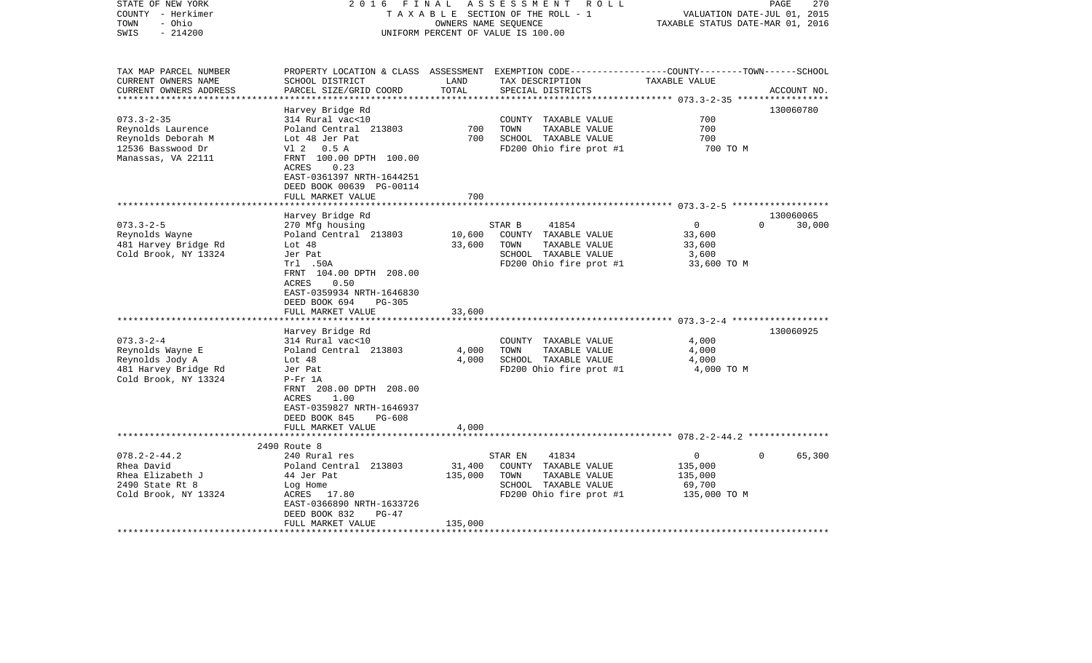| STATE OF NEW YORK<br>COUNTY - Herkimer<br>- Ohio<br>TOWN<br>$-214200$<br>SWIS                                                                                                               | FINAL<br>2016                                                                                                                                                                                                                                                                                                                                                                                                                   | OWNERS NAME SEQUENCE                         | ASSESSMENT ROLL<br>TAXABLE SECTION OF THE ROLL - 1<br>UNIFORM PERCENT OF VALUE IS 100.00                                                                                                                                | VALUATION DATE-JUL 01, 2015<br>TAXABLE STATUS DATE-MAR 01, 2016                                  | 270<br>PAGE                                  |
|---------------------------------------------------------------------------------------------------------------------------------------------------------------------------------------------|---------------------------------------------------------------------------------------------------------------------------------------------------------------------------------------------------------------------------------------------------------------------------------------------------------------------------------------------------------------------------------------------------------------------------------|----------------------------------------------|-------------------------------------------------------------------------------------------------------------------------------------------------------------------------------------------------------------------------|--------------------------------------------------------------------------------------------------|----------------------------------------------|
| TAX MAP PARCEL NUMBER<br>CURRENT OWNERS NAME<br>CURRENT OWNERS ADDRESS                                                                                                                      | SCHOOL DISTRICT<br>PARCEL SIZE/GRID COORD                                                                                                                                                                                                                                                                                                                                                                                       | LAND<br>TOTAL                                | PROPERTY LOCATION & CLASS ASSESSMENT EXEMPTION CODE----------------COUNTY-------TOWN------SCHOOL<br>TAX DESCRIPTION<br>SPECIAL DISTRICTS                                                                                | TAXABLE VALUE                                                                                    | ACCOUNT NO.                                  |
| ************************                                                                                                                                                                    | Harvey Bridge Rd                                                                                                                                                                                                                                                                                                                                                                                                                |                                              |                                                                                                                                                                                                                         |                                                                                                  | 130060780                                    |
| $073.3 - 2 - 35$                                                                                                                                                                            | 314 Rural vac<10                                                                                                                                                                                                                                                                                                                                                                                                                |                                              | COUNTY TAXABLE VALUE                                                                                                                                                                                                    | 700                                                                                              |                                              |
| Reynolds Laurence                                                                                                                                                                           | Poland Central 213803                                                                                                                                                                                                                                                                                                                                                                                                           | 700                                          | TOWN<br>TAXABLE VALUE                                                                                                                                                                                                   | 700                                                                                              |                                              |
| Reynolds Deborah M                                                                                                                                                                          | Lot 48 Jer Pat                                                                                                                                                                                                                                                                                                                                                                                                                  | 700                                          | SCHOOL TAXABLE VALUE                                                                                                                                                                                                    | 700                                                                                              |                                              |
| 12536 Basswood Dr<br>Manassas, VA 22111                                                                                                                                                     | V1 2<br>0.5 A<br>FRNT 100.00 DPTH 100.00<br>0.23<br>ACRES<br>EAST-0361397 NRTH-1644251<br>DEED BOOK 00639 PG-00114                                                                                                                                                                                                                                                                                                              |                                              | FD200 Ohio fire prot #1                                                                                                                                                                                                 | 700 TO M                                                                                         |                                              |
|                                                                                                                                                                                             | FULL MARKET VALUE                                                                                                                                                                                                                                                                                                                                                                                                               | 700                                          |                                                                                                                                                                                                                         |                                                                                                  |                                              |
|                                                                                                                                                                                             | ******************                                                                                                                                                                                                                                                                                                                                                                                                              |                                              |                                                                                                                                                                                                                         |                                                                                                  |                                              |
| $073.3 - 2 - 5$<br>Reynolds Wayne<br>481 Harvey Bridge Rd<br>Cold Brook, NY 13324<br>$073.3 - 2 - 4$<br>Reynolds Wayne E<br>Reynolds Jody A<br>481 Harvey Bridge Rd<br>Cold Brook, NY 13324 | Harvey Bridge Rd<br>270 Mfg housing<br>Poland Central 213803<br>Lot $48$<br>Jer Pat<br>Trl .50A<br>FRNT 104.00 DPTH 208.00<br>0.50<br>ACRES<br>EAST-0359934 NRTH-1646830<br>DEED BOOK 694<br>PG-305<br>FULL MARKET VALUE<br>Harvey Bridge Rd<br>314 Rural vac<10<br>Poland Central 213803<br>Lot 48<br>Jer Pat<br>$P-Fr$ 1A<br>FRNT 208.00 DPTH 208.00<br>1.00<br>ACRES<br>EAST-0359827 NRTH-1646937<br>DEED BOOK 845<br>PG-608 | 10,600<br>33,600<br>33,600<br>4,000<br>4,000 | 41854<br>STAR B<br>COUNTY TAXABLE VALUE<br>TOWN<br>TAXABLE VALUE<br>SCHOOL TAXABLE VALUE<br>FD200 Ohio fire prot #1<br>COUNTY TAXABLE VALUE<br>TAXABLE VALUE<br>TOWN<br>SCHOOL TAXABLE VALUE<br>FD200 Ohio fire prot #1 | $\mathbf 0$<br>33,600<br>33,600<br>3,600<br>33,600 TO M<br>4,000<br>4,000<br>4,000<br>4,000 TO M | 130060065<br>$\Omega$<br>30,000<br>130060925 |
|                                                                                                                                                                                             | FULL MARKET VALUE<br>**************************                                                                                                                                                                                                                                                                                                                                                                                 | 4,000                                        |                                                                                                                                                                                                                         |                                                                                                  |                                              |
|                                                                                                                                                                                             | 2490 Route 8                                                                                                                                                                                                                                                                                                                                                                                                                    |                                              |                                                                                                                                                                                                                         | $\mathbf{0}$                                                                                     | $\overline{0}$                               |
| $078.2 - 2 - 44.2$<br>Rhea David<br>Rhea Elizabeth J<br>2490 State Rt 8<br>Cold Brook, NY 13324                                                                                             | 240 Rural res<br>Poland Central 213803<br>44 Jer Pat<br>Log Home<br>ACRES<br>17.80<br>EAST-0366890 NRTH-1633726<br>DEED BOOK 832<br>$PG-47$                                                                                                                                                                                                                                                                                     | 31,400<br>135,000                            | STAR EN<br>41834<br>COUNTY TAXABLE VALUE<br>TOWN<br>TAXABLE VALUE<br>SCHOOL TAXABLE VALUE<br>FD200 Ohio fire prot #1                                                                                                    | 135,000<br>135,000<br>69,700<br>135,000 TO M                                                     | 65,300                                       |
|                                                                                                                                                                                             | FULL MARKET VALUE                                                                                                                                                                                                                                                                                                                                                                                                               | 135,000                                      |                                                                                                                                                                                                                         |                                                                                                  |                                              |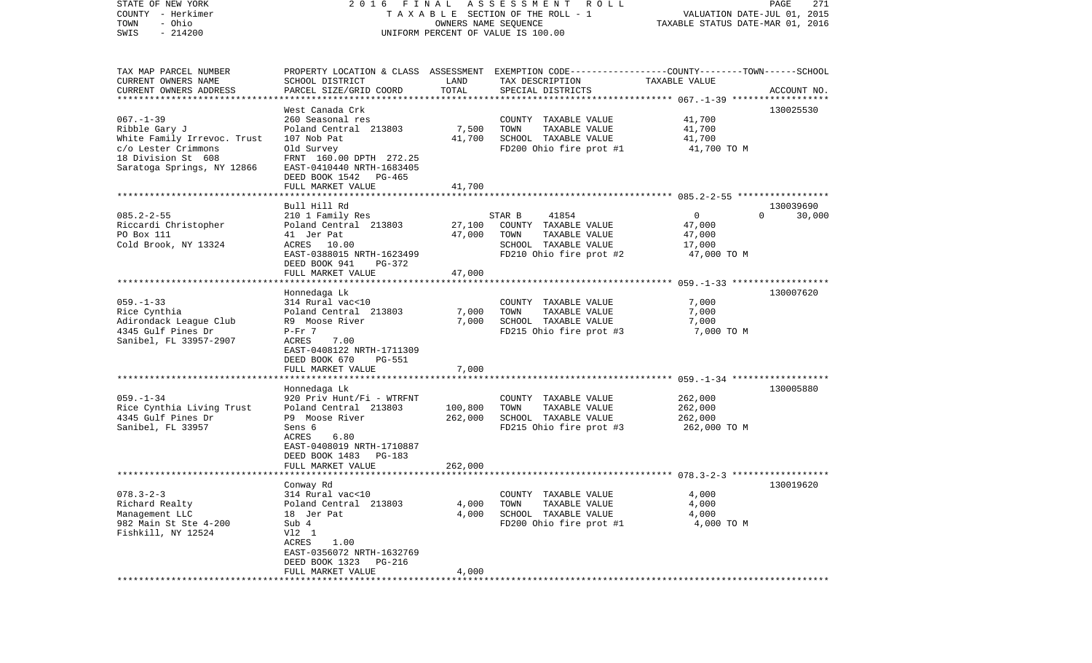| STATE OF NEW YORK           | FINAL<br>2016             |                      | A S S E S S M E N T A O L L                                                                      |                                  | 271<br>PAGE        |
|-----------------------------|---------------------------|----------------------|--------------------------------------------------------------------------------------------------|----------------------------------|--------------------|
| COUNTY - Herkimer           |                           |                      | TAXABLE SECTION OF THE ROLL - 1                                                                  | VALUATION DATE-JUL 01, 2015      |                    |
| - Ohio<br>TOWN              |                           | OWNERS NAME SEQUENCE |                                                                                                  | TAXABLE STATUS DATE-MAR 01, 2016 |                    |
| $-214200$<br>SWIS           |                           |                      | UNIFORM PERCENT OF VALUE IS 100.00                                                               |                                  |                    |
|                             |                           |                      |                                                                                                  |                                  |                    |
|                             |                           |                      |                                                                                                  |                                  |                    |
| TAX MAP PARCEL NUMBER       |                           |                      | PROPERTY LOCATION & CLASS ASSESSMENT EXEMPTION CODE----------------COUNTY-------TOWN------SCHOOL |                                  |                    |
| CURRENT OWNERS NAME         | SCHOOL DISTRICT           | LAND                 | TAX DESCRIPTION                                                                                  | TAXABLE VALUE                    |                    |
| CURRENT OWNERS ADDRESS      | PARCEL SIZE/GRID COORD    | TOTAL                | SPECIAL DISTRICTS                                                                                |                                  | ACCOUNT NO.        |
| ************************    |                           |                      |                                                                                                  |                                  |                    |
|                             | West Canada Crk           |                      |                                                                                                  |                                  | 130025530          |
| $067. - 1 - 39$             | 260 Seasonal res          |                      | COUNTY TAXABLE VALUE                                                                             | 41,700                           |                    |
| Ribble Gary J               | Poland Central 213803     | 7,500                | TAXABLE VALUE<br>TOWN                                                                            | 41,700                           |                    |
| White Family Irrevoc. Trust | 107 Nob Pat               | 41,700               | SCHOOL TAXABLE VALUE                                                                             | 41,700                           |                    |
| c/o Lester Crimmons         | Old Survey                |                      | FD200 Ohio fire prot #1                                                                          | 41,700 TO M                      |                    |
| 18 Division St 608          | FRNT 160.00 DPTH 272.25   |                      |                                                                                                  |                                  |                    |
| Saratoga Springs, NY 12866  | EAST-0410440 NRTH-1683405 |                      |                                                                                                  |                                  |                    |
|                             | DEED BOOK 1542 PG-465     |                      |                                                                                                  |                                  |                    |
|                             | FULL MARKET VALUE         | 41,700               |                                                                                                  |                                  |                    |
|                             |                           |                      |                                                                                                  |                                  |                    |
|                             | Bull Hill Rd              |                      |                                                                                                  |                                  | 130039690          |
| $085.2 - 2 - 55$            | 210 1 Family Res          |                      | 41854<br>STAR B                                                                                  | $\overline{0}$                   | $\Omega$<br>30,000 |
| Riccardi Christopher        | Poland Central 213803     | 27,100               | COUNTY TAXABLE VALUE                                                                             | 47,000                           |                    |
| PO Box 111                  | 41 Jer Pat                | 47,000               | TAXABLE VALUE<br>TOWN                                                                            | 47,000                           |                    |
| Cold Brook, NY 13324        | ACRES 10.00               |                      | SCHOOL TAXABLE VALUE                                                                             | 17,000                           |                    |
|                             | EAST-0388015 NRTH-1623499 |                      | FD210 Ohio fire prot #2                                                                          | 47,000 TO M                      |                    |
|                             | DEED BOOK 941<br>PG-372   |                      |                                                                                                  |                                  |                    |
|                             | FULL MARKET VALUE         | 47,000               |                                                                                                  |                                  |                    |
|                             |                           |                      |                                                                                                  |                                  |                    |
|                             | Honnedaga Lk              |                      |                                                                                                  |                                  | 130007620          |
| $059. -1 - 33$              | 314 Rural vac<10          |                      | COUNTY TAXABLE VALUE                                                                             | 7,000                            |                    |
| Rice Cynthia                | Poland Central 213803     | 7,000                | TAXABLE VALUE<br>TOWN                                                                            | 7,000                            |                    |
| Adirondack League Club      | R9 Moose River            | 7,000                | SCHOOL TAXABLE VALUE                                                                             | 7,000                            |                    |
| 4345 Gulf Pines Dr          | $P-Fr$ 7                  |                      | FD215 Ohio fire prot #3                                                                          | 7,000 TO M                       |                    |
| Sanibel, FL 33957-2907      | ACRES<br>7.00             |                      |                                                                                                  |                                  |                    |
|                             | EAST-0408122 NRTH-1711309 |                      |                                                                                                  |                                  |                    |
|                             | DEED BOOK 670<br>PG-551   |                      |                                                                                                  |                                  |                    |
|                             | FULL MARKET VALUE         | 7,000                |                                                                                                  |                                  |                    |
|                             | *******************       | **************       |                                                                                                  |                                  |                    |
|                             | Honnedaga Lk              |                      |                                                                                                  |                                  | 130005880          |
| $059. - 1 - 34$             | 920 Priv Hunt/Fi - WTRFNT |                      | COUNTY TAXABLE VALUE                                                                             | 262,000                          |                    |
| Rice Cynthia Living Trust   | Poland Central 213803     | 100,800              | TAXABLE VALUE<br>TOWN                                                                            | 262,000                          |                    |
| 4345 Gulf Pines Dr          | P9 Moose River            | 262,000              | SCHOOL TAXABLE VALUE                                                                             | 262,000                          |                    |
| Sanibel, FL 33957           | Sens 6                    |                      | FD215 Ohio fire prot #3                                                                          | 262,000 TO M                     |                    |
|                             | ACRES<br>6.80             |                      |                                                                                                  |                                  |                    |
|                             | EAST-0408019 NRTH-1710887 |                      |                                                                                                  |                                  |                    |
|                             | DEED BOOK 1483<br>PG-183  |                      |                                                                                                  |                                  |                    |
|                             | FULL MARKET VALUE         | 262,000              |                                                                                                  |                                  |                    |
|                             |                           |                      |                                                                                                  |                                  |                    |
|                             | Conway Rd                 |                      |                                                                                                  |                                  | 130019620          |
| $078.3 - 2 - 3$             | 314 Rural vac<10          |                      | COUNTY TAXABLE VALUE                                                                             | 4,000                            |                    |
| Richard Realty              | Poland Central 213803     | 4,000                | TAXABLE VALUE<br>TOWN                                                                            | 4,000                            |                    |
| Management LLC              | 18 Jer Pat                | 4,000                | SCHOOL TAXABLE VALUE                                                                             | 4,000                            |                    |
| 982 Main St Ste 4-200       | Sub 4                     |                      | FD200 Ohio fire prot #1                                                                          | 4,000 TO M                       |                    |
| Fishkill, NY 12524          | V12 1                     |                      |                                                                                                  |                                  |                    |
|                             | ACRES<br>1.00             |                      |                                                                                                  |                                  |                    |
|                             | EAST-0356072 NRTH-1632769 |                      |                                                                                                  |                                  |                    |
|                             | DEED BOOK 1323<br>PG-216  |                      |                                                                                                  |                                  |                    |
|                             | FULL MARKET VALUE         | 4,000                |                                                                                                  |                                  |                    |
|                             |                           |                      |                                                                                                  |                                  |                    |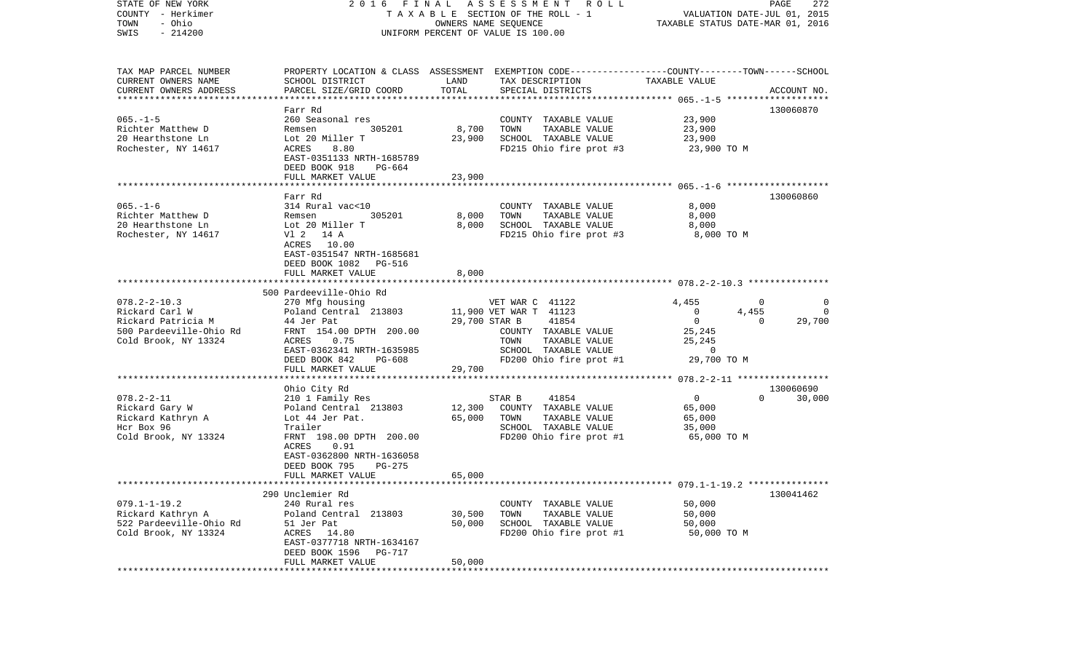| STATE OF NEW YORK<br>COUNTY - Herkimer<br>- Ohio<br>TOWN<br>$-214200$<br>SWIS                                 |                                                                                                                                                                                                            |                            | 2016 FINAL ASSESSMENT<br>R O L L<br>TAXABLE SECTION OF THE ROLL - 1<br>OWNERS NAME SEQUENCE<br>UNIFORM PERCENT OF VALUE IS 100.00                      | VALUATION DATE-JUL 01, 2015<br>TAXABLE STATUS DATE-MAR 01, 2016                             | PAGE<br>272                                                              |
|---------------------------------------------------------------------------------------------------------------|------------------------------------------------------------------------------------------------------------------------------------------------------------------------------------------------------------|----------------------------|--------------------------------------------------------------------------------------------------------------------------------------------------------|---------------------------------------------------------------------------------------------|--------------------------------------------------------------------------|
| TAX MAP PARCEL NUMBER<br>CURRENT OWNERS NAME<br>CURRENT OWNERS ADDRESS<br>************************            | SCHOOL DISTRICT<br>PARCEL SIZE/GRID COORD                                                                                                                                                                  | LAND<br>TOTAL              | PROPERTY LOCATION & CLASS ASSESSMENT EXEMPTION CODE---------------COUNTY-------TOWN------SCHOOL<br>TAX DESCRIPTION<br>SPECIAL DISTRICTS                | TAXABLE VALUE                                                                               | ACCOUNT NO.                                                              |
| $065. -1 - 5$<br>Richter Matthew D<br>20 Hearthstone Ln<br>Rochester, NY 14617                                | Farr Rd<br>260 Seasonal res<br>305201<br>Remsen<br>Lot 20 Miller T<br>8.80<br>ACRES<br>EAST-0351133 NRTH-1685789<br>DEED BOOK 918<br>PG-664<br>FULL MARKET VALUE                                           | 8,700<br>23,900<br>23,900  | COUNTY TAXABLE VALUE<br>TOWN<br>TAXABLE VALUE<br>SCHOOL TAXABLE VALUE<br>FD215 Ohio fire prot #3                                                       | 23,900<br>23,900<br>23,900<br>23,900 TO M                                                   | 130060870                                                                |
| $065. -1 - 6$<br>Richter Matthew D<br>20 Hearthstone Ln<br>Rochester, NY 14617                                | Farr Rd<br>314 Rural vac<10<br>Remsen<br>305201<br>Lot 20 Miller T<br>V1 2 14 A<br>ACRES 10.00<br>EAST-0351547 NRTH-1685681<br>DEED BOOK 1082 PG-516                                                       | 8,000<br>8,000             | COUNTY TAXABLE VALUE<br>TAXABLE VALUE<br>TOWN<br>SCHOOL TAXABLE VALUE<br>FD215 Ohio fire prot #3                                                       | 8,000<br>8,000<br>8,000<br>8,000 TO M                                                       | 130060860                                                                |
|                                                                                                               | FULL MARKET VALUE                                                                                                                                                                                          | 8,000                      |                                                                                                                                                        |                                                                                             |                                                                          |
| $078.2 - 2 - 10.3$<br>Rickard Carl W<br>Rickard Patricia M<br>500 Pardeeville-Ohio Rd<br>Cold Brook, NY 13324 | 500 Pardeeville-Ohio Rd<br>270 Mfg housing<br>Poland Central 213803<br>44 Jer Pat<br>FRNT 154.00 DPTH 200.00<br>ACRES<br>0.75<br>EAST-0362341 NRTH-1635985<br>DEED BOOK 842<br>PG-608<br>FULL MARKET VALUE | 29,700 STAR B<br>29,700    | VET WAR C 41122<br>11,900 VET WAR T 41123<br>41854<br>COUNTY TAXABLE VALUE<br>TOWN<br>TAXABLE VALUE<br>SCHOOL TAXABLE VALUE<br>FD200 Ohio fire prot #1 | 4,455<br>$\overline{0}$<br>$\overline{0}$<br>25,245<br>25,245<br>$\mathbf 0$<br>29,700 TO M | $\overline{\phantom{0}}$<br>0<br>4,455<br>$\Omega$<br>29,700<br>$\Omega$ |
|                                                                                                               | ***********************                                                                                                                                                                                    |                            |                                                                                                                                                        |                                                                                             |                                                                          |
| $078.2 - 2 - 11$<br>Rickard Gary W<br>Rickard Kathryn A<br>Hcr Box 96<br>Cold Brook, NY 13324                 | Ohio City Rd<br>210 1 Family Res<br>Poland Central 213803<br>Lot 44 Jer Pat.<br>Trailer<br>FRNT 198.00 DPTH 200.00<br>ACRES<br>0.91<br>EAST-0362800 NRTH-1636058<br>DEED BOOK 795<br>PG-275                | 12,300<br>65,000           | STAR B<br>41854<br>COUNTY TAXABLE VALUE<br>TOWN<br>TAXABLE VALUE<br>SCHOOL TAXABLE VALUE<br>FD200 Ohio fire prot #1                                    | $\overline{0}$<br>65,000<br>65,000<br>35,000<br>65,000 TO M                                 | 130060690<br>30,000<br>$\Omega$                                          |
|                                                                                                               | FULL MARKET VALUE                                                                                                                                                                                          | 65,000                     |                                                                                                                                                        |                                                                                             |                                                                          |
| $079.1 - 1 - 19.2$<br>Rickard Kathryn A<br>522 Pardeeville-Ohio Rd<br>Cold Brook, NY 13324                    | 290 Unclemier Rd<br>240 Rural res<br>Poland Central 213803<br>51 Jer Pat<br>ACRES<br>14.80<br>EAST-0377718 NRTH-1634167<br>DEED BOOK 1596<br>PG-717<br>FULL MARKET VALUE                                   | 30,500<br>50,000<br>50,000 | COUNTY TAXABLE VALUE<br>TAXABLE VALUE<br>TOWN<br>SCHOOL TAXABLE VALUE<br>FD200 Ohio fire prot #1                                                       | 50,000<br>50,000<br>50,000<br>50,000 TO M                                                   | 130041462                                                                |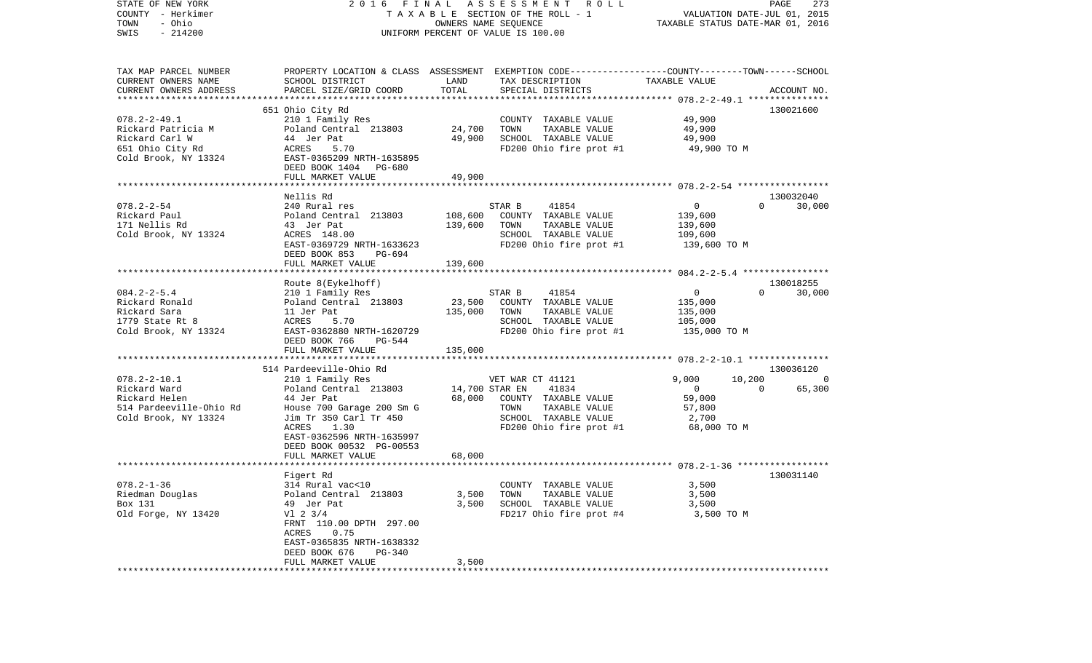| STATE OF NEW YORK<br>COUNTY - Herkimer<br>- Ohio<br>TOWN<br>$-214200$<br>SWIS |                                           | OWNERS NAME SEQUENCE | 2016 FINAL ASSESSMENT<br>R O L L<br>TAXABLE SECTION OF THE ROLL - 1<br>UNIFORM PERCENT OF VALUE IS 100.00 | TAXABLE STATUS DATE-MAR 01, 2016 | 273<br>PAGE<br>VALUATION DATE-JUL 01, 2015 |
|-------------------------------------------------------------------------------|-------------------------------------------|----------------------|-----------------------------------------------------------------------------------------------------------|----------------------------------|--------------------------------------------|
| TAX MAP PARCEL NUMBER                                                         |                                           |                      | PROPERTY LOCATION & CLASS ASSESSMENT EXEMPTION CODE----------------COUNTY-------TOWN-----SCHOOL           |                                  |                                            |
| CURRENT OWNERS NAME<br>CURRENT OWNERS ADDRESS                                 | SCHOOL DISTRICT<br>PARCEL SIZE/GRID COORD | LAND<br>TOTAL        | TAX DESCRIPTION<br>SPECIAL DISTRICTS                                                                      | TAXABLE VALUE                    | ACCOUNT NO.                                |
| *************************                                                     |                                           |                      |                                                                                                           |                                  |                                            |
|                                                                               | 651 Ohio City Rd                          |                      |                                                                                                           |                                  | 130021600                                  |
| $078.2 - 2 - 49.1$                                                            | 210 1 Family Res                          |                      | COUNTY TAXABLE VALUE                                                                                      | 49,900                           |                                            |
| Rickard Patricia M                                                            | Poland Central 213803                     | 24,700               | TOWN<br>TAXABLE VALUE                                                                                     | 49,900                           |                                            |
| Rickard Carl W                                                                | 44 Jer Pat                                | 49,900               | SCHOOL TAXABLE VALUE                                                                                      | 49,900                           |                                            |
| 651 Ohio City Rd                                                              | ACRES<br>5.70                             |                      | FD200 Ohio fire prot #1                                                                                   | 49,900 TO M                      |                                            |
| Cold Brook, NY 13324                                                          | EAST-0365209 NRTH-1635895                 |                      |                                                                                                           |                                  |                                            |
|                                                                               | DEED BOOK 1404 PG-680                     |                      |                                                                                                           |                                  |                                            |
|                                                                               | FULL MARKET VALUE                         | 49,900               |                                                                                                           |                                  |                                            |
|                                                                               |                                           |                      |                                                                                                           |                                  |                                            |
|                                                                               | Nellis Rd                                 |                      |                                                                                                           |                                  | 130032040                                  |
| $078.2 - 2 - 54$                                                              | 240 Rural res                             |                      | 41854<br>STAR B                                                                                           | $\overline{0}$                   | 30,000<br>$\Omega$                         |
| Rickard Paul                                                                  | Poland Central 213803                     | 108,600              | COUNTY TAXABLE VALUE                                                                                      | 139,600                          |                                            |
| 171 Nellis Rd                                                                 | 43 Jer Pat                                | 139,600              | TOWN<br>TAXABLE VALUE                                                                                     | 139,600                          |                                            |
| Cold Brook, NY 13324                                                          | ACRES 148.00                              |                      | SCHOOL TAXABLE VALUE                                                                                      | 109,600                          |                                            |
|                                                                               | EAST-0369729 NRTH-1633623                 |                      | FD200 Ohio fire prot #1                                                                                   | 139,600 TO M                     |                                            |
|                                                                               | DEED BOOK 853<br>PG-694                   |                      |                                                                                                           |                                  |                                            |
|                                                                               | FULL MARKET VALUE                         | 139,600              |                                                                                                           |                                  |                                            |
|                                                                               |                                           |                      |                                                                                                           |                                  |                                            |
|                                                                               | Route 8(Eykelhoff)                        |                      |                                                                                                           |                                  | 130018255                                  |
| $084.2 - 2 - 5.4$                                                             | 210 1 Family Res                          |                      | 41854<br>STAR B                                                                                           | $\overline{0}$                   | 30,000<br>$\Omega$                         |
| Rickard Ronald                                                                | Poland Central 213803                     | 23,500               | COUNTY TAXABLE VALUE                                                                                      | 135,000                          |                                            |
| Rickard Sara                                                                  | 11 Jer Pat                                | 135,000              | TAXABLE VALUE<br>TOWN                                                                                     | 135,000                          |                                            |
| 1779 State Rt 8                                                               | 5.70<br>ACRES                             |                      | SCHOOL TAXABLE VALUE                                                                                      | 105,000                          |                                            |
| Cold Brook, NY 13324                                                          | EAST-0362880 NRTH-1620729                 |                      | FD200 Ohio fire prot #1                                                                                   | 135,000 TO M                     |                                            |
|                                                                               | DEED BOOK 766<br>PG-544                   |                      |                                                                                                           |                                  |                                            |
|                                                                               | FULL MARKET VALUE                         | 135,000              |                                                                                                           |                                  |                                            |
|                                                                               |                                           |                      |                                                                                                           |                                  |                                            |
|                                                                               | 514 Pardeeville-Ohio Rd                   |                      |                                                                                                           |                                  | 130036120                                  |
| $078.2 - 2 - 10.1$                                                            | 210 1 Family Res                          |                      | VET WAR CT 41121                                                                                          | 9,000                            | 10,200<br>0                                |
| Rickard Ward                                                                  | Poland Central 213803                     | 14,700 STAR EN       | 41834                                                                                                     | $\mathbf 0$                      | 65,300<br>$\Omega$                         |
| Rickard Helen                                                                 | 44 Jer Pat                                | 68,000               | COUNTY TAXABLE VALUE                                                                                      | 59,000                           |                                            |
| 514 Pardeeville-Ohio Rd                                                       | House 700 Garage 200 Sm G                 |                      | TOWN<br>TAXABLE VALUE                                                                                     | 57,800                           |                                            |
| Cold Brook, NY 13324                                                          | Jim Tr 350 Carl Tr 450                    |                      | SCHOOL TAXABLE VALUE                                                                                      | 2,700                            |                                            |
|                                                                               | ACRES<br>1.30                             |                      | FD200 Ohio fire prot #1                                                                                   | 68,000 TO M                      |                                            |
|                                                                               | EAST-0362596 NRTH-1635997                 |                      |                                                                                                           |                                  |                                            |
|                                                                               | DEED BOOK 00532 PG-00553                  |                      |                                                                                                           |                                  |                                            |
|                                                                               | FULL MARKET VALUE                         | 68,000               |                                                                                                           |                                  |                                            |
|                                                                               |                                           |                      |                                                                                                           |                                  |                                            |
|                                                                               | Figert Rd                                 |                      |                                                                                                           |                                  | 130031140                                  |
| $078.2 - 1 - 36$                                                              | 314 Rural vac<10                          |                      | COUNTY TAXABLE VALUE                                                                                      | 3,500                            |                                            |
| Riedman Douglas                                                               | Poland Central 213803                     | 3,500                | TAXABLE VALUE<br>TOWN                                                                                     | 3,500                            |                                            |
| Box 131                                                                       | 49 Jer Pat                                | 3,500                | SCHOOL TAXABLE VALUE                                                                                      | 3,500                            |                                            |
| Old Forge, NY 13420                                                           | $VI$ 2 3/4                                |                      | FD217 Ohio fire prot #4                                                                                   | 3,500 TO M                       |                                            |
|                                                                               | FRNT 110.00 DPTH 297.00                   |                      |                                                                                                           |                                  |                                            |
|                                                                               | ACRES<br>0.75                             |                      |                                                                                                           |                                  |                                            |
|                                                                               | EAST-0365835 NRTH-1638332                 |                      |                                                                                                           |                                  |                                            |
|                                                                               | DEED BOOK 676<br>PG-340                   |                      |                                                                                                           |                                  |                                            |
|                                                                               | FULL MARKET VALUE                         | 3,500                |                                                                                                           |                                  |                                            |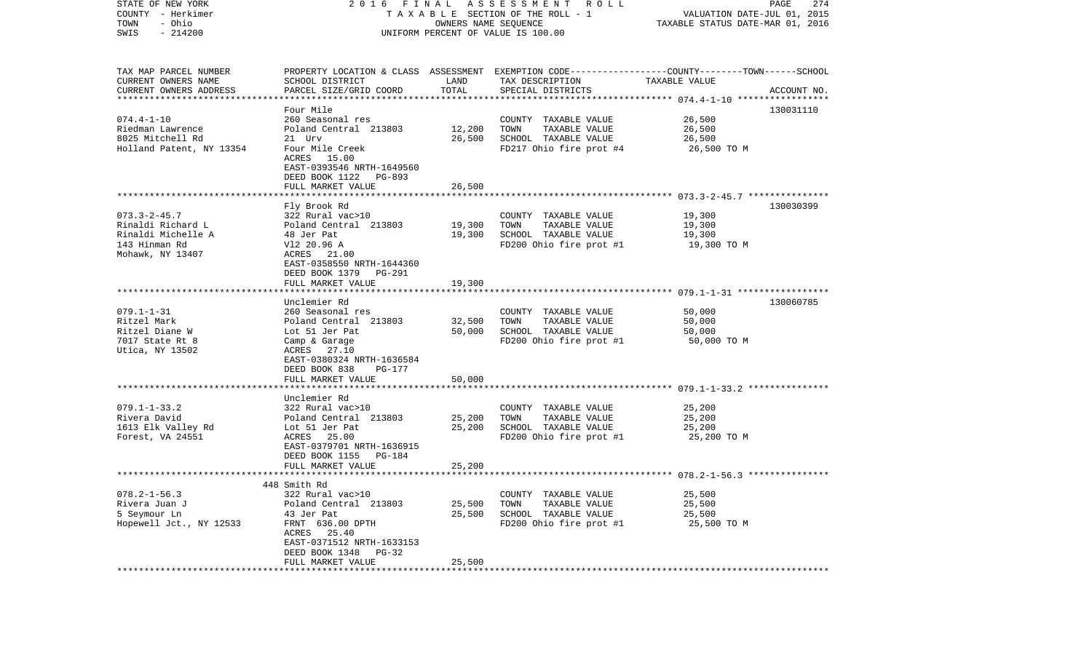| STATE OF NEW YORK<br>COUNTY - Herkimer | 2016 FINAL                                    |                      | A S S E S S M E N T R O L L<br>TAXABLE SECTION OF THE ROLL - 1                                  | VALUATION DATE-JUL 01, 2015      | PAGE<br>274 |
|----------------------------------------|-----------------------------------------------|----------------------|-------------------------------------------------------------------------------------------------|----------------------------------|-------------|
| - Ohio<br>TOWN                         |                                               | OWNERS NAME SEQUENCE |                                                                                                 | TAXABLE STATUS DATE-MAR 01, 2016 |             |
| $-214200$<br>SWIS                      |                                               |                      | UNIFORM PERCENT OF VALUE IS 100.00                                                              |                                  |             |
|                                        |                                               |                      |                                                                                                 |                                  |             |
| TAX MAP PARCEL NUMBER                  |                                               |                      | PROPERTY LOCATION & CLASS ASSESSMENT EXEMPTION CODE---------------COUNTY-------TOWN------SCHOOL |                                  |             |
| CURRENT OWNERS NAME                    | SCHOOL DISTRICT                               | LAND                 | TAX DESCRIPTION                                                                                 | TAXABLE VALUE                    |             |
| CURRENT OWNERS ADDRESS                 | PARCEL SIZE/GRID COORD                        | TOTAL                | SPECIAL DISTRICTS                                                                               |                                  | ACCOUNT NO. |
| *************************              |                                               |                      |                                                                                                 |                                  |             |
|                                        | Four Mile                                     |                      |                                                                                                 |                                  | 130031110   |
| $074.4 - 1 - 10$                       | 260 Seasonal res                              |                      | COUNTY TAXABLE VALUE                                                                            | 26,500                           |             |
| Riedman Lawrence                       | Poland Central 213803                         | 12,200               | TOWN<br>TAXABLE VALUE                                                                           | 26,500                           |             |
| 8025 Mitchell Rd                       | 21 Urv                                        | 26,500               | SCHOOL TAXABLE VALUE                                                                            | 26,500                           |             |
| Holland Patent, NY 13354               | Four Mile Creek<br>ACRES 15.00                |                      | FD217 Ohio fire prot #4                                                                         | 26,500 TO M                      |             |
|                                        | EAST-0393546 NRTH-1649560                     |                      |                                                                                                 |                                  |             |
|                                        | DEED BOOK 1122<br>PG-893                      |                      |                                                                                                 |                                  |             |
|                                        | FULL MARKET VALUE                             | 26,500               |                                                                                                 |                                  |             |
|                                        |                                               |                      |                                                                                                 |                                  |             |
|                                        | Fly Brook Rd                                  |                      |                                                                                                 |                                  | 130030399   |
| $073.3 - 2 - 45.7$                     | 322 Rural vac>10                              |                      | COUNTY TAXABLE VALUE                                                                            | 19,300                           |             |
| Rinaldi Richard L                      | Poland Central 213803                         | 19,300               | TAXABLE VALUE<br>TOWN                                                                           | 19,300                           |             |
| Rinaldi Michelle A                     | 48 Jer Pat                                    | 19,300               | SCHOOL TAXABLE VALUE                                                                            | 19,300                           |             |
| 143 Hinman Rd                          | V12 20.96 A                                   |                      | FD200 Ohio fire prot #1                                                                         | 19,300 TO M                      |             |
| Mohawk, NY 13407                       | ACRES 21.00                                   |                      |                                                                                                 |                                  |             |
|                                        | EAST-0358550 NRTH-1644360                     |                      |                                                                                                 |                                  |             |
|                                        | DEED BOOK 1379<br>PG-291<br>FULL MARKET VALUE |                      |                                                                                                 |                                  |             |
|                                        |                                               | 19,300               |                                                                                                 |                                  |             |
|                                        | Unclemier Rd                                  |                      |                                                                                                 |                                  | 130060785   |
| $079.1 - 1 - 31$                       | 260 Seasonal res                              |                      | COUNTY TAXABLE VALUE                                                                            | 50,000                           |             |
| Ritzel Mark                            | Poland Central 213803                         | 32,500               | TAXABLE VALUE<br>TOWN                                                                           | 50,000                           |             |
| Ritzel Diane W                         | Lot 51 Jer Pat                                | 50,000               | SCHOOL TAXABLE VALUE                                                                            | 50,000                           |             |
| 7017 State Rt 8                        | Camp & Garage                                 |                      | FD200 Ohio fire prot #1                                                                         | 50,000 TO M                      |             |
| Utica, NY 13502                        | ACRES 27.10                                   |                      |                                                                                                 |                                  |             |
|                                        | EAST-0380324 NRTH-1636584                     |                      |                                                                                                 |                                  |             |
|                                        | DEED BOOK 838<br>PG-177                       |                      |                                                                                                 |                                  |             |
|                                        | FULL MARKET VALUE<br>************************ | 50,000               |                                                                                                 |                                  |             |
|                                        | Unclemier Rd                                  |                      |                                                                                                 |                                  |             |
| $079.1 - 1 - 33.2$                     | 322 Rural vac>10                              |                      | COUNTY TAXABLE VALUE                                                                            | 25,200                           |             |
| Rivera David                           | Poland Central 213803                         | 25,200               | TOWN<br>TAXABLE VALUE                                                                           | 25,200                           |             |
| 1613 Elk Valley Rd                     | Lot 51 Jer Pat                                | 25,200               | SCHOOL TAXABLE VALUE                                                                            | 25,200                           |             |
| Forest, VA 24551                       | ACRES 25.00                                   |                      | FD200 Ohio fire prot #1                                                                         | 25,200 TO M                      |             |
|                                        | EAST-0379701 NRTH-1636915                     |                      |                                                                                                 |                                  |             |
|                                        | DEED BOOK 1155<br>PG-184                      |                      |                                                                                                 |                                  |             |
|                                        | FULL MARKET VALUE                             | 25,200               |                                                                                                 |                                  |             |
|                                        |                                               |                      |                                                                                                 |                                  |             |
|                                        | 448 Smith Rd                                  |                      |                                                                                                 |                                  |             |
| $078.2 - 1 - 56.3$                     | 322 Rural vac>10                              |                      | COUNTY TAXABLE VALUE                                                                            | 25,500                           |             |
| Rivera Juan J                          | Poland Central 213803                         | 25,500               | TOWN<br>TAXABLE VALUE                                                                           | 25,500                           |             |
| 5 Seymour Ln                           | 43 Jer Pat                                    | 25,500               | SCHOOL TAXABLE VALUE                                                                            | 25,500                           |             |
| Hopewell Jct., NY 12533                | FRNT 636.00 DPTH                              |                      | FD200 Ohio fire prot #1                                                                         | 25,500 TO M                      |             |
|                                        | ACRES 25.40                                   |                      |                                                                                                 |                                  |             |
|                                        | EAST-0371512 NRTH-1633153                     |                      |                                                                                                 |                                  |             |
|                                        | DEED BOOK 1348<br>$PG-32$                     |                      |                                                                                                 |                                  |             |
|                                        | FULL MARKET VALUE                             | 25,500               |                                                                                                 |                                  |             |
|                                        |                                               |                      |                                                                                                 |                                  |             |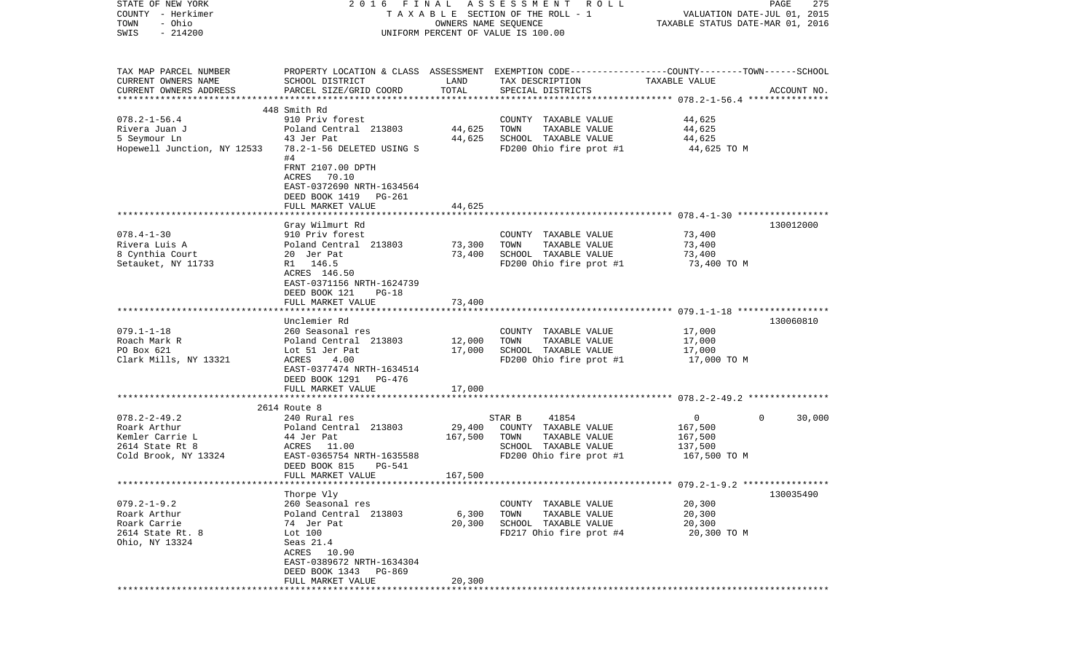| STATE OF NEW YORK           | 2016 FINAL                                                                                       |                      | A S S E S S M E N T R O L L        |                                                          | PAGE<br>275            |
|-----------------------------|--------------------------------------------------------------------------------------------------|----------------------|------------------------------------|----------------------------------------------------------|------------------------|
| COUNTY - Herkimer           |                                                                                                  |                      | TAXABLE SECTION OF THE ROLL - 1    | VALUATION DATE-JUL 01, 2015                              |                        |
| TOWN<br>- Ohio              |                                                                                                  | OWNERS NAME SEQUENCE |                                    | TAXABLE STATUS DATE-MAR 01, 2016                         |                        |
| $-214200$<br>SWIS           |                                                                                                  |                      | UNIFORM PERCENT OF VALUE IS 100.00 |                                                          |                        |
|                             |                                                                                                  |                      |                                    |                                                          |                        |
|                             |                                                                                                  |                      |                                    |                                                          |                        |
| TAX MAP PARCEL NUMBER       | PROPERTY LOCATION & CLASS ASSESSMENT EXEMPTION CODE----------------COUNTY-------TOWN------SCHOOL |                      |                                    |                                                          |                        |
| CURRENT OWNERS NAME         | SCHOOL DISTRICT                                                                                  | LAND                 | TAX DESCRIPTION                    | TAXABLE VALUE                                            |                        |
| CURRENT OWNERS ADDRESS      | PARCEL SIZE/GRID COORD                                                                           | TOTAL                | SPECIAL DISTRICTS                  |                                                          | ACCOUNT NO.            |
|                             |                                                                                                  |                      |                                    |                                                          |                        |
|                             | 448 Smith Rd                                                                                     |                      |                                    |                                                          |                        |
| $078.2 - 1 - 56.4$          | 910 Priv forest                                                                                  |                      | COUNTY TAXABLE VALUE               | 44,625                                                   |                        |
| Rivera Juan J               | Poland Central 213803                                                                            | 44,625               | TOWN<br>TAXABLE VALUE              | 44,625                                                   |                        |
| 5 Seymour Ln                | 43 Jer Pat                                                                                       | 44,625               | SCHOOL TAXABLE VALUE               | 44,625                                                   |                        |
| Hopewell Junction, NY 12533 | 78.2-1-56 DELETED USING S                                                                        |                      | FD200 Ohio fire prot #1            | 44,625 TO M                                              |                        |
|                             | #4                                                                                               |                      |                                    |                                                          |                        |
|                             | FRNT 2107.00 DPTH                                                                                |                      |                                    |                                                          |                        |
|                             | ACRES 70.10                                                                                      |                      |                                    |                                                          |                        |
|                             | EAST-0372690 NRTH-1634564                                                                        |                      |                                    |                                                          |                        |
|                             | DEED BOOK 1419 PG-261                                                                            |                      |                                    |                                                          |                        |
|                             | FULL MARKET VALUE                                                                                | 44,625               |                                    |                                                          |                        |
|                             | Gray Wilmurt Rd                                                                                  |                      |                                    |                                                          | 130012000              |
| $078.4 - 1 - 30$            | 910 Priv forest                                                                                  |                      | COUNTY TAXABLE VALUE               | 73,400                                                   |                        |
| Rivera Luis A               | Poland Central 213803                                                                            |                      | TOWN<br>TAXABLE VALUE              |                                                          |                        |
|                             |                                                                                                  | 73,300<br>73,400     | SCHOOL TAXABLE VALUE               | 73,400                                                   |                        |
| 8 Cynthia Court             | 20 Jer Pat                                                                                       |                      |                                    | 73,400                                                   |                        |
| Setauket, NY 11733          | R1 146.5                                                                                         |                      | FD200 Ohio fire prot #1            | 73,400 TO M                                              |                        |
|                             | ACRES 146.50                                                                                     |                      |                                    |                                                          |                        |
|                             | EAST-0371156 NRTH-1624739<br>DEED BOOK 121<br>$PG-18$                                            |                      |                                    |                                                          |                        |
|                             | FULL MARKET VALUE                                                                                | 73,400               |                                    |                                                          |                        |
|                             |                                                                                                  |                      |                                    |                                                          |                        |
|                             | Unclemier Rd                                                                                     |                      |                                    |                                                          | 130060810              |
| $079.1 - 1 - 18$            | 260 Seasonal res                                                                                 |                      | COUNTY TAXABLE VALUE               | 17,000                                                   |                        |
| Roach Mark R                | Poland Central 213803                                                                            | 12,000               | TOWN<br>TAXABLE VALUE              | 17,000                                                   |                        |
| PO Box 621                  | Lot 51 Jer Pat                                                                                   | 17,000               | SCHOOL TAXABLE VALUE               | 17,000                                                   |                        |
| Clark Mills, NY 13321       | ACRES<br>4.00                                                                                    |                      | FD200 Ohio fire prot #1            | 17,000 TO M                                              |                        |
|                             | EAST-0377474 NRTH-1634514                                                                        |                      |                                    |                                                          |                        |
|                             | DEED BOOK 1291<br>PG-476                                                                         |                      |                                    |                                                          |                        |
|                             | FULL MARKET VALUE                                                                                | 17,000               |                                    |                                                          |                        |
|                             | ***********************                                                                          | **********           |                                    | *************************** 078.2-2-49.2 *************** |                        |
|                             | 2614 Route 8                                                                                     |                      |                                    |                                                          |                        |
| $078.2 - 2 - 49.2$          | 240 Rural res                                                                                    |                      | STAR B<br>41854                    | $\mathbf{0}$                                             | 30,000<br>$\mathbf{0}$ |
| Roark Arthur                | Poland Central 213803                                                                            | 29,400               | COUNTY TAXABLE VALUE               | 167,500                                                  |                        |
| Kemler Carrie L             | 44 Jer Pat                                                                                       | 167,500              | TOWN<br>TAXABLE VALUE              | 167,500                                                  |                        |
| 2614 State Rt 8             | ACRES 11.00                                                                                      |                      | SCHOOL TAXABLE VALUE               | 137,500                                                  |                        |
| Cold Brook, NY 13324        | EAST-0365754 NRTH-1635588                                                                        |                      | FD200 Ohio fire prot #1            | 167,500 TO M                                             |                        |
|                             | DEED BOOK 815<br>PG-541                                                                          |                      |                                    |                                                          |                        |
|                             | FULL MARKET VALUE                                                                                | 167,500              |                                    |                                                          |                        |
|                             |                                                                                                  |                      |                                    | ·************************** 079.2-1-9.2 **************** |                        |
|                             | Thorpe Vly                                                                                       |                      |                                    |                                                          | 130035490              |
| $079.2 - 1 - 9.2$           | 260 Seasonal res                                                                                 |                      | COUNTY TAXABLE VALUE               | 20,300                                                   |                        |
| Roark Arthur                | Poland Central 213803                                                                            | 6,300                | TOWN<br>TAXABLE VALUE              | 20,300                                                   |                        |
| Roark Carrie                | 74 Jer Pat                                                                                       | 20,300               | SCHOOL TAXABLE VALUE               | 20,300                                                   |                        |
| 2614 State Rt. 8            | Lot 100                                                                                          |                      | FD217 Ohio fire prot #4            | 20,300 TO M                                              |                        |
| Ohio, NY 13324              | Seas 21.4                                                                                        |                      |                                    |                                                          |                        |
|                             | ACRES 10.90                                                                                      |                      |                                    |                                                          |                        |
|                             | EAST-0389672 NRTH-1634304                                                                        |                      |                                    |                                                          |                        |
|                             | DEED BOOK 1343<br>PG-869                                                                         |                      |                                    |                                                          |                        |
|                             | FULL MARKET VALUE                                                                                | 20,300               |                                    |                                                          |                        |
|                             | ************************                                                                         |                      |                                    |                                                          |                        |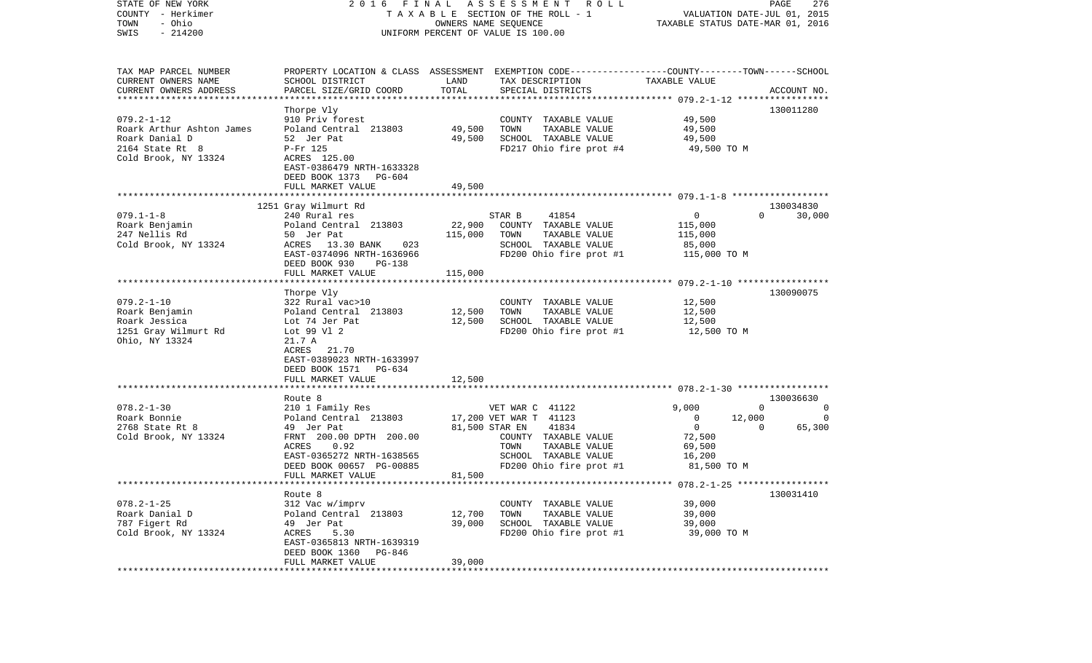| OWNERS NAME SEQUENCE<br>TAXABLE STATUS DATE-MAR 01, 2016<br>$-214200$<br>SWIS<br>UNIFORM PERCENT OF VALUE IS 100.00<br>TAX MAP PARCEL NUMBER<br>PROPERTY LOCATION & CLASS ASSESSMENT EXEMPTION CODE---------------COUNTY-------TOWN------SCHOOL<br>CURRENT OWNERS NAME<br>SCHOOL DISTRICT<br>LAND<br>TAX DESCRIPTION<br>TAXABLE VALUE<br>TOTAL<br>CURRENT OWNERS ADDRESS<br>PARCEL SIZE/GRID COORD<br>SPECIAL DISTRICTS<br>ACCOUNT NO.<br>************************<br>130011280<br>Thorpe Vly<br>$079.2 - 1 - 12$<br>49,500<br>910 Priv forest<br>COUNTY TAXABLE VALUE<br>49,500<br>TOWN<br>Roark Arthur Ashton James<br>Poland Central 213803<br>TAXABLE VALUE<br>49,500<br>Roark Danial D<br>SCHOOL TAXABLE VALUE<br>52 Jer Pat<br>49,500<br>49,500<br>FD217 Ohio fire prot #4<br>$2164$ State Rt $8$<br>P-Fr 125<br>49,500 TO M<br>Cold Brook, NY 13324<br>ACRES 125.00<br>EAST-0386479 NRTH-1633328<br>DEED BOOK 1373<br>PG-604<br>FULL MARKET VALUE<br>49,500<br>1251 Gray Wilmurt Rd<br>130034830<br>41854<br>$\overline{0}$<br>$079.1 - 1 - 8$<br>240 Rural res<br>STAR B<br>$\Omega$<br>30,000<br>Roark Benjamin<br>22,900<br>Poland Central 213803<br>COUNTY TAXABLE VALUE<br>115,000<br>247 Nellis Rd<br>115,000<br>50 Jer Pat<br>TOWN<br>TAXABLE VALUE<br>115,000<br>Cold Brook, NY 13324<br>ACRES 13.30 BANK<br>023<br>SCHOOL TAXABLE VALUE<br>85,000<br>FD200 Ohio fire prot #1<br>EAST-0374096 NRTH-1636966<br>115,000 TO M<br>DEED BOOK 930<br>$PG-138$<br>FULL MARKET VALUE<br>115,000<br>130090075<br>Thorpe Vly<br>$079.2 - 1 - 10$<br>322 Rural vac>10<br>COUNTY TAXABLE VALUE<br>12,500<br>Roark Benjamin<br>Poland Central 213803<br>12,500<br>TOWN<br>TAXABLE VALUE<br>12,500<br>12,500<br>SCHOOL TAXABLE VALUE<br>Roark Jessica<br>12,500<br>Lot 74 Jer Pat<br>FD200 Ohio fire prot #1<br>1251 Gray Wilmurt Rd<br>Lot 99 Vl 2<br>12,500 TO M<br>Ohio, NY 13324<br>21.7 A<br>21.70<br>ACRES<br>EAST-0389023 NRTH-1633997<br>DEED BOOK 1571 PG-634<br>12,500<br>FULL MARKET VALUE<br>Route 8<br>130036630<br>$078.2 - 1 - 30$<br>210 1 Family Res<br>VET WAR C 41122<br>9,000<br>$\overline{0}$<br>$\mathbf{0}$<br>Roark Bonnie<br>Poland Central 213803<br>17,200 VET WAR T 41123<br>0<br>12,000<br>$\circ$<br>$\overline{\mathbf{0}}$<br>2768 State Rt 8<br>49 Jer Pat<br>81,500 STAR EN<br>41834<br>$\mathbf{0}$<br>65,300<br>Cold Brook, NY 13324<br>FRNT 200.00 DPTH 200.00<br>72,500<br>COUNTY TAXABLE VALUE<br>ACRES<br>0.92<br>69,500<br>TOWN<br>TAXABLE VALUE<br>EAST-0365272 NRTH-1638565<br>SCHOOL TAXABLE VALUE<br>16,200<br>DEED BOOK 00657 PG-00885<br>FD200 Ohio fire prot #1<br>81,500 TO M<br>81,500<br>FULL MARKET VALUE<br>Route 8<br>130031410<br>$078.2 - 1 - 25$<br>312 Vac w/imprv<br>COUNTY TAXABLE VALUE<br>39,000<br>Roark Danial D<br>Poland Central 213803<br>39,000<br>12,700<br>TOWN<br>TAXABLE VALUE<br>787 Figert Rd<br>49 Jer Pat<br>39,000<br>SCHOOL TAXABLE VALUE<br>39,000<br>Cold Brook, NY 13324<br>FD200 Ohio fire prot #1<br>ACRES<br>5.30<br>39,000 TO M<br>EAST-0365813 NRTH-1639319<br>DEED BOOK 1360<br>PG-846<br>39,000<br>FULL MARKET VALUE<br>************************* | STATE OF NEW YORK<br>COUNTY - Herkimer | 2016 | FINAL | A S S E S S M E N T<br>R O L L<br>TAXABLE SECTION OF THE ROLL - 1 | VALUATION DATE-JUL 01, 2015 | PAGE<br>276 |
|---------------------------------------------------------------------------------------------------------------------------------------------------------------------------------------------------------------------------------------------------------------------------------------------------------------------------------------------------------------------------------------------------------------------------------------------------------------------------------------------------------------------------------------------------------------------------------------------------------------------------------------------------------------------------------------------------------------------------------------------------------------------------------------------------------------------------------------------------------------------------------------------------------------------------------------------------------------------------------------------------------------------------------------------------------------------------------------------------------------------------------------------------------------------------------------------------------------------------------------------------------------------------------------------------------------------------------------------------------------------------------------------------------------------------------------------------------------------------------------------------------------------------------------------------------------------------------------------------------------------------------------------------------------------------------------------------------------------------------------------------------------------------------------------------------------------------------------------------------------------------------------------------------------------------------------------------------------------------------------------------------------------------------------------------------------------------------------------------------------------------------------------------------------------------------------------------------------------------------------------------------------------------------------------------------------------------------------------------------------------------------------------------------------------------------------------------------------------------------------------------------------------------------------------------------------------------------------------------------------------------------------------------------------------------------------------------------------------------------------------------------------------------------------------------------------------------------------------------------------------------------------------------------------------------------------------------------------------------------------------------------------------------------------------------------------------------------------------------------------------------------------------|----------------------------------------|------|-------|-------------------------------------------------------------------|-----------------------------|-------------|
|                                                                                                                                                                                                                                                                                                                                                                                                                                                                                                                                                                                                                                                                                                                                                                                                                                                                                                                                                                                                                                                                                                                                                                                                                                                                                                                                                                                                                                                                                                                                                                                                                                                                                                                                                                                                                                                                                                                                                                                                                                                                                                                                                                                                                                                                                                                                                                                                                                                                                                                                                                                                                                                                                                                                                                                                                                                                                                                                                                                                                                                                                                                                             | - Ohio<br>TOWN                         |      |       |                                                                   |                             |             |
|                                                                                                                                                                                                                                                                                                                                                                                                                                                                                                                                                                                                                                                                                                                                                                                                                                                                                                                                                                                                                                                                                                                                                                                                                                                                                                                                                                                                                                                                                                                                                                                                                                                                                                                                                                                                                                                                                                                                                                                                                                                                                                                                                                                                                                                                                                                                                                                                                                                                                                                                                                                                                                                                                                                                                                                                                                                                                                                                                                                                                                                                                                                                             |                                        |      |       |                                                                   |                             |             |
|                                                                                                                                                                                                                                                                                                                                                                                                                                                                                                                                                                                                                                                                                                                                                                                                                                                                                                                                                                                                                                                                                                                                                                                                                                                                                                                                                                                                                                                                                                                                                                                                                                                                                                                                                                                                                                                                                                                                                                                                                                                                                                                                                                                                                                                                                                                                                                                                                                                                                                                                                                                                                                                                                                                                                                                                                                                                                                                                                                                                                                                                                                                                             |                                        |      |       |                                                                   |                             |             |
|                                                                                                                                                                                                                                                                                                                                                                                                                                                                                                                                                                                                                                                                                                                                                                                                                                                                                                                                                                                                                                                                                                                                                                                                                                                                                                                                                                                                                                                                                                                                                                                                                                                                                                                                                                                                                                                                                                                                                                                                                                                                                                                                                                                                                                                                                                                                                                                                                                                                                                                                                                                                                                                                                                                                                                                                                                                                                                                                                                                                                                                                                                                                             |                                        |      |       |                                                                   |                             |             |
|                                                                                                                                                                                                                                                                                                                                                                                                                                                                                                                                                                                                                                                                                                                                                                                                                                                                                                                                                                                                                                                                                                                                                                                                                                                                                                                                                                                                                                                                                                                                                                                                                                                                                                                                                                                                                                                                                                                                                                                                                                                                                                                                                                                                                                                                                                                                                                                                                                                                                                                                                                                                                                                                                                                                                                                                                                                                                                                                                                                                                                                                                                                                             |                                        |      |       |                                                                   |                             |             |
|                                                                                                                                                                                                                                                                                                                                                                                                                                                                                                                                                                                                                                                                                                                                                                                                                                                                                                                                                                                                                                                                                                                                                                                                                                                                                                                                                                                                                                                                                                                                                                                                                                                                                                                                                                                                                                                                                                                                                                                                                                                                                                                                                                                                                                                                                                                                                                                                                                                                                                                                                                                                                                                                                                                                                                                                                                                                                                                                                                                                                                                                                                                                             |                                        |      |       |                                                                   |                             |             |
|                                                                                                                                                                                                                                                                                                                                                                                                                                                                                                                                                                                                                                                                                                                                                                                                                                                                                                                                                                                                                                                                                                                                                                                                                                                                                                                                                                                                                                                                                                                                                                                                                                                                                                                                                                                                                                                                                                                                                                                                                                                                                                                                                                                                                                                                                                                                                                                                                                                                                                                                                                                                                                                                                                                                                                                                                                                                                                                                                                                                                                                                                                                                             |                                        |      |       |                                                                   |                             |             |
|                                                                                                                                                                                                                                                                                                                                                                                                                                                                                                                                                                                                                                                                                                                                                                                                                                                                                                                                                                                                                                                                                                                                                                                                                                                                                                                                                                                                                                                                                                                                                                                                                                                                                                                                                                                                                                                                                                                                                                                                                                                                                                                                                                                                                                                                                                                                                                                                                                                                                                                                                                                                                                                                                                                                                                                                                                                                                                                                                                                                                                                                                                                                             |                                        |      |       |                                                                   |                             |             |
|                                                                                                                                                                                                                                                                                                                                                                                                                                                                                                                                                                                                                                                                                                                                                                                                                                                                                                                                                                                                                                                                                                                                                                                                                                                                                                                                                                                                                                                                                                                                                                                                                                                                                                                                                                                                                                                                                                                                                                                                                                                                                                                                                                                                                                                                                                                                                                                                                                                                                                                                                                                                                                                                                                                                                                                                                                                                                                                                                                                                                                                                                                                                             |                                        |      |       |                                                                   |                             |             |
|                                                                                                                                                                                                                                                                                                                                                                                                                                                                                                                                                                                                                                                                                                                                                                                                                                                                                                                                                                                                                                                                                                                                                                                                                                                                                                                                                                                                                                                                                                                                                                                                                                                                                                                                                                                                                                                                                                                                                                                                                                                                                                                                                                                                                                                                                                                                                                                                                                                                                                                                                                                                                                                                                                                                                                                                                                                                                                                                                                                                                                                                                                                                             |                                        |      |       |                                                                   |                             |             |
|                                                                                                                                                                                                                                                                                                                                                                                                                                                                                                                                                                                                                                                                                                                                                                                                                                                                                                                                                                                                                                                                                                                                                                                                                                                                                                                                                                                                                                                                                                                                                                                                                                                                                                                                                                                                                                                                                                                                                                                                                                                                                                                                                                                                                                                                                                                                                                                                                                                                                                                                                                                                                                                                                                                                                                                                                                                                                                                                                                                                                                                                                                                                             |                                        |      |       |                                                                   |                             |             |
|                                                                                                                                                                                                                                                                                                                                                                                                                                                                                                                                                                                                                                                                                                                                                                                                                                                                                                                                                                                                                                                                                                                                                                                                                                                                                                                                                                                                                                                                                                                                                                                                                                                                                                                                                                                                                                                                                                                                                                                                                                                                                                                                                                                                                                                                                                                                                                                                                                                                                                                                                                                                                                                                                                                                                                                                                                                                                                                                                                                                                                                                                                                                             |                                        |      |       |                                                                   |                             |             |
|                                                                                                                                                                                                                                                                                                                                                                                                                                                                                                                                                                                                                                                                                                                                                                                                                                                                                                                                                                                                                                                                                                                                                                                                                                                                                                                                                                                                                                                                                                                                                                                                                                                                                                                                                                                                                                                                                                                                                                                                                                                                                                                                                                                                                                                                                                                                                                                                                                                                                                                                                                                                                                                                                                                                                                                                                                                                                                                                                                                                                                                                                                                                             |                                        |      |       |                                                                   |                             |             |
|                                                                                                                                                                                                                                                                                                                                                                                                                                                                                                                                                                                                                                                                                                                                                                                                                                                                                                                                                                                                                                                                                                                                                                                                                                                                                                                                                                                                                                                                                                                                                                                                                                                                                                                                                                                                                                                                                                                                                                                                                                                                                                                                                                                                                                                                                                                                                                                                                                                                                                                                                                                                                                                                                                                                                                                                                                                                                                                                                                                                                                                                                                                                             |                                        |      |       |                                                                   |                             |             |
|                                                                                                                                                                                                                                                                                                                                                                                                                                                                                                                                                                                                                                                                                                                                                                                                                                                                                                                                                                                                                                                                                                                                                                                                                                                                                                                                                                                                                                                                                                                                                                                                                                                                                                                                                                                                                                                                                                                                                                                                                                                                                                                                                                                                                                                                                                                                                                                                                                                                                                                                                                                                                                                                                                                                                                                                                                                                                                                                                                                                                                                                                                                                             |                                        |      |       |                                                                   |                             |             |
|                                                                                                                                                                                                                                                                                                                                                                                                                                                                                                                                                                                                                                                                                                                                                                                                                                                                                                                                                                                                                                                                                                                                                                                                                                                                                                                                                                                                                                                                                                                                                                                                                                                                                                                                                                                                                                                                                                                                                                                                                                                                                                                                                                                                                                                                                                                                                                                                                                                                                                                                                                                                                                                                                                                                                                                                                                                                                                                                                                                                                                                                                                                                             |                                        |      |       |                                                                   |                             |             |
|                                                                                                                                                                                                                                                                                                                                                                                                                                                                                                                                                                                                                                                                                                                                                                                                                                                                                                                                                                                                                                                                                                                                                                                                                                                                                                                                                                                                                                                                                                                                                                                                                                                                                                                                                                                                                                                                                                                                                                                                                                                                                                                                                                                                                                                                                                                                                                                                                                                                                                                                                                                                                                                                                                                                                                                                                                                                                                                                                                                                                                                                                                                                             |                                        |      |       |                                                                   |                             |             |
|                                                                                                                                                                                                                                                                                                                                                                                                                                                                                                                                                                                                                                                                                                                                                                                                                                                                                                                                                                                                                                                                                                                                                                                                                                                                                                                                                                                                                                                                                                                                                                                                                                                                                                                                                                                                                                                                                                                                                                                                                                                                                                                                                                                                                                                                                                                                                                                                                                                                                                                                                                                                                                                                                                                                                                                                                                                                                                                                                                                                                                                                                                                                             |                                        |      |       |                                                                   |                             |             |
|                                                                                                                                                                                                                                                                                                                                                                                                                                                                                                                                                                                                                                                                                                                                                                                                                                                                                                                                                                                                                                                                                                                                                                                                                                                                                                                                                                                                                                                                                                                                                                                                                                                                                                                                                                                                                                                                                                                                                                                                                                                                                                                                                                                                                                                                                                                                                                                                                                                                                                                                                                                                                                                                                                                                                                                                                                                                                                                                                                                                                                                                                                                                             |                                        |      |       |                                                                   |                             |             |
|                                                                                                                                                                                                                                                                                                                                                                                                                                                                                                                                                                                                                                                                                                                                                                                                                                                                                                                                                                                                                                                                                                                                                                                                                                                                                                                                                                                                                                                                                                                                                                                                                                                                                                                                                                                                                                                                                                                                                                                                                                                                                                                                                                                                                                                                                                                                                                                                                                                                                                                                                                                                                                                                                                                                                                                                                                                                                                                                                                                                                                                                                                                                             |                                        |      |       |                                                                   |                             |             |
|                                                                                                                                                                                                                                                                                                                                                                                                                                                                                                                                                                                                                                                                                                                                                                                                                                                                                                                                                                                                                                                                                                                                                                                                                                                                                                                                                                                                                                                                                                                                                                                                                                                                                                                                                                                                                                                                                                                                                                                                                                                                                                                                                                                                                                                                                                                                                                                                                                                                                                                                                                                                                                                                                                                                                                                                                                                                                                                                                                                                                                                                                                                                             |                                        |      |       |                                                                   |                             |             |
|                                                                                                                                                                                                                                                                                                                                                                                                                                                                                                                                                                                                                                                                                                                                                                                                                                                                                                                                                                                                                                                                                                                                                                                                                                                                                                                                                                                                                                                                                                                                                                                                                                                                                                                                                                                                                                                                                                                                                                                                                                                                                                                                                                                                                                                                                                                                                                                                                                                                                                                                                                                                                                                                                                                                                                                                                                                                                                                                                                                                                                                                                                                                             |                                        |      |       |                                                                   |                             |             |
|                                                                                                                                                                                                                                                                                                                                                                                                                                                                                                                                                                                                                                                                                                                                                                                                                                                                                                                                                                                                                                                                                                                                                                                                                                                                                                                                                                                                                                                                                                                                                                                                                                                                                                                                                                                                                                                                                                                                                                                                                                                                                                                                                                                                                                                                                                                                                                                                                                                                                                                                                                                                                                                                                                                                                                                                                                                                                                                                                                                                                                                                                                                                             |                                        |      |       |                                                                   |                             |             |
|                                                                                                                                                                                                                                                                                                                                                                                                                                                                                                                                                                                                                                                                                                                                                                                                                                                                                                                                                                                                                                                                                                                                                                                                                                                                                                                                                                                                                                                                                                                                                                                                                                                                                                                                                                                                                                                                                                                                                                                                                                                                                                                                                                                                                                                                                                                                                                                                                                                                                                                                                                                                                                                                                                                                                                                                                                                                                                                                                                                                                                                                                                                                             |                                        |      |       |                                                                   |                             |             |
|                                                                                                                                                                                                                                                                                                                                                                                                                                                                                                                                                                                                                                                                                                                                                                                                                                                                                                                                                                                                                                                                                                                                                                                                                                                                                                                                                                                                                                                                                                                                                                                                                                                                                                                                                                                                                                                                                                                                                                                                                                                                                                                                                                                                                                                                                                                                                                                                                                                                                                                                                                                                                                                                                                                                                                                                                                                                                                                                                                                                                                                                                                                                             |                                        |      |       |                                                                   |                             |             |
|                                                                                                                                                                                                                                                                                                                                                                                                                                                                                                                                                                                                                                                                                                                                                                                                                                                                                                                                                                                                                                                                                                                                                                                                                                                                                                                                                                                                                                                                                                                                                                                                                                                                                                                                                                                                                                                                                                                                                                                                                                                                                                                                                                                                                                                                                                                                                                                                                                                                                                                                                                                                                                                                                                                                                                                                                                                                                                                                                                                                                                                                                                                                             |                                        |      |       |                                                                   |                             |             |
|                                                                                                                                                                                                                                                                                                                                                                                                                                                                                                                                                                                                                                                                                                                                                                                                                                                                                                                                                                                                                                                                                                                                                                                                                                                                                                                                                                                                                                                                                                                                                                                                                                                                                                                                                                                                                                                                                                                                                                                                                                                                                                                                                                                                                                                                                                                                                                                                                                                                                                                                                                                                                                                                                                                                                                                                                                                                                                                                                                                                                                                                                                                                             |                                        |      |       |                                                                   |                             |             |
|                                                                                                                                                                                                                                                                                                                                                                                                                                                                                                                                                                                                                                                                                                                                                                                                                                                                                                                                                                                                                                                                                                                                                                                                                                                                                                                                                                                                                                                                                                                                                                                                                                                                                                                                                                                                                                                                                                                                                                                                                                                                                                                                                                                                                                                                                                                                                                                                                                                                                                                                                                                                                                                                                                                                                                                                                                                                                                                                                                                                                                                                                                                                             |                                        |      |       |                                                                   |                             |             |
|                                                                                                                                                                                                                                                                                                                                                                                                                                                                                                                                                                                                                                                                                                                                                                                                                                                                                                                                                                                                                                                                                                                                                                                                                                                                                                                                                                                                                                                                                                                                                                                                                                                                                                                                                                                                                                                                                                                                                                                                                                                                                                                                                                                                                                                                                                                                                                                                                                                                                                                                                                                                                                                                                                                                                                                                                                                                                                                                                                                                                                                                                                                                             |                                        |      |       |                                                                   |                             |             |
|                                                                                                                                                                                                                                                                                                                                                                                                                                                                                                                                                                                                                                                                                                                                                                                                                                                                                                                                                                                                                                                                                                                                                                                                                                                                                                                                                                                                                                                                                                                                                                                                                                                                                                                                                                                                                                                                                                                                                                                                                                                                                                                                                                                                                                                                                                                                                                                                                                                                                                                                                                                                                                                                                                                                                                                                                                                                                                                                                                                                                                                                                                                                             |                                        |      |       |                                                                   |                             |             |
|                                                                                                                                                                                                                                                                                                                                                                                                                                                                                                                                                                                                                                                                                                                                                                                                                                                                                                                                                                                                                                                                                                                                                                                                                                                                                                                                                                                                                                                                                                                                                                                                                                                                                                                                                                                                                                                                                                                                                                                                                                                                                                                                                                                                                                                                                                                                                                                                                                                                                                                                                                                                                                                                                                                                                                                                                                                                                                                                                                                                                                                                                                                                             |                                        |      |       |                                                                   |                             |             |
|                                                                                                                                                                                                                                                                                                                                                                                                                                                                                                                                                                                                                                                                                                                                                                                                                                                                                                                                                                                                                                                                                                                                                                                                                                                                                                                                                                                                                                                                                                                                                                                                                                                                                                                                                                                                                                                                                                                                                                                                                                                                                                                                                                                                                                                                                                                                                                                                                                                                                                                                                                                                                                                                                                                                                                                                                                                                                                                                                                                                                                                                                                                                             |                                        |      |       |                                                                   |                             |             |
|                                                                                                                                                                                                                                                                                                                                                                                                                                                                                                                                                                                                                                                                                                                                                                                                                                                                                                                                                                                                                                                                                                                                                                                                                                                                                                                                                                                                                                                                                                                                                                                                                                                                                                                                                                                                                                                                                                                                                                                                                                                                                                                                                                                                                                                                                                                                                                                                                                                                                                                                                                                                                                                                                                                                                                                                                                                                                                                                                                                                                                                                                                                                             |                                        |      |       |                                                                   |                             |             |
|                                                                                                                                                                                                                                                                                                                                                                                                                                                                                                                                                                                                                                                                                                                                                                                                                                                                                                                                                                                                                                                                                                                                                                                                                                                                                                                                                                                                                                                                                                                                                                                                                                                                                                                                                                                                                                                                                                                                                                                                                                                                                                                                                                                                                                                                                                                                                                                                                                                                                                                                                                                                                                                                                                                                                                                                                                                                                                                                                                                                                                                                                                                                             |                                        |      |       |                                                                   |                             |             |
|                                                                                                                                                                                                                                                                                                                                                                                                                                                                                                                                                                                                                                                                                                                                                                                                                                                                                                                                                                                                                                                                                                                                                                                                                                                                                                                                                                                                                                                                                                                                                                                                                                                                                                                                                                                                                                                                                                                                                                                                                                                                                                                                                                                                                                                                                                                                                                                                                                                                                                                                                                                                                                                                                                                                                                                                                                                                                                                                                                                                                                                                                                                                             |                                        |      |       |                                                                   |                             |             |
|                                                                                                                                                                                                                                                                                                                                                                                                                                                                                                                                                                                                                                                                                                                                                                                                                                                                                                                                                                                                                                                                                                                                                                                                                                                                                                                                                                                                                                                                                                                                                                                                                                                                                                                                                                                                                                                                                                                                                                                                                                                                                                                                                                                                                                                                                                                                                                                                                                                                                                                                                                                                                                                                                                                                                                                                                                                                                                                                                                                                                                                                                                                                             |                                        |      |       |                                                                   |                             |             |
|                                                                                                                                                                                                                                                                                                                                                                                                                                                                                                                                                                                                                                                                                                                                                                                                                                                                                                                                                                                                                                                                                                                                                                                                                                                                                                                                                                                                                                                                                                                                                                                                                                                                                                                                                                                                                                                                                                                                                                                                                                                                                                                                                                                                                                                                                                                                                                                                                                                                                                                                                                                                                                                                                                                                                                                                                                                                                                                                                                                                                                                                                                                                             |                                        |      |       |                                                                   |                             |             |
|                                                                                                                                                                                                                                                                                                                                                                                                                                                                                                                                                                                                                                                                                                                                                                                                                                                                                                                                                                                                                                                                                                                                                                                                                                                                                                                                                                                                                                                                                                                                                                                                                                                                                                                                                                                                                                                                                                                                                                                                                                                                                                                                                                                                                                                                                                                                                                                                                                                                                                                                                                                                                                                                                                                                                                                                                                                                                                                                                                                                                                                                                                                                             |                                        |      |       |                                                                   |                             |             |
|                                                                                                                                                                                                                                                                                                                                                                                                                                                                                                                                                                                                                                                                                                                                                                                                                                                                                                                                                                                                                                                                                                                                                                                                                                                                                                                                                                                                                                                                                                                                                                                                                                                                                                                                                                                                                                                                                                                                                                                                                                                                                                                                                                                                                                                                                                                                                                                                                                                                                                                                                                                                                                                                                                                                                                                                                                                                                                                                                                                                                                                                                                                                             |                                        |      |       |                                                                   |                             |             |
|                                                                                                                                                                                                                                                                                                                                                                                                                                                                                                                                                                                                                                                                                                                                                                                                                                                                                                                                                                                                                                                                                                                                                                                                                                                                                                                                                                                                                                                                                                                                                                                                                                                                                                                                                                                                                                                                                                                                                                                                                                                                                                                                                                                                                                                                                                                                                                                                                                                                                                                                                                                                                                                                                                                                                                                                                                                                                                                                                                                                                                                                                                                                             |                                        |      |       |                                                                   |                             |             |
|                                                                                                                                                                                                                                                                                                                                                                                                                                                                                                                                                                                                                                                                                                                                                                                                                                                                                                                                                                                                                                                                                                                                                                                                                                                                                                                                                                                                                                                                                                                                                                                                                                                                                                                                                                                                                                                                                                                                                                                                                                                                                                                                                                                                                                                                                                                                                                                                                                                                                                                                                                                                                                                                                                                                                                                                                                                                                                                                                                                                                                                                                                                                             |                                        |      |       |                                                                   |                             |             |
|                                                                                                                                                                                                                                                                                                                                                                                                                                                                                                                                                                                                                                                                                                                                                                                                                                                                                                                                                                                                                                                                                                                                                                                                                                                                                                                                                                                                                                                                                                                                                                                                                                                                                                                                                                                                                                                                                                                                                                                                                                                                                                                                                                                                                                                                                                                                                                                                                                                                                                                                                                                                                                                                                                                                                                                                                                                                                                                                                                                                                                                                                                                                             |                                        |      |       |                                                                   |                             |             |
|                                                                                                                                                                                                                                                                                                                                                                                                                                                                                                                                                                                                                                                                                                                                                                                                                                                                                                                                                                                                                                                                                                                                                                                                                                                                                                                                                                                                                                                                                                                                                                                                                                                                                                                                                                                                                                                                                                                                                                                                                                                                                                                                                                                                                                                                                                                                                                                                                                                                                                                                                                                                                                                                                                                                                                                                                                                                                                                                                                                                                                                                                                                                             |                                        |      |       |                                                                   |                             |             |
|                                                                                                                                                                                                                                                                                                                                                                                                                                                                                                                                                                                                                                                                                                                                                                                                                                                                                                                                                                                                                                                                                                                                                                                                                                                                                                                                                                                                                                                                                                                                                                                                                                                                                                                                                                                                                                                                                                                                                                                                                                                                                                                                                                                                                                                                                                                                                                                                                                                                                                                                                                                                                                                                                                                                                                                                                                                                                                                                                                                                                                                                                                                                             |                                        |      |       |                                                                   |                             |             |
|                                                                                                                                                                                                                                                                                                                                                                                                                                                                                                                                                                                                                                                                                                                                                                                                                                                                                                                                                                                                                                                                                                                                                                                                                                                                                                                                                                                                                                                                                                                                                                                                                                                                                                                                                                                                                                                                                                                                                                                                                                                                                                                                                                                                                                                                                                                                                                                                                                                                                                                                                                                                                                                                                                                                                                                                                                                                                                                                                                                                                                                                                                                                             |                                        |      |       |                                                                   |                             |             |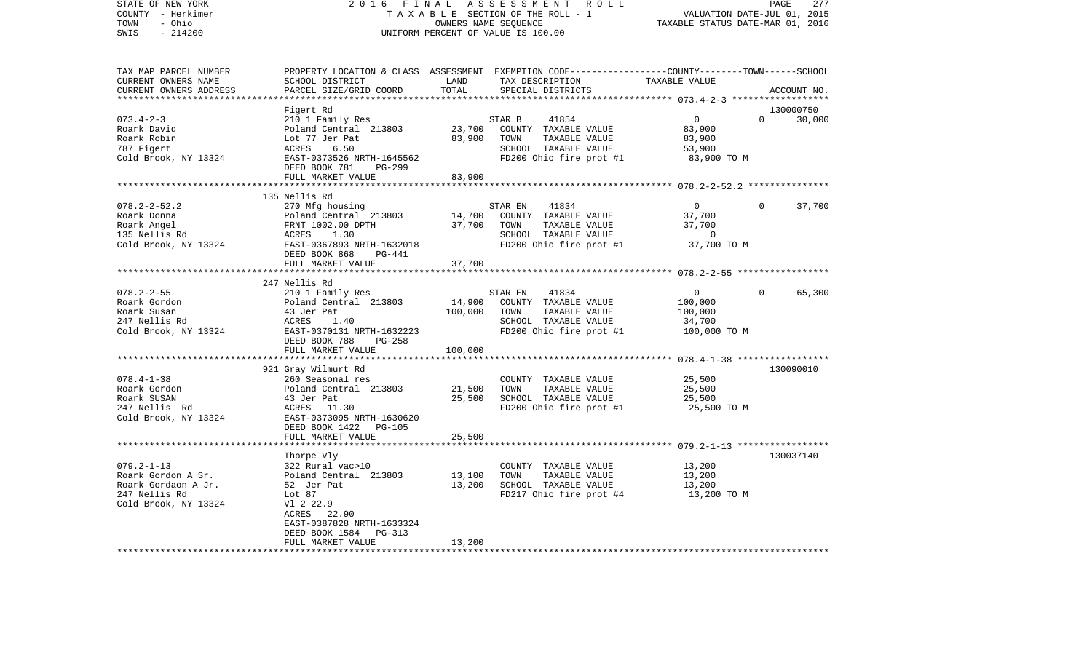| STATE OF NEW YORK        | 2016                      | FINAL     | A S S E S S M E N T<br>R O L L                                                                  |                                                   | PAGE<br>277           |
|--------------------------|---------------------------|-----------|-------------------------------------------------------------------------------------------------|---------------------------------------------------|-----------------------|
| COUNTY - Herkimer        |                           |           | TAXABLE SECTION OF THE ROLL - 1                                                                 | VALUATION DATE-JUL 01, 2015                       |                       |
| TOWN<br>- Ohio           |                           |           | OWNERS NAME SEOUENCE                                                                            | TAXABLE STATUS DATE-MAR 01, 2016                  |                       |
| $-214200$<br>SWIS        |                           |           | UNIFORM PERCENT OF VALUE IS 100.00                                                              |                                                   |                       |
|                          |                           |           |                                                                                                 |                                                   |                       |
| TAX MAP PARCEL NUMBER    |                           |           | PROPERTY LOCATION & CLASS ASSESSMENT EXEMPTION CODE----------------COUNTY-------TOWN-----SCHOOL |                                                   |                       |
| CURRENT OWNERS NAME      | SCHOOL DISTRICT           | LAND      | TAX DESCRIPTION                                                                                 | TAXABLE VALUE                                     |                       |
| CURRENT OWNERS ADDRESS   | PARCEL SIZE/GRID COORD    | TOTAL     | SPECIAL DISTRICTS                                                                               |                                                   | ACCOUNT NO.           |
| ************************ |                           |           |                                                                                                 |                                                   |                       |
|                          | Figert Rd                 |           |                                                                                                 |                                                   | 130000750             |
| $073.4 - 2 - 3$          | 210 1 Family Res          |           | STAR B<br>41854                                                                                 | $\overline{0}$                                    | 30,000<br>$\Omega$    |
| Roark David              | Poland Central 213803     | 23,700    | COUNTY TAXABLE VALUE                                                                            | 83,900                                            |                       |
| Roark Robin              | Lot 77 Jer Pat            | 83,900    | TOWN<br>TAXABLE VALUE                                                                           | 83,900                                            |                       |
| 787 Figert               | 6.50<br>ACRES             |           | SCHOOL TAXABLE VALUE                                                                            | 53,900                                            |                       |
| Cold Brook, NY 13324     | EAST-0373526 NRTH-1645562 |           | FD200 Ohio fire prot #1                                                                         | 83,900 TO M                                       |                       |
|                          | DEED BOOK 781<br>PG-299   |           |                                                                                                 |                                                   |                       |
|                          | FULL MARKET VALUE         | 83,900    |                                                                                                 |                                                   |                       |
|                          |                           | ********* |                                                                                                 | ********************* 078.2-2-52.2 ************** |                       |
|                          | 135 Nellis Rd             |           |                                                                                                 |                                                   |                       |
| $078.2 - 2 - 52.2$       | 270 Mfg housing           |           | STAR EN<br>41834                                                                                | $\overline{0}$                                    | $\mathbf 0$<br>37,700 |
| Roark Donna              | Poland Central 213803     | 14,700    | COUNTY TAXABLE VALUE                                                                            | 37,700                                            |                       |
| Roark Angel              | FRNT 1002.00 DPTH         | 37,700    | TOWN<br>TAXABLE VALUE                                                                           | 37,700                                            |                       |
| 135 Nellis Rd            | ACRES<br>1.30             |           | SCHOOL TAXABLE VALUE                                                                            | $\overline{0}$                                    |                       |
| Cold Brook, NY 13324     | EAST-0367893 NRTH-1632018 |           | FD200 Ohio fire prot #1                                                                         | 37,700 TO M                                       |                       |
|                          | DEED BOOK 868<br>PG-441   |           |                                                                                                 |                                                   |                       |
|                          | FULL MARKET VALUE         | 37,700    |                                                                                                 |                                                   |                       |
|                          |                           |           |                                                                                                 |                                                   |                       |
|                          | 247 Nellis Rd             |           |                                                                                                 |                                                   |                       |
| $078.2 - 2 - 55$         | 210 1 Family Res          |           | 41834<br>STAR EN                                                                                | $\overline{0}$                                    | $\Omega$<br>65,300    |
| Roark Gordon             | Poland Central 213803     | 14,900    | COUNTY TAXABLE VALUE                                                                            | 100,000                                           |                       |
| Roark Susan              | 43 Jer Pat                | 100,000   | TOWN<br>TAXABLE VALUE                                                                           | 100,000                                           |                       |
| 247 Nellis Rd            | ACRES<br>1.40             |           | SCHOOL TAXABLE VALUE                                                                            | 34,700                                            |                       |
| Cold Brook, NY 13324     | EAST-0370131 NRTH-1632223 |           | FD200 Ohio fire prot #1                                                                         | 100,000 TO M                                      |                       |
|                          | DEED BOOK 788<br>PG-258   |           |                                                                                                 |                                                   |                       |
|                          | FULL MARKET VALUE         | 100,000   |                                                                                                 |                                                   |                       |
|                          |                           |           |                                                                                                 |                                                   |                       |
|                          | 921 Gray Wilmurt Rd       |           |                                                                                                 |                                                   | 130090010             |
| $078.4 - 1 - 38$         | 260 Seasonal res          |           | COUNTY TAXABLE VALUE                                                                            | 25,500                                            |                       |
| Roark Gordon             | Poland Central 213803     | 21,500    | TOWN<br>TAXABLE VALUE                                                                           | 25,500                                            |                       |
| Roark SUSAN              | 43 Jer Pat                | 25,500    | SCHOOL TAXABLE VALUE                                                                            | 25,500                                            |                       |
| 247 Nellis Rd            | ACRES 11.30               |           | FD200 Ohio fire prot #1                                                                         | 25,500 TO M                                       |                       |
| Cold Brook, NY 13324     | EAST-0373095 NRTH-1630620 |           |                                                                                                 |                                                   |                       |
|                          | DEED BOOK 1422 PG-105     |           |                                                                                                 |                                                   |                       |
|                          | FULL MARKET VALUE         | 25,500    |                                                                                                 |                                                   |                       |
|                          | ************************  |           |                                                                                                 |                                                   |                       |
|                          | Thorpe Vly                |           |                                                                                                 |                                                   | 130037140             |
| $079.2 - 1 - 13$         | 322 Rural vac>10          |           | COUNTY TAXABLE VALUE                                                                            | 13,200                                            |                       |
| Roark Gordon A Sr.       | Poland Central 213803     | 13,100    | TOWN<br>TAXABLE VALUE                                                                           | 13,200                                            |                       |
| Roark Gordaon A Jr.      | 52 Jer Pat                | 13,200    | SCHOOL TAXABLE VALUE                                                                            | 13,200                                            |                       |
| 247 Nellis Rd            | Lot 87                    |           | FD217 Ohio fire prot #4                                                                         | 13,200 TO M                                       |                       |
| Cold Brook, NY 13324     | V1 2 22.9                 |           |                                                                                                 |                                                   |                       |
|                          | 22.90<br>ACRES            |           |                                                                                                 |                                                   |                       |
|                          | EAST-0387828 NRTH-1633324 |           |                                                                                                 |                                                   |                       |
|                          | DEED BOOK 1584<br>PG-313  |           |                                                                                                 |                                                   |                       |
|                          | FULL MARKET VALUE         | 13,200    |                                                                                                 |                                                   |                       |
|                          |                           |           |                                                                                                 |                                                   |                       |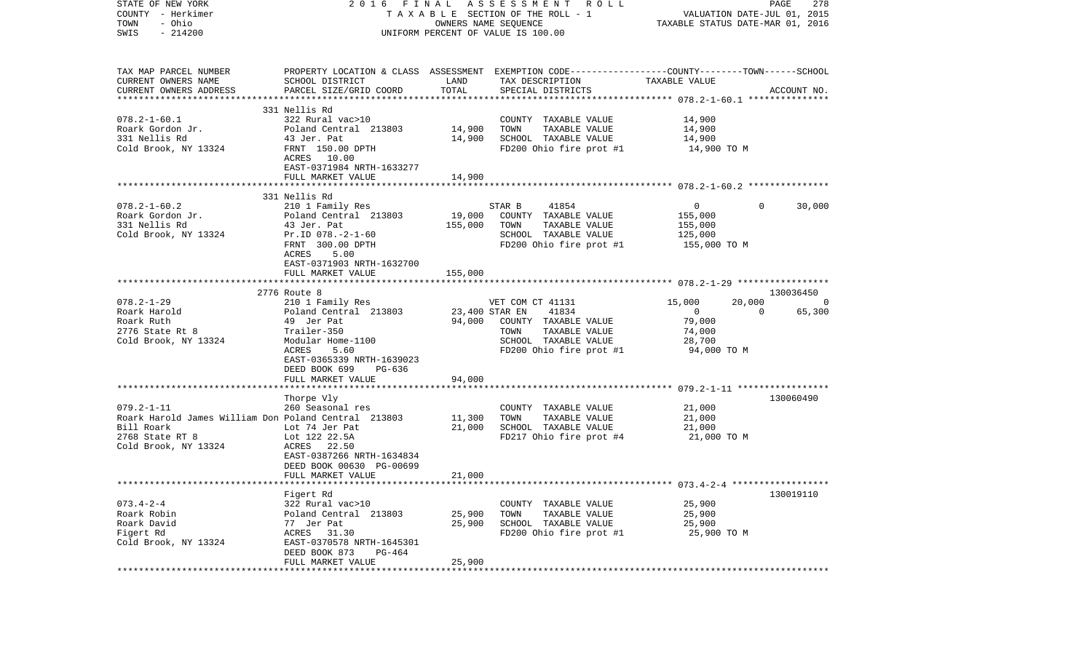| STATE OF NEW YORK<br>COUNTY - Herkimer<br>- Ohio<br>TOWN<br>$-214200$<br>SWIS                                                     |                                                                                                                                                                          |                            | 2016 FINAL ASSESSMENT ROLL<br>TAXABLE SECTION OF THE ROLL - 1<br>OWNERS NAME SEQUENCE<br>UNIFORM PERCENT OF VALUE IS 100.00                            | VALUATION DATE-JUL 01, 2015<br>TAXABLE STATUS DATE-MAR 01, 2016               | 278<br>PAGE               |
|-----------------------------------------------------------------------------------------------------------------------------------|--------------------------------------------------------------------------------------------------------------------------------------------------------------------------|----------------------------|--------------------------------------------------------------------------------------------------------------------------------------------------------|-------------------------------------------------------------------------------|---------------------------|
| TAX MAP PARCEL NUMBER<br>CURRENT OWNERS NAME<br>CURRENT OWNERS ADDRESS<br>************************                                | SCHOOL DISTRICT<br>PARCEL SIZE/GRID COORD                                                                                                                                | LAND<br>TOTAL              | PROPERTY LOCATION & CLASS ASSESSMENT EXEMPTION CODE---------------COUNTY-------TOWN------SCHOOL<br>TAX DESCRIPTION<br>SPECIAL DISTRICTS                | TAXABLE VALUE                                                                 | ACCOUNT NO.               |
| $078.2 - 1 - 60.1$<br>Roark Gordon Jr.<br>331 Nellis Rd<br>Cold Brook, NY 13324                                                   | 331 Nellis Rd<br>322 Rural vac>10<br>Poland Central 213803<br>43 Jer. Pat<br>FRNT 150.00 DPTH<br>ACRES 10.00<br>EAST-0371984 NRTH-1633277<br>FULL MARKET VALUE           | 14,900<br>14,900<br>14,900 | COUNTY TAXABLE VALUE<br>TOWN<br>TAXABLE VALUE<br>SCHOOL TAXABLE VALUE<br>FD200 Ohio fire prot #1                                                       | 14,900<br>14,900<br>14,900<br>14,900 TO M                                     |                           |
|                                                                                                                                   |                                                                                                                                                                          |                            |                                                                                                                                                        |                                                                               |                           |
| $078.2 - 1 - 60.2$<br>Roark Gordon Jr.<br>331 Nellis Rd<br>Cold Brook, NY 13324                                                   | 331 Nellis Rd<br>210 1 Family Res<br>Poland Central 213803<br>43 Jer. Pat<br>Pr.ID 078.-2-1-60<br>FRNT 300.00 DPTH<br>ACRES<br>5.00                                      | 19,000<br>155,000          | 41854<br>STAR B<br>COUNTY TAXABLE VALUE<br>TOWN<br>TAXABLE VALUE<br>SCHOOL TAXABLE VALUE<br>FD200 Ohio fire prot #1                                    | $\mathbf{0}$<br>155,000<br>155,000<br>125,000<br>155,000 TO M                 | $\Omega$<br>30,000        |
|                                                                                                                                   | EAST-0371903 NRTH-1632700<br>FULL MARKET VALUE<br>2776 Route 8                                                                                                           | 155,000                    |                                                                                                                                                        |                                                                               | 130036450                 |
| $078.2 - 1 - 29$<br>Roark Harold<br>Roark Ruth<br>2776 State Rt 8<br>Cold Brook, NY 13324                                         | 210 1 Family Res<br>Poland Central 213803<br>49 Jer Pat<br>Trailer-350<br>Modular Home-1100<br>ACRES<br>5.60<br>EAST-0365339 NRTH-1639023<br>DEED BOOK 699<br>PG-636     |                            | VET COM CT 41131<br>41834<br>23,400 STAR EN<br>94,000 COUNTY TAXABLE VALUE<br>TAXABLE VALUE<br>TOWN<br>SCHOOL TAXABLE VALUE<br>FD200 Ohio fire prot #1 | 20,000<br>15,000<br>$\mathbf{0}$<br>79,000<br>74,000<br>28,700<br>94,000 TO M | - 0<br>$\Omega$<br>65,300 |
|                                                                                                                                   | FULL MARKET VALUE                                                                                                                                                        | 94,000                     |                                                                                                                                                        |                                                                               |                           |
| $079.2 - 1 - 11$<br>Roark Harold James William Don Poland Central 213803<br>Bill Roark<br>2768 State RT 8<br>Cold Brook, NY 13324 | ***************************<br>Thorpe Vly<br>260 Seasonal res<br>Lot 74 Jer Pat<br>Lot 122 22.5A<br>ACRES 22.50<br>EAST-0387266 NRTH-1634834<br>DEED BOOK 00630 PG-00699 | 11,300<br>21,000           | COUNTY TAXABLE VALUE<br>TOWN<br>TAXABLE VALUE<br>SCHOOL TAXABLE VALUE<br>FD217 Ohio fire prot #4                                                       | 21,000<br>21,000<br>21,000<br>21,000 TO M                                     | 130060490                 |
|                                                                                                                                   | FULL MARKET VALUE                                                                                                                                                        | 21,000                     |                                                                                                                                                        |                                                                               |                           |
| $073.4 - 2 - 4$<br>Roark Robin<br>Roark David<br>Figert Rd<br>Cold Brook, NY 13324                                                | Figert Rd<br>322 Rural vac>10<br>Poland Central 213803<br>77 Jer Pat<br>ACRES<br>31.30<br>EAST-0370578 NRTH-1645301<br>DEED BOOK 873<br>PG-464<br>FULL MARKET VALUE      | 25,900<br>25,900<br>25,900 | COUNTY TAXABLE VALUE<br>TOWN<br>TAXABLE VALUE<br>SCHOOL TAXABLE VALUE<br>FD200 Ohio fire prot #1                                                       | 25,900<br>25,900<br>25,900<br>25,900 TO M                                     | 130019110                 |
| ***********                                                                                                                       |                                                                                                                                                                          |                            |                                                                                                                                                        |                                                                               |                           |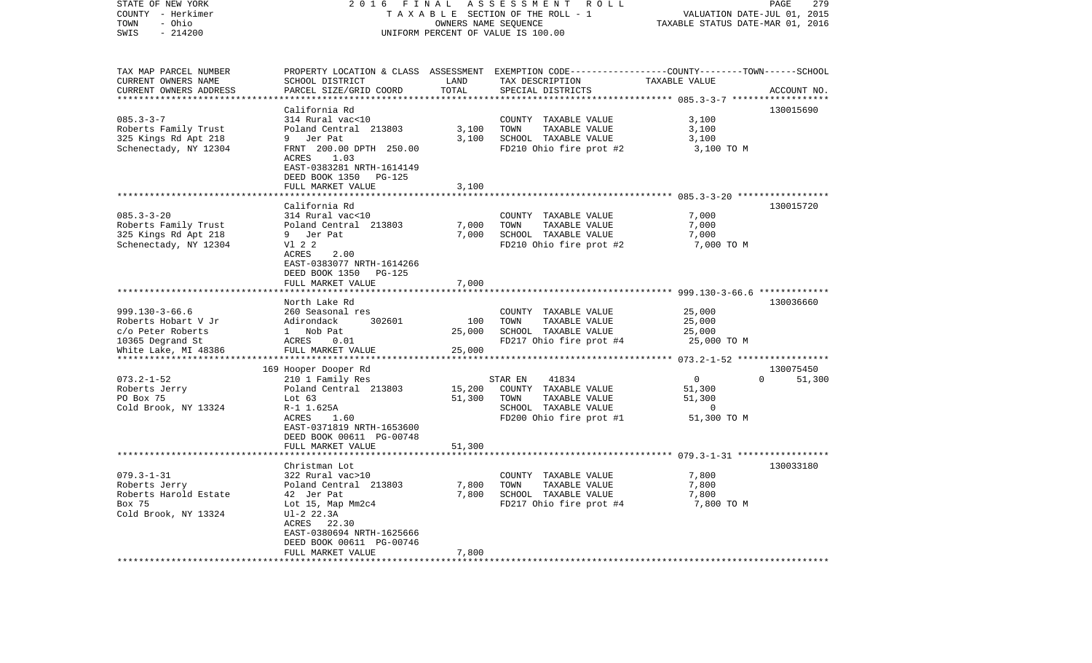| STATE OF NEW YORK<br>COUNTY - Herkimer<br>- Ohio<br>TOWN<br>SWIS<br>$-214200$                                | 2016<br>FINAL<br>A S S E S S M E N T R O L L<br>TAXABLE SECTION OF THE ROLL - 1<br>OWNERS NAME SEQUENCE<br>UNIFORM PERCENT OF VALUE IS 100.00                                                  |                                  |                                                                                                                                          | PAGE<br>279<br>VALUATION DATE-JUL 01, 2015<br>TAXABLE STATUS DATE-MAR 01, 2016 |                    |  |
|--------------------------------------------------------------------------------------------------------------|------------------------------------------------------------------------------------------------------------------------------------------------------------------------------------------------|----------------------------------|------------------------------------------------------------------------------------------------------------------------------------------|--------------------------------------------------------------------------------|--------------------|--|
| TAX MAP PARCEL NUMBER<br>CURRENT OWNERS NAME<br>CURRENT OWNERS ADDRESS                                       | SCHOOL DISTRICT<br>PARCEL SIZE/GRID COORD                                                                                                                                                      | LAND<br>TOTAL                    | PROPERTY LOCATION & CLASS ASSESSMENT EXEMPTION CODE----------------COUNTY-------TOWN------SCHOOL<br>TAX DESCRIPTION<br>SPECIAL DISTRICTS | TAXABLE VALUE                                                                  | ACCOUNT NO.        |  |
|                                                                                                              |                                                                                                                                                                                                | ************                     |                                                                                                                                          |                                                                                |                    |  |
| $085.3 - 3 - 7$<br>Roberts Family Trust<br>325 Kings Rd Apt 218<br>Schenectady, NY 12304                     | California Rd<br>314 Rural vac<10<br>Poland Central 213803<br>9 Jer Pat<br>FRNT 200.00 DPTH 250.00<br>ACRES<br>1.03<br>EAST-0383281 NRTH-1614149<br>DEED BOOK 1350 PG-125<br>FULL MARKET VALUE | 3,100<br>3,100<br>3,100          | COUNTY TAXABLE VALUE<br>TOWN<br>TAXABLE VALUE<br>SCHOOL TAXABLE VALUE<br>FD210 Ohio fire prot #2                                         | 3,100<br>3,100<br>3,100<br>3,100 TO M                                          | 130015690          |  |
|                                                                                                              |                                                                                                                                                                                                |                                  |                                                                                                                                          |                                                                                |                    |  |
| $085.3 - 3 - 20$<br>Roberts Family Trust<br>325 Kings Rd Apt 218<br>Schenectady, NY 12304                    | California Rd<br>314 Rural vac<10<br>Poland Central 213803<br>9 Jer Pat<br>V1 2 2<br>ACRES<br>2.00<br>EAST-0383077 NRTH-1614266<br>DEED BOOK 1350 PG-125<br>FULL MARKET VALUE                  | 7,000<br>7,000<br>7,000          | COUNTY TAXABLE VALUE<br>TOWN<br>TAXABLE VALUE<br>SCHOOL TAXABLE VALUE<br>FD210 Ohio fire prot #2                                         | 7,000<br>7,000<br>7,000<br>7,000 TO M                                          | 130015720          |  |
|                                                                                                              |                                                                                                                                                                                                |                                  |                                                                                                                                          |                                                                                | 130036660          |  |
| $999.130 - 3 - 66.6$<br>Roberts Hobart V Jr<br>c/o Peter Roberts<br>10365 Degrand St<br>White Lake, MI 48386 | North Lake Rd<br>260 Seasonal res<br>Adirondack<br>302601<br>1 Nob Pat<br>ACRES<br>0.01<br>FULL MARKET VALUE                                                                                   | 100<br>25,000<br>25,000          | COUNTY TAXABLE VALUE<br>TOWN<br>TAXABLE VALUE<br>SCHOOL TAXABLE VALUE<br>FD217 Ohio fire prot #4                                         | 25,000<br>25,000<br>25,000<br>25,000 TO M                                      |                    |  |
|                                                                                                              | 169 Hooper Dooper Rd                                                                                                                                                                           |                                  |                                                                                                                                          |                                                                                | 130075450          |  |
| $073.2 - 1 - 52$<br>Roberts Jerry<br>PO Box 75<br>Cold Brook, NY 13324                                       | 210 1 Family Res<br>Poland Central 213803<br>Lot $63$<br>R-1 1.625A<br>ACRES<br>1.60<br>EAST-0371819 NRTH-1653600<br>DEED BOOK 00611 PG-00748                                                  | 15,200<br>51,300                 | 41834<br>STAR EN<br>COUNTY TAXABLE VALUE<br>TOWN<br>TAXABLE VALUE<br>SCHOOL TAXABLE VALUE<br>FD200 Ohio fire prot #1                     | $\overline{0}$<br>51,300<br>51,300<br>$\overline{0}$<br>51,300 TO M            | $\Omega$<br>51,300 |  |
|                                                                                                              | FULL MARKET VALUE                                                                                                                                                                              | 51,300                           |                                                                                                                                          |                                                                                |                    |  |
| $079.3 - 1 - 31$<br>Roberts Jerry<br>Roberts Harold Estate<br>Box 75<br>Cold Brook, NY 13324                 | Christman Lot<br>322 Rural vac>10<br>Poland Central 213803<br>42 Jer Pat<br>Lot 15, Map Mm2c4<br>Ul-2 22.3A<br>ACRES 22.30<br>EAST-0380694 NRTH-1625666<br>DEED BOOK 00611 PG-00746            | 7,800<br>7,800                   | COUNTY TAXABLE VALUE<br>TAXABLE VALUE<br>TOWN<br>SCHOOL TAXABLE VALUE<br>FD217 Ohio fire prot #4                                         | 7,800<br>7,800<br>7,800<br>7,800 TO M                                          | 130033180          |  |
| *************************                                                                                    | FULL MARKET VALUE<br>* * * * * * * * * * * * * * * * * * * *                                                                                                                                   | 7,800<br>* * * * * * * * * * * * |                                                                                                                                          |                                                                                |                    |  |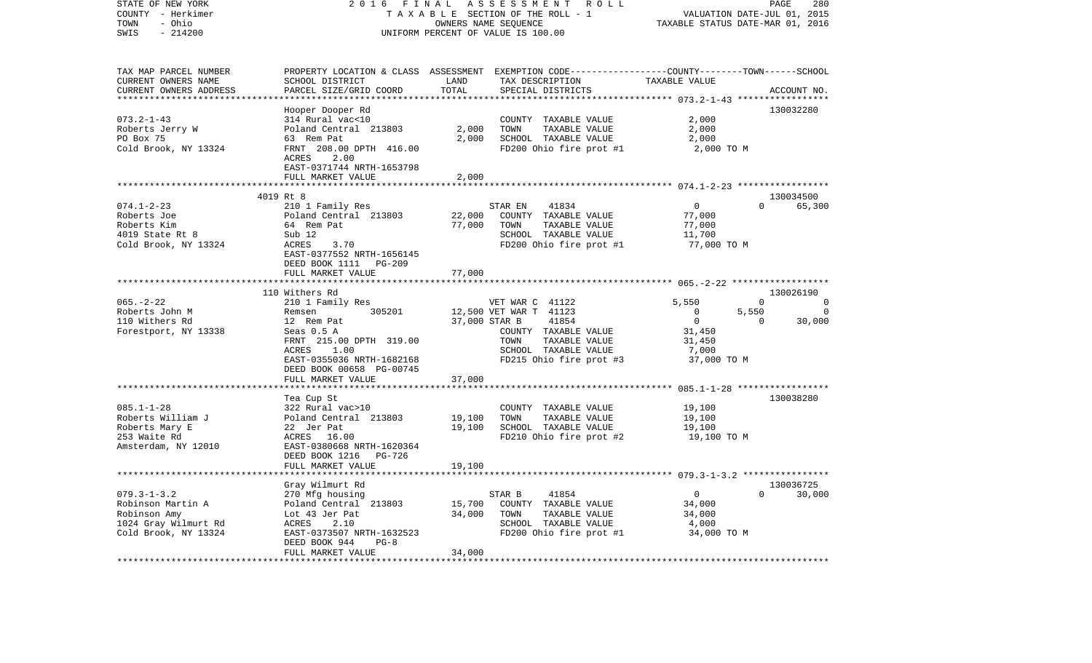| STATE OF NEW YORK<br>COUNTY - Herkimer<br>- Ohio<br>TOWN<br>$-214200$<br>SWIS                          | 2016<br>FINAL                                                                                                                            |                  | ASSESSMENT ROLL<br>TAXABLE SECTION OF THE ROLL - 1<br>OWNERS NAME SEQUENCE<br>UNIFORM PERCENT OF VALUE IS 100.00                        | TAXABLE STATUS DATE-MAR 01, 2016                            | PAGE<br>VALUATION DATE-JUL 01, 2015 | 280                  |
|--------------------------------------------------------------------------------------------------------|------------------------------------------------------------------------------------------------------------------------------------------|------------------|-----------------------------------------------------------------------------------------------------------------------------------------|-------------------------------------------------------------|-------------------------------------|----------------------|
| TAX MAP PARCEL NUMBER<br>CURRENT OWNERS NAME<br>CURRENT OWNERS ADDRESS                                 | SCHOOL DISTRICT<br>PARCEL SIZE/GRID COORD                                                                                                | LAND<br>TOTAL    | PROPERTY LOCATION & CLASS ASSESSMENT EXEMPTION CODE---------------COUNTY-------TOWN------SCHOOL<br>TAX DESCRIPTION<br>SPECIAL DISTRICTS | TAXABLE VALUE                                               | ACCOUNT NO.                         |                      |
|                                                                                                        |                                                                                                                                          | ************     |                                                                                                                                         | ******************* 073.2-1-43 *****                        | * * * * * * * * * * * *             |                      |
| $073.2 - 1 - 43$<br>Roberts Jerry W<br>PO Box 75<br>Cold Brook, NY 13324                               | Hooper Dooper Rd<br>314 Rural vac<10<br>Poland Central 213803<br>63 Rem Pat<br>FRNT 208.00 DPTH 416.00                                   | 2,000<br>2,000   | COUNTY TAXABLE VALUE<br>TOWN<br>TAXABLE VALUE<br>SCHOOL TAXABLE VALUE<br>FD200 Ohio fire prot #1                                        | 2,000<br>2,000<br>2,000<br>2,000 TO M                       | 130032280                           |                      |
|                                                                                                        | ACRES<br>2.00<br>EAST-0371744 NRTH-1653798<br>FULL MARKET VALUE                                                                          | 2,000            |                                                                                                                                         |                                                             |                                     |                      |
|                                                                                                        |                                                                                                                                          |                  |                                                                                                                                         |                                                             |                                     |                      |
|                                                                                                        | 4019 Rt 8                                                                                                                                |                  |                                                                                                                                         |                                                             | 130034500                           |                      |
| $074.1 - 2 - 23$<br>Roberts Joe<br>Roberts Kim<br>4019 State Rt 8<br>Cold Brook, NY 13324              | 210 1 Family Res<br>Poland Central 213803<br>64 Rem Pat<br>Sub 12<br>ACRES<br>3.70<br>EAST-0377552 NRTH-1656145<br>DEED BOOK 1111 PG-209 | 22,000<br>77,000 | STAR EN<br>41834<br>COUNTY TAXABLE VALUE<br>TOWN<br>TAXABLE VALUE<br>SCHOOL TAXABLE VALUE<br>FD200 Ohio fire prot #1                    | $\overline{0}$<br>77,000<br>77,000<br>11,700<br>77,000 TO M | $\Omega$                            | 65,300               |
|                                                                                                        | FULL MARKET VALUE                                                                                                                        | 77,000           |                                                                                                                                         |                                                             |                                     |                      |
|                                                                                                        | ***********************                                                                                                                  |                  |                                                                                                                                         |                                                             |                                     |                      |
| $065. - 2 - 22$                                                                                        | 110 Withers Rd                                                                                                                           |                  |                                                                                                                                         |                                                             | 130026190<br>$\Omega$               |                      |
| Roberts John M                                                                                         | 210 1 Family Res<br>305201<br>Remsen                                                                                                     |                  | VET WAR C 41122<br>12,500 VET WAR T 41123                                                                                               | 5,550<br>$\overline{0}$                                     | 5,550                               | $\Omega$<br>$\Omega$ |
| 110 Withers Rd                                                                                         | 12 Rem Pat                                                                                                                               | 37,000 STAR B    | 41854                                                                                                                                   | $\overline{0}$                                              | $\mathbf{0}$                        | 30,000               |
| Forestport, NY 13338                                                                                   | Seas 0.5 A<br>FRNT 215.00 DPTH 319.00<br>ACRES<br>1.00<br>EAST-0355036 NRTH-1682168<br>DEED BOOK 00658 PG-00745<br>FULL MARKET VALUE     | 37,000           | COUNTY TAXABLE VALUE<br>TOWN<br>TAXABLE VALUE<br>SCHOOL TAXABLE VALUE<br>FD215 Ohio fire prot #3                                        | 31,450<br>31,450<br>7,000<br>37,000 TO M                    |                                     |                      |
|                                                                                                        |                                                                                                                                          |                  |                                                                                                                                         |                                                             |                                     |                      |
| $085.1 - 1 - 28$<br>Roberts William J<br>Roberts Mary E<br>253 Waite Rd<br>Amsterdam, NY 12010         | Tea Cup St<br>322 Rural vac>10<br>Poland Central 213803<br>22 Jer Pat<br>ACRES 16.00<br>EAST-0380668 NRTH-1620364                        | 19,100<br>19,100 | COUNTY TAXABLE VALUE<br>TOWN<br>TAXABLE VALUE<br>SCHOOL TAXABLE VALUE<br>FD210 Ohio fire prot #2                                        | 19,100<br>19,100<br>19,100<br>19,100 TO M                   | 130038280                           |                      |
|                                                                                                        | DEED BOOK 1216 PG-726<br>FULL MARKET VALUE                                                                                               | 19,100           |                                                                                                                                         |                                                             |                                     |                      |
|                                                                                                        |                                                                                                                                          |                  |                                                                                                                                         |                                                             |                                     |                      |
|                                                                                                        | Gray Wilmurt Rd                                                                                                                          |                  |                                                                                                                                         |                                                             | 130036725                           |                      |
| $079.3 - 1 - 3.2$<br>Robinson Martin A<br>Robinson Amy<br>1024 Gray Wilmurt Rd<br>Cold Brook, NY 13324 | 270 Mfg housing<br>Poland Central 213803<br>Lot 43 Jer Pat<br>ACRES<br>2.10<br>EAST-0373507 NRTH-1632523                                 | 15,700<br>34,000 | STAR B<br>41854<br>COUNTY TAXABLE VALUE<br>TOWN<br>TAXABLE VALUE<br>SCHOOL TAXABLE VALUE<br>FD200 Ohio fire prot #1                     | $\overline{0}$<br>34,000<br>34,000<br>4,000<br>34,000 TO M  | $\Omega$                            | 30,000               |
|                                                                                                        | $PG-8$<br>DEED BOOK 944<br>FULL MARKET VALUE                                                                                             | 34,000           |                                                                                                                                         |                                                             |                                     |                      |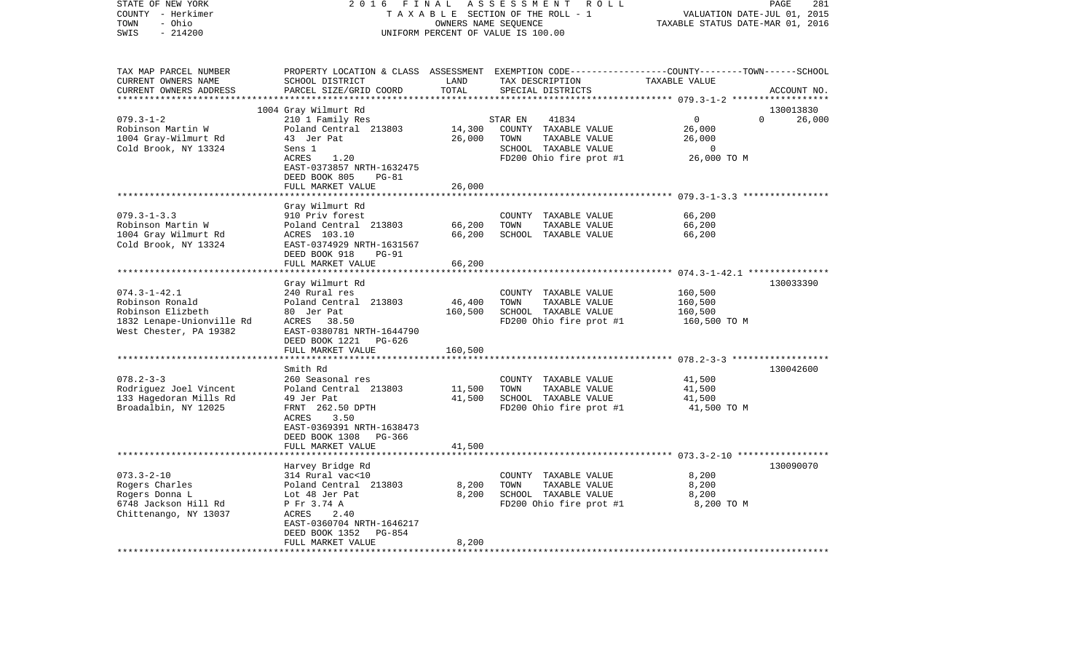| STATE OF NEW YORK<br>COUNTY - Herkimer<br>- Ohio<br>TOWN<br>SWIS<br>$-214200$ | 2 0 1 6                                              | FINAL   | ASSESSMENT ROLL<br>TAXABLE SECTION OF THE ROLL - 1<br>OWNERS NAME SEQUENCE<br>UNIFORM PERCENT OF VALUE IS 100.00    | PAGE<br>281<br>VALUATION DATE-JUL 01, 2015<br>TAXABLE STATUS DATE-MAR 01, 2016 |                    |  |
|-------------------------------------------------------------------------------|------------------------------------------------------|---------|---------------------------------------------------------------------------------------------------------------------|--------------------------------------------------------------------------------|--------------------|--|
| TAX MAP PARCEL NUMBER<br>CURRENT OWNERS NAME                                  | SCHOOL DISTRICT                                      | LAND    | PROPERTY LOCATION & CLASS ASSESSMENT EXEMPTION CODE----------------COUNTY-------TOWN------SCHOOL<br>TAX DESCRIPTION | TAXABLE VALUE                                                                  |                    |  |
| CURRENT OWNERS ADDRESS<br>***********************                             | PARCEL SIZE/GRID COORD<br>************************** | TOTAL   | SPECIAL DISTRICTS                                                                                                   |                                                                                | ACCOUNT NO.        |  |
|                                                                               | 1004 Gray Wilmurt Rd                                 |         |                                                                                                                     |                                                                                | 130013830          |  |
| $079.3 - 1 - 2$                                                               | 210 1 Family Res                                     |         | STAR EN<br>41834                                                                                                    | $\mathbf 0$                                                                    | $\Omega$<br>26,000 |  |
| Robinson Martin W                                                             | Poland Central 213803                                | 14,300  | COUNTY TAXABLE VALUE                                                                                                | 26,000                                                                         |                    |  |
| 1004 Gray-Wilmurt Rd                                                          | 43 Jer Pat                                           | 26,000  | TOWN<br>TAXABLE VALUE                                                                                               | 26,000                                                                         |                    |  |
| Cold Brook, NY 13324                                                          | Sens 1                                               |         | SCHOOL TAXABLE VALUE                                                                                                | 0                                                                              |                    |  |
|                                                                               | ACRES<br>1.20<br>EAST-0373857 NRTH-1632475           |         | FD200 Ohio fire prot #1                                                                                             | 26,000 TO M                                                                    |                    |  |
|                                                                               | DEED BOOK 805<br>$PG-81$                             |         |                                                                                                                     |                                                                                |                    |  |
|                                                                               | FULL MARKET VALUE                                    | 26,000  |                                                                                                                     | ************************* 079.3-1-3.3 ****************                         |                    |  |
|                                                                               | Gray Wilmurt Rd                                      |         |                                                                                                                     |                                                                                |                    |  |
| $079.3 - 1 - 3.3$                                                             | 910 Priv forest                                      |         | COUNTY TAXABLE VALUE                                                                                                | 66,200                                                                         |                    |  |
| Robinson Martin W                                                             | Poland Central 213803                                | 66,200  | TOWN<br>TAXABLE VALUE                                                                                               | 66,200                                                                         |                    |  |
| 1004 Gray Wilmurt Rd                                                          | ACRES 103.10                                         | 66,200  | SCHOOL TAXABLE VALUE                                                                                                | 66,200                                                                         |                    |  |
| Cold Brook, NY 13324                                                          | EAST-0374929 NRTH-1631567                            |         |                                                                                                                     |                                                                                |                    |  |
|                                                                               | DEED BOOK 918<br><b>PG-91</b>                        |         |                                                                                                                     |                                                                                |                    |  |
|                                                                               | FULL MARKET VALUE                                    | 66,200  |                                                                                                                     |                                                                                |                    |  |
|                                                                               |                                                      |         |                                                                                                                     |                                                                                |                    |  |
|                                                                               | Gray Wilmurt Rd                                      |         |                                                                                                                     |                                                                                | 130033390          |  |
| $074.3 - 1 - 42.1$                                                            | 240 Rural res                                        |         | COUNTY TAXABLE VALUE                                                                                                | 160,500                                                                        |                    |  |
| Robinson Ronald                                                               | Poland Central 213803                                | 46,400  | TOWN<br>TAXABLE VALUE                                                                                               | 160,500                                                                        |                    |  |
| Robinson Elizbeth                                                             | 80 Jer Pat                                           | 160,500 | SCHOOL TAXABLE VALUE                                                                                                | 160,500                                                                        |                    |  |
| 1832 Lenape-Unionville Rd<br>West Chester, PA 19382                           | 38.50<br>ACRES<br>EAST-0380781 NRTH-1644790          |         | FD200 Ohio fire prot #1                                                                                             | 160,500 TO M                                                                   |                    |  |
|                                                                               | DEED BOOK 1221<br>PG-626                             |         |                                                                                                                     |                                                                                |                    |  |
|                                                                               | FULL MARKET VALUE                                    | 160,500 |                                                                                                                     |                                                                                |                    |  |
|                                                                               |                                                      |         |                                                                                                                     |                                                                                |                    |  |
|                                                                               | Smith Rd                                             |         |                                                                                                                     |                                                                                | 130042600          |  |
| $078.2 - 3 - 3$                                                               | 260 Seasonal res                                     |         | COUNTY TAXABLE VALUE                                                                                                | 41,500                                                                         |                    |  |
| Rodriguez Joel Vincent                                                        | Poland Central 213803                                | 11,500  | TAXABLE VALUE<br>TOWN                                                                                               | 41,500                                                                         |                    |  |
| 133 Hagedoran Mills Rd                                                        | 49 Jer Pat                                           | 41,500  | SCHOOL TAXABLE VALUE                                                                                                | 41,500                                                                         |                    |  |
| Broadalbin, NY 12025                                                          | FRNT 262.50 DPTH                                     |         | FD200 Ohio fire prot #1                                                                                             | 41,500 TO M                                                                    |                    |  |
|                                                                               | ACRES<br>3.50                                        |         |                                                                                                                     |                                                                                |                    |  |
|                                                                               | EAST-0369391 NRTH-1638473                            |         |                                                                                                                     |                                                                                |                    |  |
|                                                                               | DEED BOOK 1308<br>PG-366                             |         |                                                                                                                     |                                                                                |                    |  |
|                                                                               | FULL MARKET VALUE<br>*****************************   | 41,500  |                                                                                                                     |                                                                                |                    |  |
|                                                                               | Harvey Bridge Rd                                     |         |                                                                                                                     |                                                                                | 130090070          |  |
| $073.3 - 2 - 10$                                                              | 314 Rural vac<10                                     |         | COUNTY TAXABLE VALUE                                                                                                | 8,200                                                                          |                    |  |
| Rogers Charles                                                                | Poland Central 213803                                | 8,200   | TOWN<br>TAXABLE VALUE                                                                                               | 8,200                                                                          |                    |  |
| Rogers Donna L                                                                | Lot 48 Jer Pat                                       | 8,200   | SCHOOL TAXABLE VALUE                                                                                                | 8,200                                                                          |                    |  |
| 6748 Jackson Hill Rd                                                          | P Fr 3.74 A                                          |         | FD200 Ohio fire prot #1                                                                                             | 8,200 TO M                                                                     |                    |  |
| Chittenango, NY 13037                                                         | ACRES<br>2.40                                        |         |                                                                                                                     |                                                                                |                    |  |
|                                                                               | EAST-0360704 NRTH-1646217                            |         |                                                                                                                     |                                                                                |                    |  |
|                                                                               | DEED BOOK 1352<br>PG-854                             |         |                                                                                                                     |                                                                                |                    |  |
|                                                                               | FULL MARKET VALUE                                    | 8,200   |                                                                                                                     |                                                                                |                    |  |
|                                                                               |                                                      |         |                                                                                                                     |                                                                                |                    |  |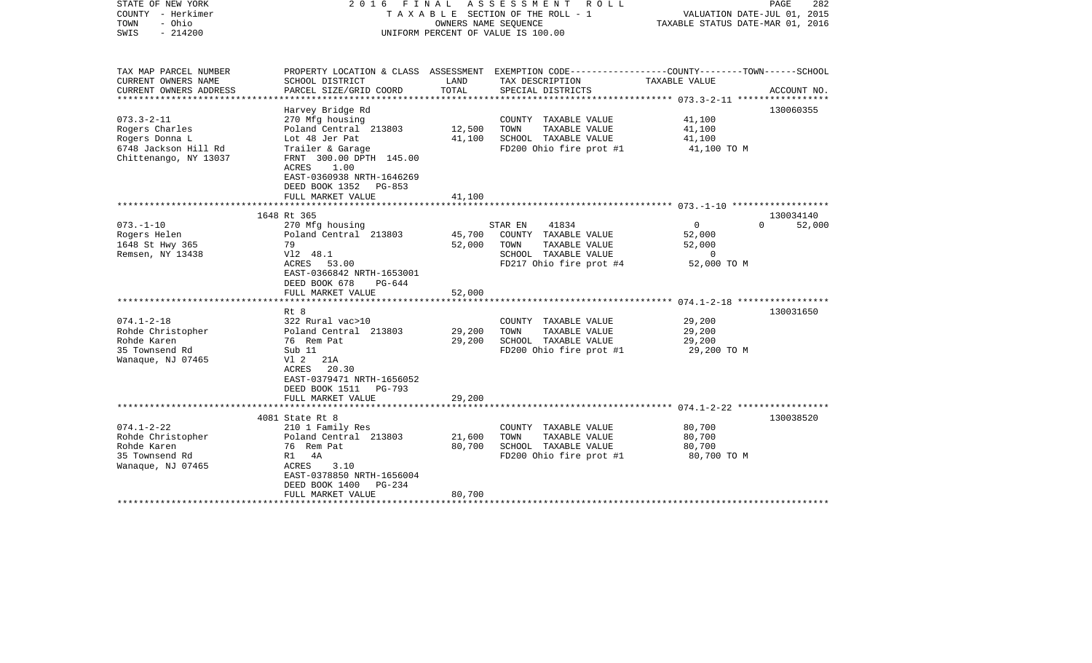| STATE OF NEW YORK<br>COUNTY - Herkimer<br>- Ohio<br>TOWN<br>SWIS<br>$-214200$               |                                                                                                                                   |                  | 2016 FINAL ASSESSMENT ROLL<br>TAXABLE SECTION OF THE ROLL - 1<br>OWNERS NAME SEOUENCE<br>UNIFORM PERCENT OF VALUE IS 100.00 | VALUATION DATE-JUL 01, 2015<br>TAXABLE STATUS DATE-MAR 01, 2016 | PAGE<br>282         |
|---------------------------------------------------------------------------------------------|-----------------------------------------------------------------------------------------------------------------------------------|------------------|-----------------------------------------------------------------------------------------------------------------------------|-----------------------------------------------------------------|---------------------|
| TAX MAP PARCEL NUMBER<br>CURRENT OWNERS NAME                                                | SCHOOL DISTRICT                                                                                                                   | LAND             | PROPERTY LOCATION & CLASS ASSESSMENT EXEMPTION CODE---------------COUNTY-------TOWN------SCHOOL<br>TAX DESCRIPTION          | TAXABLE VALUE                                                   |                     |
| CURRENT OWNERS ADDRESS                                                                      | PARCEL SIZE/GRID COORD                                                                                                            | TOTAL            | SPECIAL DISTRICTS                                                                                                           |                                                                 | ACCOUNT NO.         |
|                                                                                             | Harvey Bridge Rd                                                                                                                  |                  |                                                                                                                             |                                                                 | 130060355           |
| $073.3 - 2 - 11$<br>Rogers Charles<br>Rogers Donna L<br>6748 Jackson Hill Rd                | 270 Mfg housing<br>Poland Central 213803<br>Lot 48 Jer Pat<br>Trailer & Garage                                                    | 12,500<br>41,100 | COUNTY TAXABLE VALUE<br>TOWN<br>TAXABLE VALUE<br>SCHOOL TAXABLE VALUE<br>FD200 Ohio fire prot #1                            | 41,100<br>41,100<br>41,100<br>41,100 TO M                       |                     |
| Chittenango, NY 13037                                                                       | FRNT 300.00 DPTH 145.00<br>1.00<br>ACRES<br>EAST-0360938 NRTH-1646269<br>DEED BOOK 1352 PG-853<br>FULL MARKET VALUE               | 41,100           |                                                                                                                             |                                                                 |                     |
|                                                                                             |                                                                                                                                   |                  |                                                                                                                             |                                                                 |                     |
| $073. - 1 - 10$<br>Rogers Helen                                                             | 1648 Rt 365<br>270 Mfg housing<br>Poland Central 213803                                                                           | 45,700           | 41834<br>STAR EN<br>COUNTY TAXABLE VALUE                                                                                    | $\overline{0}$<br>$\Omega$<br>52,000                            | 130034140<br>52,000 |
| 1648 St Hwy 365<br>Remsen, NY 13438                                                         | 79<br>V12 48.1                                                                                                                    | 52,000           | TOWN<br>TAXABLE VALUE<br>SCHOOL TAXABLE VALUE                                                                               | 52,000<br>$\overline{0}$                                        |                     |
|                                                                                             | ACRES 53.00<br>EAST-0366842 NRTH-1653001<br>DEED BOOK 678<br>PG-644                                                               | 52,000           | FD217 Ohio fire prot #4                                                                                                     | 52,000 TO M                                                     |                     |
|                                                                                             | FULL MARKET VALUE                                                                                                                 |                  |                                                                                                                             |                                                                 |                     |
|                                                                                             | Rt 8                                                                                                                              |                  |                                                                                                                             |                                                                 | 130031650           |
| $074.1 - 2 - 18$<br>Rohde Christopher                                                       | 322 Rural vac>10<br>Poland Central 213803                                                                                         | 29,200           | COUNTY TAXABLE VALUE<br>TOWN<br>TAXABLE VALUE                                                                               | 29,200<br>29,200                                                |                     |
| Rohde Karen<br>35 Townsend Rd<br>Wanaque, NJ 07465                                          | 76 Rem Pat<br>Sub 11<br>V1 2 21A                                                                                                  | 29,200           | SCHOOL TAXABLE VALUE<br>FD200 Ohio fire prot #1                                                                             | 29,200<br>29,200 TO M                                           |                     |
|                                                                                             | ACRES 20.30<br>EAST-0379471 NRTH-1656052<br>DEED BOOK 1511 PG-793                                                                 |                  |                                                                                                                             |                                                                 |                     |
|                                                                                             | FULL MARKET VALUE                                                                                                                 | 29,200           |                                                                                                                             |                                                                 |                     |
| $074.1 - 2 - 22$<br>Rohde Christopher<br>Rohde Karen<br>35 Townsend Rd<br>Wanaque, NJ 07465 | 4081 State Rt 8<br>210 1 Family Res<br>Poland Central 213803<br>76 Rem Pat<br>R1 4A<br>3.10<br>ACRES<br>EAST-0378850 NRTH-1656004 | 21,600<br>80,700 | COUNTY TAXABLE VALUE<br>TOWN<br>TAXABLE VALUE<br>SCHOOL TAXABLE VALUE<br>FD200 Ohio fire prot #1                            | 80,700<br>80,700<br>80,700<br>80,700 TO M                       | 130038520           |
|                                                                                             | DEED BOOK 1400<br>PG-234<br>FULL MARKET VALUE<br>********************                                                             | 80,700           |                                                                                                                             |                                                                 |                     |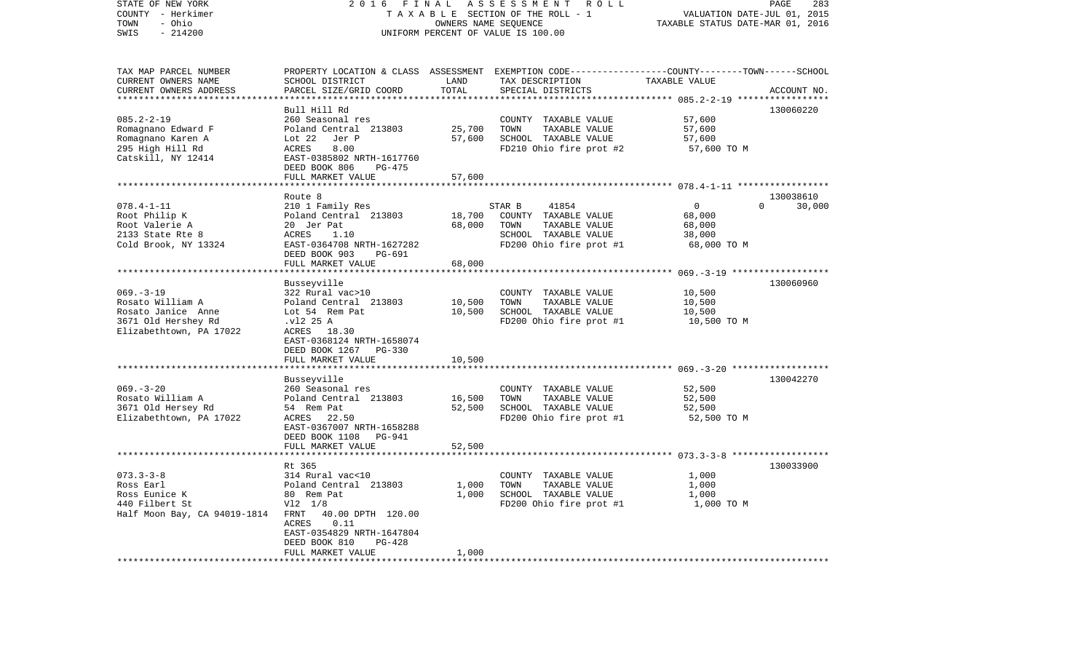| STATE OF NEW YORK<br>COUNTY - Herkimer<br>- Ohio<br>TOWN<br>SWIS<br>$-214200$                              | 2016 FINAL                                                                                                                                                                        | OWNERS NAME SEQUENCE       | ASSESSMENT ROLL<br>TAXABLE SECTION OF THE ROLL - 1<br>UNIFORM PERCENT OF VALUE IS 100.00                                                 | VALUATION DATE-JUL 01, 2015<br>TAXABLE STATUS DATE-MAR 01, 2016 | PAGE<br>283        |
|------------------------------------------------------------------------------------------------------------|-----------------------------------------------------------------------------------------------------------------------------------------------------------------------------------|----------------------------|------------------------------------------------------------------------------------------------------------------------------------------|-----------------------------------------------------------------|--------------------|
| TAX MAP PARCEL NUMBER<br>CURRENT OWNERS NAME<br>CURRENT OWNERS ADDRESS                                     | SCHOOL DISTRICT<br>PARCEL SIZE/GRID COORD                                                                                                                                         | LAND<br>TOTAL              | PROPERTY LOCATION & CLASS ASSESSMENT EXEMPTION CODE----------------COUNTY-------TOWN------SCHOOL<br>TAX DESCRIPTION<br>SPECIAL DISTRICTS | TAXABLE VALUE                                                   | ACCOUNT NO.        |
|                                                                                                            |                                                                                                                                                                                   | **********                 |                                                                                                                                          |                                                                 |                    |
| $085.2 - 2 - 19$<br>Romagnano Edward F<br>Romagnano Karen A<br>295 High Hill Rd<br>Catskill, NY 12414      | Bull Hill Rd<br>260 Seasonal res<br>Poland Central 213803<br>Lot 22<br>Jer P<br>ACRES<br>8.00<br>EAST-0385802 NRTH-1617760<br>DEED BOOK 806<br>PG-475<br>FULL MARKET VALUE        | 25,700<br>57,600<br>57,600 | COUNTY TAXABLE VALUE<br>TOWN<br>TAXABLE VALUE<br>SCHOOL TAXABLE VALUE<br>FD210 Ohio fire prot #2                                         | 57,600<br>57,600<br>57,600<br>57,600 TO M                       | 130060220          |
|                                                                                                            |                                                                                                                                                                                   |                            |                                                                                                                                          |                                                                 |                    |
|                                                                                                            | Route 8                                                                                                                                                                           |                            |                                                                                                                                          |                                                                 | 130038610          |
| $078.4 - 1 - 11$<br>Root Philip K<br>Root Valerie A<br>2133 State Rte 8<br>Cold Brook, NY 13324            | 210 1 Family Res<br>Poland Central 213803<br>20 Jer Pat<br>ACRES<br>1.10<br>EAST-0364708 NRTH-1627282<br>DEED BOOK 903<br>PG-691                                                  | 18,700<br>68,000           | STAR B<br>41854<br>COUNTY TAXABLE VALUE<br>TOWN<br>TAXABLE VALUE<br>SCHOOL TAXABLE VALUE<br>FD200 Ohio fire prot #1                      | $\Omega$<br>68,000<br>68,000<br>38,000<br>68,000 TO M           | $\Omega$<br>30,000 |
|                                                                                                            | FULL MARKET VALUE                                                                                                                                                                 | 68,000                     |                                                                                                                                          |                                                                 |                    |
| $069. -3 - 19$<br>Rosato William A<br>Rosato Janice Anne<br>3671 Old Hershey Rd<br>Elizabethtown, PA 17022 | Busseyville<br>322 Rural vac>10<br>Poland Central 213803<br>Lot 54 Rem Pat<br>.vl2 25 A<br>ACRES 18.30<br>EAST-0368124 NRTH-1658074<br>DEED BOOK 1267 PG-330<br>FULL MARKET VALUE | 10,500<br>10,500<br>10,500 | COUNTY TAXABLE VALUE<br>TOWN<br>TAXABLE VALUE<br>SCHOOL TAXABLE VALUE<br>FD200 Ohio fire prot #1                                         | 10,500<br>10,500<br>10,500<br>10,500 TO M                       | 130060960          |
| ************************                                                                                   | ***********************                                                                                                                                                           | *************              |                                                                                                                                          |                                                                 |                    |
| $069. -3 - 20$<br>Rosato William A<br>3671 Old Hersey Rd<br>Elizabethtown, PA 17022                        | Busseyville<br>260 Seasonal res<br>Poland Central 213803<br>54 Rem Pat<br>ACRES<br>22.50<br>EAST-0367007 NRTH-1658288<br>DEED BOOK 1108 PG-941<br>FULL MARKET VALUE               | 16,500<br>52,500<br>52,500 | COUNTY TAXABLE VALUE<br>TOWN<br>TAXABLE VALUE<br>SCHOOL TAXABLE VALUE<br>FD200 Ohio fire prot #1                                         | 52,500<br>52,500<br>52,500<br>52,500 TO M                       | 130042270          |
|                                                                                                            |                                                                                                                                                                                   |                            |                                                                                                                                          |                                                                 |                    |
| $073.3 - 3 - 8$<br>Ross Earl<br>Ross Eunice K<br>440 Filbert St<br>Half Moon Bay, CA 94019-1814 FRNT       | Rt 365<br>314 Rural vac<10<br>Poland Central 213803<br>80 Rem Pat<br>$V12 \t1/8$<br>40.00 DPTH 120.00<br>ACRES<br>0.11<br>EAST-0354829 NRTH-1647804<br>DEED BOOK 810<br>PG-428    | 1,000<br>1,000             | COUNTY TAXABLE VALUE<br>TOWN<br>TAXABLE VALUE<br>SCHOOL TAXABLE VALUE<br>FD200 Ohio fire prot #1                                         | 1,000<br>1,000<br>1,000<br>1,000 TO M                           | 130033900          |
| ***********************                                                                                    | FULL MARKET VALUE<br>*******************                                                                                                                                          | 1,000<br>.                 |                                                                                                                                          |                                                                 |                    |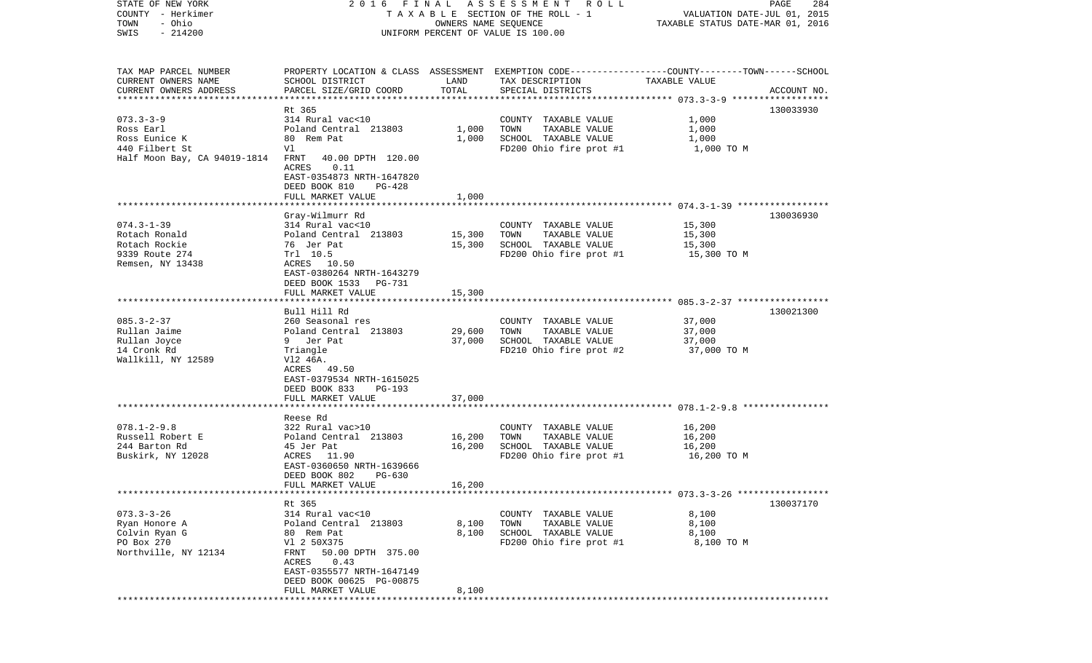| STATE OF NEW YORK<br>COUNTY - Herkimer |                                                                         |                      | 2016 FINAL ASSESSMENT ROLL<br>TAXABLE SECTION OF THE ROLL - 1                                   | VALUATION DATE-JUL 01, 2015      | PAGE<br>284 |
|----------------------------------------|-------------------------------------------------------------------------|----------------------|-------------------------------------------------------------------------------------------------|----------------------------------|-------------|
| - Ohio<br>TOWN                         |                                                                         | OWNERS NAME SEQUENCE |                                                                                                 | TAXABLE STATUS DATE-MAR 01, 2016 |             |
| $-214200$<br>SWIS                      |                                                                         |                      | UNIFORM PERCENT OF VALUE IS 100.00                                                              |                                  |             |
|                                        |                                                                         |                      |                                                                                                 |                                  |             |
| TAX MAP PARCEL NUMBER                  |                                                                         |                      | PROPERTY LOCATION & CLASS ASSESSMENT EXEMPTION CODE---------------COUNTY-------TOWN------SCHOOL |                                  |             |
| CURRENT OWNERS NAME                    | SCHOOL DISTRICT                                                         | LAND                 | TAX DESCRIPTION                                                                                 | TAXABLE VALUE                    |             |
| CURRENT OWNERS ADDRESS                 | PARCEL SIZE/GRID COORD                                                  | TOTAL                | SPECIAL DISTRICTS                                                                               |                                  | ACCOUNT NO. |
|                                        |                                                                         |                      |                                                                                                 |                                  |             |
|                                        | Rt 365                                                                  |                      |                                                                                                 |                                  | 130033930   |
| $073.3 - 3 - 9$                        | 314 Rural vac<10                                                        |                      | COUNTY TAXABLE VALUE                                                                            | 1,000                            |             |
| Ross Earl                              | Poland Central 213803                                                   | 1,000                | TOWN<br>TAXABLE VALUE                                                                           | 1,000                            |             |
| Ross Eunice K                          | 80 Rem Pat                                                              | 1,000                | SCHOOL TAXABLE VALUE                                                                            | 1,000                            |             |
| 440 Filbert St                         | Vl                                                                      |                      | FD200 Ohio fire prot #1                                                                         | 1,000 TO M                       |             |
| Half Moon Bay, CA 94019-1814           | FRNT<br>40.00 DPTH 120.00<br>0.11<br>ACRES<br>EAST-0354873 NRTH-1647820 |                      |                                                                                                 |                                  |             |
|                                        | DEED BOOK 810<br>PG-428                                                 |                      |                                                                                                 |                                  |             |
|                                        | FULL MARKET VALUE                                                       | 1,000                |                                                                                                 |                                  |             |
|                                        |                                                                         |                      |                                                                                                 |                                  |             |
|                                        | Gray-Wilmurr Rd                                                         |                      |                                                                                                 |                                  | 130036930   |
| $074.3 - 1 - 39$                       | 314 Rural vac<10                                                        |                      | COUNTY TAXABLE VALUE                                                                            | 15,300                           |             |
| Rotach Ronald                          | Poland Central 213803                                                   | 15,300               | TOWN<br>TAXABLE VALUE                                                                           | 15,300                           |             |
| Rotach Rockie                          | 76 Jer Pat                                                              | 15,300               | SCHOOL TAXABLE VALUE                                                                            | 15,300                           |             |
| 9339 Route 274                         | Trl 10.5                                                                |                      | FD200 Ohio fire prot #1                                                                         | 15,300 TO M                      |             |
| Remsen, NY 13438                       | ACRES 10.50                                                             |                      |                                                                                                 |                                  |             |
|                                        | EAST-0380264 NRTH-1643279                                               |                      |                                                                                                 |                                  |             |
|                                        | DEED BOOK 1533<br>PG-731                                                |                      |                                                                                                 |                                  |             |
|                                        | FULL MARKET VALUE                                                       | 15,300               |                                                                                                 |                                  |             |
|                                        |                                                                         |                      |                                                                                                 |                                  |             |
|                                        | Bull Hill Rd                                                            |                      |                                                                                                 |                                  | 130021300   |
| $085.3 - 2 - 37$                       | 260 Seasonal res                                                        |                      | COUNTY TAXABLE VALUE                                                                            | 37,000                           |             |
| Rullan Jaime                           | Poland Central 213803                                                   | 29,600               | TAXABLE VALUE<br>TOWN                                                                           | 37,000                           |             |
| Rullan Joyce                           | 9 Jer Pat                                                               | 37,000               | SCHOOL TAXABLE VALUE                                                                            | 37,000                           |             |
| 14 Cronk Rd                            | Triangle                                                                |                      | FD210 Ohio fire prot #2                                                                         | 37,000 TO M                      |             |
| Wallkill, NY 12589                     | V12 46A.                                                                |                      |                                                                                                 |                                  |             |
|                                        | ACRES 49.50                                                             |                      |                                                                                                 |                                  |             |
|                                        | EAST-0379534 NRTH-1615025                                               |                      |                                                                                                 |                                  |             |
|                                        | DEED BOOK 833<br>PG-193                                                 |                      |                                                                                                 |                                  |             |
|                                        | FULL MARKET VALUE                                                       | 37,000               |                                                                                                 |                                  |             |
|                                        |                                                                         |                      |                                                                                                 |                                  |             |
|                                        | Reese Rd                                                                |                      |                                                                                                 |                                  |             |
| $078.1 - 2 - 9.8$                      | 322 Rural vac>10                                                        |                      | COUNTY TAXABLE VALUE                                                                            | 16,200                           |             |
| Russell Robert E                       | Poland Central 213803                                                   | 16,200               | TAXABLE VALUE<br>TOWN                                                                           | 16,200                           |             |
| 244 Barton Rd                          | 45 Jer Pat                                                              | 16,200               | SCHOOL TAXABLE VALUE                                                                            | 16,200                           |             |
| Buskirk, NY 12028                      | ACRES 11.90                                                             |                      | FD200 Ohio fire prot #1                                                                         | 16,200 TO M                      |             |
|                                        | EAST-0360650 NRTH-1639666                                               |                      |                                                                                                 |                                  |             |
|                                        | DEED BOOK 802<br>PG-630                                                 |                      |                                                                                                 |                                  |             |
|                                        | FULL MARKET VALUE                                                       | 16,200               |                                                                                                 |                                  |             |
|                                        |                                                                         |                      |                                                                                                 |                                  | 130037170   |
|                                        | Rt 365                                                                  |                      |                                                                                                 |                                  |             |
| $073.3 - 3 - 26$<br>Ryan Honore A      | 314 Rural vac<10                                                        |                      | COUNTY TAXABLE VALUE<br>TOWN                                                                    | 8,100                            |             |
|                                        | Poland Central 213803                                                   | 8,100                | TAXABLE VALUE<br>SCHOOL TAXABLE VALUE                                                           | 8,100                            |             |
| Colvin Ryan G<br>PO Box 270            | 80 Rem Pat                                                              | 8,100                |                                                                                                 | 8,100                            |             |
| Northville, NY 12134                   | V1 2 50X375<br>FRNT 50.00 DPTH 375.00                                   |                      | FD200 Ohio fire prot #1                                                                         | 8,100 TO M                       |             |
|                                        | ACRES 0.43                                                              |                      |                                                                                                 |                                  |             |
|                                        | EAST-0355577 NRTH-1647149                                               |                      |                                                                                                 |                                  |             |
|                                        | DEED BOOK 00625 PG-00875                                                |                      |                                                                                                 |                                  |             |
|                                        | FULL MARKET VALUE                                                       | 8,100                |                                                                                                 |                                  |             |
|                                        |                                                                         |                      |                                                                                                 |                                  |             |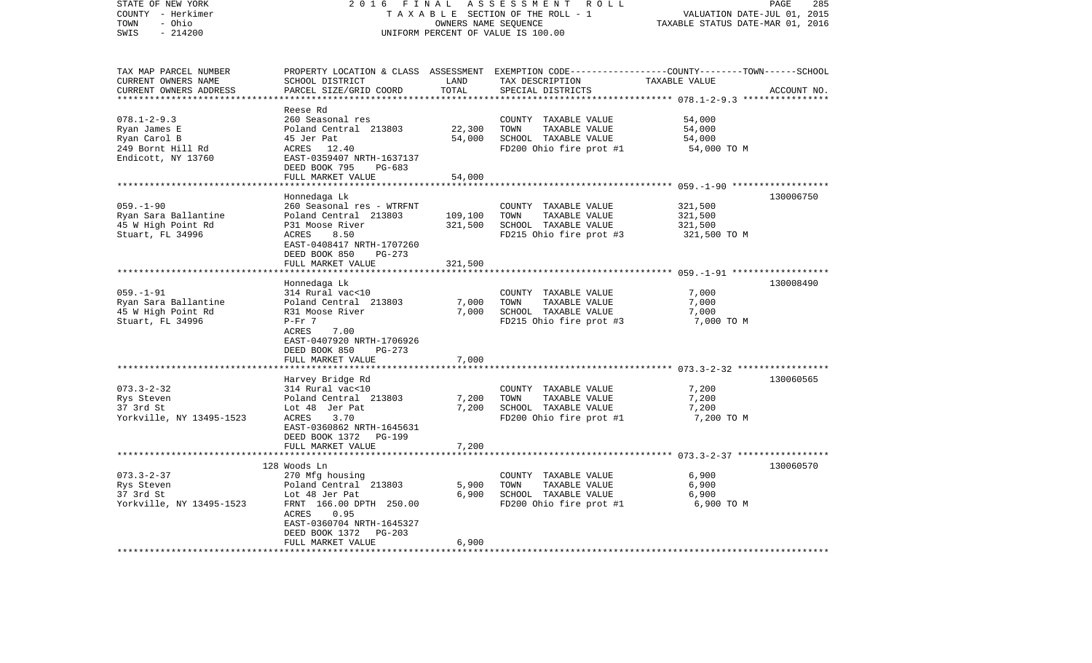| STATE OF NEW YORK<br>COUNTY - Herkimer<br>- Ohio<br>TOWN<br>SWIS<br>$-214200$ | 2 0 1 6<br>FINAL                                    | OWNERS NAME SEQUENCE | ASSESSMENT<br>R O L L<br>TAXABLE SECTION OF THE ROLL - 1<br>UNIFORM PERCENT OF VALUE IS 100.00                      | VALUATION DATE-JUL 01, 2015<br>TAXABLE STATUS DATE-MAR 01, 2016 | 285<br>PAGE |
|-------------------------------------------------------------------------------|-----------------------------------------------------|----------------------|---------------------------------------------------------------------------------------------------------------------|-----------------------------------------------------------------|-------------|
| TAX MAP PARCEL NUMBER<br>CURRENT OWNERS NAME                                  | SCHOOL DISTRICT                                     | LAND                 | PROPERTY LOCATION & CLASS ASSESSMENT EXEMPTION CODE----------------COUNTY-------TOWN------SCHOOL<br>TAX DESCRIPTION | TAXABLE VALUE                                                   |             |
| CURRENT OWNERS ADDRESS<br>***********************                             | PARCEL SIZE/GRID COORD<br>************************* | TOTAL                | SPECIAL DISTRICTS                                                                                                   |                                                                 | ACCOUNT NO. |
|                                                                               | Reese Rd                                            |                      |                                                                                                                     |                                                                 |             |
| $078.1 - 2 - 9.3$                                                             | 260 Seasonal res                                    |                      | COUNTY TAXABLE VALUE                                                                                                | 54,000                                                          |             |
| Ryan James E                                                                  | Poland Central 213803                               | 22,300               | TOWN<br>TAXABLE VALUE                                                                                               | 54,000                                                          |             |
| Ryan Carol B                                                                  | 45 Jer Pat                                          | 54,000               | SCHOOL TAXABLE VALUE                                                                                                | 54,000                                                          |             |
| 249 Bornt Hill Rd<br>Endicott, NY 13760                                       | ACRES<br>12.40<br>EAST-0359407 NRTH-1637137         |                      | FD200 Ohio fire prot #1                                                                                             | 54,000 TO M                                                     |             |
|                                                                               | DEED BOOK 795<br>PG-683                             |                      |                                                                                                                     |                                                                 |             |
|                                                                               | FULL MARKET VALUE                                   | 54,000               |                                                                                                                     |                                                                 |             |
|                                                                               | *********************                               | *********            |                                                                                                                     |                                                                 |             |
|                                                                               | Honnedaga Lk                                        |                      |                                                                                                                     |                                                                 | 130006750   |
| $059. - 1 - 90$                                                               | 260 Seasonal res - WTRFNT                           |                      | COUNTY TAXABLE VALUE                                                                                                | 321,500                                                         |             |
| Ryan Sara Ballantine                                                          | Poland Central 213803                               | 109,100              | TOWN<br>TAXABLE VALUE                                                                                               | 321,500                                                         |             |
| 45 W High Point Rd<br>Stuart, FL 34996                                        | P31 Moose River<br>ACRES<br>8.50                    | 321,500              | SCHOOL TAXABLE VALUE<br>FD215 Ohio fire prot #3                                                                     | 321,500<br>321,500 TO M                                         |             |
|                                                                               | EAST-0408417 NRTH-1707260                           |                      |                                                                                                                     |                                                                 |             |
|                                                                               | DEED BOOK 850<br>$PG-273$                           |                      |                                                                                                                     |                                                                 |             |
|                                                                               | FULL MARKET VALUE                                   | 321,500              |                                                                                                                     |                                                                 |             |
|                                                                               |                                                     |                      |                                                                                                                     |                                                                 |             |
|                                                                               | Honnedaga Lk                                        |                      |                                                                                                                     |                                                                 | 130008490   |
| $059. - 1 - 91$                                                               | 314 Rural vac<10                                    |                      | COUNTY TAXABLE VALUE                                                                                                | 7,000                                                           |             |
| Ryan Sara Ballantine<br>45 W High Point Rd                                    | Poland Central 213803<br>R31 Moose River            | 7,000<br>7,000       | TOWN<br>TAXABLE VALUE<br>SCHOOL TAXABLE VALUE                                                                       | 7,000<br>7,000                                                  |             |
| Stuart, FL 34996                                                              | $P-Fr$ 7                                            |                      | FD215 Ohio fire prot #3                                                                                             | 7,000 TO M                                                      |             |
|                                                                               | ACRES<br>7.00                                       |                      |                                                                                                                     |                                                                 |             |
|                                                                               | EAST-0407920 NRTH-1706926                           |                      |                                                                                                                     |                                                                 |             |
|                                                                               | DEED BOOK 850<br>PG-273                             |                      |                                                                                                                     |                                                                 |             |
|                                                                               | FULL MARKET VALUE                                   | 7,000                |                                                                                                                     |                                                                 |             |
|                                                                               |                                                     |                      |                                                                                                                     |                                                                 | 130060565   |
| $073.3 - 2 - 32$                                                              | Harvey Bridge Rd<br>314 Rural vac<10                |                      | COUNTY TAXABLE VALUE                                                                                                | 7,200                                                           |             |
| Rys Steven                                                                    | Poland Central 213803                               | 7,200                | TOWN<br>TAXABLE VALUE                                                                                               | 7,200                                                           |             |
| 37 3rd St                                                                     | Lot 48 Jer Pat                                      | 7,200                | SCHOOL TAXABLE VALUE                                                                                                | 7,200                                                           |             |
| Yorkville, NY 13495-1523                                                      | 3.70<br>ACRES                                       |                      | FD200 Ohio fire prot #1                                                                                             | 7,200 TO M                                                      |             |
|                                                                               | EAST-0360862 NRTH-1645631                           |                      |                                                                                                                     |                                                                 |             |
|                                                                               | DEED BOOK 1372<br>PG-199                            |                      |                                                                                                                     |                                                                 |             |
|                                                                               | FULL MARKET VALUE<br>***********************        | 7,200                |                                                                                                                     |                                                                 |             |
|                                                                               | 128 Woods Ln                                        |                      |                                                                                                                     | *********************************3-2-37 *****************       | 130060570   |
| $073.3 - 2 - 37$                                                              | 270 Mfg housing                                     |                      | COUNTY TAXABLE VALUE                                                                                                | 6,900                                                           |             |
| Rys Steven                                                                    | Poland Central 213803                               | 5,900                | TOWN<br>TAXABLE VALUE                                                                                               | 6,900                                                           |             |
| 37 3rd St                                                                     | Lot 48 Jer Pat                                      | 6,900                | SCHOOL TAXABLE VALUE                                                                                                | 6,900                                                           |             |
| Yorkville, NY 13495-1523                                                      | FRNT 166.00 DPTH 250.00                             |                      | FD200 Ohio fire prot #1                                                                                             | 6,900 TO M                                                      |             |
|                                                                               | 0.95<br>ACRES                                       |                      |                                                                                                                     |                                                                 |             |
|                                                                               | EAST-0360704 NRTH-1645327                           |                      |                                                                                                                     |                                                                 |             |
|                                                                               | DEED BOOK 1372<br>PG-203                            | 6,900                |                                                                                                                     |                                                                 |             |
|                                                                               | FULL MARKET VALUE                                   |                      |                                                                                                                     |                                                                 |             |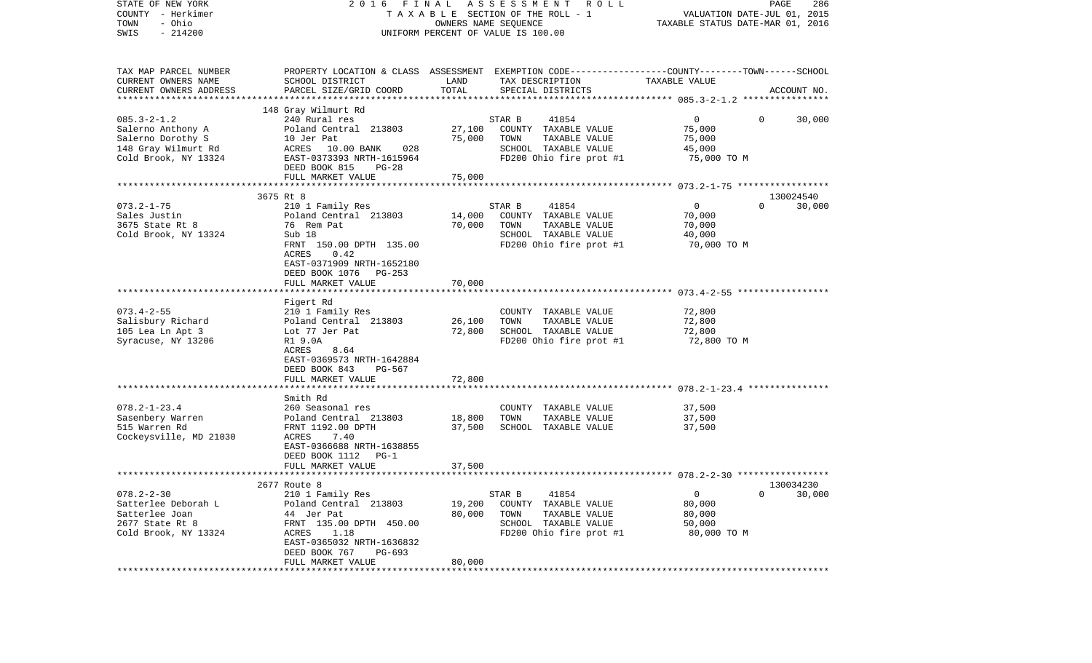| STATE OF NEW YORK<br>COUNTY - Herkimer<br>- Ohio<br>TOWN<br>$-214200$<br>SWIS | 2016 FINAL ASSESSMENT<br>R O L L<br>TAXABLE SECTION OF THE ROLL - 1<br>OWNERS NAME SEQUENCE<br>UNIFORM PERCENT OF VALUE IS 100.00 |                |                                                                                                                    |                       | PAGE<br>286<br>VALUATION DATE-JUL 01, 2015<br>TAXABLE STATUS DATE-MAR 01, 2016 |
|-------------------------------------------------------------------------------|-----------------------------------------------------------------------------------------------------------------------------------|----------------|--------------------------------------------------------------------------------------------------------------------|-----------------------|--------------------------------------------------------------------------------|
| TAX MAP PARCEL NUMBER<br>CURRENT OWNERS NAME                                  | SCHOOL DISTRICT                                                                                                                   | LAND           | PROPERTY LOCATION & CLASS ASSESSMENT EXEMPTION CODE---------------COUNTY-------TOWN------SCHOOL<br>TAX DESCRIPTION | TAXABLE VALUE         |                                                                                |
| CURRENT OWNERS ADDRESS                                                        | PARCEL SIZE/GRID COORD                                                                                                            | TOTAL          | SPECIAL DISTRICTS                                                                                                  |                       | ACCOUNT NO.                                                                    |
|                                                                               | 148 Gray Wilmurt Rd                                                                                                               |                |                                                                                                                    |                       |                                                                                |
| $085.3 - 2 - 1.2$                                                             | 240 Rural res                                                                                                                     |                | 41854<br>STAR B                                                                                                    | $\mathbf{0}$          | $\mathbf{0}$<br>30,000                                                         |
| Salerno Anthony A                                                             | Poland Central 213803                                                                                                             | 27,100         | COUNTY TAXABLE VALUE                                                                                               | 75,000                |                                                                                |
| Salerno Dorothy S                                                             | 10 Jer Pat                                                                                                                        | 75,000         | TAXABLE VALUE<br>TOWN                                                                                              | 75,000                |                                                                                |
| 148 Gray Wilmurt Rd                                                           | ACRES 10.00 BANK<br>028                                                                                                           |                | SCHOOL TAXABLE VALUE<br>FD200 Ohio fire prot #1                                                                    | 45,000                |                                                                                |
| Cold Brook, NY 13324                                                          | EAST-0373393 NRTH-1615964<br>DEED BOOK 815<br>PG-28                                                                               |                |                                                                                                                    | 75,000 TO M           |                                                                                |
|                                                                               | FULL MARKET VALUE                                                                                                                 | 75,000         |                                                                                                                    |                       |                                                                                |
|                                                                               |                                                                                                                                   |                |                                                                                                                    |                       |                                                                                |
|                                                                               | 3675 Rt 8                                                                                                                         |                |                                                                                                                    |                       | 130024540                                                                      |
| $073.2 - 1 - 75$                                                              | 210 1 Family Res                                                                                                                  |                | 41854<br>STAR B                                                                                                    | $\mathsf{O}$          | 30,000<br>$\Omega$                                                             |
| Sales Justin                                                                  | Poland Central 213803                                                                                                             | 14,000         | COUNTY TAXABLE VALUE                                                                                               | 70,000                |                                                                                |
| 3675 State Rt 8                                                               | 76 Rem Pat                                                                                                                        | 70,000         | TOWN<br>TAXABLE VALUE                                                                                              | 70,000                |                                                                                |
| Cold Brook, NY 13324                                                          | Sub 18<br>FRNT 150.00 DPTH 135.00                                                                                                 |                | SCHOOL TAXABLE VALUE<br>FD200 Ohio fire prot #1                                                                    | 40,000<br>70,000 TO M |                                                                                |
|                                                                               | ACRES<br>0.42                                                                                                                     |                |                                                                                                                    |                       |                                                                                |
|                                                                               | EAST-0371909 NRTH-1652180                                                                                                         |                |                                                                                                                    |                       |                                                                                |
|                                                                               | DEED BOOK 1076 PG-253                                                                                                             |                |                                                                                                                    |                       |                                                                                |
|                                                                               | FULL MARKET VALUE                                                                                                                 | 70,000         |                                                                                                                    |                       |                                                                                |
|                                                                               |                                                                                                                                   |                |                                                                                                                    |                       |                                                                                |
| $073.4 - 2 - 55$                                                              | Figert Rd<br>210 1 Family Res                                                                                                     |                | COUNTY TAXABLE VALUE                                                                                               | 72,800                |                                                                                |
| Salisbury Richard                                                             | Poland Central 213803                                                                                                             | 26,100         | TAXABLE VALUE<br>TOWN                                                                                              | 72,800                |                                                                                |
| 105 Lea Ln Apt 3                                                              | Lot 77 Jer Pat                                                                                                                    | 72,800         | SCHOOL TAXABLE VALUE                                                                                               | 72,800                |                                                                                |
| Syracuse, NY 13206                                                            | R1 9.0A                                                                                                                           |                | FD200 Ohio fire prot #1                                                                                            | 72,800 TO M           |                                                                                |
|                                                                               | ACRES<br>8.64                                                                                                                     |                |                                                                                                                    |                       |                                                                                |
|                                                                               | EAST-0369573 NRTH-1642884                                                                                                         |                |                                                                                                                    |                       |                                                                                |
|                                                                               | DEED BOOK 843<br>PG-567                                                                                                           |                |                                                                                                                    |                       |                                                                                |
|                                                                               | FULL MARKET VALUE                                                                                                                 | 72,800         |                                                                                                                    |                       |                                                                                |
|                                                                               | Smith Rd                                                                                                                          |                |                                                                                                                    |                       |                                                                                |
| $078.2 - 1 - 23.4$                                                            | 260 Seasonal res                                                                                                                  |                | COUNTY TAXABLE VALUE                                                                                               | 37,500                |                                                                                |
| Sasenbery Warren                                                              | Poland Central 213803                                                                                                             | 18,800         | TOWN<br>TAXABLE VALUE                                                                                              | 37,500                |                                                                                |
| 515 Warren Rd                                                                 | FRNT 1192.00 DPTH                                                                                                                 | 37,500         | SCHOOL TAXABLE VALUE                                                                                               | 37,500                |                                                                                |
| Cockeysville, MD 21030                                                        | 7.40<br>ACRES                                                                                                                     |                |                                                                                                                    |                       |                                                                                |
|                                                                               | EAST-0366688 NRTH-1638855                                                                                                         |                |                                                                                                                    |                       |                                                                                |
|                                                                               | DEED BOOK 1112 PG-1<br>FULL MARKET VALUE                                                                                          | 37,500         |                                                                                                                    |                       |                                                                                |
|                                                                               |                                                                                                                                   |                |                                                                                                                    |                       |                                                                                |
|                                                                               | 2677 Route 8                                                                                                                      |                |                                                                                                                    |                       | 130034230                                                                      |
| $078.2 - 2 - 30$                                                              | 210 1 Family Res                                                                                                                  |                | STAR B<br>41854                                                                                                    | $\mathbf 0$           | $\mathbf{0}$<br>30,000                                                         |
| Satterlee Deborah L                                                           | Poland Central 213803                                                                                                             | 19,200         | COUNTY TAXABLE VALUE                                                                                               | 80,000                |                                                                                |
| Satterlee Joan                                                                | 44 Jer Pat                                                                                                                        | 80,000         | TAXABLE VALUE<br>TOWN                                                                                              | 80,000                |                                                                                |
| 2677 State Rt 8<br>Cold Brook, NY 13324                                       | FRNT 135.00 DPTH 450.00<br>ACRES<br>1.18                                                                                          |                | SCHOOL TAXABLE VALUE<br>FD200 Ohio fire prot #1                                                                    | 50,000                |                                                                                |
|                                                                               | EAST-0365032 NRTH-1636832                                                                                                         |                |                                                                                                                    | 80,000 TO M           |                                                                                |
|                                                                               | DEED BOOK 767<br>PG-693                                                                                                           |                |                                                                                                                    |                       |                                                                                |
|                                                                               | FULL MARKET VALUE                                                                                                                 | 80,000         |                                                                                                                    |                       |                                                                                |
|                                                                               | ************************                                                                                                          | ************** |                                                                                                                    |                       |                                                                                |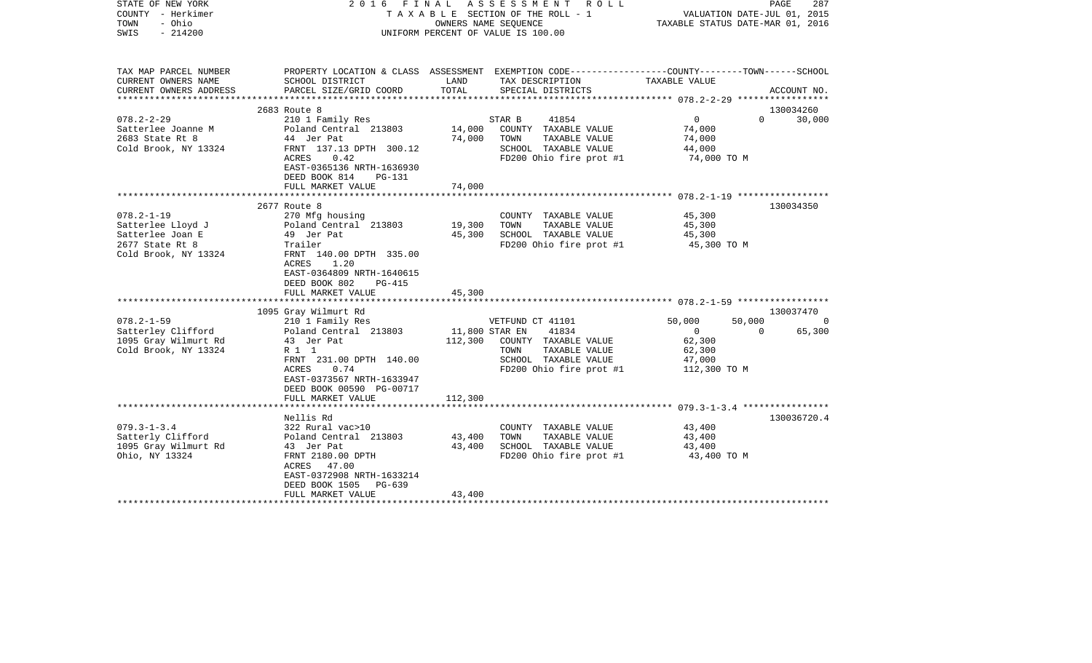| STATE OF NEW YORK<br>COUNTY - Herkimer<br>- Ohio<br>TOWN<br>SWIS<br>$-214200$          |                                                                                                                                                                                            | 2016 FINAL ASSESSMENT ROLL<br>TAXABLE SECTION OF THE ROLL - 1<br>OWNERS NAME SEQUENCE<br>UNIFORM PERCENT OF VALUE IS 100.00 |                                                                                                                               |                                                                                              | PAGE<br>287<br>VALUATION DATE-JUL 01, 2015<br>TAXABLE STATUS DATE-MAR 01, 2016 |
|----------------------------------------------------------------------------------------|--------------------------------------------------------------------------------------------------------------------------------------------------------------------------------------------|-----------------------------------------------------------------------------------------------------------------------------|-------------------------------------------------------------------------------------------------------------------------------|----------------------------------------------------------------------------------------------|--------------------------------------------------------------------------------|
| TAX MAP PARCEL NUMBER<br>CURRENT OWNERS NAME                                           | PROPERTY LOCATION & CLASS ASSESSMENT EXEMPTION CODE---------------COUNTY-------TOWN------SCHOOL<br>SCHOOL DISTRICT                                                                         | LAND                                                                                                                        | TAX DESCRIPTION                                                                                                               | TAXABLE VALUE                                                                                |                                                                                |
| CURRENT OWNERS ADDRESS                                                                 | PARCEL SIZE/GRID COORD                                                                                                                                                                     | TOTAL                                                                                                                       | SPECIAL DISTRICTS                                                                                                             |                                                                                              | ACCOUNT NO.                                                                    |
|                                                                                        | 2683 Route 8                                                                                                                                                                               |                                                                                                                             |                                                                                                                               |                                                                                              | 130034260                                                                      |
| $078.2 - 2 - 29$<br>Satterlee Joanne M<br>2683 State Rt 8<br>Cold Brook, NY 13324      | 210 1 Family Res<br>Poland Central 213803<br>44 Jer Pat<br>FRNT 137.13 DPTH 300.12<br>ACRES<br>0.42<br>EAST-0365136 NRTH-1636930<br>DEED BOOK 814<br>PG-131                                | 14,000<br>74,000                                                                                                            | STAR B<br>41854<br>COUNTY TAXABLE VALUE<br>TOWN<br>TAXABLE VALUE<br>SCHOOL TAXABLE VALUE<br>FD200 Ohio fire prot #1           | $\overline{0}$<br>$\Omega$<br>74,000<br>74,000<br>44,000<br>74,000 TO M                      | 30,000                                                                         |
|                                                                                        | FULL MARKET VALUE                                                                                                                                                                          | 74,000                                                                                                                      |                                                                                                                               |                                                                                              |                                                                                |
| $078.2 - 1 - 19$                                                                       | 2677 Route 8<br>270 Mfg housing                                                                                                                                                            |                                                                                                                             | COUNTY TAXABLE VALUE                                                                                                          | 45,300                                                                                       | 130034350                                                                      |
| Satterlee Lloyd J<br>Satterlee Joan E<br>2677 State Rt 8<br>Cold Brook, NY 13324       | Poland Central 213803<br>49 Jer Pat<br>Trailer<br>FRNT 140.00 DPTH 335.00<br>ACRES<br>1.20<br>EAST-0364809 NRTH-1640615<br>DEED BOOK 802<br>PG-415                                         | 19,300<br>45,300                                                                                                            | TOWN<br>TAXABLE VALUE<br>SCHOOL TAXABLE VALUE<br>FD200 Ohio fire prot #1                                                      | 45,300<br>45,300<br>45,300 TO M                                                              |                                                                                |
|                                                                                        | FULL MARKET VALUE                                                                                                                                                                          | 45,300                                                                                                                      |                                                                                                                               |                                                                                              |                                                                                |
|                                                                                        | 1095 Gray Wilmurt Rd                                                                                                                                                                       |                                                                                                                             |                                                                                                                               |                                                                                              | 130037470                                                                      |
| $078.2 - 1 - 59$<br>Satterley Clifford<br>1095 Gray Wilmurt Rd<br>Cold Brook, NY 13324 | 210 1 Family Res<br>Poland Central 213803<br>43 Jer Pat<br>R 1 1<br>FRNT 231.00 DPTH 140.00<br>ACRES<br>0.74<br>EAST-0373567 NRTH-1633947<br>DEED BOOK 00590 PG-00717<br>FULL MARKET VALUE | 11,800 STAR EN<br>112,300<br>112,300                                                                                        | VETFUND CT 41101<br>41834<br>COUNTY TAXABLE VALUE<br>TAXABLE VALUE<br>TOWN<br>SCHOOL TAXABLE VALUE<br>FD200 Ohio fire prot #1 | 50,000<br>50,000<br>$\overline{0}$<br>$\Omega$<br>62,300<br>62,300<br>47,000<br>112,300 TO M | $\Omega$<br>65,300                                                             |
|                                                                                        |                                                                                                                                                                                            |                                                                                                                             |                                                                                                                               |                                                                                              |                                                                                |
| $079.3 - 1 - 3.4$<br>Satterly Clifford<br>1095 Gray Wilmurt Rd<br>Ohio, NY 13324       | Nellis Rd<br>322 Rural vac>10<br>Poland Central 213803<br>43 Jer Pat<br>FRNT 2180.00 DPTH<br>47.00<br>ACRES<br>EAST-0372908 NRTH-1633214<br>DEED BOOK 1505<br>PG-639                       | 43,400<br>43,400                                                                                                            | COUNTY TAXABLE VALUE<br>TAXABLE VALUE<br>TOWN<br>SCHOOL TAXABLE VALUE<br>FD200 Ohio fire prot #1                              | 43,400<br>43,400<br>43,400<br>43,400 TO M                                                    | 130036720.4                                                                    |
|                                                                                        | FULL MARKET VALUE                                                                                                                                                                          | 43,400                                                                                                                      |                                                                                                                               |                                                                                              |                                                                                |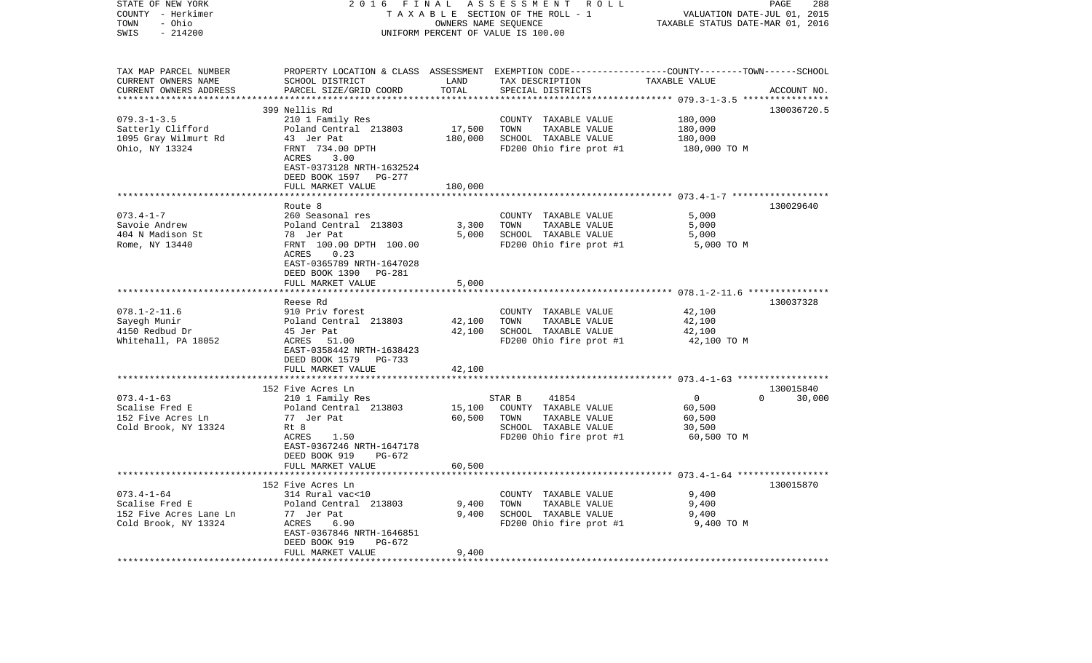| STATE OF NEW YORK<br>COUNTY - Herkimer<br>TOWN<br>- Ohio<br>$-214200$<br>SWIS        | 2016<br>FINAL                                                                                                                                                                             |                              | ASSESSMENT ROLL<br>TAXABLE SECTION OF THE ROLL - 1<br>OWNERS NAME SEQUENCE<br>UNIFORM PERCENT OF VALUE IS 100.00                        | VALUATION DATE-JUL 01, 2015<br>TAXABLE STATUS DATE-MAR 01, 2016 | PAGE<br>288                     |
|--------------------------------------------------------------------------------------|-------------------------------------------------------------------------------------------------------------------------------------------------------------------------------------------|------------------------------|-----------------------------------------------------------------------------------------------------------------------------------------|-----------------------------------------------------------------|---------------------------------|
| TAX MAP PARCEL NUMBER<br>CURRENT OWNERS NAME<br>CURRENT OWNERS ADDRESS               | SCHOOL DISTRICT<br>PARCEL SIZE/GRID COORD                                                                                                                                                 | LAND<br>TOTAL                | PROPERTY LOCATION & CLASS ASSESSMENT EXEMPTION CODE---------------COUNTY-------TOWN------SCHOOL<br>TAX DESCRIPTION<br>SPECIAL DISTRICTS | TAXABLE VALUE                                                   | ACCOUNT NO.                     |
|                                                                                      |                                                                                                                                                                                           | ************                 |                                                                                                                                         |                                                                 |                                 |
| $079.3 - 1 - 3.5$<br>Satterly Clifford<br>1095 Gray Wilmurt Rd<br>Ohio, NY 13324     | 399 Nellis Rd<br>210 1 Family Res<br>Poland Central 213803<br>43 Jer Pat<br>FRNT 734.00 DPTH<br>ACRES<br>3.00<br>EAST-0373128 NRTH-1632524<br>DEED BOOK 1597 PG-277<br>FULL MARKET VALUE  | 17,500<br>180,000<br>180,000 | COUNTY TAXABLE VALUE<br>TAXABLE VALUE<br>TOWN<br>SCHOOL TAXABLE VALUE<br>FD200 Ohio fire prot #1                                        | 180,000<br>180,000<br>180,000<br>180,000 TO M                   | 130036720.5                     |
|                                                                                      | *****************************                                                                                                                                                             |                              |                                                                                                                                         |                                                                 |                                 |
| $073.4 - 1 - 7$<br>Savoie Andrew<br>404 N Madison St<br>Rome, NY 13440               | Route 8<br>260 Seasonal res<br>Poland Central 213803<br>78 Jer Pat<br>FRNT 100.00 DPTH 100.00<br>ACRES<br>0.23<br>EAST-0365789 NRTH-1647028<br>DEED BOOK 1390<br>PG-281                   | 3,300<br>5,000               | COUNTY TAXABLE VALUE<br>TOWN<br>TAXABLE VALUE<br>SCHOOL TAXABLE VALUE<br>FD200 Ohio fire prot #1                                        | 5,000<br>5,000<br>5,000<br>5,000 TO M                           | 130029640                       |
|                                                                                      | FULL MARKET VALUE                                                                                                                                                                         | 5,000                        |                                                                                                                                         |                                                                 |                                 |
| $078.1 - 2 - 11.6$<br>Sayegh Munir<br>4150 Redbud Dr<br>Whitehall, PA 18052          | Reese Rd<br>910 Priv forest<br>Poland Central 213803<br>45 Jer Pat<br>ACRES 51.00<br>EAST-0358442 NRTH-1638423<br>DEED BOOK 1579 PG-733<br>FULL MARKET VALUE                              | 42,100<br>42,100<br>42,100   | COUNTY TAXABLE VALUE<br>TAXABLE VALUE<br>TOWN<br>SCHOOL TAXABLE VALUE<br>FD200 Ohio fire prot #1                                        | 42,100<br>42,100<br>42,100<br>42,100 TO M                       | 130037328                       |
|                                                                                      | *********************                                                                                                                                                                     | ***********                  |                                                                                                                                         |                                                                 |                                 |
| $073.4 - 1 - 63$<br>Scalise Fred E<br>152 Five Acres Ln<br>Cold Brook, NY 13324      | 152 Five Acres Ln<br>210 1 Family Res<br>Poland Central 213803<br>77 Jer Pat<br>Rt 8<br>ACRES<br>1.50<br>EAST-0367246 NRTH-1647178<br>DEED BOOK 919<br>$PG-672$                           | 15,100<br>60,500             | 41854<br>STAR B<br>COUNTY TAXABLE VALUE<br>TOWN<br>TAXABLE VALUE<br>SCHOOL TAXABLE VALUE<br>FD200 Ohio fire prot #1                     | $\overline{0}$<br>60,500<br>60,500<br>30,500<br>60,500 TO M     | 130015840<br>$\Omega$<br>30,000 |
|                                                                                      | FULL MARKET VALUE                                                                                                                                                                         | 60,500                       |                                                                                                                                         |                                                                 |                                 |
| $073.4 - 1 - 64$<br>Scalise Fred E<br>152 Five Acres Lane Ln<br>Cold Brook, NY 13324 | ********************************<br>152 Five Acres Ln<br>314 Rural vac<10<br>Poland Central 213803<br>77 Jer Pat<br>ACRES<br>6.90<br>EAST-0367846 NRTH-1646851<br>DEED BOOK 919<br>PG-672 | 9,400<br>9,400               | COUNTY TAXABLE VALUE<br>TAXABLE VALUE<br>TOWN<br>SCHOOL TAXABLE VALUE<br>FD200 Ohio fire prot #1                                        | 9,400<br>9,400<br>9,400<br>9,400 TO M                           | 130015870                       |
| *******************                                                                  | FULL MARKET VALUE                                                                                                                                                                         | 9,400                        |                                                                                                                                         |                                                                 |                                 |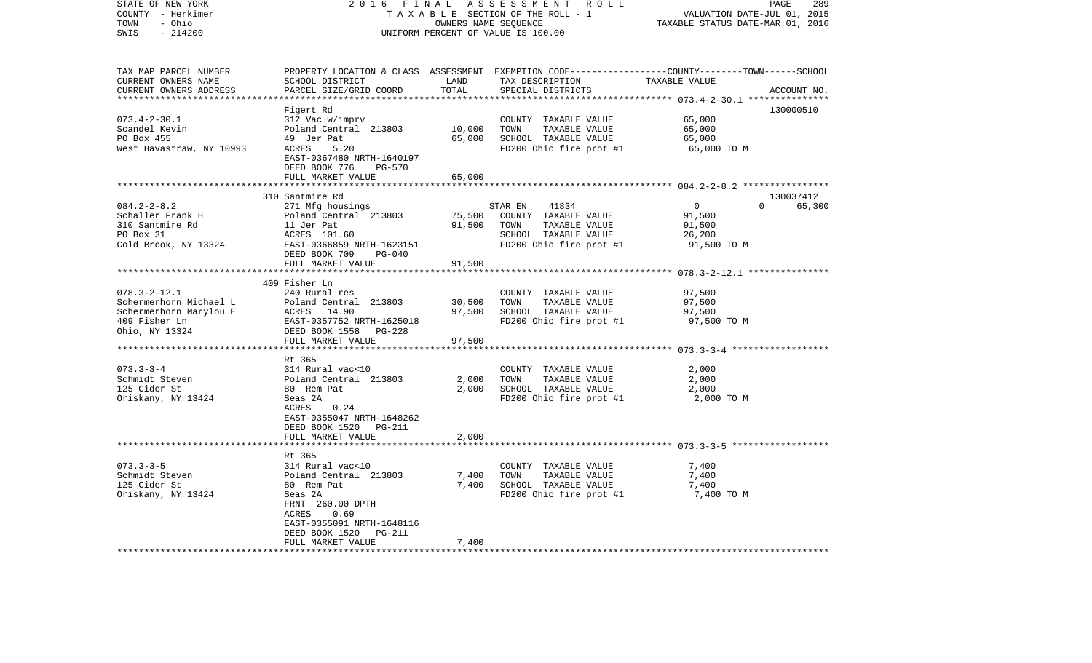| STATE OF NEW YORK<br>COUNTY - Herkimer | 2016<br>FINAL                              |                      | ASSESSMENT ROLL<br>TAXABLE SECTION OF THE ROLL - 1 | PAGE<br>289<br>VALUATION DATE-JUL 01, 2015                                                       |
|----------------------------------------|--------------------------------------------|----------------------|----------------------------------------------------|--------------------------------------------------------------------------------------------------|
| - Ohio<br>TOWN                         |                                            | OWNERS NAME SEQUENCE |                                                    | TAXABLE STATUS DATE-MAR 01, 2016                                                                 |
| SWIS<br>$-214200$                      |                                            |                      | UNIFORM PERCENT OF VALUE IS 100.00                 |                                                                                                  |
|                                        |                                            |                      |                                                    |                                                                                                  |
| TAX MAP PARCEL NUMBER                  |                                            |                      |                                                    | PROPERTY LOCATION & CLASS ASSESSMENT EXEMPTION CODE----------------COUNTY-------TOWN------SCHOOL |
| CURRENT OWNERS NAME                    | SCHOOL DISTRICT                            | LAND                 | TAX DESCRIPTION                                    | TAXABLE VALUE                                                                                    |
| CURRENT OWNERS ADDRESS                 | PARCEL SIZE/GRID COORD                     | TOTAL                | SPECIAL DISTRICTS                                  | ACCOUNT NO.                                                                                      |
| ***********************                |                                            |                      |                                                    |                                                                                                  |
|                                        | Figert Rd                                  |                      |                                                    | 130000510                                                                                        |
| $073.4 - 2 - 30.1$                     | 312 Vac w/imprv                            |                      | COUNTY TAXABLE VALUE                               | 65,000                                                                                           |
| Scandel Kevin                          | Poland Central 213803                      | 10,000               | TAXABLE VALUE<br>TOWN                              | 65,000                                                                                           |
| PO Box 455                             | 49 Jer Pat                                 | 65,000               | SCHOOL TAXABLE VALUE                               | 65,000                                                                                           |
| West Havastraw, NY 10993               | ACRES<br>5.20                              |                      | FD200 Ohio fire prot #1                            | 65,000 TO M                                                                                      |
|                                        | EAST-0367480 NRTH-1640197<br><b>PG-570</b> |                      |                                                    |                                                                                                  |
|                                        | DEED BOOK 776<br>FULL MARKET VALUE         | 65,000               |                                                    |                                                                                                  |
|                                        |                                            | ********             |                                                    | ******************** 084.2-2-8.2 ****************                                                |
|                                        | 310 Santmire Rd                            |                      |                                                    | 130037412                                                                                        |
| $084.2 - 2 - 8.2$                      | 271 Mfg housings                           |                      | 41834<br>STAR EN                                   | $\overline{0}$<br>$\Omega$<br>65,300                                                             |
| Schaller Frank H                       | Poland Central 213803                      | 75,500               | COUNTY TAXABLE VALUE                               | 91,500                                                                                           |
| 310 Santmire Rd                        | 11 Jer Pat                                 | 91,500               | TAXABLE VALUE<br>TOWN                              | 91,500                                                                                           |
| PO Box 31                              | ACRES 101.60                               |                      | SCHOOL TAXABLE VALUE                               | 26,200                                                                                           |
| Cold Brook, NY 13324                   | EAST-0366859 NRTH-1623151                  |                      | FD200 Ohio fire prot #1                            | 91,500 TO M                                                                                      |
|                                        | DEED BOOK 709<br>PG-040                    |                      |                                                    |                                                                                                  |
|                                        | FULL MARKET VALUE                          | 91,500               |                                                    |                                                                                                  |
|                                        |                                            | ************         |                                                    | ************************ 078.3-2-12.1 ***************                                            |
|                                        | 409 Fisher Ln                              |                      |                                                    |                                                                                                  |
| $078.3 - 2 - 12.1$                     | 240 Rural res                              |                      | COUNTY TAXABLE VALUE                               | 97,500                                                                                           |
| Schermerhorn Michael L                 | Poland Central 213803                      | 30,500               | TAXABLE VALUE<br>TOWN                              | 97,500                                                                                           |
| Schermerhorn Marylou E                 | ACRES 14.90                                | 97,500               | SCHOOL TAXABLE VALUE                               | 97,500                                                                                           |
| 409 Fisher Ln                          | EAST-0357752 NRTH-1625018                  |                      | FD200 Ohio fire prot #1                            | 97,500 TO M                                                                                      |
| Ohio, NY 13324                         | DEED BOOK 1558 PG-228                      |                      |                                                    |                                                                                                  |
|                                        | FULL MARKET VALUE                          | 97,500               |                                                    |                                                                                                  |
|                                        | Rt 365                                     |                      |                                                    |                                                                                                  |
| $073.3 - 3 - 4$                        | 314 Rural vac<10                           |                      | COUNTY TAXABLE VALUE                               | 2,000                                                                                            |
| Schmidt Steven                         | Poland Central 213803                      | 2,000                | TAXABLE VALUE<br>TOWN                              | 2,000                                                                                            |
| 125 Cider St                           | 80 Rem Pat                                 | 2,000                | SCHOOL TAXABLE VALUE                               | 2,000                                                                                            |
| Oriskany, NY 13424                     | Seas 2A                                    |                      | FD200 Ohio fire prot #1                            | 2,000 TO M                                                                                       |
|                                        | ACRES<br>0.24                              |                      |                                                    |                                                                                                  |
|                                        | EAST-0355047 NRTH-1648262                  |                      |                                                    |                                                                                                  |
|                                        | DEED BOOK 1520 PG-211                      |                      |                                                    |                                                                                                  |
|                                        | FULL MARKET VALUE                          | 2,000                |                                                    |                                                                                                  |
|                                        |                                            |                      |                                                    |                                                                                                  |
|                                        | Rt 365                                     |                      |                                                    |                                                                                                  |
| $073.3 - 3 - 5$                        | 314 Rural vac<10                           |                      | COUNTY TAXABLE VALUE                               | 7,400                                                                                            |
| Schmidt Steven                         | Poland Central 213803                      | 7,400                | TAXABLE VALUE<br>TOWN                              | 7,400                                                                                            |
| 125 Cider St                           | 80 Rem Pat                                 | 7,400                | SCHOOL TAXABLE VALUE                               | 7,400                                                                                            |
| Oriskany, NY 13424                     | Seas 2A                                    |                      | FD200 Ohio fire prot #1                            | 7,400 TO M                                                                                       |
|                                        | FRNT 260.00 DPTH                           |                      |                                                    |                                                                                                  |
|                                        | 0.69<br>ACRES                              |                      |                                                    |                                                                                                  |
|                                        | EAST-0355091 NRTH-1648116                  |                      |                                                    |                                                                                                  |
|                                        | DEED BOOK 1520<br>PG-211                   |                      |                                                    |                                                                                                  |
|                                        | FULL MARKET VALUE                          | 7,400                |                                                    |                                                                                                  |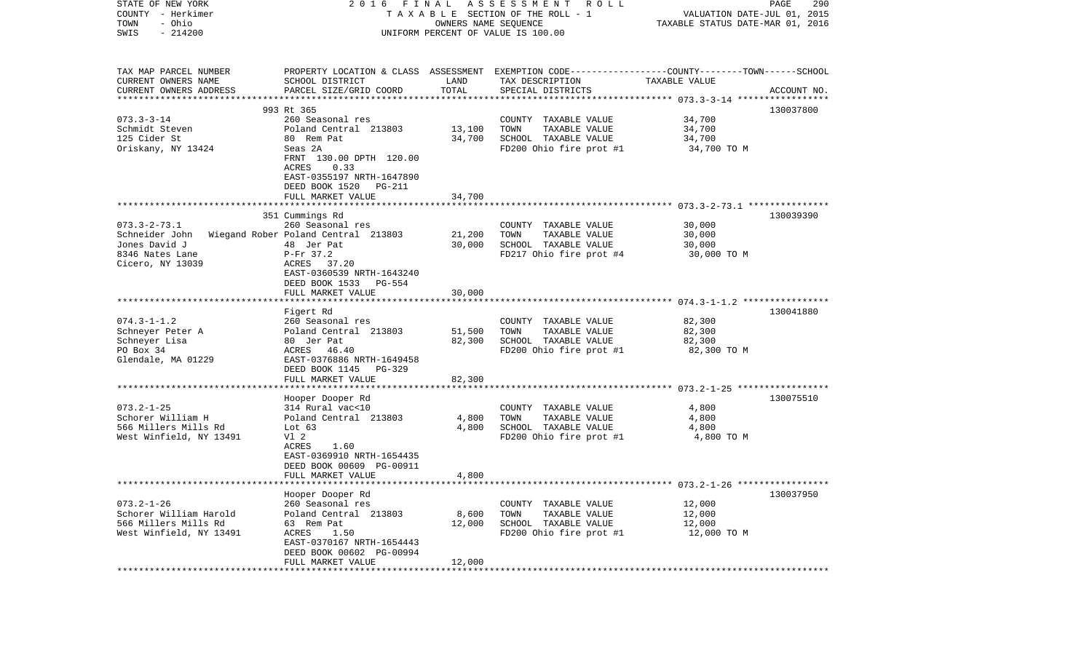| STATE OF NEW YORK<br>COUNTY - Herkimer<br>- Ohio<br>TOWN | FINAL<br>2016                                         | OWNERS NAME SEQUENCE | A S S E S S M E N T<br><b>ROLL</b><br>TAXABLE SECTION OF THE ROLL - 1                                              | VALUATION DATE-JUL 01, 2015<br>TAXABLE STATUS DATE-MAR 01, 2016 | 290<br>PAGE |
|----------------------------------------------------------|-------------------------------------------------------|----------------------|--------------------------------------------------------------------------------------------------------------------|-----------------------------------------------------------------|-------------|
| $-214200$<br>SWIS                                        |                                                       |                      | UNIFORM PERCENT OF VALUE IS 100.00                                                                                 |                                                                 |             |
| TAX MAP PARCEL NUMBER<br>CURRENT OWNERS NAME             | SCHOOL DISTRICT                                       | LAND                 | PROPERTY LOCATION & CLASS ASSESSMENT EXEMPTION CODE---------------COUNTY-------TOWN------SCHOOL<br>TAX DESCRIPTION | TAXABLE VALUE                                                   |             |
| CURRENT OWNERS ADDRESS<br>*************************      | PARCEL SIZE/GRID COORD                                | TOTAL                | SPECIAL DISTRICTS                                                                                                  |                                                                 | ACCOUNT NO. |
|                                                          | 993 Rt 365                                            |                      |                                                                                                                    |                                                                 | 130037800   |
| $073.3 - 3 - 14$                                         | 260 Seasonal res                                      |                      | COUNTY TAXABLE VALUE                                                                                               | 34,700                                                          |             |
| Schmidt Steven                                           | Poland Central 213803                                 | 13,100               | TOWN<br>TAXABLE VALUE                                                                                              | 34,700                                                          |             |
| 125 Cider St                                             | 80 Rem Pat                                            | 34,700               | SCHOOL TAXABLE VALUE                                                                                               | 34,700                                                          |             |
| Oriskany, NY 13424                                       | Seas 2A                                               |                      | FD200 Ohio fire prot #1                                                                                            | 34,700 TO M                                                     |             |
|                                                          | FRNT 130.00 DPTH 120.00<br>ACRES<br>0.33              |                      |                                                                                                                    |                                                                 |             |
|                                                          | EAST-0355197 NRTH-1647890<br>DEED BOOK 1520<br>PG-211 |                      |                                                                                                                    |                                                                 |             |
|                                                          | FULL MARKET VALUE                                     | 34,700               |                                                                                                                    |                                                                 |             |
|                                                          |                                                       |                      |                                                                                                                    |                                                                 |             |
| $073.3 - 2 - 73.1$                                       | 351 Cummings Rd<br>260 Seasonal res                   |                      | COUNTY TAXABLE VALUE                                                                                               | 30,000                                                          | 130039390   |
| Schneider John                                           | Wiegand Rober Poland Central 213803                   | 21,200               | TOWN<br>TAXABLE VALUE                                                                                              | 30,000                                                          |             |
| Jones David J                                            | 48 Jer Pat                                            | 30,000               | SCHOOL TAXABLE VALUE                                                                                               | 30,000                                                          |             |
| 8346 Nates Lane                                          | $P-Fr$ 37.2                                           |                      | FD217 Ohio fire prot #4                                                                                            | 30,000 TO M                                                     |             |
| Cicero, NY 13039                                         | ACRES 37.20                                           |                      |                                                                                                                    |                                                                 |             |
|                                                          | EAST-0360539 NRTH-1643240                             |                      |                                                                                                                    |                                                                 |             |
|                                                          | DEED BOOK 1533<br>PG-554                              |                      |                                                                                                                    |                                                                 |             |
|                                                          | FULL MARKET VALUE                                     | 30,000               |                                                                                                                    |                                                                 |             |
|                                                          |                                                       |                      |                                                                                                                    |                                                                 |             |
|                                                          | Figert Rd                                             |                      |                                                                                                                    |                                                                 | 130041880   |
| $074.3 - 1 - 1.2$                                        | 260 Seasonal res                                      |                      | COUNTY TAXABLE VALUE                                                                                               | 82,300                                                          |             |
| Schneyer Peter A                                         | Poland Central 213803                                 | 51,500               | TAXABLE VALUE<br>TOWN                                                                                              | 82,300                                                          |             |
| Schneyer Lisa                                            | 80 Jer Pat                                            | 82,300               | SCHOOL TAXABLE VALUE                                                                                               | 82,300                                                          |             |
| PO Box 34                                                | ACRES<br>46.40                                        |                      | FD200 Ohio fire prot #1                                                                                            | 82,300 TO M                                                     |             |
| Glendale, MA 01229                                       | EAST-0376886 NRTH-1649458                             |                      |                                                                                                                    |                                                                 |             |
|                                                          | DEED BOOK 1145<br>PG-329<br>FULL MARKET VALUE         | 82,300               |                                                                                                                    |                                                                 |             |
|                                                          | *********************                                 |                      |                                                                                                                    |                                                                 |             |
|                                                          | Hooper Dooper Rd                                      |                      |                                                                                                                    |                                                                 | 130075510   |
| $073.2 - 1 - 25$                                         | 314 Rural vac<10                                      |                      | COUNTY TAXABLE VALUE                                                                                               | 4,800                                                           |             |
| Schorer William H                                        | Poland Central 213803                                 | 4,800                | TOWN<br>TAXABLE VALUE                                                                                              | 4,800                                                           |             |
| 566 Millers Mills Rd                                     | Lot $63$                                              | 4,800                | SCHOOL TAXABLE VALUE                                                                                               | 4,800                                                           |             |
| West Winfield, NY 13491                                  | V1 2                                                  |                      | FD200 Ohio fire prot #1                                                                                            | 4,800 TO M                                                      |             |
|                                                          | 1.60<br>ACRES                                         |                      |                                                                                                                    |                                                                 |             |
|                                                          | EAST-0369910 NRTH-1654435                             |                      |                                                                                                                    |                                                                 |             |
|                                                          | DEED BOOK 00609 PG-00911                              |                      |                                                                                                                    |                                                                 |             |
|                                                          | FULL MARKET VALUE                                     | 4,800                |                                                                                                                    |                                                                 |             |
|                                                          |                                                       |                      |                                                                                                                    |                                                                 |             |
|                                                          | Hooper Dooper Rd                                      |                      |                                                                                                                    |                                                                 | 130037950   |
| $073.2 - 1 - 26$<br>Schorer William Harold               | 260 Seasonal res                                      |                      | COUNTY TAXABLE VALUE                                                                                               | 12,000                                                          |             |
| 566 Millers Mills Rd                                     | Poland Central 213803<br>63 Rem Pat                   | 8,600<br>12,000      | TOWN<br>TAXABLE VALUE<br>SCHOOL TAXABLE VALUE                                                                      | 12,000<br>12,000                                                |             |
| West Winfield, NY 13491                                  | ACRES<br>1.50                                         |                      | FD200 Ohio fire prot #1                                                                                            | 12,000 TO M                                                     |             |
|                                                          | EAST-0370167 NRTH-1654443                             |                      |                                                                                                                    |                                                                 |             |
|                                                          | DEED BOOK 00602 PG-00994                              |                      |                                                                                                                    |                                                                 |             |
|                                                          | FULL MARKET VALUE                                     | 12,000               |                                                                                                                    |                                                                 |             |
|                                                          |                                                       |                      |                                                                                                                    |                                                                 |             |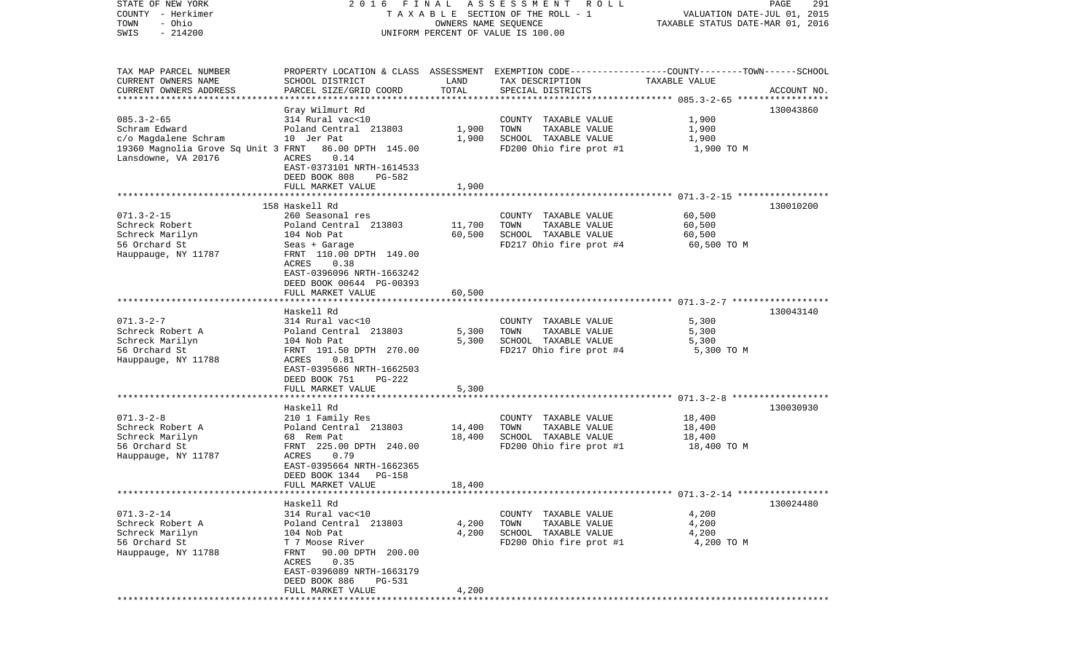COUNTY - Herkimer **T A X A B L E** SECTION OF THE ROLL - 1 VALUATION DATE-JUL 01, 2015 TOWN - Ohio OWNERS NAME SEQUENCE TAXABLE STATUS DATE-MAR 01, 2016 SWIS - 214200 UNIFORM PERCENT OF VALUE IS 100.00TAX MAP PARCEL NUMBER PROPERTY LOCATION & CLASS ASSESSMENT EXEMPTION CODE------------------COUNTY--------TOWN------SCHOOL CURRENT OWNERS NAME SCHOOL DISTRICT LAND TAX DESCRIPTION TAXABLE VALUECURRENT OWNERS ADDRESS PARCEL SIZE/GRID COORD TOTAL SPECIAL DISTRICTS ACCOUNT NO. \*\*\*\*\*\*\*\*\*\*\*\*\*\*\*\*\*\*\*\*\*\*\*\*\*\*\*\*\*\*\*\*\*\*\*\*\*\*\*\*\*\*\*\*\*\*\*\*\*\*\*\*\*\*\*\*\*\*\*\*\*\*\*\*\*\*\*\*\*\*\*\*\*\*\*\*\*\*\*\*\*\*\*\*\*\*\*\*\*\*\*\*\*\*\*\*\*\*\*\*\*\*\* 085.3-2-65 \*\*\*\*\*\*\*\*\*\*\*\*\*\*\*\*\* Gray Wilmurt Rd 130043860 085.3-2-65 314 Rural vac<10 COUNTY TAXABLE VALUE 1,900 Schram Edward Poland Central 213803 1,900 TOWN TAXABLE VALUE 1,900 c/o Magdalene Schram 10 Jer Pat 1,900 SCHOOL TAXABLE VALUE 1,900 19360 Magnolia Grove Sq Unit 3 FRNT 86.00 DPTH 145.00 FD200 Ohio fire prot #1 1,900 TO M Lansdowne, VA 20176 ACRES 0.14 EAST-0373101 NRTH-1614533 DEED BOOK 808 PG-582FULL MARKET VALUE 1,900 \*\*\*\*\*\*\*\*\*\*\*\*\*\*\*\*\*\*\*\*\*\*\*\*\*\*\*\*\*\*\*\*\*\*\*\*\*\*\*\*\*\*\*\*\*\*\*\*\*\*\*\*\*\*\*\*\*\*\*\*\*\*\*\*\*\*\*\*\*\*\*\*\*\*\*\*\*\*\*\*\*\*\*\*\*\*\*\*\*\*\*\*\*\*\*\*\*\*\*\*\*\*\* 071.3-2-15 \*\*\*\*\*\*\*\*\*\*\*\*\*\*\*\*\* 158 Haskell Rd 130010200071.3-2-15 260 Seasonal res COUNTY TAXABLE VALUE 60,500 Schreck Robert Poland Central 213803 11,700 TOWN TAXABLE VALUE 60,500 Schreck Marilyn 104 Nob Pat 60,500 SCHOOL TAXABLE VALUE 60,500 56 Orchard St Seas + Garage FD217 Ohio fire prot #4 60,500 TO M Hauppauge, NY 11787 FRNT 110.00 DPTH 149.00 ACRES 0.38 EAST-0396096 NRTH-1663242 DEED BOOK 00644 PG-00393FULL MARKET VALUE 60,500 \*\*\*\*\*\*\*\*\*\*\*\*\*\*\*\*\*\*\*\*\*\*\*\*\*\*\*\*\*\*\*\*\*\*\*\*\*\*\*\*\*\*\*\*\*\*\*\*\*\*\*\*\*\*\*\*\*\*\*\*\*\*\*\*\*\*\*\*\*\*\*\*\*\*\*\*\*\*\*\*\*\*\*\*\*\*\*\*\*\*\*\*\*\*\*\*\*\*\*\*\*\*\* 071.3-2-7 \*\*\*\*\*\*\*\*\*\*\*\*\*\*\*\*\*\* Haskell Rd 130043140071.3-2-7 314 Rural vac<10 COUNTY TAXABLE VALUE 5,300 Schreck Robert A <sup>Poland</sup> Central 213803 5,300 TOWN TAXABLE VALUE 5,300 Schreck Marilyn 104 Nob Pat 5,300 SCHOOL TAXABLE VALUE 5,300 56 Orchard St FRNT 191.50 DPTH 270.00 FD217 Ohio fire prot #4 5,300 TO M Hauppauge, NY 11788 ACRES 0.81 EAST-0395686 NRTH-1662503 DEED BOOK 751 PG-222FULL MARKET VALUE 5,300 \*\*\*\*\*\*\*\*\*\*\*\*\*\*\*\*\*\*\*\*\*\*\*\*\*\*\*\*\*\*\*\*\*\*\*\*\*\*\*\*\*\*\*\*\*\*\*\*\*\*\*\*\*\*\*\*\*\*\*\*\*\*\*\*\*\*\*\*\*\*\*\*\*\*\*\*\*\*\*\*\*\*\*\*\*\*\*\*\*\*\*\*\*\*\*\*\*\*\*\*\*\*\* 071.3-2-8 \*\*\*\*\*\*\*\*\*\*\*\*\*\*\*\*\*\* Haskell Rd 130030930071.3-2-8 210 1 Family Res COUNTY TAXABLE VALUE 18,400 Schreck Robert A <sup>Poland</sup> Central 213803 14,400 TOWN TAXABLE VALUE 18,400 Schreck Marilyn 18,400 SCHOOL TAXABLE VALUE 18,400 SCHOOL TAXABLE VALUE 18,400 56 Orchard St FRNT 225.00 DPTH 240.00 FD200 Ohio fire prot #1 18,400 TO M Hauppauge, NY 11787 EAST-0395664 NRTH-1662365 DEED BOOK 1344 PG-158 FULL MARKET VALUE 18,400 \*\*\*\*\*\*\*\*\*\*\*\*\*\*\*\*\*\*\*\*\*\*\*\*\*\*\*\*\*\*\*\*\*\*\*\*\*\*\*\*\*\*\*\*\*\*\*\*\*\*\*\*\*\*\*\*\*\*\*\*\*\*\*\*\*\*\*\*\*\*\*\*\*\*\*\*\*\*\*\*\*\*\*\*\*\*\*\*\*\*\*\*\*\*\*\*\*\*\*\*\*\*\* 071.3-2-14 \*\*\*\*\*\*\*\*\*\*\*\*\*\*\*\*\* Haskell Rd 130024480071.3-2-14 314 Rural vac<10 COUNTY TAXABLE VALUE 4,200 Schreck Robert A Poland Central 213803 4,200 TOWN TAXABLE VALUE 4,200 Schreck Marilyn 104 Nob Pat 4,200 SCHOOL TAXABLE VALUE 4,200 56 Orchard St T 7 Moose River FD200 Ohio fire prot #1 4,200 TO M Hauppauge, NY 11788 FRNT 90.00 DPTH 200.00 ACRES 0.35 EAST-0396089 NRTH-1663179 DEED BOOK 886 PG-531FULL MARKET VALUE 4,200 \*\*\*\*\*\*\*\*\*\*\*\*\*\*\*\*\*\*\*\*\*\*\*\*\*\*\*\*\*\*\*\*\*\*\*\*\*\*\*\*\*\*\*\*\*\*\*\*\*\*\*\*\*\*\*\*\*\*\*\*\*\*\*\*\*\*\*\*\*\*\*\*\*\*\*\*\*\*\*\*\*\*\*\*\*\*\*\*\*\*\*\*\*\*\*\*\*\*\*\*\*\*\*\*\*\*\*\*\*\*\*\*\*\*\*\*\*\*\*\*\*\*\*\*\*\*\*\*\*\*\*\*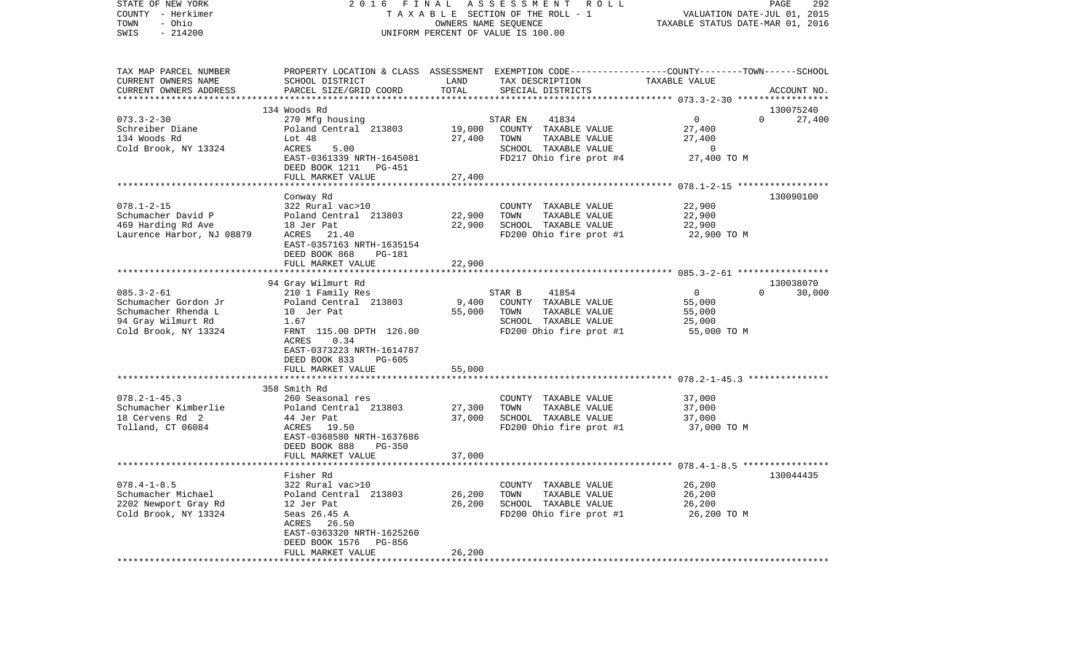| COUNTY<br>- Herkimer      | TAXABLE SECTION OF THE ROLL - 1                      | VALUATION DATE-JUL 01, 2015 |                                                                                                  |                                  |                    |
|---------------------------|------------------------------------------------------|-----------------------------|--------------------------------------------------------------------------------------------------|----------------------------------|--------------------|
| TOWN<br>- Ohio            |                                                      |                             | OWNERS NAME SEQUENCE                                                                             | TAXABLE STATUS DATE-MAR 01, 2016 |                    |
| SWIS<br>$-214200$         |                                                      |                             | UNIFORM PERCENT OF VALUE IS 100.00                                                               |                                  |                    |
|                           |                                                      |                             |                                                                                                  |                                  |                    |
| TAX MAP PARCEL NUMBER     |                                                      |                             | PROPERTY LOCATION & CLASS ASSESSMENT EXEMPTION CODE----------------COUNTY-------TOWN------SCHOOL |                                  |                    |
| CURRENT OWNERS NAME       | SCHOOL DISTRICT                                      | LAND                        | TAX DESCRIPTION                                                                                  | TAXABLE VALUE                    |                    |
| CURRENT OWNERS ADDRESS    | PARCEL SIZE/GRID COORD                               | TOTAL                       | SPECIAL DISTRICTS                                                                                |                                  | ACCOUNT NO.        |
|                           |                                                      |                             |                                                                                                  |                                  |                    |
|                           | 134 Woods Rd                                         |                             |                                                                                                  |                                  | 130075240          |
| $073.3 - 2 - 30$          | 270 Mfg housing                                      |                             | 41834<br>STAR EN                                                                                 | $\overline{0}$                   | 27,400<br>$\Omega$ |
| Schreiber Diane           | Poland Central 213803                                | 19,000                      | COUNTY TAXABLE VALUE                                                                             | 27,400                           |                    |
| 134 Woods Rd              | Lot 48                                               | 27,400                      | TOWN<br>TAXABLE VALUE                                                                            | 27,400                           |                    |
| Cold Brook, NY 13324      | ACRES<br>5.00                                        |                             | SCHOOL TAXABLE VALUE                                                                             | $\overline{0}$                   |                    |
|                           | EAST-0361339 NRTH-1645081                            |                             | FD217 Ohio fire prot #4                                                                          | 27,400 TO M                      |                    |
|                           | DEED BOOK 1211 PG-451                                |                             |                                                                                                  |                                  |                    |
|                           | FULL MARKET VALUE                                    | 27,400                      |                                                                                                  |                                  |                    |
|                           |                                                      |                             |                                                                                                  |                                  |                    |
|                           | Conway Rd                                            |                             |                                                                                                  |                                  | 130090100          |
| $078.1 - 2 - 15$          | 322 Rural vac>10                                     |                             | COUNTY TAXABLE VALUE                                                                             | 22,900                           |                    |
| Schumacher David P        | Poland Central 213803                                | 22,900                      | TOWN<br>TAXABLE VALUE                                                                            | 22,900                           |                    |
| 469 Harding Rd Ave        | 18 Jer Pat                                           | 22,900                      | SCHOOL TAXABLE VALUE                                                                             | 22,900                           |                    |
| Laurence Harbor, NJ 08879 | ACRES 21.40                                          |                             | FD200 Ohio fire prot #1                                                                          | 22,900 TO M                      |                    |
|                           | EAST-0357163 NRTH-1635154<br>DEED BOOK 868<br>PG-181 |                             |                                                                                                  |                                  |                    |
|                           | FULL MARKET VALUE                                    | 22,900                      |                                                                                                  |                                  |                    |
|                           |                                                      |                             |                                                                                                  |                                  |                    |
|                           | 94 Gray Wilmurt Rd                                   |                             |                                                                                                  |                                  | 130038070          |
| $085.3 - 2 - 61$          | 210 1 Family Res                                     |                             | STAR B<br>41854                                                                                  | $\overline{0}$                   | 30,000<br>$\Omega$ |
| Schumacher Gordon Jr      | Poland Central 213803                                | 9,400                       | COUNTY TAXABLE VALUE                                                                             | 55,000                           |                    |
| Schumacher Rhenda L       | 10 Jer Pat                                           | 55,000                      | TOWN<br>TAXABLE VALUE                                                                            | 55,000                           |                    |
| 94 Gray Wilmurt Rd        | 1.67                                                 |                             | SCHOOL TAXABLE VALUE                                                                             | 25,000                           |                    |
| Cold Brook, NY 13324      | FRNT 115.00 DPTH 126.00                              |                             | FD200 Ohio fire prot #1                                                                          | 55,000 TO M                      |                    |
|                           | 0.34<br>ACRES                                        |                             |                                                                                                  |                                  |                    |
|                           | EAST-0373223 NRTH-1614787                            |                             |                                                                                                  |                                  |                    |
|                           | DEED BOOK 833<br>PG-605                              |                             |                                                                                                  |                                  |                    |
|                           | FULL MARKET VALUE                                    | 55,000                      |                                                                                                  |                                  |                    |
|                           | *****************************                        |                             |                                                                                                  |                                  |                    |
|                           | 358 Smith Rd                                         |                             |                                                                                                  |                                  |                    |
| $078.2 - 1 - 45.3$        | 260 Seasonal res                                     |                             | COUNTY TAXABLE VALUE                                                                             | 37,000                           |                    |
| Schumacher Kimberlie      | Poland Central 213803                                | 27,300                      | TOWN<br>TAXABLE VALUE                                                                            | 37,000                           |                    |
| 18 Cervens Rd 2           | 44 Jer Pat                                           | 37,000                      | SCHOOL TAXABLE VALUE                                                                             | 37,000                           |                    |
| Tolland, CT 06084         | ACRES<br>19.50                                       |                             | FD200 Ohio fire prot #1                                                                          | 37,000 TO M                      |                    |
|                           | EAST-0368580 NRTH-1637686                            |                             |                                                                                                  |                                  |                    |
|                           | DEED BOOK 888<br><b>PG-350</b>                       |                             |                                                                                                  |                                  |                    |
|                           | FULL MARKET VALUE                                    | 37,000                      |                                                                                                  |                                  |                    |
|                           |                                                      |                             |                                                                                                  |                                  |                    |
|                           | Fisher Rd                                            |                             |                                                                                                  |                                  | 130044435          |
| $078.4 - 1 - 8.5$         | 322 Rural vac>10                                     |                             | COUNTY TAXABLE VALUE                                                                             | 26,200                           |                    |
| Schumacher Michael        | Poland Central 213803                                | 26,200                      | TOWN<br>TAXABLE VALUE                                                                            | 26,200                           |                    |
| 2202 Newport Gray Rd      | 12 Jer Pat                                           | 26,200                      | SCHOOL TAXABLE VALUE                                                                             | 26,200                           |                    |
| Cold Brook, NY 13324      | Seas 26.45 A                                         |                             | FD200 Ohio fire prot #1                                                                          | 26,200 TO M                      |                    |
|                           | ACRES<br>26.50                                       |                             |                                                                                                  |                                  |                    |
|                           | EAST-0363320 NRTH-1625260                            |                             |                                                                                                  |                                  |                    |
|                           | DEED BOOK 1576<br>PG-856                             |                             |                                                                                                  |                                  |                    |
|                           | FULL MARKET VALUE                                    | 26,200                      |                                                                                                  |                                  |                    |
|                           |                                                      |                             |                                                                                                  |                                  |                    |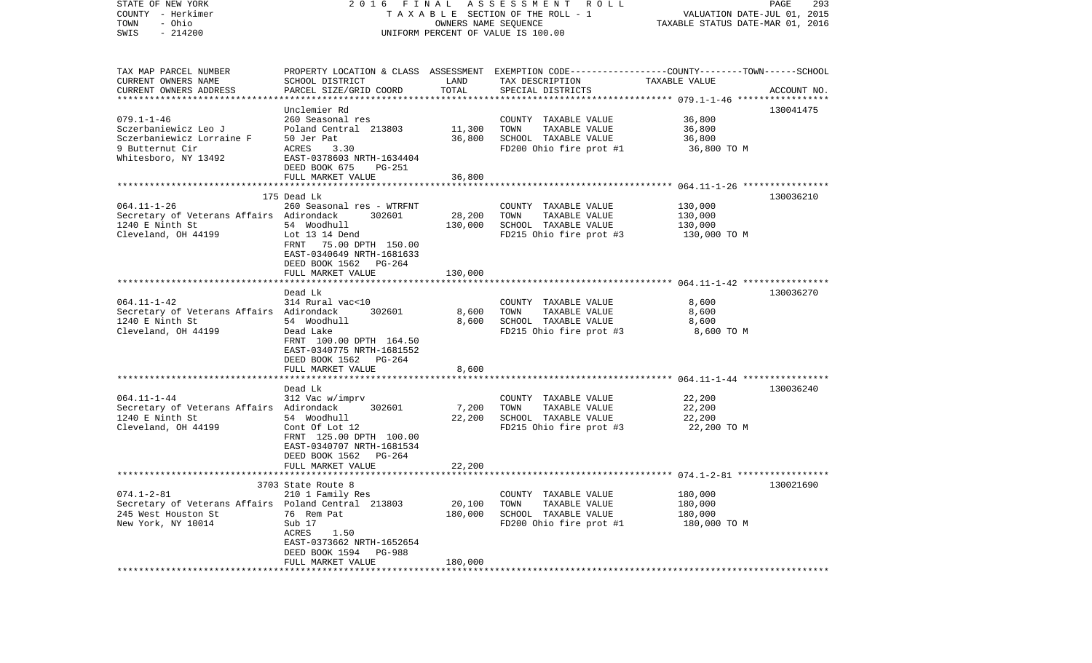| STATE OF NEW YORK<br>COUNTY - Herkimer<br>- Ohio<br>TOWN<br>$-214200$<br>SWIS | 2016 FINAL                             | OWNERS NAME SEQUENCE | A S S E S S M E N T R O L L<br>TAXABLE SECTION OF THE ROLL - 1<br>UNIFORM PERCENT OF VALUE IS 100.00                | VALUATION DATE-JUL 01, 2015<br>TAXABLE STATUS DATE-MAR 01, 2016 | PAGE<br>293 |
|-------------------------------------------------------------------------------|----------------------------------------|----------------------|---------------------------------------------------------------------------------------------------------------------|-----------------------------------------------------------------|-------------|
| TAX MAP PARCEL NUMBER<br>CURRENT OWNERS NAME                                  | SCHOOL DISTRICT                        | LAND                 | PROPERTY LOCATION & CLASS ASSESSMENT EXEMPTION CODE----------------COUNTY-------TOWN------SCHOOL<br>TAX DESCRIPTION | TAXABLE VALUE                                                   |             |
| CURRENT OWNERS ADDRESS<br>************************                            | PARCEL SIZE/GRID COORD                 | TOTAL                | SPECIAL DISTRICTS                                                                                                   |                                                                 | ACCOUNT NO. |
|                                                                               |                                        |                      |                                                                                                                     |                                                                 |             |
| $079.1 - 1 - 46$                                                              | Unclemier Rd<br>260 Seasonal res       |                      | COUNTY TAXABLE VALUE                                                                                                | 36,800                                                          | 130041475   |
| Sczerbaniewicz Leo J                                                          | Poland Central 213803                  | 11,300               | TOWN<br>TAXABLE VALUE                                                                                               | 36,800                                                          |             |
| Sczerbaniewicz Lorraine F                                                     | 50 Jer Pat                             | 36,800               | SCHOOL TAXABLE VALUE                                                                                                | 36,800                                                          |             |
| 9 Butternut Cir                                                               | ACRES<br>3.30                          |                      | FD200 Ohio fire prot #1                                                                                             | 36,800 TO M                                                     |             |
| Whitesboro, NY 13492                                                          | EAST-0378603 NRTH-1634404              |                      |                                                                                                                     |                                                                 |             |
|                                                                               | DEED BOOK 675<br>PG-251                |                      |                                                                                                                     |                                                                 |             |
|                                                                               | FULL MARKET VALUE                      | 36,800               |                                                                                                                     |                                                                 |             |
|                                                                               |                                        |                      |                                                                                                                     |                                                                 |             |
|                                                                               | 175 Dead Lk                            |                      |                                                                                                                     |                                                                 | 130036210   |
| $064.11 - 1 - 26$<br>Secretary of Veterans Affairs Adirondack                 | 260 Seasonal res - WTRFNT<br>302601    | 28,200               | COUNTY TAXABLE VALUE<br>TAXABLE VALUE<br>TOWN                                                                       | 130,000<br>130,000                                              |             |
| 1240 E Ninth St                                                               | 54 Woodhull                            | 130,000              | SCHOOL TAXABLE VALUE                                                                                                | 130,000                                                         |             |
| Cleveland, OH 44199                                                           | Lot 13 14 Dend                         |                      | FD215 Ohio fire prot #3                                                                                             | 130,000 TO M                                                    |             |
|                                                                               | FRNT 75.00 DPTH 150.00                 |                      |                                                                                                                     |                                                                 |             |
|                                                                               | EAST-0340649 NRTH-1681633              |                      |                                                                                                                     |                                                                 |             |
|                                                                               | DEED BOOK 1562 PG-264                  |                      |                                                                                                                     |                                                                 |             |
|                                                                               | FULL MARKET VALUE                      | 130,000              |                                                                                                                     |                                                                 |             |
|                                                                               |                                        |                      |                                                                                                                     |                                                                 |             |
| $064.11 - 1 - 42$                                                             | Dead Lk<br>314 Rural vac<10            |                      | COUNTY TAXABLE VALUE                                                                                                | 8,600                                                           | 130036270   |
| Secretary of Veterans Affairs Adirondack                                      | 302601                                 | 8,600                | TAXABLE VALUE<br>TOWN                                                                                               | 8,600                                                           |             |
| 1240 E Ninth St                                                               | 54 Woodhull                            | 8,600                | SCHOOL TAXABLE VALUE                                                                                                | 8,600                                                           |             |
| Cleveland, OH 44199                                                           | Dead Lake                              |                      | FD215 Ohio fire prot #3                                                                                             | 8,600 TO M                                                      |             |
|                                                                               | FRNT 100.00 DPTH 164.50                |                      |                                                                                                                     |                                                                 |             |
|                                                                               | EAST-0340775 NRTH-1681552              |                      |                                                                                                                     |                                                                 |             |
|                                                                               | DEED BOOK 1562 PG-264                  |                      |                                                                                                                     |                                                                 |             |
|                                                                               | FULL MARKET VALUE                      | 8,600                |                                                                                                                     |                                                                 |             |
|                                                                               | Dead Lk                                |                      |                                                                                                                     |                                                                 | 130036240   |
| $064.11 - 1 - 44$                                                             | 312 Vac w/imprv                        |                      | COUNTY TAXABLE VALUE                                                                                                | 22,200                                                          |             |
| Secretary of Veterans Affairs Adirondack                                      | 302601                                 | 7,200                | TOWN<br>TAXABLE VALUE                                                                                               | 22,200                                                          |             |
| 1240 E Ninth St                                                               | 54 Woodhull                            | 22,200               | SCHOOL TAXABLE VALUE                                                                                                | 22,200                                                          |             |
| Cleveland, OH 44199                                                           | Cont Of Lot 12                         |                      | FD215 Ohio fire prot #3                                                                                             | 22,200 TO M                                                     |             |
|                                                                               | FRNT 125.00 DPTH 100.00                |                      |                                                                                                                     |                                                                 |             |
|                                                                               | EAST-0340707 NRTH-1681534              |                      |                                                                                                                     |                                                                 |             |
|                                                                               | DEED BOOK 1562<br>PG-264               |                      |                                                                                                                     |                                                                 |             |
|                                                                               | FULL MARKET VALUE                      | 22,200               |                                                                                                                     |                                                                 |             |
|                                                                               |                                        |                      |                                                                                                                     |                                                                 | 130021690   |
| $074.1 - 2 - 81$                                                              | 3703 State Route 8<br>210 1 Family Res |                      | COUNTY TAXABLE VALUE                                                                                                | 180,000                                                         |             |
| Secretary of Veterans Affairs Poland Central 213803                           |                                        | 20,100               | TOWN<br>TAXABLE VALUE                                                                                               | 180,000                                                         |             |
| 245 West Houston St                                                           | 76 Rem Pat                             | 180,000              | SCHOOL TAXABLE VALUE                                                                                                | 180,000                                                         |             |
| New York, NY 10014                                                            | Sub 17                                 |                      | FD200 Ohio fire prot #1                                                                                             | 180,000 TO M                                                    |             |
|                                                                               | ACRES<br>1.50                          |                      |                                                                                                                     |                                                                 |             |
|                                                                               | EAST-0373662 NRTH-1652654              |                      |                                                                                                                     |                                                                 |             |
|                                                                               | DEED BOOK 1594<br><b>PG-988</b>        |                      |                                                                                                                     |                                                                 |             |
|                                                                               | FULL MARKET VALUE                      | 180,000              |                                                                                                                     |                                                                 |             |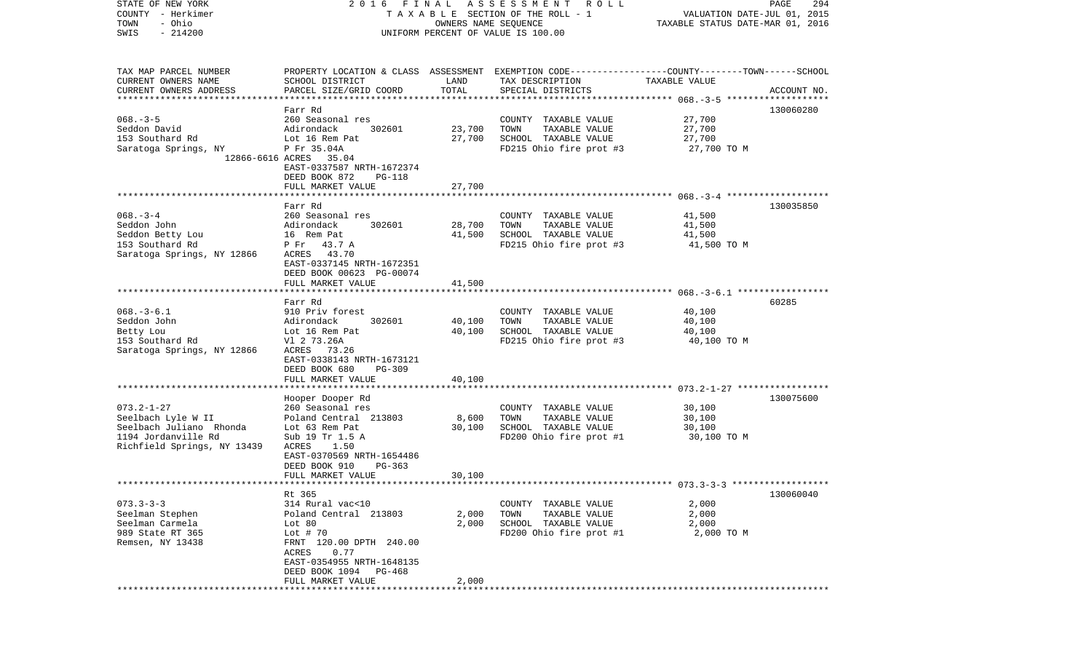| - Herkimer<br>COUNTY                               |                                            |                      | T A X A B L E SECTION OF THE ROLL - 1                                                          | VALUATION DATE-JUL 01, 2015      |             |
|----------------------------------------------------|--------------------------------------------|----------------------|------------------------------------------------------------------------------------------------|----------------------------------|-------------|
| - Ohio<br>TOWN                                     |                                            | OWNERS NAME SEQUENCE |                                                                                                | TAXABLE STATUS DATE-MAR 01, 2016 |             |
| $-214200$<br>SWIS                                  |                                            |                      | UNIFORM PERCENT OF VALUE IS 100.00                                                             |                                  |             |
|                                                    |                                            |                      |                                                                                                |                                  |             |
| TAX MAP PARCEL NUMBER                              |                                            |                      | PROPERTY LOCATION & CLASS ASSESSMENT EXEMPTION CODE---------------COUNTY-------TOWN-----SCHOOL |                                  |             |
| CURRENT OWNERS NAME                                | SCHOOL DISTRICT                            | LAND                 | TAX DESCRIPTION                                                                                | TAXABLE VALUE                    |             |
| CURRENT OWNERS ADDRESS                             | PARCEL SIZE/GRID COORD                     | TOTAL                | SPECIAL DISTRICTS                                                                              |                                  | ACCOUNT NO. |
|                                                    |                                            |                      |                                                                                                |                                  |             |
| $068. - 3 - 5$                                     | Farr Rd<br>260 Seasonal res                |                      | COUNTY TAXABLE VALUE                                                                           | 27,700                           | 130060280   |
| Seddon David                                       | Adirondack<br>302601                       | 23,700               | TOWN<br>TAXABLE VALUE                                                                          | 27,700                           |             |
| 153 Southard Rd                                    | Lot 16 Rem Pat                             | 27,700               | SCHOOL TAXABLE VALUE                                                                           | 27,700                           |             |
| Saratoga Springs, NY                               | P Fr 35.04A                                |                      | FD215 Ohio fire prot #3                                                                        | 27,700 TO M                      |             |
| 12866-6616 ACRES                                   | 35.04                                      |                      |                                                                                                |                                  |             |
|                                                    | EAST-0337587 NRTH-1672374                  |                      |                                                                                                |                                  |             |
|                                                    | DEED BOOK 872<br>PG-118                    |                      |                                                                                                |                                  |             |
|                                                    | FULL MARKET VALUE                          | 27,700               |                                                                                                |                                  |             |
|                                                    |                                            |                      |                                                                                                |                                  |             |
|                                                    | Farr Rd                                    |                      |                                                                                                |                                  | 130035850   |
| $068. - 3 - 4$<br>Seddon John                      | 260 Seasonal res<br>Adirondack<br>302601   | 28,700               | COUNTY TAXABLE VALUE<br>TAXABLE VALUE<br>TOWN                                                  | 41,500<br>41,500                 |             |
| Seddon Betty Lou                                   | 16 Rem Pat                                 | 41,500               | SCHOOL TAXABLE VALUE                                                                           | 41,500                           |             |
| 153 Southard Rd                                    | P Fr<br>43.7 A                             |                      | FD215 Ohio fire prot #3                                                                        | 41,500 TO M                      |             |
| Saratoga Springs, NY 12866                         | 43.70<br>ACRES                             |                      |                                                                                                |                                  |             |
|                                                    | EAST-0337145 NRTH-1672351                  |                      |                                                                                                |                                  |             |
|                                                    | DEED BOOK 00623 PG-00074                   |                      |                                                                                                |                                  |             |
|                                                    | FULL MARKET VALUE                          | 41,500               |                                                                                                |                                  |             |
|                                                    |                                            |                      |                                                                                                |                                  |             |
|                                                    | Farr Rd                                    |                      |                                                                                                |                                  | 60285       |
| $068. -3 - 6.1$                                    | 910 Priv forest                            |                      | COUNTY TAXABLE VALUE                                                                           | 40,100                           |             |
| Seddon John                                        | Adirondack<br>302601                       | 40,100               | TOWN<br>TAXABLE VALUE<br>SCHOOL TAXABLE VALUE                                                  | 40,100                           |             |
| Betty Lou<br>153 Southard Rd                       | Lot 16 Rem Pat<br>Vl 2 73.26A              | 40,100               | FD215 Ohio fire prot #3                                                                        | 40,100<br>40,100 TO M            |             |
| Saratoga Springs, NY 12866                         | 73.26<br>ACRES                             |                      |                                                                                                |                                  |             |
|                                                    | EAST-0338143 NRTH-1673121                  |                      |                                                                                                |                                  |             |
|                                                    | DEED BOOK 680<br>PG-309                    |                      |                                                                                                |                                  |             |
|                                                    | FULL MARKET VALUE                          | 40,100               |                                                                                                |                                  |             |
|                                                    | ************************                   |                      |                                                                                                |                                  |             |
|                                                    | Hooper Dooper Rd                           |                      |                                                                                                |                                  | 130075600   |
| $073.2 - 1 - 27$                                   | 260 Seasonal res                           |                      | COUNTY TAXABLE VALUE                                                                           | 30,100                           |             |
| Seelbach Lyle W II                                 | Poland Central 213803                      | 8,600                | TOWN<br>TAXABLE VALUE                                                                          | 30,100                           |             |
| Seelbach Juliano Rhonda                            | Lot 63 Rem Pat                             | 30,100               | SCHOOL TAXABLE VALUE                                                                           | 30,100                           |             |
| 1194 Jordanville Rd<br>Richfield Springs, NY 13439 | Sub 19 Tr 1.5 A<br>ACRES<br>1.50           |                      | FD200 Ohio fire prot #1                                                                        | 30,100 TO M                      |             |
|                                                    | EAST-0370569 NRTH-1654486                  |                      |                                                                                                |                                  |             |
|                                                    | DEED BOOK 910<br>PG-363                    |                      |                                                                                                |                                  |             |
|                                                    | FULL MARKET VALUE                          | 30,100               |                                                                                                |                                  |             |
|                                                    |                                            |                      |                                                                                                |                                  |             |
|                                                    | Rt 365                                     |                      |                                                                                                |                                  | 130060040   |
| $073.3 - 3 - 3$                                    | 314 Rural vac<10                           |                      | COUNTY TAXABLE VALUE                                                                           | 2,000                            |             |
| Seelman Stephen                                    | Poland Central 213803                      | 2,000                | TOWN<br>TAXABLE VALUE                                                                          | 2,000                            |             |
| Seelman Carmela                                    | Lot 80                                     | 2,000                | SCHOOL TAXABLE VALUE                                                                           | 2,000                            |             |
| 989 State RT 365                                   | Lot $# 70$                                 |                      | FD200 Ohio fire prot #1                                                                        | 2,000 TO M                       |             |
| Remsen, NY 13438                                   | FRNT 120.00 DPTH 240.00                    |                      |                                                                                                |                                  |             |
|                                                    | 0.77<br>ACRES<br>EAST-0354955 NRTH-1648135 |                      |                                                                                                |                                  |             |
|                                                    | DEED BOOK 1094<br>PG-468                   |                      |                                                                                                |                                  |             |
|                                                    | FULL MARKET VALUE                          | 2,000                |                                                                                                |                                  |             |
|                                                    |                                            |                      |                                                                                                |                                  |             |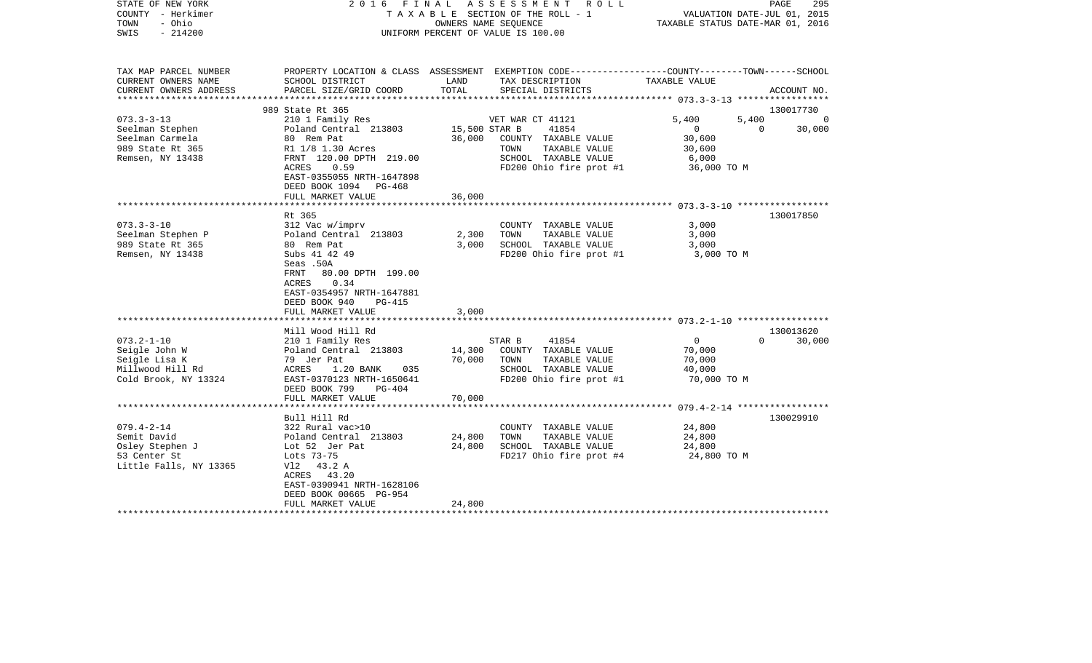| STATE OF NEW YORK<br>COUNTY - Herkimer<br>- Ohio<br>TOWN<br>$-214200$<br>SWIS | 2016 FINAL                                                                                                                                            |               | A S S E S S M E N T R O L L<br>TAXABLE SECTION OF THE ROLL - 1<br>OWNERS NAME SEOUENCE<br>UNIFORM PERCENT OF VALUE IS 100.00 | VALUATION DATE-JUL 01, 2015<br>TAXABLE STATUS DATE-MAR 01, 2016 | PAGE<br>295           |
|-------------------------------------------------------------------------------|-------------------------------------------------------------------------------------------------------------------------------------------------------|---------------|------------------------------------------------------------------------------------------------------------------------------|-----------------------------------------------------------------|-----------------------|
| TAX MAP PARCEL NUMBER<br>CURRENT OWNERS NAME                                  | SCHOOL DISTRICT                                                                                                                                       | LAND          | PROPERTY LOCATION & CLASS ASSESSMENT EXEMPTION CODE---------------COUNTY-------TOWN------SCHOOL<br>TAX DESCRIPTION           | TAXABLE VALUE                                                   |                       |
| CURRENT OWNERS ADDRESS<br>***********************                             | PARCEL SIZE/GRID COORD                                                                                                                                | TOTAL         | SPECIAL DISTRICTS                                                                                                            |                                                                 | ACCOUNT NO.           |
|                                                                               | 989 State Rt 365                                                                                                                                      |               |                                                                                                                              |                                                                 | 130017730             |
| $073.3 - 3 - 13$                                                              | 210 1 Family Res                                                                                                                                      |               | VET WAR CT 41121                                                                                                             | 5,400<br>5,400                                                  | $\Omega$              |
| Seelman Stephen                                                               | Poland Central 213803                                                                                                                                 | 15,500 STAR B | 41854                                                                                                                        | $\mathbf{0}$                                                    | 30,000<br>$\mathbf 0$ |
| Seelman Carmela                                                               | 80 Rem Pat                                                                                                                                            | 36,000        | COUNTY TAXABLE VALUE                                                                                                         | 30,600                                                          |                       |
| 989 State Rt 365                                                              | R1 1/8 1.30 Acres                                                                                                                                     |               | TOWN<br>TAXABLE VALUE                                                                                                        | 30,600                                                          |                       |
| Remsen, NY 13438                                                              | FRNT 120.00 DPTH 219.00                                                                                                                               |               | SCHOOL TAXABLE VALUE                                                                                                         | 6,000                                                           |                       |
|                                                                               | ACRES<br>0.59<br>EAST-0355055 NRTH-1647898<br>DEED BOOK 1094 PG-468<br>FULL MARKET VALUE                                                              | 36,000        | FD200 Ohio fire prot #1                                                                                                      | 36,000 TO M                                                     |                       |
|                                                                               |                                                                                                                                                       |               |                                                                                                                              |                                                                 |                       |
|                                                                               | Rt 365                                                                                                                                                |               |                                                                                                                              |                                                                 | 130017850             |
| $073.3 - 3 - 10$                                                              | 312 Vac w/imprv                                                                                                                                       |               | COUNTY TAXABLE VALUE                                                                                                         | 3,000                                                           |                       |
| Seelman Stephen P                                                             | Poland Central 213803                                                                                                                                 | 2,300         | TOWN<br>TAXABLE VALUE                                                                                                        | 3,000                                                           |                       |
| 989 State Rt 365                                                              | 80 Rem Pat                                                                                                                                            | 3,000         | SCHOOL TAXABLE VALUE                                                                                                         | 3,000                                                           |                       |
| Remsen, NY 13438                                                              | Subs 41 42 49<br>Seas .50A<br>FRNT<br>80.00 DPTH 199.00<br>0.34<br>ACRES<br>EAST-0354957 NRTH-1647881<br>DEED BOOK 940<br>PG-415<br>FULL MARKET VALUE | 3,000         | FD200 Ohio fire prot #1                                                                                                      | 3,000 TO M                                                      |                       |
|                                                                               |                                                                                                                                                       |               |                                                                                                                              |                                                                 |                       |
|                                                                               | Mill Wood Hill Rd                                                                                                                                     |               |                                                                                                                              | $\mathbf{0}$                                                    | 130013620<br>$\Omega$ |
| $073.2 - 1 - 10$<br>Seigle John W                                             | 210 1 Family Res<br>Poland Central 213803                                                                                                             | 14,300        | STAR B<br>41854<br>COUNTY TAXABLE VALUE                                                                                      | 70,000                                                          | 30,000                |
| Seigle Lisa K                                                                 | 79 Jer Pat                                                                                                                                            | 70,000        | TOWN<br>TAXABLE VALUE                                                                                                        | 70,000                                                          |                       |
| Millwood Hill Rd                                                              | ACRES<br>1.20 BANK<br>035                                                                                                                             |               | SCHOOL TAXABLE VALUE                                                                                                         | 40,000                                                          |                       |
| Cold Brook, NY 13324                                                          | EAST-0370123 NRTH-1650641                                                                                                                             |               | FD200 Ohio fire prot #1                                                                                                      | 70,000 TO M                                                     |                       |
|                                                                               | DEED BOOK 799<br>$PG-404$                                                                                                                             |               |                                                                                                                              |                                                                 |                       |
|                                                                               | FULL MARKET VALUE                                                                                                                                     | 70,000        |                                                                                                                              |                                                                 |                       |
|                                                                               | ********************                                                                                                                                  | ************  |                                                                                                                              |                                                                 |                       |
|                                                                               | Bull Hill Rd                                                                                                                                          |               |                                                                                                                              |                                                                 | 130029910             |
| $079.4 - 2 - 14$                                                              | 322 Rural vac>10                                                                                                                                      |               | COUNTY TAXABLE VALUE                                                                                                         | 24,800                                                          |                       |
| Semit David                                                                   | Poland Central 213803                                                                                                                                 | 24,800        | TOWN<br>TAXABLE VALUE                                                                                                        | 24,800                                                          |                       |
| Osley Stephen J                                                               | Lot 52 Jer Pat<br>Lots 73-75                                                                                                                          | 24,800        | SCHOOL TAXABLE VALUE                                                                                                         | 24,800                                                          |                       |
| 53 Center St<br>Little Falls, NY 13365                                        | V12 43.2 A                                                                                                                                            |               | FD217 Ohio fire prot #4                                                                                                      | 24,800 TO M                                                     |                       |
|                                                                               | ACRES 43.20                                                                                                                                           |               |                                                                                                                              |                                                                 |                       |
|                                                                               | EAST-0390941 NRTH-1628106                                                                                                                             |               |                                                                                                                              |                                                                 |                       |
|                                                                               | DEED BOOK 00665 PG-954                                                                                                                                |               |                                                                                                                              |                                                                 |                       |
|                                                                               | FULL MARKET VALUE                                                                                                                                     | 24,800        |                                                                                                                              |                                                                 |                       |
|                                                                               |                                                                                                                                                       |               |                                                                                                                              |                                                                 |                       |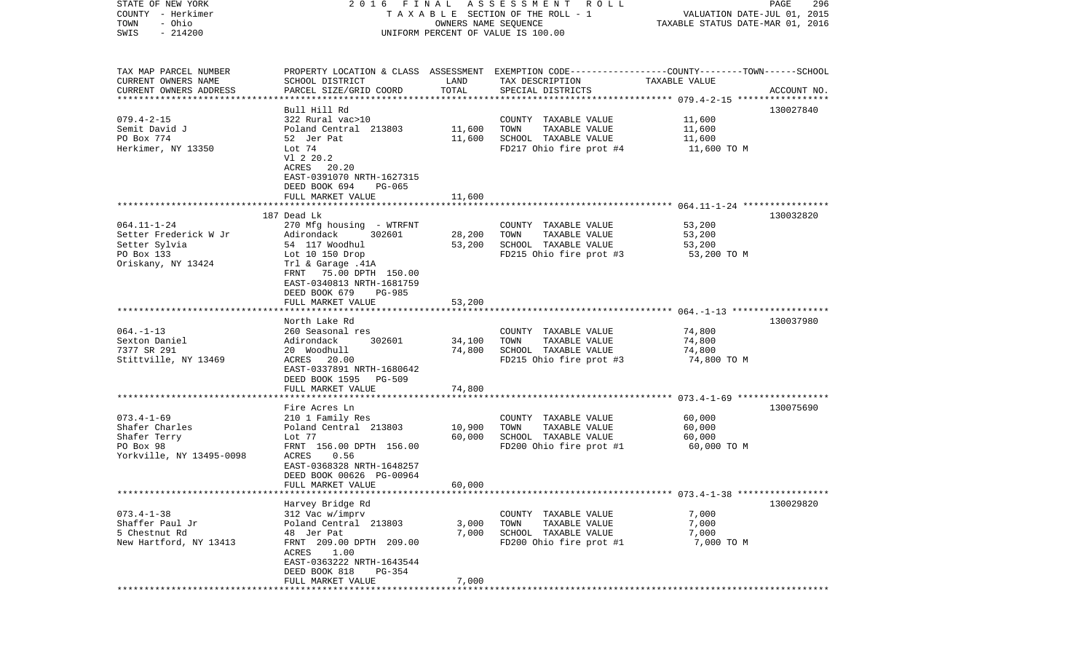| STATE OF NEW YORK<br>COUNTY - Herkimer<br>- Ohio<br>TOWN | 2016 FINAL                                   | OWNERS NAME SEQUENCE | A S S E S S M E N T R O L L<br>TAXABLE SECTION OF THE ROLL - 1                                                      | VALUATION DATE-JUL 01, 2015<br>TAXABLE STATUS DATE-MAR 01, 2016 | PAGE<br>296 |
|----------------------------------------------------------|----------------------------------------------|----------------------|---------------------------------------------------------------------------------------------------------------------|-----------------------------------------------------------------|-------------|
| $-214200$<br>SWIS                                        |                                              |                      | UNIFORM PERCENT OF VALUE IS 100.00                                                                                  |                                                                 |             |
|                                                          |                                              |                      |                                                                                                                     |                                                                 |             |
| TAX MAP PARCEL NUMBER<br>CURRENT OWNERS NAME             | SCHOOL DISTRICT                              | LAND                 | PROPERTY LOCATION & CLASS ASSESSMENT EXEMPTION CODE----------------COUNTY-------TOWN------SCHOOL<br>TAX DESCRIPTION | TAXABLE VALUE                                                   |             |
| CURRENT OWNERS ADDRESS                                   | PARCEL SIZE/GRID COORD                       | TOTAL                | SPECIAL DISTRICTS                                                                                                   |                                                                 | ACCOUNT NO. |
| *************************                                | Bull Hill Rd                                 |                      |                                                                                                                     |                                                                 | 130027840   |
| $079.4 - 2 - 15$                                         | 322 Rural vac>10                             |                      | COUNTY TAXABLE VALUE                                                                                                | 11,600                                                          |             |
| Semit David J                                            | Poland Central 213803                        | 11,600               | TAXABLE VALUE<br>TOWN                                                                                               | 11,600                                                          |             |
| PO Box 774                                               | 52 Jer Pat                                   | 11,600               | SCHOOL TAXABLE VALUE                                                                                                | 11,600                                                          |             |
| Herkimer, NY 13350                                       | Lot 74                                       |                      | FD217 Ohio fire prot #4                                                                                             | 11,600 TO M                                                     |             |
|                                                          | V1 2 20.2                                    |                      |                                                                                                                     |                                                                 |             |
|                                                          | ACRES 20.20                                  |                      |                                                                                                                     |                                                                 |             |
|                                                          | EAST-0391070 NRTH-1627315                    |                      |                                                                                                                     |                                                                 |             |
|                                                          | DEED BOOK 694<br>PG-065<br>FULL MARKET VALUE | 11,600               |                                                                                                                     |                                                                 |             |
|                                                          |                                              |                      |                                                                                                                     |                                                                 |             |
|                                                          | 187 Dead Lk                                  |                      |                                                                                                                     |                                                                 | 130032820   |
| $064.11 - 1 - 24$                                        | 270 Mfg housing - WTRFNT                     |                      | COUNTY TAXABLE VALUE                                                                                                | 53,200                                                          |             |
| Setter Frederick W Jr                                    | Adirondack<br>302601                         | 28,200               | TAXABLE VALUE<br>TOWN                                                                                               | 53,200                                                          |             |
| Setter Sylvia                                            | 54 117 Woodhul                               | 53,200               | SCHOOL TAXABLE VALUE                                                                                                | 53,200                                                          |             |
| PO Box 133                                               | Lot 10 150 Drop                              |                      | FD215 Ohio fire prot #3                                                                                             | 53,200 TO M                                                     |             |
| Oriskany, NY 13424                                       | Trl & Garage .41A<br>FRNT 75.00 DPTH 150.00  |                      |                                                                                                                     |                                                                 |             |
|                                                          | EAST-0340813 NRTH-1681759                    |                      |                                                                                                                     |                                                                 |             |
|                                                          | DEED BOOK 679<br><b>PG-985</b>               |                      |                                                                                                                     |                                                                 |             |
|                                                          | FULL MARKET VALUE                            | 53,200               |                                                                                                                     |                                                                 |             |
|                                                          |                                              |                      |                                                                                                                     |                                                                 |             |
|                                                          | North Lake Rd                                |                      |                                                                                                                     |                                                                 | 130037980   |
| $064. -1 - 13$<br>Sexton Daniel                          | 260 Seasonal res<br>302601<br>Adirondack     | 34,100               | COUNTY TAXABLE VALUE<br>TAXABLE VALUE<br>TOWN                                                                       | 74,800<br>74,800                                                |             |
| 7377 SR 291                                              | 20 Woodhull                                  | 74,800               | SCHOOL TAXABLE VALUE                                                                                                | 74,800                                                          |             |
| Stittville, NY 13469                                     | ACRES 20.00                                  |                      | FD215 Ohio fire prot #3                                                                                             | 74,800 TO M                                                     |             |
|                                                          | EAST-0337891 NRTH-1680642                    |                      |                                                                                                                     |                                                                 |             |
|                                                          | DEED BOOK 1595 PG-509                        |                      |                                                                                                                     |                                                                 |             |
|                                                          | FULL MARKET VALUE                            | 74,800               |                                                                                                                     |                                                                 |             |
|                                                          | *******************                          | *******              |                                                                                                                     | *********************** 073.4-1-69 ******************           |             |
| $073.4 - 1 - 69$                                         | Fire Acres Ln                                |                      |                                                                                                                     |                                                                 | 130075690   |
| Shafer Charles                                           | 210 1 Family Res<br>Poland Central 213803    | 10,900               | COUNTY TAXABLE VALUE<br>TOWN<br>TAXABLE VALUE                                                                       | 60,000<br>60,000                                                |             |
| Shafer Terry                                             | Lot 77                                       | 60,000               | SCHOOL TAXABLE VALUE                                                                                                | 60,000                                                          |             |
| PO Box 98                                                | FRNT 156.00 DPTH 156.00                      |                      | FD200 Ohio fire prot #1                                                                                             | 60,000 TO M                                                     |             |
| Yorkville, NY 13495-0098                                 | ACRES<br>0.56                                |                      |                                                                                                                     |                                                                 |             |
|                                                          | EAST-0368328 NRTH-1648257                    |                      |                                                                                                                     |                                                                 |             |
|                                                          | DEED BOOK 00626 PG-00964                     |                      |                                                                                                                     |                                                                 |             |
|                                                          | FULL MARKET VALUE                            | 60,000               |                                                                                                                     |                                                                 |             |
|                                                          | Harvey Bridge Rd                             |                      |                                                                                                                     |                                                                 | 130029820   |
| $073.4 - 1 - 38$                                         | 312 Vac w/imprv                              |                      | COUNTY TAXABLE VALUE                                                                                                | 7,000                                                           |             |
| Shaffer Paul Jr                                          | Poland Central 213803                        | 3,000                | TOWN<br>TAXABLE VALUE                                                                                               | 7,000                                                           |             |
| 5 Chestnut Rd                                            | 48 Jer Pat                                   | 7,000                | SCHOOL TAXABLE VALUE                                                                                                | 7,000                                                           |             |
| New Hartford, NY 13413                                   | FRNT 209.00 DPTH 209.00                      |                      | FD200 Ohio fire prot #1                                                                                             | 7,000 TO M                                                      |             |
|                                                          | 1.00<br>ACRES                                |                      |                                                                                                                     |                                                                 |             |
|                                                          | EAST-0363222 NRTH-1643544                    |                      |                                                                                                                     |                                                                 |             |
|                                                          | DEED BOOK 818<br>PG-354                      |                      |                                                                                                                     |                                                                 |             |
|                                                          | FULL MARKET VALUE                            | 7,000                |                                                                                                                     |                                                                 |             |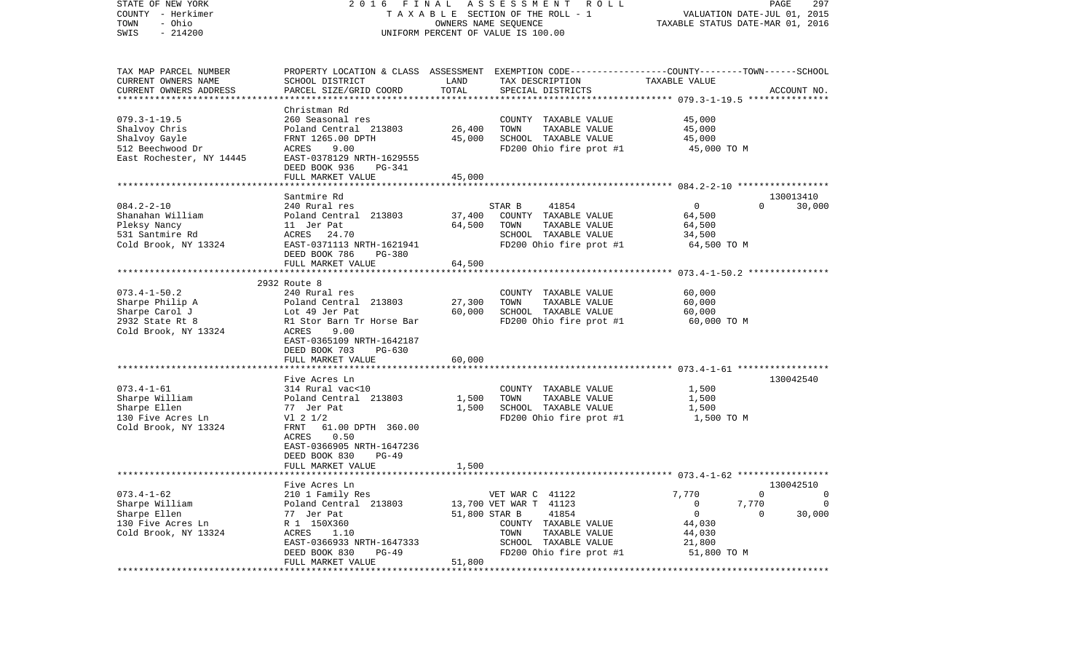| STATE OF NEW YORK<br>COUNTY - Herkimer<br>- Ohio<br>TOWN<br>$-214200$<br>SWIS | FINAL<br>2016                                        | OWNERS NAME SEQUENCE | A S S E S S M E N T R O L L<br>TAXABLE SECTION OF THE ROLL - 1<br>UNIFORM PERCENT OF VALUE IS 100.00                |                  | 297<br>PAGE<br>VALUATION DATE-JUL 01, 2015<br>TAXABLE STATUS DATE-MAR 01, 2016 |
|-------------------------------------------------------------------------------|------------------------------------------------------|----------------------|---------------------------------------------------------------------------------------------------------------------|------------------|--------------------------------------------------------------------------------|
| TAX MAP PARCEL NUMBER<br>CURRENT OWNERS NAME                                  | SCHOOL DISTRICT                                      | LAND                 | PROPERTY LOCATION & CLASS ASSESSMENT EXEMPTION CODE----------------COUNTY-------TOWN------SCHOOL<br>TAX DESCRIPTION | TAXABLE VALUE    |                                                                                |
| CURRENT OWNERS ADDRESS                                                        | PARCEL SIZE/GRID COORD                               | TOTAL                | SPECIAL DISTRICTS                                                                                                   |                  | ACCOUNT NO.                                                                    |
|                                                                               | Christman Rd                                         |                      |                                                                                                                     |                  |                                                                                |
| $079.3 - 1 - 19.5$                                                            | 260 Seasonal res                                     |                      | COUNTY TAXABLE VALUE                                                                                                | 45,000           |                                                                                |
| Shalvoy Chris                                                                 | Poland Central 213803                                | 26,400               | TAXABLE VALUE<br>TOWN                                                                                               | 45,000           |                                                                                |
| Shalvoy Gayle                                                                 | FRNT 1265.00 DPTH                                    | 45,000               | SCHOOL TAXABLE VALUE                                                                                                | 45,000           |                                                                                |
| 512 Beechwood Dr                                                              | ACRES<br>9.00                                        |                      | FD200 Ohio fire prot #1                                                                                             | 45,000 TO M      |                                                                                |
| East Rochester, NY 14445                                                      | EAST-0378129 NRTH-1629555                            |                      |                                                                                                                     |                  |                                                                                |
|                                                                               | DEED BOOK 936<br>PG-341                              |                      |                                                                                                                     |                  |                                                                                |
|                                                                               | FULL MARKET VALUE                                    | 45,000               |                                                                                                                     |                  |                                                                                |
|                                                                               | Santmire Rd                                          |                      |                                                                                                                     |                  | 130013410                                                                      |
| $084.2 - 2 - 10$                                                              | 240 Rural res                                        |                      | 41854<br>STAR B                                                                                                     | $\overline{0}$   | 30,000<br>$\Omega$                                                             |
| Shanahan William                                                              | Poland Central 213803                                | 37,400               | COUNTY TAXABLE VALUE                                                                                                | 64,500           |                                                                                |
| Pleksy Nancy                                                                  | 11 Jer Pat                                           | 64,500               | TOWN<br>TAXABLE VALUE                                                                                               | 64,500           |                                                                                |
| 531 Santmire Rd                                                               | ACRES 24.70                                          |                      | SCHOOL TAXABLE VALUE                                                                                                | 34,500           |                                                                                |
| Cold Brook, NY 13324                                                          | EAST-0371113 NRTH-1621941                            |                      | FD200 Ohio fire prot #1                                                                                             | 64,500 TO M      |                                                                                |
|                                                                               | DEED BOOK 786<br>$PG-380$<br>FULL MARKET VALUE       |                      |                                                                                                                     |                  |                                                                                |
|                                                                               |                                                      | 64,500               |                                                                                                                     |                  |                                                                                |
|                                                                               | 2932 Route 8                                         |                      |                                                                                                                     |                  |                                                                                |
| $073.4 - 1 - 50.2$                                                            | 240 Rural res                                        |                      | COUNTY TAXABLE VALUE                                                                                                | 60,000           |                                                                                |
| Sharpe Philip A                                                               | Poland Central 213803                                | 27,300               | TAXABLE VALUE<br>TOWN                                                                                               | 60,000           |                                                                                |
| Sharpe Carol J                                                                | Lot 49 Jer Pat                                       | 60,000               | SCHOOL TAXABLE VALUE                                                                                                | 60,000           |                                                                                |
| 2932 State Rt 8                                                               | R1 Stor Barn Tr Horse Bar                            |                      | FD200 Ohio fire prot #1                                                                                             | 60,000 TO M      |                                                                                |
| Cold Brook, NY 13324                                                          | 9.00<br>ACRES                                        |                      |                                                                                                                     |                  |                                                                                |
|                                                                               | EAST-0365109 NRTH-1642187<br>DEED BOOK 703<br>PG-630 |                      |                                                                                                                     |                  |                                                                                |
|                                                                               | FULL MARKET VALUE                                    | 60,000               |                                                                                                                     |                  |                                                                                |
|                                                                               |                                                      |                      |                                                                                                                     |                  |                                                                                |
|                                                                               | Five Acres Ln                                        |                      |                                                                                                                     |                  | 130042540                                                                      |
| $073.4 - 1 - 61$                                                              | 314 Rural vac<10                                     |                      | COUNTY TAXABLE VALUE                                                                                                | 1,500            |                                                                                |
| Sharpe William                                                                | Poland Central 213803                                | 1,500                | TAXABLE VALUE<br>TOWN                                                                                               | 1,500            |                                                                                |
| Sharpe Ellen                                                                  | 77 Jer Pat                                           | 1,500                | SCHOOL TAXABLE VALUE                                                                                                | 1,500            |                                                                                |
| 130 Five Acres Ln<br>Cold Brook, NY 13324                                     | $VI$ 2 $1/2$<br>FRNT<br>61.00 DPTH 360.00            |                      | FD200 Ohio fire prot #1                                                                                             | 1,500 TO M       |                                                                                |
|                                                                               | ACRES<br>0.50                                        |                      |                                                                                                                     |                  |                                                                                |
|                                                                               | EAST-0366905 NRTH-1647236                            |                      |                                                                                                                     |                  |                                                                                |
|                                                                               | DEED BOOK 830<br>$PG-49$                             |                      |                                                                                                                     |                  |                                                                                |
|                                                                               | FULL MARKET VALUE                                    | 1,500                |                                                                                                                     |                  |                                                                                |
|                                                                               |                                                      |                      |                                                                                                                     |                  |                                                                                |
|                                                                               | Five Acres Ln                                        |                      |                                                                                                                     |                  | 130042510                                                                      |
| $073.4 - 1 - 62$                                                              | 210 1 Family Res                                     |                      | VET WAR C<br>41122                                                                                                  | 7,770            | 0<br>0<br>7,770<br>0                                                           |
| Sharpe William<br>Sharpe Ellen                                                | Poland Central 213803<br>77 Jer Pat                  | 51,800 STAR B        | 13,700 VET WAR T<br>41123<br>41854                                                                                  | 0<br>$\mathbf 0$ | 30,000<br>0                                                                    |
| 130 Five Acres Ln                                                             | R 1 150X360                                          |                      | TAXABLE VALUE<br>COUNTY                                                                                             | 44,030           |                                                                                |
| Cold Brook, NY 13324                                                          | ACRES<br>1.10                                        |                      | TOWN<br>TAXABLE VALUE                                                                                               | 44,030           |                                                                                |
|                                                                               | EAST-0366933 NRTH-1647333                            |                      | SCHOOL TAXABLE VALUE                                                                                                | 21,800           |                                                                                |
|                                                                               | DEED BOOK 830<br>PG-49                               |                      | FD200 Ohio fire prot #1                                                                                             | 51,800 TO M      |                                                                                |
|                                                                               | FULL MARKET VALUE<br>***************                 | 51,800               |                                                                                                                     |                  |                                                                                |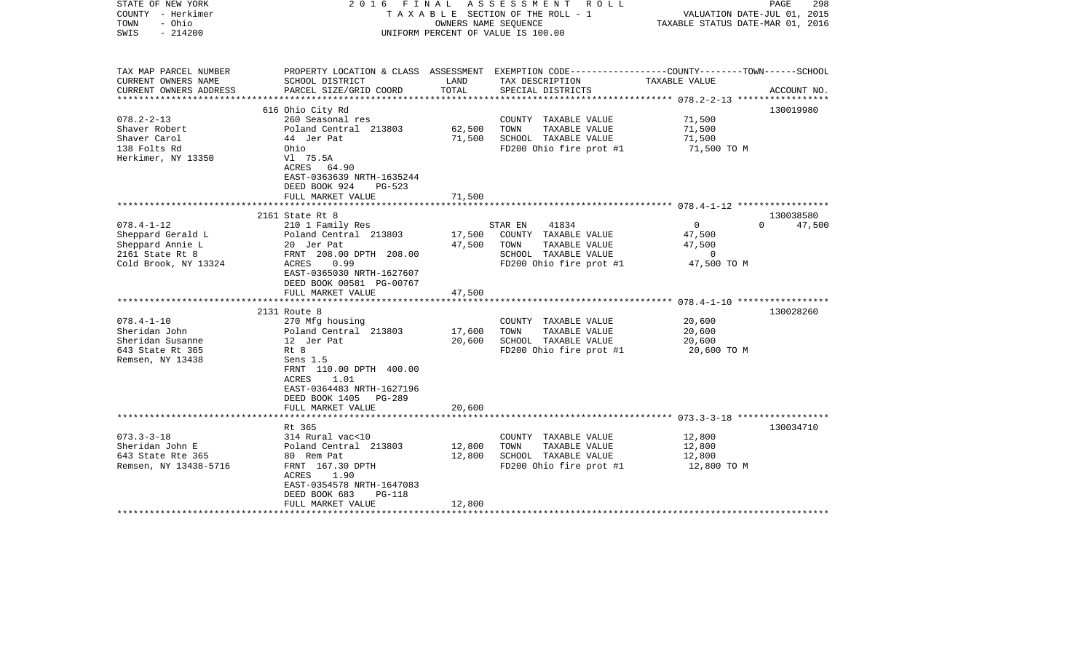| STATE OF NEW YORK<br>COUNTY - Herkimer<br>- Ohio<br>TOWN<br>$-214200$<br>SWIS |                                                                                                                                                |        | 2016 FINAL ASSESSMENT ROLL<br>TAXABLE SECTION OF THE ROLL - 1<br>OWNERS NAME SEOUENCE<br>UNIFORM PERCENT OF VALUE IS 100.00 | VALUATION DATE-JUL 01, 2015<br>TAXABLE STATUS DATE-MAR 01, 2016 | PAGE<br>298 |
|-------------------------------------------------------------------------------|------------------------------------------------------------------------------------------------------------------------------------------------|--------|-----------------------------------------------------------------------------------------------------------------------------|-----------------------------------------------------------------|-------------|
| TAX MAP PARCEL NUMBER                                                         |                                                                                                                                                | LAND   | PROPERTY LOCATION & CLASS ASSESSMENT EXEMPTION CODE---------------COUNTY-------TOWN-----SCHOOL                              | TAXABLE VALUE                                                   |             |
| CURRENT OWNERS NAME<br>CURRENT OWNERS ADDRESS<br>**********************       | SCHOOL DISTRICT<br>PARCEL SIZE/GRID COORD                                                                                                      | TOTAL  | TAX DESCRIPTION<br>SPECIAL DISTRICTS                                                                                        |                                                                 | ACCOUNT NO. |
|                                                                               | 616 Ohio City Rd                                                                                                                               |        |                                                                                                                             |                                                                 | 130019980   |
| $078.2 - 2 - 13$                                                              | 260 Seasonal res                                                                                                                               |        | COUNTY TAXABLE VALUE                                                                                                        | 71,500                                                          |             |
| Shaver Robert                                                                 | Poland Central 213803                                                                                                                          | 62,500 | TOWN<br>TAXABLE VALUE                                                                                                       | 71,500                                                          |             |
| Shaver Carol                                                                  | 44 Jer Pat                                                                                                                                     | 71,500 | SCHOOL TAXABLE VALUE                                                                                                        | 71,500                                                          |             |
| 138 Folts Rd                                                                  | Ohio                                                                                                                                           |        | FD200 Ohio fire prot #1                                                                                                     | 71,500 TO M                                                     |             |
| Herkimer, NY 13350                                                            | Vl 75.5A<br>ACRES 64.90<br>EAST-0363639 NRTH-1635244<br>DEED BOOK 924<br>$PG-523$                                                              |        |                                                                                                                             |                                                                 |             |
|                                                                               | FULL MARKET VALUE                                                                                                                              | 71,500 |                                                                                                                             |                                                                 |             |
|                                                                               |                                                                                                                                                |        |                                                                                                                             |                                                                 |             |
|                                                                               | 2161 State Rt 8                                                                                                                                |        |                                                                                                                             |                                                                 | 130038580   |
| $078.4 - 1 - 12$                                                              | 210 1 Family Res                                                                                                                               |        | 41834<br>STAR EN                                                                                                            | $\overline{0}$<br>$\Omega$                                      | 47,500      |
| Sheppard Gerald L                                                             | Poland Central 213803                                                                                                                          | 17,500 | COUNTY TAXABLE VALUE                                                                                                        | 47,500                                                          |             |
| Sheppard Annie L                                                              | 20 Jer Pat                                                                                                                                     | 47,500 | TOWN<br>TAXABLE VALUE                                                                                                       | 47,500                                                          |             |
| 2161 State Rt 8                                                               | FRNT 208.00 DPTH 208.00                                                                                                                        |        | SCHOOL TAXABLE VALUE                                                                                                        | $\overline{0}$                                                  |             |
| Cold Brook, NY 13324                                                          | ACRES<br>0.99<br>EAST-0365030 NRTH-1627607<br>DEED BOOK 00581 PG-00767                                                                         |        | FD200 Ohio fire prot $#1$ 47,500 TO M                                                                                       |                                                                 |             |
|                                                                               | FULL MARKET VALUE                                                                                                                              | 47,500 |                                                                                                                             |                                                                 |             |
|                                                                               | ************************                                                                                                                       |        |                                                                                                                             |                                                                 |             |
|                                                                               | 2131 Route 8                                                                                                                                   |        |                                                                                                                             |                                                                 | 130028260   |
| $078.4 - 1 - 10$                                                              | 270 Mfg housing                                                                                                                                |        | COUNTY TAXABLE VALUE                                                                                                        | 20,600                                                          |             |
| Sheridan John                                                                 | Poland Central 213803                                                                                                                          | 17,600 | TOWN<br>TAXABLE VALUE                                                                                                       | 20,600                                                          |             |
| Sheridan Susanne                                                              | 12 Jer Pat                                                                                                                                     | 20,600 | SCHOOL TAXABLE VALUE                                                                                                        | 20,600                                                          |             |
| 643 State Rt 365<br>Remsen, NY 13438                                          | Rt 8<br>Sens 1.5<br>FRNT 110.00 DPTH 400.00<br><b>ACRES</b><br>1.01<br>EAST-0364483 NRTH-1627196<br>DEED BOOK 1405 PG-289<br>FULL MARKET VALUE | 20,600 | FD200 Ohio fire prot #1                                                                                                     | 20,600 TO M                                                     |             |
|                                                                               |                                                                                                                                                |        |                                                                                                                             |                                                                 |             |
|                                                                               | Rt 365                                                                                                                                         |        |                                                                                                                             |                                                                 | 130034710   |
| $073.3 - 3 - 18$                                                              | 314 Rural vac<10                                                                                                                               |        | COUNTY TAXABLE VALUE                                                                                                        | 12,800                                                          |             |
| Sheridan John E                                                               | Poland Central 213803                                                                                                                          | 12,800 | TOWN<br>TAXABLE VALUE                                                                                                       | 12,800                                                          |             |
| 643 State Rte 365                                                             | 80 Rem Pat                                                                                                                                     | 12,800 | SCHOOL TAXABLE VALUE                                                                                                        | 12,800                                                          |             |
| Remsen, NY 13438-5716                                                         | FRNT 167.30 DPTH<br>ACRES<br>1.90<br>EAST-0354578 NRTH-1647083<br>DEED BOOK 683<br><b>PG-118</b>                                               |        | FD200 Ohio fire prot #1                                                                                                     | 12,800 TO M                                                     |             |
|                                                                               | FULL MARKET VALUE                                                                                                                              | 12,800 |                                                                                                                             |                                                                 |             |
|                                                                               |                                                                                                                                                |        |                                                                                                                             |                                                                 |             |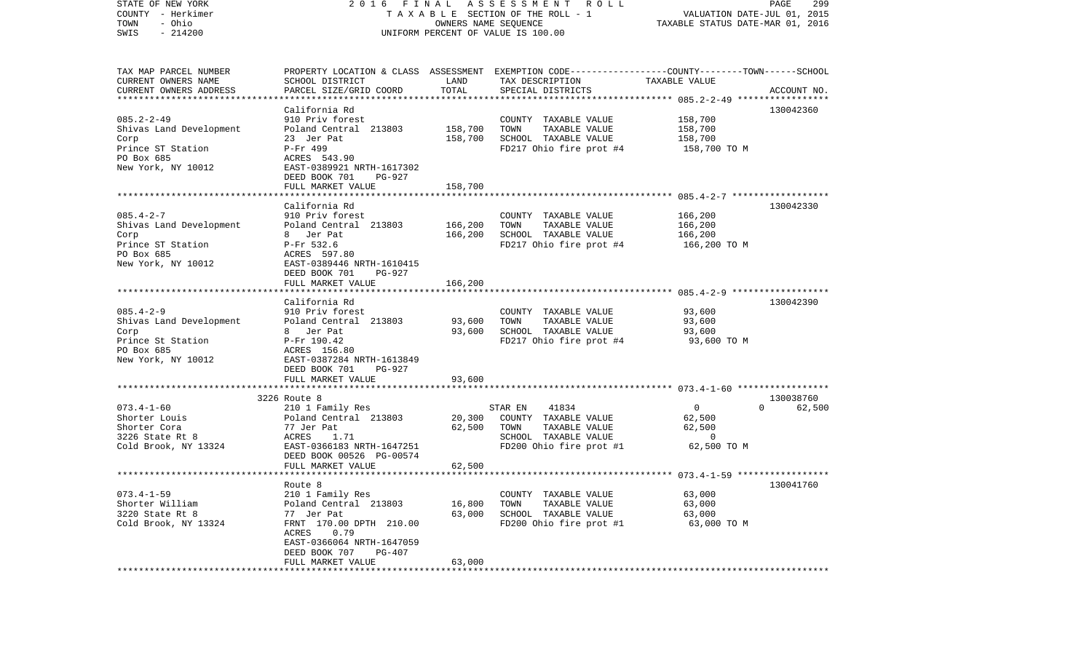| STATE OF NEW YORK<br>COUNTY - Herkimer<br>- Ohio<br>TOWN<br>$-214200$<br>SWIS                                | 2016 FINAL                                                                                                                                                                                  |                            | A S S E S S M E N T R O L L<br>T A X A B L E SECTION OF THE ROLL - 1<br>OWNERS NAME SEQUENCE<br>UNIFORM PERCENT OF VALUE IS 100.00      | VALUATION DATE-JUL 01, 2015<br>TAXABLE STATUS DATE-MAR 01, 2016        | PAGE<br>299                     |
|--------------------------------------------------------------------------------------------------------------|---------------------------------------------------------------------------------------------------------------------------------------------------------------------------------------------|----------------------------|-----------------------------------------------------------------------------------------------------------------------------------------|------------------------------------------------------------------------|---------------------------------|
| TAX MAP PARCEL NUMBER<br>CURRENT OWNERS NAME<br>CURRENT OWNERS ADDRESS                                       | SCHOOL DISTRICT<br>PARCEL SIZE/GRID COORD                                                                                                                                                   | LAND<br>TOTAL              | PROPERTY LOCATION & CLASS ASSESSMENT EXEMPTION CODE---------------COUNTY-------TOWN------SCHOOL<br>TAX DESCRIPTION<br>SPECIAL DISTRICTS | TAXABLE VALUE                                                          | ACCOUNT NO.                     |
| $085.2 - 2 - 49$<br>Shivas Land Development<br>Corp<br>Prince ST Station<br>PO Box 685<br>New York, NY 10012 | California Rd<br>910 Priv forest<br>Poland Central 213803<br>23 Jer Pat<br>P-Fr 499<br>ACRES 543.90<br>EAST-0389921 NRTH-1617302<br>DEED BOOK 701<br>PG-927                                 | 158,700<br>158,700         | COUNTY TAXABLE VALUE<br>TOWN<br>TAXABLE VALUE<br>SCHOOL TAXABLE VALUE<br>FD217 Ohio fire prot #4                                        | 158,700<br>158,700<br>158,700<br>158,700 TO M                          | 130042360                       |
|                                                                                                              | FULL MARKET VALUE                                                                                                                                                                           | 158,700                    |                                                                                                                                         |                                                                        |                                 |
| $085.4 - 2 - 7$<br>Shivas Land Development<br>Corp<br>Prince ST Station<br>PO Box 685<br>New York, NY 10012  | California Rd<br>910 Priv forest<br>Poland Central 213803<br>8 Jer Pat<br>P-Fr 532.6<br>ACRES 597.80<br>EAST-0389446 NRTH-1610415<br>DEED BOOK 701<br>PG-927                                | 166,200<br>166,200         | COUNTY TAXABLE VALUE<br>TOWN<br>TAXABLE VALUE<br>SCHOOL TAXABLE VALUE<br>FD217 Ohio fire prot #4                                        | 166,200<br>166,200<br>166,200<br>166,200 TO M                          | 130042330                       |
|                                                                                                              | FULL MARKET VALUE                                                                                                                                                                           | 166,200                    |                                                                                                                                         |                                                                        |                                 |
| $085.4 - 2 - 9$<br>Shivas Land Development<br>Corp<br>Prince St Station<br>PO Box 685<br>New York, NY 10012  | California Rd<br>910 Priv forest<br>Poland Central 213803<br>8 Jer Pat<br>P-Fr 190.42<br>ACRES 156.80<br>EAST-0387284 NRTH-1613849<br>DEED BOOK 701<br>PG-927                               | 93,600<br>93,600           | COUNTY TAXABLE VALUE<br>TOWN<br>TAXABLE VALUE<br>SCHOOL TAXABLE VALUE<br>FD217 Ohio fire prot #4                                        | 93,600<br>93,600<br>93,600<br>93,600 TO M                              | 130042390                       |
|                                                                                                              | FULL MARKET VALUE                                                                                                                                                                           | 93,600                     |                                                                                                                                         |                                                                        |                                 |
| $073.4 - 1 - 60$<br>Shorter Louis<br>Shorter Cora<br>3226 State Rt 8<br>Cold Brook, NY 13324                 | 3226 Route 8<br>210 1 Family Res<br>Poland Central 213803<br>77 Jer Pat<br>1.71<br>ACRES<br>EAST-0366183 NRTH-1647251<br>DEED BOOK 00526 PG-00574<br>FULL MARKET VALUE                      | 20,300<br>62,500<br>62,500 | STAR EN<br>41834<br>COUNTY TAXABLE VALUE<br>TOWN<br>TAXABLE VALUE<br>SCHOOL TAXABLE VALUE<br>FD200 Ohio fire prot #1                    | $\overline{\mathbf{0}}$<br>62,500<br>62,500<br>$\Omega$<br>62,500 TO M | 130038760<br>$\Omega$<br>62,500 |
|                                                                                                              |                                                                                                                                                                                             |                            |                                                                                                                                         |                                                                        |                                 |
| $073.4 - 1 - 59$<br>Shorter William<br>3220 State Rt 8<br>Cold Brook, NY 13324                               | Route 8<br>210 1 Family Res<br>Poland Central 213803<br>77 Jer Pat<br>FRNT 170.00 DPTH 210.00<br>ACRES<br>0.79<br>EAST-0366064 NRTH-1647059<br>DEED BOOK 707<br>PG-407<br>FULL MARKET VALUE | 16,800<br>63,000<br>63,000 | COUNTY TAXABLE VALUE<br>TOWN<br>TAXABLE VALUE<br>SCHOOL TAXABLE VALUE<br>FD200 Ohio fire prot #1                                        | 63,000<br>63,000<br>63,000<br>63,000 TO M                              | 130041760                       |
|                                                                                                              |                                                                                                                                                                                             |                            |                                                                                                                                         |                                                                        |                                 |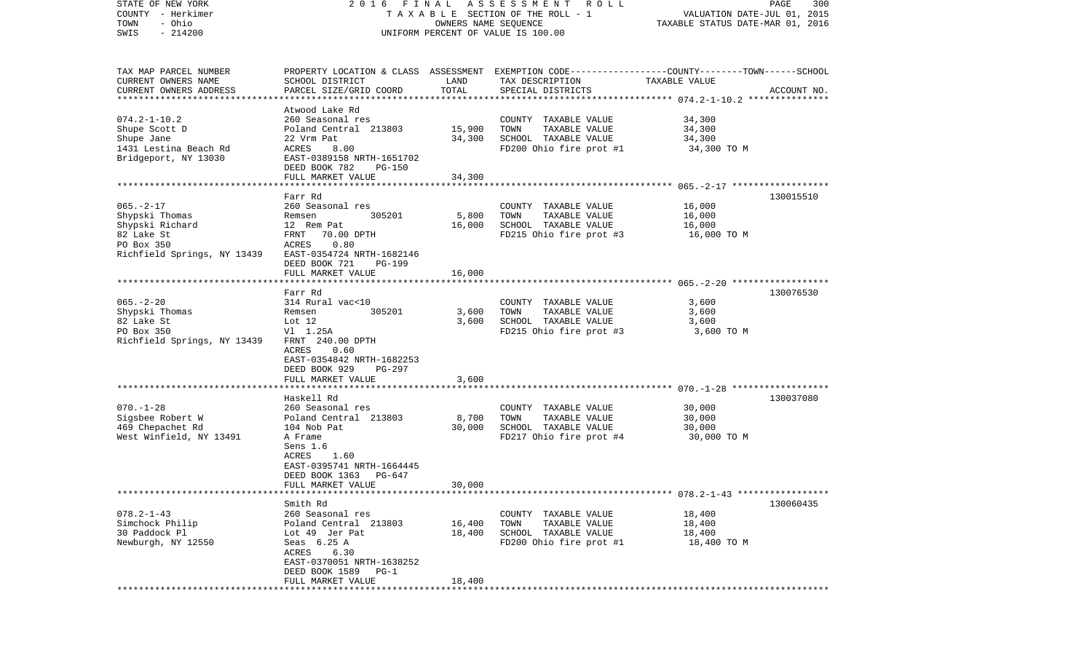| STATE OF NEW YORK<br>COUNTY - Herkimer              | 2016 FINAL                |                      | A S S E S S M E N T R O L L<br>T A X A B L E SECTION OF THE ROLL - 1                             | VALUATION DATE-JUL 01, 2015      | PAGE<br>300 |
|-----------------------------------------------------|---------------------------|----------------------|--------------------------------------------------------------------------------------------------|----------------------------------|-------------|
| - Ohio<br>TOWN                                      |                           | OWNERS NAME SEQUENCE |                                                                                                  | TAXABLE STATUS DATE-MAR 01, 2016 |             |
| $-214200$<br>SWIS                                   |                           |                      | UNIFORM PERCENT OF VALUE IS 100.00                                                               |                                  |             |
|                                                     |                           |                      |                                                                                                  |                                  |             |
| TAX MAP PARCEL NUMBER                               |                           |                      | PROPERTY LOCATION & CLASS ASSESSMENT EXEMPTION CODE----------------COUNTY-------TOWN------SCHOOL |                                  |             |
| CURRENT OWNERS NAME                                 | SCHOOL DISTRICT           | LAND                 | TAX DESCRIPTION                                                                                  | TAXABLE VALUE                    |             |
| CURRENT OWNERS ADDRESS<br>************************* | PARCEL SIZE/GRID COORD    | TOTAL                | SPECIAL DISTRICTS                                                                                |                                  | ACCOUNT NO. |
|                                                     | Atwood Lake Rd            |                      |                                                                                                  |                                  |             |
| $074.2 - 1 - 10.2$                                  | 260 Seasonal res          |                      | COUNTY TAXABLE VALUE                                                                             | 34,300                           |             |
| Shupe Scott D                                       | Poland Central 213803     | 15,900               | TOWN<br>TAXABLE VALUE                                                                            | 34,300                           |             |
| Shupe Jane                                          | 22 Vrm Pat                | 34,300               | SCHOOL TAXABLE VALUE                                                                             | 34,300                           |             |
| 1431 Lestina Beach Rd                               | ACRES<br>8.00             |                      | FD200 Ohio fire prot #1                                                                          | 34,300 TO M                      |             |
| Bridgeport, NY 13030                                | EAST-0389158 NRTH-1651702 |                      |                                                                                                  |                                  |             |
|                                                     | DEED BOOK 782<br>PG-150   |                      |                                                                                                  |                                  |             |
|                                                     | FULL MARKET VALUE         | 34,300               |                                                                                                  |                                  |             |
|                                                     | Farr Rd                   |                      |                                                                                                  |                                  | 130015510   |
| $065. - 2 - 17$                                     | 260 Seasonal res          |                      | COUNTY TAXABLE VALUE                                                                             | 16,000                           |             |
| Shypski Thomas                                      | Remsen<br>305201          | 5,800                | TAXABLE VALUE<br>TOWN                                                                            | 16,000                           |             |
| Shypski Richard                                     | 12 Rem Pat                | 16,000               | SCHOOL TAXABLE VALUE                                                                             | 16,000                           |             |
| 82 Lake St                                          | FRNT<br>70.00 DPTH        |                      | FD215 Ohio fire prot #3                                                                          | 16,000 TO M                      |             |
| PO Box 350                                          | 0.80<br>ACRES             |                      |                                                                                                  |                                  |             |
| Richfield Springs, NY 13439                         | EAST-0354724 NRTH-1682146 |                      |                                                                                                  |                                  |             |
|                                                     | DEED BOOK 721<br>PG-199   |                      |                                                                                                  |                                  |             |
|                                                     | FULL MARKET VALUE         | 16,000               |                                                                                                  |                                  |             |
|                                                     | Farr Rd                   |                      |                                                                                                  |                                  | 130076530   |
| $065. - 2 - 20$                                     | 314 Rural vac<10          |                      | COUNTY TAXABLE VALUE                                                                             | 3,600                            |             |
| Shypski Thomas                                      | 305201<br>Remsen          | 3,600                | TOWN<br>TAXABLE VALUE                                                                            | 3,600                            |             |
| 82 Lake St                                          | Lot 12                    | 3,600                | SCHOOL TAXABLE VALUE                                                                             | 3,600                            |             |
| PO Box 350                                          | V1 1.25A                  |                      | FD215 Ohio fire prot #3                                                                          | 3,600 TO M                       |             |
| Richfield Springs, NY 13439                         | FRNT 240.00 DPTH          |                      |                                                                                                  |                                  |             |
|                                                     | ACRES<br>0.60             |                      |                                                                                                  |                                  |             |
|                                                     | EAST-0354842 NRTH-1682253 |                      |                                                                                                  |                                  |             |
|                                                     | DEED BOOK 929<br>PG-297   |                      |                                                                                                  |                                  |             |
|                                                     | FULL MARKET VALUE         | 3,600                |                                                                                                  |                                  |             |
|                                                     | Haskell Rd                |                      |                                                                                                  |                                  | 130037080   |
| $070. - 1 - 28$                                     | 260 Seasonal res          |                      | COUNTY TAXABLE VALUE                                                                             | 30,000                           |             |
| Sigsbee Robert W                                    | Poland Central 213803     | 8,700                | TOWN<br>TAXABLE VALUE                                                                            | 30,000                           |             |
| 469 Chepachet Rd                                    | 104 Nob Pat               | 30,000               | SCHOOL TAXABLE VALUE                                                                             | 30,000                           |             |
| West Winfield, NY 13491                             | A Frame                   |                      | FD217 Ohio fire prot #4                                                                          | 30,000 TO M                      |             |
|                                                     | Sens 1.6                  |                      |                                                                                                  |                                  |             |
|                                                     | 1.60<br>ACRES             |                      |                                                                                                  |                                  |             |
|                                                     | EAST-0395741 NRTH-1664445 |                      |                                                                                                  |                                  |             |
|                                                     | DEED BOOK 1363<br>PG-647  |                      |                                                                                                  |                                  |             |
|                                                     | FULL MARKET VALUE         | 30,000               |                                                                                                  |                                  |             |
|                                                     | Smith Rd                  |                      |                                                                                                  |                                  | 130060435   |
| $078.2 - 1 - 43$                                    | 260 Seasonal res          |                      | COUNTY TAXABLE VALUE                                                                             | 18,400                           |             |
| Simchock Philip                                     | Poland Central 213803     | 16,400               | TOWN<br>TAXABLE VALUE                                                                            | 18,400                           |             |
| 30 Paddock Pl                                       | Lot 49 Jer Pat            | 18,400               | SCHOOL TAXABLE VALUE                                                                             | 18,400                           |             |
| Newburgh, NY 12550                                  | Seas 6.25 A               |                      | FD200 Ohio fire prot #1                                                                          | 18,400 TO M                      |             |
|                                                     | 6.30<br>ACRES             |                      |                                                                                                  |                                  |             |
|                                                     | EAST-0370051 NRTH-1638252 |                      |                                                                                                  |                                  |             |
|                                                     | DEED BOOK 1589 PG-1       |                      |                                                                                                  |                                  |             |
|                                                     | FULL MARKET VALUE         | 18,400               |                                                                                                  |                                  |             |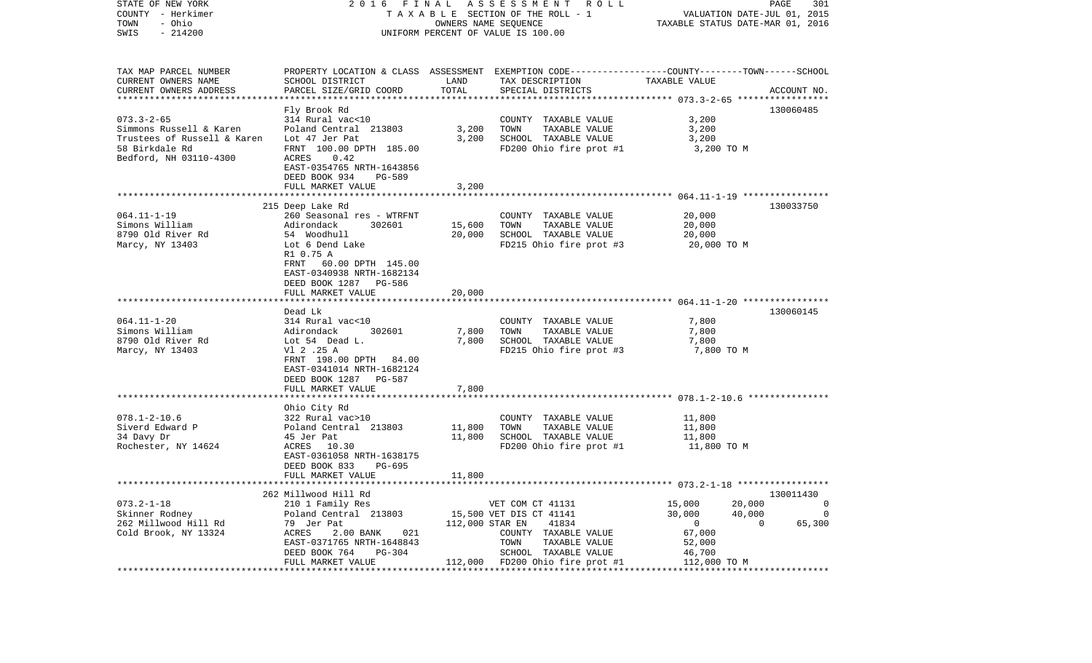| COUNTY - Herkimer<br>TOWN<br>- Ohio<br>SWIS<br>$-214200$ |                                                                                                                   |                 | T A X A B L E SECTION OF THE ROLL - 1<br>OWNERS NAME SEQUENCE<br>UNIFORM PERCENT OF VALUE IS 100.00 | VALUATION DATE-JUL 01, 2015<br>TAXABLE STATUS DATE-MAR 01, 2016 |                          |  |
|----------------------------------------------------------|-------------------------------------------------------------------------------------------------------------------|-----------------|-----------------------------------------------------------------------------------------------------|-----------------------------------------------------------------|--------------------------|--|
| TAX MAP PARCEL NUMBER                                    |                                                                                                                   |                 | PROPERTY LOCATION & CLASS ASSESSMENT EXEMPTION CODE---------------COUNTY-------TOWN------SCHOOL     |                                                                 |                          |  |
| CURRENT OWNERS NAME                                      | SCHOOL DISTRICT                                                                                                   | LAND            | TAX DESCRIPTION                                                                                     | TAXABLE VALUE                                                   |                          |  |
| CURRENT OWNERS ADDRESS                                   | PARCEL SIZE/GRID COORD                                                                                            | TOTAL           | SPECIAL DISTRICTS                                                                                   |                                                                 | ACCOUNT NO.              |  |
|                                                          |                                                                                                                   |                 |                                                                                                     |                                                                 |                          |  |
|                                                          | Fly Brook Rd                                                                                                      |                 |                                                                                                     |                                                                 | 130060485                |  |
| $073.3 - 2 - 65$                                         | 314 Rural vac<10                                                                                                  |                 | COUNTY TAXABLE VALUE                                                                                | 3,200                                                           |                          |  |
| Simmons Russell & Karen                                  | Poland Central 213803                                                                                             | 3,200           | TOWN<br>TAXABLE VALUE                                                                               | 3,200                                                           |                          |  |
| Trustees of Russell & Karen                              | Lot 47 Jer Pat                                                                                                    | 3,200           | SCHOOL TAXABLE VALUE                                                                                | 3,200                                                           |                          |  |
| 58 Birkdale Rd                                           | FRNT 100.00 DPTH 185.00                                                                                           |                 | FD200 Ohio fire prot #1                                                                             | 3,200 TO M                                                      |                          |  |
| Bedford, NH 03110-4300                                   | ACRES<br>0.42<br>EAST-0354765 NRTH-1643856<br>DEED BOOK 934<br>PG-589                                             |                 |                                                                                                     |                                                                 |                          |  |
|                                                          | FULL MARKET VALUE                                                                                                 | 3,200           |                                                                                                     |                                                                 |                          |  |
|                                                          |                                                                                                                   |                 |                                                                                                     |                                                                 |                          |  |
|                                                          | 215 Deep Lake Rd                                                                                                  |                 |                                                                                                     |                                                                 | 130033750                |  |
| $064.11 - 1 - 19$                                        | 260 Seasonal res - WTRFNT                                                                                         |                 | COUNTY TAXABLE VALUE                                                                                | 20,000                                                          |                          |  |
| Simons William                                           | 302601<br>Adirondack                                                                                              | 15,600          | TOWN<br>TAXABLE VALUE                                                                               | 20,000                                                          |                          |  |
| 8790 Old River Rd                                        | 54 Woodhull                                                                                                       | 20,000          | SCHOOL TAXABLE VALUE                                                                                | 20,000                                                          |                          |  |
| Marcy, NY 13403                                          | Lot 6 Dend Lake                                                                                                   |                 | FD215 Ohio fire prot #3                                                                             | 20,000 TO M                                                     |                          |  |
|                                                          | R1 0.75 A<br>60.00 DPTH 145.00<br>FRNT<br>EAST-0340938 NRTH-1682134<br>DEED BOOK 1287 PG-586<br>FULL MARKET VALUE | 20,000          |                                                                                                     |                                                                 |                          |  |
|                                                          |                                                                                                                   |                 |                                                                                                     |                                                                 |                          |  |
|                                                          | Dead Lk                                                                                                           |                 |                                                                                                     | 7,800                                                           | 130060145                |  |
| $064.11 - 1 - 20$                                        | 314 Rural vac<10                                                                                                  |                 | COUNTY TAXABLE VALUE                                                                                |                                                                 |                          |  |
| Simons William<br>8790 Old River Rd                      | Adirondack<br>302601<br>Lot 54 Dead L.                                                                            | 7,800<br>7,800  | TOWN<br>TAXABLE VALUE<br>SCHOOL TAXABLE VALUE                                                       | 7,800<br>7,800                                                  |                          |  |
| Marcy, NY 13403                                          | V1 2 .25 A                                                                                                        |                 | FD215 Ohio fire prot #3                                                                             | 7,800 TO M                                                      |                          |  |
|                                                          | FRNT 198.00 DPTH 84.00<br>EAST-0341014 NRTH-1682124<br>DEED BOOK 1287<br><b>PG-587</b><br>FULL MARKET VALUE       | 7,800           |                                                                                                     |                                                                 |                          |  |
|                                                          |                                                                                                                   |                 |                                                                                                     |                                                                 |                          |  |
|                                                          | Ohio City Rd                                                                                                      |                 |                                                                                                     |                                                                 |                          |  |
| $078.1 - 2 - 10.6$                                       | 322 Rural vac>10                                                                                                  |                 | COUNTY TAXABLE VALUE                                                                                | 11,800                                                          |                          |  |
| Siverd Edward P                                          | Poland Central 213803                                                                                             | 11,800          | TOWN<br>TAXABLE VALUE                                                                               | 11,800                                                          |                          |  |
| 34 Davy Dr                                               | 45 Jer Pat                                                                                                        | 11,800          | SCHOOL TAXABLE VALUE                                                                                | 11,800                                                          |                          |  |
| Rochester, NY 14624                                      | ACRES<br>10.30<br>EAST-0361058 NRTH-1638175<br>DEED BOOK 833<br>PG-695                                            |                 | FD200 Ohio fire prot #1                                                                             | 11,800 TO M                                                     |                          |  |
|                                                          | FULL MARKET VALUE                                                                                                 | 11,800          |                                                                                                     |                                                                 |                          |  |
|                                                          |                                                                                                                   |                 |                                                                                                     |                                                                 |                          |  |
|                                                          | 262 Millwood Hill Rd                                                                                              |                 |                                                                                                     |                                                                 | 130011430                |  |
| $073.2 - 1 - 18$                                         | 210 1 Family Res                                                                                                  |                 | VET COM CT 41131                                                                                    | 15,000                                                          | 20,000<br>0              |  |
| Skinner Rodney                                           | Poland Central 213803                                                                                             |                 | 15,500 VET DIS CT 41141                                                                             | 30,000                                                          | 40,000<br>$\Omega$       |  |
| 262 Millwood Hill Rd                                     | 79 Jer Pat                                                                                                        | 112,000 STAR EN | 41834                                                                                               | $\overline{0}$                                                  | $\overline{0}$<br>65,300 |  |
| Cold Brook, NY 13324                                     | ACRES<br>2.00 BANK<br>021                                                                                         |                 | COUNTY TAXABLE VALUE                                                                                | 67,000                                                          |                          |  |
|                                                          | EAST-0371765 NRTH-1648843                                                                                         |                 | TOWN<br>TAXABLE VALUE                                                                               | 52,000                                                          |                          |  |
|                                                          | PG-304<br>DEED BOOK 764                                                                                           |                 | SCHOOL TAXABLE VALUE                                                                                | 46,700                                                          |                          |  |
|                                                          | FULL MARKET VALUE                                                                                                 |                 | 112,000 FD200 Ohio fire prot #1                                                                     | 112,000 TO M                                                    |                          |  |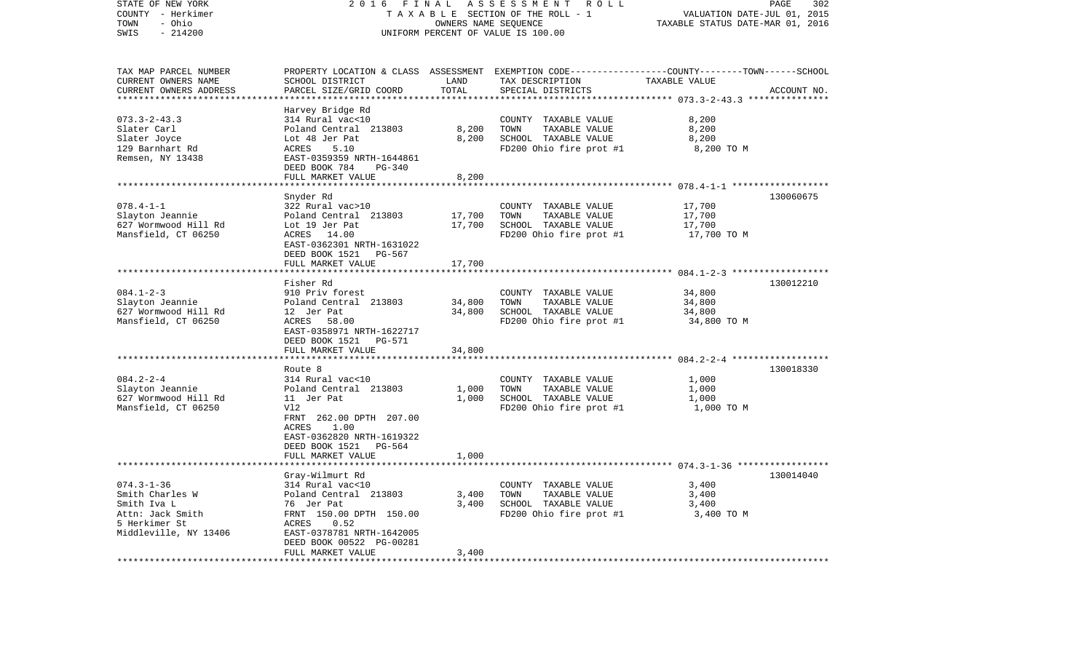| TAXABLE SECTION OF THE ROLL - 1<br>VALUATION DATE-JUL 01, 2015<br>- Ohio<br>TAXABLE STATUS DATE-MAR 01, 2016<br>TOWN<br>OWNERS NAME SEOUENCE<br>SWIS<br>$-214200$<br>UNIFORM PERCENT OF VALUE IS 100.00<br>PROPERTY LOCATION & CLASS ASSESSMENT EXEMPTION CODE---------------COUNTY-------TOWN------SCHOOL<br>TAX MAP PARCEL NUMBER<br>CURRENT OWNERS NAME<br>SCHOOL DISTRICT<br>LAND<br>TAX DESCRIPTION<br>TAXABLE VALUE<br>TOTAL<br>PARCEL SIZE/GRID COORD<br>CURRENT OWNERS ADDRESS<br>SPECIAL DISTRICTS<br>ACCOUNT NO.<br>************************* 073.3-2-43.3 ****************<br>Harvey Bridge Rd<br>$073.3 - 2 - 43.3$<br>314 Rural vac<10<br>COUNTY TAXABLE VALUE<br>8,200<br>8,200<br>8,200<br>Slater Carl<br>Poland Central 213803<br>TOWN<br>TAXABLE VALUE<br>Slater Joyce<br>Lot 48 Jer Pat<br>8,200<br>SCHOOL TAXABLE VALUE<br>8,200<br>129 Barnhart Rd<br>ACRES<br>5.10<br>FD200 Ohio fire prot #1<br>8,200 TO M<br>Remsen, NY 13438<br>EAST-0359359 NRTH-1644861<br>DEED BOOK 784<br>PG-340<br>FULL MARKET VALUE<br>8,200<br>Snyder Rd<br>130060675<br>$078.4 - 1 - 1$<br>322 Rural vac>10<br>17,700<br>COUNTY TAXABLE VALUE<br>17,700<br>Slayton Jeannie<br>Poland Central 213803<br>17,700<br>TOWN<br>TAXABLE VALUE<br>627 Wormwood Hill Rd<br>Lot 19 Jer Pat<br>17,700<br>SCHOOL TAXABLE VALUE<br>17,700<br>FD200 Ohio fire prot #1<br>17,700 TO M<br>Mansfield, CT 06250<br>ACRES 14.00<br>EAST-0362301 NRTH-1631022<br>DEED BOOK 1521 PG-567<br>FULL MARKET VALUE<br>17,700<br>Fisher Rd<br>130012210<br>$084.1 - 2 - 3$<br>910 Priv forest<br>COUNTY TAXABLE VALUE<br>34,800<br>Slayton Jeannie<br>Poland Central 213803<br>34,800<br>TOWN<br>TAXABLE VALUE<br>34,800<br>627 Wormwood Hill Rd<br>34,800<br>34,800<br>12 Jer Pat<br>SCHOOL TAXABLE VALUE<br>Mansfield, CT 06250<br>ACRES 58.00<br>FD200 Ohio fire prot #1<br>34,800 TO M<br>EAST-0358971 NRTH-1622717<br>DEED BOOK 1521 PG-571<br>34,800<br>FULL MARKET VALUE<br>****************************<br>130018330<br>Route 8<br>$084.2 - 2 - 4$<br>314 Rural vac<10<br>1,000<br>COUNTY TAXABLE VALUE<br>TOWN<br>Slayton Jeannie<br>Poland Central 213803<br>1,000<br>TAXABLE VALUE<br>1,000<br>627 Wormwood Hill Rd<br>11 Jer Pat<br>1,000<br>SCHOOL TAXABLE VALUE<br>1,000<br>Mansfield, CT 06250<br>Vl2<br>FD200 Ohio fire prot #1<br>1,000 TO M<br>FRNT 262.00 DPTH 207.00<br>ACRES<br>1.00<br>EAST-0362820 NRTH-1619322<br>DEED BOOK 1521<br>PG-564<br>FULL MARKET VALUE<br>1,000<br>*******************<br>Gray-Wilmurt Rd<br>130014040<br>$074.3 - 1 - 36$<br>314 Rural vac<10<br>COUNTY TAXABLE VALUE<br>3,400<br>3,400<br>TOWN<br>3,400<br>Smith Charles W<br>Poland Central 213803<br>TAXABLE VALUE<br>Smith Iva L<br>76 Jer Pat<br>3,400<br>SCHOOL TAXABLE VALUE<br>3,400<br>FRNT 150.00 DPTH 150.00<br>FD200 Ohio fire prot #1<br>Attn: Jack Smith<br>3,400 TO M<br>5 Herkimer St<br>ACRES<br>0.52<br>Middleville, NY 13406<br>EAST-0378781 NRTH-1642005<br>DEED BOOK 00522 PG-00281<br>FULL MARKET VALUE<br>3,400<br>. | STATE OF NEW YORK<br>COUNTY - Herkimer | 2 0 1 6 | FINAL | ASSESSMENT<br>R O L L | PAGE<br>302 |
|-------------------------------------------------------------------------------------------------------------------------------------------------------------------------------------------------------------------------------------------------------------------------------------------------------------------------------------------------------------------------------------------------------------------------------------------------------------------------------------------------------------------------------------------------------------------------------------------------------------------------------------------------------------------------------------------------------------------------------------------------------------------------------------------------------------------------------------------------------------------------------------------------------------------------------------------------------------------------------------------------------------------------------------------------------------------------------------------------------------------------------------------------------------------------------------------------------------------------------------------------------------------------------------------------------------------------------------------------------------------------------------------------------------------------------------------------------------------------------------------------------------------------------------------------------------------------------------------------------------------------------------------------------------------------------------------------------------------------------------------------------------------------------------------------------------------------------------------------------------------------------------------------------------------------------------------------------------------------------------------------------------------------------------------------------------------------------------------------------------------------------------------------------------------------------------------------------------------------------------------------------------------------------------------------------------------------------------------------------------------------------------------------------------------------------------------------------------------------------------------------------------------------------------------------------------------------------------------------------------------------------------------------------------------------------------------------------------------------------------------------------------------------------------------------------------------------------------------------------------------------------------------------------------------------------------------------------------------------------------------------------------------|----------------------------------------|---------|-------|-----------------------|-------------|
|                                                                                                                                                                                                                                                                                                                                                                                                                                                                                                                                                                                                                                                                                                                                                                                                                                                                                                                                                                                                                                                                                                                                                                                                                                                                                                                                                                                                                                                                                                                                                                                                                                                                                                                                                                                                                                                                                                                                                                                                                                                                                                                                                                                                                                                                                                                                                                                                                                                                                                                                                                                                                                                                                                                                                                                                                                                                                                                                                                                                                   |                                        |         |       |                       |             |
|                                                                                                                                                                                                                                                                                                                                                                                                                                                                                                                                                                                                                                                                                                                                                                                                                                                                                                                                                                                                                                                                                                                                                                                                                                                                                                                                                                                                                                                                                                                                                                                                                                                                                                                                                                                                                                                                                                                                                                                                                                                                                                                                                                                                                                                                                                                                                                                                                                                                                                                                                                                                                                                                                                                                                                                                                                                                                                                                                                                                                   |                                        |         |       |                       |             |
|                                                                                                                                                                                                                                                                                                                                                                                                                                                                                                                                                                                                                                                                                                                                                                                                                                                                                                                                                                                                                                                                                                                                                                                                                                                                                                                                                                                                                                                                                                                                                                                                                                                                                                                                                                                                                                                                                                                                                                                                                                                                                                                                                                                                                                                                                                                                                                                                                                                                                                                                                                                                                                                                                                                                                                                                                                                                                                                                                                                                                   |                                        |         |       |                       |             |
|                                                                                                                                                                                                                                                                                                                                                                                                                                                                                                                                                                                                                                                                                                                                                                                                                                                                                                                                                                                                                                                                                                                                                                                                                                                                                                                                                                                                                                                                                                                                                                                                                                                                                                                                                                                                                                                                                                                                                                                                                                                                                                                                                                                                                                                                                                                                                                                                                                                                                                                                                                                                                                                                                                                                                                                                                                                                                                                                                                                                                   |                                        |         |       |                       |             |
|                                                                                                                                                                                                                                                                                                                                                                                                                                                                                                                                                                                                                                                                                                                                                                                                                                                                                                                                                                                                                                                                                                                                                                                                                                                                                                                                                                                                                                                                                                                                                                                                                                                                                                                                                                                                                                                                                                                                                                                                                                                                                                                                                                                                                                                                                                                                                                                                                                                                                                                                                                                                                                                                                                                                                                                                                                                                                                                                                                                                                   |                                        |         |       |                       |             |
|                                                                                                                                                                                                                                                                                                                                                                                                                                                                                                                                                                                                                                                                                                                                                                                                                                                                                                                                                                                                                                                                                                                                                                                                                                                                                                                                                                                                                                                                                                                                                                                                                                                                                                                                                                                                                                                                                                                                                                                                                                                                                                                                                                                                                                                                                                                                                                                                                                                                                                                                                                                                                                                                                                                                                                                                                                                                                                                                                                                                                   |                                        |         |       |                       |             |
|                                                                                                                                                                                                                                                                                                                                                                                                                                                                                                                                                                                                                                                                                                                                                                                                                                                                                                                                                                                                                                                                                                                                                                                                                                                                                                                                                                                                                                                                                                                                                                                                                                                                                                                                                                                                                                                                                                                                                                                                                                                                                                                                                                                                                                                                                                                                                                                                                                                                                                                                                                                                                                                                                                                                                                                                                                                                                                                                                                                                                   |                                        |         |       |                       |             |
|                                                                                                                                                                                                                                                                                                                                                                                                                                                                                                                                                                                                                                                                                                                                                                                                                                                                                                                                                                                                                                                                                                                                                                                                                                                                                                                                                                                                                                                                                                                                                                                                                                                                                                                                                                                                                                                                                                                                                                                                                                                                                                                                                                                                                                                                                                                                                                                                                                                                                                                                                                                                                                                                                                                                                                                                                                                                                                                                                                                                                   |                                        |         |       |                       |             |
|                                                                                                                                                                                                                                                                                                                                                                                                                                                                                                                                                                                                                                                                                                                                                                                                                                                                                                                                                                                                                                                                                                                                                                                                                                                                                                                                                                                                                                                                                                                                                                                                                                                                                                                                                                                                                                                                                                                                                                                                                                                                                                                                                                                                                                                                                                                                                                                                                                                                                                                                                                                                                                                                                                                                                                                                                                                                                                                                                                                                                   |                                        |         |       |                       |             |
|                                                                                                                                                                                                                                                                                                                                                                                                                                                                                                                                                                                                                                                                                                                                                                                                                                                                                                                                                                                                                                                                                                                                                                                                                                                                                                                                                                                                                                                                                                                                                                                                                                                                                                                                                                                                                                                                                                                                                                                                                                                                                                                                                                                                                                                                                                                                                                                                                                                                                                                                                                                                                                                                                                                                                                                                                                                                                                                                                                                                                   |                                        |         |       |                       |             |
|                                                                                                                                                                                                                                                                                                                                                                                                                                                                                                                                                                                                                                                                                                                                                                                                                                                                                                                                                                                                                                                                                                                                                                                                                                                                                                                                                                                                                                                                                                                                                                                                                                                                                                                                                                                                                                                                                                                                                                                                                                                                                                                                                                                                                                                                                                                                                                                                                                                                                                                                                                                                                                                                                                                                                                                                                                                                                                                                                                                                                   |                                        |         |       |                       |             |
|                                                                                                                                                                                                                                                                                                                                                                                                                                                                                                                                                                                                                                                                                                                                                                                                                                                                                                                                                                                                                                                                                                                                                                                                                                                                                                                                                                                                                                                                                                                                                                                                                                                                                                                                                                                                                                                                                                                                                                                                                                                                                                                                                                                                                                                                                                                                                                                                                                                                                                                                                                                                                                                                                                                                                                                                                                                                                                                                                                                                                   |                                        |         |       |                       |             |
|                                                                                                                                                                                                                                                                                                                                                                                                                                                                                                                                                                                                                                                                                                                                                                                                                                                                                                                                                                                                                                                                                                                                                                                                                                                                                                                                                                                                                                                                                                                                                                                                                                                                                                                                                                                                                                                                                                                                                                                                                                                                                                                                                                                                                                                                                                                                                                                                                                                                                                                                                                                                                                                                                                                                                                                                                                                                                                                                                                                                                   |                                        |         |       |                       |             |
|                                                                                                                                                                                                                                                                                                                                                                                                                                                                                                                                                                                                                                                                                                                                                                                                                                                                                                                                                                                                                                                                                                                                                                                                                                                                                                                                                                                                                                                                                                                                                                                                                                                                                                                                                                                                                                                                                                                                                                                                                                                                                                                                                                                                                                                                                                                                                                                                                                                                                                                                                                                                                                                                                                                                                                                                                                                                                                                                                                                                                   |                                        |         |       |                       |             |
|                                                                                                                                                                                                                                                                                                                                                                                                                                                                                                                                                                                                                                                                                                                                                                                                                                                                                                                                                                                                                                                                                                                                                                                                                                                                                                                                                                                                                                                                                                                                                                                                                                                                                                                                                                                                                                                                                                                                                                                                                                                                                                                                                                                                                                                                                                                                                                                                                                                                                                                                                                                                                                                                                                                                                                                                                                                                                                                                                                                                                   |                                        |         |       |                       |             |
|                                                                                                                                                                                                                                                                                                                                                                                                                                                                                                                                                                                                                                                                                                                                                                                                                                                                                                                                                                                                                                                                                                                                                                                                                                                                                                                                                                                                                                                                                                                                                                                                                                                                                                                                                                                                                                                                                                                                                                                                                                                                                                                                                                                                                                                                                                                                                                                                                                                                                                                                                                                                                                                                                                                                                                                                                                                                                                                                                                                                                   |                                        |         |       |                       |             |
|                                                                                                                                                                                                                                                                                                                                                                                                                                                                                                                                                                                                                                                                                                                                                                                                                                                                                                                                                                                                                                                                                                                                                                                                                                                                                                                                                                                                                                                                                                                                                                                                                                                                                                                                                                                                                                                                                                                                                                                                                                                                                                                                                                                                                                                                                                                                                                                                                                                                                                                                                                                                                                                                                                                                                                                                                                                                                                                                                                                                                   |                                        |         |       |                       |             |
|                                                                                                                                                                                                                                                                                                                                                                                                                                                                                                                                                                                                                                                                                                                                                                                                                                                                                                                                                                                                                                                                                                                                                                                                                                                                                                                                                                                                                                                                                                                                                                                                                                                                                                                                                                                                                                                                                                                                                                                                                                                                                                                                                                                                                                                                                                                                                                                                                                                                                                                                                                                                                                                                                                                                                                                                                                                                                                                                                                                                                   |                                        |         |       |                       |             |
|                                                                                                                                                                                                                                                                                                                                                                                                                                                                                                                                                                                                                                                                                                                                                                                                                                                                                                                                                                                                                                                                                                                                                                                                                                                                                                                                                                                                                                                                                                                                                                                                                                                                                                                                                                                                                                                                                                                                                                                                                                                                                                                                                                                                                                                                                                                                                                                                                                                                                                                                                                                                                                                                                                                                                                                                                                                                                                                                                                                                                   |                                        |         |       |                       |             |
|                                                                                                                                                                                                                                                                                                                                                                                                                                                                                                                                                                                                                                                                                                                                                                                                                                                                                                                                                                                                                                                                                                                                                                                                                                                                                                                                                                                                                                                                                                                                                                                                                                                                                                                                                                                                                                                                                                                                                                                                                                                                                                                                                                                                                                                                                                                                                                                                                                                                                                                                                                                                                                                                                                                                                                                                                                                                                                                                                                                                                   |                                        |         |       |                       |             |
|                                                                                                                                                                                                                                                                                                                                                                                                                                                                                                                                                                                                                                                                                                                                                                                                                                                                                                                                                                                                                                                                                                                                                                                                                                                                                                                                                                                                                                                                                                                                                                                                                                                                                                                                                                                                                                                                                                                                                                                                                                                                                                                                                                                                                                                                                                                                                                                                                                                                                                                                                                                                                                                                                                                                                                                                                                                                                                                                                                                                                   |                                        |         |       |                       |             |
|                                                                                                                                                                                                                                                                                                                                                                                                                                                                                                                                                                                                                                                                                                                                                                                                                                                                                                                                                                                                                                                                                                                                                                                                                                                                                                                                                                                                                                                                                                                                                                                                                                                                                                                                                                                                                                                                                                                                                                                                                                                                                                                                                                                                                                                                                                                                                                                                                                                                                                                                                                                                                                                                                                                                                                                                                                                                                                                                                                                                                   |                                        |         |       |                       |             |
|                                                                                                                                                                                                                                                                                                                                                                                                                                                                                                                                                                                                                                                                                                                                                                                                                                                                                                                                                                                                                                                                                                                                                                                                                                                                                                                                                                                                                                                                                                                                                                                                                                                                                                                                                                                                                                                                                                                                                                                                                                                                                                                                                                                                                                                                                                                                                                                                                                                                                                                                                                                                                                                                                                                                                                                                                                                                                                                                                                                                                   |                                        |         |       |                       |             |
|                                                                                                                                                                                                                                                                                                                                                                                                                                                                                                                                                                                                                                                                                                                                                                                                                                                                                                                                                                                                                                                                                                                                                                                                                                                                                                                                                                                                                                                                                                                                                                                                                                                                                                                                                                                                                                                                                                                                                                                                                                                                                                                                                                                                                                                                                                                                                                                                                                                                                                                                                                                                                                                                                                                                                                                                                                                                                                                                                                                                                   |                                        |         |       |                       |             |
|                                                                                                                                                                                                                                                                                                                                                                                                                                                                                                                                                                                                                                                                                                                                                                                                                                                                                                                                                                                                                                                                                                                                                                                                                                                                                                                                                                                                                                                                                                                                                                                                                                                                                                                                                                                                                                                                                                                                                                                                                                                                                                                                                                                                                                                                                                                                                                                                                                                                                                                                                                                                                                                                                                                                                                                                                                                                                                                                                                                                                   |                                        |         |       |                       |             |
|                                                                                                                                                                                                                                                                                                                                                                                                                                                                                                                                                                                                                                                                                                                                                                                                                                                                                                                                                                                                                                                                                                                                                                                                                                                                                                                                                                                                                                                                                                                                                                                                                                                                                                                                                                                                                                                                                                                                                                                                                                                                                                                                                                                                                                                                                                                                                                                                                                                                                                                                                                                                                                                                                                                                                                                                                                                                                                                                                                                                                   |                                        |         |       |                       |             |
|                                                                                                                                                                                                                                                                                                                                                                                                                                                                                                                                                                                                                                                                                                                                                                                                                                                                                                                                                                                                                                                                                                                                                                                                                                                                                                                                                                                                                                                                                                                                                                                                                                                                                                                                                                                                                                                                                                                                                                                                                                                                                                                                                                                                                                                                                                                                                                                                                                                                                                                                                                                                                                                                                                                                                                                                                                                                                                                                                                                                                   |                                        |         |       |                       |             |
|                                                                                                                                                                                                                                                                                                                                                                                                                                                                                                                                                                                                                                                                                                                                                                                                                                                                                                                                                                                                                                                                                                                                                                                                                                                                                                                                                                                                                                                                                                                                                                                                                                                                                                                                                                                                                                                                                                                                                                                                                                                                                                                                                                                                                                                                                                                                                                                                                                                                                                                                                                                                                                                                                                                                                                                                                                                                                                                                                                                                                   |                                        |         |       |                       |             |
|                                                                                                                                                                                                                                                                                                                                                                                                                                                                                                                                                                                                                                                                                                                                                                                                                                                                                                                                                                                                                                                                                                                                                                                                                                                                                                                                                                                                                                                                                                                                                                                                                                                                                                                                                                                                                                                                                                                                                                                                                                                                                                                                                                                                                                                                                                                                                                                                                                                                                                                                                                                                                                                                                                                                                                                                                                                                                                                                                                                                                   |                                        |         |       |                       |             |
|                                                                                                                                                                                                                                                                                                                                                                                                                                                                                                                                                                                                                                                                                                                                                                                                                                                                                                                                                                                                                                                                                                                                                                                                                                                                                                                                                                                                                                                                                                                                                                                                                                                                                                                                                                                                                                                                                                                                                                                                                                                                                                                                                                                                                                                                                                                                                                                                                                                                                                                                                                                                                                                                                                                                                                                                                                                                                                                                                                                                                   |                                        |         |       |                       |             |
|                                                                                                                                                                                                                                                                                                                                                                                                                                                                                                                                                                                                                                                                                                                                                                                                                                                                                                                                                                                                                                                                                                                                                                                                                                                                                                                                                                                                                                                                                                                                                                                                                                                                                                                                                                                                                                                                                                                                                                                                                                                                                                                                                                                                                                                                                                                                                                                                                                                                                                                                                                                                                                                                                                                                                                                                                                                                                                                                                                                                                   |                                        |         |       |                       |             |
|                                                                                                                                                                                                                                                                                                                                                                                                                                                                                                                                                                                                                                                                                                                                                                                                                                                                                                                                                                                                                                                                                                                                                                                                                                                                                                                                                                                                                                                                                                                                                                                                                                                                                                                                                                                                                                                                                                                                                                                                                                                                                                                                                                                                                                                                                                                                                                                                                                                                                                                                                                                                                                                                                                                                                                                                                                                                                                                                                                                                                   |                                        |         |       |                       |             |
|                                                                                                                                                                                                                                                                                                                                                                                                                                                                                                                                                                                                                                                                                                                                                                                                                                                                                                                                                                                                                                                                                                                                                                                                                                                                                                                                                                                                                                                                                                                                                                                                                                                                                                                                                                                                                                                                                                                                                                                                                                                                                                                                                                                                                                                                                                                                                                                                                                                                                                                                                                                                                                                                                                                                                                                                                                                                                                                                                                                                                   |                                        |         |       |                       |             |
|                                                                                                                                                                                                                                                                                                                                                                                                                                                                                                                                                                                                                                                                                                                                                                                                                                                                                                                                                                                                                                                                                                                                                                                                                                                                                                                                                                                                                                                                                                                                                                                                                                                                                                                                                                                                                                                                                                                                                                                                                                                                                                                                                                                                                                                                                                                                                                                                                                                                                                                                                                                                                                                                                                                                                                                                                                                                                                                                                                                                                   |                                        |         |       |                       |             |
|                                                                                                                                                                                                                                                                                                                                                                                                                                                                                                                                                                                                                                                                                                                                                                                                                                                                                                                                                                                                                                                                                                                                                                                                                                                                                                                                                                                                                                                                                                                                                                                                                                                                                                                                                                                                                                                                                                                                                                                                                                                                                                                                                                                                                                                                                                                                                                                                                                                                                                                                                                                                                                                                                                                                                                                                                                                                                                                                                                                                                   |                                        |         |       |                       |             |
|                                                                                                                                                                                                                                                                                                                                                                                                                                                                                                                                                                                                                                                                                                                                                                                                                                                                                                                                                                                                                                                                                                                                                                                                                                                                                                                                                                                                                                                                                                                                                                                                                                                                                                                                                                                                                                                                                                                                                                                                                                                                                                                                                                                                                                                                                                                                                                                                                                                                                                                                                                                                                                                                                                                                                                                                                                                                                                                                                                                                                   |                                        |         |       |                       |             |
|                                                                                                                                                                                                                                                                                                                                                                                                                                                                                                                                                                                                                                                                                                                                                                                                                                                                                                                                                                                                                                                                                                                                                                                                                                                                                                                                                                                                                                                                                                                                                                                                                                                                                                                                                                                                                                                                                                                                                                                                                                                                                                                                                                                                                                                                                                                                                                                                                                                                                                                                                                                                                                                                                                                                                                                                                                                                                                                                                                                                                   |                                        |         |       |                       |             |
|                                                                                                                                                                                                                                                                                                                                                                                                                                                                                                                                                                                                                                                                                                                                                                                                                                                                                                                                                                                                                                                                                                                                                                                                                                                                                                                                                                                                                                                                                                                                                                                                                                                                                                                                                                                                                                                                                                                                                                                                                                                                                                                                                                                                                                                                                                                                                                                                                                                                                                                                                                                                                                                                                                                                                                                                                                                                                                                                                                                                                   |                                        |         |       |                       |             |
|                                                                                                                                                                                                                                                                                                                                                                                                                                                                                                                                                                                                                                                                                                                                                                                                                                                                                                                                                                                                                                                                                                                                                                                                                                                                                                                                                                                                                                                                                                                                                                                                                                                                                                                                                                                                                                                                                                                                                                                                                                                                                                                                                                                                                                                                                                                                                                                                                                                                                                                                                                                                                                                                                                                                                                                                                                                                                                                                                                                                                   |                                        |         |       |                       |             |
|                                                                                                                                                                                                                                                                                                                                                                                                                                                                                                                                                                                                                                                                                                                                                                                                                                                                                                                                                                                                                                                                                                                                                                                                                                                                                                                                                                                                                                                                                                                                                                                                                                                                                                                                                                                                                                                                                                                                                                                                                                                                                                                                                                                                                                                                                                                                                                                                                                                                                                                                                                                                                                                                                                                                                                                                                                                                                                                                                                                                                   |                                        |         |       |                       |             |
|                                                                                                                                                                                                                                                                                                                                                                                                                                                                                                                                                                                                                                                                                                                                                                                                                                                                                                                                                                                                                                                                                                                                                                                                                                                                                                                                                                                                                                                                                                                                                                                                                                                                                                                                                                                                                                                                                                                                                                                                                                                                                                                                                                                                                                                                                                                                                                                                                                                                                                                                                                                                                                                                                                                                                                                                                                                                                                                                                                                                                   |                                        |         |       |                       |             |
|                                                                                                                                                                                                                                                                                                                                                                                                                                                                                                                                                                                                                                                                                                                                                                                                                                                                                                                                                                                                                                                                                                                                                                                                                                                                                                                                                                                                                                                                                                                                                                                                                                                                                                                                                                                                                                                                                                                                                                                                                                                                                                                                                                                                                                                                                                                                                                                                                                                                                                                                                                                                                                                                                                                                                                                                                                                                                                                                                                                                                   |                                        |         |       |                       |             |
|                                                                                                                                                                                                                                                                                                                                                                                                                                                                                                                                                                                                                                                                                                                                                                                                                                                                                                                                                                                                                                                                                                                                                                                                                                                                                                                                                                                                                                                                                                                                                                                                                                                                                                                                                                                                                                                                                                                                                                                                                                                                                                                                                                                                                                                                                                                                                                                                                                                                                                                                                                                                                                                                                                                                                                                                                                                                                                                                                                                                                   |                                        |         |       |                       |             |
|                                                                                                                                                                                                                                                                                                                                                                                                                                                                                                                                                                                                                                                                                                                                                                                                                                                                                                                                                                                                                                                                                                                                                                                                                                                                                                                                                                                                                                                                                                                                                                                                                                                                                                                                                                                                                                                                                                                                                                                                                                                                                                                                                                                                                                                                                                                                                                                                                                                                                                                                                                                                                                                                                                                                                                                                                                                                                                                                                                                                                   |                                        |         |       |                       |             |
|                                                                                                                                                                                                                                                                                                                                                                                                                                                                                                                                                                                                                                                                                                                                                                                                                                                                                                                                                                                                                                                                                                                                                                                                                                                                                                                                                                                                                                                                                                                                                                                                                                                                                                                                                                                                                                                                                                                                                                                                                                                                                                                                                                                                                                                                                                                                                                                                                                                                                                                                                                                                                                                                                                                                                                                                                                                                                                                                                                                                                   |                                        |         |       |                       |             |
|                                                                                                                                                                                                                                                                                                                                                                                                                                                                                                                                                                                                                                                                                                                                                                                                                                                                                                                                                                                                                                                                                                                                                                                                                                                                                                                                                                                                                                                                                                                                                                                                                                                                                                                                                                                                                                                                                                                                                                                                                                                                                                                                                                                                                                                                                                                                                                                                                                                                                                                                                                                                                                                                                                                                                                                                                                                                                                                                                                                                                   |                                        |         |       |                       |             |
|                                                                                                                                                                                                                                                                                                                                                                                                                                                                                                                                                                                                                                                                                                                                                                                                                                                                                                                                                                                                                                                                                                                                                                                                                                                                                                                                                                                                                                                                                                                                                                                                                                                                                                                                                                                                                                                                                                                                                                                                                                                                                                                                                                                                                                                                                                                                                                                                                                                                                                                                                                                                                                                                                                                                                                                                                                                                                                                                                                                                                   |                                        |         |       |                       |             |
|                                                                                                                                                                                                                                                                                                                                                                                                                                                                                                                                                                                                                                                                                                                                                                                                                                                                                                                                                                                                                                                                                                                                                                                                                                                                                                                                                                                                                                                                                                                                                                                                                                                                                                                                                                                                                                                                                                                                                                                                                                                                                                                                                                                                                                                                                                                                                                                                                                                                                                                                                                                                                                                                                                                                                                                                                                                                                                                                                                                                                   |                                        |         |       |                       |             |
|                                                                                                                                                                                                                                                                                                                                                                                                                                                                                                                                                                                                                                                                                                                                                                                                                                                                                                                                                                                                                                                                                                                                                                                                                                                                                                                                                                                                                                                                                                                                                                                                                                                                                                                                                                                                                                                                                                                                                                                                                                                                                                                                                                                                                                                                                                                                                                                                                                                                                                                                                                                                                                                                                                                                                                                                                                                                                                                                                                                                                   |                                        |         |       |                       |             |
|                                                                                                                                                                                                                                                                                                                                                                                                                                                                                                                                                                                                                                                                                                                                                                                                                                                                                                                                                                                                                                                                                                                                                                                                                                                                                                                                                                                                                                                                                                                                                                                                                                                                                                                                                                                                                                                                                                                                                                                                                                                                                                                                                                                                                                                                                                                                                                                                                                                                                                                                                                                                                                                                                                                                                                                                                                                                                                                                                                                                                   |                                        |         |       |                       |             |
|                                                                                                                                                                                                                                                                                                                                                                                                                                                                                                                                                                                                                                                                                                                                                                                                                                                                                                                                                                                                                                                                                                                                                                                                                                                                                                                                                                                                                                                                                                                                                                                                                                                                                                                                                                                                                                                                                                                                                                                                                                                                                                                                                                                                                                                                                                                                                                                                                                                                                                                                                                                                                                                                                                                                                                                                                                                                                                                                                                                                                   |                                        |         |       |                       |             |
|                                                                                                                                                                                                                                                                                                                                                                                                                                                                                                                                                                                                                                                                                                                                                                                                                                                                                                                                                                                                                                                                                                                                                                                                                                                                                                                                                                                                                                                                                                                                                                                                                                                                                                                                                                                                                                                                                                                                                                                                                                                                                                                                                                                                                                                                                                                                                                                                                                                                                                                                                                                                                                                                                                                                                                                                                                                                                                                                                                                                                   |                                        |         |       |                       |             |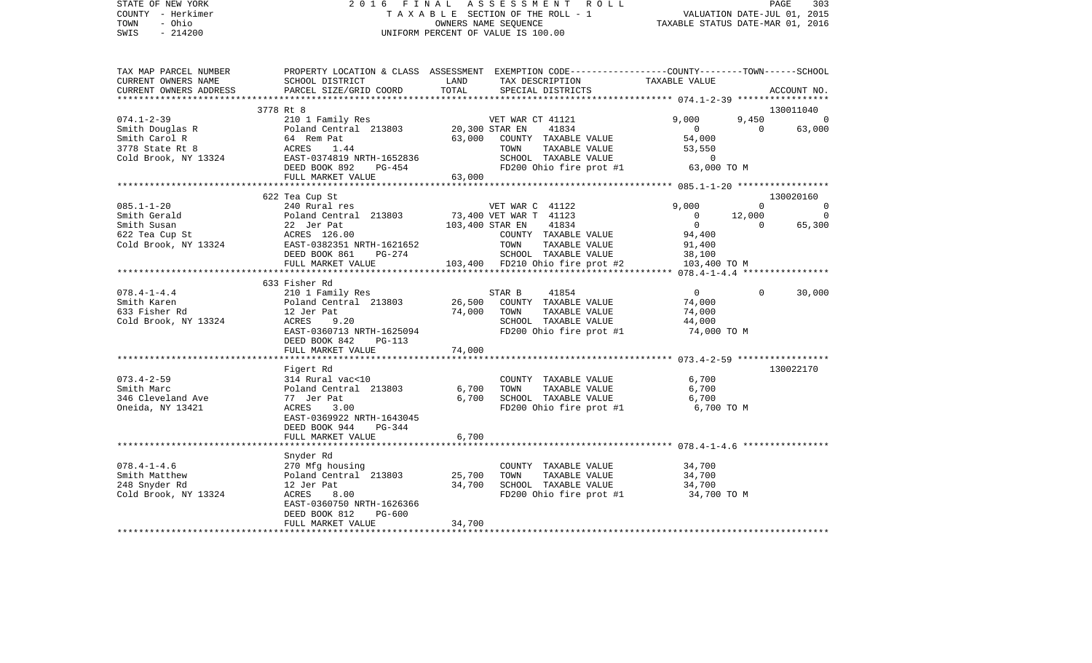| STATE OF NEW YORK<br>COUNTY - Herkimer<br>TOWN<br>- Ohio<br>$-214200$<br>SWIS                              | 2016 FINAL ASSESSMENT ROLL                                                                                                                                                  | UNIFORM PERCENT OF VALUE IS 100.00 |                  |                                       | T A X A B L E SECTION OF THE ROLL - 1 VALUATION DATE-JUL 01, 2015<br>OWNERS NAME SEQUENCE TAXABLE STATUS DATE-MAR 01, 2016 |                | PAGE<br>303                 |
|------------------------------------------------------------------------------------------------------------|-----------------------------------------------------------------------------------------------------------------------------------------------------------------------------|------------------------------------|------------------|---------------------------------------|----------------------------------------------------------------------------------------------------------------------------|----------------|-----------------------------|
| TAX MAP PARCEL NUMBER<br>CURRENT OWNERS NAME<br>CURRENT OWNERS ADDRESS                                     | PROPERTY LOCATION & CLASS ASSESSMENT EXEMPTION CODE----------------COUNTY-------TOWN------SCHOOL<br>SCHOOL DISTRICT<br><b>Example 12 The LAND</b><br>PARCEL SIZE/GRID COORD | TOTAL                              |                  | SPECIAL DISTRICTS                     | TAX DESCRIPTION TAXABLE VALUE                                                                                              |                | ACCOUNT NO.                 |
|                                                                                                            | 3778 Rt 8                                                                                                                                                                   |                                    |                  |                                       |                                                                                                                            |                | 130011040                   |
| $074.1 - 2 - 39$                                                                                           | 210 1 Family Res                                                                                                                                                            |                                    | VET WAR CT 41121 |                                       | 9,000                                                                                                                      |                | $9,450$ 0                   |
|                                                                                                            | Poland Central 213803 20,300 STAR EN                                                                                                                                        |                                    |                  | 41834                                 | $\overline{0}$                                                                                                             | $\overline{0}$ | 63,000                      |
|                                                                                                            |                                                                                                                                                                             |                                    |                  | 63,000 COUNTY TAXABLE VALUE           | 54,000                                                                                                                     |                |                             |
|                                                                                                            |                                                                                                                                                                             |                                    | TOWN             | TAXABLE VALUE                         | 53,550                                                                                                                     |                |                             |
| 074.1-2-39<br>Smith Douglas R<br>Smith Carol R<br>3778 State Rt 8<br>Cold Brook, NY 13324<br>REST-03748199 |                                                                                                                                                                             |                                    |                  | SCHOOL TAXABLE VALUE                  | $\overline{0}$                                                                                                             |                |                             |
|                                                                                                            | 1.34<br>EAST-0374819 NRTH-1652836<br>DEED BOOK 892 PG-454<br>FULL MARKET VALUE                                                                                              |                                    |                  |                                       | FD200 Ohio fire prot #1 63,000 TO M                                                                                        |                |                             |
|                                                                                                            |                                                                                                                                                                             | 63,000                             |                  |                                       |                                                                                                                            |                |                             |
|                                                                                                            |                                                                                                                                                                             |                                    |                  |                                       |                                                                                                                            |                |                             |
|                                                                                                            | 622 Tea Cup St                                                                                                                                                              |                                    |                  |                                       |                                                                                                                            | $\overline{0}$ | 130020160<br>$\overline{0}$ |
|                                                                                                            |                                                                                                                                                                             |                                    |                  |                                       | 9,000                                                                                                                      |                | $\overline{\phantom{0}}$    |
|                                                                                                            |                                                                                                                                                                             |                                    |                  |                                       | $\begin{matrix} 0 && 12\, , 000 \\ 0 && 0 \end{matrix}$                                                                    | $\overline{0}$ | 65,300                      |
|                                                                                                            |                                                                                                                                                                             |                                    |                  |                                       | 94,400                                                                                                                     |                |                             |
|                                                                                                            |                                                                                                                                                                             |                                    |                  |                                       |                                                                                                                            |                |                             |
|                                                                                                            |                                                                                                                                                                             |                                    |                  |                                       | TOWN TAXABLE VALUE 91,400<br>SCHOOL TAXABLE VALUE 38,100                                                                   |                |                             |
|                                                                                                            |                                                                                                                                                                             |                                    |                  |                                       | 103,400 TO M                                                                                                               |                |                             |
|                                                                                                            |                                                                                                                                                                             |                                    |                  |                                       |                                                                                                                            |                |                             |
|                                                                                                            | 633 Fisher Rd                                                                                                                                                               |                                    |                  |                                       |                                                                                                                            |                |                             |
| $078.4 - 1 - 4.4$                                                                                          | 210 1 Family Res                                                                                                                                                            |                                    | STAR B           | 41854                                 | $\overline{0}$                                                                                                             | $\overline{0}$ | 30,000                      |
| Smith Karen<br>633 Fisher Rd                                                                               | Poland Central 213803<br>12 Jer Pat                                                                                                                                         | 26,500<br>74,000                   | TOWN             | COUNTY TAXABLE VALUE<br>TAXABLE VALUE | 74,000<br>74,000                                                                                                           |                |                             |
| Cold Brook, NY 13324                                                                                       | ACRES 9.20                                                                                                                                                                  |                                    |                  | SCHOOL TAXABLE VALUE                  | 44,000                                                                                                                     |                |                             |
|                                                                                                            | EAST-0360713 NRTH-1625094                                                                                                                                                   |                                    |                  |                                       | FD200 Ohio fire prot #1 $74,000$ TO M                                                                                      |                |                             |
|                                                                                                            | DEED BOOK 842<br>PG-113                                                                                                                                                     |                                    |                  |                                       |                                                                                                                            |                |                             |
|                                                                                                            | FULL MARKET VALUE                                                                                                                                                           | 74,000                             |                  |                                       |                                                                                                                            |                |                             |
|                                                                                                            | **********************                                                                                                                                                      |                                    |                  |                                       |                                                                                                                            |                |                             |
|                                                                                                            | Figert Rd                                                                                                                                                                   |                                    |                  |                                       |                                                                                                                            |                | 130022170                   |
| $073.4 - 2 - 59$                                                                                           | 314 Rural vac<10                                                                                                                                                            |                                    |                  | COUNTY TAXABLE VALUE                  | 6,700                                                                                                                      |                |                             |
| Smith Marc                                                                                                 | Poland Central 213803<br>77 Jer Pat                                                                                                                                         | 6,700                              | TOWN             | TAXABLE VALUE                         | 6,700                                                                                                                      |                |                             |
| 346 Cleveland Ave                                                                                          | 77 Jer Pat                                                                                                                                                                  | 6,700                              |                  | SCHOOL TAXABLE VALUE                  | 6,700                                                                                                                      |                |                             |
| Oneida, NY 13421                                                                                           | 3.00<br>ACRES<br>EAST-0369922 NRTH-1643045                                                                                                                                  |                                    |                  | FD200 Ohio fire prot #1               | 6,700 TO M                                                                                                                 |                |                             |
|                                                                                                            | DEED BOOK 944<br>PG-344                                                                                                                                                     |                                    |                  |                                       |                                                                                                                            |                |                             |
|                                                                                                            | FULL MARKET VALUE                                                                                                                                                           | 6,700                              |                  |                                       |                                                                                                                            |                |                             |
|                                                                                                            |                                                                                                                                                                             |                                    |                  |                                       |                                                                                                                            |                |                             |
|                                                                                                            | Snyder Rd                                                                                                                                                                   |                                    |                  |                                       |                                                                                                                            |                |                             |
| $078.4 - 1 - 4.6$                                                                                          | 270 Mfg housing                                                                                                                                                             |                                    |                  | COUNTY TAXABLE VALUE                  | 34,700                                                                                                                     |                |                             |
| Smith Matthew                                                                                              | Poland Central 213803 25,700                                                                                                                                                |                                    | TOWN             | TAXABLE VALUE                         | 34,700                                                                                                                     |                |                             |
| 248 Snyder Rd                                                                                              | 12 Jer Pat                                                                                                                                                                  | 34,700                             |                  | SCHOOL TAXABLE VALUE                  | 34,700                                                                                                                     |                |                             |
| Cold Brook, NY 13324                                                                                       | ACRES<br>8.00                                                                                                                                                               |                                    |                  |                                       | FD200 Ohio fire prot #1 $34,700$ TO M                                                                                      |                |                             |
|                                                                                                            | EAST-0360750 NRTH-1626366                                                                                                                                                   |                                    |                  |                                       |                                                                                                                            |                |                             |
|                                                                                                            | DEED BOOK 812<br>$PG-600$<br>FULL MARKET VALUE                                                                                                                              | 34,700                             |                  |                                       |                                                                                                                            |                |                             |
|                                                                                                            |                                                                                                                                                                             |                                    |                  |                                       |                                                                                                                            |                |                             |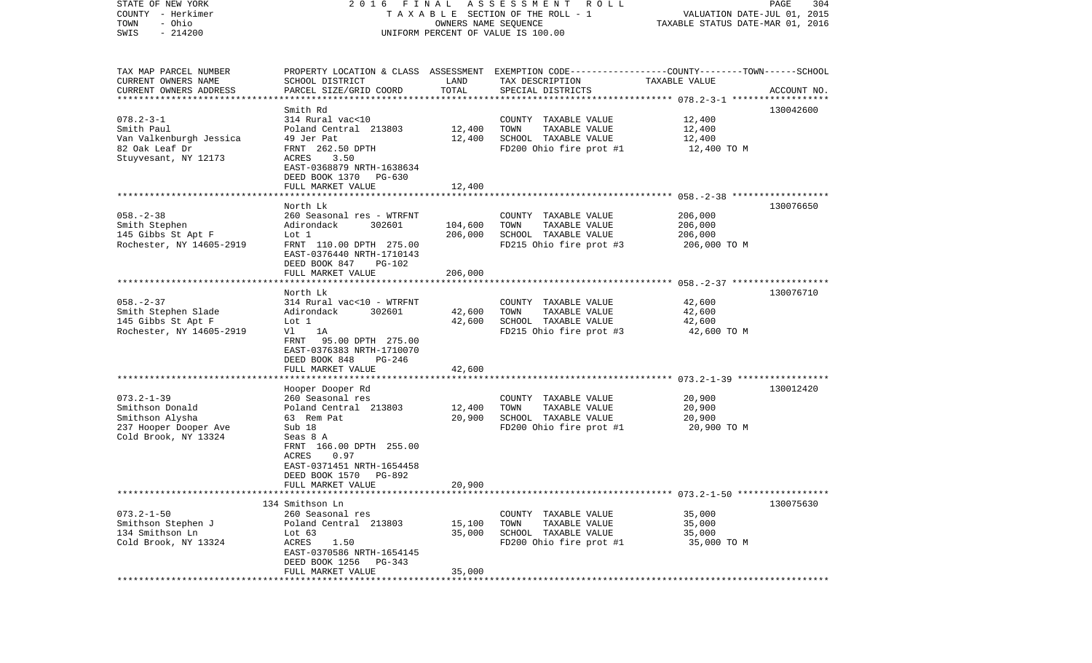| STATE OF NEW YORK         | 2016                                              | FINAL                | ASSESSMENT<br>R O L L                                                                           |                                  | PAGE<br>304 |
|---------------------------|---------------------------------------------------|----------------------|-------------------------------------------------------------------------------------------------|----------------------------------|-------------|
| COUNTY - Herkimer         |                                                   |                      | T A X A B L E SECTION OF THE ROLL - 1                                                           | VALUATION DATE-JUL 01, 2015      |             |
| - Ohio<br>TOWN            |                                                   | OWNERS NAME SEQUENCE |                                                                                                 | TAXABLE STATUS DATE-MAR 01, 2016 |             |
| $-214200$<br>SWIS         |                                                   |                      | UNIFORM PERCENT OF VALUE IS 100.00                                                              |                                  |             |
|                           |                                                   |                      |                                                                                                 |                                  |             |
| TAX MAP PARCEL NUMBER     |                                                   |                      | PROPERTY LOCATION & CLASS ASSESSMENT EXEMPTION CODE---------------COUNTY-------TOWN------SCHOOL |                                  |             |
| CURRENT OWNERS NAME       | SCHOOL DISTRICT                                   | LAND                 | TAX DESCRIPTION                                                                                 | TAXABLE VALUE                    |             |
| CURRENT OWNERS ADDRESS    | PARCEL SIZE/GRID COORD                            | TOTAL                | SPECIAL DISTRICTS                                                                               |                                  | ACCOUNT NO. |
| ************************* |                                                   |                      |                                                                                                 |                                  |             |
|                           | Smith Rd                                          |                      |                                                                                                 |                                  | 130042600   |
| $078.2 - 3 - 1$           | 314 Rural vac<10                                  |                      | COUNTY TAXABLE VALUE                                                                            | 12,400                           |             |
| Smith Paul                | Poland Central 213803                             | 12,400               | TOWN<br>TAXABLE VALUE                                                                           | 12,400                           |             |
| Van Valkenburgh Jessica   | 49 Jer Pat                                        | 12,400               | SCHOOL TAXABLE VALUE                                                                            | 12,400                           |             |
| 82 Oak Leaf Dr            | FRNT 262.50 DPTH                                  |                      | FD200 Ohio fire prot #1                                                                         | 12,400 TO M                      |             |
| Stuyvesant, NY 12173      | ACRES<br>3.50                                     |                      |                                                                                                 |                                  |             |
|                           | EAST-0368879 NRTH-1638634                         |                      |                                                                                                 |                                  |             |
|                           | DEED BOOK 1370<br>PG-630                          |                      |                                                                                                 |                                  |             |
|                           | FULL MARKET VALUE                                 | 12,400               |                                                                                                 |                                  |             |
|                           |                                                   |                      |                                                                                                 |                                  |             |
|                           | North Lk                                          |                      |                                                                                                 |                                  | 130076650   |
| $058. - 2 - 38$           | 260 Seasonal res - WTRFNT                         |                      | COUNTY TAXABLE VALUE                                                                            | 206,000                          |             |
| Smith Stephen             | 302601<br>Adirondack                              | 104,600              | TOWN<br>TAXABLE VALUE                                                                           | 206,000                          |             |
| 145 Gibbs St Apt F        | Lot 1                                             | 206,000              | SCHOOL TAXABLE VALUE                                                                            | 206,000                          |             |
| Rochester, NY 14605-2919  | FRNT 110.00 DPTH 275.00                           |                      | FD215 Ohio fire prot #3                                                                         | 206,000 TO M                     |             |
|                           | EAST-0376440 NRTH-1710143                         |                      |                                                                                                 |                                  |             |
|                           | DEED BOOK 847<br>$PG-102$                         |                      |                                                                                                 |                                  |             |
|                           | FULL MARKET VALUE<br>**************************** | 206,000              |                                                                                                 |                                  |             |
|                           | North Lk                                          |                      |                                                                                                 |                                  | 130076710   |
| $058. - 2 - 37$           | 314 Rural vac<10 - WTRFNT                         |                      | COUNTY TAXABLE VALUE                                                                            | 42,600                           |             |
| Smith Stephen Slade       | 302601<br>Adirondack                              | 42,600               | TOWN<br>TAXABLE VALUE                                                                           | 42,600                           |             |
| 145 Gibbs St Apt F        | Lot 1                                             | 42,600               | SCHOOL TAXABLE VALUE                                                                            | 42,600                           |             |
| Rochester, NY 14605-2919  | 1A<br>Vl                                          |                      | FD215 Ohio fire prot #3                                                                         | 42,600 TO M                      |             |
|                           | 95.00 DPTH 275.00<br>FRNT                         |                      |                                                                                                 |                                  |             |
|                           | EAST-0376383 NRTH-1710070                         |                      |                                                                                                 |                                  |             |
|                           | DEED BOOK 848<br>PG-246                           |                      |                                                                                                 |                                  |             |
|                           | FULL MARKET VALUE                                 | 42,600               |                                                                                                 |                                  |             |
|                           | *******************                               |                      |                                                                                                 |                                  |             |
|                           | Hooper Dooper Rd                                  |                      |                                                                                                 |                                  | 130012420   |
| $073.2 - 1 - 39$          | 260 Seasonal res                                  |                      | COUNTY TAXABLE VALUE                                                                            | 20,900                           |             |
| Smithson Donald           | Poland Central 213803                             | 12,400               | TOWN<br>TAXABLE VALUE                                                                           | 20,900                           |             |
| Smithson Alysha           | 63 Rem Pat                                        | 20,900               | SCHOOL TAXABLE VALUE                                                                            | 20,900                           |             |
| 237 Hooper Dooper Ave     | Sub 18                                            |                      | FD200 Ohio fire prot #1                                                                         | 20,900 TO M                      |             |
| Cold Brook, NY 13324      | Seas 8 A                                          |                      |                                                                                                 |                                  |             |
|                           | FRNT 166.00 DPTH 255.00                           |                      |                                                                                                 |                                  |             |
|                           | ACRES<br>0.97                                     |                      |                                                                                                 |                                  |             |
|                           | EAST-0371451 NRTH-1654458                         |                      |                                                                                                 |                                  |             |
|                           | DEED BOOK 1570<br>PG-892                          |                      |                                                                                                 |                                  |             |
|                           | FULL MARKET VALUE                                 | 20,900               |                                                                                                 |                                  |             |
|                           | 134 Smithson Ln                                   |                      |                                                                                                 |                                  | 130075630   |
| $073.2 - 1 - 50$          | 260 Seasonal res                                  |                      | COUNTY TAXABLE VALUE                                                                            | 35,000                           |             |
| Smithson Stephen J        | Poland Central 213803                             | 15,100               | TOWN<br>TAXABLE VALUE                                                                           | 35,000                           |             |
| 134 Smithson Ln           | Lot 63                                            | 35,000               | SCHOOL TAXABLE VALUE                                                                            | 35,000                           |             |
| Cold Brook, NY 13324      | ACRES<br>1.50                                     |                      | FD200 Ohio fire prot #1                                                                         | 35,000 TO M                      |             |
|                           | EAST-0370586 NRTH-1654145                         |                      |                                                                                                 |                                  |             |
|                           | DEED BOOK 1256 PG-343                             |                      |                                                                                                 |                                  |             |
|                           | FULL MARKET VALUE                                 | 35,000               |                                                                                                 |                                  |             |
|                           |                                                   |                      |                                                                                                 |                                  |             |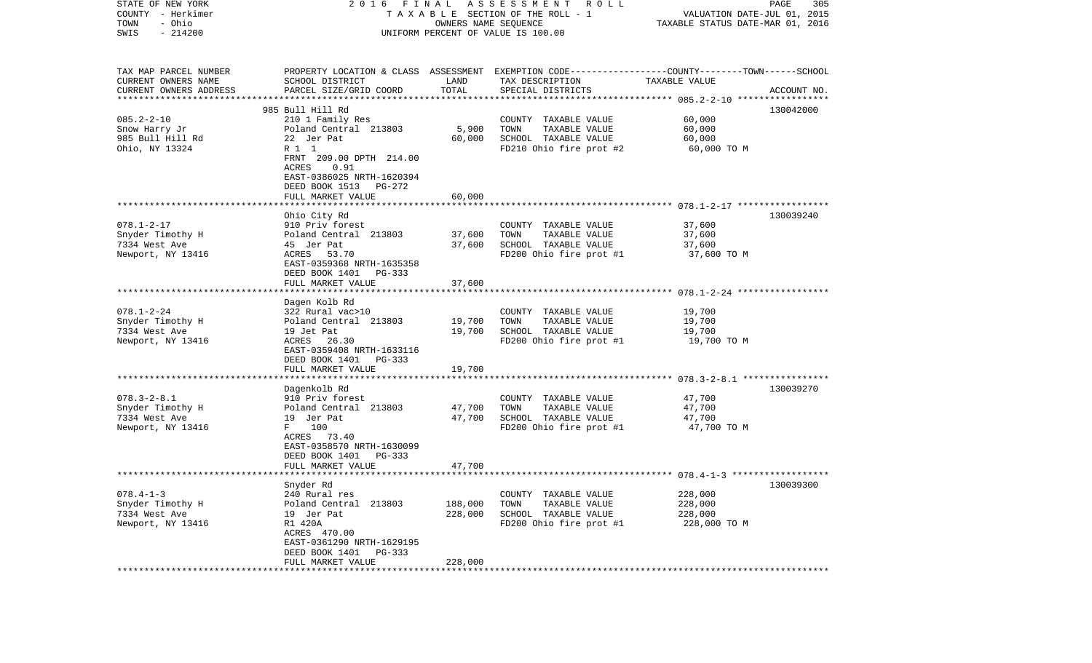| STATE OF NEW YORK<br>COUNTY - Herkimer<br>- Ohio<br>TOWN | 2016                                      | FINAL<br>OWNERS NAME SEQUENCE | A S S E S S M E N T<br>R O L L<br>TAXABLE SECTION OF THE ROLL - 1                                                  | VALUATION DATE-JUL 01, 2015<br>TAXABLE STATUS DATE-MAR 01, 2016 | PAGE<br>305 |
|----------------------------------------------------------|-------------------------------------------|-------------------------------|--------------------------------------------------------------------------------------------------------------------|-----------------------------------------------------------------|-------------|
| $-214200$<br>SWIS                                        |                                           |                               | UNIFORM PERCENT OF VALUE IS 100.00                                                                                 |                                                                 |             |
| TAX MAP PARCEL NUMBER<br>CURRENT OWNERS NAME             | SCHOOL DISTRICT                           | LAND                          | PROPERTY LOCATION & CLASS ASSESSMENT EXEMPTION CODE---------------COUNTY-------TOWN------SCHOOL<br>TAX DESCRIPTION | TAXABLE VALUE                                                   |             |
| CURRENT OWNERS ADDRESS<br>***********************        | PARCEL SIZE/GRID COORD                    | TOTAL                         | SPECIAL DISTRICTS                                                                                                  |                                                                 | ACCOUNT NO. |
|                                                          | 985 Bull Hill Rd                          |                               |                                                                                                                    |                                                                 | 130042000   |
| $085.2 - 2 - 10$                                         | 210 1 Family Res                          |                               | COUNTY TAXABLE VALUE                                                                                               | 60,000                                                          |             |
| Snow Harry Jr                                            | Poland Central 213803                     | 5,900                         | TOWN<br>TAXABLE VALUE                                                                                              | 60,000                                                          |             |
| 985 Bull Hill Rd                                         | 22 Jer Pat                                | 60,000                        | SCHOOL TAXABLE VALUE                                                                                               | 60,000                                                          |             |
| Ohio, NY 13324                                           | R 1 1                                     |                               | FD210 Ohio fire prot #2                                                                                            | 60,000 TO M                                                     |             |
|                                                          | FRNT 209.00 DPTH 214.00                   |                               |                                                                                                                    |                                                                 |             |
|                                                          | ACRES<br>0.91                             |                               |                                                                                                                    |                                                                 |             |
|                                                          | EAST-0386025 NRTH-1620394                 |                               |                                                                                                                    |                                                                 |             |
|                                                          | DEED BOOK 1513 PG-272                     |                               |                                                                                                                    |                                                                 |             |
|                                                          | FULL MARKET VALUE                         | 60,000                        |                                                                                                                    |                                                                 |             |
|                                                          |                                           |                               |                                                                                                                    |                                                                 |             |
| $078.1 - 2 - 17$                                         | Ohio City Rd                              |                               |                                                                                                                    | 37,600                                                          | 130039240   |
| Snyder Timothy H                                         | 910 Priv forest<br>Poland Central 213803  | 37,600                        | COUNTY TAXABLE VALUE<br>TAXABLE VALUE<br>TOWN                                                                      | 37,600                                                          |             |
| 7334 West Ave                                            | 45 Jer Pat                                | 37,600                        | SCHOOL TAXABLE VALUE                                                                                               | 37,600                                                          |             |
| Newport, NY 13416                                        | ACRES 53.70                               |                               | FD200 Ohio fire prot #1                                                                                            | 37,600 TO M                                                     |             |
|                                                          | EAST-0359368 NRTH-1635358                 |                               |                                                                                                                    |                                                                 |             |
|                                                          | DEED BOOK 1401<br>PG-333                  |                               |                                                                                                                    |                                                                 |             |
|                                                          | FULL MARKET VALUE                         | 37,600                        |                                                                                                                    |                                                                 |             |
|                                                          |                                           |                               |                                                                                                                    |                                                                 |             |
|                                                          | Dagen Kolb Rd                             |                               |                                                                                                                    |                                                                 |             |
| $078.1 - 2 - 24$                                         | 322 Rural vac>10                          |                               | COUNTY TAXABLE VALUE                                                                                               | 19,700                                                          |             |
| Snyder Timothy H                                         | Poland Central 213803                     | 19,700                        | TOWN<br>TAXABLE VALUE                                                                                              | 19,700                                                          |             |
| 7334 West Ave                                            | 19 Jet Pat                                | 19,700                        | SCHOOL TAXABLE VALUE                                                                                               | 19,700                                                          |             |
| Newport, NY 13416                                        | ACRES 26.30                               |                               | FD200 Ohio fire prot #1                                                                                            | 19,700 TO M                                                     |             |
|                                                          | EAST-0359408 NRTH-1633116                 |                               |                                                                                                                    |                                                                 |             |
|                                                          | DEED BOOK 1401<br>PG-333                  |                               |                                                                                                                    |                                                                 |             |
|                                                          | FULL MARKET VALUE<br>******************** | 19,700                        |                                                                                                                    |                                                                 |             |
|                                                          |                                           |                               |                                                                                                                    | *********************** 078.3-2-8.1 ******                      |             |
| $078.3 - 2 - 8.1$                                        | Dagenkolb Rd<br>910 Priv forest           |                               |                                                                                                                    |                                                                 | 130039270   |
| Snyder Timothy H                                         | Poland Central 213803                     | 47,700                        | COUNTY TAXABLE VALUE<br>TOWN<br>TAXABLE VALUE                                                                      | 47,700<br>47,700                                                |             |
| 7334 West Ave                                            | 19 Jer Pat                                | 47,700                        | SCHOOL TAXABLE VALUE                                                                                               | 47,700                                                          |             |
| Newport, NY 13416                                        | 100<br>F                                  |                               | FD200 Ohio fire prot #1                                                                                            | 47,700 TO M                                                     |             |
|                                                          | ACRES 73.40                               |                               |                                                                                                                    |                                                                 |             |
|                                                          | EAST-0358570 NRTH-1630099                 |                               |                                                                                                                    |                                                                 |             |
|                                                          | DEED BOOK 1401<br>$PG-333$                |                               |                                                                                                                    |                                                                 |             |
|                                                          | FULL MARKET VALUE                         | 47,700                        |                                                                                                                    |                                                                 |             |
|                                                          |                                           |                               |                                                                                                                    |                                                                 |             |
|                                                          | Snyder Rd                                 |                               |                                                                                                                    |                                                                 | 130039300   |
| $078.4 - 1 - 3$                                          | 240 Rural res                             |                               | COUNTY TAXABLE VALUE                                                                                               | 228,000                                                         |             |
| Snyder Timothy H                                         | Poland Central 213803                     | 188,000                       | TOWN<br>TAXABLE VALUE                                                                                              | 228,000                                                         |             |
| 7334 West Ave                                            | 19 Jer Pat                                | 228,000                       | SCHOOL TAXABLE VALUE                                                                                               | 228,000                                                         |             |
| Newport, NY 13416                                        | R1 420A                                   |                               | FD200 Ohio fire prot #1                                                                                            | 228,000 TO M                                                    |             |
|                                                          | ACRES 470.00                              |                               |                                                                                                                    |                                                                 |             |
|                                                          | EAST-0361290 NRTH-1629195                 |                               |                                                                                                                    |                                                                 |             |
|                                                          | DEED BOOK 1401<br>PG-333                  |                               |                                                                                                                    |                                                                 |             |
|                                                          | FULL MARKET VALUE                         | 228,000                       |                                                                                                                    |                                                                 |             |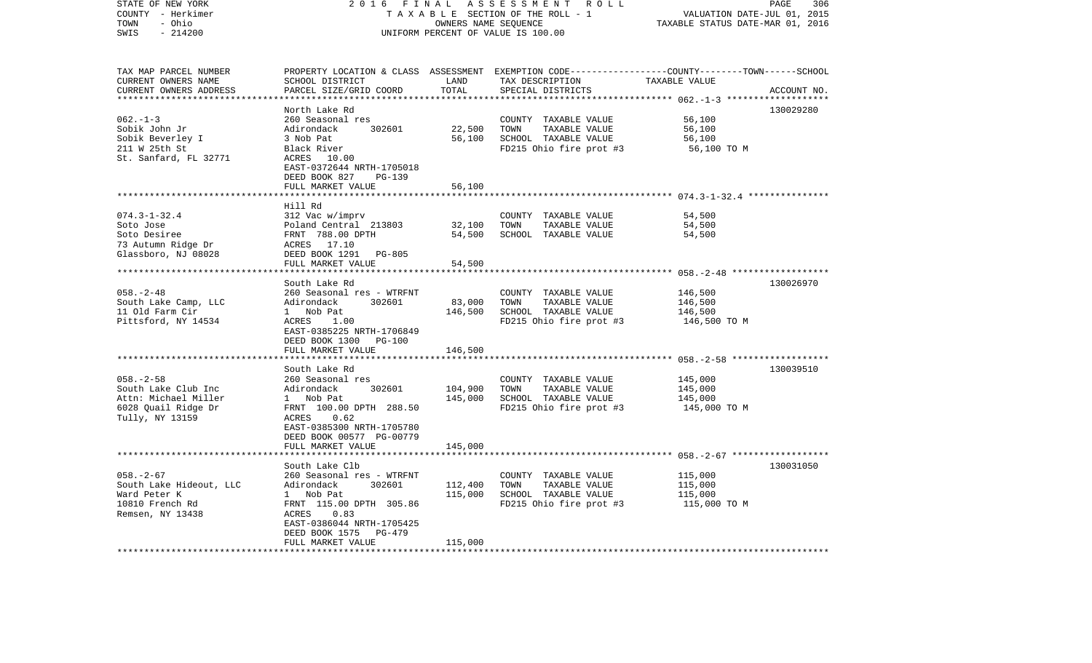| STATE OF NEW YORK<br>COUNTY - Herkimer<br>- Ohio<br>TOWN<br>SWIS<br>$-214200$                            | 2 0 1 6<br>FINAL<br>TAXABLE SECTION OF THE ROLL - 1<br>UNIFORM PERCENT OF VALUE IS 100.00                                                                                             | ASSESSMENT ROLL<br>PAGE<br>306<br>VALUATION DATE-JUL 01, 2015<br>TAXABLE STATUS DATE-MAR 01, 2016 |                                                                                                                                          |                                               |             |
|----------------------------------------------------------------------------------------------------------|---------------------------------------------------------------------------------------------------------------------------------------------------------------------------------------|---------------------------------------------------------------------------------------------------|------------------------------------------------------------------------------------------------------------------------------------------|-----------------------------------------------|-------------|
| TAX MAP PARCEL NUMBER<br>CURRENT OWNERS NAME<br>CURRENT OWNERS ADDRESS<br>************************       | SCHOOL DISTRICT<br>PARCEL SIZE/GRID COORD                                                                                                                                             | LAND<br>TOTAL                                                                                     | PROPERTY LOCATION & CLASS ASSESSMENT EXEMPTION CODE----------------COUNTY-------TOWN------SCHOOL<br>TAX DESCRIPTION<br>SPECIAL DISTRICTS | TAXABLE VALUE                                 | ACCOUNT NO. |
| $062. -1 -3$<br>Sobik John Jr<br>Sobik Beverley I<br>211 W 25th St<br>St. Sanfard, FL 32771              | North Lake Rd<br>260 Seasonal res<br>Adirondack<br>302601<br>3 Nob Pat<br>Black River<br>ACRES 10.00<br>EAST-0372644 NRTH-1705018<br>DEED BOOK 827<br>PG-139<br>FULL MARKET VALUE     | 22,500<br>56,100<br>56,100                                                                        | COUNTY TAXABLE VALUE<br>TOWN<br>TAXABLE VALUE<br>SCHOOL TAXABLE VALUE<br>FD215 Ohio fire prot #3                                         | 56,100<br>56,100<br>56,100<br>56,100 то м     | 130029280   |
|                                                                                                          |                                                                                                                                                                                       |                                                                                                   |                                                                                                                                          |                                               |             |
| $074.3 - 1 - 32.4$<br>Soto Jose<br>Soto Desiree<br>73 Autumn Ridge Dr<br>Glassboro, NJ 08028             | Hill Rd<br>312 Vac w/imprv<br>Poland Central 213803<br>FRNT 788.00 DPTH<br>ACRES 17.10<br>DEED BOOK 1291<br>PG-805<br>FULL MARKET VALUE                                               | 32,100<br>54,500<br>54,500                                                                        | COUNTY TAXABLE VALUE<br>TOWN<br>TAXABLE VALUE<br>SCHOOL TAXABLE VALUE                                                                    | 54,500<br>54,500<br>54,500                    |             |
|                                                                                                          | *****************************                                                                                                                                                         |                                                                                                   |                                                                                                                                          |                                               |             |
| $058. - 2 - 48$<br>South Lake Camp, LLC<br>11 Old Farm Cir<br>Pittsford, NY 14534                        | South Lake Rd<br>260 Seasonal res - WTRFNT<br>Adirondack<br>302601<br>1 Nob Pat<br>1.00<br>ACRES<br>EAST-0385225 NRTH-1706849<br>DEED BOOK 1300<br>PG-100<br>FULL MARKET VALUE        | 83,000<br>146,500<br>146,500                                                                      | COUNTY TAXABLE VALUE<br>TOWN<br>TAXABLE VALUE<br>SCHOOL TAXABLE VALUE<br>FD215 Ohio fire prot #3                                         | 146,500<br>146,500<br>146,500<br>146,500 TO M | 130026970   |
|                                                                                                          | South Lake Rd                                                                                                                                                                         |                                                                                                   |                                                                                                                                          |                                               | 130039510   |
| $058. - 2 - 58$<br>South Lake Club Inc<br>Attn: Michael Miller<br>6028 Quail Ridge Dr<br>Tully, NY 13159 | 260 Seasonal res<br>302601<br>Adirondack<br>1 Nob Pat<br>FRNT 100.00 DPTH 288.50<br>0.62<br>ACRES<br>EAST-0385300 NRTH-1705780<br>DEED BOOK 00577 PG-00779<br>FULL MARKET VALUE       | 104,900<br>145,000<br>145,000                                                                     | COUNTY TAXABLE VALUE<br>TOWN<br>TAXABLE VALUE<br>SCHOOL TAXABLE VALUE<br>FD215 Ohio fire prot #3                                         | 145,000<br>145,000<br>145,000<br>145,000 TO M |             |
|                                                                                                          | * * * * * * * * * * * * * * * * * * *                                                                                                                                                 |                                                                                                   |                                                                                                                                          |                                               |             |
| $058. - 2 - 67$<br>South Lake Hideout, LLC<br>Ward Peter K<br>10810 French Rd<br>Remsen, NY 13438        | South Lake Clb<br>260 Seasonal res - WTRFNT<br>Adirondack<br>302601<br>1 Nob Pat<br>FRNT 115.00 DPTH 305.86<br>0.83<br>ACRES<br>EAST-0386044 NRTH-1705425<br>DEED BOOK 1575<br>PG-479 | 112,400<br>115,000                                                                                | COUNTY TAXABLE VALUE<br>TOWN<br>TAXABLE VALUE<br>SCHOOL TAXABLE VALUE<br>FD215 Ohio fire prot #3                                         | 115,000<br>115,000<br>115,000<br>115,000 TO M | 130031050   |
|                                                                                                          | FULL MARKET VALUE                                                                                                                                                                     | 115,000<br>******************                                                                     |                                                                                                                                          |                                               |             |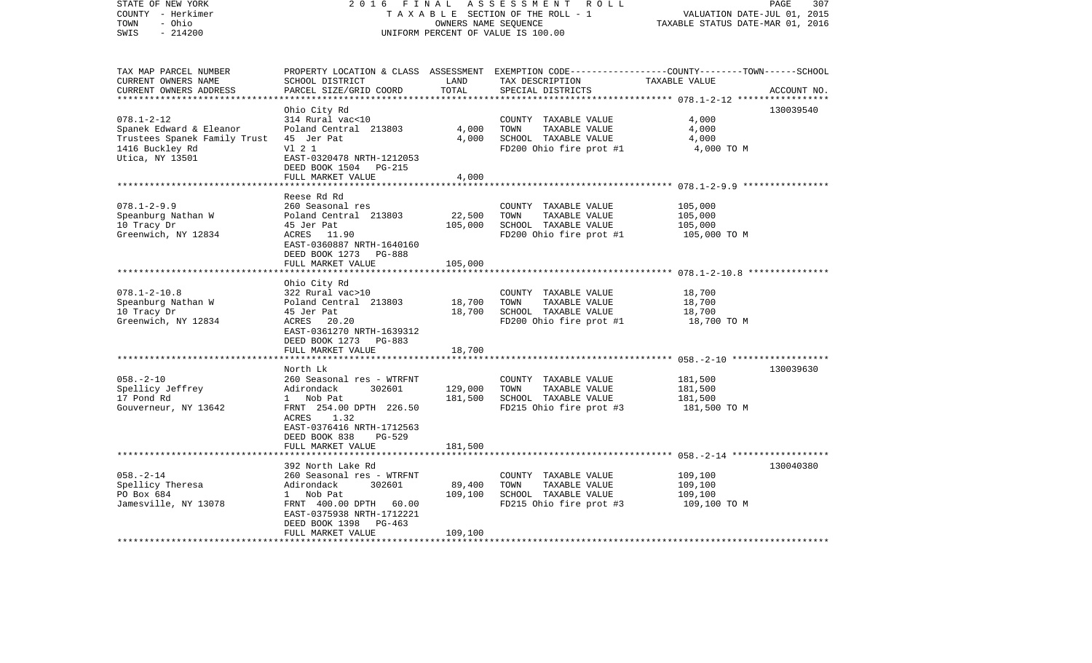| 2 0 1 6                                                                                                                                                                                             | PAGE<br>307<br>VALUATION DATE-JUL 01, 2015<br>TAXABLE STATUS DATE-MAR 01, 2016 |                                                                                                     |                                                                                                                                      |
|-----------------------------------------------------------------------------------------------------------------------------------------------------------------------------------------------------|--------------------------------------------------------------------------------|-----------------------------------------------------------------------------------------------------|--------------------------------------------------------------------------------------------------------------------------------------|
| PROPERTY LOCATION & CLASS<br>SCHOOL DISTRICT<br>PARCEL SIZE/GRID COORD                                                                                                                              | LAND<br>TOTAL                                                                  | TAX DESCRIPTION<br>SPECIAL DISTRICTS                                                                | EXEMPTION CODE-----------------COUNTY-------TOWN------SCHOOL<br>TAXABLE VALUE<br>ACCOUNT NO.                                         |
| Ohio City Rd<br>314 Rural vac<10<br>Poland Central 213803<br>45 Jer Pat<br>V1 2 1                                                                                                                   | 4,000<br>4,000                                                                 | COUNTY TAXABLE VALUE<br>TOWN<br>TAXABLE VALUE<br>SCHOOL TAXABLE VALUE<br>FD200 Ohio fire prot #1    | 130039540<br>4,000<br>4,000<br>4,000<br>4,000 TO M                                                                                   |
| DEED BOOK 1504<br>PG-215<br>FULL MARKET VALUE                                                                                                                                                       | 4,000                                                                          |                                                                                                     |                                                                                                                                      |
| Reese Rd Rd<br>260 Seasonal res<br>Poland Central 213803<br>45 Jer Pat<br>ACRES 11.90<br>EAST-0360887 NRTH-1640160<br>DEED BOOK 1273<br>PG-888<br>FULL MARKET VALUE                                 | 22,500<br>105,000<br>105,000                                                   | COUNTY TAXABLE VALUE<br>TOWN<br>TAXABLE VALUE<br>SCHOOL TAXABLE VALUE<br>FD200 Ohio fire prot #1    | 105,000<br>105,000<br>105,000<br>105,000 TO M                                                                                        |
| ***************                                                                                                                                                                                     |                                                                                |                                                                                                     | *********************** 078.1-2-10.8 ***************                                                                                 |
| Ohio City Rd<br>322 Rural vac>10<br>Poland Central 213803<br>45 Jer Pat<br>ACRES<br>20.20<br>EAST-0361270 NRTH-1639312<br>DEED BOOK 1273<br>PG-883<br>FULL MARKET VALUE                             | 18,700<br>18,700<br>18,700                                                     | COUNTY TAXABLE VALUE<br>TOWN<br>TAXABLE VALUE<br>SCHOOL TAXABLE VALUE<br>FD200 Ohio fire prot #1    | 18,700<br>18,700<br>18,700<br>18,700 TO M                                                                                            |
| *****************                                                                                                                                                                                   |                                                                                |                                                                                                     | ************************ 058.-2-10 *******************                                                                               |
| North Lk<br>260 Seasonal res - WTRFNT<br>Adirondack<br>302601<br>Nob Pat<br>$\mathbf{1}$<br>FRNT 254.00 DPTH 226.50<br>1.32<br>ACRES<br>EAST-0376416 NRTH-1712563<br>DEED BOOK 838<br><b>PG-529</b> | 129,000<br>181,500                                                             | COUNTY TAXABLE VALUE<br>TAXABLE VALUE<br>TOWN<br>SCHOOL TAXABLE VALUE<br>FD215 Ohio fire prot #3    | 130039630<br>181,500<br>181,500<br>181,500<br>181,500 TO M                                                                           |
| FULL MARKET VALUE                                                                                                                                                                                   | 181,500                                                                        |                                                                                                     |                                                                                                                                      |
| 260 Seasonal res - WTRFNT<br>Adirondack<br>302601<br>Nob Pat<br>$\mathbf{1}$<br>FRNT 400.00 DPTH<br>60.00<br>EAST-0375938 NRTH-1712221<br>DEED BOOK 1398<br>PG-463<br>FULL MARKET VALUE             | 89,400<br>109,100<br>109,100                                                   | COUNTY<br>TAXABLE VALUE<br>TOWN<br>TAXABLE VALUE<br>SCHOOL TAXABLE VALUE<br>FD215 Ohio fire prot #3 | 130040380<br>109,100<br>109,100<br>109,100<br>109,100 TO M                                                                           |
|                                                                                                                                                                                                     | EAST-0320478 NRTH-1212053<br>392 North Lake Rd                                 | FINAL                                                                                               | ASSESSMENT<br>R O L L<br>TAXABLE SECTION OF THE ROLL - 1<br>OWNERS NAME SEQUENCE<br>UNIFORM PERCENT OF VALUE IS 100.00<br>ASSESSMENT |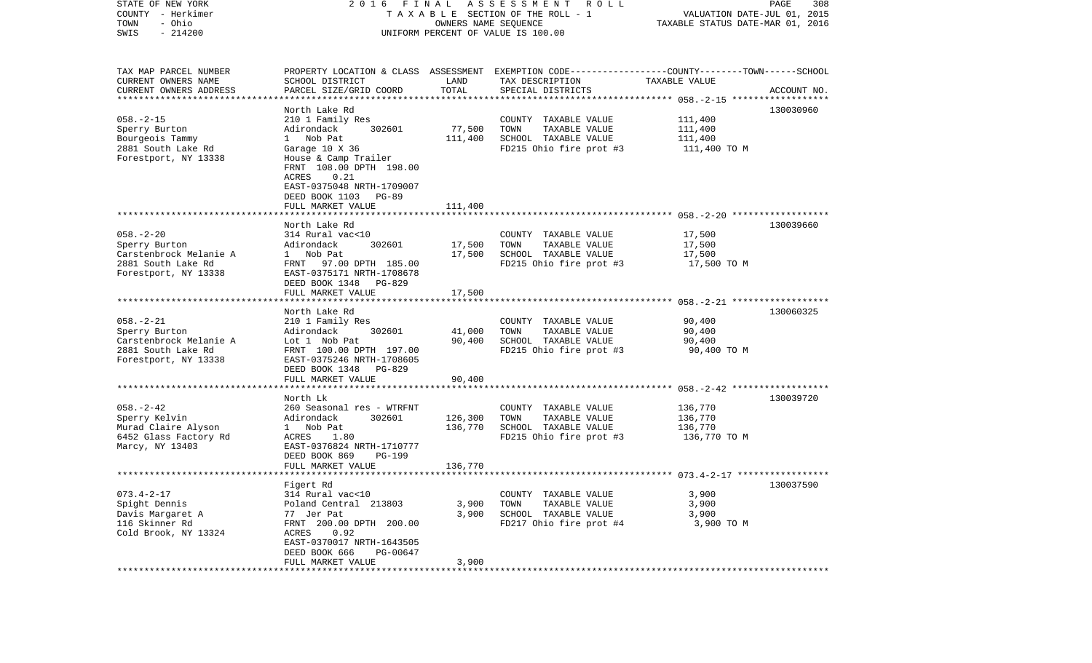| STATE OF NEW YORK<br>COUNTY - Herkimer<br>- Ohio<br>TOWN<br>$-214200$<br>SWIS                            | 2016 FINAL<br>A S S E S S M E N T<br>R O L L<br>TAXABLE SECTION OF THE ROLL - 1<br>OWNERS NAME SEQUENCE<br>UNIFORM PERCENT OF VALUE IS 100.00                                                   |                               |                                                                                                                                         | PAGE<br>308<br>VALUATION DATE-JUL 01, 2015<br>TAXABLE STATUS DATE-MAR 01, 2016 |             |  |
|----------------------------------------------------------------------------------------------------------|-------------------------------------------------------------------------------------------------------------------------------------------------------------------------------------------------|-------------------------------|-----------------------------------------------------------------------------------------------------------------------------------------|--------------------------------------------------------------------------------|-------------|--|
| TAX MAP PARCEL NUMBER<br>CURRENT OWNERS NAME<br>CURRENT OWNERS ADDRESS                                   | SCHOOL DISTRICT<br>PARCEL SIZE/GRID COORD                                                                                                                                                       | LAND<br>TOTAL                 | PROPERTY LOCATION & CLASS ASSESSMENT EXEMPTION CODE---------------COUNTY-------TOWN------SCHOOL<br>TAX DESCRIPTION<br>SPECIAL DISTRICTS | TAXABLE VALUE                                                                  | ACCOUNT NO. |  |
| *************************                                                                                |                                                                                                                                                                                                 |                               |                                                                                                                                         |                                                                                |             |  |
| $058. - 2 - 15$<br>Sperry Burton<br>Bourgeois Tammy<br>2881 South Lake Rd<br>Forestport, NY 13338        | North Lake Rd<br>210 1 Family Res<br>Adirondack<br>302601<br>1 Nob Pat<br>Garage 10 X 36<br>House & Camp Trailer<br>FRNT 108.00 DPTH 198.00                                                     | 77,500<br>111,400             | COUNTY TAXABLE VALUE<br>TOWN<br>TAXABLE VALUE<br>SCHOOL TAXABLE VALUE<br>FD215 Ohio fire prot #3                                        | 111,400<br>111,400<br>111,400<br>111,400 TO M                                  | 130030960   |  |
|                                                                                                          | ACRES<br>0.21<br>EAST-0375048 NRTH-1709007<br>DEED BOOK 1103<br>PG-89<br>FULL MARKET VALUE                                                                                                      | 111,400                       |                                                                                                                                         |                                                                                |             |  |
|                                                                                                          |                                                                                                                                                                                                 |                               |                                                                                                                                         |                                                                                |             |  |
| $058. - 2 - 20$<br>Sperry Burton<br>Carstenbrock Melanie A<br>2881 South Lake Rd<br>Forestport, NY 13338 | North Lake Rd<br>314 Rural vac<10<br>302601<br>Adirondack<br>1 Nob Pat<br>97.00 DPTH 185.00<br>FRNT<br>EAST-0375171 NRTH-1708678<br>DEED BOOK 1348<br>PG-829                                    | 17,500<br>17,500              | COUNTY TAXABLE VALUE<br>TOWN<br>TAXABLE VALUE<br>SCHOOL TAXABLE VALUE<br>FD215 Ohio fire prot #3                                        | 17,500<br>17,500<br>17,500<br>17,500 TO M                                      | 130039660   |  |
|                                                                                                          | FULL MARKET VALUE                                                                                                                                                                               | 17,500                        |                                                                                                                                         |                                                                                |             |  |
|                                                                                                          |                                                                                                                                                                                                 |                               |                                                                                                                                         |                                                                                |             |  |
| $058. - 2 - 21$<br>Sperry Burton<br>Carstenbrock Melanie A<br>2881 South Lake Rd<br>Forestport, NY 13338 | North Lake Rd<br>210 1 Family Res<br>Adirondack<br>302601<br>Lot 1 Nob Pat<br>FRNT 100.00 DPTH 197.00<br>EAST-0375246 NRTH-1708605<br>DEED BOOK 1348 PG-829                                     | 41,000<br>90,400              | COUNTY TAXABLE VALUE<br>TAXABLE VALUE<br>TOWN<br>SCHOOL TAXABLE VALUE<br>FD215 Ohio fire prot #3                                        | 90,400<br>90,400<br>90,400<br>90,400 TO M                                      | 130060325   |  |
|                                                                                                          | FULL MARKET VALUE                                                                                                                                                                               | 90,400                        |                                                                                                                                         |                                                                                |             |  |
| $058. - 2 - 42$<br>Sperry Kelvin<br>Murad Claire Alyson<br>6452 Glass Factory Rd<br>Marcy, NY 13403      | North Lk<br>260 Seasonal res - WTRFNT<br>Adirondack<br>302601<br>1 Nob Pat<br>ACRES<br>1.80<br>EAST-0376824 NRTH-1710777<br>DEED BOOK 869<br>PG-199<br>FULL MARKET VALUE                        | 126,300<br>136,770<br>136,770 | COUNTY TAXABLE VALUE<br>TOWN<br>TAXABLE VALUE<br>SCHOOL TAXABLE VALUE<br>FD215 Ohio fire prot #3                                        | 136,770<br>136,770<br>136,770<br>136,770 TO M                                  | 130039720   |  |
|                                                                                                          |                                                                                                                                                                                                 |                               |                                                                                                                                         |                                                                                |             |  |
| $073.4 - 2 - 17$<br>Spight Dennis<br>Davis Margaret A<br>116 Skinner Rd<br>Cold Brook, NY 13324          | Figert Rd<br>314 Rural vac<10<br>Poland Central 213803<br>77 Jer Pat<br>FRNT 200.00 DPTH 200.00<br>ACRES<br>0.92<br>EAST-0370017 NRTH-1643505<br>DEED BOOK 666<br>PG-00647<br>FULL MARKET VALUE | 3,900<br>3,900<br>3,900       | COUNTY TAXABLE VALUE<br>TAXABLE VALUE<br>TOWN<br>SCHOOL TAXABLE VALUE<br>FD217 Ohio fire prot #4                                        | 3,900<br>3,900<br>3,900<br>3,900 TO M                                          | 130037590   |  |
|                                                                                                          |                                                                                                                                                                                                 |                               |                                                                                                                                         |                                                                                |             |  |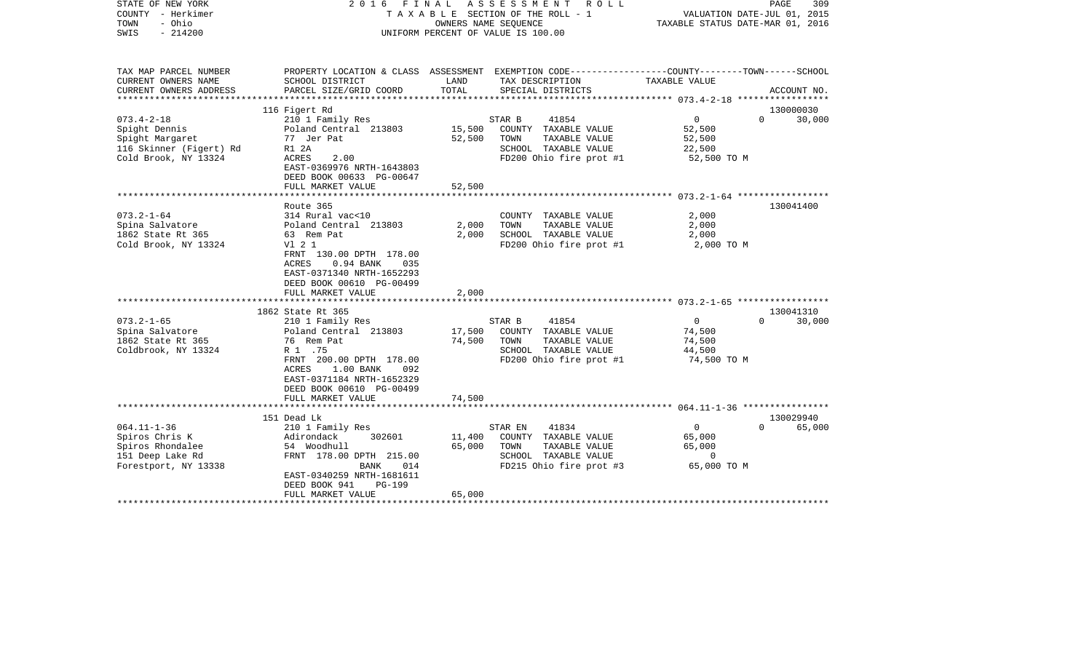| STATE OF NEW YORK<br>COUNTY - Herkimer<br>- Ohio<br>TOWN<br>$-214200$<br>SWIS                                           |                                                                                                                                                                                                                                                                                                                     |                                   | 2016 FINAL ASSESSMENT ROLL<br>T A X A B L E SECTION OF THE ROLL - 1<br>OWNERS NAME SEQUENCE<br>UNIFORM PERCENT OF VALUE IS 100.00           | VALUATION DATE-JUL 01, 2015<br>TAXABLE STATUS DATE-MAR 01, 2016   | PAGE<br>309                                  |
|-------------------------------------------------------------------------------------------------------------------------|---------------------------------------------------------------------------------------------------------------------------------------------------------------------------------------------------------------------------------------------------------------------------------------------------------------------|-----------------------------------|---------------------------------------------------------------------------------------------------------------------------------------------|-------------------------------------------------------------------|----------------------------------------------|
| TAX MAP PARCEL NUMBER<br>CURRENT OWNERS NAME<br>CURRENT OWNERS ADDRESS                                                  | SCHOOL DISTRICT<br>PARCEL SIZE/GRID COORD                                                                                                                                                                                                                                                                           | LAND<br>TOTAL                     | PROPERTY LOCATION & CLASS ASSESSMENT EXEMPTION CODE---------------COUNTY-------TOWN------SCHOOL<br>TAX DESCRIPTION<br>SPECIAL DISTRICTS     | TAXABLE VALUE                                                     | ACCOUNT NO.                                  |
|                                                                                                                         |                                                                                                                                                                                                                                                                                                                     |                                   |                                                                                                                                             |                                                                   |                                              |
| $073.4 - 2 - 18$<br>Spight Dennis<br>Spight Margaret<br>116 Skinner (Figert) Rd<br>Cold Brook, NY 13324                 | 116 Figert Rd<br>210 1 Family Res<br>Poland Central 213803<br>77 Jer Pat<br>R1 2A<br>ACRES<br>2.00<br>EAST-0369976 NRTH-1643803                                                                                                                                                                                     | 15,500<br>52,500                  | STAR B<br>41854<br>COUNTY TAXABLE VALUE<br>TOWN<br>TAXABLE VALUE<br>SCHOOL TAXABLE VALUE<br>FD200 Ohio fire prot #1                         | $\overline{0}$<br>52,500<br>52,500<br>22,500<br>52,500 TO M       | 130000030<br>30,000<br>$\Omega$              |
|                                                                                                                         | DEED BOOK 00633 PG-00647<br>FULL MARKET VALUE                                                                                                                                                                                                                                                                       | 52,500                            |                                                                                                                                             |                                                                   |                                              |
| $073.2 - 1 - 64$<br>Spina Salvatore<br>1862 State Rt 365<br>Cold Brook, NY 13324<br>$073.2 - 1 - 65$<br>Spina Salvatore | Route 365<br>314 Rural vac<10<br>Poland Central 213803<br>63 Rem Pat<br>V1 2 1<br>FRNT 130.00 DPTH 178.00<br>ACRES<br>$0.94$ BANK<br>035<br>EAST-0371340 NRTH-1652293<br>DEED BOOK 00610 PG-00499<br>FULL MARKET VALUE<br>***********************<br>1862 State Rt 365<br>210 1 Family Res<br>Poland Central 213803 | 2,000<br>2,000<br>2,000<br>17,500 | COUNTY TAXABLE VALUE<br>TAXABLE VALUE<br>TOWN<br>SCHOOL TAXABLE VALUE<br>FD200 Ohio fire prot #1<br>41854<br>STAR B<br>COUNTY TAXABLE VALUE | 2,000<br>2,000<br>2,000<br>2,000 TO M<br>$\overline{0}$<br>74,500 | 130041400<br>130041310<br>$\Omega$<br>30,000 |
| 1862 State Rt 365<br>Coldbrook, NY 13324                                                                                | 76 Rem Pat<br>R 1 .75<br>FRNT 200.00 DPTH 178.00<br>ACRES<br>1.00 BANK<br>092<br>EAST-0371184 NRTH-1652329<br>DEED BOOK 00610 PG-00499<br>FULL MARKET VALUE                                                                                                                                                         | 74,500<br>74,500                  | TOWN<br>TAXABLE VALUE<br>SCHOOL TAXABLE VALUE<br>FD200 Ohio fire prot #1                                                                    | 74,500<br>44,500<br>74,500 TO M                                   |                                              |
|                                                                                                                         | 151 Dead Lk                                                                                                                                                                                                                                                                                                         |                                   |                                                                                                                                             |                                                                   | 130029940                                    |
| $064.11 - 1 - 36$<br>Spiros Chris K<br>Spiros Rhondalee<br>151 Deep Lake Rd<br>Forestport, NY 13338                     | 210 1 Family Res<br>302601<br>Adirondack<br>54 Woodhull<br>FRNT 178.00 DPTH 215.00<br>BANK<br>014<br>EAST-0340259 NRTH-1681611<br>DEED BOOK 941<br><b>PG-199</b><br>FULL MARKET VALUE                                                                                                                               | 11,400<br>65,000<br>65,000        | 41834<br>STAR EN<br>COUNTY TAXABLE VALUE<br>TOWN<br>TAXABLE VALUE<br>SCHOOL TAXABLE VALUE<br>FD215 Ohio fire prot #3                        | $\overline{0}$<br>65,000<br>65,000<br>$\Omega$<br>65,000 TO M     | 65,000<br>$\Omega$                           |
|                                                                                                                         |                                                                                                                                                                                                                                                                                                                     |                                   |                                                                                                                                             |                                                                   |                                              |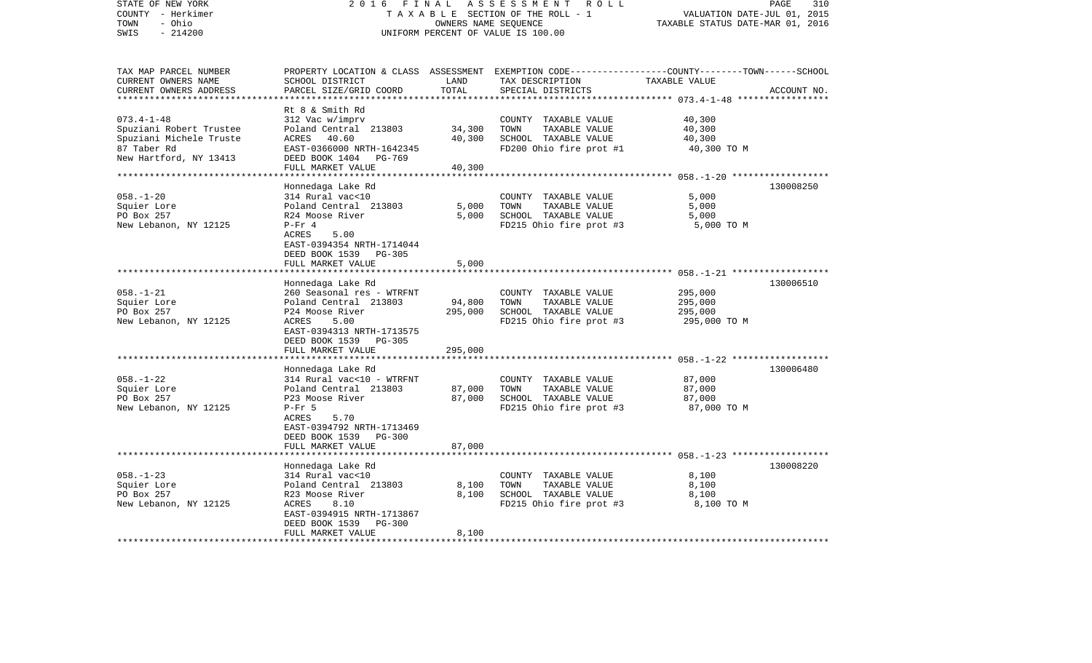| STATE OF NEW YORK<br>COUNTY - Herkimer<br>- Ohio<br>TOWN<br>$-214200$<br>SWIS                                   | 2 0 1 6<br>FINAL<br>TAXABLE SECTION OF THE ROLL - 1<br>UNIFORM PERCENT OF VALUE IS 100.00                                                                                               | 310<br>PAGE<br>VALUATION DATE-JUL 01, 2015<br>TAXABLE STATUS DATE-MAR 01, 2016 |                                                                                                  |                                                                                                                                  |
|-----------------------------------------------------------------------------------------------------------------|-----------------------------------------------------------------------------------------------------------------------------------------------------------------------------------------|--------------------------------------------------------------------------------|--------------------------------------------------------------------------------------------------|----------------------------------------------------------------------------------------------------------------------------------|
| TAX MAP PARCEL NUMBER<br>CURRENT OWNERS NAME<br>CURRENT OWNERS ADDRESS<br>********************                  | SCHOOL DISTRICT<br>PARCEL SIZE/GRID COORD                                                                                                                                               | LAND<br>TOTAL                                                                  | TAX DESCRIPTION<br>SPECIAL DISTRICTS                                                             | PROPERTY LOCATION & CLASS ASSESSMENT EXEMPTION CODE----------------COUNTY-------TOWN------SCHOOL<br>TAXABLE VALUE<br>ACCOUNT NO. |
| $073.4 - 1 - 48$<br>Spuziani Robert Trustee<br>Spuziani Michele Truste<br>87 Taber Rd<br>New Hartford, NY 13413 | Rt 8 & Smith Rd<br>312 Vac w/imprv<br>Poland Central 213803<br>ACRES 40.60<br>EAST-0366000 NRTH-1642345<br>DEED BOOK 1404<br>PG-769<br>FULL MARKET VALUE                                | 34,300<br>40,300<br>40,300                                                     | COUNTY TAXABLE VALUE<br>TOWN<br>TAXABLE VALUE<br>SCHOOL TAXABLE VALUE<br>FD200 Ohio fire prot #1 | 40,300<br>40,300<br>40,300<br>40,300 TO M                                                                                        |
| $058. - 1 - 20$<br>Squier Lore<br>PO Box 257<br>New Lebanon, NY 12125                                           | Honnedaga Lake Rd<br>314 Rural vac<10<br>Poland Central 213803<br>R24 Moose River<br>$P-Fr 4$<br>ACRES<br>5.00<br>EAST-0394354 NRTH-1714044<br>DEED BOOK 1539 PG-305                    | 5,000<br>5,000                                                                 | COUNTY TAXABLE VALUE<br>TOWN<br>TAXABLE VALUE<br>SCHOOL TAXABLE VALUE<br>FD215 Ohio fire prot #3 | 130008250<br>5,000<br>5,000<br>5,000<br>5,000 TO M                                                                               |
|                                                                                                                 | FULL MARKET VALUE<br>************************                                                                                                                                           | 5,000<br>*************                                                         |                                                                                                  |                                                                                                                                  |
| $058. - 1 - 21$<br>Squier Lore<br>PO Box 257<br>New Lebanon, NY 12125                                           | Honnedaga Lake Rd<br>260 Seasonal res - WTRFNT<br>Poland Central 213803<br>P24 Moose River<br>ACRES<br>5.00<br>EAST-0394313 NRTH-1713575<br>DEED BOOK 1539 PG-305                       | 94,800<br>295,000                                                              | COUNTY TAXABLE VALUE<br>TOWN<br>TAXABLE VALUE<br>SCHOOL TAXABLE VALUE<br>FD215 Ohio fire prot #3 | 130006510<br>295,000<br>295,000<br>295,000<br>295,000 TO M                                                                       |
|                                                                                                                 | FULL MARKET VALUE<br>*************************                                                                                                                                          | 295,000<br>**********                                                          |                                                                                                  |                                                                                                                                  |
| $058. - 1 - 22$<br>Squier Lore<br>PO Box 257<br>New Lebanon, NY 12125                                           | Honnedaga Lake Rd<br>314 Rural vac<10 - WTRFNT<br>Poland Central 213803<br>P23 Moose River<br>$P-Fr$ 5<br>ACRES<br>5.70<br>EAST-0394792 NRTH-1713469<br>DEED BOOK 1539<br><b>PG-300</b> | 87,000<br>87,000                                                               | COUNTY TAXABLE VALUE<br>TAXABLE VALUE<br>TOWN<br>SCHOOL TAXABLE VALUE<br>FD215 Ohio fire prot #3 | 130006480<br>87,000<br>87,000<br>87,000<br>87,000 TO M                                                                           |
|                                                                                                                 | FULL MARKET VALUE                                                                                                                                                                       | 87,000                                                                         |                                                                                                  |                                                                                                                                  |
| $058. - 1 - 23$<br>Squier Lore<br>PO Box 257<br>New Lebanon, NY 12125                                           | Honnedaga Lake Rd<br>314 Rural vac<10<br>Poland Central 213803<br>R23 Moose River<br>ACRES<br>8.10<br>EAST-0394915 NRTH-1713867<br>DEED BOOK 1539<br><b>PG-300</b><br>FULL MARKET VALUE | 8,100<br>8,100<br>8,100                                                        | COUNTY TAXABLE VALUE<br>TOWN<br>TAXABLE VALUE<br>SCHOOL TAXABLE VALUE<br>FD215 Ohio fire prot #3 | 130008220<br>8,100<br>8,100<br>8,100<br>8,100 TO M                                                                               |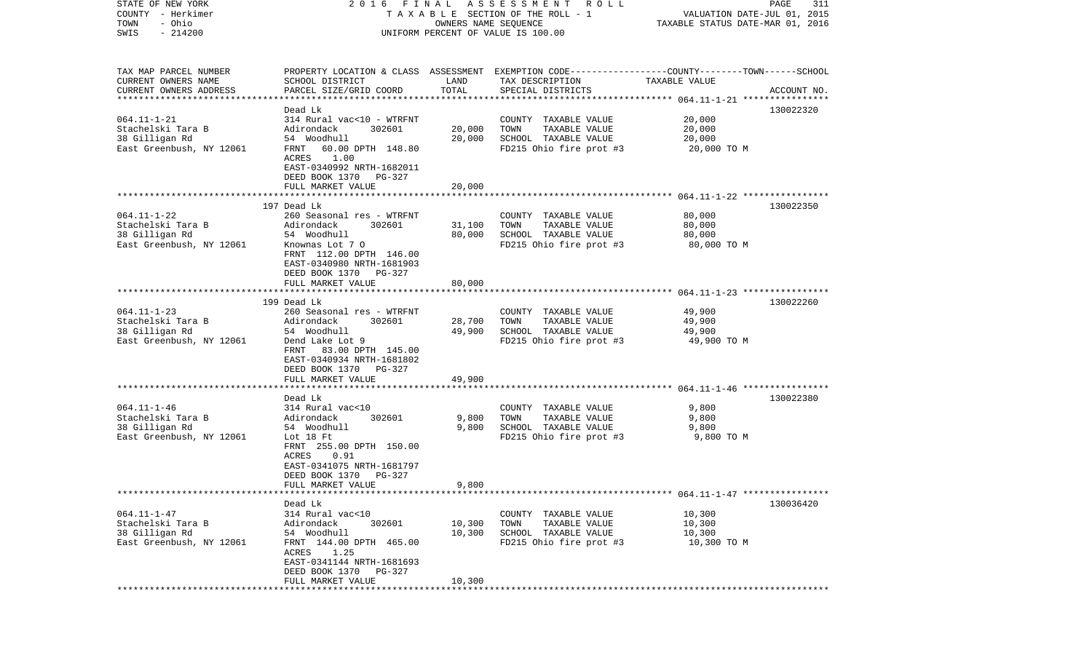| STATE OF NEW YORK                   | FINAL<br>2016                                         |                      | ASSESSMENT<br>R O L L                                                                            |                                  | PAGE<br>311                 |
|-------------------------------------|-------------------------------------------------------|----------------------|--------------------------------------------------------------------------------------------------|----------------------------------|-----------------------------|
| COUNTY - Herkimer<br>- Ohio<br>TOWN |                                                       | OWNERS NAME SEQUENCE | TAXABLE SECTION OF THE ROLL - 1                                                                  | TAXABLE STATUS DATE-MAR 01, 2016 | VALUATION DATE-JUL 01, 2015 |
| $-214200$<br>SWIS                   |                                                       |                      | UNIFORM PERCENT OF VALUE IS 100.00                                                               |                                  |                             |
|                                     |                                                       |                      |                                                                                                  |                                  |                             |
| TAX MAP PARCEL NUMBER               |                                                       |                      | PROPERTY LOCATION & CLASS ASSESSMENT EXEMPTION CODE----------------COUNTY-------TOWN------SCHOOL |                                  |                             |
| CURRENT OWNERS NAME                 | SCHOOL DISTRICT                                       | LAND                 | TAX DESCRIPTION                                                                                  | TAXABLE VALUE                    |                             |
| CURRENT OWNERS ADDRESS              | PARCEL SIZE/GRID COORD                                | TOTAL                | SPECIAL DISTRICTS                                                                                |                                  | ACCOUNT NO.                 |
| *************************           | Dead Lk                                               |                      |                                                                                                  |                                  |                             |
| $064.11 - 1 - 21$                   | 314 Rural vac<10 - WTRFNT                             |                      | COUNTY TAXABLE VALUE                                                                             | 20,000                           | 130022320                   |
| Stachelski Tara B                   | Adirondack<br>302601                                  | 20,000               | TOWN<br>TAXABLE VALUE                                                                            | 20,000                           |                             |
| 38 Gilligan Rd                      | 54 Woodhull                                           | 20,000               | SCHOOL TAXABLE VALUE                                                                             | 20,000                           |                             |
| East Greenbush, NY 12061            | 60.00 DPTH 148.80<br>FRNT                             |                      | FD215 Ohio fire prot #3                                                                          | 20,000 TO M                      |                             |
|                                     | 1.00<br>ACRES                                         |                      |                                                                                                  |                                  |                             |
|                                     | EAST-0340992 NRTH-1682011                             |                      |                                                                                                  |                                  |                             |
|                                     | DEED BOOK 1370<br>PG-327                              |                      |                                                                                                  |                                  |                             |
|                                     | FULL MARKET VALUE                                     | 20,000               |                                                                                                  |                                  |                             |
|                                     | 197 Dead Lk                                           |                      |                                                                                                  |                                  | 130022350                   |
| $064.11 - 1 - 22$                   | 260 Seasonal res - WTRFNT                             |                      | COUNTY TAXABLE VALUE                                                                             | 80,000                           |                             |
| Stachelski Tara B                   | Adirondack<br>302601                                  | 31,100               | TOWN<br>TAXABLE VALUE                                                                            | 80,000                           |                             |
| 38 Gilligan Rd                      | 54 Woodhull                                           | 80,000               | SCHOOL TAXABLE VALUE                                                                             | 80,000                           |                             |
| East Greenbush, NY 12061            | Knownas Lot 7 0                                       |                      | FD215 Ohio fire prot #3                                                                          | 80,000 TO M                      |                             |
|                                     | FRNT 112.00 DPTH 146.00                               |                      |                                                                                                  |                                  |                             |
|                                     | EAST-0340980 NRTH-1681903                             |                      |                                                                                                  |                                  |                             |
|                                     | DEED BOOK 1370<br>PG-327                              |                      |                                                                                                  |                                  |                             |
|                                     | FULL MARKET VALUE                                     | 80,000               |                                                                                                  |                                  |                             |
|                                     | 199 Dead Lk                                           |                      |                                                                                                  |                                  | 130022260                   |
| $064.11 - 1 - 23$                   | 260 Seasonal res - WTRFNT                             |                      | COUNTY TAXABLE VALUE                                                                             | 49,900                           |                             |
| Stachelski Tara B                   | Adirondack<br>302601                                  | 28,700               | TOWN<br>TAXABLE VALUE                                                                            | 49,900                           |                             |
| 38 Gilligan Rd                      | 54 Woodhull                                           | 49,900               | SCHOOL TAXABLE VALUE                                                                             | 49,900                           |                             |
| East Greenbush, NY 12061            | Dend Lake Lot 9                                       |                      | FD215 Ohio fire prot #3                                                                          | 49,900 TO M                      |                             |
|                                     | FRNT<br>83.00 DPTH 145.00                             |                      |                                                                                                  |                                  |                             |
|                                     | EAST-0340934 NRTH-1681802<br>DEED BOOK 1370<br>PG-327 |                      |                                                                                                  |                                  |                             |
|                                     | FULL MARKET VALUE                                     | 49,900               |                                                                                                  |                                  |                             |
|                                     | ********************                                  |                      |                                                                                                  |                                  |                             |
|                                     | Dead Lk                                               |                      |                                                                                                  |                                  | 130022380                   |
| $064.11 - 1 - 46$                   | 314 Rural vac<10                                      |                      | COUNTY TAXABLE VALUE                                                                             | 9,800                            |                             |
| Stachelski Tara B                   | 302601<br>Adirondack                                  | 9,800                | TOWN<br>TAXABLE VALUE                                                                            | 9,800                            |                             |
| 38 Gilligan Rd                      | 54 Woodhull                                           | 9,800                | SCHOOL TAXABLE VALUE                                                                             | 9,800                            |                             |
| East Greenbush, NY 12061            | Lot 18 Ft                                             |                      | FD215 Ohio fire prot #3                                                                          | 9,800 TO M                       |                             |
|                                     | FRNT 255.00 DPTH 150.00<br>ACRES<br>0.91              |                      |                                                                                                  |                                  |                             |
|                                     | EAST-0341075 NRTH-1681797                             |                      |                                                                                                  |                                  |                             |
|                                     | DEED BOOK 1370<br>PG-327                              |                      |                                                                                                  |                                  |                             |
|                                     | FULL MARKET VALUE                                     | 9,800                |                                                                                                  |                                  |                             |
|                                     |                                                       |                      |                                                                                                  |                                  |                             |
|                                     | Dead Lk                                               |                      |                                                                                                  |                                  | 130036420                   |
| $064.11 - 1 - 47$                   | 314 Rural vac<10                                      |                      | COUNTY TAXABLE VALUE                                                                             | 10,300                           |                             |
| Stachelski Tara B<br>38 Gilligan Rd | 302601<br>Adirondack                                  | 10,300<br>10,300     | TOWN<br>TAXABLE VALUE<br>SCHOOL TAXABLE VALUE                                                    | 10,300                           |                             |
| East Greenbush, NY 12061            | 54 Woodhull<br>FRNT 144.00 DPTH 465.00                |                      | FD215 Ohio fire prot #3                                                                          | 10,300<br>10,300 TO M            |                             |
|                                     | ACRES 1.25                                            |                      |                                                                                                  |                                  |                             |
|                                     | EAST-0341144 NRTH-1681693                             |                      |                                                                                                  |                                  |                             |
|                                     | DEED BOOK 1370 PG-327                                 |                      |                                                                                                  |                                  |                             |
|                                     | FULL MARKET VALUE                                     | 10,300               |                                                                                                  |                                  |                             |
|                                     |                                                       |                      |                                                                                                  |                                  |                             |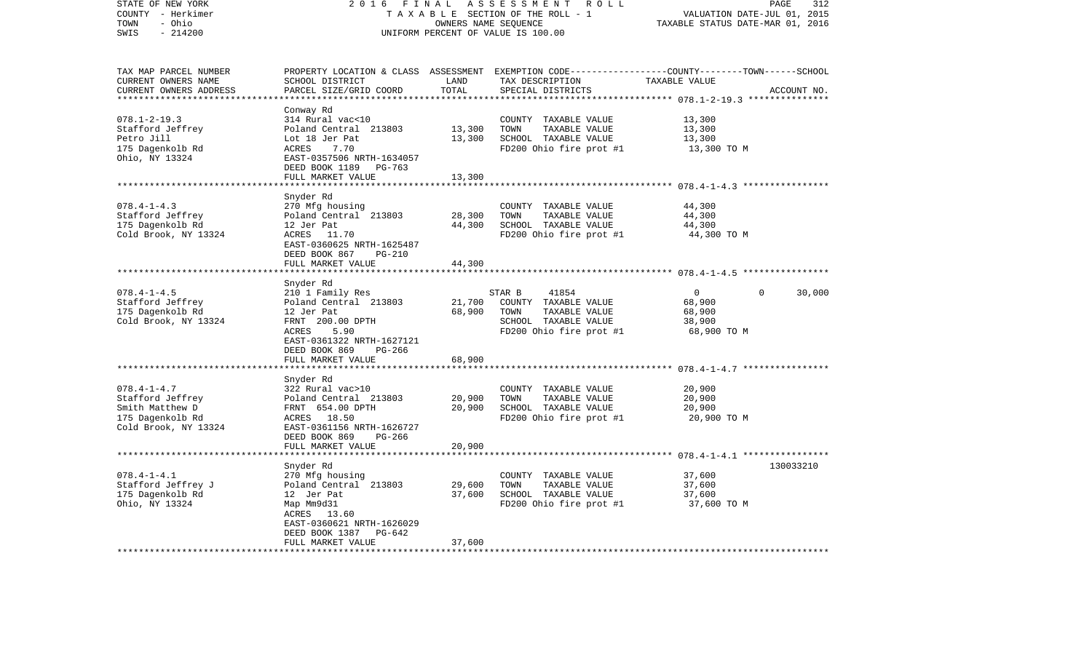| STATE OF NEW YORK<br>COUNTY - Herkimer<br>- Ohio<br>TOWN | 2 0 1 6<br>FINAL<br>TAXABLE SECTION OF THE ROLL - 1  | PAGE<br>312<br>VALUATION DATE-JUL 01, 2015<br>TAXABLE STATUS DATE-MAR 01, 2016 |                                                                                                  |                                                       |             |
|----------------------------------------------------------|------------------------------------------------------|--------------------------------------------------------------------------------|--------------------------------------------------------------------------------------------------|-------------------------------------------------------|-------------|
| SWIS<br>$-214200$                                        | UNIFORM PERCENT OF VALUE IS 100.00                   |                                                                                |                                                                                                  |                                                       |             |
| TAX MAP PARCEL NUMBER                                    |                                                      |                                                                                | PROPERTY LOCATION & CLASS ASSESSMENT EXEMPTION CODE----------------COUNTY-------TOWN------SCHOOL |                                                       |             |
| CURRENT OWNERS NAME<br>CURRENT OWNERS ADDRESS            | SCHOOL DISTRICT<br>PARCEL SIZE/GRID COORD            | LAND<br>TOTAL                                                                  | TAX DESCRIPTION<br>SPECIAL DISTRICTS                                                             | TAXABLE VALUE                                         | ACCOUNT NO. |
| ***********************                                  |                                                      |                                                                                |                                                                                                  |                                                       |             |
| $078.1 - 2 - 19.3$                                       | Conway Rd                                            |                                                                                |                                                                                                  |                                                       |             |
| Stafford Jeffrey                                         | 314 Rural vac<10<br>Poland Central 213803            | 13,300                                                                         | COUNTY TAXABLE VALUE<br>TOWN<br>TAXABLE VALUE                                                    | 13,300<br>13,300                                      |             |
| Petro Jill                                               | Lot 18 Jer Pat                                       | 13,300                                                                         | SCHOOL TAXABLE VALUE                                                                             | 13,300                                                |             |
| 175 Dagenkolb Rd                                         | ACRES<br>7.70                                        |                                                                                | FD200 Ohio fire prot #1                                                                          | 13,300 TO M                                           |             |
| Ohio, NY 13324                                           | EAST-0357506 NRTH-1634057                            |                                                                                |                                                                                                  |                                                       |             |
|                                                          | DEED BOOK 1189 PG-763                                |                                                                                |                                                                                                  |                                                       |             |
|                                                          | FULL MARKET VALUE<br>*****************               | 13,300<br>********                                                             |                                                                                                  | *********************** 078.4-1-4.3 ***************** |             |
|                                                          | Snyder Rd                                            |                                                                                |                                                                                                  |                                                       |             |
| $078.4 - 1 - 4.3$                                        | 270 Mfg housing                                      |                                                                                | COUNTY TAXABLE VALUE                                                                             | 44,300                                                |             |
| Stafford Jeffrey                                         | Poland Central 213803                                | 28,300                                                                         | TAXABLE VALUE<br>TOWN                                                                            | 44,300                                                |             |
| 175 Dagenkolb Rd                                         | 12 Jer Pat                                           | 44,300                                                                         | SCHOOL TAXABLE VALUE                                                                             | 44,300                                                |             |
| Cold Brook, NY 13324                                     | ACRES<br>11.70<br>EAST-0360625 NRTH-1625487          |                                                                                | FD200 Ohio fire prot #1                                                                          | 44,300 TO M                                           |             |
|                                                          | DEED BOOK 867<br><b>PG-210</b>                       |                                                                                |                                                                                                  |                                                       |             |
|                                                          | FULL MARKET VALUE                                    | 44,300                                                                         |                                                                                                  |                                                       |             |
|                                                          |                                                      |                                                                                |                                                                                                  |                                                       |             |
|                                                          | Snyder Rd                                            |                                                                                |                                                                                                  |                                                       |             |
| $078.4 - 1 - 4.5$                                        | 210 1 Family Res                                     |                                                                                | STAR B<br>41854                                                                                  | 0<br>0                                                | 30,000      |
| Stafford Jeffrey<br>175 Dagenkolb Rd                     | Poland Central 213803<br>12 Jer Pat                  | 21,700<br>68,900                                                               | COUNTY TAXABLE VALUE<br>TOWN<br>TAXABLE VALUE                                                    | 68,900<br>68,900                                      |             |
| Cold Brook, NY 13324                                     | FRNT 200.00 DPTH                                     |                                                                                | SCHOOL TAXABLE VALUE                                                                             | 38,900                                                |             |
|                                                          | 5.90<br>ACRES                                        |                                                                                | FD200 Ohio fire prot #1                                                                          | 68,900 TO M                                           |             |
|                                                          | EAST-0361322 NRTH-1627121                            |                                                                                |                                                                                                  |                                                       |             |
|                                                          | DEED BOOK 869<br>PG-266                              |                                                                                |                                                                                                  |                                                       |             |
|                                                          | FULL MARKET VALUE                                    | 68,900                                                                         |                                                                                                  |                                                       |             |
|                                                          | **********************                               |                                                                                |                                                                                                  |                                                       |             |
| $078.4 - 1 - 4.7$                                        | Snyder Rd<br>322 Rural vac>10                        |                                                                                | COUNTY TAXABLE VALUE                                                                             | 20,900                                                |             |
| Stafford Jeffrey                                         | Poland Central 213803                                | 20,900                                                                         | TOWN<br>TAXABLE VALUE                                                                            | 20,900                                                |             |
| Smith Matthew D                                          | FRNT 654.00 DPTH                                     | 20,900                                                                         | SCHOOL TAXABLE VALUE                                                                             | 20,900                                                |             |
| 175 Dagenkolb Rd                                         | ACRES 18.50                                          |                                                                                | FD200 Ohio fire prot #1                                                                          | 20,900 TO M                                           |             |
| Cold Brook, NY 13324                                     | EAST-0361156 NRTH-1626727                            |                                                                                |                                                                                                  |                                                       |             |
|                                                          | DEED BOOK 869<br>PG-266                              |                                                                                |                                                                                                  |                                                       |             |
|                                                          | FULL MARKET VALUE<br>******************************* | 20,900                                                                         |                                                                                                  |                                                       |             |
|                                                          | Snyder Rd                                            |                                                                                |                                                                                                  |                                                       | 130033210   |
| $078.4 - 1 - 4.1$                                        | 270 Mfg housing                                      |                                                                                | COUNTY TAXABLE VALUE                                                                             | 37,600                                                |             |
| Stafford Jeffrey J                                       | Poland Central 213803                                | 29,600                                                                         | TOWN<br>TAXABLE VALUE                                                                            | 37,600                                                |             |
| 175 Dagenkolb Rd                                         | 12 Jer Pat                                           | 37,600                                                                         | SCHOOL TAXABLE VALUE                                                                             | 37,600                                                |             |
| Ohio, NY 13324                                           | Map Mm9d31                                           |                                                                                | FD200 Ohio fire prot #1                                                                          | 37,600 TO M                                           |             |
|                                                          | ACRES 13.60                                          |                                                                                |                                                                                                  |                                                       |             |
|                                                          | EAST-0360621 NRTH-1626029                            |                                                                                |                                                                                                  |                                                       |             |
|                                                          | DEED BOOK 1387<br>PG-642                             |                                                                                |                                                                                                  |                                                       |             |
| * * * * * * * * * * * * * * * * * *                      | FULL MARKET VALUE                                    | 37,600                                                                         |                                                                                                  |                                                       |             |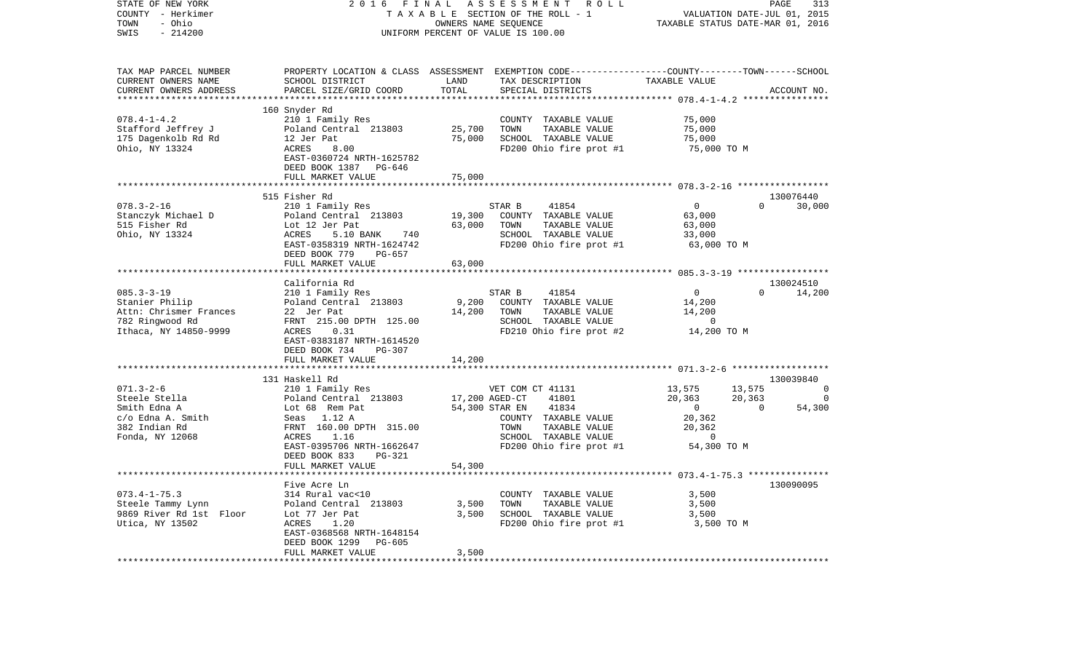| STATE OF NEW YORK<br>COUNTY - Herkimer<br>TOWN<br>- Ohio<br>SWIS<br>$-214200$                                    | 2016<br>FINAL                                                                                                                                                                                                                           |                                  | ASSESSMENT ROLL<br>TAXABLE SECTION OF THE ROLL - 1<br>OWNERS NAME SEQUENCE<br>UNIFORM PERCENT OF VALUE IS 100.00                                   | VALUATION DATE-JUL 01, 2015<br>TAXABLE STATUS DATE-MAR 01, 2016     | PAGE<br>313                                                                                   |
|------------------------------------------------------------------------------------------------------------------|-----------------------------------------------------------------------------------------------------------------------------------------------------------------------------------------------------------------------------------------|----------------------------------|----------------------------------------------------------------------------------------------------------------------------------------------------|---------------------------------------------------------------------|-----------------------------------------------------------------------------------------------|
| TAX MAP PARCEL NUMBER<br>CURRENT OWNERS NAME<br>CURRENT OWNERS ADDRESS<br>**********************                 | SCHOOL DISTRICT<br>PARCEL SIZE/GRID COORD<br>***************************                                                                                                                                                                | LAND<br>TOTAL                    | PROPERTY LOCATION & CLASS ASSESSMENT EXEMPTION CODE----------------COUNTY-------TOWN------SCHOOL<br>TAX DESCRIPTION<br>SPECIAL DISTRICTS           | TAXABLE VALUE                                                       | ACCOUNT NO.                                                                                   |
| $078.4 - 1 - 4.2$<br>Stafford Jeffrey J<br>175 Dagenkolb Rd Rd<br>Ohio, NY 13324                                 | 160 Snyder Rd<br>210 1 Family Res<br>Poland Central 213803<br>at<br>8.00<br>12 Jer Pat<br>ACRES<br>EAST-0360724 NRTH-1625782<br>DEED BOOK 1387 PG-646<br>FULL MARKET VALUE                                                              | 25,700<br>75,000<br>75,000       | COUNTY TAXABLE VALUE<br>TOWN<br>TAXABLE VALUE<br>SCHOOL TAXABLE VALUE<br>FD200 Ohio fire prot #1                                                   | 75,000<br>75,000<br>75,000<br>75,000 TO M                           |                                                                                               |
|                                                                                                                  | ***********************                                                                                                                                                                                                                 |                                  |                                                                                                                                                    |                                                                     |                                                                                               |
| $078.3 - 2 - 16$<br>Stanczyk Michael D<br>515 Fisher Rd<br>Ohio, NY 13324                                        | 515 Fisher Rd<br>210 1 Family Res<br>Poland Central 213803<br>Lot 12 Jer Pat<br>ACRES 5.10 BANK 740<br>$740$<br>$624742$<br>EAST-0358319 NRTH-1624742<br>DEED BOOK 779<br>PG-657<br>FULL MARKET VALUE<br>*************************      | 19,300<br>63,000<br>63,000       | STAR B<br>41854<br>COUNTY TAXABLE VALUE<br>TOWN<br>TAXABLE VALUE<br>SCHOOL TAXABLE VALUE<br>FD200 Ohio fire prot #1                                | $\overline{0}$<br>63,000<br>63,000<br>33,000<br>63,000 TO M         | 130076440<br>$\overline{0}$<br>30,000                                                         |
|                                                                                                                  | California Rd                                                                                                                                                                                                                           |                                  |                                                                                                                                                    |                                                                     | 130024510                                                                                     |
| $085.3 - 3 - 19$<br>Stanier Philip<br>Attn: Chrismer Frances<br>782 Ringwood Rd<br>Ithaca, NY 14850-9999         | 210 1 Family Res<br>Poland Central 213803<br>22 Jer Pat<br>FRNT 215.00 DPTH 125.00<br>ACRES<br>0.31<br>EAST-0383187 NRTH-1614520<br>DEED BOOK 734<br>PG-307                                                                             | 9,200<br>14,200                  | STAR B<br>41854<br>COUNTY TAXABLE VALUE<br>TOWN<br>TAXABLE VALUE<br>SCHOOL TAXABLE VALUE<br>FD210 Ohio fire prot #2                                | $\overline{0}$<br>14,200<br>14,200<br>$\overline{0}$<br>14,200 TO M | $0 \t 14,200$                                                                                 |
|                                                                                                                  | FULL MARKET VALUE                                                                                                                                                                                                                       | 14,200                           |                                                                                                                                                    |                                                                     |                                                                                               |
|                                                                                                                  |                                                                                                                                                                                                                                         |                                  |                                                                                                                                                    |                                                                     |                                                                                               |
| $071.3 - 2 - 6$<br>Steele Stella<br>Smith Edna A<br>c/o Edna A. Smith<br>382 Indian Rd<br>Fonda, NY 12068        | 131 Haskell Rd<br>210 1 Family Res<br>Poland Central 213803<br>Poland Central 213803<br>Lot 68 Rem Pat<br>Seas 1.12 A<br>FRNT 160.00 L<br>ACRES 1.16<br>FRNT 160.00 DPTH 315.00<br>EAST-0395706 NRTH-1662647<br>DEED BOOK 833<br>PG-321 | 17,200 AGED-CT<br>54,300 STAR EN | VET COM CT 41131<br>41801<br>41834<br>COUNTY TAXABLE VALUE<br>TOWN<br>TAXABLE VALUE<br>SCHOOL TAXABLE VALUE<br>FD200 Ohio fire prot #1 54,300 TO M | 13,575<br>20,363<br>$\overline{0}$<br>20,362<br>20,362<br>$\sim$ 0  | 130039840<br>13,575<br>$\overline{0}$<br>20,363<br>$\overline{0}$<br>$\overline{0}$<br>54,300 |
|                                                                                                                  | FULL MARKET VALUE                                                                                                                                                                                                                       | 54,300                           |                                                                                                                                                    |                                                                     |                                                                                               |
| $073.4 - 1 - 75.3$<br>Steele Tammy Lynn<br>9869 River Rd 1st Floor<br>Utica, NY 13502<br>*********************** | Five Acre Ln<br>314 Rural vac<10<br>Poland Central 213803<br>Lot 77 Jer Pat<br>ACRES<br>1.20<br>EAST-0368568 NRTH-1648154<br>DEED BOOK 1299<br>PG-605<br>FULL MARKET VALUE                                                              | 3,500<br>3,500<br>3,500          | COUNTY TAXABLE VALUE<br>TOWN<br>TAXABLE VALUE<br>SCHOOL TAXABLE VALUE<br>FD200 Ohio fire prot #1 $\overline{3,500}$ TO M                           | 3,500<br>3,500<br>3,500                                             | 130090095                                                                                     |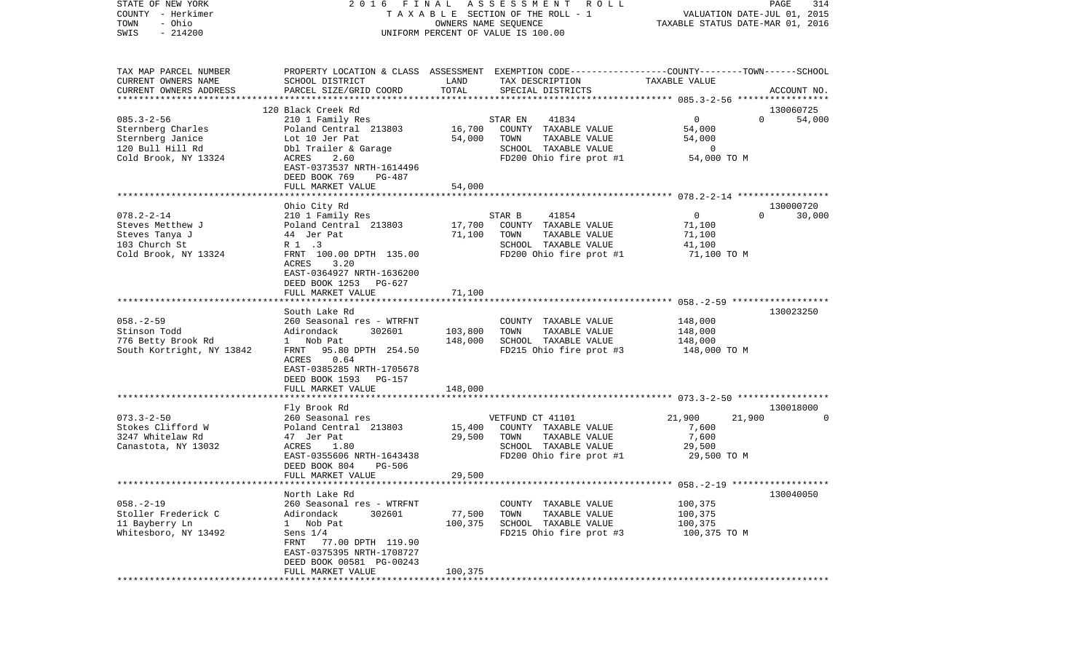COUNTY - Herkimer **T A X A B L E SECTION OF THE ROLL - 1** VALUATION DATE-JUL 01, 2015 TOWN - Ohio OWNERS NAME SEQUENCE TAXABLE STATUS DATE-MAR 01, 2016 SWIS - 214200 UNIFORM PERCENT OF VALUE IS 100.00TAX MAP PARCEL NUMBER PROPERTY LOCATION & CLASS ASSESSMENT EXEMPTION CODE------------------COUNTY--------TOWN------SCHOOL CURRENT OWNERS NAME SCHOOL DISTRICT LAND TAX DESCRIPTION TAXABLE VALUECURRENT OWNERS ADDRESS PARCEL SIZE/GRID COORD TOTAL SPECIAL DISTRICTS ACCOUNT NO. \*\*\*\*\*\*\*\*\*\*\*\*\*\*\*\*\*\*\*\*\*\*\*\*\*\*\*\*\*\*\*\*\*\*\*\*\*\*\*\*\*\*\*\*\*\*\*\*\*\*\*\*\*\*\*\*\*\*\*\*\*\*\*\*\*\*\*\*\*\*\*\*\*\*\*\*\*\*\*\*\*\*\*\*\*\*\*\*\*\*\*\*\*\*\*\*\*\*\*\*\*\*\* 085.3-2-56 \*\*\*\*\*\*\*\*\*\*\*\*\*\*\*\*\* 120 Black Creek Rd 130060725085.3-2-56 210 1 Family Res STAR EN 41834 0 0 54,000 Sternberg Charles 64,000 Poland Central 213803 16,700 COUNTY TAXABLE VALUE 54,000 Sternberg Janice 64,000 Lot 10 Jer Pat 54,000 TOWN TAXABLE VALUE 54,000 120 Bull Hill Rd Dbl Trailer & Garage SCHOOL TAXABLE VALUE 0 Cold Brook, NY 13324 ACRES 2.60 FD200 Ohio fire prot #1 54,000 TO M EAST-0373537 NRTH-1614496 DEED BOOK 769 PG-487FULL MARKET VALUE 54,000 \*\*\*\*\*\*\*\*\*\*\*\*\*\*\*\*\*\*\*\*\*\*\*\*\*\*\*\*\*\*\*\*\*\*\*\*\*\*\*\*\*\*\*\*\*\*\*\*\*\*\*\*\*\*\*\*\*\*\*\*\*\*\*\*\*\*\*\*\*\*\*\*\*\*\*\*\*\*\*\*\*\*\*\*\*\*\*\*\*\*\*\*\*\*\*\*\*\*\*\*\*\*\* 078.2-2-14 \*\*\*\*\*\*\*\*\*\*\*\*\*\*\*\*\* Ohio City Rd 130000720 078.2-2-14 210 1 Family Res STAR B 41854 0 0 0 30,000 Steves Metthew J Poland Central 213803 17,700 COUNTY TAXABLE VALUE 71,100 Steves Tanya J 44 Jer Pat 71,100 TOWN TAXABLE VALUE 71,100 103 Church St R 1 .3 SCHOOL TAXABLE VALUE 41,100 Cold Brook, NY 13324 FRNT 100.00 DPTH 135.00 FD200 Ohio fire prot #1 71,100 TO M ACRES 3.20 EAST-0364927 NRTH-1636200 DEED BOOK 1253 PG-627FULL MARKET VALUE 71,100 \*\*\*\*\*\*\*\*\*\*\*\*\*\*\*\*\*\*\*\*\*\*\*\*\*\*\*\*\*\*\*\*\*\*\*\*\*\*\*\*\*\*\*\*\*\*\*\*\*\*\*\*\*\*\*\*\*\*\*\*\*\*\*\*\*\*\*\*\*\*\*\*\*\*\*\*\*\*\*\*\*\*\*\*\*\*\*\*\*\*\*\*\*\*\*\*\*\*\*\*\*\*\* 058.-2-59 \*\*\*\*\*\*\*\*\*\*\*\*\*\*\*\*\*\* South Lake Rd 130023250058.-2-59 260 Seasonal res - WTRFNT COUNTY TAXABLE VALUE 148,000 Stinson Todd Adirondack 302601 103,800 TOWN TAXABLE VALUE 148,000 776 Betty Brook Rd 1 Nob Pat 148,000 SCHOOL TAXABLE VALUE 148,000 South Kortright, NY 13842 FRNT 95.80 DPTH 254.50 FD215 Ohio fire prot #3 148,000 TO M ACRES 0.64 EAST-0385285 NRTH-1705678 DEED BOOK 1593 PG-157 FULL MARKET VALUE 148,000 \*\*\*\*\*\*\*\*\*\*\*\*\*\*\*\*\*\*\*\*\*\*\*\*\*\*\*\*\*\*\*\*\*\*\*\*\*\*\*\*\*\*\*\*\*\*\*\*\*\*\*\*\*\*\*\*\*\*\*\*\*\*\*\*\*\*\*\*\*\*\*\*\*\*\*\*\*\*\*\*\*\*\*\*\*\*\*\*\*\*\*\*\*\*\*\*\*\*\*\*\*\*\* 073.3-2-50 \*\*\*\*\*\*\*\*\*\*\*\*\*\*\*\*\* Fly Brook Rd 130018000 073.3-2-50 21.900 260 Seasonal res VETFUND CT 41101 21.900 21.900 21.900 0 Stokes Clifford W Poland Central 213803 15,400 COUNTY TAXABLE VALUE 7,600 3247 Whitelaw Rd 47 Jer Pat 29,500 TOWN TAXABLE VALUE 7,600 Canastota, NY 13032 ACRES 1.80 SCHOOL TAXABLE VALUE 29,500 EAST-0355606 NRTH-1643438 FD200 Ohio fire prot #1 29,500 TO M DEED BOOK 804 PG-506 FULL MARKET VALUE 29,500 \*\*\*\*\*\*\*\*\*\*\*\*\*\*\*\*\*\*\*\*\*\*\*\*\*\*\*\*\*\*\*\*\*\*\*\*\*\*\*\*\*\*\*\*\*\*\*\*\*\*\*\*\*\*\*\*\*\*\*\*\*\*\*\*\*\*\*\*\*\*\*\*\*\*\*\*\*\*\*\*\*\*\*\*\*\*\*\*\*\*\*\*\*\*\*\*\*\*\*\*\*\*\* 058.-2-19 \*\*\*\*\*\*\*\*\*\*\*\*\*\*\*\*\*\* North Lake Rd 130040050058.-2-19 260 Seasonal res - WTRFNT COUNTY TAXABLE VALUE 100,375 Stoller Frederick C Adirondack 302601 77,500 TOWN TAXABLE VALUE 100,375 11 Bayberry Ln 1 Nob Pat 100,375 SCHOOL TAXABLE VALUE 100,375 Whitesboro, NY 13492 Sens  $1/4$  Sens  $1/4$  FD215 Ohio fire prot #3 100,375 TO M FRNT 77.00 DPTH 119.90 EAST-0375395 NRTH-1708727 DEED BOOK 00581 PG-00243 FULL MARKET VALUE 100.375 \*\*\*\*\*\*\*\*\*\*\*\*\*\*\*\*\*\*\*\*\*\*\*\*\*\*\*\*\*\*\*\*\*\*\*\*\*\*\*\*\*\*\*\*\*\*\*\*\*\*\*\*\*\*\*\*\*\*\*\*\*\*\*\*\*\*\*\*\*\*\*\*\*\*\*\*\*\*\*\*\*\*\*\*\*\*\*\*\*\*\*\*\*\*\*\*\*\*\*\*\*\*\*\*\*\*\*\*\*\*\*\*\*\*\*\*\*\*\*\*\*\*\*\*\*\*\*\*\*\*\*\*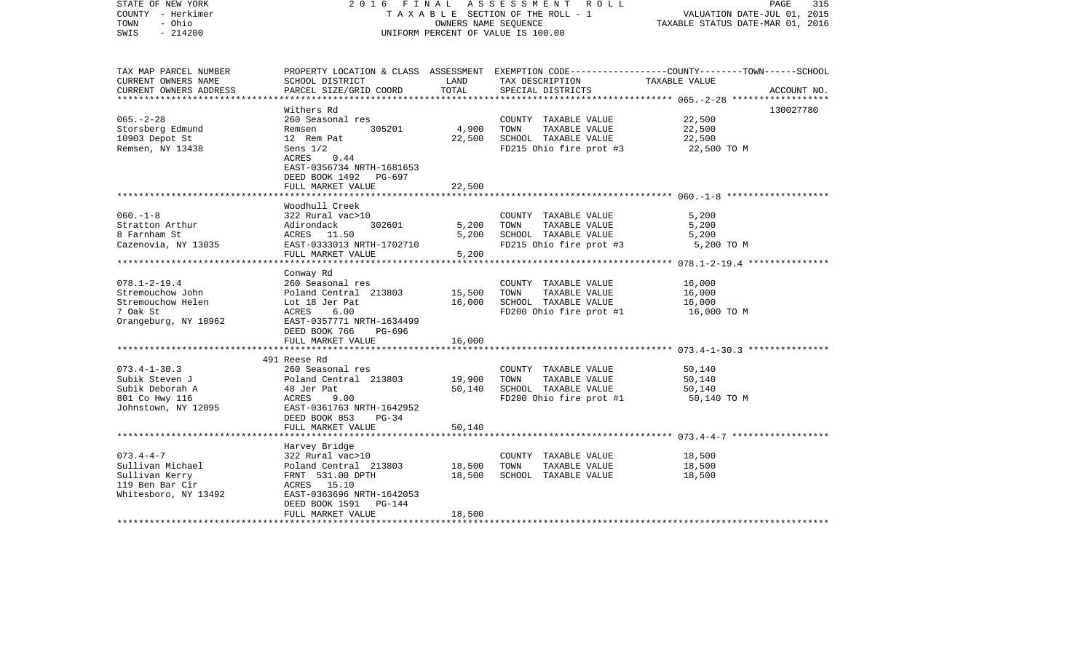| STATE OF NEW YORK<br>COUNTY - Herkimer<br>- Ohio<br>TOWN<br>$-214200$<br>SWIS                    | FINAL<br>2016                                                                                                                                                                 | OWNERS NAME SEOUENCE | ASSESSMENT ROLL<br>TAXABLE SECTION OF THE ROLL - 1<br>UNIFORM PERCENT OF VALUE IS 100.00         | PAGE<br>315<br>VALUATION DATE-JUL 01, 2015<br>TAXABLE STATUS DATE-MAR 01, 2016                                                   |
|--------------------------------------------------------------------------------------------------|-------------------------------------------------------------------------------------------------------------------------------------------------------------------------------|----------------------|--------------------------------------------------------------------------------------------------|----------------------------------------------------------------------------------------------------------------------------------|
| TAX MAP PARCEL NUMBER<br>CURRENT OWNERS NAME<br>CURRENT OWNERS ADDRESS                           | SCHOOL DISTRICT<br>PARCEL SIZE/GRID COORD                                                                                                                                     | LAND<br>TOTAL        | TAX DESCRIPTION<br>SPECIAL DISTRICTS                                                             | PROPERTY LOCATION & CLASS ASSESSMENT EXEMPTION CODE----------------COUNTY-------TOWN------SCHOOL<br>TAXABLE VALUE<br>ACCOUNT NO. |
|                                                                                                  |                                                                                                                                                                               |                      |                                                                                                  |                                                                                                                                  |
| $065. - 2 - 28$<br>Storsberg Edmund<br>10903 Depot St<br>Remsen, NY 13438                        | Withers Rd<br>260 Seasonal res<br>305201<br>Remsen<br>12 Rem Pat<br>Sens $1/2$<br>ACRES<br>0.44<br>EAST-0356734 NRTH-1681653<br>DEED BOOK 1492 PG-697                         | 4,900<br>22,500      | COUNTY TAXABLE VALUE<br>TOWN<br>TAXABLE VALUE<br>SCHOOL TAXABLE VALUE<br>FD215 Ohio fire prot #3 | 130027780<br>22,500<br>22,500<br>22,500<br>22,500 TO M                                                                           |
|                                                                                                  | FULL MARKET VALUE                                                                                                                                                             | 22,500               |                                                                                                  |                                                                                                                                  |
|                                                                                                  |                                                                                                                                                                               |                      |                                                                                                  |                                                                                                                                  |
| $060. -1 - 8$<br>Stratton Arthur<br>8 Farnham St<br>Cazenovia, NY 13035                          | Woodhull Creek<br>322 Rural vac>10<br>302601<br>Adirondack<br>ACRES 11.50<br>EAST-0333013 NRTH-1702710                                                                        | 5,200<br>5,200       | COUNTY TAXABLE VALUE<br>TAXABLE VALUE<br>TOWN<br>SCHOOL TAXABLE VALUE<br>FD215 Ohio fire prot #3 | 5,200<br>5,200<br>5,200<br>5,200 TO M                                                                                            |
|                                                                                                  | FULL MARKET VALUE                                                                                                                                                             | 5,200                |                                                                                                  |                                                                                                                                  |
| $078.1 - 2 - 19.4$<br>Stremouchow John<br>Stremouchow Helen<br>7 Oak St<br>Orangeburg, NY 10962  | ************************<br>Conway Rd<br>260 Seasonal res<br>Poland Central 213803<br>Lot 18 Jer Pat<br>ACRES<br>6.00<br>EAST-0357771 NRTH-1634499<br>DEED BOOK 766<br>PG-696 | 15,500<br>16,000     | COUNTY TAXABLE VALUE<br>TOWN<br>TAXABLE VALUE<br>SCHOOL TAXABLE VALUE<br>FD200 Ohio fire prot #1 | 16,000<br>16,000<br>16,000<br>16,000 TO M                                                                                        |
|                                                                                                  | FULL MARKET VALUE                                                                                                                                                             | 16,000               |                                                                                                  |                                                                                                                                  |
| $073.4 - 1 - 30.3$<br>Subik Steven J                                                             | 491 Reese Rd<br>260 Seasonal res<br>Poland Central 213803                                                                                                                     | 19,900               | COUNTY TAXABLE VALUE<br>TOWN<br>TAXABLE VALUE                                                    | 50,140<br>50,140                                                                                                                 |
| Subik Deborah A<br>801 Co Hwy 116<br>Johnstown, NY 12095                                         | 48 Jer Pat<br>ACRES<br>9.00<br>EAST-0361763 NRTH-1642952<br>DEED BOOK 853<br>$PG-34$<br>FULL MARKET VALUE                                                                     | 50,140<br>50,140     | SCHOOL TAXABLE VALUE<br>FD200 Ohio fire prot #1                                                  | 50,140<br>50,140 TO M                                                                                                            |
|                                                                                                  |                                                                                                                                                                               |                      |                                                                                                  |                                                                                                                                  |
| $073.4 - 4 - 7$<br>Sullivan Michael<br>Sullivan Kerry<br>119 Ben Bar Cir<br>Whitesboro, NY 13492 | Harvey Bridge<br>322 Rural vac>10<br>Poland Central 213803<br>FRNT 531.00 DPTH<br>ACRES 15.10<br>EAST-0363696 NRTH-1642053<br>DEED BOOK 1591<br>PG-144                        | 18,500<br>18,500     | COUNTY TAXABLE VALUE<br>TAXABLE VALUE<br>TOWN<br>SCHOOL TAXABLE VALUE                            | 18,500<br>18,500<br>18,500                                                                                                       |
|                                                                                                  | FULL MARKET VALUE                                                                                                                                                             | 18,500               |                                                                                                  |                                                                                                                                  |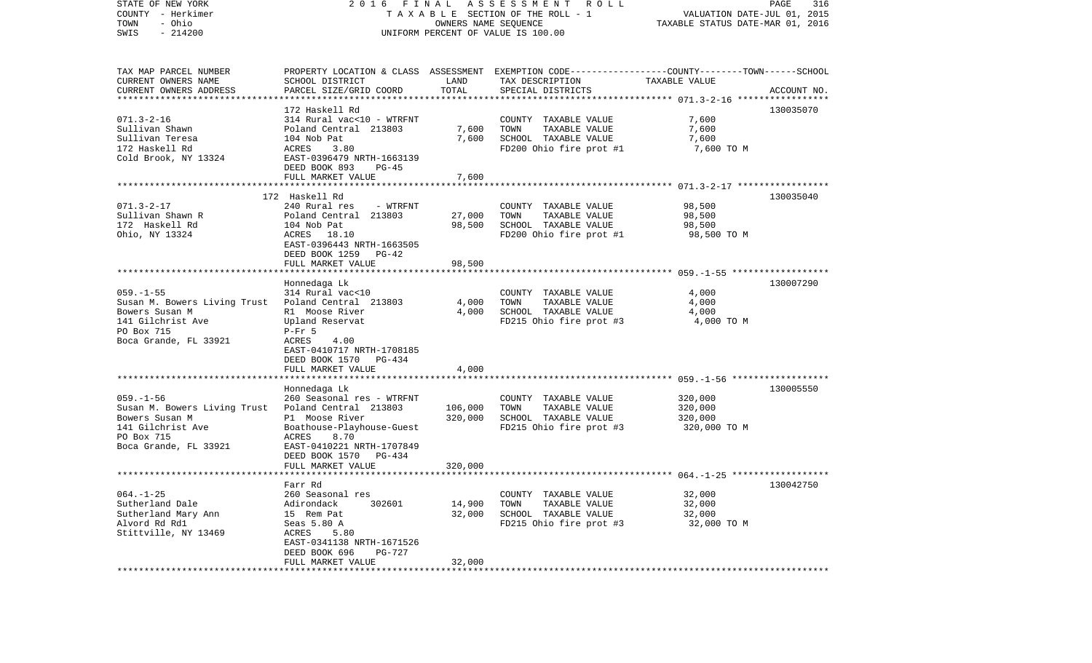| STATE OF NEW YORK<br>COUNTY - Herkimer<br>- Ohio<br>TOWN<br>$-214200$<br>SWIS |                                                    | OWNERS NAME SEQUENCE    | 2016 FINAL ASSESSMENT ROLL<br>TAXABLE SECTION OF THE ROLL - 1<br>UNIFORM PERCENT OF VALUE IS 100.00 | VALUATION DATE-JUL 01, 2015<br>TAXABLE STATUS DATE-MAR 01, 2016 | PAGE<br>316 |
|-------------------------------------------------------------------------------|----------------------------------------------------|-------------------------|-----------------------------------------------------------------------------------------------------|-----------------------------------------------------------------|-------------|
| TAX MAP PARCEL NUMBER                                                         |                                                    |                         | PROPERTY LOCATION & CLASS ASSESSMENT EXEMPTION CODE---------------COUNTY-------TOWN------SCHOOL     |                                                                 |             |
| CURRENT OWNERS NAME<br>CURRENT OWNERS ADDRESS                                 | SCHOOL DISTRICT<br>PARCEL SIZE/GRID COORD          | LAND<br>TOTAL           | TAX DESCRIPTION<br>SPECIAL DISTRICTS                                                                | TAXABLE VALUE                                                   | ACCOUNT NO. |
|                                                                               | 172 Haskell Rd                                     |                         |                                                                                                     |                                                                 | 130035070   |
| $071.3 - 2 - 16$                                                              | 314 Rural vac<10 - WTRFNT                          |                         | COUNTY TAXABLE VALUE                                                                                | 7,600                                                           |             |
| Sullivan Shawn                                                                | Poland Central 213803                              | 7,600                   | TAXABLE VALUE<br>TOWN                                                                               | 7,600                                                           |             |
| Sullivan Teresa                                                               | 104 Nob Pat                                        | 7,600                   | SCHOOL TAXABLE VALUE                                                                                | 7,600                                                           |             |
| 172 Haskell Rd                                                                | ACRES<br>3.80                                      |                         | FD200 Ohio fire prot #1                                                                             | 7,600 TO M                                                      |             |
| Cold Brook, NY 13324                                                          | EAST-0396479 NRTH-1663139                          |                         |                                                                                                     |                                                                 |             |
|                                                                               | DEED BOOK 893<br>PG-45                             |                         |                                                                                                     |                                                                 |             |
|                                                                               | FULL MARKET VALUE                                  | 7,600                   |                                                                                                     |                                                                 |             |
|                                                                               | 172 Haskell Rd                                     |                         |                                                                                                     |                                                                 | 130035040   |
| $071.3 - 2 - 17$                                                              | 240 Rural res<br>- WTRFNT                          |                         | COUNTY TAXABLE VALUE                                                                                | 98,500                                                          |             |
| Sullivan Shawn R                                                              | Poland Central 213803                              | 27,000                  | TAXABLE VALUE<br>TOWN                                                                               | 98,500                                                          |             |
| 172 Haskell Rd                                                                | 104 Nob Pat                                        | 98,500                  | SCHOOL TAXABLE VALUE                                                                                | 98,500                                                          |             |
| Ohio, NY 13324                                                                | ACRES 18.10                                        |                         | FD200 Ohio fire prot #1                                                                             | 98,500 TO M                                                     |             |
|                                                                               | EAST-0396443 NRTH-1663505                          |                         |                                                                                                     |                                                                 |             |
|                                                                               | DEED BOOK 1259 PG-42                               |                         |                                                                                                     |                                                                 |             |
|                                                                               | FULL MARKET VALUE                                  | 98,500                  |                                                                                                     |                                                                 |             |
|                                                                               |                                                    |                         |                                                                                                     |                                                                 |             |
| $059. -1 - 55$                                                                | Honnedaga Lk<br>314 Rural vac<10                   |                         |                                                                                                     |                                                                 | 130007290   |
| Susan M. Bowers Living Trust                                                  | Poland Central 213803                              | 4,000                   | COUNTY TAXABLE VALUE<br>TAXABLE VALUE<br>TOWN                                                       | 4,000<br>4,000                                                  |             |
| Bowers Susan M                                                                | R1 Moose River                                     | 4,000                   | SCHOOL TAXABLE VALUE                                                                                | 4,000                                                           |             |
| 141 Gilchrist Ave                                                             | Upland Reservat                                    |                         | FD215 Ohio fire prot #3                                                                             | 4,000 TO M                                                      |             |
| PO Box 715                                                                    | $P-Fr$ 5                                           |                         |                                                                                                     |                                                                 |             |
| Boca Grande, FL 33921                                                         | ACRES<br>4.00                                      |                         |                                                                                                     |                                                                 |             |
|                                                                               | EAST-0410717 NRTH-1708185                          |                         |                                                                                                     |                                                                 |             |
|                                                                               | DEED BOOK 1570 PG-434                              |                         |                                                                                                     |                                                                 |             |
|                                                                               | FULL MARKET VALUE                                  | 4,000                   |                                                                                                     |                                                                 |             |
|                                                                               |                                                    |                         |                                                                                                     |                                                                 |             |
|                                                                               | Honnedaga Lk                                       |                         |                                                                                                     |                                                                 | 130005550   |
| $059. -1 - 56$<br>Susan M. Bowers Living Trust                                | 260 Seasonal res - WTRFNT<br>Poland Central 213803 | 106,000                 | COUNTY TAXABLE VALUE<br>TAXABLE VALUE<br>TOWN                                                       | 320,000<br>320,000                                              |             |
| Bowers Susan M                                                                | P1 Moose River                                     | 320,000                 | SCHOOL TAXABLE VALUE                                                                                | 320,000                                                         |             |
| 141 Gilchrist Ave                                                             | Boathouse-Playhouse-Guest                          |                         | FD215 Ohio fire prot #3                                                                             | 320,000 TO M                                                    |             |
| PO Box 715                                                                    | ACRES<br>8.70                                      |                         |                                                                                                     |                                                                 |             |
| Boca Grande, FL 33921                                                         | EAST-0410221 NRTH-1707849                          |                         |                                                                                                     |                                                                 |             |
|                                                                               | DEED BOOK 1570 PG-434                              |                         |                                                                                                     |                                                                 |             |
|                                                                               | FULL MARKET VALUE                                  | 320,000                 |                                                                                                     |                                                                 |             |
|                                                                               |                                                    |                         |                                                                                                     |                                                                 |             |
|                                                                               | Farr Rd                                            |                         |                                                                                                     |                                                                 | 130042750   |
| $064. -1 - 25$                                                                | 260 Seasonal res                                   |                         | COUNTY TAXABLE VALUE                                                                                | 32,000                                                          |             |
| Sutherland Dale                                                               | Adirondack<br>302601                               | 14,900                  | TOWN<br>TAXABLE VALUE<br>SCHOOL TAXABLE VALUE                                                       | 32,000                                                          |             |
| Sutherland Mary Ann<br>Alvord Rd Rd1                                          | 15 Rem Pat<br>Seas 5.80 A                          | 32,000                  | FD215 Ohio fire prot #3                                                                             | 32,000<br>32,000 TO M                                           |             |
| Stittville, NY 13469                                                          | ACRES<br>5.80                                      |                         |                                                                                                     |                                                                 |             |
|                                                                               | EAST-0341138 NRTH-1671526                          |                         |                                                                                                     |                                                                 |             |
|                                                                               | DEED BOOK 696<br><b>PG-727</b>                     |                         |                                                                                                     |                                                                 |             |
|                                                                               | FULL MARKET VALUE                                  | 32,000                  |                                                                                                     |                                                                 |             |
|                                                                               | ********************                               | * * * * * * * * * * * : |                                                                                                     |                                                                 |             |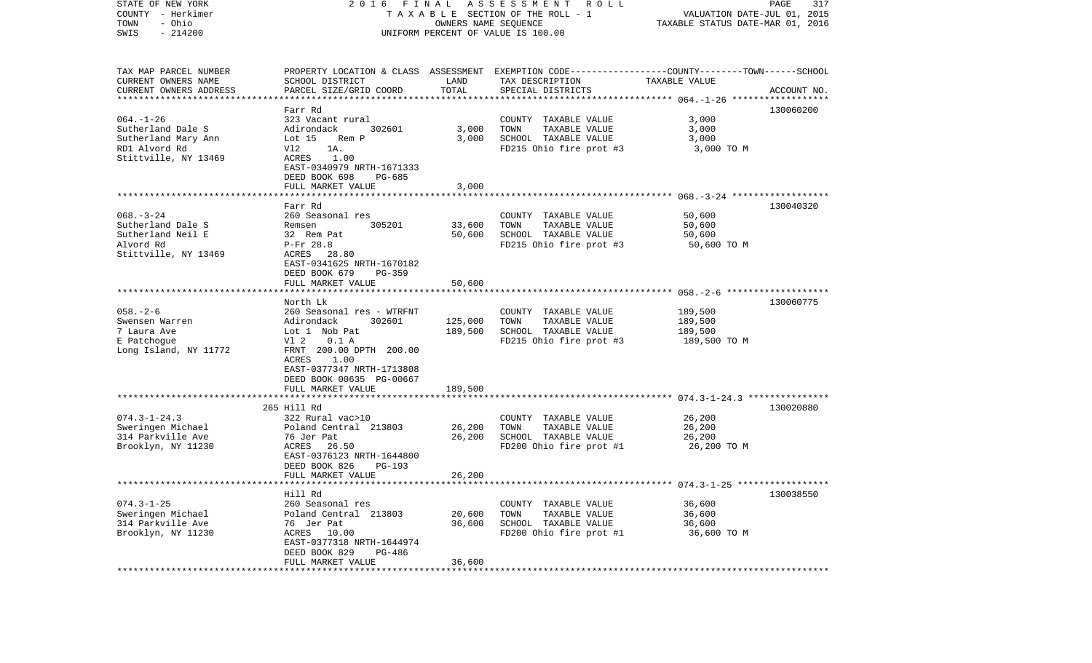| STATE OF NEW YORK<br>COUNTY - Herkimer           | 2016 FINAL                                           |                      | A S S E S S M E N T R O L L<br>TAXABLE SECTION OF THE ROLL - 1                                                      | VALUATION DATE-JUL 01, 2015      | PAGE<br>317 |
|--------------------------------------------------|------------------------------------------------------|----------------------|---------------------------------------------------------------------------------------------------------------------|----------------------------------|-------------|
| - Ohio<br>TOWN<br>$-214200$<br>SWIS              |                                                      | OWNERS NAME SEQUENCE | UNIFORM PERCENT OF VALUE IS 100.00                                                                                  | TAXABLE STATUS DATE-MAR 01, 2016 |             |
| TAX MAP PARCEL NUMBER<br>CURRENT OWNERS NAME     | SCHOOL DISTRICT                                      | LAND                 | PROPERTY LOCATION & CLASS ASSESSMENT EXEMPTION CODE----------------COUNTY-------TOWN------SCHOOL<br>TAX DESCRIPTION | TAXABLE VALUE                    |             |
| CURRENT OWNERS ADDRESS<br>********************** | PARCEL SIZE/GRID COORD                               | TOTAL                | SPECIAL DISTRICTS                                                                                                   |                                  | ACCOUNT NO. |
|                                                  | Farr Rd                                              |                      |                                                                                                                     |                                  | 130060200   |
| $064. - 1 - 26$                                  | 323 Vacant rural                                     |                      | COUNTY TAXABLE VALUE                                                                                                | 3,000                            |             |
| Sutherland Dale S                                | Adirondack<br>302601                                 | 3,000                | TOWN<br>TAXABLE VALUE                                                                                               | 3,000                            |             |
| Sutherland Mary Ann                              | Lot $15$<br>Rem P                                    | 3.000                | SCHOOL TAXABLE VALUE                                                                                                | 3,000                            |             |
| RD1 Alvord Rd<br>Stittville, NY 13469            | Vl2<br>1A.<br>1.00<br>ACRES                          |                      | FD215 Ohio fire prot #3                                                                                             | 3,000 TO M                       |             |
|                                                  | EAST-0340979 NRTH-1671333                            |                      |                                                                                                                     |                                  |             |
|                                                  | DEED BOOK 698<br>PG-685                              |                      |                                                                                                                     |                                  |             |
|                                                  | FULL MARKET VALUE                                    | 3,000                |                                                                                                                     |                                  |             |
|                                                  | Farr Rd                                              |                      |                                                                                                                     |                                  | 130040320   |
| $068. - 3 - 24$                                  | 260 Seasonal res                                     |                      | COUNTY TAXABLE VALUE                                                                                                | 50,600                           |             |
| Sutherland Dale S                                | 305201<br>Remsen                                     | 33,600               | TAXABLE VALUE<br>TOWN                                                                                               | 50,600                           |             |
| Sutherland Neil E                                | 32 Rem Pat                                           | 50,600               | SCHOOL TAXABLE VALUE                                                                                                | 50,600                           |             |
| Alvord Rd                                        | P-Fr 28.8                                            |                      | FD215 Ohio fire prot #3                                                                                             | 50,600 TO M                      |             |
| Stittville, NY 13469                             | ACRES 28.80<br>EAST-0341625 NRTH-1670182             |                      |                                                                                                                     |                                  |             |
|                                                  | DEED BOOK 679<br>$PG-359$                            |                      |                                                                                                                     |                                  |             |
|                                                  | FULL MARKET VALUE                                    | 50,600               |                                                                                                                     |                                  |             |
|                                                  |                                                      |                      |                                                                                                                     |                                  |             |
| $058. - 2 - 6$                                   | North Lk<br>260 Seasonal res - WTRFNT                |                      | COUNTY TAXABLE VALUE                                                                                                | 189,500                          | 130060775   |
| Swensen Warren                                   | 302601<br>Adirondack                                 | 125,000              | TAXABLE VALUE<br>TOWN                                                                                               | 189,500                          |             |
| 7 Laura Ave                                      | Lot 1 Nob Pat                                        | 189,500              | SCHOOL TAXABLE VALUE                                                                                                | 189,500                          |             |
| E Patchogue                                      | 0.1 A<br>V1 2                                        |                      | FD215 Ohio fire prot #3                                                                                             | 189,500 TO M                     |             |
| Long Island, NY 11772                            | FRNT 200.00 DPTH 200.00<br>1.00<br>ACRES             |                      |                                                                                                                     |                                  |             |
|                                                  | EAST-0377347 NRTH-1713808                            |                      |                                                                                                                     |                                  |             |
|                                                  | DEED BOOK 00635 PG-00667                             |                      |                                                                                                                     |                                  |             |
|                                                  | FULL MARKET VALUE                                    | 189,500              |                                                                                                                     |                                  |             |
|                                                  | **********************<br>265 Hill Rd                | * * * * * * * * * *  |                                                                                                                     |                                  | 130020880   |
| $074.3 - 1 - 24.3$                               | 322 Rural vac>10                                     |                      | COUNTY TAXABLE VALUE                                                                                                | 26,200                           |             |
| Sweringen Michael                                | Poland Central 213803                                | 26,200               | TOWN<br>TAXABLE VALUE                                                                                               | 26,200                           |             |
| 314 Parkville Ave                                | 76 Jer Pat                                           | 26,200               | SCHOOL TAXABLE VALUE                                                                                                | 26,200                           |             |
| Brooklyn, NY 11230                               | ACRES<br>26.50                                       |                      | FD200 Ohio fire prot #1                                                                                             | 26,200 TO M                      |             |
|                                                  | EAST-0376123 NRTH-1644800<br>DEED BOOK 826<br>PG-193 |                      |                                                                                                                     |                                  |             |
|                                                  | FULL MARKET VALUE                                    | 26,200               |                                                                                                                     |                                  |             |
|                                                  |                                                      |                      |                                                                                                                     |                                  |             |
|                                                  | Hill Rd                                              |                      |                                                                                                                     |                                  | 130038550   |
| $074.3 - 1 - 25$<br>Sweringen Michael            | 260 Seasonal res                                     |                      | COUNTY TAXABLE VALUE                                                                                                | 36,600                           |             |
| 314 Parkville Ave                                | Poland Central 213803<br>76 Jer Pat                  | 20,600<br>36,600     | TOWN<br>TAXABLE VALUE<br>SCHOOL TAXABLE VALUE                                                                       | 36,600<br>36,600                 |             |
| Brooklyn, NY 11230                               | ACRES<br>10.00                                       |                      | FD200 Ohio fire prot #1                                                                                             | 36,600 TO M                      |             |
|                                                  | EAST-0377318 NRTH-1644974                            |                      |                                                                                                                     |                                  |             |
|                                                  | DEED BOOK 829<br>PG-486                              |                      |                                                                                                                     |                                  |             |
|                                                  | FULL MARKET VALUE<br>*****************               | 36,600<br>********   |                                                                                                                     |                                  |             |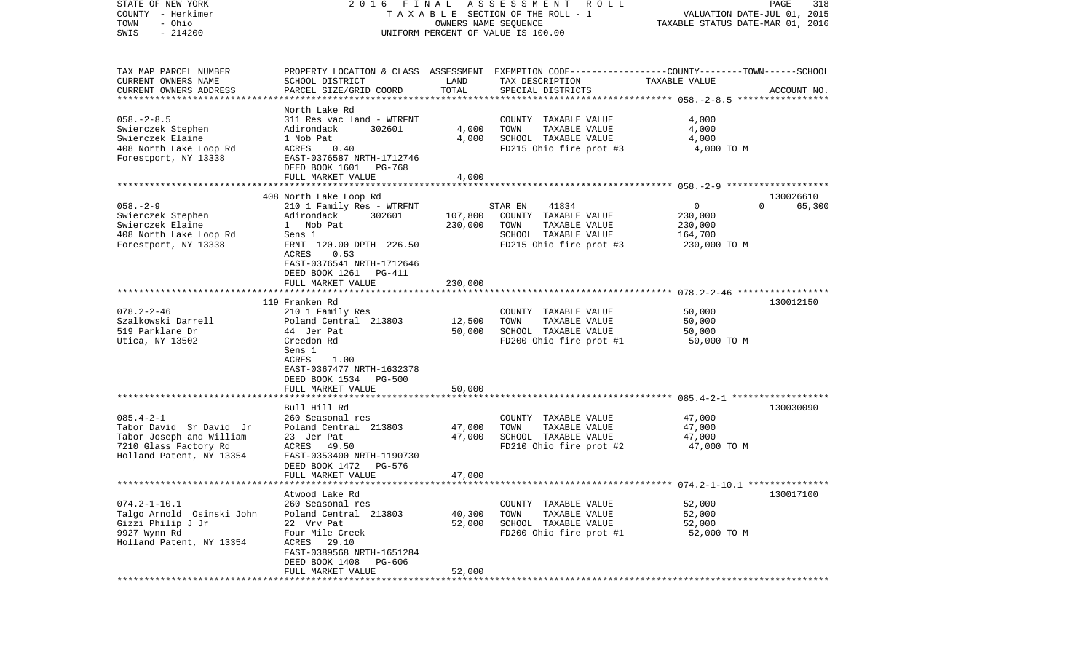| STATE OF NEW YORK<br>COUNTY - Herkimer<br>- Ohio<br>TOWN | FINAL<br>2016                                      |          | ASSESSMENT ROLL<br>TAXABLE SECTION OF THE ROLL - 1<br>OWNERS NAME SEQUENCE                       | VALUATION DATE-JUL 01, 2015<br>TAXABLE STATUS DATE-MAR 01, 2016 | PAGE<br>318        |
|----------------------------------------------------------|----------------------------------------------------|----------|--------------------------------------------------------------------------------------------------|-----------------------------------------------------------------|--------------------|
| $-214200$<br>SWIS                                        |                                                    |          | UNIFORM PERCENT OF VALUE IS 100.00                                                               |                                                                 |                    |
| TAX MAP PARCEL NUMBER                                    |                                                    |          | PROPERTY LOCATION & CLASS ASSESSMENT EXEMPTION CODE----------------COUNTY-------TOWN------SCHOOL |                                                                 |                    |
| CURRENT OWNERS NAME                                      | SCHOOL DISTRICT                                    | LAND     | TAX DESCRIPTION                                                                                  | TAXABLE VALUE                                                   |                    |
| CURRENT OWNERS ADDRESS<br>************************       | PARCEL SIZE/GRID COORD                             | TOTAL    | SPECIAL DISTRICTS                                                                                |                                                                 | ACCOUNT NO.        |
|                                                          | North Lake Rd                                      |          |                                                                                                  |                                                                 |                    |
| $058. - 2 - 8.5$                                         | 311 Res vac land - WTRFNT                          |          | COUNTY TAXABLE VALUE                                                                             | 4,000                                                           |                    |
| Swierczek Stephen                                        | Adirondack<br>302601                               | 4,000    | TOWN<br>TAXABLE VALUE                                                                            | 4,000                                                           |                    |
| Swierczek Elaine                                         | 1 Nob Pat                                          | 4,000    | SCHOOL TAXABLE VALUE                                                                             | 4,000                                                           |                    |
| 408 North Lake Loop Rd                                   | ACRES<br>0.40                                      |          | FD215 Ohio fire prot #3                                                                          | 4,000 TO M                                                      |                    |
| Forestport, NY 13338                                     | EAST-0376587 NRTH-1712746                          |          |                                                                                                  |                                                                 |                    |
|                                                          | DEED BOOK 1601 PG-768                              |          |                                                                                                  |                                                                 |                    |
|                                                          | FULL MARKET VALUE                                  | 4,000    |                                                                                                  |                                                                 |                    |
|                                                          |                                                    |          |                                                                                                  |                                                                 |                    |
|                                                          | 408 North Lake Loop Rd                             |          |                                                                                                  |                                                                 | 130026610          |
| $058. - 2 - 9$                                           | 210 1 Family Res - WTRFNT                          |          | 41834<br>STAR EN                                                                                 | $\mathbf{0}$                                                    | 65,300<br>$\Omega$ |
| Swierczek Stephen                                        | Adirondack<br>302601                               | 107,800  | COUNTY TAXABLE VALUE                                                                             | 230,000                                                         |                    |
| Swierczek Elaine                                         | 1 Nob Pat                                          | 230,000  | TOWN<br>TAXABLE VALUE                                                                            | 230,000                                                         |                    |
| 408 North Lake Loop Rd                                   | Sens 1                                             |          | SCHOOL TAXABLE VALUE                                                                             | 164,700                                                         |                    |
| Forestport, NY 13338                                     | FRNT 120.00 DPTH 226.50                            |          | FD215 Ohio fire prot #3                                                                          | 230,000 TO M                                                    |                    |
|                                                          | ACRES<br>0.53<br>EAST-0376541 NRTH-1712646         |          |                                                                                                  |                                                                 |                    |
|                                                          | DEED BOOK 1261<br>PG-411                           |          |                                                                                                  |                                                                 |                    |
|                                                          | FULL MARKET VALUE                                  | 230,000  |                                                                                                  |                                                                 |                    |
|                                                          |                                                    |          |                                                                                                  |                                                                 |                    |
|                                                          | 119 Franken Rd                                     |          |                                                                                                  |                                                                 | 130012150          |
| $078.2 - 2 - 46$                                         | 210 1 Family Res                                   |          | COUNTY TAXABLE VALUE                                                                             | 50,000                                                          |                    |
| Szalkowski Darrell                                       | Poland Central 213803                              | 12,500   | TAXABLE VALUE<br>TOWN                                                                            | 50,000                                                          |                    |
| 519 Parklane Dr                                          | 44 Jer Pat                                         | 50,000   | SCHOOL TAXABLE VALUE                                                                             | 50,000                                                          |                    |
| Utica, NY 13502                                          | Creedon Rd                                         |          | FD200 Ohio fire prot #1                                                                          | 50,000 TO M                                                     |                    |
|                                                          | Sens 1                                             |          |                                                                                                  |                                                                 |                    |
|                                                          | <b>ACRES</b><br>1.00                               |          |                                                                                                  |                                                                 |                    |
|                                                          | EAST-0367477 NRTH-1632378<br>DEED BOOK 1534 PG-500 |          |                                                                                                  |                                                                 |                    |
|                                                          | FULL MARKET VALUE                                  | 50,000   |                                                                                                  |                                                                 |                    |
|                                                          | *******************                                | ******** |                                                                                                  |                                                                 |                    |
|                                                          | Bull Hill Rd                                       |          |                                                                                                  |                                                                 | 130030090          |
| $085.4 - 2 - 1$                                          | 260 Seasonal res                                   |          | COUNTY TAXABLE VALUE                                                                             | 47,000                                                          |                    |
| Tabor David Sr David Jr                                  | Poland Central 213803                              | 47,000   | TOWN<br>TAXABLE VALUE                                                                            | 47,000                                                          |                    |
| Tabor Joseph and William                                 | 23 Jer Pat                                         | 47,000   | SCHOOL TAXABLE VALUE                                                                             | 47,000                                                          |                    |
| 7210 Glass Factory Rd                                    | ACRES 49.50                                        |          | FD210 Ohio fire prot #2                                                                          | 47,000 TO M                                                     |                    |
| Holland Patent, NY 13354                                 | EAST-0353400 NRTH-1190730                          |          |                                                                                                  |                                                                 |                    |
|                                                          | DEED BOOK 1472<br>PG-576                           |          |                                                                                                  |                                                                 |                    |
| ************************                                 | FULL MARKET VALUE                                  | 47,000   |                                                                                                  |                                                                 |                    |
|                                                          |                                                    |          |                                                                                                  |                                                                 |                    |
| $074.2 - 1 - 10.1$                                       | Atwood Lake Rd<br>260 Seasonal res                 |          | COUNTY TAXABLE VALUE                                                                             | 52,000                                                          | 130017100          |
| Talgo Arnold Osinski John                                | Poland Central 213803                              | 40,300   | TOWN<br>TAXABLE VALUE                                                                            | 52,000                                                          |                    |
| Gizzi Philip J Jr                                        | 22 Vrv Pat                                         | 52,000   | SCHOOL TAXABLE VALUE                                                                             | 52,000                                                          |                    |
| 9927 Wynn Rd                                             | Four Mile Creek                                    |          | FD200 Ohio fire prot #1                                                                          | 52,000 TO M                                                     |                    |
| Holland Patent, NY 13354                                 | 29.10<br>ACRES                                     |          |                                                                                                  |                                                                 |                    |
|                                                          | EAST-0389568 NRTH-1651284                          |          |                                                                                                  |                                                                 |                    |
|                                                          | DEED BOOK 1408<br><b>PG-606</b>                    |          |                                                                                                  |                                                                 |                    |
|                                                          | FULL MARKET VALUE                                  | 52,000   |                                                                                                  |                                                                 |                    |
| ***************                                          |                                                    |          |                                                                                                  |                                                                 |                    |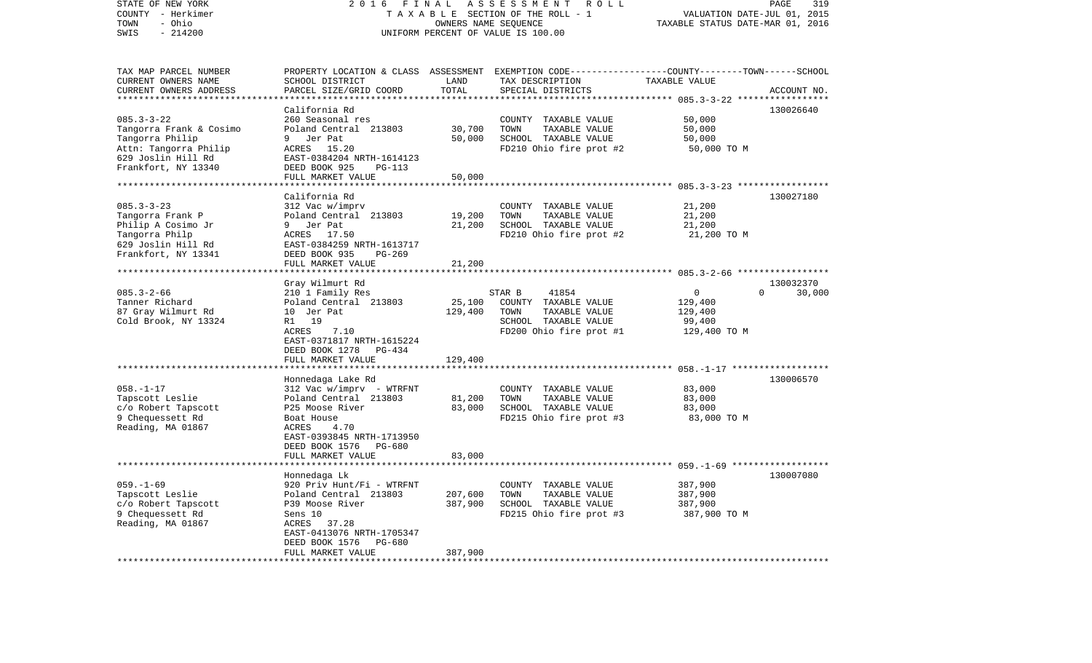| STATE OF NEW YORK<br>COUNTY - Herkimer<br>- Ohio<br>TOWN | 2 0 1 6                                            | FINAL<br>OWNERS NAME SEQUENCE | ASSESSMENT<br>R O L L<br>TAXABLE SECTION OF THE ROLL - 1                                                           | VALUATION DATE-JUL 01, 2015<br>TAXABLE STATUS DATE-MAR 01, 2016 | PAGE<br>319        |
|----------------------------------------------------------|----------------------------------------------------|-------------------------------|--------------------------------------------------------------------------------------------------------------------|-----------------------------------------------------------------|--------------------|
| SWIS<br>$-214200$                                        |                                                    |                               | UNIFORM PERCENT OF VALUE IS 100.00                                                                                 |                                                                 |                    |
| TAX MAP PARCEL NUMBER<br>CURRENT OWNERS NAME             | SCHOOL DISTRICT                                    | LAND                          | PROPERTY LOCATION & CLASS ASSESSMENT EXEMPTION CODE---------------COUNTY-------TOWN------SCHOOL<br>TAX DESCRIPTION | TAXABLE VALUE                                                   |                    |
| CURRENT OWNERS ADDRESS                                   | PARCEL SIZE/GRID COORD                             | TOTAL                         | SPECIAL DISTRICTS                                                                                                  |                                                                 | ACCOUNT NO.        |
|                                                          |                                                    |                               |                                                                                                                    | ********* 085.3-3-22 *****                                      |                    |
|                                                          | California Rd                                      |                               |                                                                                                                    |                                                                 | 130026640          |
| $085.3 - 3 - 22$                                         | 260 Seasonal res                                   |                               | COUNTY TAXABLE VALUE                                                                                               | 50,000                                                          |                    |
| Tangorra Frank & Cosimo                                  | Poland Central 213803                              | 30,700                        | TOWN<br>TAXABLE VALUE                                                                                              | 50,000                                                          |                    |
| Tangorra Philip<br>Attn: Tangorra Philip                 | Jer Pat<br>9<br>ACRES<br>15.20                     | 50,000                        | SCHOOL TAXABLE VALUE                                                                                               | 50,000                                                          |                    |
| 629 Joslin Hill Rd                                       | EAST-0384204 NRTH-1614123                          |                               | FD210 Ohio fire prot #2                                                                                            | 50,000 TO M                                                     |                    |
| Frankfort, NY 13340                                      | DEED BOOK 925<br>PG-113                            |                               |                                                                                                                    |                                                                 |                    |
|                                                          | FULL MARKET VALUE                                  | 50,000                        |                                                                                                                    |                                                                 |                    |
|                                                          | **************************                         |                               |                                                                                                                    |                                                                 |                    |
|                                                          | California Rd                                      |                               |                                                                                                                    |                                                                 | 130027180          |
| $085.3 - 3 - 23$                                         | 312 Vac w/imprv                                    |                               | COUNTY TAXABLE VALUE                                                                                               | 21,200                                                          |                    |
| Tangorra Frank P                                         | Poland Central 213803                              | 19,200                        | TOWN<br>TAXABLE VALUE                                                                                              | 21,200                                                          |                    |
| Philip A Cosimo Jr<br>Tangorra Philp                     | 9<br>Jer Pat<br>ACRES 17.50                        | 21,200                        | SCHOOL TAXABLE VALUE<br>FD210 Ohio fire prot #2                                                                    | 21,200<br>21,200 TO M                                           |                    |
| 629 Joslin Hill Rd                                       | EAST-0384259 NRTH-1613717                          |                               |                                                                                                                    |                                                                 |                    |
| Frankfort, NY 13341                                      | DEED BOOK 935<br>PG-269                            |                               |                                                                                                                    |                                                                 |                    |
|                                                          | FULL MARKET VALUE                                  | 21,200                        |                                                                                                                    |                                                                 |                    |
|                                                          | *******************                                | * * * * * * * * * * * *       |                                                                                                                    |                                                                 |                    |
|                                                          | Gray Wilmurt Rd                                    |                               |                                                                                                                    |                                                                 | 130032370          |
| $085.3 - 2 - 66$                                         | 210 1 Family Res                                   |                               | STAR B<br>41854                                                                                                    | $\overline{0}$                                                  | $\Omega$<br>30,000 |
| Tanner Richard                                           | Poland Central 213803                              | 25,100                        | COUNTY TAXABLE VALUE                                                                                               | 129,400                                                         |                    |
| 87 Gray Wilmurt Rd<br>Cold Brook, NY 13324               | 10 Jer Pat<br>R1 19                                | 129,400                       | TOWN<br>TAXABLE VALUE<br>SCHOOL TAXABLE VALUE                                                                      | 129,400<br>99,400                                               |                    |
|                                                          | ACRES<br>7.10                                      |                               | FD200 Ohio fire prot #1                                                                                            | 129,400 TO M                                                    |                    |
|                                                          | EAST-0371817 NRTH-1615224                          |                               |                                                                                                                    |                                                                 |                    |
|                                                          | DEED BOOK 1278<br>PG-434                           |                               |                                                                                                                    |                                                                 |                    |
|                                                          | FULL MARKET VALUE                                  | 129,400                       |                                                                                                                    |                                                                 |                    |
|                                                          | **********************                             |                               |                                                                                                                    |                                                                 |                    |
|                                                          | Honnedaga Lake Rd                                  |                               |                                                                                                                    |                                                                 | 130006570          |
| $058. - 1 - 17$                                          | 312 Vac w/imprv - WTRFNT                           |                               | COUNTY TAXABLE VALUE                                                                                               | 83,000                                                          |                    |
| Tapscott Leslie<br>c/o Robert Tapscott                   | Poland Central 213803<br>P25 Moose River           | 81,200<br>83,000              | TAXABLE VALUE<br>TOWN<br>SCHOOL TAXABLE VALUE                                                                      | 83,000<br>83,000                                                |                    |
| 9 Chequessett Rd                                         | Boat House                                         |                               | FD215 Ohio fire prot #3                                                                                            | 83,000 TO M                                                     |                    |
| Reading, MA 01867                                        | ACRES<br>4.70                                      |                               |                                                                                                                    |                                                                 |                    |
|                                                          | EAST-0393845 NRTH-1713950                          |                               |                                                                                                                    |                                                                 |                    |
|                                                          | DEED BOOK 1576<br>PG-680                           |                               |                                                                                                                    |                                                                 |                    |
|                                                          | FULL MARKET VALUE                                  | 83,000                        |                                                                                                                    |                                                                 |                    |
|                                                          | *******************                                |                               |                                                                                                                    |                                                                 |                    |
| $059. - 1 - 69$                                          | Honnedaga Lk                                       |                               |                                                                                                                    |                                                                 | 130007080          |
| Tapscott Leslie                                          | 920 Priv Hunt/Fi - WTRFNT<br>Poland Central 213803 | 207,600                       | COUNTY TAXABLE VALUE<br>TOWN<br>TAXABLE VALUE                                                                      | 387,900<br>387,900                                              |                    |
| c/o Robert Tapscott                                      | P39 Moose River                                    | 387,900                       | SCHOOL TAXABLE VALUE                                                                                               | 387,900                                                         |                    |
| 9 Chequessett Rd                                         | Sens 10                                            |                               | FD215 Ohio fire prot #3                                                                                            | 387,900 TO M                                                    |                    |
| Reading, MA 01867                                        | ACRES<br>37.28                                     |                               |                                                                                                                    |                                                                 |                    |
|                                                          | EAST-0413076 NRTH-1705347                          |                               |                                                                                                                    |                                                                 |                    |
|                                                          | DEED BOOK 1576<br>PG-680                           |                               |                                                                                                                    |                                                                 |                    |
|                                                          | FULL MARKET VALUE<br>*****************             | 387,900                       |                                                                                                                    |                                                                 |                    |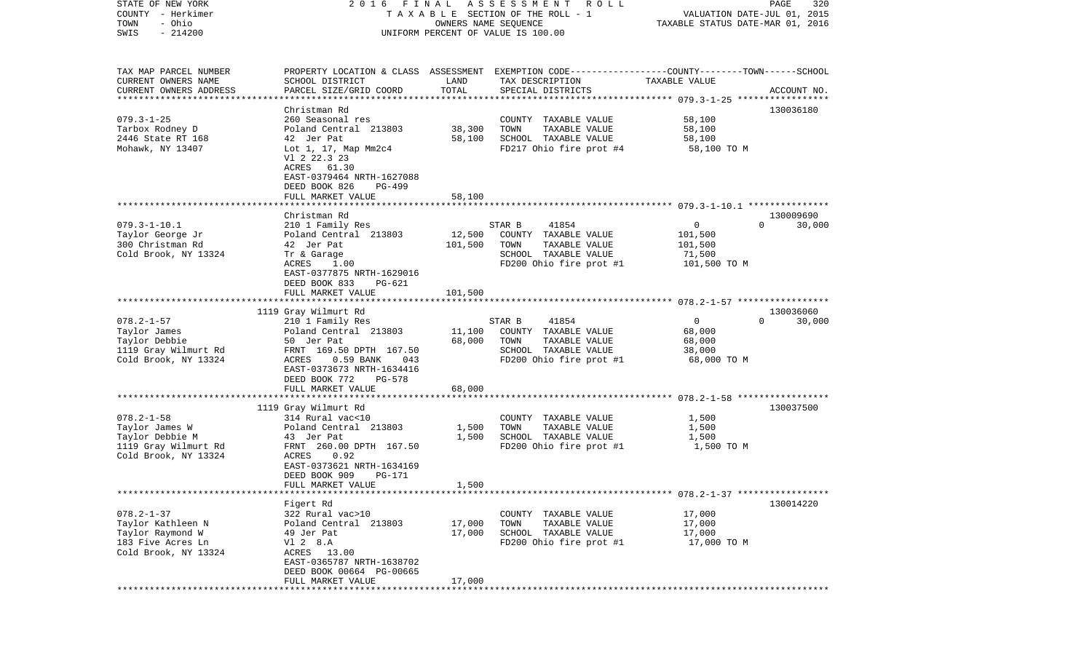| COUNTY<br>- Herkimer<br>TOWN<br>- Ohio<br>$-214200$<br>SWIS |                                                                                                                     | OWNERS NAME SEQUENCE | T A X A B L E SECTION OF THE ROLL - 1<br>UNIFORM PERCENT OF VALUE IS 100.00 | VALUATION DATE-JUL 01, 2015<br>TAXABLE STATUS DATE-MAR 01, 2016 |                                 |
|-------------------------------------------------------------|---------------------------------------------------------------------------------------------------------------------|----------------------|-----------------------------------------------------------------------------|-----------------------------------------------------------------|---------------------------------|
| TAX MAP PARCEL NUMBER<br>CURRENT OWNERS NAME                | PROPERTY LOCATION & CLASS ASSESSMENT EXEMPTION CODE----------------COUNTY-------TOWN------SCHOOL<br>SCHOOL DISTRICT | LAND                 | TAX DESCRIPTION                                                             | TAXABLE VALUE                                                   |                                 |
| CURRENT OWNERS ADDRESS                                      | PARCEL SIZE/GRID COORD                                                                                              | TOTAL                | SPECIAL DISTRICTS                                                           |                                                                 | ACCOUNT NO.                     |
|                                                             |                                                                                                                     |                      |                                                                             |                                                                 |                                 |
|                                                             | Christman Rd                                                                                                        |                      |                                                                             |                                                                 | 130036180                       |
| $079.3 - 1 - 25$<br>Tarbox Rodney D                         | 260 Seasonal res<br>Poland Central 213803                                                                           | 38,300               | COUNTY TAXABLE VALUE<br>TOWN<br>TAXABLE VALUE                               | 58,100<br>58,100                                                |                                 |
| 2446 State RT 168                                           | 42 Jer Pat                                                                                                          | 58,100               | SCHOOL TAXABLE VALUE                                                        | 58,100                                                          |                                 |
| Mohawk, NY 13407                                            | Lot 1, 17, Map Mm2c4                                                                                                |                      | FD217 Ohio fire prot #4                                                     | 58,100 TO M                                                     |                                 |
|                                                             | V1 2 22.3 23<br>ACRES 61.30<br>EAST-0379464 NRTH-1627088<br>DEED BOOK 826<br><b>PG-499</b>                          |                      |                                                                             |                                                                 |                                 |
|                                                             | FULL MARKET VALUE                                                                                                   | 58,100               |                                                                             |                                                                 |                                 |
|                                                             |                                                                                                                     |                      |                                                                             |                                                                 |                                 |
|                                                             | Christman Rd                                                                                                        |                      |                                                                             |                                                                 | 130009690                       |
| $079.3 - 1 - 10.1$<br>Taylor George Jr                      | 210 1 Family Res<br>Poland Central 213803                                                                           | 12,500               | STAR B<br>41854<br>COUNTY TAXABLE VALUE                                     | $\mathbf{0}$<br>101,500                                         | $\Omega$<br>30,000              |
| 300 Christman Rd                                            | 42 Jer Pat                                                                                                          | 101,500              | TOWN<br>TAXABLE VALUE                                                       | 101,500                                                         |                                 |
| Cold Brook, NY 13324                                        | Tr & Garage                                                                                                         |                      | SCHOOL TAXABLE VALUE                                                        | 71,500                                                          |                                 |
|                                                             | ACRES<br>1.00                                                                                                       |                      | FD200 Ohio fire prot #1                                                     | 101,500 TO M                                                    |                                 |
|                                                             | EAST-0377875 NRTH-1629016<br>DEED BOOK 833<br>$PG-621$                                                              |                      |                                                                             |                                                                 |                                 |
|                                                             | FULL MARKET VALUE                                                                                                   | 101,500              |                                                                             |                                                                 |                                 |
|                                                             |                                                                                                                     |                      |                                                                             |                                                                 |                                 |
| $078.2 - 1 - 57$                                            | 1119 Gray Wilmurt Rd<br>210 1 Family Res                                                                            |                      | STAR B<br>41854                                                             | $\mathbf 0$                                                     | 130036060<br>$\Omega$<br>30,000 |
| Taylor James                                                | Poland Central 213803                                                                                               | 11,100               | COUNTY TAXABLE VALUE                                                        | 68,000                                                          |                                 |
| Taylor Debbie                                               | 50 Jer Pat                                                                                                          | 68,000               | TOWN<br>TAXABLE VALUE                                                       | 68,000                                                          |                                 |
| 1119 Gray Wilmurt Rd                                        | FRNT 169.50 DPTH 167.50                                                                                             |                      | SCHOOL TAXABLE VALUE                                                        | 38,000                                                          |                                 |
| Cold Brook, NY 13324                                        | ACRES<br>0.59 BANK<br>043<br>EAST-0373673 NRTH-1634416<br>DEED BOOK 772<br><b>PG-578</b>                            |                      | FD200 Ohio fire prot #1                                                     | 68,000 TO M                                                     |                                 |
|                                                             | FULL MARKET VALUE                                                                                                   | 68,000               |                                                                             |                                                                 |                                 |
|                                                             | 1119 Gray Wilmurt Rd                                                                                                |                      |                                                                             |                                                                 | 130037500                       |
| $078.2 - 1 - 58$                                            | 314 Rural vac<10                                                                                                    |                      | COUNTY TAXABLE VALUE                                                        | 1,500                                                           |                                 |
| Taylor James W                                              | Poland Central 213803                                                                                               | 1,500                | TOWN<br>TAXABLE VALUE                                                       | 1,500                                                           |                                 |
| Taylor Debbie M                                             | 43 Jer Pat                                                                                                          | 1,500                | SCHOOL TAXABLE VALUE                                                        | 1,500                                                           |                                 |
| 1119 Gray Wilmurt Rd                                        | FRNT 260.00 DPTH 167.50                                                                                             |                      | FD200 Ohio fire prot #1                                                     | 1,500 TO M                                                      |                                 |
| Cold Brook, NY 13324                                        | 0.92<br>ACRES<br>EAST-0373621 NRTH-1634169<br>DEED BOOK 909<br><b>PG-171</b>                                        |                      |                                                                             |                                                                 |                                 |
|                                                             | FULL MARKET VALUE                                                                                                   | 1,500                |                                                                             | ***************************** 078.2-1-37 *****************      |                                 |
|                                                             | Figert Rd                                                                                                           |                      |                                                                             |                                                                 | 130014220                       |
| $078.2 - 1 - 37$                                            | 322 Rural vac>10                                                                                                    |                      | COUNTY<br>TAXABLE VALUE                                                     | 17,000                                                          |                                 |
| Taylor Kathleen N                                           | Poland Central 213803                                                                                               | 17,000               | TOWN<br>TAXABLE VALUE                                                       | 17,000                                                          |                                 |
| Taylor Raymond W                                            | 49 Jer Pat                                                                                                          | 17,000               | SCHOOL<br>TAXABLE VALUE                                                     | 17,000                                                          |                                 |
| 183 Five Acres Ln                                           | V1 2 8.A                                                                                                            |                      | FD200 Ohio fire prot #1                                                     | 17,000 TO M                                                     |                                 |
| Cold Brook, NY 13324                                        | ACRES<br>13.00<br>EAST-0365787 NRTH-1638702<br>DEED BOOK 00664 PG-00665                                             |                      |                                                                             |                                                                 |                                 |
|                                                             | FULL MARKET VALUE                                                                                                   | 17,000               |                                                                             |                                                                 |                                 |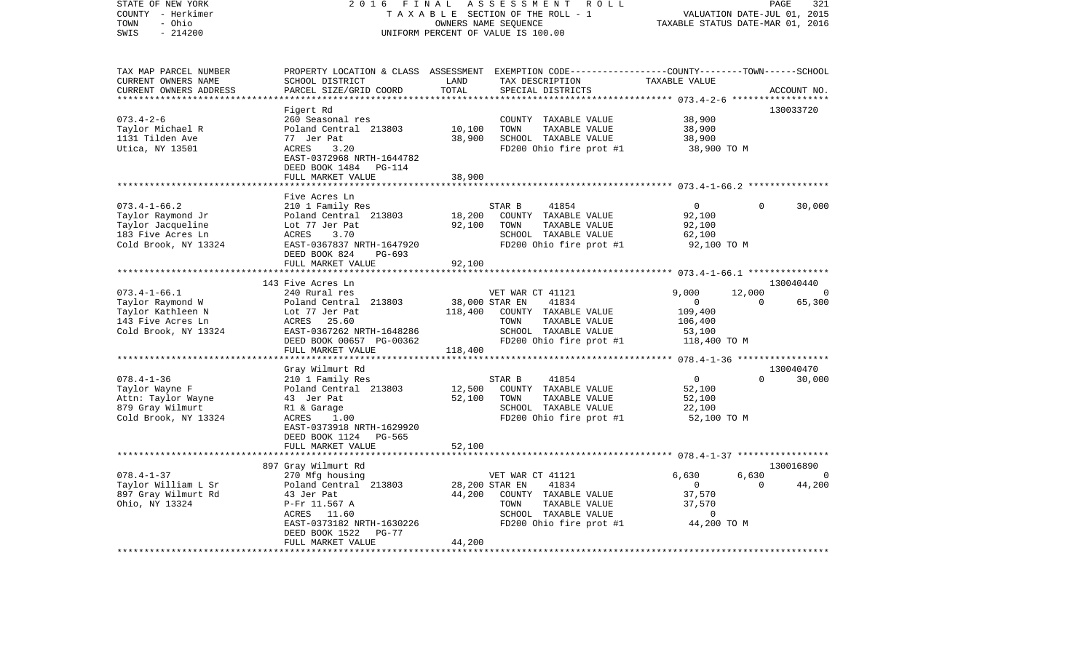| $-214200$<br>SWIS<br>UNIFORM PERCENT OF VALUE IS 100.00<br>PROPERTY LOCATION & CLASS ASSESSMENT EXEMPTION CODE----------------COUNTY-------TOWN------SCHOOL<br>TAX MAP PARCEL NUMBER<br>CURRENT OWNERS NAME<br>SCHOOL DISTRICT<br>LAND<br>TAXABLE VALUE<br>TAX DESCRIPTION<br>TOTAL<br>CURRENT OWNERS ADDRESS<br>PARCEL SIZE/GRID COORD<br>SPECIAL DISTRICTS<br>ACCOUNT NO.<br>**********************<br>************************<br>130033720<br>Figert Rd<br>38,900<br>$073.4 - 2 - 6$<br>260 Seasonal res<br>COUNTY TAXABLE VALUE<br>10,100<br>TOWN<br>Taylor Michael R<br>Poland Central 213803<br>TAXABLE VALUE<br>38,900<br>38,900<br>1131 Tilden Ave<br>77 Jer Pat<br>SCHOOL TAXABLE VALUE<br>38,900<br>Utica, NY 13501<br>FD200 Ohio fire prot #1<br>ACRES<br>3.20<br>38,900 TO M<br>EAST-0372968 NRTH-1644782<br>DEED BOOK 1484 PG-114<br>FULL MARKET VALUE<br>38,900<br>Five Acres Ln<br>$073.4 - 1 - 66.2$<br>210 1 Family Res<br>$\overline{0}$<br>30,000<br>STAR B<br>41854<br>$\Omega$<br>18,200<br>Taylor Raymond Jr<br>Poland Central 213803<br>92,100<br>COUNTY TAXABLE VALUE<br>Taylor Jacqueline<br>Lot 77 Jer Pat<br>92,100<br>TOWN<br>TAXABLE VALUE<br>92,100<br>183 Five Acres Ln<br>ACRES<br>3.70<br>SCHOOL TAXABLE VALUE<br>62,100<br>Cold Brook, NY 13324<br>FD200 Ohio fire prot #1<br>EAST-0367837 NRTH-1647920<br>92,100 TO M<br>DEED BOOK 824<br>PG-693<br>FULL MARKET VALUE<br>92,100<br>************************<br>130040440<br>143 Five Acres Ln<br>12,000<br>$073.4 - 1 - 66.1$<br>240 Rural res<br>VET WAR CT 41121<br>9,000<br>$\Omega$<br>Taylor Raymond W<br>38,000 STAR EN<br>41834<br>$\overline{0}$<br>65,300<br>Poland Central 213803<br>$\Omega$<br>Taylor Kathleen N<br>Lot 77 Jer Pat<br>118,400<br>COUNTY TAXABLE VALUE<br>109,400<br>143 Five Acres Ln<br>ACRES<br>25.60<br>TOWN<br>TAXABLE VALUE<br>106,400<br>Cold Brook, NY 13324<br>EAST-0367262 NRTH-1648286<br>SCHOOL TAXABLE VALUE<br>53,100<br>FD200 Ohio fire prot #1<br>DEED BOOK 00657 PG-00362<br>118,400 TO M<br>FULL MARKET VALUE<br>118,400<br>********************<br>Gray Wilmurt Rd<br>130040470<br>$078.4 - 1 - 36$<br>$\overline{0}$<br>30,000<br>210 1 Family Res<br>STAR B<br>41854<br>$\Omega$<br>COUNTY TAXABLE VALUE<br>Taylor Wayne F<br>Poland Central 213803<br>12,500<br>52,100<br>Attn: Taylor Wayne<br>52,100<br>TOWN<br>52,100<br>43 Jer Pat<br>TAXABLE VALUE<br>SCHOOL TAXABLE VALUE<br>879 Gray Wilmurt<br>22,100<br>R1 & Garage<br>Cold Brook, NY 13324<br>FD200 Ohio fire prot #1<br>ACRES<br>1.00<br>52,100 TO M<br>EAST-0373918 NRTH-1629920<br>DEED BOOK 1124<br>PG-565<br>FULL MARKET VALUE<br>52,100<br>****************<br>897 Gray Wilmurt Rd<br>130016890<br>$078.4 - 1 - 37$<br>6,630<br>6,630<br>270 Mfg housing<br>VET WAR CT 41121<br>0<br>Taylor William L Sr<br>28,200 STAR EN<br>41834<br>$\Omega$<br>44,200<br>Poland Central 213803<br>$\mathbf{0}$<br>897 Gray Wilmurt Rd<br>43 Jer Pat<br>44,200<br>COUNTY TAXABLE VALUE<br>37,570<br>Ohio, NY 13324<br>TAXABLE VALUE<br>37,570<br>P-Fr 11.567 A<br>TOWN<br>SCHOOL TAXABLE VALUE<br>ACRES 11.60<br>0<br>FD200 Ohio fire prot #1<br>44,200 TO M<br>EAST-0373182 NRTH-1630226<br>DEED BOOK 1522<br>PG-77<br>FULL MARKET VALUE<br>44,200 | STATE OF NEW YORK<br>COUNTY - Herkimer<br>TOWN<br>- Ohio | 2 0 1 6 | FINAL | ASSESSMENT<br>R O L L<br>TAXABLE SECTION OF THE ROLL - 1<br>OWNERS NAME SEQUENCE | TAXABLE STATUS DATE-MAR 01, 2016 | VALUATION DATE-JUL 01, 2015 | PAGE<br>321 |  |
|---------------------------------------------------------------------------------------------------------------------------------------------------------------------------------------------------------------------------------------------------------------------------------------------------------------------------------------------------------------------------------------------------------------------------------------------------------------------------------------------------------------------------------------------------------------------------------------------------------------------------------------------------------------------------------------------------------------------------------------------------------------------------------------------------------------------------------------------------------------------------------------------------------------------------------------------------------------------------------------------------------------------------------------------------------------------------------------------------------------------------------------------------------------------------------------------------------------------------------------------------------------------------------------------------------------------------------------------------------------------------------------------------------------------------------------------------------------------------------------------------------------------------------------------------------------------------------------------------------------------------------------------------------------------------------------------------------------------------------------------------------------------------------------------------------------------------------------------------------------------------------------------------------------------------------------------------------------------------------------------------------------------------------------------------------------------------------------------------------------------------------------------------------------------------------------------------------------------------------------------------------------------------------------------------------------------------------------------------------------------------------------------------------------------------------------------------------------------------------------------------------------------------------------------------------------------------------------------------------------------------------------------------------------------------------------------------------------------------------------------------------------------------------------------------------------------------------------------------------------------------------------------------------------------------------------------------------------------------------------------------------------------------------------------------------------------------------------------------------------------------------------------------------------------------------------------------------------------------------------------|----------------------------------------------------------|---------|-------|----------------------------------------------------------------------------------|----------------------------------|-----------------------------|-------------|--|
|                                                                                                                                                                                                                                                                                                                                                                                                                                                                                                                                                                                                                                                                                                                                                                                                                                                                                                                                                                                                                                                                                                                                                                                                                                                                                                                                                                                                                                                                                                                                                                                                                                                                                                                                                                                                                                                                                                                                                                                                                                                                                                                                                                                                                                                                                                                                                                                                                                                                                                                                                                                                                                                                                                                                                                                                                                                                                                                                                                                                                                                                                                                                                                                                                                             |                                                          |         |       |                                                                                  |                                  |                             |             |  |
|                                                                                                                                                                                                                                                                                                                                                                                                                                                                                                                                                                                                                                                                                                                                                                                                                                                                                                                                                                                                                                                                                                                                                                                                                                                                                                                                                                                                                                                                                                                                                                                                                                                                                                                                                                                                                                                                                                                                                                                                                                                                                                                                                                                                                                                                                                                                                                                                                                                                                                                                                                                                                                                                                                                                                                                                                                                                                                                                                                                                                                                                                                                                                                                                                                             |                                                          |         |       |                                                                                  |                                  |                             |             |  |
|                                                                                                                                                                                                                                                                                                                                                                                                                                                                                                                                                                                                                                                                                                                                                                                                                                                                                                                                                                                                                                                                                                                                                                                                                                                                                                                                                                                                                                                                                                                                                                                                                                                                                                                                                                                                                                                                                                                                                                                                                                                                                                                                                                                                                                                                                                                                                                                                                                                                                                                                                                                                                                                                                                                                                                                                                                                                                                                                                                                                                                                                                                                                                                                                                                             |                                                          |         |       |                                                                                  |                                  |                             |             |  |
|                                                                                                                                                                                                                                                                                                                                                                                                                                                                                                                                                                                                                                                                                                                                                                                                                                                                                                                                                                                                                                                                                                                                                                                                                                                                                                                                                                                                                                                                                                                                                                                                                                                                                                                                                                                                                                                                                                                                                                                                                                                                                                                                                                                                                                                                                                                                                                                                                                                                                                                                                                                                                                                                                                                                                                                                                                                                                                                                                                                                                                                                                                                                                                                                                                             |                                                          |         |       |                                                                                  |                                  |                             |             |  |
|                                                                                                                                                                                                                                                                                                                                                                                                                                                                                                                                                                                                                                                                                                                                                                                                                                                                                                                                                                                                                                                                                                                                                                                                                                                                                                                                                                                                                                                                                                                                                                                                                                                                                                                                                                                                                                                                                                                                                                                                                                                                                                                                                                                                                                                                                                                                                                                                                                                                                                                                                                                                                                                                                                                                                                                                                                                                                                                                                                                                                                                                                                                                                                                                                                             |                                                          |         |       |                                                                                  |                                  |                             |             |  |
|                                                                                                                                                                                                                                                                                                                                                                                                                                                                                                                                                                                                                                                                                                                                                                                                                                                                                                                                                                                                                                                                                                                                                                                                                                                                                                                                                                                                                                                                                                                                                                                                                                                                                                                                                                                                                                                                                                                                                                                                                                                                                                                                                                                                                                                                                                                                                                                                                                                                                                                                                                                                                                                                                                                                                                                                                                                                                                                                                                                                                                                                                                                                                                                                                                             |                                                          |         |       |                                                                                  |                                  |                             |             |  |
|                                                                                                                                                                                                                                                                                                                                                                                                                                                                                                                                                                                                                                                                                                                                                                                                                                                                                                                                                                                                                                                                                                                                                                                                                                                                                                                                                                                                                                                                                                                                                                                                                                                                                                                                                                                                                                                                                                                                                                                                                                                                                                                                                                                                                                                                                                                                                                                                                                                                                                                                                                                                                                                                                                                                                                                                                                                                                                                                                                                                                                                                                                                                                                                                                                             |                                                          |         |       |                                                                                  |                                  |                             |             |  |
|                                                                                                                                                                                                                                                                                                                                                                                                                                                                                                                                                                                                                                                                                                                                                                                                                                                                                                                                                                                                                                                                                                                                                                                                                                                                                                                                                                                                                                                                                                                                                                                                                                                                                                                                                                                                                                                                                                                                                                                                                                                                                                                                                                                                                                                                                                                                                                                                                                                                                                                                                                                                                                                                                                                                                                                                                                                                                                                                                                                                                                                                                                                                                                                                                                             |                                                          |         |       |                                                                                  |                                  |                             |             |  |
|                                                                                                                                                                                                                                                                                                                                                                                                                                                                                                                                                                                                                                                                                                                                                                                                                                                                                                                                                                                                                                                                                                                                                                                                                                                                                                                                                                                                                                                                                                                                                                                                                                                                                                                                                                                                                                                                                                                                                                                                                                                                                                                                                                                                                                                                                                                                                                                                                                                                                                                                                                                                                                                                                                                                                                                                                                                                                                                                                                                                                                                                                                                                                                                                                                             |                                                          |         |       |                                                                                  |                                  |                             |             |  |
|                                                                                                                                                                                                                                                                                                                                                                                                                                                                                                                                                                                                                                                                                                                                                                                                                                                                                                                                                                                                                                                                                                                                                                                                                                                                                                                                                                                                                                                                                                                                                                                                                                                                                                                                                                                                                                                                                                                                                                                                                                                                                                                                                                                                                                                                                                                                                                                                                                                                                                                                                                                                                                                                                                                                                                                                                                                                                                                                                                                                                                                                                                                                                                                                                                             |                                                          |         |       |                                                                                  |                                  |                             |             |  |
|                                                                                                                                                                                                                                                                                                                                                                                                                                                                                                                                                                                                                                                                                                                                                                                                                                                                                                                                                                                                                                                                                                                                                                                                                                                                                                                                                                                                                                                                                                                                                                                                                                                                                                                                                                                                                                                                                                                                                                                                                                                                                                                                                                                                                                                                                                                                                                                                                                                                                                                                                                                                                                                                                                                                                                                                                                                                                                                                                                                                                                                                                                                                                                                                                                             |                                                          |         |       |                                                                                  |                                  |                             |             |  |
|                                                                                                                                                                                                                                                                                                                                                                                                                                                                                                                                                                                                                                                                                                                                                                                                                                                                                                                                                                                                                                                                                                                                                                                                                                                                                                                                                                                                                                                                                                                                                                                                                                                                                                                                                                                                                                                                                                                                                                                                                                                                                                                                                                                                                                                                                                                                                                                                                                                                                                                                                                                                                                                                                                                                                                                                                                                                                                                                                                                                                                                                                                                                                                                                                                             |                                                          |         |       |                                                                                  |                                  |                             |             |  |
|                                                                                                                                                                                                                                                                                                                                                                                                                                                                                                                                                                                                                                                                                                                                                                                                                                                                                                                                                                                                                                                                                                                                                                                                                                                                                                                                                                                                                                                                                                                                                                                                                                                                                                                                                                                                                                                                                                                                                                                                                                                                                                                                                                                                                                                                                                                                                                                                                                                                                                                                                                                                                                                                                                                                                                                                                                                                                                                                                                                                                                                                                                                                                                                                                                             |                                                          |         |       |                                                                                  |                                  |                             |             |  |
|                                                                                                                                                                                                                                                                                                                                                                                                                                                                                                                                                                                                                                                                                                                                                                                                                                                                                                                                                                                                                                                                                                                                                                                                                                                                                                                                                                                                                                                                                                                                                                                                                                                                                                                                                                                                                                                                                                                                                                                                                                                                                                                                                                                                                                                                                                                                                                                                                                                                                                                                                                                                                                                                                                                                                                                                                                                                                                                                                                                                                                                                                                                                                                                                                                             |                                                          |         |       |                                                                                  |                                  |                             |             |  |
|                                                                                                                                                                                                                                                                                                                                                                                                                                                                                                                                                                                                                                                                                                                                                                                                                                                                                                                                                                                                                                                                                                                                                                                                                                                                                                                                                                                                                                                                                                                                                                                                                                                                                                                                                                                                                                                                                                                                                                                                                                                                                                                                                                                                                                                                                                                                                                                                                                                                                                                                                                                                                                                                                                                                                                                                                                                                                                                                                                                                                                                                                                                                                                                                                                             |                                                          |         |       |                                                                                  |                                  |                             |             |  |
|                                                                                                                                                                                                                                                                                                                                                                                                                                                                                                                                                                                                                                                                                                                                                                                                                                                                                                                                                                                                                                                                                                                                                                                                                                                                                                                                                                                                                                                                                                                                                                                                                                                                                                                                                                                                                                                                                                                                                                                                                                                                                                                                                                                                                                                                                                                                                                                                                                                                                                                                                                                                                                                                                                                                                                                                                                                                                                                                                                                                                                                                                                                                                                                                                                             |                                                          |         |       |                                                                                  |                                  |                             |             |  |
|                                                                                                                                                                                                                                                                                                                                                                                                                                                                                                                                                                                                                                                                                                                                                                                                                                                                                                                                                                                                                                                                                                                                                                                                                                                                                                                                                                                                                                                                                                                                                                                                                                                                                                                                                                                                                                                                                                                                                                                                                                                                                                                                                                                                                                                                                                                                                                                                                                                                                                                                                                                                                                                                                                                                                                                                                                                                                                                                                                                                                                                                                                                                                                                                                                             |                                                          |         |       |                                                                                  |                                  |                             |             |  |
|                                                                                                                                                                                                                                                                                                                                                                                                                                                                                                                                                                                                                                                                                                                                                                                                                                                                                                                                                                                                                                                                                                                                                                                                                                                                                                                                                                                                                                                                                                                                                                                                                                                                                                                                                                                                                                                                                                                                                                                                                                                                                                                                                                                                                                                                                                                                                                                                                                                                                                                                                                                                                                                                                                                                                                                                                                                                                                                                                                                                                                                                                                                                                                                                                                             |                                                          |         |       |                                                                                  |                                  |                             |             |  |
|                                                                                                                                                                                                                                                                                                                                                                                                                                                                                                                                                                                                                                                                                                                                                                                                                                                                                                                                                                                                                                                                                                                                                                                                                                                                                                                                                                                                                                                                                                                                                                                                                                                                                                                                                                                                                                                                                                                                                                                                                                                                                                                                                                                                                                                                                                                                                                                                                                                                                                                                                                                                                                                                                                                                                                                                                                                                                                                                                                                                                                                                                                                                                                                                                                             |                                                          |         |       |                                                                                  |                                  |                             |             |  |
|                                                                                                                                                                                                                                                                                                                                                                                                                                                                                                                                                                                                                                                                                                                                                                                                                                                                                                                                                                                                                                                                                                                                                                                                                                                                                                                                                                                                                                                                                                                                                                                                                                                                                                                                                                                                                                                                                                                                                                                                                                                                                                                                                                                                                                                                                                                                                                                                                                                                                                                                                                                                                                                                                                                                                                                                                                                                                                                                                                                                                                                                                                                                                                                                                                             |                                                          |         |       |                                                                                  |                                  |                             |             |  |
|                                                                                                                                                                                                                                                                                                                                                                                                                                                                                                                                                                                                                                                                                                                                                                                                                                                                                                                                                                                                                                                                                                                                                                                                                                                                                                                                                                                                                                                                                                                                                                                                                                                                                                                                                                                                                                                                                                                                                                                                                                                                                                                                                                                                                                                                                                                                                                                                                                                                                                                                                                                                                                                                                                                                                                                                                                                                                                                                                                                                                                                                                                                                                                                                                                             |                                                          |         |       |                                                                                  |                                  |                             |             |  |
|                                                                                                                                                                                                                                                                                                                                                                                                                                                                                                                                                                                                                                                                                                                                                                                                                                                                                                                                                                                                                                                                                                                                                                                                                                                                                                                                                                                                                                                                                                                                                                                                                                                                                                                                                                                                                                                                                                                                                                                                                                                                                                                                                                                                                                                                                                                                                                                                                                                                                                                                                                                                                                                                                                                                                                                                                                                                                                                                                                                                                                                                                                                                                                                                                                             |                                                          |         |       |                                                                                  |                                  |                             |             |  |
|                                                                                                                                                                                                                                                                                                                                                                                                                                                                                                                                                                                                                                                                                                                                                                                                                                                                                                                                                                                                                                                                                                                                                                                                                                                                                                                                                                                                                                                                                                                                                                                                                                                                                                                                                                                                                                                                                                                                                                                                                                                                                                                                                                                                                                                                                                                                                                                                                                                                                                                                                                                                                                                                                                                                                                                                                                                                                                                                                                                                                                                                                                                                                                                                                                             |                                                          |         |       |                                                                                  |                                  |                             |             |  |
|                                                                                                                                                                                                                                                                                                                                                                                                                                                                                                                                                                                                                                                                                                                                                                                                                                                                                                                                                                                                                                                                                                                                                                                                                                                                                                                                                                                                                                                                                                                                                                                                                                                                                                                                                                                                                                                                                                                                                                                                                                                                                                                                                                                                                                                                                                                                                                                                                                                                                                                                                                                                                                                                                                                                                                                                                                                                                                                                                                                                                                                                                                                                                                                                                                             |                                                          |         |       |                                                                                  |                                  |                             |             |  |
|                                                                                                                                                                                                                                                                                                                                                                                                                                                                                                                                                                                                                                                                                                                                                                                                                                                                                                                                                                                                                                                                                                                                                                                                                                                                                                                                                                                                                                                                                                                                                                                                                                                                                                                                                                                                                                                                                                                                                                                                                                                                                                                                                                                                                                                                                                                                                                                                                                                                                                                                                                                                                                                                                                                                                                                                                                                                                                                                                                                                                                                                                                                                                                                                                                             |                                                          |         |       |                                                                                  |                                  |                             |             |  |
|                                                                                                                                                                                                                                                                                                                                                                                                                                                                                                                                                                                                                                                                                                                                                                                                                                                                                                                                                                                                                                                                                                                                                                                                                                                                                                                                                                                                                                                                                                                                                                                                                                                                                                                                                                                                                                                                                                                                                                                                                                                                                                                                                                                                                                                                                                                                                                                                                                                                                                                                                                                                                                                                                                                                                                                                                                                                                                                                                                                                                                                                                                                                                                                                                                             |                                                          |         |       |                                                                                  |                                  |                             |             |  |
|                                                                                                                                                                                                                                                                                                                                                                                                                                                                                                                                                                                                                                                                                                                                                                                                                                                                                                                                                                                                                                                                                                                                                                                                                                                                                                                                                                                                                                                                                                                                                                                                                                                                                                                                                                                                                                                                                                                                                                                                                                                                                                                                                                                                                                                                                                                                                                                                                                                                                                                                                                                                                                                                                                                                                                                                                                                                                                                                                                                                                                                                                                                                                                                                                                             |                                                          |         |       |                                                                                  |                                  |                             |             |  |
|                                                                                                                                                                                                                                                                                                                                                                                                                                                                                                                                                                                                                                                                                                                                                                                                                                                                                                                                                                                                                                                                                                                                                                                                                                                                                                                                                                                                                                                                                                                                                                                                                                                                                                                                                                                                                                                                                                                                                                                                                                                                                                                                                                                                                                                                                                                                                                                                                                                                                                                                                                                                                                                                                                                                                                                                                                                                                                                                                                                                                                                                                                                                                                                                                                             |                                                          |         |       |                                                                                  |                                  |                             |             |  |
|                                                                                                                                                                                                                                                                                                                                                                                                                                                                                                                                                                                                                                                                                                                                                                                                                                                                                                                                                                                                                                                                                                                                                                                                                                                                                                                                                                                                                                                                                                                                                                                                                                                                                                                                                                                                                                                                                                                                                                                                                                                                                                                                                                                                                                                                                                                                                                                                                                                                                                                                                                                                                                                                                                                                                                                                                                                                                                                                                                                                                                                                                                                                                                                                                                             |                                                          |         |       |                                                                                  |                                  |                             |             |  |
|                                                                                                                                                                                                                                                                                                                                                                                                                                                                                                                                                                                                                                                                                                                                                                                                                                                                                                                                                                                                                                                                                                                                                                                                                                                                                                                                                                                                                                                                                                                                                                                                                                                                                                                                                                                                                                                                                                                                                                                                                                                                                                                                                                                                                                                                                                                                                                                                                                                                                                                                                                                                                                                                                                                                                                                                                                                                                                                                                                                                                                                                                                                                                                                                                                             |                                                          |         |       |                                                                                  |                                  |                             |             |  |
|                                                                                                                                                                                                                                                                                                                                                                                                                                                                                                                                                                                                                                                                                                                                                                                                                                                                                                                                                                                                                                                                                                                                                                                                                                                                                                                                                                                                                                                                                                                                                                                                                                                                                                                                                                                                                                                                                                                                                                                                                                                                                                                                                                                                                                                                                                                                                                                                                                                                                                                                                                                                                                                                                                                                                                                                                                                                                                                                                                                                                                                                                                                                                                                                                                             |                                                          |         |       |                                                                                  |                                  |                             |             |  |
|                                                                                                                                                                                                                                                                                                                                                                                                                                                                                                                                                                                                                                                                                                                                                                                                                                                                                                                                                                                                                                                                                                                                                                                                                                                                                                                                                                                                                                                                                                                                                                                                                                                                                                                                                                                                                                                                                                                                                                                                                                                                                                                                                                                                                                                                                                                                                                                                                                                                                                                                                                                                                                                                                                                                                                                                                                                                                                                                                                                                                                                                                                                                                                                                                                             |                                                          |         |       |                                                                                  |                                  |                             |             |  |
|                                                                                                                                                                                                                                                                                                                                                                                                                                                                                                                                                                                                                                                                                                                                                                                                                                                                                                                                                                                                                                                                                                                                                                                                                                                                                                                                                                                                                                                                                                                                                                                                                                                                                                                                                                                                                                                                                                                                                                                                                                                                                                                                                                                                                                                                                                                                                                                                                                                                                                                                                                                                                                                                                                                                                                                                                                                                                                                                                                                                                                                                                                                                                                                                                                             |                                                          |         |       |                                                                                  |                                  |                             |             |  |
|                                                                                                                                                                                                                                                                                                                                                                                                                                                                                                                                                                                                                                                                                                                                                                                                                                                                                                                                                                                                                                                                                                                                                                                                                                                                                                                                                                                                                                                                                                                                                                                                                                                                                                                                                                                                                                                                                                                                                                                                                                                                                                                                                                                                                                                                                                                                                                                                                                                                                                                                                                                                                                                                                                                                                                                                                                                                                                                                                                                                                                                                                                                                                                                                                                             |                                                          |         |       |                                                                                  |                                  |                             |             |  |
|                                                                                                                                                                                                                                                                                                                                                                                                                                                                                                                                                                                                                                                                                                                                                                                                                                                                                                                                                                                                                                                                                                                                                                                                                                                                                                                                                                                                                                                                                                                                                                                                                                                                                                                                                                                                                                                                                                                                                                                                                                                                                                                                                                                                                                                                                                                                                                                                                                                                                                                                                                                                                                                                                                                                                                                                                                                                                                                                                                                                                                                                                                                                                                                                                                             |                                                          |         |       |                                                                                  |                                  |                             |             |  |
|                                                                                                                                                                                                                                                                                                                                                                                                                                                                                                                                                                                                                                                                                                                                                                                                                                                                                                                                                                                                                                                                                                                                                                                                                                                                                                                                                                                                                                                                                                                                                                                                                                                                                                                                                                                                                                                                                                                                                                                                                                                                                                                                                                                                                                                                                                                                                                                                                                                                                                                                                                                                                                                                                                                                                                                                                                                                                                                                                                                                                                                                                                                                                                                                                                             |                                                          |         |       |                                                                                  |                                  |                             |             |  |
|                                                                                                                                                                                                                                                                                                                                                                                                                                                                                                                                                                                                                                                                                                                                                                                                                                                                                                                                                                                                                                                                                                                                                                                                                                                                                                                                                                                                                                                                                                                                                                                                                                                                                                                                                                                                                                                                                                                                                                                                                                                                                                                                                                                                                                                                                                                                                                                                                                                                                                                                                                                                                                                                                                                                                                                                                                                                                                                                                                                                                                                                                                                                                                                                                                             |                                                          |         |       |                                                                                  |                                  |                             |             |  |
|                                                                                                                                                                                                                                                                                                                                                                                                                                                                                                                                                                                                                                                                                                                                                                                                                                                                                                                                                                                                                                                                                                                                                                                                                                                                                                                                                                                                                                                                                                                                                                                                                                                                                                                                                                                                                                                                                                                                                                                                                                                                                                                                                                                                                                                                                                                                                                                                                                                                                                                                                                                                                                                                                                                                                                                                                                                                                                                                                                                                                                                                                                                                                                                                                                             |                                                          |         |       |                                                                                  |                                  |                             |             |  |
|                                                                                                                                                                                                                                                                                                                                                                                                                                                                                                                                                                                                                                                                                                                                                                                                                                                                                                                                                                                                                                                                                                                                                                                                                                                                                                                                                                                                                                                                                                                                                                                                                                                                                                                                                                                                                                                                                                                                                                                                                                                                                                                                                                                                                                                                                                                                                                                                                                                                                                                                                                                                                                                                                                                                                                                                                                                                                                                                                                                                                                                                                                                                                                                                                                             |                                                          |         |       |                                                                                  |                                  |                             |             |  |
|                                                                                                                                                                                                                                                                                                                                                                                                                                                                                                                                                                                                                                                                                                                                                                                                                                                                                                                                                                                                                                                                                                                                                                                                                                                                                                                                                                                                                                                                                                                                                                                                                                                                                                                                                                                                                                                                                                                                                                                                                                                                                                                                                                                                                                                                                                                                                                                                                                                                                                                                                                                                                                                                                                                                                                                                                                                                                                                                                                                                                                                                                                                                                                                                                                             |                                                          |         |       |                                                                                  |                                  |                             |             |  |
|                                                                                                                                                                                                                                                                                                                                                                                                                                                                                                                                                                                                                                                                                                                                                                                                                                                                                                                                                                                                                                                                                                                                                                                                                                                                                                                                                                                                                                                                                                                                                                                                                                                                                                                                                                                                                                                                                                                                                                                                                                                                                                                                                                                                                                                                                                                                                                                                                                                                                                                                                                                                                                                                                                                                                                                                                                                                                                                                                                                                                                                                                                                                                                                                                                             |                                                          |         |       |                                                                                  |                                  |                             |             |  |
|                                                                                                                                                                                                                                                                                                                                                                                                                                                                                                                                                                                                                                                                                                                                                                                                                                                                                                                                                                                                                                                                                                                                                                                                                                                                                                                                                                                                                                                                                                                                                                                                                                                                                                                                                                                                                                                                                                                                                                                                                                                                                                                                                                                                                                                                                                                                                                                                                                                                                                                                                                                                                                                                                                                                                                                                                                                                                                                                                                                                                                                                                                                                                                                                                                             |                                                          |         |       |                                                                                  |                                  |                             |             |  |
|                                                                                                                                                                                                                                                                                                                                                                                                                                                                                                                                                                                                                                                                                                                                                                                                                                                                                                                                                                                                                                                                                                                                                                                                                                                                                                                                                                                                                                                                                                                                                                                                                                                                                                                                                                                                                                                                                                                                                                                                                                                                                                                                                                                                                                                                                                                                                                                                                                                                                                                                                                                                                                                                                                                                                                                                                                                                                                                                                                                                                                                                                                                                                                                                                                             |                                                          |         |       |                                                                                  |                                  |                             |             |  |
|                                                                                                                                                                                                                                                                                                                                                                                                                                                                                                                                                                                                                                                                                                                                                                                                                                                                                                                                                                                                                                                                                                                                                                                                                                                                                                                                                                                                                                                                                                                                                                                                                                                                                                                                                                                                                                                                                                                                                                                                                                                                                                                                                                                                                                                                                                                                                                                                                                                                                                                                                                                                                                                                                                                                                                                                                                                                                                                                                                                                                                                                                                                                                                                                                                             |                                                          |         |       |                                                                                  |                                  |                             |             |  |
|                                                                                                                                                                                                                                                                                                                                                                                                                                                                                                                                                                                                                                                                                                                                                                                                                                                                                                                                                                                                                                                                                                                                                                                                                                                                                                                                                                                                                                                                                                                                                                                                                                                                                                                                                                                                                                                                                                                                                                                                                                                                                                                                                                                                                                                                                                                                                                                                                                                                                                                                                                                                                                                                                                                                                                                                                                                                                                                                                                                                                                                                                                                                                                                                                                             |                                                          |         |       |                                                                                  |                                  |                             |             |  |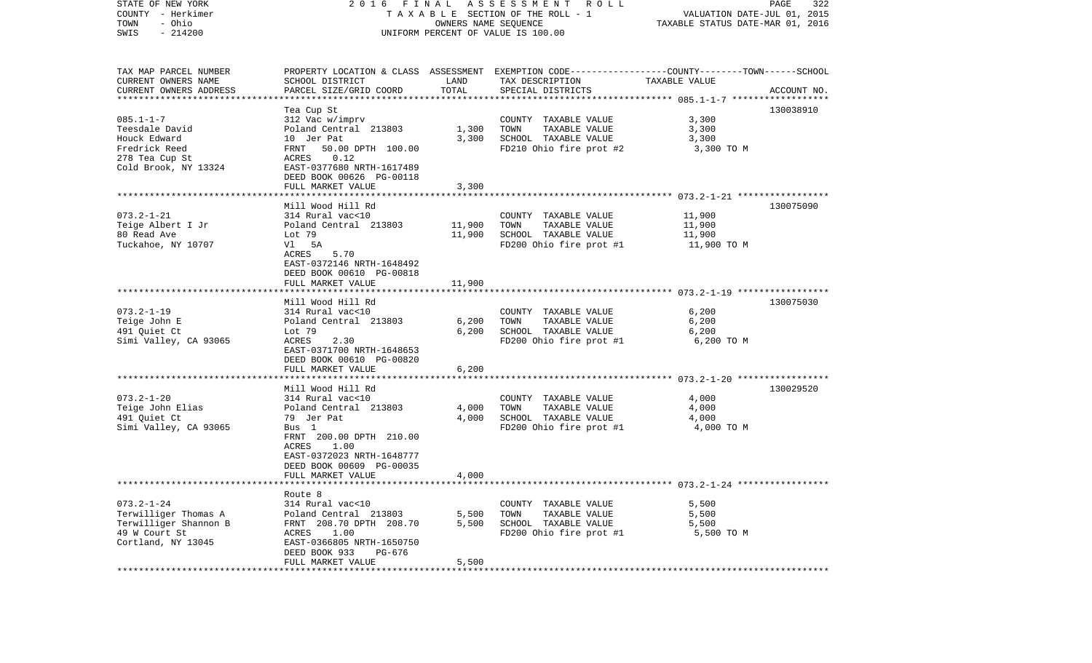| STATE OF NEW YORK<br>COUNTY - Herkimer<br>TOWN<br>- Ohio<br>SWIS<br>$-214200$                                                       | 2016 FINAL                                                                                                                                                                                 | OWNERS NAME SEQUENCE    | A S S E S S M E N T R O L L<br>TAXABLE SECTION OF THE ROLL - 1<br>UNIFORM PERCENT OF VALUE IS 100.00                                    | PAGE<br>322<br>VALUATION DATE-JUL 01, 2015<br>TAXABLE STATUS DATE-MAR 01, 2016 |             |  |
|-------------------------------------------------------------------------------------------------------------------------------------|--------------------------------------------------------------------------------------------------------------------------------------------------------------------------------------------|-------------------------|-----------------------------------------------------------------------------------------------------------------------------------------|--------------------------------------------------------------------------------|-------------|--|
| TAX MAP PARCEL NUMBER<br>CURRENT OWNERS NAME<br>CURRENT OWNERS ADDRESS<br>***********************                                   | SCHOOL DISTRICT<br>PARCEL SIZE/GRID COORD                                                                                                                                                  | LAND<br>TOTAL           | PROPERTY LOCATION & CLASS ASSESSMENT EXEMPTION CODE---------------COUNTY-------TOWN------SCHOOL<br>TAX DESCRIPTION<br>SPECIAL DISTRICTS | TAXABLE VALUE                                                                  | ACCOUNT NO. |  |
| $085.1 - 1 - 7$<br>Teesdale David<br>Houck Edward<br>Fredrick Reed<br>278 Tea Cup St<br>Cold Brook, NY 13324                        | Tea Cup St<br>312 Vac w/imprv<br>Poland Central 213803<br>10 Jer Pat<br>FRNT<br>50.00 DPTH 100.00<br>0.12<br>ACRES<br>EAST-0377680 NRTH-1617489<br>DEED BOOK 00626 PG-00118                | 1,300<br>3,300          | COUNTY TAXABLE VALUE<br>TOWN<br>TAXABLE VALUE<br>SCHOOL TAXABLE VALUE<br>FD210 Ohio fire prot #2                                        | 3,300<br>3,300<br>3,300<br>3,300 TO M                                          | 130038910   |  |
|                                                                                                                                     | FULL MARKET VALUE                                                                                                                                                                          | 3,300                   |                                                                                                                                         |                                                                                |             |  |
| $073.2 - 1 - 21$<br>Teige Albert I Jr<br>80 Read Ave<br>Tuckahoe, NY 10707                                                          | Mill Wood Hill Rd<br>314 Rural vac<10<br>Poland Central 213803<br>Lot 79<br>5A<br>Vl<br>ACRES<br>5.70<br>EAST-0372146 NRTH-1648492<br>DEED BOOK 00610 PG-00818                             | 11,900<br>11,900        | COUNTY TAXABLE VALUE<br>TAXABLE VALUE<br>TOWN<br>SCHOOL TAXABLE VALUE<br>FD200 Ohio fire prot #1                                        | 11,900<br>11,900<br>11,900<br>11,900 TO M                                      | 130075090   |  |
|                                                                                                                                     | FULL MARKET VALUE                                                                                                                                                                          | 11,900                  |                                                                                                                                         |                                                                                |             |  |
| $073.2 - 1 - 19$<br>Teige John E<br>491 Quiet Ct<br>Simi Valley, CA 93065                                                           | Mill Wood Hill Rd<br>314 Rural vac<10<br>Poland Central 213803<br>Lot 79<br>ACRES<br>2.30<br>EAST-0371700 NRTH-1648653<br>DEED BOOK 00610 PG-00820<br>FULL MARKET VALUE                    | 6,200<br>6,200<br>6,200 | COUNTY TAXABLE VALUE<br>TOWN<br>TAXABLE VALUE<br>SCHOOL TAXABLE VALUE<br>FD200 Ohio fire prot #1                                        | 6,200<br>6,200<br>6,200<br>6,200 TO M                                          | 130075030   |  |
|                                                                                                                                     |                                                                                                                                                                                            |                         |                                                                                                                                         | ************************* 073.2-1-20 ******************                        |             |  |
| $073.2 - 1 - 20$<br>Teige John Elias<br>491 Quiet Ct<br>Simi Valley, CA 93065                                                       | Mill Wood Hill Rd<br>314 Rural vac<10<br>Poland Central 213803<br>79 Jer Pat<br>Bus 1<br>FRNT 200.00 DPTH 210.00<br>1.00<br>ACRES<br>EAST-0372023 NRTH-1648777<br>DEED BOOK 00609 PG-00035 | 4,000<br>4,000          | COUNTY TAXABLE VALUE<br>TOWN<br>TAXABLE VALUE<br>SCHOOL TAXABLE VALUE<br>FD200 Ohio fire prot #1                                        | 4,000<br>4,000<br>4,000<br>4,000 TO M                                          | 130029520   |  |
|                                                                                                                                     | FULL MARKET VALUE                                                                                                                                                                          | 4,000                   |                                                                                                                                         |                                                                                |             |  |
| ***********************<br>$073.2 - 1 - 24$<br>Terwilliger Thomas A<br>Terwilliger Shannon B<br>49 W Court St<br>Cortland, NY 13045 | Route 8<br>314 Rural vac<10<br>Poland Central 213803<br>FRNT 208.70 DPTH 208.70<br>ACRES<br>1.00<br>EAST-0366805 NRTH-1650750<br>DEED BOOK 933<br>PG-676                                   | 5,500<br>5,500          | COUNTY TAXABLE VALUE<br>TOWN<br>TAXABLE VALUE<br>SCHOOL TAXABLE VALUE<br>FD200 Ohio fire prot #1                                        | 5,500<br>5,500<br>5,500<br>5,500 TO M                                          |             |  |
|                                                                                                                                     | FULL MARKET VALUE                                                                                                                                                                          | 5,500                   |                                                                                                                                         |                                                                                |             |  |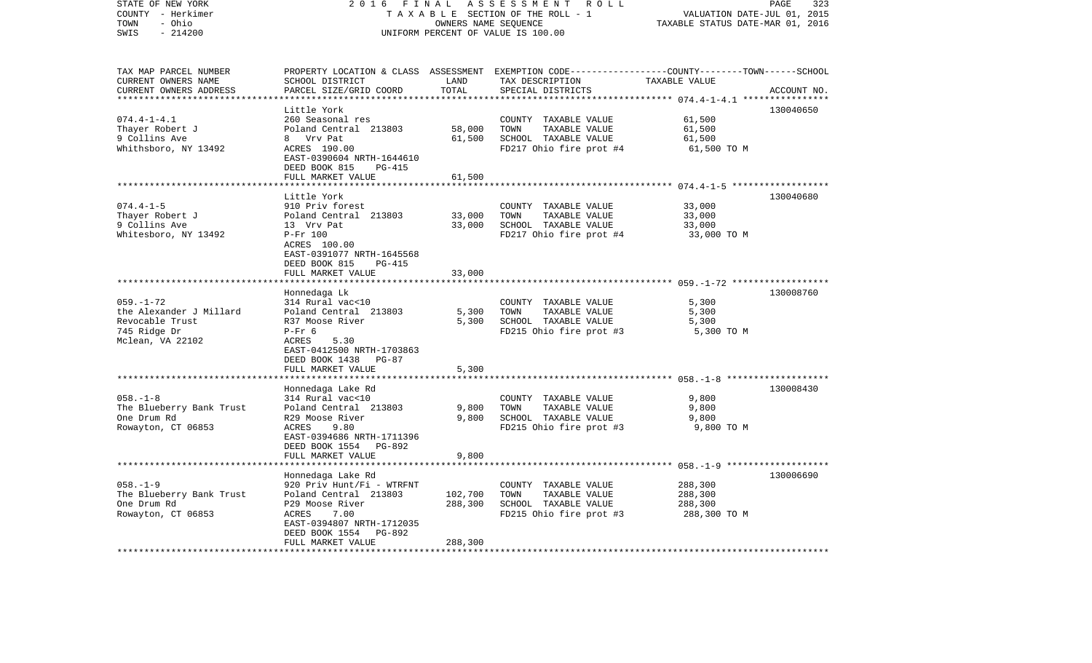| STATE OF NEW YORK<br>COUNTY - Herkimer<br>- Ohio<br>TOWN               | 2 0 1 6<br>FINAL<br>TAXABLE SECTION OF THE ROLL - 1   | 323<br>PAGE<br>VALUATION DATE-JUL 01, 2015<br>TAXABLE STATUS DATE-MAR 01, 2016 |                                                                                                                                         |                                                 |             |
|------------------------------------------------------------------------|-------------------------------------------------------|--------------------------------------------------------------------------------|-----------------------------------------------------------------------------------------------------------------------------------------|-------------------------------------------------|-------------|
| SWIS<br>$-214200$                                                      |                                                       |                                                                                | UNIFORM PERCENT OF VALUE IS 100.00                                                                                                      |                                                 |             |
| TAX MAP PARCEL NUMBER<br>CURRENT OWNERS NAME<br>CURRENT OWNERS ADDRESS | SCHOOL DISTRICT<br>PARCEL SIZE/GRID COORD             | LAND<br>TOTAL                                                                  | PROPERTY LOCATION & CLASS ASSESSMENT EXEMPTION CODE---------------COUNTY-------TOWN------SCHOOL<br>TAX DESCRIPTION<br>SPECIAL DISTRICTS | TAXABLE VALUE                                   | ACCOUNT NO. |
| ***********************                                                | *****************************                         |                                                                                |                                                                                                                                         |                                                 |             |
|                                                                        | Little York                                           |                                                                                |                                                                                                                                         |                                                 | 130040650   |
| $074.4 - 1 - 4.1$                                                      | 260 Seasonal res                                      |                                                                                | COUNTY TAXABLE VALUE                                                                                                                    | 61,500                                          |             |
| Thayer Robert J                                                        | Poland Central 213803                                 | 58,000                                                                         | TOWN<br>TAXABLE VALUE                                                                                                                   | 61,500                                          |             |
| 9 Collins Ave                                                          | 8 Vrv Pat                                             | 61,500                                                                         | SCHOOL TAXABLE VALUE                                                                                                                    | 61,500                                          |             |
| Whithsboro, NY 13492                                                   | ACRES 190.00                                          |                                                                                | FD217 Ohio fire prot #4                                                                                                                 | 61,500 TO M                                     |             |
|                                                                        | EAST-0390604 NRTH-1644610                             |                                                                                |                                                                                                                                         |                                                 |             |
|                                                                        | DEED BOOK 815<br><b>PG-415</b><br>FULL MARKET VALUE   | 61,500                                                                         |                                                                                                                                         |                                                 |             |
|                                                                        |                                                       |                                                                                |                                                                                                                                         | ********** 074.4-1-5 ******************         |             |
|                                                                        | Little York                                           |                                                                                |                                                                                                                                         |                                                 | 130040680   |
| $074.4 - 1 - 5$                                                        | 910 Priv forest                                       |                                                                                | COUNTY TAXABLE VALUE                                                                                                                    | 33,000                                          |             |
| Thayer Robert J                                                        | Poland Central 213803                                 | 33,000                                                                         | TOWN<br>TAXABLE VALUE                                                                                                                   | 33,000                                          |             |
| 9 Collins Ave                                                          | 13 Vrv Pat                                            | 33,000                                                                         | SCHOOL TAXABLE VALUE                                                                                                                    | 33,000                                          |             |
| Whitesboro, NY 13492                                                   | $P-Fr$ 100                                            |                                                                                | FD217 Ohio fire prot #4                                                                                                                 | 33,000 TO M                                     |             |
|                                                                        | ACRES 100.00                                          |                                                                                |                                                                                                                                         |                                                 |             |
|                                                                        | EAST-0391077 NRTH-1645568                             |                                                                                |                                                                                                                                         |                                                 |             |
|                                                                        | DEED BOOK 815<br>PG-415                               |                                                                                |                                                                                                                                         |                                                 |             |
|                                                                        | FULL MARKET VALUE                                     | 33,000                                                                         |                                                                                                                                         | ***************** 059.-1-72 ******************* |             |
|                                                                        |                                                       |                                                                                |                                                                                                                                         |                                                 | 130008760   |
| $059. - 1 - 72$                                                        | Honnedaga Lk<br>314 Rural vac<10                      |                                                                                | COUNTY TAXABLE VALUE                                                                                                                    | 5,300                                           |             |
| the Alexander J Millard                                                | Poland Central 213803                                 | 5,300                                                                          | TOWN<br>TAXABLE VALUE                                                                                                                   | 5,300                                           |             |
| Revocable Trust                                                        | R37 Moose River                                       | 5,300                                                                          | SCHOOL TAXABLE VALUE                                                                                                                    | 5,300                                           |             |
| 745 Ridge Dr                                                           | $P-Fr$ 6                                              |                                                                                | FD215 Ohio fire prot #3                                                                                                                 | 5,300 TO M                                      |             |
| Mclean, VA 22102                                                       | 5.30<br>ACRES                                         |                                                                                |                                                                                                                                         |                                                 |             |
|                                                                        | EAST-0412500 NRTH-1703863                             |                                                                                |                                                                                                                                         |                                                 |             |
|                                                                        | DEED BOOK 1438<br><b>PG-87</b>                        |                                                                                |                                                                                                                                         |                                                 |             |
|                                                                        | FULL MARKET VALUE                                     | 5,300                                                                          |                                                                                                                                         |                                                 |             |
|                                                                        |                                                       | *******                                                                        |                                                                                                                                         |                                                 |             |
|                                                                        | Honnedaga Lake Rd                                     |                                                                                |                                                                                                                                         |                                                 | 130008430   |
| $058. - 1 - 8$<br>The Blueberry Bank Trust                             | 314 Rural vac<10<br>Poland Central 213803             | 9,800                                                                          | COUNTY TAXABLE VALUE<br>TOWN<br>TAXABLE VALUE                                                                                           | 9,800<br>9,800                                  |             |
| One Drum Rd                                                            | R29 Moose River                                       | 9,800                                                                          | SCHOOL TAXABLE VALUE                                                                                                                    | 9,800                                           |             |
| Rowayton, CT 06853                                                     | ACRES<br>9.80                                         |                                                                                | FD215 Ohio fire prot #3                                                                                                                 | 9,800 TO M                                      |             |
|                                                                        | EAST-0394686 NRTH-1711396                             |                                                                                |                                                                                                                                         |                                                 |             |
|                                                                        | DEED BOOK 1554<br>PG-892                              |                                                                                |                                                                                                                                         |                                                 |             |
|                                                                        | FULL MARKET VALUE                                     | 9,800                                                                          |                                                                                                                                         |                                                 |             |
|                                                                        | *******************                                   |                                                                                |                                                                                                                                         |                                                 |             |
|                                                                        | Honnedaga Lake Rd                                     |                                                                                |                                                                                                                                         |                                                 | 130006690   |
| $058. - 1 - 9$                                                         | 920 Priv Hunt/Fi - WTRFNT                             |                                                                                | COUNTY TAXABLE VALUE                                                                                                                    | 288,300                                         |             |
| The Blueberry Bank Trust                                               | Poland Central 213803                                 | 102,700                                                                        | TOWN<br>TAXABLE VALUE                                                                                                                   | 288,300                                         |             |
| One Drum Rd                                                            | P29 Moose River                                       | 288,300                                                                        | SCHOOL TAXABLE VALUE                                                                                                                    | 288,300                                         |             |
| Rowayton, CT 06853                                                     | 7.00<br><b>ACRES</b>                                  |                                                                                | FD215 Ohio fire prot #3                                                                                                                 | 288,300 TO M                                    |             |
|                                                                        | EAST-0394807 NRTH-1712035<br>PG-892<br>DEED BOOK 1554 |                                                                                |                                                                                                                                         |                                                 |             |
|                                                                        | FULL MARKET VALUE                                     | 288,300                                                                        |                                                                                                                                         |                                                 |             |
| *************************                                              | ************************                              | **********                                                                     |                                                                                                                                         |                                                 |             |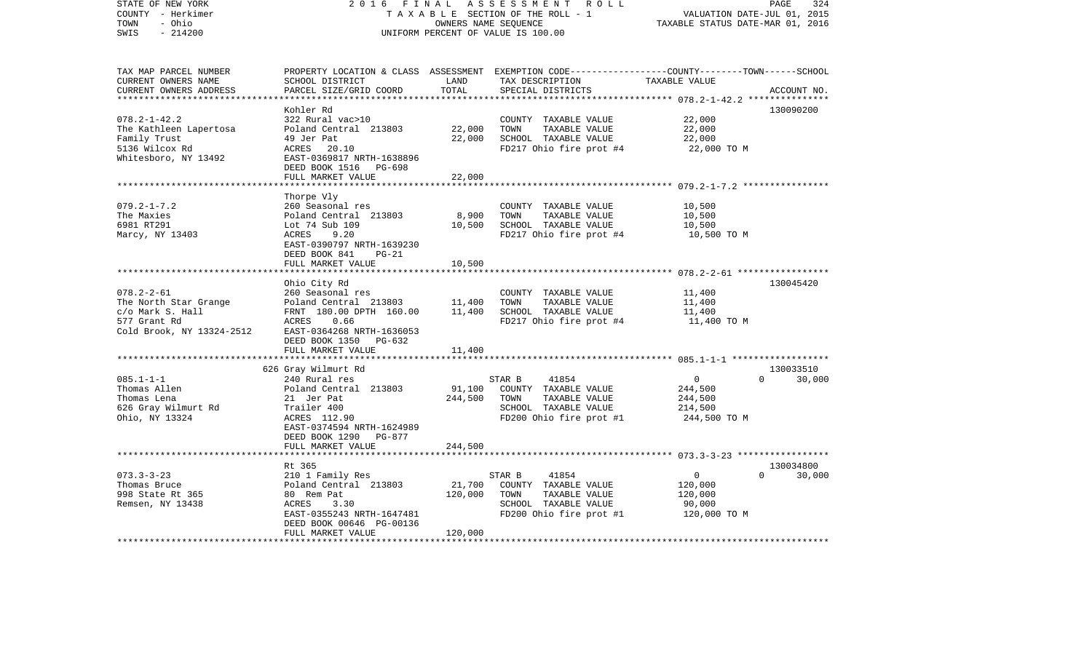| STATE OF NEW YORK<br>COUNTY - Herkimer                                 | 2 0 1 6<br>FINAL                                      |               | ASSESSMENT ROLL<br>TAXABLE SECTION OF THE ROLL - 1                                                                                       | VALUATION DATE-JUL 01, 2015      | 324<br>PAGE                     |
|------------------------------------------------------------------------|-------------------------------------------------------|---------------|------------------------------------------------------------------------------------------------------------------------------------------|----------------------------------|---------------------------------|
| - Ohio<br>TOWN<br>$-214200$<br>SWIS                                    |                                                       |               | OWNERS NAME SEQUENCE<br>UNIFORM PERCENT OF VALUE IS 100.00                                                                               | TAXABLE STATUS DATE-MAR 01, 2016 |                                 |
| TAX MAP PARCEL NUMBER<br>CURRENT OWNERS NAME<br>CURRENT OWNERS ADDRESS | SCHOOL DISTRICT<br>PARCEL SIZE/GRID COORD             | LAND<br>TOTAL | PROPERTY LOCATION & CLASS ASSESSMENT EXEMPTION CODE----------------COUNTY-------TOWN------SCHOOL<br>TAX DESCRIPTION<br>SPECIAL DISTRICTS | TAXABLE VALUE                    | ACCOUNT NO.                     |
|                                                                        |                                                       |               |                                                                                                                                          |                                  |                                 |
|                                                                        | Kohler Rd                                             |               |                                                                                                                                          |                                  | 130090200                       |
| $078.2 - 1 - 42.2$                                                     | 322 Rural vac>10                                      |               | COUNTY TAXABLE VALUE                                                                                                                     | 22,000                           |                                 |
| The Kathleen Lapertosa                                                 | Poland Central 213803                                 | 22,000        | TOWN<br>TAXABLE VALUE                                                                                                                    | 22,000                           |                                 |
| Family Trust                                                           | 49 Jer Pat                                            | 22,000        | SCHOOL TAXABLE VALUE                                                                                                                     | 22,000                           |                                 |
| 5136 Wilcox Rd                                                         | ACRES<br>20.10                                        |               | FD217 Ohio fire prot #4                                                                                                                  | 22,000 TO M                      |                                 |
| Whitesboro, NY 13492                                                   | EAST-0369817 NRTH-1638896<br>DEED BOOK 1516<br>PG-698 |               |                                                                                                                                          |                                  |                                 |
|                                                                        | FULL MARKET VALUE                                     | 22,000        |                                                                                                                                          |                                  |                                 |
|                                                                        |                                                       |               |                                                                                                                                          |                                  |                                 |
|                                                                        | Thorpe Vly                                            |               |                                                                                                                                          |                                  |                                 |
| $079.2 - 1 - 7.2$                                                      | 260 Seasonal res                                      |               | COUNTY TAXABLE VALUE                                                                                                                     | 10,500                           |                                 |
| The Maxies                                                             | Poland Central 213803                                 | 8,900         | TOWN<br>TAXABLE VALUE                                                                                                                    | 10,500                           |                                 |
| 6981 RT291                                                             | Lot 74 Sub 109                                        | 10,500        | SCHOOL TAXABLE VALUE                                                                                                                     | 10,500                           |                                 |
| Marcy, NY 13403                                                        | ACRES<br>9.20                                         |               | FD217 Ohio fire prot #4                                                                                                                  | 10,500 TO M                      |                                 |
|                                                                        | EAST-0390797 NRTH-1639230                             |               |                                                                                                                                          |                                  |                                 |
|                                                                        | DEED BOOK 841<br>$PG-21$                              |               |                                                                                                                                          |                                  |                                 |
|                                                                        | FULL MARKET VALUE                                     | 10,500        |                                                                                                                                          |                                  |                                 |
|                                                                        | Ohio City Rd                                          |               |                                                                                                                                          |                                  | 130045420                       |
| $078.2 - 2 - 61$                                                       | 260 Seasonal res                                      |               | COUNTY TAXABLE VALUE                                                                                                                     | 11,400                           |                                 |
| The North Star Grange                                                  | Poland Central 213803                                 | 11,400        | TOWN<br>TAXABLE VALUE                                                                                                                    | 11,400                           |                                 |
| c/o Mark S. Hall                                                       | FRNT 180.00 DPTH 160.00                               | 11,400        | SCHOOL TAXABLE VALUE                                                                                                                     | 11,400                           |                                 |
| 577 Grant Rd                                                           | ACRES<br>0.66                                         |               | FD217 Ohio fire prot #4                                                                                                                  | 11,400 TO M                      |                                 |
| Cold Brook, NY 13324-2512                                              | EAST-0364268 NRTH-1636053                             |               |                                                                                                                                          |                                  |                                 |
|                                                                        | DEED BOOK 1350<br>PG-632                              |               |                                                                                                                                          |                                  |                                 |
|                                                                        | FULL MARKET VALUE                                     | 11,400        |                                                                                                                                          |                                  |                                 |
|                                                                        | ******************************                        |               |                                                                                                                                          |                                  |                                 |
| $085.1 - 1 - 1$                                                        | 626 Gray Wilmurt Rd<br>240 Rural res                  |               | STAR B<br>41854                                                                                                                          | 0                                | 130033510<br>$\Omega$<br>30,000 |
| Thomas Allen                                                           | Poland Central 213803                                 | 91,100        | COUNTY TAXABLE VALUE                                                                                                                     | 244,500                          |                                 |
| Thomas Lena                                                            | 21 Jer Pat                                            | 244,500       | TOWN<br>TAXABLE VALUE                                                                                                                    | 244,500                          |                                 |
| 626 Gray Wilmurt Rd                                                    | Trailer 400                                           |               | SCHOOL TAXABLE VALUE                                                                                                                     | 214,500                          |                                 |
| Ohio, NY 13324                                                         | ACRES 112.90                                          |               | FD200 Ohio fire prot #1                                                                                                                  | 244,500 TO M                     |                                 |
|                                                                        | EAST-0374594 NRTH-1624989                             |               |                                                                                                                                          |                                  |                                 |
|                                                                        | DEED BOOK 1290<br>PG-877                              |               |                                                                                                                                          |                                  |                                 |
|                                                                        | FULL MARKET VALUE                                     | 244,500       |                                                                                                                                          |                                  |                                 |
|                                                                        | *******************                                   |               |                                                                                                                                          |                                  |                                 |
|                                                                        | Rt 365                                                |               |                                                                                                                                          |                                  | 130034800                       |
| $073.3 - 3 - 23$                                                       | 210 1 Family Res                                      |               | STAR B<br>41854                                                                                                                          | $\mathbf 0$                      | $\Omega$<br>30,000              |
| Thomas Bruce                                                           | Poland Central 213803                                 | 21,700        | COUNTY TAXABLE VALUE                                                                                                                     | 120,000                          |                                 |
| 998 State Rt 365<br>Remsen, NY 13438                                   | 80 Rem Pat<br>ACRES<br>3.30                           | 120,000       | TOWN<br>TAXABLE VALUE<br>SCHOOL TAXABLE VALUE                                                                                            | 120,000<br>90,000                |                                 |
|                                                                        | EAST-0355243 NRTH-1647481                             |               | FD200 Ohio fire prot #1                                                                                                                  | 120,000 TO M                     |                                 |
|                                                                        | DEED BOOK 00646 PG-00136                              |               |                                                                                                                                          |                                  |                                 |
|                                                                        | FULL MARKET VALUE                                     | 120,000       |                                                                                                                                          |                                  |                                 |
|                                                                        |                                                       |               |                                                                                                                                          |                                  |                                 |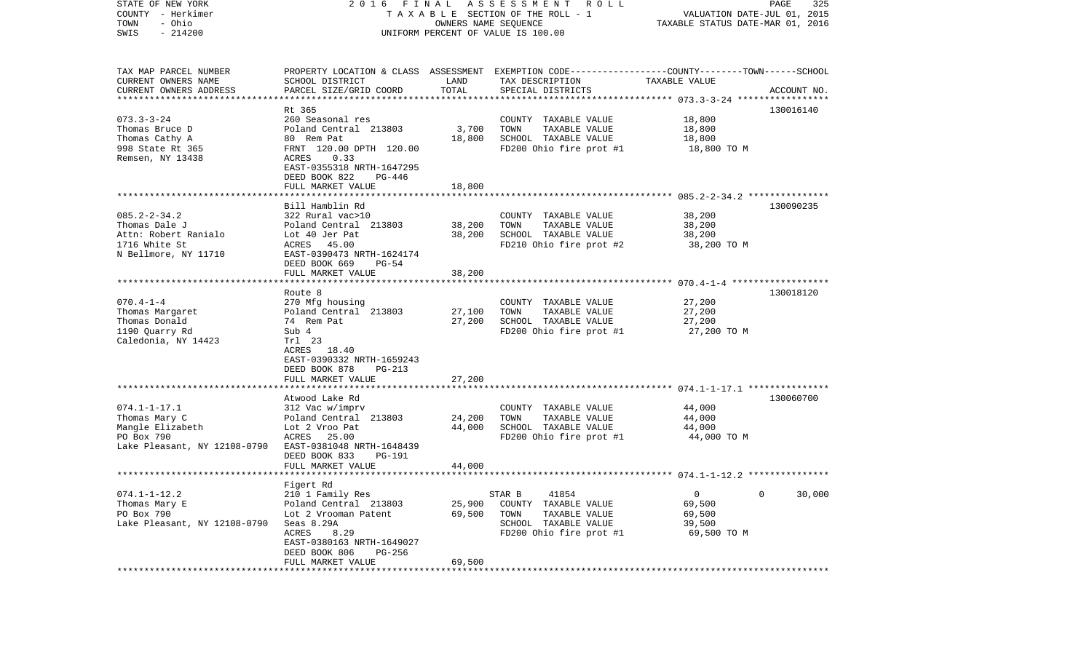| STATE OF NEW YORK<br>COUNTY - Herkimer<br>- Ohio<br>TOWN<br>$-214200$<br>SWIS                         | FINAL<br>ASSESSMENT<br>R O L L<br>2016<br>T A X A B L E SECTION OF THE ROLL - 1<br>OWNERS NAME SEQUENCE<br>UNIFORM PERCENT OF VALUE IS 100.00                                                           |                            |                                                                                                                                         | 325<br>PAGE<br>VALUATION DATE-JUL 01, 2015<br>TAXABLE STATUS DATE-MAR 01, 2016 |             |  |
|-------------------------------------------------------------------------------------------------------|---------------------------------------------------------------------------------------------------------------------------------------------------------------------------------------------------------|----------------------------|-----------------------------------------------------------------------------------------------------------------------------------------|--------------------------------------------------------------------------------|-------------|--|
| TAX MAP PARCEL NUMBER<br>CURRENT OWNERS NAME<br>CURRENT OWNERS ADDRESS                                | SCHOOL DISTRICT<br>PARCEL SIZE/GRID COORD                                                                                                                                                               | LAND<br>TOTAL              | PROPERTY LOCATION & CLASS ASSESSMENT EXEMPTION CODE---------------COUNTY-------TOWN------SCHOOL<br>TAX DESCRIPTION<br>SPECIAL DISTRICTS | TAXABLE VALUE                                                                  | ACCOUNT NO. |  |
| ***********************                                                                               |                                                                                                                                                                                                         |                            |                                                                                                                                         |                                                                                |             |  |
| $073.3 - 3 - 24$<br>Thomas Bruce D<br>Thomas Cathy A<br>998 State Rt 365<br>Remsen, NY 13438          | Rt 365<br>260 Seasonal res<br>Poland Central 213803<br>80 Rem Pat<br>FRNT 120.00 DPTH 120.00<br>ACRES<br>0.33<br>EAST-0355318 NRTH-1647295<br>DEED BOOK 822<br>PG-446                                   | 3,700<br>18,800            | COUNTY TAXABLE VALUE<br>TOWN<br>TAXABLE VALUE<br>SCHOOL TAXABLE VALUE<br>FD200 Ohio fire prot #1                                        | 18,800<br>18,800<br>18,800<br>18,800 TO M                                      | 130016140   |  |
|                                                                                                       | FULL MARKET VALUE                                                                                                                                                                                       | 18,800                     |                                                                                                                                         |                                                                                |             |  |
| $085.2 - 2 - 34.2$<br>Thomas Dale J<br>Attn: Robert Ranialo<br>1716 White St<br>N Bellmore, NY 11710  | Bill Hamblin Rd<br>322 Rural vac>10<br>Poland Central 213803<br>Lot 40 Jer Pat<br>ACRES 45.00<br>EAST-0390473 NRTH-1624174<br>DEED BOOK 669<br>$PG-54$                                                  | 38,200<br>38,200           | COUNTY TAXABLE VALUE<br>TOWN<br>TAXABLE VALUE<br>SCHOOL TAXABLE VALUE<br>FD210 Ohio fire prot #2                                        | 38,200<br>38,200<br>38,200<br>38,200 TO M                                      | 130090235   |  |
|                                                                                                       | FULL MARKET VALUE                                                                                                                                                                                       | 38,200                     |                                                                                                                                         |                                                                                |             |  |
| $070.4 - 1 - 4$<br>Thomas Margaret<br>Thomas Donald<br>1190 Quarry Rd<br>Caledonia, NY 14423          | Route 8<br>270 Mfg housing<br>Poland Central 213803<br>74 Rem Pat<br>Sub 4<br>Trl 23<br>ACRES 18.40<br>EAST-0390332 NRTH-1659243<br>DEED BOOK 878<br><b>PG-213</b>                                      | 27,100<br>27,200           | COUNTY TAXABLE VALUE<br>TAXABLE VALUE<br>TOWN<br>SCHOOL TAXABLE VALUE<br>FD200 Ohio fire prot #1                                        | 27,200<br>27,200<br>27,200<br>27,200 TO M                                      | 130018120   |  |
|                                                                                                       | FULL MARKET VALUE                                                                                                                                                                                       | 27,200                     |                                                                                                                                         |                                                                                |             |  |
| $074.1 - 1 - 17.1$<br>Thomas Mary C<br>Mangle Elizabeth<br>PO Box 790<br>Lake Pleasant, NY 12108-0790 | ********************<br>Atwood Lake Rd<br>312 Vac w/imprv<br>Poland Central 213803<br>Lot 2 Vroo Pat<br>ACRES 25.00<br>EAST-0381048 NRTH-1648439<br>DEED BOOK 833<br><b>PG-191</b><br>FULL MARKET VALUE | 24,200<br>44,000<br>44,000 | COUNTY TAXABLE VALUE<br>TOWN<br>TAXABLE VALUE<br>SCHOOL TAXABLE VALUE<br>FD200 Ohio fire prot #1                                        | 44,000<br>44,000<br>44,000<br>44,000 TO M                                      | 130060700   |  |
|                                                                                                       |                                                                                                                                                                                                         |                            |                                                                                                                                         |                                                                                |             |  |
| $074.1 - 1 - 12.2$<br>Thomas Mary E<br>PO Box 790<br>Lake Pleasant, NY 12108-0790                     | Figert Rd<br>210 1 Family Res<br>Poland Central 213803<br>Lot 2 Vrooman Patent<br>Seas 8.29A<br>ACRES<br>8.29<br>EAST-0380163 NRTH-1649027<br>DEED BOOK 806<br>PG-256<br>FULL MARKET VALUE              | 25,900<br>69,500<br>69,500 | 41854<br>STAR B<br>COUNTY TAXABLE VALUE<br>TOWN<br>TAXABLE VALUE<br>SCHOOL TAXABLE VALUE<br>FD200 Ohio fire prot #1                     | 0<br>69,500<br>69,500<br>39,500<br>69,500 TO M                                 | 0<br>30,000 |  |
|                                                                                                       | *****************                                                                                                                                                                                       |                            |                                                                                                                                         |                                                                                |             |  |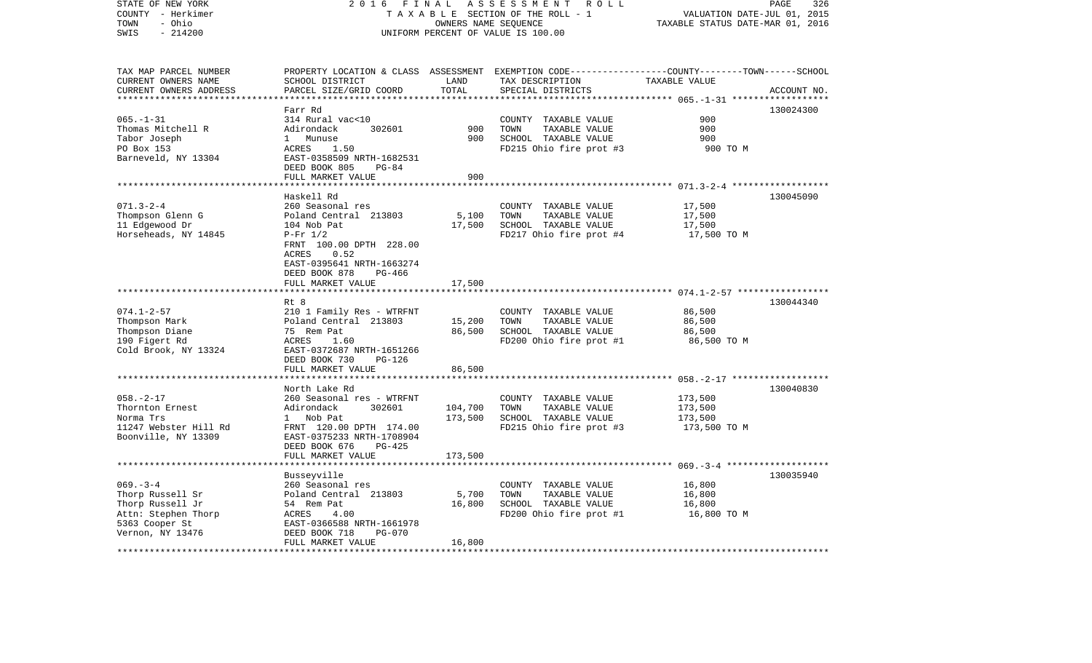| STATE OF NEW YORK       | 2 0 1 6<br>FINAL                         |                        | ASSESSMENT<br>R O L L                                                                            |                                                     | PAGE<br>326 |
|-------------------------|------------------------------------------|------------------------|--------------------------------------------------------------------------------------------------|-----------------------------------------------------|-------------|
| COUNTY - Herkimer       |                                          |                        | TAXABLE SECTION OF THE ROLL - 1                                                                  | VALUATION DATE-JUL 01, 2015                         |             |
| - Ohio<br>TOWN          |                                          |                        | OWNERS NAME SEQUENCE                                                                             | TAXABLE STATUS DATE-MAR 01, 2016                    |             |
| $-214200$<br>SWIS       |                                          |                        | UNIFORM PERCENT OF VALUE IS 100.00                                                               |                                                     |             |
|                         |                                          |                        |                                                                                                  |                                                     |             |
| TAX MAP PARCEL NUMBER   |                                          |                        | PROPERTY LOCATION & CLASS ASSESSMENT EXEMPTION CODE----------------COUNTY-------TOWN------SCHOOL |                                                     |             |
| CURRENT OWNERS NAME     | SCHOOL DISTRICT                          | LAND                   | TAX DESCRIPTION                                                                                  | TAXABLE VALUE                                       |             |
| CURRENT OWNERS ADDRESS  | PARCEL SIZE/GRID COORD                   | TOTAL                  | SPECIAL DISTRICTS                                                                                |                                                     | ACCOUNT NO. |
| *********************** |                                          |                        |                                                                                                  |                                                     |             |
|                         | Farr Rd                                  |                        |                                                                                                  |                                                     | 130024300   |
| $065. - 1 - 31$         | 314 Rural vac<10                         |                        |                                                                                                  | 900                                                 |             |
|                         | 302601                                   | 900                    | COUNTY TAXABLE VALUE<br>TOWN                                                                     | 900                                                 |             |
| Thomas Mitchell R       | Adirondack                               |                        | TAXABLE VALUE                                                                                    |                                                     |             |
| Tabor Joseph            | 1 Munuse                                 | 900                    | SCHOOL TAXABLE VALUE                                                                             | 900                                                 |             |
| PO Box 153              | 1.50<br>ACRES                            |                        | FD215 Ohio fire prot #3                                                                          | 900 TO M                                            |             |
| Barneveld, NY 13304     | EAST-0358509 NRTH-1682531                |                        |                                                                                                  |                                                     |             |
|                         | DEED BOOK 805<br>$PG-84$                 |                        |                                                                                                  |                                                     |             |
|                         | FULL MARKET VALUE                        | 900                    |                                                                                                  |                                                     |             |
|                         |                                          |                        |                                                                                                  | ****************** 071.3-2-4 *******************    |             |
|                         | Haskell Rd                               |                        |                                                                                                  |                                                     | 130045090   |
| $071.3 - 2 - 4$         | 260 Seasonal res                         |                        | COUNTY TAXABLE VALUE                                                                             | 17,500                                              |             |
| Thompson Glenn G        | Poland Central 213803                    | 5,100                  | TOWN<br>TAXABLE VALUE                                                                            | 17,500                                              |             |
| 11 Edgewood Dr          | 104 Nob Pat                              | 17,500                 | SCHOOL TAXABLE VALUE                                                                             | 17,500                                              |             |
| Horseheads, NY 14845    | $P-Fr 1/2$                               |                        | FD217 Ohio fire prot #4                                                                          | 17,500 TO M                                         |             |
|                         | FRNT 100.00 DPTH 228.00                  |                        |                                                                                                  |                                                     |             |
|                         | 0.52<br>ACRES                            |                        |                                                                                                  |                                                     |             |
|                         | EAST-0395641 NRTH-1663274                |                        |                                                                                                  |                                                     |             |
|                         | DEED BOOK 878<br>PG-466                  |                        |                                                                                                  |                                                     |             |
|                         | FULL MARKET VALUE                        | 17,500                 |                                                                                                  |                                                     |             |
|                         |                                          |                        |                                                                                                  |                                                     |             |
|                         | Rt 8                                     |                        |                                                                                                  |                                                     | 130044340   |
| $074.1 - 2 - 57$        | 210 1 Family Res - WTRFNT                |                        | COUNTY TAXABLE VALUE                                                                             | 86,500                                              |             |
| Thompson Mark           | Poland Central 213803                    | 15,200                 | TOWN<br>TAXABLE VALUE                                                                            | 86,500                                              |             |
| Thompson Diane          | 75 Rem Pat                               | 86,500                 | SCHOOL TAXABLE VALUE                                                                             | 86,500                                              |             |
| 190 Figert Rd           | ACRES<br>1.60                            |                        | FD200 Ohio fire prot #1                                                                          | 86,500 TO M                                         |             |
| Cold Brook, NY 13324    | EAST-0372687 NRTH-1651266                |                        |                                                                                                  |                                                     |             |
|                         | DEED BOOK 730<br>PG-126                  |                        |                                                                                                  |                                                     |             |
|                         | FULL MARKET VALUE                        | 86,500                 |                                                                                                  |                                                     |             |
|                         |                                          |                        |                                                                                                  | ********************* 058.-2-17 ******************* |             |
|                         | North Lake Rd                            |                        |                                                                                                  |                                                     | 130040830   |
| $058. - 2 - 17$         | 260 Seasonal res - WTRFNT                |                        | COUNTY TAXABLE VALUE                                                                             | 173,500                                             |             |
| Thornton Ernest         | Adirondack<br>302601                     | 104,700                | TOWN<br>TAXABLE VALUE                                                                            | 173,500                                             |             |
| Norma Trs               | 1 Nob Pat                                | 173,500                | SCHOOL TAXABLE VALUE                                                                             | 173,500                                             |             |
|                         |                                          |                        |                                                                                                  |                                                     |             |
| 11247 Webster Hill Rd   | FRNT 120.00 DPTH 174.00                  |                        | FD215 Ohio fire prot #3                                                                          | 173,500 TO M                                        |             |
| Boonville, NY 13309     | EAST-0375233 NRTH-1708904                |                        |                                                                                                  |                                                     |             |
|                         | DEED BOOK 676<br>$PG-425$                |                        |                                                                                                  |                                                     |             |
| *******************     | FULL MARKET VALUE<br>******************* | 173,500                |                                                                                                  |                                                     |             |
|                         |                                          |                        |                                                                                                  |                                                     |             |
|                         | Busseyville                              |                        |                                                                                                  |                                                     | 130035940   |
| $069. -3 - 4$           | 260 Seasonal res                         |                        | COUNTY TAXABLE VALUE                                                                             | 16,800                                              |             |
| Thorp Russell Sr        | Poland Central 213803                    | 5,700                  | TAXABLE VALUE<br>TOWN                                                                            | 16,800                                              |             |
| Thorp Russell Jr        | 54 Rem Pat                               | 16,800                 | SCHOOL TAXABLE VALUE                                                                             | 16,800                                              |             |
| Attn: Stephen Thorp     | ACRES<br>4.00                            |                        | FD200 Ohio fire prot #1                                                                          | 16,800 TO M                                         |             |
| 5363 Cooper St          | EAST-0366588 NRTH-1661978                |                        |                                                                                                  |                                                     |             |
| Vernon, NY 13476        | <b>PG-070</b><br>DEED BOOK 718           |                        |                                                                                                  |                                                     |             |
|                         | FULL MARKET VALUE                        | 16,800<br>************ |                                                                                                  |                                                     |             |
|                         |                                          |                        |                                                                                                  |                                                     |             |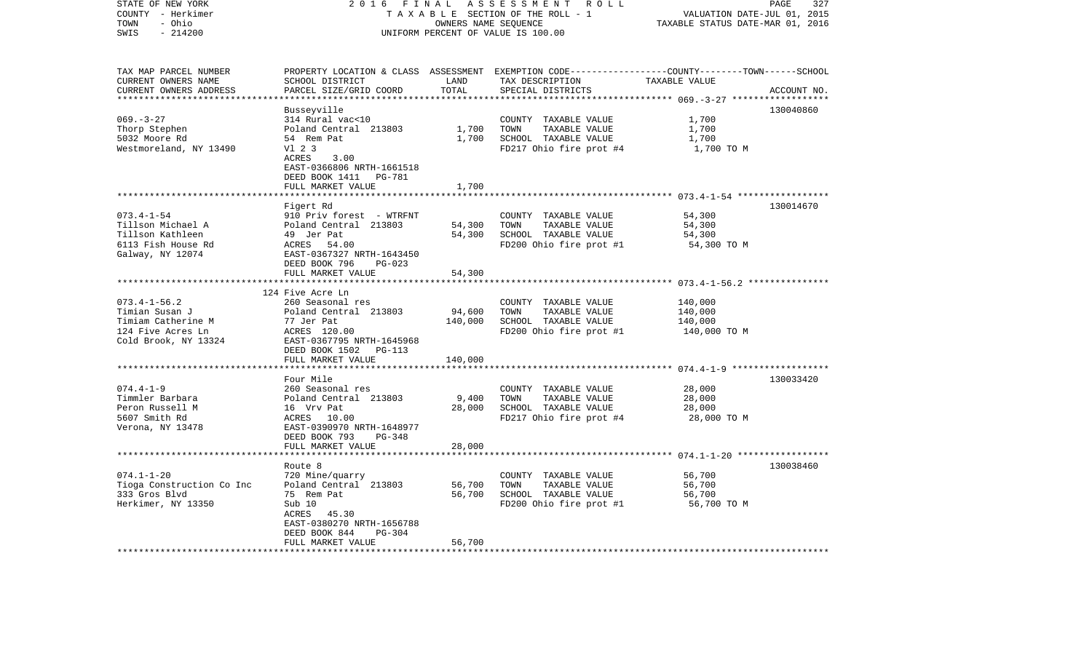| STATE OF NEW YORK<br>COUNTY - Herkimer<br>- Ohio<br>TOWN<br>$-214200$<br>SWIS                           | 2 0 1 6<br>FINAL<br>TAXABLE SECTION OF THE ROLL - 1<br>UNIFORM PERCENT OF VALUE IS 100.00                                                                                         | PAGE<br>327<br>VALUATION DATE-JUL 01, 2015<br>TAXABLE STATUS DATE-MAR 01, 2016 |                                                                                                                                          |                                                        |             |
|---------------------------------------------------------------------------------------------------------|-----------------------------------------------------------------------------------------------------------------------------------------------------------------------------------|--------------------------------------------------------------------------------|------------------------------------------------------------------------------------------------------------------------------------------|--------------------------------------------------------|-------------|
| TAX MAP PARCEL NUMBER<br>CURRENT OWNERS NAME<br>CURRENT OWNERS ADDRESS<br>**********************        | SCHOOL DISTRICT<br>PARCEL SIZE/GRID COORD                                                                                                                                         | LAND<br>TOTAL                                                                  | PROPERTY LOCATION & CLASS ASSESSMENT EXEMPTION CODE----------------COUNTY-------TOWN------SCHOOL<br>TAX DESCRIPTION<br>SPECIAL DISTRICTS | TAXABLE VALUE                                          | ACCOUNT NO. |
| $069. -3 - 27$<br>Thorp Stephen<br>5032 Moore Rd<br>Westmoreland, NY 13490                              | Busseyville<br>314 Rural vac<10<br>Poland Central 213803<br>54 Rem Pat<br>V1 2 3<br>ACRES<br>3.00<br>EAST-0366806 NRTH-1661518<br>DEED BOOK 1411<br>PG-781<br>FULL MARKET VALUE   | 1,700<br>1,700<br>1,700                                                        | COUNTY TAXABLE VALUE<br>TOWN<br>TAXABLE VALUE<br>SCHOOL TAXABLE VALUE<br>FD217 Ohio fire prot #4                                         | 1,700<br>1,700<br>1,700<br>1,700 TO M                  | 130040860   |
|                                                                                                         |                                                                                                                                                                                   |                                                                                |                                                                                                                                          | ************************ 073.4-1-54 ****************** |             |
| $073.4 - 1 - 54$<br>Tillson Michael A<br>Tillson Kathleen<br>6113 Fish House Rd<br>Galway, NY 12074     | Figert Rd<br>910 Priv forest - WTRFNT<br>Poland Central 213803<br>49 Jer Pat<br>ACRES 54.00<br>EAST-0367327 NRTH-1643450<br>DEED BOOK 796<br>$PG-023$                             | 54,300<br>54,300                                                               | COUNTY TAXABLE VALUE<br>TOWN<br>TAXABLE VALUE<br>SCHOOL TAXABLE VALUE<br>FD200 Ohio fire prot #1                                         | 54,300<br>54,300<br>54,300<br>54,300 TO M              | 130014670   |
|                                                                                                         | FULL MARKET VALUE                                                                                                                                                                 | 54,300                                                                         |                                                                                                                                          |                                                        |             |
| $073.4 - 1 - 56.2$<br>Timian Susan J<br>Timiam Catherine M<br>124 Five Acres Ln<br>Cold Brook, NY 13324 | *************************<br>124 Five Acre Ln<br>260 Seasonal res<br>Poland Central 213803<br>77 Jer Pat<br>ACRES 120.00<br>EAST-0367795 NRTH-1645968<br>DEED BOOK 1502<br>PG-113 | 94,600<br>140,000                                                              | COUNTY TAXABLE VALUE<br>TOWN<br>TAXABLE VALUE<br>SCHOOL TAXABLE VALUE<br>FD200 Ohio fire prot #1                                         | 140,000<br>140,000<br>140,000<br>140,000 TO M          |             |
|                                                                                                         | FULL MARKET VALUE<br>************************                                                                                                                                     | 140,000                                                                        |                                                                                                                                          |                                                        |             |
| $074.4 - 1 - 9$<br>Timmler Barbara<br>Peron Russell M<br>5607 Smith Rd<br>Verona, NY 13478              | Four Mile<br>260 Seasonal res<br>Poland Central 213803<br>16 Vrv Pat<br>ACRES 10.00<br>EAST-0390970 NRTH-1648977<br>DEED BOOK 793<br><b>PG-348</b><br>FULL MARKET VALUE           | 9,400<br>28,000<br>28,000                                                      | COUNTY TAXABLE VALUE<br>TOWN<br>TAXABLE VALUE<br>SCHOOL TAXABLE VALUE<br>FD217 Ohio fire prot #4                                         | 28,000<br>28,000<br>28,000<br>28,000 TO M              | 130033420   |
|                                                                                                         |                                                                                                                                                                                   |                                                                                |                                                                                                                                          |                                                        |             |
| $074.1 - 1 - 20$<br>Tioga Construction Co Inc<br>333 Gros Blvd<br>Herkimer, NY 13350                    | Route 8<br>720 Mine/quarry<br>Poland Central 213803<br>75 Rem Pat<br>Sub 10<br>ACRES<br>45.30<br>EAST-0380270 NRTH-1656788<br>$PG-304$<br>DEED BOOK 844<br>FULL MARKET VALUE      | 56,700<br>56,700<br>56,700                                                     | COUNTY TAXABLE VALUE<br>TOWN<br>TAXABLE VALUE<br>SCHOOL TAXABLE VALUE<br>FD200 Ohio fire prot #1                                         | 56,700<br>56,700<br>56,700<br>56,700 TO M              | 130038460   |
| ********************                                                                                    |                                                                                                                                                                                   |                                                                                |                                                                                                                                          |                                                        |             |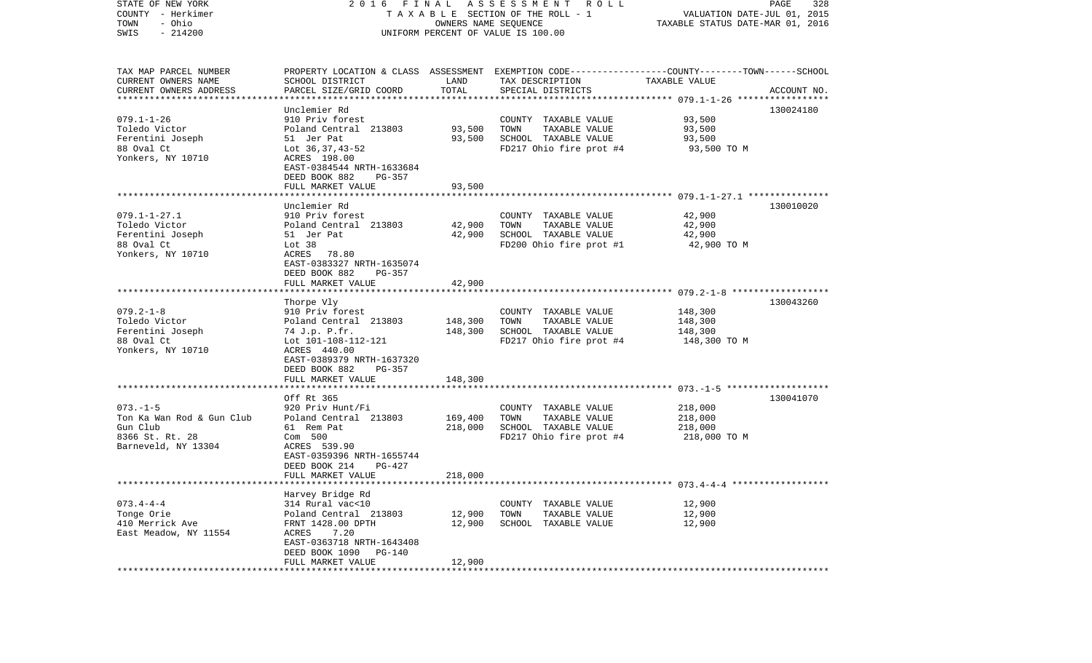| STATE OF NEW YORK<br>COUNTY - Herkimer<br>- Ohio<br>TOWN<br>$-214200$<br>SWIS                     | 2016 FINAL<br>TAXABLE SECTION OF THE ROLL - 1<br>UNIFORM PERCENT OF VALUE IS 100.00                                                                                                      | PAGE<br>328<br>VALUATION DATE-JUL 01, 2015<br>TAXABLE STATUS DATE-MAR 01, 2016 |                                                                                                                    |                                               |             |
|---------------------------------------------------------------------------------------------------|------------------------------------------------------------------------------------------------------------------------------------------------------------------------------------------|--------------------------------------------------------------------------------|--------------------------------------------------------------------------------------------------------------------|-----------------------------------------------|-------------|
| TAX MAP PARCEL NUMBER<br>CURRENT OWNERS NAME                                                      | SCHOOL DISTRICT                                                                                                                                                                          | LAND                                                                           | PROPERTY LOCATION & CLASS ASSESSMENT EXEMPTION CODE---------------COUNTY-------TOWN------SCHOOL<br>TAX DESCRIPTION | TAXABLE VALUE                                 |             |
| CURRENT OWNERS ADDRESS<br>*************************                                               | PARCEL SIZE/GRID COORD                                                                                                                                                                   | TOTAL                                                                          | SPECIAL DISTRICTS                                                                                                  |                                               | ACCOUNT NO. |
|                                                                                                   | Unclemier Rd                                                                                                                                                                             |                                                                                |                                                                                                                    |                                               | 130024180   |
| $079.1 - 1 - 26$<br>Toledo Victor<br>Ferentini Joseph<br>88 Oval Ct<br>Yonkers, NY 10710          | 910 Priv forest<br>Poland Central 213803<br>51 Jer Pat<br>Lot 36,37,43-52<br>ACRES 198.00<br>EAST-0384544 NRTH-1633684                                                                   | 93,500<br>93,500                                                               | COUNTY TAXABLE VALUE<br>TOWN<br>TAXABLE VALUE<br>SCHOOL TAXABLE VALUE<br>FD217 Ohio fire prot #4                   | 93,500<br>93,500<br>93,500<br>93,500 TO M     |             |
|                                                                                                   | DEED BOOK 882<br>PG-357                                                                                                                                                                  |                                                                                |                                                                                                                    |                                               |             |
|                                                                                                   | FULL MARKET VALUE                                                                                                                                                                        | 93,500                                                                         |                                                                                                                    |                                               |             |
| $079.1 - 1 - 27.1$<br>Toledo Victor<br>Ferentini Joseph<br>88 Oval Ct<br>Yonkers, NY 10710        | Unclemier Rd<br>910 Priv forest<br>Poland Central 213803<br>51 Jer Pat<br>Lot <sub>38</sub><br>ACRES<br>78.80<br>EAST-0383327 NRTH-1635074<br>DEED BOOK 882<br>$PG-357$                  | 42,900<br>42,900                                                               | COUNTY TAXABLE VALUE<br>TOWN<br>TAXABLE VALUE<br>SCHOOL TAXABLE VALUE<br>FD200 Ohio fire prot #1                   | 42,900<br>42,900<br>42,900<br>42,900 TO M     | 130010020   |
|                                                                                                   | FULL MARKET VALUE                                                                                                                                                                        | 42,900                                                                         |                                                                                                                    |                                               |             |
| $079.2 - 1 - 8$<br>Toledo Victor<br>Ferentini Joseph<br>88 Oval Ct<br>Yonkers, NY 10710           | Thorpe Vly<br>910 Priv forest<br>Poland Central 213803<br>74 J.p. P.fr.<br>Lot 101-108-112-121<br>ACRES 440.00<br>EAST-0389379 NRTH-1637320<br>DEED BOOK 882<br>PG-357                   | 148,300<br>148,300                                                             | COUNTY TAXABLE VALUE<br>TOWN<br>TAXABLE VALUE<br>SCHOOL TAXABLE VALUE<br>FD217 Ohio fire prot #4                   | 148,300<br>148,300<br>148,300<br>148,300 TO M | 130043260   |
|                                                                                                   | FULL MARKET VALUE                                                                                                                                                                        | 148,300                                                                        |                                                                                                                    |                                               |             |
| $073. - 1 - 5$<br>Ton Ka Wan Rod & Gun Club<br>Gun Club<br>8366 St. Rt. 28<br>Barneveld, NY 13304 | ****************************<br>Off Rt 365<br>920 Priv Hunt/Fi<br>Poland Central 213803<br>61 Rem Pat<br>Com 500<br>ACRES 539.90<br>EAST-0359396 NRTH-1655744<br>DEED BOOK 214<br>PG-427 | 169,400<br>218,000                                                             | COUNTY TAXABLE VALUE<br>TOWN<br>TAXABLE VALUE<br>SCHOOL TAXABLE VALUE<br>FD217 Ohio fire prot #4                   | 218,000<br>218,000<br>218,000<br>218,000 TO M | 130041070   |
|                                                                                                   | FULL MARKET VALUE                                                                                                                                                                        | 218,000                                                                        |                                                                                                                    |                                               |             |
|                                                                                                   |                                                                                                                                                                                          |                                                                                |                                                                                                                    |                                               |             |
| $073.4 - 4 - 4$<br>Tonge Orie<br>410 Merrick Ave<br>East Meadow, NY 11554                         | Harvey Bridge Rd<br>314 Rural vac<10<br>Poland Central 213803<br>FRNT 1428.00 DPTH<br>ACRES<br>7.20<br>EAST-0363718 NRTH-1643408<br>DEED BOOK 1090<br>PG-140<br>FULL MARKET VALUE        | 12,900<br>12,900<br>12,900                                                     | COUNTY TAXABLE VALUE<br>TOWN<br>TAXABLE VALUE<br>SCHOOL TAXABLE VALUE                                              | 12,900<br>12,900<br>12,900                    |             |
|                                                                                                   |                                                                                                                                                                                          |                                                                                |                                                                                                                    |                                               |             |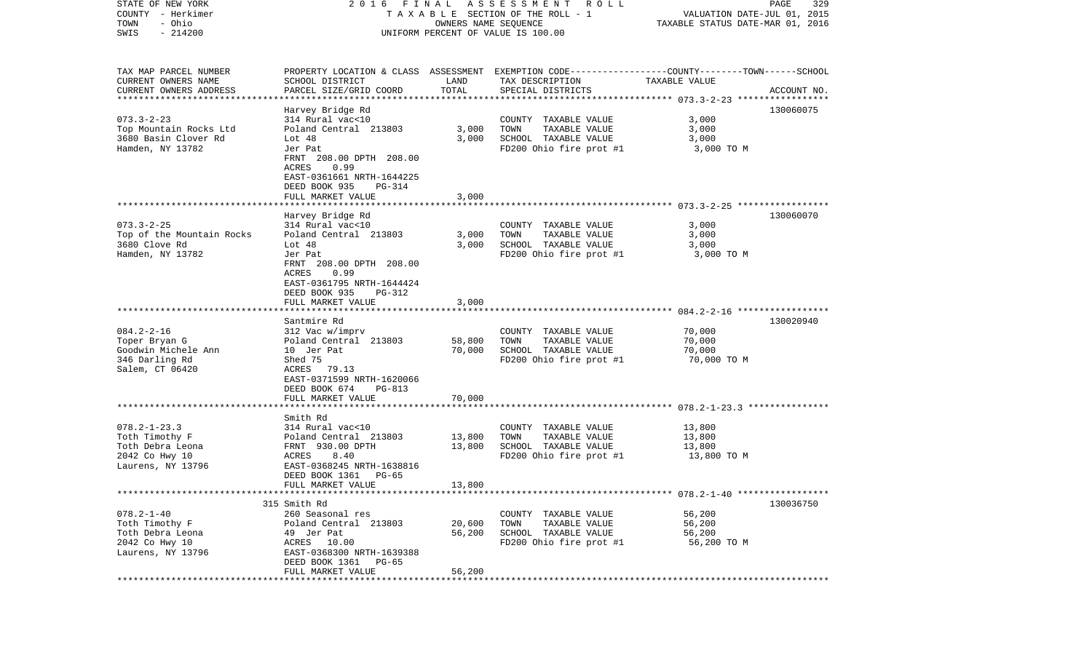| STATE OF NEW YORK<br>COUNTY - Herkimer           |                                                                                                                         |                  | 2016 FINAL ASSESSMENT ROLL<br>TAXABLE SECTION OF THE ROLL - 1                                                       | VALUATION DATE-JUL 01, 2015      | PAGE<br>329 |
|--------------------------------------------------|-------------------------------------------------------------------------------------------------------------------------|------------------|---------------------------------------------------------------------------------------------------------------------|----------------------------------|-------------|
| TOWN<br>- Ohio<br>$-214200$<br>SWIS              |                                                                                                                         |                  | OWNERS NAME SEQUENCE<br>UNIFORM PERCENT OF VALUE IS 100.00                                                          | TAXABLE STATUS DATE-MAR 01, 2016 |             |
| TAX MAP PARCEL NUMBER<br>CURRENT OWNERS NAME     | SCHOOL DISTRICT                                                                                                         | LAND             | PROPERTY LOCATION & CLASS ASSESSMENT EXEMPTION CODE----------------COUNTY-------TOWN------SCHOOL<br>TAX DESCRIPTION | TAXABLE VALUE                    |             |
| CURRENT OWNERS ADDRESS<br>********************** | PARCEL SIZE/GRID COORD                                                                                                  | TOTAL            | SPECIAL DISTRICTS                                                                                                   |                                  | ACCOUNT NO. |
|                                                  | Harvey Bridge Rd                                                                                                        |                  |                                                                                                                     |                                  | 130060075   |
| $073.3 - 2 - 23$                                 | 314 Rural vac<10                                                                                                        |                  | COUNTY TAXABLE VALUE                                                                                                | 3,000                            |             |
| Top Mountain Rocks Ltd                           | Poland Central 213803                                                                                                   | 3,000            | TOWN<br>TAXABLE VALUE                                                                                               | 3,000                            |             |
| 3680 Basin Clover Rd                             | Lot $48$                                                                                                                | 3.000            | SCHOOL TAXABLE VALUE                                                                                                | 3,000                            |             |
| Hamden, NY 13782                                 | Jer Pat<br>FRNT 208.00 DPTH 208.00<br>ACRES<br>0.99<br>EAST-0361661 NRTH-1644225<br>DEED BOOK 935<br>PG-314             |                  | FD200 Ohio fire prot #1                                                                                             | 3,000 TO M                       |             |
|                                                  | FULL MARKET VALUE                                                                                                       | 3,000            |                                                                                                                     |                                  |             |
|                                                  |                                                                                                                         |                  |                                                                                                                     |                                  |             |
|                                                  | Harvey Bridge Rd                                                                                                        |                  |                                                                                                                     |                                  | 130060070   |
| $073.3 - 2 - 25$<br>Top of the Mountain Rocks    | 314 Rural vac<10<br>Poland Central 213803                                                                               | 3,000            | COUNTY TAXABLE VALUE<br>TOWN<br>TAXABLE VALUE                                                                       | 3,000<br>3,000                   |             |
| 3680 Clove Rd                                    | Lot $48$                                                                                                                | 3,000            | SCHOOL TAXABLE VALUE                                                                                                | 3,000                            |             |
| Hamden, NY 13782                                 | Jer Pat                                                                                                                 |                  | FD200 Ohio fire prot #1                                                                                             | 3,000 TO M                       |             |
|                                                  | FRNT 208.00 DPTH 208.00<br>ACRES<br>0.99<br>EAST-0361795 NRTH-1644424<br>DEED BOOK 935<br>$PG-312$<br>FULL MARKET VALUE | 3,000            |                                                                                                                     |                                  |             |
|                                                  |                                                                                                                         |                  |                                                                                                                     |                                  |             |
|                                                  | Santmire Rd                                                                                                             |                  |                                                                                                                     |                                  | 130020940   |
| $084.2 - 2 - 16$                                 | 312 Vac w/imprv                                                                                                         |                  | COUNTY TAXABLE VALUE                                                                                                | 70,000                           |             |
| Toper Bryan G<br>Goodwin Michele Ann             | Poland Central 213803<br>10 Jer Pat                                                                                     | 58,800<br>70,000 | TOWN<br>TAXABLE VALUE<br>SCHOOL TAXABLE VALUE                                                                       | 70,000<br>70,000                 |             |
| 346 Darling Rd                                   | Shed 75                                                                                                                 |                  | FD200 Ohio fire prot #1                                                                                             | 70,000 TO M                      |             |
| Salem, CT 06420                                  | ACRES 79.13<br>EAST-0371599 NRTH-1620066<br>DEED BOOK 674<br>PG-813                                                     |                  |                                                                                                                     |                                  |             |
|                                                  | FULL MARKET VALUE                                                                                                       | 70,000           |                                                                                                                     |                                  |             |
|                                                  | ****************************                                                                                            |                  |                                                                                                                     |                                  |             |
| $078.2 - 1 - 23.3$                               | Smith Rd<br>314 Rural vac<10                                                                                            |                  | COUNTY TAXABLE VALUE                                                                                                | 13,800                           |             |
| Toth Timothy F                                   | Poland Central 213803                                                                                                   | 13,800           | TAXABLE VALUE<br>TOWN                                                                                               | 13,800                           |             |
| Toth Debra Leona                                 | FRNT 930.00 DPTH                                                                                                        | 13,800           | SCHOOL TAXABLE VALUE                                                                                                | 13,800                           |             |
| 2042 Co Hwy 10                                   | 8.40<br>ACRES                                                                                                           |                  | FD200 Ohio fire prot #1                                                                                             | 13,800 TO M                      |             |
| Laurens, NY 13796                                | EAST-0368245 NRTH-1638816                                                                                               |                  |                                                                                                                     |                                  |             |
|                                                  | DEED BOOK 1361<br>PG-65<br>FULL MARKET VALUE                                                                            | 13,800           |                                                                                                                     |                                  |             |
|                                                  |                                                                                                                         |                  |                                                                                                                     |                                  |             |
|                                                  | 315 Smith Rd                                                                                                            |                  |                                                                                                                     |                                  | 130036750   |
| $078.2 - 1 - 40$                                 | 260 Seasonal res                                                                                                        |                  | COUNTY TAXABLE VALUE                                                                                                | 56,200                           |             |
| Toth Timothy F                                   | Poland Central 213803                                                                                                   | 20,600           | TAXABLE VALUE<br>TOWN                                                                                               | 56,200                           |             |
| Toth Debra Leona<br>2042 Co Hwy 10               | 49 Jer Pat                                                                                                              | 56,200           | SCHOOL TAXABLE VALUE<br>FD200 Ohio fire prot #1                                                                     | 56,200                           |             |
| Laurens, NY 13796                                | ACRES 10.00<br>EAST-0368300 NRTH-1639388<br>DEED BOOK 1361<br>PG-65                                                     |                  |                                                                                                                     | 56,200 TO M                      |             |
| ************                                     | FULL MARKET VALUE                                                                                                       | 56,200           |                                                                                                                     |                                  |             |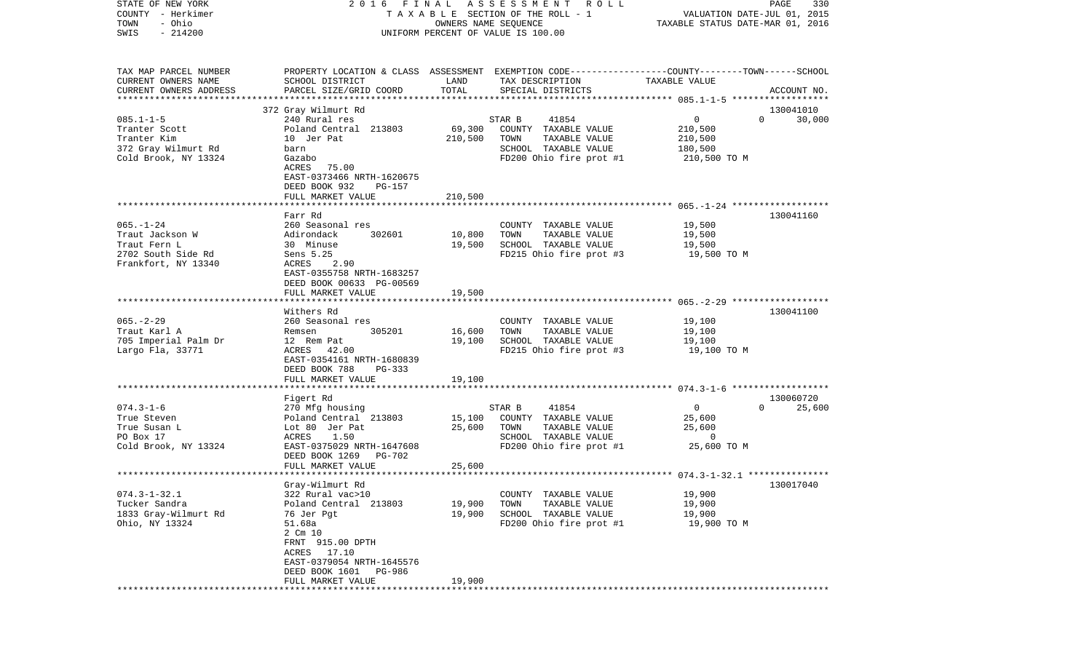| - Herkimer<br>COUNTY   |                              |                      | T A X A B L E SECTION OF THE ROLL - 1                                                           | VALUATION DATE-JUL 01, 2015      |                    |
|------------------------|------------------------------|----------------------|-------------------------------------------------------------------------------------------------|----------------------------------|--------------------|
| TOWN<br>- Ohio         |                              | OWNERS NAME SEQUENCE |                                                                                                 | TAXABLE STATUS DATE-MAR 01, 2016 |                    |
| SWIS<br>$-214200$      |                              |                      | UNIFORM PERCENT OF VALUE IS 100.00                                                              |                                  |                    |
|                        |                              |                      |                                                                                                 |                                  |                    |
| TAX MAP PARCEL NUMBER  |                              |                      | PROPERTY LOCATION & CLASS ASSESSMENT EXEMPTION CODE---------------COUNTY-------TOWN------SCHOOL |                                  |                    |
| CURRENT OWNERS NAME    | SCHOOL DISTRICT              | LAND                 | TAX DESCRIPTION                                                                                 | TAXABLE VALUE                    |                    |
| CURRENT OWNERS ADDRESS | PARCEL SIZE/GRID COORD       | TOTAL                | SPECIAL DISTRICTS                                                                               |                                  | ACCOUNT NO.        |
| ********************** |                              |                      |                                                                                                 |                                  |                    |
|                        | 372 Gray Wilmurt Rd          |                      |                                                                                                 |                                  | 130041010          |
| $085.1 - 1 - 5$        | 240 Rural res                |                      | STAR B<br>41854                                                                                 | $\overline{0}$                   | 30,000<br>$\Omega$ |
| Tranter Scott          | Poland Central 213803        | 69,300               | COUNTY TAXABLE VALUE                                                                            | 210,500                          |                    |
| Tranter Kim            | 10 Jer Pat                   | 210,500              | TAXABLE VALUE<br>TOWN                                                                           | 210,500                          |                    |
| 372 Gray Wilmurt Rd    | barn                         |                      | SCHOOL TAXABLE VALUE                                                                            | 180,500                          |                    |
| Cold Brook, NY 13324   | Gazabo                       |                      | FD200 Ohio fire prot #1                                                                         | 210,500 TO M                     |                    |
|                        | ACRES<br>75.00               |                      |                                                                                                 |                                  |                    |
|                        | EAST-0373466 NRTH-1620675    |                      |                                                                                                 |                                  |                    |
|                        | DEED BOOK 932<br>PG-157      |                      |                                                                                                 |                                  |                    |
|                        | FULL MARKET VALUE            | 210,500              |                                                                                                 |                                  |                    |
|                        | **************************** |                      |                                                                                                 |                                  |                    |
|                        | Farr Rd                      |                      |                                                                                                 |                                  | 130041160          |
| $065. - 1 - 24$        | 260 Seasonal res             |                      | COUNTY TAXABLE VALUE                                                                            | 19,500                           |                    |
| Traut Jackson W        | Adirondack<br>302601         | 10,800               | TOWN<br>TAXABLE VALUE                                                                           | 19,500                           |                    |
| Traut Fern L           | 30 Minuse                    | 19,500               | SCHOOL TAXABLE VALUE                                                                            | 19,500                           |                    |
| 2702 South Side Rd     | Sens 5.25                    |                      | FD215 Ohio fire prot #3                                                                         | 19,500 TO M                      |                    |
| Frankfort, NY 13340    | ACRES<br>2.90                |                      |                                                                                                 |                                  |                    |
|                        | EAST-0355758 NRTH-1683257    |                      |                                                                                                 |                                  |                    |
|                        | DEED BOOK 00633 PG-00569     |                      |                                                                                                 |                                  |                    |
|                        | FULL MARKET VALUE            | 19,500               |                                                                                                 |                                  |                    |
|                        |                              |                      |                                                                                                 |                                  |                    |
|                        | Withers Rd                   |                      |                                                                                                 |                                  | 130041100          |
| $065. -2 - 29$         | 260 Seasonal res             |                      | COUNTY TAXABLE VALUE                                                                            | 19,100                           |                    |
| Traut Karl A           | 305201<br>Remsen             | 16,600               | TAXABLE VALUE<br>TOWN                                                                           | 19,100                           |                    |
| 705 Imperial Palm Dr   | 12 Rem Pat                   | 19,100               | SCHOOL TAXABLE VALUE                                                                            | 19,100                           |                    |
| Largo Fla, 33771       | ACRES<br>42.00               |                      | FD215 Ohio fire prot #3                                                                         | 19,100 TO M                      |                    |
|                        | EAST-0354161 NRTH-1680839    |                      |                                                                                                 |                                  |                    |
|                        | DEED BOOK 788<br>PG-333      |                      |                                                                                                 |                                  |                    |
|                        | FULL MARKET VALUE            | 19,100               |                                                                                                 |                                  |                    |
|                        |                              |                      |                                                                                                 |                                  |                    |
|                        | Figert Rd                    |                      |                                                                                                 |                                  | 130060720          |
| $074.3 - 1 - 6$        | 270 Mfg housing              |                      | STAR B<br>41854                                                                                 | $\overline{0}$                   | 25,600<br>$\Omega$ |
| True Steven            | Poland Central 213803        | 15,100               | COUNTY TAXABLE VALUE                                                                            | 25,600                           |                    |
| True Susan L           | Lot 80 Jer Pat               | 25,600               | TAXABLE VALUE<br>TOWN                                                                           | 25,600                           |                    |
| PO Box 17              | 1.50<br>ACRES                |                      | SCHOOL TAXABLE VALUE                                                                            | 0                                |                    |
| Cold Brook, NY 13324   | EAST-0375029 NRTH-1647608    |                      | FD200 Ohio fire prot #1                                                                         | 25,600 TO M                      |                    |
|                        | DEED BOOK 1269<br>PG-702     |                      |                                                                                                 |                                  |                    |
|                        | FULL MARKET VALUE            | 25,600               |                                                                                                 |                                  |                    |
|                        |                              |                      |                                                                                                 |                                  |                    |
|                        | Gray-Wilmurt Rd              |                      |                                                                                                 |                                  | 130017040          |
| $074.3 - 1 - 32.1$     | 322 Rural vac>10             |                      | COUNTY TAXABLE VALUE                                                                            | 19,900                           |                    |
| Tucker Sandra          | Poland Central 213803        | 19,900               | TAXABLE VALUE<br>TOWN                                                                           | 19,900                           |                    |
| 1833 Gray-Wilmurt Rd   | 76 Jer Pgt                   | 19,900               | SCHOOL TAXABLE VALUE                                                                            | 19,900                           |                    |
| Ohio, NY 13324         | 51.68a                       |                      | FD200 Ohio fire prot #1                                                                         | 19,900 TO M                      |                    |
|                        | 2 Cm 10                      |                      |                                                                                                 |                                  |                    |
|                        | FRNT 915.00 DPTH             |                      |                                                                                                 |                                  |                    |
|                        | ACRES 17.10                  |                      |                                                                                                 |                                  |                    |
|                        | EAST-0379054 NRTH-1645576    |                      |                                                                                                 |                                  |                    |
|                        | DEED BOOK 1601<br>PG-986     |                      |                                                                                                 |                                  |                    |
|                        | FULL MARKET VALUE            | 19,900               |                                                                                                 |                                  |                    |
|                        |                              |                      |                                                                                                 |                                  |                    |

PAGE 330

STATE OF NEW YORK 2 0 1 6 F I N A L A S S E S S M E N T R O L L PAGE 330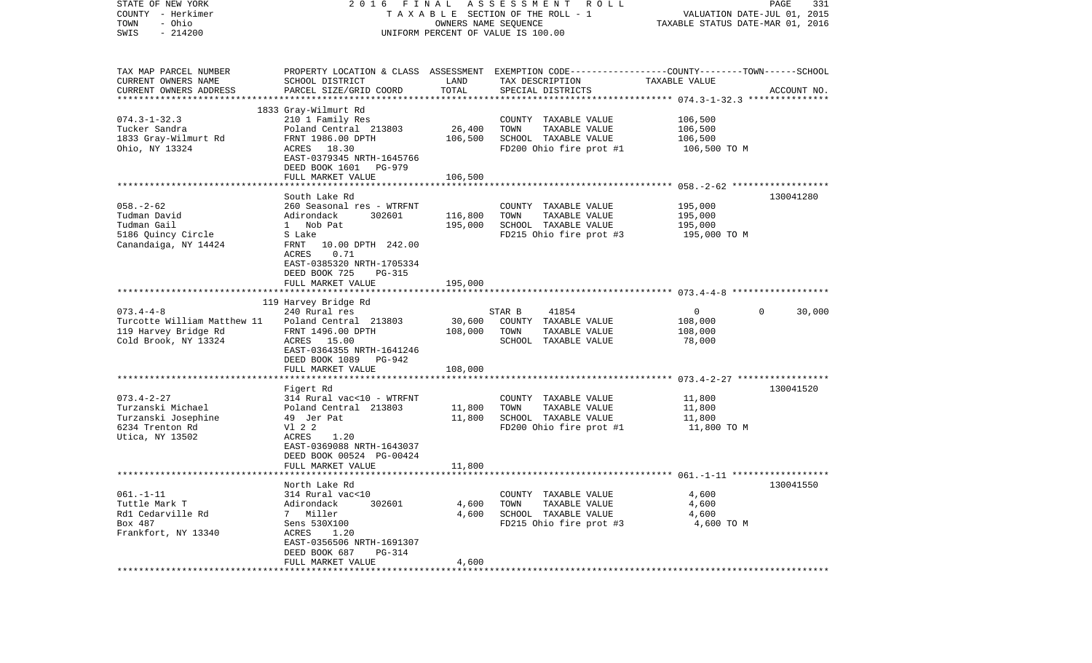| STATE OF NEW YORK<br>COUNTY - Herkimer<br>- Ohio<br>TOWN<br>$-214200$<br>SWIS | 2016                                                 | OWNERS NAME SEQUENCE | FINAL ASSESSMENT ROLL<br>TAXABLE SECTION OF THE ROLL - 1<br>UNIFORM PERCENT OF VALUE IS 100.00                     | VALUATION DATE-JUL 01, 2015<br>TAXABLE STATUS DATE-MAR 01, 2016 | PAGE<br>331            |
|-------------------------------------------------------------------------------|------------------------------------------------------|----------------------|--------------------------------------------------------------------------------------------------------------------|-----------------------------------------------------------------|------------------------|
| TAX MAP PARCEL NUMBER<br>CURRENT OWNERS NAME                                  | SCHOOL DISTRICT                                      | LAND                 | PROPERTY LOCATION & CLASS ASSESSMENT EXEMPTION CODE---------------COUNTY-------TOWN------SCHOOL<br>TAX DESCRIPTION | TAXABLE VALUE                                                   |                        |
| CURRENT OWNERS ADDRESS                                                        | PARCEL SIZE/GRID COORD                               | TOTAL                | SPECIAL DISTRICTS                                                                                                  |                                                                 | ACCOUNT NO.            |
|                                                                               | 1833 Gray-Wilmurt Rd                                 |                      |                                                                                                                    |                                                                 |                        |
| $074.3 - 1 - 32.3$                                                            | 210 1 Family Res                                     |                      | COUNTY TAXABLE VALUE                                                                                               | 106,500                                                         |                        |
| Tucker Sandra                                                                 | Poland Central 213803                                | 26,400               | TOWN<br>TAXABLE VALUE                                                                                              | 106,500                                                         |                        |
| 1833 Gray-Wilmurt Rd<br>Ohio, NY 13324                                        | FRNT 1986.00 DPTH<br>ACRES 18.30                     | 106,500              | SCHOOL TAXABLE VALUE<br>FD200 Ohio fire prot #1                                                                    | 106,500<br>106,500 ТО М                                         |                        |
|                                                                               | EAST-0379345 NRTH-1645766                            |                      |                                                                                                                    |                                                                 |                        |
|                                                                               | DEED BOOK 1601 PG-979                                |                      |                                                                                                                    |                                                                 |                        |
|                                                                               | FULL MARKET VALUE                                    | 106,500              |                                                                                                                    |                                                                 |                        |
|                                                                               | South Lake Rd                                        |                      |                                                                                                                    |                                                                 | 130041280              |
| $058. - 2 - 62$                                                               | 260 Seasonal res - WTRFNT                            |                      | COUNTY TAXABLE VALUE                                                                                               | 195,000                                                         |                        |
| Tudman David                                                                  | Adirondack<br>302601                                 | 116,800              | TAXABLE VALUE<br>TOWN                                                                                              | 195,000                                                         |                        |
| Tudman Gail                                                                   | 1 Nob Pat                                            | 195,000              | SCHOOL TAXABLE VALUE                                                                                               | 195,000                                                         |                        |
| 5186 Quincy Circle                                                            | S Lake                                               |                      | FD215 Ohio fire prot #3                                                                                            | 195,000 TO M                                                    |                        |
| Canandaiga, NY 14424                                                          | FRNT<br>10.00 DPTH 242.00<br><b>ACRES</b><br>0.71    |                      |                                                                                                                    |                                                                 |                        |
|                                                                               | EAST-0385320 NRTH-1705334                            |                      |                                                                                                                    |                                                                 |                        |
|                                                                               | DEED BOOK 725<br>PG-315                              |                      |                                                                                                                    |                                                                 |                        |
|                                                                               | FULL MARKET VALUE                                    | 195,000              |                                                                                                                    |                                                                 |                        |
|                                                                               | 119 Harvey Bridge Rd                                 |                      |                                                                                                                    |                                                                 |                        |
| $073.4 - 4 - 8$                                                               | 240 Rural res                                        |                      | 41854<br>STAR B                                                                                                    | 0                                                               | $\mathbf{0}$<br>30,000 |
| Turcotte William Matthew 11                                                   | Poland Central 213803                                | 30,600               | COUNTY TAXABLE VALUE                                                                                               | 108,000                                                         |                        |
| 119 Harvey Bridge Rd                                                          | FRNT 1496.00 DPTH                                    | 108,000              | TOWN<br>TAXABLE VALUE                                                                                              | 108,000                                                         |                        |
| Cold Brook, NY 13324                                                          | ACRES 15.00<br>EAST-0364355 NRTH-1641246             |                      | SCHOOL TAXABLE VALUE                                                                                               | 78,000                                                          |                        |
|                                                                               | DEED BOOK 1089 PG-942                                |                      |                                                                                                                    |                                                                 |                        |
|                                                                               | FULL MARKET VALUE                                    | 108,000              |                                                                                                                    |                                                                 |                        |
|                                                                               |                                                      |                      |                                                                                                                    |                                                                 |                        |
| $073.4 - 2 - 27$                                                              | Figert Rd<br>314 Rural vac<10 - WTRFNT               |                      | COUNTY TAXABLE VALUE                                                                                               | 11,800                                                          | 130041520              |
| Turzanski Michael                                                             | Poland Central 213803                                | 11,800               | TOWN<br>TAXABLE VALUE                                                                                              | 11,800                                                          |                        |
| Turzanski Josephine                                                           | 49 Jer Pat                                           | 11,800               | SCHOOL TAXABLE VALUE                                                                                               | 11,800                                                          |                        |
| 6234 Trenton Rd                                                               | V1 2 2                                               |                      | FD200 Ohio fire prot #1                                                                                            | 11,800 TO M                                                     |                        |
| Utica, NY 13502                                                               | ACRES<br>1.20<br>EAST-0369088 NRTH-1643037           |                      |                                                                                                                    |                                                                 |                        |
|                                                                               | DEED BOOK 00524 PG-00424                             |                      |                                                                                                                    |                                                                 |                        |
|                                                                               | FULL MARKET VALUE                                    | 11,800               |                                                                                                                    |                                                                 |                        |
|                                                                               |                                                      |                      |                                                                                                                    |                                                                 |                        |
|                                                                               | North Lake Rd                                        |                      |                                                                                                                    |                                                                 | 130041550              |
| $061. -1 -11$<br>Tuttle Mark T                                                | 314 Rural vac<10<br>Adirondack<br>302601             | 4,600                | COUNTY TAXABLE VALUE<br>TOWN<br>TAXABLE VALUE                                                                      | 4,600<br>4,600                                                  |                        |
| Rd1 Cedarville Rd                                                             | Miller<br>7                                          | 4,600                | SCHOOL TAXABLE VALUE                                                                                               | 4,600                                                           |                        |
| Box 487                                                                       | Sens 530X100                                         |                      | FD215 Ohio fire prot #3                                                                                            | 4,600 TO M                                                      |                        |
| Frankfort, NY 13340                                                           | ACRES<br>1.20                                        |                      |                                                                                                                    |                                                                 |                        |
|                                                                               | EAST-0356506 NRTH-1691307<br>DEED BOOK 687<br>PG-314 |                      |                                                                                                                    |                                                                 |                        |
|                                                                               | FULL MARKET VALUE                                    | 4,600                |                                                                                                                    |                                                                 |                        |
|                                                                               |                                                      |                      |                                                                                                                    |                                                                 |                        |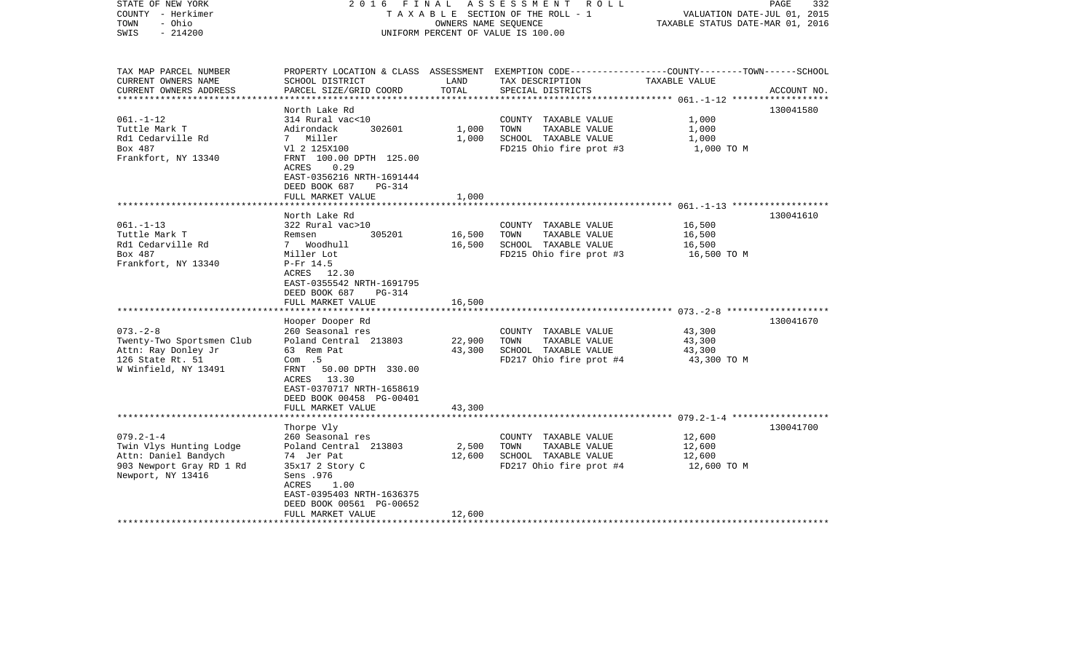| STATE OF NEW YORK<br>COUNTY - Herkimer<br>- Ohio<br>TOWN<br>$-214200$<br>SWIS                                                                                                                             | 2016 FINAL                                                                                                                                                                                                                                                                                                                                                                                | OWNERS NAME SEQUENCE                                                | ASSESSMENT<br>R O L L<br>TAXABLE SECTION OF THE ROLL - 1<br>UNIFORM PERCENT OF VALUE IS 100.00                                                                                                       | VALUATION DATE-JUL 01, 2015<br>TAXABLE STATUS DATE-MAR 01, 2016                        | PAGE<br>332            |
|-----------------------------------------------------------------------------------------------------------------------------------------------------------------------------------------------------------|-------------------------------------------------------------------------------------------------------------------------------------------------------------------------------------------------------------------------------------------------------------------------------------------------------------------------------------------------------------------------------------------|---------------------------------------------------------------------|------------------------------------------------------------------------------------------------------------------------------------------------------------------------------------------------------|----------------------------------------------------------------------------------------|------------------------|
| TAX MAP PARCEL NUMBER<br>CURRENT OWNERS NAME<br>CURRENT OWNERS ADDRESS<br>**********************                                                                                                          | SCHOOL DISTRICT<br>PARCEL SIZE/GRID COORD                                                                                                                                                                                                                                                                                                                                                 | LAND<br>TOTAL                                                       | PROPERTY LOCATION & CLASS ASSESSMENT EXEMPTION CODE----------------COUNTY-------TOWN------SCHOOL<br>TAX DESCRIPTION<br>SPECIAL DISTRICTS                                                             | TAXABLE VALUE                                                                          | ACCOUNT NO.            |
| $061. -1 - 12$<br>Tuttle Mark T<br>Rd1 Cedarville Rd<br>Box 487<br>Frankfort, NY 13340                                                                                                                    | North Lake Rd<br>314 Rural vac<10<br>302601<br>Adirondack<br>7 Miller<br>V1 2 125X100<br>FRNT 100.00 DPTH 125.00<br>0.29<br>ACRES<br>EAST-0356216 NRTH-1691444<br>DEED BOOK 687<br><b>PG-314</b><br>FULL MARKET VALUE                                                                                                                                                                     | 1,000<br>1,000<br>1,000                                             | COUNTY TAXABLE VALUE<br>TOWN<br>TAXABLE VALUE<br>SCHOOL TAXABLE VALUE<br>FD215 Ohio fire prot #3                                                                                                     | 1,000<br>1,000<br>1,000<br>1,000 TO M                                                  | 130041580              |
|                                                                                                                                                                                                           |                                                                                                                                                                                                                                                                                                                                                                                           |                                                                     |                                                                                                                                                                                                      |                                                                                        |                        |
| $061. - 1 - 13$<br>Tuttle Mark T<br>Rd1 Cedarville Rd<br>Box 487<br>Frankfort, NY 13340<br>$073. - 2 - 8$<br>Twenty-Two Sportsmen Club<br>Attn: Ray Donley Jr<br>126 State Rt. 51<br>W Winfield, NY 13491 | North Lake Rd<br>322 Rural vac>10<br>305201<br>Remsen<br>7 Woodhull<br>Miller Lot<br>P-Fr 14.5<br>ACRES 12.30<br>EAST-0355542 NRTH-1691795<br>DEED BOOK 687<br>$PG-314$<br>FULL MARKET VALUE<br>Hooper Dooper Rd<br>260 Seasonal res<br>Poland Central 213803<br>63 Rem Pat<br>Com.5<br>50.00 DPTH 330.00<br>FRNT<br>ACRES 13.30<br>EAST-0370717 NRTH-1658619<br>DEED BOOK 00458 PG-00401 | 16,500<br>16,500<br>16,500<br>* * * * * * * * *<br>22,900<br>43,300 | COUNTY TAXABLE VALUE<br>TAXABLE VALUE<br>TOWN<br>SCHOOL TAXABLE VALUE<br>FD215 Ohio fire prot #3<br>COUNTY TAXABLE VALUE<br>TOWN<br>TAXABLE VALUE<br>SCHOOL TAXABLE VALUE<br>FD217 Ohio fire prot #4 | 16,500<br>16,500<br>16,500<br>16,500 TO M<br>43,300<br>43,300<br>43,300<br>43,300 TO M | 130041610<br>130041670 |
|                                                                                                                                                                                                           | FULL MARKET VALUE<br>*********************                                                                                                                                                                                                                                                                                                                                                | 43,300                                                              |                                                                                                                                                                                                      |                                                                                        |                        |
|                                                                                                                                                                                                           | Thorpe Vly                                                                                                                                                                                                                                                                                                                                                                                |                                                                     |                                                                                                                                                                                                      |                                                                                        | 130041700              |
| $079.2 - 1 - 4$<br>Twin Vlys Hunting Lodge<br>Attn: Daniel Bandych<br>903 Newport Gray RD 1 Rd<br>Newport, NY 13416                                                                                       | 260 Seasonal res<br>Poland Central 213803<br>74 Jer Pat<br>35x17 2 Story C<br>Sens .976<br>ACRES<br>1.00<br>EAST-0395403 NRTH-1636375<br>DEED BOOK 00561 PG-00652<br>FULL MARKET VALUE                                                                                                                                                                                                    | 2,500<br>12,600<br>12,600                                           | COUNTY TAXABLE VALUE<br>TOWN<br>TAXABLE VALUE<br>SCHOOL TAXABLE VALUE<br>FD217 Ohio fire prot #4                                                                                                     | 12,600<br>12,600<br>12,600<br>12,600 TO M                                              |                        |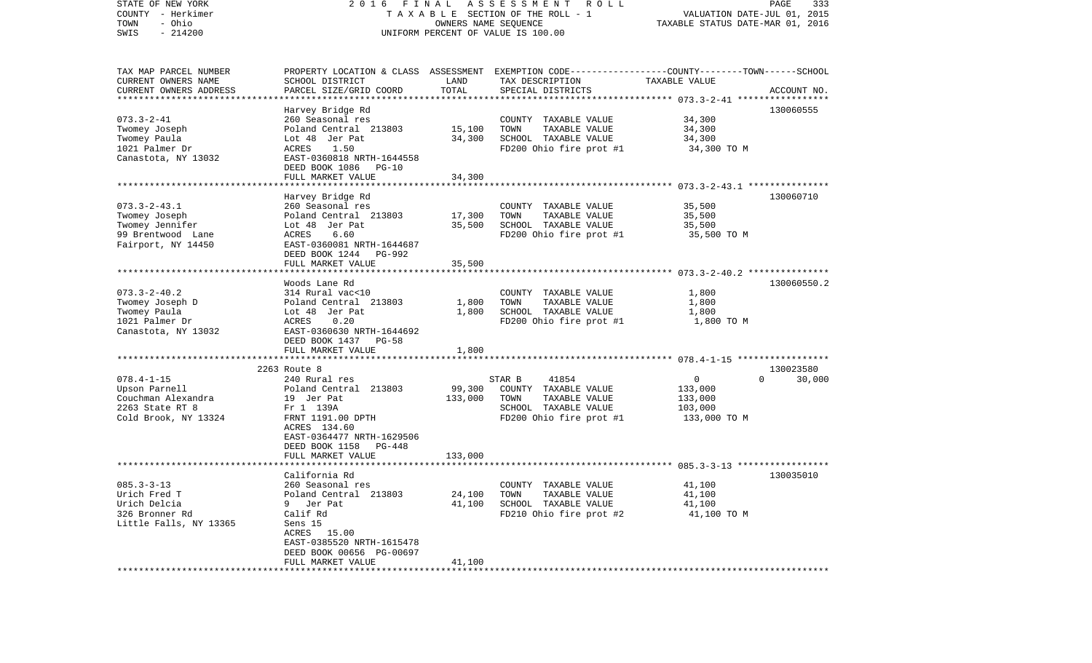| STATE OF NEW YORK<br>COUNTY - Herkimer<br>- Ohio<br>TOWN | 2016                                                  | FINAL<br>OWNERS NAME SEQUENCE | ASSESSMENT ROLL<br>T A X A B L E SECTION OF THE ROLL - 1                                         | TAXABLE STATUS DATE-MAR 01, 2016 | PAGE<br>333<br>VALUATION DATE-JUL 01, 2015 |
|----------------------------------------------------------|-------------------------------------------------------|-------------------------------|--------------------------------------------------------------------------------------------------|----------------------------------|--------------------------------------------|
| $-214200$<br>SWIS                                        |                                                       |                               | UNIFORM PERCENT OF VALUE IS 100.00                                                               |                                  |                                            |
| TAX MAP PARCEL NUMBER                                    |                                                       |                               | PROPERTY LOCATION & CLASS ASSESSMENT EXEMPTION CODE----------------COUNTY-------TOWN------SCHOOL |                                  |                                            |
| CURRENT OWNERS NAME                                      | SCHOOL DISTRICT                                       | LAND                          | TAX DESCRIPTION                                                                                  | TAXABLE VALUE                    |                                            |
| CURRENT OWNERS ADDRESS<br>**********************         | PARCEL SIZE/GRID COORD                                | TOTAL                         | SPECIAL DISTRICTS                                                                                |                                  | ACCOUNT NO.                                |
|                                                          |                                                       |                               |                                                                                                  |                                  |                                            |
| $073.3 - 2 - 41$                                         | Harvey Bridge Rd<br>260 Seasonal res                  |                               | COUNTY TAXABLE VALUE                                                                             | 34,300                           | 130060555                                  |
| Twomey Joseph                                            | Poland Central 213803                                 | 15,100                        | TOWN<br>TAXABLE VALUE                                                                            | 34,300                           |                                            |
| Twomey Paula                                             | Lot 48 Jer Pat                                        | 34,300                        | SCHOOL TAXABLE VALUE                                                                             | 34,300                           |                                            |
| 1021 Palmer Dr                                           | ACRES<br>1.50                                         |                               | FD200 Ohio fire prot #1                                                                          | 34,300 TO M                      |                                            |
| Canastota, NY 13032                                      | EAST-0360818 NRTH-1644558                             |                               |                                                                                                  |                                  |                                            |
|                                                          | DEED BOOK 1086<br>$PG-10$                             |                               |                                                                                                  |                                  |                                            |
|                                                          | FULL MARKET VALUE                                     | 34,300                        |                                                                                                  |                                  |                                            |
|                                                          |                                                       |                               |                                                                                                  |                                  |                                            |
|                                                          | Harvey Bridge Rd                                      |                               |                                                                                                  |                                  | 130060710                                  |
| $073.3 - 2 - 43.1$                                       | 260 Seasonal res                                      |                               | COUNTY TAXABLE VALUE                                                                             | 35,500                           |                                            |
| Twomey Joseph                                            | Poland Central 213803                                 | 17,300                        | TOWN<br>TAXABLE VALUE                                                                            | 35,500                           |                                            |
| Twomey Jennifer                                          | Lot 48 Jer Pat                                        | 35,500                        | SCHOOL TAXABLE VALUE                                                                             | 35,500                           |                                            |
| 99 Brentwood Lane                                        | ACRES<br>6.60                                         |                               | FD200 Ohio fire prot #1                                                                          | 35,500 TO M                      |                                            |
| Fairport, NY 14450                                       | EAST-0360081 NRTH-1644687<br>DEED BOOK 1244<br>PG-992 |                               |                                                                                                  |                                  |                                            |
|                                                          | FULL MARKET VALUE                                     | 35,500                        |                                                                                                  |                                  |                                            |
|                                                          |                                                       |                               |                                                                                                  |                                  |                                            |
|                                                          | Woods Lane Rd                                         |                               |                                                                                                  |                                  | 130060550.2                                |
| $073.3 - 2 - 40.2$                                       | 314 Rural vac<10                                      |                               | COUNTY TAXABLE VALUE                                                                             | 1,800                            |                                            |
| Twomey Joseph D                                          | Poland Central 213803                                 | 1,800                         | TAXABLE VALUE<br>TOWN                                                                            | 1,800                            |                                            |
| Twomey Paula                                             | Lot 48 Jer Pat                                        | 1,800                         | SCHOOL TAXABLE VALUE                                                                             | 1,800                            |                                            |
| 1021 Palmer Dr                                           | 0.20<br>ACRES                                         |                               | FD200 Ohio fire prot #1                                                                          | 1,800 TO M                       |                                            |
| Canastota, NY 13032                                      | EAST-0360630 NRTH-1644692                             |                               |                                                                                                  |                                  |                                            |
|                                                          | DEED BOOK 1437<br>PG-58                               |                               |                                                                                                  |                                  |                                            |
|                                                          | FULL MARKET VALUE                                     | 1,800                         |                                                                                                  |                                  |                                            |
|                                                          | *********************************                     |                               |                                                                                                  |                                  |                                            |
| $078.4 - 1 - 15$                                         | 2263 Route 8<br>240 Rural res                         |                               | STAR B<br>41854                                                                                  | 0                                | 130023580<br>$\Omega$                      |
| Upson Parnell                                            | Poland Central 213803                                 | 99,300                        | COUNTY TAXABLE VALUE                                                                             | 133,000                          | 30,000                                     |
| Couchman Alexandra                                       | 19 Jer Pat                                            | 133,000                       | TAXABLE VALUE<br>TOWN                                                                            | 133,000                          |                                            |
| 2263 State RT 8                                          | Fr 1 139A                                             |                               | SCHOOL TAXABLE VALUE                                                                             | 103,000                          |                                            |
| Cold Brook, NY 13324                                     | FRNT 1191.00 DPTH                                     |                               | FD200 Ohio fire prot #1                                                                          | 133,000 TO M                     |                                            |
|                                                          | ACRES 134.60                                          |                               |                                                                                                  |                                  |                                            |
|                                                          | EAST-0364477 NRTH-1629506                             |                               |                                                                                                  |                                  |                                            |
|                                                          | DEED BOOK 1158<br>PG-448                              |                               |                                                                                                  |                                  |                                            |
|                                                          | FULL MARKET VALUE                                     | 133,000                       |                                                                                                  |                                  |                                            |
|                                                          |                                                       |                               |                                                                                                  |                                  |                                            |
|                                                          | California Rd                                         |                               |                                                                                                  |                                  | 130035010                                  |
| $085.3 - 3 - 13$                                         | 260 Seasonal res                                      |                               | COUNTY TAXABLE VALUE                                                                             | 41,100                           |                                            |
| Urich Fred T                                             | Poland Central 213803                                 | 24,100                        | TAXABLE VALUE<br>TOWN                                                                            | 41,100                           |                                            |
| Urich Delcia                                             | 9 Jer Pat                                             | 41,100                        | SCHOOL TAXABLE VALUE                                                                             | 41,100                           |                                            |
| 326 Bronner Rd                                           | Calif Rd                                              |                               | FD210 Ohio fire prot #2                                                                          | 41,100 TO M                      |                                            |
| Little Falls, NY 13365                                   | Sens 15                                               |                               |                                                                                                  |                                  |                                            |
|                                                          | ACRES 15.00<br>EAST-0385520 NRTH-1615478              |                               |                                                                                                  |                                  |                                            |
|                                                          | DEED BOOK 00656 PG-00697                              |                               |                                                                                                  |                                  |                                            |
|                                                          | FULL MARKET VALUE                                     | 41,100                        |                                                                                                  |                                  |                                            |
|                                                          |                                                       |                               |                                                                                                  |                                  |                                            |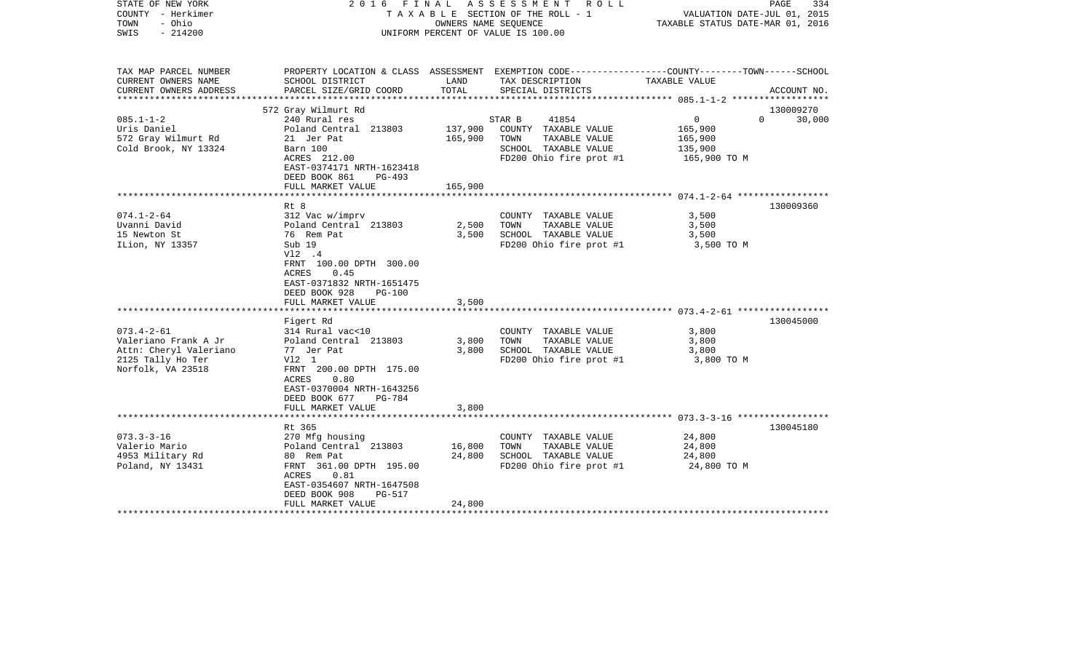| STATE OF NEW YORK<br>COUNTY - Herkimer<br>TOWN<br>- Ohio<br>$-214200$<br>SWIS | 2016                                                                                             | OWNERS NAME SEQUENCE | FINAL ASSESSMENT ROLL<br>TAXABLE SECTION OF THE ROLL - 1<br>UNIFORM PERCENT OF VALUE IS 100.00  | VALUATION DATE-JUL 01, 2015<br>TAXABLE STATUS DATE-MAR 01, 2016 | PAGE<br>334 |
|-------------------------------------------------------------------------------|--------------------------------------------------------------------------------------------------|----------------------|-------------------------------------------------------------------------------------------------|-----------------------------------------------------------------|-------------|
|                                                                               |                                                                                                  |                      |                                                                                                 |                                                                 |             |
| TAX MAP PARCEL NUMBER                                                         |                                                                                                  |                      | PROPERTY LOCATION & CLASS ASSESSMENT EXEMPTION CODE---------------COUNTY-------TOWN------SCHOOL |                                                                 |             |
| CURRENT OWNERS NAME                                                           | SCHOOL DISTRICT                                                                                  | LAND                 | TAX DESCRIPTION                                                                                 | TAXABLE VALUE                                                   |             |
| CURRENT OWNERS ADDRESS                                                        | PARCEL SIZE/GRID COORD                                                                           | TOTAL                | SPECIAL DISTRICTS                                                                               |                                                                 | ACCOUNT NO. |
|                                                                               | 572 Gray Wilmurt Rd                                                                              |                      |                                                                                                 |                                                                 | 130009270   |
| $085.1 - 1 - 2$                                                               | 240 Rural res                                                                                    |                      | STAR B<br>41854                                                                                 | $\overline{0}$<br>$\Omega$                                      | 30,000      |
| Uris Daniel                                                                   | Poland Central 213803                                                                            | 137,900              | COUNTY TAXABLE VALUE                                                                            | 165,900                                                         |             |
| 572 Gray Wilmurt Rd                                                           | 21 Jer Pat                                                                                       | 165,900              | TOWN<br>TAXABLE VALUE                                                                           | 165,900                                                         |             |
| Cold Brook, NY 13324                                                          | Barn 100                                                                                         |                      | SCHOOL TAXABLE VALUE                                                                            | 135,900                                                         |             |
|                                                                               | ACRES 212.00                                                                                     |                      | FD200 Ohio fire prot #1                                                                         | 165,900 TO M                                                    |             |
|                                                                               | EAST-0374171 NRTH-1623418                                                                        |                      |                                                                                                 |                                                                 |             |
|                                                                               | DEED BOOK 861<br>PG-493                                                                          |                      |                                                                                                 |                                                                 |             |
|                                                                               | FULL MARKET VALUE                                                                                | 165,900              |                                                                                                 |                                                                 |             |
|                                                                               | Rt 8                                                                                             |                      |                                                                                                 |                                                                 | 130009360   |
| $074.1 - 2 - 64$                                                              | 312 Vac w/imprv                                                                                  |                      | COUNTY TAXABLE VALUE                                                                            | 3,500                                                           |             |
| Uvanni David                                                                  | Poland Central 213803                                                                            | 2,500                | TAXABLE VALUE<br>TOWN                                                                           | 3,500                                                           |             |
| 15 Newton St                                                                  | 76 Rem Pat                                                                                       | 3,500                | SCHOOL TAXABLE VALUE                                                                            | 3,500                                                           |             |
| ILion, NY 13357                                                               | Sub 19                                                                                           |                      | FD200 Ohio fire prot #1                                                                         | 3,500 TO M                                                      |             |
|                                                                               | V12 .4<br>FRNT 100.00 DPTH 300.00<br>0.45<br>ACRES<br>EAST-0371832 NRTH-1651475                  |                      |                                                                                                 |                                                                 |             |
|                                                                               | DEED BOOK 928<br><b>PG-100</b>                                                                   |                      |                                                                                                 |                                                                 |             |
|                                                                               | FULL MARKET VALUE                                                                                | 3,500                |                                                                                                 |                                                                 |             |
|                                                                               | Figert Rd                                                                                        |                      |                                                                                                 |                                                                 | 130045000   |
| $073.4 - 2 - 61$                                                              | 314 Rural vac<10                                                                                 | 3,800                | COUNTY TAXABLE VALUE<br>TOWN                                                                    | 3,800                                                           |             |
| Valeriano Frank A Jr<br>Attn: Cheryl Valeriano                                | Poland Central 213803<br>77 Jer Pat                                                              | 3,800                | TAXABLE VALUE<br>SCHOOL TAXABLE VALUE                                                           | 3,800<br>3,800                                                  |             |
| 2125 Tally Ho Ter                                                             | V12 1                                                                                            |                      | FD200 Ohio fire prot #1                                                                         | 3,800 TO M                                                      |             |
| Norfolk, VA 23518                                                             | FRNT 200.00 DPTH 175.00<br>ACRES<br>0.80<br>EAST-0370004 NRTH-1643256<br>DEED BOOK 677<br>PG-784 |                      |                                                                                                 |                                                                 |             |
|                                                                               | FULL MARKET VALUE                                                                                | 3,800                |                                                                                                 |                                                                 |             |
|                                                                               |                                                                                                  |                      |                                                                                                 |                                                                 |             |
|                                                                               | Rt 365                                                                                           |                      |                                                                                                 |                                                                 | 130045180   |
| $073.3 - 3 - 16$                                                              | 270 Mfg housing                                                                                  |                      | COUNTY TAXABLE VALUE                                                                            | 24,800                                                          |             |
| Valerio Mario<br>4953 Military Rd                                             | Poland Central 213803<br>80 Rem Pat                                                              | 16,800<br>24,800     | TOWN<br>TAXABLE VALUE<br>SCHOOL TAXABLE VALUE                                                   | 24,800<br>24,800                                                |             |
| Poland, NY 13431                                                              | FRNT 361.00 DPTH 195.00                                                                          |                      | FD200 Ohio fire prot #1                                                                         | 24,800 TO M                                                     |             |
|                                                                               | 0.81<br>ACRES<br>EAST-0354607 NRTH-1647508                                                       |                      |                                                                                                 |                                                                 |             |
|                                                                               | DEED BOOK 908<br>PG-517                                                                          |                      |                                                                                                 |                                                                 |             |
|                                                                               | FULL MARKET VALUE<br>**********************                                                      | 24,800               |                                                                                                 |                                                                 |             |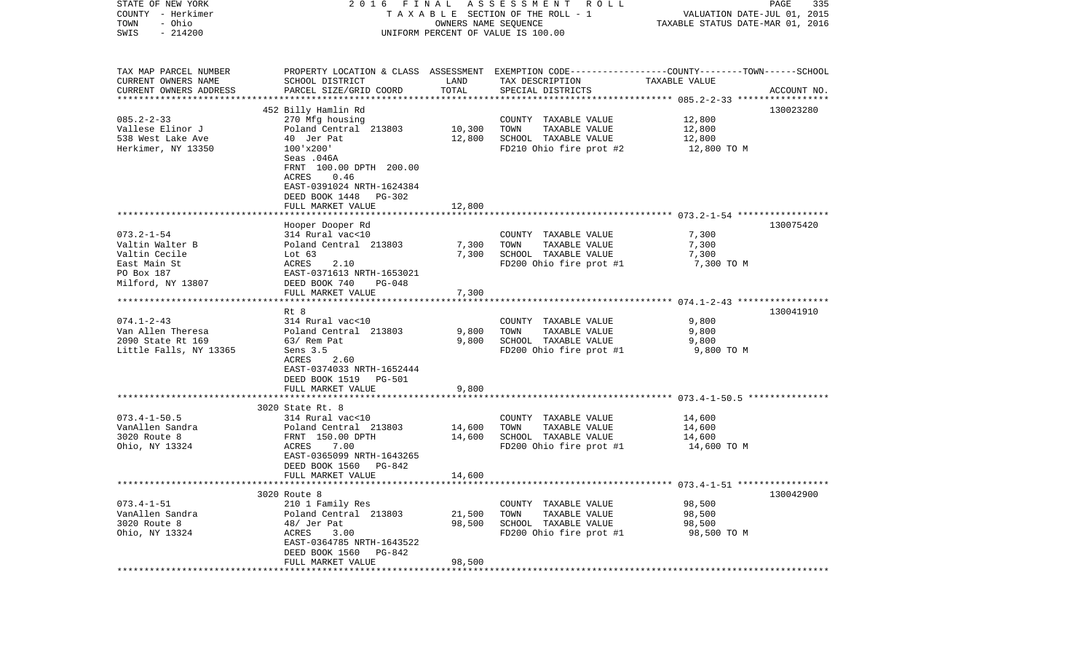| STATE OF NEW YORK<br>COUNTY - Herkimer            | 2016 FINAL                                                                                      |                      | A S S E S S M E N T A O L L<br>T A X A B L E SECTION OF THE ROLL - 1 | VALUATION DATE-JUL 01, 2015                             | PAGE<br>335 |
|---------------------------------------------------|-------------------------------------------------------------------------------------------------|----------------------|----------------------------------------------------------------------|---------------------------------------------------------|-------------|
| - Ohio<br>TOWN<br>$-214200$<br>SWIS               |                                                                                                 | OWNERS NAME SEQUENCE | UNIFORM PERCENT OF VALUE IS 100.00                                   | TAXABLE STATUS DATE-MAR 01, 2016                        |             |
|                                                   |                                                                                                 |                      |                                                                      |                                                         |             |
| TAX MAP PARCEL NUMBER                             | PROPERTY LOCATION & CLASS ASSESSMENT EXEMPTION CODE---------------COUNTY-------TOWN------SCHOOL |                      |                                                                      |                                                         |             |
| CURRENT OWNERS NAME                               | SCHOOL DISTRICT                                                                                 | LAND                 | TAX DESCRIPTION                                                      | TAXABLE VALUE                                           |             |
| CURRENT OWNERS ADDRESS<br>*********************** | PARCEL SIZE/GRID COORD                                                                          | TOTAL                | SPECIAL DISTRICTS                                                    |                                                         | ACCOUNT NO. |
|                                                   | 452 Billy Hamlin Rd                                                                             |                      |                                                                      |                                                         | 130023280   |
| $085.2 - 2 - 33$                                  | 270 Mfg housing                                                                                 |                      | COUNTY TAXABLE VALUE                                                 | 12,800                                                  |             |
| Vallese Elinor J                                  | Poland Central 213803                                                                           | 10,300               | TOWN<br>TAXABLE VALUE                                                | 12,800                                                  |             |
| 538 West Lake Ave                                 | 40 Jer Pat                                                                                      | 12,800               | SCHOOL TAXABLE VALUE                                                 | 12,800                                                  |             |
| Herkimer, NY 13350                                | $100'$ x $200'$                                                                                 |                      | FD210 Ohio fire prot #2                                              | 12,800 TO M                                             |             |
|                                                   | Seas .046A                                                                                      |                      |                                                                      |                                                         |             |
|                                                   | FRNT 100.00 DPTH 200.00                                                                         |                      |                                                                      |                                                         |             |
|                                                   | ACRES<br>0.46                                                                                   |                      |                                                                      |                                                         |             |
|                                                   | EAST-0391024 NRTH-1624384                                                                       |                      |                                                                      |                                                         |             |
|                                                   | DEED BOOK 1448<br>PG-302                                                                        |                      |                                                                      |                                                         |             |
|                                                   | FULL MARKET VALUE                                                                               | 12,800               |                                                                      |                                                         |             |
|                                                   |                                                                                                 |                      |                                                                      |                                                         |             |
| $073.2 - 1 - 54$                                  | Hooper Dooper Rd<br>314 Rural vac<10                                                            |                      |                                                                      | 7,300                                                   | 130075420   |
| Valtin Walter B                                   | Poland Central 213803                                                                           | 7,300                | COUNTY TAXABLE VALUE<br>TOWN<br>TAXABLE VALUE                        | 7,300                                                   |             |
| Valtin Cecile                                     | Lot 63                                                                                          | 7,300                | SCHOOL TAXABLE VALUE                                                 | 7,300                                                   |             |
| East Main St                                      | ACRES<br>2.10                                                                                   |                      | FD200 Ohio fire prot #1                                              | 7,300 TO M                                              |             |
| PO Box 187                                        | EAST-0371613 NRTH-1653021                                                                       |                      |                                                                      |                                                         |             |
| Milford, NY 13807                                 | DEED BOOK 740<br>PG-048                                                                         |                      |                                                                      |                                                         |             |
|                                                   | FULL MARKET VALUE                                                                               | 7,300                |                                                                      |                                                         |             |
|                                                   |                                                                                                 |                      |                                                                      |                                                         |             |
|                                                   | Rt 8                                                                                            |                      |                                                                      |                                                         | 130041910   |
| $074.1 - 2 - 43$                                  | 314 Rural vac<10                                                                                |                      | COUNTY TAXABLE VALUE                                                 | 9,800                                                   |             |
| Van Allen Theresa                                 | Poland Central 213803                                                                           | 9,800                | TAXABLE VALUE<br>TOWN                                                | 9,800                                                   |             |
| 2090 State Rt 169<br>Little Falls, NY 13365       | 63/ Rem Pat<br>Sens 3.5                                                                         | 9,800                | SCHOOL TAXABLE VALUE                                                 | 9,800                                                   |             |
|                                                   | ACRES<br>2.60                                                                                   |                      | FD200 Ohio fire prot #1                                              | 9,800 TO M                                              |             |
|                                                   | EAST-0374033 NRTH-1652444                                                                       |                      |                                                                      |                                                         |             |
|                                                   | DEED BOOK 1519<br><b>PG-501</b>                                                                 |                      |                                                                      |                                                         |             |
|                                                   | FULL MARKET VALUE                                                                               | 9,800                |                                                                      |                                                         |             |
|                                                   | *********************                                                                           |                      |                                                                      | ************************** 073.4-1-50.5 *************** |             |
|                                                   | 3020 State Rt. 8                                                                                |                      |                                                                      |                                                         |             |
| $073.4 - 1 - 50.5$                                | 314 Rural vac<10                                                                                |                      | COUNTY TAXABLE VALUE                                                 | 14,600                                                  |             |
| VanAllen Sandra                                   | Poland Central 213803                                                                           | 14,600               | TOWN<br>TAXABLE VALUE                                                | 14,600                                                  |             |
| 3020 Route 8                                      | FRNT 150.00 DPTH                                                                                | 14,600               | SCHOOL TAXABLE VALUE                                                 | 14,600                                                  |             |
| Ohio, NY 13324                                    | 7.00<br>ACRES                                                                                   |                      | FD200 Ohio fire prot #1                                              | 14,600 TO M                                             |             |
|                                                   | EAST-0365099 NRTH-1643265                                                                       |                      |                                                                      |                                                         |             |
|                                                   | DEED BOOK 1560<br>PG-842<br>FULL MARKET VALUE                                                   | 14,600               |                                                                      |                                                         |             |
|                                                   |                                                                                                 |                      |                                                                      |                                                         |             |
|                                                   | 3020 Route 8                                                                                    |                      |                                                                      |                                                         | 130042900   |
| $073.4 - 1 - 51$                                  | 210 1 Family Res                                                                                |                      | COUNTY TAXABLE VALUE                                                 | 98,500                                                  |             |
| VanAllen Sandra                                   | Poland Central 213803                                                                           | 21,500               | TOWN<br>TAXABLE VALUE                                                | 98,500                                                  |             |
| 3020 Route 8                                      | 48/ Jer Pat                                                                                     | 98,500               | SCHOOL TAXABLE VALUE                                                 | 98,500                                                  |             |
| Ohio, NY 13324                                    | ACRES<br>3.00                                                                                   |                      | FD200 Ohio fire prot #1                                              | 98,500 TO M                                             |             |
|                                                   | EAST-0364785 NRTH-1643522                                                                       |                      |                                                                      |                                                         |             |
|                                                   | DEED BOOK 1560<br>PG-842                                                                        |                      |                                                                      |                                                         |             |
|                                                   | FULL MARKET VALUE                                                                               | 98,500               |                                                                      |                                                         |             |
|                                                   |                                                                                                 |                      |                                                                      |                                                         |             |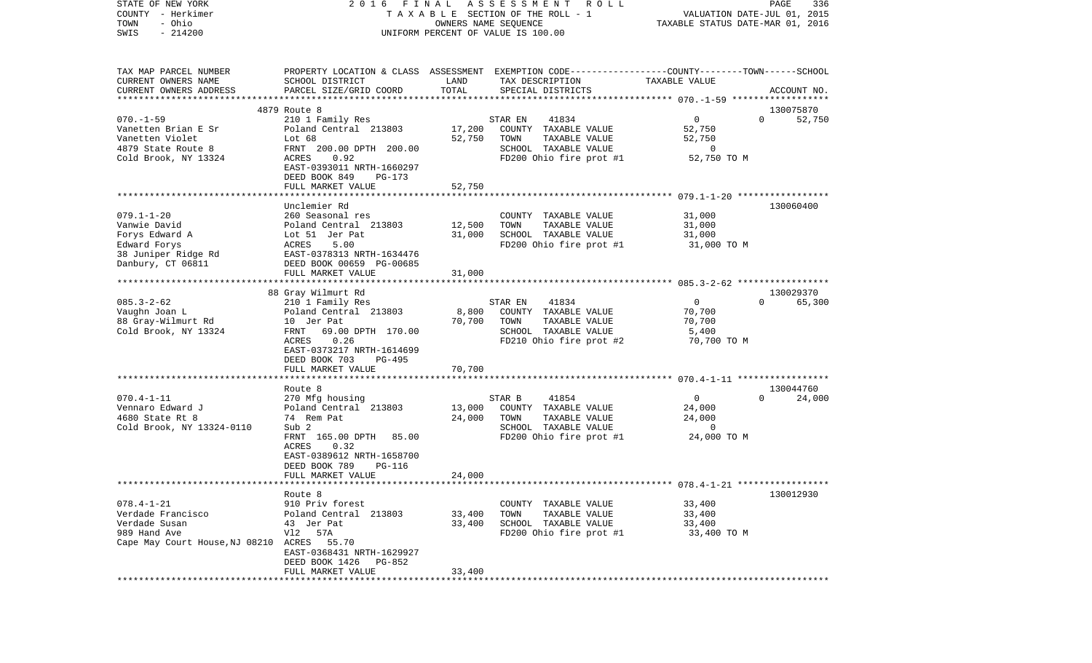| COUNTY<br>- Herkimer<br>- Ohio<br>TOWN<br>$-214200$<br>SWIS                                                          |                                                                                                                                                                                     |                            | T A X A B L E SECTION OF THE ROLL - 1<br>OWNERS NAME SEQUENCE<br>UNIFORM PERCENT OF VALUE IS 100.00                                     | VALUATION DATE-JUL 01, 2015<br>TAXABLE STATUS DATE-MAR 01, 2016 |                                 |
|----------------------------------------------------------------------------------------------------------------------|-------------------------------------------------------------------------------------------------------------------------------------------------------------------------------------|----------------------------|-----------------------------------------------------------------------------------------------------------------------------------------|-----------------------------------------------------------------|---------------------------------|
| TAX MAP PARCEL NUMBER<br>CURRENT OWNERS NAME<br>CURRENT OWNERS ADDRESS                                               | SCHOOL DISTRICT<br>PARCEL SIZE/GRID COORD                                                                                                                                           | LAND<br>TOTAL              | PROPERTY LOCATION & CLASS ASSESSMENT EXEMPTION CODE----------------COUNTY-------TOWN-----SCHOOL<br>TAX DESCRIPTION<br>SPECIAL DISTRICTS | TAXABLE VALUE                                                   | ACCOUNT NO.                     |
|                                                                                                                      |                                                                                                                                                                                     |                            |                                                                                                                                         |                                                                 |                                 |
|                                                                                                                      | 4879 Route 8                                                                                                                                                                        |                            | STAR EN                                                                                                                                 | $\overline{0}$                                                  | 130075870<br>$\Omega$           |
| $070. - 1 - 59$<br>Vanetten Brian E Sr<br>Vanetten Violet<br>4879 State Route 8<br>Cold Brook, NY 13324              | 210 1 Family Res<br>Poland Central 213803<br>Lot 68<br>FRNT 200.00 DPTH 200.00<br>ACRES<br>0.92<br>EAST-0393011 NRTH-1660297                                                        | 17,200<br>52,750           | 41834<br>COUNTY TAXABLE VALUE<br>TOWN<br>TAXABLE VALUE<br>SCHOOL TAXABLE VALUE<br>FD200 Ohio fire prot #1                               | 52,750<br>52,750<br>0<br>52,750 TO M                            | 52,750                          |
|                                                                                                                      | DEED BOOK 849<br>PG-173                                                                                                                                                             |                            |                                                                                                                                         |                                                                 |                                 |
|                                                                                                                      | FULL MARKET VALUE                                                                                                                                                                   | 52,750                     |                                                                                                                                         |                                                                 |                                 |
| $079.1 - 1 - 20$<br>Vanwie David<br>Forys Edward A<br>Edward Forys<br>38 Juniper Ridge Rd<br>Danbury, CT 06811       | Unclemier Rd<br>260 Seasonal res<br>Poland Central 213803<br>Lot 51 Jer Pat<br>5.00<br>ACRES<br>EAST-0378313 NRTH-1634476<br>DEED BOOK 00659 PG-00685<br>FULL MARKET VALUE          | 12,500<br>31,000<br>31,000 | COUNTY TAXABLE VALUE<br>TAXABLE VALUE<br>TOWN<br>SCHOOL TAXABLE VALUE<br>FD200 Ohio fire prot #1                                        | 31,000<br>31,000<br>31,000<br>31,000 TO M                       | 130060400                       |
|                                                                                                                      |                                                                                                                                                                                     |                            |                                                                                                                                         |                                                                 |                                 |
| $085.3 - 2 - 62$<br>Vaughn Joan L<br>88 Gray-Wilmurt Rd<br>Cold Brook, NY 13324                                      | 88 Gray Wilmurt Rd<br>210 1 Family Res<br>Poland Central 213803<br>10 Jer Pat<br>FRNT<br>69.00 DPTH 170.00<br>0.26<br>ACRES<br>EAST-0373217 NRTH-1614699<br>DEED BOOK 703<br>PG-495 | 8,800<br>70,700            | STAR EN<br>41834<br>COUNTY TAXABLE VALUE<br>TOWN<br>TAXABLE VALUE<br>SCHOOL TAXABLE VALUE<br>FD210 Ohio fire prot #2                    | $\overline{0}$<br>70,700<br>70,700<br>5,400<br>70,700 TO M      | 130029370<br>65,300<br>$\Omega$ |
|                                                                                                                      | FULL MARKET VALUE                                                                                                                                                                   | 70,700                     |                                                                                                                                         |                                                                 |                                 |
| $070.4 - 1 - 11$<br>Vennaro Edward J<br>4680 State Rt 8<br>Cold Brook, NY 13324-0110                                 | Route 8<br>270 Mfg housing<br>Poland Central 213803<br>74 Rem Pat<br>Sub 2<br>FRNT 165.00 DPTH<br>85.00<br>ACRES<br>0.32                                                            | 13,000<br>24,000           | STAR B<br>41854<br>COUNTY TAXABLE VALUE<br>TOWN<br>TAXABLE VALUE<br>SCHOOL TAXABLE VALUE<br>FD200 Ohio fire prot #1                     | $\mathbf 0$<br>24,000<br>24,000<br>0<br>24,000 TO M             | 130044760<br>$\Omega$<br>24,000 |
|                                                                                                                      | EAST-0389612 NRTH-1658700<br>DEED BOOK 789<br>PG-116<br>FULL MARKET VALUE                                                                                                           | 24,000                     |                                                                                                                                         |                                                                 |                                 |
|                                                                                                                      | Route 8                                                                                                                                                                             |                            |                                                                                                                                         |                                                                 | 130012930                       |
| $078.4 - 1 - 21$<br>Verdade Francisco<br>Verdade Susan<br>989 Hand Ave<br>Cape May Court House, NJ 08210 ACRES 55.70 | 910 Priv forest<br>Poland Central 213803<br>43 Jer Pat<br>V12 57A<br>EAST-0368431 NRTH-1629927<br>DEED BOOK 1426<br>PG-852                                                          | 33,400<br>33,400           | COUNTY TAXABLE VALUE<br>TOWN<br>TAXABLE VALUE<br>SCHOOL TAXABLE VALUE<br>FD200 Ohio fire prot #1                                        | 33,400<br>33,400<br>33,400<br>33,400 TO M                       |                                 |
|                                                                                                                      | FULL MARKET VALUE                                                                                                                                                                   | 33,400                     |                                                                                                                                         |                                                                 |                                 |

PAGE 336

STATE OF NEW YORK 2 0 1 6 F I N A L A S S E S S M E N T R O L L PAGE 336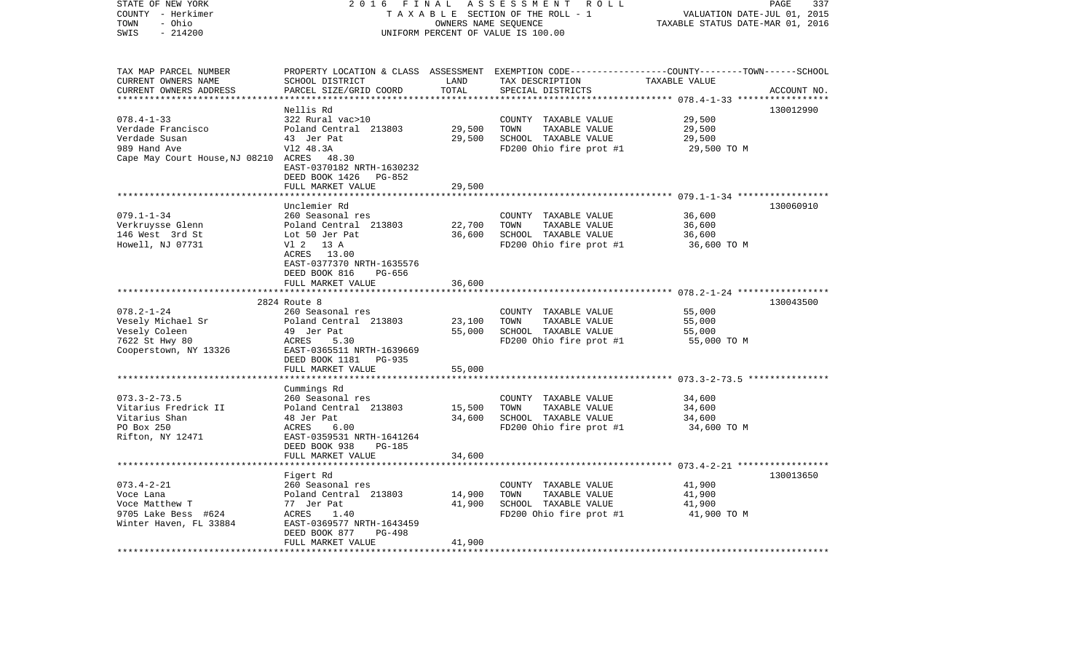| STATE OF NEW YORK<br>COUNTY - Herkimer<br>- Ohio<br>TOWN<br>$-214200$<br>SWIS                                        | 2 0 1 6<br>FINAL<br>ASSESSMENT ROLL<br>TAXABLE SECTION OF THE ROLL - 1<br>OWNERS NAME SEQUENCE<br>UNIFORM PERCENT OF VALUE IS 100.00                                                             |                            |                                                                                                  | PAGE<br>337<br>VALUATION DATE-JUL 01, 2015<br>TAXABLE STATUS DATE-MAR 01, 2016                                    |             |
|----------------------------------------------------------------------------------------------------------------------|--------------------------------------------------------------------------------------------------------------------------------------------------------------------------------------------------|----------------------------|--------------------------------------------------------------------------------------------------|-------------------------------------------------------------------------------------------------------------------|-------------|
| TAX MAP PARCEL NUMBER<br>CURRENT OWNERS NAME<br>CURRENT OWNERS ADDRESS<br>***********************                    | SCHOOL DISTRICT<br>PARCEL SIZE/GRID COORD                                                                                                                                                        | LAND<br>TOTAL              | TAX DESCRIPTION<br>SPECIAL DISTRICTS                                                             | PROPERTY LOCATION & CLASS ASSESSMENT EXEMPTION CODE----------------COUNTY-------TOWN------SCHOOL<br>TAXABLE VALUE | ACCOUNT NO. |
| $078.4 - 1 - 33$<br>Verdade Francisco<br>Verdade Susan<br>989 Hand Ave<br>Cape May Court House, NJ 08210 ACRES 48.30 | Nellis Rd<br>322 Rural vac>10<br>Poland Central 213803<br>43 Jer Pat<br>V12 48.3A<br>EAST-0370182 NRTH-1630232<br>DEED BOOK 1426 PG-852<br>FULL MARKET VALUE                                     | 29,500<br>29,500<br>29,500 | COUNTY TAXABLE VALUE<br>TOWN<br>TAXABLE VALUE<br>SCHOOL TAXABLE VALUE<br>FD200 Ohio fire prot #1 | 29,500<br>29,500<br>29,500<br>29,500 TO M                                                                         | 130012990   |
|                                                                                                                      |                                                                                                                                                                                                  |                            |                                                                                                  |                                                                                                                   |             |
| $079.1 - 1 - 34$<br>Verkruysse Glenn<br>146 West 3rd St<br>Howell, NJ 07731                                          | Unclemier Rd<br>260 Seasonal res<br>Poland Central 213803<br>Lot 50 Jer Pat<br>V1 2 13 A<br>ACRES 13.00<br>EAST-0377370 NRTH-1635576<br>DEED BOOK 816<br>PG-656                                  | 22,700<br>36,600           | COUNTY TAXABLE VALUE<br>TAXABLE VALUE<br>TOWN<br>SCHOOL TAXABLE VALUE<br>FD200 Ohio fire prot #1 | 36,600<br>36,600<br>36,600<br>36,600 TO M                                                                         | 130060910   |
|                                                                                                                      | FULL MARKET VALUE                                                                                                                                                                                | 36,600                     |                                                                                                  |                                                                                                                   |             |
| $078.2 - 1 - 24$<br>Vesely Michael Sr<br>Vesely Coleen<br>7622 St Hwy 80<br>Cooperstown, NY 13326                    | **********************<br>2824 Route 8<br>260 Seasonal res<br>Poland Central 213803<br>49 Jer Pat<br>ACRES<br>5.30<br>EAST-0365511 NRTH-1639669<br>DEED BOOK 1181<br>PG-935<br>FULL MARKET VALUE | 23,100<br>55,000<br>55,000 | COUNTY TAXABLE VALUE<br>TAXABLE VALUE<br>TOWN<br>SCHOOL TAXABLE VALUE<br>FD200 Ohio fire prot #1 | ************************ 078.2-1-24 ******************<br>55,000<br>55,000<br>55,000<br>55,000 TO M               | 130043500   |
|                                                                                                                      |                                                                                                                                                                                                  |                            |                                                                                                  |                                                                                                                   |             |
| $073.3 - 2 - 73.5$<br>Vitarius Fredrick II<br>Vitarius Shan<br>PO Box 250<br>Rifton, NY 12471                        | Cummings Rd<br>260 Seasonal res<br>Poland Central 213803<br>48 Jer Pat<br>ACRES<br>6.00<br>EAST-0359531 NRTH-1641264                                                                             | 15,500<br>34,600           | COUNTY TAXABLE VALUE<br>TOWN<br>TAXABLE VALUE<br>SCHOOL TAXABLE VALUE<br>FD200 Ohio fire prot #1 | 34,600<br>34,600<br>34,600<br>34,600 TO M                                                                         |             |
|                                                                                                                      | DEED BOOK 938<br><b>PG-185</b><br>FULL MARKET VALUE                                                                                                                                              | 34,600                     |                                                                                                  |                                                                                                                   |             |
| $073.4 - 2 - 21$<br>Voce Lana<br>Voce Matthew T<br>9705 Lake Bess #624<br>Winter Haven, FL 33884                     | Figert Rd<br>260 Seasonal res<br>Poland Central 213803<br>77 Jer Pat<br>ACRES<br>1.40<br>EAST-0369577 NRTH-1643459<br>DEED BOOK 877<br><b>PG-498</b><br>FULL MARKET VALUE                        | 14,900<br>41,900<br>41,900 | COUNTY TAXABLE VALUE<br>TOWN<br>TAXABLE VALUE<br>SCHOOL TAXABLE VALUE<br>FD200 Ohio fire prot #1 | 41,900<br>41,900<br>41,900<br>41,900 TO M                                                                         | 130013650   |
| *******************                                                                                                  |                                                                                                                                                                                                  |                            |                                                                                                  |                                                                                                                   |             |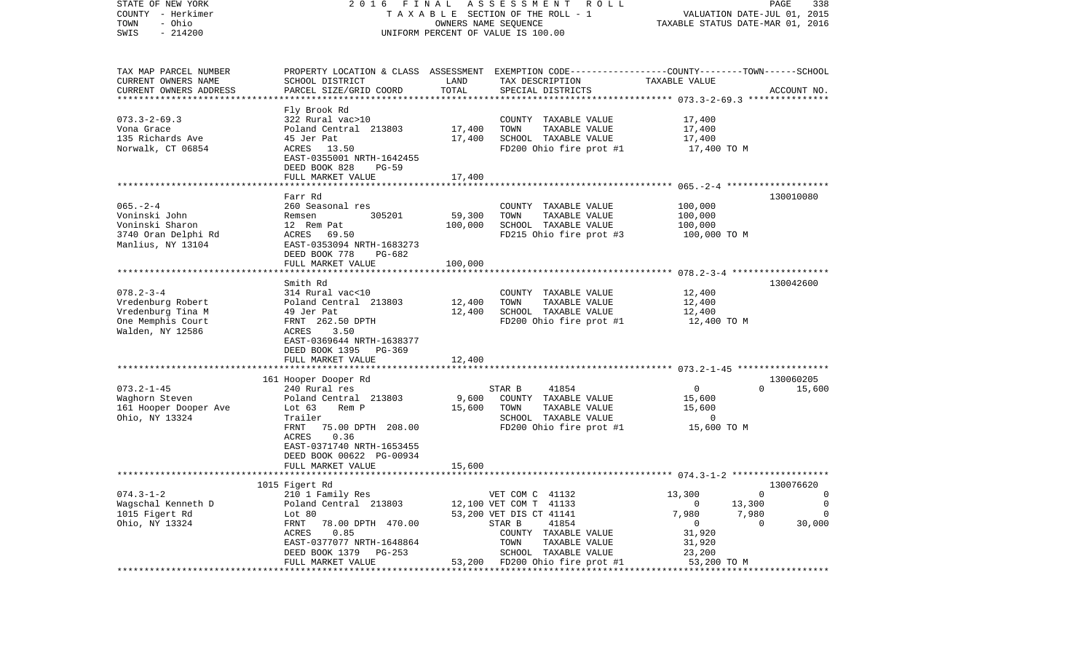| STATE OF NEW YORK<br>2016 FINAL ASSESSMENT ROLL<br>COUNTY - Herkimer<br>TAXABLE SECTION OF THE ROLL - 1                                                                                                        | PAGE<br>338<br>VALUATION DATE-JUL 01, 2015 |  |  |
|----------------------------------------------------------------------------------------------------------------------------------------------------------------------------------------------------------------|--------------------------------------------|--|--|
| - Ohio<br>TOWN<br>OWNERS NAME SEQUENCE<br>TAXABLE STATUS DATE-MAR 01, 2016<br>$-214200$<br>UNIFORM PERCENT OF VALUE IS 100.00<br>SWIS                                                                          |                                            |  |  |
| TAX MAP PARCEL NUMBER<br>PROPERTY LOCATION & CLASS ASSESSMENT EXEMPTION CODE---------------COUNTY-------TOWN------SCHOOL<br>CURRENT OWNERS NAME<br>SCHOOL DISTRICT<br>LAND<br>TAX DESCRIPTION<br>TAXABLE VALUE |                                            |  |  |
| TOTAL<br>CURRENT OWNERS ADDRESS<br>PARCEL SIZE/GRID COORD<br>SPECIAL DISTRICTS<br>**************************                                                                                                   | ACCOUNT NO.                                |  |  |
| Fly Brook Rd                                                                                                                                                                                                   |                                            |  |  |
| $073.3 - 2 - 69.3$<br>322 Rural vac>10<br>COUNTY TAXABLE VALUE<br>17,400                                                                                                                                       |                                            |  |  |
| 17,400<br>Poland Central 213803<br>TOWN<br>TAXABLE VALUE<br>17,400<br>Vona Grace                                                                                                                               |                                            |  |  |
| 135 Richards Ave<br>SCHOOL TAXABLE VALUE<br>45 Jer Pat<br>17,400<br>17,400<br>Norwalk, CT 06854<br>FD200 Ohio fire prot #1<br>ACRES 13.50<br>17,400 TO M                                                       |                                            |  |  |
| EAST-0355001 NRTH-1642455<br>DEED BOOK 828<br>PG-59                                                                                                                                                            |                                            |  |  |
| FULL MARKET VALUE<br>17,400                                                                                                                                                                                    |                                            |  |  |
|                                                                                                                                                                                                                |                                            |  |  |
| Farr Rd<br>$065. - 2 - 4$<br>260 Seasonal res<br>100,000<br>COUNTY TAXABLE VALUE                                                                                                                               | 130010080                                  |  |  |
| 59,300<br>TAXABLE VALUE<br>Voninski John<br>Remsen<br>305201<br>TOWN<br>100,000                                                                                                                                |                                            |  |  |
| 100,000<br>Voninski Sharon<br>SCHOOL TAXABLE VALUE<br>12 Rem Pat<br>100,000                                                                                                                                    |                                            |  |  |
| 3740 Oran Delphi Rd<br>FD215 Ohio fire prot #3<br>ACRES 69.50<br>100,000 TO M                                                                                                                                  |                                            |  |  |
| Manlius, NY 13104<br>EAST-0353094 NRTH-1683273<br>DEED BOOK 778<br>PG-682                                                                                                                                      |                                            |  |  |
| 100,000<br>FULL MARKET VALUE                                                                                                                                                                                   |                                            |  |  |
| Smith Rd                                                                                                                                                                                                       | 130042600                                  |  |  |
| $078.2 - 3 - 4$<br>314 Rural vac<10<br>COUNTY TAXABLE VALUE<br>12,400                                                                                                                                          |                                            |  |  |
| TAXABLE VALUE<br>12,400<br>Vredenburg Robert<br>Poland Central 213803<br>12,400<br>TOWN                                                                                                                        |                                            |  |  |
| SCHOOL TAXABLE VALUE<br>Vredenburg Tina M<br>12,400<br>12,400<br>49 Jer Pat<br>One Memphis Court<br>FRNT 262.50 DPTH<br>FD200 Ohio fire prot #1<br>12,400 TO M                                                 |                                            |  |  |
| Walden, NY 12586<br>3.50<br>ACRES                                                                                                                                                                              |                                            |  |  |
| EAST-0369644 NRTH-1638377                                                                                                                                                                                      |                                            |  |  |
| DEED BOOK 1395 PG-369                                                                                                                                                                                          |                                            |  |  |
| FULL MARKET VALUE<br>12,400                                                                                                                                                                                    |                                            |  |  |
| 161 Hooper Dooper Rd                                                                                                                                                                                           | 130060205                                  |  |  |
| $073.2 - 1 - 45$<br>0<br>$\Omega$<br>240 Rural res<br>STAR B<br>41854                                                                                                                                          | 15,600                                     |  |  |
| 9,600<br>Waghorn Steven<br>Poland Central 213803<br>COUNTY TAXABLE VALUE<br>15,600                                                                                                                             |                                            |  |  |
| 161 Hooper Dooper Ave<br>Lot 63<br>15,600<br>TOWN<br>TAXABLE VALUE<br>15,600<br>Rem P<br>SCHOOL TAXABLE VALUE<br>$\overline{0}$                                                                                |                                            |  |  |
| Ohio, NY 13324<br>Trailer<br>FRNT<br>75.00 DPTH 208.00<br>FD200 Ohio fire prot #1<br>15,600 TO M                                                                                                               |                                            |  |  |
| 0.36<br>ACRES                                                                                                                                                                                                  |                                            |  |  |
| EAST-0371740 NRTH-1653455                                                                                                                                                                                      |                                            |  |  |
| DEED BOOK 00622 PG-00934                                                                                                                                                                                       |                                            |  |  |
| 15,600<br>FULL MARKET VALUE                                                                                                                                                                                    |                                            |  |  |
| 1015 Figert Rd<br>130076620                                                                                                                                                                                    |                                            |  |  |
| $074.3 - 1 - 2$<br>210 1 Family Res<br>VET COM C 41132<br>13,300<br>$\mathbf 0$                                                                                                                                | 0                                          |  |  |
| Wagschal Kenneth D<br>Poland Central 213803<br>12,100 VET COM T 41133<br>13,300<br>0                                                                                                                           | 0                                          |  |  |
| 1015 Figert Rd<br>53,200 VET DIS CT 41141<br>7,980<br>7,980<br>Lot 80<br>Ohio, NY 13324<br>41854<br>FRNT<br>78.00 DPTH 470.00<br>STAR B<br>0<br>O                                                              | 0<br>30,000                                |  |  |
| ACRES<br>0.85<br>31,920<br>COUNTY<br>TAXABLE VALUE                                                                                                                                                             |                                            |  |  |
| EAST-0377077 NRTH-1648864<br>TAXABLE VALUE<br>TOWN<br>31,920                                                                                                                                                   |                                            |  |  |
| DEED BOOK 1379<br>SCHOOL<br>TAXABLE VALUE<br>23,200<br>PG-253                                                                                                                                                  |                                            |  |  |
| FD200 Ohio fire prot #1<br>53,200 TO M<br>FULL MARKET VALUE<br>53,200<br>*****************************                                                                                                         |                                            |  |  |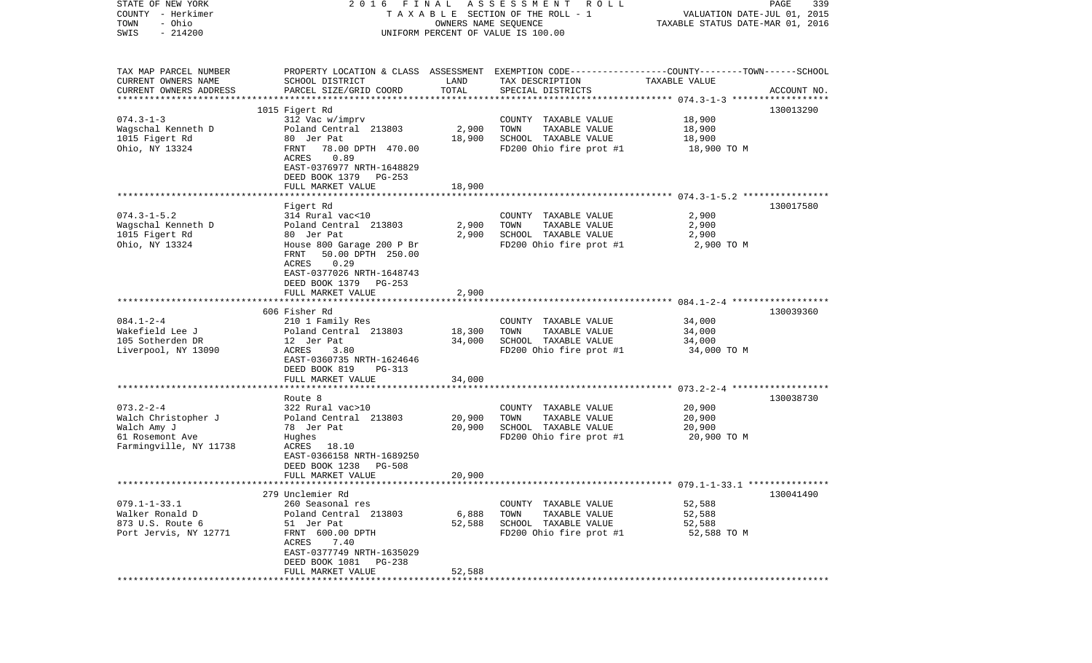| STATE OF NEW YORK      | 2016                            | FINAL  | A S S E S S M E N T A O L L                                                                     |                                  | PAGE<br>339 |
|------------------------|---------------------------------|--------|-------------------------------------------------------------------------------------------------|----------------------------------|-------------|
| COUNTY - Herkimer      |                                 |        | TAXABLE SECTION OF THE ROLL - 1                                                                 | VALUATION DATE-JUL 01, 2015      |             |
| - Ohio<br>TOWN         |                                 |        | OWNERS NAME SEQUENCE                                                                            | TAXABLE STATUS DATE-MAR 01, 2016 |             |
| $-214200$<br>SWIS      |                                 |        | UNIFORM PERCENT OF VALUE IS 100.00                                                              |                                  |             |
|                        |                                 |        |                                                                                                 |                                  |             |
|                        |                                 |        |                                                                                                 |                                  |             |
| TAX MAP PARCEL NUMBER  |                                 |        | PROPERTY LOCATION & CLASS ASSESSMENT EXEMPTION CODE---------------COUNTY-------TOWN------SCHOOL |                                  |             |
| CURRENT OWNERS NAME    | SCHOOL DISTRICT                 | LAND   | TAX DESCRIPTION                                                                                 | TAXABLE VALUE                    |             |
| CURRENT OWNERS ADDRESS | PARCEL SIZE/GRID COORD          | TOTAL  | SPECIAL DISTRICTS                                                                               |                                  | ACCOUNT NO. |
|                        | 1015 Figert Rd                  |        |                                                                                                 |                                  | 130013290   |
| $074.3 - 1 - 3$        | 312 Vac w/imprv                 |        | COUNTY TAXABLE VALUE                                                                            | 18,900                           |             |
| Wagschal Kenneth D     | Poland Central 213803           | 2,900  | TOWN<br>TAXABLE VALUE                                                                           | 18,900                           |             |
| 1015 Figert Rd         | 80 Jer Pat                      | 18,900 | SCHOOL TAXABLE VALUE                                                                            | 18,900                           |             |
| Ohio, NY 13324         | FRNT<br>78.00 DPTH 470.00       |        | FD200 Ohio fire prot #1                                                                         | 18,900 TO M                      |             |
|                        | ACRES<br>0.89                   |        |                                                                                                 |                                  |             |
|                        | EAST-0376977 NRTH-1648829       |        |                                                                                                 |                                  |             |
|                        | DEED BOOK 1379<br>PG-253        |        |                                                                                                 |                                  |             |
|                        | FULL MARKET VALUE               | 18,900 |                                                                                                 |                                  |             |
|                        |                                 |        |                                                                                                 |                                  |             |
|                        | Figert Rd                       |        |                                                                                                 |                                  | 130017580   |
| $074.3 - 1 - 5.2$      | 314 Rural vac<10                |        | COUNTY TAXABLE VALUE                                                                            | 2,900                            |             |
| Wagschal Kenneth D     | Poland Central 213803           | 2,900  | TOWN<br>TAXABLE VALUE                                                                           | 2,900                            |             |
| 1015 Figert Rd         | 80 Jer Pat                      | 2,900  | SCHOOL TAXABLE VALUE                                                                            | 2,900                            |             |
| Ohio, NY 13324         | House 800 Garage 200 P Br       |        | FD200 Ohio fire prot #1                                                                         | 2,900 TO M                       |             |
|                        | 50.00 DPTH 250.00<br>FRNT       |        |                                                                                                 |                                  |             |
|                        | 0.29<br>ACRES                   |        |                                                                                                 |                                  |             |
|                        | EAST-0377026 NRTH-1648743       |        |                                                                                                 |                                  |             |
|                        | DEED BOOK 1379 PG-253           |        |                                                                                                 |                                  |             |
|                        | FULL MARKET VALUE               | 2,900  |                                                                                                 |                                  |             |
|                        |                                 |        |                                                                                                 |                                  |             |
|                        | 606 Fisher Rd                   |        |                                                                                                 |                                  | 130039360   |
| $084.1 - 2 - 4$        | 210 1 Family Res                |        | COUNTY TAXABLE VALUE                                                                            | 34,000                           |             |
| Wakefield Lee J        | Poland Central 213803           | 18,300 | TOWN<br>TAXABLE VALUE                                                                           | 34,000                           |             |
| 105 Sotherden DR       | 12 Jer Pat                      | 34,000 | SCHOOL TAXABLE VALUE                                                                            | 34,000                           |             |
| Liverpool, NY 13090    | ACRES<br>3.80                   |        | FD200 Ohio fire prot #1                                                                         | 34,000 TO M                      |             |
|                        | EAST-0360735 NRTH-1624646       |        |                                                                                                 |                                  |             |
|                        | DEED BOOK 819<br>PG-313         |        |                                                                                                 |                                  |             |
|                        | FULL MARKET VALUE               | 34,000 |                                                                                                 |                                  |             |
|                        | *****************************   |        |                                                                                                 |                                  |             |
|                        | Route 8                         |        |                                                                                                 |                                  | 130038730   |
| $073.2 - 2 - 4$        | 322 Rural vac>10                |        | COUNTY TAXABLE VALUE                                                                            | 20,900                           |             |
| Walch Christopher J    | Poland Central 213803           | 20,900 | TOWN<br>TAXABLE VALUE                                                                           | 20,900                           |             |
| Walch Amy J            | 78 Jer Pat                      | 20,900 | SCHOOL TAXABLE VALUE                                                                            | 20,900                           |             |
| 61 Rosemont Ave        | Hughes                          |        | FD200 Ohio fire prot #1                                                                         | 20,900 TO M                      |             |
| Farmingville, NY 11738 | ACRES 18.10                     |        |                                                                                                 |                                  |             |
|                        | EAST-0366158 NRTH-1689250       |        |                                                                                                 |                                  |             |
|                        | DEED BOOK 1238<br><b>PG-508</b> |        |                                                                                                 |                                  |             |
|                        | FULL MARKET VALUE               | 20,900 |                                                                                                 |                                  |             |
|                        |                                 |        |                                                                                                 |                                  |             |
|                        | 279 Unclemier Rd                |        |                                                                                                 |                                  | 130041490   |
| $079.1 - 1 - 33.1$     | 260 Seasonal res                |        | COUNTY TAXABLE VALUE                                                                            | 52,588                           |             |
| Walker Ronald D        | Poland Central 213803           | 6,888  | TOWN<br>TAXABLE VALUE                                                                           | 52,588                           |             |
| 873 U.S. Route 6       | 51 Jer Pat                      | 52,588 | SCHOOL TAXABLE VALUE                                                                            | 52,588                           |             |
| Port Jervis, NY 12771  | FRNT 600.00 DPTH                |        | FD200 Ohio fire prot #1                                                                         | 52,588 TO M                      |             |
|                        | ACRES<br>7.40                   |        |                                                                                                 |                                  |             |
|                        | EAST-0377749 NRTH-1635029       |        |                                                                                                 |                                  |             |
|                        | DEED BOOK 1081<br>PG-238        |        |                                                                                                 |                                  |             |
|                        | FULL MARKET VALUE               | 52,588 |                                                                                                 |                                  |             |
|                        |                                 |        |                                                                                                 |                                  |             |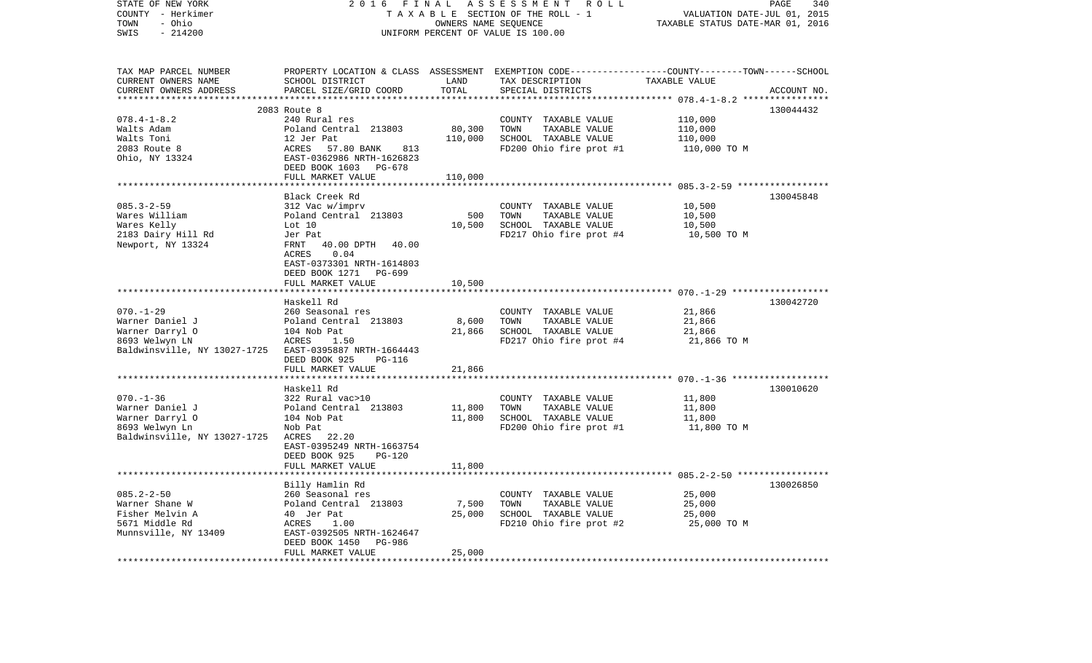| STATE OF NEW YORK<br>COUNTY - Herkimer<br>- Ohio<br>TOWN<br>$-214200$<br>SWIS                                                     | 2016<br>FINAL                                                                                                                                                                      | OWNERS NAME SEQUENCE                  | ASSESSMENT ROLL<br>TAXABLE SECTION OF THE ROLL - 1<br>UNIFORM PERCENT OF VALUE IS 100.00                                               | VALUATION DATE-JUL 01, 2015<br>TAXABLE STATUS DATE-MAR 01, 2016 | PAGE<br>340 |
|-----------------------------------------------------------------------------------------------------------------------------------|------------------------------------------------------------------------------------------------------------------------------------------------------------------------------------|---------------------------------------|----------------------------------------------------------------------------------------------------------------------------------------|-----------------------------------------------------------------|-------------|
| TAX MAP PARCEL NUMBER<br>CURRENT OWNERS NAME<br>CURRENT OWNERS ADDRESS                                                            | SCHOOL DISTRICT<br>PARCEL SIZE/GRID COORD                                                                                                                                          | LAND<br>TOTAL                         | PROPERTY LOCATION & CLASS ASSESSMENT EXEMPTION CODE---------------COUNTY-------TOWN-----SCHOOL<br>TAX DESCRIPTION<br>SPECIAL DISTRICTS | TAXABLE VALUE                                                   | ACCOUNT NO. |
|                                                                                                                                   |                                                                                                                                                                                    |                                       |                                                                                                                                        |                                                                 |             |
| $078.4 - 1 - 8.2$<br>Walts Adam<br>Walts Toni<br>2083 Route 8<br>Ohio, NY 13324                                                   | 2083 Route 8<br>240 Rural res<br>Poland Central 213803<br>12 Jer Pat<br>ACRES 57.80 BANK 813<br>EAST-0362986 NRTH-1626823<br>DEED BOOK 1603 PG-678<br>FULL MARKET VALUE            | 80,300<br>110,000<br>110,000          | COUNTY TAXABLE VALUE<br>TOWN<br>TAXABLE VALUE<br>SCHOOL TAXABLE VALUE<br>FD200 Ohio fire prot #1                                       | 110,000<br>110,000<br>110,000<br>110,000 TO M                   | 130044432   |
|                                                                                                                                   |                                                                                                                                                                                    |                                       |                                                                                                                                        |                                                                 |             |
| $085.3 - 2 - 59$<br>Wares William<br>Wares Kelly<br>2183 Dairy Hill Rd<br>Newport, NY 13324                                       | Black Creek Rd<br>312 Vac w/imprv<br>Poland Central 213803<br>Lot 10<br>Jer Pat<br>40.00 DPTH 40.00<br>FRNT<br>0.04<br>ACRES<br>EAST-0373301 NRTH-1614803<br>DEED BOOK 1271 PG-699 | 500<br>10,500                         | COUNTY TAXABLE VALUE<br>TOWN<br>TAXABLE VALUE<br>SCHOOL TAXABLE VALUE<br>FD217 Ohio fire prot #4                                       | 10,500<br>10,500<br>10,500<br>10,500 TO M                       | 130045848   |
|                                                                                                                                   | FULL MARKET VALUE                                                                                                                                                                  | 10,500                                |                                                                                                                                        |                                                                 |             |
| $070. - 1 - 29$<br>Warner Daniel J<br>Warner Darryl O<br>8693 Welwyn LN<br>Baldwinsville, NY 13027-1725 EAST-0395887 NRTH-1664443 | Haskell Rd<br>260 Seasonal res<br>Poland Central 213803<br>104 Nob Pat<br>ACRES<br>1.50<br>DEED BOOK 925<br>PG-116                                                                 | 8,600<br>21,866                       | COUNTY TAXABLE VALUE<br>TOWN<br>TAXABLE VALUE<br>SCHOOL TAXABLE VALUE<br>FD217 Ohio fire prot #4                                       | 21,866<br>21,866<br>21,866<br>21,866 TO M                       | 130042720   |
|                                                                                                                                   | FULL MARKET VALUE                                                                                                                                                                  | 21,866                                |                                                                                                                                        |                                                                 |             |
| $070. - 1 - 36$<br>Warner Daniel J<br>Warner Darryl O<br>8693 Welwyn Ln<br>Baldwinsville, NY 13027-1725                           | Haskell Rd<br>322 Rural vac>10<br>Poland Central 213803<br>104 Nob Pat<br>Nob Pat<br>ACRES 22.20<br>EAST-0395249 NRTH-1663754<br>DEED BOOK 925<br>$PG-120$                         | 11,800<br>11,800                      | COUNTY TAXABLE VALUE<br>TOWN<br>TAXABLE VALUE<br>SCHOOL TAXABLE VALUE<br>FD200 Ohio fire prot #1                                       | 11,800<br>11,800<br>11,800<br>11,800 TO M                       | 130010620   |
|                                                                                                                                   | FULL MARKET VALUE                                                                                                                                                                  | 11,800                                |                                                                                                                                        |                                                                 |             |
| $085.2 - 2 - 50$<br>Warner Shane W<br>Fisher Melvin A<br>5671 Middle Rd<br>Munnsville, NY 13409                                   | Billy Hamlin Rd<br>260 Seasonal res<br>Poland Central 213803<br>40 Jer Pat<br>ACRES<br>1.00<br>EAST-0392505 NRTH-1624647<br>DEED BOOK 1450<br>PG-986<br>FULL MARKET VALUE          | ********<br>7,500<br>25,000<br>25,000 | COUNTY TAXABLE VALUE<br>TOWN<br>TAXABLE VALUE<br>SCHOOL TAXABLE VALUE<br>FD210 Ohio fire prot #2                                       | 25,000<br>25,000<br>25,000<br>25,000 TO M                       | 130026850   |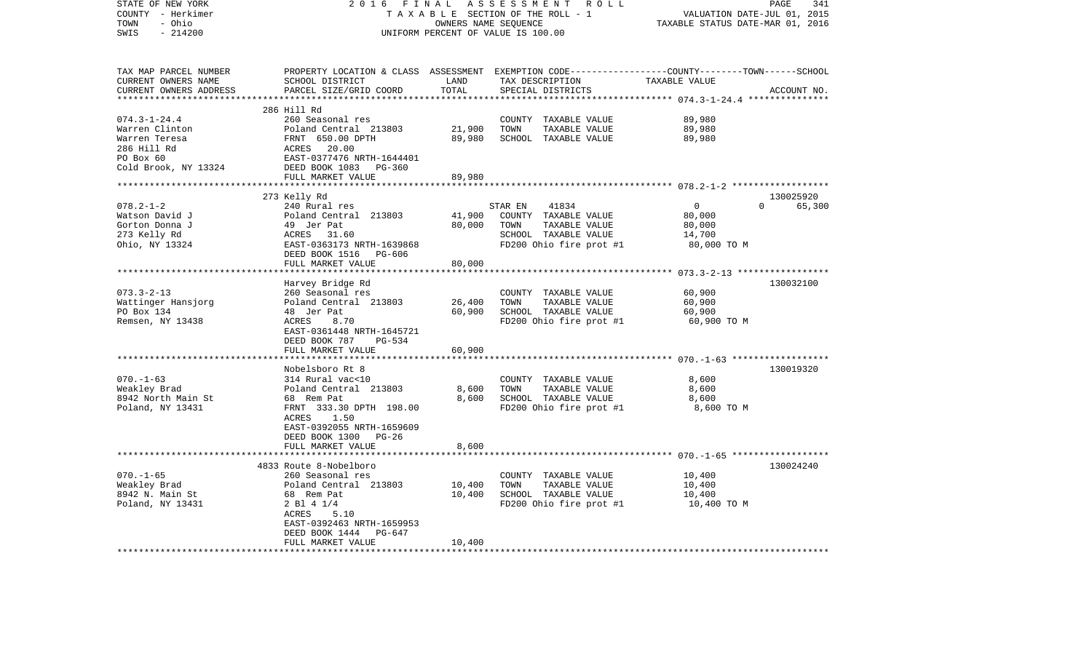| STATE OF NEW YORK                | 2016                                      | FINAL           | ASSESSMENT ROLL                                                                                 |                                  | 341<br>PAGE |
|----------------------------------|-------------------------------------------|-----------------|-------------------------------------------------------------------------------------------------|----------------------------------|-------------|
| COUNTY - Herkimer                |                                           |                 | TAXABLE SECTION OF THE ROLL - 1                                                                 | VALUATION DATE-JUL 01, 2015      |             |
| - Ohio<br>TOWN                   |                                           |                 | OWNERS NAME SEQUENCE                                                                            | TAXABLE STATUS DATE-MAR 01, 2016 |             |
| SWIS<br>$-214200$                |                                           |                 | UNIFORM PERCENT OF VALUE IS 100.00                                                              |                                  |             |
|                                  |                                           |                 |                                                                                                 |                                  |             |
| TAX MAP PARCEL NUMBER            |                                           |                 | PROPERTY LOCATION & CLASS ASSESSMENT EXEMPTION CODE---------------COUNTY-------TOWN------SCHOOL |                                  |             |
| CURRENT OWNERS NAME              | SCHOOL DISTRICT                           | LAND            | TAX DESCRIPTION                                                                                 | TAXABLE VALUE                    |             |
| CURRENT OWNERS ADDRESS           | PARCEL SIZE/GRID COORD                    | TOTAL           | SPECIAL DISTRICTS                                                                               |                                  | ACCOUNT NO. |
| ************************         |                                           |                 |                                                                                                 |                                  |             |
|                                  | 286 Hill Rd                               |                 |                                                                                                 |                                  |             |
| $074.3 - 1 - 24.4$               | 260 Seasonal res                          |                 | COUNTY TAXABLE VALUE                                                                            | 89,980                           |             |
| Warren Clinton                   | Poland Central 213803                     | 21,900          | TOWN<br>TAXABLE VALUE                                                                           | 89,980                           |             |
| Warren Teresa                    | FRNT 650.00 DPTH                          | 89,980          | SCHOOL TAXABLE VALUE                                                                            | 89,980                           |             |
| 286 Hill Rd                      | ACRES<br>20.00                            |                 |                                                                                                 |                                  |             |
| PO Box 60                        | EAST-0377476 NRTH-1644401                 |                 |                                                                                                 |                                  |             |
| Cold Brook, NY 13324             | DEED BOOK 1083<br>$PG-360$                |                 |                                                                                                 |                                  |             |
|                                  | FULL MARKET VALUE                         | 89,980          |                                                                                                 |                                  |             |
|                                  |                                           | *************** |                                                                                                 |                                  |             |
|                                  | 273 Kelly Rd                              |                 |                                                                                                 |                                  | 130025920   |
| $078.2 - 1 - 2$                  | 240 Rural res                             |                 | STAR EN<br>41834                                                                                | $\overline{0}$<br>$\Omega$       | 65,300      |
| Watson David J                   | Poland Central 213803                     | 41,900          | COUNTY TAXABLE VALUE                                                                            | 80,000                           |             |
| Gorton Donna J                   | 49 Jer Pat                                | 80,000          | TOWN<br>TAXABLE VALUE                                                                           | 80,000                           |             |
| 273 Kelly Rd                     | 31.60<br>ACRES                            |                 | SCHOOL TAXABLE VALUE                                                                            | 14,700                           |             |
| Ohio, NY 13324                   | EAST-0363173 NRTH-1639868                 |                 | FD200 Ohio fire prot #1                                                                         | 80,000 TO M                      |             |
|                                  | DEED BOOK 1516<br>PG-606                  |                 |                                                                                                 |                                  |             |
|                                  | FULL MARKET VALUE                         | 80,000          |                                                                                                 |                                  |             |
|                                  |                                           |                 |                                                                                                 |                                  |             |
| $073.3 - 2 - 13$                 | Harvey Bridge Rd                          |                 |                                                                                                 | 60,900                           | 130032100   |
|                                  | 260 Seasonal res<br>Poland Central 213803 | 26,400          | COUNTY TAXABLE VALUE<br>TAXABLE VALUE<br>TOWN                                                   | 60,900                           |             |
| Wattinger Hansjorg<br>PO Box 134 | 48 Jer Pat                                | 60,900          | SCHOOL TAXABLE VALUE                                                                            | 60,900                           |             |
| Remsen, NY 13438                 | 8.70<br>ACRES                             |                 | FD200 Ohio fire prot #1                                                                         | 60,900 TO M                      |             |
|                                  | EAST-0361448 NRTH-1645721                 |                 |                                                                                                 |                                  |             |
|                                  | DEED BOOK 787<br>PG-534                   |                 |                                                                                                 |                                  |             |
|                                  | FULL MARKET VALUE                         | 60,900          |                                                                                                 |                                  |             |
|                                  |                                           |                 |                                                                                                 |                                  |             |
|                                  | Nobelsboro Rt 8                           |                 |                                                                                                 |                                  | 130019320   |
| $070. - 1 - 63$                  | 314 Rural vac<10                          |                 | COUNTY TAXABLE VALUE                                                                            | 8,600                            |             |
| Weakley Brad                     | Poland Central 213803                     | 8,600           | TOWN<br>TAXABLE VALUE                                                                           | 8,600                            |             |
| 8942 North Main St               | 68 Rem Pat                                | 8,600           | SCHOOL TAXABLE VALUE                                                                            | 8,600                            |             |
| Poland, NY 13431                 | FRNT 333.30 DPTH 198.00                   |                 | FD200 Ohio fire prot #1                                                                         | 8,600 TO M                       |             |
|                                  | 1.50<br>ACRES                             |                 |                                                                                                 |                                  |             |
|                                  | EAST-0392055 NRTH-1659609                 |                 |                                                                                                 |                                  |             |
|                                  | DEED BOOK 1300<br>$PG-26$                 |                 |                                                                                                 |                                  |             |
|                                  | FULL MARKET VALUE                         | 8,600           |                                                                                                 |                                  |             |
|                                  |                                           |                 |                                                                                                 |                                  |             |
|                                  | 4833 Route 8-Nobelboro                    |                 |                                                                                                 |                                  | 130024240   |
| $070. - 1 - 65$                  | 260 Seasonal res                          |                 | COUNTY TAXABLE VALUE                                                                            | 10,400                           |             |
| Weakley Brad                     | Poland Central 213803                     | 10,400          | TOWN<br>TAXABLE VALUE                                                                           | 10,400                           |             |
| 8942 N. Main St                  | 68 Rem Pat                                | 10,400          | SCHOOL TAXABLE VALUE                                                                            | 10,400                           |             |
| Poland, NY 13431                 | 2 Bl 4 1/4                                |                 | FD200 Ohio fire prot #1                                                                         | 10,400 TO M                      |             |
|                                  | 5.10<br>ACRES                             |                 |                                                                                                 |                                  |             |
|                                  | EAST-0392463 NRTH-1659953                 |                 |                                                                                                 |                                  |             |
|                                  | DEED BOOK 1444<br>PG-647                  |                 |                                                                                                 |                                  |             |
|                                  | FULL MARKET VALUE                         | 10,400          |                                                                                                 |                                  |             |
| ********************             |                                           |                 |                                                                                                 |                                  |             |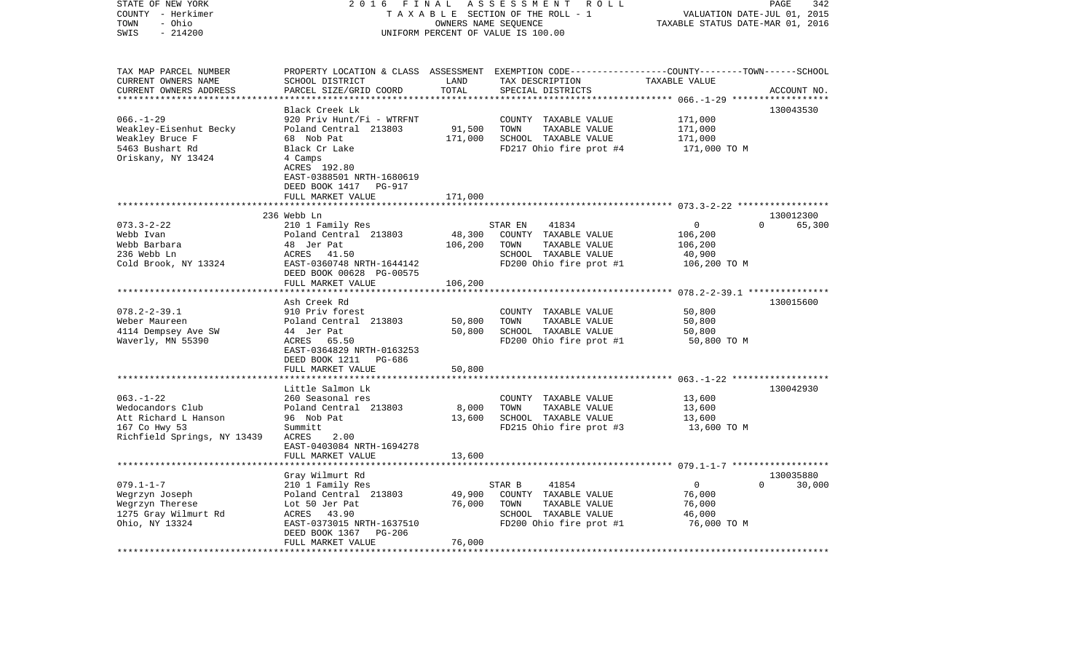| STATE OF NEW YORK<br>COUNTY - Herkimer<br>- Ohio<br>TOWN<br>$-214200$<br>SWIS                              | 2 0 1 6<br>FINAL<br>ASSESSMENT<br>R O L L<br>TAXABLE SECTION OF THE ROLL - 1<br>OWNERS NAME SEQUENCE<br>UNIFORM PERCENT OF VALUE IS 100.00                                                     |                              |                                                                                                                                          | PAGE<br>342<br>VALUATION DATE-JUL 01, 2015<br>TAXABLE STATUS DATE-MAR 01, 2016 |                                 |
|------------------------------------------------------------------------------------------------------------|------------------------------------------------------------------------------------------------------------------------------------------------------------------------------------------------|------------------------------|------------------------------------------------------------------------------------------------------------------------------------------|--------------------------------------------------------------------------------|---------------------------------|
| TAX MAP PARCEL NUMBER<br>CURRENT OWNERS NAME<br>CURRENT OWNERS ADDRESS<br>***********************          | SCHOOL DISTRICT<br>PARCEL SIZE/GRID COORD                                                                                                                                                      | LAND<br>TOTAL                | PROPERTY LOCATION & CLASS ASSESSMENT EXEMPTION CODE----------------COUNTY-------TOWN------SCHOOL<br>TAX DESCRIPTION<br>SPECIAL DISTRICTS | TAXABLE VALUE                                                                  | ACCOUNT NO.                     |
| $066. - 1 - 29$<br>Weakley-Eisenhut Becky<br>Weakley Bruce F<br>5463 Bushart Rd<br>Oriskany, NY 13424      | Black Creek Lk<br>920 Priv Hunt/Fi - WTRFNT<br>Poland Central 213803<br>68 Nob Pat<br>Black Cr Lake<br>4 Camps<br>ACRES 192.80<br>EAST-0388501 NRTH-1680619<br>DEED BOOK 1417<br><b>PG-917</b> | 91,500<br>171,000            | COUNTY<br>TAXABLE VALUE<br>TOWN<br>TAXABLE VALUE<br>SCHOOL TAXABLE VALUE<br>FD217 Ohio fire prot #4                                      | 171,000<br>171,000<br>171,000<br>171,000 TO M                                  | 130043530                       |
|                                                                                                            | FULL MARKET VALUE<br>**************************                                                                                                                                                | 171,000                      |                                                                                                                                          |                                                                                |                                 |
|                                                                                                            | 236 Webb Ln                                                                                                                                                                                    |                              |                                                                                                                                          |                                                                                | 130012300                       |
| $073.3 - 2 - 22$<br>Webb Ivan<br>Webb Barbara<br>236 Webb Ln<br>Cold Brook, NY 13324                       | 210 1 Family Res<br>Poland Central 213803<br>48 Jer Pat<br>ACRES<br>41.50<br>EAST-0360748 NRTH-1644142<br>DEED BOOK 00628 PG-00575<br>FULL MARKET VALUE                                        | 48,300<br>106,200<br>106,200 | 41834<br>STAR EN<br>COUNTY TAXABLE VALUE<br>TAXABLE VALUE<br>TOWN<br>SCHOOL TAXABLE VALUE<br>FD200 Ohio fire prot #1                     | 0<br>106,200<br>106,200<br>40,900<br>106,200 TO M                              | 0<br>65,300                     |
|                                                                                                            |                                                                                                                                                                                                | * * * * * * * * * *          |                                                                                                                                          | ************************* 078.2-2-39.1 ***************                         |                                 |
| $078.2 - 2 - 39.1$<br>Weber Maureen<br>4114 Dempsey Ave SW<br>Waverly, MN 55390                            | Ash Creek Rd<br>910 Priv forest<br>Poland Central 213803<br>44 Jer Pat<br>ACRES 65.50<br>EAST-0364829 NRTH-0163253<br>DEED BOOK 1211<br>PG-686                                                 | 50,800<br>50,800             | COUNTY<br>TAXABLE VALUE<br>TOWN<br>TAXABLE VALUE<br>SCHOOL TAXABLE VALUE<br>FD200 Ohio fire prot #1                                      | 50,800<br>50,800<br>50,800<br>50,800 TO M                                      | 130015600                       |
|                                                                                                            | FULL MARKET VALUE                                                                                                                                                                              | 50,800                       |                                                                                                                                          |                                                                                |                                 |
| $063. -1 - 22$<br>Wedocandors Club<br>Att Richard L Hanson<br>167 Co Hwy 53<br>Richfield Springs, NY 13439 | ******************<br>Little Salmon Lk<br>260 Seasonal res<br>Poland Central 213803<br>96 Nob Pat<br>Summitt<br>ACRES<br>2.00<br>EAST-0403084 NRTH-1694278                                     | 8,000<br>13,600              | COUNTY TAXABLE VALUE<br>TOWN<br>TAXABLE VALUE<br>SCHOOL TAXABLE VALUE<br>FD215 Ohio fire prot #3                                         | 13,600<br>13,600<br>13,600<br>13,600 TO M                                      | 130042930                       |
|                                                                                                            | FULL MARKET VALUE                                                                                                                                                                              | 13,600                       |                                                                                                                                          |                                                                                |                                 |
| $079.1 - 1 - 7$                                                                                            | **************************<br>Gray Wilmurt Rd<br>210 1 Family Res                                                                                                                              |                              | STAR B<br>41854                                                                                                                          | $\overline{0}$                                                                 | 130035880<br>$\Omega$<br>30,000 |
| Wegrzyn Joseph<br>Wegrzyn Therese<br>1275 Gray Wilmurt Rd<br>Ohio, NY 13324                                | Poland Central 213803<br>Lot 50 Jer Pat<br>ACRES<br>43.90<br>EAST-0373015 NRTH-1637510<br>DEED BOOK 1367<br>PG-206<br>FULL MARKET VALUE                                                        | 49,900<br>76,000<br>76,000   | COUNTY TAXABLE VALUE<br>TOWN<br>TAXABLE VALUE<br>SCHOOL TAXABLE VALUE<br>FD200 Ohio fire prot #1                                         | 76,000<br>76,000<br>46,000<br>76,000 TO M                                      |                                 |
|                                                                                                            |                                                                                                                                                                                                |                              |                                                                                                                                          |                                                                                |                                 |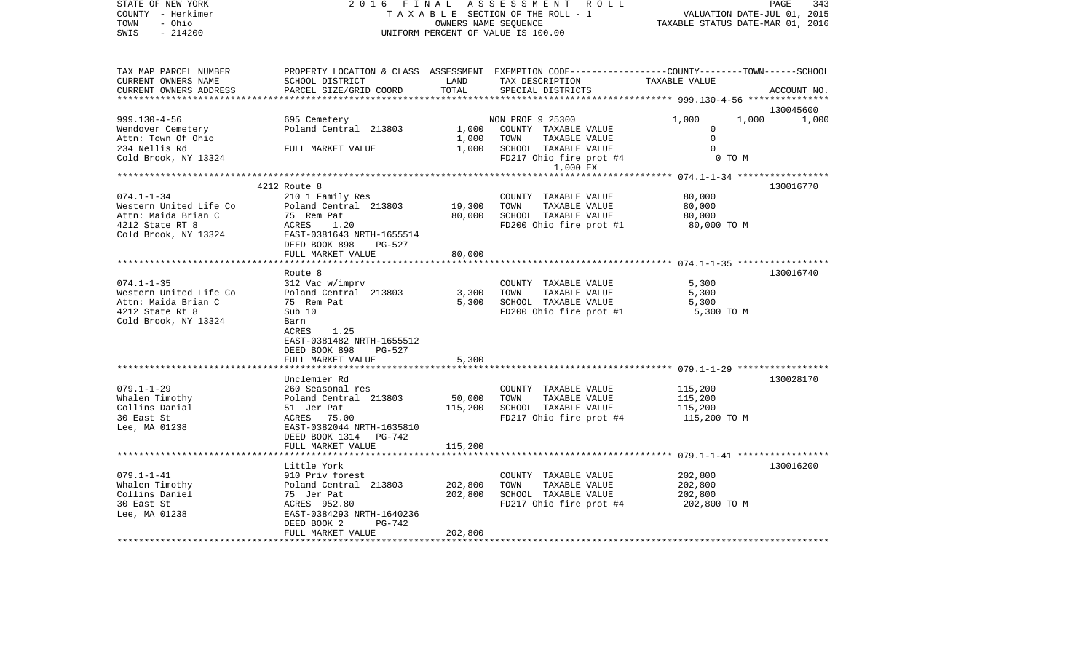| SWIS<br>$-214200$<br>UNIFORM PERCENT OF VALUE IS 100.00                                                                                                                                                                                                                                                                                                                                                                                                                           | PAGE<br>343<br>VALUATION DATE-JUL 01, 2015<br>TAXABLE STATUS DATE-MAR 01, 2016 |  |  |
|-----------------------------------------------------------------------------------------------------------------------------------------------------------------------------------------------------------------------------------------------------------------------------------------------------------------------------------------------------------------------------------------------------------------------------------------------------------------------------------|--------------------------------------------------------------------------------|--|--|
| TAX MAP PARCEL NUMBER<br>PROPERTY LOCATION & CLASS ASSESSMENT EXEMPTION CODE---------------COUNTY-------TOWN------SCHOOL<br>CURRENT OWNERS NAME<br>LAND<br>TAX DESCRIPTION<br>SCHOOL DISTRICT<br>TAXABLE VALUE<br>TOTAL<br>CURRENT OWNERS ADDRESS<br>PARCEL SIZE/GRID COORD<br>SPECIAL DISTRICTS                                                                                                                                                                                  | ACCOUNT NO.                                                                    |  |  |
|                                                                                                                                                                                                                                                                                                                                                                                                                                                                                   | 130045600                                                                      |  |  |
| $999.130 - 4 - 56$<br>1,000<br>695 Cemetery<br>NON PROF 9 25300<br>1,000<br>Poland Central 213803<br>1,000<br>COUNTY TAXABLE VALUE<br>Wendover Cemetery<br>0<br>$\Omega$<br>Attn: Town Of Ohio<br>1,000<br>TOWN<br>TAXABLE VALUE<br>234 Nellis Rd<br>1,000<br>SCHOOL TAXABLE VALUE<br>FULL MARKET VALUE<br>$\Omega$<br>Cold Brook, NY 13324<br>0 TO M<br>FD217 Ohio fire prot #4                                                                                                  | 1,000                                                                          |  |  |
| 1,000 EX                                                                                                                                                                                                                                                                                                                                                                                                                                                                          |                                                                                |  |  |
| ********** 074.1-1-34 ******************                                                                                                                                                                                                                                                                                                                                                                                                                                          |                                                                                |  |  |
| 4212 Route 8<br>130016770<br>$074.1 - 1 - 34$<br>80,000<br>210 1 Family Res<br>COUNTY TAXABLE VALUE<br>Western United Life Co<br>Poland Central 213803<br>19,300<br>TOWN<br>TAXABLE VALUE<br>80,000<br>Attn: Maida Brian C<br>75 Rem Pat<br>80,000<br>SCHOOL TAXABLE VALUE<br>80,000<br>4212 State RT 8<br>ACRES<br>1.20<br>FD200 Ohio fire prot #1<br>80,000 TO M<br>Cold Brook, NY 13324<br>EAST-0381643 NRTH-1655514<br>DEED BOOK 898<br>PG-527<br>FULL MARKET VALUE<br>80,000 |                                                                                |  |  |
|                                                                                                                                                                                                                                                                                                                                                                                                                                                                                   |                                                                                |  |  |
| Route 8<br>130016740<br>$074.1 - 1 - 35$<br>312 Vac w/imprv<br>COUNTY TAXABLE VALUE<br>5,300<br>Western United Life Co<br>Poland Central 213803<br>TOWN<br>TAXABLE VALUE<br>3,300<br>5,300<br>Attn: Maida Brian C<br>SCHOOL TAXABLE VALUE<br>75 Rem Pat<br>5,300<br>5,300<br>4212 State Rt 8<br>FD200 Ohio fire prot #1<br>Sub 10<br>5,300 TO M<br>Cold Brook, NY 13324<br>Barn<br>ACRES<br>1.25<br>EAST-0381482 NRTH-1655512<br>DEED BOOK 898<br>PG-527                          |                                                                                |  |  |
| 5,300<br>FULL MARKET VALUE                                                                                                                                                                                                                                                                                                                                                                                                                                                        |                                                                                |  |  |
| Unclemier Rd<br>130028170<br>$079.1 - 1 - 29$<br>260 Seasonal res<br>115,200<br>COUNTY TAXABLE VALUE<br>Whalen Timothy<br>TAXABLE VALUE<br>Poland Central 213803<br>50,000<br>TOWN<br>115,200<br>Collins Danial<br>51 Jer Pat<br>115,200<br>SCHOOL TAXABLE VALUE<br>115,200<br>30 East St<br>ACRES 75.00<br>FD217 Ohio fire prot #4<br>115,200 TO M<br>Lee, MA 01238<br>EAST-0382044 NRTH-1635810<br>DEED BOOK 1314 PG-742                                                        |                                                                                |  |  |
| FULL MARKET VALUE<br>115,200                                                                                                                                                                                                                                                                                                                                                                                                                                                      |                                                                                |  |  |
|                                                                                                                                                                                                                                                                                                                                                                                                                                                                                   |                                                                                |  |  |
| 130016200<br>Little York<br>$079.1 - 1 - 41$<br>910 Priv forest<br>202,800<br>COUNTY TAXABLE VALUE<br>Whalen Timothy<br>Poland Central 213803<br>202,800<br>TAXABLE VALUE<br>202,800<br>TOWN<br>Collins Daniel<br>202,800<br>SCHOOL TAXABLE VALUE<br>75 Jer Pat<br>202,800<br>30 East St<br>ACRES 952.80<br>FD217 Ohio fire prot #4<br>202,800 TO M<br>EAST-0384293 NRTH-1640236<br>Lee, MA 01238<br>DEED BOOK 2<br>PG-742                                                        |                                                                                |  |  |
| 202,800<br>FULL MARKET VALUE                                                                                                                                                                                                                                                                                                                                                                                                                                                      |                                                                                |  |  |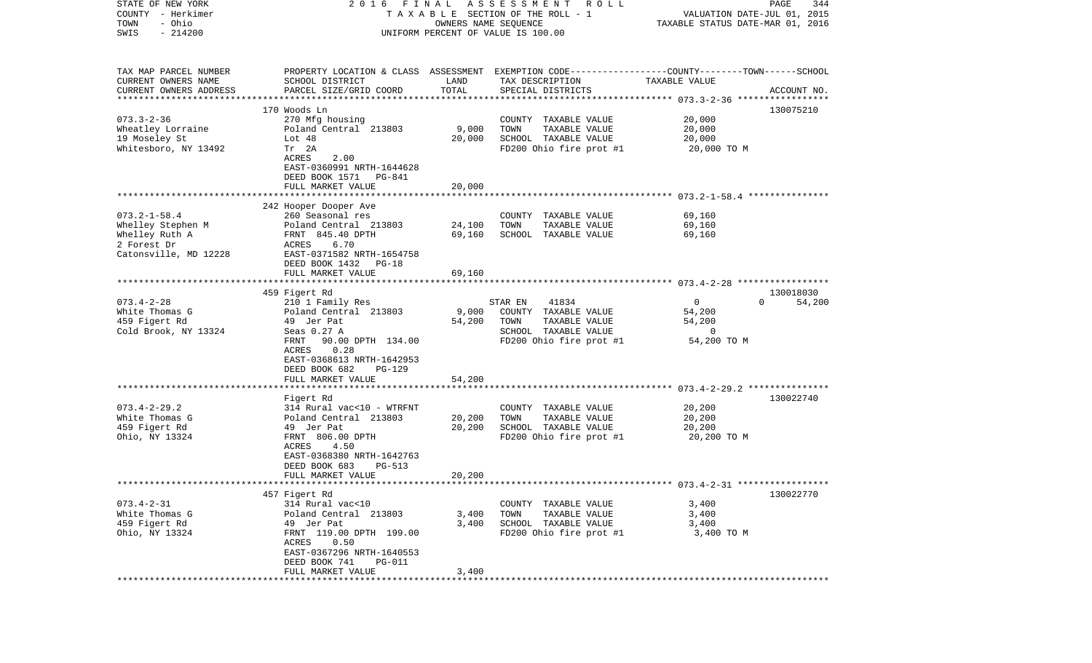| STATE OF NEW YORK                                 | 2016                                     | FINAL  | A S S E S S M E N T<br>ROLL                                                                     |                                  | PAGE<br>344        |
|---------------------------------------------------|------------------------------------------|--------|-------------------------------------------------------------------------------------------------|----------------------------------|--------------------|
| COUNTY - Herkimer                                 |                                          |        | TAXABLE SECTION OF THE ROLL - 1                                                                 | VALUATION DATE-JUL 01, 2015      |                    |
| - Ohio<br>TOWN                                    |                                          |        | OWNERS NAME SEQUENCE                                                                            | TAXABLE STATUS DATE-MAR 01, 2016 |                    |
| $-214200$<br>SWIS                                 |                                          |        | UNIFORM PERCENT OF VALUE IS 100.00                                                              |                                  |                    |
|                                                   |                                          |        |                                                                                                 |                                  |                    |
|                                                   |                                          |        |                                                                                                 |                                  |                    |
| TAX MAP PARCEL NUMBER                             |                                          |        | PROPERTY LOCATION & CLASS ASSESSMENT EXEMPTION CODE---------------COUNTY-------TOWN------SCHOOL |                                  |                    |
| CURRENT OWNERS NAME                               | SCHOOL DISTRICT                          | LAND   | TAX DESCRIPTION                                                                                 | TAXABLE VALUE                    |                    |
| CURRENT OWNERS ADDRESS<br>*********************** | PARCEL SIZE/GRID COORD                   | TOTAL  | SPECIAL DISTRICTS                                                                               |                                  | ACCOUNT NO.        |
|                                                   | 170 Woods Ln                             |        |                                                                                                 |                                  | 130075210          |
| $073.3 - 2 - 36$                                  |                                          |        |                                                                                                 | 20,000                           |                    |
| Wheatley Lorraine                                 | 270 Mfg housing<br>Poland Central 213803 | 9,000  | COUNTY TAXABLE VALUE<br>TOWN<br>TAXABLE VALUE                                                   | 20,000                           |                    |
| 19 Moseley St                                     | Lot 48                                   | 20,000 | SCHOOL TAXABLE VALUE                                                                            | 20,000                           |                    |
| Whitesboro, NY 13492                              | Tr 2A                                    |        | FD200 Ohio fire prot #1                                                                         |                                  |                    |
|                                                   | ACRES<br>2.00                            |        |                                                                                                 | 20,000 TO M                      |                    |
|                                                   |                                          |        |                                                                                                 |                                  |                    |
|                                                   | EAST-0360991 NRTH-1644628                |        |                                                                                                 |                                  |                    |
|                                                   | DEED BOOK 1571<br>PG-841                 |        |                                                                                                 |                                  |                    |
|                                                   | FULL MARKET VALUE                        | 20,000 |                                                                                                 |                                  |                    |
|                                                   | 242 Hooper Dooper Ave                    |        |                                                                                                 |                                  |                    |
| $073.2 - 1 - 58.4$                                | 260 Seasonal res                         |        | COUNTY TAXABLE VALUE                                                                            | 69,160                           |                    |
| Whelley Stephen M                                 | Poland Central 213803                    | 24,100 | TOWN<br>TAXABLE VALUE                                                                           | 69,160                           |                    |
| Whelley Ruth A                                    | FRNT 845.40 DPTH                         | 69,160 | SCHOOL TAXABLE VALUE                                                                            | 69,160                           |                    |
| 2 Forest Dr                                       | 6.70<br>ACRES                            |        |                                                                                                 |                                  |                    |
| Catonsville, MD 12228                             | EAST-0371582 NRTH-1654758                |        |                                                                                                 |                                  |                    |
|                                                   | DEED BOOK 1432<br>PG-18                  |        |                                                                                                 |                                  |                    |
|                                                   | FULL MARKET VALUE                        | 69,160 |                                                                                                 |                                  |                    |
|                                                   | ****************************             |        |                                                                                                 |                                  |                    |
|                                                   | 459 Figert Rd                            |        |                                                                                                 |                                  | 130018030          |
| $073.4 - 2 - 28$                                  | 210 1 Family Res                         |        | STAR EN<br>41834                                                                                | $\mathbf 0$                      | $\Omega$<br>54,200 |
| White Thomas G                                    | Poland Central 213803                    | 9,000  | COUNTY TAXABLE VALUE                                                                            | 54,200                           |                    |
| 459 Figert Rd                                     | 49 Jer Pat                               | 54,200 | TOWN<br>TAXABLE VALUE                                                                           | 54,200                           |                    |
| Cold Brook, NY 13324                              | Seas 0.27 A                              |        | SCHOOL TAXABLE VALUE                                                                            | $\Omega$                         |                    |
|                                                   | 90.00 DPTH 134.00<br>FRNT                |        | FD200 Ohio fire prot #1                                                                         | 54,200 TO M                      |                    |
|                                                   | 0.28<br>ACRES                            |        |                                                                                                 |                                  |                    |
|                                                   | EAST-0368613 NRTH-1642953                |        |                                                                                                 |                                  |                    |
|                                                   | DEED BOOK 682<br>PG-129                  |        |                                                                                                 |                                  |                    |
|                                                   | FULL MARKET VALUE                        | 54,200 |                                                                                                 |                                  |                    |
|                                                   |                                          |        |                                                                                                 |                                  |                    |
|                                                   | Figert Rd                                |        |                                                                                                 |                                  | 130022740          |
| $073.4 - 2 - 29.2$                                | 314 Rural vac<10 - WTRFNT                |        | COUNTY TAXABLE VALUE                                                                            | 20,200                           |                    |
| White Thomas G                                    | Poland Central 213803                    | 20,200 | TOWN<br>TAXABLE VALUE                                                                           | 20,200                           |                    |
| 459 Figert Rd                                     | 49 Jer Pat                               | 20,200 | SCHOOL TAXABLE VALUE                                                                            | 20,200                           |                    |
| Ohio, NY 13324                                    | FRNT 806.00 DPTH                         |        | FD200 Ohio fire prot #1                                                                         | 20,200 TO M                      |                    |
|                                                   | 4.50<br>ACRES                            |        |                                                                                                 |                                  |                    |
|                                                   | EAST-0368380 NRTH-1642763                |        |                                                                                                 |                                  |                    |
|                                                   | DEED BOOK 683<br>PG-513                  |        |                                                                                                 |                                  |                    |
|                                                   | FULL MARKET VALUE                        | 20,200 |                                                                                                 |                                  |                    |
| *********************                             | **************************************   |        |                                                                                                 |                                  |                    |
|                                                   | 457 Figert Rd                            |        |                                                                                                 |                                  | 130022770          |
| $073.4 - 2 - 31$                                  | 314 Rural vac<10                         |        | COUNTY TAXABLE VALUE                                                                            | 3,400                            |                    |
| White Thomas G                                    | Poland Central 213803                    | 3,400  | TOWN<br>TAXABLE VALUE                                                                           | 3,400                            |                    |
| 459 Figert Rd                                     | 49 Jer Pat                               | 3,400  | SCHOOL TAXABLE VALUE                                                                            | 3,400                            |                    |
| Ohio, NY 13324                                    | FRNT 119.00 DPTH 199.00                  |        | FD200 Ohio fire prot #1                                                                         | 3,400 TO M                       |                    |
|                                                   | ACRES<br>0.50                            |        |                                                                                                 |                                  |                    |
|                                                   | EAST-0367296 NRTH-1640553                |        |                                                                                                 |                                  |                    |
|                                                   | DEED BOOK 741<br><b>PG-011</b>           |        |                                                                                                 |                                  |                    |
|                                                   | FULL MARKET VALUE                        | 3,400  |                                                                                                 |                                  |                    |
| *********                                         |                                          |        |                                                                                                 |                                  |                    |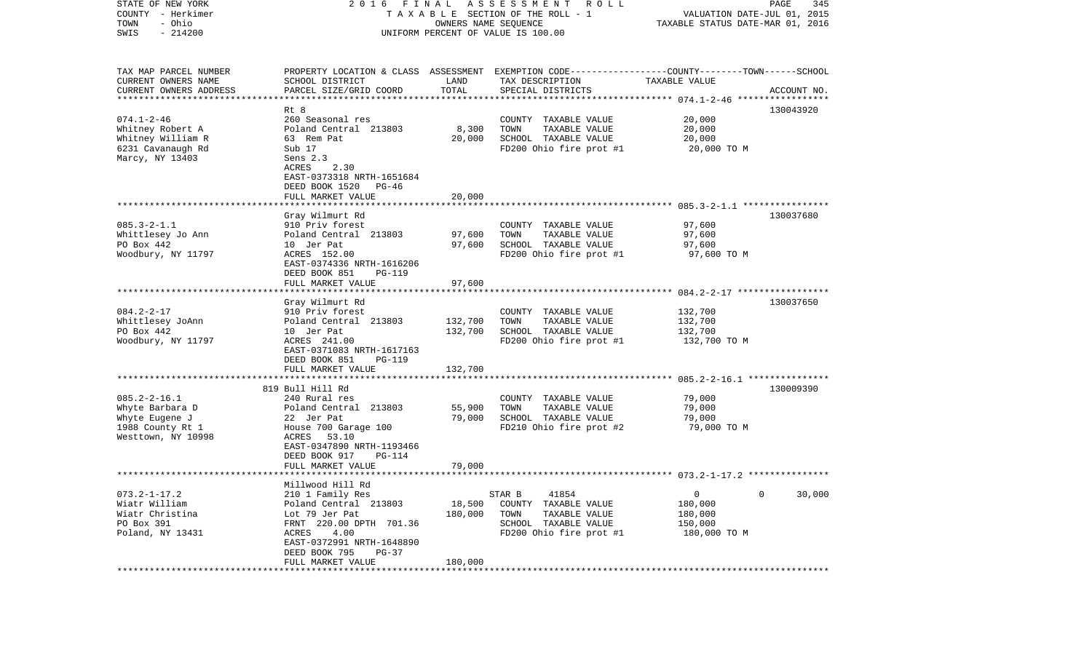| STATE OF NEW YORK<br>COUNTY - Herkimer<br>- Ohio<br>TOWN                  | 2016 FINAL<br>A S S E S S M E N T<br>TAXABLE SECTION OF THE ROLL - 1<br>OWNERS NAME SEQUENCE |               |                                                                                                 | R O L L<br>PAGE<br>345<br>VALUATION DATE-JUL 01, 2015<br>TAXABLE STATUS DATE-MAR 01, 2016 |             |  |  |
|---------------------------------------------------------------------------|----------------------------------------------------------------------------------------------|---------------|-------------------------------------------------------------------------------------------------|-------------------------------------------------------------------------------------------|-------------|--|--|
| $-214200$<br>SWIS                                                         |                                                                                              |               | UNIFORM PERCENT OF VALUE IS 100.00                                                              |                                                                                           |             |  |  |
| TAX MAP PARCEL NUMBER                                                     |                                                                                              |               | PROPERTY LOCATION & CLASS ASSESSMENT EXEMPTION CODE---------------COUNTY-------TOWN------SCHOOL |                                                                                           |             |  |  |
| CURRENT OWNERS NAME<br>CURRENT OWNERS ADDRESS<br>************************ | SCHOOL DISTRICT<br>PARCEL SIZE/GRID COORD                                                    | LAND<br>TOTAL | TAX DESCRIPTION<br>SPECIAL DISTRICTS                                                            | TAXABLE VALUE                                                                             | ACCOUNT NO. |  |  |
|                                                                           | Rt 8                                                                                         |               |                                                                                                 |                                                                                           | 130043920   |  |  |
| $074.1 - 2 - 46$                                                          | 260 Seasonal res                                                                             |               | COUNTY TAXABLE VALUE                                                                            | 20,000                                                                                    |             |  |  |
| Whitney Robert A                                                          | Poland Central 213803                                                                        | 8,300         | TOWN<br>TAXABLE VALUE                                                                           | 20,000                                                                                    |             |  |  |
| Whitney William R                                                         | 63 Rem Pat                                                                                   | 20,000        | SCHOOL TAXABLE VALUE                                                                            | 20,000                                                                                    |             |  |  |
| 6231 Cavanaugh Rd                                                         | Sub 17                                                                                       |               | FD200 Ohio fire prot #1                                                                         | 20,000 TO M                                                                               |             |  |  |
| Marcy, NY 13403                                                           | Sens 2.3                                                                                     |               |                                                                                                 |                                                                                           |             |  |  |
|                                                                           | ACRES<br>2.30                                                                                |               |                                                                                                 |                                                                                           |             |  |  |
|                                                                           | EAST-0373318 NRTH-1651684                                                                    |               |                                                                                                 |                                                                                           |             |  |  |
|                                                                           | DEED BOOK 1520<br>PG-46                                                                      |               |                                                                                                 |                                                                                           |             |  |  |
|                                                                           | FULL MARKET VALUE                                                                            | 20,000        |                                                                                                 |                                                                                           |             |  |  |
|                                                                           |                                                                                              |               |                                                                                                 |                                                                                           |             |  |  |
| $085.3 - 2 - 1.1$                                                         | Gray Wilmurt Rd                                                                              |               |                                                                                                 |                                                                                           | 130037680   |  |  |
| Whittlesey Jo Ann                                                         | 910 Priv forest<br>Poland Central 213803                                                     | 97,600        | COUNTY TAXABLE VALUE<br>TOWN<br>TAXABLE VALUE                                                   | 97,600<br>97,600                                                                          |             |  |  |
| PO Box 442                                                                | 10 Jer Pat                                                                                   | 97,600        | SCHOOL TAXABLE VALUE                                                                            | 97,600                                                                                    |             |  |  |
| Woodbury, NY 11797                                                        | ACRES 152.00                                                                                 |               | FD200 Ohio fire prot #1                                                                         | 97,600 TO M                                                                               |             |  |  |
|                                                                           | EAST-0374336 NRTH-1616206                                                                    |               |                                                                                                 |                                                                                           |             |  |  |
|                                                                           | DEED BOOK 851<br>PG-119                                                                      |               |                                                                                                 |                                                                                           |             |  |  |
|                                                                           | FULL MARKET VALUE                                                                            | 97,600        |                                                                                                 |                                                                                           |             |  |  |
|                                                                           |                                                                                              |               |                                                                                                 |                                                                                           |             |  |  |
|                                                                           | Gray Wilmurt Rd                                                                              |               |                                                                                                 |                                                                                           | 130037650   |  |  |
| $084.2 - 2 - 17$                                                          | 910 Priv forest                                                                              |               | COUNTY TAXABLE VALUE                                                                            | 132,700                                                                                   |             |  |  |
| Whittlesey JoAnn                                                          | Poland Central 213803                                                                        | 132,700       | TOWN<br>TAXABLE VALUE                                                                           | 132,700                                                                                   |             |  |  |
| PO Box 442                                                                | 10 Jer Pat                                                                                   | 132,700       | SCHOOL TAXABLE VALUE                                                                            | 132,700                                                                                   |             |  |  |
| Woodbury, NY 11797                                                        | ACRES 241.00                                                                                 |               | FD200 Ohio fire prot #1                                                                         | 132,700 TO M                                                                              |             |  |  |
|                                                                           | EAST-0371083 NRTH-1617163                                                                    |               |                                                                                                 |                                                                                           |             |  |  |
|                                                                           | DEED BOOK 851<br><b>PG-119</b>                                                               |               |                                                                                                 |                                                                                           |             |  |  |
|                                                                           | FULL MARKET VALUE<br>**********************                                                  | 132,700       |                                                                                                 | ************************** 085.2-2-16.1 ***********                                       |             |  |  |
|                                                                           | 819 Bull Hill Rd                                                                             |               |                                                                                                 |                                                                                           | 130009390   |  |  |
| $085.2 - 2 - 16.1$                                                        | 240 Rural res                                                                                |               | COUNTY TAXABLE VALUE                                                                            | 79,000                                                                                    |             |  |  |
| Whyte Barbara D                                                           | Poland Central 213803                                                                        | 55,900        | TOWN<br>TAXABLE VALUE                                                                           | 79,000                                                                                    |             |  |  |
| Whyte Eugene J                                                            | 22 Jer Pat                                                                                   | 79,000        | SCHOOL TAXABLE VALUE                                                                            | 79,000                                                                                    |             |  |  |
| 1988 County Rt 1                                                          | House 700 Garage 100                                                                         |               | FD210 Ohio fire prot #2                                                                         | 79,000 TO M                                                                               |             |  |  |
| Westtown, NY 10998                                                        | ACRES 53.10                                                                                  |               |                                                                                                 |                                                                                           |             |  |  |
|                                                                           | EAST-0347890 NRTH-1193466                                                                    |               |                                                                                                 |                                                                                           |             |  |  |
|                                                                           | DEED BOOK 917<br>PG-114                                                                      |               |                                                                                                 |                                                                                           |             |  |  |
|                                                                           | FULL MARKET VALUE                                                                            | 79,000        |                                                                                                 |                                                                                           |             |  |  |
|                                                                           |                                                                                              |               |                                                                                                 |                                                                                           |             |  |  |
|                                                                           | Millwood Hill Rd                                                                             |               |                                                                                                 |                                                                                           |             |  |  |
| $073.2 - 1 - 17.2$                                                        | 210 1 Family Res                                                                             |               | 41854<br>STAR B                                                                                 | $\circ$                                                                                   | 30,000<br>0 |  |  |
| Wiatr William                                                             | Poland Central 213803                                                                        | 18,500        | COUNTY TAXABLE VALUE                                                                            | 180,000                                                                                   |             |  |  |
| Wiatr Christina                                                           | Lot 79 Jer Pat                                                                               | 180,000       | TOWN<br>TAXABLE VALUE                                                                           | 180,000                                                                                   |             |  |  |
| PO Box 391                                                                | FRNT 220.00 DPTH 701.36                                                                      |               | SCHOOL TAXABLE VALUE                                                                            | 150,000                                                                                   |             |  |  |
| Poland, NY 13431                                                          | ACRES<br>4.00                                                                                |               | FD200 Ohio fire prot #1                                                                         | 180,000 TO M                                                                              |             |  |  |
|                                                                           | EAST-0372991 NRTH-1648890<br>DEED BOOK 795<br>$PG-37$                                        |               |                                                                                                 |                                                                                           |             |  |  |
|                                                                           | FULL MARKET VALUE                                                                            | 180,000       |                                                                                                 |                                                                                           |             |  |  |
|                                                                           |                                                                                              |               |                                                                                                 |                                                                                           |             |  |  |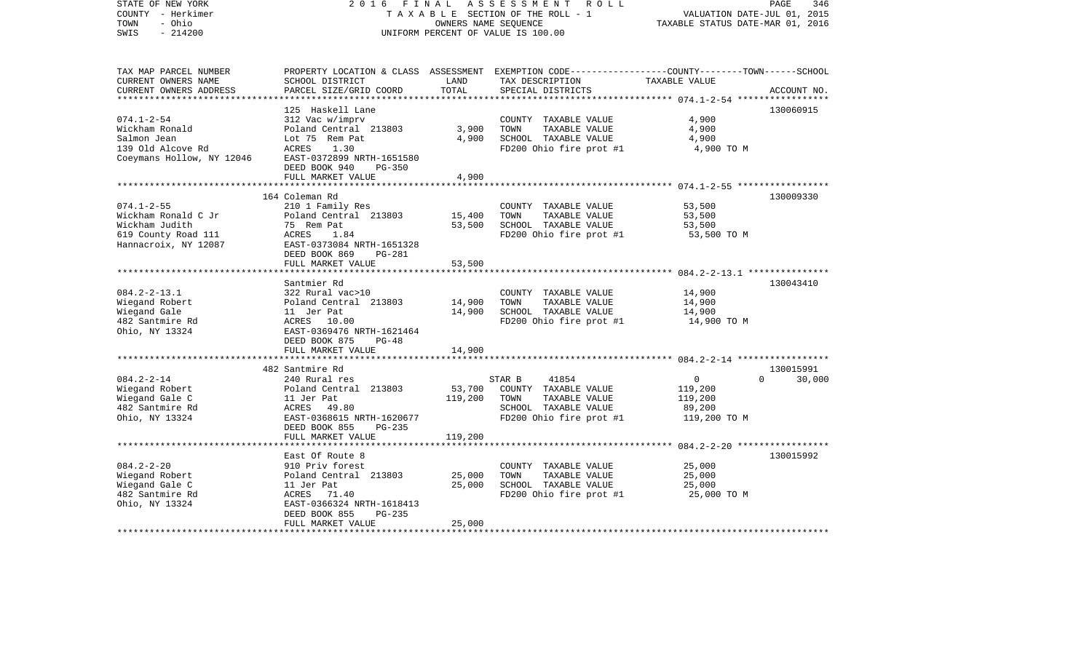| STATE OF NEW YORK<br>COUNTY - Herkimer<br>- Ohio<br>TOWN<br>$-214200$<br>SWIS                            | 2 0 1 6<br>FINAL                                                                                                                                                      | OWNERS NAME SEQUENCE         | ASSESSMENT<br>R O L L<br>TAXABLE SECTION OF THE ROLL - 1<br>UNIFORM PERCENT OF VALUE IS 100.00                      | PAGE<br>VALUATION DATE-JUL 01, 2015<br>TAXABLE STATUS DATE-MAR 01, 2016                                                        | 346    |
|----------------------------------------------------------------------------------------------------------|-----------------------------------------------------------------------------------------------------------------------------------------------------------------------|------------------------------|---------------------------------------------------------------------------------------------------------------------|--------------------------------------------------------------------------------------------------------------------------------|--------|
| TAX MAP PARCEL NUMBER<br>CURRENT OWNERS NAME<br>CURRENT OWNERS ADDRESS                                   | SCHOOL DISTRICT<br>PARCEL SIZE/GRID COORD                                                                                                                             | LAND<br>TOTAL                | TAX DESCRIPTION<br>SPECIAL DISTRICTS                                                                                | PROPERTY LOCATION & CLASS ASSESSMENT EXEMPTION CODE---------------COUNTY-------TOWN-----SCHOOL<br>TAXABLE VALUE<br>ACCOUNT NO. |        |
|                                                                                                          | 125 Haskell Lane                                                                                                                                                      |                              |                                                                                                                     | 130060915                                                                                                                      |        |
| $074.1 - 2 - 54$<br>Wickham Ronald<br>Salmon Jean<br>139 Old Alcove Rd<br>Coeymans Hollow, NY 12046      | 312 Vac w/imprv<br>Poland Central 213803<br>Lot 75 Rem Pat<br>ACRES<br>1.30<br>EAST-0372899 NRTH-1651580<br>DEED BOOK 940<br>PG-350                                   | 3,900<br>4,900               | COUNTY TAXABLE VALUE<br>TOWN<br>TAXABLE VALUE<br>SCHOOL TAXABLE VALUE<br>FD200 Ohio fire prot #1                    | 4,900<br>4,900<br>4,900<br>4,900 TO M                                                                                          |        |
|                                                                                                          | FULL MARKET VALUE                                                                                                                                                     | 4,900                        |                                                                                                                     |                                                                                                                                |        |
| $074.1 - 2 - 55$<br>Wickham Ronald C Jr<br>Wickham Judith<br>619 County Road 111<br>Hannacroix, NY 12087 | 164 Coleman Rd<br>210 1 Family Res<br>Poland Central 213803<br>75 Rem Pat<br>ACRES<br>1.84<br>EAST-0373084 NRTH-1651328                                               | 15,400<br>53,500             | COUNTY TAXABLE VALUE<br>TOWN<br>TAXABLE VALUE<br>SCHOOL TAXABLE VALUE<br>FD200 Ohio fire prot #1                    | 130009330<br>53,500<br>53,500<br>53,500<br>53,500 TO M                                                                         |        |
|                                                                                                          | DEED BOOK 869<br>PG-281<br>FULL MARKET VALUE                                                                                                                          | 53,500                       |                                                                                                                     |                                                                                                                                |        |
| $084.2 - 2 - 13.1$<br>Wiegand Robert<br>Wiegand Gale<br>482 Santmire Rd<br>Ohio, NY 13324                | Santmier Rd<br>322 Rural vac>10<br>Poland Central 213803<br>11 Jer Pat<br>ACRES 10.00<br>EAST-0369476 NRTH-1621464<br>DEED BOOK 875<br>$PG-48$                        | 14,900<br>14,900             | COUNTY TAXABLE VALUE<br>TAXABLE VALUE<br>TOWN<br>SCHOOL TAXABLE VALUE<br>FD200 Ohio fire prot #1                    | 130043410<br>14,900<br>14,900<br>14,900<br>14,900 TO M                                                                         |        |
|                                                                                                          | FULL MARKET VALUE                                                                                                                                                     | 14,900                       |                                                                                                                     |                                                                                                                                |        |
|                                                                                                          | ***********************                                                                                                                                               |                              |                                                                                                                     |                                                                                                                                |        |
| $084.2 - 2 - 14$<br>Wiegand Robert<br>Wiegand Gale C<br>482 Santmire Rd<br>Ohio, NY 13324                | 482 Santmire Rd<br>240 Rural res<br>Poland Central 213803<br>11 Jer Pat<br>ACRES 49.80<br>EAST-0368615 NRTH-1620677<br>DEED BOOK 855<br>$PG-235$<br>FULL MARKET VALUE | 53,700<br>119,200<br>119,200 | 41854<br>STAR B<br>COUNTY TAXABLE VALUE<br>TOWN<br>TAXABLE VALUE<br>SCHOOL TAXABLE VALUE<br>FD200 Ohio fire prot #1 | 130015991<br>$\overline{0}$<br>$\Omega$<br>119,200<br>119,200<br>89,200<br>119,200 TO M                                        | 30,000 |
|                                                                                                          |                                                                                                                                                                       |                              |                                                                                                                     |                                                                                                                                |        |
| $084.2 - 2 - 20$<br>Wiegand Robert<br>Wiegand Gale C<br>482 Santmire Rd<br>Ohio, NY 13324                | East Of Route 8<br>910 Priv forest<br>Poland Central 213803<br>11 Jer Pat<br>ACRES<br>71.40<br>EAST-0366324 NRTH-1618413<br>DEED BOOK 855<br>PG-235                   | 25,000<br>25,000             | COUNTY TAXABLE VALUE<br>TOWN<br>TAXABLE VALUE<br>SCHOOL TAXABLE VALUE<br>FD200 Ohio fire prot #1                    | 130015992<br>25,000<br>25,000<br>25,000<br>25,000 TO M                                                                         |        |
|                                                                                                          | FULL MARKET VALUE                                                                                                                                                     | 25,000                       |                                                                                                                     |                                                                                                                                |        |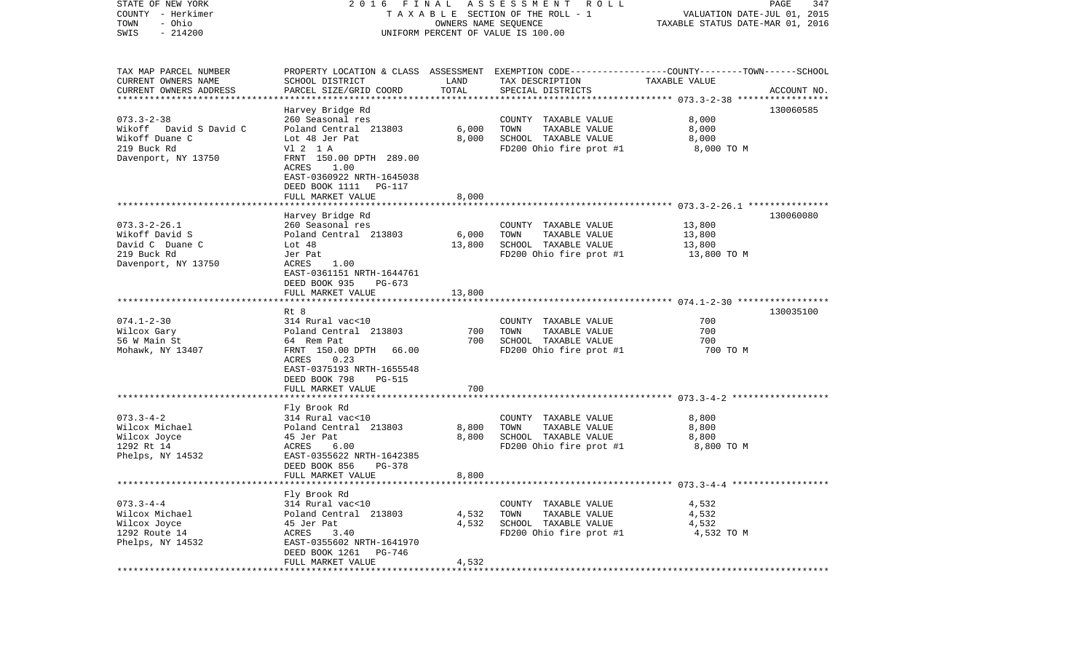| STATE OF NEW YORK      |                                      |                      | 2016 FINAL ASSESSMENT ROLL                                                                      |                                  | PAGE<br>347 |
|------------------------|--------------------------------------|----------------------|-------------------------------------------------------------------------------------------------|----------------------------------|-------------|
| COUNTY - Herkimer      |                                      |                      | TAXABLE SECTION OF THE ROLL - 1                                                                 | VALUATION DATE-JUL 01, 2015      |             |
| - Ohio<br>TOWN         |                                      | OWNERS NAME SEQUENCE |                                                                                                 | TAXABLE STATUS DATE-MAR 01, 2016 |             |
| $-214200$<br>SWIS      |                                      |                      | UNIFORM PERCENT OF VALUE IS 100.00                                                              |                                  |             |
| TAX MAP PARCEL NUMBER  |                                      |                      | PROPERTY LOCATION & CLASS ASSESSMENT EXEMPTION CODE---------------COUNTY-------TOWN------SCHOOL |                                  |             |
| CURRENT OWNERS NAME    | SCHOOL DISTRICT                      | LAND                 | TAX DESCRIPTION                                                                                 | TAXABLE VALUE                    |             |
| CURRENT OWNERS ADDRESS | PARCEL SIZE/GRID COORD               | TOTAL                | SPECIAL DISTRICTS                                                                               |                                  | ACCOUNT NO. |
| ********************** |                                      |                      |                                                                                                 |                                  |             |
|                        | Harvey Bridge Rd                     |                      |                                                                                                 |                                  | 130060585   |
| $073.3 - 2 - 38$       | 260 Seasonal res                     |                      | COUNTY TAXABLE VALUE                                                                            | 8,000                            |             |
| Wikoff David S David C | Poland Central 213803                | 6,000                | TOWN<br>TAXABLE VALUE                                                                           | 8,000                            |             |
| Wikoff Duane C         | Lot 48 Jer Pat                       | 8,000                | SCHOOL TAXABLE VALUE                                                                            | 8,000                            |             |
| 219 Buck Rd            | V1 2 1 A                             |                      | FD200 Ohio fire prot #1                                                                         | 8,000 TO M                       |             |
| Davenport, NY 13750    | FRNT 150.00 DPTH 289.00              |                      |                                                                                                 |                                  |             |
|                        | ACRES<br>1.00                        |                      |                                                                                                 |                                  |             |
|                        | EAST-0360922 NRTH-1645038            |                      |                                                                                                 |                                  |             |
|                        | DEED BOOK 1111 PG-117                |                      |                                                                                                 |                                  |             |
|                        | FULL MARKET VALUE                    | 8,000                |                                                                                                 |                                  |             |
|                        |                                      |                      |                                                                                                 |                                  |             |
| $073.3 - 2 - 26.1$     | Harvey Bridge Rd<br>260 Seasonal res |                      | COUNTY TAXABLE VALUE                                                                            | 13,800                           | 130060080   |
| Wikoff David S         | Poland Central 213803                | 6,000                | TOWN<br>TAXABLE VALUE                                                                           | 13,800                           |             |
| David C Duane C        | Lot 48                               | 13,800               | SCHOOL TAXABLE VALUE                                                                            | 13,800                           |             |
| 219 Buck Rd            | Jer Pat                              |                      | FD200 Ohio fire prot #1                                                                         | 13,800 TO M                      |             |
| Davenport, NY 13750    | ACRES<br>1.00                        |                      |                                                                                                 |                                  |             |
|                        | EAST-0361151 NRTH-1644761            |                      |                                                                                                 |                                  |             |
|                        | DEED BOOK 935<br>PG-673              |                      |                                                                                                 |                                  |             |
|                        | FULL MARKET VALUE                    | 13,800               |                                                                                                 |                                  |             |
|                        |                                      |                      |                                                                                                 |                                  |             |
|                        | Rt 8                                 |                      |                                                                                                 |                                  | 130035100   |
| $074.1 - 2 - 30$       | 314 Rural vac<10                     |                      | COUNTY TAXABLE VALUE                                                                            | 700                              |             |
| Wilcox Gary            | Poland Central 213803                | 700                  | TAXABLE VALUE<br>TOWN                                                                           | 700                              |             |
| 56 W Main St           | 64 Rem Pat                           | 700                  | SCHOOL TAXABLE VALUE                                                                            | 700                              |             |
| Mohawk, NY 13407       | FRNT 150.00 DPTH 66.00               |                      | FD200 Ohio fire prot #1                                                                         | 700 TO M                         |             |
|                        | 0.23<br>ACRES                        |                      |                                                                                                 |                                  |             |
|                        | EAST-0375193 NRTH-1655548            |                      |                                                                                                 |                                  |             |
|                        | DEED BOOK 798<br>PG-515              |                      |                                                                                                 |                                  |             |
|                        | FULL MARKET VALUE                    | 700                  |                                                                                                 |                                  |             |
|                        | *******************                  | ********             |                                                                                                 |                                  |             |
|                        | Fly Brook Rd                         |                      |                                                                                                 |                                  |             |
| $073.3 - 4 - 2$        | 314 Rural vac<10                     |                      | COUNTY TAXABLE VALUE                                                                            | 8,800                            |             |
| Wilcox Michael         | Poland Central 213803                | 8,800                | TOWN<br>TAXABLE VALUE                                                                           | 8,800                            |             |
| Wilcox Joyce           | 45 Jer Pat                           | 8,800                | SCHOOL TAXABLE VALUE                                                                            | 8,800                            |             |
| 1292 Rt 14             | 6.00<br>ACRES                        |                      | FD200 Ohio fire prot #1                                                                         | 8,800 TO M                       |             |
| Phelps, NY 14532       | EAST-0355622 NRTH-1642385            |                      |                                                                                                 |                                  |             |
|                        | DEED BOOK 856<br>PG-378              |                      |                                                                                                 |                                  |             |
|                        | FULL MARKET VALUE                    | 8,800                |                                                                                                 |                                  |             |
|                        |                                      |                      |                                                                                                 |                                  |             |
| $073.3 - 4 - 4$        | Fly Brook Rd<br>314 Rural vac<10     |                      | COUNTY TAXABLE VALUE                                                                            | 4,532                            |             |
| Wilcox Michael         | Poland Central 213803                | 4,532                | TOWN<br>TAXABLE VALUE                                                                           | 4,532                            |             |
| Wilcox Joyce           | 45 Jer Pat                           | 4,532                | SCHOOL TAXABLE VALUE                                                                            | 4,532                            |             |
| 1292 Route 14          | ACRES<br>3.40                        |                      | FD200 Ohio fire prot #1                                                                         | 4,532 TO M                       |             |
| Phelps, NY 14532       | EAST-0355602 NRTH-1641970            |                      |                                                                                                 |                                  |             |
|                        | DEED BOOK 1261<br>PG-746             |                      |                                                                                                 |                                  |             |
|                        | FULL MARKET VALUE                    | 4,532                |                                                                                                 |                                  |             |
|                        | **************************           | ************         |                                                                                                 |                                  |             |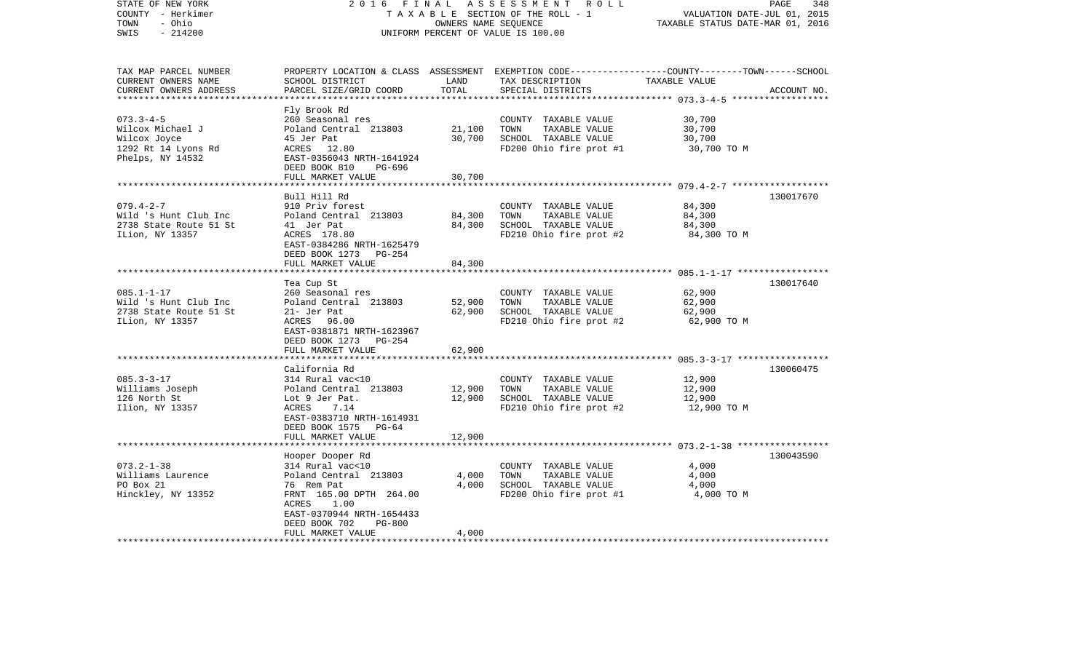| STATE OF NEW YORK<br>COUNTY - Herkimer<br>- Ohio<br>TOWN<br>$-214200$<br>SWIS                  | 2 0 1 6<br>FINAL                                                                                                                                                                                            | OWNERS NAME SEQUENCE            | ASSESSMENT<br>R O L L<br>TAXABLE SECTION OF THE ROLL - 1<br>UNIFORM PERCENT OF VALUE IS 100.00   | PAGE<br>VALUATION DATE-JUL 01, 2015<br>TAXABLE STATUS DATE-MAR 01, 2016                                         | 348         |
|------------------------------------------------------------------------------------------------|-------------------------------------------------------------------------------------------------------------------------------------------------------------------------------------------------------------|---------------------------------|--------------------------------------------------------------------------------------------------|-----------------------------------------------------------------------------------------------------------------|-------------|
| TAX MAP PARCEL NUMBER<br>CURRENT OWNERS NAME<br>CURRENT OWNERS ADDRESS                         | SCHOOL DISTRICT<br>PARCEL SIZE/GRID COORD<br>*******************                                                                                                                                            | LAND<br>TOTAL<br>************** | TAX DESCRIPTION<br>SPECIAL DISTRICTS                                                             | PROPERTY LOCATION & CLASS ASSESSMENT EXEMPTION CODE---------------COUNTY-------TOWN-----SCHOOL<br>TAXABLE VALUE | ACCOUNT NO. |
| $073.3 - 4 - 5$<br>Wilcox Michael J<br>Wilcox Joyce<br>1292 Rt 14 Lyons Rd<br>Phelps, NY 14532 | Fly Brook Rd<br>260 Seasonal res<br>Poland Central 213803<br>45 Jer Pat<br>ACRES 12.80<br>EAST-0356043 NRTH-1641924<br>DEED BOOK 810<br>PG-696<br>FULL MARKET VALUE                                         | 21,100<br>30,700<br>30,700      | COUNTY TAXABLE VALUE<br>TOWN<br>TAXABLE VALUE<br>SCHOOL TAXABLE VALUE<br>FD200 Ohio fire prot #1 | 30,700<br>30,700<br>30,700<br>30,700 TO M                                                                       |             |
|                                                                                                |                                                                                                                                                                                                             |                                 |                                                                                                  |                                                                                                                 |             |
| $079.4 - 2 - 7$<br>Wild 's Hunt Club Inc<br>2738 State Route 51 St<br>ILion, NY 13357          | Bull Hill Rd<br>910 Priv forest<br>Poland Central 213803<br>41 Jer Pat<br>ACRES 178.80<br>EAST-0384286 NRTH-1625479<br>DEED BOOK 1273 PG-254                                                                | 84,300<br>84,300                | COUNTY TAXABLE VALUE<br>TOWN<br>TAXABLE VALUE<br>SCHOOL TAXABLE VALUE<br>FD210 Ohio fire prot #2 | 84,300<br>84,300<br>84,300<br>84,300 TO M                                                                       | 130017670   |
|                                                                                                | FULL MARKET VALUE<br>********************                                                                                                                                                                   | 84,300                          |                                                                                                  |                                                                                                                 |             |
| $085.1 - 1 - 17$<br>Wild 's Hunt Club Inc<br>2738 State Route 51 St<br>ILion, NY 13357         | Tea Cup St<br>260 Seasonal res<br>Poland Central 213803<br>21- Jer Pat<br>ACRES 96.00<br>EAST-0381871 NRTH-1623967<br>DEED BOOK 1273<br>PG-254                                                              | 52,900<br>62,900                | COUNTY TAXABLE VALUE<br>TOWN<br>TAXABLE VALUE<br>SCHOOL TAXABLE VALUE<br>FD210 Ohio fire prot #2 | 62,900<br>62,900<br>62,900<br>62,900 TO M                                                                       | 130017640   |
|                                                                                                | FULL MARKET VALUE                                                                                                                                                                                           | 62,900                          |                                                                                                  |                                                                                                                 |             |
| $085.3 - 3 - 17$<br>Williams Joseph<br>126 North St<br>Ilion, NY 13357                         | ******************<br>California Rd<br>314 Rural vac<10<br>Poland Central 213803<br>Lot 9 Jer Pat.<br>ACRES<br>7.14<br>EAST-0383710 NRTH-1614931<br>DEED BOOK 1575<br>PG-64<br>FULL MARKET VALUE            | 12,900<br>12,900<br>12,900      | COUNTY TAXABLE VALUE<br>TAXABLE VALUE<br>TOWN<br>SCHOOL TAXABLE VALUE<br>FD210 Ohio fire prot #2 | ********************* 085.3-3-17 ******************<br>12,900<br>12,900<br>12,900<br>12,900 TO M                | 130060475   |
|                                                                                                |                                                                                                                                                                                                             |                                 |                                                                                                  | ****************** 073.2-1-38 ******************                                                                |             |
| $073.2 - 1 - 38$<br>Williams Laurence<br>PO Box 21<br>Hinckley, NY 13352                       | Hooper Dooper Rd<br>314 Rural vac<10<br>Poland Central 213803<br>76 Rem Pat<br>FRNT 165.00 DPTH 264.00<br>1.00<br>ACRES<br>EAST-0370944 NRTH-1654433<br>DEED BOOK 702<br><b>PG-800</b><br>FULL MARKET VALUE | 4,000<br>4,000<br>4,000         | COUNTY TAXABLE VALUE<br>TOWN<br>TAXABLE VALUE<br>SCHOOL TAXABLE VALUE<br>FD200 Ohio fire prot #1 | 4,000<br>4,000<br>4,000<br>4,000 TO M                                                                           | 130043590   |
| ********************                                                                           |                                                                                                                                                                                                             |                                 |                                                                                                  |                                                                                                                 |             |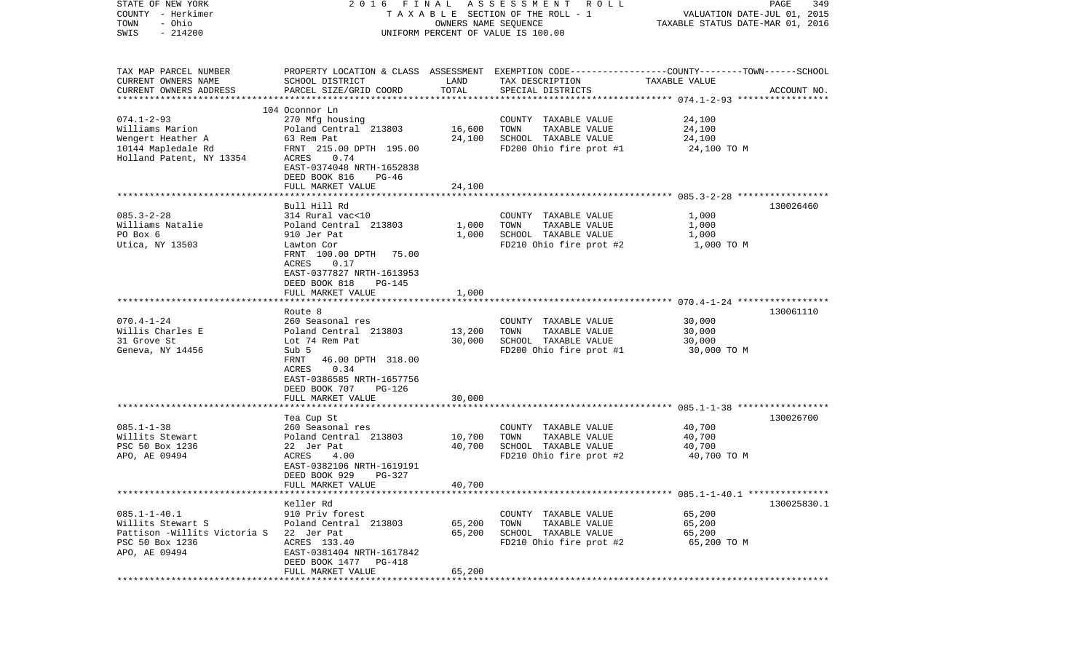| STATE OF NEW YORK                       | 2016                                                                                            |                      | FINAL ASSESSMENT ROLL              |                                  | PAGE<br>349 |
|-----------------------------------------|-------------------------------------------------------------------------------------------------|----------------------|------------------------------------|----------------------------------|-------------|
| COUNTY - Herkimer                       |                                                                                                 |                      | TAXABLE SECTION OF THE ROLL - 1    | VALUATION DATE-JUL 01, 2015      |             |
| - Ohio<br>TOWN                          |                                                                                                 | OWNERS NAME SEQUENCE |                                    | TAXABLE STATUS DATE-MAR 01, 2016 |             |
| $-214200$<br>SWIS                       |                                                                                                 |                      | UNIFORM PERCENT OF VALUE IS 100.00 |                                  |             |
|                                         |                                                                                                 |                      |                                    |                                  |             |
| TAX MAP PARCEL NUMBER                   | PROPERTY LOCATION & CLASS ASSESSMENT EXEMPTION CODE---------------COUNTY-------TOWN------SCHOOL |                      |                                    |                                  |             |
| CURRENT OWNERS NAME                     | SCHOOL DISTRICT                                                                                 | LAND                 | TAX DESCRIPTION                    | TAXABLE VALUE                    |             |
| CURRENT OWNERS ADDRESS                  | PARCEL SIZE/GRID COORD                                                                          | TOTAL                | SPECIAL DISTRICTS                  |                                  | ACCOUNT NO. |
|                                         |                                                                                                 |                      |                                    |                                  |             |
|                                         | 104 Oconnor Ln                                                                                  |                      |                                    |                                  |             |
| $074.1 - 2 - 93$                        | 270 Mfg housing                                                                                 |                      | COUNTY TAXABLE VALUE               | 24,100                           |             |
| Williams Marion                         | Poland Central 213803                                                                           | 16,600               | TOWN<br>TAXABLE VALUE              | 24,100                           |             |
| Wengert Heather A                       | 63 Rem Pat                                                                                      | 24,100               | SCHOOL TAXABLE VALUE               | 24,100                           |             |
| 10144 Mapledale Rd                      | FRNT 215.00 DPTH 195.00                                                                         |                      | FD200 Ohio fire prot #1            | 24,100 TO M                      |             |
| Holland Patent, NY 13354                | ACRES<br>0.74                                                                                   |                      |                                    |                                  |             |
|                                         | EAST-0374048 NRTH-1652838                                                                       |                      |                                    |                                  |             |
|                                         | DEED BOOK 816<br>PG-46                                                                          |                      |                                    |                                  |             |
|                                         | FULL MARKET VALUE                                                                               | 24,100               |                                    |                                  |             |
|                                         |                                                                                                 |                      |                                    |                                  |             |
|                                         | Bull Hill Rd                                                                                    |                      |                                    |                                  | 130026460   |
| $085.3 - 2 - 28$                        | 314 Rural vac<10                                                                                |                      | COUNTY TAXABLE VALUE               | 1,000                            |             |
| Williams Natalie                        | Poland Central 213803                                                                           | 1,000                | TOWN<br>TAXABLE VALUE              | 1,000                            |             |
| PO Box 6                                | 910 Jer Pat                                                                                     | 1,000                | SCHOOL TAXABLE VALUE               | 1,000                            |             |
| Utica, NY 13503                         | Lawton Cor                                                                                      |                      | FD210 Ohio fire prot #2            | 1,000 TO M                       |             |
|                                         | FRNT 100.00 DPTH 75.00                                                                          |                      |                                    |                                  |             |
|                                         | ACRES<br>0.17                                                                                   |                      |                                    |                                  |             |
|                                         | EAST-0377827 NRTH-1613953                                                                       |                      |                                    |                                  |             |
|                                         | DEED BOOK 818<br>$PG-145$                                                                       |                      |                                    |                                  |             |
|                                         | FULL MARKET VALUE                                                                               | 1,000                |                                    |                                  |             |
|                                         |                                                                                                 |                      |                                    |                                  |             |
|                                         | Route 8                                                                                         |                      |                                    |                                  | 130061110   |
| $070.4 - 1 - 24$                        | 260 Seasonal res                                                                                |                      | COUNTY TAXABLE VALUE               | 30,000                           |             |
| Willis Charles E                        | Poland Central 213803                                                                           | 13,200               | TAXABLE VALUE<br>TOWN              | 30,000                           |             |
| 31 Grove St                             | Lot 74 Rem Pat                                                                                  | 30,000               | SCHOOL TAXABLE VALUE               | 30,000                           |             |
| Geneva, NY 14456                        | Sub 5                                                                                           |                      | FD200 Ohio fire prot #1            | 30,000 TO M                      |             |
|                                         | 46.00 DPTH 318.00<br>FRNT                                                                       |                      |                                    |                                  |             |
|                                         | ACRES<br>0.34                                                                                   |                      |                                    |                                  |             |
|                                         | EAST-0386585 NRTH-1657756                                                                       |                      |                                    |                                  |             |
|                                         | DEED BOOK 707<br>PG-126                                                                         |                      |                                    |                                  |             |
|                                         | FULL MARKET VALUE                                                                               | 30,000               |                                    |                                  |             |
|                                         |                                                                                                 |                      |                                    |                                  |             |
|                                         | Tea Cup St                                                                                      |                      |                                    |                                  | 130026700   |
| $085.1 - 1 - 38$                        | 260 Seasonal res                                                                                |                      | COUNTY TAXABLE VALUE               | 40,700                           |             |
| Willits Stewart                         | Poland Central 213803                                                                           | 10,700               | TAXABLE VALUE<br>TOWN              | 40,700                           |             |
| PSC 50 Box 1236                         | 22 Jer Pat                                                                                      | 40,700               | SCHOOL TAXABLE VALUE               | 40,700                           |             |
| APO, AE 09494                           | ACRES<br>4.00                                                                                   |                      | FD210 Ohio fire prot #2            | 40,700 TO M                      |             |
|                                         | EAST-0382106 NRTH-1619191                                                                       |                      |                                    |                                  |             |
|                                         | DEED BOOK 929<br>PG-327                                                                         |                      |                                    |                                  |             |
|                                         | FULL MARKET VALUE                                                                               | 40,700               |                                    |                                  |             |
|                                         |                                                                                                 |                      |                                    |                                  |             |
|                                         | Keller Rd                                                                                       |                      |                                    |                                  | 130025830.1 |
| $085.1 - 1 - 40.1$                      | 910 Priv forest                                                                                 |                      | COUNTY TAXABLE VALUE               | 65,200                           |             |
| Willits Stewart S                       | Poland Central 213803                                                                           | 65,200               | TAXABLE VALUE<br>TOWN              | 65,200                           |             |
| Pattison -Willits Victoria S 22 Jer Pat |                                                                                                 | 65,200               | SCHOOL TAXABLE VALUE               | 65,200                           |             |
| PSC 50 Box 1236                         | ACRES 133.40                                                                                    |                      | FD210 Ohio fire prot #2            | 65,200 TO M                      |             |
| APO, AE 09494                           | EAST-0381404 NRTH-1617842                                                                       |                      |                                    |                                  |             |
|                                         | DEED BOOK 1477 PG-418                                                                           |                      |                                    |                                  |             |
|                                         | FULL MARKET VALUE                                                                               | 65,200               |                                    |                                  |             |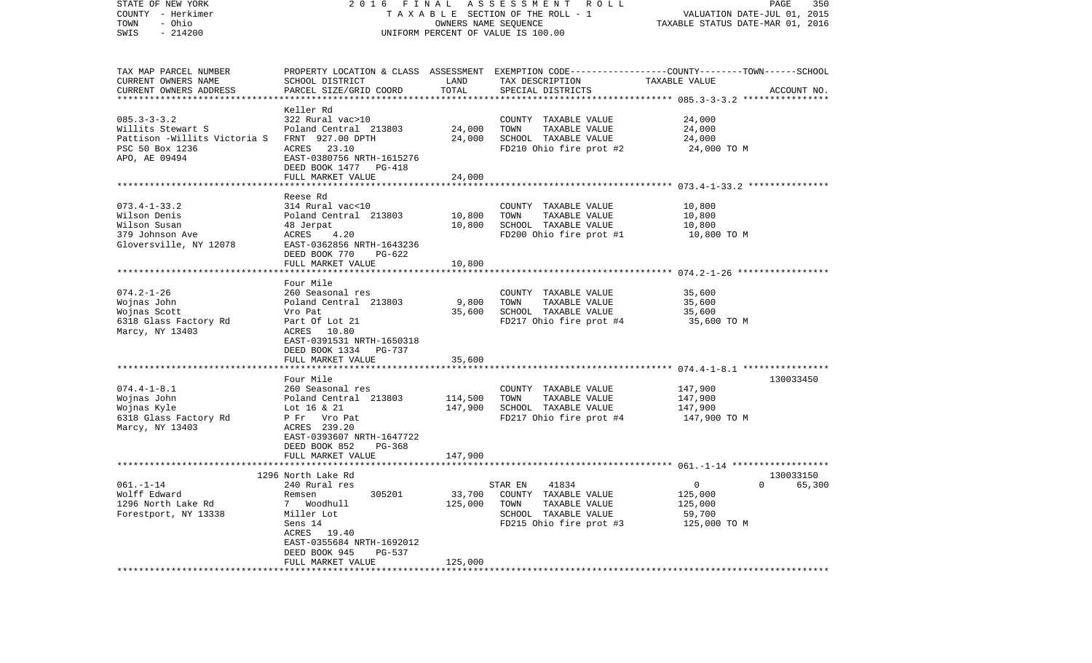| STATE OF NEW YORK<br>COUNTY - Herkimer<br>- Ohio<br>TOWN<br>$-214200$<br>SWIS | 2016 FINAL                                         | OWNERS NAME SEQUENCE | A S S E S S M E N T R O L L<br>T A X A B L E SECTION OF THE ROLL - 1<br>UNIFORM PERCENT OF VALUE IS 100.00         | VALUATION DATE-JUL 01, 2015<br>TAXABLE STATUS DATE-MAR 01, 2016 | PAGE<br>350     |
|-------------------------------------------------------------------------------|----------------------------------------------------|----------------------|--------------------------------------------------------------------------------------------------------------------|-----------------------------------------------------------------|-----------------|
| TAX MAP PARCEL NUMBER<br>CURRENT OWNERS NAME                                  | SCHOOL DISTRICT                                    | LAND                 | PROPERTY LOCATION & CLASS ASSESSMENT EXEMPTION CODE---------------COUNTY-------TOWN------SCHOOL<br>TAX DESCRIPTION | TAXABLE VALUE                                                   |                 |
| CURRENT OWNERS ADDRESS                                                        | PARCEL SIZE/GRID COORD                             | TOTAL                | SPECIAL DISTRICTS                                                                                                  |                                                                 | ACCOUNT NO.     |
|                                                                               | Keller Rd                                          |                      |                                                                                                                    |                                                                 |                 |
| $085.3 - 3 - 3.2$                                                             | 322 Rural vac>10                                   |                      | COUNTY TAXABLE VALUE                                                                                               | 24,000                                                          |                 |
| Willits Stewart S                                                             | Poland Central 213803                              | 24,000               | TOWN<br>TAXABLE VALUE                                                                                              | 24,000                                                          |                 |
| Pattison -Willits Victoria S                                                  | FRNT 927.00 DPTH                                   | 24,000               | SCHOOL TAXABLE VALUE                                                                                               | 24,000                                                          |                 |
| PSC 50 Box 1236                                                               | ACRES 23.10                                        |                      | FD210 Ohio fire prot #2                                                                                            | 24,000 TO M                                                     |                 |
| APO, AE 09494                                                                 | EAST-0380756 NRTH-1615276                          |                      |                                                                                                                    |                                                                 |                 |
|                                                                               | DEED BOOK 1477 PG-418                              |                      |                                                                                                                    |                                                                 |                 |
|                                                                               | FULL MARKET VALUE                                  | 24,000               |                                                                                                                    |                                                                 |                 |
|                                                                               | Reese Rd                                           |                      |                                                                                                                    |                                                                 |                 |
| $073.4 - 1 - 33.2$                                                            | 314 Rural vac<10                                   |                      | COUNTY TAXABLE VALUE                                                                                               | 10,800                                                          |                 |
| Wilson Denis                                                                  | Poland Central 213803                              | 10,800               | TOWN<br>TAXABLE VALUE                                                                                              | 10,800                                                          |                 |
| Wilson Susan                                                                  | 48 Jerpat                                          | 10,800               | SCHOOL TAXABLE VALUE                                                                                               | 10,800                                                          |                 |
| 379 Johnson Ave                                                               | ACRES<br>4.20                                      |                      | FD200 Ohio fire prot #1                                                                                            | 10,800 TO M                                                     |                 |
| Gloversville, NY 12078                                                        | EAST-0362856 NRTH-1643236                          |                      |                                                                                                                    |                                                                 |                 |
|                                                                               | DEED BOOK 770<br>$PG-622$                          |                      |                                                                                                                    |                                                                 |                 |
|                                                                               | FULL MARKET VALUE                                  | 10,800               |                                                                                                                    |                                                                 |                 |
|                                                                               | Four Mile                                          |                      |                                                                                                                    |                                                                 |                 |
| $074.2 - 1 - 26$                                                              | 260 Seasonal res                                   |                      | COUNTY TAXABLE VALUE                                                                                               | 35,600                                                          |                 |
| Wojnas John                                                                   | Poland Central 213803                              | 9,800                | TAXABLE VALUE<br>TOWN                                                                                              | 35,600                                                          |                 |
| Wojnas Scott                                                                  | Vro Pat                                            | 35,600               | SCHOOL TAXABLE VALUE                                                                                               | 35,600                                                          |                 |
| 6318 Glass Factory Rd                                                         | Part Of Lot 21                                     |                      | FD217 Ohio fire prot #4                                                                                            | 35,600 TO M                                                     |                 |
| Marcy, NY 13403                                                               | ACRES 10.80                                        |                      |                                                                                                                    |                                                                 |                 |
|                                                                               | EAST-0391531 NRTH-1650318<br>DEED BOOK 1334 PG-737 |                      |                                                                                                                    |                                                                 |                 |
|                                                                               | FULL MARKET VALUE                                  | 35,600               |                                                                                                                    |                                                                 |                 |
|                                                                               |                                                    |                      |                                                                                                                    |                                                                 |                 |
|                                                                               | Four Mile                                          |                      |                                                                                                                    |                                                                 | 130033450       |
| $074.4 - 1 - 8.1$                                                             | 260 Seasonal res                                   |                      | COUNTY TAXABLE VALUE                                                                                               | 147,900                                                         |                 |
| Wojnas John                                                                   | Poland Central 213803                              | 114,500              | TAXABLE VALUE<br>TOWN                                                                                              | 147,900                                                         |                 |
| Wojnas Kyle                                                                   | Lot 16 & 21                                        | 147,900              | SCHOOL TAXABLE VALUE                                                                                               | 147,900                                                         |                 |
| 6318 Glass Factory Rd                                                         | P Fr Vro Pat<br>ACRES 239.20                       |                      | FD217 Ohio fire prot #4                                                                                            | 147,900 TO M                                                    |                 |
| Marcy, NY 13403                                                               | EAST-0393607 NRTH-1647722                          |                      |                                                                                                                    |                                                                 |                 |
|                                                                               | DEED BOOK 852<br>PG-368                            |                      |                                                                                                                    |                                                                 |                 |
|                                                                               | FULL MARKET VALUE                                  | 147,900              |                                                                                                                    |                                                                 |                 |
|                                                                               |                                                    |                      |                                                                                                                    |                                                                 |                 |
|                                                                               | 1296 North Lake Rd                                 |                      |                                                                                                                    |                                                                 | 130033150       |
| 061.-1-14                                                                     | 240 Rural res                                      |                      | STAR EN<br>41834                                                                                                   | $\Omega$                                                        | $0 \t\t 65,300$ |
| Wolff Edward                                                                  | 305201<br>Remsen<br>7                              | 33,700<br>125,000    | COUNTY TAXABLE VALUE<br>TOWN<br>TAXABLE VALUE                                                                      | 125,000                                                         |                 |
| 1296 North Lake Rd<br>Forestport, NY 13338                                    | Woodhull<br>Miller Lot                             |                      | SCHOOL TAXABLE VALUE                                                                                               | 125,000<br>59,700                                               |                 |
|                                                                               | Sens 14                                            |                      | FD215 Ohio fire prot #3                                                                                            | 125,000 TO M                                                    |                 |
|                                                                               | ACRES 19.40                                        |                      |                                                                                                                    |                                                                 |                 |
|                                                                               | EAST-0355684 NRTH-1692012                          |                      |                                                                                                                    |                                                                 |                 |
|                                                                               | DEED BOOK 945<br>PG-537                            |                      |                                                                                                                    |                                                                 |                 |
|                                                                               | FULL MARKET VALUE                                  | 125,000              |                                                                                                                    |                                                                 |                 |
|                                                                               |                                                    |                      |                                                                                                                    |                                                                 |                 |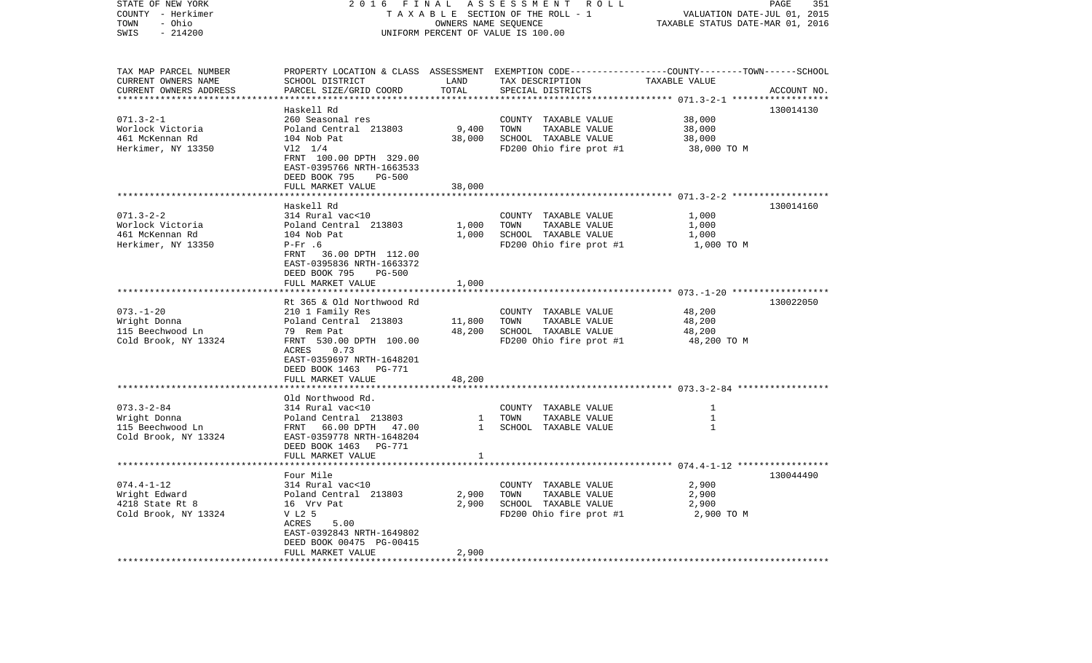| STATE OF NEW YORK<br>COUNTY - Herkimer<br>- Ohio<br>TOWN<br>SWIS<br>$-214200$ | 2016<br>FINAL                                                                                                                                                                                                  | OWNERS NAME SEQUENCE           | ASSESSMENT ROLL<br>TAXABLE SECTION OF THE ROLL - 1<br>UNIFORM PERCENT OF VALUE IS 100.00                                                 | VALUATION DATE-JUL 01, 2015<br>TAXABLE STATUS DATE-MAR 01, 2016 | PAGE<br>351 |
|-------------------------------------------------------------------------------|----------------------------------------------------------------------------------------------------------------------------------------------------------------------------------------------------------------|--------------------------------|------------------------------------------------------------------------------------------------------------------------------------------|-----------------------------------------------------------------|-------------|
| TAX MAP PARCEL NUMBER<br>CURRENT OWNERS NAME<br>CURRENT OWNERS ADDRESS        | SCHOOL DISTRICT<br>PARCEL SIZE/GRID COORD                                                                                                                                                                      | LAND<br>TOTAL<br>************* | PROPERTY LOCATION & CLASS ASSESSMENT EXEMPTION CODE----------------COUNTY-------TOWN------SCHOOL<br>TAX DESCRIPTION<br>SPECIAL DISTRICTS | TAXABLE VALUE<br>********************* 071.3-2-1 ******         | ACCOUNT NO. |
| $071.3 - 2 - 1$<br>Worlock Victoria<br>461 McKennan Rd<br>Herkimer, NY 13350  | Haskell Rd<br>260 Seasonal res<br>Poland Central 213803<br>104 Nob Pat<br>$V12 \t1/4$<br>FRNT 100.00 DPTH 329.00<br>EAST-0395766 NRTH-1663533<br>DEED BOOK 795<br>$PG-500$<br>FULL MARKET VALUE                | 9,400<br>38,000<br>38,000      | COUNTY TAXABLE VALUE<br>TOWN<br>TAXABLE VALUE<br>SCHOOL TAXABLE VALUE<br>FD200 Ohio fire prot #1                                         | 38,000<br>38,000<br>38,000<br>38,000 TO M                       | 130014130   |
|                                                                               |                                                                                                                                                                                                                |                                |                                                                                                                                          |                                                                 |             |
| $071.3 - 2 - 2$<br>Worlock Victoria<br>461 McKennan Rd<br>Herkimer, NY 13350  | Haskell Rd<br>314 Rural vac<10<br>Poland Central 213803<br>104 Nob Pat<br>$P-Fr$ .6<br>FRNT 36.00 DPTH 112.00<br>EAST-0395836 NRTH-1663372<br>DEED BOOK 795<br>PG-500<br>FULL MARKET VALUE                     | 1,000<br>1,000<br>1,000        | COUNTY TAXABLE VALUE<br>TOWN<br>TAXABLE VALUE<br>SCHOOL TAXABLE VALUE<br>FD200 Ohio fire prot #1                                         | 1,000<br>1,000<br>1,000<br>1,000 TO M                           | 130014160   |
|                                                                               |                                                                                                                                                                                                                |                                |                                                                                                                                          |                                                                 |             |
| $073. - 1 - 20$<br>Wright Donna<br>115 Beechwood Ln<br>Cold Brook, NY 13324   | Rt 365 & Old Northwood Rd<br>210 1 Family Res<br>Poland Central 213803<br>79 Rem Pat<br>FRNT 530.00 DPTH 100.00<br>ACRES<br>0.73<br>EAST-0359697 NRTH-1648201<br>DEED BOOK 1463<br>PG-771<br>FULL MARKET VALUE | 11,800<br>48,200<br>48,200     | COUNTY TAXABLE VALUE<br>TOWN<br>TAXABLE VALUE<br>SCHOOL TAXABLE VALUE<br>FD200 Ohio fire prot #1                                         | 48,200<br>48,200<br>48,200<br>48,200 TO M                       | 130022050   |
|                                                                               |                                                                                                                                                                                                                |                                |                                                                                                                                          |                                                                 |             |
| $073.3 - 2 - 84$<br>Wright Donna<br>115 Beechwood Ln<br>Cold Brook, NY 13324  | Old Northwood Rd.<br>314 Rural vac<10<br>Poland Central 213803<br>FRNT 66.00 DPTH 47.00<br>EAST-0359778 NRTH-1648204<br>DEED BOOK 1463 PG-771<br>FULL MARKET VALUE                                             | 1<br>$\mathbf{1}$<br>1         | COUNTY TAXABLE VALUE<br>TOWN<br>TAXABLE VALUE<br>SCHOOL TAXABLE VALUE                                                                    | 1<br>$\mathbf{1}$<br>$\mathbf{1}$                               |             |
|                                                                               | *****************                                                                                                                                                                                              |                                |                                                                                                                                          |                                                                 |             |
| $074.4 - 1 - 12$<br>Wright Edward<br>4218 State Rt 8<br>Cold Brook, NY 13324  | Four Mile<br>314 Rural vac<10<br>Poland Central 213803<br>16 Vrv Pat<br>V L2 5<br>ACRES<br>5.00<br>EAST-0392843 NRTH-1649802<br>DEED BOOK 00475 PG-00415<br>FULL MARKET VALUE                                  | 2,900<br>2,900<br>2,900        | COUNTY TAXABLE VALUE<br>TOWN<br>TAXABLE VALUE<br>SCHOOL TAXABLE VALUE<br>FD200 Ohio fire prot #1                                         | 2,900<br>2,900<br>2,900<br>2,900 TO M                           | 130044490   |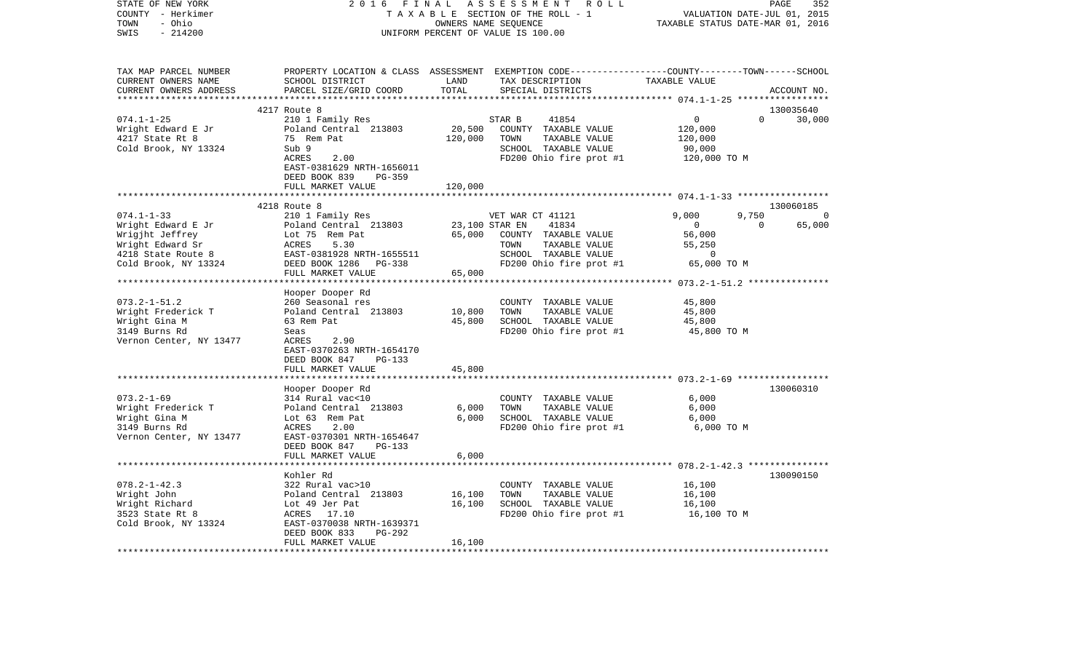| STATE OF NEW YORK<br>COUNTY - Herkimer<br>- Ohio<br>TOWN<br>$-214200$<br>SWIS                         | 2 0 1 6<br>FINAL                                                                                                                                               |                              | ASSESSMENT<br>R O L L<br>TAXABLE SECTION OF THE ROLL - 1<br>OWNERS NAME SEQUENCE<br>UNIFORM PERCENT OF VALUE IS 100.00                  | TAXABLE STATUS DATE-MAR 01, 2016                             | PAGE<br>352<br>VALUATION DATE-JUL 01, 2015 |
|-------------------------------------------------------------------------------------------------------|----------------------------------------------------------------------------------------------------------------------------------------------------------------|------------------------------|-----------------------------------------------------------------------------------------------------------------------------------------|--------------------------------------------------------------|--------------------------------------------|
| TAX MAP PARCEL NUMBER<br>CURRENT OWNERS NAME<br>CURRENT OWNERS ADDRESS<br>************************    | SCHOOL DISTRICT<br>PARCEL SIZE/GRID COORD                                                                                                                      | LAND<br>TOTAL                | PROPERTY LOCATION & CLASS ASSESSMENT EXEMPTION CODE---------------COUNTY-------TOWN------SCHOOL<br>TAX DESCRIPTION<br>SPECIAL DISTRICTS | TAXABLE VALUE                                                | ACCOUNT NO.                                |
|                                                                                                       | 4217 Route 8                                                                                                                                                   |                              |                                                                                                                                         |                                                              | 130035640                                  |
| $074.1 - 1 - 25$<br>Wright Edward E Jr<br>4217 State Rt 8<br>Cold Brook, NY 13324                     | 210 1 Family Res<br>Poland Central 213803<br>75 Rem Pat<br>Sub 9<br>ACRES<br>2.00<br>EAST-0381629 NRTH-1656011<br>DEED BOOK 839<br>PG-359<br>FULL MARKET VALUE | 20,500<br>120,000<br>120,000 | STAR B<br>41854<br>COUNTY TAXABLE VALUE<br>TOWN<br>TAXABLE VALUE<br>SCHOOL TAXABLE VALUE<br>FD200 Ohio fire prot #1                     | $\mathbf{0}$<br>120,000<br>120,000<br>90,000<br>120,000 TO M | $\Omega$<br>30,000                         |
|                                                                                                       |                                                                                                                                                                |                              |                                                                                                                                         |                                                              |                                            |
|                                                                                                       | 4218 Route 8                                                                                                                                                   |                              |                                                                                                                                         |                                                              | 130060185                                  |
| $074.1 - 1 - 33$<br>Wright Edward E Jr<br>Wrigjht Jeffrey<br>Wright Edward Sr<br>4218 State Route 8   | 210 1 Family Res<br>Poland Central 213803<br>Lot 75 Rem Pat<br>5.30<br>ACRES<br>EAST-0381928 NRTH-1655511                                                      | 23,100 STAR EN<br>65,000     | VET WAR CT 41121<br>41834<br>COUNTY TAXABLE VALUE<br>TAXABLE VALUE<br>TOWN<br>SCHOOL TAXABLE VALUE                                      | 9.000<br>$\mathbf{0}$<br>56,000<br>55,250<br>0               | 9,750<br>$\Omega$<br>$\Omega$<br>65,000    |
| Cold Brook, NY 13324                                                                                  | DEED BOOK 1286 PG-338                                                                                                                                          |                              | FD200 Ohio fire prot #1                                                                                                                 | 65,000 TO M                                                  |                                            |
|                                                                                                       | FULL MARKET VALUE                                                                                                                                              | 65,000                       |                                                                                                                                         |                                                              |                                            |
| $073.2 - 1 - 51.2$<br>Wright Frederick T<br>Wright Gina M<br>3149 Burns Rd<br>Vernon Center, NY 13477 | Hooper Dooper Rd<br>260 Seasonal res<br>Poland Central 213803<br>63 Rem Pat<br>Seas<br>ACRES<br>2.90<br>EAST-0370263 NRTH-1654170<br>DEED BOOK 847<br>PG-133   | 10,800<br>45,800             | COUNTY TAXABLE VALUE<br>TOWN<br>TAXABLE VALUE<br>SCHOOL TAXABLE VALUE<br>FD200 Ohio fire prot #1                                        | 45,800<br>45,800<br>45,800<br>45,800 TO M                    |                                            |
|                                                                                                       | FULL MARKET VALUE                                                                                                                                              | 45,800                       |                                                                                                                                         |                                                              |                                            |
| $073.2 - 1 - 69$<br>Wright Frederick T<br>Wright Gina M<br>3149 Burns Rd<br>Vernon Center, NY 13477   | Hooper Dooper Rd<br>314 Rural vac<10<br>Poland Central 213803<br>Lot 63 Rem Pat<br>ACRES<br>2.00<br>EAST-0370301 NRTH-1654647<br>DEED BOOK 847<br>PG-133       | 6,000<br>6,000               | COUNTY TAXABLE VALUE<br>TOWN<br>TAXABLE VALUE<br>SCHOOL TAXABLE VALUE<br>FD200 Ohio fire prot #1                                        | 6,000<br>6,000<br>6,000<br>6,000 TO M                        | 130060310                                  |
|                                                                                                       | FULL MARKET VALUE                                                                                                                                              | 6,000                        |                                                                                                                                         |                                                              |                                            |
|                                                                                                       |                                                                                                                                                                |                              |                                                                                                                                         |                                                              |                                            |
| $078.2 - 1 - 42.3$<br>Wright John<br>Wright Richard<br>3523 State Rt 8<br>Cold Brook, NY 13324        | Kohler Rd<br>322 Rural vac>10<br>Poland Central 213803<br>Lot 49 Jer Pat<br>ACRES 17.10<br>EAST-0370038 NRTH-1639371<br>PG-292<br>DEED BOOK 833                | 16,100<br>16,100             | COUNTY TAXABLE VALUE<br>TOWN<br>TAXABLE VALUE<br>SCHOOL TAXABLE VALUE<br>FD200 Ohio fire prot #1                                        | 16,100<br>16,100<br>16,100<br>16,100 TO M                    | 130090150                                  |
| ************************                                                                              | FULL MARKET VALUE<br>****************************                                                                                                              | 16,100                       |                                                                                                                                         |                                                              |                                            |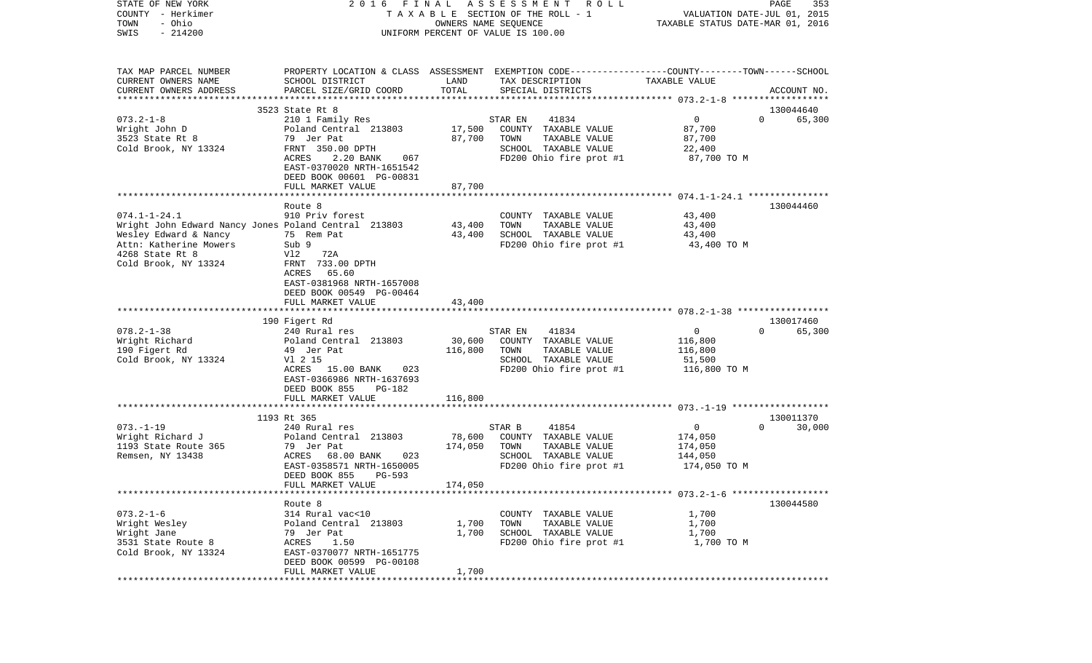| STATE OF NEW YORK                                    | FINAL<br>2016                                 |                      | A S S E S S M E N T R O L L                                                                     |                                  | PAGE<br>353        |
|------------------------------------------------------|-----------------------------------------------|----------------------|-------------------------------------------------------------------------------------------------|----------------------------------|--------------------|
| COUNTY - Herkimer                                    |                                               |                      | T A X A B L E SECTION OF THE ROLL - 1                                                           | VALUATION DATE-JUL 01, 2015      |                    |
| - Ohio<br>TOWN                                       |                                               | OWNERS NAME SEQUENCE |                                                                                                 | TAXABLE STATUS DATE-MAR 01, 2016 |                    |
| $-214200$<br>SWIS                                    |                                               |                      | UNIFORM PERCENT OF VALUE IS 100.00                                                              |                                  |                    |
| TAX MAP PARCEL NUMBER                                |                                               |                      | PROPERTY LOCATION & CLASS ASSESSMENT EXEMPTION CODE---------------COUNTY-------TOWN------SCHOOL |                                  |                    |
| CURRENT OWNERS NAME                                  | SCHOOL DISTRICT                               | LAND                 | TAX DESCRIPTION                                                                                 | TAXABLE VALUE                    |                    |
| CURRENT OWNERS ADDRESS                               | PARCEL SIZE/GRID COORD                        | TOTAL                | SPECIAL DISTRICTS                                                                               |                                  | ACCOUNT NO.        |
|                                                      |                                               |                      |                                                                                                 |                                  |                    |
|                                                      | 3523 State Rt 8                               |                      |                                                                                                 |                                  | 130044640          |
| $073.2 - 1 - 8$                                      | 210 1 Family Res                              |                      | 41834<br>STAR EN                                                                                | $\mathbf 0$                      | $\Omega$<br>65,300 |
| Wright John D                                        | Poland Central 213803                         | 17,500               | COUNTY TAXABLE VALUE                                                                            | 87,700                           |                    |
| 3523 State Rt 8                                      | 79 Jer Pat                                    | 87,700               | TOWN<br>TAXABLE VALUE                                                                           | 87,700                           |                    |
| Cold Brook, NY 13324                                 | FRNT 350.00 DPTH                              |                      | SCHOOL TAXABLE VALUE                                                                            | 22,400                           |                    |
|                                                      | ACRES<br>2.20 BANK<br>067                     |                      | FD200 Ohio fire prot #1                                                                         | 87,700 TO M                      |                    |
|                                                      | EAST-0370020 NRTH-1651542                     |                      |                                                                                                 |                                  |                    |
|                                                      | DEED BOOK 00601 PG-00831                      |                      |                                                                                                 |                                  |                    |
|                                                      | FULL MARKET VALUE                             | 87,700               |                                                                                                 |                                  |                    |
|                                                      |                                               |                      |                                                                                                 |                                  |                    |
| $074.1 - 1 - 24.1$                                   | Route 8<br>910 Priv forest                    |                      | COUNTY TAXABLE VALUE                                                                            | 43,400                           | 130044460          |
| Wright John Edward Nancy Jones Poland Central 213803 |                                               | 43,400               | TOWN<br>TAXABLE VALUE                                                                           | 43,400                           |                    |
| Wesley Edward & Nancy                                | 75 Rem Pat                                    | 43,400               | SCHOOL TAXABLE VALUE                                                                            | 43,400                           |                    |
| Attn: Katherine Mowers                               | Sub 9                                         |                      | FD200 Ohio fire prot #1                                                                         | 43,400 TO M                      |                    |
| 4268 State Rt 8                                      | Vl2<br>72A                                    |                      |                                                                                                 |                                  |                    |
| Cold Brook, NY 13324                                 | FRNT 733.00 DPTH                              |                      |                                                                                                 |                                  |                    |
|                                                      | 65.60<br>ACRES                                |                      |                                                                                                 |                                  |                    |
|                                                      | EAST-0381968 NRTH-1657008                     |                      |                                                                                                 |                                  |                    |
|                                                      | DEED BOOK 00549 PG-00464                      |                      |                                                                                                 |                                  |                    |
|                                                      | FULL MARKET VALUE                             | 43,400               |                                                                                                 |                                  |                    |
|                                                      |                                               |                      |                                                                                                 |                                  | 130017460          |
| $078.2 - 1 - 38$                                     | 190 Figert Rd<br>240 Rural res                |                      | 41834<br>STAR EN                                                                                | $\mathbf 0$                      | 65,300<br>$\Omega$ |
| Wright Richard                                       | Poland Central 213803                         | 30,600               | COUNTY TAXABLE VALUE                                                                            | 116,800                          |                    |
| 190 Figert Rd                                        | 49 Jer Pat                                    | 116,800              | TAXABLE VALUE<br>TOWN                                                                           | 116,800                          |                    |
| Cold Brook, NY 13324                                 | V1 2 15                                       |                      | SCHOOL TAXABLE VALUE                                                                            | 51,500                           |                    |
|                                                      | ACRES 15.00 BANK<br>023                       |                      | FD200 Ohio fire prot #1                                                                         | 116,800 TO M                     |                    |
|                                                      | EAST-0366986 NRTH-1637693                     |                      |                                                                                                 |                                  |                    |
|                                                      | DEED BOOK 855<br>PG-182                       |                      |                                                                                                 |                                  |                    |
|                                                      | FULL MARKET VALUE                             | 116,800              |                                                                                                 |                                  |                    |
|                                                      |                                               |                      |                                                                                                 |                                  |                    |
|                                                      | 1193 Rt 365                                   |                      |                                                                                                 |                                  | 130011370          |
| $073. - 1 - 19$                                      | 240 Rural res<br>Poland Central 213803        | 78,600               | STAR B<br>41854                                                                                 | $\overline{0}$                   | $\Omega$<br>30,000 |
| Wright Richard J<br>1193 State Route 365             | 79 Jer Pat                                    | 174,050              | COUNTY TAXABLE VALUE<br>TOWN<br>TAXABLE VALUE                                                   | 174,050<br>174,050               |                    |
| Remsen, NY 13438                                     | ACRES<br>68.00 BANK<br>023                    |                      | SCHOOL TAXABLE VALUE                                                                            | 144,050                          |                    |
|                                                      | EAST-0358571 NRTH-1650005                     |                      | FD200 Ohio fire prot #1                                                                         | 174,050 TO M                     |                    |
|                                                      | DEED BOOK 855<br>PG-593                       |                      |                                                                                                 |                                  |                    |
|                                                      | FULL MARKET VALUE                             | 174,050              |                                                                                                 |                                  |                    |
|                                                      |                                               |                      |                                                                                                 |                                  |                    |
|                                                      | Route 8                                       |                      |                                                                                                 |                                  | 130044580          |
| $073.2 - 1 - 6$                                      | 314 Rural vac<10                              |                      | COUNTY TAXABLE VALUE                                                                            | 1,700                            |                    |
| Wright Wesley                                        | Poland Central 213803                         | 1,700                | TOWN<br>TAXABLE VALUE                                                                           | 1,700                            |                    |
| Wright Jane                                          | 79 Jer Pat                                    | 1,700                | SCHOOL TAXABLE VALUE                                                                            | 1,700                            |                    |
| 3531 State Route 8                                   | ACRES<br>1.50                                 |                      | FD200 Ohio fire prot #1                                                                         | 1,700 TO M                       |                    |
| Cold Brook, NY 13324                                 | EAST-0370077 NRTH-1651775                     |                      |                                                                                                 |                                  |                    |
|                                                      | DEED BOOK 00599 PG-00108<br>FULL MARKET VALUE | 1,700                |                                                                                                 |                                  |                    |
| *************                                        |                                               |                      |                                                                                                 |                                  |                    |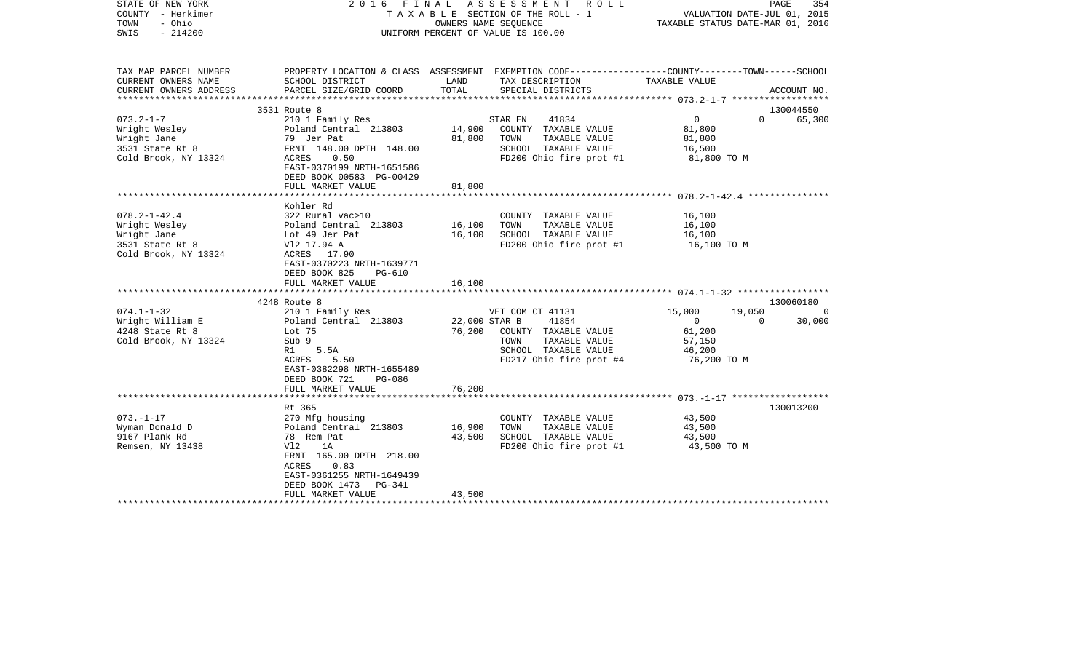| STATE OF NEW YORK<br>COUNTY - Herkimer<br>- Ohio<br>TOWN<br>SWIS<br>$-214200$                 |                                                                                                                                                                                                   | 2016 FINAL ASSESSMENT ROLL<br>TAXABLE SECTION OF THE ROLL - 1<br>OWNERS NAME SEQUENCE<br>UNIFORM PERCENT OF VALUE IS 100.00                                        | PAGE<br>354<br>VALUATION DATE-JUL 01, 2015<br>TAXABLE STATUS DATE-MAR 01, 2016                                                       |
|-----------------------------------------------------------------------------------------------|---------------------------------------------------------------------------------------------------------------------------------------------------------------------------------------------------|--------------------------------------------------------------------------------------------------------------------------------------------------------------------|--------------------------------------------------------------------------------------------------------------------------------------|
| TAX MAP PARCEL NUMBER<br>CURRENT OWNERS NAME<br>CURRENT OWNERS ADDRESS                        | SCHOOL DISTRICT<br>PARCEL SIZE/GRID COORD                                                                                                                                                         | LAND<br>TAX DESCRIPTION<br>TOTAL<br>SPECIAL DISTRICTS                                                                                                              | PROPERTY LOCATION & CLASS ASSESSMENT EXEMPTION CODE---------------COUNTY-------TOWN-----SCHOOL<br>TAXABLE VALUE<br>ACCOUNT NO.       |
|                                                                                               |                                                                                                                                                                                                   |                                                                                                                                                                    |                                                                                                                                      |
| $073.2 - 1 - 7$<br>Wright Wesley<br>Wright Jane<br>3531 State Rt 8<br>Cold Brook, NY 13324    | 3531 Route 8<br>210 1 Family Res<br>Poland Central 213803<br>79 Jer Pat<br>FRNT 148.00 DPTH 148.00<br>0.50<br>ACRES<br>EAST-0370199 NRTH-1651586<br>DEED BOOK 00583 PG-00429<br>FULL MARKET VALUE | 41834<br>STAR EN<br>14,900 COUNTY TAXABLE VALUE<br>81,800<br>TAXABLE VALUE<br>TOWN<br>SCHOOL TAXABLE VALUE<br>81,800                                               | 130044550<br>$\overline{0}$<br>$\Omega$<br>65,300<br>81,800<br>81,800<br>16,500<br>FD200 Ohio fire prot $#1$ 81,800 TO M             |
|                                                                                               |                                                                                                                                                                                                   |                                                                                                                                                                    |                                                                                                                                      |
| $078.2 - 1 - 42.4$<br>Wright Wesley<br>Wright Jane<br>3531 State Rt 8<br>Cold Brook, NY 13324 | Kohler Rd<br>322 Rural vac>10<br>Poland Central 213803<br>Lot 49 Jer Pat<br>V12 17.94 A<br>ACRES 17.90<br>EAST-0370223 NRTH-1639771<br>DEED BOOK 825<br>PG-610<br>FULL MARKET VALUE               | COUNTY TAXABLE VALUE<br>16,100<br>TOWN<br>TAXABLE VALUE<br>16,100<br>SCHOOL TAXABLE VALUE<br>16,100                                                                | 16,100<br>16,100<br>16,100<br>FD200 Ohio fire prot #1 16,100 TO M                                                                    |
|                                                                                               |                                                                                                                                                                                                   |                                                                                                                                                                    |                                                                                                                                      |
| $074.1 - 1 - 32$<br>Wright William E<br>4248 State Rt 8<br>Cold Brook, NY 13324               | 4248 Route 8<br>210 1 Family Res<br>Poland Central 213803<br>Lot 75<br>Sub 9<br>R1 5.5A<br>ACRES<br>5.50<br>EAST-0382298 NRTH-1655489<br>DEED BOOK 721<br>PG-086<br>FULL MARKET VALUE             | VET COM CT 41131<br>22,000 STAR B<br>41854<br>76,200<br>COUNTY TAXABLE VALUE<br>TOWN<br>TAXABLE VALUE<br>SCHOOL TAXABLE VALUE<br>FD217 Ohio fire prot #4<br>76,200 | 130060180<br>15,000<br>19,050<br>$\sim$ 0<br>$\overline{0}$<br>$\overline{0}$<br>30,000<br>61,200<br>57,150<br>46,200<br>76,200 TO M |
|                                                                                               | *****************************                                                                                                                                                                     |                                                                                                                                                                    |                                                                                                                                      |
| $073. - 1 - 17$<br>Wyman Donald D<br>9167 Plank Rd<br>Remsen, NY 13438                        | Rt 365<br>270 Mfg housing<br>Poland Central 213803<br>78 Rem Pat<br>Vl2<br>1A<br>FRNT 165.00 DPTH 218.00<br>ACRES<br>0.83<br>EAST-0361255 NRTH-1649439<br>DEED BOOK 1473<br>PG-341                | COUNTY TAXABLE VALUE<br>16,900<br>TOWN<br>TAXABLE VALUE<br>43,500<br>SCHOOL TAXABLE VALUE<br>FD200 Ohio fire prot #1                                               | 130013200<br>43,500<br>43,500<br>43,500<br>43,500 TO M                                                                               |
|                                                                                               | FULL MARKET VALUE                                                                                                                                                                                 | 43,500                                                                                                                                                             |                                                                                                                                      |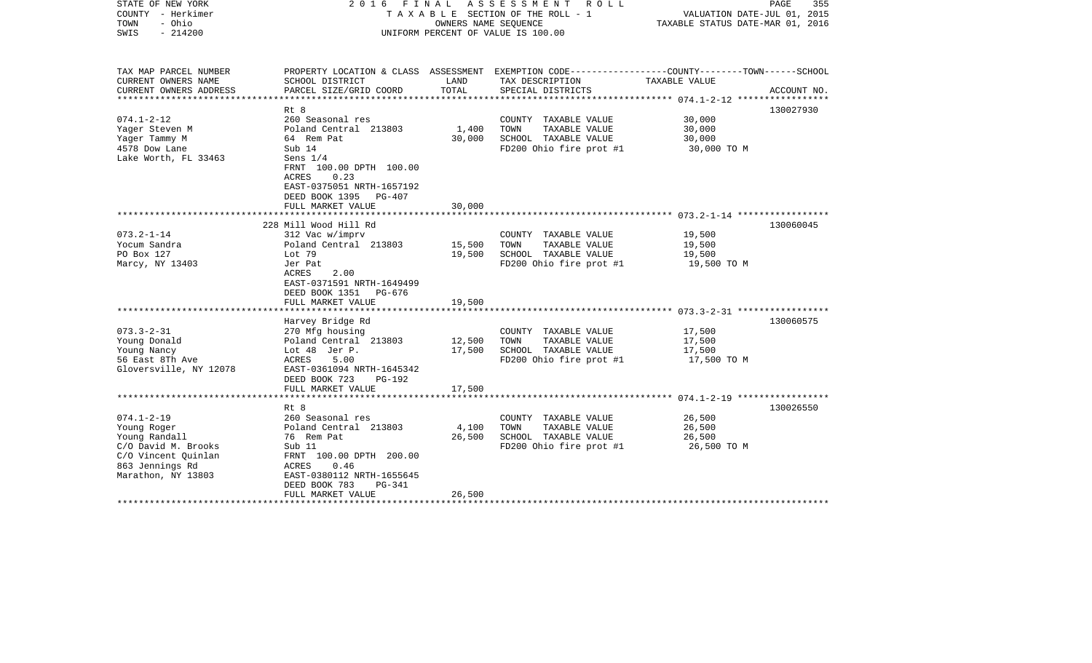| STATE OF NEW YORK<br>COUNTY - Herkimer<br>- Ohio<br>TOWN<br>$-214200$<br>SWIS |                                                                                                              | OWNERS NAME SEOUENCE | 2016 FINAL ASSESSMENT<br>ROLL<br>T A X A B L E SECTION OF THE ROLL - 1<br>UNIFORM PERCENT OF VALUE IS 100.00       | VALUATION DATE-JUL 01, 2015<br>TAXABLE STATUS DATE-MAR 01, 2016 | PAGE<br>355 |
|-------------------------------------------------------------------------------|--------------------------------------------------------------------------------------------------------------|----------------------|--------------------------------------------------------------------------------------------------------------------|-----------------------------------------------------------------|-------------|
| TAX MAP PARCEL NUMBER<br>CURRENT OWNERS NAME                                  | SCHOOL DISTRICT                                                                                              | LAND                 | PROPERTY LOCATION & CLASS ASSESSMENT EXEMPTION CODE---------------COUNTY-------TOWN------SCHOOL<br>TAX DESCRIPTION | TAXABLE VALUE                                                   |             |
| CURRENT OWNERS ADDRESS                                                        | PARCEL SIZE/GRID COORD                                                                                       | TOTAL                | SPECIAL DISTRICTS                                                                                                  |                                                                 | ACCOUNT NO. |
|                                                                               | $Rt$ $8$                                                                                                     |                      |                                                                                                                    |                                                                 | 130027930   |
| $074.1 - 2 - 12$                                                              | 260 Seasonal res                                                                                             |                      | COUNTY TAXABLE VALUE                                                                                               | 30,000                                                          |             |
| Yager Steven M                                                                | Poland Central 213803                                                                                        | 1,400                | TAXABLE VALUE<br>TOWN                                                                                              | 30,000                                                          |             |
| Yager Tammy M                                                                 | 64 Rem Pat                                                                                                   | 30,000               | SCHOOL TAXABLE VALUE                                                                                               | 30,000                                                          |             |
| 4578 Dow Lane                                                                 | Sub 14                                                                                                       |                      | FD200 Ohio fire prot #1                                                                                            | 30,000 TO M                                                     |             |
| Lake Worth, FL 33463                                                          | Sens $1/4$<br>FRNT 100.00 DPTH 100.00<br>ACRES<br>0.23<br>EAST-0375051 NRTH-1657192<br>DEED BOOK 1395 PG-407 |                      |                                                                                                                    |                                                                 |             |
|                                                                               | FULL MARKET VALUE                                                                                            | 30,000               |                                                                                                                    |                                                                 |             |
|                                                                               | **************************                                                                                   |                      |                                                                                                                    |                                                                 |             |
|                                                                               | 228 Mill Wood Hill Rd                                                                                        |                      |                                                                                                                    |                                                                 | 130060045   |
| $073.2 - 1 - 14$                                                              | 312 Vac w/imprv                                                                                              |                      | COUNTY TAXABLE VALUE                                                                                               | 19,500                                                          |             |
| Yocum Sandra<br>PO Box 127                                                    | Poland Central 213803<br>Lot 79                                                                              | 15,500<br>19,500     | TAXABLE VALUE<br>TOWN<br>SCHOOL TAXABLE VALUE                                                                      | 19,500<br>19,500                                                |             |
| Marcy, NY 13403                                                               | Jer Pat                                                                                                      |                      | FD200 Ohio fire prot #1                                                                                            | 19,500 TO M                                                     |             |
|                                                                               | ACRES<br>2.00<br>EAST-0371591 NRTH-1649499<br>DEED BOOK 1351 PG-676<br>FULL MARKET VALUE                     | 19,500               |                                                                                                                    |                                                                 |             |
|                                                                               |                                                                                                              |                      |                                                                                                                    |                                                                 |             |
|                                                                               | Harvey Bridge Rd                                                                                             |                      |                                                                                                                    |                                                                 | 130060575   |
| $073.3 - 2 - 31$                                                              | 270 Mfg housing                                                                                              |                      | COUNTY TAXABLE VALUE                                                                                               | 17,500                                                          |             |
| Young Donald                                                                  | Poland Central 213803                                                                                        | 12,500               | TAXABLE VALUE<br>TOWN                                                                                              | 17,500                                                          |             |
| Young Nancy                                                                   | Lot 48 Jer P.                                                                                                | 17,500               | SCHOOL TAXABLE VALUE                                                                                               | 17,500                                                          |             |
| 56 East 8Th Ave<br>Gloversville, NY 12078                                     | ACRES<br>5.00<br>EAST-0361094 NRTH-1645342<br>DEED BOOK 723<br>PG-192                                        |                      | FD200 Ohio fire prot #1                                                                                            | 17,500 TO M                                                     |             |
|                                                                               | FULL MARKET VALUE                                                                                            | 17,500               |                                                                                                                    |                                                                 |             |
|                                                                               | Rt 8                                                                                                         |                      |                                                                                                                    |                                                                 | 130026550   |
| $074.1 - 2 - 19$                                                              | 260 Seasonal res                                                                                             |                      | COUNTY TAXABLE VALUE                                                                                               | 26,500                                                          |             |
| Young Roger                                                                   | Poland Central 213803                                                                                        | 4,100                | TAXABLE VALUE<br>TOWN                                                                                              | 26,500                                                          |             |
| Young Randall                                                                 | 76 Rem Pat                                                                                                   | 26,500               | SCHOOL TAXABLE VALUE                                                                                               | 26,500                                                          |             |
| C/O David M. Brooks                                                           | Sub 11                                                                                                       |                      | FD200 Ohio fire prot #1                                                                                            | 26,500 TO M                                                     |             |
| C/O Vincent Quinlan                                                           | FRNT 100.00 DPTH 200.00                                                                                      |                      |                                                                                                                    |                                                                 |             |
| 863 Jennings Rd                                                               | ACRES<br>0.46                                                                                                |                      |                                                                                                                    |                                                                 |             |
| Marathon, NY 13803                                                            | EAST-0380112 NRTH-1655645<br>DEED BOOK 783<br><b>PG-341</b>                                                  |                      |                                                                                                                    |                                                                 |             |
|                                                                               | FULL MARKET VALUE                                                                                            | 26,500               |                                                                                                                    |                                                                 |             |
|                                                                               |                                                                                                              |                      | *******************************                                                                                    |                                                                 |             |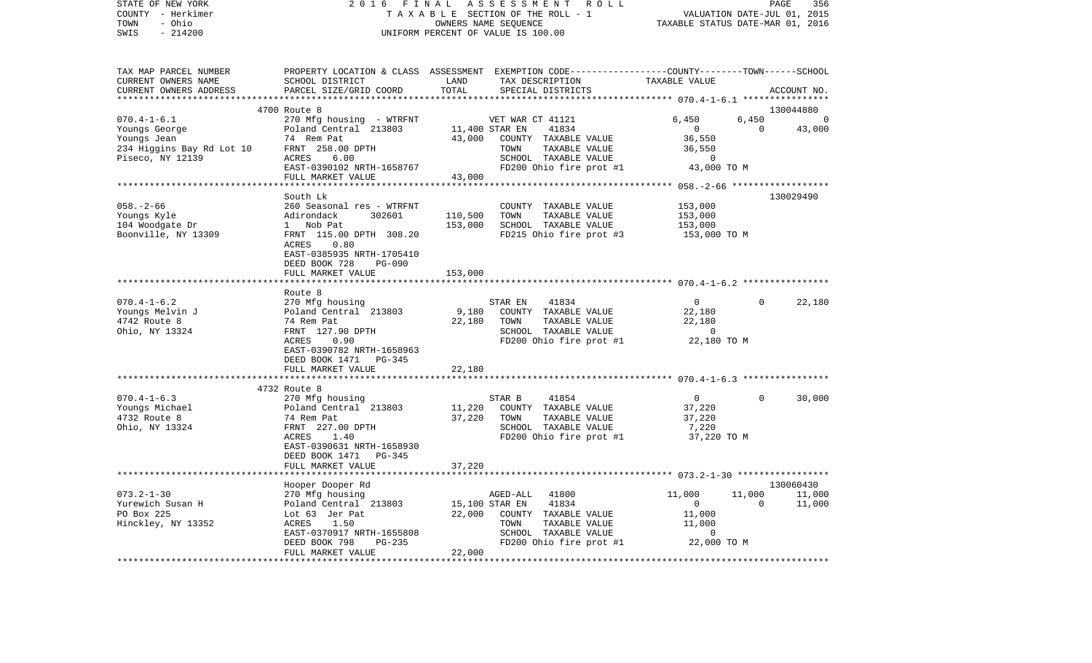| STATE OF NEW YORK<br>COUNTY - Herkimer<br>- Ohio<br>TOWN<br>SWIS<br>$-214200$                      | 2 0 1 6<br>FINAL                                                                                                                                                                      |                              | A S S E S S M E N T<br>R O L L<br>TAXABLE SECTION OF THE ROLL - 1<br>OWNERS NAME SEOUENCE<br>UNIFORM PERCENT OF VALUE IS 100.00                  | TAXABLE STATUS DATE-MAR 01, 2016                                                                                              | PAGE<br>VALUATION DATE-JUL 01, 2015 | 356                           |
|----------------------------------------------------------------------------------------------------|---------------------------------------------------------------------------------------------------------------------------------------------------------------------------------------|------------------------------|--------------------------------------------------------------------------------------------------------------------------------------------------|-------------------------------------------------------------------------------------------------------------------------------|-------------------------------------|-------------------------------|
| TAX MAP PARCEL NUMBER<br>CURRENT OWNERS NAME<br>CURRENT OWNERS ADDRESS                             | SCHOOL DISTRICT<br>PARCEL SIZE/GRID COORD                                                                                                                                             | LAND<br>TOTAL<br>*******     | PROPERTY LOCATION & CLASS ASSESSMENT EXEMPTION CODE----------------COUNTY-------TOWN------SCHOOL<br>TAX DESCRIPTION<br>SPECIAL DISTRICTS         | TAXABLE VALUE<br>************ 070.4-1-6.1 *****************                                                                   |                                     | ACCOUNT NO.                   |
|                                                                                                    | 4700 Route 8                                                                                                                                                                          |                              |                                                                                                                                                  |                                                                                                                               |                                     | 130044880                     |
| $070.4 - 1 - 6.1$<br>Youngs George<br>Youngs Jean<br>234 Higgins Bay Rd Lot 10<br>Piseco, NY 12139 | 270 Mfg housing - WTRFNT<br>Poland Central 213803<br>74 Rem Pat<br>FRNT 258.00 DPTH<br>ACRES<br>6.00<br>EAST-0390102 NRTH-1658767<br>FULL MARKET VALUE                                | 43,000<br>43,000             | VET WAR CT 41121<br>41834<br>11,400 STAR EN<br>COUNTY TAXABLE VALUE<br>TOWN<br>TAXABLE VALUE<br>SCHOOL TAXABLE VALUE<br>FD200 Ohio fire prot #1  | 6,450<br>$\mathbf{0}$<br>36,550<br>36,550<br>$\Omega$<br>43,000 TO M                                                          | 6,450<br>$\overline{0}$             | 0<br>43,000                   |
|                                                                                                    |                                                                                                                                                                                       |                              |                                                                                                                                                  |                                                                                                                               |                                     |                               |
| $058. - 2 - 66$<br>Youngs Kyle<br>104 Woodgate Dr<br>Boonville, NY 13309                           | South Lk<br>260 Seasonal res - WTRFNT<br>Adirondack<br>302601<br>1 Nob Pat<br>FRNT 115.00 DPTH 308.20<br>ACRES<br>0.80<br>EAST-0385935 NRTH-1705410<br>DEED BOOK 728<br><b>PG-090</b> | 110,500<br>153,000           | COUNTY TAXABLE VALUE<br>TOWN<br>TAXABLE VALUE<br>SCHOOL TAXABLE VALUE<br>FD215 Ohio fire prot #3                                                 | 153,000<br>153,000<br>153,000<br>153,000 TO M                                                                                 |                                     | 130029490                     |
|                                                                                                    | FULL MARKET VALUE                                                                                                                                                                     | 153,000                      |                                                                                                                                                  |                                                                                                                               |                                     |                               |
| $070.4 - 1 - 6.2$<br>Youngs Melvin J<br>4742 Route 8<br>Ohio, NY 13324                             | Route 8<br>270 Mfg housing<br>Poland Central 213803<br>74 Rem Pat<br>FRNT 127.90 DPTH<br>ACRES<br>0.90<br>EAST-0390782 NRTH-1658963<br>DEED BOOK 1471<br>PG-345                       | 9,180<br>22,180              | 41834<br>STAR EN<br>COUNTY TAXABLE VALUE<br>TAXABLE VALUE<br>TOWN<br>SCHOOL TAXABLE VALUE<br>FD200 Ohio fire prot #1                             | $\overline{0}$<br>22,180<br>22,180<br>$\overline{0}$<br>22,180 TO M                                                           | 0                                   | 22,180                        |
|                                                                                                    | FULL MARKET VALUE                                                                                                                                                                     | 22,180                       |                                                                                                                                                  |                                                                                                                               |                                     |                               |
|                                                                                                    |                                                                                                                                                                                       |                              |                                                                                                                                                  |                                                                                                                               |                                     |                               |
| $070.4 - 1 - 6.3$<br>Youngs Michael<br>4732 Route 8<br>Ohio, NY 13324                              | 4732 Route 8<br>270 Mfg housing<br>Poland Central 213803<br>74 Rem Pat<br>FRNT 227.00 DPTH<br>ACRES<br>1.40<br>EAST-0390631 NRTH-1658930<br>DEED BOOK 1471 PG-345                     | 11,220<br>37,220             | STAR B<br>41854<br>COUNTY TAXABLE VALUE<br>TOWN<br>TAXABLE VALUE<br>SCHOOL TAXABLE VALUE<br>FD200 Ohio fire prot #1                              | $\mathbf{0}$<br>37,220<br>37,220<br>7,220<br>37,220 TO M                                                                      | $\Omega$                            | 30,000                        |
|                                                                                                    | FULL MARKET VALUE                                                                                                                                                                     | 37,220                       |                                                                                                                                                  |                                                                                                                               |                                     |                               |
| $073.2 - 1 - 30$<br>Yurewich Susan H<br>PO Box 225<br>Hinckley, NY 13352                           | Hooper Dooper Rd<br>270 Mfg housing<br>Poland Central 213803<br>Lot 63 Jer Pat<br>ACRES<br>1.50<br>EAST-0370917 NRTH-1655808<br>PG-235<br>DEED BOOK 798<br>FULL MARKET VALUE          | ********<br>22,000<br>22,000 | AGED-ALL<br>41800<br>15,100 STAR EN<br>41834<br>COUNTY TAXABLE VALUE<br>TOWN<br>TAXABLE VALUE<br>SCHOOL TAXABLE VALUE<br>FD200 Ohio fire prot #1 | *********************** 073.2-1-30 ******************<br>11,000<br>$\Omega$<br>11,000<br>11,000<br>$\mathbf 0$<br>22,000 TO M | 11,000<br>$\Omega$                  | 130060430<br>11,000<br>11,000 |
|                                                                                                    | * * * * * * * * * * * * * * * * * * * *                                                                                                                                               | ************                 |                                                                                                                                                  |                                                                                                                               | ***************************         |                               |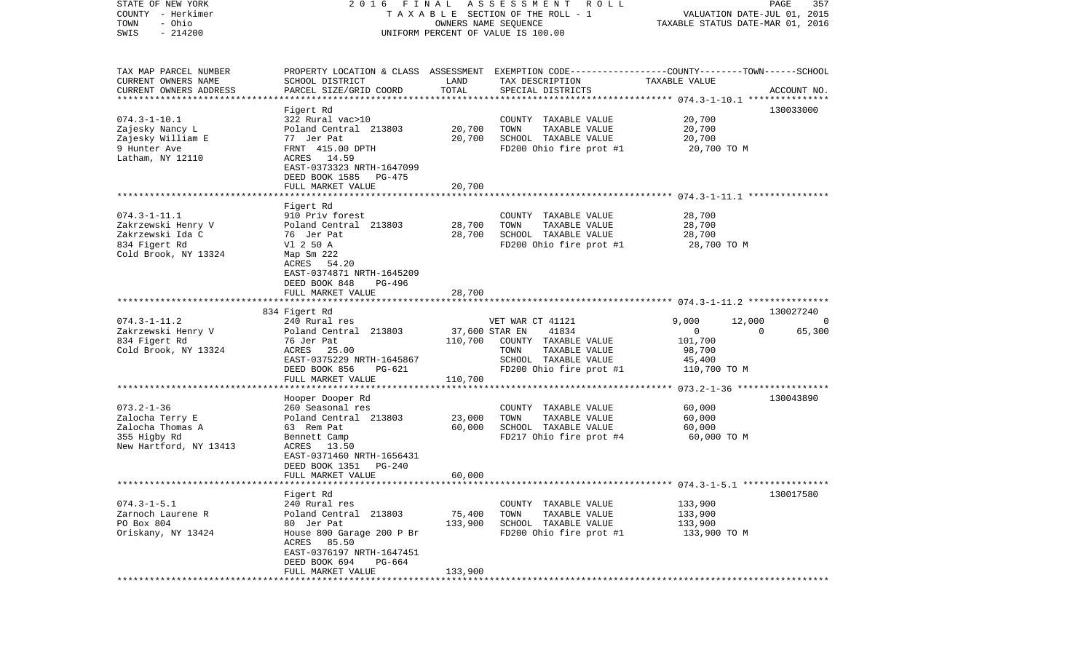| STATE OF NEW YORK<br>COUNTY - Herkimer | FINAL<br>2016                                                        |                      | A S S E S S M E N T A O L L<br>T A X A B L E SECTION OF THE ROLL - 1                             | VALUATION DATE-JUL 01, 2015      | PAGE<br>357        |
|----------------------------------------|----------------------------------------------------------------------|----------------------|--------------------------------------------------------------------------------------------------|----------------------------------|--------------------|
| - Ohio<br>TOWN                         |                                                                      | OWNERS NAME SEQUENCE |                                                                                                  | TAXABLE STATUS DATE-MAR 01, 2016 |                    |
| $-214200$<br>SWIS                      |                                                                      |                      | UNIFORM PERCENT OF VALUE IS 100.00                                                               |                                  |                    |
|                                        |                                                                      |                      |                                                                                                  |                                  |                    |
| TAX MAP PARCEL NUMBER                  |                                                                      |                      | PROPERTY LOCATION & CLASS ASSESSMENT EXEMPTION CODE----------------COUNTY-------TOWN------SCHOOL |                                  |                    |
| CURRENT OWNERS NAME                    | SCHOOL DISTRICT                                                      | LAND                 | TAX DESCRIPTION                                                                                  | TAXABLE VALUE                    |                    |
| CURRENT OWNERS ADDRESS                 | PARCEL SIZE/GRID COORD                                               | TOTAL                | SPECIAL DISTRICTS                                                                                |                                  | ACCOUNT NO.        |
| ***********************                |                                                                      |                      |                                                                                                  |                                  |                    |
|                                        | Figert Rd                                                            |                      |                                                                                                  |                                  | 130033000          |
| $074.3 - 1 - 10.1$                     | 322 Rural vac>10                                                     |                      | COUNTY TAXABLE VALUE                                                                             | 20,700                           |                    |
| Zajesky Nancy L                        | Poland Central 213803                                                | 20,700               | TAXABLE VALUE<br>TOWN                                                                            | 20,700                           |                    |
| Zajesky William E                      | 77 Jer Pat                                                           | 20,700               | SCHOOL TAXABLE VALUE                                                                             | 20,700                           |                    |
| 9 Hunter Ave                           | FRNT 415.00 DPTH                                                     |                      | FD200 Ohio fire prot #1                                                                          | 20,700 TO M                      |                    |
| Latham, NY 12110                       | ACRES 14.59<br>EAST-0373323 NRTH-1647099<br>DEED BOOK 1585<br>PG-475 |                      |                                                                                                  |                                  |                    |
|                                        | FULL MARKET VALUE                                                    | 20,700               |                                                                                                  |                                  |                    |
|                                        |                                                                      |                      |                                                                                                  |                                  |                    |
|                                        | Figert Rd                                                            |                      |                                                                                                  |                                  |                    |
| $074.3 - 1 - 11.1$                     | 910 Priv forest                                                      |                      | COUNTY TAXABLE VALUE                                                                             | 28,700                           |                    |
| Zakrzewski Henry V                     | Poland Central 213803                                                | 28,700               | TOWN<br>TAXABLE VALUE                                                                            | 28,700                           |                    |
| Zakrzewski Ida C                       | 76 Jer Pat                                                           | 28,700               | SCHOOL TAXABLE VALUE                                                                             | 28,700                           |                    |
| 834 Figert Rd                          | V1 2 50 A                                                            |                      | FD200 Ohio fire prot #1                                                                          | 28,700 TO M                      |                    |
| Cold Brook, NY 13324                   | Map Sm 222                                                           |                      |                                                                                                  |                                  |                    |
|                                        | ACRES 54.20                                                          |                      |                                                                                                  |                                  |                    |
|                                        | EAST-0374871 NRTH-1645209                                            |                      |                                                                                                  |                                  |                    |
|                                        | DEED BOOK 848<br>PG-496                                              |                      |                                                                                                  |                                  |                    |
|                                        | FULL MARKET VALUE                                                    | 28,700               |                                                                                                  |                                  |                    |
|                                        | 834 Figert Rd                                                        |                      |                                                                                                  |                                  | 130027240          |
| $074.3 - 1 - 11.2$                     | 240 Rural res                                                        |                      | VET WAR CT 41121                                                                                 | 9,000<br>12,000                  |                    |
| Zakrzewski Henry V                     | Poland Central 213803                                                | 37,600 STAR EN       | 41834                                                                                            | $\mathbf 0$                      | 65,300<br>$\Omega$ |
| 834 Figert Rd                          | 76 Jer Pat                                                           | 110,700              | COUNTY TAXABLE VALUE                                                                             | 101,700                          |                    |
| Cold Brook, NY 13324                   | ACRES 25.00                                                          |                      | TOWN<br>TAXABLE VALUE                                                                            | 98,700                           |                    |
|                                        | EAST-0375229 NRTH-1645867                                            |                      | SCHOOL TAXABLE VALUE                                                                             | 45,400                           |                    |
|                                        | DEED BOOK 856<br>PG-621                                              |                      | FD200 Ohio fire prot #1                                                                          | 110,700 TO M                     |                    |
|                                        | FULL MARKET VALUE                                                    | 110,700              |                                                                                                  |                                  |                    |
|                                        | **********************                                               |                      |                                                                                                  |                                  |                    |
|                                        | Hooper Dooper Rd                                                     |                      |                                                                                                  |                                  | 130043890          |
| $073.2 - 1 - 36$                       | 260 Seasonal res                                                     |                      | COUNTY TAXABLE VALUE                                                                             | 60,000                           |                    |
| Zalocha Terry E                        | Poland Central 213803                                                | 23,000               | TOWN<br>TAXABLE VALUE                                                                            | 60,000                           |                    |
| Zalocha Thomas A                       | 63 Rem Pat                                                           | 60,000               | SCHOOL TAXABLE VALUE                                                                             | 60,000                           |                    |
| 355 Higby Rd                           | Bennett Camp                                                         |                      | FD217 Ohio fire prot #4                                                                          | 60,000 TO M                      |                    |
| New Hartford, NY 13413                 | ACRES 13.50                                                          |                      |                                                                                                  |                                  |                    |
|                                        | EAST-0371460 NRTH-1656431                                            |                      |                                                                                                  |                                  |                    |
|                                        | DEED BOOK 1351<br><b>PG-240</b>                                      |                      |                                                                                                  |                                  |                    |
|                                        | FULL MARKET VALUE                                                    | 60,000               |                                                                                                  |                                  |                    |
|                                        |                                                                      |                      |                                                                                                  |                                  |                    |
|                                        | Figert Rd                                                            |                      |                                                                                                  |                                  | 130017580          |
| $074.3 - 1 - 5.1$                      | 240 Rural res                                                        |                      | COUNTY TAXABLE VALUE                                                                             | 133,900                          |                    |
| Zarnoch Laurene R                      | Poland Central 213803                                                | 75,400               | TOWN<br>TAXABLE VALUE                                                                            | 133,900                          |                    |
| PO Box 804                             | 80 Jer Pat                                                           | 133,900              | SCHOOL TAXABLE VALUE                                                                             | 133,900                          |                    |
| Oriskany, NY 13424                     | House 800 Garage 200 P Br                                            |                      | FD200 Ohio fire prot #1                                                                          | 133,900 TO M                     |                    |
|                                        | ACRES<br>85.50                                                       |                      |                                                                                                  |                                  |                    |
|                                        | EAST-0376197 NRTH-1647451                                            |                      |                                                                                                  |                                  |                    |
|                                        | DEED BOOK 694<br>PG-664                                              |                      |                                                                                                  |                                  |                    |
|                                        | FULL MARKET VALUE                                                    | 133,900              |                                                                                                  |                                  |                    |
|                                        |                                                                      |                      |                                                                                                  |                                  |                    |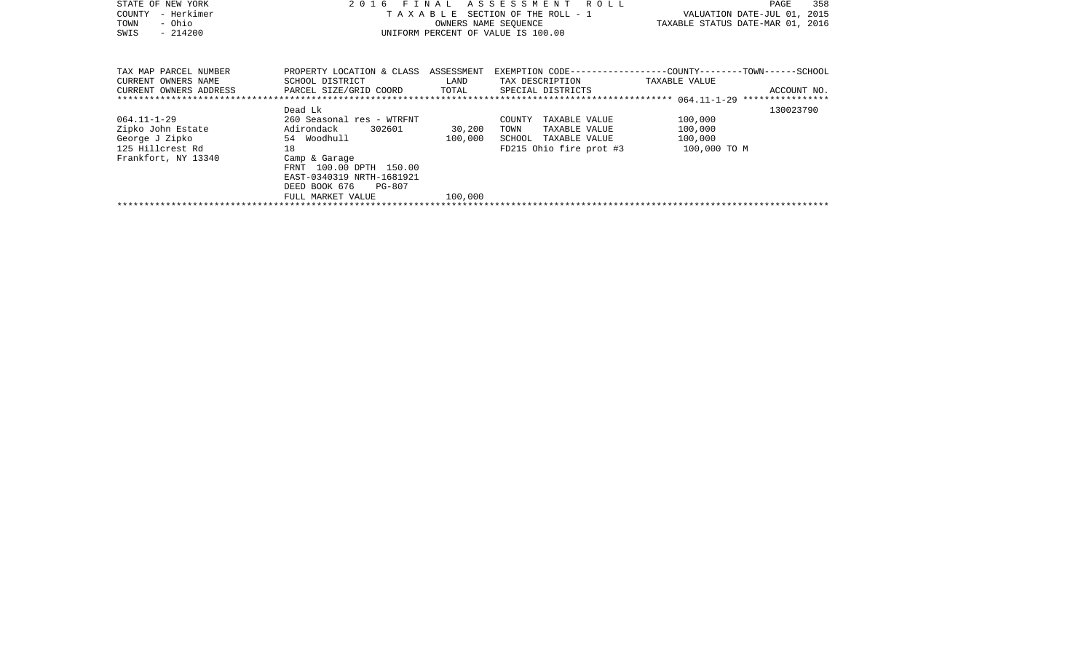| STATE OF NEW YORK<br>- Herkimer<br>COUNTY<br>- Ohio<br>TOWN<br>SWIS<br>$-214200$                    | FINAL<br>TAXABLE                                                                                                                                                                                        |                              | ASSESSMENT ROLL<br>SECTION OF THE ROLL - 1<br>OWNERS NAME SEOUENCE<br>UNIFORM PERCENT OF VALUE IS 100.00 | 358<br>PAGE<br>VALUATION DATE-JUL 01, 2015<br>TAXABLE STATUS DATE-MAR 01, 2016 |
|-----------------------------------------------------------------------------------------------------|---------------------------------------------------------------------------------------------------------------------------------------------------------------------------------------------------------|------------------------------|----------------------------------------------------------------------------------------------------------|--------------------------------------------------------------------------------|
| TAX MAP PARCEL NUMBER<br>CURRENT OWNERS NAME<br>CURRENT OWNERS ADDRESS                              | PROPERTY LOCATION & CLASS ASSESSMENT<br>SCHOOL DISTRICT<br>PARCEL SIZE/GRID COORD                                                                                                                       | LAND<br>TOTAL                | TAX DESCRIPTION TAXABLE VALUE<br>SPECIAL DISTRICTS                                                       | EXEMPTION CODE-----------------COUNTY-------TOWN------SCHOOL<br>ACCOUNT NO.    |
| $064.11 - 1 - 29$<br>Zipko John Estate<br>George J Zipko<br>125 Hillcrest Rd<br>Frankfort, NY 13340 | Dead Lk<br>260 Seasonal res - WTRFNT<br>Adirondack 302601<br>54 Woodhull<br>18<br>Camp & Garage<br>FRNT 100.00 DPTH 150.00<br>EAST-0340319 NRTH-1681921<br>DEED BOOK 676<br>PG-807<br>FULL MARKET VALUE | 30,200<br>100,000<br>100,000 | COUNTY<br>TAXABLE VALUE<br>TOWN<br>TAXABLE VALUE<br>SCHOOL TAXABLE VALUE<br>FD215 Ohio fire prot #3      | 130023790<br>100,000<br>100,000<br>100,000<br>100,000 TO M                     |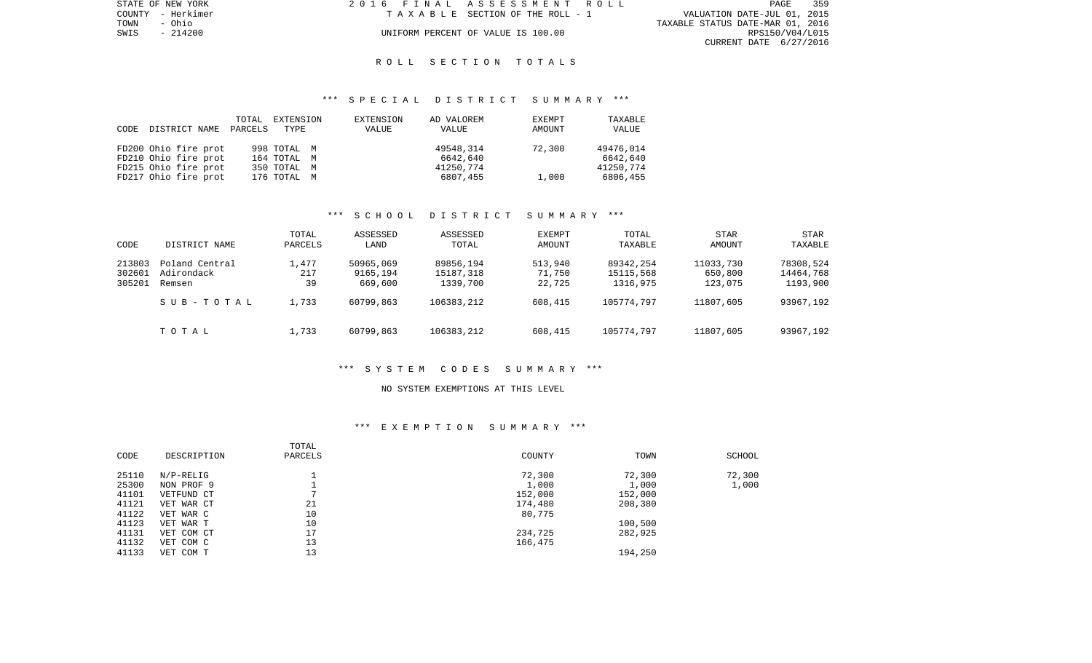| STATE OF NEW YORK | 2016 FINAL ASSESSMENT ROLL         |                                  | PAGE            | 359 |
|-------------------|------------------------------------|----------------------------------|-----------------|-----|
| COUNTY - Herkimer | TAXABLE SECTION OF THE ROLL - 1    | VALUATION DATE-JUL 01, 2015      |                 |     |
| TOWN<br>- Ohio    |                                    | TAXABLE STATUS DATE-MAR 01, 2016 |                 |     |
| SWIS - 214200     | UNIFORM PERCENT OF VALUE IS 100.00 |                                  | RPS150/V04/L015 |     |
|                   |                                    | CURRENT DATE 6/27/2016           |                 |     |

## R O L L S E C T I O N T O T A L S

## \*\*\* S P E C I A L D I S T R I C T S U M M A R Y \*\*\*

|      |                      | TOTAL   | EXTENSION   | EXTENSION | AD VALOREM | EXEMPT | TAXABLE   |
|------|----------------------|---------|-------------|-----------|------------|--------|-----------|
| CODE | DISTRICT NAME        | PARCELS | TYPE        | VALUE     | VALUE      | AMOUNT | VALUE     |
|      |                      |         |             |           |            |        |           |
|      | FD200 Ohio fire prot |         | 998 TOTAL M |           | 49548,314  | 72,300 | 49476,014 |
|      | FD210 Ohio fire prot |         | 164 TOTAL M |           | 6642,640   |        | 6642,640  |
|      | FD215 Ohio fire prot |         | 350 TOTAL M |           | 41250.774  |        | 41250.774 |
|      | FD217 Ohio fire prot |         | 176 TOTAL M |           | 6807,455   | 1,000  | 6806,455  |

# \*\*\* S C H O O L D I S T R I C T S U M M A R Y \*\*\*

| CODE   | DISTRICT NAME  | TOTAL<br>PARCELS | ASSESSED<br>LAND | ASSESSED<br>TOTAL | EXEMPT<br>AMOUNT | TOTAL<br>TAXABLE | STAR<br>AMOUNT | <b>STAR</b><br>TAXABLE |
|--------|----------------|------------------|------------------|-------------------|------------------|------------------|----------------|------------------------|
| 213803 | Poland Central | 1,477            | 50965,069        | 89856,194         | 513,940          | 89342,254        | 11033,730      | 78308,524              |
| 302601 | Adirondack     | 217              | 9165,194         | 15187,318         | 71,750           | 15115,568        | 650,800        | 14464,768              |
| 305201 | Remsen         | 39               | 669,600          | 1339,700          | 22,725           | 1316,975         | 123,075        | 1193,900               |
|        | SUB-TOTAL      | 1,733            | 60799,863        | 106383,212        | 608,415          | 105774.797       | 11807,605      | 93967,192              |
|        | TOTAL          | 1,733            | 60799,863        | 106383,212        | 608,415          | 105774.797       | 11807,605      | 93967,192              |

### \*\*\* S Y S T E M C O D E S S U M M A R Y \*\*\*

#### NO SYSTEM EXEMPTIONS AT THIS LEVEL

## \*\*\* E X E M P T I O N S U M M A R Y \*\*\*

| CODE  | DESCRIPTION | TOTAL<br>PARCELS | COUNTY  | TOWN    | SCHOOL |
|-------|-------------|------------------|---------|---------|--------|
| 25110 | $N/P-RELIG$ |                  | 72,300  | 72,300  | 72,300 |
| 25300 | NON PROF 9  |                  | 1,000   | 1,000   | 1,000  |
| 41101 | VETFUND CT  |                  | 152,000 | 152,000 |        |
| 41121 | VET WAR CT  | 21               | 174,480 | 208,380 |        |
| 41122 | VET WAR C   | 10               | 80,775  |         |        |
| 41123 | VET WAR T   | 10               |         | 100,500 |        |
| 41131 | VET COM CT  | 17               | 234,725 | 282,925 |        |
| 41132 | VET COM C   | 13               | 166,475 |         |        |
| 41133 | VET COM T   | 13               |         | 194,250 |        |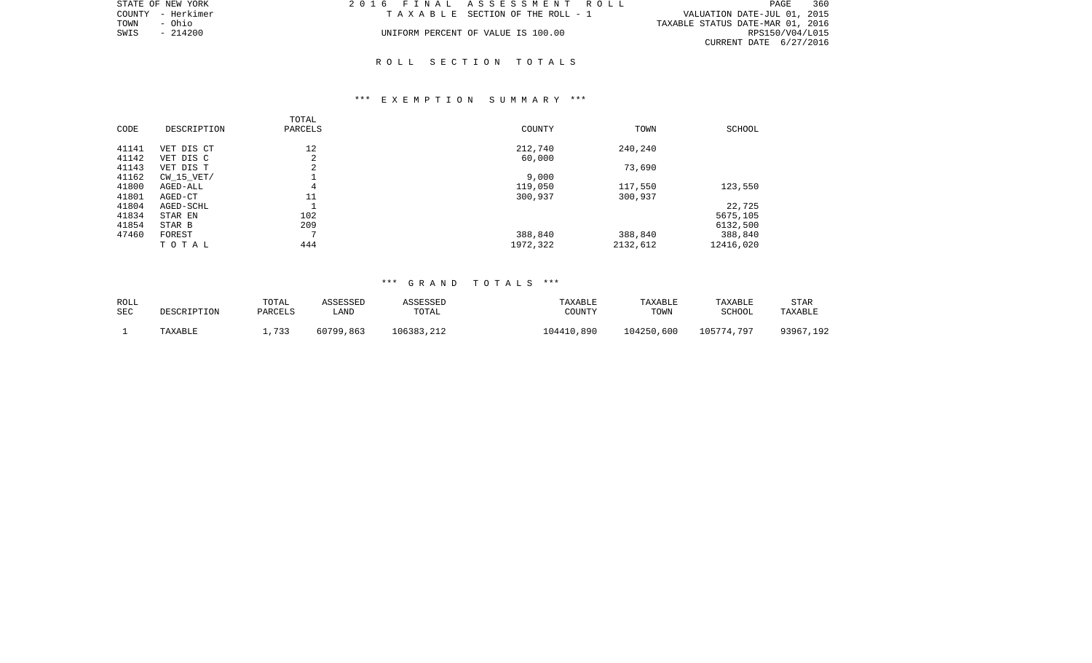|      | STATE OF NEW YORK | 2016 FINAL ASSESSMENT ROLL         |                                  | PAGE            | - 360 |
|------|-------------------|------------------------------------|----------------------------------|-----------------|-------|
|      | COUNTY - Herkimer | TAXABLE SECTION OF THE ROLL - 1    | VALUATION DATE-JUL 01, 2015      |                 |       |
| TOWN | - Ohio            |                                    | TAXABLE STATUS DATE-MAR 01, 2016 |                 |       |
| SWIS | - 214200          | UNIFORM PERCENT OF VALUE IS 100.00 |                                  | RPS150/V04/L015 |       |
|      |                   |                                    | CURRENT DATE 6/27/2016           |                 |       |

## R O L L S E C T I O N T O T A L S

## \*\*\* E X E M P T I O N S U M M A R Y \*\*\*

| CODE  | DESCRIPTION    | TOTAL<br>PARCELS | COUNTY   | TOWN     | SCHOOL    |
|-------|----------------|------------------|----------|----------|-----------|
| 41141 | VET DIS CT     | 12               | 212,740  | 240,240  |           |
| 41142 | VET DIS C      | 2                | 60,000   |          |           |
| 41143 | VET DIS T      | 2                |          | 73,690   |           |
| 41162 | $CW$ 15 $VET/$ |                  | 9,000    |          |           |
| 41800 | AGED-ALL       | 4                | 119,050  | 117,550  | 123,550   |
| 41801 | AGED-CT        | 11               | 300,937  | 300,937  |           |
| 41804 | AGED-SCHL      |                  |          |          | 22,725    |
| 41834 | STAR EN        | 102              |          |          | 5675,105  |
| 41854 | STAR B         | 209              |          |          | 6132,500  |
| 47460 | FOREST         | Ð                | 388,840  | 388,840  | 388,840   |
|       | TOTAL          | 444              | 1972,322 | 2132,612 | 12416,020 |

## \*\*\* G R A N D T O T A L S \*\*\*

| ROLL | DESCRIPTION | TOTAL   | <b>ASSESSED</b> | ASSESSED   | TAXABLE    | TAXABLE    | TAXABLE    | <b>STAR</b> |
|------|-------------|---------|-----------------|------------|------------|------------|------------|-------------|
| SEC  |             | PARCELS | LAND            | TOTAL      | COUNTY     | TOWN       | SCHOOL     | TAXABLE     |
|      | TAXABLE     | 733     | 60799,863       | 106383,212 | 104410,890 | 104250,600 | 105774,797 | 93967,192   |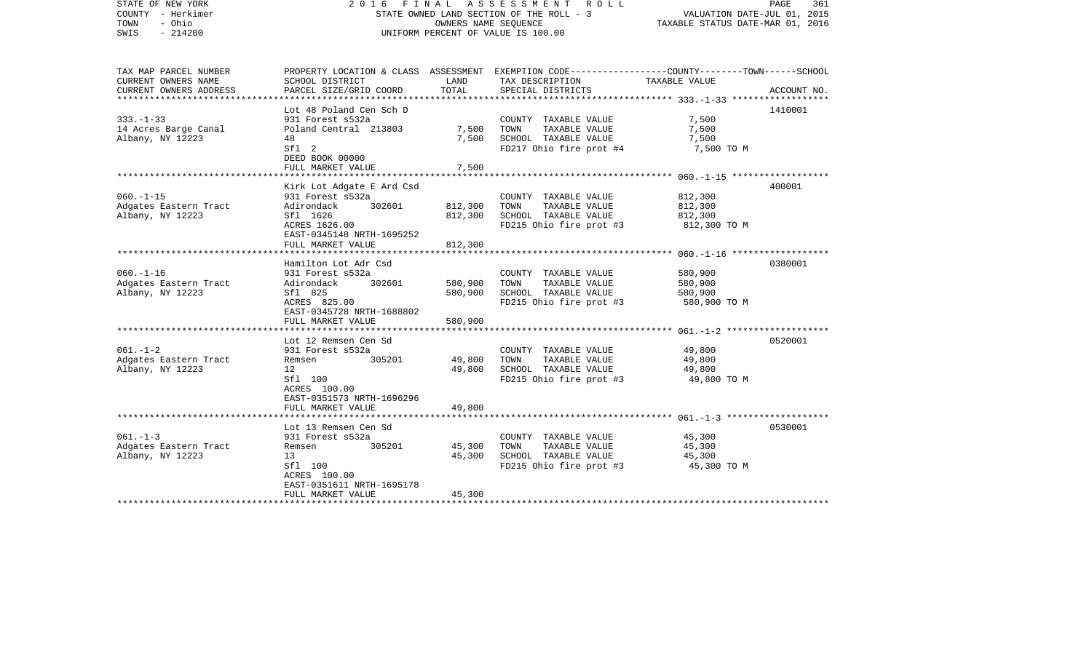| STATE OF NEW YORK<br>COUNTY - Herkimer<br>- Ohio<br>TOWN<br>SWIS<br>$-214200$ | FINAL<br>A S S E S S M E N T R O L L<br>2016<br>STATE OWNED LAND SECTION OF THE ROLL - 3<br>OWNERS NAME SEQUENCE<br>UNIFORM PERCENT OF VALUE IS 100.00                |                               |                                                                                                                                         | PAGE<br>361<br>VALUATION DATE-JUL 01, 2015<br>TAXABLE STATUS DATE-MAR 01, 2016 |             |
|-------------------------------------------------------------------------------|-----------------------------------------------------------------------------------------------------------------------------------------------------------------------|-------------------------------|-----------------------------------------------------------------------------------------------------------------------------------------|--------------------------------------------------------------------------------|-------------|
| TAX MAP PARCEL NUMBER<br>CURRENT OWNERS NAME<br>CURRENT OWNERS ADDRESS        | SCHOOL DISTRICT<br>PARCEL SIZE/GRID COORD                                                                                                                             | LAND<br>TOTAL                 | PROPERTY LOCATION & CLASS ASSESSMENT EXEMPTION CODE---------------COUNTY-------TOWN------SCHOOL<br>TAX DESCRIPTION<br>SPECIAL DISTRICTS | TAXABLE VALUE                                                                  | ACCOUNT NO. |
| $333. - 1 - 33$<br>14 Acres Barge Canal<br>Albany, NY 12223                   | Lot 48 Poland Cen Sch D<br>931 Forest s532a<br>Poland Central 213803<br>48<br>Sfl <sub>2</sub><br>DEED BOOK 00000<br>FULL MARKET VALUE                                | 7,500<br>7,500<br>7,500       | COUNTY TAXABLE VALUE<br>TAXABLE VALUE<br>TOWN<br>SCHOOL TAXABLE VALUE<br>FD217 Ohio fire prot #4                                        | 7,500<br>7,500<br>7,500<br>7,500 TO M                                          | 1410001     |
| $060. -1 - 15$<br>Adgates Eastern Tract<br>Albany, NY 12223                   | Kirk Lot Adgate E Ard Csd<br>931 Forest s532a<br>302601<br>Adirondack<br>Sfl 1626<br>ACRES 1626.00<br>EAST-0345148 NRTH-1695252<br>FULL MARKET VALUE                  | 812,300<br>812,300<br>812,300 | COUNTY TAXABLE VALUE<br>TOWN<br>TAXABLE VALUE<br>SCHOOL TAXABLE VALUE<br>FD215 Ohio fire prot #3                                        | 812,300<br>812,300<br>812,300<br>812,300 TO M                                  | 400001      |
| $060. -1 - 16$<br>Adgates Eastern Tract<br>Albany, NY 12223                   | Hamilton Lot Adr Csd<br>931 Forest s532a<br>302601<br>Adirondack<br>Sfl 825<br>ACRES 825.00<br>EAST-0345728 NRTH-1688802<br>FULL MARKET VALUE                         | 580,900<br>580,900<br>580,900 | COUNTY TAXABLE VALUE<br>TOWN<br>TAXABLE VALUE<br>SCHOOL TAXABLE VALUE<br>FD215 Ohio fire prot #3                                        | 580,900<br>580,900<br>580,900<br>580,900 TO M                                  | 0380001     |
| $061. - 1 - 2$<br>Adgates Eastern Tract<br>Albany, NY 12223                   | Lot 12 Remsen Cen Sd<br>931 Forest s532a<br>Remsen<br>305201<br>12<br>Sfl 100<br>ACRES 100.00<br>EAST-0351573 NRTH-1696296<br>FULL MARKET VALUE                       | 49,800<br>49,800<br>49,800    | COUNTY TAXABLE VALUE<br>TAXABLE VALUE<br>TOWN<br>SCHOOL TAXABLE VALUE<br>FD215 Ohio fire prot #3                                        | 49,800<br>49,800<br>49,800<br>49,800 TO M                                      | 0520001     |
| $061. -1 -3$<br>Adgates Eastern Tract<br>Albany, NY 12223                     | ******************<br>Lot 13 Remsen Cen Sd<br>931 Forest s532a<br>Remsen<br>305201<br>13<br>Sfl 100<br>ACRES 100.00<br>EAST-0351611 NRTH-1695178<br>FULL MARKET VALUE | 45,300<br>45,300<br>45,300    | COUNTY TAXABLE VALUE<br>TOWN<br>TAXABLE VALUE<br>SCHOOL TAXABLE VALUE<br>FD215 Ohio fire prot #3                                        | 45,300<br>45,300<br>45,300<br>45,300 TO M                                      | 0530001     |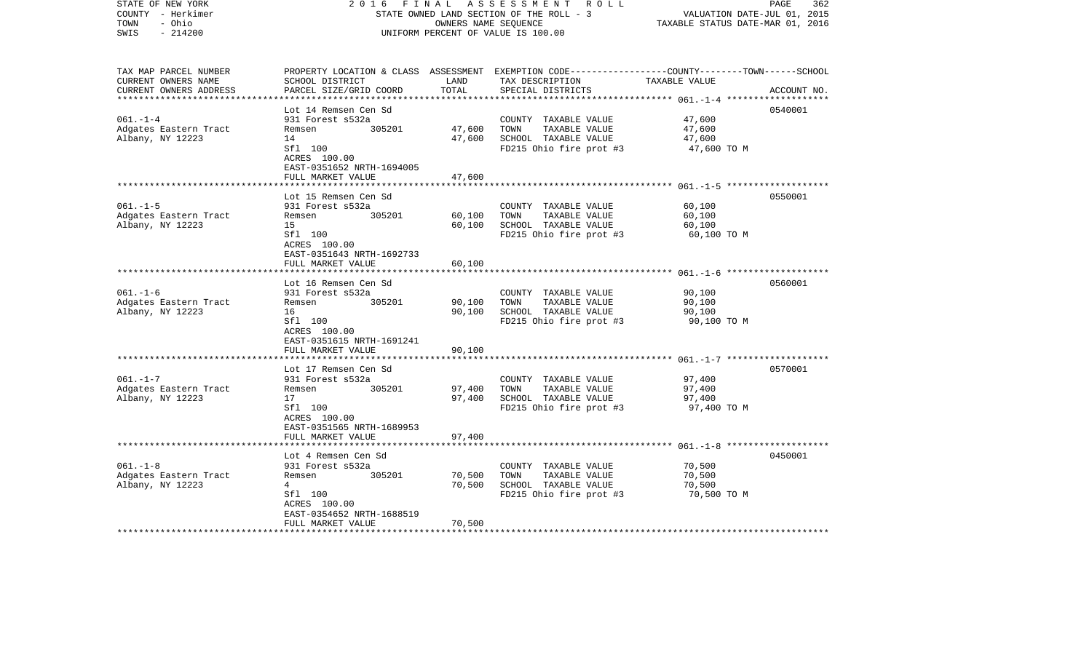| STATE OF NEW YORK<br>COUNTY - Herkimer<br>TOWN<br>- Ohio<br>$-214200$<br>SWIS | 2 0 1 6                                                                   | FINAL         | A S S E S S M E N T R O L L<br>STATE OWNED LAND SECTION OF THE ROLL - 3<br>OWNERS NAME SEQUENCE<br>UNIFORM PERCENT OF VALUE IS 100.00   | VALUATION DATE-JUL 01, 2015<br>TAXABLE STATUS DATE-MAR 01, 2016 | PAGE<br>362 |
|-------------------------------------------------------------------------------|---------------------------------------------------------------------------|---------------|-----------------------------------------------------------------------------------------------------------------------------------------|-----------------------------------------------------------------|-------------|
| TAX MAP PARCEL NUMBER<br>CURRENT OWNERS NAME<br>CURRENT OWNERS ADDRESS        | SCHOOL DISTRICT<br>PARCEL SIZE/GRID COORD                                 | LAND<br>TOTAL | PROPERTY LOCATION & CLASS ASSESSMENT EXEMPTION CODE---------------COUNTY-------TOWN------SCHOOL<br>TAX DESCRIPTION<br>SPECIAL DISTRICTS | TAXABLE VALUE                                                   | ACCOUNT NO. |
|                                                                               | Lot 14 Remsen Cen Sd                                                      |               |                                                                                                                                         |                                                                 | 0540001     |
| $061. - 1 - 4$                                                                | 931 Forest s532a                                                          |               | COUNTY TAXABLE VALUE                                                                                                                    | 47,600                                                          |             |
| Adgates Eastern Tract                                                         | 305201<br>Remsen                                                          | 47,600        | TOWN<br>TAXABLE VALUE                                                                                                                   | 47,600                                                          |             |
| Albany, NY 12223                                                              | 14                                                                        | 47,600        | SCHOOL TAXABLE VALUE                                                                                                                    | 47,600                                                          |             |
|                                                                               | Sfl 100<br>ACRES 100.00<br>EAST-0351652 NRTH-1694005<br>FULL MARKET VALUE | 47,600        | FD215 Ohio fire prot #3                                                                                                                 | 47,600 TO M                                                     |             |
|                                                                               |                                                                           |               |                                                                                                                                         |                                                                 |             |
|                                                                               | Lot 15 Remsen Cen Sd                                                      |               |                                                                                                                                         |                                                                 | 0550001     |
| $061. -1 - 5$                                                                 | 931 Forest s532a                                                          |               | COUNTY TAXABLE VALUE                                                                                                                    | 60,100                                                          |             |
| Adgates Eastern Tract                                                         | 305201<br>Remsen                                                          | 60,100        | TOWN<br>TAXABLE VALUE                                                                                                                   | 60,100                                                          |             |
| Albany, NY 12223                                                              | 15<br>Sfl 100                                                             | 60,100        | SCHOOL TAXABLE VALUE<br>FD215 Ohio fire prot #3                                                                                         | 60,100<br>60,100 TO M                                           |             |
|                                                                               | ACRES 100.00<br>EAST-0351643 NRTH-1692733                                 |               |                                                                                                                                         |                                                                 |             |
|                                                                               | FULL MARKET VALUE                                                         | 60,100        |                                                                                                                                         |                                                                 |             |
|                                                                               | Lot 16 Remsen Cen Sd                                                      |               |                                                                                                                                         |                                                                 | 0560001     |
| $061. - 1 - 6$                                                                | 931 Forest s532a                                                          |               | COUNTY TAXABLE VALUE                                                                                                                    | 90,100                                                          |             |
| Adgates Eastern Tract                                                         | 305201<br>Remsen                                                          | 90,100        | TOWN<br>TAXABLE VALUE                                                                                                                   | 90,100                                                          |             |
| Albany, NY 12223                                                              | 16                                                                        | 90,100        | SCHOOL TAXABLE VALUE                                                                                                                    | 90,100                                                          |             |
|                                                                               | Sfl 100<br>ACRES 100.00<br>EAST-0351615 NRTH-1691241                      |               | FD215 Ohio fire prot #3                                                                                                                 | 90,100 TO M                                                     |             |
|                                                                               | FULL MARKET VALUE                                                         | 90,100        |                                                                                                                                         |                                                                 |             |
|                                                                               | Lot 17 Remsen Cen Sd                                                      |               |                                                                                                                                         |                                                                 | 0570001     |
| $061. - 1 - 7$                                                                | 931 Forest s532a                                                          |               | COUNTY TAXABLE VALUE                                                                                                                    | 97,400                                                          |             |
| Adgates Eastern Tract                                                         | 305201<br>Remsen                                                          | 97,400        | TOWN<br>TAXABLE VALUE                                                                                                                   | 97,400                                                          |             |
| Albany, NY 12223                                                              | 17                                                                        | 97,400        | SCHOOL TAXABLE VALUE                                                                                                                    | 97,400                                                          |             |
|                                                                               | Sfl 100<br>ACRES 100.00<br>EAST-0351565 NRTH-1689953                      |               | FD215 Ohio fire prot #3                                                                                                                 | 97,400 TO M                                                     |             |
|                                                                               | FULL MARKET VALUE                                                         | 97,400        |                                                                                                                                         |                                                                 |             |
|                                                                               | Lot 4 Remsen Cen Sd                                                       |               |                                                                                                                                         |                                                                 | 0450001     |
| $061. - 1 - 8$                                                                | 931 Forest s532a                                                          |               | COUNTY TAXABLE VALUE                                                                                                                    | 70,500                                                          |             |
| Adgates Eastern Tract                                                         | 305201<br>Remsen                                                          | 70,500        | TOWN<br>TAXABLE VALUE                                                                                                                   | 70,500                                                          |             |
| Albany, NY 12223                                                              | 4                                                                         | 70,500        | SCHOOL TAXABLE VALUE                                                                                                                    | 70,500                                                          |             |
|                                                                               | Sfl 100                                                                   |               | FD215 Ohio fire prot #3                                                                                                                 | 70,500 TO M                                                     |             |
|                                                                               | ACRES 100.00<br>EAST-0354652 NRTH-1688519                                 |               |                                                                                                                                         |                                                                 |             |
|                                                                               | FULL MARKET VALUE                                                         | 70,500        |                                                                                                                                         |                                                                 |             |
|                                                                               |                                                                           |               |                                                                                                                                         |                                                                 |             |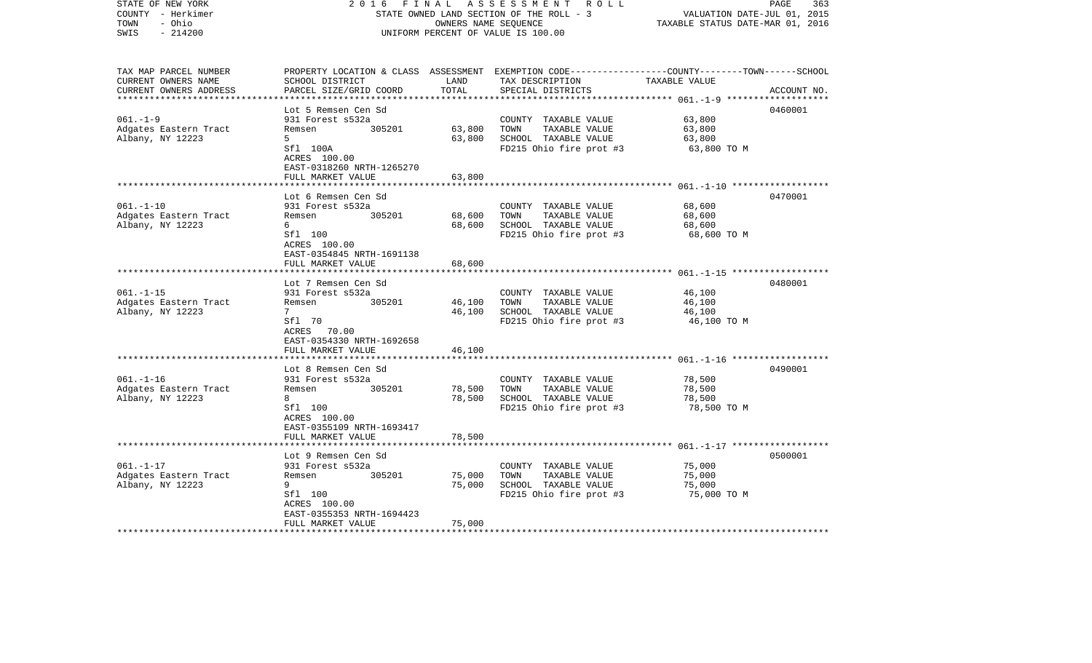| STATE OF NEW YORK<br>COUNTY - Herkimer<br>- Ohio<br>TOWN<br>$-214200$<br>SWIS | 2016                                                                       | FINAL         | A S S E S S M E N T R O L L<br>STATE OWNED LAND SECTION OF THE ROLL - 3<br>OWNERS NAME SEQUENCE<br>UNIFORM PERCENT OF VALUE IS 100.00   | VALUATION DATE-JUL 01, 2015<br>TAXABLE STATUS DATE-MAR 01, 2016 | PAGE<br>363 |
|-------------------------------------------------------------------------------|----------------------------------------------------------------------------|---------------|-----------------------------------------------------------------------------------------------------------------------------------------|-----------------------------------------------------------------|-------------|
| TAX MAP PARCEL NUMBER<br>CURRENT OWNERS NAME<br>CURRENT OWNERS ADDRESS        | SCHOOL DISTRICT<br>PARCEL SIZE/GRID COORD                                  | LAND<br>TOTAL | PROPERTY LOCATION & CLASS ASSESSMENT EXEMPTION CODE---------------COUNTY-------TOWN------SCHOOL<br>TAX DESCRIPTION<br>SPECIAL DISTRICTS | TAXABLE VALUE                                                   | ACCOUNT NO. |
|                                                                               | Lot 5 Remsen Cen Sd                                                        |               |                                                                                                                                         |                                                                 | 0460001     |
| $061. - 1 - 9$                                                                | 931 Forest s532a                                                           |               | COUNTY TAXABLE VALUE                                                                                                                    | 63,800                                                          |             |
| Adgates Eastern Tract                                                         | 305201<br>Remsen                                                           | 63,800        | TOWN<br>TAXABLE VALUE                                                                                                                   | 63,800                                                          |             |
| Albany, NY 12223                                                              | 5                                                                          | 63,800        | SCHOOL TAXABLE VALUE                                                                                                                    | 63,800                                                          |             |
|                                                                               | Sfl 100A<br>ACRES 100.00<br>EAST-0318260 NRTH-1265270<br>FULL MARKET VALUE |               | FD215 Ohio fire prot #3                                                                                                                 | 63,800 TO M                                                     |             |
|                                                                               |                                                                            | 63,800        |                                                                                                                                         |                                                                 |             |
|                                                                               | Lot 6 Remsen Cen Sd                                                        |               |                                                                                                                                         |                                                                 | 0470001     |
| $061. - 1 - 10$                                                               | 931 Forest s532a                                                           |               | COUNTY TAXABLE VALUE                                                                                                                    | 68,600                                                          |             |
| Adgates Eastern Tract                                                         | 305201<br>Remsen                                                           | 68,600        | TOWN<br>TAXABLE VALUE                                                                                                                   | 68,600                                                          |             |
| Albany, NY 12223                                                              | 6                                                                          | 68,600        | SCHOOL TAXABLE VALUE                                                                                                                    | 68,600                                                          |             |
|                                                                               | Sfl 100<br>ACRES 100.00<br>EAST-0354845 NRTH-1691138                       |               | FD215 Ohio fire prot #3                                                                                                                 | 68,600 TO M                                                     |             |
|                                                                               | FULL MARKET VALUE                                                          | 68,600        |                                                                                                                                         |                                                                 |             |
|                                                                               | Lot 7 Remsen Cen Sd                                                        |               |                                                                                                                                         |                                                                 | 0480001     |
| $061. - 1 - 15$                                                               | 931 Forest s532a                                                           |               | COUNTY TAXABLE VALUE                                                                                                                    | 46,100                                                          |             |
| Adgates Eastern Tract                                                         | 305201<br>Remsen                                                           | 46,100        | TAXABLE VALUE<br>TOWN                                                                                                                   | 46,100                                                          |             |
| Albany, NY 12223                                                              | $7^{\circ}$                                                                | 46,100        | SCHOOL TAXABLE VALUE                                                                                                                    | 46,100                                                          |             |
|                                                                               | Sfl 70<br>ACRES 70.00<br>EAST-0354330 NRTH-1692658                         |               | FD215 Ohio fire prot #3                                                                                                                 | 46,100 TO M                                                     |             |
|                                                                               | FULL MARKET VALUE                                                          | 46,100        |                                                                                                                                         |                                                                 |             |
|                                                                               | Lot 8 Remsen Cen Sd                                                        |               |                                                                                                                                         |                                                                 | 0490001     |
| $061. - 1 - 16$                                                               | 931 Forest s532a                                                           |               | COUNTY TAXABLE VALUE                                                                                                                    | 78,500                                                          |             |
| Adgates Eastern Tract                                                         | 305201<br>Remsen                                                           | 78,500        | TOWN<br>TAXABLE VALUE                                                                                                                   | 78,500                                                          |             |
| Albany, NY 12223                                                              | 8                                                                          | 78,500        | SCHOOL TAXABLE VALUE                                                                                                                    | 78,500                                                          |             |
|                                                                               | Sfl 100<br>ACRES 100.00<br>EAST-0355109 NRTH-1693417                       |               | FD215 Ohio fire prot #3                                                                                                                 | 78,500 TO M                                                     |             |
|                                                                               | FULL MARKET VALUE                                                          | 78,500        |                                                                                                                                         |                                                                 |             |
|                                                                               |                                                                            |               |                                                                                                                                         |                                                                 |             |
| $061. - 1 - 17$                                                               | Lot 9 Remsen Cen Sd<br>931 Forest s532a                                    |               | COUNTY TAXABLE VALUE                                                                                                                    | 75,000                                                          | 0500001     |
| Adgates Eastern Tract                                                         | 305201<br>Remsen                                                           | 75,000        | TAXABLE VALUE<br>TOWN                                                                                                                   | 75,000                                                          |             |
| Albany, NY 12223                                                              | 9                                                                          | 75,000        | SCHOOL TAXABLE VALUE                                                                                                                    | 75,000                                                          |             |
|                                                                               | Sfl 100                                                                    |               | FD215 Ohio fire prot #3                                                                                                                 | 75,000 TO M                                                     |             |
|                                                                               | ACRES 100.00                                                               |               |                                                                                                                                         |                                                                 |             |
|                                                                               | EAST-0355353 NRTH-1694423                                                  |               |                                                                                                                                         |                                                                 |             |
|                                                                               | FULL MARKET VALUE                                                          | 75,000        |                                                                                                                                         |                                                                 |             |
|                                                                               |                                                                            |               |                                                                                                                                         |                                                                 |             |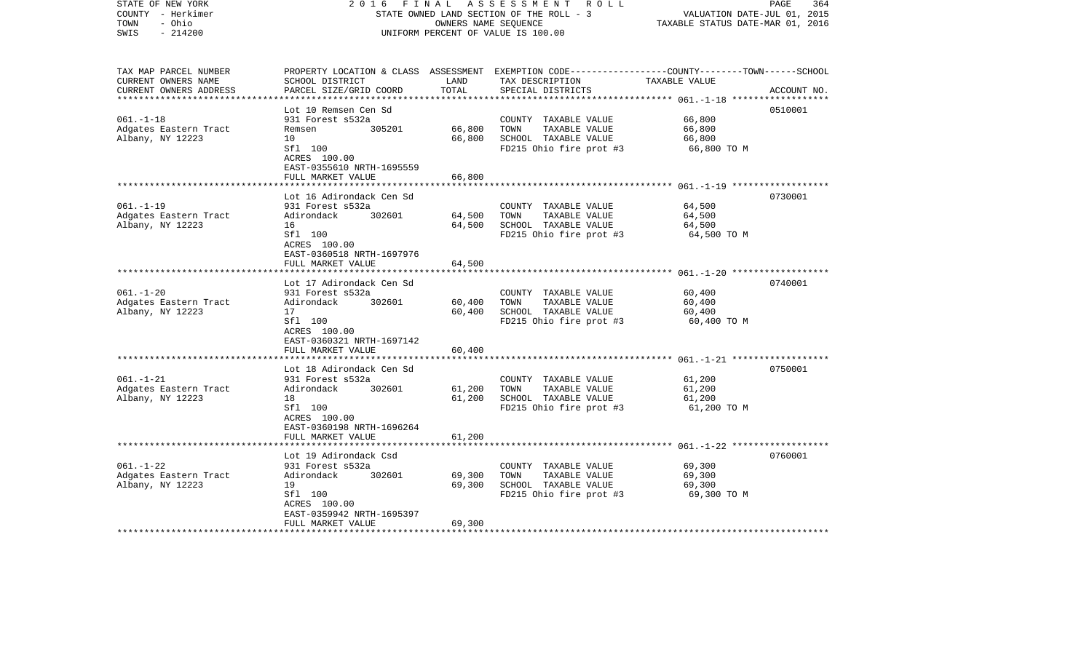| STATE OF NEW YORK<br>COUNTY - Herkimer<br>- Ohio<br>TOWN<br>$-214200$<br>SWIS | 2 0 1 6                                              | FINAL         | A S S E S S M E N T R O L L<br>STATE OWNED LAND SECTION OF THE ROLL - 3<br>OWNERS NAME SEQUENCE<br>UNIFORM PERCENT OF VALUE IS 100.00   | VALUATION DATE-JUL 01, 2015<br>TAXABLE STATUS DATE-MAR 01, 2016 | PAGE<br>364 |
|-------------------------------------------------------------------------------|------------------------------------------------------|---------------|-----------------------------------------------------------------------------------------------------------------------------------------|-----------------------------------------------------------------|-------------|
| TAX MAP PARCEL NUMBER<br>CURRENT OWNERS NAME<br>CURRENT OWNERS ADDRESS        | SCHOOL DISTRICT<br>PARCEL SIZE/GRID COORD            | LAND<br>TOTAL | PROPERTY LOCATION & CLASS ASSESSMENT EXEMPTION CODE---------------COUNTY-------TOWN------SCHOOL<br>TAX DESCRIPTION<br>SPECIAL DISTRICTS | TAXABLE VALUE                                                   | ACCOUNT NO. |
|                                                                               | Lot 10 Remsen Cen Sd                                 |               |                                                                                                                                         |                                                                 | 0510001     |
| $061. - 1 - 18$                                                               | 931 Forest s532a                                     |               | COUNTY TAXABLE VALUE                                                                                                                    | 66,800                                                          |             |
| Adgates Eastern Tract                                                         | 305201<br>Remsen                                     | 66,800        | TOWN<br>TAXABLE VALUE                                                                                                                   | 66,800                                                          |             |
| Albany, NY 12223                                                              | 10                                                   | 66,800        | SCHOOL TAXABLE VALUE                                                                                                                    | 66,800                                                          |             |
|                                                                               | Sfl 100<br>ACRES 100.00<br>EAST-0355610 NRTH-1695559 |               | FD215 Ohio fire prot #3                                                                                                                 | 66,800 TO M                                                     |             |
|                                                                               | FULL MARKET VALUE                                    | 66,800        |                                                                                                                                         |                                                                 |             |
|                                                                               | Lot 16 Adirondack Cen Sd                             |               |                                                                                                                                         |                                                                 | 0730001     |
| $061. - 1 - 19$                                                               | 931 Forest s532a                                     |               | COUNTY TAXABLE VALUE                                                                                                                    | 64,500                                                          |             |
| Adgates Eastern Tract                                                         | Adirondack<br>302601                                 | 64,500        | TOWN<br>TAXABLE VALUE                                                                                                                   | 64,500                                                          |             |
| Albany, NY 12223                                                              | 16                                                   | 64,500        | SCHOOL TAXABLE VALUE                                                                                                                    | 64,500                                                          |             |
|                                                                               | Sfl 100<br>ACRES 100.00<br>EAST-0360518 NRTH-1697976 |               | FD215 Ohio fire prot #3                                                                                                                 | 64,500 TO M                                                     |             |
|                                                                               | FULL MARKET VALUE                                    | 64,500        |                                                                                                                                         |                                                                 |             |
|                                                                               |                                                      |               |                                                                                                                                         |                                                                 |             |
| $061. - 1 - 20$                                                               | Lot 17 Adirondack Cen Sd<br>931 Forest s532a         |               | COUNTY TAXABLE VALUE                                                                                                                    | 60,400                                                          | 0740001     |
| Adgates Eastern Tract                                                         | 302601<br>Adirondack                                 | 60,400        | TAXABLE VALUE<br>TOWN                                                                                                                   | 60,400                                                          |             |
| Albany, NY 12223                                                              | 17                                                   | 60,400        | SCHOOL TAXABLE VALUE                                                                                                                    | 60,400                                                          |             |
|                                                                               | Sfl 100<br>ACRES 100.00<br>EAST-0360321 NRTH-1697142 |               | FD215 Ohio fire prot #3                                                                                                                 | 60,400 TO M                                                     |             |
|                                                                               | FULL MARKET VALUE                                    | 60,400        |                                                                                                                                         |                                                                 |             |
|                                                                               | Lot 18 Adirondack Cen Sd                             |               |                                                                                                                                         |                                                                 | 0750001     |
| $061. - 1 - 21$                                                               | 931 Forest s532a                                     |               | COUNTY TAXABLE VALUE                                                                                                                    | 61,200                                                          |             |
| Adgates Eastern Tract                                                         | Adirondack<br>302601                                 | 61,200        | TOWN<br>TAXABLE VALUE                                                                                                                   | 61,200                                                          |             |
| Albany, NY 12223                                                              | 18                                                   | 61,200        | SCHOOL TAXABLE VALUE                                                                                                                    | 61,200                                                          |             |
|                                                                               | Sfl 100<br>ACRES 100.00<br>EAST-0360198 NRTH-1696264 |               | FD215 Ohio fire prot #3                                                                                                                 | 61,200 TO M                                                     |             |
|                                                                               | FULL MARKET VALUE                                    | 61,200        |                                                                                                                                         |                                                                 |             |
|                                                                               |                                                      |               |                                                                                                                                         |                                                                 |             |
|                                                                               | Lot 19 Adirondack Csd                                |               |                                                                                                                                         |                                                                 | 0760001     |
| $061. - 1 - 22$                                                               | 931 Forest s532a<br>302601<br>Adirondack             | 69,300        | COUNTY TAXABLE VALUE<br>TOWN<br>TAXABLE VALUE                                                                                           | 69,300<br>69,300                                                |             |
| Adgates Eastern Tract<br>Albany, NY 12223                                     | 19                                                   | 69,300        | SCHOOL TAXABLE VALUE                                                                                                                    | 69,300                                                          |             |
|                                                                               | Sfl 100                                              |               | FD215 Ohio fire prot #3                                                                                                                 | 69,300 TO M                                                     |             |
|                                                                               | ACRES 100.00                                         |               |                                                                                                                                         |                                                                 |             |
|                                                                               | EAST-0359942 NRTH-1695397                            |               |                                                                                                                                         |                                                                 |             |
|                                                                               | FULL MARKET VALUE                                    | 69,300        |                                                                                                                                         |                                                                 |             |
|                                                                               |                                                      |               |                                                                                                                                         |                                                                 |             |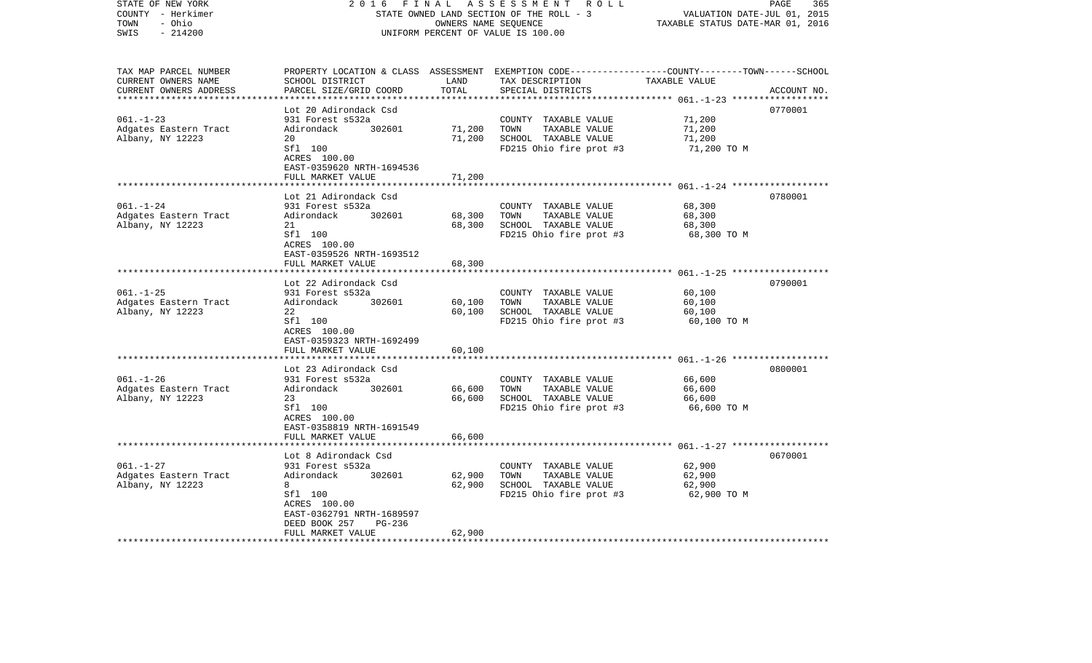| STATE OF NEW YORK<br>COUNTY - Herkimer<br>- Ohio<br>TOWN<br>$-214200$<br>SWIS | 2 0 1 6<br>FINAL<br>STATE OWNED LAND SECTION OF THE ROLL - 3<br>UNIFORM PERCENT OF VALUE IS 100.00                                                       | 365<br>PAGE<br>VALUATION DATE-JUL 01, 2015<br>TAXABLE STATUS DATE-MAR 01, 2016 |                                                                                                                                          |                                           |             |
|-------------------------------------------------------------------------------|----------------------------------------------------------------------------------------------------------------------------------------------------------|--------------------------------------------------------------------------------|------------------------------------------------------------------------------------------------------------------------------------------|-------------------------------------------|-------------|
| TAX MAP PARCEL NUMBER<br>CURRENT OWNERS NAME<br>CURRENT OWNERS ADDRESS        | SCHOOL DISTRICT<br>PARCEL SIZE/GRID COORD<br>************************                                                                                    | LAND<br>TOTAL<br>* * * * * * * * * * * * * *                                   | PROPERTY LOCATION & CLASS ASSESSMENT EXEMPTION CODE----------------COUNTY-------TOWN------SCHOOL<br>TAX DESCRIPTION<br>SPECIAL DISTRICTS | TAXABLE VALUE                             | ACCOUNT NO. |
|                                                                               | Lot 20 Adirondack Csd                                                                                                                                    |                                                                                |                                                                                                                                          |                                           | 0770001     |
| $061. - 1 - 23$<br>Adgates Eastern Tract<br>Albany, NY 12223                  | 931 Forest s532a<br>Adirondack<br>302601<br>20<br>Sfl 100<br>ACRES 100.00                                                                                | 71,200<br>71,200                                                               | COUNTY TAXABLE VALUE<br>TOWN<br>TAXABLE VALUE<br>SCHOOL TAXABLE VALUE<br>FD215 Ohio fire prot #3                                         | 71,200<br>71,200<br>71,200<br>71,200 TO M |             |
|                                                                               | EAST-0359620 NRTH-1694536                                                                                                                                |                                                                                |                                                                                                                                          |                                           |             |
| $061. - 1 - 24$<br>Adgates Eastern Tract<br>Albany, NY 12223                  | FULL MARKET VALUE<br>Lot 21 Adirondack Csd<br>931 Forest s532a<br>Adirondack<br>302601<br>21<br>Sfl 100<br>ACRES 100.00<br>EAST-0359526 NRTH-1693512     | 71,200<br>68,300<br>68,300                                                     | COUNTY TAXABLE VALUE<br>TOWN<br>TAXABLE VALUE<br>SCHOOL TAXABLE VALUE<br>FD215 Ohio fire prot #3                                         | 68,300<br>68,300<br>68,300<br>68,300 TO M | 0780001     |
|                                                                               | FULL MARKET VALUE                                                                                                                                        | 68,300                                                                         |                                                                                                                                          |                                           |             |
|                                                                               | ****************<br>Lot 22 Adirondack Csd                                                                                                                |                                                                                |                                                                                                                                          | $061, -1 - 25$ *******************        | 0790001     |
| $061. -1 - 25$<br>Adgates Eastern Tract<br>Albany, NY 12223                   | 931 Forest s532a<br>Adirondack<br>302601<br>22<br>Sfl 100<br>ACRES 100.00<br>EAST-0359323 NRTH-1692499<br>FULL MARKET VALUE                              | 60,100<br>60,100<br>60,100                                                     | COUNTY TAXABLE VALUE<br>TOWN<br>TAXABLE VALUE<br>SCHOOL TAXABLE VALUE<br>FD215 Ohio fire prot #3                                         | 60,100<br>60,100<br>60,100<br>60,100 TO M |             |
|                                                                               | ******************                                                                                                                                       | **********                                                                     |                                                                                                                                          |                                           |             |
| $061. - 1 - 26$<br>Adgates Eastern Tract<br>Albany, NY 12223                  | Lot 23 Adirondack Csd<br>931 Forest s532a<br>Adirondack<br>302601<br>23<br>Sfl 100<br>ACRES 100.00<br>EAST-0358819 NRTH-1691549<br>FULL MARKET VALUE     | 66,600<br>66,600<br>66,600                                                     | COUNTY TAXABLE VALUE<br>TAXABLE VALUE<br>TOWN<br>SCHOOL TAXABLE VALUE<br>FD215 Ohio fire prot #3                                         | 66,600<br>66,600<br>66,600<br>66,600 TO M | 0800001     |
|                                                                               |                                                                                                                                                          |                                                                                |                                                                                                                                          | $061, -1 - 27$ *******************        |             |
| $061. - 1 - 27$<br>Adgates Eastern Tract<br>Albany, NY 12223                  | Lot 8 Adirondack Csd<br>931 Forest s532a<br>Adirondack<br>302601<br>8<br>Sfl 100<br>ACRES 100.00<br>EAST-0362791 NRTH-1689597<br>DEED BOOK 257<br>PG-236 | 62,900<br>62,900                                                               | COUNTY TAXABLE VALUE<br>TOWN<br>TAXABLE VALUE<br>SCHOOL TAXABLE VALUE<br>FD215 Ohio fire prot #3                                         | 62,900<br>62,900<br>62,900<br>62,900 TO M | 0670001     |
|                                                                               | FULL MARKET VALUE                                                                                                                                        | 62,900                                                                         |                                                                                                                                          |                                           |             |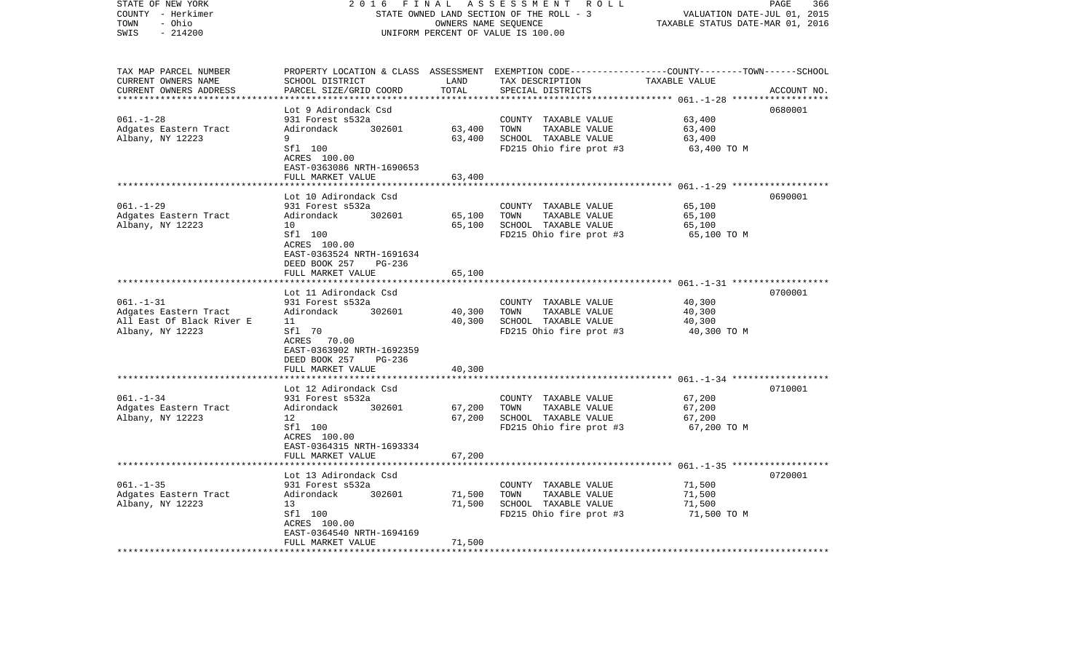| STATE OF NEW YORK         | 2 0 1 6<br>FINAL                          | ASSESSMENT ROLL                    |                                                                                                 | 366<br>PAGE                               |             |
|---------------------------|-------------------------------------------|------------------------------------|-------------------------------------------------------------------------------------------------|-------------------------------------------|-------------|
| COUNTY - Herkimer         | STATE OWNED LAND SECTION OF THE ROLL - 3  | VALUATION DATE-JUL 01, 2015        |                                                                                                 |                                           |             |
| - Ohio<br>TOWN            |                                           | TAXABLE STATUS DATE-MAR 01, 2016   |                                                                                                 |                                           |             |
| SWIS<br>$-214200$         |                                           | UNIFORM PERCENT OF VALUE IS 100.00 |                                                                                                 |                                           |             |
| TAX MAP PARCEL NUMBER     |                                           |                                    | PROPERTY LOCATION & CLASS ASSESSMENT EXEMPTION CODE---------------COUNTY-------TOWN------SCHOOL |                                           |             |
| CURRENT OWNERS NAME       | SCHOOL DISTRICT                           | LAND                               | TAX DESCRIPTION                                                                                 | TAXABLE VALUE                             |             |
| CURRENT OWNERS ADDRESS    | PARCEL SIZE/GRID COORD                    | TOTAL                              | SPECIAL DISTRICTS                                                                               |                                           | ACCOUNT NO. |
|                           | ***********************                   | ***********                        |                                                                                                 |                                           |             |
|                           | Lot 9 Adirondack Csd                      |                                    |                                                                                                 |                                           | 0680001     |
| $061. - 1 - 28$           | 931 Forest s532a                          |                                    | COUNTY TAXABLE VALUE                                                                            | 63,400                                    |             |
| Adgates Eastern Tract     | Adirondack<br>302601                      | 63,400                             | TOWN<br>TAXABLE VALUE                                                                           | 63,400                                    |             |
| Albany, NY 12223          | 9                                         | 63,400                             | SCHOOL TAXABLE VALUE                                                                            | 63,400                                    |             |
|                           | Sfl 100                                   |                                    | FD215 Ohio fire prot #3                                                                         | 63,400 TO M                               |             |
|                           | ACRES 100.00                              |                                    |                                                                                                 |                                           |             |
|                           | EAST-0363086 NRTH-1690653                 |                                    |                                                                                                 |                                           |             |
|                           | FULL MARKET VALUE                         | 63,400                             |                                                                                                 |                                           |             |
|                           |                                           |                                    |                                                                                                 | $061. - 1 - 29$ ****************          |             |
|                           | Lot 10 Adirondack Csd                     |                                    |                                                                                                 |                                           | 0690001     |
| $061. - 1 - 29$           | 931 Forest s532a                          |                                    | COUNTY TAXABLE VALUE                                                                            | 65,100                                    |             |
| Adgates Eastern Tract     | Adirondack<br>302601                      | 65,100                             | TOWN<br>TAXABLE VALUE                                                                           | 65,100                                    |             |
| Albany, NY 12223          | 10                                        | 65,100                             | SCHOOL TAXABLE VALUE                                                                            | 65,100                                    |             |
|                           | Sfl 100                                   |                                    | FD215 Ohio fire prot #3                                                                         | 65,100 TO M                               |             |
|                           | ACRES 100.00                              |                                    |                                                                                                 |                                           |             |
|                           | EAST-0363524 NRTH-1691634                 |                                    |                                                                                                 |                                           |             |
|                           | DEED BOOK 257<br>PG-236                   |                                    |                                                                                                 |                                           |             |
|                           | FULL MARKET VALUE                         | 65,100                             |                                                                                                 | *************** 061.-1-31 *************** |             |
|                           | Lot 11 Adirondack Csd                     |                                    |                                                                                                 |                                           | 0700001     |
| $061. - 1 - 31$           | 931 Forest s532a                          |                                    | COUNTY TAXABLE VALUE                                                                            | 40,300                                    |             |
| Adgates Eastern Tract     | Adirondack<br>302601                      | 40,300                             | TOWN<br>TAXABLE VALUE                                                                           | 40,300                                    |             |
| All East Of Black River E | 11                                        | 40,300                             | SCHOOL TAXABLE VALUE                                                                            | 40,300                                    |             |
| Albany, NY 12223          | Sfl 70                                    |                                    | FD215 Ohio fire prot #3                                                                         | 40,300 TO M                               |             |
|                           | ACRES 70.00                               |                                    |                                                                                                 |                                           |             |
|                           | EAST-0363902 NRTH-1692359                 |                                    |                                                                                                 |                                           |             |
|                           | DEED BOOK 257<br>PG-236                   |                                    |                                                                                                 |                                           |             |
|                           | FULL MARKET VALUE                         | 40,300                             |                                                                                                 |                                           |             |
|                           |                                           |                                    |                                                                                                 |                                           |             |
|                           | Lot 12 Adirondack Csd                     |                                    |                                                                                                 |                                           | 0710001     |
| $061. - 1 - 34$           | 931 Forest s532a                          |                                    | COUNTY TAXABLE VALUE                                                                            | 67,200                                    |             |
| Adgates Eastern Tract     | Adirondack<br>302601                      | 67,200                             | TOWN<br>TAXABLE VALUE                                                                           | 67,200                                    |             |
| Albany, NY 12223          | 12                                        | 67,200                             | SCHOOL TAXABLE VALUE                                                                            | 67,200                                    |             |
|                           | Sfl 100                                   |                                    | FD215 Ohio fire prot #3                                                                         | 67,200 TO M                               |             |
|                           | ACRES 100.00                              |                                    |                                                                                                 |                                           |             |
|                           | EAST-0364315 NRTH-1693334                 |                                    |                                                                                                 |                                           |             |
|                           | FULL MARKET VALUE                         | 67,200                             |                                                                                                 |                                           |             |
|                           | *******************                       |                                    |                                                                                                 |                                           |             |
|                           | Lot 13 Adirondack Csd                     |                                    |                                                                                                 |                                           | 0720001     |
| $061. -1 -35$             | 931 Forest s532a                          |                                    | COUNTY TAXABLE VALUE                                                                            | 71,500                                    |             |
| Adgates Eastern Tract     | Adirondack<br>302601                      | 71,500                             | TOWN<br>TAXABLE VALUE                                                                           | 71,500                                    |             |
| Albany, NY 12223          | 13                                        | 71,500                             | SCHOOL TAXABLE VALUE                                                                            | 71,500                                    |             |
|                           | Sfl 100                                   |                                    | FD215 Ohio fire prot #3                                                                         | 71,500 TO M                               |             |
|                           | ACRES 100.00<br>EAST-0364540 NRTH-1694169 |                                    |                                                                                                 |                                           |             |
|                           | FULL MARKET VALUE                         | 71,500                             |                                                                                                 |                                           |             |
| ************************* | ***********************                   | ***************                    |                                                                                                 |                                           |             |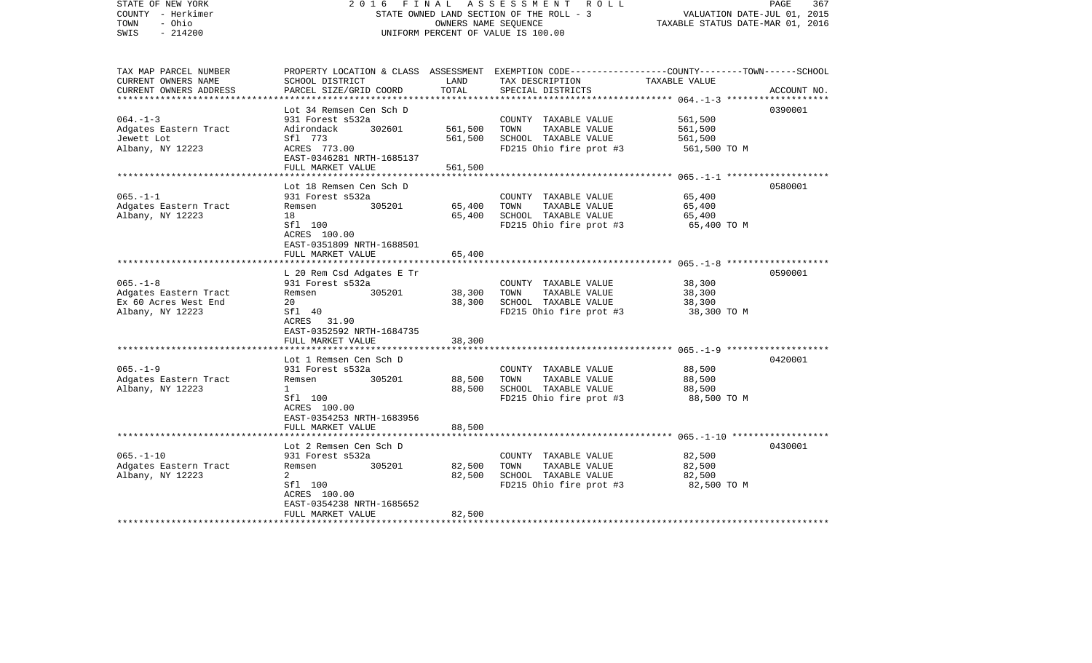| STATE OF NEW YORK<br>COUNTY - Herkimer<br>TOWN<br>- Ohio<br>$-214200$<br>SWIS | FINAL<br>2016                                                                                                                                    | OWNERS NAME SEQUENCE          | A S S E S S M E N T R O L L<br>STATE OWNED LAND SECTION OF THE ROLL - 3<br>UNIFORM PERCENT OF VALUE IS 100.00                           | VALUATION DATE-JUL 01, 2015<br>TAXABLE STATUS DATE-MAR 01, 2016 | PAGE<br>367 |
|-------------------------------------------------------------------------------|--------------------------------------------------------------------------------------------------------------------------------------------------|-------------------------------|-----------------------------------------------------------------------------------------------------------------------------------------|-----------------------------------------------------------------|-------------|
| TAX MAP PARCEL NUMBER<br>CURRENT OWNERS NAME<br>CURRENT OWNERS ADDRESS        | SCHOOL DISTRICT<br>PARCEL SIZE/GRID COORD                                                                                                        | LAND<br>TOTAL                 | PROPERTY LOCATION & CLASS ASSESSMENT EXEMPTION CODE---------------COUNTY-------TOWN------SCHOOL<br>TAX DESCRIPTION<br>SPECIAL DISTRICTS | TAXABLE VALUE                                                   | ACCOUNT NO. |
| $064. -1 - 3$<br>Adgates Eastern Tract<br>Jewett Lot<br>Albany, NY 12223      | Lot 34 Remsen Cen Sch D<br>931 Forest s532a<br>302601<br>Adirondack<br>Sfl 773<br>ACRES 773.00<br>EAST-0346281 NRTH-1685137<br>FULL MARKET VALUE | 561,500<br>561,500<br>561,500 | COUNTY TAXABLE VALUE<br>TAXABLE VALUE<br>TOWN<br>SCHOOL TAXABLE VALUE<br>FD215 Ohio fire prot #3                                        | 561,500<br>561,500<br>561,500<br>561,500 TO M                   | 0390001     |
| $065. -1 -1$<br>Adgates Eastern Tract<br>Albany, NY 12223                     | Lot 18 Remsen Cen Sch D<br>931 Forest s532a<br>305201<br>Remsen<br>18<br>Sfl 100<br>ACRES 100.00<br>EAST-0351809 NRTH-1688501                    | 65,400<br>65,400              | COUNTY TAXABLE VALUE<br>TOWN<br>TAXABLE VALUE<br>SCHOOL TAXABLE VALUE<br>FD215 Ohio fire prot #3                                        | 65,400<br>65,400<br>65,400<br>65,400 TO M                       | 0580001     |
| $065. -1 - 8$                                                                 | FULL MARKET VALUE<br>***********************<br>L 20 Rem Csd Adgates E Tr<br>931 Forest s532a                                                    | 65,400                        | COUNTY TAXABLE VALUE                                                                                                                    | 38,300                                                          | 0590001     |
| Adgates Eastern Tract<br>Ex 60 Acres West End<br>Albany, NY 12223             | 305201<br>Remsen<br>20<br>Sfl 40<br>ACRES 31.90<br>EAST-0352592 NRTH-1684735                                                                     | 38,300<br>38,300              | TAXABLE VALUE<br>TOWN<br>SCHOOL TAXABLE VALUE<br>FD215 Ohio fire prot #3                                                                | 38,300<br>38,300<br>38,300 TO M                                 |             |
|                                                                               | FULL MARKET VALUE<br>**********************                                                                                                      | 38,300                        |                                                                                                                                         |                                                                 |             |
| $065. -1 - 9$<br>Adgates Eastern Tract<br>Albany, NY 12223                    | Lot 1 Remsen Cen Sch D<br>931 Forest s532a<br>Remsen<br>305201<br>$\mathbf{1}$<br>Sfl 100<br>ACRES 100.00<br>EAST-0354253 NRTH-1683956           | 88,500<br>88,500              | COUNTY TAXABLE VALUE<br>TOWN<br>TAXABLE VALUE<br>SCHOOL TAXABLE VALUE<br>FD215 Ohio fire prot #3                                        | 88,500<br>88,500<br>88,500<br>88,500 TO M                       | 0420001     |
|                                                                               | FULL MARKET VALUE                                                                                                                                | 88,500                        |                                                                                                                                         |                                                                 |             |
| $065. - 1 - 10$<br>Adgates Eastern Tract<br>Albany, NY 12223                  | Lot 2 Remsen Cen Sch D<br>931 Forest s532a<br>Remsen<br>305201<br>2<br>Sfl 100<br>ACRES 100.00<br>EAST-0354238 NRTH-1685652<br>FULL MARKET VALUE | 82,500<br>82,500<br>82,500    | COUNTY TAXABLE VALUE<br>TAXABLE VALUE<br>TOWN<br>SCHOOL TAXABLE VALUE<br>FD215 Ohio fire prot #3                                        | 82,500<br>82,500<br>82,500<br>82,500 TO M                       | 0430001     |
| **********************                                                        |                                                                                                                                                  |                               |                                                                                                                                         |                                                                 |             |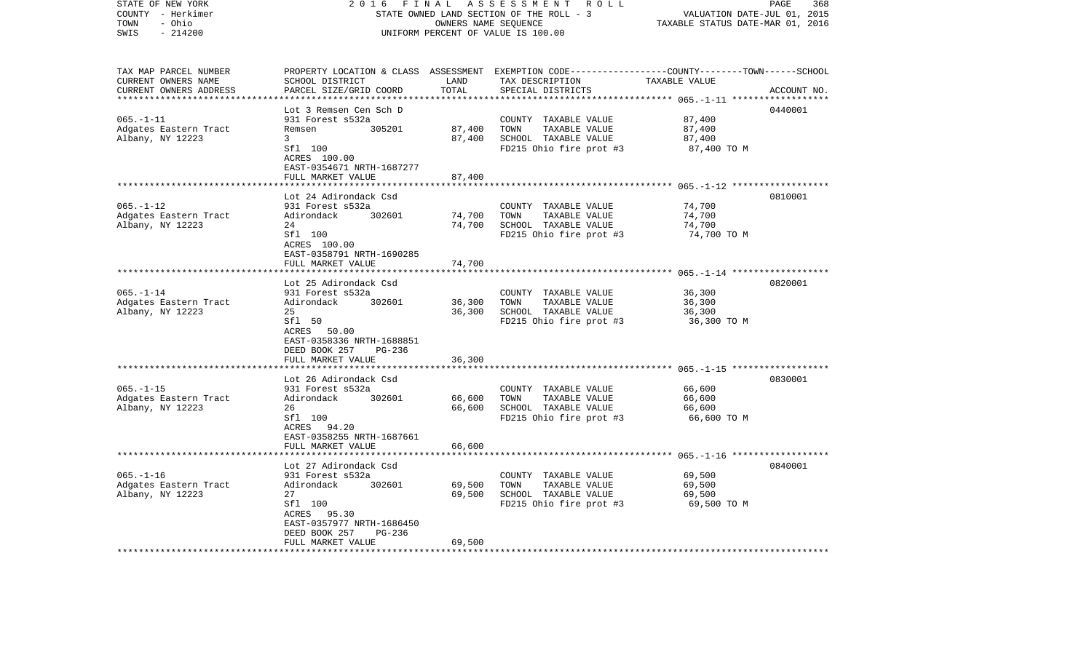| STATE OF NEW YORK<br>COUNTY - Herkimer    | 2 0 1 6<br>FINAL<br>A S S E S S M E N T<br>STATE OWNED LAND SECTION OF THE ROLL - 3 |                                  |                                                                                                 |                                      | 368<br>PAGE<br>VALUATION DATE-JUL 01, 2015 |
|-------------------------------------------|-------------------------------------------------------------------------------------|----------------------------------|-------------------------------------------------------------------------------------------------|--------------------------------------|--------------------------------------------|
| - Ohio<br>TOWN                            |                                                                                     | TAXABLE STATUS DATE-MAR 01, 2016 |                                                                                                 |                                      |                                            |
| $-214200$<br>SWIS                         | UNIFORM PERCENT OF VALUE IS 100.00                                                  |                                  |                                                                                                 |                                      |                                            |
|                                           |                                                                                     |                                  |                                                                                                 |                                      |                                            |
| TAX MAP PARCEL NUMBER                     |                                                                                     |                                  | PROPERTY LOCATION & CLASS ASSESSMENT EXEMPTION CODE---------------COUNTY-------TOWN------SCHOOL |                                      |                                            |
| CURRENT OWNERS NAME                       | SCHOOL DISTRICT                                                                     | LAND                             | TAX DESCRIPTION                                                                                 | TAXABLE VALUE                        |                                            |
| CURRENT OWNERS ADDRESS                    | PARCEL SIZE/GRID COORD                                                              | TOTAL                            | SPECIAL DISTRICTS                                                                               |                                      | ACCOUNT NO.                                |
| ***********************                   | ***********************                                                             | *************                    |                                                                                                 |                                      |                                            |
|                                           | Lot 3 Remsen Cen Sch D                                                              |                                  |                                                                                                 |                                      | 0440001                                    |
| $065. - 1 - 11$                           | 931 Forest s532a                                                                    |                                  | COUNTY TAXABLE VALUE                                                                            | 87,400                               |                                            |
| Adgates Eastern Tract                     | Remsen<br>305201                                                                    | 87,400                           | TOWN<br>TAXABLE VALUE                                                                           | 87,400                               |                                            |
| Albany, NY 12223                          | 3<br>Sfl 100                                                                        | 87,400                           | SCHOOL TAXABLE VALUE<br>FD215 Ohio fire prot #3                                                 | 87,400<br>87,400 TO M                |                                            |
|                                           | ACRES 100.00                                                                        |                                  |                                                                                                 |                                      |                                            |
|                                           | EAST-0354671 NRTH-1687277                                                           |                                  |                                                                                                 |                                      |                                            |
|                                           | FULL MARKET VALUE                                                                   | 87,400                           |                                                                                                 |                                      |                                            |
|                                           |                                                                                     |                                  |                                                                                                 | ********** 065.-1-12 *************** |                                            |
|                                           | Lot 24 Adirondack Csd                                                               |                                  |                                                                                                 |                                      | 0810001                                    |
| $065. - 1 - 12$                           | 931 Forest s532a                                                                    |                                  | COUNTY TAXABLE VALUE                                                                            | 74,700                               |                                            |
| Adgates Eastern Tract                     | Adirondack<br>302601                                                                | 74,700                           | TOWN<br>TAXABLE VALUE                                                                           | 74,700                               |                                            |
| Albany, NY 12223                          | 24                                                                                  | 74,700                           | SCHOOL TAXABLE VALUE                                                                            | 74,700                               |                                            |
|                                           | Sfl 100                                                                             |                                  | FD215 Ohio fire prot #3                                                                         | 74,700 TO M                          |                                            |
|                                           | ACRES 100.00                                                                        |                                  |                                                                                                 |                                      |                                            |
|                                           | EAST-0358791 NRTH-1690285                                                           |                                  |                                                                                                 |                                      |                                            |
|                                           | FULL MARKET VALUE                                                                   | 74,700                           |                                                                                                 |                                      |                                            |
|                                           |                                                                                     |                                  |                                                                                                 |                                      |                                            |
|                                           | Lot 25 Adirondack Csd                                                               |                                  |                                                                                                 |                                      | 0820001                                    |
| $065. - 1 - 14$                           | 931 Forest s532a                                                                    |                                  | COUNTY TAXABLE VALUE                                                                            | 36,300                               |                                            |
| Adgates Eastern Tract<br>Albany, NY 12223 | Adirondack<br>302601<br>25                                                          | 36,300<br>36,300                 | TOWN<br>TAXABLE VALUE<br>SCHOOL TAXABLE VALUE                                                   | 36,300<br>36,300                     |                                            |
|                                           | Sfl 50                                                                              |                                  | FD215 Ohio fire prot #3                                                                         | 36,300 TO M                          |                                            |
|                                           | ACRES 50.00                                                                         |                                  |                                                                                                 |                                      |                                            |
|                                           | EAST-0358336 NRTH-1688851                                                           |                                  |                                                                                                 |                                      |                                            |
|                                           | DEED BOOK 257<br>PG-236                                                             |                                  |                                                                                                 |                                      |                                            |
|                                           | FULL MARKET VALUE                                                                   | 36,300                           |                                                                                                 |                                      |                                            |
|                                           |                                                                                     |                                  |                                                                                                 |                                      |                                            |
|                                           | Lot 26 Adirondack Csd                                                               |                                  |                                                                                                 |                                      | 0830001                                    |
| $065. - 1 - 15$                           | 931 Forest s532a                                                                    |                                  | COUNTY TAXABLE VALUE                                                                            | 66,600                               |                                            |
| Adgates Eastern Tract                     | 302601<br>Adirondack                                                                | 66,600                           | TOWN<br>TAXABLE VALUE                                                                           | 66,600                               |                                            |
| Albany, NY 12223                          | 26                                                                                  | 66,600                           | SCHOOL TAXABLE VALUE                                                                            | 66,600                               |                                            |
|                                           | Sfl 100                                                                             |                                  | FD215 Ohio fire prot #3                                                                         | 66,600 TO M                          |                                            |
|                                           | ACRES 94.20                                                                         |                                  |                                                                                                 |                                      |                                            |
|                                           | EAST-0358255 NRTH-1687661                                                           |                                  |                                                                                                 |                                      |                                            |
|                                           | FULL MARKET VALUE<br>***************************                                    | 66,600                           |                                                                                                 |                                      |                                            |
|                                           | Lot 27 Adirondack Csd                                                               |                                  |                                                                                                 |                                      | 0840001                                    |
| $065. - 1 - 16$                           | 931 Forest s532a                                                                    |                                  | COUNTY TAXABLE VALUE                                                                            | 69,500                               |                                            |
| Adgates Eastern Tract                     | Adirondack<br>302601                                                                | 69,500                           | TOWN<br>TAXABLE VALUE                                                                           | 69,500                               |                                            |
| Albany, NY 12223                          | 27                                                                                  | 69,500                           | SCHOOL TAXABLE VALUE                                                                            | 69,500                               |                                            |
|                                           | Sfl 100                                                                             |                                  | FD215 Ohio fire prot #3                                                                         | 69,500 TO M                          |                                            |
|                                           | 95.30<br>ACRES                                                                      |                                  |                                                                                                 |                                      |                                            |
|                                           | EAST-0357977 NRTH-1686450                                                           |                                  |                                                                                                 |                                      |                                            |
|                                           | $PG-236$<br>DEED BOOK 257                                                           |                                  |                                                                                                 |                                      |                                            |
|                                           | FULL MARKET VALUE                                                                   | 69,500                           |                                                                                                 |                                      |                                            |
|                                           |                                                                                     |                                  |                                                                                                 |                                      |                                            |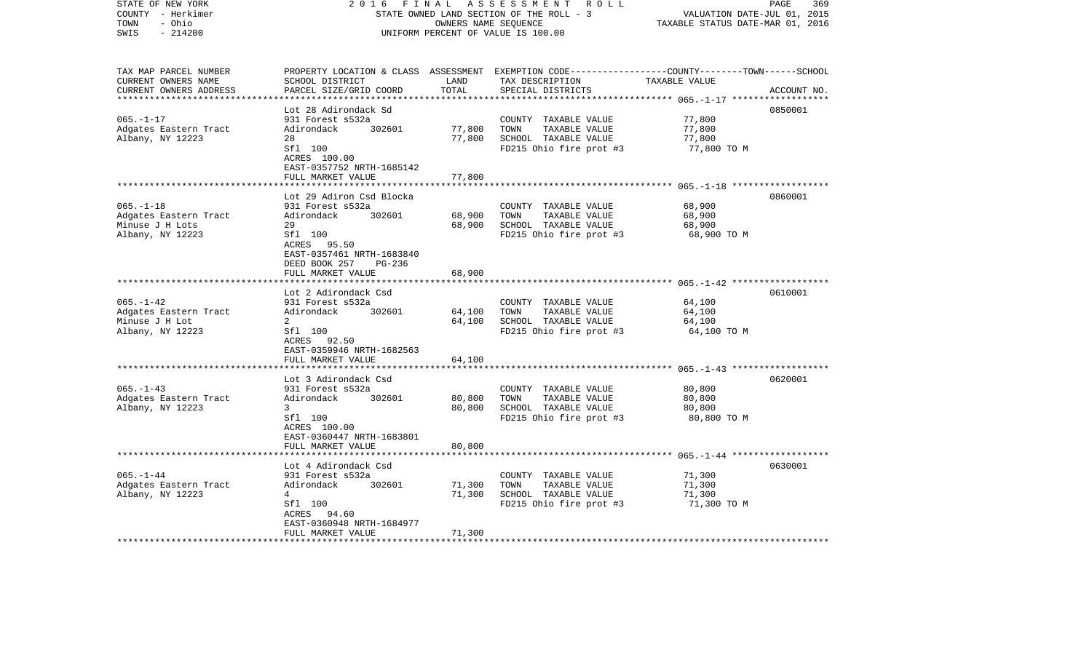| STATE OF NEW YORK<br>COUNTY - Herkimer<br>- Ohio<br>TOWN<br>$-214200$<br>SWIS                       | 2 0 1 6<br>FINAL<br>A S S E S S M E N T R O L L<br>STATE OWNED LAND SECTION OF THE ROLL - 3<br>OWNERS NAME SEQUENCE<br>UNIFORM PERCENT OF VALUE IS 100.00 |               |                                                                                                                                         | 369<br>PAGE<br>VALUATION DATE-JUL 01, 2015<br>TAXABLE STATUS DATE-MAR 01, 2016 |             |  |
|-----------------------------------------------------------------------------------------------------|-----------------------------------------------------------------------------------------------------------------------------------------------------------|---------------|-----------------------------------------------------------------------------------------------------------------------------------------|--------------------------------------------------------------------------------|-------------|--|
| TAX MAP PARCEL NUMBER<br>CURRENT OWNERS NAME<br>CURRENT OWNERS ADDRESS<br>************************* | SCHOOL DISTRICT<br>PARCEL SIZE/GRID COORD                                                                                                                 | LAND<br>TOTAL | PROPERTY LOCATION & CLASS ASSESSMENT EXEMPTION CODE---------------COUNTY-------TOWN------SCHOOL<br>TAX DESCRIPTION<br>SPECIAL DISTRICTS | TAXABLE VALUE                                                                  | ACCOUNT NO. |  |
|                                                                                                     | Lot 28 Adirondack Sd                                                                                                                                      |               |                                                                                                                                         |                                                                                | 0850001     |  |
| $065. - 1 - 17$                                                                                     | 931 Forest s532a                                                                                                                                          |               | COUNTY TAXABLE VALUE                                                                                                                    | 77,800                                                                         |             |  |
| Adgates Eastern Tract                                                                               | Adirondack<br>302601                                                                                                                                      | 77,800        | TOWN<br>TAXABLE VALUE                                                                                                                   | 77,800                                                                         |             |  |
| Albany, NY 12223                                                                                    | 28                                                                                                                                                        | 77,800        | SCHOOL TAXABLE VALUE                                                                                                                    | 77,800                                                                         |             |  |
|                                                                                                     | Sfl 100                                                                                                                                                   |               | FD215 Ohio fire prot #3                                                                                                                 | 77,800 TO M                                                                    |             |  |
|                                                                                                     | ACRES 100.00                                                                                                                                              |               |                                                                                                                                         |                                                                                |             |  |
|                                                                                                     | EAST-0357752 NRTH-1685142<br>FULL MARKET VALUE                                                                                                            | 77,800        |                                                                                                                                         |                                                                                |             |  |
|                                                                                                     | ******************************                                                                                                                            |               |                                                                                                                                         |                                                                                |             |  |
|                                                                                                     | Lot 29 Adiron Csd Blocka                                                                                                                                  |               |                                                                                                                                         |                                                                                | 0860001     |  |
| $065. -1 - 18$                                                                                      | 931 Forest s532a                                                                                                                                          |               | COUNTY TAXABLE VALUE                                                                                                                    | 68,900                                                                         |             |  |
| Adgates Eastern Tract                                                                               | Adirondack 302601                                                                                                                                         | 68,900        | TOWN<br>TAXABLE VALUE                                                                                                                   | 68,900                                                                         |             |  |
| Minuse J H Lots                                                                                     | 29                                                                                                                                                        | 68,900        | SCHOOL TAXABLE VALUE                                                                                                                    | 68,900                                                                         |             |  |
| Albany, NY 12223                                                                                    | Sfl 100<br>ACRES 95.50<br>EAST-0357461 NRTH-1683840<br>DEED BOOK 257<br>PG-236                                                                            |               | FD215 Ohio fire prot #3                                                                                                                 | 68,900 TO M                                                                    |             |  |
|                                                                                                     | FULL MARKET VALUE                                                                                                                                         | 68,900        |                                                                                                                                         |                                                                                |             |  |
|                                                                                                     |                                                                                                                                                           |               |                                                                                                                                         |                                                                                |             |  |
|                                                                                                     | Lot 2 Adirondack Csd                                                                                                                                      |               |                                                                                                                                         |                                                                                | 0610001     |  |
| $065. - 1 - 42$                                                                                     | 931 Forest s532a                                                                                                                                          |               | COUNTY TAXABLE VALUE                                                                                                                    | 64,100                                                                         |             |  |
| Adgates Eastern Tract                                                                               | Adirondack 302601                                                                                                                                         | 64,100        | TAXABLE VALUE<br>TOWN                                                                                                                   | 64,100                                                                         |             |  |
| Minuse J H Lot                                                                                      | 2                                                                                                                                                         | 64,100        | SCHOOL TAXABLE VALUE                                                                                                                    | 64,100                                                                         |             |  |
| Albany, NY 12223                                                                                    | Sfl 100                                                                                                                                                   |               | FD215 Ohio fire prot #3                                                                                                                 | 64,100 TO M                                                                    |             |  |
|                                                                                                     | ACRES 92.50<br>EAST-0359946 NRTH-1682563                                                                                                                  |               |                                                                                                                                         |                                                                                |             |  |
|                                                                                                     | FULL MARKET VALUE                                                                                                                                         | 64,100        |                                                                                                                                         |                                                                                |             |  |
|                                                                                                     |                                                                                                                                                           |               |                                                                                                                                         |                                                                                |             |  |
|                                                                                                     | Lot 3 Adirondack Csd                                                                                                                                      |               |                                                                                                                                         |                                                                                | 0620001     |  |
| $065. -1 - 43$                                                                                      | 931 Forest s532a                                                                                                                                          |               | COUNTY TAXABLE VALUE                                                                                                                    | 80,800                                                                         |             |  |
| Adgates Eastern Tract                                                                               | Adirondack<br>302601                                                                                                                                      | 80,800        | TAXABLE VALUE<br>TOWN                                                                                                                   | 80,800                                                                         |             |  |
| Albany, NY 12223                                                                                    | 3 <sup>7</sup>                                                                                                                                            | 80,800        | SCHOOL TAXABLE VALUE                                                                                                                    | 80,800                                                                         |             |  |
|                                                                                                     | Sfl 100                                                                                                                                                   |               | FD215 Ohio fire prot #3                                                                                                                 | 80,800 TO M                                                                    |             |  |
|                                                                                                     | ACRES 100.00<br>EAST-0360447 NRTH-1683801                                                                                                                 |               |                                                                                                                                         |                                                                                |             |  |
|                                                                                                     | FULL MARKET VALUE                                                                                                                                         | 80,800        |                                                                                                                                         |                                                                                |             |  |
|                                                                                                     |                                                                                                                                                           |               |                                                                                                                                         |                                                                                |             |  |
|                                                                                                     | Lot 4 Adirondack Csd                                                                                                                                      |               |                                                                                                                                         |                                                                                | 0630001     |  |
| $065. - 1 - 44$                                                                                     | 931 Forest s532a                                                                                                                                          |               | COUNTY TAXABLE VALUE                                                                                                                    | 71,300                                                                         |             |  |
| Adgates Eastern Tract                                                                               | Adirondack<br>302601                                                                                                                                      | 71,300        | TAXABLE VALUE<br>TOWN                                                                                                                   | 71,300                                                                         |             |  |
| Albany, NY 12223                                                                                    | $4\overline{ }$                                                                                                                                           | 71,300        | SCHOOL TAXABLE VALUE                                                                                                                    | 71,300                                                                         |             |  |
|                                                                                                     | Sfl 100                                                                                                                                                   |               | FD215 Ohio fire prot #3                                                                                                                 | 71,300 TO M                                                                    |             |  |
|                                                                                                     | ACRES 94.60<br>EAST-0360948 NRTH-1684977                                                                                                                  |               |                                                                                                                                         |                                                                                |             |  |
|                                                                                                     | FULL MARKET VALUE                                                                                                                                         | 71,300        |                                                                                                                                         |                                                                                |             |  |
|                                                                                                     |                                                                                                                                                           |               |                                                                                                                                         |                                                                                |             |  |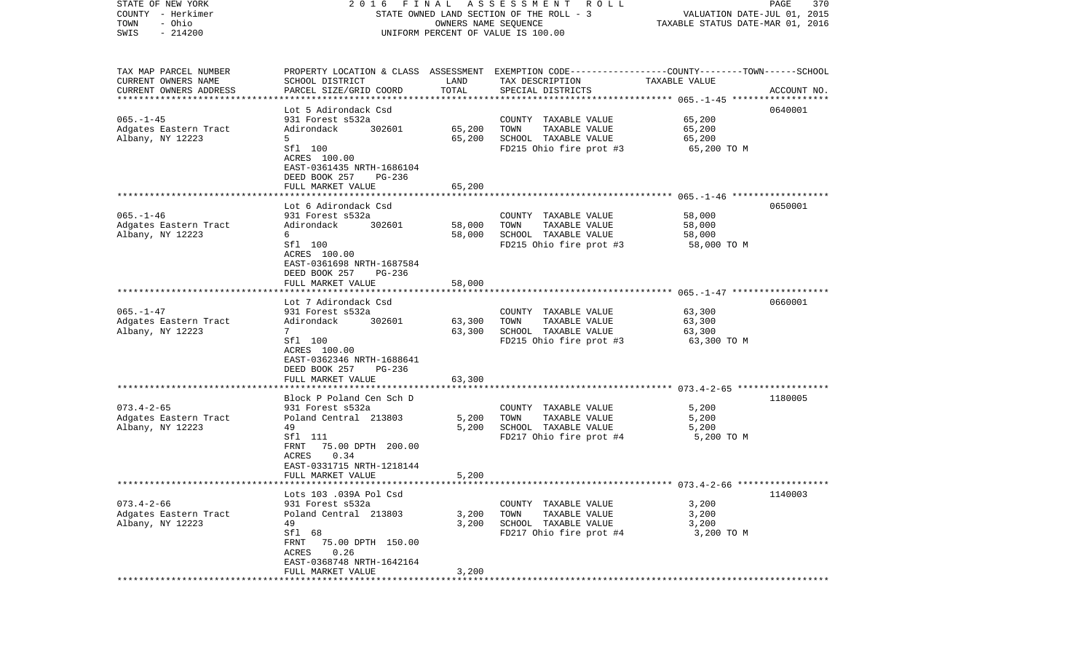| STATE OF NEW YORK                   |                                           |                      | 2016 FINAL ASSESSMENT ROLL                                                                      |                                  | PAGE<br>370 |
|-------------------------------------|-------------------------------------------|----------------------|-------------------------------------------------------------------------------------------------|----------------------------------|-------------|
| COUNTY - Herkimer                   |                                           |                      | STATE OWNED LAND SECTION OF THE ROLL - 3                                                        | VALUATION DATE-JUL 01, 2015      |             |
| TOWN<br>- Ohio<br>SWIS<br>$-214200$ |                                           | OWNERS NAME SEQUENCE | UNIFORM PERCENT OF VALUE IS 100.00                                                              | TAXABLE STATUS DATE-MAR 01, 2016 |             |
|                                     |                                           |                      |                                                                                                 |                                  |             |
| TAX MAP PARCEL NUMBER               |                                           |                      | PROPERTY LOCATION & CLASS ASSESSMENT EXEMPTION CODE---------------COUNTY-------TOWN------SCHOOL |                                  |             |
| CURRENT OWNERS NAME                 | SCHOOL DISTRICT                           | LAND                 | TAX DESCRIPTION                                                                                 | TAXABLE VALUE                    |             |
| CURRENT OWNERS ADDRESS              | PARCEL SIZE/GRID COORD                    | TOTAL                | SPECIAL DISTRICTS                                                                               |                                  | ACCOUNT NO. |
| *************************           |                                           |                      |                                                                                                 |                                  |             |
|                                     | Lot 5 Adirondack Csd                      |                      |                                                                                                 |                                  | 0640001     |
| $065. - 1 - 45$                     | 931 Forest s532a                          |                      | COUNTY TAXABLE VALUE                                                                            | 65,200                           |             |
| Adgates Eastern Tract               | 302601<br>Adirondack                      | 65,200               | TOWN<br>TAXABLE VALUE                                                                           | 65,200                           |             |
| Albany, NY 12223                    | 5                                         | 65,200               | SCHOOL TAXABLE VALUE                                                                            | 65,200                           |             |
|                                     | Sfl 100                                   |                      | FD215 Ohio fire prot #3                                                                         | 65,200 TO M                      |             |
|                                     | ACRES 100.00<br>EAST-0361435 NRTH-1686104 |                      |                                                                                                 |                                  |             |
|                                     | DEED BOOK 257<br>PG-236                   |                      |                                                                                                 |                                  |             |
|                                     | FULL MARKET VALUE                         | 65,200               |                                                                                                 |                                  |             |
|                                     |                                           |                      |                                                                                                 |                                  |             |
|                                     | Lot 6 Adirondack Csd                      |                      |                                                                                                 |                                  | 0650001     |
| $065. - 1 - 46$                     | 931 Forest s532a                          |                      | COUNTY TAXABLE VALUE                                                                            | 58,000                           |             |
| Adgates Eastern Tract               | 302601<br>Adirondack                      | 58,000               | TAXABLE VALUE<br>TOWN                                                                           | 58,000                           |             |
| Albany, NY 12223                    | 6                                         | 58,000               | SCHOOL TAXABLE VALUE                                                                            | 58,000                           |             |
|                                     | Sfl 100                                   |                      | FD215 Ohio fire prot #3                                                                         | 58,000 TO M                      |             |
|                                     | ACRES 100.00                              |                      |                                                                                                 |                                  |             |
|                                     | EAST-0361698 NRTH-1687584                 |                      |                                                                                                 |                                  |             |
|                                     | DEED BOOK 257<br>$PG-236$                 |                      |                                                                                                 |                                  |             |
|                                     | FULL MARKET VALUE                         | 58,000               |                                                                                                 |                                  |             |
|                                     | Lot 7 Adirondack Csd                      |                      |                                                                                                 |                                  | 0660001     |
| $065. - 1 - 47$                     | 931 Forest s532a                          |                      | COUNTY TAXABLE VALUE                                                                            | 63,300                           |             |
| Adgates Eastern Tract               | 302601<br>Adirondack                      | 63,300               | TAXABLE VALUE<br>TOWN                                                                           | 63,300                           |             |
| Albany, NY 12223                    | $7^{\circ}$                               | 63,300               | SCHOOL TAXABLE VALUE                                                                            | 63,300                           |             |
|                                     | Sfl 100                                   |                      | FD215 Ohio fire prot #3                                                                         | 63,300 TO M                      |             |
|                                     | ACRES 100.00                              |                      |                                                                                                 |                                  |             |
|                                     | EAST-0362346 NRTH-1688641                 |                      |                                                                                                 |                                  |             |
|                                     | DEED BOOK 257<br>PG-236                   |                      |                                                                                                 |                                  |             |
|                                     | FULL MARKET VALUE                         | 63,300               |                                                                                                 |                                  |             |
|                                     | ***********************                   |                      |                                                                                                 |                                  |             |
| $073.4 - 2 - 65$                    | Block P Poland Cen Sch D                  |                      |                                                                                                 |                                  | 1180005     |
| Adgates Eastern Tract               | 931 Forest s532a<br>Poland Central 213803 | 5,200                | COUNTY TAXABLE VALUE<br>TOWN<br>TAXABLE VALUE                                                   | 5,200<br>5,200                   |             |
| Albany, NY 12223                    | 49                                        | 5,200                | SCHOOL TAXABLE VALUE                                                                            | 5,200                            |             |
|                                     | Sfl 111                                   |                      | FD217 Ohio fire prot #4                                                                         | 5,200 TO M                       |             |
|                                     | 75.00 DPTH 200.00<br>FRNT                 |                      |                                                                                                 |                                  |             |
|                                     | 0.34<br>ACRES                             |                      |                                                                                                 |                                  |             |
|                                     | EAST-0331715 NRTH-1218144                 |                      |                                                                                                 |                                  |             |
|                                     | FULL MARKET VALUE                         | 5,200                |                                                                                                 |                                  |             |
|                                     |                                           |                      | **************************************673.4-2-66 ******************                             |                                  |             |
|                                     | Lots 103 .039A Pol Csd                    |                      |                                                                                                 |                                  | 1140003     |
| $073.4 - 2 - 66$                    | 931 Forest s532a                          |                      | COUNTY TAXABLE VALUE                                                                            | 3,200                            |             |
| Adgates Eastern Tract               | Poland Central 213803                     | 3,200                | TOWN<br>TAXABLE VALUE                                                                           | 3,200                            |             |
| Albany, NY 12223                    | 49                                        | 3,200                | SCHOOL TAXABLE VALUE<br>FD217 Ohio fire prot #4                                                 | 3,200                            |             |
|                                     | Sfl 68<br>FRNT<br>75.00 DPTH 150.00       |                      |                                                                                                 | 3,200 TO M                       |             |
|                                     | 0.26<br>ACRES                             |                      |                                                                                                 |                                  |             |
|                                     | EAST-0368748 NRTH-1642164                 |                      |                                                                                                 |                                  |             |
|                                     | FULL MARKET VALUE                         | 3,200                |                                                                                                 |                                  |             |
|                                     |                                           |                      |                                                                                                 |                                  |             |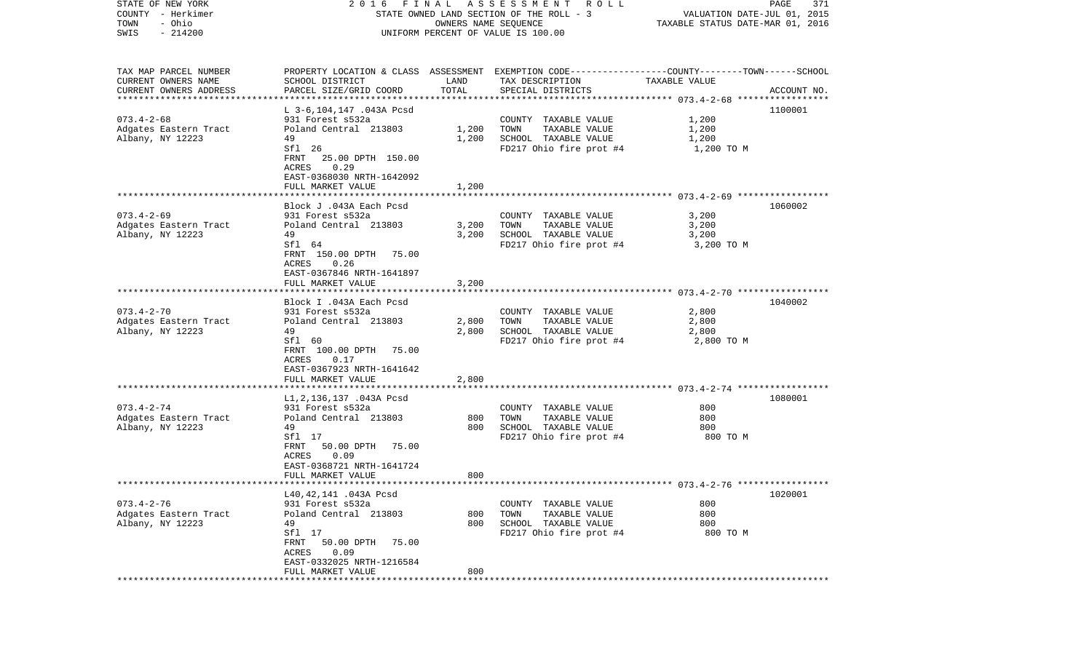| STATE OF NEW YORK       | 2016                                | FINAL | A S S E S S M E N T R O L L                                                                     |                                  | PAGE<br>371 |
|-------------------------|-------------------------------------|-------|-------------------------------------------------------------------------------------------------|----------------------------------|-------------|
| COUNTY - Herkimer       |                                     |       | STATE OWNED LAND SECTION OF THE ROLL - 3                                                        | VALUATION DATE-JUL 01, 2015      |             |
| TOWN<br>- Ohio          |                                     |       | OWNERS NAME SEQUENCE                                                                            | TAXABLE STATUS DATE-MAR 01, 2016 |             |
| SWIS<br>$-214200$       |                                     |       | UNIFORM PERCENT OF VALUE IS 100.00                                                              |                                  |             |
|                         |                                     |       |                                                                                                 |                                  |             |
| TAX MAP PARCEL NUMBER   |                                     |       | PROPERTY LOCATION & CLASS ASSESSMENT EXEMPTION CODE---------------COUNTY-------TOWN------SCHOOL |                                  |             |
| CURRENT OWNERS NAME     | SCHOOL DISTRICT                     | LAND  | TAX DESCRIPTION                                                                                 | TAXABLE VALUE                    |             |
| CURRENT OWNERS ADDRESS  | PARCEL SIZE/GRID COORD              | TOTAL | SPECIAL DISTRICTS                                                                               |                                  | ACCOUNT NO. |
| *********************** |                                     |       |                                                                                                 |                                  |             |
|                         | L 3-6,104,147 .043A Pcsd            |       |                                                                                                 |                                  | 1100001     |
| $073.4 - 2 - 68$        | 931 Forest s532a                    |       | COUNTY TAXABLE VALUE                                                                            | 1,200                            |             |
| Adgates Eastern Tract   | Poland Central 213803               | 1,200 | TOWN<br>TAXABLE VALUE                                                                           | 1,200                            |             |
| Albany, NY 12223        | 49                                  | 1,200 | SCHOOL TAXABLE VALUE                                                                            | 1,200                            |             |
|                         | Sfl 26                              |       | FD217 Ohio fire prot #4                                                                         | 1,200 TO M                       |             |
|                         | 25.00 DPTH 150.00<br>FRNT           |       |                                                                                                 |                                  |             |
|                         | 0.29<br>ACRES                       |       |                                                                                                 |                                  |             |
|                         | EAST-0368030 NRTH-1642092           |       |                                                                                                 |                                  |             |
|                         | FULL MARKET VALUE                   | 1,200 |                                                                                                 |                                  |             |
|                         |                                     |       |                                                                                                 |                                  |             |
|                         | Block J .043A Each Pcsd             |       |                                                                                                 |                                  | 1060002     |
| $073.4 - 2 - 69$        | 931 Forest s532a                    |       | COUNTY TAXABLE VALUE                                                                            | 3,200                            |             |
| Adgates Eastern Tract   | Poland Central 213803               | 3,200 | TAXABLE VALUE<br>TOWN                                                                           | 3,200                            |             |
| Albany, NY 12223        | 49                                  | 3,200 | SCHOOL TAXABLE VALUE                                                                            | 3,200                            |             |
|                         | Sfl 64                              |       | FD217 Ohio fire prot #4                                                                         | 3,200 TO M                       |             |
|                         | FRNT 150.00 DPTH 75.00              |       |                                                                                                 |                                  |             |
|                         | 0.26<br>ACRES                       |       |                                                                                                 |                                  |             |
|                         | EAST-0367846 NRTH-1641897           |       |                                                                                                 |                                  |             |
|                         | FULL MARKET VALUE                   | 3,200 |                                                                                                 |                                  |             |
|                         |                                     |       |                                                                                                 |                                  |             |
|                         | Block I .043A Each Pcsd             |       |                                                                                                 |                                  | 1040002     |
| $073.4 - 2 - 70$        | 931 Forest s532a                    |       | COUNTY TAXABLE VALUE                                                                            | 2,800                            |             |
| Adgates Eastern Tract   | Poland Central 213803               | 2,800 | TOWN<br>TAXABLE VALUE                                                                           | 2,800                            |             |
| Albany, NY 12223        | 49                                  | 2,800 | SCHOOL TAXABLE VALUE                                                                            | 2,800                            |             |
|                         | Sfl 60<br>FRNT 100.00 DPTH<br>75.00 |       | FD217 Ohio fire prot #4                                                                         | 2,800 TO M                       |             |
|                         | 0.17<br>ACRES                       |       |                                                                                                 |                                  |             |
|                         | EAST-0367923 NRTH-1641642           |       |                                                                                                 |                                  |             |
|                         | FULL MARKET VALUE                   | 2,800 |                                                                                                 |                                  |             |
|                         |                                     |       |                                                                                                 |                                  |             |
|                         | L1, 2, 136, 137.043A Pcsd           |       |                                                                                                 |                                  | 1080001     |
| $073.4 - 2 - 74$        | 931 Forest s532a                    |       | COUNTY TAXABLE VALUE                                                                            | 800                              |             |
| Adgates Eastern Tract   | Poland Central 213803               | 800   | TOWN<br>TAXABLE VALUE                                                                           | 800                              |             |
| Albany, NY 12223        | 49                                  | 800   | SCHOOL TAXABLE VALUE                                                                            | 800                              |             |
|                         | Sfl 17                              |       | FD217 Ohio fire prot #4                                                                         | 800 TO M                         |             |
|                         | 50.00 DPTH<br>FRNT<br>75.00         |       |                                                                                                 |                                  |             |
|                         | ACRES<br>0.09                       |       |                                                                                                 |                                  |             |
|                         | EAST-0368721 NRTH-1641724           |       |                                                                                                 |                                  |             |
|                         | FULL MARKET VALUE                   | 800   |                                                                                                 |                                  |             |
|                         |                                     |       |                                                                                                 |                                  |             |
|                         | L40, 42, 141 .043A Pcsd             |       |                                                                                                 |                                  | 1020001     |
| $073.4 - 2 - 76$        | 931 Forest s532a                    |       | COUNTY TAXABLE VALUE                                                                            | 800                              |             |
| Adgates Eastern Tract   | Poland Central 213803               | 800   | TOWN<br>TAXABLE VALUE                                                                           | 800                              |             |
| Albany, NY 12223        | 49                                  | 800   | SCHOOL TAXABLE VALUE                                                                            | 800                              |             |
|                         | Sfl 17                              |       | FD217 Ohio fire prot #4                                                                         | 800 TO M                         |             |
|                         | 50.00 DPTH<br>75.00<br>FRNT         |       |                                                                                                 |                                  |             |
|                         | 0.09<br>ACRES                       |       |                                                                                                 |                                  |             |
|                         | EAST-0332025 NRTH-1216584           |       |                                                                                                 |                                  |             |
|                         | FULL MARKET VALUE                   | 800   |                                                                                                 |                                  |             |
| ************            |                                     |       |                                                                                                 |                                  |             |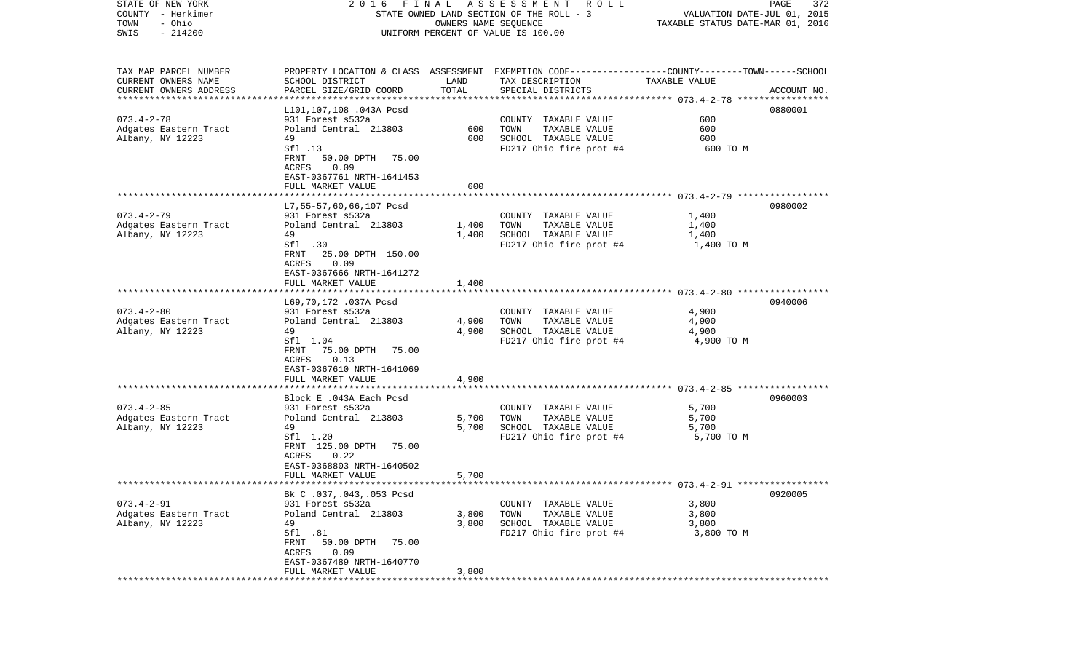| STATE OF NEW YORK                         | 2016                                       | FINAL | A S S E S S M E N T R O L L                                                                     |                                  | PAGE<br>372 |
|-------------------------------------------|--------------------------------------------|-------|-------------------------------------------------------------------------------------------------|----------------------------------|-------------|
| COUNTY - Herkimer                         |                                            |       | STATE OWNED LAND SECTION OF THE ROLL - 3                                                        | VALUATION DATE-JUL 01, 2015      |             |
| TOWN<br>- Ohio                            |                                            |       | OWNERS NAME SEQUENCE                                                                            | TAXABLE STATUS DATE-MAR 01, 2016 |             |
| SWIS<br>$-214200$                         |                                            |       | UNIFORM PERCENT OF VALUE IS 100.00                                                              |                                  |             |
|                                           |                                            |       |                                                                                                 |                                  |             |
|                                           |                                            |       |                                                                                                 |                                  |             |
| TAX MAP PARCEL NUMBER                     |                                            |       | PROPERTY LOCATION & CLASS ASSESSMENT EXEMPTION CODE---------------COUNTY-------TOWN------SCHOOL |                                  |             |
| CURRENT OWNERS NAME                       | SCHOOL DISTRICT                            | LAND  | TAX DESCRIPTION                                                                                 | TAXABLE VALUE                    |             |
| CURRENT OWNERS ADDRESS                    | PARCEL SIZE/GRID COORD                     | TOTAL | SPECIAL DISTRICTS                                                                               |                                  | ACCOUNT NO. |
| **********************                    |                                            |       |                                                                                                 |                                  |             |
|                                           | L101,107,108 .043A Pcsd                    |       |                                                                                                 | 600                              | 0880001     |
| $073.4 - 2 - 78$                          | 931 Forest s532a<br>Poland Central 213803  | 600   | COUNTY TAXABLE VALUE<br>TOWN                                                                    | 600                              |             |
| Adgates Eastern Tract<br>Albany, NY 12223 | 49                                         | 600   | TAXABLE VALUE<br>SCHOOL TAXABLE VALUE                                                           | 600                              |             |
|                                           | Sfl .13                                    |       | FD217 Ohio fire prot #4                                                                         | 600 TO M                         |             |
|                                           | 50.00 DPTH<br>FRNT<br>75.00                |       |                                                                                                 |                                  |             |
|                                           | ACRES<br>0.09                              |       |                                                                                                 |                                  |             |
|                                           | EAST-0367761 NRTH-1641453                  |       |                                                                                                 |                                  |             |
|                                           | FULL MARKET VALUE                          | 600   |                                                                                                 |                                  |             |
|                                           |                                            |       |                                                                                                 |                                  |             |
|                                           | L7, 55-57, 60, 66, 107 Pcsd                |       |                                                                                                 |                                  | 0980002     |
| $073.4 - 2 - 79$                          | 931 Forest s532a                           |       | COUNTY TAXABLE VALUE                                                                            | 1,400                            |             |
| Adgates Eastern Tract                     | Poland Central 213803                      | 1,400 | TAXABLE VALUE<br>TOWN                                                                           | 1,400                            |             |
| Albany, NY 12223                          | 49                                         | 1,400 | SCHOOL TAXABLE VALUE                                                                            | 1,400                            |             |
|                                           | Sfl .30                                    |       | FD217 Ohio fire prot #4                                                                         | 1,400 TO M                       |             |
|                                           | FRNT<br>25.00 DPTH 150.00                  |       |                                                                                                 |                                  |             |
|                                           | 0.09<br>ACRES                              |       |                                                                                                 |                                  |             |
|                                           | EAST-0367666 NRTH-1641272                  |       |                                                                                                 |                                  |             |
|                                           | FULL MARKET VALUE                          | 1,400 |                                                                                                 |                                  |             |
|                                           |                                            |       |                                                                                                 |                                  |             |
|                                           | L69,70,172 .037A Pcsd                      |       |                                                                                                 |                                  | 0940006     |
| $073.4 - 2 - 80$                          | 931 Forest s532a                           |       | COUNTY TAXABLE VALUE                                                                            | 4,900                            |             |
| Adgates Eastern Tract                     | Poland Central 213803                      | 4,900 | TOWN<br>TAXABLE VALUE                                                                           | 4,900                            |             |
| Albany, NY 12223                          | 49                                         | 4,900 | SCHOOL TAXABLE VALUE                                                                            | 4,900                            |             |
|                                           | Sfl 1.04                                   |       | FD217 Ohio fire prot #4                                                                         | 4,900 TO M                       |             |
|                                           | FRNT<br>75.00 DPTH<br>75.00                |       |                                                                                                 |                                  |             |
|                                           | 0.13<br>ACRES                              |       |                                                                                                 |                                  |             |
|                                           | EAST-0367610 NRTH-1641069                  |       |                                                                                                 |                                  |             |
|                                           | FULL MARKET VALUE                          | 4,900 |                                                                                                 |                                  |             |
|                                           |                                            |       |                                                                                                 |                                  |             |
|                                           | Block E .043A Each Pcsd                    |       |                                                                                                 |                                  | 0960003     |
| $073.4 - 2 - 85$                          | 931 Forest s532a                           |       | COUNTY TAXABLE VALUE                                                                            | 5,700                            |             |
| Adgates Eastern Tract                     | Poland Central 213803                      | 5,700 | TOWN<br>TAXABLE VALUE                                                                           | 5,700                            |             |
| Albany, NY 12223                          | 49                                         | 5,700 | SCHOOL TAXABLE VALUE                                                                            | 5,700                            |             |
|                                           | Sfl 1.20                                   |       | FD217 Ohio fire prot #4                                                                         | 5,700 TO M                       |             |
|                                           | FRNT 125.00 DPTH<br>75.00<br>0.22<br>ACRES |       |                                                                                                 |                                  |             |
|                                           | EAST-0368803 NRTH-1640502                  |       |                                                                                                 |                                  |             |
|                                           | FULL MARKET VALUE                          | 5,700 |                                                                                                 |                                  |             |
|                                           |                                            |       |                                                                                                 |                                  |             |
|                                           | Bk C .037, .043, .053 Pcsd                 |       |                                                                                                 |                                  | 0920005     |
| $073.4 - 2 - 91$                          | 931 Forest s532a                           |       | COUNTY TAXABLE VALUE                                                                            | 3,800                            |             |
| Adgates Eastern Tract                     | Poland Central 213803                      | 3,800 | TOWN<br>TAXABLE VALUE                                                                           | 3,800                            |             |
| Albany, NY 12223                          | 49                                         | 3,800 | SCHOOL TAXABLE VALUE                                                                            | 3,800                            |             |
|                                           | Sfl .81                                    |       | FD217 Ohio fire prot #4                                                                         | 3,800 TO M                       |             |
|                                           | FRNT<br>50.00 DPTH<br>75.00                |       |                                                                                                 |                                  |             |
|                                           | 0.09<br>ACRES                              |       |                                                                                                 |                                  |             |
|                                           | EAST-0367489 NRTH-1640770                  |       |                                                                                                 |                                  |             |
|                                           | FULL MARKET VALUE                          | 3,800 |                                                                                                 |                                  |             |
| ***********                               |                                            |       |                                                                                                 |                                  |             |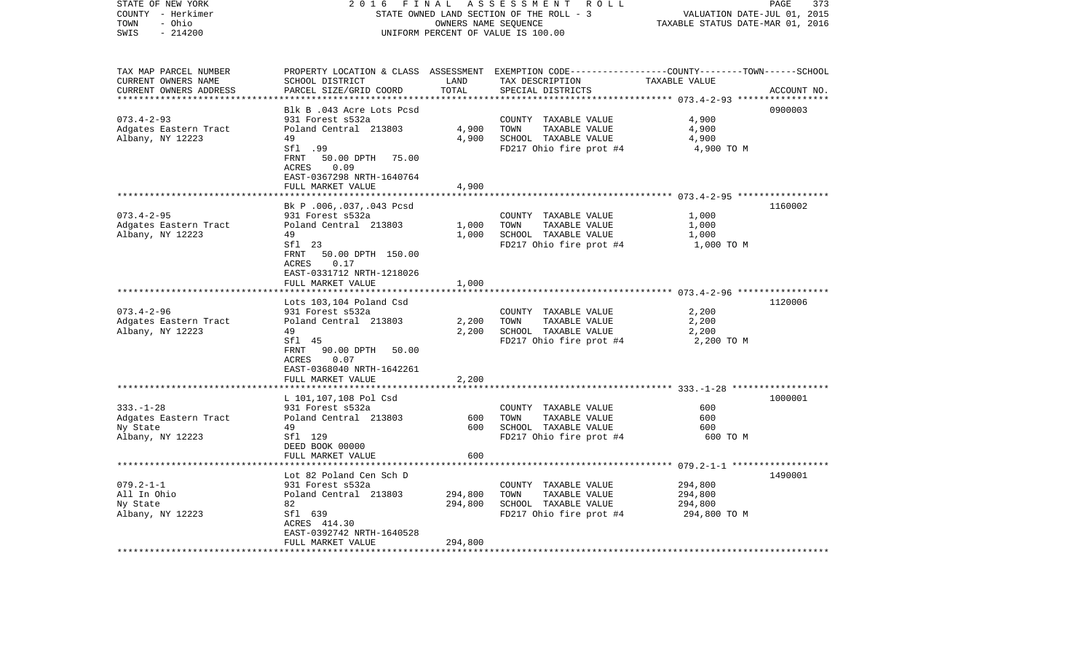| STATE OF NEW YORK<br>COUNTY - Herkimer<br>- Ohio<br>TOWN<br>SWIS<br>$-214200$ | 2 0 1 6<br>FINAL<br>STATE OWNED LAND SECTION OF THE ROLL - 3<br>UNIFORM PERCENT OF VALUE IS 100.00 | PAGE<br>373<br>VALUATION DATE-JUL 01, 2015<br>TAXABLE STATUS DATE-MAR 01, 2016 |                                                                                                  |               |             |
|-------------------------------------------------------------------------------|----------------------------------------------------------------------------------------------------|--------------------------------------------------------------------------------|--------------------------------------------------------------------------------------------------|---------------|-------------|
|                                                                               |                                                                                                    |                                                                                |                                                                                                  |               |             |
| TAX MAP PARCEL NUMBER                                                         |                                                                                                    |                                                                                | PROPERTY LOCATION & CLASS ASSESSMENT EXEMPTION CODE----------------COUNTY-------TOWN------SCHOOL |               |             |
| CURRENT OWNERS NAME<br>CURRENT OWNERS ADDRESS                                 | SCHOOL DISTRICT<br>PARCEL SIZE/GRID COORD                                                          | LAND<br>TOTAL                                                                  | TAX DESCRIPTION<br>SPECIAL DISTRICTS                                                             | TAXABLE VALUE | ACCOUNT NO. |
| ***********************                                                       | ************************                                                                           | ***************                                                                |                                                                                                  |               |             |
|                                                                               | Blk B .043 Acre Lots Pcsd                                                                          |                                                                                |                                                                                                  |               | 0900003     |
| $073.4 - 2 - 93$                                                              | 931 Forest s532a                                                                                   |                                                                                | COUNTY TAXABLE VALUE                                                                             | 4,900         |             |
| Adgates Eastern Tract                                                         | Poland Central 213803                                                                              | 4,900                                                                          | TAXABLE VALUE<br>TOWN                                                                            | 4,900         |             |
| Albany, NY 12223                                                              | 49                                                                                                 | 4,900                                                                          | SCHOOL TAXABLE VALUE                                                                             | 4,900         |             |
|                                                                               | Sfl .99                                                                                            |                                                                                | FD217 Ohio fire prot #4                                                                          | 4,900 TO M    |             |
|                                                                               | FRNT<br>50.00 DPTH<br>75.00<br>ACRES<br>0.09<br>EAST-0367298 NRTH-1640764                          |                                                                                |                                                                                                  |               |             |
|                                                                               | FULL MARKET VALUE                                                                                  | 4,900                                                                          |                                                                                                  |               |             |
|                                                                               |                                                                                                    |                                                                                |                                                                                                  |               |             |
|                                                                               | Bk P.006,.037,.043 Pcsd                                                                            |                                                                                |                                                                                                  |               | 1160002     |
| $073.4 - 2 - 95$                                                              | 931 Forest s532a                                                                                   |                                                                                | COUNTY TAXABLE VALUE                                                                             | 1,000         |             |
| Adgates Eastern Tract                                                         | Poland Central 213803                                                                              | 1,000                                                                          | TOWN<br>TAXABLE VALUE                                                                            | 1,000         |             |
| Albany, NY 12223                                                              | 49                                                                                                 | 1,000                                                                          | SCHOOL TAXABLE VALUE                                                                             | 1,000         |             |
|                                                                               | Sf1 23<br>FRNT<br>50.00 DPTH 150.00                                                                |                                                                                | FD217 Ohio fire prot #4                                                                          | 1,000 TO M    |             |
|                                                                               | 0.17<br>ACRES                                                                                      |                                                                                |                                                                                                  |               |             |
|                                                                               | EAST-0331712 NRTH-1218026                                                                          |                                                                                |                                                                                                  |               |             |
|                                                                               | FULL MARKET VALUE                                                                                  | 1,000                                                                          |                                                                                                  |               |             |
|                                                                               | ****************                                                                                   | * * * * * * * *                                                                |                                                                                                  |               |             |
|                                                                               | Lots 103,104 Poland Csd                                                                            |                                                                                |                                                                                                  |               | 1120006     |
| $073.4 - 2 - 96$                                                              | 931 Forest s532a                                                                                   |                                                                                | COUNTY TAXABLE VALUE                                                                             | 2,200         |             |
| Adgates Eastern Tract                                                         | Poland Central 213803                                                                              | 2,200                                                                          | TOWN<br>TAXABLE VALUE                                                                            | 2,200         |             |
| Albany, NY 12223                                                              | 49                                                                                                 | 2,200                                                                          | SCHOOL TAXABLE VALUE                                                                             | 2,200         |             |
|                                                                               | Sfl 45                                                                                             |                                                                                | FD217 Ohio fire prot #4                                                                          | 2,200 TO M    |             |
|                                                                               | FRNT<br>90.00 DPTH<br>50.00                                                                        |                                                                                |                                                                                                  |               |             |
|                                                                               | 0.07<br>ACRES                                                                                      |                                                                                |                                                                                                  |               |             |
|                                                                               | EAST-0368040 NRTH-1642261                                                                          |                                                                                |                                                                                                  |               |             |
|                                                                               | FULL MARKET VALUE                                                                                  | 2,200                                                                          |                                                                                                  |               |             |
|                                                                               |                                                                                                    |                                                                                |                                                                                                  |               |             |
|                                                                               | L 101,107,108 Pol Csd                                                                              |                                                                                |                                                                                                  |               | 1000001     |
| $333. - 1 - 28$                                                               | 931 Forest s532a                                                                                   |                                                                                | COUNTY TAXABLE VALUE                                                                             | 600           |             |
| Adgates Eastern Tract                                                         | Poland Central 213803                                                                              | 600                                                                            | TOWN<br>TAXABLE VALUE                                                                            | 600           |             |
| Ny State                                                                      | 49                                                                                                 | 600                                                                            | SCHOOL TAXABLE VALUE                                                                             | 600           |             |
| Albany, NY 12223                                                              | Sfl 129                                                                                            |                                                                                | FD217 Ohio fire prot #4                                                                          | 600 TO M      |             |
|                                                                               | DEED BOOK 00000                                                                                    |                                                                                |                                                                                                  |               |             |
|                                                                               | FULL MARKET VALUE                                                                                  | 600                                                                            |                                                                                                  |               |             |
|                                                                               | Lot 82 Poland Cen Sch D                                                                            |                                                                                |                                                                                                  |               | 1490001     |
| $079.2 - 1 - 1$                                                               | 931 Forest s532a                                                                                   |                                                                                | COUNTY TAXABLE VALUE                                                                             | 294,800       |             |
| All In Ohio                                                                   | Poland Central 213803                                                                              | 294,800                                                                        | TOWN<br>TAXABLE VALUE                                                                            | 294,800       |             |
| Ny State                                                                      | 82                                                                                                 | 294,800                                                                        | SCHOOL TAXABLE VALUE                                                                             | 294,800       |             |
| Albany, NY 12223                                                              | Sfl 639                                                                                            |                                                                                | FD217 Ohio fire prot #4                                                                          | 294,800 TO M  |             |
|                                                                               | ACRES 414.30                                                                                       |                                                                                |                                                                                                  |               |             |
|                                                                               | EAST-0392742 NRTH-1640528<br>FULL MARKET VALUE                                                     | 294,800                                                                        |                                                                                                  |               |             |
| **************************                                                    | ************************                                                                           |                                                                                |                                                                                                  |               |             |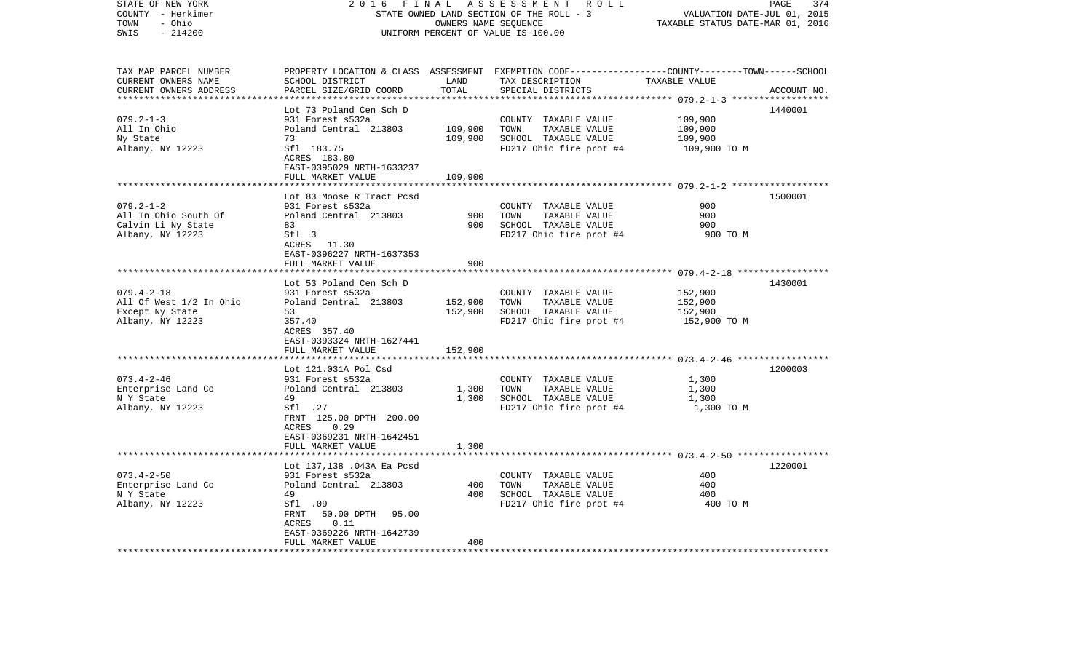| STATE OF NEW YORK                      | 2 0 1 6<br>FINAL<br>A S S E S S M E N T R O L L<br>PAGE<br>374<br>STATE OWNED LAND SECTION OF THE ROLL - 3 |                             |                                                                                                 |                                  |             |  |
|----------------------------------------|------------------------------------------------------------------------------------------------------------|-----------------------------|-------------------------------------------------------------------------------------------------|----------------------------------|-------------|--|
| COUNTY - Herkimer                      |                                                                                                            | VALUATION DATE-JUL 01, 2015 |                                                                                                 |                                  |             |  |
| - Ohio<br>TOWN                         |                                                                                                            |                             | OWNERS NAME SEQUENCE                                                                            | TAXABLE STATUS DATE-MAR 01, 2016 |             |  |
| SWIS<br>$-214200$                      | UNIFORM PERCENT OF VALUE IS 100.00                                                                         |                             |                                                                                                 |                                  |             |  |
| TAX MAP PARCEL NUMBER                  |                                                                                                            |                             | PROPERTY LOCATION & CLASS ASSESSMENT EXEMPTION CODE---------------COUNTY-------TOWN------SCHOOL |                                  |             |  |
| CURRENT OWNERS NAME                    | SCHOOL DISTRICT                                                                                            | LAND                        | TAX DESCRIPTION                                                                                 | TAXABLE VALUE                    |             |  |
| CURRENT OWNERS ADDRESS                 | PARCEL SIZE/GRID COORD                                                                                     | TOTAL                       | SPECIAL DISTRICTS                                                                               |                                  | ACCOUNT NO. |  |
| *************************              |                                                                                                            |                             |                                                                                                 |                                  |             |  |
|                                        | Lot 73 Poland Cen Sch D                                                                                    |                             |                                                                                                 |                                  | 1440001     |  |
| $079.2 - 1 - 3$                        | 931 Forest s532a                                                                                           |                             | COUNTY TAXABLE VALUE                                                                            | 109,900                          |             |  |
| All In Ohio                            | Poland Central 213803                                                                                      | 109,900                     | TOWN<br>TAXABLE VALUE                                                                           | 109,900                          |             |  |
| Ny State                               | 73                                                                                                         | 109,900                     | SCHOOL TAXABLE VALUE                                                                            | 109,900                          |             |  |
| Albany, NY 12223                       | Sfl 183.75                                                                                                 |                             | FD217 Ohio fire prot #4                                                                         | 109,900 ТО М                     |             |  |
|                                        | ACRES 183.80                                                                                               |                             |                                                                                                 |                                  |             |  |
|                                        | EAST-0395029 NRTH-1633237                                                                                  |                             |                                                                                                 |                                  |             |  |
|                                        | FULL MARKET VALUE                                                                                          | 109,900<br>***********      |                                                                                                 |                                  |             |  |
|                                        | Lot 83 Moose R Tract Pcsd                                                                                  |                             |                                                                                                 |                                  | 1500001     |  |
| $079.2 - 1 - 2$                        | 931 Forest s532a                                                                                           |                             | COUNTY TAXABLE VALUE                                                                            | 900                              |             |  |
| All In Ohio South Of                   | Poland Central 213803                                                                                      | 900                         | TOWN<br>TAXABLE VALUE                                                                           | 900                              |             |  |
| Calvin Li Ny State                     | 83                                                                                                         | 900                         | SCHOOL TAXABLE VALUE                                                                            | 900                              |             |  |
| Albany, NY 12223                       | Sfl 3                                                                                                      |                             | FD217 Ohio fire prot #4                                                                         | 900 TO M                         |             |  |
|                                        | ACRES 11.30                                                                                                |                             |                                                                                                 |                                  |             |  |
|                                        | EAST-0396227 NRTH-1637353                                                                                  |                             |                                                                                                 |                                  |             |  |
|                                        | FULL MARKET VALUE                                                                                          | 900                         |                                                                                                 |                                  |             |  |
|                                        |                                                                                                            |                             |                                                                                                 |                                  | 1430001     |  |
| $079.4 - 2 - 18$                       | Lot 53 Poland Cen Sch D<br>931 Forest s532a                                                                |                             | COUNTY TAXABLE VALUE                                                                            | 152,900                          |             |  |
| All Of West 1/2 In Ohio                | Poland Central 213803                                                                                      | 152,900                     | TAXABLE VALUE<br>TOWN                                                                           | 152,900                          |             |  |
| Except Ny State                        | 53                                                                                                         | 152,900                     | SCHOOL TAXABLE VALUE                                                                            | 152,900                          |             |  |
| Albany, NY 12223                       | 357.40                                                                                                     |                             | FD217 Ohio fire prot #4                                                                         | 152,900 TO M                     |             |  |
|                                        | ACRES 357.40                                                                                               |                             |                                                                                                 |                                  |             |  |
|                                        | EAST-0393324 NRTH-1627441                                                                                  |                             |                                                                                                 |                                  |             |  |
|                                        | FULL MARKET VALUE                                                                                          | 152,900                     |                                                                                                 |                                  |             |  |
|                                        |                                                                                                            |                             |                                                                                                 |                                  |             |  |
|                                        | Lot 121.031A Pol Csd                                                                                       |                             |                                                                                                 |                                  | 1200003     |  |
| $073.4 - 2 - 46$<br>Enterprise Land Co | 931 Forest s532a<br>Poland Central 213803                                                                  | 1,300                       | COUNTY TAXABLE VALUE<br>TAXABLE VALUE<br>TOWN                                                   | 1,300<br>1,300                   |             |  |
| N Y State                              | 49                                                                                                         | 1,300                       | SCHOOL TAXABLE VALUE                                                                            | 1,300                            |             |  |
| Albany, NY 12223                       | Sfl .27                                                                                                    |                             | FD217 Ohio fire prot #4                                                                         | 1,300 TO M                       |             |  |
|                                        | FRNT 125.00 DPTH 200.00                                                                                    |                             |                                                                                                 |                                  |             |  |
|                                        | ACRES 0.29                                                                                                 |                             |                                                                                                 |                                  |             |  |
|                                        | EAST-0369231 NRTH-1642451                                                                                  |                             |                                                                                                 |                                  |             |  |
|                                        | FULL MARKET VALUE                                                                                          | 1,300                       |                                                                                                 |                                  |             |  |
|                                        | **************************                                                                                 |                             |                                                                                                 |                                  |             |  |
|                                        | Lot 137,138 .043A Ea Pcsd                                                                                  |                             |                                                                                                 |                                  | 1220001     |  |
| $073.4 - 2 - 50$                       | 931 Forest s532a                                                                                           |                             | COUNTY TAXABLE VALUE                                                                            | 400                              |             |  |
| Enterprise Land Co                     | Poland Central 213803                                                                                      | 400<br>400                  | TOWN<br>TAXABLE VALUE                                                                           | 400<br>400                       |             |  |
| N Y State<br>Albany, NY 12223          | 49<br>Sfl .09                                                                                              |                             | SCHOOL TAXABLE VALUE<br>FD217 Ohio fire prot #4                                                 | 400 TO M                         |             |  |
|                                        | 50.00 DPTH 95.00<br>FRNT                                                                                   |                             |                                                                                                 |                                  |             |  |
|                                        | ACRES<br>0.11                                                                                              |                             |                                                                                                 |                                  |             |  |
|                                        | EAST-0369226 NRTH-1642739                                                                                  |                             |                                                                                                 |                                  |             |  |
|                                        | FULL MARKET VALUE                                                                                          | 400                         |                                                                                                 |                                  |             |  |
|                                        |                                                                                                            |                             |                                                                                                 |                                  |             |  |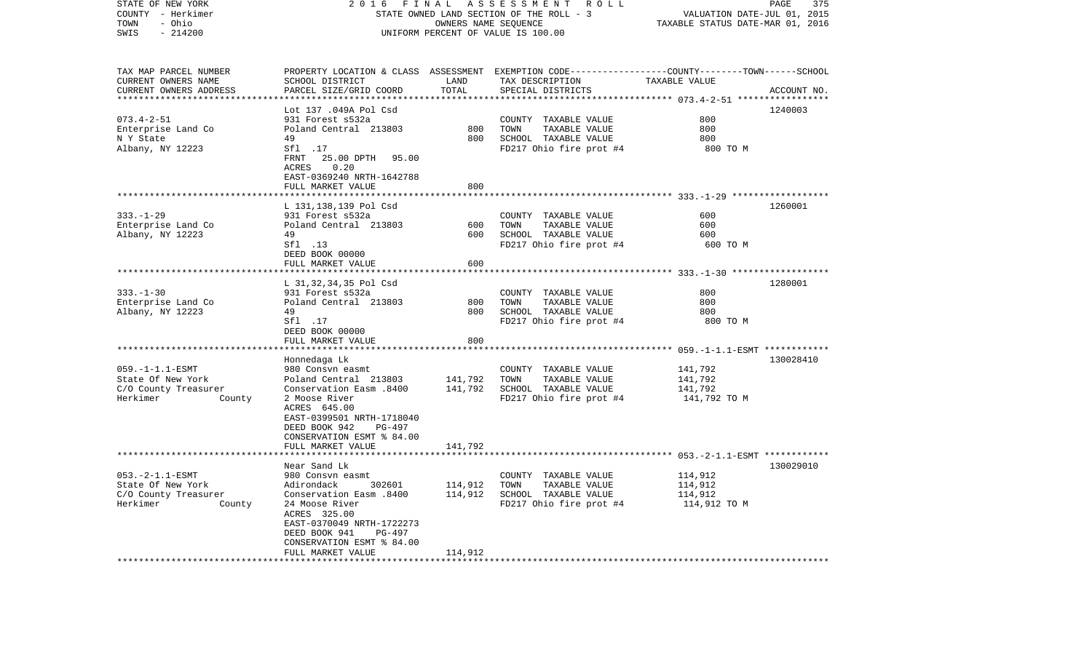| STATE OF NEW YORK<br>COUNTY - Herkimer<br>- Ohio<br>TOWN<br>SWIS<br>$-214200$                                         | 2016                                                                                                                                                                                                                                                         | FINAL                                         | A S S E S S M E N T A O L L<br>STATE OWNED LAND SECTION OF THE ROLL - 3<br>OWNERS NAME SEQUENCE<br>UNIFORM PERCENT OF VALUE IS 100.00    | VALUATION DATE-JUL 01, 2015<br>TAXABLE STATUS DATE-MAR 01, 2016 | PAGE<br>375 |
|-----------------------------------------------------------------------------------------------------------------------|--------------------------------------------------------------------------------------------------------------------------------------------------------------------------------------------------------------------------------------------------------------|-----------------------------------------------|------------------------------------------------------------------------------------------------------------------------------------------|-----------------------------------------------------------------|-------------|
| TAX MAP PARCEL NUMBER<br>CURRENT OWNERS NAME<br>CURRENT OWNERS ADDRESS                                                | SCHOOL DISTRICT<br>PARCEL SIZE/GRID COORD                                                                                                                                                                                                                    | LAND<br>TOTAL                                 | PROPERTY LOCATION & CLASS ASSESSMENT EXEMPTION CODE----------------COUNTY-------TOWN------SCHOOL<br>TAX DESCRIPTION<br>SPECIAL DISTRICTS | TAXABLE VALUE                                                   | ACCOUNT NO. |
| $073.4 - 2 - 51$<br>Enterprise Land Co<br>N Y State<br>Albany, NY 12223                                               | Lot 137 .049A Pol Csd<br>931 Forest s532a<br>Poland Central 213803<br>49<br>Sf1 .17<br>FRNT 25.00 DPTH<br>95.00<br>ACRES<br>0.20<br>EAST-0369240 NRTH-1642788<br>FULL MARKET VALUE                                                                           | 800<br>800<br>800                             | COUNTY TAXABLE VALUE<br>TOWN<br>TAXABLE VALUE<br>SCHOOL TAXABLE VALUE<br>FD217 Ohio fire prot #4                                         | 800<br>800<br>800<br>800 TO M                                   | 1240003     |
| $333. - 1 - 29$<br>Enterprise Land Co<br>Albany, NY 12223                                                             | L 131,138,139 Pol Csd<br>931 Forest s532a<br>Poland Central 213803<br>49<br>Sf1 .13<br>DEED BOOK 00000<br>FULL MARKET VALUE                                                                                                                                  | 600<br>600<br>600                             | COUNTY TAXABLE VALUE<br>TOWN<br>TAXABLE VALUE<br>SCHOOL TAXABLE VALUE<br>FD217 Ohio fire prot #4                                         | 600<br>600<br>600<br>600 TO M                                   | 1260001     |
| $333. - 1 - 30$<br>Enterprise Land Co<br>Albany, NY 12223                                                             | L 31,32,34,35 Pol Csd<br>931 Forest s532a<br>Poland Central 213803<br>49<br>Sfl .17<br>DEED BOOK 00000<br>FULL MARKET VALUE                                                                                                                                  | 800<br>800<br>800                             | COUNTY TAXABLE VALUE<br>TOWN<br>TAXABLE VALUE<br>SCHOOL TAXABLE VALUE<br>FD217 Ohio fire prot #4                                         | 800<br>800<br>800<br>800 TO M                                   | 1280001     |
| $059. -1 - 1.1 - ESMT$<br>State Of New York<br>C/O County Treasurer<br>Herkimer<br>County                             | Honnedaga Lk<br>980 Consvn easmt<br>Poland Central 213803<br>Conservation Easm .8400<br>2 Moose River<br>ACRES 645.00<br>EAST-0399501 NRTH-1718040<br>DEED BOOK 942<br>PG-497<br>CONSERVATION ESMT % 84.00<br>FULL MARKET VALUE                              | 141,792<br>141,792<br>141,792                 | COUNTY TAXABLE VALUE<br>TOWN<br>TAXABLE VALUE<br>SCHOOL TAXABLE VALUE<br>FD217 Ohio fire prot #4                                         | 141,792<br>141,792<br>141,792<br>141,792 TO M                   | 130028410   |
| $053. -2 - 1.1 - ESMT$<br>State Of New York<br>C/O County Treasurer<br>Herkimer<br>County<br>************************ | Near Sand Lk<br>980 Consvn easmt<br>302601<br>Adirondack<br>Conservation Easm .8400<br>24 Moose River<br>ACRES 325.00<br>EAST-0370049 NRTH-1722273<br>DEED BOOK 941<br><b>PG-497</b><br>CONSERVATION ESMT % 84.00<br>FULL MARKET VALUE<br>****************** | ************<br>114,912<br>114,912<br>114,912 | COUNTY TAXABLE VALUE<br>TAXABLE VALUE<br>TOWN<br>SCHOOL TAXABLE VALUE<br>FD217 Ohio fire prot #4                                         | 114,912<br>114,912<br>114,912<br>114,912 TO M                   | 130029010   |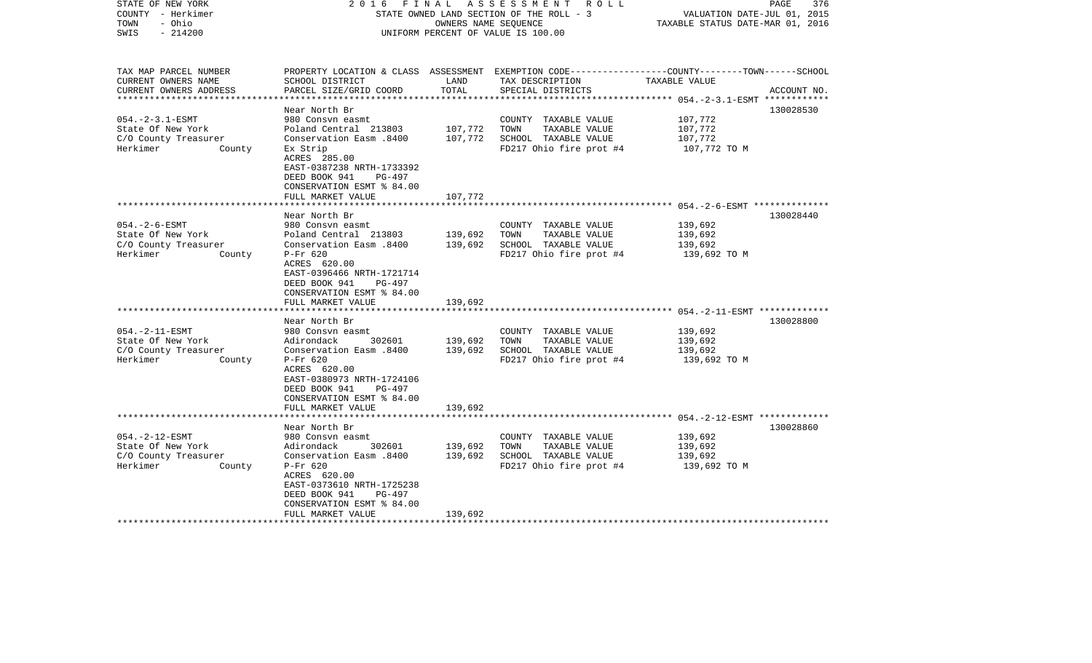| STATE OF NEW YORK<br>COUNTY - Herkimer<br>TOWN<br>- Ohio<br>$-214200$<br>SWIS                                                                                                        | FINAL<br>2016                                                                                                                                                                                                                                                                                                                                                                                                           | OWNERS NAME SEOUENCE                                | A S S E S S M E N T<br>R O L L<br>STATE OWNED LAND SECTION OF THE ROLL - 3<br>UNIFORM PERCENT OF VALUE IS 100.00                                                                                     | VALUATION DATE-JUL 01, 2015<br>TAXABLE STATUS DATE-MAR 01, 2016                                                                                                 | 376<br>PAGE                 |
|--------------------------------------------------------------------------------------------------------------------------------------------------------------------------------------|-------------------------------------------------------------------------------------------------------------------------------------------------------------------------------------------------------------------------------------------------------------------------------------------------------------------------------------------------------------------------------------------------------------------------|-----------------------------------------------------|------------------------------------------------------------------------------------------------------------------------------------------------------------------------------------------------------|-----------------------------------------------------------------------------------------------------------------------------------------------------------------|-----------------------------|
| TAX MAP PARCEL NUMBER<br>CURRENT OWNERS NAME<br>CURRENT OWNERS ADDRESS<br>**********************                                                                                     | SCHOOL DISTRICT<br>PARCEL SIZE/GRID COORD<br>*************************                                                                                                                                                                                                                                                                                                                                                  | LAND<br>TOTAL<br>***************                    | PROPERTY LOCATION & CLASS ASSESSMENT EXEMPTION CODE----------------COUNTY-------TOWN------SCHOOL<br>TAX DESCRIPTION<br>SPECIAL DISTRICTS                                                             | TAXABLE VALUE                                                                                                                                                   | ACCOUNT NO.<br>************ |
| $054. -2 - 3.1 - ESMT$                                                                                                                                                               | Near North Br<br>980 Consyn easmt                                                                                                                                                                                                                                                                                                                                                                                       |                                                     | COUNTY TAXABLE VALUE                                                                                                                                                                                 | 107,772                                                                                                                                                         | 130028530                   |
| State Of New York<br>C/O County Treasurer<br>Herkimer<br>County                                                                                                                      | Poland Central 213803<br>Conservation Easm .8400<br>Ex Strip<br>ACRES 285.00<br>EAST-0387238 NRTH-1733392<br>DEED BOOK 941<br>$PG-497$                                                                                                                                                                                                                                                                                  | 107,772<br>107,772                                  | TOWN<br>TAXABLE VALUE<br>SCHOOL TAXABLE VALUE<br>FD217 Ohio fire prot #4                                                                                                                             | 107,772<br>107,772<br>107,772 TO M                                                                                                                              |                             |
|                                                                                                                                                                                      | CONSERVATION ESMT % 84.00<br>FULL MARKET VALUE                                                                                                                                                                                                                                                                                                                                                                          | 107,772                                             |                                                                                                                                                                                                      |                                                                                                                                                                 |                             |
|                                                                                                                                                                                      | Near North Br                                                                                                                                                                                                                                                                                                                                                                                                           |                                                     |                                                                                                                                                                                                      | ************************** 054.-2-6-ESMT **************                                                                                                         | 130028440                   |
| $054. - 2 - 6 - ESMT$<br>State Of New York<br>C/O County Treasurer<br>Herkimer<br>County<br>$054. -2 - 11 - ESMT$<br>State Of New York<br>C/O County Treasurer<br>Herkimer<br>County | 980 Consyn easmt<br>Poland Central 213803<br>Conservation Easm .8400<br>P-Fr 620<br>ACRES 620.00<br>EAST-0396466 NRTH-1721714<br>DEED BOOK 941<br>PG-497<br>CONSERVATION ESMT % 84.00<br>FULL MARKET VALUE<br>****************************<br>Near North Br<br>980 Consyn easmt<br>302601<br>Adirondack<br>Conservation Easm.8400<br>$P-Fr$ 620<br>ACRES 620.00<br>EAST-0380973 NRTH-1724106<br>DEED BOOK 941<br>PG-497 | 139,692<br>139,692<br>139,692<br>139,692<br>139,692 | COUNTY TAXABLE VALUE<br>TOWN<br>TAXABLE VALUE<br>SCHOOL TAXABLE VALUE<br>FD217 Ohio fire prot #4<br>COUNTY TAXABLE VALUE<br>TAXABLE VALUE<br>TOWN<br>SCHOOL TAXABLE VALUE<br>FD217 Ohio fire prot #4 | 139,692<br>139,692<br>139,692<br>139,692 TO M<br>******************************** 054.-2-11-ESMT *************<br>139,692<br>139,692<br>139,692<br>139,692 TO M | 130028800                   |
|                                                                                                                                                                                      | CONSERVATION ESMT % 84.00<br>FULL MARKET VALUE<br>********************                                                                                                                                                                                                                                                                                                                                                  | 139,692                                             |                                                                                                                                                                                                      |                                                                                                                                                                 |                             |
|                                                                                                                                                                                      | Near North Br                                                                                                                                                                                                                                                                                                                                                                                                           |                                                     |                                                                                                                                                                                                      |                                                                                                                                                                 | 130028860                   |
| $054. -2 - 12 - ESMT$<br>State Of New York<br>C/O County Treasurer<br>Herkimer<br>County                                                                                             | 980 Consvn easmt<br>302601<br>Adirondack<br>Conservation Easm .8400<br>$P-Fr$ 620<br>ACRES 620.00<br>EAST-0373610 NRTH-1725238<br>DEED BOOK 941<br>PG-497<br>CONSERVATION ESMT % 84.00                                                                                                                                                                                                                                  | 139,692<br>139,692                                  | COUNTY TAXABLE VALUE<br>TOWN<br>TAXABLE VALUE<br>SCHOOL TAXABLE VALUE<br>FD217 Ohio fire prot #4                                                                                                     | 139,692<br>139,692<br>139,692<br>139,692 TO M                                                                                                                   |                             |
|                                                                                                                                                                                      | FULL MARKET VALUE                                                                                                                                                                                                                                                                                                                                                                                                       | 139,692                                             |                                                                                                                                                                                                      |                                                                                                                                                                 |                             |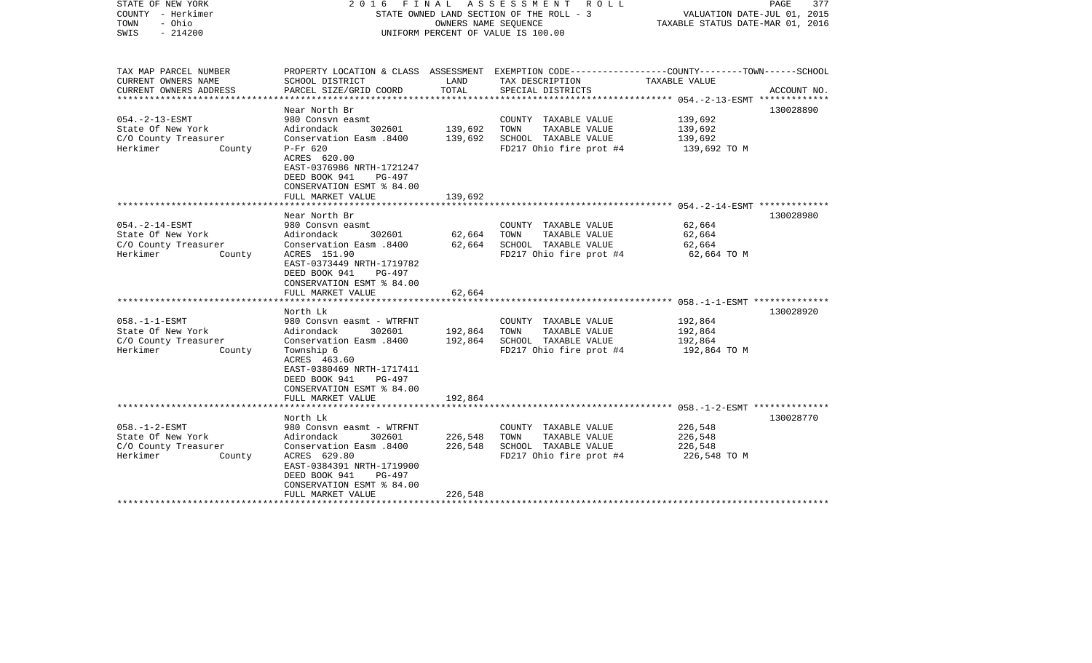| STATE OF NEW YORK<br>COUNTY - Herkimer<br>- Ohio<br>TOWN<br>SWIS<br>$-214200$            | ASSESSMENT ROLL<br>FINAL<br>2016<br>STATE OWNED LAND SECTION OF THE ROLL - 3<br>OWNERS NAME SEQUENCE<br>UNIFORM PERCENT OF VALUE IS 100.00                                                                                       |                               |                                                                                                  | PAGE<br>377<br>VALUATION DATE-JUL 01, 2015<br>TAXABLE STATUS DATE-MAR 01, 2016                                   |  |
|------------------------------------------------------------------------------------------|----------------------------------------------------------------------------------------------------------------------------------------------------------------------------------------------------------------------------------|-------------------------------|--------------------------------------------------------------------------------------------------|------------------------------------------------------------------------------------------------------------------|--|
| TAX MAP PARCEL NUMBER<br>CURRENT OWNERS NAME                                             | SCHOOL DISTRICT                                                                                                                                                                                                                  | LAND                          | TAX DESCRIPTION                                                                                  | PROPERTY LOCATION & CLASS ASSESSMENT EXEMPTION CODE---------------COUNTY-------TOWN------SCHOOL<br>TAXABLE VALUE |  |
| CURRENT OWNERS ADDRESS                                                                   | PARCEL SIZE/GRID COORD                                                                                                                                                                                                           | TOTAL                         | SPECIAL DISTRICTS                                                                                | ACCOUNT NO.<br>**************** 054.-2-13-ESMT *************                                                     |  |
|                                                                                          | Near North Br                                                                                                                                                                                                                    |                               |                                                                                                  | 130028890                                                                                                        |  |
| $054. -2 - 13 - ESMT$<br>State Of New York<br>C/O County Treasurer<br>Herkimer<br>County | 980 Consyn easmt<br>Adirondack<br>302601<br>Conservation Easm .8400<br>$P-Fr$ 620<br>ACRES 620.00                                                                                                                                | 139,692<br>139,692            | COUNTY TAXABLE VALUE<br>TOWN<br>TAXABLE VALUE<br>SCHOOL TAXABLE VALUE<br>FD217 Ohio fire prot #4 | 139,692<br>139,692<br>139,692<br>139,692 TO M                                                                    |  |
|                                                                                          | EAST-0376986 NRTH-1721247<br>DEED BOOK 941<br>PG-497<br>CONSERVATION ESMT % 84.00<br>FULL MARKET VALUE                                                                                                                           | 139,692                       |                                                                                                  |                                                                                                                  |  |
|                                                                                          | Near North Br                                                                                                                                                                                                                    |                               |                                                                                                  | 130028980                                                                                                        |  |
| $054. -2 - 14 - ESMT$<br>State Of New York<br>C/O County Treasurer<br>Herkimer<br>County | 980 Consyn easmt<br>302601<br>Adirondack<br>Conservation Easm .8400<br>ACRES 151.90<br>EAST-0373449 NRTH-1719782<br>DEED BOOK 941<br>PG-497<br>CONSERVATION ESMT % 84.00                                                         | 62,664<br>62,664              | COUNTY TAXABLE VALUE<br>TAXABLE VALUE<br>TOWN<br>SCHOOL TAXABLE VALUE<br>FD217 Ohio fire prot #4 | 62,664<br>62,664<br>62,664<br>62,664 ТО М                                                                        |  |
|                                                                                          | FULL MARKET VALUE                                                                                                                                                                                                                | 62,664                        |                                                                                                  |                                                                                                                  |  |
| $058. -1 -1 - ESMT$<br>State Of New York<br>C/O County Treasurer<br>Herkimer<br>County   | North Lk<br>980 Consyn easmt - WTRFNT<br>Adirondack<br>302601<br>Conservation Easm .8400<br>Township 6<br>ACRES 463.60<br>EAST-0380469 NRTH-1717411<br>DEED BOOK 941<br>PG-497<br>CONSERVATION ESMT % 84.00<br>FULL MARKET VALUE | 192,864<br>192,864<br>192,864 | COUNTY TAXABLE VALUE<br>TOWN<br>TAXABLE VALUE<br>SCHOOL TAXABLE VALUE<br>FD217 Ohio fire prot #4 | 130028920<br>192,864<br>192,864<br>192,864<br>192,864 TO M                                                       |  |
|                                                                                          |                                                                                                                                                                                                                                  |                               |                                                                                                  |                                                                                                                  |  |
| $058. - 1 - 2 - ESMT$<br>State Of New York<br>C/O County Treasurer<br>Herkimer<br>County | North Lk<br>980 Consvn easmt - WTRFNT<br>Adirondack<br>302601<br>Conservation Easm .8400<br>ACRES 629.80<br>EAST-0384391 NRTH-1719900<br>DEED BOOK 941<br>PG-497<br>CONSERVATION ESMT % 84.00<br>FULL MARKET VALUE               | 226,548<br>226,548<br>226,548 | COUNTY TAXABLE VALUE<br>TAXABLE VALUE<br>TOWN<br>SCHOOL TAXABLE VALUE<br>FD217 Ohio fire prot #4 | 130028770<br>226,548<br>226,548<br>226,548<br>226,548 TO M                                                       |  |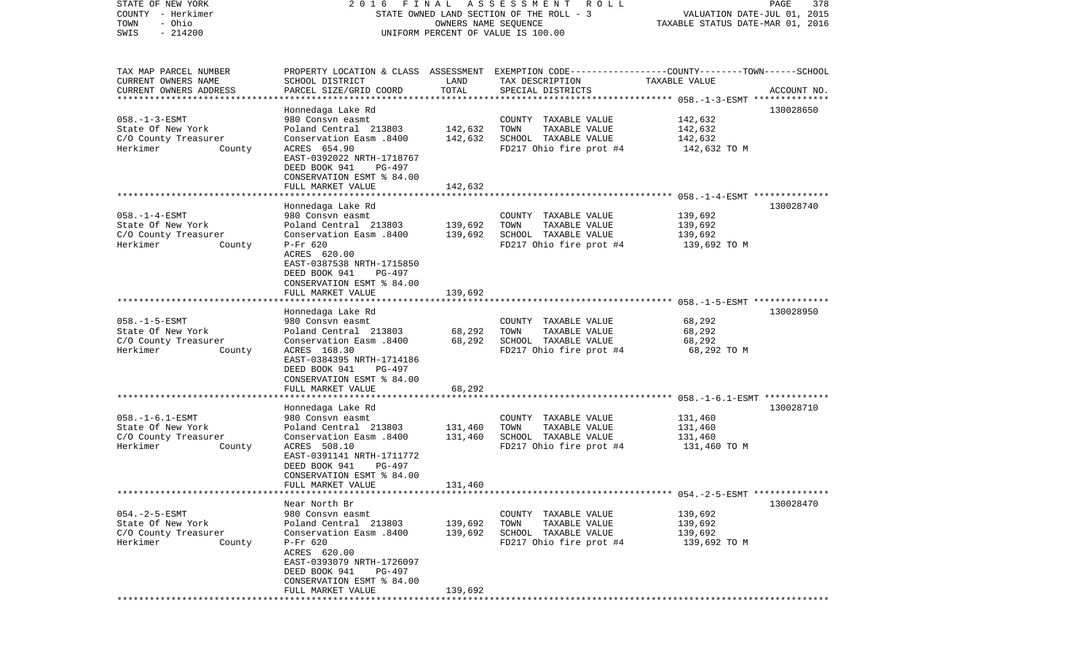COUNTY - Herkimer STATE OWNED LAND SECTION OF THE ROLL - 3 WALUATION DATE-JUL 01, 2015 TOWN - Ohio OWNERS NAME SEQUENCE TAXABLE STATUS DATE-MAR 01, 2016 SWIS - 214200 UNIFORM PERCENT OF VALUE IS 100.00TAX MAP PARCEL NUMBER PROPERTY LOCATION & CLASS ASSESSMENT EXEMPTION CODE------------------COUNTY--------TOWN------SCHOOL CURRENT OWNERS NAME SCHOOL DISTRICT LAND TAX DESCRIPTION TAXABLE VALUECURRENT OWNERS ADDRESS PARCEL SIZE/GRID COORD TOTAL SPECIAL DISTRICTS ACCOUNT NO. \*\*\*\*\*\*\*\*\*\*\*\*\*\*\*\*\*\*\*\*\*\*\*\*\*\*\*\*\*\*\*\*\*\*\*\*\*\*\*\*\*\*\*\*\*\*\*\*\*\*\*\*\*\*\*\*\*\*\*\*\*\*\*\*\*\*\*\*\*\*\*\*\*\*\*\*\*\*\*\*\*\*\*\*\*\*\*\*\*\*\*\*\*\*\*\*\*\*\*\*\*\*\* 058.-1-3-ESMT \*\*\*\*\*\*\*\*\*\*\*\*\*\* Honnedaga Lake Rd 130028650 058.-1-3-ESMT 980 Consvn easmt COUNTY TAXABLE VALUE 142,632 State Of New York Poland Central 213803 142,632 TOWN TAXABLE VALUE 142,632 C/O County Treasurer Conservation Easm .8400 142,632 SCHOOL TAXABLE VALUE 142,632 Herkimer County ACRES 654.90 FD217 Ohio fire prot #4 142,632 TO M EAST-0392022 NRTH-1718767 DEED BOOK 941 PG-497 CONSERVATION ESMT % 84.00 FULL MARKET VALUE 142,632 \*\*\*\*\*\*\*\*\*\*\*\*\*\*\*\*\*\*\*\*\*\*\*\*\*\*\*\*\*\*\*\*\*\*\*\*\*\*\*\*\*\*\*\*\*\*\*\*\*\*\*\*\*\*\*\*\*\*\*\*\*\*\*\*\*\*\*\*\*\*\*\*\*\*\*\*\*\*\*\*\*\*\*\*\*\*\*\*\*\*\*\*\*\*\*\*\*\*\*\*\*\*\* 058.-1-4-ESMT \*\*\*\*\*\*\*\*\*\*\*\*\*\* Honnedaga Lake Rd 130028740 058.-1-4-ESMT 980 Consvn easmt COUNTY TAXABLE VALUE 139,692 State Of New York Poland Central 213803 139,692 TOWN TAXABLE VALUE 139,692 C/O County Treasurer Conservation Easm .8400 139,692 SCHOOL TAXABLE VALUE 139,692 Herkimer County P-Fr 620 FORD RD217 Ohio fire prot #4 139,692 TO M ACRES 620.00 EAST-0387538 NRTH-1715850 DEED BOOK 941 PG-497 CONSERVATION ESMT % 84.00FULL MARKET VALUE 139,692 \*\*\*\*\*\*\*\*\*\*\*\*\*\*\*\*\*\*\*\*\*\*\*\*\*\*\*\*\*\*\*\*\*\*\*\*\*\*\*\*\*\*\*\*\*\*\*\*\*\*\*\*\*\*\*\*\*\*\*\*\*\*\*\*\*\*\*\*\*\*\*\*\*\*\*\*\*\*\*\*\*\*\*\*\*\*\*\*\*\*\*\*\*\*\*\*\*\*\*\*\*\*\* 058.-1-5-ESMT \*\*\*\*\*\*\*\*\*\*\*\*\*\* Honnedaga Lake Rd 130028950 058.-1-5-ESMT 980 Consvn easmt COUNTY TAXABLE VALUE 68,292 State Of New York **Poland Central 213803** 68,292 TOWN TAXABLE VALUE 68,292 C/O County Treasurer Conservation Easm .8400 68,292 SCHOOL TAXABLE VALUE 68,292 Herkimer County ACRES 168.30 FD217 Ohio fire prot #4 68,292 TO M EAST-0384395 NRTH-1714186 DEED BOOK 941 PG-497 CONSERVATION ESMT % 84.00 FULL MARKET VALUE 68,292 \*\*\*\*\*\*\*\*\*\*\*\*\*\*\*\*\*\*\*\*\*\*\*\*\*\*\*\*\*\*\*\*\*\*\*\*\*\*\*\*\*\*\*\*\*\*\*\*\*\*\*\*\*\*\*\*\*\*\*\*\*\*\*\*\*\*\*\*\*\*\*\*\*\*\*\*\*\*\*\*\*\*\*\*\*\*\*\*\*\*\*\*\*\*\*\*\*\*\*\*\*\*\* 058.-1-6.1-ESMT \*\*\*\*\*\*\*\*\*\*\*\* Honnedaga Lake Rd 130028710 058.-1-6.1-ESMT 980 Consvn easmt COUNTY TAXABLE VALUE 131,460 State Of New York **Poland Central 213803** 131,460 TOWN TAXABLE VALUE 131,460 C/O County Treasurer Conservation Easm .8400 131,460 SCHOOL TAXABLE VALUE 131,460 Herkimer County ACRES 508.10 FD217 Ohio fire prot #4 131,460 TO M EAST-0391141 NRTH-1711772 DEED BOOK 941 PG-497 CONSERVATION ESMT % 84.00 FULL MARKET VALUE 131,460 \*\*\*\*\*\*\*\*\*\*\*\*\*\*\*\*\*\*\*\*\*\*\*\*\*\*\*\*\*\*\*\*\*\*\*\*\*\*\*\*\*\*\*\*\*\*\*\*\*\*\*\*\*\*\*\*\*\*\*\*\*\*\*\*\*\*\*\*\*\*\*\*\*\*\*\*\*\*\*\*\*\*\*\*\*\*\*\*\*\*\*\*\*\*\*\*\*\*\*\*\*\*\* 054.-2-5-ESMT \*\*\*\*\*\*\*\*\*\*\*\*\*\* Near North Br 130028470054.-2-5-ESMT 980 Consvn easmt COUNTY TAXABLE VALUE 139,692 State Of New York Poland Central 213803 139,692 TOWN TAXABLE VALUE 139,692 C/O County Treasurer Conservation Easm .8400 139,692 SCHOOL TAXABLE VALUE 139,692 Herkimer County P-Fr 620 FORD RD217 Ohio fire prot #4 139,692 TO M ACRES 620.00 EAST-0393079 NRTH-1726097 DEED BOOK 941 PG-497 CONSERVATION ESMT % 84.00FULL MARKET VALUE 139,692 \*\*\*\*\*\*\*\*\*\*\*\*\*\*\*\*\*\*\*\*\*\*\*\*\*\*\*\*\*\*\*\*\*\*\*\*\*\*\*\*\*\*\*\*\*\*\*\*\*\*\*\*\*\*\*\*\*\*\*\*\*\*\*\*\*\*\*\*\*\*\*\*\*\*\*\*\*\*\*\*\*\*\*\*\*\*\*\*\*\*\*\*\*\*\*\*\*\*\*\*\*\*\*\*\*\*\*\*\*\*\*\*\*\*\*\*\*\*\*\*\*\*\*\*\*\*\*\*\*\*\*\*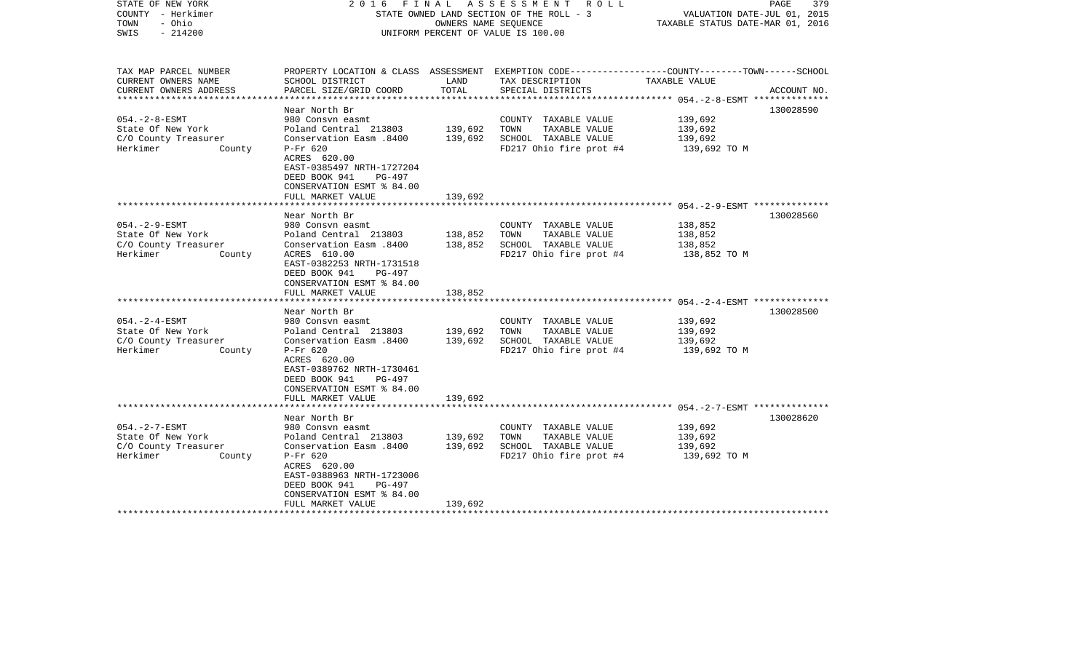| STATE OF NEW YORK<br>COUNTY - Herkimer<br>TOWN<br>- Ohio<br>$-214200$<br>SWIS | 2016                                                                                                            | FINAL         | A S S E S S M E N T R O L L<br>STATE OWNED LAND SECTION OF THE ROLL - 3<br>OWNERS NAME SEQUENCE<br>UNIFORM PERCENT OF VALUE IS 100.00 | PAGE<br>379<br>VALUATION DATE-JUL 01, 2015<br>TAXABLE STATUS DATE-MAR 01, 2016                   |
|-------------------------------------------------------------------------------|-----------------------------------------------------------------------------------------------------------------|---------------|---------------------------------------------------------------------------------------------------------------------------------------|--------------------------------------------------------------------------------------------------|
| TAX MAP PARCEL NUMBER                                                         |                                                                                                                 |               |                                                                                                                                       | PROPERTY LOCATION & CLASS ASSESSMENT EXEMPTION CODE----------------COUNTY-------TOWN------SCHOOL |
| CURRENT OWNERS NAME<br>CURRENT OWNERS ADDRESS                                 | SCHOOL DISTRICT<br>PARCEL SIZE/GRID COORD                                                                       | LAND<br>TOTAL | TAX DESCRIPTION<br>SPECIAL DISTRICTS                                                                                                  | TAXABLE VALUE<br>ACCOUNT NO.<br>***************** 054.-2-8-ESMT **************                   |
|                                                                               | Near North Br                                                                                                   |               |                                                                                                                                       | 130028590                                                                                        |
| $054. - 2 - 8 - ESMT$                                                         | 980 Consyn easmt                                                                                                |               | COUNTY TAXABLE VALUE                                                                                                                  | 139,692                                                                                          |
| State Of New York                                                             | Poland Central 213803                                                                                           | 139,692       | TOWN<br>TAXABLE VALUE                                                                                                                 | 139,692                                                                                          |
| C/O County Treasurer                                                          | Conservation Easm .8400                                                                                         | 139,692       | SCHOOL TAXABLE VALUE                                                                                                                  | 139,692                                                                                          |
| Herkimer<br>County                                                            | $P-Fr$ 620                                                                                                      |               | FD217 Ohio fire prot #4                                                                                                               | 139,692 TO M                                                                                     |
|                                                                               | ACRES 620.00                                                                                                    |               |                                                                                                                                       |                                                                                                  |
|                                                                               | EAST-0385497 NRTH-1727204                                                                                       |               |                                                                                                                                       |                                                                                                  |
|                                                                               | DEED BOOK 941<br>PG-497                                                                                         |               |                                                                                                                                       |                                                                                                  |
|                                                                               | CONSERVATION ESMT % 84.00                                                                                       |               |                                                                                                                                       |                                                                                                  |
|                                                                               | FULL MARKET VALUE                                                                                               | 139,692       |                                                                                                                                       |                                                                                                  |
|                                                                               |                                                                                                                 |               |                                                                                                                                       |                                                                                                  |
|                                                                               | Near North Br                                                                                                   |               |                                                                                                                                       | 130028560                                                                                        |
| $054. -2 - 9 - ESMT$                                                          | 980 Consvn easmt                                                                                                |               | COUNTY TAXABLE VALUE                                                                                                                  | 138,852                                                                                          |
| State Of New York                                                             | Poland Central 213803                                                                                           | 138,852       | TOWN<br>TAXABLE VALUE                                                                                                                 | 138,852                                                                                          |
| C/O County Treasurer                                                          | Conservation Easm .8400                                                                                         | 138,852       | SCHOOL TAXABLE VALUE                                                                                                                  | 138,852                                                                                          |
| Herkimer<br>County                                                            | ACRES 610.00<br>EAST-0382253 NRTH-1731518<br>DEED BOOK 941<br>PG-497<br>CONSERVATION ESMT % 84.00               |               | FD217 Ohio fire prot #4                                                                                                               | 138,852 TO M                                                                                     |
|                                                                               | FULL MARKET VALUE                                                                                               | 138,852       |                                                                                                                                       |                                                                                                  |
|                                                                               |                                                                                                                 |               |                                                                                                                                       |                                                                                                  |
|                                                                               | Near North Br                                                                                                   |               |                                                                                                                                       | 130028500                                                                                        |
| $054. -2 - 4 - ESMT$                                                          | 980 Consvn easmt                                                                                                |               | COUNTY TAXABLE VALUE                                                                                                                  | 139,692                                                                                          |
| State Of New York                                                             | Poland Central 213803                                                                                           | 139,692       | TOWN<br>TAXABLE VALUE                                                                                                                 | 139,692                                                                                          |
| C/O County Treasurer                                                          | Conservation Easm .8400                                                                                         | 139,692       | SCHOOL TAXABLE VALUE                                                                                                                  | 139,692                                                                                          |
| Herkimer<br>County                                                            | $P-Fr$ 620<br>ACRES 620.00<br>EAST-0389762 NRTH-1730461<br>DEED BOOK 941<br>PG-497<br>CONSERVATION ESMT % 84.00 |               | FD217 Ohio fire prot #4                                                                                                               | 139,692 TO M                                                                                     |
|                                                                               | FULL MARKET VALUE                                                                                               | 139,692       |                                                                                                                                       |                                                                                                  |
|                                                                               |                                                                                                                 |               |                                                                                                                                       | ************************** 054.-2-7-ESMT **************                                          |
|                                                                               | Near North Br                                                                                                   |               |                                                                                                                                       | 130028620                                                                                        |
| $054. - 2 - 7 - ESMT$                                                         | 980 Consyn easmt                                                                                                |               | COUNTY TAXABLE VALUE                                                                                                                  | 139,692                                                                                          |
| State Of New York                                                             | Poland Central 213803                                                                                           | 139,692       | TOWN<br>TAXABLE VALUE                                                                                                                 | 139,692                                                                                          |
| C/O County Treasurer<br>Herkimer                                              | Conservation Easm .8400<br>$P-Fr$ 620                                                                           | 139,692       | SCHOOL TAXABLE VALUE                                                                                                                  | 139,692                                                                                          |
| County                                                                        | ACRES 620.00<br>EAST-0388963 NRTH-1723006<br>DEED BOOK 941<br>PG-497<br>CONSERVATION ESMT % 84.00               |               | FD217 Ohio fire prot #4                                                                                                               | 139,692 TO M                                                                                     |
|                                                                               | FULL MARKET VALUE                                                                                               | 139,692       |                                                                                                                                       |                                                                                                  |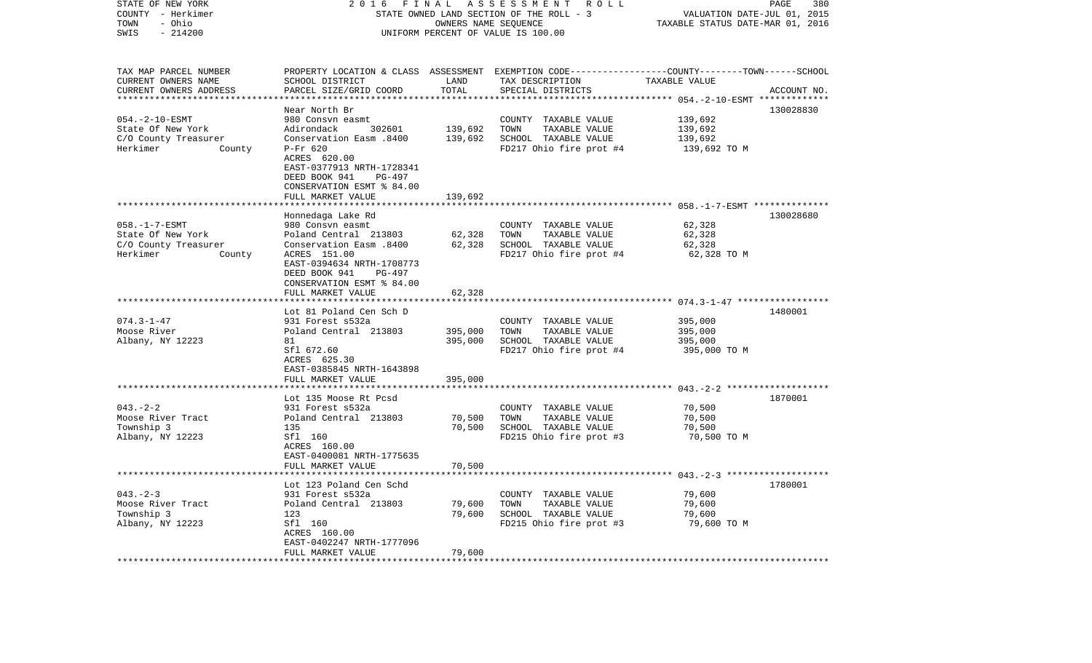| STATE OF NEW YORK<br>COUNTY - Herkimer        | 2016<br>FINAL<br>STATE OWNED LAND SECTION OF THE ROLL - 3    | 380<br>PAGE<br>VALUATION DATE-JUL 01, 2015 |                                                                                                 |                                                    |             |
|-----------------------------------------------|--------------------------------------------------------------|--------------------------------------------|-------------------------------------------------------------------------------------------------|----------------------------------------------------|-------------|
| - Ohio<br>TOWN<br>SWIS<br>$-214200$           |                                                              |                                            | OWNERS NAME SEQUENCE<br>UNIFORM PERCENT OF VALUE IS 100.00                                      | TAXABLE STATUS DATE-MAR 01, 2016                   |             |
|                                               |                                                              |                                            |                                                                                                 |                                                    |             |
| TAX MAP PARCEL NUMBER                         |                                                              |                                            | PROPERTY LOCATION & CLASS ASSESSMENT EXEMPTION CODE----------------COUNTY-------TOWN-----SCHOOL |                                                    |             |
| CURRENT OWNERS NAME<br>CURRENT OWNERS ADDRESS | SCHOOL DISTRICT<br>PARCEL SIZE/GRID COORD                    | LAND<br>TOTAL                              | TAX DESCRIPTION<br>SPECIAL DISTRICTS                                                            | TAXABLE VALUE                                      | ACCOUNT NO. |
|                                               |                                                              |                                            |                                                                                                 | ********* 054.-2-10-ESMT *                         |             |
|                                               | Near North Br                                                |                                            |                                                                                                 |                                                    | 130028830   |
| $054. -2 - 10 - ESMT$                         | 980 Consyn easmt                                             |                                            | COUNTY TAXABLE VALUE                                                                            | 139,692                                            |             |
| State Of New York                             | Adirondack<br>302601                                         | 139,692                                    | TOWN<br>TAXABLE VALUE                                                                           | 139,692                                            |             |
| C/O County Treasurer                          | Conservation Easm .8400                                      | 139,692                                    | SCHOOL TAXABLE VALUE                                                                            | 139,692                                            |             |
| Herkimer<br>County                            | P-Fr 620                                                     |                                            | FD217 Ohio fire prot #4                                                                         | 139,692 TO M                                       |             |
|                                               | ACRES 620.00                                                 |                                            |                                                                                                 |                                                    |             |
|                                               | EAST-0377913 NRTH-1728341                                    |                                            |                                                                                                 |                                                    |             |
|                                               | DEED BOOK 941<br>PG-497                                      |                                            |                                                                                                 |                                                    |             |
|                                               | CONSERVATION ESMT % 84.00                                    |                                            |                                                                                                 |                                                    |             |
|                                               | FULL MARKET VALUE<br>* * * * * * * * * * * * * * * * * * * * | 139,692                                    |                                                                                                 |                                                    |             |
|                                               |                                                              |                                            |                                                                                                 |                                                    | 130028680   |
| $058. -1 - 7 - ESMT$                          | Honnedaga Lake Rd<br>980 Consvn easmt                        |                                            | COUNTY TAXABLE VALUE                                                                            | 62,328                                             |             |
| State Of New York                             | Poland Central 213803                                        | 62,328                                     | TOWN<br>TAXABLE VALUE                                                                           | 62,328                                             |             |
| C/O County Treasurer                          | Conservation Easm .8400                                      | 62,328                                     | SCHOOL TAXABLE VALUE                                                                            | 62,328                                             |             |
| County<br>Herkimer                            | ACRES 151.00                                                 |                                            | FD217 Ohio fire prot #4                                                                         | 62,328 TO M                                        |             |
|                                               | EAST-0394634 NRTH-1708773                                    |                                            |                                                                                                 |                                                    |             |
|                                               | DEED BOOK 941<br>PG-497                                      |                                            |                                                                                                 |                                                    |             |
|                                               | CONSERVATION ESMT % 84.00                                    |                                            |                                                                                                 |                                                    |             |
|                                               | FULL MARKET VALUE                                            | 62,328                                     |                                                                                                 |                                                    |             |
|                                               | ******************                                           | ***********                                |                                                                                                 |                                                    |             |
|                                               | Lot 81 Poland Cen Sch D                                      |                                            |                                                                                                 |                                                    | 1480001     |
| $074.3 - 1 - 47$                              | 931 Forest s532a                                             |                                            | COUNTY TAXABLE VALUE                                                                            | 395,000                                            |             |
| Moose River                                   | Poland Central 213803                                        | 395,000                                    | TOWN<br>TAXABLE VALUE                                                                           | 395,000                                            |             |
| Albany, NY 12223                              | 81<br>Sfl 672.60                                             | 395,000                                    | SCHOOL TAXABLE VALUE<br>FD217 Ohio fire prot #4                                                 | 395,000<br>395,000 TO M                            |             |
|                                               | ACRES 625.30                                                 |                                            |                                                                                                 |                                                    |             |
|                                               | EAST-0385845 NRTH-1643898                                    |                                            |                                                                                                 |                                                    |             |
|                                               | FULL MARKET VALUE                                            | 395,000                                    |                                                                                                 |                                                    |             |
|                                               | ******************                                           |                                            |                                                                                                 |                                                    |             |
|                                               | Lot 135 Moose Rt Pcsd                                        |                                            |                                                                                                 |                                                    | 1870001     |
| $043. - 2 - 2$                                | 931 Forest s532a                                             |                                            | COUNTY TAXABLE VALUE                                                                            | 70,500                                             |             |
| Moose River Tract                             | Poland Central 213803                                        | 70,500                                     | TOWN<br>TAXABLE VALUE                                                                           | 70,500                                             |             |
| Township 3                                    | 135                                                          | 70,500                                     | SCHOOL TAXABLE VALUE                                                                            | 70,500                                             |             |
| Albany, NY 12223                              | Sfl 160                                                      |                                            | FD215 Ohio fire prot #3                                                                         | 70,500 TO M                                        |             |
|                                               | ACRES 160.00                                                 |                                            |                                                                                                 |                                                    |             |
|                                               | EAST-0400081 NRTH-1775635                                    |                                            |                                                                                                 |                                                    |             |
|                                               | FULL MARKET VALUE                                            | 70,500                                     |                                                                                                 |                                                    |             |
|                                               |                                                              |                                            |                                                                                                 | ******************* 043. -2-3 ******************** |             |
| $043 - 2 - 3$                                 | Lot 123 Poland Cen Schd<br>931 Forest s532a                  |                                            | COUNTY TAXABLE VALUE                                                                            | 79,600                                             | 1780001     |
| Moose River Tract                             | Poland Central 213803                                        | 79,600                                     | TOWN<br>TAXABLE VALUE                                                                           | 79,600                                             |             |
| Township 3                                    | 123                                                          | 79,600                                     | SCHOOL TAXABLE VALUE                                                                            | 79,600                                             |             |
| Albany, NY 12223                              | Sfl 160                                                      |                                            | FD215 Ohio fire prot #3                                                                         | 79,600 TO M                                        |             |
|                                               | ACRES 160.00                                                 |                                            |                                                                                                 |                                                    |             |
|                                               | EAST-0402247 NRTH-1777096                                    |                                            |                                                                                                 |                                                    |             |
|                                               | FULL MARKET VALUE                                            | 79,600                                     |                                                                                                 |                                                    |             |
|                                               |                                                              | ***************                            |                                                                                                 |                                                    |             |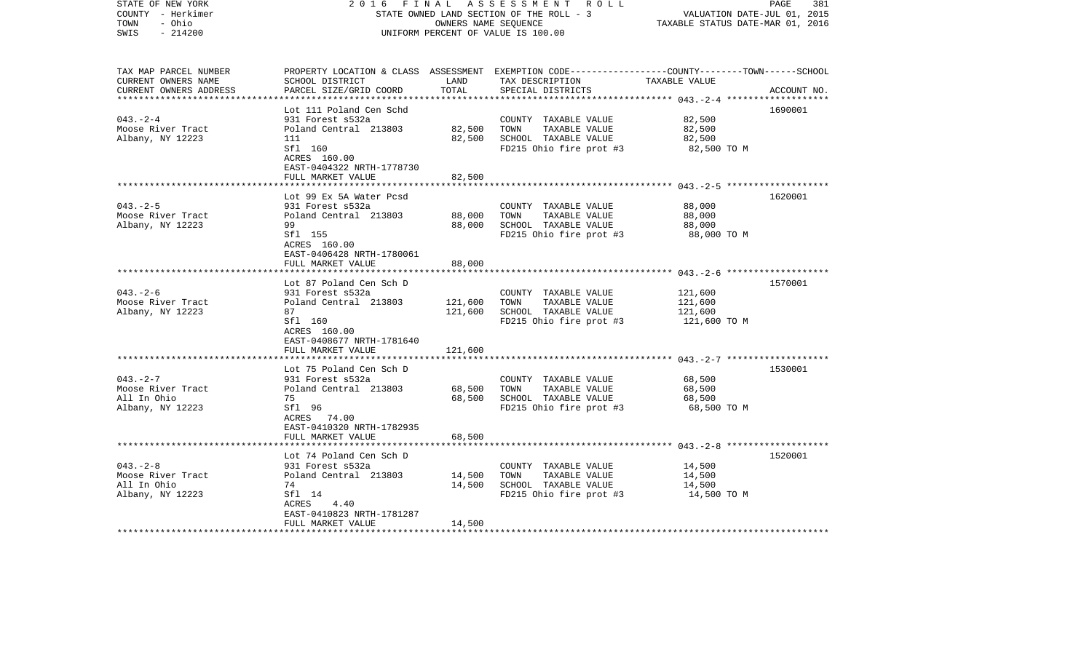| COUNTY - Herkimer<br>- Ohio<br>TOWN<br>SWIS<br>$-214200$               |                                                                                                                                                                                   | OWNERS NAME SEQUENCE       | STATE OWNED LAND SECTION OF THE ROLL - 3<br>UNIFORM PERCENT OF VALUE IS 100.00                                                          | VALUATION DATE-JUL 01, 2015<br>TAXABLE STATUS DATE-MAR 01, 2016 |             |
|------------------------------------------------------------------------|-----------------------------------------------------------------------------------------------------------------------------------------------------------------------------------|----------------------------|-----------------------------------------------------------------------------------------------------------------------------------------|-----------------------------------------------------------------|-------------|
| TAX MAP PARCEL NUMBER<br>CURRENT OWNERS NAME<br>CURRENT OWNERS ADDRESS | SCHOOL DISTRICT<br>PARCEL SIZE/GRID COORD                                                                                                                                         | LAND<br>TOTAL              | PROPERTY LOCATION & CLASS ASSESSMENT EXEMPTION CODE---------------COUNTY-------TOWN------SCHOOL<br>TAX DESCRIPTION<br>SPECIAL DISTRICTS | TAXABLE VALUE<br>************* 043.-2-4                         | ACCOUNT NO. |
| $043. - 2 - 4$<br>Moose River Tract<br>Albany, NY 12223                | Lot 111 Poland Cen Schd<br>931 Forest s532a<br>Poland Central 213803<br>111<br>Sfl 160<br>ACRES 160.00<br>EAST-0404322 NRTH-1778730<br>FULL MARKET VALUE                          | 82,500<br>82,500<br>82,500 | COUNTY TAXABLE VALUE<br>TOWN<br>TAXABLE VALUE<br>SCHOOL TAXABLE VALUE<br>FD215 Ohio fire prot #3                                        | 82,500<br>82,500<br>82,500<br>82,500 TO M                       | 1690001     |
|                                                                        | *****************                                                                                                                                                                 | * * * * * * * *            |                                                                                                                                         |                                                                 |             |
| $043. - 2 - 5$<br>Moose River Tract<br>Albany, NY 12223                | Lot 99 Ex 5A Water Pcsd<br>931 Forest s532a<br>Poland Central 213803<br>99<br>Sfl 155<br>ACRES 160.00<br>EAST-0406428 NRTH-1780061                                                | 88,000<br>88,000           | COUNTY TAXABLE VALUE<br>TOWN<br>TAXABLE VALUE<br>SCHOOL TAXABLE VALUE<br>FD215 Ohio fire prot #3                                        | 88,000<br>88,000<br>88,000<br>88,000 TO M                       | 1620001     |
|                                                                        | FULL MARKET VALUE                                                                                                                                                                 | 88,000                     |                                                                                                                                         |                                                                 |             |
|                                                                        | **************                                                                                                                                                                    | ***********                |                                                                                                                                         |                                                                 |             |
| $043. - 2 - 6$<br>Moose River Tract<br>Albany, NY 12223                | Lot 87 Poland Cen Sch D<br>931 Forest s532a<br>Poland Central 213803<br>87<br>Sfl 160<br>ACRES 160.00<br>EAST-0408677 NRTH-1781640                                                | 121,600<br>121,600         | COUNTY TAXABLE VALUE<br>TOWN<br>TAXABLE VALUE<br>SCHOOL TAXABLE VALUE<br>FD215 Ohio fire prot #3                                        | 121,600<br>121,600<br>121,600<br>121,600 TO M                   | 1570001     |
|                                                                        | FULL MARKET VALUE                                                                                                                                                                 | 121,600                    |                                                                                                                                         |                                                                 |             |
| $043. -2 - 7$<br>Moose River Tract<br>All In Ohio<br>Albany, NY 12223  | ************************<br>Lot 75 Poland Cen Sch D<br>931 Forest s532a<br>Poland Central 213803<br>75<br>Sfl 96<br>ACRES 74.00<br>EAST-0410320 NRTH-1782935<br>FULL MARKET VALUE | 68,500<br>68,500<br>68,500 | COUNTY TAXABLE VALUE<br>TOWN<br>TAXABLE VALUE<br>SCHOOL TAXABLE VALUE<br>FD215 Ohio fire prot #3                                        | 68,500<br>68,500<br>68,500<br>68,500 TO M                       | 1530001     |
|                                                                        | ******************                                                                                                                                                                |                            |                                                                                                                                         |                                                                 |             |
| $043. -2 - 8$<br>Moose River Tract<br>All In Ohio<br>Albany, NY 12223  | Lot 74 Poland Cen Sch D<br>931 Forest s532a<br>Poland Central 213803<br>74<br>Sfl 14<br>ACRES<br>4.40<br>EAST-0410823 NRTH-1781287<br>FULL MARKET VALUE                           | 14,500<br>14,500<br>14,500 | COUNTY TAXABLE VALUE<br>TOWN<br>TAXABLE VALUE<br>SCHOOL TAXABLE VALUE<br>FD215 Ohio fire prot #3                                        | 14,500<br>14,500<br>14,500<br>14,500 TO M                       | 1520001     |
|                                                                        |                                                                                                                                                                                   |                            |                                                                                                                                         |                                                                 |             |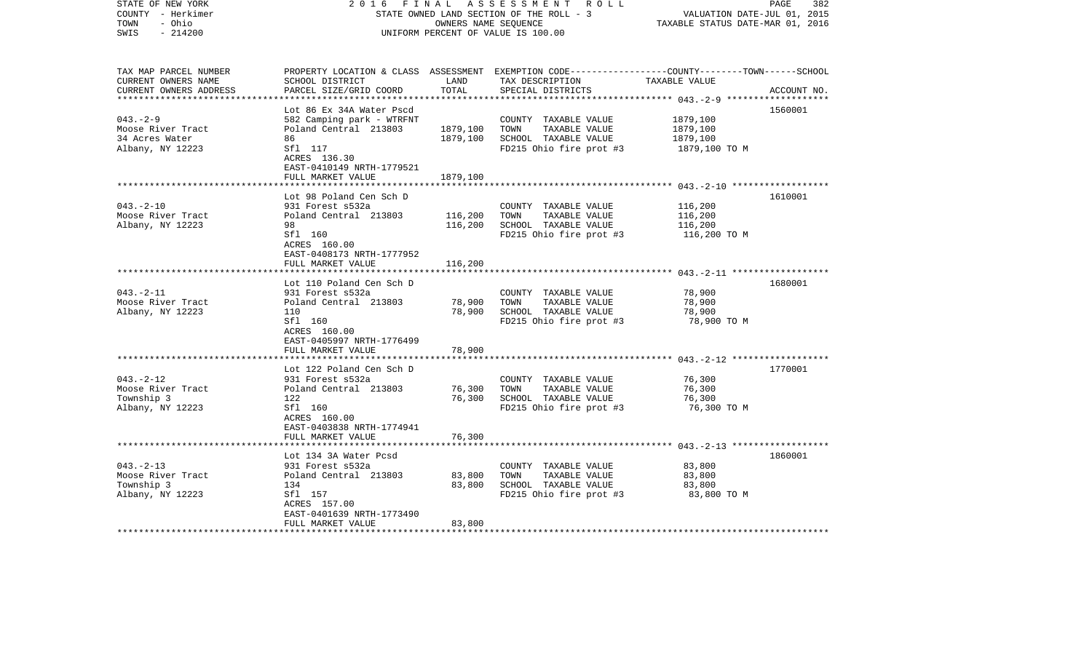| STATE OF NEW YORK<br>COUNTY - Herkimer<br>TOWN<br>- Ohio<br>$-214200$<br>SWIS                        | 2 0 1 6<br>FINAL                                                          | OWNERS NAME SEQUENCE | A S S E S S M E N T R O L L<br>STATE OWNED LAND SECTION OF THE ROLL - 3<br>UNIFORM PERCENT OF VALUE IS 100.00                           | VALUATION DATE-JUL 01, 2015<br>TAXABLE STATUS DATE-MAR 01, 2016 | PAGE<br>382 |
|------------------------------------------------------------------------------------------------------|---------------------------------------------------------------------------|----------------------|-----------------------------------------------------------------------------------------------------------------------------------------|-----------------------------------------------------------------|-------------|
| TAX MAP PARCEL NUMBER<br>CURRENT OWNERS NAME<br>CURRENT OWNERS ADDRESS<br>************************** | SCHOOL DISTRICT<br>PARCEL SIZE/GRID COORD                                 | LAND<br>TOTAL        | PROPERTY LOCATION & CLASS ASSESSMENT EXEMPTION CODE---------------COUNTY-------TOWN------SCHOOL<br>TAX DESCRIPTION<br>SPECIAL DISTRICTS | TAXABLE VALUE                                                   | ACCOUNT NO. |
|                                                                                                      | Lot 86 Ex 34A Water Pscd                                                  |                      |                                                                                                                                         |                                                                 | 1560001     |
| $043. - 2 - 9$                                                                                       | 582 Camping park - WTRFNT                                                 |                      | COUNTY TAXABLE VALUE                                                                                                                    | 1879,100                                                        |             |
| Moose River Tract                                                                                    | Poland Central 213803                                                     | 1879,100             | TOWN<br>TAXABLE VALUE                                                                                                                   | 1879,100                                                        |             |
| 34 Acres Water                                                                                       | 86                                                                        | 1879,100             | SCHOOL TAXABLE VALUE                                                                                                                    | 1879,100                                                        |             |
| Albany, NY 12223                                                                                     | Sfl 117<br>ACRES 136.30<br>EAST-0410149 NRTH-1779521<br>FULL MARKET VALUE | 1879,100             | FD215 Ohio fire prot #3                                                                                                                 | 1879,100 TO M                                                   |             |
|                                                                                                      |                                                                           |                      |                                                                                                                                         |                                                                 |             |
|                                                                                                      | Lot 98 Poland Cen Sch D                                                   |                      |                                                                                                                                         |                                                                 | 1610001     |
| $043. - 2 - 10$                                                                                      | 931 Forest s532a                                                          |                      | COUNTY TAXABLE VALUE                                                                                                                    | 116,200                                                         |             |
| Moose River Tract                                                                                    | Poland Central 213803                                                     | 116,200              | TOWN<br>TAXABLE VALUE                                                                                                                   | 116,200                                                         |             |
| Albany, NY 12223                                                                                     | 98                                                                        | 116,200              | SCHOOL TAXABLE VALUE                                                                                                                    | 116,200                                                         |             |
|                                                                                                      | Sfl 160<br>ACRES 160.00<br>EAST-0408173 NRTH-1777952                      |                      | FD215 Ohio fire prot #3                                                                                                                 | 116,200 TO M                                                    |             |
|                                                                                                      | FULL MARKET VALUE                                                         | 116,200              |                                                                                                                                         |                                                                 |             |
|                                                                                                      |                                                                           |                      |                                                                                                                                         |                                                                 |             |
|                                                                                                      | Lot 110 Poland Cen Sch D                                                  |                      |                                                                                                                                         |                                                                 | 1680001     |
| $043. - 2 - 11$                                                                                      | 931 Forest s532a                                                          |                      | COUNTY TAXABLE VALUE                                                                                                                    | 78,900                                                          |             |
| Moose River Tract<br>Albany, NY 12223                                                                | Poland Central 213803<br>110                                              | 78,900<br>78,900     | TOWN<br>TAXABLE VALUE<br>SCHOOL TAXABLE VALUE                                                                                           | 78,900<br>78,900                                                |             |
|                                                                                                      | Sfl 160                                                                   |                      | FD215 Ohio fire prot #3                                                                                                                 | 78,900 TO M                                                     |             |
|                                                                                                      | ACRES 160.00                                                              |                      |                                                                                                                                         |                                                                 |             |
|                                                                                                      | EAST-0405997 NRTH-1776499                                                 |                      |                                                                                                                                         |                                                                 |             |
|                                                                                                      | FULL MARKET VALUE                                                         | 78,900               |                                                                                                                                         |                                                                 |             |
|                                                                                                      |                                                                           |                      |                                                                                                                                         |                                                                 |             |
| $043. -2 - 12$                                                                                       | Lot 122 Poland Cen Sch D<br>931 Forest s532a                              |                      | COUNTY TAXABLE VALUE                                                                                                                    | 76,300                                                          | 1770001     |
| Moose River Tract                                                                                    | Poland Central 213803                                                     | 76,300               | TOWN<br>TAXABLE VALUE                                                                                                                   | 76,300                                                          |             |
| Township 3                                                                                           | 122                                                                       | 76,300               | SCHOOL TAXABLE VALUE                                                                                                                    | 76,300                                                          |             |
| Albany, NY 12223                                                                                     | Sfl 160                                                                   |                      | FD215 Ohio fire prot #3                                                                                                                 | 76,300 TO M                                                     |             |
|                                                                                                      | ACRES 160.00                                                              |                      |                                                                                                                                         |                                                                 |             |
|                                                                                                      | EAST-0403838 NRTH-1774941                                                 |                      |                                                                                                                                         |                                                                 |             |
|                                                                                                      | FULL MARKET VALUE                                                         | 76,300               |                                                                                                                                         |                                                                 |             |
|                                                                                                      | Lot 134 3A Water Pcsd                                                     |                      |                                                                                                                                         |                                                                 | 1860001     |
| $043. -2 - 13$                                                                                       | 931 Forest s532a                                                          |                      | COUNTY TAXABLE VALUE                                                                                                                    | 83,800                                                          |             |
| Moose River Tract                                                                                    | Poland Central 213803                                                     | 83,800               | TOWN<br>TAXABLE VALUE                                                                                                                   | 83,800                                                          |             |
| Township 3                                                                                           | 134                                                                       | 83,800               | SCHOOL TAXABLE VALUE                                                                                                                    | 83,800                                                          |             |
| Albany, NY 12223                                                                                     | Sfl 157                                                                   |                      | FD215 Ohio fire prot #3                                                                                                                 | 83,800 TO M                                                     |             |
|                                                                                                      | ACRES 157.00                                                              |                      |                                                                                                                                         |                                                                 |             |
|                                                                                                      | EAST-0401639 NRTH-1773490                                                 |                      |                                                                                                                                         |                                                                 |             |
| ********************                                                                                 | FULL MARKET VALUE                                                         | 83,800               |                                                                                                                                         |                                                                 |             |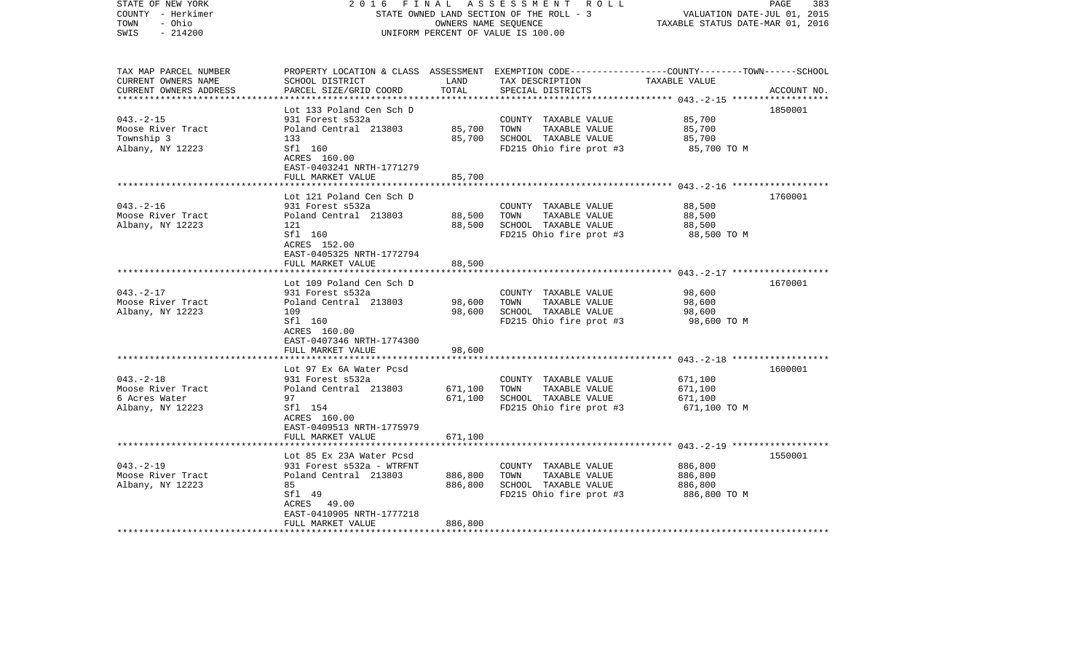| STATE OF NEW YORK<br>COUNTY - Herkimer<br>- Ohio<br>TOWN<br>$-214200$<br>SWIS | FINAL<br>2016                                        | OWNERS NAME SEQUENCE | A S S E S S M E N T R O L L<br>STATE OWNED LAND SECTION OF THE ROLL - 3<br>UNIFORM PERCENT OF VALUE IS 100.00                           | VALUATION DATE-JUL 01, 2015<br>TAXABLE STATUS DATE-MAR 01, 2016 | PAGE<br>383 |
|-------------------------------------------------------------------------------|------------------------------------------------------|----------------------|-----------------------------------------------------------------------------------------------------------------------------------------|-----------------------------------------------------------------|-------------|
| TAX MAP PARCEL NUMBER<br>CURRENT OWNERS NAME<br>CURRENT OWNERS ADDRESS        | SCHOOL DISTRICT<br>PARCEL SIZE/GRID COORD            | LAND<br>TOTAL        | PROPERTY LOCATION & CLASS ASSESSMENT EXEMPTION CODE---------------COUNTY-------TOWN------SCHOOL<br>TAX DESCRIPTION<br>SPECIAL DISTRICTS | TAXABLE VALUE                                                   | ACCOUNT NO. |
| **************************                                                    | Lot 133 Poland Cen Sch D                             |                      |                                                                                                                                         |                                                                 | 1850001     |
| $043. - 2 - 15$                                                               | 931 Forest s532a                                     |                      | COUNTY TAXABLE VALUE                                                                                                                    | 85,700                                                          |             |
| Moose River Tract                                                             | Poland Central 213803                                | 85,700               | TOWN<br>TAXABLE VALUE                                                                                                                   | 85,700                                                          |             |
| Township 3                                                                    | 133                                                  | 85,700               | SCHOOL TAXABLE VALUE                                                                                                                    | 85,700                                                          |             |
| Albany, NY 12223                                                              | Sfl 160<br>ACRES 160.00<br>EAST-0403241 NRTH-1771279 |                      | FD215 Ohio fire prot #3                                                                                                                 | 85,700 TO M                                                     |             |
|                                                                               | FULL MARKET VALUE                                    | 85,700               |                                                                                                                                         |                                                                 |             |
|                                                                               | Lot 121 Poland Cen Sch D                             |                      |                                                                                                                                         |                                                                 | 1760001     |
| $043. - 2 - 16$                                                               | 931 Forest s532a                                     |                      | COUNTY TAXABLE VALUE                                                                                                                    | 88,500                                                          |             |
| Moose River Tract                                                             | Poland Central 213803                                | 88,500               | TOWN<br>TAXABLE VALUE                                                                                                                   | 88,500                                                          |             |
| Albany, NY 12223                                                              | 121                                                  | 88,500               | SCHOOL TAXABLE VALUE                                                                                                                    | 88,500                                                          |             |
|                                                                               | Sfl 160<br>ACRES 152.00<br>EAST-0405325 NRTH-1772794 |                      | FD215 Ohio fire prot #3                                                                                                                 | 88,500 TO M                                                     |             |
|                                                                               | FULL MARKET VALUE                                    | 88,500               |                                                                                                                                         |                                                                 |             |
|                                                                               |                                                      |                      |                                                                                                                                         |                                                                 |             |
|                                                                               | Lot 109 Poland Cen Sch D                             |                      |                                                                                                                                         |                                                                 | 1670001     |
| $043. -2 - 17$<br>Moose River Tract                                           | 931 Forest s532a<br>Poland Central 213803            | 98,600               | COUNTY TAXABLE VALUE<br>TOWN<br>TAXABLE VALUE                                                                                           | 98,600<br>98,600                                                |             |
| Albany, NY 12223                                                              | 109                                                  | 98,600               | SCHOOL TAXABLE VALUE                                                                                                                    | 98,600                                                          |             |
|                                                                               | Sfl 160                                              |                      | FD215 Ohio fire prot #3                                                                                                                 | 98,600 TO M                                                     |             |
|                                                                               | ACRES 160.00                                         |                      |                                                                                                                                         |                                                                 |             |
|                                                                               | EAST-0407346 NRTH-1774300                            |                      |                                                                                                                                         |                                                                 |             |
|                                                                               | FULL MARKET VALUE                                    | 98,600               |                                                                                                                                         |                                                                 |             |
|                                                                               | Lot 97 Ex 6A Water Pcsd                              |                      |                                                                                                                                         |                                                                 | 1600001     |
| $043. -2 - 18$                                                                | 931 Forest s532a                                     |                      | COUNTY TAXABLE VALUE                                                                                                                    | 671,100                                                         |             |
| Moose River Tract                                                             | Poland Central 213803                                | 671,100              | TOWN<br>TAXABLE VALUE                                                                                                                   | 671,100                                                         |             |
| 6 Acres Water                                                                 | 97                                                   | 671,100              | SCHOOL TAXABLE VALUE                                                                                                                    | 671,100                                                         |             |
| Albany, NY 12223                                                              | Sfl 154                                              |                      | FD215 Ohio fire prot #3                                                                                                                 | 671,100 TO M                                                    |             |
|                                                                               | ACRES 160.00                                         |                      |                                                                                                                                         |                                                                 |             |
|                                                                               | EAST-0409513 NRTH-1775979                            |                      |                                                                                                                                         |                                                                 |             |
|                                                                               | FULL MARKET VALUE                                    | 671,100              |                                                                                                                                         |                                                                 |             |
|                                                                               | Lot 85 Ex 23A Water Pcsd                             |                      |                                                                                                                                         |                                                                 | 1550001     |
| $043. -2 - 19$                                                                | 931 Forest s532a - WTRFNT                            |                      | COUNTY TAXABLE VALUE                                                                                                                    | 886,800                                                         |             |
| Moose River Tract                                                             | Poland Central 213803                                | 886,800              | TAXABLE VALUE<br>TOWN                                                                                                                   | 886,800                                                         |             |
| Albany, NY 12223                                                              | 85                                                   | 886,800              | SCHOOL TAXABLE VALUE                                                                                                                    | 886,800                                                         |             |
|                                                                               | Sfl 49                                               |                      | FD215 Ohio fire prot #3                                                                                                                 | 886,800 TO M                                                    |             |
|                                                                               | ACRES<br>49.00                                       |                      |                                                                                                                                         |                                                                 |             |
|                                                                               | EAST-0410905 NRTH-1777218<br>FULL MARKET VALUE       | 886,800              |                                                                                                                                         |                                                                 |             |
| *******************                                                           |                                                      |                      |                                                                                                                                         |                                                                 |             |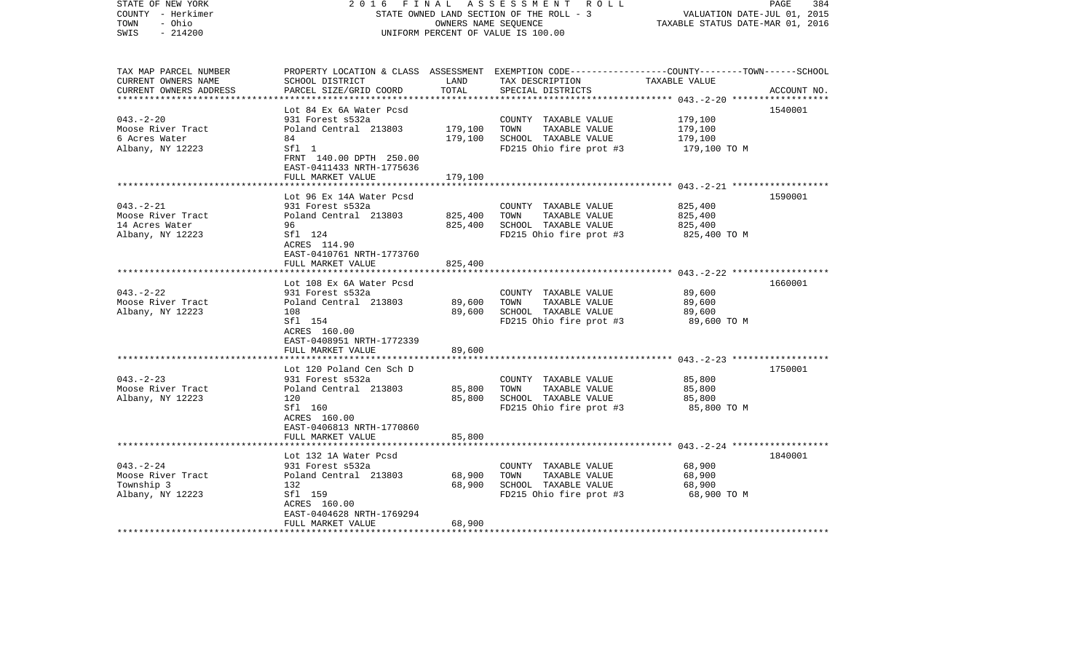| STATE OF NEW YORK<br>COUNTY - Herkimer<br>- Ohio<br>TOWN<br>$-214200$<br>SWIS | 2 0 1 6<br>FINAL                                              | OWNERS NAME SEQUENCE | A S S E S S M E N T R O L L<br>STATE OWNED LAND SECTION OF THE ROLL - 3<br>UNIFORM PERCENT OF VALUE IS 100.00                           | VALUATION DATE-JUL 01, 2015<br>TAXABLE STATUS DATE-MAR 01, 2016 | PAGE<br>384 |
|-------------------------------------------------------------------------------|---------------------------------------------------------------|----------------------|-----------------------------------------------------------------------------------------------------------------------------------------|-----------------------------------------------------------------|-------------|
| TAX MAP PARCEL NUMBER<br>CURRENT OWNERS NAME<br>CURRENT OWNERS ADDRESS        | SCHOOL DISTRICT<br>PARCEL SIZE/GRID COORD                     | LAND<br>TOTAL        | PROPERTY LOCATION & CLASS ASSESSMENT EXEMPTION CODE---------------COUNTY-------TOWN------SCHOOL<br>TAX DESCRIPTION<br>SPECIAL DISTRICTS | TAXABLE VALUE                                                   | ACCOUNT NO. |
| **************************                                                    | Lot 84 Ex 6A Water Pcsd                                       |                      |                                                                                                                                         |                                                                 | 1540001     |
| $043. - 2 - 20$                                                               | 931 Forest s532a                                              |                      | COUNTY TAXABLE VALUE                                                                                                                    | 179,100                                                         |             |
| Moose River Tract                                                             | Poland Central 213803                                         | 179,100              | TOWN<br>TAXABLE VALUE                                                                                                                   | 179,100                                                         |             |
| 6 Acres Water                                                                 | 84                                                            | 179,100              | SCHOOL TAXABLE VALUE                                                                                                                    | 179,100                                                         |             |
| Albany, NY 12223                                                              | Sfl 1<br>FRNT 140.00 DPTH 250.00<br>EAST-0411433 NRTH-1775636 |                      | FD215 Ohio fire prot #3                                                                                                                 | 179,100 TO M                                                    |             |
|                                                                               | FULL MARKET VALUE                                             | 179,100              |                                                                                                                                         |                                                                 |             |
|                                                                               | Lot 96 Ex 14A Water Pcsd                                      |                      |                                                                                                                                         |                                                                 | 1590001     |
| $043 - 2 - 21$                                                                | 931 Forest s532a                                              |                      | COUNTY TAXABLE VALUE                                                                                                                    | 825,400                                                         |             |
| Moose River Tract                                                             | Poland Central 213803                                         | 825,400              | TOWN<br>TAXABLE VALUE                                                                                                                   | 825,400                                                         |             |
| 14 Acres Water                                                                | 96                                                            | 825,400              | SCHOOL TAXABLE VALUE                                                                                                                    | 825,400                                                         |             |
| Albany, NY 12223                                                              | Sfl 124<br>ACRES 114.90<br>EAST-0410761 NRTH-1773760          |                      | FD215 Ohio fire prot #3                                                                                                                 | 825,400 TO M                                                    |             |
|                                                                               | FULL MARKET VALUE                                             | 825,400              |                                                                                                                                         |                                                                 |             |
|                                                                               | Lot 108 Ex 6A Water Pcsd                                      |                      |                                                                                                                                         |                                                                 | 1660001     |
| $043. - 2 - 22$                                                               | 931 Forest s532a                                              |                      | COUNTY TAXABLE VALUE                                                                                                                    | 89,600                                                          |             |
| Moose River Tract                                                             | Poland Central 213803                                         | 89,600               | TOWN<br>TAXABLE VALUE                                                                                                                   | 89,600                                                          |             |
| Albany, NY 12223                                                              | 108                                                           | 89,600               | SCHOOL TAXABLE VALUE                                                                                                                    | 89,600                                                          |             |
|                                                                               | Sfl 154<br>ACRES 160.00<br>EAST-0408951 NRTH-1772339          |                      | FD215 Ohio fire prot #3                                                                                                                 | 89,600 TO M                                                     |             |
|                                                                               | FULL MARKET VALUE                                             | 89,600               |                                                                                                                                         |                                                                 |             |
|                                                                               |                                                               |                      |                                                                                                                                         |                                                                 |             |
|                                                                               | Lot 120 Poland Cen Sch D                                      |                      |                                                                                                                                         |                                                                 | 1750001     |
| $043. -2 - 23$                                                                | 931 Forest s532a                                              |                      | COUNTY TAXABLE VALUE<br>TOWN                                                                                                            | 85,800                                                          |             |
| Moose River Tract<br>Albany, NY 12223                                         | Poland Central 213803<br>120                                  | 85,800<br>85,800     | TAXABLE VALUE<br>SCHOOL TAXABLE VALUE                                                                                                   | 85,800<br>85,800                                                |             |
|                                                                               | Sfl 160                                                       |                      | FD215 Ohio fire prot #3                                                                                                                 | 85,800 TO M                                                     |             |
|                                                                               | ACRES 160.00<br>EAST-0406813 NRTH-1770860                     |                      |                                                                                                                                         |                                                                 |             |
|                                                                               | FULL MARKET VALUE                                             | 85,800               |                                                                                                                                         |                                                                 |             |
|                                                                               | Lot 132 1A Water Pcsd                                         |                      |                                                                                                                                         |                                                                 | 1840001     |
| $043. - 2 - 24$                                                               | 931 Forest s532a                                              |                      | COUNTY TAXABLE VALUE                                                                                                                    | 68,900                                                          |             |
| Moose River Tract                                                             | Poland Central 213803                                         | 68,900               | TOWN<br>TAXABLE VALUE                                                                                                                   | 68,900                                                          |             |
| Township 3                                                                    | 132                                                           | 68,900               | SCHOOL TAXABLE VALUE                                                                                                                    | 68,900                                                          |             |
| Albany, NY 12223                                                              | Sfl 159                                                       |                      | FD215 Ohio fire prot #3                                                                                                                 | 68,900 TO M                                                     |             |
|                                                                               | ACRES 160.00                                                  |                      |                                                                                                                                         |                                                                 |             |
|                                                                               | EAST-0404628 NRTH-1769294<br>FULL MARKET VALUE                | 68,900               |                                                                                                                                         |                                                                 |             |
| ***********************                                                       |                                                               |                      |                                                                                                                                         |                                                                 |             |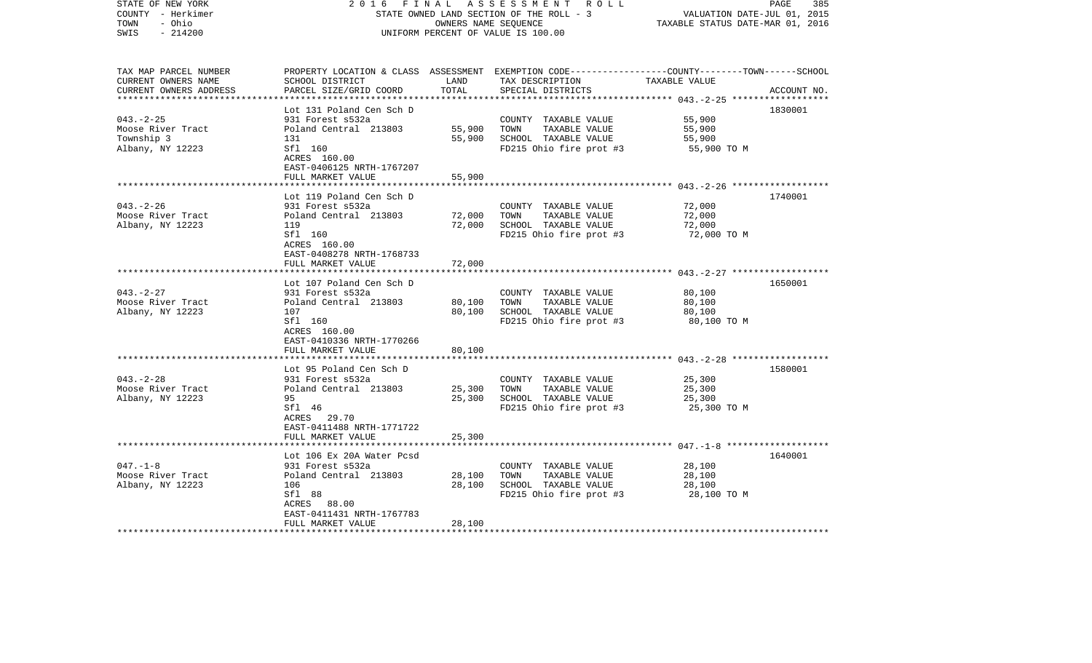| STATE OF NEW YORK<br>COUNTY - Herkimer<br>- Ohio<br>TOWN<br>$-214200$<br>SWIS | FINAL<br>2016                                        | OWNERS NAME SEQUENCE | A S S E S S M E N T R O L L<br>STATE OWNED LAND SECTION OF THE ROLL - 3<br>UNIFORM PERCENT OF VALUE IS 100.00                          | VALUATION DATE-JUL 01, 2015<br>TAXABLE STATUS DATE-MAR 01, 2016 | PAGE<br>385 |
|-------------------------------------------------------------------------------|------------------------------------------------------|----------------------|----------------------------------------------------------------------------------------------------------------------------------------|-----------------------------------------------------------------|-------------|
| TAX MAP PARCEL NUMBER<br>CURRENT OWNERS NAME<br>CURRENT OWNERS ADDRESS        | SCHOOL DISTRICT<br>PARCEL SIZE/GRID COORD            | LAND<br>TOTAL        | PROPERTY LOCATION & CLASS ASSESSMENT EXEMPTION CODE--------------COUNTY-------TOWN------SCHOOL<br>TAX DESCRIPTION<br>SPECIAL DISTRICTS | TAXABLE VALUE                                                   | ACCOUNT NO. |
|                                                                               | Lot 131 Poland Cen Sch D                             |                      |                                                                                                                                        |                                                                 | 1830001     |
| $043. -2 - 25$                                                                | 931 Forest s532a                                     |                      | COUNTY TAXABLE VALUE                                                                                                                   | 55,900                                                          |             |
| Moose River Tract                                                             | Poland Central 213803                                | 55,900               | TAXABLE VALUE<br>TOWN                                                                                                                  | 55,900                                                          |             |
| Township 3                                                                    | 131                                                  | 55,900               | SCHOOL TAXABLE VALUE                                                                                                                   | 55,900                                                          |             |
| Albany, NY 12223                                                              | Sfl 160<br>ACRES 160.00<br>EAST-0406125 NRTH-1767207 |                      | FD215 Ohio fire prot #3                                                                                                                | 55,900 TO M                                                     |             |
|                                                                               | FULL MARKET VALUE                                    | 55,900               |                                                                                                                                        |                                                                 |             |
|                                                                               | Lot 119 Poland Cen Sch D                             |                      |                                                                                                                                        |                                                                 | 1740001     |
| $043. - 2 - 26$                                                               | 931 Forest s532a                                     |                      | COUNTY TAXABLE VALUE                                                                                                                   | 72,000                                                          |             |
| Moose River Tract                                                             | Poland Central 213803                                | 72,000               | TOWN<br>TAXABLE VALUE                                                                                                                  | 72,000                                                          |             |
| Albany, NY 12223                                                              | 119                                                  | 72,000               | SCHOOL TAXABLE VALUE                                                                                                                   | 72,000                                                          |             |
|                                                                               | Sfl 160<br>ACRES 160.00<br>EAST-0408278 NRTH-1768733 |                      | FD215 Ohio fire prot #3                                                                                                                | 72,000 TO M                                                     |             |
|                                                                               | FULL MARKET VALUE                                    | 72,000               |                                                                                                                                        |                                                                 |             |
|                                                                               |                                                      |                      |                                                                                                                                        |                                                                 |             |
|                                                                               | Lot 107 Poland Cen Sch D                             |                      |                                                                                                                                        |                                                                 | 1650001     |
| $043. -2 - 27$                                                                | 931 Forest s532a                                     |                      | COUNTY TAXABLE VALUE<br>TOWN                                                                                                           | 80,100                                                          |             |
| Moose River Tract<br>Albany, NY 12223                                         | Poland Central 213803<br>107                         | 80,100<br>80,100     | TAXABLE VALUE<br>SCHOOL TAXABLE VALUE                                                                                                  | 80,100<br>80,100                                                |             |
|                                                                               | Sfl 160                                              |                      | FD215 Ohio fire prot #3                                                                                                                | 80,100 TO M                                                     |             |
|                                                                               | ACRES 160.00                                         |                      |                                                                                                                                        |                                                                 |             |
|                                                                               | EAST-0410336 NRTH-1770266                            |                      |                                                                                                                                        |                                                                 |             |
|                                                                               | FULL MARKET VALUE                                    | 80,100               |                                                                                                                                        |                                                                 |             |
|                                                                               | Lot 95 Poland Cen Sch D                              |                      |                                                                                                                                        |                                                                 | 1580001     |
| $043. - 2 - 28$                                                               | 931 Forest s532a                                     |                      | COUNTY TAXABLE VALUE                                                                                                                   | 25,300                                                          |             |
| Moose River Tract                                                             | Poland Central 213803                                | 25,300               | TAXABLE VALUE<br>TOWN                                                                                                                  | 25,300                                                          |             |
| Albany, NY 12223                                                              | 95                                                   | 25,300               | SCHOOL TAXABLE VALUE                                                                                                                   | 25,300                                                          |             |
|                                                                               | Sfl 46                                               |                      | FD215 Ohio fire prot #3                                                                                                                | 25,300 TO M                                                     |             |
|                                                                               | ACRES 29.70                                          |                      |                                                                                                                                        |                                                                 |             |
|                                                                               | EAST-0411488 NRTH-1771722                            |                      |                                                                                                                                        |                                                                 |             |
|                                                                               | FULL MARKET VALUE                                    | 25,300               |                                                                                                                                        |                                                                 |             |
|                                                                               | Lot 106 Ex 20A Water Pcsd                            |                      |                                                                                                                                        |                                                                 | 1640001     |
| $047. - 1 - 8$                                                                | 931 Forest s532a                                     |                      | COUNTY TAXABLE VALUE                                                                                                                   | 28,100                                                          |             |
| Moose River Tract                                                             | Poland Central 213803                                | 28,100               | TOWN<br>TAXABLE VALUE                                                                                                                  | 28,100                                                          |             |
| Albany, NY 12223                                                              | 106                                                  | 28,100               | SCHOOL TAXABLE VALUE                                                                                                                   | 28,100                                                          |             |
|                                                                               | Sfl 88                                               |                      | FD215 Ohio fire prot #3                                                                                                                | 28,100 TO M                                                     |             |
|                                                                               | ACRES 88.00                                          |                      |                                                                                                                                        |                                                                 |             |
|                                                                               | EAST-0411431 NRTH-1767783<br>FULL MARKET VALUE       | 28,100               |                                                                                                                                        |                                                                 |             |
| *******************                                                           |                                                      |                      |                                                                                                                                        |                                                                 |             |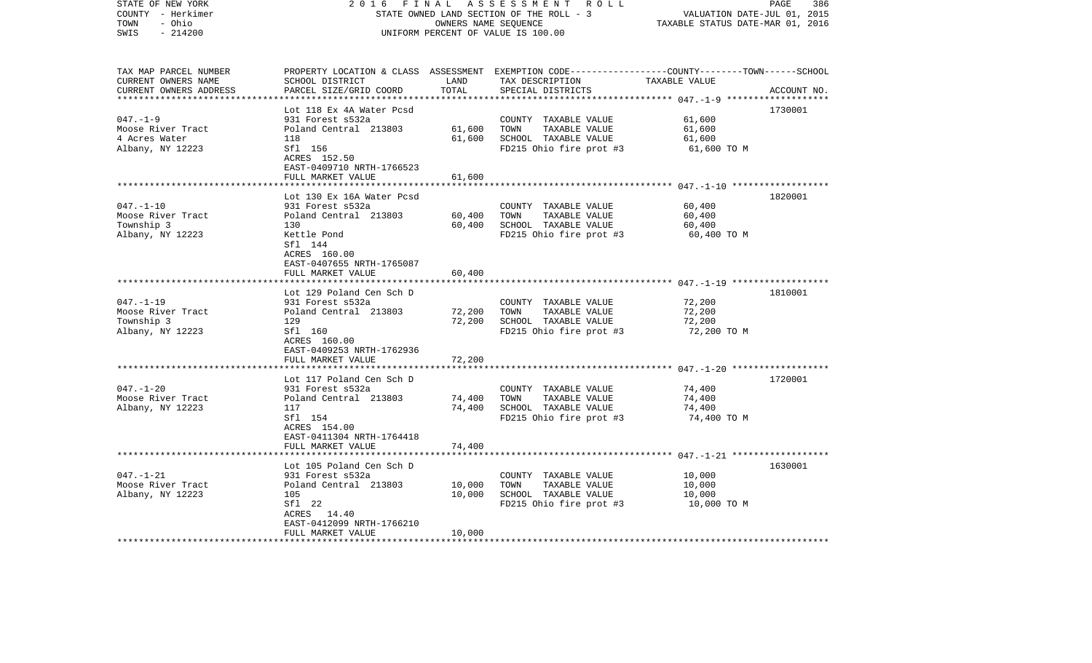| STATE OF NEW YORK<br>COUNTY - Herkimer<br>- Ohio<br>TOWN<br>$-214200$<br>SWIS                      | 2 0 1 6<br>FINAL<br>STATE OWNED LAND SECTION OF THE ROLL - 3<br>UNIFORM PERCENT OF VALUE IS 100.00 | PAGE<br>386<br>VALUATION DATE-JUL 01, 2015<br>TAXABLE STATUS DATE-MAR 01, 2016 |                                                                                                                                         |                  |             |
|----------------------------------------------------------------------------------------------------|----------------------------------------------------------------------------------------------------|--------------------------------------------------------------------------------|-----------------------------------------------------------------------------------------------------------------------------------------|------------------|-------------|
| TAX MAP PARCEL NUMBER<br>CURRENT OWNERS NAME<br>CURRENT OWNERS ADDRESS<br>************************ | SCHOOL DISTRICT<br>PARCEL SIZE/GRID COORD                                                          | LAND<br>TOTAL                                                                  | PROPERTY LOCATION & CLASS ASSESSMENT EXEMPTION CODE---------------COUNTY-------TOWN------SCHOOL<br>TAX DESCRIPTION<br>SPECIAL DISTRICTS | TAXABLE VALUE    | ACCOUNT NO. |
|                                                                                                    | Lot 118 Ex 4A Water Pcsd                                                                           |                                                                                |                                                                                                                                         |                  | 1730001     |
| $047. - 1 - 9$                                                                                     | 931 Forest s532a                                                                                   |                                                                                | COUNTY TAXABLE VALUE                                                                                                                    | 61,600           |             |
| Moose River Tract                                                                                  | Poland Central 213803                                                                              | 61,600                                                                         | TOWN<br>TAXABLE VALUE                                                                                                                   | 61,600           |             |
| 4 Acres Water                                                                                      | 118                                                                                                | 61,600                                                                         | SCHOOL TAXABLE VALUE                                                                                                                    | 61,600           |             |
| Albany, NY 12223                                                                                   | Sfl 156                                                                                            |                                                                                | FD215 Ohio fire prot #3                                                                                                                 | 61,600 TO M      |             |
|                                                                                                    | ACRES 152.50                                                                                       |                                                                                |                                                                                                                                         |                  |             |
|                                                                                                    | EAST-0409710 NRTH-1766523                                                                          |                                                                                |                                                                                                                                         |                  |             |
|                                                                                                    | FULL MARKET VALUE<br>****************************                                                  | 61,600                                                                         |                                                                                                                                         |                  |             |
|                                                                                                    | Lot 130 Ex 16A Water Pcsd                                                                          |                                                                                |                                                                                                                                         |                  | 1820001     |
| $047. - 1 - 10$                                                                                    | 931 Forest s532a                                                                                   |                                                                                | COUNTY TAXABLE VALUE                                                                                                                    | 60,400           |             |
| Moose River Tract                                                                                  | Poland Central 213803                                                                              | 60,400                                                                         | TOWN<br>TAXABLE VALUE                                                                                                                   | 60,400           |             |
| Township 3                                                                                         | 130                                                                                                | 60,400                                                                         | SCHOOL TAXABLE VALUE                                                                                                                    | 60,400           |             |
| Albany, NY 12223                                                                                   | Kettle Pond                                                                                        |                                                                                | FD215 Ohio fire prot #3                                                                                                                 | 60,400 TO M      |             |
|                                                                                                    | Sfl 144                                                                                            |                                                                                |                                                                                                                                         |                  |             |
|                                                                                                    | ACRES 160.00                                                                                       |                                                                                |                                                                                                                                         |                  |             |
|                                                                                                    | EAST-0407655 NRTH-1765087                                                                          |                                                                                |                                                                                                                                         |                  |             |
|                                                                                                    | FULL MARKET VALUE                                                                                  | 60,400                                                                         |                                                                                                                                         |                  |             |
|                                                                                                    | Lot 129 Poland Cen Sch D                                                                           |                                                                                |                                                                                                                                         |                  | 1810001     |
| $047. - 1 - 19$                                                                                    | 931 Forest s532a                                                                                   |                                                                                | COUNTY TAXABLE VALUE                                                                                                                    | 72,200           |             |
| Moose River Tract                                                                                  | Poland Central 213803                                                                              | 72,200                                                                         | TAXABLE VALUE<br>TOWN                                                                                                                   | 72,200           |             |
| Township 3                                                                                         | 129                                                                                                | 72,200                                                                         | SCHOOL TAXABLE VALUE                                                                                                                    | 72,200           |             |
| Albany, NY 12223                                                                                   | Sfl 160                                                                                            |                                                                                | FD215 Ohio fire prot #3                                                                                                                 | 72,200 TO M      |             |
|                                                                                                    | ACRES 160.00                                                                                       |                                                                                |                                                                                                                                         |                  |             |
|                                                                                                    | EAST-0409253 NRTH-1762936                                                                          |                                                                                |                                                                                                                                         |                  |             |
|                                                                                                    | FULL MARKET VALUE                                                                                  | 72,200                                                                         |                                                                                                                                         |                  |             |
|                                                                                                    | Lot 117 Poland Cen Sch D                                                                           |                                                                                |                                                                                                                                         |                  | 1720001     |
| $047. - 1 - 20$                                                                                    | 931 Forest s532a                                                                                   |                                                                                | COUNTY TAXABLE VALUE                                                                                                                    | 74,400           |             |
| Moose River Tract                                                                                  | Poland Central 213803                                                                              | 74,400                                                                         | TOWN<br>TAXABLE VALUE                                                                                                                   | 74,400           |             |
| Albany, NY 12223                                                                                   | 117                                                                                                | 74,400                                                                         | SCHOOL TAXABLE VALUE                                                                                                                    | 74,400           |             |
|                                                                                                    | Sfl 154                                                                                            |                                                                                | FD215 Ohio fire prot #3                                                                                                                 | 74,400 TO M      |             |
|                                                                                                    | ACRES 154.00                                                                                       |                                                                                |                                                                                                                                         |                  |             |
|                                                                                                    | EAST-0411304 NRTH-1764418                                                                          |                                                                                |                                                                                                                                         |                  |             |
|                                                                                                    | FULL MARKET VALUE                                                                                  | 74,400                                                                         |                                                                                                                                         |                  |             |
|                                                                                                    | ****************************                                                                       |                                                                                |                                                                                                                                         |                  |             |
|                                                                                                    | Lot 105 Poland Cen Sch D                                                                           |                                                                                |                                                                                                                                         |                  | 1630001     |
| $047. - 1 - 21$                                                                                    | 931 Forest s532a                                                                                   | 10,000                                                                         | COUNTY TAXABLE VALUE                                                                                                                    | 10,000<br>10,000 |             |
| Moose River Tract<br>Albany, NY 12223                                                              | Poland Central 213803<br>105                                                                       | 10,000                                                                         | TOWN<br>TAXABLE VALUE<br>SCHOOL TAXABLE VALUE                                                                                           | 10,000           |             |
|                                                                                                    | Sfl 22                                                                                             |                                                                                | FD215 Ohio fire prot #3                                                                                                                 | 10,000 TO M      |             |
|                                                                                                    | ACRES 14.40                                                                                        |                                                                                |                                                                                                                                         |                  |             |
|                                                                                                    | EAST-0412099 NRTH-1766210                                                                          |                                                                                |                                                                                                                                         |                  |             |
|                                                                                                    | FULL MARKET VALUE                                                                                  | 10,000                                                                         |                                                                                                                                         |                  |             |
|                                                                                                    |                                                                                                    |                                                                                |                                                                                                                                         |                  |             |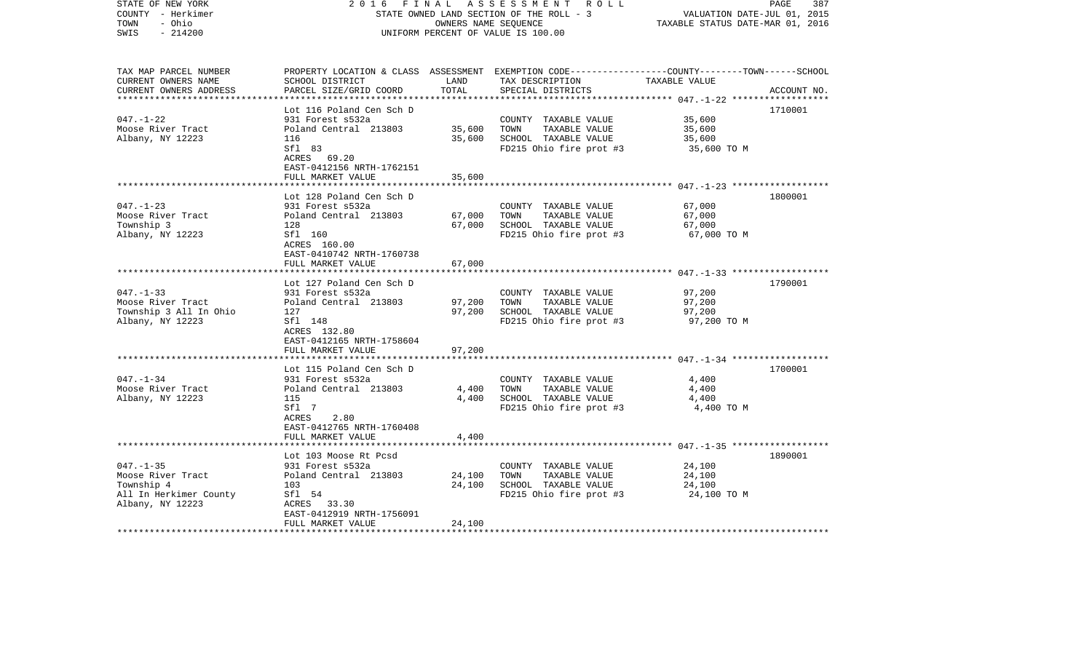| STATE OF NEW YORK<br>COUNTY - Herkimer<br>- Ohio<br>TOWN<br>$-214200$<br>SWIS | 2016                                                 | FINAL<br>OWNERS NAME SEQUENCE | A S S E S S M E N T R O L L<br>STATE OWNED LAND SECTION OF THE ROLL - 3<br>UNIFORM PERCENT OF VALUE IS 100.00                           | VALUATION DATE-JUL 01, 2015<br>TAXABLE STATUS DATE-MAR 01, 2016 | PAGE<br>387 |
|-------------------------------------------------------------------------------|------------------------------------------------------|-------------------------------|-----------------------------------------------------------------------------------------------------------------------------------------|-----------------------------------------------------------------|-------------|
| TAX MAP PARCEL NUMBER<br>CURRENT OWNERS NAME<br>CURRENT OWNERS ADDRESS        | SCHOOL DISTRICT<br>PARCEL SIZE/GRID COORD            | LAND<br>TOTAL                 | PROPERTY LOCATION & CLASS ASSESSMENT EXEMPTION CODE---------------COUNTY-------TOWN------SCHOOL<br>TAX DESCRIPTION<br>SPECIAL DISTRICTS | TAXABLE VALUE                                                   | ACCOUNT NO. |
|                                                                               |                                                      |                               |                                                                                                                                         |                                                                 |             |
|                                                                               | Lot 116 Poland Cen Sch D                             |                               |                                                                                                                                         |                                                                 | 1710001     |
| $047. - 1 - 22$<br>Moose River Tract                                          | 931 Forest s532a<br>Poland Central 213803            | 35,600                        | COUNTY TAXABLE VALUE<br>TOWN<br>TAXABLE VALUE                                                                                           | 35,600<br>35,600                                                |             |
| Albany, NY 12223                                                              | 116                                                  | 35,600                        | SCHOOL TAXABLE VALUE                                                                                                                    | 35,600                                                          |             |
|                                                                               | Sfl 83<br>ACRES 69.20<br>EAST-0412156 NRTH-1762151   |                               | FD215 Ohio fire prot #3                                                                                                                 | 35,600 TO M                                                     |             |
|                                                                               | FULL MARKET VALUE                                    | 35,600                        |                                                                                                                                         |                                                                 |             |
|                                                                               | Lot 128 Poland Cen Sch D                             |                               |                                                                                                                                         |                                                                 | 1800001     |
| $047. - 1 - 23$                                                               | 931 Forest s532a                                     |                               | COUNTY TAXABLE VALUE                                                                                                                    | 67,000                                                          |             |
| Moose River Tract                                                             | Poland Central 213803                                | 67,000                        | TOWN<br>TAXABLE VALUE                                                                                                                   | 67,000                                                          |             |
| Township 3                                                                    | 128                                                  | 67,000                        | SCHOOL TAXABLE VALUE                                                                                                                    | 67,000                                                          |             |
| Albany, NY 12223                                                              | Sfl 160<br>ACRES 160.00<br>EAST-0410742 NRTH-1760738 |                               | FD215 Ohio fire prot #3                                                                                                                 | 67,000 TO M                                                     |             |
|                                                                               | FULL MARKET VALUE                                    | 67,000                        |                                                                                                                                         |                                                                 |             |
|                                                                               | Lot 127 Poland Cen Sch D                             |                               |                                                                                                                                         |                                                                 | 1790001     |
| $047. - 1 - 33$                                                               | 931 Forest s532a                                     |                               | COUNTY TAXABLE VALUE                                                                                                                    | 97,200                                                          |             |
| Moose River Tract                                                             | Poland Central 213803                                | 97,200                        | TOWN<br>TAXABLE VALUE                                                                                                                   | 97,200                                                          |             |
| Township 3 All In Ohio                                                        | 127                                                  | 97,200                        | SCHOOL TAXABLE VALUE                                                                                                                    | 97,200                                                          |             |
| Albany, NY 12223                                                              | Sfl 148                                              |                               | FD215 Ohio fire prot #3                                                                                                                 | 97,200 TO M                                                     |             |
|                                                                               | ACRES 132.80<br>EAST-0412165 NRTH-1758604            |                               |                                                                                                                                         |                                                                 |             |
|                                                                               | FULL MARKET VALUE                                    | 97,200                        |                                                                                                                                         |                                                                 |             |
|                                                                               |                                                      | *********                     |                                                                                                                                         |                                                                 |             |
|                                                                               | Lot 115 Poland Cen Sch D                             |                               |                                                                                                                                         |                                                                 | 1700001     |
| $047. - 1 - 34$                                                               | 931 Forest s532a                                     |                               | COUNTY TAXABLE VALUE                                                                                                                    | 4,400                                                           |             |
| Moose River Tract                                                             | Poland Central 213803                                | 4,400                         | TOWN<br>TAXABLE VALUE                                                                                                                   | 4,400                                                           |             |
| Albany, NY 12223                                                              | 115                                                  | 4,400                         | SCHOOL TAXABLE VALUE                                                                                                                    | 4,400                                                           |             |
|                                                                               | Sfl 7<br>ACRES<br>2.80<br>EAST-0412765 NRTH-1760408  |                               | FD215 Ohio fire prot #3                                                                                                                 | 4,400 TO M                                                      |             |
|                                                                               | FULL MARKET VALUE                                    | 4,400                         |                                                                                                                                         |                                                                 |             |
|                                                                               |                                                      |                               |                                                                                                                                         |                                                                 |             |
|                                                                               | Lot 103 Moose Rt Pcsd                                |                               |                                                                                                                                         |                                                                 | 1890001     |
| $047. - 1 - 35$                                                               | 931 Forest s532a                                     |                               | COUNTY TAXABLE VALUE                                                                                                                    | 24,100                                                          |             |
| Moose River Tract                                                             | Poland Central 213803                                | 24,100                        | TOWN<br>TAXABLE VALUE                                                                                                                   | 24,100                                                          |             |
| Township 4<br>All In Herkimer County                                          | 103<br>Sfl 54                                        | 24,100                        | SCHOOL TAXABLE VALUE<br>FD215 Ohio fire prot #3                                                                                         | 24,100<br>24,100 TO M                                           |             |
| Albany, NY 12223                                                              | ACRES 33.30                                          |                               |                                                                                                                                         |                                                                 |             |
|                                                                               | EAST-0412919 NRTH-1756091                            |                               |                                                                                                                                         |                                                                 |             |
|                                                                               | FULL MARKET VALUE                                    | 24,100                        |                                                                                                                                         |                                                                 |             |
|                                                                               |                                                      |                               |                                                                                                                                         |                                                                 |             |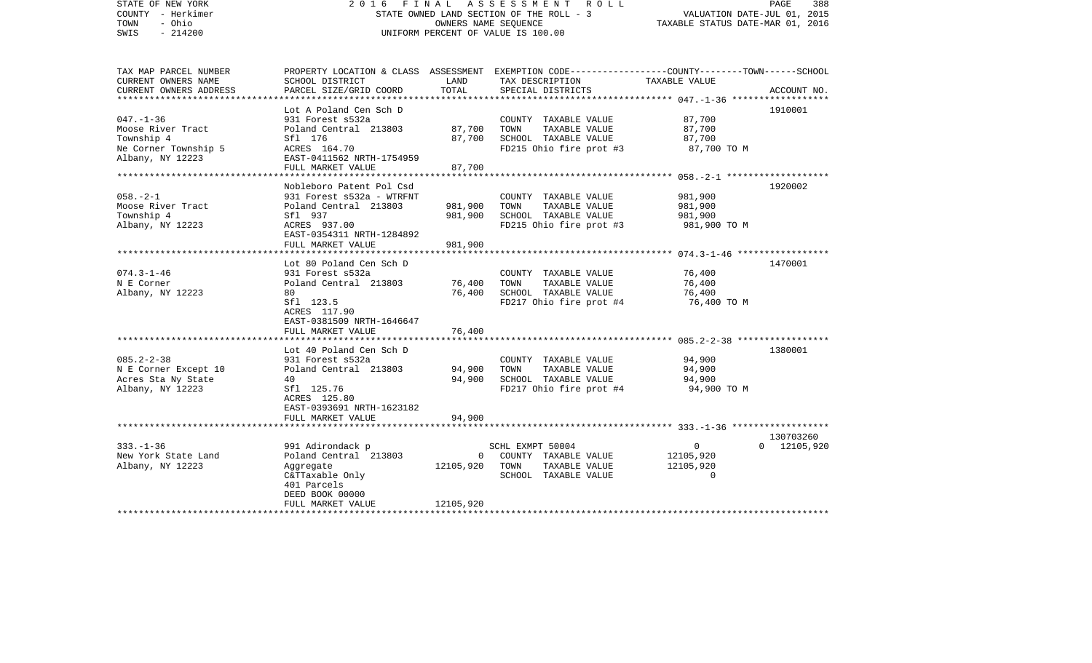| STATE OF NEW YORK<br>COUNTY - Herkimer<br>- Ohio<br>TOWN<br>$-214200$<br>SWIS                    | FINAL<br>2016                                                                                                                                               |                                    | A S S E S S M E N T<br>R O L L<br>STATE OWNED LAND SECTION OF THE ROLL - 3<br>OWNERS NAME SEOUENCE<br>UNIFORM PERCENT OF VALUE IS 100.00 | VALUATION DATE-JUL 01, 2015<br>TAXABLE STATUS DATE-MAR 01, 2016                                      | PAGE<br>388                     |
|--------------------------------------------------------------------------------------------------|-------------------------------------------------------------------------------------------------------------------------------------------------------------|------------------------------------|------------------------------------------------------------------------------------------------------------------------------------------|------------------------------------------------------------------------------------------------------|---------------------------------|
| TAX MAP PARCEL NUMBER<br>CURRENT OWNERS NAME<br>CURRENT OWNERS ADDRESS<br>********************** | SCHOOL DISTRICT<br>PARCEL SIZE/GRID COORD                                                                                                                   | LAND<br>TOTAL                      | PROPERTY LOCATION & CLASS ASSESSMENT EXEMPTION CODE---------------COUNTY-------TOWN------SCHOOL<br>TAX DESCRIPTION<br>SPECIAL DISTRICTS  | TAXABLE VALUE                                                                                        | ACCOUNT NO.                     |
| $047. - 1 - 36$<br>Moose River Tract<br>Township 4<br>Ne Corner Township 5<br>Albany, NY 12223   | Lot A Poland Cen Sch D<br>931 Forest s532a<br>Poland Central 213803<br>Sfl 176<br>ACRES 164.70<br>EAST-0411562 NRTH-1754959<br>FULL MARKET VALUE            | 87,700<br>87,700<br>87,700         | COUNTY TAXABLE VALUE<br>TOWN<br>TAXABLE VALUE<br>SCHOOL TAXABLE VALUE<br>FD215 Ohio fire prot #3                                         | 87,700<br>87,700<br>87,700<br>87,700 TO M                                                            | 1910001                         |
| $058. - 2 - 1$<br>Moose River Tract<br>Township 4<br>Albany, NY 12223                            | Nobleboro Patent Pol Csd<br>931 Forest s532a - WTRFNT<br>Poland Central 213803<br>Sfl 937<br>ACRES 937.00<br>EAST-0354311 NRTH-1284892<br>FULL MARKET VALUE | 981,900<br>981,900<br>981,900      | COUNTY TAXABLE VALUE<br>TOWN<br>TAXABLE VALUE<br>SCHOOL TAXABLE VALUE<br>FD215 Ohio fire prot #3                                         | 981,900<br>981,900<br>981,900<br>981,900 TO M                                                        | 1920002                         |
| $074.3 - 1 - 46$<br>N E Corner<br>Albany, NY 12223                                               | Lot 80 Poland Cen Sch D<br>931 Forest s532a<br>Poland Central 213803<br>80<br>Sfl 123.5<br>ACRES 117.90<br>EAST-0381509 NRTH-1646647<br>FULL MARKET VALUE   | 76,400<br>76,400<br>76,400         | COUNTY TAXABLE VALUE<br>TAXABLE VALUE<br>TOWN<br>SCHOOL TAXABLE VALUE<br>FD217 Ohio fire prot #4                                         | ************************* 074.3-1-46 ******************<br>76,400<br>76,400<br>76,400<br>76,400 TO M | 1470001                         |
| $085.2 - 2 - 38$<br>N E Corner Except 10<br>Acres Sta Ny State<br>Albany, NY 12223               | Lot 40 Poland Cen Sch D<br>931 Forest s532a<br>Poland Central 213803<br>40<br>Sfl 125.76<br>ACRES 125.80<br>EAST-0393691 NRTH-1623182<br>FULL MARKET VALUE  | 94,900<br>94,900<br>94,900         | COUNTY TAXABLE VALUE<br>TOWN<br>TAXABLE VALUE<br>SCHOOL TAXABLE VALUE<br>FD217 Ohio fire prot #4                                         | 94,900<br>94,900<br>94,900<br>94,900 TO M                                                            | 1380001                         |
| $333. - 1 - 36$<br>New York State Land<br>Albany, NY 12223                                       | 991 Adirondack p<br>Poland Central 213803<br>Aggregate<br>C&TTaxable Only<br>401 Parcels<br>DEED BOOK 00000<br>FULL MARKET VALUE                            | $\Omega$<br>12105,920<br>12105,920 | SCHL EXMPT 50004<br>COUNTY TAXABLE VALUE<br>TOWN<br>TAXABLE VALUE<br>SCHOOL TAXABLE VALUE                                                | $\overline{0}$<br>12105,920<br>12105,920<br>$\Omega$                                                 | 130703260<br>$0\quad 12105,920$ |
|                                                                                                  |                                                                                                                                                             |                                    |                                                                                                                                          |                                                                                                      |                                 |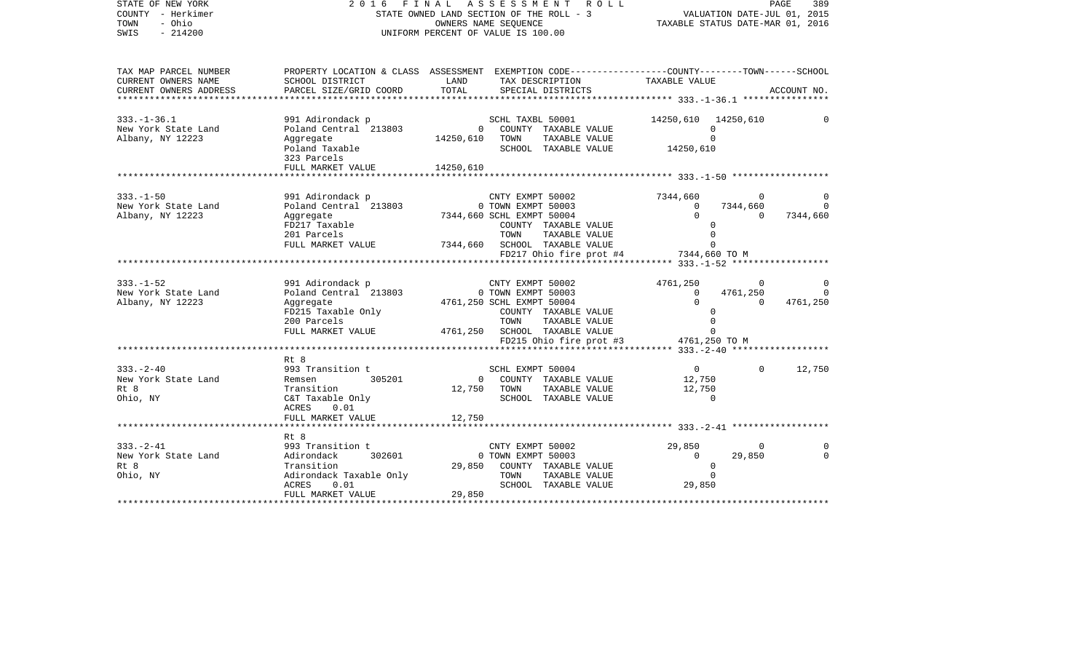| STATE OF NEW YORK<br>COUNTY - Herkimer<br>TOWN<br>- Ohio<br>SWIS<br>$-214200$ | 2016                                                                                                                                                                        |                | FINAL ASSESSMENT ROLL<br>STATE OWNED LAND SECTION OF THE ROLL - 3<br>OWNERS NAME SEQUENCE<br>UNIFORM PERCENT OF VALUE IS 100.00                                                                    |                                                                                       | PAGE<br>389<br>VALUATION DATE-JUL 01, 2015<br>TAXABLE STATUS DATE-MAR 01, 2016 |
|-------------------------------------------------------------------------------|-----------------------------------------------------------------------------------------------------------------------------------------------------------------------------|----------------|----------------------------------------------------------------------------------------------------------------------------------------------------------------------------------------------------|---------------------------------------------------------------------------------------|--------------------------------------------------------------------------------|
| TAX MAP PARCEL NUMBER<br>CURRENT OWNERS NAME<br>CURRENT OWNERS ADDRESS        | SCHOOL DISTRICT<br>PARCEL SIZE/GRID COORD                                                                                                                                   | LAND<br>TOTAL  | PROPERTY LOCATION & CLASS ASSESSMENT EXEMPTION CODE----------------COUNTY-------TOWN-----SCHOOL<br>TAX DESCRIPTION<br>SPECIAL DISTRICTS                                                            | TAXABLE VALUE                                                                         | ACCOUNT NO.                                                                    |
| **********************                                                        |                                                                                                                                                                             |                |                                                                                                                                                                                                    |                                                                                       |                                                                                |
| $333. - 1 - 36.1$<br>New York State Land<br>Albany, NY 12223                  | 991 Adirondack p<br>991 Adirondack p<br>Poland Central 213803 (DOUNTY TAXABLE VALUE<br>Aggregate 14250,610 TOWN TAXABLE VALUE<br>Aggregate<br>Poland Taxable<br>323 Parcels | 14250,610 TOWN | SCHL TAXBL 50001<br>TAXABLE VALUE<br>SCHOOL TAXABLE VALUE                                                                                                                                          | 14250,610 14250,610<br>$\Omega$<br>$\Omega$<br>14250,610                              |                                                                                |
|                                                                               | FULL MARKET VALUE                                                                                                                                                           | 14250,610      |                                                                                                                                                                                                    |                                                                                       |                                                                                |
| $333. - 1 - 50$<br>New York State Land<br>Albany, NY 12223                    | 991 Adirondack p<br>Poland Central 213803<br>Aggregate<br>FD217 Taxable<br>201 Parcels                                                                                      |                | CNTY EXMPT 50002<br>0 TOWN EXMPT 50003<br>7344,660 SCHL EXMPT 50004<br>COUNTY TAXABLE VALUE<br>TOWN<br>TAXABLE VALUE<br>FULL MARKET VALUE 7344,660 SCHOOL TAXABLE VALUE<br>FD217 Ohio fire prot #4 | 7344,660<br>$\overline{0}$<br>$\overline{0}$<br>$\Omega$<br>$\Omega$<br>7344,660 TO M | $\sim$ 0<br>7344,660<br>$\Omega$<br>7344,660<br>$\overline{0}$                 |
|                                                                               |                                                                                                                                                                             |                |                                                                                                                                                                                                    |                                                                                       |                                                                                |
| $333. - 1 - 52$<br>New York State Land<br>Albany, NY 12223                    | 991 Adirondack p<br>Poland Central 213803<br>Aggregate<br>FD215 Taxable Only<br>200 Parcels<br>FULL MARKET VALUE                                                            |                | CNTY EXMPT 50002<br>0 TOWN EXMPT 50003<br>4761,250 SCHL EXMPT 50004<br>COUNTY TAXABLE VALUE<br>TOWN<br>TAXABLE VALUE<br>4761,250 SCHOOL TAXABLE VALUE<br>FD215 Ohio fire prot #3                   | 4761,250<br>$\overline{0}$<br>$\Omega$<br>$\Omega$<br>4761,250 TO M                   | $\overline{0}$<br>0<br>4761,250<br>$\Omega$<br>4761,250<br>$\overline{0}$      |
|                                                                               |                                                                                                                                                                             |                |                                                                                                                                                                                                    |                                                                                       |                                                                                |
| $333. - 2 - 40$<br>New York State Land<br>Rt 8<br>Ohio, NY                    | Rt 8<br>993 Transition t<br>305201<br>Remsen<br>Transition<br>C&T Taxable Only<br>ACRES<br>0.01                                                                             |                | SCHL EXMPT 50004<br>0 COUNTY TAXABLE VALUE<br>12,750 TOWN<br>TAXABLE VALUE<br>SCHOOL TAXABLE VALUE                                                                                                 | $\overline{0}$<br>12,750<br>12,750<br>$\Omega$                                        | $0 \t 12,750$                                                                  |
|                                                                               | FULL MARKET VALUE                                                                                                                                                           | 12,750         |                                                                                                                                                                                                    |                                                                                       |                                                                                |
|                                                                               | Rt 8                                                                                                                                                                        |                |                                                                                                                                                                                                    |                                                                                       |                                                                                |
| $333. - 2 - 41$<br>New York State Land<br>Rt 8<br>Ohio, NY                    | 993 Transition t<br>Adirondack<br>302601<br>Transition<br>Adirondack Taxable Only<br>ACRES<br>0.01<br>FULL MARKET VALUE                                                     | 29,850         | CNTY EXMPT 50002<br>0 TOWN EXMPT 50003<br>29,850 COUNTY TAXABLE VALUE                                                                                                                              | 29,850<br>$\overline{0}$<br>$\Omega$                                                  | $\overline{0}$<br>$\Omega$<br>$\Omega$<br>29,850                               |
|                                                                               |                                                                                                                                                                             |                |                                                                                                                                                                                                    |                                                                                       |                                                                                |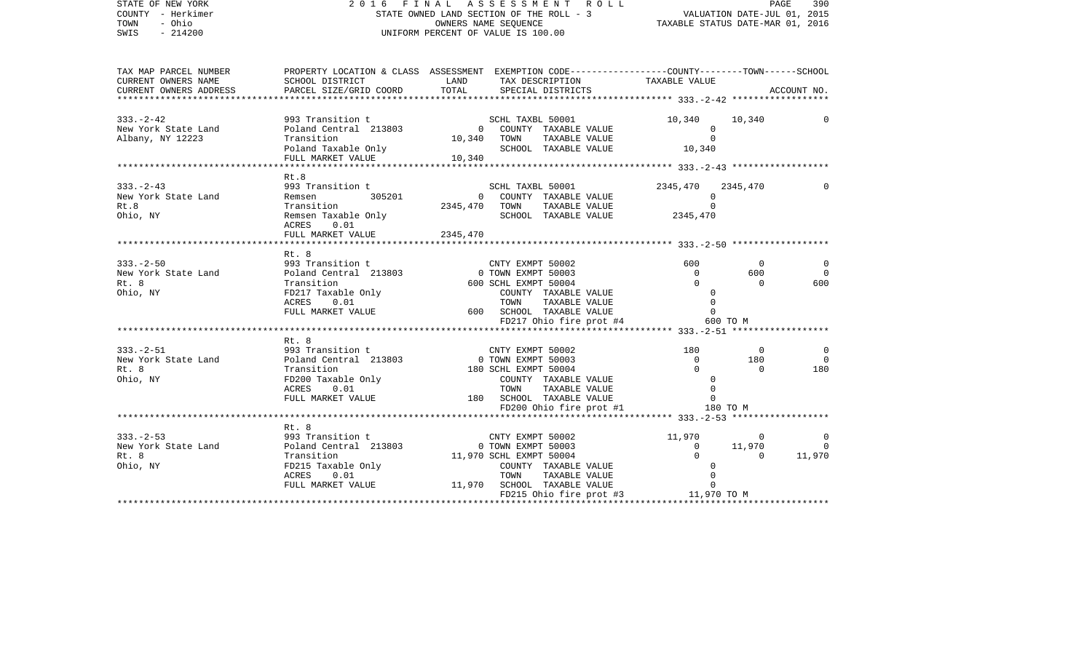| COUNTY - Herkimer<br>TOWN<br>- Ohio<br>SWIS<br>$-214200$                                                                                                                                                                                                                                                  | STATE OWNED LAND SECTION OF THE ROLL - 3 WALUATION DATE-JUL 01, 2015<br>OWNERS NAME SEQUENCE TAXABLE STATUS DATE-MAR 01, 2016<br>UNIFORM PERCENT OF VALUE IS 100.00<br>UNIFORM PERCENT OF VALUE IS 100.00                                        |          |                                                                                                                                                                                                                                                                               |                                              |                                                   |                                         |
|-----------------------------------------------------------------------------------------------------------------------------------------------------------------------------------------------------------------------------------------------------------------------------------------------------------|--------------------------------------------------------------------------------------------------------------------------------------------------------------------------------------------------------------------------------------------------|----------|-------------------------------------------------------------------------------------------------------------------------------------------------------------------------------------------------------------------------------------------------------------------------------|----------------------------------------------|---------------------------------------------------|-----------------------------------------|
| TAX MAP PARCEL NUMBER<br>CURRENT OWNERS NAME<br>CURRENT OWNERS ADDRESS                                                                                                                                                                                                                                    | PARCEL SIZE/GRID COORD                                                                                                                                                                                                                           | TOTAL    | SPECIAL DISTRICTS                                                                                                                                                                                                                                                             |                                              |                                                   | ACCOUNT NO.                             |
| 333.-2-42<br>New York State Land<br>New York State Land Poland Central 213803 0 COUNTY TAXABLE VALUE 0<br>2011 10,340 10,340 TOWN TAXABLE VALUE 0<br>2011 10,340 TOWN TAXABLE VALUE 0<br>2011 TARABLE VALUE 10,340 SCHOOL TAXABLE VALU                                                                    |                                                                                                                                                                                                                                                  |          |                                                                                                                                                                                                                                                                               |                                              | 10,340                                            | 0                                       |
| $333 - 2 - 43$<br>New York State Land<br>Rt.8<br>Ohio, NY                                                                                                                                                                                                                                                 | ACRES 0.01<br>FULL MARKET VALUE                                                                                                                                                                                                                  | 2345,470 | $\begin{tabular}{lllllllll} \multicolumn{2}{c}{\textbf{COUNTY}} & \textbf{TAXABLE VALUE} & & & & 0 \\ \multicolumn{2}{c}{\textbf{TONN}} & \textbf{TAXABLE VALUE} & & & 0 \\ \multicolumn{2}{c}{\textbf{SCHOOL}} & \textbf{TAXABLE VALUE} & & & 2345 \,, 470 \\ \end{tabular}$ | 2345,470 2345,470<br>$\overline{0}$          |                                                   |                                         |
|                                                                                                                                                                                                                                                                                                           | ************************                                                                                                                                                                                                                         |          |                                                                                                                                                                                                                                                                               |                                              |                                                   |                                         |
| $333. - 2 - 50$<br>3.-2-50<br>3.-2-50<br>293 Transition the CMTY EXMPT 50002 600 0<br>2.8 Transition 600 SCHL EXMPT 50003 0 600<br>2.8 Transition 600 SCHL EXMPT 50004 0 0<br>200 COUNTY TAXABLE VALUE 0 0<br>200 COUNTY TAXABLE VALUE 0 0<br>200 COUNTY TAXA<br>New York State Land<br>Rt. 8<br>Ohio, NY | Rt. 8                                                                                                                                                                                                                                            |          |                                                                                                                                                                                                                                                                               |                                              |                                                   | $\Omega$<br>$\bigcirc$<br>600           |
|                                                                                                                                                                                                                                                                                                           |                                                                                                                                                                                                                                                  |          |                                                                                                                                                                                                                                                                               |                                              |                                                   |                                         |
|                                                                                                                                                                                                                                                                                                           | Rt. 8                                                                                                                                                                                                                                            |          | COUNTY TAXABLE VALUE<br>TOWN TAXABLE VALUE 0<br>SCHOOL TAXABLE VALUE 0<br>FD200 Ohio fire prot #1 180 TO M                                                                                                                                                                    | $\begin{array}{c} 180 \\ 0 \\ 0 \end{array}$ | $\overline{\phantom{0}}$<br>180<br>$\overline{0}$ | 0<br>$\overline{\phantom{0}}$<br>180    |
|                                                                                                                                                                                                                                                                                                           |                                                                                                                                                                                                                                                  |          |                                                                                                                                                                                                                                                                               |                                              |                                                   |                                         |
| $333. -2 - 53$<br>New York State Land<br>Rt. 8<br>Ohio, NY                                                                                                                                                                                                                                                | Rt. 8<br>11,970 CMTY EXMPT 50002 11,970 0<br>11,970 0<br>Poland Central 213803 0 TOWN EXMPT 50003 0 11,970<br>Transition 11,970 SCHL EXMPT 50004 0 0<br>FD215 Taxable Only COUNTY TAXABLE VALUE 0<br>FULL MARKET VALUE 11,970 SCHLO TOWN TAXABLE |          |                                                                                                                                                                                                                                                                               |                                              |                                                   | 0<br>$\overline{\phantom{0}}$<br>11,970 |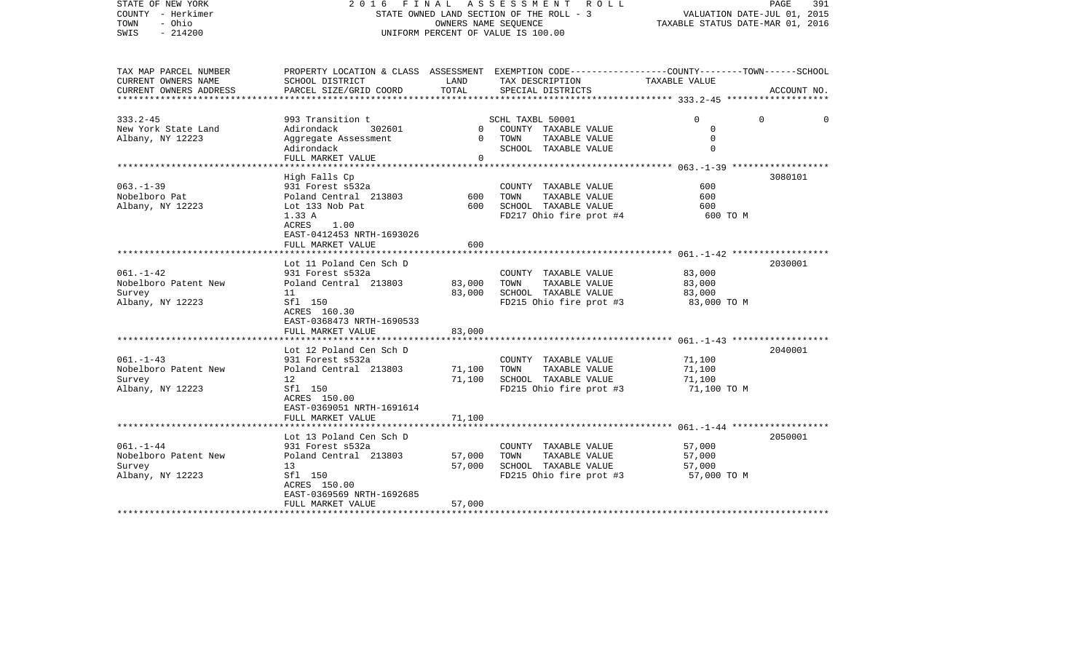| 2016                                                                                                                                                       |                                 | R O L L                                                                                          |                                                                                                                                                   | PAGE<br>391                                                                                                                                                         |
|------------------------------------------------------------------------------------------------------------------------------------------------------------|---------------------------------|--------------------------------------------------------------------------------------------------|---------------------------------------------------------------------------------------------------------------------------------------------------|---------------------------------------------------------------------------------------------------------------------------------------------------------------------|
| SCHOOL DISTRICT<br>PARCEL SIZE/GRID COORD                                                                                                                  | LAND<br>TOTAL                   | TAX DESCRIPTION<br>SPECIAL DISTRICTS                                                             | TAXABLE VALUE                                                                                                                                     | ACCOUNT NO.                                                                                                                                                         |
| 993 Transition t<br>302601<br>Adirondack<br>Aggregate Assessment<br>Adirondack<br>FULL MARKET VALUE                                                        | $\overline{0}$<br>$\Omega$<br>0 | COUNTY TAXABLE VALUE<br>TAXABLE VALUE<br>TOWN<br>SCHOOL TAXABLE VALUE                            | $\Omega$<br>0<br>$\mathbf 0$<br>$\Omega$                                                                                                          | $\Omega$<br>$\Omega$                                                                                                                                                |
| High Falls Cp<br>931 Forest s532a<br>Poland Central 213803<br>Lot 133 Nob Pat<br>1.33 A<br>ACRES<br>1.00<br>EAST-0412453 NRTH-1693026<br>FULL MARKET VALUE | 600<br>600<br>600               | COUNTY TAXABLE VALUE<br>TOWN<br>TAXABLE VALUE<br>SCHOOL TAXABLE VALUE<br>FD217 Ohio fire prot #4 | 600<br>600<br>600<br>600 TO M                                                                                                                     | 3080101                                                                                                                                                             |
| Lot 11 Poland Cen Sch D<br>931 Forest s532a<br>Poland Central 213803<br>11<br>Sfl 150<br>ACRES 160.30<br>EAST-0368473 NRTH-1690533<br>FULL MARKET VALUE    | 83,000<br>83,000<br>83,000      | COUNTY TAXABLE VALUE<br>TOWN<br>TAXABLE VALUE<br>SCHOOL TAXABLE VALUE<br>FD215 Ohio fire prot #3 | 83,000<br>83,000<br>83,000<br>83,000 TO M                                                                                                         | 2030001                                                                                                                                                             |
| Lot 12 Poland Cen Sch D<br>931 Forest s532a<br>Poland Central 213803<br>12<br>Sfl 150<br>ACRES 150.00<br>EAST-0369051 NRTH-1691614<br>FULL MARKET VALUE    | 71,100<br>71,100<br>71,100      | COUNTY TAXABLE VALUE<br>TAXABLE VALUE<br>TOWN<br>SCHOOL TAXABLE VALUE<br>FD215 Ohio fire prot #3 | 71,100<br>71,100<br>71,100<br>71,100 TO M                                                                                                         | 2040001                                                                                                                                                             |
| Lot 13 Poland Cen Sch D<br>931 Forest s532a<br>Poland Central 213803<br>13<br>Sfl 150<br>ACRES 150.00<br>EAST-0369569 NRTH-1692685<br>FULL MARKET VALUE    | 57,000<br>57,000<br>57,000      | COUNTY TAXABLE VALUE<br>TOWN<br>TAXABLE VALUE<br>SCHOOL TAXABLE VALUE<br>FD215 Ohio fire prot #3 | 57,000<br>57,000<br>57,000<br>57,000 TO M                                                                                                         | 2050001                                                                                                                                                             |
|                                                                                                                                                            | ****************************    | FINAL                                                                                            | A S S E S S M E N T<br>STATE OWNED LAND SECTION OF THE ROLL - 3<br>OWNERS NAME SEQUENCE<br>UNIFORM PERCENT OF VALUE IS 100.00<br>SCHL TAXBL 50001 | VALUATION DATE-JUL 01, 2015<br>TAXABLE STATUS DATE-MAR 01, 2016<br>PROPERTY LOCATION & CLASS ASSESSMENT EXEMPTION CODE----------------COUNTY-------TOWN------SCHOOL |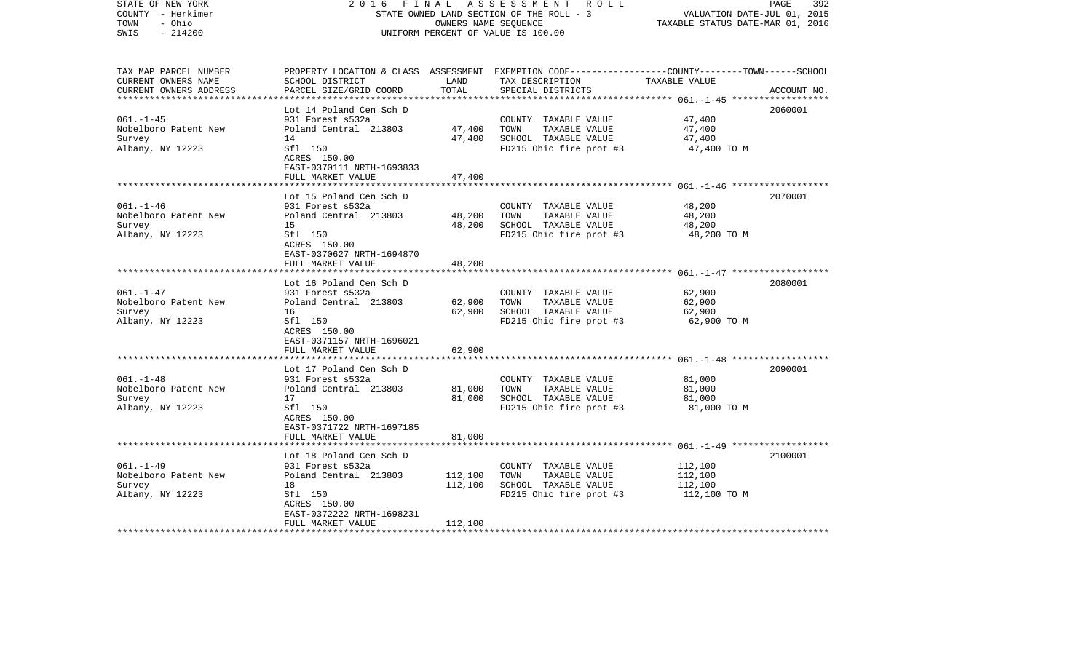| STATE OF NEW YORK<br>COUNTY - Herkimer<br>TOWN<br>- Ohio<br>$-214200$<br>SWIS | 2 0 1 6<br>FINAL                                     | OWNERS NAME SEQUENCE | A S S E S S M E N T R O L L<br>STATE OWNED LAND SECTION OF THE ROLL - 3<br>UNIFORM PERCENT OF VALUE IS 100.00                                        | VALUATION DATE-JUL 01, 2015<br>TAXABLE STATUS DATE-MAR 01, 2016 | PAGE<br>392 |
|-------------------------------------------------------------------------------|------------------------------------------------------|----------------------|------------------------------------------------------------------------------------------------------------------------------------------------------|-----------------------------------------------------------------|-------------|
| TAX MAP PARCEL NUMBER<br>CURRENT OWNERS NAME<br>CURRENT OWNERS ADDRESS        | SCHOOL DISTRICT<br>PARCEL SIZE/GRID COORD            | LAND<br>TOTAL        | PROPERTY LOCATION & CLASS ASSESSMENT EXEMPTION CODE--------------COUNTY-------TOWN------SCHOOL<br>TAX DESCRIPTION TAXABLE VALUE<br>SPECIAL DISTRICTS |                                                                 | ACCOUNT NO. |
|                                                                               | Lot 14 Poland Cen Sch D                              |                      |                                                                                                                                                      |                                                                 | 2060001     |
| $061. - 1 - 45$                                                               | 931 Forest s532a                                     |                      | COUNTY TAXABLE VALUE                                                                                                                                 | 47,400                                                          |             |
| Nobelboro Patent New                                                          | Poland Central 213803                                | 47,400               | TAXABLE VALUE<br>TOWN                                                                                                                                | 47,400                                                          |             |
| Survey                                                                        | 14                                                   | 47,400               | SCHOOL TAXABLE VALUE                                                                                                                                 | 47,400                                                          |             |
| Albany, NY 12223                                                              | Sfl 150<br>ACRES 150.00<br>EAST-0370111 NRTH-1693833 |                      | FD215 Ohio fire prot #3                                                                                                                              | 47,400 TO M                                                     |             |
|                                                                               | FULL MARKET VALUE                                    | 47,400               |                                                                                                                                                      |                                                                 |             |
|                                                                               | Lot 15 Poland Cen Sch D                              |                      |                                                                                                                                                      |                                                                 | 2070001     |
| $061. -1 -46$                                                                 | 931 Forest s532a                                     |                      | COUNTY TAXABLE VALUE                                                                                                                                 | 48,200                                                          |             |
| Nobelboro Patent New                                                          | Poland Central 213803                                | 48,200               | TOWN<br>TAXABLE VALUE                                                                                                                                | 48,200                                                          |             |
| Survey                                                                        | 15                                                   | 48,200               | SCHOOL TAXABLE VALUE                                                                                                                                 | 48,200                                                          |             |
| Albany, NY 12223                                                              | Sfl 150<br>ACRES 150.00<br>EAST-0370627 NRTH-1694870 |                      | FD215 Ohio fire prot #3                                                                                                                              | 48,200 TO M                                                     |             |
|                                                                               | FULL MARKET VALUE                                    | 48,200               |                                                                                                                                                      |                                                                 |             |
|                                                                               |                                                      |                      |                                                                                                                                                      |                                                                 |             |
| $061. - 1 - 47$                                                               | Lot 16 Poland Cen Sch D                              |                      |                                                                                                                                                      | 62,900                                                          | 2080001     |
| Nobelboro Patent New                                                          | 931 Forest s532a<br>Poland Central 213803            | 62,900               | COUNTY TAXABLE VALUE<br>TOWN<br>TAXABLE VALUE                                                                                                        | 62,900                                                          |             |
| Survey                                                                        | 16                                                   | 62,900               | SCHOOL TAXABLE VALUE                                                                                                                                 | 62,900                                                          |             |
| Albany, NY 12223                                                              | Sfl 150                                              |                      | FD215 Ohio fire prot #3                                                                                                                              | 62,900 TO M                                                     |             |
|                                                                               | ACRES 150.00                                         |                      |                                                                                                                                                      |                                                                 |             |
|                                                                               | EAST-0371157 NRTH-1696021                            |                      |                                                                                                                                                      |                                                                 |             |
|                                                                               | FULL MARKET VALUE                                    | 62,900               |                                                                                                                                                      |                                                                 |             |
|                                                                               | Lot 17 Poland Cen Sch D                              |                      |                                                                                                                                                      |                                                                 | 2090001     |
| $061. - 1 - 48$                                                               | 931 Forest s532a                                     |                      | COUNTY TAXABLE VALUE                                                                                                                                 | 81,000                                                          |             |
| Nobelboro Patent New                                                          | Poland Central 213803                                | 81,000               | TAXABLE VALUE<br>TOWN                                                                                                                                | 81,000                                                          |             |
| Survey                                                                        | 17                                                   | 81,000               | SCHOOL TAXABLE VALUE                                                                                                                                 | 81,000                                                          |             |
| Albany, NY 12223                                                              | Sfl 150                                              |                      | FD215 Ohio fire prot #3                                                                                                                              | 81,000 TO M                                                     |             |
|                                                                               | ACRES 150.00                                         |                      |                                                                                                                                                      |                                                                 |             |
|                                                                               | EAST-0371722 NRTH-1697185                            |                      |                                                                                                                                                      |                                                                 |             |
|                                                                               | FULL MARKET VALUE                                    | 81,000               |                                                                                                                                                      |                                                                 |             |
|                                                                               | Lot 18 Poland Cen Sch D                              |                      |                                                                                                                                                      |                                                                 | 2100001     |
| $061. - 1 - 49$                                                               | 931 Forest s532a                                     |                      | COUNTY TAXABLE VALUE                                                                                                                                 | 112,100                                                         |             |
| Nobelboro Patent New                                                          | Poland Central 213803                                | 112,100              | TOWN<br>TAXABLE VALUE                                                                                                                                | 112,100                                                         |             |
| Survey                                                                        | 18                                                   | 112,100              | SCHOOL TAXABLE VALUE                                                                                                                                 | 112,100                                                         |             |
| Albany, NY 12223                                                              | Sfl 150                                              |                      | FD215 Ohio fire prot #3 $112,100$ TO M                                                                                                               |                                                                 |             |
|                                                                               | ACRES 150.00                                         |                      |                                                                                                                                                      |                                                                 |             |
|                                                                               | EAST-0372222 NRTH-1698231<br>FULL MARKET VALUE       | 112,100              |                                                                                                                                                      |                                                                 |             |
|                                                                               |                                                      |                      |                                                                                                                                                      |                                                                 |             |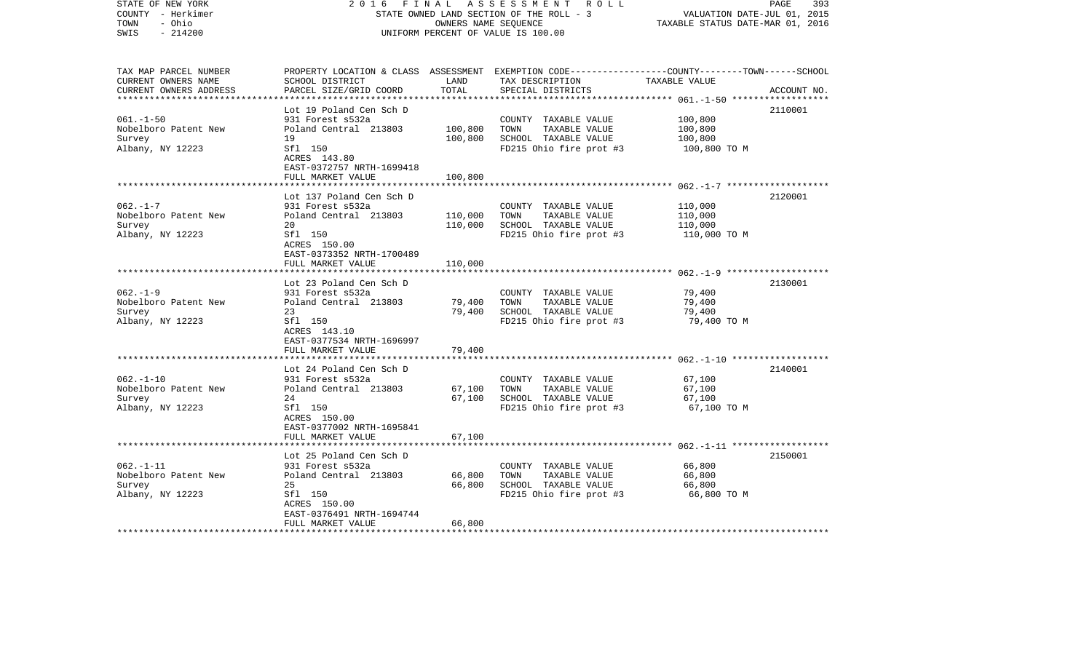| STATE OF NEW YORK<br>COUNTY - Herkimer<br>- Ohio<br>TOWN<br>$-214200$<br>SWIS | 2 0 1 6<br>FINAL                                                          | OWNERS NAME SEQUENCE | A S S E S S M E N T R O L L<br>STATE OWNED LAND SECTION OF THE ROLL - 3<br>UNIFORM PERCENT OF VALUE IS 100.00                                        | VALUATION DATE-JUL 01, 2015<br>TAXABLE STATUS DATE-MAR 01, 2016 | 393<br>PAGE |
|-------------------------------------------------------------------------------|---------------------------------------------------------------------------|----------------------|------------------------------------------------------------------------------------------------------------------------------------------------------|-----------------------------------------------------------------|-------------|
| TAX MAP PARCEL NUMBER<br>CURRENT OWNERS NAME<br>CURRENT OWNERS ADDRESS        | SCHOOL DISTRICT<br>PARCEL SIZE/GRID COORD                                 | LAND<br>TOTAL        | PROPERTY LOCATION & CLASS ASSESSMENT EXEMPTION CODE--------------COUNTY-------TOWN------SCHOOL<br>TAX DESCRIPTION TAXABLE VALUE<br>SPECIAL DISTRICTS |                                                                 | ACCOUNT NO. |
|                                                                               | Lot 19 Poland Cen Sch D                                                   |                      |                                                                                                                                                      |                                                                 | 2110001     |
| $061. - 1 - 50$                                                               | 931 Forest s532a                                                          |                      | COUNTY TAXABLE VALUE                                                                                                                                 | 100,800                                                         |             |
| Nobelboro Patent New                                                          | Poland Central 213803                                                     | 100,800              | TOWN<br>TAXABLE VALUE                                                                                                                                | 100,800                                                         |             |
| Survey                                                                        | 19                                                                        | 100,800              | SCHOOL TAXABLE VALUE                                                                                                                                 | 100,800                                                         |             |
| Albany, NY 12223                                                              | Sfl 150<br>ACRES 143.80<br>EAST-0372757 NRTH-1699418<br>FULL MARKET VALUE | 100,800              | FD215 Ohio fire prot #3                                                                                                                              | 100,800 TO M                                                    |             |
|                                                                               |                                                                           |                      |                                                                                                                                                      |                                                                 |             |
|                                                                               | Lot 137 Poland Cen Sch D                                                  |                      |                                                                                                                                                      |                                                                 | 2120001     |
| $062. -1 - 7$                                                                 | 931 Forest s532a                                                          |                      | COUNTY TAXABLE VALUE                                                                                                                                 | 110,000                                                         |             |
| Nobelboro Patent New                                                          | Poland Central 213803                                                     | 110,000              | TOWN<br>TAXABLE VALUE                                                                                                                                | 110,000                                                         |             |
| Survey<br>Albany, NY 12223                                                    | 20<br>Sfl 150                                                             | 110,000              | SCHOOL TAXABLE VALUE<br>FD215 Ohio fire prot #3                                                                                                      | 110,000<br>110,000 TO M                                         |             |
|                                                                               | ACRES 150.00<br>EAST-0373352 NRTH-1700489                                 |                      |                                                                                                                                                      |                                                                 |             |
|                                                                               | FULL MARKET VALUE                                                         | 110,000              |                                                                                                                                                      |                                                                 |             |
|                                                                               | Lot 23 Poland Cen Sch D                                                   |                      |                                                                                                                                                      |                                                                 | 2130001     |
| $062. -1 -9$                                                                  | 931 Forest s532a                                                          |                      | COUNTY TAXABLE VALUE                                                                                                                                 | 79,400                                                          |             |
| Nobelboro Patent New                                                          | Poland Central 213803                                                     | 79,400               | TOWN<br>TAXABLE VALUE                                                                                                                                | 79,400                                                          |             |
| Survey                                                                        | 23                                                                        | 79,400               | SCHOOL TAXABLE VALUE                                                                                                                                 | 79,400                                                          |             |
| Albany, NY 12223                                                              | Sfl 150<br>ACRES 143.10<br>EAST-0377534 NRTH-1696997                      |                      | FD215 Ohio fire prot #3                                                                                                                              | 79,400 TO M                                                     |             |
|                                                                               | FULL MARKET VALUE                                                         | 79,400               |                                                                                                                                                      |                                                                 |             |
|                                                                               | Lot 24 Poland Cen Sch D                                                   |                      |                                                                                                                                                      |                                                                 | 2140001     |
| $062. -1 - 10$                                                                | 931 Forest s532a                                                          |                      | COUNTY TAXABLE VALUE                                                                                                                                 | 67,100                                                          |             |
| Nobelboro Patent New                                                          | Poland Central 213803                                                     | 67,100               | TOWN<br>TAXABLE VALUE                                                                                                                                | 67,100                                                          |             |
| Survey                                                                        | 24                                                                        | 67,100               | SCHOOL TAXABLE VALUE                                                                                                                                 | 67,100                                                          |             |
| Albany, NY 12223                                                              | Sfl 150<br>ACRES 150.00<br>EAST-0377002 NRTH-1695841                      |                      | FD215 Ohio fire prot #3                                                                                                                              | 67,100 TO M                                                     |             |
|                                                                               | FULL MARKET VALUE                                                         | 67,100               |                                                                                                                                                      |                                                                 |             |
|                                                                               | Lot 25 Poland Cen Sch D                                                   |                      |                                                                                                                                                      |                                                                 | 2150001     |
| $062. -1 - 11$                                                                | 931 Forest s532a                                                          |                      | COUNTY TAXABLE VALUE                                                                                                                                 | 66,800                                                          |             |
| Nobelboro Patent New                                                          | Poland Central 213803                                                     | 66,800               | TOWN<br>TAXABLE VALUE                                                                                                                                | 66,800                                                          |             |
| Survey                                                                        | 25                                                                        | 66,800               | SCHOOL TAXABLE VALUE                                                                                                                                 | 66,800                                                          |             |
| Albany, NY 12223                                                              | Sfl 150                                                                   |                      | FD215 Ohio fire prot #3                                                                                                                              | 66,800 TO M                                                     |             |
|                                                                               | ACRES 150.00<br>EAST-0376491 NRTH-1694744<br>FULL MARKET VALUE            | 66,800               |                                                                                                                                                      |                                                                 |             |
|                                                                               |                                                                           |                      |                                                                                                                                                      |                                                                 |             |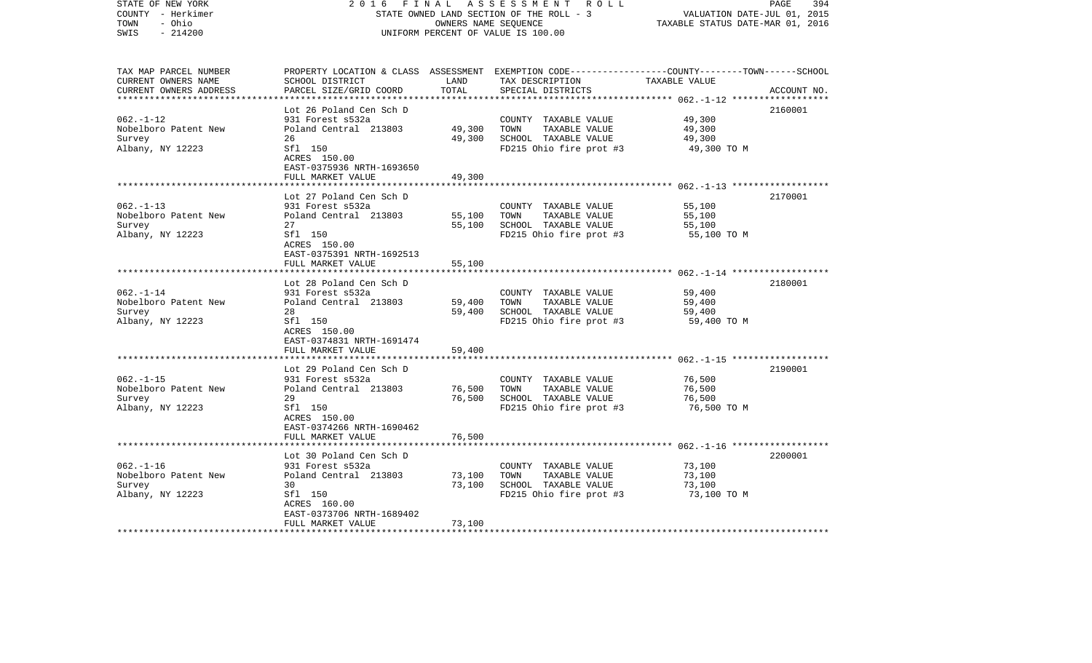| COUNTY - Herkimer<br>- Ohio<br>TOWN<br>SWIS<br>$-214200$               |                                                                                                                                                          | OWNERS NAME SEQUENCE       | STATE OWNED LAND SECTION OF THE ROLL - 3<br>UNIFORM PERCENT OF VALUE IS 100.00                                                          | VALUATION DATE-JUL 01, 2015<br>TAXABLE STATUS DATE-MAR 01, 2016 |             |
|------------------------------------------------------------------------|----------------------------------------------------------------------------------------------------------------------------------------------------------|----------------------------|-----------------------------------------------------------------------------------------------------------------------------------------|-----------------------------------------------------------------|-------------|
| TAX MAP PARCEL NUMBER<br>CURRENT OWNERS NAME<br>CURRENT OWNERS ADDRESS | SCHOOL DISTRICT<br>PARCEL SIZE/GRID COORD                                                                                                                | LAND<br>TOTAL              | PROPERTY LOCATION & CLASS ASSESSMENT EXEMPTION CODE---------------COUNTY-------TOWN------SCHOOL<br>TAX DESCRIPTION<br>SPECIAL DISTRICTS | TAXABLE VALUE<br>************** 062.-1-12 **************        | ACCOUNT NO. |
| $062. -1 - 12$<br>Nobelboro Patent New<br>Survey<br>Albany, NY 12223   | Lot 26 Poland Cen Sch D<br>931 Forest s532a<br>Poland Central 213803<br>26<br>Sfl 150<br>ACRES 150.00<br>EAST-0375936 NRTH-1693650<br>FULL MARKET VALUE  | 49,300<br>49,300<br>49,300 | COUNTY TAXABLE VALUE<br>TAXABLE VALUE<br>TOWN<br>SCHOOL TAXABLE VALUE<br>FD215 Ohio fire prot #3                                        | 49,300<br>49,300<br>49,300<br>49,300 TO M                       | 2160001     |
| $062. -1 - 13$<br>Nobelboro Patent New<br>Survey<br>Albany, NY 12223   | ******************<br>Lot 27 Poland Cen Sch D<br>931 Forest s532a<br>Poland Central 213803<br>27<br>Sfl 150<br>ACRES 150.00<br>EAST-0375391 NRTH-1692513 | 55,100<br>55,100           | COUNTY TAXABLE VALUE<br>TOWN<br>TAXABLE VALUE<br>SCHOOL TAXABLE VALUE<br>FD215 Ohio fire prot #3                                        | 55,100<br>55,100<br>55,100<br>55,100 TO M                       | 2170001     |
|                                                                        | FULL MARKET VALUE<br>*****************<br>Lot 28 Poland Cen Sch D                                                                                        | 55,100                     |                                                                                                                                         |                                                                 | 2180001     |
| $062. - 1 - 14$<br>Nobelboro Patent New<br>Survey<br>Albany, NY 12223  | 931 Forest s532a<br>Poland Central 213803<br>28<br>Sfl 150<br>ACRES 150.00<br>EAST-0374831 NRTH-1691474                                                  | 59,400<br>59,400           | COUNTY TAXABLE VALUE<br>TOWN<br>TAXABLE VALUE<br>SCHOOL TAXABLE VALUE<br>FD215 Ohio fire prot #3                                        | 59,400<br>59,400<br>59,400<br>59,400 TO M                       |             |
|                                                                        | FULL MARKET VALUE                                                                                                                                        | 59,400                     |                                                                                                                                         |                                                                 |             |
| $062. -1 -15$<br>Nobelboro Patent New<br>Survey<br>Albany, NY 12223    | Lot 29 Poland Cen Sch D<br>931 Forest s532a<br>Poland Central 213803<br>29<br>Sfl 150<br>ACRES 150.00<br>EAST-0374266 NRTH-1690462<br>FULL MARKET VALUE  | 76,500<br>76,500<br>76,500 | COUNTY TAXABLE VALUE<br>TOWN<br>TAXABLE VALUE<br>SCHOOL TAXABLE VALUE<br>FD215 Ohio fire prot #3                                        | 76,500<br>76,500<br>76,500<br>76,500 TO M                       | 2190001     |
|                                                                        |                                                                                                                                                          |                            |                                                                                                                                         |                                                                 |             |
| $062. -1 - 16$<br>Nobelboro Patent New<br>Survey<br>Albany, NY 12223   | Lot 30 Poland Cen Sch D<br>931 Forest s532a<br>Poland Central 213803<br>30<br>Sfl 150<br>ACRES 160.00<br>EAST-0373706 NRTH-1689402                       | 73,100<br>73,100           | COUNTY TAXABLE VALUE<br>TOWN<br>TAXABLE VALUE<br>SCHOOL TAXABLE VALUE<br>FD215 Ohio fire prot #3                                        | 73,100<br>73,100<br>73,100<br>73,100 TO M                       | 2200001     |
|                                                                        | FULL MARKET VALUE                                                                                                                                        | 73,100                     |                                                                                                                                         |                                                                 |             |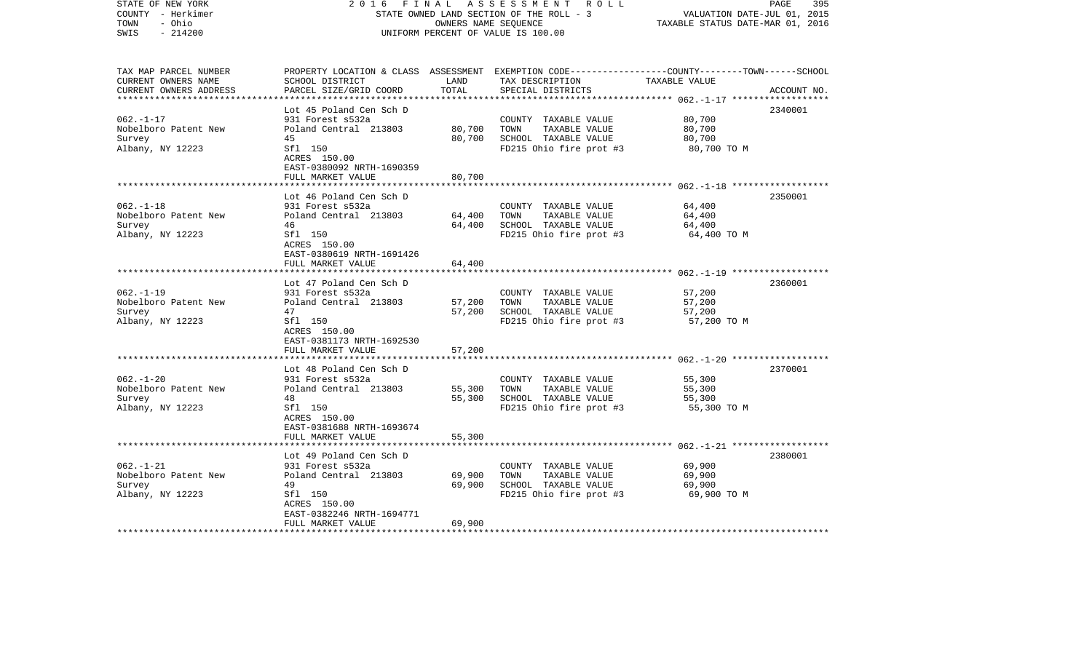| PROPERTY LOCATION & CLASS ASSESSMENT EXEMPTION CODE---------------COUNTY-------TOWN------SCHOOL<br>ACCOUNT NO. |
|----------------------------------------------------------------------------------------------------------------|
|                                                                                                                |
| 2340001                                                                                                        |
|                                                                                                                |
| 2350001                                                                                                        |
|                                                                                                                |
| 2360001                                                                                                        |
|                                                                                                                |
| 2370001                                                                                                        |
|                                                                                                                |
| 2380001                                                                                                        |
|                                                                                                                |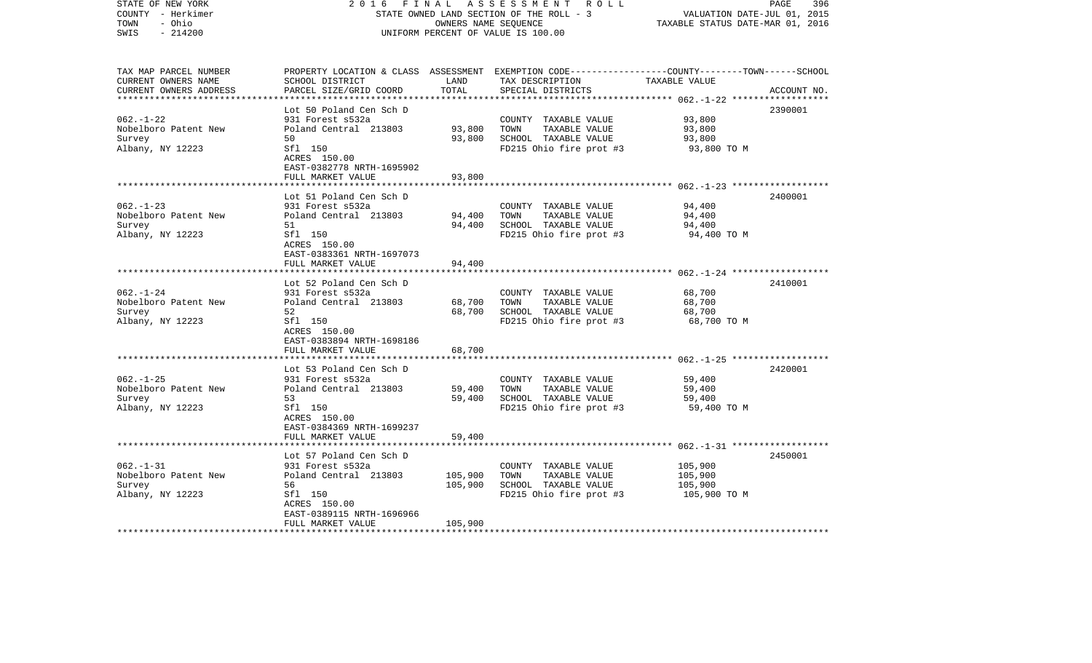| STATE OF NEW YORK<br>COUNTY - Herkimer<br>TOWN<br>- Ohio<br>$-214200$<br>SWIS | 2 0 1 6                                              | FINAL<br>OWNERS NAME SEQUENCE | A S S E S S M E N T R O L L<br>STATE OWNED LAND SECTION OF THE ROLL - 3<br>UNIFORM PERCENT OF VALUE IS 100.00                                        | VALUATION DATE-JUL 01, 2015<br>TAXABLE STATUS DATE-MAR 01, 2016 | PAGE<br>396 |
|-------------------------------------------------------------------------------|------------------------------------------------------|-------------------------------|------------------------------------------------------------------------------------------------------------------------------------------------------|-----------------------------------------------------------------|-------------|
| TAX MAP PARCEL NUMBER<br>CURRENT OWNERS NAME<br>CURRENT OWNERS ADDRESS        | SCHOOL DISTRICT<br>PARCEL SIZE/GRID COORD            | LAND<br>TOTAL                 | PROPERTY LOCATION & CLASS ASSESSMENT EXEMPTION CODE--------------COUNTY-------TOWN------SCHOOL<br>TAX DESCRIPTION TAXABLE VALUE<br>SPECIAL DISTRICTS |                                                                 | ACCOUNT NO. |
|                                                                               | Lot 50 Poland Cen Sch D                              |                               |                                                                                                                                                      |                                                                 | 2390001     |
| $062. - 1 - 22$                                                               | 931 Forest s532a                                     |                               | COUNTY TAXABLE VALUE                                                                                                                                 | 93,800                                                          |             |
| Nobelboro Patent New                                                          | Poland Central 213803                                | 93,800                        | TOWN<br>TAXABLE VALUE                                                                                                                                | 93,800                                                          |             |
| Survey                                                                        | 50                                                   | 93,800                        | SCHOOL TAXABLE VALUE                                                                                                                                 | 93,800                                                          |             |
| Albany, NY 12223                                                              | Sfl 150<br>ACRES 150.00<br>EAST-0382778 NRTH-1695902 |                               | FD215 Ohio fire prot #3                                                                                                                              | 93,800 TO M                                                     |             |
|                                                                               | FULL MARKET VALUE                                    | 93,800                        |                                                                                                                                                      |                                                                 |             |
|                                                                               | Lot 51 Poland Cen Sch D                              |                               |                                                                                                                                                      |                                                                 | 2400001     |
| $062 - 1 - 23$                                                                | 931 Forest s532a                                     |                               | COUNTY TAXABLE VALUE                                                                                                                                 | 94,400                                                          |             |
| Nobelboro Patent New                                                          | Poland Central 213803                                | 94,400                        | TOWN<br>TAXABLE VALUE                                                                                                                                | 94,400                                                          |             |
| Survey                                                                        | 51                                                   | 94,400                        | SCHOOL TAXABLE VALUE                                                                                                                                 | 94,400                                                          |             |
| Albany, NY 12223                                                              | Sfl 150<br>ACRES 150.00<br>EAST-0383361 NRTH-1697073 |                               | FD215 Ohio fire prot #3                                                                                                                              | 94,400 TO M                                                     |             |
|                                                                               | FULL MARKET VALUE                                    | 94,400                        |                                                                                                                                                      |                                                                 |             |
|                                                                               |                                                      |                               |                                                                                                                                                      |                                                                 |             |
| $062 - 1 - 24$                                                                | Lot 52 Poland Cen Sch D                              |                               |                                                                                                                                                      | 68,700                                                          | 2410001     |
| Nobelboro Patent New                                                          | 931 Forest s532a<br>Poland Central 213803            | 68,700                        | COUNTY TAXABLE VALUE<br>TOWN<br>TAXABLE VALUE                                                                                                        | 68,700                                                          |             |
| Survey                                                                        | 52                                                   | 68,700                        | SCHOOL TAXABLE VALUE                                                                                                                                 | 68,700                                                          |             |
| Albany, NY 12223                                                              | Sfl 150                                              |                               | FD215 Ohio fire prot #3                                                                                                                              | 68,700 TO M                                                     |             |
|                                                                               | ACRES 150.00                                         |                               |                                                                                                                                                      |                                                                 |             |
|                                                                               | EAST-0383894 NRTH-1698186<br>FULL MARKET VALUE       | 68,700                        |                                                                                                                                                      |                                                                 |             |
|                                                                               |                                                      |                               |                                                                                                                                                      |                                                                 |             |
|                                                                               | Lot 53 Poland Cen Sch D                              |                               |                                                                                                                                                      |                                                                 | 2420001     |
| $062. -1 - 25$                                                                | 931 Forest s532a                                     |                               | COUNTY TAXABLE VALUE                                                                                                                                 | 59,400                                                          |             |
| Nobelboro Patent New                                                          | Poland Central 213803                                | 59,400                        | TAXABLE VALUE<br>TOWN                                                                                                                                | 59,400                                                          |             |
| Survey                                                                        | 53                                                   | 59,400                        | SCHOOL TAXABLE VALUE                                                                                                                                 | 59,400                                                          |             |
| Albany, NY 12223                                                              | Sfl 150<br>ACRES 150.00<br>EAST-0384369 NRTH-1699237 |                               | FD215 Ohio fire prot #3                                                                                                                              | 59,400 TO M                                                     |             |
|                                                                               | FULL MARKET VALUE                                    | 59,400                        |                                                                                                                                                      |                                                                 |             |
|                                                                               |                                                      |                               |                                                                                                                                                      |                                                                 |             |
|                                                                               | Lot 57 Poland Cen Sch D                              |                               |                                                                                                                                                      |                                                                 | 2450001     |
| $062. -1 - 31$                                                                | 931 Forest s532a                                     |                               | COUNTY TAXABLE VALUE                                                                                                                                 | 105,900                                                         |             |
| Nobelboro Patent New                                                          | Poland Central 213803                                | 105,900                       | TOWN<br>TAXABLE VALUE                                                                                                                                | 105,900                                                         |             |
| Survey<br>Albany, NY 12223                                                    | 56<br>Sfl 150                                        | 105,900                       | SCHOOL TAXABLE VALUE<br>FD215 Ohio fire prot #3                                                                                                      | 105,900<br>105,900 TO M                                         |             |
|                                                                               | ACRES 150.00                                         |                               |                                                                                                                                                      |                                                                 |             |
|                                                                               | EAST-0389115 NRTH-1696966                            |                               |                                                                                                                                                      |                                                                 |             |
|                                                                               | FULL MARKET VALUE                                    | 105,900                       |                                                                                                                                                      |                                                                 |             |
| **************************                                                    |                                                      |                               |                                                                                                                                                      |                                                                 |             |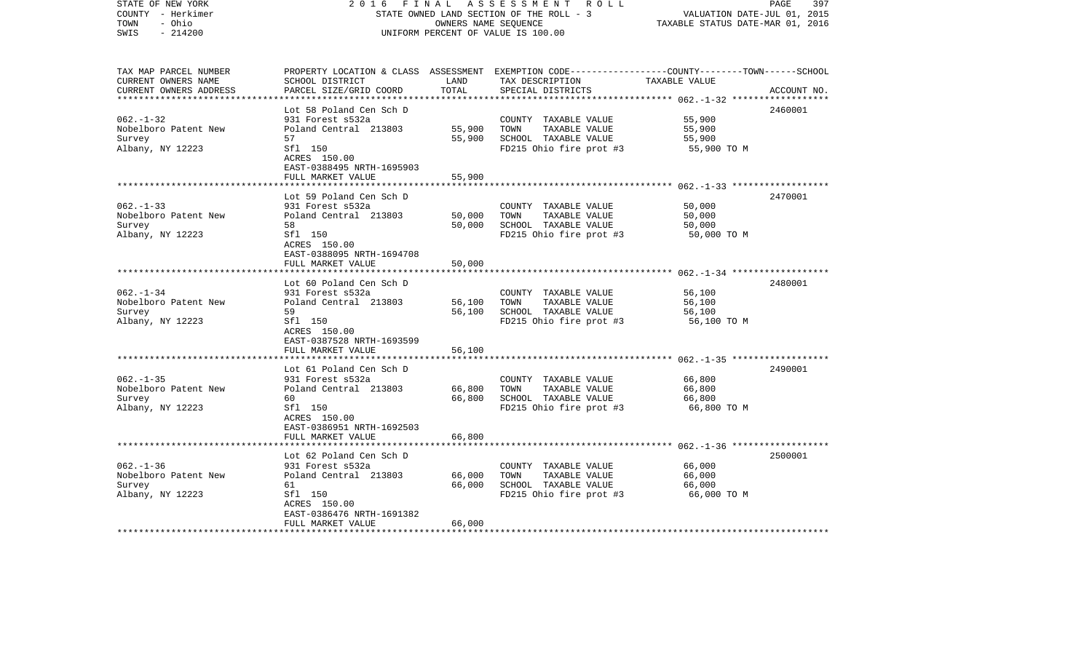| COUNTY - Herkimer<br>TOWN<br>- Ohio<br>SWIS<br>$-214200$                                      |                                                                                                                                                         | OWNERS NAME SEQUENCE       | STATE OWNED LAND SECTION OF THE ROLL - 3<br>UNIFORM PERCENT OF VALUE IS 100.00                   | VALUATION DATE-JUL 01, 2015<br>TAXABLE STATUS DATE-MAR 01, 2016                                     |             |
|-----------------------------------------------------------------------------------------------|---------------------------------------------------------------------------------------------------------------------------------------------------------|----------------------------|--------------------------------------------------------------------------------------------------|-----------------------------------------------------------------------------------------------------|-------------|
| TAX MAP PARCEL NUMBER<br>CURRENT OWNERS NAME<br>CURRENT OWNERS ADDRESS                        | PROPERTY LOCATION & CLASS ASSESSMENT EXEMPTION CODE----------------COUNTY-------TOWN------SCHOOL<br>SCHOOL DISTRICT<br>PARCEL SIZE/GRID COORD           | LAND<br>TOTAL              | TAX DESCRIPTION<br>SPECIAL DISTRICTS                                                             | TAXABLE VALUE<br>*********** 062.-1-32 **************                                               | ACCOUNT NO. |
| $062. -1 - 32$<br>Nobelboro Patent New<br>Survey<br>Albany, NY 12223                          | Lot 58 Poland Cen Sch D<br>931 Forest s532a<br>Poland Central 213803<br>57<br>Sfl 150<br>ACRES 150.00<br>EAST-0388495 NRTH-1695903<br>FULL MARKET VALUE | 55,900<br>55,900<br>55,900 | COUNTY TAXABLE VALUE<br>TOWN<br>TAXABLE VALUE<br>SCHOOL TAXABLE VALUE<br>FD215 Ohio fire prot #3 | 55,900<br>55,900<br>55,900<br>55,900 TO M                                                           | 2460001     |
|                                                                                               |                                                                                                                                                         |                            |                                                                                                  |                                                                                                     |             |
| $062. -1 - 33$<br>Nobelboro Patent New<br>Survey<br>Albany, NY 12223                          | Lot 59 Poland Cen Sch D<br>931 Forest s532a<br>Poland Central 213803<br>58<br>Sfl 150<br>ACRES 150.00<br>EAST-0388095 NRTH-1694708                      | 50,000<br>50,000           | COUNTY TAXABLE VALUE<br>TOWN<br>TAXABLE VALUE<br>SCHOOL TAXABLE VALUE<br>FD215 Ohio fire prot #3 | 50,000<br>50,000<br>50,000<br>50,000 TO M                                                           | 2470001     |
|                                                                                               | FULL MARKET VALUE                                                                                                                                       | 50,000                     |                                                                                                  |                                                                                                     |             |
| $062. - 1 - 34$<br>Nobelboro Patent New<br>Survey<br>Albany, NY 12223                         | Lot 60 Poland Cen Sch D<br>931 Forest s532a<br>Poland Central 213803<br>59<br>Sfl 150                                                                   | 56,100<br>56,100           | COUNTY TAXABLE VALUE<br>TOWN<br>TAXABLE VALUE<br>SCHOOL TAXABLE VALUE<br>FD215 Ohio fire prot #3 | ************************ 062.-1-34 *******************<br>56,100<br>56,100<br>56,100<br>56,100 TO M | 2480001     |
|                                                                                               | ACRES 150.00<br>EAST-0387528 NRTH-1693599<br>FULL MARKET VALUE<br>******************                                                                    | 56,100                     |                                                                                                  |                                                                                                     |             |
| $062. -1 - 35$<br>Nobelboro Patent New<br>Survey<br>Albany, NY 12223                          | Lot 61 Poland Cen Sch D<br>931 Forest s532a<br>Poland Central 213803<br>60<br>Sfl 150<br>ACRES 150.00<br>EAST-0386951 NRTH-1692503<br>FULL MARKET VALUE | 66,800<br>66,800<br>66,800 | COUNTY TAXABLE VALUE<br>TAXABLE VALUE<br>TOWN<br>SCHOOL TAXABLE VALUE<br>FD215 Ohio fire prot #3 | 66,800<br>66,800<br>66,800<br>66,800 TO M                                                           | 2490001     |
|                                                                                               | ********************                                                                                                                                    |                            |                                                                                                  |                                                                                                     |             |
| $062. - 1 - 36$<br>Nobelboro Patent New<br>Survey<br>Albany, NY 12223<br>******************** | Lot 62 Poland Cen Sch D<br>931 Forest s532a<br>Poland Central 213803<br>61<br>Sfl 150<br>ACRES 150.00<br>EAST-0386476 NRTH-1691382<br>FULL MARKET VALUE | 66,000<br>66,000<br>66,000 | COUNTY TAXABLE VALUE<br>TOWN<br>TAXABLE VALUE<br>SCHOOL TAXABLE VALUE<br>FD215 Ohio fire prot #3 | 66,000<br>66,000<br>66,000<br>66,000 TO M                                                           | 2500001     |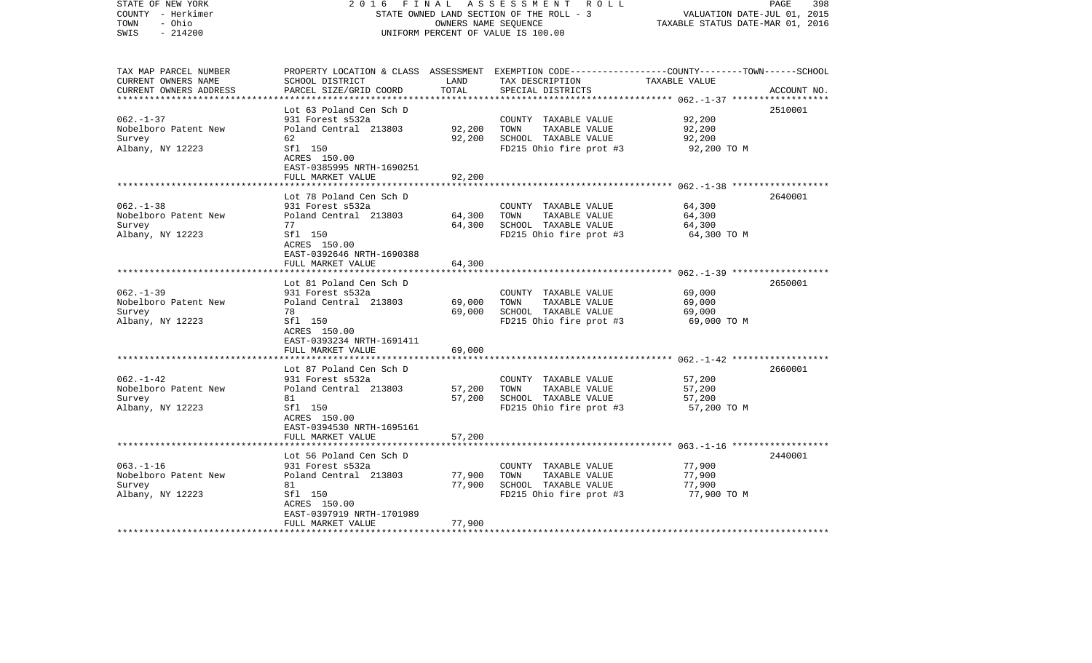| COUNTY - Herkimer<br>TOWN<br>- Ohio<br>SWIS<br>$-214200$               |                                                                                                                                                         | OWNERS NAME SEQUENCE       | STATE OWNED LAND SECTION OF THE ROLL - 3<br>UNIFORM PERCENT OF VALUE IS 100.00                   | VALUATION DATE-JUL 01, 2015<br>TAXABLE STATUS DATE-MAR 01, 2016 |             |
|------------------------------------------------------------------------|---------------------------------------------------------------------------------------------------------------------------------------------------------|----------------------------|--------------------------------------------------------------------------------------------------|-----------------------------------------------------------------|-------------|
| TAX MAP PARCEL NUMBER<br>CURRENT OWNERS NAME<br>CURRENT OWNERS ADDRESS | PROPERTY LOCATION & CLASS ASSESSMENT EXEMPTION CODE----------------COUNTY-------TOWN------SCHOOL<br>SCHOOL DISTRICT<br>PARCEL SIZE/GRID COORD           | LAND<br>TOTAL              | TAX DESCRIPTION<br>SPECIAL DISTRICTS                                                             | TAXABLE VALUE<br>*********** 062.-1-37 **************           | ACCOUNT NO. |
| $062. - 1 - 37$<br>Nobelboro Patent New<br>Survey<br>Albany, NY 12223  | Lot 63 Poland Cen Sch D<br>931 Forest s532a<br>Poland Central 213803<br>62<br>Sfl 150<br>ACRES 150.00<br>EAST-0385995 NRTH-1690251<br>FULL MARKET VALUE | 92,200<br>92,200<br>92,200 | COUNTY TAXABLE VALUE<br>TOWN<br>TAXABLE VALUE<br>SCHOOL TAXABLE VALUE<br>FD215 Ohio fire prot #3 | 92,200<br>92,200<br>92,200<br>92,200 TO M                       | 2510001     |
| $062. -1 - 38$<br>Nobelboro Patent New<br>Survey<br>Albany, NY 12223   | Lot 78 Poland Cen Sch D<br>931 Forest s532a<br>Poland Central 213803<br>77<br>Sfl 150<br>ACRES 150.00<br>EAST-0392646 NRTH-1690388                      | 64,300<br>64,300           | COUNTY TAXABLE VALUE<br>TOWN<br>TAXABLE VALUE<br>SCHOOL TAXABLE VALUE<br>FD215 Ohio fire prot #3 | 64,300<br>64,300<br>64,300<br>64,300 TO M                       | 2640001     |
| $062. -1 - 39$<br>Nobelboro Patent New<br>Survey<br>Albany, NY 12223   | FULL MARKET VALUE<br>***************<br>Lot 81 Poland Cen Sch D<br>931 Forest s532a<br>Poland Central 213803<br>78<br>Sfl 150                           | 64,300<br>69,000<br>69,000 | COUNTY TAXABLE VALUE<br>TOWN<br>TAXABLE VALUE<br>SCHOOL TAXABLE VALUE<br>FD215 Ohio fire prot #3 | 69,000<br>69,000<br>69,000<br>69,000 TO M                       | 2650001     |
|                                                                        | ACRES 150.00<br>EAST-0393234 NRTH-1691411<br>FULL MARKET VALUE                                                                                          | 69,000                     |                                                                                                  |                                                                 |             |
| $062. - 1 - 42$<br>Nobelboro Patent New<br>Survey<br>Albany, NY 12223  | Lot 87 Poland Cen Sch D<br>931 Forest s532a<br>Poland Central 213803<br>81<br>Sfl 150<br>ACRES 150.00<br>EAST-0394530 NRTH-1695161<br>FULL MARKET VALUE | 57,200<br>57,200<br>57,200 | COUNTY TAXABLE VALUE<br>TAXABLE VALUE<br>TOWN<br>SCHOOL TAXABLE VALUE<br>FD215 Ohio fire prot #3 | 57,200<br>57,200<br>57,200<br>57,200 TO M                       | 2660001     |
|                                                                        | Lot 56 Poland Cen Sch D                                                                                                                                 |                            |                                                                                                  |                                                                 | 2440001     |
| $063. -1 - 16$<br>Nobelboro Patent New<br>Survey<br>Albany, NY 12223   | 931 Forest s532a<br>Poland Central 213803<br>81<br>Sfl 150<br>ACRES 150.00<br>EAST-0397919 NRTH-1701989                                                 | 77,900<br>77,900           | COUNTY TAXABLE VALUE<br>TOWN<br>TAXABLE VALUE<br>SCHOOL TAXABLE VALUE<br>FD215 Ohio fire prot #3 | 77,900<br>77,900<br>77,900<br>77,900 TO M                       |             |
| ********************                                                   | FULL MARKET VALUE                                                                                                                                       | 77,900                     |                                                                                                  |                                                                 |             |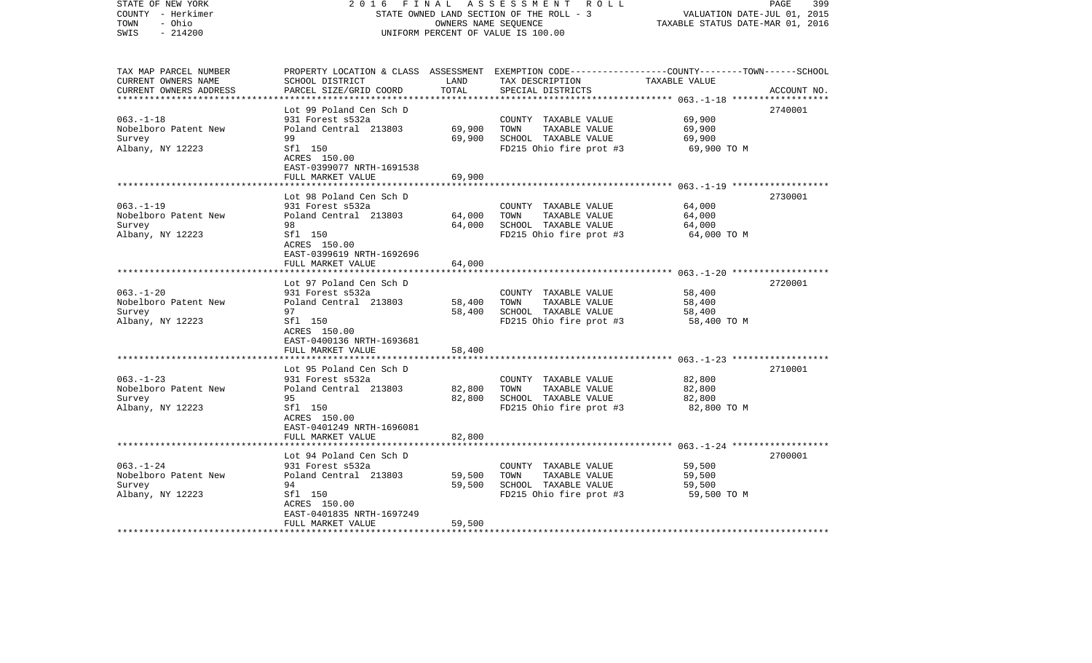| COUNTY - Herkimer<br>TOWN<br>- Ohio<br>SWIS<br>$-214200$                                     |                                                                                                                                                                                | OWNERS NAME SEQUENCE                 | STATE OWNED LAND SECTION OF THE ROLL - 3<br>UNIFORM PERCENT OF VALUE IS 100.00                   | VALUATION DATE-JUL 01, 2015<br>TAXABLE STATUS DATE-MAR 01, 2016 |             |
|----------------------------------------------------------------------------------------------|--------------------------------------------------------------------------------------------------------------------------------------------------------------------------------|--------------------------------------|--------------------------------------------------------------------------------------------------|-----------------------------------------------------------------|-------------|
| TAX MAP PARCEL NUMBER<br>CURRENT OWNERS NAME<br>CURRENT OWNERS ADDRESS                       | PROPERTY LOCATION & CLASS ASSESSMENT EXEMPTION CODE----------------COUNTY-------TOWN------SCHOOL<br>SCHOOL DISTRICT<br>PARCEL SIZE/GRID COORD                                  | LAND<br>TOTAL                        | TAX DESCRIPTION<br>SPECIAL DISTRICTS                                                             | TAXABLE VALUE<br>************* 063.-1-18 **************         | ACCOUNT NO. |
| $063. -1 - 18$<br>Nobelboro Patent New<br>Survey<br>Albany, NY 12223                         | Lot 99 Poland Cen Sch D<br>931 Forest s532a<br>Poland Central 213803<br>99<br>Sfl 150<br>ACRES 150.00<br>EAST-0399077 NRTH-1691538<br>FULL MARKET VALUE                        | 69,900<br>69,900<br>69,900           | COUNTY TAXABLE VALUE<br>TOWN<br>TAXABLE VALUE<br>SCHOOL TAXABLE VALUE<br>FD215 Ohio fire prot #3 | 69,900<br>69,900<br>69,900<br>69,900 TO M                       | 2740001     |
| $063. -1 - 19$<br>Nobelboro Patent New<br>Survey<br>Albany, NY 12223                         | Lot 98 Poland Cen Sch D<br>931 Forest s532a<br>Poland Central 213803<br>98<br>Sfl 150<br>ACRES 150.00<br>EAST-0399619 NRTH-1692696                                             | 64,000<br>64,000                     | COUNTY TAXABLE VALUE<br>TOWN<br>TAXABLE VALUE<br>SCHOOL TAXABLE VALUE<br>FD215 Ohio fire prot #3 | 64,000<br>64,000<br>64,000<br>64,000 TO M                       | 2730001     |
| $063. - 1 - 20$<br>Nobelboro Patent New<br>Survey<br>Albany, NY 12223                        | FULL MARKET VALUE<br>*******************<br>Lot 97 Poland Cen Sch D<br>931 Forest s532a<br>Poland Central 213803<br>97<br>Sfl 150<br>ACRES 150.00<br>EAST-0400136 NRTH-1693681 | 64,000<br>58,400<br>58,400           | COUNTY TAXABLE VALUE<br>TOWN<br>TAXABLE VALUE<br>SCHOOL TAXABLE VALUE<br>FD215 Ohio fire prot #3 | 58,400<br>58,400<br>58,400<br>58,400 TO M                       | 2720001     |
| $063. -1 - 23$<br>Nobelboro Patent New<br>Survey<br>Albany, NY 12223                         | FULL MARKET VALUE<br>Lot 95 Poland Cen Sch D<br>931 Forest s532a<br>Poland Central 213803<br>95<br>Sfl 150<br>ACRES 150.00<br>EAST-0401249 NRTH-1696081<br>FULL MARKET VALUE   | 58,400<br>82,800<br>82,800<br>82,800 | COUNTY TAXABLE VALUE<br>TAXABLE VALUE<br>TOWN<br>SCHOOL TAXABLE VALUE<br>FD215 Ohio fire prot #3 | 82,800<br>82,800<br>82,800<br>82,800 TO M                       | 2710001     |
| $063. -1 - 24$<br>Nobelboro Patent New<br>Survey<br>Albany, NY 12223<br>******************** | Lot 94 Poland Cen Sch D<br>931 Forest s532a<br>Poland Central 213803<br>94<br>Sfl 150<br>ACRES 150.00<br>EAST-0401835 NRTH-1697249<br>FULL MARKET VALUE                        | 59,500<br>59,500<br>59,500           | COUNTY TAXABLE VALUE<br>TOWN<br>TAXABLE VALUE<br>SCHOOL TAXABLE VALUE<br>FD215 Ohio fire prot #3 | 59,500<br>59,500<br>59,500<br>59,500 TO M                       | 2700001     |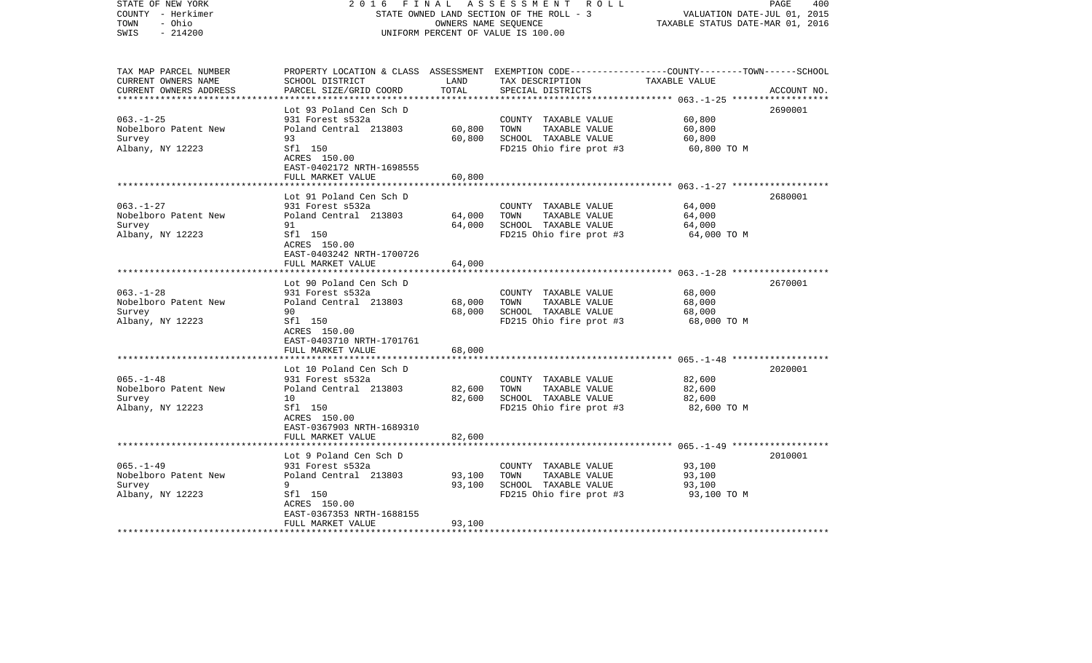| COUNTY<br>- Herkimer<br>TOWN<br>- Ohio<br>SWIS<br>$-214200$            |                                                                                                                                                         | OWNERS NAME SEQUENCE       | STATE OWNED LAND SECTION OF THE ROLL - 3<br>UNIFORM PERCENT OF VALUE IS 100.00                   | VALUATION DATE-JUL 01, 2015<br>TAXABLE STATUS DATE-MAR 01, 2016 |             |
|------------------------------------------------------------------------|---------------------------------------------------------------------------------------------------------------------------------------------------------|----------------------------|--------------------------------------------------------------------------------------------------|-----------------------------------------------------------------|-------------|
| TAX MAP PARCEL NUMBER<br>CURRENT OWNERS NAME<br>CURRENT OWNERS ADDRESS | PROPERTY LOCATION & CLASS ASSESSMENT EXEMPTION CODE----------------COUNTY-------TOWN------SCHOOL<br>SCHOOL DISTRICT<br>PARCEL SIZE/GRID COORD           | LAND<br>TOTAL              | TAX DESCRIPTION<br>SPECIAL DISTRICTS                                                             | TAXABLE VALUE<br>************ 063.-1-25 **************          | ACCOUNT NO. |
| $063. -1 - 25$<br>Nobelboro Patent New<br>Survey<br>Albany, NY 12223   | Lot 93 Poland Cen Sch D<br>931 Forest s532a<br>Poland Central 213803<br>93<br>Sfl 150<br>ACRES 150.00<br>EAST-0402172 NRTH-1698555<br>FULL MARKET VALUE | 60,800<br>60,800<br>60,800 | COUNTY TAXABLE VALUE<br>TAXABLE VALUE<br>TOWN<br>SCHOOL TAXABLE VALUE<br>FD215 Ohio fire prot #3 | 60,800<br>60,800<br>60,800<br>60,800 TO M                       | 2690001     |
| $063. - 1 - 27$<br>Nobelboro Patent New<br>Survey<br>Albany, NY 12223  | Lot 91 Poland Cen Sch D<br>931 Forest s532a<br>Poland Central 213803<br>91<br>Sfl 150<br>ACRES 150.00<br>EAST-0403242 NRTH-1700726                      | 64,000<br>64,000           | COUNTY TAXABLE VALUE<br>TOWN<br>TAXABLE VALUE<br>SCHOOL TAXABLE VALUE<br>FD215 Ohio fire prot #3 | 64,000<br>64,000<br>64,000<br>64,000 TO M                       | 2680001     |
|                                                                        | FULL MARKET VALUE<br>***************<br>Lot 90 Poland Cen Sch D                                                                                         | 64,000                     |                                                                                                  |                                                                 | 2670001     |
| $063. -1 - 28$<br>Nobelboro Patent New<br>Survey<br>Albany, NY 12223   | 931 Forest s532a<br>Poland Central 213803<br>90<br>Sfl 150<br>ACRES 150.00<br>EAST-0403710 NRTH-1701761                                                 | 68,000<br>68,000           | COUNTY TAXABLE VALUE<br>TOWN<br>TAXABLE VALUE<br>SCHOOL TAXABLE VALUE<br>FD215 Ohio fire prot #3 | 68,000<br>68,000<br>68,000<br>68,000 TO M                       |             |
|                                                                        | FULL MARKET VALUE                                                                                                                                       | 68,000                     |                                                                                                  |                                                                 |             |
| $065. - 1 - 48$<br>Nobelboro Patent New<br>Survey<br>Albany, NY 12223  | Lot 10 Poland Cen Sch D<br>931 Forest s532a<br>Poland Central 213803<br>10<br>Sfl 150<br>ACRES 150.00<br>EAST-0367903 NRTH-1689310<br>FULL MARKET VALUE | 82,600<br>82,600<br>82,600 | COUNTY TAXABLE VALUE<br>TAXABLE VALUE<br>TOWN<br>SCHOOL TAXABLE VALUE<br>FD215 Ohio fire prot #3 | 82,600<br>82,600<br>82,600<br>82,600 TO M                       | 2020001     |
|                                                                        |                                                                                                                                                         |                            |                                                                                                  |                                                                 |             |
| $065. -1 - 49$<br>Nobelboro Patent New<br>Survey<br>Albany, NY 12223   | Lot 9 Poland Cen Sch D<br>931 Forest s532a<br>Poland Central 213803<br>9<br>Sfl 150<br>ACRES 150.00                                                     | 93,100<br>93,100           | COUNTY TAXABLE VALUE<br>TOWN<br>TAXABLE VALUE<br>SCHOOL TAXABLE VALUE<br>FD215 Ohio fire prot #3 | 93,100<br>93,100<br>93,100<br>93,100 TO M                       | 2010001     |
|                                                                        | EAST-0367353 NRTH-1688155<br>FULL MARKET VALUE                                                                                                          | 93,100                     |                                                                                                  |                                                                 |             |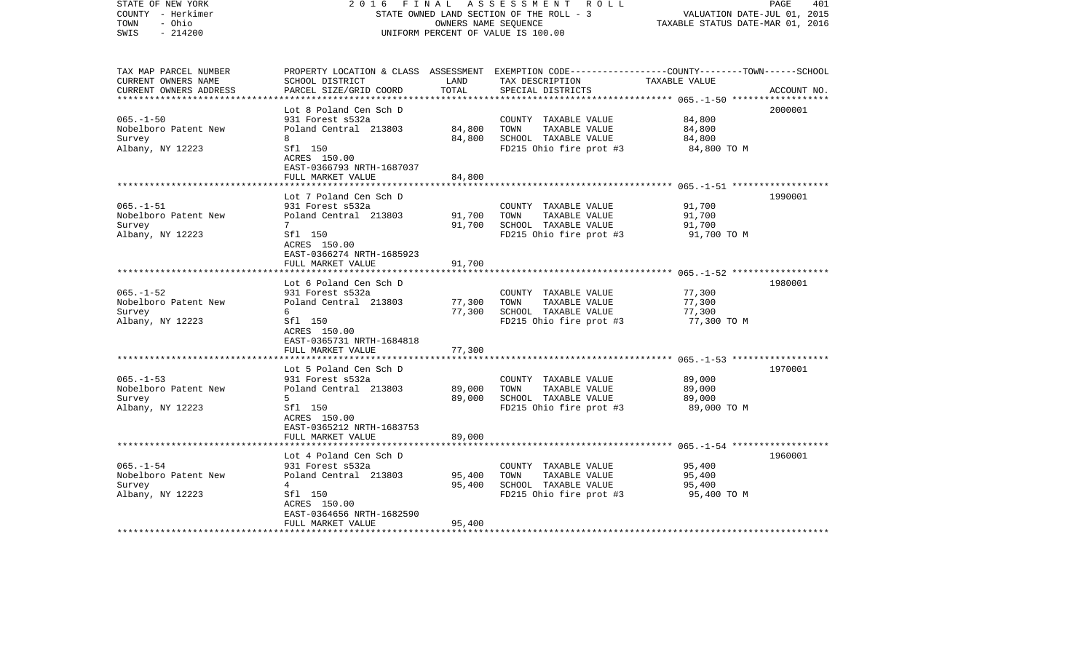| STATE OF NEW YORK<br>COUNTY - Herkimer<br>TOWN<br>- Ohio<br>$-214200$<br>SWIS                        | 2 0 1 6                                              | FINAL<br>OWNERS NAME SEQUENCE | A S S E S S M E N T R O L L<br>STATE OWNED LAND SECTION OF THE ROLL - 3<br>UNIFORM PERCENT OF VALUE IS 100.00                          | VALUATION DATE-JUL 01, 2015<br>TAXABLE STATUS DATE-MAR 01, 2016 | 401<br>PAGE |
|------------------------------------------------------------------------------------------------------|------------------------------------------------------|-------------------------------|----------------------------------------------------------------------------------------------------------------------------------------|-----------------------------------------------------------------|-------------|
| TAX MAP PARCEL NUMBER<br>CURRENT OWNERS NAME<br>CURRENT OWNERS ADDRESS<br>************************** | SCHOOL DISTRICT<br>PARCEL SIZE/GRID COORD            | LAND<br>TOTAL                 | PROPERTY LOCATION & CLASS ASSESSMENT EXEMPTION CODE---------------COUNTY-------TOWN-----SCHOOL<br>TAX DESCRIPTION<br>SPECIAL DISTRICTS | TAXABLE VALUE                                                   | ACCOUNT NO. |
|                                                                                                      | Lot 8 Poland Cen Sch D                               |                               |                                                                                                                                        |                                                                 | 2000001     |
| $065. - 1 - 50$                                                                                      | 931 Forest s532a                                     |                               | COUNTY TAXABLE VALUE                                                                                                                   | 84,800                                                          |             |
| Nobelboro Patent New                                                                                 | Poland Central 213803                                | 84,800                        | TOWN<br>TAXABLE VALUE                                                                                                                  | 84,800                                                          |             |
| Survey                                                                                               | 8                                                    | 84,800                        | SCHOOL TAXABLE VALUE                                                                                                                   | 84,800                                                          |             |
| Albany, NY 12223                                                                                     | Sfl 150<br>ACRES 150.00<br>EAST-0366793 NRTH-1687037 |                               | FD215 Ohio fire prot #3                                                                                                                | 84,800 TO M                                                     |             |
|                                                                                                      | FULL MARKET VALUE                                    | 84,800                        |                                                                                                                                        |                                                                 |             |
|                                                                                                      | Lot 7 Poland Cen Sch D                               |                               |                                                                                                                                        |                                                                 | 1990001     |
| $065. -1 - 51$                                                                                       | 931 Forest s532a                                     |                               | COUNTY TAXABLE VALUE                                                                                                                   | 91,700                                                          |             |
| Nobelboro Patent New                                                                                 | Poland Central 213803                                | 91,700                        | TOWN<br>TAXABLE VALUE                                                                                                                  | 91,700                                                          |             |
| Survey                                                                                               | 7                                                    | 91,700                        | SCHOOL TAXABLE VALUE                                                                                                                   | 91,700                                                          |             |
| Albany, NY 12223                                                                                     | Sfl 150<br>ACRES 150.00<br>EAST-0366274 NRTH-1685923 |                               | FD215 Ohio fire prot #3                                                                                                                | 91,700 TO M                                                     |             |
|                                                                                                      | FULL MARKET VALUE                                    | 91,700                        |                                                                                                                                        |                                                                 |             |
|                                                                                                      | Lot 6 Poland Cen Sch D                               |                               |                                                                                                                                        |                                                                 | 1980001     |
| $065. - 1 - 52$                                                                                      | 931 Forest s532a                                     |                               | COUNTY TAXABLE VALUE                                                                                                                   | 77,300                                                          |             |
| Nobelboro Patent New                                                                                 | Poland Central 213803                                | 77,300                        | TOWN<br>TAXABLE VALUE                                                                                                                  | 77,300                                                          |             |
| Survey                                                                                               | 6                                                    | 77,300                        | SCHOOL TAXABLE VALUE                                                                                                                   | 77,300                                                          |             |
| Albany, NY 12223                                                                                     | Sfl 150<br>ACRES 150.00<br>EAST-0365731 NRTH-1684818 |                               | FD215 Ohio fire prot #3                                                                                                                | 77,300 TO M                                                     |             |
|                                                                                                      | FULL MARKET VALUE                                    | 77,300                        |                                                                                                                                        |                                                                 |             |
|                                                                                                      | Lot 5 Poland Cen Sch D                               |                               |                                                                                                                                        |                                                                 | 1970001     |
| $065. - 1 - 53$                                                                                      | 931 Forest s532a                                     |                               | COUNTY TAXABLE VALUE                                                                                                                   | 89,000                                                          |             |
| Nobelboro Patent New                                                                                 | Poland Central 213803                                | 89,000                        | TOWN<br>TAXABLE VALUE                                                                                                                  | 89,000                                                          |             |
| Survey                                                                                               | 5 <sup>1</sup>                                       | 89,000                        | SCHOOL TAXABLE VALUE                                                                                                                   | 89,000                                                          |             |
| Albany, NY 12223                                                                                     | Sfl 150<br>ACRES 150.00<br>EAST-0365212 NRTH-1683753 |                               | FD215 Ohio fire prot #3                                                                                                                | 89,000 TO M                                                     |             |
|                                                                                                      | FULL MARKET VALUE                                    | 89,000                        |                                                                                                                                        | ************************** 065.-1-54 **************             |             |
|                                                                                                      | Lot 4 Poland Cen Sch D                               |                               |                                                                                                                                        |                                                                 | 1960001     |
| $065. - 1 - 54$                                                                                      | 931 Forest s532a                                     |                               | COUNTY TAXABLE VALUE                                                                                                                   | 95,400                                                          |             |
| Nobelboro Patent New                                                                                 | Poland Central 213803                                | 95,400                        | TAXABLE VALUE<br>TOWN                                                                                                                  | 95,400                                                          |             |
| Survey                                                                                               | $\overline{4}$                                       | 95,400                        | SCHOOL TAXABLE VALUE                                                                                                                   | 95,400                                                          |             |
| Albany, NY 12223                                                                                     | Sfl 150                                              |                               | FD215 Ohio fire prot #3                                                                                                                | 95,400 TO M                                                     |             |
|                                                                                                      | ACRES 150.00                                         |                               |                                                                                                                                        |                                                                 |             |
|                                                                                                      | EAST-0364656 NRTH-1682590                            |                               |                                                                                                                                        |                                                                 |             |
|                                                                                                      | FULL MARKET VALUE                                    | 95,400                        |                                                                                                                                        |                                                                 |             |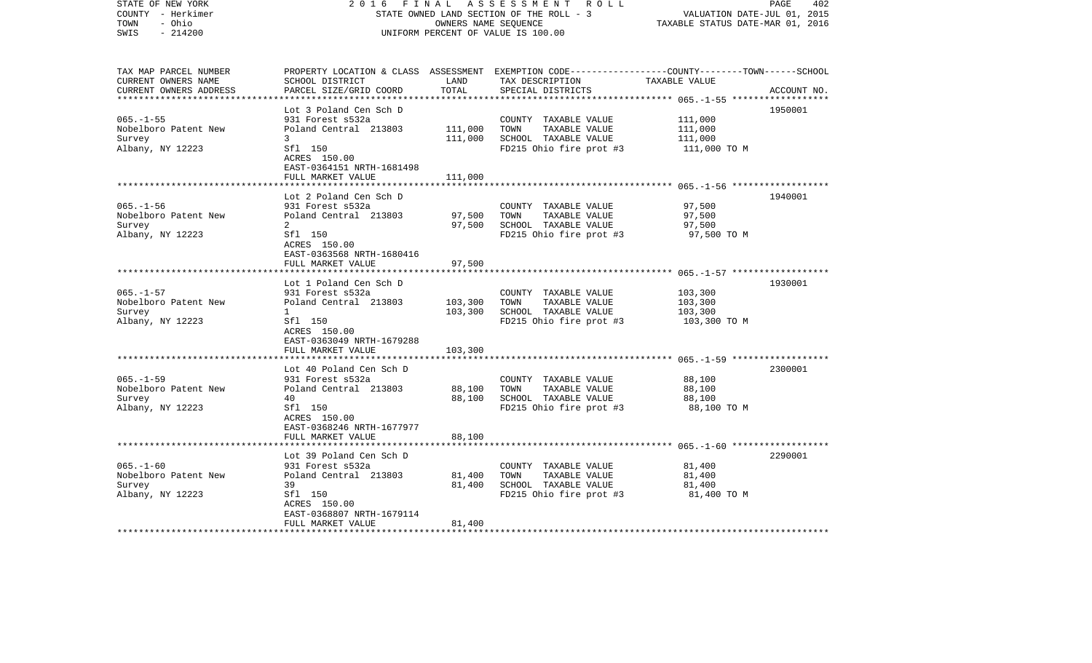| STATE OF NEW YORK<br>COUNTY - Herkimer<br>TOWN<br>- Ohio<br>$-214200$<br>SWIS | 2 0 1 6                                              | FINAL<br>OWNERS NAME SEQUENCE | A S S E S S M E N T R O L L<br>STATE OWNED LAND SECTION OF THE ROLL - 3<br>UNIFORM PERCENT OF VALUE IS 100.00                          | VALUATION DATE-JUL 01, 2015<br>TAXABLE STATUS DATE-MAR 01, 2016 | PAGE<br>402 |
|-------------------------------------------------------------------------------|------------------------------------------------------|-------------------------------|----------------------------------------------------------------------------------------------------------------------------------------|-----------------------------------------------------------------|-------------|
| TAX MAP PARCEL NUMBER<br>CURRENT OWNERS NAME<br>CURRENT OWNERS ADDRESS        | SCHOOL DISTRICT<br>PARCEL SIZE/GRID COORD            | LAND<br>TOTAL                 | PROPERTY LOCATION & CLASS ASSESSMENT EXEMPTION CODE---------------COUNTY-------TOWN-----SCHOOL<br>TAX DESCRIPTION<br>SPECIAL DISTRICTS | TAXABLE VALUE                                                   | ACCOUNT NO. |
|                                                                               |                                                      |                               |                                                                                                                                        |                                                                 |             |
| $065. -1 - 55$                                                                | Lot 3 Poland Cen Sch D<br>931 Forest s532a           |                               | COUNTY TAXABLE VALUE                                                                                                                   | 111,000                                                         | 1950001     |
| Nobelboro Patent New                                                          | Poland Central 213803                                | 111,000                       | TOWN<br>TAXABLE VALUE                                                                                                                  | 111,000                                                         |             |
| Survey                                                                        | 3                                                    | 111,000                       | SCHOOL TAXABLE VALUE                                                                                                                   | 111,000                                                         |             |
| Albany, NY 12223                                                              | Sfl 150<br>ACRES 150.00<br>EAST-0364151 NRTH-1681498 |                               | FD215 Ohio fire prot #3                                                                                                                | 111,000 TO M                                                    |             |
|                                                                               | FULL MARKET VALUE                                    | 111,000                       |                                                                                                                                        |                                                                 |             |
|                                                                               | Lot 2 Poland Cen Sch D                               |                               |                                                                                                                                        |                                                                 | 1940001     |
| $065. -1 - 56$                                                                | 931 Forest s532a                                     |                               | COUNTY TAXABLE VALUE                                                                                                                   | 97,500                                                          |             |
| Nobelboro Patent New                                                          | Poland Central 213803                                | 97,500                        | TOWN<br>TAXABLE VALUE                                                                                                                  | 97,500                                                          |             |
| Survey                                                                        | 2                                                    | 97,500                        | SCHOOL TAXABLE VALUE                                                                                                                   | 97,500                                                          |             |
| Albany, NY 12223                                                              | Sfl 150<br>ACRES 150.00<br>EAST-0363568 NRTH-1680416 |                               | FD215 Ohio fire prot #3                                                                                                                | 97,500 TO M                                                     |             |
|                                                                               | FULL MARKET VALUE                                    | 97,500                        |                                                                                                                                        |                                                                 |             |
|                                                                               | Lot 1 Poland Cen Sch D                               |                               |                                                                                                                                        |                                                                 | 1930001     |
| $065. - 1 - 57$                                                               | 931 Forest s532a                                     |                               | COUNTY TAXABLE VALUE                                                                                                                   | 103,300                                                         |             |
| Nobelboro Patent New                                                          | Poland Central 213803                                | 103,300                       | TOWN<br>TAXABLE VALUE                                                                                                                  | 103,300                                                         |             |
| Survey                                                                        | $\mathbf{1}$                                         | 103,300                       | SCHOOL TAXABLE VALUE                                                                                                                   | 103,300                                                         |             |
| Albany, NY 12223                                                              | Sfl 150<br>ACRES 150.00<br>EAST-0363049 NRTH-1679288 |                               | FD215 Ohio fire prot #3                                                                                                                | 103,300 TO M                                                    |             |
|                                                                               | FULL MARKET VALUE                                    | 103,300                       |                                                                                                                                        |                                                                 |             |
|                                                                               | Lot 40 Poland Cen Sch D                              |                               |                                                                                                                                        |                                                                 | 2300001     |
| $065. -1 - 59$                                                                | 931 Forest s532a                                     |                               | COUNTY TAXABLE VALUE                                                                                                                   | 88,100                                                          |             |
| Nobelboro Patent New                                                          | Poland Central 213803                                | 88,100                        | TOWN<br>TAXABLE VALUE                                                                                                                  | 88,100                                                          |             |
| Survey                                                                        | 40                                                   | 88,100                        | SCHOOL TAXABLE VALUE                                                                                                                   | 88,100                                                          |             |
| Albany, NY 12223                                                              | Sfl 150<br>ACRES 150.00<br>EAST-0368246 NRTH-1677977 |                               | FD215 Ohio fire prot #3                                                                                                                | 88,100 TO M                                                     |             |
|                                                                               | FULL MARKET VALUE                                    | 88,100                        |                                                                                                                                        |                                                                 |             |
|                                                                               | Lot 39 Poland Cen Sch D                              |                               |                                                                                                                                        |                                                                 | 2290001     |
| $065. - 1 - 60$                                                               | 931 Forest s532a                                     |                               | COUNTY TAXABLE VALUE                                                                                                                   | 81,400                                                          |             |
| Nobelboro Patent New                                                          | Poland Central 213803                                | 81,400                        | TAXABLE VALUE<br>TOWN                                                                                                                  | 81,400                                                          |             |
| Survey                                                                        | 39                                                   | 81,400                        | SCHOOL TAXABLE VALUE                                                                                                                   | 81,400                                                          |             |
| Albany, NY 12223                                                              | Sfl 150                                              |                               | FD215 Ohio fire prot #3                                                                                                                | 81,400 TO M                                                     |             |
|                                                                               | ACRES 150.00                                         |                               |                                                                                                                                        |                                                                 |             |
|                                                                               | EAST-0368807 NRTH-1679114<br>FULL MARKET VALUE       | 81,400                        |                                                                                                                                        |                                                                 |             |
|                                                                               |                                                      |                               |                                                                                                                                        |                                                                 |             |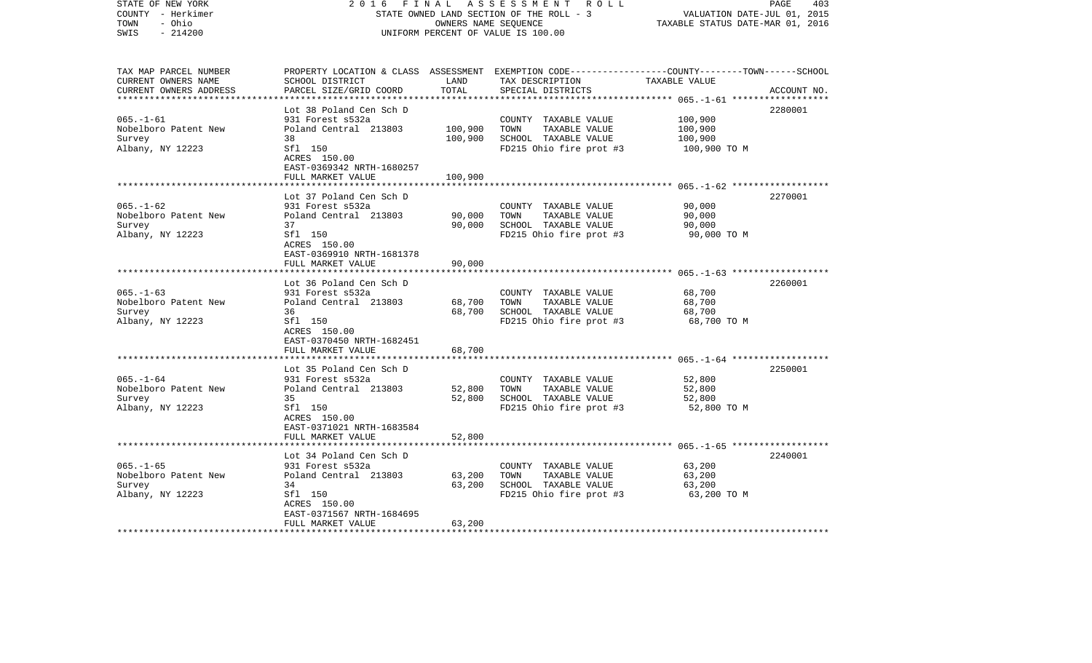| STATE OF NEW YORK<br>COUNTY - Herkimer<br>- Ohio<br>TOWN<br>$-214200$<br>SWIS | 2 0 1 6<br>FINAL                                                          | OWNERS NAME SEQUENCE | A S S E S S M E N T R O L L<br>STATE OWNED LAND SECTION OF THE ROLL - 3<br>UNIFORM PERCENT OF VALUE IS 100.00                          | VALUATION DATE-JUL 01, 2015<br>TAXABLE STATUS DATE-MAR 01, 2016 | PAGE<br>403 |
|-------------------------------------------------------------------------------|---------------------------------------------------------------------------|----------------------|----------------------------------------------------------------------------------------------------------------------------------------|-----------------------------------------------------------------|-------------|
| TAX MAP PARCEL NUMBER<br>CURRENT OWNERS NAME<br>CURRENT OWNERS ADDRESS        | SCHOOL DISTRICT<br>PARCEL SIZE/GRID COORD                                 | LAND<br>TOTAL        | PROPERTY LOCATION & CLASS ASSESSMENT EXEMPTION CODE---------------COUNTY-------TOWN-----SCHOOL<br>TAX DESCRIPTION<br>SPECIAL DISTRICTS | TAXABLE VALUE                                                   | ACCOUNT NO. |
|                                                                               | Lot 38 Poland Cen Sch D                                                   |                      |                                                                                                                                        |                                                                 | 2280001     |
| $065. - 1 - 61$                                                               | 931 Forest s532a                                                          |                      | COUNTY TAXABLE VALUE                                                                                                                   | 100,900                                                         |             |
| Nobelboro Patent New                                                          | Poland Central 213803                                                     | 100,900              | TOWN<br>TAXABLE VALUE                                                                                                                  | 100,900                                                         |             |
| Survey                                                                        | 38                                                                        | 100,900              | SCHOOL TAXABLE VALUE                                                                                                                   | 100,900                                                         |             |
| Albany, NY 12223                                                              | Sfl 150<br>ACRES 150.00<br>EAST-0369342 NRTH-1680257<br>FULL MARKET VALUE | 100,900              | FD215 Ohio fire prot #3                                                                                                                | 100,900 TO M                                                    |             |
|                                                                               |                                                                           |                      |                                                                                                                                        |                                                                 |             |
|                                                                               | Lot 37 Poland Cen Sch D                                                   |                      |                                                                                                                                        |                                                                 | 2270001     |
| $065. - 1 - 62$                                                               | 931 Forest s532a                                                          |                      | COUNTY TAXABLE VALUE                                                                                                                   | 90,000                                                          |             |
| Nobelboro Patent New<br>Survey                                                | Poland Central 213803<br>37                                               | 90,000<br>90,000     | TOWN<br>TAXABLE VALUE<br>SCHOOL TAXABLE VALUE                                                                                          | 90,000<br>90,000                                                |             |
| Albany, NY 12223                                                              | Sfl 150                                                                   |                      | FD215 Ohio fire prot #3                                                                                                                | 90,000 TO M                                                     |             |
|                                                                               | ACRES 150.00<br>EAST-0369910 NRTH-1681378                                 |                      |                                                                                                                                        |                                                                 |             |
|                                                                               | FULL MARKET VALUE                                                         | 90,000               |                                                                                                                                        |                                                                 |             |
|                                                                               | Lot 36 Poland Cen Sch D                                                   |                      |                                                                                                                                        |                                                                 | 2260001     |
| $065. - 1 - 63$                                                               | 931 Forest s532a                                                          |                      | COUNTY TAXABLE VALUE                                                                                                                   | 68,700                                                          |             |
| Nobelboro Patent New                                                          | Poland Central 213803                                                     | 68,700               | TOWN<br>TAXABLE VALUE                                                                                                                  | 68,700                                                          |             |
| Survey                                                                        | 36                                                                        | 68,700               | SCHOOL TAXABLE VALUE                                                                                                                   | 68,700                                                          |             |
| Albany, NY 12223                                                              | Sfl 150<br>ACRES 150.00<br>EAST-0370450 NRTH-1682451                      |                      | FD215 Ohio fire prot #3                                                                                                                | 68,700 TO M                                                     |             |
|                                                                               | FULL MARKET VALUE                                                         | 68,700               |                                                                                                                                        |                                                                 |             |
|                                                                               | Lot 35 Poland Cen Sch D                                                   |                      |                                                                                                                                        |                                                                 | 2250001     |
| $065. - 1 - 64$                                                               | 931 Forest s532a                                                          |                      | COUNTY TAXABLE VALUE                                                                                                                   | 52,800                                                          |             |
| Nobelboro Patent New                                                          | Poland Central 213803                                                     | 52,800               | TOWN<br>TAXABLE VALUE                                                                                                                  | 52,800                                                          |             |
| Survey                                                                        | 35                                                                        | 52,800               | SCHOOL TAXABLE VALUE                                                                                                                   | 52,800                                                          |             |
| Albany, NY 12223                                                              | Sfl 150<br>ACRES 150.00<br>EAST-0371021 NRTH-1683584                      |                      | FD215 Ohio fire prot #3                                                                                                                | 52,800 TO M                                                     |             |
|                                                                               | FULL MARKET VALUE                                                         | 52,800               |                                                                                                                                        |                                                                 |             |
|                                                                               | Lot 34 Poland Cen Sch D                                                   |                      |                                                                                                                                        |                                                                 | 2240001     |
| $065. -1 - 65$                                                                | 931 Forest s532a                                                          |                      | COUNTY TAXABLE VALUE                                                                                                                   | 63,200                                                          |             |
| Nobelboro Patent New                                                          | Poland Central 213803                                                     | 63,200               | TAXABLE VALUE<br>TOWN                                                                                                                  | 63,200                                                          |             |
| Survey                                                                        | 34                                                                        | 63,200               | SCHOOL TAXABLE VALUE                                                                                                                   | 63,200                                                          |             |
| Albany, NY 12223                                                              | Sfl 150                                                                   |                      | FD215 Ohio fire prot #3                                                                                                                | 63,200 TO M                                                     |             |
|                                                                               | ACRES 150.00                                                              |                      |                                                                                                                                        |                                                                 |             |
|                                                                               | EAST-0371567 NRTH-1684695<br>FULL MARKET VALUE                            | 63,200               |                                                                                                                                        |                                                                 |             |
| *************************                                                     |                                                                           |                      |                                                                                                                                        |                                                                 |             |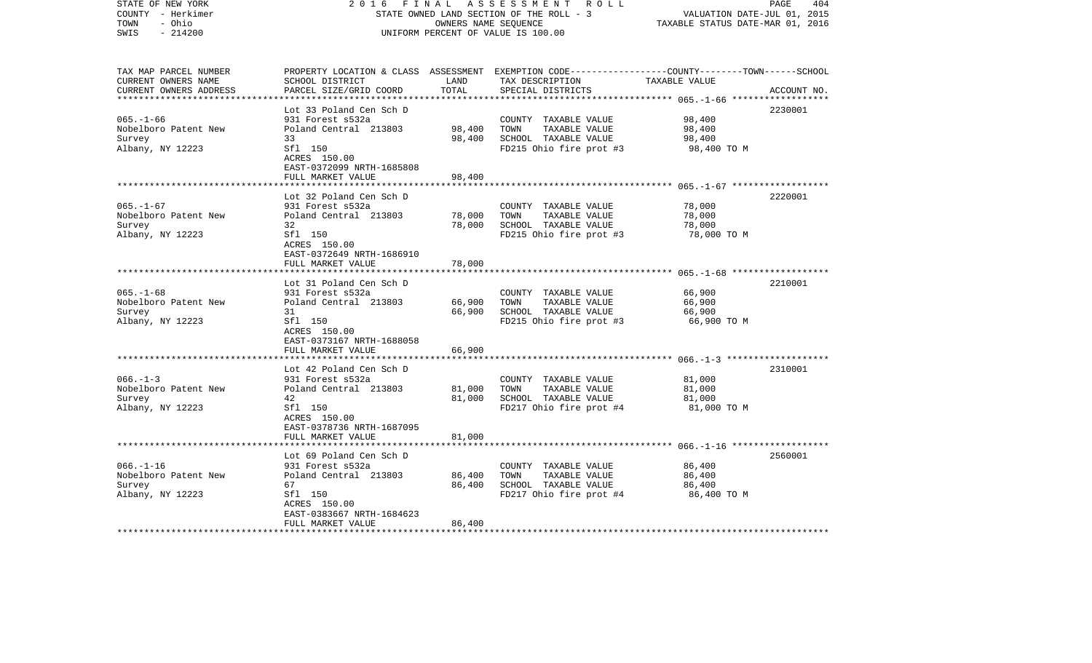| COUNTY - Herkimer<br>- Ohio<br>TOWN<br>SWIS<br>$-214200$               |                                                                                                                                                         | OWNERS NAME SEQUENCE       | STATE OWNED LAND SECTION OF THE ROLL - 3<br>UNIFORM PERCENT OF VALUE IS 100.00                                                          | VALUATION DATE-JUL 01, 2015<br>TAXABLE STATUS DATE-MAR 01, 2016                       |             |
|------------------------------------------------------------------------|---------------------------------------------------------------------------------------------------------------------------------------------------------|----------------------------|-----------------------------------------------------------------------------------------------------------------------------------------|---------------------------------------------------------------------------------------|-------------|
| TAX MAP PARCEL NUMBER<br>CURRENT OWNERS NAME<br>CURRENT OWNERS ADDRESS | SCHOOL DISTRICT<br>PARCEL SIZE/GRID COORD                                                                                                               | LAND<br>TOTAL              | PROPERTY LOCATION & CLASS ASSESSMENT EXEMPTION CODE---------------COUNTY-------TOWN------SCHOOL<br>TAX DESCRIPTION<br>SPECIAL DISTRICTS | TAXABLE VALUE                                                                         | ACCOUNT NO. |
| $065. - 1 - 66$<br>Nobelboro Patent New<br>Survey<br>Albany, NY 12223  | Lot 33 Poland Cen Sch D<br>931 Forest s532a<br>Poland Central 213803<br>33<br>Sfl 150<br>ACRES 150.00<br>EAST-0372099 NRTH-1685808<br>FULL MARKET VALUE | 98,400<br>98,400<br>98,400 | COUNTY TAXABLE VALUE<br>TAXABLE VALUE<br>TOWN<br>SCHOOL TAXABLE VALUE<br>FD215 Ohio fire prot #3                                        | ************** 065.-1-66 ***************<br>98,400<br>98,400<br>98,400<br>98,400 TO M | 2230001     |
| $065. - 1 - 67$<br>Nobelboro Patent New<br>Survey<br>Albany, NY 12223  | .<br>Lot 32 Poland Cen Sch D<br>931 Forest s532a<br>Poland Central 213803<br>32<br>Sfl 150<br>ACRES 150.00<br>EAST-0372649 NRTH-1686910                 | 78,000<br>78,000           | COUNTY TAXABLE VALUE<br>TOWN<br>TAXABLE VALUE<br>SCHOOL TAXABLE VALUE<br>FD215 Ohio fire prot #3                                        | 78,000<br>78,000<br>78,000<br>78,000 TO M                                             | 2220001     |
| $065. - 1 - 68$<br>Nobelboro Patent New<br>Survey<br>Albany, NY 12223  | FULL MARKET VALUE<br>**************<br>Lot 31 Poland Cen Sch D<br>931 Forest s532a<br>Poland Central 213803<br>31<br>Sfl 150<br>ACRES 150.00            | 78,000<br>66,900<br>66,900 | COUNTY TAXABLE VALUE<br>TOWN<br>TAXABLE VALUE<br>SCHOOL TAXABLE VALUE<br>FD215 Ohio fire prot #3                                        | 66,900<br>66,900<br>66,900<br>66,900 TO M                                             | 2210001     |
|                                                                        | EAST-0373167 NRTH-1688058<br>FULL MARKET VALUE                                                                                                          | 66,900                     |                                                                                                                                         |                                                                                       |             |
| $066. -1 - 3$<br>Nobelboro Patent New<br>Survey<br>Albany, NY 12223    | Lot 42 Poland Cen Sch D<br>931 Forest s532a<br>Poland Central 213803<br>42<br>Sfl 150<br>ACRES 150.00<br>EAST-0378736 NRTH-1687095<br>FULL MARKET VALUE | 81,000<br>81,000<br>81,000 | COUNTY TAXABLE VALUE<br>TOWN<br>TAXABLE VALUE<br>SCHOOL TAXABLE VALUE<br>FD217 Ohio fire prot #4                                        | 81,000<br>81,000<br>81,000<br>81,000 TO M                                             | 2310001     |
|                                                                        | Lot 69 Poland Cen Sch D                                                                                                                                 |                            |                                                                                                                                         |                                                                                       | 2560001     |
| $066. -1 - 16$<br>Nobelboro Patent New<br>Survey<br>Albany, NY 12223   | 931 Forest s532a<br>Poland Central 213803<br>67<br>Sfl 150<br>ACRES 150.00<br>EAST-0383667 NRTH-1684623                                                 | 86,400<br>86,400           | COUNTY TAXABLE VALUE<br>TOWN<br>TAXABLE VALUE<br>SCHOOL TAXABLE VALUE<br>FD217 Ohio fire prot #4                                        | 86,400<br>86,400<br>86,400<br>86,400 TO M                                             |             |
|                                                                        | FULL MARKET VALUE                                                                                                                                       | 86,400                     |                                                                                                                                         |                                                                                       |             |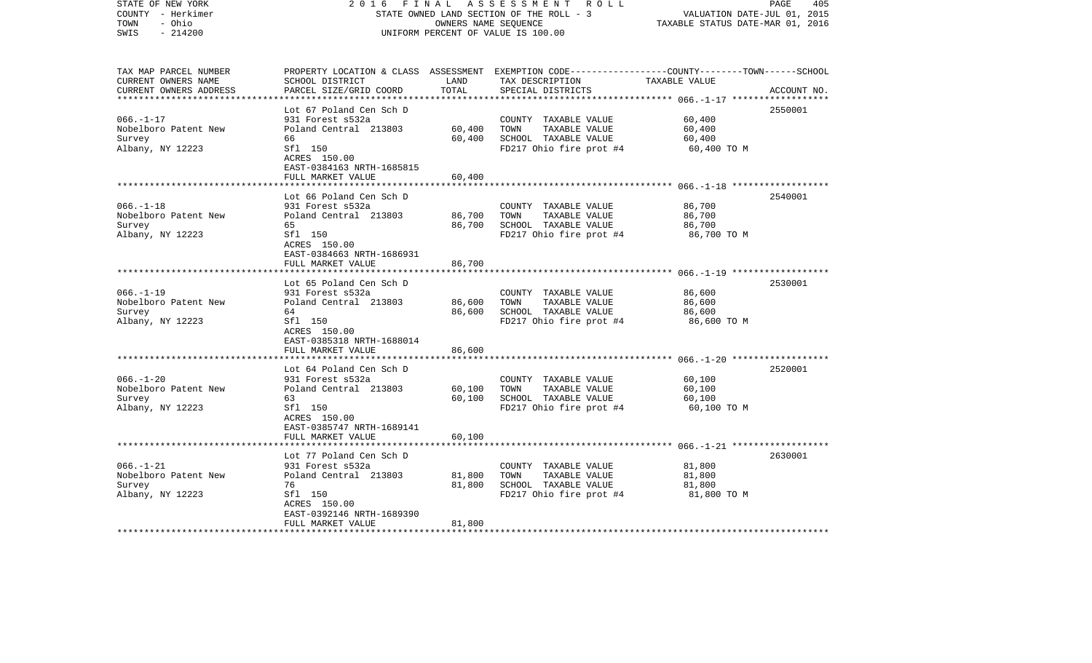| COUNTY - Herkimer<br>TOWN<br>- Ohio<br>SWIS<br>$-214200$                                        |                                                                                                                                                                                                  | OWNERS NAME SEQUENCE                      | STATE OWNED LAND SECTION OF THE ROLL - 3<br>UNIFORM PERCENT OF VALUE IS 100.00                   | VALUATION DATE-JUL 01, 2015<br>TAXABLE STATUS DATE-MAR 01, 2016 |             |
|-------------------------------------------------------------------------------------------------|--------------------------------------------------------------------------------------------------------------------------------------------------------------------------------------------------|-------------------------------------------|--------------------------------------------------------------------------------------------------|-----------------------------------------------------------------|-------------|
| TAX MAP PARCEL NUMBER<br>CURRENT OWNERS NAME<br>CURRENT OWNERS ADDRESS                          | PROPERTY LOCATION & CLASS ASSESSMENT EXEMPTION CODE---------------COUNTY-------TOWN------SCHOOL<br>SCHOOL DISTRICT<br>PARCEL SIZE/GRID COORD                                                     | LAND<br>TOTAL                             | TAX DESCRIPTION<br>SPECIAL DISTRICTS                                                             | TAXABLE VALUE<br>************* 066.-1-17 ***************        | ACCOUNT NO. |
| $066. - 1 - 17$<br>Nobelboro Patent New<br>Survey<br>Albany, NY 12223                           | Lot 67 Poland Cen Sch D<br>931 Forest s532a<br>Poland Central 213803<br>66<br>Sfl 150<br>ACRES 150.00<br>EAST-0384163 NRTH-1685815<br>FULL MARKET VALUE                                          | 60,400<br>60,400<br>60,400                | COUNTY TAXABLE VALUE<br>TOWN<br>TAXABLE VALUE<br>SCHOOL TAXABLE VALUE<br>FD217 Ohio fire prot #4 | 60,400<br>60,400<br>60,400<br>60,400 TO M                       | 2550001     |
| $066. - 1 - 18$<br>Nobelboro Patent New<br>Survey<br>Albany, NY 12223                           | Lot 66 Poland Cen Sch D<br>931 Forest s532a<br>Poland Central 213803<br>65<br>Sfl 150<br>ACRES 150.00<br>EAST-0384663 NRTH-1686931                                                               | 86,700<br>86,700                          | COUNTY TAXABLE VALUE<br>TOWN<br>TAXABLE VALUE<br>SCHOOL TAXABLE VALUE<br>FD217 Ohio fire prot #4 | 86,700<br>86,700<br>86,700<br>86,700 TO M                       | 2540001     |
| $066. - 1 - 19$<br>Nobelboro Patent New<br>Survey<br>Albany, NY 12223                           | FULL MARKET VALUE<br>Lot 65 Poland Cen Sch D<br>931 Forest s532a<br>Poland Central 213803<br>64<br>Sfl 150<br>ACRES 150.00<br>EAST-0385318 NRTH-1688014                                          | 86,700<br>***********<br>86,600<br>86,600 | COUNTY TAXABLE VALUE<br>TAXABLE VALUE<br>TOWN<br>SCHOOL TAXABLE VALUE<br>FD217 Ohio fire prot #4 | 86,600<br>86,600<br>86,600<br>86,600 TO M                       | 2530001     |
| $066. - 1 - 20$<br>Nobelboro Patent New<br>Survey<br>Albany, NY 12223                           | FULL MARKET VALUE<br>****************<br>Lot 64 Poland Cen Sch D<br>931 Forest s532a<br>Poland Central 213803<br>63<br>Sfl 150<br>ACRES 150.00<br>EAST-0385747 NRTH-1689141<br>FULL MARKET VALUE | 86,600<br>60,100<br>60,100<br>60,100      | COUNTY TAXABLE VALUE<br>TAXABLE VALUE<br>TOWN<br>SCHOOL TAXABLE VALUE<br>FD217 Ohio fire prot #4 | 60,100<br>60,100<br>60,100<br>60,100 TO M                       | 2520001     |
| $066. - 1 - 21$<br>Nobelboro Patent New<br>Survey<br>Albany, NY 12223<br>********************** | Lot 77 Poland Cen Sch D<br>931 Forest s532a<br>Poland Central 213803<br>76<br>Sfl 150<br>ACRES 150.00<br>EAST-0392146 NRTH-1689390<br>FULL MARKET VALUE                                          | 81,800<br>81,800<br>81,800                | COUNTY TAXABLE VALUE<br>TOWN<br>TAXABLE VALUE<br>SCHOOL TAXABLE VALUE<br>FD217 Ohio fire prot #4 | 81,800<br>81,800<br>81,800<br>81,800 TO M                       | 2630001     |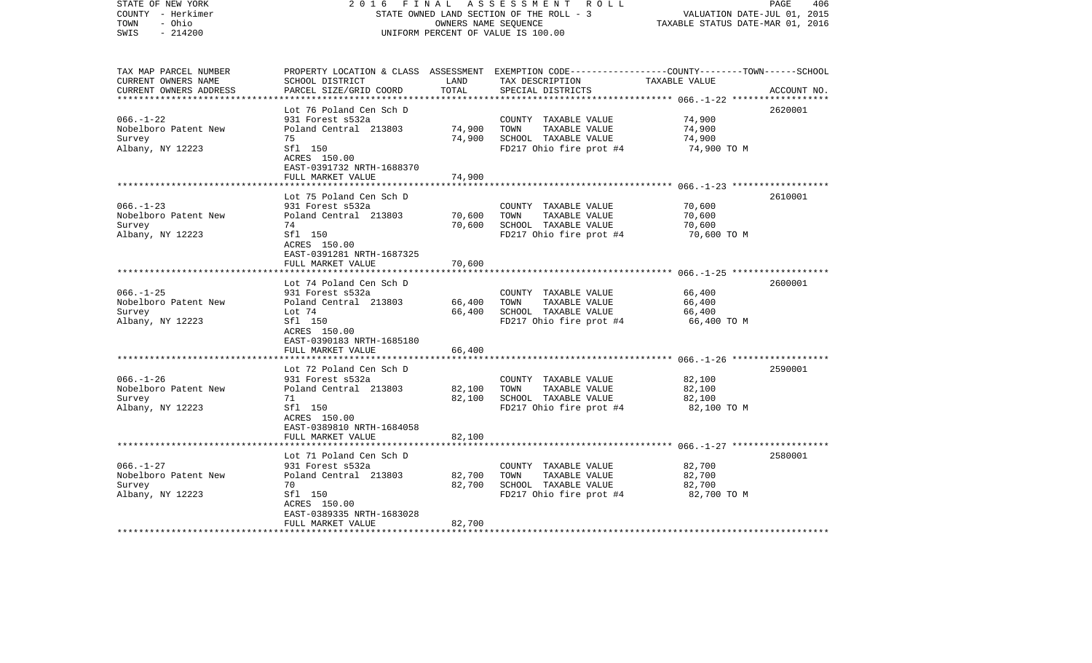| STATE OF NEW YORK<br>COUNTY - Herkimer<br>- Ohio<br>TOWN<br>$-214200$<br>SWIS | 2 0 1 6<br>FINAL                                     | OWNERS NAME SEQUENCE | A S S E S S M E N T R O L L<br>STATE OWNED LAND SECTION OF THE ROLL - 3<br>UNIFORM PERCENT OF VALUE IS 100.00                                        | VALUATION DATE-JUL 01, 2015<br>TAXABLE STATUS DATE-MAR 01, 2016 | PAGE<br>406 |
|-------------------------------------------------------------------------------|------------------------------------------------------|----------------------|------------------------------------------------------------------------------------------------------------------------------------------------------|-----------------------------------------------------------------|-------------|
| TAX MAP PARCEL NUMBER<br>CURRENT OWNERS NAME<br>CURRENT OWNERS ADDRESS        | SCHOOL DISTRICT<br>PARCEL SIZE/GRID COORD            | LAND<br>TOTAL        | PROPERTY LOCATION & CLASS ASSESSMENT EXEMPTION CODE--------------COUNTY-------TOWN------SCHOOL<br>TAX DESCRIPTION TAXABLE VALUE<br>SPECIAL DISTRICTS |                                                                 | ACCOUNT NO. |
|                                                                               |                                                      |                      |                                                                                                                                                      |                                                                 |             |
| $066. - 1 - 22$                                                               | Lot 76 Poland Cen Sch D<br>931 Forest s532a          |                      | COUNTY TAXABLE VALUE                                                                                                                                 | 74,900                                                          | 2620001     |
| Nobelboro Patent New                                                          | Poland Central 213803                                | 74,900               | TOWN<br>TAXABLE VALUE                                                                                                                                | 74,900                                                          |             |
| Survey                                                                        | 75                                                   | 74,900               | SCHOOL TAXABLE VALUE                                                                                                                                 | 74,900                                                          |             |
| Albany, NY 12223                                                              | Sfl 150<br>ACRES 150.00<br>EAST-0391732 NRTH-1688370 |                      | FD217 Ohio fire prot #4                                                                                                                              | 74,900 TO M                                                     |             |
|                                                                               | FULL MARKET VALUE                                    | 74,900               |                                                                                                                                                      |                                                                 |             |
|                                                                               | Lot 75 Poland Cen Sch D                              |                      |                                                                                                                                                      |                                                                 | 2610001     |
| $066. -1 - 23$                                                                | 931 Forest s532a                                     |                      | COUNTY TAXABLE VALUE                                                                                                                                 | 70,600                                                          |             |
| Nobelboro Patent New                                                          | Poland Central 213803                                | 70,600               | TOWN<br>TAXABLE VALUE                                                                                                                                | 70,600                                                          |             |
| Survey                                                                        | 74                                                   | 70,600               | SCHOOL TAXABLE VALUE                                                                                                                                 | 70,600                                                          |             |
| Albany, NY 12223                                                              | Sfl 150<br>ACRES 150.00<br>EAST-0391281 NRTH-1687325 |                      | FD217 Ohio fire prot #4                                                                                                                              | 70,600 ТО М                                                     |             |
|                                                                               | FULL MARKET VALUE                                    | 70,600               |                                                                                                                                                      |                                                                 |             |
|                                                                               |                                                      |                      |                                                                                                                                                      |                                                                 |             |
| $066. -1 - 25$                                                                | Lot 74 Poland Cen Sch D<br>931 Forest s532a          |                      | COUNTY TAXABLE VALUE                                                                                                                                 | 66,400                                                          | 2600001     |
| Nobelboro Patent New                                                          | Poland Central 213803                                | 66,400               | TOWN<br>TAXABLE VALUE                                                                                                                                | 66,400                                                          |             |
| Survey                                                                        | Lot 74                                               | 66,400               | SCHOOL TAXABLE VALUE                                                                                                                                 | 66,400                                                          |             |
| Albany, NY 12223                                                              | Sfl 150                                              |                      | FD217 Ohio fire prot #4                                                                                                                              | 66,400 TO M                                                     |             |
|                                                                               | ACRES 150.00<br>EAST-0390183 NRTH-1685180            |                      |                                                                                                                                                      |                                                                 |             |
|                                                                               | FULL MARKET VALUE                                    | 66,400               |                                                                                                                                                      |                                                                 |             |
|                                                                               |                                                      |                      |                                                                                                                                                      |                                                                 |             |
|                                                                               | Lot 72 Poland Cen Sch D                              |                      |                                                                                                                                                      |                                                                 | 2590001     |
| $066. - 1 - 26$                                                               | 931 Forest s532a                                     |                      | COUNTY TAXABLE VALUE                                                                                                                                 | 82,100                                                          |             |
| Nobelboro Patent New                                                          | Poland Central 213803                                | 82,100               | TAXABLE VALUE<br>TOWN                                                                                                                                | 82,100                                                          |             |
| Survey<br>Albany, NY 12223                                                    | 71<br>Sfl 150                                        | 82,100               | SCHOOL TAXABLE VALUE<br>FD217 Ohio fire prot #4                                                                                                      | 82,100<br>82,100 TO M                                           |             |
|                                                                               | ACRES 150.00                                         |                      |                                                                                                                                                      |                                                                 |             |
|                                                                               | EAST-0389810 NRTH-1684058<br>FULL MARKET VALUE       | 82,100               |                                                                                                                                                      |                                                                 |             |
|                                                                               |                                                      |                      |                                                                                                                                                      |                                                                 |             |
|                                                                               | Lot 71 Poland Cen Sch D                              |                      |                                                                                                                                                      |                                                                 | 2580001     |
| $066. - 1 - 27$                                                               | 931 Forest s532a                                     |                      | COUNTY TAXABLE VALUE                                                                                                                                 | 82,700                                                          |             |
| Nobelboro Patent New                                                          | Poland Central 213803                                | 82,700               | TOWN<br>TAXABLE VALUE                                                                                                                                | 82,700                                                          |             |
| Survey                                                                        | 70                                                   | 82,700               | SCHOOL TAXABLE VALUE                                                                                                                                 | 82,700                                                          |             |
| Albany, NY 12223                                                              | Sfl 150                                              |                      | FD217 Ohio fire prot #4                                                                                                                              | 82,700 TO M                                                     |             |
|                                                                               | ACRES 150.00<br>EAST-0389335 NRTH-1683028            |                      |                                                                                                                                                      |                                                                 |             |
|                                                                               | FULL MARKET VALUE                                    | 82,700               |                                                                                                                                                      |                                                                 |             |
| ************************                                                      |                                                      |                      |                                                                                                                                                      |                                                                 |             |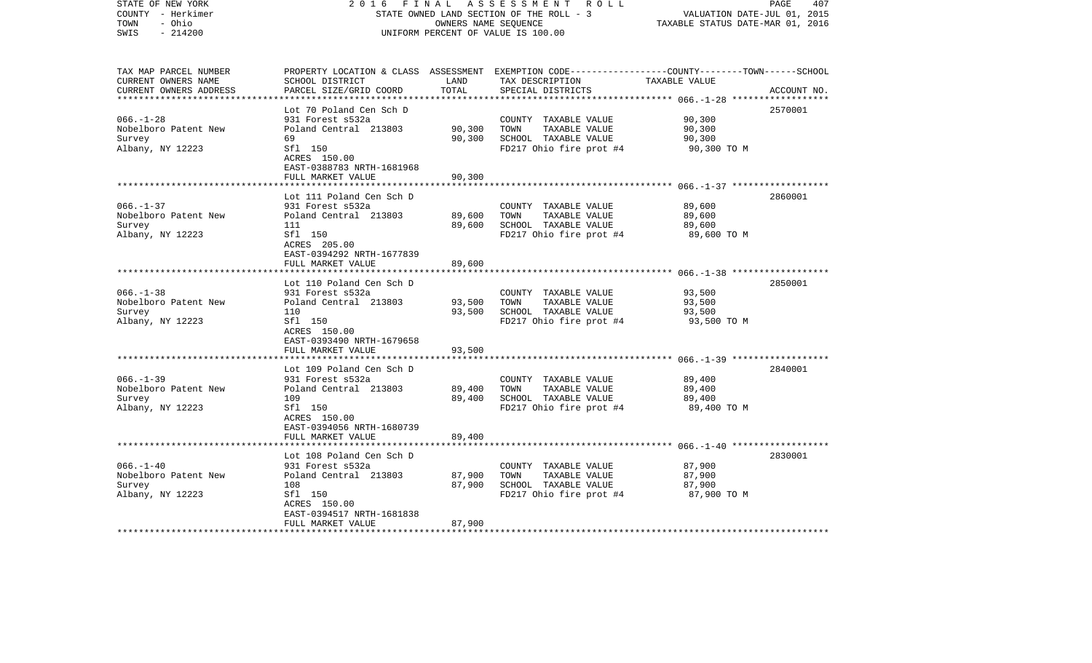| STATE OF NEW YORK<br>COUNTY - Herkimer<br>TOWN<br>- Ohio<br>$-214200$<br>SWIS | 2 0 1 6<br>FINAL                                               | OWNERS NAME SEQUENCE | A S S E S S M E N T R O L L<br>STATE OWNED LAND SECTION OF THE ROLL - 3<br>UNIFORM PERCENT OF VALUE IS 100.00                                        | VALUATION DATE-JUL 01, 2015<br>TAXABLE STATUS DATE-MAR 01, 2016 | PAGE<br>407 |
|-------------------------------------------------------------------------------|----------------------------------------------------------------|----------------------|------------------------------------------------------------------------------------------------------------------------------------------------------|-----------------------------------------------------------------|-------------|
| TAX MAP PARCEL NUMBER<br>CURRENT OWNERS NAME<br>CURRENT OWNERS ADDRESS        | SCHOOL DISTRICT<br>PARCEL SIZE/GRID COORD                      | LAND<br>TOTAL        | PROPERTY LOCATION & CLASS ASSESSMENT EXEMPTION CODE--------------COUNTY-------TOWN------SCHOOL<br>TAX DESCRIPTION TAXABLE VALUE<br>SPECIAL DISTRICTS |                                                                 | ACCOUNT NO. |
|                                                                               | Lot 70 Poland Cen Sch D                                        |                      |                                                                                                                                                      |                                                                 | 2570001     |
| $066. - 1 - 28$                                                               | 931 Forest s532a                                               |                      | COUNTY TAXABLE VALUE                                                                                                                                 | 90,300                                                          |             |
| Nobelboro Patent New                                                          | Poland Central 213803                                          | 90,300               | TOWN<br>TAXABLE VALUE                                                                                                                                | 90,300                                                          |             |
| Survey                                                                        | 69                                                             | 90,300               | SCHOOL TAXABLE VALUE                                                                                                                                 | 90,300                                                          |             |
| Albany, NY 12223                                                              | Sfl 150<br>ACRES 150.00<br>EAST-0388783 NRTH-1681968           |                      | FD217 Ohio fire prot #4                                                                                                                              | 90,300 TO M                                                     |             |
|                                                                               | FULL MARKET VALUE                                              | 90,300               |                                                                                                                                                      |                                                                 |             |
|                                                                               | Lot 111 Poland Cen Sch D                                       |                      |                                                                                                                                                      |                                                                 | 2860001     |
| $066. -1 - 37$                                                                | 931 Forest s532a                                               |                      | COUNTY TAXABLE VALUE                                                                                                                                 | 89,600                                                          |             |
| Nobelboro Patent New                                                          | Poland Central 213803                                          | 89,600               | TOWN<br>TAXABLE VALUE                                                                                                                                | 89,600                                                          |             |
| Survey                                                                        | 111                                                            | 89,600               | SCHOOL TAXABLE VALUE                                                                                                                                 | 89,600                                                          |             |
| Albany, NY 12223                                                              | Sfl 150<br>ACRES 205.00<br>EAST-0394292 NRTH-1677839           |                      | FD217 Ohio fire prot #4                                                                                                                              | 89,600 TO M                                                     |             |
|                                                                               | FULL MARKET VALUE                                              | 89,600               |                                                                                                                                                      |                                                                 |             |
|                                                                               | Lot 110 Poland Cen Sch D                                       |                      |                                                                                                                                                      |                                                                 | 2850001     |
| $066. -1 - 38$                                                                | 931 Forest s532a                                               |                      | COUNTY TAXABLE VALUE                                                                                                                                 | 93,500                                                          |             |
| Nobelboro Patent New                                                          | Poland Central 213803                                          | 93,500               | TOWN<br>TAXABLE VALUE                                                                                                                                | 93,500                                                          |             |
| Survey                                                                        | 110                                                            | 93,500               | SCHOOL TAXABLE VALUE                                                                                                                                 | 93,500                                                          |             |
| Albany, NY 12223                                                              | Sfl 150<br>ACRES 150.00<br>EAST-0393490 NRTH-1679658           |                      | FD217 Ohio fire prot #4                                                                                                                              | 93,500 TO M                                                     |             |
|                                                                               | FULL MARKET VALUE                                              | 93,500               |                                                                                                                                                      |                                                                 |             |
|                                                                               | Lot 109 Poland Cen Sch D                                       |                      |                                                                                                                                                      |                                                                 | 2840001     |
| $066. -1 - 39$                                                                | 931 Forest s532a                                               |                      | COUNTY TAXABLE VALUE                                                                                                                                 | 89,400                                                          |             |
| Nobelboro Patent New                                                          | Poland Central 213803                                          | 89,400               | TOWN<br>TAXABLE VALUE                                                                                                                                | 89,400                                                          |             |
| Survey                                                                        | 109                                                            | 89,400               | SCHOOL TAXABLE VALUE                                                                                                                                 | 89,400                                                          |             |
| Albany, NY 12223                                                              | Sfl 150<br>ACRES 150.00<br>EAST-0394056 NRTH-1680739           |                      | FD217 Ohio fire prot #4                                                                                                                              | 89,400 TO M                                                     |             |
|                                                                               | FULL MARKET VALUE                                              | 89,400               |                                                                                                                                                      |                                                                 |             |
|                                                                               | Lot 108 Poland Cen Sch D                                       |                      |                                                                                                                                                      |                                                                 | 2830001     |
| $066. - 1 - 40$                                                               | 931 Forest s532a                                               |                      | COUNTY TAXABLE VALUE                                                                                                                                 | 87,900                                                          |             |
| Nobelboro Patent New                                                          | Poland Central 213803                                          | 87,900               | TOWN<br>TAXABLE VALUE                                                                                                                                | 87,900                                                          |             |
| Survey                                                                        | 108                                                            | 87,900               | SCHOOL TAXABLE VALUE                                                                                                                                 | 87,900                                                          |             |
| Albany, NY 12223                                                              | Sfl 150                                                        |                      | FD217 Ohio fire prot #4                                                                                                                              | 87,900 TO M                                                     |             |
|                                                                               | ACRES 150.00<br>EAST-0394517 NRTH-1681838<br>FULL MARKET VALUE | 87,900               |                                                                                                                                                      |                                                                 |             |
|                                                                               |                                                                |                      |                                                                                                                                                      |                                                                 |             |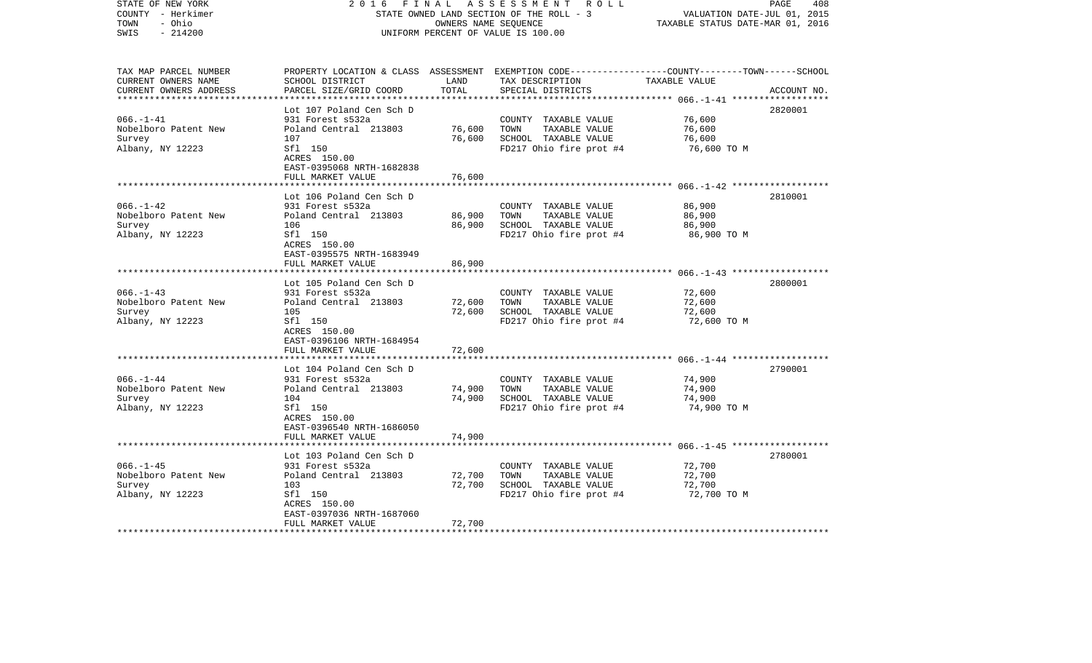| COUNTY - Herkimer<br>TOWN<br>- Ohio<br>SWIS<br>$-214200$               |                                                                                                                                                           |                            | STATE OWNED LAND SECTION OF THE ROLL - 3<br>OWNERS NAME SEQUENCE<br>UNIFORM PERCENT OF VALUE IS 100.00 | VALUATION DATE-JUL 01, 2015<br>TAXABLE STATUS DATE-MAR 01, 2016 |             |
|------------------------------------------------------------------------|-----------------------------------------------------------------------------------------------------------------------------------------------------------|----------------------------|--------------------------------------------------------------------------------------------------------|-----------------------------------------------------------------|-------------|
| TAX MAP PARCEL NUMBER<br>CURRENT OWNERS NAME<br>CURRENT OWNERS ADDRESS | PROPERTY LOCATION & CLASS ASSESSMENT EXEMPTION CODE----------------COUNTY-------TOWN------SCHOOL<br>SCHOOL DISTRICT<br>PARCEL SIZE/GRID COORD             | LAND<br>TOTAL              | TAX DESCRIPTION<br>SPECIAL DISTRICTS                                                                   | TAXABLE VALUE<br>*********** 066.-1-41 **************           | ACCOUNT NO. |
| $066. -1 - 41$<br>Nobelboro Patent New<br>Survey<br>Albany, NY 12223   | Lot 107 Poland Cen Sch D<br>931 Forest s532a<br>Poland Central 213803<br>107<br>Sfl 150<br>ACRES 150.00<br>EAST-0395068 NRTH-1682838<br>FULL MARKET VALUE | 76,600<br>76,600<br>76,600 | COUNTY TAXABLE VALUE<br>TOWN<br>TAXABLE VALUE<br>SCHOOL TAXABLE VALUE<br>FD217 Ohio fire prot #4       | 76,600<br>76,600<br>76,600<br>76,600 TO M                       | 2820001     |
| $066. - 1 - 42$<br>Nobelboro Patent New<br>Survey<br>Albany, NY 12223  | Lot 106 Poland Cen Sch D<br>931 Forest s532a<br>Poland Central 213803<br>106<br>Sfl 150<br>ACRES 150.00<br>EAST-0395575 NRTH-1683949                      | 86,900<br>86,900           | COUNTY TAXABLE VALUE<br>TOWN<br>TAXABLE VALUE<br>SCHOOL TAXABLE VALUE<br>FD217 Ohio fire prot #4       | 86,900<br>86,900<br>86,900<br>86,900 TO M                       | 2810001     |
| $066. - 1 - 43$<br>Nobelboro Patent New<br>Survey<br>Albany, NY 12223  | FULL MARKET VALUE<br>*******************<br>Lot 105 Poland Cen Sch D<br>931 Forest s532a<br>Poland Central 213803<br>105<br>Sfl 150                       | 86,900<br>72,600<br>72,600 | COUNTY TAXABLE VALUE<br>TOWN<br>TAXABLE VALUE<br>SCHOOL TAXABLE VALUE<br>FD217 Ohio fire prot #4       | 72,600<br>72,600<br>72,600<br>72,600 TO M                       | 2800001     |
|                                                                        | ACRES 150.00<br>EAST-0396106 NRTH-1684954<br>FULL MARKET VALUE<br>Lot 104 Poland Cen Sch D                                                                | 72,600                     |                                                                                                        |                                                                 | 2790001     |
| $066. - 1 - 44$<br>Nobelboro Patent New<br>Survey<br>Albany, NY 12223  | 931 Forest s532a<br>Poland Central 213803<br>104<br>Sfl 150<br>ACRES 150.00<br>EAST-0396540 NRTH-1686050<br>FULL MARKET VALUE                             | 74,900<br>74,900<br>74,900 | COUNTY TAXABLE VALUE<br>TAXABLE VALUE<br>TOWN<br>SCHOOL TAXABLE VALUE<br>FD217 Ohio fire prot #4       | 74,900<br>74,900<br>74,900<br>74,900 TO M                       |             |
| $066. -1 - 45$<br>Nobelboro Patent New                                 | Lot 103 Poland Cen Sch D<br>931 Forest s532a<br>Poland Central 213803                                                                                     | 72,700                     | COUNTY TAXABLE VALUE<br>TOWN<br>TAXABLE VALUE                                                          | 72,700<br>72,700                                                | 2780001     |
| Survey<br>Albany, NY 12223<br>********************                     | 103<br>Sfl 150<br>ACRES 150.00<br>EAST-0397036 NRTH-1687060<br>FULL MARKET VALUE                                                                          | 72,700<br>72,700           | SCHOOL TAXABLE VALUE<br>FD217 Ohio fire prot #4                                                        | 72,700<br>72,700 TO M                                           |             |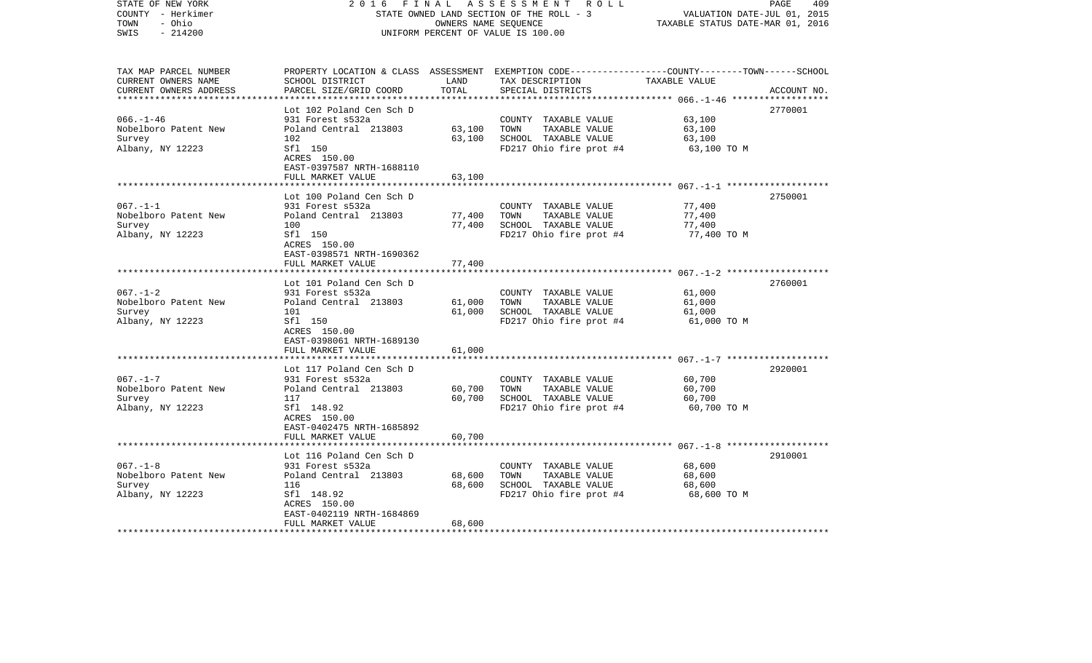| STATE OF NEW YORK<br>COUNTY - Herkimer<br>- Ohio<br>TOWN<br>$-214200$<br>SWIS | 2 0 1 6                                                 | FINAL<br>OWNERS NAME SEQUENCE | A S S E S S M E N T R O L L<br>STATE OWNED LAND SECTION OF THE ROLL - 3<br>UNIFORM PERCENT OF VALUE IS 100.00                          | VALUATION DATE-JUL 01, 2015<br>TAXABLE STATUS DATE-MAR 01, 2016 | PAGE<br>409 |
|-------------------------------------------------------------------------------|---------------------------------------------------------|-------------------------------|----------------------------------------------------------------------------------------------------------------------------------------|-----------------------------------------------------------------|-------------|
| TAX MAP PARCEL NUMBER<br>CURRENT OWNERS NAME<br>CURRENT OWNERS ADDRESS        | SCHOOL DISTRICT<br>PARCEL SIZE/GRID COORD               | LAND<br>TOTAL                 | PROPERTY LOCATION & CLASS ASSESSMENT EXEMPTION CODE---------------COUNTY-------TOWN-----SCHOOL<br>TAX DESCRIPTION<br>SPECIAL DISTRICTS | TAXABLE VALUE                                                   | ACCOUNT NO. |
|                                                                               | Lot 102 Poland Cen Sch D                                |                               |                                                                                                                                        |                                                                 | 2770001     |
| $066. - 1 - 46$                                                               | 931 Forest s532a                                        |                               | COUNTY TAXABLE VALUE                                                                                                                   | 63,100                                                          |             |
| Nobelboro Patent New                                                          | Poland Central 213803                                   | 63,100                        | TOWN<br>TAXABLE VALUE                                                                                                                  | 63,100                                                          |             |
| Survey                                                                        | 102                                                     | 63,100                        | SCHOOL TAXABLE VALUE                                                                                                                   | 63,100                                                          |             |
| Albany, NY 12223                                                              | Sfl 150<br>ACRES 150.00<br>EAST-0397587 NRTH-1688110    |                               | FD217 Ohio fire prot #4                                                                                                                | 63,100 TO M                                                     |             |
|                                                                               | FULL MARKET VALUE                                       | 63,100                        |                                                                                                                                        |                                                                 |             |
|                                                                               | Lot 100 Poland Cen Sch D                                |                               |                                                                                                                                        |                                                                 | 2750001     |
| $067. - 1 - 1$                                                                | 931 Forest s532a                                        |                               | COUNTY TAXABLE VALUE                                                                                                                   | 77,400                                                          |             |
| Nobelboro Patent New                                                          | Poland Central 213803                                   | 77,400                        | TOWN<br>TAXABLE VALUE                                                                                                                  | 77,400                                                          |             |
| Survey                                                                        | 100                                                     | 77,400                        | SCHOOL TAXABLE VALUE                                                                                                                   | 77,400                                                          |             |
| Albany, NY 12223                                                              | Sfl 150<br>ACRES 150.00<br>EAST-0398571 NRTH-1690362    |                               | FD217 Ohio fire prot #4                                                                                                                | 77,400 TO M                                                     |             |
|                                                                               | FULL MARKET VALUE                                       | 77,400                        |                                                                                                                                        |                                                                 |             |
|                                                                               | Lot 101 Poland Cen Sch D                                |                               |                                                                                                                                        |                                                                 | 2760001     |
| $067. - 1 - 2$                                                                | 931 Forest s532a                                        |                               | COUNTY TAXABLE VALUE                                                                                                                   | 61,000                                                          |             |
| Nobelboro Patent New                                                          | Poland Central 213803                                   | 61,000                        | TOWN<br>TAXABLE VALUE                                                                                                                  | 61,000                                                          |             |
| Survey                                                                        | 101                                                     | 61,000                        | SCHOOL TAXABLE VALUE                                                                                                                   | 61,000                                                          |             |
| Albany, NY 12223                                                              | Sfl 150<br>ACRES 150.00<br>EAST-0398061 NRTH-1689130    |                               | FD217 Ohio fire prot #4                                                                                                                | 61,000 TO M                                                     |             |
|                                                                               | FULL MARKET VALUE                                       | 61,000                        |                                                                                                                                        |                                                                 |             |
|                                                                               | Lot 117 Poland Cen Sch D                                |                               |                                                                                                                                        |                                                                 | 2920001     |
| $067. - 1 - 7$                                                                | 931 Forest s532a                                        |                               | COUNTY TAXABLE VALUE                                                                                                                   | 60,700                                                          |             |
| Nobelboro Patent New                                                          | Poland Central 213803                                   | 60,700                        | TOWN<br>TAXABLE VALUE                                                                                                                  | 60,700                                                          |             |
| Survey                                                                        | 117                                                     | 60,700                        | SCHOOL TAXABLE VALUE                                                                                                                   | 60,700                                                          |             |
| Albany, NY 12223                                                              | Sfl 148.92<br>ACRES 150.00<br>EAST-0402475 NRTH-1685892 |                               | FD217 Ohio fire prot #4                                                                                                                | 60,700 TO M                                                     |             |
|                                                                               | FULL MARKET VALUE                                       | 60,700                        |                                                                                                                                        |                                                                 |             |
|                                                                               | Lot 116 Poland Cen Sch D                                |                               |                                                                                                                                        |                                                                 | 2910001     |
| $067. - 1 - 8$                                                                | 931 Forest s532a                                        |                               | COUNTY TAXABLE VALUE                                                                                                                   | 68,600                                                          |             |
| Nobelboro Patent New                                                          | Poland Central 213803                                   | 68,600                        | TOWN<br>TAXABLE VALUE                                                                                                                  | 68,600                                                          |             |
| Survey                                                                        | 116                                                     | 68,600                        | SCHOOL TAXABLE VALUE                                                                                                                   | 68,600                                                          |             |
| Albany, NY 12223                                                              | Sfl 148.92                                              |                               | FD217 Ohio fire prot #4                                                                                                                | 68,600 TO M                                                     |             |
|                                                                               | ACRES 150.00                                            |                               |                                                                                                                                        |                                                                 |             |
|                                                                               | EAST-0402119 NRTH-1684869<br>FULL MARKET VALUE          | 68,600                        |                                                                                                                                        |                                                                 |             |
|                                                                               |                                                         |                               |                                                                                                                                        |                                                                 |             |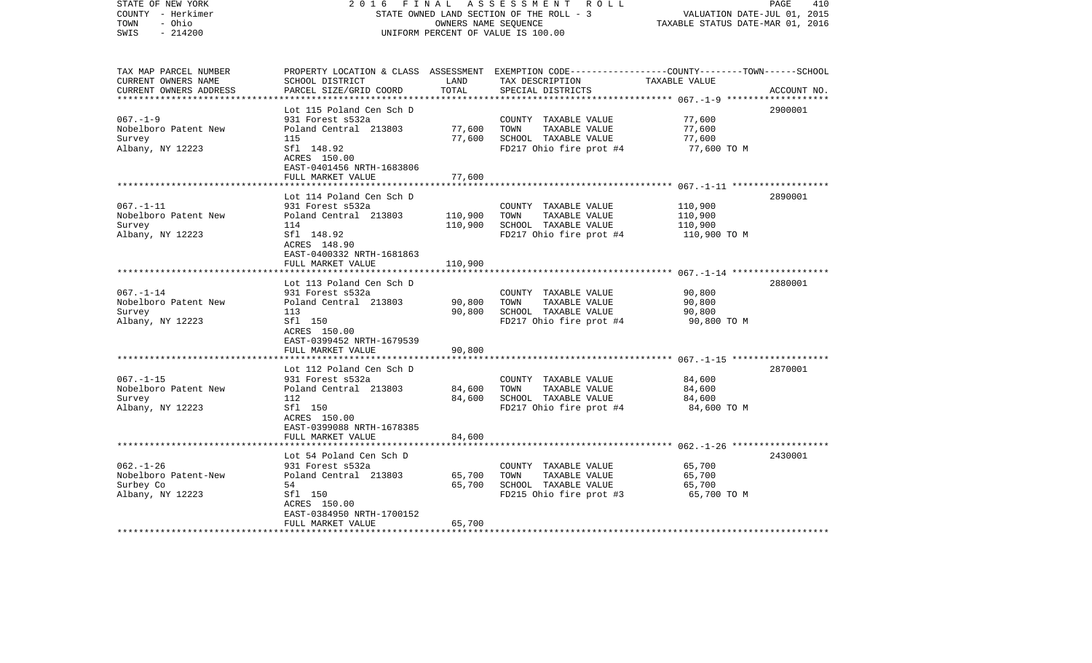| STATE OF NEW YORK<br>COUNTY - Herkimer<br>- Ohio<br>TOWN<br>$-214200$<br>SWIS | 2 0 1 6                                                 | FINAL<br>OWNERS NAME SEQUENCE | A S S E S S M E N T R O L L<br>STATE OWNED LAND SECTION OF THE ROLL - 3<br>UNIFORM PERCENT OF VALUE IS 100.00                                         | VALUATION DATE-JUL 01, 2015<br>TAXABLE STATUS DATE-MAR 01, 2016 | 410<br>PAGE |
|-------------------------------------------------------------------------------|---------------------------------------------------------|-------------------------------|-------------------------------------------------------------------------------------------------------------------------------------------------------|-----------------------------------------------------------------|-------------|
| TAX MAP PARCEL NUMBER<br>CURRENT OWNERS NAME<br>CURRENT OWNERS ADDRESS        | SCHOOL DISTRICT<br>PARCEL SIZE/GRID COORD               | LAND<br>TOTAL                 | PROPERTY LOCATION & CLASS ASSESSMENT EXEMPTION CODE---------------COUNTY-------TOWN------SCHOOL<br>TAX DESCRIPTION TAXABLE VALUE<br>SPECIAL DISTRICTS |                                                                 | ACCOUNT NO. |
|                                                                               | Lot 115 Poland Cen Sch D                                |                               |                                                                                                                                                       |                                                                 | 2900001     |
| $067. - 1 - 9$                                                                | 931 Forest s532a                                        |                               | COUNTY TAXABLE VALUE                                                                                                                                  | 77,600                                                          |             |
| Nobelboro Patent New                                                          | Poland Central 213803                                   | 77,600                        | TAXABLE VALUE<br>TOWN                                                                                                                                 | 77,600                                                          |             |
| Survey                                                                        | 115                                                     | 77,600                        | SCHOOL TAXABLE VALUE                                                                                                                                  | 77,600                                                          |             |
| Albany, NY 12223                                                              | Sfl 148.92<br>ACRES 150.00<br>EAST-0401456 NRTH-1683806 |                               | FD217 Ohio fire prot #4                                                                                                                               | 77,600 TO M                                                     |             |
|                                                                               | FULL MARKET VALUE                                       | 77,600                        |                                                                                                                                                       |                                                                 |             |
|                                                                               | Lot 114 Poland Cen Sch D                                |                               |                                                                                                                                                       |                                                                 | 2890001     |
| $067. - 1 - 11$                                                               | 931 Forest s532a                                        |                               | COUNTY TAXABLE VALUE                                                                                                                                  | 110,900                                                         |             |
| Nobelboro Patent New                                                          | Poland Central 213803                                   | 110,900                       | TOWN<br>TAXABLE VALUE                                                                                                                                 | 110,900                                                         |             |
| Survey                                                                        | 114                                                     | 110,900                       | SCHOOL TAXABLE VALUE                                                                                                                                  | 110,900                                                         |             |
| Albany, NY 12223                                                              | Sfl 148.92<br>ACRES 148.90<br>EAST-0400332 NRTH-1681863 |                               | FD217 Ohio fire prot #4                                                                                                                               | 110,900 TO M                                                    |             |
|                                                                               | FULL MARKET VALUE                                       | 110,900                       |                                                                                                                                                       |                                                                 |             |
|                                                                               |                                                         |                               |                                                                                                                                                       |                                                                 |             |
| $067. - 1 - 14$                                                               | Lot 113 Poland Cen Sch D<br>931 Forest s532a            |                               | COUNTY TAXABLE VALUE                                                                                                                                  | 90,800                                                          | 2880001     |
| Nobelboro Patent New                                                          | Poland Central 213803                                   | 90,800                        | TOWN<br>TAXABLE VALUE                                                                                                                                 | 90,800                                                          |             |
| Survey                                                                        | 113                                                     | 90,800                        | SCHOOL TAXABLE VALUE                                                                                                                                  | 90,800                                                          |             |
| Albany, NY 12223                                                              | Sfl 150                                                 |                               | FD217 Ohio fire prot #4                                                                                                                               | 90,800 TO M                                                     |             |
|                                                                               | ACRES 150.00                                            |                               |                                                                                                                                                       |                                                                 |             |
|                                                                               | EAST-0399452 NRTH-1679539                               |                               |                                                                                                                                                       |                                                                 |             |
|                                                                               | FULL MARKET VALUE                                       | 90,800                        |                                                                                                                                                       |                                                                 |             |
|                                                                               | Lot 112 Poland Cen Sch D                                |                               |                                                                                                                                                       |                                                                 | 2870001     |
| $067. - 1 - 15$                                                               | 931 Forest s532a                                        |                               | COUNTY TAXABLE VALUE                                                                                                                                  | 84,600                                                          |             |
| Nobelboro Patent New                                                          | Poland Central 213803                                   | 84,600                        | TAXABLE VALUE<br>TOWN                                                                                                                                 | 84,600                                                          |             |
| Survey                                                                        | 112                                                     | 84,600                        | SCHOOL TAXABLE VALUE                                                                                                                                  | 84,600                                                          |             |
| Albany, NY 12223                                                              | Sfl 150                                                 |                               | FD217 Ohio fire prot #4                                                                                                                               | 84,600 TO M                                                     |             |
|                                                                               | ACRES 150.00                                            |                               |                                                                                                                                                       |                                                                 |             |
|                                                                               | EAST-0399088 NRTH-1678385<br>FULL MARKET VALUE          | 84,600                        |                                                                                                                                                       |                                                                 |             |
|                                                                               |                                                         |                               |                                                                                                                                                       |                                                                 |             |
|                                                                               | Lot 54 Poland Cen Sch D                                 |                               |                                                                                                                                                       |                                                                 | 2430001     |
| $062. - 1 - 26$                                                               | 931 Forest s532a                                        |                               | COUNTY TAXABLE VALUE                                                                                                                                  | 65,700                                                          |             |
| Nobelboro Patent-New                                                          | Poland Central 213803                                   | 65,700                        | TOWN<br>TAXABLE VALUE                                                                                                                                 | 65,700                                                          |             |
| Surbey Co                                                                     | 54                                                      | 65,700                        | SCHOOL TAXABLE VALUE                                                                                                                                  | 65,700                                                          |             |
| Albany, NY 12223                                                              | Sfl 150                                                 |                               | FD215 Ohio fire prot #3                                                                                                                               | 65,700 TO M                                                     |             |
|                                                                               | ACRES 150.00<br>EAST-0384950 NRTH-1700152               |                               |                                                                                                                                                       |                                                                 |             |
|                                                                               | FULL MARKET VALUE                                       | 65,700                        |                                                                                                                                                       |                                                                 |             |
| ************************                                                      |                                                         |                               |                                                                                                                                                       |                                                                 |             |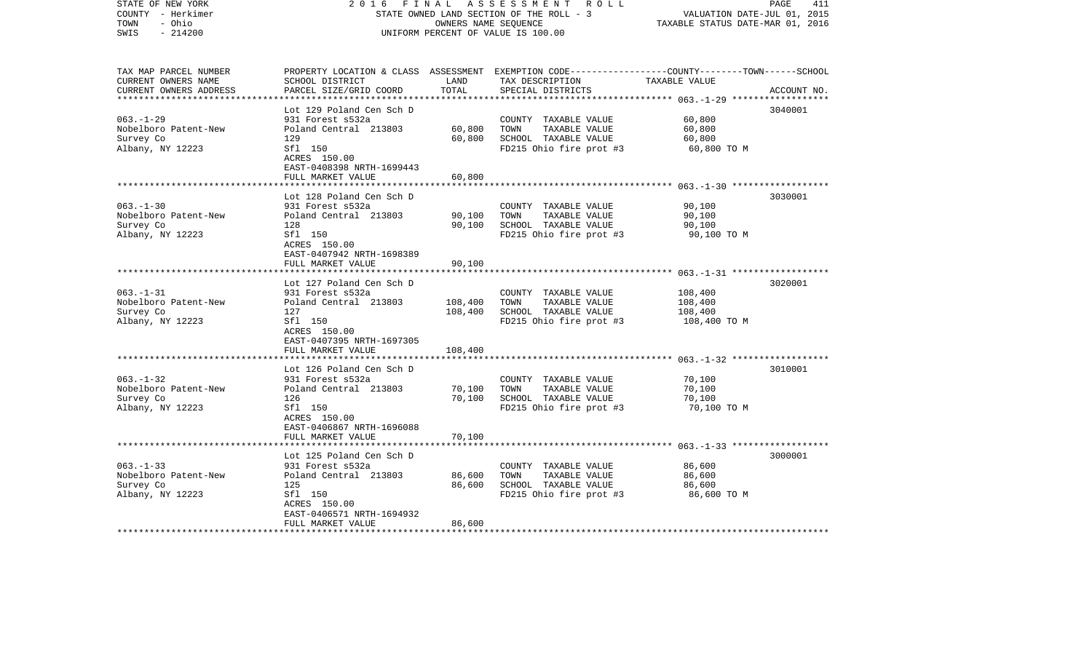| STATE OF NEW YORK<br>COUNTY - Herkimer<br>- Ohio<br>TOWN<br>$-214200$<br>SWIS | 2 0 1 6                                              | FINAL<br>OWNERS NAME SEQUENCE | A S S E S S M E N T R O L L<br>STATE OWNED LAND SECTION OF THE ROLL - 3<br>UNIFORM PERCENT OF VALUE IS 100.00                           | VALUATION DATE-JUL 01, 2015<br>TAXABLE STATUS DATE-MAR 01, 2016 | 411<br>PAGE |
|-------------------------------------------------------------------------------|------------------------------------------------------|-------------------------------|-----------------------------------------------------------------------------------------------------------------------------------------|-----------------------------------------------------------------|-------------|
| TAX MAP PARCEL NUMBER<br>CURRENT OWNERS NAME<br>CURRENT OWNERS ADDRESS        | SCHOOL DISTRICT<br>PARCEL SIZE/GRID COORD            | LAND<br>TOTAL                 | PROPERTY LOCATION & CLASS ASSESSMENT EXEMPTION CODE---------------COUNTY-------TOWN------SCHOOL<br>TAX DESCRIPTION<br>SPECIAL DISTRICTS | TAXABLE VALUE                                                   | ACCOUNT NO. |
|                                                                               | Lot 129 Poland Cen Sch D                             |                               |                                                                                                                                         |                                                                 | 3040001     |
| $063. - 1 - 29$                                                               | 931 Forest s532a                                     |                               | COUNTY TAXABLE VALUE                                                                                                                    | 60,800                                                          |             |
| Nobelboro Patent-New                                                          | Poland Central 213803                                | 60,800                        | TAXABLE VALUE<br>TOWN                                                                                                                   | 60,800                                                          |             |
| Survey Co                                                                     | 129                                                  | 60,800                        | SCHOOL TAXABLE VALUE                                                                                                                    | 60,800                                                          |             |
| Albany, NY 12223                                                              | Sfl 150<br>ACRES 150.00<br>EAST-0408398 NRTH-1699443 |                               | FD215 Ohio fire prot #3                                                                                                                 | 60,800 TO M                                                     |             |
|                                                                               | FULL MARKET VALUE                                    | 60,800                        |                                                                                                                                         |                                                                 |             |
|                                                                               | Lot 128 Poland Cen Sch D                             |                               |                                                                                                                                         |                                                                 | 3030001     |
| $063 - 1 - 30$                                                                | 931 Forest s532a                                     |                               | COUNTY TAXABLE VALUE                                                                                                                    | 90,100                                                          |             |
| Nobelboro Patent-New                                                          | Poland Central 213803                                | 90,100                        | TOWN<br>TAXABLE VALUE                                                                                                                   | 90,100                                                          |             |
| Survey Co                                                                     | 128                                                  | 90,100                        | SCHOOL TAXABLE VALUE                                                                                                                    | 90,100                                                          |             |
| Albany, NY 12223                                                              | Sfl 150<br>ACRES 150.00<br>EAST-0407942 NRTH-1698389 |                               | FD215 Ohio fire prot #3                                                                                                                 | 90,100 TO M                                                     |             |
|                                                                               | FULL MARKET VALUE                                    | 90,100                        |                                                                                                                                         |                                                                 |             |
|                                                                               |                                                      |                               |                                                                                                                                         |                                                                 |             |
|                                                                               | Lot 127 Poland Cen Sch D                             |                               |                                                                                                                                         |                                                                 | 3020001     |
| $063. -1 - 31$                                                                | 931 Forest s532a                                     |                               | COUNTY TAXABLE VALUE                                                                                                                    | 108,400                                                         |             |
| Nobelboro Patent-New<br>Survey Co                                             | Poland Central 213803<br>127                         | 108,400<br>108,400            | TOWN<br>TAXABLE VALUE<br>SCHOOL TAXABLE VALUE                                                                                           | 108,400<br>108,400                                              |             |
| Albany, NY 12223                                                              | Sfl 150                                              |                               | FD215 Ohio fire prot #3                                                                                                                 | 108,400 TO M                                                    |             |
|                                                                               | ACRES 150.00<br>EAST-0407395 NRTH-1697305            |                               |                                                                                                                                         |                                                                 |             |
|                                                                               | FULL MARKET VALUE                                    | 108,400                       |                                                                                                                                         |                                                                 |             |
|                                                                               |                                                      |                               |                                                                                                                                         |                                                                 |             |
| $063. -1 - 32$                                                                | Lot 126 Poland Cen Sch D<br>931 Forest s532a         |                               | COUNTY TAXABLE VALUE                                                                                                                    | 70,100                                                          | 3010001     |
| Nobelboro Patent-New                                                          | Poland Central 213803                                | 70,100                        | TAXABLE VALUE<br>TOWN                                                                                                                   | 70,100                                                          |             |
| Survey Co                                                                     | 126                                                  | 70,100                        | SCHOOL TAXABLE VALUE                                                                                                                    | 70,100                                                          |             |
| Albany, NY 12223                                                              | Sfl 150                                              |                               | FD215 Ohio fire prot #3                                                                                                                 | 70,100 TO M                                                     |             |
|                                                                               | ACRES 150.00                                         |                               |                                                                                                                                         |                                                                 |             |
|                                                                               | EAST-0406867 NRTH-1696088                            |                               |                                                                                                                                         |                                                                 |             |
|                                                                               | FULL MARKET VALUE                                    | 70,100                        |                                                                                                                                         |                                                                 |             |
|                                                                               | Lot 125 Poland Cen Sch D                             |                               |                                                                                                                                         |                                                                 | 3000001     |
| $063. -1 - 33$                                                                | 931 Forest s532a                                     |                               | COUNTY TAXABLE VALUE                                                                                                                    | 86,600                                                          |             |
| Nobelboro Patent-New                                                          | Poland Central 213803                                | 86,600                        | TOWN<br>TAXABLE VALUE                                                                                                                   | 86,600                                                          |             |
| Survey Co                                                                     | 125                                                  | 86,600                        | SCHOOL TAXABLE VALUE                                                                                                                    | 86,600                                                          |             |
| Albany, NY 12223                                                              | Sfl 150                                              |                               | FD215 Ohio fire prot #3                                                                                                                 | 86,600 то м                                                     |             |
|                                                                               | ACRES 150.00                                         |                               |                                                                                                                                         |                                                                 |             |
|                                                                               | EAST-0406571 NRTH-1694932                            |                               |                                                                                                                                         |                                                                 |             |
| **********************                                                        | FULL MARKET VALUE                                    | 86,600                        |                                                                                                                                         |                                                                 |             |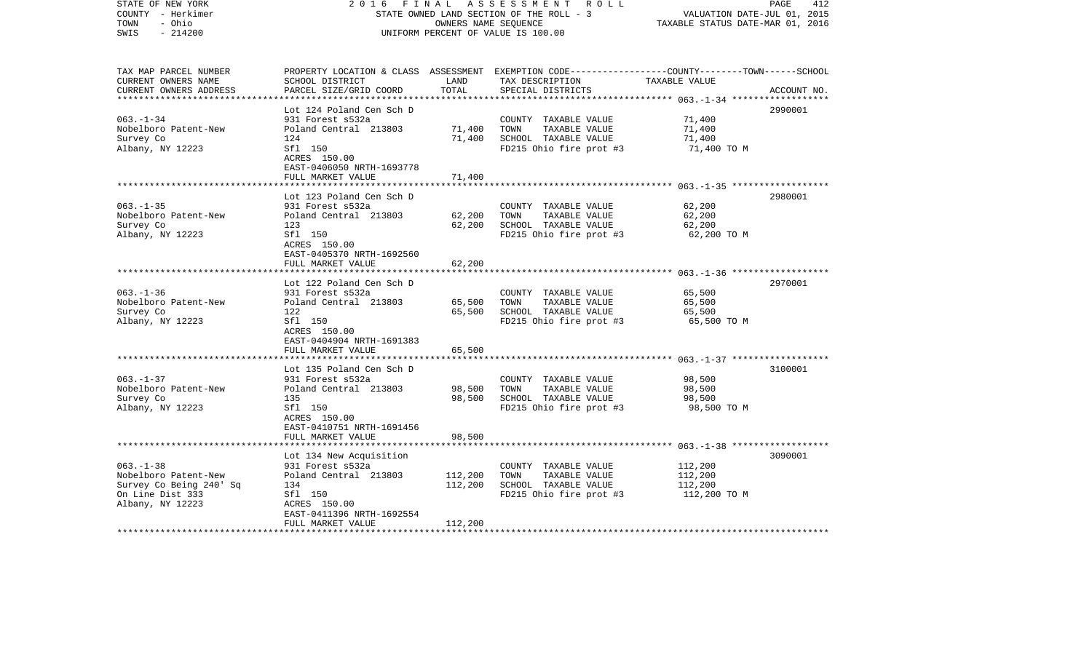| STATE OF NEW YORK<br>COUNTY - Herkimer<br>TOWN<br>- Ohio<br>$-214200$<br>SWIS | 2 0 1 6                                              | FINAL<br>OWNERS NAME SEQUENCE | A S S E S S M E N T R O L L<br>STATE OWNED LAND SECTION OF THE ROLL - 3<br>UNIFORM PERCENT OF VALUE IS 100.00                                        | VALUATION DATE-JUL 01, 2015<br>TAXABLE STATUS DATE-MAR 01, 2016 | 412<br>PAGE |
|-------------------------------------------------------------------------------|------------------------------------------------------|-------------------------------|------------------------------------------------------------------------------------------------------------------------------------------------------|-----------------------------------------------------------------|-------------|
| TAX MAP PARCEL NUMBER<br>CURRENT OWNERS NAME<br>CURRENT OWNERS ADDRESS        | SCHOOL DISTRICT<br>PARCEL SIZE/GRID COORD            | LAND<br>TOTAL                 | PROPERTY LOCATION & CLASS ASSESSMENT EXEMPTION CODE--------------COUNTY-------TOWN------SCHOOL<br>TAX DESCRIPTION TAXABLE VALUE<br>SPECIAL DISTRICTS |                                                                 | ACCOUNT NO. |
|                                                                               | Lot 124 Poland Cen Sch D                             |                               |                                                                                                                                                      |                                                                 | 2990001     |
| $063. - 1 - 34$                                                               | 931 Forest s532a                                     |                               | COUNTY TAXABLE VALUE                                                                                                                                 | 71,400                                                          |             |
| Nobelboro Patent-New                                                          | Poland Central 213803                                | 71,400                        | TOWN<br>TAXABLE VALUE                                                                                                                                | 71,400                                                          |             |
| Survey Co                                                                     | 124                                                  | 71,400                        | SCHOOL TAXABLE VALUE                                                                                                                                 | 71,400                                                          |             |
| Albany, NY 12223                                                              | Sfl 150<br>ACRES 150.00<br>EAST-0406050 NRTH-1693778 |                               | FD215 Ohio fire prot #3                                                                                                                              | 71,400 TO M                                                     |             |
|                                                                               | FULL MARKET VALUE                                    | 71,400                        |                                                                                                                                                      |                                                                 |             |
|                                                                               | Lot 123 Poland Cen Sch D                             |                               |                                                                                                                                                      |                                                                 | 2980001     |
| $063. -1 - 35$                                                                | 931 Forest s532a                                     |                               | COUNTY TAXABLE VALUE                                                                                                                                 | 62,200                                                          |             |
| Nobelboro Patent-New                                                          | Poland Central 213803                                | 62,200                        | TOWN<br>TAXABLE VALUE                                                                                                                                | 62,200                                                          |             |
| Survey Co                                                                     | 123                                                  | 62,200                        | SCHOOL TAXABLE VALUE                                                                                                                                 | 62,200                                                          |             |
| Albany, NY 12223                                                              | Sfl 150<br>ACRES 150.00<br>EAST-0405370 NRTH-1692560 |                               | FD215 Ohio fire prot #3                                                                                                                              | 62,200 TO M                                                     |             |
|                                                                               | FULL MARKET VALUE                                    | 62,200                        |                                                                                                                                                      |                                                                 |             |
|                                                                               |                                                      |                               |                                                                                                                                                      |                                                                 |             |
|                                                                               | Lot 122 Poland Cen Sch D                             |                               |                                                                                                                                                      |                                                                 | 2970001     |
| $063. -1 - 36$                                                                | 931 Forest s532a                                     |                               | COUNTY TAXABLE VALUE                                                                                                                                 | 65,500                                                          |             |
| Nobelboro Patent-New<br>Survey Co                                             | Poland Central 213803<br>122                         | 65,500<br>65,500              | TOWN<br>TAXABLE VALUE<br>SCHOOL TAXABLE VALUE                                                                                                        | 65,500<br>65,500                                                |             |
| Albany, NY 12223                                                              | Sfl 150                                              |                               | FD215 Ohio fire prot #3                                                                                                                              | 65,500 TO M                                                     |             |
|                                                                               | ACRES 150.00                                         |                               |                                                                                                                                                      |                                                                 |             |
|                                                                               | EAST-0404904 NRTH-1691383                            |                               |                                                                                                                                                      |                                                                 |             |
|                                                                               | FULL MARKET VALUE                                    | 65,500                        |                                                                                                                                                      |                                                                 |             |
|                                                                               |                                                      |                               |                                                                                                                                                      |                                                                 |             |
| $063. - 1 - 37$                                                               | Lot 135 Poland Cen Sch D<br>931 Forest s532a         |                               | COUNTY TAXABLE VALUE                                                                                                                                 | 98,500                                                          | 3100001     |
| Nobelboro Patent-New                                                          | Poland Central 213803                                | 98,500                        | TAXABLE VALUE<br>TOWN                                                                                                                                | 98,500                                                          |             |
| Survey Co                                                                     | 135                                                  | 98,500                        | SCHOOL TAXABLE VALUE                                                                                                                                 | 98,500                                                          |             |
| Albany, NY 12223                                                              | Sfl 150                                              |                               | FD215 Ohio fire prot #3                                                                                                                              | 98,500 TO M                                                     |             |
|                                                                               | ACRES 150.00                                         |                               |                                                                                                                                                      |                                                                 |             |
|                                                                               | EAST-0410751 NRTH-1691456                            |                               |                                                                                                                                                      |                                                                 |             |
|                                                                               | FULL MARKET VALUE                                    | 98,500                        |                                                                                                                                                      |                                                                 |             |
|                                                                               |                                                      |                               |                                                                                                                                                      |                                                                 | 3090001     |
| $063. -1 - 38$                                                                | Lot 134 New Acquisition<br>931 Forest s532a          |                               | COUNTY TAXABLE VALUE                                                                                                                                 | 112,200                                                         |             |
| Nobelboro Patent-New                                                          | Poland Central 213803                                | 112,200                       | TOWN<br>TAXABLE VALUE                                                                                                                                | 112,200                                                         |             |
| Survey Co Being 240' Sq                                                       | 134                                                  | 112,200                       | SCHOOL TAXABLE VALUE                                                                                                                                 | 112,200                                                         |             |
| On Line Dist 333                                                              | Sfl 150                                              |                               | FD215 Ohio fire prot #3                                                                                                                              | 112,200 TO M                                                    |             |
| Albany, NY 12223                                                              | ACRES 150.00                                         |                               |                                                                                                                                                      |                                                                 |             |
|                                                                               | EAST-0411396 NRTH-1692554                            |                               |                                                                                                                                                      |                                                                 |             |
|                                                                               | FULL MARKET VALUE                                    | 112,200                       |                                                                                                                                                      |                                                                 |             |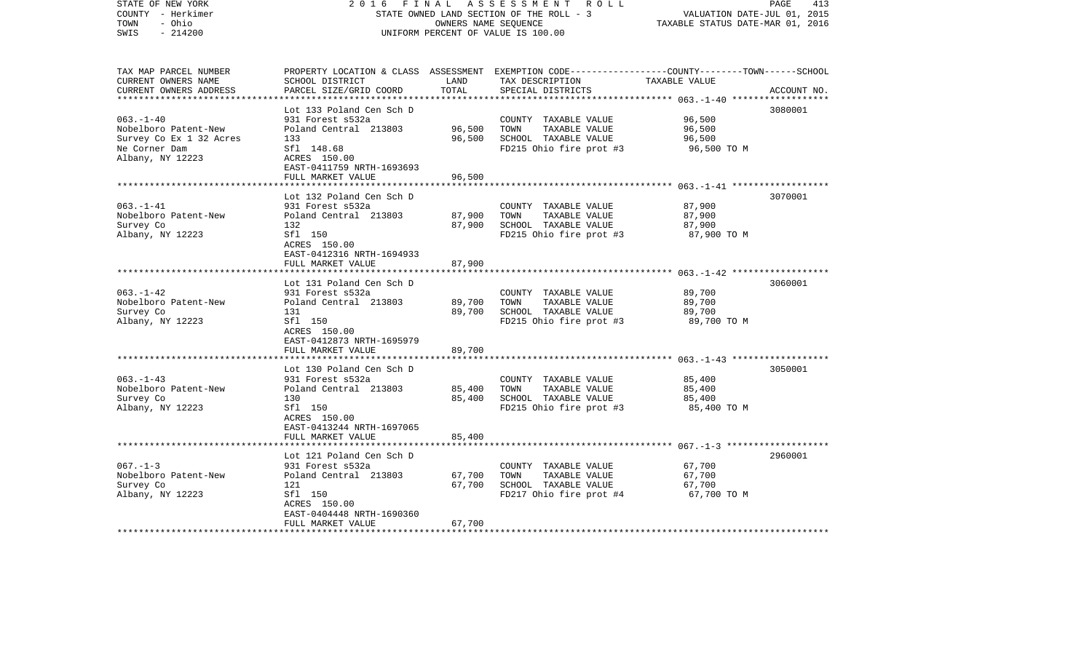| STATE OF NEW YORK<br>COUNTY - Herkimer<br>TOWN<br>- Ohio<br>$-214200$<br>SWIS | 2 0 1 6<br>FINAL                                        | OWNERS NAME SEQUENCE | A S S E S S M E N T R O L L<br>STATE OWNED LAND SECTION OF THE ROLL - 3<br>UNIFORM PERCENT OF VALUE IS 100.00                           | VALUATION DATE-JUL 01, 2015<br>TAXABLE STATUS DATE-MAR 01, 2016 | PAGE<br>413 |
|-------------------------------------------------------------------------------|---------------------------------------------------------|----------------------|-----------------------------------------------------------------------------------------------------------------------------------------|-----------------------------------------------------------------|-------------|
| TAX MAP PARCEL NUMBER<br>CURRENT OWNERS NAME<br>CURRENT OWNERS ADDRESS        | SCHOOL DISTRICT<br>PARCEL SIZE/GRID COORD               | LAND<br>TOTAL        | PROPERTY LOCATION & CLASS ASSESSMENT EXEMPTION CODE---------------COUNTY-------TOWN------SCHOOL<br>TAX DESCRIPTION<br>SPECIAL DISTRICTS | TAXABLE VALUE                                                   | ACCOUNT NO. |
|                                                                               | Lot 133 Poland Cen Sch D                                |                      |                                                                                                                                         |                                                                 | 3080001     |
| $063. -1 - 40$                                                                | 931 Forest s532a                                        |                      | COUNTY TAXABLE VALUE                                                                                                                    | 96,500                                                          |             |
| Nobelboro Patent-New                                                          | Poland Central 213803                                   | 96,500               | TOWN<br>TAXABLE VALUE                                                                                                                   | 96,500                                                          |             |
| Survey Co Ex 1 32 Acres                                                       | 133                                                     | 96,500               | SCHOOL TAXABLE VALUE                                                                                                                    | 96,500                                                          |             |
| Ne Corner Dam<br>Albany, NY 12223                                             | Sfl 148.68<br>ACRES 150.00<br>EAST-0411759 NRTH-1693693 |                      | FD215 Ohio fire prot #3                                                                                                                 | 96,500 TO M                                                     |             |
|                                                                               | FULL MARKET VALUE                                       | 96,500               |                                                                                                                                         |                                                                 |             |
|                                                                               | Lot 132 Poland Cen Sch D                                |                      |                                                                                                                                         |                                                                 | 3070001     |
| $063. -1 -41$                                                                 | 931 Forest s532a                                        |                      | COUNTY TAXABLE VALUE                                                                                                                    | 87,900                                                          |             |
| Nobelboro Patent-New                                                          | Poland Central 213803                                   | 87,900               | TOWN<br>TAXABLE VALUE                                                                                                                   | 87,900                                                          |             |
| Survey Co                                                                     | 132                                                     | 87,900               | SCHOOL TAXABLE VALUE                                                                                                                    | 87,900                                                          |             |
| Albany, NY 12223                                                              | Sfl 150<br>ACRES 150.00<br>EAST-0412316 NRTH-1694933    |                      | FD215 Ohio fire prot #3                                                                                                                 | 87,900 TO M                                                     |             |
|                                                                               | FULL MARKET VALUE                                       | 87,900               |                                                                                                                                         |                                                                 |             |
|                                                                               | Lot 131 Poland Cen Sch D                                |                      |                                                                                                                                         |                                                                 | 3060001     |
| $063. -1 - 42$                                                                | 931 Forest s532a                                        |                      | COUNTY TAXABLE VALUE                                                                                                                    | 89,700                                                          |             |
| Nobelboro Patent-New                                                          | Poland Central 213803                                   | 89,700               | TOWN<br>TAXABLE VALUE                                                                                                                   | 89,700                                                          |             |
| Survey Co                                                                     | 131                                                     | 89,700               | SCHOOL TAXABLE VALUE                                                                                                                    | 89,700                                                          |             |
| Albany, NY 12223                                                              | Sfl 150<br>ACRES 150.00<br>EAST-0412873 NRTH-1695979    |                      | FD215 Ohio fire prot #3                                                                                                                 | 89,700 TO M                                                     |             |
|                                                                               | FULL MARKET VALUE                                       | 89,700               |                                                                                                                                         |                                                                 |             |
|                                                                               | Lot 130 Poland Cen Sch D                                |                      |                                                                                                                                         |                                                                 | 3050001     |
| $063. -1 - 43$                                                                | 931 Forest s532a                                        |                      | COUNTY TAXABLE VALUE                                                                                                                    | 85,400                                                          |             |
| Nobelboro Patent-New                                                          | Poland Central 213803                                   | 85,400               | TOWN<br>TAXABLE VALUE                                                                                                                   | 85,400                                                          |             |
| Survey Co                                                                     | 130                                                     | 85,400               | SCHOOL TAXABLE VALUE                                                                                                                    | 85,400                                                          |             |
| Albany, NY 12223                                                              | Sfl 150<br>ACRES 150.00<br>EAST-0413244 NRTH-1697065    |                      | FD215 Ohio fire prot #3                                                                                                                 | 85,400 TO M                                                     |             |
|                                                                               | FULL MARKET VALUE                                       | 85,400               |                                                                                                                                         |                                                                 |             |
|                                                                               | Lot 121 Poland Cen Sch D                                |                      |                                                                                                                                         |                                                                 | 2960001     |
| $067. - 1 - 3$                                                                | 931 Forest s532a                                        |                      | COUNTY TAXABLE VALUE                                                                                                                    | 67,700                                                          |             |
| Nobelboro Patent-New                                                          | Poland Central 213803                                   | 67,700               | TAXABLE VALUE<br>TOWN                                                                                                                   | 67,700                                                          |             |
| Survey Co                                                                     | 121                                                     | 67,700               | SCHOOL TAXABLE VALUE                                                                                                                    | 67,700                                                          |             |
| Albany, NY 12223                                                              | Sfl 150                                                 |                      | FD217 Ohio fire prot #4                                                                                                                 | 67,700 TO M                                                     |             |
|                                                                               | ACRES 150.00                                            |                      |                                                                                                                                         |                                                                 |             |
|                                                                               | EAST-0404448 NRTH-1690360                               |                      |                                                                                                                                         |                                                                 |             |
| ************************                                                      | FULL MARKET VALUE                                       | 67,700               |                                                                                                                                         |                                                                 |             |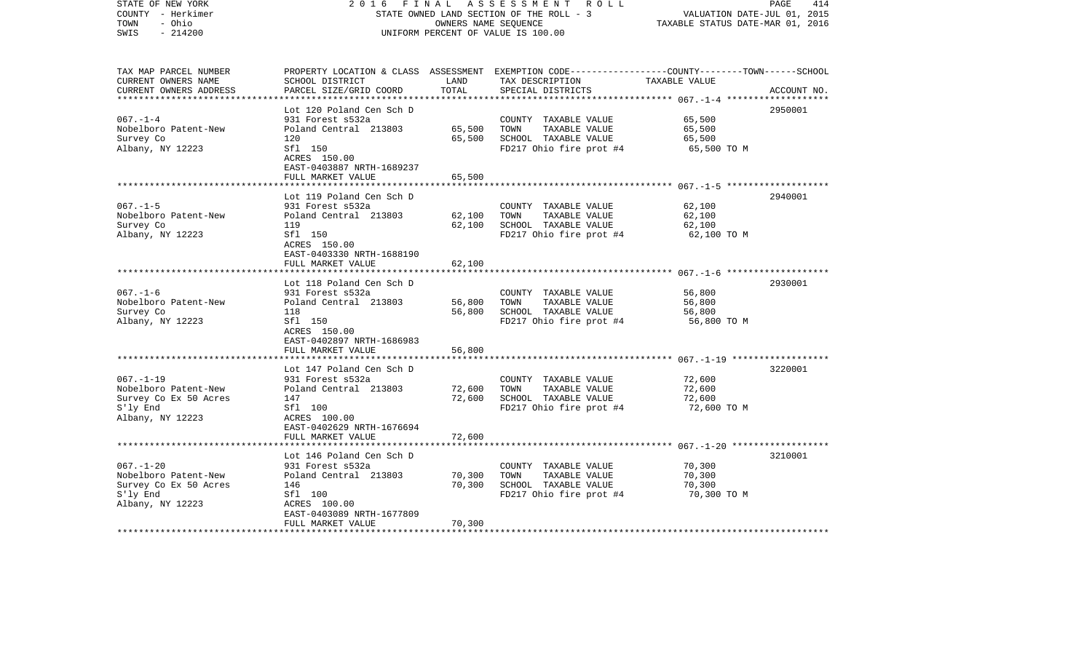| COUNTY<br>- Herkimer<br>TOWN<br>- Ohio<br>SWIS<br>$-214200$                                      |                                                                                                                                                           | OWNERS NAME SEQUENCE       | STATE OWNED LAND SECTION OF THE ROLL - 3<br>UNIFORM PERCENT OF VALUE IS 100.00                                                           | VALUATION DATE-JUL 01, 2015<br>TAXABLE STATUS DATE-MAR 01, 2016 |             |
|--------------------------------------------------------------------------------------------------|-----------------------------------------------------------------------------------------------------------------------------------------------------------|----------------------------|------------------------------------------------------------------------------------------------------------------------------------------|-----------------------------------------------------------------|-------------|
| TAX MAP PARCEL NUMBER<br>CURRENT OWNERS NAME<br>CURRENT OWNERS ADDRESS                           | SCHOOL DISTRICT<br>PARCEL SIZE/GRID COORD                                                                                                                 | LAND<br>TOTAL              | PROPERTY LOCATION & CLASS ASSESSMENT EXEMPTION CODE----------------COUNTY-------TOWN------SCHOOL<br>TAX DESCRIPTION<br>SPECIAL DISTRICTS | TAXABLE VALUE<br>********** 067.-1-4                            | ACCOUNT NO. |
| $067. - 1 - 4$<br>Nobelboro Patent-New<br>Survey Co<br>Albany, NY 12223                          | Lot 120 Poland Cen Sch D<br>931 Forest s532a<br>Poland Central 213803<br>120<br>Sfl 150<br>ACRES 150.00<br>EAST-0403887 NRTH-1689237<br>FULL MARKET VALUE | 65,500<br>65,500<br>65,500 | COUNTY TAXABLE VALUE<br>TAXABLE VALUE<br>TOWN<br>SCHOOL TAXABLE VALUE<br>FD217 Ohio fire prot #4                                         | 65,500<br>65,500<br>65,500<br>65,500 TO M                       | 2950001     |
|                                                                                                  |                                                                                                                                                           |                            |                                                                                                                                          |                                                                 |             |
| $067. - 1 - 5$<br>Nobelboro Patent-New<br>Survey Co<br>Albany, NY 12223                          | Lot 119 Poland Cen Sch D<br>931 Forest s532a<br>Poland Central 213803<br>119<br>Sfl 150<br>ACRES 150.00<br>EAST-0403330 NRTH-1688190                      | 62,100<br>62,100           | COUNTY TAXABLE VALUE<br>TOWN<br>TAXABLE VALUE<br>SCHOOL TAXABLE VALUE<br>FD217 Ohio fire prot #4                                         | 62,100<br>62,100<br>62,100<br>62,100 TO M                       | 2940001     |
|                                                                                                  | FULL MARKET VALUE<br>***************                                                                                                                      | 62,100                     |                                                                                                                                          |                                                                 |             |
| $067. - 1 - 6$<br>Nobelboro Patent-New<br>Survey Co<br>Albany, NY 12223                          | Lot 118 Poland Cen Sch D<br>931 Forest s532a<br>Poland Central 213803<br>118<br>Sfl 150<br>ACRES 150.00<br>EAST-0402897 NRTH-1686983                      | 56,800<br>56,800           | COUNTY TAXABLE VALUE<br>TOWN<br>TAXABLE VALUE<br>SCHOOL TAXABLE VALUE<br>FD217 Ohio fire prot #4                                         | 56,800<br>56,800<br>56,800<br>56,800 TO M                       | 2930001     |
|                                                                                                  | FULL MARKET VALUE                                                                                                                                         | 56,800                     |                                                                                                                                          | $067, -1 - 19$ *******************                              |             |
| $067. - 1 - 19$<br>Nobelboro Patent-New<br>Survey Co Ex 50 Acres<br>S'ly End<br>Albany, NY 12223 | Lot 147 Poland Cen Sch D<br>931 Forest s532a<br>Poland Central 213803<br>147<br>Sfl 100<br>ACRES 100.00<br>EAST-0402629 NRTH-1676694<br>FULL MARKET VALUE | 72,600<br>72,600<br>72,600 | COUNTY TAXABLE VALUE<br>TOWN<br>TAXABLE VALUE<br>SCHOOL TAXABLE VALUE<br>FD217 Ohio fire prot #4                                         | 72,600<br>72,600<br>72,600<br>72,600 TO M                       | 3220001     |
|                                                                                                  |                                                                                                                                                           |                            |                                                                                                                                          |                                                                 |             |
| $067. - 1 - 20$<br>Nobelboro Patent-New<br>Survey Co Ex 50 Acres<br>S'ly End<br>Albany, NY 12223 | Lot 146 Poland Cen Sch D<br>931 Forest s532a<br>Poland Central 213803<br>146<br>Sfl 100<br>ACRES 100.00<br>EAST-0403089 NRTH-1677809<br>FULL MARKET VALUE | 70,300<br>70,300<br>70,300 | COUNTY TAXABLE VALUE<br>TOWN<br>TAXABLE VALUE<br>SCHOOL TAXABLE VALUE<br>FD217 Ohio fire prot #4                                         | 70,300<br>70,300<br>70,300<br>70,300 TO M                       | 3210001     |
|                                                                                                  |                                                                                                                                                           |                            |                                                                                                                                          |                                                                 |             |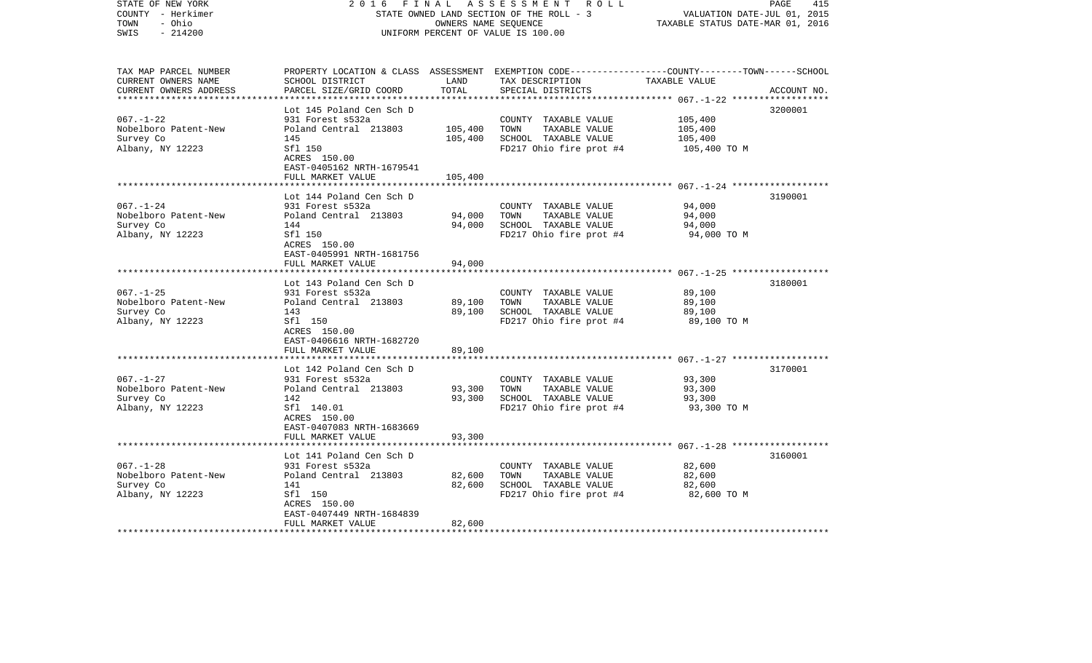| STATE OF NEW YORK<br>COUNTY - Herkimer<br>TOWN<br>- Ohio<br>$-214200$<br>SWIS | 2 0 1 6<br>FINAL                                        | OWNERS NAME SEQUENCE | A S S E S S M E N T R O L L<br>STATE OWNED LAND SECTION OF THE ROLL - 3<br>UNIFORM PERCENT OF VALUE IS 100.00                          | VALUATION DATE-JUL 01, 2015<br>TAXABLE STATUS DATE-MAR 01, 2016 | 415<br>PAGE |
|-------------------------------------------------------------------------------|---------------------------------------------------------|----------------------|----------------------------------------------------------------------------------------------------------------------------------------|-----------------------------------------------------------------|-------------|
| TAX MAP PARCEL NUMBER<br>CURRENT OWNERS NAME<br>CURRENT OWNERS ADDRESS        | SCHOOL DISTRICT<br>PARCEL SIZE/GRID COORD               | LAND<br>TOTAL        | PROPERTY LOCATION & CLASS ASSESSMENT EXEMPTION CODE---------------COUNTY-------TOWN-----SCHOOL<br>TAX DESCRIPTION<br>SPECIAL DISTRICTS | TAXABLE VALUE                                                   | ACCOUNT NO. |
|                                                                               | Lot 145 Poland Cen Sch D                                |                      |                                                                                                                                        |                                                                 | 3200001     |
| $067. - 1 - 22$                                                               | 931 Forest s532a                                        |                      | COUNTY TAXABLE VALUE                                                                                                                   | 105,400                                                         |             |
| Nobelboro Patent-New                                                          | Poland Central 213803                                   | 105,400              | TOWN<br>TAXABLE VALUE                                                                                                                  | 105,400                                                         |             |
| Survey Co                                                                     | 145                                                     | 105,400              | SCHOOL TAXABLE VALUE                                                                                                                   | 105,400                                                         |             |
| Albany, NY 12223                                                              | Sfl 150<br>ACRES 150.00<br>EAST-0405162 NRTH-1679541    |                      | FD217 Ohio fire prot #4                                                                                                                | 105,400 TO M                                                    |             |
|                                                                               | FULL MARKET VALUE                                       | 105,400              |                                                                                                                                        |                                                                 |             |
|                                                                               | Lot 144 Poland Cen Sch D                                |                      |                                                                                                                                        |                                                                 | 3190001     |
| $067. - 1 - 24$                                                               | 931 Forest s532a                                        |                      | COUNTY TAXABLE VALUE                                                                                                                   | 94,000                                                          |             |
| Nobelboro Patent-New                                                          | Poland Central 213803                                   | 94,000               | TAXABLE VALUE<br>TOWN                                                                                                                  | 94,000                                                          |             |
| Survey Co                                                                     | 144                                                     | 94,000               | SCHOOL TAXABLE VALUE                                                                                                                   | 94,000                                                          |             |
| Albany, NY 12223                                                              | Sfl 150<br>ACRES 150.00<br>EAST-0405991 NRTH-1681756    |                      | FD217 Ohio fire prot #4                                                                                                                | 94,000 TO M                                                     |             |
|                                                                               | FULL MARKET VALUE                                       | 94,000               |                                                                                                                                        |                                                                 |             |
|                                                                               | Lot 143 Poland Cen Sch D                                |                      |                                                                                                                                        |                                                                 | 3180001     |
| $067. - 1 - 25$                                                               | 931 Forest s532a                                        |                      | COUNTY TAXABLE VALUE                                                                                                                   | 89,100                                                          |             |
| Nobelboro Patent-New                                                          | Poland Central 213803                                   | 89,100               | TAXABLE VALUE<br>TOWN                                                                                                                  | 89,100                                                          |             |
| Survey Co                                                                     | 143                                                     | 89,100               | SCHOOL TAXABLE VALUE                                                                                                                   | 89,100                                                          |             |
| Albany, NY 12223                                                              | Sfl 150<br>ACRES 150.00<br>EAST-0406616 NRTH-1682720    |                      | FD217 Ohio fire prot #4                                                                                                                | 89,100 TO M                                                     |             |
|                                                                               | FULL MARKET VALUE                                       | 89,100               |                                                                                                                                        |                                                                 |             |
|                                                                               | Lot 142 Poland Cen Sch D                                |                      |                                                                                                                                        |                                                                 | 3170001     |
| $067. - 1 - 27$                                                               | 931 Forest s532a                                        |                      | COUNTY TAXABLE VALUE                                                                                                                   | 93,300                                                          |             |
| Nobelboro Patent-New                                                          | Poland Central 213803                                   | 93,300               | TOWN<br>TAXABLE VALUE                                                                                                                  | 93,300                                                          |             |
| Survey Co                                                                     | 142                                                     | 93,300               | SCHOOL TAXABLE VALUE                                                                                                                   | 93,300                                                          |             |
| Albany, NY 12223                                                              | Sfl 140.01<br>ACRES 150.00<br>EAST-0407083 NRTH-1683669 |                      | FD217 Ohio fire prot #4                                                                                                                | 93,300 TO M                                                     |             |
|                                                                               | FULL MARKET VALUE                                       | 93,300               |                                                                                                                                        |                                                                 |             |
|                                                                               | Lot 141 Poland Cen Sch D                                |                      |                                                                                                                                        |                                                                 | 3160001     |
| $067. - 1 - 28$                                                               | 931 Forest s532a                                        |                      | COUNTY TAXABLE VALUE                                                                                                                   | 82,600                                                          |             |
| Nobelboro Patent-New                                                          | Poland Central 213803                                   | 82,600               | TOWN<br>TAXABLE VALUE                                                                                                                  | 82,600                                                          |             |
| Survey Co                                                                     | 141                                                     | 82,600               | SCHOOL TAXABLE VALUE                                                                                                                   | 82,600                                                          |             |
| Albany, NY 12223                                                              | Sfl 150<br>ACRES 150.00                                 |                      | FD217 Ohio fire prot #4                                                                                                                | 82,600 TO M                                                     |             |
|                                                                               | EAST-0407449 NRTH-1684839<br>FULL MARKET VALUE          | 82,600               |                                                                                                                                        |                                                                 |             |
| **************************                                                    |                                                         |                      |                                                                                                                                        |                                                                 |             |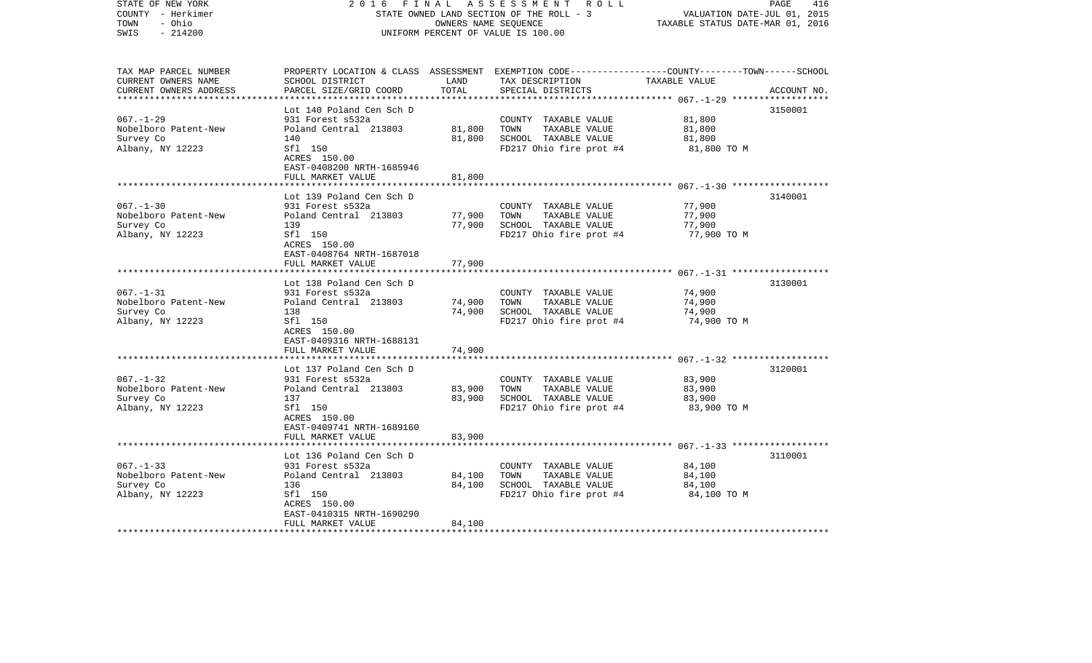| STATE OF NEW YORK<br>COUNTY - Herkimer<br>TOWN<br>- Ohio<br>$-214200$<br>SWIS | 2 0 1 6                                              | FINAL<br>OWNERS NAME SEQUENCE | A S S E S S M E N T R O L L<br>STATE OWNED LAND SECTION OF THE ROLL - 3<br>UNIFORM PERCENT OF VALUE IS 100.00                           | VALUATION DATE-JUL 01, 2015<br>TAXABLE STATUS DATE-MAR 01, 2016 | 416<br>PAGE |
|-------------------------------------------------------------------------------|------------------------------------------------------|-------------------------------|-----------------------------------------------------------------------------------------------------------------------------------------|-----------------------------------------------------------------|-------------|
| TAX MAP PARCEL NUMBER<br>CURRENT OWNERS NAME<br>CURRENT OWNERS ADDRESS        | SCHOOL DISTRICT<br>PARCEL SIZE/GRID COORD            | LAND<br>TOTAL                 | PROPERTY LOCATION & CLASS ASSESSMENT EXEMPTION CODE---------------COUNTY-------TOWN------SCHOOL<br>TAX DESCRIPTION<br>SPECIAL DISTRICTS | TAXABLE VALUE                                                   | ACCOUNT NO. |
|                                                                               | Lot 140 Poland Cen Sch D                             |                               |                                                                                                                                         |                                                                 | 3150001     |
| $067. - 1 - 29$                                                               | 931 Forest s532a                                     |                               | COUNTY TAXABLE VALUE                                                                                                                    | 81,800                                                          |             |
| Nobelboro Patent-New                                                          | Poland Central 213803                                | 81,800                        | TOWN<br>TAXABLE VALUE                                                                                                                   | 81,800                                                          |             |
| Survey Co                                                                     | 140                                                  | 81,800                        | SCHOOL TAXABLE VALUE                                                                                                                    | 81,800                                                          |             |
| Albany, NY 12223                                                              | Sfl 150<br>ACRES 150.00<br>EAST-0408200 NRTH-1685946 |                               | FD217 Ohio fire prot #4                                                                                                                 | 81,800 TO M                                                     |             |
|                                                                               | FULL MARKET VALUE                                    | 81,800                        |                                                                                                                                         |                                                                 |             |
|                                                                               | Lot 139 Poland Cen Sch D                             |                               |                                                                                                                                         |                                                                 | 3140001     |
| $067. - 1 - 30$                                                               | 931 Forest s532a                                     |                               | COUNTY TAXABLE VALUE                                                                                                                    | 77,900                                                          |             |
| Nobelboro Patent-New                                                          | Poland Central 213803                                | 77,900                        | TOWN<br>TAXABLE VALUE                                                                                                                   | 77,900                                                          |             |
| Survey Co                                                                     | 139                                                  | 77,900                        | SCHOOL TAXABLE VALUE                                                                                                                    | 77,900                                                          |             |
| Albany, NY 12223                                                              | Sfl 150<br>ACRES 150.00<br>EAST-0408764 NRTH-1687018 |                               | FD217 Ohio fire prot #4                                                                                                                 | 77,900 TO M                                                     |             |
|                                                                               | FULL MARKET VALUE                                    | 77,900                        |                                                                                                                                         |                                                                 |             |
|                                                                               | Lot 138 Poland Cen Sch D                             |                               |                                                                                                                                         |                                                                 | 3130001     |
| $067. - 1 - 31$                                                               | 931 Forest s532a                                     |                               | COUNTY TAXABLE VALUE                                                                                                                    | 74,900                                                          |             |
| Nobelboro Patent-New                                                          | Poland Central 213803                                | 74,900                        | TOWN<br>TAXABLE VALUE                                                                                                                   | 74,900                                                          |             |
| Survey Co                                                                     | 138                                                  | 74,900                        | SCHOOL TAXABLE VALUE                                                                                                                    | 74,900                                                          |             |
| Albany, NY 12223                                                              | Sfl 150<br>ACRES 150.00<br>EAST-0409316 NRTH-1688131 |                               | FD217 Ohio fire prot #4                                                                                                                 | 74,900 TO M                                                     |             |
|                                                                               | FULL MARKET VALUE                                    | 74,900                        |                                                                                                                                         |                                                                 |             |
|                                                                               | Lot 137 Poland Cen Sch D                             |                               |                                                                                                                                         |                                                                 | 3120001     |
| $067. - 1 - 32$                                                               | 931 Forest s532a                                     |                               | COUNTY TAXABLE VALUE                                                                                                                    | 83,900                                                          |             |
| Nobelboro Patent-New                                                          | Poland Central 213803                                | 83,900                        | TOWN<br>TAXABLE VALUE                                                                                                                   | 83,900                                                          |             |
| Survey Co                                                                     | 137                                                  | 83,900                        | SCHOOL TAXABLE VALUE                                                                                                                    | 83,900                                                          |             |
| Albany, NY 12223                                                              | Sfl 150<br>ACRES 150.00<br>EAST-0409741 NRTH-1689160 |                               | FD217 Ohio fire prot #4                                                                                                                 | 83,900 TO M                                                     |             |
|                                                                               | FULL MARKET VALUE                                    | 83,900                        |                                                                                                                                         |                                                                 |             |
|                                                                               | Lot 136 Poland Cen Sch D                             |                               |                                                                                                                                         |                                                                 | 3110001     |
| $067. - 1 - 33$                                                               | 931 Forest s532a                                     |                               | COUNTY TAXABLE VALUE                                                                                                                    | 84,100                                                          |             |
| Nobelboro Patent-New                                                          | Poland Central 213803                                | 84,100                        | TAXABLE VALUE<br>TOWN                                                                                                                   | 84,100                                                          |             |
| Survey Co                                                                     | 136                                                  | 84,100                        | SCHOOL TAXABLE VALUE                                                                                                                    | 84,100                                                          |             |
| Albany, NY 12223                                                              | Sfl 150                                              |                               | FD217 Ohio fire prot #4                                                                                                                 | 84,100 TO M                                                     |             |
|                                                                               | ACRES 150.00                                         |                               |                                                                                                                                         |                                                                 |             |
|                                                                               | EAST-0410315 NRTH-1690290                            |                               |                                                                                                                                         |                                                                 |             |
| ************************                                                      | FULL MARKET VALUE                                    | 84,100                        |                                                                                                                                         |                                                                 |             |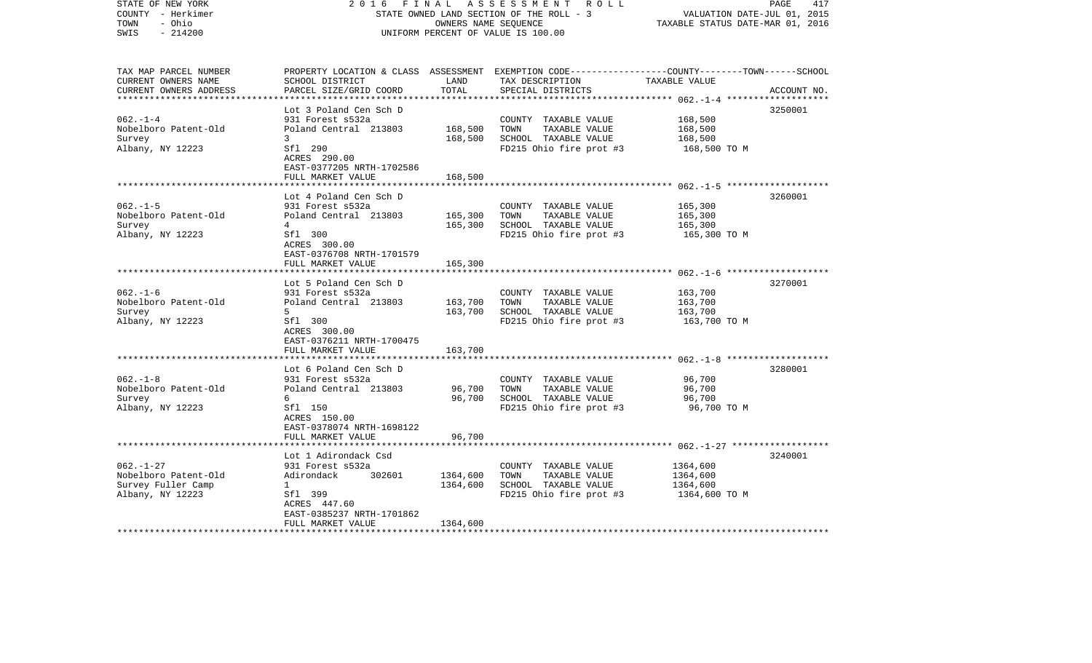| COUNTY - Herkimer<br>TOWN<br>- Ohio<br>SWIS<br>$-214200$                          |                                                                                                                    |                      | STATE OWNED LAND SECTION OF THE ROLL - 3<br>OWNERS NAME SEQUENCE<br>UNIFORM PERCENT OF VALUE IS 100.00 | VALUATION DATE-JUL 01, 2015<br>TAXABLE STATUS DATE-MAR 01, 2016 |             |
|-----------------------------------------------------------------------------------|--------------------------------------------------------------------------------------------------------------------|----------------------|--------------------------------------------------------------------------------------------------------|-----------------------------------------------------------------|-------------|
| TAX MAP PARCEL NUMBER<br>CURRENT OWNERS NAME                                      | PROPERTY LOCATION & CLASS ASSESSMENT EXEMPTION CODE---------------COUNTY-------TOWN------SCHOOL<br>SCHOOL DISTRICT | LAND<br>TOTAL        | TAX DESCRIPTION                                                                                        | TAXABLE VALUE                                                   |             |
| CURRENT OWNERS ADDRESS                                                            | PARCEL SIZE/GRID COORD                                                                                             |                      | SPECIAL DISTRICTS                                                                                      | ************* 062.-1-4 ***************                          | ACCOUNT NO. |
|                                                                                   | Lot 3 Poland Cen Sch D                                                                                             |                      |                                                                                                        |                                                                 | 3250001     |
| $062. -1 -4$<br>Nobelboro Patent-Old                                              | 931 Forest s532a<br>Poland Central 213803                                                                          | 168,500              | COUNTY TAXABLE VALUE<br>TAXABLE VALUE<br>TOWN                                                          | 168,500<br>168,500                                              |             |
| Survey<br>Albany, NY 12223                                                        | 3<br>Sfl 290<br>ACRES 290.00<br>EAST-0377205 NRTH-1702586                                                          | 168,500              | SCHOOL TAXABLE VALUE<br>FD215 Ohio fire prot #3                                                        | 168,500<br>168,500 TO M                                         |             |
|                                                                                   | FULL MARKET VALUE                                                                                                  | 168,500              |                                                                                                        |                                                                 |             |
|                                                                                   | Lot 4 Poland Cen Sch D                                                                                             |                      |                                                                                                        |                                                                 | 3260001     |
| $062. -1 - 5$<br>Nobelboro Patent-Old<br>Survey                                   | 931 Forest s532a<br>Poland Central 213803<br>4                                                                     | 165,300<br>165,300   | COUNTY TAXABLE VALUE<br>TAXABLE VALUE<br>TOWN<br>SCHOOL TAXABLE VALUE                                  | 165,300<br>165,300<br>165,300                                   |             |
| Albany, NY 12223                                                                  | Sfl 300<br>ACRES 300.00<br>EAST-0376708 NRTH-1701579                                                               |                      | FD215 Ohio fire prot #3                                                                                | 165,300 TO M                                                    |             |
|                                                                                   | FULL MARKET VALUE                                                                                                  | 165,300              |                                                                                                        |                                                                 |             |
|                                                                                   | Lot 5 Poland Cen Sch D                                                                                             |                      |                                                                                                        |                                                                 | 3270001     |
| $062. -1 - 6$                                                                     | 931 Forest s532a                                                                                                   |                      | COUNTY TAXABLE VALUE                                                                                   | 163,700                                                         |             |
| Nobelboro Patent-Old<br>Survey                                                    | Poland Central 213803<br>5                                                                                         | 163,700<br>163,700   | TOWN<br>TAXABLE VALUE<br>SCHOOL TAXABLE VALUE                                                          | 163,700<br>163,700                                              |             |
| Albany, NY 12223                                                                  | Sfl 300<br>ACRES 300.00<br>EAST-0376211 NRTH-1700475                                                               |                      | FD215 Ohio fire prot #3                                                                                | 163,700 TO M                                                    |             |
|                                                                                   | FULL MARKET VALUE                                                                                                  | 163,700              |                                                                                                        |                                                                 |             |
|                                                                                   | Lot 6 Poland Cen Sch D                                                                                             |                      |                                                                                                        |                                                                 | 3280001     |
| $062. -1 - 8$<br>Nobelboro Patent-Old<br>Survey<br>Albany, NY 12223               | 931 Forest s532a<br>Poland Central 213803<br>6<br>Sfl 150<br>ACRES 150.00                                          | 96,700<br>96,700     | COUNTY TAXABLE VALUE<br>TOWN<br>TAXABLE VALUE<br>SCHOOL TAXABLE VALUE<br>FD215 Ohio fire prot #3       | 96,700<br>96,700<br>96,700<br>96,700 TO M                       |             |
|                                                                                   | EAST-0378074 NRTH-1698122<br>FULL MARKET VALUE                                                                     | 96,700               |                                                                                                        |                                                                 |             |
|                                                                                   |                                                                                                                    |                      |                                                                                                        |                                                                 |             |
| $062. - 1 - 27$<br>Nobelboro Patent-Old<br>Survey Fuller Camp<br>Albany, NY 12223 | Lot 1 Adirondack Csd<br>931 Forest s532a<br>Adirondack<br>302601<br>$\mathbf{1}$<br>Sfl 399<br>ACRES 447.60        | 1364,600<br>1364,600 | COUNTY TAXABLE VALUE<br>TOWN<br>TAXABLE VALUE<br>SCHOOL TAXABLE VALUE<br>FD215 Ohio fire prot #3       | 1364,600<br>1364,600<br>1364,600<br>1364,600 ТО М               | 3240001     |
| ***********************                                                           | EAST-0385237 NRTH-1701862<br>FULL MARKET VALUE                                                                     | 1364,600             |                                                                                                        |                                                                 |             |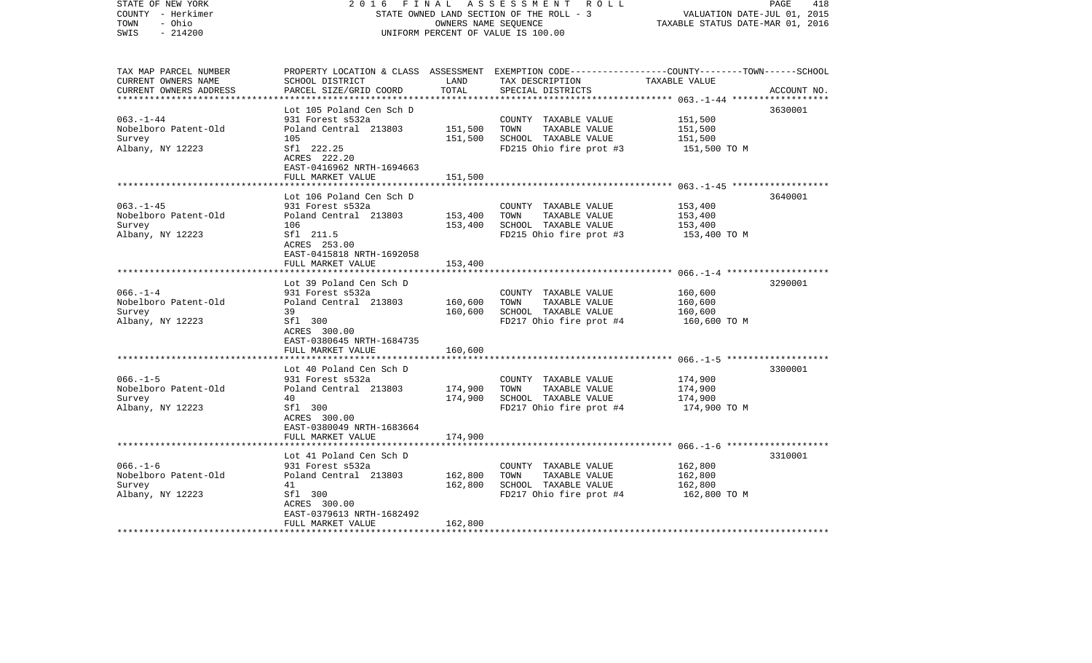| STATE OF NEW YORK<br>COUNTY - Herkimer<br>- Ohio<br>TOWN<br>$-214200$<br>SWIS | 2 0 1 6<br>FINAL                                        | OWNERS NAME SEQUENCE | A S S E S S M E N T R O L L<br>STATE OWNED LAND SECTION OF THE ROLL - 3<br>UNIFORM PERCENT OF VALUE IS 100.00                                        | VALUATION DATE-JUL 01, 2015<br>TAXABLE STATUS DATE-MAR 01, 2016 | PAGE<br>418 |
|-------------------------------------------------------------------------------|---------------------------------------------------------|----------------------|------------------------------------------------------------------------------------------------------------------------------------------------------|-----------------------------------------------------------------|-------------|
| TAX MAP PARCEL NUMBER<br>CURRENT OWNERS NAME<br>CURRENT OWNERS ADDRESS        | SCHOOL DISTRICT<br>PARCEL SIZE/GRID COORD               | LAND<br>TOTAL        | PROPERTY LOCATION & CLASS ASSESSMENT EXEMPTION CODE--------------COUNTY-------TOWN------SCHOOL<br>TAX DESCRIPTION TAXABLE VALUE<br>SPECIAL DISTRICTS |                                                                 | ACCOUNT NO. |
|                                                                               | Lot 105 Poland Cen Sch D                                |                      |                                                                                                                                                      |                                                                 | 3630001     |
| $063. - 1 - 44$                                                               | 931 Forest s532a                                        |                      | COUNTY TAXABLE VALUE                                                                                                                                 | 151,500                                                         |             |
| Nobelboro Patent-Old                                                          | Poland Central 213803                                   | 151,500              | TOWN<br>TAXABLE VALUE                                                                                                                                | 151,500                                                         |             |
| Survey                                                                        | 105                                                     | 151,500              | SCHOOL TAXABLE VALUE                                                                                                                                 | 151,500                                                         |             |
| Albany, NY 12223                                                              | Sfl 222.25<br>ACRES 222.20<br>EAST-0416962 NRTH-1694663 |                      | FD215 Ohio fire prot #3                                                                                                                              | 151,500 TO M                                                    |             |
|                                                                               | FULL MARKET VALUE                                       | 151,500              |                                                                                                                                                      |                                                                 |             |
|                                                                               | Lot 106 Poland Cen Sch D                                |                      |                                                                                                                                                      |                                                                 | 3640001     |
| $063 - 1 - 45$                                                                | 931 Forest s532a                                        |                      | COUNTY TAXABLE VALUE                                                                                                                                 | 153,400                                                         |             |
| Nobelboro Patent-Old                                                          | Poland Central 213803                                   | 153,400              | TOWN<br>TAXABLE VALUE                                                                                                                                | 153,400                                                         |             |
| Survey                                                                        | 106                                                     | 153,400              | SCHOOL TAXABLE VALUE                                                                                                                                 | 153,400                                                         |             |
| Albany, NY 12223                                                              | Sfl 211.5<br>ACRES 253.00<br>EAST-0415818 NRTH-1692058  |                      | FD215 Ohio fire prot #3                                                                                                                              | 153,400 TO M                                                    |             |
|                                                                               | FULL MARKET VALUE                                       | 153,400              |                                                                                                                                                      |                                                                 |             |
|                                                                               |                                                         |                      |                                                                                                                                                      |                                                                 |             |
|                                                                               | Lot 39 Poland Cen Sch D                                 |                      |                                                                                                                                                      |                                                                 | 3290001     |
| $066. - 1 - 4$<br>Nobelboro Patent-Old                                        | 931 Forest s532a<br>Poland Central 213803               | 160,600              | COUNTY TAXABLE VALUE<br>TOWN<br>TAXABLE VALUE                                                                                                        | 160,600<br>160,600                                              |             |
| Survey                                                                        | 39                                                      | 160,600              | SCHOOL TAXABLE VALUE                                                                                                                                 | 160,600                                                         |             |
| Albany, NY 12223                                                              | Sfl 300                                                 |                      | FD217 Ohio fire prot #4                                                                                                                              | 160,600 TO M                                                    |             |
|                                                                               | ACRES 300.00<br>EAST-0380645 NRTH-1684735               |                      |                                                                                                                                                      |                                                                 |             |
|                                                                               | FULL MARKET VALUE                                       | 160,600              |                                                                                                                                                      |                                                                 |             |
|                                                                               | Lot 40 Poland Cen Sch D                                 |                      |                                                                                                                                                      |                                                                 | 3300001     |
| $066. -1 - 5$                                                                 | 931 Forest s532a                                        |                      | COUNTY TAXABLE VALUE                                                                                                                                 | 174,900                                                         |             |
| Nobelboro Patent-Old                                                          | Poland Central 213803                                   | 174,900              | TAXABLE VALUE<br>TOWN                                                                                                                                | 174,900                                                         |             |
| Survey                                                                        | 40                                                      | 174,900              | SCHOOL TAXABLE VALUE                                                                                                                                 | 174,900                                                         |             |
| Albany, NY 12223                                                              | Sfl 300<br>ACRES 300.00<br>EAST-0380049 NRTH-1683664    |                      | FD217 Ohio fire prot #4                                                                                                                              | 174,900 TO M                                                    |             |
|                                                                               | FULL MARKET VALUE                                       | 174,900              |                                                                                                                                                      |                                                                 |             |
|                                                                               |                                                         |                      |                                                                                                                                                      |                                                                 |             |
| $066. - 1 - 6$                                                                | Lot 41 Poland Cen Sch D<br>931 Forest s532a             |                      | COUNTY TAXABLE VALUE                                                                                                                                 | 162,800                                                         | 3310001     |
| Nobelboro Patent-Old                                                          | Poland Central 213803                                   | 162,800              | TOWN<br>TAXABLE VALUE                                                                                                                                | 162,800                                                         |             |
| Survey                                                                        | 41                                                      | 162,800              | SCHOOL TAXABLE VALUE                                                                                                                                 | 162,800                                                         |             |
| Albany, NY 12223                                                              | Sfl 300                                                 |                      | FD217 Ohio fire prot #4                                                                                                                              | 162,800 TO M                                                    |             |
|                                                                               | ACRES 300.00                                            |                      |                                                                                                                                                      |                                                                 |             |
|                                                                               | EAST-0379613 NRTH-1682492                               |                      |                                                                                                                                                      |                                                                 |             |
|                                                                               | FULL MARKET VALUE                                       | 162,800              |                                                                                                                                                      |                                                                 |             |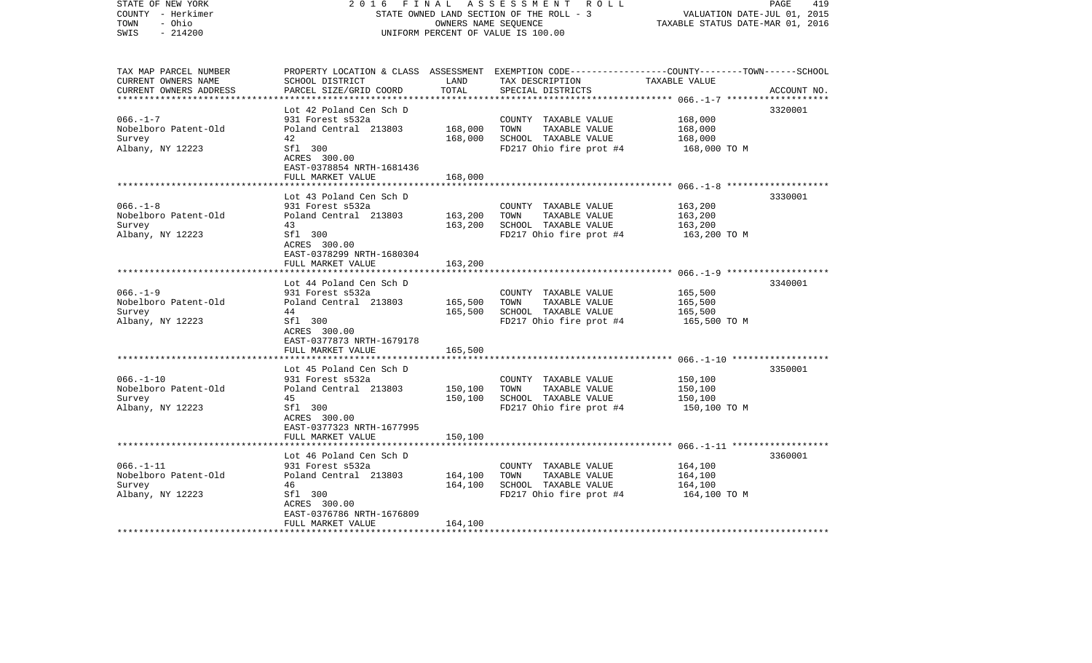| COUNTY - Herkimer<br>- Ohio<br>TOWN<br>$-214200$<br>SWIS               |                                                                                                                                                         |                               | STATE OWNED LAND SECTION OF THE ROLL - 3<br>OWNERS NAME SEOUENCE<br>UNIFORM PERCENT OF VALUE IS 100.00                                   | VALUATION DATE-JUL 01, 2015<br>TAXABLE STATUS DATE-MAR 01, 2016 |             |
|------------------------------------------------------------------------|---------------------------------------------------------------------------------------------------------------------------------------------------------|-------------------------------|------------------------------------------------------------------------------------------------------------------------------------------|-----------------------------------------------------------------|-------------|
| TAX MAP PARCEL NUMBER<br>CURRENT OWNERS NAME<br>CURRENT OWNERS ADDRESS | SCHOOL DISTRICT<br>PARCEL SIZE/GRID COORD                                                                                                               | LAND<br>TOTAL                 | PROPERTY LOCATION & CLASS ASSESSMENT EXEMPTION CODE----------------COUNTY-------TOWN------SCHOOL<br>TAX DESCRIPTION<br>SPECIAL DISTRICTS | TAXABLE VALUE                                                   | ACCOUNT NO. |
| **********************                                                 | ***************************                                                                                                                             |                               |                                                                                                                                          |                                                                 |             |
|                                                                        | Lot 42 Poland Cen Sch D                                                                                                                                 |                               |                                                                                                                                          |                                                                 | 3320001     |
| $066. -1 - 7$<br>Nobelboro Patent-Old                                  | 931 Forest s532a<br>Poland Central 213803                                                                                                               | 168,000                       | COUNTY TAXABLE VALUE<br>TAXABLE VALUE<br>TOWN                                                                                            | 168,000<br>168,000                                              |             |
| Survey                                                                 | 42                                                                                                                                                      | 168,000                       | SCHOOL TAXABLE VALUE                                                                                                                     | 168,000                                                         |             |
| Albany, NY 12223                                                       | Sfl 300<br>ACRES 300.00<br>EAST-0378854 NRTH-1681436                                                                                                    |                               | FD217 Ohio fire prot #4                                                                                                                  | 168,000 TO M                                                    |             |
|                                                                        | FULL MARKET VALUE                                                                                                                                       | 168,000                       |                                                                                                                                          |                                                                 |             |
|                                                                        | Lot 43 Poland Cen Sch D                                                                                                                                 |                               |                                                                                                                                          |                                                                 | 3330001     |
| $066. -1 - 8$<br>Nobelboro Patent-Old<br>Survey                        | 931 Forest s532a<br>Poland Central 213803<br>43                                                                                                         | 163,200<br>163,200            | COUNTY TAXABLE VALUE<br>TAXABLE VALUE<br>TOWN<br>SCHOOL TAXABLE VALUE                                                                    | 163,200<br>163,200<br>163,200                                   |             |
| Albany, NY 12223                                                       | Sfl 300<br>ACRES 300.00<br>EAST-0378299 NRTH-1680304                                                                                                    |                               | FD217 Ohio fire prot #4                                                                                                                  | 163,200 TO M                                                    |             |
|                                                                        | FULL MARKET VALUE<br>* * * * * * * * * * * * * * * * *                                                                                                  | 163,200                       |                                                                                                                                          |                                                                 |             |
|                                                                        | Lot 44 Poland Cen Sch D                                                                                                                                 |                               |                                                                                                                                          |                                                                 | 3340001     |
| $066. -1 - 9$<br>Nobelboro Patent-Old<br>Survey<br>Albany, NY 12223    | 931 Forest s532a<br>Poland Central 213803<br>44<br>Sfl 300<br>ACRES 300.00<br>EAST-0377873 NRTH-1679178                                                 | 165,500<br>165,500            | COUNTY TAXABLE VALUE<br>TAXABLE VALUE<br>TOWN<br>SCHOOL TAXABLE VALUE<br>FD217 Ohio fire prot #4                                         | 165,500<br>165,500<br>165,500<br>165,500 TO M                   |             |
|                                                                        | FULL MARKET VALUE                                                                                                                                       | 165,500                       |                                                                                                                                          |                                                                 |             |
|                                                                        | Lot 45 Poland Cen Sch D                                                                                                                                 |                               |                                                                                                                                          |                                                                 | 3350001     |
| $066. - 1 - 10$<br>Nobelboro Patent-Old<br>Survey<br>Albany, NY 12223  | 931 Forest s532a<br>Poland Central 213803<br>45<br>Sfl 300<br>ACRES 300.00<br>EAST-0377323 NRTH-1677995<br>FULL MARKET VALUE                            | 150,100<br>150,100<br>150,100 | COUNTY TAXABLE VALUE<br>TAXABLE VALUE<br>TOWN<br>SCHOOL TAXABLE VALUE<br>FD217 Ohio fire prot #4                                         | 150,100<br>150,100<br>150,100<br>150,100 TO M                   |             |
|                                                                        |                                                                                                                                                         |                               |                                                                                                                                          |                                                                 |             |
| $066. - 1 - 11$<br>Nobelboro Patent-Old<br>Survey<br>Albany, NY 12223  | Lot 46 Poland Cen Sch D<br>931 Forest s532a<br>Poland Central 213803<br>46<br>Sfl 300<br>ACRES 300.00<br>EAST-0376786 NRTH-1676809<br>FULL MARKET VALUE | 164,100<br>164,100<br>164,100 | COUNTY TAXABLE VALUE<br>TAXABLE VALUE<br>TOWN<br>SCHOOL TAXABLE VALUE<br>FD217 Ohio fire prot #4                                         | 164,100<br>164,100<br>164,100<br>164,100 TO M                   | 3360001     |
| ***********************                                                |                                                                                                                                                         |                               |                                                                                                                                          |                                                                 |             |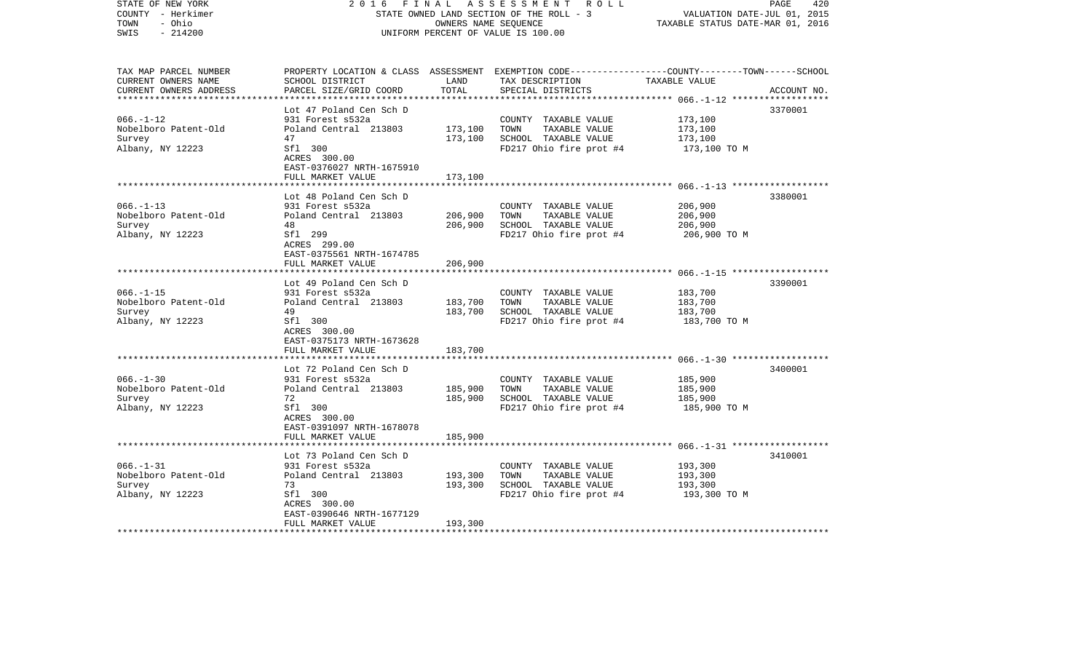| STATE OF NEW YORK<br>COUNTY - Herkimer<br>- Ohio<br>TOWN<br>$-214200$<br>SWIS | 2 0 1 6<br>FINAL                                     | OWNERS NAME SEQUENCE | A S S E S S M E N T R O L L<br>STATE OWNED LAND SECTION OF THE ROLL - 3<br>UNIFORM PERCENT OF VALUE IS 100.00                                        | VALUATION DATE-JUL 01, 2015<br>TAXABLE STATUS DATE-MAR 01, 2016 | 420<br>PAGE |
|-------------------------------------------------------------------------------|------------------------------------------------------|----------------------|------------------------------------------------------------------------------------------------------------------------------------------------------|-----------------------------------------------------------------|-------------|
| TAX MAP PARCEL NUMBER<br>CURRENT OWNERS NAME<br>CURRENT OWNERS ADDRESS        | SCHOOL DISTRICT<br>PARCEL SIZE/GRID COORD            | LAND<br>TOTAL        | PROPERTY LOCATION & CLASS ASSESSMENT EXEMPTION CODE--------------COUNTY-------TOWN------SCHOOL<br>TAX DESCRIPTION TAXABLE VALUE<br>SPECIAL DISTRICTS |                                                                 | ACCOUNT NO. |
|                                                                               |                                                      |                      |                                                                                                                                                      |                                                                 |             |
| $066. - 1 - 12$                                                               | Lot 47 Poland Cen Sch D<br>931 Forest s532a          |                      | COUNTY TAXABLE VALUE                                                                                                                                 | 173,100                                                         | 3370001     |
| Nobelboro Patent-Old                                                          | Poland Central 213803                                | 173,100              | TAXABLE VALUE<br>TOWN                                                                                                                                | 173,100                                                         |             |
| Survey                                                                        | 47                                                   | 173,100              | SCHOOL TAXABLE VALUE                                                                                                                                 | 173,100                                                         |             |
| Albany, NY 12223                                                              | Sfl 300<br>ACRES 300.00<br>EAST-0376027 NRTH-1675910 |                      | FD217 Ohio fire prot #4                                                                                                                              | 173,100 TO M                                                    |             |
|                                                                               | FULL MARKET VALUE                                    | 173,100              |                                                                                                                                                      |                                                                 |             |
|                                                                               | Lot 48 Poland Cen Sch D                              |                      |                                                                                                                                                      |                                                                 | 3380001     |
| $066. - 1 - 13$                                                               | 931 Forest s532a                                     |                      | COUNTY TAXABLE VALUE                                                                                                                                 | 206,900                                                         |             |
| Nobelboro Patent-Old                                                          | Poland Central 213803                                | 206,900              | TOWN<br>TAXABLE VALUE                                                                                                                                | 206,900                                                         |             |
| Survey                                                                        | 48                                                   | 206,900              | SCHOOL TAXABLE VALUE                                                                                                                                 | 206,900                                                         |             |
| Albany, NY 12223                                                              | Sfl 299<br>ACRES 299.00<br>EAST-0375561 NRTH-1674785 |                      | FD217 Ohio fire prot #4                                                                                                                              | 206,900 ТО М                                                    |             |
|                                                                               | FULL MARKET VALUE                                    | 206,900              |                                                                                                                                                      |                                                                 |             |
|                                                                               |                                                      |                      |                                                                                                                                                      |                                                                 |             |
| $066. - 1 - 15$                                                               | Lot 49 Poland Cen Sch D<br>931 Forest s532a          |                      | COUNTY TAXABLE VALUE                                                                                                                                 | 183,700                                                         | 3390001     |
| Nobelboro Patent-Old                                                          | Poland Central 213803                                | 183,700              | TOWN<br>TAXABLE VALUE                                                                                                                                | 183,700                                                         |             |
| Survey                                                                        | 49                                                   | 183,700              | SCHOOL TAXABLE VALUE                                                                                                                                 | 183,700                                                         |             |
| Albany, NY 12223                                                              | Sfl 300<br>ACRES 300.00<br>EAST-0375173 NRTH-1673628 |                      | FD217 Ohio fire prot #4                                                                                                                              | 183,700 TO M                                                    |             |
|                                                                               | FULL MARKET VALUE                                    | 183,700              |                                                                                                                                                      |                                                                 |             |
|                                                                               |                                                      |                      |                                                                                                                                                      |                                                                 |             |
|                                                                               | Lot 72 Poland Cen Sch D                              |                      |                                                                                                                                                      |                                                                 | 3400001     |
| $066. - 1 - 30$                                                               | 931 Forest s532a                                     |                      | COUNTY TAXABLE VALUE                                                                                                                                 | 185,900                                                         |             |
| Nobelboro Patent-Old                                                          | Poland Central 213803                                | 185,900              | TAXABLE VALUE<br>TOWN                                                                                                                                | 185,900                                                         |             |
| Survey<br>Albany, NY 12223                                                    | 72<br>Sfl 300                                        | 185,900              | SCHOOL TAXABLE VALUE<br>FD217 Ohio fire prot #4                                                                                                      | 185,900<br>185,900 TO M                                         |             |
|                                                                               | ACRES 300.00<br>EAST-0391097 NRTH-1678078            |                      |                                                                                                                                                      |                                                                 |             |
|                                                                               | FULL MARKET VALUE                                    | 185,900              |                                                                                                                                                      |                                                                 |             |
|                                                                               | Lot 73 Poland Cen Sch D                              |                      |                                                                                                                                                      |                                                                 | 3410001     |
| $066. - 1 - 31$                                                               | 931 Forest s532a                                     |                      | COUNTY TAXABLE VALUE                                                                                                                                 | 193,300                                                         |             |
| Nobelboro Patent-Old                                                          | Poland Central 213803                                | 193,300              | TOWN<br>TAXABLE VALUE                                                                                                                                | 193,300                                                         |             |
| Survey                                                                        | 73                                                   | 193,300              | SCHOOL TAXABLE VALUE                                                                                                                                 | 193,300                                                         |             |
| Albany, NY 12223                                                              | Sfl 300                                              |                      | FD217 Ohio fire prot #4                                                                                                                              | 193,300 ТО М                                                    |             |
|                                                                               | ACRES 300.00                                         |                      |                                                                                                                                                      |                                                                 |             |
|                                                                               | EAST-0390646 NRTH-1677129                            | 193,300              |                                                                                                                                                      |                                                                 |             |
| **************************                                                    | FULL MARKET VALUE                                    |                      |                                                                                                                                                      |                                                                 |             |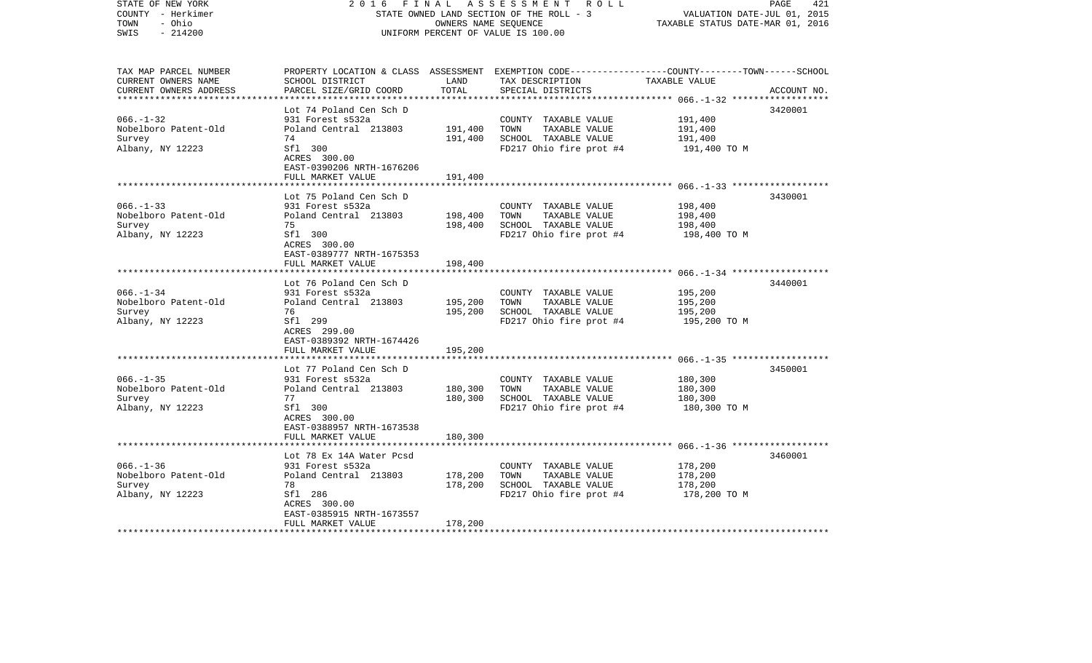| STATE OF NEW YORK<br>COUNTY - Herkimer<br>- Ohio<br>TOWN<br>$-214200$<br>SWIS | 2 0 1 6<br>FINAL                                               | OWNERS NAME SEQUENCE | A S S E S S M E N T R O L L<br>STATE OWNED LAND SECTION OF THE ROLL - 3<br>UNIFORM PERCENT OF VALUE IS 100.00                                         | VALUATION DATE-JUL 01, 2015<br>TAXABLE STATUS DATE-MAR 01, 2016 | 421<br>PAGE |
|-------------------------------------------------------------------------------|----------------------------------------------------------------|----------------------|-------------------------------------------------------------------------------------------------------------------------------------------------------|-----------------------------------------------------------------|-------------|
| TAX MAP PARCEL NUMBER<br>CURRENT OWNERS NAME<br>CURRENT OWNERS ADDRESS        | SCHOOL DISTRICT<br>PARCEL SIZE/GRID COORD                      | LAND<br>TOTAL        | PROPERTY LOCATION & CLASS ASSESSMENT EXEMPTION CODE---------------COUNTY-------TOWN------SCHOOL<br>TAX DESCRIPTION TAXABLE VALUE<br>SPECIAL DISTRICTS |                                                                 | ACCOUNT NO. |
|                                                                               |                                                                |                      |                                                                                                                                                       |                                                                 |             |
| $066. - 1 - 32$                                                               | Lot 74 Poland Cen Sch D                                        |                      |                                                                                                                                                       |                                                                 | 3420001     |
| Nobelboro Patent-Old                                                          | 931 Forest s532a<br>Poland Central 213803                      | 191,400              | COUNTY TAXABLE VALUE<br>TOWN<br>TAXABLE VALUE                                                                                                         | 191,400<br>191,400                                              |             |
| Survey                                                                        | 74                                                             | 191,400              | SCHOOL TAXABLE VALUE                                                                                                                                  | 191,400                                                         |             |
| Albany, NY 12223                                                              | Sfl 300<br>ACRES 300.00<br>EAST-0390206 NRTH-1676206           |                      | FD217 Ohio fire prot #4                                                                                                                               | 191,400 TO M                                                    |             |
|                                                                               | FULL MARKET VALUE                                              | 191,400              |                                                                                                                                                       |                                                                 |             |
|                                                                               | Lot 75 Poland Cen Sch D                                        |                      |                                                                                                                                                       |                                                                 | 3430001     |
| $066. -1 - 33$                                                                | 931 Forest s532a                                               |                      | COUNTY TAXABLE VALUE                                                                                                                                  | 198,400                                                         |             |
| Nobelboro Patent-Old                                                          | Poland Central 213803                                          | 198,400              | TOWN<br>TAXABLE VALUE                                                                                                                                 | 198,400                                                         |             |
| Survey                                                                        | 75                                                             | 198,400              | SCHOOL TAXABLE VALUE                                                                                                                                  | 198,400                                                         |             |
| Albany, NY 12223                                                              | Sfl 300<br>ACRES 300.00<br>EAST-0389777 NRTH-1675353           |                      | FD217 Ohio fire prot #4                                                                                                                               | 198,400 TO M                                                    |             |
|                                                                               | FULL MARKET VALUE                                              | 198,400              |                                                                                                                                                       |                                                                 |             |
|                                                                               | Lot 76 Poland Cen Sch D                                        |                      |                                                                                                                                                       |                                                                 | 3440001     |
| $066. -1 - 34$                                                                | 931 Forest s532a                                               |                      | COUNTY TAXABLE VALUE                                                                                                                                  | 195,200                                                         |             |
| Nobelboro Patent-Old                                                          | Poland Central 213803                                          | 195,200              | TOWN<br>TAXABLE VALUE                                                                                                                                 | 195,200                                                         |             |
| Survey                                                                        | 76                                                             | 195,200              | SCHOOL TAXABLE VALUE                                                                                                                                  | 195,200                                                         |             |
| Albany, NY 12223                                                              | Sfl 299<br>ACRES 299.00<br>EAST-0389392 NRTH-1674426           |                      | FD217 Ohio fire prot #4                                                                                                                               | 195,200 TO M                                                    |             |
|                                                                               | FULL MARKET VALUE                                              | 195,200              |                                                                                                                                                       |                                                                 |             |
|                                                                               | Lot 77 Poland Cen Sch D                                        |                      |                                                                                                                                                       |                                                                 | 3450001     |
| $066. -1 - 35$                                                                | 931 Forest s532a                                               |                      | COUNTY TAXABLE VALUE                                                                                                                                  | 180,300                                                         |             |
| Nobelboro Patent-Old                                                          | Poland Central 213803                                          | 180,300              | TOWN<br>TAXABLE VALUE                                                                                                                                 | 180,300                                                         |             |
| Survey                                                                        | 77                                                             | 180,300              | SCHOOL TAXABLE VALUE                                                                                                                                  | 180,300                                                         |             |
| Albany, NY 12223                                                              | Sfl 300<br>ACRES 300.00<br>EAST-0388957 NRTH-1673538           |                      | FD217 Ohio fire prot #4                                                                                                                               | 180,300 TO M                                                    |             |
|                                                                               | FULL MARKET VALUE                                              | 180,300              |                                                                                                                                                       |                                                                 |             |
|                                                                               | Lot 78 Ex 14A Water Pcsd                                       |                      |                                                                                                                                                       |                                                                 | 3460001     |
| $066. - 1 - 36$                                                               | 931 Forest s532a                                               |                      | COUNTY TAXABLE VALUE                                                                                                                                  | 178,200                                                         |             |
| Nobelboro Patent-Old                                                          | Poland Central 213803                                          | 178,200              | TOWN<br>TAXABLE VALUE                                                                                                                                 | 178,200                                                         |             |
| Survey                                                                        | 78                                                             | 178,200              | SCHOOL TAXABLE VALUE                                                                                                                                  | 178,200                                                         |             |
| Albany, NY 12223                                                              | Sfl 286                                                        |                      | FD217 Ohio fire prot #4                                                                                                                               | 178,200 TO M                                                    |             |
|                                                                               | ACRES 300.00<br>EAST-0385915 NRTH-1673557<br>FULL MARKET VALUE | 178,200              |                                                                                                                                                       |                                                                 |             |
|                                                                               |                                                                |                      |                                                                                                                                                       |                                                                 |             |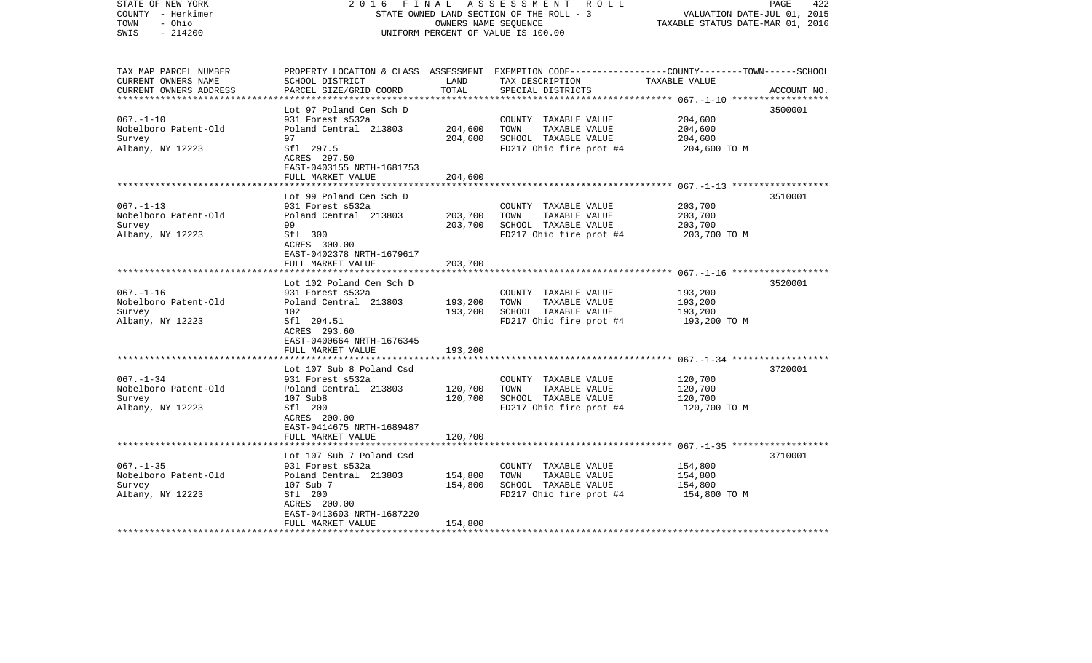| STATE OF NEW YORK<br>COUNTY - Herkimer<br>- Ohio<br>TOWN<br>$-214200$<br>SWIS | 2 0 1 6                                                                     | FINAL<br>OWNERS NAME SEQUENCE | A S S E S S M E N T R O L L<br>STATE OWNED LAND SECTION OF THE ROLL - 3<br>UNIFORM PERCENT OF VALUE IS 100.00                           | VALUATION DATE-JUL 01, 2015<br>TAXABLE STATUS DATE-MAR 01, 2016 | 422<br>PAGE |
|-------------------------------------------------------------------------------|-----------------------------------------------------------------------------|-------------------------------|-----------------------------------------------------------------------------------------------------------------------------------------|-----------------------------------------------------------------|-------------|
| TAX MAP PARCEL NUMBER<br>CURRENT OWNERS NAME<br>CURRENT OWNERS ADDRESS        | SCHOOL DISTRICT<br>PARCEL SIZE/GRID COORD                                   | LAND<br>TOTAL                 | PROPERTY LOCATION & CLASS ASSESSMENT EXEMPTION CODE---------------COUNTY-------TOWN------SCHOOL<br>TAX DESCRIPTION<br>SPECIAL DISTRICTS | TAXABLE VALUE                                                   | ACCOUNT NO. |
|                                                                               | Lot 97 Poland Cen Sch D                                                     |                               |                                                                                                                                         |                                                                 | 3500001     |
| $067. - 1 - 10$                                                               | 931 Forest s532a                                                            |                               | COUNTY TAXABLE VALUE                                                                                                                    | 204,600                                                         |             |
| Nobelboro Patent-Old                                                          | Poland Central 213803                                                       | 204,600                       | TOWN<br>TAXABLE VALUE                                                                                                                   | 204,600                                                         |             |
| Survey                                                                        | 97                                                                          | 204,600                       | SCHOOL TAXABLE VALUE                                                                                                                    | 204,600                                                         |             |
| Albany, NY 12223                                                              | Sfl 297.5<br>ACRES 297.50<br>EAST-0403155 NRTH-1681753<br>FULL MARKET VALUE | 204,600                       | FD217 Ohio fire prot #4                                                                                                                 | 204,600 TO M                                                    |             |
|                                                                               |                                                                             |                               |                                                                                                                                         |                                                                 |             |
|                                                                               | Lot 99 Poland Cen Sch D                                                     |                               |                                                                                                                                         |                                                                 | 3510001     |
| $067. - 1 - 13$                                                               | 931 Forest s532a                                                            |                               | COUNTY TAXABLE VALUE                                                                                                                    | 203,700                                                         |             |
| Nobelboro Patent-Old                                                          | Poland Central 213803                                                       | 203,700                       | TOWN<br>TAXABLE VALUE                                                                                                                   | 203,700                                                         |             |
| Survey                                                                        | 99                                                                          | 203,700                       | SCHOOL TAXABLE VALUE                                                                                                                    | 203,700                                                         |             |
| Albany, NY 12223                                                              | Sfl 300<br>ACRES 300.00<br>EAST-0402378 NRTH-1679617                        |                               | FD217 Ohio fire prot #4                                                                                                                 | 203,700 TO M                                                    |             |
|                                                                               | FULL MARKET VALUE                                                           | 203,700                       |                                                                                                                                         |                                                                 |             |
|                                                                               | Lot 102 Poland Cen Sch D                                                    |                               |                                                                                                                                         |                                                                 | 3520001     |
| $067. - 1 - 16$                                                               | 931 Forest s532a                                                            |                               | COUNTY TAXABLE VALUE                                                                                                                    | 193,200                                                         |             |
| Nobelboro Patent-Old                                                          | Poland Central 213803                                                       | 193,200                       | TAXABLE VALUE<br>TOWN                                                                                                                   | 193,200                                                         |             |
| Survey                                                                        | 102                                                                         | 193,200                       | SCHOOL TAXABLE VALUE                                                                                                                    | 193,200                                                         |             |
| Albany, NY 12223                                                              | Sfl 294.51<br>ACRES 293.60<br>EAST-0400664 NRTH-1676345                     |                               | FD217 Ohio fire prot #4                                                                                                                 | 193,200 TO M                                                    |             |
|                                                                               | FULL MARKET VALUE                                                           | 193,200                       |                                                                                                                                         |                                                                 |             |
|                                                                               |                                                                             |                               |                                                                                                                                         |                                                                 |             |
| $067. - 1 - 34$                                                               | Lot 107 Sub 8 Poland Csd<br>931 Forest s532a                                |                               | COUNTY TAXABLE VALUE                                                                                                                    | 120,700                                                         | 3720001     |
| Nobelboro Patent-Old                                                          | Poland Central 213803                                                       | 120,700                       | TAXABLE VALUE<br>TOWN                                                                                                                   | 120,700                                                         |             |
| Survey                                                                        | 107 Sub8                                                                    | 120,700                       | SCHOOL TAXABLE VALUE                                                                                                                    | 120,700                                                         |             |
| Albany, NY 12223                                                              | Sfl 200<br>ACRES 200.00<br>EAST-0414675 NRTH-1689487                        |                               | FD217 Ohio fire prot #4                                                                                                                 | 120,700 TO M                                                    |             |
|                                                                               | FULL MARKET VALUE                                                           | 120,700                       |                                                                                                                                         |                                                                 |             |
|                                                                               |                                                                             |                               |                                                                                                                                         |                                                                 |             |
|                                                                               | Lot 107 Sub 7 Poland Csd                                                    |                               |                                                                                                                                         |                                                                 | 3710001     |
| $067. - 1 - 35$                                                               | 931 Forest s532a                                                            |                               | COUNTY TAXABLE VALUE                                                                                                                    | 154,800                                                         |             |
| Nobelboro Patent-Old<br>Survey                                                | Poland Central 213803<br>107 Sub 7                                          | 154,800<br>154,800            | TOWN<br>TAXABLE VALUE<br>SCHOOL TAXABLE VALUE                                                                                           | 154,800<br>154,800                                              |             |
| Albany, NY 12223                                                              | Sfl 200                                                                     |                               | FD217 Ohio fire prot #4                                                                                                                 | 154,800 TO M                                                    |             |
|                                                                               | ACRES 200.00                                                                |                               |                                                                                                                                         |                                                                 |             |
|                                                                               | EAST-0413603 NRTH-1687220<br>FULL MARKET VALUE                              | 154,800                       |                                                                                                                                         |                                                                 |             |
| ************************                                                      |                                                                             |                               |                                                                                                                                         |                                                                 |             |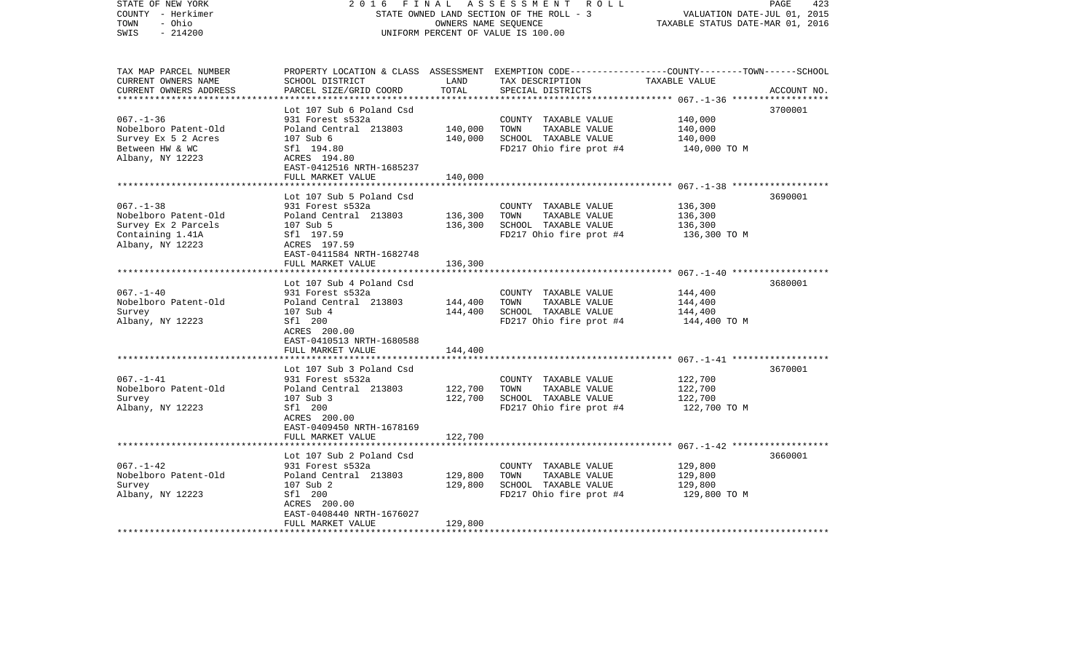| STATE OF NEW YORK<br>COUNTY - Herkimer<br>TOWN<br>- Ohio<br>$-214200$<br>SWIS | 2 0 1 6<br>FINAL<br>STATE OWNED LAND SECTION OF THE ROLL - 3<br>UNIFORM PERCENT OF VALUE IS 100.00 | 423<br>PAGE<br>VALUATION DATE-JUL 01, 2015<br>TAXABLE STATUS DATE-MAR 01, 2016 |                                                                                                                                        |                         |             |
|-------------------------------------------------------------------------------|----------------------------------------------------------------------------------------------------|--------------------------------------------------------------------------------|----------------------------------------------------------------------------------------------------------------------------------------|-------------------------|-------------|
| TAX MAP PARCEL NUMBER<br>CURRENT OWNERS NAME<br>CURRENT OWNERS ADDRESS        | SCHOOL DISTRICT<br>PARCEL SIZE/GRID COORD                                                          | LAND<br>TOTAL                                                                  | PROPERTY LOCATION & CLASS ASSESSMENT EXEMPTION CODE---------------COUNTY-------TOWN-----SCHOOL<br>TAX DESCRIPTION<br>SPECIAL DISTRICTS | TAXABLE VALUE           | ACCOUNT NO. |
|                                                                               | Lot 107 Sub 6 Poland Csd                                                                           |                                                                                |                                                                                                                                        |                         | 3700001     |
| $067. - 1 - 36$                                                               | 931 Forest s532a                                                                                   |                                                                                | COUNTY TAXABLE VALUE                                                                                                                   | 140,000                 |             |
| Nobelboro Patent-Old                                                          | Poland Central 213803                                                                              | 140,000                                                                        | TOWN<br>TAXABLE VALUE                                                                                                                  | 140,000                 |             |
| Survey Ex 5 2 Acres                                                           | 107 Sub 6                                                                                          | 140,000                                                                        | SCHOOL TAXABLE VALUE                                                                                                                   | 140,000                 |             |
| Between HW & WC<br>Albany, NY 12223                                           | Sfl 194.80<br>ACRES 194.80<br>EAST-0412516 NRTH-1685237                                            |                                                                                | FD217 Ohio fire prot #4                                                                                                                | 140,000 TO M            |             |
|                                                                               | FULL MARKET VALUE                                                                                  | 140,000                                                                        |                                                                                                                                        |                         |             |
|                                                                               | Lot 107 Sub 5 Poland Csd                                                                           |                                                                                |                                                                                                                                        |                         | 3690001     |
| $067. - 1 - 38$                                                               | 931 Forest s532a                                                                                   |                                                                                | COUNTY TAXABLE VALUE                                                                                                                   | 136,300                 |             |
| Nobelboro Patent-Old                                                          | Poland Central 213803                                                                              | 136,300                                                                        | TOWN<br>TAXABLE VALUE                                                                                                                  | 136,300                 |             |
| Survey Ex 2 Parcels                                                           | 107 Sub 5                                                                                          | 136,300                                                                        | SCHOOL TAXABLE VALUE                                                                                                                   | 136,300                 |             |
| Containing 1.41A                                                              | Sfl 197.59                                                                                         |                                                                                | FD217 Ohio fire prot #4                                                                                                                | 136,300 ТО М            |             |
| Albany, NY 12223                                                              | ACRES 197.59<br>EAST-0411584 NRTH-1682748                                                          |                                                                                |                                                                                                                                        |                         |             |
|                                                                               | FULL MARKET VALUE                                                                                  | 136,300                                                                        |                                                                                                                                        |                         |             |
|                                                                               |                                                                                                    |                                                                                |                                                                                                                                        |                         |             |
|                                                                               | Lot 107 Sub 4 Poland Csd                                                                           |                                                                                |                                                                                                                                        |                         | 3680001     |
| $067. - 1 - 40$                                                               | 931 Forest s532a                                                                                   |                                                                                | COUNTY TAXABLE VALUE                                                                                                                   | 144,400                 |             |
| Nobelboro Patent-Old                                                          | Poland Central 213803                                                                              | 144,400                                                                        | TOWN<br>TAXABLE VALUE                                                                                                                  | 144,400                 |             |
| Survey<br>Albany, NY 12223                                                    | 107 Sub 4<br>Sfl 200                                                                               | 144,400                                                                        | SCHOOL TAXABLE VALUE<br>FD217 Ohio fire prot #4                                                                                        | 144,400<br>144,400 TO M |             |
|                                                                               | ACRES 200.00<br>EAST-0410513 NRTH-1680588                                                          |                                                                                |                                                                                                                                        |                         |             |
|                                                                               | FULL MARKET VALUE                                                                                  | 144,400                                                                        |                                                                                                                                        |                         |             |
|                                                                               | Lot 107 Sub 3 Poland Csd                                                                           |                                                                                |                                                                                                                                        |                         | 3670001     |
| $067. - 1 - 41$                                                               | 931 Forest s532a                                                                                   |                                                                                | COUNTY TAXABLE VALUE                                                                                                                   | 122,700                 |             |
| Nobelboro Patent-Old                                                          | Poland Central 213803                                                                              | 122,700                                                                        | TOWN<br>TAXABLE VALUE                                                                                                                  | 122,700                 |             |
| Survey                                                                        | 107 Sub 3                                                                                          | 122,700                                                                        | SCHOOL TAXABLE VALUE                                                                                                                   | 122,700                 |             |
| Albany, NY 12223                                                              | Sfl 200                                                                                            |                                                                                | FD217 Ohio fire prot #4                                                                                                                | 122,700 TO M            |             |
|                                                                               | ACRES 200.00<br>EAST-0409450 NRTH-1678169                                                          |                                                                                |                                                                                                                                        |                         |             |
|                                                                               | FULL MARKET VALUE                                                                                  | 122,700                                                                        |                                                                                                                                        |                         |             |
|                                                                               |                                                                                                    |                                                                                |                                                                                                                                        |                         |             |
|                                                                               | Lot 107 Sub 2 Poland Csd                                                                           |                                                                                |                                                                                                                                        |                         | 3660001     |
| $067. - 1 - 42$                                                               | 931 Forest s532a                                                                                   |                                                                                | COUNTY TAXABLE VALUE                                                                                                                   | 129,800                 |             |
| Nobelboro Patent-Old                                                          | Poland Central 213803                                                                              | 129,800                                                                        | TAXABLE VALUE<br>TOWN                                                                                                                  | 129,800                 |             |
| Survey<br>Albany, NY 12223                                                    | 107 Sub 2<br>Sfl 200                                                                               | 129,800                                                                        | SCHOOL TAXABLE VALUE<br>FD217 Ohio fire prot #4                                                                                        | 129,800<br>129,800 TO M |             |
|                                                                               | ACRES 200.00                                                                                       |                                                                                |                                                                                                                                        |                         |             |
|                                                                               | EAST-0408440 NRTH-1676027                                                                          |                                                                                |                                                                                                                                        |                         |             |
|                                                                               | FULL MARKET VALUE                                                                                  | 129,800                                                                        |                                                                                                                                        |                         |             |
| **************************                                                    |                                                                                                    |                                                                                |                                                                                                                                        |                         |             |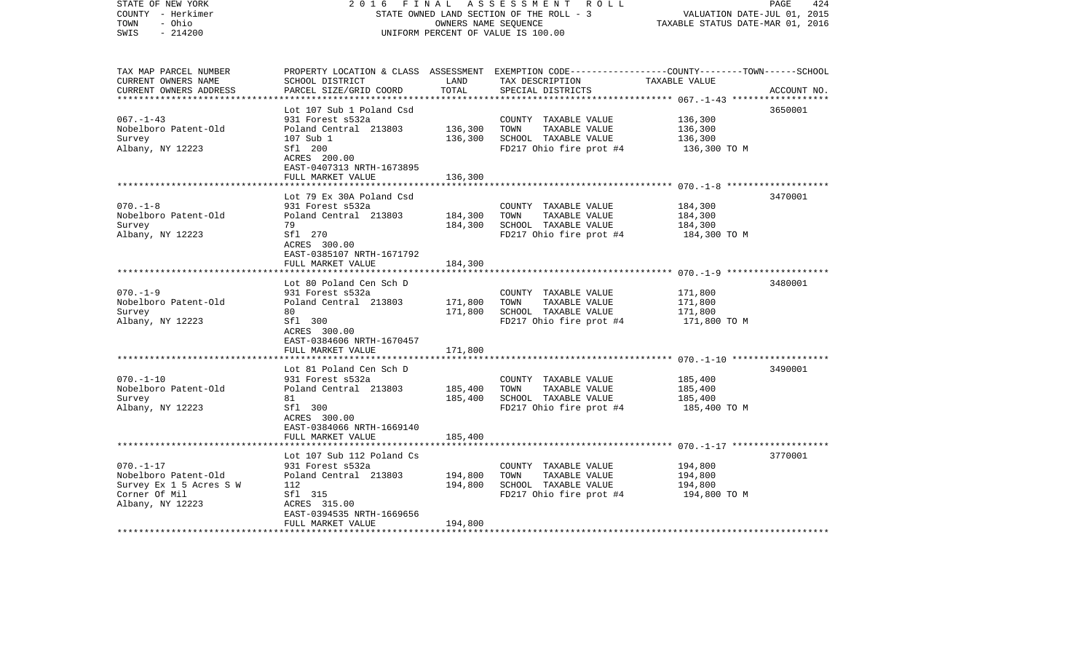| STATE OF NEW YORK<br>COUNTY - Herkimer<br>- Ohio<br>TOWN<br>$-214200$<br>SWIS | 2 0 1 6                                              | FINAL<br>OWNERS NAME SEQUENCE | A S S E S S M E N T R O L L<br>STATE OWNED LAND SECTION OF THE ROLL - 3<br>UNIFORM PERCENT OF VALUE IS 100.00                           | VALUATION DATE-JUL 01, 2015<br>TAXABLE STATUS DATE-MAR 01, 2016 | 424<br>PAGE |
|-------------------------------------------------------------------------------|------------------------------------------------------|-------------------------------|-----------------------------------------------------------------------------------------------------------------------------------------|-----------------------------------------------------------------|-------------|
| TAX MAP PARCEL NUMBER<br>CURRENT OWNERS NAME<br>CURRENT OWNERS ADDRESS        | SCHOOL DISTRICT<br>PARCEL SIZE/GRID COORD            | LAND<br>TOTAL                 | PROPERTY LOCATION & CLASS ASSESSMENT EXEMPTION CODE---------------COUNTY-------TOWN------SCHOOL<br>TAX DESCRIPTION<br>SPECIAL DISTRICTS | TAXABLE VALUE                                                   | ACCOUNT NO. |
|                                                                               | Lot 107 Sub 1 Poland Csd                             |                               |                                                                                                                                         |                                                                 | 3650001     |
| $067. - 1 - 43$                                                               | 931 Forest s532a                                     |                               | COUNTY TAXABLE VALUE                                                                                                                    | 136,300                                                         |             |
| Nobelboro Patent-Old                                                          | Poland Central 213803                                | 136,300                       | TOWN<br>TAXABLE VALUE                                                                                                                   | 136,300                                                         |             |
| Survey                                                                        | 107 Sub 1                                            | 136,300                       | SCHOOL TAXABLE VALUE                                                                                                                    | 136,300                                                         |             |
| Albany, NY 12223                                                              | Sfl 200<br>ACRES 200.00<br>EAST-0407313 NRTH-1673895 |                               | FD217 Ohio fire prot #4                                                                                                                 | 136,300 TO M                                                    |             |
|                                                                               | FULL MARKET VALUE                                    | 136,300                       |                                                                                                                                         |                                                                 |             |
|                                                                               | Lot 79 Ex 30A Poland Csd                             |                               |                                                                                                                                         |                                                                 | 3470001     |
| $070. - 1 - 8$                                                                | 931 Forest s532a                                     |                               | COUNTY TAXABLE VALUE                                                                                                                    | 184,300                                                         |             |
| Nobelboro Patent-Old                                                          | Poland Central 213803                                | 184,300                       | TOWN<br>TAXABLE VALUE                                                                                                                   | 184,300                                                         |             |
| Survey                                                                        | 79                                                   | 184,300                       | SCHOOL TAXABLE VALUE                                                                                                                    | 184,300                                                         |             |
| Albany, NY 12223                                                              | Sfl 270<br>ACRES 300.00<br>EAST-0385107 NRTH-1671792 |                               | FD217 Ohio fire prot #4                                                                                                                 | 184,300 TO M                                                    |             |
|                                                                               | FULL MARKET VALUE                                    | 184,300                       |                                                                                                                                         |                                                                 |             |
|                                                                               |                                                      |                               |                                                                                                                                         |                                                                 |             |
| $070. - 1 - 9$                                                                | Lot 80 Poland Cen Sch D<br>931 Forest s532a          |                               | COUNTY TAXABLE VALUE                                                                                                                    | 171,800                                                         | 3480001     |
| Nobelboro Patent-Old                                                          | Poland Central 213803                                | 171,800                       | TAXABLE VALUE<br>TOWN                                                                                                                   | 171,800                                                         |             |
| Survey                                                                        | 80                                                   | 171,800                       | SCHOOL TAXABLE VALUE                                                                                                                    | 171,800                                                         |             |
| Albany, NY 12223                                                              | Sfl 300<br>ACRES 300.00<br>EAST-0384606 NRTH-1670457 |                               | FD217 Ohio fire prot #4                                                                                                                 | 171,800 TO M                                                    |             |
|                                                                               | FULL MARKET VALUE                                    | 171,800                       |                                                                                                                                         |                                                                 |             |
|                                                                               |                                                      |                               |                                                                                                                                         |                                                                 | 3490001     |
| $070. - 1 - 10$                                                               | Lot 81 Poland Cen Sch D<br>931 Forest s532a          |                               | COUNTY TAXABLE VALUE                                                                                                                    | 185,400                                                         |             |
| Nobelboro Patent-Old                                                          | Poland Central 213803                                | 185,400                       | TAXABLE VALUE<br>TOWN                                                                                                                   | 185,400                                                         |             |
| Survey                                                                        | 81                                                   | 185,400                       | SCHOOL TAXABLE VALUE                                                                                                                    | 185,400                                                         |             |
| Albany, NY 12223                                                              | Sfl 300<br>ACRES 300.00<br>EAST-0384066 NRTH-1669140 |                               | FD217 Ohio fire prot #4                                                                                                                 | 185,400 TO M                                                    |             |
|                                                                               | FULL MARKET VALUE                                    | 185,400                       |                                                                                                                                         |                                                                 |             |
|                                                                               |                                                      |                               |                                                                                                                                         |                                                                 |             |
| $070. - 1 - 17$                                                               | Lot 107 Sub 112 Poland Cs<br>931 Forest s532a        |                               | COUNTY TAXABLE VALUE                                                                                                                    | 194,800                                                         | 3770001     |
| Nobelboro Patent-Old                                                          | Poland Central 213803                                | 194,800                       | TOWN<br>TAXABLE VALUE                                                                                                                   | 194,800                                                         |             |
| Survey Ex 1 5 Acres S W                                                       | 112                                                  | 194,800                       | SCHOOL TAXABLE VALUE                                                                                                                    | 194,800                                                         |             |
| Corner Of Mil                                                                 | Sfl 315                                              |                               | FD217 Ohio fire prot #4                                                                                                                 | 194,800 TO M                                                    |             |
| Albany, NY 12223                                                              | ACRES 315.00                                         |                               |                                                                                                                                         |                                                                 |             |
|                                                                               | EAST-0394535 NRTH-1669656<br>FULL MARKET VALUE       | 194,800                       |                                                                                                                                         |                                                                 |             |
|                                                                               |                                                      |                               |                                                                                                                                         |                                                                 |             |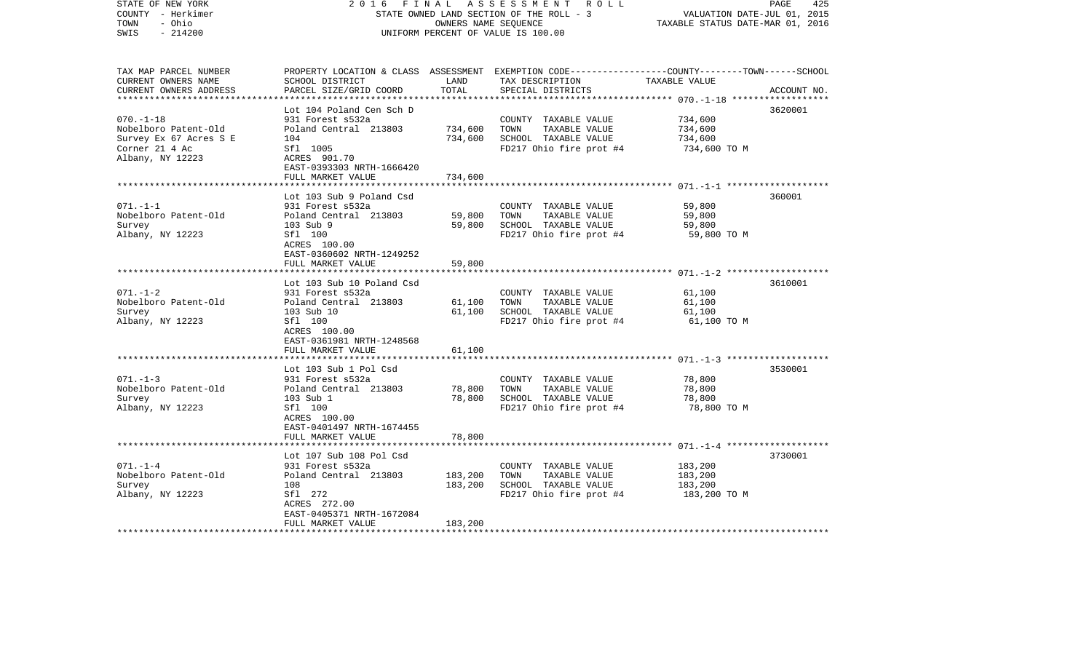| STATE OF NEW YORK<br>COUNTY - Herkimer<br>TOWN<br>- Ohio<br>$-214200$<br>SWIS                           | 2016                                                                                                                                                     | FINAL              | A S S E S S M E N T R O L L<br>STATE OWNED LAND SECTION OF THE ROLL - 3<br>OWNERS NAME SEQUENCE<br>UNIFORM PERCENT OF VALUE IS 100.00   | VALUATION DATE-JUL 01, 2015<br>TAXABLE STATUS DATE-MAR 01, 2016 | 425<br>PAGE |
|---------------------------------------------------------------------------------------------------------|----------------------------------------------------------------------------------------------------------------------------------------------------------|--------------------|-----------------------------------------------------------------------------------------------------------------------------------------|-----------------------------------------------------------------|-------------|
| TAX MAP PARCEL NUMBER<br>CURRENT OWNERS NAME<br>CURRENT OWNERS ADDRESS                                  | SCHOOL DISTRICT<br>PARCEL SIZE/GRID COORD                                                                                                                | LAND<br>TOTAL      | PROPERTY LOCATION & CLASS ASSESSMENT EXEMPTION CODE---------------COUNTY-------TOWN------SCHOOL<br>TAX DESCRIPTION<br>SPECIAL DISTRICTS | TAXABLE VALUE                                                   | ACCOUNT NO. |
| $070. - 1 - 18$<br>Nobelboro Patent-Old<br>Survey Ex 67 Acres S E<br>Corner 21 4 Ac<br>Albany, NY 12223 | Lot 104 Poland Cen Sch D<br>931 Forest s532a<br>Poland Central 213803<br>104<br>Sfl 1005<br>ACRES 901.70<br>EAST-0393303 NRTH-1666420                    | 734,600<br>734,600 | COUNTY TAXABLE VALUE<br>TOWN<br>TAXABLE VALUE<br>SCHOOL TAXABLE VALUE<br>FD217 Ohio fire prot #4                                        | 734,600<br>734,600<br>734,600<br>734,600 TO M                   | 3620001     |
|                                                                                                         | FULL MARKET VALUE                                                                                                                                        | 734,600            |                                                                                                                                         |                                                                 |             |
| $071. - 1 - 1$<br>Nobelboro Patent-Old<br>Survey<br>Albany, NY 12223                                    | Lot 103 Sub 9 Poland Csd<br>931 Forest s532a<br>Poland Central 213803<br>103 Sub 9<br>Sfl 100<br>ACRES 100.00<br>EAST-0360602 NRTH-1249252               | 59,800<br>59,800   | COUNTY TAXABLE VALUE<br>TOWN<br>TAXABLE VALUE<br>SCHOOL TAXABLE VALUE<br>FD217 Ohio fire prot #4                                        | 59,800<br>59,800<br>59,800<br>59,800 TO M                       | 360001      |
|                                                                                                         | FULL MARKET VALUE                                                                                                                                        | 59,800             |                                                                                                                                         |                                                                 |             |
| $071. - 1 - 2$<br>Nobelboro Patent-Old<br>Survey<br>Albany, NY 12223                                    | Lot 103 Sub 10 Poland Csd<br>931 Forest s532a<br>Poland Central 213803<br>103 Sub 10<br>Sfl 100<br>ACRES 100.00<br>EAST-0361981 NRTH-1248568             | 61,100<br>61,100   | COUNTY TAXABLE VALUE<br>TOWN<br>TAXABLE VALUE<br>SCHOOL TAXABLE VALUE<br>FD217 Ohio fire prot #4                                        | 61,100<br>61,100<br>61,100<br>61,100 TO M                       | 3610001     |
|                                                                                                         | FULL MARKET VALUE                                                                                                                                        | 61,100             |                                                                                                                                         |                                                                 |             |
| $071. - 1 - 3$<br>Nobelboro Patent-Old<br>Survey<br>Albany, NY 12223                                    | Lot 103 Sub 1 Pol Csd<br>931 Forest s532a<br>Poland Central 213803<br>103 Sub 1<br>Sfl 100<br>ACRES 100.00<br>EAST-0401497 NRTH-1674455                  | 78,800<br>78,800   | COUNTY TAXABLE VALUE<br>TOWN<br>TAXABLE VALUE<br>SCHOOL TAXABLE VALUE<br>FD217 Ohio fire prot #4                                        | 78,800<br>78,800<br>78,800<br>78,800 TO M                       | 3530001     |
|                                                                                                         | FULL MARKET VALUE                                                                                                                                        | 78,800             |                                                                                                                                         |                                                                 |             |
| $071. - 1 - 4$<br>Nobelboro Patent-Old<br>Survey<br>Albany, NY 12223                                    | Lot 107 Sub 108 Pol Csd<br>931 Forest s532a<br>Poland Central 213803<br>108<br>Sfl 272<br>ACRES 272.00<br>EAST-0405371 NRTH-1672084<br>FULL MARKET VALUE | 183,200<br>183,200 | COUNTY TAXABLE VALUE<br>TAXABLE VALUE<br>TOWN<br>SCHOOL TAXABLE VALUE<br>FD217 Ohio fire prot #4                                        | 183,200<br>183,200<br>183,200<br>183,200 TO M                   | 3730001     |
| **************************                                                                              |                                                                                                                                                          | 183,200            |                                                                                                                                         |                                                                 |             |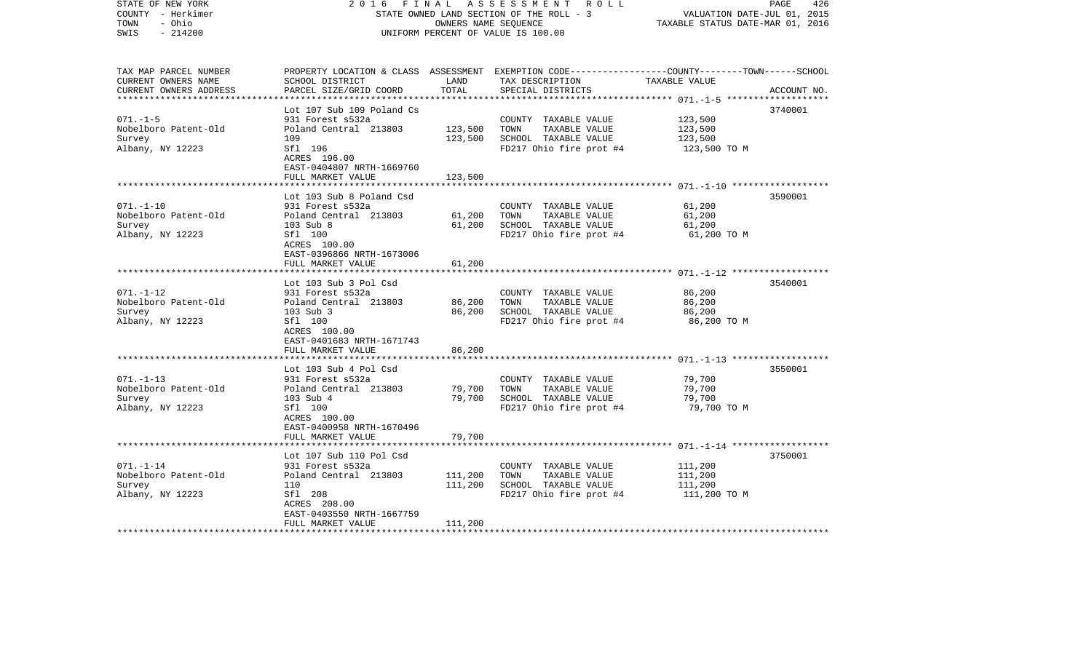| STATE OF NEW YORK<br>COUNTY - Herkimer<br>- Ohio<br>TOWN<br>$-214200$<br>SWIS | 2 0 1 6<br>FINAL                                     | OWNERS NAME SEQUENCE | A S S E S S M E N T R O L L<br>STATE OWNED LAND SECTION OF THE ROLL - 3<br>UNIFORM PERCENT OF VALUE IS 100.00                                        | VALUATION DATE-JUL 01, 2015<br>TAXABLE STATUS DATE-MAR 01, 2016 | PAGE<br>426 |
|-------------------------------------------------------------------------------|------------------------------------------------------|----------------------|------------------------------------------------------------------------------------------------------------------------------------------------------|-----------------------------------------------------------------|-------------|
| TAX MAP PARCEL NUMBER<br>CURRENT OWNERS NAME<br>CURRENT OWNERS ADDRESS        | SCHOOL DISTRICT<br>PARCEL SIZE/GRID COORD            | LAND<br>TOTAL        | PROPERTY LOCATION & CLASS ASSESSMENT EXEMPTION CODE--------------COUNTY-------TOWN------SCHOOL<br>TAX DESCRIPTION TAXABLE VALUE<br>SPECIAL DISTRICTS |                                                                 | ACCOUNT NO. |
|                                                                               | Lot 107 Sub 109 Poland Cs                            |                      |                                                                                                                                                      |                                                                 | 3740001     |
| $071. - 1 - 5$                                                                | 931 Forest s532a                                     |                      | COUNTY TAXABLE VALUE                                                                                                                                 | 123,500                                                         |             |
| Nobelboro Patent-Old                                                          | Poland Central 213803                                | 123,500              | TOWN<br>TAXABLE VALUE                                                                                                                                | 123,500                                                         |             |
| Survey                                                                        | 109                                                  | 123,500              | SCHOOL TAXABLE VALUE                                                                                                                                 | 123,500                                                         |             |
| Albany, NY 12223                                                              | Sfl 196<br>ACRES 196.00<br>EAST-0404807 NRTH-1669760 |                      | FD217 Ohio fire prot #4                                                                                                                              | 123,500 TO M                                                    |             |
|                                                                               | FULL MARKET VALUE                                    | 123,500              |                                                                                                                                                      |                                                                 |             |
|                                                                               | Lot 103 Sub 8 Poland Csd                             |                      |                                                                                                                                                      |                                                                 | 3590001     |
| $071. - 1 - 10$                                                               | 931 Forest s532a                                     |                      | COUNTY TAXABLE VALUE                                                                                                                                 | 61,200                                                          |             |
| Nobelboro Patent-Old                                                          | Poland Central 213803                                | 61,200               | TOWN<br>TAXABLE VALUE                                                                                                                                | 61,200                                                          |             |
| Survey                                                                        | 103 Sub 8                                            | 61,200               | SCHOOL TAXABLE VALUE                                                                                                                                 | 61,200                                                          |             |
| Albany, NY 12223                                                              | Sfl 100<br>ACRES 100.00<br>EAST-0396866 NRTH-1673006 |                      | FD217 Ohio fire prot #4                                                                                                                              | 61,200 TO M                                                     |             |
|                                                                               | FULL MARKET VALUE                                    | 61,200               |                                                                                                                                                      |                                                                 |             |
|                                                                               |                                                      |                      |                                                                                                                                                      |                                                                 |             |
|                                                                               | Lot 103 Sub 3 Pol Csd                                |                      |                                                                                                                                                      |                                                                 | 3540001     |
| $071. - 1 - 12$<br>Nobelboro Patent-Old                                       | 931 Forest s532a                                     | 86,200               | COUNTY TAXABLE VALUE<br>TOWN<br>TAXABLE VALUE                                                                                                        | 86,200<br>86,200                                                |             |
| Survey                                                                        | Poland Central 213803<br>103 Sub 3                   | 86,200               | SCHOOL TAXABLE VALUE                                                                                                                                 | 86,200                                                          |             |
| Albany, NY 12223                                                              | Sfl 100                                              |                      | FD217 Ohio fire prot #4                                                                                                                              | 86,200 TO M                                                     |             |
|                                                                               | ACRES 100.00                                         |                      |                                                                                                                                                      |                                                                 |             |
|                                                                               | EAST-0401683 NRTH-1671743                            |                      |                                                                                                                                                      |                                                                 |             |
|                                                                               | FULL MARKET VALUE                                    | 86,200               |                                                                                                                                                      |                                                                 |             |
|                                                                               | Lot 103 Sub 4 Pol Csd                                |                      |                                                                                                                                                      |                                                                 | 3550001     |
| $071. - 1 - 13$                                                               | 931 Forest s532a                                     |                      | COUNTY TAXABLE VALUE                                                                                                                                 | 79,700                                                          |             |
| Nobelboro Patent-Old                                                          | Poland Central 213803                                | 79,700               | TAXABLE VALUE<br>TOWN                                                                                                                                | 79,700                                                          |             |
| Survey                                                                        | 103 Sub 4                                            | 79,700               | SCHOOL TAXABLE VALUE                                                                                                                                 | 79,700                                                          |             |
| Albany, NY 12223                                                              | Sfl 100                                              |                      | FD217 Ohio fire prot #4                                                                                                                              | 79,700 TO M                                                     |             |
|                                                                               | ACRES 100.00                                         |                      |                                                                                                                                                      |                                                                 |             |
|                                                                               | EAST-0400958 NRTH-1670496                            |                      |                                                                                                                                                      |                                                                 |             |
|                                                                               | FULL MARKET VALUE                                    | 79,700               |                                                                                                                                                      |                                                                 |             |
|                                                                               | Lot 107 Sub 110 Pol Csd                              |                      |                                                                                                                                                      |                                                                 | 3750001     |
| $071. - 1 - 14$                                                               | 931 Forest s532a                                     |                      | COUNTY TAXABLE VALUE                                                                                                                                 | 111,200                                                         |             |
| Nobelboro Patent-Old                                                          | Poland Central 213803                                | 111,200              | TOWN<br>TAXABLE VALUE                                                                                                                                | 111,200                                                         |             |
| Survey                                                                        | 110                                                  | 111,200              | SCHOOL TAXABLE VALUE                                                                                                                                 | 111,200                                                         |             |
| Albany, NY 12223                                                              | Sfl 208                                              |                      | FD217 Ohio fire prot #4                                                                                                                              | 111,200 TO M                                                    |             |
|                                                                               | ACRES 208.00                                         |                      |                                                                                                                                                      |                                                                 |             |
|                                                                               | EAST-0403550 NRTH-1667759                            | 111,200              |                                                                                                                                                      |                                                                 |             |
|                                                                               | FULL MARKET VALUE                                    |                      |                                                                                                                                                      |                                                                 |             |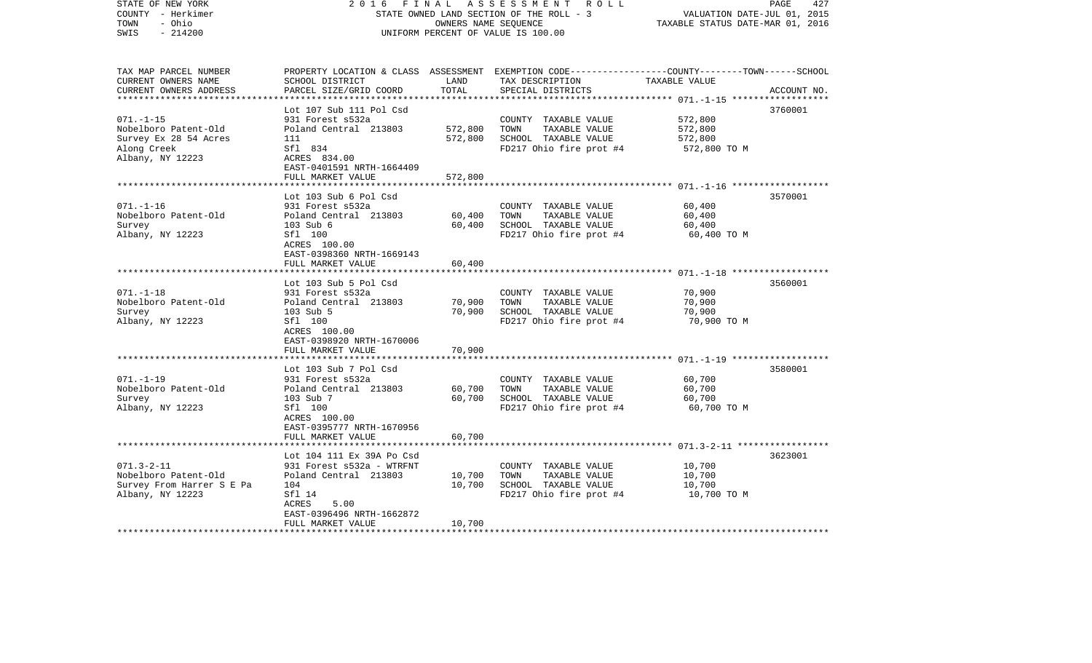| STATE OF NEW YORK<br>COUNTY - Herkimer<br>TOWN<br>- Ohio<br>$-214200$<br>SWIS                       | 2016                                                                                                                                                         | FINAL<br>OWNERS NAME SEQUENCE | A S S E S S M E N T R O L L<br>STATE OWNED LAND SECTION OF THE ROLL - 3<br>UNIFORM PERCENT OF VALUE IS 100.00                           | VALUATION DATE-JUL 01, 2015<br>TAXABLE STATUS DATE-MAR 01, 2016 | 427<br>PAGE |
|-----------------------------------------------------------------------------------------------------|--------------------------------------------------------------------------------------------------------------------------------------------------------------|-------------------------------|-----------------------------------------------------------------------------------------------------------------------------------------|-----------------------------------------------------------------|-------------|
| TAX MAP PARCEL NUMBER<br>CURRENT OWNERS NAME<br>CURRENT OWNERS ADDRESS                              | SCHOOL DISTRICT<br>PARCEL SIZE/GRID COORD                                                                                                                    | LAND<br>TOTAL                 | PROPERTY LOCATION & CLASS ASSESSMENT EXEMPTION CODE---------------COUNTY-------TOWN------SCHOOL<br>TAX DESCRIPTION<br>SPECIAL DISTRICTS | TAXABLE VALUE                                                   | ACCOUNT NO. |
|                                                                                                     | Lot 107 Sub 111 Pol Csd                                                                                                                                      |                               |                                                                                                                                         |                                                                 | 3760001     |
| $071. - 1 - 15$<br>Nobelboro Patent-Old<br>Survey Ex 28 54 Acres<br>Along Creek<br>Albany, NY 12223 | 931 Forest s532a<br>Poland Central 213803<br>111<br>Sfl 834<br>ACRES 834.00<br>EAST-0401591 NRTH-1664409                                                     | 572,800<br>572,800            | COUNTY TAXABLE VALUE<br>TOWN<br>TAXABLE VALUE<br>SCHOOL TAXABLE VALUE<br>FD217 Ohio fire prot #4                                        | 572,800<br>572,800<br>572,800<br>572,800 TO M                   |             |
|                                                                                                     | FULL MARKET VALUE                                                                                                                                            | 572,800                       |                                                                                                                                         |                                                                 |             |
| $071. - 1 - 16$<br>Nobelboro Patent-Old<br>Survey<br>Albany, NY 12223                               | Lot 103 Sub 6 Pol Csd<br>931 Forest s532a<br>Poland Central 213803<br>103 Sub 6<br>Sfl 100<br>ACRES 100.00                                                   | 60,400<br>60,400              | COUNTY TAXABLE VALUE<br>TOWN<br>TAXABLE VALUE<br>SCHOOL TAXABLE VALUE<br>FD217 Ohio fire prot #4                                        | 60,400<br>60,400<br>60,400<br>60,400 TO M                       | 3570001     |
|                                                                                                     | EAST-0398360 NRTH-1669143<br>FULL MARKET VALUE                                                                                                               | 60,400                        |                                                                                                                                         |                                                                 |             |
| $071. - 1 - 18$<br>Nobelboro Patent-Old<br>Survey<br>Albany, NY 12223                               | Lot 103 Sub 5 Pol Csd<br>931 Forest s532a<br>Poland Central 213803<br>103 Sub 5<br>Sfl 100<br>ACRES 100.00<br>EAST-0398920 NRTH-1670006                      | 70,900<br>70,900              | COUNTY TAXABLE VALUE<br>TOWN<br>TAXABLE VALUE<br>SCHOOL TAXABLE VALUE<br>FD217 Ohio fire prot #4                                        | 70,900<br>70,900<br>70,900<br>70,900 TO M                       | 3560001     |
|                                                                                                     | FULL MARKET VALUE                                                                                                                                            | 70,900                        |                                                                                                                                         |                                                                 |             |
| $071. - 1 - 19$<br>Nobelboro Patent-Old<br>Survey<br>Albany, NY 12223                               | Lot 103 Sub 7 Pol Csd<br>931 Forest s532a<br>Poland Central 213803<br>103 Sub 7<br>Sfl 100<br>ACRES 100.00<br>EAST-0395777 NRTH-1670956<br>FULL MARKET VALUE | 60,700<br>60,700<br>60,700    | COUNTY TAXABLE VALUE<br>TOWN<br>TAXABLE VALUE<br>SCHOOL TAXABLE VALUE<br>FD217 Ohio fire prot #4                                        | 60,700<br>60,700<br>60,700<br>60,700 TO M                       | 3580001     |
|                                                                                                     |                                                                                                                                                              |                               |                                                                                                                                         |                                                                 |             |
| $071.3 - 2 - 11$<br>Nobelboro Patent-Old<br>Survey From Harrer S E Pa<br>Albany, NY 12223           | Lot 104 111 Ex 39A Po Csd<br>931 Forest s532a - WTRFNT<br>Poland Central 213803<br>104<br>Sfl 14<br>ACRES<br>5.00<br>EAST-0396496 NRTH-1662872               | 10,700<br>10,700              | COUNTY TAXABLE VALUE<br>TOWN<br>TAXABLE VALUE<br>SCHOOL TAXABLE VALUE<br>FD217 Ohio fire prot #4                                        | 10,700<br>10,700<br>10,700<br>10,700 TO M                       | 3623001     |
| ************************                                                                            | FULL MARKET VALUE                                                                                                                                            | 10,700                        |                                                                                                                                         |                                                                 |             |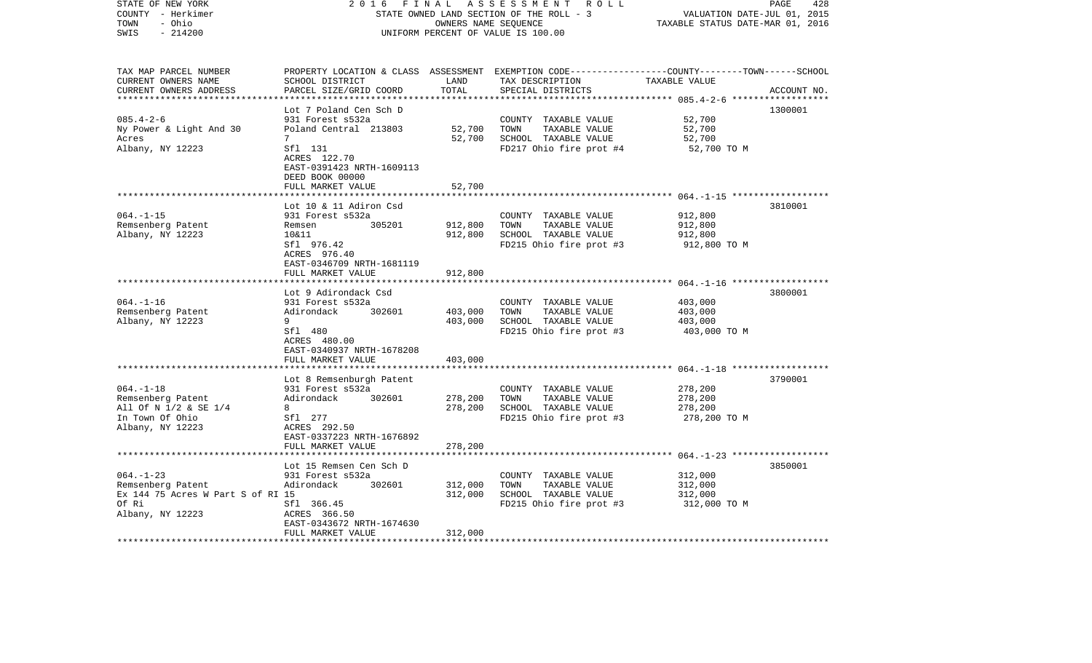| STATE OF NEW YORK<br>COUNTY - Herkimer<br>- Ohio<br>TOWN<br>$-214200$<br>SWIS                         | 2 0 1 6                                                                                                                                                       | FINAL                         | ASSESSMENT ROLL<br>STATE OWNED LAND SECTION OF THE ROLL - 3<br>OWNERS NAME SEQUENCE<br>UNIFORM PERCENT OF VALUE IS 100.00               | VALUATION DATE-JUL 01, 2015<br>TAXABLE STATUS DATE-MAR 01, 2016 | PAGE<br>428 |
|-------------------------------------------------------------------------------------------------------|---------------------------------------------------------------------------------------------------------------------------------------------------------------|-------------------------------|-----------------------------------------------------------------------------------------------------------------------------------------|-----------------------------------------------------------------|-------------|
| TAX MAP PARCEL NUMBER<br>CURRENT OWNERS NAME<br>CURRENT OWNERS ADDRESS<br>*************************   | SCHOOL DISTRICT<br>PARCEL SIZE/GRID COORD                                                                                                                     | LAND<br>TOTAL                 | PROPERTY LOCATION & CLASS ASSESSMENT EXEMPTION CODE---------------COUNTY-------TOWN------SCHOOL<br>TAX DESCRIPTION<br>SPECIAL DISTRICTS | TAXABLE VALUE                                                   | ACCOUNT NO. |
| $085.4 - 2 - 6$<br>Ny Power & Light And 30<br>Acres<br>Albany, NY 12223                               | Lot 7 Poland Cen Sch D<br>931 Forest s532a<br>Poland Central 213803<br>$7^{\circ}$<br>Sfl 131<br>ACRES 122.70<br>EAST-0391423 NRTH-1609113<br>DEED BOOK 00000 | 52,700<br>52,700              | COUNTY TAXABLE VALUE<br>TOWN<br>TAXABLE VALUE<br>SCHOOL TAXABLE VALUE<br>FD217 Ohio fire prot #4                                        | 52,700<br>52,700<br>52,700<br>52,700 TO M                       | 1300001     |
|                                                                                                       | FULL MARKET VALUE                                                                                                                                             | 52,700                        |                                                                                                                                         |                                                                 |             |
| $064. -1 -15$<br>Remsenberg Patent<br>Albany, NY 12223                                                | Lot 10 & 11 Adiron Csd<br>931 Forest s532a<br>305201<br>Remsen<br>10&11<br>Sfl 976.42<br>ACRES 976.40<br>EAST-0346709 NRTH-1681119<br>FULL MARKET VALUE       | 912,800<br>912,800<br>912,800 | COUNTY TAXABLE VALUE<br>TAXABLE VALUE<br>TOWN<br>SCHOOL TAXABLE VALUE<br>FD215 Ohio fire prot #3                                        | 912,800<br>912,800<br>912,800<br>912,800 TO M                   | 3810001     |
|                                                                                                       |                                                                                                                                                               |                               |                                                                                                                                         |                                                                 |             |
| $064. -1 -16$<br>Remsenberg Patent<br>Albany, NY 12223                                                | Lot 9 Adirondack Csd<br>931 Forest s532a<br>302601<br>Adirondack<br>9<br>Sfl 480<br>ACRES 480.00<br>EAST-0340937 NRTH-1678208                                 | 403,000<br>403,000            | COUNTY TAXABLE VALUE<br>TOWN<br>TAXABLE VALUE<br>SCHOOL TAXABLE VALUE<br>FD215 Ohio fire prot #3                                        | 403,000<br>403,000<br>403,000<br>403,000 TO M                   | 3800001     |
|                                                                                                       | FULL MARKET VALUE                                                                                                                                             | 403,000                       |                                                                                                                                         |                                                                 |             |
| $064. -1 -18$<br>Remsenberg Patent<br>All Of N 1/2 & SE 1/4<br>In Town Of Ohio<br>Albany, NY 12223    | Lot 8 Remsenburgh Patent<br>931 Forest s532a<br>302601<br>Adirondack<br>8<br>Sfl 277<br>ACRES 292.50<br>EAST-0337223 NRTH-1676892                             | 278,200<br>278,200            | COUNTY TAXABLE VALUE<br>TOWN<br>TAXABLE VALUE<br>SCHOOL TAXABLE VALUE<br>FD215 Ohio fire prot #3                                        | 278,200<br>278,200<br>278,200<br>278,200 TO M                   | 3790001     |
|                                                                                                       | FULL MARKET VALUE                                                                                                                                             | 278,200                       |                                                                                                                                         |                                                                 |             |
| $064. -1 - 23$<br>Remsenberg Patent<br>Ex 144 75 Acres W Part S of RI 15<br>Of Ri<br>Albany, NY 12223 | Lot 15 Remsen Cen Sch D<br>931 Forest s532a<br>Adirondack<br>302601<br>Sfl 366.45<br>ACRES 366.50<br>EAST-0343672 NRTH-1674630                                | 312,000<br>312,000            | COUNTY TAXABLE VALUE<br>TOWN<br>TAXABLE VALUE<br>SCHOOL TAXABLE VALUE<br>FD215 Ohio fire prot #3                                        | 312,000<br>312,000<br>312,000<br>312,000 TO M                   | 3850001     |
|                                                                                                       | FULL MARKET VALUE                                                                                                                                             | 312,000                       |                                                                                                                                         |                                                                 |             |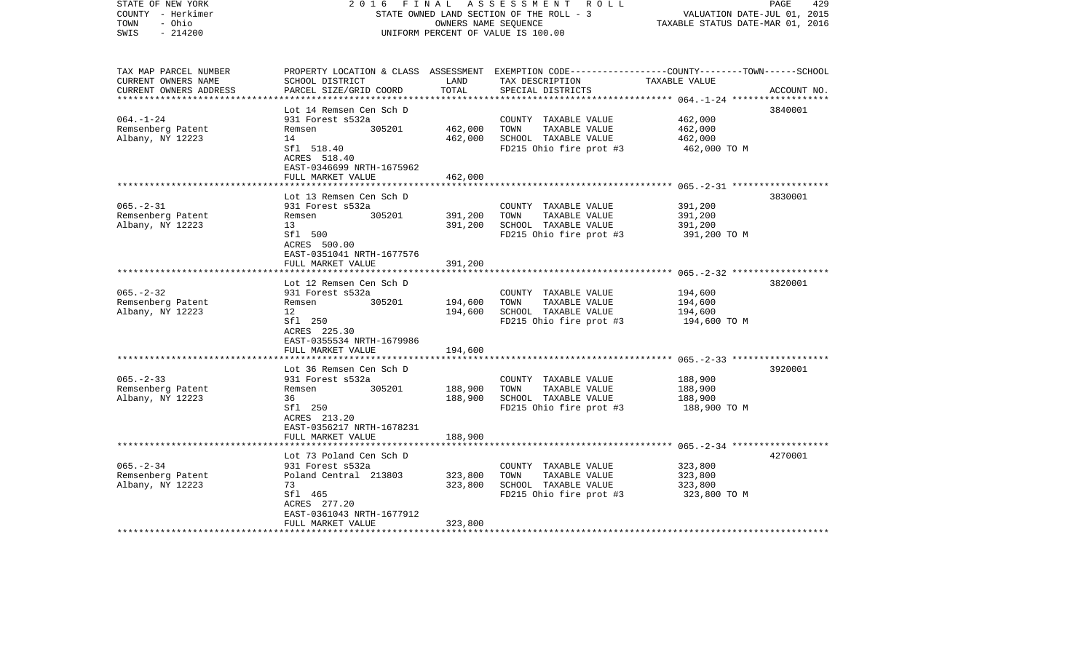| STATE OF NEW YORK<br>COUNTY - Herkimer<br>- Ohio<br>TOWN<br>$-214200$<br>SWIS | 2016<br>FINAL                                                  | OWNERS NAME SEQUENCE | A S S E S S M E N T R O L L<br>STATE OWNED LAND SECTION OF THE ROLL - 3<br>UNIFORM PERCENT OF VALUE IS 100.00                                        | VALUATION DATE-JUL 01, 2015<br>TAXABLE STATUS DATE-MAR 01, 2016 | 429<br>PAGE |
|-------------------------------------------------------------------------------|----------------------------------------------------------------|----------------------|------------------------------------------------------------------------------------------------------------------------------------------------------|-----------------------------------------------------------------|-------------|
| TAX MAP PARCEL NUMBER<br>CURRENT OWNERS NAME<br>CURRENT OWNERS ADDRESS        | SCHOOL DISTRICT<br>PARCEL SIZE/GRID COORD                      | LAND<br>TOTAL        | PROPERTY LOCATION & CLASS ASSESSMENT EXEMPTION CODE--------------COUNTY-------TOWN------SCHOOL<br>TAX DESCRIPTION TAXABLE VALUE<br>SPECIAL DISTRICTS |                                                                 | ACCOUNT NO. |
|                                                                               |                                                                |                      |                                                                                                                                                      |                                                                 |             |
| $064. - 1 - 24$                                                               | Lot 14 Remsen Cen Sch D<br>931 Forest s532a                    |                      | COUNTY TAXABLE VALUE                                                                                                                                 | 462,000                                                         | 3840001     |
| Remsenberg Patent                                                             | 305201<br>Remsen                                               | 462,000              | TOWN<br>TAXABLE VALUE                                                                                                                                | 462,000                                                         |             |
| Albany, NY 12223                                                              | 14                                                             | 462,000              | SCHOOL TAXABLE VALUE                                                                                                                                 | 462,000                                                         |             |
|                                                                               | Sfl 518.40<br>ACRES 518.40<br>EAST-0346699 NRTH-1675962        |                      | FD215 Ohio fire prot #3                                                                                                                              | 462,000 TO M                                                    |             |
|                                                                               | FULL MARKET VALUE                                              | 462,000              |                                                                                                                                                      |                                                                 |             |
|                                                                               | Lot 13 Remsen Cen Sch D                                        |                      |                                                                                                                                                      |                                                                 | 3830001     |
| $065. -2 - 31$                                                                | 931 Forest s532a                                               |                      | COUNTY TAXABLE VALUE                                                                                                                                 | 391,200                                                         |             |
| Remsenberg Patent                                                             | 305201<br>Remsen                                               | 391,200              | TOWN<br>TAXABLE VALUE                                                                                                                                | 391,200                                                         |             |
| Albany, NY 12223                                                              | 13                                                             | 391,200              | SCHOOL TAXABLE VALUE                                                                                                                                 | 391,200                                                         |             |
|                                                                               | Sfl 500<br>ACRES 500.00<br>EAST-0351041 NRTH-1677576           |                      | FD215 Ohio fire prot #3                                                                                                                              | 391,200 TO M                                                    |             |
|                                                                               | FULL MARKET VALUE                                              | 391,200              |                                                                                                                                                      |                                                                 |             |
|                                                                               | Lot 12 Remsen Cen Sch D                                        |                      |                                                                                                                                                      |                                                                 | 3820001     |
| $065. - 2 - 32$                                                               | 931 Forest s532a                                               |                      | COUNTY TAXABLE VALUE                                                                                                                                 | 194,600                                                         |             |
| Remsenberg Patent                                                             | Remsen<br>305201                                               | 194,600              | TOWN<br>TAXABLE VALUE                                                                                                                                | 194,600                                                         |             |
| Albany, NY 12223                                                              | 12                                                             | 194,600              | SCHOOL TAXABLE VALUE                                                                                                                                 | 194,600                                                         |             |
|                                                                               | Sfl 250<br>ACRES 225.30<br>EAST-0355534 NRTH-1679986           |                      | FD215 Ohio fire prot #3                                                                                                                              | 194,600 TO M                                                    |             |
|                                                                               | FULL MARKET VALUE<br>*******************                       | 194,600              |                                                                                                                                                      |                                                                 |             |
|                                                                               | Lot 36 Remsen Cen Sch D                                        |                      |                                                                                                                                                      |                                                                 | 3920001     |
| $065. - 2 - 33$                                                               | 931 Forest s532a                                               |                      | COUNTY TAXABLE VALUE                                                                                                                                 | 188,900                                                         |             |
| Remsenberg Patent                                                             | 305201<br>Remsen                                               | 188,900              | TOWN<br>TAXABLE VALUE                                                                                                                                | 188,900                                                         |             |
| Albany, NY 12223                                                              | 36                                                             | 188,900              | SCHOOL TAXABLE VALUE                                                                                                                                 | 188,900                                                         |             |
|                                                                               | Sfl 250<br>ACRES 213.20<br>EAST-0356217 NRTH-1678231           |                      | FD215 Ohio fire prot #3                                                                                                                              | 188,900 TO M                                                    |             |
|                                                                               | FULL MARKET VALUE                                              | 188,900              |                                                                                                                                                      |                                                                 |             |
|                                                                               | Lot 73 Poland Cen Sch D                                        |                      |                                                                                                                                                      |                                                                 | 4270001     |
| $065. - 2 - 34$                                                               | 931 Forest s532a                                               |                      | COUNTY TAXABLE VALUE                                                                                                                                 | 323,800                                                         |             |
| Remsenberg Patent                                                             | Poland Central 213803                                          | 323,800              | TOWN<br>TAXABLE VALUE                                                                                                                                | 323,800                                                         |             |
| Albany, NY 12223                                                              | 73                                                             | 323,800              | SCHOOL TAXABLE VALUE                                                                                                                                 | 323,800                                                         |             |
|                                                                               | Sfl 465                                                        |                      | FD215 Ohio fire prot #3                                                                                                                              | 323,800 TO M                                                    |             |
|                                                                               | ACRES 277.20<br>EAST-0361043 NRTH-1677912<br>FULL MARKET VALUE | 323,800              |                                                                                                                                                      |                                                                 |             |
|                                                                               |                                                                |                      |                                                                                                                                                      |                                                                 |             |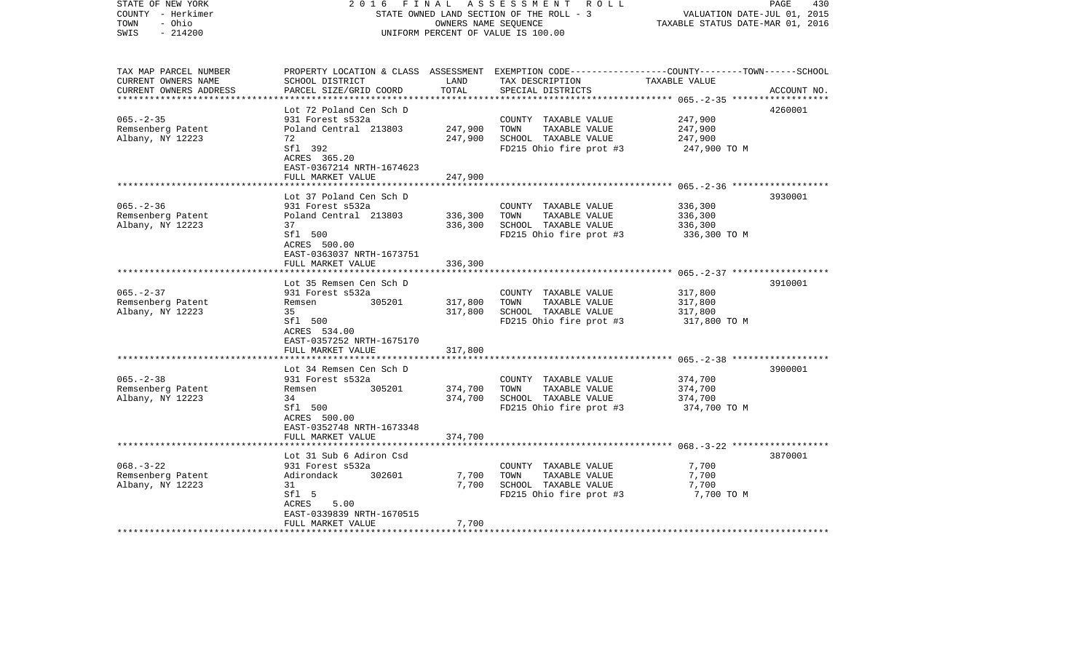| STATE OF NEW YORK<br>COUNTY - Herkimer<br>- Ohio<br>TOWN<br>$-214200$<br>SWIS | FINAL<br>2016                                              | OWNERS NAME SEQUENCE | A S S E S S M E N T R O L L<br>STATE OWNED LAND SECTION OF THE ROLL - 3<br>UNIFORM PERCENT OF VALUE IS 100.00                            | VALUATION DATE-JUL 01, 2015<br>TAXABLE STATUS DATE-MAR 01, 2016 | PAGE<br>430 |
|-------------------------------------------------------------------------------|------------------------------------------------------------|----------------------|------------------------------------------------------------------------------------------------------------------------------------------|-----------------------------------------------------------------|-------------|
| TAX MAP PARCEL NUMBER<br>CURRENT OWNERS NAME<br>CURRENT OWNERS ADDRESS        | SCHOOL DISTRICT<br>PARCEL SIZE/GRID COORD                  | LAND<br>TOTAL        | PROPERTY LOCATION & CLASS ASSESSMENT EXEMPTION CODE----------------COUNTY-------TOWN------SCHOOL<br>TAX DESCRIPTION<br>SPECIAL DISTRICTS | TAXABLE VALUE                                                   | ACCOUNT NO. |
|                                                                               | Lot 72 Poland Cen Sch D                                    |                      |                                                                                                                                          |                                                                 | 4260001     |
| $065. - 2 - 35$                                                               | 931 Forest s532a                                           |                      | COUNTY TAXABLE VALUE                                                                                                                     | 247,900                                                         |             |
| Remsenberg Patent                                                             | Poland Central 213803                                      | 247,900              | TOWN<br>TAXABLE VALUE                                                                                                                    | 247,900                                                         |             |
| Albany, NY 12223                                                              | 72<br>Sfl 392<br>ACRES 365.20<br>EAST-0367214 NRTH-1674623 | 247,900              | SCHOOL TAXABLE VALUE<br>FD215 Ohio fire prot #3                                                                                          | 247,900<br>247,900 TO M                                         |             |
|                                                                               | FULL MARKET VALUE                                          | 247,900              |                                                                                                                                          |                                                                 |             |
|                                                                               | Lot 37 Poland Cen Sch D                                    |                      |                                                                                                                                          |                                                                 | 3930001     |
| $065. - 2 - 36$                                                               | 931 Forest s532a                                           |                      | COUNTY TAXABLE VALUE                                                                                                                     | 336,300                                                         |             |
| Remsenberg Patent                                                             | Poland Central 213803                                      | 336,300              | TAXABLE VALUE<br>TOWN                                                                                                                    | 336,300                                                         |             |
| Albany, NY 12223                                                              | 37                                                         | 336,300              | SCHOOL TAXABLE VALUE                                                                                                                     | 336,300                                                         |             |
|                                                                               | Sfl 500<br>ACRES 500.00<br>EAST-0363037 NRTH-1673751       |                      | FD215 Ohio fire prot #3                                                                                                                  | 336,300 TO M                                                    |             |
|                                                                               | FULL MARKET VALUE                                          | 336,300              |                                                                                                                                          |                                                                 |             |
|                                                                               | ************************                                   |                      |                                                                                                                                          |                                                                 |             |
|                                                                               | Lot 35 Remsen Cen Sch D                                    |                      |                                                                                                                                          |                                                                 | 3910001     |
| $065. - 2 - 37$                                                               | 931 Forest s532a                                           |                      | COUNTY TAXABLE VALUE                                                                                                                     | 317,800                                                         |             |
| Remsenberg Patent<br>Albany, NY 12223                                         | 305201<br>Remsen<br>35                                     | 317,800<br>317,800   | TAXABLE VALUE<br>TOWN<br>SCHOOL TAXABLE VALUE                                                                                            | 317,800<br>317,800                                              |             |
|                                                                               | Sfl 500<br>ACRES 534.00                                    |                      | FD215 Ohio fire prot #3                                                                                                                  | 317,800 TO M                                                    |             |
|                                                                               | EAST-0357252 NRTH-1675170<br>FULL MARKET VALUE             | 317,800              |                                                                                                                                          |                                                                 |             |
|                                                                               |                                                            |                      | ***************************** 065.-2-38 ******************                                                                               |                                                                 |             |
|                                                                               | Lot 34 Remsen Cen Sch D                                    |                      |                                                                                                                                          |                                                                 | 3900001     |
| $065. - 2 - 38$                                                               | 931 Forest s532a                                           |                      | COUNTY TAXABLE VALUE                                                                                                                     | 374,700                                                         |             |
| Remsenberg Patent                                                             | 305201<br>Remsen                                           | 374,700              | TAXABLE VALUE<br>TOWN                                                                                                                    | 374,700                                                         |             |
| Albany, NY 12223                                                              | 34                                                         | 374,700              | SCHOOL TAXABLE VALUE                                                                                                                     | 374,700                                                         |             |
|                                                                               | Sfl 500<br>ACRES 500.00<br>EAST-0352748 NRTH-1673348       |                      | FD215 Ohio fire prot #3                                                                                                                  | 374,700 TO M                                                    |             |
|                                                                               | FULL MARKET VALUE                                          | 374,700              |                                                                                                                                          |                                                                 |             |
|                                                                               | Lot 31 Sub 6 Adiron Csd                                    |                      |                                                                                                                                          |                                                                 | 3870001     |
| $068. - 3 - 22$                                                               | 931 Forest s532a                                           |                      | COUNTY TAXABLE VALUE                                                                                                                     | 7,700                                                           |             |
| Remsenberg Patent                                                             | Adirondack<br>302601                                       | 7,700                | TOWN<br>TAXABLE VALUE                                                                                                                    | 7,700                                                           |             |
| Albany, NY 12223                                                              | 31                                                         | 7,700                | SCHOOL TAXABLE VALUE                                                                                                                     | 7,700                                                           |             |
|                                                                               | Sfl 5                                                      |                      | FD215 Ohio fire prot #3                                                                                                                  | 7,700 TO M                                                      |             |
|                                                                               | ACRES<br>5.00                                              |                      |                                                                                                                                          |                                                                 |             |
|                                                                               | EAST-0339839 NRTH-1670515<br>FULL MARKET VALUE             | 7,700                |                                                                                                                                          |                                                                 |             |
| * * * * * * * * * * * * * * * * * * *                                         |                                                            |                      |                                                                                                                                          |                                                                 |             |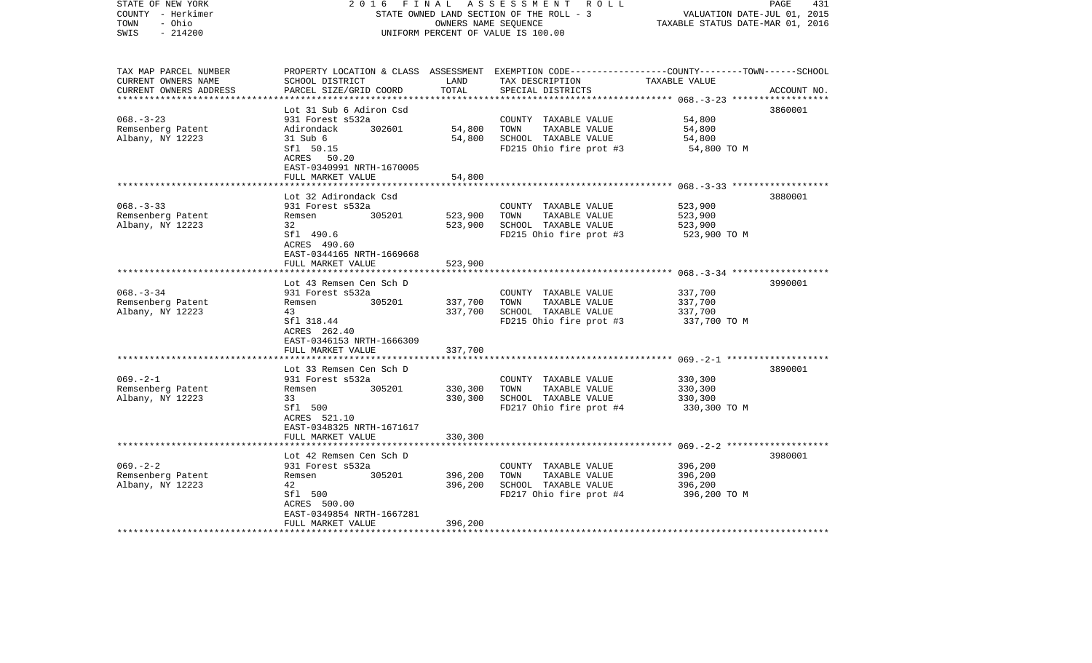| STATE OF NEW YORK<br>COUNTY - Herkimer<br>- Ohio<br>TOWN<br>$-214200$<br>SWIS | 2016<br>FINAL                                                  | OWNERS NAME SEQUENCE | A S S E S S M E N T R O L L<br>STATE OWNED LAND SECTION OF THE ROLL - 3<br>UNIFORM PERCENT OF VALUE IS 100.00                                        | VALUATION DATE-JUL 01, 2015<br>TAXABLE STATUS DATE-MAR 01, 2016 | 431<br>PAGE |
|-------------------------------------------------------------------------------|----------------------------------------------------------------|----------------------|------------------------------------------------------------------------------------------------------------------------------------------------------|-----------------------------------------------------------------|-------------|
| TAX MAP PARCEL NUMBER<br>CURRENT OWNERS NAME<br>CURRENT OWNERS ADDRESS        | SCHOOL DISTRICT<br>PARCEL SIZE/GRID COORD                      | LAND<br>TOTAL        | PROPERTY LOCATION & CLASS ASSESSMENT EXEMPTION CODE--------------COUNTY-------TOWN------SCHOOL<br>TAX DESCRIPTION TAXABLE VALUE<br>SPECIAL DISTRICTS |                                                                 | ACCOUNT NO. |
|                                                                               |                                                                |                      |                                                                                                                                                      |                                                                 |             |
| $068. - 3 - 23$                                                               | Lot 31 Sub 6 Adiron Csd<br>931 Forest s532a                    |                      | COUNTY TAXABLE VALUE                                                                                                                                 | 54,800                                                          | 3860001     |
| Remsenberg Patent                                                             | Adirondack 302601                                              | 54,800               | TOWN<br>TAXABLE VALUE                                                                                                                                | 54,800                                                          |             |
| Albany, NY 12223                                                              | 31 Sub 6                                                       | 54,800               | SCHOOL TAXABLE VALUE                                                                                                                                 | 54,800                                                          |             |
|                                                                               | Sfl 50.15<br>ACRES 50.20<br>EAST-0340991 NRTH-1670005          |                      | FD215 Ohio fire prot #3                                                                                                                              | 54,800 TO M                                                     |             |
|                                                                               | FULL MARKET VALUE                                              | 54,800               |                                                                                                                                                      |                                                                 |             |
|                                                                               | Lot 32 Adirondack Csd                                          |                      |                                                                                                                                                      |                                                                 | 3880001     |
| $068 - 3 - 33$                                                                | 931 Forest s532a                                               |                      | COUNTY TAXABLE VALUE                                                                                                                                 | 523,900                                                         |             |
| Remsenberg Patent                                                             | 305201<br>Remsen                                               | 523,900              | TOWN<br>TAXABLE VALUE                                                                                                                                | 523,900                                                         |             |
| Albany, NY 12223                                                              | 32                                                             | 523,900              | SCHOOL TAXABLE VALUE                                                                                                                                 | 523,900                                                         |             |
|                                                                               | Sfl 490.6<br>ACRES 490.60<br>EAST-0344165 NRTH-1669668         |                      | FD215 Ohio fire prot #3                                                                                                                              | 523,900 TO M                                                    |             |
|                                                                               | FULL MARKET VALUE                                              | 523,900              |                                                                                                                                                      |                                                                 |             |
|                                                                               |                                                                |                      |                                                                                                                                                      |                                                                 |             |
| $068. - 3 - 34$                                                               | Lot 43 Remsen Cen Sch D<br>931 Forest s532a                    |                      | COUNTY TAXABLE VALUE                                                                                                                                 | 337,700                                                         | 3990001     |
| Remsenberg Patent                                                             | Remsen<br>305201                                               | 337,700              | TOWN<br>TAXABLE VALUE                                                                                                                                | 337,700                                                         |             |
| Albany, NY 12223                                                              | 43                                                             | 337,700              | SCHOOL TAXABLE VALUE                                                                                                                                 | 337,700                                                         |             |
|                                                                               | Sfl 318.44<br>ACRES 262.40<br>EAST-0346153 NRTH-1666309        |                      | FD215 Ohio fire prot #3                                                                                                                              | 337,700 TO M                                                    |             |
|                                                                               | FULL MARKET VALUE                                              | 337,700              |                                                                                                                                                      |                                                                 |             |
|                                                                               | Lot 33 Remsen Cen Sch D                                        |                      |                                                                                                                                                      |                                                                 | 3890001     |
| $069. -2 - 1$                                                                 | 931 Forest s532a                                               |                      | COUNTY TAXABLE VALUE                                                                                                                                 | 330,300                                                         |             |
| Remsenberg Patent                                                             | 305201<br>Remsen                                               | 330,300              | TOWN<br>TAXABLE VALUE                                                                                                                                | 330,300                                                         |             |
| Albany, NY 12223                                                              | 33                                                             | 330,300              | SCHOOL TAXABLE VALUE                                                                                                                                 | 330,300                                                         |             |
|                                                                               | Sfl 500<br>ACRES 521.10<br>EAST-0348325 NRTH-1671617           |                      | FD217 Ohio fire prot #4                                                                                                                              | 330,300 TO M                                                    |             |
|                                                                               | FULL MARKET VALUE                                              | 330,300              |                                                                                                                                                      |                                                                 |             |
|                                                                               | Lot 42 Remsen Cen Sch D                                        |                      |                                                                                                                                                      |                                                                 | 3980001     |
| $069. -2 - 2$                                                                 | 931 Forest s532a                                               |                      | COUNTY TAXABLE VALUE                                                                                                                                 | 396,200                                                         |             |
| Remsenberg Patent                                                             | 305201<br>Remsen                                               | 396,200              | TOWN<br>TAXABLE VALUE                                                                                                                                | 396,200                                                         |             |
| Albany, NY 12223                                                              | 42                                                             | 396,200              | SCHOOL TAXABLE VALUE                                                                                                                                 | 396,200                                                         |             |
|                                                                               | Sfl 500                                                        |                      | FD217 Ohio fire prot #4                                                                                                                              | 396,200 TO M                                                    |             |
|                                                                               | ACRES 500.00<br>EAST-0349854 NRTH-1667281<br>FULL MARKET VALUE | 396,200              |                                                                                                                                                      |                                                                 |             |
|                                                                               |                                                                |                      |                                                                                                                                                      |                                                                 |             |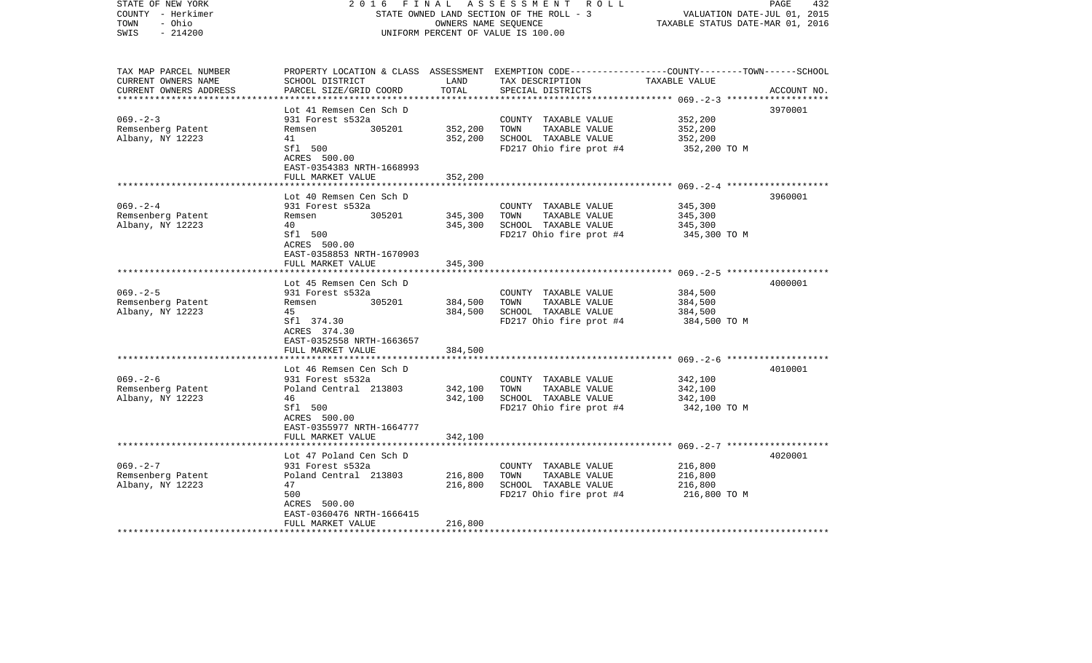| STATE OF NEW YORK<br>COUNTY - Herkimer<br>TOWN<br>- Ohio<br>$-214200$<br>SWIS | 2016                                                    | FINAL         | A S S E S S M E N T R O L L<br>STATE OWNED LAND SECTION OF THE ROLL - 3<br>OWNERS NAME SEQUENCE<br>UNIFORM PERCENT OF VALUE IS 100.00                 | VALUATION DATE-JUL 01, 2015<br>TAXABLE STATUS DATE-MAR 01, 2016 | PAGE<br>432 |
|-------------------------------------------------------------------------------|---------------------------------------------------------|---------------|-------------------------------------------------------------------------------------------------------------------------------------------------------|-----------------------------------------------------------------|-------------|
| TAX MAP PARCEL NUMBER<br>CURRENT OWNERS NAME<br>CURRENT OWNERS ADDRESS        | SCHOOL DISTRICT<br>PARCEL SIZE/GRID COORD               | LAND<br>TOTAL | PROPERTY LOCATION & CLASS ASSESSMENT EXEMPTION CODE---------------COUNTY-------TOWN------SCHOOL<br>TAX DESCRIPTION TAXABLE VALUE<br>SPECIAL DISTRICTS |                                                                 | ACCOUNT NO. |
|                                                                               |                                                         |               |                                                                                                                                                       |                                                                 |             |
| $069. - 2 - 3$                                                                | Lot 41 Remsen Cen Sch D<br>931 Forest s532a             |               | COUNTY TAXABLE VALUE                                                                                                                                  | 352,200                                                         | 3970001     |
| Remsenberg Patent                                                             | 305201<br>Remsen                                        | 352,200       | TAXABLE VALUE<br>TOWN                                                                                                                                 | 352,200                                                         |             |
| Albany, NY 12223                                                              | 41                                                      | 352,200       | SCHOOL TAXABLE VALUE                                                                                                                                  | 352,200                                                         |             |
|                                                                               | Sfl 500<br>ACRES 500.00<br>EAST-0354383 NRTH-1668993    |               | FD217 Ohio fire prot #4                                                                                                                               | 352,200 TO M                                                    |             |
|                                                                               | FULL MARKET VALUE                                       | 352,200       |                                                                                                                                                       |                                                                 |             |
|                                                                               |                                                         |               |                                                                                                                                                       |                                                                 | 3960001     |
| $069. - 2 - 4$                                                                | Lot 40 Remsen Cen Sch D<br>931 Forest s532a             |               | COUNTY TAXABLE VALUE                                                                                                                                  | 345,300                                                         |             |
| Remsenberg Patent                                                             | 305201<br>Remsen                                        | 345,300       | TOWN<br>TAXABLE VALUE                                                                                                                                 | 345,300                                                         |             |
| Albany, NY 12223                                                              | 40                                                      | 345,300       | SCHOOL TAXABLE VALUE                                                                                                                                  | 345,300                                                         |             |
|                                                                               | Sfl 500<br>ACRES 500.00<br>EAST-0358853 NRTH-1670903    |               | FD217 Ohio fire prot #4                                                                                                                               | 345,300 TO M                                                    |             |
|                                                                               | FULL MARKET VALUE                                       | 345,300       |                                                                                                                                                       |                                                                 |             |
|                                                                               |                                                         |               |                                                                                                                                                       |                                                                 |             |
| $069. - 2 - 5$                                                                | Lot 45 Remsen Cen Sch D                                 |               |                                                                                                                                                       | 384,500                                                         | 4000001     |
| Remsenberg Patent                                                             | 931 Forest s532a<br>305201<br>Remsen                    | 384,500       | COUNTY TAXABLE VALUE<br>TOWN<br>TAXABLE VALUE                                                                                                         | 384,500                                                         |             |
| Albany, NY 12223                                                              | 45                                                      | 384,500       | SCHOOL TAXABLE VALUE                                                                                                                                  | 384,500                                                         |             |
|                                                                               | Sfl 374.30<br>ACRES 374.30<br>EAST-0352558 NRTH-1663657 |               | FD217 Ohio fire prot #4                                                                                                                               | 384,500 TO M                                                    |             |
|                                                                               | FULL MARKET VALUE                                       | 384,500       |                                                                                                                                                       |                                                                 |             |
|                                                                               |                                                         |               |                                                                                                                                                       |                                                                 |             |
| $069. - 2 - 6$                                                                | Lot 46 Remsen Cen Sch D<br>931 Forest s532a             |               | COUNTY TAXABLE VALUE                                                                                                                                  | 342,100                                                         | 4010001     |
| Remsenberg Patent                                                             | Poland Central 213803                                   | 342,100       | TAXABLE VALUE<br>TOWN                                                                                                                                 | 342,100                                                         |             |
| Albany, NY 12223                                                              | 46                                                      | 342,100       | SCHOOL TAXABLE VALUE                                                                                                                                  | 342,100                                                         |             |
|                                                                               | Sfl 500<br>ACRES 500.00<br>EAST-0355977 NRTH-1664777    |               | FD217 Ohio fire prot #4                                                                                                                               | 342,100 TO M                                                    |             |
|                                                                               | FULL MARKET VALUE                                       | 342,100       |                                                                                                                                                       |                                                                 |             |
|                                                                               | Lot 47 Poland Cen Sch D                                 |               |                                                                                                                                                       |                                                                 | 4020001     |
| $069. - 2 - 7$                                                                | 931 Forest s532a                                        |               | COUNTY TAXABLE VALUE                                                                                                                                  | 216,800                                                         |             |
| Remsenberg Patent                                                             | Poland Central 213803                                   | 216,800       | TOWN<br>TAXABLE VALUE                                                                                                                                 | 216,800                                                         |             |
| Albany, NY 12223                                                              | 47                                                      | 216,800       | SCHOOL TAXABLE VALUE                                                                                                                                  | 216,800                                                         |             |
|                                                                               | 500<br>ACRES 500.00<br>EAST-0360476 NRTH-1666415        |               | FD217 Ohio fire prot #4                                                                                                                               | 216,800 TO M                                                    |             |
|                                                                               | FULL MARKET VALUE                                       | 216,800       |                                                                                                                                                       |                                                                 |             |
| ***********************                                                       |                                                         |               |                                                                                                                                                       |                                                                 |             |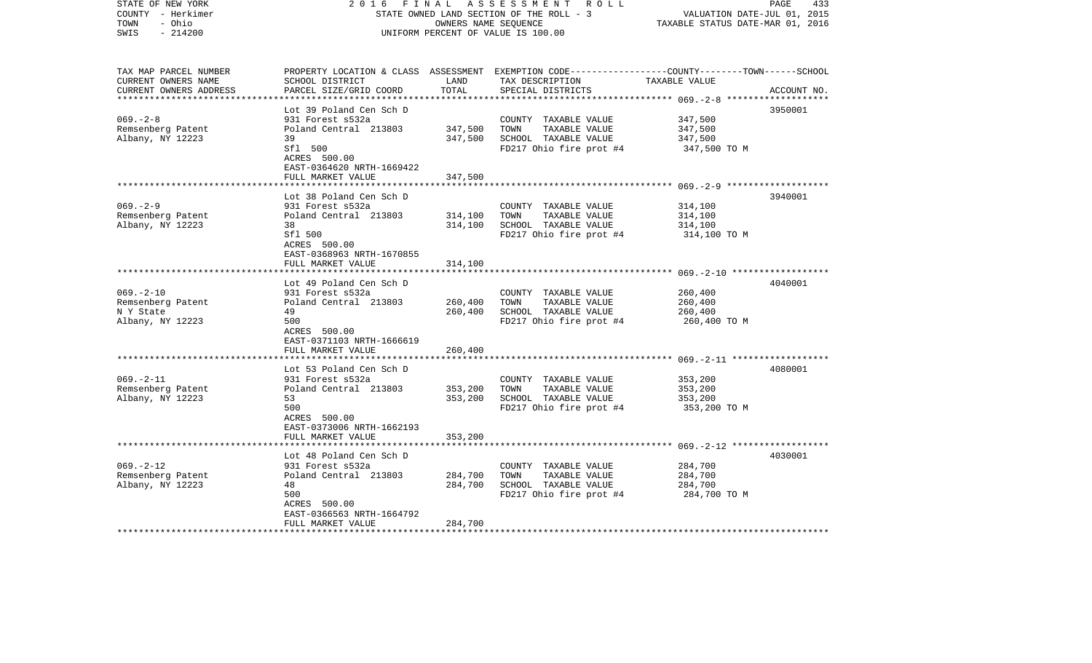| $-214200$<br>SWIS<br>UNIFORM PERCENT OF VALUE IS 100.00<br>TAX MAP PARCEL NUMBER<br>PROPERTY LOCATION & CLASS ASSESSMENT EXEMPTION CODE---------------COUNTY-------TOWN------SCHOOL<br>CURRENT OWNERS NAME<br>LAND<br>TAX DESCRIPTION<br>TAXABLE VALUE<br>SCHOOL DISTRICT<br>CURRENT OWNERS ADDRESS<br>PARCEL SIZE/GRID COORD<br>TOTAL<br>SPECIAL DISTRICTS<br>****************************<br>************** 069.-2-8 ***************<br>Lot 39 Poland Cen Sch D<br>3950001<br>$069. - 2 - 8$<br>347,500<br>931 Forest s532a<br>COUNTY TAXABLE VALUE | ACCOUNT NO.<br>3940001 |
|-------------------------------------------------------------------------------------------------------------------------------------------------------------------------------------------------------------------------------------------------------------------------------------------------------------------------------------------------------------------------------------------------------------------------------------------------------------------------------------------------------------------------------------------------------|------------------------|
|                                                                                                                                                                                                                                                                                                                                                                                                                                                                                                                                                       |                        |
|                                                                                                                                                                                                                                                                                                                                                                                                                                                                                                                                                       |                        |
|                                                                                                                                                                                                                                                                                                                                                                                                                                                                                                                                                       |                        |
|                                                                                                                                                                                                                                                                                                                                                                                                                                                                                                                                                       |                        |
|                                                                                                                                                                                                                                                                                                                                                                                                                                                                                                                                                       |                        |
|                                                                                                                                                                                                                                                                                                                                                                                                                                                                                                                                                       |                        |
| 347,500<br>TAXABLE VALUE<br>347,500<br>Remsenberg Patent<br>Poland Central 213803<br>TOWN                                                                                                                                                                                                                                                                                                                                                                                                                                                             |                        |
| 347,500<br>SCHOOL TAXABLE VALUE<br>Albany, NY 12223<br>39<br>347,500                                                                                                                                                                                                                                                                                                                                                                                                                                                                                  |                        |
| Sfl 500<br>FD217 Ohio fire prot #4<br>347,500 TO M<br>ACRES 500.00                                                                                                                                                                                                                                                                                                                                                                                                                                                                                    |                        |
| EAST-0364620 NRTH-1669422                                                                                                                                                                                                                                                                                                                                                                                                                                                                                                                             |                        |
| FULL MARKET VALUE<br>347,500                                                                                                                                                                                                                                                                                                                                                                                                                                                                                                                          |                        |
|                                                                                                                                                                                                                                                                                                                                                                                                                                                                                                                                                       |                        |
| Lot 38 Poland Cen Sch D                                                                                                                                                                                                                                                                                                                                                                                                                                                                                                                               |                        |
| $069. - 2 - 9$<br>931 Forest s532a<br>314,100<br>COUNTY TAXABLE VALUE                                                                                                                                                                                                                                                                                                                                                                                                                                                                                 |                        |
| Remsenberg Patent<br>Poland Central 213803<br>314,100<br>TOWN<br>TAXABLE VALUE<br>314,100<br>38                                                                                                                                                                                                                                                                                                                                                                                                                                                       |                        |
| Albany, NY 12223<br>314,100<br>SCHOOL TAXABLE VALUE<br>314,100<br>Sfl 500<br>FD217 Ohio fire prot #4                                                                                                                                                                                                                                                                                                                                                                                                                                                  |                        |
| 314,100 TO M<br>ACRES 500.00<br>EAST-0368963 NRTH-1670855                                                                                                                                                                                                                                                                                                                                                                                                                                                                                             |                        |
| 314,100<br>FULL MARKET VALUE                                                                                                                                                                                                                                                                                                                                                                                                                                                                                                                          |                        |
| * * * * * * * * * * * * * * * * *                                                                                                                                                                                                                                                                                                                                                                                                                                                                                                                     |                        |
| 4040001<br>Lot 49 Poland Cen Sch D                                                                                                                                                                                                                                                                                                                                                                                                                                                                                                                    |                        |
| $069. -2 - 10$<br>931 Forest s532a<br>COUNTY TAXABLE VALUE<br>260,400                                                                                                                                                                                                                                                                                                                                                                                                                                                                                 |                        |
| Remsenberg Patent<br>Poland Central 213803<br>260,400<br>TAXABLE VALUE<br>260,400<br>TOWN                                                                                                                                                                                                                                                                                                                                                                                                                                                             |                        |
| 260,400<br>N Y State<br>49<br>SCHOOL TAXABLE VALUE<br>260,400                                                                                                                                                                                                                                                                                                                                                                                                                                                                                         |                        |
| Albany, NY 12223<br>500<br>FD217 Ohio fire prot #4<br>260,400 ТО М                                                                                                                                                                                                                                                                                                                                                                                                                                                                                    |                        |
| ACRES 500.00                                                                                                                                                                                                                                                                                                                                                                                                                                                                                                                                          |                        |
| EAST-0371103 NRTH-1666619                                                                                                                                                                                                                                                                                                                                                                                                                                                                                                                             |                        |
| 260,400<br>FULL MARKET VALUE                                                                                                                                                                                                                                                                                                                                                                                                                                                                                                                          |                        |
| 4080001<br>Lot 53 Poland Cen Sch D                                                                                                                                                                                                                                                                                                                                                                                                                                                                                                                    |                        |
| $069. - 2 - 11$<br>931 Forest s532a<br>353,200<br>COUNTY TAXABLE VALUE                                                                                                                                                                                                                                                                                                                                                                                                                                                                                |                        |
| Remsenberg Patent<br>Poland Central 213803<br>353,200<br>TOWN<br>TAXABLE VALUE<br>353,200                                                                                                                                                                                                                                                                                                                                                                                                                                                             |                        |
| Albany, NY 12223<br>353,200<br>SCHOOL TAXABLE VALUE<br>353,200<br>53                                                                                                                                                                                                                                                                                                                                                                                                                                                                                  |                        |
| 500<br>FD217 Ohio fire prot #4<br>353,200 TO M                                                                                                                                                                                                                                                                                                                                                                                                                                                                                                        |                        |
| ACRES 500.00                                                                                                                                                                                                                                                                                                                                                                                                                                                                                                                                          |                        |
| EAST-0373006 NRTH-1662193                                                                                                                                                                                                                                                                                                                                                                                                                                                                                                                             |                        |
| FULL MARKET VALUE<br>353,200                                                                                                                                                                                                                                                                                                                                                                                                                                                                                                                          |                        |
|                                                                                                                                                                                                                                                                                                                                                                                                                                                                                                                                                       |                        |
| Lot 48 Poland Cen Sch D<br>4030001                                                                                                                                                                                                                                                                                                                                                                                                                                                                                                                    |                        |
| $069. - 2 - 12$<br>931 Forest s532a<br>COUNTY TAXABLE VALUE<br>284,700                                                                                                                                                                                                                                                                                                                                                                                                                                                                                |                        |
| Remsenberg Patent<br>Poland Central 213803<br>284,700<br>TOWN<br>TAXABLE VALUE<br>284,700                                                                                                                                                                                                                                                                                                                                                                                                                                                             |                        |
| Albany, NY 12223<br>48<br>284,700<br>SCHOOL TAXABLE VALUE<br>284,700                                                                                                                                                                                                                                                                                                                                                                                                                                                                                  |                        |
| 500<br>FD217 Ohio fire prot #4<br>284,700 TO M                                                                                                                                                                                                                                                                                                                                                                                                                                                                                                        |                        |
| ACRES 500.00                                                                                                                                                                                                                                                                                                                                                                                                                                                                                                                                          |                        |
| EAST-0366563 NRTH-1664792                                                                                                                                                                                                                                                                                                                                                                                                                                                                                                                             |                        |
| FULL MARKET VALUE<br>284,700                                                                                                                                                                                                                                                                                                                                                                                                                                                                                                                          |                        |

2016 FINAL ASSESSMENT ROLL

PAGE 433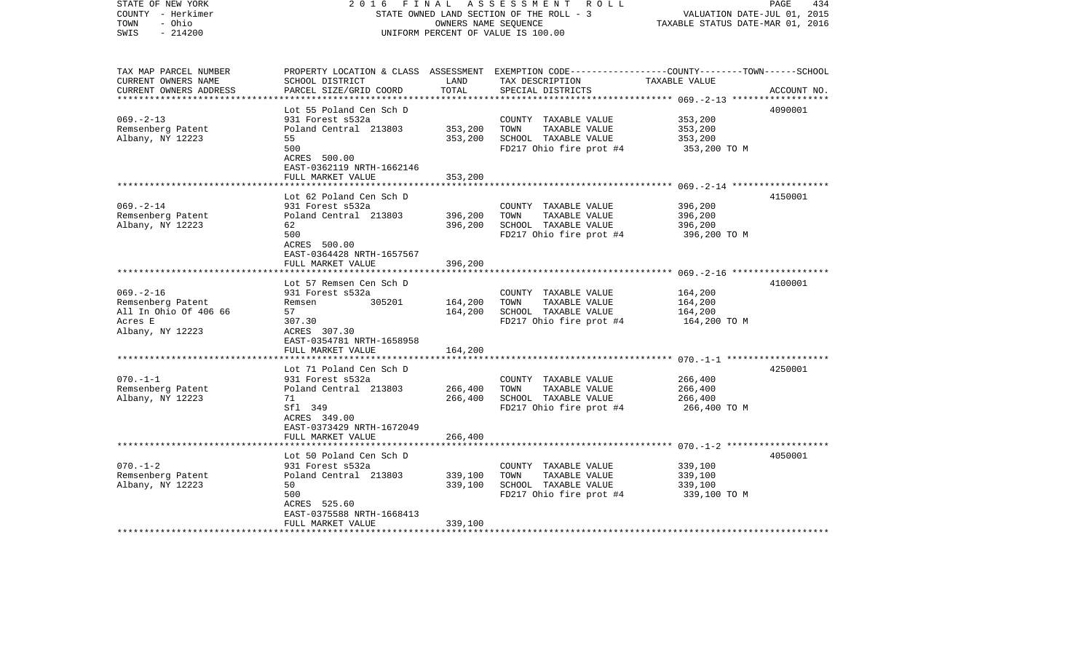| COUNTY - Herkimer<br>- Ohio<br>TOWN<br>$-214200$<br>SWIS |                                 |         | STATE OWNED LAND SECTION OF THE ROLL - 3<br>OWNERS NAME SEOUENCE<br>UNIFORM PERCENT OF VALUE IS 100.00 | VALUATION DATE-JUL 01, 2015<br>TAXABLE STATUS DATE-MAR 01, 2016 |             |
|----------------------------------------------------------|---------------------------------|---------|--------------------------------------------------------------------------------------------------------|-----------------------------------------------------------------|-------------|
|                                                          |                                 |         |                                                                                                        |                                                                 |             |
| TAX MAP PARCEL NUMBER                                    |                                 |         | PROPERTY LOCATION & CLASS ASSESSMENT EXEMPTION CODE---------------COUNTY-------TOWN------SCHOOL        |                                                                 |             |
| CURRENT OWNERS NAME                                      | SCHOOL DISTRICT                 | LAND    | TAX DESCRIPTION                                                                                        | TAXABLE VALUE                                                   |             |
| CURRENT OWNERS ADDRESS                                   | PARCEL SIZE/GRID COORD          | TOTAL   | SPECIAL DISTRICTS                                                                                      |                                                                 | ACCOUNT NO. |
| **********************                                   | ***************************     |         |                                                                                                        |                                                                 |             |
|                                                          | Lot 55 Poland Cen Sch D         |         |                                                                                                        |                                                                 | 4090001     |
| $069. -2 - 13$                                           | 931 Forest s532a                |         | COUNTY TAXABLE VALUE                                                                                   | 353,200                                                         |             |
| Remsenberg Patent                                        | Poland Central 213803           | 353,200 | TAXABLE VALUE<br>TOWN                                                                                  | 353,200                                                         |             |
| Albany, NY 12223                                         | 55                              | 353,200 | SCHOOL TAXABLE VALUE                                                                                   | 353,200                                                         |             |
|                                                          | 500                             |         | FD217 Ohio fire prot #4                                                                                | 353,200 TO M                                                    |             |
|                                                          | ACRES 500.00                    |         |                                                                                                        |                                                                 |             |
|                                                          | EAST-0362119 NRTH-1662146       |         |                                                                                                        |                                                                 |             |
|                                                          | FULL MARKET VALUE               | 353,200 |                                                                                                        |                                                                 |             |
|                                                          | Lot 62 Poland Cen Sch D         |         |                                                                                                        |                                                                 | 4150001     |
| $069. - 2 - 14$                                          | 931 Forest s532a                |         | COUNTY TAXABLE VALUE                                                                                   | 396,200                                                         |             |
| Remsenberg Patent                                        | Poland Central 213803           | 396,200 | TAXABLE VALUE<br>TOWN                                                                                  | 396,200                                                         |             |
| Albany, NY 12223                                         | 62                              | 396,200 | SCHOOL TAXABLE VALUE                                                                                   | 396,200                                                         |             |
|                                                          | 500                             |         | FD217 Ohio fire prot #4                                                                                | 396,200 TO M                                                    |             |
|                                                          | ACRES 500.00                    |         |                                                                                                        |                                                                 |             |
|                                                          | EAST-0364428 NRTH-1657567       |         |                                                                                                        |                                                                 |             |
|                                                          | FULL MARKET VALUE               | 396,200 |                                                                                                        |                                                                 |             |
|                                                          | * * * * * * * * * * * * * * * * |         |                                                                                                        |                                                                 |             |
|                                                          | Lot 57 Remsen Cen Sch D         |         |                                                                                                        |                                                                 | 4100001     |
| $069. -2 - 16$                                           | 931 Forest s532a                |         | COUNTY TAXABLE VALUE                                                                                   | 164,200                                                         |             |
| Remsenberg Patent                                        | 305201<br>Remsen                | 164,200 | TAXABLE VALUE<br>TOWN                                                                                  | 164,200                                                         |             |
| All In Ohio Of 406 66                                    | 57                              | 164,200 | SCHOOL TAXABLE VALUE                                                                                   | 164,200                                                         |             |
| Acres E                                                  | 307.30                          |         | FD217 Ohio fire prot #4                                                                                | 164,200 TO M                                                    |             |
| Albany, NY 12223                                         | ACRES 307.30                    |         |                                                                                                        |                                                                 |             |
|                                                          | EAST-0354781 NRTH-1658958       |         |                                                                                                        |                                                                 |             |
|                                                          | FULL MARKET VALUE               | 164,200 |                                                                                                        |                                                                 |             |
|                                                          |                                 |         |                                                                                                        |                                                                 |             |
|                                                          | Lot 71 Poland Cen Sch D         |         |                                                                                                        |                                                                 | 4250001     |
| $070. - 1 - 1$                                           | 931 Forest s532a                |         | COUNTY TAXABLE VALUE                                                                                   | 266,400                                                         |             |
| Remsenberg Patent                                        | Poland Central 213803           | 266,400 | TAXABLE VALUE<br>TOWN                                                                                  | 266,400                                                         |             |
| Albany, NY 12223                                         | 71                              | 266,400 | SCHOOL TAXABLE VALUE                                                                                   | 266,400                                                         |             |
|                                                          | Sfl 349<br>ACRES 349.00         |         | FD217 Ohio fire prot #4                                                                                | 266,400 ТО М                                                    |             |
|                                                          | EAST-0373429 NRTH-1672049       |         |                                                                                                        |                                                                 |             |
|                                                          | FULL MARKET VALUE               | 266,400 |                                                                                                        |                                                                 |             |
|                                                          |                                 |         |                                                                                                        |                                                                 |             |
|                                                          | Lot 50 Poland Cen Sch D         |         |                                                                                                        |                                                                 | 4050001     |
| $070. - 1 - 2$                                           | 931 Forest s532a                |         | COUNTY TAXABLE VALUE                                                                                   | 339,100                                                         |             |
| Remsenberg Patent                                        | Poland Central 213803           | 339,100 | TAXABLE VALUE<br>TOWN                                                                                  | 339,100                                                         |             |
| Albany, NY 12223                                         | 50                              | 339,100 | SCHOOL TAXABLE VALUE                                                                                   | 339,100                                                         |             |
|                                                          | 500                             |         | FD217 Ohio fire prot #4                                                                                | 339,100 TO M                                                    |             |
|                                                          | ACRES 525.60                    |         |                                                                                                        |                                                                 |             |
|                                                          | EAST-0375588 NRTH-1668413       |         |                                                                                                        |                                                                 |             |
|                                                          | FULL MARKET VALUE               | 339,100 |                                                                                                        |                                                                 |             |
|                                                          |                                 |         |                                                                                                        |                                                                 |             |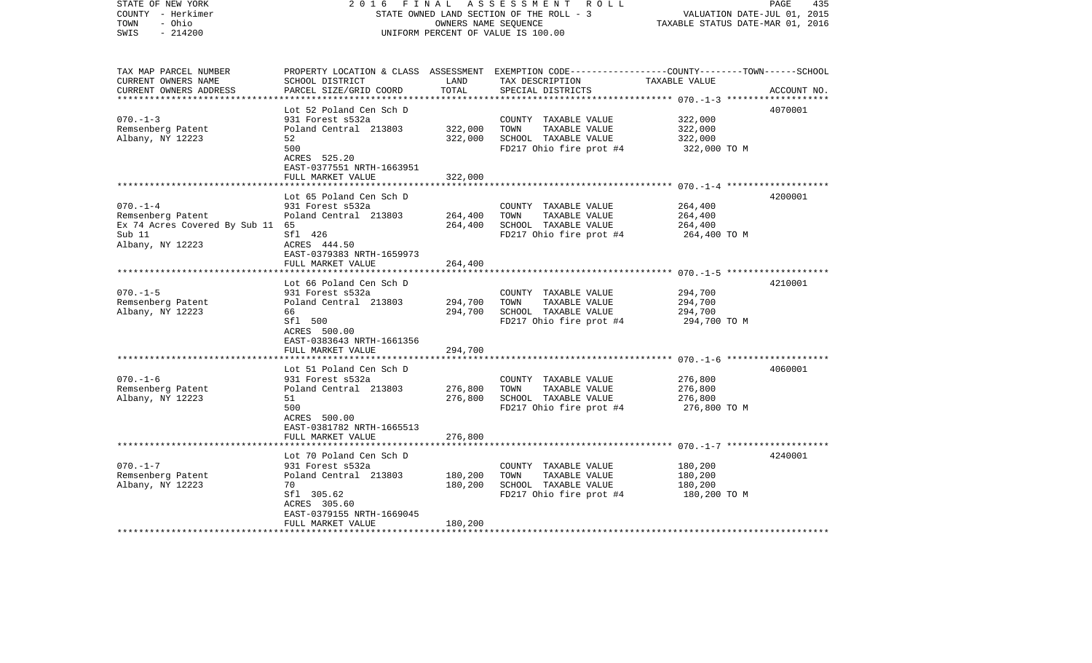| COUNTY - Herkimer<br>- Ohio<br>TOWN<br>SWIS<br>$-214200$ |                                                | STATE OWNED LAND SECTION OF THE ROLL - 3<br>OWNERS NAME SEQUENCE<br>UNIFORM PERCENT OF VALUE IS 100.00 |                                                                                                 |                         |             |
|----------------------------------------------------------|------------------------------------------------|--------------------------------------------------------------------------------------------------------|-------------------------------------------------------------------------------------------------|-------------------------|-------------|
|                                                          |                                                |                                                                                                        |                                                                                                 |                         |             |
| TAX MAP PARCEL NUMBER                                    |                                                |                                                                                                        | PROPERTY LOCATION & CLASS ASSESSMENT EXEMPTION CODE---------------COUNTY-------TOWN------SCHOOL |                         |             |
| CURRENT OWNERS NAME                                      | SCHOOL DISTRICT                                | LAND                                                                                                   | TAX DESCRIPTION                                                                                 | TAXABLE VALUE           |             |
| CURRENT OWNERS ADDRESS                                   | PARCEL SIZE/GRID COORD                         | TOTAL                                                                                                  | SPECIAL DISTRICTS                                                                               |                         | ACCOUNT NO. |
|                                                          | Lot 52 Poland Cen Sch D                        |                                                                                                        |                                                                                                 |                         | 4070001     |
| $070. - 1 - 3$                                           | 931 Forest s532a                               |                                                                                                        | COUNTY TAXABLE VALUE                                                                            | 322,000                 |             |
| Remsenberg Patent                                        | Poland Central 213803                          | 322,000                                                                                                | TOWN<br>TAXABLE VALUE                                                                           | 322,000                 |             |
| Albany, NY 12223                                         | 52                                             | 322,000                                                                                                | SCHOOL TAXABLE VALUE                                                                            | 322,000                 |             |
|                                                          | 500                                            |                                                                                                        | FD217 Ohio fire prot #4                                                                         | 322,000 TO M            |             |
|                                                          | ACRES 525.20                                   |                                                                                                        |                                                                                                 |                         |             |
|                                                          | EAST-0377551 NRTH-1663951                      |                                                                                                        |                                                                                                 |                         |             |
|                                                          | FULL MARKET VALUE                              | 322,000                                                                                                |                                                                                                 |                         |             |
|                                                          |                                                |                                                                                                        |                                                                                                 |                         |             |
|                                                          | Lot 65 Poland Cen Sch D                        |                                                                                                        |                                                                                                 |                         | 4200001     |
| $070. -1 -4$                                             | 931 Forest s532a                               |                                                                                                        | COUNTY TAXABLE VALUE                                                                            | 264,400                 |             |
| Remsenberg Patent                                        | Poland Central 213803                          | 264,400                                                                                                | TOWN<br>TAXABLE VALUE                                                                           | 264,400                 |             |
| Ex 74 Acres Covered By Sub 11 65<br>Sub 11               | Sfl 426                                        | 264,400                                                                                                | SCHOOL TAXABLE VALUE<br>FD217 Ohio fire prot #4                                                 | 264,400<br>264,400 TO M |             |
| Albany, NY 12223                                         | ACRES 444.50                                   |                                                                                                        |                                                                                                 |                         |             |
|                                                          | EAST-0379383 NRTH-1659973                      |                                                                                                        |                                                                                                 |                         |             |
|                                                          | FULL MARKET VALUE                              | 264,400                                                                                                |                                                                                                 |                         |             |
|                                                          | ************************                       |                                                                                                        |                                                                                                 |                         |             |
|                                                          | Lot 66 Poland Cen Sch D                        |                                                                                                        |                                                                                                 |                         | 4210001     |
| $070. -1 - 5$                                            | 931 Forest s532a                               |                                                                                                        | COUNTY TAXABLE VALUE                                                                            | 294,700                 |             |
| Remsenberg Patent                                        | Poland Central 213803                          | 294,700                                                                                                | TAXABLE VALUE<br>TOWN                                                                           | 294,700                 |             |
| Albany, NY 12223                                         | 66                                             | 294,700                                                                                                | SCHOOL TAXABLE VALUE                                                                            | 294,700                 |             |
|                                                          | Sfl 500                                        |                                                                                                        | FD217 Ohio fire prot #4                                                                         | 294,700 TO M            |             |
|                                                          | ACRES 500.00                                   |                                                                                                        |                                                                                                 |                         |             |
|                                                          | EAST-0383643 NRTH-1661356<br>FULL MARKET VALUE | 294,700                                                                                                |                                                                                                 |                         |             |
|                                                          |                                                |                                                                                                        |                                                                                                 |                         |             |
|                                                          | Lot 51 Poland Cen Sch D                        |                                                                                                        |                                                                                                 |                         | 4060001     |
| $070. -1 - 6$                                            | 931 Forest s532a                               |                                                                                                        | COUNTY TAXABLE VALUE                                                                            | 276,800                 |             |
| Remsenberg Patent                                        | Poland Central 213803                          | 276,800                                                                                                | TOWN<br>TAXABLE VALUE                                                                           | 276,800                 |             |
| Albany, NY 12223                                         | 51                                             | 276,800                                                                                                | SCHOOL TAXABLE VALUE                                                                            | 276,800                 |             |
|                                                          | 500                                            |                                                                                                        | FD217 Ohio fire prot #4                                                                         | 276,800 TO M            |             |
|                                                          | ACRES 500.00                                   |                                                                                                        |                                                                                                 |                         |             |
|                                                          | EAST-0381782 NRTH-1665513                      |                                                                                                        |                                                                                                 |                         |             |
|                                                          | FULL MARKET VALUE                              | 276,800                                                                                                |                                                                                                 |                         |             |
|                                                          |                                                |                                                                                                        |                                                                                                 |                         |             |
| $070. - 1 - 7$                                           | Lot 70 Poland Cen Sch D<br>931 Forest s532a    |                                                                                                        | COUNTY TAXABLE VALUE                                                                            | 180,200                 | 4240001     |
| Remsenberg Patent                                        | Poland Central 213803                          | 180,200                                                                                                | TAXABLE VALUE<br>TOWN                                                                           | 180,200                 |             |
| Albany, NY 12223                                         | 70                                             | 180,200                                                                                                | SCHOOL TAXABLE VALUE                                                                            | 180,200                 |             |
|                                                          | Sfl 305.62                                     |                                                                                                        | FD217 Ohio fire prot #4                                                                         | 180,200 TO M            |             |
|                                                          | ACRES 305.60                                   |                                                                                                        |                                                                                                 |                         |             |
|                                                          | EAST-0379155 NRTH-1669045                      |                                                                                                        |                                                                                                 |                         |             |
|                                                          | FULL MARKET VALUE                              | 180,200                                                                                                |                                                                                                 |                         |             |
|                                                          |                                                |                                                                                                        |                                                                                                 |                         |             |

2016 FINAL ASSESSMENT ROLL

PAGE 435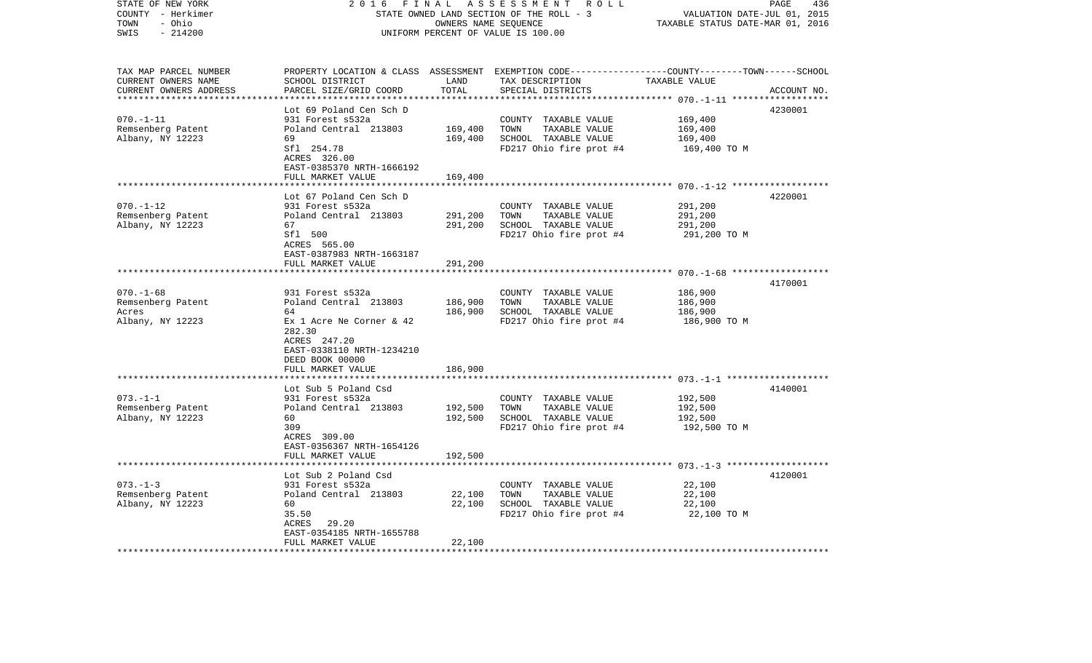| STATE OF NEW YORK<br>COUNTY - Herkimer        | 2 0 1 6<br>FINAL<br>STATE OWNED LAND SECTION OF THE ROLL - 3 | PAGE<br>436<br>VALUATION DATE-JUL 01, 2015 |                                                                                                 |                         |             |
|-----------------------------------------------|--------------------------------------------------------------|--------------------------------------------|-------------------------------------------------------------------------------------------------|-------------------------|-------------|
| TOWN<br>- Ohio<br>$-214200$<br>SWIS           | UNIFORM PERCENT OF VALUE IS 100.00                           | TAXABLE STATUS DATE-MAR 01, 2016           |                                                                                                 |                         |             |
| TAX MAP PARCEL NUMBER                         |                                                              |                                            | PROPERTY LOCATION & CLASS ASSESSMENT EXEMPTION CODE---------------COUNTY-------TOWN------SCHOOL |                         |             |
| CURRENT OWNERS NAME<br>CURRENT OWNERS ADDRESS | SCHOOL DISTRICT<br>PARCEL SIZE/GRID COORD                    | LAND<br>TOTAL                              | TAX DESCRIPTION TAXABLE VALUE<br>SPECIAL DISTRICTS                                              |                         | ACCOUNT NO. |
| **************************                    | Lot 69 Poland Cen Sch D                                      |                                            |                                                                                                 |                         | 4230001     |
| $070. - 1 - 11$                               | 931 Forest s532a                                             |                                            | COUNTY TAXABLE VALUE                                                                            | 169,400                 |             |
| Remsenberg Patent                             | Poland Central 213803                                        | 169,400                                    | TAXABLE VALUE<br>TOWN                                                                           | 169,400                 |             |
| Albany, NY 12223                              | 69                                                           | 169,400                                    | SCHOOL TAXABLE VALUE                                                                            | 169,400                 |             |
|                                               | Sfl 254.78                                                   |                                            | FD217 Ohio fire prot $#4$ 169,400 TO M                                                          |                         |             |
|                                               | ACRES 326.00                                                 |                                            |                                                                                                 |                         |             |
|                                               | EAST-0385370 NRTH-1666192                                    |                                            |                                                                                                 |                         |             |
|                                               | FULL MARKET VALUE                                            | 169,400                                    |                                                                                                 |                         |             |
|                                               |                                                              |                                            |                                                                                                 |                         |             |
| $070. - 1 - 12$                               | Lot 67 Poland Cen Sch D<br>931 Forest s532a                  |                                            | COUNTY TAXABLE VALUE                                                                            | 291,200                 | 4220001     |
| Remsenberg Patent                             | Poland Central 213803                                        | 291,200                                    | TOWN<br>TAXABLE VALUE                                                                           | 291,200                 |             |
| Albany, NY 12223                              | 67                                                           | 291,200                                    | SCHOOL TAXABLE VALUE                                                                            | 291,200                 |             |
|                                               | Sfl 500                                                      |                                            | FD217 Ohio fire prot #4                                                                         | 291,200 TO M            |             |
|                                               | ACRES 565.00                                                 |                                            |                                                                                                 |                         |             |
|                                               | EAST-0387983 NRTH-1663187                                    |                                            |                                                                                                 |                         |             |
|                                               | FULL MARKET VALUE                                            | 291,200                                    |                                                                                                 |                         |             |
|                                               |                                                              |                                            |                                                                                                 |                         |             |
|                                               |                                                              |                                            |                                                                                                 |                         | 4170001     |
| $070. - 1 - 68$                               | 931 Forest s532a                                             |                                            | COUNTY TAXABLE VALUE                                                                            | 186,900                 |             |
| Remsenberg Patent                             | Poland Central 213803                                        | 186,900<br>186,900                         | TAXABLE VALUE<br>TOWN                                                                           | 186,900                 |             |
| Acres<br>Albany, NY 12223                     | 64<br>Ex 1 Acre Ne Corner & 42                               |                                            | SCHOOL TAXABLE VALUE<br>FD217 Ohio fire prot #4                                                 | 186,900<br>186,900 ТО М |             |
|                                               | 282.30                                                       |                                            |                                                                                                 |                         |             |
|                                               | ACRES 247.20                                                 |                                            |                                                                                                 |                         |             |
|                                               | EAST-0338110 NRTH-1234210                                    |                                            |                                                                                                 |                         |             |
|                                               | DEED BOOK 00000                                              |                                            |                                                                                                 |                         |             |
|                                               | FULL MARKET VALUE                                            | 186,900                                    |                                                                                                 |                         |             |
|                                               |                                                              |                                            |                                                                                                 |                         |             |
|                                               | Lot Sub 5 Poland Csd                                         |                                            |                                                                                                 |                         | 4140001     |
| $073. - 1 - 1$                                | 931 Forest s532a                                             |                                            | COUNTY TAXABLE VALUE                                                                            | 192,500                 |             |
| Remsenberg Patent                             | Poland Central 213803                                        | 192,500                                    | TAXABLE VALUE<br>TOWN                                                                           | 192,500                 |             |
| Albany, NY 12223                              | 60<br>309                                                    | 192,500                                    | SCHOOL TAXABLE VALUE                                                                            | 192,500                 |             |
|                                               | ACRES 309.00                                                 |                                            | FD217 Ohio fire prot #4                                                                         | 192,500 TO M            |             |
|                                               | EAST-0356367 NRTH-1654126                                    |                                            |                                                                                                 |                         |             |
|                                               | FULL MARKET VALUE                                            | 192,500                                    |                                                                                                 |                         |             |
|                                               |                                                              |                                            |                                                                                                 |                         |             |
|                                               | Lot Sub 2 Poland Csd                                         |                                            |                                                                                                 |                         | 4120001     |
| $073. - 1 - 3$                                | 931 Forest s532a                                             |                                            | COUNTY TAXABLE VALUE                                                                            | 22,100                  |             |
| Remsenberg Patent                             | Poland Central 213803                                        | 22,100                                     | TAXABLE VALUE<br>TOWN                                                                           | 22,100                  |             |
| Albany, NY 12223                              | 60                                                           | 22,100                                     | SCHOOL TAXABLE VALUE                                                                            | 22,100                  |             |
|                                               | 35.50                                                        |                                            | FD217 Ohio fire prot #4                                                                         | 22,100 TO M             |             |
|                                               | ACRES 29.20                                                  |                                            |                                                                                                 |                         |             |
|                                               | EAST-0354185 NRTH-1655788<br>FULL MARKET VALUE               | 22,100                                     |                                                                                                 |                         |             |
|                                               |                                                              |                                            |                                                                                                 |                         |             |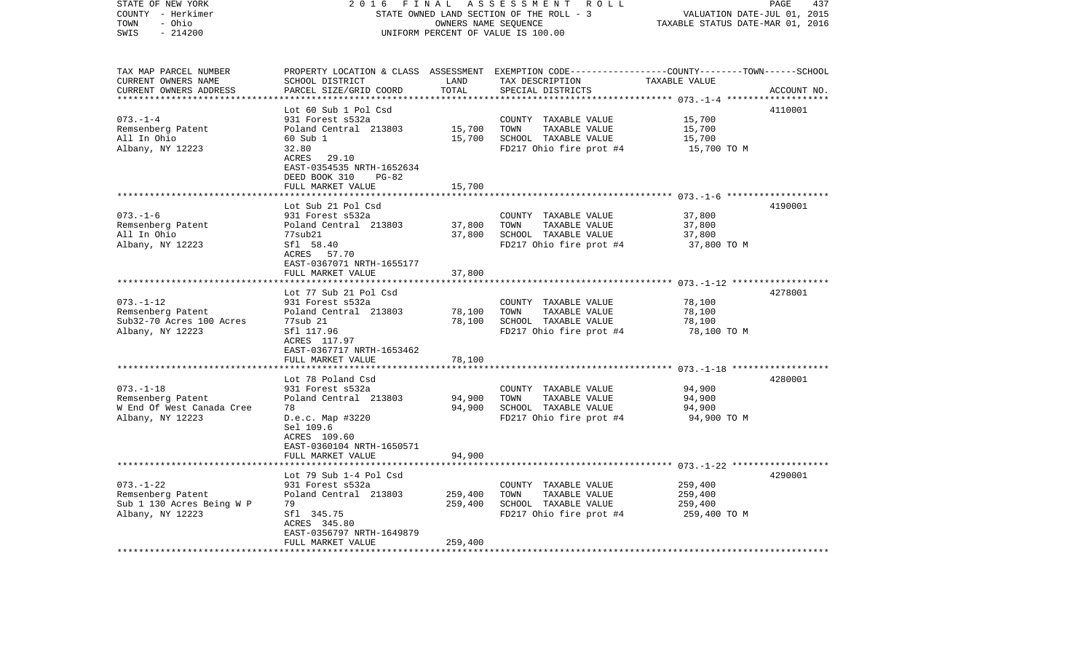| STATE OF NEW YORK<br>COUNTY - Herkimer<br>TOWN<br>- Ohio<br>$-214200$<br>SWIS                     | 2016<br>FINAL<br>STATE OWNED LAND SECTION OF THE ROLL - 3<br>UNIFORM PERCENT OF VALUE IS 100.00                                                                                     | PAGE<br>437<br>VALUATION DATE-JUL 01, 2015<br>TAXABLE STATUS DATE-MAR 01, 2016 |                                                                                                                                          |                                               |             |
|---------------------------------------------------------------------------------------------------|-------------------------------------------------------------------------------------------------------------------------------------------------------------------------------------|--------------------------------------------------------------------------------|------------------------------------------------------------------------------------------------------------------------------------------|-----------------------------------------------|-------------|
| TAX MAP PARCEL NUMBER<br>CURRENT OWNERS NAME<br>CURRENT OWNERS ADDRESS<br>*********************** | SCHOOL DISTRICT<br>PARCEL SIZE/GRID COORD                                                                                                                                           | LAND<br>TOTAL                                                                  | PROPERTY LOCATION & CLASS ASSESSMENT EXEMPTION CODE----------------COUNTY-------TOWN------SCHOOL<br>TAX DESCRIPTION<br>SPECIAL DISTRICTS | TAXABLE VALUE                                 | ACCOUNT NO. |
| $073. - 1 - 4$<br>Remsenberg Patent<br>All In Ohio<br>Albany, NY 12223                            | Lot 60 Sub 1 Pol Csd<br>931 Forest s532a<br>Poland Central 213803<br>60 Sub 1<br>32.80<br>ACRES 29.10<br>EAST-0354535 NRTH-1652634<br>DEED BOOK 310<br>$PG-82$<br>FULL MARKET VALUE | 15,700<br>15,700<br>15,700                                                     | COUNTY TAXABLE VALUE<br>TOWN<br>TAXABLE VALUE<br>SCHOOL TAXABLE VALUE<br>FD217 Ohio fire prot #4                                         | 15,700<br>15,700<br>15,700<br>15,700 TO M     | 4110001     |
|                                                                                                   |                                                                                                                                                                                     |                                                                                |                                                                                                                                          |                                               |             |
| $073. - 1 - 6$<br>Remsenberg Patent<br>All In Ohio<br>Albany, NY 12223                            | Lot Sub 21 Pol Csd<br>931 Forest s532a<br>Poland Central 213803<br>77sub21<br>Sfl 58.40<br>ACRES 57.70<br>EAST-0367071 NRTH-1655177                                                 | 37,800<br>37,800                                                               | COUNTY TAXABLE VALUE<br>TAXABLE VALUE<br>TOWN<br>SCHOOL TAXABLE VALUE<br>FD217 Ohio fire prot #4                                         | 37,800<br>37,800<br>37,800<br>37,800 TO M     | 4190001     |
|                                                                                                   | FULL MARKET VALUE                                                                                                                                                                   | 37,800                                                                         |                                                                                                                                          |                                               |             |
| $073. - 1 - 12$<br>Remsenberg Patent<br>Sub32-70 Acres 100 Acres<br>Albany, NY 12223              | Lot 77 Sub 21 Pol Csd<br>931 Forest s532a<br>Poland Central 213803<br>77sub 21<br>Sfl 117.96<br>ACRES 117.97                                                                        | 78,100<br>78,100                                                               | COUNTY TAXABLE VALUE<br>TOWN<br>TAXABLE VALUE<br>SCHOOL TAXABLE VALUE<br>FD217 Ohio fire prot #4                                         | 78,100<br>78,100<br>78,100<br>78,100 TO M     | 4278001     |
|                                                                                                   | EAST-0367717 NRTH-1653462<br>FULL MARKET VALUE                                                                                                                                      | 78,100                                                                         |                                                                                                                                          |                                               |             |
|                                                                                                   | Lot 78 Poland Csd                                                                                                                                                                   |                                                                                |                                                                                                                                          |                                               | 4280001     |
| $073. - 1 - 18$<br>Remsenberg Patent<br>W End Of West Canada Cree<br>Albany, NY 12223             | 931 Forest s532a<br>Poland Central 213803<br>78<br>D.e.c. Map #3220<br>Sel 109.6<br>ACRES 109.60<br>EAST-0360104 NRTH-1650571                                                       | 94,900<br>94,900                                                               | COUNTY TAXABLE VALUE<br>TOWN<br>TAXABLE VALUE<br>SCHOOL TAXABLE VALUE<br>FD217 Ohio fire prot #4                                         | 94,900<br>94,900<br>94,900<br>94,900 TO M     |             |
|                                                                                                   | FULL MARKET VALUE                                                                                                                                                                   | 94,900                                                                         |                                                                                                                                          |                                               |             |
| $073. - 1 - 22$<br>Remsenberg Patent<br>Sub 1 130 Acres Being W P<br>Albany, NY 12223             | Lot 79 Sub 1-4 Pol Csd<br>931 Forest s532a<br>Poland Central 213803<br>79<br>Sfl 345.75<br>ACRES 345.80<br>EAST-0356797 NRTH-1649879                                                | 259,400<br>259,400                                                             | COUNTY TAXABLE VALUE<br>TOWN<br>TAXABLE VALUE<br>SCHOOL TAXABLE VALUE<br>FD217 Ohio fire prot #4                                         | 259,400<br>259,400<br>259,400<br>259,400 TO M | 4290001     |
| ************************                                                                          | FULL MARKET VALUE<br>********************                                                                                                                                           | 259,400                                                                        |                                                                                                                                          |                                               |             |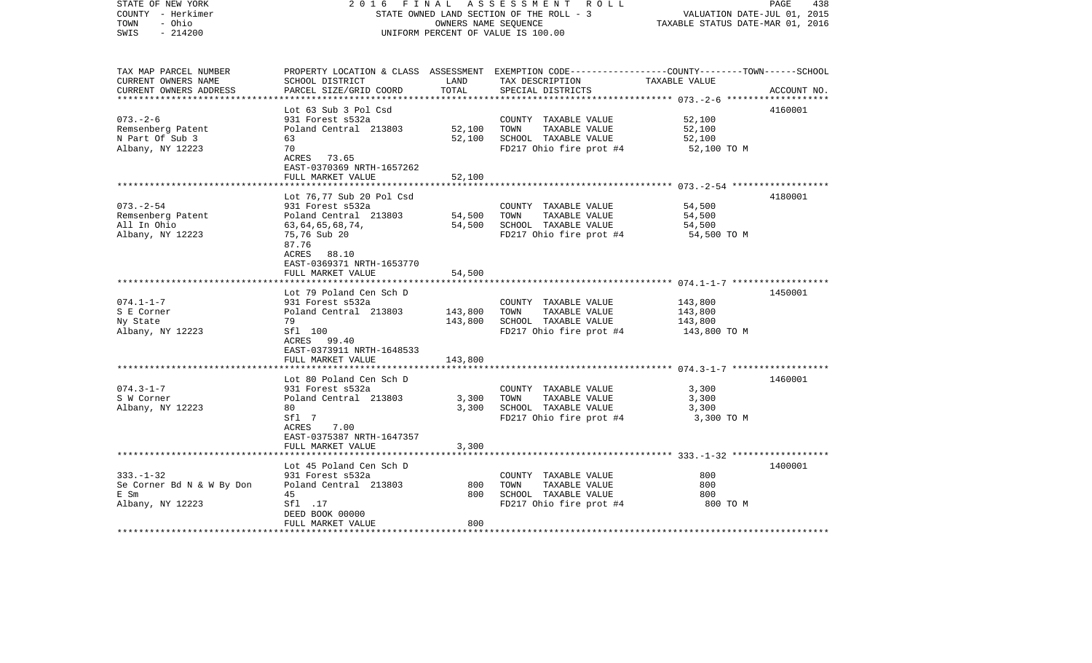| STATE OF NEW YORK<br>COUNTY - Herkimer<br>- Ohio<br>TOWN<br>$-214200$<br>SWIS | FINAL<br>2016                                        | OWNERS NAME SEQUENCE | A S S E S S M E N T R O L L<br>STATE OWNED LAND SECTION OF THE ROLL - 3<br>UNIFORM PERCENT OF VALUE IS 100.00                           | VALUATION DATE-JUL 01, 2015<br>TAXABLE STATUS DATE-MAR 01, 2016 | PAGE<br>438 |
|-------------------------------------------------------------------------------|------------------------------------------------------|----------------------|-----------------------------------------------------------------------------------------------------------------------------------------|-----------------------------------------------------------------|-------------|
| TAX MAP PARCEL NUMBER<br>CURRENT OWNERS NAME<br>CURRENT OWNERS ADDRESS        | SCHOOL DISTRICT<br>PARCEL SIZE/GRID COORD            | LAND<br>TOTAL        | PROPERTY LOCATION & CLASS ASSESSMENT EXEMPTION CODE---------------COUNTY-------TOWN------SCHOOL<br>TAX DESCRIPTION<br>SPECIAL DISTRICTS | TAXABLE VALUE                                                   | ACCOUNT NO. |
|                                                                               | Lot 63 Sub 3 Pol Csd                                 |                      |                                                                                                                                         |                                                                 | 4160001     |
| $073. - 2 - 6$                                                                | 931 Forest s532a                                     |                      | COUNTY TAXABLE VALUE                                                                                                                    | 52,100                                                          |             |
| Remsenberg Patent                                                             | Poland Central 213803                                | 52,100               | TOWN<br>TAXABLE VALUE                                                                                                                   | 52,100                                                          |             |
| N Part Of Sub 3                                                               | 63                                                   | 52,100               | SCHOOL TAXABLE VALUE                                                                                                                    | 52,100                                                          |             |
| Albany, NY 12223                                                              | 70<br>ACRES 73.65<br>EAST-0370369 NRTH-1657262       |                      | FD217 Ohio fire prot #4                                                                                                                 | 52,100 TO M                                                     |             |
|                                                                               | FULL MARKET VALUE                                    | 52,100               |                                                                                                                                         |                                                                 |             |
|                                                                               |                                                      |                      |                                                                                                                                         |                                                                 |             |
|                                                                               | Lot 76,77 Sub 20 Pol Csd                             |                      |                                                                                                                                         |                                                                 | 4180001     |
| $073. - 2 - 54$                                                               | 931 Forest s532a                                     |                      | COUNTY TAXABLE VALUE                                                                                                                    | 54,500                                                          |             |
| Remsenberg Patent<br>All In Ohio                                              | Poland Central 213803                                | 54,500               | TOWN<br>TAXABLE VALUE                                                                                                                   | 54,500                                                          |             |
| Albany, NY 12223                                                              | 63,64,65,68,74,<br>75,76 Sub 20                      | 54,500               | SCHOOL TAXABLE VALUE<br>FD217 Ohio fire prot #4                                                                                         | 54,500<br>54,500 TO M                                           |             |
|                                                                               | 87.76<br>88.10<br>ACRES<br>EAST-0369371 NRTH-1653770 |                      |                                                                                                                                         |                                                                 |             |
|                                                                               | FULL MARKET VALUE                                    | 54,500               |                                                                                                                                         |                                                                 |             |
|                                                                               | Lot 79 Poland Cen Sch D                              |                      |                                                                                                                                         |                                                                 | 1450001     |
| $074.1 - 1 - 7$                                                               | 931 Forest s532a                                     |                      | COUNTY TAXABLE VALUE                                                                                                                    | 143,800                                                         |             |
| S E Corner                                                                    | Poland Central 213803                                | 143,800              | TOWN<br>TAXABLE VALUE                                                                                                                   | 143,800                                                         |             |
| Ny State                                                                      | 79                                                   | 143,800              | SCHOOL TAXABLE VALUE                                                                                                                    | 143,800                                                         |             |
| Albany, NY 12223                                                              | Sfl 100                                              |                      | FD217 Ohio fire prot #4                                                                                                                 | 143,800 TO M                                                    |             |
|                                                                               | ACRES 99.40<br>EAST-0373911 NRTH-1648533             |                      |                                                                                                                                         |                                                                 |             |
|                                                                               | FULL MARKET VALUE                                    | 143,800              |                                                                                                                                         |                                                                 |             |
|                                                                               | Lot 80 Poland Cen Sch D                              |                      |                                                                                                                                         |                                                                 | 1460001     |
| $074.3 - 1 - 7$                                                               | 931 Forest s532a                                     |                      | COUNTY TAXABLE VALUE                                                                                                                    | 3,300                                                           |             |
| S W Corner                                                                    | Poland Central 213803                                | 3,300                | TOWN<br>TAXABLE VALUE                                                                                                                   | 3,300                                                           |             |
| Albany, NY 12223                                                              | 80                                                   | 3,300                | SCHOOL TAXABLE VALUE                                                                                                                    | 3,300                                                           |             |
|                                                                               | Sfl 7                                                |                      | FD217 Ohio fire prot #4                                                                                                                 | 3,300 TO M                                                      |             |
|                                                                               | ACRES<br>7.00                                        |                      |                                                                                                                                         |                                                                 |             |
|                                                                               | EAST-0375387 NRTH-1647357                            |                      |                                                                                                                                         |                                                                 |             |
|                                                                               | FULL MARKET VALUE                                    | 3,300                |                                                                                                                                         |                                                                 |             |
|                                                                               |                                                      |                      |                                                                                                                                         |                                                                 |             |
| $333. - 1 - 32$                                                               | Lot 45 Poland Cen Sch D<br>931 Forest s532a          |                      | COUNTY TAXABLE VALUE                                                                                                                    | 800                                                             | 1400001     |
| Se Corner Bd N & W By Don                                                     | Poland Central 213803                                | 800                  | TOWN<br>TAXABLE VALUE                                                                                                                   | 800                                                             |             |
| E Sm                                                                          | 45                                                   | 800                  | SCHOOL TAXABLE VALUE                                                                                                                    | 800                                                             |             |
| Albany, NY 12223                                                              | Sfl .17                                              |                      | FD217 Ohio fire prot #4                                                                                                                 | 800 TO M                                                        |             |
|                                                                               | DEED BOOK 00000                                      |                      |                                                                                                                                         |                                                                 |             |
|                                                                               | FULL MARKET VALUE                                    | 800                  |                                                                                                                                         |                                                                 |             |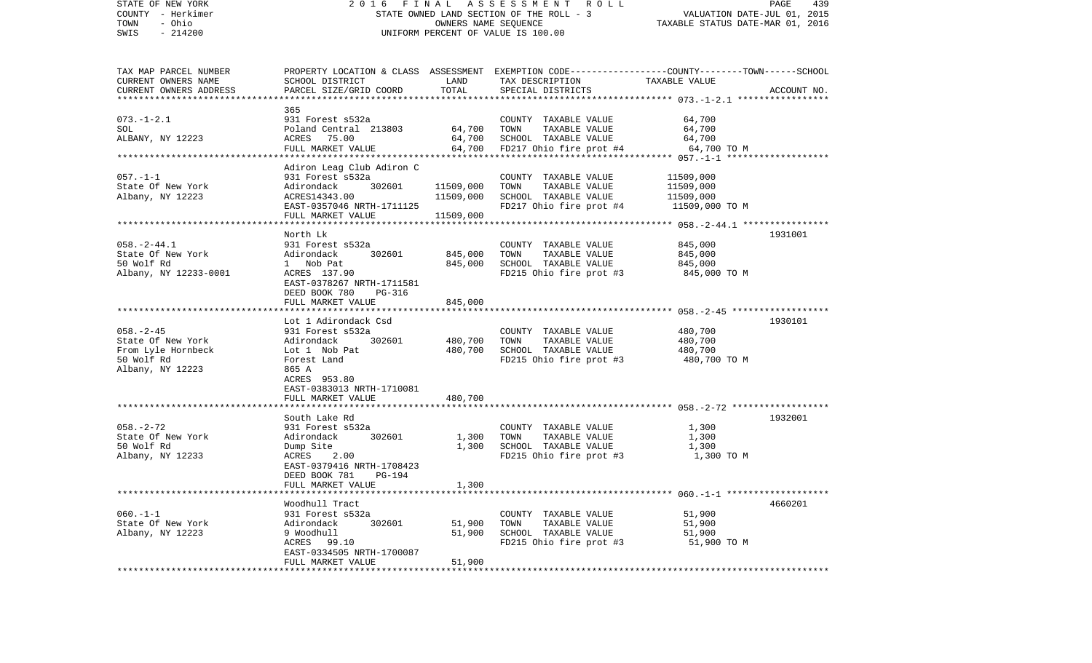| STATE OF NEW YORK<br>COUNTY - Herkimer<br>- Ohio<br>TOWN | 2016 FINAL ASSESSMENT ROLL<br>STATE OWNED LAND SECTION OF THE ROLL - 3<br>OWNERS NAME SEQUENCE |                        |                                                                                                 | PAGE<br>439<br>VALUATION DATE-JUL 01, 2015<br>TAXABLE STATUS DATE-MAR 01, 2016 |             |  |
|----------------------------------------------------------|------------------------------------------------------------------------------------------------|------------------------|-------------------------------------------------------------------------------------------------|--------------------------------------------------------------------------------|-------------|--|
| $-214200$<br>SWIS                                        |                                                                                                |                        | UNIFORM PERCENT OF VALUE IS 100.00                                                              |                                                                                |             |  |
| TAX MAP PARCEL NUMBER                                    |                                                                                                |                        | PROPERTY LOCATION & CLASS ASSESSMENT EXEMPTION CODE---------------COUNTY-------TOWN------SCHOOL |                                                                                |             |  |
| CURRENT OWNERS NAME                                      | SCHOOL DISTRICT                                                                                | LAND                   | TAX DESCRIPTION                                                                                 | TAXABLE VALUE                                                                  |             |  |
| CURRENT OWNERS ADDRESS                                   | PARCEL SIZE/GRID COORD                                                                         | TOTAL                  | SPECIAL DISTRICTS                                                                               |                                                                                | ACCOUNT NO. |  |
|                                                          | 365                                                                                            |                        |                                                                                                 |                                                                                |             |  |
| $073. - 1 - 2.1$                                         | 931 Forest s532a                                                                               |                        | COUNTY TAXABLE VALUE                                                                            | 64,700                                                                         |             |  |
| SOL                                                      | Poland Central 213803                                                                          | 64,700                 | TOWN<br>TAXABLE VALUE                                                                           | 64,700                                                                         |             |  |
| ALBANY, NY 12223                                         | ACRES 75.00                                                                                    | 64,700                 | SCHOOL TAXABLE VALUE                                                                            | 64,700                                                                         |             |  |
|                                                          | FULL MARKET VALUE                                                                              |                        | 64,700 FD217 Ohio fire prot #4                                                                  | 64,700 TO M                                                                    |             |  |
|                                                          |                                                                                                |                        |                                                                                                 |                                                                                |             |  |
|                                                          | Adiron Leag Club Adiron C                                                                      |                        |                                                                                                 |                                                                                |             |  |
| $057. - 1 - 1$<br>State Of New York                      | 931 Forest s532a<br>Adirondack<br>302601                                                       |                        | COUNTY TAXABLE VALUE<br>TOWN                                                                    | 11509,000                                                                      |             |  |
| Albany, NY 12223                                         | ACRES14343.00                                                                                  | 11509,000<br>11509,000 | TAXABLE VALUE<br>SCHOOL TAXABLE VALUE                                                           | 11509,000<br>11509,000                                                         |             |  |
|                                                          | EAST-0357046 NRTH-1711125                                                                      |                        | FD217 Ohio fire prot #4                                                                         | 11509,000 TO M                                                                 |             |  |
|                                                          | FULL MARKET VALUE                                                                              | 11509,000              |                                                                                                 |                                                                                |             |  |
|                                                          |                                                                                                |                        |                                                                                                 |                                                                                |             |  |
|                                                          | North Lk                                                                                       |                        |                                                                                                 |                                                                                | 1931001     |  |
| $058. - 2 - 44.1$                                        | 931 Forest s532a                                                                               |                        | COUNTY TAXABLE VALUE                                                                            | 845,000                                                                        |             |  |
| State Of New York                                        | 302601<br>Adirondack                                                                           | 845,000                | TAXABLE VALUE<br>TOWN                                                                           | 845,000                                                                        |             |  |
| 50 Wolf Rd                                               | 1 Nob Pat                                                                                      | 845,000                | SCHOOL TAXABLE VALUE                                                                            | 845,000                                                                        |             |  |
| Albany, NY 12233-0001                                    | ACRES 137.90<br>EAST-0378267 NRTH-1711581<br>DEED BOOK 780<br>PG-316                           |                        | FD215 Ohio fire prot #3                                                                         | 845,000 TO M                                                                   |             |  |
|                                                          | FULL MARKET VALUE                                                                              | 845,000                |                                                                                                 |                                                                                |             |  |
|                                                          |                                                                                                |                        |                                                                                                 |                                                                                |             |  |
| $058. - 2 - 45$                                          | Lot 1 Adirondack Csd<br>931 Forest s532a                                                       |                        | COUNTY TAXABLE VALUE                                                                            | 480,700                                                                        | 1930101     |  |
| State Of New York                                        | 302601<br>Adirondack                                                                           | 480,700                | TOWN<br>TAXABLE VALUE                                                                           | 480,700                                                                        |             |  |
| From Lyle Hornbeck                                       | Lot 1 Nob Pat                                                                                  | 480,700                | SCHOOL TAXABLE VALUE                                                                            | 480,700                                                                        |             |  |
| 50 Wolf Rd                                               | Forest Land                                                                                    |                        | FD215 Ohio fire prot #3                                                                         | 480,700 TO M                                                                   |             |  |
| Albany, NY 12223                                         | 865 A                                                                                          |                        |                                                                                                 |                                                                                |             |  |
|                                                          | ACRES 953.80                                                                                   |                        |                                                                                                 |                                                                                |             |  |
|                                                          | EAST-0383013 NRTH-1710081                                                                      |                        |                                                                                                 |                                                                                |             |  |
|                                                          | FULL MARKET VALUE                                                                              | 480,700                |                                                                                                 |                                                                                |             |  |
|                                                          | South Lake Rd                                                                                  |                        |                                                                                                 |                                                                                | 1932001     |  |
| $058. - 2 - 72$                                          | 931 Forest s532a                                                                               |                        | COUNTY TAXABLE VALUE                                                                            | 1,300                                                                          |             |  |
| State Of New York                                        | 302601<br>Adirondack                                                                           | 1,300                  | TOWN<br>TAXABLE VALUE                                                                           | 1,300                                                                          |             |  |
| 50 Wolf Rd                                               | Dump Site                                                                                      | 1,300                  | SCHOOL TAXABLE VALUE                                                                            | 1,300                                                                          |             |  |
| Albany, NY 12233                                         | ACRES 2.00                                                                                     |                        | FD215 Ohio fire prot #3                                                                         | 1,300 TO M                                                                     |             |  |
|                                                          | EAST-0379416 NRTH-1708423                                                                      |                        |                                                                                                 |                                                                                |             |  |
|                                                          | DEED BOOK 781<br>PG-194                                                                        |                        |                                                                                                 |                                                                                |             |  |
|                                                          | FULL MARKET VALUE                                                                              | 1,300                  |                                                                                                 |                                                                                |             |  |
|                                                          | Woodhull Tract                                                                                 |                        |                                                                                                 |                                                                                | 4660201     |  |
| $060. -1 - 1$                                            | 931 Forest s532a                                                                               |                        | COUNTY TAXABLE VALUE                                                                            | 51,900                                                                         |             |  |
| State Of New York                                        | 302601<br>Adirondack                                                                           | 51,900                 | TAXABLE VALUE<br>TOWN                                                                           | 51,900                                                                         |             |  |
| Albany, NY 12223                                         | 9 Woodhull                                                                                     | 51,900                 | SCHOOL TAXABLE VALUE                                                                            | 51,900                                                                         |             |  |
|                                                          | ACRES 99.10                                                                                    |                        | FD215 Ohio fire prot #3                                                                         | 51,900 TO M                                                                    |             |  |
|                                                          | EAST-0334505 NRTH-1700087                                                                      |                        |                                                                                                 |                                                                                |             |  |
|                                                          | FULL MARKET VALUE                                                                              | 51,900                 |                                                                                                 |                                                                                |             |  |
|                                                          |                                                                                                |                        |                                                                                                 |                                                                                |             |  |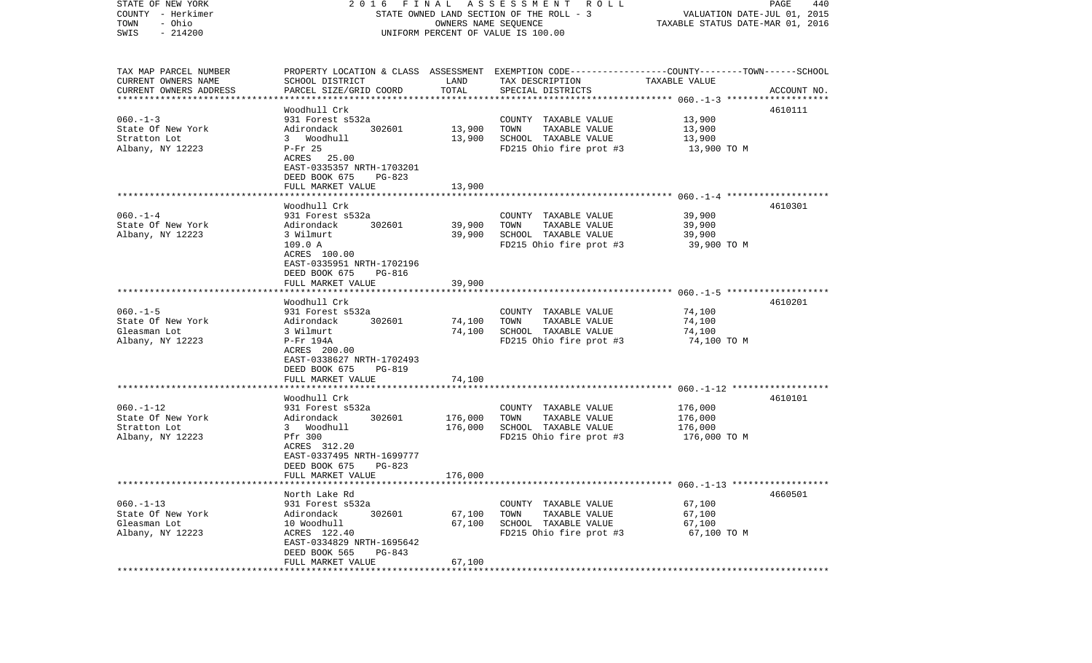| STATE OF NEW YORK<br>FINAL<br>A S S E S S M E N T R O L L<br>2016<br>COUNTY - Herkimer<br>STATE OWNED LAND SECTION OF THE ROLL - 3<br>TOWN<br>- Ohio<br>OWNERS NAME SEQUENCE                                   | PAGE<br>440<br>VALUATION DATE-JUL 01, 2015<br>TAXABLE STATUS DATE-MAR 01, 2016 |  |  |
|----------------------------------------------------------------------------------------------------------------------------------------------------------------------------------------------------------------|--------------------------------------------------------------------------------|--|--|
| $-214200$<br>SWIS<br>UNIFORM PERCENT OF VALUE IS 100.00                                                                                                                                                        |                                                                                |  |  |
| TAX MAP PARCEL NUMBER<br>PROPERTY LOCATION & CLASS ASSESSMENT EXEMPTION CODE---------------COUNTY-------TOWN------SCHOOL<br>CURRENT OWNERS NAME<br>SCHOOL DISTRICT<br>LAND<br>TAXABLE VALUE<br>TAX DESCRIPTION |                                                                                |  |  |
| TOTAL<br>CURRENT OWNERS ADDRESS<br>PARCEL SIZE/GRID COORD<br>SPECIAL DISTRICTS<br>**************************                                                                                                   | ACCOUNT NO.                                                                    |  |  |
| Woodhull Crk                                                                                                                                                                                                   | 4610111                                                                        |  |  |
| $060 - 1 - 3$<br>931 Forest s532a<br>COUNTY TAXABLE VALUE                                                                                                                                                      | 13,900                                                                         |  |  |
| State Of New York<br>302601<br>13,900<br>TOWN<br>TAXABLE VALUE<br>Adirondack                                                                                                                                   | 13,900                                                                         |  |  |
| Stratton Lot<br>3 Woodhull<br>13,900<br>SCHOOL TAXABLE VALUE                                                                                                                                                   | 13,900                                                                         |  |  |
| Albany, NY 12223<br>$P-Fr$ 25<br>FD215 Ohio fire prot #3<br>ACRES 25.00                                                                                                                                        | 13,900 TO M                                                                    |  |  |
| EAST-0335357 NRTH-1703201                                                                                                                                                                                      |                                                                                |  |  |
| DEED BOOK 675<br>PG-823                                                                                                                                                                                        |                                                                                |  |  |
| FULL MARKET VALUE<br>13,900                                                                                                                                                                                    |                                                                                |  |  |
| Woodhull Crk                                                                                                                                                                                                   | 4610301                                                                        |  |  |
| $060 - 1 - 4$<br>931 Forest s532a<br>COUNTY TAXABLE VALUE                                                                                                                                                      | 39,900                                                                         |  |  |
| State Of New York<br>302601<br>39,900<br>TOWN<br>TAXABLE VALUE<br>Adirondack                                                                                                                                   | 39,900                                                                         |  |  |
| Albany, NY 12223<br>39,900<br>SCHOOL TAXABLE VALUE<br>3 Wilmurt                                                                                                                                                | 39,900                                                                         |  |  |
| 109.0 A<br>FD215 Ohio fire prot #3                                                                                                                                                                             | 39,900 TO M                                                                    |  |  |
| ACRES 100.00<br>EAST-0335951 NRTH-1702196                                                                                                                                                                      |                                                                                |  |  |
| DEED BOOK 675<br>PG-816                                                                                                                                                                                        |                                                                                |  |  |
| FULL MARKET VALUE<br>39,900                                                                                                                                                                                    |                                                                                |  |  |
|                                                                                                                                                                                                                |                                                                                |  |  |
| Woodhull Crk<br>$060. -1 - 5$<br>COUNTY TAXABLE VALUE<br>931 Forest s532a                                                                                                                                      | 4610201<br>74,100                                                              |  |  |
| TAXABLE VALUE<br>State Of New York<br>302601<br>74,100<br>TOWN<br>Adirondack                                                                                                                                   | 74,100                                                                         |  |  |
| 74,100<br>SCHOOL TAXABLE VALUE<br>Gleasman Lot<br>3 Wilmurt                                                                                                                                                    | 74,100                                                                         |  |  |
| Albany, NY 12223<br>FD215 Ohio fire prot #3<br>P-Fr 194A                                                                                                                                                       | 74,100 TO M                                                                    |  |  |
| ACRES 200.00                                                                                                                                                                                                   |                                                                                |  |  |
| EAST-0338627 NRTH-1702493<br>DEED BOOK 675<br>PG-819                                                                                                                                                           |                                                                                |  |  |
| 74,100<br>FULL MARKET VALUE                                                                                                                                                                                    |                                                                                |  |  |
| ****************************                                                                                                                                                                                   |                                                                                |  |  |
| Woodhull Crk                                                                                                                                                                                                   | 4610101                                                                        |  |  |
| $060. -1 - 12$<br>COUNTY TAXABLE VALUE<br>931 Forest s532a<br>State Of New York<br>302601<br>176,000<br>TOWN<br>TAXABLE VALUE                                                                                  | 176,000<br>176,000                                                             |  |  |
| Adirondack<br>Stratton Lot<br>3 Woodhull<br>176,000<br>SCHOOL TAXABLE VALUE                                                                                                                                    | 176,000                                                                        |  |  |
| FD215 Ohio fire prot #3<br>Albany, NY 12223<br>Pfr 300                                                                                                                                                         | 176,000 TO M                                                                   |  |  |
| ACRES 312.20                                                                                                                                                                                                   |                                                                                |  |  |
| EAST-0337495 NRTH-1699777                                                                                                                                                                                      |                                                                                |  |  |
| DEED BOOK 675<br>PG-823<br>176,000<br>FULL MARKET VALUE                                                                                                                                                        |                                                                                |  |  |
|                                                                                                                                                                                                                |                                                                                |  |  |
| North Lake Rd                                                                                                                                                                                                  | 4660501                                                                        |  |  |
| $060. -1 - 13$<br>931 Forest s532a<br>COUNTY TAXABLE VALUE                                                                                                                                                     | 67,100                                                                         |  |  |
| State Of New York<br>Adirondack<br>67,100<br>TOWN<br>TAXABLE VALUE<br>302601                                                                                                                                   | 67,100                                                                         |  |  |
| Gleasman Lot<br>10 Woodhull<br>67,100<br>SCHOOL TAXABLE VALUE<br>Albany, NY 12223<br>ACRES 122.40<br>FD215 Ohio fire prot #3                                                                                   | 67,100                                                                         |  |  |
|                                                                                                                                                                                                                |                                                                                |  |  |
| EAST-0334829 NRTH-1695642                                                                                                                                                                                      | 67,100 TO M                                                                    |  |  |
| DEED BOOK 565<br>PG-843<br>FULL MARKET VALUE<br>67,100                                                                                                                                                         |                                                                                |  |  |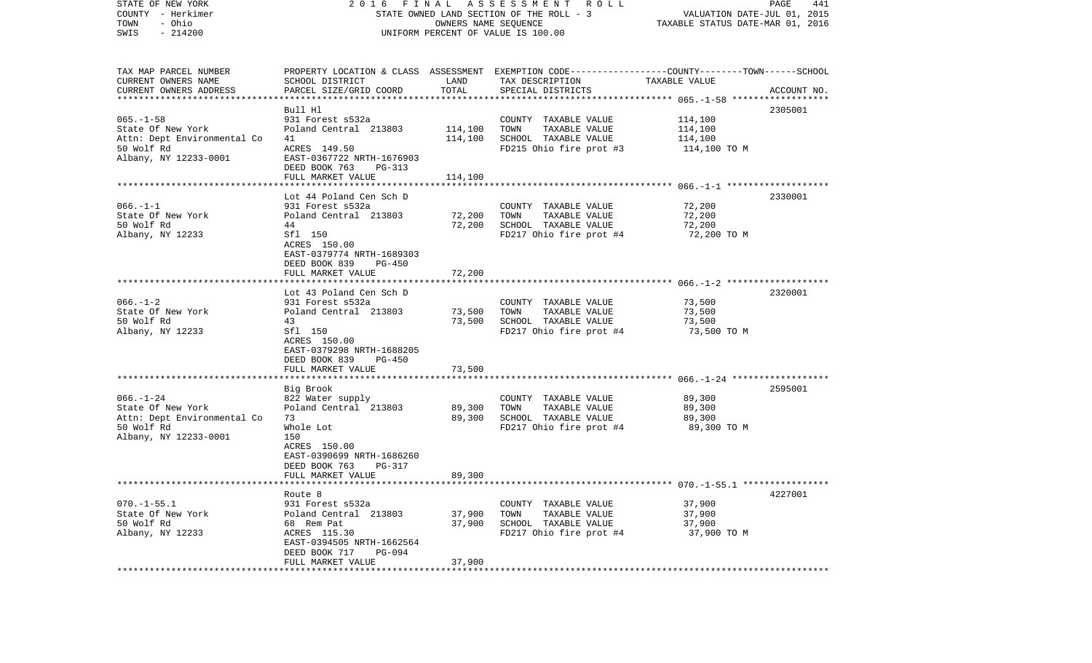| STATE OF NEW YORK<br>COUNTY - Herkimer<br>- Ohio<br>TOWN<br>$-214200$<br>SWIS                                                         | FINAL<br>A S S E S S M E N T R O L L<br>2016<br>STATE OWNED LAND SECTION OF THE ROLL - 3<br>OWNERS NAME SEQUENCE<br>UNIFORM PERCENT OF VALUE IS 100.00                                               |                                             |                                                                                                                                         | PAGE<br>441<br>VALUATION DATE-JUL 01, 2015<br>TAXABLE STATUS DATE-MAR 01, 2016 |             |  |
|---------------------------------------------------------------------------------------------------------------------------------------|------------------------------------------------------------------------------------------------------------------------------------------------------------------------------------------------------|---------------------------------------------|-----------------------------------------------------------------------------------------------------------------------------------------|--------------------------------------------------------------------------------|-------------|--|
| TAX MAP PARCEL NUMBER<br>CURRENT OWNERS NAME<br>CURRENT OWNERS ADDRESS                                                                | SCHOOL DISTRICT<br>PARCEL SIZE/GRID COORD                                                                                                                                                            | LAND<br>TOTAL                               | PROPERTY LOCATION & CLASS ASSESSMENT EXEMPTION CODE---------------COUNTY-------TOWN------SCHOOL<br>TAX DESCRIPTION<br>SPECIAL DISTRICTS | TAXABLE VALUE                                                                  | ACCOUNT NO. |  |
| ************************<br>$065. -1 - 58$<br>State Of New York<br>Attn: Dept Environmental Co<br>50 Wolf Rd<br>Albany, NY 12233-0001 | Bull Hl<br>931 Forest s532a<br>Poland Central 213803<br>41<br>ACRES 149.50<br>EAST-0367722 NRTH-1676903<br>DEED BOOK 763<br>PG-313                                                                   | 114,100<br>114,100                          | COUNTY TAXABLE VALUE<br>TOWN<br>TAXABLE VALUE<br>SCHOOL TAXABLE VALUE<br>FD215 Ohio fire prot #3                                        | 114,100<br>114,100<br>114,100<br>114,100 TO M                                  | 2305001     |  |
| $066. -1 - 1$<br>State Of New York<br>50 Wolf Rd<br>Albany, NY 12233                                                                  | FULL MARKET VALUE<br>Lot 44 Poland Cen Sch D<br>931 Forest s532a<br>Poland Central 213803<br>44<br>Sfl 150<br>ACRES 150.00<br>EAST-0379774 NRTH-1689303<br>DEED BOOK 839<br>PG-450                   | 114,100<br>72,200<br>72,200                 | COUNTY TAXABLE VALUE<br>TOWN<br>TAXABLE VALUE<br>SCHOOL TAXABLE VALUE<br>FD217 Ohio fire prot #4                                        | 72,200<br>72,200<br>72,200<br>72,200 TO M                                      | 2330001     |  |
| $066. - 1 - 2$<br>State Of New York<br>50 Wolf Rd<br>Albany, NY 12233                                                                 | FULL MARKET VALUE<br>Lot 43 Poland Cen Sch D<br>931 Forest s532a<br>Poland Central 213803<br>43<br>Sfl 150<br>ACRES 150.00<br>EAST-0379298 NRTH-1688205<br>DEED BOOK 839<br>PG-450                   | 72,200<br>73,500<br>73,500                  | COUNTY TAXABLE VALUE<br>TAXABLE VALUE<br>TOWN<br>SCHOOL TAXABLE VALUE<br>FD217 Ohio fire prot #4                                        | 73,500<br>73,500<br>73,500<br>73,500 TO M                                      | 2320001     |  |
| $066. - 1 - 24$<br>State Of New York<br>Attn: Dept Environmental Co<br>50 Wolf Rd<br>Albany, NY 12233-0001                            | FULL MARKET VALUE<br>*******************<br>Big Brook<br>822 Water supply<br>Poland Central 213803<br>73<br>Whole Lot<br>150<br>ACRES 150.00<br>EAST-0390699 NRTH-1686260<br>DEED BOOK 763<br>PG-317 | 73,500<br>*************<br>89,300<br>89,300 | COUNTY TAXABLE VALUE<br>TOWN<br>TAXABLE VALUE<br>SCHOOL TAXABLE VALUE<br>FD217 Ohio fire prot #4                                        | 89,300<br>89,300<br>89,300<br>89,300 TO M                                      | 2595001     |  |
| $070. -1 - 55.1$<br>State Of New York<br>50 Wolf Rd<br>Albany, NY 12233                                                               | FULL MARKET VALUE<br>Route 8<br>931 Forest s532a<br>Poland Central 213803<br>68 Rem Pat<br>ACRES 115.30<br>EAST-0394505 NRTH-1662564<br>DEED BOOK 717<br>PG-094<br>FULL MARKET VALUE                 | 89,300<br>37,900<br>37,900<br>37,900        | COUNTY TAXABLE VALUE<br>TOWN<br>TAXABLE VALUE<br>SCHOOL TAXABLE VALUE<br>FD217 Ohio fire prot #4                                        | 37,900<br>37,900<br>37,900<br>37,900 TO M                                      | 4227001     |  |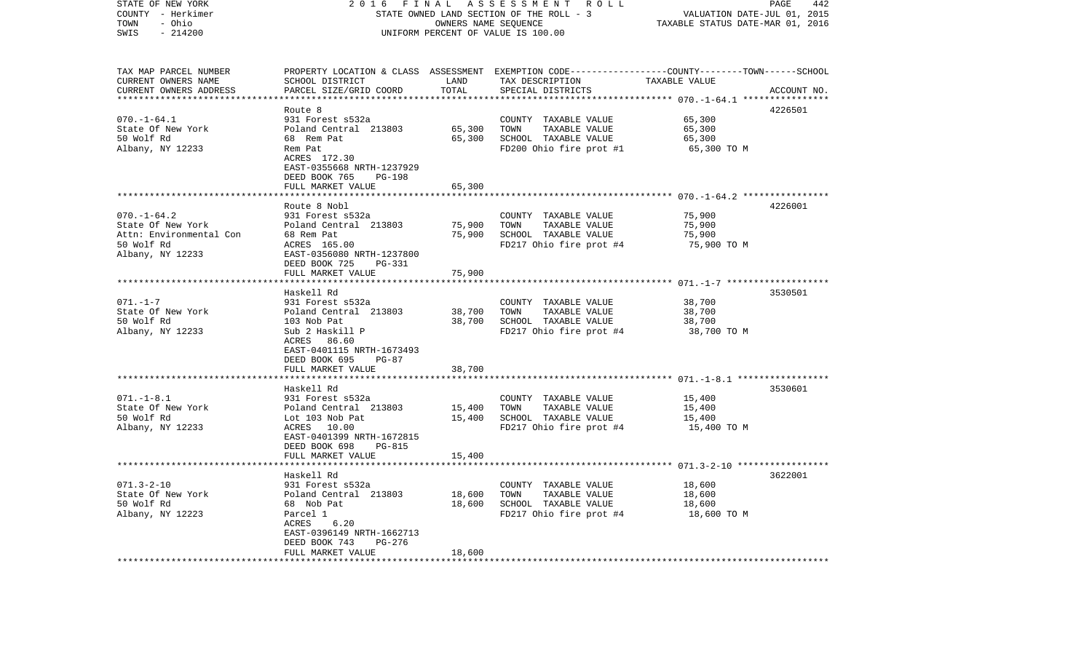| STATE OF NEW YORK<br>COUNTY - Herkimer<br>- Ohio<br>TOWN | 2016<br>FINAL<br>STATE OWNED LAND SECTION OF THE ROLL - 3 | 442<br>PAGE<br>VALUATION DATE-JUL 01, 2015<br>TAXABLE STATUS DATE-MAR 01, 2016 |                                                                                                 |                             |             |
|----------------------------------------------------------|-----------------------------------------------------------|--------------------------------------------------------------------------------|-------------------------------------------------------------------------------------------------|-----------------------------|-------------|
| SWIS<br>$-214200$                                        |                                                           | UNIFORM PERCENT OF VALUE IS 100.00                                             |                                                                                                 |                             |             |
| TAX MAP PARCEL NUMBER                                    |                                                           |                                                                                | PROPERTY LOCATION & CLASS ASSESSMENT EXEMPTION CODE---------------COUNTY-------TOWN------SCHOOL |                             |             |
| CURRENT OWNERS NAME                                      | SCHOOL DISTRICT                                           | LAND<br>TOTAL                                                                  | TAX DESCRIPTION<br>SPECIAL DISTRICTS                                                            | TAXABLE VALUE               |             |
| CURRENT OWNERS ADDRESS                                   | PARCEL SIZE/GRID COORD                                    |                                                                                |                                                                                                 | ********** 070.-1-64.1 **** | ACCOUNT NO. |
|                                                          | Route 8                                                   |                                                                                |                                                                                                 |                             | 4226501     |
| $070. - 1 - 64.1$                                        | 931 Forest s532a                                          |                                                                                | COUNTY TAXABLE VALUE                                                                            | 65,300                      |             |
| State Of New York                                        | Poland Central 213803                                     | 65,300                                                                         | TOWN<br>TAXABLE VALUE                                                                           | 65,300                      |             |
| 50 Wolf Rd                                               | 68 Rem Pat                                                | 65,300                                                                         | SCHOOL TAXABLE VALUE                                                                            | 65,300                      |             |
| Albany, NY 12233                                         | Rem Pat<br>ACRES 172.30                                   |                                                                                | FD200 Ohio fire prot #1                                                                         | 65,300 TO M                 |             |
|                                                          | EAST-0355668 NRTH-1237929                                 |                                                                                |                                                                                                 |                             |             |
|                                                          | DEED BOOK 765<br>PG-198                                   |                                                                                |                                                                                                 |                             |             |
|                                                          | FULL MARKET VALUE                                         | 65,300                                                                         |                                                                                                 |                             |             |
|                                                          |                                                           |                                                                                |                                                                                                 |                             |             |
|                                                          | Route 8 Nobl                                              |                                                                                |                                                                                                 |                             | 4226001     |
| $070. - 1 - 64.2$                                        | 931 Forest s532a                                          |                                                                                | COUNTY TAXABLE VALUE                                                                            | 75,900                      |             |
| State Of New York<br>Attn: Environmental Con             | Poland Central 213803<br>68 Rem Pat                       | 75,900<br>75,900                                                               | TOWN<br>TAXABLE VALUE<br>SCHOOL TAXABLE VALUE                                                   | 75,900<br>75,900            |             |
| 50 Wolf Rd                                               | ACRES 165.00                                              |                                                                                | FD217 Ohio fire prot #4                                                                         | 75,900 TO M                 |             |
| Albany, NY 12233                                         | EAST-0356080 NRTH-1237800                                 |                                                                                |                                                                                                 |                             |             |
|                                                          | DEED BOOK 725<br>PG-331                                   |                                                                                |                                                                                                 |                             |             |
|                                                          | FULL MARKET VALUE                                         | 75,900                                                                         |                                                                                                 |                             |             |
|                                                          |                                                           |                                                                                |                                                                                                 |                             |             |
|                                                          | Haskell Rd                                                |                                                                                |                                                                                                 |                             | 3530501     |
| $071. - 1 - 7$<br>State Of New York                      | 931 Forest s532a<br>Poland Central 213803                 | 38,700                                                                         | COUNTY TAXABLE VALUE<br>TOWN<br>TAXABLE VALUE                                                   | 38,700<br>38,700            |             |
| 50 Wolf Rd                                               | 103 Nob Pat                                               | 38,700                                                                         | SCHOOL TAXABLE VALUE                                                                            | 38,700                      |             |
| Albany, NY 12233                                         | Sub 2 Haskill P                                           |                                                                                | FD217 Ohio fire prot #4                                                                         | 38,700 TO M                 |             |
|                                                          | 86.60<br>ACRES                                            |                                                                                |                                                                                                 |                             |             |
|                                                          | EAST-0401115 NRTH-1673493                                 |                                                                                |                                                                                                 |                             |             |
|                                                          | DEED BOOK 695<br>$PG-87$                                  |                                                                                |                                                                                                 |                             |             |
|                                                          | FULL MARKET VALUE                                         | 38,700                                                                         |                                                                                                 |                             |             |
|                                                          |                                                           |                                                                                |                                                                                                 |                             |             |
| $071. - 1 - 8.1$                                         | Haskell Rd<br>931 Forest s532a                            |                                                                                | COUNTY TAXABLE VALUE                                                                            | 15,400                      | 3530601     |
| State Of New York                                        | Poland Central 213803                                     | 15,400                                                                         | TOWN<br>TAXABLE VALUE                                                                           | 15,400                      |             |
| 50 Wolf Rd                                               | Lot 103 Nob Pat                                           | 15,400                                                                         | SCHOOL TAXABLE VALUE                                                                            | 15,400                      |             |
| Albany, NY 12233                                         | ACRES 10.00                                               |                                                                                | FD217 Ohio fire prot #4                                                                         | 15,400 TO M                 |             |
|                                                          | EAST-0401399 NRTH-1672815                                 |                                                                                |                                                                                                 |                             |             |
|                                                          | DEED BOOK 698<br><b>PG-815</b>                            |                                                                                |                                                                                                 |                             |             |
|                                                          | FULL MARKET VALUE<br>******************                   | 15,400                                                                         |                                                                                                 |                             |             |
|                                                          | Haskell Rd                                                |                                                                                |                                                                                                 |                             | 3622001     |
| $071.3 - 2 - 10$                                         | 931 Forest s532a                                          |                                                                                | COUNTY TAXABLE VALUE                                                                            | 18,600                      |             |
| State Of New York                                        | Poland Central 213803                                     | 18,600                                                                         | TOWN<br>TAXABLE VALUE                                                                           | 18,600                      |             |
| 50 Wolf Rd                                               | 68 Nob Pat                                                | 18,600                                                                         | SCHOOL TAXABLE VALUE                                                                            | 18,600                      |             |
| Albany, NY 12223                                         | Parcel 1                                                  |                                                                                | FD217 Ohio fire prot #4                                                                         | 18,600 TO M                 |             |
|                                                          | ACRES<br>6.20                                             |                                                                                |                                                                                                 |                             |             |
|                                                          | EAST-0396149 NRTH-1662713                                 |                                                                                |                                                                                                 |                             |             |
|                                                          | DEED BOOK 743<br>PG-276<br>FULL MARKET VALUE              | 18,600                                                                         |                                                                                                 |                             |             |
| ************************                                 | .                                                         |                                                                                |                                                                                                 |                             |             |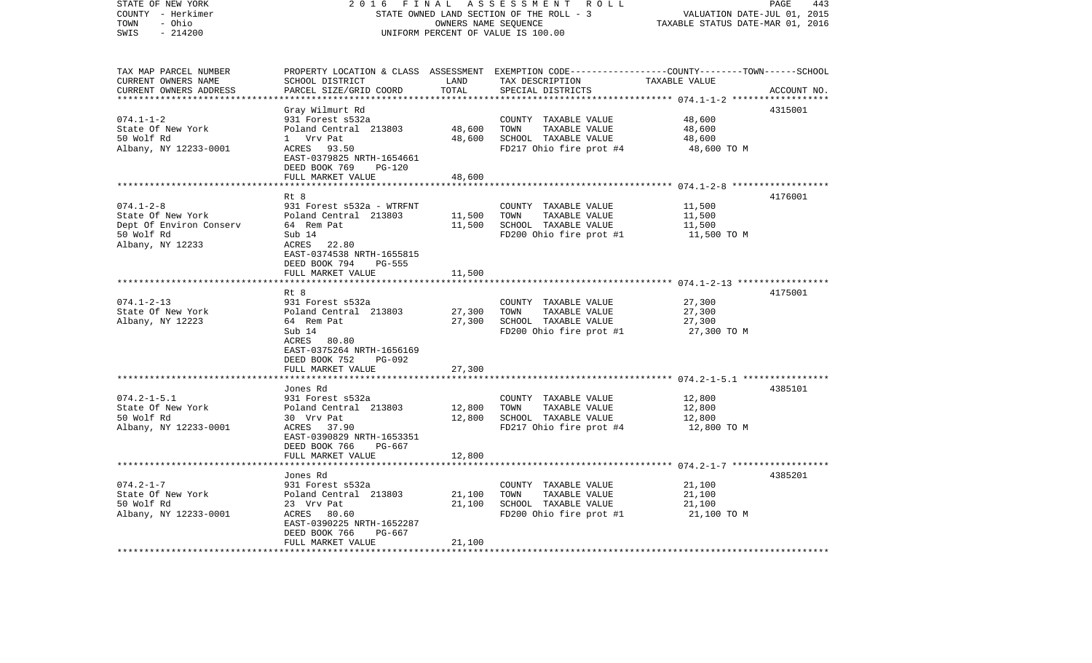| 2 0 1 6                                                                                                                                                                      | PAGE<br>443<br>VALUATION DATE-JUL 01, 2015<br>TAXABLE STATUS DATE-MAR 01, 2016                    |                                                                                                  |                                                                                                                                       |                                                                                                                                                                                                                                                          |
|------------------------------------------------------------------------------------------------------------------------------------------------------------------------------|---------------------------------------------------------------------------------------------------|--------------------------------------------------------------------------------------------------|---------------------------------------------------------------------------------------------------------------------------------------|----------------------------------------------------------------------------------------------------------------------------------------------------------------------------------------------------------------------------------------------------------|
| SCHOOL DISTRICT<br>PARCEL SIZE/GRID COORD                                                                                                                                    | LAND<br>TOTAL                                                                                     | TAX DESCRIPTION<br>SPECIAL DISTRICTS                                                             | TAXABLE VALUE                                                                                                                         | ACCOUNT NO.                                                                                                                                                                                                                                              |
| Gray Wilmurt Rd<br>931 Forest s532a<br>Poland Central 213803<br>1 Vrv Pat<br>ACRES 93.50<br>EAST-0379825 NRTH-1654661<br>DEED BOOK 769<br><b>PG-120</b><br>FULL MARKET VALUE | 48,600<br>48,600<br>48,600                                                                        | COUNTY TAXABLE VALUE<br>TOWN<br>TAXABLE VALUE<br>SCHOOL TAXABLE VALUE                            | 48,600<br>48,600<br>48,600<br>48,600 TO M                                                                                             | 4315001                                                                                                                                                                                                                                                  |
| Rt 8<br>931 Forest s532a - WTRFNT<br>Poland Central 213803<br>64 Rem Pat<br>Sub 14<br>ACRES 22.80<br>EAST-0374538 NRTH-1655815<br>DEED BOOK 794<br>PG-555                    | 11,500<br>11,500                                                                                  | COUNTY TAXABLE VALUE<br>TOWN<br>TAXABLE VALUE<br>SCHOOL TAXABLE VALUE<br>FD200 Ohio fire prot #1 | 11,500<br>11,500<br>11,500<br>11,500 TO M                                                                                             | 4176001                                                                                                                                                                                                                                                  |
| FULL MARKET VALUE                                                                                                                                                            | 11,500                                                                                            |                                                                                                  |                                                                                                                                       |                                                                                                                                                                                                                                                          |
| Rt 8<br>931 Forest s532a<br>Poland Central 213803<br>64 Rem Pat<br>Sub 14<br>ACRES 80.80<br>EAST-0375264 NRTH-1656169<br>DEED BOOK 752<br><b>PG-092</b>                      | 27,300<br>27,300                                                                                  | COUNTY TAXABLE VALUE<br>TOWN<br>TAXABLE VALUE<br>SCHOOL TAXABLE VALUE<br>FD200 Ohio fire prot #1 | 27,300<br>27,300<br>27,300<br>27,300 TO M                                                                                             | 4175001                                                                                                                                                                                                                                                  |
|                                                                                                                                                                              | *******                                                                                           |                                                                                                  |                                                                                                                                       |                                                                                                                                                                                                                                                          |
| Jones Rd<br>931 Forest s532a<br>Poland Central 213803<br>30 Vrv Pat<br>ACRES 37.90<br>EAST-0390829 NRTH-1653351                                                              | 12,800<br>12,800                                                                                  | COUNTY TAXABLE VALUE<br>TOWN<br>TAXABLE VALUE<br>SCHOOL TAXABLE VALUE                            | 12,800<br>12,800<br>12,800<br>12,800 TO M                                                                                             | 4385101                                                                                                                                                                                                                                                  |
| FULL MARKET VALUE                                                                                                                                                            | 12,800                                                                                            |                                                                                                  |                                                                                                                                       |                                                                                                                                                                                                                                                          |
| Jones Rd<br>931 Forest s532a<br>Poland Central 213803<br>23 Vrv Pat<br>ACRES<br>80.60<br>EAST-0390225 NRTH-1652287<br>DEED BOOK 766<br>PG-667<br>FULL MARKET VALUE           | 21,100<br>21,100<br>21,100                                                                        | COUNTY TAXABLE VALUE<br>TAXABLE VALUE<br>TOWN<br>SCHOOL TAXABLE VALUE<br>FD200 Ohio fire prot #1 | 21,100<br>21,100<br>21,100<br>21,100 TO M                                                                                             | 4385201                                                                                                                                                                                                                                                  |
|                                                                                                                                                                              | FULL MARKET VALUE<br>DEED BOOK 766<br>PG-667<br>********************<br>************************* | FINAL<br>27,300<br>***********                                                                   | A S S E S S M E N T R O L L<br>STATE OWNED LAND SECTION OF THE ROLL - 3<br>OWNERS NAME SEQUENCE<br>UNIFORM PERCENT OF VALUE IS 100.00 | PROPERTY LOCATION & CLASS ASSESSMENT EXEMPTION CODE----------------COUNTY-------TOWN------SCHOOL<br>FD217 Ohio fire prot #4<br>************* 074.1-2-8 *******************<br>***************** 074.1-2-13 ******************<br>FD217 Ohio fire prot #4 |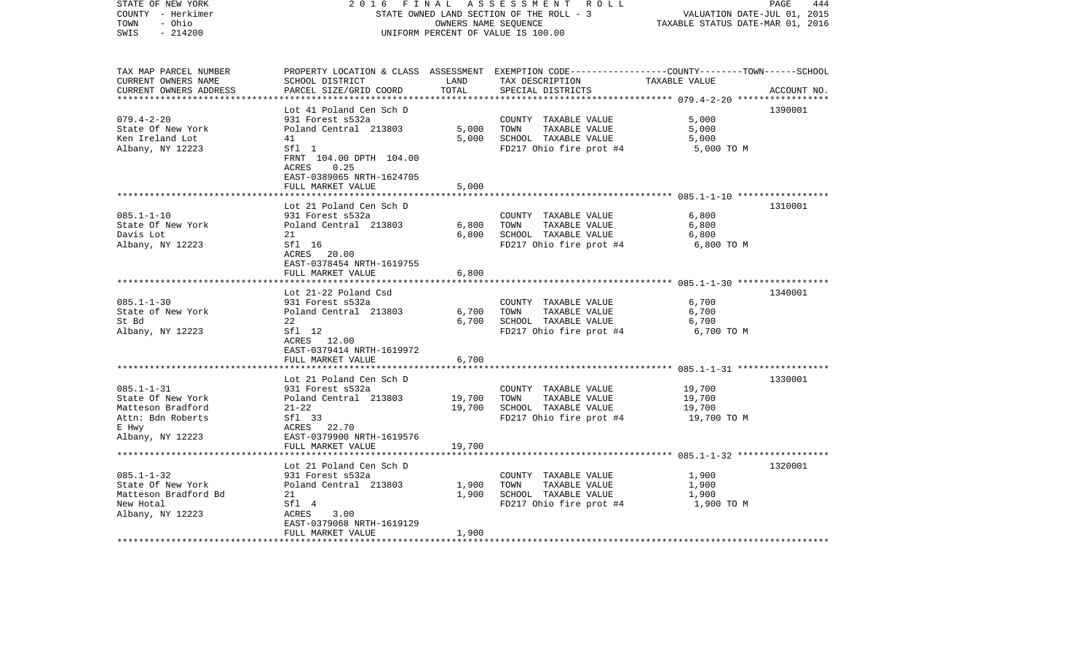| STATE OF NEW YORK<br>COUNTY - Herkimer<br>- Ohio<br>TOWN<br>$-214200$<br>SWIS | 2 0 1 6<br>FINAL<br>STATE OWNED LAND SECTION OF THE ROLL - 3<br>UNIFORM PERCENT OF VALUE IS 100.00 | PAGE<br>444<br>VALUATION DATE-JUL 01, 2015<br>TAXABLE STATUS DATE-MAR 01, 2016 |                                                                                                 |                       |             |
|-------------------------------------------------------------------------------|----------------------------------------------------------------------------------------------------|--------------------------------------------------------------------------------|-------------------------------------------------------------------------------------------------|-----------------------|-------------|
| TAX MAP PARCEL NUMBER                                                         |                                                                                                    |                                                                                | PROPERTY LOCATION & CLASS ASSESSMENT EXEMPTION CODE---------------COUNTY-------TOWN------SCHOOL |                       |             |
| CURRENT OWNERS NAME                                                           | SCHOOL DISTRICT                                                                                    | LAND                                                                           | TAX DESCRIPTION TAXABLE VALUE                                                                   |                       |             |
| CURRENT OWNERS ADDRESS                                                        | PARCEL SIZE/GRID COORD                                                                             | TOTAL                                                                          | SPECIAL DISTRICTS                                                                               |                       | ACCOUNT NO. |
| *************************                                                     |                                                                                                    |                                                                                |                                                                                                 |                       |             |
|                                                                               | Lot 41 Poland Cen Sch D                                                                            |                                                                                |                                                                                                 |                       | 1390001     |
| $079.4 - 2 - 20$                                                              | 931 Forest s532a                                                                                   |                                                                                | COUNTY TAXABLE VALUE                                                                            | 5,000                 |             |
| State Of New York                                                             | Poland Central 213803                                                                              | 5,000                                                                          | TOWN<br>TAXABLE VALUE                                                                           | 5,000                 |             |
| Ken Ireland Lot                                                               | 41                                                                                                 | 5,000                                                                          | SCHOOL TAXABLE VALUE                                                                            | 5,000                 |             |
| Albany, NY 12223                                                              | Sfl 1                                                                                              |                                                                                | FD217 Ohio fire prot #4                                                                         | 5,000 TO M            |             |
|                                                                               | FRNT 104.00 DPTH 104.00                                                                            |                                                                                |                                                                                                 |                       |             |
|                                                                               | ACRES<br>0.25                                                                                      |                                                                                |                                                                                                 |                       |             |
|                                                                               | EAST-0389065 NRTH-1624705                                                                          |                                                                                |                                                                                                 |                       |             |
| **************************                                                    | FULL MARKET VALUE                                                                                  | 5,000                                                                          |                                                                                                 |                       |             |
|                                                                               |                                                                                                    |                                                                                |                                                                                                 |                       |             |
|                                                                               | Lot 21 Poland Cen Sch D                                                                            |                                                                                |                                                                                                 |                       | 1310001     |
| $085.1 - 1 - 10$<br>State Of New York                                         | 931 Forest s532a<br>Poland Central 213803                                                          | 6,800                                                                          | COUNTY TAXABLE VALUE<br>TAXABLE VALUE<br>TOWN                                                   | 6,800<br>6,800        |             |
| Davis Lot                                                                     | 21                                                                                                 | 6,800                                                                          | SCHOOL TAXABLE VALUE                                                                            | 6,800                 |             |
| Albany, NY 12223                                                              | Sfl 16                                                                                             |                                                                                | FD217 Ohio fire prot #4                                                                         | 6,800 TO M            |             |
|                                                                               | ACRES 20.00                                                                                        |                                                                                |                                                                                                 |                       |             |
|                                                                               | EAST-0378454 NRTH-1619755                                                                          |                                                                                |                                                                                                 |                       |             |
|                                                                               | FULL MARKET VALUE                                                                                  | 6,800                                                                          |                                                                                                 |                       |             |
|                                                                               |                                                                                                    |                                                                                |                                                                                                 |                       |             |
|                                                                               | Lot 21-22 Poland Csd                                                                               |                                                                                |                                                                                                 |                       | 1340001     |
| $085.1 - 1 - 30$                                                              | 931 Forest s532a                                                                                   |                                                                                | COUNTY TAXABLE VALUE                                                                            | 6,700                 |             |
| State of New York                                                             | Poland Central 213803                                                                              | 6,700                                                                          | TAXABLE VALUE<br>TOWN                                                                           | 6,700                 |             |
| St Bd                                                                         | 22                                                                                                 | 6,700                                                                          | SCHOOL TAXABLE VALUE                                                                            | 6,700                 |             |
| Albany, NY 12223                                                              | Sfl 12                                                                                             |                                                                                | FD217 Ohio fire prot #4                                                                         | 6,700 TO M            |             |
|                                                                               | ACRES 12.00                                                                                        |                                                                                |                                                                                                 |                       |             |
|                                                                               | EAST-0379414 NRTH-1619972                                                                          |                                                                                |                                                                                                 |                       |             |
|                                                                               | FULL MARKET VALUE                                                                                  | 6,700                                                                          |                                                                                                 |                       |             |
|                                                                               |                                                                                                    |                                                                                |                                                                                                 |                       |             |
|                                                                               | Lot 21 Poland Cen Sch D                                                                            |                                                                                |                                                                                                 |                       | 1330001     |
| $085.1 - 1 - 31$                                                              | 931 Forest s532a                                                                                   |                                                                                | COUNTY TAXABLE VALUE                                                                            | 19,700                |             |
| State Of New York                                                             | Poland Central 213803                                                                              | 19,700                                                                         | TOWN<br>TAXABLE VALUE                                                                           | 19,700                |             |
| Matteson Bradford<br>Attn: Bdn Roberts                                        | $21 - 22$<br>Sfl 33                                                                                | 19,700                                                                         | SCHOOL TAXABLE VALUE<br>FD217 Ohio fire prot #4                                                 | 19,700<br>19,700 TO M |             |
| E Hwy                                                                         | ACRES 22.70                                                                                        |                                                                                |                                                                                                 |                       |             |
| Albany, NY 12223                                                              | EAST-0379900 NRTH-1619576                                                                          |                                                                                |                                                                                                 |                       |             |
|                                                                               | FULL MARKET VALUE                                                                                  | 19,700                                                                         |                                                                                                 |                       |             |
|                                                                               |                                                                                                    |                                                                                |                                                                                                 |                       |             |
|                                                                               | Lot 21 Poland Cen Sch D                                                                            |                                                                                |                                                                                                 |                       | 1320001     |
| $085.1 - 1 - 32$                                                              | 931 Forest s532a                                                                                   |                                                                                | COUNTY TAXABLE VALUE                                                                            | 1,900                 |             |
| State Of New York                                                             | Poland Central 213803                                                                              | 1,900                                                                          | TAXABLE VALUE<br>TOWN                                                                           | 1,900                 |             |
| Matteson Bradford Bd                                                          | 21                                                                                                 | 1,900                                                                          | SCHOOL TAXABLE VALUE                                                                            | 1,900                 |             |
| New Hotal                                                                     | Sfl 4                                                                                              |                                                                                | FD217 Ohio fire prot #4                                                                         | 1,900 TO M            |             |
| Albany, NY 12223                                                              | ACRES<br>3.00                                                                                      |                                                                                |                                                                                                 |                       |             |
|                                                                               | EAST-0379068 NRTH-1619129                                                                          |                                                                                |                                                                                                 |                       |             |
|                                                                               | FULL MARKET VALUE                                                                                  | 1,900                                                                          |                                                                                                 |                       |             |
|                                                                               |                                                                                                    |                                                                                |                                                                                                 |                       |             |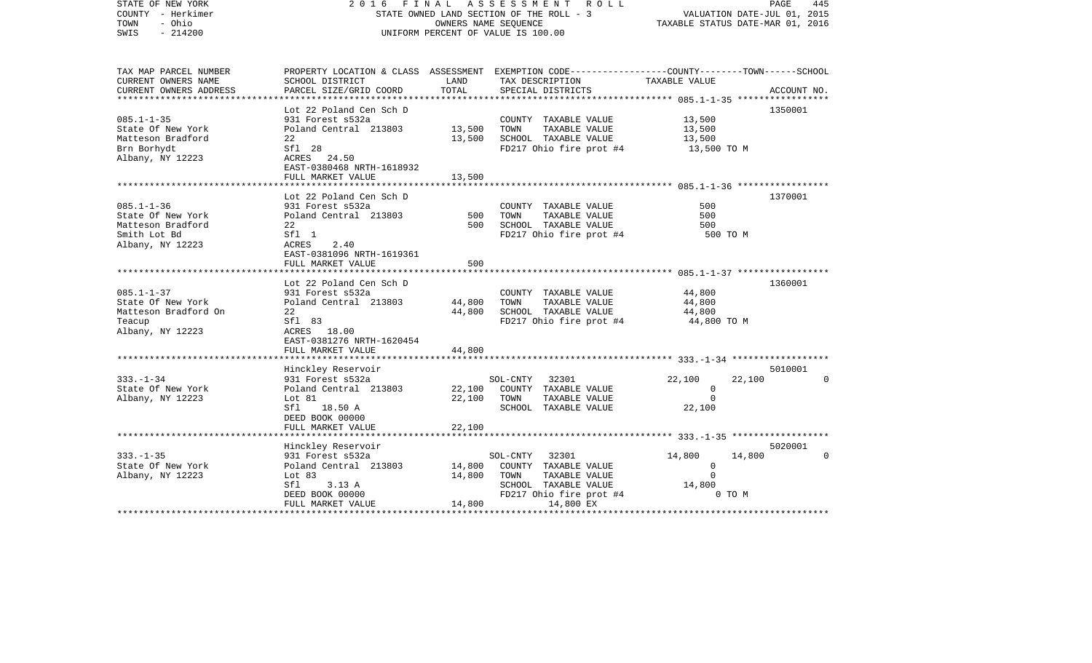| STATE OF NEW YORK<br>COUNTY - Herkimer<br>TOWN<br>- Ohio<br>$-214200$<br>SWIS | FINAL<br>2016<br>STATE OWNED LAND SECTION OF THE ROLL - 3<br>UNIFORM PERCENT OF VALUE IS 100.00 | VALUATION DATE-JUL 01, 2015<br>TAXABLE STATUS DATE-MAR 01, 2016 | PAGE<br>445                                                                                     |                            |                |
|-------------------------------------------------------------------------------|-------------------------------------------------------------------------------------------------|-----------------------------------------------------------------|-------------------------------------------------------------------------------------------------|----------------------------|----------------|
| TAX MAP PARCEL NUMBER                                                         |                                                                                                 |                                                                 | PROPERTY LOCATION & CLASS ASSESSMENT EXEMPTION CODE---------------COUNTY-------TOWN------SCHOOL |                            |                |
| CURRENT OWNERS NAME                                                           | SCHOOL DISTRICT                                                                                 | LAND                                                            | TAX DESCRIPTION                                                                                 | TAXABLE VALUE              |                |
| CURRENT OWNERS ADDRESS<br>*****************                                   | PARCEL SIZE/GRID COORD                                                                          | TOTAL                                                           | SPECIAL DISTRICTS                                                                               |                            | ACCOUNT NO.    |
|                                                                               | Lot 22 Poland Cen Sch D                                                                         |                                                                 |                                                                                                 |                            | 1350001        |
| $085.1 - 1 - 35$                                                              | 931 Forest s532a                                                                                |                                                                 | COUNTY TAXABLE VALUE                                                                            | 13,500                     |                |
| State Of New York                                                             | Poland Central 213803                                                                           | 13,500                                                          | TOWN<br>TAXABLE VALUE                                                                           | 13,500                     |                |
| Matteson Bradford                                                             | 22                                                                                              | 13,500                                                          | SCHOOL TAXABLE VALUE                                                                            | 13,500                     |                |
| Brn Borhydt                                                                   | Sfl 28                                                                                          |                                                                 | FD217 Ohio fire prot #4                                                                         | 13,500 TO M                |                |
| Albany, NY 12223                                                              | ACRES 24.50                                                                                     |                                                                 |                                                                                                 |                            |                |
|                                                                               | EAST-0380468 NRTH-1618932                                                                       |                                                                 |                                                                                                 |                            |                |
|                                                                               | FULL MARKET VALUE                                                                               | 13,500                                                          |                                                                                                 |                            |                |
|                                                                               | Lot 22 Poland Cen Sch D                                                                         |                                                                 |                                                                                                 |                            | 1370001        |
| $085.1 - 1 - 36$                                                              | 931 Forest s532a                                                                                |                                                                 | COUNTY TAXABLE VALUE                                                                            | 500                        |                |
| State Of New York                                                             | Poland Central 213803                                                                           | 500                                                             | TAXABLE VALUE<br>TOWN                                                                           | 500                        |                |
| Matteson Bradford                                                             | 22                                                                                              | 500                                                             | SCHOOL TAXABLE VALUE                                                                            | 500                        |                |
| Smith Lot Bd                                                                  | Sfl 1                                                                                           |                                                                 | FD217 Ohio fire prot #4                                                                         | 500 TO M                   |                |
| Albany, NY 12223                                                              | ACRES<br>2.40                                                                                   |                                                                 |                                                                                                 |                            |                |
|                                                                               | EAST-0381096 NRTH-1619361                                                                       |                                                                 |                                                                                                 |                            |                |
|                                                                               | FULL MARKET VALUE                                                                               | 500                                                             |                                                                                                 |                            |                |
|                                                                               | Lot 22 Poland Cen Sch D                                                                         |                                                                 |                                                                                                 |                            | 1360001        |
| $085.1 - 1 - 37$                                                              | 931 Forest s532a                                                                                |                                                                 | COUNTY TAXABLE VALUE                                                                            | 44,800                     |                |
| State Of New York                                                             | Poland Central 213803                                                                           | 44,800                                                          | TAXABLE VALUE<br>TOWN                                                                           | 44,800                     |                |
| Matteson Bradford On                                                          | 22                                                                                              | 44,800                                                          | SCHOOL TAXABLE VALUE                                                                            | 44,800                     |                |
| Teacup                                                                        | Sfl 83                                                                                          |                                                                 | FD217 Ohio fire prot #4                                                                         | 44,800 TO M                |                |
| Albany, NY 12223                                                              | ACRES 18.00                                                                                     |                                                                 |                                                                                                 |                            |                |
|                                                                               | EAST-0381276 NRTH-1620454                                                                       |                                                                 |                                                                                                 |                            |                |
|                                                                               | FULL MARKET VALUE                                                                               | 44,800                                                          |                                                                                                 |                            |                |
|                                                                               |                                                                                                 |                                                                 |                                                                                                 |                            | 5010001        |
| $333. - 1 - 34$                                                               | Hinckley Reservoir<br>931 Forest s532a                                                          |                                                                 | SOL-CNTY 32301                                                                                  | 22,100<br>22,100           | $\overline{0}$ |
| State Of New York                                                             | Poland Central 213803                                                                           | 22,100                                                          | COUNTY TAXABLE VALUE                                                                            | $\circ$                    |                |
| Albany, NY 12223                                                              | Lot 81                                                                                          | 22,100                                                          | TAXABLE VALUE<br>TOWN                                                                           | $\Omega$                   |                |
|                                                                               | Sfl<br>18.50 A                                                                                  |                                                                 | SCHOOL TAXABLE VALUE                                                                            | 22,100                     |                |
|                                                                               | DEED BOOK 00000                                                                                 |                                                                 |                                                                                                 |                            |                |
|                                                                               | FULL MARKET VALUE                                                                               | 22,100                                                          |                                                                                                 |                            |                |
|                                                                               |                                                                                                 |                                                                 |                                                                                                 |                            |                |
|                                                                               | Hinckley Reservoir                                                                              |                                                                 |                                                                                                 |                            | 5020001        |
| $333. - 1 - 35$                                                               | 931 Forest s532a                                                                                |                                                                 | SOL-CNTY<br>32301                                                                               | 14,800<br>14,800           | $\Omega$       |
| State Of New York                                                             | Poland Central 213803<br>Lot 83                                                                 | 14,800<br>14,800                                                | COUNTY TAXABLE VALUE<br>TOWN<br>TAXABLE VALUE                                                   | $\overline{0}$<br>$\Omega$ |                |
| Albany, NY 12223                                                              | Sfl<br>3.13A                                                                                    |                                                                 | SCHOOL TAXABLE VALUE                                                                            | 14,800                     |                |
|                                                                               | DEED BOOK 00000                                                                                 |                                                                 | FD217 Ohio fire prot #4                                                                         | 0 TO M                     |                |
|                                                                               | FULL MARKET VALUE                                                                               | 14,800                                                          | 14,800 EX                                                                                       |                            |                |
|                                                                               |                                                                                                 |                                                                 |                                                                                                 |                            |                |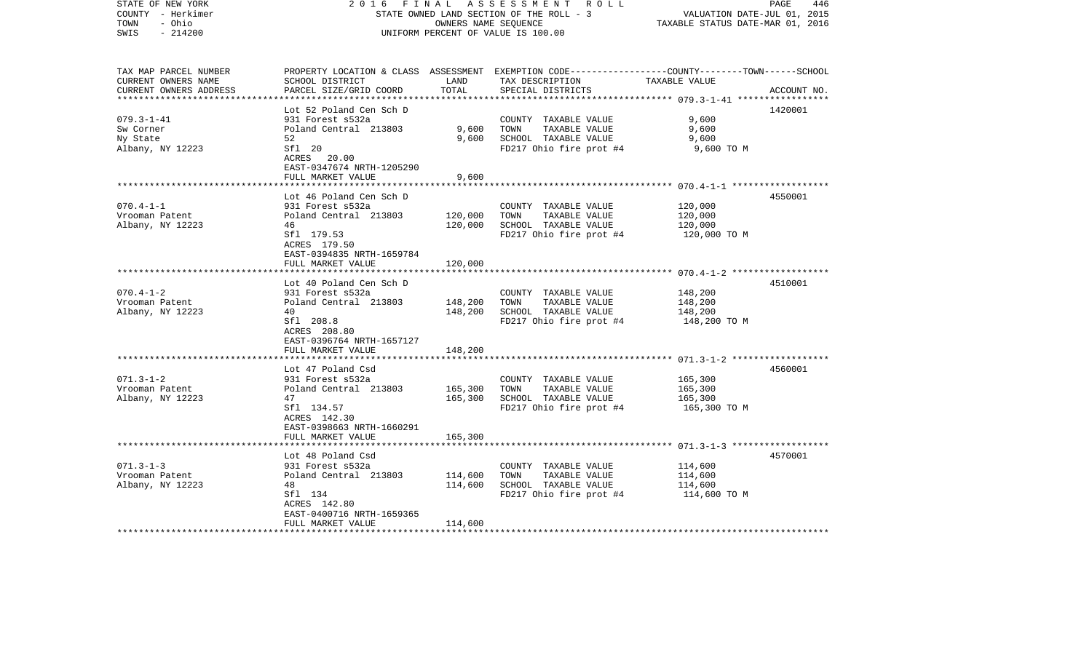| COUNTY - Herkimer<br>- Ohio<br>TOWN<br>SWIS<br>$-214200$ |                           | OWNERS NAME SEQUENCE | STATE OWNED LAND SECTION OF THE ROLL - 3<br>UNIFORM PERCENT OF VALUE IS 100.00                  | VALUATION DATE-JUL 01, 2015<br>TAXABLE STATUS DATE-MAR 01, 2016 |             |
|----------------------------------------------------------|---------------------------|----------------------|-------------------------------------------------------------------------------------------------|-----------------------------------------------------------------|-------------|
|                                                          |                           |                      |                                                                                                 |                                                                 |             |
| TAX MAP PARCEL NUMBER                                    |                           |                      | PROPERTY LOCATION & CLASS ASSESSMENT EXEMPTION CODE---------------COUNTY-------TOWN------SCHOOL |                                                                 |             |
| CURRENT OWNERS NAME                                      | SCHOOL DISTRICT           | LAND                 | TAX DESCRIPTION                                                                                 | TAXABLE VALUE                                                   |             |
| CURRENT OWNERS ADDRESS                                   | PARCEL SIZE/GRID COORD    | TOTAL                | SPECIAL DISTRICTS                                                                               |                                                                 | ACCOUNT NO. |
|                                                          |                           |                      |                                                                                                 | ************ 079.3-1-41 *************                           |             |
|                                                          | Lot 52 Poland Cen Sch D   |                      |                                                                                                 |                                                                 | 1420001     |
| $079.3 - 1 - 41$                                         | 931 Forest s532a          |                      | COUNTY TAXABLE VALUE                                                                            | 9,600                                                           |             |
| Sw Corner                                                | Poland Central 213803     | 9,600                | TAXABLE VALUE<br>TOWN                                                                           | 9,600                                                           |             |
| Ny State                                                 | 52                        | 9,600                | SCHOOL TAXABLE VALUE                                                                            | 9,600                                                           |             |
| Albany, NY 12223                                         | Sfl 20                    |                      | FD217 Ohio fire prot #4                                                                         | 9,600 TO M                                                      |             |
|                                                          | ACRES 20.00               |                      |                                                                                                 |                                                                 |             |
|                                                          | EAST-0347674 NRTH-1205290 |                      |                                                                                                 |                                                                 |             |
|                                                          | FULL MARKET VALUE         | 9,600                |                                                                                                 |                                                                 |             |
|                                                          | *****************         | * * * * * * * * *    |                                                                                                 |                                                                 |             |
|                                                          | Lot 46 Poland Cen Sch D   |                      |                                                                                                 |                                                                 | 4550001     |
| $070.4 - 1 - 1$                                          | 931 Forest s532a          |                      | COUNTY TAXABLE VALUE                                                                            | 120,000                                                         |             |
| Vrooman Patent                                           | Poland Central 213803     | 120,000              | TOWN<br>TAXABLE VALUE                                                                           | 120,000                                                         |             |
| Albany, NY 12223                                         | 46                        | 120,000              | SCHOOL TAXABLE VALUE                                                                            | 120,000                                                         |             |
|                                                          | Sfl 179.53                |                      | FD217 Ohio fire prot #4                                                                         | 120,000 TO M                                                    |             |
|                                                          | ACRES 179.50              |                      |                                                                                                 |                                                                 |             |
|                                                          | EAST-0394835 NRTH-1659784 |                      |                                                                                                 |                                                                 |             |
|                                                          | FULL MARKET VALUE         | 120,000              |                                                                                                 |                                                                 |             |
|                                                          | **************            | **********           |                                                                                                 |                                                                 |             |
|                                                          | Lot 40 Poland Cen Sch D   |                      |                                                                                                 |                                                                 | 4510001     |
| $070.4 - 1 - 2$                                          | 931 Forest s532a          |                      | COUNTY TAXABLE VALUE                                                                            | 148,200                                                         |             |
| Vrooman Patent                                           | Poland Central 213803     | 148,200              | TAXABLE VALUE<br>TOWN                                                                           | 148,200                                                         |             |
| Albany, NY 12223                                         | 40                        | 148,200              | SCHOOL TAXABLE VALUE                                                                            | 148,200                                                         |             |
|                                                          | Sfl 208.8                 |                      | FD217 Ohio fire prot #4                                                                         | 148,200 TO M                                                    |             |
|                                                          | ACRES 208.80              |                      |                                                                                                 |                                                                 |             |
|                                                          | EAST-0396764 NRTH-1657127 |                      |                                                                                                 |                                                                 |             |
|                                                          | FULL MARKET VALUE         | 148,200              |                                                                                                 |                                                                 |             |
|                                                          |                           | * * * * * * * * * *  |                                                                                                 |                                                                 |             |
|                                                          | Lot 47 Poland Csd         |                      |                                                                                                 |                                                                 | 4560001     |
| $071.3 - 1 - 2$                                          | 931 Forest s532a          |                      | COUNTY TAXABLE VALUE                                                                            | 165,300                                                         |             |
| Vrooman Patent                                           | Poland Central 213803     | 165,300              | TOWN<br>TAXABLE VALUE                                                                           | 165,300                                                         |             |
| Albany, NY 12223                                         | 47                        | 165,300              | SCHOOL TAXABLE VALUE                                                                            | 165,300                                                         |             |
|                                                          | Sfl 134.57                |                      | FD217 Ohio fire prot #4                                                                         | 165,300 TO M                                                    |             |
|                                                          | ACRES 142.30              |                      |                                                                                                 |                                                                 |             |
|                                                          | EAST-0398663 NRTH-1660291 |                      |                                                                                                 |                                                                 |             |
|                                                          | FULL MARKET VALUE         | 165,300              |                                                                                                 |                                                                 |             |
|                                                          |                           |                      |                                                                                                 |                                                                 |             |
|                                                          | Lot 48 Poland Csd         |                      |                                                                                                 |                                                                 | 4570001     |
| $071.3 - 1 - 3$                                          | 931 Forest s532a          |                      | COUNTY TAXABLE VALUE                                                                            | 114,600                                                         |             |
| Vrooman Patent                                           | Poland Central 213803     | 114,600              | TAXABLE VALUE<br>TOWN                                                                           | 114,600                                                         |             |
| Albany, NY 12223                                         | 48                        | 114,600              | SCHOOL TAXABLE VALUE                                                                            | 114,600                                                         |             |
|                                                          | Sfl 134                   |                      | FD217 Ohio fire prot #4                                                                         | 114,600 TO M                                                    |             |
|                                                          | ACRES 142.80              |                      |                                                                                                 |                                                                 |             |
|                                                          | EAST-0400716 NRTH-1659365 |                      |                                                                                                 |                                                                 |             |
|                                                          | FULL MARKET VALUE         | 114,600              |                                                                                                 |                                                                 |             |
|                                                          |                           |                      |                                                                                                 |                                                                 |             |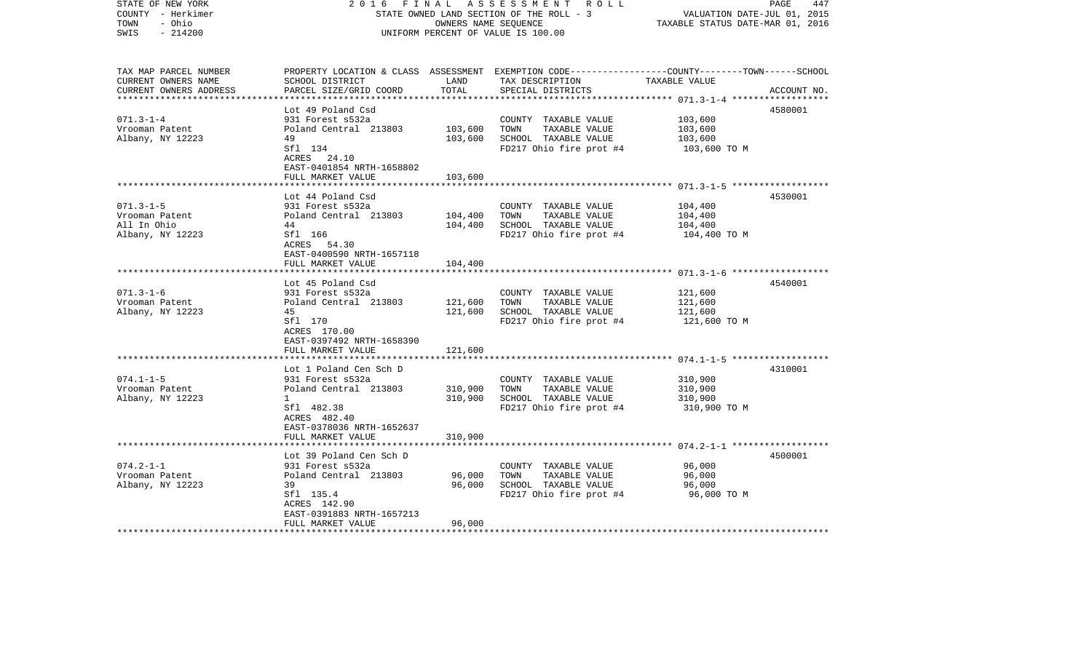| STATE OF NEW YORK<br>COUNTY - Herkimer<br>TOWN<br>- Ohio<br>$-214200$<br>SWIS | 2 0 1 6<br>FINAL                                        | OWNERS NAME SEQUENCE | A S S E S S M E N T R O L L<br>STATE OWNED LAND SECTION OF THE ROLL - 3<br>UNIFORM PERCENT OF VALUE IS 100.00                          | VALUATION DATE-JUL 01, 2015<br>TAXABLE STATUS DATE-MAR 01, 2016 | 447<br>PAGE |
|-------------------------------------------------------------------------------|---------------------------------------------------------|----------------------|----------------------------------------------------------------------------------------------------------------------------------------|-----------------------------------------------------------------|-------------|
| TAX MAP PARCEL NUMBER<br>CURRENT OWNERS NAME<br>CURRENT OWNERS ADDRESS        | SCHOOL DISTRICT<br>PARCEL SIZE/GRID COORD               | LAND<br>TOTAL        | PROPERTY LOCATION & CLASS ASSESSMENT EXEMPTION CODE--------------COUNTY-------TOWN------SCHOOL<br>TAX DESCRIPTION<br>SPECIAL DISTRICTS | TAXABLE VALUE                                                   | ACCOUNT NO. |
|                                                                               | Lot 49 Poland Csd                                       |                      |                                                                                                                                        |                                                                 | 4580001     |
| $071.3 - 1 - 4$                                                               | 931 Forest s532a                                        |                      | COUNTY TAXABLE VALUE                                                                                                                   | 103,600                                                         |             |
| Vrooman Patent                                                                | Poland Central 213803                                   | 103,600              | TOWN<br>TAXABLE VALUE                                                                                                                  | 103,600                                                         |             |
| Albany, NY 12223                                                              | 49                                                      | 103,600              | SCHOOL TAXABLE VALUE                                                                                                                   | 103,600                                                         |             |
|                                                                               | Sfl 134<br>ACRES 24.10<br>EAST-0401854 NRTH-1658802     |                      | FD217 Ohio fire prot #4                                                                                                                | 103,600 TO M                                                    |             |
|                                                                               | FULL MARKET VALUE                                       | 103,600              |                                                                                                                                        |                                                                 |             |
|                                                                               | Lot 44 Poland Csd                                       |                      |                                                                                                                                        |                                                                 | 4530001     |
| $071.3 - 1 - 5$                                                               | 931 Forest s532a                                        |                      | COUNTY TAXABLE VALUE                                                                                                                   | 104,400                                                         |             |
| Vrooman Patent                                                                | Poland Central 213803                                   | 104,400              | TOWN<br>TAXABLE VALUE                                                                                                                  | 104,400                                                         |             |
| All In Ohio                                                                   | 44                                                      | 104,400              | SCHOOL TAXABLE VALUE                                                                                                                   | 104,400                                                         |             |
| Albany, NY 12223                                                              | Sfl 166<br>ACRES 54.30<br>EAST-0400590 NRTH-1657118     |                      | FD217 Ohio fire prot #4                                                                                                                | 104,400 TO M                                                    |             |
|                                                                               | FULL MARKET VALUE                                       | 104,400              |                                                                                                                                        |                                                                 |             |
|                                                                               |                                                         |                      |                                                                                                                                        |                                                                 | 4540001     |
| $071.3 - 1 - 6$                                                               | Lot 45 Poland Csd<br>931 Forest s532a                   |                      | COUNTY TAXABLE VALUE                                                                                                                   | 121,600                                                         |             |
| Vrooman Patent                                                                | Poland Central 213803                                   | 121,600              | TOWN<br>TAXABLE VALUE                                                                                                                  | 121,600                                                         |             |
| Albany, NY 12223                                                              | 45                                                      | 121,600              | SCHOOL TAXABLE VALUE                                                                                                                   | 121,600                                                         |             |
|                                                                               | Sfl 170<br>ACRES 170.00<br>EAST-0397492 NRTH-1658390    |                      | FD217 Ohio fire prot #4                                                                                                                | 121,600 TO M                                                    |             |
|                                                                               | FULL MARKET VALUE                                       | 121,600              |                                                                                                                                        |                                                                 |             |
|                                                                               | Lot 1 Poland Cen Sch D                                  |                      |                                                                                                                                        |                                                                 | 4310001     |
| $074.1 - 1 - 5$                                                               | 931 Forest s532a                                        |                      | COUNTY TAXABLE VALUE                                                                                                                   | 310,900                                                         |             |
| Vrooman Patent                                                                | Poland Central 213803                                   | 310,900              | TOWN<br>TAXABLE VALUE                                                                                                                  | 310,900                                                         |             |
| Albany, NY 12223                                                              | $\mathbf{1}$                                            | 310,900              | SCHOOL TAXABLE VALUE                                                                                                                   | 310,900                                                         |             |
|                                                                               | Sfl 482.38<br>ACRES 482.40<br>EAST-0378036 NRTH-1652637 |                      | FD217 Ohio fire prot #4                                                                                                                | 310,900 TO M                                                    |             |
|                                                                               | FULL MARKET VALUE                                       | 310,900              |                                                                                                                                        |                                                                 |             |
|                                                                               | Lot 39 Poland Cen Sch D                                 |                      |                                                                                                                                        |                                                                 | 4500001     |
| $074.2 - 1 - 1$                                                               | 931 Forest s532a                                        |                      | COUNTY TAXABLE VALUE                                                                                                                   | 96,000                                                          |             |
| Vrooman Patent                                                                | Poland Central 213803                                   | 96,000               | TOWN<br>TAXABLE VALUE                                                                                                                  | 96,000                                                          |             |
| Albany, NY 12223                                                              | 39                                                      | 96,000               | SCHOOL TAXABLE VALUE                                                                                                                   | 96,000                                                          |             |
|                                                                               | Sfl 135.4<br>ACRES 142.90                               |                      | FD217 Ohio fire prot #4                                                                                                                | 96,000 TO M                                                     |             |
|                                                                               | EAST-0391883 NRTH-1657213<br>FULL MARKET VALUE          | 96,000               |                                                                                                                                        |                                                                 |             |
|                                                                               |                                                         |                      |                                                                                                                                        |                                                                 |             |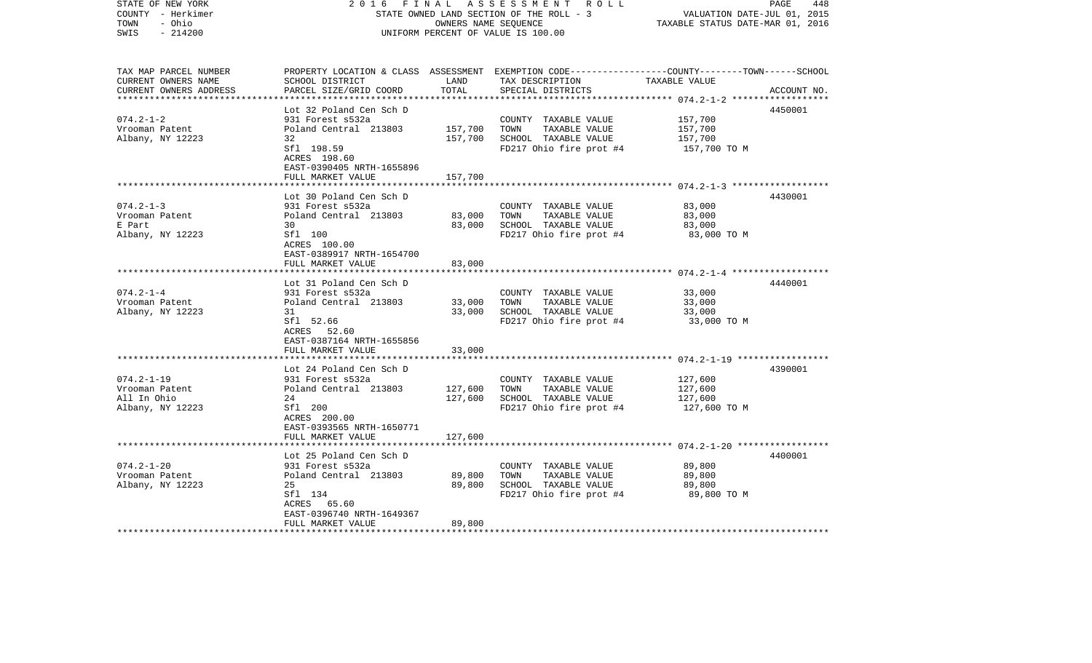| STATE OF NEW YORK<br>COUNTY - Herkimer<br>- Ohio<br>TOWN<br>$-214200$<br>SWIS | 2 0 1 6                                                       | FINAL<br>A S S E S S M E N T R O L L<br>PAGE<br>STATE OWNED LAND SECTION OF THE ROLL - 3<br>VALUATION DATE-JUL 01, 2015<br>OWNERS NAME SEQUENCE<br>TAXABLE STATUS DATE-MAR 01, 2016<br>UNIFORM PERCENT OF VALUE IS 100.00 |                                                                                                                                                       |              |             |  |
|-------------------------------------------------------------------------------|---------------------------------------------------------------|---------------------------------------------------------------------------------------------------------------------------------------------------------------------------------------------------------------------------|-------------------------------------------------------------------------------------------------------------------------------------------------------|--------------|-------------|--|
| TAX MAP PARCEL NUMBER<br>CURRENT OWNERS NAME<br>CURRENT OWNERS ADDRESS        | SCHOOL DISTRICT<br>PARCEL SIZE/GRID COORD                     | LAND<br>TOTAL                                                                                                                                                                                                             | PROPERTY LOCATION & CLASS ASSESSMENT EXEMPTION CODE---------------COUNTY-------TOWN------SCHOOL<br>TAX DESCRIPTION TAXABLE VALUE<br>SPECIAL DISTRICTS |              | ACCOUNT NO. |  |
|                                                                               | Lot 32 Poland Cen Sch D                                       |                                                                                                                                                                                                                           |                                                                                                                                                       |              | 4450001     |  |
| $074.2 - 1 - 2$                                                               | 931 Forest s532a                                              |                                                                                                                                                                                                                           | COUNTY TAXABLE VALUE                                                                                                                                  | 157,700      |             |  |
| Vrooman Patent                                                                | Poland Central 213803                                         | 157,700                                                                                                                                                                                                                   | TOWN<br>TAXABLE VALUE                                                                                                                                 | 157,700      |             |  |
| Albany, NY 12223                                                              | 32                                                            | 157,700                                                                                                                                                                                                                   | SCHOOL TAXABLE VALUE                                                                                                                                  | 157,700      |             |  |
|                                                                               | Sfl 198.59<br>ACRES 198.60<br>EAST-0390405 NRTH-1655896       |                                                                                                                                                                                                                           | FD217 Ohio fire prot #4                                                                                                                               | 157,700 TO M |             |  |
|                                                                               | FULL MARKET VALUE                                             | 157,700                                                                                                                                                                                                                   |                                                                                                                                                       |              |             |  |
|                                                                               | Lot 30 Poland Cen Sch D                                       |                                                                                                                                                                                                                           |                                                                                                                                                       |              | 4430001     |  |
| $074.2 - 1 - 3$                                                               | 931 Forest s532a                                              |                                                                                                                                                                                                                           | COUNTY TAXABLE VALUE                                                                                                                                  | 83,000       |             |  |
| Vrooman Patent                                                                | Poland Central 213803                                         | 83,000                                                                                                                                                                                                                    | TOWN<br>TAXABLE VALUE                                                                                                                                 | 83,000       |             |  |
| E Part                                                                        | 30                                                            | 83,000                                                                                                                                                                                                                    | SCHOOL TAXABLE VALUE                                                                                                                                  | 83,000       |             |  |
| Albany, NY 12223                                                              | Sfl 100<br>ACRES 100.00<br>EAST-0389917 NRTH-1654700          |                                                                                                                                                                                                                           | FD217 Ohio fire prot #4                                                                                                                               | 83,000 TO M  |             |  |
|                                                                               | FULL MARKET VALUE                                             | 83,000                                                                                                                                                                                                                    |                                                                                                                                                       |              |             |  |
|                                                                               | Lot 31 Poland Cen Sch D                                       |                                                                                                                                                                                                                           |                                                                                                                                                       |              | 4440001     |  |
| $074.2 - 1 - 4$                                                               | 931 Forest s532a                                              |                                                                                                                                                                                                                           | COUNTY TAXABLE VALUE                                                                                                                                  | 33,000       |             |  |
| Vrooman Patent                                                                | Poland Central 213803                                         | 33,000                                                                                                                                                                                                                    | TOWN<br>TAXABLE VALUE                                                                                                                                 | 33,000       |             |  |
| Albany, NY 12223                                                              | 31                                                            | 33,000                                                                                                                                                                                                                    | SCHOOL TAXABLE VALUE                                                                                                                                  | 33,000       |             |  |
|                                                                               | Sfl 52.66<br>ACRES 52.60<br>EAST-0387164 NRTH-1655856         |                                                                                                                                                                                                                           | FD217 Ohio fire prot #4                                                                                                                               | 33,000 TO M  |             |  |
|                                                                               | FULL MARKET VALUE                                             | 33,000                                                                                                                                                                                                                    |                                                                                                                                                       |              |             |  |
|                                                                               | Lot 24 Poland Cen Sch D                                       |                                                                                                                                                                                                                           |                                                                                                                                                       |              | 4390001     |  |
| $074.2 - 1 - 19$                                                              | 931 Forest s532a                                              |                                                                                                                                                                                                                           | COUNTY TAXABLE VALUE                                                                                                                                  | 127,600      |             |  |
| Vrooman Patent                                                                | Poland Central 213803                                         | 127,600                                                                                                                                                                                                                   | TOWN<br>TAXABLE VALUE                                                                                                                                 | 127,600      |             |  |
| All In Ohio                                                                   | 24                                                            | 127,600                                                                                                                                                                                                                   | SCHOOL TAXABLE VALUE                                                                                                                                  | 127,600      |             |  |
| Albany, NY 12223                                                              | Sfl 200<br>ACRES 200.00<br>EAST-0393565 NRTH-1650771          |                                                                                                                                                                                                                           | FD217 Ohio fire prot #4                                                                                                                               | 127,600 TO M |             |  |
|                                                                               | FULL MARKET VALUE                                             | 127,600                                                                                                                                                                                                                   |                                                                                                                                                       |              |             |  |
|                                                                               | Lot 25 Poland Cen Sch D                                       |                                                                                                                                                                                                                           |                                                                                                                                                       |              | 4400001     |  |
| $074.2 - 1 - 20$                                                              | 931 Forest s532a                                              |                                                                                                                                                                                                                           | COUNTY TAXABLE VALUE                                                                                                                                  | 89,800       |             |  |
| Vrooman Patent                                                                | Poland Central 213803                                         | 89,800                                                                                                                                                                                                                    | TOWN<br>TAXABLE VALUE                                                                                                                                 | 89,800       |             |  |
| Albany, NY 12223                                                              | 25                                                            | 89,800                                                                                                                                                                                                                    | SCHOOL TAXABLE VALUE                                                                                                                                  | 89,800       |             |  |
|                                                                               | Sfl 134                                                       |                                                                                                                                                                                                                           | FD217 Ohio fire prot #4                                                                                                                               | 89,800 TO M  |             |  |
|                                                                               | ACRES 65.60<br>EAST-0396740 NRTH-1649367<br>FULL MARKET VALUE | 89,800                                                                                                                                                                                                                    |                                                                                                                                                       |              |             |  |
|                                                                               |                                                               |                                                                                                                                                                                                                           |                                                                                                                                                       |              |             |  |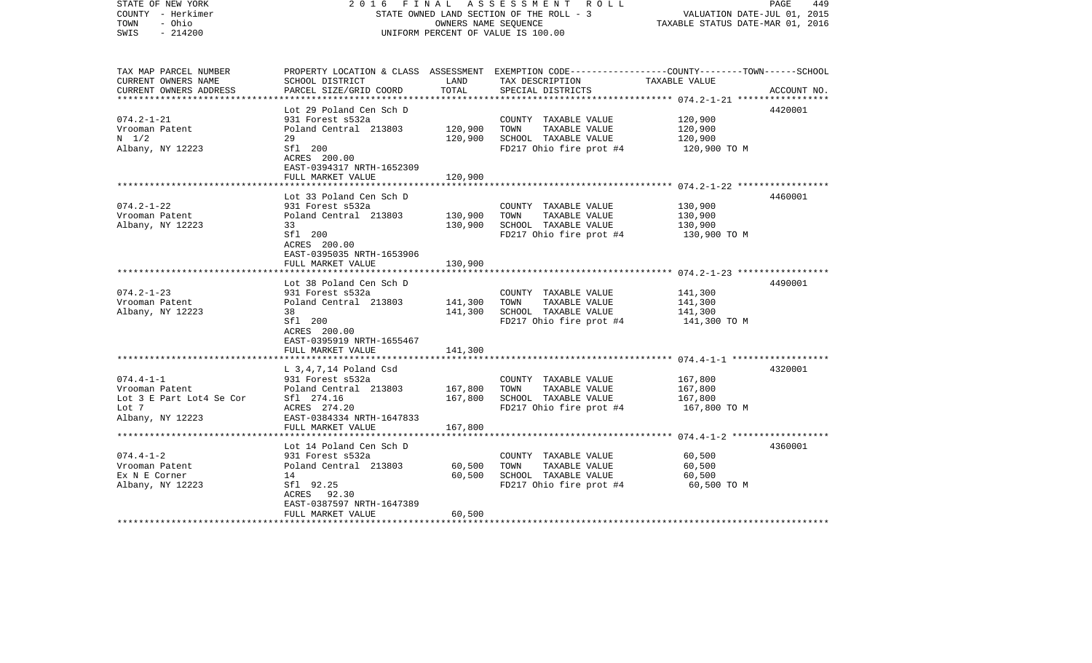| COUNTY<br>– Herkimer<br>TOWN<br>- Ohio<br>SWIS<br>$-214200$ |                                                     |                    | STATE OWNED LAND SECTION OF THE ROLL - 3<br>OWNERS NAME SEQUENCE<br>UNIFORM PERCENT OF VALUE IS 100.00             | TAXABLE STATUS DATE-MAR 01, 2016 | VALUATION DATE-JUL 01, 2015 |
|-------------------------------------------------------------|-----------------------------------------------------|--------------------|--------------------------------------------------------------------------------------------------------------------|----------------------------------|-----------------------------|
| TAX MAP PARCEL NUMBER<br>CURRENT OWNERS NAME                | SCHOOL DISTRICT                                     | LAND               | PROPERTY LOCATION & CLASS ASSESSMENT EXEMPTION CODE---------------COUNTY-------TOWN------SCHOOL<br>TAX DESCRIPTION | TAXABLE VALUE                    |                             |
| CURRENT OWNERS ADDRESS                                      | PARCEL SIZE/GRID COORD                              | TOTAL              | SPECIAL DISTRICTS                                                                                                  |                                  | ACCOUNT NO.                 |
| ************************                                    | ************************<br>Lot 29 Poland Cen Sch D |                    |                                                                                                                    |                                  | 4420001                     |
| $074.2 - 1 - 21$                                            | 931 Forest s532a                                    |                    | COUNTY TAXABLE VALUE                                                                                               | 120,900                          |                             |
| Vrooman Patent                                              | Poland Central 213803                               | 120,900            | TOWN<br>TAXABLE VALUE                                                                                              | 120,900                          |                             |
| $N = 1/2$                                                   | 29                                                  | 120,900            | SCHOOL TAXABLE VALUE                                                                                               | 120,900                          |                             |
| Albany, NY 12223                                            | Sfl 200                                             |                    | FD217 Ohio fire prot #4                                                                                            | 120,900 TO M                     |                             |
|                                                             | ACRES 200.00<br>EAST-0394317 NRTH-1652309           |                    |                                                                                                                    |                                  |                             |
|                                                             | FULL MARKET VALUE                                   | 120,900            |                                                                                                                    |                                  |                             |
|                                                             |                                                     |                    |                                                                                                                    |                                  |                             |
|                                                             | Lot 33 Poland Cen Sch D                             |                    |                                                                                                                    |                                  | 4460001                     |
| $074.2 - 1 - 22$                                            | 931 Forest s532a<br>Poland Central 213803           |                    | COUNTY TAXABLE VALUE<br>TOWN<br>TAXABLE VALUE                                                                      | 130,900<br>130,900               |                             |
| Vrooman Patent<br>Albany, NY 12223                          | 33                                                  | 130,900<br>130,900 | SCHOOL TAXABLE VALUE                                                                                               | 130,900                          |                             |
|                                                             | Sfl 200                                             |                    | FD217 Ohio fire prot #4                                                                                            | 130,900 TO M                     |                             |
|                                                             | ACRES 200.00                                        |                    |                                                                                                                    |                                  |                             |
|                                                             | EAST-0395035 NRTH-1653906                           |                    |                                                                                                                    |                                  |                             |
|                                                             | FULL MARKET VALUE<br>**********************         | 130,900            |                                                                                                                    |                                  |                             |
|                                                             | Lot 38 Poland Cen Sch D                             |                    |                                                                                                                    |                                  | 4490001                     |
| $074.2 - 1 - 23$                                            | 931 Forest s532a                                    |                    | COUNTY TAXABLE VALUE                                                                                               | 141,300                          |                             |
| Vrooman Patent                                              | Poland Central 213803                               | 141,300            | TAXABLE VALUE<br>TOWN                                                                                              | 141,300                          |                             |
| Albany, NY 12223                                            | 38                                                  | 141,300            | SCHOOL TAXABLE VALUE                                                                                               | 141,300                          |                             |
|                                                             | Sfl 200<br>ACRES 200.00                             |                    | FD217 Ohio fire prot #4                                                                                            | 141,300 TO M                     |                             |
|                                                             | EAST-0395919 NRTH-1655467                           |                    |                                                                                                                    |                                  |                             |
|                                                             | FULL MARKET VALUE                                   | 141,300            |                                                                                                                    |                                  |                             |
|                                                             | ************************                            |                    |                                                                                                                    |                                  |                             |
| $074.4 - 1 - 1$                                             | $L$ 3,4,7,14 Poland Csd                             |                    |                                                                                                                    |                                  | 4320001                     |
| Vrooman Patent                                              | 931 Forest s532a<br>Poland Central 213803           | 167,800            | COUNTY TAXABLE VALUE<br>TAXABLE VALUE<br>TOWN                                                                      | 167,800<br>167,800               |                             |
| Lot 3 E Part Lot4 Se Cor                                    | Sfl 274.16                                          | 167,800            | SCHOOL TAXABLE VALUE                                                                                               | 167,800                          |                             |
| Lot 7                                                       | ACRES 274.20                                        |                    | FD217 Ohio fire prot #4                                                                                            | 167,800 TO M                     |                             |
| Albany, NY 12223                                            | EAST-0384334 NRTH-1647833                           |                    |                                                                                                                    |                                  |                             |
|                                                             | FULL MARKET VALUE<br>*********************          | 167,800            |                                                                                                                    |                                  |                             |
|                                                             | Lot 14 Poland Cen Sch D                             |                    |                                                                                                                    |                                  | 4360001                     |
| $074.4 - 1 - 2$                                             | 931 Forest s532a                                    |                    | COUNTY TAXABLE VALUE                                                                                               | 60,500                           |                             |
| Vrooman Patent                                              | Poland Central 213803                               | 60,500             | TOWN<br>TAXABLE VALUE                                                                                              | 60,500                           |                             |
| Ex N E Corner                                               | 14                                                  | 60,500             | SCHOOL TAXABLE VALUE                                                                                               | 60,500                           |                             |
| Albany, NY 12223                                            | Sfl 92.25                                           |                    | FD217 Ohio fire prot #4                                                                                            | 60,500 TO M                      |                             |
|                                                             | ACRES 92.30<br>EAST-0387597 NRTH-1647389            |                    |                                                                                                                    |                                  |                             |
|                                                             | FULL MARKET VALUE                                   | 60,500             |                                                                                                                    |                                  |                             |
| *********************                                       |                                                     |                    |                                                                                                                    |                                  |                             |

2016 FINAL ASSESSMENT ROLL

PAGE 449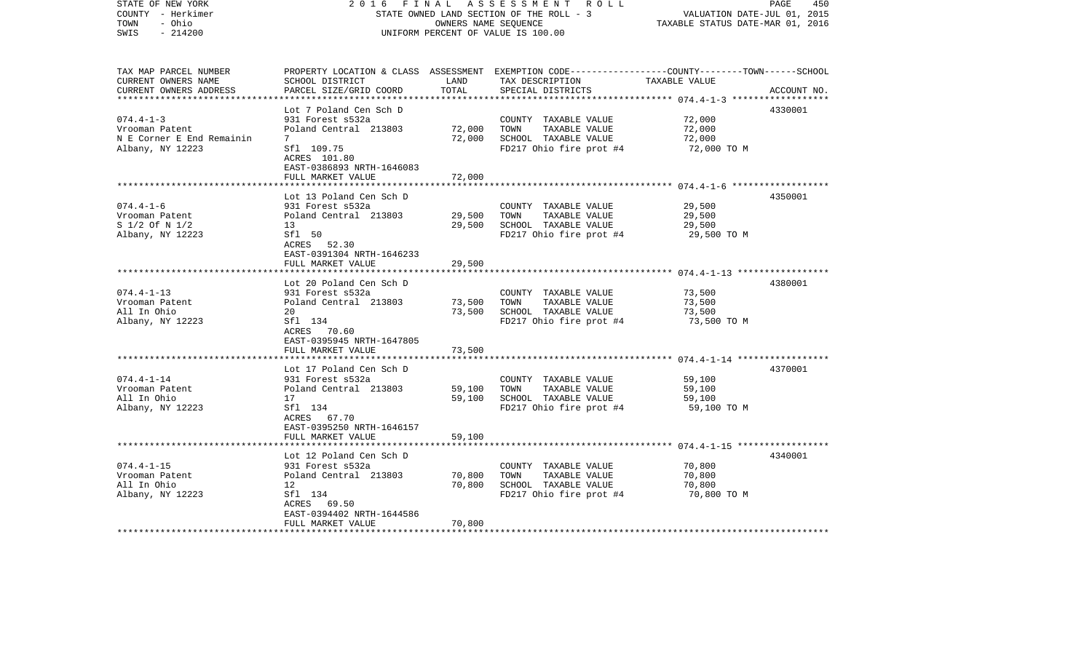| STATE OF NEW YORK<br>COUNTY - Herkimer<br>TOWN<br>- Ohio<br>$-214200$<br>SWIS                       | 2 0 1 6<br>FINAL                                        | OWNERS NAME SEQUENCE | A S S E S S M E N T R O L L<br>STATE OWNED LAND SECTION OF THE ROLL - 3<br>UNIFORM PERCENT OF VALUE IS 100.00                           | 450<br>PAGE<br>VALUATION DATE-JUL 01, 2015<br>TAXABLE STATUS DATE-MAR 01, 2016 |             |
|-----------------------------------------------------------------------------------------------------|---------------------------------------------------------|----------------------|-----------------------------------------------------------------------------------------------------------------------------------------|--------------------------------------------------------------------------------|-------------|
| TAX MAP PARCEL NUMBER<br>CURRENT OWNERS NAME<br>CURRENT OWNERS ADDRESS<br>************************* | SCHOOL DISTRICT<br>PARCEL SIZE/GRID COORD               | LAND<br>TOTAL        | PROPERTY LOCATION & CLASS ASSESSMENT EXEMPTION CODE---------------COUNTY-------TOWN------SCHOOL<br>TAX DESCRIPTION<br>SPECIAL DISTRICTS | TAXABLE VALUE                                                                  | ACCOUNT NO. |
|                                                                                                     | Lot 7 Poland Cen Sch D                                  |                      |                                                                                                                                         |                                                                                | 4330001     |
| $074.4 - 1 - 3$                                                                                     | 931 Forest s532a                                        |                      | COUNTY TAXABLE VALUE                                                                                                                    | 72,000                                                                         |             |
| Vrooman Patent                                                                                      | Poland Central 213803                                   | 72,000               | TOWN<br>TAXABLE VALUE                                                                                                                   | 72,000                                                                         |             |
| N E Corner E End Remainin                                                                           | 7                                                       | 72,000               | SCHOOL TAXABLE VALUE                                                                                                                    | 72,000                                                                         |             |
| Albany, NY 12223                                                                                    | Sfl 109.75<br>ACRES 101.80<br>EAST-0386893 NRTH-1646083 |                      | FD217 Ohio fire prot #4                                                                                                                 | 72,000 TO M                                                                    |             |
|                                                                                                     | FULL MARKET VALUE                                       | 72,000               |                                                                                                                                         |                                                                                |             |
|                                                                                                     | Lot 13 Poland Cen Sch D                                 |                      |                                                                                                                                         |                                                                                | 4350001     |
| $074.4 - 1 - 6$                                                                                     | 931 Forest s532a                                        |                      | COUNTY TAXABLE VALUE                                                                                                                    | 29,500                                                                         |             |
| Vrooman Patent                                                                                      | Poland Central 213803                                   | 29,500               | TOWN<br>TAXABLE VALUE                                                                                                                   | 29,500                                                                         |             |
| S 1/2 Of N 1/2                                                                                      | 13                                                      | 29,500               | SCHOOL TAXABLE VALUE                                                                                                                    | 29,500                                                                         |             |
| Albany, NY 12223                                                                                    | Sfl 50<br>ACRES 52.30                                   |                      | FD217 Ohio fire prot #4                                                                                                                 | 29,500 TO M                                                                    |             |
|                                                                                                     | EAST-0391304 NRTH-1646233                               |                      |                                                                                                                                         |                                                                                |             |
|                                                                                                     | FULL MARKET VALUE                                       | 29,500               |                                                                                                                                         |                                                                                |             |
|                                                                                                     | Lot 20 Poland Cen Sch D                                 |                      |                                                                                                                                         |                                                                                | 4380001     |
| $074.4 - 1 - 13$                                                                                    | 931 Forest s532a                                        |                      | COUNTY TAXABLE VALUE                                                                                                                    | 73,500                                                                         |             |
| Vrooman Patent                                                                                      | Poland Central 213803                                   | 73,500               | TOWN<br>TAXABLE VALUE                                                                                                                   | 73,500                                                                         |             |
| All In Ohio                                                                                         | 20                                                      | 73,500               | SCHOOL TAXABLE VALUE                                                                                                                    | 73,500                                                                         |             |
| Albany, NY 12223                                                                                    | Sfl 134<br>ACRES 70.60<br>EAST-0395945 NRTH-1647805     |                      | FD217 Ohio fire prot #4                                                                                                                 | 73,500 TO M                                                                    |             |
|                                                                                                     | FULL MARKET VALUE                                       | 73,500               |                                                                                                                                         |                                                                                |             |
|                                                                                                     | *************************                               |                      |                                                                                                                                         |                                                                                |             |
|                                                                                                     | Lot 17 Poland Cen Sch D                                 |                      |                                                                                                                                         |                                                                                | 4370001     |
| $074.4 - 1 - 14$                                                                                    | 931 Forest s532a                                        |                      | COUNTY TAXABLE VALUE                                                                                                                    | 59,100                                                                         |             |
| Vrooman Patent<br>All In Ohio                                                                       | Poland Central 213803<br>17                             | 59,100               | TOWN<br>TAXABLE VALUE                                                                                                                   | 59,100                                                                         |             |
| Albany, NY 12223                                                                                    | Sfl 134                                                 | 59,100               | SCHOOL TAXABLE VALUE<br>FD217 Ohio fire prot #4                                                                                         | 59,100<br>59,100 TO M                                                          |             |
|                                                                                                     | ACRES 67.70<br>EAST-0395250 NRTH-1646157                |                      |                                                                                                                                         |                                                                                |             |
|                                                                                                     | FULL MARKET VALUE                                       | 59,100               |                                                                                                                                         |                                                                                |             |
|                                                                                                     |                                                         |                      |                                                                                                                                         |                                                                                |             |
|                                                                                                     | Lot 12 Poland Cen Sch D                                 |                      |                                                                                                                                         |                                                                                | 4340001     |
| $074.4 - 1 - 15$                                                                                    | 931 Forest s532a                                        |                      | COUNTY TAXABLE VALUE                                                                                                                    | 70,800                                                                         |             |
| Vrooman Patent                                                                                      | Poland Central 213803                                   | 70,800               | TAXABLE VALUE<br>TOWN                                                                                                                   | 70,800                                                                         |             |
| All In Ohio                                                                                         | 12                                                      | 70,800               | SCHOOL TAXABLE VALUE                                                                                                                    | 70,800                                                                         |             |
| Albany, NY 12223                                                                                    | Sfl 134                                                 |                      | FD217 Ohio fire prot #4                                                                                                                 | 70,800 TO M                                                                    |             |
|                                                                                                     | ACRES 69.50                                             |                      |                                                                                                                                         |                                                                                |             |
|                                                                                                     | EAST-0394402 NRTH-1644586<br>FULL MARKET VALUE          | 70,800               |                                                                                                                                         |                                                                                |             |
|                                                                                                     |                                                         |                      |                                                                                                                                         |                                                                                |             |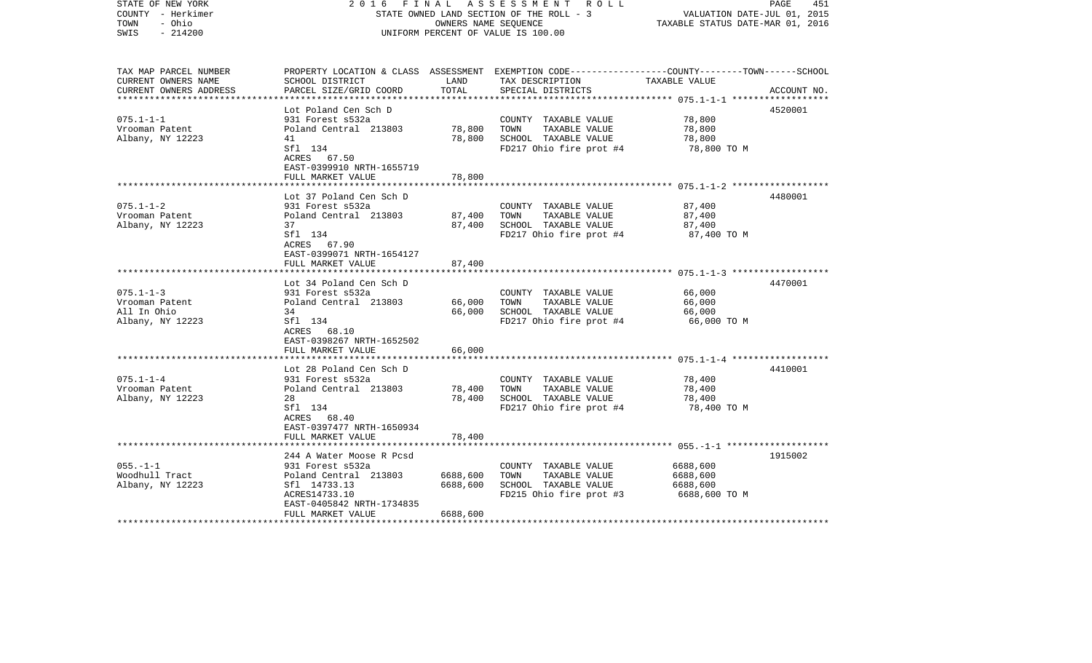| STATE OF NEW YORK<br>COUNTY - Herkimer<br>- Ohio<br>TOWN<br>SWIS<br>$-214200$ | FINAL<br>2016                                       | OWNERS NAME SEQUENCE | A S S E S S M E N T R O L L<br>STATE OWNED LAND SECTION OF THE ROLL - 3<br>UNIFORM PERCENT OF VALUE IS 100.00 | VALUATION DATE-JUL 01, 2015<br>TAXABLE STATUS DATE-MAR 01, 2016 | PAGE<br>451 |
|-------------------------------------------------------------------------------|-----------------------------------------------------|----------------------|---------------------------------------------------------------------------------------------------------------|-----------------------------------------------------------------|-------------|
|                                                                               |                                                     |                      |                                                                                                               |                                                                 |             |
| TAX MAP PARCEL NUMBER                                                         |                                                     |                      | PROPERTY LOCATION & CLASS ASSESSMENT EXEMPTION CODE---------------COUNTY-------TOWN------SCHOOL               |                                                                 |             |
| CURRENT OWNERS NAME                                                           | SCHOOL DISTRICT                                     | LAND                 | TAX DESCRIPTION                                                                                               | TAXABLE VALUE                                                   |             |
| CURRENT OWNERS ADDRESS                                                        | PARCEL SIZE/GRID COORD                              | TOTAL                | SPECIAL DISTRICTS                                                                                             | ******************* 075.1-1-1 *******************               | ACCOUNT NO. |
|                                                                               | Lot Poland Cen Sch D                                |                      |                                                                                                               |                                                                 | 4520001     |
| $075.1 - 1 - 1$                                                               | 931 Forest s532a                                    |                      | COUNTY TAXABLE VALUE                                                                                          | 78,800                                                          |             |
| Vrooman Patent                                                                | Poland Central 213803                               | 78,800               | TOWN<br>TAXABLE VALUE                                                                                         | 78,800                                                          |             |
| Albany, NY 12223                                                              | 41                                                  | 78,800               | SCHOOL TAXABLE VALUE                                                                                          | 78,800                                                          |             |
|                                                                               | Sfl 134<br>ACRES 67.50<br>EAST-0399910 NRTH-1655719 |                      | FD217 Ohio fire prot #4                                                                                       | 78,800 TO M                                                     |             |
|                                                                               | FULL MARKET VALUE                                   | 78,800               |                                                                                                               |                                                                 |             |
|                                                                               |                                                     |                      |                                                                                                               |                                                                 |             |
|                                                                               | Lot 37 Poland Cen Sch D                             |                      |                                                                                                               |                                                                 | 4480001     |
| $075.1 - 1 - 2$                                                               | 931 Forest s532a                                    |                      | COUNTY TAXABLE VALUE                                                                                          | 87,400                                                          |             |
| Vrooman Patent                                                                | Poland Central 213803<br>37                         | 87,400               | TAXABLE VALUE<br>TOWN<br>SCHOOL TAXABLE VALUE                                                                 | 87,400                                                          |             |
| Albany, NY 12223                                                              | Sfl 134                                             | 87,400               | FD217 Ohio fire prot #4                                                                                       | 87,400<br>87,400 TO M                                           |             |
|                                                                               | ACRES 67.90<br>EAST-0399071 NRTH-1654127            |                      |                                                                                                               |                                                                 |             |
|                                                                               | FULL MARKET VALUE                                   | 87,400               |                                                                                                               |                                                                 |             |
|                                                                               | ***********************                             |                      |                                                                                                               |                                                                 |             |
|                                                                               | Lot 34 Poland Cen Sch D                             |                      |                                                                                                               |                                                                 | 4470001     |
| $075.1 - 1 - 3$                                                               | 931 Forest s532a                                    |                      | COUNTY TAXABLE VALUE                                                                                          | 66,000                                                          |             |
| Vrooman Patent                                                                | Poland Central 213803                               | 66,000               | TOWN<br>TAXABLE VALUE                                                                                         | 66,000                                                          |             |
| All In Ohio                                                                   | 34                                                  | 66,000               | SCHOOL TAXABLE VALUE                                                                                          | 66,000                                                          |             |
| Albany, NY 12223                                                              | Sfl 134<br>ACRES 68.10<br>EAST-0398267 NRTH-1652502 |                      | FD217 Ohio fire prot #4                                                                                       | 66,000 TO M                                                     |             |
|                                                                               | FULL MARKET VALUE                                   | 66,000               |                                                                                                               |                                                                 |             |
|                                                                               |                                                     |                      |                                                                                                               |                                                                 |             |
|                                                                               | Lot 28 Poland Cen Sch D                             |                      |                                                                                                               |                                                                 | 4410001     |
| $075.1 - 1 - 4$                                                               | 931 Forest s532a                                    |                      | COUNTY TAXABLE VALUE                                                                                          | 78,400                                                          |             |
| Vrooman Patent                                                                | Poland Central 213803                               | 78,400               | TOWN<br>TAXABLE VALUE                                                                                         | 78,400                                                          |             |
| Albany, NY 12223                                                              | 28<br>Sfl 134                                       | 78,400               | SCHOOL TAXABLE VALUE                                                                                          | 78,400                                                          |             |
|                                                                               | ACRES 68.40                                         |                      | FD217 Ohio fire prot #4                                                                                       | 78,400 TO M                                                     |             |
|                                                                               | EAST-0397477 NRTH-1650934                           |                      |                                                                                                               |                                                                 |             |
|                                                                               | FULL MARKET VALUE                                   | 78,400               |                                                                                                               |                                                                 |             |
|                                                                               |                                                     |                      |                                                                                                               |                                                                 |             |
|                                                                               | 244 A Water Moose R Pcsd                            |                      |                                                                                                               |                                                                 | 1915002     |
| $055. - 1 - 1$                                                                | 931 Forest s532a                                    |                      | COUNTY TAXABLE VALUE                                                                                          | 6688,600                                                        |             |
| Woodhull Tract                                                                | Poland Central 213803                               | 6688,600             | TAXABLE VALUE<br>TOWN                                                                                         | 6688,600                                                        |             |
| Albany, NY 12223                                                              | Sfl 14733.13                                        | 6688,600             | SCHOOL TAXABLE VALUE                                                                                          | 6688,600                                                        |             |
|                                                                               | ACRES14733.10<br>EAST-0405842 NRTH-1734835          |                      | FD215 Ohio fire prot #3                                                                                       | 6688,600 TO M                                                   |             |
|                                                                               | FULL MARKET VALUE                                   | 6688,600             |                                                                                                               |                                                                 |             |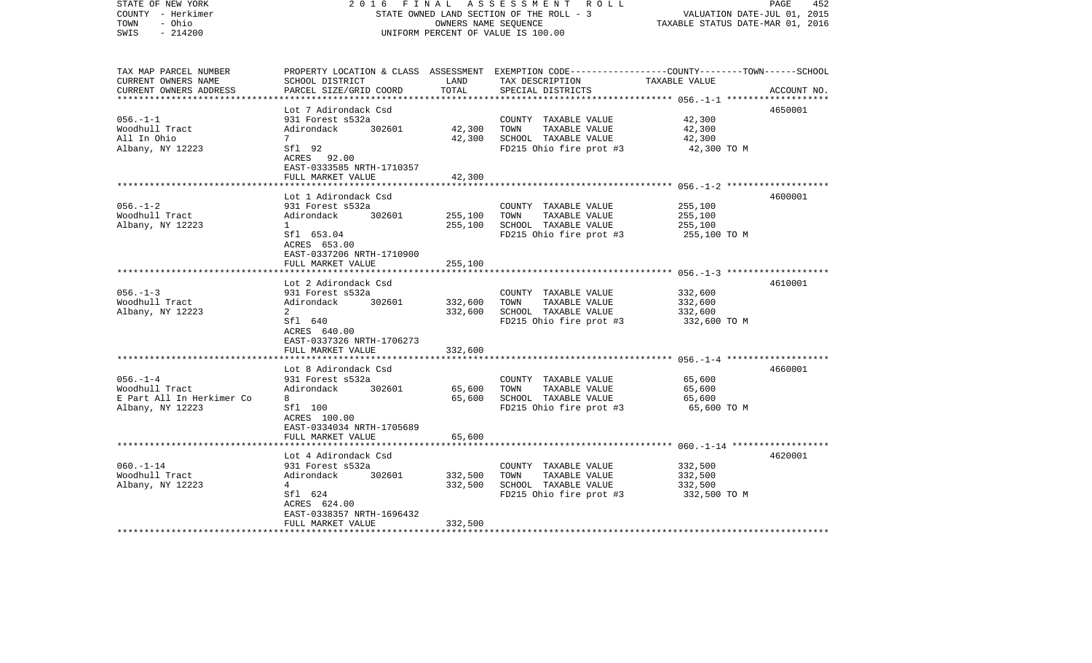| STATE OF NEW YORK<br>COUNTY - Herkimer<br>TOWN<br>- Ohio<br>$-214200$<br>SWIS | 2 0 1 6<br>FINAL<br>STATE OWNED LAND SECTION OF THE ROLL - 3<br>UNIFORM PERCENT OF VALUE IS 100.00 | PAGE<br>452<br>VALUATION DATE-JUL 01, 2015<br>TAXABLE STATUS DATE-MAR 01, 2016 |                                                                                                                                                      |                       |             |
|-------------------------------------------------------------------------------|----------------------------------------------------------------------------------------------------|--------------------------------------------------------------------------------|------------------------------------------------------------------------------------------------------------------------------------------------------|-----------------------|-------------|
| TAX MAP PARCEL NUMBER<br>CURRENT OWNERS NAME<br>CURRENT OWNERS ADDRESS        | SCHOOL DISTRICT<br>PARCEL SIZE/GRID COORD                                                          | LAND<br>TOTAL                                                                  | PROPERTY LOCATION & CLASS ASSESSMENT EXEMPTION CODE--------------COUNTY-------TOWN------SCHOOL<br>TAX DESCRIPTION TAXABLE VALUE<br>SPECIAL DISTRICTS |                       | ACCOUNT NO. |
|                                                                               | Lot 7 Adirondack Csd                                                                               |                                                                                |                                                                                                                                                      |                       | 4650001     |
| 056.-1-1                                                                      | 931 Forest s532a                                                                                   |                                                                                | COUNTY TAXABLE VALUE                                                                                                                                 | 42,300                |             |
| Woodhull Tract                                                                | Adirondack 302601                                                                                  | 42,300                                                                         | TAXABLE VALUE<br>TOWN                                                                                                                                | 42,300                |             |
| All In Ohio                                                                   | $7\phantom{0}$                                                                                     | 42,300                                                                         | SCHOOL TAXABLE VALUE                                                                                                                                 | 42,300                |             |
| Albany, NY 12223                                                              | Sfl 92<br>ACRES 92.00<br>EAST-0333585 NRTH-1710357                                                 |                                                                                | FD215 Ohio fire prot #3                                                                                                                              | 42,300 TO M           |             |
|                                                                               | FULL MARKET VALUE                                                                                  | 42,300                                                                         |                                                                                                                                                      |                       |             |
|                                                                               | Lot 1 Adirondack Csd                                                                               |                                                                                |                                                                                                                                                      |                       | 4600001     |
| $056. - 1 - 2$                                                                | 931 Forest s532a                                                                                   |                                                                                | COUNTY TAXABLE VALUE                                                                                                                                 | 255,100               |             |
| Woodhull Tract                                                                | Adirondack 302601                                                                                  | 255,100                                                                        | TOWN<br>TAXABLE VALUE                                                                                                                                | 255,100               |             |
| Albany, NY 12223                                                              | $\mathbf{1}$                                                                                       | 255,100                                                                        | SCHOOL TAXABLE VALUE                                                                                                                                 | 255,100               |             |
|                                                                               | Sfl 653.04<br>ACRES 653.00<br>EAST-0337206 NRTH-1710900                                            |                                                                                | FD215 Ohio fire prot #3                                                                                                                              | 255,100 TO M          |             |
|                                                                               | FULL MARKET VALUE                                                                                  | 255,100                                                                        |                                                                                                                                                      |                       |             |
|                                                                               |                                                                                                    |                                                                                |                                                                                                                                                      |                       |             |
| $056. - 1 - 3$                                                                | Lot 2 Adirondack Csd<br>931 Forest s532a                                                           |                                                                                | COUNTY TAXABLE VALUE                                                                                                                                 | 332,600               | 4610001     |
| Woodhull Tract                                                                | Adirondack 302601                                                                                  | 332,600                                                                        | TOWN<br>TAXABLE VALUE                                                                                                                                | 332,600               |             |
| Albany, NY 12223                                                              | 2                                                                                                  | 332,600                                                                        | SCHOOL TAXABLE VALUE                                                                                                                                 | 332,600               |             |
|                                                                               | Sfl 640<br>ACRES 640.00<br>EAST-0337326 NRTH-1706273                                               |                                                                                | FD215 Ohio fire prot #3                                                                                                                              | 332,600 TO M          |             |
|                                                                               | FULL MARKET VALUE                                                                                  | 332,600                                                                        |                                                                                                                                                      |                       |             |
|                                                                               |                                                                                                    |                                                                                |                                                                                                                                                      |                       |             |
|                                                                               | Lot 8 Adirondack Csd                                                                               |                                                                                |                                                                                                                                                      |                       | 4660001     |
| $056. - 1 - 4$                                                                | 931 Forest s532a                                                                                   |                                                                                | COUNTY TAXABLE VALUE                                                                                                                                 | 65,600                |             |
| Woodhull Tract<br>E Part All In Herkimer Co                                   | Adirondack 302601<br>8                                                                             | 65,600<br>65,600                                                               | TAXABLE VALUE<br>TOWN<br>SCHOOL TAXABLE VALUE                                                                                                        | 65,600                |             |
| Albany, NY 12223                                                              | Sfl 100                                                                                            |                                                                                | FD215 Ohio fire prot #3                                                                                                                              | 65,600<br>65,600 TO M |             |
|                                                                               | ACRES 100.00<br>EAST-0334034 NRTH-1705689                                                          |                                                                                |                                                                                                                                                      |                       |             |
|                                                                               | FULL MARKET VALUE                                                                                  | 65,600                                                                         |                                                                                                                                                      |                       |             |
|                                                                               | Lot 4 Adirondack Csd                                                                               |                                                                                |                                                                                                                                                      |                       | 4620001     |
| $060. -1 - 14$                                                                | 931 Forest s532a                                                                                   |                                                                                | COUNTY TAXABLE VALUE                                                                                                                                 | 332,500               |             |
| Woodhull Tract                                                                | Adirondack<br>302601                                                                               | 332,500                                                                        | TOWN<br>TAXABLE VALUE                                                                                                                                | 332,500               |             |
| Albany, NY 12223                                                              | 4                                                                                                  | 332,500                                                                        | SCHOOL TAXABLE VALUE                                                                                                                                 | 332,500               |             |
|                                                                               | Sfl 624                                                                                            |                                                                                | FD215 Ohio fire prot #3 332,500 TO M                                                                                                                 |                       |             |
|                                                                               | ACRES 624.00                                                                                       |                                                                                |                                                                                                                                                      |                       |             |
|                                                                               | EAST-0338357 NRTH-1696432<br>FULL MARKET VALUE                                                     | 332,500                                                                        |                                                                                                                                                      |                       |             |
| *********************                                                         |                                                                                                    |                                                                                |                                                                                                                                                      |                       |             |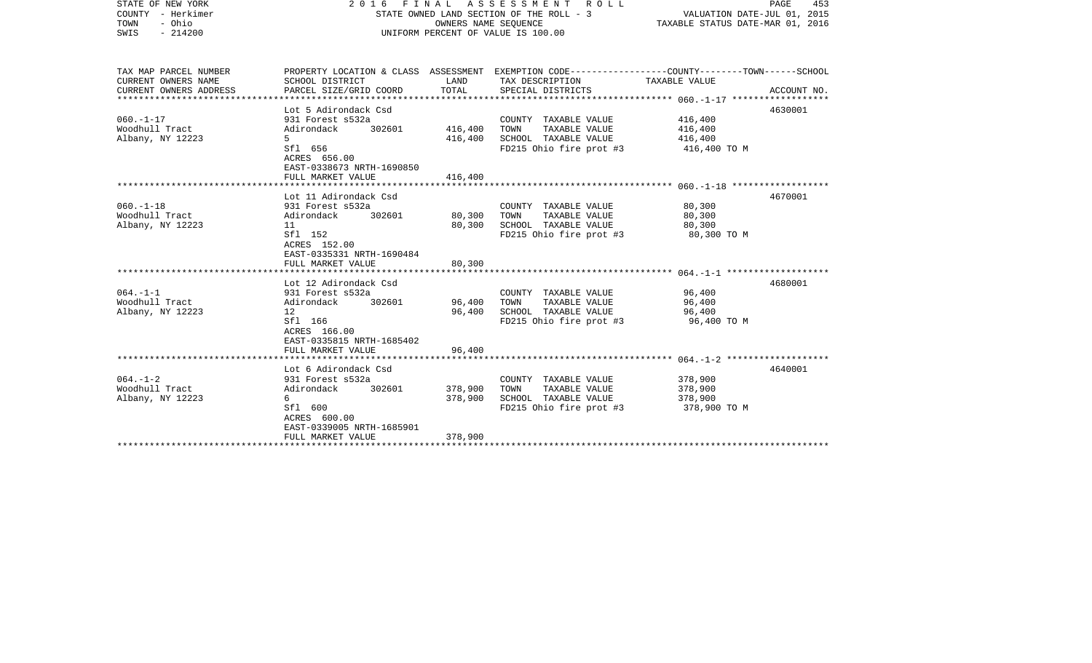| COUNTY<br>- Herkimer<br>- Ohio<br>TOWN<br>$-214200$<br>SWIS            |                                                                                                                                 |                    | STATE OWNED LAND SECTION OF THE ROLL - 3<br>OWNERS NAME SEOUENCE<br>UNIFORM PERCENT OF VALUE IS 100.00                                   | VALUATION DATE-JUL 01, 2015<br>TAXABLE STATUS DATE-MAR 01, 2016 |             |
|------------------------------------------------------------------------|---------------------------------------------------------------------------------------------------------------------------------|--------------------|------------------------------------------------------------------------------------------------------------------------------------------|-----------------------------------------------------------------|-------------|
| TAX MAP PARCEL NUMBER<br>CURRENT OWNERS NAME<br>CURRENT OWNERS ADDRESS | SCHOOL DISTRICT<br>PARCEL SIZE/GRID COORD                                                                                       | LAND<br>TOTAL      | PROPERTY LOCATION & CLASS ASSESSMENT EXEMPTION CODE----------------COUNTY-------TOWN------SCHOOL<br>TAX DESCRIPTION<br>SPECIAL DISTRICTS | TAXABLE VALUE                                                   | ACCOUNT NO. |
|                                                                        |                                                                                                                                 |                    |                                                                                                                                          |                                                                 |             |
| $060. -1 - 17$<br>Woodhull Tract<br>Albany, NY 12223                   | Lot 5 Adirondack Csd<br>931 Forest s532a<br>302601<br>Adirondack<br>5<br>Sfl 656<br>ACRES 656.00<br>EAST-0338673 NRTH-1690850   | 416,400<br>416,400 | COUNTY TAXABLE VALUE<br>TOWN<br>TAXABLE VALUE<br>SCHOOL TAXABLE VALUE<br>FD215 Ohio fire prot #3                                         | 416,400<br>416,400<br>416,400<br>416,400 TO M                   | 4630001     |
|                                                                        | FULL MARKET VALUE                                                                                                               | 416,400            |                                                                                                                                          |                                                                 |             |
|                                                                        | Lot 11 Adirondack Csd                                                                                                           |                    |                                                                                                                                          |                                                                 | 4670001     |
| $060. -1 - 18$<br>Woodhull Tract<br>Albany, NY 12223                   | 931 Forest s532a<br>Adirondack<br>302601<br>11<br>Sf1 152<br>ACRES 152.00<br>EAST-0335331 NRTH-1690484                          | 80,300<br>80,300   | COUNTY TAXABLE VALUE<br>TOWN<br>TAXABLE VALUE<br>SCHOOL TAXABLE VALUE<br>FD215 Ohio fire prot #3                                         | 80,300<br>80,300<br>80,300<br>80,300 TO M                       |             |
|                                                                        | FULL MARKET VALUE                                                                                                               | 80,300             |                                                                                                                                          |                                                                 |             |
| $064. -1 -1$<br>Woodhull Tract<br>Albany, NY 12223                     | Lot 12 Adirondack Csd<br>931 Forest s532a<br>Adirondack<br>302601<br>12<br>Sfl 166<br>ACRES 166.00<br>EAST-0335815 NRTH-1685402 | 96,400<br>96,400   | COUNTY TAXABLE VALUE<br>TOWN<br>TAXABLE VALUE<br>SCHOOL TAXABLE VALUE<br>FD215 Ohio fire prot #3                                         | 96,400<br>96,400<br>96,400<br>96,400 TO M                       | 4680001     |
|                                                                        | FULL MARKET VALUE                                                                                                               | 96,400             |                                                                                                                                          |                                                                 |             |
| $064. -1 - 2$                                                          | ****************************<br>Lot 6 Adirondack Csd<br>931 Forest s532a                                                        |                    | COUNTY TAXABLE VALUE                                                                                                                     | 378,900                                                         | 4640001     |
| Woodhull Tract<br>Albany, NY 12223                                     | Adirondack<br>302601<br>6<br>Sfl 600<br>ACRES 600.00<br>EAST-0339005 NRTH-1685901                                               | 378,900<br>378,900 | TOWN<br>TAXABLE VALUE<br>SCHOOL TAXABLE VALUE<br>FD215 Ohio fire prot #3                                                                 | 378,900<br>378,900<br>378,900 TO M                              |             |
|                                                                        | FULL MARKET VALUE                                                                                                               | 378,900            |                                                                                                                                          |                                                                 |             |
|                                                                        |                                                                                                                                 |                    |                                                                                                                                          |                                                                 |             |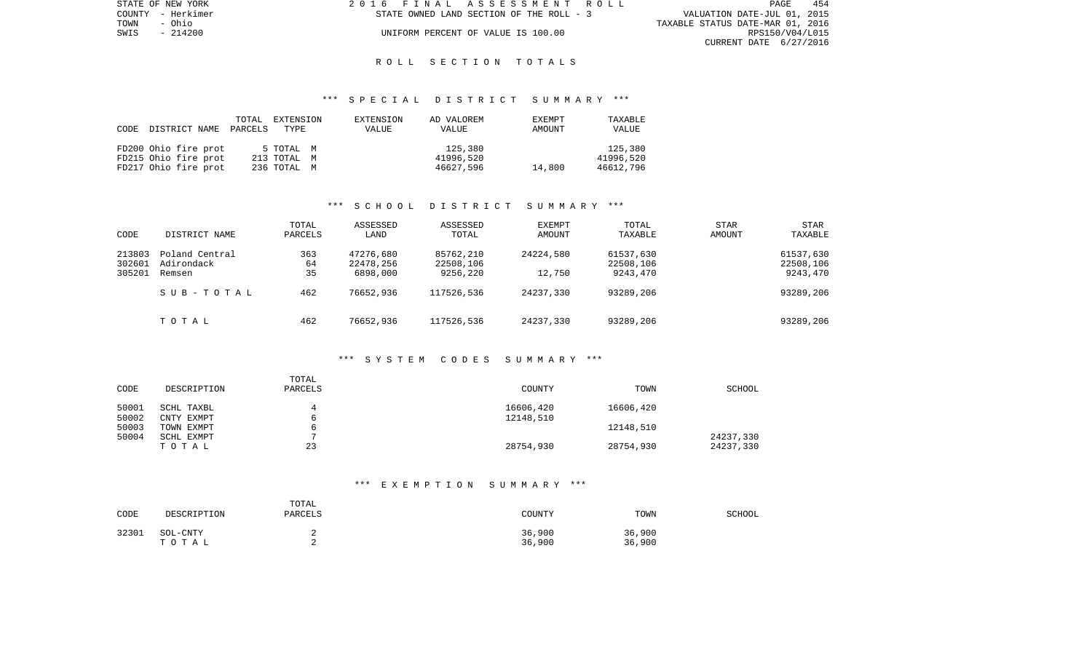| STATE OF NEW YORK | 2016 FINAL ASSESSMENT ROLL               | 454<br>PAGE                      |
|-------------------|------------------------------------------|----------------------------------|
| COUNTY - Herkimer | STATE OWNED LAND SECTION OF THE ROLL - 3 | VALUATION DATE-JUL 01, 2015      |
| TOWN<br>- Ohio    |                                          | TAXABLE STATUS DATE-MAR 01, 2016 |
| SWIS - 214200     | UNIFORM PERCENT OF VALUE IS 100.00       | RPS150/V04/L015                  |
|                   |                                          | CURRENT DATE 6/27/2016           |

### \*\*\* S P E C I A L D I S T R I C T S U M M A R Y \*\*\*

| CODE | DISTRICT NAME        | TOTAL<br>PARCELS TYPE | EXTENSION   | EXTENSION<br>VALUE | AD VALOREM<br>VALUE | EXEMPT<br>AMOUNT | TAXABLE<br>VALUE |
|------|----------------------|-----------------------|-------------|--------------------|---------------------|------------------|------------------|
|      | FD200 Ohio fire prot |                       | 5 TOTAL M   |                    | 125,380             |                  | 125,380          |
|      | FD215 Ohio fire prot |                       | 213 TOTAL M |                    | 41996,520           |                  | 41996,520        |
|      | FD217 Ohio fire prot |                       | 236 ТОТАL М |                    | 46627,596           | 14,800           | 46612,796        |

# \*\*\* S C H O O L D I S T R I C T S U M M A R Y \*\*\*

| CODE                       | DISTRICT NAME                          | TOTAL<br>PARCELS | ASSESSED<br>LAND                   | ASSESSED<br>TOTAL                  | <b>EXEMPT</b><br>AMOUNT | TOTAL<br>TAXABLE                   | <b>STAR</b><br>AMOUNT | STAR<br>TAXABLE                    |
|----------------------------|----------------------------------------|------------------|------------------------------------|------------------------------------|-------------------------|------------------------------------|-----------------------|------------------------------------|
| 213803<br>302601<br>305201 | Poland Central<br>Adirondack<br>Remsen | 363<br>64<br>35  | 47276,680<br>22478,256<br>6898,000 | 85762,210<br>22508,106<br>9256,220 | 24224,580<br>12,750     | 61537,630<br>22508,106<br>9243,470 |                       | 61537,630<br>22508,106<br>9243,470 |
|                            | SUB-TOTAL                              | 462              | 76652,936                          | 117526,536                         | 24237,330               | 93289,206                          |                       | 93289,206                          |
|                            | TOTAL                                  | 462              | 76652,936                          | 117526,536                         | 24237,330               | 93289,206                          |                       | 93289,206                          |

#### \*\*\* S Y S T E M C O D E S S U M M A R Y \*\*\*

| DESCRIPTION              | TOTAL<br>PARCELS | <b>COUNTY</b>          | TOWN      | <b>SCHOOL</b>          |
|--------------------------|------------------|------------------------|-----------|------------------------|
| SCHL TAXBL<br>CNTY EXMPT |                  | 16606,420<br>12148,510 | 16606,420 |                        |
| TOWN EXMPT               |                  |                        | 12148,510 |                        |
| TOTAL                    | 23               | 28754,930              | 28754,930 | 24237,330<br>24237,330 |
|                          | SCHL EXMPT       |                        |           |                        |

## \*\*\* E X E M P T I O N S U M M A R Y \*\*\*

| CODE  | DESCRIPTION       | TOTAL<br>PARCELS | COUNTY           | TOWN             | SCHOOL |
|-------|-------------------|------------------|------------------|------------------|--------|
| 32301 | SOL-CNTY<br>TOTAL |                  | 36,900<br>36,900 | 36,900<br>36,900 |        |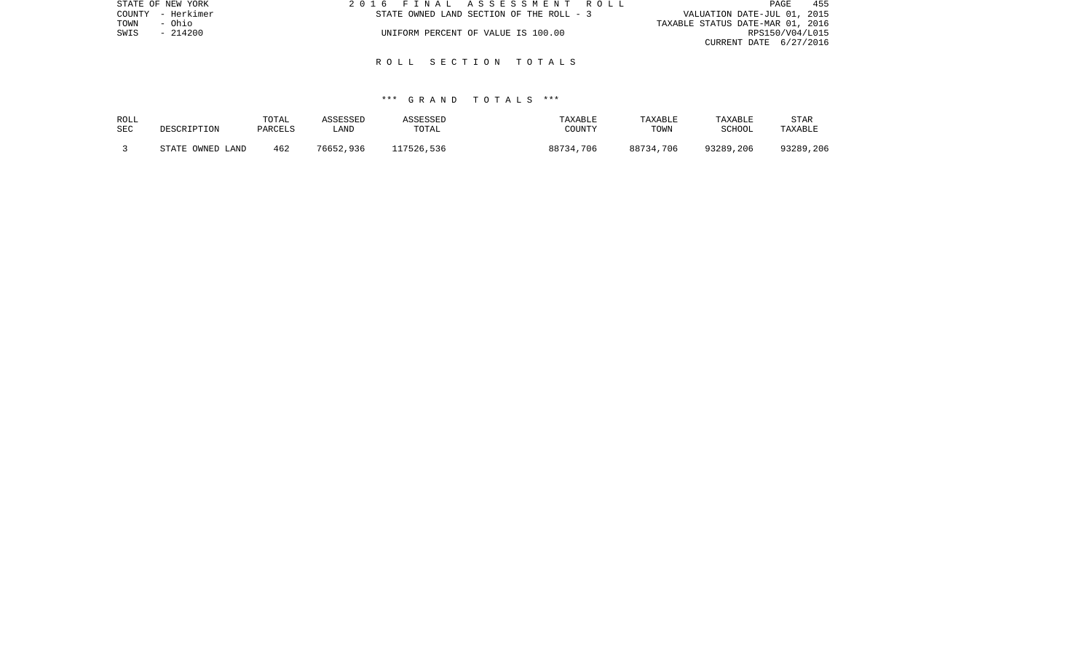|      | STATE OF NEW YORK |                                    | 2016 FINAL ASSESSMENT ROLL               | 455<br>PAGE                      |  |
|------|-------------------|------------------------------------|------------------------------------------|----------------------------------|--|
|      | COUNTY - Herkimer |                                    | STATE OWNED LAND SECTION OF THE ROLL - 3 | VALUATION DATE-JUL 01, 2015      |  |
| TOWN | - Ohio            |                                    |                                          | TAXABLE STATUS DATE-MAR 01, 2016 |  |
| SWIS | - 214200          | UNIFORM PERCENT OF VALUE IS 100.00 |                                          | RPS150/V04/L015                  |  |
|      |                   |                                    |                                          | CURRENT DATE 6/27/2016           |  |

## \*\*\* G R A N D T O T A L S \*\*\*

| ROLL | DESCRIPTION      | TOTAL   | ASSESSED  | ASSESSED   | TAXABLE   | TAXABLE   | TAXABLE       | <b>STAR</b> |
|------|------------------|---------|-----------|------------|-----------|-----------|---------------|-------------|
| SEC  |                  | PARCELS | LAND      | TOTAL      | COUNTY    | TOWN      | <b>SCHOOL</b> | TAXABLE     |
|      | STATE OWNED LAND | 462     | 76652,936 | 117526,536 | 88734,706 | 88734,706 | 93289,206     | 93289,206   |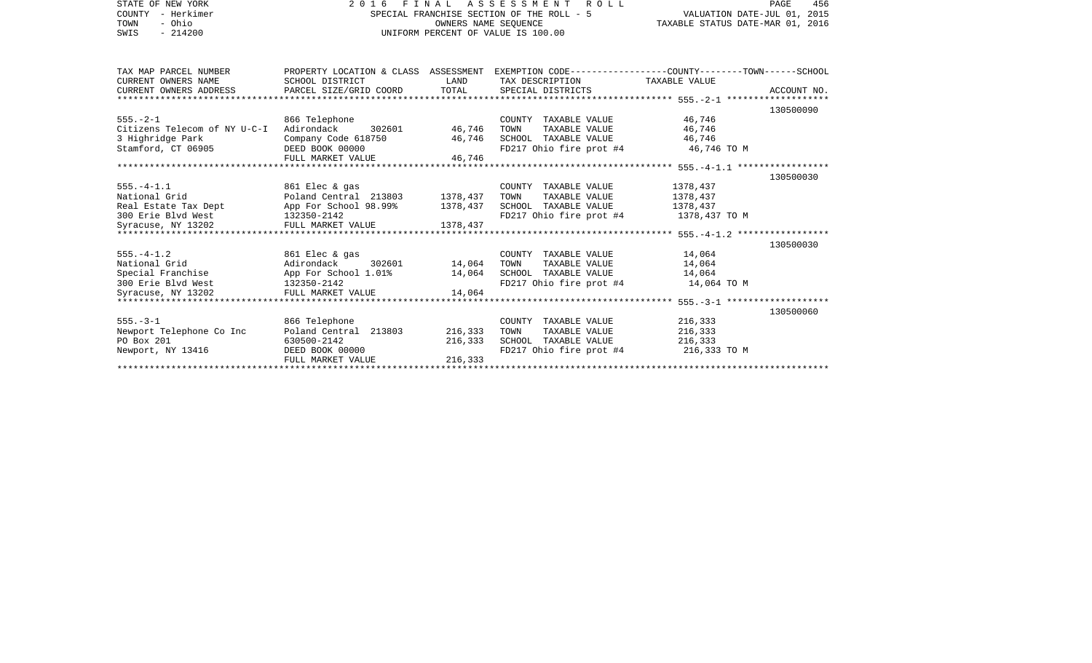| STATE OF NEW YORK                                                                                                                | 2016 FINAL ASSESSMENT ROLL                                  | PAGE<br>456                      |                                                                                                  |             |           |
|----------------------------------------------------------------------------------------------------------------------------------|-------------------------------------------------------------|----------------------------------|--------------------------------------------------------------------------------------------------|-------------|-----------|
| COUNTY - Herkimer                                                                                                                | SPECIAL FRANCHISE SECTION OF THE ROLL - 5                   | VALUATION DATE-JUL 01, 2015      |                                                                                                  |             |           |
| TOWN<br>- Ohio                                                                                                                   |                                                             | TAXABLE STATUS DATE-MAR 01, 2016 |                                                                                                  |             |           |
| $-214200$<br>SWIS                                                                                                                |                                                             |                                  | UNIFORM PERCENT OF VALUE IS 100.00                                                               |             |           |
|                                                                                                                                  |                                                             |                                  |                                                                                                  |             |           |
| TAX MAP PARCEL NUMBER                                                                                                            |                                                             |                                  | PROPERTY LOCATION & CLASS ASSESSMENT EXEMPTION CODE----------------COUNTY-------TOWN------SCHOOL |             |           |
| CURRENT OWNERS NAME                                                                                                              | SCHOOL DISTRICT<br>LAND<br>TAX DESCRIPTION<br>TAXABLE VALUE |                                  |                                                                                                  |             |           |
| CURRENT OWNERS ADDRESS                                                                                                           |                                                             |                                  |                                                                                                  |             |           |
|                                                                                                                                  |                                                             |                                  |                                                                                                  |             |           |
|                                                                                                                                  |                                                             |                                  |                                                                                                  |             | 130500090 |
| $555. - 2 - 1$                                                                                                                   | 866 Telephone                                               |                                  | COUNTY TAXABLE VALUE                                                                             | 46,746      |           |
| Citizens Telecom of NY U-C-I Adirondack                                                                                          |                                                             | 302601 46,746                    | TOWN<br>TAXABLE VALUE                                                                            | 46,746      |           |
| 3 Highridge Park                                                                                                                 | Company Code 618750                                         | 46,746                           | SCHOOL TAXABLE VALUE                                                                             | 46,746      |           |
| Stamford, CT 06905                                                                                                               | DEED BOOK 00000                                             |                                  | FD217 Ohio fire prot #4                                                                          | 46,746 TO M |           |
|                                                                                                                                  | FULL MARKET VALUE                                           | 46,746                           |                                                                                                  |             |           |
|                                                                                                                                  |                                                             |                                  |                                                                                                  |             |           |
|                                                                                                                                  |                                                             |                                  |                                                                                                  |             | 130500030 |
| $555. - 4 - 1.1$                                                                                                                 | 861 Elec & gas                                              |                                  | COUNTY TAXABLE VALUE                                                                             | 1378,437    |           |
| National Grid                                                                                                                    | Poland Central 213803 1378,437                              |                                  | TAXABLE VALUE<br>TOWN                                                                            | 1378,437    |           |
| Real Estate Tax Dept Mapp For School 98.99% 1378,437                                                                             |                                                             |                                  | SCHOOL TAXABLE VALUE                                                                             | 1378,437    |           |
| 300 Erie Blvd West 132350-2142                                                                                                   |                                                             |                                  | FD217 Ohio fire prot #4 1378,437 TO M                                                            |             |           |
| Syracuse, NY 13202                                                                                                               | FULL MARKET VALUE 1378, 437                                 |                                  |                                                                                                  |             |           |
|                                                                                                                                  |                                                             |                                  |                                                                                                  |             |           |
|                                                                                                                                  |                                                             |                                  |                                                                                                  |             | 130500030 |
| $555. - 4 - 1.2$                                                                                                                 | 861 Elec & gas                                              |                                  | COUNTY TAXABLE VALUE                                                                             | 14,064      |           |
| National Grid                                                                                                                    | Adirondack<br>302601                                        | 14,064                           | TAXABLE VALUE<br>TOWN                                                                            | 14,064      |           |
| Special Franchise<br>300 Erie Blvd West<br>300 Erie Blvd West<br>502001 App For School 1.01%<br>132350-2142<br>FULL MARKET VALUE |                                                             | 14,064                           | SCHOOL TAXABLE VALUE                                                                             | 14,064      |           |
|                                                                                                                                  |                                                             |                                  | FD217 Ohio fire prot #4                                                                          | 14,064 TO M |           |
|                                                                                                                                  |                                                             | 14,064                           |                                                                                                  |             |           |
|                                                                                                                                  |                                                             |                                  |                                                                                                  |             |           |
|                                                                                                                                  |                                                             |                                  |                                                                                                  |             | 130500060 |
| $555. - 3 - 1$                                                                                                                   | 866 Telephone                                               |                                  | COUNTY TAXABLE VALUE                                                                             | 216,333     |           |
| Newport Telephone Co Inc                                                                                                         | Poland Central 213803                                       | 216,333                          | TAXABLE VALUE<br>TOWN                                                                            | 216,333     |           |
| PO Box 201                                                                                                                       | 630500-2142                                                 | 216,333                          | SCHOOL TAXABLE VALUE                                                                             | 216,333     |           |
| Newport, NY 13416                                                                                                                | DEED BOOK 00000                                             |                                  | FD217 Ohio fire prot $#4$ 216,333 TO M                                                           |             |           |
|                                                                                                                                  | FULL MARKET VALUE                                           | 216,333                          |                                                                                                  |             |           |
|                                                                                                                                  |                                                             |                                  |                                                                                                  |             |           |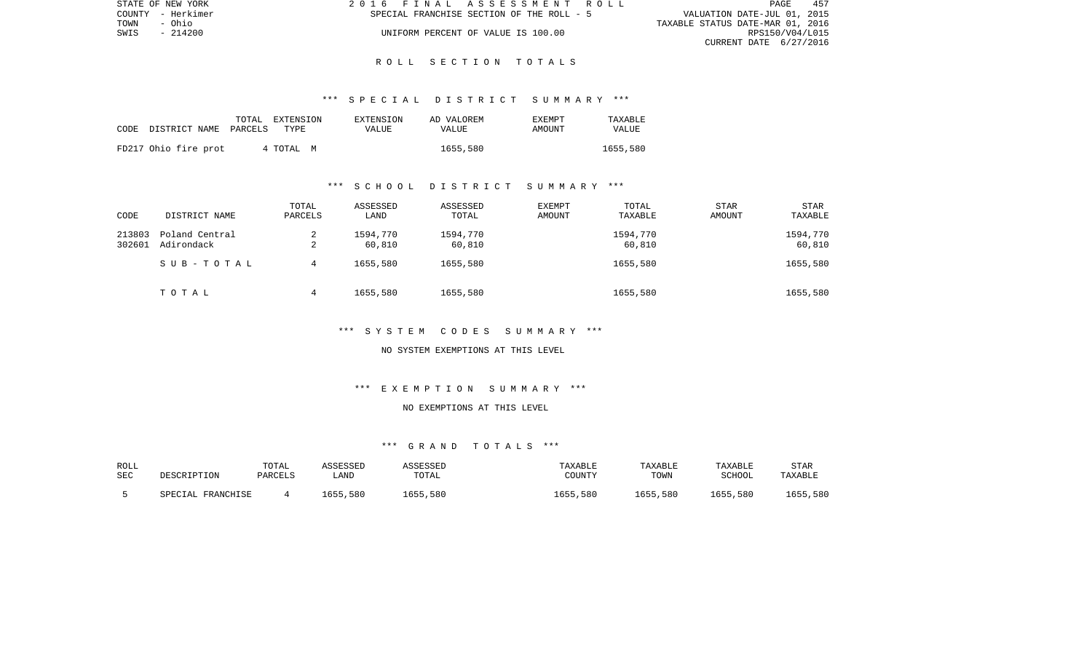| STATE OF NEW YORK | 2016 FINAL ASSESSMENT ROLL                | 457<br>PAGE                      |
|-------------------|-------------------------------------------|----------------------------------|
| COUNTY - Herkimer | SPECIAL FRANCHISE SECTION OF THE ROLL - 5 | VALUATION DATE-JUL 01, 2015      |
| TOWN<br>- Ohio    |                                           | TAXABLE STATUS DATE-MAR 01, 2016 |
| - 214200<br>SWIS  | UNIFORM PERCENT OF VALUE IS 100.00        | RPS150/V04/L015                  |
|                   |                                           | CURRENT DATE 6/27/2016           |

## \*\*\* S P E C I A L D I S T R I C T S U M M A R Y \*\*\*

| CODE | DISTRICT NAME        | PARCELS | TOTAL EXTENSION<br>TYPE | EXTENSION<br>VALUE | AD VALOREM<br>VALUE | <b>EXEMPT</b><br>AMOUNT | TAXABLE<br>VALUE |
|------|----------------------|---------|-------------------------|--------------------|---------------------|-------------------------|------------------|
|      | FD217 Ohio fire prot |         | 4 TOTAL<br>M            |                    | 1655,580            |                         | 1655,580         |

## \*\*\* S C H O O L D I S T R I C T S U M M A R Y \*\*\*

| CODE             | DISTRICT NAME                | TOTAL<br>PARCELS | ASSESSED<br>LAND   | ASSESSED<br>TOTAL  | <b>EXEMPT</b><br>AMOUNT | TOTAL<br>TAXABLE   | <b>STAR</b><br>AMOUNT | <b>STAR</b><br>TAXABLE |
|------------------|------------------------------|------------------|--------------------|--------------------|-------------------------|--------------------|-----------------------|------------------------|
| 213803<br>302601 | Poland Central<br>Adirondack | 2<br>$\sim$<br>∠ | 1594,770<br>60,810 | 1594,770<br>60,810 |                         | 1594,770<br>60,810 |                       | 1594,770<br>60,810     |
|                  | SUB-TOTAL                    | 4                | 1655,580           | 1655,580           |                         | 1655,580           |                       | 1655,580               |
|                  | TOTAL                        | 4                | 1655,580           | 1655,580           |                         | 1655,580           |                       | 1655,580               |

# \*\*\* S Y S T E M C O D E S S U M M A R Y \*\*\*

#### NO SYSTEM EXEMPTIONS AT THIS LEVEL

# \*\*\* E X E M P T I O N S U M M A R Y \*\*\*

# NO EXEMPTIONS AT THIS LEVEL

# \*\*\* G R A N D T O T A L S \*\*\*

| ROLL<br><b>SEC</b> | DESCRIPTION       | TOTAL<br>PARCELS | ASSESSED<br>∟AND | ASSESSED<br>TOTAL | TAXABLE<br>COUNTY | TAXABLE<br>TOWN | TAXABLE<br>SCHOOL | <b>STAR</b><br>TAXABLE |
|--------------------|-------------------|------------------|------------------|-------------------|-------------------|-----------------|-------------------|------------------------|
|                    | SPECIAL FRANCHISE |                  | 1655,580         | 1655,580          | 1655,580          | 1655,580        | 1655,580          | 1655,580               |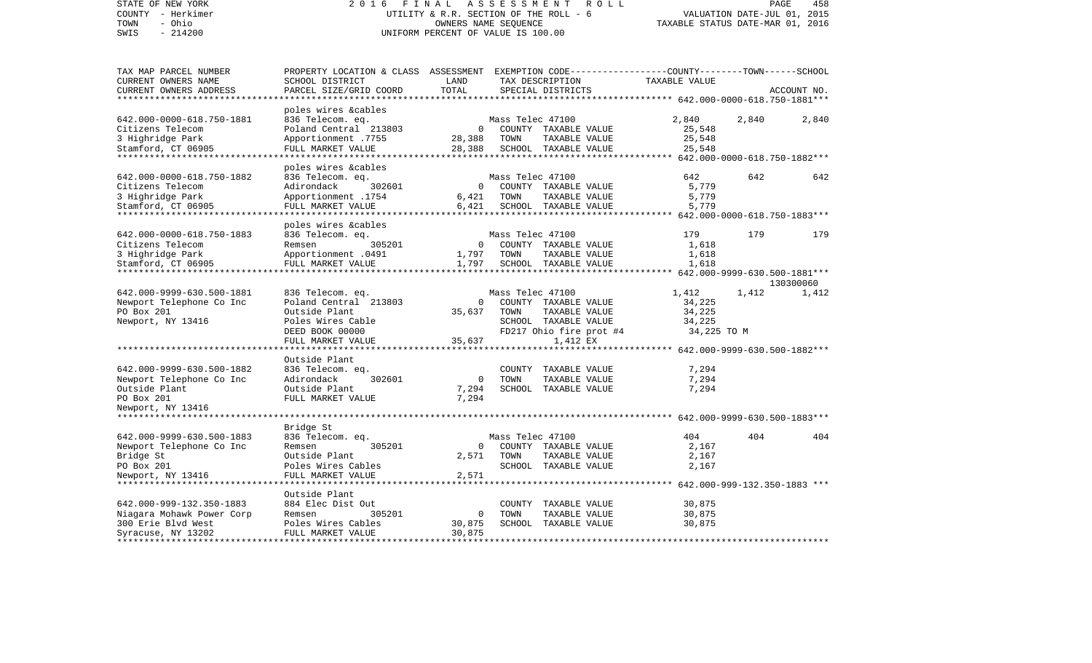| STATE OF NEW YORK<br>COUNTY - Herkimer<br>- Ohio<br>TOWN<br>$-214200$<br>SWIS                                                 | 2 0 1 6                                                                                                                                      | FINAL<br>ASSESSMENT<br>ROLL<br>PAGE<br>UTILITY & R.R. SECTION OF THE ROLL - 6<br>VALUATION DATE-JUL 01, 2015<br>OWNERS NAME SEQUENCE<br>TAXABLE STATUS DATE-MAR 01, 2016<br>UNIFORM PERCENT OF VALUE IS 100.00 |                          |                                                                                                      |                                                                      |                                       | 458                |
|-------------------------------------------------------------------------------------------------------------------------------|----------------------------------------------------------------------------------------------------------------------------------------------|----------------------------------------------------------------------------------------------------------------------------------------------------------------------------------------------------------------|--------------------------|------------------------------------------------------------------------------------------------------|----------------------------------------------------------------------|---------------------------------------|--------------------|
| TAX MAP PARCEL NUMBER<br>CURRENT OWNERS NAME<br>CURRENT OWNERS ADDRESS                                                        | PROPERTY LOCATION & CLASS ASSESSMENT EXEMPTION CODE---------------COUNTY-------TOWN------SCHOOL<br>SCHOOL DISTRICT<br>PARCEL SIZE/GRID COORD | LAND<br>TOTAL                                                                                                                                                                                                  |                          | TAX DESCRIPTION<br>SPECIAL DISTRICTS                                                                 | TAXABLE VALUE<br>********* 642.000-0000-618.750-1881***              |                                       | ACCOUNT NO.        |
| 642.000-0000-618.750-1881<br>Citizens Telecom<br>3 Highridge Park<br>Stamford, CT 06905                                       | poles wires &cables<br>836 Telecom. eq.<br>Poland Central 213803<br>Apportionment .7755<br>FULL MARKET VALUE                                 | $\circ$<br>28,388<br>28,388                                                                                                                                                                                    | Mass Telec 47100<br>TOWN | COUNTY TAXABLE VALUE<br>TAXABLE VALUE<br>SCHOOL TAXABLE VALUE<br>***********************             | 2,840<br>25,548<br>25,548<br>25,548                                  | 2,840<br>642.000-0000-618.750-1882*** | 2,840              |
| 642.000-0000-618.750-1882<br>Citizens Telecom<br>3 Highridge Park<br>Stamford, CT 06905                                       | poles wires &cables<br>836 Telecom. eq.<br>Adirondack<br>302601<br>Apportionment .1754<br>FULL MARKET VALUE                                  | $\circ$<br>6,421<br>6,421                                                                                                                                                                                      | Mass Telec 47100<br>TOWN | COUNTY TAXABLE VALUE<br>TAXABLE VALUE<br>SCHOOL TAXABLE VALUE                                        | 642<br>5,779<br>5,779<br>5,779                                       | 642<br>642.000-0000-618.750-1883***   | 642                |
| 642.000-0000-618.750-1883<br>Citizens Telecom<br>3 Highridge Park<br>Stamford, CT 06905<br>*******************                | poles wires &cables<br>836 Telecom. eq.<br>305201<br>Remsen<br>Apportionment .0491<br>FULL MARKET VALUE                                      | 0<br>1,797<br>1,797                                                                                                                                                                                            | Mass Telec 47100<br>TOWN | COUNTY TAXABLE VALUE<br>TAXABLE VALUE<br>SCHOOL TAXABLE VALUE                                        | 179<br>1,618<br>1,618<br>1,618                                       | 179<br>642.000-9999-630.500-1881***   | 179                |
| 642.000-9999-630.500-1881<br>Newport Telephone Co Inc<br>PO Box 201<br>Newport, NY 13416                                      | 836 Telecom. eq.<br>Poland Central 213803<br>Outside Plant<br>Poles Wires Cable<br>DEED BOOK 00000<br>FULL MARKET VALUE                      | 0<br>35,637<br>35,637                                                                                                                                                                                          | Mass Telec 47100<br>TOWN | COUNTY TAXABLE VALUE<br>TAXABLE VALUE<br>SCHOOL TAXABLE VALUE<br>FD217 Ohio fire prot #4<br>1,412 EX | 1,412<br>34,225<br>34,225<br>34,225<br>34,225 TO M                   | 1,412                                 | 130300060<br>1,412 |
| 642.000-9999-630.500-1882<br>Newport Telephone Co Inc<br>Outside Plant<br>PO Box 201<br>Newport, NY 13416                     | Outside Plant<br>836 Telecom. eq.<br>Adirondack<br>302601<br>Outside Plant<br>FULL MARKET VALUE<br>*************                             | 0<br>7,294<br>7,294                                                                                                                                                                                            | TOWN                     | COUNTY TAXABLE VALUE<br>TAXABLE VALUE<br>SCHOOL TAXABLE VALUE                                        | 7,294<br>7,294<br>7,294                                              | 642.000-9999-630.500-1882***          |                    |
| 642.000-9999-630.500-1883<br>Newport Telephone Co Inc<br>Bridge St<br>PO Box 201<br>Newport, NY 13416<br>******************** | Bridge St<br>836 Telecom. eq.<br>Remsen<br>305201<br>Outside Plant<br>Poles Wires Cables<br>FULL MARKET VALUE<br>****************            | $\Omega$<br>2,571<br>2,571                                                                                                                                                                                     | Mass Telec 47100<br>TOWN | COUNTY TAXABLE VALUE<br>TAXABLE VALUE<br>SCHOOL TAXABLE VALUE                                        | 404<br>2,167<br>2,167<br>2,167                                       | 404                                   | 404                |
| 642.000-999-132.350-1883<br>Niagara Mohawk Power Corp<br>300 Erie Blvd West<br>Syracuse, NY 13202<br>*******************      | Outside Plant<br>884 Elec Dist Out<br>Remsen<br>305201<br>Poles Wires Cables<br>FULL MARKET VALUE<br>***********************                 | 0<br>30,875<br>30,875<br>* * * * * * * * * * * *                                                                                                                                                               | COUNTY<br>TOWN           | TAXABLE VALUE<br>TAXABLE VALUE<br>SCHOOL TAXABLE VALUE                                               | ********* 642.000-999-132.350-1883 ***<br>30,875<br>30,875<br>30,875 | ***************                       |                    |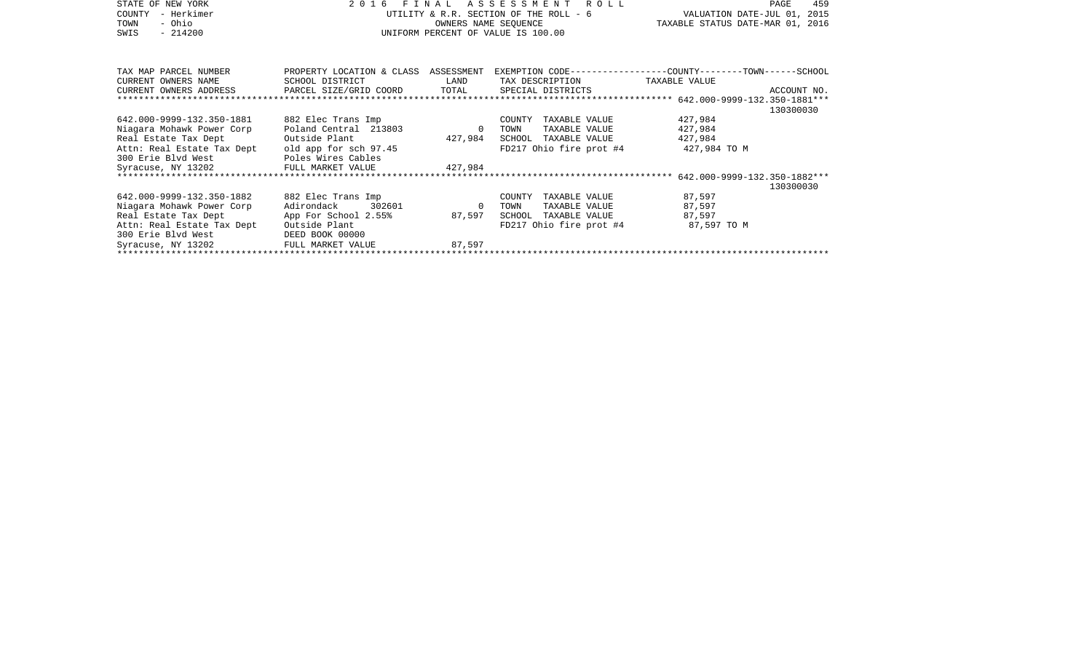| STATE OF NEW YORK<br>COUNTY<br>- Herkimer<br>- Ohio<br>TOWN<br>$-214200$<br>SWIS | 2016 FINAL                                |                | ASSESSMENT ROLL<br>UTILITY & R.R. SECTION OF THE ROLL - 6<br>OWNERS NAME SEQUENCE<br>UNIFORM PERCENT OF VALUE IS 100.00 | 459<br>PAGE<br>VALUATION DATE-JUL 01, 2015<br>TAXABLE STATUS DATE-MAR 01, 2016 |  |  |  |
|----------------------------------------------------------------------------------|-------------------------------------------|----------------|-------------------------------------------------------------------------------------------------------------------------|--------------------------------------------------------------------------------|--|--|--|
| TAX MAP PARCEL NUMBER                                                            | PROPERTY LOCATION & CLASS ASSESSMENT      |                |                                                                                                                         | EXEMPTION CODE-----------------COUNTY-------TOWN------SCHOOL                   |  |  |  |
| CURRENT OWNERS NAME<br>CURRENT OWNERS ADDRESS                                    | SCHOOL DISTRICT<br>PARCEL SIZE/GRID COORD | LAND<br>TOTAL  | TAX DESCRIPTION<br>SPECIAL DISTRICTS                                                                                    | TAXABLE VALUE<br>ACCOUNT NO.                                                   |  |  |  |
| **************************                                                       |                                           |                |                                                                                                                         | 130300030                                                                      |  |  |  |
| 642.000-9999-132.350-1881                                                        | 882 Elec Trans Imp                        |                | COUNTY TAXABLE VALUE                                                                                                    | 427,984                                                                        |  |  |  |
| Niagara Mohawk Power Corp                                                        | Poland Central 213803                     | $\overline{0}$ | TOWN<br>TAXABLE VALUE                                                                                                   | 427,984                                                                        |  |  |  |
| Real Estate Tax Dept                                                             | Outside Plant                             | 427,984        | SCHOOL TAXABLE VALUE                                                                                                    | 427,984                                                                        |  |  |  |
| Attn: Real Estate Tax Dept old app for sch 97.45<br>300 Erie Blvd West           | Poles Wires Cables                        |                | FD217 Ohio fire prot #4                                                                                                 | 427,984 TO M                                                                   |  |  |  |
| Syracuse, NY 13202                                                               | FULL MARKET VALUE                         | 427,984        |                                                                                                                         |                                                                                |  |  |  |
|                                                                                  |                                           |                |                                                                                                                         | 130300030                                                                      |  |  |  |
| 642.000-9999-132.350-1882                                                        | 882 Elec Trans Imp                        |                | TAXABLE VALUE<br>COUNTY                                                                                                 | 87,597                                                                         |  |  |  |
| Niagara Mohawk Power Corp                                                        | Adirondack<br>302601                      | - 0            | TOWN<br>TAXABLE VALUE                                                                                                   | 87,597                                                                         |  |  |  |
| Real Estate Tax Dept                                                             | App For School 2.55%                      | 87,597         | SCHOOL<br>TAXABLE VALUE                                                                                                 | 87,597                                                                         |  |  |  |
| Attn: Real Estate Tax Dept                                                       | Outside Plant                             |                | FD217 Ohio fire prot #4                                                                                                 | 87,597 TO M                                                                    |  |  |  |
| 300 Erie Blvd West                                                               | DEED BOOK 00000                           |                |                                                                                                                         |                                                                                |  |  |  |
| Syracuse, NY 13202                                                               |                                           |                |                                                                                                                         |                                                                                |  |  |  |
|                                                                                  |                                           |                |                                                                                                                         |                                                                                |  |  |  |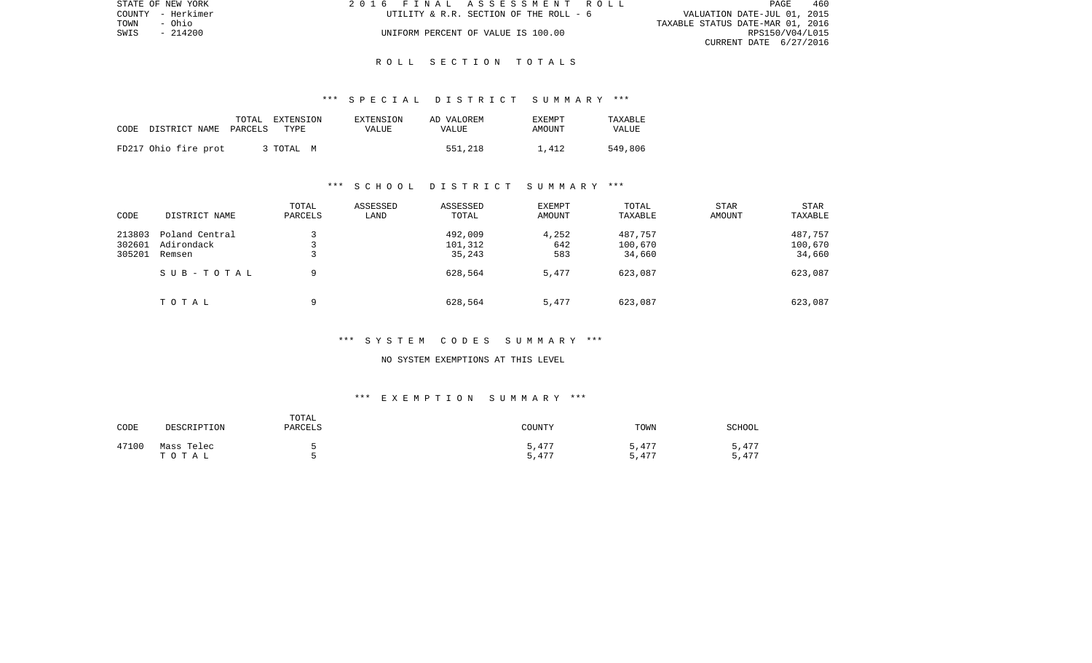| STATE OF NEW YORK | 2016 FINAL ASSESSMENT ROLL             | 460<br><b>PAGE</b>               |
|-------------------|----------------------------------------|----------------------------------|
| COUNTY - Herkimer | UTILITY & R.R. SECTION OF THE ROLL - 6 | VALUATION DATE-JUL 01, 2015      |
| TOWN<br>- Ohio    |                                        | TAXABLE STATUS DATE-MAR 01, 2016 |
| SWIS<br>- 214200  | UNIFORM PERCENT OF VALUE IS 100.00     | RPS150/V04/L015                  |
|                   |                                        | CURRENT DATE 6/27/2016           |

## \*\*\* S P E C I A L D I S T R I C T S U M M A R Y \*\*\*

| CODE DISTRICT NAME PARCELS | TOTAL EXTENSION<br>TYPE | EXTENSION<br>VALUE | AD VALOREM<br>VALUE | <b>EXEMPT</b><br>AMOUNT | <b>TAXARLE</b><br><b>VALUE</b> |
|----------------------------|-------------------------|--------------------|---------------------|-------------------------|--------------------------------|
| FD217 Ohio fire prot       | 3 TOTAL<br>M            |                    | 551,218             | 1,412                   | 549,806                        |

## \*\*\* S C H O O L D I S T R I C T S U M M A R Y \*\*\*

| CODE   | DISTRICT NAME  | TOTAL<br>PARCELS | ASSESSED<br>LAND | ASSESSED<br>TOTAL | <b>EXEMPT</b><br>AMOUNT | TOTAL<br>TAXABLE | <b>STAR</b><br>AMOUNT | <b>STAR</b><br>TAXABLE |
|--------|----------------|------------------|------------------|-------------------|-------------------------|------------------|-----------------------|------------------------|
| 213803 | Poland Central |                  |                  | 492,009           | 4,252                   | 487,757          |                       | 487,757                |
| 302601 | Adirondack     |                  |                  | 101,312           | 642                     | 100,670          |                       | 100,670                |
| 305201 | Remsen         | سه               |                  | 35,243            | 583                     | 34,660           |                       | 34,660                 |
|        | SUB-TOTAL      | 9                |                  | 628,564           | 5,477                   | 623,087          |                       | 623,087                |
|        | TOTAL          | a                |                  | 628,564           | 5,477                   | 623,087          |                       | 623,087                |

## \*\*\* S Y S T E M C O D E S S U M M A R Y \*\*\*

#### NO SYSTEM EXEMPTIONS AT THIS LEVEL

# \*\*\* E X E M P T I O N S U M M A R Y \*\*\*

| CODE  | DESCRIPTION         | TOTAL<br>PARCELS | COUNTY         | TOWN           | SCHOOL         |
|-------|---------------------|------------------|----------------|----------------|----------------|
| 47100 | Mass Telec<br>TOTAL |                  | 5,477<br>5,477 | 5,477<br>5,477 | 5,477<br>5,477 |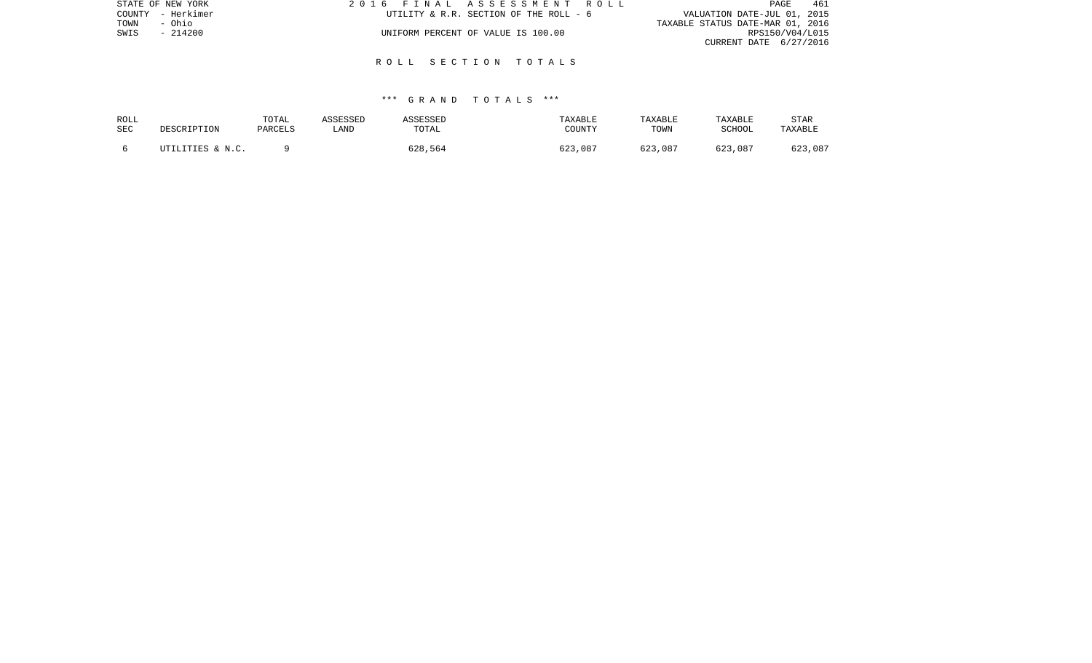| STATE OF NEW YORK | 2016 FINAL ASSESSMENT ROLL             | 461<br>PAGE                      |
|-------------------|----------------------------------------|----------------------------------|
| COUNTY - Herkimer | UTILITY & R.R. SECTION OF THE ROLL - 6 | VALUATION DATE-JUL 01, 2015      |
| TOWN<br>- Ohio    |                                        | TAXABLE STATUS DATE-MAR 01, 2016 |
| $-214200$<br>SWIS | UNIFORM PERCENT OF VALUE IS 100.00     | RPS150/V04/L015                  |
|                   |                                        | CURRENT DATE 6/27/2016           |
|                   |                                        |                                  |

## \*\*\* G R A N D T O T A L S \*\*\*

| ROLL<br>SEC | DESCRIPTION      | TOTAL<br>PARCELS | ASSESSED<br>LAND | <b>ASSESSED</b><br>TOTAL | TAXABLE<br>COUNTY | TAXABLE<br>TOWN | TAXABLE<br><b>SCHOOL</b> | STAR<br>TAXABLE |
|-------------|------------------|------------------|------------------|--------------------------|-------------------|-----------------|--------------------------|-----------------|
|             | UTILITIES & N.C. |                  |                  | 628,564                  | 623,087           | 623,087         | 623,087                  | 623,087         |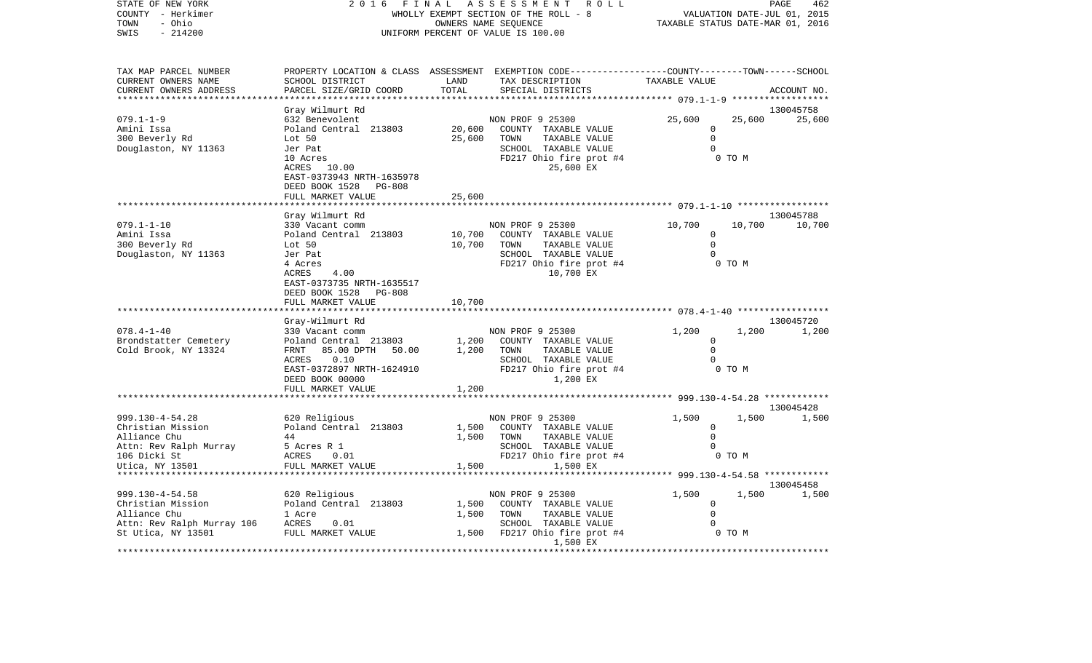| STATE OF NEW YORK<br>COUNTY - Herkimer<br>- Ohio<br>TOWN<br>$-214200$<br>SWIS                    | 2016                                                                                                     | FINAL            | ASSESSMENT<br>ROLL<br>WHOLLY EXEMPT SECTION OF THE ROLL - 8<br>OWNERS NAME SEQUENCE<br>UNIFORM PERCENT OF VALUE IS 100.00                | TAXABLE STATUS DATE-MAR 01, 2016                 | VALUATION DATE-JUL 01, 2015 | PAGE<br>462        |
|--------------------------------------------------------------------------------------------------|----------------------------------------------------------------------------------------------------------|------------------|------------------------------------------------------------------------------------------------------------------------------------------|--------------------------------------------------|-----------------------------|--------------------|
| TAX MAP PARCEL NUMBER<br>CURRENT OWNERS NAME<br>CURRENT OWNERS ADDRESS<br>********************** | SCHOOL DISTRICT<br>PARCEL SIZE/GRID COORD<br>*******************                                         | LAND<br>TOTAL    | PROPERTY LOCATION & CLASS ASSESSMENT EXEMPTION CODE----------------COUNTY-------TOWN------SCHOOL<br>TAX DESCRIPTION<br>SPECIAL DISTRICTS | TAXABLE VALUE                                    |                             | ACCOUNT NO.        |
|                                                                                                  | Gray Wilmurt Rd                                                                                          |                  |                                                                                                                                          |                                                  |                             | 130045758          |
| $079.1 - 1 - 9$<br>Amini Issa<br>300 Beverly Rd<br>Douglaston, NY 11363                          | 632 Benevolent<br>Poland Central 213803<br>Lot 50<br>Jer Pat                                             | 20,600<br>25,600 | NON PROF 9 25300<br>COUNTY TAXABLE VALUE<br>TOWN<br>TAXABLE VALUE<br>SCHOOL TAXABLE VALUE                                                | 25,600<br>$\Omega$<br>$\mathbf 0$<br>$\Omega$    | 25,600                      | 25,600             |
|                                                                                                  | 10 Acres<br>ACRES 10.00<br>EAST-0373943 NRTH-1635978<br>DEED BOOK 1528<br>PG-808<br>FULL MARKET VALUE    | 25,600           | FD217 Ohio fire prot #4<br>25,600 EX                                                                                                     |                                                  | 0 TO M                      |                    |
|                                                                                                  |                                                                                                          |                  |                                                                                                                                          |                                                  |                             |                    |
|                                                                                                  | Gray Wilmurt Rd                                                                                          |                  |                                                                                                                                          |                                                  |                             | 130045788          |
| $079.1 - 1 - 10$<br>Amini Issa<br>300 Beverly Rd<br>Douglaston, NY 11363                         | 330 Vacant comm<br>Poland Central 213803<br>Lot 50<br>Jer Pat                                            | 10,700<br>10,700 | NON PROF 9 25300<br>COUNTY TAXABLE VALUE<br>TOWN<br>TAXABLE VALUE<br>SCHOOL TAXABLE VALUE                                                | 10,700<br>$\mathbf 0$<br>$\mathbf 0$<br>$\Omega$ | 10,700                      | 10,700             |
|                                                                                                  | 4 Acres<br>ACRES<br>4.00<br>EAST-0373735 NRTH-1635517<br>DEED BOOK 1528<br>$PG-808$<br>FULL MARKET VALUE | 10,700           | FD217 Ohio fire prot #4<br>10,700 EX                                                                                                     |                                                  | 0 TO M                      |                    |
|                                                                                                  |                                                                                                          |                  |                                                                                                                                          |                                                  |                             |                    |
| $078.4 - 1 - 40$                                                                                 | Gray-Wilmurt Rd<br>330 Vacant comm                                                                       |                  | NON PROF 9 25300                                                                                                                         | 1,200                                            | 1,200                       | 130045720<br>1,200 |
| Brondstatter Cemetery<br>Cold Brook, NY 13324                                                    | Poland Central 213803<br>FRNT<br>85.00 DPTH<br>50.00                                                     | 1,200<br>1,200   | COUNTY TAXABLE VALUE<br>TOWN<br>TAXABLE VALUE                                                                                            | $\mathbf 0$<br>$\Omega$                          |                             |                    |
|                                                                                                  | 0.10<br>ACRES<br>EAST-0372897 NRTH-1624910<br>DEED BOOK 00000<br>FULL MARKET VALUE                       | 1,200            | SCHOOL TAXABLE VALUE<br>FD217 Ohio fire prot #4<br>1,200 EX                                                                              | $\Omega$                                         | 0 TO M                      |                    |
|                                                                                                  |                                                                                                          |                  |                                                                                                                                          | ************ 999.130-4-54.28 ************        |                             |                    |
| 999.130-4-54.28                                                                                  | 620 Religious                                                                                            |                  | NON PROF 9 25300                                                                                                                         | 1,500                                            | 1,500                       | 130045428<br>1,500 |
| Christian Mission<br>Alliance Chu                                                                | Poland Central 213803<br>44                                                                              | 1,500<br>1,500   | COUNTY TAXABLE VALUE<br>TOWN<br>TAXABLE VALUE                                                                                            | 0<br>$\Omega$                                    |                             |                    |
| Attn: Rev Ralph Murray<br>106 Dicki St<br>Utica, NY 13501                                        | 5 Acres R 1<br><b>ACRES</b><br>0.01<br>FULL MARKET VALUE                                                 | 1,500            | SCHOOL TAXABLE VALUE<br>FD217 Ohio fire prot #4<br>1,500 EX                                                                              | $\Omega$                                         | 0 TO M                      |                    |
|                                                                                                  |                                                                                                          |                  |                                                                                                                                          | ********* 999.130-4-54.58 ************           |                             | 130045458          |
| 999.130-4-54.58                                                                                  | 620 Religious                                                                                            |                  | NON PROF 9 25300                                                                                                                         | 1,500                                            | 1,500                       | 1,500              |
| Christian Mission                                                                                | Poland Central 213803                                                                                    | 1,500            | COUNTY TAXABLE VALUE                                                                                                                     | $\mathbf 0$                                      |                             |                    |
| Alliance Chu                                                                                     | 1 Acre                                                                                                   | 1,500            | TAXABLE VALUE<br>TOWN                                                                                                                    | $\mathbf 0$                                      |                             |                    |
| Attn: Rev Ralph Murray 106<br>St Utica, NY 13501                                                 | ACRES<br>0.01<br>FULL MARKET VALUE                                                                       | 1,500            | SCHOOL TAXABLE VALUE<br>FD217 Ohio fire prot #4<br>1,500 EX                                                                              | $\Omega$                                         | 0 TO M                      |                    |
|                                                                                                  |                                                                                                          |                  | **************                                                                                                                           |                                                  |                             |                    |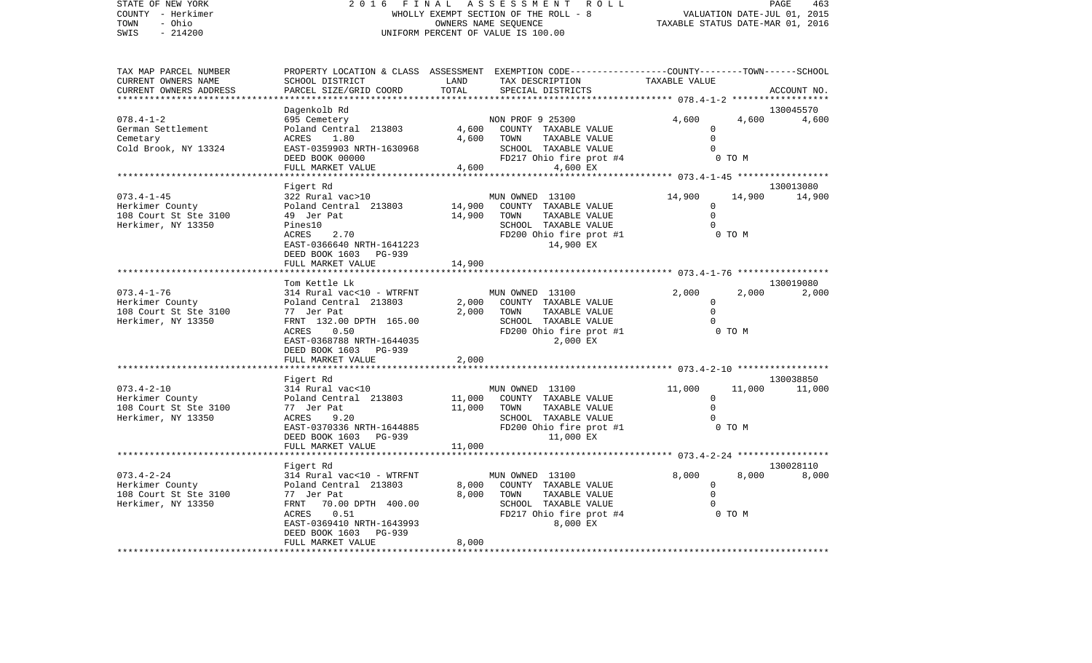| STATE OF NEW YORK<br>COUNTY - Herkimer                                  |                                                                                                                                                                                                                                                                                                                                                                                      |               | 2016 FINAL ASSESSMENT ROLL<br>WHOLLY EXEMPT SECTION OF THE ROLL - 8                                                                                                                                                            | VALUATION DATE-JUL 01, 2015         |        | PAGE<br>463                |
|-------------------------------------------------------------------------|--------------------------------------------------------------------------------------------------------------------------------------------------------------------------------------------------------------------------------------------------------------------------------------------------------------------------------------------------------------------------------------|---------------|--------------------------------------------------------------------------------------------------------------------------------------------------------------------------------------------------------------------------------|-------------------------------------|--------|----------------------------|
| TOWN<br>- Ohio                                                          |                                                                                                                                                                                                                                                                                                                                                                                      |               | OWNERS NAME SEOUENCE                                                                                                                                                                                                           | TAXABLE STATUS DATE-MAR 01, 2016    |        |                            |
| $-214200$<br>SWIS                                                       |                                                                                                                                                                                                                                                                                                                                                                                      |               | UNIFORM PERCENT OF VALUE IS 100.00                                                                                                                                                                                             |                                     |        |                            |
| TAX MAP PARCEL NUMBER                                                   |                                                                                                                                                                                                                                                                                                                                                                                      |               | PROPERTY LOCATION & CLASS ASSESSMENT EXEMPTION CODE----------------COUNTY-------TOWN------SCHOOL<br>TAX DESCRIPTION TAXABLE VALUE                                                                                              |                                     |        |                            |
| CURRENT OWNERS NAME<br>CURRENT OWNERS ADDRESS<br>********************** | SCHOOL DISTRICT<br>PARCEL SIZE/GRID COORD                                                                                                                                                                                                                                                                                                                                            | LAND<br>TOTAL | SPECIAL DISTRICTS                                                                                                                                                                                                              |                                     |        | ACCOUNT NO.                |
|                                                                         | Dagenkolb Rd                                                                                                                                                                                                                                                                                                                                                                         |               |                                                                                                                                                                                                                                |                                     |        | 130045570                  |
| $078.4 - 1 - 2$<br>German Settlement<br>Cemetary                        | 695 Cemetery<br>Poland Central 213803<br>ACRES 1.80                                                                                                                                                                                                                                                                                                                                  | 4,600         | NON PROF 9 25300<br>4,600 COUNTY TAXABLE VALUE<br>TOWN<br>TAXABLE VALUE                                                                                                                                                        | 4,600<br>$\mathbf 0$<br>$\mathbf 0$ |        | 4,600<br>4,600             |
| Cold Brook, NY 13324                                                    | EAST-0359903 NRTH-1630968<br>DEED BOOK 00000<br>FULL MARKET VALUE                                                                                                                                                                                                                                                                                                                    | 4,600         | SCHOOL TAXABLE VALUE<br>FD217 Ohio fire prot #4<br>4,600 EX                                                                                                                                                                    | $\Omega$                            | 0 TO M |                            |
|                                                                         |                                                                                                                                                                                                                                                                                                                                                                                      |               |                                                                                                                                                                                                                                |                                     |        |                            |
| 073.4-1-45                                                              | Figert Rd<br>322 Rural vac>10                                                                                                                                                                                                                                                                                                                                                        |               | MUN OWNED 13100                                                                                                                                                                                                                | 14,900                              | 14,900 | 130013080<br>14,900        |
| Herkimer County<br>108 Court St Ste 3100<br>Herkimer, NY 13350          | Poland Central 213803<br>1910 Ceneral<br>49 Jer Pat<br>Pines10                                                                                                                                                                                                                                                                                                                       | 14,900        | 14,900 COUNTY TAXABLE VALUE<br>TAXABLE VALUE<br>TOWN<br>SCHOOL TAXABLE VALUE                                                                                                                                                   | 0<br>$\Omega$<br>$\Omega$           |        |                            |
|                                                                         | 2.70<br>ACRES<br>EAST-0366640 NRTH-1641223<br>DEED BOOK 1603 PG-939                                                                                                                                                                                                                                                                                                                  |               | FD200 Ohio fire prot #1<br>14,900 EX                                                                                                                                                                                           | O TO M                              |        |                            |
|                                                                         | FULL MARKET VALUE                                                                                                                                                                                                                                                                                                                                                                    | 14,900        |                                                                                                                                                                                                                                |                                     |        |                            |
|                                                                         | Tom Kettle Lk                                                                                                                                                                                                                                                                                                                                                                        |               |                                                                                                                                                                                                                                |                                     |        | 130019080                  |
| 073.4-1-76                                                              | 314 Rural vac<10 - WTRFNT                                                                                                                                                                                                                                                                                                                                                            | 2,000         | MUN OWNED 13100<br>2,000 COUNTY TAXABLE VALUE<br>TAXABLE VALUE<br>TOWN                                                                                                                                                         | 2,000<br>$\mathbf 0$<br>$\Omega$    | 2,000  | 2,000                      |
| Herkimer, NY 13350                                                      | FRNT 132.00 DPTH 165.00<br>ACRES<br>0.50<br>EAST-0368788 NRTH-1644035                                                                                                                                                                                                                                                                                                                |               | SCHOOL TAXABLE VALUE<br>FD200 Ohio fire prot #1<br>2,000 EX                                                                                                                                                                    | $\Omega$                            | 0 TO M |                            |
|                                                                         | DEED BOOK 1603 PG-939<br>FULL MARKET VALUE                                                                                                                                                                                                                                                                                                                                           | 2,000         |                                                                                                                                                                                                                                |                                     |        |                            |
|                                                                         |                                                                                                                                                                                                                                                                                                                                                                                      |               |                                                                                                                                                                                                                                |                                     |        |                            |
| 073.4-2-10<br>Herkimer County                                           | Figert Rd<br>314 Rural vac<10                                                                                                                                                                                                                                                                                                                                                        | 11,000        | MUN OWNED 13100<br>COUNTY TAXABLE VALUE                                                                                                                                                                                        | 11,000<br>$\mathbf 0$               |        | 130038850<br>11,000 11,000 |
| 108 Court St Ste 3100<br>Herkimer, NY 13350                             | Poland Central 213803<br>77 Jer Pat<br>ACRES<br>9.20                                                                                                                                                                                                                                                                                                                                 | 11,000        | TOWN<br>TAXABLE VALUE<br>SCHOOL TAXABLE VALUE                                                                                                                                                                                  | $\Omega$<br>$\Omega$                |        |                            |
|                                                                         | EAST-0370336 NRTH-1644885<br>DEED BOOK 1603 PG-939<br>FULL MARKET VALUE                                                                                                                                                                                                                                                                                                              | 11,000        | FD200 Ohio fire prot #1<br>11,000 EX                                                                                                                                                                                           |                                     | 0 TO M |                            |
|                                                                         |                                                                                                                                                                                                                                                                                                                                                                                      |               |                                                                                                                                                                                                                                |                                     |        |                            |
| 073.4-2-24                                                              | Figert Rd<br>314 Rural vac<10 - WTRFNT                                                                                                                                                                                                                                                                                                                                               |               | MUN OWNED 13100                                                                                                                                                                                                                | 8,000                               | 8,000  | 130028110<br>8,000         |
| .                                                                       | $\overline{a}$ $\overline{a}$ $\overline{a}$ $\overline{a}$ $\overline{a}$ $\overline{a}$ $\overline{a}$ $\overline{a}$ $\overline{a}$ $\overline{a}$ $\overline{a}$ $\overline{a}$ $\overline{a}$ $\overline{a}$ $\overline{a}$ $\overline{a}$ $\overline{a}$ $\overline{a}$ $\overline{a}$ $\overline{a}$ $\overline{a}$ $\overline{a}$ $\overline{a}$ $\overline{a}$ $\overline{$ |               | $0.000$ $0.000$ $0.0000$ $0.0000$ $0.0000$ $0.0000$ $0.0000$ $0.0000$ $0.0000$ $0.0000$ $0.0000$ $0.0000$ $0.0000$ $0.0000$ $0.0000$ $0.0000$ $0.0000$ $0.0000$ $0.0000$ $0.0000$ $0.0000$ $0.0000$ $0.0000$ $0.0000$ $0.0000$ |                                     |        |                            |

|                       | PIYELL NU                 |                         |               | TROPOAT        |  |
|-----------------------|---------------------------|-------------------------|---------------|----------------|--|
| $073.4 - 2 - 24$      | 314 Rural vac<10 - WTRFNT | MUN OWNED 13100         | 8,000         | 8,000<br>8,000 |  |
| Herkimer County       | Poland Central 213803     | 8,000<br>COUNTY         | TAXABLE VALUE |                |  |
| 108 Court St Ste 3100 | 77 Jer Pat                | 8,000<br>TOWN           | TAXABLE VALUE |                |  |
| Herkimer, NY 13350    | 70.00 DPTH 400.00<br>FRNT | SCHOOL                  | TAXABLE VALUE |                |  |
|                       | 0.51<br>ACRES             | FD217 Ohio fire prot #4 |               | 0 TO M         |  |
|                       | EAST-0369410 NRTH-1643993 |                         | 8,000 EX      |                |  |
|                       | DEED BOOK 1603 PG-939     |                         |               |                |  |
|                       | FULL MARKET VALUE         | 8,000                   |               |                |  |
|                       |                           |                         |               |                |  |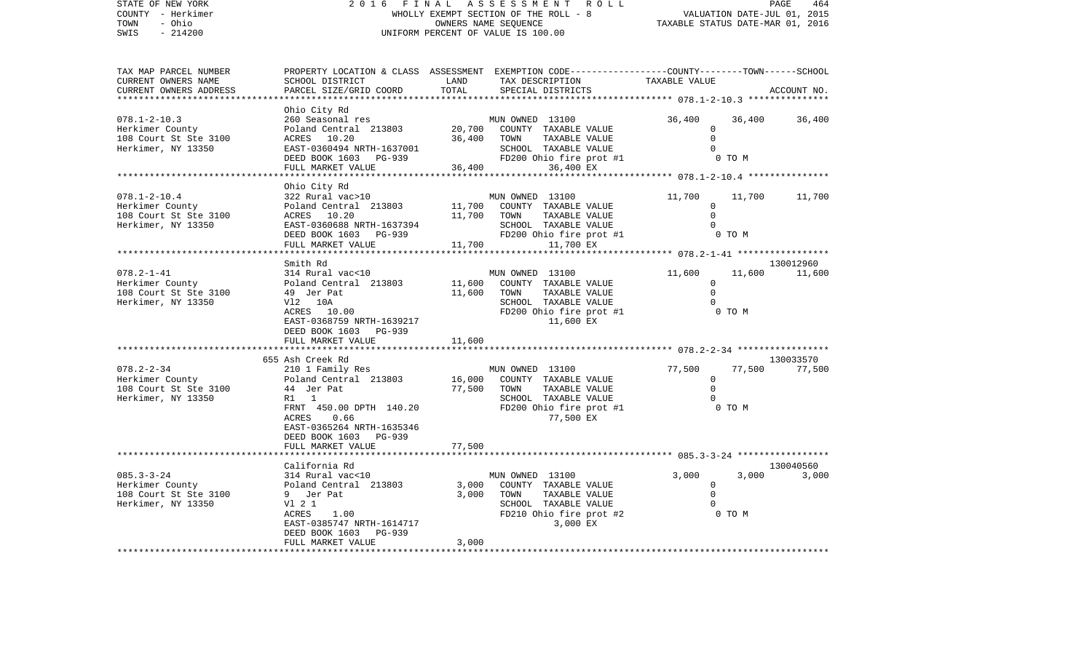| STATE OF NEW YORK<br>COUNTY - Herkimer<br>TOWN<br>- Ohio<br>$-214200$<br>SWIS                     | 2016                                                                                                                                                                                                                        | FINAL                      | ASSESSMENT<br>R O L L<br>WHOLLY EXEMPT SECTION OF THE ROLL - 8<br>OWNERS NAME SEQUENCE<br>UNIFORM PERCENT OF VALUE IS 100.00            | VALUATION DATE-JUL 01, 2015<br>TAXABLE STATUS DATE-MAR 01, 2016                             |                  | PAGE<br>464         |
|---------------------------------------------------------------------------------------------------|-----------------------------------------------------------------------------------------------------------------------------------------------------------------------------------------------------------------------------|----------------------------|-----------------------------------------------------------------------------------------------------------------------------------------|---------------------------------------------------------------------------------------------|------------------|---------------------|
| TAX MAP PARCEL NUMBER<br>CURRENT OWNERS NAME<br>CURRENT OWNERS ADDRESS<br>*********************** | SCHOOL DISTRICT<br>PARCEL SIZE/GRID COORD                                                                                                                                                                                   | LAND<br>TOTAL              | PROPERTY LOCATION & CLASS ASSESSMENT EXEMPTION CODE---------------COUNTY-------TOWN------SCHOOL<br>TAX DESCRIPTION<br>SPECIAL DISTRICTS | TAXABLE VALUE                                                                               |                  | ACCOUNT NO.         |
| $078.1 - 2 - 10.3$<br>Herkimer County<br>108 Court St Ste 3100<br>Herkimer, NY 13350              | Ohio City Rd<br>260 Seasonal res<br>Poland Central 213803<br>ACRES 10.20<br>EAST-0360494 NRTH-1637001<br>DEED BOOK 1603 PG-939<br>FULL MARKET VALUE                                                                         | 20,700<br>36,400<br>36,400 | MUN OWNED 13100<br>COUNTY TAXABLE VALUE<br>TOWN<br>TAXABLE VALUE<br>SCHOOL TAXABLE VALUE<br>FD200 Ohio fire prot #1<br>36,400 EX        | 36,400<br>$\Omega$<br>$\Omega$<br>$\Omega$                                                  | 36,400<br>0 TO M | 36,400              |
| $078.1 - 2 - 10.4$<br>Herkimer County<br>108 Court St Ste 3100<br>Herkimer, NY 13350              | Ohio City Rd<br>322 Rural vac>10<br>Poland Central 213803<br>ACRES 10.20<br>EAST-0360688 NRTH-1637394<br>DEED BOOK 1603 PG-939<br>FULL MARKET VALUE                                                                         | 11,700<br>11,700<br>11,700 | MUN OWNED 13100<br>COUNTY TAXABLE VALUE<br>TAXABLE VALUE<br>TOWN<br>SCHOOL TAXABLE VALUE<br>FD200 Ohio fire prot #1<br>11,700 EX        | 11,700<br>0<br>$\Omega$<br>$\Omega$<br>********* 078.2-1-41 ******************              | 11,700<br>0 TO M | 11,700              |
| $078.2 - 1 - 41$<br>Herkimer County<br>108 Court St Ste 3100<br>Herkimer, NY 13350                | Smith Rd<br>314 Rural vac<10<br>Poland Central 213803<br>49 Jer Pat<br>V12 10A<br>ACRES 10.00<br>EAST-0368759 NRTH-1639217<br>DEED BOOK 1603 PG-939<br>FULL MARKET VALUE                                                    | 11,600<br>11,600<br>11,600 | MUN OWNED 13100<br>COUNTY TAXABLE VALUE<br>TAXABLE VALUE<br>TOWN<br>SCHOOL TAXABLE VALUE<br>FD200 Ohio fire prot #1<br>11,600 EX        | 11,600<br>$\circ$<br>$\Omega$<br>$\mathbf 0$                                                | 11,600<br>0 TO M | 130012960<br>11,600 |
| $078.2 - 2 - 34$<br>Herkimer County<br>108 Court St Ste 3100<br>Herkimer, NY 13350                | 655 Ash Creek Rd<br>210 1 Family Res<br>Poland Central 213803<br>44 Jer Pat<br>R1 1<br>FRNT 450.00 DPTH 140.20<br><b>ACRES</b><br>0.66<br>EAST-0365264 NRTH-1635346<br>DEED BOOK 1603<br><b>PG-939</b><br>FULL MARKET VALUE | 16,000<br>77,500<br>77,500 | MUN OWNED 13100<br>COUNTY TAXABLE VALUE<br>TAXABLE VALUE<br>TOWN<br>SCHOOL TAXABLE VALUE<br>FD200 Ohio fire prot #1<br>77,500 EX        | ************ 078.2-2-34 ******************<br>77,500<br>$\Omega$<br>$\Omega$<br>$\mathbf 0$ | 77,500<br>0 TO M | 130033570<br>77,500 |
| $085.3 - 3 - 24$<br>Herkimer County<br>108 Court St Ste 3100<br>Herkimer, NY 13350                | California Rd<br>314 Rural vac<10<br>Poland Central 213803<br>9 Jer Pat<br>V1 2 1<br>ACRES<br>1.00<br>EAST-0385747 NRTH-1614717<br>DEED BOOK 1603<br>PG-939<br>FULL MARKET VALUE                                            | 3,000<br>3,000<br>3,000    | MUN OWNED 13100<br>COUNTY TAXABLE VALUE<br>TOWN<br>TAXABLE VALUE<br>SCHOOL TAXABLE VALUE<br>FD210 Ohio fire prot #2<br>3,000 EX         | 3,000<br>$\Omega$<br>$\mathbf 0$<br>$\Omega$<br>O TO M                                      | 3,000            | 130040560<br>3,000  |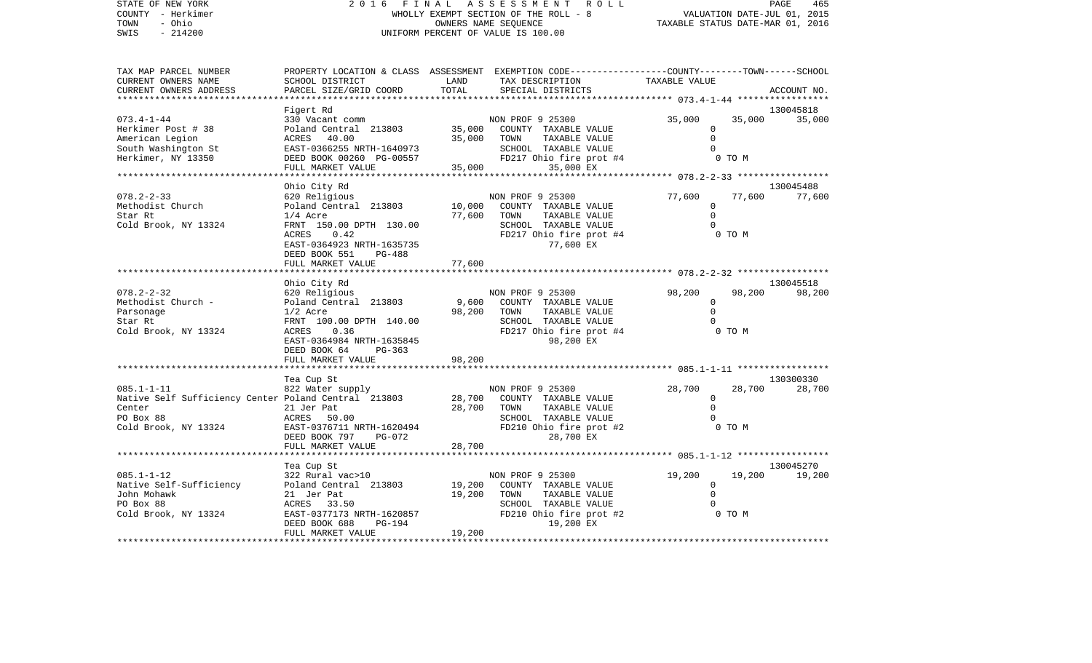| STATE OF NEW YORK<br>ASSESSMENT<br>PAGE<br>2016<br>FINAL<br>R O L L<br>465<br>COUNTY - Herkimer<br>WHOLLY EXEMPT SECTION OF THE ROLL - 8<br>VALUATION DATE-JUL 01, 2015<br>- Ohio<br>OWNERS NAME SEOUENCE<br>TAXABLE STATUS DATE-MAR 01, 2016<br>TOWN<br>$-214200$<br>SWIS<br>UNIFORM PERCENT OF VALUE IS 100.00<br>PROPERTY LOCATION & CLASS ASSESSMENT EXEMPTION CODE---------------COUNTY-------TOWN------SCHOOL<br>TAX MAP PARCEL NUMBER<br>CURRENT OWNERS NAME<br>LAND<br>SCHOOL DISTRICT<br>TAX DESCRIPTION<br>TAXABLE VALUE<br>TOTAL<br>CURRENT OWNERS ADDRESS<br>PARCEL SIZE/GRID COORD<br>SPECIAL DISTRICTS<br>ACCOUNT NO.<br>130045818<br>Figert Rd<br>$073.4 - 1 - 44$<br>NON PROF 9 25300<br>35,000<br>330 Vacant comm<br>35,000<br>35,000<br>35,000<br>Herkimer Post # 38<br>Poland Central 213803<br>COUNTY TAXABLE VALUE<br>$\Omega$<br>40.00<br>35,000<br>TAXABLE VALUE<br>$\Omega$<br>American Legion<br>TOWN<br>ACRES<br>South Washington St<br>EAST-0366255 NRTH-1640973<br>SCHOOL TAXABLE VALUE<br>$\Omega$<br>Herkimer, NY 13350<br>FD217 Ohio fire prot #4<br>DEED BOOK 00260 PG-00557<br>0 TO M<br>FULL MARKET VALUE<br>35,000<br>35,000 EX<br>Ohio City Rd<br>130045488<br>$078.2 - 2 - 33$<br>77,600<br>77,600<br>620 Religious<br>NON PROF 9 25300<br>77,600<br>10,000<br>Methodist Church<br>Poland Central 213803<br>COUNTY TAXABLE VALUE<br>$\mathbf 0$<br>$\mathbf 0$<br>Star Rt<br>$1/4$ Acre<br>77,600<br>TOWN<br>TAXABLE VALUE<br>Cold Brook, NY 13324<br>FRNT 150.00 DPTH 130.00<br>SCHOOL TAXABLE VALUE<br>0.42<br>FD217 Ohio fire prot #4<br><b>ACRES</b><br>0 TO M<br>EAST-0364923 NRTH-1635735<br>77,600 EX<br>DEED BOOK 551<br>PG-488<br>FULL MARKET VALUE<br>77,600<br>130045518<br>Ohio City Rd<br>$078.2 - 2 - 32$<br>620 Religious<br>NON PROF 9 25300<br>98,200<br>98,200<br>98,200<br>Methodist Church -<br>Poland Central 213803<br>9,600<br>COUNTY TAXABLE VALUE<br>$\circ$<br>98,200<br>$\Omega$<br>$1/2$ Acre<br>TOWN<br>TAXABLE VALUE<br>Parsonage<br>Star Rt<br>FRNT 100.00 DPTH 140.00<br>TAXABLE VALUE<br>$\Omega$<br>SCHOOL<br><b>ACRES</b><br>0.36<br>FD217 Ohio fire prot #4<br>Cold Brook, NY 13324<br>0 TO M |                           |           |  |
|------------------------------------------------------------------------------------------------------------------------------------------------------------------------------------------------------------------------------------------------------------------------------------------------------------------------------------------------------------------------------------------------------------------------------------------------------------------------------------------------------------------------------------------------------------------------------------------------------------------------------------------------------------------------------------------------------------------------------------------------------------------------------------------------------------------------------------------------------------------------------------------------------------------------------------------------------------------------------------------------------------------------------------------------------------------------------------------------------------------------------------------------------------------------------------------------------------------------------------------------------------------------------------------------------------------------------------------------------------------------------------------------------------------------------------------------------------------------------------------------------------------------------------------------------------------------------------------------------------------------------------------------------------------------------------------------------------------------------------------------------------------------------------------------------------------------------------------------------------------------------------------------------------------------------------------------------------------------------------------------------------------------------------------------------------------------------------------------------------------------------------------------------------------------|---------------------------|-----------|--|
|                                                                                                                                                                                                                                                                                                                                                                                                                                                                                                                                                                                                                                                                                                                                                                                                                                                                                                                                                                                                                                                                                                                                                                                                                                                                                                                                                                                                                                                                                                                                                                                                                                                                                                                                                                                                                                                                                                                                                                                                                                                                                                                                                                        |                           |           |  |
|                                                                                                                                                                                                                                                                                                                                                                                                                                                                                                                                                                                                                                                                                                                                                                                                                                                                                                                                                                                                                                                                                                                                                                                                                                                                                                                                                                                                                                                                                                                                                                                                                                                                                                                                                                                                                                                                                                                                                                                                                                                                                                                                                                        |                           |           |  |
|                                                                                                                                                                                                                                                                                                                                                                                                                                                                                                                                                                                                                                                                                                                                                                                                                                                                                                                                                                                                                                                                                                                                                                                                                                                                                                                                                                                                                                                                                                                                                                                                                                                                                                                                                                                                                                                                                                                                                                                                                                                                                                                                                                        |                           |           |  |
|                                                                                                                                                                                                                                                                                                                                                                                                                                                                                                                                                                                                                                                                                                                                                                                                                                                                                                                                                                                                                                                                                                                                                                                                                                                                                                                                                                                                                                                                                                                                                                                                                                                                                                                                                                                                                                                                                                                                                                                                                                                                                                                                                                        |                           |           |  |
|                                                                                                                                                                                                                                                                                                                                                                                                                                                                                                                                                                                                                                                                                                                                                                                                                                                                                                                                                                                                                                                                                                                                                                                                                                                                                                                                                                                                                                                                                                                                                                                                                                                                                                                                                                                                                                                                                                                                                                                                                                                                                                                                                                        |                           |           |  |
|                                                                                                                                                                                                                                                                                                                                                                                                                                                                                                                                                                                                                                                                                                                                                                                                                                                                                                                                                                                                                                                                                                                                                                                                                                                                                                                                                                                                                                                                                                                                                                                                                                                                                                                                                                                                                                                                                                                                                                                                                                                                                                                                                                        |                           |           |  |
|                                                                                                                                                                                                                                                                                                                                                                                                                                                                                                                                                                                                                                                                                                                                                                                                                                                                                                                                                                                                                                                                                                                                                                                                                                                                                                                                                                                                                                                                                                                                                                                                                                                                                                                                                                                                                                                                                                                                                                                                                                                                                                                                                                        |                           |           |  |
|                                                                                                                                                                                                                                                                                                                                                                                                                                                                                                                                                                                                                                                                                                                                                                                                                                                                                                                                                                                                                                                                                                                                                                                                                                                                                                                                                                                                                                                                                                                                                                                                                                                                                                                                                                                                                                                                                                                                                                                                                                                                                                                                                                        |                           |           |  |
|                                                                                                                                                                                                                                                                                                                                                                                                                                                                                                                                                                                                                                                                                                                                                                                                                                                                                                                                                                                                                                                                                                                                                                                                                                                                                                                                                                                                                                                                                                                                                                                                                                                                                                                                                                                                                                                                                                                                                                                                                                                                                                                                                                        |                           |           |  |
|                                                                                                                                                                                                                                                                                                                                                                                                                                                                                                                                                                                                                                                                                                                                                                                                                                                                                                                                                                                                                                                                                                                                                                                                                                                                                                                                                                                                                                                                                                                                                                                                                                                                                                                                                                                                                                                                                                                                                                                                                                                                                                                                                                        |                           |           |  |
|                                                                                                                                                                                                                                                                                                                                                                                                                                                                                                                                                                                                                                                                                                                                                                                                                                                                                                                                                                                                                                                                                                                                                                                                                                                                                                                                                                                                                                                                                                                                                                                                                                                                                                                                                                                                                                                                                                                                                                                                                                                                                                                                                                        |                           |           |  |
|                                                                                                                                                                                                                                                                                                                                                                                                                                                                                                                                                                                                                                                                                                                                                                                                                                                                                                                                                                                                                                                                                                                                                                                                                                                                                                                                                                                                                                                                                                                                                                                                                                                                                                                                                                                                                                                                                                                                                                                                                                                                                                                                                                        |                           |           |  |
|                                                                                                                                                                                                                                                                                                                                                                                                                                                                                                                                                                                                                                                                                                                                                                                                                                                                                                                                                                                                                                                                                                                                                                                                                                                                                                                                                                                                                                                                                                                                                                                                                                                                                                                                                                                                                                                                                                                                                                                                                                                                                                                                                                        |                           |           |  |
|                                                                                                                                                                                                                                                                                                                                                                                                                                                                                                                                                                                                                                                                                                                                                                                                                                                                                                                                                                                                                                                                                                                                                                                                                                                                                                                                                                                                                                                                                                                                                                                                                                                                                                                                                                                                                                                                                                                                                                                                                                                                                                                                                                        |                           |           |  |
|                                                                                                                                                                                                                                                                                                                                                                                                                                                                                                                                                                                                                                                                                                                                                                                                                                                                                                                                                                                                                                                                                                                                                                                                                                                                                                                                                                                                                                                                                                                                                                                                                                                                                                                                                                                                                                                                                                                                                                                                                                                                                                                                                                        |                           |           |  |
|                                                                                                                                                                                                                                                                                                                                                                                                                                                                                                                                                                                                                                                                                                                                                                                                                                                                                                                                                                                                                                                                                                                                                                                                                                                                                                                                                                                                                                                                                                                                                                                                                                                                                                                                                                                                                                                                                                                                                                                                                                                                                                                                                                        |                           |           |  |
|                                                                                                                                                                                                                                                                                                                                                                                                                                                                                                                                                                                                                                                                                                                                                                                                                                                                                                                                                                                                                                                                                                                                                                                                                                                                                                                                                                                                                                                                                                                                                                                                                                                                                                                                                                                                                                                                                                                                                                                                                                                                                                                                                                        |                           |           |  |
|                                                                                                                                                                                                                                                                                                                                                                                                                                                                                                                                                                                                                                                                                                                                                                                                                                                                                                                                                                                                                                                                                                                                                                                                                                                                                                                                                                                                                                                                                                                                                                                                                                                                                                                                                                                                                                                                                                                                                                                                                                                                                                                                                                        |                           |           |  |
|                                                                                                                                                                                                                                                                                                                                                                                                                                                                                                                                                                                                                                                                                                                                                                                                                                                                                                                                                                                                                                                                                                                                                                                                                                                                                                                                                                                                                                                                                                                                                                                                                                                                                                                                                                                                                                                                                                                                                                                                                                                                                                                                                                        |                           |           |  |
|                                                                                                                                                                                                                                                                                                                                                                                                                                                                                                                                                                                                                                                                                                                                                                                                                                                                                                                                                                                                                                                                                                                                                                                                                                                                                                                                                                                                                                                                                                                                                                                                                                                                                                                                                                                                                                                                                                                                                                                                                                                                                                                                                                        |                           |           |  |
|                                                                                                                                                                                                                                                                                                                                                                                                                                                                                                                                                                                                                                                                                                                                                                                                                                                                                                                                                                                                                                                                                                                                                                                                                                                                                                                                                                                                                                                                                                                                                                                                                                                                                                                                                                                                                                                                                                                                                                                                                                                                                                                                                                        |                           |           |  |
|                                                                                                                                                                                                                                                                                                                                                                                                                                                                                                                                                                                                                                                                                                                                                                                                                                                                                                                                                                                                                                                                                                                                                                                                                                                                                                                                                                                                                                                                                                                                                                                                                                                                                                                                                                                                                                                                                                                                                                                                                                                                                                                                                                        |                           |           |  |
|                                                                                                                                                                                                                                                                                                                                                                                                                                                                                                                                                                                                                                                                                                                                                                                                                                                                                                                                                                                                                                                                                                                                                                                                                                                                                                                                                                                                                                                                                                                                                                                                                                                                                                                                                                                                                                                                                                                                                                                                                                                                                                                                                                        |                           |           |  |
|                                                                                                                                                                                                                                                                                                                                                                                                                                                                                                                                                                                                                                                                                                                                                                                                                                                                                                                                                                                                                                                                                                                                                                                                                                                                                                                                                                                                                                                                                                                                                                                                                                                                                                                                                                                                                                                                                                                                                                                                                                                                                                                                                                        |                           |           |  |
|                                                                                                                                                                                                                                                                                                                                                                                                                                                                                                                                                                                                                                                                                                                                                                                                                                                                                                                                                                                                                                                                                                                                                                                                                                                                                                                                                                                                                                                                                                                                                                                                                                                                                                                                                                                                                                                                                                                                                                                                                                                                                                                                                                        |                           |           |  |
|                                                                                                                                                                                                                                                                                                                                                                                                                                                                                                                                                                                                                                                                                                                                                                                                                                                                                                                                                                                                                                                                                                                                                                                                                                                                                                                                                                                                                                                                                                                                                                                                                                                                                                                                                                                                                                                                                                                                                                                                                                                                                                                                                                        |                           |           |  |
|                                                                                                                                                                                                                                                                                                                                                                                                                                                                                                                                                                                                                                                                                                                                                                                                                                                                                                                                                                                                                                                                                                                                                                                                                                                                                                                                                                                                                                                                                                                                                                                                                                                                                                                                                                                                                                                                                                                                                                                                                                                                                                                                                                        |                           |           |  |
|                                                                                                                                                                                                                                                                                                                                                                                                                                                                                                                                                                                                                                                                                                                                                                                                                                                                                                                                                                                                                                                                                                                                                                                                                                                                                                                                                                                                                                                                                                                                                                                                                                                                                                                                                                                                                                                                                                                                                                                                                                                                                                                                                                        |                           |           |  |
|                                                                                                                                                                                                                                                                                                                                                                                                                                                                                                                                                                                                                                                                                                                                                                                                                                                                                                                                                                                                                                                                                                                                                                                                                                                                                                                                                                                                                                                                                                                                                                                                                                                                                                                                                                                                                                                                                                                                                                                                                                                                                                                                                                        |                           |           |  |
|                                                                                                                                                                                                                                                                                                                                                                                                                                                                                                                                                                                                                                                                                                                                                                                                                                                                                                                                                                                                                                                                                                                                                                                                                                                                                                                                                                                                                                                                                                                                                                                                                                                                                                                                                                                                                                                                                                                                                                                                                                                                                                                                                                        |                           |           |  |
|                                                                                                                                                                                                                                                                                                                                                                                                                                                                                                                                                                                                                                                                                                                                                                                                                                                                                                                                                                                                                                                                                                                                                                                                                                                                                                                                                                                                                                                                                                                                                                                                                                                                                                                                                                                                                                                                                                                                                                                                                                                                                                                                                                        |                           |           |  |
|                                                                                                                                                                                                                                                                                                                                                                                                                                                                                                                                                                                                                                                                                                                                                                                                                                                                                                                                                                                                                                                                                                                                                                                                                                                                                                                                                                                                                                                                                                                                                                                                                                                                                                                                                                                                                                                                                                                                                                                                                                                                                                                                                                        |                           |           |  |
|                                                                                                                                                                                                                                                                                                                                                                                                                                                                                                                                                                                                                                                                                                                                                                                                                                                                                                                                                                                                                                                                                                                                                                                                                                                                                                                                                                                                                                                                                                                                                                                                                                                                                                                                                                                                                                                                                                                                                                                                                                                                                                                                                                        | EAST-0364984 NRTH-1635845 | 98,200 EX |  |

|                                                      | DEED BOOK 64<br>$PG-363$<br>FULL MARKET VALUE | 98,200                            |                  |           |
|------------------------------------------------------|-----------------------------------------------|-----------------------------------|------------------|-----------|
|                                                      | Tea Cup St                                    |                                   |                  | 130300330 |
| $085.1 - 1 - 11$                                     | 822 Water supply                              | NON PROF 9 25300                  | 28,700<br>28,700 | 28,700    |
| Native Self Sufficiency Center Poland Central 213803 |                                               | 28,700<br>COUNTY<br>TAXABLE VALUE |                  |           |
| Center                                               | 21 Jer Pat                                    | 28,700<br>TOWN<br>TAXABLE VALUE   |                  |           |
| PO Box 88                                            | ACRES 50.00                                   | SCHOOL<br>TAXABLE VALUE           |                  |           |
| Cold Brook, NY 13324                                 | EAST-0376711 NRTH-1620494                     | FD210 Ohio fire prot #2           | 0 TO M           |           |
|                                                      | DEED BOOK 797 PG-072                          | 28,700 EX                         |                  |           |
|                                                      | FULL MARKET VALUE                             | 28,700                            |                  |           |
|                                                      |                                               |                                   |                  |           |
|                                                      | Tea Cup St                                    |                                   |                  | 130045270 |
| $085.1 - 1 - 12$                                     | 322 Rural vac>10                              | NON PROF 9 25300                  | 19,200<br>19,200 | 19,200    |
| Native Self-Sufficiency                              | Poland Central 213803                         | 19,200<br>COUNTY TAXABLE VALUE    |                  |           |
| John Mohawk                                          | 21 Jer Pat                                    | 19,200<br>TOWN<br>TAXABLE VALUE   |                  |           |
| PO Box 88                                            | ACRES 33.50                                   | SCHOOL<br>TAXABLE VALUE           |                  |           |
| Cold Brook, NY 13324                                 | EAST-0377173 NRTH-1620857                     | FD210 Ohio fire prot #2           | 0 TO M           |           |
|                                                      | DEED BOOK 688<br>PG-194                       | 19,200 EX                         |                  |           |
|                                                      | FULL MARKET VALUE                             | 19,200                            |                  |           |
|                                                      |                                               |                                   |                  |           |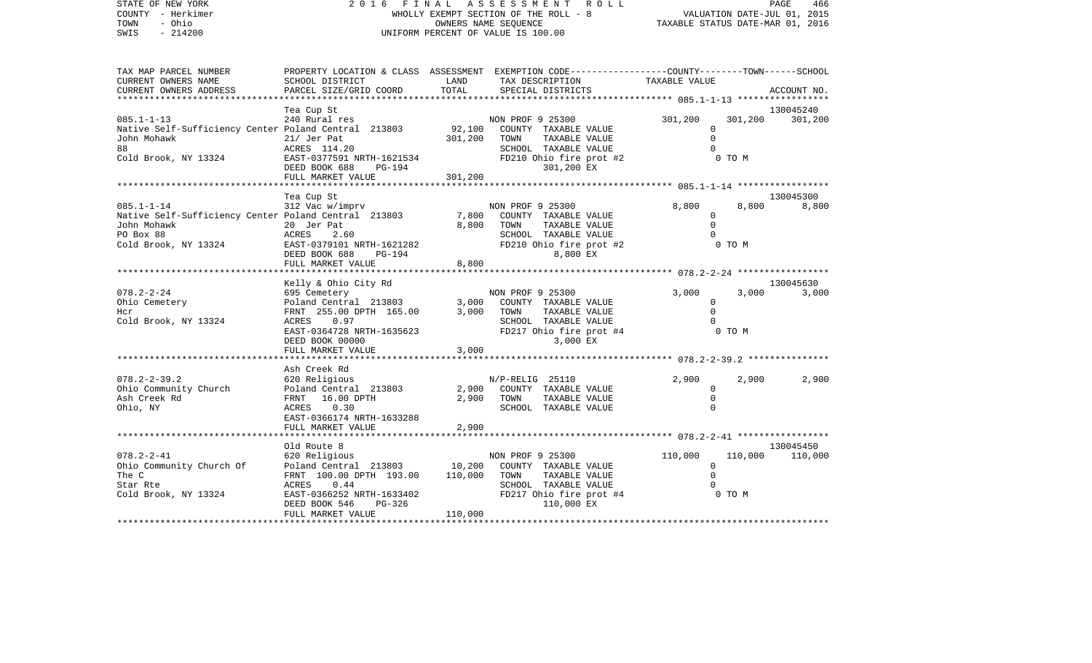| STATE OF NEW YORK<br>COUNTY - Herkimer<br>TOWN<br>- Ohio | 2016 FINAL ASSESSMENT ROLL<br>WHOLLY EXEMPT SECTION OF THE ROLL - 8<br>OWNERS NAME SEQUENCE |         |                                                                                                  | PAGE<br>466<br>VALUATION DATE-JUL 01, 2015<br>TAXABLE STATUS DATE-MAR 01, 2016 |         |                    |
|----------------------------------------------------------|---------------------------------------------------------------------------------------------|---------|--------------------------------------------------------------------------------------------------|--------------------------------------------------------------------------------|---------|--------------------|
| SWIS<br>$-214200$                                        |                                                                                             |         | UNIFORM PERCENT OF VALUE IS 100.00                                                               |                                                                                |         |                    |
| TAX MAP PARCEL NUMBER                                    |                                                                                             |         | PROPERTY LOCATION & CLASS ASSESSMENT EXEMPTION CODE----------------COUNTY-------TOWN------SCHOOL |                                                                                |         |                    |
| CURRENT OWNERS NAME                                      | SCHOOL DISTRICT                                                                             | LAND    | TAX DESCRIPTION                                                                                  | TAXABLE VALUE                                                                  |         |                    |
| CURRENT OWNERS ADDRESS                                   | PARCEL SIZE/GRID COORD                                                                      | TOTAL   | SPECIAL DISTRICTS                                                                                |                                                                                |         | ACCOUNT NO.        |
|                                                          | Tea Cup St                                                                                  |         |                                                                                                  |                                                                                |         | 130045240          |
| $085.1 - 1 - 13$                                         | 240 Rural res                                                                               |         | NON PROF 9 25300                                                                                 | 301,200                                                                        | 301,200 | 301,200            |
| Native Self-Sufficiency Center Poland Central 213803     |                                                                                             | 92,100  | COUNTY TAXABLE VALUE                                                                             | 0                                                                              |         |                    |
| John Mohawk<br>88                                        | 21/ Jer Pat                                                                                 | 301,200 | TAXABLE VALUE<br>TOWN                                                                            | $\mathbf 0$<br>$\cap$                                                          |         |                    |
| Cold Brook, NY 13324                                     | ACRES 114.20<br>EAST-0377591 NRTH-1621534                                                   |         | SCHOOL TAXABLE VALUE<br>FD210 Ohio fire prot #2                                                  |                                                                                | 0 TO M  |                    |
|                                                          | DEED BOOK 688<br>PG-194                                                                     |         | 301,200 EX                                                                                       |                                                                                |         |                    |
|                                                          | FULL MARKET VALUE                                                                           | 301,200 |                                                                                                  |                                                                                |         |                    |
|                                                          |                                                                                             |         |                                                                                                  |                                                                                |         |                    |
| $085.1 - 1 - 14$                                         | Tea Cup St<br>312 Vac w/imprv                                                               |         | NON PROF 9 25300                                                                                 | 8,800                                                                          | 8,800   | 130045300<br>8,800 |
| Native Self-Sufficiency Center Poland Central 213803     |                                                                                             | 7,800   | COUNTY TAXABLE VALUE                                                                             | 0                                                                              |         |                    |
| John Mohawk                                              | 20 Jer Pat                                                                                  | 8,800   | TAXABLE VALUE<br>TOWN                                                                            | $\Omega$                                                                       |         |                    |
| PO Box 88                                                | ACRES<br>2.60                                                                               |         | SCHOOL TAXABLE VALUE                                                                             |                                                                                |         |                    |
| Cold Brook, NY 13324                                     | EAST-0379101 NRTH-1621282<br>DEED BOOK 688<br>PG-194                                        |         | FD210 Ohio fire prot #2<br>8,800 EX                                                              |                                                                                | 0 TO M  |                    |
|                                                          | FULL MARKET VALUE                                                                           | 8,800   |                                                                                                  |                                                                                |         |                    |
|                                                          |                                                                                             |         |                                                                                                  |                                                                                |         |                    |
|                                                          | Kelly & Ohio City Rd                                                                        |         |                                                                                                  |                                                                                |         | 130045630          |
| $078.2 - 2 - 24$<br>Ohio Cemetery                        | 695 Cemetery<br>Poland Central 213803                                                       | 3,000   | NON PROF 9 25300<br>COUNTY TAXABLE VALUE                                                         | 3,000<br>$\mathbf{0}$                                                          | 3,000   | 3,000              |
| Hcr                                                      | FRNT 255.00 DPTH 165.00                                                                     | 3,000   | TOWN<br>TAXABLE VALUE                                                                            | $\Omega$                                                                       |         |                    |
| Cold Brook, NY 13324                                     | ACRES<br>0.97                                                                               |         | SCHOOL TAXABLE VALUE                                                                             |                                                                                |         |                    |
|                                                          | EAST-0364728 NRTH-1635623                                                                   |         | FD217 Ohio fire prot #4                                                                          |                                                                                | 0 TO M  |                    |
|                                                          | DEED BOOK 00000                                                                             |         | 3,000 EX                                                                                         |                                                                                |         |                    |
|                                                          | FULL MARKET VALUE<br>*******************************                                        | 3,000   |                                                                                                  |                                                                                |         |                    |
|                                                          | Ash Creek Rd                                                                                |         |                                                                                                  |                                                                                |         |                    |
| $078.2 - 2 - 39.2$                                       | 620 Religious                                                                               |         | N/P-RELIG 25110                                                                                  | 2,900                                                                          | 2,900   | 2,900              |
| Ohio Community Church                                    | Poland Central 213803                                                                       | 2,900   | COUNTY TAXABLE VALUE                                                                             | 0                                                                              |         |                    |
| Ash Creek Rd                                             | FRNT<br>16.00 DPTH<br><b>ACRES</b><br>0.30                                                  | 2,900   | TAXABLE VALUE<br>TOWN<br>SCHOOL TAXABLE VALUE                                                    | 0<br>$\Omega$                                                                  |         |                    |
| Ohio, NY                                                 | EAST-0366174 NRTH-1633288                                                                   |         |                                                                                                  |                                                                                |         |                    |
|                                                          | FIILL MADVET WALLE                                                                          | 2.900   |                                                                                                  |                                                                                |         |                    |

|                          | FULL MARKET VALUE         | 2,900                            |                    |           |  |
|--------------------------|---------------------------|----------------------------------|--------------------|-----------|--|
|                          |                           |                                  |                    |           |  |
|                          | Old Route 8               |                                  |                    | 130045450 |  |
| $078.2 - 2 - 41$         | 620 Religious             | NON PROF 9 25300                 | 110,000<br>110,000 | 110,000   |  |
| Ohio Community Church Of | Poland Central 213803     | COUNTY TAXABLE VALUE<br>10,200   |                    |           |  |
| The C                    | FRNT 100.00 DPTH 193.00   | 110,000<br>TAXABLE VALUE<br>TOWN |                    |           |  |
| Star Rte                 | 0.44<br>ACRES             | TAXABLE VALUE<br>SCHOOL          |                    |           |  |
| Cold Brook, NY 13324     | EAST-0366252 NRTH-1633402 | FD217 Ohio fire prot #4          | 0 TO M             |           |  |
|                          | DEED BOOK 546<br>PG-326   | 110,000 EX                       |                    |           |  |

FULL MARKET VALUE 110,000 \*\*\*\*\*\*\*\*\*\*\*\*\*\*\*\*\*\*\*\*\*\*\*\*\*\*\*\*\*\*\*\*\*\*\*\*\*\*\*\*\*\*\*\*\*\*\*\*\*\*\*\*\*\*\*\*\*\*\*\*\*\*\*\*\*\*\*\*\*\*\*\*\*\*\*\*\*\*\*\*\*\*\*\*\*\*\*\*\*\*\*\*\*\*\*\*\*\*\*\*\*\*\*\*\*\*\*\*\*\*\*\*\*\*\*\*\*\*\*\*\*\*\*\*\*\*\*\*\*\*\*\*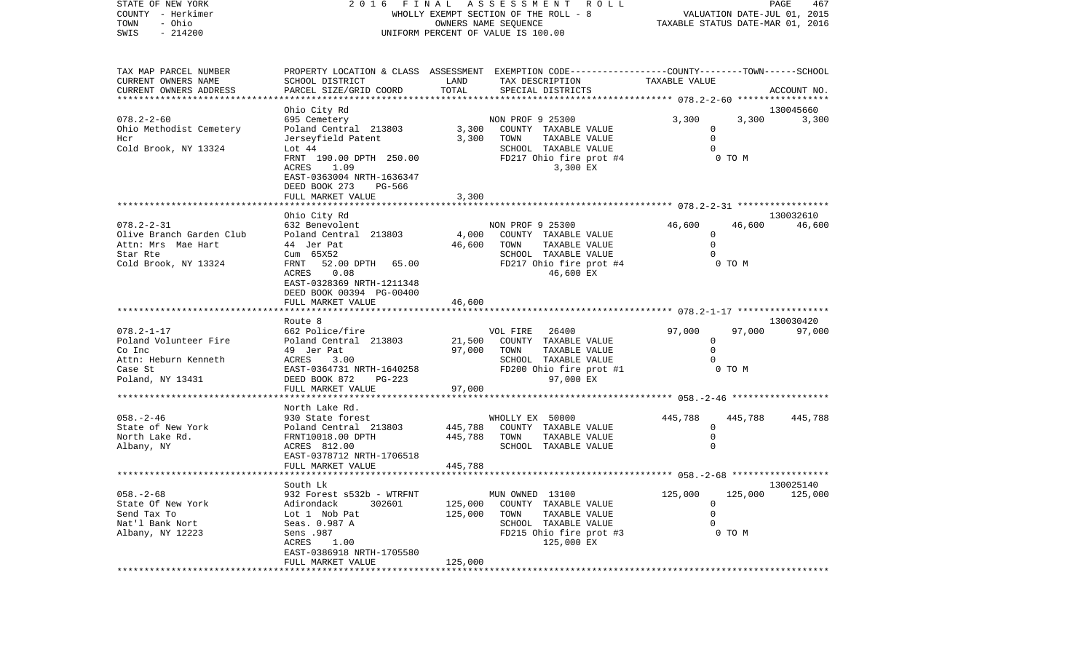| STATE OF NEW YORK<br>COUNTY - Herkimer<br>- Ohio<br>TOWN<br>$-214200$<br>SWIS | FINAL<br>A S S E S S M E N T<br>2016<br>WHOLLY EXEMPT SECTION OF THE ROLL - 8<br>OWNERS NAME SEQUENCE<br>UNIFORM PERCENT OF VALUE IS 100.00 |                |                                                                                                                    | R O L L<br>PAGE<br>467<br>VALUATION DATE-JUL 01, 2015<br>TAXABLE STATUS DATE-MAR 01, 2016 |         |                 |
|-------------------------------------------------------------------------------|---------------------------------------------------------------------------------------------------------------------------------------------|----------------|--------------------------------------------------------------------------------------------------------------------|-------------------------------------------------------------------------------------------|---------|-----------------|
| TAX MAP PARCEL NUMBER<br>CURRENT OWNERS NAME                                  | SCHOOL DISTRICT                                                                                                                             | LAND           | PROPERTY LOCATION & CLASS ASSESSMENT EXEMPTION CODE---------------COUNTY-------TOWN------SCHOOL<br>TAX DESCRIPTION | TAXABLE VALUE                                                                             |         |                 |
| CURRENT OWNERS ADDRESS                                                        | PARCEL SIZE/GRID COORD                                                                                                                      | TOTAL          | SPECIAL DISTRICTS                                                                                                  |                                                                                           |         | ACCOUNT NO.     |
| ********************                                                          | Ohio City Rd                                                                                                                                |                |                                                                                                                    |                                                                                           |         | 130045660       |
| $078.2 - 2 - 60$                                                              | 695 Cemetery                                                                                                                                |                | NON PROF 9 25300                                                                                                   | 3,300                                                                                     | 3,300   | 3,300           |
| Ohio Methodist Cemetery                                                       | Poland Central 213803                                                                                                                       | 3,300          | COUNTY TAXABLE VALUE                                                                                               | 0                                                                                         |         |                 |
| Hcr                                                                           | Jerseyfield Patent                                                                                                                          | 3,300          | TAXABLE VALUE<br>TOWN                                                                                              | $\mathbf 0$                                                                               |         |                 |
| Cold Brook, NY 13324                                                          | Lot 44                                                                                                                                      |                | SCHOOL TAXABLE VALUE                                                                                               | $\Omega$                                                                                  |         |                 |
|                                                                               | FRNT 190.00 DPTH 250.00                                                                                                                     |                | FD217 Ohio fire prot #4                                                                                            |                                                                                           | 0 TO M  |                 |
|                                                                               | ACRES<br>1.09                                                                                                                               |                | 3,300 EX                                                                                                           |                                                                                           |         |                 |
|                                                                               | EAST-0363004 NRTH-1636347                                                                                                                   |                |                                                                                                                    |                                                                                           |         |                 |
|                                                                               | DEED BOOK 273<br>PG-566<br>FULL MARKET VALUE                                                                                                | 3,300          |                                                                                                                    |                                                                                           |         |                 |
|                                                                               |                                                                                                                                             |                |                                                                                                                    |                                                                                           |         |                 |
|                                                                               | Ohio City Rd                                                                                                                                |                |                                                                                                                    |                                                                                           |         | 130032610       |
| $078.2 - 2 - 31$                                                              | 632 Benevolent                                                                                                                              |                | NON PROF 9 25300                                                                                                   | 46,600                                                                                    | 46,600  | 46,600          |
| Olive Branch Garden Club                                                      | Poland Central 213803                                                                                                                       | 4,000          | COUNTY TAXABLE VALUE                                                                                               | 0                                                                                         |         |                 |
| Attn: Mrs Mae Hart                                                            | 44 Jer Pat                                                                                                                                  | 46,600         | TAXABLE VALUE<br>TOWN                                                                                              | $\mathbf 0$                                                                               |         |                 |
| Star Rte                                                                      | Cum 65X52                                                                                                                                   |                | SCHOOL TAXABLE VALUE                                                                                               | $\Omega$                                                                                  |         |                 |
| Cold Brook, NY 13324                                                          | FRNT<br>52.00 DPTH<br>65.00                                                                                                                 |                | FD217 Ohio fire prot #4                                                                                            |                                                                                           | 0 TO M  |                 |
|                                                                               | ACRES<br>0.08<br>EAST-0328369 NRTH-1211348                                                                                                  |                | 46,600 EX                                                                                                          |                                                                                           |         |                 |
|                                                                               | DEED BOOK 00394 PG-00400                                                                                                                    |                |                                                                                                                    |                                                                                           |         |                 |
|                                                                               | FULL MARKET VALUE                                                                                                                           | 46,600         |                                                                                                                    |                                                                                           |         |                 |
|                                                                               |                                                                                                                                             |                |                                                                                                                    |                                                                                           |         |                 |
|                                                                               | Route 8                                                                                                                                     |                |                                                                                                                    |                                                                                           |         | 130030420       |
| $078.2 - 1 - 17$                                                              | 662 Police/fire                                                                                                                             |                | VOL FIRE<br>26400                                                                                                  | 97,000                                                                                    | 97,000  | 97,000          |
| Poland Volunteer Fire                                                         | Poland Central 213803                                                                                                                       | 21,500         | COUNTY TAXABLE VALUE                                                                                               | $\mathbf 0$                                                                               |         |                 |
| Co Inc                                                                        | 49 Jer Pat<br>ACRES                                                                                                                         | 97,000         | TAXABLE VALUE<br>TOWN<br>SCHOOL TAXABLE VALUE                                                                      | $\Omega$                                                                                  |         |                 |
| Attn: Heburn Kenneth<br>Case St                                               | 3.00<br>EAST-0364731 NRTH-1640258                                                                                                           |                | FD200 Ohio fire prot #1                                                                                            |                                                                                           | 0 TO M  |                 |
| Poland, NY 13431                                                              | DEED BOOK 872<br>$PG-223$                                                                                                                   |                | 97,000 EX                                                                                                          |                                                                                           |         |                 |
|                                                                               | FULL MARKET VALUE                                                                                                                           | 97,000         |                                                                                                                    |                                                                                           |         |                 |
|                                                                               |                                                                                                                                             |                |                                                                                                                    | ******** 058.-2-46 *********                                                              |         |                 |
|                                                                               | North Lake Rd.                                                                                                                              |                |                                                                                                                    |                                                                                           |         |                 |
| $058. - 2 - 46$                                                               | 930 State forest                                                                                                                            |                | WHOLLY EX 50000                                                                                                    | 445,788                                                                                   | 445,788 | 445,788         |
| State of New York                                                             | Poland Central 213803                                                                                                                       | 445,788        | COUNTY TAXABLE VALUE                                                                                               | 0                                                                                         |         |                 |
| North Lake Rd.                                                                | FRNT10018.00 DPTH                                                                                                                           | 445,788        | TAXABLE VALUE<br>TOWN                                                                                              | 0<br>$\Omega$                                                                             |         |                 |
| Albany, NY                                                                    | ACRES 812.00<br>EAST-0378712 NRTH-1706518                                                                                                   |                | SCHOOL TAXABLE VALUE                                                                                               |                                                                                           |         |                 |
|                                                                               | FULL MARKET VALUE                                                                                                                           | 445,788        |                                                                                                                    |                                                                                           |         |                 |
|                                                                               |                                                                                                                                             |                |                                                                                                                    |                                                                                           |         |                 |
|                                                                               | South Lk                                                                                                                                    |                |                                                                                                                    |                                                                                           |         | 130025140       |
| $058. - 2 - 68$                                                               | 932 Forest s532b - WTRFNT                                                                                                                   |                | MUN OWNED 13100                                                                                                    | 125,000                                                                                   |         | 125,000 125,000 |
| State Of New York                                                             | Adirondack<br>302601                                                                                                                        | 125,000        | COUNTY TAXABLE VALUE                                                                                               | $\Omega$                                                                                  |         |                 |
| Send Tax To                                                                   | Lot 1 Nob Pat                                                                                                                               | 125,000        | TOWN<br>TAXABLE VALUE                                                                                              | 0                                                                                         |         |                 |
| Nat'l Bank Nort                                                               | Seas. 0.987 A                                                                                                                               |                | SCHOOL TAXABLE VALUE                                                                                               | $\Omega$                                                                                  |         |                 |
| Albany, NY 12223                                                              | Sens .987                                                                                                                                   |                | FD215 Ohio fire prot #3                                                                                            |                                                                                           | 0 TO M  |                 |
|                                                                               | ACRES<br>1.00<br>EAST-0386918 NRTH-1705580                                                                                                  |                | 125,000 EX                                                                                                         |                                                                                           |         |                 |
|                                                                               | FULL MARKET VALUE                                                                                                                           | 125,000        |                                                                                                                    |                                                                                           |         |                 |
|                                                                               |                                                                                                                                             | ************** |                                                                                                                    |                                                                                           |         |                 |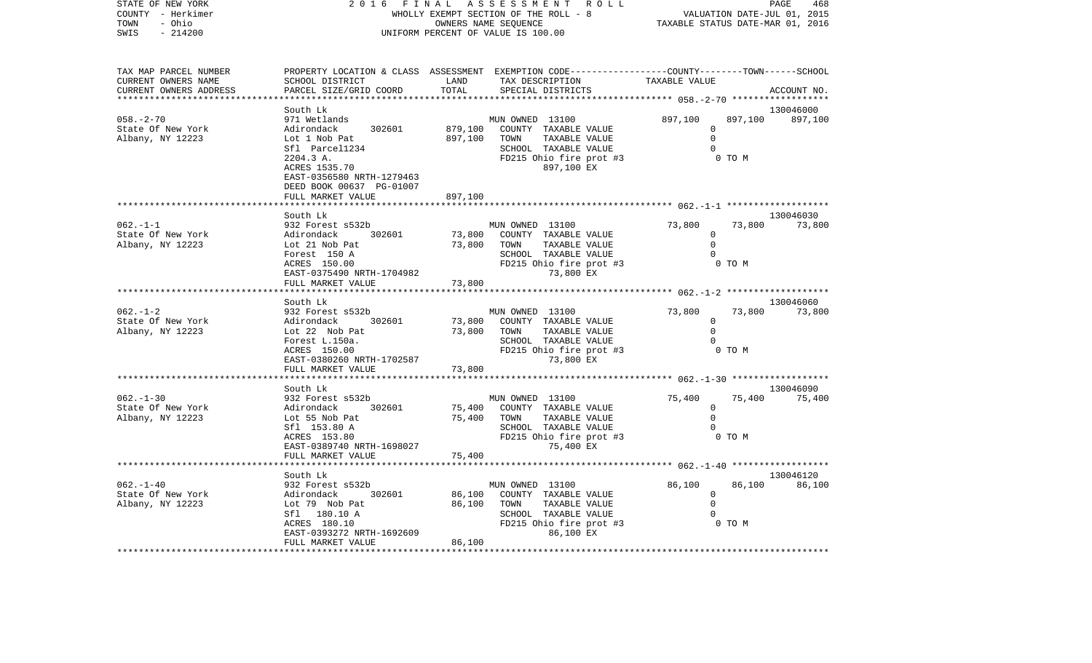| STATE OF NEW YORK<br>COUNTY - Herkimer<br>- Ohio<br>TOWN<br>SWIS<br>$-214200$ | 2 0 1 6<br>FINAL<br>WHOLLY EXEMPT SECTION OF THE ROLL - 8<br>UNIFORM PERCENT OF VALUE IS 100.00                                                                                                 | ASSESSMENT ROLL<br>VALUATION DATE-JUL 01, 2015<br>TAXABLE STATUS DATE-MAR 01, 2016                                                                                 | PAGE<br>468                                                          |                      |
|-------------------------------------------------------------------------------|-------------------------------------------------------------------------------------------------------------------------------------------------------------------------------------------------|--------------------------------------------------------------------------------------------------------------------------------------------------------------------|----------------------------------------------------------------------|----------------------|
| TAX MAP PARCEL NUMBER<br>CURRENT OWNERS NAME<br>CURRENT OWNERS ADDRESS        | SCHOOL DISTRICT<br>PARCEL SIZE/GRID COORD                                                                                                                                                       | PROPERTY LOCATION & CLASS ASSESSMENT EXEMPTION CODE----------------COUNTY-------TOWN------SCHOOL<br>LAND<br>TAX DESCRIPTION<br>TOTAL<br>SPECIAL DISTRICTS          | TAXABLE VALUE                                                        | ACCOUNT NO.          |
| $058. - 2 - 70$<br>State Of New York<br>Albany, NY 12223                      | South Lk<br>971 Wetlands<br>Adirondack<br>302601<br>Lot 1 Nob Pat<br>Sfl Parcel1234<br>2204.3 A.<br>ACRES 1535.70<br>EAST-0356580 NRTH-1279463<br>DEED BOOK 00637 PG-01007<br>FULL MARKET VALUE | MUN OWNED 13100<br>879,100<br>COUNTY TAXABLE VALUE<br>897,100<br>TOWN<br>TAXABLE VALUE<br>SCHOOL TAXABLE VALUE<br>FD215 Ohio fire prot #3<br>897,100 EX<br>897,100 | 897,100<br>897,100<br>$\mathbf 0$<br>$\Omega$<br>$\Omega$<br>0 TO M  | 130046000<br>897,100 |
|                                                                               |                                                                                                                                                                                                 |                                                                                                                                                                    | ********** 062.-1-1 ********************                             |                      |
| $062. -1 -1$<br>State Of New York<br>Albany, NY 12223                         | South Lk<br>932 Forest s532b<br>Adirondack<br>302601<br>Lot 21 Nob Pat<br>Forest 150 A<br>ACRES 150.00                                                                                          | MUN OWNED 13100<br>73,800<br>COUNTY TAXABLE VALUE<br>73,800<br>TAXABLE VALUE<br>TOWN<br>SCHOOL TAXABLE VALUE<br>FD215 Ohio fire prot #3                            | 73,800<br>73,800<br>0<br>$\Omega$<br>$\Omega$<br>0 TO M              | 130046030<br>73,800  |
|                                                                               | EAST-0375490 NRTH-1704982<br>FULL MARKET VALUE                                                                                                                                                  | 73,800 EX<br>73,800<br>************                                                                                                                                | **************************** 062.-1-2 *******************            |                      |
| $062. - 1 - 2$<br>State Of New York<br>Albany, NY 12223                       | South Lk<br>932 Forest s532b<br>Adirondack<br>302601<br>Lot 22 Nob Pat<br>Forest L.150a.<br>ACRES 150.00<br>EAST-0380260 NRTH-1702587<br>FULL MARKET VALUE                                      | MUN OWNED 13100<br>73,800<br>COUNTY TAXABLE VALUE<br>TAXABLE VALUE<br>73,800<br>TOWN<br>SCHOOL TAXABLE VALUE<br>FD215 Ohio fire prot #3<br>73,800 EX<br>73,800     | 73,800<br>73,800<br>$\mathbf 0$<br>$\Omega$<br>0<br>0 TO M           | 130046060<br>73,800  |
|                                                                               | **********************                                                                                                                                                                          |                                                                                                                                                                    |                                                                      |                      |
| $062. - 1 - 30$<br>State Of New York<br>Albany, NY 12223                      | South Lk<br>932 Forest s532b<br>Adirondack<br>302601<br>Lot 55 Nob Pat<br>Sfl 153.80 A<br>ACRES 153.80<br>EAST-0389740 NRTH-1698027<br>FULL MARKET VALUE                                        | MUN OWNED 13100<br>75,400<br>COUNTY TAXABLE VALUE<br>75,400<br>TOWN<br>TAXABLE VALUE<br>SCHOOL TAXABLE VALUE<br>FD215 Ohio fire prot #3<br>75,400 EX<br>75,400     | 75,400<br>75,400<br>0<br>$\mathbf 0$<br>$\Omega$<br>0 TO M           | 130046090<br>75,400  |
|                                                                               |                                                                                                                                                                                                 |                                                                                                                                                                    | **************** 062.-1-40 *******************                       |                      |
| $062. - 1 - 40$<br>State Of New York<br>Albany, NY 12223                      | South Lk<br>932 Forest s532b<br>Adirondack<br>302601<br>Lot 79 Nob Pat<br>Sfl 180.10 A<br>ACRES 180.10<br>EAST-0393272 NRTH-1692609<br>FULL MARKET VALUE                                        | MUN OWNED 13100<br>86,100<br>COUNTY TAXABLE VALUE<br>86,100<br>TAXABLE VALUE<br>TOWN<br>SCHOOL TAXABLE VALUE<br>FD215 Ohio fire prot #3<br>86,100 EX<br>86,100     | 86,100<br>86,100<br>$\mathbf 0$<br>$\mathbf 0$<br>$\Omega$<br>0 TO M | 130046120<br>86,100  |
|                                                                               |                                                                                                                                                                                                 |                                                                                                                                                                    |                                                                      |                      |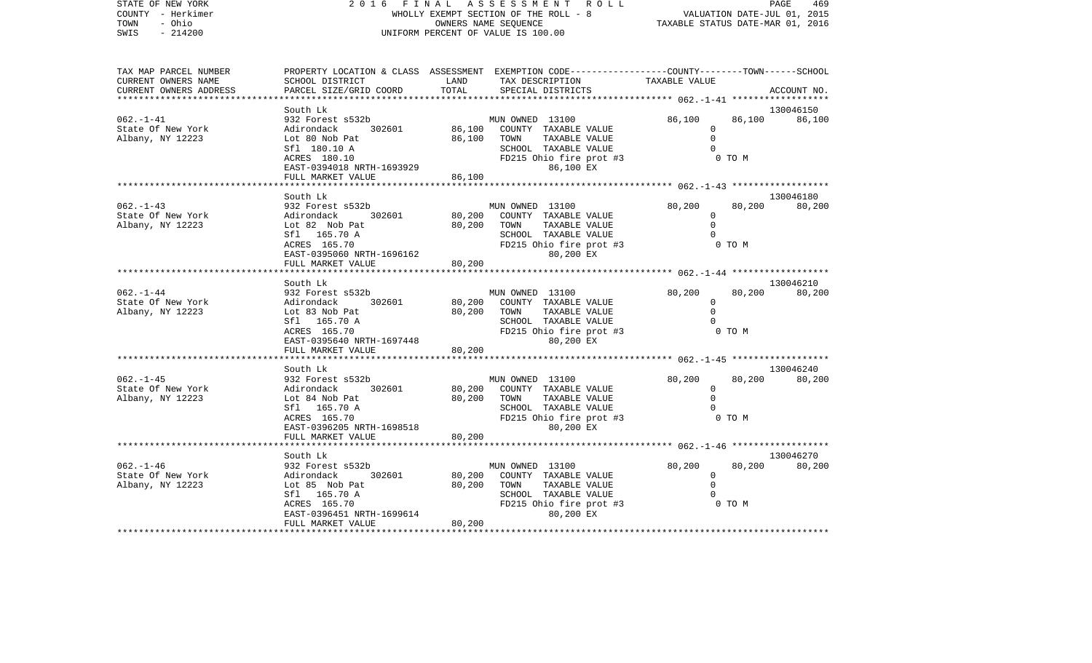| STATE OF NEW YORK<br>COUNTY - Herkimer<br>TOWN<br>- Ohio<br>SWIS<br>$-214200$                        |                                                                                                                                                                                            | 2016 FINAL<br>A S S E S S M E N T<br>R O L L<br>WHOLLY EXEMPT SECTION OF THE ROLL - 8<br>OWNERS NAME SEQUENCE<br>UNIFORM PERCENT OF VALUE IS 100.00 |                                                                                                                                        |                                |                  |                     |  |  |
|------------------------------------------------------------------------------------------------------|--------------------------------------------------------------------------------------------------------------------------------------------------------------------------------------------|-----------------------------------------------------------------------------------------------------------------------------------------------------|----------------------------------------------------------------------------------------------------------------------------------------|--------------------------------|------------------|---------------------|--|--|
| TAX MAP PARCEL NUMBER<br>CURRENT OWNERS NAME<br>CURRENT OWNERS ADDRESS<br>************************** | SCHOOL DISTRICT<br>PARCEL SIZE/GRID COORD                                                                                                                                                  | LAND<br>TOTAL                                                                                                                                       | PROPERTY LOCATION & CLASS ASSESSMENT EXEMPTION CODE---------------COUNTY-------TOWN-----SCHOOL<br>TAX DESCRIPTION<br>SPECIAL DISTRICTS | TAXABLE VALUE                  |                  | ACCOUNT NO.         |  |  |
| $062. - 1 - 41$<br>State Of New York<br>Albany, NY 12223                                             | South Lk<br>932 Forest s532b<br>302601<br>Adirondack<br>Lot 80 Nob Pat<br>Sfl 180.10 A<br>ACRES 180.10<br>EAST-0394018 NRTH-1693929<br>FULL MARKET VALUE                                   | 86,100<br>86,100<br>86,100                                                                                                                          | MUN OWNED 13100<br>COUNTY TAXABLE VALUE<br>TAXABLE VALUE<br>TOWN<br>SCHOOL TAXABLE VALUE<br>FD215 Ohio fire prot #3<br>86,100 EX       | 86,100<br>0<br>$\mathbf 0$     | 86,100<br>0 TO M | 130046150<br>86,100 |  |  |
|                                                                                                      | *****************************                                                                                                                                                              |                                                                                                                                                     |                                                                                                                                        |                                |                  |                     |  |  |
| $062. -1 - 43$<br>State Of New York<br>Albany, NY 12223                                              | South Lk<br>932 Forest s532b<br>302601<br>Adirondack<br>Lot 82 Nob Pat<br>Sfl 165.70 A<br>ACRES 165.70<br>EAST-0395060 NRTH-1696162<br>FULL MARKET VALUE                                   | 80,200<br>80,200<br>80,200                                                                                                                          | MUN OWNED 13100<br>COUNTY TAXABLE VALUE<br>TOWN<br>TAXABLE VALUE<br>SCHOOL TAXABLE VALUE<br>FD215 Ohio fire prot #3<br>80,200 EX       | 80,200<br>$\Omega$<br>$\Omega$ | 80,200<br>0 TO M | 130046180<br>80,200 |  |  |
|                                                                                                      | ******************************                                                                                                                                                             |                                                                                                                                                     |                                                                                                                                        |                                |                  |                     |  |  |
| $062. -1 - 44$<br>State Of New York<br>Albany, NY 12223                                              | South Lk<br>932 Forest s532b<br>302601<br>Adirondack<br>Lot 83 Nob Pat<br>Sfl 165.70 A<br>ACRES 165.70<br>EAST-0395640 NRTH-1697448<br>FULL MARKET VALUE<br>****************************** | 80,200<br>80,200<br>80,200                                                                                                                          | MUN OWNED 13100<br>COUNTY TAXABLE VALUE<br>TOWN<br>TAXABLE VALUE<br>SCHOOL TAXABLE VALUE<br>FD215 Ohio fire prot #3<br>80,200 EX       | 80,200<br>$\Omega$<br>$\Omega$ | 80,200<br>0 TO M | 130046210<br>80,200 |  |  |
|                                                                                                      | South Lk                                                                                                                                                                                   |                                                                                                                                                     |                                                                                                                                        |                                |                  | 130046240           |  |  |
| $062 - 1 - 45$                                                                                       | 932 Forest s532b                                                                                                                                                                           |                                                                                                                                                     | MIIN OWNED 13100                                                                                                                       | 80.200                         | 80.200           | 80.200              |  |  |

|                   | ACRES 165.70<br>EAST-0395640 NRTH-1697448 | FD215 Ohio fire prot #3<br>80,200 EX | 0 TO M           |           |
|-------------------|-------------------------------------------|--------------------------------------|------------------|-----------|
|                   | FULL MARKET VALUE                         | 80,200                               |                  |           |
|                   |                                           |                                      |                  |           |
|                   | South Lk                                  |                                      |                  | 130046240 |
| $062. - 1 - 45$   | 932 Forest s532b                          | MUN OWNED 13100                      | 80,200<br>80,200 | 80,200    |
| State Of New York | Adirondack<br>302601                      | 80,200<br>COUNTY<br>TAXABLE VALUE    |                  |           |
| Albany, NY 12223  | Lot 84 Nob Pat                            | 80,200<br>TOWN<br>TAXABLE VALUE      |                  |           |
|                   | Sfl 165.70 A                              | SCHOOL<br>TAXABLE VALUE              |                  |           |
|                   | ACRES 165.70                              | FD215 Ohio fire prot #3              | 0 TO M           |           |
|                   | EAST-0396205 NRTH-1698518                 | 80,200 EX                            |                  |           |
|                   | FULL MARKET VALUE                         | 80,200                               |                  |           |
|                   |                                           |                                      |                  |           |
|                   | South Lk                                  |                                      |                  | 130046270 |
| $062. - 1 - 46$   | 932 Forest s532b                          | MUN OWNED 13100                      | 80,200<br>80,200 | 80,200    |
| State Of New York | Adirondack<br>302601                      | 80,200<br>COUNTY<br>TAXABLE VALUE    |                  |           |
| Albany, NY 12223  | Lot 85 Nob Pat                            | 80,200<br>TOWN<br>TAXABLE VALUE      |                  |           |
|                   | Sfl 165.70 A                              | SCHOOL<br>TAXABLE VALUE              |                  |           |
|                   | ACRES 165.70                              | FD215 Ohio fire prot #3              | 0 TO M           |           |
|                   | EAST-0396451 NRTH-1699614                 | 80,200 EX                            |                  |           |
|                   | FULL MARKET VALUE                         | 80,200                               |                  |           |
|                   |                                           |                                      |                  |           |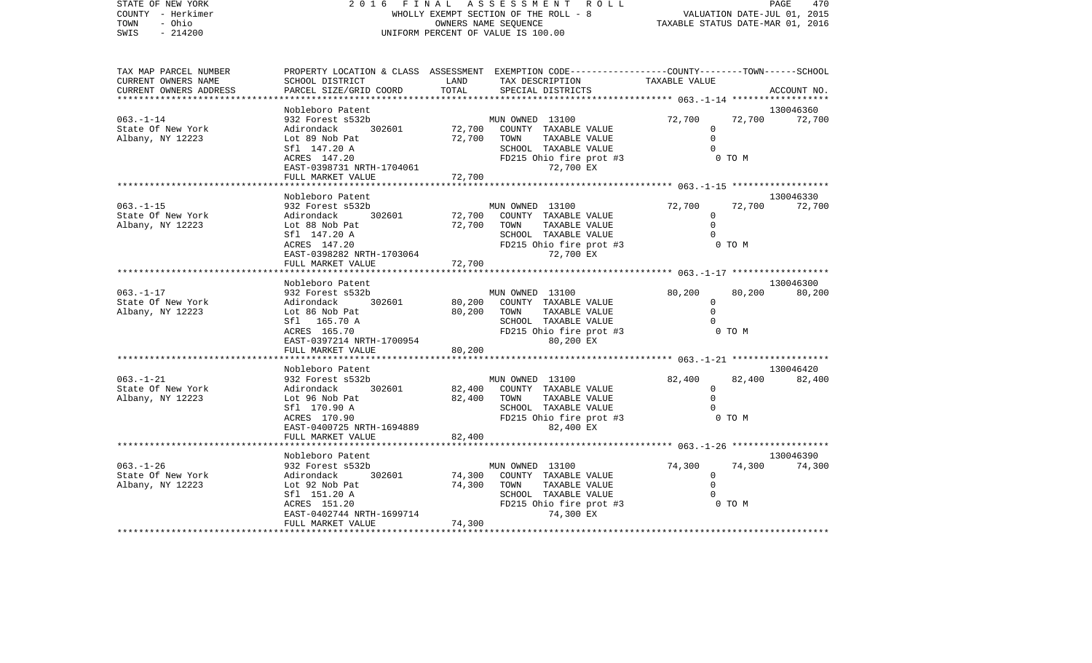| STATE OF NEW YORK<br>COUNTY - Herkimer |                                                |                  | 2016 FINAL ASSESSMENT<br>R O L L<br>WHOLLY EXEMPT SECTION OF THE ROLL - 8                      |                                  |        | PAGE<br>470<br>VALUATION DATE-JUL 01, 2015 |
|----------------------------------------|------------------------------------------------|------------------|------------------------------------------------------------------------------------------------|----------------------------------|--------|--------------------------------------------|
| - Ohio<br>TOWN                         |                                                |                  | OWNERS NAME SEQUENCE                                                                           | TAXABLE STATUS DATE-MAR 01, 2016 |        |                                            |
| $-214200$<br>SWIS                      |                                                |                  | UNIFORM PERCENT OF VALUE IS 100.00                                                             |                                  |        |                                            |
|                                        |                                                |                  |                                                                                                |                                  |        |                                            |
| TAX MAP PARCEL NUMBER                  |                                                |                  | PROPERTY LOCATION & CLASS ASSESSMENT EXEMPTION CODE---------------COUNTY-------TOWN-----SCHOOL |                                  |        |                                            |
| CURRENT OWNERS NAME                    | SCHOOL DISTRICT                                | LAND             | TAX DESCRIPTION                                                                                | TAXABLE VALUE                    |        |                                            |
| CURRENT OWNERS ADDRESS                 | PARCEL SIZE/GRID COORD                         | TOTAL            | SPECIAL DISTRICTS                                                                              |                                  |        | ACCOUNT NO.                                |
|                                        |                                                |                  |                                                                                                |                                  |        |                                            |
| $063. -1 - 14$                         | Nobleboro Patent<br>932 Forest s532b           |                  | MUN OWNED 13100                                                                                | 72,700                           | 72,700 | 130046360                                  |
| State Of New York                      | Adirondack<br>302601                           | 72,700           | COUNTY TAXABLE VALUE                                                                           | 0                                |        | 72,700                                     |
| Albany, NY 12223                       | Lot 89 Nob Pat                                 | 72,700           | TOWN<br>TAXABLE VALUE                                                                          | $\Omega$                         |        |                                            |
|                                        | Sfl 147.20 A                                   |                  | SCHOOL TAXABLE VALUE                                                                           | $\Omega$                         |        |                                            |
|                                        | ACRES 147.20                                   |                  | FD215 Ohio fire prot #3                                                                        |                                  | 0 TO M |                                            |
|                                        | EAST-0398731 NRTH-1704061                      |                  | 72,700 EX                                                                                      |                                  |        |                                            |
|                                        | FULL MARKET VALUE<br>*******************       | 72,700           |                                                                                                |                                  |        |                                            |
|                                        | Nobleboro Patent                               |                  |                                                                                                |                                  |        | 130046330                                  |
| $063. -1 - 15$                         | 932 Forest s532b                               |                  | MUN OWNED 13100                                                                                | 72,700                           | 72,700 | 72,700                                     |
| State Of New York                      | 302601<br>Adirondack                           | 72,700           | COUNTY TAXABLE VALUE                                                                           | $\mathbf 0$                      |        |                                            |
| Albany, NY 12223                       | Lot 88 Nob Pat                                 | 72,700           | TAXABLE VALUE<br>TOWN                                                                          | $\Omega$                         |        |                                            |
|                                        | Sfl 147.20 A                                   |                  | SCHOOL TAXABLE VALUE                                                                           | $\Omega$                         |        |                                            |
|                                        | ACRES 147.20<br>EAST-0398282 NRTH-1703064      |                  | FD215 Ohio fire prot #3<br>72,700 EX                                                           |                                  | 0 TO M |                                            |
|                                        | FULL MARKET VALUE                              | 72,700           |                                                                                                |                                  |        |                                            |
|                                        |                                                |                  |                                                                                                |                                  |        |                                            |
|                                        | Nobleboro Patent                               |                  |                                                                                                |                                  |        | 130046300                                  |
| $063. -1 - 17$                         | 932 Forest s532b                               |                  | MUN OWNED 13100                                                                                | 80,200                           | 80,200 | 80,200                                     |
| State Of New York<br>Albany, NY 12223  | 302601<br>Adirondack<br>Lot 86 Nob Pat         | 80,200<br>80,200 | COUNTY TAXABLE VALUE<br>TOWN<br>TAXABLE VALUE                                                  | $\circ$<br>$\Omega$              |        |                                            |
|                                        | Sfl 165.70 A                                   |                  | SCHOOL TAXABLE VALUE                                                                           |                                  |        |                                            |
|                                        | ACRES 165.70                                   |                  | FD215 Ohio fire prot #3                                                                        |                                  | 0 TO M |                                            |
|                                        | EAST-0397214 NRTH-1700954                      |                  | 80,200 EX                                                                                      |                                  |        |                                            |
|                                        | FULL MARKET VALUE                              | 80,200           |                                                                                                |                                  |        |                                            |
|                                        |                                                |                  |                                                                                                |                                  |        | 130046420                                  |
| $063. - 1 - 21$                        | Nobleboro Patent<br>932 Forest s532b           |                  | MUN OWNED 13100                                                                                | 82,400                           | 82,400 | 82,400                                     |
| State Of New York                      | Adirondack<br>302601                           | 82,400           | COUNTY TAXABLE VALUE                                                                           | $\Omega$                         |        |                                            |
| Albany, NY 12223                       | Lot 96 Nob Pat                                 | 82,400           | TOWN<br>TAXABLE VALUE                                                                          | $\Omega$                         |        |                                            |
|                                        | Sfl 170.90 A                                   |                  | SCHOOL TAXABLE VALUE                                                                           | $\Omega$                         |        |                                            |
|                                        | ACRES 170.90                                   |                  | FD215 Ohio fire prot #3                                                                        |                                  | 0 TO M |                                            |
|                                        | EAST-0400725 NRTH-1694889<br>FULL MARKET VALUE | 82,400           | 82,400 EX                                                                                      |                                  |        |                                            |
|                                        |                                                |                  |                                                                                                |                                  |        |                                            |
|                                        | Nobleboro Patent                               |                  |                                                                                                |                                  |        | 130046390                                  |
| $063. - 1 - 26$                        | 932 Forest s532b                               |                  | MUN OWNED 13100                                                                                | 74,300                           | 74,300 | 74,300                                     |

 $\begin{array}{cccccccccc} \text{Lot} & 92 & \text{Nob} & \text{Pat} & & & & 74,300 & & \text{TOWN} & & \text{TAXABLE VALUE} & & & & & 0 \\ \text{Sf1} & 151.20 & \text{A} & & & & & & \text{SCHOOL} & & \text{TAXABLE VALUE} & & & & & & 0 \end{array}$ 

SCHOOL TAXABLE VALUE 0

0 TO M

State Of New York Adirondack 302601 74,300 COUNTY TAXABLE VALUE 0

EAST-0402744 NRTH-1699714

FULL MARKET VALUE 74,300

ACRES 151.20 FD215 Ohio fire prot #3<br>EAST-0402744 NRTH-1699714 74,300 EX

\*\*\*\*\*\*\*\*\*\*\*\*\*\*\*\*\*\*\*\*\*\*\*\*\*\*\*\*\*\*\*\*\*\*\*\*\*\*\*\*\*\*\*\*\*\*\*\*\*\*\*\*\*\*\*\*\*\*\*\*\*\*\*\*\*\*\*\*\*\*\*\*\*\*\*\*\*\*\*\*\*\*\*\*\*\*\*\*\*\*\*\*\*\*\*\*\*\*\*\*\*\*\*\*\*\*\*\*\*\*\*\*\*\*\*\*\*\*\*\*\*\*\*\*\*\*\*\*\*\*\*\*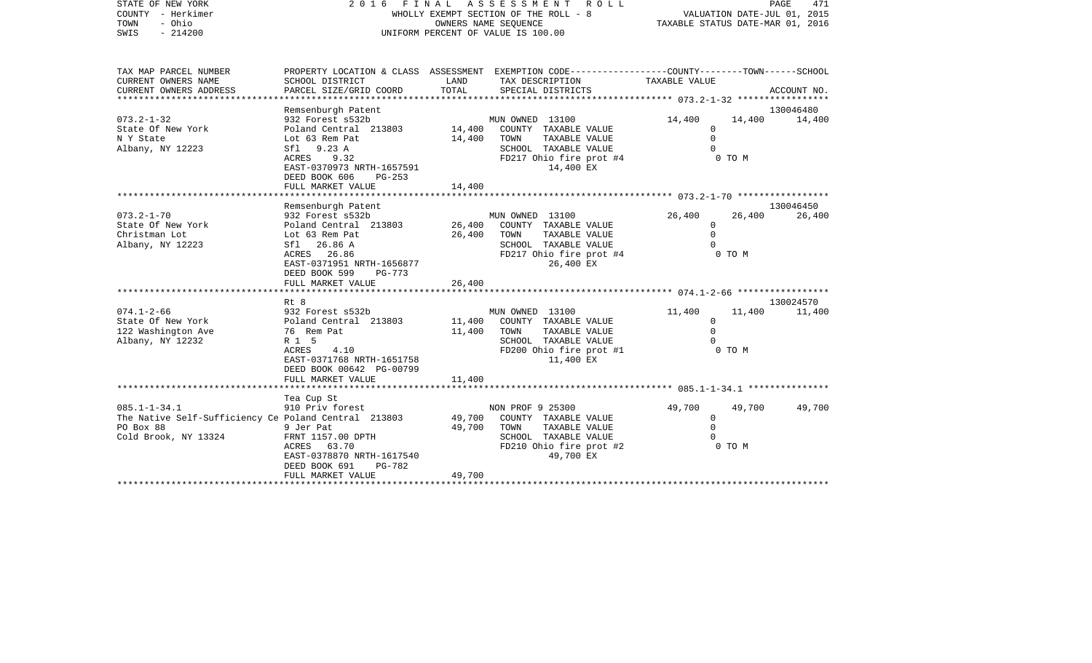| STATE OF NEW YORK<br>COUNTY - Herkimer<br>- Ohio<br>TOWN<br>$-214200$<br>SWIS                                   | FINAL ASSESSMENT<br>2016<br>WHOLLY EXEMPT SECTION OF THE ROLL - 8<br>UNIFORM PERCENT OF VALUE IS 100.00                                                                                                                        | VALUATION DATE-JUL 01, 2015<br>TAXABLE STATUS DATE-MAR 01, 2016 |                                                                                                                                   | PAGE<br>471                                |                  |                     |
|-----------------------------------------------------------------------------------------------------------------|--------------------------------------------------------------------------------------------------------------------------------------------------------------------------------------------------------------------------------|-----------------------------------------------------------------|-----------------------------------------------------------------------------------------------------------------------------------|--------------------------------------------|------------------|---------------------|
| TAX MAP PARCEL NUMBER<br>CURRENT OWNERS NAME<br>CURRENT OWNERS ADDRESS                                          | PROPERTY LOCATION & CLASS ASSESSMENT EXEMPTION CODE---------------COUNTY-------TOWN-----SCHOOL<br>SCHOOL DISTRICT<br>PARCEL SIZE/GRID COORD                                                                                    | LAND<br>TOTAL                                                   | TAX DESCRIPTION<br>SPECIAL DISTRICTS                                                                                              | <b>TAXABLE VALUE</b>                       |                  | ACCOUNT NO.         |
| $073.2 - 1 - 32$<br>State Of New York<br>N Y State<br>Albany, NY 12223                                          | Remsenburgh Patent<br>932 Forest s532b<br>Poland Central 213803<br>Lot 63 Rem Pat<br>Sf1 9.23 A<br>ACRES<br>9.32<br>EAST-0370973 NRTH-1657591<br>DEED BOOK 606<br>$PG-253$<br>FULL MARKET VALUE                                | 14,400<br>14,400<br>14,400                                      | MUN OWNED 13100<br>COUNTY TAXABLE VALUE<br>TOWN<br>TAXABLE VALUE<br>SCHOOL TAXABLE VALUE<br>FD217 Ohio fire prot #4<br>14,400 EX  | 14,400<br>0<br>$\mathbf 0$<br>$\Omega$     | 14,400<br>0 TO M | 130046480<br>14,400 |
| $073.2 - 1 - 70$<br>State Of New York<br>Christman Lot<br>Albany, NY 12223                                      | Remsenburgh Patent<br>932 Forest s532b<br>Poland Central 213803<br>Lot 63 Rem Pat<br>Sfl 26.86 A<br>ACRES 26.86<br>EAST-0371951 NRTH-1656877<br>DEED BOOK 599<br>PG-773<br>FULL MARKET VALUE                                   | 26,400<br>26,400<br>26,400                                      | MUN OWNED 13100<br>COUNTY TAXABLE VALUE<br>TOWN<br>TAXABLE VALUE<br>SCHOOL TAXABLE VALUE<br>FD217 Ohio fire prot #4<br>26,400 EX  | 26,400<br>$\Omega$<br>$\Omega$<br>$\Omega$ | 26,400<br>0 TO M | 130046450<br>26,400 |
| $074.1 - 2 - 66$<br>State Of New York<br>122 Washington Ave<br>Albany, NY 12232                                 | ***********************<br>Rt 8<br>932 Forest s532b<br>Poland Central 213803<br>76 Rem Pat<br>R 1 5<br>4.10<br>ACRES<br>EAST-0371768 NRTH-1651758<br>DEED BOOK 00642 PG-00799<br>FULL MARKET VALUE<br>************************ | 11,400<br>11,400<br>11,400                                      | MUN OWNED 13100<br>COUNTY TAXABLE VALUE<br>TOWN<br>TAXABLE VALUE<br>SCHOOL TAXABLE VALUE<br>FD200 Ohio fire prot #1<br>11,400 EX  | 11,400<br>0<br>$\mathbf 0$                 | 11,400<br>0 TO M | 130024570<br>11,400 |
| $085.1 - 1 - 34.1$<br>The Native Self-Sufficiency Ce Poland Central 213803<br>PO Box 88<br>Cold Brook, NY 13324 | Tea Cup St<br>910 Priv forest<br>9 Jer Pat<br>FRNT 1157.00 DPTH<br>ACRES 63.70<br>EAST-0378870 NRTH-1617540<br>DEED BOOK 691<br>PG-782<br>FULL MARKET VALUE                                                                    | 49,700<br>49,700<br>49,700                                      | NON PROF 9 25300<br>COUNTY TAXABLE VALUE<br>TAXABLE VALUE<br>TOWN<br>SCHOOL TAXABLE VALUE<br>FD210 Ohio fire prot #2<br>49,700 EX | 49,700<br>0<br>$\mathbf 0$<br>$\Omega$     | 49,700<br>0 TO M | 49,700              |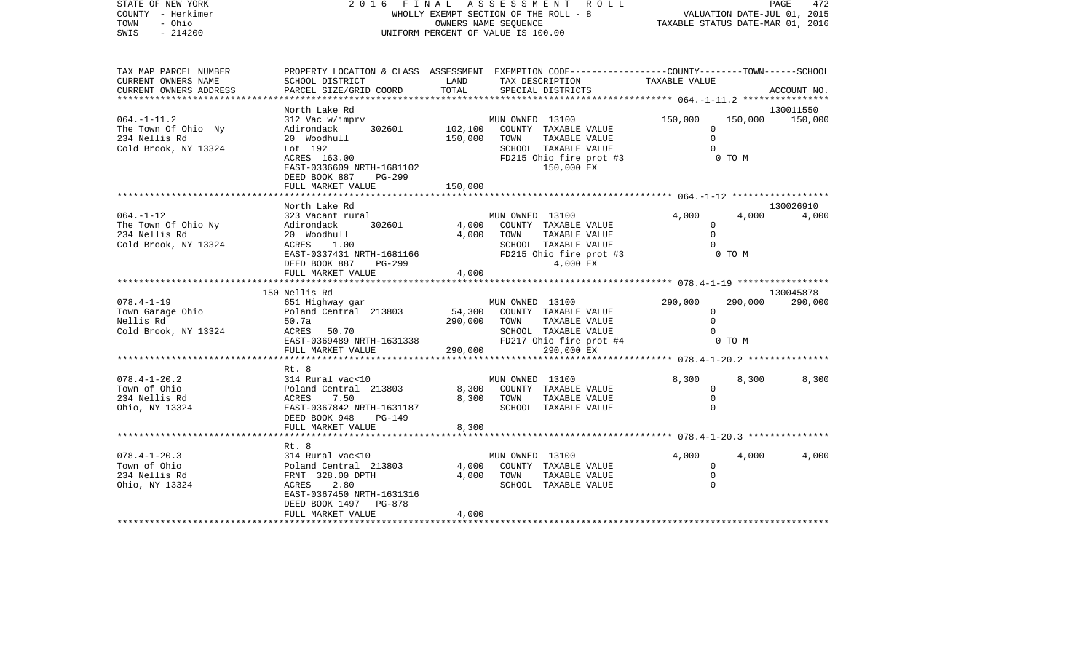| STATE OF NEW YORK<br>COUNTY - Herkimer<br>- Ohio<br>TOWN<br>SWIS<br>$-214200$    | 2016<br>FINAL<br>WHOLLY EXEMPT SECTION OF THE ROLL - 8<br>UNIFORM PERCENT OF VALUE IS 100.00                                                               | ASSESSMENT ROLL<br>PAGE<br>472<br>VALUATION DATE-JUL 01, 2015<br>TAXABLE STATUS DATE-MAR 01, 2016 |                                                                                                                                         |                                                                  |                                           |
|----------------------------------------------------------------------------------|------------------------------------------------------------------------------------------------------------------------------------------------------------|---------------------------------------------------------------------------------------------------|-----------------------------------------------------------------------------------------------------------------------------------------|------------------------------------------------------------------|-------------------------------------------|
| TAX MAP PARCEL NUMBER<br>CURRENT OWNERS NAME<br>CURRENT OWNERS ADDRESS           | PROPERTY LOCATION & CLASS ASSESSMENT EXEMPTION CODE---------------COUNTY-------TOWN------SCHOOL<br>SCHOOL DISTRICT<br>PARCEL SIZE/GRID COORD               | LAND<br>TOTAL                                                                                     | TAX DESCRIPTION<br>SPECIAL DISTRICTS                                                                                                    | TAXABLE VALUE<br>***************** 064.-1-11.2 ***************** | ACCOUNT NO.                               |
| $064. -1 - 11.2$<br>The Town Of Ohio Ny<br>234 Nellis Rd<br>Cold Brook, NY 13324 | North Lake Rd<br>312 Vac w/imprv<br>302601<br>Adirondack<br>20 Woodhull<br>Lot 192<br>ACRES 163.00<br>EAST-0336609 NRTH-1681102<br>DEED BOOK 887<br>PG-299 | 102,100<br>150,000 TOWN                                                                           | MUN OWNED 13100<br>COUNTY TAXABLE VALUE<br>TAXABLE VALUE<br>SCHOOL TAXABLE VALUE<br>FD215 Ohio fire prot #3<br>150,000 EX               | 150,000<br>$\Omega$<br>$\mathbf 0$                               | 130011550<br>150,000<br>150,000<br>0 TO M |
|                                                                                  | FULL MARKET VALUE<br>*************************                                                                                                             | 150,000                                                                                           |                                                                                                                                         |                                                                  |                                           |
| $064. -1 - 12$<br>The Town Of Ohio Ny<br>234 Nellis Rd<br>Cold Brook, NY 13324   | North Lake Rd<br>323 Vacant rural<br>302601<br>Adirondack<br>20 Woodhull<br>ACRES 1.00<br>EAST-0337431 NRTH-1681166<br>DEED BOOK 887<br>PG-299             | 4,000                                                                                             | MUN OWNED 13100<br>COUNTY TAXABLE VALUE<br>4,000 TOWN<br>TAXABLE VALUE<br>SCHOOL TAXABLE VALUE<br>$FD215$ Ohio fire prot #3<br>4,000 EX | 4,000<br>$\mathbf{0}$<br>$\Omega$<br>$\Omega$<br>0 TO M          | 130026910<br>4,000<br>4,000               |
|                                                                                  | FULL MARKET VALUE                                                                                                                                          | 4,000                                                                                             |                                                                                                                                         |                                                                  |                                           |
| $078.4 - 1 - 19$<br>Town Garage Ohio<br>Nellis Rd<br>Cold Brook, NY 13324        | 150 Nellis Rd<br>651 Highway gar<br>Poland Central 213803<br>50.7a<br>ACRES 50.70<br>EAST-0369489 NRTH-1631338                                             | 54,300<br>290,000 TOWN                                                                            | MUN OWNED 13100<br>COUNTY TAXABLE VALUE<br>TAXABLE VALUE<br>SCHOOL TAXABLE VALUE<br>FD217 Ohio fire prot #4                             | 290,000<br>$\mathbf 0$<br>$\Omega$                               | 130045878<br>290,000<br>290,000<br>0 TO M |
|                                                                                  | FULL MARKET VALUE<br>*********************                                                                                                                 | 290,000<br>***********                                                                            | 290,000 EX                                                                                                                              |                                                                  |                                           |
| $078.4 - 1 - 20.2$<br>Town of Ohio<br>234 Nellis Rd<br>Ohio, NY 13324            | Rt. 8<br>314 Rural vac<10<br>Poland Central 213803<br>ACRES<br>7.50<br>EAST-0367842 NRTH-1631187<br>DEED BOOK 948<br>PG-149<br>FULL MARKET VALUE           | 8,300<br>8,300<br>8,300                                                                           | MUN OWNED 13100<br>COUNTY TAXABLE VALUE<br>TOWN<br>TAXABLE VALUE<br>SCHOOL TAXABLE VALUE                                                | 8,300<br>$\mathbf{0}$<br>$\Omega$<br>$\mathbf 0$                 | 8,300<br>8,300                            |
|                                                                                  |                                                                                                                                                            |                                                                                                   |                                                                                                                                         |                                                                  |                                           |
| $078.4 - 1 - 20.3$<br>Town of Ohio<br>234 Nellis Rd<br>Ohio, NY 13324            | Rt. 8<br>314 Rural vac<10<br>Poland Central 213803<br>FRNT 328.00 DPTH<br>ACRES<br>2.80<br>EAST-0367450 NRTH-1631316<br>DEED BOOK 1497 PG-878              | 4,000                                                                                             | MUN OWNED 13100<br>COUNTY TAXABLE VALUE<br>4,000 TOWN<br>TAXABLE VALUE<br>SCHOOL TAXABLE VALUE                                          | 4,000<br>$\mathbf 0$<br>0<br>$\Omega$                            | 4,000<br>4,000                            |
|                                                                                  | FULL MARKET VALUE                                                                                                                                          | 4,000<br>******************                                                                       |                                                                                                                                         |                                                                  |                                           |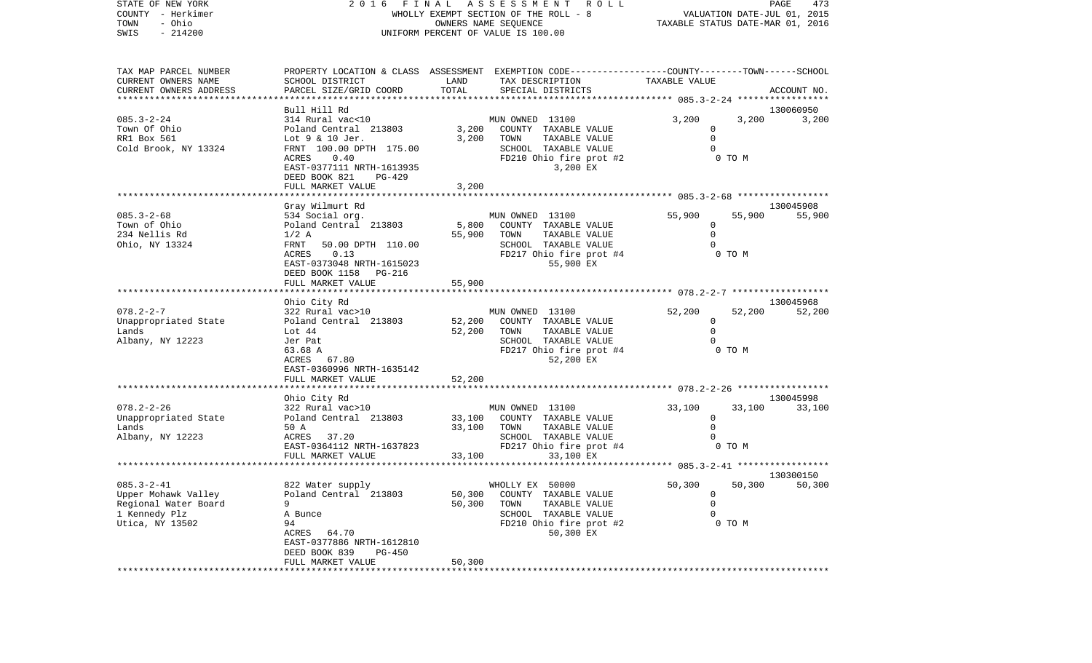| STATE OF NEW YORK<br>2016 FINAL ASSESSMENT ROLL<br>VALUATION DATE-JUL 01, 2015<br>COUNTY - Herkimer<br>WHOLLY EXEMPT SECTION OF THE ROLL - 8<br>- Ohio<br>TOWN<br>OWNERS NAME SEQUENCE<br>TAXABLE STATUS DATE-MAR 01, 2016 | PAGE   | 473                 |
|----------------------------------------------------------------------------------------------------------------------------------------------------------------------------------------------------------------------------|--------|---------------------|
|                                                                                                                                                                                                                            |        |                     |
|                                                                                                                                                                                                                            |        |                     |
| $-214200$<br>UNIFORM PERCENT OF VALUE IS 100.00<br>SWIS                                                                                                                                                                    |        |                     |
|                                                                                                                                                                                                                            |        |                     |
| TAX MAP PARCEL NUMBER<br>PROPERTY LOCATION & CLASS ASSESSMENT EXEMPTION CODE----------------COUNTY-------TOWN------SCHOOL                                                                                                  |        |                     |
| CURRENT OWNERS NAME<br>LAND<br>TAX DESCRIPTION<br>TAXABLE VALUE<br>SCHOOL DISTRICT                                                                                                                                         |        |                     |
| TOTAL<br>CURRENT OWNERS ADDRESS<br>PARCEL SIZE/GRID COORD<br>SPECIAL DISTRICTS                                                                                                                                             |        | ACCOUNT NO.         |
|                                                                                                                                                                                                                            |        |                     |
| Bull Hill Rd                                                                                                                                                                                                               |        | 130060950           |
| 314 Rural vac<10<br>MUN OWNED 13100<br>$085.3 - 2 - 24$<br>3,200<br>Poland Central 213803<br>3,200<br>$\mathbf 0$                                                                                                          | 3,200  | 3,200               |
| Town Of Ohio<br>COUNTY TAXABLE VALUE<br>TAXABLE VALUE<br>$\mathbf 0$<br>RR1 Box 561<br>Lot 9 & 10 Jer.<br>3,200<br>TOWN                                                                                                    |        |                     |
| SCHOOL TAXABLE VALUE<br>Cold Brook, NY 13324<br>FRNT 100.00 DPTH 175.00<br>$\Omega$                                                                                                                                        |        |                     |
| ACRES<br>0.40<br>FD210 Ohio fire prot #2<br>0 TO M                                                                                                                                                                         |        |                     |
| EAST-0377111 NRTH-1613935<br>3,200 EX                                                                                                                                                                                      |        |                     |
| DEED BOOK 821<br>PG-429                                                                                                                                                                                                    |        |                     |
| 3,200<br>FULL MARKET VALUE                                                                                                                                                                                                 |        |                     |
|                                                                                                                                                                                                                            |        |                     |
| Gray Wilmurt Rd                                                                                                                                                                                                            |        | 130045908           |
| 55,900<br>$085.3 - 2 - 68$<br>534 Social org.<br>MUN OWNED 13100                                                                                                                                                           | 55,900 | 55,900              |
| 5,800<br>Town of Ohio<br>Poland Central 213803<br>COUNTY TAXABLE VALUE<br>$\mathbf{0}$                                                                                                                                     |        |                     |
| 234 Nellis Rd<br>55,900<br>TOWN<br>TAXABLE VALUE<br>$\mathbf 0$<br>$1/2$ A                                                                                                                                                 |        |                     |
| FRNT<br>SCHOOL TAXABLE VALUE<br>Ohio, NY 13324<br>50.00 DPTH 110.00<br>ACRES 0.13<br>FD217 Ohio fire prot #4<br>0 TO M                                                                                                     |        |                     |
| EAST-0373048 NRTH-1615023<br>55,900 EX                                                                                                                                                                                     |        |                     |
| DEED BOOK 1158 PG-216                                                                                                                                                                                                      |        |                     |
| 55,900<br>FULL MARKET VALUE                                                                                                                                                                                                |        |                     |
|                                                                                                                                                                                                                            |        |                     |
| Ohio City Rd                                                                                                                                                                                                               |        | 130045968           |
| 322 Rural vac>10<br>MUN OWNED 13100<br>$078.2 - 2 - 7$<br>52,200                                                                                                                                                           | 52,200 | 52,200              |
| Unappropriated State<br>Poland Central 213803<br>52,200<br>COUNTY TAXABLE VALUE<br>$\circ$                                                                                                                                 |        |                     |
| $\mathbf 0$<br>Lands<br>Lot 44<br>52,200<br>TOWN<br>TAXABLE VALUE                                                                                                                                                          |        |                     |
| Albany, NY 12223<br>Jer Pat<br>SCHOOL TAXABLE VALUE<br>$\Omega$                                                                                                                                                            |        |                     |
| 0 TO M<br>63.68 A<br>FD217 Ohio fire prot #4                                                                                                                                                                               |        |                     |
| ACRES 67.80<br>52,200 EX<br>EAST-0360996 NRTH-1635142                                                                                                                                                                      |        |                     |
| FULL MARKET VALUE<br>52,200                                                                                                                                                                                                |        |                     |
|                                                                                                                                                                                                                            |        |                     |
| Ohio City Rd                                                                                                                                                                                                               |        | 130045998           |
| $078.2 - 2 - 26$<br>322 Rural vac>10<br>MUN OWNED 13100<br>33,100                                                                                                                                                          | 33,100 | 33,100              |
| Unappropriated State<br>Poland Central 213803<br>33,100<br>COUNTY TAXABLE VALUE<br>0                                                                                                                                       |        |                     |
| Lands<br>50 A<br>33,100<br>TOWN<br>TAXABLE VALUE<br>$\Omega$                                                                                                                                                               |        |                     |
| Albany, NY 12223<br>ACRES 37.20<br>SCHOOL TAXABLE VALUE                                                                                                                                                                    |        |                     |
| FD217 Ohio fire prot #4<br>EAST-0364112 NRTH-1637823                                                                                                                                                                       | 0 TO M |                     |
| FULL MARKET VALUE<br>33,100<br>33,100 EX                                                                                                                                                                                   |        |                     |
|                                                                                                                                                                                                                            |        |                     |
| $085.3 - 2 - 41$<br>822 Water supply<br>WHOLLY EX 50000<br>50,300                                                                                                                                                          | 50,300 | 130300150<br>50,300 |
| Upper Mohawk Valley<br>Poland Central 213803<br>50,300<br>COUNTY TAXABLE VALUE<br>0                                                                                                                                        |        |                     |
| Regional Water Board<br>$\mathbf 0$<br>9<br>50,300<br>TOWN<br>TAXABLE VALUE                                                                                                                                                |        |                     |
| 1 Kennedy Plz<br>$\mathbf 0$<br>SCHOOL TAXABLE VALUE<br>A Bunce                                                                                                                                                            |        |                     |
| Utica, NY 13502<br>94<br>FD210 Ohio fire prot #2                                                                                                                                                                           | 0 TO M |                     |
| ACRES<br>64.70<br>50,300 EX                                                                                                                                                                                                |        |                     |
| EAST-0377886 NRTH-1612810                                                                                                                                                                                                  |        |                     |
| DEED BOOK 839<br><b>PG-450</b>                                                                                                                                                                                             |        |                     |
| 50,300<br>FULL MARKET VALUE                                                                                                                                                                                                |        |                     |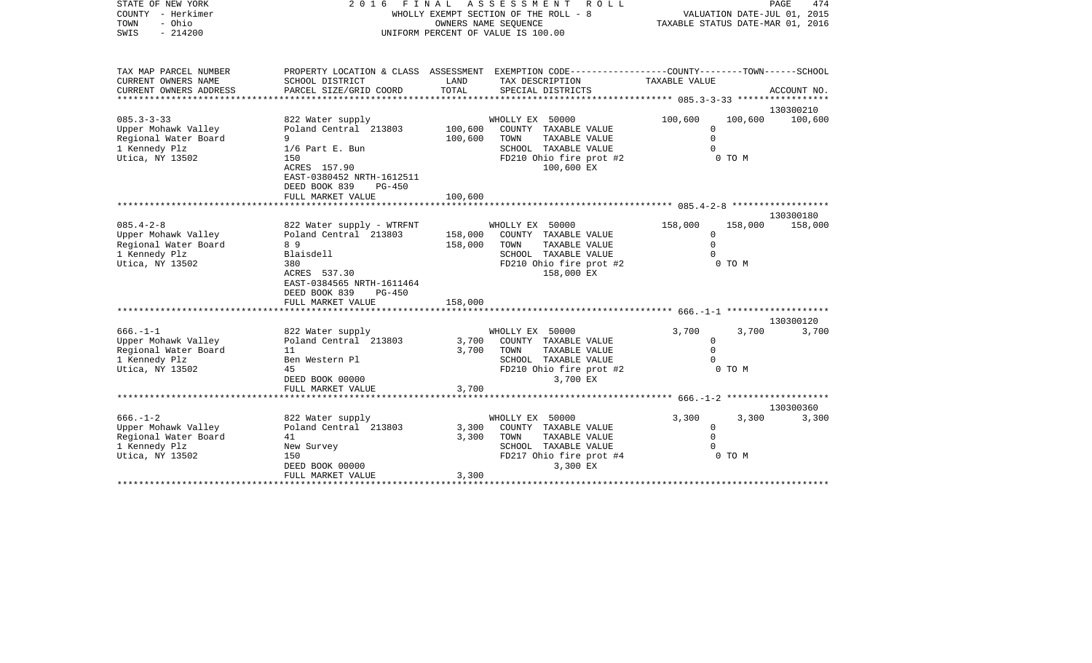| STATE OF NEW YORK<br>COUNTY - Herkimer<br>- Ohio<br>TOWN<br>$-214200$<br>SWIS                      | 2 0 1 6<br>FINAL<br>WHOLLY EXEMPT SECTION OF THE ROLL - 8<br>UNIFORM PERCENT OF VALUE IS 100.00                                              | ROLL<br>TAXABLE STATUS DATE-MAR 01, 2016 | PAGE<br>474<br>VALUATION DATE-JUL 01, 2015                                                                                        |                                                                     |                |
|----------------------------------------------------------------------------------------------------|----------------------------------------------------------------------------------------------------------------------------------------------|------------------------------------------|-----------------------------------------------------------------------------------------------------------------------------------|---------------------------------------------------------------------|----------------|
| TAX MAP PARCEL NUMBER<br>CURRENT OWNERS NAME<br>CURRENT OWNERS ADDRESS                             | PROPERTY LOCATION & CLASS ASSESSMENT EXEMPTION CODE---------------COUNTY-------TOWN------SCHOOL<br>SCHOOL DISTRICT<br>PARCEL SIZE/GRID COORD | LAND<br>TOTAL                            | TAX DESCRIPTION<br>SPECIAL DISTRICTS                                                                                              | TAXABLE VALUE                                                       | ACCOUNT NO.    |
|                                                                                                    |                                                                                                                                              | ******                                   |                                                                                                                                   | ****** 085.3-3-33 *****************                                 |                |
|                                                                                                    |                                                                                                                                              |                                          |                                                                                                                                   |                                                                     | 130300210      |
| $085.3 - 3 - 33$<br>Upper Mohawk Valley<br>Regional Water Board<br>1 Kennedy Plz                   | 822 Water supply<br>Poland Central 213803<br>9<br>$1/6$ Part E. Bun                                                                          | 100,600<br>100,600                       | WHOLLY EX 50000<br>COUNTY TAXABLE VALUE<br>TAXABLE VALUE<br>TOWN<br>SCHOOL TAXABLE VALUE                                          | 100,600<br>100,600<br>$\Omega$<br>$\Omega$<br>$\Omega$              | 100,600        |
| Utica, NY 13502                                                                                    | 150<br>ACRES 157.90<br>EAST-0380452 NRTH-1612511<br>DEED BOOK 839<br>$PG-450$                                                                |                                          | FD210 Ohio fire prot #2<br>100,600 EX                                                                                             | 0 TO M                                                              |                |
|                                                                                                    | FULL MARKET VALUE                                                                                                                            | 100,600                                  |                                                                                                                                   |                                                                     |                |
|                                                                                                    |                                                                                                                                              |                                          |                                                                                                                                   |                                                                     | 130300180      |
| $085.4 - 2 - 8$<br>Upper Mohawk Valley<br>Regional Water Board<br>1 Kennedy Plz<br>Utica, NY 13502 | 822 Water supply - WTRFNT<br>Poland Central 213803<br>89<br>Blaisdell<br>380<br>ACRES 537.30<br>EAST-0384565 NRTH-1611464                    | 158,000<br>158,000                       | WHOLLY EX 50000<br>COUNTY TAXABLE VALUE<br>TOWN<br>TAXABLE VALUE<br>SCHOOL TAXABLE VALUE<br>FD210 Ohio fire prot #2<br>158,000 EX | 158,000<br>158,000<br>$\Omega$<br>$\mathbf 0$<br>$\Omega$<br>0 TO M | 158,000        |
|                                                                                                    | DEED BOOK 839<br><b>PG-450</b><br>FULL MARKET VALUE                                                                                          | 158,000                                  |                                                                                                                                   |                                                                     |                |
|                                                                                                    |                                                                                                                                              |                                          |                                                                                                                                   |                                                                     | 130300120      |
| $666. - 1 - 1$<br>Upper Mohawk Valley<br>Regional Water Board<br>1 Kennedy Plz<br>Utica, NY 13502  | 822 Water supply<br>Poland Central 213803<br>11<br>Ben Western Pl<br>45<br>DEED BOOK 00000                                                   | 3,700<br>3,700                           | WHOLLY EX 50000<br>COUNTY TAXABLE VALUE<br>TOWN<br>TAXABLE VALUE<br>SCHOOL TAXABLE VALUE<br>FD210 Ohio fire prot #2<br>3,700 EX   | 3,700<br>$\mathbf{0}$<br>$\mathbf 0$<br>$\Omega$<br>0 TO M          | 3,700<br>3,700 |
|                                                                                                    | FULL MARKET VALUE                                                                                                                            | 3,700                                    |                                                                                                                                   |                                                                     |                |
|                                                                                                    | ********************                                                                                                                         |                                          |                                                                                                                                   |                                                                     | 130300360      |
| $666. - 1 - 2$<br>Upper Mohawk Valley<br>Regional Water Board<br>1 Kennedy Plz<br>Utica, NY 13502  | 822 Water supply<br>Poland Central 213803<br>41<br>New Survey<br>150<br>DEED BOOK 00000<br>FULL MARKET VALUE                                 | 3,300<br>3,300<br>3,300                  | WHOLLY EX 50000<br>COUNTY TAXABLE VALUE<br>TOWN<br>TAXABLE VALUE<br>SCHOOL TAXABLE VALUE<br>FD217 Ohio fire prot #4<br>3,300 EX   | 3,300<br>$\mathbf 0$<br>$\mathbf 0$<br>0 TO M                       | 3,300<br>3,300 |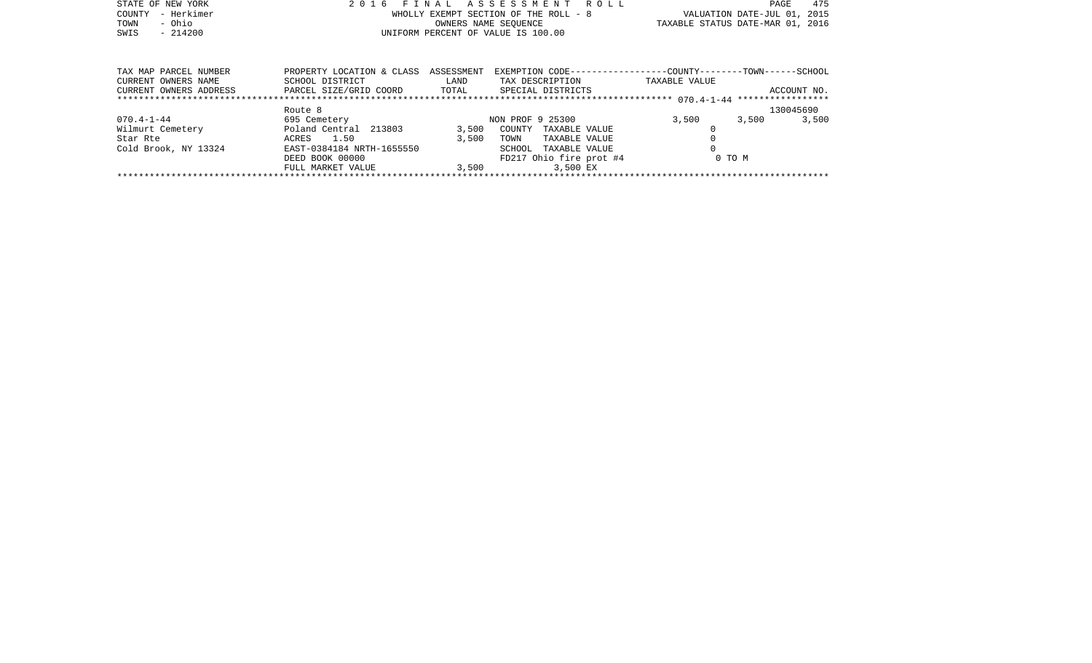| STATE OF NEW YORK<br>- Herkimer<br>COUNTY<br>- Ohio<br>TOWN<br>SWIS<br>$-214200$ | 2016<br>'N A L<br>F T<br>WHOLLY EXEMPT SECTION OF THE ROLL - 8<br>UNIFORM PERCENT OF VALUE IS 100.00 | <b>ROLL</b><br>VALUATION DATE-JUL 01, 2015<br>TAXABLE STATUS DATE-MAR 01, 2016 | 475<br>PAGE             |                                                              |             |
|----------------------------------------------------------------------------------|------------------------------------------------------------------------------------------------------|--------------------------------------------------------------------------------|-------------------------|--------------------------------------------------------------|-------------|
|                                                                                  |                                                                                                      |                                                                                |                         |                                                              |             |
| TAX MAP PARCEL NUMBER                                                            | PROPERTY LOCATION & CLASS                                                                            | ASSESSMENT                                                                     |                         | EXEMPTION CODE-----------------COUNTY-------TOWN------SCHOOL |             |
| CURRENT OWNERS NAME                                                              | SCHOOL DISTRICT                                                                                      | LAND                                                                           | TAX DESCRIPTION         | TAXABLE VALUE                                                |             |
| CURRENT OWNERS ADDRESS                                                           | PARCEL SIZE/GRID COORD                                                                               | TOTAL                                                                          | SPECIAL DISTRICTS       |                                                              | ACCOUNT NO. |
|                                                                                  |                                                                                                      |                                                                                |                         |                                                              |             |
|                                                                                  | Route 8                                                                                              |                                                                                |                         |                                                              | 130045690   |
| $070.4 - 1 - 44$                                                                 | 695 Cemetery                                                                                         |                                                                                | NON PROF 9 25300        | 3,500<br>3,500                                               | 3,500       |
| Wilmurt Cemetery                                                                 | Poland Central<br>213803                                                                             | 3,500                                                                          | COUNTY<br>TAXABLE VALUE |                                                              |             |
| Star Rte                                                                         | 1.50<br>ACRES                                                                                        | 3,500                                                                          | TOWN<br>TAXABLE VALUE   |                                                              |             |
| Cold Brook, NY 13324                                                             | EAST-0384184 NRTH-1655550                                                                            |                                                                                | SCHOOL<br>TAXABLE VALUE |                                                              |             |

FULL MARKET VALUE 3,500 3,500 EX \*\*\*\*\*\*\*\*\*\*\*\*\*\*\*\*\*\*\*\*\*\*\*\*\*\*\*\*\*\*\*\*\*\*\*\*\*\*\*\*\*\*\*\*\*\*\*\*\*\*\*\*\*\*\*\*\*\*\*\*\*\*\*\*\*\*\*\*\*\*\*\*\*\*\*\*\*\*\*\*\*\*\*\*\*\*\*\*\*\*\*\*\*\*\*\*\*\*\*\*\*\*\*\*\*\*\*\*\*\*\*\*\*\*\*\*\*\*\*\*\*\*\*\*\*\*\*\*\*\*\*\*

DEED BOOK 00000 FD217 Ohio fire prot #4 0 TO M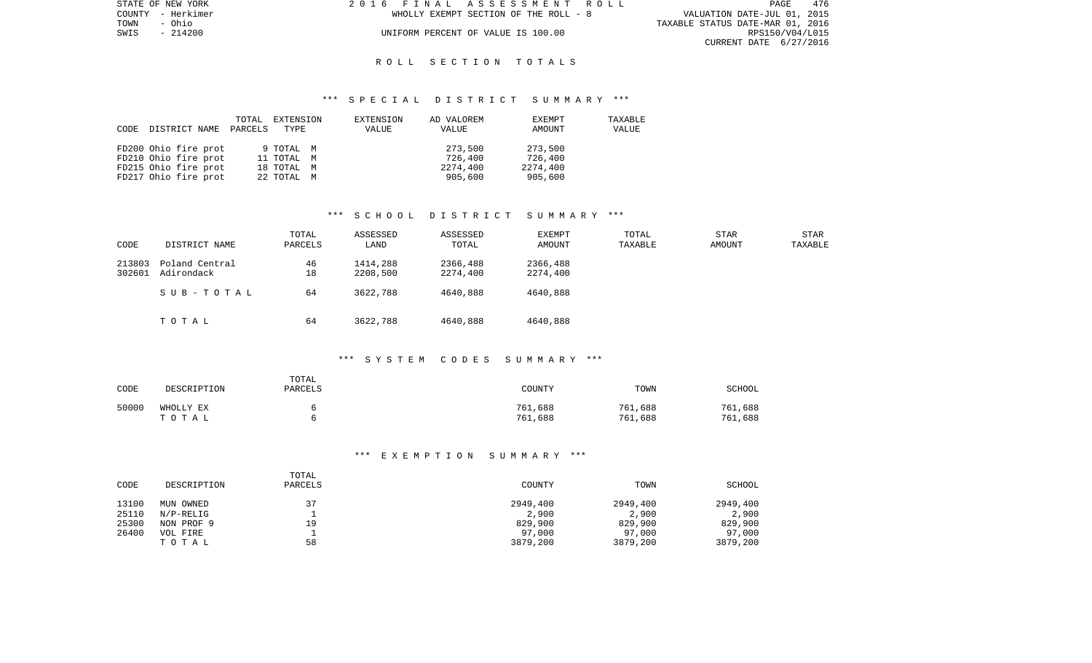| STATE OF NEW YORK | 2016 FINAL ASSESSMENT ROLL            | 476<br>PAGE                      |
|-------------------|---------------------------------------|----------------------------------|
| COUNTY - Herkimer | WHOLLY EXEMPT SECTION OF THE ROLL - 8 | VALUATION DATE-JUL 01, 2015      |
| TOWN<br>- Ohio    |                                       | TAXABLE STATUS DATE-MAR 01, 2016 |
| SWIS - 214200     | UNIFORM PERCENT OF VALUE IS 100.00    | RPS150/V04/L015                  |
|                   |                                       | CURRENT DATE 6/27/2016           |

### R O L L S E C T I O N T O T A L S

### \*\*\* S P E C I A L D I S T R I C T S U M M A R Y \*\*\*

| CODE | DISTRICT NAME        | TOTAL<br>PARCELS | EXTENSION<br>TYPE | EXTENSION<br>VALUE | AD VALOREM<br>VALUE | EXEMPT<br>AMOUNT | TAXABLE<br>VALUE |
|------|----------------------|------------------|-------------------|--------------------|---------------------|------------------|------------------|
|      | FD200 Ohio fire prot |                  | 9 TOTAL M         |                    | 273,500             | 273,500          |                  |
|      | FD210 Ohio fire prot |                  | 11 TOTAL M        |                    | 726,400             | 726,400          |                  |
|      | FD215 Ohio fire prot |                  | 18 TOTAL M        |                    | 2274,400            | 2274,400         |                  |
|      | FD217 Ohio fire prot |                  | 22 TOTAL M        |                    | 905,600             | 905,600          |                  |

# \*\*\* S C H O O L D I S T R I C T S U M M A R Y \*\*\*

| CODE             | DISTRICT NAME                | TOTAL<br>PARCELS | ASSESSED<br>LAND     | ASSESSED<br>TOTAL    | EXEMPT<br>AMOUNT     | TOTAL<br>TAXABLE | <b>STAR</b><br>AMOUNT | STAR<br>TAXABLE |
|------------------|------------------------------|------------------|----------------------|----------------------|----------------------|------------------|-----------------------|-----------------|
| 213803<br>302601 | Poland Central<br>Adirondack | 46<br>18         | 1414,288<br>2208,500 | 2366,488<br>2274,400 | 2366,488<br>2274,400 |                  |                       |                 |
|                  | SUB-TOTAL                    | 64               | 3622,788             | 4640,888             | 4640,888             |                  |                       |                 |
|                  | TOTAL                        | 64               | 3622,788             | 4640,888             | 4640,888             |                  |                       |                 |

#### \*\*\* S Y S T E M C O D E S S U M M A R Y \*\*\*

| CODE  | DESCRIPTION        | TOTAL<br><b>PARCELS</b> | COUNTY             | TOWN               | SCHOOL             |
|-------|--------------------|-------------------------|--------------------|--------------------|--------------------|
| 50000 | WHOLLY EX<br>TOTAL |                         | 761,688<br>761,688 | 761,688<br>761,688 | 761,688<br>761,688 |

## \*\*\* E X E M P T I O N S U M M A R Y \*\*\*

| CODE           | DESCRIPTION            | TOTAL<br>PARCELS | COUNTY            | TOWN              | SCHOOL            |
|----------------|------------------------|------------------|-------------------|-------------------|-------------------|
| 13100<br>25110 | MUN OWNED<br>N/P-RELIG | 37               | 2949,400<br>2,900 | 2949,400<br>2,900 | 2949,400<br>2,900 |
| 25300          | NON PROF 9             | 19               | 829,900           | 829,900           | 829,900           |
| 26400          | VOL FIRE               |                  | 97,000            | 97,000            | 97,000            |
|                | TOTAL                  | 58               | 3879,200          | 3879,200          | 3879,200          |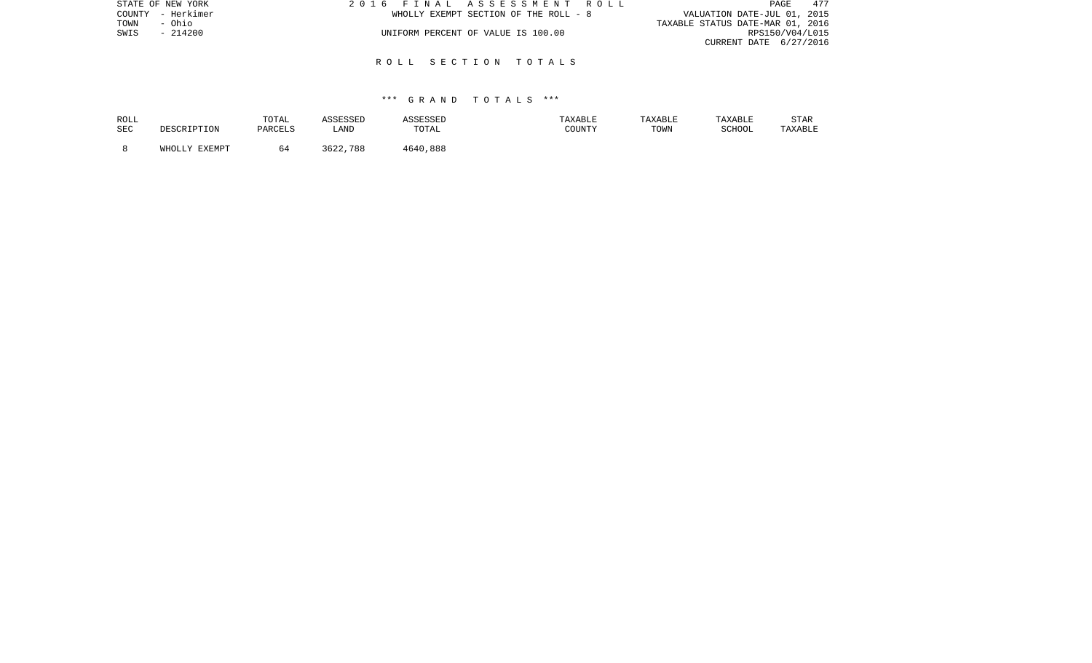| STATE OF NEW YORK | 2016 FINAL ASSESSMENT ROLL            | 477<br>PAGE                      |
|-------------------|---------------------------------------|----------------------------------|
| COUNTY - Herkimer | WHOLLY EXEMPT SECTION OF THE ROLL - 8 | VALUATION DATE-JUL 01, 2015      |
| TOWN<br>- Ohio    |                                       | TAXABLE STATUS DATE-MAR 01, 2016 |
| $-214200$<br>SWIS | UNIFORM PERCENT OF VALUE IS 100.00    | RPS150/V04/L015                  |
|                   |                                       | CURRENT DATE 6/27/2016           |
|                   |                                       |                                  |

### R O L L S E C T I O N T O T A L S

| ROLL       | DESCRIPTION   | TOTAL   | ASSESSED | ASSESSED | TAXABLE | TAXABLE | TAXABLE | <b>STAR</b> |
|------------|---------------|---------|----------|----------|---------|---------|---------|-------------|
| <b>SEC</b> |               | PARCELS | LAND     | TOTAL    | COUNTY  | TOWN    | SCHOOL  | TAXABLE     |
|            | WHOLLY EXEMPT | 64      | 3622,788 | 4640,888 |         |         |         |             |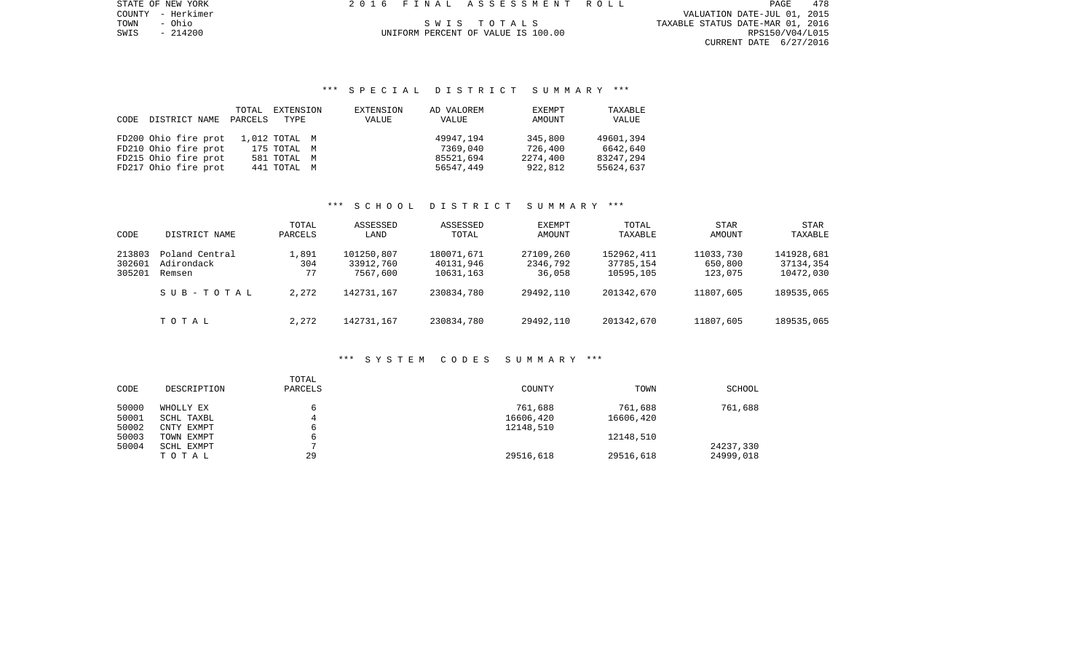PAGE 478 COUNTY - Herkimer VALUATION DATE-JUL 01, 2015 TOWN - Ohio S W I S T O T A L S TAXABLE STATUS DATE-MAR 01, 2016 SWIS - 214200 UNIFORM PERCENT OF VALUE IS 100.00 RPS150/V04/L015 CURRENT DATE 6/27/2016

STATE OF NEW YORK 2016 FINAL ASSESSMENT ROLL

# \*\*\* S P E C I A L D I S T R I C T S U M M A R Y \*\*\*

|      |                      | TOTAL   | EXTENSION     | EXTENSION | AD VALOREM | EXEMPT   | TAXABLE   |
|------|----------------------|---------|---------------|-----------|------------|----------|-----------|
| CODE | DISTRICT NAME        | PARCELS | TYPE          | VALUE     | VALUE      | AMOUNT   | VALUE     |
|      |                      |         |               |           |            |          |           |
|      | FD200 Ohio fire prot |         | 1,012 TOTAL M |           | 49947.194  | 345,800  | 49601,394 |
|      | FD210 Ohio fire prot |         | 175 TOTAL M   |           | 7369,040   | 726,400  | 6642,640  |
|      | FD215 Ohio fire prot |         | 581 TOTAL M   |           | 85521,694  | 2274,400 | 83247,294 |
|      | FD217 Ohio fire prot |         | 441 TOTAL M   |           | 56547,449  | 922,812  | 55624,637 |

# \*\*\* S C H O O L D I S T R I C T S U M M A R Y \*\*\*

| CODE                       | DISTRICT NAME                                       | TOTAL<br>PARCELS            | ASSESSED<br>LAND                                  | ASSESSED<br>TOTAL                                  | EXEMPT<br>AMOUNT                             | TOTAL<br>TAXABLE                                   | STAR<br>AMOUNT                               | STAR<br>TAXABLE                                    |
|----------------------------|-----------------------------------------------------|-----------------------------|---------------------------------------------------|----------------------------------------------------|----------------------------------------------|----------------------------------------------------|----------------------------------------------|----------------------------------------------------|
| 213803<br>302601<br>305201 | Poland Central<br>Adirondack<br>Remsen<br>SUB-TOTAL | 1,891<br>304<br>77<br>2,272 | 101250,807<br>33912,760<br>7567,600<br>142731,167 | 180071,671<br>40131,946<br>10631,163<br>230834,780 | 27109,260<br>2346,792<br>36,058<br>29492,110 | 152962,411<br>37785,154<br>10595,105<br>201342,670 | 11033,730<br>650,800<br>123,075<br>11807,605 | 141928,681<br>37134,354<br>10472,030<br>189535,065 |
|                            | TOTAL                                               | 2,272                       | 142731,167                                        | 230834,780                                         | 29492,110                                    | 201342,670                                         | 11807,605                                    | 189535,065                                         |

#### \*\*\* S Y S T E M C O D E S S U M M A R Y \*\*\*

| CODE  | DESCRIPTION | TOTAL<br>PARCELS | COUNTY    | TOWN      | <b>SCHOOL</b> |
|-------|-------------|------------------|-----------|-----------|---------------|
| 50000 | WHOLLY EX   |                  | 761,688   | 761,688   | 761,688       |
| 50001 | SCHL TAXBL  |                  | 16606,420 | 16606,420 |               |
| 50002 | CNTY EXMPT  | 6                | 12148,510 |           |               |
| 50003 | TOWN EXMPT  | 6                |           | 12148,510 |               |
| 50004 | SCHL EXMPT  |                  |           |           | 24237,330     |
|       | TOTAL       | 29               | 29516,618 | 29516,618 | 24999,018     |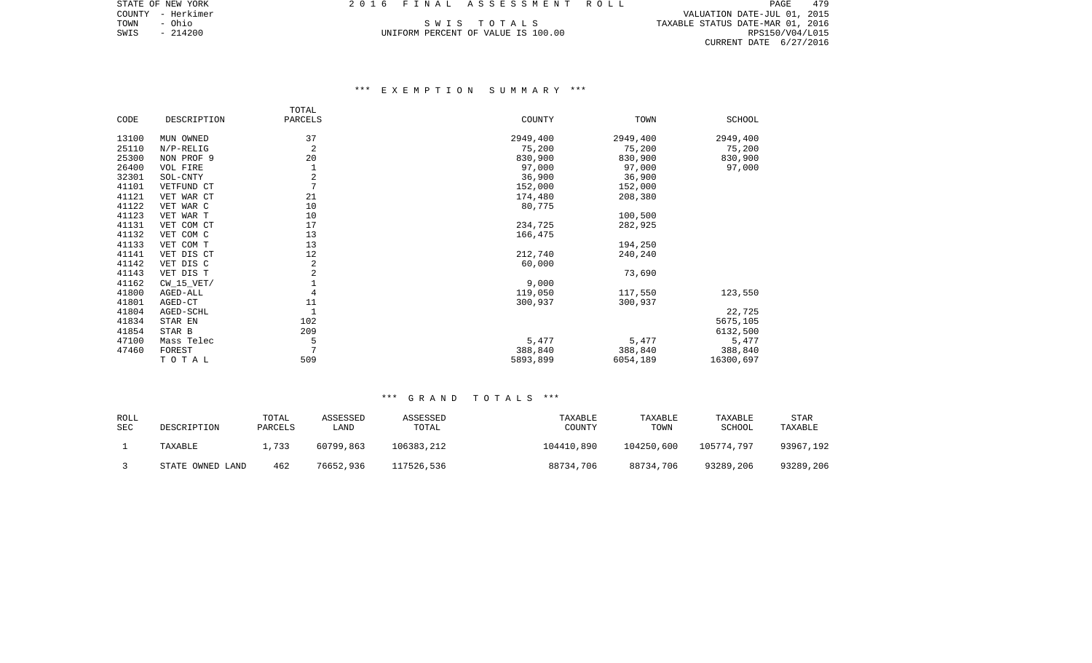COUNTY - Herkimer VALUATION DATE-JUL 01, 2015 TOWN - Ohio S W I S T O T A L S TAXABLE STATUS DATE-MAR 01, 2016 SWIS - 214200 UNIFORM PERCENT OF VALUE IS 100.00 RPS150/V04/L015 CURRENT DATE 6/27/2016

# \*\*\* E X E M P T I O N S U M M A R Y \*\*\*

|       |              | TOTAL           |          |          |           |
|-------|--------------|-----------------|----------|----------|-----------|
| CODE  | DESCRIPTION  | PARCELS         | COUNTY   | TOWN     | SCHOOL    |
| 13100 | MUN OWNED    | 37              | 2949,400 | 2949,400 | 2949,400  |
| 25110 | $N/P-RELIG$  | 2               | 75,200   | 75,200   | 75,200    |
| 25300 | NON PROF 9   | 20              | 830,900  | 830,900  | 830,900   |
| 26400 | VOL FIRE     |                 | 97,000   | 97,000   | 97,000    |
| 32301 | SOL-CNTY     | 2               | 36,900   | 36,900   |           |
| 41101 | VETFUND CT   | $7\phantom{.0}$ | 152,000  | 152,000  |           |
| 41121 | VET WAR CT   | 21              | 174,480  | 208,380  |           |
| 41122 | VET WAR C    | 10              | 80,775   |          |           |
| 41123 | VET WAR T    | 10              |          | 100,500  |           |
| 41131 | VET COM CT   | 17              | 234,725  | 282,925  |           |
| 41132 | VET COM C    | 13              | 166,475  |          |           |
| 41133 | VET COM T    | 13              |          | 194,250  |           |
| 41141 | VET DIS CT   | 12              | 212,740  | 240,240  |           |
| 41142 | VET DIS C    | $\overline{2}$  | 60,000   |          |           |
| 41143 | VET DIS T    | 2               |          | 73,690   |           |
| 41162 | $CW_15_VET/$ | $\mathbf 1$     | 9,000    |          |           |
| 41800 | AGED-ALL     | 4               | 119,050  | 117,550  | 123,550   |
| 41801 | AGED-CT      | 11              | 300,937  | 300,937  |           |
| 41804 | AGED-SCHL    | $\mathbf{1}$    |          |          | 22,725    |
| 41834 | STAR EN      | 102             |          |          | 5675,105  |
| 41854 | STAR B       | 209             |          |          | 6132,500  |
| 47100 | Mass Telec   | 5               | 5,477    | 5,477    | 5,477     |
| 47460 | FOREST       | 7               | 388,840  | 388,840  | 388,840   |
|       | TOTAL        | 509             | 5893,899 | 6054,189 | 16300,697 |

| ROLL<br>SEC | DESCRIPTION      | TOTAL<br>PARCELS | ASSESSED<br>LAND. | ASSESSED<br>TOTAL | TAXABLE<br>COUNTY | TAXABLE<br>TOWN | TAXABLE<br>SCHOOL | STAR<br>TAXABLE |
|-------------|------------------|------------------|-------------------|-------------------|-------------------|-----------------|-------------------|-----------------|
|             | TAXABLE          | 1,733            | 60799,863         | 106383,212        | 104410,890        | 104250,600      | 105774,797        | 93967,192       |
|             | STATE OWNED LAND | 462              | 76652,936         | 117526,536        | 88734,706         | 88734,706       | 93289,206         | 93289,206       |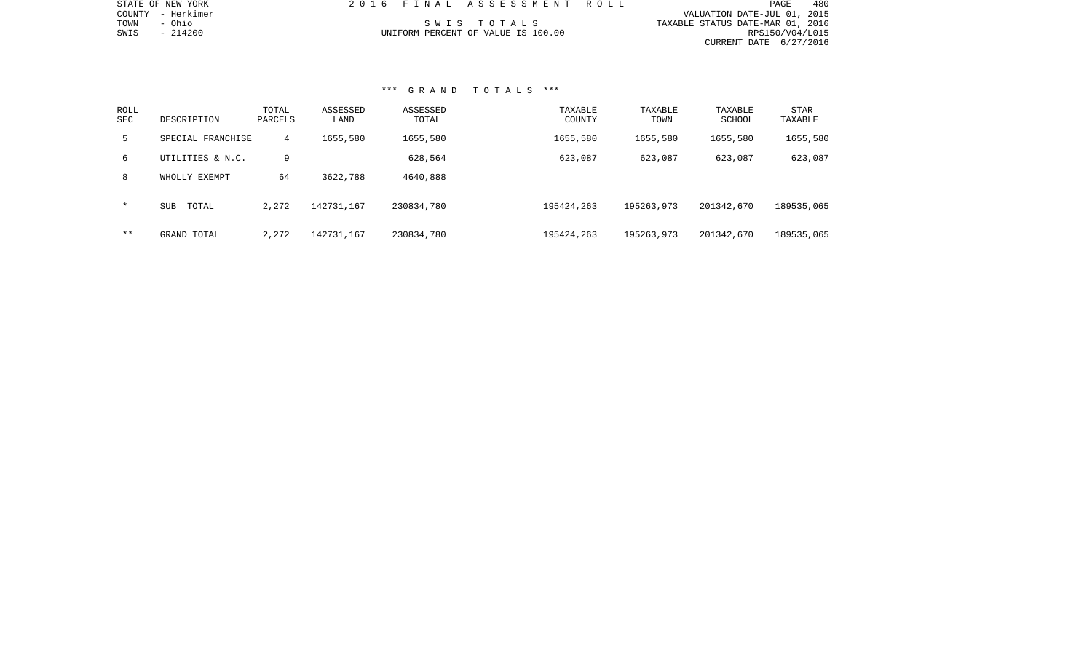| STATE OF NEW YORK    | 2016 FINAL ASSESSMENT ROLL         | 480<br>PAGE                      |
|----------------------|------------------------------------|----------------------------------|
| - Herkimer<br>COUNTY |                                    | VALUATION DATE-JUL 01, 2015      |
| - Ohio<br>TOWN       | SWIS TOTALS                        | TAXABLE STATUS DATE-MAR 01, 2016 |
| SWIS<br>$-214200$    | UNIFORM PERCENT OF VALUE IS 100.00 | RPS150/V04/L015                  |
|                      |                                    | CURRENT DATE 6/27/2016           |
|                      |                                    |                                  |
|                      |                                    |                                  |
|                      |                                    |                                  |
|                      |                                    |                                  |
|                      | *** GRAND TOTALS ***               |                                  |

| ROLL<br><b>SEC</b> | DESCRIPTION         | TOTAL<br>PARCELS | ASSESSED<br>LAND | ASSESSED<br>TOTAL | TAXABLE<br>COUNTY | TAXABLE<br>TOWN | TAXABLE<br>SCHOOL | <b>STAR</b><br>TAXABLE |  |
|--------------------|---------------------|------------------|------------------|-------------------|-------------------|-----------------|-------------------|------------------------|--|
| 5                  | SPECIAL FRANCHISE   | 4                | 1655,580         | 1655,580          | 1655,580          | 1655,580        | 1655,580          | 1655,580               |  |
| 6                  | UTILITIES & N.C.    | 9                |                  | 628,564           | 623,087           | 623,087         | 623,087           | 623,087                |  |
| 8                  | WHOLLY EXEMPT       | 64               | 3622,788         | 4640,888          |                   |                 |                   |                        |  |
| $\star$            | TOTAL<br><b>SUB</b> | 2,272            | 142731,167       | 230834,780        | 195424,263        | 195263,973      | 201342,670        | 189535,065             |  |
| * *                | GRAND TOTAL         | 2,272            | 142731,167       | 230834,780        | 195424,263        | 195263,973      | 201342,670        | 189535,065             |  |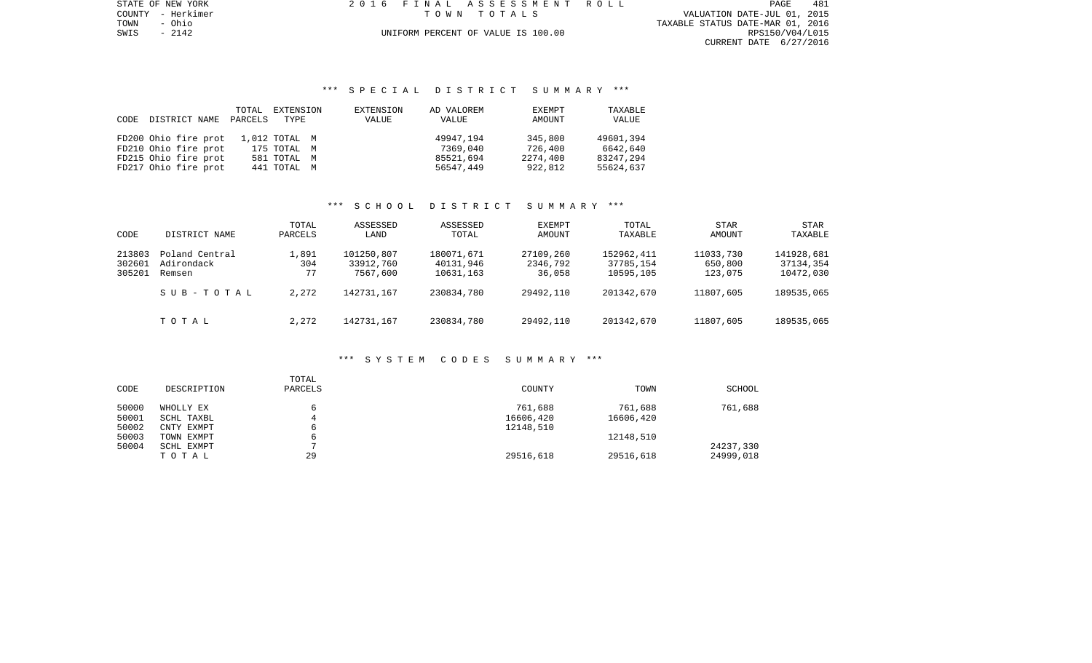PAGE 481 TOWN - Ohio TAXABLE STATUS DATE-MAR 01, 2016 SWIS - 2142<br>
SWIS - 2142<br>
SWIS - 2142<br>
SWIS - 2142<br>
UNIFORM PERCENT OF VALUE IS 100.00 RESISSING DATE-MAR 01, 2016 CURRENT DATE 6/27/2016

STATE OF NEW YORK 2016 FINAL ASSESSMENT ROLL COUNTY - Herkimer T O W N T O T A L S VALUATION DATE-JUL 01, 2015

# \*\*\* S P E C I A L D I S T R I C T S U M M A R Y \*\*\*

|      |                      | TOTAL   | EXTENSION     | EXTENSION | AD VALOREM | EXEMPT   | TAXABLE   |
|------|----------------------|---------|---------------|-----------|------------|----------|-----------|
| CODE | DISTRICT NAME        | PARCELS | TYPE          | VALUE     | VALUE      | AMOUNT   | VALUE     |
|      |                      |         |               |           |            |          |           |
|      | FD200 Ohio fire prot |         | 1,012 TOTAL M |           | 49947,194  | 345,800  | 49601,394 |
|      | FD210 Ohio fire prot |         | 175 TOTAL M   |           | 7369,040   | 726,400  | 6642,640  |
|      | FD215 Ohio fire prot |         | 581 TOTAL M   |           | 85521,694  | 2274,400 | 83247,294 |
|      | FD217 Ohio fire prot |         | 441 TOTAL M   |           | 56547,449  | 922,812  | 55624,637 |

# \*\*\* S C H O O L D I S T R I C T S U M M A R Y \*\*\*

| CODE                       | DISTRICT NAME                          | TOTAL<br>PARCELS   | ASSESSED<br>LAND                    | ASSESSED<br>TOTAL                    | EXEMPT<br>AMOUNT                | TOTAL<br>TAXABLE                     | <b>STAR</b><br>AMOUNT           | STAR<br>TAXABLE                      |
|----------------------------|----------------------------------------|--------------------|-------------------------------------|--------------------------------------|---------------------------------|--------------------------------------|---------------------------------|--------------------------------------|
| 213803<br>302601<br>305201 | Poland Central<br>Adirondack<br>Remsen | 1,891<br>304<br>77 | 101250,807<br>33912,760<br>7567,600 | 180071,671<br>40131,946<br>10631,163 | 27109,260<br>2346,792<br>36,058 | 152962,411<br>37785,154<br>10595,105 | 11033,730<br>650,800<br>123,075 | 141928,681<br>37134,354<br>10472,030 |
|                            | SUB-TOTAL                              | 2,272              | 142731,167                          | 230834,780                           | 29492,110                       | 201342,670                           | 11807,605                       | 189535,065                           |
|                            | TOTAL                                  | 2,272              | 142731,167                          | 230834,780                           | 29492,110                       | 201342,670                           | 11807,605                       | 189535,065                           |

#### \*\*\* S Y S T E M C O D E S S U M M A R Y \*\*\*

| CODE  | DESCRIPTION | TOTAL<br>PARCELS | <b>COUNTY</b> | TOWN      | <b>SCHOOL</b> |
|-------|-------------|------------------|---------------|-----------|---------------|
| 50000 | WHOLLY EX   |                  | 761,688       | 761,688   | 761,688       |
| 50001 | SCHL TAXBL  | 4                | 16606,420     | 16606,420 |               |
| 50002 | CNTY EXMPT  |                  | 12148,510     |           |               |
| 50003 | TOWN EXMPT  |                  |               | 12148,510 |               |
| 50004 | SCHL EXMPT  |                  |               |           | 24237,330     |
|       | TOTAL       | 29               | 29516,618     | 29516,618 | 24999,018     |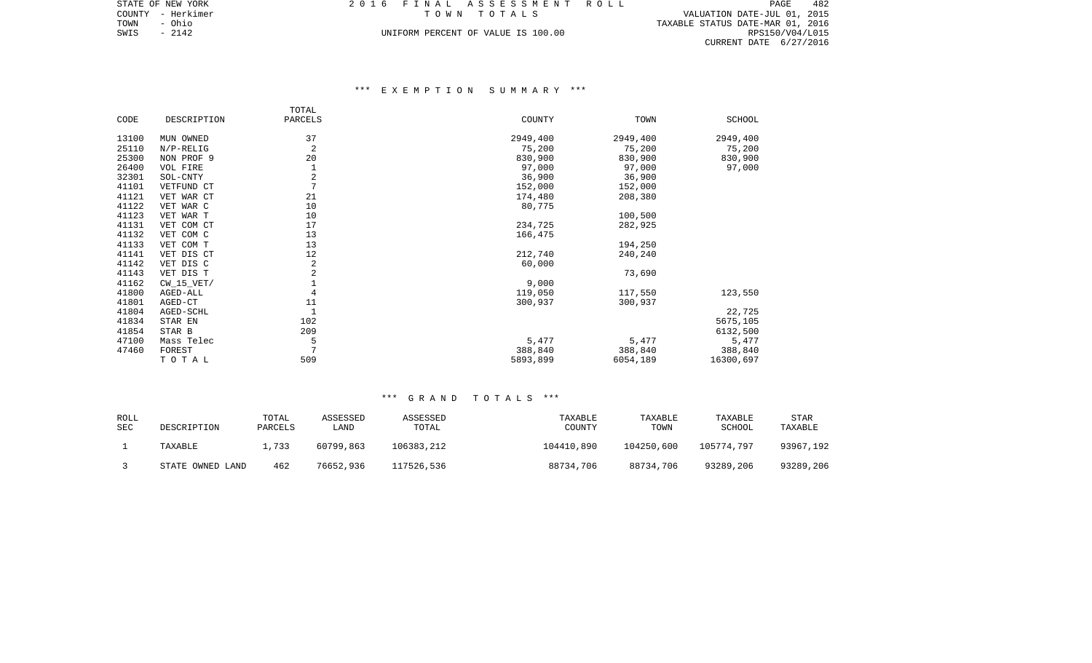| 6 FINAL ASSESSMENT ROLL            |  |  |             |  |  |  |  |  |  |  |  |  |  |                                  | PAGE. | 482 |
|------------------------------------|--|--|-------------|--|--|--|--|--|--|--|--|--|--|----------------------------------|-------|-----|
|                                    |  |  | TOWN TOTALS |  |  |  |  |  |  |  |  |  |  | VALUATION DATE-JUL 01, 2015      |       |     |
|                                    |  |  |             |  |  |  |  |  |  |  |  |  |  | TAXABLE STATUS DATE-MAR 01, 2016 |       |     |
| UNIFORM PERCENT OF VALUE IS 100.00 |  |  |             |  |  |  |  |  |  |  |  |  |  | RPS150/V04/L015                  |       |     |
|                                    |  |  |             |  |  |  |  |  |  |  |  |  |  | CURRENT DATE 6/27/2016           |       |     |

# \*\*\* E X E M P T I O N S U M M A R Y \*\*\*

|       |              | TOTAL          |          |          |           |
|-------|--------------|----------------|----------|----------|-----------|
| CODE  | DESCRIPTION  | PARCELS        | COUNTY   | TOWN     | SCHOOL    |
| 13100 | MUN OWNED    | 37             | 2949,400 | 2949,400 | 2949,400  |
| 25110 | $N/P-RELIG$  | 2              | 75,200   | 75,200   | 75,200    |
| 25300 | NON PROF 9   | 20             | 830,900  | 830,900  | 830,900   |
| 26400 | VOL FIRE     |                | 97,000   | 97,000   | 97,000    |
| 32301 | SOL-CNTY     | 2              | 36,900   | 36,900   |           |
| 41101 | VETFUND CT   | $\overline{7}$ | 152,000  | 152,000  |           |
| 41121 | VET WAR CT   | 21             | 174,480  | 208,380  |           |
| 41122 | VET WAR C    | 10             | 80,775   |          |           |
| 41123 | VET WAR T    | 10             |          | 100,500  |           |
| 41131 | VET COM CT   | 17             | 234,725  | 282,925  |           |
| 41132 | VET COM C    | 13             | 166,475  |          |           |
| 41133 | VET COM T    | 13             |          | 194,250  |           |
| 41141 | VET DIS CT   | 12             | 212,740  | 240,240  |           |
| 41142 | VET DIS C    | 2              | 60,000   |          |           |
| 41143 | VET DIS T    | 2              |          | 73,690   |           |
| 41162 | $CW_15_VET/$ |                | 9,000    |          |           |
| 41800 | AGED-ALL     | 4              | 119,050  | 117,550  | 123,550   |
| 41801 | AGED-CT      | 11             | 300,937  | 300,937  |           |
| 41804 | AGED-SCHL    | $\mathbf{1}$   |          |          | 22,725    |
| 41834 | STAR EN      | 102            |          |          | 5675,105  |
| 41854 | STAR B       | 209            |          |          | 6132,500  |
| 47100 | Mass Telec   | 5              | 5,477    | 5,477    | 5,477     |
| 47460 | FOREST       | 7              | 388,840  | 388,840  | 388,840   |
|       | TOTAL        | 509            | 5893,899 | 6054,189 | 16300,697 |

| ROLL<br>SEC | DESCRIPTION      | TOTAL<br>PARCELS | ASSESSED<br>LAND. | ASSESSED<br>TOTAL | TAXABLE<br>COUNTY | TAXABLE<br>TOWN | TAXABLE<br>SCHOOL | STAR<br>TAXABLE |
|-------------|------------------|------------------|-------------------|-------------------|-------------------|-----------------|-------------------|-----------------|
|             | TAXABLE          | 1,733            | 60799,863         | 106383,212        | 104410,890        | 104250,600      | 105774,797        | 93967,192       |
|             | STATE OWNED LAND | 462              | 76652,936         | 117526,536        | 88734,706         | 88734,706       | 93289,206         | 93289,206       |